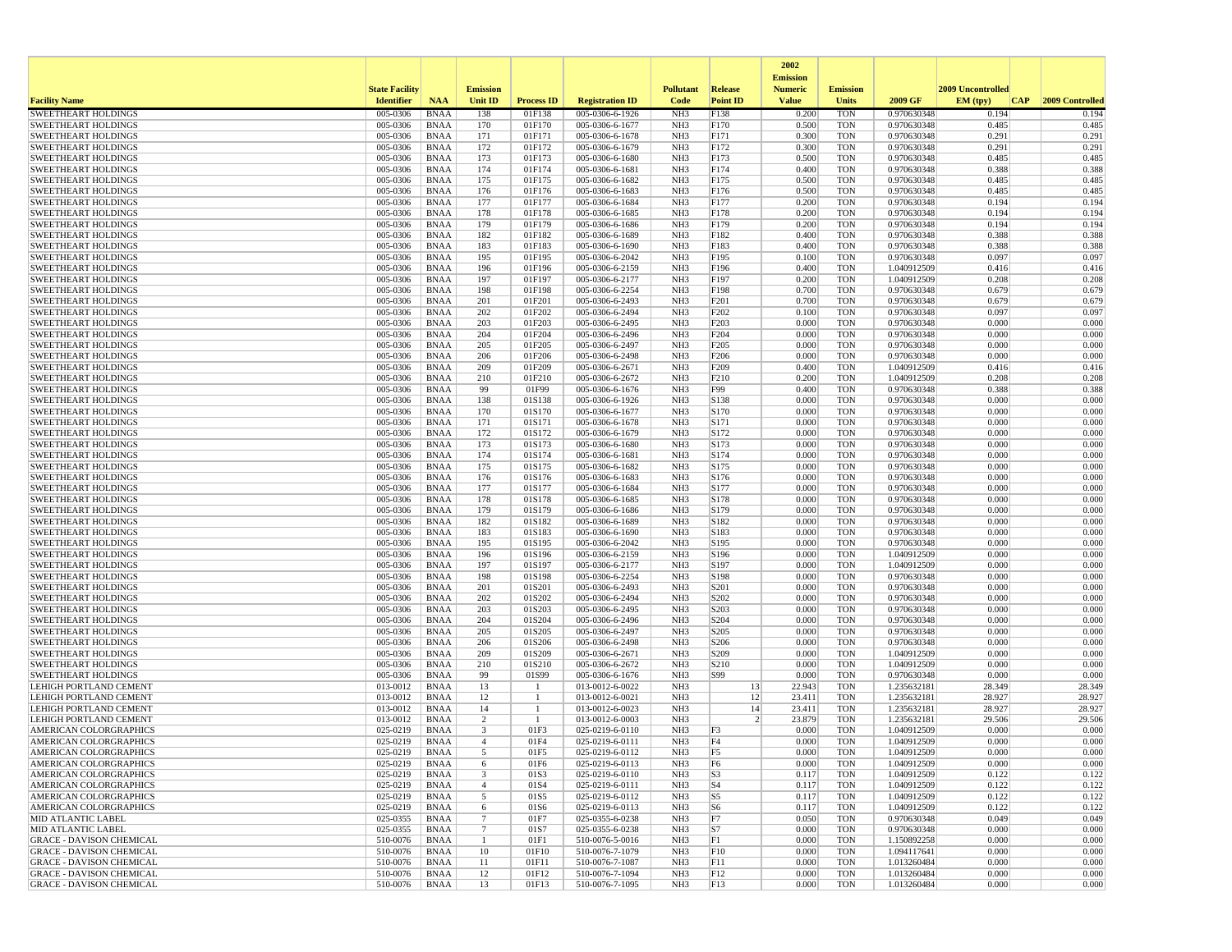|                                                              |                       |                            |                              |                   |                                    |                                    |                          | 2002<br><b>Emission</b> |                          |                            |                   |                     |
|--------------------------------------------------------------|-----------------------|----------------------------|------------------------------|-------------------|------------------------------------|------------------------------------|--------------------------|-------------------------|--------------------------|----------------------------|-------------------|---------------------|
|                                                              | <b>State Facility</b> |                            | <b>Emission</b>              |                   |                                    | <b>Pollutant</b>                   | Release                  | <b>Numeric</b>          | <b>Emission</b>          |                            | 2009 Uncontrolled |                     |
| <b>Facility Name</b>                                         | <b>Identifier</b>     | <b>NAA</b>                 | Unit ID                      | <b>Process ID</b> | <b>Registration ID</b>             | Code                               | <b>Point ID</b>          | <b>Value</b>            | <b>Units</b>             | 2009 GF                    | EM (tpv)          | CAP 2009 Controlled |
| <b>SWEETHEART HOLDINGS</b>                                   | 005-0306              | <b>BNAA</b>                | 138                          | 01F138            | 005-0306-6-1926                    | NH <sub>3</sub>                    | F138                     | 0.200                   | <b>TON</b>               | 0.970630348                | 0.194             | 0.194               |
| <b>SWEETHEART HOLDINGS</b>                                   | 005-0306              | <b>BNAA</b>                | 170                          | 01F170            | 005-0306-6-1677                    | NH <sub>3</sub>                    | F170                     | 0.500                   | <b>TON</b>               | 0.970630348                | 0.485             | 0.485               |
| <b>SWEETHEART HOLDINGS</b><br><b>SWEETHEART HOLDINGS</b>     | 005-0306<br>005-0306  | <b>BNAA</b><br><b>BNAA</b> | 171<br>172                   | 01F171<br>01F172  | 005-0306-6-1678<br>005-0306-6-1679 | NH <sub>3</sub><br>NH <sub>3</sub> | F171<br>F172             | 0.300<br>0.300          | <b>TON</b><br><b>TON</b> | 0.970630348<br>0.970630348 | 0.291<br>0.291    | 0.291<br>0.291      |
| <b>SWEETHEART HOLDINGS</b>                                   | 005-0306              | <b>BNAA</b>                | 173                          | 01F173            | 005-0306-6-1680                    | NH <sub>3</sub>                    | F173                     | 0.500                   | <b>TON</b>               | 0.970630348                | 0.485             | 0.485               |
| <b>SWEETHEART HOLDINGS</b>                                   | 005-0306              | <b>BNAA</b>                | 174                          | 01F174            | 005-0306-6-1681                    | NH <sub>3</sub>                    | F174                     | 0.400                   | <b>TON</b>               | 0.970630348                | 0.388             | 0.388               |
| <b>SWEETHEART HOLDINGS</b>                                   | 005-0306              | BNAA                       | 175                          | 01F175            | 005-0306-6-1682                    | NH <sub>3</sub>                    | F175                     | 0.500                   | <b>TON</b>               | 0.970630348                | 0.485             | 0.485               |
| <b>SWEETHEART HOLDINGS</b>                                   | 005-0306              | <b>BNAA</b>                | 176                          | 01F176            | 005-0306-6-1683                    | NH <sub>3</sub>                    | F176                     | 0.500                   | <b>TON</b>               | 0.970630348                | 0.485             | 0.485               |
| <b>SWEETHEART HOLDINGS</b><br><b>SWEETHEART HOLDINGS</b>     | 005-0306<br>005-0306  | <b>BNAA</b><br><b>BNAA</b> | 177<br>178                   | 01F177<br>01F178  | 005-0306-6-1684<br>005-0306-6-1685 | NH <sub>3</sub><br>NH <sub>3</sub> | F177<br>F178             | 0.200<br>0.200          | <b>TON</b><br><b>TON</b> | 0.970630348<br>0.970630348 | 0.194<br>0.194    | 0.194<br>0.194      |
| <b>SWEETHEART HOLDINGS</b>                                   | 005-0306              | <b>BNAA</b>                | 179                          | 01F179            | 005-0306-6-1686                    | NH <sub>3</sub>                    | F179                     | 0.200                   | <b>TON</b>               | 0.970630348                | 0.194             | 0.194               |
| <b>SWEETHEART HOLDINGS</b>                                   | 005-0306              | <b>BNAA</b>                | 182                          | 01F182            | 005-0306-6-1689                    | NH <sub>3</sub>                    | F182                     | 0.400                   | <b>TON</b>               | 0.970630348                | 0.388             | 0.388               |
| <b>SWEETHEART HOLDINGS</b>                                   | 005-0306              | <b>BNAA</b>                | 183                          | 01F183            | 005-0306-6-1690                    | NH <sub>3</sub>                    | F183                     | 0.400                   | <b>TON</b>               | 0.970630348                | 0.388             | 0.388               |
| <b>SWEETHEART HOLDINGS</b>                                   | 005-0306              | <b>BNAA</b>                | 195                          | 01F195            | 005-0306-6-2042                    | NH <sub>3</sub>                    | F195                     | 0.100                   | <b>TON</b>               | 0.970630348                | 0.097             | 0.097               |
| <b>SWEETHEART HOLDINGS</b><br><b>SWEETHEART HOLDINGS</b>     | 005-0306<br>005-0306  | <b>BNAA</b><br><b>BNAA</b> | 196<br>197                   | 01F196<br>01F197  | 005-0306-6-2159<br>005-0306-6-2177 | NH <sub>3</sub><br>NH <sub>3</sub> | F196<br>F197             | 0.400<br>0.200          | <b>TON</b><br><b>TON</b> | 1.040912509<br>1.040912509 | 0.416<br>0.208    | 0.416<br>0.208      |
| <b>SWEETHEART HOLDINGS</b>                                   | 005-0306              | <b>BNAA</b>                | 198                          | 01F198            | 005-0306-6-2254                    | NH <sub>3</sub>                    | F198                     | 0.700                   | <b>TON</b>               | 0.970630348                | 0.679             | 0.679               |
| <b>SWEETHEART HOLDINGS</b>                                   | 005-0306              | <b>BNAA</b>                | 201                          | 01F201            | 005-0306-6-2493                    | NH <sub>3</sub>                    | F201                     | 0.700                   | <b>TON</b>               | 0.970630348                | 0.679             | 0.679               |
| <b>SWEETHEART HOLDINGS</b>                                   | 005-0306              | <b>BNAA</b>                | 202                          | 01F202            | 005-0306-6-2494                    | NH <sub>3</sub>                    | F202                     | 0.100                   | <b>TON</b>               | 0.970630348                | 0.097             | 0.097               |
| <b>SWEETHEART HOLDINGS</b>                                   | 005-0306              | <b>BNAA</b>                | 203                          | 01F203            | 005-0306-6-2495                    | NH <sub>3</sub>                    | F203                     | 0.000                   | <b>TON</b>               | 0.970630348                | 0.000             | 0.000               |
| <b>SWEETHEART HOLDINGS</b>                                   | 005-0306              | BNAA                       | 204                          | 01F204            | 005-0306-6-2496                    | NH <sub>3</sub>                    | F204                     | 0.000                   | <b>TON</b>               | 0.970630348                | 0.000             | 0.000               |
| <b>SWEETHEART HOLDINGS</b><br><b>SWEETHEART HOLDINGS</b>     | 005-0306<br>005-0306  | <b>BNAA</b><br><b>BNAA</b> | 205<br>206                   | 01F205<br>01F206  | 005-0306-6-2497<br>005-0306-6-2498 | NH <sub>3</sub><br>NH <sub>3</sub> | F <sub>205</sub><br>F206 | 0.000<br>0.000          | <b>TON</b><br><b>TON</b> | 0.970630348<br>0.970630348 | 0.000<br>0.000    | 0.000<br>0.000      |
| <b>SWEETHEART HOLDINGS</b>                                   | 005-0306              | <b>BNAA</b>                | 209                          | 01F209            | 005-0306-6-2671                    | NH <sub>3</sub>                    | F <sub>209</sub>         | 0.400                   | <b>TON</b>               | 1.040912509                | 0.416             | 0.416               |
| <b>SWEETHEART HOLDINGS</b>                                   | 005-0306              | BNAA                       | 210                          | 01F210            | 005-0306-6-2672                    | NH <sub>3</sub>                    | F <sub>210</sub>         | 0.200                   | <b>TON</b>               | 1.040912509                | 0.208             | 0.208               |
| <b>SWEETHEART HOLDINGS</b>                                   | 005-0306              | <b>BNAA</b>                | 99                           | 01F99             | 005-0306-6-1676                    | NH <sub>3</sub>                    | F99                      | 0.400                   | <b>TON</b>               | 0.970630348                | 0.388             | 0.388               |
| <b>SWEETHEART HOLDINGS</b>                                   | 005-0306              | <b>BNAA</b>                | 138                          | 01S138            | 005-0306-6-1926                    | NH <sub>3</sub>                    | S138                     | 0.000                   | <b>TON</b>               | 0.970630348                | 0.000             | 0.000               |
| <b>SWEETHEART HOLDINGS</b><br><b>SWEETHEART HOLDINGS</b>     | 005-0306<br>005-0306  | <b>BNAA</b><br><b>BNAA</b> | 170<br>171                   | 01S170<br>01S171  | 005-0306-6-1677<br>005-0306-6-1678 | NH <sub>3</sub><br>NH <sub>3</sub> | S170<br>S171             | 0.000<br>0.000          | <b>TON</b><br><b>TON</b> | 0.970630348<br>0.970630348 | 0.000<br>0.000    | 0.000<br>0.000      |
| <b>SWEETHEART HOLDINGS</b>                                   | 005-0306              | <b>BNAA</b>                | 172                          | 01S172            | 005-0306-6-1679                    | NH <sub>3</sub>                    | S172                     | 0.000                   | <b>TON</b>               | 0.970630348                | 0.000             | 0.000               |
| <b>SWEETHEART HOLDINGS</b>                                   | 005-0306              | <b>BNAA</b>                | 173                          | 01S173            | 005-0306-6-1680                    | NH <sub>3</sub>                    | S173                     | 0.000                   | <b>TON</b>               | 0.970630348                | 0.000             | 0.000               |
| <b>SWEETHEART HOLDINGS</b>                                   | 005-0306              | BNAA                       | 174                          | 01S174            | 005-0306-6-1681                    | NH <sub>3</sub>                    | S174                     | 0.000                   | <b>TON</b>               | 0.970630348                | 0.000             | 0.000               |
| <b>SWEETHEART HOLDINGS</b>                                   | 005-0306              | <b>BNAA</b>                | 175                          | 01S175            | 005-0306-6-1682                    | NH <sub>3</sub>                    | S175                     | 0.000                   | <b>TON</b>               | 0.970630348                | 0.000             | 0.000               |
| <b>SWEETHEART HOLDINGS</b><br><b>SWEETHEART HOLDINGS</b>     | 005-0306<br>005-0306  | <b>BNAA</b><br>BNAA        | 176<br>177                   | 01S176<br>01S177  | 005-0306-6-1683<br>005-0306-6-1684 | NH <sub>3</sub><br>NH <sub>3</sub> | S176<br>S177             | 0.000<br>0.000          | <b>TON</b><br><b>TON</b> | 0.970630348<br>0.970630348 | 0.000<br>0.000    | 0.000<br>0.000      |
| <b>SWEETHEART HOLDINGS</b>                                   | 005-0306              | <b>BNAA</b>                | 178                          | 01S178            | 005-0306-6-1685                    | NH <sub>3</sub>                    | S178                     | 0.000                   | <b>TON</b>               | 0.970630348                | 0.000             | 0.000               |
| <b>SWEETHEART HOLDINGS</b>                                   | 005-0306              | <b>BNAA</b>                | 179                          | 01S179            | 005-0306-6-1686                    | NH <sub>3</sub>                    | S179                     | 0.000                   | <b>TON</b>               | 0.970630348                | 0.000             | 0.000               |
| <b>SWEETHEART HOLDINGS</b>                                   | 005-0306              | <b>BNAA</b>                | 182                          | 01S182            | 005-0306-6-1689                    | NH <sub>3</sub>                    | S182                     | 0.000                   | <b>TON</b>               | 0.970630348                | 0.000             | 0.000               |
| <b>SWEETHEART HOLDINGS</b>                                   | 005-0306              | BNAA                       | 183                          | 01S183            | 005-0306-6-1690                    | NH <sub>3</sub>                    | S183                     | 0.000                   | <b>TON</b>               | 0.970630348                | 0.000             | 0.000               |
| <b>SWEETHEART HOLDINGS</b>                                   | 005-0306              | <b>BNAA</b>                | 195                          | 01S195            | 005-0306-6-2042                    | NH <sub>3</sub>                    | S195                     | 0.000                   | <b>TON</b>               | 0.970630348                | 0.000<br>0.000    | 0.000<br>0.000      |
| <b>SWEETHEART HOLDINGS</b><br><b>SWEETHEART HOLDINGS</b>     | 005-0306<br>005-0306  | BNAA<br><b>BNAA</b>        | 196<br>197                   | 01S196<br>01S197  | 005-0306-6-2159<br>005-0306-6-2177 | NH <sub>3</sub><br>NH <sub>3</sub> | S <sub>196</sub><br>S197 | 0.000<br>0.000          | <b>TON</b><br><b>TON</b> | 1.040912509<br>1.040912509 | 0.000             | 0.000               |
| <b>SWEETHEART HOLDINGS</b>                                   | 005-0306              | <b>BNAA</b>                | 198                          | 01S198            | 005-0306-6-2254                    | NH <sub>3</sub>                    | S198                     | 0.000                   | <b>TON</b>               | 0.970630348                | 0.000             | 0.000               |
| <b>SWEETHEART HOLDINGS</b>                                   | 005-0306              | BNAA                       | 201                          | 01S201            | 005-0306-6-2493                    | NH <sub>3</sub>                    | S201                     | 0.000                   | <b>TON</b>               | 0.970630348                | 0.000             | 0.000               |
| <b>SWEETHEART HOLDINGS</b>                                   | 005-0306              | <b>BNAA</b>                | 202                          | 01S202            | 005-0306-6-2494                    | NH <sub>3</sub>                    | S202                     | 0.000                   | <b>TON</b>               | 0.970630348                | 0.000             | 0.000               |
| <b>SWEETHEART HOLDINGS</b>                                   | 005-0306              | BNAA                       | 203                          | 01S203            | 005-0306-6-2495                    | NH <sub>3</sub>                    | S203                     | 0.000                   | <b>TON</b>               | 0.970630348                | 0.000             | 0.000               |
| <b>SWEETHEART HOLDINGS</b><br><b>SWEETHEART HOLDINGS</b>     | 005-0306<br>005-0306  | <b>BNAA</b><br><b>BNAA</b> | 204<br>205                   | 01S204<br>01S205  | 005-0306-6-2496<br>005-0306-6-2497 | NH <sub>3</sub><br>NH <sub>3</sub> | S204<br>S205             | 0.000<br>0.000          | <b>TON</b><br><b>TON</b> | 0.970630348<br>0.970630348 | 0.000<br>0.000    | 0.000<br>0.000      |
| <b>SWEETHEART HOLDINGS</b>                                   | 005-0306              | <b>BNAA</b>                | 206                          | 01S206            | 005-0306-6-2498                    | NH <sub>3</sub>                    | S <sub>206</sub>         | 0.000                   | <b>TON</b>               | 0.970630348                | 0.000             | 0.000               |
| <b>SWEETHEART HOLDINGS</b>                                   | 005-0306              | BNAA                       | 209                          | 01S209            | 005-0306-6-2671                    | NH3                                | S <sub>209</sub>         | 0.000                   | <b>TON</b>               | 1.040912509                | 0.000             | 0.000               |
| <b>SWEETHEART HOLDINGS</b>                                   | 005-0306              | <b>BNAA</b>                | 210                          | 01S210            | 005-0306-6-2672                    | NH <sub>3</sub>                    | S210                     | 0.000                   | <b>TON</b>               | 1.040912509                | 0.000             | 0.000               |
| <b>SWEETHEART HOLDINGS</b>                                   | 005-0306              | <b>BNAA</b>                | 99                           | 01S99             | 005-0306-6-1676                    | NH <sub>3</sub>                    | S99                      | 0.000                   | <b>TON</b>               | 0.970630348                | 0.000             | 0.000               |
| <b>LEHIGH PORTLAND CEMENT</b>                                | 013-0012<br>013-0012  | <b>BNAA</b><br><b>BNAA</b> | 13                           | -1<br>-1          | 013-0012-6-0022                    | NH <sub>3</sub><br>NH <sub>3</sub> | 13<br>12                 | 22.943<br>23.411        | <b>TON</b><br><b>TON</b> | 1.235632181                | 28.349<br>28.927  | 28.349<br>28.927    |
| LEHIGH PORTLAND CEMENT<br>LEHIGH PORTLAND CEMENT             | 013-0012              | <b>BNAA</b>                | 12<br>14                     | -1                | 013-0012-6-0021<br>013-0012-6-0023 | NH <sub>3</sub>                    | 14                       | 23.411                  | <b>TON</b>               | 1.235632181<br>1.235632181 | 28.927            | 28.927              |
| LEHIGH PORTLAND CEMENT                                       | 013-0012              | <b>BNAA</b>                | 2                            | $\overline{1}$    | 013-0012-6-0003                    | NH <sub>3</sub>                    | $\mathcal{D}$            | 23.879                  | <b>TON</b>               | 1.235632181                | 29.506            | 29.506              |
| <b>AMERICAN COLORGRAPHICS</b>                                | 025-0219              | BNAA                       | 3                            | 01F3              | 025-0219-6-0110                    | NH <sub>3</sub>                    | F3                       | 0.000                   | <b>TON</b>               | 1.040912509                | 0.000             | 0.000               |
| <b>AMERICAN COLORGRAPHICS</b>                                | 025-0219              | <b>BNAA</b>                | $\overline{4}$               | 01F4              | 025-0219-6-0111                    | NH <sub>3</sub>                    | F4                       | 0.000                   | <b>TON</b>               | 1.040912509                | 0.000             | 0.000               |
| AMERICAN COLORGRAPHICS                                       | 025-0219              | <b>BNAA</b>                | 5                            | 01F5              | 025-0219-6-0112                    | NH3                                | F5                       | 0.000                   | TON                      | 1.040912509                | 0.000             | 0.000               |
| AMERICAN COLORGRAPHICS<br>AMERICAN COLORGRAPHICS             | 025-0219<br>025-0219  | BNAA<br>BNAA               | 6<br>$\overline{\mathbf{3}}$ | 01F6<br>01S3      | 025-0219-6-0113<br>025-0219-6-0110 | NH3<br>NH <sub>3</sub>             | F6<br>S3                 | 0.000<br>0.117          | TON<br><b>TON</b>        | 1.040912509<br>1.040912509 | 0.000<br>0.122    | 0.000<br>0.122      |
| <b>AMERICAN COLORGRAPHICS</b>                                | 025-0219              | BNAA                       | $\overline{4}$               | 01S4              | 025-0219-6-0111                    | NH <sub>3</sub>                    | $ S_4 $                  | 0.117                   | <b>TON</b>               | 1.040912509                | 0.122             | 0.122               |
| AMERICAN COLORGRAPHICS                                       | 025-0219              | BNAA                       | 5                            | 01S5              | 025-0219-6-0112                    | NH3                                | S5                       | 0.117                   | <b>TON</b>               | 1.040912509                | 0.122             | 0.122               |
| <b>AMERICAN COLORGRAPHICS</b>                                | 025-0219              | <b>BNAA</b>                | -6                           | 01S6              | 025-0219-6-0113                    | NH3                                | S6                       | 0.117                   | <b>TON</b>               | 1.040912509                | 0.122             | 0.122               |
| MID ATLANTIC LABEL                                           | 025-0355              | BNAA                       | $7\phantom{.0}$              | 01F7              | 025-0355-6-0238                    | NH3                                | F7                       | 0.050                   | <b>TON</b>               | 0.970630348                | 0.049             | 0.049               |
| <b>MID ATLANTIC LABEL</b><br><b>GRACE - DAVISON CHEMICAL</b> | 025-0355<br>510-0076  | BNAA<br><b>BNAA</b>        | $7\phantom{.0}$<br>-1        | 01S7<br>01F1      | 025-0355-6-0238<br>510-0076-5-0016 | NH <sub>3</sub><br>NH <sub>3</sub> | S7 <br>F1                | 0.000<br>0.000          | TON<br><b>TON</b>        | 0.970630348<br>1.150892258 | 0.000<br>0.000    | 0.000<br>0.000      |
| <b>GRACE - DAVISON CHEMICAL</b>                              | 510-0076              | BNAA                       | 10                           | 01F10             | 510-0076-7-1079                    | NH <sub>3</sub>                    | F10                      | 0.000                   | <b>TON</b>               | 1.094117641                | 0.000             | 0.000               |
| <b>GRACE - DAVISON CHEMICAL</b>                              | 510-0076              | BNAA                       | 11                           | 01F11             | 510-0076-7-1087                    | NH <sub>3</sub>                    | F11                      | 0.000                   | <b>TON</b>               | 1.013260484                | 0.000             | 0.000               |
| <b>GRACE - DAVISON CHEMICAL</b>                              | 510-0076              | BNAA                       | 12                           | 01F12             | 510-0076-7-1094                    | NH3                                | F12                      | 0.000                   | <b>TON</b>               | 1.013260484                | 0.000             | 0.000               |
| <b>GRACE - DAVISON CHEMICAL</b>                              | 510-0076              | BNAA                       | 13                           | 01F13             | 510-0076-7-1095                    | NH3                                | $\vert$ F13              | 0.000                   | <b>TON</b>               | 1.013260484                | 0.000             | 0.000               |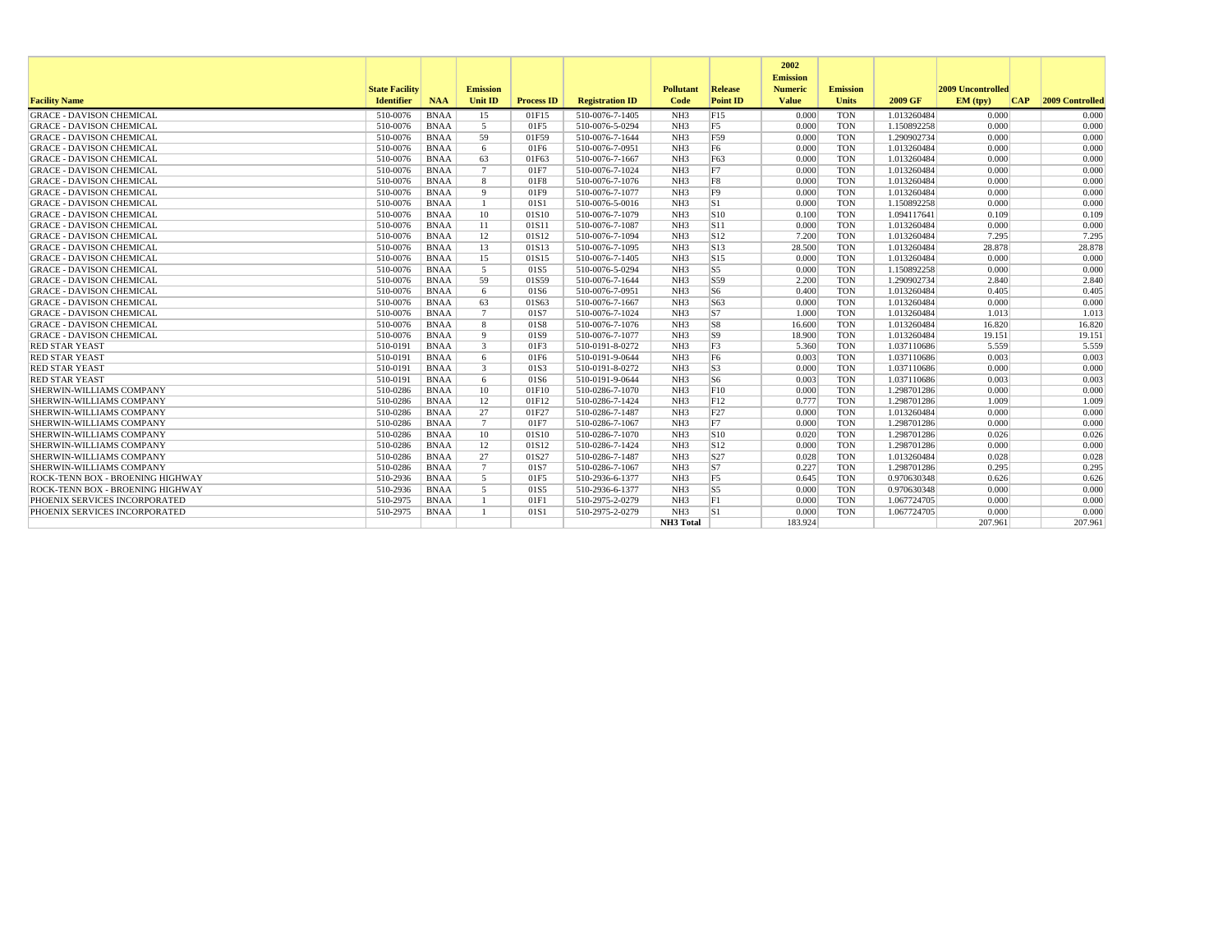|                                  |                                            |             |                            |                   |                        |                          |                            | 2002                           |                                 |             |                               |                     |
|----------------------------------|--------------------------------------------|-------------|----------------------------|-------------------|------------------------|--------------------------|----------------------------|--------------------------------|---------------------------------|-------------|-------------------------------|---------------------|
|                                  |                                            |             |                            |                   |                        |                          |                            | <b>Emission</b>                |                                 |             |                               |                     |
| <b>Facility Name</b>             | <b>State Facility</b><br><b>Identifier</b> | <b>NAA</b>  | <b>Emission</b><br>Unit ID | <b>Process ID</b> | <b>Registration ID</b> | <b>Pollutant</b><br>Code | Release<br><b>Point ID</b> | <b>Numeric</b><br><b>Value</b> | <b>Emission</b><br><b>Units</b> | 2009 GF     | 2009 Uncontrolled<br>EM (tpv) | CAP 2009 Controlled |
| <b>GRACE - DAVISON CHEMICAL</b>  | 510-0076                                   | <b>BNAA</b> | 15                         | 01F15             | 510-0076-7-1405        | NH <sub>3</sub>          | F15                        | 0.000                          | <b>TON</b>                      | 1.013260484 | 0.000                         | 0.000               |
| <b>GRACE - DAVISON CHEMICAL</b>  | 510-0076                                   | <b>BNAA</b> | 5                          | 01F5              | 510-0076-5-0294        | NH <sub>3</sub>          | F <sub>5</sub>             | 0.000                          | <b>TON</b>                      | 1.150892258 | 0.000                         | 0.000               |
| <b>GRACE - DAVISON CHEMICAL</b>  | 510-0076                                   | <b>BNAA</b> | 59                         | 01F59             | 510-0076-7-1644        | NH3                      | F59                        | 0.000                          | <b>TON</b>                      | 1.290902734 | 0.000                         | 0.000               |
| <b>GRACE - DAVISON CHEMICAL</b>  | 510-0076                                   | <b>BNAA</b> | 6                          | 01F6              | 510-0076-7-0951        | NH3                      | F <sub>6</sub>             | 0.000                          | <b>TON</b>                      | 1.013260484 | 0.000                         | 0.000               |
| <b>GRACE - DAVISON CHEMICAL</b>  | 510-0076                                   | <b>BNAA</b> | 63                         | 01F63             | 510-0076-7-1667        | NH3                      | F63                        | 0.000                          | <b>TON</b>                      | 1.013260484 | 0.000                         | 0.000               |
| <b>GRACE - DAVISON CHEMICAL</b>  | 510-0076                                   | <b>BNAA</b> | $\overline{7}$             | 01F7              | 510-0076-7-1024        | NH <sub>3</sub>          | F7                         | 0.000                          | <b>TON</b>                      | 1.013260484 | 0.000                         | 0.000               |
| <b>GRACE - DAVISON CHEMICAL</b>  | 510-0076                                   | <b>BNAA</b> | 8                          | 01F8              | 510-0076-7-1076        | NH <sub>3</sub>          | F8                         | 0.000                          | <b>TON</b>                      | 1.013260484 | 0.000                         | 0.000               |
| <b>GRACE - DAVISON CHEMICAL</b>  | 510-0076                                   | <b>BNAA</b> | $\mathbf{Q}$               | 01F9              | 510-0076-7-1077        | NH <sub>3</sub>          | F9                         | 0.000                          | <b>TON</b>                      | 1.013260484 | 0.000                         | 0.000               |
| <b>GRACE - DAVISON CHEMICAL</b>  | 510-0076                                   | <b>BNAA</b> | $\mathbf{1}$               | 01S1              | 510-0076-5-0016        | NH <sub>3</sub>          | S1                         | 0.000                          | <b>TON</b>                      | 1.150892258 | 0.000                         | 0.000               |
| <b>GRACE - DAVISON CHEMICAL</b>  | 510-0076                                   | <b>BNAA</b> | 10                         | 01S10             | 510-0076-7-1079        | NH3                      | $\sqrt{\sinh(1)}$          | 0.100                          | <b>TON</b>                      | 1.094117641 | 0.109                         | 0.109               |
| <b>GRACE - DAVISON CHEMICAL</b>  | 510-0076                                   | <b>BNAA</b> | 11                         | 01S11             | 510-0076-7-1087        | NH <sub>3</sub>          | S11                        | 0.000                          | <b>TON</b>                      | 1.013260484 | 0.000                         | 0.000               |
| <b>GRACE - DAVISON CHEMICAL</b>  | 510-0076                                   | <b>BNAA</b> | 12                         | 01S12             | 510-0076-7-1094        | NH <sub>3</sub>          | S12                        | 7.200                          | <b>TON</b>                      | 1.013260484 | 7.295                         | 7.295               |
| <b>GRACE - DAVISON CHEMICAL</b>  | 510-0076                                   | <b>BNAA</b> | 13                         | 01S13             | 510-0076-7-1095        | NH <sub>3</sub>          | $\vert$ S <sub>13</sub>    | 28.500                         | <b>TON</b>                      | 1.013260484 | 28.878                        | 28.878              |
| <b>GRACE - DAVISON CHEMICAL</b>  | 510-0076                                   | <b>BNAA</b> | 15                         | 01S15             | 510-0076-7-1405        | NH <sub>3</sub>          | S15                        | 0.000                          | <b>TON</b>                      | 1.013260484 | 0.000                         | 0.000               |
| <b>GRACE - DAVISON CHEMICAL</b>  | 510-0076                                   | <b>BNAA</b> | 5                          | 01S5              | 510-0076-5-0294        | NH <sub>3</sub>          | $ S5\rangle$               | 0.000                          | <b>TON</b>                      | 1.150892258 | 0.000                         | 0.000               |
| <b>GRACE - DAVISON CHEMICAL</b>  | 510-0076                                   | <b>BNAA</b> | 59                         | 01S59             | 510-0076-7-1644        | NH <sub>3</sub>          | S59                        | 2.200                          | <b>TON</b>                      | 1.290902734 | 2.840                         | 2.840               |
| <b>GRACE - DAVISON CHEMICAL</b>  | 510-0076                                   | <b>BNAA</b> | 6                          | 01S6              | 510-0076-7-0951        | NH <sub>3</sub>          | $\sqrt{S}$                 | 0.400                          | <b>TON</b>                      | 1.013260484 | 0.405                         | 0.405               |
| <b>GRACE - DAVISON CHEMICAL</b>  | 510-0076                                   | <b>BNAA</b> | 63                         | 01S63             | 510-0076-7-1667        | NH <sub>3</sub>          | S63                        | 0.000                          | <b>TON</b>                      | 1.013260484 | 0.000                         | 0.000               |
| <b>GRACE - DAVISON CHEMICAL</b>  | 510-0076                                   | <b>BNAA</b> | $7\phantom{.0}$            | 01S7              | 510-0076-7-1024        | NH3                      | $\overline{S}$             | 1.000                          | <b>TON</b>                      | 1.013260484 | 1.013                         | 1.013               |
| <b>GRACE - DAVISON CHEMICAL</b>  | 510-0076                                   | <b>BNAA</b> | 8                          | 01S8              | 510-0076-7-1076        | NH3                      | S8                         | 16.600                         | <b>TON</b>                      | 1.013260484 | 16.820                        | 16.820              |
| <b>GRACE - DAVISON CHEMICAL</b>  | 510-0076                                   | <b>BNAA</b> | Q                          | 01S9              | 510-0076-7-1077        | NH <sub>3</sub>          | S9                         | 18.900                         | <b>TON</b>                      | 1.013260484 | 19.151                        | 19.151              |
| <b>RED STAR YEAST</b>            | 510-0191                                   | <b>BNAA</b> | $\mathbf{3}$               | 01F3              | 510-0191-8-0272        | NH <sub>3</sub>          | F <sub>3</sub>             | 5.360                          | <b>TON</b>                      | 1.037110686 | 5.559                         | 5.559               |
| <b>RED STAR YEAST</b>            | 510-0191                                   | <b>BNAA</b> | 6                          | 01F6              | 510-0191-9-0644        | NH <sub>3</sub>          | F <sub>6</sub>             | 0.003                          | <b>TON</b>                      | 1.037110686 | 0.003                         | 0.003               |
| <b>RED STAR YEAST</b>            | 510-0191                                   | <b>BNAA</b> | 3                          | 01S3              | 510-0191-8-0272        | NH <sub>3</sub>          | S3                         | 0.000                          | <b>TON</b>                      | 1.037110686 | 0.000                         | 0.000               |
| <b>RED STAR YEAST</b>            | 510-0191                                   | <b>BNAA</b> | 6                          | 01S6              | 510-0191-9-0644        | NH <sub>3</sub>          | S6                         | 0.003                          | <b>TON</b>                      | 1.037110686 | 0.003                         | 0.003               |
| SHERWIN-WILLIAMS COMPANY         | 510-0286                                   | <b>BNAA</b> | 10                         | 01F10             | 510-0286-7-1070        | NH <sub>3</sub>          | F10                        | 0.000                          | <b>TON</b>                      | 1.298701286 | 0.000                         | 0.000               |
| SHERWIN-WILLIAMS COMPANY         | 510-0286                                   | <b>BNAA</b> | 12                         | 01F12             | 510-0286-7-1424        | NH <sub>3</sub>          | F12                        | 0.777                          | <b>TON</b>                      | 1.298701286 | 1.009                         | 1.009               |
| SHERWIN-WILLIAMS COMPANY         | 510-0286                                   | <b>BNAA</b> | 27                         | 01F27             | 510-0286-7-1487        | NH <sub>3</sub>          | F27                        | 0.000                          | <b>TON</b>                      | 1.013260484 | 0.000                         | 0.000               |
| SHERWIN-WILLIAMS COMPANY         | 510-0286                                   | <b>BNAA</b> | $7\phantom{.0}$            | 01F7              | 510-0286-7-1067        | NH <sub>3</sub>          | F7                         | 0.000                          | <b>TON</b>                      | 1.298701286 | 0.000                         | 0.000               |
| SHERWIN-WILLIAMS COMPANY         | 510-0286                                   | <b>BNAA</b> | 10                         | 01S10             | 510-0286-7-1070        | NH <sub>3</sub>          | $\vert$ S <sub>10</sub>    | 0.020                          | <b>TON</b>                      | 1.298701286 | 0.026                         | 0.026               |
| SHERWIN-WILLIAMS COMPANY         | 510-0286                                   | <b>BNAA</b> | 12                         | 01S12             | 510-0286-7-1424        | NH <sub>3</sub>          | $\vert$ S <sub>12</sub>    | 0.000                          | <b>TON</b>                      | 1.298701286 | 0.000                         | 0.000               |
| SHERWIN-WILLIAMS COMPANY         | 510-0286                                   | <b>BNAA</b> | 27                         | 01S27             | 510-0286-7-1487        | NH <sub>3</sub>          | S27                        | 0.028                          | <b>TON</b>                      | 1.013260484 | 0.028                         | 0.028               |
| SHERWIN-WILLIAMS COMPANY         | 510-0286                                   | <b>BNAA</b> | $7\phantom{.0}$            | 01S7              | 510-0286-7-1067        | NH <sub>3</sub>          | S7                         | 0.227                          | <b>TON</b>                      | 1.298701286 | 0.295                         | 0.295               |
| ROCK-TENN BOX - BROENING HIGHWAY | 510-2936                                   | <b>BNAA</b> | 5                          | 01F5              | 510-2936-6-1377        | NH <sub>3</sub>          | F5                         | 0.645                          | <b>TON</b>                      | 0.970630348 | 0.626                         | 0.626               |
| ROCK-TENN BOX - BROENING HIGHWAY | 510-2936                                   | <b>BNAA</b> | 5                          | 01S5              | 510-2936-6-1377        | NH <sub>3</sub>          | $\mathsf{S}5$              | 0.000                          | <b>TON</b>                      | 0.970630348 | 0.000                         | 0.000               |
| PHOENIX SERVICES INCORPORATED    | 510-2975                                   | <b>BNAA</b> | $\mathbf{1}$               | 01F1              | 510-2975-2-0279        | NH <sub>3</sub>          | F1                         | 0.000                          | <b>TON</b>                      | 1.067724705 | 0.000                         | 0.000               |
| PHOENIX SERVICES INCORPORATED    | 510-2975                                   | <b>BNAA</b> |                            | 01S1              | 510-2975-2-0279        | NH <sub>3</sub>          | S1                         | 0.000                          | <b>TON</b>                      | 1.067724705 | 0.000                         | 0.000               |
|                                  |                                            |             |                            |                   |                        | <b>NH3</b> Total         |                            | 183.924                        |                                 |             | 207.961                       | 207.961             |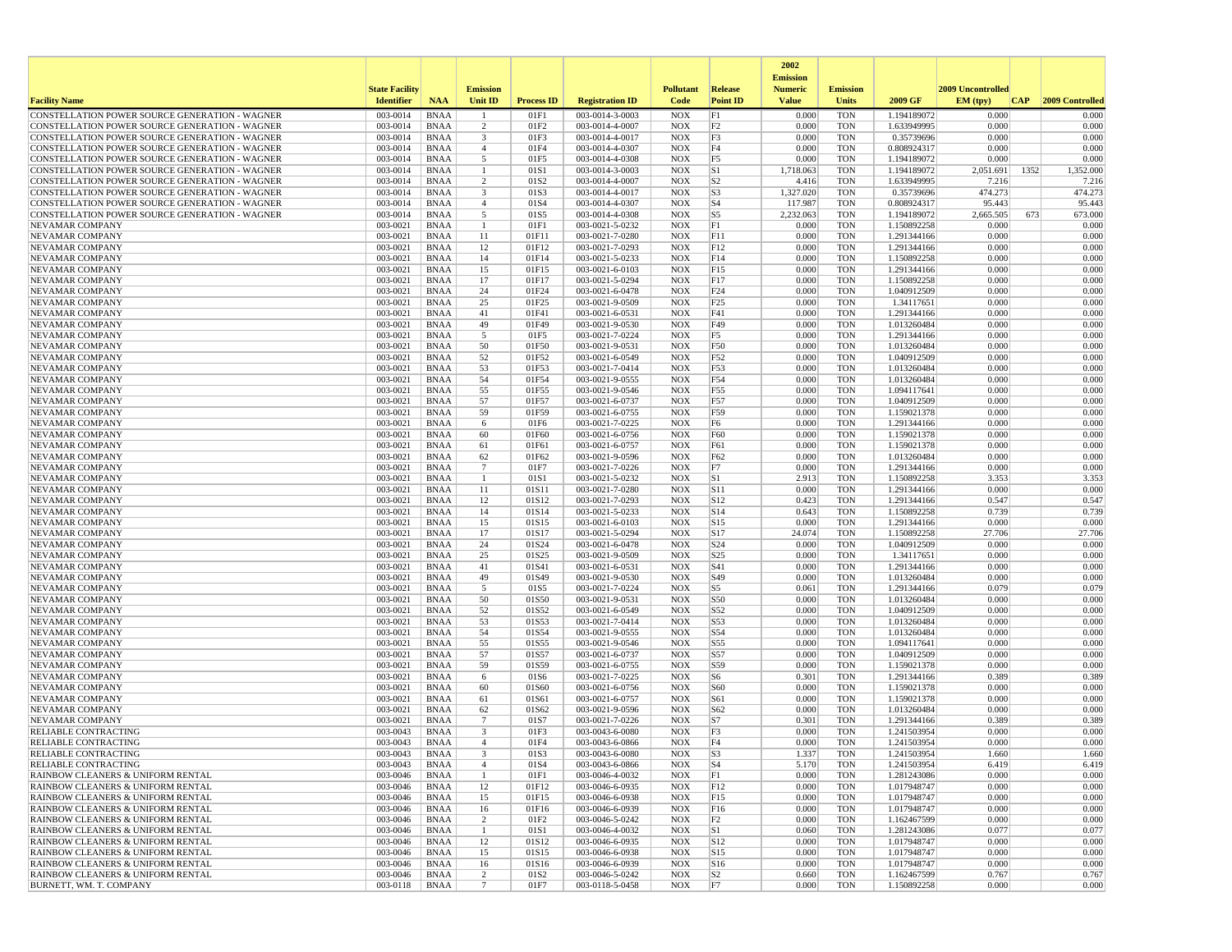|                                                                                                  |                       |                            |                         |                   |                                    |                          |                        | 2002                              |                          |                            |                   |                 |
|--------------------------------------------------------------------------------------------------|-----------------------|----------------------------|-------------------------|-------------------|------------------------------------|--------------------------|------------------------|-----------------------------------|--------------------------|----------------------------|-------------------|-----------------|
|                                                                                                  | <b>State Facility</b> |                            | <b>Emission</b>         |                   |                                    | <b>Pollutant</b>         | Release                | <b>Emission</b><br><b>Numeric</b> | <b>Emission</b>          |                            | 2009 Uncontrolled |                 |
| <b>Facility Name</b>                                                                             | <b>Identifier</b>     | <b>NAA</b>                 | Unit ID                 | <b>Process ID</b> | <b>Registration ID</b>             | Code                     | <b>Point ID</b>        | <b>Value</b>                      | <b>Units</b>             | 2009 GF                    | EM (typ)<br> CAP  | 2009 Controlled |
| CONSTELLATION POWER SOURCE GENERATION - WAGNER                                                   | 003-0014              | <b>BNAA</b>                |                         | 01F1              | 003-0014-3-0003                    | <b>NOX</b>               | F1                     | 0.000                             | <b>TON</b>               | 1.194189072                | 0.000             | 0.000           |
| CONSTELLATION POWER SOURCE GENERATION - WAGNER                                                   | 003-0014              | <b>BNAA</b>                | 2                       | 01F2              | 003-0014-4-0007                    | <b>NOX</b>               | F <sub>2</sub>         | 0.000                             | <b>TON</b>               | 1.633949995                | 0.000             | 0.000           |
| CONSTELLATION POWER SOURCE GENERATION - WAGNER<br>CONSTELLATION POWER SOURCE GENERATION - WAGNER | 003-0014<br>003-0014  | <b>BNAA</b><br><b>BNAA</b> | $\overline{\mathbf{3}}$ | 01F3<br>01F4      | 003-0014-4-0017<br>003-0014-4-0307 | <b>NOX</b><br><b>NOX</b> | F3<br>F4               | 0.000<br>0.000                    | <b>TON</b><br><b>TON</b> | 0.35739696<br>0.808924317  | 0.000<br>0.000    | 0.000<br>0.000  |
| CONSTELLATION POWER SOURCE GENERATION - WAGNER                                                   | 003-0014              | <b>BNAA</b>                | $\overline{4}$<br>5     | 01F5              | 003-0014-4-0308                    | <b>NOX</b>               | F5                     | 0.000                             | <b>TON</b>               | 1.194189072                | 0.000             | 0.000           |
| CONSTELLATION POWER SOURCE GENERATION - WAGNER                                                   | 003-0014              | <b>BNAA</b>                | -1                      | 01S1              | 003-0014-3-0003                    | <b>NOX</b>               | S1                     | 1,718.063                         | <b>TON</b>               | 1.194189072                | 2,051.691<br>1352 | 1,352.000       |
| CONSTELLATION POWER SOURCE GENERATION - WAGNER                                                   | 003-0014              | <b>BNAA</b>                | 2                       | 01S <sub>2</sub>  | 003-0014-4-0007                    | <b>NOX</b>               | S <sub>2</sub>         | 4.416                             | <b>TON</b>               | 1.633949995                | 7.216             | 7.216           |
| CONSTELLATION POWER SOURCE GENERATION - WAGNER                                                   | 003-0014              | <b>BNAA</b>                | 3                       | 01S3              | 003-0014-4-0017                    | <b>NOX</b>               | S3                     | 1,327.020                         | <b>TON</b>               | 0.35739696                 | 474.273           | 474.273         |
| CONSTELLATION POWER SOURCE GENERATION - WAGNER                                                   | 003-0014              | <b>BNAA</b>                | $\overline{4}$          | 01S4              | 003-0014-4-0307                    | <b>NOX</b>               | $ S_4 $                | 117.987                           | <b>TON</b>               | 0.808924317                | 95.443            | 95.443          |
| CONSTELLATION POWER SOURCE GENERATION - WAGNER                                                   | 003-0014              | <b>BNAA</b>                | 5                       | 01S5              | 003-0014-4-0308                    | <b>NOX</b>               | S5                     | 2,232.063                         | <b>TON</b>               | 1.194189072                | 2,665.505<br>673  | 673.000         |
| NEVAMAR COMPANY<br>NEVAMAR COMPANY                                                               | 003-0021<br>003-0021  | <b>BNAA</b><br><b>BNAA</b> | $\overline{1}$<br>11    | 01F1<br>01F11     | 003-0021-5-0232<br>003-0021-7-0280 | <b>NOX</b><br><b>NOX</b> | F1<br>F11              | 0.000<br>0.000                    | <b>TON</b><br><b>TON</b> | 1.150892258<br>1.291344166 | 0.000<br>0.000    | 0.000<br>0.000  |
| <b>NEVAMAR COMPANY</b>                                                                           | 003-0021              | <b>BNAA</b>                | 12                      | 01F12             | 003-0021-7-0293                    | <b>NOX</b>               | F12                    | 0.000                             | <b>TON</b>               | 1.291344166                | 0.000             | 0.000           |
| NEVAMAR COMPANY                                                                                  | 003-0021              | <b>BNAA</b>                | 14                      | 01F14             | 003-0021-5-0233                    | <b>NOX</b>               | F14                    | 0.000                             | <b>TON</b>               | 1.150892258                | 0.000             | 0.000           |
| NEVAMAR COMPANY                                                                                  | 003-0021              | <b>BNAA</b>                | 15                      | 01F15             | 003-0021-6-0103                    | <b>NOX</b>               | F15                    | 0.000                             | <b>TON</b>               | 1.291344166                | 0.000             | 0.000           |
| <b>NEVAMAR COMPANY</b>                                                                           | 003-0021              | <b>BNAA</b>                | 17                      | 01F17             | 003-0021-5-0294                    | <b>NOX</b>               | F17                    | 0.000                             | <b>TON</b>               | 1.150892258                | 0.000             | 0.000           |
| NEVAMAR COMPANY                                                                                  | 003-0021              | <b>BNAA</b>                | 24                      | 01F24             | 003-0021-6-0478                    | <b>NOX</b>               | F24                    | 0.000                             | <b>TON</b>               | 1.040912509                | 0.000             | 0.000           |
| NEVAMAR COMPANY<br>NEVAMAR COMPANY                                                               | 003-0021<br>003-0021  | <b>BNAA</b><br><b>BNAA</b> | 25<br>41                | 01F25<br>01F41    | 003-0021-9-0509<br>003-0021-6-0531 | <b>NOX</b><br><b>NOX</b> | F25<br>F41             | 0.000<br>0.000                    | TON<br><b>TON</b>        | 1.34117651<br>1.291344166  | 0.000<br>0.000    | 0.000<br>0.000  |
| NEVAMAR COMPANY                                                                                  | 003-0021              | <b>BNAA</b>                | 49                      | 01F49             | 003-0021-9-0530                    | <b>NOX</b>               | F49                    | 0.000                             | <b>TON</b>               | 1.013260484                | 0.000             | 0.000           |
| NEVAMAR COMPANY                                                                                  | 003-0021              | <b>BNAA</b>                | 5                       | 01F5              | 003-0021-7-0224                    | <b>NOX</b>               | F <sub>5</sub>         | 0.000                             | <b>TON</b>               | 1.291344166                | 0.000             | 0.000           |
| NEVAMAR COMPANY                                                                                  | 003-0021              | <b>BNAA</b>                | 50                      | 01F50             | 003-0021-9-0531                    | <b>NOX</b>               | F50                    | 0.000                             | <b>TON</b>               | 1.013260484                | 0.000             | 0.000           |
| NEVAMAR COMPANY                                                                                  | 003-0021              | <b>BNAA</b>                | 52                      | 01F52             | 003-0021-6-0549                    | <b>NOX</b>               | F52                    | 0.000                             | TON                      | 1.040912509                | 0.000             | 0.000           |
| NEVAMAR COMPANY                                                                                  | 003-0021              | <b>BNAA</b>                | 53                      | 01F53             | 003-0021-7-0414                    | <b>NOX</b>               | F53                    | 0.000                             | <b>TON</b>               | 1.013260484                | 0.000             | 0.000           |
| NEVAMAR COMPANY                                                                                  | 003-0021              | <b>BNAA</b>                | 54                      | 01F54             | 003-0021-9-0555                    | <b>NOX</b>               | F54                    | 0.000                             | <b>TON</b>               | 1.013260484                | 0.000             | 0.000           |
| NEVAMAR COMPANY<br>NEVAMAR COMPANY                                                               | 003-0021<br>003-0021  | <b>BNAA</b><br><b>BNAA</b> | 55<br>57                | 01F55<br>01F57    | 003-0021-9-0546<br>003-0021-6-0737 | <b>NOX</b><br><b>NOX</b> | F55<br>F57             | 0.000<br>0.000                    | <b>TON</b><br><b>TON</b> | 1.094117641<br>1.040912509 | 0.000<br>0.000    | 0.000<br>0.000  |
| NEVAMAR COMPANY                                                                                  | 003-0021              | <b>BNAA</b>                | 59                      | 01F59             | 003-0021-6-0755                    | <b>NOX</b>               | F59                    | 0.000                             | <b>TON</b>               | 1.159021378                | 0.000             | 0.000           |
| NEVAMAR COMPANY                                                                                  | 003-0021              | <b>BNAA</b>                | 6                       | 01F6              | 003-0021-7-0225                    | <b>NOX</b>               | F <sub>6</sub>         | 0.000                             | TON                      | 1.291344166                | 0.000             | 0.000           |
| NEVAMAR COMPANY                                                                                  | 003-0021              | <b>BNAA</b>                | 60                      | 01F60             | 003-0021-6-0756                    | <b>NOX</b>               | F60                    | 0.000                             | <b>TON</b>               | 1.159021378                | 0.000             | 0.000           |
| NEVAMAR COMPANY                                                                                  | 003-0021              | <b>BNAA</b>                | 61                      | 01F61             | 003-0021-6-0757                    | <b>NOX</b>               | F61                    | 0.000                             | <b>TON</b>               | 1.159021378                | 0.000             | 0.000           |
| NEVAMAR COMPANY                                                                                  | 003-0021              | <b>BNAA</b>                | 62                      | 01F62             | 003-0021-9-0596                    | <b>NOX</b>               | F62                    | 0.000                             | <b>TON</b>               | 1.013260484                | 0.000             | 0.000           |
| NEVAMAR COMPANY<br>NEVAMAR COMPANY                                                               | 003-0021<br>003-0021  | <b>BNAA</b><br><b>BNAA</b> | 7<br>-1                 | 01F7<br>01S1      | 003-0021-7-0226<br>003-0021-5-0232 | <b>NOX</b><br><b>NOX</b> | F7<br> S1              | 0.000<br>2.913                    | <b>TON</b><br><b>TON</b> | 1.291344166<br>1.150892258 | 0.000<br>3.353    | 0.000<br>3.353  |
| NEVAMAR COMPANY                                                                                  | 003-0021              | <b>BNAA</b>                | 11                      | 01S11             | 003-0021-7-0280                    | <b>NOX</b>               | S11                    | 0.000                             | <b>TON</b>               | 1.291344166                | 0.000             | 0.000           |
| NEVAMAR COMPANY                                                                                  | 003-0021              | <b>BNAA</b>                | 12                      | 01S12             | 003-0021-7-0293                    | <b>NOX</b>               | S12                    | 0.423                             | <b>TON</b>               | 1.291344166                | 0.547             | 0.547           |
| NEVAMAR COMPANY                                                                                  | 003-0021              | <b>BNAA</b>                | 14                      | 01S14             | 003-0021-5-0233                    | <b>NOX</b>               | S14                    | 0.643                             | <b>TON</b>               | 1.150892258                | 0.739             | 0.739           |
| NEVAMAR COMPANY                                                                                  | 003-0021              | <b>BNAA</b>                | 15                      | 01S15             | 003-0021-6-0103                    | <b>NOX</b>               | S15                    | 0.000                             | <b>TON</b>               | 1.291344166                | 0.000             | 0.000           |
| NEVAMAR COMPANY                                                                                  | 003-0021              | <b>BNAA</b>                | 17                      | 01S17             | 003-0021-5-0294                    | <b>NOX</b>               | S17                    | 24.074                            | <b>TON</b>               | 1.150892258                | 27.706            | 27.706          |
| NEVAMAR COMPANY                                                                                  | 003-0021<br>003-0021  | <b>BNAA</b><br><b>BNAA</b> | 24<br>25                | 01S24<br>01S25    | 003-0021-6-0478                    | <b>NOX</b><br><b>NOX</b> | S24<br>S <sub>25</sub> | 0.000<br>0.000                    | TON<br><b>TON</b>        | 1.040912509                | 0.000<br>0.000    | 0.000<br>0.000  |
| NEVAMAR COMPANY<br>NEVAMAR COMPANY                                                               | 003-0021              | <b>BNAA</b>                | 41                      | 01S41             | 003-0021-9-0509<br>003-0021-6-0531 | <b>NOX</b>               | S41                    | 0.000                             | <b>TON</b>               | 1.34117651<br>1.291344166  | 0.000             | 0.000           |
| NEVAMAR COMPANY                                                                                  | 003-0021              | <b>BNAA</b>                | 49                      | 01S49             | 003-0021-9-0530                    | <b>NOX</b>               | S49                    | 0.000                             | <b>TON</b>               | 1.013260484                | 0.000             | 0.000           |
| NEVAMAR COMPANY                                                                                  | 003-0021              | <b>BNAA</b>                | 5                       | 01S5              | 003-0021-7-0224                    | <b>NOX</b>               | S5                     | 0.061                             | <b>TON</b>               | 1.291344166                | 0.079             | 0.079           |
| NEVAMAR COMPANY                                                                                  | 003-0021              | <b>BNAA</b>                | 50                      | 01S50             | 003-0021-9-0531                    | <b>NOX</b>               | S50                    | 0.000                             | <b>TON</b>               | 1.013260484                | 0.000             | 0.000           |
| NEVAMAR COMPANY                                                                                  | 003-0021              | <b>BNAA</b>                | 52                      | 01S52             | 003-0021-6-0549                    | <b>NOX</b>               | S52                    | 0.000                             | <b>TON</b>               | 1.040912509                | 0.000             | 0.000           |
| NEVAMAR COMPANY                                                                                  | 003-0021              | <b>BNAA</b>                | 53                      | 01S53             | 003-0021-7-0414                    | <b>NOX</b>               | S53                    | 0.000                             | <b>TON</b>               | 1.013260484                | 0.000             | 0.000           |
| NEVAMAR COMPANY<br>NEVAMAR COMPANY                                                               | 003-0021<br>003-0021  | <b>BNAA</b><br><b>BNAA</b> | 54<br>55                | 01S54<br>01S55    | 003-0021-9-0555<br>003-0021-9-0546 | <b>NOX</b><br><b>NOX</b> | S54<br>S55             | 0.000<br>0.000                    | <b>TON</b><br><b>TON</b> | 1.013260484<br>1.094117641 | 0.000<br>0.000    | 0.000<br>0.000  |
| NEVAMAR COMPANY                                                                                  | 003-0021              | <b>BNAA</b>                | 57                      | 01S57             | 003-0021-6-0737                    | <b>NOX</b>               | S57                    | 0.000                             | <b>TON</b>               | 1.040912509                | 0.000             | 0.000           |
| NEVAMAR COMPANY                                                                                  | 003-0021              | <b>BNAA</b>                | 59                      | 01S59             | 003-0021-6-0755                    | <b>NOX</b>               | S59                    | 0.000                             | <b>TON</b>               | 1.159021378                | 0.000             | 0.000           |
| NEVAMAR COMPANY                                                                                  | 003-0021              | <b>BNAA</b>                | 6                       | 01S6              | 003-0021-7-0225                    | <b>NOX</b>               | S <sub>6</sub>         | 0.301                             | <b>TON</b>               | 1.291344166                | 0.389             | 0.389           |
| <b>NEVAMAR COMPANY</b>                                                                           | 003-0021              | <b>BNAA</b>                | 60                      | 01S60             | 003-0021-6-0756                    | <b>NOX</b>               | S60                    | 0.000                             | <b>TON</b>               | 1.159021378                | 0.000             | 0.000           |
| <b>NEVAMAR COMPANY</b>                                                                           | 003-0021              | <b>BNAA</b>                | 61                      | 01S61             | 003-0021-6-0757                    | <b>NOX</b>               | S61                    | 0.000                             | <b>TON</b>               | 1.159021378                | 0.000<br>0.000    | 0.000           |
| NEVAMAR COMPANY<br><b>NEVAMAR COMPANY</b>                                                        | 003-0021<br>003-0021  | <b>BNAA</b><br><b>BNAA</b> | 62<br>$7\phantom{.0}$   | 01S62<br>01S7     | 003-0021-9-0596<br>003-0021-7-0226 | <b>NOX</b><br><b>NOX</b> | S62<br>S7              | 0.000<br>0.301                    | <b>TON</b><br><b>TON</b> | 1.013260484<br>1.291344166 | 0.389             | 0.000<br>0.389  |
| RELIABLE CONTRACTING                                                                             | 003-0043              | <b>BNAA</b>                | 3                       | 01F3              | 003-0043-6-0080                    | <b>NOX</b>               | F3                     | 0.000                             | <b>TON</b>               | 1.241503954                | 0.000             | 0.000           |
| <b>RELIABLE CONTRACTING</b>                                                                      | 003-0043              | <b>BNAA</b>                | $\mathbf{A}$            | 01F4              | 003-0043-6-0866                    | <b>NOX</b>               | F4                     | 0.000                             | <b>TON</b>               | 1.241503954                | 0.000             | 0.000           |
| RELIABLE CONTRACTING                                                                             | 003-0043              | BNAA                       |                         | 01S3              | 003-0043-6-0080                    | NOX                      | S <sub>3</sub>         | 1.337                             | TON                      | 1.241503954                | 1.660             | 1.660           |
| <b>RELIABLE CONTRACTING</b>                                                                      | 003-0043              | BNAA                       | $\overline{4}$          | 01S4              | 003-0043-6-0866                    | <b>NOX</b>               | $ S_4 $                | 5.170                             | <b>TON</b>               | 1.241503954                | 6.419             | 6.419           |
| RAINBOW CLEANERS & UNIFORM RENTAL                                                                | 003-0046              | BNAA                       | $\mathbf{1}$            | 01F1              | 003-0046-4-0032                    | <b>NOX</b>               | F1                     | 0.000                             | TON                      | 1.281243086                | 0.000             | 0.000           |
| RAINBOW CLEANERS & UNIFORM RENTAL<br>RAINBOW CLEANERS & UNIFORM RENTAL                           | 003-0046<br>003-0046  | BNAA<br>BNAA               | 12<br>15                | 01F12<br>01F15    | 003-0046-6-0935<br>003-0046-6-0938 | NOX<br><b>NOX</b>        | F12<br>F15             | 0.000<br>0.000                    | TON<br><b>TON</b>        | 1.017948747<br>1.017948747 | 0.000<br>0.000    | 0.000<br>0.000  |
| RAINBOW CLEANERS & UNIFORM RENTAL                                                                | 003-0046              | <b>BNAA</b>                | 16                      | 01F16             | 003-0046-6-0939                    | NOX                      | F16                    | 0.000                             | <b>TON</b>               | 1.017948747                | 0.000             | 0.000           |
| RAINBOW CLEANERS & UNIFORM RENTAL                                                                | 003-0046              | <b>BNAA</b>                | 2                       | 01F2              | 003-0046-5-0242                    | <b>NOX</b>               | F2                     | 0.000                             | <b>TON</b>               | 1.162467599                | 0.000             | 0.000           |
| RAINBOW CLEANERS & UNIFORM RENTAL                                                                | 003-0046              | BNAA                       | -1                      | 01S1              | 003-0046-4-0032                    | <b>NOX</b>               | S1                     | 0.060                             | <b>TON</b>               | 1.281243086                | 0.077             | 0.077           |
| RAINBOW CLEANERS & UNIFORM RENTAL                                                                | 003-0046              | <b>BNAA</b>                | 12                      | 01S12             | 003-0046-6-0935                    | <b>NOX</b>               | S12                    | 0.000                             | <b>TON</b>               | 1.017948747                | 0.000             | 0.000           |
| RAINBOW CLEANERS & UNIFORM RENTAL                                                                | 003-0046              | BNAA                       | 15                      | 01S15             | 003-0046-6-0938                    | NOX                      | S <sub>15</sub>        | 0.000                             | <b>TON</b>               | 1.017948747                | 0.000             | 0.000           |
| RAINBOW CLEANERS & UNIFORM RENTAL<br>RAINBOW CLEANERS & UNIFORM RENTAL                           | 003-0046<br>003-0046  | BNAA<br><b>BNAA</b>        | 16<br>$\overline{c}$    | 01S16<br>01S2     | 003-0046-6-0939<br>003-0046-5-0242 | NOX                      | S <sub>16</sub><br> S2 | 0.000<br>0.660                    | TON<br><b>TON</b>        | 1.017948747                | 0.000<br>0.767    | 0.000<br>0.767  |
| BURNETT, WM. T. COMPANY                                                                          | 003-0118              | <b>BNAA</b>                | $7\phantom{.0}$         | 01F7              | 003-0118-5-0458                    | NOX<br>NOX               | F7                     | 0.000                             | <b>TON</b>               | 1.162467599<br>1.150892258 | 0.000             | 0.000           |
|                                                                                                  |                       |                            |                         |                   |                                    |                          |                        |                                   |                          |                            |                   |                 |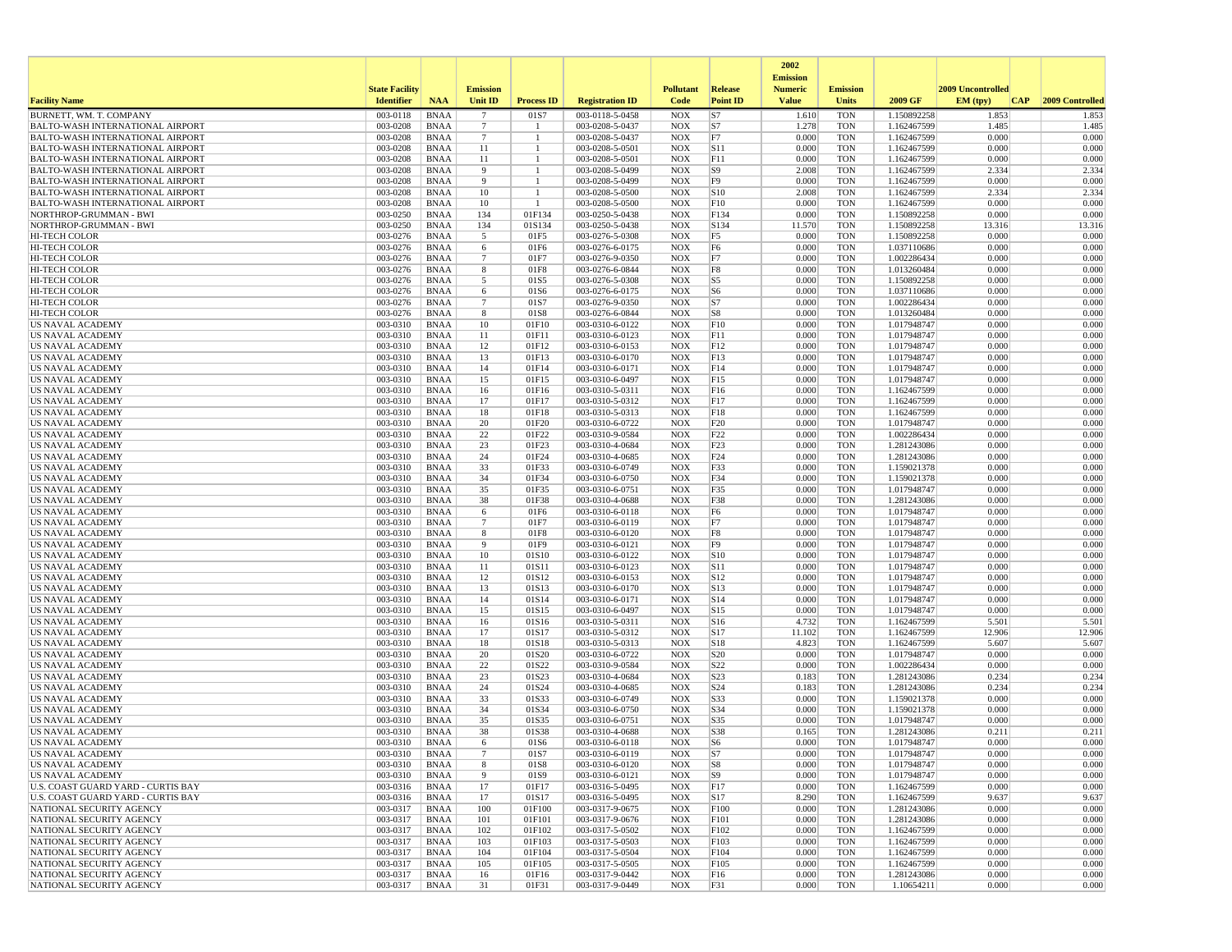|                                                                                    |                       |                            |                      |                              |                                    |                          |                                  | 2002                              |                          |                            |                   |                 |
|------------------------------------------------------------------------------------|-----------------------|----------------------------|----------------------|------------------------------|------------------------------------|--------------------------|----------------------------------|-----------------------------------|--------------------------|----------------------------|-------------------|-----------------|
|                                                                                    | <b>State Facility</b> |                            | <b>Emission</b>      |                              |                                    | <b>Pollutant</b>         | Release                          | <b>Emission</b><br><b>Numeric</b> | <b>Emission</b>          |                            | 2009 Uncontrolled |                 |
| <b>Facility Name</b>                                                               | <b>Identifier</b>     | <b>NAA</b>                 | Unit ID              | <b>Process ID</b>            | <b>Registration ID</b>             | Code                     | <b>Point ID</b>                  | <b>Value</b>                      | <b>Units</b>             | 2009 GF                    | EM (tpv)<br> CAP  | 2009 Controlled |
| BURNETT, WM. T. COMPANY                                                            | 003-0118              | <b>BNAA</b>                | $\overline{7}$       | 01S7                         | 003-0118-5-0458                    | <b>NOX</b>               | S7                               | 1.610                             | <b>TON</b>               | 1.150892258                | 1.853             | 1.853           |
| <b>BALTO-WASH INTERNATIONAL AIRPORT</b>                                            | 003-0208              | <b>BNAA</b>                | -7                   | -1                           | 003-0208-5-0437                    | <b>NOX</b>               | S7                               | 1.278                             | <b>TON</b>               | 1.162467599                | 1.485             | 1.485           |
| <b>BALTO-WASH INTERNATIONAL AIRPORT</b><br><b>BALTO-WASH INTERNATIONAL AIRPORT</b> | 003-0208<br>003-0208  | <b>BNAA</b><br><b>BNAA</b> | $\overline{7}$<br>11 | $\mathbf{1}$<br>$\mathbf{1}$ | 003-0208-5-0437<br>003-0208-5-0501 | <b>NOX</b><br><b>NOX</b> | F7<br> S11                       | 0.000<br>0.000                    | <b>TON</b><br><b>TON</b> | 1.162467599<br>1.162467599 | 0.000<br>0.000    | 0.000<br>0.000  |
| <b>BALTO-WASH INTERNATIONAL AIRPORT</b>                                            | 003-0208              | BNAA                       | 11                   |                              | 003-0208-5-0501                    | <b>NOX</b>               | F11                              | 0.000                             | <b>TON</b>               | 1.162467599                | 0.000             | 0.000           |
| <b>BALTO-WASH INTERNATIONAL AIRPORT</b>                                            | 003-0208              | <b>BNAA</b>                | 9                    |                              | 003-0208-5-0499                    | <b>NOX</b>               | S9                               | 2.008                             | <b>TON</b>               | 1.162467599                | 2.334             | 2.334           |
| <b>BALTO-WASH INTERNATIONAL AIRPORT</b>                                            | 003-0208              | <b>BNAA</b>                | 9                    | -1                           | 003-0208-5-0499                    | <b>NOX</b>               | F9                               | 0.000                             | <b>TON</b>               | 1.162467599                | 0.000             | 0.000           |
| <b>BALTO-WASH INTERNATIONAL AIRPORT</b>                                            | 003-0208              | BNAA                       | 10                   | -1                           | 003-0208-5-0500                    | <b>NOX</b>               | S10                              | 2.008                             | <b>TON</b>               | 1.162467599                | 2.334             | 2.334           |
| <b>BALTO-WASH INTERNATIONAL AIRPORT</b>                                            | 003-0208              | <b>BNAA</b>                | 10                   | -1                           | 003-0208-5-0500                    | <b>NOX</b>               | F10                              | 0.000                             | <b>TON</b>               | 1.162467599                | 0.000             | 0.000           |
| NORTHROP-GRUMMAN - BWI                                                             | 003-0250              | <b>BNAA</b>                | 134                  | 01F134                       | 003-0250-5-0438                    | <b>NOX</b>               | F134                             | 0.000                             | <b>TON</b>               | 1.150892258                | 0.000             | 0.000           |
| NORTHROP-GRUMMAN - BWI<br><b>HI-TECH COLOR</b>                                     | 003-0250              | <b>BNAA</b>                | 134                  | 01S134                       | 003-0250-5-0438                    | <b>NOX</b>               | S134                             | 11.570                            | <b>TON</b>               | 1.150892258                | 13.316            | 13.316          |
| <b>HI-TECH COLOR</b>                                                               | 003-0276<br>003-0276  | BNAA<br><b>BNAA</b>        | 5<br>6               | 01F5<br>01F6                 | 003-0276-5-0308<br>003-0276-6-0175 | <b>NOX</b><br><b>NOX</b> | F <sub>5</sub><br>F <sub>6</sub> | 0.000<br>0.000                    | <b>TON</b><br><b>TON</b> | 1.150892258<br>1.037110686 | 0.000<br>0.000    | 0.000<br>0.000  |
| HI-TECH COLOR                                                                      | 003-0276              | <b>BNAA</b>                | $7\phantom{.0}$      | 01F7                         | 003-0276-9-0350                    | <b>NOX</b>               | F7                               | 0.000                             | <b>TON</b>               | 1.002286434                | 0.000             | 0.000           |
| HI-TECH COLOR                                                                      | 003-0276              | <b>BNAA</b>                | 8                    | 01F8                         | 003-0276-6-0844                    | <b>NOX</b>               | F8                               | 0.000                             | <b>TON</b>               | 1.013260484                | 0.000             | 0.000           |
| <b>HI-TECH COLOR</b>                                                               | 003-0276              | BNAA                       | 5                    | 01S5                         | 003-0276-5-0308                    | <b>NOX</b>               | S5                               | 0.000                             | <b>TON</b>               | 1.150892258                | 0.000             | 0.000           |
| HI-TECH COLOR                                                                      | 003-0276              | <b>BNAA</b>                | 6                    | 01S6                         | 003-0276-6-0175                    | <b>NOX</b>               | S <sub>6</sub>                   | 0.000                             | <b>TON</b>               | 1.037110686                | 0.000             | 0.000           |
| <b>HI-TECH COLOR</b>                                                               | 003-0276              | BNAA                       | $7\phantom{.0}$      | 01S7                         | 003-0276-9-0350                    | <b>NOX</b>               | S7                               | 0.000                             | <b>TON</b>               | 1.002286434                | 0.000             | 0.000           |
| <b>HI-TECH COLOR</b>                                                               | 003-0276              | BNAA                       | 8                    | 01S8                         | 003-0276-6-0844                    | <b>NOX</b>               | S8                               | 0.000                             | <b>TON</b>               | 1.013260484                | 0.000             | 0.000           |
| US NAVAL ACADEMY                                                                   | 003-0310              | <b>BNAA</b>                | 10                   | 01F10                        | 003-0310-6-0122                    | <b>NOX</b>               | F10                              | 0.000                             | <b>TON</b>               | 1.017948747                | 0.000             | 0.000           |
| US NAVAL ACADEMY<br>US NAVAL ACADEMY                                               | 003-0310<br>003-0310  | <b>BNAA</b><br><b>BNAA</b> | 11<br>12             | 01F11<br>01F12               | 003-0310-6-0123<br>003-0310-6-0153 | <b>NOX</b><br><b>NOX</b> | F11<br>F12                       | 0.000<br>0.000                    | <b>TON</b><br><b>TON</b> | 1.017948747<br>1.017948747 | 0.000<br>0.000    | 0.000<br>0.000  |
| <b>US NAVAL ACADEMY</b>                                                            | 003-0310              | BNAA                       | 13                   | 01F13                        | 003-0310-6-0170                    | <b>NOX</b>               | F13                              | 0.000                             | <b>TON</b>               | 1.017948747                | 0.000             | 0.000           |
| US NAVAL ACADEMY                                                                   | 003-0310              | BNAA                       | 14                   | 01F14                        | 003-0310-6-0171                    | <b>NOX</b>               | F14                              | 0.000                             | <b>TON</b>               | 1.017948747                | 0.000             | 0.000           |
| US NAVAL ACADEMY                                                                   | 003-0310              | <b>BNAA</b>                | 15                   | 01F15                        | 003-0310-6-0497                    | <b>NOX</b>               | F <sub>15</sub>                  | 0.000                             | <b>TON</b>               | 1.017948747                | 0.000             | 0.000           |
| <b>US NAVAL ACADEMY</b>                                                            | 003-0310              | BNAA                       | 16                   | 01F16                        | 003-0310-5-0311                    | <b>NOX</b>               | F16                              | 0.000                             | <b>TON</b>               | 1.162467599                | 0.000             | 0.000           |
| US NAVAL ACADEMY                                                                   | 003-0310              | <b>BNAA</b>                | 17                   | 01F17                        | 003-0310-5-0312                    | <b>NOX</b>               | F17                              | 0.000                             | <b>TON</b>               | 1.162467599                | 0.000             | 0.000           |
| US NAVAL ACADEMY                                                                   | 003-0310              | <b>BNAA</b>                | 18                   | 01F18                        | 003-0310-5-0313                    | <b>NOX</b>               | F18                              | 0.000                             | <b>TON</b>               | 1.162467599                | 0.000             | 0.000           |
| US NAVAL ACADEMY                                                                   | 003-0310              | <b>BNAA</b>                | 20                   | 01F20                        | 003-0310-6-0722                    | <b>NOX</b>               | F20                              | 0.000                             | <b>TON</b>               | 1.017948747                | 0.000             | 0.000           |
| <b>US NAVAL ACADEMY</b><br>US NAVAL ACADEMY                                        | 003-0310<br>003-0310  | BNAA<br><b>BNAA</b>        | 22<br>23             | 01F22<br>01F23               | 003-0310-9-0584<br>003-0310-4-0684 | <b>NOX</b><br><b>NOX</b> | F <sub>22</sub><br>F23           | 0.000<br>0.000                    | <b>TON</b><br><b>TON</b> | 1.002286434<br>1.281243086 | 0.000<br>0.000    | 0.000<br>0.000  |
| US NAVAL ACADEMY                                                                   | 003-0310              | <b>BNAA</b>                | 24                   | 01F24                        | 003-0310-4-0685                    | <b>NOX</b>               | F <sub>24</sub>                  | 0.000                             | <b>TON</b>               | 1.281243086                | 0.000             | 0.000           |
| US NAVAL ACADEMY                                                                   | 003-0310              | BNAA                       | 33                   | 01F33                        | 003-0310-6-0749                    | <b>NOX</b>               | F33                              | 0.000                             | <b>TON</b>               | 1.159021378                | 0.000             | 0.000           |
| US NAVAL ACADEMY                                                                   | 003-0310              | <b>BNAA</b>                | 34                   | 01F34                        | 003-0310-6-0750                    | <b>NOX</b>               | F34                              | 0.000                             | <b>TON</b>               | 1.159021378                | 0.000             | 0.000           |
| US NAVAL ACADEMY                                                                   | 003-0310              | <b>BNAA</b>                | 35                   | 01F35                        | 003-0310-6-0751                    | <b>NOX</b>               | F35                              | 0.000                             | <b>TON</b>               | 1.017948747                | 0.000             | 0.000           |
| US NAVAL ACADEMY                                                                   | 003-0310              | <b>BNAA</b>                | 38                   | 01F38                        | 003-0310-4-0688                    | <b>NOX</b>               | F38                              | 0.000                             | <b>TON</b>               | 1.281243086                | 0.000             | 0.000           |
| US NAVAL ACADEMY                                                                   | 003-0310              | BNAA                       | 6                    | 01F6                         | 003-0310-6-0118                    | <b>NOX</b>               | F <sub>6</sub>                   | 0.000                             | <b>TON</b>               | 1.017948747                | 0.000             | 0.000           |
| <b>US NAVAL ACADEMY</b>                                                            | 003-0310              | <b>BNAA</b>                | $7\phantom{.0}$      | 01F7<br>01F8                 | 003-0310-6-0119                    | <b>NOX</b>               | F7                               | 0.000<br>0.000                    | <b>TON</b>               | 1.017948747                | 0.000<br>0.000    | 0.000<br>0.000  |
| US NAVAL ACADEMY<br>US NAVAL ACADEMY                                               | 003-0310<br>003-0310  | <b>BNAA</b><br><b>BNAA</b> | 8<br>9               | 01F9                         | 003-0310-6-0120<br>003-0310-6-0121 | <b>NOX</b><br><b>NOX</b> | F8<br>F <sub>9</sub>             | 0.000                             | <b>TON</b><br><b>TON</b> | 1.017948747<br>1.017948747 | 0.000             | 0.000           |
| US NAVAL ACADEMY                                                                   | 003-0310              | <b>BNAA</b>                | 10                   | 01S10                        | 003-0310-6-0122                    | <b>NOX</b>               | S10                              | 0.000                             | <b>TON</b>               | 1.017948747                | 0.000             | 0.000           |
| US NAVAL ACADEMY                                                                   | 003-0310              | <b>BNAA</b>                | 11                   | 01S11                        | 003-0310-6-0123                    | <b>NOX</b>               | S11                              | 0.000                             | <b>TON</b>               | 1.017948747                | 0.000             | 0.000           |
| US NAVAL ACADEMY                                                                   | 003-0310              | BNAA                       | 12                   | 01S12                        | 003-0310-6-0153                    | <b>NOX</b>               | S12                              | 0.000                             | <b>TON</b>               | 1.017948747                | 0.000             | 0.000           |
| <b>US NAVAL ACADEMY</b>                                                            | 003-0310              | BNAA                       | 13                   | 01S13                        | 003-0310-6-0170                    | <b>NOX</b>               | S13                              | 0.000                             | <b>TON</b>               | 1.017948747                | 0.000             | 0.000           |
| US NAVAL ACADEMY                                                                   | 003-0310              | <b>BNAA</b>                | 14                   | 01S14                        | 003-0310-6-0171                    | <b>NOX</b>               | S14                              | 0.000                             | <b>TON</b>               | 1.017948747                | 0.000             | 0.000           |
| US NAVAL ACADEMY                                                                   | 003-0310              | <b>BNAA</b>                | 15                   | 01S15                        | 003-0310-6-0497                    | <b>NOX</b>               | S15                              | 0.000                             | <b>TON</b>               | 1.017948747                | 0.000             | 0.000           |
| US NAVAL ACADEMY<br>US NAVAL ACADEMY                                               | 003-0310<br>003-0310  | <b>BNAA</b><br>BNAA        | 16<br>17             | 01S16<br>01S17               | 003-0310-5-0311<br>003-0310-5-0312 | <b>NOX</b><br><b>NOX</b> | S16<br> S17                      | 4.732<br>11.102                   | <b>TON</b><br><b>TON</b> | 1.162467599<br>1.162467599 | 5.501<br>12.906   | 5.501<br>12.906 |
| US NAVAL ACADEMY                                                                   | 003-0310              | BNAA                       | 18                   | 01S18                        | 003-0310-5-0313                    | <b>NOX</b>               | S18                              | 4.823                             | <b>TON</b>               | 1.162467599                | 5.607             | 5.607           |
| US NAVAL ACADEMY                                                                   | 003-0310              | <b>BNAA</b>                | 20                   | 01S20                        | 003-0310-6-0722                    | <b>NOX</b>               | S <sub>20</sub>                  | 0.000                             | <b>TON</b>               | 1.017948747                | 0.000             | 0.000           |
| US NAVAL ACADEMY                                                                   | 003-0310              | BNAA                       | 22                   | 01S22                        | 003-0310-9-0584                    | <b>NOX</b>               | S22                              | 0.000                             | <b>TON</b>               | 1.002286434                | 0.000             | 0.000           |
| <b>US NAVAL ACADEMY</b>                                                            | 003-0310              | <b>BNAA</b>                | 23                   | 01S23                        | 003-0310-4-0684                    | <b>NOX</b>               | S <sub>23</sub>                  | 0.183                             | <b>TON</b>               | 1.281243086                | 0.234             | 0.234           |
| US NAVAL ACADEMY                                                                   | 003-0310              | <b>BNAA</b>                | 24                   | 01S24                        | 003-0310-4-0685                    | <b>NOX</b>               | S24                              | 0.183                             | <b>TON</b>               | 1.281243086                | 0.234             | 0.234           |
| US NAVAL ACADEMY                                                                   | 003-0310              | <b>BNAA</b>                | 33                   | 01S33                        | 003-0310-6-0749                    | <b>NOX</b>               | S33                              | 0.000                             | <b>TON</b>               | 1.159021378                | 0.000             | 0.000           |
| <b>US NAVAL ACADEMY</b>                                                            | 003-0310              | BNAA                       | 34                   | 01S34                        | 003-0310-6-0750                    | <b>NOX</b>               | S34                              | 0.000                             | <b>TON</b>               | 1.159021378<br>1.017948747 | 0.000             | 0.000           |
| US NAVAL ACADEMY<br><b>US NAVAL ACADEMY</b>                                        | 003-0310<br>003-0310  | <b>BNAA</b><br>BNAA        | 35<br>38             | 01S35<br>01S38               | 003-0310-6-0751<br>003-0310-4-0688 | <b>NOX</b><br><b>NOX</b> | S35<br>S38                       | 0.000<br>0.165                    | <b>TON</b><br><b>TON</b> | 1.281243086                | 0.000<br>0.211    | 0.000<br>0.211  |
| <b>US NAVAL ACADEMY</b>                                                            | 003-0310              | BNAA                       | 6                    | 01S6                         | 003-0310-6-0118                    | <b>NOX</b>               | S6                               | 0.000                             | <b>TON</b>               | 1.017948747                | 0.000             | 0.000           |
| US NAVAL ACADEMY                                                                   | 003-0310              | BNAA                       |                      | 01S7                         | 003-0310-6-0119                    | NOX                      | S7                               | 0.000                             | TON                      | 1.017948747                | 0.000             | 0.000           |
| US NAVAL ACADEMY                                                                   | 003-0310              | BNAA                       | 8                    | 01S8                         | 003-0310-6-0120                    | <b>NOX</b>               | S8                               | 0.000                             | <b>TON</b>               | 1.017948747                | 0.000             | 0.000           |
| <b>US NAVAL ACADEMY</b>                                                            | 003-0310              | BNAA                       | 9                    | 01S9                         | 003-0310-6-0121                    | <b>NOX</b>               | S9                               | 0.000                             | <b>TON</b>               | 1.017948747                | 0.000             | 0.000           |
| U.S. COAST GUARD YARD - CURTIS BAY                                                 | 003-0316              | <b>BNAA</b>                | 17                   | 01F17                        | 003-0316-5-0495                    | <b>NOX</b>               | F <sub>17</sub>                  | 0.000                             | <b>TON</b>               | 1.162467599                | 0.000             | 0.000           |
| U.S. COAST GUARD YARD - CURTIS BAY                                                 | 003-0316              | BNAA                       | 17                   | 01S17                        | 003-0316-5-0495                    | <b>NOX</b>               | S17                              | 8.290                             | <b>TON</b>               | 1.162467599                | 9.637             | 9.637           |
| NATIONAL SECURITY AGENCY                                                           | 003-0317              | <b>BNAA</b>                | 100                  | 01F100                       | 003-0317-9-0675                    | <b>NOX</b>               | F100                             | 0.000                             | <b>TON</b>               | 1.281243086                | 0.000             | 0.000           |
| NATIONAL SECURITY AGENCY<br>NATIONAL SECURITY AGENCY                               | 003-0317<br>003-0317  | <b>BNAA</b><br>BNAA        | 101<br>102           | 01F101<br>01F102             | 003-0317-9-0676<br>003-0317-5-0502 | <b>NOX</b><br><b>NOX</b> | F101<br>F102                     | 0.000<br>0.000                    | <b>TON</b><br><b>TON</b> | 1.281243086<br>1.162467599 | 0.000<br>0.000    | 0.000<br>0.000  |
| NATIONAL SECURITY AGENCY                                                           | 003-0317              | <b>BNAA</b>                | 103                  | 01F103                       | 003-0317-5-0503                    | <b>NOX</b>               | F103                             | 0.000                             | <b>TON</b>               | 1.162467599                | 0.000             | 0.000           |
| NATIONAL SECURITY AGENCY                                                           | 003-0317              | <b>BNAA</b>                | 104                  | 01F104                       | 003-0317-5-0504                    | <b>NOX</b>               | F104                             | 0.000                             | <b>TON</b>               | 1.162467599                | 0.000             | 0.000           |
| NATIONAL SECURITY AGENCY                                                           | 003-0317              | <b>BNAA</b>                | 105                  | 01F105                       | 003-0317-5-0505                    | <b>NOX</b>               | F105                             | 0.000                             | <b>TON</b>               | 1.162467599                | 0.000             | 0.000           |
| NATIONAL SECURITY AGENCY                                                           | 003-0317              | <b>BNAA</b>                | 16                   | 01F16                        | 003-0317-9-0442                    | <b>NOX</b>               | F16                              | 0.000                             | <b>TON</b>               | 1.281243086                | 0.000             | 0.000           |
| NATIONAL SECURITY AGENCY                                                           | 003-0317              | <b>BNAA</b>                | 31                   | 01F31                        | 003-0317-9-0449                    | NOX                      | F31                              | 0.000                             | <b>TON</b>               | 1.10654211                 | 0.000             | 0.000           |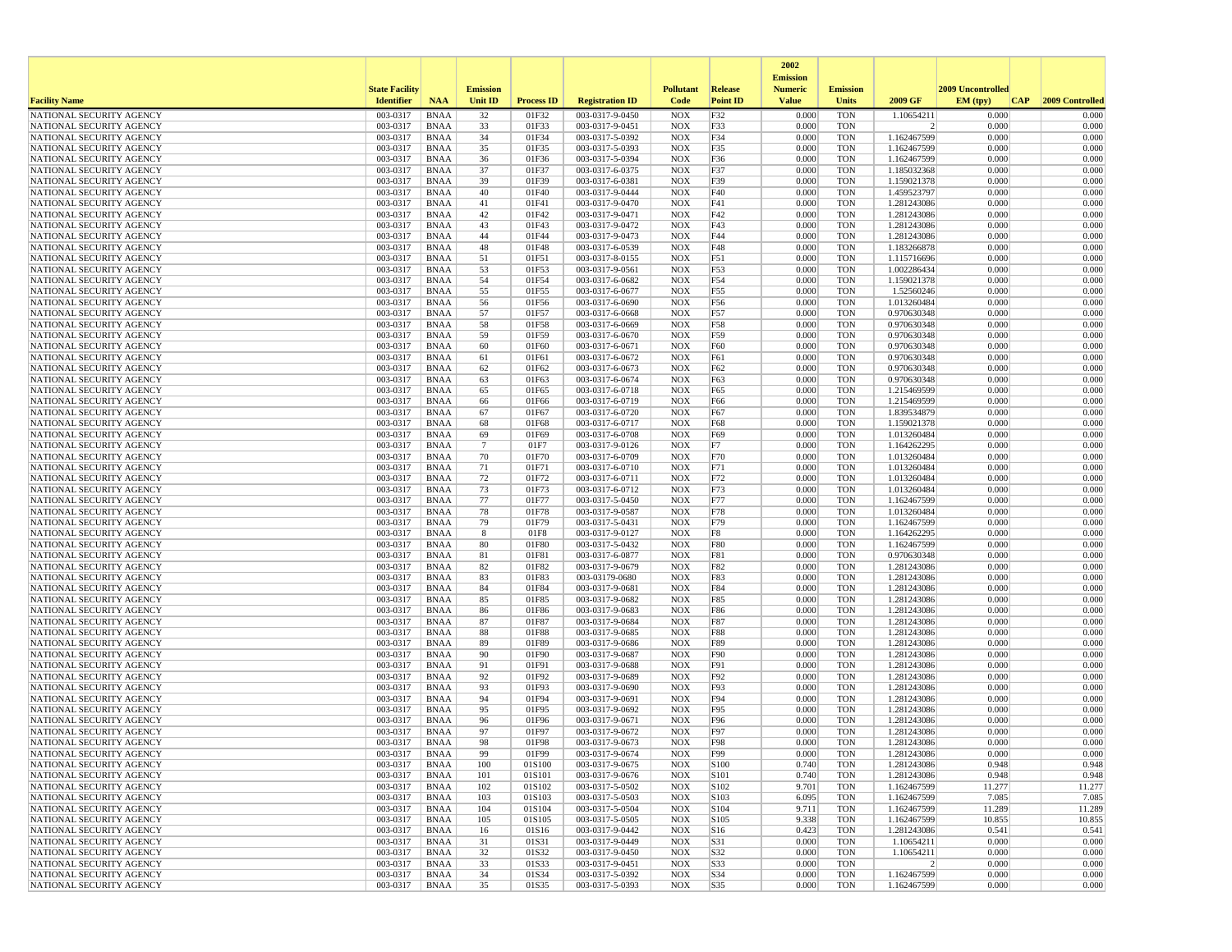|                                                      |                       |                            |                       |                   |                                    |                          |                   | 2002                              |                          |                            |                   |                  |
|------------------------------------------------------|-----------------------|----------------------------|-----------------------|-------------------|------------------------------------|--------------------------|-------------------|-----------------------------------|--------------------------|----------------------------|-------------------|------------------|
|                                                      | <b>State Facility</b> |                            | <b>Emission</b>       |                   |                                    | <b>Pollutant</b>         | Release           | <b>Emission</b><br><b>Numeric</b> | <b>Emission</b>          |                            | 2009 Uncontrolled |                  |
| <b>Facility Name</b>                                 | <b>Identifier</b>     | <b>NAA</b>                 | <b>Unit ID</b>        | <b>Process ID</b> | <b>Registration ID</b>             | Code                     | <b>Point ID</b>   | <b>Value</b>                      | <b>Units</b>             | 2009 GF                    | EM (typ)<br> CAP  | 2009 Controlled  |
| NATIONAL SECURITY AGENCY                             | 003-0317              | <b>BNAA</b>                | 32                    | 01F32             | 003-0317-9-0450                    | <b>NOX</b>               | F32               | 0.000                             | <b>TON</b>               | 1.10654211                 | 0.000             | 0.000            |
| NATIONAL SECURITY AGENCY                             | 003-0317              | BNAA                       | 33                    | 01F33             | 003-0317-9-0451                    | <b>NOX</b>               | F33               | 0.000                             | <b>TON</b>               | 2                          | 0.000             | 0.000            |
| NATIONAL SECURITY AGENCY                             | 003-0317              | <b>BNAA</b>                | 34                    | 01F34             | 003-0317-5-0392                    | <b>NOX</b>               | F34               | 0.000                             | <b>TON</b>               | 1.162467599                | 0.000             | 0.000            |
| NATIONAL SECURITY AGENCY<br>NATIONAL SECURITY AGENCY | 003-0317<br>003-0317  | BNAA                       | 35<br>36              | 01F35<br>01F36    | 003-0317-5-0393<br>003-0317-5-0394 | <b>NOX</b>               | F35               | 0.000<br>0.000                    | <b>TON</b><br><b>TON</b> | 1.162467599                | 0.000<br>0.000    | 0.000<br>0.000   |
| NATIONAL SECURITY AGENCY                             | 003-0317              | <b>BNAA</b><br><b>BNAA</b> | 37                    | 01F37             | 003-0317-6-0375                    | <b>NOX</b><br><b>NOX</b> | F36<br>F37        | 0.000                             | <b>TON</b>               | 1.162467599<br>1.185032368 | 0.000             | 0.000            |
| NATIONAL SECURITY AGENCY                             | 003-0317              | BNAA                       | 39                    | 01F39             | 003-0317-6-0381                    | <b>NOX</b>               | F39               | 0.000                             | <b>TON</b>               | 1.159021378                | 0.000             | 0.000            |
| NATIONAL SECURITY AGENCY                             | 003-0317              | <b>BNAA</b>                | 40                    | 01F40             | 003-0317-9-0444                    | <b>NOX</b>               | F40               | 0.000                             | <b>TON</b>               | 1.459523797                | 0.000             | 0.000            |
| NATIONAL SECURITY AGENCY                             | 003-0317              | <b>BNAA</b>                | 41                    | 01F41             | 003-0317-9-0470                    | <b>NOX</b>               | F41               | 0.000                             | <b>TON</b>               | 1.281243086                | 0.000             | 0.000            |
| NATIONAL SECURITY AGENCY                             | 003-0317              | <b>BNAA</b>                | 42                    | 01F42             | 003-0317-9-0471                    | <b>NOX</b>               | F42               | 0.000                             | <b>TON</b>               | 1.281243086                | 0.000             | 0.000            |
| NATIONAL SECURITY AGENCY                             | 003-0317              | BNAA                       | 43                    | 01F43             | 003-0317-9-0472                    | <b>NOX</b>               | F43               | 0.000                             | <b>TON</b>               | 1.281243086                | 0.000             | 0.000            |
| NATIONAL SECURITY AGENCY                             | 003-0317              | <b>BNAA</b>                | 44                    | 01F44             | 003-0317-9-0473                    | <b>NOX</b>               | F44               | 0.000                             | <b>TON</b>               | 1.281243086                | 0.000             | 0.000            |
| NATIONAL SECURITY AGENCY                             | 003-0317<br>003-0317  | <b>BNAA</b><br><b>BNAA</b> | 48                    | 01F48<br>01F51    | 003-0317-6-0539<br>003-0317-8-0155 | <b>NOX</b><br><b>NOX</b> | F48<br>F51        | 0.000<br>0.000                    | <b>TON</b><br><b>TON</b> | 1.183266878                | 0.000<br>0.000    | 0.000<br>0.000   |
| NATIONAL SECURITY AGENCY<br>NATIONAL SECURITY AGENCY | 003-0317              | BNAA                       | 51<br>53              | 01F53             | 003-0317-9-0561                    | <b>NOX</b>               | F53               | 0.000                             | <b>TON</b>               | 1.115716696<br>1.002286434 | 0.000             | 0.000            |
| NATIONAL SECURITY AGENCY                             | 003-0317              | BNAA                       | 54                    | 01F54             | 003-0317-6-0682                    | <b>NOX</b>               | F54               | 0.000                             | <b>TON</b>               | 1.159021378                | 0.000             | 0.000            |
| NATIONAL SECURITY AGENCY                             | 003-0317              | <b>BNAA</b>                | 55                    | 01F55             | 003-0317-6-0677                    | <b>NOX</b>               | F55               | 0.000                             | <b>TON</b>               | 1.52560246                 | 0.000             | 0.000            |
| NATIONAL SECURITY AGENCY                             | 003-0317              | BNAA                       | 56                    | 01F56             | 003-0317-6-0690                    | <b>NOX</b>               | F56               | 0.000                             | <b>TON</b>               | 1.013260484                | 0.000             | 0.000            |
| NATIONAL SECURITY AGENCY                             | 003-0317              | BNAA                       | 57                    | 01F57             | 003-0317-6-0668                    | <b>NOX</b>               | F57               | 0.000                             | <b>TON</b>               | 0.970630348                | 0.000             | 0.000            |
| NATIONAL SECURITY AGENCY                             | 003-0317              | <b>BNAA</b>                | 58                    | 01F58             | 003-0317-6-0669                    | <b>NOX</b>               | F58               | 0.000                             | <b>TON</b>               | 0.970630348                | 0.000             | 0.000            |
| NATIONAL SECURITY AGENCY                             | 003-0317              | <b>BNAA</b>                | 59                    | 01F59             | 003-0317-6-0670                    | <b>NOX</b>               | F59               | 0.000                             | <b>TON</b>               | 0.970630348                | 0.000             | 0.000            |
| NATIONAL SECURITY AGENCY<br>NATIONAL SECURITY AGENCY | 003-0317<br>003-0317  | BNAA<br><b>BNAA</b>        | 60<br>61              | 01F60<br>01F61    | 003-0317-6-0671<br>003-0317-6-0672 | <b>NOX</b><br><b>NOX</b> | F60<br>F61        | 0.000<br>0.000                    | <b>TON</b><br><b>TON</b> | 0.970630348<br>0.970630348 | 0.000<br>0.000    | 0.000<br>0.000   |
| NATIONAL SECURITY AGENCY                             | 003-0317              | <b>BNAA</b>                | 62                    | 01F62             | 003-0317-6-0673                    | <b>NOX</b>               | F62               | 0.000                             | <b>TON</b>               | 0.970630348                | 0.000             | 0.000            |
| NATIONAL SECURITY AGENCY                             | 003-0317              | BNAA                       | 63                    | 01F63             | 003-0317-6-0674                    | <b>NOX</b>               | F63               | 0.000                             | <b>TON</b>               | 0.970630348                | 0.000             | 0.000            |
| NATIONAL SECURITY AGENCY                             | 003-0317              | <b>BNAA</b>                | 65                    | 01F65             | 003-0317-6-0718                    | <b>NOX</b>               | F65               | 0.000                             | <b>TON</b>               | 1.215469599                | 0.000             | 0.000            |
| NATIONAL SECURITY AGENCY                             | 003-0317              | <b>BNAA</b>                | 66                    | 01F66             | 003-0317-6-0719                    | <b>NOX</b>               | F66               | 0.000                             | <b>TON</b>               | 1.215469599                | 0.000             | 0.000            |
| NATIONAL SECURITY AGENCY                             | 003-0317              | <b>BNAA</b>                | 67                    | 01F67             | 003-0317-6-0720                    | <b>NOX</b>               | F67               | 0.000                             | <b>TON</b>               | 1.839534879                | 0.000             | 0.000            |
| NATIONAL SECURITY AGENCY                             | 003-0317              | BNAA                       | 68                    | 01F68             | 003-0317-6-0717                    | <b>NOX</b>               | F68               | 0.000                             | <b>TON</b>               | 1.159021378                | 0.000             | 0.000            |
| NATIONAL SECURITY AGENCY                             | 003-0317              | <b>BNAA</b>                | 69                    | 01F69             | 003-0317-6-0708                    | <b>NOX</b>               | F69               | 0.000                             | <b>TON</b>               | 1.013260484                | 0.000             | 0.000            |
| NATIONAL SECURITY AGENCY<br>NATIONAL SECURITY AGENCY | 003-0317<br>003-0317  | <b>BNAA</b><br>BNAA        | $7\phantom{.0}$<br>70 | 01F7<br>01F70     | 003-0317-9-0126<br>003-0317-6-0709 | <b>NOX</b><br><b>NOX</b> | F7<br>F70         | 0.000<br>0.000                    | <b>TON</b><br><b>TON</b> | 1.164262295<br>1.013260484 | 0.000<br>0.000    | 0.000<br>0.000   |
| NATIONAL SECURITY AGENCY                             | 003-0317              | <b>BNAA</b>                | 71                    | 01F71             | 003-0317-6-0710                    | <b>NOX</b>               | F71               | 0.000                             | <b>TON</b>               | 1.013260484                | 0.000             | 0.000            |
| NATIONAL SECURITY AGENCY                             | 003-0317              | <b>BNAA</b>                | 72                    | 01F72             | 003-0317-6-0711                    | <b>NOX</b>               | F72               | 0.000                             | <b>TON</b>               | 1.013260484                | 0.000             | 0.000            |
| NATIONAL SECURITY AGENCY                             | 003-0317              | BNAA                       | 73                    | 01F73             | 003-0317-6-0712                    | <b>NOX</b>               | F73               | 0.000                             | <b>TON</b>               | 1.013260484                | 0.000             | 0.000            |
| NATIONAL SECURITY AGENCY                             | 003-0317              | BNAA                       | 77                    | 01F77             | 003-0317-5-0450                    | <b>NOX</b>               | F77               | 0.000                             | <b>TON</b>               | 1.162467599                | 0.000             | 0.000            |
| NATIONAL SECURITY AGENCY                             | 003-0317              | <b>BNAA</b>                | 78                    | 01F78             | 003-0317-9-0587                    | <b>NOX</b>               | F78               | 0.000                             | <b>TON</b>               | 1.013260484                | 0.000             | 0.000            |
| NATIONAL SECURITY AGENCY                             | 003-0317              | <b>BNAA</b>                | 79                    | 01F79             | 003-0317-5-0431                    | <b>NOX</b>               | F79               | 0.000                             | <b>TON</b>               | 1.162467599                | 0.000             | 0.000            |
| NATIONAL SECURITY AGENCY<br>NATIONAL SECURITY AGENCY | 003-0317<br>003-0317  | <b>BNAA</b><br>BNAA        | 8<br>80               | 01F8<br>01F80     | 003-0317-9-0127<br>003-0317-5-0432 | <b>NOX</b><br><b>NOX</b> | F8<br><b>F80</b>  | 0.000<br>0.000                    | <b>TON</b><br><b>TON</b> | 1.164262295<br>1.162467599 | 0.000<br>0.000    | 0.000<br>0.000   |
| NATIONAL SECURITY AGENCY                             | 003-0317              | BNAA                       | 81                    | 01F81             | 003-0317-6-0877                    | <b>NOX</b>               | <b>F81</b>        | 0.000                             | <b>TON</b>               | 0.970630348                | 0.000             | 0.000            |
| NATIONAL SECURITY AGENCY                             | 003-0317              | <b>BNAA</b>                | 82                    | 01F82             | 003-0317-9-0679                    | <b>NOX</b>               | F82               | 0.000                             | <b>TON</b>               | 1.281243086                | 0.000             | 0.000            |
| NATIONAL SECURITY AGENCY                             | 003-0317              | BNAA                       | 83                    | 01F83             | 003-03179-0680                     | <b>NOX</b>               | F83               | 0.000                             | <b>TON</b>               | 1.281243086                | 0.000             | 0.000            |
| NATIONAL SECURITY AGENCY                             | 003-0317              | <b>BNAA</b>                | 84                    | 01F84             | 003-0317-9-0681                    | <b>NOX</b>               | F84               | 0.000                             | <b>TON</b>               | 1.281243086                | 0.000             | 0.000            |
| NATIONAL SECURITY AGENCY                             | 003-0317              | <b>BNAA</b>                | 85                    | 01F85             | 003-0317-9-0682                    | <b>NOX</b>               | F85               | 0.000                             | <b>TON</b>               | 1.281243086                | 0.000             | 0.000            |
| NATIONAL SECURITY AGENCY                             | 003-0317              | <b>BNAA</b>                | 86                    | 01F86             | 003-0317-9-0683                    | <b>NOX</b>               | <b>F86</b>        | 0.000                             | <b>TON</b>               | 1.281243086                | 0.000             | 0.000            |
| NATIONAL SECURITY AGENCY<br>NATIONAL SECURITY AGENCY | 003-0317<br>003-0317  | BNAA<br><b>BNAA</b>        | 87<br>88              | 01F87<br>01F88    | 003-0317-9-0684<br>003-0317-9-0685 | <b>NOX</b><br><b>NOX</b> | F87<br><b>F88</b> | 0.000<br>0.000                    | <b>TON</b><br><b>TON</b> | 1.281243086<br>1.281243086 | 0.000<br>0.000    | 0.000<br>0.000   |
| NATIONAL SECURITY AGENCY                             | 003-0317              | <b>BNAA</b>                | 89                    | 01F89             | 003-0317-9-0686                    | <b>NOX</b>               | <b>F89</b>        | 0.000                             | <b>TON</b>               | 1.281243086                | 0.000             | 0.000            |
| NATIONAL SECURITY AGENCY                             | 003-0317              | BNAA                       | 90                    | 01F90             | 003-0317-9-0687                    | <b>NOX</b>               | F90               | 0.000                             | <b>TON</b>               | 1.281243086                | 0.000             | 0.000            |
| NATIONAL SECURITY AGENCY                             | 003-0317              | <b>BNAA</b>                | 91                    | 01F91             | 003-0317-9-0688                    | <b>NOX</b>               | F91               | 0.000                             | <b>TON</b>               | 1.281243086                | 0.000             | 0.000            |
| NATIONAL SECURITY AGENCY                             | 003-0317              | <b>BNAA</b>                | 92                    | 01F92             | 003-0317-9-0689                    | <b>NOX</b>               | F92               | 0.000                             | <b>TON</b>               | 1.281243086                | 0.000             | 0.000            |
| NATIONAL SECURITY AGENCY                             | 003-0317              | <b>BNAA</b>                | 93                    | 01F93             | 003-0317-9-0690                    | <b>NOX</b>               | F93               | 0.000                             | <b>TON</b>               | 1.281243086                | 0.000             | 0.000            |
| NATIONAL SECURITY AGENCY                             | 003-0317              | BNAA                       | 94                    | 01F94             | 003-0317-9-0691                    | <b>NOX</b>               | F94               | 0.000                             | <b>TON</b>               | 1.281243086                | 0.000             | 0.000            |
| NATIONAL SECURITY AGENCY<br>NATIONAL SECURITY AGENCY | 003-0317<br>003-0317  | <b>BNAA</b><br><b>BNAA</b> | 95<br>96              | 01F95<br>01F96    | 003-0317-9-0692<br>003-0317-9-0671 | <b>NOX</b><br><b>NOX</b> | F95<br>F96        | 0.000<br>0.000                    | <b>TON</b><br><b>TON</b> | 1.281243086<br>1.281243086 | 0.000<br>0.000    | 0.000<br>0.000   |
| NATIONAL SECURITY AGENCY                             | 003-0317              | <b>BNAA</b>                | 97                    | 01F97             | 003-0317-9-0672                    | <b>NOX</b>               | F97               | 0.000                             | <b>TON</b>               | 1.281243086                | 0.000             | 0.000            |
| NATIONAL SECURITY AGENCY                             | 003-0317              | <b>BNAA</b>                | 98                    | 01F98             | 003-0317-9-0673                    | <b>NOX</b>               | F98               | 0.000                             | <b>TON</b>               | 1.281243086                | 0.000             | 0.000            |
| NATIONAL SECURITY AGENCY                             | 003-0317              | <b>BNAA</b>                | 99                    | 01F99             | 003-0317-9-0674                    | <b>NOX</b>               | F99               | 0.000                             | <b>TON</b>               | 1.281243086                | 0.000             | 0.000            |
| NATIONAL SECURITY AGENCY                             | 003-0317              | BNAA                       | 100                   | 01S100            | 003-0317-9-0675                    | <b>NOX</b>               | S100              | 0.740                             | <b>TON</b>               | 1.281243086                | 0.948             | 0.948            |
| NATIONAL SECURITY AGENCY                             | 003-0317              | BNAA                       | 101                   | 01S101            | 003-0317-9-0676                    | <b>NOX</b>               | S101              | 0.740                             | <b>TON</b>               | 1.281243086                | 0.948             | 0.948            |
| NATIONAL SECURITY AGENCY                             | 003-0317              | BNAA                       | 102                   | 01S102            | 003-0317-5-0502                    | <b>NOX</b>               | S102              | 9.701                             | <b>TON</b>               | 1.162467599                | 11.277            | 11.277           |
| NATIONAL SECURITY AGENCY                             | 003-0317              | <b>BNAA</b>                | 103                   | 01S103<br>01S104  | 003-0317-5-0503                    | <b>NOX</b>               | S103              | 6.095                             | <b>TON</b><br><b>TON</b> | 1.162467599                | 7.085             | 7.085            |
| NATIONAL SECURITY AGENCY<br>NATIONAL SECURITY AGENCY | 003-0317<br>003-0317  | BNAA<br><b>BNAA</b>        | 104<br>105            | 01S105            | 003-0317-5-0504<br>003-0317-5-0505 | <b>NOX</b><br><b>NOX</b> | S104<br>S105      | 9.711<br>9.338                    | <b>TON</b>               | 1.162467599<br>1.162467599 | 11.289<br>10.855  | 11.289<br>10.855 |
| NATIONAL SECURITY AGENCY                             | 003-0317              | BNAA                       | 16                    | 01S16             | 003-0317-9-0442                    | <b>NOX</b>               | S16               | 0.423                             | <b>TON</b>               | 1.281243086                | 0.541             | 0.541            |
| NATIONAL SECURITY AGENCY                             | 003-0317              | BNAA                       | 31                    | 01S31             | 003-0317-9-0449                    | <b>NOX</b>               | S31               | 0.000                             | <b>TON</b>               | 1.10654211                 | 0.000             | 0.000            |
| NATIONAL SECURITY AGENCY                             | 003-0317              | <b>BNAA</b>                | 32                    | 01S32             | 003-0317-9-0450                    | <b>NOX</b>               | S32               | 0.000                             | <b>TON</b>               | 1.10654211                 | 0.000             | 0.000            |
| NATIONAL SECURITY AGENCY                             | 003-0317              | BNAA                       | 33                    | 01S33             | 003-0317-9-0451                    | <b>NOX</b>               | S33               | 0.000                             | <b>TON</b>               | $\left  \right $           | 0.000             | 0.000            |
| NATIONAL SECURITY AGENCY                             | 003-0317              | <b>BNAA</b>                | 34                    | 01S34             | 003-0317-5-0392                    | <b>NOX</b>               | S34               | 0.000                             | <b>TON</b>               | 1.162467599                | 0.000             | 0.000            |
| NATIONAL SECURITY AGENCY                             | 003-0317              | BNAA                       | 35                    | 01S35             | 003-0317-5-0393                    | NOX                      | S35               | 0.000                             | TON                      | 1.162467599                | 0.000             | 0.000            |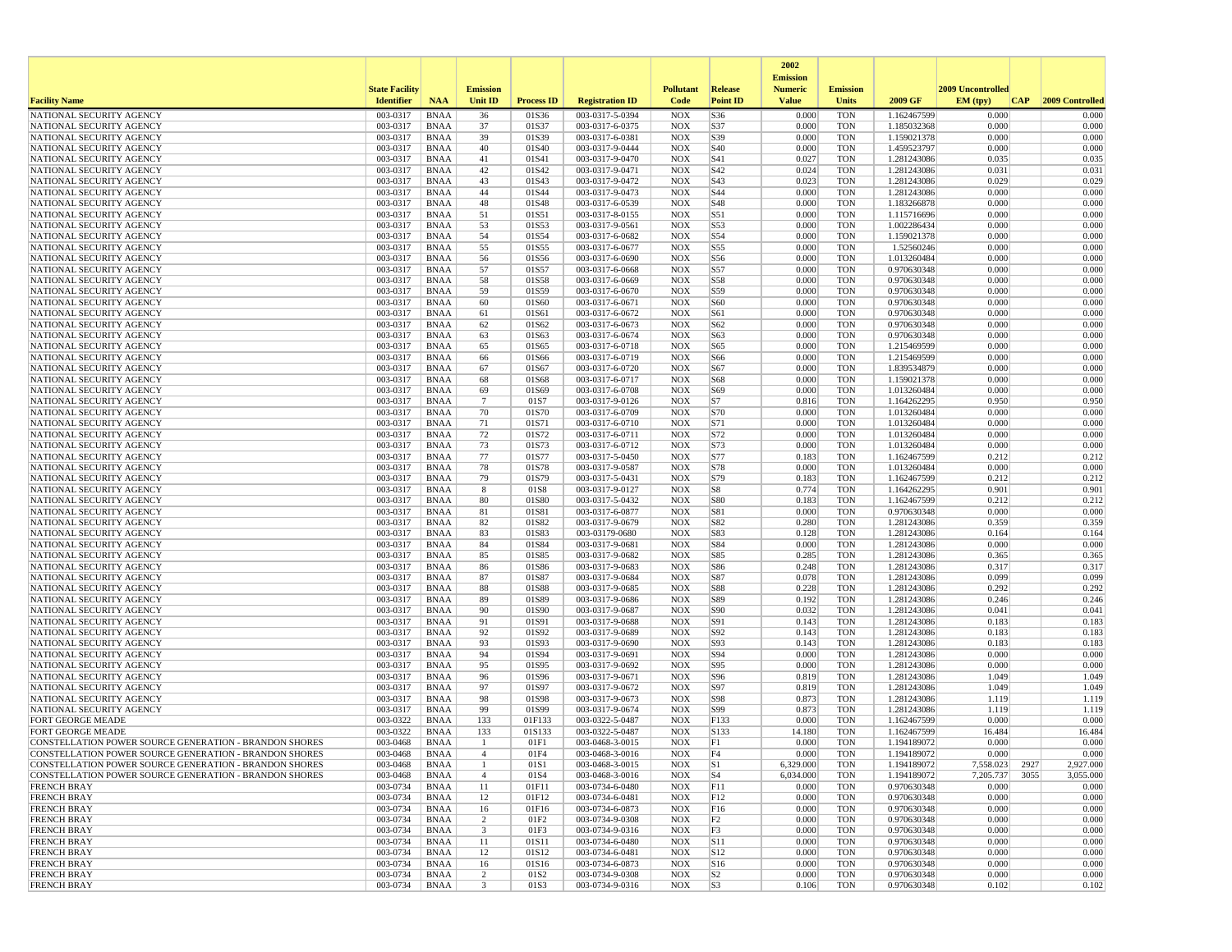|                                                        |                       |                            |                                           |                   |                                    |                          |                 | 2002                              |                          |                            |                          |                 |
|--------------------------------------------------------|-----------------------|----------------------------|-------------------------------------------|-------------------|------------------------------------|--------------------------|-----------------|-----------------------------------|--------------------------|----------------------------|--------------------------|-----------------|
|                                                        | <b>State Facility</b> |                            | <b>Emission</b>                           |                   |                                    | <b>Pollutant</b>         | <b>Release</b>  | <b>Emission</b><br><b>Numeric</b> | <b>Emission</b>          |                            | <b>2009 Uncontrolled</b> |                 |
| <b>Facility Name</b>                                   | <b>Identifier</b>     | <b>NAA</b>                 | Unit ID                                   | <b>Process ID</b> | <b>Registration ID</b>             | Code                     | <b>Point ID</b> | <b>Value</b>                      | Units                    | 2009 GF                    | EM (typ)<br> CAP         | 2009 Controlled |
| NATIONAL SECURITY AGENCY                               | 003-0317              | <b>BNAA</b>                | 36                                        | 01S36             | 003-0317-5-0394                    | <b>NOX</b>               | S36             | 0.000                             | <b>TON</b>               | 1.162467599                | 0.000                    | 0.000           |
| NATIONAL SECURITY AGENCY                               | 003-0317              | <b>BNAA</b>                | 37                                        | 01S37             | 003-0317-6-0375                    | <b>NOX</b>               | S37             | 0.000                             | <b>TON</b>               | 1.185032368                | 0.000                    | 0.000           |
| NATIONAL SECURITY AGENCY<br>NATIONAL SECURITY AGENCY   | 003-0317<br>003-0317  | BNAA<br><b>BNAA</b>        | 39<br>40                                  | 01S39<br>01S40    | 003-0317-6-0381<br>003-0317-9-0444 | <b>NOX</b><br><b>NOX</b> | S39<br>S40      | 0.000<br>0.000                    | <b>TON</b><br><b>TON</b> | 1.159021378<br>1.459523797 | 0.000<br>0.000           | 0.000<br>0.000  |
| NATIONAL SECURITY AGENCY                               | 003-0317              | <b>BNAA</b>                | 41                                        | 01S41             | 003-0317-9-0470                    | <b>NOX</b>               | S41             | 0.027                             | <b>TON</b>               | 1.281243086                | 0.035                    | 0.035           |
| NATIONAL SECURITY AGENCY                               | 003-0317              | <b>BNAA</b>                | 42                                        | 01S42             | 003-0317-9-0471                    | <b>NOX</b>               | S42             | 0.024                             | <b>TON</b>               | 1.281243086                | 0.031                    | 0.031           |
| NATIONAL SECURITY AGENCY                               | 003-0317              | <b>BNAA</b>                | 43                                        | 01S43             | 003-0317-9-0472                    | <b>NOX</b>               | S43             | 0.023                             | <b>TON</b>               | 1.281243086                | 0.029                    | 0.029           |
| NATIONAL SECURITY AGENCY                               | 003-0317              | <b>BNAA</b>                | 44                                        | 01S44             | 003-0317-9-0473                    | <b>NOX</b>               | S44             | 0.000                             | <b>TON</b>               | 1.281243086                | 0.000                    | 0.000           |
| NATIONAL SECURITY AGENCY                               | 003-0317              | <b>BNAA</b>                | 48                                        | 01S48             | 003-0317-6-0539                    | <b>NOX</b>               | S48             | 0.000                             | <b>TON</b>               | 1.183266878                | 0.000                    | 0.000           |
| NATIONAL SECURITY AGENCY                               | 003-0317              | BNAA                       | 51                                        | 01S51             | 003-0317-8-0155                    | <b>NOX</b>               | S51             | 0.000                             | <b>TON</b>               | 1.115716696                | 0.000                    | 0.000           |
| NATIONAL SECURITY AGENCY                               | 003-0317              | <b>BNAA</b>                | 53                                        | 01S53             | 003-0317-9-0561                    | <b>NOX</b>               | S53             | 0.000                             | <b>TON</b>               | 1.002286434                | 0.000                    | 0.000           |
| NATIONAL SECURITY AGENCY                               | 003-0317              | <b>BNAA</b>                | 54                                        | 01S54             | 003-0317-6-0682                    | <b>NOX</b>               | S54             | 0.000                             | <b>TON</b>               | 1.159021378                | 0.000                    | 0.000           |
| NATIONAL SECURITY AGENCY<br>NATIONAL SECURITY AGENCY   | 003-0317<br>003-0317  | <b>BNAA</b><br>BNAA        | 55<br>56                                  | 01S55<br>01S56    | 003-0317-6-0677<br>003-0317-6-0690 | <b>NOX</b><br><b>NOX</b> | S55<br>S56      | 0.000<br>0.000                    | <b>TON</b><br><b>TON</b> | 1.52560246<br>1.013260484  | 0.000<br>0.000           | 0.000<br>0.000  |
| NATIONAL SECURITY AGENCY                               | 003-0317              | <b>BNAA</b>                | 57                                        | 01S57             | 003-0317-6-0668                    | <b>NOX</b>               | S57             | 0.000                             | <b>TON</b>               | 0.970630348                | 0.000                    | 0.000           |
| NATIONAL SECURITY AGENCY                               | 003-0317              | BNAA                       | 58                                        | 01S58             | 003-0317-6-0669                    | <b>NOX</b>               | S58             | 0.000                             | <b>TON</b>               | 0.970630348                | 0.000                    | 0.000           |
| NATIONAL SECURITY AGENCY                               | 003-0317              | BNAA                       | 59                                        | 01S59             | 003-0317-6-0670                    | <b>NOX</b>               | S59             | 0.000                             | <b>TON</b>               | 0.970630348                | 0.000                    | 0.000           |
| NATIONAL SECURITY AGENCY                               | 003-0317              | BNAA                       | 60                                        | 01S60             | 003-0317-6-0671                    | <b>NOX</b>               | S60             | 0.000                             | <b>TON</b>               | 0.970630348                | 0.000                    | 0.000           |
| NATIONAL SECURITY AGENCY                               | 003-0317              | BNAA                       | 61                                        | 01S61             | 003-0317-6-0672                    | <b>NOX</b>               | S61             | 0.000                             | <b>TON</b>               | 0.970630348                | 0.000                    | 0.000           |
| NATIONAL SECURITY AGENCY                               | 003-0317              | <b>BNAA</b>                | 62                                        | 01S62             | 003-0317-6-0673                    | <b>NOX</b>               | S62             | 0.000                             | <b>TON</b>               | 0.970630348                | 0.000                    | 0.000           |
| NATIONAL SECURITY AGENCY                               | 003-0317              | BNAA                       | 63                                        | 01S63             | 003-0317-6-0674                    | <b>NOX</b>               | S63             | 0.000                             | <b>TON</b>               | 0.970630348                | 0.000                    | 0.000           |
| NATIONAL SECURITY AGENCY                               | 003-0317              | <b>BNAA</b>                | 65                                        | 01S65             | 003-0317-6-0718                    | <b>NOX</b>               | S65             | 0.000                             | <b>TON</b>               | 1.215469599                | 0.000                    | 0.000           |
| NATIONAL SECURITY AGENCY                               | 003-0317              | <b>BNAA</b>                | 66                                        | 01S66             | 003-0317-6-0719                    | <b>NOX</b>               | S66             | 0.000                             | <b>TON</b>               | 1.215469599                | 0.000                    | 0.000           |
| NATIONAL SECURITY AGENCY                               | 003-0317              | BNAA                       | 67                                        | 01S67             | 003-0317-6-0720                    | <b>NOX</b>               | S67             | 0.000                             | <b>TON</b>               | 1.839534879                | 0.000                    | 0.000           |
| NATIONAL SECURITY AGENCY                               | 003-0317              | <b>BNAA</b>                | 68                                        | 01S68             | 003-0317-6-0717                    | <b>NOX</b>               | S68             | 0.000                             | <b>TON</b>               | 1.159021378                | 0.000                    | 0.000           |
| NATIONAL SECURITY AGENCY<br>NATIONAL SECURITY AGENCY   | 003-0317<br>003-0317  | <b>BNAA</b><br><b>BNAA</b> | 69<br>-7                                  | 01S69<br>01S7     | 003-0317-6-0708<br>003-0317-9-0126 | <b>NOX</b><br><b>NOX</b> | S69             | 0.000<br>0.816                    | <b>TON</b><br><b>TON</b> | 1.013260484                | 0.000<br>0.950           | 0.000<br>0.950  |
| NATIONAL SECURITY AGENCY                               | 003-0317              | BNAA                       | 70                                        | 01S70             | 003-0317-6-0709                    | <b>NOX</b>               | S7<br>S70       | 0.000                             | <b>TON</b>               | 1.164262295<br>1.013260484 | 0.000                    | 0.000           |
| NATIONAL SECURITY AGENCY                               | 003-0317              | <b>BNAA</b>                | 71                                        | 01S71             | 003-0317-6-0710                    | <b>NOX</b>               | S71             | 0.000                             | <b>TON</b>               | 1.013260484                | 0.000                    | 0.000           |
| NATIONAL SECURITY AGENCY                               | 003-0317              | <b>BNAA</b>                | 72                                        | 01S72             | 003-0317-6-0711                    | <b>NOX</b>               | S72             | 0.000                             | <b>TON</b>               | 1.013260484                | 0.000                    | 0.000           |
| NATIONAL SECURITY AGENCY                               | 003-0317              | <b>BNAA</b>                | 73                                        | 01S73             | 003-0317-6-0712                    | <b>NOX</b>               | S73             | 0.000                             | <b>TON</b>               | 1.013260484                | 0.000                    | 0.000           |
| NATIONAL SECURITY AGENCY                               | 003-0317              | <b>BNAA</b>                | 77                                        | 01S77             | 003-0317-5-0450                    | <b>NOX</b>               | S77             | 0.183                             | <b>TON</b>               | 1.162467599                | 0.212                    | 0.212           |
| NATIONAL SECURITY AGENCY                               | 003-0317              | <b>BNAA</b>                | 78                                        | 01S78             | 003-0317-9-0587                    | <b>NOX</b>               | S78             | 0.000                             | <b>TON</b>               | 1.013260484                | 0.000                    | 0.000           |
| NATIONAL SECURITY AGENCY                               | 003-0317              | <b>BNAA</b>                | 79                                        | 01S79             | 003-0317-5-0431                    | <b>NOX</b>               | S79             | 0.183                             | <b>TON</b>               | 1.162467599                | 0.212                    | 0.212           |
| NATIONAL SECURITY AGENCY                               | 003-0317              | BNAA                       | 8                                         | 01S8              | 003-0317-9-0127                    | <b>NOX</b>               | S8              | 0.774                             | <b>TON</b>               | 1.164262295                | 0.901                    | 0.901           |
| NATIONAL SECURITY AGENCY                               | 003-0317              | <b>BNAA</b>                | 80                                        | 01S80             | 003-0317-5-0432                    | <b>NOX</b>               | <b>S80</b>      | 0.183                             | <b>TON</b>               | 1.162467599                | 0.212                    | 0.212           |
| NATIONAL SECURITY AGENCY                               | 003-0317              | <b>BNAA</b>                | 81                                        | 01S81             | 003-0317-6-0877                    | <b>NOX</b>               | S81             | 0.000                             | <b>TON</b>               | 0.970630348                | 0.000                    | 0.000           |
| NATIONAL SECURITY AGENCY                               | 003-0317              | <b>BNAA</b>                | 82                                        | 01S82             | 003-0317-9-0679                    | <b>NOX</b>               | S82             | 0.280                             | <b>TON</b>               | 1.281243086                | 0.359                    | 0.359           |
| NATIONAL SECURITY AGENCY                               | 003-0317<br>003-0317  | BNAA                       | 83<br>84                                  | 01S83             | 003-03179-0680                     | <b>NOX</b>               | S83<br>S84      | 0.128<br>0.000                    | <b>TON</b>               | 1.281243086                | 0.164<br>0.000           | 0.164<br>0.000  |
| NATIONAL SECURITY AGENCY<br>NATIONAL SECURITY AGENCY   | 003-0317              | <b>BNAA</b><br><b>BNAA</b> | 85                                        | 01S84<br>01S85    | 003-0317-9-0681<br>003-0317-9-0682 | <b>NOX</b><br><b>NOX</b> | S85             | 0.285                             | <b>TON</b><br><b>TON</b> | 1.281243086<br>1.281243086 | 0.365                    | 0.365           |
| NATIONAL SECURITY AGENCY                               | 003-0317              | <b>BNAA</b>                | 86                                        | 01S86             | 003-0317-9-0683                    | <b>NOX</b>               | <b>S86</b>      | 0.248                             | <b>TON</b>               | 1.281243086                | 0.317                    | 0.317           |
| NATIONAL SECURITY AGENCY                               | 003-0317              | <b>BNAA</b>                | 87                                        | 01S87             | 003-0317-9-0684                    | <b>NOX</b>               | S87             | 0.078                             | <b>TON</b>               | 1.281243086                | 0.099                    | 0.099           |
| NATIONAL SECURITY AGENCY                               | 003-0317              | BNAA                       | 88                                        | 01S88             | 003-0317-9-0685                    | <b>NOX</b>               | <b>S88</b>      | 0.228                             | <b>TON</b>               | 1.281243086                | 0.292                    | 0.292           |
| NATIONAL SECURITY AGENCY                               | 003-0317              | <b>BNAA</b>                | 89                                        | 01S89             | 003-0317-9-0686                    | <b>NOX</b>               | S89             | 0.192                             | <b>TON</b>               | 1.281243086                | 0.246                    | 0.246           |
| NATIONAL SECURITY AGENCY                               | 003-0317              | BNAA                       | 90                                        | 01S90             | 003-0317-9-0687                    | <b>NOX</b>               | S90             | 0.032                             | <b>TON</b>               | 1.281243086                | 0.041                    | 0.041           |
| NATIONAL SECURITY AGENCY                               | 003-0317              | <b>BNAA</b>                | 91                                        | 01S91             | 003-0317-9-0688                    | <b>NOX</b>               | S91             | 0.143                             | <b>TON</b>               | 1.281243086                | 0.183                    | 0.183           |
| NATIONAL SECURITY AGENCY                               | 003-0317              | <b>BNAA</b>                | 92                                        | 01S92             | 003-0317-9-0689                    | <b>NOX</b>               | S92             | 0.143                             | <b>TON</b>               | 1.281243086                | 0.183                    | 0.183           |
| NATIONAL SECURITY AGENCY                               | 003-0317              | BNAA                       | 93                                        | 01S93             | 003-0317-9-0690                    | <b>NOX</b>               | S93             | 0.143                             | <b>TON</b>               | 1.281243086                | 0.183                    | 0.183           |
| NATIONAL SECURITY AGENCY                               | 003-0317              | <b>BNAA</b>                | 94                                        | 01S94             | 003-0317-9-0691                    | <b>NOX</b>               | S94             | 0.000                             | <b>TON</b>               | 1.281243086                | 0.000                    | 0.000           |
| NATIONAL SECURITY AGENCY<br>NATIONAL SECURITY AGENCY   | 003-0317<br>003-0317  | <b>BNAA</b><br>BNAA        | 95<br>96                                  | 01S95<br>01S96    | 003-0317-9-0692<br>003-0317-9-0671 | <b>NOX</b><br><b>NOX</b> | S95<br>S96      | 0.000<br>0.819                    | <b>TON</b><br><b>TON</b> | 1.281243086<br>1.281243086 | 0.000<br>1.049           | 0.000<br>1.049  |
| NATIONAL SECURITY AGENCY                               | 003-0317              | BNAA                       | 97                                        | 01S97             | 003-0317-9-0672                    | <b>NOX</b>               | S97             | 0.819                             | <b>TON</b>               | 1.281243086                | 1.049                    | 1.049           |
| NATIONAL SECURITY AGENCY                               | 003-0317              | <b>BNAA</b>                | 98                                        | 01S98             | 003-0317-9-0673                    | <b>NOX</b>               | S98             | 0.873                             | <b>TON</b>               | 1.281243086                | 1.119                    | 1.119           |
| NATIONAL SECURITY AGENCY                               | 003-0317              | <b>BNAA</b>                | 99                                        | 01S99             | 003-0317-9-0674                    | <b>NOX</b>               | S99             | 0.873                             | <b>TON</b>               | 1.281243086                | 1.119                    | 1.119           |
| <b>FORT GEORGE MEADE</b>                               | 003-0322              | <b>BNAA</b>                | 133                                       | 01F133            | 003-0322-5-0487                    | <b>NOX</b>               | F133            | 0.000                             | <b>TON</b>               | 1.162467599                | 0.000                    | 0.000           |
| FORT GEORGE MEADE                                      | 003-0322              | BNAA                       | 133                                       | 01S133            | 003-0322-5-0487                    | <b>NOX</b>               | S133            | 14.180                            | <b>TON</b>               | 1.162467599                | 16.484                   | 16.484          |
| CONSTELLATION POWER SOURCE GENERATION - BRANDON SHORES | 003-0468              | <b>BNAA</b>                | -1                                        | 01F1              | 003-0468-3-0015                    | <b>NOX</b>               | F1              | 0.000                             | <b>TON</b>               | 1.194189072                | 0.000                    | 0.000           |
| CONSTELLATION POWER SOURCE GENERATION - BRANDON SHORES | 003-0468              | <b>BNAA</b>                |                                           | 01F4              | 003-0468-3-0016                    | <b>NOX</b>               | F4              | 0.000                             | <b>TON</b>               | 1.194189072                | 0.000                    | 0.000           |
| CONSTELLATION POWER SOURCE GENERATION - BRANDON SHORES | 003-0468              | BNAA                       | -1                                        | 01S1              | 003-0468-3-0015                    | NOX                      | S1              | 6,329.000                         | TON                      | 1.194189072                | 7,558.023<br>2927        | 2,927.000       |
| CONSTELLATION POWER SOURCE GENERATION - BRANDON SHORES | 003-0468              | BNAA                       | $\overline{4}$                            | 01S4              | 003-0468-3-0016                    | <b>NOX</b>               | S4              | 6,034.000                         | <b>TON</b>               | 1.194189072                | 3055<br>7,205.737        | 3,055.000       |
| <b>FRENCH BRAY</b>                                     | 003-0734              | BNAA                       | 11                                        | 01F11             | 003-0734-6-0480                    | <b>NOX</b>               | F11             | 0.000                             | <b>TON</b>               | 0.970630348                | 0.000                    | 0.000           |
| <b>FRENCH BRAY</b>                                     | 003-0734              | BNAA                       | 12                                        | 01F12             | 003-0734-6-0481                    | <b>NOX</b>               | F12             | 0.000                             | <b>TON</b>               | 0.970630348                | 0.000                    | 0.000           |
| <b>FRENCH BRAY</b><br><b>FRENCH BRAY</b>               | 003-0734              | BNAA                       | 16                                        | 01F16<br>01F2     | 003-0734-6-0873<br>003-0734-9-0308 | <b>NOX</b>               | F <sub>16</sub> | 0.000                             | <b>TON</b><br><b>TON</b> | 0.970630348                | 0.000<br>0.000           | 0.000<br>0.000  |
| <b>FRENCH BRAY</b>                                     | 003-0734<br>003-0734  | BNAA<br>BNAA               | $\overline{c}$<br>$\overline{\mathbf{3}}$ | 01F3              | 003-0734-9-0316                    | <b>NOX</b><br><b>NOX</b> | F2<br>F3        | 0.000<br>0.000                    | <b>TON</b>               | 0.970630348<br>0.970630348 | 0.000                    | 0.000           |
| <b>FRENCH BRAY</b>                                     | 003-0734              | <b>BNAA</b>                | 11                                        | 01S11             | 003-0734-6-0480                    | <b>NOX</b>               | <b>S11</b>      | 0.000                             | <b>TON</b>               | 0.970630348                | 0.000                    | 0.000           |
| <b>FRENCH BRAY</b>                                     | 003-0734              | BNAA                       | 12                                        | 01S12             | 003-0734-6-0481                    | <b>NOX</b>               | S12             | 0.000                             | <b>TON</b>               | 0.970630348                | 0.000                    | 0.000           |
| <b>FRENCH BRAY</b>                                     | 003-0734              | BNAA                       | 16                                        | 01S16             | 003-0734-6-0873                    | <b>NOX</b>               | S <sub>16</sub> | 0.000                             | <b>TON</b>               | 0.970630348                | 0.000                    | 0.000           |
| <b>FRENCH BRAY</b>                                     | 003-0734              | BNAA                       | $\overline{2}$                            | 01S <sub>2</sub>  | 003-0734-9-0308                    | <b>NOX</b>               | $ S_2 $         | 0.000                             | <b>TON</b>               | 0.970630348                | 0.000                    | 0.000           |
| <b>FRENCH BRAY</b>                                     | 003-0734              | BNAA                       | $\overline{\mathbf{3}}$                   | 01S3              | 003-0734-9-0316                    | NOX                      | S3              | 0.106                             | TON                      | 0.970630348                | 0.102                    | 0.102           |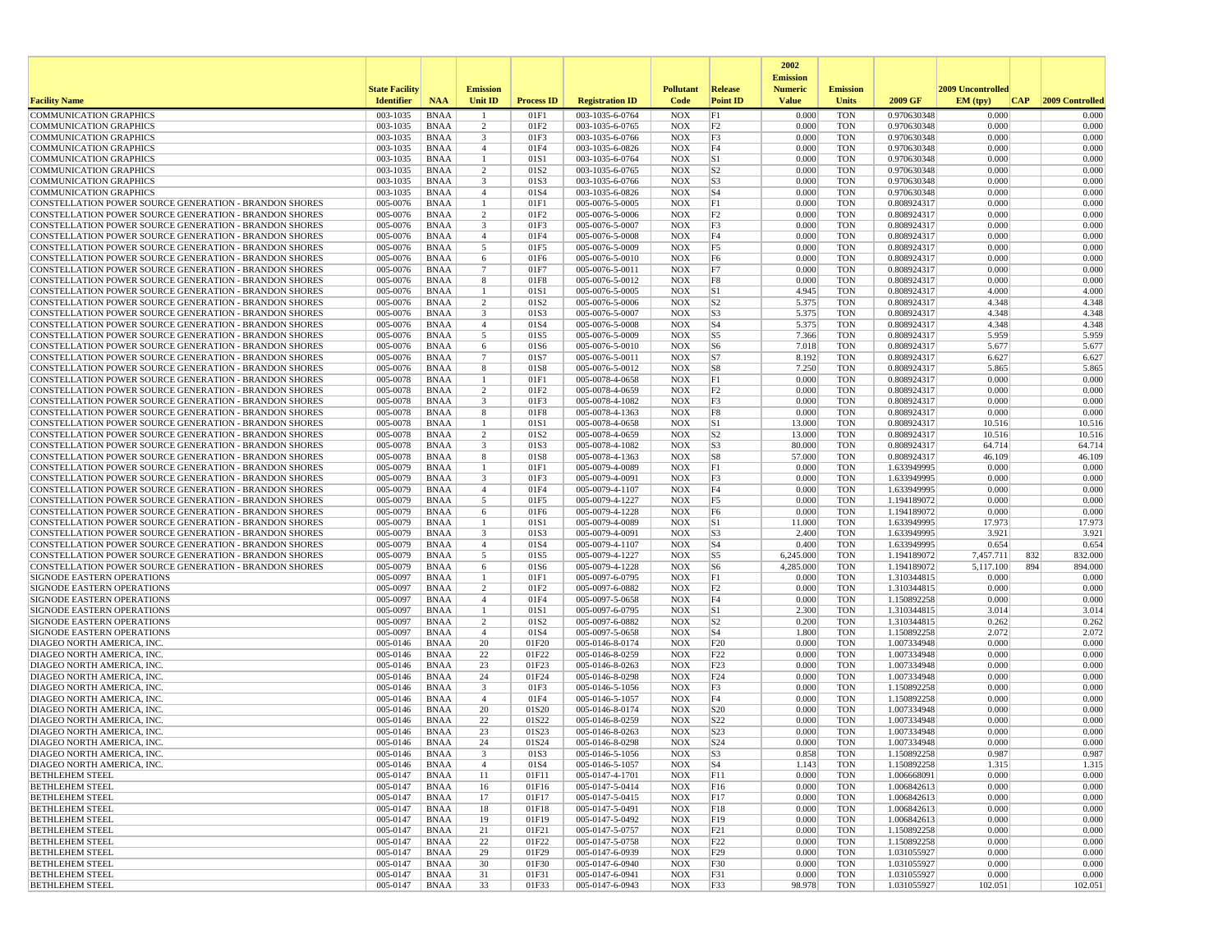|                                                                                                                         |                       |                            |                                |                   |                                    |                          |                                  | 2002                              |                          |                            |                           |                  |
|-------------------------------------------------------------------------------------------------------------------------|-----------------------|----------------------------|--------------------------------|-------------------|------------------------------------|--------------------------|----------------------------------|-----------------------------------|--------------------------|----------------------------|---------------------------|------------------|
|                                                                                                                         | <b>State Facility</b> |                            | <b>Emission</b>                |                   |                                    | <b>Pollutant</b>         | Release                          | <b>Emission</b><br><b>Numeric</b> | <b>Emission</b>          |                            | 2009 Uncontrolled         |                  |
| <b>Facility Name</b>                                                                                                    | <b>Identifier</b>     | <b>NAA</b>                 | Unit ID                        | <b>Process ID</b> | <b>Registration ID</b>             | Code                     | <b>Point ID</b>                  | <b>Value</b>                      | <b>Units</b>             | 2009 GF                    | EM (typ)<br> CAP          | 2009 Controlled  |
| <b>COMMUNICATION GRAPHICS</b>                                                                                           | 003-1035              | <b>BNAA</b>                |                                | 01F1              | 003-1035-6-0764                    | <b>NOX</b>               | F1                               | 0.000                             | <b>TON</b>               | 0.970630348                | 0.000                     | 0.000            |
| <b>COMMUNICATION GRAPHICS</b>                                                                                           | 003-1035              | <b>BNAA</b>                | 2                              | 01F2              | 003-1035-6-0765                    | <b>NOX</b>               | F <sub>2</sub>                   | 0.000                             | <b>TON</b>               | 0.970630348                | 0.000                     | 0.000            |
| <b>COMMUNICATION GRAPHICS</b>                                                                                           | 003-1035<br>003-1035  | <b>BNAA</b><br><b>BNAA</b> | 3                              | 01F3<br>01F4      | 003-1035-6-0766                    | <b>NOX</b><br><b>NOX</b> | F3<br>F4                         | 0.000<br>0.000                    | <b>TON</b><br><b>TON</b> | 0.970630348                | 0.000<br>0.000            | 0.000<br>0.000   |
| <b>COMMUNICATION GRAPHICS</b><br><b>COMMUNICATION GRAPHICS</b>                                                          | 003-1035              | <b>BNAA</b>                | $\overline{4}$<br>$\mathbf{1}$ | 01S1              | 003-1035-6-0826<br>003-1035-6-0764 | <b>NOX</b>               | S1                               | 0.000                             | <b>TON</b>               | 0.970630348<br>0.970630348 | 0.000                     | 0.000            |
| <b>COMMUNICATION GRAPHICS</b>                                                                                           | 003-1035              | <b>BNAA</b>                | 2                              | 01S2              | 003-1035-6-0765                    | <b>NOX</b>               | S <sub>2</sub>                   | 0.000                             | <b>TON</b>               | 0.970630348                | 0.000                     | 0.000            |
| <b>COMMUNICATION GRAPHICS</b>                                                                                           | 003-1035              | <b>BNAA</b>                | 3                              | 01S3              | 003-1035-6-0766                    | <b>NOX</b>               | S <sub>3</sub>                   | 0.000                             | <b>TON</b>               | 0.970630348                | 0.000                     | 0.000            |
| COMMUNICATION GRAPHICS                                                                                                  | 003-1035              | <b>BNAA</b>                | $\overline{4}$                 | 01S4              | 003-1035-6-0826                    | <b>NOX</b>               | S <sub>4</sub>                   | 0.000                             | <b>TON</b>               | 0.970630348                | 0.000                     | 0.000            |
| CONSTELLATION POWER SOURCE GENERATION - BRANDON SHORES                                                                  | 005-0076              | <b>BNAA</b>                | 1                              | 01F1              | 005-0076-5-0005                    | <b>NOX</b>               | F1                               | 0.000                             | <b>TON</b>               | 0.808924317                | 0.000<br>0.000            | 0.000            |
| CONSTELLATION POWER SOURCE GENERATION - BRANDON SHORES<br>CONSTELLATION POWER SOURCE GENERATION - BRANDON SHORES        | 005-0076<br>005-0076  | <b>BNAA</b><br><b>BNAA</b> | 2<br>3                         | 01F2<br>01F3      | 005-0076-5-0006<br>005-0076-5-0007 | <b>NOX</b><br><b>NOX</b> | F2<br>F3                         | 0.000<br>0.000                    | <b>TON</b><br><b>TON</b> | 0.808924317<br>0.808924317 | 0.000                     | 0.000<br>0.000   |
| <b>CONSTELLATION POWER SOURCE GENERATION - BRANDON SHORES</b>                                                           | 005-0076              | <b>BNAA</b>                | $\overline{4}$                 | 01F4              | 005-0076-5-0008                    | <b>NOX</b>               | F4                               | 0.000                             | <b>TON</b>               | 0.808924317                | 0.000                     | 0.000            |
| CONSTELLATION POWER SOURCE GENERATION - BRANDON SHORES                                                                  | 005-0076              | <b>BNAA</b>                | 5                              | 01F5              | 005-0076-5-0009                    | <b>NOX</b>               | F <sub>5</sub>                   | 0.000                             | <b>TON</b>               | 0.808924317                | 0.000                     | 0.000            |
| CONSTELLATION POWER SOURCE GENERATION - BRANDON SHORES                                                                  | 005-0076              | <b>BNAA</b>                | 6                              | 01F6              | 005-0076-5-0010                    | <b>NOX</b>               | F <sub>6</sub>                   | 0.000                             | <b>TON</b>               | 0.808924317                | 0.000                     | 0.000            |
| CONSTELLATION POWER SOURCE GENERATION - BRANDON SHORES                                                                  | 005-0076              | <b>BNAA</b>                | $\overline{7}$                 | 01F7              | 005-0076-5-0011                    | <b>NOX</b>               | F7                               | 0.000                             | <b>TON</b>               | 0.808924317                | 0.000                     | 0.000            |
| <b>CONSTELLATION POWER SOURCE GENERATION - BRANDON SHORES</b>                                                           | 005-0076<br>005-0076  | BNAA<br><b>BNAA</b>        | 8<br>1                         | 01F8              | 005-0076-5-0012                    | <b>NOX</b><br><b>NOX</b> | F8                               | 0.000<br>4.945                    | <b>TON</b><br><b>TON</b> | 0.808924317                | 0.000<br>4.000            | 0.000<br>4.000   |
| CONSTELLATION POWER SOURCE GENERATION - BRANDON SHORES<br><b>CONSTELLATION POWER SOURCE GENERATION - BRANDON SHORES</b> | 005-0076              | <b>BNAA</b>                | $\overline{2}$                 | 01S1<br>01S2      | 005-0076-5-0005<br>005-0076-5-0006 | <b>NOX</b>               | S1<br> S <sub>2</sub>            | 5.375                             | TON                      | 0.808924317<br>0.808924317 | 4.348                     | 4.348            |
| CONSTELLATION POWER SOURCE GENERATION - BRANDON SHORES                                                                  | 005-0076              | <b>BNAA</b>                | 3                              | 01S3              | 005-0076-5-0007                    | <b>NOX</b>               | S <sub>3</sub>                   | 5.375                             | <b>TON</b>               | 0.808924317                | 4.348                     | 4.348            |
| CONSTELLATION POWER SOURCE GENERATION - BRANDON SHORES                                                                  | 005-0076              | <b>BNAA</b>                | $\overline{4}$                 | 01S4              | 005-0076-5-0008                    | <b>NOX</b>               | S <sub>4</sub>                   | 5.375                             | <b>TON</b>               | 0.808924317                | 4.348                     | 4.348            |
| CONSTELLATION POWER SOURCE GENERATION - BRANDON SHORES                                                                  | 005-0076              | <b>BNAA</b>                | 5                              | 01S5              | 005-0076-5-0009                    | <b>NOX</b>               | S5                               | 7.366                             | <b>TON</b>               | 0.808924317                | 5.959                     | 5.959            |
| CONSTELLATION POWER SOURCE GENERATION - BRANDON SHORES                                                                  | 005-0076              | <b>BNAA</b>                | 6                              | 01S6              | 005-0076-5-0010                    | <b>NOX</b>               | S <sub>6</sub>                   | 7.018                             | <b>TON</b>               | 0.808924317                | 5.677                     | 5.677            |
| CONSTELLATION POWER SOURCE GENERATION - BRANDON SHORES                                                                  | 005-0076              | <b>BNAA</b>                | $\overline{7}$<br>8            | 01S7              | 005-0076-5-0011                    | <b>NOX</b>               | S7                               | 8.192<br>7.250                    | TON                      | 0.808924317                | 6.627<br>5.865            | 6.627<br>5.865   |
| CONSTELLATION POWER SOURCE GENERATION - BRANDON SHORES<br>CONSTELLATION POWER SOURCE GENERATION - BRANDON SHORES        | 005-0076<br>005-0078  | <b>BNAA</b><br><b>BNAA</b> | $\mathbf{1}$                   | 01S8<br>01F1      | 005-0076-5-0012<br>005-0078-4-0658 | <b>NOX</b><br><b>NOX</b> | S8<br>F1                         | 0.000                             | <b>TON</b><br><b>TON</b> | 0.808924317<br>0.808924317 | 0.000                     | 0.000            |
| <b>CONSTELLATION POWER SOURCE GENERATION - BRANDON SHORES</b>                                                           | 005-0078              | <b>BNAA</b>                | $\overline{2}$                 | 01F <sub>2</sub>  | 005-0078-4-0659                    | <b>NOX</b>               | F2                               | 0.000                             | <b>TON</b>               | 0.808924317                | 0.000                     | 0.000            |
| <b>CONSTELLATION POWER SOURCE GENERATION - BRANDON SHORES</b>                                                           | 005-0078              | <b>BNAA</b>                | 3                              | 01F3              | 005-0078-4-1082                    | <b>NOX</b>               | F3                               | 0.000                             | <b>TON</b>               | 0.808924317                | 0.000                     | 0.000            |
| CONSTELLATION POWER SOURCE GENERATION - BRANDON SHORES                                                                  | 005-0078              | <b>BNAA</b>                | 8                              | 01F8              | 005-0078-4-1363                    | <b>NOX</b>               | F8                               | 0.000                             | <b>TON</b>               | 0.808924317                | 0.000                     | 0.000            |
| <b>CONSTELLATION POWER SOURCE GENERATION - BRANDON SHORES</b>                                                           | 005-0078              | <b>BNAA</b>                | $\mathbf{1}$                   | 01S1              | 005-0078-4-0658                    | <b>NOX</b>               | S1                               | 13.000                            | <b>TON</b>               | 0.808924317                | 10.516                    | 10.516           |
| CONSTELLATION POWER SOURCE GENERATION - BRANDON SHORES<br>CONSTELLATION POWER SOURCE GENERATION - BRANDON SHORES        | 005-0078<br>005-0078  | <b>BNAA</b><br><b>BNAA</b> | $\overline{2}$<br>3            | 01S2<br>01S3      | 005-0078-4-0659<br>005-0078-4-1082 | <b>NOX</b><br><b>NOX</b> | S <sub>2</sub><br>S <sub>3</sub> | 13.000<br>80.000                  | <b>TON</b><br><b>TON</b> | 0.808924317<br>0.808924317 | 10.516<br>64.714          | 10.516<br>64.714 |
| CONSTELLATION POWER SOURCE GENERATION - BRANDON SHORES                                                                  | 005-0078              | <b>BNAA</b>                | 8                              | 01S8              | 005-0078-4-1363                    | <b>NOX</b>               | S8                               | 57.000                            | <b>TON</b>               | 0.808924317                | 46.109                    | 46.109           |
| CONSTELLATION POWER SOURCE GENERATION - BRANDON SHORES                                                                  | 005-0079              | <b>BNAA</b>                | -1                             | 01F1              | 005-0079-4-0089                    | <b>NOX</b>               | F1                               | 0.000                             | <b>TON</b>               | 1.633949995                | 0.000                     | 0.000            |
| CONSTELLATION POWER SOURCE GENERATION - BRANDON SHORES                                                                  | 005-0079              | <b>BNAA</b>                | 3                              | 01F3              | 005-0079-4-0091                    | <b>NOX</b>               | F3                               | 0.000                             | <b>TON</b>               | 1.633949995                | 0.000                     | 0.000            |
| CONSTELLATION POWER SOURCE GENERATION - BRANDON SHORES                                                                  | 005-0079              | <b>BNAA</b>                | $\overline{4}$                 | 01F4              | 005-0079-4-1107                    | <b>NOX</b>               | F4                               | 0.000                             | <b>TON</b>               | 1.633949995                | 0.000                     | 0.000            |
| CONSTELLATION POWER SOURCE GENERATION - BRANDON SHORES<br><b>CONSTELLATION POWER SOURCE GENERATION - BRANDON SHORES</b> | 005-0079<br>005-0079  | <b>BNAA</b><br><b>BNAA</b> | 5<br>6                         | 01F5<br>01F6      | 005-0079-4-1227<br>005-0079-4-1228 | <b>NOX</b><br><b>NOX</b> | F <sub>5</sub><br>F <sub>6</sub> | 0.000<br>0.000                    | <b>TON</b><br><b>TON</b> | 1.194189072<br>1.194189072 | 0.000<br>0.000            | 0.000<br>0.000   |
| CONSTELLATION POWER SOURCE GENERATION - BRANDON SHORES                                                                  | 005-0079              | <b>BNAA</b>                | 1                              | 01S1              | 005-0079-4-0089                    | <b>NOX</b>               | S1                               | 11.000                            | <b>TON</b>               | 1.633949995                | 17.973                    | 17.973           |
| CONSTELLATION POWER SOURCE GENERATION - BRANDON SHORES                                                                  | 005-0079              | <b>BNAA</b>                | 3                              | 01S3              | 005-0079-4-0091                    | <b>NOX</b>               | S <sub>3</sub>                   | 2.400                             | <b>TON</b>               | 1.633949995                | 3.921                     | 3.921            |
| CONSTELLATION POWER SOURCE GENERATION - BRANDON SHORES                                                                  | 005-0079              | <b>BNAA</b>                | $\overline{4}$                 | 01S4              | 005-0079-4-1107                    | <b>NOX</b>               | S <sub>4</sub>                   | 0.400                             | TON                      | 1.633949995                | 0.654                     | 0.654            |
| CONSTELLATION POWER SOURCE GENERATION - BRANDON SHORES                                                                  | 005-0079              | <b>BNAA</b>                | 5                              | 01S5              | 005-0079-4-1227                    | <b>NOX</b>               | S5                               | 6,245.000                         | <b>TON</b>               | 1.194189072                | 7,457.711<br>832          | 832.000          |
| CONSTELLATION POWER SOURCE GENERATION - BRANDON SHORES                                                                  | 005-0079<br>005-0097  | <b>BNAA</b>                | 6<br>-1                        | 01S6<br>01F1      | 005-0079-4-1228                    | <b>NOX</b><br><b>NOX</b> | S <sub>6</sub><br> F1            | 4,285.000                         | <b>TON</b>               | 1.194189072                | 5,117.100<br>894<br>0.000 | 894.000<br>0.000 |
| SIGNODE EASTERN OPERATIONS<br>SIGNODE EASTERN OPERATIONS                                                                | 005-0097              | <b>BNAA</b><br><b>BNAA</b> | 2                              | 01F2              | 005-0097-6-0795<br>005-0097-6-0882 | <b>NOX</b>               | F <sub>2</sub>                   | 0.000<br>0.000                    | <b>TON</b><br><b>TON</b> | 1.310344815<br>1.310344815 | 0.000                     | 0.000            |
| SIGNODE EASTERN OPERATIONS                                                                                              | 005-0097              | <b>BNAA</b>                | $\overline{4}$                 | 01F4              | 005-0097-5-0658                    | <b>NOX</b>               | F4                               | 0.000                             | <b>TON</b>               | 1.150892258                | 0.000                     | 0.000            |
| <b>SIGNODE EASTERN OPERATIONS</b>                                                                                       | 005-0097              | <b>BNAA</b>                |                                | 01S1              | 005-0097-6-0795                    | <b>NOX</b>               | S1                               | 2.300                             | <b>TON</b>               | 1.310344815                | 3.014                     | 3.014            |
| SIGNODE EASTERN OPERATIONS                                                                                              | 005-0097              | <b>BNAA</b>                | 2                              | 01S2              | 005-0097-6-0882                    | <b>NOX</b>               | S <sub>2</sub>                   | 0.200                             | <b>TON</b>               | 1.310344815                | 0.262                     | 0.262            |
| SIGNODE EASTERN OPERATIONS                                                                                              | 005-0097              | <b>BNAA</b>                | $\overline{4}$                 | 01S4              | 005-0097-5-0658                    | <b>NOX</b>               | S <sub>4</sub>                   | 1.800                             | <b>TON</b>               | 1.150892258                | 2.072                     | 2.072            |
| DIAGEO NORTH AMERICA, INC.<br>DIAGEO NORTH AMERICA, INC.                                                                | 005-0146<br>005-0146  | <b>BNAA</b><br><b>BNAA</b> | 20<br>22                       | 01F20<br>01F22    | 005-0146-8-0174<br>005-0146-8-0259 | <b>NOX</b><br><b>NOX</b> | F20<br>F22                       | 0.000<br>0.000                    | <b>TON</b><br><b>TON</b> | 1.007334948<br>1.007334948 | 0.000<br>0.000            | 0.000<br>0.000   |
| DIAGEO NORTH AMERICA, INC.                                                                                              | 005-0146              | <b>BNAA</b>                | 23                             | 01F23             | 005-0146-8-0263                    | <b>NOX</b>               | F23                              | 0.000                             | <b>TON</b>               | 1.007334948                | 0.000                     | 0.000            |
| DIAGEO NORTH AMERICA, INC                                                                                               | 005-0146              | <b>BNAA</b>                | 24                             | 01F24             | 005-0146-8-0298                    | <b>NOX</b>               | F24                              | 0.000                             | <b>TON</b>               | 1.007334948                | 0.000                     | 0.000            |
| DIAGEO NORTH AMERICA, INC.                                                                                              | 005-0146              | <b>BNAA</b>                | $\overline{\mathbf{3}}$        | 01F3              | 005-0146-5-1056                    | <b>NOX</b>               | F3                               | 0.000                             | <b>TON</b>               | 1.150892258                | 0.000                     | 0.000            |
| DIAGEO NORTH AMERICA, INC.                                                                                              | 005-0146              | <b>BNAA</b>                | $\overline{4}$                 | 01F4              | 005-0146-5-1057                    | <b>NOX</b>               | F4                               | 0.000                             | <b>TON</b>               | 1.150892258                | 0.000                     | 0.000            |
| DIAGEO NORTH AMERICA, INC<br>DIAGEO NORTH AMERICA, INC                                                                  | 005-0146<br>005-0146  | <b>BNAA</b><br><b>BNAA</b> | 20<br>22                       | 01S20<br>01S22    | 005-0146-8-0174<br>005-0146-8-0259 | <b>NOX</b><br><b>NOX</b> | S <sub>20</sub><br>S22           | 0.000<br>0.000                    | <b>TON</b><br><b>TON</b> | 1.007334948<br>1.007334948 | 0.000<br>0.000            | 0.000<br>0.000   |
| DIAGEO NORTH AMERICA, INC                                                                                               | 005-0146              | <b>BNAA</b>                | 23                             | 01S23             | 005-0146-8-0263                    | <b>NOX</b>               | S <sub>23</sub>                  | 0.000                             | <b>TON</b>               | 1.007334948                | 0.000                     | 0.000            |
| DIAGEO NORTH AMERICA, INC.                                                                                              | 005-0146              | <b>BNAA</b>                | 24                             | 01S24             | 005-0146-8-0298                    | <b>NOX</b>               | S <sub>24</sub>                  | 0.000                             | <b>TON</b>               | 1.007334948                | 0.000                     | 0.000            |
| DIAGEO NORTH AMERICA, INC.                                                                                              | 005-0146              | BNAA                       |                                | 01S3              | 005-0146-5-1056                    | NOX                      | S3                               | 0.858                             | TON                      | 1.150892258                | 0.987                     | 0.987            |
| DIAGEO NORTH AMERICA, INC.                                                                                              | 005-0146              | BNAA                       | $\overline{4}$                 | 01S4              | 005-0146-5-1057                    | <b>NOX</b>               | $ S_4 $                          | 1.143                             | <b>TON</b>               | 1.150892258                | 1.315                     | 1.315            |
| <b>BETHLEHEM STEEL</b>                                                                                                  | 005-0147              | BNAA                       | 11<br>16                       | 01F11             | 005-0147-4-1701<br>005-0147-5-0414 | <b>NOX</b>               | F11<br>F16                       | 0.000<br>0.000                    | <b>TON</b>               | 1.006668091<br>1.006842613 | 0.000<br>0.000            | 0.000<br>0.000   |
| <b>BETHLEHEM STEEL</b><br><b>BETHLEHEM STEEL</b>                                                                        | 005-0147<br>005-0147  | BNAA<br>BNAA               | 17                             | 01F16<br>01F17    | 005-0147-5-0415                    | NOX<br><b>NOX</b>        | F17                              | 0.000                             | TON<br><b>TON</b>        | 1.006842613                | 0.000                     | 0.000            |
| <b>BETHLEHEM STEEL</b>                                                                                                  | 005-0147              | <b>BNAA</b>                | 18                             | 01F18             | 005-0147-5-0491                    | <b>NOX</b>               | F18                              | 0.000                             | <b>TON</b>               | 1.006842613                | 0.000                     | 0.000            |
| <b>BETHLEHEM STEEL</b>                                                                                                  | 005-0147              | <b>BNAA</b>                | 19                             | 01F19             | 005-0147-5-0492                    | <b>NOX</b>               | F19                              | 0.000                             | <b>TON</b>               | 1.006842613                | 0.000                     | 0.000            |
| <b>BETHLEHEM STEEL</b>                                                                                                  | 005-0147              | BNAA                       | 21                             | 01F21             | 005-0147-5-0757                    | <b>NOX</b>               | F21                              | 0.000                             | <b>TON</b>               | 1.150892258                | 0.000                     | 0.000            |
| <b>BETHLEHEM STEEL</b>                                                                                                  | 005-0147              | <b>BNAA</b>                | 22                             | 01F22             | 005-0147-5-0758                    | <b>NOX</b>               | F22                              | 0.000                             | <b>TON</b>               | 1.150892258                | 0.000                     | 0.000            |
| <b>BETHLEHEM STEEL</b><br><b>BETHLEHEM STEEL</b>                                                                        | 005-0147<br>005-0147  | BNAA<br>BNAA               | 29<br>30                       | 01F29<br>01F30    | 005-0147-6-0939<br>005-0147-6-0940 | <b>NOX</b><br><b>NOX</b> | F29<br>F30                       | 0.000<br>0.000                    | <b>TON</b><br>TON        | 1.031055927<br>1.031055927 | 0.000<br>0.000            | 0.000<br>0.000   |
| <b>BETHLEHEM STEEL</b>                                                                                                  | 005-0147              | <b>BNAA</b>                | 31                             | 01F31             | 005-0147-6-0941                    | NOX                      | F31                              | 0.000                             | <b>TON</b>               | 1.031055927                | 0.000                     | 0.000            |
| <b>BETHLEHEM STEEL</b>                                                                                                  | 005-0147              | BNAA                       | 33                             | 01F33             | 005-0147-6-0943                    | <b>NOX</b>               | F33                              | 98.978                            | TON                      | 1.031055927                | 102.051                   | 102.051          |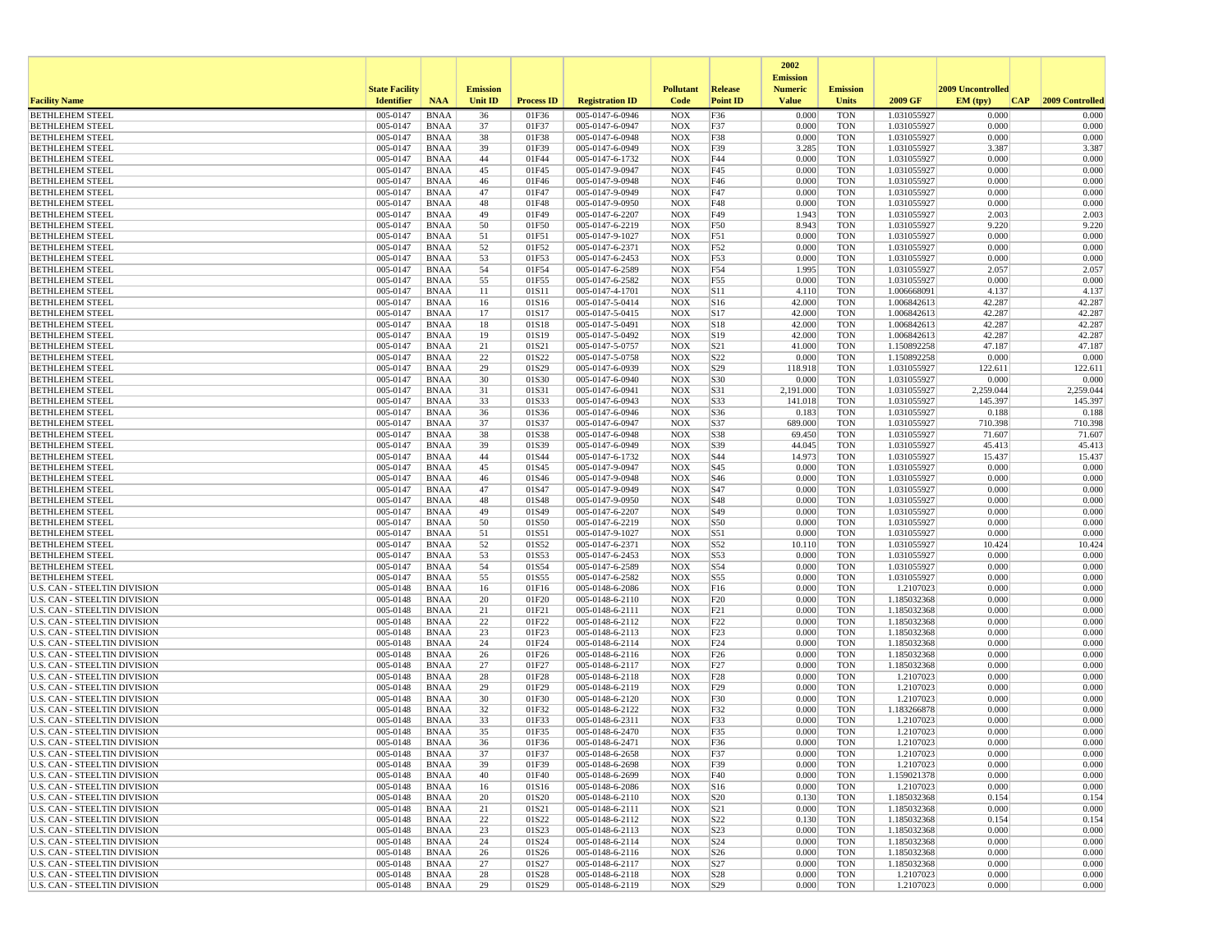|                                                                            |                       |                            |                 |                   |                                    |                          |                                    | 2002<br><b>Emission</b> |                          |                            |                   |                  |
|----------------------------------------------------------------------------|-----------------------|----------------------------|-----------------|-------------------|------------------------------------|--------------------------|------------------------------------|-------------------------|--------------------------|----------------------------|-------------------|------------------|
|                                                                            | <b>State Facility</b> |                            | <b>Emission</b> |                   |                                    | <b>Pollutant</b>         | Release                            | <b>Numeric</b>          | <b>Emission</b>          |                            | 2009 Uncontrolled |                  |
| <b>Facility Name</b>                                                       | <b>Identifier</b>     | <b>NAA</b>                 | <b>Unit ID</b>  | <b>Process ID</b> | <b>Registration ID</b>             | Code                     | <b>Point ID</b>                    | <b>Value</b>            | <b>Units</b>             | 2009 GF                    | EM (tpv)<br>CAP   | 2009 Controlled  |
| <b>BETHLEHEM STEEL</b>                                                     | 005-0147              | <b>BNAA</b>                | 36              | 01F36             | 005-0147-6-0946                    | <b>NOX</b>               | F36                                | 0.000                   | <b>TON</b>               | 1.031055927                | 0.000             | 0.000            |
| <b>BETHLEHEM STEEL</b><br><b>BETHLEHEM STEEL</b>                           | 005-0147<br>005-0147  | <b>BNAA</b><br><b>BNAA</b> | 37<br>38        | 01F37<br>01F38    | 005-0147-6-0947<br>005-0147-6-0948 | <b>NOX</b><br><b>NOX</b> | F37<br>F38                         | 0.000<br>0.000          | <b>TON</b><br><b>TON</b> | 1.031055927<br>1.031055927 | 0.000<br>0.000    | 0.000<br>0.000   |
| <b>BETHLEHEM STEEL</b>                                                     | 005-0147              | <b>BNAA</b>                | 39              | 01F39             | 005-0147-6-0949                    | <b>NOX</b>               | F39                                | 3.285                   | <b>TON</b>               | 1.031055927                | 3.387             | 3.387            |
| <b>BETHLEHEM STEEL</b>                                                     | 005-0147              | <b>BNAA</b>                | 44              | 01F44             | 005-0147-6-1732                    | <b>NOX</b>               | F44                                | 0.000                   | <b>TON</b>               | 1.031055927                | 0.000             | 0.000            |
| <b>BETHLEHEM STEEL</b>                                                     | 005-0147              | <b>BNAA</b>                | 45              | 01F45             | 005-0147-9-0947                    | <b>NOX</b>               | F45                                | 0.000                   | <b>TON</b>               | 1.031055927                | 0.000             | 0.000            |
| <b>BETHLEHEM STEEL</b>                                                     | 005-0147              | <b>BNAA</b>                | 46              | 01F46             | 005-0147-9-0948                    | <b>NOX</b>               | F46                                | 0.000                   | <b>TON</b>               | 1.031055927                | 0.000             | 0.000            |
| <b>BETHLEHEM STEEL</b><br><b>BETHLEHEM STEEL</b>                           | 005-0147<br>005-0147  | <b>BNAA</b><br><b>BNAA</b> | 47<br>48        | 01F47<br>01F48    | 005-0147-9-0949<br>005-0147-9-0950 | <b>NOX</b><br><b>NOX</b> | F47<br>F48                         | 0.000<br>0.000          | <b>TON</b><br><b>TON</b> | 1.031055927<br>1.031055927 | 0.000<br>0.000    | 0.000<br>0.000   |
| <b>BETHLEHEM STEEL</b>                                                     | 005-0147              | <b>BNAA</b>                | 49              | 01F49             | 005-0147-6-2207                    | <b>NOX</b>               | F49                                | 1.943                   | <b>TON</b>               | 1.031055927                | 2.003             | 2.003            |
| <b>BETHLEHEM STEEL</b>                                                     | 005-0147              | <b>BNAA</b>                | 50              | 01F50             | 005-0147-6-2219                    | <b>NOX</b>               | F50                                | 8.943                   | <b>TON</b>               | 1.031055927                | 9.220             | 9.220            |
| <b>BETHLEHEM STEEL</b>                                                     | 005-0147              | <b>BNAA</b>                | 51              | 01F51             | 005-0147-9-1027                    | <b>NOX</b>               | F51                                | 0.000                   | <b>TON</b>               | 1.031055927                | 0.000             | 0.000            |
| <b>BETHLEHEM STEEL</b>                                                     | 005-0147              | <b>BNAA</b>                | 52              | 01F52             | 005-0147-6-2371                    | <b>NOX</b>               | F52                                | 0.000                   | <b>TON</b>               | 1.031055927                | 0.000             | 0.000            |
| <b>BETHLEHEM STEEL</b><br><b>BETHLEHEM STEEL</b>                           | 005-0147<br>005-0147  | <b>BNAA</b><br><b>BNAA</b> | 53<br>54        | 01F53<br>01F54    | 005-0147-6-2453<br>005-0147-6-2589 | <b>NOX</b><br><b>NOX</b> | F53<br>F54                         | 0.000<br>1.995          | <b>TON</b><br><b>TON</b> | 1.031055927<br>1.031055927 | 0.000<br>2.057    | 0.000<br>2.057   |
| <b>BETHLEHEM STEEL</b>                                                     | 005-0147              | <b>BNAA</b>                | 55              | 01F55             | 005-0147-6-2582                    | NOX                      | F55                                | 0.000                   | <b>TON</b>               | 1.031055927                | 0.000             | 0.000            |
| <b>BETHLEHEM STEEL</b>                                                     | 005-0147              | <b>BNAA</b>                | 11              | 01S11             | 005-0147-4-1701                    | <b>NOX</b>               | S11                                | 4.110                   | <b>TON</b>               | 1.006668091                | 4.137             | 4.137            |
| <b>BETHLEHEM STEEL</b>                                                     | 005-0147              | <b>BNAA</b>                | 16              | 01S16             | 005-0147-5-0414                    | <b>NOX</b>               | S <sub>16</sub>                    | 42.000                  | <b>TON</b>               | 1.006842613                | 42.287            | 42.287           |
| <b>BETHLEHEM STEEL</b>                                                     | 005-0147              | <b>BNAA</b>                | 17              | 01S17             | 005-0147-5-0415                    | <b>NOX</b>               | S17                                | 42.000                  | <b>TON</b>               | 1.006842613                | 42.287            | 42.287           |
| <b>BETHLEHEM STEEL</b><br><b>BETHLEHEM STEEL</b>                           | 005-0147<br>005-0147  | <b>BNAA</b><br><b>BNAA</b> | 18<br>19        | 01S18<br>01S19    | 005-0147-5-0491<br>005-0147-5-0492 | <b>NOX</b><br><b>NOX</b> | S18<br>S19                         | 42.000<br>42.000        | <b>TON</b><br><b>TON</b> | 1.006842613<br>1.006842613 | 42.287<br>42.287  | 42.287<br>42.287 |
| <b>BETHLEHEM STEEL</b>                                                     | 005-0147              | <b>BNAA</b>                | 21              | 01S21             | 005-0147-5-0757                    | <b>NOX</b>               | S <sub>21</sub>                    | 41.000                  | <b>TON</b>               | 1.150892258                | 47.187            | 47.187           |
| <b>BETHLEHEM STEEL</b>                                                     | 005-0147              | <b>BNAA</b>                | 22              | 01S22             | 005-0147-5-0758                    | <b>NOX</b>               | S <sub>22</sub>                    | 0.000                   | <b>TON</b>               | 1.150892258                | 0.000             | 0.000            |
| <b>BETHLEHEM STEEL</b>                                                     | 005-0147              | <b>BNAA</b>                | 29              | 01S29             | 005-0147-6-0939                    | <b>NOX</b>               | S <sub>29</sub>                    | 118.918                 | <b>TON</b>               | 1.031055927                | 122.611           | 122.611          |
| <b>BETHLEHEM STEEL</b>                                                     | 005-0147              | <b>BNAA</b>                | 30              | 01S30             | 005-0147-6-0940                    | <b>NOX</b>               | S30                                | 0.000                   | <b>TON</b>               | 1.031055927                | 0.000             | 0.000            |
| <b>BETHLEHEM STEEL</b>                                                     | 005-0147              | <b>BNAA</b>                | 31              | 01S31             | 005-0147-6-0941                    | <b>NOX</b>               | S31                                | 2,191.000               | <b>TON</b>               | 1.031055927                | 2,259.044         | 2,259.044        |
| <b>BETHLEHEM STEEL</b><br><b>BETHLEHEM STEEL</b>                           | 005-0147<br>005-0147  | <b>BNAA</b><br><b>BNAA</b> | 33<br>36        | 01S33<br>01S36    | 005-0147-6-0943<br>005-0147-6-0946 | <b>NOX</b><br><b>NOX</b> | S33<br>S36                         | 141.018<br>0.183        | <b>TON</b><br><b>TON</b> | 1.031055927<br>1.031055927 | 145.397<br>0.188  | 145.397<br>0.188 |
| <b>BETHLEHEM STEEL</b>                                                     | 005-0147              | <b>BNAA</b>                | 37              | 01S37             | 005-0147-6-0947                    | <b>NOX</b>               | S37                                | 689.000                 | <b>TON</b>               | 1.031055927                | 710.398           | 710.398          |
| <b>BETHLEHEM STEEL</b>                                                     | 005-0147              | <b>BNAA</b>                | 38              | 01S38             | 005-0147-6-0948                    | <b>NOX</b>               | S38                                | 69.450                  | <b>TON</b>               | 1.031055927                | 71.607            | 71.607           |
| <b>BETHLEHEM STEEL</b>                                                     | 005-0147              | <b>BNAA</b>                | 39              | 01S39             | $005 - 0147 - 6 - 0949$            | <b>NOX</b>               | S39                                | 44.045                  | <b>TON</b>               | 1.031055927                | 45.413            | 45.413           |
| <b>BETHLEHEM STEEL</b>                                                     | 005-0147              | <b>BNAA</b>                | 44              | 01S44             | 005-0147-6-1732                    | <b>NOX</b>               | S44                                | 14.973                  | <b>TON</b>               | 1.031055927                | 15.437            | 15.437           |
| <b>BETHLEHEM STEEL</b><br><b>BETHLEHEM STEEL</b>                           | 005-0147<br>005-0147  | <b>BNAA</b><br><b>BNAA</b> | 45<br>46        | 01S45<br>01S46    | 005-0147-9-0947<br>005-0147-9-0948 | <b>NOX</b><br><b>NOX</b> | S45<br>S46                         | 0.000<br>0.000          | <b>TON</b><br><b>TON</b> | 1.031055927<br>1.031055927 | 0.000<br>0.000    | 0.000<br>0.000   |
| <b>BETHLEHEM STEEL</b>                                                     | 005-0147              | <b>BNAA</b>                | 47              | 01S47             | 005-0147-9-0949                    | <b>NOX</b>               | S47                                | 0.000                   | <b>TON</b>               | 1.031055927                | 0.000             | 0.000            |
| <b>BETHLEHEM STEEL</b>                                                     | 005-0147              | <b>BNAA</b>                | 48              | 01S48             | 005-0147-9-0950                    | <b>NOX</b>               | S48                                | 0.000                   | <b>TON</b>               | 1.031055927                | 0.000             | 0.000            |
| <b>BETHLEHEM STEEL</b>                                                     | 005-0147              | <b>BNAA</b>                | 49              | 01S49             | 005-0147-6-2207                    | <b>NOX</b>               | S49                                | 0.000                   | <b>TON</b>               | 1.031055927                | 0.000             | 0.000            |
| <b>BETHLEHEM STEEL</b>                                                     | 005-0147              | <b>BNAA</b>                | 50              | 01S50             | 005-0147-6-2219                    | <b>NOX</b>               | S50                                | 0.000                   | <b>TON</b>               | 1.031055927                | 0.000             | 0.000            |
| <b>BETHLEHEM STEEL</b><br><b>BETHLEHEM STEEL</b>                           | 005-0147<br>005-0147  | <b>BNAA</b><br><b>BNAA</b> | 51<br>52        | 01S51<br>01S52    | 005-0147-9-1027<br>005-0147-6-2371 | <b>NOX</b><br><b>NOX</b> | S51<br>S52                         | 0.000<br>10.110         | <b>TON</b><br><b>TON</b> | 1.031055927<br>1.031055927 | 0.000<br>10.424   | 0.000<br>10.424  |
| <b>BETHLEHEM STEEL</b>                                                     | 005-0147              | <b>BNAA</b>                | 53              | 01S53             | 005-0147-6-2453                    | NOX                      | S53                                | 0.000                   | <b>TON</b>               | 1.031055927                | 0.000             | 0.000            |
| <b>BETHLEHEM STEEL</b>                                                     | 005-0147              | <b>BNAA</b>                | 54              | 01S54             | 005-0147-6-2589                    | <b>NOX</b>               | S54                                | 0.000                   | <b>TON</b>               | 1.031055927                | 0.000             | 0.000            |
| <b>BETHLEHEM STEEL</b>                                                     | 005-0147              | <b>BNAA</b>                | 55              | 01S55             | 005-0147-6-2582                    | <b>NOX</b>               | S55                                | 0.000                   | <b>TON</b>               | 1.031055927                | 0.000             | 0.000            |
| U.S. CAN - STEELTIN DIVISION                                               | 005-0148              | <b>BNAA</b>                | 16              | 01F16             | 005-0148-6-2086                    | <b>NOX</b>               | F16                                | 0.000                   | <b>TON</b>               | 1.2107023                  | 0.000             | 0.000            |
| U.S. CAN - STEELTIN DIVISION<br>U.S. CAN - STEELTIN DIVISION               | 005-0148<br>005-0148  | <b>BNAA</b><br><b>BNAA</b> | 20<br>21        | 01F20<br>01F21    | 005-0148-6-2110<br>005-0148-6-2111 | <b>NOX</b><br><b>NOX</b> | F20<br>F21                         | 0.000<br>0.000          | <b>TON</b><br><b>TON</b> | 1.185032368<br>1.185032368 | 0.000<br>0.000    | 0.000<br>0.000   |
| <b>U.S. CAN - STEELTIN DIVISION</b>                                        | 005-0148              | <b>BNAA</b>                | 22              | 01F22             | 005-0148-6-2112                    | <b>NOX</b>               | F22                                | 0.000                   | <b>TON</b>               | 1.185032368                | 0.000             | 0.000            |
| U.S. CAN - STEELTIN DIVISION                                               | 005-0148              | <b>BNAA</b>                | 23              | 01F23             | 005-0148-6-2113                    | <b>NOX</b>               | F23                                | 0.000                   | <b>TON</b>               | 1.185032368                | 0.000             | 0.000            |
| U.S. CAN - STEELTIN DIVISION                                               | 005-0148              | <b>BNAA</b>                | 24              | 01F24             | 005-0148-6-2114                    | <b>NOX</b>               | F24                                | 0.000                   | <b>TON</b>               | 1.185032368                | 0.000             | 0.000            |
| U.S. CAN - STEELTIN DIVISION                                               | 005-0148              | <b>BNAA</b>                | 26              | 01F26             | 005-0148-6-2116                    | <b>NOX</b>               | F <sub>26</sub>                    | 0.000                   | <b>TON</b>               | 1.185032368                | 0.000             | 0.000            |
| U.S. CAN - STEELTIN DIVISION<br>U.S. CAN - STEELTIN DIVISION               | 005-0148<br>005-0148  | <b>BNAA</b><br><b>BNAA</b> | 27<br>28        | 01F27<br>01F28    | 005-0148-6-2117<br>005-0148-6-2118 | <b>NOX</b><br><b>NOX</b> | F <sub>27</sub><br>F <sub>28</sub> | 0.000<br>0.000          | <b>TON</b><br><b>TON</b> | 1.185032368<br>1.2107023   | 0.000<br>0.000    | 0.000<br>0.000   |
| <b>U.S. CAN - STEELTIN DIVISION</b>                                        | 005-0148              | <b>BNAA</b>                | 29              | 01F29             | 005-0148-6-2119                    | <b>NOX</b>               | F29                                | 0.000                   | <b>TON</b>               | 1.2107023                  | 0.000             | 0.000            |
| U.S. CAN - STEELTIN DIVISION                                               | 005-0148              | <b>BNAA</b>                | 30              | 01F30             | 005-0148-6-2120                    | <b>NOX</b>               | F30                                | 0.000                   | <b>TON</b>               | 1.2107023                  | 0.000             | 0.000            |
| <b>U.S. CAN - STEELTIN DIVISION</b>                                        | 005-0148              | <b>BNAA</b>                | 32              | 01F32             | 005-0148-6-2122                    | <b>NOX</b>               | F32                                | 0.000                   | <b>TON</b>               | 1.183266878                | 0.000             | 0.000            |
| U.S. CAN - STEELTIN DIVISION                                               | 005-0148              | <b>BNAA</b>                | 33              | 01F33             | 005-0148-6-2311                    | <b>NOX</b>               | F33                                | 0.000                   | <b>TON</b>               | 1.2107023                  | 0.000             | 0.000            |
| U.S. CAN - STEELTIN DIVISION<br><b>U.S. CAN - STEELTIN DIVISION</b>        | 005-0148<br>005-0148  | <b>BNAA</b><br><b>BNAA</b> | 35<br>36        | 01F35<br>01F36    | 005-0148-6-2470<br>005-0148-6-2471 | <b>NOX</b><br><b>NOX</b> | F35<br>F36                         | 0.000<br>0.000          | <b>TON</b><br><b>TON</b> | 1.2107023<br>1.2107023     | 0.000<br>0.000    | 0.000<br>0.000   |
| <b>U.S. CAN - STEELTIN DIVISION</b>                                        | 005-0148              | <b>BNAA</b>                | 37              | 01F37             | 005-0148-6-2658                    | NOX                      | F37                                | 0.000                   | <b>TON</b>               | 1.2107023                  | 0.000             | 0.000            |
| U.S. CAN - STEELTIN DIVISION                                               | 005-0148              | <b>BNAA</b>                | 39              | 01F39             | 005-0148-6-2698                    | <b>NOX</b>               | F39                                | 0.000                   | <b>TON</b>               | 1.2107023                  | 0.000             | 0.000            |
| U.S. CAN - STEELTIN DIVISION                                               | 005-0148              | BNAA                       | 40              | 01F40             | 005-0148-6-2699                    | <b>NOX</b>               | F40                                | 0.000                   | <b>TON</b>               | 1.159021378                | 0.000             | 0.000            |
| <b>U.S. CAN - STEELTIN DIVISION</b>                                        | 005-0148              | <b>BNAA</b>                | 16              | 01S16             | 005-0148-6-2086                    | <b>NOX</b>               | S16                                | 0.000                   | <b>TON</b>               | 1.2107023                  | 0.000             | 0.000            |
| <b>U.S. CAN - STEELTIN DIVISION</b><br>U.S. CAN - STEELTIN DIVISION        | 005-0148<br>005-0148  | <b>BNAA</b><br><b>BNAA</b> | 20<br>21        | 01S20<br>01S21    | 005-0148-6-2110<br>005-0148-6-2111 | <b>NOX</b><br><b>NOX</b> | S <sub>20</sub><br>S21             | 0.130<br>0.000          | <b>TON</b><br><b>TON</b> | 1.185032368<br>1.185032368 | 0.154<br>0.000    | 0.154<br>0.000   |
| <b>U.S. CAN - STEELTIN DIVISION</b>                                        | 005-0148              | <b>BNAA</b>                | 22              | 01S22             | 005-0148-6-2112                    | <b>NOX</b>               | S22                                | 0.130                   | <b>TON</b>               | 1.185032368                | 0.154             | 0.154            |
| <b>U.S. CAN - STEELTIN DIVISION</b>                                        | 005-0148              | <b>BNAA</b>                | 23              | 01S23             | 005-0148-6-2113                    | <b>NOX</b>               | S23                                | 0.000                   | <b>TON</b>               | 1.185032368                | 0.000             | 0.000            |
| <b>U.S. CAN - STEELTIN DIVISION</b>                                        | 005-0148              | <b>BNAA</b>                | 24              | 01S24             | 005-0148-6-2114                    | <b>NOX</b>               | S24                                | 0.000                   | <b>TON</b>               | 1.185032368                | 0.000             | 0.000            |
| <b>U.S. CAN - STEELTIN DIVISION</b>                                        | 005-0148              | <b>BNAA</b>                | 26              | 01S26             | 005-0148-6-2116                    | <b>NOX</b>               | S <sub>26</sub>                    | 0.000                   | <b>TON</b>               | 1.185032368                | 0.000             | 0.000            |
| <b>U.S. CAN - STEELTIN DIVISION</b><br><b>U.S. CAN - STEELTIN DIVISION</b> | 005-0148              | <b>BNAA</b><br><b>BNAA</b> | 27<br>28        | 01S27<br>01S28    | 005-0148-6-2117<br>005-0148-6-2118 | <b>NOX</b>               | S <sub>27</sub><br>S28             | 0.000<br>0.000          | <b>TON</b><br><b>TON</b> | 1.185032368<br>1.2107023   | 0.000<br>0.000    | 0.000<br>0.000   |
| U.S. CAN - STEELTIN DIVISION                                               | 005-0148<br>005-0148  | BNAA                       | 29              | 01S29             | 005-0148-6-2119                    | <b>NOX</b><br><b>NOX</b> | S29                                | 0.000                   | TON                      | 1.2107023                  | 0.000             | 0.000            |
|                                                                            |                       |                            |                 |                   |                                    |                          |                                    |                         |                          |                            |                   |                  |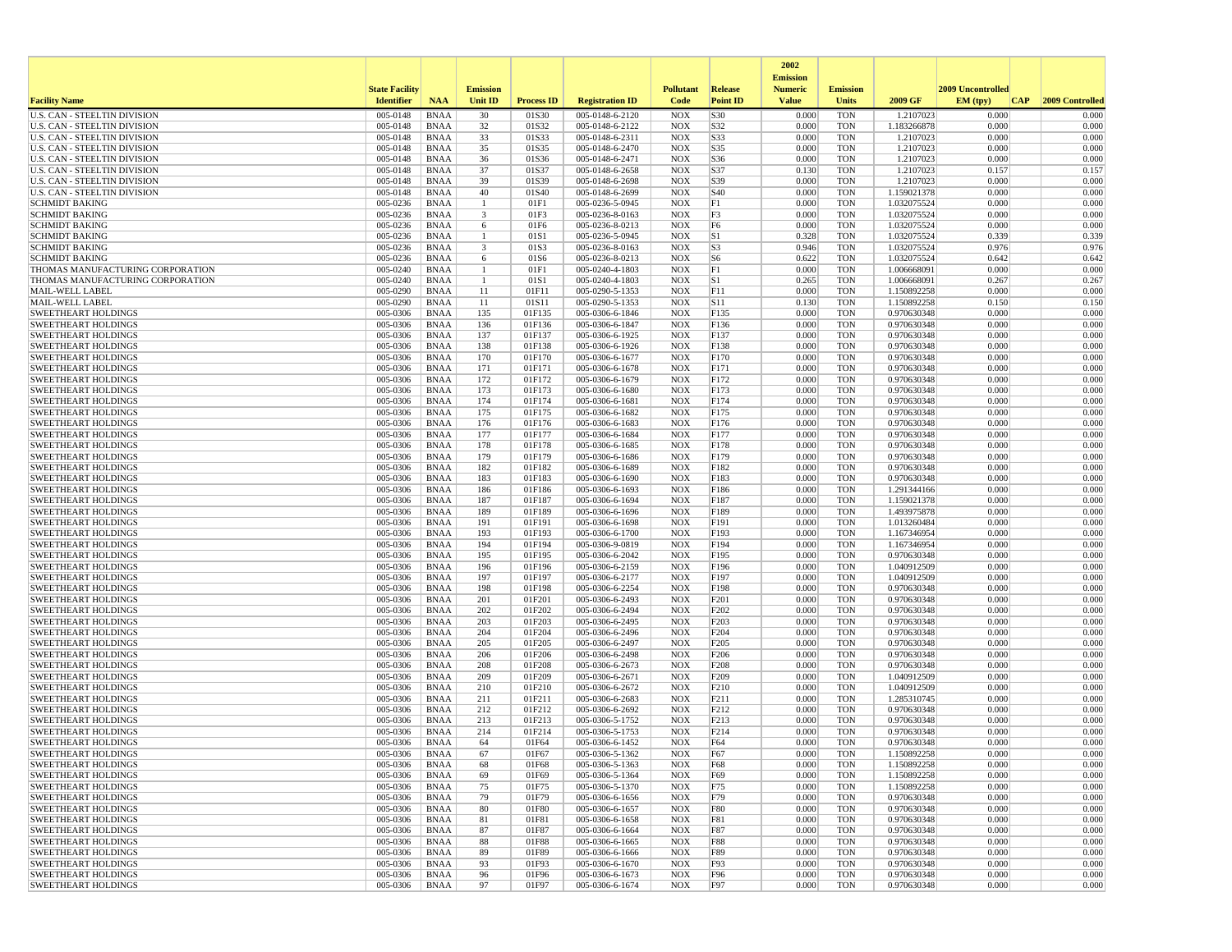|                                                                            |                       |                            |                         |                   |                                    |                          |                      | 2002                              |                          |                            |                   |                 |
|----------------------------------------------------------------------------|-----------------------|----------------------------|-------------------------|-------------------|------------------------------------|--------------------------|----------------------|-----------------------------------|--------------------------|----------------------------|-------------------|-----------------|
|                                                                            | <b>State Facility</b> |                            | <b>Emission</b>         |                   |                                    | <b>Pollutant</b>         | Release              | <b>Emission</b><br><b>Numeric</b> | <b>Emission</b>          |                            | 2009 Uncontrolled |                 |
| <b>Facility Name</b>                                                       | <b>Identifier</b>     | <b>NAA</b>                 | <b>Unit ID</b>          | <b>Process ID</b> | <b>Registration ID</b>             | Code                     | <b>Point ID</b>      | <b>Value</b>                      | <b>Units</b>             | 2009 GF                    | EM (tpv)<br>CAP   | 2009 Controlled |
| <b>U.S. CAN - STEELTIN DIVISION</b>                                        | 005-0148              | <b>BNAA</b>                | 30                      | 01S30             | 005-0148-6-2120                    | <b>NOX</b>               | S30                  | 0.000                             | <b>TON</b>               | 1.2107023                  | 0.000             | 0.000           |
| <b>U.S. CAN - STEELTIN DIVISION</b>                                        | 005-0148              | <b>BNAA</b>                | 32                      | 01S32             | 005-0148-6-2122                    | <b>NOX</b>               | S32                  | 0.000                             | <b>TON</b>               | 1.183266878                | 0.000             | 0.000           |
| <b>U.S. CAN - STEELTIN DIVISION</b><br><b>U.S. CAN - STEELTIN DIVISION</b> | 005-0148<br>005-0148  | <b>BNAA</b>                | 33                      | 01S33             | 005-0148-6-2311                    | <b>NOX</b>               | S33                  | 0.000<br>0.000                    | <b>TON</b>               | 1.2107023<br>1.2107023     | 0.000             | 0.000           |
| U.S. CAN - STEELTIN DIVISION                                               | 005-0148              | <b>BNAA</b><br>BNAA        | 35<br>36                | 01S35<br>01S36    | 005-0148-6-2470<br>005-0148-6-2471 | <b>NOX</b><br><b>NOX</b> | S35<br>S36           | 0.000                             | <b>TON</b><br><b>TON</b> | 1.2107023                  | 0.000<br>0.000    | 0.000<br>0.000  |
| U.S. CAN - STEELTIN DIVISION                                               | 005-0148              | <b>BNAA</b>                | 37                      | 01S37             | 005-0148-6-2658                    | <b>NOX</b>               | S37                  | 0.130                             | <b>TON</b>               | 1.2107023                  | 0.157             | 0.157           |
| U.S. CAN - STEELTIN DIVISION                                               | 005-0148              | <b>BNAA</b>                | 39                      | 01S39             | 005-0148-6-2698                    | <b>NOX</b>               | S39                  | 0.000                             | <b>TON</b>               | 1.2107023                  | 0.000             | 0.000           |
| U.S. CAN - STEELTIN DIVISION                                               | 005-0148              | <b>BNAA</b>                | 40                      | 01S40             | 005-0148-6-2699                    | <b>NOX</b>               | S <sub>40</sub>      | 0.000                             | <b>TON</b>               | 1.159021378                | 0.000             | 0.000           |
| <b>SCHMIDT BAKING</b>                                                      | 005-0236              | <b>BNAA</b>                | -1                      | 01F1              | 005-0236-5-0945                    | <b>NOX</b>               | F1                   | 0.000                             | <b>TON</b>               | 1.032075524                | 0.000             | 0.000           |
| <b>SCHMIDT BAKING</b>                                                      | 005-0236              | <b>BNAA</b>                | $\overline{\mathbf{3}}$ | 01F3              | 005-0236-8-0163                    | <b>NOX</b>               | F3                   | 0.000                             | <b>TON</b>               | 1.032075524                | 0.000             | 0.000           |
| <b>SCHMIDT BAKING</b>                                                      | 005-0236              | <b>BNAA</b>                | 6<br>$\mathbf{1}$       | 01F6              | 005-0236-8-0213                    | <b>NOX</b>               | F <sub>6</sub><br>S1 | 0.000                             | <b>TON</b>               | 1.032075524                | 0.000             | 0.000           |
| <b>SCHMIDT BAKING</b><br><b>SCHMIDT BAKING</b>                             | 005-0236<br>005-0236  | BNAA<br><b>BNAA</b>        | 3                       | 01S1<br>01S3      | 005-0236-5-0945<br>005-0236-8-0163 | <b>NOX</b><br><b>NOX</b> | S <sub>3</sub>       | 0.328<br>0.946                    | <b>TON</b><br><b>TON</b> | 1.032075524<br>1.032075524 | 0.339<br>0.976    | 0.339<br>0.976  |
| <b>SCHMIDT BAKING</b>                                                      | 005-0236              | <b>BNAA</b>                | 6                       | 01S6              | 005-0236-8-0213                    | <b>NOX</b>               | S <sub>6</sub>       | 0.622                             | <b>TON</b>               | 1.032075524                | 0.642             | 0.642           |
| THOMAS MANUFACTURING CORPORATION                                           | 005-0240              | <b>BNAA</b>                | -1                      | 01F1              | 005-0240-4-1803                    | <b>NOX</b>               | F1                   | 0.000                             | <b>TON</b>               | 1.006668091                | 0.000             | 0.000           |
| THOMAS MANUFACTURING CORPORATION                                           | 005-0240              | BNAA                       | -1                      | 01S1              | 005-0240-4-1803                    | <b>NOX</b>               | S1                   | 0.265                             | <b>TON</b>               | 1.006668091                | 0.267             | 0.267           |
| MAIL-WELL LABEL                                                            | 005-0290              | <b>BNAA</b>                | 11                      | 01F11             | 005-0290-5-1353                    | <b>NOX</b>               | F11                  | 0.000                             | <b>TON</b>               | 1.150892258                | 0.000             | 0.000           |
| MAIL-WELL LABEL                                                            | 005-0290              | BNAA                       | 11                      | 01S11             | 005-0290-5-1353                    | <b>NOX</b>               | <b>S11</b>           | 0.130                             | <b>TON</b>               | 1.150892258                | 0.150             | 0.150           |
| <b>SWEETHEART HOLDINGS</b>                                                 | 005-0306              | BNAA                       | 135                     | 01F135            | 005-0306-6-1846                    | <b>NOX</b>               | F135                 | 0.000<br>0.000                    | <b>TON</b>               | 0.970630348                | 0.000<br>0.000    | 0.000<br>0.000  |
| <b>SWEETHEART HOLDINGS</b><br><b>SWEETHEART HOLDINGS</b>                   | 005-0306<br>005-0306  | <b>BNAA</b><br><b>BNAA</b> | 136<br>137              | 01F136<br>01F137  | 005-0306-6-1847<br>005-0306-6-1925 | <b>NOX</b><br><b>NOX</b> | F136<br>F137         | 0.000                             | <b>TON</b><br><b>TON</b> | 0.970630348<br>0.970630348 | 0.000             | 0.000           |
| <b>SWEETHEART HOLDINGS</b>                                                 | 005-0306              | <b>BNAA</b>                | 138                     | 01F138            | $005-0306-6-1926$                  | <b>NOX</b>               | F138                 | 0.000                             | <b>TON</b>               | 0.970630348                | 0.000             | 0.000           |
| <b>SWEETHEART HOLDINGS</b>                                                 | 005-0306              | BNAA                       | 170                     | 01F170            | 005-0306-6-1677                    | <b>NOX</b>               | F170                 | 0.000                             | <b>TON</b>               | 0.970630348                | 0.000             | 0.000           |
| <b>SWEETHEART HOLDINGS</b>                                                 | 005-0306              | <b>BNAA</b>                | 171                     | 01F171            | 005-0306-6-1678                    | <b>NOX</b>               | F171                 | 0.000                             | <b>TON</b>               | 0.970630348                | 0.000             | 0.000           |
| <b>SWEETHEART HOLDINGS</b>                                                 | 005-0306              | <b>BNAA</b>                | 172                     | 01F172            | 005-0306-6-1679                    | <b>NOX</b>               | F172                 | 0.000                             | <b>TON</b>               | 0.970630348                | 0.000             | 0.000           |
| <b>SWEETHEART HOLDINGS</b>                                                 | 005-0306              | BNAA                       | 173                     | 01F173            | 005-0306-6-1680                    | <b>NOX</b>               | F173                 | 0.000                             | <b>TON</b>               | 0.970630348                | 0.000             | 0.000           |
| <b>SWEETHEART HOLDINGS</b>                                                 | 005-0306              | <b>BNAA</b>                | 174                     | 01F174            | 005-0306-6-1681                    | <b>NOX</b>               | F174                 | 0.000                             | <b>TON</b>               | 0.970630348                | 0.000             | 0.000           |
| <b>SWEETHEART HOLDINGS</b><br><b>SWEETHEART HOLDINGS</b>                   | 005-0306<br>005-0306  | <b>BNAA</b><br><b>BNAA</b> | 175<br>176              | 01F175<br>01F176  | 005-0306-6-1682<br>005-0306-6-1683 | <b>NOX</b><br><b>NOX</b> | F175<br>F176         | 0.000<br>0.000                    | <b>TON</b><br><b>TON</b> | 0.970630348<br>0.970630348 | 0.000<br>0.000    | 0.000<br>0.000  |
| <b>SWEETHEART HOLDINGS</b>                                                 | 005-0306              | <b>BNAA</b>                | 177                     | 01F177            | 005-0306-6-1684                    | <b>NOX</b>               | F177                 | 0.000                             | <b>TON</b>               | 0.970630348                | 0.000             | 0.000           |
| <b>SWEETHEART HOLDINGS</b>                                                 | 005-0306              | <b>BNAA</b>                | 178                     | 01F178            | 005-0306-6-1685                    | <b>NOX</b>               | F178                 | 0.000                             | <b>TON</b>               | 0.970630348                | 0.000             | 0.000           |
| <b>SWEETHEART HOLDINGS</b>                                                 | 005-0306              | <b>BNAA</b>                | 179                     | 01F179            | 005-0306-6-1686                    | <b>NOX</b>               | F179                 | 0.000                             | <b>TON</b>               | 0.970630348                | 0.000             | 0.000           |
| <b>SWEETHEART HOLDINGS</b>                                                 | 005-0306              | <b>BNAA</b>                | 182                     | 01F182            | 005-0306-6-1689                    | <b>NOX</b>               | F182                 | 0.000                             | <b>TON</b>               | 0.970630348                | 0.000             | 0.000           |
| <b>SWEETHEART HOLDINGS</b>                                                 | 005-0306              | <b>BNAA</b>                | 183                     | 01F183            | 005-0306-6-1690                    | <b>NOX</b>               | F183                 | 0.000                             | <b>TON</b>               | 0.970630348                | 0.000             | 0.000           |
| <b>SWEETHEART HOLDINGS</b>                                                 | 005-0306              | <b>BNAA</b>                | 186                     | 01F186            | 005-0306-6-1693                    | <b>NOX</b>               | F186                 | 0.000                             | <b>TON</b>               | 1.291344166                | 0.000             | 0.000           |
| <b>SWEETHEART HOLDINGS</b>                                                 | 005-0306              | <b>BNAA</b>                | 187                     | 01F187            | 005-0306-6-1694                    | <b>NOX</b>               | F187                 | 0.000<br>0.000                    | <b>TON</b>               | 1.159021378                | 0.000             | 0.000<br>0.000  |
| <b>SWEETHEART HOLDINGS</b><br><b>SWEETHEART HOLDINGS</b>                   | 005-0306<br>005-0306  | BNAA<br><b>BNAA</b>        | 189<br>191              | 01F189<br>01F191  | 005-0306-6-1696<br>005-0306-6-1698 | <b>NOX</b><br><b>NOX</b> | F189<br>F191         | 0.000                             | <b>TON</b><br><b>TON</b> | 1.493975878<br>1.013260484 | 0.000<br>0.000    | 0.000           |
| <b>SWEETHEART HOLDINGS</b>                                                 | 005-0306              | <b>BNAA</b>                | 193                     | 01F193            | 005-0306-6-1700                    | <b>NOX</b>               | F193                 | 0.000                             | <b>TON</b>               | 1.167346954                | 0.000             | 0.000           |
| <b>SWEETHEART HOLDINGS</b>                                                 | 005-0306              | <b>BNAA</b>                | 194                     | 01F194            | 005-0306-9-0819                    | <b>NOX</b>               | F194                 | 0.000                             | <b>TON</b>               | 1.167346954                | 0.000             | 0.000           |
| <b>SWEETHEART HOLDINGS</b>                                                 | 005-0306              | BNAA                       | 195                     | 01F195            | 005-0306-6-2042                    | <b>NOX</b>               | F195                 | 0.000                             | <b>TON</b>               | 0.970630348                | 0.000             | 0.000           |
| <b>SWEETHEART HOLDINGS</b>                                                 | 005-0306              | <b>BNAA</b>                | 196                     | 01F196            | 005-0306-6-2159                    | <b>NOX</b>               | F196                 | 0.000                             | <b>TON</b>               | 1.040912509                | 0.000             | 0.000           |
| <b>SWEETHEART HOLDINGS</b>                                                 | 005-0306              | <b>BNAA</b>                | 197                     | 01F197            | 005-0306-6-2177                    | <b>NOX</b>               | F197                 | 0.000                             | <b>TON</b>               | 1.040912509                | 0.000             | 0.000           |
| <b>SWEETHEART HOLDINGS</b>                                                 | 005-0306<br>005-0306  | <b>BNAA</b><br><b>BNAA</b> | 198<br>201              | 01F198<br>01F201  | 005-0306-6-2254<br>005-0306-6-2493 | <b>NOX</b><br><b>NOX</b> | F198<br>F201         | 0.000<br>0.000                    | <b>TON</b><br><b>TON</b> | 0.970630348<br>0.970630348 | 0.000<br>0.000    | 0.000<br>0.000  |
| <b>SWEETHEART HOLDINGS</b><br><b>SWEETHEART HOLDINGS</b>                   | 005-0306              | <b>BNAA</b>                | 202                     | 01F202            | 005-0306-6-2494                    | <b>NOX</b>               | F202                 | 0.000                             | <b>TON</b>               | 0.970630348                | 0.000             | 0.000           |
| <b>SWEETHEART HOLDINGS</b>                                                 | 005-0306              | <b>BNAA</b>                | 203                     | 01F203            | 005-0306-6-2495                    | <b>NOX</b>               | F <sub>203</sub>     | 0.000                             | <b>TON</b>               | 0.970630348                | 0.000             | 0.000           |
| <b>SWEETHEART HOLDINGS</b>                                                 | 005-0306              | BNAA                       | 204                     | 01F204            | 005-0306-6-2496                    | <b>NOX</b>               | F204                 | 0.000                             | <b>TON</b>               | 0.970630348                | 0.000             | 0.000           |
| <b>SWEETHEART HOLDINGS</b>                                                 | 005-0306              | <b>BNAA</b>                | 205                     | 01F205            | 005-0306-6-2497                    | <b>NOX</b>               | F <sub>205</sub>     | 0.000                             | <b>TON</b>               | 0.970630348                | 0.000             | 0.000           |
| <b>SWEETHEART HOLDINGS</b>                                                 | 005-0306              | <b>BNAA</b>                | 206                     | 01F206            | 005-0306-6-2498                    | <b>NOX</b>               | F206                 | 0.000                             | <b>TON</b>               | 0.970630348                | 0.000             | 0.000           |
| <b>SWEETHEART HOLDINGS</b>                                                 | 005-0306              | BNAA                       | 208                     | 01F208            | 005-0306-6-2673                    | <b>NOX</b>               | F <sub>208</sub>     | 0.000                             | <b>TON</b>               | 0.970630348                | 0.000             | 0.000           |
| <b>SWEETHEART HOLDINGS</b><br><b>SWEETHEART HOLDINGS</b>                   | 005-0306<br>005-0306  | <b>BNAA</b><br><b>BNAA</b> | 209<br>210              | 01F209<br>01F210  | 005-0306-6-2671<br>005-0306-6-2672 | <b>NOX</b><br><b>NOX</b> | F209<br>F210         | 0.000<br>0.000                    | <b>TON</b><br><b>TON</b> | 1.040912509<br>1.040912509 | 0.000<br>0.000    | 0.000<br>0.000  |
| <b>SWEETHEART HOLDINGS</b>                                                 | 005-0306              | <b>BNAA</b>                | 211                     | 01F211            | 005-0306-6-2683                    | <b>NOX</b>               | F211                 | 0.000                             | <b>TON</b>               | 1.285310745                | 0.000             | 0.000           |
| <b>SWEETHEART HOLDINGS</b>                                                 | 005-0306              | BNAA                       | 212                     | 01F212            | 005-0306-6-2692                    | <b>NOX</b>               | F212                 | 0.000                             | <b>TON</b>               | 0.970630348                | 0.000             | 0.000           |
| <b>SWEETHEART HOLDINGS</b>                                                 | 005-0306              | <b>BNAA</b>                | 213                     | 01F213            | 005-0306-5-1752                    | <b>NOX</b>               | F213                 | 0.000                             | <b>TON</b>               | 0.970630348                | 0.000             | 0.000           |
| <b>SWEETHEART HOLDINGS</b>                                                 | 005-0306              | <b>BNAA</b>                | 214                     | 01F214            | 005-0306-5-1753                    | <b>NOX</b>               | F214                 | 0.000                             | <b>TON</b>               | 0.970630348                | 0.000             | 0.000           |
| <b>SWEETHEART HOLDINGS</b>                                                 | 005-0306              | <b>BNAA</b>                | 64                      | 01F64             | 005-0306-6-1452                    | <b>NOX</b>               | F64                  | 0.000                             | <b>TON</b>               | 0.970630348                | 0.000             | 0.000           |
| SWEETHEART HOLDINGS                                                        | 005-0306              | <b>BNAA</b>                | 67                      | 01F67             | 005-0306-5-1362                    | <b>NOX</b>               | F67                  | 0.000                             | TON                      | 1.150892258                | 0.000             | 0.000           |
| <b>SWEETHEART HOLDINGS</b><br><b>SWEETHEART HOLDINGS</b>                   | 005-0306<br>005-0306  | BNAA<br>BNAA               | 68<br>69                | 01F68<br>01F69    | 005-0306-5-1363<br>005-0306-5-1364 | <b>NOX</b><br><b>NOX</b> | <b>F68</b><br>F69    | 0.000<br>0.000                    | <b>TON</b><br><b>TON</b> | 1.150892258<br>1.150892258 | 0.000<br>0.000    | 0.000<br>0.000  |
| <b>SWEETHEART HOLDINGS</b>                                                 | 005-0306              | <b>BNAA</b>                | 75                      | 01F75             | 005-0306-5-1370                    | <b>NOX</b>               | F75                  | 0.000                             | <b>TON</b>               | 1.150892258                | 0.000             | 0.000           |
| <b>SWEETHEART HOLDINGS</b>                                                 | 005-0306              | <b>BNAA</b>                | 79                      | 01F79             | 005-0306-6-1656                    | <b>NOX</b>               | F79                  | 0.000                             | <b>TON</b>               | 0.970630348                | 0.000             | 0.000           |
| <b>SWEETHEART HOLDINGS</b>                                                 | 005-0306              | <b>BNAA</b>                | 80                      | 01F80             | 005-0306-6-1657                    | <b>NOX</b>               | <b>F80</b>           | 0.000                             | <b>TON</b>               | 0.970630348                | 0.000             | 0.000           |
| <b>SWEETHEART HOLDINGS</b>                                                 | 005-0306              | BNAA                       | 81                      | 01F81             | 005-0306-6-1658                    | <b>NOX</b>               | <b>F81</b>           | 0.000                             | <b>TON</b>               | 0.970630348                | 0.000             | 0.000           |
| <b>SWEETHEART HOLDINGS</b>                                                 | 005-0306              | BNAA                       | 87                      | 01F87             | 005-0306-6-1664                    | <b>NOX</b>               | F87                  | 0.000                             | <b>TON</b>               | 0.970630348                | 0.000             | 0.000           |
| <b>SWEETHEART HOLDINGS</b>                                                 | 005-0306              | BNAA                       | 88                      | 01F88             | 005-0306-6-1665                    | <b>NOX</b>               | <b>F88</b>           | 0.000                             | <b>TON</b>               | 0.970630348                | 0.000             | 0.000           |
| <b>SWEETHEART HOLDINGS</b>                                                 | 005-0306              | BNAA                       | 89                      | 01F89             | 005-0306-6-1666                    | <b>NOX</b>               | F89                  | 0.000                             | <b>TON</b>               | 0.970630348                | 0.000             | 0.000           |
| <b>SWEETHEART HOLDINGS</b><br><b>SWEETHEART HOLDINGS</b>                   | 005-0306<br>005-0306  | BNAA<br><b>BNAA</b>        | 93<br>96                | 01F93<br>01F96    | 005-0306-6-1670<br>005-0306-6-1673 | <b>NOX</b><br><b>NOX</b> | F93<br>F96           | 0.000<br>0.000                    | <b>TON</b><br><b>TON</b> | 0.970630348<br>0.970630348 | 0.000<br>0.000    | 0.000<br>0.000  |
| <b>SWEETHEART HOLDINGS</b>                                                 | 005-0306              | <b>BNAA</b>                | 97                      | 01F97             | 005-0306-6-1674                    | NOX                      | F97                  | 0.000                             | <b>TON</b>               | 0.970630348                | 0.000             | 0.000           |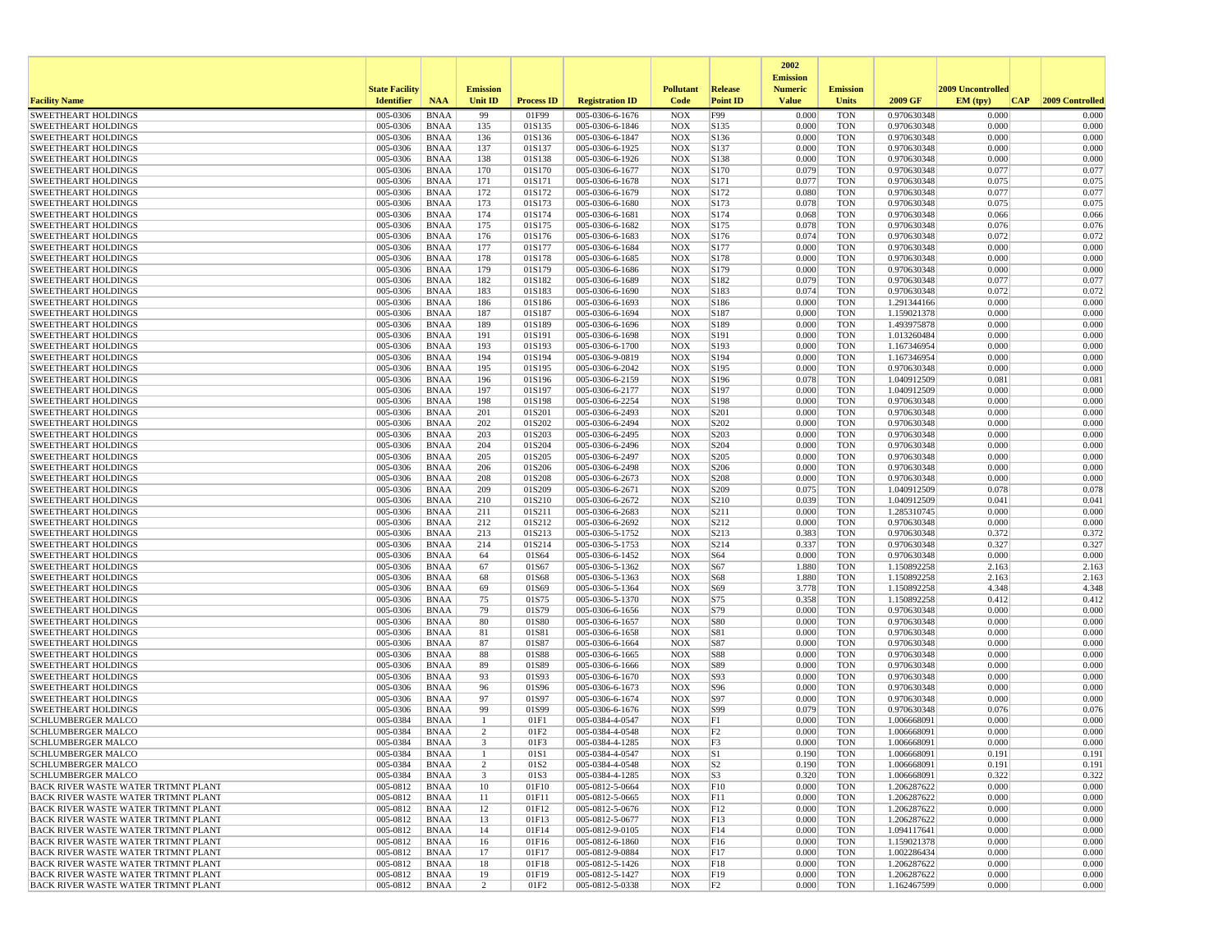|                                                                                   |                       |                            |                 |                   |                                    |                          |                        | 2002                              |                          |                            |                   |                 |
|-----------------------------------------------------------------------------------|-----------------------|----------------------------|-----------------|-------------------|------------------------------------|--------------------------|------------------------|-----------------------------------|--------------------------|----------------------------|-------------------|-----------------|
|                                                                                   | <b>State Facility</b> |                            | <b>Emission</b> |                   |                                    | <b>Pollutant</b>         | <b>Release</b>         | <b>Emission</b><br><b>Numeric</b> | <b>Emission</b>          |                            | 2009 Uncontrolled |                 |
| <b>Facility Name</b>                                                              | <b>Identifier</b>     | <b>NAA</b>                 | <b>Unit ID</b>  | <b>Process ID</b> | <b>Registration ID</b>             | Code                     | <b>Point ID</b>        | <b>Value</b>                      | <b>Units</b>             | 2009 GF                    | EM (typ)<br> CAP  | 2009 Controlled |
| <b>SWEETHEART HOLDINGS</b>                                                        | 005-0306              | <b>BNAA</b>                | 99              | 01F99             | 005-0306-6-1676                    | <b>NOX</b>               | F99                    | 0.000                             | <b>TON</b>               | 0.970630348                | 0.000             | 0.000           |
| <b>SWEETHEART HOLDINGS</b>                                                        | 005-0306              | <b>BNAA</b>                | 135             | 01S135            | 005-0306-6-1846                    | <b>NOX</b>               | S135                   | 0.000                             | <b>TON</b>               | 0.970630348                | 0.000             | 0.000           |
| <b>SWEETHEART HOLDINGS</b>                                                        | 005-0306              | <b>BNAA</b>                | 136             | 01S136            | 005-0306-6-1847                    | <b>NOX</b>               | S136                   | 0.000                             | <b>TON</b>               | 0.970630348                | 0.000             | 0.000           |
| <b>SWEETHEART HOLDINGS</b><br><b>SWEETHEART HOLDINGS</b>                          | 005-0306<br>005-0306  | <b>BNAA</b>                | 137<br>138      | 01S137<br>01S138  | 005-0306-6-1925<br>005-0306-6-1926 | <b>NOX</b>               | S137<br>S138           | 0.000<br>0.000                    | <b>TON</b><br><b>TON</b> | 0.970630348<br>0.970630348 | 0.000<br>0.000    | 0.000<br>0.000  |
| <b>SWEETHEART HOLDINGS</b>                                                        | 005-0306              | <b>BNAA</b><br><b>BNAA</b> | 170             | 01S170            | 005-0306-6-1677                    | <b>NOX</b><br><b>NOX</b> | S170                   | 0.079                             | <b>TON</b>               | 0.970630348                | 0.077             | 0.077           |
| <b>SWEETHEART HOLDINGS</b>                                                        | 005-0306              | <b>BNAA</b>                | 171             | 01S171            | 005-0306-6-1678                    | <b>NOX</b>               | S171                   | 0.077                             | <b>TON</b>               | 0.970630348                | 0.075             | 0.075           |
| <b>SWEETHEART HOLDINGS</b>                                                        | 005-0306              | <b>BNAA</b>                | 172             | 01S172            | 005-0306-6-1679                    | <b>NOX</b>               | S172                   | 0.080                             | <b>TON</b>               | 0.970630348                | 0.077             | 0.077           |
| <b>SWEETHEART HOLDINGS</b>                                                        | 005-0306              | <b>BNAA</b>                | 173             | 01S173            | 005-0306-6-1680                    | <b>NOX</b>               | S173                   | 0.078                             | <b>TON</b>               | 0.970630348                | 0.075             | 0.075           |
| <b>SWEETHEART HOLDINGS</b>                                                        | 005-0306              | <b>BNAA</b>                | 174             | 01S174            | 005-0306-6-1681                    | <b>NOX</b>               | S174                   | 0.068                             | <b>TON</b>               | 0.970630348                | 0.066             | 0.066           |
| <b>SWEETHEART HOLDINGS</b>                                                        | 005-0306              | <b>BNAA</b>                | 175             | 01S175            | 005-0306-6-1682                    | <b>NOX</b>               | S175                   | 0.078                             | <b>TON</b>               | 0.970630348                | 0.076             | 0.076           |
| <b>SWEETHEART HOLDINGS</b><br><b>SWEETHEART HOLDINGS</b>                          | 005-0306<br>005-0306  | <b>BNAA</b><br><b>BNAA</b> | 176<br>177      | 01S176<br>01S177  | 005-0306-6-1683<br>005-0306-6-1684 | <b>NOX</b><br><b>NOX</b> | S176<br>S177           | 0.074<br>0.000                    | <b>TON</b><br><b>TON</b> | 0.970630348<br>0.970630348 | 0.072<br>0.000    | 0.072<br>0.000  |
| <b>SWEETHEART HOLDINGS</b>                                                        | 005-0306              | <b>BNAA</b>                | 178             | 01S178            | 005-0306-6-1685                    | <b>NOX</b>               | S178                   | 0.000                             | <b>TON</b>               | 0.970630348                | 0.000             | 0.000           |
| <b>SWEETHEART HOLDINGS</b>                                                        | 005-0306              | <b>BNAA</b>                | 179             | 01S179            | 005-0306-6-1686                    | <b>NOX</b>               | S179                   | 0.000                             | <b>TON</b>               | 0.970630348                | 0.000             | 0.000           |
| <b>SWEETHEART HOLDINGS</b>                                                        | 005-0306              | <b>BNAA</b>                | 182             | 01S182            | 005-0306-6-1689                    | <b>NOX</b>               | S182                   | 0.079                             | <b>TON</b>               | 0.970630348                | 0.077             | 0.077           |
| <b>SWEETHEART HOLDINGS</b>                                                        | 005-0306              | <b>BNAA</b>                | 183             | 01S183            | 005-0306-6-1690                    | <b>NOX</b>               | S183                   | 0.074                             | <b>TON</b>               | 0.970630348                | 0.072             | 0.072           |
| <b>SWEETHEART HOLDINGS</b>                                                        | 005-0306              | <b>BNAA</b>                | 186             | 01S186            | 005-0306-6-1693                    | <b>NOX</b>               | S186                   | 0.000                             | <b>TON</b>               | 1.291344166                | 0.000             | 0.000           |
| <b>SWEETHEART HOLDINGS</b>                                                        | 005-0306              | <b>BNAA</b>                | 187             | 01S187            | 005-0306-6-1694                    | <b>NOX</b>               | S187                   | 0.000                             | <b>TON</b>               | 1.159021378                | 0.000             | 0.000           |
| <b>SWEETHEART HOLDINGS</b>                                                        | 005-0306              | <b>BNAA</b>                | 189             | 01S189            | 005-0306-6-1696                    | <b>NOX</b>               | S189                   | 0.000                             | <b>TON</b>               | 1.493975878                | 0.000             | 0.000           |
| <b>SWEETHEART HOLDINGS</b><br><b>SWEETHEART HOLDINGS</b>                          | 005-0306<br>005-0306  | <b>BNAA</b><br><b>BNAA</b> | 191<br>193      | 01S191<br>01S193  | 005-0306-6-1698<br>005-0306-6-1700 | <b>NOX</b><br><b>NOX</b> | S191<br>S193           | 0.000<br>0.000                    | <b>TON</b><br><b>TON</b> | 1.013260484<br>1.167346954 | 0.000<br>0.000    | 0.000<br>0.000  |
| <b>SWEETHEART HOLDINGS</b>                                                        | 005-0306              | <b>BNAA</b>                | 194             | 01S194            | 005-0306-9-0819                    | <b>NOX</b>               | S194                   | 0.000                             | <b>TON</b>               | 1.167346954                | 0.000             | 0.000           |
| <b>SWEETHEART HOLDINGS</b>                                                        | 005-0306              | <b>BNAA</b>                | 195             | 01S195            | 005-0306-6-2042                    | <b>NOX</b>               | S195                   | 0.000                             | <b>TON</b>               | 0.970630348                | 0.000             | 0.000           |
| <b>SWEETHEART HOLDINGS</b>                                                        | 005-0306              | <b>BNAA</b>                | 196             | 01S196            | 005-0306-6-2159                    | <b>NOX</b>               | S196                   | 0.078                             | <b>TON</b>               | 1.040912509                | 0.081             | 0.081           |
| <b>SWEETHEART HOLDINGS</b>                                                        | 005-0306              | <b>BNAA</b>                | 197             | 01S197            | 005-0306-6-2177                    | <b>NOX</b>               | S197                   | 0.000                             | <b>TON</b>               | 1.040912509                | 0.000             | 0.000           |
| <b>SWEETHEART HOLDINGS</b>                                                        | 005-0306              | <b>BNAA</b>                | 198             | 01S198            | 005-0306-6-2254                    | <b>NOX</b>               | S198                   | 0.000                             | <b>TON</b>               | 0.970630348                | 0.000             | 0.000           |
| <b>SWEETHEART HOLDINGS</b>                                                        | 005-0306              | <b>BNAA</b>                | 201             | 01S201            | 005-0306-6-2493                    | <b>NOX</b>               | S201                   | 0.000                             | <b>TON</b>               | 0.970630348                | 0.000             | 0.000           |
| <b>SWEETHEART HOLDINGS</b><br><b>SWEETHEART HOLDINGS</b>                          | 005-0306              | <b>BNAA</b>                | 202             | 01S202            | 005-0306-6-2494<br>005-0306-6-2495 | <b>NOX</b>               | S202                   | 0.000                             | <b>TON</b>               | 0.970630348                | 0.000             | 0.000           |
| <b>SWEETHEART HOLDINGS</b>                                                        | 005-0306<br>005-0306  | <b>BNAA</b><br><b>BNAA</b> | 203<br>204      | 01S203<br>01S204  | 005-0306-6-2496                    | <b>NOX</b><br><b>NOX</b> | S203<br>S204           | 0.000<br>0.000                    | <b>TON</b><br><b>TON</b> | 0.970630348<br>0.970630348 | 0.000<br>0.000    | 0.000<br>0.000  |
| <b>SWEETHEART HOLDINGS</b>                                                        | 005-0306              | <b>BNAA</b>                | 205             | 01S205            | 005-0306-6-2497                    | <b>NOX</b>               | S <sub>205</sub>       | 0.000                             | <b>TON</b>               | 0.970630348                | 0.000             | 0.000           |
| <b>SWEETHEART HOLDINGS</b>                                                        | 005-0306              | <b>BNAA</b>                | 206             | 01S206            | 005-0306-6-2498                    | <b>NOX</b>               | S206                   | 0.000                             | <b>TON</b>               | 0.970630348                | 0.000             | 0.000           |
| <b>SWEETHEART HOLDINGS</b>                                                        | 005-0306              | <b>BNAA</b>                | 208             | 01S208            | 005-0306-6-2673                    | <b>NOX</b>               | S208                   | 0.000                             | <b>TON</b>               | 0.970630348                | 0.000             | 0.000           |
| <b>SWEETHEART HOLDINGS</b>                                                        | 005-0306              | <b>BNAA</b>                | 209             | 01S209            | 005-0306-6-2671                    | <b>NOX</b>               | S209                   | 0.075                             | <b>TON</b>               | 1.040912509                | 0.078             | 0.078           |
| <b>SWEETHEART HOLDINGS</b>                                                        | 005-0306              | <b>BNAA</b>                | 210             | 01S210            | 005-0306-6-2672                    | <b>NOX</b>               | S <sub>210</sub>       | 0.039                             | <b>TON</b>               | 1.040912509                | 0.041             | 0.041           |
| <b>SWEETHEART HOLDINGS</b>                                                        | 005-0306              | <b>BNAA</b>                | 211             | 01S211            | 005-0306-6-2683                    | <b>NOX</b>               | S211                   | 0.000                             | <b>TON</b>               | 1.285310745                | 0.000             | 0.000           |
| <b>SWEETHEART HOLDINGS</b><br><b>SWEETHEART HOLDINGS</b>                          | 005-0306<br>005-0306  | <b>BNAA</b><br><b>BNAA</b> | 212<br>213      | 01S212<br>01S213  | 005-0306-6-2692<br>005-0306-5-1752 | <b>NOX</b><br><b>NOX</b> | S212<br>S213           | 0.000<br>0.383                    | <b>TON</b><br><b>TON</b> | 0.970630348<br>0.970630348 | 0.000<br>0.372    | 0.000<br>0.372  |
| <b>SWEETHEART HOLDINGS</b>                                                        | 005-0306              | <b>BNAA</b>                | 214             | 01S214            | 005-0306-5-1753                    | <b>NOX</b>               | S214                   | 0.337                             | <b>TON</b>               | 0.970630348                | 0.327             | 0.327           |
| <b>SWEETHEART HOLDINGS</b>                                                        | 005-0306              | <b>BNAA</b>                | 64              | 01S64             | 005-0306-6-1452                    | <b>NOX</b>               | S64                    | 0.000                             | <b>TON</b>               | 0.970630348                | 0.000             | 0.000           |
| <b>SWEETHEART HOLDINGS</b>                                                        | 005-0306              | <b>BNAA</b>                | 67              | 01S67             | 005-0306-5-1362                    | <b>NOX</b>               | S67                    | 1.880                             | <b>TON</b>               | 1.150892258                | 2.163             | 2.163           |
| <b>SWEETHEART HOLDINGS</b>                                                        | 005-0306              | <b>BNAA</b>                | 68              | 01S68             | 005-0306-5-1363                    | <b>NOX</b>               | S68                    | 1.880                             | <b>TON</b>               | 1.150892258                | 2.163             | 2.163           |
| <b>SWEETHEART HOLDINGS</b>                                                        | 005-0306              | <b>BNAA</b>                | 69              | 01S69             | 005-0306-5-1364                    | NOX                      | S69                    | 3.778                             | <b>TON</b>               | 1.150892258                | 4.348             | 4.348           |
| <b>SWEETHEART HOLDINGS</b>                                                        | 005-0306              | <b>BNAA</b>                | 75              | 01S75             | 005-0306-5-1370                    | <b>NOX</b>               | S75                    | 0.358                             | <b>TON</b>               | 1.150892258                | 0.412             | 0.412           |
| <b>SWEETHEART HOLDINGS</b><br><b>SWEETHEART HOLDINGS</b>                          | 005-0306<br>005-0306  | <b>BNAA</b><br><b>BNAA</b> | 79<br>80        | 01S79<br>01S80    | 005-0306-6-1656<br>005-0306-6-1657 | <b>NOX</b><br><b>NOX</b> | S79<br><b>S80</b>      | 0.000<br>0.000                    | <b>TON</b><br><b>TON</b> | 0.970630348<br>0.970630348 | 0.000<br>0.000    | 0.000<br>0.000  |
| <b>SWEETHEART HOLDINGS</b>                                                        | 005-0306              | <b>BNAA</b>                | 81              | 01S81             | 005-0306-6-1658                    | <b>NOX</b>               | S81                    | 0.000                             | <b>TON</b>               | 0.970630348                | 0.000             | 0.000           |
| <b>SWEETHEART HOLDINGS</b>                                                        | 005-0306              | <b>BNAA</b>                | 87              | 01S87             | 005-0306-6-1664                    | <b>NOX</b>               | S87                    | 0.000                             | <b>TON</b>               | 0.970630348                | 0.000             | 0.000           |
| <b>SWEETHEART HOLDINGS</b>                                                        | 005-0306              | <b>BNAA</b>                | 88              | 01S88             | 005-0306-6-1665                    | <b>NOX</b>               | <b>S88</b>             | 0.000                             | <b>TON</b>               | 0.970630348                | 0.000             | 0.000           |
| <b>SWEETHEART HOLDINGS</b>                                                        | 005-0306              | <b>BNAA</b>                | 89              | 01S89             | 005-0306-6-1666                    | <b>NOX</b>               | S89                    | 0.000                             | <b>TON</b>               | 0.970630348                | 0.000             | 0.000           |
| <b>SWEETHEART HOLDINGS</b>                                                        | 005-0306              | <b>BNAA</b>                | 93              | 01S93             | 005-0306-6-1670                    | <b>NOX</b>               | S93                    | 0.000                             | <b>TON</b>               | 0.970630348                | 0.000             | 0.000           |
| <b>SWEETHEART HOLDINGS</b>                                                        | 005-0306              | <b>BNAA</b>                | 96              | 01S96             | 005-0306-6-1673                    | <b>NOX</b>               | S96                    | 0.000                             | <b>TON</b>               | 0.970630348                | 0.000             | 0.000           |
| <b>SWEETHEART HOLDINGS</b><br><b>SWEETHEART HOLDINGS</b>                          | 005-0306<br>005-0306  | <b>BNAA</b><br><b>BNAA</b> | 97<br>99        | 01S97<br>01S99    | 005-0306-6-1674<br>005-0306-6-1676 | <b>NOX</b><br><b>NOX</b> | S97<br>S99             | 0.000<br>0.079                    | <b>TON</b><br><b>TON</b> | 0.970630348<br>0.970630348 | 0.000<br>0.076    | 0.000<br>0.076  |
| SCHLUMBERGER MALCO                                                                | 005-0384              | <b>BNAA</b>                | $\mathbf{1}$    | 01F1              | 005-0384-4-0547                    | <b>NOX</b>               | F1                     | 0.000                             | <b>TON</b>               | 1.006668091                | 0.000             | 0.000           |
| <b>SCHLUMBERGER MALCO</b>                                                         | 005-0384              | <b>BNAA</b>                | 2               | 01F2              | 005-0384-4-0548                    | <b>NOX</b>               | F <sub>2</sub>         | 0.000                             | <b>TON</b>               | 1.006668091                | 0.000             | 0.000           |
| <b>SCHLUMBERGER MALCO</b>                                                         | 005-0384              | <b>BNAA</b>                | 3               | 01F3              | 005-0384-4-1285                    | <b>NOX</b>               | F3                     | 0.000                             | <b>TON</b>               | 1.006668091                | 0.000             | 0.000           |
| <b>SCHLUMBERGER MALCO</b>                                                         | 005-0384              | <b>BNAA</b>                |                 | 01S1              | 005-0384-4-0547                    | <b>NOX</b>               | S1                     | 0.190                             | <b>TON</b>               | 1.006668091                | 0.191             | 0.191           |
| <b>SCHLUMBERGER MALCO</b>                                                         | 005-0384              | BNAA                       | $\overline{c}$  | 01S <sub>2</sub>  | 005-0384-4-0548                    | <b>NOX</b>               | S <sub>2</sub>         | 0.190                             | <b>TON</b>               | 1.006668091                | 0.191             | 0.191           |
| <b>SCHLUMBERGER MALCO</b>                                                         | 005-0384              | BNAA                       | 3               | 01S3              | 005-0384-4-1285                    | <b>NOX</b>               | S <sub>3</sub>         | 0.320                             | <b>TON</b>               | 1.006668091                | 0.322             | 0.322           |
| <b>BACK RIVER WASTE WATER TRTMNT PLANT</b>                                        | 005-0812              | BNAA                       | 10              | 01F10             | 005-0812-5-0664                    | <b>NOX</b>               | F10                    | 0.000                             | <b>TON</b>               | 1.206287622                | 0.000             | 0.000           |
| <b>BACK RIVER WASTE WATER TRTMNT PLANT</b><br>BACK RIVER WASTE WATER TRTMNT PLANT | 005-0812<br>005-0812  | <b>BNAA</b><br><b>BNAA</b> | 11<br>12        | 01F11<br>01F12    | 005-0812-5-0665<br>005-0812-5-0676 | <b>NOX</b><br><b>NOX</b> | F11<br>F <sub>12</sub> | 0.000<br>0.000                    | <b>TON</b><br><b>TON</b> | 1.206287622<br>1.206287622 | 0.000<br>0.000    | 0.000<br>0.000  |
| <b>BACK RIVER WASTE WATER TRTMNT PLANT</b>                                        | 005-0812              | BNAA                       | 13              | 01F13             | 005-0812-5-0677                    | <b>NOX</b>               | F <sub>13</sub>        | 0.000                             | <b>TON</b>               | 1.206287622                | 0.000             | 0.000           |
| BACK RIVER WASTE WATER TRTMNT PLANT                                               | 005-0812              | BNAA                       | 14              | 01F14             | 005-0812-9-0105                    | <b>NOX</b>               | F14                    | 0.000                             | <b>TON</b>               | 1.094117641                | 0.000             | 0.000           |
| <b>BACK RIVER WASTE WATER TRTMNT PLANT</b>                                        | 005-0812              | <b>BNAA</b>                | 16              | 01F16             | 005-0812-6-1860                    | <b>NOX</b>               | F <sub>16</sub>        | 0.000                             | <b>TON</b>               | 1.159021378                | 0.000             | 0.000           |
| BACK RIVER WASTE WATER TRTMNT PLANT                                               | 005-0812              | BNAA                       | 17              | 01F17             | 005-0812-9-0884                    | <b>NOX</b>               | F17                    | 0.000                             | <b>TON</b>               | 1.002286434                | 0.000             | 0.000           |
| BACK RIVER WASTE WATER TRTMNT PLANT                                               | 005-0812              | <b>BNAA</b>                | 18              | 01F18             | 005-0812-5-1426                    | <b>NOX</b>               | F <sub>18</sub>        | 0.000                             | <b>TON</b>               | 1.206287622                | 0.000             | 0.000           |
| BACK RIVER WASTE WATER TRTMNT PLANT                                               | 005-0812              | <b>BNAA</b>                | 19              | 01F19             | 005-0812-5-1427                    | <b>NOX</b>               | F19                    | 0.000                             | <b>TON</b>               | 1.206287622                | 0.000             | 0.000           |
| BACK RIVER WASTE WATER TRTMNT PLANT                                               | 005-0812              | BNAA                       | $\overline{2}$  | 01F2              | 005-0812-5-0338                    | NOX                      | F2                     | 0.000                             | TON                      | 1.162467599                | 0.000             | 0.000           |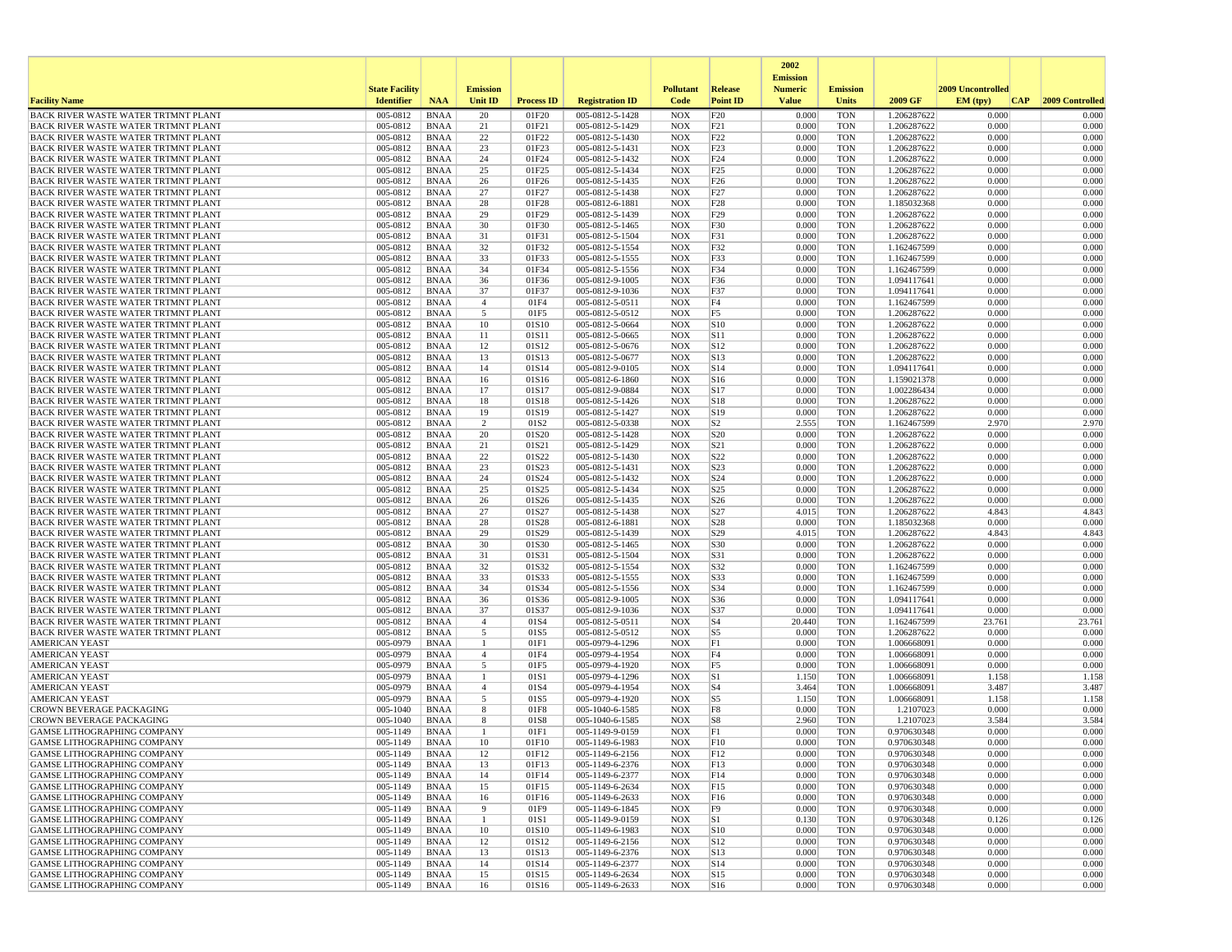|                                                                                          |                       |                            |                      |                           |                                    |                          |                                | 2002                              |                          |                            |                   |                 |
|------------------------------------------------------------------------------------------|-----------------------|----------------------------|----------------------|---------------------------|------------------------------------|--------------------------|--------------------------------|-----------------------------------|--------------------------|----------------------------|-------------------|-----------------|
|                                                                                          | <b>State Facility</b> |                            | <b>Emission</b>      |                           |                                    | <b>Pollutant</b>         | Release                        | <b>Emission</b><br><b>Numeric</b> | <b>Emission</b>          |                            | 2009 Uncontrolled |                 |
| <b>Facility Name</b>                                                                     | <b>Identifier</b>     | <b>NAA</b>                 | Unit ID              | <b>Process ID</b>         | <b>Registration ID</b>             | Code                     | <b>Point ID</b>                | <b>Value</b>                      | <b>Units</b>             | 2009 GF                    | EM (typ)<br> CAP  | 2009 Controlled |
| BACK RIVER WASTE WATER TRTMNT PLANT                                                      | 005-0812              | <b>BNAA</b>                | 20                   | 01F20                     | 005-0812-5-1428                    | <b>NOX</b>               | F20                            | 0.000                             | <b>TON</b>               | 1.206287622                | 0.000             | 0.000           |
| BACK RIVER WASTE WATER TRTMNT PLANT                                                      | 005-0812<br>005-0812  | <b>BNAA</b><br><b>BNAA</b> | 21                   | 01F21                     | 005-0812-5-1429                    | <b>NOX</b><br><b>NOX</b> | F21                            | 0.000<br>0.000                    | <b>TON</b><br><b>TON</b> | 1.206287622                | 0.000<br>0.000    | 0.000<br>0.000  |
| BACK RIVER WASTE WATER TRTMNT PLANT<br><b>BACK RIVER WASTE WATER TRTMNT PLANT</b>        | 005-0812              | <b>BNAA</b>                | 22<br>23             | 01F22<br>01F23            | 005-0812-5-1430<br>005-0812-5-1431 | <b>NOX</b>               | F22<br>F23                     | 0.000                             | <b>TON</b>               | 1.206287622<br>1.206287622 | 0.000             | 0.000           |
| BACK RIVER WASTE WATER TRTMNT PLANT                                                      | 005-0812              | <b>BNAA</b>                | 24                   | 01F24                     | 005-0812-5-1432                    | <b>NOX</b>               | F <sub>24</sub>                | 0.000                             | <b>TON</b>               | 1.206287622                | 0.000             | 0.000           |
| BACK RIVER WASTE WATER TRTMNT PLANT                                                      | 005-0812              | <b>BNAA</b>                | 25                   | 01F25                     | 005-0812-5-1434                    | <b>NOX</b>               | F25                            | 0.000                             | <b>TON</b>               | 1.206287622                | 0.000             | 0.000           |
| BACK RIVER WASTE WATER TRTMNT PLANT                                                      | 005-0812              | <b>BNAA</b>                | 26                   | 01F26                     | 005-0812-5-1435                    | <b>NOX</b>               | F26                            | 0.000                             | <b>TON</b>               | 1.206287622                | 0.000             | 0.000           |
| BACK RIVER WASTE WATER TRTMNT PLANT                                                      | 005-0812              | <b>BNAA</b>                | 27                   | 01F27                     | 005-0812-5-1438                    | <b>NOX</b>               | F <sub>27</sub>                | 0.000                             | <b>TON</b><br><b>TON</b> | 1.206287622                | 0.000<br>0.000    | 0.000           |
| BACK RIVER WASTE WATER TRTMNT PLANT<br>BACK RIVER WASTE WATER TRTMNT PLANT               | 005-0812<br>005-0812  | <b>BNAA</b><br><b>BNAA</b> | 28<br>29             | 01F28<br>01F29            | 005-0812-6-1881<br>005-0812-5-1439 | <b>NOX</b><br><b>NOX</b> | F <sub>28</sub><br>F29         | 0.000<br>0.000                    | <b>TON</b>               | 1.185032368<br>1.206287622 | 0.000             | 0.000<br>0.000  |
| BACK RIVER WASTE WATER TRTMNT PLANT                                                      | 005-0812              | <b>BNAA</b>                | 30                   | 01F30                     | 005-0812-5-1465                    | <b>NOX</b>               | F30                            | 0.000                             | <b>TON</b>               | 1.206287622                | 0.000             | 0.000           |
| BACK RIVER WASTE WATER TRTMNT PLANT                                                      | 005-0812              | <b>BNAA</b>                | 31                   | 01F31                     | 005-0812-5-1504                    | <b>NOX</b>               | F31                            | 0.000                             | <b>TON</b>               | 1.206287622                | 0.000             | 0.000           |
| BACK RIVER WASTE WATER TRTMNT PLANT                                                      | 005-0812              | <b>BNAA</b>                | 32                   | 01F32                     | 005-0812-5-1554                    | <b>NOX</b>               | F32                            | 0.000                             | <b>TON</b>               | 1.162467599                | 0.000             | 0.000           |
| <b>BACK RIVER WASTE WATER TRTMNT PLANT</b>                                               | 005-0812              | <b>BNAA</b>                | 33                   | 01F33                     | 005-0812-5-1555                    | <b>NOX</b>               | F33                            | 0.000                             | <b>TON</b>               | 1.162467599                | 0.000             | 0.000           |
| BACK RIVER WASTE WATER TRTMNT PLANT<br>BACK RIVER WASTE WATER TRTMNT PLANT               | 005-0812<br>005-0812  | <b>BNAA</b><br><b>BNAA</b> | 34<br>36             | 01F34<br>01F36            | 005-0812-5-1556<br>005-0812-9-1005 | <b>NOX</b><br><b>NOX</b> | F34<br>F36                     | 0.000<br>0.000                    | <b>TON</b><br><b>TON</b> | 1.162467599<br>1.094117641 | 0.000<br>0.000    | 0.000<br>0.000  |
| BACK RIVER WASTE WATER TRTMNT PLANT                                                      | 005-0812              | <b>BNAA</b>                | 37                   | 01F37                     | 005-0812-9-1036                    | <b>NOX</b>               | F37                            | 0.000                             | <b>TON</b>               | 1.094117641                | 0.000             | 0.000           |
| BACK RIVER WASTE WATER TRTMNT PLANT                                                      | 005-0812              | <b>BNAA</b>                | $\overline{4}$       | 01F4                      | 005-0812-5-0511                    | <b>NOX</b>               | F4                             | 0.000                             | <b>TON</b>               | 1.162467599                | 0.000             | 0.000           |
| BACK RIVER WASTE WATER TRTMNT PLANT                                                      | 005-0812              | <b>BNAA</b>                | 5                    | 01F5                      | 005-0812-5-0512                    | <b>NOX</b>               | F5                             | 0.000                             | <b>TON</b>               | 1.206287622                | 0.000             | 0.000           |
| BACK RIVER WASTE WATER TRTMNT PLANT                                                      | 005-0812              | <b>BNAA</b>                | 10                   | 01S10                     | 005-0812-5-0664                    | <b>NOX</b>               | S10                            | 0.000                             | <b>TON</b>               | 1.206287622                | 0.000             | 0.000           |
| BACK RIVER WASTE WATER TRTMNT PLANT                                                      | 005-0812<br>005-0812  | <b>BNAA</b>                | 11                   | 01S11                     | 005-0812-5-0665                    | <b>NOX</b>               | S11                            | 0.000<br>0.000                    | <b>TON</b>               | 1.206287622                | 0.000<br>0.000    | 0.000<br>0.000  |
| BACK RIVER WASTE WATER TRTMNT PLANT<br>BACK RIVER WASTE WATER TRTMNT PLANT               | 005-0812              | <b>BNAA</b><br><b>BNAA</b> | 12<br>13             | 01S12<br>01S13            | 005-0812-5-0676<br>005-0812-5-0677 | <b>NOX</b><br><b>NOX</b> | S <sub>12</sub><br>$\vert$ S13 | 0.000                             | <b>TON</b><br><b>TON</b> | 1.206287622<br>1.206287622 | 0.000             | 0.000           |
| <b>BACK RIVER WASTE WATER TRTMNT PLANT</b>                                               | 005-0812              | <b>BNAA</b>                | 14                   | 01S14                     | 005-0812-9-0105                    | <b>NOX</b>               | S14                            | 0.000                             | <b>TON</b>               | 1.094117641                | 0.000             | 0.000           |
| <b>BACK RIVER WASTE WATER TRTMNT PLANT</b>                                               | 005-0812              | <b>BNAA</b>                | 16                   | 01S16                     | 005-0812-6-1860                    | <b>NOX</b>               | S16                            | 0.000                             | <b>TON</b>               | 1.159021378                | 0.000             | 0.000           |
| BACK RIVER WASTE WATER TRTMNT PLANT                                                      | 005-0812              | <b>BNAA</b>                | 17                   | 01S17                     | 005-0812-9-0884                    | <b>NOX</b>               | S17                            | 0.000                             | <b>TON</b>               | 1.002286434                | 0.000             | 0.000           |
| BACK RIVER WASTE WATER TRTMNT PLANT                                                      | 005-0812              | <b>BNAA</b>                | 18                   | 01S18                     | 005-0812-5-1426                    | <b>NOX</b>               | S18                            | 0.000                             | <b>TON</b>               | 1.206287622                | 0.000             | 0.000           |
| <b>BACK RIVER WASTE WATER TRTMNT PLANT</b><br><b>BACK RIVER WASTE WATER TRTMNT PLANT</b> | 005-0812<br>005-0812  | <b>BNAA</b><br><b>BNAA</b> | 19<br>2              | 01S19<br>01S <sub>2</sub> | 005-0812-5-1427<br>005-0812-5-0338 | <b>NOX</b><br><b>NOX</b> | S19<br>S <sub>2</sub>          | 0.000<br>2.555                    | <b>TON</b><br><b>TON</b> | 1.206287622<br>1.162467599 | 0.000<br>2.970    | 0.000<br>2.970  |
| BACK RIVER WASTE WATER TRTMNT PLANT                                                      | 005-0812              | <b>BNAA</b>                | 20                   | 01S20                     | 005-0812-5-1428                    | <b>NOX</b>               | S <sub>20</sub>                | 0.000                             | <b>TON</b>               | 1.206287622                | 0.000             | 0.000           |
| BACK RIVER WASTE WATER TRTMNT PLANT                                                      | 005-0812              | <b>BNAA</b>                | 21                   | 01S21                     | 005-0812-5-1429                    | <b>NOX</b>               | S <sub>21</sub>                | 0.000                             | <b>TON</b>               | 1.206287622                | 0.000             | 0.000           |
| BACK RIVER WASTE WATER TRTMNT PLANT                                                      | 005-0812              | <b>BNAA</b>                | 22                   | 01S22                     | 005-0812-5-1430                    | <b>NOX</b>               | S22                            | 0.000                             | <b>TON</b>               | 1.206287622                | 0.000             | 0.000           |
| BACK RIVER WASTE WATER TRTMNT PLANT                                                      | 005-0812              | <b>BNAA</b>                | 23                   | 01S23                     | 005-0812-5-1431                    | <b>NOX</b>               | S <sub>23</sub>                | 0.000                             | <b>TON</b>               | 1.206287622                | 0.000             | 0.000           |
| BACK RIVER WASTE WATER TRTMNT PLANT<br>BACK RIVER WASTE WATER TRTMNT PLANT               | 005-0812<br>005-0812  | <b>BNAA</b><br><b>BNAA</b> | 24<br>25             | 01S24<br>01S25            | 005-0812-5-1432<br>005-0812-5-1434 | <b>NOX</b><br><b>NOX</b> | S24<br>S <sub>25</sub>         | 0.000<br>0.000                    | <b>TON</b><br><b>TON</b> | 1.206287622<br>1.206287622 | 0.000<br>0.000    | 0.000<br>0.000  |
| BACK RIVER WASTE WATER TRTMNT PLANT                                                      | 005-0812              | <b>BNAA</b>                | 26                   | 01S26                     | 005-0812-5-1435                    | <b>NOX</b>               | S <sub>26</sub>                | 0.000                             | <b>TON</b>               | 1.206287622                | 0.000             | 0.000           |
| BACK RIVER WASTE WATER TRTMNT PLANT                                                      | 005-0812              | <b>BNAA</b>                | 27                   | 01S27                     | 005-0812-5-1438                    | <b>NOX</b>               | S <sub>27</sub>                | 4.015                             | <b>TON</b>               | 1.206287622                | 4.843             | 4.843           |
| BACK RIVER WASTE WATER TRTMNT PLANT                                                      | 005-0812              | <b>BNAA</b>                | 28                   | 01S28                     | 005-0812-6-1881                    | <b>NOX</b>               | S28                            | 0.000                             | <b>TON</b>               | 1.185032368                | 0.000             | 0.000           |
| BACK RIVER WASTE WATER TRTMNT PLANT                                                      | 005-0812              | <b>BNAA</b>                | 29                   | 01S29                     | 005-0812-5-1439                    | <b>NOX</b>               | S29                            | 4.015                             | <b>TON</b>               | 1.206287622                | 4.843             | 4.843           |
| BACK RIVER WASTE WATER TRTMNT PLANT<br>BACK RIVER WASTE WATER TRTMNT PLANT               | 005-0812<br>005-0812  | <b>BNAA</b><br>BNAA        | 30<br>31             | 01S30<br>01S31            | 005-0812-5-1465<br>005-0812-5-1504 | <b>NOX</b><br><b>NOX</b> | S30<br>S31                     | 0.000<br>0.000                    | <b>TON</b><br><b>TON</b> | 1.206287622<br>1.206287622 | 0.000<br>0.000    | 0.000<br>0.000  |
| BACK RIVER WASTE WATER TRTMNT PLANT                                                      | 005-0812              | <b>BNAA</b>                | 32                   | 01S32                     | 005-0812-5-1554                    | <b>NOX</b>               | S32                            | 0.000                             | <b>TON</b>               | 1.162467599                | 0.000             | 0.000           |
| BACK RIVER WASTE WATER TRTMNT PLANT                                                      | 005-0812              | <b>BNAA</b>                | 33                   | 01S33                     | 005-0812-5-1555                    | <b>NOX</b>               | S33                            | 0.000                             | <b>TON</b>               | 1.162467599                | 0.000             | 0.000           |
| BACK RIVER WASTE WATER TRTMNT PLANT                                                      | 005-0812              | <b>BNAA</b>                | 34                   | 01S34                     | 005-0812-5-1556                    | <b>NOX</b>               | S34                            | 0.000                             | <b>TON</b>               | 1.162467599                | 0.000             | 0.000           |
| BACK RIVER WASTE WATER TRTMNT PLANT                                                      | 005-0812              | <b>BNAA</b>                | 36                   | 01S36                     | 005-0812-9-1005                    | <b>NOX</b>               | S36                            | 0.000                             | <b>TON</b>               | 1.094117641                | 0.000             | 0.000           |
| BACK RIVER WASTE WATER TRTMNT PLANT                                                      | 005-0812<br>005-0812  | <b>BNAA</b><br><b>BNAA</b> | 37<br>$\overline{4}$ | 01S37<br>01S4             | 005-0812-9-1036<br>005-0812-5-0511 | <b>NOX</b><br><b>NOX</b> | S37<br>S <sub>4</sub>          | 0.000<br>20.440                   | <b>TON</b><br><b>TON</b> | 1.094117641                | 0.000<br>23.761   | 0.000           |
| BACK RIVER WASTE WATER TRTMNT PLANT<br>BACK RIVER WASTE WATER TRTMNT PLANT               | 005-0812              | <b>BNAA</b>                | 5                    | 01S5                      | 005-0812-5-0512                    | <b>NOX</b>               | S <sub>5</sub>                 | 0.000                             | <b>TON</b>               | 1.162467599<br>1.206287622 | 0.000             | 23.761<br>0.000 |
| <b>AMERICAN YEAST</b>                                                                    | 005-0979              | <b>BNAA</b>                | -1                   | 01F1                      | 005-0979-4-1296                    | <b>NOX</b>               | F1                             | 0.000                             | <b>TON</b>               | 1.006668091                | 0.000             | 0.000           |
| <b>AMERICAN YEAST</b>                                                                    | 005-0979              | <b>BNAA</b>                | $\overline{4}$       | 01F4                      | 005-0979-4-1954                    | <b>NOX</b>               | F4                             | 0.000                             | <b>TON</b>               | 1.006668091                | 0.000             | 0.000           |
| <b>AMERICAN YEAST</b>                                                                    | 005-0979              | <b>BNAA</b>                | 5                    | 01F5                      | 005-0979-4-1920                    | <b>NOX</b>               | F <sub>5</sub>                 | 0.000                             | <b>TON</b>               | 1.006668091                | 0.000             | 0.000           |
| AMERICAN YEAST                                                                           | 005-0979              | BNAA                       | -1                   | 01S1                      | 005-0979-4-1296                    | <b>NOX</b>               | S1                             | 1.150                             | <b>TON</b>               | 1.006668091                | 1.158             | 1.158           |
| <b>AMERICAN YEAST</b><br><b>AMERICAN YEAST</b>                                           | 005-0979<br>005-0979  | <b>BNAA</b><br><b>BNAA</b> | $\overline{4}$<br>5  | 01S4<br>01S5              | 005-0979-4-1954<br>005-0979-4-1920 | <b>NOX</b><br><b>NOX</b> | S <sub>4</sub><br>S5           | 3.464<br>1.150                    | <b>TON</b><br><b>TON</b> | 1.006668091<br>1.006668091 | 3.487<br>1.158    | 3.487<br>1.158  |
| <b>CROWN BEVERAGE PACKAGING</b>                                                          | 005-1040              | <b>BNAA</b>                | 8                    | 01F8                      | 005-1040-6-1585                    | <b>NOX</b>               | F8                             | 0.000                             | <b>TON</b>               | 1.2107023                  | 0.000             | 0.000           |
| <b>CROWN BEVERAGE PACKAGING</b>                                                          | 005-1040              | <b>BNAA</b>                | 8                    | 01S8                      | 005-1040-6-1585                    | <b>NOX</b>               | S8                             | 2.960                             | <b>TON</b>               | 1.2107023                  | 3.584             | 3.584           |
| <b>GAMSE LITHOGRAPHING COMPANY</b>                                                       | 005-1149              | <b>BNAA</b>                | $\mathbf{1}$         | 01F1                      | 005-1149-9-0159                    | <b>NOX</b>               | F1                             | 0.000                             | <b>TON</b>               | 0.970630348                | 0.000             | 0.000           |
| <b>GAMSE LITHOGRAPHING COMPANY</b>                                                       | 005-1149              | <b>BNAA</b>                | 10                   | 01F10                     | 005-1149-6-1983                    | <b>NOX</b>               | F10                            | 0.000                             | <b>TON</b>               | 0.970630348                | 0.000             | 0.000           |
| <b>GAMSE LITHOGRAPHING COMPANY</b><br><b>GAMSE LITHOGRAPHING COMPANY</b>                 | 005-1149<br>005-1149  | <b>BNAA</b><br>BNAA        | 12<br>13             | 01F12<br>01F13            | 005-1149-6-2156<br>005-1149-6-2376 | NOX<br><b>NOX</b>        | F12<br>F13                     | 0.000<br>0.000                    | TON<br><b>TON</b>        | 0.970630348<br>0.970630348 | 0.000<br>0.000    | 0.000<br>0.000  |
| <b>GAMSE LITHOGRAPHING COMPANY</b>                                                       | 005-1149              | <b>BNAA</b>                | 14                   | 01F14                     | 005-1149-6-2377                    | <b>NOX</b>               | F14                            | 0.000                             | <b>TON</b>               | 0.970630348                | 0.000             | 0.000           |
| <b>GAMSE LITHOGRAPHING COMPANY</b>                                                       | 005-1149              | BNAA                       | 15                   | 01F15                     | 005-1149-6-2634                    | <b>NOX</b>               | FI5                            | 0.000                             | <b>TON</b>               | 0.970630348                | 0.000             | 0.000           |
| <b>GAMSE LITHOGRAPHING COMPANY</b>                                                       | 005-1149              | <b>BNAA</b>                | 16                   | 01F16                     | 005-1149-6-2633                    | <b>NOX</b>               | F16                            | 0.000                             | <b>TON</b>               | 0.970630348                | 0.000             | 0.000           |
| <b>GAMSE LITHOGRAPHING COMPANY</b>                                                       | 005-1149              | <b>BNAA</b>                | 9                    | 01F9                      | 005-1149-6-1845                    | <b>NOX</b>               | F <sub>9</sub>                 | 0.000                             | <b>TON</b>               | 0.970630348                | 0.000             | 0.000           |
| <b>GAMSE LITHOGRAPHING COMPANY</b>                                                       | 005-1149              | <b>BNAA</b>                | -1<br>10             | 01S1                      | 005-1149-9-0159<br>005-1149-6-1983 | <b>NOX</b>               | S1<br> S10                     | 0.130                             | <b>TON</b>               | 0.970630348                | 0.126<br>0.000    | 0.126<br>0.000  |
| <b>GAMSE LITHOGRAPHING COMPANY</b><br><b>GAMSE LITHOGRAPHING COMPANY</b>                 | 005-1149<br>005-1149  | <b>BNAA</b><br><b>BNAA</b> | 12                   | 01S10<br>01S12            | 005-1149-6-2156                    | <b>NOX</b><br><b>NOX</b> | S12                            | 0.000<br>0.000                    | <b>TON</b><br><b>TON</b> | 0.970630348<br>0.970630348 | 0.000             | 0.000           |
| <b>GAMSE LITHOGRAPHING COMPANY</b>                                                       | 005-1149              | BNAA                       | 13                   | 01S13                     | 005-1149-6-2376                    | <b>NOX</b>               | S13                            | 0.000                             | <b>TON</b>               | 0.970630348                | 0.000             | 0.000           |
| <b>GAMSE LITHOGRAPHING COMPANY</b>                                                       | 005-1149              | <b>BNAA</b>                | 14                   | 01S14                     | 005-1149-6-2377                    | <b>NOX</b>               | S14                            | 0.000                             | <b>TON</b>               | 0.970630348                | 0.000             | 0.000           |
| <b>GAMSE LITHOGRAPHING COMPANY</b>                                                       | 005-1149              | <b>BNAA</b>                | 15                   | 01S15                     | 005-1149-6-2634                    | <b>NOX</b>               | S15                            | 0.000                             | <b>TON</b>               | 0.970630348                | 0.000             | 0.000           |
| GAMSE LITHOGRAPHING COMPANY                                                              | 005-1149              | <b>BNAA</b>                | 16                   | 01S16                     | 005-1149-6-2633                    | <b>NOX</b>               | S16                            | 0.000                             | <b>TON</b>               | 0.970630348                | 0.000             | 0.000           |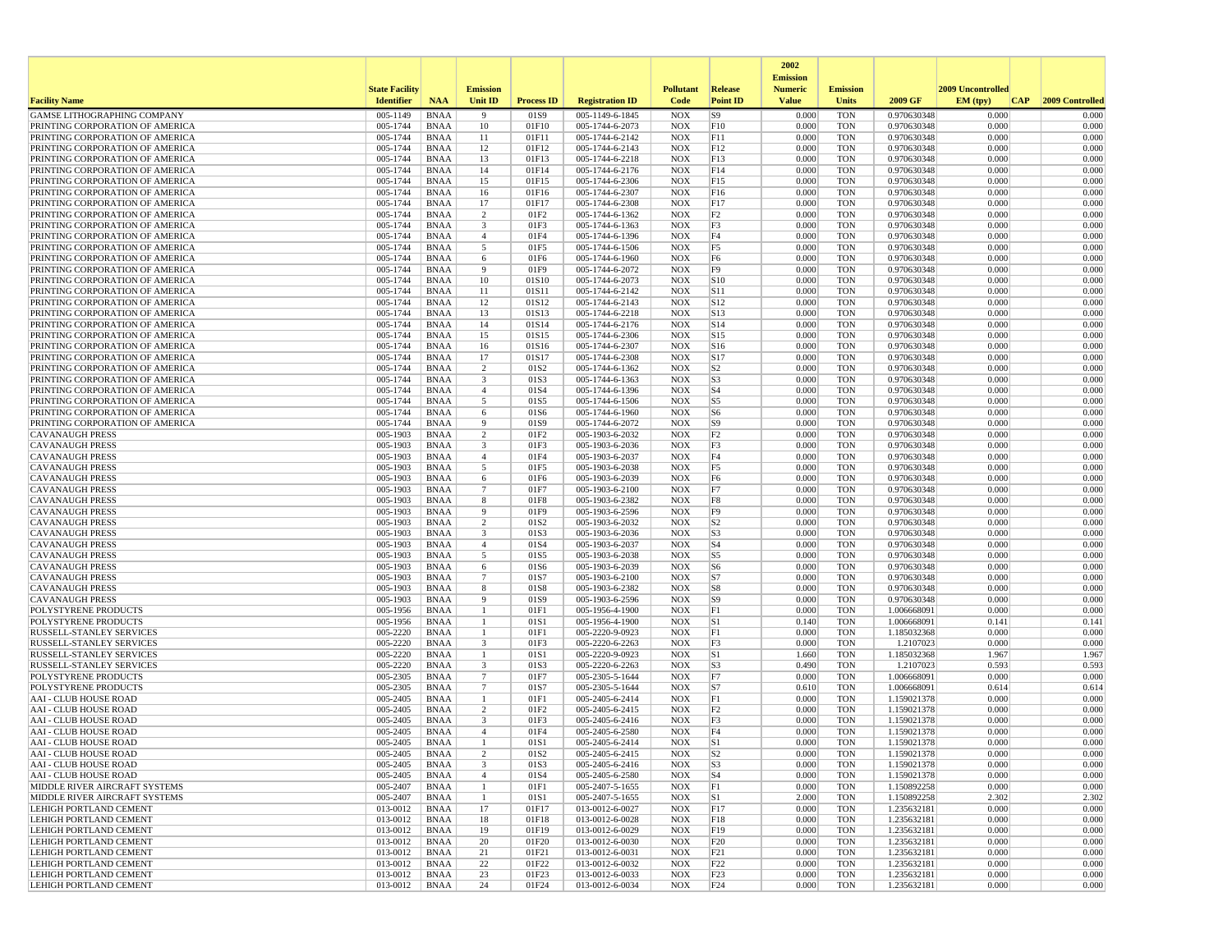|                                                                    |                       |                            |                     |                   |                                    |                          |                                  | 2002                              |                          |                            |                   |                 |
|--------------------------------------------------------------------|-----------------------|----------------------------|---------------------|-------------------|------------------------------------|--------------------------|----------------------------------|-----------------------------------|--------------------------|----------------------------|-------------------|-----------------|
|                                                                    | <b>State Facility</b> |                            | <b>Emission</b>     |                   |                                    | <b>Pollutant</b>         | Release                          | <b>Emission</b><br><b>Numeric</b> | <b>Emission</b>          |                            | 2009 Uncontrolled |                 |
| <b>Facility Name</b>                                               | <b>Identifier</b>     | <b>NAA</b>                 | Unit ID             | <b>Process ID</b> | <b>Registration ID</b>             | Code                     | <b>Point ID</b>                  | <b>Value</b>                      | <b>Units</b>             | 2009 GF                    | EM (typ)<br> CAP  | 2009 Controlled |
| <b>GAMSE LITHOGRAPHING COMPANY</b>                                 | 005-1149              | <b>BNAA</b>                | -9                  | 01S9              | 005-1149-6-1845                    | <b>NOX</b>               | S9                               | 0.000                             | <b>TON</b>               | 0.970630348                | 0.000             | 0.000           |
| PRINTING CORPORATION OF AMERICA                                    | 005-1744              | <b>BNAA</b>                | 10                  | 01F10             | 005-1744-6-2073                    | <b>NOX</b>               | F10                              | 0.000                             | <b>TON</b>               | 0.970630348                | 0.000             | 0.000           |
| PRINTING CORPORATION OF AMERICA                                    | 005-1744              | <b>BNAA</b>                | 11                  | 01F11             | 005-1744-6-2142                    | <b>NOX</b>               | F11                              | 0.000                             | <b>TON</b>               | 0.970630348                | 0.000             | 0.000           |
| PRINTING CORPORATION OF AMERICA<br>PRINTING CORPORATION OF AMERICA | 005-1744<br>005-1744  | <b>BNAA</b><br><b>BNAA</b> | 12<br>13            | 01F12<br>01F13    | 005-1744-6-2143<br>005-1744-6-2218 | <b>NOX</b><br><b>NOX</b> | F12<br>F13                       | 0.000<br>0.000                    | <b>TON</b><br><b>TON</b> | 0.970630348<br>0.970630348 | 0.000<br>0.000    | 0.000<br>0.000  |
| PRINTING CORPORATION OF AMERICA                                    | 005-1744              | <b>BNAA</b>                | 14                  | 01F14             | 005-1744-6-2176                    | <b>NOX</b>               | F14                              | 0.000                             | <b>TON</b>               | 0.970630348                | 0.000             | 0.000           |
| PRINTING CORPORATION OF AMERICA                                    | 005-1744              | <b>BNAA</b>                | 15                  | 01F15             | 005-1744-6-2306                    | <b>NOX</b>               | F15                              | 0.000                             | TON                      | 0.970630348                | 0.000             | 0.000           |
| PRINTING CORPORATION OF AMERICA                                    | 005-1744              | <b>BNAA</b>                | 16                  | 01F16             | 005-1744-6-2307                    | <b>NOX</b>               | F16                              | 0.000                             | <b>TON</b>               | 0.970630348                | 0.000             | 0.000           |
| PRINTING CORPORATION OF AMERICA                                    | 005-1744              | <b>BNAA</b>                | 17                  | 01F17             | 005-1744-6-2308                    | <b>NOX</b>               | F17                              | 0.000                             | <b>TON</b>               | 0.970630348                | 0.000             | 0.000           |
| PRINTING CORPORATION OF AMERICA                                    | 005-1744              | <b>BNAA</b>                | 2                   | 01F2              | 005-1744-6-1362                    | <b>NOX</b>               | F <sub>2</sub>                   | 0.000                             | <b>TON</b>               | 0.970630348                | 0.000             | 0.000           |
| PRINTING CORPORATION OF AMERICA<br>PRINTING CORPORATION OF AMERICA | 005-1744<br>005-1744  | <b>BNAA</b><br><b>BNAA</b> | 3<br>$\overline{4}$ | 01F3<br>01F4      | 005-1744-6-1363<br>005-1744-6-1396 | <b>NOX</b><br><b>NOX</b> | F3<br>F4                         | 0.000<br>0.000                    | <b>TON</b><br><b>TON</b> | 0.970630348<br>0.970630348 | 0.000<br>0.000    | 0.000<br>0.000  |
| PRINTING CORPORATION OF AMERICA                                    | 005-1744              | <b>BNAA</b>                | 5                   | 01F5              | 005-1744-6-1506                    | <b>NOX</b>               | F <sub>5</sub>                   | 0.000                             | <b>TON</b>               | 0.970630348                | 0.000             | 0.000           |
| PRINTING CORPORATION OF AMERICA                                    | 005-1744              | <b>BNAA</b>                | 6                   | 01F6              | 005-1744-6-1960                    | <b>NOX</b>               | F <sub>6</sub>                   | 0.000                             | <b>TON</b>               | 0.970630348                | 0.000             | 0.000           |
| PRINTING CORPORATION OF AMERICA                                    | 005-1744              | <b>BNAA</b>                | -9                  | 01F9              | 005-1744-6-2072                    | <b>NOX</b>               | F <sub>9</sub>                   | 0.000                             | <b>TON</b>               | 0.970630348                | 0.000             | 0.000           |
| PRINTING CORPORATION OF AMERICA                                    | 005-1744              | BNAA                       | 10                  | 01S10             | 005-1744-6-2073                    | <b>NOX</b>               | S10                              | 0.000                             | <b>TON</b>               | 0.970630348                | 0.000             | 0.000           |
| PRINTING CORPORATION OF AMERICA                                    | 005-1744              | <b>BNAA</b>                | 11                  | 01S11             | 005-1744-6-2142                    | <b>NOX</b>               | S11                              | 0.000                             | <b>TON</b>               | 0.970630348                | 0.000             | 0.000           |
| PRINTING CORPORATION OF AMERICA                                    | 005-1744              | <b>BNAA</b>                | 12                  | 01S12             | 005-1744-6-2143                    | <b>NOX</b>               | S12                              | 0.000                             | TON                      | 0.970630348                | 0.000             | 0.000           |
| PRINTING CORPORATION OF AMERICA<br>PRINTING CORPORATION OF AMERICA | 005-1744<br>005-1744  | <b>BNAA</b><br><b>BNAA</b> | 13<br>14            | 01S13<br>01S14    | 005-1744-6-2218<br>005-1744-6-2176 | <b>NOX</b><br><b>NOX</b> | $\vert$ S <sub>13</sub><br>S14   | 0.000<br>0.000                    | <b>TON</b><br><b>TON</b> | 0.970630348<br>0.970630348 | 0.000<br>0.000    | 0.000<br>0.000  |
| PRINTING CORPORATION OF AMERICA                                    | 005-1744              | <b>BNAA</b>                | 15                  | 01S15             | 005-1744-6-2306                    | <b>NOX</b>               | S15                              | 0.000                             | <b>TON</b>               | 0.970630348                | 0.000             | 0.000           |
| PRINTING CORPORATION OF AMERICA                                    | 005-1744              | <b>BNAA</b>                | 16                  | 01S16             | 005-1744-6-2307                    | <b>NOX</b>               | S <sub>16</sub>                  | 0.000                             | <b>TON</b>               | 0.970630348                | 0.000             | 0.000           |
| PRINTING CORPORATION OF AMERICA                                    | 005-1744              | <b>BNAA</b>                | 17                  | 01S17             | 005-1744-6-2308                    | <b>NOX</b>               | S17                              | 0.000                             | TON                      | 0.970630348                | 0.000             | 0.000           |
| PRINTING CORPORATION OF AMERICA                                    | 005-1744              | <b>BNAA</b>                | 2                   | 01S <sub>2</sub>  | 005-1744-6-1362                    | <b>NOX</b>               | S <sub>2</sub>                   | 0.000                             | <b>TON</b>               | 0.970630348                | 0.000             | 0.000           |
| PRINTING CORPORATION OF AMERICA<br>PRINTING CORPORATION OF AMERICA | 005-1744              | <b>BNAA</b>                | 3                   | 01S3              | 005-1744-6-1363<br>005-1744-6-1396 | <b>NOX</b>               | S <sub>3</sub>                   | 0.000                             | <b>TON</b>               | 0.970630348                | 0.000             | 0.000           |
| PRINTING CORPORATION OF AMERICA                                    | 005-1744<br>005-1744  | <b>BNAA</b><br><b>BNAA</b> | $\overline{4}$<br>5 | 01S4<br>01S5      | 005-1744-6-1506                    | <b>NOX</b><br><b>NOX</b> | S <sub>4</sub><br> S5            | 0.000<br>0.000                    | <b>TON</b><br><b>TON</b> | 0.970630348<br>0.970630348 | 0.000<br>0.000    | 0.000<br>0.000  |
| PRINTING CORPORATION OF AMERICA                                    | 005-1744              | <b>BNAA</b>                | 6                   | 01S6              | 005-1744-6-1960                    | <b>NOX</b>               | S <sub>6</sub>                   | 0.000                             | <b>TON</b>               | 0.970630348                | 0.000             | 0.000           |
| PRINTING CORPORATION OF AMERICA                                    | 005-1744              | <b>BNAA</b>                | 9                   | 01S9              | 005-1744-6-2072                    | <b>NOX</b>               | S9                               | 0.000                             | TON                      | 0.970630348                | 0.000             | 0.000           |
| <b>CAVANAUGH PRESS</b>                                             | 005-1903              | <b>BNAA</b>                | 2                   | 01F <sub>2</sub>  | 005-1903-6-2032                    | <b>NOX</b>               | F <sub>2</sub>                   | 0.000                             | <b>TON</b>               | 0.970630348                | 0.000             | 0.000           |
| <b>CAVANAUGH PRESS</b>                                             | 005-1903              | <b>BNAA</b>                | 3                   | 01F3              | 005-1903-6-2036                    | <b>NOX</b>               | F3                               | 0.000                             | <b>TON</b>               | 0.970630348                | 0.000             | 0.000           |
| <b>CAVANAUGH PRESS</b><br><b>CAVANAUGH PRESS</b>                   | 005-1903<br>005-1903  | <b>BNAA</b><br><b>BNAA</b> | $\overline{4}$<br>5 | 01F4<br>01F5      | 005-1903-6-2037<br>005-1903-6-2038 | <b>NOX</b><br><b>NOX</b> | F4<br>F <sub>5</sub>             | 0.000<br>0.000                    | <b>TON</b><br><b>TON</b> | 0.970630348<br>0.970630348 | 0.000<br>0.000    | 0.000<br>0.000  |
| <b>CAVANAUGH PRESS</b>                                             | 005-1903              | <b>BNAA</b>                | 6                   | 01F6              | 005-1903-6-2039                    | <b>NOX</b>               | F6                               | 0.000                             | <b>TON</b>               | 0.970630348                | 0.000             | 0.000           |
| <b>CAVANAUGH PRESS</b>                                             | 005-1903              | <b>BNAA</b>                | $\overline{7}$      | 01F7              | 005-1903-6-2100                    | <b>NOX</b>               | F7                               | 0.000                             | <b>TON</b>               | 0.970630348                | 0.000             | 0.000           |
| <b>CAVANAUGH PRESS</b>                                             | 005-1903              | <b>BNAA</b>                | 8                   | 01F8              | 005-1903-6-2382                    | <b>NOX</b>               | F8                               | 0.000                             | <b>TON</b>               | 0.970630348                | 0.000             | 0.000           |
| <b>CAVANAUGH PRESS</b>                                             | 005-1903              | <b>BNAA</b>                | 9                   | 01F9              | 005-1903-6-2596                    | <b>NOX</b>               | F <sub>9</sub>                   | 0.000                             | <b>TON</b>               | 0.970630348                | 0.000             | 0.000           |
| <b>CAVANAUGH PRESS</b>                                             | 005-1903              | <b>BNAA</b>                | 2                   | 01S2              | 005-1903-6-2032                    | <b>NOX</b>               | S <sub>2</sub>                   | 0.000                             | <b>TON</b>               | 0.970630348                | 0.000             | 0.000           |
| <b>CAVANAUGH PRESS</b>                                             | 005-1903<br>005-1903  | <b>BNAA</b>                | 3<br>$\overline{4}$ | 01S3<br>01S4      | 005-1903-6-2036                    | <b>NOX</b><br><b>NOX</b> | S <sub>3</sub><br>S <sub>4</sub> | 0.000<br>0.000                    | <b>TON</b><br><b>TON</b> | 0.970630348                | 0.000<br>0.000    | 0.000<br>0.000  |
| <b>CAVANAUGH PRESS</b><br><b>CAVANAUGH PRESS</b>                   | 005-1903              | <b>BNAA</b><br>BNAA        | 5                   | 01S5              | 005-1903-6-2037<br>005-1903-6-2038 | <b>NOX</b>               | S5                               | 0.000                             | <b>TON</b>               | 0.970630348<br>0.970630348 | 0.000             | 0.000           |
| <b>CAVANAUGH PRESS</b>                                             | 005-1903              | <b>BNAA</b>                | 6                   | 01S6              | 005-1903-6-2039                    | <b>NOX</b>               | S <sub>6</sub>                   | 0.000                             | <b>TON</b>               | 0.970630348                | 0.000             | 0.000           |
| <b>CAVANAUGH PRESS</b>                                             | 005-1903              | <b>BNAA</b>                | $\overline{7}$      | 01S7              | 005-1903-6-2100                    | <b>NOX</b>               | S7                               | 0.000                             | <b>TON</b>               | 0.970630348                | 0.000             | 0.000           |
| <b>CAVANAUGH PRESS</b>                                             | 005-1903              | <b>BNAA</b>                | 8                   | 01S8              | 005-1903-6-2382                    | <b>NOX</b>               | S8                               | 0.000                             | <b>TON</b>               | 0.970630348                | 0.000             | 0.000           |
| <b>CAVANAUGH PRESS</b>                                             | 005-1903              | <b>BNAA</b>                | 9                   | 01S9              | 005-1903-6-2596                    | <b>NOX</b>               | S9                               | 0.000                             | <b>TON</b>               | 0.970630348                | 0.000             | 0.000           |
| <b>POLYSTYRENE PRODUCTS</b><br><b>POLYSTYRENE PRODUCTS</b>         | 005-1956<br>005-1956  | <b>BNAA</b><br><b>BNAA</b> | 1<br>$\mathbf{1}$   | 01F1<br>01S1      | 005-1956-4-1900<br>005-1956-4-1900 | <b>NOX</b><br><b>NOX</b> | F1<br>S1                         | 0.000<br>0.140                    | <b>TON</b><br><b>TON</b> | 1.006668091<br>1.006668091 | 0.000<br>0.141    | 0.000<br>0.141  |
| RUSSELL-STANLEY SERVICES                                           | 005-2220              | <b>BNAA</b>                | 1                   | 01F1              | 005-2220-9-0923                    | <b>NOX</b>               | F1                               | 0.000                             | <b>TON</b>               | 1.185032368                | 0.000             | 0.000           |
| RUSSELL-STANLEY SERVICES                                           | 005-2220              | <b>BNAA</b>                | 3                   | 01F3              | 005-2220-6-2263                    | <b>NOX</b>               | F3                               | 0.000                             | <b>TON</b>               | 1.2107023                  | 0.000             | 0.000           |
| RUSSELL-STANLEY SERVICES                                           | 005-2220              | <b>BNAA</b>                | $\mathbf{1}$        | 01S1              | 005-2220-9-0923                    | <b>NOX</b>               | S1                               | 1.660                             | <b>TON</b>               | 1.185032368                | 1.967             | 1.967           |
| <b>RUSSELL-STANLEY SERVICES</b>                                    | 005-2220              | <b>BNAA</b>                | 3                   | 01S3              | 005-2220-6-2263                    | <b>NOX</b>               | S3                               | 0.490                             | TON                      | 1.2107023                  | 0.593             | 0.593           |
| <b>POLYSTYRENE PRODUCTS</b><br>POLYSTYRENE PRODUCTS                | 005-2305<br>005-2305  | <b>BNAA</b><br><b>BNAA</b> | $\overline{7}$<br>7 | 01F7<br>01S7      | 005-2305-5-1644<br>005-2305-5-1644 | <b>NOX</b><br><b>NOX</b> | F7<br> S7                        | 0.000<br>0.610                    | <b>TON</b><br><b>TON</b> | 1.006668091                | 0.000<br>0.614    | 0.000<br>0.614  |
| <b>AAI - CLUB HOUSE ROAD</b>                                       | 005-2405              | <b>BNAA</b>                | -1                  | 01F1              | 005-2405-6-2414                    | <b>NOX</b>               | F1                               | 0.000                             | <b>TON</b>               | 1.006668091<br>1.159021378 | 0.000             | 0.000           |
| <b>AAI - CLUB HOUSE ROAD</b>                                       | 005-2405              | <b>BNAA</b>                | 2                   | 01F2              | 005-2405-6-2415                    | <b>NOX</b>               | F2                               | 0.000                             | <b>TON</b>               | 1.159021378                | 0.000             | 0.000           |
| <b>AAI - CLUB HOUSE ROAD</b>                                       | 005-2405              | <b>BNAA</b>                | 3                   | 01F3              | 005-2405-6-2416                    | <b>NOX</b>               | F3                               | 0.000                             | <b>TON</b>               | 1.159021378                | 0.000             | 0.000           |
| <b>AAI - CLUB HOUSE ROAD</b>                                       | 005-2405              | <b>BNAA</b>                | $\overline{4}$      | 01F4              | 005-2405-6-2580                    | <b>NOX</b>               | F4                               | 0.000                             | <b>TON</b>               | 1.159021378                | 0.000             | 0.000           |
| AAI - CLUB HOUSE ROAD                                              | 005-2405              | <b>BNAA</b>                |                     | 01S1              | 005-2405-6-2414                    | <b>NOX</b>               | S1                               | 0.000                             | <b>TON</b>               | 1.159021378                | 0.000             | 0.000           |
| <b>AAI - CLUB HOUSE ROAD</b><br>AAI - CLUB HOUSE ROAD              | 005-2405<br>005-2405  | BNAA<br>BNAA               | 3                   | 01S2<br>01S3      | 005-2405-6-2415<br>005-2405-6-2416 | NOX<br><b>NOX</b>        | S <sub>2</sub><br> S3            | 0.000<br>0.000                    | TON<br><b>TON</b>        | 1.159021378<br>1.159021378 | 0.000<br>0.000    | 0.000<br>0.000  |
| AAI - CLUB HOUSE ROAD                                              | 005-2405              | BNAA                       | $\overline{4}$      | 01S4              | 005-2405-6-2580                    | <b>NOX</b>               | $ S_4 $                          | 0.000                             | TON                      | 1.159021378                | 0.000             | 0.000           |
| MIDDLE RIVER AIRCRAFT SYSTEMS                                      | 005-2407              | BNAA                       | $\mathbf{1}$        | 01F1              | 005-2407-5-1655                    | NOX                      | F1                               | 0.000                             | TON                      | 1.150892258                | 0.000             | 0.000           |
| MIDDLE RIVER AIRCRAFT SYSTEMS                                      | 005-2407              | BNAA                       | 1                   | 01S1              | 005-2407-5-1655                    | <b>NOX</b>               | S1                               | 2.000                             | <b>TON</b>               | 1.150892258                | 2.302             | 2.302           |
| LEHIGH PORTLAND CEMENT                                             | 013-0012              | <b>BNAA</b>                | 17                  | 01F17             | 013-0012-6-0027                    | NOX                      | F17                              | 0.000                             | <b>TON</b>               | 1.235632181                | 0.000             | 0.000           |
| <b>LEHIGH PORTLAND CEMENT</b>                                      | 013-0012              | <b>BNAA</b>                | 18                  | 01F18             | 013-0012-6-0028                    | <b>NOX</b>               | F18                              | 0.000                             | <b>TON</b>               | 1.235632181                | 0.000             | 0.000           |
| LEHIGH PORTLAND CEMENT<br><b>LEHIGH PORTLAND CEMENT</b>            | 013-0012<br>013-0012  | BNAA<br><b>BNAA</b>        | 19<br>20            | 01F19<br>01F20    | 013-0012-6-0029<br>013-0012-6-0030 | <b>NOX</b><br><b>NOX</b> | F19<br>F20                       | 0.000<br>0.000                    | <b>TON</b><br><b>TON</b> | 1.235632181<br>1.235632181 | 0.000<br>0.000    | 0.000<br>0.000  |
| <b>LEHIGH PORTLAND CEMENT</b>                                      | 013-0012              | BNAA                       | 21                  | 01F21             | 013-0012-6-0031                    | NOX                      | F21                              | 0.000                             | TON                      | 1.235632181                | 0.000             | 0.000           |
| LEHIGH PORTLAND CEMENT                                             | 013-0012              | BNAA                       | 22                  | 01F22             | 013-0012-6-0032                    | NOX                      | F <sub>22</sub>                  | 0.000                             | TON                      | 1.235632181                | 0.000             | 0.000           |
| <b>LEHIGH PORTLAND CEMENT</b>                                      | 013-0012              | <b>BNAA</b>                | 23                  | 01F23             | 013-0012-6-0033                    | NOX                      | F23                              | 0.000                             | <b>TON</b>               | 1.235632181                | 0.000             | 0.000           |
| <b>LEHIGH PORTLAND CEMENT</b>                                      | 013-0012              | <b>BNAA</b>                | 24                  | 01F24             | 013-0012-6-0034                    | NOX                      | F24                              | 0.000                             | <b>TON</b>               | 1.235632181                | 0.000             | 0.000           |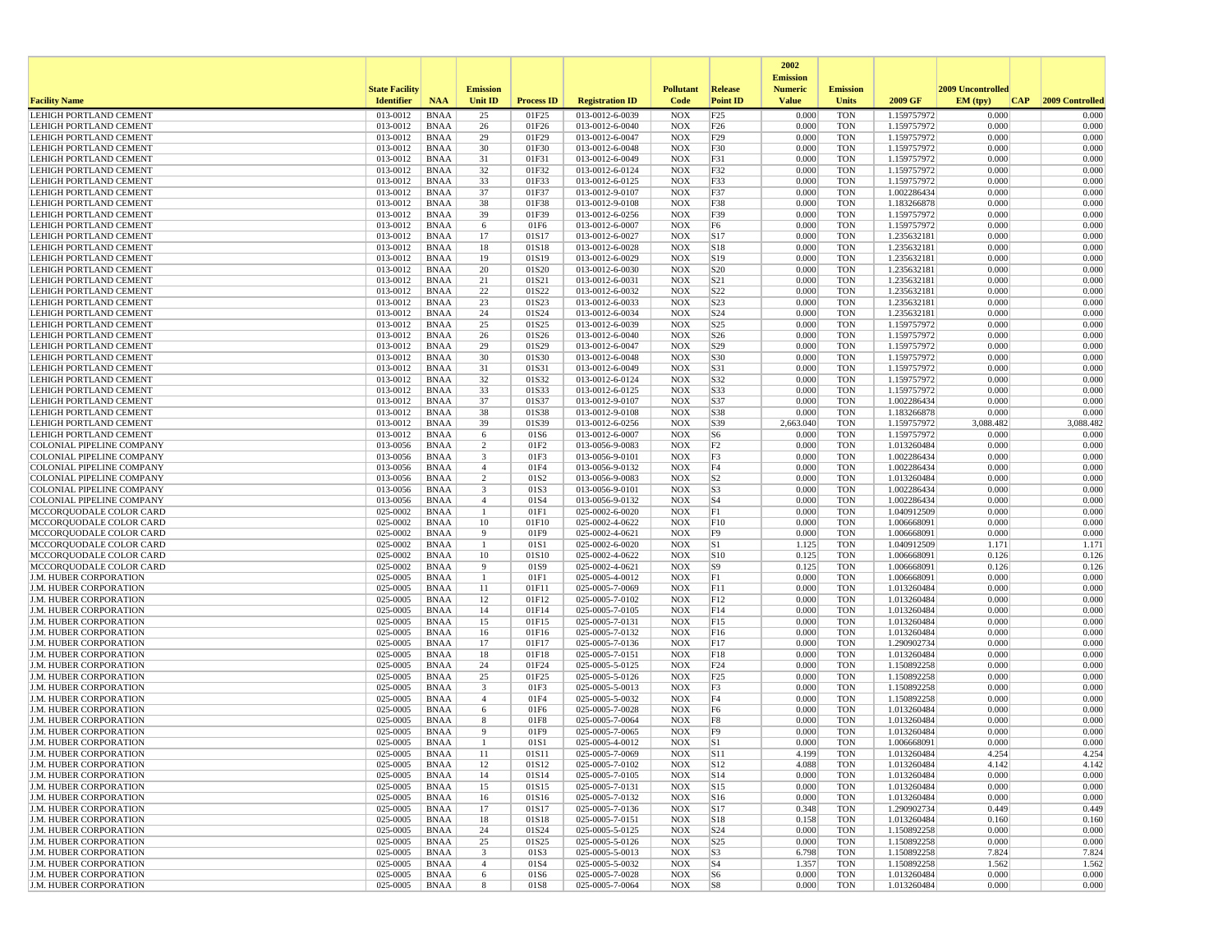|                                                                |                       |                            |                                           |                   |                                    |                          |                                    | 2002<br><b>Emission</b> |                          |                            |                    |                    |
|----------------------------------------------------------------|-----------------------|----------------------------|-------------------------------------------|-------------------|------------------------------------|--------------------------|------------------------------------|-------------------------|--------------------------|----------------------------|--------------------|--------------------|
|                                                                | <b>State Facility</b> |                            | <b>Emission</b>                           |                   |                                    | <b>Pollutant</b>         | Release                            | <b>Numeric</b>          | <b>Emission</b>          |                            | 2009 Uncontrolled  |                    |
| <b>Facility Name</b>                                           | <b>Identifier</b>     | <b>NAA</b>                 | Unit ID                                   | <b>Process ID</b> | <b>Registration ID</b>             | Code                     | <b>Point ID</b>                    | <b>Value</b>            | <b>Units</b>             | 2009 GF                    | EM (typ)<br> CAP   | 2009 Controlled    |
| LEHIGH PORTLAND CEMENT                                         | 013-0012              | <b>BNAA</b>                | 25                                        | 01F25             | 013-0012-6-0039                    | <b>NOX</b>               | F25                                | 0.000                   | <b>TON</b>               | 1.159757972                | 0.000              | 0.000              |
| LEHIGH PORTLAND CEMENT<br>LEHIGH PORTLAND CEMENT               | 013-0012<br>013-0012  | <b>BNAA</b><br><b>BNAA</b> | 26<br>29                                  | 01F26<br>01F29    | 013-0012-6-0040<br>013-0012-6-0047 | <b>NOX</b><br><b>NOX</b> | F26<br>F29                         | 0.000<br>0.000          | <b>TON</b><br><b>TON</b> | 1.159757972<br>1.159757972 | 0.000<br>0.000     | 0.000<br>0.000     |
| LEHIGH PORTLAND CEMENT                                         | 013-0012              | <b>BNAA</b>                | 30                                        | 01F30             | 013-0012-6-0048                    | <b>NOX</b>               | F30                                | 0.000                   | <b>TON</b>               | 1.159757972                | 0.000              | 0.000              |
| LEHIGH PORTLAND CEMENT                                         | 013-0012              | <b>BNAA</b>                | 31                                        | 01F31             | 013-0012-6-0049                    | <b>NOX</b>               | F31                                | 0.000                   | <b>TON</b>               | 1.159757972                | 0.000              | 0.000              |
| LEHIGH PORTLAND CEMENT                                         | 013-0012              | <b>BNAA</b>                | 32                                        | 01F32             | 013-0012-6-0124                    | <b>NOX</b>               | F32                                | 0.000                   | <b>TON</b>               | 1.159757972                | 0.000              | 0.000              |
| LEHIGH PORTLAND CEMENT                                         | 013-0012              | <b>BNAA</b>                | 33                                        | 01F33             | 013-0012-6-0125                    | <b>NOX</b>               | F33                                | 0.000                   | <b>TON</b>               | 1.159757972                | 0.000              | 0.000              |
| LEHIGH PORTLAND CEMENT<br>LEHIGH PORTLAND CEMENT               | 013-0012<br>013-0012  | <b>BNAA</b><br><b>BNAA</b> | 37<br>38                                  | 01F37<br>01F38    | 013-0012-9-0107<br>013-0012-9-0108 | <b>NOX</b><br><b>NOX</b> | F37<br>F38                         | 0.000<br>0.000          | <b>TON</b><br><b>TON</b> | 1.002286434<br>1.183266878 | 0.000<br>0.000     | 0.000<br>0.000     |
| <b>LEHIGH PORTLAND CEMENT</b>                                  | 013-0012              | <b>BNAA</b>                | 39                                        | 01F39             | 013-0012-6-0256                    | <b>NOX</b>               | F39                                | 0.000                   | <b>TON</b>               | 1.159757972                | 0.000              | 0.000              |
| LEHIGH PORTLAND CEMENT                                         | 013-0012              | <b>BNAA</b>                | 6                                         | 01F6              | 013-0012-6-0007                    | <b>NOX</b>               | F <sub>6</sub>                     | 0.000                   | <b>TON</b>               | 1.159757972                | 0.000              | 0.000              |
| <b>LEHIGH PORTLAND CEMENT</b>                                  | 013-0012              | <b>BNAA</b>                | 17                                        | 01S17             | 013-0012-6-0027                    | <b>NOX</b>               | S17                                | 0.000                   | <b>TON</b>               | 1.235632181                | 0.000              | 0.000              |
| <b>LEHIGH PORTLAND CEMENT</b>                                  | 013-0012              | <b>BNAA</b>                | 18                                        | 01S18             | 013-0012-6-0028                    | <b>NOX</b>               | S18                                | 0.000                   | <b>TON</b>               | 1.235632181                | 0.000              | 0.000              |
| LEHIGH PORTLAND CEMENT                                         | 013-0012              | <b>BNAA</b>                | 19                                        | 01S19             | 013-0012-6-0029                    | <b>NOX</b>               | S19                                | 0.000                   | <b>TON</b>               | 1.235632181                | 0.000<br>0.000     | 0.000              |
| LEHIGH PORTLAND CEMENT<br>LEHIGH PORTLAND CEMENT               | 013-0012<br>013-0012  | <b>BNAA</b><br><b>BNAA</b> | 20<br>21                                  | 01S20<br>01S21    | 013-0012-6-0030<br>013-0012-6-0031 | <b>NOX</b><br><b>NOX</b> | S <sub>20</sub><br>S <sub>21</sub> | 0.000<br>0.000          | <b>TON</b><br><b>TON</b> | 1.235632181<br>1.235632181 | 0.000              | 0.000<br>0.000     |
| LEHIGH PORTLAND CEMENT                                         | 013-0012              | <b>BNAA</b>                | 22                                        | 01S22             | 013-0012-6-0032                    | <b>NOX</b>               | S22                                | 0.000                   | <b>TON</b>               | 1.235632181                | 0.000              | 0.000              |
| LEHIGH PORTLAND CEMENT                                         | 013-0012              | <b>BNAA</b>                | 23                                        | 01S23             | 013-0012-6-0033                    | <b>NOX</b>               | S23                                | 0.000                   | <b>TON</b>               | 1.235632181                | 0.000              | 0.000              |
| <b>LEHIGH PORTLAND CEMENT</b>                                  | 013-0012              | <b>BNAA</b>                | 24                                        | 01S24             | 013-0012-6-0034                    | <b>NOX</b>               | S <sub>24</sub>                    | 0.000                   | <b>TON</b>               | 1.235632181                | 0.000              | 0.000              |
| LEHIGH PORTLAND CEMENT                                         | 013-0012              | <b>BNAA</b>                | 25                                        | 01S25             | 013-0012-6-0039                    | <b>NOX</b>               | S <sub>25</sub>                    | 0.000                   | <b>TON</b>               | 1.159757972                | 0.000              | 0.000              |
| LEHIGH PORTLAND CEMENT                                         | 013-0012              | <b>BNAA</b>                | 26                                        | 01S26             | 013-0012-6-0040                    | <b>NOX</b>               | S26                                | 0.000                   | <b>TON</b>               | 1.159757972                | 0.000              | 0.000              |
| LEHIGH PORTLAND CEMENT<br><b>LEHIGH PORTLAND CEMENT</b>        | 013-0012<br>013-0012  | <b>BNAA</b><br><b>BNAA</b> | 29<br>30                                  | 01S29<br>01S30    | 013-0012-6-0047<br>013-0012-6-0048 | <b>NOX</b><br><b>NOX</b> | S29<br>S30                         | 0.000<br>0.000          | <b>TON</b><br><b>TON</b> | 1.159757972<br>1.159757972 | 0.000<br>0.000     | 0.000<br>0.000     |
| <b>LEHIGH PORTLAND CEMENT</b>                                  | 013-0012              | <b>BNAA</b>                | 31                                        | 01S31             | 013-0012-6-0049                    | <b>NOX</b>               | S31                                | 0.000                   | <b>TON</b>               | 1.159757972                | 0.000              | 0.000              |
| <b>LEHIGH PORTLAND CEMENT</b>                                  | 013-0012              | <b>BNAA</b>                | 32                                        | 01S32             | 013-0012-6-0124                    | <b>NOX</b>               | S32                                | 0.000                   | <b>TON</b>               | 1.159757972                | 0.000              | 0.000              |
| LEHIGH PORTLAND CEMENT                                         | 013-0012              | <b>BNAA</b>                | 33                                        | 01S33             | 013-0012-6-0125                    | <b>NOX</b>               | S33                                | 0.000                   | <b>TON</b>               | 1.159757972                | 0.000              | 0.000              |
| LEHIGH PORTLAND CEMENT                                         | 013-0012              | <b>BNAA</b>                | 37                                        | 01S37             | 013-0012-9-0107                    | <b>NOX</b>               | S37                                | 0.000                   | <b>TON</b>               | 1.002286434                | 0.000              | 0.000              |
| LEHIGH PORTLAND CEMENT                                         | 013-0012              | <b>BNAA</b>                | 38                                        | 01S38             | 013-0012-9-0108                    | <b>NOX</b>               | S38                                | 0.000                   | <b>TON</b>               | 1.183266878                | 0.000              | 0.000              |
| LEHIGH PORTLAND CEMENT<br>LEHIGH PORTLAND CEMENT               | 013-0012<br>013-0012  | <b>BNAA</b><br><b>BNAA</b> | 39<br>-6                                  | 01S39<br>01S6     | 013-0012-6-0256<br>013-0012-6-0007 | <b>NOX</b><br><b>NOX</b> | S39<br>S <sub>6</sub>              | 2,663.040<br>0.000      | <b>TON</b><br><b>TON</b> | 1.159757972<br>1.159757972 | 3,088.482<br>0.000 | 3,088.482<br>0.000 |
| <b>COLONIAL PIPELINE COMPANY</b>                               | 013-0056              | <b>BNAA</b>                | $\overline{2}$                            | 01F2              | 013-0056-9-0083                    | <b>NOX</b>               | F <sub>2</sub>                     | 0.000                   | <b>TON</b>               | 1.013260484                | 0.000              | 0.000              |
| <b>COLONIAL PIPELINE COMPANY</b>                               | 013-0056              | <b>BNAA</b>                | $\overline{\mathbf{3}}$                   | 01F3              | 013-0056-9-0101                    | <b>NOX</b>               | F3                                 | 0.000                   | <b>TON</b>               | 1.002286434                | 0.000              | 0.000              |
| COLONIAL PIPELINE COMPANY                                      | 013-0056              | <b>BNAA</b>                | $\overline{4}$                            | 01F4              | 013-0056-9-0132                    | <b>NOX</b>               | F4                                 | 0.000                   | <b>TON</b>               | 1.002286434                | 0.000              | 0.000              |
| COLONIAL PIPELINE COMPANY                                      | 013-0056              | <b>BNAA</b>                | $\overline{2}$                            | 01S2              | 013-0056-9-0083                    | <b>NOX</b>               | S <sub>2</sub>                     | 0.000                   | <b>TON</b>               | 1.013260484                | 0.000              | 0.000              |
| <b>COLONIAL PIPELINE COMPANY</b>                               | 013-0056<br>013-0056  | <b>BNAA</b>                | 3<br>$\overline{4}$                       | 01S3              | 013-0056-9-0101                    | <b>NOX</b>               | S <sub>3</sub>                     | 0.000<br>0.000          | <b>TON</b>               | 1.002286434                | 0.000<br>0.000     | 0.000<br>0.000     |
| <b>COLONIAL PIPELINE COMPANY</b><br>MCCORQUODALE COLOR CARD    | 025-0002              | <b>BNAA</b><br><b>BNAA</b> |                                           | 01S4<br>01F1      | 013-0056-9-0132<br>025-0002-6-0020 | <b>NOX</b><br><b>NOX</b> | S <sub>4</sub><br>F1               | 0.000                   | <b>TON</b><br><b>TON</b> | 1.002286434<br>1.040912509 | 0.000              | 0.000              |
| MCCORQUODALE COLOR CARD                                        | 025-0002              | <b>BNAA</b>                | 10                                        | 01F10             | 025-0002-4-0622                    | <b>NOX</b>               | F10                                | 0.000                   | <b>TON</b>               | 1.006668091                | 0.000              | 0.000              |
| MCCORQUODALE COLOR CARD                                        | 025-0002              | <b>BNAA</b>                | 9                                         | 01F9              | 025-0002-4-0621                    | <b>NOX</b>               | F9                                 | 0.000                   | <b>TON</b>               | 1.006668091                | 0.000              | 0.000              |
| MCCORQUODALE COLOR CARD                                        | 025-0002              | <b>BNAA</b>                | $\overline{1}$                            | 01S1              | 025-0002-6-0020                    | <b>NOX</b>               | S1                                 | 1.125                   | <b>TON</b>               | 1.040912509                | 1.171              | 1.171              |
| MCCORQUODALE COLOR CARD                                        | 025-0002              | BNAA                       | 10                                        | 01S10             | 025-0002-4-0622                    | <b>NOX</b>               | S10                                | 0.125                   | <b>TON</b>               | 1.006668091                | 0.126              | 0.126              |
| MCCORQUODALE COLOR CARD<br><b>J.M. HUBER CORPORATION</b>       | 025-0002<br>025-0005  | <b>BNAA</b><br><b>BNAA</b> | 9<br>$\mathbf{1}$                         | 01S9<br>01F1      | 025-0002-4-0621<br>025-0005-4-0012 | <b>NOX</b><br><b>NOX</b> | S9<br>F1                           | 0.125<br>0.000          | <b>TON</b><br><b>TON</b> | 1.006668091<br>1.006668091 | 0.126<br>0.000     | 0.126<br>0.000     |
| <b>J.M. HUBER CORPORATION</b>                                  | 025-0005              | <b>BNAA</b>                | 11                                        | 01F11             | 025-0005-7-0069                    | <b>NOX</b>               | F11                                | 0.000                   | <b>TON</b>               | 1.013260484                | 0.000              | 0.000              |
| <b>J.M. HUBER CORPORATION</b>                                  | 025-0005              | <b>BNAA</b>                | 12                                        | 01F12             | 025-0005-7-0102                    | <b>NOX</b>               | F12                                | 0.000                   | <b>TON</b>               | 1.013260484                | 0.000              | 0.000              |
| <b>J.M. HUBER CORPORATION</b>                                  | 025-0005              | <b>BNAA</b>                | 14                                        | 01F14             | 025-0005-7-0105                    | <b>NOX</b>               | F14                                | 0.000                   | <b>TON</b>               | 1.013260484                | 0.000              | 0.000              |
| <b>J.M. HUBER CORPORATION</b>                                  | 025-0005              | <b>BNAA</b>                | 15                                        | 01F15             | 025-0005-7-0131                    | <b>NOX</b>               | F15                                | 0.000                   | <b>TON</b>               | 1.013260484                | 0.000              | 0.000              |
| <b>J.M. HUBER CORPORATION</b><br><b>J.M. HUBER CORPORATION</b> | 025-0005<br>025-0005  | <b>BNAA</b>                | 16<br>17                                  | 01F16             | 025-0005-7-0132                    | <b>NOX</b><br><b>NOX</b> | F16<br>F17                         | 0.000<br>0.000          | <b>TON</b><br><b>TON</b> | 1.013260484                | 0.000<br>0.000     | 0.000<br>0.000     |
| <b>J.M. HUBER CORPORATION</b>                                  | 025-0005              | <b>BNAA</b><br><b>BNAA</b> | 18                                        | 01F17<br>01F18    | 025-0005-7-0136<br>025-0005-7-0151 | <b>NOX</b>               | F18                                | 0.000                   | <b>TON</b>               | 1.290902734<br>1.013260484 | 0.000              | 0.000              |
| <b>J.M. HUBER CORPORATION</b>                                  | 025-0005              | <b>BNAA</b>                | 24                                        | 01F24             | 025-0005-5-0125                    | <b>NOX</b>               | F24                                | 0.000                   | <b>TON</b>               | 1.150892258                | 0.000              | 0.000              |
| <b>J.M. HUBER CORPORATION</b>                                  | 025-0005              | <b>BNAA</b>                | 25                                        | 01F25             | 025-0005-5-0126                    | <b>NOX</b>               | F25                                | 0.000                   | <b>TON</b>               | 1.150892258                | 0.000              | 0.000              |
| J.M. HUBER CORPORATION                                         | 025-0005              | <b>BNAA</b>                | $\overline{\mathbf{3}}$                   | 01F3              | 025-0005-5-0013                    | NOX                      | F3                                 | 0.000                   | <b>TON</b>               | 1.150892258                | 0.000              | 0.000              |
| <b>J.M. HUBER CORPORATION</b>                                  | 025-0005              | <b>BNAA</b>                | $\overline{4}$                            | 01F4              | 025-0005-5-0032                    | <b>NOX</b>               | F4                                 | 0.000                   | <b>TON</b>               | 1.150892258                | 0.000              | 0.000              |
| <b>J.M. HUBER CORPORATION</b><br>J.M. HUBER CORPORATION        | 025-0005<br>025-0005  | <b>BNAA</b><br><b>BNAA</b> | 6<br>8                                    | 01F6<br>01F8      | 025-0005-7-0028<br>025-0005-7-0064 | <b>NOX</b><br><b>NOX</b> | F <sub>6</sub><br>F8               | 0.000<br>0.000          | <b>TON</b><br><b>TON</b> | 1.013260484<br>1.013260484 | 0.000<br>0.000     | 0.000<br>0.000     |
| <b>J.M. HUBER CORPORATION</b>                                  | 025-0005              | <b>BNAA</b>                | -9                                        | 01F9              | 025-0005-7-0065                    | <b>NOX</b>               | F <sub>9</sub>                     | 0.000                   | <b>TON</b>               | 1.013260484                | 0.000              | 0.000              |
| <b>J.M. HUBER CORPORATION</b>                                  | 025-0005              | <b>BNAA</b>                |                                           | 01S1              | 025-0005-4-0012                    | <b>NOX</b>               | S1                                 | 0.000                   | <b>TON</b>               | 1.006668091                | 0.000              | 0.000              |
| J.M. HUBER CORPORATION                                         | 025-0005              | <b>BNAA</b>                | 11                                        | 01S11             | 025-0005-7-0069                    | NOX                      | S11                                | 4.199                   | TON                      | 1.013260484                | 4.254              | 4.254              |
| <b>J.M. HUBER CORPORATION</b>                                  | 025-0005              | <b>BNAA</b>                | 12                                        | 01S12             | 025-0005-7-0102                    | <b>NOX</b>               | S12                                | 4.088                   | <b>TON</b>               | 1.013260484                | 4.142              | 4.142              |
| J.M. HUBER CORPORATION<br>J.M. HUBER CORPORATION               | 025-0005<br>025-0005  | <b>BNAA</b><br><b>BNAA</b> | 14<br>15                                  | 01S14<br>01S15    | 025-0005-7-0105<br>025-0005-7-0131 | <b>NOX</b><br><b>NOX</b> | S14<br>S15                         | 0.000<br>0.000          | <b>TON</b><br><b>TON</b> | 1.013260484<br>1.013260484 | 0.000<br>0.000     | 0.000<br>0.000     |
| J.M. HUBER CORPORATION                                         | 025-0005              | <b>BNAA</b>                | 16                                        | 01S16             | 025-0005-7-0132                    | <b>NOX</b>               | S16                                | 0.000                   | <b>TON</b>               | 1.013260484                | 0.000              | 0.000              |
| J.M. HUBER CORPORATION                                         | 025-0005              | <b>BNAA</b>                | 17                                        | 01S17             | 025-0005-7-0136                    | <b>NOX</b>               | S17                                | 0.348                   | <b>TON</b>               | 1.290902734                | 0.449              | 0.449              |
| J.M. HUBER CORPORATION                                         | 025-0005              | <b>BNAA</b>                | 18                                        | 01S18             | 025-0005-7-0151                    | <b>NOX</b>               | S18                                | 0.158                   | <b>TON</b>               | 1.013260484                | 0.160              | 0.160              |
| <b>J.M. HUBER CORPORATION</b>                                  | 025-0005              | BNAA                       | 24                                        | 01S24             | 025-0005-5-0125                    | <b>NOX</b>               | S24                                | 0.000                   | <b>TON</b>               | 1.150892258                | 0.000              | 0.000              |
| J.M. HUBER CORPORATION                                         | 025-0005              | <b>BNAA</b>                | 25                                        | 01S25             | 025-0005-5-0126                    | <b>NOX</b>               | S25                                | 0.000                   | <b>TON</b>               | 1.150892258                | 0.000              | 0.000              |
| J.M. HUBER CORPORATION<br>J.M. HUBER CORPORATION               | 025-0005<br>025-0005  | <b>BNAA</b><br><b>BNAA</b> | $\overline{\mathbf{3}}$<br>$\overline{4}$ | 01S3<br>01S4      | 025-0005-5-0013<br>025-0005-5-0032 | <b>NOX</b><br><b>NOX</b> | S <sub>3</sub><br>S4               | 6.798<br>1.357          | <b>TON</b><br><b>TON</b> | 1.150892258<br>1.150892258 | 7.824<br>1.562     | 7.824<br>1.562     |
| J.M. HUBER CORPORATION                                         | 025-0005              | <b>BNAA</b>                | 6                                         | 01S6              | 025-0005-7-0028                    | <b>NOX</b>               | S <sub>6</sub>                     | 0.000                   | <b>TON</b>               | 1.013260484                | 0.000              | 0.000              |
| J.M. HUBER CORPORATION                                         | 025-0005              | <b>BNAA</b>                | 8                                         | 01S8              | 025-0005-7-0064                    | <b>NOX</b>               | S8                                 | 0.000                   | <b>TON</b>               | 1.013260484                | 0.000              | 0.000              |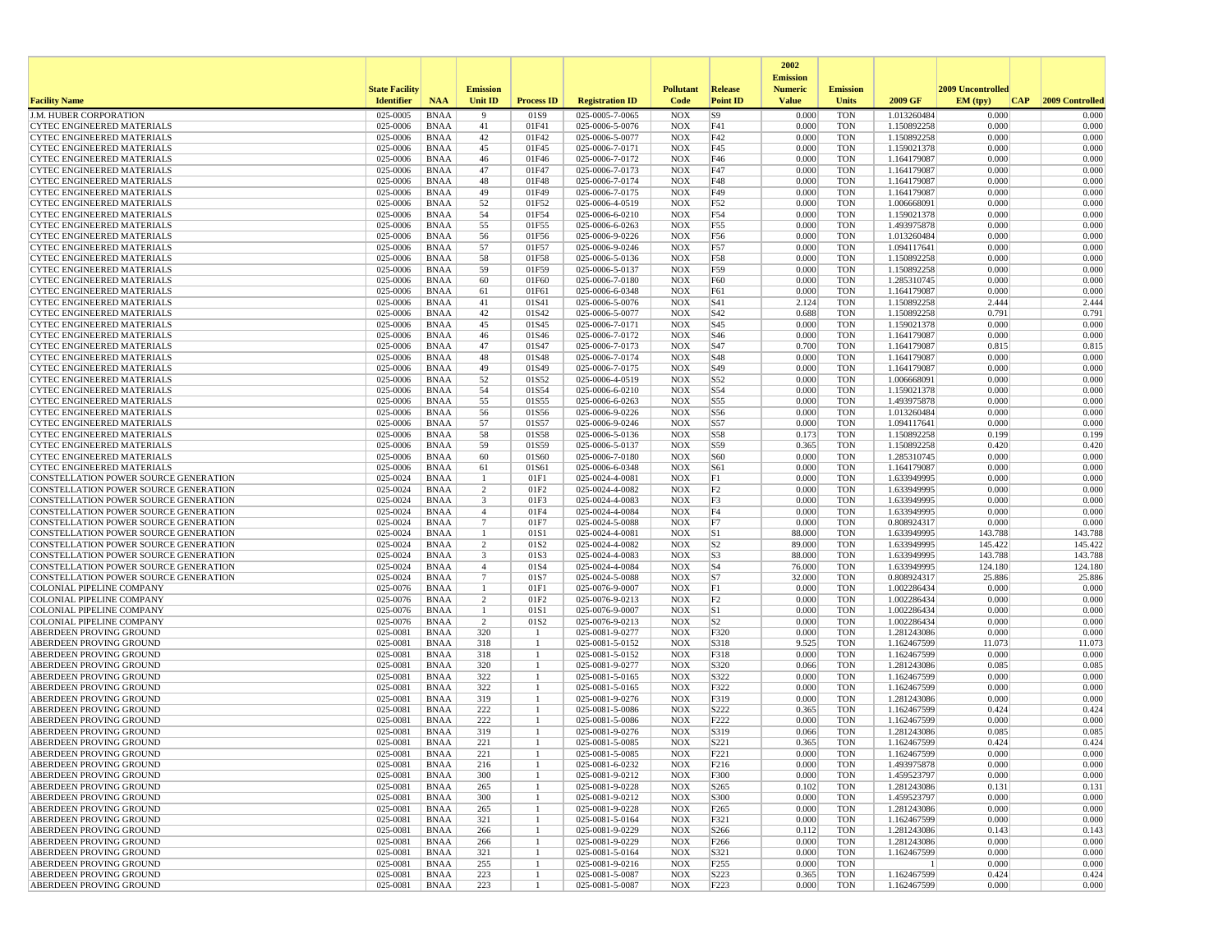|                                                                                |                       |                            |                     |                   |                                    |                          |                          | 2002<br><b>Emission</b> |                          |                            |                   |                   |
|--------------------------------------------------------------------------------|-----------------------|----------------------------|---------------------|-------------------|------------------------------------|--------------------------|--------------------------|-------------------------|--------------------------|----------------------------|-------------------|-------------------|
|                                                                                | <b>State Facility</b> |                            | <b>Emission</b>     |                   |                                    | <b>Pollutant</b>         | Release                  | <b>Numeric</b>          | <b>Emission</b>          |                            | 2009 Uncontrolled |                   |
| <b>Facility Name</b>                                                           | <b>Identifier</b>     | <b>NAA</b>                 | <b>Unit ID</b>      | <b>Process ID</b> | <b>Registration ID</b>             | Code                     | <b>Point ID</b>          | <b>Value</b>            | <b>Units</b>             | 2009 GF                    | EM (typ)<br> CAP  | 2009 Controlled   |
| J.M. HUBER CORPORATION                                                         | 025-0005              | <b>BNAA</b>                | 9                   | 01S9              | 025-0005-7-0065                    | <b>NOX</b>               | S <sub>9</sub>           | 0.000                   | <b>TON</b>               | 1.013260484                | 0.000             | 0.000             |
| <b>CYTEC ENGINEERED MATERIALS</b>                                              | 025-0006              | <b>BNAA</b>                | 41                  | 01F41             | 025-0006-5-0076                    | <b>NOX</b>               | F41                      | 0.000                   | <b>TON</b>               | 1.150892258                | 0.000             | 0.000             |
| <b>CYTEC ENGINEERED MATERIALS</b>                                              | 025-0006              | <b>BNAA</b>                | 42                  | 01F42             | 025-0006-5-0077                    | <b>NOX</b>               | F42                      | 0.000                   | <b>TON</b>               | 1.150892258                | 0.000             | 0.000             |
| <b>CYTEC ENGINEERED MATERIALS</b>                                              | 025-0006              | <b>BNAA</b>                | 45                  | 01F45             | 025-0006-7-0171                    | <b>NOX</b>               | F45                      | 0.000                   | <b>TON</b>               | 1.159021378                | 0.000             | 0.000             |
| <b>CYTEC ENGINEERED MATERIALS</b><br>CYTEC ENGINEERED MATERIALS                | 025-0006<br>025-0006  | <b>BNAA</b><br><b>BNAA</b> | 46<br>47            | 01F46<br>01F47    | 025-0006-7-0172<br>025-0006-7-0173 | <b>NOX</b><br><b>NOX</b> | F46<br>F47               | 0.000<br>0.000          | <b>TON</b><br><b>TON</b> | 1.164179087                | 0.000<br>0.000    | 0.000<br>0.000    |
| <b>CYTEC ENGINEERED MATERIALS</b>                                              | 025-0006              | <b>BNAA</b>                | 48                  | 01F48             | 025-0006-7-0174                    | <b>NOX</b>               | F48                      | 0.000                   | <b>TON</b>               | 1.164179087<br>1.164179087 | 0.000             | 0.000             |
| CYTEC ENGINEERED MATERIALS                                                     | 025-0006              | <b>BNAA</b>                | 49                  | 01F49             | 025-0006-7-0175                    | <b>NOX</b>               | F49                      | 0.000                   | <b>TON</b>               | 1.164179087                | 0.000             | 0.000             |
| CYTEC ENGINEERED MATERIALS                                                     | 025-0006              | <b>BNAA</b>                | 52                  | 01F52             | 025-0006-4-0519                    | <b>NOX</b>               | F52                      | 0.000                   | <b>TON</b>               | 1.006668091                | 0.000             | 0.000             |
| <b>CYTEC ENGINEERED MATERIALS</b>                                              | 025-0006              | <b>BNAA</b>                | 54                  | 01F54             | 025-0006-6-0210                    | <b>NOX</b>               | F54                      | 0.000                   | <b>TON</b>               | 1.159021378                | 0.000             | 0.000             |
| <b>CYTEC ENGINEERED MATERIALS</b>                                              | 025-0006              | <b>BNAA</b>                | 55                  | 01F55             | 025-0006-6-0263                    | <b>NOX</b>               | F55                      | 0.000                   | <b>TON</b>               | 1.493975878                | 0.000             | 0.000             |
| <b>CYTEC ENGINEERED MATERIALS</b>                                              | 025-0006              | <b>BNAA</b>                | 56                  | 01F56             | 025-0006-9-0226                    | <b>NOX</b>               | F56                      | 0.000                   | <b>TON</b>               | 1.013260484                | 0.000             | 0.000             |
| <b>CYTEC ENGINEERED MATERIALS</b>                                              | 025-0006              | <b>BNAA</b>                | 57                  | 01F57             | 025-0006-9-0246                    | <b>NOX</b>               | F57                      | 0.000                   | <b>TON</b>               | 1.094117641                | 0.000             | 0.000             |
| CYTEC ENGINEERED MATERIALS                                                     | 025-0006              | <b>BNAA</b>                | 58                  | 01F58             | 025-0006-5-0136                    | <b>NOX</b>               | F58                      | 0.000                   | <b>TON</b>               | 1.150892258                | 0.000             | 0.000             |
| <b>CYTEC ENGINEERED MATERIALS</b>                                              | 025-0006              | <b>BNAA</b>                | 59                  | 01F59             | 025-0006-5-0137                    | <b>NOX</b>               | F59                      | 0.000                   | <b>TON</b>               | 1.150892258                | 0.000             | 0.000             |
| <b>CYTEC ENGINEERED MATERIALS</b>                                              | 025-0006<br>025-0006  | <b>BNAA</b>                | 60                  | 01F60             | 025-0006-7-0180                    | <b>NOX</b>               | F60                      | 0.000                   | <b>TON</b>               | 1.285310745                | 0.000<br>0.000    | 0.000<br>0.000    |
| CYTEC ENGINEERED MATERIALS<br><b>CYTEC ENGINEERED MATERIALS</b>                | 025-0006              | <b>BNAA</b><br><b>BNAA</b> | 61<br>41            | 01F61<br>01S41    | 025-0006-6-0348<br>025-0006-5-0076 | <b>NOX</b><br><b>NOX</b> | F61<br>S41               | 0.000<br>2.124          | <b>TON</b><br><b>TON</b> | 1.164179087<br>1.150892258 | 2.444             | 2.444             |
| CYTEC ENGINEERED MATERIALS                                                     | 025-0006              | <b>BNAA</b>                | 42                  | 01S42             | 025-0006-5-0077                    | <b>NOX</b>               | S42                      | 0.688                   | <b>TON</b>               | 1.150892258                | 0.791             | 0.791             |
| <b>CYTEC ENGINEERED MATERIALS</b>                                              | 025-0006              | <b>BNAA</b>                | 45                  | 01S45             | 025-0006-7-0171                    | <b>NOX</b>               | S45                      | 0.000                   | <b>TON</b>               | 1.159021378                | 0.000             | 0.000             |
| <b>CYTEC ENGINEERED MATERIALS</b>                                              | 025-0006              | <b>BNAA</b>                | 46                  | 01S46             | 025-0006-7-0172                    | <b>NOX</b>               | S46                      | 0.000                   | <b>TON</b>               | 1.164179087                | 0.000             | 0.000             |
| <b>CYTEC ENGINEERED MATERIALS</b>                                              | 025-0006              | <b>BNAA</b>                | 47                  | 01S47             | 025-0006-7-0173                    | <b>NOX</b>               | S47                      | 0.700                   | <b>TON</b>               | 1.164179087                | 0.815             | 0.815             |
| <b>CYTEC ENGINEERED MATERIALS</b>                                              | 025-0006              | <b>BNAA</b>                | 48                  | 01S48             | 025-0006-7-0174                    | <b>NOX</b>               | S48                      | 0.000                   | <b>TON</b>               | 1.164179087                | 0.000             | 0.000             |
| <b>CYTEC ENGINEERED MATERIALS</b>                                              | 025-0006              | <b>BNAA</b>                | 49                  | 01S49             | 025-0006-7-0175                    | <b>NOX</b>               | S <sub>49</sub>          | 0.000                   | TON                      | 1.164179087                | 0.000             | 0.000             |
| CYTEC ENGINEERED MATERIALS                                                     | 025-0006              | <b>BNAA</b>                | 52                  | 01S52             | 025-0006-4-0519                    | <b>NOX</b>               | S52                      | 0.000                   | <b>TON</b>               | 1.006668091                | 0.000             | 0.000             |
| CYTEC ENGINEERED MATERIALS                                                     | 025-0006              | <b>BNAA</b>                | 54                  | 01S54             | 025-0006-6-0210                    | <b>NOX</b>               | S54                      | 0.000                   | <b>TON</b>               | 1.159021378                | 0.000             | 0.000             |
| <b>CYTEC ENGINEERED MATERIALS</b>                                              | 025-0006              | <b>BNAA</b>                | 55                  | 01S55             | 025-0006-6-0263                    | <b>NOX</b>               | S55                      | 0.000                   | <b>TON</b>               | 1.493975878                | 0.000             | 0.000             |
| <b>CYTEC ENGINEERED MATERIALS</b>                                              | 025-0006              | <b>BNAA</b>                | 56                  | 01S56             | 025-0006-9-0226                    | <b>NOX</b>               | S56                      | 0.000                   | <b>TON</b>               | 1.013260484                | 0.000             | 0.000             |
| <b>CYTEC ENGINEERED MATERIALS</b>                                              | 025-0006              | <b>BNAA</b>                | 57                  | 01S57             | 025-0006-9-0246                    | <b>NOX</b>               | S57                      | 0.000                   | <b>TON</b>               | 1.094117641                | 0.000             | 0.000             |
| <b>CYTEC ENGINEERED MATERIALS</b><br><b>CYTEC ENGINEERED MATERIALS</b>         | 025-0006<br>025-0006  | <b>BNAA</b><br><b>BNAA</b> | 58<br>59            | 01S58<br>01S59    | 025-0006-5-0136<br>025-0006-5-0137 | <b>NOX</b><br><b>NOX</b> | S58<br>S59               | 0.173<br>0.365          | <b>TON</b><br><b>TON</b> | 1.150892258<br>1.150892258 | 0.199<br>0.420    | 0.199<br>0.420    |
| <b>CYTEC ENGINEERED MATERIALS</b>                                              | 025-0006              | <b>BNAA</b>                | 60                  | 01S60             | 025-0006-7-0180                    | <b>NOX</b>               | S60                      | 0.000                   | <b>TON</b>               | 1.285310745                | 0.000             | 0.000             |
| CYTEC ENGINEERED MATERIALS                                                     | 025-0006              | <b>BNAA</b>                | 61                  | 01S61             | 025-0006-6-0348                    | <b>NOX</b>               | S61                      | 0.000                   | <b>TON</b>               | 1.164179087                | 0.000             | 0.000             |
| CONSTELLATION POWER SOURCE GENERATION                                          | 025-0024              | <b>BNAA</b>                | $\mathbf{1}$        | 01F1              | 025-0024-4-0081                    | <b>NOX</b>               | F1                       | 0.000                   | <b>TON</b>               | 1.633949995                | 0.000             | 0.000             |
| CONSTELLATION POWER SOURCE GENERATION                                          | 025-0024              | <b>BNAA</b>                | 2                   | 01F <sub>2</sub>  | 025-0024-4-0082                    | <b>NOX</b>               | F2                       | 0.000                   | TON                      | 1.633949995                | 0.000             | 0.000             |
| CONSTELLATION POWER SOURCE GENERATION                                          | 025-0024              | <b>BNAA</b>                | 3                   | 01F3              | 025-0024-4-0083                    | <b>NOX</b>               | F3                       | 0.000                   | <b>TON</b>               | 1.633949995                | 0.000             | 0.000             |
| CONSTELLATION POWER SOURCE GENERATION                                          | 025-0024              | <b>BNAA</b>                | $\overline{4}$      | 01F4              | 025-0024-4-0084                    | <b>NOX</b>               | F4                       | 0.000                   | <b>TON</b>               | 1.633949995                | 0.000             | 0.000             |
| CONSTELLATION POWER SOURCE GENERATION                                          | 025-0024              | <b>BNAA</b>                | $\overline{7}$      | 01F7              | 025-0024-5-0088                    | <b>NOX</b>               | F7                       | 0.000                   | <b>TON</b>               | 0.808924317                | 0.000             | 0.000             |
| CONSTELLATION POWER SOURCE GENERATION                                          | 025-0024              | <b>BNAA</b>                | $\mathbf{1}$        | 01S1              | 025-0024-4-0081                    | <b>NOX</b>               | S1                       | 88.000                  | <b>TON</b>               | 1.633949995                | 143.788           | 143.788           |
| CONSTELLATION POWER SOURCE GENERATION                                          | 025-0024              | <b>BNAA</b>                | 2                   | 01S2              | 025-0024-4-0082                    | <b>NOX</b>               | S <sub>2</sub>           | 89.000                  | TON                      | 1.633949995                | 145.422           | 145.422           |
| CONSTELLATION POWER SOURCE GENERATION                                          | 025-0024              | <b>BNAA</b>                | 3<br>$\overline{4}$ | 01S3              | 025-0024-4-0083                    | <b>NOX</b>               | S3                       | 88.000                  | <b>TON</b>               | 1.633949995                | 143.788           | 143.788           |
| CONSTELLATION POWER SOURCE GENERATION<br>CONSTELLATION POWER SOURCE GENERATION | 025-0024<br>025-0024  | <b>BNAA</b><br><b>BNAA</b> | $\overline{7}$      | 01S4<br>01S7      | 025-0024-4-0084<br>025-0024-5-0088 | <b>NOX</b><br><b>NOX</b> | S <sub>4</sub><br> S7    | 76.000<br>32.000        | <b>TON</b><br><b>TON</b> | 1.633949995<br>0.808924317 | 124.180<br>25.886 | 124.180<br>25.886 |
| COLONIAL PIPELINE COMPANY                                                      | 025-0076              | <b>BNAA</b>                | -1                  | 01F1              | 025-0076-9-0007                    | <b>NOX</b>               | F1                       | 0.000                   | <b>TON</b>               | 1.002286434                | 0.000             | 0.000             |
| COLONIAL PIPELINE COMPANY                                                      | 025-0076              | <b>BNAA</b>                | 2                   | 01F2              | 025-0076-9-0213                    | <b>NOX</b>               | F2                       | 0.000                   | <b>TON</b>               | 1.002286434                | 0.000             | 0.000             |
| <b>COLONIAL PIPELINE COMPANY</b>                                               | 025-0076              | <b>BNAA</b>                | $\mathbf{1}$        | 01S1              | 025-0076-9-0007                    | <b>NOX</b>               | S1                       | 0.000                   | TON                      | 1.002286434                | 0.000             | 0.000             |
| COLONIAL PIPELINE COMPANY                                                      | 025-0076              | <b>BNAA</b>                | 2                   | 01S <sub>2</sub>  | 025-0076-9-0213                    | <b>NOX</b>               | S <sub>2</sub>           | 0.000                   | <b>TON</b>               | 1.002286434                | 0.000             | 0.000             |
| ABERDEEN PROVING GROUND                                                        | 025-0081              | <b>BNAA</b>                | 320                 |                   | 025-0081-9-0277                    | <b>NOX</b>               | F320                     | 0.000                   | <b>TON</b>               | 1.281243086                | 0.000             | 0.000             |
| ABERDEEN PROVING GROUND                                                        | 025-0081              | <b>BNAA</b>                | 318                 | -1                | 025-0081-5-0152                    | <b>NOX</b>               | S318                     | 9.525                   | <b>TON</b>               | 1.162467599                | 11.073            | 11.073            |
| ABERDEEN PROVING GROUND                                                        | 025-0081              | <b>BNAA</b>                | 318                 |                   | 025-0081-5-0152                    | <b>NOX</b>               | F318                     | 0.000                   | <b>TON</b>               | 1.162467599                | 0.000             | 0.000             |
| ABERDEEN PROVING GROUND                                                        | 025-0081              | <b>BNAA</b>                | 320                 |                   | 025-0081-9-0277                    | <b>NOX</b>               | S320                     | 0.066                   | <b>TON</b>               | 1.281243086                | 0.085             | 0.085             |
| ABERDEEN PROVING GROUND                                                        | 025-0081<br>025-0081  | <b>BNAA</b>                | 322                 |                   | 025-0081-5-0165                    | <b>NOX</b>               | S322                     | 0.000                   | <b>TON</b>               | 1.162467599                | 0.000<br>0.000    | 0.000             |
| ABERDEEN PROVING GROUND<br>ABERDEEN PROVING GROUND                             | 025-0081              | <b>BNAA</b><br><b>BNAA</b> | 322<br>319          |                   | 025-0081-5-0165<br>025-0081-9-0276 | <b>NOX</b><br><b>NOX</b> | F322<br>F319             | 0.000<br>0.000          | <b>TON</b><br><b>TON</b> | 1.162467599<br>1.281243086 | 0.000             | 0.000<br>0.000    |
| ABERDEEN PROVING GROUND                                                        | 025-0081              | <b>BNAA</b>                | 222                 |                   | 025-0081-5-0086                    | <b>NOX</b>               | S222                     | 0.365                   | <b>TON</b>               | 1.162467599                | 0.424             | 0.424             |
| ABERDEEN PROVING GROUND                                                        | 025-0081              | <b>BNAA</b>                | 222                 |                   | 025-0081-5-0086                    | <b>NOX</b>               | F222                     | 0.000                   | <b>TON</b>               | 1.162467599                | 0.000             | 0.000             |
| ABERDEEN PROVING GROUND                                                        | 025-0081              | <b>BNAA</b>                | 319                 |                   | 025-0081-9-0276                    | <b>NOX</b>               | S319                     | 0.066                   | <b>TON</b>               | 1.281243086                | 0.085             | 0.085             |
| <b>ABERDEEN PROVING GROUND</b>                                                 | 025-0081              | <b>BNAA</b>                | 221                 |                   | 025-0081-5-0085                    | <b>NOX</b>               | S221                     | 0.365                   | <b>TON</b>               | 1.162467599                | 0.424             | 0.424             |
| ABERDEEN PROVING GROUND                                                        | 025-0081              | <b>BNAA</b>                | 221                 |                   | 025-0081-5-0085                    | NOX                      | F221                     | 0.000                   | TON                      | 1.162467599                | 0.000             | 0.000             |
| <b>ABERDEEN PROVING GROUND</b>                                                 | 025-0081              | BNAA                       | 216                 | -1                | 025-0081-6-0232                    | <b>NOX</b>               | F216                     | 0.000                   | TON                      | 1.493975878                | 0.000             | 0.000             |
| <b>ABERDEEN PROVING GROUND</b>                                                 | 025-0081              | BNAA                       | 300                 |                   | 025-0081-9-0212                    | <b>NOX</b>               | F300                     | 0.000                   | <b>TON</b>               | 1.459523797                | 0.000             | 0.000             |
| <b>ABERDEEN PROVING GROUND</b>                                                 | 025-0081              | <b>BNAA</b>                | 265                 |                   | 025-0081-9-0228                    | <b>NOX</b>               | S <sub>265</sub>         | 0.102                   | TON                      | 1.281243086                | 0.131             | 0.131             |
| <b>ABERDEEN PROVING GROUND</b>                                                 | 025-0081              | BNAA                       | 300                 | 1                 | 025-0081-9-0212                    | <b>NOX</b>               | S300                     | 0.000                   | <b>TON</b>               | 1.459523797                | 0.000             | 0.000             |
| <b>ABERDEEN PROVING GROUND</b>                                                 | 025-0081              | <b>BNAA</b>                | 265                 |                   | 025-0081-9-0228                    | <b>NOX</b>               | F <sub>265</sub>         | 0.000                   | <b>TON</b>               | 1.281243086                | 0.000             | 0.000             |
| ABERDEEN PROVING GROUND                                                        | 025-0081              | BNAA                       | 321                 |                   | 025-0081-5-0164<br>025-0081-9-0229 | <b>NOX</b>               | F321                     | 0.000                   | TON                      | 1.162467599                | 0.000             | 0.000             |
| <b>ABERDEEN PROVING GROUND</b><br><b>ABERDEEN PROVING GROUND</b>               | 025-0081<br>025-0081  | BNAA<br>BNAA               | 266<br>266          | -1                | 025-0081-9-0229                    | <b>NOX</b><br><b>NOX</b> | S266<br>F <sub>266</sub> | 0.112<br>0.000          | <b>TON</b><br><b>TON</b> | 1.281243086<br>1.281243086 | 0.143<br>0.000    | 0.143<br>0.000    |
| <b>ABERDEEN PROVING GROUND</b>                                                 | 025-0081              | BNAA                       | 321                 |                   | 025-0081-5-0164                    | <b>NOX</b>               | S321                     | 0.000                   | TON                      | 1.162467599                | 0.000             | 0.000             |
| <b>ABERDEEN PROVING GROUND</b>                                                 | 025-0081              | BNAA                       | 255                 |                   | 025-0081-9-0216                    | <b>NOX</b>               | F <sub>255</sub>         | 0.000                   | <b>TON</b>               | - 1                        | 0.000             | 0.000             |
| <b>ABERDEEN PROVING GROUND</b>                                                 | 025-0081              | <b>BNAA</b>                | 223                 |                   | 025-0081-5-0087                    | <b>NOX</b>               | S223                     | 0.365                   | <b>TON</b>               | 1.162467599                | 0.424             | 0.424             |
| <b>ABERDEEN PROVING GROUND</b>                                                 | 025-0081              | <b>BNAA</b>                | 223                 | -1                | 025-0081-5-0087                    | <b>NOX</b>               | F223                     | 0.000                   | <b>TON</b>               | 1.162467599                | 0.000             | 0.000             |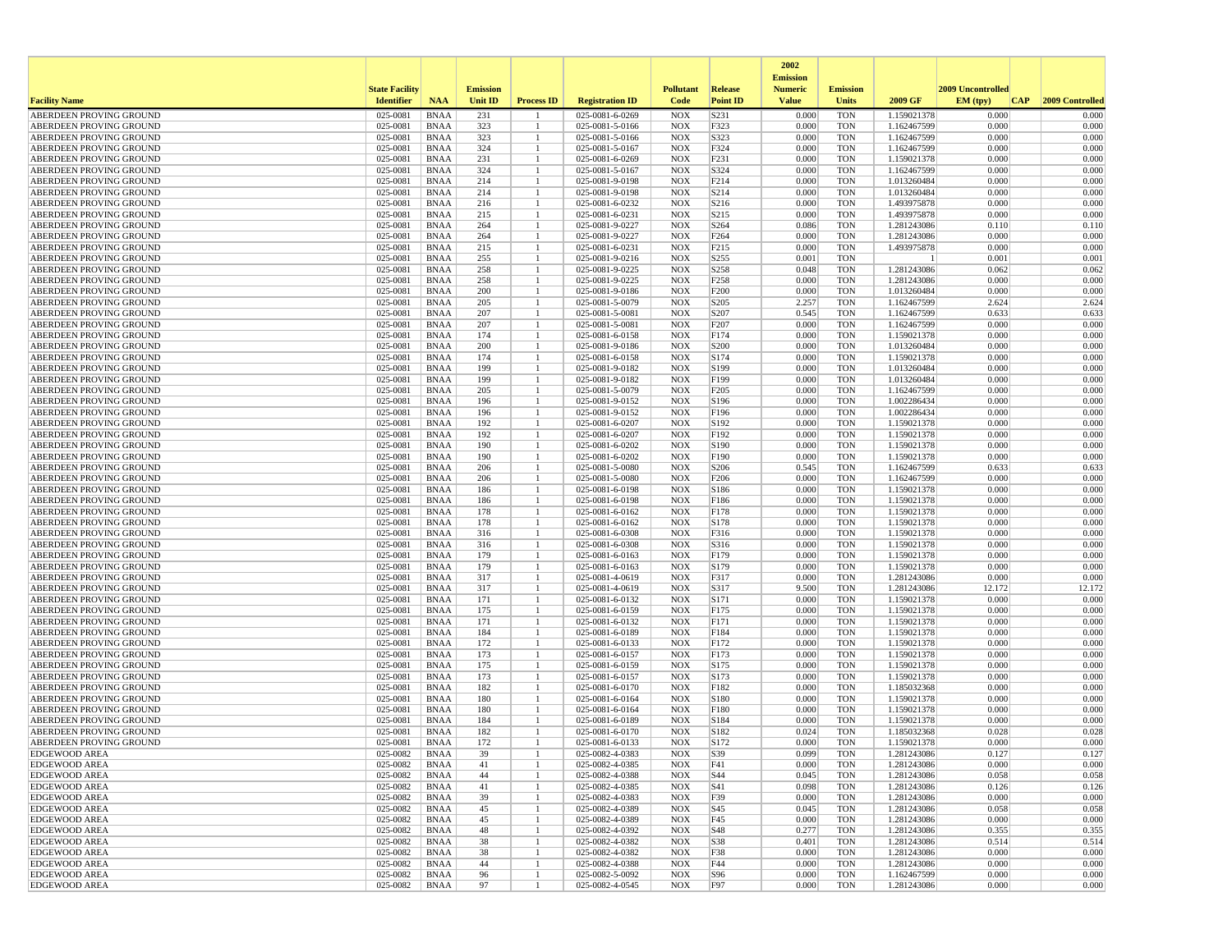|                                                    |                       |                            |                 |                   |                                    |                          |                          | 2002                              |                          |                            |                   |                 |
|----------------------------------------------------|-----------------------|----------------------------|-----------------|-------------------|------------------------------------|--------------------------|--------------------------|-----------------------------------|--------------------------|----------------------------|-------------------|-----------------|
|                                                    | <b>State Facility</b> |                            | <b>Emission</b> |                   |                                    | <b>Pollutant</b>         | Release                  | <b>Emission</b><br><b>Numeric</b> | <b>Emission</b>          |                            | 2009 Uncontrolled |                 |
| <b>Facility Name</b>                               | <b>Identifier</b>     | <b>NAA</b>                 | <b>Unit ID</b>  | <b>Process ID</b> | <b>Registration ID</b>             | Code                     | <b>Point ID</b>          | <b>Value</b>                      | <b>Units</b>             | 2009 GF                    | EM (typ)<br> CAP  | 2009 Controlled |
| ABERDEEN PROVING GROUND                            | 025-0081              | <b>BNAA</b>                | 231             |                   | 025-0081-6-0269                    | <b>NOX</b>               | S231                     | 0.000                             | <b>TON</b>               | 1.159021378                | 0.000             | 0.000           |
| ABERDEEN PROVING GROUND                            | 025-0081              | <b>BNAA</b>                | 323             | -1                | 025-0081-5-0166                    | <b>NOX</b>               | F323                     | 0.000                             | <b>TON</b>               | 1.162467599                | 0.000             | 0.000           |
| ABERDEEN PROVING GROUND                            | 025-0081              | <b>BNAA</b>                | 323             |                   | 025-0081-5-0166                    | <b>NOX</b>               | S323                     | 0.000                             | <b>TON</b>               | 1.162467599                | 0.000             | 0.000           |
| ABERDEEN PROVING GROUND<br>ABERDEEN PROVING GROUND | 025-0081<br>025-0081  | <b>BNAA</b>                | 324<br>231      |                   | 025-0081-5-0167                    | <b>NOX</b>               | F324                     | 0.000<br>0.000                    | <b>TON</b><br><b>TON</b> | 1.162467599<br>1.159021378 | 0.000<br>0.000    | 0.000<br>0.000  |
| ABERDEEN PROVING GROUND                            | 025-0081              | <b>BNAA</b><br><b>BNAA</b> | 324             |                   | 025-0081-6-0269<br>025-0081-5-0167 | <b>NOX</b><br><b>NOX</b> | F231<br>S324             | 0.000                             | <b>TON</b>               | 1.162467599                | 0.000             | 0.000           |
| ABERDEEN PROVING GROUND                            | 025-0081              | <b>BNAA</b>                | 214             |                   | 025-0081-9-0198                    | <b>NOX</b>               | F214                     | 0.000                             | <b>TON</b>               | 1.013260484                | 0.000             | 0.000           |
| ABERDEEN PROVING GROUND                            | 025-0081              | <b>BNAA</b>                | 214             |                   | 025-0081-9-0198                    | <b>NOX</b>               | S214                     | 0.000                             | <b>TON</b>               | 1.013260484                | 0.000             | 0.000           |
| ABERDEEN PROVING GROUND                            | 025-0081              | <b>BNAA</b>                | 216             |                   | 025-0081-6-0232                    | <b>NOX</b>               | S216                     | 0.000                             | <b>TON</b>               | 1.493975878                | 0.000             | 0.000           |
| ABERDEEN PROVING GROUND                            | 025-0081              | <b>BNAA</b>                | 215             |                   | 025-0081-6-0231                    | <b>NOX</b>               | S <sub>215</sub>         | 0.000                             | <b>TON</b>               | 1.493975878                | 0.000             | 0.000           |
| ABERDEEN PROVING GROUND<br>ABERDEEN PROVING GROUND | 025-0081<br>025-0081  | <b>BNAA</b><br><b>BNAA</b> | 264<br>264      |                   | 025-0081-9-0227<br>025-0081-9-0227 | <b>NOX</b><br><b>NOX</b> | S264<br>F <sub>264</sub> | 0.086<br>0.000                    | <b>TON</b><br><b>TON</b> | 1.281243086<br>1.281243086 | 0.110<br>0.000    | 0.110<br>0.000  |
| ABERDEEN PROVING GROUND                            | 025-0081              | <b>BNAA</b>                | 215             |                   | 025-0081-6-0231                    | <b>NOX</b>               | F215                     | 0.000                             | <b>TON</b>               | 1.493975878                | 0.000             | 0.000           |
| ABERDEEN PROVING GROUND                            | 025-0081              | <b>BNAA</b>                | 255             |                   | 025-0081-9-0216                    | <b>NOX</b>               | S <sub>255</sub>         | 0.001                             | <b>TON</b>               |                            | 0.001             | 0.001           |
| ABERDEEN PROVING GROUND                            | 025-0081              | <b>BNAA</b>                | 258             |                   | 025-0081-9-0225                    | <b>NOX</b>               | S <sub>258</sub>         | 0.048                             | <b>TON</b>               | 1.281243086                | 0.062             | 0.062           |
| ABERDEEN PROVING GROUND                            | 025-0081              | <b>BNAA</b>                | 258             |                   | 025-0081-9-0225                    | <b>NOX</b>               | F258                     | 0.000                             | <b>TON</b>               | 1.281243086                | 0.000             | 0.000           |
| ABERDEEN PROVING GROUND                            | 025-0081              | <b>BNAA</b>                | 200             |                   | 025-0081-9-0186                    | <b>NOX</b>               | F200                     | 0.000                             | <b>TON</b>               | 1.013260484                | 0.000             | 0.000           |
| ABERDEEN PROVING GROUND<br>ABERDEEN PROVING GROUND | 025-0081<br>025-0081  | <b>BNAA</b><br><b>BNAA</b> | 205<br>207      |                   | 025-0081-5-0079                    | <b>NOX</b><br><b>NOX</b> | S <sub>205</sub><br>S207 | 2.257<br>0.545                    | <b>TON</b><br><b>TON</b> | 1.162467599                | 2.624<br>0.633    | 2.624<br>0.633  |
| ABERDEEN PROVING GROUND                            | 025-0081              | <b>BNAA</b>                | 207             |                   | 025-0081-5-0081<br>025-0081-5-0081 | <b>NOX</b>               | F207                     | 0.000                             | <b>TON</b>               | 1.162467599<br>1.162467599 | 0.000             | 0.000           |
| ABERDEEN PROVING GROUND                            | 025-0081              | <b>BNAA</b>                | 174             | 1                 | 025-0081-6-0158                    | <b>NOX</b>               | F174                     | 0.000                             | <b>TON</b>               | 1.159021378                | 0.000             | 0.000           |
| ABERDEEN PROVING GROUND                            | 025-0081              | <b>BNAA</b>                | 200             |                   | 025-0081-9-0186                    | <b>NOX</b>               | S <sub>200</sub>         | 0.000                             | <b>TON</b>               | 1.013260484                | 0.000             | 0.000           |
| ABERDEEN PROVING GROUND                            | 025-0081              | <b>BNAA</b>                | 174             |                   | 025-0081-6-0158                    | <b>NOX</b>               | S174                     | 0.000                             | <b>TON</b>               | 1.159021378                | 0.000             | 0.000           |
| ABERDEEN PROVING GROUND                            | 025-0081              | <b>BNAA</b>                | 199             | 1                 | 025-0081-9-0182                    | <b>NOX</b>               | S199                     | 0.000                             | TON                      | 1.013260484                | 0.000             | 0.000           |
| ABERDEEN PROVING GROUND                            | 025-0081              | <b>BNAA</b>                | 199             |                   | 025-0081-9-0182                    | <b>NOX</b>               | F199                     | 0.000<br>0.000                    | <b>TON</b><br><b>TON</b> | 1.013260484                | 0.000<br>0.000    | 0.000           |
| ABERDEEN PROVING GROUND<br>ABERDEEN PROVING GROUND | 025-0081<br>025-0081  | <b>BNAA</b><br><b>BNAA</b> | 205<br>196      |                   | 025-0081-5-0079<br>025-0081-9-0152 | <b>NOX</b><br><b>NOX</b> | F <sub>205</sub><br>S196 | 0.000                             | <b>TON</b>               | 1.162467599<br>1.002286434 | 0.000             | 0.000<br>0.000  |
| ABERDEEN PROVING GROUND                            | 025-0081              | <b>BNAA</b>                | 196             |                   | 025-0081-9-0152                    | <b>NOX</b>               | F196                     | 0.000                             | <b>TON</b>               | 1.002286434                | 0.000             | 0.000           |
| ABERDEEN PROVING GROUND                            | 025-0081              | <b>BNAA</b>                | 192             |                   | 025-0081-6-0207                    | <b>NOX</b>               | S192                     | 0.000                             | <b>TON</b>               | 1.159021378                | 0.000             | 0.000           |
| ABERDEEN PROVING GROUND                            | 025-0081              | <b>BNAA</b>                | 192             |                   | 025-0081-6-0207                    | <b>NOX</b>               | F192                     | 0.000                             | <b>TON</b>               | 1.159021378                | 0.000             | 0.000           |
| ABERDEEN PROVING GROUND                            | 025-0081              | <b>BNAA</b>                | 190             |                   | 025-0081-6-0202                    | <b>NOX</b>               | S190                     | 0.000                             | <b>TON</b>               | 1.159021378                | 0.000             | 0.000           |
| ABERDEEN PROVING GROUND<br>ABERDEEN PROVING GROUND | 025-0081<br>025-0081  | <b>BNAA</b><br><b>BNAA</b> | 190<br>206      |                   | 025-0081-6-0202<br>025-0081-5-0080 | <b>NOX</b><br><b>NOX</b> | F190<br>S206             | 0.000<br>0.545                    | <b>TON</b><br><b>TON</b> | 1.159021378<br>1.162467599 | 0.000<br>0.633    | 0.000<br>0.633  |
| ABERDEEN PROVING GROUND                            | 025-0081              | <b>BNAA</b>                | 206             |                   | 025-0081-5-0080                    | <b>NOX</b>               | F206                     | 0.000                             | <b>TON</b>               | 1.162467599                | 0.000             | 0.000           |
| ABERDEEN PROVING GROUND                            | 025-0081              | <b>BNAA</b>                | 186             |                   | 025-0081-6-0198                    | <b>NOX</b>               | S186                     | 0.000                             | TON                      | 1.159021378                | 0.000             | 0.000           |
| ABERDEEN PROVING GROUND                            | 025-0081              | <b>BNAA</b>                | 186             |                   | 025-0081-6-0198                    | <b>NOX</b>               | F186                     | 0.000                             | <b>TON</b>               | 1.159021378                | 0.000             | 0.000           |
| ABERDEEN PROVING GROUND                            | 025-0081              | <b>BNAA</b>                | 178             |                   | 025-0081-6-0162                    | <b>NOX</b>               | F178                     | 0.000                             | <b>TON</b>               | 1.159021378                | 0.000             | 0.000           |
| ABERDEEN PROVING GROUND                            | 025-0081              | <b>BNAA</b>                | 178             |                   | 025-0081-6-0162                    | <b>NOX</b>               | S178                     | 0.000                             | <b>TON</b>               | 1.159021378                | 0.000             | 0.000           |
| ABERDEEN PROVING GROUND                            | 025-0081              | <b>BNAA</b>                | 316             |                   | 025-0081-6-0308                    | <b>NOX</b>               | F316                     | 0.000<br>0.000                    | <b>TON</b>               | 1.159021378                | 0.000             | 0.000           |
| ABERDEEN PROVING GROUND<br>ABERDEEN PROVING GROUND | 025-0081<br>025-0081  | <b>BNAA</b><br><b>BNAA</b> | 316<br>179      |                   | 025-0081-6-0308<br>025-0081-6-0163 | <b>NOX</b><br><b>NOX</b> | S316<br>F179             | 0.000                             | TON<br><b>TON</b>        | 1.159021378<br>1.159021378 | 0.000<br>0.000    | 0.000<br>0.000  |
| ABERDEEN PROVING GROUND                            | 025-0081              | <b>BNAA</b>                | 179             |                   | 025-0081-6-0163                    | <b>NOX</b>               | S179                     | 0.000                             | <b>TON</b>               | 1.159021378                | 0.000             | 0.000           |
| ABERDEEN PROVING GROUND                            | 025-0081              | <b>BNAA</b>                | 317             |                   | 025-0081-4-0619                    | <b>NOX</b>               | F317                     | 0.000                             | <b>TON</b>               | 1.281243086                | 0.000             | 0.000           |
| ABERDEEN PROVING GROUND                            | 025-0081              | <b>BNAA</b>                | 317             |                   | 025-0081-4-0619                    | <b>NOX</b>               | S317                     | 9.500                             | <b>TON</b>               | 1.281243086                | 12.172            | 12.172          |
| ABERDEEN PROVING GROUND                            | 025-0081              | <b>BNAA</b>                | 171             |                   | 025-0081-6-0132                    | <b>NOX</b>               | S171                     | 0.000                             | <b>TON</b>               | 1.159021378                | 0.000             | 0.000           |
| ABERDEEN PROVING GROUND<br>ABERDEEN PROVING GROUND | 025-0081<br>025-0081  | <b>BNAA</b><br><b>BNAA</b> | 175<br>171      |                   | 025-0081-6-0159<br>025-0081-6-0132 | <b>NOX</b><br><b>NOX</b> | F175<br>F171             | 0.000<br>0.000                    | TON<br><b>TON</b>        | 1.159021378<br>1.159021378 | 0.000<br>0.000    | 0.000<br>0.000  |
| ABERDEEN PROVING GROUND                            | 025-0081              | <b>BNAA</b>                | 184             |                   | 025-0081-6-0189                    | <b>NOX</b>               | F184                     | 0.000                             | <b>TON</b>               | 1.159021378                | 0.000             | 0.000           |
| ABERDEEN PROVING GROUND                            | 025-0081              | <b>BNAA</b>                | 172             | 1                 | 025-0081-6-0133                    | <b>NOX</b>               | F172                     | 0.000                             | <b>TON</b>               | 1.159021378                | 0.000             | 0.000           |
| ABERDEEN PROVING GROUND                            | 025-0081              | <b>BNAA</b>                | 173             |                   | 025-0081-6-0157                    | <b>NOX</b>               | F173                     | 0.000                             | <b>TON</b>               | 1.159021378                | 0.000             | 0.000           |
| ABERDEEN PROVING GROUND                            | 025-0081              | <b>BNAA</b>                | 175             |                   | 025-0081-6-0159                    | <b>NOX</b>               | S175                     | 0.000                             | <b>TON</b>               | 1.159021378                | 0.000             | 0.000           |
| ABERDEEN PROVING GROUND<br>ABERDEEN PROVING GROUND | 025-0081<br>025-0081  | <b>BNAA</b><br><b>BNAA</b> | 173<br>182      |                   | 025-0081-6-0157                    | <b>NOX</b><br><b>NOX</b> | S173<br>F182             | 0.000<br>0.000                    | <b>TON</b><br><b>TON</b> | 1.159021378<br>1.185032368 | 0.000<br>0.000    | 0.000<br>0.000  |
| ABERDEEN PROVING GROUND                            | 025-0081              | <b>BNAA</b>                | 180             |                   | 025-0081-6-0170<br>025-0081-6-0164 | <b>NOX</b>               | S180                     | 0.000                             | <b>TON</b>               | 1.159021378                | 0.000             | 0.000           |
| ABERDEEN PROVING GROUND                            | 025-0081              | <b>BNAA</b>                | 180             |                   | 025-0081-6-0164                    | <b>NOX</b>               | F180                     | 0.000                             | <b>TON</b>               | 1.159021378                | 0.000             | 0.000           |
| ABERDEEN PROVING GROUND                            | 025-0081              | <b>BNAA</b>                | 184             |                   | 025-0081-6-0189                    | <b>NOX</b>               | S184                     | 0.000                             | <b>TON</b>               | 1.159021378                | 0.000             | 0.000           |
| ABERDEEN PROVING GROUND                            | 025-0081              | <b>BNAA</b>                | 182             |                   | 025-0081-6-0170                    | <b>NOX</b>               | S182                     | 0.024                             | <b>TON</b>               | 1.185032368                | 0.028             | 0.028           |
| <b>ABERDEEN PROVING GROUND</b>                     | 025-0081              | <b>BNAA</b>                | 172             |                   | 025-0081-6-0133                    | <b>NOX</b>               | S172                     | 0.000                             | <b>TON</b>               | 1.159021378                | 0.000             | 0.000           |
| EDGEWOOD AREA<br><b>EDGEWOOD AREA</b>              | 025-0082<br>025-0082  | <b>BNAA</b><br>BNAA        | 39<br>41        | $\mathbf{1}$      | 025-0082-4-0383<br>025-0082-4-0385 | NOX<br><b>NOX</b>        | S39<br>F41               | 0.099<br>0.000                    | TON<br>TON               | 1.281243086<br>1.281243086 | 0.127<br>0.000    | 0.127<br>0.000  |
| <b>EDGEWOOD AREA</b>                               | 025-0082              | <b>BNAA</b>                | 44              |                   | 025-0082-4-0388                    | <b>NOX</b>               | S44                      | 0.045                             | <b>TON</b>               | 1.281243086                | 0.058             | 0.058           |
| <b>EDGEWOOD AREA</b>                               | 025-0082              | BNAA                       | 41              |                   | 025-0082-4-0385                    | <b>NOX</b>               | S41                      | 0.098                             | TON                      | 1.281243086                | 0.126             | 0.126           |
| <b>EDGEWOOD AREA</b>                               | 025-0082              | BNAA                       | 39              | 1                 | 025-0082-4-0383                    | <b>NOX</b>               | F39                      | 0.000                             | <b>TON</b>               | 1.281243086                | 0.000             | 0.000           |
| <b>EDGEWOOD AREA</b>                               | 025-0082              | <b>BNAA</b>                | 45              |                   | 025-0082-4-0389                    | <b>NOX</b>               | S45                      | 0.045                             | <b>TON</b>               | 1.281243086                | 0.058             | 0.058           |
| <b>EDGEWOOD AREA</b>                               | 025-0082              | <b>BNAA</b>                | 45              |                   | 025-0082-4-0389                    | NOX                      | F45                      | 0.000                             | TON                      | 1.281243086                | 0.000             | 0.000           |
| <b>EDGEWOOD AREA</b><br><b>EDGEWOOD AREA</b>       | 025-0082<br>025-0082  | BNAA<br>BNAA               | 48<br>38        | -1                | 025-0082-4-0392<br>025-0082-4-0382 | <b>NOX</b><br><b>NOX</b> | S48<br>S38               | 0.277<br>0.401                    | <b>TON</b><br><b>TON</b> | 1.281243086<br>1.281243086 | 0.355<br>0.514    | 0.355<br>0.514  |
| <b>EDGEWOOD AREA</b>                               | 025-0082              | BNAA                       | 38              |                   | 025-0082-4-0382                    | NOX                      | <b>F38</b>               | 0.000                             | TON                      | 1.281243086                | 0.000             | 0.000           |
| <b>EDGEWOOD AREA</b>                               | 025-0082              | BNAA                       | 44              |                   | 025-0082-4-0388                    | <b>NOX</b>               | F44                      | 0.000                             | TON                      | 1.281243086                | 0.000             | 0.000           |
| <b>EDGEWOOD AREA</b>                               | 025-0082              | <b>BNAA</b>                | 96              |                   | 025-0082-5-0092                    | <b>NOX</b>               | S96                      | 0.000                             | <b>TON</b>               | 1.162467599                | 0.000             | 0.000           |
| <b>EDGEWOOD AREA</b>                               | 025-0082              | BNAA                       | 97              | $\mathbf{1}$      | 025-0082-4-0545                    | NOX                      | F97                      | 0.000                             | TON                      | 1.281243086                | 0.000             | 0.000           |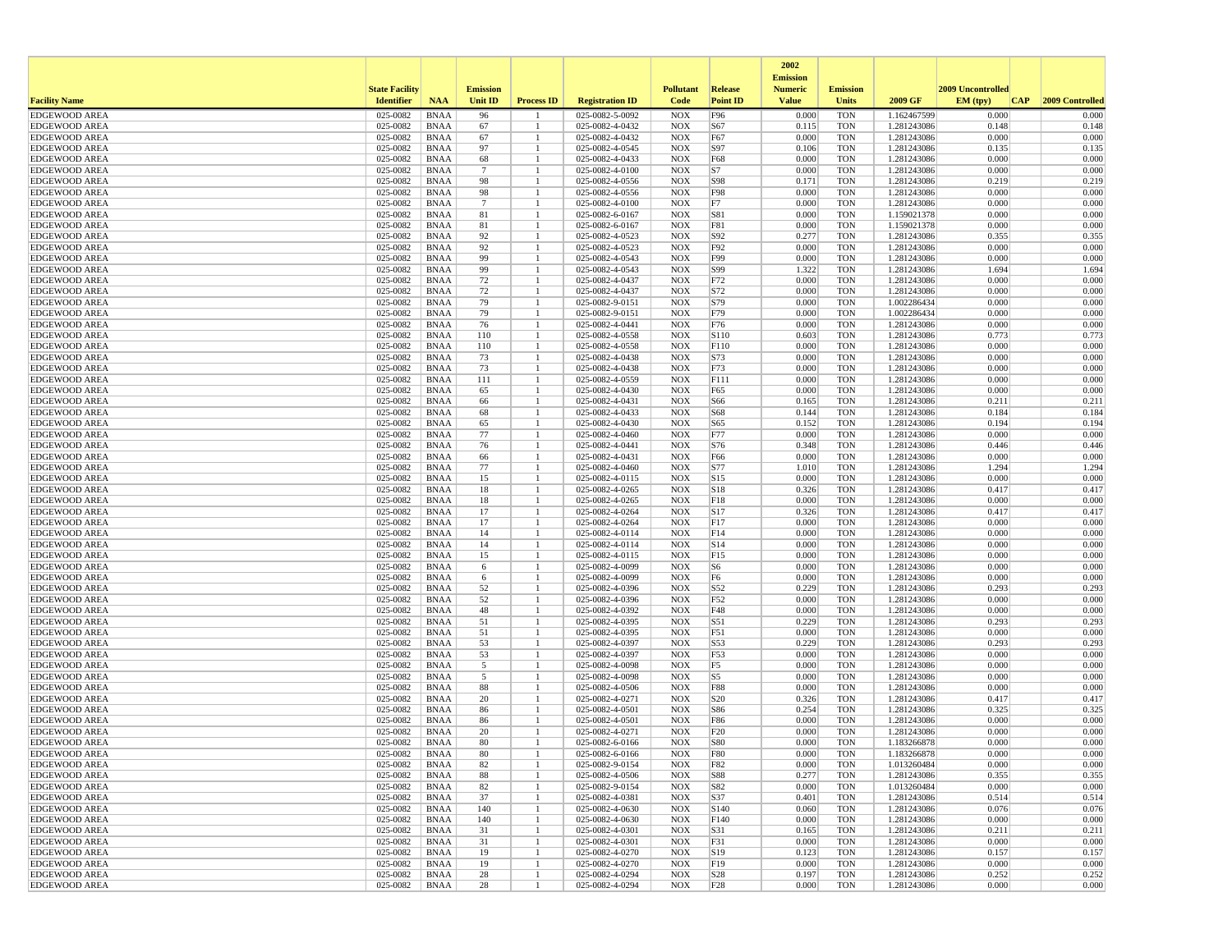|                                              |                       |                            |                       |                   |                                    |                          |                 | 2002                              |                          |                            |                   |                 |
|----------------------------------------------|-----------------------|----------------------------|-----------------------|-------------------|------------------------------------|--------------------------|-----------------|-----------------------------------|--------------------------|----------------------------|-------------------|-----------------|
|                                              | <b>State Facility</b> |                            | <b>Emission</b>       |                   |                                    | <b>Pollutant</b>         | <b>Release</b>  | <b>Emission</b><br><b>Numeric</b> | <b>Emission</b>          |                            | 2009 Uncontrolled |                 |
| <b>Facility Name</b>                         | <b>Identifier</b>     | <b>NAA</b>                 | <b>Unit ID</b>        | <b>Process ID</b> | <b>Registration ID</b>             | Code                     | <b>Point ID</b> | <b>Value</b>                      | Units                    | 2009 GF                    | EM (typ)<br> CAP  | 2009 Controlled |
| <b>EDGEWOOD AREA</b>                         | 025-0082              | <b>BNAA</b>                | 96                    |                   | 025-0082-5-0092                    | <b>NOX</b>               | F96             | 0.000                             | <b>TON</b>               | 1.162467599                | 0.000             | 0.000           |
| <b>EDGEWOOD AREA</b>                         | 025-0082              | <b>BNAA</b>                | 67                    |                   | 025-0082-4-0432                    | <b>NOX</b>               | S67             | 0.115                             | <b>TON</b>               | 1.281243086                | 0.148             | 0.148           |
| <b>EDGEWOOD AREA</b>                         | 025-0082              | <b>BNAA</b>                | 67                    |                   | 025-0082-4-0432                    | <b>NOX</b>               | F67             | 0.000                             | <b>TON</b>               | 1.281243086                | 0.000             | 0.000           |
| <b>EDGEWOOD AREA</b>                         | 025-0082              | <b>BNAA</b>                | 97                    |                   | 025-0082-4-0545                    | <b>NOX</b>               | S97             | 0.106                             | <b>TON</b>               | 1.281243086                | 0.135             | 0.135           |
| <b>EDGEWOOD AREA</b><br><b>EDGEWOOD AREA</b> | 025-0082<br>025-0082  | <b>BNAA</b><br><b>BNAA</b> | 68<br>$7\phantom{.0}$ |                   | 025-0082-4-0433<br>025-0082-4-0100 | <b>NOX</b><br><b>NOX</b> | F68<br>S7       | 0.000<br>0.000                    | <b>TON</b><br><b>TON</b> | 1.281243086<br>1.281243086 | 0.000<br>0.000    | 0.000<br>0.000  |
| <b>EDGEWOOD AREA</b>                         | 025-0082              | <b>BNAA</b>                | 98                    |                   | 025-0082-4-0556                    | <b>NOX</b>               | S98             | 0.171                             | <b>TON</b>               | 1.281243086                | 0.219             | 0.219           |
| <b>EDGEWOOD AREA</b>                         | 025-0082              | <b>BNAA</b>                | 98                    |                   | 025-0082-4-0556                    | <b>NOX</b>               | F98             | 0.000                             | <b>TON</b>               | 1.281243086                | 0.000             | 0.000           |
| <b>EDGEWOOD AREA</b>                         | 025-0082              | <b>BNAA</b>                | $\overline{7}$        |                   | 025-0082-4-0100                    | <b>NOX</b>               | F7              | 0.000                             | <b>TON</b>               | 1.281243086                | 0.000             | 0.000           |
| <b>EDGEWOOD AREA</b>                         | 025-0082              | <b>BNAA</b>                | 81                    |                   | 025-0082-6-0167                    | <b>NOX</b>               | S81             | 0.000                             | <b>TON</b>               | 1.159021378                | 0.000             | 0.000           |
| <b>EDGEWOOD AREA</b>                         | 025-0082              | <b>BNAA</b>                | 81                    |                   | 025-0082-6-0167                    | <b>NOX</b>               | F81             | 0.000                             | <b>TON</b>               | 1.159021378                | 0.000             | 0.000           |
| <b>EDGEWOOD AREA</b>                         | 025-0082              | <b>BNAA</b>                | 92                    |                   | 025-0082-4-0523                    | <b>NOX</b>               | S92             | 0.277                             | <b>TON</b>               | 1.281243086                | 0.355             | 0.355           |
| <b>EDGEWOOD AREA</b>                         | 025-0082              | <b>BNAA</b>                | 92                    |                   | 025-0082-4-0523                    | <b>NOX</b>               | F92             | 0.000                             | <b>TON</b>               | 1.281243086                | 0.000             | 0.000           |
| <b>EDGEWOOD AREA</b>                         | 025-0082              | <b>BNAA</b>                | 99                    |                   | 025-0082-4-0543                    | <b>NOX</b>               | F99             | 0.000                             | <b>TON</b>               | 1.281243086                | 0.000             | 0.000           |
| <b>EDGEWOOD AREA</b><br><b>EDGEWOOD AREA</b> | 025-0082<br>025-0082  | <b>BNAA</b><br><b>BNAA</b> | 99<br>72              |                   | 025-0082-4-0543<br>025-0082-4-0437 | <b>NOX</b><br><b>NOX</b> | S99<br>F72      | 1.322<br>0.000                    | <b>TON</b><br><b>TON</b> | 1.281243086<br>1.281243086 | 1.694<br>0.000    | 1.694<br>0.000  |
| <b>EDGEWOOD AREA</b>                         | 025-0082              | <b>BNAA</b>                | 72                    |                   | 025-0082-4-0437                    | <b>NOX</b>               | S72             | 0.000                             | <b>TON</b>               | 1.281243086                | 0.000             | 0.000           |
| <b>EDGEWOOD AREA</b>                         | 025-0082              | <b>BNAA</b>                | 79                    |                   | 025-0082-9-0151                    | <b>NOX</b>               | S79             | 0.000                             | <b>TON</b>               | 1.002286434                | 0.000             | 0.000           |
| <b>EDGEWOOD AREA</b>                         | 025-0082              | <b>BNAA</b>                | 79                    |                   | 025-0082-9-0151                    | <b>NOX</b>               | F79             | 0.000                             | <b>TON</b>               | 1.002286434                | 0.000             | 0.000           |
| <b>EDGEWOOD AREA</b>                         | 025-0082              | <b>BNAA</b>                | 76                    |                   | 025-0082-4-0441                    | <b>NOX</b>               | F76             | 0.000                             | <b>TON</b>               | 1.281243086                | 0.000             | 0.000           |
| <b>EDGEWOOD AREA</b>                         | 025-0082              | <b>BNAA</b>                | 110                   |                   | 025-0082-4-0558                    | <b>NOX</b>               | S110            | 0.603                             | <b>TON</b>               | 1.281243086                | 0.773             | 0.773           |
| <b>EDGEWOOD AREA</b>                         | 025-0082              | <b>BNAA</b>                | 110                   |                   | 025-0082-4-0558                    | <b>NOX</b>               | F110            | 0.000                             | <b>TON</b>               | 1.281243086                | 0.000             | 0.000           |
| <b>EDGEWOOD AREA</b>                         | 025-0082              | <b>BNAA</b>                | 73                    |                   | 025-0082-4-0438                    | <b>NOX</b>               | S73             | 0.000                             | <b>TON</b>               | 1.281243086                | 0.000             | 0.000           |
| <b>EDGEWOOD AREA</b>                         | 025-0082              | <b>BNAA</b>                | 73                    |                   | 025-0082-4-0438                    | <b>NOX</b>               | F73             | 0.000                             | <b>TON</b>               | 1.281243086                | 0.000             | 0.000           |
| <b>EDGEWOOD AREA</b>                         | 025-0082              | <b>BNAA</b>                | 111                   |                   | 025-0082-4-0559                    | <b>NOX</b>               | F111            | 0.000                             | <b>TON</b>               | 1.281243086                | 0.000             | 0.000           |
| <b>EDGEWOOD AREA</b>                         | 025-0082              | <b>BNAA</b>                | 65                    |                   | 025-0082-4-0430                    | <b>NOX</b>               | F65             | 0.000                             | <b>TON</b>               | 1.281243086                | 0.000             | 0.000           |
| <b>EDGEWOOD AREA</b>                         | 025-0082              | <b>BNAA</b>                | 66                    |                   | 025-0082-4-0431                    | <b>NOX</b>               | S66             | 0.165                             | <b>TON</b>               | 1.281243086                | 0.211             | 0.211           |
| <b>EDGEWOOD AREA</b><br><b>EDGEWOOD AREA</b> | 025-0082<br>025-0082  | <b>BNAA</b><br><b>BNAA</b> | 68<br>65              |                   | 025-0082-4-0433<br>025-0082-4-0430 | <b>NOX</b><br><b>NOX</b> | S68<br>S65      | 0.144<br>0.152                    | <b>TON</b><br><b>TON</b> | 1.281243086<br>1.281243086 | 0.184<br>0.194    | 0.184<br>0.194  |
| <b>EDGEWOOD AREA</b>                         | 025-0082              | <b>BNAA</b>                | 77                    |                   | 025-0082-4-0460                    | <b>NOX</b>               | F77             | 0.000                             | <b>TON</b>               | 1.281243086                | 0.000             | 0.000           |
| <b>EDGEWOOD AREA</b>                         | 025-0082              | <b>BNAA</b>                | 76                    |                   | 025-0082-4-0441                    | <b>NOX</b>               | S76             | 0.348                             | <b>TON</b>               | 1.281243086                | 0.446             | 0.446           |
| <b>EDGEWOOD AREA</b>                         | 025-0082              | <b>BNAA</b>                | 66                    |                   | 025-0082-4-0431                    | <b>NOX</b>               | F66             | 0.000                             | <b>TON</b>               | 1.281243086                | 0.000             | 0.000           |
| <b>EDGEWOOD AREA</b>                         | 025-0082              | <b>BNAA</b>                | 77                    |                   | 025-0082-4-0460                    | <b>NOX</b>               | S77             | 1.010                             | <b>TON</b>               | 1.281243086                | 1.294             | 1.294           |
| <b>EDGEWOOD AREA</b>                         | 025-0082              | <b>BNAA</b>                | 15                    |                   | 025-0082-4-0115                    | <b>NOX</b>               | S15             | 0.000                             | <b>TON</b>               | 1.281243086                | 0.000             | 0.000           |
| <b>EDGEWOOD AREA</b>                         | 025-0082              | <b>BNAA</b>                | 18                    |                   | 025-0082-4-0265                    | <b>NOX</b>               | S18             | 0.326                             | <b>TON</b>               | 1.281243086                | 0.417             | 0.417           |
| <b>EDGEWOOD AREA</b>                         | 025-0082              | <b>BNAA</b>                | 18                    |                   | 025-0082-4-0265                    | <b>NOX</b>               | F18             | 0.000                             | <b>TON</b>               | 1.281243086                | 0.000             | 0.000           |
| <b>EDGEWOOD AREA</b>                         | 025-0082              | <b>BNAA</b>                | 17                    |                   | 025-0082-4-0264                    | <b>NOX</b>               | S17             | 0.326                             | <b>TON</b>               | 1.281243086                | 0.417             | 0.417           |
| <b>EDGEWOOD AREA</b>                         | 025-0082              | <b>BNAA</b>                | 17                    |                   | 025-0082-4-0264                    | <b>NOX</b>               | F17             | 0.000                             | <b>TON</b>               | 1.281243086                | 0.000             | 0.000           |
| <b>EDGEWOOD AREA</b>                         | 025-0082              | <b>BNAA</b>                | 14<br>14              |                   | 025-0082-4-0114                    | <b>NOX</b>               | F14<br>S14      | 0.000                             | <b>TON</b>               | 1.281243086                | 0.000<br>0.000    | 0.000<br>0.000  |
| <b>EDGEWOOD AREA</b><br><b>EDGEWOOD AREA</b> | 025-0082<br>025-0082  | <b>BNAA</b><br><b>BNAA</b> | 15                    |                   | 025-0082-4-0114<br>025-0082-4-0115 | <b>NOX</b><br><b>NOX</b> | F15             | 0.000<br>0.000                    | <b>TON</b><br><b>TON</b> | 1.281243086<br>1.281243086 | 0.000             | 0.000           |
| <b>EDGEWOOD AREA</b>                         | 025-0082              | <b>BNAA</b>                | 6                     |                   | 025-0082-4-0099                    | <b>NOX</b>               | S6              | 0.000                             | <b>TON</b>               | 1.281243086                | 0.000             | 0.000           |
| <b>EDGEWOOD AREA</b>                         | 025-0082              | <b>BNAA</b>                | 6                     |                   | 025-0082-4-0099                    | <b>NOX</b>               | F <sub>6</sub>  | 0.000                             | <b>TON</b>               | 1.281243086                | 0.000             | 0.000           |
| <b>EDGEWOOD AREA</b>                         | 025-0082              | <b>BNAA</b>                | 52                    |                   | 025-0082-4-0396                    | <b>NOX</b>               | S52             | 0.229                             | <b>TON</b>               | 1.281243086                | 0.293             | 0.293           |
| <b>EDGEWOOD AREA</b>                         | 025-0082              | <b>BNAA</b>                | 52                    |                   | 025-0082-4-0396                    | <b>NOX</b>               | F52             | 0.000                             | <b>TON</b>               | 1.281243086                | 0.000             | 0.000           |
| <b>EDGEWOOD AREA</b>                         | 025-0082              | <b>BNAA</b>                | 48                    |                   | 025-0082-4-0392                    | <b>NOX</b>               | F48             | 0.000                             | <b>TON</b>               | 1.281243086                | 0.000             | 0.000           |
| <b>EDGEWOOD AREA</b>                         | 025-0082              | <b>BNAA</b>                | 51                    |                   | 025-0082-4-0395                    | <b>NOX</b>               | S51             | 0.229                             | <b>TON</b>               | 1.281243086                | 0.293             | 0.293           |
| <b>EDGEWOOD AREA</b>                         | 025-0082              | <b>BNAA</b>                | 51                    |                   | 025-0082-4-0395                    | <b>NOX</b>               | F51             | 0.000                             | <b>TON</b>               | 1.281243086                | 0.000             | 0.000           |
| <b>EDGEWOOD AREA</b>                         | 025-0082              | <b>BNAA</b>                | 53                    |                   | 025-0082-4-0397                    | <b>NOX</b>               | S53             | 0.229                             | <b>TON</b>               | 1.281243086                | 0.293             | 0.293           |
| <b>EDGEWOOD AREA</b>                         | 025-0082              | <b>BNAA</b>                | 53                    |                   | 025-0082-4-0397                    | <b>NOX</b>               | F53             | 0.000                             | <b>TON</b>               | 1.281243086                | 0.000<br>0.000    | 0.000<br>0.000  |
| <b>EDGEWOOD AREA</b><br><b>EDGEWOOD AREA</b> | 025-0082<br>025-0082  | <b>BNAA</b><br><b>BNAA</b> | 5<br>5                |                   | 025-0082-4-0098<br>025-0082-4-0098 | <b>NOX</b><br><b>NOX</b> | F5<br>S5        | 0.000<br>0.000                    | <b>TON</b><br><b>TON</b> | 1.281243086<br>1.281243086 | 0.000             | 0.000           |
| <b>EDGEWOOD AREA</b>                         | 025-0082              | <b>BNAA</b>                | 88                    |                   | 025-0082-4-0506                    | <b>NOX</b>               | <b>F88</b>      | 0.000                             | <b>TON</b>               | 1.281243086                | 0.000             | 0.000           |
| <b>EDGEWOOD AREA</b>                         | 025-0082              | <b>BNAA</b>                | 20                    |                   | 025-0082-4-0271                    | <b>NOX</b>               | S20             | 0.326                             | <b>TON</b>               | 1.281243086                | 0.417             | 0.417           |
| <b>EDGEWOOD AREA</b>                         | 025-0082              | <b>BNAA</b>                | 86                    |                   | 025-0082-4-0501                    | <b>NOX</b>               | S86             | 0.254                             | <b>TON</b>               | 1.281243086                | 0.325             | 0.325           |
| <b>EDGEWOOD AREA</b>                         | 025-0082              | <b>BNAA</b>                | 86                    |                   | 025-0082-4-0501                    | <b>NOX</b>               | F86             | 0.000                             | <b>TON</b>               | 1.281243086                | 0.000             | 0.000           |
| <b>EDGEWOOD AREA</b>                         | 025-0082              | <b>BNAA</b>                | 20                    |                   | 025-0082-4-0271                    | <b>NOX</b>               | F20             | 0.000                             | <b>TON</b>               | 1.281243086                | 0.000             | 0.000           |
| <b>EDGEWOOD AREA</b>                         | 025-0082              | <b>BNAA</b>                | 80                    |                   | 025-0082-6-0166                    | <b>NOX</b>               | <b>S80</b>      | 0.000                             | <b>TON</b>               | 1.183266878                | 0.000             | 0.000           |
| <b>EDGEWOOD AREA</b>                         | 025-0082              | <b>BNAA</b>                | 80                    |                   | 025-0082-6-0166                    | NOX                      | F80             | 0.000                             | <b>TON</b>               | 1.183266878                | 0.000             | 0.000           |
| <b>EDGEWOOD AREA</b>                         | 025-0082              | <b>BNAA</b>                | 82                    | $\mathbf{1}$      | 025-0082-9-0154                    | <b>NOX</b>               | <b>F82</b>      | 0.000                             | TON                      | 1.013260484                | 0.000             | 0.000           |
| <b>EDGEWOOD AREA</b>                         | 025-0082              | <b>BNAA</b>                | 88                    |                   | 025-0082-4-0506                    | <b>NOX</b>               | <b>S88</b>      | 0.277                             | <b>TON</b>               | 1.281243086                | 0.355             | 0.355           |
| <b>EDGEWOOD AREA</b><br><b>EDGEWOOD AREA</b> | 025-0082<br>025-0082  | BNAA<br><b>BNAA</b>        | 82<br>37              |                   | 025-0082-9-0154<br>025-0082-4-0381 | <b>NOX</b><br><b>NOX</b> | S82<br>S37      | 0.000<br>0.401                    | <b>TON</b><br><b>TON</b> | 1.013260484<br>1.281243086 | 0.000<br>0.514    | 0.000<br>0.514  |
| <b>EDGEWOOD AREA</b>                         | 025-0082              | <b>BNAA</b>                | 140                   |                   | 025-0082-4-0630                    | <b>NOX</b>               | S140            | 0.060                             | <b>TON</b>               | 1.281243086                | 0.076             | 0.076           |
| <b>EDGEWOOD AREA</b>                         | 025-0082              | <b>BNAA</b>                | 140                   |                   | 025-0082-4-0630                    | <b>NOX</b>               | F140            | 0.000                             | <b>TON</b>               | 1.281243086                | 0.000             | 0.000           |
| <b>EDGEWOOD AREA</b>                         | 025-0082              | <b>BNAA</b>                | 31                    |                   | 025-0082-4-0301                    | <b>NOX</b>               | S31             | 0.165                             | <b>TON</b>               | 1.281243086                | 0.211             | 0.211           |
| <b>EDGEWOOD AREA</b>                         | 025-0082              | <b>BNAA</b>                | 31                    |                   | 025-0082-4-0301                    | <b>NOX</b>               | F31             | 0.000                             | <b>TON</b>               | 1.281243086                | 0.000             | 0.000           |
| <b>EDGEWOOD AREA</b>                         | 025-0082              | BNAA                       | 19                    |                   | 025-0082-4-0270                    | <b>NOX</b>               | S19             | 0.123                             | <b>TON</b>               | 1.281243086                | 0.157             | 0.157           |
| <b>EDGEWOOD AREA</b>                         | 025-0082              | <b>BNAA</b>                | 19                    |                   | 025-0082-4-0270                    | <b>NOX</b>               | F19             | 0.000                             | <b>TON</b>               | 1.281243086                | 0.000             | 0.000           |
| <b>EDGEWOOD AREA</b>                         | 025-0082              | <b>BNAA</b>                | 28                    |                   | 025-0082-4-0294                    | <b>NOX</b>               | S28             | 0.197                             | <b>TON</b>               | 1.281243086                | 0.252             | 0.252           |
| <b>EDGEWOOD AREA</b>                         | 025-0082              | BNAA                       | 28                    | -1                | 025-0082-4-0294                    | <b>NOX</b>               | F28             | 0.000                             | <b>TON</b>               | 1.281243086                | 0.000             | 0.000           |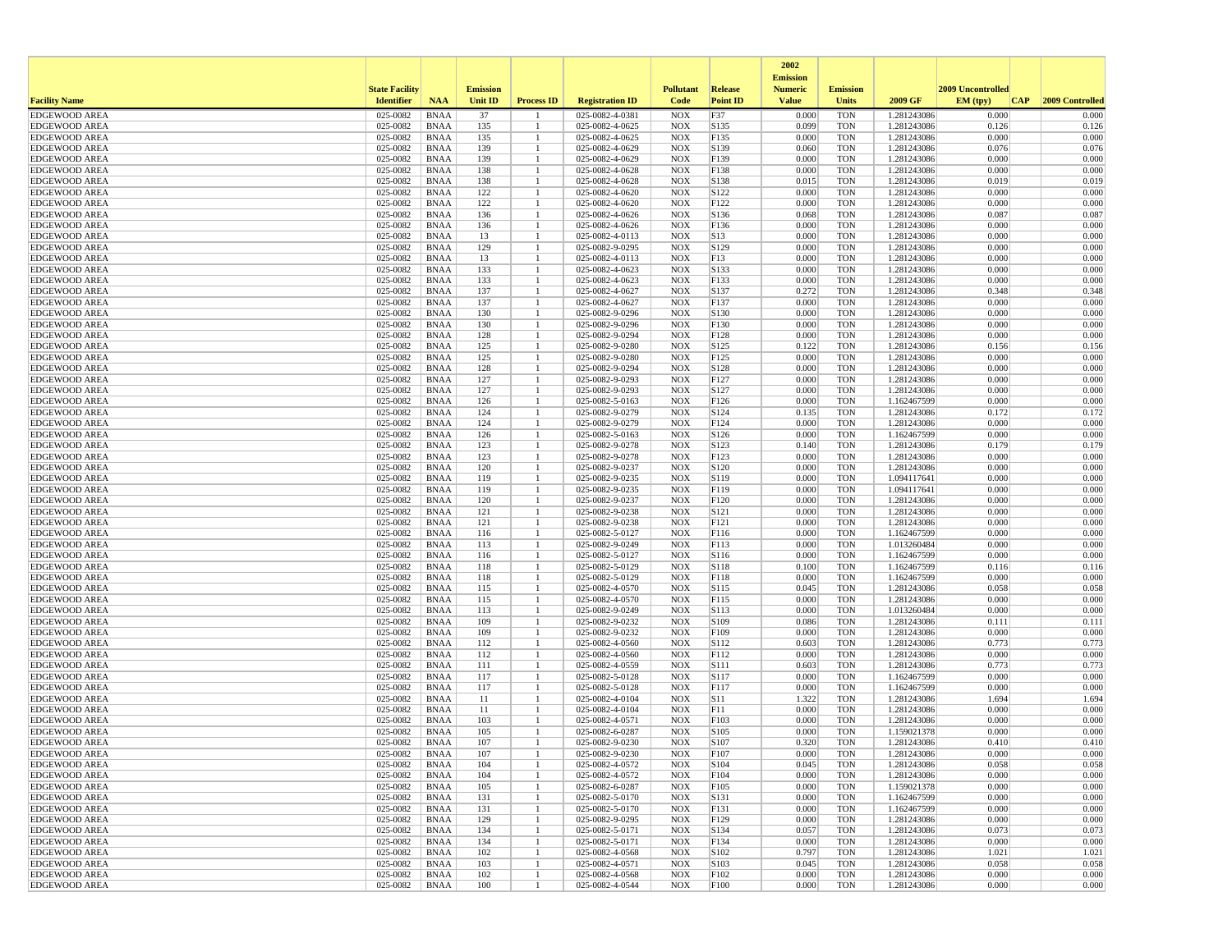|                                              |                       |                            |                 |                   |                                    |                          |                 | 2002                              |                          |                            |                   |                 |
|----------------------------------------------|-----------------------|----------------------------|-----------------|-------------------|------------------------------------|--------------------------|-----------------|-----------------------------------|--------------------------|----------------------------|-------------------|-----------------|
|                                              | <b>State Facility</b> |                            | <b>Emission</b> |                   |                                    | <b>Pollutant</b>         | <b>Release</b>  | <b>Emission</b><br><b>Numeric</b> | <b>Emission</b>          |                            | 2009 Uncontrolled |                 |
| <b>Facility Name</b>                         | <b>Identifier</b>     | <b>NAA</b>                 | <b>Unit ID</b>  | <b>Process ID</b> | <b>Registration ID</b>             | Code                     | <b>Point ID</b> | <b>Value</b>                      | <b>Units</b>             | 2009 GF                    | EM (typ)<br> CAP  | 2009 Controlled |
| <b>EDGEWOOD AREA</b>                         | 025-0082              | <b>BNAA</b>                | 37              |                   | 025-0082-4-0381                    | <b>NOX</b>               | F37             | 0.000                             | <b>TON</b>               | 1.281243086                | 0.000             | 0.000           |
| <b>EDGEWOOD AREA</b>                         | 025-0082              | <b>BNAA</b>                | 135             |                   | 025-0082-4-0625                    | <b>NOX</b>               | S135            | 0.099                             | <b>TON</b>               | 1.281243086                | 0.126             | 0.126           |
| <b>EDGEWOOD AREA</b>                         | 025-0082              | <b>BNAA</b>                | 135             |                   | 025-0082-4-0625                    | <b>NOX</b>               | F135            | 0.000                             | <b>TON</b>               | 1.281243086                | 0.000             | 0.000           |
| <b>EDGEWOOD AREA</b>                         | 025-0082              | <b>BNAA</b>                | 139             |                   | 025-0082-4-0629                    | <b>NOX</b>               | S139            | 0.060                             | <b>TON</b>               | 1.281243086                | 0.076             | 0.076           |
| <b>EDGEWOOD AREA</b><br><b>EDGEWOOD AREA</b> | 025-0082<br>025-0082  | <b>BNAA</b><br><b>BNAA</b> | 139<br>138      |                   | 025-0082-4-0629<br>025-0082-4-0628 | <b>NOX</b><br><b>NOX</b> | F139<br>F138    | 0.000<br>0.000                    | <b>TON</b><br><b>TON</b> | 1.281243086<br>1.281243086 | 0.000<br>0.000    | 0.000<br>0.000  |
| <b>EDGEWOOD AREA</b>                         | 025-0082              | <b>BNAA</b>                | 138             |                   | 025-0082-4-0628                    | <b>NOX</b>               | S138            | 0.015                             | <b>TON</b>               | 1.281243086                | 0.019             | 0.019           |
| <b>EDGEWOOD AREA</b>                         | 025-0082              | <b>BNAA</b>                | 122             |                   | 025-0082-4-0620                    | <b>NOX</b>               | S122            | 0.000                             | <b>TON</b>               | 1.281243086                | 0.000             | 0.000           |
| <b>EDGEWOOD AREA</b>                         | 025-0082              | <b>BNAA</b>                | 122             |                   | 025-0082-4-0620                    | <b>NOX</b>               | F122            | 0.000                             | <b>TON</b>               | 1.281243086                | 0.000             | 0.000           |
| <b>EDGEWOOD AREA</b>                         | 025-0082              | <b>BNAA</b>                | 136             |                   | 025-0082-4-0626                    | <b>NOX</b>               | S136            | 0.068                             | <b>TON</b>               | 1.281243086                | 0.087             | 0.087           |
| <b>EDGEWOOD AREA</b>                         | 025-0082              | <b>BNAA</b>                | 136             |                   | 025-0082-4-0626                    | <b>NOX</b>               | F136            | 0.000                             | <b>TON</b>               | 1.281243086                | 0.000             | 0.000           |
| <b>EDGEWOOD AREA</b>                         | 025-0082              | <b>BNAA</b>                | 13              |                   | 025-0082-4-0113                    | <b>NOX</b>               | S13             | 0.000                             | <b>TON</b>               | 1.281243086                | 0.000             | 0.000           |
| <b>EDGEWOOD AREA</b>                         | 025-0082              | <b>BNAA</b>                | 129             |                   | 025-0082-9-0295                    | <b>NOX</b>               | S129            | 0.000                             | <b>TON</b>               | 1.281243086                | 0.000             | 0.000           |
| <b>EDGEWOOD AREA</b>                         | 025-0082              | <b>BNAA</b>                | 13              |                   | 025-0082-4-0113                    | <b>NOX</b>               | F13             | 0.000                             | <b>TON</b>               | 1.281243086                | 0.000             | 0.000           |
| <b>EDGEWOOD AREA</b><br><b>EDGEWOOD AREA</b> | 025-0082<br>025-0082  | <b>BNAA</b><br><b>BNAA</b> | 133<br>133      |                   | 025-0082-4-0623<br>025-0082-4-0623 | <b>NOX</b><br><b>NOX</b> | S133<br>F133    | 0.000<br>0.000                    | <b>TON</b><br><b>TON</b> | 1.281243086<br>1.281243086 | 0.000<br>0.000    | 0.000<br>0.000  |
| <b>EDGEWOOD AREA</b>                         | 025-0082              | <b>BNAA</b>                | 137             |                   | 025-0082-4-0627                    | <b>NOX</b>               | S137            | 0.272                             | <b>TON</b>               | 1.281243086                | 0.348             | 0.348           |
| <b>EDGEWOOD AREA</b>                         | 025-0082              | <b>BNAA</b>                | 137             |                   | 025-0082-4-0627                    | <b>NOX</b>               | F137            | 0.000                             | <b>TON</b>               | 1.281243086                | 0.000             | 0.000           |
| <b>EDGEWOOD AREA</b>                         | 025-0082              | <b>BNAA</b>                | 130             |                   | 025-0082-9-0296                    | <b>NOX</b>               | S130            | 0.000                             | <b>TON</b>               | 1.281243086                | 0.000             | 0.000           |
| <b>EDGEWOOD AREA</b>                         | 025-0082              | <b>BNAA</b>                | 130             |                   | 025-0082-9-0296                    | <b>NOX</b>               | F130            | 0.000                             | <b>TON</b>               | 1.281243086                | 0.000             | 0.000           |
| <b>EDGEWOOD AREA</b>                         | 025-0082              | <b>BNAA</b>                | 128             |                   | 025-0082-9-0294                    | <b>NOX</b>               | F128            | 0.000                             | <b>TON</b>               | 1.281243086                | 0.000             | 0.000           |
| <b>EDGEWOOD AREA</b>                         | 025-0082              | <b>BNAA</b>                | 125             |                   | 025-0082-9-0280                    | <b>NOX</b>               | S125            | 0.122                             | <b>TON</b>               | 1.281243086                | 0.156             | 0.156           |
| <b>EDGEWOOD AREA</b>                         | 025-0082              | <b>BNAA</b>                | 125             |                   | 025-0082-9-0280                    | <b>NOX</b>               | F125            | 0.000                             | <b>TON</b>               | 1.281243086                | 0.000             | 0.000           |
| <b>EDGEWOOD AREA</b>                         | 025-0082              | <b>BNAA</b>                | 128             |                   | 025-0082-9-0294                    | <b>NOX</b>               | S128            | 0.000                             | <b>TON</b>               | 1.281243086                | 0.000             | 0.000           |
| <b>EDGEWOOD AREA</b>                         | 025-0082              | <b>BNAA</b>                | 127             |                   | 025-0082-9-0293                    | <b>NOX</b>               | F127            | 0.000                             | <b>TON</b>               | 1.281243086                | 0.000             | 0.000           |
| <b>EDGEWOOD AREA</b>                         | 025-0082              | <b>BNAA</b>                | 127             |                   | 025-0082-9-0293                    | <b>NOX</b>               | S127            | 0.000                             | <b>TON</b>               | 1.281243086                | 0.000             | 0.000           |
| <b>EDGEWOOD AREA</b>                         | 025-0082              | <b>BNAA</b>                | 126             |                   | 025-0082-5-0163                    | <b>NOX</b>               | F126            | 0.000                             | <b>TON</b>               | 1.162467599                | 0.000             | 0.000           |
| <b>EDGEWOOD AREA</b><br><b>EDGEWOOD AREA</b> | 025-0082<br>025-0082  | <b>BNAA</b><br><b>BNAA</b> | 124<br>124      |                   | 025-0082-9-0279<br>025-0082-9-0279 | <b>NOX</b><br><b>NOX</b> | S124<br>F124    | 0.135<br>0.000                    | <b>TON</b><br><b>TON</b> | 1.281243086<br>1.281243086 | 0.172<br>0.000    | 0.172<br>0.000  |
| <b>EDGEWOOD AREA</b>                         | 025-0082              | <b>BNAA</b>                | 126             |                   | 025-0082-5-0163                    | <b>NOX</b>               | S126            | 0.000                             | <b>TON</b>               | 1.162467599                | 0.000             | 0.000           |
| <b>EDGEWOOD AREA</b>                         | 025-0082              | <b>BNAA</b>                | 123             |                   | 025-0082-9-0278                    | <b>NOX</b>               | S123            | 0.140                             | <b>TON</b>               | 1.281243086                | 0.179             | 0.179           |
| <b>EDGEWOOD AREA</b>                         | 025-0082              | <b>BNAA</b>                | 123             |                   | 025-0082-9-0278                    | <b>NOX</b>               | F123            | 0.000                             | <b>TON</b>               | 1.281243086                | 0.000             | 0.000           |
| <b>EDGEWOOD AREA</b>                         | 025-0082              | <b>BNAA</b>                | 120             |                   | 025-0082-9-0237                    | <b>NOX</b>               | S120            | 0.000                             | <b>TON</b>               | 1.281243086                | 0.000             | 0.000           |
| <b>EDGEWOOD AREA</b>                         | 025-0082              | <b>BNAA</b>                | 119             |                   | 025-0082-9-0235                    | <b>NOX</b>               | S119            | 0.000                             | <b>TON</b>               | 1.094117641                | 0.000             | 0.000           |
| <b>EDGEWOOD AREA</b>                         | 025-0082              | <b>BNAA</b>                | 119             |                   | 025-0082-9-0235                    | <b>NOX</b>               | F119            | 0.000                             | <b>TON</b>               | 1.094117641                | 0.000             | 0.000           |
| <b>EDGEWOOD AREA</b>                         | 025-0082              | <b>BNAA</b>                | 120             |                   | 025-0082-9-0237                    | <b>NOX</b>               | F120            | 0.000                             | <b>TON</b>               | 1.281243086                | 0.000             | 0.000           |
| <b>EDGEWOOD AREA</b>                         | 025-0082              | <b>BNAA</b>                | 121             |                   | 025-0082-9-0238                    | <b>NOX</b>               | S121            | 0.000                             | <b>TON</b>               | 1.281243086                | 0.000             | 0.000           |
| <b>EDGEWOOD AREA</b>                         | 025-0082              | <b>BNAA</b>                | 121             |                   | 025-0082-9-0238                    | <b>NOX</b>               | F121            | 0.000                             | <b>TON</b>               | 1.281243086                | 0.000             | 0.000           |
| <b>EDGEWOOD AREA</b>                         | 025-0082              | <b>BNAA</b>                | 116<br>113      |                   | 025-0082-5-0127                    | <b>NOX</b>               | F116            | 0.000                             | <b>TON</b>               | 1.162467599                | 0.000<br>0.000    | 0.000<br>0.000  |
| <b>EDGEWOOD AREA</b><br><b>EDGEWOOD AREA</b> | 025-0082<br>025-0082  | <b>BNAA</b><br><b>BNAA</b> | 116             |                   | 025-0082-9-0249<br>025-0082-5-0127 | <b>NOX</b><br><b>NOX</b> | F113<br>S116    | 0.000<br>0.000                    | <b>TON</b><br><b>TON</b> | 1.013260484<br>1.162467599 | 0.000             | 0.000           |
| <b>EDGEWOOD AREA</b>                         | 025-0082              | <b>BNAA</b>                | 118             |                   | 025-0082-5-0129                    | <b>NOX</b>               | S118            | 0.100                             | <b>TON</b>               | 1.162467599                | 0.116             | 0.116           |
| <b>EDGEWOOD AREA</b>                         | 025-0082              | <b>BNAA</b>                | 118             |                   | 025-0082-5-0129                    | <b>NOX</b>               | F118            | 0.000                             | <b>TON</b>               | 1.162467599                | 0.000             | 0.000           |
| <b>EDGEWOOD AREA</b>                         | 025-0082              | <b>BNAA</b>                | 115             |                   | 025-0082-4-0570                    | <b>NOX</b>               | S115            | 0.045                             | <b>TON</b>               | 1.281243086                | 0.058             | 0.058           |
| <b>EDGEWOOD AREA</b>                         | 025-0082              | <b>BNAA</b>                | 115             |                   | 025-0082-4-0570                    | <b>NOX</b>               | F115            | 0.000                             | <b>TON</b>               | 1.281243086                | 0.000             | 0.000           |
| <b>EDGEWOOD AREA</b>                         | 025-0082              | <b>BNAA</b>                | 113             |                   | 025-0082-9-0249                    | <b>NOX</b>               | S113            | 0.000                             | <b>TON</b>               | 1.013260484                | 0.000             | 0.000           |
| <b>EDGEWOOD AREA</b>                         | 025-0082              | <b>BNAA</b>                | 109             |                   | 025-0082-9-0232                    | <b>NOX</b>               | S109            | 0.086                             | <b>TON</b>               | 1.281243086                | 0.111             | 0.111           |
| <b>EDGEWOOD AREA</b>                         | 025-0082              | <b>BNAA</b>                | 109             |                   | 025-0082-9-0232                    | <b>NOX</b>               | F109            | 0.000                             | <b>TON</b>               | 1.281243086                | 0.000             | 0.000           |
| <b>EDGEWOOD AREA</b>                         | 025-0082              | <b>BNAA</b>                | 112             |                   | 025-0082-4-0560                    | <b>NOX</b>               | S112            | 0.603                             | <b>TON</b>               | 1.281243086                | 0.773             | 0.773           |
| <b>EDGEWOOD AREA</b>                         | 025-0082<br>025-0082  | <b>BNAA</b>                | 112<br>111      |                   | 025-0082-4-0560                    | <b>NOX</b><br><b>NOX</b> | F112<br>S111    | 0.000<br>0.603                    | <b>TON</b><br><b>TON</b> | 1.281243086                | 0.000<br>0.773    | 0.000<br>0.773  |
| <b>EDGEWOOD AREA</b><br><b>EDGEWOOD AREA</b> | 025-0082              | <b>BNAA</b><br><b>BNAA</b> | 117             |                   | 025-0082-4-0559<br>025-0082-5-0128 | <b>NOX</b>               | S117            | 0.000                             | <b>TON</b>               | 1.281243086<br>1.162467599 | 0.000             | 0.000           |
| <b>EDGEWOOD AREA</b>                         | 025-0082              | <b>BNAA</b>                | 117             |                   | 025-0082-5-0128                    | <b>NOX</b>               | F117            | 0.000                             | <b>TON</b>               | 1.162467599                | 0.000             | 0.000           |
| <b>EDGEWOOD AREA</b>                         | 025-0082              | <b>BNAA</b>                | 11              |                   | 025-0082-4-0104                    | <b>NOX</b>               | S11             | 1.322                             | <b>TON</b>               | 1.281243086                | 1.694             | 1.694           |
| <b>EDGEWOOD AREA</b>                         | 025-0082              | <b>BNAA</b>                | 11              |                   | 025-0082-4-0104                    | <b>NOX</b>               | F11             | 0.000                             | <b>TON</b>               | 1.281243086                | 0.000             | 0.000           |
| <b>EDGEWOOD AREA</b>                         | 025-0082              | <b>BNAA</b>                | 103             |                   | 025-0082-4-0571                    | <b>NOX</b>               | F103            | 0.000                             | <b>TON</b>               | 1.281243086                | 0.000             | 0.000           |
| <b>EDGEWOOD AREA</b>                         | 025-0082              | <b>BNAA</b>                | 105             |                   | 025-0082-6-0287                    | <b>NOX</b>               | S105            | 0.000                             | <b>TON</b>               | 1.159021378                | 0.000             | 0.000           |
| <b>EDGEWOOD AREA</b>                         | 025-0082              | <b>BNAA</b>                | 107             |                   | 025-0082-9-0230                    | <b>NOX</b>               | S107            | 0.320                             | <b>TON</b>               | 1.281243086                | 0.410             | 0.410           |
| <b>EDGEWOOD AREA</b>                         | 025-0082              | <b>BNAA</b>                | 107             |                   | 025-0082-9-0230                    | NOX                      | F107            | 0.000                             | <b>TON</b>               | 1.281243086                | 0.000             | 0.000           |
| <b>EDGEWOOD AREA</b>                         | 025-0082              | BNAA                       | 104             | $\mathbf{1}$      | 025-0082-4-0572                    | <b>NOX</b>               | S104            | 0.045                             | TON                      | 1.281243086                | 0.058             | 0.058           |
| <b>EDGEWOOD AREA</b>                         | 025-0082              | <b>BNAA</b>                | 104             |                   | 025-0082-4-0572                    | <b>NOX</b>               | F104            | 0.000                             | <b>TON</b>               | 1.281243086                | 0.000<br>0.000    | 0.000<br>0.000  |
| <b>EDGEWOOD AREA</b><br><b>EDGEWOOD AREA</b> | 025-0082<br>025-0082  | BNAA<br><b>BNAA</b>        | 105<br>131      |                   | 025-0082-6-0287<br>025-0082-5-0170 | <b>NOX</b><br><b>NOX</b> | F105<br>S131    | 0.000<br>0.000                    | <b>TON</b><br><b>TON</b> | 1.159021378<br>1.162467599 | 0.000             | 0.000           |
| <b>EDGEWOOD AREA</b>                         | 025-0082              | <b>BNAA</b>                | 131             |                   | 025-0082-5-0170                    | <b>NOX</b>               | F131            | 0.000                             | <b>TON</b>               | 1.162467599                | 0.000             | 0.000           |
| <b>EDGEWOOD AREA</b>                         | 025-0082              | <b>BNAA</b>                | 129             |                   | 025-0082-9-0295                    | <b>NOX</b>               | F129            | 0.000                             | <b>TON</b>               | 1.281243086                | 0.000             | 0.000           |
| <b>EDGEWOOD AREA</b>                         | 025-0082              | <b>BNAA</b>                | 134             |                   | 025-0082-5-0171                    | <b>NOX</b>               | S134            | 0.057                             | <b>TON</b>               | 1.281243086                | 0.073             | 0.073           |
| <b>EDGEWOOD AREA</b>                         | 025-0082              | <b>BNAA</b>                | 134             |                   | 025-0082-5-0171                    | <b>NOX</b>               | F134            | 0.000                             | <b>TON</b>               | 1.281243086                | 0.000             | 0.000           |
| <b>EDGEWOOD AREA</b>                         | 025-0082              | BNAA                       | 102             |                   | 025-0082-4-0568                    | <b>NOX</b>               | S102            | 0.797                             | <b>TON</b>               | 1.281243086                | 1.021             | 1.021           |
| <b>EDGEWOOD AREA</b>                         | 025-0082              | <b>BNAA</b>                | 103             |                   | 025-0082-4-0571                    | <b>NOX</b>               | S103            | 0.045                             | <b>TON</b>               | 1.281243086                | 0.058             | 0.058           |
| <b>EDGEWOOD AREA</b>                         | 025-0082              | <b>BNAA</b>                | 102             |                   | 025-0082-4-0568                    | <b>NOX</b>               | F102            | 0.000                             | <b>TON</b>               | 1.281243086                | 0.000             | 0.000           |
| <b>EDGEWOOD AREA</b>                         | 025-0082              | BNAA                       | 100             | -1                | 025-0082-4-0544                    | <b>NOX</b>               | F100            | 0.000                             | <b>TON</b>               | 1.281243086                | 0.000             | 0.000           |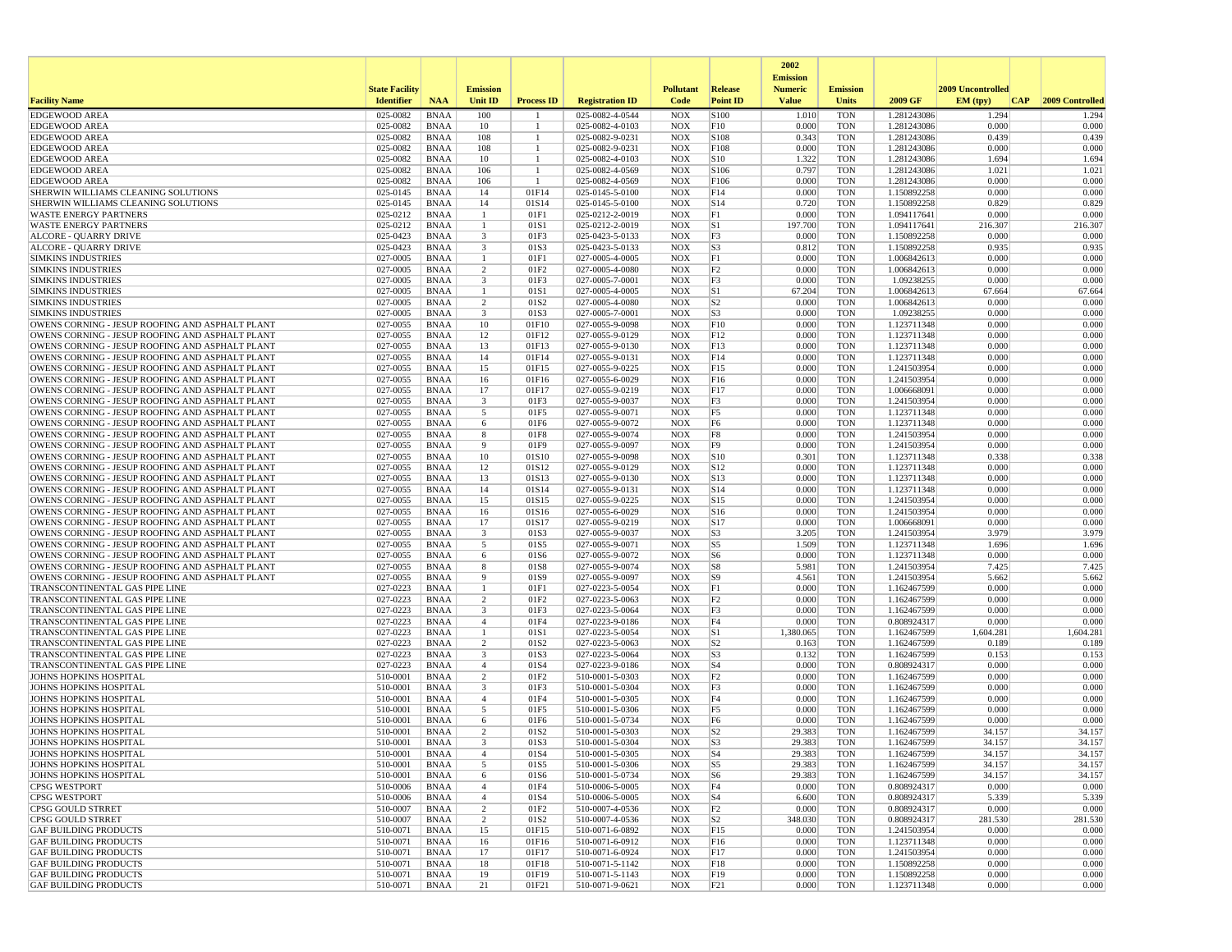|                                                                                                    |                       |                            |                                         |                      |                                    |                          |                      | 2002                              |                          |                            |                   |                 |
|----------------------------------------------------------------------------------------------------|-----------------------|----------------------------|-----------------------------------------|----------------------|------------------------------------|--------------------------|----------------------|-----------------------------------|--------------------------|----------------------------|-------------------|-----------------|
|                                                                                                    | <b>State Facility</b> |                            | <b>Emission</b>                         |                      |                                    | <b>Pollutant</b>         | Release              | <b>Emission</b><br><b>Numeric</b> | <b>Emission</b>          |                            | 2009 Uncontrolled |                 |
| <b>Facility Name</b>                                                                               | <b>Identifier</b>     | <b>NAA</b>                 | <b>Unit ID</b>                          | <b>Process ID</b>    | <b>Registration ID</b>             | Code                     | <b>Point ID</b>      | <b>Value</b>                      | Units                    | 2009 GF                    | CAP <br>EM (typ)  | 2009 Controlled |
| <b>EDGEWOOD AREA</b>                                                                               | 025-0082              | <b>BNAA</b>                | 100                                     |                      | 025-0082-4-0544                    | <b>NOX</b>               | S100                 | 1.010                             | <b>TON</b>               | 1.281243086                | 1.294             | 1.294           |
| <b>EDGEWOOD AREA</b>                                                                               | 025-0082              | <b>BNAA</b>                | 10                                      | -1                   | 025-0082-4-0103                    | <b>NOX</b>               | F10                  | 0.000                             | <b>TON</b>               | 1.281243086                | 0.000             | 0.000           |
| <b>EDGEWOOD AREA</b>                                                                               | 025-0082              | <b>BNAA</b>                | 108                                     | $\mathbf{1}$         | 025-0082-9-0231                    | <b>NOX</b>               | S108                 | 0.343                             | <b>TON</b>               | 1.281243086                | 0.439             | 0.439           |
| <b>EDGEWOOD AREA</b>                                                                               | 025-0082              | <b>BNAA</b>                | 108                                     | -1                   | 025-0082-9-0231                    | <b>NOX</b>               | F108                 | 0.000                             | <b>TON</b>               | 1.281243086                | 0.000             | 0.000           |
| <b>EDGEWOOD AREA</b><br><b>EDGEWOOD AREA</b>                                                       | 025-0082<br>025-0082  | <b>BNAA</b><br><b>BNAA</b> | 10<br>106                               | -1<br>$\overline{1}$ | 025-0082-4-0103<br>025-0082-4-0569 | <b>NOX</b><br><b>NOX</b> | S10<br>S106          | 1.322<br>0.797                    | <b>TON</b><br><b>TON</b> | 1.281243086<br>1.281243086 | 1.694<br>1.021    | 1.694<br>1.021  |
| <b>EDGEWOOD AREA</b>                                                                               | 025-0082              | <b>BNAA</b>                | 106                                     | -1                   | 025-0082-4-0569                    | <b>NOX</b>               | F106                 | 0.000                             | <b>TON</b>               | 1.281243086                | 0.000             | 0.000           |
| SHERWIN WILLIAMS CLEANING SOLUTIONS                                                                | 025-0145              | <b>BNAA</b>                | 14                                      | 01F14                | 025-0145-5-0100                    | <b>NOX</b>               | F14                  | 0.000                             | <b>TON</b>               | 1.150892258                | 0.000             | 0.000           |
| SHERWIN WILLIAMS CLEANING SOLUTIONS                                                                | 025-0145              | <b>BNAA</b>                | 14                                      | 01S14                | 025-0145-5-0100                    | <b>NOX</b>               | S14                  | 0.720                             | <b>TON</b>               | 1.150892258                | 0.829             | 0.829           |
| <b>WASTE ENERGY PARTNERS</b>                                                                       | 025-0212              | <b>BNAA</b>                | $\overline{1}$                          | 01F1                 | 025-0212-2-0019                    | <b>NOX</b>               | F1                   | 0.000                             | <b>TON</b>               | 1.094117641                | 0.000             | 0.000           |
| <b>WASTE ENERGY PARTNERS</b>                                                                       | 025-0212              | <b>BNAA</b>                | -1                                      | 01S1                 | 025-0212-2-0019                    | <b>NOX</b>               | S1                   | 197.700                           | <b>TON</b>               | 1.094117641                | 216.307           | 216.307         |
| <b>ALCORE - QUARRY DRIVE</b>                                                                       | 025-0423              | <b>BNAA</b>                | $\overline{\mathbf{3}}$                 | 01F3                 | 025-0423-5-0133                    | <b>NOX</b>               | F3                   | 0.000                             | <b>TON</b>               | 1.150892258                | 0.000             | 0.000           |
| ALCORE - QUARRY DRIVE<br><b>SIMKINS INDUSTRIES</b>                                                 | 025-0423<br>027-0005  | <b>BNAA</b><br><b>BNAA</b> | $\overline{\mathbf{3}}$<br>$\mathbf{1}$ | 01S3<br>01F1         | 025-0423-5-0133<br>027-0005-4-0005 | <b>NOX</b><br><b>NOX</b> | S <sub>3</sub><br>F1 | 0.812<br>0.000                    | <b>TON</b><br><b>TON</b> | 1.150892258<br>1.006842613 | 0.935<br>0.000    | 0.935<br>0.000  |
| <b>SIMKINS INDUSTRIES</b>                                                                          | 027-0005              | <b>BNAA</b>                | 2                                       | 01F <sub>2</sub>     | 027-0005-4-0080                    | <b>NOX</b>               | F2                   | 0.000                             | <b>TON</b>               | 1.006842613                | 0.000             | 0.000           |
| <b>SIMKINS INDUSTRIES</b>                                                                          | 027-0005              | <b>BNAA</b>                | 3                                       | 01F3                 | 027-0005-7-0001                    | <b>NOX</b>               | F3                   | 0.000                             | <b>TON</b>               | 1.09238255                 | 0.000             | 0.000           |
| <b>SIMKINS INDUSTRIES</b>                                                                          | 027-0005              | <b>BNAA</b>                | $\overline{1}$                          | 01S1                 | 027-0005-4-0005                    | <b>NOX</b>               | S1                   | 67.204                            | <b>TON</b>               | 1.006842613                | 67.664            | 67.664          |
| <b>SIMKINS INDUSTRIES</b>                                                                          | 027-0005              | <b>BNAA</b>                | $\overline{2}$                          | 01S2                 | 027-0005-4-0080                    | <b>NOX</b>               | S <sub>2</sub>       | 0.000                             | <b>TON</b>               | 1.006842613                | 0.000             | 0.000           |
| <b>SIMKINS INDUSTRIES</b>                                                                          | 027-0005              | <b>BNAA</b>                | $\overline{\mathbf{3}}$                 | 01S3                 | 027-0005-7-0001                    | <b>NOX</b>               | S <sub>3</sub>       | 0.000                             | <b>TON</b>               | 1.09238255                 | 0.000             | 0.000           |
| OWENS CORNING - JESUP ROOFING AND ASPHALT PLANT                                                    | 027-0055              | <b>BNAA</b>                | 10                                      | 01F10                | 027-0055-9-0098                    | <b>NOX</b>               | F10                  | 0.000                             | <b>TON</b>               | 1.123711348                | 0.000             | 0.000           |
| OWENS CORNING - JESUP ROOFING AND ASPHALT PLANT<br>OWENS CORNING - JESUP ROOFING AND ASPHALT PLANT | 027-0055<br>027-0055  | <b>BNAA</b><br><b>BNAA</b> | 12<br>13                                | 01F12<br>01F13       | 027-0055-9-0129<br>027-0055-9-0130 | <b>NOX</b><br><b>NOX</b> | F12<br>F13           | 0.000<br>0.000                    | <b>TON</b><br><b>TON</b> | 1.123711348<br>1.123711348 | 0.000<br>0.000    | 0.000<br>0.000  |
| OWENS CORNING - JESUP ROOFING AND ASPHALT PLANT                                                    | 027-0055              | <b>BNAA</b>                | 14                                      | 01F14                | 027-0055-9-0131                    | <b>NOX</b>               | F14                  | 0.000                             | <b>TON</b>               | 1.123711348                | 0.000             | 0.000           |
| OWENS CORNING - JESUP ROOFING AND ASPHALT PLANT                                                    | 027-0055              | <b>BNAA</b>                | 15                                      | 01F15                | 027-0055-9-0225                    | <b>NOX</b>               | F15                  | 0.000                             | <b>TON</b>               | 1.241503954                | 0.000             | 0.000           |
| OWENS CORNING - JESUP ROOFING AND ASPHALT PLANT                                                    | 027-0055              | <b>BNAA</b>                | 16                                      | 01F16                | 027-0055-6-0029                    | <b>NOX</b>               | F16                  | 0.000                             | <b>TON</b>               | 1.241503954                | 0.000             | 0.000           |
| OWENS CORNING - JESUP ROOFING AND ASPHALT PLANT                                                    | 027-0055              | <b>BNAA</b>                | 17                                      | 01F17                | 027-0055-9-0219                    | <b>NOX</b>               | F17                  | 0.000                             | <b>TON</b>               | 1.006668091                | 0.000             | 0.000           |
| OWENS CORNING - JESUP ROOFING AND ASPHALT PLANT                                                    | 027-0055              | <b>BNAA</b>                | $\overline{\mathbf{3}}$                 | 01F3                 | 027-0055-9-0037                    | <b>NOX</b>               | F3                   | 0.000                             | <b>TON</b>               | 1.241503954                | 0.000             | 0.000           |
| OWENS CORNING - JESUP ROOFING AND ASPHALT PLANT                                                    | 027-0055              | <b>BNAA</b>                | 5                                       | 01F5                 | 027-0055-9-0071                    | <b>NOX</b>               | F <sub>5</sub>       | 0.000                             | <b>TON</b>               | 1.123711348                | 0.000             | 0.000           |
| OWENS CORNING - JESUP ROOFING AND ASPHALT PLANT<br>OWENS CORNING - JESUP ROOFING AND ASPHALT PLANT | 027-0055<br>027-0055  | <b>BNAA</b>                | 6<br>8                                  | 01F6<br>01F8         | 027-0055-9-0072                    | <b>NOX</b>               | F <sub>6</sub>       | 0.000<br>0.000                    | <b>TON</b><br><b>TON</b> | 1.123711348                | 0.000<br>0.000    | 0.000<br>0.000  |
| OWENS CORNING - JESUP ROOFING AND ASPHALT PLANT                                                    | 027-0055              | <b>BNAA</b><br><b>BNAA</b> | 9                                       | 01F9                 | 027-0055-9-0074<br>027-0055-9-0097 | <b>NOX</b><br><b>NOX</b> | F8<br>F <sub>9</sub> | 0.000                             | <b>TON</b>               | 1.241503954<br>1.241503954 | 0.000             | 0.000           |
| OWENS CORNING - JESUP ROOFING AND ASPHALT PLANT                                                    | 027-0055              | <b>BNAA</b>                | 10                                      | 01S10                | 027-0055-9-0098                    | <b>NOX</b>               | S10                  | 0.301                             | <b>TON</b>               | 1.123711348                | 0.338             | 0.338           |
| OWENS CORNING - JESUP ROOFING AND ASPHALT PLANT                                                    | 027-0055              | <b>BNAA</b>                | 12                                      | 01S12                | 027-0055-9-0129                    | <b>NOX</b>               | S12                  | 0.000                             | <b>TON</b>               | 1.123711348                | 0.000             | 0.000           |
| OWENS CORNING - JESUP ROOFING AND ASPHALT PLANT                                                    | 027-0055              | <b>BNAA</b>                | 13                                      | 01S13                | 027-0055-9-0130                    | <b>NOX</b>               | S13                  | 0.000                             | <b>TON</b>               | 1.123711348                | 0.000             | 0.000           |
| OWENS CORNING - JESUP ROOFING AND ASPHALT PLANT                                                    | 027-0055              | <b>BNAA</b>                | 14                                      | 01S14                | 027-0055-9-0131                    | <b>NOX</b>               | S14                  | 0.000                             | <b>TON</b>               | 1.123711348                | 0.000             | 0.000           |
| OWENS CORNING - JESUP ROOFING AND ASPHALT PLANT                                                    | 027-0055              | <b>BNAA</b>                | 15                                      | 01S15                | 027-0055-9-0225                    | <b>NOX</b>               | S15                  | 0.000                             | <b>TON</b>               | 1.241503954                | 0.000             | 0.000           |
| OWENS CORNING - JESUP ROOFING AND ASPHALT PLANT<br>OWENS CORNING - JESUP ROOFING AND ASPHALT PLANT | 027-0055<br>027-0055  | <b>BNAA</b><br><b>BNAA</b> | 16<br>17                                | 01S16<br>01S17       | 027-0055-6-0029<br>027-0055-9-0219 | <b>NOX</b><br><b>NOX</b> | S16<br>S17           | 0.000<br>0.000                    | <b>TON</b><br><b>TON</b> | 1.241503954<br>1.006668091 | 0.000<br>0.000    | 0.000<br>0.000  |
| OWENS CORNING - JESUP ROOFING AND ASPHALT PLANT                                                    | 027-0055              | <b>BNAA</b>                | 3                                       | 01S3                 | 027-0055-9-0037                    | <b>NOX</b>               | S <sub>3</sub>       | 3.205                             | <b>TON</b>               | 1.241503954                | 3.979             | 3.979           |
| OWENS CORNING - JESUP ROOFING AND ASPHALT PLANT                                                    | 027-0055              | <b>BNAA</b>                | 5                                       | 01S5                 | 027-0055-9-0071                    | <b>NOX</b>               | S5                   | 1.509                             | <b>TON</b>               | 1.123711348                | 1.696             | 1.696           |
| OWENS CORNING - JESUP ROOFING AND ASPHALT PLANT                                                    | 027-0055              | <b>BNAA</b>                | 6                                       | 01S6                 | 027-0055-9-0072                    | <b>NOX</b>               | S <sub>6</sub>       | 0.000                             | <b>TON</b>               | 1.123711348                | 0.000             | 0.000           |
| OWENS CORNING - JESUP ROOFING AND ASPHALT PLANT                                                    | 027-0055              | <b>BNAA</b>                | 8                                       | 01S8                 | 027-0055-9-0074                    | <b>NOX</b>               | S8                   | 5.981                             | <b>TON</b>               | 1.241503954                | 7.425             | 7.425           |
| OWENS CORNING - JESUP ROOFING AND ASPHALT PLANT                                                    | 027-0055              | <b>BNAA</b>                | -9                                      | 01S9                 | 027-0055-9-0097                    | <b>NOX</b>               | S9                   | 4.561                             | <b>TON</b>               | 1.241503954                | 5.662             | 5.662           |
| TRANSCONTINENTAL GAS PIPE LINE                                                                     | 027-0223              | <b>BNAA</b><br><b>BNAA</b> | -1                                      | 01F1                 | 027-0223-5-0054                    | <b>NOX</b>               | F1                   | 0.000                             | <b>TON</b>               | 1.162467599                | 0.000             | 0.000           |
| TRANSCONTINENTAL GAS PIPE LINE<br>TRANSCONTINENTAL GAS PIPE LINE                                   | 027-0223<br>027-0223  | <b>BNAA</b>                | 2<br>$\overline{\mathbf{3}}$            | 01F2<br>01F3         | 027-0223-5-0063<br>027-0223-5-0064 | <b>NOX</b><br><b>NOX</b> | F2<br>F3             | 0.000<br>0.000                    | <b>TON</b><br><b>TON</b> | 1.162467599<br>1.162467599 | 0.000<br>0.000    | 0.000<br>0.000  |
| TRANSCONTINENTAL GAS PIPE LINE                                                                     | 027-0223              | <b>BNAA</b>                | $\overline{4}$                          | 01F4                 | 027-0223-9-0186                    | <b>NOX</b>               | F4                   | 0.000                             | <b>TON</b>               | 0.808924317                | 0.000             | 0.000           |
| TRANSCONTINENTAL GAS PIPE LINE                                                                     | 027-0223              | <b>BNAA</b>                |                                         | 01S1                 | 027-0223-5-0054                    | <b>NOX</b>               | S1                   | 1,380.065                         | <b>TON</b>               | 1.162467599                | 1,604.281         | 1,604.281       |
| TRANSCONTINENTAL GAS PIPE LINE                                                                     | 027-0223              | <b>BNAA</b>                | 2                                       | 01S2                 | 027-0223-5-0063                    | <b>NOX</b>               | S <sub>2</sub>       | 0.163                             | <b>TON</b>               | 1.162467599                | 0.189             | 0.189           |
| TRANSCONTINENTAL GAS PIPE LINE                                                                     | 027-0223              | <b>BNAA</b>                | 3                                       | 01S3                 | 027-0223-5-0064                    | <b>NOX</b>               | S3                   | 0.132                             | <b>TON</b>               | 1.162467599                | 0.153             | 0.153           |
| TRANSCONTINENTAL GAS PIPE LINE                                                                     | 027-0223              | <b>BNAA</b>                | $\overline{4}$                          | 01S4                 | 027-0223-9-0186                    | <b>NOX</b>               | S <sub>4</sub>       | 0.000                             | <b>TON</b>               | 0.808924317                | 0.000             | 0.000           |
| <b>JOHNS HOPKINS HOSPITAL</b><br><b>JOHNS HOPKINS HOSPITAL</b>                                     | 510-0001<br>510-0001  | <b>BNAA</b>                | $\overline{2}$<br>3                     | 01F2<br>01F3         | 510-0001-5-0303                    | <b>NOX</b><br><b>NOX</b> | F <sub>2</sub>       | 0.000<br>0.000                    | <b>TON</b><br><b>TON</b> | 1.162467599                | 0.000<br>0.000    | 0.000<br>0.000  |
| <b>JOHNS HOPKINS HOSPITAL</b>                                                                      | 510-0001              | <b>BNAA</b><br><b>BNAA</b> | $\overline{4}$                          | 01F4                 | 510-0001-5-0304<br>510-0001-5-0305 | <b>NOX</b>               | F3<br>F4             | 0.000                             | <b>TON</b>               | 1.162467599<br>1.162467599 | 0.000             | 0.000           |
| <b>JOHNS HOPKINS HOSPITAL</b>                                                                      | 510-0001              | <b>BNAA</b>                | 5                                       | 01F5                 | 510-0001-5-0306                    | <b>NOX</b>               | F <sub>5</sub>       | 0.000                             | <b>TON</b>               | 1.162467599                | 0.000             | 0.000           |
| JOHNS HOPKINS HOSPITAL                                                                             | 510-0001              | <b>BNAA</b>                | 6                                       | 01F6                 | 510-0001-5-0734                    | <b>NOX</b>               | F <sub>6</sub>       | 0.000                             | <b>TON</b>               | 1.162467599                | 0.000             | 0.000           |
| JOHNS HOPKINS HOSPITAL                                                                             | 510-0001              | <b>BNAA</b>                | 2                                       | 01S2                 | 510-0001-5-0303                    | <b>NOX</b>               | S <sub>2</sub>       | 29.383                            | <b>TON</b>               | 1.162467599                | 34.157            | 34.157          |
| <b>JOHNS HOPKINS HOSPITAL</b>                                                                      | 510-0001              | <b>BNAA</b>                | $\mathcal{E}$                           | 01S3                 | 510-0001-5-0304                    | <b>NOX</b>               | S <sub>3</sub>       | 29.383                            | <b>TON</b>               | 1.162467599                | 34.157            | 34.157          |
| JOHNS HOPKINS HOSPITAL                                                                             | 510-0001              | <b>BNAA</b>                |                                         | 01S4                 | 510-0001-5-0305                    | NOX                      | S <sub>4</sub>       | 29.383                            | TON                      | 1.162467599                | 34.157            | 34.157          |
| <b>JOHNS HOPKINS HOSPITAL</b><br><b>JOHNS HOPKINS HOSPITAL</b>                                     | 510-0001              | BNAA                       | 5                                       | 01S5<br>01S6         | 510-0001-5-0306                    | <b>NOX</b><br><b>NOX</b> | S5<br>S6             | 29.383<br>29.383                  | <b>TON</b><br><b>TON</b> | 1.162467599                | 34.157            | 34.157          |
| <b>CPSG WESTPORT</b>                                                                               | 510-0001<br>510-0006  | <b>BNAA</b><br><b>BNAA</b> | 6<br>$\overline{4}$                     | 01F4                 | 510-0001-5-0734<br>510-0006-5-0005 | <b>NOX</b>               | F4                   | 0.000                             | <b>TON</b>               | 1.162467599<br>0.808924317 | 34.157<br>0.000   | 34.157<br>0.000 |
| <b>CPSG WESTPORT</b>                                                                               | 510-0006              | <b>BNAA</b>                | $\overline{4}$                          | 01S4                 | 510-0006-5-0005                    | NOX                      | S4                   | 6.600                             | <b>TON</b>               | 0.808924317                | 5.339             | 5.339           |
| CPSG GOULD STRRET                                                                                  | 510-0007              | <b>BNAA</b>                | 2                                       | 01F2                 | 510-0007-4-0536                    | <b>NOX</b>               | F2                   | 0.000                             | <b>TON</b>               | 0.808924317                | 0.000             | 0.000           |
| <b>CPSG GOULD STRRET</b>                                                                           | 510-0007              | <b>BNAA</b>                | $\overline{2}$                          | 01S <sub>2</sub>     | 510-0007-4-0536                    | <b>NOX</b>               | S <sub>2</sub>       | 348.030                           | <b>TON</b>               | 0.808924317                | 281.530           | 281.530         |
| <b>GAF BUILDING PRODUCTS</b>                                                                       | 510-0071              | BNAA                       | 15                                      | 01F15                | 510-0071-6-0892                    | <b>NOX</b>               | F15                  | 0.000                             | <b>TON</b>               | 1.241503954                | 0.000             | 0.000           |
| <b>GAF BUILDING PRODUCTS</b>                                                                       | 510-0071              | <b>BNAA</b>                | 16                                      | 01F16                | 510-0071-6-0912                    | <b>NOX</b>               | F16                  | 0.000                             | TON                      | 1.123711348                | 0.000             | 0.000           |
| <b>GAF BUILDING PRODUCTS</b><br><b>GAF BUILDING PRODUCTS</b>                                       | 510-0071              | BNAA                       | 17                                      | 01F17                | 510-0071-6-0924                    | <b>NOX</b><br><b>NOX</b> | F17                  | 0.000<br>0.000                    | <b>TON</b><br><b>TON</b> | 1.241503954                | 0.000<br>0.000    | 0.000<br>0.000  |
| <b>GAF BUILDING PRODUCTS</b>                                                                       | 510-0071<br>510-0071  | <b>BNAA</b><br><b>BNAA</b> | 18<br>19                                | 01F18<br>01F19       | 510-0071-5-1142<br>510-0071-5-1143 | NOX                      | F18<br>F19           | 0.000                             | <b>TON</b>               | 1.150892258<br>1.150892258 | 0.000             | 0.000           |
| <b>GAF BUILDING PRODUCTS</b>                                                                       | 510-0071              | BNAA                       | 21                                      | 01F21                | 510-0071-9-0621                    | <b>NOX</b>               | F21                  | 0.000                             | <b>TON</b>               | 1.123711348                | 0.000             | 0.000           |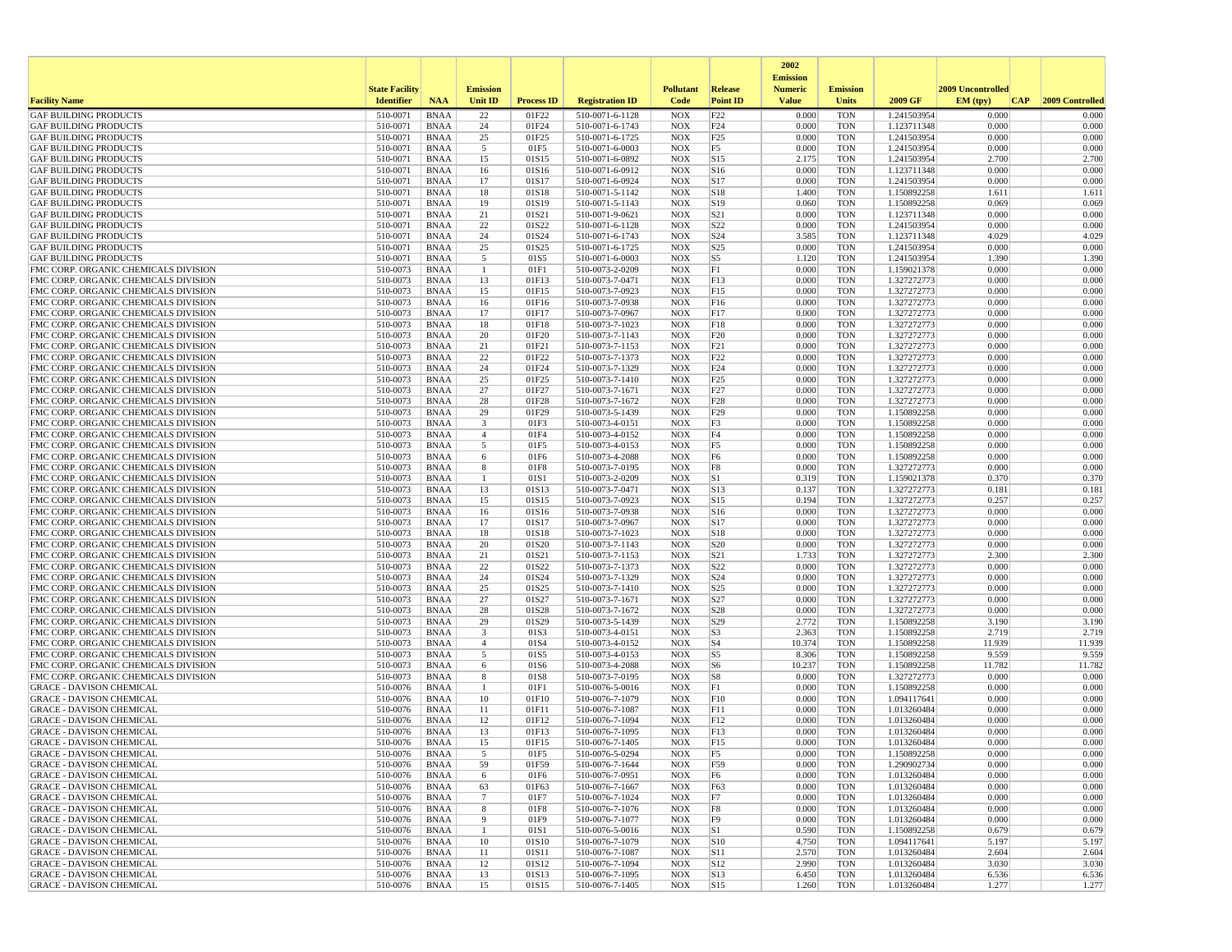|                                                                              |                       |                            |                 |                   |                                    |                          |                                   | 2002                              |                          |                            |                   |                 |
|------------------------------------------------------------------------------|-----------------------|----------------------------|-----------------|-------------------|------------------------------------|--------------------------|-----------------------------------|-----------------------------------|--------------------------|----------------------------|-------------------|-----------------|
|                                                                              | <b>State Facility</b> |                            | <b>Emission</b> |                   |                                    | <b>Pollutant</b>         | Release                           | <b>Emission</b><br><b>Numeric</b> | <b>Emission</b>          |                            | 2009 Uncontrolled |                 |
| <b>Facility Name</b>                                                         | <b>Identifier</b>     | <b>NAA</b>                 | <b>Unit ID</b>  | <b>Process ID</b> | <b>Registration ID</b>             | Code                     | <b>Point ID</b>                   | <b>Value</b>                      | <b>Units</b>             | 2009 GF                    | CAP <br>EM (typ)  | 2009 Controlled |
| <b>GAF BUILDING PRODUCTS</b>                                                 | 510-0071              | <b>BNAA</b>                | 22              | 01F22             | 510-0071-6-1128                    | <b>NOX</b>               | F22                               | 0.000                             | <b>TON</b>               | 1.241503954                | 0.000             | 0.000           |
| <b>GAF BUILDING PRODUCTS</b>                                                 | 510-0071              | <b>BNAA</b>                | 24              | 01F24             | 510-0071-6-1743                    | <b>NOX</b>               | F24                               | 0.000                             | <b>TON</b>               | 1.123711348                | 0.000             | 0.000           |
| <b>GAF BUILDING PRODUCTS</b>                                                 | 510-0071              | <b>BNAA</b>                | 25              | 01F25             | 510-0071-6-1725                    | <b>NOX</b>               | F25                               | 0.000                             | <b>TON</b>               | 1.241503954                | 0.000             | 0.000           |
| <b>GAF BUILDING PRODUCTS</b><br><b>GAF BUILDING PRODUCTS</b>                 | 510-0071<br>510-0071  | <b>BNAA</b><br><b>BNAA</b> | 5<br>15         | 01F5<br>01S15     | 510-0071-6-0003<br>510-0071-6-0892 | <b>NOX</b><br><b>NOX</b> | F <sub>5</sub><br>S15             | 0.000<br>2.175                    | <b>TON</b><br><b>TON</b> | 1.241503954<br>1.241503954 | 0.000<br>2.700    | 0.000<br>2.700  |
| <b>GAF BUILDING PRODUCTS</b>                                                 | 510-0071              | <b>BNAA</b>                | 16              | 01S16             | 510-0071-6-0912                    | <b>NOX</b>               | S16                               | 0.000                             | <b>TON</b>               | 1.123711348                | 0.000             | 0.000           |
| <b>GAF BUILDING PRODUCTS</b>                                                 | 510-0071              | <b>BNAA</b>                | 17              | 01S17             | 510-0071-6-0924                    | <b>NOX</b>               | S17                               | 0.000                             | TON                      | 1.241503954                | 0.000             | 0.000           |
| <b>GAF BUILDING PRODUCTS</b>                                                 | 510-0071              | <b>BNAA</b>                | 18              | 01S18             | 510-0071-5-1142                    | <b>NOX</b>               | S18                               | 1.400                             | <b>TON</b>               | 1.150892258                | 1.611             | 1.611           |
| <b>GAF BUILDING PRODUCTS</b>                                                 | 510-0071              | <b>BNAA</b>                | 19              | 01S19             | 510-0071-5-1143                    | <b>NOX</b>               | S19                               | 0.060                             | <b>TON</b>               | 1.150892258                | 0.069             | 0.069           |
| <b>GAF BUILDING PRODUCTS</b>                                                 | 510-0071              | <b>BNAA</b>                | 21              | 01S21             | 510-0071-9-0621                    | <b>NOX</b>               | S <sub>21</sub>                   | 0.000                             | <b>TON</b>               | 1.123711348                | 0.000             | 0.000           |
| <b>GAF BUILDING PRODUCTS</b><br><b>GAF BUILDING PRODUCTS</b>                 | 510-0071<br>510-0071  | <b>BNAA</b><br><b>BNAA</b> | 22<br>24        | 01S22<br>01S24    | 510-0071-6-1128<br>510-0071-6-1743 | <b>NOX</b><br><b>NOX</b> | S <sub>22</sub><br>S24            | 0.000<br>3.585                    | <b>TON</b><br><b>TON</b> | 1.241503954<br>1.123711348 | 0.000<br>4.029    | 0.000<br>4.029  |
| <b>GAF BUILDING PRODUCTS</b>                                                 | 510-0071              | <b>BNAA</b>                | 25              | 01S25             | 510-0071-6-1725                    | <b>NOX</b>               | S <sub>25</sub>                   | 0.000                             | <b>TON</b>               | 1.241503954                | 0.000             | 0.000           |
| <b>GAF BUILDING PRODUCTS</b>                                                 | 510-0071              | <b>BNAA</b>                | 5               | 01S5              | 510-0071-6-0003                    | <b>NOX</b>               | S5                                | 1.120                             | <b>TON</b>               | 1.241503954                | 1.390             | 1.390           |
| FMC CORP. ORGANIC CHEMICALS DIVISION                                         | 510-0073              | <b>BNAA</b>                | -1              | 01F1              | 510-0073-2-0209                    | <b>NOX</b>               | F1                                | 0.000                             | <b>TON</b>               | 1.159021378                | 0.000             | 0.000           |
| FMC CORP. ORGANIC CHEMICALS DIVISION                                         | 510-0073              | <b>BNAA</b>                | 13              | 01F13             | 510-0073-7-0471                    | <b>NOX</b>               | FI3                               | 0.000                             | <b>TON</b>               | 1.327272773                | 0.000             | 0.000           |
| FMC CORP. ORGANIC CHEMICALS DIVISION                                         | 510-0073              | <b>BNAA</b>                | 15              | 01F15             | 510-0073-7-0923                    | <b>NOX</b>               | FI5                               | 0.000                             | <b>TON</b>               | 1.327272773                | 0.000             | 0.000           |
| FMC CORP. ORGANIC CHEMICALS DIVISION<br>FMC CORP. ORGANIC CHEMICALS DIVISION | 510-0073<br>510-0073  | <b>BNAA</b><br><b>BNAA</b> | 16<br>17        | 01F16<br>01F17    | 510-0073-7-0938<br>510-0073-7-0967 | <b>NOX</b><br><b>NOX</b> | F16<br>F17                        | 0.000<br>0.000                    | <b>TON</b><br><b>TON</b> | 1.327272773                | 0.000<br>0.000    | 0.000<br>0.000  |
| FMC CORP. ORGANIC CHEMICALS DIVISION                                         | 510-0073              | <b>BNAA</b>                | 18              | 01F18             | 510-0073-7-1023                    | <b>NOX</b>               | F18                               | 0.000                             | <b>TON</b>               | 1.327272773<br>1.327272773 | 0.000             | 0.000           |
| FMC CORP. ORGANIC CHEMICALS DIVISION                                         | 510-0073              | <b>BNAA</b>                | 20              | 01F20             | 510-0073-7-1143                    | <b>NOX</b>               | F20                               | 0.000                             | <b>TON</b>               | 1.327272773                | 0.000             | 0.000           |
| FMC CORP. ORGANIC CHEMICALS DIVISION                                         | 510-0073              | <b>BNAA</b>                | 21              | 01F21             | 510-0073-7-1153                    | <b>NOX</b>               | F21                               | 0.000                             | <b>TON</b>               | 1.327272773                | 0.000             | 0.000           |
| FMC CORP. ORGANIC CHEMICALS DIVISION                                         | 510-0073              | <b>BNAA</b>                | 22              | 01F22             | 510-0073-7-1373                    | <b>NOX</b>               | F22                               | 0.000                             | <b>TON</b>               | 1.327272773                | 0.000             | 0.000           |
| FMC CORP. ORGANIC CHEMICALS DIVISION                                         | 510-0073              | BNAA                       | 24              | 01F24             | 510-0073-7-1329                    | <b>NOX</b>               | F24                               | 0.000                             | TON                      | 1.327272773                | 0.000             | 0.000           |
| FMC CORP. ORGANIC CHEMICALS DIVISION                                         | 510-0073              | <b>BNAA</b>                | 25              | 01F25             | 510-0073-7-1410                    | <b>NOX</b>               | F25                               | 0.000                             | <b>TON</b>               | 1.327272773                | 0.000             | 0.000           |
| FMC CORP. ORGANIC CHEMICALS DIVISION<br>FMC CORP. ORGANIC CHEMICALS DIVISION | 510-0073<br>510-0073  | <b>BNAA</b><br><b>BNAA</b> | 27<br>28        | 01F27<br>01F28    | 510-0073-7-1671<br>510-0073-7-1672 | <b>NOX</b><br><b>NOX</b> | F27<br>F28                        | 0.000<br>0.000                    | <b>TON</b><br><b>TON</b> | 1.327272773<br>1.327272773 | 0.000<br>0.000    | 0.000<br>0.000  |
| FMC CORP. ORGANIC CHEMICALS DIVISION                                         | 510-0073              | <b>BNAA</b>                | 29              | 01F29             | 510-0073-5-1439                    | <b>NOX</b>               | F29                               | 0.000                             | <b>TON</b>               | 1.150892258                | 0.000             | 0.000           |
| FMC CORP. ORGANIC CHEMICALS DIVISION                                         | 510-0073              | <b>BNAA</b>                | 3               | 01F3              | 510-0073-4-0151                    | <b>NOX</b>               | F3                                | 0.000                             | TON                      | 1.150892258                | 0.000             | 0.000           |
| FMC CORP. ORGANIC CHEMICALS DIVISION                                         | 510-0073              | <b>BNAA</b>                | $\overline{4}$  | 01F4              | 510-0073-4-0152                    | <b>NOX</b>               | F4                                | 0.000                             | <b>TON</b>               | 1.150892258                | 0.000             | 0.000           |
| FMC CORP. ORGANIC CHEMICALS DIVISION                                         | 510-0073              | <b>BNAA</b>                | 5               | 01F5              | 510-0073-4-0153                    | <b>NOX</b>               | F <sub>5</sub>                    | 0.000                             | <b>TON</b>               | 1.150892258                | 0.000             | 0.000           |
| FMC CORP. ORGANIC CHEMICALS DIVISION                                         | 510-0073              | <b>BNAA</b>                | 6               | 01F6              | 510-0073-4-2088                    | <b>NOX</b>               | F <sub>6</sub>                    | 0.000                             | <b>TON</b>               | 1.150892258                | 0.000             | 0.000           |
| FMC CORP. ORGANIC CHEMICALS DIVISION<br>FMC CORP. ORGANIC CHEMICALS DIVISION | 510-0073<br>510-0073  | <b>BNAA</b><br><b>BNAA</b> | 8<br>-1         | 01F8<br>01S1      | 510-0073-7-0195<br>510-0073-2-0209 | <b>NOX</b><br><b>NOX</b> | F8<br> S1                         | 0.000<br>0.319                    | <b>TON</b><br><b>TON</b> | 1.327272773<br>1.159021378 | 0.000<br>0.370    | 0.000<br>0.370  |
| FMC CORP. ORGANIC CHEMICALS DIVISION                                         | 510-0073              | <b>BNAA</b>                | 13              | 01S13             | 510-0073-7-0471                    | <b>NOX</b>               | $\vert$ S <sub>13</sub>           | 0.137                             | TON                      | 1.327272773                | 0.181             | 0.181           |
| FMC CORP. ORGANIC CHEMICALS DIVISION                                         | 510-0073              | <b>BNAA</b>                | 15              | 01S15             | 510-0073-7-0923                    | <b>NOX</b>               | S15                               | 0.194                             | <b>TON</b>               | 1.327272773                | 0.257             | 0.257           |
| FMC CORP. ORGANIC CHEMICALS DIVISION                                         | 510-0073              | <b>BNAA</b>                | 16              | 01S16             | 510-0073-7-0938                    | <b>NOX</b>               | S <sub>16</sub>                   | 0.000                             | <b>TON</b>               | 1.327272773                | 0.000             | 0.000           |
| FMC CORP. ORGANIC CHEMICALS DIVISION                                         | 510-0073              | <b>BNAA</b>                | 17              | 01S17             | 510-0073-7-0967                    | <b>NOX</b>               | S17                               | 0.000                             | <b>TON</b>               | 1.327272773                | 0.000             | 0.000           |
| FMC CORP. ORGANIC CHEMICALS DIVISION                                         | 510-0073              | <b>BNAA</b>                | 18              | 01S18             | 510-0073-7-1023                    | <b>NOX</b>               | S18                               | 0.000                             | <b>TON</b>               | 1.327272773                | 0.000             | 0.000           |
| FMC CORP. ORGANIC CHEMICALS DIVISION<br>FMC CORP. ORGANIC CHEMICALS DIVISION | 510-0073<br>510-0073  | <b>BNAA</b><br><b>BNAA</b> | 20<br>21        | 01S20<br>01S21    | 510-0073-7-1143<br>510-0073-7-1153 | <b>NOX</b><br><b>NOX</b> | S <sub>20</sub><br>S21            | 0.000<br>1.733                    | TON<br><b>TON</b>        | 1.327272773<br>1.327272773 | 0.000<br>2.300    | 0.000<br>2.300  |
| FMC CORP. ORGANIC CHEMICALS DIVISION                                         | 510-0073              | <b>BNAA</b>                | 22              | 01S22             | 510-0073-7-1373                    | <b>NOX</b>               | S22                               | 0.000                             | <b>TON</b>               | 1.327272773                | 0.000             | 0.000           |
| FMC CORP. ORGANIC CHEMICALS DIVISION                                         | 510-0073              | <b>BNAA</b>                | 24              | 01S24             | 510-0073-7-1329                    | <b>NOX</b>               | S <sub>24</sub>                   | 0.000                             | <b>TON</b>               | 1.327272773                | 0.000             | 0.000           |
| FMC CORP. ORGANIC CHEMICALS DIVISION                                         | 510-0073              | <b>BNAA</b>                | 25              | 01S25             | 510-0073-7-1410                    | <b>NOX</b>               | S <sub>25</sub>                   | 0.000                             | <b>TON</b>               | 1.327272773                | 0.000             | 0.000           |
| FMC CORP. ORGANIC CHEMICALS DIVISION                                         | 510-0073              | <b>BNAA</b>                | 27              | 01S27             | 510-0073-7-1671                    | <b>NOX</b>               | S27                               | 0.000                             | <b>TON</b>               | 1.327272773                | 0.000             | 0.000           |
| FMC CORP. ORGANIC CHEMICALS DIVISION                                         | 510-0073              | <b>BNAA</b>                | 28              | 01S28             | 510-0073-7-1672                    | <b>NOX</b>               | S <sub>28</sub>                   | 0.000                             | TON                      | 1.327272773                | 0.000             | 0.000           |
| FMC CORP. ORGANIC CHEMICALS DIVISION<br>FMC CORP. ORGANIC CHEMICALS DIVISION | 510-0073<br>510-0073  | <b>BNAA</b><br><b>BNAA</b> | 29<br>3         | 01S29<br>01S3     | 510-0073-5-1439                    | <b>NOX</b><br><b>NOX</b> | S <sub>29</sub><br>S <sub>3</sub> | 2.772<br>2.363                    | <b>TON</b><br><b>TON</b> | 1.150892258<br>1.150892258 | 3.190<br>2.719    | 3.190<br>2.719  |
| FMC CORP. ORGANIC CHEMICALS DIVISION                                         | 510-0073              | <b>BNAA</b>                | $\overline{4}$  | 01S4              | 510-0073-4-0151<br>510-0073-4-0152 | <b>NOX</b>               | S <sub>4</sub>                    | 10.374                            | <b>TON</b>               | 1.150892258                | 11.939            | 11.939          |
| FMC CORP. ORGANIC CHEMICALS DIVISION                                         | 510-0073              | <b>BNAA</b>                | 5               | 01S5              | 510-0073-4-0153                    | <b>NOX</b>               | S5                                | 8.306                             | <b>TON</b>               | 1.150892258                | 9.559             | 9.559           |
| FMC CORP. ORGANIC CHEMICALS DIVISION                                         | 510-0073              | <b>BNAA</b>                | 6               | 01S6              | 510-0073-4-2088                    | <b>NOX</b>               | S6                                | 10.237                            | <b>TON</b>               | 1.150892258                | 11.782            | 11.782          |
| FMC CORP. ORGANIC CHEMICALS DIVISION                                         | 510-0073              | <b>BNAA</b>                | 8               | 01S8              | 510-0073-7-0195                    | <b>NOX</b>               | S8                                | 0.000                             | <b>TON</b>               | 1.327272773                | 0.000             | 0.000           |
| <b>GRACE - DAVISON CHEMICAL</b>                                              | 510-0076              | <b>BNAA</b>                | $\mathbf{1}$    | 01F1              | 510-0076-5-0016                    | <b>NOX</b>               | F1                                | 0.000                             | <b>TON</b>               | 1.150892258                | 0.000             | 0.000           |
| <b>GRACE - DAVISON CHEMICAL</b><br><b>GRACE - DAVISON CHEMICAL</b>           | 510-0076<br>510-0076  | <b>BNAA</b><br><b>BNAA</b> | 10<br>11        | 01F10<br>01F11    | 510-0076-7-1079<br>510-0076-7-1087 | <b>NOX</b><br><b>NOX</b> | F10<br>F11                        | 0.000<br>0.000                    | <b>TON</b><br><b>TON</b> | 1.094117641<br>1.013260484 | 0.000<br>0.000    | 0.000<br>0.000  |
| <b>GRACE - DAVISON CHEMICAL</b>                                              | 510-0076              | <b>BNAA</b>                | 12              | 01F12             | 510-0076-7-1094                    | <b>NOX</b>               | F12                               | 0.000                             | <b>TON</b>               | 1.013260484                | 0.000             | 0.000           |
| <b>GRACE - DAVISON CHEMICAL</b>                                              | 510-0076              | <b>BNAA</b>                | 13              | 01F13             | 510-0076-7-1095                    | <b>NOX</b>               | F13                               | 0.000                             | <b>TON</b>               | 1.013260484                | 0.000             | 0.000           |
| <b>GRACE - DAVISON CHEMICAL</b>                                              | 510-0076              | <b>BNAA</b>                | 15              | 01F15             | 510-0076-7-1405                    | <b>NOX</b>               | F15                               | 0.000                             | <b>TON</b>               | 1.013260484                | 0.000             | 0.000           |
| <b>GRACE - DAVISON CHEMICAL</b>                                              | 510-0076              | <b>BNAA</b>                |                 | 01F5              | 510-0076-5-0294                    | NOX                      | F5                                | 0.000                             | TON                      | 1.150892258                | 0.000             | 0.000           |
| <b>GRACE - DAVISON CHEMICAL</b>                                              | 510-0076              | BNAA                       | 59              | 01F59             | 510-0076-7-1644                    | NOX                      | F59                               | 0.000                             | TON                      | 1.290902734                | 0.000             | 0.000           |
| <b>GRACE - DAVISON CHEMICAL</b><br><b>GRACE - DAVISON CHEMICAL</b>           | 510-0076<br>510-0076  | BNAA<br>BNAA               | 6<br>63         | 01F6<br>01F63     | 510-0076-7-0951<br>510-0076-7-1667 | <b>NOX</b><br>NOX        | F6<br>F63                         | 0.000<br>0.000                    | <b>TON</b><br>TON        | 1.013260484<br>1.013260484 | 0.000<br>0.000    | 0.000<br>0.000  |
| <b>GRACE - DAVISON CHEMICAL</b>                                              | 510-0076              | BNAA                       | $\overline{7}$  | 01F7              | 510-0076-7-1024                    | NOX                      | F7                                | 0.000                             | <b>TON</b>               | 1.013260484                | 0.000             | 0.000           |
| <b>GRACE - DAVISON CHEMICAL</b>                                              | 510-0076              | <b>BNAA</b>                | 8               | 01F8              | 510-0076-7-1076                    | NOX                      | F8                                | 0.000                             | <b>TON</b>               | 1.013260484                | 0.000             | 0.000           |
| <b>GRACE - DAVISON CHEMICAL</b>                                              | 510-0076              | BNAA                       | 9               | 01F9              | 510-0076-7-1077                    | NOX                      | F9                                | 0.000                             | TON                      | 1.013260484                | 0.000             | 0.000           |
| <b>GRACE - DAVISON CHEMICAL</b>                                              | 510-0076              | BNAA                       | -1              | 01S1              | 510-0076-5-0016                    | <b>NOX</b>               | S1                                | 0.590                             | <b>TON</b>               | 1.150892258                | 0.679             | 0.679           |
| <b>GRACE - DAVISON CHEMICAL</b>                                              | 510-0076              | BNAA                       | 10              | 01S10             | 510-0076-7-1079                    | <b>NOX</b>               | S10                               | 4.750                             | <b>TON</b>               | 1.094117641                | 5.197             | 5.197           |
| <b>GRACE - DAVISON CHEMICAL</b><br><b>GRACE - DAVISON CHEMICAL</b>           | 510-0076<br>510-0076  | BNAA<br>BNAA               | 11<br>12        | 01S11<br>01S12    | 510-0076-7-1087<br>510-0076-7-1094 | NOX<br><b>NOX</b>        | S11<br>S12                        | 2.570<br>2.990                    | TON<br><b>TON</b>        | 1.013260484<br>1.013260484 | 2.604<br>3.030    | 2.604<br>3.030  |
| <b>GRACE - DAVISON CHEMICAL</b>                                              | 510-0076              | <b>BNAA</b>                | 13              | 01S13             | 510-0076-7-1095                    | NOX                      | S13                               | 6.450                             | <b>TON</b>               | 1.013260484                | 6.536             | 6.536           |
| <b>GRACE - DAVISON CHEMICAL</b>                                              | 510-0076              | BNAA                       | 15              | 01S15             | 510-0076-7-1405                    | NOX                      | $\vert$ S15                       | 1.260                             | TON                      | 1.013260484                | 1.277             | 1.277           |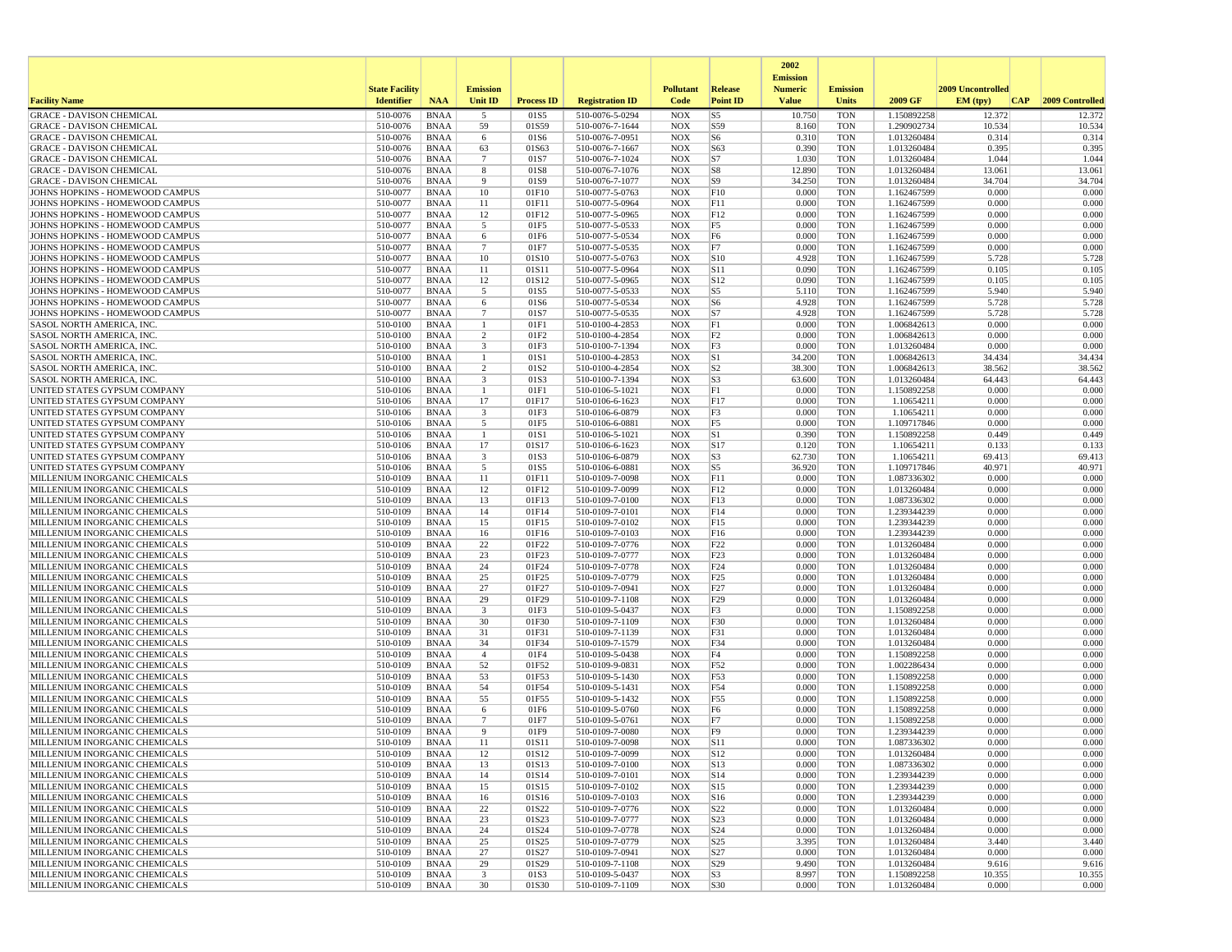|                                                                    |                       |                            |                                |                          |                                    |                          |                                            | 2002                              |                          |                            |                   |                  |
|--------------------------------------------------------------------|-----------------------|----------------------------|--------------------------------|--------------------------|------------------------------------|--------------------------|--------------------------------------------|-----------------------------------|--------------------------|----------------------------|-------------------|------------------|
|                                                                    | <b>State Facility</b> |                            | <b>Emission</b>                |                          |                                    | <b>Pollutant</b>         | Release                                    | <b>Emission</b><br><b>Numeric</b> | <b>Emission</b>          |                            | 2009 Uncontrolled |                  |
| <b>Facility Name</b>                                               | <b>Identifier</b>     | <b>NAA</b>                 | <b>Unit ID</b>                 | <b>Process ID</b>        | <b>Registration ID</b>             | Code                     | <b>Point ID</b>                            | <b>Value</b>                      | <b>Units</b>             | 2009 GF                    | EM (tpv)<br> CAP  | 2009 Controlled  |
| <b>GRACE - DAVISON CHEMICAL</b>                                    | 510-0076              | <b>BNAA</b>                | 5                              | 01S5                     | 510-0076-5-0294                    | <b>NOX</b>               | S <sub>5</sub>                             | 10.750                            | <b>TON</b>               | 1.150892258                | 12.372            | 12.372           |
| <b>GRACE - DAVISON CHEMICAL</b>                                    | 510-0076              | <b>BNAA</b>                | 59                             | 01S59                    | 510-0076-7-1644                    | <b>NOX</b>               | S59                                        | 8.160                             | <b>TON</b>               | 1.290902734                | 10.534            | 10.534           |
| <b>GRACE - DAVISON CHEMICAL</b><br><b>GRACE - DAVISON CHEMICAL</b> | 510-0076<br>510-0076  | <b>BNAA</b><br>BNAA        | 6<br>63                        | 01S6<br>01S63            | 510-0076-7-0951<br>510-0076-7-1667 | <b>NOX</b><br><b>NOX</b> | S6<br>S63                                  | 0.310<br>0.390                    | <b>TON</b><br><b>TON</b> | 1.013260484<br>1.013260484 | 0.314<br>0.395    | 0.314<br>0.395   |
| <b>GRACE - DAVISON CHEMICAL</b>                                    | 510-0076              | <b>BNAA</b>                | $7\phantom{.0}$                | 01S7                     | 510-0076-7-1024                    | <b>NOX</b>               | S7                                         | 1.030                             | <b>TON</b>               | 1.013260484                | 1.044             | 1.044            |
| <b>GRACE - DAVISON CHEMICAL</b>                                    | 510-0076              | <b>BNAA</b>                | 8                              | 01S8                     | 510-0076-7-1076                    | <b>NOX</b>               | S8                                         | 12.890                            | <b>TON</b>               | 1.013260484                | 13.061            | 13.061           |
| <b>GRACE - DAVISON CHEMICAL</b>                                    | 510-0076              | BNAA                       | 9                              | 01S9                     | 510-0076-7-1077                    | <b>NOX</b>               | S9                                         | 34.250                            | <b>TON</b>               | 1.013260484                | 34.704            | 34.704           |
| JOHNS HOPKINS - HOMEWOOD CAMPUS<br>JOHNS HOPKINS - HOMEWOOD CAMPUS | 510-0077<br>510-0077  | <b>BNAA</b><br><b>BNAA</b> | 10<br>11                       | 01F10<br>01F11           | 510-0077-5-0763<br>510-0077-5-0964 | <b>NOX</b><br><b>NOX</b> | F10<br>F11                                 | 0.000<br>0.000                    | <b>TON</b><br><b>TON</b> | 1.162467599<br>1.162467599 | 0.000<br>0.000    | 0.000<br>0.000   |
| JOHNS HOPKINS - HOMEWOOD CAMPUS                                    | 510-0077              | <b>BNAA</b>                | 12                             | 01F12                    | 510-0077-5-0965                    | <b>NOX</b>               | F12                                        | 0.000                             | <b>TON</b>               | 1.162467599                | 0.000             | 0.000            |
| JOHNS HOPKINS - HOMEWOOD CAMPUS                                    | 510-0077              | BNAA                       | 5                              | 01F5                     | 510-0077-5-0533                    | <b>NOX</b>               | F5                                         | 0.000                             | <b>TON</b>               | 1.162467599                | 0.000             | 0.000            |
| JOHNS HOPKINS - HOMEWOOD CAMPUS                                    | 510-0077              | <b>BNAA</b>                | 6                              | 01F6                     | 510-0077-5-0534                    | <b>NOX</b>               | F <sub>6</sub>                             | 0.000                             | <b>TON</b>               | 1.162467599                | 0.000             | 0.000            |
| JOHNS HOPKINS - HOMEWOOD CAMPUS<br>JOHNS HOPKINS - HOMEWOOD CAMPUS | 510-0077<br>510-0077  | <b>BNAA</b><br><b>BNAA</b> | $7\phantom{.0}$<br>10          | 01F7<br>01S10            | 510-0077-5-0535<br>510-0077-5-0763 | <b>NOX</b><br><b>NOX</b> | F7<br> S10                                 | 0.000<br>4.928                    | <b>TON</b><br><b>TON</b> | 1.162467599<br>1.162467599 | 0.000<br>5.728    | 0.000<br>5.728   |
| JOHNS HOPKINS - HOMEWOOD CAMPUS                                    | 510-0077              | BNAA                       | 11                             | 01S11                    | 510-0077-5-0964                    | <b>NOX</b>               | S11                                        | 0.090                             | <b>TON</b>               | 1.162467599                | 0.105             | 0.105            |
| JOHNS HOPKINS - HOMEWOOD CAMPUS                                    | 510-0077              | BNAA                       | 12                             | 01S12                    | 510-0077-5-0965                    | <b>NOX</b>               | S12                                        | 0.090                             | <b>TON</b>               | 1.162467599                | 0.105             | 0.105            |
| JOHNS HOPKINS - HOMEWOOD CAMPUS                                    | 510-0077              | <b>BNAA</b>                | 5                              | 01S5                     | 510-0077-5-0533                    | <b>NOX</b>               | S <sub>5</sub>                             | 5.110                             | <b>TON</b>               | 1.162467599                | 5.940             | 5.940            |
| JOHNS HOPKINS - HOMEWOOD CAMPUS<br>JOHNS HOPKINS - HOMEWOOD CAMPUS | 510-0077<br>510-0077  | BNAA<br><b>BNAA</b>        | 6<br>$\overline{7}$            | 01S6<br>01S7             | 510-0077-5-0534<br>510-0077-5-0535 | <b>NOX</b><br><b>NOX</b> | S6<br>S7                                   | 4.928<br>4.928                    | <b>TON</b><br><b>TON</b> | 1.162467599<br>1.162467599 | 5.728<br>5.728    | 5.728<br>5.728   |
| SASOL NORTH AMERICA, INC.                                          | 510-0100              | <b>BNAA</b>                | $\mathbf{1}$                   | 01F1                     | 510-0100-4-2853                    | <b>NOX</b>               | F1                                         | 0.000                             | <b>TON</b>               | 1.006842613                | 0.000             | 0.000            |
| <b>SASOL NORTH AMERICA, INC.</b>                                   | 510-0100              | <b>BNAA</b>                | $\overline{c}$                 | 01F2                     | 510-0100-4-2854                    | <b>NOX</b>               | F <sub>2</sub>                             | 0.000                             | <b>TON</b>               | 1.006842613                | 0.000             | 0.000            |
| <b>SASOL NORTH AMERICA, INC</b>                                    | 510-0100              | BNAA                       | $\overline{\mathbf{3}}$        | 01F3                     | 510-0100-7-1394                    | <b>NOX</b>               | F3                                         | 0.000                             | <b>TON</b>               | 1.013260484                | 0.000             | 0.000            |
| SASOL NORTH AMERICA, INC<br><b>SASOL NORTH AMERICA, INC</b>        | 510-0100<br>510-0100  | <b>BNAA</b><br><b>BNAA</b> | $\mathbf{1}$<br>$\overline{c}$ | 01S1<br>01S <sub>2</sub> | 510-0100-4-2853<br>510-0100-4-2854 | <b>NOX</b><br><b>NOX</b> | S1<br>S <sub>2</sub>                       | 34.200<br>38.300                  | <b>TON</b><br><b>TON</b> | 1.006842613<br>1.006842613 | 34.434<br>38.562  | 34.434<br>38.562 |
| <b>SASOL NORTH AMERICA, INC</b>                                    | 510-0100              | BNAA                       | 3                              | 01S3                     | 510-0100-7-1394                    | <b>NOX</b>               | S3                                         | 63.600                            | <b>TON</b>               | 1.013260484                | 64.443            | 64.443           |
| UNITED STATES GYPSUM COMPANY                                       | 510-0106              | <b>BNAA</b>                | -1                             | 01F1                     | 510-0106-5-1021                    | <b>NOX</b>               | F1                                         | 0.000                             | <b>TON</b>               | 1.150892258                | 0.000             | 0.000            |
| UNITED STATES GYPSUM COMPANY                                       | 510-0106              | <b>BNAA</b>                | 17                             | 01F17                    | 510-0106-6-1623                    | <b>NOX</b>               | F17                                        | 0.000                             | <b>TON</b>               | 1.10654211                 | 0.000             | 0.000            |
| UNITED STATES GYPSUM COMPANY                                       | 510-0106              | <b>BNAA</b>                | $\overline{\mathbf{3}}$        | 01F3                     | 510-0106-6-0879                    | <b>NOX</b>               | F3                                         | 0.000                             | <b>TON</b>               | 1.10654211                 | 0.000             | 0.000            |
| UNITED STATES GYPSUM COMPANY<br>UNITED STATES GYPSUM COMPANY       | 510-0106<br>510-0106  | BNAA<br><b>BNAA</b>        | 5<br>-1                        | 01F5<br>01S1             | 510-0106-6-0881<br>510-0106-5-1021 | <b>NOX</b><br><b>NOX</b> | F5<br>S1                                   | 0.000<br>0.390                    | <b>TON</b><br><b>TON</b> | 1.109717846<br>1.150892258 | 0.000<br>0.449    | 0.000<br>0.449   |
| UNITED STATES GYPSUM COMPANY                                       | 510-0106              | <b>BNAA</b>                | 17                             | 01S17                    | 510-0106-6-1623                    | <b>NOX</b>               | S17                                        | 0.120                             | <b>TON</b>               | 1.10654211                 | 0.133             | 0.133            |
| UNITED STATES GYPSUM COMPANY                                       | 510-0106              | BNAA                       | 3                              | 01S3                     | 510-0106-6-0879                    | <b>NOX</b>               | S3                                         | 62.730                            | <b>TON</b>               | 1.10654211                 | 69.413            | 69.413           |
| UNITED STATES GYPSUM COMPANY                                       | 510-0106              | <b>BNAA</b>                | 5                              | 01S5                     | 510-0106-6-0881                    | <b>NOX</b>               | S5                                         | 36.920                            | <b>TON</b>               | 1.109717846                | 40.971            | 40.971           |
| MILLENIUM INORGANIC CHEMICALS<br>MILLENIUM INORGANIC CHEMICALS     | 510-0109<br>510-0109  | <b>BNAA</b><br>BNAA        | 11<br>12                       | 01F11<br>01F12           | 510-0109-7-0098<br>510-0109-7-0099 | <b>NOX</b><br><b>NOX</b> | F11<br>F12                                 | 0.000<br>0.000                    | <b>TON</b><br><b>TON</b> | 1.087336302<br>1.013260484 | 0.000<br>0.000    | 0.000<br>0.000   |
| MILLENIUM INORGANIC CHEMICALS                                      | 510-0109              | BNAA                       | 13                             | 01F13                    | 510-0109-7-0100                    | <b>NOX</b>               | F13                                        | 0.000                             | <b>TON</b>               | 1.087336302                | 0.000             | 0.000            |
| MILLENIUM INORGANIC CHEMICALS                                      | 510-0109              | <b>BNAA</b>                | 14                             | 01F14                    | 510-0109-7-0101                    | <b>NOX</b>               | F14                                        | 0.000                             | <b>TON</b>               | 1.239344239                | 0.000             | 0.000            |
| MILLENIUM INORGANIC CHEMICALS                                      | 510-0109              | <b>BNAA</b>                | 15                             | 01F15                    | 510-0109-7-0102                    | <b>NOX</b>               | F15                                        | 0.000                             | <b>TON</b>               | 1.239344239                | 0.000             | 0.000            |
| MILLENIUM INORGANIC CHEMICALS<br>MILLENIUM INORGANIC CHEMICALS     | 510-0109<br>510-0109  | <b>BNAA</b><br>BNAA        | 16<br>22                       | 01F16<br>01F22           | 510-0109-7-0103<br>510-0109-7-0776 | <b>NOX</b><br><b>NOX</b> | F16<br>F22                                 | 0.000<br>0.000                    | <b>TON</b><br><b>TON</b> | 1.239344239<br>1.013260484 | 0.000<br>0.000    | 0.000<br>0.000   |
| MILLENIUM INORGANIC CHEMICALS                                      | 510-0109              | BNAA                       | 23                             | 01F23                    | 510-0109-7-0777                    | <b>NOX</b>               | F23                                        | 0.000                             | <b>TON</b>               | 1.013260484                | 0.000             | 0.000            |
| MILLENIUM INORGANIC CHEMICALS                                      | 510-0109              | <b>BNAA</b>                | 24                             | 01F24                    | 510-0109-7-0778                    | <b>NOX</b>               | F <sub>24</sub>                            | 0.000                             | <b>TON</b>               | 1.013260484                | 0.000             | 0.000            |
| MILLENIUM INORGANIC CHEMICALS                                      | 510-0109              | BNAA                       | 25                             | 01F25                    | 510-0109-7-0779                    | <b>NOX</b>               | F25                                        | 0.000                             | <b>TON</b>               | 1.013260484                | 0.000             | 0.000            |
| MILLENIUM INORGANIC CHEMICALS<br>MILLENIUM INORGANIC CHEMICALS     | 510-0109<br>510-0109  | <b>BNAA</b><br><b>BNAA</b> | 27<br>29                       | 01F27<br>01F29           | 510-0109-7-0941<br>510-0109-7-1108 | <b>NOX</b><br><b>NOX</b> | F <sub>27</sub><br>F29                     | 0.000<br>0.000                    | <b>TON</b><br><b>TON</b> | 1.013260484<br>1.013260484 | 0.000<br>0.000    | 0.000<br>0.000   |
| MILLENIUM INORGANIC CHEMICALS                                      | 510-0109              | <b>BNAA</b>                | $\overline{\mathbf{3}}$        | 01F3                     | 510-0109-5-0437                    | <b>NOX</b>               | F3                                         | 0.000                             | <b>TON</b>               | 1.150892258                | 0.000             | 0.000            |
| MILLENIUM INORGANIC CHEMICALS                                      | 510-0109              | BNAA                       | 30                             | 01F30                    | 510-0109-7-1109                    | <b>NOX</b>               | F30                                        | 0.000                             | <b>TON</b>               | 1.013260484                | 0.000             | 0.000            |
| MILLENIUM INORGANIC CHEMICALS                                      | 510-0109              | <b>BNAA</b>                | 31                             | 01F31                    | 510-0109-7-1139                    | <b>NOX</b>               | F31                                        | 0.000                             | <b>TON</b>               | 1.013260484                | 0.000             | 0.000            |
| MILLENIUM INORGANIC CHEMICALS<br>MILLENIUM INORGANIC CHEMICALS     | 510-0109<br>510-0109  | <b>BNAA</b><br>BNAA        | 34<br>$\overline{4}$           | 01F34<br>01F4            | 510-0109-7-1579<br>510-0109-5-0438 | <b>NOX</b><br><b>NOX</b> | F34<br>F4                                  | 0.000<br>0.000                    | <b>TON</b><br><b>TON</b> | 1.013260484<br>1.150892258 | 0.000<br>0.000    | 0.000<br>0.000   |
| MILLENIUM INORGANIC CHEMICALS                                      | 510-0109              | <b>BNAA</b>                | 52                             | 01F52                    | 510-0109-9-0831                    | <b>NOX</b>               | F52                                        | 0.000                             | <b>TON</b>               | 1.002286434                | 0.000             | 0.000            |
| MILLENIUM INORGANIC CHEMICALS                                      | 510-0109              | <b>BNAA</b>                | 53                             | 01F53                    | 510-0109-5-1430                    | <b>NOX</b>               | F53                                        | 0.000                             | <b>TON</b>               | 1.150892258                | 0.000             | 0.000            |
| MILLENIUM INORGANIC CHEMICALS                                      | 510-0109              | <b>BNAA</b>                | 54                             | 01F54                    | 510-0109-5-1431                    | <b>NOX</b>               | F54                                        | 0.000                             | <b>TON</b>               | 1.150892258                | 0.000             | 0.000            |
| MILLENIUM INORGANIC CHEMICALS<br>MILLENIUM INORGANIC CHEMICALS     | 510-0109<br>510-0109  | BNAA<br><b>BNAA</b>        | 55<br>6                        | 01F55<br>01F6            | 510-0109-5-1432<br>510-0109-5-0760 | <b>NOX</b><br><b>NOX</b> | F55<br>F <sub>6</sub>                      | 0.000<br>0.000                    | <b>TON</b><br><b>TON</b> | 1.150892258<br>1.150892258 | 0.000<br>0.000    | 0.000<br>0.000   |
| MILLENIUM INORGANIC CHEMICALS                                      | 510-0109              | <b>BNAA</b>                | $7\phantom{.0}$                | 01F7                     | 510-0109-5-0761                    | <b>NOX</b>               | F7                                         | 0.000                             | <b>TON</b>               | 1.150892258                | 0.000             | 0.000            |
| MILLENIUM INORGANIC CHEMICALS                                      | 510-0109              | <b>BNAA</b>                | 9                              | 01F9                     | 510-0109-7-0080                    | <b>NOX</b>               | F9                                         | 0.000                             | <b>TON</b>               | 1.239344239                | 0.000             | 0.000            |
| MILLENIUM INORGANIC CHEMICALS                                      | 510-0109              | <b>BNAA</b>                | 11                             | 01S11                    | 510-0109-7-0098                    | <b>NOX</b>               | S11                                        | 0.000                             | <b>TON</b>               | 1.087336302                | 0.000             | 0.000            |
| MILLENIUM INORGANIC CHEMICALS<br>MILLENIUM INORGANIC CHEMICALS     | 510-0109<br>510-0109  | <b>BNAA</b><br>BNAA        | 12<br>13                       | 01S12<br>01S13           | 510-0109-7-0099<br>510-0109-7-0100 | <b>NOX</b><br><b>NOX</b> | S <sub>12</sub><br>$\vert$ S <sub>13</sub> | 0.000<br>0.000                    | <b>TON</b><br><b>TON</b> | 1.013260484<br>1.087336302 | 0.000<br>0.000    | 0.000<br>0.000   |
| MILLENIUM INORGANIC CHEMICALS                                      | 510-0109              | BNAA                       | 14                             | 01S14                    | 510-0109-7-0101                    | <b>NOX</b>               | S14                                        | 0.000                             | <b>TON</b>               | 1.239344239                | 0.000             | 0.000            |
| MILLENIUM INORGANIC CHEMICALS                                      | 510-0109              | BNAA                       | 15                             | 01S15                    | 510-0109-7-0102                    | <b>NOX</b>               | S15                                        | 0.000                             | <b>TON</b>               | 1.239344239                | 0.000             | 0.000            |
| MILLENIUM INORGANIC CHEMICALS                                      | 510-0109              | BNAA                       | 16                             | 01S16                    | 510-0109-7-0103                    | <b>NOX</b>               | S16                                        | 0.000                             | <b>TON</b>               | 1.239344239                | 0.000             | 0.000            |
| MILLENIUM INORGANIC CHEMICALS<br>MILLENIUM INORGANIC CHEMICALS     | 510-0109<br>510-0109  | BNAA<br><b>BNAA</b>        | 22<br>23                       | 01S22<br>01S23           | 510-0109-7-0776<br>510-0109-7-0777 | <b>NOX</b><br><b>NOX</b> | S22<br>S23                                 | 0.000<br>0.000                    | <b>TON</b><br><b>TON</b> | 1.013260484<br>1.013260484 | 0.000<br>0.000    | 0.000<br>0.000   |
| MILLENIUM INORGANIC CHEMICALS                                      | 510-0109              | BNAA                       | 24                             | 01S24                    | 510-0109-7-0778                    | <b>NOX</b>               | S24                                        | 0.000                             | <b>TON</b>               | 1.013260484                | 0.000             | 0.000            |
| MILLENIUM INORGANIC CHEMICALS                                      | 510-0109              | BNAA                       | 25                             | 01S25                    | 510-0109-7-0779                    | <b>NOX</b>               | S25                                        | 3.395                             | <b>TON</b>               | 1.013260484                | 3.440             | 3.440            |
| MILLENIUM INORGANIC CHEMICALS                                      | 510-0109              | <b>BNAA</b>                | 27                             | 01S27                    | 510-0109-7-0941                    | <b>NOX</b>               | S27                                        | 0.000                             | <b>TON</b>               | 1.013260484                | 0.000             | 0.000            |
| MILLENIUM INORGANIC CHEMICALS<br>MILLENIUM INORGANIC CHEMICALS     | 510-0109<br>510-0109  | BNAA<br><b>BNAA</b>        | 29<br>$\overline{\mathbf{3}}$  | 01S29<br>01S3            | 510-0109-7-1108<br>510-0109-5-0437 | <b>NOX</b><br><b>NOX</b> | S29<br>S <sub>3</sub>                      | 9.490<br>8.997                    | <b>TON</b><br><b>TON</b> | 1.013260484<br>1.150892258 | 9.616<br>10.355   | 9.616<br>10.355  |
| MILLENIUM INORGANIC CHEMICALS                                      | 510-0109              | BNAA                       | 30                             | 01S30                    | 510-0109-7-1109                    | NOX                      | S30                                        | 0.000                             | TON                      | 1.013260484                | 0.000             | 0.000            |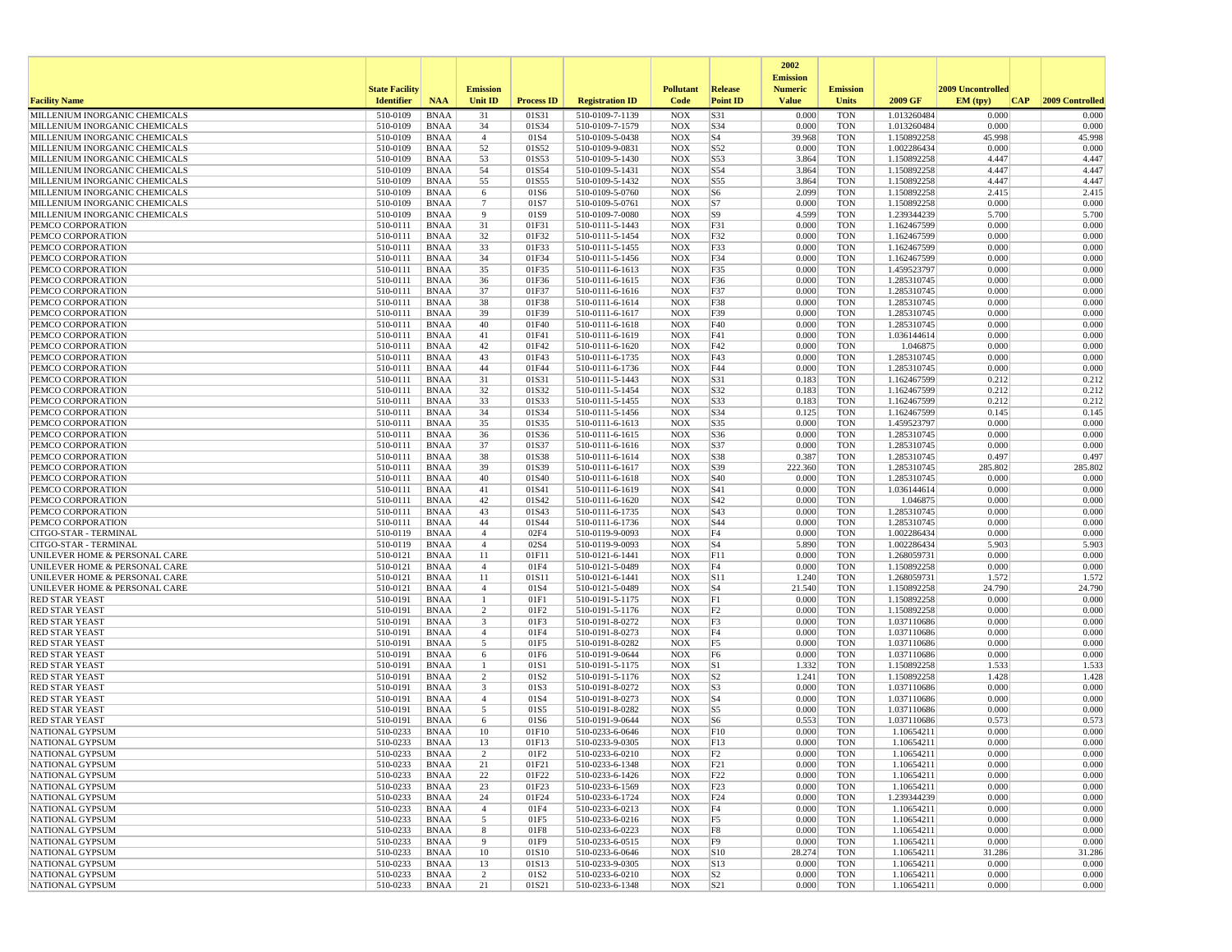|                                                                |                       |                            |                      |                          |                                    |                          |                        | 2002                              |                          |                            |                   |                 |
|----------------------------------------------------------------|-----------------------|----------------------------|----------------------|--------------------------|------------------------------------|--------------------------|------------------------|-----------------------------------|--------------------------|----------------------------|-------------------|-----------------|
|                                                                | <b>State Facility</b> |                            | <b>Emission</b>      |                          |                                    | <b>Pollutant</b>         | <b>Release</b>         | <b>Emission</b><br><b>Numeric</b> | <b>Emission</b>          |                            | 2009 Uncontrolled |                 |
| <b>Facility Name</b>                                           | <b>Identifier</b>     | <b>NAA</b>                 | Unit ID              | <b>Process ID</b>        | <b>Registration ID</b>             | Code                     | <b>Point ID</b>        | <b>Value</b>                      | <b>Units</b>             | 2009 GF                    | EM (typ)<br> CAP  | 2009 Controlled |
| MILLENIUM INORGANIC CHEMICALS                                  | 510-0109              | <b>BNAA</b>                | 31                   | 01S31                    | 510-0109-7-1139                    | <b>NOX</b>               | S31                    | 0.000                             | <b>TON</b>               | 1.013260484                | 0.000             | 0.000           |
| MILLENIUM INORGANIC CHEMICALS                                  | 510-0109              | <b>BNAA</b>                | 34                   | 01S34                    | 510-0109-7-1579                    | <b>NOX</b>               | S34                    | 0.000                             | <b>TON</b>               | 1.013260484                | 0.000             | 0.000           |
| MILLENIUM INORGANIC CHEMICALS                                  | 510-0109              | <b>BNAA</b>                | $\overline{4}$       | 01S4                     | 510-0109-5-0438                    | <b>NOX</b>               | S <sub>4</sub>         | 39.968                            | <b>TON</b>               | 1.150892258                | 45.998            | 45.998          |
| MILLENIUM INORGANIC CHEMICALS<br>MILLENIUM INORGANIC CHEMICALS | 510-0109<br>510-0109  | <b>BNAA</b><br><b>BNAA</b> | 52<br>53             | 01S52<br>01S53           | 510-0109-9-0831<br>510-0109-5-1430 | <b>NOX</b><br><b>NOX</b> | S52<br>S53             | 0.000<br>3.864                    | <b>TON</b><br><b>TON</b> | 1.002286434<br>1.150892258 | 0.000<br>4.447    | 0.000<br>4.447  |
| MILLENIUM INORGANIC CHEMICALS                                  | 510-0109              | <b>BNAA</b>                | 54                   | 01S54                    | 510-0109-5-1431                    | <b>NOX</b>               | S54                    | 3.864                             | <b>TON</b>               | 1.150892258                | 4.447             | 4.447           |
| MILLENIUM INORGANIC CHEMICALS                                  | 510-0109              | <b>BNAA</b>                | 55                   | 01S55                    | 510-0109-5-1432                    | <b>NOX</b>               | S55                    | 3.864                             | TON                      | 1.150892258                | 4.447             | 4.447           |
| MILLENIUM INORGANIC CHEMICALS                                  | 510-0109              | <b>BNAA</b>                | 6                    | 01S6                     | 510-0109-5-0760                    | <b>NOX</b>               | S <sub>6</sub>         | 2.099                             | <b>TON</b>               | 1.150892258                | 2.415             | 2.415           |
| MILLENIUM INORGANIC CHEMICALS                                  | 510-0109              | <b>BNAA</b>                | $\overline{7}$       | 01S7                     | 510-0109-5-0761                    | <b>NOX</b>               | S7                     | 0.000                             | <b>TON</b>               | 1.150892258                | 0.000             | 0.000           |
| MILLENIUM INORGANIC CHEMICALS                                  | 510-0109              | <b>BNAA</b>                | 9                    | 01S9                     | 510-0109-7-0080                    | <b>NOX</b>               | S <sub>9</sub>         | 4.599                             | <b>TON</b>               | 1.239344239                | 5.700             | 5.700           |
| PEMCO CORPORATION<br>PEMCO CORPORATION                         | 510-0111              | <b>BNAA</b>                | 31                   | 01F31                    | 510-0111-5-1443                    | <b>NOX</b>               | F31                    | 0.000                             | <b>TON</b>               | 1.162467599                | 0.000             | 0.000           |
| PEMCO CORPORATION                                              | 510-0111<br>510-0111  | <b>BNAA</b><br><b>BNAA</b> | 32<br>33             | 01F32<br>01F33           | 510-0111-5-1454<br>510-0111-5-1455 | <b>NOX</b><br><b>NOX</b> | F32<br>F33             | 0.000<br>0.000                    | <b>TON</b><br><b>TON</b> | 1.162467599<br>1.162467599 | 0.000<br>0.000    | 0.000<br>0.000  |
| PEMCO CORPORATION                                              | 510-0111              | <b>BNAA</b>                | 34                   | 01F34                    | 510-0111-5-1456                    | <b>NOX</b>               | F34                    | 0.000                             | <b>TON</b>               | 1.162467599                | 0.000             | 0.000           |
| PEMCO CORPORATION                                              | 510-0111              | <b>BNAA</b>                | 35                   | 01F35                    | 510-0111-6-1613                    | <b>NOX</b>               | F35                    | 0.000                             | <b>TON</b>               | 1.459523797                | 0.000             | 0.000           |
| PEMCO CORPORATION                                              | 510-0111              | <b>BNAA</b>                | 36                   | 01F36                    | 510-0111-6-1615                    | <b>NOX</b>               | F36                    | 0.000                             | <b>TON</b>               | 1.285310745                | 0.000             | 0.000           |
| PEMCO CORPORATION                                              | 510-0111              | <b>BNAA</b>                | 37                   | 01F37                    | 510-0111-6-1616                    | <b>NOX</b>               | F37                    | 0.000                             | <b>TON</b>               | 1.285310745                | 0.000             | 0.000           |
| PEMCO CORPORATION                                              | 510-0111              | <b>BNAA</b>                | 38                   | 01F38                    | 510-0111-6-1614                    | <b>NOX</b>               | F38                    | 0.000                             | TON                      | 1.285310745                | 0.000             | 0.000           |
| PEMCO CORPORATION                                              | 510-0111              | <b>BNAA</b>                | 39                   | 01F39                    | 510-0111-6-1617                    | <b>NOX</b>               | F39                    | 0.000                             | <b>TON</b>               | 1.285310745                | 0.000             | 0.000           |
| PEMCO CORPORATION<br>PEMCO CORPORATION                         | 510-0111<br>510-0111  | <b>BNAA</b><br><b>BNAA</b> | 40<br>41             | 01F40<br>01F41           | 510-0111-6-1618<br>510-0111-6-1619 | <b>NOX</b><br><b>NOX</b> | F40<br>F41             | 0.000<br>0.000                    | <b>TON</b><br><b>TON</b> | 1.285310745<br>1.036144614 | 0.000<br>0.000    | 0.000<br>0.000  |
| PEMCO CORPORATION                                              | 510-0111              | <b>BNAA</b>                | 42                   | 01F42                    | 510-0111-6-1620                    | <b>NOX</b>               | F42                    | 0.000                             | TON                      | 1.046875                   | 0.000             | 0.000           |
| PEMCO CORPORATION                                              | 510-0111              | <b>BNAA</b>                | 43                   | 01F43                    | 510-0111-6-1735                    | <b>NOX</b>               | F43                    | 0.000                             | TON                      | 1.285310745                | 0.000             | 0.000           |
| PEMCO CORPORATION                                              | 510-0111              | <b>BNAA</b>                | 44                   | 01F44                    | 510-0111-6-1736                    | <b>NOX</b>               | F44                    | 0.000                             | <b>TON</b>               | 1.285310745                | 0.000             | 0.000           |
| PEMCO CORPORATION                                              | 510-0111              | <b>BNAA</b>                | 31                   | 01S31                    | 510-0111-5-1443                    | <b>NOX</b>               | S31                    | 0.183                             | <b>TON</b>               | 1.162467599                | 0.212             | 0.212           |
| PEMCO CORPORATION                                              | 510-0111              | <b>BNAA</b>                | 32                   | 01S32                    | 510-0111-5-1454                    | <b>NOX</b>               | S32                    | 0.183                             | <b>TON</b>               | 1.162467599                | 0.212             | 0.212           |
| PEMCO CORPORATION                                              | 510-0111              | <b>BNAA</b>                | 33                   | 01S33                    | 510-0111-5-1455                    | <b>NOX</b>               | S33                    | 0.183                             | <b>TON</b>               | 1.162467599                | 0.212             | 0.212           |
| PEMCO CORPORATION                                              | 510-0111              | <b>BNAA</b>                | 34                   | 01S34                    | 510-0111-5-1456                    | <b>NOX</b>               | S34                    | 0.125<br>0.000                    | <b>TON</b>               | 1.162467599                | 0.145<br>0.000    | 0.145           |
| PEMCO CORPORATION<br>PEMCO CORPORATION                         | 510-0111<br>510-0111  | <b>BNAA</b><br><b>BNAA</b> | 35<br>36             | 01S35<br>01S36           | 510-0111-6-1613<br>510-0111-6-1615 | <b>NOX</b><br><b>NOX</b> | S35<br>S36             | 0.000                             | TON<br><b>TON</b>        | 1.459523797<br>1.285310745 | 0.000             | 0.000<br>0.000  |
| PEMCO CORPORATION                                              | 510-0111              | <b>BNAA</b>                | 37                   | 01S37                    | 510-0111-6-1616                    | <b>NOX</b>               | S37                    | 0.000                             | <b>TON</b>               | 1.285310745                | 0.000             | 0.000           |
| PEMCO CORPORATION                                              | 510-0111              | <b>BNAA</b>                | 38                   | 01S38                    | 510-0111-6-1614                    | <b>NOX</b>               | S38                    | 0.387                             | <b>TON</b>               | 1.285310745                | 0.497             | 0.497           |
| PEMCO CORPORATION                                              | 510-0111              | <b>BNAA</b>                | 39                   | 01S39                    | 510-0111-6-1617                    | <b>NOX</b>               | S39                    | 222.360                           | <b>TON</b>               | 1.285310745                | 285.802           | 285.802         |
| PEMCO CORPORATION                                              | 510-0111              | <b>BNAA</b>                | 40                   | 01S40                    | 510-0111-6-1618                    | <b>NOX</b>               | S40                    | 0.000                             | <b>TON</b>               | 1.285310745                | 0.000             | 0.000           |
| PEMCO CORPORATION                                              | 510-0111              | <b>BNAA</b>                | 41                   | 01S41                    | 510-0111-6-1619                    | <b>NOX</b>               | S41                    | 0.000                             | <b>TON</b>               | 1.036144614                | 0.000             | 0.000           |
| PEMCO CORPORATION                                              | 510-0111              | <b>BNAA</b>                | 42                   | 01S42                    | 510-0111-6-1620                    | <b>NOX</b>               | S42                    | 0.000                             | <b>TON</b>               | 1.046875                   | 0.000             | 0.000           |
| PEMCO CORPORATION<br>PEMCO CORPORATION                         | 510-0111<br>510-0111  | <b>BNAA</b><br><b>BNAA</b> | 43<br>44             | 01S43<br>01S44           | 510-0111-6-1735<br>510-0111-6-1736 | <b>NOX</b><br><b>NOX</b> | S43<br>S44             | 0.000<br>0.000                    | <b>TON</b><br><b>TON</b> | 1.285310745<br>1.285310745 | 0.000<br>0.000    | 0.000<br>0.000  |
| CITGO-STAR - TERMINAL                                          | 510-0119              | <b>BNAA</b>                | $\overline{4}$       | 02F4                     | 510-0119-9-0093                    | <b>NOX</b>               | F4                     | 0.000                             | <b>TON</b>               | 1.002286434                | 0.000             | 0.000           |
| CITGO-STAR - TERMINAL                                          | 510-0119              | <b>BNAA</b>                | $\overline{4}$       | 02S4                     | 510-0119-9-0093                    | <b>NOX</b>               | S <sub>4</sub>         | 5.890                             | TON                      | 1.002286434                | 5.903             | 5.903           |
| UNILEVER HOME & PERSONAL CARE                                  | 510-0121              | <b>BNAA</b>                | 11                   | 01F11                    | 510-0121-6-1441                    | <b>NOX</b>               | F11                    | 0.000                             | <b>TON</b>               | 1.268059731                | 0.000             | 0.000           |
| UNILEVER HOME & PERSONAL CARE                                  | 510-0121              | <b>BNAA</b>                | $\overline{4}$       | 01F4                     | 510-0121-5-0489                    | <b>NOX</b>               | F4                     | 0.000                             | <b>TON</b>               | 1.150892258                | 0.000             | 0.000           |
| UNILEVER HOME & PERSONAL CARE                                  | 510-0121              | <b>BNAA</b>                | 11                   | 01S11                    | 510-0121-6-1441                    | <b>NOX</b>               | S11                    | 1.240                             | <b>TON</b>               | 1.268059731                | 1.572             | 1.572           |
| UNILEVER HOME & PERSONAL CARE                                  | 510-0121              | <b>BNAA</b>                | $\overline{4}$<br>1  | 01S4                     | 510-0121-5-0489                    | <b>NOX</b>               | S <sub>4</sub><br> F1  | 21.540                            | <b>TON</b>               | 1.150892258                | 24.790<br>0.000   | 24.790<br>0.000 |
| <b>RED STAR YEAST</b><br><b>RED STAR YEAST</b>                 | 510-0191<br>510-0191  | <b>BNAA</b><br><b>BNAA</b> | $\overline{2}$       | 01F1<br>01F2             | 510-0191-5-1175<br>510-0191-5-1176 | <b>NOX</b><br><b>NOX</b> | F2                     | 0.000<br>0.000                    | TON<br><b>TON</b>        | 1.150892258<br>1.150892258 | 0.000             | 0.000           |
| <b>RED STAR YEAST</b>                                          | 510-0191              | <b>BNAA</b>                | 3                    | 01F3                     | 510-0191-8-0272                    | <b>NOX</b>               | F3                     | 0.000                             | <b>TON</b>               | 1.037110686                | 0.000             | 0.000           |
| <b>RED STAR YEAST</b>                                          | 510-0191              | <b>BNAA</b>                | $\overline{4}$       | 01F4                     | 510-0191-8-0273                    | <b>NOX</b>               | F4                     | 0.000                             | <b>TON</b>               | 1.037110686                | 0.000             | 0.000           |
| <b>RED STAR YEAST</b>                                          | 510-0191              | <b>BNAA</b>                | 5                    | 01F5                     | 510-0191-8-0282                    | <b>NOX</b>               | F5                     | 0.000                             | <b>TON</b>               | 1.037110686                | 0.000             | 0.000           |
| <b>RED STAR YEAST</b>                                          | 510-0191              | <b>BNAA</b>                | 6                    | 01F6                     | 510-0191-9-0644                    | <b>NOX</b>               | F6                     | 0.000                             | <b>TON</b>               | 1.037110686                | 0.000             | 0.000           |
| <b>RED STAR YEAST</b>                                          | 510-0191              | <b>BNAA</b>                | $\mathbf{1}$         | 01S1                     | 510-0191-5-1175                    | <b>NOX</b>               | S1                     | 1.332                             | TON                      | 1.150892258                | 1.533             | 1.533           |
| <b>RED STAR YEAST</b><br><b>RED STAR YEAST</b>                 | 510-0191<br>510-0191  | <b>BNAA</b><br><b>BNAA</b> | 2<br>3               | 01S <sub>2</sub><br>01S3 | 510-0191-5-1176<br>510-0191-8-0272 | <b>NOX</b><br><b>NOX</b> | S <sub>2</sub><br> S3  | 1.241<br>0.000                    | <b>TON</b><br><b>TON</b> | 1.150892258<br>1.037110686 | 1.428<br>0.000    | 1.428<br>0.000  |
| <b>RED STAR YEAST</b>                                          | 510-0191              | <b>BNAA</b>                | $\overline{4}$       | 01S4                     | 510-0191-8-0273                    | <b>NOX</b>               | S <sub>4</sub>         | 0.000                             | <b>TON</b>               | 1.037110686                | 0.000             | 0.000           |
| <b>RED STAR YEAST</b>                                          | 510-0191              | <b>BNAA</b>                | 5                    | 01S5                     | 510-0191-8-0282                    | <b>NOX</b>               | S5                     | 0.000                             | <b>TON</b>               | 1.037110686                | 0.000             | 0.000           |
| <b>RED STAR YEAST</b>                                          | 510-0191              | <b>BNAA</b>                | 6                    | 01S6                     | 510-0191-9-0644                    | <b>NOX</b>               | S <sub>6</sub>         | 0.553                             | <b>TON</b>               | 1.037110686                | 0.573             | 0.573           |
| NATIONAL GYPSUM                                                | 510-0233              | <b>BNAA</b>                | 10                   | 01F10                    | 510-0233-6-0646                    | <b>NOX</b>               | F10                    | 0.000                             | TON                      | 1.10654211                 | 0.000             | 0.000           |
| NATIONAL GYPSUM                                                | 510-0233              | <b>BNAA</b>                | 13                   | 01F13                    | 510-0233-9-0305                    | <b>NOX</b>               | F13                    | 0.000                             | <b>TON</b>               | 1.10654211                 | 0.000             | 0.000           |
| NATIONAL GYPSUM                                                | 510-0233              | <b>BNAA</b>                |                      | 01F2                     | 510-0233-6-0210                    | NOX                      | F2                     | 0.000                             | TON                      | 1.10654211                 | 0.000             | 0.000           |
| NATIONAL GYPSUM<br>NATIONAL GYPSUM                             | 510-0233<br>510-0233  | BNAA<br>BNAA               | 21<br>22             | 01F21<br>01F22           | 510-0233-6-1348<br>510-0233-6-1426 | <b>NOX</b><br><b>NOX</b> | F21<br>F <sub>22</sub> | 0.000<br>0.000                    | <b>TON</b><br><b>TON</b> | 1.10654211<br>1.10654211   | 0.000<br>0.000    | 0.000<br>0.000  |
| NATIONAL GYPSUM                                                | 510-0233              | BNAA                       | 23                   | 01F23                    | 510-0233-6-1569                    | NOX                      | F23                    | 0.000                             | TON                      | 1.10654211                 | 0.000             | 0.000           |
| NATIONAL GYPSUM                                                | 510-0233              | <b>BNAA</b>                | 24                   | 01F24                    | 510-0233-6-1724                    | <b>NOX</b>               | F24                    | 0.000                             | <b>TON</b>               | 1.239344239                | 0.000             | 0.000           |
| NATIONAL GYPSUM                                                | 510-0233              | <b>BNAA</b>                | $\overline{4}$       | 01F4                     | 510-0233-6-0213                    | <b>NOX</b>               | F4                     | 0.000                             | <b>TON</b>               | 1.10654211                 | 0.000             | 0.000           |
| NATIONAL GYPSUM                                                | 510-0233              | <b>BNAA</b>                | 5                    | 01F5                     | 510-0233-6-0216                    | <b>NOX</b>               | F5                     | 0.000                             | <b>TON</b>               | 1.10654211                 | 0.000             | 0.000           |
| NATIONAL GYPSUM                                                | 510-0233              | BNAA                       | 8                    | 01F8                     | 510-0233-6-0223                    | <b>NOX</b>               | F8                     | 0.000                             | <b>TON</b>               | 1.10654211                 | 0.000             | 0.000           |
| NATIONAL GYPSUM                                                | 510-0233              | BNAA                       | 9                    | 01F9                     | 510-0233-6-0515                    | <b>NOX</b>               | F9                     | 0.000                             | <b>TON</b>               | 1.10654211                 | 0.000             | 0.000           |
| NATIONAL GYPSUM<br>NATIONAL GYPSUM                             | 510-0233              | BNAA                       | 10                   | 01S10<br>01S13           | 510-0233-6-0646<br>510-0233-9-0305 | <b>NOX</b>               | S10                    | 28.274<br>0.000                   | <b>TON</b><br><b>TON</b> | 1.10654211                 | 31.286<br>0.000   | 31.286<br>0.000 |
| NATIONAL GYPSUM                                                | 510-0233<br>510-0233  | BNAA<br><b>BNAA</b>        | 13<br>$\overline{c}$ | 01S2                     | 510-0233-6-0210                    | <b>NOX</b><br>NOX        | S13<br> S <sub>2</sub> | 0.000                             | <b>TON</b>               | 1.10654211<br>1.10654211   | 0.000             | 0.000           |
| NATIONAL GYPSUM                                                | 510-0233              | <b>BNAA</b>                | 21                   | 01S21                    | 510-0233-6-1348                    | NOX                      | S21                    | 0.000                             | <b>TON</b>               | 1.10654211                 | 0.000             | 0.000           |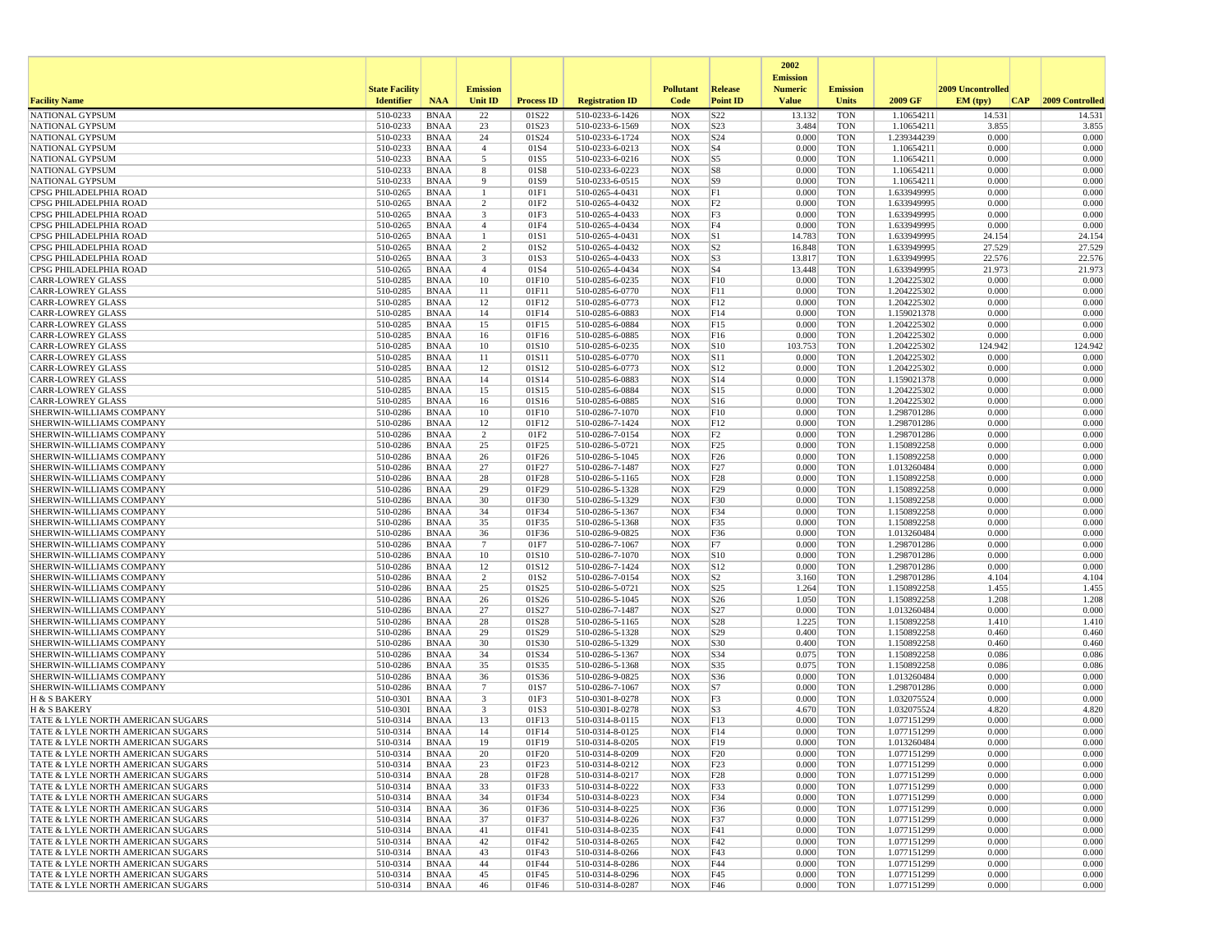|                                                                        |                       |                            |                                           |                           |                                    |                          |                                   | 2002<br><b>Emission</b> |                          |                            |                   |                 |
|------------------------------------------------------------------------|-----------------------|----------------------------|-------------------------------------------|---------------------------|------------------------------------|--------------------------|-----------------------------------|-------------------------|--------------------------|----------------------------|-------------------|-----------------|
|                                                                        | <b>State Facility</b> |                            | <b>Emission</b>                           |                           |                                    | <b>Pollutant</b>         | Release                           | <b>Numeric</b>          | <b>Emission</b>          |                            | 2009 Uncontrolled |                 |
| <b>Facility Name</b>                                                   | <b>Identifier</b>     | <b>NAA</b>                 | <b>Unit ID</b>                            | <b>Process ID</b>         | <b>Registration ID</b>             | Code                     | <b>Point ID</b>                   | <b>Value</b>            | <b>Units</b>             | 2009 GF                    | EM (typ)<br> CAP  | 2009 Controlled |
| <b>NATIONAL GYPSUM</b>                                                 | 510-0233              | <b>BNAA</b>                | 22                                        | 01S22                     | 510-0233-6-1426                    | <b>NOX</b>               | S22                               | 13.132                  | <b>TON</b>               | 1.10654211                 | 14.531            | 14.531          |
| <b>NATIONAL GYPSUM</b>                                                 | 510-0233              | BNAA                       | 23                                        | 01S23                     | 510-0233-6-1569                    | <b>NOX</b>               | S23                               | 3.484                   | <b>TON</b>               | 1.10654211                 | 3.855             | 3.855           |
| NATIONAL GYPSUM<br><b>NATIONAL GYPSUM</b>                              | 510-0233<br>510-0233  | <b>BNAA</b><br>BNAA        | 24<br>$\overline{4}$                      | 01S24<br>01S4             | 510-0233-6-1724<br>510-0233-6-0213 | <b>NOX</b><br><b>NOX</b> | S <sub>24</sub><br>S <sub>4</sub> | 0.000<br>0.000          | <b>TON</b><br><b>TON</b> | 1.239344239<br>1.10654211  | 0.000<br>0.000    | 0.000<br>0.000  |
| NATIONAL GYPSUM                                                        | 510-0233              | <b>BNAA</b>                | 5                                         | 01S5                      | 510-0233-6-0216                    | <b>NOX</b>               | S5                                | 0.000                   | <b>TON</b>               | 1.10654211                 | 0.000             | 0.000           |
| NATIONAL GYPSUM                                                        | 510-0233              | <b>BNAA</b>                | 8                                         | 01S8                      | 510-0233-6-0223                    | <b>NOX</b>               | S8                                | 0.000                   | <b>TON</b>               | 1.10654211                 | 0.000             | 0.000           |
| <b>NATIONAL GYPSUM</b>                                                 | 510-0233              | BNAA                       | 9                                         | 01S9                      | 510-0233-6-0515                    | <b>NOX</b>               | S9                                | 0.000                   | <b>TON</b>               | 1.10654211                 | 0.000             | 0.000           |
| CPSG PHILADELPHIA ROAD                                                 | 510-0265              | <b>BNAA</b>                | -1                                        | 01F1                      | 510-0265-4-0431                    | <b>NOX</b>               | F1                                | 0.000                   | <b>TON</b>               | 1.633949995                | 0.000             | 0.000           |
| CPSG PHILADELPHIA ROAD<br>CPSG PHILADELPHIA ROAD                       | 510-0265<br>510-0265  | <b>BNAA</b><br><b>BNAA</b> | $\overline{2}$<br>$\overline{\mathbf{3}}$ | 01F2<br>01F3              | 510-0265-4-0432<br>510-0265-4-0433 | <b>NOX</b><br><b>NOX</b> | F <sub>2</sub><br>F3              | 0.000<br>0.000          | <b>TON</b><br><b>TON</b> | 1.633949995<br>1.633949995 | 0.000<br>0.000    | 0.000<br>0.000  |
| CPSG PHILADELPHIA ROAD                                                 | 510-0265              | BNAA                       | $\overline{4}$                            | 01F4                      | 510-0265-4-0434                    | <b>NOX</b>               | F4                                | 0.000                   | <b>TON</b>               | 1.633949995                | 0.000             | 0.000           |
| CPSG PHILADELPHIA ROAD                                                 | 510-0265              | <b>BNAA</b>                | $\mathbf{1}$                              | 01S1                      | 510-0265-4-0431                    | <b>NOX</b>               | S1                                | 14.783                  | <b>TON</b>               | 1.633949995                | 24.154            | 24.154          |
| CPSG PHILADELPHIA ROAD                                                 | 510-0265              | <b>BNAA</b>                | $\overline{2}$                            | 01S2                      | 510-0265-4-0432                    | <b>NOX</b>               | S <sub>2</sub>                    | 16.848                  | <b>TON</b>               | 1.633949995                | 27.529            | 27.529          |
| CPSG PHILADELPHIA ROAD                                                 | 510-0265              | <b>BNAA</b>                | 3                                         | 01S3                      | 510-0265-4-0433                    | <b>NOX</b>               | S <sub>3</sub>                    | 13.817                  | <b>TON</b>               | 1.633949995                | 22.576            | 22.576          |
| CPSG PHILADELPHIA ROAD<br><b>CARR-LOWREY GLASS</b>                     | 510-0265              | BNAA                       | $\overline{4}$                            | 01S4                      | 510-0265-4-0434                    | <b>NOX</b>               | S <sub>4</sub>                    | 13.448<br>0.000         | <b>TON</b><br><b>TON</b> | 1.633949995                | 21.973<br>0.000   | 21.973<br>0.000 |
| <b>CARR-LOWREY GLASS</b>                                               | 510-0285<br>510-0285  | BNAA<br><b>BNAA</b>        | 10<br>11                                  | 01F10<br>01F11            | 510-0285-6-0235<br>510-0285-6-0770 | <b>NOX</b><br><b>NOX</b> | F10<br>F11                        | 0.000                   | <b>TON</b>               | 1.204225302<br>1.204225302 | 0.000             | 0.000           |
| <b>CARR-LOWREY GLASS</b>                                               | 510-0285              | BNAA                       | 12                                        | 01F12                     | 510-0285-6-0773                    | <b>NOX</b>               | F12                               | 0.000                   | <b>TON</b>               | 1.204225302                | 0.000             | 0.000           |
| <b>CARR-LOWREY GLASS</b>                                               | 510-0285              | <b>BNAA</b>                | 14                                        | 01F14                     | 510-0285-6-0883                    | <b>NOX</b>               | F14                               | 0.000                   | <b>TON</b>               | 1.159021378                | 0.000             | 0.000           |
| <b>CARR-LOWREY GLASS</b>                                               | 510-0285              | <b>BNAA</b>                | 15                                        | 01F15                     | 510-0285-6-0884                    | <b>NOX</b>               | F15                               | 0.000                   | <b>TON</b>               | 1.204225302                | 0.000             | 0.000           |
| <b>CARR-LOWREY GLASS</b>                                               | 510-0285              | <b>BNAA</b>                | 16                                        | 01F16                     | 510-0285-6-0885                    | <b>NOX</b>               | F16                               | 0.000                   | <b>TON</b>               | 1.204225302                | 0.000             | 0.000           |
| <b>CARR-LOWREY GLASS</b>                                               | 510-0285              | BNAA                       | 10                                        | 01S10                     | 510-0285-6-0235                    | <b>NOX</b>               | S10                               | 103.753                 | <b>TON</b>               | 1.204225302                | 124.942           | 124.942         |
| <b>CARR-LOWREY GLASS</b><br><b>CARR-LOWREY GLASS</b>                   | 510-0285<br>510-0285  | <b>BNAA</b><br><b>BNAA</b> | 11<br>12                                  | 01S11<br>01S12            | 510-0285-6-0770<br>510-0285-6-0773 | <b>NOX</b><br><b>NOX</b> | S11<br>S12                        | 0.000<br>0.000          | <b>TON</b><br><b>TON</b> | 1.204225302<br>1.204225302 | 0.000<br>0.000    | 0.000<br>0.000  |
| <b>CARR-LOWREY GLASS</b>                                               | 510-0285              | BNAA                       | 14                                        | 01S14                     | 510-0285-6-0883                    | <b>NOX</b>               | S14                               | 0.000                   | <b>TON</b>               | 1.159021378                | 0.000             | 0.000           |
| <b>CARR-LOWREY GLASS</b>                                               | 510-0285              | <b>BNAA</b>                | 15                                        | 01S15                     | 510-0285-6-0884                    | <b>NOX</b>               | S15                               | 0.000                   | <b>TON</b>               | 1.204225302                | 0.000             | 0.000           |
| <b>CARR-LOWREY GLASS</b>                                               | 510-0285              | <b>BNAA</b>                | 16                                        | 01S16                     | 510-0285-6-0885                    | <b>NOX</b>               | S <sub>16</sub>                   | 0.000                   | <b>TON</b>               | 1.204225302                | 0.000             | 0.000           |
| SHERWIN-WILLIAMS COMPANY                                               | 510-0286              | <b>BNAA</b>                | 10                                        | 01F10                     | 510-0286-7-1070                    | <b>NOX</b>               | F10                               | 0.000                   | <b>TON</b>               | 1.298701286                | 0.000             | 0.000           |
| SHERWIN-WILLIAMS COMPANY                                               | 510-0286              | BNAA                       | 12                                        | 01F12                     | 510-0286-7-1424                    | <b>NOX</b>               | F12                               | 0.000                   | <b>TON</b>               | 1.298701286                | 0.000             | 0.000           |
| SHERWIN-WILLIAMS COMPANY<br>SHERWIN-WILLIAMS COMPANY                   | 510-0286<br>510-0286  | <b>BNAA</b><br><b>BNAA</b> | $\overline{2}$<br>25                      | 01F2<br>01F25             | 510-0286-7-0154<br>510-0286-5-0721 | <b>NOX</b><br><b>NOX</b> | F2<br>F25                         | 0.000<br>0.000          | <b>TON</b><br><b>TON</b> | 1.298701286<br>1.150892258 | 0.000<br>0.000    | 0.000<br>0.000  |
| SHERWIN-WILLIAMS COMPANY                                               | 510-0286              | BNAA                       | 26                                        | 01F26                     | 510-0286-5-1045                    | <b>NOX</b>               | F <sub>26</sub>                   | 0.000                   | <b>TON</b>               | 1.150892258                | 0.000             | 0.000           |
| SHERWIN-WILLIAMS COMPANY                                               | 510-0286              | <b>BNAA</b>                | 27                                        | 01F27                     | 510-0286-7-1487                    | <b>NOX</b>               | F <sub>27</sub>                   | 0.000                   | <b>TON</b>               | 1.013260484                | 0.000             | 0.000           |
| SHERWIN-WILLIAMS COMPANY                                               | 510-0286              | <b>BNAA</b>                | 28                                        | 01F28                     | 510-0286-5-1165                    | <b>NOX</b>               | F28                               | 0.000                   | <b>TON</b>               | 1.150892258                | 0.000             | 0.000           |
| SHERWIN-WILLIAMS COMPANY                                               | 510-0286              | BNAA                       | 29                                        | 01F29                     | 510-0286-5-1328                    | <b>NOX</b>               | F29                               | 0.000                   | <b>TON</b>               | 1.150892258                | 0.000             | 0.000           |
| SHERWIN-WILLIAMS COMPANY                                               | 510-0286              | BNAA                       | 30                                        | 01F30                     | 510-0286-5-1329                    | <b>NOX</b>               | F30                               | 0.000                   | <b>TON</b>               | 1.150892258                | 0.000             | 0.000           |
| SHERWIN-WILLIAMS COMPANY<br>SHERWIN-WILLIAMS COMPANY                   | 510-0286<br>510-0286  | <b>BNAA</b><br><b>BNAA</b> | 34<br>35                                  | 01F34<br>01F35            | 510-0286-5-1367<br>510-0286-5-1368 | <b>NOX</b><br><b>NOX</b> | F34<br>F35                        | 0.000<br>0.000          | <b>TON</b><br><b>TON</b> | 1.150892258<br>1.150892258 | 0.000<br>0.000    | 0.000<br>0.000  |
| SHERWIN-WILLIAMS COMPANY                                               | 510-0286              | <b>BNAA</b>                | 36                                        | 01F36                     | 510-0286-9-0825                    | <b>NOX</b>               | F36                               | 0.000                   | <b>TON</b>               | 1.013260484                | 0.000             | 0.000           |
| SHERWIN-WILLIAMS COMPANY                                               | 510-0286              | BNAA                       | $7\phantom{.0}$                           | 01F7                      | 510-0286-7-1067                    | <b>NOX</b>               | F7                                | 0.000                   | <b>TON</b>               | 1.298701286                | 0.000             | 0.000           |
| SHERWIN-WILLIAMS COMPANY                                               | 510-0286              | BNAA                       | 10                                        | 01S10                     | 510-0286-7-1070                    | <b>NOX</b>               | S10                               | 0.000                   | <b>TON</b>               | 1.298701286                | 0.000             | 0.000           |
| SHERWIN-WILLIAMS COMPANY                                               | 510-0286              | <b>BNAA</b>                | 12                                        | 01S12                     | 510-0286-7-1424                    | <b>NOX</b>               | S12                               | 0.000                   | <b>TON</b>               | 1.298701286                | 0.000             | 0.000           |
| SHERWIN-WILLIAMS COMPANY<br>SHERWIN-WILLIAMS COMPANY                   | 510-0286<br>510-0286  | BNAA<br><b>BNAA</b>        | $\overline{2}$<br>25                      | 01S <sub>2</sub><br>01S25 | 510-0286-7-0154<br>510-0286-5-0721 | <b>NOX</b><br><b>NOX</b> | S <sub>2</sub><br>S <sub>25</sub> | 3.160<br>1.264          | <b>TON</b><br><b>TON</b> | 1.298701286<br>1.150892258 | 4.104<br>1.455    | 4.104<br>1.455  |
| SHERWIN-WILLIAMS COMPANY                                               | 510-0286              | <b>BNAA</b>                | 26                                        | 01S26                     | 510-0286-5-1045                    | <b>NOX</b>               | S <sub>26</sub>                   | 1.050                   | <b>TON</b>               | 1.150892258                | 1.208             | 1.208           |
| SHERWIN-WILLIAMS COMPANY                                               | 510-0286              | <b>BNAA</b>                | 27                                        | 01S27                     | 510-0286-7-1487                    | <b>NOX</b>               | S27                               | 0.000                   | <b>TON</b>               | 1.013260484                | 0.000             | 0.000           |
| SHERWIN-WILLIAMS COMPANY                                               | 510-0286              | BNAA                       | 28                                        | 01S28                     | 510-0286-5-1165                    | <b>NOX</b>               | S <sub>28</sub>                   | 1.225                   | <b>TON</b>               | 1.150892258                | 1.410             | 1.410           |
| SHERWIN-WILLIAMS COMPANY                                               | 510-0286              | <b>BNAA</b>                | 29                                        | 01S29                     | 510-0286-5-1328                    | <b>NOX</b>               | S <sub>29</sub>                   | 0.400                   | <b>TON</b>               | 1.150892258                | 0.460             | 0.460           |
| SHERWIN-WILLIAMS COMPANY                                               | 510-0286              | <b>BNAA</b>                | 30<br>34                                  | 01S30                     | 510-0286-5-1329                    | <b>NOX</b>               | S30                               | 0.400                   | <b>TON</b>               | 1.150892258                | 0.460             | 0.460           |
| SHERWIN-WILLIAMS COMPANY<br>SHERWIN-WILLIAMS COMPANY                   | 510-0286<br>510-0286  | BNAA<br><b>BNAA</b>        | 35                                        | 01S34<br>01S35            | 510-0286-5-1367<br>510-0286-5-1368 | <b>NOX</b><br><b>NOX</b> | S34<br>S35                        | 0.075<br>0.075          | <b>TON</b><br><b>TON</b> | 1.150892258<br>1.150892258 | 0.086<br>0.086    | 0.086<br>0.086  |
| SHERWIN-WILLIAMS COMPANY                                               | 510-0286              | <b>BNAA</b>                | 36                                        | 01S36                     | 510-0286-9-0825                    | <b>NOX</b>               | S36                               | 0.000                   | <b>TON</b>               | 1.013260484                | 0.000             | 0.000           |
| SHERWIN-WILLIAMS COMPANY                                               | 510-0286              | <b>BNAA</b>                | 7                                         | 01S7                      | 510-0286-7-1067                    | <b>NOX</b>               | S7                                | 0.000                   | <b>TON</b>               | 1.298701286                | 0.000             | 0.000           |
| H & S BAKERY                                                           | 510-0301              | BNAA                       | $\overline{\mathbf{3}}$                   | 01F3                      | 510-0301-8-0278                    | <b>NOX</b>               | F3                                | 0.000                   | <b>TON</b>               | 1.032075524                | 0.000             | 0.000           |
| H & S BAKERY                                                           | 510-0301              | <b>BNAA</b>                | $\overline{\mathbf{3}}$                   | 01S3                      | 510-0301-8-0278                    | <b>NOX</b>               | S3                                | 4.670                   | <b>TON</b>               | 1.032075524                | 4.820             | 4.820           |
| TATE & LYLE NORTH AMERICAN SUGARS<br>TATE & LYLE NORTH AMERICAN SUGARS | 510-0314<br>510-0314  | <b>BNAA</b><br><b>BNAA</b> | 13<br>14                                  | 01F13<br>01F14            | 510-0314-8-0115<br>510-0314-8-0125 | <b>NOX</b><br><b>NOX</b> | F13<br>F14                        | 0.000<br>0.000          | <b>TON</b><br><b>TON</b> | 1.077151299<br>1.077151299 | 0.000<br>0.000    | 0.000<br>0.000  |
| TATE & LYLE NORTH AMERICAN SUGARS                                      | 510-0314              | <b>BNAA</b>                | 19                                        | 01F19                     | 510-0314-8-0205                    | <b>NOX</b>               | F19                               | 0.000                   | <b>TON</b>               | 1.013260484                | 0.000             | 0.000           |
| TATE & LYLE NORTH AMERICAN SUGARS                                      | 510-0314              | <b>BNAA</b>                | 20                                        | 01F20                     | 510-0314-8-0209                    | NOX                      | F20                               | 0.000                   | <b>TON</b>               | 1.077151299                | 0.000             | 0.000           |
| TATE & LYLE NORTH AMERICAN SUGARS                                      | 510-0314              | BNAA                       | 23                                        | 01F23                     | 510-0314-8-0212                    | <b>NOX</b>               | F23                               | 0.000                   | <b>TON</b>               | 1.077151299                | 0.000             | 0.000           |
| TATE & LYLE NORTH AMERICAN SUGARS                                      | 510-0314              | BNAA                       | 28                                        | 01F28                     | 510-0314-8-0217                    | <b>NOX</b>               | F <sub>28</sub>                   | 0.000                   | <b>TON</b>               | 1.077151299                | 0.000             | 0.000           |
| TATE & LYLE NORTH AMERICAN SUGARS                                      | 510-0314              | BNAA                       | 33                                        | 01F33                     | 510-0314-8-0222                    | <b>NOX</b>               | F33                               | 0.000                   | <b>TON</b>               | 1.077151299                | 0.000             | 0.000           |
| TATE & LYLE NORTH AMERICAN SUGARS<br>TATE & LYLE NORTH AMERICAN SUGARS | 510-0314<br>510-0314  | BNAA<br>BNAA               | 34<br>36                                  | 01F34<br>01F36            | 510-0314-8-0223<br>510-0314-8-0225 | <b>NOX</b><br><b>NOX</b> | F34<br>F36                        | 0.000<br>0.000          | <b>TON</b><br><b>TON</b> | 1.077151299<br>1.077151299 | 0.000<br>0.000    | 0.000<br>0.000  |
| TATE & LYLE NORTH AMERICAN SUGARS                                      | 510-0314              | <b>BNAA</b>                | 37                                        | 01F37                     | 510-0314-8-0226                    | <b>NOX</b>               | F37                               | 0.000                   | <b>TON</b>               | 1.077151299                | 0.000             | 0.000           |
| TATE & LYLE NORTH AMERICAN SUGARS                                      | 510-0314              | BNAA                       | 41                                        | 01F41                     | 510-0314-8-0235                    | <b>NOX</b>               | F41                               | 0.000                   | <b>TON</b>               | 1.077151299                | 0.000             | 0.000           |
| TATE & LYLE NORTH AMERICAN SUGARS                                      | 510-0314              | BNAA                       | 42                                        | 01F42                     | 510-0314-8-0265                    | <b>NOX</b>               | F42                               | 0.000                   | <b>TON</b>               | 1.077151299                | 0.000             | 0.000           |
| TATE & LYLE NORTH AMERICAN SUGARS                                      | 510-0314              | <b>BNAA</b>                | 43                                        | 01F43                     | 510-0314-8-0266                    | <b>NOX</b>               | F43                               | 0.000                   | <b>TON</b>               | 1.077151299                | 0.000             | 0.000           |
| TATE & LYLE NORTH AMERICAN SUGARS<br>TATE & LYLE NORTH AMERICAN SUGARS | 510-0314              | BNAA                       | 44                                        | 01F44                     | 510-0314-8-0286                    | <b>NOX</b>               | F44                               | 0.000<br>0.000          | <b>TON</b>               | 1.077151299                | 0.000             | 0.000           |
| TATE & LYLE NORTH AMERICAN SUGARS                                      | 510-0314<br>510-0314  | <b>BNAA</b><br>BNAA        | 45<br>46                                  | 01F45<br>01F46            | 510-0314-8-0296<br>510-0314-8-0287 | <b>NOX</b><br>NOX        | F45<br>F46                        | 0.000                   | <b>TON</b><br>TON        | 1.077151299<br>1.077151299 | 0.000<br>0.000    | 0.000<br>0.000  |
|                                                                        |                       |                            |                                           |                           |                                    |                          |                                   |                         |                          |                            |                   |                 |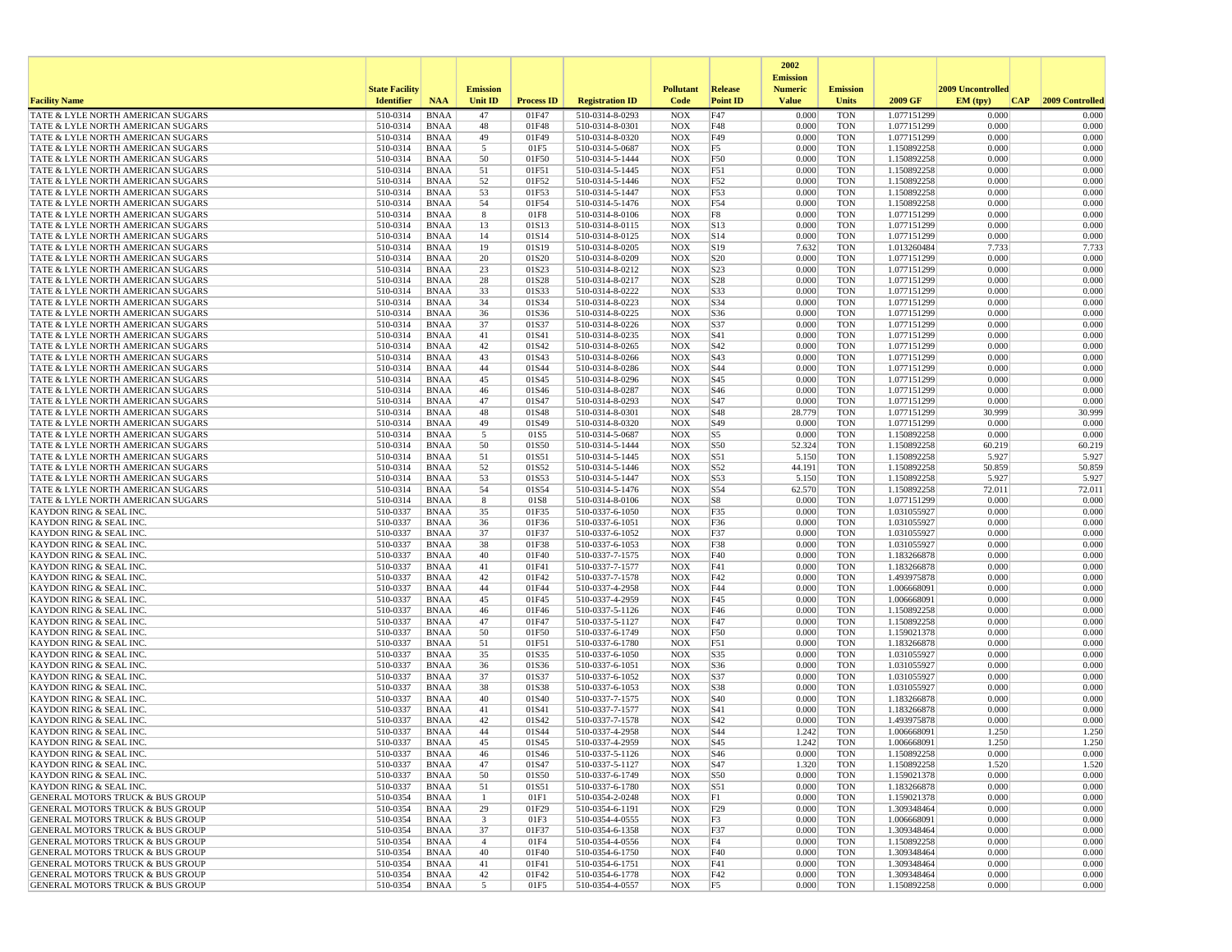|                                                                                            |                       |                            |                         |                   |                                    |                          |                        | 2002<br><b>Emission</b> |                          |                            |                   |                 |
|--------------------------------------------------------------------------------------------|-----------------------|----------------------------|-------------------------|-------------------|------------------------------------|--------------------------|------------------------|-------------------------|--------------------------|----------------------------|-------------------|-----------------|
|                                                                                            | <b>State Facility</b> |                            | <b>Emission</b>         |                   |                                    | <b>Pollutant</b>         | Release                | <b>Numeric</b>          | <b>Emission</b>          |                            | 2009 Uncontrolled |                 |
| <b>Facility Name</b>                                                                       | <b>Identifier</b>     | <b>NAA</b>                 | <b>Unit ID</b>          | <b>Process ID</b> | <b>Registration ID</b>             | Code                     | <b>Point ID</b>        | <b>Value</b>            | <b>Units</b>             | 2009 GF                    | EM (typ)<br> CAP  | 2009 Controlled |
| TATE & LYLE NORTH AMERICAN SUGARS                                                          | 510-0314              | <b>BNAA</b>                | 47                      | 01F47             | 510-0314-8-0293                    | <b>NOX</b>               | F47                    | 0.000                   | <b>TON</b>               | 1.077151299                | 0.000             | 0.000           |
| TATE & LYLE NORTH AMERICAN SUGARS<br>TATE & LYLE NORTH AMERICAN SUGARS                     | 510-0314<br>510-0314  | <b>BNAA</b><br><b>BNAA</b> | 48<br>49                | 01F48<br>01F49    | 510-0314-8-0301<br>510-0314-8-0320 | <b>NOX</b><br><b>NOX</b> | F48<br>F49             | 0.000<br>0.000          | <b>TON</b><br><b>TON</b> | 1.077151299<br>1.077151299 | 0.000<br>0.000    | 0.000<br>0.000  |
| TATE & LYLE NORTH AMERICAN SUGARS                                                          | 510-0314              | <b>BNAA</b>                | 5                       | 01F5              | 510-0314-5-0687                    | <b>NOX</b>               | F5                     | 0.000                   | <b>TON</b>               | 1.150892258                | 0.000             | 0.000           |
| TATE & LYLE NORTH AMERICAN SUGARS                                                          | 510-0314              | <b>BNAA</b>                | 50                      | 01F50             | 510-0314-5-1444                    | <b>NOX</b>               | F50                    | 0.000                   | <b>TON</b>               | 1.150892258                | 0.000             | 0.000           |
| TATE & LYLE NORTH AMERICAN SUGARS                                                          | 510-0314              | <b>BNAA</b>                | 51                      | 01F51             | 510-0314-5-1445                    | <b>NOX</b>               | F51                    | 0.000                   | <b>TON</b>               | 1.150892258                | 0.000             | 0.000           |
| TATE & LYLE NORTH AMERICAN SUGARS                                                          | 510-0314<br>510-0314  | <b>BNAA</b><br><b>BNAA</b> | 52<br>53                | 01F52<br>01F53    | 510-0314-5-1446                    | <b>NOX</b><br><b>NOX</b> | F52<br>F53             | 0.000<br>0.000          | <b>TON</b><br><b>TON</b> | 1.150892258                | 0.000<br>0.000    | 0.000<br>0.000  |
| TATE & LYLE NORTH AMERICAN SUGARS<br>TATE & LYLE NORTH AMERICAN SUGARS                     | 510-0314              | <b>BNAA</b>                | 54                      | 01F54             | 510-0314-5-1447<br>510-0314-5-1476 | <b>NOX</b>               | F54                    | 0.000                   | <b>TON</b>               | 1.150892258<br>1.150892258 | 0.000             | 0.000           |
| TATE & LYLE NORTH AMERICAN SUGARS                                                          | 510-0314              | <b>BNAA</b>                | 8                       | 01F8              | 510-0314-8-0106                    | <b>NOX</b>               | F8                     | 0.000                   | <b>TON</b>               | 1.077151299                | 0.000             | 0.000           |
| TATE & LYLE NORTH AMERICAN SUGARS                                                          | 510-0314              | <b>BNAA</b>                | 13                      | 01S13             | 510-0314-8-0115                    | <b>NOX</b>               | S13                    | 0.000                   | <b>TON</b>               | 1.077151299                | 0.000             | 0.000           |
| TATE & LYLE NORTH AMERICAN SUGARS                                                          | 510-0314              | <b>BNAA</b>                | 14                      | 01S14             | 510-0314-8-0125                    | <b>NOX</b>               | S14                    | 0.000                   | <b>TON</b>               | 1.077151299                | 0.000             | 0.000           |
| TATE & LYLE NORTH AMERICAN SUGARS<br>TATE & LYLE NORTH AMERICAN SUGARS                     | 510-0314<br>510-0314  | <b>BNAA</b><br><b>BNAA</b> | 19<br>20                | 01S19<br>01S20    | 510-0314-8-0205<br>510-0314-8-0209 | <b>NOX</b><br><b>NOX</b> | S19<br>S <sub>20</sub> | 7.632<br>0.000          | <b>TON</b><br><b>TON</b> | 1.013260484<br>1.077151299 | 7.733<br>0.000    | 7.733<br>0.000  |
| TATE & LYLE NORTH AMERICAN SUGARS                                                          | 510-0314              | <b>BNAA</b>                | 23                      | 01S23             | 510-0314-8-0212                    | <b>NOX</b>               | S23                    | 0.000                   | <b>TON</b>               | 1.077151299                | 0.000             | 0.000           |
| TATE & LYLE NORTH AMERICAN SUGARS                                                          | 510-0314              | <b>BNAA</b>                | 28                      | 01S28             | 510-0314-8-0217                    | <b>NOX</b>               | S28                    | 0.000                   | <b>TON</b>               | 1.077151299                | 0.000             | 0.000           |
| TATE & LYLE NORTH AMERICAN SUGARS                                                          | 510-0314              | <b>BNAA</b>                | 33                      | 01S33             | 510-0314-8-0222                    | <b>NOX</b>               | S33                    | 0.000                   | <b>TON</b>               | 1.077151299                | 0.000             | 0.000           |
| TATE & LYLE NORTH AMERICAN SUGARS                                                          | 510-0314              | <b>BNAA</b>                | 34                      | 01S34             | 510-0314-8-0223                    | <b>NOX</b>               | S34                    | 0.000                   | TON                      | 1.077151299                | 0.000             | 0.000           |
| TATE & LYLE NORTH AMERICAN SUGARS<br>TATE & LYLE NORTH AMERICAN SUGARS                     | 510-0314<br>510-0314  | <b>BNAA</b><br><b>BNAA</b> | 36<br>37                | 01S36<br>01S37    | 510-0314-8-0225<br>510-0314-8-0226 | <b>NOX</b><br><b>NOX</b> | S36<br>S37             | 0.000<br>0.000          | <b>TON</b><br><b>TON</b> | 1.077151299<br>1.077151299 | 0.000<br>0.000    | 0.000<br>0.000  |
| TATE & LYLE NORTH AMERICAN SUGARS                                                          | 510-0314              | <b>BNAA</b>                | 41                      | 01S41             | 510-0314-8-0235                    | <b>NOX</b>               | S41                    | 0.000                   | <b>TON</b>               | 1.077151299                | 0.000             | 0.000           |
| TATE & LYLE NORTH AMERICAN SUGARS                                                          | 510-0314              | <b>BNAA</b>                | 42                      | 01S42             | 510-0314-8-0265                    | <b>NOX</b>               | S42                    | 0.000                   | <b>TON</b>               | 1.077151299                | 0.000             | 0.000           |
| TATE & LYLE NORTH AMERICAN SUGARS                                                          | 510-0314              | <b>BNAA</b>                | 43                      | 01S43             | 510-0314-8-0266                    | <b>NOX</b>               | S43                    | 0.000                   | <b>TON</b>               | 1.077151299                | 0.000             | 0.000           |
| TATE & LYLE NORTH AMERICAN SUGARS                                                          | 510-0314              | <b>BNAA</b>                | 44                      | 01S44             | 510-0314-8-0286                    | <b>NOX</b>               | S44                    | 0.000                   | TON                      | 1.077151299                | 0.000             | 0.000           |
| TATE & LYLE NORTH AMERICAN SUGARS<br>TATE & LYLE NORTH AMERICAN SUGARS                     | 510-0314<br>510-0314  | <b>BNAA</b><br><b>BNAA</b> | 45<br>46                | 01S45<br>01S46    | 510-0314-8-0296<br>510-0314-8-0287 | <b>NOX</b><br><b>NOX</b> | S45<br>S46             | 0.000<br>0.000          | <b>TON</b><br><b>TON</b> | 1.077151299<br>1.077151299 | 0.000<br>0.000    | 0.000<br>0.000  |
| TATE & LYLE NORTH AMERICAN SUGARS                                                          | 510-0314              | <b>BNAA</b>                | 47                      | 01S47             | 510-0314-8-0293                    | <b>NOX</b>               | S47                    | 0.000                   | <b>TON</b>               | 1.077151299                | 0.000             | 0.000           |
| TATE & LYLE NORTH AMERICAN SUGARS                                                          | 510-0314              | <b>BNAA</b>                | 48                      | 01S48             | 510-0314-8-0301                    | <b>NOX</b>               | S48                    | 28.779                  | <b>TON</b>               | 1.077151299                | 30.999            | 30.999          |
| TATE & LYLE NORTH AMERICAN SUGARS                                                          | 510-0314              | <b>BNAA</b>                | 49                      | 01S49             | 510-0314-8-0320                    | <b>NOX</b>               | S49                    | 0.000                   | TON                      | 1.077151299                | 0.000             | 0.000           |
| <b>TATE &amp; LYLE NORTH AMERICAN SUGARS</b><br>TATE & LYLE NORTH AMERICAN SUGARS          | 510-0314<br>510-0314  | <b>BNAA</b><br><b>BNAA</b> | 5<br>50                 | 01S5<br>01S50     | 510-0314-5-0687<br>510-0314-5-1444 | <b>NOX</b><br><b>NOX</b> | S5<br>S50              | 0.000<br>52.324         | <b>TON</b><br><b>TON</b> | 1.150892258<br>1.150892258 | 0.000<br>60.219   | 0.000<br>60.219 |
| TATE & LYLE NORTH AMERICAN SUGARS                                                          | 510-0314              | <b>BNAA</b>                | 51                      | 01S51             | 510-0314-5-1445                    | <b>NOX</b>               | S51                    | 5.150                   | <b>TON</b>               | 1.150892258                | 5.927             | 5.927           |
| TATE & LYLE NORTH AMERICAN SUGARS                                                          | 510-0314              | <b>BNAA</b>                | 52                      | 01S52             | 510-0314-5-1446                    | <b>NOX</b>               | S52                    | 44.191                  | <b>TON</b>               | 1.150892258                | 50.859            | 50.859          |
| TATE & LYLE NORTH AMERICAN SUGARS                                                          | 510-0314              | <b>BNAA</b>                | 53                      | 01S53             | 510-0314-5-1447                    | <b>NOX</b>               | S53                    | 5.150                   | <b>TON</b>               | 1.150892258                | 5.927             | 5.927           |
| TATE & LYLE NORTH AMERICAN SUGARS                                                          | 510-0314              | <b>BNAA</b>                | 54                      | 01S54             | 510-0314-5-1476                    | <b>NOX</b>               | S54                    | 62.570                  | TON                      | 1.150892258                | 72.011            | 72.011          |
| TATE & LYLE NORTH AMERICAN SUGARS<br><b>KAYDON RING &amp; SEAL INC.</b>                    | 510-0314<br>510-0337  | <b>BNAA</b><br><b>BNAA</b> | 8<br>35                 | 01S8<br>01F35     | 510-0314-8-0106<br>510-0337-6-1050 | <b>NOX</b><br><b>NOX</b> | S8<br>F35              | 0.000<br>0.000          | <b>TON</b><br><b>TON</b> | 1.077151299<br>1.031055927 | 0.000<br>0.000    | 0.000<br>0.000  |
| <b>KAYDON RING &amp; SEAL INC.</b>                                                         | 510-0337              | <b>BNAA</b>                | 36                      | 01F36             | 510-0337-6-1051                    | <b>NOX</b>               | F36                    | 0.000                   | <b>TON</b>               | 1.031055927                | 0.000             | 0.000           |
| KAYDON RING & SEAL INC.                                                                    | 510-0337              | <b>BNAA</b>                | 37                      | 01F37             | 510-0337-6-1052                    | <b>NOX</b>               | F37                    | 0.000                   | <b>TON</b>               | 1.031055927                | 0.000             | 0.000           |
| KAYDON RING & SEAL INC.                                                                    | 510-0337              | <b>BNAA</b>                | 38                      | 01F38             | 510-0337-6-1053                    | <b>NOX</b>               | F38                    | 0.000                   | TON                      | 1.031055927                | 0.000             | 0.000           |
| KAYDON RING & SEAL INC.<br><b>KAYDON RING &amp; SEAL INC.</b>                              | 510-0337<br>510-0337  | <b>BNAA</b><br><b>BNAA</b> | 40<br>41                | 01F40<br>01F41    | 510-0337-7-1575<br>510-0337-7-1577 | <b>NOX</b><br><b>NOX</b> | F40<br>F41             | 0.000<br>0.000          | <b>TON</b><br><b>TON</b> | 1.183266878<br>1.183266878 | 0.000<br>0.000    | 0.000<br>0.000  |
| <b>KAYDON RING &amp; SEAL INC.</b>                                                         | 510-0337              | <b>BNAA</b>                | 42                      | 01F42             | 510-0337-7-1578                    | <b>NOX</b>               | F42                    | 0.000                   | <b>TON</b>               | 1.493975878                | 0.000             | 0.000           |
| KAYDON RING & SEAL INC.                                                                    | 510-0337              | <b>BNAA</b>                | 44                      | 01F44             | 510-0337-4-2958                    | <b>NOX</b>               | F44                    | 0.000                   | <b>TON</b>               | 1.006668091                | 0.000             | 0.000           |
| KAYDON RING & SEAL INC.                                                                    | 510-0337              | <b>BNAA</b>                | 45                      | 01F45             | 510-0337-4-2959                    | <b>NOX</b>               | F45                    | 0.000                   | <b>TON</b>               | 1.006668091                | 0.000             | 0.000           |
| <b>KAYDON RING &amp; SEAL INC.</b>                                                         | 510-0337              | <b>BNAA</b>                | 46                      | 01F46             | 510-0337-5-1126                    | <b>NOX</b>               | F46                    | 0.000                   | TON                      | 1.150892258                | 0.000             | 0.000           |
| <b>KAYDON RING &amp; SEAL INC.</b><br>KAYDON RING & SEAL INC.                              | 510-0337<br>510-0337  | <b>BNAA</b><br><b>BNAA</b> | 47<br>50                | 01F47<br>01F50    | 510-0337-5-1127<br>510-0337-6-1749 | <b>NOX</b><br><b>NOX</b> | F47<br>F50             | 0.000<br>0.000          | <b>TON</b><br><b>TON</b> | 1.150892258<br>1.159021378 | 0.000<br>0.000    | 0.000<br>0.000  |
| <b>KAYDON RING &amp; SEAL INC.</b>                                                         | 510-0337              | <b>BNAA</b>                | 51                      | 01F51             | 510-0337-6-1780                    | <b>NOX</b>               | F51                    | 0.000                   | <b>TON</b>               | 1.183266878                | 0.000             | 0.000           |
| <b>KAYDON RING &amp; SEAL INC.</b>                                                         | 510-0337              | <b>BNAA</b>                | 35                      | 01S35             | 510-0337-6-1050                    | <b>NOX</b>               | S35                    | 0.000                   | <b>TON</b>               | 1.031055927                | 0.000             | 0.000           |
| KAYDON RING & SEAL INC.                                                                    | 510-0337              | <b>BNAA</b>                | 36                      | 01S36             | 510-0337-6-1051                    | <b>NOX</b>               | S36                    | 0.000                   | TON                      | 1.031055927                | 0.000             | 0.000           |
| KAYDON RING & SEAL INC.<br><b>KAYDON RING &amp; SEAL INC.</b>                              | 510-0337<br>510-0337  | <b>BNAA</b><br><b>BNAA</b> | 37<br>38                | 01S37<br>01S38    | 510-0337-6-1052<br>510-0337-6-1053 | <b>NOX</b><br><b>NOX</b> | S37<br>S38             | 0.000<br>0.000          | <b>TON</b><br><b>TON</b> | 1.031055927<br>1.031055927 | 0.000<br>0.000    | 0.000<br>0.000  |
| KAYDON RING & SEAL INC.                                                                    | 510-0337              | <b>BNAA</b>                | 40                      | 01S40             | 510-0337-7-1575                    | <b>NOX</b>               | S40                    | 0.000                   | <b>TON</b>               | 1.183266878                | 0.000             | 0.000           |
| <b>KAYDON RING &amp; SEAL INC</b>                                                          | 510-0337              | <b>BNAA</b>                | 41                      | 01S41             | 510-0337-7-1577                    | <b>NOX</b>               | S41                    | 0.000                   | <b>TON</b>               | 1.183266878                | 0.000             | 0.000           |
| KAYDON RING & SEAL INC                                                                     | 510-0337              | <b>BNAA</b>                | 42                      | 01S42             | 510-0337-7-1578                    | <b>NOX</b>               | S42                    | 0.000                   | <b>TON</b>               | 1.493975878                | 0.000             | 0.000           |
| KAYDON RING & SEAL INC.<br><b>KAYDON RING &amp; SEAL INC.</b>                              | 510-0337<br>510-0337  | <b>BNAA</b><br><b>BNAA</b> | 44<br>45                | 01S44<br>01S45    | 510-0337-4-2958<br>510-0337-4-2959 | <b>NOX</b><br><b>NOX</b> | S44<br>S45             | 1.242<br>1.242          | <b>TON</b><br><b>TON</b> | 1.006668091<br>1.006668091 | 1.250<br>1.250    | 1.250<br>1.250  |
| KAYDON RING & SEAL INC.                                                                    | 510-0337              | <b>BNAA</b>                | 46                      | 01S46             | 510-0337-5-1126                    | NOX                      | S46                    | 0.000                   | <b>TON</b>               | 1.150892258                | 0.000             | 0.000           |
| KAYDON RING & SEAL INC.                                                                    | 510-0337              | BNAA                       | 47                      | 01S47             | 510-0337-5-1127                    | <b>NOX</b>               | <b>S47</b>             | 1.320                   | TON                      | 1.150892258                | 1.520             | 1.520           |
| KAYDON RING & SEAL INC.                                                                    | 510-0337              | BNAA                       | 50                      | 01S50             | 510-0337-6-1749                    | <b>NOX</b>               | S50                    | 0.000                   | <b>TON</b>               | 1.159021378                | 0.000             | 0.000           |
| KAYDON RING & SEAL INC.                                                                    | 510-0337              | BNAA                       | 51                      | 01S51             | 510-0337-6-1780                    | <b>NOX</b>               | S51                    | 0.000                   | TON                      | 1.183266878                | 0.000             | 0.000           |
| <b>GENERAL MOTORS TRUCK &amp; BUS GROUP</b><br><b>GENERAL MOTORS TRUCK &amp; BUS GROUP</b> | 510-0354<br>510-0354  | BNAA<br><b>BNAA</b>        | $\mathbf{1}$<br>29      | 01F1<br>01F29     | 510-0354-2-0248<br>510-0354-6-1191 | <b>NOX</b><br><b>NOX</b> | F1<br>F29              | 0.000<br>0.000          | <b>TON</b><br><b>TON</b> | 1.159021378<br>1.309348464 | 0.000<br>0.000    | 0.000<br>0.000  |
| <b>GENERAL MOTORS TRUCK &amp; BUS GROUP</b>                                                | 510-0354              | BNAA                       | $\overline{\mathbf{3}}$ | 01F3              | 510-0354-4-0555                    | NOX                      | F3                     | 0.000                   | TON                      | 1.006668091                | 0.000             | 0.000           |
| <b>GENERAL MOTORS TRUCK &amp; BUS GROUP</b>                                                | 510-0354              | BNAA                       | 37                      | 01F37             | 510-0354-6-1358                    | <b>NOX</b>               | F37                    | 0.000                   | <b>TON</b>               | 1.309348464                | 0.000             | 0.000           |
| <b>GENERAL MOTORS TRUCK &amp; BUS GROUP</b>                                                | 510-0354              | BNAA                       | $\overline{4}$          | 01F4              | 510-0354-4-0556                    | <b>NOX</b>               | F4                     | 0.000                   | TON                      | 1.150892258                | 0.000             | 0.000           |
| <b>GENERAL MOTORS TRUCK &amp; BUS GROUP</b><br><b>GENERAL MOTORS TRUCK &amp; BUS GROUP</b> | 510-0354              | BNAA                       | 40<br>41                | 01F40<br>01F41    | 510-0354-6-1750<br>510-0354-6-1751 | NOX<br><b>NOX</b>        | F40                    | 0.000<br>0.000          | TON<br><b>TON</b>        | 1.309348464                | 0.000<br>0.000    | 0.000<br>0.000  |
| <b>GENERAL MOTORS TRUCK &amp; BUS GROUP</b>                                                | 510-0354<br>510-0354  | BNAA<br><b>BNAA</b>        | 42                      | 01F42             | 510-0354-6-1778                    | NOX                      | F41<br>F42             | 0.000                   | <b>TON</b>               | 1.309348464<br>1.309348464 | 0.000             | 0.000           |
| <b>GENERAL MOTORS TRUCK &amp; BUS GROUP</b>                                                | 510-0354              | BNAA                       | 5                       | 01F5              | 510-0354-4-0557                    | NOX                      | F5                     | 0.000                   | TON                      | 1.150892258                | 0.000             | 0.000           |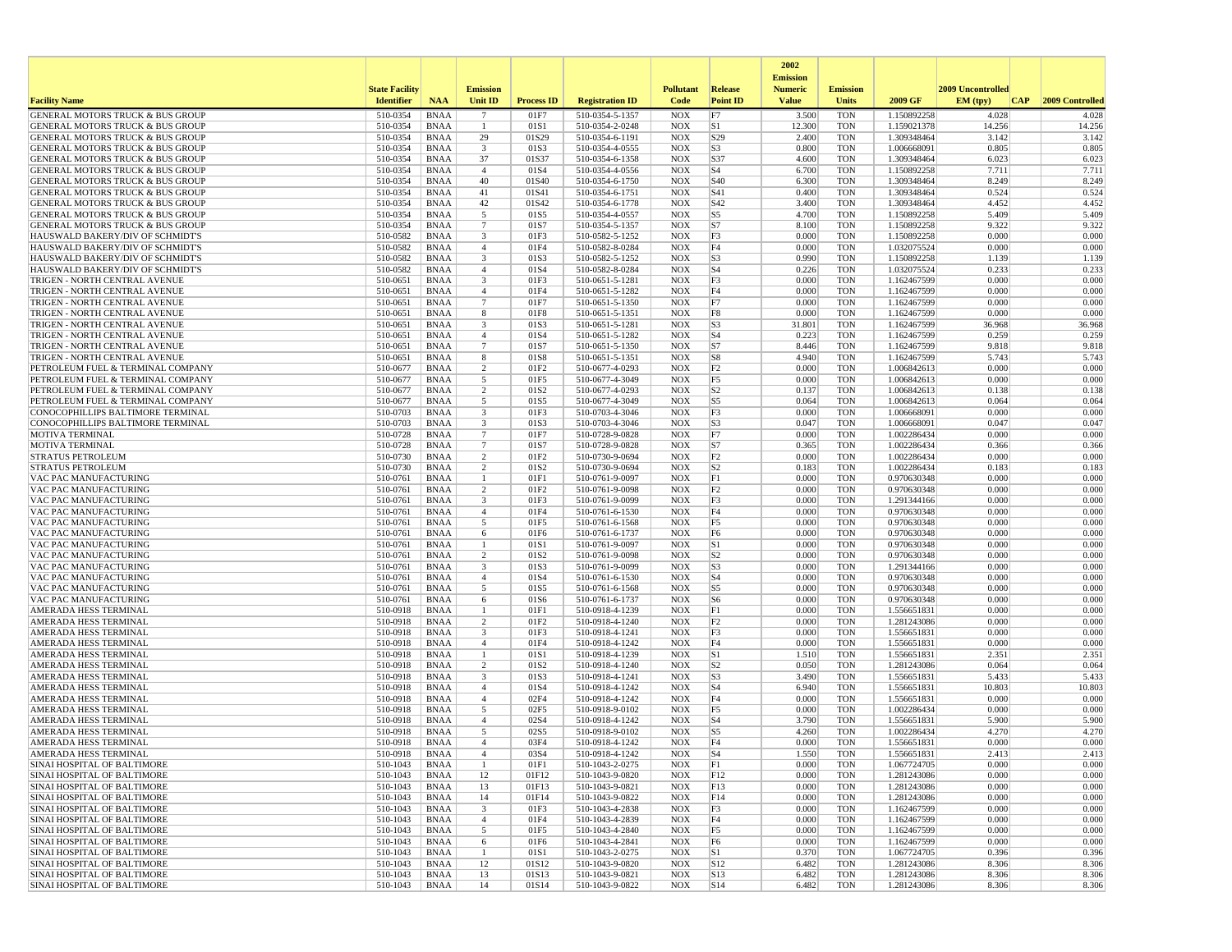|                                                                                 |                       |                            |                                |                          |                                    |                            |                       | 2002                              |                          |                            |                   |                 |
|---------------------------------------------------------------------------------|-----------------------|----------------------------|--------------------------------|--------------------------|------------------------------------|----------------------------|-----------------------|-----------------------------------|--------------------------|----------------------------|-------------------|-----------------|
|                                                                                 | <b>State Facility</b> |                            | <b>Emission</b>                |                          |                                    | <b>Pollutant</b>           | <b>Release</b>        | <b>Emission</b><br><b>Numeric</b> | <b>Emission</b>          |                            | 2009 Uncontrolled |                 |
| <b>Facility Name</b>                                                            | <b>Identifier</b>     | <b>NAA</b>                 | Unit ID                        | <b>Process ID</b>        | <b>Registration ID</b>             | Code                       | <b>Point ID</b>       | <b>Value</b>                      | <b>Units</b>             | 2009 GF                    | EM (typ)<br> CAP  | 2009 Controlled |
| GENERAL MOTORS TRUCK & BUS GROUP                                                | 510-0354              | <b>BNAA</b>                | 7                              | 01F7                     | 510-0354-5-1357                    | <b>NOX</b>                 | F7                    | 3.500                             | <b>TON</b>               | 1.150892258                | 4.028             | 4.028           |
| <b>GENERAL MOTORS TRUCK &amp; BUS GROUP</b>                                     | 510-0354              | <b>BNAA</b>                | -1                             | 01S1                     | 510-0354-2-0248                    | <b>NOX</b>                 | S1                    | 12.300                            | <b>TON</b>               | 1.159021378                | 14.256            | 14.256          |
| GENERAL MOTORS TRUCK & BUS GROUP<br><b>GENERAL MOTORS TRUCK &amp; BUS GROUP</b> | 510-0354<br>510-0354  | <b>BNAA</b><br><b>BNAA</b> | 29<br>3                        | 01S29<br>01S3            | 510-0354-6-1191<br>510-0354-4-0555 | <b>NOX</b><br><b>NOX</b>   | S29<br>S <sub>3</sub> | 2.400<br>0.800                    | <b>TON</b><br><b>TON</b> | 1.309348464<br>1.006668091 | 3.142<br>0.805    | 3.142<br>0.805  |
| <b>GENERAL MOTORS TRUCK &amp; BUS GROUP</b>                                     | 510-0354              | <b>BNAA</b>                | 37                             | 01S37                    | 510-0354-6-1358                    | <b>NOX</b>                 | S37                   | 4.600                             | <b>TON</b>               | 1.309348464                | 6.023             | 6.023           |
| <b>GENERAL MOTORS TRUCK &amp; BUS GROUP</b>                                     | 510-0354              | <b>BNAA</b>                | $\overline{4}$                 | 01S4                     | 510-0354-4-0556                    | <b>NOX</b>                 | S <sub>4</sub>        | 6.700                             | <b>TON</b>               | 1.150892258                | 7.711             | 7.711           |
| GENERAL MOTORS TRUCK & BUS GROUP                                                | 510-0354              | <b>BNAA</b>                | 40                             | 01S40                    | 510-0354-6-1750                    | <b>NOX</b>                 | S <sub>40</sub>       | 6.300                             | <b>TON</b>               | 1.309348464                | 8.249             | 8.249           |
| <b>GENERAL MOTORS TRUCK &amp; BUS GROUP</b><br>GENERAL MOTORS TRUCK & BUS GROUP | 510-0354<br>510-0354  | <b>BNAA</b><br><b>BNAA</b> | 41<br>42                       | 01S41<br>01S42           | 510-0354-6-1751<br>510-0354-6-1778 | <b>NOX</b><br><b>NOX</b>   | S41<br>S42            | 0.400<br>3.400                    | <b>TON</b><br><b>TON</b> | 1.309348464<br>1.309348464 | 0.524<br>4.452    | 0.524<br>4.452  |
| <b>GENERAL MOTORS TRUCK &amp; BUS GROUP</b>                                     | 510-0354              | <b>BNAA</b>                | 5                              | 01S5                     | 510-0354-4-0557                    | <b>NOX</b>                 | S <sub>5</sub>        | 4.700                             | <b>TON</b>               | 1.150892258                | 5.409             | 5.409           |
| GENERAL MOTORS TRUCK & BUS GROUP                                                | 510-0354              | <b>BNAA</b>                | $7\phantom{.0}$                | 01S7                     | 510-0354-5-1357                    | <b>NOX</b>                 | S7                    | 8.100                             | <b>TON</b>               | 1.150892258                | 9.322             | 9.322           |
| HAUSWALD BAKERY/DIV OF SCHMIDT'S                                                | 510-0582              | <b>BNAA</b>                | 3                              | 01F3                     | 510-0582-5-1252                    | <b>NOX</b>                 | F3                    | 0.000                             | <b>TON</b>               | 1.150892258                | 0.000             | 0.000           |
| HAUSWALD BAKERY/DIV OF SCHMIDT'S<br>HAUSWALD BAKERY/DIV OF SCHMIDT'S            | 510-0582<br>510-0582  | <b>BNAA</b><br><b>BNAA</b> | $\overline{4}$<br>3            | 01F4<br>01S3             | 510-0582-8-0284<br>510-0582-5-1252 | <b>NOX</b><br><b>NOX</b>   | F4<br>S <sub>3</sub>  | 0.000<br>0.990                    | <b>TON</b><br><b>TON</b> | 1.032075524<br>1.150892258 | 0.000<br>1.139    | 0.000<br>1.139  |
| HAUSWALD BAKERY/DIV OF SCHMIDT'S                                                | 510-0582              | <b>BNAA</b>                | $\overline{4}$                 | 01S4                     | 510-0582-8-0284                    | <b>NOX</b>                 | S <sub>4</sub>        | 0.226                             | <b>TON</b>               | 1.032075524                | 0.233             | 0.233           |
| TRIGEN - NORTH CENTRAL AVENUE                                                   | 510-0651              | BNAA                       | 3                              | 01F3                     | 510-0651-5-1281                    | <b>NOX</b>                 | F3                    | 0.000                             | <b>TON</b>               | 1.162467599                | 0.000             | 0.000           |
| TRIGEN - NORTH CENTRAL AVENUE                                                   | 510-0651              | <b>BNAA</b>                | $\overline{4}$                 | 01F4                     | 510-0651-5-1282                    | <b>NOX</b>                 | F4                    | 0.000                             | <b>TON</b>               | 1.162467599                | 0.000             | 0.000           |
| TRIGEN - NORTH CENTRAL AVENUE<br>TRIGEN - NORTH CENTRAL AVENUE                  | 510-0651<br>510-0651  | <b>BNAA</b><br><b>BNAA</b> | $\overline{7}$<br>8            | 01F7<br>01F8             | 510-0651-5-1350<br>510-0651-5-1351 | <b>NOX</b><br><b>NOX</b>   | F7<br>F8              | 0.000<br>0.000                    | TON<br><b>TON</b>        | 1.162467599<br>1.162467599 | 0.000<br>0.000    | 0.000<br>0.000  |
| TRIGEN - NORTH CENTRAL AVENUE                                                   | 510-0651              | <b>BNAA</b>                | 3                              | 01S3                     | 510-0651-5-1281                    | <b>NOX</b>                 | S <sub>3</sub>        | 31.801                            | <b>TON</b>               | 1.162467599                | 36.968            | 36.968          |
| TRIGEN - NORTH CENTRAL AVENUE                                                   | 510-0651              | <b>BNAA</b>                | $\overline{4}$                 | 01S4                     | 510-0651-5-1282                    | <b>NOX</b>                 | $ S_4 $               | 0.223                             | <b>TON</b>               | 1.162467599                | 0.259             | 0.259           |
| TRIGEN - NORTH CENTRAL AVENUE                                                   | 510-0651              | <b>BNAA</b>                | $7\overline{ }$                | 01S7                     | 510-0651-5-1350                    | <b>NOX</b>                 | S7                    | 8.446                             | <b>TON</b>               | 1.162467599                | 9.818             | 9.818           |
| TRIGEN - NORTH CENTRAL AVENUE                                                   | 510-0651              | <b>BNAA</b>                | 8<br>$\overline{2}$            | 01S8                     | 510-0651-5-1351                    | <b>NOX</b>                 | S8<br>F2              | 4.940<br>0.000                    | TON<br><b>TON</b>        | 1.162467599                | 5.743<br>0.000    | 5.743<br>0.000  |
| PETROLEUM FUEL & TERMINAL COMPANY<br>PETROLEUM FUEL & TERMINAL COMPANY          | 510-0677<br>510-0677  | <b>BNAA</b><br><b>BNAA</b> | 5                              | 01F <sub>2</sub><br>01F5 | 510-0677-4-0293<br>510-0677-4-3049 | <b>NOX</b><br><b>NOX</b>   | F5                    | 0.000                             | <b>TON</b>               | 1.006842613<br>1.006842613 | 0.000             | 0.000           |
| PETROLEUM FUEL & TERMINAL COMPANY                                               | 510-0677              | <b>BNAA</b>                | $\overline{c}$                 | 01S <sub>2</sub>         | 510-0677-4-0293                    | <b>NOX</b>                 | S <sub>2</sub>        | 0.137                             | <b>TON</b>               | 1.006842613                | 0.138             | 0.138           |
| PETROLEUM FUEL & TERMINAL COMPANY                                               | 510-0677              | <b>BNAA</b>                | 5                              | 01S5                     | 510-0677-4-3049                    | <b>NOX</b>                 | S5                    | 0.064                             | <b>TON</b>               | 1.006842613                | 0.064             | 0.064           |
| CONOCOPHILLIPS BALTIMORE TERMINAL                                               | 510-0703              | <b>BNAA</b>                | 3                              | 01F3                     | 510-0703-4-3046                    | <b>NOX</b>                 | F3                    | 0.000                             | <b>TON</b>               | 1.006668091                | 0.000             | 0.000           |
| CONOCOPHILLIPS BALTIMORE TERMINAL<br>MOTIVA TERMINAL                            | 510-0703<br>510-0728  | <b>BNAA</b><br><b>BNAA</b> | 3<br>$\overline{7}$            | 01S3<br>01F7             | 510-0703-4-3046<br>510-0728-9-0828 | <b>NOX</b><br><b>NOX</b>   | S <sub>3</sub><br>F7  | 0.047<br>0.000                    | TON<br><b>TON</b>        | 1.006668091<br>1.002286434 | 0.047<br>0.000    | 0.047<br>0.000  |
| <b>MOTIVA TERMINAL</b>                                                          | 510-0728              | <b>BNAA</b>                | $\overline{7}$                 | 01S7                     | 510-0728-9-0828                    | <b>NOX</b>                 | S7                    | 0.365                             | <b>TON</b>               | 1.002286434                | 0.366             | 0.366           |
| <b>STRATUS PETROLEUM</b>                                                        | 510-0730              | <b>BNAA</b>                | 2                              | 01F <sub>2</sub>         | 510-0730-9-0694                    | <b>NOX</b>                 | F2                    | 0.000                             | <b>TON</b>               | 1.002286434                | 0.000             | 0.000           |
| <b>STRATUS PETROLEUM</b>                                                        | 510-0730              | <b>BNAA</b>                | 2                              | 01S2                     | 510-0730-9-0694                    | <b>NOX</b>                 | S <sub>2</sub>        | 0.183                             | <b>TON</b>               | 1.002286434                | 0.183             | 0.183           |
| VAC PAC MANUFACTURING<br>VAC PAC MANUFACTURING                                  | 510-0761<br>510-0761  | <b>BNAA</b><br><b>BNAA</b> | -1<br>$\overline{2}$           | 01F1<br>01F <sub>2</sub> | 510-0761-9-0097<br>510-0761-9-0098 | <b>NOX</b><br><b>NOX</b>   | F1<br>F2              | 0.000<br>0.000                    | <b>TON</b><br><b>TON</b> | 0.970630348<br>0.970630348 | 0.000<br>0.000    | 0.000<br>0.000  |
| VAC PAC MANUFACTURING                                                           | 510-0761              | <b>BNAA</b>                | 3                              | 01F3                     | 510-0761-9-0099                    | <b>NOX</b>                 | F3                    | 0.000                             | <b>TON</b>               | 1.291344166                | 0.000             | 0.000           |
| VAC PAC MANUFACTURING                                                           | 510-0761              | <b>BNAA</b>                | $\overline{4}$                 | 01F4                     | 510-0761-6-1530                    | <b>NOX</b>                 | F4                    | 0.000                             | <b>TON</b>               | 0.970630348                | 0.000             | 0.000           |
| VAC PAC MANUFACTURING                                                           | 510-0761              | <b>BNAA</b>                | 5                              | 01F5                     | 510-0761-6-1568                    | <b>NOX</b>                 | F <sub>5</sub>        | 0.000                             | <b>TON</b>               | 0.970630348                | 0.000             | 0.000           |
| VAC PAC MANUFACTURING<br>VAC PAC MANUFACTURING                                  | 510-0761<br>510-0761  | <b>BNAA</b><br><b>BNAA</b> | 6<br>$\mathbf{1}$              | 01F6<br>01S1             | 510-0761-6-1737<br>510-0761-9-0097 | $_{\rm NOX}$<br><b>NOX</b> | F <sub>6</sub><br>S1  | 0.000<br>0.000                    | <b>TON</b><br><b>TON</b> | 0.970630348<br>0.970630348 | 0.000<br>0.000    | 0.000<br>0.000  |
| VAC PAC MANUFACTURING                                                           | 510-0761              | BNAA                       | $\overline{2}$                 | 01S <sub>2</sub>         | 510-0761-9-0098                    | <b>NOX</b>                 | S <sub>2</sub>        | 0.000                             | <b>TON</b>               | 0.970630348                | 0.000             | 0.000           |
| VAC PAC MANUFACTURING                                                           | 510-0761              | <b>BNAA</b>                | 3                              | 01S3                     | 510-0761-9-0099                    | <b>NOX</b>                 | S3                    | 0.000                             | <b>TON</b>               | 1.291344166                | 0.000             | 0.000           |
| VAC PAC MANUFACTURING                                                           | 510-0761              | <b>BNAA</b>                | $\overline{4}$                 | 01S4                     | 510-0761-6-1530                    | <b>NOX</b>                 | $ S_4 $               | 0.000                             | <b>TON</b>               | 0.970630348                | 0.000             | 0.000           |
| VAC PAC MANUFACTURING<br>VAC PAC MANUFACTURING                                  | 510-0761<br>510-0761  | <b>BNAA</b><br><b>BNAA</b> | 5<br>6                         | 01S5<br>01S6             | 510-0761-6-1568<br>510-0761-6-1737 | <b>NOX</b><br><b>NOX</b>   | S5<br> S6             | 0.000<br>0.000                    | <b>TON</b><br><b>TON</b> | 0.970630348<br>0.970630348 | 0.000<br>0.000    | 0.000<br>0.000  |
| AMERADA HESS TERMINAL                                                           | 510-0918              | <b>BNAA</b>                | 1                              | 01F1                     | 510-0918-4-1239                    | <b>NOX</b>                 | F1                    | 0.000                             | <b>TON</b>               | 1.556651831                | 0.000             | 0.000           |
| AMERADA HESS TERMINAL                                                           | 510-0918              | <b>BNAA</b>                | 2                              | 01F <sub>2</sub>         | 510-0918-4-1240                    | <b>NOX</b>                 | F <sub>2</sub>        | 0.000                             | <b>TON</b>               | 1.281243086                | 0.000             | 0.000           |
| AMERADA HESS TERMINAL                                                           | 510-0918              | <b>BNAA</b>                | 3                              | 01F3                     | 510-0918-4-1241                    | <b>NOX</b>                 | F3                    | 0.000                             | <b>TON</b>               | 1.556651831                | 0.000             | 0.000           |
| AMERADA HESS TERMINAL<br>AMERADA HESS TERMINAL                                  | 510-0918<br>510-0918  | <b>BNAA</b><br><b>BNAA</b> | $\overline{4}$<br>$\mathbf{1}$ | 01F4<br>01S1             | 510-0918-4-1242<br>510-0918-4-1239 | <b>NOX</b><br><b>NOX</b>   | F4<br> S1             | 0.000<br>1.510                    | <b>TON</b><br><b>TON</b> | 1.556651831<br>1.556651831 | 0.000<br>2.351    | 0.000<br>2.351  |
| AMERADA HESS TERMINAL                                                           | 510-0918              | <b>BNAA</b>                | 2                              | 01S <sub>2</sub>         | 510-0918-4-1240                    | <b>NOX</b>                 | S <sub>2</sub>        | 0.050                             | TON                      | 1.281243086                | 0.064             | 0.064           |
| AMERADA HESS TERMINAL                                                           | 510-0918              | BNAA                       | 3                              | 01S3                     | 510-0918-4-1241                    | <b>NOX</b>                 | S3                    | 3.490                             | <b>TON</b>               | 1.556651831                | 5.433             | 5.433           |
| AMERADA HESS TERMINAL                                                           | 510-0918              | <b>BNAA</b>                | $\overline{4}$                 | 01S4                     | 510-0918-4-1242                    | <b>NOX</b>                 | S <sub>4</sub>        | 6.940                             | <b>TON</b>               | 1.556651831                | 10.803            | 10.803          |
| AMERADA HESS TERMINAL<br>AMERADA HESS TERMINAL                                  | 510-0918<br>510-0918  | <b>BNAA</b><br><b>BNAA</b> | $\overline{4}$<br>5            | 02F4<br>02F5             | 510-0918-4-1242<br>510-0918-9-0102 | <b>NOX</b><br><b>NOX</b>   | F4<br>F <sub>5</sub>  | 0.000<br>0.000                    | <b>TON</b><br><b>TON</b> | 1.556651831<br>1.002286434 | 0.000<br>0.000    | 0.000<br>0.000  |
| AMERADA HESS TERMINAL                                                           | 510-0918              | <b>BNAA</b>                | $\overline{4}$                 | 02S4                     | 510-0918-4-1242                    | <b>NOX</b>                 | S <sub>4</sub>        | 3.790                             | <b>TON</b>               | 1.556651831                | 5.900             | 5.900           |
| AMERADA HESS TERMINAL                                                           | 510-0918              | <b>BNAA</b>                | 5                              | 02S5                     | 510-0918-9-0102                    | <b>NOX</b>                 | S5                    | 4.260                             | <b>TON</b>               | 1.002286434                | 4.270             | 4.270           |
| <b>AMERADA HESS TERMINAL</b>                                                    | 510-0918              | <b>BNAA</b>                | $\overline{4}$                 | 03F4                     | 510-0918-4-1242                    | <b>NOX</b>                 | F4                    | 0.000                             | <b>TON</b>               | 1.556651831                | 0.000             | 0.000           |
| AMERADA HESS TERMINAL<br>SINAI HOSPITAL OF BALTIMORE                            | 510-0918<br>510-1043  | BNAA<br>BNAA               | -1                             | 03S4<br>01F1             | 510-0918-4-1242<br>510-1043-2-0275 | NOX<br><b>NOX</b>          | $ S_4 $<br> F1        | 1.550<br>0.000                    | TON<br><b>TON</b>        | 1.556651831<br>1.067724705 | 2.413<br>0.000    | 2.413<br>0.000  |
| SINAI HOSPITAL OF BALTIMORE                                                     | 510-1043              | BNAA                       | 12                             | 01F12                    | 510-1043-9-0820                    | <b>NOX</b>                 | F12                   | 0.000                             | <b>TON</b>               | 1.281243086                | 0.000             | 0.000           |
| SINAI HOSPITAL OF BALTIMORE                                                     | 510-1043              | BNAA                       | 13                             | 01F13                    | 510-1043-9-0821                    | NOX                        | F13                   | 0.000                             | TON                      | 1.281243086                | 0.000             | 0.000           |
| SINAI HOSPITAL OF BALTIMORE                                                     | 510-1043              | BNAA                       | 14                             | 01F14                    | 510-1043-9-0822                    | <b>NOX</b>                 | F14                   | 0.000                             | <b>TON</b>               | 1.281243086                | 0.000             | 0.000           |
| SINAI HOSPITAL OF BALTIMORE<br>SINAI HOSPITAL OF BALTIMORE                      | 510-1043<br>510-1043  | <b>BNAA</b><br><b>BNAA</b> | $\mathbf{3}$<br>$\overline{4}$ | 01F3<br>01F4             | 510-1043-4-2838<br>510-1043-4-2839 | <b>NOX</b><br><b>NOX</b>   | F3<br>F4              | 0.000<br>0.000                    | <b>TON</b><br><b>TON</b> | 1.162467599<br>1.162467599 | 0.000<br>0.000    | 0.000<br>0.000  |
| SINAI HOSPITAL OF BALTIMORE                                                     | 510-1043              | BNAA                       | $\overline{5}$                 | 01F5                     | 510-1043-4-2840                    | <b>NOX</b>                 | F5                    | 0.000                             | <b>TON</b>               | 1.162467599                | 0.000             | 0.000           |
| SINAI HOSPITAL OF BALTIMORE                                                     | 510-1043              | BNAA                       | 6                              | 01F6                     | 510-1043-4-2841                    | <b>NOX</b>                 | F <sub>6</sub>        | 0.000                             | <b>TON</b>               | 1.162467599                | 0.000             | 0.000           |
| SINAI HOSPITAL OF BALTIMORE                                                     | 510-1043              | BNAA                       | -1                             | 01S1                     | 510-1043-2-0275                    | <b>NOX</b>                 | $ S_1 $               | 0.370                             | <b>TON</b>               | 1.067724705                | 0.396             | 0.396           |
| <b>SINAI HOSPITAL OF BALTIMORE</b><br>SINAI HOSPITAL OF BALTIMORE               | 510-1043<br>510-1043  | BNAA<br>BNAA               | 12<br>13                       | 01S12<br>01S13           | 510-1043-9-0820<br>510-1043-9-0821 | <b>NOX</b><br><b>NOX</b>   | S12<br>S13            | 6.482<br>6.482                    | TON<br><b>TON</b>        | 1.281243086<br>1.281243086 | 8.306<br>8.306    | 8.306<br>8.306  |
| SINAI HOSPITAL OF BALTIMORE                                                     | 510-1043              | BNAA                       | 14                             | 01S14                    | 510-1043-9-0822                    | <b>NOX</b>                 | S14                   | 6.482                             | TON                      | 1.281243086                | 8.306             | 8.306           |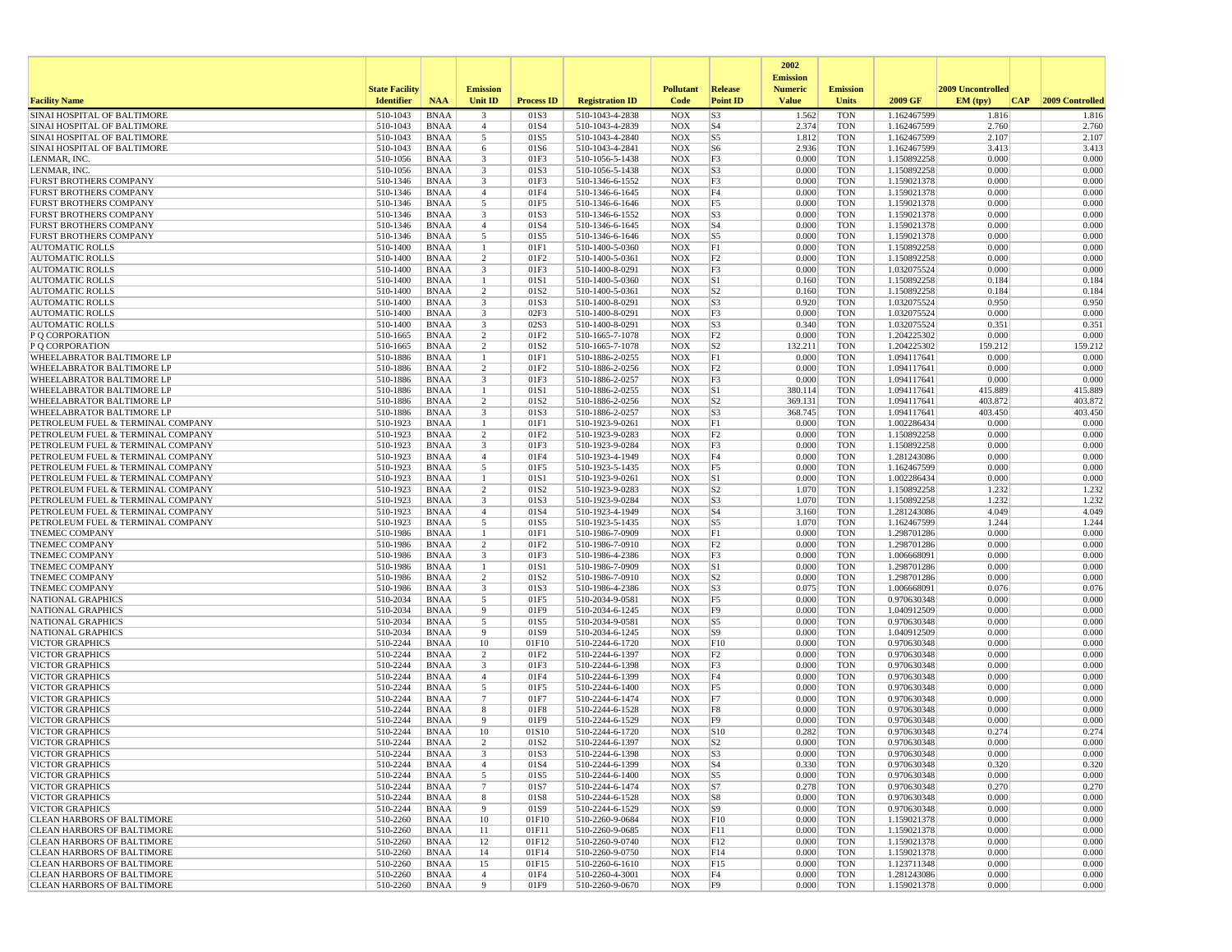|                                                                        |                       |                            |                                           |                          |                                    |                          |                                  | 2002                              |                          |                            |                   |                  |
|------------------------------------------------------------------------|-----------------------|----------------------------|-------------------------------------------|--------------------------|------------------------------------|--------------------------|----------------------------------|-----------------------------------|--------------------------|----------------------------|-------------------|------------------|
|                                                                        | <b>State Facility</b> |                            | <b>Emission</b>                           |                          |                                    | <b>Pollutant</b>         | <b>Release</b>                   | <b>Emission</b><br><b>Numeric</b> | <b>Emission</b>          |                            | 2009 Uncontrolled |                  |
| <b>Facility Name</b>                                                   | <b>Identifier</b>     | <b>NAA</b>                 | Unit ID                                   | <b>Process ID</b>        | <b>Registration ID</b>             | Code                     | <b>Point ID</b>                  | <b>Value</b>                      | <b>Units</b>             | 2009 GF                    | EM (tpv)<br> CAP  | 2009 Controlled  |
| SINAI HOSPITAL OF BALTIMORE                                            | 510-1043              | <b>BNAA</b>                | $\overline{\mathbf{3}}$                   | 01S3                     | 510-1043-4-2838                    | <b>NOX</b>               | S <sub>3</sub>                   | 1.562                             | <b>TON</b>               | 1.162467599                | 1.816             | 1.816            |
| SINAI HOSPITAL OF BALTIMORE<br>SINAI HOSPITAL OF BALTIMORE             | 510-1043<br>510-1043  | <b>BNAA</b><br><b>BNAA</b> | $\overline{4}$<br>5                       | 01S4<br>01S5             | 510-1043-4-2839<br>510-1043-4-2840 | <b>NOX</b><br><b>NOX</b> | S <sub>4</sub><br>S5             | 2.374<br>1.812                    | <b>TON</b><br><b>TON</b> | 1.162467599<br>1.162467599 | 2.760<br>2.107    | 2.760<br>2.107   |
| SINAI HOSPITAL OF BALTIMORE                                            | 510-1043              | <b>BNAA</b>                | 6                                         | 01S6                     | 510-1043-4-2841                    | <b>NOX</b>               | S <sub>6</sub>                   | 2.936                             | <b>TON</b>               | 1.162467599                | 3.413             | 3.413            |
| LENMAR, INC.                                                           | 510-1056              | BNAA                       | $\overline{3}$                            | 01F3                     | 510-1056-5-1438                    | <b>NOX</b>               | F3                               | 0.000                             | <b>TON</b>               | 1.150892258                | 0.000             | 0.000            |
| LENMAR, INC                                                            | 510-1056              | <b>BNAA</b>                | $\overline{\mathbf{3}}$                   | 01S3                     | 510-1056-5-1438                    | <b>NOX</b>               | S3                               | 0.000                             | <b>TON</b>               | 1.150892258                | 0.000             | 0.000            |
| <b>FURST BROTHERS COMPANY</b><br><b>FURST BROTHERS COMPANY</b>         | 510-1346<br>510-1346  | <b>BNAA</b><br>BNAA        | $\overline{\mathbf{3}}$<br>$\overline{4}$ | 01F3<br>01F4             | 510-1346-6-1552<br>510-1346-6-1645 | <b>NOX</b><br><b>NOX</b> | F3<br>F4                         | 0.000<br>0.000                    | <b>TON</b><br><b>TON</b> | 1.159021378<br>1.159021378 | 0.000<br>0.000    | 0.000<br>0.000   |
| <b>FURST BROTHERS COMPANY</b>                                          | 510-1346              | <b>BNAA</b>                | 5                                         | 01F5                     | 510-1346-6-1646                    | <b>NOX</b>               | F5                               | 0.000                             | <b>TON</b>               | 1.159021378                | 0.000             | 0.000            |
| <b>FURST BROTHERS COMPANY</b>                                          | 510-1346              | <b>BNAA</b>                | $\overline{\mathbf{3}}$                   | 01S3                     | 510-1346-6-1552                    | <b>NOX</b>               | S <sub>3</sub>                   | 0.000                             | <b>TON</b>               | 1.159021378                | 0.000             | 0.000            |
| <b>FURST BROTHERS COMPANY</b>                                          | 510-1346              | <b>BNAA</b>                | $\overline{4}$                            | 01S4                     | 510-1346-6-1645                    | <b>NOX</b>               | S <sub>4</sub>                   | 0.000                             | <b>TON</b>               | 1.159021378                | 0.000             | 0.000            |
| <b>FURST BROTHERS COMPANY</b>                                          | 510-1346              | BNAA                       | 5                                         | 01S5                     | 510-1346-6-1646                    | <b>NOX</b>               | S5                               | 0.000                             | <b>TON</b>               | 1.159021378                | 0.000             | 0.000            |
| <b>AUTOMATIC ROLLS</b><br><b>AUTOMATIC ROLLS</b>                       | 510-1400<br>510-1400  | <b>BNAA</b><br><b>BNAA</b> | -1<br>$\overline{c}$                      | 01F1<br>01F2             | 510-1400-5-0360<br>510-1400-5-0361 | <b>NOX</b><br><b>NOX</b> | F1<br>F <sub>2</sub>             | 0.000<br>0.000                    | <b>TON</b><br><b>TON</b> | 1.150892258<br>1.150892258 | 0.000<br>0.000    | 0.000<br>0.000   |
| <b>AUTOMATIC ROLLS</b>                                                 | 510-1400              | <b>BNAA</b>                | $\overline{\mathbf{3}}$                   | 01F3                     | 510-1400-8-0291                    | <b>NOX</b>               | F3                               | 0.000                             | <b>TON</b>               | 1.032075524                | 0.000             | 0.000            |
| <b>AUTOMATIC ROLLS</b>                                                 | 510-1400              | BNAA                       | -1                                        | 01S1                     | 510-1400-5-0360                    | <b>NOX</b>               | S1                               | 0.160                             | <b>TON</b>               | 1.150892258                | 0.184             | 0.184            |
| <b>AUTOMATIC ROLLS</b>                                                 | 510-1400              | <b>BNAA</b>                | $\overline{2}$                            | 01S2                     | 510-1400-5-0361                    | <b>NOX</b>               | S <sub>2</sub>                   | 0.160                             | <b>TON</b>               | 1.150892258                | 0.184             | 0.184            |
| <b>AUTOMATIC ROLLS</b>                                                 | 510-1400              | BNAA                       | $\overline{\mathbf{3}}$                   | 01S3                     | 510-1400-8-0291                    | <b>NOX</b>               | S <sub>3</sub>                   | 0.920                             | <b>TON</b>               | 1.032075524                | 0.950             | 0.950            |
| <b>AUTOMATIC ROLLS</b><br><b>AUTOMATIC ROLLS</b>                       | 510-1400<br>510-1400  | BNAA<br><b>BNAA</b>        | 3<br>$\overline{\mathbf{3}}$              | 02F3<br>02S3             | 510-1400-8-0291<br>510-1400-8-0291 | <b>NOX</b><br><b>NOX</b> | F3<br>S <sub>3</sub>             | 0.000<br>0.340                    | <b>TON</b><br><b>TON</b> | 1.032075524<br>1.032075524 | 0.000<br>0.351    | 0.000<br>0.351   |
| P Q CORPORATION                                                        | 510-1665              | BNAA                       | $\overline{2}$                            | 01F2                     | 510-1665-7-1078                    | <b>NOX</b>               | F <sub>2</sub>                   | 0.000                             | <b>TON</b>               | 1.204225302                | 0.000             | 0.000            |
| P Q CORPORATION                                                        | 510-1665              | <b>BNAA</b>                | $\overline{2}$                            | 01S2                     | 510-1665-7-1078                    | <b>NOX</b>               | S <sub>2</sub>                   | 132.211                           | <b>TON</b>               | 1.204225302                | 159.212           | 159.212          |
| WHEELABRATOR BALTIMORE LP                                              | 510-1886              | BNAA                       | -1                                        | 01F1                     | 510-1886-2-0255                    | <b>NOX</b>               | F1                               | 0.000                             | <b>TON</b>               | 1.094117641                | 0.000             | 0.000            |
| <b>WHEELABRATOR BALTIMORE LP</b>                                       | 510-1886              | BNAA                       | $\overline{2}$                            | 01F2                     | 510-1886-2-0256                    | <b>NOX</b>               | F <sub>2</sub>                   | 0.000                             | <b>TON</b>               | 1.094117641                | 0.000             | 0.000            |
| <b>WHEELABRATOR BALTIMORE LP</b><br>WHEELABRATOR BALTIMORE LP          | 510-1886<br>510-1886  | <b>BNAA</b><br>BNAA        | 3<br>-1                                   | 01F3<br>01S1             | 510-1886-2-0257<br>510-1886-2-0255 | <b>NOX</b><br><b>NOX</b> | F3<br>S1                         | 0.000<br>380.114                  | <b>TON</b><br><b>TON</b> | 1.094117641<br>1.094117641 | 0.000<br>415.889  | 0.000<br>415.889 |
| <b>WHEELABRATOR BALTIMORE LP</b>                                       | 510-1886              | <b>BNAA</b>                | $\overline{2}$                            | 01S <sub>2</sub>         | 510-1886-2-0256                    | <b>NOX</b>               | S2                               | 369.131                           | <b>TON</b>               | 1.094117641                | 403.872           | 403.872          |
| WHEELABRATOR BALTIMORE LP                                              | 510-1886              | <b>BNAA</b>                | $\overline{\mathbf{3}}$                   | 01S3                     | 510-1886-2-0257                    | <b>NOX</b>               | S <sub>3</sub>                   | 368.745                           | <b>TON</b>               | 1.094117641                | 403.450           | 403.450          |
| PETROLEUM FUEL & TERMINAL COMPANY                                      | 510-1923              | <b>BNAA</b>                | $\overline{1}$                            | 01F1                     | 510-1923-9-0261                    | <b>NOX</b>               | F1                               | 0.000                             | <b>TON</b>               | 1.002286434                | 0.000             | 0.000            |
| PETROLEUM FUEL & TERMINAL COMPANY                                      | 510-1923              | BNAA                       | $\overline{2}$                            | 01F2                     | 510-1923-9-0283                    | <b>NOX</b>               | F2                               | 0.000                             | <b>TON</b>               | 1.150892258                | 0.000             | 0.000            |
| PETROLEUM FUEL & TERMINAL COMPANY<br>PETROLEUM FUEL & TERMINAL COMPANY | 510-1923<br>510-1923  | <b>BNAA</b><br>BNAA        | $\overline{\mathbf{3}}$<br>$\overline{4}$ | 01F3<br>01F4             | 510-1923-9-0284<br>510-1923-4-1949 | <b>NOX</b><br><b>NOX</b> | F3<br>F4                         | 0.000<br>0.000                    | <b>TON</b><br><b>TON</b> | 1.150892258<br>1.281243086 | 0.000<br>0.000    | 0.000<br>0.000   |
| PETROLEUM FUEL & TERMINAL COMPANY                                      | 510-1923              | BNAA                       | 5                                         | 01F5                     | 510-1923-5-1435                    | <b>NOX</b>               | F <sub>5</sub>                   | 0.000                             | <b>TON</b>               | 1.162467599                | 0.000             | 0.000            |
| PETROLEUM FUEL & TERMINAL COMPANY                                      | 510-1923              | <b>BNAA</b>                | $\overline{1}$                            | 01S1                     | 510-1923-9-0261                    | <b>NOX</b>               | S1                               | 0.000                             | <b>TON</b>               | 1.002286434                | 0.000             | 0.000            |
| PETROLEUM FUEL & TERMINAL COMPANY                                      | 510-1923              | <b>BNAA</b>                | $\overline{2}$                            | 01S2                     | 510-1923-9-0283                    | <b>NOX</b>               | S <sub>2</sub>                   | 1.070                             | <b>TON</b>               | 1.150892258                | 1.232             | 1.232            |
| PETROLEUM FUEL & TERMINAL COMPANY                                      | 510-1923              | <b>BNAA</b>                | 3                                         | 01S3                     | 510-1923-9-0284                    | <b>NOX</b>               | S <sub>3</sub><br>S <sub>4</sub> | 1.070                             | <b>TON</b>               | 1.150892258                | 1.232<br>4.049    | 1.232<br>4.049   |
| PETROLEUM FUEL & TERMINAL COMPANY<br>PETROLEUM FUEL & TERMINAL COMPANY | 510-1923<br>510-1923  | BNAA<br><b>BNAA</b>        | $\overline{4}$<br>5                       | 01S4<br>01S5             | 510-1923-4-1949<br>510-1923-5-1435 | <b>NOX</b><br><b>NOX</b> | S5                               | 3.160<br>1.070                    | <b>TON</b><br><b>TON</b> | 1.281243086<br>1.162467599 | 1.244             | 1.244            |
| <b>TNEMEC COMPANY</b>                                                  | 510-1986              | <b>BNAA</b>                | $\mathbf{1}$                              | 01F1                     | 510-1986-7-0909                    | <b>NOX</b>               | F1                               | 0.000                             | <b>TON</b>               | 1.298701286                | 0.000             | 0.000            |
| <b>TNEMEC COMPANY</b>                                                  | 510-1986              | <b>BNAA</b>                | $\overline{2}$                            | 01F <sub>2</sub>         | 510-1986-7-0910                    | <b>NOX</b>               | F <sub>2</sub>                   | 0.000                             | <b>TON</b>               | 1.298701286                | 0.000             | 0.000            |
| TNEMEC COMPANY                                                         | 510-1986              | BNAA                       | 3                                         | 01F3                     | 510-1986-4-2386                    | <b>NOX</b>               | F3                               | 0.000                             | <b>TON</b>               | 1.006668091                | 0.000             | 0.000            |
| <b>TNEMEC COMPANY</b><br><b>TNEMEC COMPANY</b>                         | 510-1986<br>510-1986  | <b>BNAA</b><br><b>BNAA</b> | -1<br>$\overline{c}$                      | 01S1<br>01S <sub>2</sub> | 510-1986-7-0909<br>510-1986-7-0910 | <b>NOX</b><br><b>NOX</b> | S1<br>S <sub>2</sub>             | 0.000<br>0.000                    | <b>TON</b><br><b>TON</b> | 1.298701286<br>1.298701286 | 0.000<br>0.000    | 0.000<br>0.000   |
| <b>TNEMEC COMPANY</b>                                                  | 510-1986              | BNAA                       | $\overline{\mathbf{3}}$                   | 01S3                     | 510-1986-4-2386                    | <b>NOX</b>               | S3                               | 0.075                             | <b>TON</b>               | 1.006668091                | 0.076             | 0.076            |
| NATIONAL GRAPHICS                                                      | 510-2034              | <b>BNAA</b>                | 5                                         | 01F5                     | 510-2034-9-0581                    | <b>NOX</b>               | F5                               | 0.000                             | <b>TON</b>               | 0.970630348                | 0.000             | 0.000            |
| <b>NATIONAL GRAPHICS</b>                                               | 510-2034              | <b>BNAA</b>                | 9                                         | 01F9                     | 510-2034-6-1245                    | <b>NOX</b>               | F <sub>9</sub>                   | 0.000                             | <b>TON</b>               | 1.040912509                | 0.000             | 0.000            |
| <b>NATIONAL GRAPHICS</b>                                               | 510-2034              | <b>BNAA</b>                | -5                                        | 01S5                     | 510-2034-9-0581                    | <b>NOX</b>               | S5                               | 0.000                             | <b>TON</b>               | 0.970630348                | 0.000             | 0.000            |
| <b>NATIONAL GRAPHICS</b><br><b>VICTOR GRAPHICS</b>                     | 510-2034<br>510-2244  | BNAA<br>BNAA               | 9<br>10                                   | 01S9<br>01F10            | 510-2034-6-1245<br>510-2244-6-1720 | <b>NOX</b><br><b>NOX</b> | S9<br>F10                        | 0.000<br>0.000                    | <b>TON</b><br><b>TON</b> | 1.040912509<br>0.970630348 | 0.000<br>0.000    | 0.000<br>0.000   |
| <b>VICTOR GRAPHICS</b>                                                 | 510-2244              | <b>BNAA</b>                | $\overline{2}$                            | 01F2                     | 510-2244-6-1397                    | <b>NOX</b>               | F <sub>2</sub>                   | 0.000                             | <b>TON</b>               | 0.970630348                | 0.000             | 0.000            |
| <b>VICTOR GRAPHICS</b>                                                 | 510-2244              | BNAA                       | $\overline{\mathbf{3}}$                   | 01F3                     | 510-2244-6-1398                    | <b>NOX</b>               | F3                               | 0.000                             | <b>TON</b>               | 0.970630348                | 0.000             | 0.000            |
| <b>VICTOR GRAPHICS</b>                                                 | 510-2244              | <b>BNAA</b>                | $\overline{4}$                            | 01F4                     | 510-2244-6-1399                    | <b>NOX</b>               | F4                               | 0.000                             | <b>TON</b>               | 0.970630348                | 0.000             | 0.000            |
| <b>VICTOR GRAPHICS</b>                                                 | 510-2244              | <b>BNAA</b>                | 5                                         | 01F5                     | 510-2244-6-1400                    | <b>NOX</b>               | F5                               | 0.000                             | <b>TON</b>               | 0.970630348                | 0.000             | 0.000            |
| <b>VICTOR GRAPHICS</b><br><b>VICTOR GRAPHICS</b>                       | 510-2244<br>510-2244  | <b>BNAA</b><br>BNAA        | $\overline{7}$<br>8                       | 01F7<br>01F8             | 510-2244-6-1474<br>510-2244-6-1528 | <b>NOX</b><br><b>NOX</b> | F7<br>F8                         | 0.000<br>0.000                    | <b>TON</b><br><b>TON</b> | 0.970630348<br>0.970630348 | 0.000<br>0.000    | 0.000<br>0.000   |
| <b>VICTOR GRAPHICS</b>                                                 | 510-2244              | <b>BNAA</b>                | 9                                         | 01F9                     | 510-2244-6-1529                    | <b>NOX</b>               | F <sub>9</sub>                   | 0.000                             | <b>TON</b>               | 0.970630348                | 0.000             | 0.000            |
| <b>VICTOR GRAPHICS</b>                                                 | 510-2244              | BNAA                       | 10                                        | 01S10                    | 510-2244-6-1720                    | <b>NOX</b>               | S10                              | 0.282                             | <b>TON</b>               | 0.970630348                | 0.274             | 0.274            |
| <b>VICTOR GRAPHICS</b>                                                 | 510-2244              | BNAA                       | $\overline{2}$                            | 01S <sub>2</sub>         | 510-2244-6-1397                    | <b>NOX</b>               | S <sub>2</sub>                   | 0.000                             | <b>TON</b>               | 0.970630348                | 0.000             | 0.000            |
| <b>VICTOR GRAPHICS</b>                                                 | 510-2244<br>510-2244  | <b>BNAA</b>                | $\overline{4}$                            | 01S3<br>01S4             | 510-2244-6-1398<br>510-2244-6-1399 | <b>NOX</b>               | S <sub>3</sub><br>S <sub>4</sub> | 0.000<br>0.330                    | TON<br><b>TON</b>        | 0.970630348                | 0.000<br>0.320    | 0.000<br>0.320   |
| <b>VICTOR GRAPHICS</b><br><b>VICTOR GRAPHICS</b>                       | 510-2244              | BNAA<br>BNAA               | 5                                         | 01S5                     | 510-2244-6-1400                    | <b>NOX</b><br><b>NOX</b> | S5                               | 0.000                             | <b>TON</b>               | 0.970630348<br>0.970630348 | 0.000             | 0.000            |
| <b>VICTOR GRAPHICS</b>                                                 | 510-2244              | BNAA                       | $7\phantom{.0}$                           | 01S7                     | 510-2244-6-1474                    | <b>NOX</b>               | S7                               | 0.278                             | <b>TON</b>               | 0.970630348                | 0.270             | 0.270            |
| <b>VICTOR GRAPHICS</b>                                                 | 510-2244              | BNAA                       | 8                                         | 01S8                     | 510-2244-6-1528                    | <b>NOX</b>               | S8                               | 0.000                             | <b>TON</b>               | 0.970630348                | 0.000             | 0.000            |
| <b>VICTOR GRAPHICS</b>                                                 | 510-2244              | BNAA                       | 9                                         | 01S9                     | 510-2244-6-1529                    | <b>NOX</b>               | S9                               | 0.000                             | <b>TON</b>               | 0.970630348                | 0.000             | 0.000            |
| <b>CLEAN HARBORS OF BALTIMORE</b><br><b>CLEAN HARBORS OF BALTIMORE</b> | 510-2260<br>510-2260  | BNAA<br>BNAA               | 10<br>11                                  | 01F10<br>01F11           | 510-2260-9-0684<br>510-2260-9-0685 | <b>NOX</b><br><b>NOX</b> | F10<br>F11                       | 0.000<br>0.000                    | <b>TON</b><br><b>TON</b> | 1.159021378<br>1.159021378 | 0.000<br>0.000    | 0.000<br>0.000   |
| <b>CLEAN HARBORS OF BALTIMORE</b>                                      | 510-2260              | BNAA                       | 12                                        | 01F12                    | 510-2260-9-0740                    | <b>NOX</b>               | F12                              | 0.000                             | <b>TON</b>               | 1.159021378                | 0.000             | 0.000            |
| <b>CLEAN HARBORS OF BALTIMORE</b>                                      | 510-2260              | BNAA                       | 14                                        | 01F14                    | 510-2260-9-0750                    | <b>NOX</b>               | F14                              | 0.000                             | <b>TON</b>               | 1.159021378                | 0.000             | 0.000            |
| <b>CLEAN HARBORS OF BALTIMORE</b>                                      | 510-2260              | BNAA                       | 15                                        | 01F15                    | 510-2260-6-1610                    | <b>NOX</b>               | F <sub>15</sub>                  | 0.000                             | <b>TON</b>               | 1.123711348                | 0.000             | 0.000            |
| <b>CLEAN HARBORS OF BALTIMORE</b>                                      | 510-2260              | BNAA                       | $\overline{4}$                            | 01F4                     | 510-2260-4-3001                    | <b>NOX</b>               | F4                               | 0.000                             | <b>TON</b>               | 1.281243086                | 0.000             | 0.000            |
| <b>CLEAN HARBORS OF BALTIMORE</b>                                      | 510-2260              | <b>BNAA</b>                | 9                                         | 01F9                     | 510-2260-9-0670                    | NOX                      | F9                               | 0.000                             | TON                      | 1.159021378                | 0.000             | 0.000            |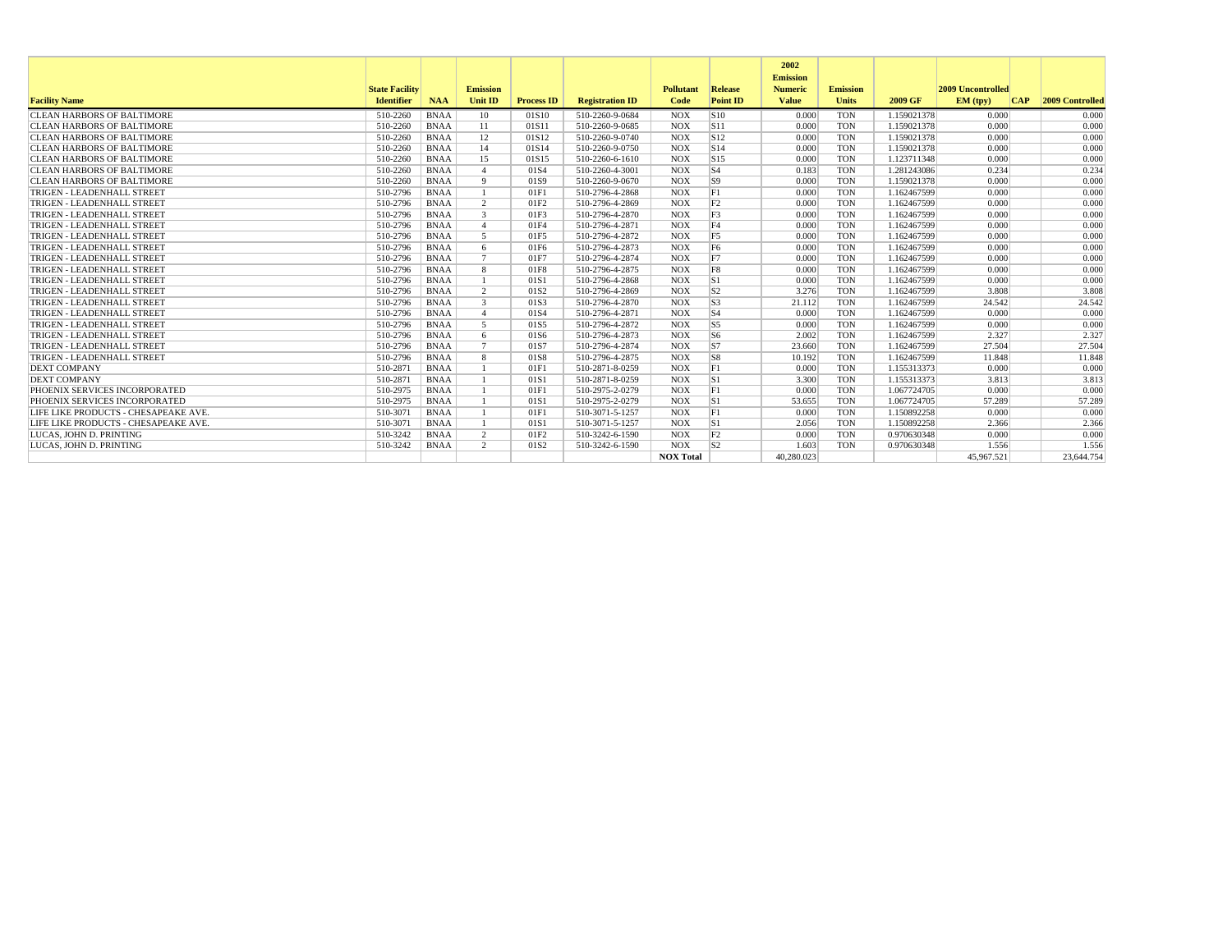|                                      |                       |             |                 |                   |                        |                  |                | 2002<br><b>Emission</b> |                 |             |                   |            |                 |
|--------------------------------------|-----------------------|-------------|-----------------|-------------------|------------------------|------------------|----------------|-------------------------|-----------------|-------------|-------------------|------------|-----------------|
|                                      | <b>State Facility</b> |             | <b>Emission</b> |                   |                        | <b>Pollutant</b> | Release        | <b>Numeric</b>          | <b>Emission</b> |             | 2009 Uncontrolled |            |                 |
| <b>Facility Name</b>                 | <b>Identifier</b>     | <b>NAA</b>  | <b>Unit ID</b>  | <b>Process ID</b> | <b>Registration ID</b> | Code             | Point ID       | <b>Value</b>            | <b>Units</b>    | 2009 GF     | EM (tpv)          | <b>CAP</b> | 2009 Controlled |
| <b>CLEAN HARBORS OF BALTIMORE</b>    | 510-2260              | <b>BNAA</b> | 10              | 01S10             | 510-2260-9-0684        | <b>NOX</b>       | S10            | 0.000                   | <b>TON</b>      | 1.159021378 | 0.000             |            | 0.000           |
| CLEAN HARBORS OF BALTIMORE           | 510-2260              | <b>BNAA</b> | 11              | 01S11             | 510-2260-9-0685        | <b>NOX</b>       | S11            | 0.000                   | <b>TON</b>      | 1.159021378 | 0.000             |            | 0.000           |
| <b>CLEAN HARBORS OF BALTIMORE</b>    | 510-2260              | <b>BNAA</b> | 12              | 01S12             | 510-2260-9-0740        | <b>NOX</b>       | S12            | 0.000                   | <b>TON</b>      | 1.159021378 | 0.000             |            | 0.000           |
| <b>CLEAN HARBORS OF BALTIMORE</b>    | 510-2260              | <b>BNAA</b> | 14              | 01S14             | 510-2260-9-0750        | <b>NOX</b>       | S14            | 0.000                   | <b>TON</b>      | 1.159021378 | 0.000             |            | 0.000           |
| <b>CLEAN HARBORS OF BALTIMORE</b>    | 510-2260              | <b>BNAA</b> | 15              | 01S15             | 510-2260-6-1610        | <b>NOX</b>       | S15            | 0.000                   | <b>TON</b>      | 1.123711348 | 0.000             |            | 0.000           |
| <b>CLEAN HARBORS OF BALTIMORE</b>    | 510-2260              | <b>BNAA</b> | $\mathbf{A}$    | 01S4              | 510-2260-4-3001        | <b>NOX</b>       | $\sqrt{S4}$    | 0.183                   | <b>TON</b>      | 1.281243086 | 0.234             |            | 0.234           |
| <b>CLEAN HARBORS OF BALTIMORE</b>    | 510-2260              | <b>BNAA</b> | $\mathbf{Q}$    | 01S9              | 510-2260-9-0670        | <b>NOX</b>       | S9             | 0.000                   | <b>TON</b>      | 1.159021378 | 0.000             |            | 0.000           |
| TRIGEN - LEADENHALL STREET           | 510-2796              | <b>BNAA</b> |                 | 01F1              | 510-2796-4-2868        | <b>NOX</b>       | F1             | 0.000                   | <b>TON</b>      | 1.162467599 | 0.000             |            | 0.000           |
| TRIGEN - LEADENHALL STREET           | 510-2796              | <b>BNAA</b> | 2               | 01F <sub>2</sub>  | 510-2796-4-2869        | <b>NOX</b>       | F <sub>2</sub> | 0.000                   | <b>TON</b>      | 1.162467599 | 0.000             |            | 0.000           |
| TRIGEN - LEADENHALL STREET           | 510-2796              | <b>BNAA</b> | 3               | 01F3              | 510-2796-4-2870        | <b>NOX</b>       | F <sub>3</sub> | 0.000                   | <b>TON</b>      | 1.162467599 | 0.000             |            | 0.000           |
| TRIGEN - LEADENHALL STREET           | 510-2796              | <b>BNAA</b> | $\mathbf{A}$    | 01F4              | 510-2796-4-2871        | <b>NOX</b>       | F4             | 0.000                   | <b>TON</b>      | 1.162467599 | 0.000             |            | 0.000           |
| TRIGEN - LEADENHALL STREET           | 510-2796              | <b>BNAA</b> | -5              | 01F5              | 510-2796-4-2872        | <b>NOX</b>       | F <sub>5</sub> | 0.000                   | <b>TON</b>      | 1.162467599 | 0.000             |            | 0.000           |
| TRIGEN - LEADENHALL STREET           | 510-2796              | <b>BNAA</b> | -6              | 01F6              | 510-2796-4-2873        | <b>NOX</b>       | F <sub>6</sub> | 0.000                   | <b>TON</b>      | 1.162467599 | 0.000             |            | 0.000           |
| TRIGEN - LEADENHALL STREET           | 510-2796              | <b>BNAA</b> | $\mathcal{I}$   | 01F7              | 510-2796-4-2874        | <b>NOX</b>       | F7             | 0.000                   | <b>TON</b>      | 1.162467599 | 0.000             |            | 0.000           |
| TRIGEN - LEADENHALL STREET           | 510-2796              | <b>BNAA</b> | 8               | 01F8              | 510-2796-4-2875        | <b>NOX</b>       | F8             | 0.000                   | <b>TON</b>      | 1.162467599 | 0.000             |            | 0.000           |
| TRIGEN - LEADENHALL STREET           | 510-2796              | <b>BNAA</b> |                 | 01S1              | 510-2796-4-2868        | <b>NOX</b>       | S1             | 0.000                   | <b>TON</b>      | 1.162467599 | 0.000             |            | 0.000           |
| TRIGEN - LEADENHALL STREET           | 510-2796              | <b>BNAA</b> | 2               | 01S <sub>2</sub>  | 510-2796-4-2869        | <b>NOX</b>       | S2             | 3.276                   | <b>TON</b>      | 1.162467599 | 3.808             |            | 3.808           |
| TRIGEN - LEADENHALL STREET           | 510-2796              | <b>BNAA</b> | 3               | 01S3              | 510-2796-4-2870        | <b>NOX</b>       | $ $ S3         | 21.112                  | <b>TON</b>      | 1.162467599 | 24.542            |            | 24.542          |
| TRIGEN - LEADENHALL STREET           | 510-2796              | <b>BNAA</b> | $\mathbf{A}$    | 01S4              | 510-2796-4-2871        | <b>NOX</b>       | $ S_4 $        | 0.000                   | <b>TON</b>      | 1.162467599 | 0.000             |            | 0.000           |
| TRIGEN - LEADENHALL STREET           | 510-2796              | <b>BNAA</b> | -5              | 01S5              | 510-2796-4-2872        | <b>NOX</b>       | S5             | 0.000                   | <b>TON</b>      | 1.162467599 | 0.000             |            | 0.000           |
| TRIGEN - LEADENHALL STREET           | 510-2796              | <b>BNAA</b> | -6              | 01S6              | 510-2796-4-2873        | <b>NOX</b>       | S6             | 2.002                   | <b>TON</b>      | 1.162467599 | 2.327             |            | 2.327           |
| TRIGEN - LEADENHALL STREET           | 510-2796              | <b>BNAA</b> | $7\phantom{.0}$ | 01S7              | 510-2796-4-2874        | <b>NOX</b>       | $ _{S7}$       | 23.660                  | <b>TON</b>      | 1.162467599 | 27.504            |            | 27.504          |
| TRIGEN - LEADENHALL STREET           | 510-2796              | <b>BNAA</b> | 8               | 01S8              | 510-2796-4-2875        | <b>NOX</b>       | $ $ S8         | 10.192                  | <b>TON</b>      | 1.162467599 | 11.848            |            | 11.848          |
| <b>DEXT COMPANY</b>                  | 510-2871              | <b>BNAA</b> |                 | 01F1              | 510-2871-8-0259        | <b>NOX</b>       | F1             | 0.000                   | <b>TON</b>      | 1.155313373 | 0.000             |            | 0.000           |
| <b>DEXT COMPANY</b>                  | 510-2871              | <b>BNAA</b> |                 | 01S1              | 510-2871-8-0259        | <b>NOX</b>       | S1             | 3.300                   | <b>TON</b>      | 1.155313373 | 3.813             |            | 3.813           |
| PHOENIX SERVICES INCORPORATED        | 510-2975              | <b>BNAA</b> |                 | 01F1              | 510-2975-2-0279        | <b>NOX</b>       | F1             | 0.000                   | <b>TON</b>      | 1.067724705 | 0.000             |            | 0.000           |
| PHOENIX SERVICES INCORPORATED        | 510-2975              | <b>BNAA</b> |                 | 01S1              | 510-2975-2-0279        | <b>NOX</b>       | S1             | 53.655                  | <b>TON</b>      | 1.067724705 | 57.289            |            | 57.289          |
| LIFE LIKE PRODUCTS - CHESAPEAKE AVE. | 510-3071              | <b>BNAA</b> |                 | 01F1              | 510-3071-5-1257        | <b>NOX</b>       | F1             | 0.000                   | <b>TON</b>      | 1.150892258 | 0.000             |            | 0.000           |
| LIFE LIKE PRODUCTS - CHESAPEAKE AVE. | 510-3071              | <b>BNAA</b> |                 | 01S1              | 510-3071-5-1257        | <b>NOX</b>       | S1             | 2.056                   | <b>TON</b>      | 1.150892258 | 2.366             |            | 2.366           |
| LUCAS. JOHN D. PRINTING              | 510-3242              | <b>BNAA</b> | 2               | 01F <sub>2</sub>  | 510-3242-6-1590        | <b>NOX</b>       | F2             | 0.000                   | <b>TON</b>      | 0.970630348 | 0.000             |            | 0.000           |
| LUCAS. JOHN D. PRINTING              | 510-3242              | <b>BNAA</b> | $\overline{2}$  | 01S <sub>2</sub>  | 510-3242-6-1590        | <b>NOX</b>       | S <sub>2</sub> | 1.603                   | <b>TON</b>      | 0.970630348 | 1.556             |            | 1.556           |
|                                      |                       |             |                 |                   |                        | <b>NOX Total</b> |                | 40.280.023              |                 |             | 45,967.521        |            | 23,644.754      |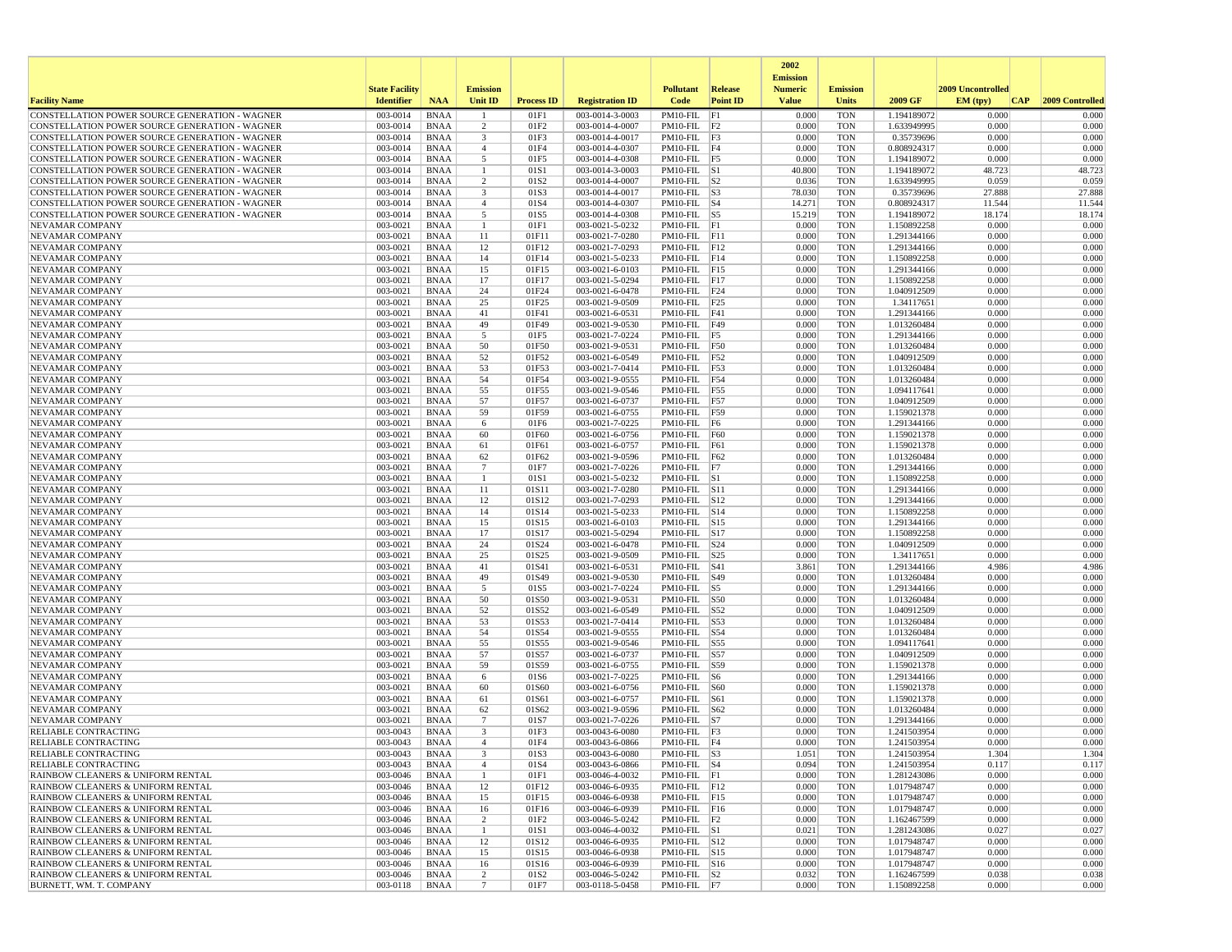|                                                                                                  |                       |                            |                                   |                   |                                    |                                    |                 | 2002                              |                          |                            |                   |                 |
|--------------------------------------------------------------------------------------------------|-----------------------|----------------------------|-----------------------------------|-------------------|------------------------------------|------------------------------------|-----------------|-----------------------------------|--------------------------|----------------------------|-------------------|-----------------|
|                                                                                                  | <b>State Facility</b> |                            | <b>Emission</b>                   |                   |                                    | <b>Pollutant</b>                   | Release         | <b>Emission</b><br><b>Numeric</b> | <b>Emission</b>          |                            | 2009 Uncontrolled |                 |
| <b>Facility Name</b>                                                                             | <b>Identifier</b>     | <b>NAA</b>                 | Unit ID                           | <b>Process ID</b> | <b>Registration ID</b>             | Code                               | <b>Point ID</b> | <b>Value</b>                      | <b>Units</b>             | 2009 GF                    | EM (typ)<br> CAP  | 2009 Controlled |
| CONSTELLATION POWER SOURCE GENERATION - WAGNER                                                   | 003-0014              | <b>BNAA</b>                |                                   | 01F1              | 003-0014-3-0003                    | PM10-FIL                           | F1              | 0.000                             | <b>TON</b>               | 1.194189072                | 0.000             | 0.000           |
| CONSTELLATION POWER SOURCE GENERATION - WAGNER                                                   | 003-0014              | <b>BNAA</b>                | 2                                 | 01F2              | 003-0014-4-0007                    | $PM10-FIL$ F2                      |                 | 0.000                             | <b>TON</b>               | 1.633949995                | 0.000             | 0.000           |
| CONSTELLATION POWER SOURCE GENERATION - WAGNER                                                   | 003-0014              | <b>BNAA</b>                | 3                                 | 01F3              | 003-0014-4-0017                    | $PM10-FIL$ F3                      |                 | 0.000                             | <b>TON</b>               | 0.35739696                 | 0.000             | 0.000           |
| CONSTELLATION POWER SOURCE GENERATION - WAGNER                                                   | 003-0014              | <b>BNAA</b>                | $\overline{4}$                    | 01F4              | 003-0014-4-0307                    | $PM10-FIL$ F4<br>PM10-FIL F5       |                 | 0.000                             | <b>TON</b>               | 0.808924317                | 0.000             | 0.000           |
| CONSTELLATION POWER SOURCE GENERATION - WAGNER<br>CONSTELLATION POWER SOURCE GENERATION - WAGNER | 003-0014<br>003-0014  | <b>BNAA</b><br><b>BNAA</b> | 5<br>-1                           | 01F5<br>01S1      | 003-0014-4-0308<br>003-0014-3-0003 | $PM10-FIL$ S1                      |                 | 0.000<br>40.800                   | <b>TON</b><br><b>TON</b> | 1.194189072<br>1.194189072 | 0.000<br>48.723   | 0.000<br>48.723 |
| CONSTELLATION POWER SOURCE GENERATION - WAGNER                                                   | 003-0014              | <b>BNAA</b>                | 2                                 | 01S <sub>2</sub>  | 003-0014-4-0007                    | $PM10-FIL$ S2                      |                 | 0.036                             | <b>TON</b>               | 1.633949995                | 0.059             | 0.059           |
| CONSTELLATION POWER SOURCE GENERATION - WAGNER                                                   | 003-0014              | <b>BNAA</b>                | 3                                 | 01S3              | 003-0014-4-0017                    | $PM10-FIL$ $ S3$                   |                 | 78.030                            | <b>TON</b>               | 0.35739696                 | 27.888            | 27.888          |
| CONSTELLATION POWER SOURCE GENERATION - WAGNER                                                   | 003-0014              | <b>BNAA</b>                | $\overline{4}$                    | 01S4              | 003-0014-4-0307                    | $PM10-FIL$ S4                      |                 | 14.271                            | <b>TON</b>               | 0.808924317                | 11.544            | 11.544          |
| CONSTELLATION POWER SOURCE GENERATION - WAGNER                                                   | 003-0014              | <b>BNAA</b>                | 5                                 | 01S5              | 003-0014-4-0308                    | $PM10-FIL$ S5                      |                 | 15.219                            | <b>TON</b>               | 1.194189072                | 18.174            | 18.174          |
| <b>NEVAMAR COMPANY</b>                                                                           | 003-0021              | <b>BNAA</b>                | $\mathbf{1}$                      | 01F1              | 003-0021-5-0232                    | PM10-FIL F1                        |                 | 0.000                             | <b>TON</b>               | 1.150892258                | 0.000             | 0.000           |
| <b>NEVAMAR COMPANY</b>                                                                           | 003-0021              | <b>BNAA</b>                | 11                                | 01F11             | 003-0021-7-0280                    | $PM10-FIL$ $F11$                   |                 | 0.000                             | <b>TON</b>               | 1.291344166                | 0.000             | 0.000           |
| <b>NEVAMAR COMPANY</b>                                                                           | 003-0021              | <b>BNAA</b>                | 12                                | 01F12             | 003-0021-7-0293                    | PM10-FIL F12                       |                 | 0.000                             | <b>TON</b>               | 1.291344166                | 0.000             | 0.000           |
| NEVAMAR COMPANY                                                                                  | 003-0021              | <b>BNAA</b>                | 14                                | 01F14             | 003-0021-5-0233                    | $PM10-FIL$ $F14$                   |                 | 0.000                             | <b>TON</b>               | 1.150892258                | 0.000             | 0.000           |
| NEVAMAR COMPANY<br>NEVAMAR COMPANY                                                               | 003-0021<br>003-0021  | <b>BNAA</b><br><b>BNAA</b> | 15<br>17                          | 01F15<br>01F17    | 003-0021-6-0103<br>003-0021-5-0294 | PM10-FIL F15<br>$PM10-FIL$ F17     |                 | 0.000<br>0.000                    | <b>TON</b><br><b>TON</b> | 1.291344166<br>1.150892258 | 0.000<br>0.000    | 0.000<br>0.000  |
| NEVAMAR COMPANY                                                                                  | 003-0021              | <b>BNAA</b>                | 24                                | 01F24             | 003-0021-6-0478                    | $PM10-FIL$ $F24$                   |                 | 0.000                             | <b>TON</b>               | 1.040912509                | 0.000             | 0.000           |
| NEVAMAR COMPANY                                                                                  | 003-0021              | <b>BNAA</b>                | 25                                | 01F25             | 003-0021-9-0509                    | PM10-FIL F25                       |                 | 0.000                             | <b>TON</b>               | 1.34117651                 | 0.000             | 0.000           |
| NEVAMAR COMPANY                                                                                  | 003-0021              | <b>BNAA</b>                | 41                                | 01F41             | 003-0021-6-0531                    | $PM10-FIL$ $F41$                   |                 | 0.000                             | <b>TON</b>               | 1.291344166                | 0.000             | 0.000           |
| NEVAMAR COMPANY                                                                                  | 003-0021              | <b>BNAA</b>                | 49                                | 01F49             | 003-0021-9-0530                    | $PM10-FIL$ F49                     |                 | 0.000                             | <b>TON</b>               | 1.013260484                | 0.000             | 0.000           |
| NEVAMAR COMPANY                                                                                  | 003-0021              | <b>BNAA</b>                | 5                                 | 01F5              | 003-0021-7-0224                    | PM10-FIL F5                        |                 | 0.000                             | <b>TON</b>               | 1.291344166                | 0.000             | 0.000           |
| NEVAMAR COMPANY                                                                                  | 003-0021              | <b>BNAA</b>                | 50                                | 01F50             | 003-0021-9-0531                    | $PM10-FIL$ F50                     |                 | 0.000                             | <b>TON</b>               | 1.013260484                | 0.000             | 0.000           |
| NEVAMAR COMPANY                                                                                  | 003-0021              | <b>BNAA</b>                | 52                                | 01F52             | 003-0021-6-0549                    | PM10-FIL F52                       |                 | 0.000                             | <b>TON</b>               | 1.040912509                | 0.000             | 0.000           |
| NEVAMAR COMPANY                                                                                  | 003-0021              | <b>BNAA</b>                | 53                                | 01F53             | 003-0021-7-0414                    | PM10-FIL F53                       |                 | 0.000                             | <b>TON</b>               | 1.013260484                | 0.000             | 0.000           |
| NEVAMAR COMPANY                                                                                  | 003-0021              | <b>BNAA</b>                | 54                                | 01F54             | 003-0021-9-0555                    | $PM10-FIL$ F54                     |                 | 0.000                             | <b>TON</b>               | 1.013260484                | 0.000             | 0.000           |
| <b>NEVAMAR COMPANY</b>                                                                           | 003-0021              | <b>BNAA</b>                | 55                                | 01F55             | 003-0021-9-0546                    | PM10-FIL F55                       |                 | 0.000                             | <b>TON</b>               | 1.094117641                | 0.000             | 0.000           |
| NEVAMAR COMPANY                                                                                  | 003-0021<br>003-0021  | <b>BNAA</b><br><b>BNAA</b> | 57<br>59                          | 01F57<br>01F59    | 003-0021-6-0737<br>003-0021-6-0755 | PM10-FIL F57<br>PM10-FIL F59       |                 | 0.000<br>0.000                    | <b>TON</b><br><b>TON</b> | 1.040912509                | 0.000<br>0.000    | 0.000<br>0.000  |
| NEVAMAR COMPANY<br>NEVAMAR COMPANY                                                               | 003-0021              | <b>BNAA</b>                | 6                                 | 01F6              | 003-0021-7-0225                    | PM10-FIL F6                        |                 | 0.000                             | <b>TON</b>               | 1.159021378<br>1.291344166 | 0.000             | 0.000           |
| NEVAMAR COMPANY                                                                                  | 003-0021              | <b>BNAA</b>                | 60                                | 01F60             | 003-0021-6-0756                    | $PM10-FIL$ $F60$                   |                 | 0.000                             | <b>TON</b>               | 1.159021378                | 0.000             | 0.000           |
| NEVAMAR COMPANY                                                                                  | 003-0021              | <b>BNAA</b>                | 61                                | 01F61             | 003-0021-6-0757                    | PM10-FIL                           | F61             | 0.000                             | <b>TON</b>               | 1.159021378                | 0.000             | 0.000           |
| NEVAMAR COMPANY                                                                                  | 003-0021              | <b>BNAA</b>                | 62                                | 01F62             | 003-0021-9-0596                    | $PM10-FIL$ F62                     |                 | 0.000                             | <b>TON</b>               | 1.013260484                | 0.000             | 0.000           |
| NEVAMAR COMPANY                                                                                  | 003-0021              | <b>BNAA</b>                | 7                                 | 01F7              | 003-0021-7-0226                    | PM10-FIL F7                        |                 | 0.000                             | <b>TON</b>               | 1.291344166                | 0.000             | 0.000           |
| NEVAMAR COMPANY                                                                                  | 003-0021              | <b>BNAA</b>                | -1                                | 01S1              | 003-0021-5-0232                    | $PM10-FIL$ S1                      |                 | 0.000                             | <b>TON</b>               | 1.150892258                | 0.000             | 0.000           |
| <b>NEVAMAR COMPANY</b>                                                                           | 003-0021              | <b>BNAA</b>                | 11                                | 01S11             | 003-0021-7-0280                    | PM10-FIL S11                       |                 | 0.000                             | <b>TON</b>               | 1.291344166                | 0.000             | 0.000           |
| NEVAMAR COMPANY                                                                                  | 003-0021              | <b>BNAA</b>                | 12                                | 01S12             | 003-0021-7-0293                    | PM10-FIL S12                       |                 | 0.000                             | <b>TON</b>               | 1.291344166                | 0.000             | 0.000           |
| NEVAMAR COMPANY                                                                                  | 003-0021              | <b>BNAA</b>                | 14                                | 01S14             | 003-0021-5-0233                    | PM10-FIL S14                       |                 | 0.000                             | <b>TON</b>               | 1.150892258                | 0.000             | 0.000           |
| NEVAMAR COMPANY<br>NEVAMAR COMPANY                                                               | 003-0021<br>003-0021  | <b>BNAA</b><br><b>BNAA</b> | 15<br>17                          | 01S15<br>01S17    | 003-0021-6-0103<br>003-0021-5-0294 | PM10-FIL S15<br>PM10-FIL S17       |                 | 0.000<br>0.000                    | <b>TON</b><br><b>TON</b> | 1.291344166<br>1.150892258 | 0.000<br>0.000    | 0.000<br>0.000  |
| NEVAMAR COMPANY                                                                                  | 003-0021              | <b>BNAA</b>                | 24                                | 01S24             | 003-0021-6-0478                    | $PM10$ -FIL $ S24$                 |                 | 0.000                             | <b>TON</b>               | 1.040912509                | 0.000             | 0.000           |
| NEVAMAR COMPANY                                                                                  | 003-0021              | <b>BNAA</b>                | 25                                | 01S25             | 003-0021-9-0509                    | PM10-FIL S25                       |                 | 0.000                             | <b>TON</b>               | 1.34117651                 | 0.000             | 0.000           |
| NEVAMAR COMPANY                                                                                  | 003-0021              | <b>BNAA</b>                | 41                                | 01S41             | 003-0021-6-0531                    | PM10-FIL                           | S41             | 3.861                             | <b>TON</b>               | 1.291344166                | 4.986             | 4.986           |
| NEVAMAR COMPANY                                                                                  | 003-0021              | <b>BNAA</b>                | 49                                | 01S49             | 003-0021-9-0530                    | PM10-FIL                           | S49             | 0.000                             | <b>TON</b>               | 1.013260484                | 0.000             | 0.000           |
| NEVAMAR COMPANY                                                                                  | 003-0021              | <b>BNAA</b>                | 5                                 | 01S5              | 003-0021-7-0224                    | $PM10-FIL$ S5                      |                 | 0.000                             | <b>TON</b>               | 1.291344166                | 0.000             | 0.000           |
| NEVAMAR COMPANY                                                                                  | 003-0021              | <b>BNAA</b>                | 50                                | 01S50             | 003-0021-9-0531                    | PM10-FIL S50                       |                 | 0.000                             | <b>TON</b>               | 1.013260484                | 0.000             | 0.000           |
| NEVAMAR COMPANY                                                                                  | 003-0021              | <b>BNAA</b>                | 52                                | 01S52             | 003-0021-6-0549                    | PM10-FIL S52                       |                 | 0.000                             | <b>TON</b>               | 1.040912509                | 0.000             | 0.000           |
| NEVAMAR COMPANY                                                                                  | 003-0021              | <b>BNAA</b>                | 53                                | 01S53             | 003-0021-7-0414                    | PM10-FIL                           | S53             | 0.000                             | <b>TON</b>               | 1.013260484                | 0.000             | 0.000           |
| NEVAMAR COMPANY<br>NEVAMAR COMPANY                                                               | 003-0021<br>003-0021  | <b>BNAA</b><br><b>BNAA</b> | 54<br>55                          | 01S54<br>01S55    | 003-0021-9-0555<br>003-0021-9-0546 | PM10-FIL<br>PM10-FIL S55           | S54             | 0.000<br>0.000                    | <b>TON</b><br><b>TON</b> | 1.013260484<br>1.094117641 | 0.000<br>0.000    | 0.000<br>0.000  |
| NEVAMAR COMPANY                                                                                  | 003-0021              | <b>BNAA</b>                | 57                                | 01S57             | 003-0021-6-0737                    | PM10-FIL S57                       |                 | 0.000                             | <b>TON</b>               | 1.040912509                | 0.000             | 0.000           |
| NEVAMAR COMPANY                                                                                  | 003-0021              | <b>BNAA</b>                | 59                                | 01S59             | 003-0021-6-0755                    | PM10-FIL S59                       |                 | 0.000                             | <b>TON</b>               | 1.159021378                | 0.000             | 0.000           |
| NEVAMAR COMPANY                                                                                  | 003-0021              | <b>BNAA</b>                | 6                                 | 01S6              | 003-0021-7-0225                    | $PM10$ -FIL $ S6$                  |                 | 0.000                             | <b>TON</b>               | 1.291344166                | 0.000             | 0.000           |
| NEVAMAR COMPANY                                                                                  | 003-0021              | <b>BNAA</b>                | 60                                | 01S60             | 003-0021-6-0756                    | PM10-FIL                           | S60             | 0.000                             | <b>TON</b>               | 1.159021378                | 0.000             | 0.000           |
| NEVAMAR COMPANY                                                                                  | 003-0021              | <b>BNAA</b>                | 61                                | 01S61             | 003-0021-6-0757                    | $PM10-FIL$ S61                     |                 | 0.000                             | <b>TON</b>               | 1.159021378                | 0.000             | 0.000           |
| <b>NEVAMAR COMPANY</b>                                                                           | 003-0021              | <b>BNAA</b>                | 62                                | 01S62             | 003-0021-9-0596                    | $PM10-FIL$ S62                     |                 | 0.000                             | <b>TON</b>               | 1.013260484                | 0.000             | 0.000           |
| NEVAMAR COMPANY                                                                                  | 003-0021              | <b>BNAA</b>                | $7\phantom{.0}$                   | 01S7              | 003-0021-7-0226                    | $PM10-FIL$ S7                      |                 | 0.000                             | <b>TON</b>               | 1.291344166                | 0.000             | 0.000           |
| RELIABLE CONTRACTING                                                                             | 003-0043              | <b>BNAA</b>                | 3<br>$\mathbf{A}$                 | 01F3              | 003-0043-6-0080                    | $PM10-FIL$ $F3$<br>$PM10-FIL$ $F4$ |                 | 0.000                             | <b>TON</b>               | 1.241503954                | 0.000<br>0.000    | 0.000           |
| <b>RELIABLE CONTRACTING</b><br>RELIABLE CONTRACTING                                              | 003-0043<br>003-0043  | <b>BNAA</b><br>BNAA        |                                   | 01F4<br>01S3      | 003-0043-6-0866<br>003-0043-6-0080 | $PM10-FIL$  S3                     |                 | 0.000<br>1.051                    | <b>TON</b><br>TON        | 1.241503954<br>1.241503954 | 1.304             | 0.000<br>1.304  |
| <b>RELIABLE CONTRACTING</b>                                                                      | 003-0043              | BNAA                       | $\overline{4}$                    | 01S4              | 003-0043-6-0866                    | $PM10-FIL$ $ S4$                   |                 | 0.094                             | <b>TON</b>               | 1.241503954                | 0.117             | 0.117           |
| RAINBOW CLEANERS & UNIFORM RENTAL                                                                | 003-0046              | BNAA                       | $\mathbf{1}$                      | 01F1              | 003-0046-4-0032                    | $PM10-FIL$ $F1$                    |                 | 0.000                             | <b>TON</b>               | 1.281243086                | 0.000             | 0.000           |
| RAINBOW CLEANERS & UNIFORM RENTAL                                                                | 003-0046              | BNAA                       | 12                                | 01F12             | 003-0046-6-0935                    | $PM10-FIL$ $F12$                   |                 | 0.000                             | TON                      | 1.017948747                | 0.000             | 0.000           |
| RAINBOW CLEANERS & UNIFORM RENTAL                                                                | 003-0046              | BNAA                       | 15                                | 01F15             | 003-0046-6-0938                    | PM10-FIL F15                       |                 | 0.000                             | <b>TON</b>               | 1.017948747                | 0.000             | 0.000           |
| RAINBOW CLEANERS & UNIFORM RENTAL                                                                | 003-0046              | <b>BNAA</b>                | 16                                | 01F16             | 003-0046-6-0939                    | PM10-FIL F16                       |                 | 0.000                             | <b>TON</b>               | 1.017948747                | 0.000             | 0.000           |
| RAINBOW CLEANERS & UNIFORM RENTAL                                                                | 003-0046              | <b>BNAA</b>                | $\overline{2}$                    | 01F2              | 003-0046-5-0242                    | $PM10-FIL$ F2                      |                 | 0.000                             | <b>TON</b>               | 1.162467599                | 0.000             | 0.000           |
| RAINBOW CLEANERS & UNIFORM RENTAL                                                                | 003-0046              | BNAA                       | -1                                | 01S1              | 003-0046-4-0032                    | $PM10-FIL$ S1                      |                 | 0.021                             | <b>TON</b>               | 1.281243086                | 0.027             | 0.027           |
| RAINBOW CLEANERS & UNIFORM RENTAL                                                                | 003-0046              | <b>BNAA</b>                | 12                                | 01S12             | 003-0046-6-0935                    | PM10-FIL S12                       |                 | 0.000                             | <b>TON</b>               | 1.017948747                | 0.000             | 0.000           |
| RAINBOW CLEANERS & UNIFORM RENTAL                                                                | 003-0046              | BNAA                       | 15                                | 01S15             | 003-0046-6-0938                    | PM10-FIL S15                       |                 | 0.000                             | <b>TON</b>               | 1.017948747                | 0.000             | 0.000           |
| RAINBOW CLEANERS & UNIFORM RENTAL                                                                | 003-0046              | BNAA<br><b>BNAA</b>        | 16                                | 01S16             | 003-0046-6-0939                    | PM10-FIL S16<br>$PM10-FIL$ S2      |                 | 0.000<br>0.032                    | TON<br><b>TON</b>        | 1.017948747<br>1.162467599 | 0.000<br>0.038    | 0.000<br>0.038  |
| RAINBOW CLEANERS & UNIFORM RENTAL<br>BURNETT, WM. T. COMPANY                                     | 003-0046<br>003-0118  | BNAA                       | $\overline{c}$<br>$7\phantom{.0}$ | 01S2<br>01F7      | 003-0046-5-0242<br>003-0118-5-0458 | $PM10-FIL$ F7                      |                 | 0.000                             | TON                      | 1.150892258                | 0.000             | 0.000           |
|                                                                                                  |                       |                            |                                   |                   |                                    |                                    |                 |                                   |                          |                            |                   |                 |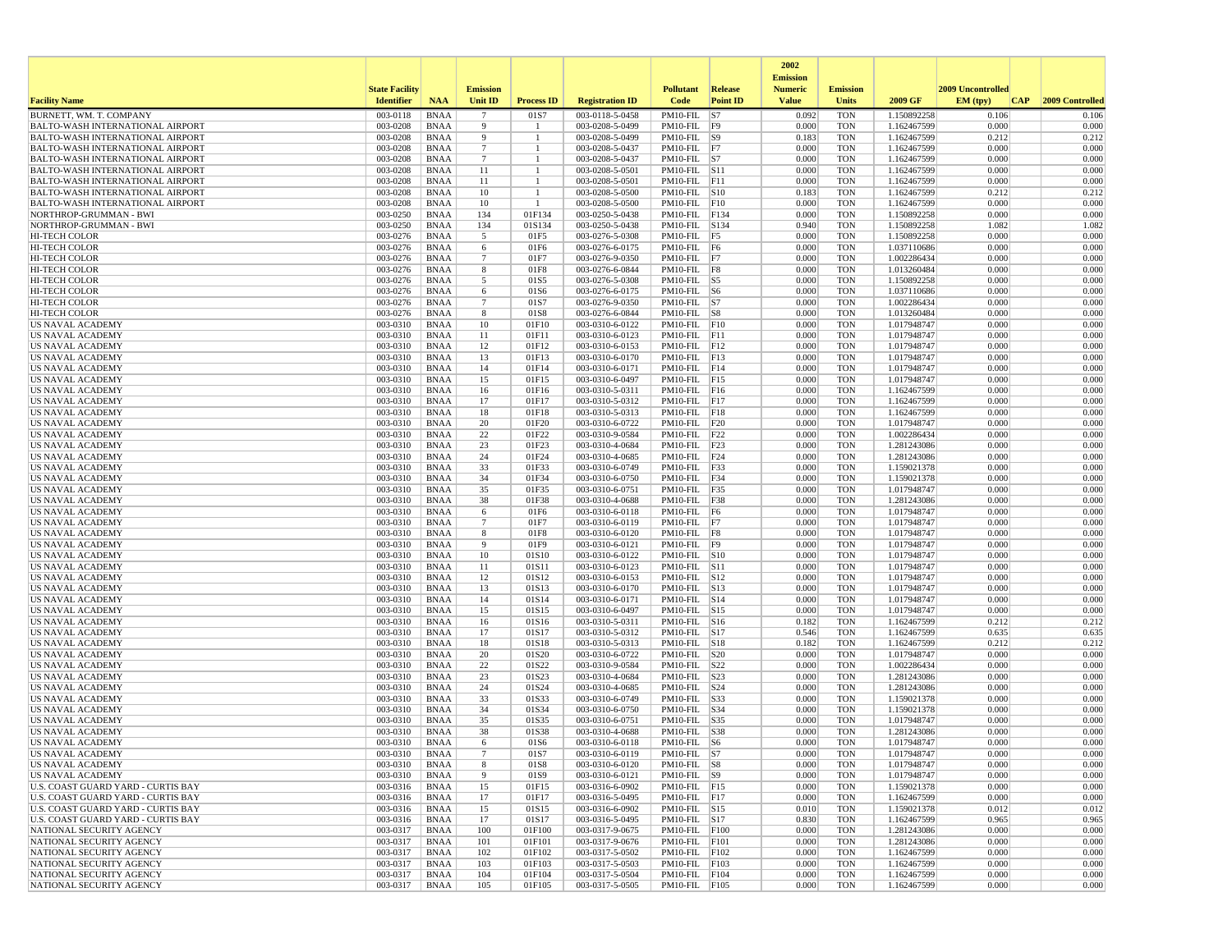|                                                                                    |                       |                            |                      |                      |                                    |                                       |                 | 2002                              |                          |                            |                   |                 |
|------------------------------------------------------------------------------------|-----------------------|----------------------------|----------------------|----------------------|------------------------------------|---------------------------------------|-----------------|-----------------------------------|--------------------------|----------------------------|-------------------|-----------------|
|                                                                                    | <b>State Facility</b> |                            | <b>Emission</b>      |                      |                                    | <b>Pollutant</b>                      | Release         | <b>Emission</b><br><b>Numeric</b> | <b>Emission</b>          |                            | 2009 Uncontrolled |                 |
| <b>Facility Name</b>                                                               | <b>Identifier</b>     | <b>NAA</b>                 | Unit ID              | <b>Process ID</b>    | <b>Registration ID</b>             | Code                                  | <b>Point ID</b> | <b>Value</b>                      | <b>Units</b>             | 2009 GF                    | EM (typ)<br> CAP  | 2009 Controlled |
| BURNETT, WM. T. COMPANY                                                            | 003-0118              | <b>BNAA</b>                | $\overline{7}$       | 01S7                 | 003-0118-5-0458                    | $PM10-FIL$ S7                         |                 | 0.092                             | <b>TON</b>               | 1.150892258                | 0.106             | 0.106           |
| <b>BALTO-WASH INTERNATIONAL AIRPORT</b>                                            | 003-0208              | <b>BNAA</b>                | 9                    | -1<br>$\overline{1}$ | 003-0208-5-0499                    | $PM10-FIL$ F9                         |                 | 0.000                             | <b>TON</b>               | 1.162467599                | 0.000             | 0.000           |
| <b>BALTO-WASH INTERNATIONAL AIRPORT</b><br><b>BALTO-WASH INTERNATIONAL AIRPORT</b> | 003-0208<br>003-0208  | <b>BNAA</b><br><b>BNAA</b> | 9<br>$7\phantom{.0}$ | -1                   | 003-0208-5-0499<br>003-0208-5-0437 | $PM10-FIL$ S9<br>$PM10-FIL$ F7        |                 | 0.183<br>0.000                    | <b>TON</b><br><b>TON</b> | 1.162467599<br>1.162467599 | 0.212<br>0.000    | 0.212<br>0.000  |
| <b>BALTO-WASH INTERNATIONAL AIRPORT</b>                                            | 003-0208              | <b>BNAA</b>                | $7\phantom{.0}$      |                      | 003-0208-5-0437                    | $PM10-FIL$ S7                         |                 | 0.000                             | <b>TON</b>               | 1.162467599                | 0.000             | 0.000           |
| <b>BALTO-WASH INTERNATIONAL AIRPORT</b>                                            | 003-0208              | <b>BNAA</b>                | 11                   |                      | 003-0208-5-0501                    | $PM10-FIL$ S11                        |                 | 0.000                             | <b>TON</b>               | 1.162467599                | 0.000             | 0.000           |
| <b>BALTO-WASH INTERNATIONAL AIRPORT</b>                                            | 003-0208              | <b>BNAA</b>                | 11                   | -1                   | 003-0208-5-0501                    | $PM10-FIL$ $F11$                      |                 | 0.000                             | <b>TON</b>               | 1.162467599                | 0.000             | 0.000           |
| <b>BALTO-WASH INTERNATIONAL AIRPORT</b>                                            | 003-0208              | <b>BNAA</b><br><b>BNAA</b> | 10<br>10             | -1<br>-1             | 003-0208-5-0500                    | $PM10-FIL$ $ S10$<br>$PM10-FIL$ $F10$ |                 | 0.183<br>0.000                    | <b>TON</b><br><b>TON</b> | 1.162467599                | 0.212<br>0.000    | 0.212<br>0.000  |
| BALTO-WASH INTERNATIONAL AIRPORT<br>NORTHROP-GRUMMAN - BWI                         | 003-0208<br>003-0250  | <b>BNAA</b>                | 134                  | 01F134               | 003-0208-5-0500<br>003-0250-5-0438 | PM10-FIL F134                         |                 | 0.000                             | <b>TON</b>               | 1.162467599<br>1.150892258 | 0.000             | 0.000           |
| NORTHROP-GRUMMAN - BWI                                                             | 003-0250              | <b>BNAA</b>                | 134                  | 01S134               | 003-0250-5-0438                    | PM10-FIL S134                         |                 | 0.940                             | <b>TON</b>               | 1.150892258                | 1.082             | 1.082           |
| <b>HI-TECH COLOR</b>                                                               | 003-0276              | <b>BNAA</b>                | 5                    | 01F5                 | 003-0276-5-0308                    | $PM10-FIL$ F5                         |                 | 0.000                             | <b>TON</b>               | 1.150892258                | 0.000             | 0.000           |
| <b>HI-TECH COLOR</b>                                                               | 003-0276              | <b>BNAA</b>                | 6                    | 01F6                 | 003-0276-6-0175                    | $PM10-FIL$ F6                         |                 | 0.000                             | <b>TON</b>               | 1.037110686                | 0.000             | 0.000           |
| HI-TECH COLOR<br><b>HI-TECH COLOR</b>                                              | 003-0276<br>003-0276  | <b>BNAA</b><br><b>BNAA</b> | $7\phantom{.0}$<br>8 | 01F7<br>01F8         | 003-0276-9-0350<br>003-0276-6-0844 | $PM10-FIL$ F7<br>$PM10-FIL$ F8        |                 | 0.000<br>0.000                    | <b>TON</b><br><b>TON</b> | 1.002286434<br>1.013260484 | 0.000<br>0.000    | 0.000<br>0.000  |
| HI-TECH COLOR                                                                      | 003-0276              | <b>BNAA</b>                | 5                    | 01S5                 | 003-0276-5-0308                    | PM10-FIL S5                           |                 | 0.000                             | <b>TON</b>               | 1.150892258                | 0.000             | 0.000           |
| <b>HI-TECH COLOR</b>                                                               | 003-0276              | <b>BNAA</b>                | 6                    | 01S6                 | 003-0276-6-0175                    | $PM10-FIL$ S6                         |                 | 0.000                             | <b>TON</b>               | 1.037110686                | 0.000             | 0.000           |
| <b>HI-TECH COLOR</b>                                                               | 003-0276              | <b>BNAA</b>                | $\overline{7}$       | 01S7                 | 003-0276-9-0350                    | $PM10-FIL$ S7                         |                 | 0.000                             | <b>TON</b>               | 1.002286434                | 0.000             | 0.000           |
| <b>HI-TECH COLOR</b>                                                               | 003-0276              | <b>BNAA</b>                | 8                    | 01S8                 | 003-0276-6-0844                    | $PM10-FIL$ $ S8$                      |                 | 0.000                             | <b>TON</b>               | 1.013260484                | 0.000             | 0.000           |
| US NAVAL ACADEMY<br>US NAVAL ACADEMY                                               | 003-0310<br>003-0310  | <b>BNAA</b><br><b>BNAA</b> | 10<br>11             | 01F10<br>01F11       | 003-0310-6-0122<br>003-0310-6-0123 | $PM10-FIL$ $F10$<br>$PM10-FIL$ $ F11$ |                 | 0.000<br>0.000                    | <b>TON</b><br><b>TON</b> | 1.017948747<br>1.017948747 | 0.000<br>0.000    | 0.000<br>0.000  |
| US NAVAL ACADEMY                                                                   | 003-0310              | <b>BNAA</b>                | 12                   | 01F12                | 003-0310-6-0153                    | PM10-FIL F12                          |                 | 0.000                             | <b>TON</b>               | 1.017948747                | 0.000             | 0.000           |
| <b>US NAVAL ACADEMY</b>                                                            | 003-0310              | <b>BNAA</b>                | 13                   | 01F13                | 003-0310-6-0170                    | $PM10-FIL$ F13                        |                 | 0.000                             | <b>TON</b>               | 1.017948747                | 0.000             | 0.000           |
| US NAVAL ACADEMY                                                                   | 003-0310              | <b>BNAA</b>                | 14                   | 01F14                | 003-0310-6-0171                    | $PM10-FIL$ $F14$                      |                 | 0.000                             | <b>TON</b>               | 1.017948747                | 0.000             | 0.000           |
| US NAVAL ACADEMY                                                                   | 003-0310              | <b>BNAA</b>                | 15                   | 01F15                | 003-0310-6-0497                    | $PM10-FIL$ F15                        |                 | 0.000                             | <b>TON</b>               | 1.017948747                | 0.000             | 0.000           |
| <b>US NAVAL ACADEMY</b><br>US NAVAL ACADEMY                                        | 003-0310<br>003-0310  | <b>BNAA</b><br><b>BNAA</b> | 16<br>17             | 01F16<br>01F17       | 003-0310-5-0311<br>003-0310-5-0312 | $PM10-FIL$ $ F16$<br>$PM10-FIL$ F17   |                 | 0.000<br>0.000                    | <b>TON</b><br><b>TON</b> | 1.162467599<br>1.162467599 | 0.000<br>0.000    | 0.000<br>0.000  |
| US NAVAL ACADEMY                                                                   | 003-0310              | <b>BNAA</b>                | 18                   | 01F18                | 003-0310-5-0313                    | PM10-FIL F18                          |                 | 0.000                             | <b>TON</b>               | 1.162467599                | 0.000             | 0.000           |
| <b>US NAVAL ACADEMY</b>                                                            | 003-0310              | <b>BNAA</b>                | 20                   | 01F20                | 003-0310-6-0722                    | $PM10-FIL$ F20                        |                 | 0.000                             | <b>TON</b>               | 1.017948747                | 0.000             | 0.000           |
| US NAVAL ACADEMY                                                                   | 003-0310              | <b>BNAA</b>                | 22                   | 01F22                | 003-0310-9-0584                    | PM10-FIL F22                          |                 | 0.000                             | <b>TON</b>               | 1.002286434                | 0.000             | 0.000           |
| <b>US NAVAL ACADEMY</b>                                                            | 003-0310              | <b>BNAA</b>                | 23                   | 01F23                | 003-0310-4-0684                    | PM10-FIL                              | F23             | 0.000                             | <b>TON</b>               | 1.281243086                | 0.000             | 0.000           |
| US NAVAL ACADEMY<br>US NAVAL ACADEMY                                               | 003-0310<br>003-0310  | <b>BNAA</b><br><b>BNAA</b> | 24<br>33             | 01F24<br>01F33       | 003-0310-4-0685<br>003-0310-6-0749 | $PM10-FIL$ F24<br>PM10-FIL F33        |                 | 0.000<br>0.000                    | <b>TON</b><br><b>TON</b> | 1.281243086<br>1.159021378 | 0.000<br>0.000    | 0.000<br>0.000  |
| <b>US NAVAL ACADEMY</b>                                                            | 003-0310              | <b>BNAA</b>                | 34                   | 01F34                | 003-0310-6-0750                    | PM10-FIL F34                          |                 | 0.000                             | <b>TON</b>               | 1.159021378                | 0.000             | 0.000           |
| US NAVAL ACADEMY                                                                   | 003-0310              | <b>BNAA</b>                | 35                   | 01F35                | 003-0310-6-0751                    | PM10-FIL F35                          |                 | 0.000                             | <b>TON</b>               | 1.017948747                | 0.000             | 0.000           |
| US NAVAL ACADEMY                                                                   | 003-0310              | <b>BNAA</b>                | 38                   | 01F38                | 003-0310-4-0688                    | $PM10-FIL$ F38                        |                 | 0.000                             | <b>TON</b>               | 1.281243086                | 0.000             | 0.000           |
| <b>US NAVAL ACADEMY</b>                                                            | 003-0310              | <b>BNAA</b>                | 6                    | 01F6                 | 003-0310-6-0118                    | $PM10-FIL$ F6                         |                 | 0.000                             | <b>TON</b>               | 1.017948747                | 0.000             | 0.000           |
| US NAVAL ACADEMY<br>US NAVAL ACADEMY                                               | 003-0310<br>003-0310  | <b>BNAA</b><br><b>BNAA</b> | $\overline{7}$<br>8  | 01F7<br>01F8         | 003-0310-6-0119<br>003-0310-6-0120 | $PM10-FIL$ F7<br>$PM10-FIL$ F8        |                 | 0.000<br>0.000                    | <b>TON</b><br><b>TON</b> | 1.017948747<br>1.017948747 | 0.000<br>0.000    | 0.000<br>0.000  |
| <b>US NAVAL ACADEMY</b>                                                            | 003-0310              | <b>BNAA</b>                | 9                    | 01F9                 | 003-0310-6-0121                    | PM10-FIL F9                           |                 | 0.000                             | <b>TON</b>               | 1.017948747                | 0.000             | 0.000           |
| US NAVAL ACADEMY                                                                   | 003-0310              | <b>BNAA</b>                | 10                   | 01S10                | 003-0310-6-0122                    | PM10-FIL S10                          |                 | 0.000                             | <b>TON</b>               | 1.017948747                | 0.000             | 0.000           |
| US NAVAL ACADEMY                                                                   | 003-0310              | <b>BNAA</b>                | 11                   | 01S11                | 003-0310-6-0123                    | $PM10-FIL$ $S11$                      |                 | 0.000                             | <b>TON</b>               | 1.017948747                | 0.000             | 0.000           |
| <b>US NAVAL ACADEMY</b>                                                            | 003-0310              | <b>BNAA</b>                | 12                   | 01S12                | 003-0310-6-0153                    | $PM10$ -FIL $ S12$                    |                 | 0.000                             | <b>TON</b>               | 1.017948747                | 0.000             | 0.000           |
| US NAVAL ACADEMY<br>US NAVAL ACADEMY                                               | 003-0310<br>003-0310  | <b>BNAA</b><br><b>BNAA</b> | 13<br>14             | 01S13<br>01S14       | 003-0310-6-0170<br>003-0310-6-0171 | $PM10-FIL$ S13<br>PM10-FIL S14        |                 | 0.000<br>0.000                    | <b>TON</b><br><b>TON</b> | 1.017948747<br>1.017948747 | 0.000<br>0.000    | 0.000<br>0.000  |
| US NAVAL ACADEMY                                                                   | 003-0310              | <b>BNAA</b>                | 15                   | 01S15                | 003-0310-6-0497                    | PM10-FIL S15                          |                 | 0.000                             | <b>TON</b>               | 1.017948747                | 0.000             | 0.000           |
| US NAVAL ACADEMY                                                                   | 003-0310              | <b>BNAA</b>                | 16                   | 01S16                | 003-0310-5-0311                    | $PM10-FIL$ S16                        |                 | 0.182                             | <b>TON</b>               | 1.162467599                | 0.212             | 0.212           |
| US NAVAL ACADEMY                                                                   | 003-0310              | <b>BNAA</b>                | 17                   | 01S17                | 003-0310-5-0312                    | PM10-FIL S17                          |                 | 0.546                             | <b>TON</b>               | 1.162467599                | 0.635             | 0.635           |
| US NAVAL ACADEMY                                                                   | 003-0310<br>003-0310  | <b>BNAA</b><br><b>BNAA</b> | 18<br>20             | 01S18<br>01S20       | 003-0310-5-0313<br>003-0310-6-0722 | PM10-FIL S18<br>PM10-FIL S20          |                 | 0.182<br>0.000                    | <b>TON</b><br><b>TON</b> | 1.162467599<br>1.017948747 | 0.212<br>0.000    | 0.212<br>0.000  |
| US NAVAL ACADEMY<br><b>US NAVAL ACADEMY</b>                                        | 003-0310              | <b>BNAA</b>                | 22                   | 01S22                | 003-0310-9-0584                    | $PM10$ -FIL $ S22$                    |                 | 0.000                             | <b>TON</b>               | 1.002286434                | 0.000             | 0.000           |
| US NAVAL ACADEMY                                                                   | 003-0310              | <b>BNAA</b>                | 23                   | 01S23                | 003-0310-4-0684                    | PM10-FIL S23                          |                 | 0.000                             | <b>TON</b>               | 1.281243086                | 0.000             | 0.000           |
| US NAVAL ACADEMY                                                                   | 003-0310              | <b>BNAA</b>                | 24                   | 01S24                | 003-0310-4-0685                    | PM10-FIL S24                          |                 | 0.000                             | <b>TON</b>               | 1.281243086                | 0.000             | 0.000           |
| <b>US NAVAL ACADEMY</b>                                                            | 003-0310              | <b>BNAA</b>                | 33                   | 01S33                | 003-0310-6-0749                    | PM10-FIL S33                          |                 | 0.000                             | <b>TON</b>               | 1.159021378                | 0.000             | 0.000           |
| <b>US NAVAL ACADEMY</b>                                                            | 003-0310<br>003-0310  | <b>BNAA</b><br><b>BNAA</b> | 34<br>35             | 01S34<br>01S35       | 003-0310-6-0750<br>003-0310-6-0751 | PM10-FIL S34<br>PM10-FIL S35          |                 | 0.000<br>0.000                    | <b>TON</b><br><b>TON</b> | 1.159021378<br>1.017948747 | 0.000<br>0.000    | 0.000<br>0.000  |
| US NAVAL ACADEMY<br><b>US NAVAL ACADEMY</b>                                        | 003-0310              | <b>BNAA</b>                | 38                   | 01S38                | 003-0310-4-0688                    | $PM10-FIL$ $ S38$                     |                 | 0.000                             | <b>TON</b>               | 1.281243086                | 0.000             | 0.000           |
| US NAVAL ACADEMY                                                                   | 003-0310              | <b>BNAA</b>                | -6                   | 01S6                 | 003-0310-6-0118                    | $PM10-FIL$ S6                         |                 | 0.000                             | <b>TON</b>               | 1.017948747                | 0.000             | 0.000           |
| US NAVAL ACADEMY                                                                   | 003-0310              | <b>BNAA</b>                |                      | 01S7                 | 003-0310-6-0119                    | $PM10-FIL$ S7                         |                 | 0.000                             | TON                      | 1.017948747                | 0.000             | 0.000           |
| US NAVAL ACADEMY                                                                   | $003-0310$            | BNAA                       | 8                    | 01S8                 | 003-0310-6-0120                    | $PM10-FIL$ S8                         |                 | 0.000                             | <b>TON</b>               | 1.017948747                | 0.000             | 0.000           |
| <b>US NAVAL ACADEMY</b><br>U.S. COAST GUARD YARD - CURTIS BAY                      | 003-0310<br>003-0316  | <b>BNAA</b><br><b>BNAA</b> | 9<br>15              | 01S9<br>01F15        | 003-0310-6-0121<br>003-0316-6-0902 | $PM10-FIL$ S9<br>$PM10-FIL$ F15       |                 | 0.000<br>0.000                    | <b>TON</b><br><b>TON</b> | 1.017948747<br>1.159021378 | 0.000<br>0.000    | 0.000<br>0.000  |
| U.S. COAST GUARD YARD - CURTIS BAY                                                 | 003-0316              | <b>BNAA</b>                | 17                   | 01F17                | 003-0316-5-0495                    | $PM10-FIL$ F17                        |                 | 0.000                             | <b>TON</b>               | 1.162467599                | 0.000             | 0.000           |
| U.S. COAST GUARD YARD - CURTIS BAY                                                 | 003-0316              | <b>BNAA</b>                | 15                   | 01S15                | 003-0316-6-0902                    | PM10-FIL S15                          |                 | 0.010                             | <b>TON</b>               | 1.159021378                | 0.012             | 0.012           |
| U.S. COAST GUARD YARD - CURTIS BAY                                                 | 003-0316              | <b>BNAA</b>                | 17                   | 01S17                | 003-0316-5-0495                    | PM10-FIL S17                          |                 | 0.830                             | <b>TON</b>               | 1.162467599                | 0.965             | 0.965           |
| NATIONAL SECURITY AGENCY                                                           | 003-0317              | <b>BNAA</b>                | 100                  | 01F100               | 003-0317-9-0675                    | PM10-FIL F100                         |                 | 0.000                             | <b>TON</b>               | 1.281243086                | 0.000             | 0.000           |
| NATIONAL SECURITY AGENCY                                                           | 003-0317              | <b>BNAA</b>                | 101                  | 01F101               | 003-0317-9-0676<br>003-0317-5-0502 | PM10-FIL F101                         |                 | 0.000<br>0.000                    | <b>TON</b><br><b>TON</b> | 1.281243086                | 0.000<br>0.000    | 0.000<br>0.000  |
| NATIONAL SECURITY AGENCY<br>NATIONAL SECURITY AGENCY                               | 003-0317<br>003-0317  | <b>BNAA</b><br>BNAA        | 102<br>103           | 01F102<br>01F103     | 003-0317-5-0503                    | PM10-FIL F102<br>PM10-FIL F103        |                 | 0.000                             | <b>TON</b>               | 1.162467599<br>1.162467599 | 0.000             | 0.000           |
| NATIONAL SECURITY AGENCY                                                           | 003-0317              | <b>BNAA</b>                | 104                  | 01F104               | 003-0317-5-0504                    | PM10-FIL F104                         |                 | 0.000                             | <b>TON</b>               | 1.162467599                | 0.000             | 0.000           |
| NATIONAL SECURITY AGENCY                                                           | 003-0317              | <b>BNAA</b>                | 105                  | 01F105               | 003-0317-5-0505                    | PM10-FIL F105                         |                 | 0.000                             | <b>TON</b>               | 1.162467599                | 0.000             | 0.000           |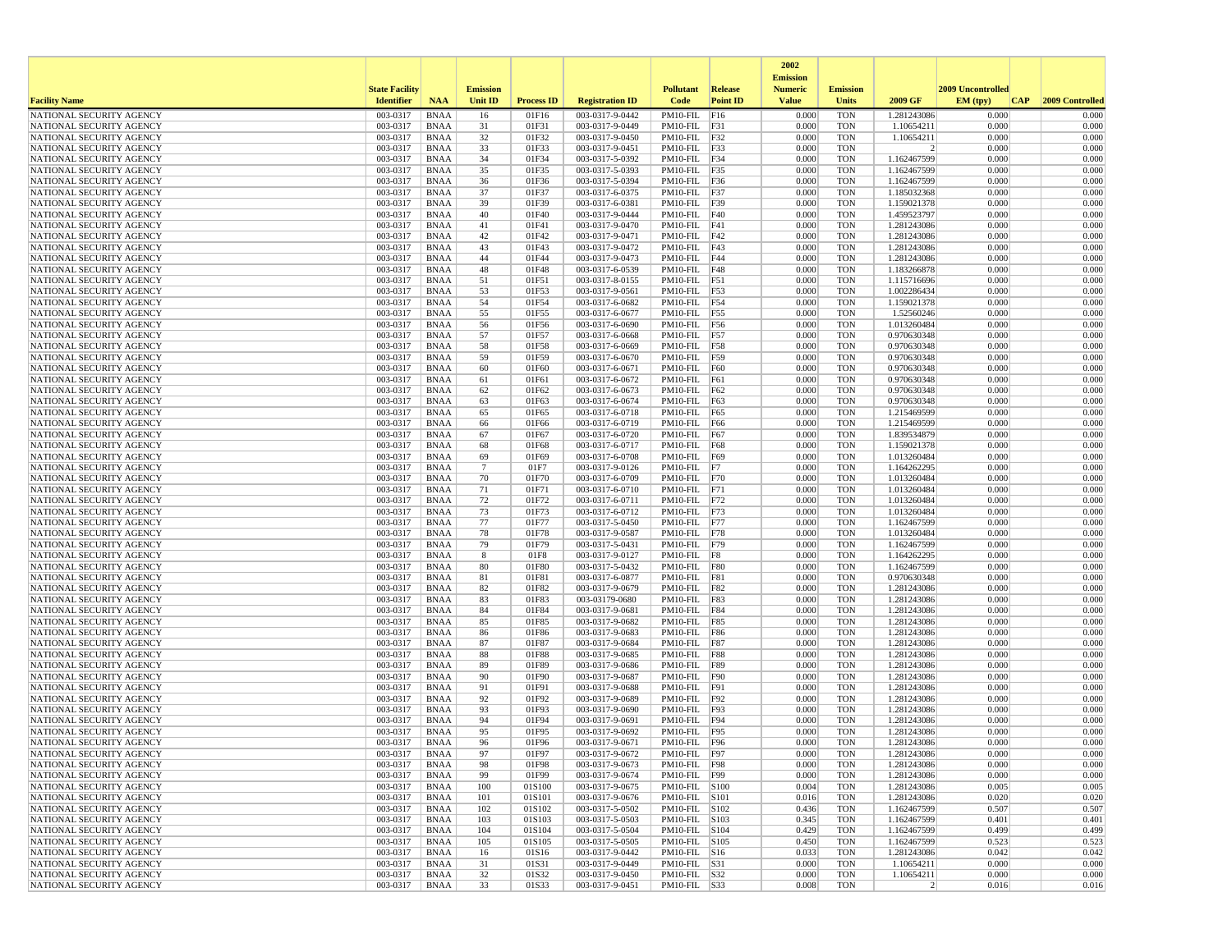|                                                      |                       |                            |                 |                   |                                    |                                    |                 | 2002                              |                          |                               |                   |                 |
|------------------------------------------------------|-----------------------|----------------------------|-----------------|-------------------|------------------------------------|------------------------------------|-----------------|-----------------------------------|--------------------------|-------------------------------|-------------------|-----------------|
|                                                      | <b>State Facility</b> |                            | <b>Emission</b> |                   |                                    | <b>Pollutant</b>                   | <b>Release</b>  | <b>Emission</b><br><b>Numeric</b> | <b>Emission</b>          |                               | 2009 Uncontrolled |                 |
| <b>Facility Name</b>                                 | <b>Identifier</b>     | <b>NAA</b>                 | <b>Unit ID</b>  | <b>Process ID</b> | <b>Registration ID</b>             | Code                               | <b>Point ID</b> | <b>Value</b>                      | <b>Units</b>             | 2009 GF                       | EM (typ)<br> CAP  | 2009 Controlled |
| NATIONAL SECURITY AGENCY                             | 003-0317              | <b>BNAA</b>                | 16              | 01F16             | 003-0317-9-0442                    | PM10-FIL F16                       |                 | 0.000                             | <b>TON</b>               | 1.281243086                   | 0.000             | 0.000           |
| NATIONAL SECURITY AGENCY                             | 003-0317              | BNAA                       | 31              | 01F31             | 003-0317-9-0449                    | PM10-FIL F31                       |                 | 0.000                             | <b>TON</b>               | 1.10654211                    | 0.000             | 0.000           |
| NATIONAL SECURITY AGENCY                             | 003-0317              | <b>BNAA</b>                | 32              | 01F32             | 003-0317-9-0450                    | PM10-FIL F32                       |                 | 0.000                             | <b>TON</b>               | 1.10654211                    | 0.000             | 0.000           |
| NATIONAL SECURITY AGENCY                             | 003-0317<br>003-0317  | BNAA                       | 33<br>34        | 01F33<br>01F34    | 003-0317-9-0451<br>003-0317-5-0392 | PM10-FIL F33<br>$PM10$ -FIL $ F34$ |                 | 0.000<br>0.000                    | <b>TON</b><br><b>TON</b> | $\overline{2}$<br>1.162467599 | 0.000<br>0.000    | 0.000<br>0.000  |
| NATIONAL SECURITY AGENCY<br>NATIONAL SECURITY AGENCY | 003-0317              | <b>BNAA</b><br><b>BNAA</b> | 35              | 01F35             | 003-0317-5-0393                    | PM10-FIL F35                       |                 | 0.000                             | <b>TON</b>               | 1.162467599                   | 0.000             | 0.000           |
| NATIONAL SECURITY AGENCY                             | 003-0317              | BNAA                       | 36              | 01F36             | 003-0317-5-0394                    | PM10-FIL F36                       |                 | 0.000                             | <b>TON</b>               | 1.162467599                   | 0.000             | 0.000           |
| NATIONAL SECURITY AGENCY                             | 003-0317              | <b>BNAA</b>                | 37              | 01F37             | 003-0317-6-0375                    | $PM10-FIL$ F37                     |                 | 0.000                             | <b>TON</b>               | 1.185032368                   | 0.000             | 0.000           |
| NATIONAL SECURITY AGENCY                             | 003-0317              | <b>BNAA</b>                | 39              | 01F39             | 003-0317-6-0381                    | PM10-FIL F39                       |                 | 0.000                             | <b>TON</b>               | 1.159021378                   | 0.000             | 0.000           |
| NATIONAL SECURITY AGENCY                             | 003-0317              | <b>BNAA</b>                | 40              | 01F40             | 003-0317-9-0444                    | $PM10-FIL$ $F40$                   |                 | 0.000                             | <b>TON</b>               | 1.459523797                   | 0.000             | 0.000           |
| NATIONAL SECURITY AGENCY                             | 003-0317              | BNAA                       | 41              | 01F41             | 003-0317-9-0470                    | PM10-FIL F41                       |                 | 0.000                             | <b>TON</b>               | 1.281243086                   | 0.000             | 0.000           |
| NATIONAL SECURITY AGENCY                             | 003-0317              | <b>BNAA</b>                | 42              | 01F42             | 003-0317-9-0471                    | $PM10-FIL$ $F42$                   |                 | 0.000                             | <b>TON</b>               | 1.281243086                   | 0.000             | 0.000           |
| NATIONAL SECURITY AGENCY                             | 003-0317<br>003-0317  | <b>BNAA</b><br><b>BNAA</b> | 43<br>44        | 01F43<br>01F44    | 003-0317-9-0472<br>003-0317-9-0473 | $PM10-FIL$ F43                     | F44             | 0.000<br>0.000                    | <b>TON</b><br><b>TON</b> | 1.281243086                   | 0.000<br>0.000    | 0.000<br>0.000  |
| NATIONAL SECURITY AGENCY<br>NATIONAL SECURITY AGENCY | 003-0317              | BNAA                       | 48              | 01F48             | 003-0317-6-0539                    | PM10-FIL<br>PM10-FIL F48           |                 | 0.000                             | <b>TON</b>               | 1.281243086<br>1.183266878    | 0.000             | 0.000           |
| NATIONAL SECURITY AGENCY                             | 003-0317              | BNAA                       | 51              | 01F51             | 003-0317-8-0155                    | $PM10-FIL$ F51                     |                 | 0.000                             | <b>TON</b>               | 1.115716696                   | 0.000             | 0.000           |
| NATIONAL SECURITY AGENCY                             | 003-0317              | <b>BNAA</b>                | 53              | 01F53             | 003-0317-9-0561                    | PM10-FIL F53                       |                 | 0.000                             | <b>TON</b>               | 1.002286434                   | 0.000             | 0.000           |
| NATIONAL SECURITY AGENCY                             | 003-0317              | BNAA                       | 54              | 01F54             | 003-0317-6-0682                    | PM10-FIL F54                       |                 | 0.000                             | <b>TON</b>               | 1.159021378                   | 0.000             | 0.000           |
| NATIONAL SECURITY AGENCY                             | 003-0317              | <b>BNAA</b>                | 55              | 01F55             | 003-0317-6-0677                    | PM10-FIL F55                       |                 | 0.000                             | <b>TON</b>               | 1.52560246                    | 0.000             | 0.000           |
| NATIONAL SECURITY AGENCY                             | 003-0317              | <b>BNAA</b>                | 56              | 01F56             | 003-0317-6-0690                    | PM10-FIL F56                       |                 | 0.000                             | <b>TON</b>               | 1.013260484                   | 0.000             | 0.000           |
| NATIONAL SECURITY AGENCY                             | 003-0317              | <b>BNAA</b>                | 57              | 01F57             | 003-0317-6-0668                    | PM10-FIL F57                       |                 | 0.000                             | <b>TON</b>               | 0.970630348                   | 0.000             | 0.000           |
| NATIONAL SECURITY AGENCY                             | 003-0317<br>003-0317  | BNAA<br><b>BNAA</b>        | 58<br>59        | 01F58<br>01F59    | 003-0317-6-0669<br>003-0317-6-0670 | PM10-FIL F58<br>PM10-FIL F59       |                 | 0.000<br>0.000                    | <b>TON</b><br><b>TON</b> | 0.970630348<br>0.970630348    | 0.000<br>0.000    | 0.000<br>0.000  |
| NATIONAL SECURITY AGENCY<br>NATIONAL SECURITY AGENCY | 003-0317              | <b>BNAA</b>                | 60              | 01F60             | 003-0317-6-0671                    | $PM10-FIL$ $F60$                   |                 | 0.000                             | <b>TON</b>               | 0.970630348                   | 0.000             | 0.000           |
| NATIONAL SECURITY AGENCY                             | 003-0317              | BNAA                       | 61              | 01F61             | 003-0317-6-0672                    | PM10-FIL F61                       |                 | 0.000                             | <b>TON</b>               | 0.970630348                   | 0.000             | 0.000           |
| NATIONAL SECURITY AGENCY                             | 003-0317              | <b>BNAA</b>                | 62              | 01F62             | 003-0317-6-0673                    | PM10-FIL F62                       |                 | 0.000                             | <b>TON</b>               | 0.970630348                   | 0.000             | 0.000           |
| NATIONAL SECURITY AGENCY                             | 003-0317              | <b>BNAA</b>                | 63              | 01F63             | 003-0317-6-0674                    | PM10-FIL F63                       |                 | 0.000                             | <b>TON</b>               | 0.970630348                   | 0.000             | 0.000           |
| NATIONAL SECURITY AGENCY                             | 003-0317              | <b>BNAA</b>                | 65              | 01F65             | 003-0317-6-0718                    | PM10-FIL F65                       |                 | 0.000                             | <b>TON</b>               | 1.215469599                   | 0.000             | 0.000           |
| NATIONAL SECURITY AGENCY                             | 003-0317              | BNAA                       | 66              | 01F66             | 003-0317-6-0719                    | PM10-FIL F66                       |                 | 0.000                             | <b>TON</b>               | 1.215469599                   | 0.000             | 0.000           |
| NATIONAL SECURITY AGENCY                             | 003-0317              | <b>BNAA</b>                | 67              | 01F67             | 003-0317-6-0720                    | $PM10-FIL$ F67                     |                 | 0.000                             | <b>TON</b>               | 1.839534879                   | 0.000             | 0.000           |
| NATIONAL SECURITY AGENCY<br>NATIONAL SECURITY AGENCY | 003-0317<br>003-0317  | <b>BNAA</b><br>BNAA        | 68<br>69        | 01F68<br>01F69    | 003-0317-6-0717<br>003-0317-6-0708 | PM10-FIL<br>PM10-FIL F69           | F68             | 0.000<br>0.000                    | <b>TON</b><br><b>TON</b> | 1.159021378<br>1.013260484    | 0.000<br>0.000    | 0.000<br>0.000  |
| NATIONAL SECURITY AGENCY                             | 003-0317              | <b>BNAA</b>                | $\overline{7}$  | 01F7              | 003-0317-9-0126                    | $PM10-FIL$ F7                      |                 | 0.000                             | <b>TON</b>               | 1.164262295                   | 0.000             | 0.000           |
| NATIONAL SECURITY AGENCY                             | 003-0317              | <b>BNAA</b>                | 70              | 01F70             | 003-0317-6-0709                    | $PM10-FIL$ F70                     |                 | 0.000                             | <b>TON</b>               | 1.013260484                   | 0.000             | 0.000           |
| NATIONAL SECURITY AGENCY                             | 003-0317              | BNAA                       | 71              | 01F71             | 003-0317-6-0710                    | $PM10-FIL$ $ F71$                  |                 | 0.000                             | <b>TON</b>               | 1.013260484                   | 0.000             | 0.000           |
| NATIONAL SECURITY AGENCY                             | 003-0317              | BNAA                       | 72              | 01F72             | 003-0317-6-0711                    | $PM10-FIL$ F72                     |                 | 0.000                             | <b>TON</b>               | 1.013260484                   | 0.000             | 0.000           |
| NATIONAL SECURITY AGENCY                             | 003-0317              | <b>BNAA</b>                | 73              | 01F73             | 003-0317-6-0712                    | PM10-FIL                           | F73             | 0.000                             | <b>TON</b>               | 1.013260484                   | 0.000             | 0.000           |
| NATIONAL SECURITY AGENCY                             | 003-0317              | <b>BNAA</b>                | 77              | 01F77             | 003-0317-5-0450                    | PM10-FIL F77                       |                 | 0.000                             | <b>TON</b>               | 1.162467599                   | 0.000             | 0.000           |
| NATIONAL SECURITY AGENCY<br>NATIONAL SECURITY AGENCY | 003-0317<br>003-0317  | <b>BNAA</b><br>BNAA        | 78<br>79        | 01F78<br>01F79    | 003-0317-9-0587<br>003-0317-5-0431 | PM10-FIL F78<br>PM10-FIL F79       |                 | 0.000<br>0.000                    | <b>TON</b><br><b>TON</b> | 1.013260484<br>1.162467599    | 0.000<br>0.000    | 0.000<br>0.000  |
| NATIONAL SECURITY AGENCY                             | 003-0317              | BNAA                       | 8               | 01F8              | 003-0317-9-0127                    | $PM10-FIL$ $ F8$                   |                 | 0.000                             | <b>TON</b>               | 1.164262295                   | 0.000             | 0.000           |
| NATIONAL SECURITY AGENCY                             | 003-0317              | <b>BNAA</b>                | 80              | 01F80             | 003-0317-5-0432                    | PM10-FIL F80                       |                 | 0.000                             | <b>TON</b>               | 1.162467599                   | 0.000             | 0.000           |
| NATIONAL SECURITY AGENCY                             | 003-0317              | BNAA                       | 81              | 01F81             | 003-0317-6-0877                    | PM10-FIL F81                       |                 | 0.000                             | <b>TON</b>               | 0.970630348                   | 0.000             | 0.000           |
| NATIONAL SECURITY AGENCY                             | 003-0317              | <b>BNAA</b>                | 82              | 01F82             | 003-0317-9-0679                    | PM10-FIL F82                       |                 | 0.000                             | <b>TON</b>               | 1.281243086                   | 0.000             | 0.000           |
| NATIONAL SECURITY AGENCY                             | 003-0317              | <b>BNAA</b>                | 83              | 01F83             | 003-03179-0680                     | PM10-FIL   F83                     |                 | 0.000                             | <b>TON</b>               | 1.281243086                   | 0.000             | 0.000           |
| NATIONAL SECURITY AGENCY                             | 003-0317              | <b>BNAA</b>                | 84              | 01F84             | 003-0317-9-0681                    | PM10-FIL F84                       |                 | 0.000                             | <b>TON</b>               | 1.281243086                   | 0.000             | 0.000           |
| NATIONAL SECURITY AGENCY                             | 003-0317              | BNAA                       | 85              | 01F85             | 003-0317-9-0682                    | PM10-FIL F85                       |                 | 0.000                             | <b>TON</b>               | 1.281243086                   | 0.000             | 0.000           |
| NATIONAL SECURITY AGENCY<br>NATIONAL SECURITY AGENCY | 003-0317<br>003-0317  | <b>BNAA</b><br><b>BNAA</b> | 86<br>87        | 01F86<br>01F87    | 003-0317-9-0683<br>003-0317-9-0684 | PM10-FIL<br>PM10-FIL F87           | <b>F86</b>      | 0.000<br>0.000                    | <b>TON</b><br><b>TON</b> | 1.281243086<br>1.281243086    | 0.000<br>0.000    | 0.000<br>0.000  |
| NATIONAL SECURITY AGENCY                             | 003-0317              | BNAA                       | 88              | 01F88             | 003-0317-9-0685                    | PM10-FIL F88                       |                 | 0.000                             | <b>TON</b>               | 1.281243086                   | 0.000             | 0.000           |
| NATIONAL SECURITY AGENCY                             | 003-0317              | <b>BNAA</b>                | 89              | 01F89             | 003-0317-9-0686                    | PM10-FIL   F89                     |                 | 0.000                             | <b>TON</b>               | 1.281243086                   | 0.000             | 0.000           |
| NATIONAL SECURITY AGENCY                             | 003-0317              | <b>BNAA</b>                | 90              | 01F90             | 003-0317-9-0687                    | PM10-FIL F90                       |                 | 0.000                             | <b>TON</b>               | 1.281243086                   | 0.000             | 0.000           |
| NATIONAL SECURITY AGENCY                             | 003-0317              | <b>BNAA</b>                | 91              | 01F91             | 003-0317-9-0688                    | PM10-FIL                           | F91             | 0.000                             | <b>TON</b>               | 1.281243086                   | 0.000             | 0.000           |
| NATIONAL SECURITY AGENCY                             | 003-0317              | BNAA                       | 92              | 01F92             | 003-0317-9-0689                    | PM10-FIL F92                       |                 | 0.000                             | <b>TON</b>               | 1.281243086                   | 0.000             | 0.000           |
| NATIONAL SECURITY AGENCY                             | 003-0317              | <b>BNAA</b>                | 93              | 01F93             | 003-0317-9-0690                    | PM10-FIL                           | F93             | 0.000                             | <b>TON</b>               | 1.281243086                   | 0.000             | 0.000           |
| NATIONAL SECURITY AGENCY<br>NATIONAL SECURITY AGENCY | 003-0317<br>003-0317  | <b>BNAA</b><br><b>BNAA</b> | 94<br>95        | 01F94<br>01F95    | 003-0317-9-0691<br>003-0317-9-0692 | PM10-FIL F94<br>PM10-FIL F95       |                 | 0.000<br>0.000                    | <b>TON</b><br><b>TON</b> | 1.281243086<br>1.281243086    | 0.000<br>0.000    | 0.000<br>0.000  |
| NATIONAL SECURITY AGENCY                             | 003-0317              | <b>BNAA</b>                | 96              | 01F96             | 003-0317-9-0671                    | PM10-FIL F96                       |                 | 0.000                             | <b>TON</b>               | 1.281243086                   | 0.000             | 0.000           |
| NATIONAL SECURITY AGENCY                             | 003-0317              | <b>BNAA</b>                | 97              | 01F97             | 003-0317-9-0672                    | PM10-FIL F97                       |                 | 0.000                             | <b>TON</b>               | 1.281243086                   | 0.000             | 0.000           |
| NATIONAL SECURITY AGENCY                             | 003-0317              | BNAA                       | 98              | 01F98             | 003-0317-9-0673                    | PM10-FIL   F98                     |                 | 0.000                             | <b>TON</b>               | 1.281243086                   | 0.000             | 0.000           |
| NATIONAL SECURITY AGENCY                             | 003-0317              | BNAA                       | 99              | 01F99             | 003-0317-9-0674                    | PM10-FIL   F99                     |                 | 0.000                             | <b>TON</b>               | 1.281243086                   | 0.000             | 0.000           |
| NATIONAL SECURITY AGENCY                             | 003-0317              | BNAA                       | 100             | 01S100            | 003-0317-9-0675                    | PM10-FIL S100                      |                 | 0.004                             | <b>TON</b>               | 1.281243086                   | 0.005             | 0.005           |
| NATIONAL SECURITY AGENCY                             | 003-0317              | <b>BNAA</b>                | 101             | 01S101            | 003-0317-9-0676                    | PM10-FIL S101                      |                 | 0.016                             | <b>TON</b>               | 1.281243086                   | 0.020             | 0.020           |
| NATIONAL SECURITY AGENCY                             | 003-0317              | <b>BNAA</b>                | 102             | 01S102            | 003-0317-5-0502<br>003-0317-5-0503 | PM10-FIL S102                      |                 | 0.436                             | <b>TON</b>               | 1.162467599                   | 0.507             | 0.507           |
| NATIONAL SECURITY AGENCY<br>NATIONAL SECURITY AGENCY | 003-0317<br>003-0317  | <b>BNAA</b><br>BNAA        | 103<br>104      | 01S103<br>01S104  | 003-0317-5-0504                    | PM10-FIL S103<br>PM10-FIL S104     |                 | 0.345<br>0.429                    | <b>TON</b><br><b>TON</b> | 1.162467599<br>1.162467599    | 0.401<br>0.499    | 0.401<br>0.499  |
| NATIONAL SECURITY AGENCY                             | 003-0317              | BNAA                       | 105             | 01S105            | 003-0317-5-0505                    | PM10-FIL S105                      |                 | 0.450                             | <b>TON</b>               | 1.162467599                   | 0.523             | 0.523           |
| NATIONAL SECURITY AGENCY                             | 003-0317              | <b>BNAA</b>                | 16              | 01S16             | 003-0317-9-0442                    | $PM10-FIL$ S16                     |                 | 0.033                             | <b>TON</b>               | 1.281243086                   | 0.042             | 0.042           |
| NATIONAL SECURITY AGENCY                             | 003-0317              | BNAA                       | 31              | 01S31             | 003-0317-9-0449                    | PM10-FIL S31                       |                 | 0.000                             | <b>TON</b>               | 1.10654211                    | 0.000             | 0.000           |
| NATIONAL SECURITY AGENCY                             | 003-0317              | <b>BNAA</b>                | 32              | 01S32             | 003-0317-9-0450                    | PM10-FIL S32                       |                 | 0.000                             | <b>TON</b>               | 1.10654211                    | 0.000             | 0.000           |
| NATIONAL SECURITY AGENCY                             | 003-0317              | BNAA                       | 33              | 01S33             | 003-0317-9-0451                    | $PM10$ -FIL $ S33$                 |                 | 0.008                             | TON                      | 2                             | 0.016             | 0.016           |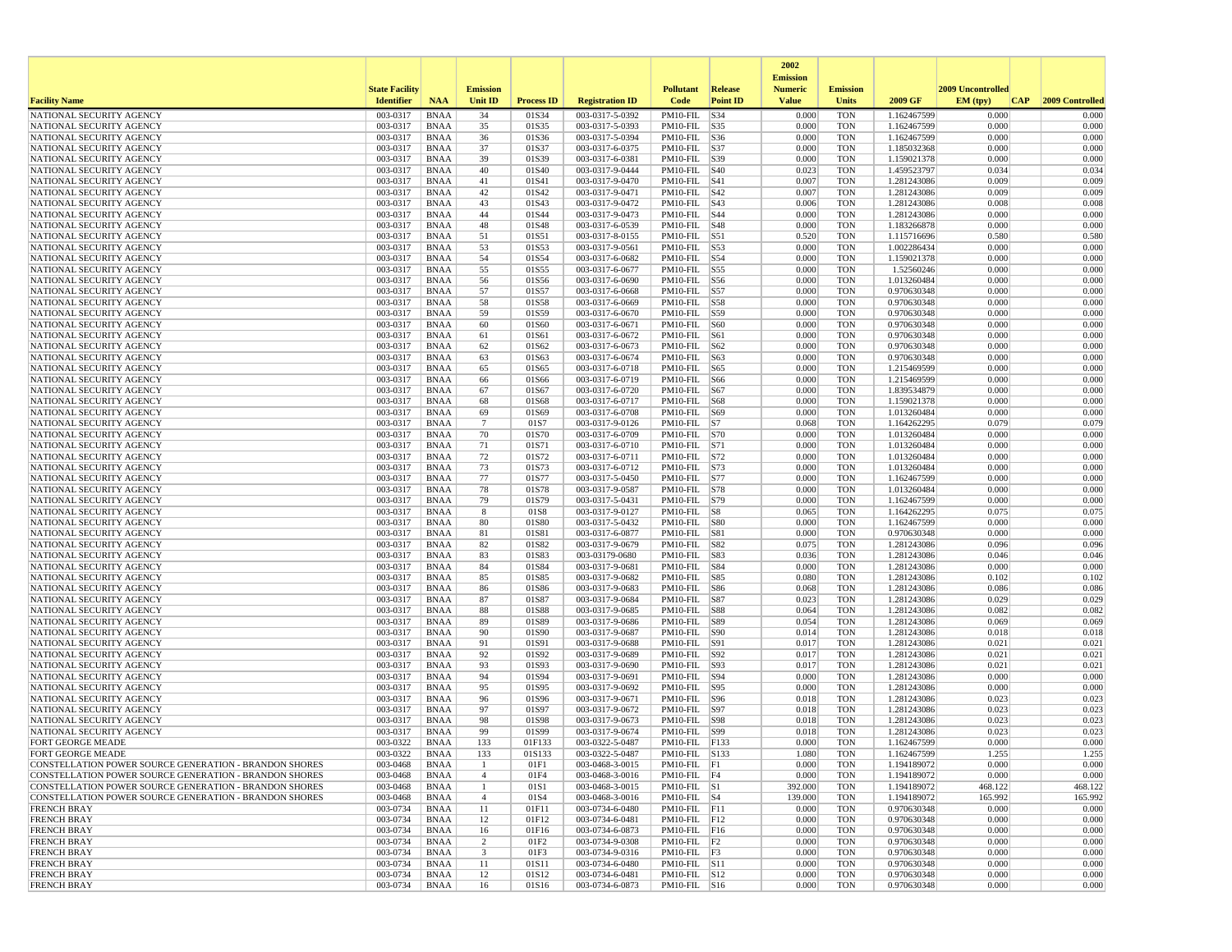|                                                                                                                  |                       |                            |                                |                   |                                    |                                    |                 | 2002                              |                          |                            |                    |                    |
|------------------------------------------------------------------------------------------------------------------|-----------------------|----------------------------|--------------------------------|-------------------|------------------------------------|------------------------------------|-----------------|-----------------------------------|--------------------------|----------------------------|--------------------|--------------------|
|                                                                                                                  | <b>State Facility</b> |                            | <b>Emission</b>                |                   |                                    | <b>Pollutant</b>                   | <b>Release</b>  | <b>Emission</b><br><b>Numeric</b> | <b>Emission</b>          |                            | 2009 Uncontrolled  |                    |
| <b>Facility Name</b>                                                                                             | <b>Identifier</b>     | <b>NAA</b>                 | <b>Unit ID</b>                 | <b>Process ID</b> | <b>Registration ID</b>             | Code                               | <b>Point ID</b> | <b>Value</b>                      | Units                    | 2009 GF                    | EM (typ)<br> CAP   | 2009 Controlled    |
| NATIONAL SECURITY AGENCY                                                                                         | 003-0317              | <b>BNAA</b>                | 34                             | 01S34             | 003-0317-5-0392                    | PM10-FIL                           | S34             | 0.000                             | <b>TON</b>               | 1.162467599                | 0.000              | 0.000              |
| NATIONAL SECURITY AGENCY                                                                                         | 003-0317              | <b>BNAA</b>                | 35                             | 01S35             | 003-0317-5-0393                    | PM10-FIL S35                       |                 | 0.000                             | <b>TON</b>               | 1.162467599                | 0.000              | 0.000              |
| NATIONAL SECURITY AGENCY<br>NATIONAL SECURITY AGENCY                                                             | 003-0317<br>003-0317  | <b>BNAA</b><br><b>BNAA</b> | 36<br>37                       | 01S36<br>01S37    | 003-0317-5-0394<br>003-0317-6-0375 | $PM10-FIL$ $ S36$<br>PM10-FIL  S37 |                 | 0.000<br>0.000                    | <b>TON</b><br><b>TON</b> | 1.162467599<br>1.185032368 | 0.000<br>0.000     | 0.000<br>0.000     |
| NATIONAL SECURITY AGENCY                                                                                         | 003-0317              | <b>BNAA</b>                | 39                             | 01S39             | 003-0317-6-0381                    | PM10-FIL S39                       |                 | 0.000                             | <b>TON</b>               | 1.159021378                | 0.000              | 0.000              |
| NATIONAL SECURITY AGENCY                                                                                         | 003-0317              | <b>BNAA</b>                | 40                             | 01S40             | 003-0317-9-0444                    | PM10-FIL  S40                      |                 | 0.023                             | <b>TON</b>               | 1.459523797                | 0.034              | 0.034              |
| NATIONAL SECURITY AGENCY                                                                                         | 003-0317              | <b>BNAA</b>                | 41                             | 01S41             | 003-0317-9-0470                    | $PM10-FIL$ $ S41$                  |                 | 0.007                             | <b>TON</b>               | 1.281243086                | 0.009              | 0.009              |
| NATIONAL SECURITY AGENCY                                                                                         | 003-0317              | <b>BNAA</b>                | 42                             | 01S42             | 003-0317-9-0471                    | PM10-FIL  S42                      |                 | 0.007                             | <b>TON</b>               | 1.281243086                | 0.009              | 0.009              |
| NATIONAL SECURITY AGENCY<br>NATIONAL SECURITY AGENCY                                                             | 003-0317<br>003-0317  | <b>BNAA</b><br><b>BNAA</b> | 43<br>44                       | 01S43<br>01S44    | 003-0317-9-0472<br>003-0317-9-0473 | PM10-FIL  S43<br>PM10-FIL          | S44             | 0.006<br>0.000                    | <b>TON</b><br><b>TON</b> | 1.281243086<br>1.281243086 | 0.008<br>0.000     | 0.008<br>0.000     |
| NATIONAL SECURITY AGENCY                                                                                         | 003-0317              | <b>BNAA</b>                | 48                             | 01S48             | 003-0317-6-0539                    | PM10-FIL   S48                     |                 | 0.000                             | <b>TON</b>               | 1.183266878                | 0.000              | 0.000              |
| NATIONAL SECURITY AGENCY                                                                                         | 003-0317              | <b>BNAA</b>                | 51                             | 01S51             | 003-0317-8-0155                    | PM10-FIL S51                       |                 | 0.520                             | <b>TON</b>               | 1.115716696                | 0.580              | 0.580              |
| NATIONAL SECURITY AGENCY                                                                                         | 003-0317              | <b>BNAA</b>                | 53                             | 01S53             | 003-0317-9-0561                    | PM10-FIL S53                       |                 | 0.000                             | <b>TON</b>               | 1.002286434                | 0.000              | 0.000              |
| NATIONAL SECURITY AGENCY                                                                                         | 003-0317              | <b>BNAA</b>                | 54                             | 01S54             | 003-0317-6-0682                    | PM10-FIL S54                       |                 | 0.000                             | <b>TON</b>               | 1.159021378                | 0.000              | 0.000              |
| NATIONAL SECURITY AGENCY<br>NATIONAL SECURITY AGENCY                                                             | 003-0317<br>003-0317  | <b>BNAA</b><br><b>BNAA</b> | 55<br>56                       | 01S55<br>01S56    | 003-0317-6-0677<br>003-0317-6-0690 | PM10-FIL S55<br>PM10-FIL   S56     |                 | 0.000<br>0.000                    | <b>TON</b><br><b>TON</b> | 1.52560246<br>1.013260484  | 0.000<br>0.000     | 0.000<br>0.000     |
| NATIONAL SECURITY AGENCY                                                                                         | 003-0317              | <b>BNAA</b>                | 57                             | 01S57             | 003-0317-6-0668                    | $PM10-FIL$ S57                     |                 | 0.000                             | <b>TON</b>               | 0.970630348                | 0.000              | 0.000              |
| NATIONAL SECURITY AGENCY                                                                                         | 003-0317              | <b>BNAA</b>                | 58                             | 01S58             | 003-0317-6-0669                    | PM10-FIL S58                       |                 | 0.000                             | <b>TON</b>               | 0.970630348                | 0.000              | 0.000              |
| NATIONAL SECURITY AGENCY                                                                                         | 003-0317              | <b>BNAA</b>                | 59                             | 01S59             | 003-0317-6-0670                    | PM10-FIL  S59                      |                 | 0.000                             | <b>TON</b>               | 0.970630348                | 0.000              | 0.000              |
| NATIONAL SECURITY AGENCY                                                                                         | 003-0317              | <b>BNAA</b>                | 60                             | 01S60             | 003-0317-6-0671                    | PM10-FIL                           | S60             | 0.000                             | <b>TON</b>               | 0.970630348                | 0.000              | 0.000              |
| NATIONAL SECURITY AGENCY<br>NATIONAL SECURITY AGENCY                                                             | 003-0317<br>003-0317  | <b>BNAA</b><br><b>BNAA</b> | 61<br>62                       | 01S61<br>01S62    | 003-0317-6-0672<br>003-0317-6-0673 | PM10-FIL S61<br>PM10-FIL   S62     |                 | 0.000<br>0.000                    | <b>TON</b><br><b>TON</b> | 0.970630348<br>0.970630348 | 0.000<br>0.000     | 0.000<br>0.000     |
| NATIONAL SECURITY AGENCY                                                                                         | 003-0317              | <b>BNAA</b>                | 63                             | 01S63             | 003-0317-6-0674                    | PM10-FIL S63                       |                 | 0.000                             | <b>TON</b>               | 0.970630348                | 0.000              | 0.000              |
| NATIONAL SECURITY AGENCY                                                                                         | 003-0317              | <b>BNAA</b>                | 65                             | 01S65             | 003-0317-6-0718                    | PM10-FIL   S65                     |                 | 0.000                             | <b>TON</b>               | 1.215469599                | 0.000              | 0.000              |
| NATIONAL SECURITY AGENCY                                                                                         | 003-0317              | <b>BNAA</b>                | 66                             | 01S66             | 003-0317-6-0719                    | PM10-FIL   S66                     |                 | 0.000                             | <b>TON</b>               | 1.215469599                | 0.000              | 0.000              |
| NATIONAL SECURITY AGENCY                                                                                         | 003-0317              | <b>BNAA</b>                | 67                             | 01S67             | 003-0317-6-0720                    | PM10-FIL S67                       |                 | 0.000                             | <b>TON</b>               | 1.839534879                | 0.000              | 0.000              |
| NATIONAL SECURITY AGENCY<br>NATIONAL SECURITY AGENCY                                                             | 003-0317<br>003-0317  | <b>BNAA</b><br><b>BNAA</b> | 68<br>69                       | 01S68<br>01S69    | 003-0317-6-0717<br>003-0317-6-0708 | PM10-FIL S68<br>PM10-FIL  S69      |                 | 0.000<br>0.000                    | <b>TON</b><br><b>TON</b> | 1.159021378<br>1.013260484 | 0.000<br>0.000     | 0.000<br>0.000     |
| NATIONAL SECURITY AGENCY                                                                                         | 003-0317              | <b>BNAA</b>                | $7\phantom{.0}$                | 01S7              | 003-0317-9-0126                    | $PM10-FIL$ S7                      |                 | 0.068                             | <b>TON</b>               | 1.164262295                | 0.079              | 0.079              |
| NATIONAL SECURITY AGENCY                                                                                         | 003-0317              | <b>BNAA</b>                | 70                             | 01S70             | 003-0317-6-0709                    | PM10-FIL S70                       |                 | 0.000                             | <b>TON</b>               | 1.013260484                | 0.000              | 0.000              |
| NATIONAL SECURITY AGENCY                                                                                         | 003-0317              | <b>BNAA</b>                | 71                             | 01S71             | 003-0317-6-0710                    | PM10-FIL S71                       |                 | 0.000                             | <b>TON</b>               | 1.013260484                | 0.000              | 0.000              |
| NATIONAL SECURITY AGENCY                                                                                         | 003-0317              | <b>BNAA</b>                | 72                             | 01S72             | 003-0317-6-0711                    | PM10-FIL   S72                     |                 | 0.000                             | <b>TON</b>               | 1.013260484                | 0.000              | 0.000              |
| NATIONAL SECURITY AGENCY<br>NATIONAL SECURITY AGENCY                                                             | 003-0317<br>003-0317  | <b>BNAA</b><br><b>BNAA</b> | 73<br>77                       | 01S73<br>01S77    | 003-0317-6-0712<br>003-0317-5-0450 | PM10-FIL   S73<br>PM10-FIL S77     |                 | 0.000<br>0.000                    | <b>TON</b><br><b>TON</b> | 1.013260484<br>1.162467599 | 0.000<br>0.000     | 0.000<br>0.000     |
| NATIONAL SECURITY AGENCY                                                                                         | 003-0317              | <b>BNAA</b>                | 78                             | 01S78             | 003-0317-9-0587                    | PM10-FIL S78                       |                 | 0.000                             | <b>TON</b>               | 1.013260484                | 0.000              | 0.000              |
| NATIONAL SECURITY AGENCY                                                                                         | 003-0317              | <b>BNAA</b>                | 79                             | 01S79             | 003-0317-5-0431                    | PM10-FIL  S79                      |                 | 0.000                             | <b>TON</b>               | 1.162467599                | 0.000              | 0.000              |
| NATIONAL SECURITY AGENCY                                                                                         | 003-0317              | <b>BNAA</b>                | 8                              | 01S8              | 003-0317-9-0127                    | PM10-FIL                           | S8              | 0.065                             | <b>TON</b>               | 1.164262295                | 0.075              | 0.075              |
| NATIONAL SECURITY AGENCY                                                                                         | 003-0317              | <b>BNAA</b>                | 80                             | 01S80             | 003-0317-5-0432                    | PM10-FIL S80                       |                 | 0.000                             | <b>TON</b>               | 1.162467599                | 0.000<br>0.000     | 0.000              |
| NATIONAL SECURITY AGENCY<br>NATIONAL SECURITY AGENCY                                                             | 003-0317<br>003-0317  | <b>BNAA</b><br><b>BNAA</b> | 81<br>82                       | 01S81<br>01S82    | 003-0317-6-0877<br>003-0317-9-0679 | PM10-FIL S81<br>PM10-FIL S82       |                 | 0.000<br>0.075                    | <b>TON</b><br><b>TON</b> | 0.970630348<br>1.281243086 | 0.096              | 0.000<br>0.096     |
| NATIONAL SECURITY AGENCY                                                                                         | 003-0317              | <b>BNAA</b>                | 83                             | 01S83             | 003-03179-0680                     | PM10-FIL  S83                      |                 | 0.036                             | <b>TON</b>               | 1.281243086                | 0.046              | 0.046              |
| NATIONAL SECURITY AGENCY                                                                                         | 003-0317              | <b>BNAA</b>                | 84                             | 01S84             | 003-0317-9-0681                    | $PM10-FIL$ $ S84$                  |                 | 0.000                             | <b>TON</b>               | 1.281243086                | 0.000              | 0.000              |
| NATIONAL SECURITY AGENCY                                                                                         | 003-0317              | <b>BNAA</b>                | 85                             | 01S85             | 003-0317-9-0682                    | PM10-FIL S85                       |                 | 0.080                             | <b>TON</b>               | 1.281243086                | 0.102              | 0.102              |
| NATIONAL SECURITY AGENCY<br>NATIONAL SECURITY AGENCY                                                             | 003-0317<br>003-0317  | <b>BNAA</b><br><b>BNAA</b> | 86<br>87                       | 01S86<br>01S87    | 003-0317-9-0683<br>003-0317-9-0684 | PM10-FIL  S86<br>PM10-FIL S87      |                 | 0.068<br>0.023                    | <b>TON</b><br><b>TON</b> | 1.281243086<br>1.281243086 | 0.086<br>0.029     | 0.086<br>0.029     |
| NATIONAL SECURITY AGENCY                                                                                         | 003-0317              | <b>BNAA</b>                | 88                             | 01S88             | 003-0317-9-0685                    | PM10-FIL S88                       |                 | 0.064                             | <b>TON</b>               | 1.281243086                | 0.082              | 0.082              |
| NATIONAL SECURITY AGENCY                                                                                         | 003-0317              | <b>BNAA</b>                | 89                             | 01S89             | 003-0317-9-0686                    | PM10-FIL  S89                      |                 | 0.054                             | <b>TON</b>               | 1.281243086                | 0.069              | 0.069              |
| NATIONAL SECURITY AGENCY                                                                                         | 003-0317              | <b>BNAA</b>                | 90                             | 01S90             | 003-0317-9-0687                    | PM10-FIL                           | S90             | 0.014                             | <b>TON</b>               | 1.281243086                | 0.018              | 0.018              |
| NATIONAL SECURITY AGENCY                                                                                         | 003-0317              | <b>BNAA</b>                | 91                             | 01S91             | 003-0317-9-0688                    | PM10-FIL   S91                     |                 | 0.017                             | <b>TON</b>               | 1.281243086                | 0.021              | 0.021              |
| NATIONAL SECURITY AGENCY<br>NATIONAL SECURITY AGENCY                                                             | 003-0317<br>003-0317  | <b>BNAA</b><br><b>BNAA</b> | 92<br>93                       | 01S92<br>01S93    | 003-0317-9-0689<br>003-0317-9-0690 | PM10-FIL   S92<br>PM10-FIL  S93    |                 | 0.017<br>0.017                    | <b>TON</b><br><b>TON</b> | 1.281243086<br>1.281243086 | 0.021<br>0.021     | 0.021<br>0.021     |
| NATIONAL SECURITY AGENCY                                                                                         | 003-0317              | <b>BNAA</b>                | 94                             | 01S94             | 003-0317-9-0691                    | PM10-FIL S94                       |                 | 0.000                             | <b>TON</b>               | 1.281243086                | 0.000              | 0.000              |
| NATIONAL SECURITY AGENCY                                                                                         | 003-0317              | <b>BNAA</b>                | 95                             | 01S95             | 003-0317-9-0692                    | PM10-FIL  S95                      |                 | 0.000                             | <b>TON</b>               | 1.281243086                | 0.000              | 0.000              |
| NATIONAL SECURITY AGENCY                                                                                         | 003-0317              | <b>BNAA</b>                | 96                             | 01S96             | 003-0317-9-0671                    | PM10-FIL   S96                     |                 | 0.018                             | <b>TON</b>               | 1.281243086                | 0.023              | 0.023              |
| NATIONAL SECURITY AGENCY                                                                                         | 003-0317              | <b>BNAA</b>                | 97                             | 01S97             | 003-0317-9-0672                    | PM10-FIL S97                       |                 | 0.018                             | <b>TON</b>               | 1.281243086                | 0.023              | 0.023              |
| NATIONAL SECURITY AGENCY<br>NATIONAL SECURITY AGENCY                                                             | 003-0317<br>003-0317  | <b>BNAA</b><br><b>BNAA</b> | 98<br>99                       | 01S98<br>01S99    | 003-0317-9-0673<br>003-0317-9-0674 | PM10-FIL  S98<br>PM10-FIL S99      |                 | 0.018<br>0.018                    | <b>TON</b><br><b>TON</b> | 1.281243086<br>1.281243086 | 0.023<br>0.023     | 0.023<br>0.023     |
| <b>FORT GEORGE MEADE</b>                                                                                         | 003-0322              | <b>BNAA</b>                | 133                            | 01F133            | 003-0322-5-0487                    | PM10-FIL F133                      |                 | 0.000                             | <b>TON</b>               | 1.162467599                | 0.000              | 0.000              |
| FORT GEORGE MEADE                                                                                                | 003-0322              | <b>BNAA</b>                | 133                            | 01S133            | 003-0322-5-0487                    | PM10-FIL                           | S133            | 1.080                             | <b>TON</b>               | 1.162467599                | 1.255              | 1.255              |
| CONSTELLATION POWER SOURCE GENERATION - BRANDON SHORES                                                           | 003-0468              | BNAA                       | -1                             | 01F1              | 003-0468-3-0015                    | $PM10-FIL$ $ F1$                   |                 | 0.000                             | <b>TON</b>               | 1.194189072                | 0.000              | 0.000              |
| CONSTELLATION POWER SOURCE GENERATION - BRANDON SHORES                                                           | 003-0468              | BNAA                       | $\overline{4}$<br>$\mathbf{1}$ | 01F4              | 003-0468-3-0016                    | $PM10-FIL$ F4                      |                 | 0.000                             | <b>TON</b>               | 1.194189072                | 0.000              | 0.000              |
| CONSTELLATION POWER SOURCE GENERATION - BRANDON SHORES<br>CONSTELLATION POWER SOURCE GENERATION - BRANDON SHORES | 003-0468<br>003-0468  | BNAA<br><b>BNAA</b>        | $\overline{4}$                 | 01S1<br>01S4      | 003-0468-3-0015<br>003-0468-3-0016 | $PM10-FIL$ S1<br>$PM10-FIL$ S4     |                 | 392.000<br>139.000                | <b>TON</b><br><b>TON</b> | 1.194189072<br>1.194189072 | 468.122<br>165.992 | 468.122<br>165.992 |
| <b>FRENCH BRAY</b>                                                                                               | 003-0734              | <b>BNAA</b>                | 11                             | 01F11             | 003-0734-6-0480                    | $PM10-FIL$ $ F11$                  |                 | 0.000                             | <b>TON</b>               | 0.970630348                | 0.000              | 0.000              |
| <b>FRENCH BRAY</b>                                                                                               | 003-0734              | BNAA                       | 12                             | 01F12             | 003-0734-6-0481                    | PM10-FIL F12                       |                 | 0.000                             | <b>TON</b>               | 0.970630348                | 0.000              | 0.000              |
| <b>FRENCH BRAY</b>                                                                                               | 003-0734              | BNAA                       | 16                             | 01F16             | 003-0734-6-0873                    | PM10-FIL F16                       |                 | 0.000                             | <b>TON</b>               | 0.970630348                | 0.000              | 0.000              |
| <b>FRENCH BRAY</b><br><b>FRENCH BRAY</b>                                                                         | 003-0734<br>003-0734  | <b>BNAA</b><br>BNAA        | $\overline{c}$<br>3            | 01F2<br>01F3      | 003-0734-9-0308<br>003-0734-9-0316 | $PM10-FIL$ F2<br>$PM10-FIL$ F3     |                 | 0.000<br>0.000                    | <b>TON</b><br><b>TON</b> | 0.970630348<br>0.970630348 | 0.000<br>0.000     | 0.000<br>0.000     |
| <b>FRENCH BRAY</b>                                                                                               | 003-0734              | BNAA                       | 11                             | 01S11             | 003-0734-6-0480                    | PM10-FIL S11                       |                 | 0.000                             | <b>TON</b>               | 0.970630348                | 0.000              | 0.000              |
| <b>FRENCH BRAY</b>                                                                                               | 003-0734              | <b>BNAA</b>                | 12                             | 01S12             | 003-0734-6-0481                    | PM10-FIL S12                       |                 | 0.000                             | <b>TON</b>               | 0.970630348                | 0.000              | 0.000              |
| <b>FRENCH BRAY</b>                                                                                               | 003-0734              | BNAA                       | 16                             | 01S16             | 003-0734-6-0873                    | $PM10-FIL$ S16                     |                 | 0.000                             | <b>TON</b>               | 0.970630348                | 0.000              | 0.000              |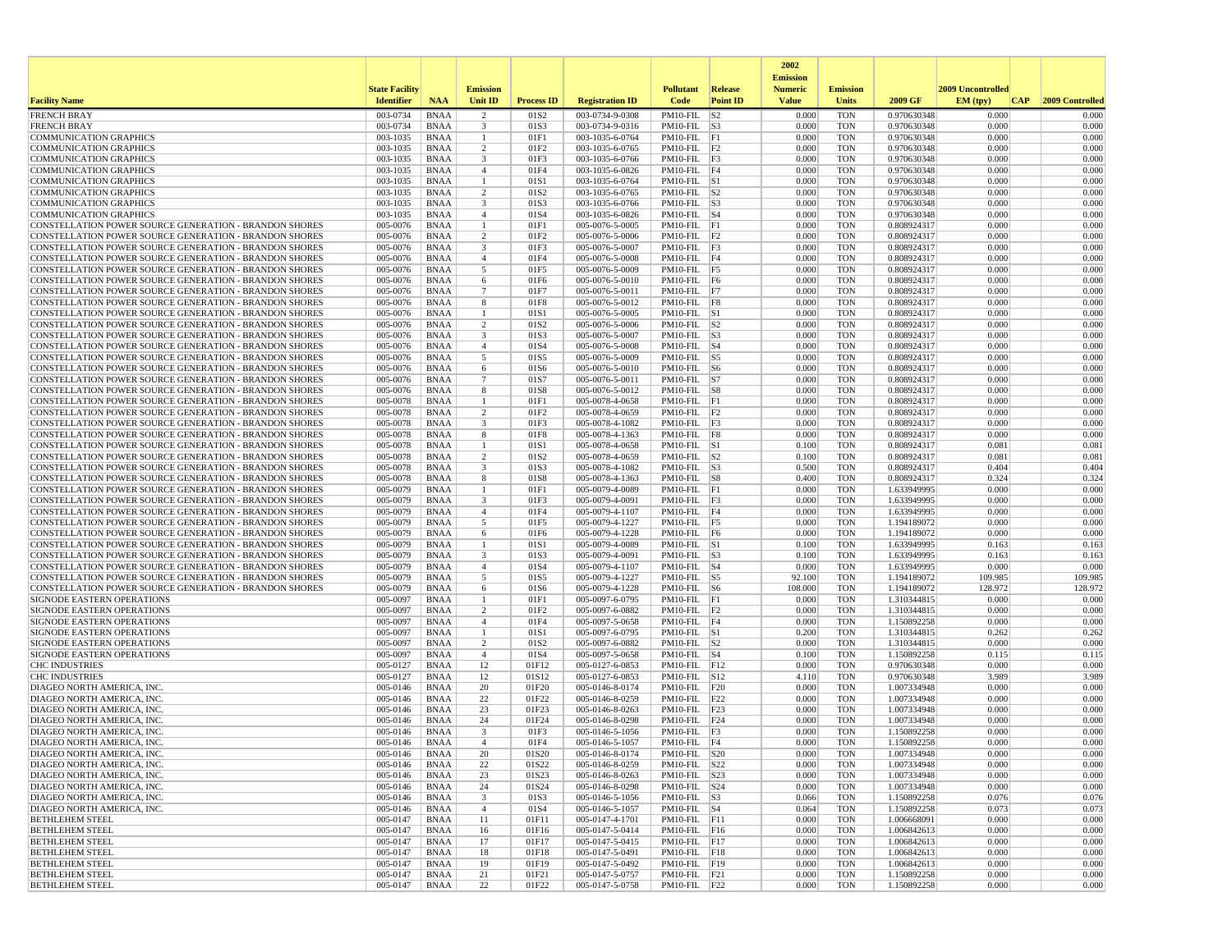|                                                                                                                                |                       |                            |                                           |                          |                                    |                                       |                 | 2002                              |                          |                            |                   |                     |
|--------------------------------------------------------------------------------------------------------------------------------|-----------------------|----------------------------|-------------------------------------------|--------------------------|------------------------------------|---------------------------------------|-----------------|-----------------------------------|--------------------------|----------------------------|-------------------|---------------------|
|                                                                                                                                | <b>State Facility</b> |                            | <b>Emission</b>                           |                          |                                    | <b>Pollutant</b>                      | <b>Release</b>  | <b>Emission</b><br><b>Numeric</b> | <b>Emission</b>          |                            | 2009 Uncontrolled |                     |
| <b>Facility Name</b>                                                                                                           | <b>Identifier</b>     | <b>NAA</b>                 | <b>Unit ID</b>                            | <b>Process ID</b>        | <b>Registration ID</b>             | Code                                  | <b>Point ID</b> | <b>Value</b>                      | Units                    | 2009 GF                    | EM (typ)          | CAP 2009 Controlled |
| <b>FRENCH BRAY</b>                                                                                                             | 003-0734              | <b>BNAA</b>                | 2                                         | 01S2                     | 003-0734-9-0308                    | $PM10-FIL$ S2                         |                 | 0.000                             | <b>TON</b>               | 0.970630348                | 0.000             | 0.000               |
| <b>FRENCH BRAY</b>                                                                                                             | 003-0734              | <b>BNAA</b>                | $\overline{\mathbf{3}}$                   | 01S3                     | 003-0734-9-0316                    | $PM10-FIL$ S3                         |                 | 0.000                             | <b>TON</b>               | 0.970630348                | 0.000             | 0.000               |
| <b>COMMUNICATION GRAPHICS</b>                                                                                                  | 003-1035              | <b>BNAA</b>                | $\mathbf{1}$                              | 01F1                     | 003-1035-6-0764                    | $PM10-FIL$ $ F1$                      |                 | 0.000                             | <b>TON</b>               | 0.970630348                | 0.000             | 0.000               |
| <b>COMMUNICATION GRAPHICS</b><br><b>COMMUNICATION GRAPHICS</b>                                                                 | 003-1035<br>003-1035  | BNAA<br><b>BNAA</b>        | $\overline{c}$<br>$\overline{\mathbf{3}}$ | 01F2<br>01F3             | 003-1035-6-0765<br>003-1035-6-0766 | PM10-FIL F2<br>$PM10-FIL$ F3          |                 | 0.000<br>0.000                    | <b>TON</b><br><b>TON</b> | 0.970630348<br>0.970630348 | 0.000<br>0.000    | 0.000<br>0.000      |
| <b>COMMUNICATION GRAPHICS</b>                                                                                                  | 003-1035              | <b>BNAA</b>                | $\overline{4}$                            | 01F4                     | 003-1035-6-0826                    | PM10-FIL F4                           |                 | 0.000                             | <b>TON</b>               | 0.970630348                | 0.000             | 0.000               |
| <b>COMMUNICATION GRAPHICS</b>                                                                                                  | 003-1035              | BNAA                       | $\overline{1}$                            | 01S1                     | 003-1035-6-0764                    | $PM10$ -FIL $ S1$                     |                 | 0.000                             | <b>TON</b>               | 0.970630348                | 0.000             | 0.000               |
| <b>COMMUNICATION GRAPHICS</b>                                                                                                  | 003-1035              | <b>BNAA</b>                | 2                                         | 01S2                     | 003-1035-6-0765                    | $PM10$ -FIL $ S2$                     |                 | 0.000                             | <b>TON</b>               | 0.970630348                | 0.000             | 0.000               |
| <b>COMMUNICATION GRAPHICS</b>                                                                                                  | 003-1035              | <b>BNAA</b>                | $\overline{\mathbf{3}}$                   | 01S3                     | 003-1035-6-0766                    | $PM10-FIL$ $ S3$                      |                 | 0.000                             | <b>TON</b>               | 0.970630348                | 0.000             | 0.000               |
| <b>COMMUNICATION GRAPHICS</b><br><b>CONSTELLATION POWER SOURCE GENERATION - BRANDON SHORES</b>                                 | 003-1035<br>005-0076  | <b>BNAA</b><br>BNAA        | $\overline{4}$<br>-1                      | 01S4<br>01F1             | 003-1035-6-0826<br>005-0076-5-0005 | $PM10$ -FIL $ S4$<br>PM10-FIL F1      |                 | 0.000<br>0.000                    | <b>TON</b><br><b>TON</b> | 0.970630348<br>0.808924317 | 0.000<br>0.000    | 0.000<br>0.000      |
| CONSTELLATION POWER SOURCE GENERATION - BRANDON SHORES                                                                         | 005-0076              | <b>BNAA</b>                | $\overline{2}$                            | 01F2                     | 005-0076-5-0006                    | $PM10-FIL$ $ F2$                      |                 | 0.000                             | <b>TON</b>               | 0.808924317                | 0.000             | 0.000               |
| <b>CONSTELLATION POWER SOURCE GENERATION - BRANDON SHORES</b>                                                                  | 005-0076              | <b>BNAA</b>                | $\overline{\mathbf{3}}$                   | 01F3                     | 005-0076-5-0007                    | PM10-FIL F3                           |                 | 0.000                             | <b>TON</b>               | 0.808924317                | 0.000             | 0.000               |
| CONSTELLATION POWER SOURCE GENERATION - BRANDON SHORES                                                                         | 005-0076              | <b>BNAA</b>                | $\overline{4}$                            | 01F4                     | 005-0076-5-0008                    | PM10-FIL F4                           |                 | 0.000                             | <b>TON</b>               | 0.808924317                | 0.000             | 0.000               |
| <b>CONSTELLATION POWER SOURCE GENERATION - BRANDON SHORES</b>                                                                  | 005-0076              | BNAA                       | 5                                         | 01F5                     | 005-0076-5-0009                    | PM10-FIL F5                           |                 | 0.000                             | <b>TON</b>               | 0.808924317                | 0.000             | 0.000               |
| CONSTELLATION POWER SOURCE GENERATION - BRANDON SHORES                                                                         | 005-0076              | BNAA                       | 6                                         | 01F6                     | 005-0076-5-0010                    | PM10-FIL F6                           |                 | 0.000                             | <b>TON</b>               | 0.808924317                | 0.000             | 0.000               |
| <b>CONSTELLATION POWER SOURCE GENERATION - BRANDON SHORES</b><br><b>CONSTELLATION POWER SOURCE GENERATION - BRANDON SHORES</b> | 005-0076<br>005-0076  | <b>BNAA</b><br>BNAA        | $7\phantom{.0}$<br>8                      | 01F7<br>01F8             | 005-0076-5-0011<br>005-0076-5-0012 | PM10-FIL F7<br>PM10-FIL F8            |                 | 0.000<br>0.000                    | <b>TON</b><br><b>TON</b> | 0.808924317<br>0.808924317 | 0.000<br>0.000    | 0.000<br>0.000      |
| <b>CONSTELLATION POWER SOURCE GENERATION - BRANDON SHORES</b>                                                                  | 005-0076              | BNAA                       | -1                                        | 01S1                     | 005-0076-5-0005                    | $PM10$ -FIL $ S1$                     |                 | 0.000                             | <b>TON</b>               | 0.808924317                | 0.000             | 0.000               |
| CONSTELLATION POWER SOURCE GENERATION - BRANDON SHORES                                                                         | 005-0076              | <b>BNAA</b>                | $\overline{2}$                            | 01S2                     | 005-0076-5-0006                    | $PM10-FIL$ S2                         |                 | 0.000                             | <b>TON</b>               | 0.808924317                | 0.000             | 0.000               |
| CONSTELLATION POWER SOURCE GENERATION - BRANDON SHORES                                                                         | 005-0076              | <b>BNAA</b>                | $\overline{\mathbf{3}}$                   | 01S3                     | 005-0076-5-0007                    | $PM10$ -FIL $ S3$                     |                 | 0.000                             | <b>TON</b>               | 0.808924317                | 0.000             | 0.000               |
| <b>CONSTELLATION POWER SOURCE GENERATION - BRANDON SHORES</b>                                                                  | 005-0076              | BNAA                       | $\overline{4}$                            | 01S4                     | 005-0076-5-0008                    | $PM10$ -FIL $ S4$                     |                 | 0.000                             | <b>TON</b>               | 0.808924317                | 0.000             | 0.000               |
| CONSTELLATION POWER SOURCE GENERATION - BRANDON SHORES                                                                         | 005-0076              | <b>BNAA</b>                | 5                                         | 01S5                     | 005-0076-5-0009                    | PM10-FIL S5                           |                 | 0.000                             | <b>TON</b>               | 0.808924317                | 0.000             | 0.000               |
| CONSTELLATION POWER SOURCE GENERATION - BRANDON SHORES<br><b>CONSTELLATION POWER SOURCE GENERATION - BRANDON SHORES</b>        | 005-0076<br>005-0076  | <b>BNAA</b><br>BNAA        | 6<br>7                                    | 01S6<br>01S7             | 005-0076-5-0010<br>005-0076-5-0011 | PM10-FIL S6<br>$PM10$ -FIL $ S7 $     |                 | 0.000<br>0.000                    | <b>TON</b><br><b>TON</b> | 0.808924317<br>0.808924317 | 0.000<br>0.000    | 0.000<br>0.000      |
| CONSTELLATION POWER SOURCE GENERATION - BRANDON SHORES                                                                         | 005-0076              | <b>BNAA</b>                | 8                                         | 01S8                     | 005-0076-5-0012                    | $PM10-FIL$ $ S8$                      |                 | 0.000                             | <b>TON</b>               | 0.808924317                | 0.000             | 0.000               |
| CONSTELLATION POWER SOURCE GENERATION - BRANDON SHORES                                                                         | 005-0078              | <b>BNAA</b>                | -1                                        | 01F1                     | 005-0078-4-0658                    | PM10-FIL F1                           |                 | 0.000                             | <b>TON</b>               | 0.808924317                | 0.000             | 0.000               |
| CONSTELLATION POWER SOURCE GENERATION - BRANDON SHORES                                                                         | 005-0078              | <b>BNAA</b>                | $\overline{2}$                            | 01F2                     | 005-0078-4-0659                    | $PM10-FIL$ $F2$                       |                 | 0.000                             | <b>TON</b>               | 0.808924317                | 0.000             | 0.000               |
| <b>CONSTELLATION POWER SOURCE GENERATION - BRANDON SHORES</b>                                                                  | 005-0078              | BNAA                       | $\overline{\mathbf{3}}$                   | 01F3                     | 005-0078-4-1082                    | $PM10$ -FIL $ F3$                     |                 | 0.000                             | <b>TON</b>               | 0.808924317                | 0.000             | 0.000               |
| CONSTELLATION POWER SOURCE GENERATION - BRANDON SHORES                                                                         | 005-0078              | <b>BNAA</b>                | 8                                         | 01F8                     | 005-0078-4-1363                    | $PM10-FIL$ F8                         |                 | 0.000                             | <b>TON</b>               | 0.808924317                | 0.000             | 0.000               |
| CONSTELLATION POWER SOURCE GENERATION - BRANDON SHORES<br><b>CONSTELLATION POWER SOURCE GENERATION - BRANDON SHORES</b>        | 005-0078<br>005-0078  | <b>BNAA</b><br>BNAA        | $\mathbf{1}$<br>$\overline{c}$            | 01S1<br>01S <sub>2</sub> | 005-0078-4-0658<br>005-0078-4-0659 | $PM10-FIL$ S1<br>$PM10$ -FIL $ S2$    |                 | 0.100<br>0.100                    | <b>TON</b><br><b>TON</b> | 0.808924317<br>0.808924317 | 0.081<br>0.081    | 0.081<br>0.081      |
| <b>CONSTELLATION POWER SOURCE GENERATION - BRANDON SHORES</b>                                                                  | 005-0078              | <b>BNAA</b>                | $\overline{\mathbf{3}}$                   | 01S3                     | 005-0078-4-1082                    | $PM10$ -FIL $ S3$                     |                 | 0.500                             | <b>TON</b>               | 0.808924317                | 0.404             | 0.404               |
| CONSTELLATION POWER SOURCE GENERATION - BRANDON SHORES                                                                         | 005-0078              | <b>BNAA</b>                | 8                                         | 01S8                     | 005-0078-4-1363                    | PM10-FIL S8                           |                 | 0.400                             | <b>TON</b>               | 0.808924317                | 0.324             | 0.324               |
| <b>CONSTELLATION POWER SOURCE GENERATION - BRANDON SHORES</b>                                                                  | 005-0079              | BNAA                       | $\overline{1}$                            | 01F1                     | 005-0079-4-0089                    | PM10-FIL F1                           |                 | 0.000                             | <b>TON</b>               | 1.633949995                | 0.000             | 0.000               |
| <b>CONSTELLATION POWER SOURCE GENERATION - BRANDON SHORES</b>                                                                  | 005-0079              | BNAA                       | 3                                         | 01F3                     | 005-0079-4-0091                    | $PM10-FIL$ $F3$                       |                 | 0.000                             | <b>TON</b>               | 1.633949995                | 0.000             | 0.000               |
| CONSTELLATION POWER SOURCE GENERATION - BRANDON SHORES<br>CONSTELLATION POWER SOURCE GENERATION - BRANDON SHORES               | 005-0079<br>005-0079  | <b>BNAA</b><br><b>BNAA</b> | $\overline{4}$<br>5                       | 01F4<br>01F5             | 005-0079-4-1107<br>005-0079-4-1227 | $PM10-FIL$ F4<br>PM10-FIL F5          |                 | 0.000<br>0.000                    | <b>TON</b><br><b>TON</b> | 1.633949995<br>1.194189072 | 0.000<br>0.000    | 0.000<br>0.000      |
| CONSTELLATION POWER SOURCE GENERATION - BRANDON SHORES                                                                         | 005-0079              | <b>BNAA</b>                | 6                                         | 01F6                     | 005-0079-4-1228                    | PM10-FIL F6                           |                 | 0.000                             | <b>TON</b>               | 1.194189072                | 0.000             | 0.000               |
| <b>CONSTELLATION POWER SOURCE GENERATION - BRANDON SHORES</b>                                                                  | 005-0079              | BNAA                       | -1                                        | 01S1                     | 005-0079-4-0089                    | $PM10$ -FIL $ S1$                     |                 | 0.100                             | <b>TON</b>               | 1.633949995                | 0.163             | 0.163               |
| CONSTELLATION POWER SOURCE GENERATION - BRANDON SHORES                                                                         | 005-0079              | BNAA                       | 3                                         | 01S3                     | 005-0079-4-0091                    | $PM10-FIL$ S3                         |                 | 0.100                             | <b>TON</b>               | 1.633949995                | 0.163             | 0.163               |
| CONSTELLATION POWER SOURCE GENERATION - BRANDON SHORES                                                                         | 005-0079              | <b>BNAA</b>                | $\overline{4}$                            | 01S4                     | 005-0079-4-1107                    | $PM10-FIL$ $ S4$                      |                 | 0.000                             | <b>TON</b>               | 1.633949995                | 0.000             | 0.000               |
| <b>CONSTELLATION POWER SOURCE GENERATION - BRANDON SHORES</b>                                                                  | 005-0079              | BNAA                       | 5                                         | 01S5                     | 005-0079-4-1227                    | PM10-FIL S5                           |                 | 92.100                            | <b>TON</b>               | 1.194189072                | 109.985           | 109.985             |
| <b>CONSTELLATION POWER SOURCE GENERATION - BRANDON SHORES</b><br>SIGNODE EASTERN OPERATIONS                                    | 005-0079<br>005-0097  | <b>BNAA</b><br><b>BNAA</b> | 6<br>$\mathbf{1}$                         | 01S6<br>01F1             | 005-0079-4-1228<br>005-0097-6-0795 | $PM10$ -FIL $ S6$<br>$PM10-FIL$ $F1$  |                 | 108.000<br>0.000                  | <b>TON</b><br><b>TON</b> | 1.194189072<br>1.310344815 | 128.972<br>0.000  | 128.972<br>0.000    |
| SIGNODE EASTERN OPERATIONS                                                                                                     | 005-0097              | <b>BNAA</b>                | $\overline{c}$                            | 01F2                     | 005-0097-6-0882                    | $PM10-FIL$ $F2$                       |                 | 0.000                             | <b>TON</b>               | 1.310344815                | 0.000             | 0.000               |
| <b>SIGNODE EASTERN OPERATIONS</b>                                                                                              | 005-0097              | BNAA                       | $\overline{4}$                            | 01F4                     | 005-0097-5-0658                    | PM10-FIL F4                           |                 | 0.000                             | <b>TON</b>               | 1.150892258                | 0.000             | 0.000               |
| <b>SIGNODE EASTERN OPERATIONS</b>                                                                                              | 005-0097              | <b>BNAA</b>                |                                           | 01S1                     | 005-0097-6-0795                    | $PM10$ -FIL $ S1$                     |                 | 0.200                             | <b>TON</b>               | 1.310344815                | 0.262             | 0.262               |
| SIGNODE EASTERN OPERATIONS                                                                                                     | 005-0097              | <b>BNAA</b>                | $\overline{c}$                            | 01S <sub>2</sub>         | 005-0097-6-0882                    | $PM10-FIL$ S2                         |                 | 0.000                             | <b>TON</b>               | 1.310344815                | 0.000             | 0.000               |
| <b>SIGNODE EASTERN OPERATIONS</b><br><b>CHC INDUSTRIES</b>                                                                     | 005-0097<br>005-0127  | BNAA<br><b>BNAA</b>        | $\overline{4}$<br>12                      | 01S4<br>01F12            | 005-0097-5-0658<br>005-0127-6-0853 | $PM10$ -FIL $ S4$<br>$PM10-FIL$ $F12$ |                 | 0.100<br>0.000                    | <b>TON</b><br><b>TON</b> | 1.150892258<br>0.970630348 | 0.115<br>0.000    | 0.115<br>0.000      |
| <b>CHC INDUSTRIES</b>                                                                                                          | 005-0127              | <b>BNAA</b>                | 12                                        | 01S12                    | 005-0127-6-0853                    | PM10-FIL S12                          |                 | 4.110                             | <b>TON</b>               | 0.970630348                | 3.989             | 3.989               |
| DIAGEO NORTH AMERICA, INC.                                                                                                     | 005-0146              | <b>BNAA</b>                | 20                                        | 01F20                    | 005-0146-8-0174                    | $PM10-FIL$ $ F20$                     |                 | 0.000                             | <b>TON</b>               | 1.007334948                | 0.000             | 0.000               |
| DIAGEO NORTH AMERICA, INC.                                                                                                     | 005-0146              | BNAA                       | 22                                        | 01F22                    | 005-0146-8-0259                    | $PM10-FIL$ $ F22$                     |                 | 0.000                             | <b>TON</b>               | 1.007334948                | 0.000             | 0.000               |
| DIAGEO NORTH AMERICA, INC.                                                                                                     | 005-0146              | <b>BNAA</b>                | 23                                        | 01F23                    | 005-0146-8-0263                    | $PM10$ -FIL $ F23$                    |                 | 0.000                             | <b>TON</b>               | 1.007334948                | 0.000             | 0.000               |
| DIAGEO NORTH AMERICA, INC.<br>DIAGEO NORTH AMERICA, INC.                                                                       | 005-0146<br>005-0146  | <b>BNAA</b><br><b>BNAA</b> | 24<br>3                                   | 01F24<br>01F3            | 005-0146-8-0298<br>005-0146-5-1056 | PM10-FIL $ F24$<br>PM10-FIL F3        |                 | 0.000<br>0.000                    | <b>TON</b><br><b>TON</b> | 1.007334948<br>1.150892258 | 0.000<br>0.000    | 0.000<br>0.000      |
| DIAGEO NORTH AMERICA, INC.                                                                                                     | 005-0146              | <b>BNAA</b>                | $\overline{4}$                            | 01F4                     | 005-0146-5-1057                    | PM10-FIL F4                           |                 | 0.000                             | <b>TON</b>               | 1.150892258                | 0.000             | 0.000               |
| DIAGEO NORTH AMERICA, INC.                                                                                                     | 005-0146              | <b>BNAA</b>                | 20                                        | 01S20                    | 005-0146-8-0174                    | $PM10-FIL$ $ S20$                     |                 | 0.000                             | <b>TON</b>               | 1.007334948                | 0.000             | 0.000               |
| DIAGEO NORTH AMERICA, INC.                                                                                                     | 005-0146              | BNAA                       | 22                                        | 01S22                    | 005-0146-8-0259                    | $PM10-FIL$ $ S22$                     |                 | 0.000                             | <b>TON</b>               | 1.007334948                | 0.000             | 0.000               |
| DIAGEO NORTH AMERICA, INC.                                                                                                     | 005-0146              | BNAA                       | 23                                        | 01S23                    | 005-0146-8-0263                    | PM10-FIL S23                          |                 | 0.000                             | <b>TON</b>               | 1.007334948                | 0.000             | 0.000               |
| DIAGEO NORTH AMERICA, INC.                                                                                                     | 005-0146              | BNAA                       | 24                                        | 01S24                    | 005-0146-8-0298                    | PM10-FIL S24                          |                 | 0.000                             | <b>TON</b>               | 1.007334948                | 0.000             | 0.000               |
| DIAGEO NORTH AMERICA, INC.<br>DIAGEO NORTH AMERICA, INC.                                                                       | 005-0146<br>005-0146  | <b>BNAA</b><br><b>BNAA</b> | $\overline{\mathbf{3}}$<br>$\overline{4}$ | 01S3<br>01S4             | 005-0146-5-1056<br>005-0146-5-1057 | $PM10-FIL$ S3<br>$PM10$ -FIL $ S4$    |                 | 0.066<br>0.064                    | <b>TON</b><br><b>TON</b> | 1.150892258<br>1.150892258 | 0.076<br>0.073    | 0.076<br>0.073      |
| <b>BETHLEHEM STEEL</b>                                                                                                         | 005-0147              | <b>BNAA</b>                | 11                                        | 01F11                    | 005-0147-4-1701                    | $PM10-FIL$ $ F11$                     |                 | 0.000                             | <b>TON</b>               | 1.006668091                | 0.000             | 0.000               |
| <b>BETHLEHEM STEEL</b>                                                                                                         | 005-0147              | BNAA                       | 16                                        | 01F16                    | 005-0147-5-0414                    | PM10-FIL F16                          |                 | 0.000                             | <b>TON</b>               | 1.006842613                | 0.000             | 0.000               |
| <b>BETHLEHEM STEEL</b>                                                                                                         | 005-0147              | BNAA                       | 17                                        | 01F17                    | 005-0147-5-0415                    | PM10-FIL F17                          |                 | 0.000                             | <b>TON</b>               | 1.006842613                | 0.000             | 0.000               |
| <b>BETHLEHEM STEEL</b>                                                                                                         | 005-0147              | <b>BNAA</b>                | 18                                        | 01F18                    | 005-0147-5-0491                    | PM10-FIL F18                          |                 | 0.000                             | <b>TON</b>               | 1.006842613                | 0.000             | 0.000               |
| <b>BETHLEHEM STEEL</b><br><b>BETHLEHEM STEEL</b>                                                                               | 005-0147<br>005-0147  | BNAA<br><b>BNAA</b>        | 19<br>21                                  | 01F19<br>01F21           | 005-0147-5-0492<br>005-0147-5-0757 | PM10-FIL F19<br>$PM10-FIL$ $ F21$     |                 | 0.000<br>0.000                    | <b>TON</b><br><b>TON</b> | 1.006842613<br>1.150892258 | 0.000<br>0.000    | 0.000<br>0.000      |
| <b>BETHLEHEM STEEL</b>                                                                                                         | 005-0147              | BNAA                       | 22                                        | 01F22                    | 005-0147-5-0758                    | $PM10-FIL$ F22                        |                 | 0.000                             | TON                      | 1.150892258                | 0.000             | 0.000               |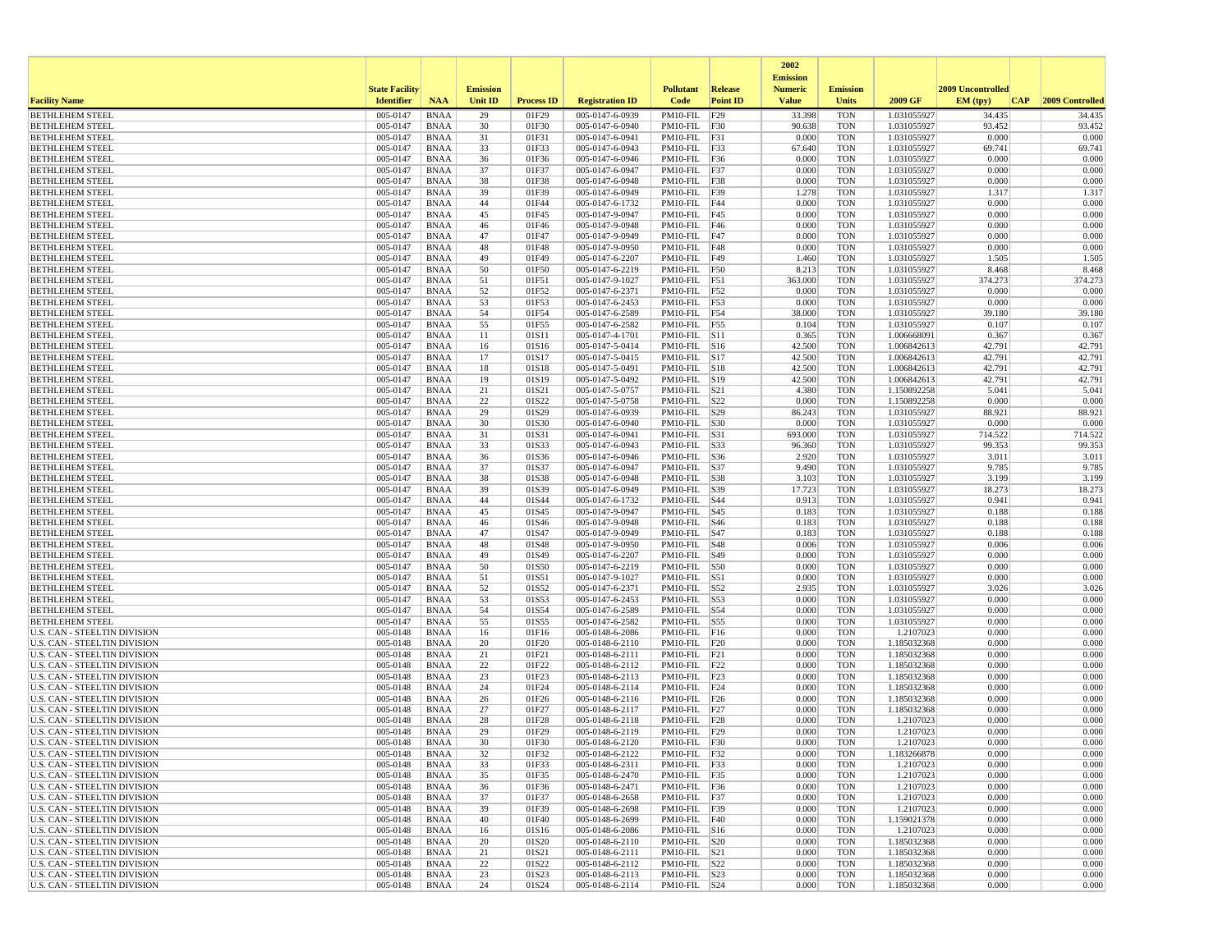|                                                                     |                       |                            |                 |                   |                                    |                                      |                 | 2002<br><b>Emission</b> |                          |                            |                   |                  |
|---------------------------------------------------------------------|-----------------------|----------------------------|-----------------|-------------------|------------------------------------|--------------------------------------|-----------------|-------------------------|--------------------------|----------------------------|-------------------|------------------|
|                                                                     | <b>State Facility</b> |                            | <b>Emission</b> |                   |                                    | <b>Pollutant</b>                     | <b>Release</b>  | <b>Numeric</b>          | <b>Emission</b>          |                            | 2009 Uncontrolled |                  |
| <b>Facility Name</b>                                                | <b>Identifier</b>     | <b>NAA</b>                 | <b>Unit ID</b>  | <b>Process ID</b> | <b>Registration ID</b>             | Code                                 | <b>Point ID</b> | <b>Value</b>            | <b>Units</b>             | 2009 GF                    | EM (tpv)<br>CAP   | 2009 Controlled  |
| <b>BETHLEHEM STEEL</b>                                              | 005-0147<br>005-0147  | <b>BNAA</b>                | 29<br>30        | 01F29             | 005-0147-6-0939                    | PM10-FIL                             | F29             | 33.398<br>90.638        | <b>TON</b>               | 1.031055927                | 34.435<br>93.452  | 34.435<br>93.452 |
| <b>BETHLEHEM STEEL</b><br><b>BETHLEHEM STEEL</b>                    | 005-0147              | <b>BNAA</b><br><b>BNAA</b> | 31              | 01F30<br>01F31    | 005-0147-6-0940<br>005-0147-6-0941 | PM10-FIL F30<br>PM10-FIL F31         |                 | 0.000                   | <b>TON</b><br><b>TON</b> | 1.031055927<br>1.031055927 | 0.000             | 0.000            |
| <b>BETHLEHEM STEEL</b>                                              | 005-0147              | <b>BNAA</b>                | 33              | 01F33             | 005-0147-6-0943                    | PM10-FIL F33                         |                 | 67.640                  | <b>TON</b>               | 1.031055927                | 69.741            | 69.741           |
| <b>BETHLEHEM STEEL</b>                                              | 005-0147              | <b>BNAA</b>                | 36              | 01F36             | 005-0147-6-0946                    | PM10-FIL F36                         |                 | 0.000                   | <b>TON</b>               | 1.031055927                | 0.000             | 0.000            |
| <b>BETHLEHEM STEEL</b>                                              | 005-0147              | <b>BNAA</b>                | 37              | 01F37             | 005-0147-6-0947                    | PM10-FIL F37                         |                 | 0.000                   | <b>TON</b>               | 1.031055927                | 0.000             | 0.000            |
| <b>BETHLEHEM STEEL</b>                                              | 005-0147              | <b>BNAA</b>                | 38              | 01F38             | 005-0147-6-0948                    | PM10-FIL F38                         |                 | 0.000                   | <b>TON</b>               | 1.031055927                | 0.000             | 0.000<br>1.317   |
| <b>BETHLEHEM STEEL</b><br><b>BETHLEHEM STEEL</b>                    | 005-0147<br>005-0147  | <b>BNAA</b><br><b>BNAA</b> | 39<br>44        | 01F39<br>01F44    | 005-0147-6-0949<br>005-0147-6-1732 | PM10-FIL F39<br>PM10-FIL F44         |                 | 1.278<br>0.000          | <b>TON</b><br><b>TON</b> | 1.031055927<br>1.031055927 | 1.317<br>0.000    | 0.000            |
| <b>BETHLEHEM STEEL</b>                                              | 005-0147              | <b>BNAA</b>                | 45              | 01F45             | 005-0147-9-0947                    | PM10-FIL $F45$                       |                 | 0.000                   | <b>TON</b>               | 1.031055927                | 0.000             | 0.000            |
| <b>BETHLEHEM STEEL</b>                                              | 005-0147              | <b>BNAA</b>                | 46              | 01F46             | 005-0147-9-0948                    | PM10-FIL F46                         |                 | 0.000                   | <b>TON</b>               | 1.031055927                | 0.000             | 0.000            |
| <b>BETHLEHEM STEEL</b>                                              | 005-0147              | <b>BNAA</b>                | 47              | 01F47             | 005-0147-9-0949                    | PM10-FIL F47                         |                 | 0.000                   | <b>TON</b>               | 1.031055927                | 0.000             | 0.000            |
| <b>BETHLEHEM STEEL</b><br><b>BETHLEHEM STEEL</b>                    | 005-0147<br>005-0147  | <b>BNAA</b><br><b>BNAA</b> | 48<br>49        | 01F48<br>01F49    | 005-0147-9-0950<br>005-0147-6-2207 | PM10-FIL                             | F48<br>F49      | 0.000<br>1.460          | <b>TON</b><br><b>TON</b> | 1.031055927<br>1.031055927 | 0.000<br>1.505    | 0.000<br>1.505   |
| <b>BETHLEHEM STEEL</b>                                              | 005-0147              | <b>BNAA</b>                | 50              | 01F50             | 005-0147-6-2219                    | PM10-FIL<br>PM10-FIL                 | F50             | 8.213                   | <b>TON</b>               | 1.031055927                | 8.468             | 8.468            |
| <b>BETHLEHEM STEEL</b>                                              | 005-0147              | BNAA                       | 51              | 01F51             | 005-0147-9-1027                    | PM10-FIL                             | F51             | 363.000                 | <b>TON</b>               | 1.031055927                | 374.273           | 374.273          |
| <b>BETHLEHEM STEEL</b>                                              | 005-0147              | <b>BNAA</b>                | 52              | 01F52             | 005-0147-6-2371                    | PM10-FIL F52                         |                 | 0.000                   | <b>TON</b>               | 1.031055927                | 0.000             | 0.000            |
| <b>BETHLEHEM STEEL</b>                                              | 005-0147              | <b>BNAA</b>                | 53              | 01F53             | 005-0147-6-2453                    | PM10-FIL F53                         |                 | 0.000                   | <b>TON</b>               | 1.031055927                | 0.000             | 0.000            |
| <b>BETHLEHEM STEEL</b>                                              | 005-0147              | <b>BNAA</b>                | 54              | 01F54<br>01F55    | 005-0147-6-2589                    | PM10-FIL F54                         |                 | 38.000<br>0.104         | <b>TON</b>               | 1.031055927                | 39.180<br>0.107   | 39.180<br>0.107  |
| <b>BETHLEHEM STEEL</b><br><b>BETHLEHEM STEEL</b>                    | 005-0147<br>005-0147  | <b>BNAA</b><br><b>BNAA</b> | 55<br>11        | 01S11             | 005-0147-6-2582<br>005-0147-4-1701 | PM10-FIL F55<br>$PM10-FIL$ $ S11$    |                 | 0.365                   | <b>TON</b><br><b>TON</b> | 1.031055927<br>1.006668091 | 0.367             | 0.367            |
| <b>BETHLEHEM STEEL</b>                                              | 005-0147              | <b>BNAA</b>                | 16              | 01S16             | 005-0147-5-0414                    | PM10-FIL S16                         |                 | 42.500                  | <b>TON</b>               | 1.006842613                | 42.791            | 42.791           |
| <b>BETHLEHEM STEEL</b>                                              | 005-0147              | <b>BNAA</b>                | 17              | 01S17             | 005-0147-5-0415                    | PM10-FIL S17                         |                 | 42.500                  | <b>TON</b>               | 1.006842613                | 42.791            | 42.791           |
| <b>BETHLEHEM STEEL</b>                                              | 005-0147              | <b>BNAA</b>                | 18              | 01S18             | 005-0147-5-0491                    | PM10-FIL S18                         |                 | 42.500                  | <b>TON</b>               | 1.006842613                | 42.791            | 42.791           |
| <b>BETHLEHEM STEEL</b>                                              | 005-0147              | <b>BNAA</b>                | 19              | 01S19             | 005-0147-5-0492                    | PM10-FIL S19                         |                 | 42.500                  | <b>TON</b>               | 1.006842613                | 42.791            | 42.791           |
| <b>BETHLEHEM STEEL</b><br><b>BETHLEHEM STEEL</b>                    | 005-0147<br>005-0147  | <b>BNAA</b><br><b>BNAA</b> | 21<br>22        | 01S21<br>01S22    | 005-0147-5-0757<br>005-0147-5-0758 | PM10-FIL<br>PM10-FIL S22             | S21             | 4.380<br>0.000          | <b>TON</b><br><b>TON</b> | 1.150892258<br>1.150892258 | 5.041<br>0.000    | 5.041<br>0.000   |
| <b>BETHLEHEM STEEL</b>                                              | 005-0147              | <b>BNAA</b>                | 29              | 01S29             | 005-0147-6-0939                    | PM10-FIL S29                         |                 | 86.243                  | <b>TON</b>               | 1.031055927                | 88.921            | 88.921           |
| <b>BETHLEHEM STEEL</b>                                              | 005-0147              | <b>BNAA</b>                | 30              | 01S30             | 005-0147-6-0940                    | PM10-FIL S30                         |                 | 0.000                   | <b>TON</b>               | 1.031055927                | 0.000             | 0.000            |
| <b>BETHLEHEM STEEL</b>                                              | 005-0147              | <b>BNAA</b>                | 31              | 01S31             | 005-0147-6-0941                    | PM10-FIL                             | S31             | 693.000                 | <b>TON</b>               | 1.031055927                | 714.522           | 714.522          |
| <b>BETHLEHEM STEEL</b>                                              | 005-0147              | <b>BNAA</b>                | 33              | 01S33             | $005 - 0147 - 6 - 0943$            | PM10-FIL                             | S33             | 96.360                  | <b>TON</b>               | 1.031055927                | 99.353            | 99.353           |
| <b>BETHLEHEM STEEL</b><br><b>BETHLEHEM STEEL</b>                    | 005-0147<br>005-0147  | <b>BNAA</b><br><b>BNAA</b> | 36<br>37        | 01S36<br>01S37    | 005-0147-6-0946<br>005-0147-6-0947 | PM10-FIL   S36<br>PM10-FIL  S37      |                 | 2.920<br>9.490          | <b>TON</b><br><b>TON</b> | 1.031055927<br>1.031055927 | 3.011<br>9.785    | 3.011<br>9.785   |
| <b>BETHLEHEM STEEL</b>                                              | 005-0147              | <b>BNAA</b>                | 38              | 01S38             | 005-0147-6-0948                    | PM10-FIL S38                         |                 | 3.103                   | <b>TON</b>               | 1.031055927                | 3.199             | 3.199            |
| <b>BETHLEHEM STEEL</b>                                              | 005-0147              | <b>BNAA</b>                | 39              | 01S39             | 005-0147-6-0949                    | PM10-FIL S39                         |                 | 17.723                  | <b>TON</b>               | 1.031055927                | 18.273            | 18.273           |
| <b>BETHLEHEM STEEL</b>                                              | 005-0147              | <b>BNAA</b>                | 44              | 01S44             | 005-0147-6-1732                    | PM10-FIL                             | S44             | 0.913                   | <b>TON</b>               | 1.031055927                | 0.941             | 0.941            |
| <b>BETHLEHEM STEEL</b>                                              | 005-0147              | <b>BNAA</b>                | 45              | 01S45             | 005-0147-9-0947                    | PM10-FIL   S45                       |                 | 0.183                   | <b>TON</b>               | 1.031055927                | 0.188             | 0.188            |
| <b>BETHLEHEM STEEL</b><br><b>BETHLEHEM STEEL</b>                    | 005-0147<br>005-0147  | <b>BNAA</b><br><b>BNAA</b> | 46<br>47        | 01S46<br>01S47    | 005-0147-9-0948<br>005-0147-9-0949 | PM10-FIL S46<br>PM10-FIL S47         |                 | 0.183<br>0.183          | <b>TON</b><br><b>TON</b> | 1.031055927<br>1.031055927 | 0.188<br>0.188    | 0.188<br>0.188   |
| <b>BETHLEHEM STEEL</b>                                              | 005-0147              | <b>BNAA</b>                | 48              | 01S48             | 005-0147-9-0950                    | $PM10-FIL$ S48                       |                 | 0.006                   | <b>TON</b>               | 1.031055927                | 0.006             | 0.006            |
| <b>BETHLEHEM STEEL</b>                                              | 005-0147              | <b>BNAA</b>                | 49              | 01S49             | 005-0147-6-2207                    | PM10-FIL  S49                        |                 | 0.000                   | <b>TON</b>               | 1.031055927                | 0.000             | 0.000            |
| <b>BETHLEHEM STEEL</b>                                              | 005-0147              | <b>BNAA</b>                | 50              | 01S50             | 005-0147-6-2219                    | PM10-FIL                             | S50             | 0.000                   | <b>TON</b>               | 1.031055927                | 0.000             | 0.000            |
| <b>BETHLEHEM STEEL</b>                                              | 005-0147              | <b>BNAA</b>                | 51              | 01S51             | 005-0147-9-1027                    | PM10-FIL                             | S51             | 0.000                   | <b>TON</b>               | 1.031055927                | 0.000             | 0.000            |
| <b>BETHLEHEM STEEL</b><br><b>BETHLEHEM STEEL</b>                    | 005-0147<br>005-0147  | <b>BNAA</b><br><b>BNAA</b> | 52<br>53        | 01S52<br>01S53    | 005-0147-6-2371<br>005-0147-6-2453 | PM10-FIL   S52<br>PM10-FIL S53       |                 | 2.935<br>0.000          | <b>TON</b><br><b>TON</b> | 1.031055927<br>1.031055927 | 3.026<br>0.000    | 3.026<br>0.000   |
| <b>BETHLEHEM STEEL</b>                                              | 005-0147              | <b>BNAA</b>                | 54              | 01S54             | 005-0147-6-2589                    | PM10-FIL S54                         |                 | 0.000                   | <b>TON</b>               | 1.031055927                | 0.000             | 0.000            |
| <b>BETHLEHEM STEEL</b>                                              | 005-0147              | <b>BNAA</b>                | 55              | 01S55             | 005-0147-6-2582                    | PM10-FIL                             | S55             | 0.000                   | <b>TON</b>               | 1.031055927                | 0.000             | 0.000            |
| U.S. CAN - STEELTIN DIVISION                                        | 005-0148              | <b>BNAA</b>                | 16              | 01F16             | 005-0148-6-2086                    | PM10-FIL                             | F16             | 0.000                   | <b>TON</b>               | 1.2107023                  | 0.000             | 0.000            |
| U.S. CAN - STEELTIN DIVISION                                        | 005-0148              | <b>BNAA</b>                | 20              | 01F20             | 005-0148-6-2110                    | $PM10-FIL$ $ F20$                    |                 | 0.000                   | <b>TON</b>               | 1.185032368                | 0.000             | 0.000            |
| U.S. CAN - STEELTIN DIVISION<br>U.S. CAN - STEELTIN DIVISION        | 005-0148<br>005-0148  | <b>BNAA</b><br><b>BNAA</b> | 21<br>22        | 01F21<br>01F22    | 005-0148-6-2111<br>005-0148-6-2112 | $PM10-FIL$ $ F21$<br>PM10-FIL $ F22$ |                 | 0.000<br>0.000          | <b>TON</b><br><b>TON</b> | 1.185032368<br>1.185032368 | 0.000<br>0.000    | 0.000<br>0.000   |
| <b>U.S. CAN - STEELTIN DIVISION</b>                                 | 005-0148              | <b>BNAA</b>                | 23              | 01F23             | 005-0148-6-2113                    | PM10-FIL F23                         |                 | 0.000                   | <b>TON</b>               | 1.185032368                | 0.000             | 0.000            |
| U.S. CAN - STEELTIN DIVISION                                        | 005-0148              | <b>BNAA</b>                | 24              | 01F24             | 005-0148-6-2114                    | PM10-FIL                             | F24             | 0.000                   | <b>TON</b>               | 1.185032368                | 0.000             | 0.000            |
| U.S. CAN - STEELTIN DIVISION                                        | 005-0148              | <b>BNAA</b>                | 26              | 01F26             | 005-0148-6-2116                    | PM10-FIL F26                         |                 | 0.000                   | <b>TON</b>               | 1.185032368                | 0.000             | 0.000            |
| <b>U.S. CAN - STEELTIN DIVISION</b>                                 | 005-0148              | <b>BNAA</b>                | 27              | 01F27             | 005-0148-6-2117                    | PM10-FIL                             | F27             | 0.000                   | <b>TON</b>               | 1.185032368                | 0.000             | 0.000            |
| U.S. CAN - STEELTIN DIVISION<br>U.S. CAN - STEELTIN DIVISION        | 005-0148<br>005-0148  | <b>BNAA</b><br><b>BNAA</b> | 28<br>29        | 01F28<br>01F29    | 005-0148-6-2118<br>005-0148-6-2119 | PM10-FIL $ F28$<br>PM10-FIL F29      |                 | 0.000<br>0.000          | <b>TON</b><br><b>TON</b> | 1.2107023<br>1.2107023     | 0.000<br>0.000    | 0.000<br>0.000   |
| U.S. CAN - STEELTIN DIVISION                                        | 005-0148              | <b>BNAA</b>                | 30              | 01F30             | 005-0148-6-2120                    | PM10-FIL F30                         |                 | 0.000                   | <b>TON</b>               | 1.2107023                  | 0.000             | 0.000            |
| U.S. CAN - STEELTIN DIVISION                                        | 005-0148              | <b>BNAA</b>                | 32              | 01F32             | 005-0148-6-2122                    | PM10-FIL   F32                       |                 | 0.000                   | TON                      | 1.183266878                | 0.000             | 0.000            |
| <b>U.S. CAN - STEELTIN DIVISION</b>                                 | 005-0148              | BNAA                       | 33              | 01F33             | 005-0148-6-2311                    | PM10-FIL F33                         |                 | 0.000                   | <b>TON</b>               | 1.2107023                  | 0.000             | 0.000            |
| U.S. CAN - STEELTIN DIVISION                                        | 005-0148              | BNAA                       | 35              | 01F35             | 005-0148-6-2470                    | PM10-FIL F35                         |                 | 0.000                   | <b>TON</b>               | 1.2107023                  | 0.000             | 0.000            |
| <b>U.S. CAN - STEELTIN DIVISION</b>                                 | 005-0148              | <b>BNAA</b>                | 36<br>37        | 01F36             | 005-0148-6-2471                    | PM10-FIL F36<br>PM10-FIL F37         |                 | 0.000                   | <b>TON</b>               | 1.2107023                  | 0.000<br>0.000    | 0.000<br>0.000   |
| U.S. CAN - STEELTIN DIVISION<br>U.S. CAN - STEELTIN DIVISION        | 005-0148<br>005-0148  | <b>BNAA</b><br><b>BNAA</b> | 39              | 01F37<br>01F39    | 005-0148-6-2658<br>005-0148-6-2698 | PM10-FIL F39                         |                 | 0.000<br>0.000          | <b>TON</b><br><b>TON</b> | 1.2107023<br>1.2107023     | 0.000             | 0.000            |
| <b>U.S. CAN - STEELTIN DIVISION</b>                                 | 005-0148              | <b>BNAA</b>                | 40              | 01F40             | 005-0148-6-2699                    | $PM10-FIL$ F40                       |                 | 0.000                   | <b>TON</b>               | 1.159021378                | 0.000             | 0.000            |
| U.S. CAN - STEELTIN DIVISION                                        | 005-0148              | BNAA                       | 16              | 01S16             | 005-0148-6-2086                    | PM10-FIL S16                         |                 | 0.000                   | <b>TON</b>               | 1.2107023                  | 0.000             | 0.000            |
| U.S. CAN - STEELTIN DIVISION                                        | 005-0148              | <b>BNAA</b>                | 20              | 01S20             | 005-0148-6-2110                    | PM10-FIL S20                         |                 | 0.000                   | <b>TON</b>               | 1.185032368                | 0.000             | 0.000            |
| <b>U.S. CAN - STEELTIN DIVISION</b>                                 | 005-0148              | <b>BNAA</b>                | 21              | 01S21             | 005-0148-6-2111                    | PM10-FIL S21                         |                 | 0.000                   | <b>TON</b>               | 1.185032368                | 0.000             | 0.000            |
| U.S. CAN - STEELTIN DIVISION<br><b>U.S. CAN - STEELTIN DIVISION</b> | 005-0148<br>005-0148  | <b>BNAA</b><br><b>BNAA</b> | 22<br>23        | 01S22<br>01S23    | 005-0148-6-2112<br>005-0148-6-2113 | $PM10-FIL$ S22<br>PM10-FIL S23       |                 | 0.000<br>0.000          | <b>TON</b><br><b>TON</b> | 1.185032368<br>1.185032368 | 0.000<br>0.000    | 0.000<br>0.000   |
| U.S. CAN - STEELTIN DIVISION                                        | 005-0148              | <b>BNAA</b>                | 24              | 01S24             | 005-0148-6-2114                    | $PM10$ -FIL $ S24$                   |                 | 0.000                   | TON                      | 1.185032368                | 0.000             | 0.000            |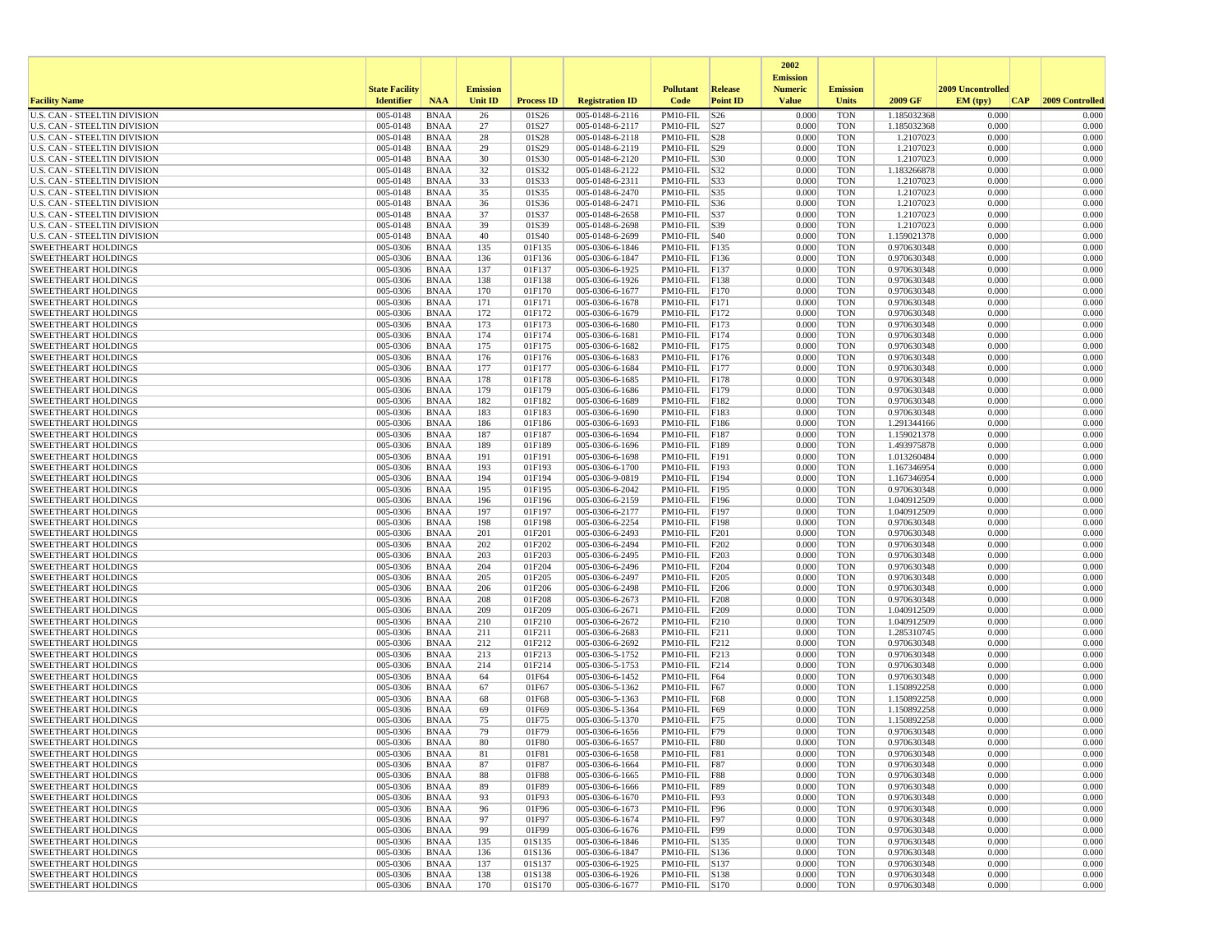|                                                                     |                       |                            |                 |                   |                                    |                                     |                 | 2002                              |                          |                            |                          |                 |
|---------------------------------------------------------------------|-----------------------|----------------------------|-----------------|-------------------|------------------------------------|-------------------------------------|-----------------|-----------------------------------|--------------------------|----------------------------|--------------------------|-----------------|
|                                                                     | <b>State Facility</b> |                            | <b>Emission</b> |                   |                                    | <b>Pollutant</b>                    | <b>Release</b>  | <b>Emission</b><br><b>Numeric</b> | <b>Emission</b>          |                            | <b>2009 Uncontrolled</b> |                 |
| <b>Facility Name</b>                                                | <b>Identifier</b>     | <b>NAA</b>                 | Unit ID         | <b>Process ID</b> | <b>Registration ID</b>             | Code                                | <b>Point ID</b> | <b>Value</b>                      | <b>Units</b>             | 2009 GF                    | EM (tpv)<br> CAP         | 2009 Controlled |
| <b>U.S. CAN - STEELTIN DIVISION</b>                                 | 005-0148              | <b>BNAA</b>                | 26              | 01S26             | 005-0148-6-2116                    | PM10-FIL                            | S26             | 0.000                             | <b>TON</b>               | 1.185032368                | 0.000                    | 0.000           |
| <b>U.S. CAN - STEELTIN DIVISION</b>                                 | 005-0148              | <b>BNAA</b>                | 27              | 01S27             | 005-0148-6-2117                    | PM10-FIL S27                        |                 | 0.000                             | <b>TON</b>               | 1.185032368                | 0.000                    | 0.000           |
| U.S. CAN - STEELTIN DIVISION                                        | 005-0148<br>005-0148  | <b>BNAA</b>                | 28              | 01S28             | 005-0148-6-2118                    | PM10-FIL S28                        |                 | 0.000<br>0.000                    | <b>TON</b>               | 1.2107023                  | 0.000                    | 0.000           |
| U.S. CAN - STEELTIN DIVISION<br><b>U.S. CAN - STEELTIN DIVISION</b> | 005-0148              | <b>BNAA</b><br>BNAA        | 29<br>30        | 01S29<br>01S30    | 005-0148-6-2119<br>005-0148-6-2120 | $PM10$ -FIL $ S29$<br>PM10-FIL S30  |                 | 0.000                             | <b>TON</b><br><b>TON</b> | 1.2107023<br>1.2107023     | 0.000<br>0.000           | 0.000<br>0.000  |
| U.S. CAN - STEELTIN DIVISION                                        | 005-0148              | <b>BNAA</b>                | 32              | 01S32             | 005-0148-6-2122                    | PM10-FIL S32                        |                 | 0.000                             | <b>TON</b>               | 1.183266878                | 0.000                    | 0.000           |
| U.S. CAN - STEELTIN DIVISION                                        | 005-0148              | <b>BNAA</b>                | 33              | 01S33             | 005-0148-6-2311                    | PM10-FIL  S33                       |                 | 0.000                             | <b>TON</b>               | 1.2107023                  | 0.000                    | 0.000           |
| <b>U.S. CAN - STEELTIN DIVISION</b>                                 | 005-0148              | <b>BNAA</b>                | 35              | 01S35             | 005-0148-6-2470                    | PM10-FIL  S35                       |                 | 0.000                             | <b>TON</b>               | 1.2107023                  | 0.000                    | 0.000           |
| U.S. CAN - STEELTIN DIVISION                                        | 005-0148              | <b>BNAA</b>                | 36              | 01S36             | 005-0148-6-2471                    | $PM10-FIL$ $ S36$                   |                 | 0.000                             | <b>TON</b>               | 1.2107023                  | 0.000                    | 0.000           |
| <b>U.S. CAN - STEELTIN DIVISION</b>                                 | 005-0148              | <b>BNAA</b>                | 37              | 01S37             | 005-0148-6-2658                    | PM10-FIL S37                        |                 | 0.000                             | <b>TON</b>               | 1.2107023                  | 0.000                    | 0.000           |
| U.S. CAN - STEELTIN DIVISION<br>U.S. CAN - STEELTIN DIVISION        | 005-0148<br>005-0148  | <b>BNAA</b><br>BNAA        | 39<br>40        | 01S39<br>01S40    | 005-0148-6-2698<br>005-0148-6-2699 | PM10-FIL  S39<br>$PM10$ -FIL $ S40$ |                 | 0.000<br>0.000                    | <b>TON</b><br><b>TON</b> | 1.2107023<br>1.159021378   | 0.000<br>0.000           | 0.000<br>0.000  |
| <b>SWEETHEART HOLDINGS</b>                                          | 005-0306              | <b>BNAA</b>                | 135             | 01F135            | 005-0306-6-1846                    | PM10-FIL F135                       |                 | 0.000                             | <b>TON</b>               | 0.970630348                | 0.000                    | 0.000           |
| <b>SWEETHEART HOLDINGS</b>                                          | 005-0306              | <b>BNAA</b>                | 136             | 01F136            | 005-0306-6-1847                    | PM10-FIL                            | F136            | 0.000                             | <b>TON</b>               | 0.970630348                | 0.000                    | 0.000           |
| <b>SWEETHEART HOLDINGS</b>                                          | 005-0306              | <b>BNAA</b>                | 137             | 01F137            | 005-0306-6-1925                    | PM10-FIL                            | F137            | 0.000                             | <b>TON</b>               | 0.970630348                | 0.000                    | 0.000           |
| <b>SWEETHEART HOLDINGS</b>                                          | 005-0306              | BNAA                       | 138             | 01F138            | 005-0306-6-1926                    | PM10-FIL                            | F138            | 0.000                             | <b>TON</b>               | 0.970630348                | 0.000                    | 0.000           |
| <b>SWEETHEART HOLDINGS</b>                                          | 005-0306              | <b>BNAA</b>                | 170             | 01F170            | 005-0306-6-1677                    | PM10-FIL F170                       |                 | 0.000                             | <b>TON</b>               | 0.970630348                | 0.000                    | 0.000           |
| <b>SWEETHEART HOLDINGS</b>                                          | 005-0306              | <b>BNAA</b>                | 171             | 01F171            | 005-0306-6-1678                    | PM10-FIL F171                       |                 | 0.000                             | <b>TON</b>               | 0.970630348                | 0.000                    | 0.000           |
| <b>SWEETHEART HOLDINGS</b><br><b>SWEETHEART HOLDINGS</b>            | 005-0306<br>005-0306  | <b>BNAA</b><br><b>BNAA</b> | 172<br>173      | 01F172<br>01F173  | 005-0306-6-1679<br>005-0306-6-1680 | PM10-FIL<br>PM10-FIL                | F172<br>F173    | 0.000<br>0.000                    | <b>TON</b><br><b>TON</b> | 0.970630348<br>0.970630348 | 0.000<br>0.000           | 0.000<br>0.000  |
| <b>SWEETHEART HOLDINGS</b>                                          | 005-0306              | <b>BNAA</b>                | 174             | 01F174            | 005-0306-6-1681                    | PM10-FIL                            | F174            | 0.000                             | <b>TON</b>               | 0.970630348                | 0.000                    | 0.000           |
| <b>SWEETHEART HOLDINGS</b>                                          | 005-0306              | <b>BNAA</b>                | 175             | 01F175            | 005-0306-6-1682                    | PM10-FIL                            | F175            | 0.000                             | <b>TON</b>               | 0.970630348                | 0.000                    | 0.000           |
| <b>SWEETHEART HOLDINGS</b>                                          | 005-0306              | BNAA                       | 176             | 01F176            | 005-0306-6-1683                    | PM10-FIL F176                       |                 | 0.000                             | <b>TON</b>               | 0.970630348                | 0.000                    | 0.000           |
| <b>SWEETHEART HOLDINGS</b>                                          | 005-0306              | <b>BNAA</b>                | 177             | 01F177            | 005-0306-6-1684                    | PM10-FIL F177                       |                 | 0.000                             | <b>TON</b>               | 0.970630348                | 0.000                    | 0.000           |
| <b>SWEETHEART HOLDINGS</b>                                          | 005-0306              | <b>BNAA</b>                | 178             | 01F178            | 005-0306-6-1685                    | PM10-FIL                            | F178            | 0.000                             | <b>TON</b>               | 0.970630348                | 0.000                    | 0.000           |
| <b>SWEETHEART HOLDINGS</b>                                          | 005-0306              | BNAA                       | 179             | 01F179            | 005-0306-6-1686                    | PM10-FIL F179                       |                 | 0.000                             | <b>TON</b>               | 0.970630348                | 0.000                    | 0.000           |
| <b>SWEETHEART HOLDINGS</b><br><b>SWEETHEART HOLDINGS</b>            | 005-0306<br>005-0306  | <b>BNAA</b><br><b>BNAA</b> | 182<br>183      | 01F182<br>01F183  | 005-0306-6-1689<br>005-0306-6-1690 | PM10-FIL<br>PM10-FIL F183           | F182            | 0.000<br>0.000                    | <b>TON</b><br><b>TON</b> | 0.970630348<br>0.970630348 | 0.000<br>0.000           | 0.000<br>0.000  |
| <b>SWEETHEART HOLDINGS</b>                                          | 005-0306              | <b>BNAA</b>                | 186             | 01F186            | 005-0306-6-1693                    | PM10-FIL F186                       |                 | 0.000                             | <b>TON</b>               | 1.291344166                | 0.000                    | 0.000           |
| <b>SWEETHEART HOLDINGS</b>                                          | 005-0306              | BNAA                       | 187             | 01F187            | 005-0306-6-1694                    | PM10-FIL                            | F187            | 0.000                             | <b>TON</b>               | 1.159021378                | 0.000                    | 0.000           |
| <b>SWEETHEART HOLDINGS</b>                                          | 005-0306              | <b>BNAA</b>                | 189             | 01F189            | 005-0306-6-1696                    | PM10-FIL                            | F189            | 0.000                             | <b>TON</b>               | 1.493975878                | 0.000                    | 0.000           |
| <b>SWEETHEART HOLDINGS</b>                                          | 005-0306              | <b>BNAA</b>                | 191             | 01F191            | 005-0306-6-1698                    | PM10-FIL                            | F191            | 0.000                             | <b>TON</b>               | 1.013260484                | 0.000                    | 0.000           |
| <b>SWEETHEART HOLDINGS</b>                                          | 005-0306              | BNAA                       | 193             | 01F193            | 005-0306-6-1700                    | PM10-FIL                            | F193            | 0.000                             | <b>TON</b>               | 1.167346954                | 0.000                    | 0.000           |
| <b>SWEETHEART HOLDINGS</b>                                          | 005-0306              | <b>BNAA</b>                | 194             | 01F194            | 005-0306-9-0819                    | PM10-FIL F194                       |                 | 0.000                             | <b>TON</b>               | 1.167346954                | 0.000                    | 0.000           |
| <b>SWEETHEART HOLDINGS</b><br><b>SWEETHEART HOLDINGS</b>            | 005-0306<br>005-0306  | <b>BNAA</b><br><b>BNAA</b> | 195<br>196      | 01F195<br>01F196  | 005-0306-6-2042<br>005-0306-6-2159 | PM10-FIL F195<br>PM10-FIL           | F196            | 0.000<br>0.000                    | <b>TON</b><br><b>TON</b> | 0.970630348<br>1.040912509 | 0.000<br>0.000           | 0.000<br>0.000  |
| <b>SWEETHEART HOLDINGS</b>                                          | 005-0306              | BNAA                       | 197             | 01F197            | 005-0306-6-2177                    | PM10-FIL                            | F197            | 0.000                             | <b>TON</b>               | 1.040912509                | 0.000                    | 0.000           |
| <b>SWEETHEART HOLDINGS</b>                                          | 005-0306              | <b>BNAA</b>                | 198             | 01F198            | 005-0306-6-2254                    | PM10-FIL                            | <b>F198</b>     | 0.000                             | <b>TON</b>               | 0.970630348                | 0.000                    | 0.000           |
| <b>SWEETHEART HOLDINGS</b>                                          | 005-0306              | <b>BNAA</b>                | 201             | 01F201            | 005-0306-6-2493                    | PM10-FIL                            | F201            | 0.000                             | <b>TON</b>               | 0.970630348                | 0.000                    | 0.000           |
| <b>SWEETHEART HOLDINGS</b>                                          | 005-0306              | <b>BNAA</b>                | 202             | 01F202            | 005-0306-6-2494                    | PM10-FIL F202                       |                 | 0.000                             | <b>TON</b>               | 0.970630348                | 0.000                    | 0.000           |
| <b>SWEETHEART HOLDINGS</b>                                          | 005-0306              | BNAA                       | 203             | 01F203            | 005-0306-6-2495                    | PM10-FIL                            | F203            | 0.000                             | <b>TON</b>               | 0.970630348                | 0.000                    | 0.000           |
| <b>SWEETHEART HOLDINGS</b>                                          | 005-0306<br>005-0306  | <b>BNAA</b>                | 204<br>205      | 01F204<br>01F205  | 005-0306-6-2496                    | PM10-FIL                            | F204            | 0.000<br>0.000                    | <b>TON</b><br><b>TON</b> | 0.970630348                | 0.000<br>0.000           | 0.000<br>0.000  |
| <b>SWEETHEART HOLDINGS</b><br><b>SWEETHEART HOLDINGS</b>            | 005-0306              | <b>BNAA</b><br><b>BNAA</b> | 206             | 01F206            | 005-0306-6-2497<br>005-0306-6-2498 | PM10-FIL<br>PM10-FIL                | F205<br>F206    | 0.000                             | <b>TON</b>               | 0.970630348<br>0.970630348 | 0.000                    | 0.000           |
| <b>SWEETHEART HOLDINGS</b>                                          | 005-0306              | <b>BNAA</b>                | 208             | 01F208            | 005-0306-6-2673                    | PM10-FIL F208                       |                 | 0.000                             | <b>TON</b>               | 0.970630348                | 0.000                    | 0.000           |
| <b>SWEETHEART HOLDINGS</b>                                          | 005-0306              | <b>BNAA</b>                | 209             | 01F209            | 005-0306-6-2671                    | PM10-FIL F209                       |                 | 0.000                             | <b>TON</b>               | 1.040912509                | 0.000                    | 0.000           |
| <b>SWEETHEART HOLDINGS</b>                                          | 005-0306              | <b>BNAA</b>                | 210             | 01F210            | 005-0306-6-2672                    | PM10-FIL                            | F210            | 0.000                             | <b>TON</b>               | 1.040912509                | 0.000                    | 0.000           |
| <b>SWEETHEART HOLDINGS</b>                                          | 005-0306              | BNAA                       | 211             | 01F211            | 005-0306-6-2683                    | PM10-FIL                            | F211            | 0.000                             | <b>TON</b>               | 1.285310745                | 0.000                    | 0.000           |
| <b>SWEETHEART HOLDINGS</b>                                          | 005-0306              | <b>BNAA</b>                | 212             | 01F212            | 005-0306-6-2692                    | PM10-FIL                            | F212            | 0.000                             | <b>TON</b>               | 0.970630348                | 0.000<br>0.000           | 0.000           |
| <b>SWEETHEART HOLDINGS</b><br><b>SWEETHEART HOLDINGS</b>            | 005-0306<br>005-0306  | <b>BNAA</b><br>BNAA        | 213<br>214      | 01F213<br>01F214  | 005-0306-5-1752<br>005-0306-5-1753 | PM10-FIL<br>$PM10-FIL$ $ F214$      | F213            | 0.000<br>0.000                    | <b>TON</b><br><b>TON</b> | 0.970630348<br>0.970630348 | 0.000                    | 0.000<br>0.000  |
| <b>SWEETHEART HOLDINGS</b>                                          | 005-0306              | <b>BNAA</b>                | 64              | 01F64             | 005-0306-6-1452                    | $PM10-FIL$ F64                      |                 | 0.000                             | <b>TON</b>               | 0.970630348                | 0.000                    | 0.000           |
| <b>SWEETHEART HOLDINGS</b>                                          | 005-0306              | <b>BNAA</b>                | 67              | 01F67             | 005-0306-5-1362                    | PM10-FIL                            | F67             | 0.000                             | <b>TON</b>               | 1.150892258                | 0.000                    | 0.000           |
| <b>SWEETHEART HOLDINGS</b>                                          | 005-0306              | <b>BNAA</b>                | 68              | 01F68             | 005-0306-5-1363                    | PM10-FIL F68                        |                 | 0.000                             | <b>TON</b>               | 1.150892258                | 0.000                    | 0.000           |
| <b>SWEETHEART HOLDINGS</b>                                          | 005-0306              | BNAA                       | 69              | 01F69             | 005-0306-5-1364                    | PM10-FIL                            | F69             | 0.000                             | <b>TON</b>               | 1.150892258                | 0.000                    | 0.000           |
| <b>SWEETHEART HOLDINGS</b>                                          | 005-0306              | <b>BNAA</b>                | 75              | 01F75             | 005-0306-5-1370                    | PM10-FIL F75                        |                 | 0.000                             | <b>TON</b>               | 1.150892258                | 0.000                    | 0.000           |
| <b>SWEETHEART HOLDINGS</b><br><b>SWEETHEART HOLDINGS</b>            | 005-0306<br>005-0306  | <b>BNAA</b><br><b>BNAA</b> | 79<br>80        | 01F79<br>01F80    | 005-0306-6-1656<br>005-0306-6-1657 | PM10-FIL F79<br>$PM10-FIL$ F80      |                 | 0.000<br>0.000                    | <b>TON</b><br><b>TON</b> | 0.970630348<br>0.970630348 | 0.000<br>0.000           | 0.000<br>0.000  |
| SWEETHEART HOLDINGS                                                 | 005-0306              | <b>BNAA</b>                | 81              | 01F81             | 005-0306-6-1658                    | $PM10-FIL$ $ F81$                   |                 | 0.000                             | TON                      | 0.970630348                | 0.000                    | 0.000           |
| <b>SWEETHEART HOLDINGS</b>                                          | 005-0306              | BNAA                       | 87              | 01F87             | 005-0306-6-1664                    | PM10-FIL   F87                      |                 | 0.000                             | <b>TON</b>               | 0.970630348                | 0.000                    | 0.000           |
| <b>SWEETHEART HOLDINGS</b>                                          | 005-0306              | BNAA                       | 88              | 01F88             | 005-0306-6-1665                    | PM10-FIL F88                        |                 | 0.000                             | <b>TON</b>               | 0.970630348                | 0.000                    | 0.000           |
| <b>SWEETHEART HOLDINGS</b>                                          | 005-0306              | <b>BNAA</b>                | 89              | 01F89             | 005-0306-6-1666                    | PM10-FIL F89                        |                 | 0.000                             | <b>TON</b>               | 0.970630348                | 0.000                    | 0.000           |
| <b>SWEETHEART HOLDINGS</b>                                          | 005-0306              | <b>BNAA</b>                | 93              | 01F93             | 005-0306-6-1670                    | PM10-FIL F93                        |                 | 0.000                             | <b>TON</b>               | 0.970630348                | 0.000                    | 0.000           |
| <b>SWEETHEART HOLDINGS</b>                                          | 005-0306              | <b>BNAA</b>                | 96              | 01F96             | 005-0306-6-1673                    | PM10-FIL F96                        |                 | 0.000                             | <b>TON</b>               | 0.970630348                | 0.000                    | 0.000           |
| <b>SWEETHEART HOLDINGS</b><br><b>SWEETHEART HOLDINGS</b>            | 005-0306<br>005-0306  | <b>BNAA</b><br>BNAA        | 97<br>99        | 01F97<br>01F99    | 005-0306-6-1674<br>005-0306-6-1676 | PM10-FIL F97<br>PM10-FIL F99        |                 | 0.000<br>0.000                    | <b>TON</b><br><b>TON</b> | 0.970630348<br>0.970630348 | 0.000<br>0.000           | 0.000<br>0.000  |
| <b>SWEETHEART HOLDINGS</b>                                          | 005-0306              | <b>BNAA</b>                | 135             | 01S135            | 005-0306-6-1846                    | PM10-FIL S135                       |                 | 0.000                             | <b>TON</b>               | 0.970630348                | 0.000                    | 0.000           |
| <b>SWEETHEART HOLDINGS</b>                                          | 005-0306              | BNAA                       | 136             | 01S136            | 005-0306-6-1847                    | PM10-FIL S136                       |                 | 0.000                             | <b>TON</b>               | 0.970630348                | 0.000                    | 0.000           |
| <b>SWEETHEART HOLDINGS</b>                                          | 005-0306              | <b>BNAA</b>                | 137             | 01S137            | 005-0306-6-1925                    | PM10-FIL S137                       |                 | 0.000                             | <b>TON</b>               | 0.970630348                | 0.000                    | 0.000           |
| <b>SWEETHEART HOLDINGS</b>                                          | 005-0306              | <b>BNAA</b>                | 138             | 01S138            | 005-0306-6-1926                    | PM10-FIL S138                       |                 | 0.000                             | <b>TON</b>               | 0.970630348                | 0.000                    | 0.000           |
| <b>SWEETHEART HOLDINGS</b>                                          | 005-0306              | <b>BNAA</b>                | 170             | 01S170            | 005-0306-6-1677                    | PM10-FIL S170                       |                 | 0.000                             | <b>TON</b>               | 0.970630348                | 0.000                    | 0.000           |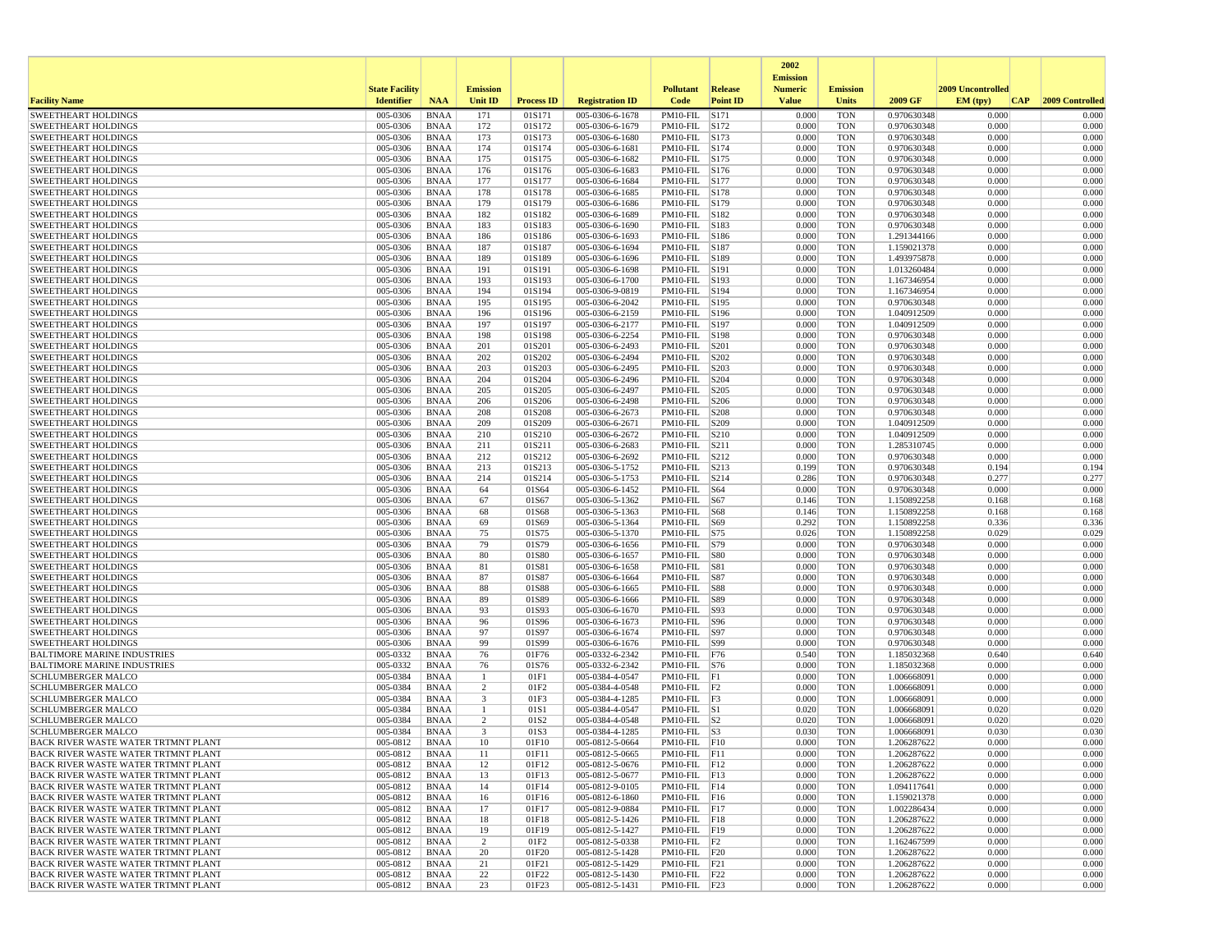|                                                                                   |                       |                            |                 |                   |                                    |                                |                 | 2002                              |                          |                            |                   |                 |
|-----------------------------------------------------------------------------------|-----------------------|----------------------------|-----------------|-------------------|------------------------------------|--------------------------------|-----------------|-----------------------------------|--------------------------|----------------------------|-------------------|-----------------|
|                                                                                   | <b>State Facility</b> |                            | <b>Emission</b> |                   |                                    | <b>Pollutant</b>               | <b>Release</b>  | <b>Emission</b><br><b>Numeric</b> | <b>Emission</b>          |                            | 2009 Uncontrolled |                 |
| <b>Facility Name</b>                                                              | <b>Identifier</b>     | <b>NAA</b>                 | <b>Unit ID</b>  | <b>Process ID</b> | <b>Registration ID</b>             | Code                           | <b>Point ID</b> | <b>Value</b>                      | Units                    | 2009 GF                    | EM (typ)<br> CAP  | 2009 Controlled |
| <b>SWEETHEART HOLDINGS</b>                                                        | 005-0306              | <b>BNAA</b>                | 171             | 01S171            | 005-0306-6-1678                    | PM10-FIL                       | S171            | 0.000                             | <b>TON</b>               | 0.970630348                | 0.000             | 0.000           |
| <b>SWEETHEART HOLDINGS</b>                                                        | 005-0306              | <b>BNAA</b>                | 172             | 01S172            | 005-0306-6-1679                    | PM10-FIL S172                  |                 | 0.000                             | <b>TON</b>               | 0.970630348                | 0.000             | 0.000           |
| <b>SWEETHEART HOLDINGS</b>                                                        | 005-0306              | <b>BNAA</b>                | 173             | 01S173            | 005-0306-6-1680                    | PM10-FIL                       | S173            | 0.000                             | <b>TON</b>               | 0.970630348                | 0.000             | 0.000           |
| <b>SWEETHEART HOLDINGS</b><br><b>SWEETHEART HOLDINGS</b>                          | 005-0306<br>005-0306  | <b>BNAA</b>                | 174<br>175      | 01S174<br>01S175  | 005-0306-6-1681<br>005-0306-6-1682 | PM10-FIL<br>PM10-FIL           | S174<br>S175    | 0.000<br>0.000                    | <b>TON</b><br><b>TON</b> | 0.970630348<br>0.970630348 | 0.000<br>0.000    | 0.000<br>0.000  |
| <b>SWEETHEART HOLDINGS</b>                                                        | 005-0306              | <b>BNAA</b><br><b>BNAA</b> | 176             | 01S176            | 005-0306-6-1683                    | PM10-FIL S176                  |                 | 0.000                             | <b>TON</b>               | 0.970630348                | 0.000             | 0.000           |
| <b>SWEETHEART HOLDINGS</b>                                                        | 005-0306              | <b>BNAA</b>                | 177             | 01S177            | 005-0306-6-1684                    | PM10-FIL S177                  |                 | 0.000                             | <b>TON</b>               | 0.970630348                | 0.000             | 0.000           |
| <b>SWEETHEART HOLDINGS</b>                                                        | 005-0306              | <b>BNAA</b>                | 178             | 01S178            | 005-0306-6-1685                    | PM10-FIL S178                  |                 | 0.000                             | <b>TON</b>               | 0.970630348                | 0.000             | 0.000           |
| <b>SWEETHEART HOLDINGS</b>                                                        | 005-0306              | <b>BNAA</b>                | 179             | 01S179            | 005-0306-6-1686                    | PM10-FIL                       | S179            | 0.000                             | <b>TON</b>               | 0.970630348                | 0.000             | 0.000           |
| <b>SWEETHEART HOLDINGS</b>                                                        | 005-0306              | <b>BNAA</b>                | 182             | 01S182            | 005-0306-6-1689                    | PM10-FIL                       | S182            | 0.000                             | <b>TON</b>               | 0.970630348                | 0.000             | 0.000           |
| <b>SWEETHEART HOLDINGS</b><br><b>SWEETHEART HOLDINGS</b>                          | 005-0306<br>005-0306  | <b>BNAA</b><br><b>BNAA</b> | 183<br>186      | 01S183<br>01S186  | 005-0306-6-1690<br>005-0306-6-1693 | PM10-FIL S183<br>PM10-FIL S186 |                 | 0.000<br>0.000                    | <b>TON</b><br><b>TON</b> | 0.970630348<br>1.291344166 | 0.000<br>0.000    | 0.000<br>0.000  |
| <b>SWEETHEART HOLDINGS</b>                                                        | 005-0306              | <b>BNAA</b>                | 187             | 01S187            | 005-0306-6-1694                    | PM10-FIL S187                  |                 | 0.000                             | <b>TON</b>               | 1.159021378                | 0.000             | 0.000           |
| <b>SWEETHEART HOLDINGS</b>                                                        | 005-0306              | <b>BNAA</b>                | 189             | 01S189            | 005-0306-6-1696                    | PM10-FIL S189                  |                 | 0.000                             | <b>TON</b>               | 1.493975878                | 0.000             | 0.000           |
| <b>SWEETHEART HOLDINGS</b>                                                        | 005-0306              | <b>BNAA</b>                | 191             | 01S191            | 005-0306-6-1698                    | PM10-FIL                       | S191            | 0.000                             | <b>TON</b>               | 1.013260484                | 0.000             | 0.000           |
| <b>SWEETHEART HOLDINGS</b>                                                        | 005-0306              | <b>BNAA</b>                | 193             | 01S193            | 005-0306-6-1700                    | PM10-FIL S193                  |                 | 0.000                             | <b>TON</b>               | 1.167346954                | 0.000             | 0.000           |
| <b>SWEETHEART HOLDINGS</b><br><b>SWEETHEART HOLDINGS</b>                          | 005-0306<br>005-0306  | <b>BNAA</b><br><b>BNAA</b> | 194<br>195      | 01S194<br>01S195  | 005-0306-9-0819<br>005-0306-6-2042 | PM10-FIL S194<br>PM10-FIL S195 |                 | 0.000<br>0.000                    | <b>TON</b><br><b>TON</b> | 1.167346954<br>0.970630348 | 0.000<br>0.000    | 0.000<br>0.000  |
| <b>SWEETHEART HOLDINGS</b>                                                        | 005-0306              | <b>BNAA</b>                | 196             | 01S196            | 005-0306-6-2159                    | PM10-FIL S196                  |                 | 0.000                             | <b>TON</b>               | 1.040912509                | 0.000             | 0.000           |
| <b>SWEETHEART HOLDINGS</b>                                                        | 005-0306              | <b>BNAA</b>                | 197             | 01S197            | 005-0306-6-2177                    | PM10-FIL                       | S197            | 0.000                             | <b>TON</b>               | 1.040912509                | 0.000             | 0.000           |
| <b>SWEETHEART HOLDINGS</b>                                                        | 005-0306              | <b>BNAA</b>                | 198             | 01S198            | 005-0306-6-2254                    | PM10-FIL                       | S198            | 0.000                             | <b>TON</b>               | 0.970630348                | 0.000             | 0.000           |
| <b>SWEETHEART HOLDINGS</b>                                                        | 005-0306              | <b>BNAA</b>                | 201             | 01S201            | 005-0306-6-2493                    | PM10-FIL                       | S201            | 0.000                             | <b>TON</b>               | 0.970630348                | 0.000             | 0.000           |
| <b>SWEETHEART HOLDINGS</b>                                                        | 005-0306              | <b>BNAA</b>                | 202             | 01S202            | 005-0306-6-2494                    | PM10-FIL                       | S202            | 0.000                             | <b>TON</b>               | 0.970630348                | 0.000             | 0.000           |
| <b>SWEETHEART HOLDINGS</b>                                                        | 005-0306              | <b>BNAA</b>                | 203             | 01S203            | 005-0306-6-2495<br>005-0306-6-2496 | PM10-FIL                       | S203            | 0.000                             | <b>TON</b>               | 0.970630348                | 0.000             | 0.000           |
| <b>SWEETHEART HOLDINGS</b><br><b>SWEETHEART HOLDINGS</b>                          | 005-0306<br>005-0306  | <b>BNAA</b><br><b>BNAA</b> | 204<br>205      | 01S204<br>01S205  | 005-0306-6-2497                    | PM10-FIL<br>PM10-FIL           | S204<br>S205    | 0.000<br>0.000                    | <b>TON</b><br><b>TON</b> | 0.970630348<br>0.970630348 | 0.000<br>0.000    | 0.000<br>0.000  |
| <b>SWEETHEART HOLDINGS</b>                                                        | 005-0306              | <b>BNAA</b>                | 206             | 01S206            | 005-0306-6-2498                    | PM10-FIL                       | S206            | 0.000                             | <b>TON</b>               | 0.970630348                | 0.000             | 0.000           |
| <b>SWEETHEART HOLDINGS</b>                                                        | 005-0306              | <b>BNAA</b>                | 208             | 01S208            | 005-0306-6-2673                    | PM10-FIL                       | S208            | 0.000                             | <b>TON</b>               | 0.970630348                | 0.000             | 0.000           |
| <b>SWEETHEART HOLDINGS</b>                                                        | 005-0306              | <b>BNAA</b>                | 209             | 01S209            | 005-0306-6-2671                    | PM10-FIL  S209                 |                 | 0.000                             | <b>TON</b>               | 1.040912509                | 0.000             | 0.000           |
| <b>SWEETHEART HOLDINGS</b>                                                        | 005-0306              | <b>BNAA</b>                | 210             | 01S210            | 005-0306-6-2672                    | PM10-FIL                       | S210            | 0.000                             | <b>TON</b>               | 1.040912509                | 0.000             | 0.000           |
| <b>SWEETHEART HOLDINGS</b><br><b>SWEETHEART HOLDINGS</b>                          | 005-0306              | <b>BNAA</b>                | 211             | 01S211            | 005-0306-6-2683                    | PM10-FIL<br>PM10-FIL           | S211            | 0.000                             | <b>TON</b>               | 1.285310745                | 0.000             | 0.000           |
| <b>SWEETHEART HOLDINGS</b>                                                        | 005-0306<br>005-0306  | <b>BNAA</b><br><b>BNAA</b> | 212<br>213      | 01S212<br>01S213  | 005-0306-6-2692<br>005-0306-5-1752 | PM10-FIL                       | S212<br>S213    | 0.000<br>0.199                    | <b>TON</b><br><b>TON</b> | 0.970630348<br>0.970630348 | 0.000<br>0.194    | 0.000<br>0.194  |
| <b>SWEETHEART HOLDINGS</b>                                                        | 005-0306              | <b>BNAA</b>                | 214             | 01S214            | 005-0306-5-1753                    | PM10-FIL S214                  |                 | 0.286                             | <b>TON</b>               | 0.970630348                | 0.277             | 0.277           |
| <b>SWEETHEART HOLDINGS</b>                                                        | 005-0306              | <b>BNAA</b>                | 64              | 01S64             | 005-0306-6-1452                    | $PM10$ -FIL $ S64$             |                 | 0.000                             | <b>TON</b>               | 0.970630348                | 0.000             | 0.000           |
| <b>SWEETHEART HOLDINGS</b>                                                        | 005-0306              | <b>BNAA</b>                | 67              | 01S67             | 005-0306-5-1362                    | $PM10-FIL$ S67                 |                 | 0.146                             | <b>TON</b>               | 1.150892258                | 0.168             | 0.168           |
| <b>SWEETHEART HOLDINGS</b>                                                        | 005-0306              | <b>BNAA</b>                | 68              | 01S68             | 005-0306-5-1363                    | PM10-FIL                       | S68             | 0.146                             | <b>TON</b>               | 1.150892258                | 0.168             | 0.168           |
| <b>SWEETHEART HOLDINGS</b>                                                        | 005-0306<br>005-0306  | <b>BNAA</b>                | 69              | 01S69             | 005-0306-5-1364                    | PM10-FIL S69                   |                 | 0.292                             | <b>TON</b><br><b>TON</b> | 1.150892258                | 0.336<br>0.029    | 0.336<br>0.029  |
| <b>SWEETHEART HOLDINGS</b><br><b>SWEETHEART HOLDINGS</b>                          | 005-0306              | <b>BNAA</b><br><b>BNAA</b> | 75<br>79        | 01S75<br>01S79    | 005-0306-5-1370<br>005-0306-6-1656 | PM10-FIL S75<br>PM10-FIL S79   |                 | 0.026<br>0.000                    | <b>TON</b>               | 1.150892258<br>0.970630348 | 0.000             | 0.000           |
| <b>SWEETHEART HOLDINGS</b>                                                        | 005-0306              | <b>BNAA</b>                | 80              | 01S80             | 005-0306-6-1657                    | PM10-FIL S80                   |                 | 0.000                             | <b>TON</b>               | 0.970630348                | 0.000             | 0.000           |
| <b>SWEETHEART HOLDINGS</b>                                                        | 005-0306              | <b>BNAA</b>                | 81              | 01S81             | 005-0306-6-1658                    | PM10-FIL                       | S81             | 0.000                             | <b>TON</b>               | 0.970630348                | 0.000             | 0.000           |
| <b>SWEETHEART HOLDINGS</b>                                                        | 005-0306              | <b>BNAA</b>                | 87              | 01S87             | 005-0306-6-1664                    | PM10-FIL S87                   |                 | 0.000                             | <b>TON</b>               | 0.970630348                | 0.000             | 0.000           |
| <b>SWEETHEART HOLDINGS</b>                                                        | 005-0306              | <b>BNAA</b>                | 88              | 01S88             | 005-0306-6-1665                    | PM10-FIL  S88                  |                 | 0.000                             | <b>TON</b>               | 0.970630348                | 0.000             | 0.000           |
| <b>SWEETHEART HOLDINGS</b><br><b>SWEETHEART HOLDINGS</b>                          | 005-0306<br>005-0306  | <b>BNAA</b><br><b>BNAA</b> | 89<br>93        | 01S89<br>01S93    | 005-0306-6-1666<br>005-0306-6-1670 | PM10-FIL  S89<br>PM10-FIL  S93 |                 | 0.000<br>0.000                    | <b>TON</b><br><b>TON</b> | 0.970630348<br>0.970630348 | 0.000<br>0.000    | 0.000<br>0.000  |
| <b>SWEETHEART HOLDINGS</b>                                                        | 005-0306              | <b>BNAA</b>                | 96              | 01S96             | 005-0306-6-1673                    | PM10-FIL  S96                  |                 | 0.000                             | <b>TON</b>               | 0.970630348                | 0.000             | 0.000           |
| <b>SWEETHEART HOLDINGS</b>                                                        | 005-0306              | <b>BNAA</b>                | 97              | 01S97             | 005-0306-6-1674                    | PM10-FIL                       | S97             | 0.000                             | <b>TON</b>               | 0.970630348                | 0.000             | 0.000           |
| <b>SWEETHEART HOLDINGS</b>                                                        | 005-0306              | <b>BNAA</b>                | 99              | 01S99             | 005-0306-6-1676                    | PM10-FIL  S99                  |                 | 0.000                             | <b>TON</b>               | 0.970630348                | 0.000             | 0.000           |
| <b>BALTIMORE MARINE INDUSTRIES</b>                                                | 005-0332              | <b>BNAA</b>                | 76              | 01F76             | 005-0332-6-2342                    | PM10-FIL F76                   |                 | 0.540                             | <b>TON</b>               | 1.185032368                | 0.640             | 0.640           |
| <b>BALTIMORE MARINE INDUSTRIES</b>                                                | 005-0332              | <b>BNAA</b>                | 76<br>-1        | 01S76             | 005-0332-6-2342<br>005-0384-4-0547 | PM10-FIL S76                   |                 | 0.000                             | <b>TON</b>               | 1.185032368                | 0.000             | 0.000           |
| <b>SCHLUMBERGER MALCO</b><br><b>SCHLUMBERGER MALCO</b>                            | 005-0384<br>005-0384  | <b>BNAA</b><br><b>BNAA</b> | $\overline{2}$  | 01F1<br>01F2      | 005-0384-4-0548                    | $PM10-FIL$ $F1$<br>PM10-FIL    | F2              | 0.000<br>0.000                    | <b>TON</b><br><b>TON</b> | 1.006668091<br>1.006668091 | 0.000<br>0.000    | 0.000<br>0.000  |
| <b>SCHLUMBERGER MALCO</b>                                                         | 005-0384              | <b>BNAA</b>                | 3               | 01F3              | 005-0384-4-1285                    | PM10-FIL F3                    |                 | 0.000                             | <b>TON</b>               | 1.006668091                | 0.000             | 0.000           |
| <b>SCHLUMBERGER MALCO</b>                                                         | 005-0384              | <b>BNAA</b>                | -1              | 01S1              | 005-0384-4-0547                    | $PM10$ -FIL $ S1$              |                 | 0.020                             | <b>TON</b>               | 1.006668091                | 0.020             | 0.020           |
| SCHLUMBERGER MALCO                                                                | 005-0384              | <b>BNAA</b>                | 2               | 01S2              | 005-0384-4-0548                    | $PM10-FIL$ S2                  |                 | 0.020                             | <b>TON</b>               | 1.006668091                | 0.020             | 0.020           |
| <b>SCHLUMBERGER MALCO</b>                                                         | 005-0384              | <b>BNAA</b>                | 3               | 01S3              | 005-0384-4-1285                    | $PM10-FIL$ S3                  |                 | 0.030                             | <b>TON</b>               | 1.006668091                | 0.030             | 0.030           |
| BACK RIVER WASTE WATER TRTMNT PLANT<br><b>BACK RIVER WASTE WATER TRTMNT PLANT</b> | 005-0812<br>005-0812  | <b>BNAA</b><br><b>BNAA</b> | 10<br>$11\,$    | 01F10<br>01F11    | 005-0812-5-0664<br>005-0812-5-0665 | $PM10-FIL$ $F10$<br>PM10-FIL   | F11             | 0.000<br>0.000                    | <b>TON</b><br><b>TON</b> | 1.206287622<br>1.206287622 | 0.000<br>0.000    | 0.000<br>0.000  |
| <b>BACK RIVER WASTE WATER TRTMNT PLANT</b>                                        | 005-0812              | BNAA                       | 12              | 01F12             | 005-0812-5-0676                    | PM10-FIL F12                   |                 | 0.000                             | <b>TON</b>               | 1.206287622                | 0.000             | 0.000           |
| BACK RIVER WASTE WATER TRTMNT PLANT                                               | 005-0812              | BNAA                       | 13              | 01F13             | 005-0812-5-0677                    | PM10-FIL F13                   |                 | 0.000                             | <b>TON</b>               | 1.206287622                | 0.000             | 0.000           |
| <b>BACK RIVER WASTE WATER TRTMNT PLANT</b>                                        | 005-0812              | BNAA                       | 14              | 01F14             | 005-0812-9-0105                    | $PM10$ -FIL $ F14$             |                 | 0.000                             | <b>TON</b>               | 1.094117641                | 0.000             | 0.000           |
| BACK RIVER WASTE WATER TRTMNT PLANT                                               | 005-0812              | <b>BNAA</b>                | 16              | 01F16             | 005-0812-6-1860                    | PM10-FIL F16                   |                 | 0.000                             | <b>TON</b>               | 1.159021378                | 0.000             | 0.000           |
| BACK RIVER WASTE WATER TRTMNT PLANT                                               | 005-0812              | <b>BNAA</b>                | 17              | 01F17             | 005-0812-9-0884                    | $PM10-FIL$ F17                 |                 | 0.000                             | <b>TON</b>               | 1.002286434                | 0.000             | 0.000           |
| BACK RIVER WASTE WATER TRTMNT PLANT<br>BACK RIVER WASTE WATER TRTMNT PLANT        | 005-0812<br>005-0812  | BNAA<br>BNAA               | 18<br>19        | 01F18<br>01F19    | 005-0812-5-1426<br>005-0812-5-1427 | PM10-FIL F18<br>PM10-FIL F19   |                 | 0.000<br>0.000                    | <b>TON</b><br><b>TON</b> | 1.206287622<br>1.206287622 | 0.000<br>0.000    | 0.000<br>0.000  |
| BACK RIVER WASTE WATER TRTMNT PLANT                                               | 005-0812              | <b>BNAA</b>                | $\overline{2}$  | 01F2              | 005-0812-5-0338                    | $PM10-FIL$ F2                  |                 | 0.000                             | <b>TON</b>               | 1.162467599                | 0.000             | 0.000           |
| BACK RIVER WASTE WATER TRTMNT PLANT                                               | 005-0812              | <b>BNAA</b>                | 20              | 01F20             | 005-0812-5-1428                    | PM10-FIL F20                   |                 | 0.000                             | <b>TON</b>               | 1.206287622                | 0.000             | 0.000           |
| BACK RIVER WASTE WATER TRTMNT PLANT                                               | 005-0812              | BNAA                       | 21              | 01F21             | 005-0812-5-1429                    | $PM10-FIL$ $ F21$              |                 | 0.000                             | <b>TON</b>               | 1.206287622                | 0.000             | 0.000           |
| BACK RIVER WASTE WATER TRTMNT PLANT                                               | 005-0812              | <b>BNAA</b>                | 22              | 01F22             | 005-0812-5-1430                    | PM10-FIL F22                   |                 | 0.000                             | <b>TON</b>               | 1.206287622                | 0.000             | 0.000           |
| BACK RIVER WASTE WATER TRTMNT PLANT                                               | $005-0812$ BNAA       |                            | 23              | 01F23             | 005-0812-5-1431                    | $PM10$ -FIL $ F23$             |                 | 0.000                             | <b>TON</b>               | 1.206287622                | 0.000             | 0.000           |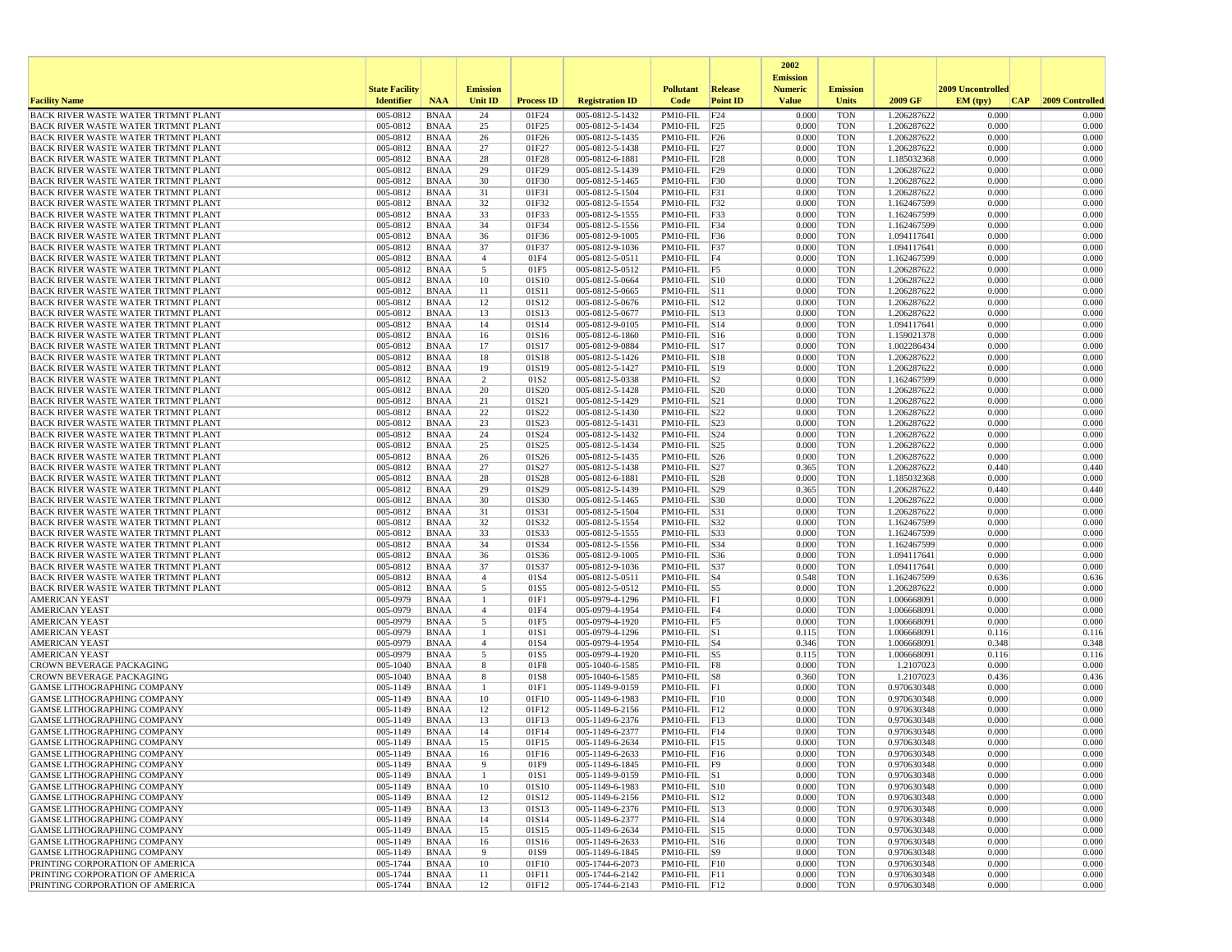|                                                                                          |                       |                            |                     |                   |                                    |                                        |                 | 2002<br><b>Emission</b> |                          |                            |                   |                 |
|------------------------------------------------------------------------------------------|-----------------------|----------------------------|---------------------|-------------------|------------------------------------|----------------------------------------|-----------------|-------------------------|--------------------------|----------------------------|-------------------|-----------------|
|                                                                                          | <b>State Facility</b> |                            | <b>Emission</b>     |                   |                                    | <b>Pollutant</b>                       | Release         | <b>Numeric</b>          | <b>Emission</b>          |                            | 2009 Uncontrolled |                 |
| <b>Facility Name</b>                                                                     | <b>Identifier</b>     | <b>NAA</b>                 | Unit ID             | <b>Process ID</b> | <b>Registration ID</b>             | Code                                   | <b>Point ID</b> | <b>Value</b>            | <b>Units</b>             | 2009 GF                    | EM (typ)<br> CAP  | 2009 Controlled |
| BACK RIVER WASTE WATER TRTMNT PLANT                                                      | 005-0812              | <b>BNAA</b>                | 24                  | 01F24             | 005-0812-5-1432                    | PM10-FIL                               | F24             | 0.000                   | <b>TON</b>               | 1.206287622                | 0.000             | 0.000           |
| BACK RIVER WASTE WATER TRTMNT PLANT<br><b>BACK RIVER WASTE WATER TRTMNT PLANT</b>        | 005-0812<br>005-0812  | <b>BNAA</b><br><b>BNAA</b> | 25                  | 01F25             | 005-0812-5-1434                    | PM10-FIL F25                           |                 | 0.000<br>0.000          | <b>TON</b><br><b>TON</b> | 1.206287622                | 0.000<br>0.000    | 0.000<br>0.000  |
| <b>BACK RIVER WASTE WATER TRTMNT PLANT</b>                                               | 005-0812              | <b>BNAA</b>                | 26<br>27            | 01F26<br>01F27    | 005-0812-5-1435<br>005-0812-5-1438 | $PM10-FIL$ F26<br>$PM10-FIL$ F27       |                 | 0.000                   | <b>TON</b>               | 1.206287622<br>1.206287622 | 0.000             | 0.000           |
| <b>BACK RIVER WASTE WATER TRTMNT PLANT</b>                                               | 005-0812              | <b>BNAA</b>                | 28                  | 01F28             | 005-0812-6-1881                    | $PM10-FIL$ $F28$                       |                 | 0.000                   | <b>TON</b>               | 1.185032368                | 0.000             | 0.000           |
| BACK RIVER WASTE WATER TRTMNT PLANT                                                      | 005-0812              | <b>BNAA</b>                | 29                  | 01F29             | 005-0812-5-1439                    | $PM10-FIL$ F29                         |                 | 0.000                   | <b>TON</b>               | 1.206287622                | 0.000             | 0.000           |
| BACK RIVER WASTE WATER TRTMNT PLANT                                                      | 005-0812              | <b>BNAA</b>                | 30                  | 01F30             | 005-0812-5-1465                    | PM10-FIL F30                           |                 | 0.000                   | <b>TON</b>               | 1.206287622                | 0.000             | 0.000           |
| <b>BACK RIVER WASTE WATER TRTMNT PLANT</b><br>BACK RIVER WASTE WATER TRTMNT PLANT        | 005-0812<br>005-0812  | <b>BNAA</b><br><b>BNAA</b> | 31<br>32            | 01F31<br>01F32    | 005-0812-5-1504<br>005-0812-5-1554 | $PM10-FIL$ $ F31$<br>PM10-FIL F32      |                 | 0.000<br>0.000          | <b>TON</b><br><b>TON</b> | 1.206287622<br>1.162467599 | 0.000<br>0.000    | 0.000<br>0.000  |
| <b>BACK RIVER WASTE WATER TRTMNT PLANT</b>                                               | 005-0812              | <b>BNAA</b>                | 33                  | 01F33             | 005-0812-5-1555                    | $PM10-FIL$ F33                         |                 | 0.000                   | <b>TON</b>               | 1.162467599                | 0.000             | 0.000           |
| <b>BACK RIVER WASTE WATER TRTMNT PLANT</b>                                               | 005-0812              | <b>BNAA</b>                | 34                  | 01F34             | 005-0812-5-1556                    | $PM10-FIL$ F34                         |                 | 0.000                   | <b>TON</b>               | 1.162467599                | 0.000             | 0.000           |
| <b>BACK RIVER WASTE WATER TRTMNT PLANT</b>                                               | 005-0812              | <b>BNAA</b>                | 36                  | 01F36             | 005-0812-9-1005                    | PM10-FIL F36                           |                 | 0.000                   | TON                      | 1.094117641                | 0.000             | 0.000           |
| <b>BACK RIVER WASTE WATER TRTMNT PLANT</b>                                               | 005-0812              | <b>BNAA</b>                | 37                  | 01F37             | 005-0812-9-1036                    | $PM10-FIL$ F37                         |                 | 0.000                   | <b>TON</b>               | 1.094117641                | 0.000             | 0.000           |
| <b>BACK RIVER WASTE WATER TRTMNT PLANT</b><br><b>BACK RIVER WASTE WATER TRTMNT PLANT</b> | 005-0812<br>005-0812  | <b>BNAA</b><br><b>BNAA</b> | $\overline{4}$<br>5 | 01F4<br>01F5      | 005-0812-5-0511<br>005-0812-5-0512 | $PM10-FIL$ F4<br>$PM10-FIL$ F5         |                 | 0.000<br>0.000          | <b>TON</b><br><b>TON</b> | 1.162467599<br>1.206287622 | 0.000<br>0.000    | 0.000<br>0.000  |
| BACK RIVER WASTE WATER TRTMNT PLANT                                                      | 005-0812              | <b>BNAA</b>                | 10                  | 01S10             | 005-0812-5-0664                    | $PM10-FIL$ $ S10$                      |                 | 0.000                   | <b>TON</b>               | 1.206287622                | 0.000             | 0.000           |
| BACK RIVER WASTE WATER TRTMNT PLANT                                                      | 005-0812              | <b>BNAA</b>                | 11                  | 01S11             | 005-0812-5-0665                    | PM10-FIL S11                           |                 | 0.000                   | <b>TON</b>               | 1.206287622                | 0.000             | 0.000           |
| <b>BACK RIVER WASTE WATER TRTMNT PLANT</b>                                               | 005-0812              | <b>BNAA</b>                | 12                  | 01S12             | 005-0812-5-0676                    | $PM10-FIL$ S12                         |                 | 0.000                   | TON                      | 1.206287622                | 0.000             | 0.000           |
| <b>BACK RIVER WASTE WATER TRTMNT PLANT</b>                                               | 005-0812              | <b>BNAA</b>                | 13                  | 01S13             | 005-0812-5-0677                    | PM10-FIL S13                           |                 | 0.000                   | <b>TON</b>               | 1.206287622                | 0.000             | 0.000           |
| BACK RIVER WASTE WATER TRTMNT PLANT<br>BACK RIVER WASTE WATER TRTMNT PLANT               | 005-0812<br>005-0812  | <b>BNAA</b><br><b>BNAA</b> | 14<br>16            | 01S14<br>01S16    | 005-0812-9-0105<br>005-0812-6-1860 | $PM10-FIL$ $S14$<br>$PM10-FIL$ S16     |                 | 0.000<br>0.000          | <b>TON</b><br><b>TON</b> | 1.094117641<br>1.159021378 | 0.000<br>0.000    | 0.000<br>0.000  |
| BACK RIVER WASTE WATER TRTMNT PLANT                                                      | 005-0812              | <b>BNAA</b>                | 17                  | 01S17             | 005-0812-9-0884                    | PM10-FIL S17                           |                 | 0.000                   | <b>TON</b>               | 1.002286434                | 0.000             | 0.000           |
| <b>BACK RIVER WASTE WATER TRTMNT PLANT</b>                                               | 005-0812              | <b>BNAA</b>                | 18                  | 01S18             | 005-0812-5-1426                    | $PM10$ -FIL $ S18$                     |                 | 0.000                   | TON                      | 1.206287622                | 0.000             | 0.000           |
| BACK RIVER WASTE WATER TRTMNT PLANT                                                      | 005-0812              | <b>BNAA</b>                | 19                  | 01S19             | 005-0812-5-1427                    | $PM10-FIL$ $ S19$                      |                 | 0.000                   | <b>TON</b>               | 1.206287622                | 0.000             | 0.000           |
| BACK RIVER WASTE WATER TRTMNT PLANT                                                      | 005-0812              | <b>BNAA</b>                | 2                   | 01S <sub>2</sub>  | 005-0812-5-0338                    | $PM10-FIL$ $ S2$                       |                 | 0.000                   | <b>TON</b>               | 1.162467599                | 0.000             | 0.000           |
| BACK RIVER WASTE WATER TRTMNT PLANT<br>BACK RIVER WASTE WATER TRTMNT PLANT               | 005-0812<br>005-0812  | <b>BNAA</b><br><b>BNAA</b> | 20<br>21            | 01S20<br>01S21    | 005-0812-5-1428<br>005-0812-5-1429 | $PM10-FIL$ $ S20$<br>$PM10-FIL$ $ S21$ |                 | 0.000<br>0.000          | <b>TON</b><br><b>TON</b> | 1.206287622<br>1.206287622 | 0.000<br>0.000    | 0.000<br>0.000  |
| <b>BACK RIVER WASTE WATER TRTMNT PLANT</b>                                               | 005-0812              | <b>BNAA</b>                | 22                  | 01S22             | 005-0812-5-1430                    | PM10-FIL S22                           |                 | 0.000                   | <b>TON</b>               | 1.206287622                | 0.000             | 0.000           |
| <b>BACK RIVER WASTE WATER TRTMNT PLANT</b>                                               | 005-0812              | <b>BNAA</b>                | 23                  | 01S23             | 005-0812-5-1431                    | $PM10-FIL$ S23                         |                 | 0.000                   | TON                      | 1.206287622                | 0.000             | 0.000           |
| BACK RIVER WASTE WATER TRTMNT PLANT                                                      | 005-0812              | <b>BNAA</b>                | 24                  | 01S24             | 005-0812-5-1432                    | $PM10-FIL$ $ S24$                      |                 | 0.000                   | <b>TON</b>               | 1.206287622                | 0.000             | 0.000           |
| <b>BACK RIVER WASTE WATER TRTMNT PLANT</b>                                               | 005-0812              | <b>BNAA</b>                | 25                  | 01S25             | 005-0812-5-1434                    | PM10-FIL                               | S <sub>25</sub> | 0.000                   | <b>TON</b>               | 1.206287622                | 0.000             | 0.000           |
| BACK RIVER WASTE WATER TRTMNT PLANT<br><b>BACK RIVER WASTE WATER TRTMNT PLANT</b>        | 005-0812<br>005-0812  | <b>BNAA</b><br><b>BNAA</b> | 26<br>27            | 01S26<br>01S27    | 005-0812-5-1435<br>005-0812-5-1438 | $PM10-FIL$ $ S26$<br>$PM10-FIL$ S27    |                 | 0.000<br>0.365          | <b>TON</b><br><b>TON</b> | 1.206287622<br>1.206287622 | 0.000<br>0.440    | 0.000<br>0.440  |
| <b>BACK RIVER WASTE WATER TRTMNT PLANT</b>                                               | 005-0812              | <b>BNAA</b>                | 28                  | 01S28             | 005-0812-6-1881                    | PM10-FIL S28                           |                 | 0.000                   | <b>TON</b>               | 1.185032368                | 0.000             | 0.000           |
| <b>BACK RIVER WASTE WATER TRTMNT PLANT</b>                                               | 005-0812              | <b>BNAA</b>                | 29                  | 01S29             | 005-0812-5-1439                    | PM10-FIL S29                           |                 | 0.365                   | <b>TON</b>               | 1.206287622                | 0.440             | 0.440           |
| <b>BACK RIVER WASTE WATER TRTMNT PLANT</b>                                               | 005-0812              | <b>BNAA</b>                | 30                  | 01S30             | 005-0812-5-1465                    | PM10-FIL                               | S30             | 0.000                   | <b>TON</b>               | 1.206287622                | 0.000             | 0.000           |
| BACK RIVER WASTE WATER TRTMNT PLANT                                                      | 005-0812              | <b>BNAA</b>                | 31                  | 01S31             | 005-0812-5-1504                    | $PM10-FIL$ $ S31$                      |                 | 0.000                   | <b>TON</b>               | 1.206287622                | 0.000             | 0.000           |
| BACK RIVER WASTE WATER TRTMNT PLANT<br>BACK RIVER WASTE WATER TRTMNT PLANT               | 005-0812<br>005-0812  | <b>BNAA</b><br><b>BNAA</b> | 32<br>33            | 01S32<br>01S33    | 005-0812-5-1554<br>005-0812-5-1555 | PM10-FIL S32<br>PM10-FIL  S33          |                 | 0.000<br>0.000          | <b>TON</b><br><b>TON</b> | 1.162467599<br>1.162467599 | 0.000<br>0.000    | 0.000<br>0.000  |
| <b>BACK RIVER WASTE WATER TRTMNT PLANT</b>                                               | 005-0812              | <b>BNAA</b>                | 34                  | 01S34             | 005-0812-5-1556                    | PM10-FIL S34                           |                 | 0.000                   | <b>TON</b>               | 1.162467599                | 0.000             | 0.000           |
| BACK RIVER WASTE WATER TRTMNT PLANT                                                      | 005-0812              | BNAA                       | 36                  | 01S36             | 005-0812-9-1005                    | $PM10-FIL$ $ S36$                      |                 | 0.000                   | <b>TON</b>               | 1.094117641                | 0.000             | 0.000           |
| BACK RIVER WASTE WATER TRTMNT PLANT                                                      | 005-0812              | <b>BNAA</b>                | 37                  | 01S37             | 005-0812-9-1036                    | PM10-FIL S37                           |                 | 0.000                   | <b>TON</b>               | 1.094117641                | 0.000             | 0.000           |
| <b>BACK RIVER WASTE WATER TRTMNT PLANT</b><br><b>BACK RIVER WASTE WATER TRTMNT PLANT</b> | 005-0812<br>005-0812  | <b>BNAA</b><br><b>BNAA</b> | $\overline{4}$<br>5 | 01S4<br>01S5      | 005-0812-5-0511<br>005-0812-5-0512 | $PM10$ -FIL $ S4$<br>$PM10-FIL$ S5     |                 | 0.548<br>0.000          | <b>TON</b><br><b>TON</b> | 1.162467599<br>1.206287622 | 0.636<br>0.000    | 0.636<br>0.000  |
| <b>AMERICAN YEAST</b>                                                                    | 005-0979              | <b>BNAA</b>                | -1                  | 01F1              | 005-0979-4-1296                    | PM10-FIL F1                            |                 | 0.000                   | <b>TON</b>               | 1.006668091                | 0.000             | 0.000           |
| <b>AMERICAN YEAST</b>                                                                    | 005-0979              | <b>BNAA</b>                | $\overline{4}$      | 01F4              | 005-0979-4-1954                    | PM10-FIL F4                            |                 | 0.000                   | <b>TON</b>               | 1.006668091                | 0.000             | 0.000           |
| <b>AMERICAN YEAST</b>                                                                    | 005-0979              | <b>BNAA</b>                | 5                   | 01F5              | 005-0979-4-1920                    | $PM10-FIL$ F5                          |                 | 0.000                   | <b>TON</b>               | 1.006668091                | 0.000             | 0.000           |
| <b>AMERICAN YEAST</b>                                                                    | 005-0979              | <b>BNAA</b>                | 1                   | 01S1              | 005-0979-4-1296                    | $PM10$ -FIL $ S1$                      |                 | 0.115                   | <b>TON</b>               | 1.006668091                | 0.116             | 0.116           |
| <b>AMERICAN YEAST</b><br><b>AMERICAN YEAST</b>                                           | 005-0979<br>005-0979  | <b>BNAA</b><br><b>BNAA</b> | $\overline{4}$<br>5 | 01S4<br>01S5      | 005-0979-4-1954<br>005-0979-4-1920 | $PM10-FIL$ $ S4$<br>$PM10-FIL$ S5      |                 | 0.346<br>0.115          | <b>TON</b><br><b>TON</b> | 1.006668091<br>1.006668091 | 0.348<br>0.116    | 0.348<br>0.116  |
| <b>CROWN BEVERAGE PACKAGING</b>                                                          | 005-1040              | <b>BNAA</b>                | 8                   | 01F8              | 005-1040-6-1585                    | PM10-FIL F8                            |                 | 0.000                   | TON                      | 1.2107023                  | 0.000             | 0.000           |
| <b>CROWN BEVERAGE PACKAGING</b>                                                          | 005-1040              | <b>BNAA</b>                | 8                   | 01S8              | 005-1040-6-1585                    | $PM10-FIL$ $ S8$                       |                 | 0.360                   | <b>TON</b>               | 1.2107023                  | 0.436             | 0.436           |
| <b>GAMSE LITHOGRAPHING COMPANY</b>                                                       | 005-1149              | <b>BNAA</b>                |                     | 01F1              | 005-1149-9-0159                    | $PM10-FIL$ $F1$                        |                 | 0.000                   | <b>TON</b>               | 0.970630348                | 0.000             | 0.000           |
| GAMSE LITHOGRAPHING COMPANY                                                              | 005-1149              | <b>BNAA</b>                | 10                  | 01F10             | 005-1149-6-1983                    | $PM10-FIL$ $ F10$                      |                 | 0.000                   | <b>TON</b>               | 0.970630348                | 0.000             | 0.000           |
| <b>GAMSE LITHOGRAPHING COMPANY</b><br><b>GAMSE LITHOGRAPHING COMPANY</b>                 | 005-1149<br>005-1149  | <b>BNAA</b><br><b>BNAA</b> | 12<br>13            | 01F12<br>01F13    | 005-1149-6-2156<br>005-1149-6-2376 | $PM10-FIL$ $F12$<br>PM10-FIL F13       |                 | 0.000<br>0.000          | <b>TON</b><br><b>TON</b> | 0.970630348<br>0.970630348 | 0.000<br>0.000    | 0.000<br>0.000  |
| GAMSE LITHOGRAPHING COMPANY                                                              | 005-1149              | <b>BNAA</b>                | 14                  | 01F14             | 005-1149-6-2377                    | $PM10-FIL$ $F14$                       |                 | 0.000                   | <b>TON</b>               | 0.970630348                | 0.000             | 0.000           |
| GAMSE LITHOGRAPHING COMPANY                                                              | 005-1149              | <b>BNAA</b>                | 15                  | 01F15             | 005-1149-6-2634                    | PM10-FIL F15                           |                 | 0.000                   | <b>TON</b>               | 0.970630348                | 0.000             | 0.000           |
| <b>GAMSE LITHOGRAPHING COMPANY</b>                                                       | 005-1149              | <b>BNAA</b>                | 16                  | 01F16             | 005-1149-6-2633                    | $PM10-FIL$ F16                         |                 | 0.000                   | TON                      | 0.970630348                | 0.000             | 0.000           |
| GAMSE LITHOGRAPHING COMPANY                                                              | 005-1149              | BNAA                       | 9                   | 01F9              | 005-1149-6-1845                    | $PM10-FIL$ F9                          |                 | 0.000                   | <b>TON</b>               | 0.970630348                | 0.000             | 0.000           |
| GAMSE LITHOGRAPHING COMPANY<br>GAMSE LITHOGRAPHING COMPANY                               | 005-1149<br>005-1149  | BNAA<br>BNAA               | $\mathbf{1}$<br>10  | 01S1<br>01S10     | 005-1149-9-0159<br>005-1149-6-1983 | $PM10-FIL$ S1<br>$PM10-FIL$ S10        |                 | 0.000<br>0.000          | <b>TON</b><br>TON        | 0.970630348<br>0.970630348 | 0.000<br>0.000    | 0.000<br>0.000  |
| GAMSE LITHOGRAPHING COMPANY                                                              | 005-1149              | BNAA                       | 12                  | 01S12             | 005-1149-6-2156                    | PM10-FIL S12                           |                 | 0.000                   | <b>TON</b>               | 0.970630348                | 0.000             | 0.000           |
| GAMSE LITHOGRAPHING COMPANY                                                              | 005-1149              | <b>BNAA</b>                | 13                  | 01S13             | 005-1149-6-2376                    | PM10-FIL S13                           |                 | 0.000                   | <b>TON</b>               | 0.970630348                | 0.000             | 0.000           |
| GAMSE LITHOGRAPHING COMPANY                                                              | 005-1149              | <b>BNAA</b>                | 14                  | 01S14             | 005-1149-6-2377                    | $PM10-FIL$ $S14$                       |                 | 0.000                   | <b>TON</b>               | 0.970630348                | 0.000             | 0.000           |
| GAMSE LITHOGRAPHING COMPANY                                                              | 005-1149              | BNAA                       | 15                  | 01S15             | 005-1149-6-2634                    | PM10-FIL S15                           |                 | 0.000                   | <b>TON</b>               | 0.970630348                | 0.000             | 0.000           |
| <b>GAMSE LITHOGRAPHING COMPANY</b><br>GAMSE LITHOGRAPHING COMPANY                        | 005-1149<br>005-1149  | <b>BNAA</b><br>BNAA        | 16<br>9             | 01S16<br>01S9     | 005-1149-6-2633<br>005-1149-6-1845 | PM10-FIL S16<br>$PM10-FIL$ S9          |                 | 0.000<br>0.000          | <b>TON</b><br><b>TON</b> | 0.970630348<br>0.970630348 | 0.000<br>0.000    | 0.000<br>0.000  |
| PRINTING CORPORATION OF AMERICA                                                          | 005-1744              | BNAA                       | 10                  | 01F10             | 005-1744-6-2073                    | $PM10-FIL$ $ F10$                      |                 | 0.000                   | TON                      | 0.970630348                | 0.000             | 0.000           |
| PRINTING CORPORATION OF AMERICA                                                          | 005-1744              | <b>BNAA</b>                | 11                  | 01F11             | 005-1744-6-2142                    | PM10-FIL F11                           |                 | 0.000                   | <b>TON</b>               | 0.970630348                | 0.000             | 0.000           |
| PRINTING CORPORATION OF AMERICA                                                          | 005-1744              | <b>BNAA</b>                | 12                  | 01F12             | 005-1744-6-2143                    | $PM10-FIL$ F12                         |                 | 0.000                   | <b>TON</b>               | 0.970630348                | 0.000             | 0.000           |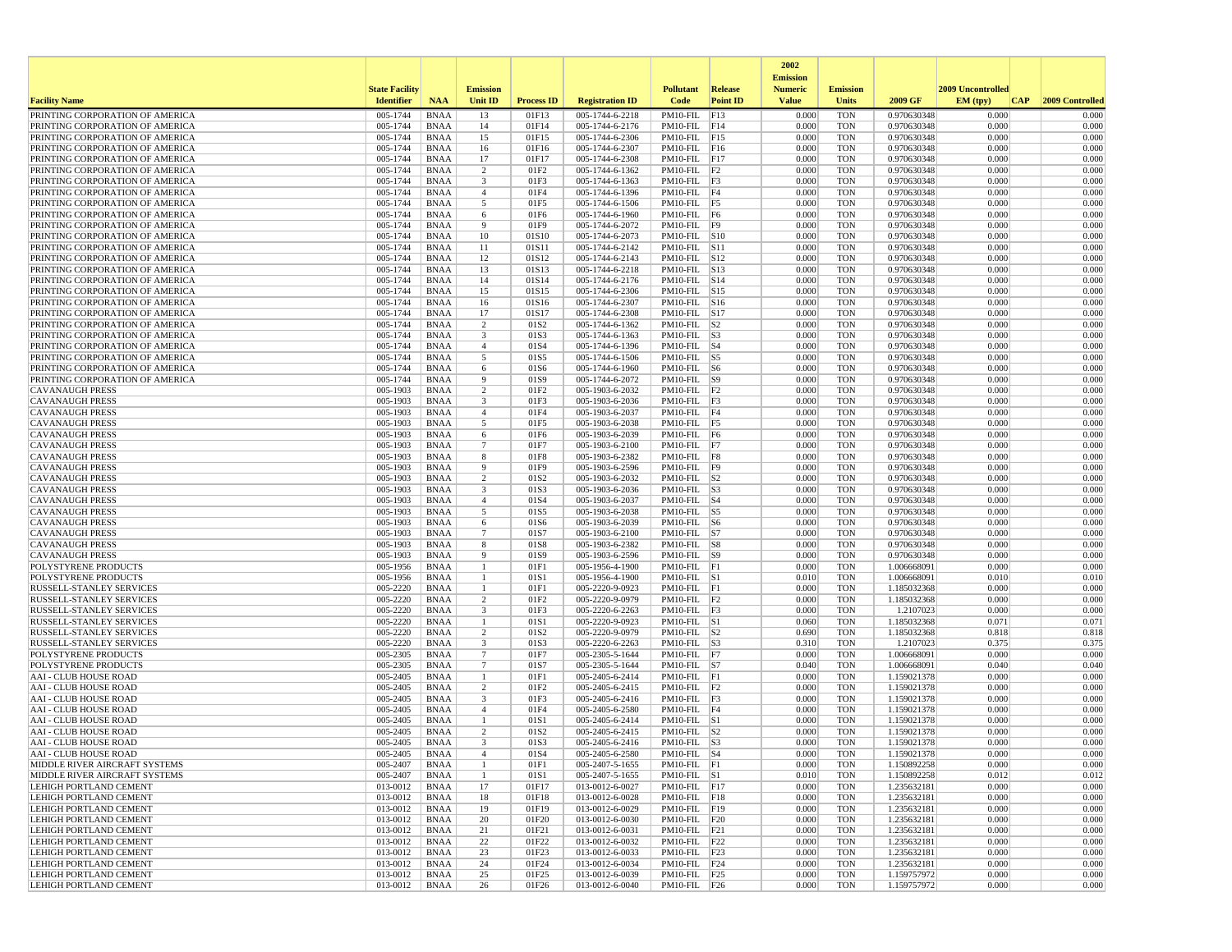|                                                                    |                       |                            |                                   |                   |                                    |                                     |                 | 2002                              |                          |                            |                   |                 |
|--------------------------------------------------------------------|-----------------------|----------------------------|-----------------------------------|-------------------|------------------------------------|-------------------------------------|-----------------|-----------------------------------|--------------------------|----------------------------|-------------------|-----------------|
|                                                                    | <b>State Facility</b> |                            | <b>Emission</b>                   |                   |                                    | <b>Pollutant</b>                    | Release         | <b>Emission</b><br><b>Numeric</b> | <b>Emission</b>          |                            | 2009 Uncontrolled |                 |
| <b>Facility Name</b>                                               | <b>Identifier</b>     | <b>NAA</b>                 | Unit ID                           | <b>Process ID</b> | <b>Registration ID</b>             | Code                                | <b>Point ID</b> | <b>Value</b>                      | <b>Units</b>             | 2009 GF                    | EM (typ)<br> CAP  | 2009 Controlled |
| PRINTING CORPORATION OF AMERICA                                    | 005-1744              | <b>BNAA</b>                | 13                                | 01F13             | 005-1744-6-2218                    | PM10-FIL                            | F13             | 0.000                             | <b>TON</b>               | 0.970630348                | 0.000             | 0.000           |
| PRINTING CORPORATION OF AMERICA                                    | 005-1744              | <b>BNAA</b>                | 14                                | 01F14             | 005-1744-6-2176                    | $PM10-FIL$ F14                      |                 | 0.000                             | <b>TON</b>               | 0.970630348                | 0.000             | 0.000           |
| PRINTING CORPORATION OF AMERICA                                    | 005-1744              | <b>BNAA</b>                | 15                                | 01F15             | 005-1744-6-2306                    | $PM10-FIL$ F15                      |                 | 0.000                             | <b>TON</b>               | 0.970630348                | 0.000             | 0.000           |
| PRINTING CORPORATION OF AMERICA                                    | 005-1744              | <b>BNAA</b>                | 16                                | 01F16             | 005-1744-6-2307                    | $PM10-FIL$ F16                      |                 | 0.000                             | <b>TON</b>               | 0.970630348                | 0.000             | 0.000           |
| PRINTING CORPORATION OF AMERICA                                    | 005-1744              | <b>BNAA</b>                | 17                                | 01F17             | 005-1744-6-2308                    | $PM10-FIL$ F17<br>$PM10-FIL$ $ F2$  |                 | 0.000                             | <b>TON</b>               | 0.970630348                | 0.000             | 0.000           |
| PRINTING CORPORATION OF AMERICA<br>PRINTING CORPORATION OF AMERICA | 005-1744<br>005-1744  | <b>BNAA</b><br><b>BNAA</b> | 2<br>3                            | 01F2<br>01F3      | 005-1744-6-1362<br>005-1744-6-1363 | PM10-FIL F3                         |                 | 0.000<br>0.000                    | <b>TON</b><br><b>TON</b> | 0.970630348<br>0.970630348 | 0.000<br>0.000    | 0.000<br>0.000  |
| PRINTING CORPORATION OF AMERICA                                    | 005-1744              | <b>BNAA</b>                | $\overline{4}$                    | 01F4              | 005-1744-6-1396                    | PM10-FIL F4                         |                 | 0.000                             | <b>TON</b>               | 0.970630348                | 0.000             | 0.000           |
| PRINTING CORPORATION OF AMERICA                                    | 005-1744              | <b>BNAA</b>                | 5                                 | 01F5              | 005-1744-6-1506                    | $PM10-FIL$ F5                       |                 | 0.000                             | <b>TON</b>               | 0.970630348                | 0.000             | 0.000           |
| PRINTING CORPORATION OF AMERICA                                    | 005-1744              | <b>BNAA</b>                | 6                                 | 01F6              | 005-1744-6-1960                    | $PM10-FIL$ F6                       |                 | 0.000                             | <b>TON</b>               | 0.970630348                | 0.000             | 0.000           |
| PRINTING CORPORATION OF AMERICA                                    | 005-1744              | <b>BNAA</b>                | -9                                | 01F9              | 005-1744-6-2072                    | PM10-FIL F9                         |                 | 0.000                             | <b>TON</b>               | 0.970630348                | 0.000             | 0.000           |
| PRINTING CORPORATION OF AMERICA                                    | 005-1744              | <b>BNAA</b>                | 10                                | 01S10             | 005-1744-6-2073                    | $PM10$ -FIL $ S10$                  |                 | 0.000                             | <b>TON</b>               | 0.970630348                | 0.000             | 0.000           |
| PRINTING CORPORATION OF AMERICA                                    | 005-1744              | <b>BNAA</b>                | 11                                | 01S11             | 005-1744-6-2142                    | PM10-FIL S11                        |                 | 0.000                             | <b>TON</b>               | 0.970630348                | 0.000             | 0.000           |
| PRINTING CORPORATION OF AMERICA                                    | 005-1744<br>005-1744  | <b>BNAA</b><br><b>BNAA</b> | 12                                | 01S12             | 005-1744-6-2143                    | PM10-FIL                            | S12             | 0.000                             | <b>TON</b>               | 0.970630348                | 0.000<br>0.000    | 0.000<br>0.000  |
| PRINTING CORPORATION OF AMERICA<br>PRINTING CORPORATION OF AMERICA | 005-1744              | BNAA                       | 13<br>14                          | 01S13<br>01S14    | 005-1744-6-2218<br>005-1744-6-2176 | $PM10-FIL$ S13<br>$PM10-FIL$ $ S14$ |                 | 0.000<br>0.000                    | <b>TON</b><br><b>TON</b> | 0.970630348<br>0.970630348 | 0.000             | 0.000           |
| PRINTING CORPORATION OF AMERICA                                    | 005-1744              | <b>BNAA</b>                | 15                                | 01S15             | 005-1744-6-2306                    | PM10-FIL S15                        |                 | 0.000                             | <b>TON</b>               | 0.970630348                | 0.000             | 0.000           |
| PRINTING CORPORATION OF AMERICA                                    | 005-1744              | <b>BNAA</b>                | 16                                | 01S16             | 005-1744-6-2307                    | $PM10-FIL$ S16                      |                 | 0.000                             | <b>TON</b>               | 0.970630348                | 0.000             | 0.000           |
| PRINTING CORPORATION OF AMERICA                                    | 005-1744              | <b>BNAA</b>                | 17                                | 01S17             | 005-1744-6-2308                    | $PM10-FIL$ S17                      |                 | 0.000                             | <b>TON</b>               | 0.970630348                | 0.000             | 0.000           |
| PRINTING CORPORATION OF AMERICA                                    | 005-1744              | <b>BNAA</b>                | 2                                 | 01S2              | 005-1744-6-1362                    | PM10-FIL                            | S <sub>2</sub>  | 0.000                             | <b>TON</b>               | 0.970630348                | 0.000             | 0.000           |
| PRINTING CORPORATION OF AMERICA                                    | 005-1744              | <b>BNAA</b>                | 3                                 | 01S3              | 005-1744-6-1363                    | $PM10-FIL$ S3                       |                 | 0.000                             | <b>TON</b>               | 0.970630348                | 0.000             | 0.000           |
| PRINTING CORPORATION OF AMERICA                                    | 005-1744              | <b>BNAA</b>                | $\overline{4}$                    | 01S4              | 005-1744-6-1396                    | $PM10-FIL$ S4                       |                 | 0.000                             | <b>TON</b>               | 0.970630348                | 0.000             | 0.000           |
| PRINTING CORPORATION OF AMERICA                                    | 005-1744              | <b>BNAA</b>                | 5                                 | 01S5              | 005-1744-6-1506                    | $PM10$ -FIL $ S5$                   |                 | 0.000                             | TON                      | 0.970630348                | 0.000             | 0.000           |
| PRINTING CORPORATION OF AMERICA<br>PRINTING CORPORATION OF AMERICA | 005-1744<br>005-1744  | <b>BNAA</b><br><b>BNAA</b> | 6<br>-9                           | 01S6<br>01S9      | 005-1744-6-1960<br>005-1744-6-2072 | $PM10-FIL$ S6<br>$PM10-FIL$ S9      |                 | 0.000<br>0.000                    | <b>TON</b><br><b>TON</b> | 0.970630348<br>0.970630348 | 0.000<br>0.000    | 0.000<br>0.000  |
| <b>CAVANAUGH PRESS</b>                                             | 005-1903              | <b>BNAA</b>                | $\overline{2}$                    | 01F <sub>2</sub>  | 005-1903-6-2032                    | $PM10-FIL$ $F2$                     |                 | 0.000                             | <b>TON</b>               | 0.970630348                | 0.000             | 0.000           |
| <b>CAVANAUGH PRESS</b>                                             | 005-1903              | <b>BNAA</b>                | 3                                 | 01F3              | 005-1903-6-2036                    | $PM10-FIL$ $F3$                     |                 | 0.000                             | <b>TON</b>               | 0.970630348                | 0.000             | 0.000           |
| <b>CAVANAUGH PRESS</b>                                             | 005-1903              | <b>BNAA</b>                | $\overline{4}$                    | 01F4              | 005-1903-6-2037                    | PM10-FIL F4                         |                 | 0.000                             | <b>TON</b>               | 0.970630348                | 0.000             | 0.000           |
| <b>CAVANAUGH PRESS</b>                                             | 005-1903              | <b>BNAA</b>                | 5                                 | 01F5              | 005-1903-6-2038                    | PM10-FIL F5                         |                 | 0.000                             | <b>TON</b>               | 0.970630348                | 0.000             | 0.000           |
| <b>CAVANAUGH PRESS</b>                                             | 005-1903              | <b>BNAA</b>                | 6                                 | 01F6              | 005-1903-6-2039                    | PM10-FIL F6                         |                 | 0.000                             | <b>TON</b>               | 0.970630348                | 0.000             | 0.000           |
| <b>CAVANAUGH PRESS</b>                                             | 005-1903              | <b>BNAA</b>                | $\overline{7}$                    | 01F7              | 005-1903-6-2100                    | $PM10-FIL$ F7                       |                 | 0.000                             | <b>TON</b>               | 0.970630348                | 0.000             | 0.000           |
| <b>CAVANAUGH PRESS</b>                                             | 005-1903              | <b>BNAA</b>                | 8                                 | 01F8              | 005-1903-6-2382                    | PM10-FIL F8                         |                 | 0.000                             | <b>TON</b>               | 0.970630348                | 0.000             | 0.000           |
| <b>CAVANAUGH PRESS</b>                                             | 005-1903<br>005-1903  | <b>BNAA</b><br><b>BNAA</b> | -9<br>$\overline{2}$              | 01F9<br>01S2      | 005-1903-6-2596<br>005-1903-6-2032 | PM10-FIL F9<br>$PM10-FIL$ S2        |                 | 0.000<br>0.000                    | <b>TON</b><br><b>TON</b> | 0.970630348<br>0.970630348 | 0.000<br>0.000    | 0.000<br>0.000  |
| <b>CAVANAUGH PRESS</b><br><b>CAVANAUGH PRESS</b>                   | 005-1903              | <b>BNAA</b>                | 3                                 | 01S3              | 005-1903-6-2036                    | $PM10-FIL$ S3                       |                 | 0.000                             | <b>TON</b>               | 0.970630348                | 0.000             | 0.000           |
| <b>CAVANAUGH PRESS</b>                                             | 005-1903              | <b>BNAA</b>                | $\overline{4}$                    | 01S4              | 005-1903-6-2037                    | $PM10-FIL$ $ S4$                    |                 | 0.000                             | <b>TON</b>               | 0.970630348                | 0.000             | 0.000           |
| <b>CAVANAUGH PRESS</b>                                             | 005-1903              | <b>BNAA</b>                | 5                                 | 01S5              | 005-1903-6-2038                    | $PM10-FIL$ S5                       |                 | 0.000                             | <b>TON</b>               | 0.970630348                | 0.000             | 0.000           |
| <b>CAVANAUGH PRESS</b>                                             | 005-1903              | <b>BNAA</b>                | 6                                 | 01S6              | 005-1903-6-2039                    | $PM10$ -FIL $ S6$                   |                 | 0.000                             | <b>TON</b>               | 0.970630348                | 0.000             | 0.000           |
| <b>CAVANAUGH PRESS</b>                                             | 005-1903              | <b>BNAA</b>                | $7\phantom{.0}$                   | 01S7              | 005-1903-6-2100                    | $PM10-FIL$ S7                       |                 | 0.000                             | <b>TON</b>               | 0.970630348                | 0.000             | 0.000           |
| <b>CAVANAUGH PRESS</b>                                             | 005-1903              | <b>BNAA</b>                | 8                                 | 01S8              | 005-1903-6-2382                    | $PM10-FIL$ S8                       |                 | 0.000                             | <b>TON</b>               | 0.970630348                | 0.000             | 0.000           |
| <b>CAVANAUGH PRESS</b>                                             | 005-1903              | BNAA                       | 9                                 | 01S9              | 005-1903-6-2596                    | $PM10-FIL$ S9                       |                 | 0.000                             | <b>TON</b>               | 0.970630348                | 0.000             | 0.000           |
| POLYSTYRENE PRODUCTS<br>POLYSTYRENE PRODUCTS                       | 005-1956<br>005-1956  | <b>BNAA</b><br><b>BNAA</b> | -1<br>$\mathbf{1}$                | 01F1<br>01S1      | 005-1956-4-1900<br>005-1956-4-1900 | $PM10-FIL$ $F1$<br>PM10-FIL S1      |                 | 0.000<br>0.010                    | <b>TON</b><br><b>TON</b> | 1.006668091<br>1.006668091 | 0.000<br>0.010    | 0.000<br>0.010  |
| RUSSELL-STANLEY SERVICES                                           | 005-2220              | <b>BNAA</b>                | -1                                | 01F1              | 005-2220-9-0923                    | PM10-FIL F1                         |                 | 0.000                             | <b>TON</b>               | 1.185032368                | 0.000             | 0.000           |
| RUSSELL-STANLEY SERVICES                                           | 005-2220              | <b>BNAA</b>                | 2                                 | 01F <sub>2</sub>  | 005-2220-9-0979                    | $PM10-FIL$ $ F2$                    |                 | 0.000                             | <b>TON</b>               | 1.185032368                | 0.000             | 0.000           |
| <b>RUSSELL-STANLEY SERVICES</b>                                    | 005-2220              | <b>BNAA</b>                | 3                                 | 01F3              | 005-2220-6-2263                    | $PM10-FIL$ F3                       |                 | 0.000                             | <b>TON</b>               | 1.2107023                  | 0.000             | 0.000           |
| <b>RUSSELL-STANLEY SERVICES</b>                                    | 005-2220              | <b>BNAA</b>                | $\mathbf{1}$                      | 01S1              | 005-2220-9-0923                    | $PM10-FIL$ S1                       |                 | 0.060                             | <b>TON</b>               | 1.185032368                | 0.071             | 0.071           |
| RUSSELL-STANLEY SERVICES                                           | 005-2220              | <b>BNAA</b>                | 2                                 | 01S <sub>2</sub>  | 005-2220-9-0979                    | $PM10-FIL$ S2                       |                 | 0.690                             | <b>TON</b>               | 1.185032368                | 0.818             | 0.818           |
| RUSSELL-STANLEY SERVICES                                           | 005-2220              | <b>BNAA</b>                | 3                                 | 01S3              | 005-2220-6-2263                    | $PM10-FIL$ S3                       |                 | 0.310                             | <b>TON</b>               | 1.2107023                  | 0.375             | 0.375           |
| POLYSTYRENE PRODUCTS                                               | 005-2305              | <b>BNAA</b>                | $7\phantom{.0}$<br>$\overline{7}$ | 01F7              | 005-2305-5-1644                    | PM10-FIL $\overline{F7}$            |                 | 0.000                             | <b>TON</b>               | 1.006668091                | 0.000             | 0.000           |
| POLYSTYRENE PRODUCTS<br><b>AAI - CLUB HOUSE ROAD</b>               | 005-2305<br>005-2405  | <b>BNAA</b><br><b>BNAA</b> | -1                                | 01S7<br>01F1      | 005-2305-5-1644<br>005-2405-6-2414 | $PM10-FIL$ S7<br>PM10-FIL F1        |                 | 0.040<br>0.000                    | <b>TON</b><br><b>TON</b> | 1.006668091<br>1.159021378 | 0.040<br>0.000    | 0.040<br>0.000  |
| AAI - CLUB HOUSE ROAD                                              | 005-2405              | <b>BNAA</b>                | $\overline{2}$                    | 01F2              | 005-2405-6-2415                    | $PM10-FIL$ F2                       |                 | 0.000                             | <b>TON</b>               | 1.159021378                | 0.000             | 0.000           |
| <b>AAI - CLUB HOUSE ROAD</b>                                       | 005-2405              | <b>BNAA</b>                | 3                                 | 01F3              | 005-2405-6-2416                    | $PM10-FIL$ $F3$                     |                 | 0.000                             | <b>TON</b>               | 1.159021378                | 0.000             | 0.000           |
| <b>AAI - CLUB HOUSE ROAD</b>                                       | 005-2405              | <b>BNAA</b>                | $\overline{4}$                    | 01F4              | 005-2405-6-2580                    | PM10-FIL F4                         |                 | 0.000                             | <b>TON</b>               | 1.159021378                | 0.000             | 0.000           |
| <b>AAI - CLUB HOUSE ROAD</b>                                       | 005-2405              | <b>BNAA</b>                |                                   | 01S1              | 005-2405-6-2414                    | $PM10-FIL$ S1                       |                 | 0.000                             | <b>TON</b>               | 1.159021378                | 0.000             | 0.000           |
| <b>AAI - CLUB HOUSE ROAD</b>                                       | 005-2405              | BNAA                       | $\overline{2}$                    | 01S2              | 005-2405-6-2415                    | $PM10-FIL$ S2                       |                 | 0.000                             | <b>TON</b>               | 1.159021378                | 0.000             | 0.000           |
| AAI - CLUB HOUSE ROAD                                              | 005-2405              | <b>BNAA</b>                | 3                                 | 01S3              | 005-2405-6-2416                    | $PM10-FIL$ S3                       |                 | 0.000                             | <b>TON</b>               | 1.159021378                | 0.000             | 0.000           |
| AAI - CLUB HOUSE ROAD                                              | 005-2405              | BNAA                       |                                   | 01S4              | 005-2405-6-2580                    | $PM10-FIL$ S4                       |                 | 0.000                             | TON                      | 1.159021378                | 0.000             | 0.000           |
| MIDDLE RIVER AIRCRAFT SYSTEMS<br>MIDDLE RIVER AIRCRAFT SYSTEMS     | 005-2407<br>005-2407  | BNAA<br>BNAA               | -1<br>$\mathbf{1}$                | 01F1<br>01S1      | 005-2407-5-1655<br>005-2407-5-1655 | $PM10-FIL$ $ F1$<br>$PM10-FIL$ S1   |                 | 0.000<br>0.010                    | <b>TON</b><br>TON        | 1.150892258<br>1.150892258 | 0.000<br>0.012    | 0.000<br>0.012  |
| LEHIGH PORTLAND CEMENT                                             | 013-0012              | BNAA                       | 17                                | 01F17             | 013-0012-6-0027                    | $PM10-FIL$ F17                      |                 | 0.000                             | TON                      | 1.235632181                | 0.000             | 0.000           |
| LEHIGH PORTLAND CEMENT                                             | 013-0012              | BNAA                       | 18                                | 01F18             | 013-0012-6-0028                    | PM10-FIL F18                        |                 | 0.000                             | <b>TON</b>               | 1.235632181                | 0.000             | 0.000           |
| LEHIGH PORTLAND CEMENT                                             | 013-0012              | <b>BNAA</b>                | 19                                | 01F19             | 013-0012-6-0029                    | PM10-FIL F19                        |                 | 0.000                             | <b>TON</b>               | 1.235632181                | 0.000             | 0.000           |
| <b>LEHIGH PORTLAND CEMENT</b>                                      | 013-0012              | <b>BNAA</b>                | 20                                | 01F20             | 013-0012-6-0030                    | $PM10-FIL$ $ F20$                   |                 | 0.000                             | <b>TON</b>               | 1.235632181                | 0.000             | 0.000           |
| <b>LEHIGH PORTLAND CEMENT</b>                                      | 013-0012              | BNAA                       | 21                                | 01F21             | 013-0012-6-0031                    | $PM10-FIL$ $ F21$                   |                 | 0.000                             | <b>TON</b>               | 1.235632181                | 0.000             | 0.000           |
| <b>LEHIGH PORTLAND CEMENT</b>                                      | 013-0012              | <b>BNAA</b>                | 22                                | 01F22             | 013-0012-6-0032                    | PM10-FIL F22                        |                 | 0.000                             | <b>TON</b>               | 1.235632181                | 0.000             | 0.000           |
| <b>LEHIGH PORTLAND CEMENT</b><br>LEHIGH PORTLAND CEMENT            | 013-0012              | BNAA                       | 23                                | 01F23             | 013-0012-6-0033                    | $PM10-FIL$ F23                      |                 | 0.000                             | <b>TON</b>               | 1.235632181                | 0.000             | 0.000           |
| LEHIGH PORTLAND CEMENT                                             | 013-0012<br>013-0012  | BNAA<br><b>BNAA</b>        | 24<br>25                          | 01F24<br>01F25    | 013-0012-6-0034<br>013-0012-6-0039 | PM10-FIL F24<br>PM10-FIL F25        |                 | 0.000<br>0.000                    | TON<br><b>TON</b>        | 1.235632181<br>1.159757972 | 0.000<br>0.000    | 0.000<br>0.000  |
| <b>LEHIGH PORTLAND CEMENT</b>                                      | 013-0012              | <b>BNAA</b>                | 26                                | 01F26             | 013-0012-6-0040                    | $PM10$ -FIL $ F26$                  |                 | 0.000                             | <b>TON</b>               | 1.159757972                | 0.000             | 0.000           |
|                                                                    |                       |                            |                                   |                   |                                    |                                     |                 |                                   |                          |                            |                   |                 |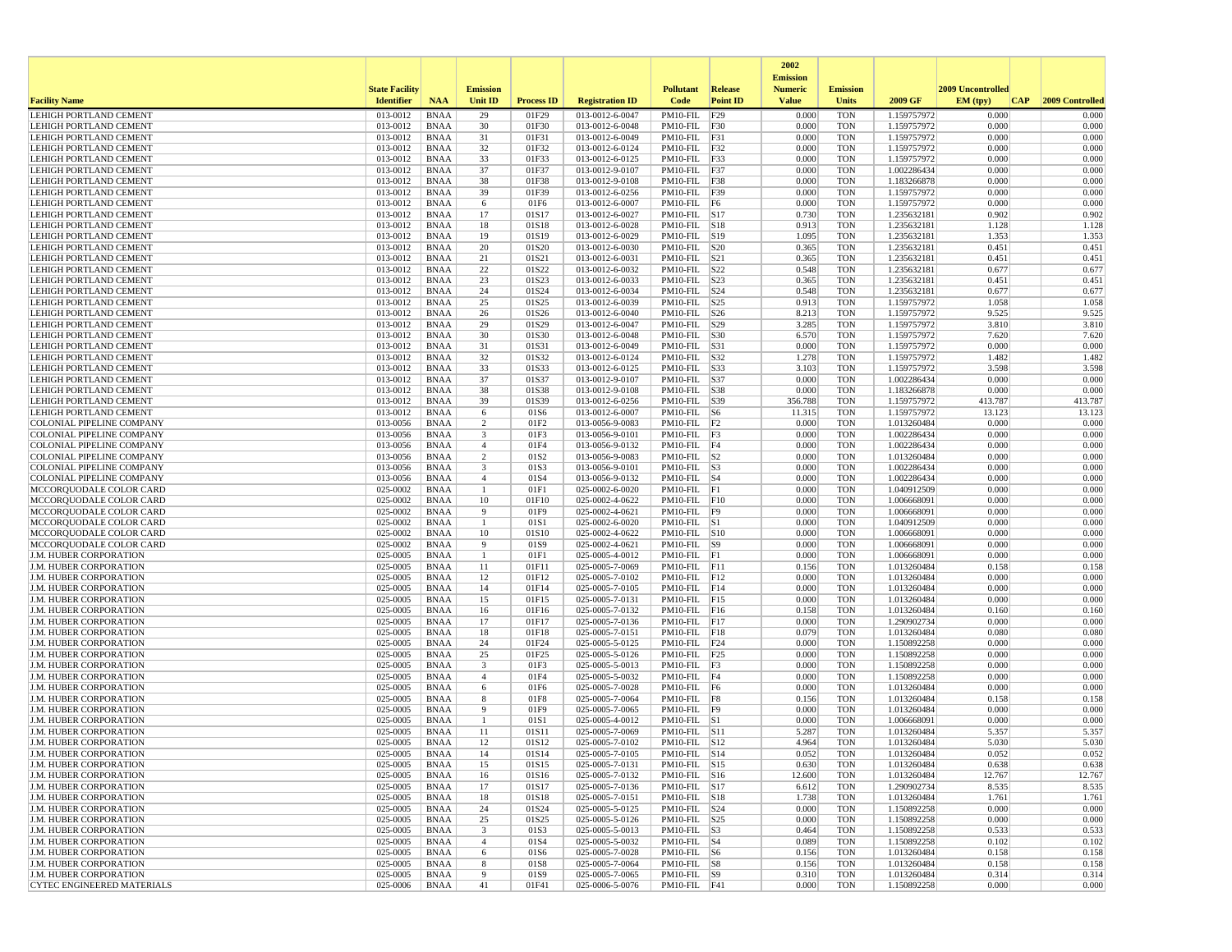|                                                                |                       |                            |                                           |                   |                                    |                                    |                 | 2002                              |                          |                            |                   |     |                  |
|----------------------------------------------------------------|-----------------------|----------------------------|-------------------------------------------|-------------------|------------------------------------|------------------------------------|-----------------|-----------------------------------|--------------------------|----------------------------|-------------------|-----|------------------|
|                                                                | <b>State Facility</b> |                            | <b>Emission</b>                           |                   |                                    | <b>Pollutant</b>                   | <b>Release</b>  | <b>Emission</b><br><b>Numeric</b> | <b>Emission</b>          |                            | 2009 Uncontrolled |     |                  |
| <b>Facility Name</b>                                           | <b>Identifier</b>     | <b>NAA</b>                 | Unit ID                                   | <b>Process ID</b> | <b>Registration ID</b>             | Code                               | <b>Point ID</b> | <b>Value</b>                      | <b>Units</b>             | 2009 GF                    | EM (typ)          | CAP | 2009 Controlled  |
| LEHIGH PORTLAND CEMENT                                         | 013-0012              | <b>BNAA</b>                | 29                                        | 01F29             | 013-0012-6-0047                    | PM10-FIL                           | F29             | 0.000                             | <b>TON</b>               | 1.159757972                | 0.000             |     | 0.000            |
| LEHIGH PORTLAND CEMENT<br><b>LEHIGH PORTLAND CEMENT</b>        | 013-0012<br>013-0012  | <b>BNAA</b><br><b>BNAA</b> | 30<br>31                                  | 01F30<br>01F31    | 013-0012-6-0048<br>013-0012-6-0049 | PM10-FIL F30<br>PM10-FIL F31       |                 | 0.000<br>0.000                    | <b>TON</b><br><b>TON</b> | 1.159757972<br>1.159757972 | 0.000<br>0.000    |     | 0.000<br>0.000   |
| LEHIGH PORTLAND CEMENT                                         | 013-0012              | <b>BNAA</b>                | 32                                        | 01F32             | 013-0012-6-0124                    | PM10-FIL F32                       |                 | 0.000                             | <b>TON</b>               | 1.159757972                | 0.000             |     | 0.000            |
| LEHIGH PORTLAND CEMENT                                         | 013-0012              | <b>BNAA</b>                | 33                                        | 01F33             | 013-0012-6-0125                    | PM10-FIL F33                       |                 | 0.000                             | <b>TON</b>               | 1.159757972                | 0.000             |     | 0.000            |
| LEHIGH PORTLAND CEMENT                                         | 013-0012              | <b>BNAA</b>                | 37                                        | 01F37             | 013-0012-9-0107                    | PM10-FIL F37                       |                 | 0.000                             | <b>TON</b>               | 1.002286434                | 0.000             |     | 0.000            |
| LEHIGH PORTLAND CEMENT                                         | 013-0012              | <b>BNAA</b>                | 38                                        | 01F38             | 013-0012-9-0108                    | PM10-FIL F38                       |                 | 0.000                             | <b>TON</b>               | 1.183266878                | 0.000             |     | 0.000            |
| LEHIGH PORTLAND CEMENT<br>LEHIGH PORTLAND CEMENT               | 013-0012<br>013-0012  | <b>BNAA</b><br><b>BNAA</b> | 39<br>6                                   | 01F39<br>01F6     | 013-0012-6-0256<br>013-0012-6-0007 | PM10-FIL F39<br>PM10-FIL F6        |                 | 0.000<br>0.000                    | <b>TON</b><br><b>TON</b> | 1.159757972<br>1.159757972 | 0.000<br>0.000    |     | 0.000<br>0.000   |
| LEHIGH PORTLAND CEMENT                                         | 013-0012              | <b>BNAA</b>                | 17                                        | 01S17             | 013-0012-6-0027                    | $PM10-FIL$ S17                     |                 | 0.730                             | <b>TON</b>               | 1.235632181                | 0.902             |     | 0.902            |
| <b>LEHIGH PORTLAND CEMENT</b>                                  | 013-0012              | <b>BNAA</b>                | 18                                        | 01S18             | 013-0012-6-0028                    | PM10-FIL S18                       |                 | 0.913                             | <b>TON</b>               | 1.235632181                | 1.128             |     | 1.128            |
| <b>LEHIGH PORTLAND CEMENT</b>                                  | 013-0012              | <b>BNAA</b>                | 19                                        | 01S19             | 013-0012-6-0029                    | PM10-FIL S19                       |                 | 1.095                             | <b>TON</b>               | 1.235632181                | 1.353             |     | 1.353            |
| LEHIGH PORTLAND CEMENT                                         | 013-0012              | <b>BNAA</b>                | 20                                        | 01S20             | 013-0012-6-0030                    | PM10-FIL S20                       |                 | 0.365                             | <b>TON</b>               | 1.235632181                | 0.451             |     | 0.451            |
| LEHIGH PORTLAND CEMENT<br><b>LEHIGH PORTLAND CEMENT</b>        | 013-0012<br>013-0012  | <b>BNAA</b><br><b>BNAA</b> | 21<br>22                                  | 01S21<br>01S22    | 013-0012-6-0031<br>013-0012-6-0032 | PM10-FIL<br>$PM10$ -FIL $ S22$     | S21             | 0.365<br>0.548                    | <b>TON</b><br><b>TON</b> | 1.235632181<br>1.235632181 | 0.451<br>0.677    |     | 0.451<br>0.677   |
| LEHIGH PORTLAND CEMENT                                         | 013-0012              | <b>BNAA</b>                | 23                                        | 01S23             | 013-0012-6-0033                    | $PM10-FIL$ $ S23$                  |                 | 0.365                             | <b>TON</b>               | 1.235632181                | 0.451             |     | 0.451            |
| LEHIGH PORTLAND CEMENT                                         | 013-0012              | <b>BNAA</b>                | 24                                        | 01S24             | 013-0012-6-0034                    | PM10-FIL S24                       |                 | 0.548                             | <b>TON</b>               | 1.235632181                | 0.677             |     | 0.677            |
| LEHIGH PORTLAND CEMENT                                         | 013-0012              | <b>BNAA</b>                | 25                                        | 01S25             | 013-0012-6-0039                    | $PM10$ -FIL $ S25$                 |                 | 0.913                             | <b>TON</b>               | 1.159757972                | 1.058             |     | 1.058            |
| LEHIGH PORTLAND CEMENT                                         | 013-0012              | <b>BNAA</b>                | 26                                        | 01S26             | 013-0012-6-0040                    | $PM10-FIL$ $ S26$                  |                 | 8.213                             | <b>TON</b>               | 1.159757972                | 9.525             |     | 9.525            |
| LEHIGH PORTLAND CEMENT<br>LEHIGH PORTLAND CEMENT               | 013-0012<br>013-0012  | <b>BNAA</b><br><b>BNAA</b> | 29<br>30                                  | 01S29<br>01S30    | 013-0012-6-0047<br>013-0012-6-0048 | PM10-FIL S29<br>PM10-FIL S30       |                 | 3.285<br>6.570                    | <b>TON</b><br><b>TON</b> | 1.159757972                | 3.810<br>7.620    |     | 3.810<br>7.620   |
| LEHIGH PORTLAND CEMENT                                         | 013-0012              | <b>BNAA</b>                | 31                                        | 01S31             | 013-0012-6-0049                    | PM10-FIL S31                       |                 | 0.000                             | <b>TON</b>               | 1.159757972<br>1.159757972 | 0.000             |     | 0.000            |
| LEHIGH PORTLAND CEMENT                                         | 013-0012              | <b>BNAA</b>                | 32                                        | 01S32             | 013-0012-6-0124                    | PM10-FIL S32                       |                 | 1.278                             | <b>TON</b>               | 1.159757972                | 1.482             |     | 1.482            |
| <b>LEHIGH PORTLAND CEMENT</b>                                  | 013-0012              | <b>BNAA</b>                | 33                                        | 01S33             | 013-0012-6-0125                    | PM10-FIL  S33                      |                 | 3.103                             | <b>TON</b>               | 1.159757972                | 3.598             |     | 3.598            |
| <b>LEHIGH PORTLAND CEMENT</b>                                  | 013-0012              | <b>BNAA</b>                | 37                                        | 01S37             | 013-0012-9-0107                    | PM10-FIL S37                       |                 | 0.000                             | <b>TON</b>               | 1.002286434                | 0.000             |     | 0.000            |
| LEHIGH PORTLAND CEMENT                                         | 013-0012              | <b>BNAA</b>                | 38<br>39                                  | 01S38             | 013-0012-9-0108<br>013-0012-6-0256 | PM10-FIL  S38                      |                 | 0.000                             | <b>TON</b><br><b>TON</b> | 1.183266878                | 0.000             |     | 0.000<br>413.787 |
| LEHIGH PORTLAND CEMENT<br>LEHIGH PORTLAND CEMENT               | 013-0012<br>013-0012  | <b>BNAA</b><br><b>BNAA</b> | 6                                         | 01S39<br>01S6     | 013-0012-6-0007                    | PM10-FIL  S39<br>$PM10-FIL$ S6     |                 | 356.788<br>11.315                 | <b>TON</b>               | 1.159757972<br>1.159757972 | 413.787<br>13.123 |     | 13.123           |
| <b>COLONIAL PIPELINE COMPANY</b>                               | 013-0056              | <b>BNAA</b>                | $\overline{2}$                            | 01F <sub>2</sub>  | 013-0056-9-0083                    | $PM10-FIL$ $ F2$                   |                 | 0.000                             | <b>TON</b>               | 1.013260484                | 0.000             |     | 0.000            |
| <b>COLONIAL PIPELINE COMPANY</b>                               | 013-0056              | <b>BNAA</b>                | 3                                         | 01F3              | 013-0056-9-0101                    | $PM10-FIL$ $ F3$                   |                 | 0.000                             | <b>TON</b>               | 1.002286434                | 0.000             |     | 0.000            |
| COLONIAL PIPELINE COMPANY                                      | 013-0056              | <b>BNAA</b>                | $\overline{4}$                            | 01F4              | 013-0056-9-0132                    | PM10-FIL                           | F4              | 0.000                             | <b>TON</b>               | 1.002286434                | 0.000             |     | 0.000            |
| COLONIAL PIPELINE COMPANY                                      | 013-0056              | <b>BNAA</b>                | $\overline{c}$                            | 01S <sub>2</sub>  | 013-0056-9-0083                    | $PM10$ -FIL $ S2 $                 |                 | 0.000                             | <b>TON</b>               | 1.013260484                | 0.000             |     | 0.000            |
| <b>COLONIAL PIPELINE COMPANY</b><br>COLONIAL PIPELINE COMPANY  | 013-0056<br>013-0056  | <b>BNAA</b><br><b>BNAA</b> | 3<br>$\overline{4}$                       | 01S3<br>01S4      | 013-0056-9-0101<br>013-0056-9-0132 | $PM10-FIL$ S3<br>$PM10-FIL$ $ S4$  |                 | 0.000<br>0.000                    | <b>TON</b><br><b>TON</b> | 1.002286434<br>1.002286434 | 0.000<br>0.000    |     | 0.000<br>0.000   |
| MCCORQUODALE COLOR CARD                                        | 025-0002              | <b>BNAA</b>                | -1                                        | 01F1              | 025-0002-6-0020                    | $PM10-FIL$ $ F1$                   |                 | 0.000                             | <b>TON</b>               | 1.040912509                | 0.000             |     | 0.000            |
| MCCORQUODALE COLOR CARD                                        | 025-0002              | <b>BNAA</b>                | 10                                        | 01F10             | 025-0002-4-0622                    | $PM10-FIL$ $F10$                   |                 | 0.000                             | <b>TON</b>               | 1.006668091                | 0.000             |     | 0.000            |
| MCCORQUODALE COLOR CARD                                        | 025-0002              | <b>BNAA</b>                | 9                                         | 01F9              | 025-0002-4-0621                    | PM10-FIL F9                        |                 | 0.000                             | <b>TON</b>               | 1.006668091                | 0.000             |     | 0.000            |
| MCCORQUODALE COLOR CARD                                        | 025-0002              | <b>BNAA</b>                | -1                                        | 01S1              | 025-0002-6-0020                    | $PM10$ -FIL $ S1$                  |                 | 0.000                             | <b>TON</b>               | 1.040912509                | 0.000             |     | 0.000            |
| MCCORQUODALE COLOR CARD<br>MCCORQUODALE COLOR CARD             | 025-0002<br>025-0002  | <b>BNAA</b><br><b>BNAA</b> | 10<br>9                                   | 01S10<br>01S9     | 025-0002-4-0622<br>025-0002-4-0621 | PM10-FIL S10<br>PM10-FIL S9        |                 | 0.000<br>0.000                    | <b>TON</b><br><b>TON</b> | 1.006668091<br>1.006668091 | 0.000<br>0.000    |     | 0.000<br>0.000   |
| <b>J.M. HUBER CORPORATION</b>                                  | 025-0005              | BNAA                       | -1                                        | 01F1              | 025-0005-4-0012                    | $PM10-FIL$ $ F1$                   |                 | 0.000                             | <b>TON</b>               | 1.006668091                | 0.000             |     | 0.000            |
| <b>J.M. HUBER CORPORATION</b>                                  | 025-0005              | <b>BNAA</b>                | 11                                        | 01F11             | 025-0005-7-0069                    | $PM10-FIL$ $F11$                   |                 | 0.156                             | <b>TON</b>               | 1.013260484                | 0.158             |     | 0.158            |
| <b>J.M. HUBER CORPORATION</b>                                  | 025-0005              | <b>BNAA</b>                | 12                                        | 01F12             | 025-0005-7-0102                    | $PM10-FIL$ $ F12$                  |                 | 0.000                             | <b>TON</b>               | 1.013260484                | 0.000             |     | 0.000            |
| <b>J.M. HUBER CORPORATION</b>                                  | 025-0005              | BNAA                       | 14                                        | 01F14             | 025-0005-7-0105                    | $PM10-FIL$ $ F14$                  |                 | 0.000                             | <b>TON</b>               | 1.013260484                | 0.000             |     | 0.000            |
| <b>J.M. HUBER CORPORATION</b><br><b>J.M. HUBER CORPORATION</b> | 025-0005<br>025-0005  | <b>BNAA</b><br><b>BNAA</b> | 15<br>16                                  | 01F15<br>01F16    | 025-0005-7-0131<br>025-0005-7-0132 | PM10-FIL F15<br>$PM10-FIL$ F16     |                 | 0.000<br>0.158                    | <b>TON</b><br><b>TON</b> | 1.013260484<br>1.013260484 | 0.000<br>0.160    |     | 0.000<br>0.160   |
| <b>J.M. HUBER CORPORATION</b>                                  | 025-0005              | <b>BNAA</b>                | 17                                        | 01F17             | 025-0005-7-0136                    | PM10-FIL                           | F17             | 0.000                             | <b>TON</b>               | 1.290902734                | 0.000             |     | 0.000            |
| <b>J.M. HUBER CORPORATION</b>                                  | 025-0005              | <b>BNAA</b>                | 18                                        | 01F18             | 025-0005-7-0151                    | $PM10-FIL$ $ F18$                  |                 | 0.079                             | <b>TON</b>               | 1.013260484                | 0.080             |     | 0.080            |
| <b>J.M. HUBER CORPORATION</b>                                  | 025-0005              | <b>BNAA</b>                | 24                                        | 01F24             | 025-0005-5-0125                    | $PM10-FIL$ $ F24$                  |                 | 0.000                             | <b>TON</b>               | 1.150892258                | 0.000             |     | 0.000            |
| <b>J.M. HUBER CORPORATION</b>                                  | 025-0005              | <b>BNAA</b>                | 25                                        | 01F25             | 025-0005-5-0126                    | $PM10-FIL$ F25                     |                 | 0.000                             | <b>TON</b>               | 1.150892258                | 0.000             |     | 0.000            |
| J.M. HUBER CORPORATION<br><b>J.M. HUBER CORPORATION</b>        | 025-0005<br>025-0005  | <b>BNAA</b><br><b>BNAA</b> | $\overline{\mathbf{3}}$<br>$\overline{4}$ | 01F3<br>01F4      | 025-0005-5-0013<br>025-0005-5-0032 | PM10-FIL F3                        |                 | 0.000<br>0.000                    | <b>TON</b><br><b>TON</b> | 1.150892258<br>1.150892258 | 0.000<br>0.000    |     | 0.000<br>0.000   |
| J.M. HUBER CORPORATION                                         | 025-0005              | <b>BNAA</b>                | 6                                         | 01F6              | 025-0005-7-0028                    | $PM10-FIL$ F4<br>PM10-FIL          | F6              | 0.000                             | <b>TON</b>               | 1.013260484                | 0.000             |     | 0.000            |
| <b>J.M. HUBER CORPORATION</b>                                  | 025-0005              | <b>BNAA</b>                | 8                                         | 01F8              | 025-0005-7-0064                    | PM10-FIL F8                        |                 | 0.156                             | <b>TON</b>               | 1.013260484                | 0.158             |     | 0.158            |
| <b>J.M. HUBER CORPORATION</b>                                  | 025-0005              | BNAA                       | 9                                         | 01F9              | 025-0005-7-0065                    | PM10-FIL F9                        |                 | 0.000                             | <b>TON</b>               | 1.013260484                | 0.000             |     | 0.000            |
| J.M. HUBER CORPORATION                                         | 025-0005              | <b>BNAA</b>                | $\mathbf{1}$                              | 01S1              | 025-0005-4-0012                    | $PM10-FIL$ S1                      |                 | 0.000                             | <b>TON</b>               | 1.006668091                | 0.000             |     | 0.000            |
| <b>J.M. HUBER CORPORATION</b>                                  | 025-0005              | <b>BNAA</b>                | 11                                        | 01S11             | 025-0005-7-0069                    | $PM10-FIL$ $ S11$                  |                 | 5.287                             | <b>TON</b>               | 1.013260484                | 5.357             |     | 5.357            |
| <b>J.M. HUBER CORPORATION</b><br>J.M. HUBER CORPORATION        | 025-0005<br>025-0005  | <b>BNAA</b><br><b>BNAA</b> | 12<br>14                                  | 01S12<br>01S14    | 025-0005-7-0102<br>025-0005-7-0105 | $PM10-FIL$ $ S12$<br>PM10-FIL  S14 |                 | 4.964<br>0.052                    | <b>TON</b><br>TON        | 1.013260484<br>1.013260484 | 5.030<br>0.052    |     | 5.030<br>0.052   |
| <b>J.M. HUBER CORPORATION</b>                                  | 025-0005              | BNAA                       | 15                                        | 01S15             | 025-0005-7-0131                    | $PM10-FIL$ S15                     |                 | 0.630                             | <b>TON</b>               | 1.013260484                | 0.638             |     | 0.638            |
| <b>J.M. HUBER CORPORATION</b>                                  | 025-0005              | BNAA                       | 16                                        | 01S16             | 025-0005-7-0132                    | $PM10-FIL$ S16                     |                 | 12.600                            | TON                      | 1.013260484                | 12.767            |     | 12.767           |
| <b>J.M. HUBER CORPORATION</b>                                  | 025-0005              | BNAA                       | 17                                        | 01S17             | 025-0005-7-0136                    | PM10-FIL S17                       |                 | 6.612                             | <b>TON</b>               | 1.290902734                | 8.535             |     | 8.535            |
| J.M. HUBER CORPORATION                                         | 025-0005              | <b>BNAA</b>                | 18                                        | 01S18             | 025-0005-7-0151                    | PM10-FIL S18                       |                 | 1.738                             | TON                      | 1.013260484                | 1.761             |     | 1.761            |
| J.M. HUBER CORPORATION<br>J.M. HUBER CORPORATION               | 025-0005<br>025-0005  | <b>BNAA</b>                | 24                                        | 01S24<br>01S25    | 025-0005-5-0125<br>025-0005-5-0126 | PM10-FIL S24<br>PM10-FIL S25       |                 | 0.000<br>0.000                    | <b>TON</b><br><b>TON</b> | 1.150892258<br>1.150892258 | 0.000<br>0.000    |     | 0.000<br>0.000   |
| J.M. HUBER CORPORATION                                         | 025-0005              | BNAA<br>BNAA               | 25<br>$\overline{\mathbf{3}}$             | 01S3              | 025-0005-5-0013                    | $PM10-FIL$ S3                      |                 | 0.464                             | <b>TON</b>               | 1.150892258                | 0.533             |     | 0.533            |
| J.M. HUBER CORPORATION                                         | 025-0005              | BNAA                       | $\overline{4}$                            | 01S4              | 025-0005-5-0032                    | $PM10-FIL$ S4                      |                 | 0.089                             | <b>TON</b>               | 1.150892258                | 0.102             |     | 0.102            |
| J.M. HUBER CORPORATION                                         | 025-0005              | BNAA                       | 6                                         | 01S6              | 025-0005-7-0028                    | $PM10-FIL$ S6                      |                 | 0.156                             | <b>TON</b>               | 1.013260484                | 0.158             |     | 0.158            |
| J.M. HUBER CORPORATION                                         | 025-0005              | BNAA                       | 8                                         | 01S8              | 025-0005-7-0064                    | $PM10$ -FIL $ S8$                  |                 | 0.156                             | TON                      | 1.013260484                | 0.158             |     | 0.158            |
| J.M. HUBER CORPORATION                                         | 025-0005              | BNAA                       | 9                                         | 01S9              | 025-0005-7-0065<br>025-0006-5-0076 | $PM10-FIL$ S9                      |                 | 0.310                             | <b>TON</b>               | 1.013260484                | 0.314<br>0.000    |     | 0.314            |
| CYTEC ENGINEERED MATERIALS                                     | 025-0006              | <b>BNAA</b>                | 41                                        | 01F41             |                                    | $PM10-FIL$ $F41$                   |                 | 0.000                             | TON                      | 1.150892258                |                   |     | 0.000            |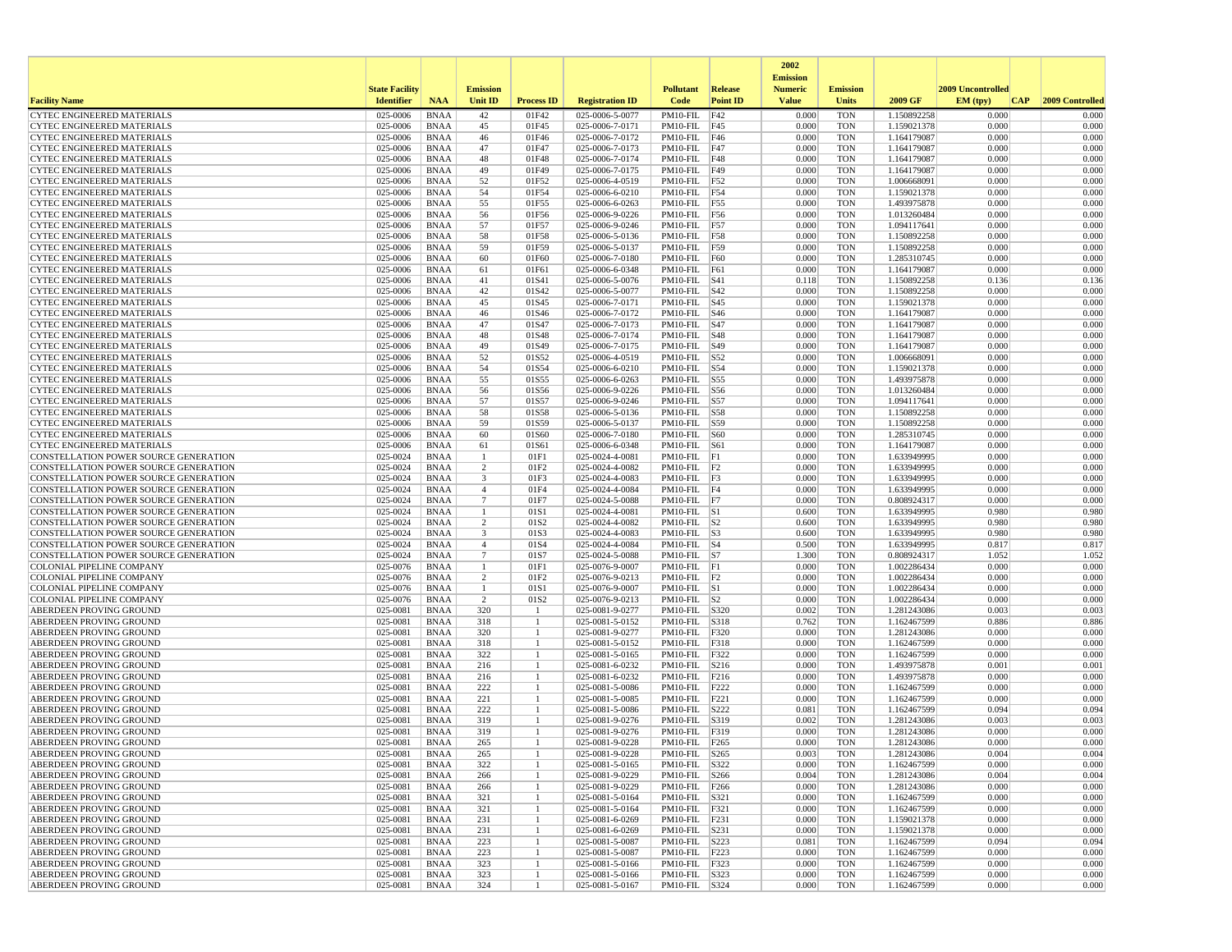|                                                                                |                       |                            |                     |                   |                                    |                                    |                 | 2002<br><b>Emission</b> |                          |                            |                   |                 |
|--------------------------------------------------------------------------------|-----------------------|----------------------------|---------------------|-------------------|------------------------------------|------------------------------------|-----------------|-------------------------|--------------------------|----------------------------|-------------------|-----------------|
|                                                                                | <b>State Facility</b> |                            | <b>Emission</b>     |                   |                                    | <b>Pollutant</b>                   | Release         | <b>Numeric</b>          | <b>Emission</b>          |                            | 2009 Uncontrolled |                 |
| <b>Facility Name</b>                                                           | <b>Identifier</b>     | <b>NAA</b>                 | Unit ID             | <b>Process ID</b> | <b>Registration ID</b>             | Code                               | <b>Point ID</b> | <b>Value</b>            | <b>Units</b>             | 2009 GF                    | EM (typ)<br> CAP  | 2009 Controlled |
| <b>CYTEC ENGINEERED MATERIALS</b>                                              | 025-0006              | <b>BNAA</b>                | 42                  | 01F42             | 025-0006-5-0077                    | PM10-FIL                           | F42             | 0.000                   | <b>TON</b>               | 1.150892258                | 0.000             | 0.000           |
| <b>CYTEC ENGINEERED MATERIALS</b>                                              | 025-0006              | <b>BNAA</b>                | 45                  | 01F45             | 025-0006-7-0171                    | PM10-FIL F45                       |                 | 0.000                   | <b>TON</b>               | 1.159021378                | 0.000             | 0.000           |
| <b>CYTEC ENGINEERED MATERIALS</b>                                              | 025-0006<br>025-0006  | <b>BNAA</b>                | 46                  | 01F46             | 025-0006-7-0172                    | PM10-FIL F46                       |                 | 0.000<br>0.000          | <b>TON</b>               | 1.164179087                | 0.000<br>0.000    | 0.000<br>0.000  |
| <b>CYTEC ENGINEERED MATERIALS</b><br><b>CYTEC ENGINEERED MATERIALS</b>         | 025-0006              | <b>BNAA</b><br><b>BNAA</b> | 47<br>48            | 01F47<br>01F48    | 025-0006-7-0173<br>025-0006-7-0174 | $PM10-FIL$ F47<br>$PM10-FIL$ F48   |                 | 0.000                   | <b>TON</b><br><b>TON</b> | 1.164179087<br>1.164179087 | 0.000             | 0.000           |
| <b>CYTEC ENGINEERED MATERIALS</b>                                              | 025-0006              | <b>BNAA</b>                | 49                  | 01F49             | 025-0006-7-0175                    | PM10-FIL F49                       |                 | 0.000                   | <b>TON</b>               | 1.164179087                | 0.000             | 0.000           |
| <b>CYTEC ENGINEERED MATERIALS</b>                                              | 025-0006              | <b>BNAA</b>                | 52                  | 01F52             | 025-0006-4-0519                    | PM10-FIL F52                       |                 | 0.000                   | <b>TON</b>               | 1.006668091                | 0.000             | 0.000           |
| CYTEC ENGINEERED MATERIALS                                                     | 025-0006              | <b>BNAA</b>                | 54                  | 01F54             | 025-0006-6-0210                    | $PM10-FIL$ F54                     |                 | 0.000                   | <b>TON</b>               | 1.159021378                | 0.000             | 0.000           |
| CYTEC ENGINEERED MATERIALS                                                     | 025-0006              | <b>BNAA</b>                | 55                  | 01F55             | 025-0006-6-0263                    | PM10-FIL F55                       |                 | 0.000                   | <b>TON</b>               | 1.493975878                | 0.000             | 0.000           |
| <b>CYTEC ENGINEERED MATERIALS</b>                                              | 025-0006              | <b>BNAA</b>                | 56                  | 01F56             | 025-0006-9-0226                    | PM10-FIL F56                       |                 | 0.000                   | <b>TON</b>               | 1.013260484                | 0.000             | 0.000           |
| CYTEC ENGINEERED MATERIALS                                                     | 025-0006              | <b>BNAA</b>                | 57                  | 01F57             | 025-0006-9-0246                    | PM10-FIL F57                       |                 | 0.000                   | <b>TON</b>               | 1.094117641                | 0.000             | 0.000           |
| <b>CYTEC ENGINEERED MATERIALS</b><br>CYTEC ENGINEERED MATERIALS                | 025-0006<br>025-0006  | <b>BNAA</b><br><b>BNAA</b> | 58<br>59            | 01F58<br>01F59    | 025-0006-5-0136<br>025-0006-5-0137 | PM10-FIL F58<br>PM10-FIL F59       |                 | 0.000<br>0.000          | <b>TON</b><br><b>TON</b> | 1.150892258<br>1.150892258 | 0.000<br>0.000    | 0.000<br>0.000  |
| CYTEC ENGINEERED MATERIALS                                                     | 025-0006              | <b>BNAA</b>                | 60                  | 01F60             | 025-0006-7-0180                    | PM10-FIL                           | F60             | 0.000                   | <b>TON</b>               | 1.285310745                | 0.000             | 0.000           |
| <b>CYTEC ENGINEERED MATERIALS</b>                                              | 025-0006              | <b>BNAA</b>                | 61                  | 01F61             | 025-0006-6-0348                    | PM10-FIL                           | F61             | 0.000                   | <b>TON</b>               | 1.164179087                | 0.000             | 0.000           |
| CYTEC ENGINEERED MATERIALS                                                     | 025-0006              | <b>BNAA</b>                | 41                  | 01S41             | 025-0006-5-0076                    | $PM10-FIL$ $ S41$                  |                 | 0.118                   | <b>TON</b>               | 1.150892258                | 0.136             | 0.136           |
| CYTEC ENGINEERED MATERIALS                                                     | 025-0006              | <b>BNAA</b>                | 42                  | 01S42             | 025-0006-5-0077                    | PM10-FIL S42                       |                 | 0.000                   | <b>TON</b>               | 1.150892258                | 0.000             | 0.000           |
| CYTEC ENGINEERED MATERIALS                                                     | 025-0006              | <b>BNAA</b>                | 45                  | 01S45             | 025-0006-7-0171                    | $PM10-FIL$ S45                     |                 | 0.000                   | <b>TON</b>               | 1.159021378                | 0.000             | 0.000           |
| CYTEC ENGINEERED MATERIALS                                                     | 025-0006              | <b>BNAA</b>                | 46                  | 01S46             | 025-0006-7-0172                    | $PM10-FIL$ $ S46$                  |                 | 0.000                   | <b>TON</b>               | 1.164179087                | 0.000             | 0.000           |
| <b>CYTEC ENGINEERED MATERIALS</b>                                              | 025-0006              | <b>BNAA</b>                | 47                  | 01S47             | 025-0006-7-0173                    | PM10-FIL                           | <b>S47</b>      | 0.000                   | <b>TON</b>               | 1.164179087                | 0.000             | 0.000           |
| <b>CYTEC ENGINEERED MATERIALS</b>                                              | 025-0006<br>025-0006  | <b>BNAA</b>                | 48                  | 01S48             | 025-0006-7-0174                    | PM10-FIL                           | S48             | 0.000                   | <b>TON</b>               | 1.164179087                | 0.000<br>0.000    | 0.000<br>0.000  |
| <b>CYTEC ENGINEERED MATERIALS</b><br><b>CYTEC ENGINEERED MATERIALS</b>         | 025-0006              | <b>BNAA</b><br><b>BNAA</b> | 49<br>52            | 01S49<br>01S52    | 025-0006-7-0175<br>025-0006-4-0519 | $PM10-FIL$ $ S49$<br>PM10-FIL S52  |                 | 0.000<br>0.000          | <b>TON</b><br><b>TON</b> | 1.164179087<br>1.006668091 | 0.000             | 0.000           |
| <b>CYTEC ENGINEERED MATERIALS</b>                                              | 025-0006              | <b>BNAA</b>                | 54                  | 01S54             | 025-0006-6-0210                    | $PM10-FIL$ S54                     |                 | 0.000                   | <b>TON</b>               | 1.159021378                | 0.000             | 0.000           |
| CYTEC ENGINEERED MATERIALS                                                     | 025-0006              | <b>BNAA</b>                | 55                  | 01S55             | 025-0006-6-0263                    | PM10-FIL                           | S55             | 0.000                   | <b>TON</b>               | 1.493975878                | 0.000             | 0.000           |
| <b>CYTEC ENGINEERED MATERIALS</b>                                              | 025-0006              | <b>BNAA</b>                | 56                  | 01S56             | 025-0006-9-0226                    | PM10-FIL                           | S56             | 0.000                   | <b>TON</b>               | 1.013260484                | 0.000             | 0.000           |
| CYTEC ENGINEERED MATERIALS                                                     | 025-0006              | <b>BNAA</b>                | 57                  | 01S57             | 025-0006-9-0246                    | PM10-FIL                           | S57             | 0.000                   | <b>TON</b>               | 1.094117641                | 0.000             | 0.000           |
| <b>CYTEC ENGINEERED MATERIALS</b>                                              | 025-0006              | <b>BNAA</b>                | 58                  | 01S58             | 025-0006-5-0136                    | PM10-FIL S58                       |                 | 0.000                   | <b>TON</b>               | 1.150892258                | 0.000             | 0.000           |
| <b>CYTEC ENGINEERED MATERIALS</b>                                              | 025-0006              | <b>BNAA</b>                | 59                  | 01S59             | 025-0006-5-0137                    | $PM10-FIL$ S59                     |                 | 0.000                   | <b>TON</b>               | 1.150892258                | 0.000             | 0.000           |
| <b>CYTEC ENGINEERED MATERIALS</b>                                              | 025-0006              | <b>BNAA</b>                | 60                  | 01S60             | 025-0006-7-0180                    | PM10-FIL                           | <b>S60</b>      | 0.000                   | <b>TON</b>               | 1.285310745<br>1.164179087 | 0.000             | 0.000           |
| <b>CYTEC ENGINEERED MATERIALS</b><br>CONSTELLATION POWER SOURCE GENERATION     | 025-0006<br>025-0024  | <b>BNAA</b><br><b>BNAA</b> | 61<br>$\mathbf{1}$  | 01S61<br>01F1     | 025-0006-6-0348<br>025-0024-4-0081 | PM10-FIL<br>PM10-FIL F1            | S61             | 0.000<br>0.000          | <b>TON</b><br><b>TON</b> | 1.633949995                | 0.000<br>0.000    | 0.000<br>0.000  |
| CONSTELLATION POWER SOURCE GENERATION                                          | 025-0024              | <b>BNAA</b>                | 2                   | 01F2              | 025-0024-4-0082                    | $PM10-FIL$ $F2$                    |                 | 0.000                   | <b>TON</b>               | 1.633949995                | 0.000             | 0.000           |
| CONSTELLATION POWER SOURCE GENERATION                                          | 025-0024              | <b>BNAA</b>                | 3                   | 01F3              | 025-0024-4-0083                    | PM10-FIL F3                        |                 | 0.000                   | <b>TON</b>               | 1.633949995                | 0.000             | 0.000           |
| CONSTELLATION POWER SOURCE GENERATION                                          | 025-0024              | <b>BNAA</b>                | $\overline{4}$      | 01F4              | 025-0024-4-0084                    | PM10-FIL F4                        |                 | 0.000                   | <b>TON</b>               | 1.633949995                | 0.000             | 0.000           |
| CONSTELLATION POWER SOURCE GENERATION                                          | 025-0024              | <b>BNAA</b>                | $7\phantom{.0}$     | 01F7              | 025-0024-5-0088                    | PM10-FIL F7                        |                 | 0.000                   | <b>TON</b>               | 0.808924317                | 0.000             | 0.000           |
| CONSTELLATION POWER SOURCE GENERATION                                          | 025-0024              | <b>BNAA</b>                | 1                   | 01S1              | 025-0024-4-0081                    | $PM10-FIL$ S1                      |                 | 0.600                   | <b>TON</b>               | 1.633949995                | 0.980             | 0.980           |
| CONSTELLATION POWER SOURCE GENERATION                                          | 025-0024              | <b>BNAA</b>                | 2                   | 01S2              | 025-0024-4-0082                    | $PM10-FIL$ S <sub>2</sub>          |                 | 0.600                   | <b>TON</b>               | 1.633949995                | 0.980             | 0.980           |
| CONSTELLATION POWER SOURCE GENERATION<br>CONSTELLATION POWER SOURCE GENERATION | 025-0024<br>025-0024  | <b>BNAA</b><br><b>BNAA</b> | 3<br>$\overline{4}$ | 01S3<br>01S4      | 025-0024-4-0083<br>025-0024-4-0084 | $PM10-FIL$ S3<br>$PM10$ -FIL $ S4$ |                 | 0.600<br>0.500          | <b>TON</b><br><b>TON</b> | 1.633949995<br>1.633949995 | 0.980<br>0.817    | 0.980<br>0.817  |
| CONSTELLATION POWER SOURCE GENERATION                                          | 025-0024              | <b>BNAA</b>                | 7                   | 01S7              | 025-0024-5-0088                    | $PM10-FIL$ S7                      |                 | 1.300                   | <b>TON</b>               | 0.808924317                | 1.052             | 1.052           |
| COLONIAL PIPELINE COMPANY                                                      | 025-0076              | <b>BNAA</b>                | -1                  | 01F1              | 025-0076-9-0007                    | PM10-FIL F1                        |                 | 0.000                   | <b>TON</b>               | 1.002286434                | 0.000             | 0.000           |
| COLONIAL PIPELINE COMPANY                                                      | 025-0076              | <b>BNAA</b>                | 2                   | 01F <sub>2</sub>  | 025-0076-9-0213                    | $PM10-FIL$ $F2$                    |                 | 0.000                   | <b>TON</b>               | 1.002286434                | 0.000             | 0.000           |
| COLONIAL PIPELINE COMPANY                                                      | 025-0076              | <b>BNAA</b>                | -1                  | 01S1              | 025-0076-9-0007                    | $PM10-FIL$ S1                      |                 | 0.000                   | <b>TON</b>               | 1.002286434                | 0.000             | 0.000           |
| <b>COLONIAL PIPELINE COMPANY</b>                                               | 025-0076              | <b>BNAA</b>                | 2                   | 01S2              | 025-0076-9-0213                    | $PM10-FIL$ S2                      |                 | 0.000                   | <b>TON</b>               | 1.002286434                | 0.000             | 0.000           |
| ABERDEEN PROVING GROUND                                                        | 025-0081              | <b>BNAA</b>                | 320                 | -1                | 025-0081-9-0277                    | PM10-FIL  S320                     |                 | 0.002                   | <b>TON</b>               | 1.281243086                | 0.003             | 0.003           |
| ABERDEEN PROVING GROUND                                                        | 025-0081              | <b>BNAA</b>                | 318                 | $\mathbf{1}$      | 025-0081-5-0152                    | PM10-FIL                           | S318            | 0.762                   | <b>TON</b>               | 1.162467599                | 0.886             | 0.886           |
| ABERDEEN PROVING GROUND<br>ABERDEEN PROVING GROUND                             | 025-0081<br>025-0081  | <b>BNAA</b><br><b>BNAA</b> | 320<br>318          |                   | 025-0081-9-0277<br>025-0081-5-0152 | PM10-FIL<br>PM10-FIL               | F320<br>F318    | 0.000<br>0.000          | <b>TON</b><br><b>TON</b> | 1.281243086<br>1.162467599 | 0.000<br>0.000    | 0.000<br>0.000  |
| ABERDEEN PROVING GROUND                                                        | 025-0081              | <b>BNAA</b>                | 322                 |                   | 025-0081-5-0165                    | PM10-FIL                           | F322            | 0.000                   | <b>TON</b>               | 1.162467599                | 0.000             | 0.000           |
| ABERDEEN PROVING GROUND                                                        | 025-0081              | <b>BNAA</b>                | 216                 |                   | 025-0081-6-0232                    | PM10-FIL                           | S216            | 0.000                   | TON                      | 1.493975878                | 0.001             | 0.001           |
| ABERDEEN PROVING GROUND                                                        | 025-0081              | <b>BNAA</b>                | 216                 |                   | 025-0081-6-0232                    | PM10-FIL                           | F216            | 0.000                   | <b>TON</b>               | 1.493975878                | 0.000             | 0.000           |
| ABERDEEN PROVING GROUND                                                        | 025-0081              | <b>BNAA</b>                | 222                 |                   | 025-0081-5-0086                    | PM10-FIL                           | F222            | 0.000                   | <b>TON</b>               | 1.162467599                | 0.000             | 0.000           |
| ABERDEEN PROVING GROUND                                                        | 025-0081              | <b>BNAA</b>                | 221                 | -1                | 025-0081-5-0085                    | PM10-FIL                           | F221            | 0.000                   | <b>TON</b>               | 1.162467599                | 0.000             | 0.000           |
| ABERDEEN PROVING GROUND                                                        | 025-0081              | <b>BNAA</b>                | 222                 |                   | 025-0081-5-0086                    | PM10-FIL                           | S222            | 0.081                   | <b>TON</b>               | 1.162467599                | 0.094             | 0.094           |
| ABERDEEN PROVING GROUND<br>ABERDEEN PROVING GROUND                             | 025-0081<br>025-0081  | <b>BNAA</b><br><b>BNAA</b> | 319<br>319          | -1                | 025-0081-9-0276<br>025-0081-9-0276 | PM10-FIL<br>PM10-FIL               | S319<br>F319    | 0.002<br>0.000          | <b>TON</b><br><b>TON</b> | 1.281243086<br>1.281243086 | 0.003<br>0.000    | 0.003<br>0.000  |
| <b>ABERDEEN PROVING GROUND</b>                                                 | 025-0081              | <b>BNAA</b>                | 265                 |                   | 025-0081-9-0228                    | PM10-FIL F265                      |                 | 0.000                   | <b>TON</b>               | 1.281243086                | 0.000             | 0.000           |
| ABERDEEN PROVING GROUND                                                        | 025-0081              | <b>BNAA</b>                | 265                 |                   | 025-0081-9-0228                    | PM10-FIL  S265                     |                 | 0.003                   | TON                      | 1.281243086                | 0.004             | 0.004           |
| <b>ABERDEEN PROVING GROUND</b>                                                 | 025-0081              | BNAA                       | 322                 | -1                | 025-0081-5-0165                    | PM10-FIL S322                      |                 | 0.000                   | <b>TON</b>               | 1.162467599                | 0.000             | 0.000           |
| <b>ABERDEEN PROVING GROUND</b>                                                 | 025-0081              | BNAA                       | 266                 |                   | 025-0081-9-0229                    | PM10-FIL S266                      |                 | 0.004                   | TON                      | 1.281243086                | 0.004             | 0.004           |
| <b>ABERDEEN PROVING GROUND</b>                                                 | 025-0081              | BNAA                       | 266                 |                   | 025-0081-9-0229                    | PM10-FIL F266                      |                 | 0.000                   | TON                      | 1.281243086                | 0.000             | 0.000           |
| <b>ABERDEEN PROVING GROUND</b>                                                 | 025-0081              | BNAA                       | 321                 |                   | 025-0081-5-0164                    | PM10-FIL S321                      |                 | 0.000                   | <b>TON</b>               | 1.162467599                | 0.000             | 0.000           |
| <b>ABERDEEN PROVING GROUND</b>                                                 | 025-0081              | <b>BNAA</b>                | 321                 |                   | 025-0081-5-0164                    | PM10-FIL F321                      |                 | 0.000                   | <b>TON</b>               | 1.162467599                | 0.000             | 0.000           |
| ABERDEEN PROVING GROUND                                                        | 025-0081              | <b>BNAA</b>                | 231                 | -1                | 025-0081-6-0269                    | PM10-FIL F231<br>PM10-FIL S231     |                 | 0.000                   | <b>TON</b>               | 1.159021378                | 0.000             | 0.000           |
| <b>ABERDEEN PROVING GROUND</b><br>ABERDEEN PROVING GROUND                      | 025-0081<br>025-0081  | BNAA<br><b>BNAA</b>        | 231<br>223          | 1                 | 025-0081-6-0269<br>025-0081-5-0087 | PM10-FIL S223                      |                 | 0.000<br>0.081          | <b>TON</b><br><b>TON</b> | 1.159021378<br>1.162467599 | 0.000<br>0.094    | 0.000<br>0.094  |
| <b>ABERDEEN PROVING GROUND</b>                                                 | 025-0081              | BNAA                       | 223                 | 1                 | 025-0081-5-0087                    | PM10-FIL F223                      |                 | 0.000                   | <b>TON</b>               | 1.162467599                | 0.000             | 0.000           |
| <b>ABERDEEN PROVING GROUND</b>                                                 | 025-0081              | BNAA                       | 323                 |                   | 025-0081-5-0166                    | PM10-FIL F323                      |                 | 0.000                   | TON                      | 1.162467599                | 0.000             | 0.000           |
| ABERDEEN PROVING GROUND                                                        | 025-0081              | <b>BNAA</b>                | 323                 |                   | 025-0081-5-0166                    | PM10-FIL S323                      |                 | 0.000                   | <b>TON</b>               | 1.162467599                | 0.000             | 0.000           |
| <b>ABERDEEN PROVING GROUND</b>                                                 | 025-0081              | <b>BNAA</b>                | 324                 | -1                | 025-0081-5-0167                    | PM10-FIL S324                      |                 | 0.000                   | TON                      | 1.162467599                | 0.000             | 0.000           |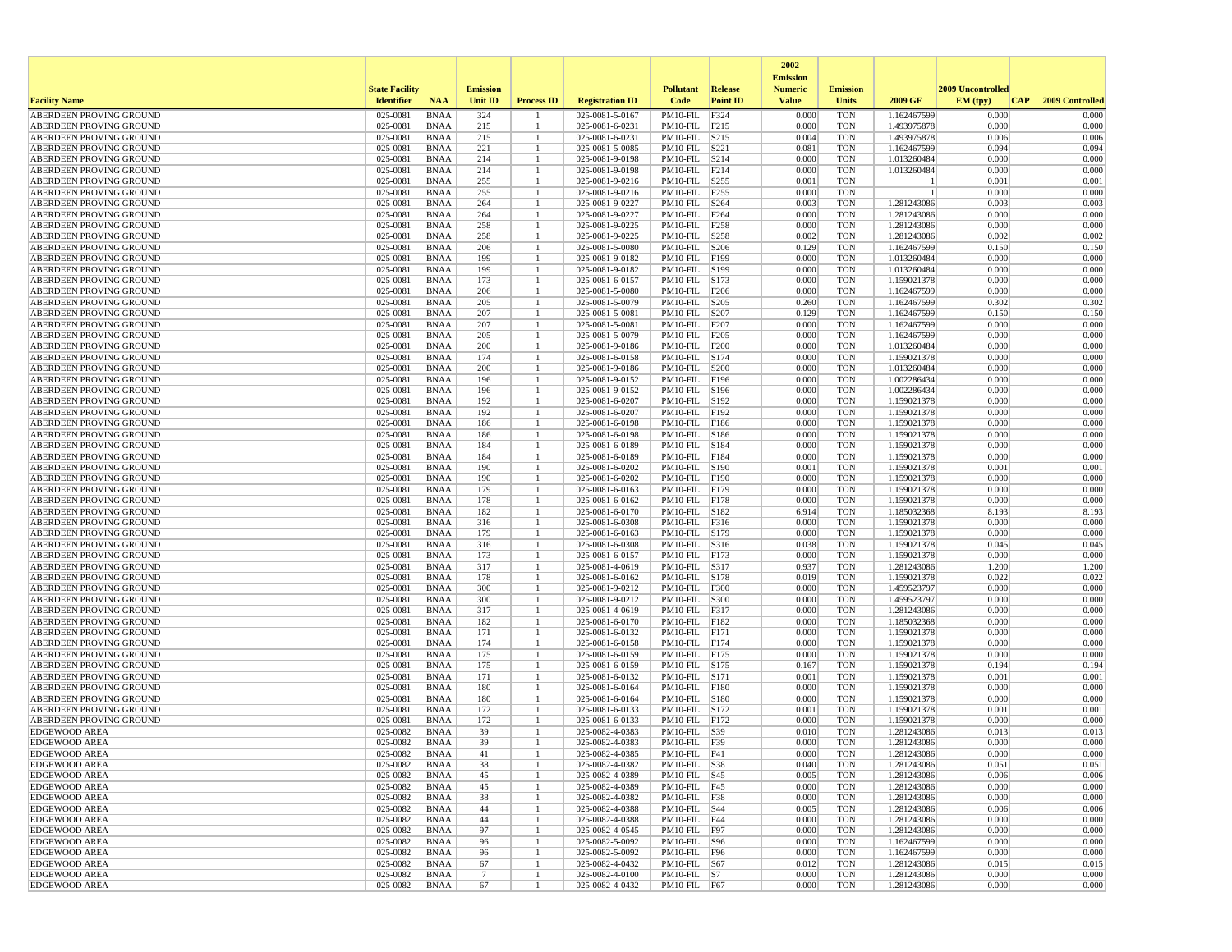|                                                    |                       |                            |                 |                   |                                    |                                     |                  | 2002                              |                          |                            |                   |                 |
|----------------------------------------------------|-----------------------|----------------------------|-----------------|-------------------|------------------------------------|-------------------------------------|------------------|-----------------------------------|--------------------------|----------------------------|-------------------|-----------------|
|                                                    | <b>State Facility</b> |                            | <b>Emission</b> |                   |                                    | <b>Pollutant</b>                    | <b>Release</b>   | <b>Emission</b><br><b>Numeric</b> | <b>Emission</b>          |                            | 2009 Uncontrolled |                 |
| <b>Facility Name</b>                               | <b>Identifier</b>     | <b>NAA</b>                 | <b>Unit ID</b>  | <b>Process ID</b> | <b>Registration ID</b>             | Code                                | <b>Point ID</b>  | <b>Value</b>                      | <b>Units</b>             | 2009 GF                    | EM (typ)<br> CAP  | 2009 Controlled |
| ABERDEEN PROVING GROUND                            | 025-0081              | <b>BNAA</b>                | 324             |                   | 025-0081-5-0167                    | $PM10-FIL$                          | F324             | 0.000                             | <b>TON</b>               | 1.162467599                | 0.000             | 0.000           |
| ABERDEEN PROVING GROUND                            | 025-0081              | <b>BNAA</b>                | 215             | -1                | 025-0081-6-0231                    | PM10-FIL                            | F215             | 0.000                             | <b>TON</b>               | 1.493975878                | 0.000             | 0.000           |
| ABERDEEN PROVING GROUND                            | 025-0081              | <b>BNAA</b>                | 215             |                   | 025-0081-6-0231                    | PM10-FIL                            | S215             | 0.004                             | <b>TON</b>               | 1.493975878                | 0.006             | 0.006           |
| ABERDEEN PROVING GROUND<br>ABERDEEN PROVING GROUND | 025-0081<br>025-0081  | <b>BNAA</b>                | 221<br>214      |                   | 025-0081-5-0085                    | PM10-FIL<br>PM10-FIL                | S221<br> S214    | 0.081<br>0.000                    | <b>TON</b><br><b>TON</b> | 1.162467599<br>1.013260484 | 0.094<br>0.000    | 0.094<br>0.000  |
| ABERDEEN PROVING GROUND                            | 025-0081              | <b>BNAA</b><br><b>BNAA</b> | 214             |                   | 025-0081-9-0198<br>025-0081-9-0198 | PM10-FIL                            | F214             | 0.000                             | <b>TON</b>               | 1.013260484                | 0.000             | 0.000           |
| ABERDEEN PROVING GROUND                            | 025-0081              | <b>BNAA</b>                | 255             |                   | 025-0081-9-0216                    | PM10-FIL                            | S255             | 0.001                             | <b>TON</b>               |                            | 0.001             | 0.001           |
| ABERDEEN PROVING GROUND                            | 025-0081              | <b>BNAA</b>                | 255             |                   | 025-0081-9-0216                    | PM10-FIL                            | F <sub>255</sub> | 0.000                             | <b>TON</b>               |                            | 0.000             | 0.000           |
| <b>ABERDEEN PROVING GROUND</b>                     | 025-0081              | <b>BNAA</b>                | 264             |                   | 025-0081-9-0227                    | PM10-FIL                            | S264             | 0.003                             | <b>TON</b>               | 1.281243086                | 0.003             | 0.003           |
| ABERDEEN PROVING GROUND                            | 025-0081              | <b>BNAA</b>                | 264             | 1                 | 025-0081-9-0227                    | PM10-FIL                            | F <sub>264</sub> | 0.000                             | <b>TON</b>               | 1.281243086                | 0.000             | 0.000           |
| ABERDEEN PROVING GROUND                            | 025-0081              | <b>BNAA</b>                | 258             |                   | 025-0081-9-0225                    | PM10-FIL                            | F <sub>258</sub> | 0.000                             | <b>TON</b>               | 1.281243086                | 0.000             | 0.000           |
| ABERDEEN PROVING GROUND                            | 025-0081              | <b>BNAA</b>                | 258             |                   | 025-0081-9-0225                    | PM10-FIL                            | S258             | 0.002                             | <b>TON</b>               | 1.281243086                | 0.002             | 0.002           |
| ABERDEEN PROVING GROUND                            | 025-0081              | <b>BNAA</b>                | 206             | -1                | 025-0081-5-0080                    | PM10-FIL                            | S206             | 0.129                             | <b>TON</b>               | 1.162467599                | 0.150             | 0.150           |
| ABERDEEN PROVING GROUND<br>ABERDEEN PROVING GROUND | 025-0081              | <b>BNAA</b><br><b>BNAA</b> | 199             |                   | 025-0081-9-0182                    | PM10-FIL<br>PM10-FIL                | F199             | 0.000                             | <b>TON</b>               | 1.013260484                | 0.000             | 0.000<br>0.000  |
| ABERDEEN PROVING GROUND                            | 025-0081<br>025-0081  | <b>BNAA</b>                | 199<br>173      |                   | 025-0081-9-0182<br>025-0081-6-0157 | PM10-FIL                            | S199<br>S173     | 0.000<br>0.000                    | <b>TON</b><br><b>TON</b> | 1.013260484<br>1.159021378 | 0.000<br>0.000    | 0.000           |
| ABERDEEN PROVING GROUND                            | 025-0081              | <b>BNAA</b>                | 206             |                   | 025-0081-5-0080                    | PM10-FIL F206                       |                  | 0.000                             | <b>TON</b>               | 1.162467599                | 0.000             | 0.000           |
| ABERDEEN PROVING GROUND                            | 025-0081              | <b>BNAA</b>                | 205             |                   | 025-0081-5-0079                    | PM10-FIL  S205                      |                  | 0.260                             | <b>TON</b>               | 1.162467599                | 0.302             | 0.302           |
| ABERDEEN PROVING GROUND                            | 025-0081              | <b>BNAA</b>                | 207             |                   | 025-0081-5-0081                    | PM10-FIL                            | S207             | 0.129                             | <b>TON</b>               | 1.162467599                | 0.150             | 0.150           |
| ABERDEEN PROVING GROUND                            | 025-0081              | <b>BNAA</b>                | 207             |                   | 025-0081-5-0081                    | PM10-FIL                            | F207             | 0.000                             | <b>TON</b>               | 1.162467599                | 0.000             | 0.000           |
| ABERDEEN PROVING GROUND                            | 025-0081              | <b>BNAA</b>                | 205             | -1                | 025-0081-5-0079                    | PM10-FIL                            | F <sub>205</sub> | 0.000                             | <b>TON</b>               | 1.162467599                | 0.000             | 0.000           |
| ABERDEEN PROVING GROUND                            | 025-0081              | <b>BNAA</b>                | 200             |                   | 025-0081-9-0186                    | PM10-FIL                            | F200             | 0.000                             | <b>TON</b>               | 1.013260484                | 0.000             | 0.000           |
| ABERDEEN PROVING GROUND                            | 025-0081              | <b>BNAA</b>                | 174             |                   | 025-0081-6-0158                    | PM10-FIL                            | S174             | 0.000                             | <b>TON</b>               | 1.159021378                | 0.000             | 0.000           |
| ABERDEEN PROVING GROUND                            | 025-0081              | <b>BNAA</b>                | 200             | 1                 | 025-0081-9-0186                    | PM10-FIL  S200                      |                  | 0.000                             | TON                      | 1.013260484                | 0.000             | 0.000           |
| ABERDEEN PROVING GROUND<br>ABERDEEN PROVING GROUND | 025-0081<br>025-0081  | <b>BNAA</b><br><b>BNAA</b> | 196<br>196      |                   | 025-0081-9-0152<br>025-0081-9-0152 | PM10-FIL<br>PM10-FIL                | F196<br>S196     | 0.000<br>0.000                    | <b>TON</b><br><b>TON</b> | 1.002286434<br>1.002286434 | 0.000<br>0.000    | 0.000<br>0.000  |
| ABERDEEN PROVING GROUND                            | 025-0081              | <b>BNAA</b>                | 192             |                   | 025-0081-6-0207                    | $PM10-FIL$                          | S192             | 0.000                             | <b>TON</b>               | 1.159021378                | 0.000             | 0.000           |
| ABERDEEN PROVING GROUND                            | 025-0081              | <b>BNAA</b>                | 192             |                   | 025-0081-6-0207                    | PM10-FIL F192                       |                  | 0.000                             | <b>TON</b>               | 1.159021378                | 0.000             | 0.000           |
| ABERDEEN PROVING GROUND                            | 025-0081              | <b>BNAA</b>                | 186             |                   | 025-0081-6-0198                    | PM10-FIL F186                       |                  | 0.000                             | TON                      | 1.159021378                | 0.000             | 0.000           |
| ABERDEEN PROVING GROUND                            | 025-0081              | <b>BNAA</b>                | 186             |                   | 025-0081-6-0198                    | PM10-FIL                            | S186             | 0.000                             | <b>TON</b>               | 1.159021378                | 0.000             | 0.000           |
| ABERDEEN PROVING GROUND                            | 025-0081              | <b>BNAA</b>                | 184             |                   | 025-0081-6-0189                    | PM10-FIL                            | S184             | 0.000                             | <b>TON</b>               | 1.159021378                | 0.000             | 0.000           |
| ABERDEEN PROVING GROUND                            | 025-0081              | <b>BNAA</b>                | 184             |                   | 025-0081-6-0189                    | PM10-FIL                            | F184             | 0.000                             | <b>TON</b>               | 1.159021378                | 0.000             | 0.000           |
| ABERDEEN PROVING GROUND                            | 025-0081              | <b>BNAA</b>                | 190             |                   | 025-0081-6-0202                    | PM10-FIL                            | S190             | 0.001                             | <b>TON</b>               | 1.159021378                | 0.001             | 0.001           |
| ABERDEEN PROVING GROUND<br>ABERDEEN PROVING GROUND | 025-0081<br>025-0081  | <b>BNAA</b><br><b>BNAA</b> | 190<br>179      |                   | 025-0081-6-0202<br>025-0081-6-0163 | PM10-FIL F190<br>PM10-FIL F179      |                  | 0.000<br>0.000                    | <b>TON</b><br>TON        | 1.159021378<br>1.159021378 | 0.000<br>0.000    | 0.000<br>0.000  |
| ABERDEEN PROVING GROUND                            | 025-0081              | <b>BNAA</b>                | 178             |                   | 025-0081-6-0162                    | PM10-FIL                            | F178             | 0.000                             | <b>TON</b>               | 1.159021378                | 0.000             | 0.000           |
| ABERDEEN PROVING GROUND                            | 025-0081              | <b>BNAA</b>                | 182             |                   | 025-0081-6-0170                    | PM10-FIL                            | S182             | 6.914                             | <b>TON</b>               | 1.185032368                | 8.193             | 8.193           |
| ABERDEEN PROVING GROUND                            | 025-0081              | <b>BNAA</b>                | 316             |                   | 025-0081-6-0308                    | PM10-FIL                            | F316             | 0.000                             | <b>TON</b>               | 1.159021378                | 0.000             | 0.000           |
| ABERDEEN PROVING GROUND                            | 025-0081              | <b>BNAA</b>                | 179             |                   | 025-0081-6-0163                    | PM10-FIL                            | S179             | 0.000                             | <b>TON</b>               | 1.159021378                | 0.000             | 0.000           |
| ABERDEEN PROVING GROUND                            | 025-0081              | <b>BNAA</b>                | 316             |                   | 025-0081-6-0308                    | PM10-FIL                            | S316             | 0.038                             | TON                      | 1.159021378                | 0.045             | 0.045           |
| ABERDEEN PROVING GROUND                            | 025-0081              | <b>BNAA</b>                | 173             | -1                | 025-0081-6-0157                    | PM10-FIL                            | F173             | 0.000                             | <b>TON</b>               | 1.159021378                | 0.000             | 0.000           |
| ABERDEEN PROVING GROUND                            | 025-0081              | <b>BNAA</b>                | 317             |                   | 025-0081-4-0619                    | PM10-FIL                            | S317             | 0.937                             | <b>TON</b>               | 1.281243086                | 1.200             | 1.200           |
| ABERDEEN PROVING GROUND                            | 025-0081              | <b>BNAA</b>                | 178             |                   | 025-0081-6-0162                    | PM10-FIL                            | S178             | 0.019                             | <b>TON</b>               | 1.159021378                | 0.022             | 0.022           |
| ABERDEEN PROVING GROUND<br>ABERDEEN PROVING GROUND | 025-0081<br>025-0081  | <b>BNAA</b><br><b>BNAA</b> | 300<br>300      |                   | 025-0081-9-0212                    | PM10-FIL<br>PM10-FIL                | F300<br>S300     | 0.000<br>0.000                    | <b>TON</b><br><b>TON</b> | 1.459523797                | 0.000<br>0.000    | 0.000<br>0.000  |
| ABERDEEN PROVING GROUND                            | 025-0081              | <b>BNAA</b>                | 317             |                   | 025-0081-9-0212<br>025-0081-4-0619 | PM10-FIL F317                       |                  | 0.000                             | TON                      | 1.459523797<br>1.281243086 | 0.000             | 0.000           |
| ABERDEEN PROVING GROUND                            | 025-0081              | <b>BNAA</b>                | 182             |                   | 025-0081-6-0170                    | PM10-FIL                            | F182             | 0.000                             | <b>TON</b>               | 1.185032368                | 0.000             | 0.000           |
| ABERDEEN PROVING GROUND                            | 025-0081              | <b>BNAA</b>                | 171             |                   | 025-0081-6-0132                    | PM10-FIL                            | F171             | 0.000                             | <b>TON</b>               | 1.159021378                | 0.000             | 0.000           |
| ABERDEEN PROVING GROUND                            | 025-0081              | <b>BNAA</b>                | 174             | -1                | 025-0081-6-0158                    | PM10-FIL                            | F174             | 0.000                             | <b>TON</b>               | 1.159021378                | 0.000             | 0.000           |
| ABERDEEN PROVING GROUND                            | 025-0081              | <b>BNAA</b>                | 175             |                   | 025-0081-6-0159                    | PM10-FIL F175                       |                  | 0.000                             | <b>TON</b>               | 1.159021378                | 0.000             | 0.000           |
| ABERDEEN PROVING GROUND                            | 025-0081              | <b>BNAA</b>                | 175             |                   | 025-0081-6-0159                    | PM10-FIL S175                       |                  | 0.167                             | TON                      | 1.159021378                | 0.194             | 0.194           |
| ABERDEEN PROVING GROUND                            | 025-0081              | <b>BNAA</b>                | 171             |                   | 025-0081-6-0132                    | PM10-FIL S171                       |                  | 0.001                             | <b>TON</b>               | 1.159021378                | 0.001             | 0.001           |
| ABERDEEN PROVING GROUND                            | 025-0081              | <b>BNAA</b>                | 180             |                   | 025-0081-6-0164                    | PM10-FIL                            | F180             | 0.000                             | <b>TON</b>               | 1.159021378                | 0.000             | 0.000           |
| ABERDEEN PROVING GROUND<br>ABERDEEN PROVING GROUND | 025-0081<br>025-0081  | <b>BNAA</b><br><b>BNAA</b> | 180<br>172      |                   | 025-0081-6-0164<br>025-0081-6-0133 | PM10-FIL<br>PM10-FIL                | S180<br>S172     | 0.000<br>0.001                    | <b>TON</b><br><b>TON</b> | 1.159021378<br>1.159021378 | 0.000<br>0.001    | 0.000<br>0.001  |
| ABERDEEN PROVING GROUND                            | 025-0081              | <b>BNAA</b>                | 172             |                   | 025-0081-6-0133                    | PM10-FIL                            | F172             | 0.000                             | <b>TON</b>               | 1.159021378                | 0.000             | 0.000           |
| <b>EDGEWOOD AREA</b>                               | 025-0082              | <b>BNAA</b>                | 39              |                   | 025-0082-4-0383                    | PM10-FIL  S39                       |                  | 0.010                             | <b>TON</b>               | 1.281243086                | 0.013             | 0.013           |
| <b>EDGEWOOD AREA</b>                               | 025-0082              | <b>BNAA</b>                | 39              |                   | 025-0082-4-0383                    | PM10-FIL F39                        |                  | 0.000                             | <b>TON</b>               | 1.281243086                | 0.000             | 0.000           |
| <b>EDGEWOOD AREA</b>                               | 025-0082              | <b>BNAA</b>                | 41              |                   | 025-0082-4-0385                    | $PM10-FIL$ F41                      |                  | 0.000                             | TON                      | 1.281243086                | 0.000             | 0.000           |
| <b>EDGEWOOD AREA</b>                               | 025-0082              | BNAA                       | 38              | -1                | 025-0082-4-0382                    | PM10-FIL  S38                       |                  | 0.040                             | TON                      | 1.281243086                | 0.051             | 0.051           |
| <b>EDGEWOOD AREA</b>                               | 025-0082              | BNAA                       | 45              |                   | 025-0082-4-0389                    | $PM10-FIL$ $ S45$                   |                  | 0.005                             | <b>TON</b>               | 1.281243086                | 0.006             | 0.006           |
| <b>EDGEWOOD AREA</b>                               | 025-0082              | BNAA                       | 45              |                   | 025-0082-4-0389                    | PM10-FIL F45                        |                  | 0.000                             | TON                      | 1.281243086                | 0.000             | 0.000           |
| <b>EDGEWOOD AREA</b>                               | 025-0082              | BNAA                       | 38              | 1                 | 025-0082-4-0382                    | PM10-FIL F38                        |                  | 0.000                             | <b>TON</b>               | 1.281243086                | 0.000             | 0.000           |
| <b>EDGEWOOD AREA</b>                               | 025-0082              | <b>BNAA</b>                | 44              |                   | 025-0082-4-0388<br>025-0082-4-0388 | $PM10-FIL$ $ S44$<br>$PM10-FIL$ F44 |                  | 0.005                             | TON                      | 1.281243086                | 0.006             | 0.006           |
| <b>EDGEWOOD AREA</b><br><b>EDGEWOOD AREA</b>       | 025-0082<br>025-0082  | <b>BNAA</b><br>BNAA        | 44<br>97        | -1                | 025-0082-4-0545                    | PM10-FIL F97                        |                  | 0.000<br>0.000                    | TON<br><b>TON</b>        | 1.281243086<br>1.281243086 | 0.000<br>0.000    | 0.000<br>0.000  |
| <b>EDGEWOOD AREA</b>                               | 025-0082              | BNAA                       | 96              |                   | 025-0082-5-0092                    | PM10-FIL  S96                       |                  | 0.000                             | <b>TON</b>               | 1.162467599                | 0.000             | 0.000           |
| <b>EDGEWOOD AREA</b>                               | 025-0082              | BNAA                       | 96              | 1                 | 025-0082-5-0092                    | PM10-FIL F96                        |                  | 0.000                             | TON                      | 1.162467599                | 0.000             | 0.000           |
| <b>EDGEWOOD AREA</b>                               | 025-0082              | BNAA                       | 67              |                   | 025-0082-4-0432                    | $PM10-FIL$ S67                      |                  | 0.012                             | TON                      | 1.281243086                | 0.015             | 0.015           |
| <b>EDGEWOOD AREA</b>                               | 025-0082              | <b>BNAA</b>                | $\overline{7}$  |                   | 025-0082-4-0100                    | $PM10-FIL$ S7                       |                  | 0.000                             | <b>TON</b>               | 1.281243086                | 0.000             | 0.000           |
| <b>EDGEWOOD AREA</b>                               | 025-0082              | BNAA                       | 67              | $\mathbf{1}$      | 025-0082-4-0432                    | PM10-FIL F67                        |                  | 0.000                             | TON                      | 1.281243086                | 0.000             | 0.000           |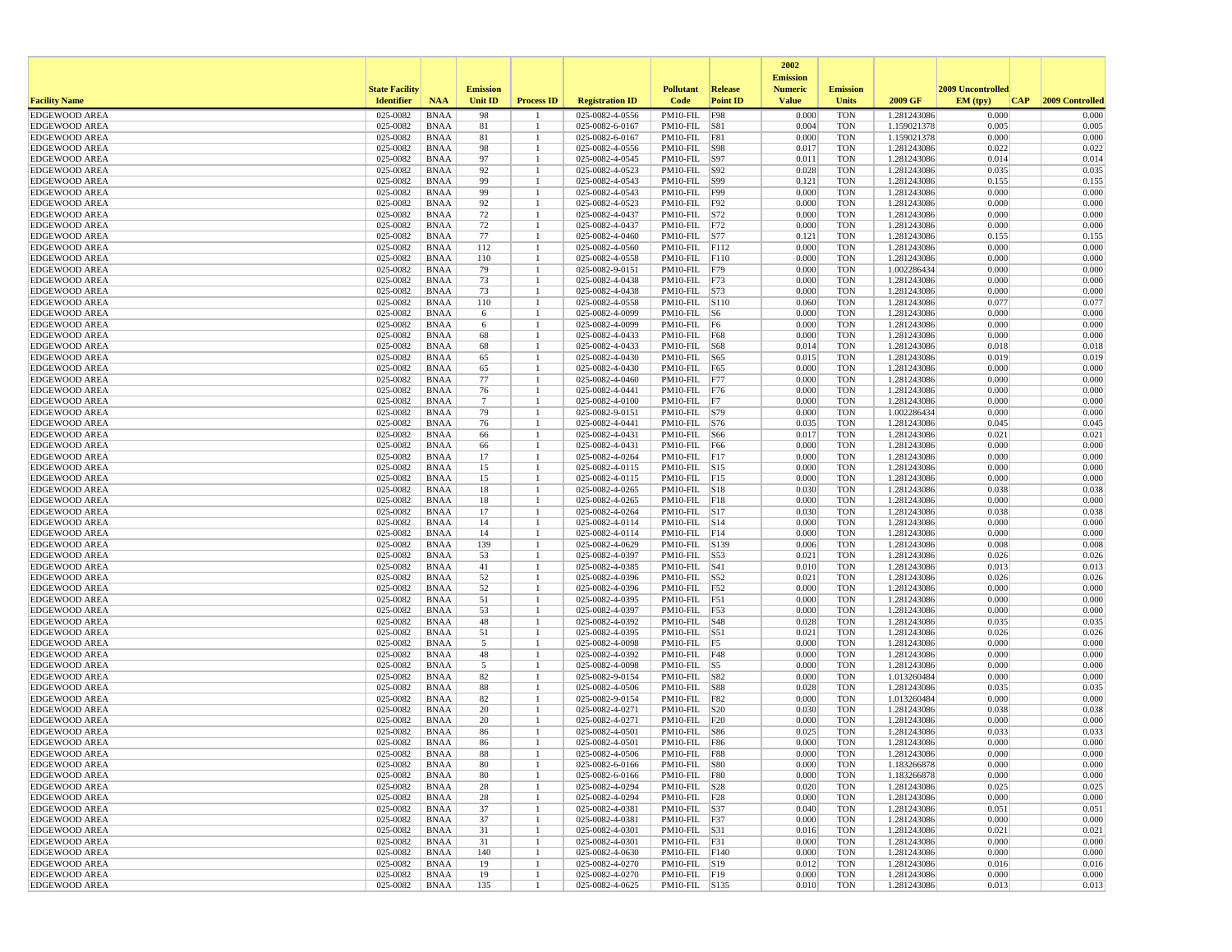|                                              |                       |                            |                 |                    |                                    |                                     |                 | 2002                              |                          |                            |                   |                     |
|----------------------------------------------|-----------------------|----------------------------|-----------------|--------------------|------------------------------------|-------------------------------------|-----------------|-----------------------------------|--------------------------|----------------------------|-------------------|---------------------|
|                                              | <b>State Facility</b> |                            | <b>Emission</b> |                    |                                    | <b>Pollutant</b>                    | <b>Release</b>  | <b>Emission</b><br><b>Numeric</b> | <b>Emission</b>          |                            | 2009 Uncontrolled |                     |
| <b>Facility Name</b>                         | <b>Identifier</b>     | <b>NAA</b>                 | <b>Unit ID</b>  | <b>Process ID</b>  | <b>Registration ID</b>             | Code                                | <b>Point ID</b> | <b>Value</b>                      | <b>Units</b>             | 2009 GF                    | EM (typ)          | CAP 2009 Controlled |
| <b>EDGEWOOD AREA</b>                         | 025-0082              | <b>BNAA</b>                | 98              |                    | 025-0082-4-0556                    | PM10-FIL                            | <b>F98</b>      | 0.000                             | <b>TON</b>               | 1.281243086                | 0.000             | 0.000               |
| <b>EDGEWOOD AREA</b>                         | 025-0082              | <b>BNAA</b>                | 81              | -1                 | 025-0082-6-0167                    | PM10-FIL                            | S81             | 0.004                             | <b>TON</b>               | 1.159021378                | 0.005             | 0.005               |
| <b>EDGEWOOD AREA</b>                         | 025-0082              | <b>BNAA</b>                | 81              | $\overline{1}$     | 025-0082-6-0167                    | PM10-FIL                            | <b>F81</b>      | 0.000                             | <b>TON</b>               | 1.159021378                | 0.000             | 0.000               |
| <b>EDGEWOOD AREA</b>                         | 025-0082              | <b>BNAA</b>                | 98              |                    | 025-0082-4-0556                    | PM10-FIL                            | S98             | 0.017                             | <b>TON</b>               | 1.281243086                | 0.022             | 0.022               |
| <b>EDGEWOOD AREA</b><br><b>EDGEWOOD AREA</b> | 025-0082<br>025-0082  | <b>BNAA</b><br><b>BNAA</b> | 97<br>92        | -1<br>$\mathbf{1}$ | 025-0082-4-0545<br>025-0082-4-0523 | PM10-FIL<br>PM10-FIL  S92           | S97             | 0.011<br>0.028                    | <b>TON</b><br><b>TON</b> | 1.281243086<br>1.281243086 | 0.014<br>0.035    | 0.014<br>0.035      |
| <b>EDGEWOOD AREA</b>                         | 025-0082              | <b>BNAA</b>                | 99              |                    | 025-0082-4-0543                    | PM10-FIL  S99                       |                 | 0.121                             | TON                      | 1.281243086                | 0.155             | 0.155               |
| <b>EDGEWOOD AREA</b>                         | 025-0082              | <b>BNAA</b>                | 99              | -1                 | 025-0082-4-0543                    | PM10-FIL F99                        |                 | 0.000                             | <b>TON</b>               | 1.281243086                | 0.000             | 0.000               |
| <b>EDGEWOOD AREA</b>                         | 025-0082              | <b>BNAA</b>                | 92              |                    | 025-0082-4-0523                    | PM10-FIL                            | F92             | 0.000                             | <b>TON</b>               | 1.281243086                | 0.000             | 0.000               |
| <b>EDGEWOOD AREA</b>                         | 025-0082              | <b>BNAA</b>                | 72              |                    | 025-0082-4-0437                    | PM10-FIL                            | S72             | 0.000                             | <b>TON</b>               | 1.281243086                | 0.000             | 0.000               |
| <b>EDGEWOOD AREA</b>                         | 025-0082              | <b>BNAA</b>                | 72              |                    | 025-0082-4-0437                    | PM10-FIL F72                        |                 | 0.000                             | <b>TON</b>               | 1.281243086                | 0.000             | 0.000               |
| <b>EDGEWOOD AREA</b>                         | 025-0082              | <b>BNAA</b>                | 77              |                    | 025-0082-4-0460                    | PM10-FIL S77                        |                 | 0.121                             | TON                      | 1.281243086                | 0.155             | 0.155               |
| <b>EDGEWOOD AREA</b>                         | 025-0082              | <b>BNAA</b>                | 112             |                    | 025-0082-4-0560                    | PM10-FIL F112                       |                 | 0.000                             | TON                      | 1.281243086                | 0.000             | 0.000               |
| <b>EDGEWOOD AREA</b>                         | 025-0082              | <b>BNAA</b>                | 110             | $\overline{1}$     | 025-0082-4-0558                    | PM10-FIL F110                       |                 | 0.000                             | <b>TON</b>               | 1.281243086                | 0.000             | 0.000               |
| <b>EDGEWOOD AREA</b><br><b>EDGEWOOD AREA</b> | 025-0082<br>025-0082  | <b>BNAA</b><br><b>BNAA</b> | 79<br>73        | -1                 | 025-0082-9-0151<br>025-0082-4-0438 | PM10-FIL<br>PM10-FIL F73            | F79             | 0.000<br>0.000                    | <b>TON</b><br><b>TON</b> | 1.002286434<br>1.281243086 | 0.000<br>0.000    | 0.000<br>0.000      |
| <b>EDGEWOOD AREA</b>                         | 025-0082              | <b>BNAA</b>                | 73              | -1                 | 025-0082-4-0438                    | PM10-FIL S73                        |                 | 0.000                             | <b>TON</b>               | 1.281243086                | 0.000             | 0.000               |
| <b>EDGEWOOD AREA</b>                         | 025-0082              | <b>BNAA</b>                | 110             |                    | 025-0082-4-0558                    | PM10-FIL S110                       |                 | 0.060                             | TON                      | 1.281243086                | 0.077             | 0.077               |
| <b>EDGEWOOD AREA</b>                         | 025-0082              | <b>BNAA</b>                | 6               |                    | 025-0082-4-0099                    | $PM10-FIL$ S6                       |                 | 0.000                             | <b>TON</b>               | 1.281243086                | 0.000             | 0.000               |
| <b>EDGEWOOD AREA</b>                         | 025-0082              | <b>BNAA</b>                | 6               | $\overline{1}$     | 025-0082-4-0099                    | PM10-FIL F6                         |                 | 0.000                             | <b>TON</b>               | 1.281243086                | 0.000             | 0.000               |
| <b>EDGEWOOD AREA</b>                         | 025-0082              | <b>BNAA</b>                | 68              | -1                 | 025-0082-4-0433                    | PM10-FIL F68                        |                 | 0.000                             | <b>TON</b>               | 1.281243086                | 0.000             | 0.000               |
| <b>EDGEWOOD AREA</b>                         | 025-0082              | <b>BNAA</b>                | 68              |                    | 025-0082-4-0433                    | PM10-FIL   S68                      |                 | 0.014                             | <b>TON</b>               | 1.281243086                | 0.018             | 0.018               |
| <b>EDGEWOOD AREA</b>                         | 025-0082              | <b>BNAA</b>                | 65              |                    | 025-0082-4-0430                    | PM10-FIL S65                        |                 | 0.015                             | TON                      | 1.281243086                | 0.019             | 0.019               |
| <b>EDGEWOOD AREA</b>                         | 025-0082              | <b>BNAA</b>                | 65              |                    | 025-0082-4-0430                    | PM10-FIL F65                        |                 | 0.000                             | TON                      | 1.281243086                | 0.000             | 0.000               |
| <b>EDGEWOOD AREA</b>                         | 025-0082              | <b>BNAA</b>                | 77              | -1                 | 025-0082-4-0460                    | PM10-FIL F77                        |                 | 0.000                             | <b>TON</b>               | 1.281243086                | 0.000             | 0.000               |
| <b>EDGEWOOD AREA</b>                         | 025-0082              | <b>BNAA</b>                | 76              | -1                 | 025-0082-4-0441                    | PM10-FIL F76                        |                 | 0.000                             | <b>TON</b>               | 1.281243086                | 0.000             | 0.000               |
| <b>EDGEWOOD AREA</b>                         | 025-0082              | <b>BNAA</b>                | $\overline{7}$  |                    | 025-0082-4-0100                    | $PM10-FIL$ F7                       |                 | 0.000                             | <b>TON</b>               | 1.281243086                | 0.000             | 0.000               |
| <b>EDGEWOOD AREA</b><br><b>EDGEWOOD AREA</b> | 025-0082<br>025-0082  | <b>BNAA</b><br><b>BNAA</b> | 79<br>76        |                    | 025-0082-9-0151<br>025-0082-4-0441 | PM10-FIL  S79<br>PM10-FIL  S76      |                 | 0.000<br>0.035                    | <b>TON</b><br>TON        | 1.002286434<br>1.281243086 | 0.000<br>0.045    | 0.000<br>0.045      |
| <b>EDGEWOOD AREA</b>                         | 025-0082              | <b>BNAA</b>                | 66              | -1                 | 025-0082-4-0431                    | PM10-FIL                            | S66             | 0.017                             | <b>TON</b>               | 1.281243086                | 0.021             | 0.021               |
| <b>EDGEWOOD AREA</b>                         | 025-0082              | <b>BNAA</b>                | 66              | -1                 | 025-0082-4-0431                    | PM10-FIL                            | F66             | 0.000                             | <b>TON</b>               | 1.281243086                | 0.000             | 0.000               |
| <b>EDGEWOOD AREA</b>                         | 025-0082              | <b>BNAA</b>                | 17              |                    | 025-0082-4-0264                    | PM10-FIL                            | F17             | 0.000                             | <b>TON</b>               | 1.281243086                | 0.000             | 0.000               |
| <b>EDGEWOOD AREA</b>                         | 025-0082              | <b>BNAA</b>                | 15              |                    | 025-0082-4-0115                    | PM10-FIL S15                        |                 | 0.000                             | <b>TON</b>               | 1.281243086                | 0.000             | 0.000               |
| <b>EDGEWOOD AREA</b>                         | 025-0082              | <b>BNAA</b>                | 15              |                    | 025-0082-4-0115                    | PM10-FIL F15                        |                 | 0.000                             | <b>TON</b>               | 1.281243086                | 0.000             | 0.000               |
| <b>EDGEWOOD AREA</b>                         | 025-0082              | <b>BNAA</b>                | 18              | -1                 | 025-0082-4-0265                    | PM10-FIL S18                        |                 | 0.030                             | TON                      | 1.281243086                | 0.038             | 0.038               |
| <b>EDGEWOOD AREA</b>                         | 025-0082              | <b>BNAA</b>                | 18              | -1                 | 025-0082-4-0265                    | PM10-FIL F18                        |                 | 0.000                             | <b>TON</b>               | 1.281243086                | 0.000             | 0.000               |
| <b>EDGEWOOD AREA</b>                         | 025-0082              | <b>BNAA</b>                | 17              |                    | 025-0082-4-0264                    | PM10-FIL                            | S17             | 0.030                             | <b>TON</b>               | 1.281243086                | 0.038             | 0.038               |
| <b>EDGEWOOD AREA</b>                         | 025-0082              | <b>BNAA</b>                | 14              | -1                 | 025-0082-4-0114                    | PM10-FIL S14                        |                 | 0.000                             | <b>TON</b>               | 1.281243086                | 0.000             | 0.000               |
| <b>EDGEWOOD AREA</b>                         | 025-0082              | <b>BNAA</b>                | 14<br>139       | $\mathbf{1}$       | 025-0082-4-0114                    | $PM10$ -FIL $ F14$<br>PM10-FIL S139 |                 | 0.000                             | <b>TON</b>               | 1.281243086                | 0.000<br>0.008    | 0.000<br>0.008      |
| <b>EDGEWOOD AREA</b><br><b>EDGEWOOD AREA</b> | 025-0082<br>025-0082  | <b>BNAA</b><br><b>BNAA</b> | 53              | -1                 | 025-0082-4-0629<br>025-0082-4-0397 | PM10-FIL S53                        |                 | 0.006<br>0.021                    | TON<br><b>TON</b>        | 1.281243086<br>1.281243086 | 0.026             | 0.026               |
| <b>EDGEWOOD AREA</b>                         | 025-0082              | <b>BNAA</b>                | 41              | $\mathbf{1}$       | 025-0082-4-0385                    | PM10-FIL                            | S41             | 0.010                             | <b>TON</b>               | 1.281243086                | 0.013             | 0.013               |
| <b>EDGEWOOD AREA</b>                         | 025-0082              | <b>BNAA</b>                | 52              |                    | 025-0082-4-0396                    | PM10-FIL S52                        |                 | 0.021                             | <b>TON</b>               | 1.281243086                | 0.026             | 0.026               |
| <b>EDGEWOOD AREA</b>                         | 025-0082              | <b>BNAA</b>                | 52              | -1                 | 025-0082-4-0396                    | PM10-FIL F52                        |                 | 0.000                             | <b>TON</b>               | 1.281243086                | 0.000             | 0.000               |
| <b>EDGEWOOD AREA</b>                         | 025-0082              | <b>BNAA</b>                | 51              | $\overline{1}$     | 025-0082-4-0395                    | PM10-FIL F51                        |                 | 0.000                             | <b>TON</b>               | 1.281243086                | 0.000             | 0.000               |
| <b>EDGEWOOD AREA</b>                         | 025-0082              | <b>BNAA</b>                | 53              | -1                 | 025-0082-4-0397                    | PM10-FIL F53                        |                 | 0.000                             | TON                      | 1.281243086                | 0.000             | 0.000               |
| <b>EDGEWOOD AREA</b>                         | 025-0082              | <b>BNAA</b>                | 48              |                    | 025-0082-4-0392                    | PM10-FIL S48                        |                 | 0.028                             | <b>TON</b>               | 1.281243086                | 0.035             | 0.035               |
| <b>EDGEWOOD AREA</b>                         | 025-0082              | <b>BNAA</b>                | 51              |                    | 025-0082-4-0395                    | PM10-FIL                            | S51             | 0.021                             | <b>TON</b>               | 1.281243086                | 0.026             | 0.026               |
| <b>EDGEWOOD AREA</b>                         | 025-0082              | <b>BNAA</b>                | 5               |                    | 025-0082-4-0098                    | $PM10-FIL$ F5                       |                 | 0.000                             | <b>TON</b>               | 1.281243086                | 0.000             | 0.000               |
| <b>EDGEWOOD AREA</b>                         | 025-0082              | <b>BNAA</b>                | 48              |                    | 025-0082-4-0392                    | PM10-FIL F48<br>PM10-FIL S5         |                 | 0.000                             | <b>TON</b>               | 1.281243086                | 0.000             | 0.000               |
| <b>EDGEWOOD AREA</b><br><b>EDGEWOOD AREA</b> | 025-0082<br>025-0082  | <b>BNAA</b><br><b>BNAA</b> | 5<br>82         |                    | 025-0082-4-0098<br>025-0082-9-0154 | PM10-FIL S82                        |                 | 0.000<br>0.000                    | TON<br><b>TON</b>        | 1.281243086<br>1.013260484 | 0.000<br>0.000    | 0.000<br>0.000      |
| <b>EDGEWOOD AREA</b>                         | 025-0082              | <b>BNAA</b>                | 88              | -1                 | 025-0082-4-0506                    | PM10-FIL                            | <b>S88</b>      | 0.028                             | <b>TON</b>               | 1.281243086                | 0.035             | 0.035               |
| <b>EDGEWOOD AREA</b>                         | 025-0082              | <b>BNAA</b>                | 82              | -1                 | 025-0082-9-0154                    | PM10-FIL                            | <b>F82</b>      | 0.000                             | <b>TON</b>               | 1.013260484                | 0.000             | 0.000               |
| <b>EDGEWOOD AREA</b>                         | 025-0082              | <b>BNAA</b>                | 20              |                    | 025-0082-4-0271                    | PM10-FIL                            | <b>S20</b>      | 0.030                             | <b>TON</b>               | 1.281243086                | 0.038             | 0.038               |
| <b>EDGEWOOD AREA</b>                         | 025-0082              | <b>BNAA</b>                | 20              |                    | 025-0082-4-0271                    | $PM10-FIL$ $F20$                    |                 | 0.000                             | <b>TON</b>               | 1.281243086                | 0.000             | 0.000               |
| <b>EDGEWOOD AREA</b>                         | 025-0082              | <b>BNAA</b>                | 86              |                    | 025-0082-4-0501                    | PM10-FIL   S86                      |                 | 0.025                             | TON                      | 1.281243086                | 0.033             | 0.033               |
| <b>EDGEWOOD AREA</b>                         | 025-0082              | <b>BNAA</b>                | 86              |                    | 025-0082-4-0501                    | PM10-FIL F86                        |                 | 0.000                             | <b>TON</b>               | 1.281243086                | 0.000             | 0.000               |
| <b>EDGEWOOD AREA</b>                         | 025-0082              | <b>BNAA</b>                | 88              |                    | 025-0082-4-0506                    | PM10-FIL F88                        |                 | 0.000                             | TON                      | 1.281243086                | 0.000             | 0.000               |
| <b>EDGEWOOD AREA</b>                         | $025-0082$ BNAA       |                            | 80              | -1                 | 025-0082-6-0166                    | PM10-FIL  S80                       |                 | 0.000                             | TON                      | 1.183266878                | 0.000             | 0.000               |
| <b>EDGEWOOD AREA</b>                         | 025-0082              | BNAA                       | 80              | -1                 | 025-0082-6-0166                    | PM10-FIL   F80                      |                 | 0.000                             | <b>TON</b>               | 1.183266878                | 0.000             | 0.000               |
| <b>EDGEWOOD AREA</b><br><b>EDGEWOOD AREA</b> | 025-0082<br>025-0082  | BNAA                       | 28<br>28        | -1                 | 025-0082-4-0294<br>025-0082-4-0294 | PM10-FIL S28<br>PM10-FIL F28        |                 | 0.020<br>0.000                    | TON                      | 1.281243086<br>1.281243086 | 0.025<br>0.000    | 0.025<br>0.000      |
| <b>EDGEWOOD AREA</b>                         | 025-0082              | <b>BNAA</b><br><b>BNAA</b> |                 | $\overline{1}$     | 025-0082-4-0381                    |                                     |                 | 0.040                             | TON<br>TON               | 1.281243086                | 0.051             | 0.051               |
| <b>EDGEWOOD AREA</b>                         | 025-0082              | <b>BNAA</b>                | 37<br>37        | -1                 | 025-0082-4-0381                    | PM10-FIL  S37<br>PM10-FIL F37       |                 | 0.000                             | TON                      | 1.281243086                | 0.000             | 0.000               |
| <b>EDGEWOOD AREA</b>                         | 025-0082              | <b>BNAA</b>                | 31              | -1                 | 025-0082-4-0301                    | PM10-FIL S31                        |                 | 0.016                             | <b>TON</b>               | 1.281243086                | 0.021             | 0.021               |
| <b>EDGEWOOD AREA</b>                         | 025-0082              | <b>BNAA</b>                | 31              | $\mathbf{1}$       | 025-0082-4-0301                    | PM10-FIL F31                        |                 | 0.000                             | <b>TON</b>               | 1.281243086                | 0.000             | 0.000               |
| <b>EDGEWOOD AREA</b>                         | 025-0082              | <b>BNAA</b>                | 140             | -1                 | 025-0082-4-0630                    | PM10-FIL F140                       |                 | 0.000                             | TON                      | 1.281243086                | 0.000             | 0.000               |
| <b>EDGEWOOD AREA</b>                         | 025-0082              | <b>BNAA</b>                | 19              | -1                 | 025-0082-4-0270                    | PM10-FIL S19                        |                 | 0.012                             | TON                      | 1.281243086                | 0.016             | 0.016               |
| <b>EDGEWOOD AREA</b>                         | 025-0082              | <b>BNAA</b>                | 19              | $\overline{1}$     | 025-0082-4-0270                    | PM10-FIL F19                        |                 | 0.000                             | <b>TON</b>               | 1.281243086                | 0.000             | 0.000               |
| <b>EDGEWOOD AREA</b>                         | 025-0082              | BNAA                       | 135             | $\mathbf{1}$       | 025-0082-4-0625                    | PM10-FIL  S135                      |                 | 0.010                             | TON                      | 1.281243086                | 0.013             | 0.013               |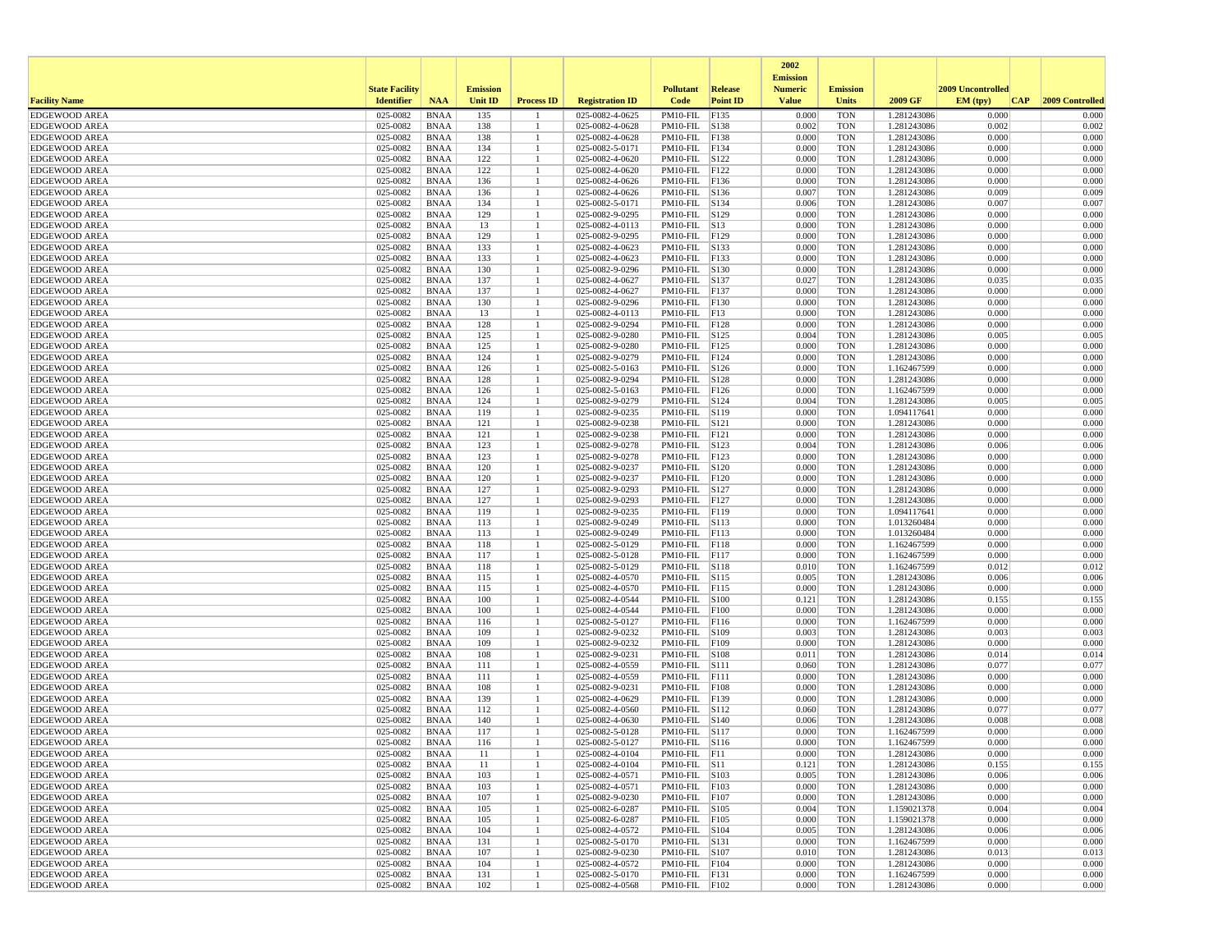|                                              |                       |                            |                 |                      |                                            |                                |                 | 2002<br><b>Emission</b> |                          |                            |                   |                     |
|----------------------------------------------|-----------------------|----------------------------|-----------------|----------------------|--------------------------------------------|--------------------------------|-----------------|-------------------------|--------------------------|----------------------------|-------------------|---------------------|
|                                              | <b>State Facility</b> |                            | <b>Emission</b> |                      |                                            | <b>Pollutant</b>               | Release         | <b>Numeric</b>          | <b>Emission</b>          |                            | 2009 Uncontrolled |                     |
| <b>Facility Name</b>                         | <b>Identifier</b>     | <b>NAA</b>                 | <b>Unit ID</b>  | <b>Process ID</b>    | <b>Registration ID</b>                     | Code                           | <b>Point ID</b> | <b>Value</b>            | <b>Units</b>             | 2009 GF                    | EM (typ)          | CAP 2009 Controlled |
| <b>EDGEWOOD AREA</b>                         | 025-0082              | <b>BNAA</b>                | 135             |                      | 025-0082-4-0625                            | PM10-FIL                       | F135            | 0.000                   | <b>TON</b>               | 1.281243086                | 0.000             | 0.000               |
| <b>EDGEWOOD AREA</b><br><b>EDGEWOOD AREA</b> | 025-0082<br>025-0082  | <b>BNAA</b><br><b>BNAA</b> | 138<br>138      | -1<br>$\mathbf{1}$   | $025 - 0082 - 4 - 0628$<br>025-0082-4-0628 | PM10-FIL<br>PM10-FIL F138      | S138            | 0.002<br>0.000          | <b>TON</b><br><b>TON</b> | 1.281243086<br>1.281243086 | 0.002<br>0.000    | 0.002<br>0.000      |
| <b>EDGEWOOD AREA</b>                         | 025-0082              | <b>BNAA</b>                | 134             | -1                   | 025-0082-5-0171                            | PM10-FIL F134                  |                 | 0.000                   | <b>TON</b>               | 1.281243086                | 0.000             | 0.000               |
| <b>EDGEWOOD AREA</b>                         | 025-0082              | <b>BNAA</b>                | 122             |                      | 025-0082-4-0620                            | PM10-FIL S122                  |                 | 0.000                   | <b>TON</b>               | 1.281243086                | 0.000             | 0.000               |
| <b>EDGEWOOD AREA</b>                         | 025-0082              | <b>BNAA</b>                | 122             |                      | 025-0082-4-0620                            | PM10-FIL F122                  |                 | 0.000                   | <b>TON</b>               | 1.281243086                | 0.000             | 0.000               |
| <b>EDGEWOOD AREA</b>                         | 025-0082              | <b>BNAA</b>                | 136             | -1                   | 025-0082-4-0626                            | PM10-FIL F136                  |                 | 0.000                   | TON                      | 1.281243086                | 0.000             | 0.000               |
| <b>EDGEWOOD AREA</b>                         | 025-0082              | <b>BNAA</b>                | 136             | -1                   | 025-0082-4-0626                            | PM10-FIL S136                  |                 | 0.007                   | <b>TON</b>               | 1.281243086                | 0.009             | 0.009               |
| <b>EDGEWOOD AREA</b>                         | 025-0082              | <b>BNAA</b>                | 134             | -1                   | 025-0082-5-0171                            | PM10-FIL S134                  |                 | 0.006                   | <b>TON</b>               | 1.281243086                | 0.007             | 0.007               |
| <b>EDGEWOOD AREA</b>                         | 025-0082              | <b>BNAA</b>                | 129             | -1                   | 025-0082-9-0295                            | PM10-FIL S129                  |                 | 0.000                   | <b>TON</b>               | 1.281243086                | 0.000             | 0.000               |
| <b>EDGEWOOD AREA</b>                         | 025-0082              | <b>BNAA</b>                | 13              |                      | 025-0082-4-0113                            | PM10-FIL S13                   |                 | 0.000                   | <b>TON</b>               | 1.281243086                | 0.000             | 0.000               |
| <b>EDGEWOOD AREA</b><br><b>EDGEWOOD AREA</b> | 025-0082<br>025-0082  | <b>BNAA</b><br><b>BNAA</b> | 129<br>133      | -1                   | 025-0082-9-0295<br>025-0082-4-0623         | PM10-FIL F129<br>PM10-FIL      | S133            | 0.000<br>0.000          | TON<br><b>TON</b>        | 1.281243086<br>1.281243086 | 0.000<br>0.000    | 0.000<br>0.000      |
| <b>EDGEWOOD AREA</b>                         | 025-0082              | <b>BNAA</b>                | 133             | $\mathbf{1}$         | 025-0082-4-0623                            | PM10-FIL                       | FI33            | 0.000                   | <b>TON</b>               | 1.281243086                | 0.000             | 0.000               |
| <b>EDGEWOOD AREA</b>                         | 025-0082              | <b>BNAA</b>                | 130             | -1                   | 025-0082-9-0296                            | PM10-FIL                       | S130            | 0.000                   | <b>TON</b>               | 1.281243086                | 0.000             | 0.000               |
| <b>EDGEWOOD AREA</b>                         | 025-0082              | <b>BNAA</b>                | 137             |                      | 025-0082-4-0627                            | PM10-FIL                       | S137            | 0.027                   | <b>TON</b>               | 1.281243086                | 0.035             | 0.035               |
| <b>EDGEWOOD AREA</b>                         | 025-0082              | <b>BNAA</b>                | 137             | $\mathbf{1}$         | 025-0082-4-0627                            | PM10-FIL F137                  |                 | 0.000                   | <b>TON</b>               | 1.281243086                | 0.000             | 0.000               |
| <b>EDGEWOOD AREA</b>                         | 025-0082              | <b>BNAA</b>                | 130             | -1                   | 025-0082-9-0296                            | PM10-FIL F130                  |                 | 0.000                   | TON                      | 1.281243086                | 0.000             | 0.000               |
| <b>EDGEWOOD AREA</b>                         | 025-0082              | <b>BNAA</b>                | 13              | -1                   | 025-0082-4-0113                            | PM10-FIL                       | F13             | 0.000                   | <b>TON</b>               | 1.281243086                | 0.000             | 0.000               |
| <b>EDGEWOOD AREA</b>                         | 025-0082              | <b>BNAA</b>                | 128             |                      | 025-0082-9-0294                            | PM10-FIL                       | F128            | 0.000                   | <b>TON</b>               | 1.281243086                | 0.000             | 0.000               |
| <b>EDGEWOOD AREA</b>                         | 025-0082              | <b>BNAA</b>                | 125             | -1                   | 025-0082-9-0280                            | PM10-FIL                       | S125            | 0.004                   | <b>TON</b>               | 1.281243086                | 0.005             | 0.005               |
| <b>EDGEWOOD AREA</b>                         | 025-0082              | <b>BNAA</b>                | 125             | $\mathbf{1}$         | 025-0082-9-0280                            | PM10-FIL F125                  |                 | 0.000                   | <b>TON</b>               | 1.281243086                | 0.000             | 0.000               |
| <b>EDGEWOOD AREA</b>                         | 025-0082              | <b>BNAA</b>                | 124             |                      | 025-0082-9-0279                            | PM10-FIL F124                  |                 | 0.000<br>0.000          | TON                      | 1.281243086                | 0.000<br>0.000    | 0.000<br>0.000      |
| <b>EDGEWOOD AREA</b><br><b>EDGEWOOD AREA</b> | 025-0082<br>025-0082  | <b>BNAA</b><br><b>BNAA</b> | 126<br>128      | -1<br>$\mathbf{1}$   | 025-0082-5-0163<br>025-0082-9-0294         | PM10-FIL S126<br>PM10-FIL      | S128            | 0.000                   | <b>TON</b><br><b>TON</b> | 1.162467599<br>1.281243086 | 0.000             | 0.000               |
| <b>EDGEWOOD AREA</b>                         | 025-0082              | <b>BNAA</b>                | 126             |                      | 025-0082-5-0163                            | PM10-FIL                       | F126            | 0.000                   | <b>TON</b>               | 1.162467599                | 0.000             | 0.000               |
| <b>EDGEWOOD AREA</b>                         | 025-0082              | <b>BNAA</b>                | 124             | -1                   | 025-0082-9-0279                            | PM10-FIL S124                  |                 | 0.004                   | <b>TON</b>               | 1.281243086                | 0.005             | 0.005               |
| <b>EDGEWOOD AREA</b>                         | 025-0082              | <b>BNAA</b>                | 119             | $\mathbf{1}$         | 025-0082-9-0235                            | PM10-FIL S119                  |                 | 0.000                   | <b>TON</b>               | 1.094117641                | 0.000             | 0.000               |
| <b>EDGEWOOD AREA</b>                         | 025-0082              | <b>BNAA</b>                | 121             | -1                   | 025-0082-9-0238                            | PM10-FIL S121                  |                 | 0.000                   | TON                      | 1.281243086                | 0.000             | 0.000               |
| <b>EDGEWOOD AREA</b>                         | 025-0082              | <b>BNAA</b>                | 121             | -1                   | 025-0082-9-0238                            | PM10-FIL                       | F121            | 0.000                   | <b>TON</b>               | 1.281243086                | 0.000             | 0.000               |
| <b>EDGEWOOD AREA</b>                         | 025-0082              | <b>BNAA</b>                | 123             |                      | 025-0082-9-0278                            | PM10-FIL                       | S123            | 0.004                   | <b>TON</b>               | 1.281243086                | 0.006             | 0.006               |
| <b>EDGEWOOD AREA</b>                         | 025-0082              | <b>BNAA</b>                | 123             |                      | 025-0082-9-0278                            | PM10-FIL                       | F123            | 0.000                   | <b>TON</b>               | 1.281243086                | 0.000             | 0.000               |
| <b>EDGEWOOD AREA</b>                         | 025-0082              | <b>BNAA</b>                | 120             | -1                   | 025-0082-9-0237                            | PM10-FIL  S120                 |                 | 0.000                   | <b>TON</b>               | 1.281243086                | 0.000             | 0.000               |
| <b>EDGEWOOD AREA</b>                         | 025-0082              | <b>BNAA</b>                | 120             |                      | 025-0082-9-0237                            | PM10-FIL F120                  |                 | 0.000                   | <b>TON</b>               | 1.281243086                | 0.000             | 0.000               |
| <b>EDGEWOOD AREA</b>                         | 025-0082<br>025-0082  | <b>BNAA</b><br><b>BNAA</b> | 127<br>127      | $\overline{1}$       | 025-0082-9-0293<br>025-0082-9-0293         | PM10-FIL S127<br>PM10-FIL      | FI27            | 0.000<br>0.000          | <b>TON</b><br><b>TON</b> | 1.281243086                | 0.000<br>0.000    | 0.000<br>0.000      |
| <b>EDGEWOOD AREA</b><br><b>EDGEWOOD AREA</b> | 025-0082              | <b>BNAA</b>                | 119             |                      | 025-0082-9-0235                            | PM10-FIL                       | F119            | 0.000                   | <b>TON</b>               | 1.281243086<br>1.094117641 | 0.000             | 0.000               |
| <b>EDGEWOOD AREA</b>                         | 025-0082              | <b>BNAA</b>                | 113             | -1                   | 025-0082-9-0249                            | PM10-FIL                       | S113            | 0.000                   | <b>TON</b>               | 1.013260484                | 0.000             | 0.000               |
| <b>EDGEWOOD AREA</b>                         | 025-0082              | <b>BNAA</b>                | 113             | $\mathbf{1}$         | 025-0082-9-0249                            | PM10-FIL F113                  |                 | 0.000                   | <b>TON</b>               | 1.013260484                | 0.000             | 0.000               |
| <b>EDGEWOOD AREA</b>                         | 025-0082              | <b>BNAA</b>                | 118             | -1                   | 025-0082-5-0129                            | PM10-FIL F118                  |                 | 0.000                   | <b>TON</b>               | 1.162467599                | 0.000             | 0.000               |
| <b>EDGEWOOD AREA</b>                         | 025-0082              | <b>BNAA</b>                | 117             | -1                   | 025-0082-5-0128                            | PM10-FIL                       | F117            | 0.000                   | <b>TON</b>               | 1.162467599                | 0.000             | 0.000               |
| <b>EDGEWOOD AREA</b>                         | 025-0082              | <b>BNAA</b>                | 118             | -1                   | 025-0082-5-0129                            | PM10-FIL                       | S118            | 0.010                   | <b>TON</b>               | 1.162467599                | 0.012             | 0.012               |
| <b>EDGEWOOD AREA</b>                         | 025-0082              | <b>BNAA</b>                | 115             | -1                   | 025-0082-4-0570                            | PM10-FIL                       | S115            | 0.005                   | <b>TON</b>               | 1.281243086                | 0.006             | 0.006               |
| <b>EDGEWOOD AREA</b>                         | 025-0082              | <b>BNAA</b>                | 115             | -1                   | 025-0082-4-0570                            | PM10-FIL F115                  |                 | 0.000                   | <b>TON</b>               | 1.281243086                | 0.000             | 0.000               |
| <b>EDGEWOOD AREA</b>                         | 025-0082              | <b>BNAA</b>                | 100             |                      | 025-0082-4-0544                            | PM10-FIL S100                  |                 | 0.121                   | TON                      | 1.281243086                | 0.155             | 0.155               |
| <b>EDGEWOOD AREA</b><br><b>EDGEWOOD AREA</b> | 025-0082<br>025-0082  | <b>BNAA</b><br><b>BNAA</b> | 100             | -1<br>$\overline{1}$ | 025-0082-4-0544                            | PM10-FIL F100                  |                 | 0.000<br>0.000          | <b>TON</b><br><b>TON</b> | 1.281243086                | 0.000<br>0.000    | 0.000<br>0.000      |
| <b>EDGEWOOD AREA</b>                         | 025-0082              | <b>BNAA</b>                | 116<br>109      |                      | 025-0082-5-0127<br>025-0082-9-0232         | PM10-FIL<br>PM10-FIL           | F116<br>S109    | 0.003                   | <b>TON</b>               | 1.162467599<br>1.281243086 | 0.003             | 0.003               |
| <b>EDGEWOOD AREA</b>                         | 025-0082              | <b>BNAA</b>                | 109             | -1                   | 025-0082-9-0232                            | PM10-FIL F109                  |                 | 0.000                   | <b>TON</b>               | 1.281243086                | 0.000             | 0.000               |
| <b>EDGEWOOD AREA</b>                         | 025-0082              | <b>BNAA</b>                | 108             | $\mathbf{1}$         | 025-0082-9-0231                            | PM10-FIL S108                  |                 | 0.011                   | <b>TON</b>               | 1.281243086                | 0.014             | 0.014               |
| <b>EDGEWOOD AREA</b>                         | 025-0082              | <b>BNAA</b>                | 111             |                      | 025-0082-4-0559                            | PM10-FIL S111                  |                 | 0.060                   | <b>TON</b>               | 1.281243086                | 0.077             | 0.077               |
| <b>EDGEWOOD AREA</b>                         | 025-0082              | <b>BNAA</b>                | 111             | -1                   | 025-0082-4-0559                            | PM10-FIL F111                  |                 | 0.000                   | <b>TON</b>               | 1.281243086                | 0.000             | 0.000               |
| <b>EDGEWOOD AREA</b>                         | 025-0082              | <b>BNAA</b>                | 108             |                      | 025-0082-9-0231                            | PM10-FIL                       | F108            | 0.000                   | <b>TON</b>               | 1.281243086                | 0.000             | 0.000               |
| <b>EDGEWOOD AREA</b>                         | 025-0082              | <b>BNAA</b>                | 139             | -1                   | 025-0082-4-0629                            | PM10-FIL                       | F139            | 0.000                   | <b>TON</b>               | 1.281243086                | 0.000             | 0.000               |
| <b>EDGEWOOD AREA</b>                         | 025-0082              | <b>BNAA</b>                | 112             | -1                   | 025-0082-4-0560                            | PM10-FIL                       | S112            | 0.060                   | <b>TON</b>               | 1.281243086                | 0.077             | 0.077               |
| <b>EDGEWOOD AREA</b><br><b>EDGEWOOD AREA</b> | 025-0082<br>025-0082  | <b>BNAA</b><br><b>BNAA</b> | 140<br>117      | -1                   | 025-0082-4-0630<br>025-0082-5-0128         | PM10-FIL S140<br>PM10-FIL S117 |                 | 0.006<br>0.000          | <b>TON</b><br>TON        | 1.281243086<br>1.162467599 | 0.008<br>0.000    | 0.008<br>0.000      |
| <b>EDGEWOOD AREA</b>                         | 025-0082              | <b>BNAA</b>                | 116             |                      | 025-0082-5-0127                            | PM10-FIL S116                  |                 | 0.000                   | <b>TON</b>               | 1.162467599                | 0.000             | 0.000               |
| <b>EDGEWOOD AREA</b>                         | 025-0082              | <b>BNAA</b>                | 11              |                      | 025-0082-4-0104                            | $PM10-FIL$ $ F11$              |                 | 0.000                   | TON                      | 1.281243086                | 0.000             | 0.000               |
| <b>EDGEWOOD AREA</b>                         | $025-0082$ BNAA       |                            | 11              | -1                   | 025-0082-4-0104                            | $PM10$ -FIL $ S11$             |                 | 0.121                   | <b>TON</b>               | 1.281243086                | 0.155             | 0.155               |
| <b>EDGEWOOD AREA</b>                         | 025-0082              | BNAA                       | 103             | -1                   | 025-0082-4-0571                            | PM10-FIL S103                  |                 | 0.005                   | TON                      | 1.281243086                | 0.006             | 0.006               |
| <b>EDGEWOOD AREA</b>                         | 025-0082              | <b>BNAA</b>                | 103             |                      | 025-0082-4-0571                            | PM10-FIL F103                  |                 | 0.000                   | TON                      | 1.281243086                | 0.000             | 0.000               |
| <b>EDGEWOOD AREA</b>                         | 025-0082              | <b>BNAA</b>                | 107             | -1                   | 025-0082-9-0230                            | PM10-FIL F107                  |                 | 0.000                   | TON                      | 1.281243086                | 0.000             | 0.000               |
| <b>EDGEWOOD AREA</b>                         | 025-0082              | <b>BNAA</b>                | 105             | $\mathbf{1}$         | 025-0082-6-0287                            | PM10-FIL S105                  |                 | 0.004                   | <b>TON</b>               | 1.159021378                | 0.004             | 0.004               |
| <b>EDGEWOOD AREA</b>                         | 025-0082              | <b>BNAA</b>                | 105             | $\mathbf{1}$         | 025-0082-6-0287                            | PM10-FIL F105                  |                 | 0.000                   | <b>TON</b>               | 1.159021378                | 0.000             | 0.000               |
| <b>EDGEWOOD AREA</b>                         | 025-0082              | BNAA                       | 104             | -1                   | 025-0082-4-0572                            | PM10-FIL S104                  |                 | 0.005                   | <b>TON</b>               | 1.281243086                | 0.006             | 0.006               |
| <b>EDGEWOOD AREA</b>                         | 025-0082              | <b>BNAA</b>                | 131             | $\mathbf{1}$<br>-1   | 025-0082-5-0170<br>025-0082-9-0230         | PM10-FIL S131                  |                 | 0.000                   | <b>TON</b>               | 1.162467599                | 0.000             | 0.000               |
| <b>EDGEWOOD AREA</b><br><b>EDGEWOOD AREA</b> | 025-0082<br>025-0082  | <b>BNAA</b><br><b>BNAA</b> | 107<br>104      | -1                   | 025-0082-4-0572                            | PM10-FIL S107<br>PM10-FIL F104 |                 | 0.010<br>0.000          | TON<br>TON               | 1.281243086<br>1.281243086 | 0.013<br>0.000    | 0.013<br>0.000      |
| <b>EDGEWOOD AREA</b>                         | 025-0082              | <b>BNAA</b>                | 131             | -1                   | 025-0082-5-0170                            | PM10-FIL F131                  |                 | 0.000                   | TON                      | 1.162467599                | 0.000             | 0.000               |
| <b>EDGEWOOD AREA</b>                         | 025-0082              | <b>BNAA</b>                | 102             | -1                   | 025-0082-4-0568                            | PM10-FIL F102                  |                 | 0.000                   | <b>TON</b>               | 1.281243086                | 0.000             | 0.000               |
|                                              |                       |                            |                 |                      |                                            |                                |                 |                         |                          |                            |                   |                     |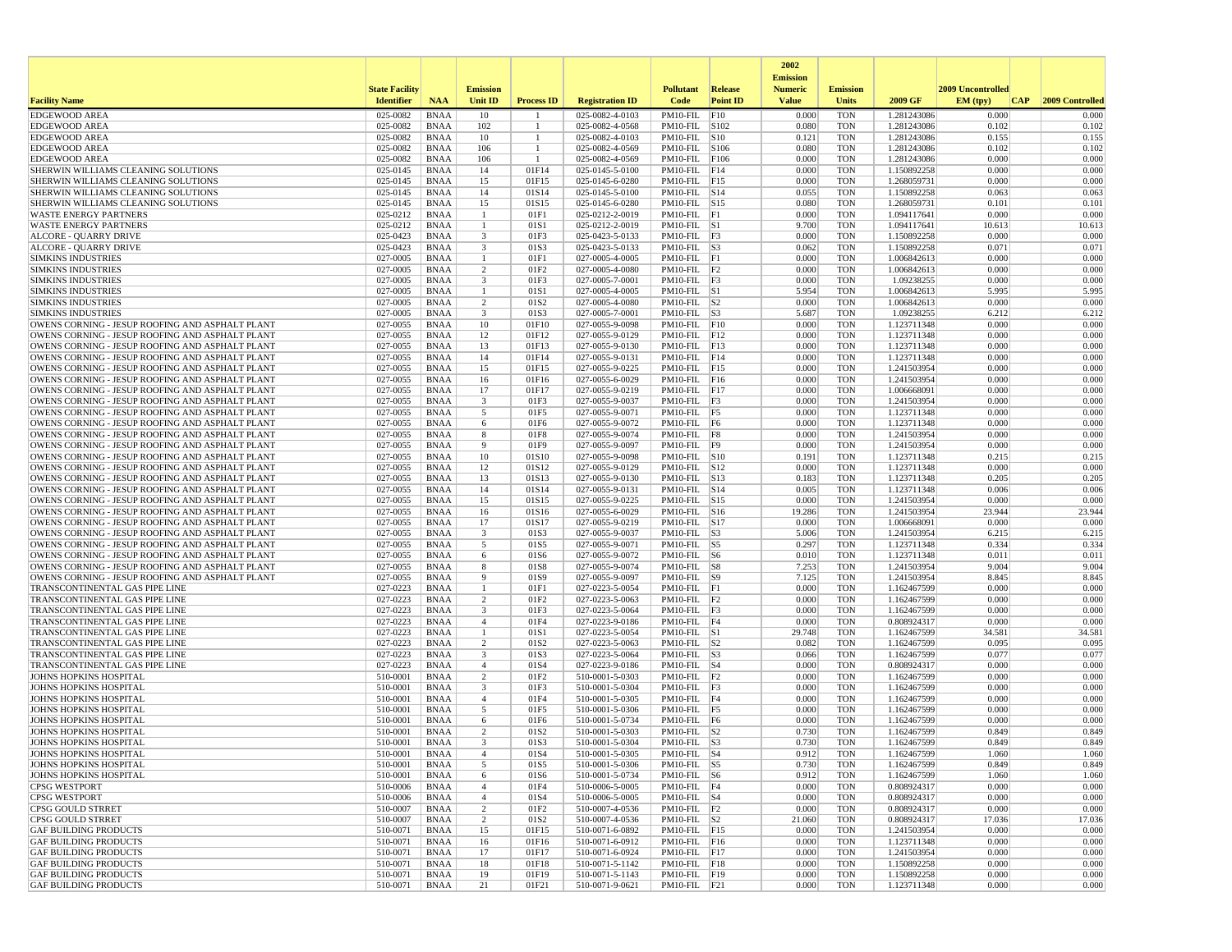|                                                                                                    |                       |                            |                              |                          |                                    |                                     |                 | 2002                              |                          |                            |                   |                 |
|----------------------------------------------------------------------------------------------------|-----------------------|----------------------------|------------------------------|--------------------------|------------------------------------|-------------------------------------|-----------------|-----------------------------------|--------------------------|----------------------------|-------------------|-----------------|
|                                                                                                    | <b>State Facility</b> |                            | <b>Emission</b>              |                          |                                    | <b>Pollutant</b>                    | Release         | <b>Emission</b><br><b>Numeric</b> | <b>Emission</b>          |                            | 2009 Uncontrolled |                 |
| <b>Facility Name</b>                                                                               | <b>Identifier</b>     | <b>NAA</b>                 | Unit ID                      | <b>Process ID</b>        | <b>Registration ID</b>             | Code                                | <b>Point ID</b> | <b>Value</b>                      | <b>Units</b>             | 2009 GF                    | EM (typ)<br> CAP  | 2009 Controlled |
| <b>EDGEWOOD AREA</b>                                                                               | 025-0082              | <b>BNAA</b>                | 10                           |                          | 025-0082-4-0103                    | PM10-FIL                            | F10             | 0.000                             | <b>TON</b>               | 1.281243086                | 0.000             | 0.000           |
| <b>EDGEWOOD AREA</b>                                                                               | 025-0082              | <b>BNAA</b>                | 102                          | -1                       | 025-0082-4-0568                    | PM10-FIL S102                       |                 | 0.080                             | <b>TON</b>               | 1.281243086                | 0.102             | 0.102           |
| <b>EDGEWOOD AREA</b><br><b>EDGEWOOD AREA</b>                                                       | 025-0082<br>025-0082  | <b>BNAA</b><br><b>BNAA</b> | 10<br>106                    | $\overline{1}$<br>-1     | 025-0082-4-0103<br>025-0082-4-0569 | PM10-FIL S10<br>PM10-FIL S106       |                 | 0.121<br>0.080                    | <b>TON</b><br><b>TON</b> | 1.281243086<br>1.281243086 | 0.155<br>0.102    | 0.155<br>0.102  |
| <b>EDGEWOOD AREA</b>                                                                               | 025-0082              | <b>BNAA</b>                | 106                          | -1                       | 025-0082-4-0569                    | PM10-FIL F106                       |                 | 0.000                             | <b>TON</b>               | 1.281243086                | 0.000             | 0.000           |
| SHERWIN WILLIAMS CLEANING SOLUTIONS                                                                | 025-0145              | <b>BNAA</b>                | 14                           | 01F14                    | 025-0145-5-0100                    | $PM10$ -FIL $ F14$                  |                 | 0.000                             | <b>TON</b>               | 1.150892258                | 0.000             | 0.000           |
| SHERWIN WILLIAMS CLEANING SOLUTIONS                                                                | $025 - 0145$          | <b>BNAA</b>                | 15                           | 01F15                    | 025-0145-6-0280                    | $PM10-FIL$ F15                      |                 | 0.000                             | <b>TON</b>               | 1.268059731                | 0.000             | 0.000           |
| SHERWIN WILLIAMS CLEANING SOLUTIONS                                                                | 025-0145              | <b>BNAA</b>                | 14                           | 01S14                    | 025-0145-5-0100                    | $PM10-FIL$ $S14$                    |                 | 0.055                             | <b>TON</b>               | 1.150892258                | 0.063             | 0.063           |
| SHERWIN WILLIAMS CLEANING SOLUTIONS                                                                | 025-0145              | <b>BNAA</b>                | 15                           | 01S15                    | 025-0145-6-0280                    | PM10-FIL S15                        |                 | 0.080                             | <b>TON</b>               | 1.268059731                | 0.101             | 0.101           |
| <b>WASTE ENERGY PARTNERS</b>                                                                       | 025-0212              | <b>BNAA</b>                | -1                           | 01F1                     | 025-0212-2-0019                    | $PM10-FIL$ $ F1$                    |                 | 0.000                             | <b>TON</b>               | 1.094117641                | 0.000             | 0.000           |
| <b>WASTE ENERGY PARTNERS</b>                                                                       | 025-0212              | <b>BNAA</b>                | $\overline{1}$               | 01S1                     | 025-0212-2-0019                    | $PM10-FIL$ S1                       |                 | 9.700                             | <b>TON</b>               | 1.094117641                | 10.613            | 10.613          |
| ALCORE - QUARRY DRIVE<br><b>ALCORE - QUARRY DRIVE</b>                                              | 025-0423<br>025-0423  | <b>BNAA</b><br><b>BNAA</b> | 3<br>$\overline{\mathbf{3}}$ | 01F3<br>01S3             | 025-0423-5-0133<br>025-0423-5-0133 | $PM10-FIL$ F3<br>$PM10-FIL$ S3      |                 | 0.000<br>0.062                    | <b>TON</b><br><b>TON</b> | 1.150892258<br>1.150892258 | 0.000<br>0.071    | 0.000<br>0.071  |
| <b>SIMKINS INDUSTRIES</b>                                                                          | 027-0005              | <b>BNAA</b>                |                              | 01F1                     | 027-0005-4-0005                    | $PM10-FIL$ $ F1$                    |                 | 0.000                             | <b>TON</b>               | 1.006842613                | 0.000             | 0.000           |
| <b>SIMKINS INDUSTRIES</b>                                                                          | 027-0005              | <b>BNAA</b>                | 2                            | 01F <sub>2</sub>         | 027-0005-4-0080                    | PM10-FIL F2                         |                 | 0.000                             | <b>TON</b>               | 1.006842613                | 0.000             | 0.000           |
| <b>SIMKINS INDUSTRIES</b>                                                                          | 027-0005              | <b>BNAA</b>                | $\overline{\mathbf{3}}$      | 01F3                     | 027-0005-7-0001                    | $PM10-FIL$ $F3$                     |                 | 0.000                             | <b>TON</b>               | 1.09238255                 | 0.000             | 0.000           |
| <b>SIMKINS INDUSTRIES</b>                                                                          | 027-0005              | <b>BNAA</b>                |                              | 01S1                     | 027-0005-4-0005                    | PM10-FIL S1                         |                 | 5.954                             | <b>TON</b>               | 1.006842613                | 5.995             | 5.995           |
| <b>SIMKINS INDUSTRIES</b>                                                                          | 027-0005              | <b>BNAA</b>                | $\overline{2}$               | 01S2                     | 027-0005-4-0080                    | $PM10-FIL$ S2                       |                 | 0.000                             | <b>TON</b>               | 1.006842613                | 0.000             | 0.000           |
| <b>SIMKINS INDUSTRIES</b>                                                                          | 027-0005              | <b>BNAA</b>                | 3                            | 01S3                     | 027-0005-7-0001                    | $PM10-FIL$ S3                       |                 | 5.687                             | <b>TON</b>               | 1.09238255                 | 6.212             | 6.212           |
| OWENS CORNING - JESUP ROOFING AND ASPHALT PLANT                                                    | 027-0055              | <b>BNAA</b>                | 10                           | 01F10                    | 027-0055-9-0098                    | $PM10-FIL$ $F10$                    |                 | 0.000                             | <b>TON</b>               | 1.123711348                | 0.000             | 0.000           |
| OWENS CORNING - JESUP ROOFING AND ASPHALT PLANT                                                    | 027-0055              | <b>BNAA</b>                | 12                           | 01F12                    | 027-0055-9-0129                    | $PM10-FIL$ $F12$                    |                 | 0.000                             | <b>TON</b>               | 1.123711348                | 0.000<br>0.000    | 0.000           |
| OWENS CORNING - JESUP ROOFING AND ASPHALT PLANT<br>OWENS CORNING - JESUP ROOFING AND ASPHALT PLANT | 027-0055<br>027-0055  | <b>BNAA</b><br><b>BNAA</b> | 13<br>14                     | 01F13<br>01F14           | 027-0055-9-0130<br>027-0055-9-0131 | $PM10-FIL$ $ F13$<br>$PM10-FIL$ F14 |                 | 0.000<br>0.000                    | <b>TON</b><br><b>TON</b> | 1.123711348<br>1.123711348 | 0.000             | 0.000<br>0.000  |
| OWENS CORNING - JESUP ROOFING AND ASPHALT PLANT                                                    | 027-0055              | <b>BNAA</b>                | 15                           | 01F15                    | 027-0055-9-0225                    | $PM10-FIL$ F15                      |                 | 0.000                             | <b>TON</b>               | 1.241503954                | 0.000             | 0.000           |
| OWENS CORNING - JESUP ROOFING AND ASPHALT PLANT                                                    | 027-0055              | <b>BNAA</b>                | 16                           | 01F16                    | 027-0055-6-0029                    | $PM10-FIL$ F16                      |                 | 0.000                             | <b>TON</b>               | 1.241503954                | 0.000             | 0.000           |
| OWENS CORNING - JESUP ROOFING AND ASPHALT PLANT                                                    | 027-0055              | <b>BNAA</b>                | 17                           | 01F17                    | 027-0055-9-0219                    | $PM10-FIL$ $ F17$                   |                 | 0.000                             | <b>TON</b>               | 1.006668091                | 0.000             | 0.000           |
| OWENS CORNING - JESUP ROOFING AND ASPHALT PLANT                                                    | 027-0055              | <b>BNAA</b>                | $\overline{\mathbf{3}}$      | 01F3                     | 027-0055-9-0037                    | $PM10-FIL$ $F3$                     |                 | 0.000                             | <b>TON</b>               | 1.241503954                | 0.000             | 0.000           |
| OWENS CORNING - JESUP ROOFING AND ASPHALT PLANT                                                    | 027-0055              | <b>BNAA</b>                | 5                            | 01F5                     | 027-0055-9-0071                    | $PM10-FIL$ F5                       |                 | 0.000                             | <b>TON</b>               | 1.123711348                | 0.000             | 0.000           |
| OWENS CORNING - JESUP ROOFING AND ASPHALT PLANT                                                    | 027-0055              | <b>BNAA</b>                | 6                            | 01F6                     | 027-0055-9-0072                    | PM10-FIL F6                         |                 | 0.000                             | <b>TON</b>               | 1.123711348                | 0.000             | 0.000           |
| OWENS CORNING - JESUP ROOFING AND ASPHALT PLANT                                                    | 027-0055              | <b>BNAA</b>                | 8                            | 01F8                     | 027-0055-9-0074                    | PM10-FIL F8                         |                 | 0.000                             | <b>TON</b>               | 1.241503954                | 0.000             | 0.000           |
| OWENS CORNING - JESUP ROOFING AND ASPHALT PLANT<br>OWENS CORNING - JESUP ROOFING AND ASPHALT PLANT | 027-0055<br>027-0055  | <b>BNAA</b><br><b>BNAA</b> | 9<br>10                      | 01F9<br>01S10            | 027-0055-9-0097<br>027-0055-9-0098 | PM10-FIL<br>$PM10$ -FIL $ S10$      | F9              | 0.000<br>0.191                    | <b>TON</b><br><b>TON</b> | 1.241503954<br>1.123711348 | 0.000<br>0.215    | 0.000<br>0.215  |
| OWENS CORNING - JESUP ROOFING AND ASPHALT PLANT                                                    | 027-0055              | <b>BNAA</b>                | 12                           | 01S12                    | 027-0055-9-0129                    | $PM10-FIL$ $ S12$                   |                 | 0.000                             | <b>TON</b>               | 1.123711348                | 0.000             | 0.000           |
| OWENS CORNING - JESUP ROOFING AND ASPHALT PLANT                                                    | 027-0055              | <b>BNAA</b>                | 13                           | 01S13                    | 027-0055-9-0130                    | PM10-FIL $ S13$                     |                 | 0.183                             | <b>TON</b>               | 1.123711348                | 0.205             | 0.205           |
| OWENS CORNING - JESUP ROOFING AND ASPHALT PLANT                                                    | 027-0055              | <b>BNAA</b>                | 14                           | 01S14                    | 027-0055-9-0131                    | PM10-FIL S14                        |                 | 0.005                             | <b>TON</b>               | 1.123711348                | 0.006             | 0.006           |
| OWENS CORNING - JESUP ROOFING AND ASPHALT PLANT                                                    | 027-0055              | <b>BNAA</b>                | 15                           | 01S15                    | 027-0055-9-0225                    | PM10-FIL S15                        |                 | 0.000                             | <b>TON</b>               | 1.241503954                | 0.000             | 0.000           |
| OWENS CORNING - JESUP ROOFING AND ASPHALT PLANT                                                    | 027-0055              | <b>BNAA</b>                | 16                           | 01S16                    | 027-0055-6-0029                    | $PM10-FIL$ S16                      |                 | 19.286                            | <b>TON</b>               | 1.241503954                | 23.944            | 23.944          |
| OWENS CORNING - JESUP ROOFING AND ASPHALT PLANT                                                    | 027-0055              | <b>BNAA</b>                | 17                           | 01S17                    | 027-0055-9-0219                    | $PM10$ -FIL $ S17$                  |                 | 0.000                             | <b>TON</b>               | 1.006668091                | 0.000             | 0.000           |
| OWENS CORNING - JESUP ROOFING AND ASPHALT PLANT                                                    | 027-0055              | <b>BNAA</b>                | $\overline{\mathbf{3}}$      | 01S3                     | 027-0055-9-0037                    | $PM10-FIL$ S3                       |                 | 5.006                             | <b>TON</b>               | 1.241503954                | 6.215             | 6.215           |
| OWENS CORNING - JESUP ROOFING AND ASPHALT PLANT<br>OWENS CORNING - JESUP ROOFING AND ASPHALT PLANT | 027-0055<br>027-0055  | <b>BNAA</b><br>BNAA        | 5<br>-6                      | 01S5<br>01S6             | 027-0055-9-0071<br>027-0055-9-0072 | $PM10-FIL$ S5<br>$PM10-FIL$ S6      |                 | 0.297<br>0.010                    | <b>TON</b><br><b>TON</b> | 1.123711348<br>1.123711348 | 0.334<br>0.011    | 0.334<br>0.011  |
| OWENS CORNING - JESUP ROOFING AND ASPHALT PLANT                                                    | 027-0055              | <b>BNAA</b>                | 8                            | 01S8                     | 027-0055-9-0074                    | $PM10-FIL$ S8                       |                 | 7.253                             | <b>TON</b>               | 1.241503954                | 9.004             | 9.004           |
| OWENS CORNING - JESUP ROOFING AND ASPHALT PLANT                                                    | 027-0055              | <b>BNAA</b>                | 9                            | 01S9                     | 027-0055-9-0097                    | $PM10-FIL$ S9                       |                 | 7.125                             | <b>TON</b>               | 1.241503954                | 8.845             | 8.845           |
| TRANSCONTINENTAL GAS PIPE LINE                                                                     | 027-0223              | <b>BNAA</b>                | -1                           | 01F1                     | 027-0223-5-0054                    | PM10-FIL F1                         |                 | 0.000                             | <b>TON</b>               | 1.162467599                | 0.000             | 0.000           |
| TRANSCONTINENTAL GAS PIPE LINE                                                                     | 027-0223              | <b>BNAA</b>                | 2                            | 01F <sub>2</sub>         | 027-0223-5-0063                    | PM10-FIL $ F2 $                     |                 | 0.000                             | <b>TON</b>               | 1.162467599                | 0.000             | 0.000           |
| TRANSCONTINENTAL GAS PIPE LINE                                                                     | 027-0223              | <b>BNAA</b>                | 3                            | 01F3                     | 027-0223-5-0064                    | $PM10-FIL$ F3                       |                 | 0.000                             | <b>TON</b>               | 1.162467599                | 0.000             | 0.000           |
| TRANSCONTINENTAL GAS PIPE LINE                                                                     | 027-0223              | <b>BNAA</b>                | $\overline{4}$               | 01F4                     | 027-0223-9-0186                    | $PM10-FIL$ F4                       |                 | 0.000                             | <b>TON</b>               | 0.808924317                | 0.000             | 0.000           |
| TRANSCONTINENTAL GAS PIPE LINE                                                                     | 027-0223              | <b>BNAA</b>                | -1                           | 01S1                     | 027-0223-5-0054                    | $PM10$ -FIL $ S1$                   |                 | 29.748                            | <b>TON</b>               | 1.162467599                | 34.581            | 34.581          |
| TRANSCONTINENTAL GAS PIPE LINE<br>TRANSCONTINENTAL GAS PIPE LINE                                   | 027-0223<br>027-0223  | <b>BNAA</b><br><b>BNAA</b> | 2<br>3                       | 01S <sub>2</sub><br>01S3 | 027-0223-5-0063<br>027-0223-5-0064 | $PM10-FIL$ S2<br>$PM10-FIL$ S3      |                 | 0.082<br>0.066                    | <b>TON</b><br><b>TON</b> | 1.162467599<br>1.162467599 | 0.095<br>0.077    | 0.095<br>0.077  |
| TRANSCONTINENTAL GAS PIPE LINE                                                                     | 027-0223              | <b>BNAA</b>                | $\overline{4}$               | 01S4                     | 027-0223-9-0186                    | $PM10-FIL$ S4                       |                 | 0.000                             | <b>TON</b>               | 0.808924317                | 0.000             | 0.000           |
| <b>JOHNS HOPKINS HOSPITAL</b>                                                                      | 510-0001              | <b>BNAA</b>                | 2                            | 01F2                     | 510-0001-5-0303                    | $PM10-FIL$ $F2$                     |                 | 0.000                             | <b>TON</b>               | 1.162467599                | 0.000             | 0.000           |
| JOHNS HOPKINS HOSPITAL                                                                             | 510-0001              | <b>BNAA</b>                | $\overline{\mathbf{3}}$      | 01F3                     | 510-0001-5-0304                    | $PM10-FIL$ $ F3$                    |                 | 0.000                             | <b>TON</b>               | 1.162467599                | 0.000             | 0.000           |
| <b>JOHNS HOPKINS HOSPITAL</b>                                                                      | 510-0001              | <b>BNAA</b>                | $\overline{4}$               | 01F4                     | 510-0001-5-0305                    | $PM10-FIL$ F4                       |                 | 0.000                             | <b>TON</b>               | 1.162467599                | 0.000             | 0.000           |
| <b>JOHNS HOPKINS HOSPITAL</b>                                                                      | 510-0001              | <b>BNAA</b>                | 5                            | 01F5                     | 510-0001-5-0306                    | $PM10-FIL$ F5                       |                 | 0.000                             | <b>TON</b>               | 1.162467599                | 0.000             | 0.000           |
| JOHNS HOPKINS HOSPITAL                                                                             | 510-0001              | <b>BNAA</b>                | 6                            | 01F6                     | 510-0001-5-0734                    | PM10-FIL F6                         |                 | 0.000                             | <b>TON</b>               | 1.162467599                | 0.000             | 0.000           |
| <b>JOHNS HOPKINS HOSPITAL</b><br><b>JOHNS HOPKINS HOSPITAL</b>                                     | 510-0001<br>510-0001  | <b>BNAA</b><br><b>BNAA</b> | $\overline{2}$<br>3          | 01S2<br>01S3             | 510-0001-5-0303<br>510-0001-5-0304 | $PM10-FIL$ S2<br>$PM10-FIL$ S3      |                 | 0.730<br>0.730                    | <b>TON</b><br><b>TON</b> | 1.162467599<br>1.162467599 | 0.849<br>0.849    | 0.849<br>0.849  |
| JOHNS HOPKINS HOSPITAL                                                                             | 510-0001              | <b>BNAA</b>                |                              | 01S4                     | 510-0001-5-0305                    | $PM10-FIL$  S4                      |                 | 0.912                             | TON                      | 1.162467599                | 1.060             | 1.060           |
| <b>JOHNS HOPKINS HOSPITAL</b>                                                                      | 510-0001              | BNAA                       | 5                            | 01S5                     | 510-0001-5-0306                    | $PM10-FIL$ S5                       |                 | 0.730                             | <b>TON</b>               | 1.162467599                | 0.849             | 0.849           |
| <b>JOHNS HOPKINS HOSPITAL</b>                                                                      | 510-0001              | <b>BNAA</b>                | 6                            | 01S6                     | 510-0001-5-0734                    | $PM10-FIL$ S6                       |                 | 0.912                             | <b>TON</b>               | 1.162467599                | 1.060             | 1.060           |
| <b>CPSG WESTPORT</b>                                                                               | 510-0006              | BNAA                       | $\overline{4}$               | 01F4                     | 510-0006-5-0005                    | $PM10-FIL$ F4                       |                 | 0.000                             | <b>TON</b>               | 0.808924317                | 0.000             | 0.000           |
| <b>CPSG WESTPORT</b>                                                                               | 510-0006              | <b>BNAA</b>                | $\overline{4}$               | 01S4                     | 510-0006-5-0005                    | $PM10-FIL$ S4                       |                 | 0.000                             | <b>TON</b>               | 0.808924317                | 0.000             | 0.000           |
| CPSG GOULD STRRET                                                                                  | 510-0007              | <b>BNAA</b>                | $\overline{2}$               | 01F <sub>2</sub>         | 510-0007-4-0536                    | $PM10-FIL$ F2                       |                 | 0.000                             | <b>TON</b>               | 0.808924317                | 0.000             | 0.000           |
| CPSG GOULD STRRET                                                                                  | 510-0007              | <b>BNAA</b>                | $\overline{c}$               | 01S2                     | 510-0007-4-0536                    | $PM10$ -FIL $ S2 $                  |                 | 21.060                            | <b>TON</b>               | 0.808924317                | 17.036            | 17.036          |
| <b>GAF BUILDING PRODUCTS</b>                                                                       | 510-0071              | <b>BNAA</b>                | 15                           | 01F15                    | 510-0071-6-0892                    | PM10-FIL F15                        |                 | 0.000                             | <b>TON</b>               | 1.241503954                | 0.000             | 0.000           |
| <b>GAF BUILDING PRODUCTS</b><br><b>GAF BUILDING PRODUCTS</b>                                       | 510-0071              | <b>BNAA</b>                | 16                           | 01F16                    | 510-0071-6-0912<br>510-0071-6-0924 | $PM10-FIL$ F16                      |                 | 0.000                             | <b>TON</b>               | 1.123711348                | 0.000             | 0.000           |
| <b>GAF BUILDING PRODUCTS</b>                                                                       | 510-0071<br>510-0071  | BNAA<br><b>BNAA</b>        | 17<br>18                     | 01F17<br>01F18           | 510-0071-5-1142                    | PM10-FIL F17<br>$PM10-FIL$ F18      |                 | 0.000<br>0.000                    | <b>TON</b><br><b>TON</b> | 1.241503954<br>1.150892258 | 0.000<br>0.000    | 0.000<br>0.000  |
| <b>GAF BUILDING PRODUCTS</b>                                                                       | 510-0071              | <b>BNAA</b>                | 19                           | 01F19                    | 510-0071-5-1143                    | PM10-FIL F19                        |                 | 0.000                             | <b>TON</b>               | 1.150892258                | 0.000             | 0.000           |
| <b>GAF BUILDING PRODUCTS</b>                                                                       | 510-0071              | <b>BNAA</b>                | 21                           | 01F21                    | 510-0071-9-0621                    | $PM10-FIL$ $ F21$                   |                 | 0.000                             | <b>TON</b>               | 1.123711348                | 0.000             | 0.000           |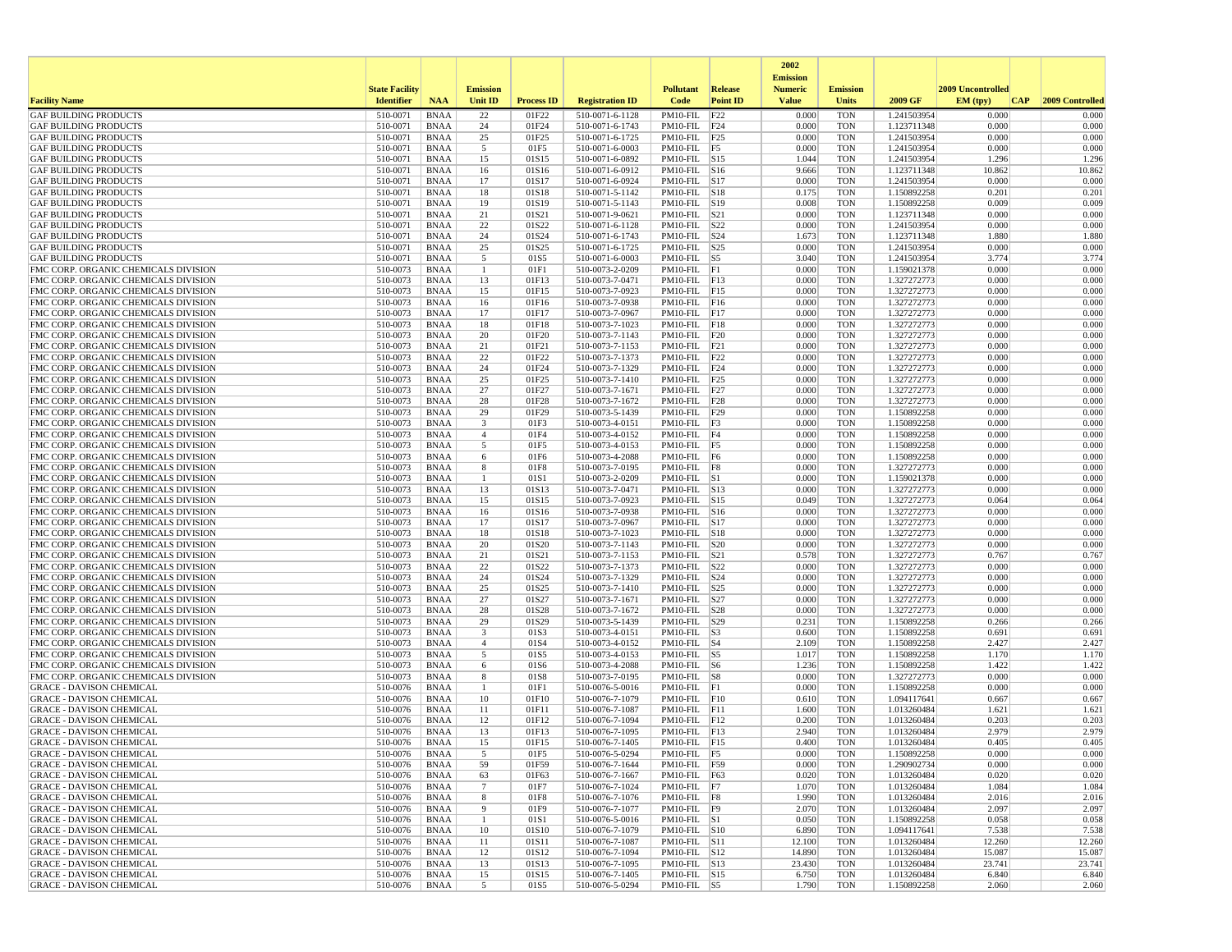|                                                                              |                       |                            |                       |                   |                                    |                                       |                 | 2002                              |                          |                            |                   |                  |
|------------------------------------------------------------------------------|-----------------------|----------------------------|-----------------------|-------------------|------------------------------------|---------------------------------------|-----------------|-----------------------------------|--------------------------|----------------------------|-------------------|------------------|
|                                                                              | <b>State Facility</b> |                            | <b>Emission</b>       |                   |                                    | <b>Pollutant</b>                      | Release         | <b>Emission</b><br><b>Numeric</b> | <b>Emission</b>          |                            | 2009 Uncontrolled |                  |
| <b>Facility Name</b>                                                         | <b>Identifier</b>     | <b>NAA</b>                 | Unit ID               | <b>Process ID</b> | <b>Registration ID</b>             | Code                                  | <b>Point ID</b> | <b>Value</b>                      | <b>Units</b>             | 2009 GF                    | EM (typ)<br> CAP  | 2009 Controlled  |
| <b>GAF BUILDING PRODUCTS</b>                                                 | 510-0071              | <b>BNAA</b>                | 22                    | 01F22             | 510-0071-6-1128                    | PM10-FIL                              | F22             | 0.000                             | <b>TON</b>               | 1.241503954                | 0.000             | 0.000            |
| <b>GAF BUILDING PRODUCTS</b>                                                 | 510-0071              | <b>BNAA</b>                | 24                    | 01F24             | 510-0071-6-1743                    | $PM10-FIL$ F24                        |                 | 0.000                             | <b>TON</b>               | 1.123711348                | 0.000             | 0.000            |
| <b>GAF BUILDING PRODUCTS</b>                                                 | 510-0071              | <b>BNAA</b>                | 25                    | 01F25             | 510-0071-6-1725                    | PM10-FIL F25                          |                 | 0.000                             | <b>TON</b>               | 1.241503954                | 0.000             | 0.000            |
| <b>GAF BUILDING PRODUCTS</b><br><b>GAF BUILDING PRODUCTS</b>                 | 510-0071<br>510-0071  | <b>BNAA</b><br><b>BNAA</b> | 5<br>15               | 01F5<br>01S15     | 510-0071-6-0003<br>510-0071-6-0892 | PM10-FIL F5<br>$PM10$ -FIL $ S15$     |                 | 0.000<br>1.044                    | <b>TON</b><br><b>TON</b> | 1.241503954<br>1.241503954 | 0.000<br>1.296    | 0.000<br>1.296   |
| <b>GAF BUILDING PRODUCTS</b>                                                 | 510-0071              | <b>BNAA</b>                | 16                    | 01S16             | 510-0071-6-0912                    | $PM10-FIL$ S16                        |                 | 9.666                             | <b>TON</b>               | 1.123711348                | 10.862            | 10.862           |
| <b>GAF BUILDING PRODUCTS</b>                                                 | 510-0071              | <b>BNAA</b>                | 17                    | 01S17             | 510-0071-6-0924                    | $PM10-FIL$ S17                        |                 | 0.000                             | <b>TON</b>               | 1.241503954                | 0.000             | 0.000            |
| <b>GAF BUILDING PRODUCTS</b>                                                 | 510-0071              | <b>BNAA</b>                | 18                    | 01S18             | 510-0071-5-1142                    | $PM10-FIL$ S18                        |                 | 0.175                             | <b>TON</b>               | 1.150892258                | 0.201             | 0.201            |
| <b>GAF BUILDING PRODUCTS</b>                                                 | 510-0071              | <b>BNAA</b>                | 19                    | 01S19             | 510-0071-5-1143                    | PM10-FIL S19                          |                 | 0.008                             | <b>TON</b>               | 1.150892258                | 0.009             | 0.009            |
| <b>GAF BUILDING PRODUCTS</b><br><b>GAF BUILDING PRODUCTS</b>                 | 510-0071<br>510-0071  | <b>BNAA</b><br><b>BNAA</b> | 21<br>22              | 01S21<br>01S22    | 510-0071-9-0621<br>510-0071-6-1128 | $PM10-FIL$ $ S21$<br>PM10-FIL S22     |                 | 0.000<br>0.000                    | <b>TON</b><br><b>TON</b> | 1.123711348<br>1.241503954 | 0.000<br>0.000    | 0.000<br>0.000   |
| <b>GAF BUILDING PRODUCTS</b>                                                 | 510-0071              | <b>BNAA</b>                | 24                    | 01S24             | 510-0071-6-1743                    | $PM10$ -FIL $ S24$                    |                 | 1.673                             | <b>TON</b>               | 1.123711348                | 1.880             | 1.880            |
| <b>GAF BUILDING PRODUCTS</b>                                                 | 510-0071              | <b>BNAA</b>                | 25                    | 01S25             | 510-0071-6-1725                    | $PM10$ -FIL $ S25$                    |                 | 0.000                             | <b>TON</b>               | 1.241503954                | 0.000             | 0.000            |
| <b>GAF BUILDING PRODUCTS</b>                                                 | 510-0071              | <b>BNAA</b>                | 5                     | 01S5              | 510-0071-6-0003                    | PM10-FIL                              | S5              | 3.040                             | <b>TON</b>               | 1.241503954                | 3.774             | 3.774            |
| FMC CORP. ORGANIC CHEMICALS DIVISION                                         | 510-0073              | <b>BNAA</b>                | $\mathbf{1}$          | 01F1              | 510-0073-2-0209                    | $PM10-FIL$ $ F1$                      |                 | 0.000                             | <b>TON</b>               | 1.159021378                | 0.000             | 0.000            |
| FMC CORP. ORGANIC CHEMICALS DIVISION<br>FMC CORP. ORGANIC CHEMICALS DIVISION | 510-0073<br>510-0073  | <b>BNAA</b><br><b>BNAA</b> | 13<br>15              | 01F13<br>01F15    | 510-0073-7-0471<br>510-0073-7-0923 | $PM10-FIL$ $ F13$<br>PM10-FIL F15     |                 | 0.000<br>0.000                    | <b>TON</b><br><b>TON</b> | 1.327272773<br>1.327272773 | 0.000<br>0.000    | 0.000<br>0.000   |
| FMC CORP. ORGANIC CHEMICALS DIVISION                                         | 510-0073              | <b>BNAA</b>                | 16                    | 01F16             | 510-0073-7-0938                    | $PM10-FIL$ $F16$                      |                 | 0.000                             | <b>TON</b>               | 1.327272773                | 0.000             | 0.000            |
| FMC CORP. ORGANIC CHEMICALS DIVISION                                         | 510-0073              | <b>BNAA</b>                | 17                    | 01F17             | 510-0073-7-0967                    | $PM10-FIL$ F17                        |                 | 0.000                             | <b>TON</b>               | 1.327272773                | 0.000             | 0.000            |
| FMC CORP. ORGANIC CHEMICALS DIVISION                                         | 510-0073              | <b>BNAA</b>                | 18                    | 01F18             | 510-0073-7-1023                    | $PM10-FIL$ $F18$                      |                 | 0.000                             | <b>TON</b>               | 1.327272773                | 0.000             | 0.000            |
| FMC CORP. ORGANIC CHEMICALS DIVISION                                         | 510-0073              | <b>BNAA</b>                | 20                    | 01F20             | 510-0073-7-1143                    | $PM10-FIL$ $F20$                      |                 | 0.000                             | <b>TON</b>               | 1.327272773                | 0.000             | 0.000            |
| FMC CORP. ORGANIC CHEMICALS DIVISION                                         | 510-0073              | <b>BNAA</b>                | 21<br>22              | 01F21             | 510-0073-7-1153<br>510-0073-7-1373 | $PM10-FIL$ $ F21$<br>$PM10-FIL$ F22   |                 | 0.000<br>0.000                    | <b>TON</b>               | 1.327272773<br>1.327272773 | 0.000<br>0.000    | 0.000<br>0.000   |
| FMC CORP. ORGANIC CHEMICALS DIVISION<br>FMC CORP. ORGANIC CHEMICALS DIVISION | 510-0073<br>510-0073  | <b>BNAA</b><br><b>BNAA</b> | 24                    | 01F22<br>01F24    | 510-0073-7-1329                    | $PM10-FIL$ F24                        |                 | 0.000                             | <b>TON</b><br><b>TON</b> | 1.327272773                | 0.000             | 0.000            |
| FMC CORP. ORGANIC CHEMICALS DIVISION                                         | 510-0073              | <b>BNAA</b>                | 25                    | 01F25             | 510-0073-7-1410                    | PM10-FIL $ F25 $                      |                 | 0.000                             | <b>TON</b>               | 1.327272773                | 0.000             | 0.000            |
| FMC CORP. ORGANIC CHEMICALS DIVISION                                         | 510-0073              | <b>BNAA</b>                | 27                    | 01F27             | 510-0073-7-1671                    | $PM10-FIL$ F27                        |                 | 0.000                             | <b>TON</b>               | 1.327272773                | 0.000             | 0.000            |
| FMC CORP. ORGANIC CHEMICALS DIVISION                                         | 510-0073              | <b>BNAA</b>                | 28                    | 01F28             | 510-0073-7-1672                    | $PM10-FIL$ $F28$                      |                 | 0.000                             | <b>TON</b>               | 1.327272773                | 0.000             | 0.000            |
| FMC CORP. ORGANIC CHEMICALS DIVISION                                         | 510-0073<br>510-0073  | <b>BNAA</b>                | 29<br>3               | 01F29<br>01F3     | 510-0073-5-1439                    | PM10-FIL F29                          |                 | 0.000<br>0.000                    | <b>TON</b><br><b>TON</b> | 1.150892258                | 0.000<br>0.000    | 0.000<br>0.000   |
| FMC CORP. ORGANIC CHEMICALS DIVISION<br>FMC CORP. ORGANIC CHEMICALS DIVISION | 510-0073              | <b>BNAA</b><br><b>BNAA</b> | $\overline{4}$        | 01F4              | 510-0073-4-0151<br>510-0073-4-0152 | PM10-FIL F3<br>PM10-FIL F4            |                 | 0.000                             | <b>TON</b>               | 1.150892258<br>1.150892258 | 0.000             | 0.000            |
| FMC CORP. ORGANIC CHEMICALS DIVISION                                         | 510-0073              | <b>BNAA</b>                | 5                     | 01F5              | 510-0073-4-0153                    | $PM10-FIL$ F5                         |                 | 0.000                             | <b>TON</b>               | 1.150892258                | 0.000             | 0.000            |
| FMC CORP. ORGANIC CHEMICALS DIVISION                                         | 510-0073              | <b>BNAA</b>                | 6                     | 01F6              | 510-0073-4-2088                    | PM10-FIL F6                           |                 | 0.000                             | <b>TON</b>               | 1.150892258                | 0.000             | 0.000            |
| FMC CORP. ORGANIC CHEMICALS DIVISION                                         | 510-0073              | <b>BNAA</b>                | 8                     | 01F8              | 510-0073-7-0195                    | PM10-FIL F8                           |                 | 0.000                             | <b>TON</b>               | 1.327272773                | 0.000             | 0.000            |
| FMC CORP. ORGANIC CHEMICALS DIVISION                                         | 510-0073              | <b>BNAA</b>                | -1                    | 01S1              | 510-0073-2-0209                    | $PM10-FIL$ S1                         |                 | 0.000                             | <b>TON</b>               | 1.159021378                | 0.000             | 0.000            |
| FMC CORP. ORGANIC CHEMICALS DIVISION<br>FMC CORP. ORGANIC CHEMICALS DIVISION | 510-0073<br>510-0073  | <b>BNAA</b><br><b>BNAA</b> | 13<br>15              | 01S13<br>01S15    | 510-0073-7-0471<br>510-0073-7-0923 | PM10-FIL S13<br>PM10-FIL S15          |                 | 0.000<br>0.049                    | <b>TON</b><br><b>TON</b> | 1.327272773<br>1.327272773 | 0.000<br>0.064    | 0.000<br>0.064   |
| FMC CORP. ORGANIC CHEMICALS DIVISION                                         | 510-0073              | <b>BNAA</b>                | 16                    | 01S16             | 510-0073-7-0938                    | $PM10-FIL$ S16                        |                 | 0.000                             | <b>TON</b>               | 1.327272773                | 0.000             | 0.000            |
| FMC CORP. ORGANIC CHEMICALS DIVISION                                         | 510-0073              | <b>BNAA</b>                | 17                    | 01S17             | 510-0073-7-0967                    | $PM10$ -FIL $ S17$                    |                 | 0.000                             | <b>TON</b>               | 1.327272773                | 0.000             | 0.000            |
| FMC CORP. ORGANIC CHEMICALS DIVISION                                         | 510-0073              | <b>BNAA</b>                | 18                    | 01S18             | 510-0073-7-1023                    | PM10-FIL S18                          |                 | 0.000                             | <b>TON</b>               | 1.327272773                | 0.000             | 0.000            |
| FMC CORP. ORGANIC CHEMICALS DIVISION                                         | 510-0073              | <b>BNAA</b>                | 20                    | 01S20             | 510-0073-7-1143                    | $PM10$ -FIL $ S20$                    |                 | 0.000                             | <b>TON</b>               | 1.327272773                | 0.000             | 0.000            |
| FMC CORP. ORGANIC CHEMICALS DIVISION<br>FMC CORP. ORGANIC CHEMICALS DIVISION | 510-0073<br>510-0073  | <b>BNAA</b><br><b>BNAA</b> | 21<br>22              | 01S21<br>01S22    | 510-0073-7-1153<br>510-0073-7-1373 | $PM10-FIL$ $ S21$<br>PM10-FIL         | S22             | 0.578<br>0.000                    | <b>TON</b><br><b>TON</b> | 1.327272773<br>1.327272773 | 0.767<br>0.000    | 0.767<br>0.000   |
| FMC CORP. ORGANIC CHEMICALS DIVISION                                         | 510-0073              | <b>BNAA</b>                | 24                    | 01S24             | 510-0073-7-1329                    | PM10-FIL                              | S24             | 0.000                             | <b>TON</b>               | 1.327272773                | 0.000             | 0.000            |
| FMC CORP. ORGANIC CHEMICALS DIVISION                                         | 510-0073              | <b>BNAA</b>                | 25                    | 01S25             | 510-0073-7-1410                    | $PM10-FIL$ S25                        |                 | 0.000                             | <b>TON</b>               | 1.327272773                | 0.000             | 0.000            |
| FMC CORP. ORGANIC CHEMICALS DIVISION                                         | 510-0073              | <b>BNAA</b>                | 27                    | 01S27             | 510-0073-7-1671                    | PM10-FIL S27                          |                 | 0.000                             | <b>TON</b>               | 1.327272773                | 0.000             | 0.000            |
| FMC CORP. ORGANIC CHEMICALS DIVISION                                         | 510-0073              | <b>BNAA</b>                | 28                    | 01S28             | 510-0073-7-1672                    | $PM10$ -FIL $ S28$                    |                 | 0.000                             | <b>TON</b>               | 1.327272773                | 0.000             | 0.000            |
| FMC CORP. ORGANIC CHEMICALS DIVISION                                         | 510-0073              | <b>BNAA</b>                | 29                    | 01S29             | 510-0073-5-1439                    | PM10-FIL                              | S29             | 0.231                             | <b>TON</b>               | 1.150892258                | 0.266             | 0.266            |
| FMC CORP. ORGANIC CHEMICALS DIVISION<br>FMC CORP. ORGANIC CHEMICALS DIVISION | 510-0073<br>510-0073  | <b>BNAA</b><br><b>BNAA</b> | 3<br>$\overline{4}$   | 01S3<br>01S4      | 510-0073-4-0151<br>510-0073-4-0152 | PM10-FIL<br>$PM10-FIL$ S4             | S3              | 0.600<br>2.109                    | <b>TON</b><br><b>TON</b> | 1.150892258<br>1.150892258 | 0.691<br>2.427    | 0.691<br>2.427   |
| FMC CORP. ORGANIC CHEMICALS DIVISION                                         | 510-0073              | <b>BNAA</b>                | 5                     | 01S5              | 510-0073-4-0153                    | PM10-FIL S5                           |                 | 1.017                             | <b>TON</b>               | 1.150892258                | 1.170             | 1.170            |
| FMC CORP. ORGANIC CHEMICALS DIVISION                                         | 510-0073              | <b>BNAA</b>                | 6                     | 01S6              | 510-0073-4-2088                    | $PM10-FIL$ S6                         |                 | 1.236                             | TON                      | 1.150892258                | 1.422             | 1.422            |
| FMC CORP. ORGANIC CHEMICALS DIVISION                                         | 510-0073              | <b>BNAA</b>                | 8                     | 01S8              | 510-0073-7-0195                    | $PM10-FIL$ $ S8$                      |                 | 0.000                             | <b>TON</b>               | 1.327272773                | 0.000             | 0.000            |
| <b>GRACE - DAVISON CHEMICAL</b>                                              | 510-0076              | <b>BNAA</b>                |                       | 01F1              | 510-0076-5-0016                    | PM10-FIL F1                           |                 | 0.000                             | <b>TON</b>               | 1.150892258                | 0.000             | 0.000            |
| <b>GRACE - DAVISON CHEMICAL</b><br><b>GRACE - DAVISON CHEMICAL</b>           | 510-0076<br>510-0076  | <b>BNAA</b><br><b>BNAA</b> | 10<br>11              | 01F10<br>01F11    | 510-0076-7-1079<br>510-0076-7-1087 | $PM10-FIL$ $F10$<br>$PM10-FIL$ $ F11$ |                 | 0.610<br>1.600                    | <b>TON</b><br><b>TON</b> | 1.094117641<br>1.013260484 | 0.667<br>1.621    | 0.667<br>1.621   |
| <b>GRACE - DAVISON CHEMICAL</b>                                              | 510-0076              | <b>BNAA</b>                | 12                    | 01F12             | 510-0076-7-1094                    | $PM10-FIL$ $F12$                      |                 | 0.200                             | <b>TON</b>               | 1.013260484                | 0.203             | 0.203            |
| <b>GRACE - DAVISON CHEMICAL</b>                                              | 510-0076              | <b>BNAA</b>                | 13                    | 01F13             | 510-0076-7-1095                    | PM10-FIL F13                          |                 | 2.940                             | <b>TON</b>               | 1.013260484                | 2.979             | 2.979            |
| <b>GRACE - DAVISON CHEMICAL</b>                                              | 510-0076              | <b>BNAA</b>                | 15                    | 01F15             | 510-0076-7-1405                    | $PM10-FIL$ $F15$                      |                 | 0.400                             | <b>TON</b>               | 1.013260484                | 0.405             | 0.405            |
| <b>GRACE - DAVISON CHEMICAL</b>                                              | 510-0076              | <b>BNAA</b>                |                       | 01F5              | 510-0076-5-0294                    | $PM10-FIL$  F5                        |                 | 0.000                             | TON                      | 1.150892258                | 0.000             | 0.000            |
| <b>GRACE - DAVISON CHEMICAL</b><br><b>GRACE - DAVISON CHEMICAL</b>           | 510-0076<br>510-0076  | BNAA                       | 59                    | 01F59<br>01F63    | 510-0076-7-1644<br>510-0076-7-1667 | PM10-FIL F59<br>PM10-FIL F63          |                 | 0.000                             | <b>TON</b><br><b>TON</b> | 1.290902734                | 0.000<br>0.020    | 0.000<br>0.020   |
| <b>GRACE - DAVISON CHEMICAL</b>                                              | 510-0076              | BNAA<br>BNAA               | 63<br>$7\phantom{.0}$ | 01F7              | 510-0076-7-1024                    | $PM10-FIL$ F7                         |                 | 0.020<br>1.070                    | TON                      | 1.013260484<br>1.013260484 | 1.084             | 1.084            |
| <b>GRACE - DAVISON CHEMICAL</b>                                              | 510-0076              | BNAA                       | 8                     | 01F8              | 510-0076-7-1076                    | $PM10-FIL$ F8                         |                 | 1.990                             | <b>TON</b>               | 1.013260484                | 2.016             | 2.016            |
| <b>GRACE - DAVISON CHEMICAL</b>                                              | 510-0076              | <b>BNAA</b>                | 9                     | 01F9              | 510-0076-7-1077                    | $PM10-FIL$ F9                         |                 | 2.070                             | <b>TON</b>               | 1.013260484                | 2.097             | 2.097            |
| <b>GRACE - DAVISON CHEMICAL</b>                                              | 510-0076              | BNAA                       | -1                    | 01S1              | 510-0076-5-0016                    | $PM10-FIL$ S1                         |                 | 0.050                             | <b>TON</b>               | 1.150892258                | 0.058             | 0.058            |
| <b>GRACE - DAVISON CHEMICAL</b><br><b>GRACE - DAVISON CHEMICAL</b>           | 510-0076              | BNAA                       | 10                    | 01S10             | 510-0076-7-1079                    | $PM10-FIL$ S10                        |                 | 6.890                             | <b>TON</b>               | 1.094117641                | 7.538             | 7.538            |
| <b>GRACE - DAVISON CHEMICAL</b>                                              | 510-0076<br>510-0076  | BNAA<br>BNAA               | 11<br>12              | 01S11<br>01S12    | 510-0076-7-1087<br>510-0076-7-1094 | $PM10-FIL$ $ S11$<br>$PM10-FIL$ S12   |                 | 12.100<br>14.890                  | <b>TON</b><br>TON        | 1.013260484<br>1.013260484 | 12.260<br>15.087  | 12.260<br>15.087 |
| <b>GRACE - DAVISON CHEMICAL</b>                                              | 510-0076              | BNAA                       | 13                    | 01S13             | 510-0076-7-1095                    | PM10-FIL S13                          |                 | 23.430                            | TON                      | 1.013260484                | 23.741            | 23.741           |
| <b>GRACE - DAVISON CHEMICAL</b>                                              | 510-0076              | <b>BNAA</b>                | 15                    | 01S15             | 510-0076-7-1405                    | PM10-FIL S15                          |                 | 6.750                             | <b>TON</b>               | 1.013260484                | 6.840             | 6.840            |
| <b>GRACE - DAVISON CHEMICAL</b>                                              | 510-0076              | BNAA                       | $5\overline{5}$       | 01S5              | 510-0076-5-0294                    | $PM10-FIL$ S5                         |                 | 1.790                             | TON                      | 1.150892258                | 2.060             | 2.060            |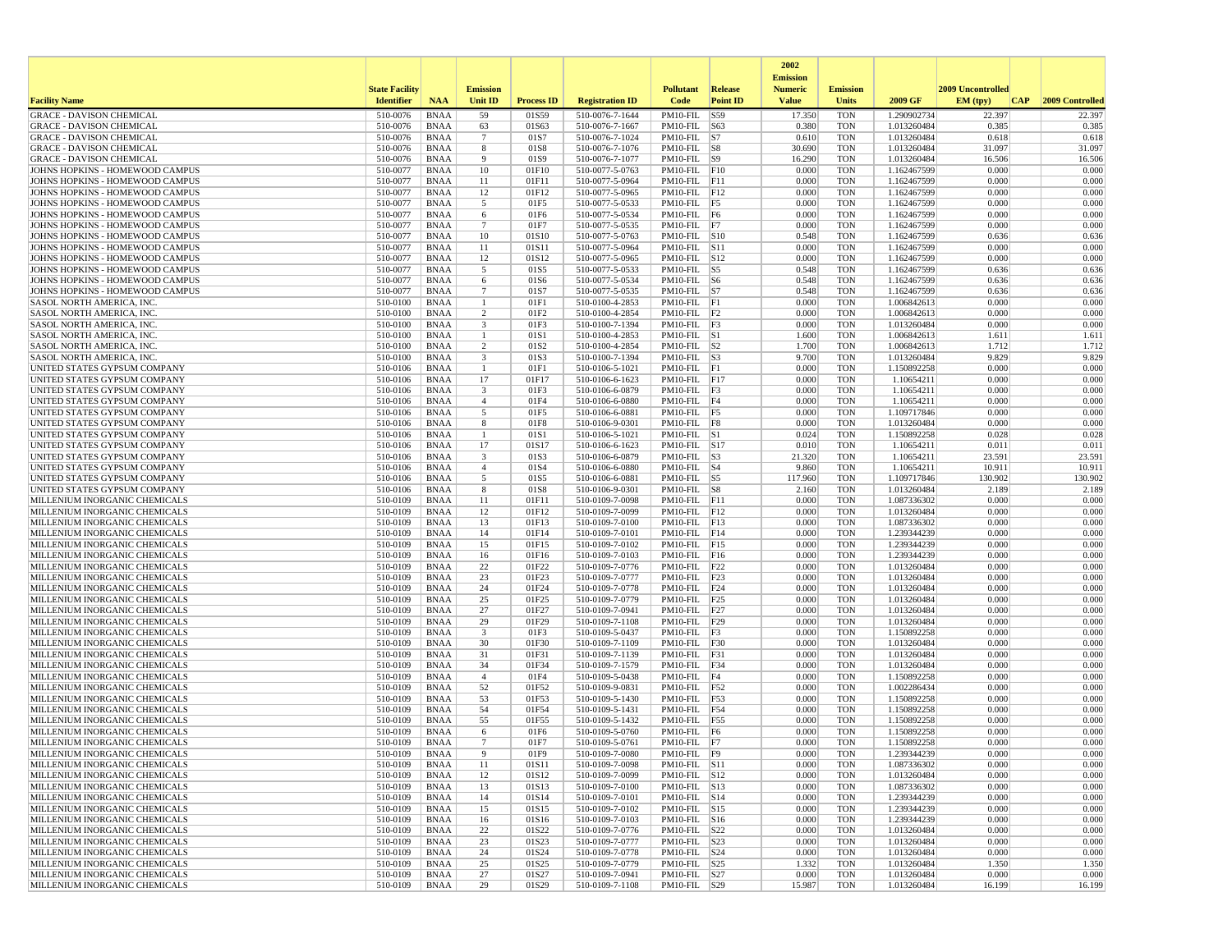|                                                                    |                       |                            |                         |                   |                                    |                                      |                 | 2002                              |                          |                            |                   |                 |
|--------------------------------------------------------------------|-----------------------|----------------------------|-------------------------|-------------------|------------------------------------|--------------------------------------|-----------------|-----------------------------------|--------------------------|----------------------------|-------------------|-----------------|
|                                                                    | <b>State Facility</b> |                            | <b>Emission</b>         |                   |                                    | <b>Pollutant</b>                     | <b>Release</b>  | <b>Emission</b><br><b>Numeric</b> | <b>Emission</b>          |                            | 2009 Uncontrolled |                 |
| <b>Facility Name</b>                                               | <b>Identifier</b>     | <b>NAA</b>                 | <b>Unit ID</b>          | <b>Process ID</b> | <b>Registration ID</b>             | Code                                 | <b>Point ID</b> | <b>Value</b>                      | Units                    | 2009 GF                    | EM (typ)<br> CAP  | 2009 Controlled |
| <b>GRACE - DAVISON CHEMICAL</b>                                    | 510-0076              | <b>BNAA</b>                | 59                      | 01S59             | 510-0076-7-1644                    | PM10-FIL S59                         |                 | 17.350                            | <b>TON</b>               | 1.290902734                | 22.397            | 22.397          |
| <b>GRACE - DAVISON CHEMICAL</b>                                    | 510-0076              | <b>BNAA</b>                | 63                      | 01S63             | 510-0076-7-1667                    | PM10-FIL  S63                        |                 | 0.380                             | <b>TON</b>               | 1.013260484                | 0.385             | 0.385           |
| <b>GRACE - DAVISON CHEMICAL</b><br><b>GRACE - DAVISON CHEMICAL</b> | 510-0076<br>510-0076  | <b>BNAA</b><br><b>BNAA</b> | $7\phantom{.0}$<br>8    | 01S7<br>01S8      | 510-0076-7-1024<br>510-0076-7-1076 | $PM10-FIL$ S7<br>PM10-FIL S8         |                 | 0.610<br>30.690                   | <b>TON</b><br><b>TON</b> | 1.013260484<br>1.013260484 | 0.618<br>31.097   | 0.618<br>31.097 |
| <b>GRACE - DAVISON CHEMICAL</b>                                    | 510-0076              | <b>BNAA</b>                | 9                       | 01S9              | 510-0076-7-1077                    | $PM10-FIL$ S9                        |                 | 16.290                            | <b>TON</b>               | 1.013260484                | 16.506            | 16.506          |
| JOHNS HOPKINS - HOMEWOOD CAMPUS                                    | 510-0077              | <b>BNAA</b>                | 10                      | 01F10             | 510-0077-5-0763                    | $PM10-FIL$ $F10$                     |                 | 0.000                             | <b>TON</b>               | 1.162467599                | 0.000             | 0.000           |
| JOHNS HOPKINS - HOMEWOOD CAMPUS                                    | 510-0077              | <b>BNAA</b>                | 11                      | 01F11             | 510-0077-5-0964                    | $PM10-FIL$ $ F11$                    |                 | 0.000                             | <b>TON</b>               | 1.162467599                | 0.000<br>0.000    | 0.000           |
| JOHNS HOPKINS - HOMEWOOD CAMPUS<br>JOHNS HOPKINS - HOMEWOOD CAMPUS | 510-0077<br>510-0077  | <b>BNAA</b><br><b>BNAA</b> | 12<br>5                 | 01F12<br>01F5     | 510-0077-5-0965<br>510-0077-5-0533 | $PM10-FIL$ $F12$<br>$PM10-FIL$ F5    |                 | 0.000<br>0.000                    | <b>TON</b><br><b>TON</b> | 1.162467599<br>1.162467599 | 0.000             | 0.000<br>0.000  |
| JOHNS HOPKINS - HOMEWOOD CAMPUS                                    | 510-0077              | <b>BNAA</b>                | 6                       | 01F6              | 510-0077-5-0534                    | PM10-FIL F6                          |                 | 0.000                             | <b>TON</b>               | 1.162467599                | 0.000             | 0.000           |
| JOHNS HOPKINS - HOMEWOOD CAMPUS                                    | 510-0077              | <b>BNAA</b>                | $\overline{7}$          | 01F7              | 510-0077-5-0535                    | PM10-FIL F7                          |                 | 0.000                             | <b>TON</b>               | 1.162467599                | 0.000             | 0.000           |
| JOHNS HOPKINS - HOMEWOOD CAMPUS                                    | 510-0077              | <b>BNAA</b>                | 10                      | 01S10             | 510-0077-5-0763                    | PM10-FIL S10                         |                 | 0.548                             | <b>TON</b>               | 1.162467599                | 0.636             | 0.636           |
| JOHNS HOPKINS - HOMEWOOD CAMPUS<br>JOHNS HOPKINS - HOMEWOOD CAMPUS | 510-0077<br>510-0077  | <b>BNAA</b><br><b>BNAA</b> | 11<br>12                | 01S11<br>01S12    | 510-0077-5-0964<br>510-0077-5-0965 | PM10-FIL S11<br>PM10-FIL S12         |                 | 0.000<br>0.000                    | <b>TON</b><br><b>TON</b> | 1.162467599<br>1.162467599 | 0.000<br>0.000    | 0.000<br>0.000  |
| JOHNS HOPKINS - HOMEWOOD CAMPUS                                    | 510-0077              | <b>BNAA</b>                | 5                       | 01S5              | 510-0077-5-0533                    | $PM10-FIL$ S5                        |                 | 0.548                             | <b>TON</b>               | 1.162467599                | 0.636             | 0.636           |
| JOHNS HOPKINS - HOMEWOOD CAMPUS                                    | 510-0077              | <b>BNAA</b>                | 6                       | 01S6              | 510-0077-5-0534                    | $PM10-FIL$ S6                        |                 | 0.548                             | <b>TON</b>               | 1.162467599                | 0.636             | 0.636           |
| JOHNS HOPKINS - HOMEWOOD CAMPUS                                    | 510-0077              | <b>BNAA</b>                | 7                       | 01S7              | 510-0077-5-0535                    | $PM10-FIL$ S7                        |                 | 0.548                             | <b>TON</b>               | 1.162467599                | 0.636             | 0.636           |
| SASOL NORTH AMERICA, INC.<br>SASOL NORTH AMERICA, INC.             | 510-0100<br>510-0100  | <b>BNAA</b>                | $\overline{1}$<br>2     | 01F1<br>01F2      | 510-0100-4-2853                    | PM10-FIL F1                          |                 | 0.000<br>0.000                    | <b>TON</b><br><b>TON</b> | 1.006842613                | 0.000<br>0.000    | 0.000<br>0.000  |
| SASOL NORTH AMERICA, INC.                                          | 510-0100              | BNAA<br><b>BNAA</b>        | $\overline{\mathbf{3}}$ | 01F3              | 510-0100-4-2854<br>510-0100-7-1394 | $PM10-FIL$ $ F2$<br>$PM10-FIL$ F3    |                 | 0.000                             | <b>TON</b>               | 1.006842613<br>1.013260484 | 0.000             | 0.000           |
| <b>SASOL NORTH AMERICA, INC.</b>                                   | 510-0100              | <b>BNAA</b>                | -1                      | 01S1              | 510-0100-4-2853                    | $PM10$ -FIL $ S1$                    |                 | 1.600                             | <b>TON</b>               | 1.006842613                | 1.611             | 1.611           |
| <b>SASOL NORTH AMERICA, INC.</b>                                   | 510-0100              | <b>BNAA</b>                | 2                       | 01S <sub>2</sub>  | 510-0100-4-2854                    | $PM10-FIL$ S2                        |                 | 1.700                             | <b>TON</b>               | 1.006842613                | 1.712             | 1.712           |
| SASOL NORTH AMERICA, INC                                           | 510-0100              | <b>BNAA</b>                | $\overline{\mathbf{3}}$ | 01S3              | 510-0100-7-1394                    | $PM10-FIL$ S3                        |                 | 9.700                             | <b>TON</b>               | 1.013260484                | 9.829             | 9.829           |
| UNITED STATES GYPSUM COMPANY<br>UNITED STATES GYPSUM COMPANY       | 510-0106<br>510-0106  | <b>BNAA</b><br><b>BNAA</b> | $\overline{1}$<br>17    | 01F1<br>01F17     | 510-0106-5-1021<br>510-0106-6-1623 | $PM10-FIL$ $F1$<br>$PM10-FIL$ $ F17$ |                 | 0.000<br>0.000                    | <b>TON</b><br><b>TON</b> | 1.150892258<br>1.10654211  | 0.000<br>0.000    | 0.000<br>0.000  |
| UNITED STATES GYPSUM COMPANY                                       | 510-0106              | <b>BNAA</b>                | 3                       | 01F3              | 510-0106-6-0879                    | $PM10-FIL$ $ F3$                     |                 | 0.000                             | <b>TON</b>               | 1.10654211                 | 0.000             | 0.000           |
| UNITED STATES GYPSUM COMPANY                                       | 510-0106              | <b>BNAA</b>                | $\overline{4}$          | 01F4              | 510-0106-6-0880                    | $PM10-FIL$ F4                        |                 | 0.000                             | <b>TON</b>               | 1.10654211                 | 0.000             | 0.000           |
| UNITED STATES GYPSUM COMPANY                                       | 510-0106              | <b>BNAA</b>                | 5                       | 01F5              | 510-0106-6-0881                    | $PM10-FIL$ F5                        |                 | 0.000                             | <b>TON</b>               | 1.109717846                | 0.000             | 0.000           |
| UNITED STATES GYPSUM COMPANY                                       | 510-0106              | <b>BNAA</b>                | 8                       | 01F8              | 510-0106-9-0301                    | $PM10-FIL$ F8                        |                 | 0.000                             | <b>TON</b><br><b>TON</b> | 1.013260484<br>1.150892258 | 0.000<br>0.028    | 0.000<br>0.028  |
| UNITED STATES GYPSUM COMPANY<br>UNITED STATES GYPSUM COMPANY       | 510-0106<br>510-0106  | <b>BNAA</b><br><b>BNAA</b> | 17                      | 01S1<br>01S17     | 510-0106-5-1021<br>510-0106-6-1623 | $PM10-FIL$ S1<br>PM10-FIL S17        |                 | 0.024<br>0.010                    | <b>TON</b>               | 1.10654211                 | 0.011             | 0.011           |
| UNITED STATES GYPSUM COMPANY                                       | 510-0106              | <b>BNAA</b>                | 3                       | 01S3              | 510-0106-6-0879                    | $PM10-FIL$ S3                        |                 | 21.320                            | <b>TON</b>               | 1.10654211                 | 23.591            | 23.591          |
| UNITED STATES GYPSUM COMPANY                                       | 510-0106              | BNAA                       | $\overline{4}$          | 01S4              | 510-0106-6-0880                    | $PM10-FIL$ S4                        |                 | 9.860                             | <b>TON</b>               | 1.10654211                 | 10.911            | 10.911          |
| UNITED STATES GYPSUM COMPANY                                       | 510-0106              | <b>BNAA</b>                | 5                       | 01S5              | 510-0106-6-0881                    | $PM10-FIL$ S5<br>$PM10-FIL$ S8       |                 | 117.960                           | <b>TON</b>               | 1.109717846                | 130.902           | 130.902         |
| UNITED STATES GYPSUM COMPANY<br>MILLENIUM INORGANIC CHEMICALS      | 510-0106<br>510-0109  | <b>BNAA</b><br><b>BNAA</b> | 8<br>11                 | 01S8<br>01F11     | 510-0106-9-0301<br>510-0109-7-0098 | $PM10-FIL$ $ F11$                    |                 | 2.160<br>0.000                    | <b>TON</b><br><b>TON</b> | 1.013260484<br>1.087336302 | 2.189<br>0.000    | 2.189<br>0.000  |
| MILLENIUM INORGANIC CHEMICALS                                      | 510-0109              | <b>BNAA</b>                | 12                      | 01F12             | 510-0109-7-0099                    | $PM10-FIL$ $F12$                     |                 | 0.000                             | <b>TON</b>               | 1.013260484                | 0.000             | 0.000           |
| MILLENIUM INORGANIC CHEMICALS                                      | 510-0109              | <b>BNAA</b>                | 13                      | 01F13             | 510-0109-7-0100                    | $PM10-FIL$ F13                       |                 | 0.000                             | <b>TON</b>               | 1.087336302                | 0.000             | 0.000           |
| MILLENIUM INORGANIC CHEMICALS                                      | 510-0109              | <b>BNAA</b>                | 14                      | 01F14             | 510-0109-7-0101                    | $PM10-FIL$ $ F14$                    |                 | 0.000                             | <b>TON</b>               | 1.239344239                | 0.000             | 0.000           |
| MILLENIUM INORGANIC CHEMICALS<br>MILLENIUM INORGANIC CHEMICALS     | 510-0109<br>510-0109  | <b>BNAA</b><br><b>BNAA</b> | 15<br>16                | 01F15<br>01F16    | 510-0109-7-0102<br>510-0109-7-0103 | $PM10-FIL$ F15<br>PM10-FIL F16       |                 | 0.000<br>0.000                    | <b>TON</b><br><b>TON</b> | 1.239344239<br>1.239344239 | 0.000<br>0.000    | 0.000<br>0.000  |
| MILLENIUM INORGANIC CHEMICALS                                      | 510-0109              | <b>BNAA</b>                | 22                      | 01F22             | 510-0109-7-0776                    | $PM10-FIL$ F22                       |                 | 0.000                             | <b>TON</b>               | 1.013260484                | 0.000             | 0.000           |
| MILLENIUM INORGANIC CHEMICALS                                      | 510-0109              | <b>BNAA</b>                | 23                      | 01F23             | 510-0109-7-0777                    | $PM10-FIL$ $ F23$                    |                 | 0.000                             | <b>TON</b>               | 1.013260484                | 0.000             | 0.000           |
| MILLENIUM INORGANIC CHEMICALS                                      | 510-0109              | <b>BNAA</b>                | 24                      | 01F24             | 510-0109-7-0778                    | $PM10-FIL$ $ F24$                    |                 | 0.000                             | <b>TON</b>               | 1.013260484                | 0.000             | 0.000           |
| MILLENIUM INORGANIC CHEMICALS                                      | 510-0109              | <b>BNAA</b>                | 25                      | 01F25             | 510-0109-7-0779                    | PM10-FIL F25                         |                 | 0.000                             | <b>TON</b>               | 1.013260484                | 0.000             | 0.000           |
| MILLENIUM INORGANIC CHEMICALS<br>MILLENIUM INORGANIC CHEMICALS     | 510-0109<br>510-0109  | <b>BNAA</b><br><b>BNAA</b> | 27<br>29                | 01F27<br>01F29    | 510-0109-7-0941<br>510-0109-7-1108 | $PM10-FIL$ F27<br>$PM10-FIL$ F29     |                 | 0.000<br>0.000                    | <b>TON</b><br><b>TON</b> | 1.013260484<br>1.013260484 | 0.000<br>0.000    | 0.000<br>0.000  |
| MILLENIUM INORGANIC CHEMICALS                                      | 510-0109              | <b>BNAA</b>                | 3                       | 01F3              | 510-0109-5-0437                    | PM10-FIL                             | F3              | 0.000                             | <b>TON</b>               | 1.150892258                | 0.000             | 0.000           |
| MILLENIUM INORGANIC CHEMICALS                                      | 510-0109              | <b>BNAA</b>                | 30                      | 01F30             | 510-0109-7-1109                    | $PM10-FIL$ F30                       |                 | 0.000                             | <b>TON</b>               | 1.013260484                | 0.000             | 0.000           |
| MILLENIUM INORGANIC CHEMICALS                                      | 510-0109              | <b>BNAA</b>                | 31                      | 01F31             | 510-0109-7-1139                    | $PM10-FIL$ $ F31$                    |                 | 0.000                             | <b>TON</b>               | 1.013260484                | 0.000             | 0.000           |
| MILLENIUM INORGANIC CHEMICALS<br>MILLENIUM INORGANIC CHEMICALS     | 510-0109<br>510-0109  | <b>BNAA</b><br><b>BNAA</b> | 34<br>$\overline{4}$    | 01F34<br>01F4     | 510-0109-7-1579<br>510-0109-5-0438 | PM10-FIL F34<br>$PM10-FIL$ $F4$      |                 | 0.000<br>0.000                    | <b>TON</b><br><b>TON</b> | 1.013260484<br>1.150892258 | 0.000<br>0.000    | 0.000<br>0.000  |
| MILLENIUM INORGANIC CHEMICALS                                      | 510-0109              | <b>BNAA</b>                | 52                      | 01F52             | 510-0109-9-0831                    | $PM10-FIL$ F52                       |                 | 0.000                             | <b>TON</b>               | 1.002286434                | 0.000             | 0.000           |
| MILLENIUM INORGANIC CHEMICALS                                      | 510-0109              | <b>BNAA</b>                | 53                      | 01F53             | 510-0109-5-1430                    | PM10-FIL F53                         |                 | 0.000                             | <b>TON</b>               | 1.150892258                | 0.000             | 0.000           |
| MILLENIUM INORGANIC CHEMICALS                                      | 510-0109              | <b>BNAA</b>                | 54                      | 01F54             | 510-0109-5-1431                    | $PM10$ -FIL $F54$                    |                 | 0.000                             | <b>TON</b>               | 1.150892258                | 0.000             | 0.000           |
| MILLENIUM INORGANIC CHEMICALS<br>MILLENIUM INORGANIC CHEMICALS     | 510-0109<br>510-0109  | <b>BNAA</b><br><b>BNAA</b> | 55<br>6                 | 01F55<br>01F6     | 510-0109-5-1432<br>510-0109-5-0760 | PM10-FIL F55<br>$PM10-FIL$ F6        |                 | 0.000<br>0.000                    | <b>TON</b><br><b>TON</b> | 1.150892258<br>1.150892258 | 0.000<br>0.000    | 0.000<br>0.000  |
| MILLENIUM INORGANIC CHEMICALS                                      | 510-0109              | <b>BNAA</b>                | $\overline{7}$          | 01F7              | 510-0109-5-0761                    | PM10-FIL F7                          |                 | 0.000                             | <b>TON</b>               | 1.150892258                | 0.000             | 0.000           |
| MILLENIUM INORGANIC CHEMICALS                                      | 510-0109              | <b>BNAA</b>                |                         | 01F9              | 510-0109-7-0080                    | $PM10-FIL$ F9                        |                 | 0.000                             | <b>TON</b>               | 1.239344239                | 0.000             | 0.000           |
| MILLENIUM INORGANIC CHEMICALS                                      | 510-0109              | BNAA                       | 11                      | 01S11             | 510-0109-7-0098                    | $PM10-FIL$ $ S11$                    |                 | 0.000                             | TON                      | 1.087336302                | 0.000             | 0.000           |
| MILLENIUM INORGANIC CHEMICALS                                      | 510-0109              | <b>BNAA</b>                | 12                      | 01S12             | 510-0109-7-0099                    | PM10-FIL S12                         |                 | 0.000                             | <b>TON</b>               | 1.013260484                | 0.000             | 0.000           |
| MILLENIUM INORGANIC CHEMICALS<br>MILLENIUM INORGANIC CHEMICALS     | 510-0109<br>510-0109  | <b>BNAA</b><br><b>BNAA</b> | 13<br>14                | 01S13<br>01S14    | 510-0109-7-0100<br>510-0109-7-0101 | PM10-FIL S13<br>$PM10-FIL$ $S14$     |                 | 0.000<br>0.000                    | <b>TON</b><br><b>TON</b> | 1.087336302<br>1.239344239 | 0.000<br>0.000    | 0.000<br>0.000  |
| MILLENIUM INORGANIC CHEMICALS                                      | 510-0109              | <b>BNAA</b>                | 15                      | 01S15             | 510-0109-7-0102                    | PM10-FIL S15                         |                 | 0.000                             | <b>TON</b>               | 1.239344239                | 0.000             | 0.000           |
| MILLENIUM INORGANIC CHEMICALS                                      | 510-0109              | <b>BNAA</b>                | 16                      | 01S16             | 510-0109-7-0103                    | PM10-FIL S16                         |                 | 0.000                             | <b>TON</b>               | 1.239344239                | 0.000             | 0.000           |
| MILLENIUM INORGANIC CHEMICALS                                      | 510-0109              | BNAA                       | 22                      | 01S22             | 510-0109-7-0776                    | PM10-FIL S22                         |                 | 0.000                             | <b>TON</b>               | 1.013260484                | 0.000             | 0.000           |
| MILLENIUM INORGANIC CHEMICALS<br>MILLENIUM INORGANIC CHEMICALS     | 510-0109<br>510-0109  | <b>BNAA</b><br>BNAA        | 23<br>24                | 01S23<br>01S24    | 510-0109-7-0777<br>510-0109-7-0778 | PM10-FIL S23<br>PM10-FIL S24         |                 | 0.000<br>0.000                    | <b>TON</b><br>TON        | 1.013260484<br>1.013260484 | 0.000<br>0.000    | 0.000<br>0.000  |
| MILLENIUM INORGANIC CHEMICALS                                      | 510-0109              | <b>BNAA</b>                | 25                      | 01S25             | 510-0109-7-0779                    | PM10-FIL S25                         |                 | 1.332                             | <b>TON</b>               | 1.013260484                | 1.350             | 1.350           |
| MILLENIUM INORGANIC CHEMICALS                                      | 510-0109              | <b>BNAA</b>                | 27                      | 01S27             | 510-0109-7-0941                    | PM10-FIL S27                         |                 | 0.000                             | <b>TON</b>               | 1.013260484                | 0.000             | 0.000           |
| MILLENIUM INORGANIC CHEMICALS                                      | 510-0109              | BNAA                       | 29                      | 01S29             | 510-0109-7-1108                    | $PM10$ -FIL $ S29 $                  |                 | 15.987                            | TON                      | 1.013260484                | 16.199            | 16.199          |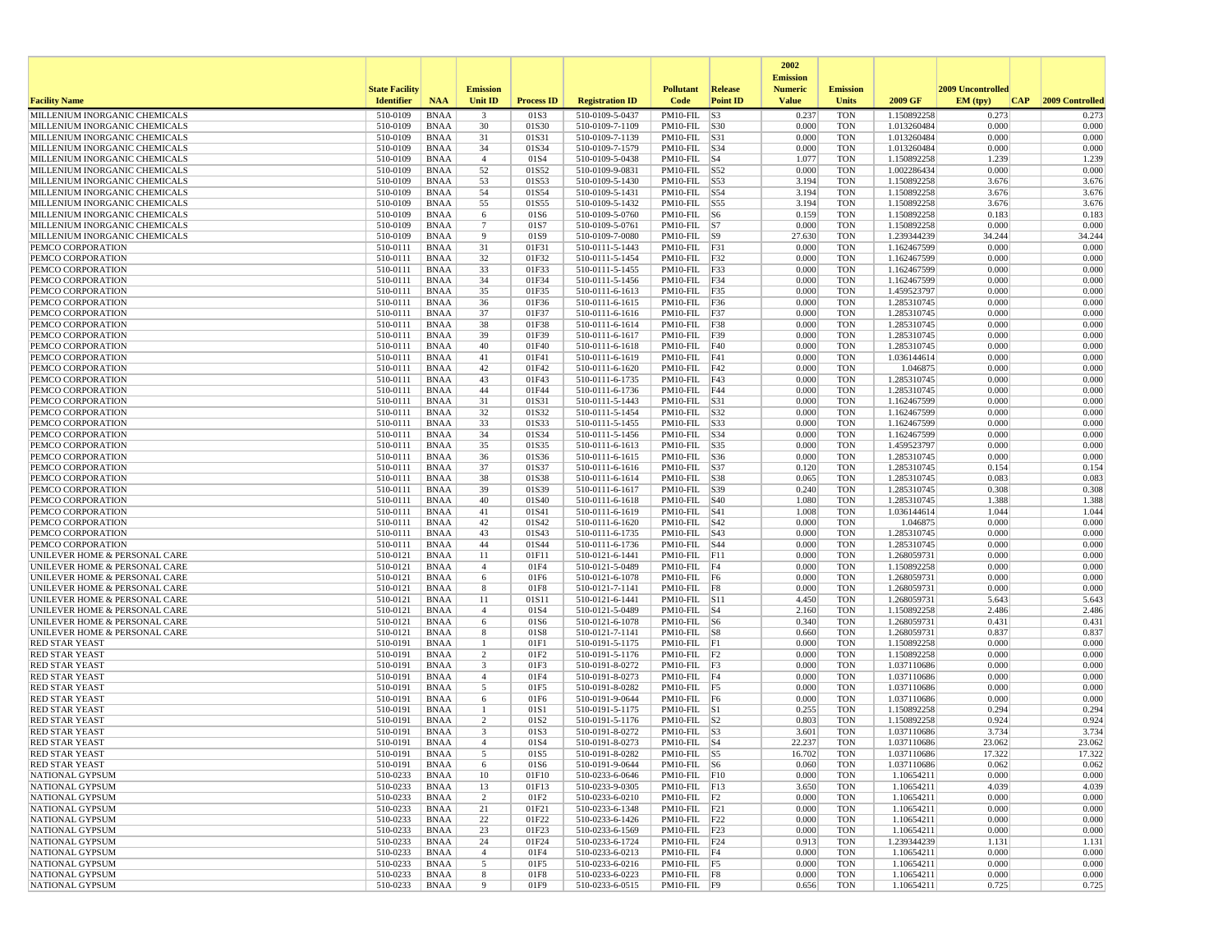|                                                                |                       |                            |                         |                   |                                    |                                    |                 | 2002                              |                          |                            |                   |                 |
|----------------------------------------------------------------|-----------------------|----------------------------|-------------------------|-------------------|------------------------------------|------------------------------------|-----------------|-----------------------------------|--------------------------|----------------------------|-------------------|-----------------|
|                                                                | <b>State Facility</b> |                            | <b>Emission</b>         |                   |                                    | <b>Pollutant</b>                   | Release         | <b>Emission</b><br><b>Numeric</b> | <b>Emission</b>          |                            | 2009 Uncontrolled |                 |
| <b>Facility Name</b>                                           | <b>Identifier</b>     | <b>NAA</b>                 | Unit ID                 | <b>Process ID</b> | <b>Registration ID</b>             | Code                               | <b>Point ID</b> | <b>Value</b>                      | <b>Units</b>             | 2009 GF                    | EM (typ)<br> CAP  | 2009 Controlled |
| MILLENIUM INORGANIC CHEMICALS                                  | 510-0109              | <b>BNAA</b>                | $\overline{\mathbf{3}}$ | 01S3              | 510-0109-5-0437                    | PM10-FIL                           | S3              | 0.237                             | <b>TON</b>               | 1.150892258                | 0.273             | 0.273           |
| MILLENIUM INORGANIC CHEMICALS                                  | 510-0109              | <b>BNAA</b>                | 30                      | 01S30             | 510-0109-7-1109                    | PM10-FIL S30                       |                 | 0.000                             | <b>TON</b>               | 1.013260484                | 0.000             | 0.000           |
| MILLENIUM INORGANIC CHEMICALS<br>MILLENIUM INORGANIC CHEMICALS | 510-0109<br>510-0109  | <b>BNAA</b><br><b>BNAA</b> | 31<br>34                | 01S31<br>01S34    | 510-0109-7-1139<br>510-0109-7-1579 | PM10-FIL S31<br>PM10-FIL  S34      |                 | 0.000<br>0.000                    | <b>TON</b><br><b>TON</b> | 1.013260484<br>1.013260484 | 0.000<br>0.000    | 0.000<br>0.000  |
| MILLENIUM INORGANIC CHEMICALS                                  | 510-0109              | <b>BNAA</b>                | $\overline{4}$          | 01S4              | 510-0109-5-0438                    | $PM10-FIL$ S4                      |                 | 1.077                             | <b>TON</b>               | 1.150892258                | 1.239             | 1.239           |
| MILLENIUM INORGANIC CHEMICALS                                  | 510-0109              | <b>BNAA</b>                | 52                      | 01S52             | 510-0109-9-0831                    | PM10-FIL S52                       |                 | 0.000                             | <b>TON</b>               | 1.002286434                | 0.000             | 0.000           |
| MILLENIUM INORGANIC CHEMICALS                                  | 510-0109              | <b>BNAA</b>                | 53                      | 01S53             | 510-0109-5-1430                    | PM10-FIL S53                       |                 | 3.194                             | <b>TON</b>               | 1.150892258                | 3.676             | 3.676           |
| MILLENIUM INORGANIC CHEMICALS                                  | 510-0109              | <b>BNAA</b>                | 54                      | 01S54             | 510-0109-5-1431                    | $PM10-FIL$ S54                     |                 | 3.194                             | <b>TON</b>               | 1.150892258                | 3.676             | 3.676           |
| MILLENIUM INORGANIC CHEMICALS<br>MILLENIUM INORGANIC CHEMICALS | 510-0109<br>510-0109  | <b>BNAA</b><br><b>BNAA</b> | 55<br>6                 | 01S55<br>01S6     | 510-0109-5-1432<br>510-0109-5-0760 | PM10-FIL S55<br>$PM10-FIL$ S6      |                 | 3.194<br>0.159                    | <b>TON</b><br><b>TON</b> | 1.150892258<br>1.150892258 | 3.676<br>0.183    | 3.676<br>0.183  |
| MILLENIUM INORGANIC CHEMICALS                                  | 510-0109              | <b>BNAA</b>                | $7\phantom{.0}$         | 01S7              | 510-0109-5-0761                    | $PM10-FIL$ S7                      |                 | 0.000                             | <b>TON</b>               | 1.150892258                | 0.000             | 0.000           |
| MILLENIUM INORGANIC CHEMICALS                                  | 510-0109              | <b>BNAA</b>                | 9                       | 01S9              | 510-0109-7-0080                    | PM10-FIL S9                        |                 | 27.630                            | <b>TON</b>               | 1.239344239                | 34.244            | 34.244          |
| PEMCO CORPORATION                                              | 510-0111              | <b>BNAA</b>                | 31                      | 01F31             | 510-0111-5-1443                    | PM10-FIL F31                       |                 | 0.000                             | <b>TON</b>               | 1.162467599                | 0.000             | 0.000           |
| PEMCO CORPORATION                                              | 510-0111              | <b>BNAA</b>                | 32                      | 01F32             | 510-0111-5-1454                    | PM10-FIL F32                       |                 | 0.000                             | <b>TON</b>               | 1.162467599                | 0.000             | 0.000           |
| PEMCO CORPORATION                                              | 510-0111              | <b>BNAA</b>                | 33                      | 01F33             | 510-0111-5-1455                    | PM10-FIL F33                       |                 | 0.000                             | <b>TON</b>               | 1.162467599                | 0.000             | 0.000           |
| PEMCO CORPORATION<br>PEMCO CORPORATION                         | 510-0111<br>510-0111  | <b>BNAA</b><br><b>BNAA</b> | 34<br>35                | 01F34<br>01F35    | 510-0111-5-1456<br>510-0111-6-1613 | $PM10-FIL$ F34<br>PM10-FIL F35     |                 | 0.000<br>0.000                    | <b>TON</b><br><b>TON</b> | 1.162467599<br>1.459523797 | 0.000<br>0.000    | 0.000<br>0.000  |
| PEMCO CORPORATION                                              | 510-0111              | <b>BNAA</b>                | 36                      | 01F36             | 510-0111-6-1615                    | PM10-FIL F36                       |                 | 0.000                             | TON                      | 1.285310745                | 0.000             | 0.000           |
| PEMCO CORPORATION                                              | 510-0111              | <b>BNAA</b>                | 37                      | 01F37             | 510-0111-6-1616                    | $PM10-FIL$ F37                     |                 | 0.000                             | <b>TON</b>               | 1.285310745                | 0.000             | 0.000           |
| PEMCO CORPORATION                                              | 510-0111              | <b>BNAA</b>                | 38                      | 01F38             | 510-0111-6-1614                    | $PM10-FIL$ F38                     |                 | 0.000                             | <b>TON</b>               | 1.285310745                | 0.000             | 0.000           |
| PEMCO CORPORATION                                              | 510-0111              | <b>BNAA</b>                | 39                      | 01F39             | 510-0111-6-1617                    | PM10-FIL F39                       |                 | 0.000                             | <b>TON</b>               | 1.285310745                | 0.000             | 0.000           |
| PEMCO CORPORATION                                              | 510-0111              | <b>BNAA</b>                | 40                      | 01F40             | 510-0111-6-1618                    | $PM10-FIL$ F40                     |                 | 0.000                             | <b>TON</b>               | 1.285310745                | 0.000             | 0.000           |
| PEMCO CORPORATION<br>PEMCO CORPORATION                         | 510-0111<br>510-0111  | <b>BNAA</b><br><b>BNAA</b> | 41<br>42                | 01F41<br>01F42    | 510-0111-6-1619<br>510-0111-6-1620 | $PM10-FIL$ $F41$<br>$PM10-FIL$ F42 |                 | 0.000<br>0.000                    | <b>TON</b><br><b>TON</b> | 1.036144614<br>1.046875    | 0.000<br>0.000    | 0.000<br>0.000  |
| PEMCO CORPORATION                                              | 510-0111              | <b>BNAA</b>                | 43                      | 01F43             | 510-0111-6-1735                    | PM10-FIL $\overline{F43}$          |                 | 0.000                             | <b>TON</b>               | 1.285310745                | 0.000             | 0.000           |
| PEMCO CORPORATION                                              | 510-0111              | <b>BNAA</b>                | 44                      | 01F44             | 510-0111-6-1736                    | PM10-FIL F44                       |                 | 0.000                             | <b>TON</b>               | 1.285310745                | 0.000             | 0.000           |
| PEMCO CORPORATION                                              | 510-0111              | <b>BNAA</b>                | 31                      | 01S31             | 510-0111-5-1443                    | PM10-FIL S31                       |                 | 0.000                             | <b>TON</b>               | 1.162467599                | 0.000             | 0.000           |
| PEMCO CORPORATION                                              | 510-0111              | <b>BNAA</b>                | 32                      | 01S32             | 510-0111-5-1454                    | PM10-FIL S32                       |                 | 0.000                             | <b>TON</b>               | 1.162467599                | 0.000             | 0.000           |
| PEMCO CORPORATION                                              | 510-0111              | <b>BNAA</b>                | 33                      | 01S33             | 510-0111-5-1455                    | PM10-FIL S33<br>PM10-FIL           |                 | 0.000                             | <b>TON</b>               | 1.162467599                | 0.000             | 0.000           |
| PEMCO CORPORATION<br>PEMCO CORPORATION                         | 510-0111<br>510-0111  | <b>BNAA</b><br><b>BNAA</b> | 34<br>35                | 01S34<br>01S35    | 510-0111-5-1456<br>510-0111-6-1613 | PM10-FIL                           | S34<br>S35      | 0.000<br>0.000                    | <b>TON</b><br><b>TON</b> | 1.162467599<br>1.459523797 | 0.000<br>0.000    | 0.000<br>0.000  |
| PEMCO CORPORATION                                              | 510-0111              | <b>BNAA</b>                | 36                      | 01S36             | 510-0111-6-1615                    | PM10-FIL                           | S36             | 0.000                             | <b>TON</b>               | 1.285310745                | 0.000             | 0.000           |
| PEMCO CORPORATION                                              | 510-0111              | <b>BNAA</b>                | 37                      | 01S37             | 510-0111-6-1616                    | PM10-FIL S37                       |                 | 0.120                             | <b>TON</b>               | 1.285310745                | 0.154             | 0.154           |
| PEMCO CORPORATION                                              | 510-0111              | <b>BNAA</b>                | 38                      | 01S38             | 510-0111-6-1614                    | PM10-FIL S38                       |                 | 0.065                             | <b>TON</b>               | 1.285310745                | 0.083             | 0.083           |
| PEMCO CORPORATION                                              | 510-0111              | <b>BNAA</b>                | 39                      | 01S39             | 510-0111-6-1617                    | PM10-FIL S39                       |                 | 0.240                             | <b>TON</b>               | 1.285310745                | 0.308             | 0.308           |
| PEMCO CORPORATION<br>PEMCO CORPORATION                         | 510-0111<br>510-0111  | <b>BNAA</b><br><b>BNAA</b> | 40<br>41                | 01S40<br>01S41    | 510-0111-6-1618<br>510-0111-6-1619 | PM10-FIL<br>$PM10$ -FIL $ S41$     | S40             | 1.080<br>1.008                    | <b>TON</b><br><b>TON</b> | 1.285310745<br>1.036144614 | 1.388<br>1.044    | 1.388<br>1.044  |
| PEMCO CORPORATION                                              | 510-0111              | <b>BNAA</b>                | 42                      | 01S42             | 510-0111-6-1620                    | $PM10$ -FIL $ S42$                 |                 | 0.000                             | <b>TON</b>               | 1.046875                   | 0.000             | 0.000           |
| PEMCO CORPORATION                                              | 510-0111              | <b>BNAA</b>                | 43                      | 01S43             | 510-0111-6-1735                    | $PM10-FIL$ $ S43$                  |                 | 0.000                             | <b>TON</b>               | 1.285310745                | 0.000             | 0.000           |
| PEMCO CORPORATION                                              | 510-0111              | <b>BNAA</b>                | 44                      | 01S44             | 510-0111-6-1736                    | $PM10$ -FIL $ S44$                 |                 | 0.000                             | TON                      | 1.285310745                | 0.000             | 0.000           |
| UNILEVER HOME & PERSONAL CARE                                  | 510-0121              | <b>BNAA</b>                | 11                      | 01F11             | 510-0121-6-1441                    | $PM10-FIL$ $ F11$                  |                 | 0.000                             | <b>TON</b>               | 1.268059731                | 0.000             | 0.000           |
| UNILEVER HOME & PERSONAL CARE<br>UNILEVER HOME & PERSONAL CARE | 510-0121<br>510-0121  | <b>BNAA</b><br><b>BNAA</b> | $\overline{4}$<br>6     | 01F4<br>01F6      | 510-0121-5-0489<br>510-0121-6-1078 | $PM10-FIL$ F4<br>$PM10-FIL$ F6     |                 | 0.000<br>0.000                    | <b>TON</b><br><b>TON</b> | 1.150892258<br>1.268059731 | 0.000<br>0.000    | 0.000<br>0.000  |
| UNILEVER HOME & PERSONAL CARE                                  | 510-0121              | <b>BNAA</b>                | 8                       | 01F8              | 510-0121-7-1141                    | PM10-FIL F8                        |                 | 0.000                             | <b>TON</b>               | 1.268059731                | 0.000             | 0.000           |
| UNILEVER HOME & PERSONAL CARE                                  | 510-0121              | <b>BNAA</b>                | 11                      | 01S11             | 510-0121-6-1441                    | PM10-FIL S11                       |                 | 4.450                             | <b>TON</b>               | 1.268059731                | 5.643             | 5.643           |
| UNILEVER HOME & PERSONAL CARE                                  | 510-0121              | <b>BNAA</b>                | $\overline{4}$          | 01S4              | 510-0121-5-0489                    | $PM10$ -FIL $ S4$                  |                 | 2.160                             | <b>TON</b>               | 1.150892258                | 2.486             | 2.486           |
| UNILEVER HOME & PERSONAL CARE                                  | 510-0121              | <b>BNAA</b>                | 6                       | 01S6              | 510-0121-6-1078                    | $PM10-FIL$ S6                      |                 | 0.340                             | <b>TON</b>               | 1.268059731                | 0.431             | 0.431           |
| UNILEVER HOME & PERSONAL CARE<br><b>RED STAR YEAST</b>         | 510-0121<br>510-0191  | <b>BNAA</b><br><b>BNAA</b> | 8<br>1                  | 01S8<br>01F1      | 510-0121-7-1141<br>510-0191-5-1175 | $PM10-FIL$ S8<br>PM10-FIL F1       |                 | 0.660<br>0.000                    | <b>TON</b><br><b>TON</b> | 1.268059731<br>1.150892258 | 0.837<br>0.000    | 0.837<br>0.000  |
| <b>RED STAR YEAST</b>                                          | 510-0191              | <b>BNAA</b>                | 2                       | 01F <sub>2</sub>  | 510-0191-5-1176                    | $PM10-FIL$ $ F2$                   |                 | 0.000                             | <b>TON</b>               | 1.150892258                | 0.000             | 0.000           |
| <b>RED STAR YEAST</b>                                          | 510-0191              | <b>BNAA</b>                | 3                       | 01F3              | 510-0191-8-0272                    | $PM10-FIL$ F3                      |                 | 0.000                             | <b>TON</b>               | 1.037110686                | 0.000             | 0.000           |
| <b>RED STAR YEAST</b>                                          | 510-0191              | <b>BNAA</b>                | $\overline{4}$          | 01F4              | 510-0191-8-0273                    | $PM10-FIL$   F4                    |                 | 0.000                             | <b>TON</b>               | 1.037110686                | 0.000             | 0.000           |
| <b>RED STAR YEAST</b>                                          | 510-0191              | <b>BNAA</b>                | 5                       | 01F5              | 510-0191-8-0282                    | $PM10-FIL$ F5                      |                 | 0.000                             | <b>TON</b>               | 1.037110686                | 0.000             | 0.000           |
| <b>RED STAR YEAST</b>                                          | 510-0191              | <b>BNAA</b>                | 6                       | 01F6              | 510-0191-9-0644                    | $PM10-FIL$ F6                      |                 | 0.000                             | <b>TON</b>               | 1.037110686                | 0.000             | 0.000           |
| <b>RED STAR YEAST</b><br><b>RED STAR YEAST</b>                 | 510-0191<br>510-0191  | <b>BNAA</b><br><b>BNAA</b> | 1<br>2                  | 01S1<br>01S2      | 510-0191-5-1175<br>510-0191-5-1176 | $PM10-FIL$ S1<br>$PM10-FIL$ S2     |                 | 0.255<br>0.803                    | <b>TON</b><br><b>TON</b> | 1.150892258<br>1.150892258 | 0.294<br>0.924    | 0.294<br>0.924  |
| <b>RED STAR YEAST</b>                                          | 510-0191              | BNAA                       | 3                       | 01S3              | 510-0191-8-0272                    | $PM10-FIL$ S3                      |                 | 3.601                             | <b>TON</b>               | 1.037110686                | 3.734             | 3.734           |
| <b>RED STAR YEAST</b>                                          | 510-0191              | <b>BNAA</b>                | $\overline{4}$          | 01S4              | 510-0191-8-0273                    | PM10-FIL S4                        |                 | 22.237                            | <b>TON</b>               | 1.037110686                | 23.062            | 23.062          |
| RED STAR YEAST                                                 | 510-0191              | <b>BNAA</b>                |                         | 01S5              | 510-0191-8-0282                    | $PM10-FIL$ S5                      |                 | 16.702                            | TON                      | 1.037110686                | 17.322            | 17.322          |
| <b>RED STAR YEAST</b>                                          | $510-0191$            | BNAA                       | 6                       | 01S6              | 510-0191-9-0644                    | $PM10-FIL$ S6                      |                 | 0.060                             | <b>TON</b>               | 1.037110686                | 0.062             | 0.062           |
| NATIONAL GYPSUM<br>NATIONAL GYPSUM                             | 510-0233<br>510-0233  | BNAA<br>BNAA               | 10<br>13                | 01F10<br>01F13    | 510-0233-6-0646<br>510-0233-9-0305 | $PM10-FIL$ F10<br>$PM10-FIL$ F13   |                 | 0.000<br>3.650                    | <b>TON</b><br>TON        | 1.10654211<br>1.10654211   | 0.000<br>4.039    | 0.000<br>4.039  |
| NATIONAL GYPSUM                                                | 510-0233              | BNAA                       | 2                       | 01F2              | 510-0233-6-0210                    | $PM10-FIL$ F2                      |                 | 0.000                             | <b>TON</b>               | 1.10654211                 | 0.000             | 0.000           |
| NATIONAL GYPSUM                                                | 510-0233              | <b>BNAA</b>                | 21                      | 01F21             | 510-0233-6-1348                    | $PM10-FIL$ $ F21$                  |                 | 0.000                             | <b>TON</b>               | 1.10654211                 | 0.000             | 0.000           |
| NATIONAL GYPSUM                                                | 510-0233              | <b>BNAA</b>                | 22                      | 01F22             | 510-0233-6-1426                    | PM10-FIL F22                       |                 | 0.000                             | <b>TON</b>               | 1.10654211                 | 0.000             | 0.000           |
| NATIONAL GYPSUM                                                | 510-0233              | BNAA                       | 23                      | 01F23             | 510-0233-6-1569                    | $PM10-FIL$ F23                     |                 | 0.000                             | <b>TON</b>               | 1.10654211                 | 0.000             | 0.000           |
| NATIONAL GYPSUM<br>NATIONAL GYPSUM                             | 510-0233              | BNAA                       | 24<br>$\overline{4}$    | 01F24<br>01F4     | 510-0233-6-1724<br>510-0233-6-0213 | PM10-FIL F24<br>PM10-FIL F4        |                 | 0.913                             | <b>TON</b>               | 1.239344239                | 1.131<br>0.000    | 1.131<br>0.000  |
| NATIONAL GYPSUM                                                | 510-0233<br>510-0233  | BNAA<br>BNAA               | 5                       | 01F5              | 510-0233-6-0216                    | PM10-FIL F5                        |                 | 0.000<br>0.000                    | <b>TON</b><br><b>TON</b> | 1.10654211<br>1.10654211   | 0.000             | 0.000           |
| NATIONAL GYPSUM                                                | 510-0233              | BNAA                       | 8                       | 01F8              | 510-0233-6-0223                    | PM10-FIL F8                        |                 | 0.000                             | <b>TON</b>               | 1.10654211                 | 0.000             | 0.000           |
| NATIONAL GYPSUM                                                | 510-0233              | <b>BNAA</b>                | 9                       | 01F9              | 510-0233-6-0515                    | $PM10-FIL$ F9                      |                 | 0.656                             | <b>TON</b>               | 1.10654211                 | 0.725             | 0.725           |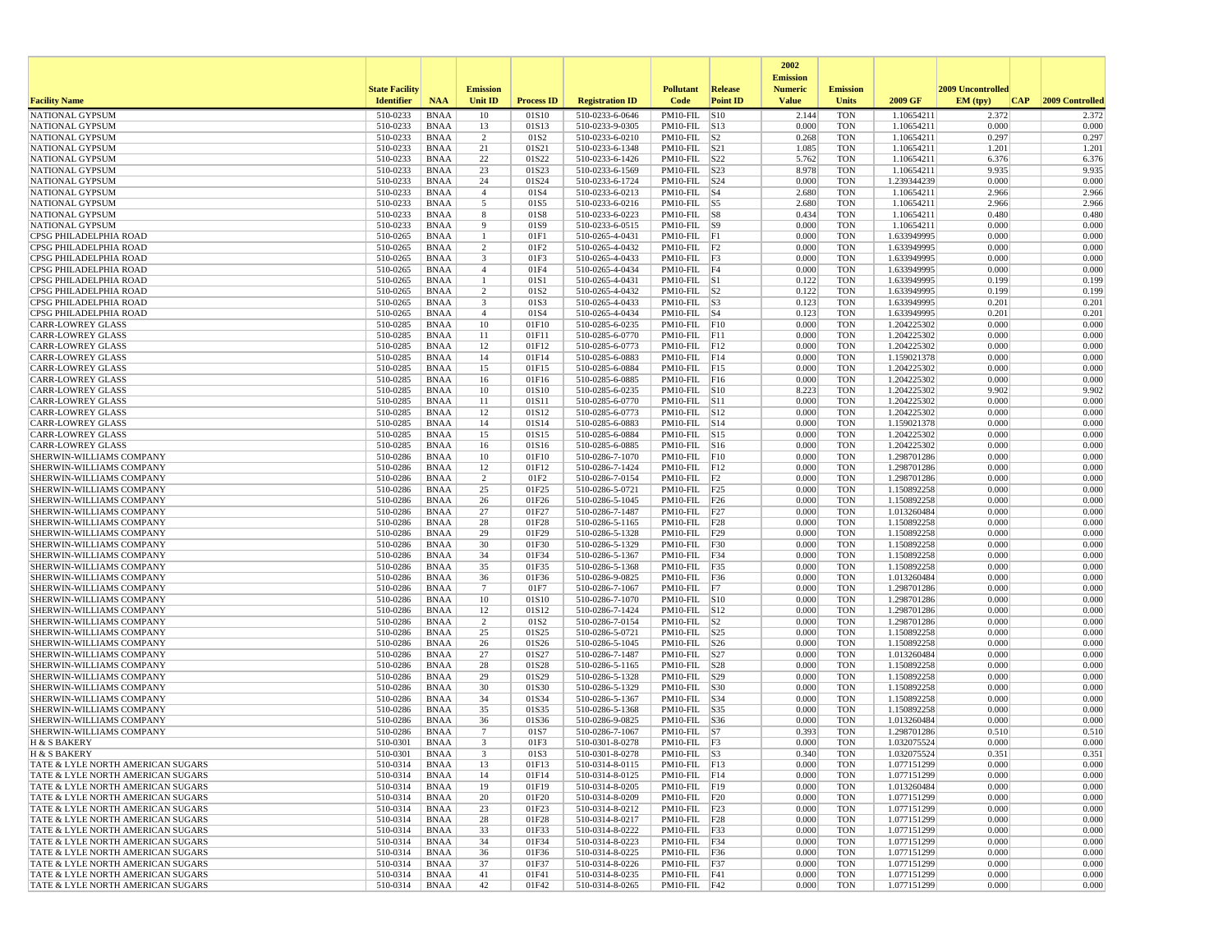|                                                                        |                       |                            |                      |                           |                                    |                                        |                 | 2002                              |                          |                            |                   |                 |
|------------------------------------------------------------------------|-----------------------|----------------------------|----------------------|---------------------------|------------------------------------|----------------------------------------|-----------------|-----------------------------------|--------------------------|----------------------------|-------------------|-----------------|
|                                                                        | <b>State Facility</b> |                            | <b>Emission</b>      |                           |                                    | <b>Pollutant</b>                       | <b>Release</b>  | <b>Emission</b><br><b>Numeric</b> | <b>Emission</b>          |                            | 2009 Uncontrolled |                 |
| <b>Facility Name</b>                                                   | <b>Identifier</b>     | <b>NAA</b>                 | Unit ID              | <b>Process ID</b>         | <b>Registration ID</b>             | Code                                   | <b>Point ID</b> | <b>Value</b>                      | <b>Units</b>             | 2009 GF                    | EM (typ)<br> CAP  | 2009 Controlled |
| NATIONAL GYPSUM                                                        | 510-0233              | <b>BNAA</b>                | 10                   | 01S10                     | 510-0233-6-0646                    | PM10-FIL S10                           |                 | 2.144                             | <b>TON</b>               | 1.10654211                 | 2.372             | 2.372           |
| NATIONAL GYPSUM                                                        | 510-0233              | BNAA                       | 13                   | 01S13                     | 510-0233-9-0305                    | PM10-FIL S13                           |                 | 0.000                             | <b>TON</b>               | 1.10654211                 | 0.000             | 0.000           |
| NATIONAL GYPSUM<br><b>NATIONAL GYPSUM</b>                              | 510-0233<br>510-0233  | <b>BNAA</b><br>BNAA        | $\overline{2}$<br>21 | 01S <sub>2</sub><br>01S21 | 510-0233-6-0210<br>510-0233-6-1348 | $PM10-FIL$ S2<br>$PM10-FIL$ $ S21$     |                 | 0.268<br>1.085                    | <b>TON</b><br><b>TON</b> | 1.10654211<br>1.10654211   | 0.297<br>1.201    | 0.297<br>1.201  |
| NATIONAL GYPSUM                                                        | 510-0233              | <b>BNAA</b>                | 22                   | 01S22                     | 510-0233-6-1426                    | $PM10$ -FIL $ S22$                     |                 | 5.762                             | <b>TON</b>               | 1.10654211                 | 6.376             | 6.376           |
| NATIONAL GYPSUM                                                        | 510-0233              | <b>BNAA</b>                | 23                   | 01S23                     | 510-0233-6-1569                    | PM10-FIL  S23                          |                 | 8.978                             | <b>TON</b>               | 1.10654211                 | 9.935             | 9.935           |
| <b>NATIONAL GYPSUM</b>                                                 | 510-0233              | BNAA                       | 24                   | 01S24                     | 510-0233-6-1724                    | $PM10$ -FIL $ S24$                     |                 | 0.000                             | <b>TON</b>               | 1.239344239                | 0.000             | 0.000           |
| NATIONAL GYPSUM                                                        | 510-0233              | <b>BNAA</b>                | $\overline{4}$       | 01S4                      | 510-0233-6-0213                    | $PM10-FIL$ $ S4$                       |                 | 2.680                             | <b>TON</b>               | 1.10654211                 | 2.966             | 2.966           |
| NATIONAL GYPSUM<br>NATIONAL GYPSUM                                     | 510-0233<br>510-0233  | <b>BNAA</b><br><b>BNAA</b> | 5                    | 01S5<br>01S8              | 510-0233-6-0216                    | $PM10-FIL$ S5<br>$PM10$ -FIL $ S8$     |                 | 2.680<br>0.434                    | <b>TON</b><br><b>TON</b> | 1.10654211<br>1.10654211   | 2.966<br>0.480    | 2.966<br>0.480  |
| NATIONAL GYPSUM                                                        | 510-0233              | BNAA                       | 8<br>9               | 01S9                      | 510-0233-6-0223<br>510-0233-6-0515 | $PM10-FIL$ S9                          |                 | 0.000                             | <b>TON</b>               | 1.10654211                 | 0.000             | 0.000           |
| CPSG PHILADELPHIA ROAD                                                 | 510-0265              | <b>BNAA</b>                | $\mathbf{1}$         | 01F1                      | 510-0265-4-0431                    | $PM10-FIL$ $ F1$                       |                 | 0.000                             | <b>TON</b>               | 1.633949995                | 0.000             | 0.000           |
| CPSG PHILADELPHIA ROAD                                                 | 510-0265              | <b>BNAA</b>                | $\overline{2}$       | 01F2                      | 510-0265-4-0432                    | $PM10-FIL$ $ F2$                       |                 | 0.000                             | <b>TON</b>               | 1.633949995                | 0.000             | 0.000           |
| CPSG PHILADELPHIA ROAD                                                 | 510-0265              | <b>BNAA</b>                | 3                    | 01F3                      | 510-0265-4-0433                    | $PM10-FIL$ $ F3$                       |                 | 0.000                             | <b>TON</b>               | 1.633949995                | 0.000             | 0.000           |
| CPSG PHILADELPHIA ROAD                                                 | 510-0265              | BNAA                       | $\overline{4}$<br>-1 | 01F4<br>01S1              | 510-0265-4-0434<br>510-0265-4-0431 | PM10-FIL F4<br>$PM10-FIL$ S1           |                 | 0.000<br>0.122                    | <b>TON</b><br><b>TON</b> | 1.633949995<br>1.633949995 | 0.000<br>0.199    | 0.000<br>0.199  |
| CPSG PHILADELPHIA ROAD<br>CPSG PHILADELPHIA ROAD                       | 510-0265<br>510-0265  | BNAA<br><b>BNAA</b>        | 2                    | 01S <sub>2</sub>          | 510-0265-4-0432                    | $PM10-FIL$ S2                          |                 | 0.122                             | <b>TON</b>               | 1.633949995                | 0.199             | 0.199           |
| CPSG PHILADELPHIA ROAD                                                 | 510-0265              | BNAA                       | 3                    | 01S3                      | 510-0265-4-0433                    | $PM10-FIL$ S3                          |                 | 0.123                             | <b>TON</b>               | 1.633949995                | 0.201             | 0.201           |
| CPSG PHILADELPHIA ROAD                                                 | 510-0265              | <b>BNAA</b>                | $\overline{4}$       | 01S4                      | 510-0265-4-0434                    | $PM10-FIL$ $ S4$                       |                 | 0.123                             | <b>TON</b>               | 1.633949995                | 0.201             | 0.201           |
| <b>CARR-LOWREY GLASS</b>                                               | 510-0285              | <b>BNAA</b>                | 10                   | 01F10                     | 510-0285-6-0235                    | $PM10-FIL$ $ F10$                      |                 | 0.000                             | <b>TON</b>               | 1.204225302                | 0.000             | 0.000           |
| <b>CARR-LOWREY GLASS</b>                                               | 510-0285              | <b>BNAA</b>                | 11                   | 01F11                     | 510-0285-6-0770                    | PM10-FIL F11                           |                 | 0.000                             | <b>TON</b>               | 1.204225302                | 0.000             | 0.000           |
| <b>CARR-LOWREY GLASS</b><br><b>CARR-LOWREY GLASS</b>                   | 510-0285<br>510-0285  | BNAA<br><b>BNAA</b>        | 12<br>14             | 01F12<br>01F14            | 510-0285-6-0773<br>510-0285-6-0883 | $PM10-FIL$ $ F12$<br>$PM10-FIL$ F14    |                 | 0.000<br>0.000                    | <b>TON</b><br><b>TON</b> | 1.204225302<br>1.159021378 | 0.000<br>0.000    | 0.000<br>0.000  |
| <b>CARR-LOWREY GLASS</b>                                               | 510-0285              | <b>BNAA</b>                | 15                   | 01F15                     | 510-0285-6-0884                    | $PM10$ -FIL $ F15$                     |                 | 0.000                             | <b>TON</b>               | 1.204225302                | 0.000             | 0.000           |
| <b>CARR-LOWREY GLASS</b>                                               | 510-0285              | BNAA                       | 16                   | 01F16                     | 510-0285-6-0885                    | $PM10$ -FIL F16                        |                 | 0.000                             | <b>TON</b>               | 1.204225302                | 0.000             | 0.000           |
| <b>CARR-LOWREY GLASS</b>                                               | 510-0285              | <b>BNAA</b>                | 10                   | 01S10                     | 510-0285-6-0235                    | PM10-FIL S10                           |                 | 8.223                             | <b>TON</b>               | 1.204225302                | 9.902             | 9.902           |
| <b>CARR-LOWREY GLASS</b>                                               | 510-0285              | <b>BNAA</b>                | 11                   | 01S11                     | 510-0285-6-0770                    | PM10-FIL S11                           |                 | 0.000                             | <b>TON</b>               | 1.204225302                | 0.000             | 0.000           |
| <b>CARR-LOWREY GLASS</b><br><b>CARR-LOWREY GLASS</b>                   | 510-0285<br>510-0285  | <b>BNAA</b><br>BNAA        | 12<br>14             | 01S12<br>01S14            | 510-0285-6-0773<br>510-0285-6-0883 | PM10-FIL S12<br>$PM10$ -FIL $ S14$     |                 | 0.000<br>0.000                    | <b>TON</b><br><b>TON</b> | 1.204225302<br>1.159021378 | 0.000<br>0.000    | 0.000<br>0.000  |
| <b>CARR-LOWREY GLASS</b>                                               | 510-0285              | <b>BNAA</b>                | 15                   | 01S15                     | 510-0285-6-0884                    | PM10-FIL S15                           |                 | 0.000                             | <b>TON</b>               | 1.204225302                | 0.000             | 0.000           |
| <b>CARR-LOWREY GLASS</b>                                               | 510-0285              | <b>BNAA</b>                | 16                   | 01S16                     | 510-0285-6-0885                    | PM10-FIL S16                           |                 | 0.000                             | <b>TON</b>               | 1.204225302                | 0.000             | 0.000           |
| SHERWIN-WILLIAMS COMPANY                                               | 510-0286              | BNAA                       | 10                   | 01F10                     | 510-0286-7-1070                    | $PM10-FIL$ $ F10$                      |                 | 0.000                             | <b>TON</b>               | 1.298701286                | 0.000             | 0.000           |
| SHERWIN-WILLIAMS COMPANY                                               | 510-0286              | BNAA                       | 12                   | 01F12                     | 510-0286-7-1424                    | $PM10-FIL$ $ F12$                      |                 | 0.000                             | <b>TON</b>               | 1.298701286                | 0.000             | 0.000           |
| SHERWIN-WILLIAMS COMPANY<br>SHERWIN-WILLIAMS COMPANY                   | 510-0286<br>510-0286  | <b>BNAA</b><br>BNAA        | $\overline{c}$<br>25 | 01F2<br>01F25             | 510-0286-7-0154<br>510-0286-5-0721 | $PM10-FIL$ $ F2$<br>$PM10$ -FIL $ F25$ |                 | 0.000<br>0.000                    | <b>TON</b><br><b>TON</b> | 1.298701286                | 0.000<br>0.000    | 0.000<br>0.000  |
| SHERWIN-WILLIAMS COMPANY                                               | 510-0286              | BNAA                       | 26                   | 01F26                     | 510-0286-5-1045                    | $PM10-FIL$ $ F26$                      |                 | 0.000                             | <b>TON</b>               | 1.150892258<br>1.150892258 | 0.000             | 0.000           |
| SHERWIN-WILLIAMS COMPANY                                               | 510-0286              | <b>BNAA</b>                | 27                   | 01F27                     | 510-0286-7-1487                    | PM10-FIL                               | F27             | 0.000                             | <b>TON</b>               | 1.013260484                | 0.000             | 0.000           |
| SHERWIN-WILLIAMS COMPANY                                               | 510-0286              | <b>BNAA</b>                | 28                   | 01F28                     | 510-0286-5-1165                    | $PM10-FIL$ F28                         |                 | 0.000                             | <b>TON</b>               | 1.150892258                | 0.000             | 0.000           |
| SHERWIN-WILLIAMS COMPANY                                               | 510-0286              | <b>BNAA</b>                | 29                   | 01F29                     | 510-0286-5-1328                    | PM10-FIL F29                           |                 | 0.000                             | <b>TON</b>               | 1.150892258                | 0.000             | 0.000           |
| SHERWIN-WILLIAMS COMPANY<br>SHERWIN-WILLIAMS COMPANY                   | 510-0286<br>510-0286  | BNAA<br>BNAA               | 30<br>34             | 01F30<br>01F34            | 510-0286-5-1329<br>510-0286-5-1367 | PM10-FIL F30<br>$PM10-FIL$ F34         |                 | 0.000<br>0.000                    | <b>TON</b><br><b>TON</b> | 1.150892258<br>1.150892258 | 0.000<br>0.000    | 0.000<br>0.000  |
| SHERWIN-WILLIAMS COMPANY                                               | 510-0286              | <b>BNAA</b>                | 35                   | 01F35                     | 510-0286-5-1368                    | PM10-FIL                               | F35             | 0.000                             | <b>TON</b>               | 1.150892258                | 0.000             | 0.000           |
| SHERWIN-WILLIAMS COMPANY                                               | 510-0286              | BNAA                       | 36                   | 01F36                     | 510-0286-9-0825                    | PM10-FIL F36                           |                 | 0.000                             | <b>TON</b>               | 1.013260484                | 0.000             | 0.000           |
| SHERWIN-WILLIAMS COMPANY                                               | 510-0286              | <b>BNAA</b>                | $\overline{7}$       | 01F7                      | 510-0286-7-1067                    | $PM10-FIL$ F7                          |                 | 0.000                             | <b>TON</b>               | 1.298701286                | 0.000             | 0.000           |
| SHERWIN-WILLIAMS COMPANY                                               | 510-0286              | <b>BNAA</b>                | 10                   | 01S10                     | 510-0286-7-1070                    | PM10-FIL S10                           |                 | 0.000                             | <b>TON</b>               | 1.298701286                | 0.000             | 0.000           |
| SHERWIN-WILLIAMS COMPANY<br>SHERWIN-WILLIAMS COMPANY                   | 510-0286<br>510-0286  | <b>BNAA</b><br>BNAA        | 12<br>$\overline{2}$ | 01S12<br>01S <sub>2</sub> | 510-0286-7-1424<br>510-0286-7-0154 | PM10-FIL S12                           |                 | 0.000<br>0.000                    | <b>TON</b><br><b>TON</b> | 1.298701286<br>1.298701286 | 0.000<br>0.000    | 0.000<br>0.000  |
| SHERWIN-WILLIAMS COMPANY                                               | 510-0286              | <b>BNAA</b>                | 25                   | 01S25                     | 510-0286-5-0721                    | $PM10-FIL$ $ S2$<br>PM10-FIL           | S25             | 0.000                             | <b>TON</b>               | 1.150892258                | 0.000             | 0.000           |
| SHERWIN-WILLIAMS COMPANY                                               | 510-0286              | <b>BNAA</b>                | 26                   | 01S26                     | 510-0286-5-1045                    | $PM10-FIL$ $ S26$                      |                 | 0.000                             | <b>TON</b>               | 1.150892258                | 0.000             | 0.000           |
| SHERWIN-WILLIAMS COMPANY                                               | 510-0286              | BNAA                       | 27                   | 01S27                     | 510-0286-7-1487                    | $PM10-FIL$ S27                         |                 | 0.000                             | <b>TON</b>               | 1.013260484                | 0.000             | 0.000           |
| SHERWIN-WILLIAMS COMPANY                                               | 510-0286              | <b>BNAA</b>                | 28                   | 01S28                     | 510-0286-5-1165                    | PM10-FIL S28                           |                 | 0.000                             | <b>TON</b>               | 1.150892258                | 0.000             | 0.000           |
| SHERWIN-WILLIAMS COMPANY<br>SHERWIN-WILLIAMS COMPANY                   | 510-0286              | <b>BNAA</b>                | 29                   | 01S29                     | 510-0286-5-1328                    | PM10-FIL  S29                          |                 | 0.000                             | <b>TON</b>               | 1.150892258                | 0.000<br>0.000    | 0.000           |
| SHERWIN-WILLIAMS COMPANY                                               | 510-0286<br>510-0286  | <b>BNAA</b><br>BNAA        | 30<br>34             | 01S30<br>01S34            | 510-0286-5-1329<br>510-0286-5-1367 | $PM10-FIL$ $ S30$<br>$PM10-FIL$ $ S34$ |                 | 0.000<br>0.000                    | <b>TON</b><br><b>TON</b> | 1.150892258<br>1.150892258 | 0.000             | 0.000<br>0.000  |
| SHERWIN-WILLIAMS COMPANY                                               | 510-0286              | <b>BNAA</b>                | 35                   | 01S35                     | 510-0286-5-1368                    | PM10-FIL S35                           |                 | 0.000                             | <b>TON</b>               | 1.150892258                | 0.000             | 0.000           |
| SHERWIN-WILLIAMS COMPANY                                               | 510-0286              | <b>BNAA</b>                | 36                   | 01S36                     | 510-0286-9-0825                    | PM10-FIL S36                           |                 | 0.000                             | <b>TON</b>               | 1.013260484                | 0.000             | 0.000           |
| SHERWIN-WILLIAMS COMPANY                                               | 510-0286              | <b>BNAA</b>                | 7                    | 01S7                      | 510-0286-7-1067                    | $PM10-FIL$ S7                          |                 | 0.393                             | <b>TON</b>               | 1.298701286                | 0.510             | 0.510           |
| H & S BAKERY                                                           | 510-0301              | <b>BNAA</b>                | 3                    | 01F3                      | 510-0301-8-0278                    | PM10-FIL F3                            |                 | 0.000                             | <b>TON</b>               | 1.032075524                | 0.000             | 0.000           |
| H & S BAKERY<br>TATE & LYLE NORTH AMERICAN SUGARS                      | 510-0301<br>510-0314  | <b>BNAA</b><br>BNAA        | 13                   | 01S3<br>01F13             | 510-0301-8-0278<br>510-0314-8-0115 | PM10-FIL<br>$PM10-FIL$ $ F13$          | S3              | 0.340<br>0.000                    | <b>TON</b><br><b>TON</b> | 1.032075524<br>1.077151299 | 0.351<br>0.000    | 0.351<br>0.000  |
| TATE & LYLE NORTH AMERICAN SUGARS                                      | 510-0314              | BNAA                       | 14                   | 01F14                     | 510-0314-8-0125                    | $PM10-FIL$ $ F14$                      |                 | 0.000                             | <b>TON</b>               | 1.077151299                | 0.000             | 0.000           |
| TATE & LYLE NORTH AMERICAN SUGARS                                      | 510-0314              | BNAA                       | 19                   | 01F19                     | 510-0314-8-0205                    | PM10-FIL F19                           |                 | 0.000                             | <b>TON</b>               | 1.013260484                | 0.000             | 0.000           |
| TATE & LYLE NORTH AMERICAN SUGARS                                      | 510-0314              | BNAA                       | 20                   | 01F20                     | 510-0314-8-0209                    | PM10-FIL F20                           |                 | 0.000                             | <b>TON</b>               | 1.077151299                | 0.000             | 0.000           |
| TATE & LYLE NORTH AMERICAN SUGARS                                      | 510-0314              | BNAA                       | 23                   | 01F23                     | 510-0314-8-0212                    | PM10-FIL F23                           |                 | 0.000                             | <b>TON</b>               | 1.077151299                | 0.000             | 0.000           |
| TATE & LYLE NORTH AMERICAN SUGARS<br>TATE & LYLE NORTH AMERICAN SUGARS | 510-0314<br>510-0314  | <b>BNAA</b><br>BNAA        | 28<br>33             | 01F28<br>01F33            | 510-0314-8-0217<br>510-0314-8-0222 | PM10-FIL F28<br>PM10-FIL F33           |                 | 0.000<br>0.000                    | <b>TON</b><br><b>TON</b> | 1.077151299<br>1.077151299 | 0.000<br>0.000    | 0.000<br>0.000  |
| TATE & LYLE NORTH AMERICAN SUGARS                                      | 510-0314              | BNAA                       | 34                   | 01F34                     | 510-0314-8-0223                    | PM10-FIL F34                           |                 | 0.000                             | <b>TON</b>               | 1.077151299                | 0.000             | 0.000           |
| TATE & LYLE NORTH AMERICAN SUGARS                                      | 510-0314              | <b>BNAA</b>                | 36                   | 01F36                     | 510-0314-8-0225                    | PM10-FIL F36                           |                 | 0.000                             | <b>TON</b>               | 1.077151299                | 0.000             | 0.000           |
| TATE & LYLE NORTH AMERICAN SUGARS                                      | 510-0314              | BNAA                       | 37                   | 01F37                     | 510-0314-8-0226                    | PM10-FIL F37                           |                 | 0.000                             | <b>TON</b>               | 1.077151299                | 0.000             | 0.000           |
| TATE & LYLE NORTH AMERICAN SUGARS                                      | 510-0314              | <b>BNAA</b>                | 41                   | 01F41                     | 510-0314-8-0235                    | PM10-FIL F41                           |                 | 0.000                             | <b>TON</b>               | 1.077151299                | 0.000             | 0.000           |
| TATE & LYLE NORTH AMERICAN SUGARS                                      | 510-0314              | BNAA                       | 42                   | 01F42                     | 510-0314-8-0265                    | $PM10-FIL$ F42                         |                 | 0.000                             | TON                      | 1.077151299                | 0.000             | 0.000           |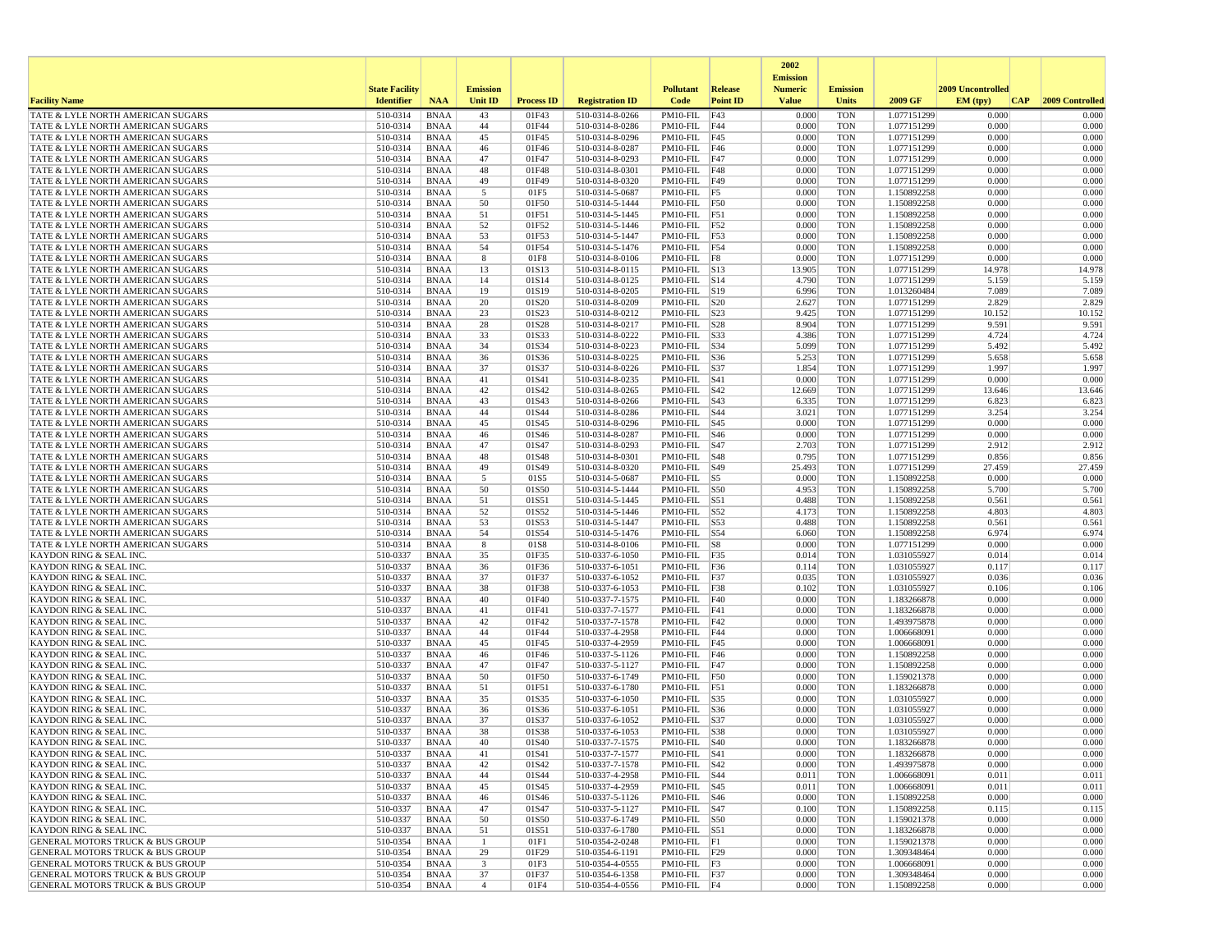|                                                                                            |                       |                            |                 |                   |                                    |                                     |                 | 2002                              |                          |                            |                   |                 |
|--------------------------------------------------------------------------------------------|-----------------------|----------------------------|-----------------|-------------------|------------------------------------|-------------------------------------|-----------------|-----------------------------------|--------------------------|----------------------------|-------------------|-----------------|
|                                                                                            | <b>State Facility</b> |                            | <b>Emission</b> |                   |                                    | <b>Pollutant</b>                    | Release         | <b>Emission</b><br><b>Numeric</b> | <b>Emission</b>          |                            | 2009 Uncontrolled |                 |
| <b>Facility Name</b>                                                                       | <b>Identifier</b>     | <b>NAA</b>                 | Unit ID         | <b>Process ID</b> | <b>Registration ID</b>             | Code                                | <b>Point ID</b> | <b>Value</b>                      | <b>Units</b>             | 2009 GF                    | EM (typ)<br> CAP  | 2009 Controlled |
| TATE & LYLE NORTH AMERICAN SUGARS                                                          | 510-0314              | <b>BNAA</b>                | 43              | 01F43             | 510-0314-8-0266                    | PM10-FIL                            | F43             | 0.000                             | <b>TON</b>               | 1.077151299                | 0.000             | 0.000           |
| TATE & LYLE NORTH AMERICAN SUGARS                                                          | 510-0314              | <b>BNAA</b>                | 44              | 01F44             | 510-0314-8-0286                    | $PM10-FIL$ F44                      |                 | 0.000                             | <b>TON</b>               | 1.077151299                | 0.000             | 0.000           |
| TATE & LYLE NORTH AMERICAN SUGARS<br>TATE & LYLE NORTH AMERICAN SUGARS                     | 510-0314<br>510-0314  | <b>BNAA</b><br><b>BNAA</b> | 45<br>46        | 01F45<br>01F46    | 510-0314-8-0296<br>510-0314-8-0287 | PM10-FIL<br>$PM10$ -FIL F46         | F45             | 0.000<br>0.000                    | <b>TON</b><br><b>TON</b> | 1.077151299<br>1.077151299 | 0.000<br>0.000    | 0.000<br>0.000  |
| TATE & LYLE NORTH AMERICAN SUGARS                                                          | 510-0314              | <b>BNAA</b>                | 47              | 01F47             | 510-0314-8-0293                    | $PM10-FIL$ F47                      |                 | 0.000                             | <b>TON</b>               | 1.077151299                | 0.000             | 0.000           |
| TATE & LYLE NORTH AMERICAN SUGARS                                                          | 510-0314              | <b>BNAA</b>                | 48              | 01F48             | 510-0314-8-0301                    | $PM10-FIL$ F48                      |                 | 0.000                             | <b>TON</b>               | 1.077151299                | 0.000             | 0.000           |
| TATE & LYLE NORTH AMERICAN SUGARS                                                          | 510-0314              | <b>BNAA</b>                | 49              | 01F49             | 510-0314-8-0320                    | PM10-FIL F49                        |                 | 0.000                             | <b>TON</b>               | 1.077151299                | 0.000             | 0.000           |
| TATE & LYLE NORTH AMERICAN SUGARS                                                          | 510-0314              | <b>BNAA</b>                | 5               | 01F5              | 510-0314-5-0687                    | $PM10-FIL$ F5                       |                 | 0.000                             | <b>TON</b>               | 1.150892258                | 0.000             | 0.000           |
| TATE & LYLE NORTH AMERICAN SUGARS<br>TATE & LYLE NORTH AMERICAN SUGARS                     | 510-0314<br>510-0314  | <b>BNAA</b><br><b>BNAA</b> | 50<br>51        | 01F50<br>01F51    | 510-0314-5-1444<br>510-0314-5-1445 | PM10-FIL F50<br>$PM10-FIL$ F51      |                 | 0.000<br>0.000                    | <b>TON</b><br><b>TON</b> | 1.150892258<br>1.150892258 | 0.000<br>0.000    | 0.000<br>0.000  |
| TATE & LYLE NORTH AMERICAN SUGARS                                                          | 510-0314              | <b>BNAA</b>                | 52              | 01F52             | 510-0314-5-1446                    | $PM10-FIL$ F52                      |                 | 0.000                             | <b>TON</b>               | 1.150892258                | 0.000             | 0.000           |
| TATE & LYLE NORTH AMERICAN SUGARS                                                          | 510-0314              | <b>BNAA</b>                | 53              | 01F53             | 510-0314-5-1447                    | PM10-FIL F53                        |                 | 0.000                             | <b>TON</b>               | 1.150892258                | 0.000             | 0.000           |
| TATE & LYLE NORTH AMERICAN SUGARS                                                          | 510-0314              | <b>BNAA</b>                | 54              | 01F54             | 510-0314-5-1476                    | $PM10-FIL$ F54                      |                 | 0.000                             | <b>TON</b>               | 1.150892258                | 0.000             | 0.000           |
| TATE & LYLE NORTH AMERICAN SUGARS                                                          | 510-0314              | <b>BNAA</b>                | 8               | 01F8              | 510-0314-8-0106                    | PM10-FIL                            | F8              | 0.000                             | <b>TON</b>               | 1.077151299                | 0.000             | 0.000           |
| TATE & LYLE NORTH AMERICAN SUGARS<br>TATE & LYLE NORTH AMERICAN SUGARS                     | 510-0314<br>510-0314  | <b>BNAA</b><br>BNAA        | 13<br>14        | 01S13<br>01S14    | 510-0314-8-0115<br>510-0314-8-0125 | $PM10-FIL$ S13<br>$PM10-FIL$ $ S14$ |                 | 13.905<br>4.790                   | <b>TON</b><br><b>TON</b> | 1.077151299<br>1.077151299 | 14.978<br>5.159   | 14.978<br>5.159 |
| TATE & LYLE NORTH AMERICAN SUGARS                                                          | 510-0314              | <b>BNAA</b>                | 19              | 01S19             | 510-0314-8-0205                    | PM10-FIL S19                        |                 | 6.996                             | <b>TON</b>               | 1.013260484                | 7.089             | 7.089           |
| TATE & LYLE NORTH AMERICAN SUGARS                                                          | 510-0314              | <b>BNAA</b>                | 20              | 01S20             | 510-0314-8-0209                    | $PM10-FIL$ $ S20$                   |                 | 2.627                             | TON                      | 1.077151299                | 2.829             | 2.829           |
| TATE & LYLE NORTH AMERICAN SUGARS                                                          | 510-0314              | <b>BNAA</b>                | 23              | 01S23             | 510-0314-8-0212                    | $PM10-FIL$ S23                      |                 | 9.425                             | <b>TON</b>               | 1.077151299                | 10.152            | 10.152          |
| TATE & LYLE NORTH AMERICAN SUGARS                                                          | 510-0314              | <b>BNAA</b>                | 28              | 01S28             | 510-0314-8-0217                    | PM10-FIL                            | S28             | 8.904                             | <b>TON</b>               | 1.077151299                | 9.591             | 9.591           |
| TATE & LYLE NORTH AMERICAN SUGARS<br>TATE & LYLE NORTH AMERICAN SUGARS                     | 510-0314<br>510-0314  | <b>BNAA</b><br><b>BNAA</b> | 33<br>34        | 01S33<br>01S34    | 510-0314-8-0222<br>510-0314-8-0223 | PM10-FIL S33<br>PM10-FIL S34        |                 | 4.386<br>5.099                    | <b>TON</b><br><b>TON</b> | 1.077151299<br>1.077151299 | 4.724<br>5.492    | 4.724<br>5.492  |
| TATE & LYLE NORTH AMERICAN SUGARS                                                          | 510-0314              | <b>BNAA</b>                | 36              | 01S36             | 510-0314-8-0225                    | $PM10-FIL$ S36                      |                 | 5.253                             | TON                      | 1.077151299                | 5.658             | 5.658           |
| TATE & LYLE NORTH AMERICAN SUGARS                                                          | 510-0314              | <b>BNAA</b>                | 37              | 01S37             | 510-0314-8-0226                    | $PM10-FIL$ S37                      |                 | 1.854                             | <b>TON</b>               | 1.077151299                | 1.997             | 1.997           |
| TATE & LYLE NORTH AMERICAN SUGARS                                                          | 510-0314              | <b>BNAA</b>                | 41              | 01S41             | 510-0314-8-0235                    | PM10-FIL                            | <b>S41</b>      | 0.000                             | <b>TON</b>               | 1.077151299                | 0.000             | 0.000           |
| TATE & LYLE NORTH AMERICAN SUGARS                                                          | 510-0314              | <b>BNAA</b>                | 42              | 01S42             | 510-0314-8-0265                    | $PM10-FIL$ $ S42$                   |                 | 12.669                            | <b>TON</b>               | 1.077151299                | 13.646            | 13.646          |
| TATE & LYLE NORTH AMERICAN SUGARS<br>TATE & LYLE NORTH AMERICAN SUGARS                     | 510-0314<br>510-0314  | <b>BNAA</b><br><b>BNAA</b> | 43<br>44        | 01S43<br>01S44    | 510-0314-8-0266<br>510-0314-8-0286 | $PM10-FIL$ $ S43$<br>PM10-FIL  S44  |                 | 6.335<br>3.021                    | <b>TON</b><br><b>TON</b> | 1.077151299<br>1.077151299 | 6.823<br>3.254    | 6.823<br>3.254  |
| TATE & LYLE NORTH AMERICAN SUGARS                                                          | 510-0314              | <b>BNAA</b>                | 45              | 01S45             | 510-0314-8-0296                    | $PM10-FIL$ S45                      |                 | 0.000                             | <b>TON</b>               | 1.077151299                | 0.000             | 0.000           |
| TATE & LYLE NORTH AMERICAN SUGARS                                                          | 510-0314              | <b>BNAA</b>                | 46              | 01S46             | 510-0314-8-0287                    | $PM10-FIL$ $ S46$                   |                 | 0.000                             | <b>TON</b>               | 1.077151299                | 0.000             | 0.000           |
| TATE & LYLE NORTH AMERICAN SUGARS                                                          | 510-0314              | <b>BNAA</b>                | 47              | 01S47             | 510-0314-8-0293                    | PM10-FIL                            | S47             | 2.703                             | <b>TON</b>               | 1.077151299                | 2.912             | 2.912           |
| TATE & LYLE NORTH AMERICAN SUGARS                                                          | 510-0314              | <b>BNAA</b>                | 48              | 01S48             | 510-0314-8-0301                    | PM10-FIL                            | <b>S48</b>      | 0.795                             | <b>TON</b>               | 1.077151299                | 0.856<br>27.459   | 0.856           |
| TATE & LYLE NORTH AMERICAN SUGARS<br>TATE & LYLE NORTH AMERICAN SUGARS                     | 510-0314<br>510-0314  | <b>BNAA</b><br><b>BNAA</b> | 49<br>5         | 01S49<br>01S5     | 510-0314-8-0320<br>510-0314-5-0687 | $PM10-FIL$ $ S49$<br>PM10-FIL S5    |                 | 25.493<br>0.000                   | <b>TON</b><br><b>TON</b> | 1.077151299<br>1.150892258 | 0.000             | 27.459<br>0.000 |
| TATE & LYLE NORTH AMERICAN SUGARS                                                          | 510-0314              | <b>BNAA</b>                | 50              | 01S50             | 510-0314-5-1444                    | PM10-FIL S50                        |                 | 4.953                             | <b>TON</b>               | 1.150892258                | 5.700             | 5.700           |
| TATE & LYLE NORTH AMERICAN SUGARS                                                          | 510-0314              | <b>BNAA</b>                | 51              | 01S51             | 510-0314-5-1445                    | PM10-FIL                            | S51             | 0.488                             | <b>TON</b>               | 1.150892258                | 0.561             | 0.561           |
| TATE & LYLE NORTH AMERICAN SUGARS                                                          | 510-0314              | <b>BNAA</b>                | 52              | 01S52             | 510-0314-5-1446                    | $PM10-FIL$ S52                      |                 | 4.173                             | <b>TON</b>               | 1.150892258                | 4.803             | 4.803           |
| TATE & LYLE NORTH AMERICAN SUGARS                                                          | 510-0314              | <b>BNAA</b>                | 53              | 01S53             | 510-0314-5-1447                    | PM10-FIL S53                        |                 | 0.488                             | <b>TON</b>               | 1.150892258                | 0.561             | 0.561           |
| TATE & LYLE NORTH AMERICAN SUGARS<br>TATE & LYLE NORTH AMERICAN SUGARS                     | 510-0314<br>510-0314  | <b>BNAA</b><br><b>BNAA</b> | 54<br>8         | 01S54<br>01S8     | 510-0314-5-1476<br>510-0314-8-0106 | PM10-FIL S54<br>$PM10-FIL$ S8       |                 | 6.060<br>0.000                    | <b>TON</b><br>TON        | 1.150892258<br>1.077151299 | 6.974<br>0.000    | 6.974<br>0.000  |
| KAYDON RING & SEAL INC.                                                                    | 510-0337              | BNAA                       | 35              | 01F35             | 510-0337-6-1050                    | PM10-FIL F35                        |                 | 0.014                             | <b>TON</b>               | 1.031055927                | 0.014             | 0.014           |
| <b>KAYDON RING &amp; SEAL INC.</b>                                                         | 510-0337              | <b>BNAA</b>                | 36              | 01F36             | 510-0337-6-1051                    | PM10-FIL F36                        |                 | 0.114                             | <b>TON</b>               | 1.031055927                | 0.117             | 0.117           |
| <b>KAYDON RING &amp; SEAL INC.</b>                                                         | 510-0337              | <b>BNAA</b>                | 37              | 01F37             | 510-0337-6-1052                    | $PM10-FIL$ F37                      |                 | 0.035                             | <b>TON</b>               | 1.031055927                | 0.036             | 0.036           |
| <b>KAYDON RING &amp; SEAL INC.</b><br><b>KAYDON RING &amp; SEAL INC.</b>                   | 510-0337<br>510-0337  | <b>BNAA</b><br><b>BNAA</b> | 38<br>40        | 01F38<br>01F40    | 510-0337-6-1053<br>510-0337-7-1575 | $PM10-FIL$ F38<br>$PM10-FIL$ F40    |                 | 0.102<br>0.000                    | <b>TON</b><br><b>TON</b> | 1.031055927<br>1.183266878 | 0.106<br>0.000    | 0.106<br>0.000  |
| KAYDON RING & SEAL INC.                                                                    | 510-0337              | <b>BNAA</b>                | 41              | 01F41             | 510-0337-7-1577                    | $PM10-FIL$ $F41$                    |                 | 0.000                             | <b>TON</b>               | 1.183266878                | 0.000             | 0.000           |
| <b>KAYDON RING &amp; SEAL INC.</b>                                                         | 510-0337              | <b>BNAA</b>                | 42              | 01F42             | 510-0337-7-1578                    | $PM10-FIL$ F42                      |                 | 0.000                             | <b>TON</b>               | 1.493975878                | 0.000             | 0.000           |
| KAYDON RING & SEAL INC.                                                                    | 510-0337              | <b>BNAA</b>                | 44              | 01F44             | 510-0337-4-2958                    | PM10-FIL                            | F44             | 0.000                             | <b>TON</b>               | 1.006668091                | 0.000             | 0.000           |
| <b>KAYDON RING &amp; SEAL INC.</b>                                                         | 510-0337              | <b>BNAA</b>                | 45              | 01F45             | 510-0337-4-2959                    | PM10-FIL F45                        |                 | 0.000                             | <b>TON</b>               | 1.006668091                | 0.000             | 0.000           |
| <b>KAYDON RING &amp; SEAL INC.</b><br>KAYDON RING & SEAL INC.                              | 510-0337<br>510-0337  | <b>BNAA</b><br><b>BNAA</b> | 46<br>47        | 01F46<br>01F47    | 510-0337-5-1126<br>510-0337-5-1127 | $PM10-FIL$ F46<br>PM10-FIL F47      |                 | 0.000<br>0.000                    | <b>TON</b><br><b>TON</b> | 1.150892258<br>1.150892258 | 0.000<br>0.000    | 0.000<br>0.000  |
| KAYDON RING & SEAL INC.                                                                    | 510-0337              | <b>BNAA</b>                | 50              | 01F50             | 510-0337-6-1749                    | PM10-FIL F50                        |                 | 0.000                             | <b>TON</b>               | 1.159021378                | 0.000             | 0.000           |
| <b>KAYDON RING &amp; SEAL INC.</b>                                                         | 510-0337              | <b>BNAA</b>                | 51              | 01F51             | 510-0337-6-1780                    | PM10-FIL                            | F51             | 0.000                             | <b>TON</b>               | 1.183266878                | 0.000             | 0.000           |
| <b>KAYDON RING &amp; SEAL INC.</b>                                                         | 510-0337              | <b>BNAA</b>                | 35              | 01S35             | 510-0337-6-1050                    | PM10-FIL S35                        |                 | 0.000                             | <b>TON</b>               | 1.031055927                | 0.000             | 0.000           |
| <b>KAYDON RING &amp; SEAL INC.</b>                                                         | 510-0337              | <b>BNAA</b>                | 36              | 01S36             | 510-0337-6-1051                    | $PM10$ -FIL $ S36$                  |                 | 0.000                             | <b>TON</b>               | 1.031055927                | 0.000             | 0.000           |
| KAYDON RING & SEAL INC<br><b>KAYDON RING &amp; SEAL INC.</b>                               | 510-0337<br>510-0337  | <b>BNAA</b><br><b>BNAA</b> | 37<br>38        | 01S37<br>01S38    | 510-0337-6-1052<br>510-0337-6-1053 | PM10-FIL S37<br>PM10-FIL   S38      |                 | 0.000<br>0.000                    | <b>TON</b><br><b>TON</b> | 1.031055927<br>1.031055927 | 0.000<br>0.000    | 0.000<br>0.000  |
| <b>KAYDON RING &amp; SEAL INC.</b>                                                         | 510-0337              | <b>BNAA</b>                | 40              | 01S40             | 510-0337-7-1575                    | $PM10-FIL$ $ S40$                   |                 | 0.000                             | <b>TON</b>               | 1.183266878                | 0.000             | 0.000           |
| KAYDON RING & SEAL INC.                                                                    | 510-0337              | BNAA                       | 41              | 01S41             | 510-0337-7-1577                    | $PM10-FIL$  S41                     |                 | 0.000                             | TON                      | 1.183266878                | 0.000             | 0.000           |
| <b>KAYDON RING &amp; SEAL INC.</b>                                                         | 510-0337              | BNAA                       | 42              | 01S42             | 510-0337-7-1578                    | $PM10-FIL$ $ S42$                   |                 | 0.000                             | <b>TON</b>               | 1.493975878                | 0.000             | 0.000           |
| KAYDON RING & SEAL INC.                                                                    | 510-0337              | BNAA                       | 44<br>45        | 01S44             | 510-0337-4-2958<br>510-0337-4-2959 | $PM10-FIL$ $ S44$                   |                 | 0.011                             | <b>TON</b>               | 1.006668091<br>1.006668091 | 0.011<br>0.011    | 0.011<br>0.011  |
| <b>KAYDON RING &amp; SEAL INC.</b><br>KAYDON RING & SEAL INC.                              | 510-0337<br>510-0337  | BNAA<br>BNAA               | 46              | 01S45<br>01S46    | 510-0337-5-1126                    | PM10-FIL S45<br>PM10-FIL  S46       |                 | 0.011<br>0.000                    | TON<br><b>TON</b>        | 1.150892258                | 0.000             | 0.000           |
| KAYDON RING & SEAL INC.                                                                    | 510-0337              | <b>BNAA</b>                | 47              | 01S47             | 510-0337-5-1127                    | PM10-FIL  S47                       |                 | 0.100                             | <b>TON</b>               | 1.150892258                | 0.115             | 0.115           |
| KAYDON RING & SEAL INC.                                                                    | 510-0337              | <b>BNAA</b>                | 50              | 01S50             | 510-0337-6-1749                    | PM10-FIL S50                        |                 | 0.000                             | <b>TON</b>               | 1.159021378                | 0.000             | 0.000           |
| KAYDON RING & SEAL INC.                                                                    | 510-0337              | BNAA                       | 51              | 01S51             | 510-0337-6-1780                    | $PM10-FIL$ S51                      |                 | 0.000                             | <b>TON</b>               | 1.183266878                | 0.000             | 0.000           |
| <b>GENERAL MOTORS TRUCK &amp; BUS GROUP</b>                                                | 510-0354              | <b>BNAA</b>                | -1              | 01F1              | 510-0354-2-0248                    | PM10-FIL F1                         |                 | 0.000<br>0.000                    | <b>TON</b><br><b>TON</b> | 1.159021378                | 0.000<br>0.000    | 0.000<br>0.000  |
| <b>GENERAL MOTORS TRUCK &amp; BUS GROUP</b><br><b>GENERAL MOTORS TRUCK &amp; BUS GROUP</b> | 510-0354<br>510-0354  | BNAA<br>BNAA               | 29<br>3         | 01F29<br>01F3     | 510-0354-6-1191<br>510-0354-4-0555 | PM10-FIL F29<br>$PM10-FIL$ $ F3$    |                 | 0.000                             | TON                      | 1.309348464<br>1.006668091 | 0.000             | 0.000           |
| <b>GENERAL MOTORS TRUCK &amp; BUS GROUP</b>                                                | 510-0354              | BNAA                       | 37              | 01F37             | 510-0354-6-1358                    | PM10-FIL F37                        |                 | 0.000                             | <b>TON</b>               | 1.309348464                | 0.000             | 0.000           |
| <b>GENERAL MOTORS TRUCK &amp; BUS GROUP</b>                                                | 510-0354              | BNAA                       | $\overline{4}$  | 01F4              | 510-0354-4-0556                    | $PM10-FIL$ F4                       |                 | 0.000                             | TON                      | 1.150892258                | 0.000             | 0.000           |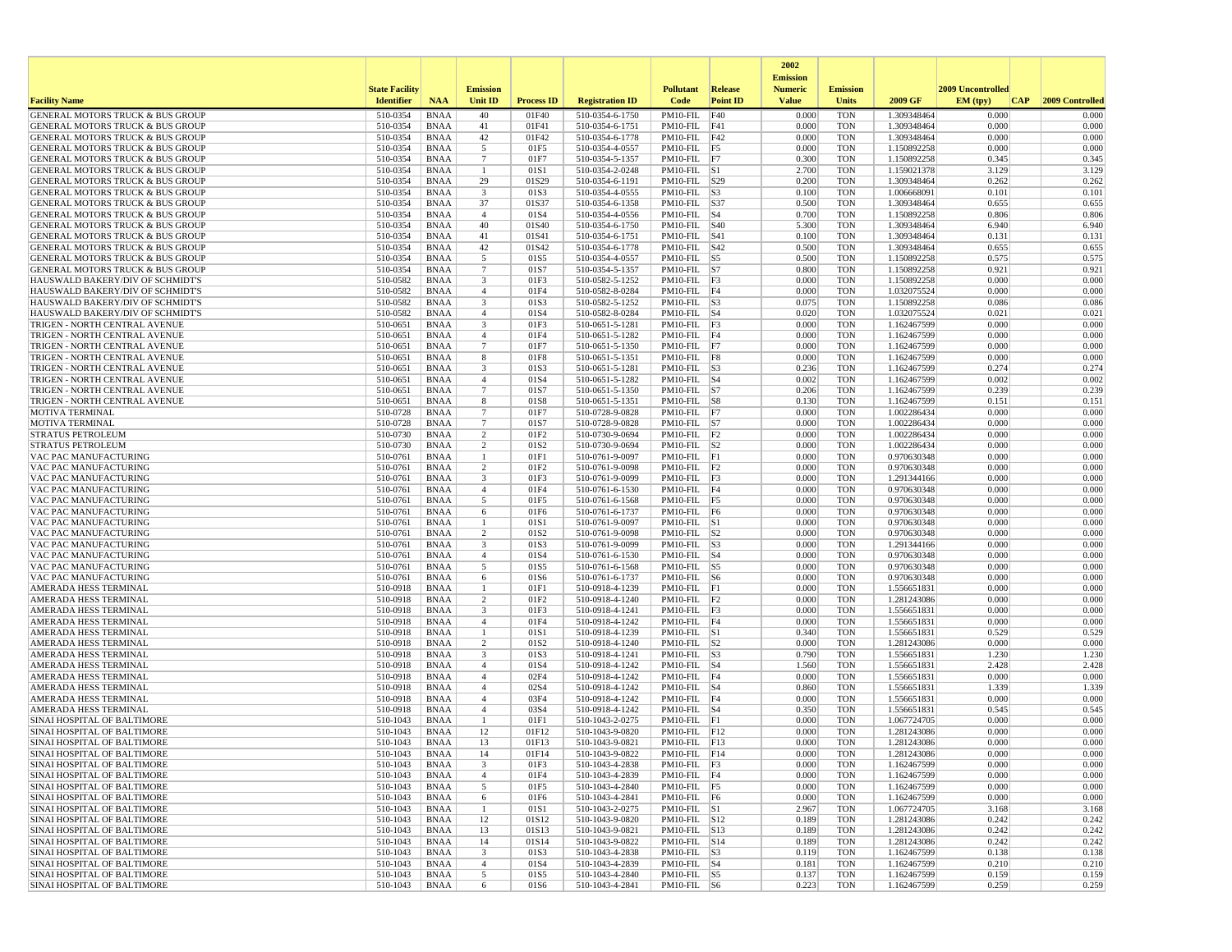|                                                                                            |                       |                            |                                  |                          |                                    |                                        |                 | 2002                              |                          |                            |                   |                 |
|--------------------------------------------------------------------------------------------|-----------------------|----------------------------|----------------------------------|--------------------------|------------------------------------|----------------------------------------|-----------------|-----------------------------------|--------------------------|----------------------------|-------------------|-----------------|
|                                                                                            | <b>State Facility</b> |                            | <b>Emission</b>                  |                          |                                    | <b>Pollutant</b>                       | Release         | <b>Emission</b><br><b>Numeric</b> | <b>Emission</b>          |                            | 2009 Uncontrolled |                 |
| <b>Facility Name</b>                                                                       | <b>Identifier</b>     | <b>NAA</b>                 | <b>Unit ID</b>                   | <b>Process ID</b>        | <b>Registration ID</b>             | Code                                   | <b>Point ID</b> | <b>Value</b>                      | <b>Units</b>             | 2009 GF                    | EM (typ)<br> CAP  | 2009 Controlled |
| GENERAL MOTORS TRUCK & BUS GROUP                                                           | 510-0354              | <b>BNAA</b>                | 40                               | 01F40                    | 510-0354-6-1750                    | $PM10-FIL$                             | F40             | 0.000                             | <b>TON</b>               | 1.309348464                | 0.000             | 0.000           |
| <b>GENERAL MOTORS TRUCK &amp; BUS GROUP</b>                                                | 510-0354              | <b>BNAA</b>                | 41                               | 01F41                    | 510-0354-6-1751                    | $PM10-FIL$ $F41$                       |                 | 0.000                             | <b>TON</b>               | 1.309348464                | 0.000             | 0.000           |
| GENERAL MOTORS TRUCK & BUS GROUP<br><b>GENERAL MOTORS TRUCK &amp; BUS GROUP</b>            | 510-0354              | <b>BNAA</b><br><b>BNAA</b> | 42                               | 01F42                    | 510-0354-6-1778<br>510-0354-4-0557 | $PM10-FIL$ $F42$<br>$PM10-FIL$ F5      |                 | 0.000                             | <b>TON</b>               | 1.309348464<br>1.150892258 | 0.000<br>0.000    | 0.000<br>0.000  |
| <b>GENERAL MOTORS TRUCK &amp; BUS GROUP</b>                                                | 510-0354<br>510-0354  | <b>BNAA</b>                | 5<br>$7\phantom{.0}$             | 01F5<br>01F7             | 510-0354-5-1357                    | $PM10-FIL$ F7                          |                 | 0.000<br>0.300                    | <b>TON</b><br><b>TON</b> | 1.150892258                | 0.345             | 0.345           |
| GENERAL MOTORS TRUCK & BUS GROUP                                                           | 510-0354              | <b>BNAA</b>                | $\mathbf{1}$                     | 01S1                     | 510-0354-2-0248                    | $PM10-FIL$ S1                          |                 | 2.700                             | <b>TON</b>               | 1.159021378                | 3.129             | 3.129           |
| GENERAL MOTORS TRUCK & BUS GROUP                                                           | 510-0354              | <b>BNAA</b>                | 29                               | 01S29                    | 510-0354-6-1191                    | $PM10$ -FIL $ S29$                     |                 | 0.200                             | <b>TON</b>               | 1.309348464                | 0.262             | 0.262           |
| <b>GENERAL MOTORS TRUCK &amp; BUS GROUP</b>                                                | 510-0354              | <b>BNAA</b>                | 3                                | 01S3                     | 510-0354-4-0555                    | $PM10-FIL$ $ S3$                       |                 | 0.100                             | <b>TON</b>               | 1.006668091                | 0.101             | 0.101           |
| <b>GENERAL MOTORS TRUCK &amp; BUS GROUP</b>                                                | 510-0354              | <b>BNAA</b>                | 37                               | 01S37                    | 510-0354-6-1358                    | PM10-FIL S37                           |                 | 0.500                             | <b>TON</b>               | 1.309348464                | 0.655<br>0.806    | 0.655           |
| <b>GENERAL MOTORS TRUCK &amp; BUS GROUP</b><br><b>GENERAL MOTORS TRUCK &amp; BUS GROUP</b> | 510-0354<br>510-0354  | <b>BNAA</b><br><b>BNAA</b> | $\overline{4}$<br>40             | 01S4<br>01S40            | 510-0354-4-0556<br>510-0354-6-1750 | $PM10$ -FIL $ S4$<br>$PM10-FIL$ $ S40$ |                 | 0.700<br>5.300                    | <b>TON</b><br><b>TON</b> | 1.150892258<br>1.309348464 | 6.940             | 0.806<br>6.940  |
| <b>GENERAL MOTORS TRUCK &amp; BUS GROUP</b>                                                | 510-0354              | <b>BNAA</b>                | 41                               | 01S41                    | 510-0354-6-1751                    | PM10-FIL S41                           |                 | 0.100                             | <b>TON</b>               | 1.309348464                | 0.131             | 0.131           |
| <b>GENERAL MOTORS TRUCK &amp; BUS GROUP</b>                                                | 510-0354              | <b>BNAA</b>                | 42                               | 01S42                    | 510-0354-6-1778                    | $PM10$ -FIL $ S42$                     |                 | 0.500                             | <b>TON</b>               | 1.309348464                | 0.655             | 0.655           |
| <b>GENERAL MOTORS TRUCK &amp; BUS GROUP</b>                                                | 510-0354              | <b>BNAA</b>                | 5                                | 01S5                     | 510-0354-4-0557                    | $PM10-FIL$ S5                          |                 | 0.500                             | <b>TON</b>               | 1.150892258                | 0.575             | 0.575           |
| <b>GENERAL MOTORS TRUCK &amp; BUS GROUP</b>                                                | 510-0354              | <b>BNAA</b>                | $\overline{7}$                   | 01S7                     | 510-0354-5-1357                    | $PM10-FIL$ S7                          |                 | 0.800                             | <b>TON</b>               | 1.150892258                | 0.921             | 0.921           |
| HAUSWALD BAKERY/DIV OF SCHMIDT'S<br>HAUSWALD BAKERY/DIV OF SCHMIDT'S                       | 510-0582<br>510-0582  | <b>BNAA</b><br><b>BNAA</b> | 3<br>$\overline{4}$              | 01F3<br>01F4             | 510-0582-5-1252<br>510-0582-8-0284 | $PM10-FIL$ $F3$<br>$PM10-FIL$   F4     |                 | 0.000<br>0.000                    | <b>TON</b><br><b>TON</b> | 1.150892258<br>1.032075524 | 0.000<br>0.000    | 0.000<br>0.000  |
| HAUSWALD BAKERY/DIV OF SCHMIDT'S                                                           | 510-0582              | <b>BNAA</b>                | 3                                | 01S3                     | 510-0582-5-1252                    | $PM10-FIL$ S3                          |                 | 0.075                             | <b>TON</b>               | 1.150892258                | 0.086             | 0.086           |
| HAUSWALD BAKERY/DIV OF SCHMIDT'S                                                           | 510-0582              | <b>BNAA</b>                | $\overline{4}$                   | 01S4                     | 510-0582-8-0284                    | $PM10-FIL$ $ S4$                       |                 | 0.020                             | <b>TON</b>               | 1.032075524                | 0.021             | 0.021           |
| TRIGEN - NORTH CENTRAL AVENUE                                                              | 510-0651              | <b>BNAA</b>                | $\overline{\mathbf{3}}$          | 01F3                     | 510-0651-5-1281                    | $PM10-FIL$ F3                          |                 | 0.000                             | <b>TON</b>               | 1.162467599                | 0.000             | 0.000           |
| TRIGEN - NORTH CENTRAL AVENUE                                                              | 510-0651              | <b>BNAA</b>                | $\overline{4}$                   | 01F4                     | 510-0651-5-1282                    | $PM10-FIL$ F4                          |                 | 0.000                             | <b>TON</b>               | 1.162467599                | 0.000             | 0.000           |
| TRIGEN - NORTH CENTRAL AVENUE                                                              | 510-0651              | <b>BNAA</b>                | $7\phantom{.0}$                  | 01F7                     | 510-0651-5-1350                    | PM10-FIL F7                            |                 | 0.000                             | <b>TON</b>               | 1.162467599                | 0.000             | 0.000           |
| TRIGEN - NORTH CENTRAL AVENUE<br>TRIGEN - NORTH CENTRAL AVENUE                             | 510-0651<br>510-0651  | <b>BNAA</b><br>BNAA        | 8<br>3                           | 01F8<br>01S3             | 510-0651-5-1351<br>510-0651-5-1281 | $PM10-FIL$ F8<br>$PM10-FIL$ S3         |                 | 0.000<br>0.236                    | <b>TON</b><br><b>TON</b> | 1.162467599<br>1.162467599 | 0.000<br>0.274    | 0.000<br>0.274  |
| TRIGEN - NORTH CENTRAL AVENUE                                                              | 510-0651              | <b>BNAA</b>                | $\overline{4}$                   | 01S4                     | 510-0651-5-1282                    | $PM10-FIL$ $ S4$                       |                 | 0.002                             | <b>TON</b>               | 1.162467599                | 0.002             | 0.002           |
| TRIGEN - NORTH CENTRAL AVENUE                                                              | 510-0651              | <b>BNAA</b>                | $\overline{7}$                   | 01S7                     | 510-0651-5-1350                    | PM10-FIL S7                            |                 | 0.206                             | <b>TON</b>               | 1.162467599                | 0.239             | 0.239           |
| TRIGEN - NORTH CENTRAL AVENUE                                                              | 510-0651              | <b>BNAA</b>                | 8                                | 01S8                     | 510-0651-5-1351                    | PM10-FIL S8                            |                 | 0.130                             | <b>TON</b>               | 1.162467599                | 0.151             | 0.151           |
| MOTIVA TERMINAL                                                                            | 510-0728              | <b>BNAA</b>                | $7\phantom{.0}$                  | 01F7                     | 510-0728-9-0828                    | PM10-FIL F7                            |                 | 0.000                             | <b>TON</b>               | 1.002286434                | 0.000             | 0.000           |
| <b>MOTIVA TERMINAL</b><br><b>STRATUS PETROLEUM</b>                                         | 510-0728<br>510-0730  | <b>BNAA</b><br><b>BNAA</b> | $\overline{7}$<br>$\overline{2}$ | 01S7<br>01F2             | 510-0728-9-0828<br>510-0730-9-0694 | $PM10-FIL$ S7<br>$PM10-FIL$ $ F2$      |                 | 0.000<br>0.000                    | <b>TON</b><br><b>TON</b> | 1.002286434<br>1.002286434 | 0.000<br>0.000    | 0.000<br>0.000  |
| <b>STRATUS PETROLEUM</b>                                                                   | 510-0730              | <b>BNAA</b>                | 2                                | 01S2                     | 510-0730-9-0694                    | $PM10-FIL$ S2                          |                 | 0.000                             | <b>TON</b>               | 1.002286434                | 0.000             | 0.000           |
| VAC PAC MANUFACTURING                                                                      | 510-0761              | <b>BNAA</b>                | 1                                | 01F1                     | 510-0761-9-0097                    | $PM10-FIL$ $ F1$                       |                 | 0.000                             | <b>TON</b>               | 0.970630348                | 0.000             | 0.000           |
| VAC PAC MANUFACTURING                                                                      | 510-0761              | <b>BNAA</b>                | 2                                | 01F2                     | 510-0761-9-0098                    | $PM10-FIL$ $F2$                        |                 | 0.000                             | <b>TON</b>               | 0.970630348                | 0.000             | 0.000           |
| VAC PAC MANUFACTURING                                                                      | 510-0761              | <b>BNAA</b>                | 3                                | 01F3                     | 510-0761-9-0099                    | $PM10-FIL$ F3                          |                 | 0.000                             | <b>TON</b>               | 1.291344166                | 0.000             | 0.000           |
| VAC PAC MANUFACTURING<br>VAC PAC MANUFACTURING                                             | 510-0761<br>510-0761  | <b>BNAA</b><br><b>BNAA</b> | $\overline{4}$<br>5              | 01F4<br>01F5             | 510-0761-6-1530                    | $PM10-FIL$ F4                          |                 | 0.000<br>0.000                    | <b>TON</b><br><b>TON</b> | 0.970630348<br>0.970630348 | 0.000<br>0.000    | 0.000<br>0.000  |
| VAC PAC MANUFACTURING                                                                      | 510-0761              | <b>BNAA</b>                | 6                                | 01F6                     | 510-0761-6-1568<br>510-0761-6-1737 | $PM10-FIL$ F5<br>$PM10-FIL$ F6         |                 | 0.000                             | <b>TON</b>               | 0.970630348                | 0.000             | 0.000           |
| VAC PAC MANUFACTURING                                                                      | 510-0761              | <b>BNAA</b>                | 1                                | 01S1                     | 510-0761-9-0097                    | PM10-FIL S1                            |                 | 0.000                             | <b>TON</b>               | 0.970630348                | 0.000             | 0.000           |
| VAC PAC MANUFACTURING                                                                      | 510-0761              | <b>BNAA</b>                | 2                                | 01S2                     | 510-0761-9-0098                    | $PM10-FIL$ S2                          |                 | 0.000                             | <b>TON</b>               | 0.970630348                | 0.000             | 0.000           |
| VAC PAC MANUFACTURING                                                                      | 510-0761              | <b>BNAA</b>                | 3                                | 01S3                     | 510-0761-9-0099                    | $PM10-FIL$ S3                          |                 | 0.000                             | TON                      | 1.291344166                | 0.000             | 0.000           |
| VAC PAC MANUFACTURING                                                                      | 510-0761              | <b>BNAA</b>                | $\overline{4}$                   | 01S4                     | 510-0761-6-1530                    | $PM10-FIL$ $ S4$                       |                 | 0.000                             | <b>TON</b>               | 0.970630348                | 0.000<br>0.000    | 0.000           |
| VAC PAC MANUFACTURING<br>VAC PAC MANUFACTURING                                             | 510-0761<br>510-0761  | <b>BNAA</b><br><b>BNAA</b> | 5<br>6                           | 01S5<br>01S6             | 510-0761-6-1568<br>510-0761-6-1737 | $PM10-FIL$ S5<br>$PM10-FIL$ S6         |                 | 0.000<br>0.000                    | <b>TON</b><br><b>TON</b> | 0.970630348<br>0.970630348 | 0.000             | 0.000<br>0.000  |
| AMERADA HESS TERMINAL                                                                      | 510-0918              | <b>BNAA</b>                | -1                               | 01F1                     | 510-0918-4-1239                    | $PM10-FIL$ $F1$                        |                 | 0.000                             | <b>TON</b>               | 1.556651831                | 0.000             | 0.000           |
| AMERADA HESS TERMINAL                                                                      | 510-0918              | <b>BNAA</b>                | 2                                | 01F2                     | 510-0918-4-1240                    | $PM10-FIL$ F2                          |                 | 0.000                             | <b>TON</b>               | 1.281243086                | 0.000             | 0.000           |
| AMERADA HESS TERMINAL                                                                      | 510-0918              | <b>BNAA</b>                | 3                                | 01F3                     | 510-0918-4-1241                    | $PM10-FIL$ F3                          |                 | 0.000                             | <b>TON</b>               | 1.556651831                | 0.000             | 0.000           |
| AMERADA HESS TERMINAL                                                                      | 510-0918              | <b>BNAA</b>                | $\overline{4}$                   | 01F4                     | 510-0918-4-1242                    | PM10-FIL F4                            |                 | 0.000                             | <b>TON</b>               | 1.556651831                | 0.000             | 0.000           |
| AMERADA HESS TERMINAL<br>AMERADA HESS TERMINAL                                             | 510-0918<br>510-0918  | <b>BNAA</b><br><b>BNAA</b> | 2                                | 01S1<br>01S <sub>2</sub> | 510-0918-4-1239<br>510-0918-4-1240 | $PM10$ -FIL $ S1$<br>$PM10$ -FIL $ S2$ |                 | 0.340<br>0.000                    | <b>TON</b><br><b>TON</b> | 1.556651831<br>1.281243086 | 0.529<br>0.000    | 0.529<br>0.000  |
| AMERADA HESS TERMINAL                                                                      | 510-0918              | <b>BNAA</b>                | 3                                | 01S3                     | 510-0918-4-1241                    | $PM10-FIL$ S3                          |                 | 0.790                             | <b>TON</b>               | 1.556651831                | 1.230             | 1.230           |
| AMERADA HESS TERMINAL                                                                      | 510-0918              | <b>BNAA</b>                | $\overline{4}$                   | 01S4                     | 510-0918-4-1242                    | $PM10-FIL$ S4                          |                 | 1.560                             | <b>TON</b>               | 1.556651831                | 2.428             | 2.428           |
| AMERADA HESS TERMINAL                                                                      | 510-0918              | <b>BNAA</b>                | $\overline{4}$                   | 02F4                     | 510-0918-4-1242                    | PM10-FIL F4                            |                 | 0.000                             | <b>TON</b>               | 1.556651831                | 0.000             | 0.000           |
| AMERADA HESS TERMINAL                                                                      | 510-0918              | <b>BNAA</b>                | $\overline{4}$                   | 02S4                     | 510-0918-4-1242                    | $PM10-FIL$ $ S4$                       |                 | 0.860                             | <b>TON</b>               | 1.556651831                | 1.339             | 1.339           |
| AMERADA HESS TERMINAL<br>AMERADA HESS TERMINAL                                             | 510-0918<br>510-0918  | <b>BNAA</b><br><b>BNAA</b> | $\overline{4}$<br>$\overline{4}$ | 03F4<br>03S4             | 510-0918-4-1242<br>510-0918-4-1242 | PM10-FIL F4<br>$PM10$ -FIL $ S4$       |                 | 0.000<br>0.350                    | <b>TON</b><br><b>TON</b> | 1.556651831<br>1.556651831 | 0.000<br>0.545    | 0.000<br>0.545  |
| SINAI HOSPITAL OF BALTIMORE                                                                | 510-1043              | <b>BNAA</b>                | $\mathbf{1}$                     | 01F1                     | 510-1043-2-0275                    | $PM10-FIL$ $ F1$                       |                 | 0.000                             | <b>TON</b>               | 1.067724705                | 0.000             | 0.000           |
| SINAI HOSPITAL OF BALTIMORE                                                                | 510-1043              | <b>BNAA</b>                | 12                               | 01F12                    | 510-1043-9-0820                    | $PM10-FIL$ $F12$                       |                 | 0.000                             | <b>TON</b>               | 1.281243086                | 0.000             | 0.000           |
| SINAI HOSPITAL OF BALTIMORE                                                                | 510-1043              | <b>BNAA</b>                | 13                               | 01F13                    | 510-1043-9-0821                    | $PM10-FIL$ $F13$                       |                 | 0.000                             | <b>TON</b>               | 1.281243086                | 0.000             | 0.000           |
| SINAI HOSPITAL OF BALTIMORE                                                                | 510-1043              | <b>BNAA</b>                | 14                               | 01F14                    | 510-1043-9-0822                    | $PM10-FIL$ F14                         |                 | 0.000                             | TON                      | 1.281243086                | 0.000             | 0.000           |
| SINAI HOSPITAL OF BALTIMORE                                                                | 510-1043              | BNAA                       | $\overline{\mathbf{3}}$          | 01F3                     | 510-1043-4-2838                    | $PM10-FIL$ $ F3$                       |                 | 0.000                             | TON                      | 1.162467599                | 0.000             | 0.000           |
| SINAI HOSPITAL OF BALTIMORE<br>SINAI HOSPITAL OF BALTIMORE                                 | 510-1043<br>510-1043  | BNAA<br>BNAA               | $\overline{4}$<br>5              | 01F4<br>01F5             | 510-1043-4-2839<br>510-1043-4-2840 | $PM10-FIL$ F4<br>PM10-FIL F5           |                 | 0.000<br>0.000                    | <b>TON</b><br><b>TON</b> | 1.162467599<br>1.162467599 | 0.000<br>0.000    | 0.000<br>0.000  |
| SINAI HOSPITAL OF BALTIMORE                                                                | 510-1043              | BNAA                       | 6                                | 01F6                     | 510-1043-4-2841                    | $PM10-FIL$ F6                          |                 | 0.000                             | <b>TON</b>               | 1.162467599                | 0.000             | 0.000           |
| SINAI HOSPITAL OF BALTIMORE                                                                | 510-1043              | BNAA                       | $\mathbf{1}$                     | 01S1                     | 510-1043-2-0275                    | $PM10-FIL$ S1                          |                 | 2.967                             | <b>TON</b>               | 1.067724705                | 3.168             | 3.168           |
| SINAI HOSPITAL OF BALTIMORE                                                                | 510-1043              | BNAA                       | 12                               | 01S12                    | 510-1043-9-0820                    | PM10-FIL S12                           |                 | 0.189                             | TON                      | 1.281243086                | 0.242             | 0.242           |
| SINAI HOSPITAL OF BALTIMORE                                                                | 510-1043              | BNAA                       | 13                               | 01S13                    | 510-1043-9-0821                    | PM10-FIL S13                           |                 | 0.189                             | <b>TON</b>               | 1.281243086                | 0.242             | 0.242           |
| SINAI HOSPITAL OF BALTIMORE<br><b>SINAI HOSPITAL OF BALTIMORE</b>                          | 510-1043<br>510-1043  | BNAA<br>BNAA               | 14<br>$\overline{\mathbf{3}}$    | 01S14<br>01S3            | 510-1043-9-0822<br>510-1043-4-2838 | $PM10-FIL$ $ S14$<br>$PM10-FIL$ S3     |                 | 0.189<br>0.119                    | <b>TON</b><br>TON        | 1.281243086<br>1.162467599 | 0.242<br>0.138    | 0.242<br>0.138  |
| SINAI HOSPITAL OF BALTIMORE                                                                | 510-1043              | BNAA                       | $\overline{4}$                   | 01S4                     | 510-1043-4-2839                    | $PM10-FIL$ S4                          |                 | 0.181                             | <b>TON</b>               | 1.162467599                | 0.210             | 0.210           |
| SINAI HOSPITAL OF BALTIMORE                                                                | 510-1043              | <b>BNAA</b>                | 5                                | 01S5                     | 510-1043-4-2840                    | $PM10-FIL$ S5                          |                 | 0.137                             | <b>TON</b>               | 1.162467599                | 0.159             | 0.159           |
| SINAI HOSPITAL OF BALTIMORE                                                                | 510-1043              | BNAA                       | 6                                | 01S6                     | 510-1043-4-2841                    | $PM10-FIL$ S6                          |                 | 0.223                             | TON                      | 1.162467599                | 0.259             | 0.259           |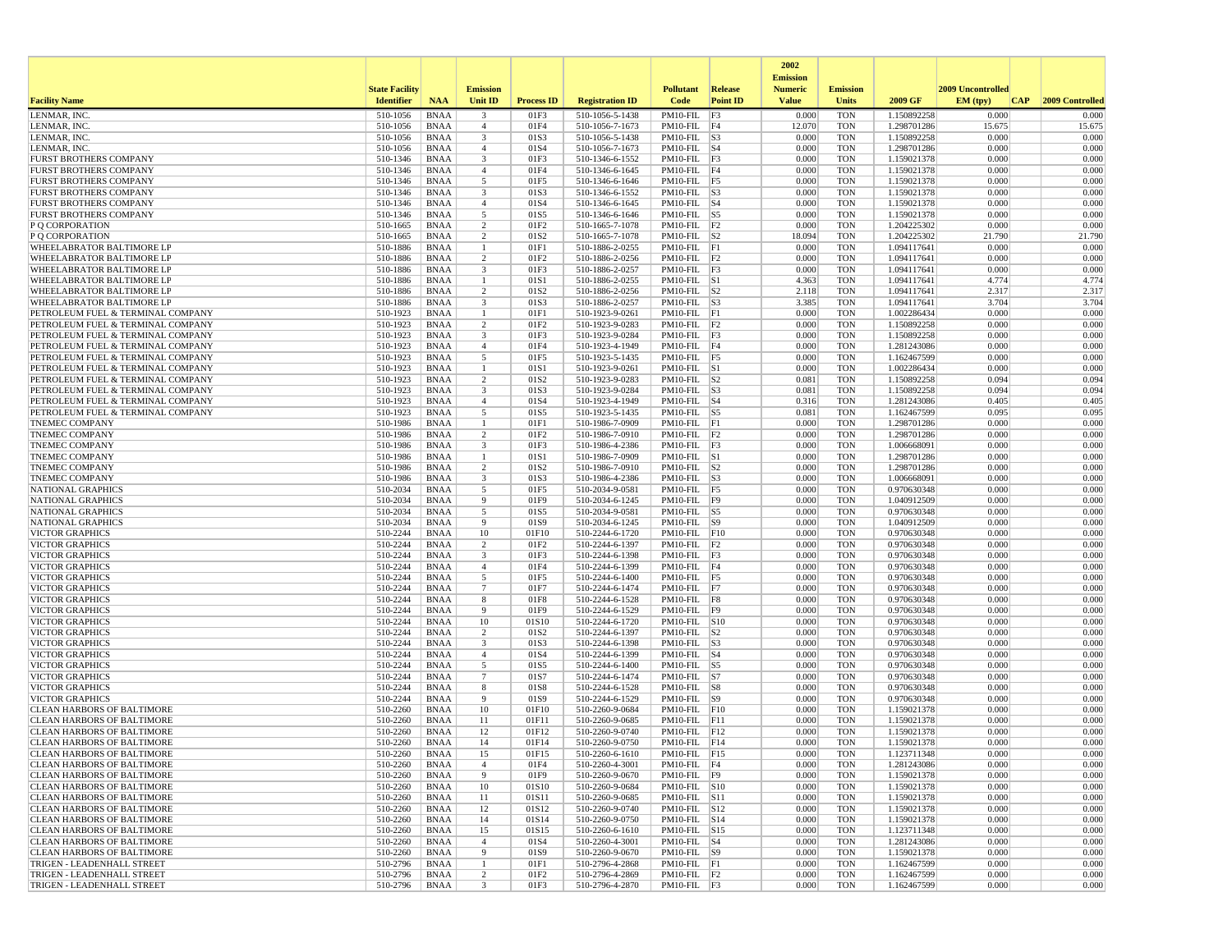|                                                                        |                       |                            |                      |                   |                                    |                                        |                 | 2002                              |                          |                            |                   |                 |
|------------------------------------------------------------------------|-----------------------|----------------------------|----------------------|-------------------|------------------------------------|----------------------------------------|-----------------|-----------------------------------|--------------------------|----------------------------|-------------------|-----------------|
|                                                                        | <b>State Facility</b> |                            | <b>Emission</b>      |                   |                                    | <b>Pollutant</b>                       | <b>Release</b>  | <b>Emission</b><br><b>Numeric</b> | <b>Emission</b>          |                            | 2009 Uncontrolled |                 |
| <b>Facility Name</b>                                                   | <b>Identifier</b>     | <b>NAA</b>                 | <b>Unit ID</b>       | <b>Process ID</b> | <b>Registration ID</b>             | Code                                   | <b>Point ID</b> | <b>Value</b>                      | Units                    | 2009 GF                    | EM (typ)<br> CAP  | 2009 Controlled |
| LENMAR, INC                                                            | 510-1056              | <b>BNAA</b>                | 3                    | 01F3              | 510-1056-5-1438                    | PM10-FIL F3                            |                 | 0.000                             | <b>TON</b>               | 1.150892258                | 0.000             | 0.000           |
| LENMAR, INC.                                                           | 510-1056              | <b>BNAA</b>                | $\overline{4}$       | 01F4              | 510-1056-7-1673                    | $PM10-FIL$ F4                          |                 | 12.070                            | <b>TON</b>               | 1.298701286                | 15.675            | 15.675          |
| LENMAR, INC.                                                           | 510-1056              | <b>BNAA</b>                | 3                    | 01S3              | 510-1056-5-1438                    | $PM10-FIL$ S3                          |                 | 0.000                             | <b>TON</b>               | 1.150892258                | 0.000             | 0.000           |
| LENMAR, INC.<br><b>FURST BROTHERS COMPANY</b>                          | 510-1056<br>510-1346  | <b>BNAA</b>                | $\overline{4}$<br>3  | 01S4<br>01F3      | 510-1056-7-1673                    | $PM10$ -FIL $ S4$<br>$PM10-FIL$ F3     |                 | 0.000<br>0.000                    | <b>TON</b><br><b>TON</b> | 1.298701286<br>1.159021378 | 0.000<br>0.000    | 0.000<br>0.000  |
| <b>FURST BROTHERS COMPANY</b>                                          | 510-1346              | <b>BNAA</b><br><b>BNAA</b> | $\overline{4}$       | 01F4              | 510-1346-6-1552<br>510-1346-6-1645 | $PM10-FIL$ F4                          |                 | 0.000                             | <b>TON</b>               | 1.159021378                | 0.000             | 0.000           |
| <b>FURST BROTHERS COMPANY</b>                                          | 510-1346              | <b>BNAA</b>                | 5                    | 01F5              | 510-1346-6-1646                    | PM10-FIL F5                            |                 | 0.000                             | <b>TON</b>               | 1.159021378                | 0.000             | 0.000           |
| <b>FURST BROTHERS COMPANY</b>                                          | 510-1346              | <b>BNAA</b>                | 3                    | 01S3              | 510-1346-6-1552                    | $PM10-FIL$ S3                          |                 | 0.000                             | <b>TON</b>               | 1.159021378                | 0.000             | 0.000           |
| <b>FURST BROTHERS COMPANY</b>                                          | 510-1346              | <b>BNAA</b>                | $\overline{4}$       | 01S4              | 510-1346-6-1645                    | $PM10-FIL$ S4                          |                 | 0.000                             | <b>TON</b>               | 1.159021378                | 0.000             | 0.000           |
| <b>FURST BROTHERS COMPANY</b>                                          | 510-1346              | <b>BNAA</b>                | 5                    | 01S5              | 510-1346-6-1646                    | PM10-FIL S5                            |                 | 0.000                             | <b>TON</b>               | 1.159021378                | 0.000             | 0.000           |
| P Q CORPORATION                                                        | 510-1665              | <b>BNAA</b>                | 2                    | 01F2              | 510-1665-7-1078                    | PM10-FIL F2                            |                 | 0.000                             | <b>TON</b>               | 1.204225302                | 0.000             | 0.000           |
| P O CORPORATION<br>WHEELABRATOR BALTIMORE LP                           | 510-1665<br>510-1886  | <b>BNAA</b><br><b>BNAA</b> | $\overline{2}$       | 01S2<br>01F1      | 510-1665-7-1078<br>510-1886-2-0255 | $PM10$ -FIL $ S2 $<br>$PM10-FIL$ $ F1$ |                 | 18.094<br>0.000                   | <b>TON</b><br><b>TON</b> | 1.204225302<br>1.094117641 | 21.790<br>0.000   | 21.790<br>0.000 |
| WHEELABRATOR BALTIMORE LP                                              | 510-1886              | <b>BNAA</b>                | 2                    | 01F <sub>2</sub>  | 510-1886-2-0256                    | $PM10-FIL$ $ F2$                       |                 | 0.000                             | <b>TON</b>               | 1.094117641                | 0.000             | 0.000           |
| WHEELABRATOR BALTIMORE LP                                              | 510-1886              | <b>BNAA</b>                | 3                    | 01F3              | 510-1886-2-0257                    | $PM10-FIL$ F3                          |                 | 0.000                             | <b>TON</b>               | 1.094117641                | 0.000             | 0.000           |
| WHEELABRATOR BALTIMORE LP                                              | 510-1886              | <b>BNAA</b>                | -1                   | 01S1              | 510-1886-2-0255                    | $PM10-FIL$ S1                          |                 | 4.363                             | <b>TON</b>               | 1.094117641                | 4.774             | 4.774           |
| WHEELABRATOR BALTIMORE LP                                              | 510-1886              | <b>BNAA</b>                | 2                    | 01S <sub>2</sub>  | 510-1886-2-0256                    | $PM10-FIL$ S2                          |                 | 2.118                             | <b>TON</b>               | 1.094117641                | 2.317             | 2.317           |
| WHEELABRATOR BALTIMORE LF                                              | 510-1886              | <b>BNAA</b>                | 3                    | 01S3              | 510-1886-2-0257                    | $PM10-FIL$ S3                          |                 | 3.385                             | <b>TON</b>               | 1.094117641                | 3.704             | 3.704           |
| PETROLEUM FUEL & TERMINAL COMPANY                                      | 510-1923              | <b>BNAA</b>                | -1                   | 01F1              | 510-1923-9-0261                    | $PM10-FIL$ $ F1$                       |                 | 0.000                             | <b>TON</b>               | 1.002286434                | 0.000             | 0.000           |
| PETROLEUM FUEL & TERMINAL COMPANY<br>PETROLEUM FUEL & TERMINAL COMPANY | 510-1923<br>510-1923  | <b>BNAA</b><br><b>BNAA</b> | $\overline{c}$<br>3  | 01F2<br>01F3      | 510-1923-9-0283<br>510-1923-9-0284 | $PM10-FIL$ $ F2$<br>$PM10-FIL$ F3      |                 | 0.000<br>0.000                    | <b>TON</b><br><b>TON</b> | 1.150892258<br>1.150892258 | 0.000<br>0.000    | 0.000<br>0.000  |
| PETROLEUM FUEL & TERMINAL COMPANY                                      | 510-1923              | <b>BNAA</b>                | $\overline{4}$       | 01F4              | 510-1923-4-1949                    | PM10-FIL F4                            |                 | 0.000                             | <b>TON</b>               | 1.281243086                | 0.000             | 0.000           |
| PETROLEUM FUEL & TERMINAL COMPANY                                      | 510-1923              | <b>BNAA</b>                | 5                    | 01F5              | 510-1923-5-1435                    | $PM10-FIL$ F5                          |                 | 0.000                             | <b>TON</b>               | 1.162467599                | 0.000             | 0.000           |
| PETROLEUM FUEL & TERMINAL COMPANY                                      | 510-1923              | <b>BNAA</b>                | $\mathbf{1}$         | 01S1              | 510-1923-9-0261                    | $PM10-FIL$ S1                          |                 | 0.000                             | <b>TON</b>               | 1.002286434                | 0.000             | 0.000           |
| PETROLEUM FUEL & TERMINAL COMPANY                                      | 510-1923              | <b>BNAA</b>                | 2                    | 01S2              | 510-1923-9-0283                    | $PM10-FIL$ S2                          |                 | 0.081                             | <b>TON</b>               | 1.150892258                | 0.094             | 0.094           |
| PETROLEUM FUEL & TERMINAL COMPANY                                      | 510-1923              | <b>BNAA</b>                | 3                    | 01S3              | 510-1923-9-0284                    | $PM10-FIL$ S3                          |                 | 0.081                             | <b>TON</b>               | 1.150892258                | 0.094             | 0.094           |
| PETROLEUM FUEL & TERMINAL COMPANY                                      | $510 - 1923$          | <b>BNAA</b>                | $\overline{4}$       | 01S4              | 510-1923-4-1949                    | $PM10-FIL$ $S4$                        |                 | 0.316                             | <b>TON</b>               | 1.281243086                | 0.405             | 0.405           |
| PETROLEUM FUEL & TERMINAL COMPANY<br><b>TNEMEC COMPANY</b>             | 510-1923<br>510-1986  | <b>BNAA</b><br><b>BNAA</b> | 5<br>$\mathbf{1}$    | 01S5<br>01F1      | 510-1923-5-1435<br>510-1986-7-0909 | $PM10-FIL$ S5<br>$PM10-FIL$ $ F1$      |                 | 0.081<br>0.000                    | <b>TON</b><br><b>TON</b> | 1.162467599<br>1.298701286 | 0.095<br>0.000    | 0.095<br>0.000  |
| <b>TNEMEC COMPANY</b>                                                  | 510-1986              | <b>BNAA</b>                | 2                    | 01F2              | 510-1986-7-0910                    | $PM10-FIL$ $ F2$                       |                 | 0.000                             | <b>TON</b>               | 1.298701286                | 0.000             | 0.000           |
| <b>TNEMEC COMPANY</b>                                                  | 510-1986              | <b>BNAA</b>                | 3                    | 01F3              | 510-1986-4-2386                    | $PM10-FIL$ F3                          |                 | 0.000                             | <b>TON</b>               | 1.006668091                | 0.000             | 0.000           |
| <b>TNEMEC COMPANY</b>                                                  | 510-1986              | <b>BNAA</b>                | -1                   | 01S1              | 510-1986-7-0909                    | $PM10-FIL$ $ S1$                       |                 | 0.000                             | <b>TON</b>               | 1.298701286                | 0.000             | 0.000           |
| <b>TNEMEC COMPANY</b>                                                  | 510-1986              | <b>BNAA</b>                | 2                    | 01S2              | 510-1986-7-0910                    | $PM10-FIL$ S2                          |                 | 0.000                             | <b>TON</b>               | 1.298701286                | 0.000             | 0.000           |
| <b>TNEMEC COMPANY</b>                                                  | 510-1986              | <b>BNAA</b>                | 3                    | 01S3              | 510-1986-4-2386                    | $PM10-FIL$ S3                          |                 | 0.000                             | <b>TON</b>               | 1.006668091                | 0.000             | 0.000           |
| NATIONAL GRAPHICS                                                      | 510-2034              | <b>BNAA</b>                | 5                    | 01F5              | 510-2034-9-0581                    | PM10-FIL F5                            |                 | 0.000                             | <b>TON</b>               | 0.970630348                | 0.000             | 0.000           |
| NATIONAL GRAPHICS<br>NATIONAL GRAPHICS                                 | 510-2034<br>510-2034  | <b>BNAA</b><br><b>BNAA</b> | 9<br>5               | 01F9<br>01S5      | 510-2034-6-1245<br>510-2034-9-0581 | $PM10-FIL$ F9<br>$PM10-FIL$ S5         |                 | 0.000<br>0.000                    | <b>TON</b><br><b>TON</b> | 1.040912509<br>0.970630348 | 0.000<br>0.000    | 0.000<br>0.000  |
| NATIONAL GRAPHICS                                                      | 510-2034              | <b>BNAA</b>                | 9                    | 01S9              | 510-2034-6-1245                    | $PM10-FIL$ S9                          |                 | 0.000                             | <b>TON</b>               | 1.040912509                | 0.000             | 0.000           |
| <b>VICTOR GRAPHICS</b>                                                 | 510-2244              | <b>BNAA</b>                | 10                   | 01F10             | 510-2244-6-1720                    | $PM10-FIL$ $F10$                       |                 | 0.000                             | <b>TON</b>               | 0.970630348                | 0.000             | 0.000           |
| <b>VICTOR GRAPHICS</b>                                                 | 510-2244              | <b>BNAA</b>                | 2                    | 01F <sub>2</sub>  | 510-2244-6-1397                    | $PM10-FIL$ $ F2$                       |                 | 0.000                             | <b>TON</b>               | 0.970630348                | 0.000             | 0.000           |
| <b>VICTOR GRAPHICS</b>                                                 | 510-2244              | <b>BNAA</b>                | 3                    | 01F3              | 510-2244-6-1398                    | $PM10-FIL$ $ F3$                       |                 | 0.000                             | <b>TON</b>               | 0.970630348                | 0.000             | 0.000           |
| <b>VICTOR GRAPHICS</b>                                                 | 510-2244              | <b>BNAA</b>                | $\overline{4}$       | 01F4              | 510-2244-6-1399                    | $PM10-FIL$ F4                          |                 | 0.000                             | <b>TON</b>               | 0.970630348                | 0.000             | 0.000           |
| <b>VICTOR GRAPHICS</b><br><b>VICTOR GRAPHICS</b>                       | 510-2244<br>510-2244  | <b>BNAA</b><br><b>BNAA</b> | 5<br>$\overline{7}$  | 01F5<br>01F7      | 510-2244-6-1400                    | PM10-FIL F5<br>$PM10-FIL$ F7           |                 | 0.000<br>0.000                    | <b>TON</b><br><b>TON</b> | 0.970630348<br>0.970630348 | 0.000<br>0.000    | 0.000<br>0.000  |
| <b>VICTOR GRAPHICS</b>                                                 | 510-2244              | <b>BNAA</b>                | 8                    | 01F8              | 510-2244-6-1474<br>510-2244-6-1528 | $PM10-FIL$ F8                          |                 | 0.000                             | <b>TON</b>               | 0.970630348                | 0.000             | 0.000           |
| <b>VICTOR GRAPHICS</b>                                                 | 510-2244              | <b>BNAA</b>                | -9                   | 01F9              | 510-2244-6-1529                    | PM10-FIL F9                            |                 | 0.000                             | <b>TON</b>               | 0.970630348                | 0.000             | 0.000           |
| <b>VICTOR GRAPHICS</b>                                                 | 510-2244              | <b>BNAA</b>                | 10                   | 01S10             | 510-2244-6-1720                    | $PM10-FIL$ $ S10$                      |                 | 0.000                             | <b>TON</b>               | 0.970630348                | 0.000             | 0.000           |
| <b>VICTOR GRAPHICS</b>                                                 | 510-2244              | <b>BNAA</b>                | $\overline{2}$       | 01S2              | 510-2244-6-1397                    | PM10-FIL                               | S <sub>2</sub>  | 0.000                             | <b>TON</b>               | 0.970630348                | 0.000             | 0.000           |
| <b>VICTOR GRAPHICS</b>                                                 | 510-2244              | <b>BNAA</b>                | 3                    | 01S3              | 510-2244-6-1398                    | $PM10$ -FIL $ S3$                      |                 | 0.000                             | <b>TON</b>               | 0.970630348                | 0.000             | 0.000           |
| <b>VICTOR GRAPHICS</b>                                                 | 510-2244              | <b>BNAA</b>                | $\overline{4}$       | 01S4              | 510-2244-6-1399                    | $PM10$ -FIL $ S4$                      |                 | 0.000                             | <b>TON</b>               | 0.970630348                | 0.000             | 0.000           |
| <b>VICTOR GRAPHICS</b><br><b>VICTOR GRAPHICS</b>                       | 510-2244<br>510-2244  | <b>BNAA</b><br><b>BNAA</b> | 5<br>$\overline{7}$  | 01S5<br>01S7      | 510-2244-6-1400<br>510-2244-6-1474 | $PM10-FIL$ S5<br>$PM10-FIL$ S7         |                 | 0.000<br>0.000                    | <b>TON</b><br><b>TON</b> | 0.970630348<br>0.970630348 | 0.000<br>0.000    | 0.000<br>0.000  |
| <b>VICTOR GRAPHICS</b>                                                 | 510-2244              | <b>BNAA</b>                | 8                    | 01S8              | 510-2244-6-1528                    | $PM10-FIL$ $ S8$                       |                 | 0.000                             | <b>TON</b>               | 0.970630348                | 0.000             | 0.000           |
| <b>VICTOR GRAPHICS</b>                                                 | 510-2244              | <b>BNAA</b>                | 9                    | 01S9              | 510-2244-6-1529                    | PM10-FIL S9                            |                 | 0.000                             | <b>TON</b>               | 0.970630348                | 0.000             | 0.000           |
| <b>CLEAN HARBORS OF BALTIMORE</b>                                      | 510-2260              | <b>BNAA</b>                | 10                   | 01F10             | 510-2260-9-0684                    | $PM10-FIL$ $F10$                       |                 | 0.000                             | <b>TON</b>               | 1.159021378                | 0.000             | 0.000           |
| <b>CLEAN HARBORS OF BALTIMORE</b>                                      | 510-2260              | <b>BNAA</b>                | 11                   | 01F11             | 510-2260-9-0685                    | $PM10-FIL$ $ F11$                      |                 | 0.000                             | <b>TON</b>               | 1.159021378                | 0.000             | 0.000           |
| CLEAN HARBORS OF BALTIMORE                                             | 510-2260              | <b>BNAA</b>                | 12                   | 01F12             | 510-2260-9-0740                    | $PM10-FIL$ $ F12$                      |                 | 0.000                             | <b>TON</b>               | 1.159021378                | 0.000             | 0.000           |
| <b>CLEAN HARBORS OF BALTIMORE</b>                                      | 510-2260              | <b>BNAA</b>                | 14                   | 01F14             | 510-2260-9-0750                    | $PM10-FIL$ $ F14$                      |                 | 0.000                             | <b>TON</b>               | 1.159021378                | 0.000             | 0.000           |
| <b>CLEAN HARBORS OF BALTIMORE</b><br><b>CLEAN HARBORS OF BALTIMORE</b> | 510-2260<br>510-2260  | <b>BNAA</b><br>BNAA        | 15<br>$\overline{4}$ | 01F15<br>01F4     | 510-2260-6-1610<br>510-2260-4-3001 | $PM10-FIL$ F15<br>PM10-FIL F4          |                 | 0.000<br>0.000                    | <b>TON</b><br><b>TON</b> | 1.123711348<br>1.281243086 | 0.000<br>0.000    | 0.000<br>0.000  |
| <b>CLEAN HARBORS OF BALTIMORE</b>                                      | 510-2260              | BNAA                       | 9                    | 01F9              | 510-2260-9-0670                    | $PM10-FIL$  F9                         |                 | 0.000                             | <b>TON</b>               | 1.159021378                | 0.000             | 0.000           |
| <b>CLEAN HARBORS OF BALTIMORE</b>                                      | 510-2260              | BNAA                       | 10                   | 01S10             | 510-2260-9-0684                    | PM10-FIL S10                           |                 | 0.000                             | <b>TON</b>               | 1.159021378                | 0.000             | 0.000           |
| <b>CLEAN HARBORS OF BALTIMORE</b>                                      | 510-2260              | <b>BNAA</b>                | 11                   | 01S11             | 510-2260-9-0685                    | PM10-FIL S11                           |                 | 0.000                             | <b>TON</b>               | 1.159021378                | 0.000             | 0.000           |
| <b>CLEAN HARBORS OF BALTIMORE</b>                                      | 510-2260              | <b>BNAA</b>                | 12                   | 01S12             | 510-2260-9-0740                    | PM10-FIL S12                           |                 | 0.000                             | <b>TON</b>               | 1.159021378                | 0.000             | 0.000           |
| <b>CLEAN HARBORS OF BALTIMORE</b>                                      | 510-2260              | BNAA                       | 14                   | 01S14             | 510-2260-9-0750                    | PM10-FIL S14                           |                 | 0.000                             | <b>TON</b>               | 1.159021378                | 0.000             | 0.000           |
| <b>CLEAN HARBORS OF BALTIMORE</b>                                      | 510-2260              | BNAA                       | 15                   | 01S15             | 510-2260-6-1610                    | PM10-FIL S15                           |                 | 0.000                             | <b>TON</b>               | 1.123711348                | 0.000             | 0.000           |
| <b>CLEAN HARBORS OF BALTIMORE</b><br><b>CLEAN HARBORS OF BALTIMORE</b> | 510-2260<br>510-2260  | <b>BNAA</b><br>BNAA        | $\overline{4}$<br>9  | 01S4<br>01S9      | 510-2260-4-3001<br>510-2260-9-0670 | $PM10-FIL$ $ S4$<br>$PM10-FIL$ S9      |                 | 0.000<br>0.000                    | <b>TON</b><br><b>TON</b> | 1.281243086<br>1.159021378 | 0.000<br>0.000    | 0.000<br>0.000  |
| TRIGEN - LEADENHALL STREET                                             | 510-2796              | BNAA                       | -1                   | 01F1              | 510-2796-4-2868                    | $PM10-FIL$ $F1$                        |                 | 0.000                             | <b>TON</b>               | 1.162467599                | 0.000             | 0.000           |
| TRIGEN - LEADENHALL STREET                                             | 510-2796              | <b>BNAA</b>                | $\overline{c}$       | 01F2              | 510-2796-4-2869                    | $PM10-FIL$ $ F2$                       |                 | 0.000                             | <b>TON</b>               | 1.162467599                | 0.000             | 0.000           |
| TRIGEN - LEADENHALL STREET                                             | 510-2796              | BNAA                       | $\mathbf{3}$         | 01F3              | 510-2796-4-2870                    | $PM10-FIL$ F3                          |                 | 0.000                             | <b>TON</b>               | 1.162467599                | 0.000             | 0.000           |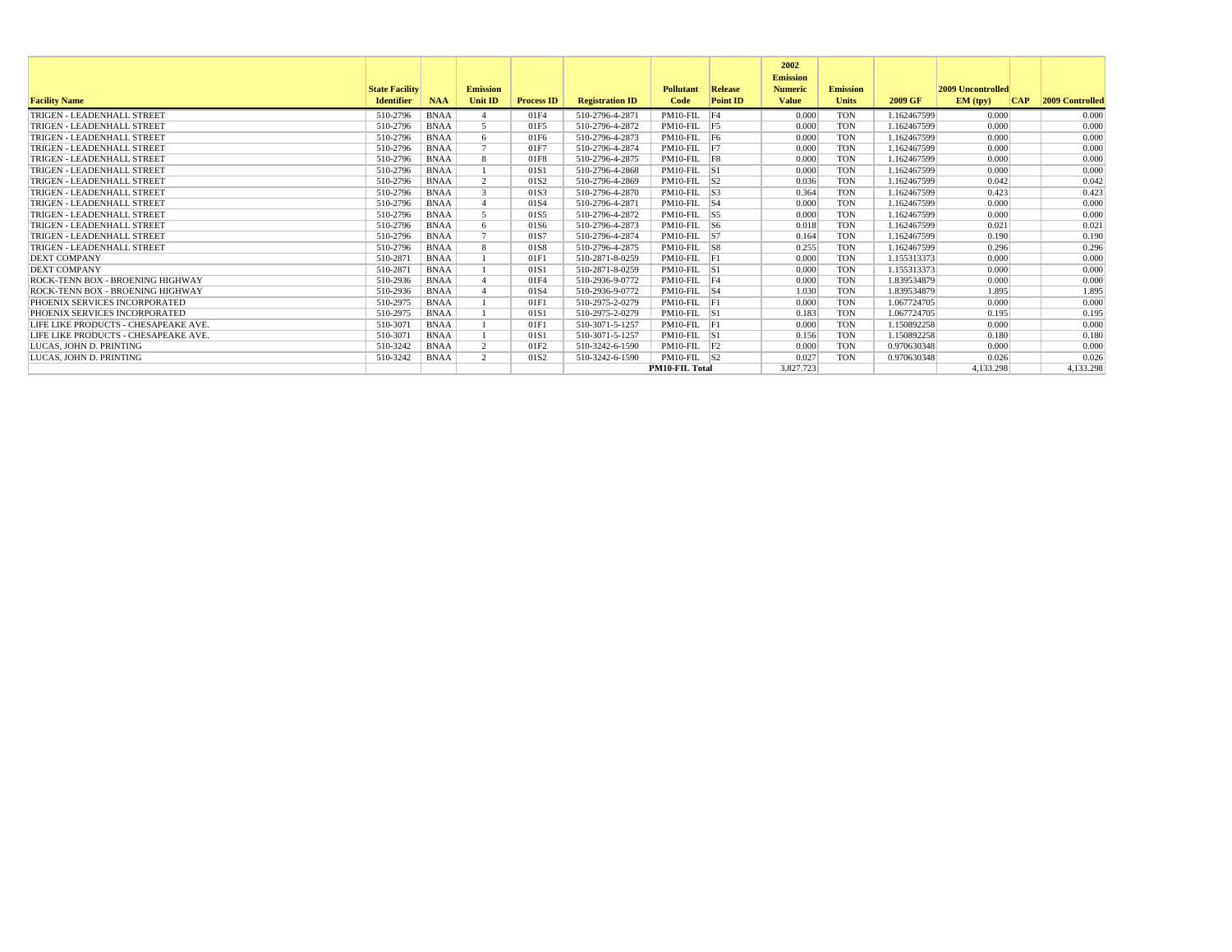|                                      |                       |             |                       |                   |                        |                       |                 | 2002<br><b>Emission</b> |                 |             |                          |            |                        |
|--------------------------------------|-----------------------|-------------|-----------------------|-------------------|------------------------|-----------------------|-----------------|-------------------------|-----------------|-------------|--------------------------|------------|------------------------|
|                                      | <b>State Facility</b> |             | <b>Emission</b>       |                   |                        | <b>Pollutant</b>      | Release         | <b>Numeric</b>          | <b>Emission</b> |             | <b>2009 Uncontrolled</b> |            |                        |
| <b>Facility Name</b>                 | <b>Identifier</b>     | <b>NAA</b>  | <b>Unit ID</b>        | <b>Process ID</b> | <b>Registration ID</b> | Code                  | <b>Point ID</b> | <b>Value</b>            | <b>Units</b>    | 2009 GF     | EM (typ)                 | <b>CAP</b> | <b>2009 Controlled</b> |
| TRIGEN - LEADENHALL STREET           | 510-2796              | <b>BNAA</b> |                       | 01F4              | 510-2796-4-2871        | PM10-FIL F4           |                 | 0.000                   | <b>TON</b>      | 1.162467599 | 0.000                    |            | 0.000                  |
| TRIGEN - LEADENHALL STREET           | 510-2796              | <b>BNAA</b> | $\leq$                | 01F5              | 510-2796-4-2872        | PM10-FIL F5           |                 | 0.000                   | <b>TON</b>      | 1.162467599 | 0.000                    |            | 0.000                  |
| TRIGEN - LEADENHALL STREET           | 510-2796              | <b>BNAA</b> | -6                    | 01F6              | 510-2796-4-2873        | PM10-FIL F6           |                 | 0.000                   | <b>TON</b>      | 1.162467599 | 0.000                    |            | 0.000                  |
| TRIGEN - LEADENHALL STREET           | 510-2796              | <b>BNAA</b> |                       | 01F7              | 510-2796-4-2874        | $PM10-FIL$ F7         |                 | 0.000                   | <b>TON</b>      | 1.162467599 | 0.000                    |            | 0.000                  |
| TRIGEN - LEADENHALL STREET           | 510-2796              | <b>BNAA</b> | -8                    | 01F8              | 510-2796-4-2875        | PM10-FIL F8           |                 | 0.000                   | <b>TON</b>      | 1.162467599 | 0.000                    |            | 0.000                  |
| TRIGEN - LEADENHALL STREET           | 510-2796              | <b>BNAA</b> |                       | 01S1              | 510-2796-4-2868        | $PM10-FIL$ S1         |                 | 0.000                   | <b>TON</b>      | 1.162467599 | 0.000                    |            | 0.000                  |
| TRIGEN - LEADENHALL STREET           | 510-2796              | <b>BNAA</b> | $\mathcal{D}$         | 01S <sub>2</sub>  | 510-2796-4-2869        | $PM10-FIL$ S2         |                 | 0.036                   | <b>TON</b>      | 1.162467599 | 0.042                    |            | 0.042                  |
| TRIGEN - LEADENHALL STREET           | 510-2796              | <b>BNAA</b> | $\mathcal{R}$         | 01S3              | 510-2796-4-2870        | $PM10-FIL$ S3         |                 | 0.364                   | <b>TON</b>      | 1.162467599 | 0.423                    |            | 0.423                  |
| TRIGEN - LEADENHALL STREET           | 510-2796              | <b>BNAA</b> |                       | 01S4              | 510-2796-4-2871        | $PM10-FIL$ S4         |                 | 0.000                   | <b>TON</b>      | 1.162467599 | 0.000                    |            | 0.000                  |
| TRIGEN - LEADENHALL STREET           | 510-2796              | <b>BNAA</b> |                       | 01S5              | 510-2796-4-2872        | $PM10-FIL$ S5         |                 | 0.000                   | <b>TON</b>      | 1.162467599 | 0.000                    |            | 0.000                  |
| TRIGEN - LEADENHALL STREET           | 510-2796              | <b>BNAA</b> | -6                    | 01S6              | 510-2796-4-2873        | $PM10-FIL$ S6         |                 | 0.018                   | <b>TON</b>      | 1.162467599 | 0.021                    |            | 0.021                  |
| TRIGEN - LEADENHALL STREET           | 510-2796              | <b>BNAA</b> |                       | 01S7              | 510-2796-4-2874        | $PM10-FIL$ S7         |                 | 0.164                   | <b>TON</b>      | 1.162467599 | 0.190                    |            | 0.190                  |
| TRIGEN - LEADENHALL STREET           | 510-2796              | <b>BNAA</b> | $\mathbf{\mathsf{R}}$ | 01S8              | 510-2796-4-2875        | $PM10-FIL$ S8         |                 | 0.255                   | <b>TON</b>      | 1.162467599 | 0.296                    |            | 0.296                  |
| <b>DEXT COMPANY</b>                  | 510-2871              | <b>BNAA</b> |                       | 01F1              | 510-2871-8-0259        | $PM10-FIL$ $F1$       |                 | 0.000                   | <b>TON</b>      | 1.155313373 | 0.000                    |            | 0.000                  |
| <b>DEXT COMPANY</b>                  | 510-2871              | <b>BNAA</b> |                       | 01S1              | 510-2871-8-0259        | $PM10-FIL$ S1         |                 | 0.000                   | <b>TON</b>      | 1.155313373 | 0.000                    |            | 0.000                  |
| ROCK-TENN BOX - BROENING HIGHWAY     | 510-2936              | <b>BNAA</b> |                       | 01F4              | 510-2936-9-0772        | PM10-FIL F4           |                 | 0.000                   | <b>TON</b>      | 1.839534879 | 0.000                    |            | 0.000                  |
| ROCK-TENN BOX - BROENING HIGHWAY     | 510-2936              | <b>BNAA</b> |                       | 01S4              | 510-2936-9-0772        | $PM10-FIL$ S4         |                 | 1.030                   | <b>TON</b>      | 1.839534879 | 1.895                    |            | 1.895                  |
| PHOENIX SERVICES INCORPORATED        | 510-2975              | <b>BNAA</b> |                       | 01F               | 510-2975-2-0279        | PM10-FIL F1           |                 | 0.000                   | <b>TON</b>      | 1.067724705 | 0.000                    |            | 0.000                  |
| PHOENIX SERVICES INCORPORATED        | 510-2975              | <b>BNAA</b> |                       | 01S1              | 510-2975-2-0279        | $PM10-FIL$ S1         |                 | 0.183                   | <b>TON</b>      | 1.067724705 | 0.195                    |            | 0.195                  |
| LIFE LIKE PRODUCTS - CHESAPEAKE AVE. | 510-3071              | <b>BNAA</b> |                       | 01F1              | 510-3071-5-1257        | PM10-FIL F1           |                 | 0.000                   | <b>TON</b>      | 1.150892258 | 0.000                    |            | 0.000                  |
| LIFE LIKE PRODUCTS - CHESAPEAKE AVE. | 510-3071              | <b>BNAA</b> |                       | 01S1              | 510-3071-5-1257        | $PM10-FIL$ S1         |                 | 0.156                   | <b>TON</b>      | 1.150892258 | 0.180                    |            | 0.180                  |
| LUCAS. JOHN D. PRINTING              | 510-3242              | <b>BNAA</b> | $\overline{2}$        | 01F2              | 510-3242-6-1590        | $PM10-FIL$ $F2$       |                 | 0.000                   | <b>TON</b>      | 0.970630348 | 0.000                    |            | 0.000                  |
| LUCAS. JOHN D. PRINTING              | 510-3242              | <b>BNAA</b> | $\mathcal{D}$         | 01S <sub>2</sub>  | 510-3242-6-1590        | $PM10-FIL$ S2         |                 | 0.027                   | <b>TON</b>      | 0.970630348 | 0.026                    |            | 0.026                  |
|                                      |                       |             |                       |                   |                        | <b>PM10-FIL Total</b> |                 | 3.827.723               |                 |             | 4.133.298                |            | 4.133.298              |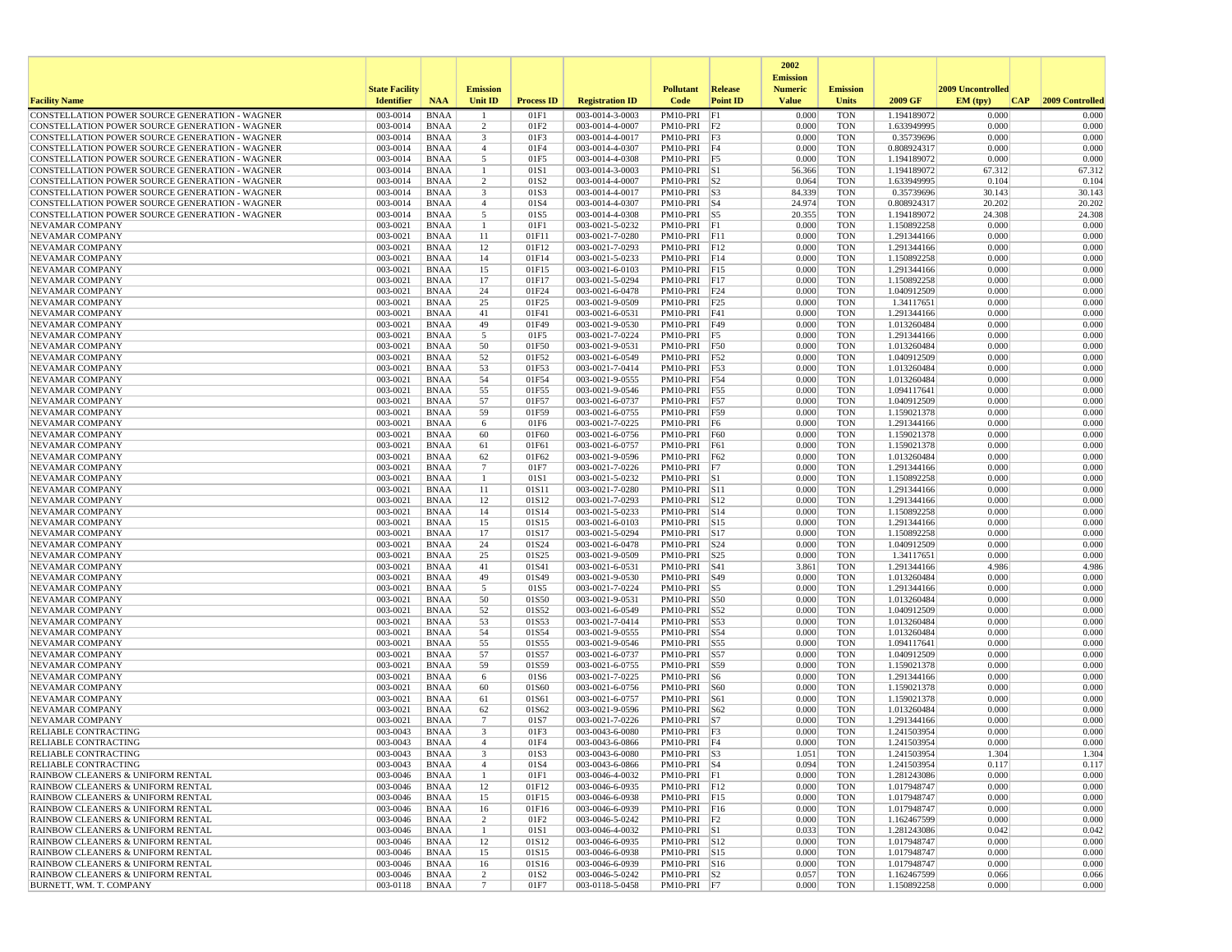|                                                                                                  |                       |                            |                                |                   |                                    |                              |                  | 2002                              |                          |                            |                   |                 |
|--------------------------------------------------------------------------------------------------|-----------------------|----------------------------|--------------------------------|-------------------|------------------------------------|------------------------------|------------------|-----------------------------------|--------------------------|----------------------------|-------------------|-----------------|
|                                                                                                  | <b>State Facility</b> |                            | <b>Emission</b>                |                   |                                    | <b>Pollutant</b>             | Release          | <b>Emission</b><br><b>Numeric</b> | <b>Emission</b>          |                            | 2009 Uncontrolled |                 |
| <b>Facility Name</b>                                                                             | <b>Identifier</b>     | <b>NAA</b>                 | Unit ID                        | <b>Process ID</b> | <b>Registration ID</b>             | Code                         | <b>Point ID</b>  | <b>Value</b>                      | <b>Units</b>             | 2009 GF                    | EM (typ)<br> CAP  | 2009 Controlled |
| CONSTELLATION POWER SOURCE GENERATION - WAGNER                                                   | 003-0014              | <b>BNAA</b>                |                                | 01F1              | 003-0014-3-0003                    | PM10-PRI                     | F1               | 0.000                             | <b>TON</b>               | 1.194189072                | 0.000             | 0.000           |
| CONSTELLATION POWER SOURCE GENERATION - WAGNER                                                   | 003-0014              | <b>BNAA</b>                | 2                              | 01F2              | 003-0014-4-0007                    | $PM10-PRI$ $F2$              |                  | 0.000                             | <b>TON</b>               | 1.633949995                | 0.000             | 0.000           |
| CONSTELLATION POWER SOURCE GENERATION - WAGNER                                                   | 003-0014<br>003-0014  | <b>BNAA</b>                | $\overline{\mathbf{3}}$        | 01F3<br>01F4      | 003-0014-4-0017                    | PM10-PRI F3                  |                  | 0.000<br>0.000                    | <b>TON</b>               | 0.35739696                 | 0.000<br>0.000    | 0.000<br>0.000  |
| CONSTELLATION POWER SOURCE GENERATION - WAGNER<br>CONSTELLATION POWER SOURCE GENERATION - WAGNER | 003-0014              | <b>BNAA</b><br><b>BNAA</b> | $\overline{4}$<br>5            | 01F5              | 003-0014-4-0307<br>003-0014-4-0308 | PM10-PRI F4<br>PM10-PRI F5   |                  | 0.000                             | <b>TON</b><br><b>TON</b> | 0.808924317<br>1.194189072 | 0.000             | 0.000           |
| CONSTELLATION POWER SOURCE GENERATION - WAGNER                                                   | 003-0014              | <b>BNAA</b>                | -1                             | 01S1              | 003-0014-3-0003                    | $PM10-PRI$ S1                |                  | 56.366                            | <b>TON</b>               | 1.194189072                | 67.312            | 67.312          |
| CONSTELLATION POWER SOURCE GENERATION - WAGNER                                                   | 003-0014              | <b>BNAA</b>                | 2                              | 01S <sub>2</sub>  | 003-0014-4-0007                    | $PM10-PRI$ $ S2$             |                  | 0.064                             | <b>TON</b>               | 1.633949995                | 0.104             | 0.104           |
| CONSTELLATION POWER SOURCE GENERATION - WAGNER                                                   | 003-0014              | <b>BNAA</b>                | 3                              | 01S3              | 003-0014-4-0017                    | $PM10-PRI$ S3                |                  | 84.339                            | <b>TON</b>               | 0.35739696                 | 30.143            | 30.143          |
| CONSTELLATION POWER SOURCE GENERATION - WAGNER                                                   | 003-0014              | <b>BNAA</b>                | $\overline{4}$                 | 01S4              | 003-0014-4-0307                    | PM10-PRI S4                  |                  | 24.974                            | <b>TON</b>               | 0.808924317                | 20.202            | 20.202          |
| CONSTELLATION POWER SOURCE GENERATION - WAGNER                                                   | 003-0014              | <b>BNAA</b>                | 5                              | 01S5              | 003-0014-4-0308                    | PM10-PRI S5                  |                  | 20.355                            | <b>TON</b>               | 1.194189072                | 24.308            | 24.308          |
| <b>NEVAMAR COMPANY</b>                                                                           | 003-0021              | <b>BNAA</b>                | $\mathbf{1}$                   | 01F1              | 003-0021-5-0232                    | PM10-PRI F1<br>PM10-PRI F11  |                  | 0.000<br>0.000                    | <b>TON</b>               | 1.150892258                | 0.000<br>0.000    | 0.000<br>0.000  |
| NEVAMAR COMPANY<br><b>NEVAMAR COMPANY</b>                                                        | 003-0021<br>003-0021  | <b>BNAA</b><br><b>BNAA</b> | 11<br>12                       | 01F11<br>01F12    | 003-0021-7-0280<br>003-0021-7-0293 | PM10-PRI F12                 |                  | 0.000                             | <b>TON</b><br><b>TON</b> | 1.291344166<br>1.291344166 | 0.000             | 0.000           |
| NEVAMAR COMPANY                                                                                  | 003-0021              | <b>BNAA</b>                | 14                             | 01F14             | 003-0021-5-0233                    | PM10-PRI                     | F14              | 0.000                             | <b>TON</b>               | 1.150892258                | 0.000             | 0.000           |
| NEVAMAR COMPANY                                                                                  | 003-0021              | <b>BNAA</b>                | 15                             | 01F15             | 003-0021-6-0103                    | PM10-PRI F15                 |                  | 0.000                             | <b>TON</b>               | 1.291344166                | 0.000             | 0.000           |
| NEVAMAR COMPANY                                                                                  | 003-0021              | <b>BNAA</b>                | 17                             | 01F17             | 003-0021-5-0294                    | PM10-PRI F17                 |                  | 0.000                             | <b>TON</b>               | 1.150892258                | 0.000             | 0.000           |
| NEVAMAR COMPANY                                                                                  | 003-0021              | <b>BNAA</b>                | 24                             | 01F24             | 003-0021-6-0478                    | PM10-PRI F24                 |                  | 0.000                             | <b>TON</b>               | 1.040912509                | 0.000             | 0.000           |
| NEVAMAR COMPANY                                                                                  | 003-0021              | <b>BNAA</b>                | 25                             | 01F25             | 003-0021-9-0509                    | PM10-PRI F25                 |                  | 0.000                             | <b>TON</b>               | 1.34117651                 | 0.000             | 0.000           |
| NEVAMAR COMPANY                                                                                  | 003-0021              | <b>BNAA</b><br><b>BNAA</b> | 41                             | 01F41<br>01F49    | 003-0021-6-0531                    | PM10-PRI                     | F41              | 0.000<br>0.000                    | <b>TON</b><br><b>TON</b> | 1.291344166                | 0.000<br>0.000    | 0.000<br>0.000  |
| NEVAMAR COMPANY<br>NEVAMAR COMPANY                                                               | 003-0021<br>003-0021  | <b>BNAA</b>                | 49<br>5                        | 01F5              | 003-0021-9-0530<br>003-0021-7-0224 | PM10-PRI<br>PM10-PRI F5      | F49              | 0.000                             | <b>TON</b>               | 1.013260484<br>1.291344166 | 0.000             | 0.000           |
| NEVAMAR COMPANY                                                                                  | 003-0021              | <b>BNAA</b>                | 50                             | 01F50             | 003-0021-9-0531                    | PM10-PRI F50                 |                  | 0.000                             | <b>TON</b>               | 1.013260484                | 0.000             | 0.000           |
| NEVAMAR COMPANY                                                                                  | 003-0021              | <b>BNAA</b>                | 52                             | 01F52             | 003-0021-6-0549                    | PM10-PRI F52                 |                  | 0.000                             | <b>TON</b>               | 1.040912509                | 0.000             | 0.000           |
| NEVAMAR COMPANY                                                                                  | 003-0021              | <b>BNAA</b>                | 53                             | 01F53             | 003-0021-7-0414                    | PM10-PRI F53                 |                  | 0.000                             | <b>TON</b>               | 1.013260484                | 0.000             | 0.000           |
| NEVAMAR COMPANY                                                                                  | 003-0021              | <b>BNAA</b>                | 54                             | 01F54             | 003-0021-9-0555                    | PM10-PRI                     | F54              | 0.000                             | <b>TON</b>               | 1.013260484                | 0.000             | 0.000           |
| <b>NEVAMAR COMPANY</b>                                                                           | 003-0021              | <b>BNAA</b>                | 55                             | 01F55             | 003-0021-9-0546                    | PM10-PRI                     | F55              | 0.000                             | <b>TON</b>               | 1.094117641                | 0.000             | 0.000           |
| NEVAMAR COMPANY                                                                                  | 003-0021              | <b>BNAA</b>                | 57                             | 01F57             | 003-0021-6-0737                    | PM10-PRI                     | F57              | 0.000                             | <b>TON</b>               | 1.040912509                | 0.000             | 0.000           |
| NEVAMAR COMPANY<br>NEVAMAR COMPANY                                                               | 003-0021<br>003-0021  | <b>BNAA</b><br><b>BNAA</b> | 59<br>6                        | 01F59<br>01F6     | 003-0021-6-0755<br>003-0021-7-0225 | PM10-PRI F59<br>PM10-PRI F6  |                  | 0.000<br>0.000                    | <b>TON</b><br><b>TON</b> | 1.159021378<br>1.291344166 | 0.000<br>0.000    | 0.000<br>0.000  |
| NEVAMAR COMPANY                                                                                  | 003-0021              | <b>BNAA</b>                | 60                             | 01F60             | 003-0021-6-0756                    | PM10-PRI F60                 |                  | 0.000                             | <b>TON</b>               | 1.159021378                | 0.000             | 0.000           |
| NEVAMAR COMPANY                                                                                  | 003-0021              | <b>BNAA</b>                | 61                             | 01F61             | 003-0021-6-0757                    | PM10-PRI                     | F61              | 0.000                             | <b>TON</b>               | 1.159021378                | 0.000             | 0.000           |
| NEVAMAR COMPANY                                                                                  | 003-0021              | <b>BNAA</b>                | 62                             | 01F62             | 003-0021-9-0596                    | PM10-PRI                     | F62              | 0.000                             | <b>TON</b>               | 1.013260484                | 0.000             | 0.000           |
| NEVAMAR COMPANY                                                                                  | 003-0021              | <b>BNAA</b>                | 7                              | 01F7              | 003-0021-7-0226                    | PM10-PRI F7                  |                  | 0.000                             | <b>TON</b>               | 1.291344166                | 0.000             | 0.000           |
| NEVAMAR COMPANY                                                                                  | 003-0021              | <b>BNAA</b>                | -1                             | 01S1              | 003-0021-5-0232                    | PM10-PRI S1                  |                  | 0.000                             | <b>TON</b>               | 1.150892258                | 0.000             | 0.000           |
| <b>NEVAMAR COMPANY</b>                                                                           | 003-0021              | <b>BNAA</b>                | 11                             | 01S11             | 003-0021-7-0280                    | PM10-PRI S11                 |                  | 0.000                             | <b>TON</b>               | 1.291344166                | 0.000             | 0.000           |
| NEVAMAR COMPANY<br>NEVAMAR COMPANY                                                               | 003-0021<br>003-0021  | <b>BNAA</b><br><b>BNAA</b> | 12<br>14                       | 01S12<br>01S14    | 003-0021-7-0293<br>003-0021-5-0233 | PM10-PRI S12<br>PM10-PRI S14 |                  | 0.000<br>0.000                    | <b>TON</b><br><b>TON</b> | 1.291344166<br>1.150892258 | 0.000<br>0.000    | 0.000<br>0.000  |
| NEVAMAR COMPANY                                                                                  | 003-0021              | <b>BNAA</b>                | 15                             | 01S15             | 003-0021-6-0103                    | PM10-PRI S15                 |                  | 0.000                             | <b>TON</b>               | 1.291344166                | 0.000             | 0.000           |
| NEVAMAR COMPANY                                                                                  | 003-0021              | <b>BNAA</b>                | 17                             | 01S17             | 003-0021-5-0294                    | PM10-PRI S17                 |                  | 0.000                             | <b>TON</b>               | 1.150892258                | 0.000             | 0.000           |
| NEVAMAR COMPANY                                                                                  | 003-0021              | <b>BNAA</b>                | 24                             | 01S24             | 003-0021-6-0478                    | PM10-PRI S24                 |                  | 0.000                             | <b>TON</b>               | 1.040912509                | 0.000             | 0.000           |
| NEVAMAR COMPANY                                                                                  | 003-0021              | <b>BNAA</b>                | 25                             | 01S25             | 003-0021-9-0509                    | PM10-PRI S25                 |                  | 0.000                             | <b>TON</b>               | 1.34117651                 | 0.000             | 0.000           |
| NEVAMAR COMPANY                                                                                  | 003-0021              | <b>BNAA</b>                | 41                             | 01S41             | 003-0021-6-0531                    | PM10-PRI                     | S41              | 3.861                             | <b>TON</b>               | 1.291344166                | 4.986             | 4.986           |
| NEVAMAR COMPANY                                                                                  | 003-0021              | <b>BNAA</b>                | 49                             | 01S49             | 003-0021-9-0530                    | PM10-PRI                     | S49              | 0.000                             | <b>TON</b>               | 1.013260484                | 0.000             | 0.000           |
| NEVAMAR COMPANY<br>NEVAMAR COMPANY                                                               | 003-0021<br>003-0021  | <b>BNAA</b><br><b>BNAA</b> | 5<br>50                        | 01S5<br>01S50     | 003-0021-7-0224<br>003-0021-9-0531 | PM10-PRI<br>PM10-PRI S50     | S5               | 0.000<br>0.000                    | <b>TON</b><br><b>TON</b> | 1.291344166<br>1.013260484 | 0.000<br>0.000    | 0.000<br>0.000  |
| NEVAMAR COMPANY                                                                                  | 003-0021              | <b>BNAA</b>                | 52                             | 01S52             | 003-0021-6-0549                    | PM10-PRI                     | S52              | 0.000                             | <b>TON</b>               | 1.040912509                | 0.000             | 0.000           |
| NEVAMAR COMPANY                                                                                  | 003-0021              | <b>BNAA</b>                | 53                             | 01S53             | 003-0021-7-0414                    | PM10-PRI                     | S53              | 0.000                             | <b>TON</b>               | 1.013260484                | 0.000             | 0.000           |
| NEVAMAR COMPANY                                                                                  | 003-0021              | <b>BNAA</b>                | 54                             | 01S54             | 003-0021-9-0555                    | PM10-PRI                     | S54              | 0.000                             | <b>TON</b>               | 1.013260484                | 0.000             | 0.000           |
| NEVAMAR COMPANY                                                                                  | 003-0021              | <b>BNAA</b>                | 55                             | 01S55             | 003-0021-9-0546                    | PM10-PRI                     | S55              | 0.000                             | <b>TON</b>               | 1.094117641                | 0.000             | 0.000           |
| NEVAMAR COMPANY                                                                                  | 003-0021              | <b>BNAA</b>                | 57                             | 01S57             | 003-0021-6-0737                    | PM10-PRI                     | S57              | 0.000                             | <b>TON</b>               | 1.040912509                | 0.000             | 0.000           |
| NEVAMAR COMPANY                                                                                  | 003-0021              | <b>BNAA</b>                | 59                             | 01S59             | 003-0021-6-0755                    | PM10-PRI S59                 |                  | 0.000                             | <b>TON</b>               | 1.159021378                | 0.000             | 0.000           |
| NEVAMAR COMPANY<br>NEVAMAR COMPANY                                                               | 003-0021<br>003-0021  | <b>BNAA</b><br><b>BNAA</b> | 6<br>60                        | 01S6<br>01S60     | 003-0021-7-0225<br>003-0021-6-0756 | PM10-PRI<br>PM10-PRI         | S6<br><b>S60</b> | 0.000<br>0.000                    | <b>TON</b><br><b>TON</b> | 1.291344166<br>1.159021378 | 0.000<br>0.000    | 0.000<br>0.000  |
| NEVAMAR COMPANY                                                                                  | 003-0021              | <b>BNAA</b>                | 61                             | 01S61             | 003-0021-6-0757                    | PM10-PRI                     | S61              | 0.000                             | <b>TON</b>               | 1.159021378                | 0.000             | 0.000           |
| <b>NEVAMAR COMPANY</b>                                                                           | 003-0021              | <b>BNAA</b>                | 62                             | 01S62             | 003-0021-9-0596                    | PM10-PRI                     | S62              | 0.000                             | <b>TON</b>               | 1.013260484                | 0.000             | 0.000           |
| <b>NEVAMAR COMPANY</b>                                                                           | 003-0021              | <b>BNAA</b>                | $7\phantom{.0}$                | 01S7              | 003-0021-7-0226                    | PM10-PRI                     | S7               | 0.000                             | <b>TON</b>               | 1.291344166                | 0.000             | 0.000           |
| RELIABLE CONTRACTING                                                                             | 003-0043              | <b>BNAA</b>                | 3                              | 01F3              | 003-0043-6-0080                    | PM10-PRI F3                  |                  | 0.000                             | <b>TON</b>               | 1.241503954                | 0.000             | 0.000           |
| <b>RELIABLE CONTRACTING</b>                                                                      | 003-0043              | <b>BNAA</b>                | $\mathbf{A}$                   | 01F4              | 003-0043-6-0866                    | PM10-PRI F4                  |                  | 0.000                             | <b>TON</b>               | 1.241503954                | 0.000             | 0.000           |
| RELIABLE CONTRACTING                                                                             | 003-0043              | BNAA                       |                                | 01S3              | 003-0043-6-0080                    | PM10-PRI  S3                 |                  | 1.051                             | TON                      | 1.241503954                | 1.304             | 1.304           |
| <b>RELIABLE CONTRACTING</b><br>RAINBOW CLEANERS & UNIFORM RENTAL                                 | 003-0043<br>003-0046  | BNAA<br>BNAA               | $\overline{4}$<br>$\mathbf{1}$ | 01S4<br>01F1      | 003-0043-6-0866<br>003-0046-4-0032 | $PM10-PRI$ S4<br>PM10-PRI F1 |                  | 0.094<br>0.000                    | <b>TON</b><br><b>TON</b> | 1.241503954<br>1.281243086 | 0.117<br>0.000    | 0.117<br>0.000  |
| RAINBOW CLEANERS & UNIFORM RENTAL                                                                | 003-0046              | BNAA                       | 12                             | 01F12             | 003-0046-6-0935                    | PM10-PRI F12                 |                  | 0.000                             | TON                      | 1.017948747                | 0.000             | 0.000           |
| RAINBOW CLEANERS & UNIFORM RENTAL                                                                | 003-0046              | BNAA                       | 15                             | 01F15             | 003-0046-6-0938                    | PM10-PRI F15                 |                  | 0.000                             | <b>TON</b>               | 1.017948747                | 0.000             | 0.000           |
| RAINBOW CLEANERS & UNIFORM RENTAL                                                                | 003-0046              | <b>BNAA</b>                | 16                             | 01F16             | 003-0046-6-0939                    | PM10-PRI F16                 |                  | 0.000                             | <b>TON</b>               | 1.017948747                | 0.000             | 0.000           |
| RAINBOW CLEANERS & UNIFORM RENTAL                                                                | 003-0046              | <b>BNAA</b>                | 2                              | 01F2              | 003-0046-5-0242                    | $PM10-PRI$ $F2$              |                  | 0.000                             | <b>TON</b>               | 1.162467599                | 0.000             | 0.000           |
| RAINBOW CLEANERS & UNIFORM RENTAL                                                                | 003-0046              | BNAA                       | -1                             | 01S1              | 003-0046-4-0032                    | PM10-PRI S1                  |                  | 0.033                             | <b>TON</b>               | 1.281243086                | 0.042             | 0.042           |
| RAINBOW CLEANERS & UNIFORM RENTAL                                                                | 003-0046              | <b>BNAA</b>                | 12                             | 01S12             | 003-0046-6-0935                    | PM10-PRI S12                 |                  | 0.000                             | <b>TON</b>               | 1.017948747                | 0.000             | 0.000           |
| RAINBOW CLEANERS & UNIFORM RENTAL<br>RAINBOW CLEANERS & UNIFORM RENTAL                           | 003-0046<br>003-0046  | BNAA<br>BNAA               | 15<br>16                       | 01S15<br>01S16    | 003-0046-6-0938<br>003-0046-6-0939 | PM10-PRI S15<br>PM10-PRI S16 |                  | 0.000<br>0.000                    | <b>TON</b><br>TON        | 1.017948747<br>1.017948747 | 0.000<br>0.000    | 0.000<br>0.000  |
| RAINBOW CLEANERS & UNIFORM RENTAL                                                                | 003-0046              | <b>BNAA</b>                | $\overline{c}$                 | 01S2              | 003-0046-5-0242                    | $PM10-PRI$ S2                |                  | 0.057                             | <b>TON</b>               | 1.162467599                | 0.066             | 0.066           |
| BURNETT, WM. T. COMPANY                                                                          | 003-0118              | <b>BNAA</b>                | $7\phantom{.0}$                | 01F7              | 003-0118-5-0458                    | $PM10-PRI$ F7                |                  | 0.000                             | <b>TON</b>               | 1.150892258                | 0.000             | 0.000           |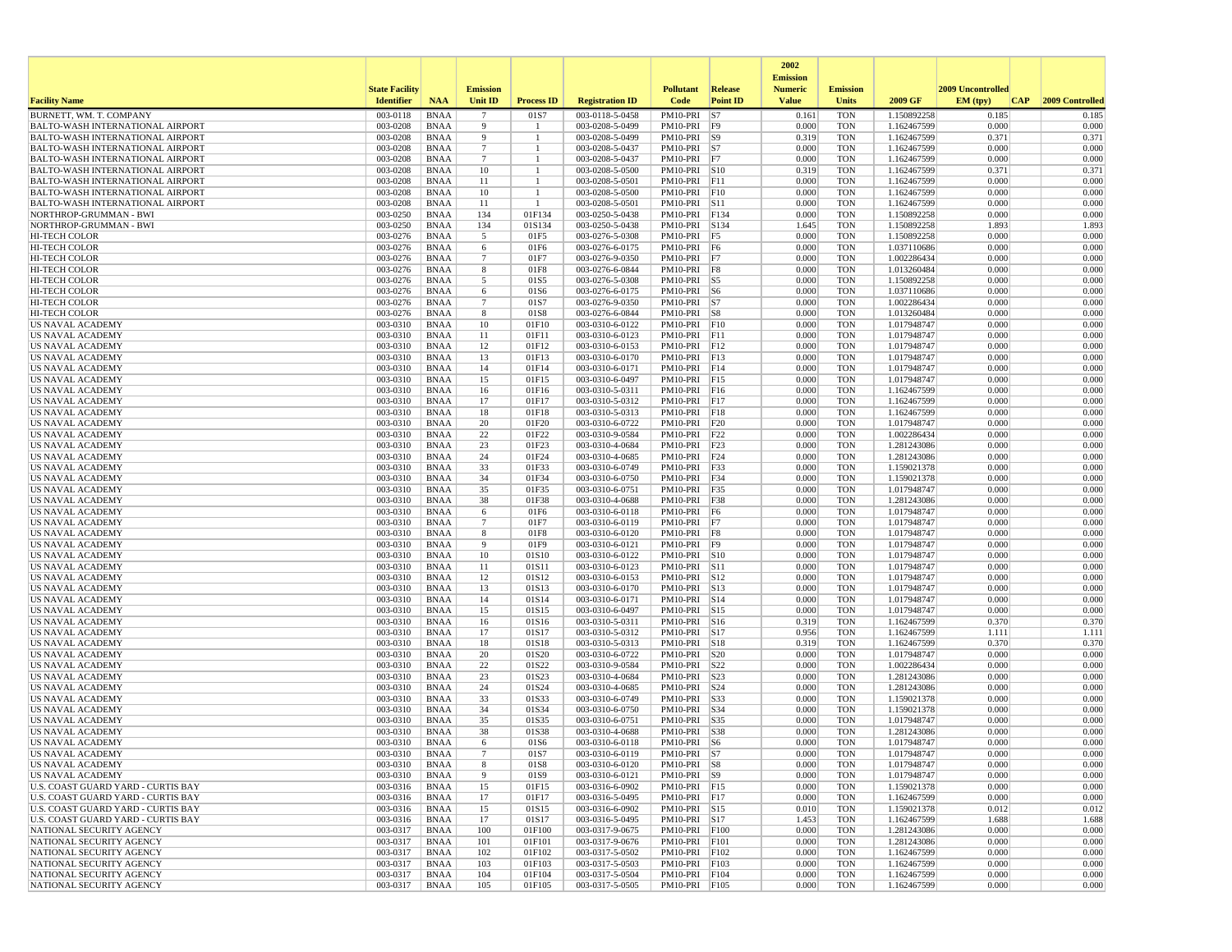|                                                                                    |                       |                            |                      |                      |                                    |                                |                         | 2002                              |                          |                            |                   |                 |
|------------------------------------------------------------------------------------|-----------------------|----------------------------|----------------------|----------------------|------------------------------------|--------------------------------|-------------------------|-----------------------------------|--------------------------|----------------------------|-------------------|-----------------|
|                                                                                    | <b>State Facility</b> |                            | <b>Emission</b>      |                      |                                    | <b>Pollutant</b>               | Release                 | <b>Emission</b><br><b>Numeric</b> | <b>Emission</b>          |                            | 2009 Uncontrolled |                 |
| <b>Facility Name</b>                                                               | <b>Identifier</b>     | <b>NAA</b>                 | Unit ID              | <b>Process ID</b>    | <b>Registration ID</b>             | Code                           | <b>Point ID</b>         | <b>Value</b>                      | <b>Units</b>             | 2009 GF                    | EM (typ)<br> CAP  | 2009 Controlled |
| BURNETT, WM. T. COMPANY                                                            | 003-0118              | <b>BNAA</b>                | $\overline{7}$       | 01S7                 | 003-0118-5-0458                    | PM10-PRI                       | S7                      | 0.161                             | <b>TON</b>               | 1.150892258                | 0.185             | 0.185           |
| <b>BALTO-WASH INTERNATIONAL AIRPORT</b>                                            | 003-0208              | <b>BNAA</b>                | 9                    | -1<br>$\overline{1}$ | 003-0208-5-0499                    | PM10-PRI                       | F9                      | 0.000                             | <b>TON</b>               | 1.162467599                | 0.000             | 0.000           |
| <b>BALTO-WASH INTERNATIONAL AIRPORT</b><br><b>BALTO-WASH INTERNATIONAL AIRPORT</b> | 003-0208<br>003-0208  | <b>BNAA</b><br><b>BNAA</b> | 9<br>$7\phantom{.0}$ | -1                   | 003-0208-5-0499<br>003-0208-5-0437 | PM10-PRI<br>PM10-PRI S7        | S9                      | 0.319<br>0.000                    | <b>TON</b><br><b>TON</b> | 1.162467599<br>1.162467599 | 0.371<br>0.000    | 0.371<br>0.000  |
| <b>BALTO-WASH INTERNATIONAL AIRPORT</b>                                            | 003-0208              | <b>BNAA</b>                | $7\phantom{.0}$      |                      | 003-0208-5-0437                    | PM10-PRI F7                    |                         | 0.000                             | <b>TON</b>               | 1.162467599                | 0.000             | 0.000           |
| <b>BALTO-WASH INTERNATIONAL AIRPORT</b>                                            | 003-0208              | <b>BNAA</b>                | 10                   |                      | 003-0208-5-0500                    | PM10-PRI S10                   |                         | 0.319                             | <b>TON</b>               | 1.162467599                | 0.371             | 0.371           |
| <b>BALTO-WASH INTERNATIONAL AIRPORT</b>                                            | 003-0208              | <b>BNAA</b>                | 11                   | -1                   | 003-0208-5-0501                    | $PM10-PRI$ $\boxed{F11}$       |                         | 0.000                             | <b>TON</b>               | 1.162467599                | 0.000             | 0.000           |
| <b>BALTO-WASH INTERNATIONAL AIRPORT</b>                                            | 003-0208              | <b>BNAA</b>                | 10                   | -1                   | 003-0208-5-0500                    | PM10-PRI                       | F10                     | 0.000                             | <b>TON</b>               | 1.162467599                | 0.000             | 0.000           |
| <b>BALTO-WASH INTERNATIONAL AIRPORT</b><br>NORTHROP-GRUMMAN - BWI                  | 003-0208<br>003-0250  | <b>BNAA</b><br><b>BNAA</b> | 11<br>134            | -1<br>01F134         | 003-0208-5-0501<br>003-0250-5-0438 | PM10-PRI<br>PM10-PRI F134      | $\vert$ S <sub>11</sub> | 0.000<br>0.000                    | <b>TON</b><br><b>TON</b> | 1.162467599<br>1.150892258 | 0.000<br>0.000    | 0.000<br>0.000  |
| NORTHROP-GRUMMAN - BWI                                                             | 003-0250              | <b>BNAA</b>                | 134                  | 01S134               | 003-0250-5-0438                    | PM10-PRI                       | S134                    | 1.645                             | <b>TON</b>               | 1.150892258                | 1.893             | 1.893           |
| <b>HI-TECH COLOR</b>                                                               | 003-0276              | <b>BNAA</b>                | 5                    | 01F5                 | 003-0276-5-0308                    | PM10-PRI F5                    |                         | 0.000                             | <b>TON</b>               | 1.150892258                | 0.000             | 0.000           |
| <b>HI-TECH COLOR</b>                                                               | 003-0276              | <b>BNAA</b>                | 6                    | 01F6                 | 003-0276-6-0175                    | PM10-PRI F6                    |                         | 0.000                             | <b>TON</b>               | 1.037110686                | 0.000             | 0.000           |
| HI-TECH COLOR                                                                      | 003-0276              | <b>BNAA</b>                | $7\phantom{.0}$      | 01F7                 | 003-0276-9-0350                    | PM10-PRI                       | F7                      | 0.000                             | <b>TON</b>               | 1.002286434                | 0.000             | 0.000           |
| <b>HI-TECH COLOR</b>                                                               | 003-0276              | <b>BNAA</b>                | 8                    | 01F8                 | 003-0276-6-0844                    | PM10-PRI F8                    |                         | 0.000                             | <b>TON</b>               | 1.013260484                | 0.000             | 0.000           |
| HI-TECH COLOR<br><b>HI-TECH COLOR</b>                                              | 003-0276<br>003-0276  | <b>BNAA</b><br><b>BNAA</b> | 5<br>6               | 01S5<br>01S6         | 003-0276-5-0308<br>003-0276-6-0175 | PM10-PRI S5<br>PM10-PRI S6     |                         | 0.000<br>0.000                    | <b>TON</b><br><b>TON</b> | 1.150892258<br>1.037110686 | 0.000<br>0.000    | 0.000<br>0.000  |
| <b>HI-TECH COLOR</b>                                                               | 003-0276              | <b>BNAA</b>                | $\overline{7}$       | 01S7                 | 003-0276-9-0350                    | PM10-PRI S7                    |                         | 0.000                             | <b>TON</b>               | 1.002286434                | 0.000             | 0.000           |
| <b>HI-TECH COLOR</b>                                                               | 003-0276              | <b>BNAA</b>                | 8                    | 01S8                 | 003-0276-6-0844                    | $PM10-PRI$ S8                  |                         | 0.000                             | <b>TON</b>               | 1.013260484                | 0.000             | 0.000           |
| US NAVAL ACADEMY                                                                   | 003-0310              | <b>BNAA</b>                | 10                   | 01F10                | 003-0310-6-0122                    | PM10-PRI                       | F10                     | 0.000                             | <b>TON</b>               | 1.017948747                | 0.000             | 0.000           |
| US NAVAL ACADEMY                                                                   | 003-0310              | <b>BNAA</b>                | 11                   | 01F11                | 003-0310-6-0123                    | PM10-PRI F11                   |                         | 0.000                             | <b>TON</b>               | 1.017948747                | 0.000             | 0.000           |
| US NAVAL ACADEMY                                                                   | 003-0310              | <b>BNAA</b>                | 12                   | 01F12                | 003-0310-6-0153                    | PM10-PRI F12                   |                         | 0.000                             | <b>TON</b>               | 1.017948747                | 0.000             | 0.000           |
| <b>US NAVAL ACADEMY</b><br>US NAVAL ACADEMY                                        | 003-0310<br>003-0310  | <b>BNAA</b><br><b>BNAA</b> | 13<br>14             | 01F13<br>01F14       | 003-0310-6-0170<br>003-0310-6-0171 | PM10-PRI F13<br>PM10-PRI F14   |                         | 0.000<br>0.000                    | <b>TON</b><br><b>TON</b> | 1.017948747<br>1.017948747 | 0.000<br>0.000    | 0.000<br>0.000  |
| US NAVAL ACADEMY                                                                   | 003-0310              | <b>BNAA</b>                | 15                   | 01F15                | 003-0310-6-0497                    | PM10-PRI                       | F15                     | 0.000                             | <b>TON</b>               | 1.017948747                | 0.000             | 0.000           |
| <b>US NAVAL ACADEMY</b>                                                            | 003-0310              | <b>BNAA</b>                | 16                   | 01F16                | 003-0310-5-0311                    | PM10-PRI                       | F16                     | 0.000                             | <b>TON</b>               | 1.162467599                | 0.000             | 0.000           |
| US NAVAL ACADEMY                                                                   | 003-0310              | <b>BNAA</b>                | 17                   | 01F17                | 003-0310-5-0312                    | PM10-PRI                       | F17                     | 0.000                             | <b>TON</b>               | 1.162467599                | 0.000             | 0.000           |
| US NAVAL ACADEMY                                                                   | 003-0310              | <b>BNAA</b>                | 18                   | 01F18                | 003-0310-5-0313                    | PM10-PRI F18                   |                         | 0.000                             | <b>TON</b>               | 1.162467599                | 0.000             | 0.000           |
| <b>US NAVAL ACADEMY</b><br>US NAVAL ACADEMY                                        | 003-0310<br>003-0310  | <b>BNAA</b><br><b>BNAA</b> | 20<br>22             | 01F20<br>01F22       | 003-0310-6-0722<br>003-0310-9-0584 | PM10-PRI F20<br>PM10-PRI       | F22                     | 0.000<br>0.000                    | <b>TON</b><br><b>TON</b> | 1.017948747<br>1.002286434 | 0.000<br>0.000    | 0.000<br>0.000  |
| US NAVAL ACADEMY                                                                   | 003-0310              | <b>BNAA</b>                | 23                   | 01F23                | 003-0310-4-0684                    | PM10-PRI                       | F23                     | 0.000                             | <b>TON</b>               | 1.281243086                | 0.000             | 0.000           |
| US NAVAL ACADEMY                                                                   | 003-0310              | <b>BNAA</b>                | 24                   | 01F24                | 003-0310-4-0685                    | PM10-PRI                       | F24                     | 0.000                             | <b>TON</b>               | 1.281243086                | 0.000             | 0.000           |
| US NAVAL ACADEMY                                                                   | 003-0310              | <b>BNAA</b>                | 33                   | 01F33                | 003-0310-6-0749                    | PM10-PRI                       | F33                     | 0.000                             | <b>TON</b>               | 1.159021378                | 0.000             | 0.000           |
| US NAVAL ACADEMY                                                                   | 003-0310              | <b>BNAA</b>                | 34                   | 01F34                | 003-0310-6-0750                    | PM10-PRI F34                   |                         | 0.000                             | <b>TON</b>               | 1.159021378                | 0.000             | 0.000           |
| <b>US NAVAL ACADEMY</b>                                                            | 003-0310              | <b>BNAA</b>                | 35                   | 01F35                | 003-0310-6-0751                    | PM10-PRI F35                   |                         | 0.000                             | <b>TON</b>               | 1.017948747                | 0.000             | 0.000           |
| US NAVAL ACADEMY<br><b>US NAVAL ACADEMY</b>                                        | 003-0310<br>003-0310  | <b>BNAA</b><br><b>BNAA</b> | 38<br>6              | 01F38<br>01F6        | 003-0310-4-0688<br>003-0310-6-0118 | PM10-PRI<br>PM10-PRI F6        | F38                     | 0.000<br>0.000                    | <b>TON</b><br><b>TON</b> | 1.281243086<br>1.017948747 | 0.000<br>0.000    | 0.000<br>0.000  |
| US NAVAL ACADEMY                                                                   | 003-0310              | <b>BNAA</b>                | $\overline{7}$       | 01F7                 | 003-0310-6-0119                    | PM10-PRI F7                    |                         | 0.000                             | <b>TON</b>               | 1.017948747                | 0.000             | 0.000           |
| US NAVAL ACADEMY                                                                   | 003-0310              | <b>BNAA</b>                | 8                    | 01F8                 | 003-0310-6-0120                    | PM10-PRI F8                    |                         | 0.000                             | <b>TON</b>               | 1.017948747                | 0.000             | 0.000           |
| <b>US NAVAL ACADEMY</b>                                                            | 003-0310              | <b>BNAA</b>                | 9                    | 01F9                 | 003-0310-6-0121                    | PM10-PRI F9                    |                         | 0.000                             | <b>TON</b>               | 1.017948747                | 0.000             | 0.000           |
| US NAVAL ACADEMY                                                                   | 003-0310              | <b>BNAA</b>                | 10                   | 01S10                | 003-0310-6-0122                    | PM10-PRI S10                   |                         | 0.000                             | <b>TON</b>               | 1.017948747                | 0.000             | 0.000           |
| US NAVAL ACADEMY<br><b>US NAVAL ACADEMY</b>                                        | 003-0310<br>003-0310  | <b>BNAA</b><br><b>BNAA</b> | 11<br>12             | 01S11<br>01S12       | 003-0310-6-0123<br>003-0310-6-0153 | PM10-PRI<br>PM10-PRI S12       | $\vert$ S <sub>11</sub> | 0.000<br>0.000                    | <b>TON</b><br><b>TON</b> | 1.017948747<br>1.017948747 | 0.000<br>0.000    | 0.000<br>0.000  |
| US NAVAL ACADEMY                                                                   | 003-0310              | <b>BNAA</b>                | 13                   | 01S13                | 003-0310-6-0170                    | PM10-PRI S13                   |                         | 0.000                             | <b>TON</b>               | 1.017948747                | 0.000             | 0.000           |
| US NAVAL ACADEMY                                                                   | 003-0310              | <b>BNAA</b>                | 14                   | 01S14                | 003-0310-6-0171                    | PM10-PRI S14                   |                         | 0.000                             | <b>TON</b>               | 1.017948747                | 0.000             | 0.000           |
| US NAVAL ACADEMY                                                                   | 003-0310              | <b>BNAA</b>                | 15                   | 01S15                | 003-0310-6-0497                    | PM10-PRI S15                   |                         | 0.000                             | <b>TON</b>               | 1.017948747                | 0.000             | 0.000           |
| US NAVAL ACADEMY                                                                   | 003-0310              | <b>BNAA</b>                | 16                   | 01S16                | 003-0310-5-0311                    | PM10-PRI                       | $\vert$ S <sub>16</sub> | 0.319                             | <b>TON</b>               | 1.162467599                | 0.370             | 0.370           |
| US NAVAL ACADEMY<br>US NAVAL ACADEMY                                               | 003-0310<br>003-0310  | <b>BNAA</b><br><b>BNAA</b> | 17<br>18             | 01S17<br>01S18       | 003-0310-5-0312<br>003-0310-5-0313 | PM10-PRI<br>PM10-PRI S18       | $\vert$ S17             | 0.956<br>0.319                    | <b>TON</b><br><b>TON</b> | 1.162467599<br>1.162467599 | 1.111<br>0.370    | 1.111<br>0.370  |
| US NAVAL ACADEMY                                                                   | 003-0310              | <b>BNAA</b>                | 20                   | 01S20                | 003-0310-6-0722                    | PM10-PRI                       | S20                     | 0.000                             | <b>TON</b>               | 1.017948747                | 0.000             | 0.000           |
| <b>US NAVAL ACADEMY</b>                                                            | 003-0310              | <b>BNAA</b>                | 22                   | 01S22                | 003-0310-9-0584                    | PM10-PRI S22                   |                         | 0.000                             | <b>TON</b>               | 1.002286434                | 0.000             | 0.000           |
| US NAVAL ACADEMY                                                                   | 003-0310              | <b>BNAA</b>                | 23                   | 01S23                | 003-0310-4-0684                    | PM10-PRI S23                   |                         | 0.000                             | <b>TON</b>               | 1.281243086                | 0.000             | 0.000           |
| US NAVAL ACADEMY                                                                   | 003-0310              | <b>BNAA</b>                | 24                   | 01S24                | 003-0310-4-0685                    | PM10-PRI                       | S24                     | 0.000                             | <b>TON</b>               | 1.281243086                | 0.000             | 0.000           |
| <b>US NAVAL ACADEMY</b>                                                            | 003-0310              | <b>BNAA</b>                | 33                   | 01S33                | 003-0310-6-0749                    | PM10-PRI                       | S33                     | 0.000                             | <b>TON</b>               | 1.159021378                | 0.000             | 0.000           |
| <b>US NAVAL ACADEMY</b><br>US NAVAL ACADEMY                                        | 003-0310<br>003-0310  | <b>BNAA</b><br><b>BNAA</b> | 34<br>35             | 01S34<br>01S35       | 003-0310-6-0750<br>003-0310-6-0751 | PM10-PRI<br>PM10-PRI           | S34<br>S35              | 0.000<br>0.000                    | <b>TON</b><br><b>TON</b> | 1.159021378<br>1.017948747 | 0.000<br>0.000    | 0.000<br>0.000  |
| <b>US NAVAL ACADEMY</b>                                                            | 003-0310              | <b>BNAA</b>                | 38                   | 01S38                | 003-0310-4-0688                    | PM10-PRI S38                   |                         | 0.000                             | <b>TON</b>               | 1.281243086                | 0.000             | 0.000           |
| US NAVAL ACADEMY                                                                   | 003-0310              | <b>BNAA</b>                | -6                   | 01S6                 | 003-0310-6-0118                    | $PM10-PRI$ S6                  |                         | 0.000                             | <b>TON</b>               | 1.017948747                | 0.000             | 0.000           |
| <b>US NAVAL ACADEMY</b>                                                            | 003-0310              | <b>BNAA</b>                |                      | 01S7                 | 003-0310-6-0119                    | $PM10-PRI$  S7                 |                         | 0.000                             | TON                      | 1.017948747                | 0.000             | 0.000           |
| US NAVAL ACADEMY                                                                   | $003-0310$            | BNAA                       | 8                    | 01S8                 | 003-0310-6-0120                    | PM10-PRI S8                    |                         | 0.000                             | <b>TON</b>               | 1.017948747                | 0.000             | 0.000           |
| US NAVAL ACADEMY<br>U.S. COAST GUARD YARD - CURTIS BAY                             | 003-0310<br>003-0316  | <b>BNAA</b><br><b>BNAA</b> | 9<br>15              | 01S9<br>01F15        | 003-0310-6-0121<br>003-0316-6-0902 | PM10-PRI S9<br>PM10-PRI F15    |                         | 0.000<br>0.000                    | <b>TON</b><br><b>TON</b> | 1.017948747<br>1.159021378 | 0.000<br>0.000    | 0.000<br>0.000  |
| U.S. COAST GUARD YARD - CURTIS BAY                                                 | 003-0316              | <b>BNAA</b>                | 17                   | 01F17                | 003-0316-5-0495                    | PM10-PRI F17                   |                         | 0.000                             | <b>TON</b>               | 1.162467599                | 0.000             | 0.000           |
| U.S. COAST GUARD YARD - CURTIS BAY                                                 | 003-0316              | <b>BNAA</b>                | 15                   | 01S15                | 003-0316-6-0902                    | PM10-PRI S15                   |                         | 0.010                             | <b>TON</b>               | 1.159021378                | 0.012             | 0.012           |
| U.S. COAST GUARD YARD - CURTIS BAY                                                 | 003-0316              | <b>BNAA</b>                | 17                   | 01S17                | 003-0316-5-0495                    | PM10-PRI S17                   |                         | 1.453                             | <b>TON</b>               | 1.162467599                | 1.688             | 1.688           |
| NATIONAL SECURITY AGENCY                                                           | 003-0317              | <b>BNAA</b>                | 100                  | 01F100               | 003-0317-9-0675                    | PM10-PRI F100                  |                         | 0.000                             | <b>TON</b>               | 1.281243086                | 0.000             | 0.000           |
| NATIONAL SECURITY AGENCY<br>NATIONAL SECURITY AGENCY                               | 003-0317<br>003-0317  | <b>BNAA</b><br><b>BNAA</b> | 101<br>102           | 01F101<br>01F102     | 003-0317-9-0676<br>003-0317-5-0502 | PM10-PRI F101<br>PM10-PRI F102 |                         | 0.000<br>0.000                    | <b>TON</b><br><b>TON</b> | 1.281243086<br>1.162467599 | 0.000<br>0.000    | 0.000<br>0.000  |
| NATIONAL SECURITY AGENCY                                                           | 003-0317              | BNAA                       | 103                  | 01F103               | 003-0317-5-0503                    | PM10-PRI   F103                |                         | 0.000                             | <b>TON</b>               | 1.162467599                | 0.000             | 0.000           |
| NATIONAL SECURITY AGENCY                                                           | 003-0317              | <b>BNAA</b>                | 104                  | 01F104               | 003-0317-5-0504                    | PM10-PRI F104                  |                         | 0.000                             | <b>TON</b>               | 1.162467599                | 0.000             | 0.000           |
| NATIONAL SECURITY AGENCY                                                           | 003-0317              | <b>BNAA</b>                | 105                  | 01F105               | 003-0317-5-0505                    | PM10-PRI F105                  |                         | 0.000                             | <b>TON</b>               | 1.162467599                | 0.000             | 0.000           |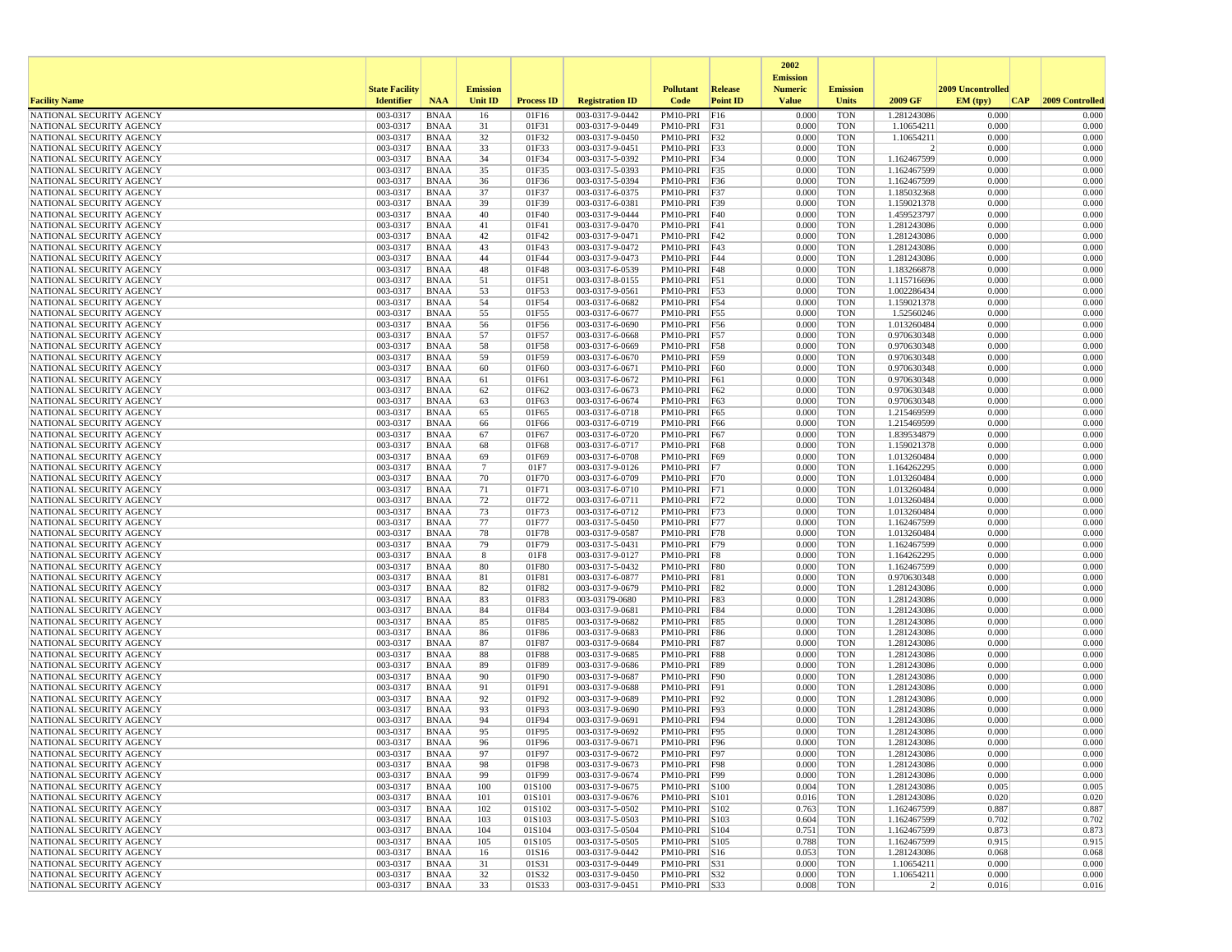|                                                      |                       |                            |                 |                   |                                    |                                |                          | 2002                              |                          |                               |                   |                 |
|------------------------------------------------------|-----------------------|----------------------------|-----------------|-------------------|------------------------------------|--------------------------------|--------------------------|-----------------------------------|--------------------------|-------------------------------|-------------------|-----------------|
|                                                      | <b>State Facility</b> |                            | <b>Emission</b> |                   |                                    | <b>Pollutant</b>               | <b>Release</b>           | <b>Emission</b><br><b>Numeric</b> | <b>Emission</b>          |                               | 2009 Uncontrolled |                 |
| <b>Facility Name</b>                                 | <b>Identifier</b>     | <b>NAA</b>                 | <b>Unit ID</b>  | <b>Process ID</b> | <b>Registration ID</b>             | Code                           | <b>Point ID</b>          | <b>Value</b>                      | <b>Units</b>             | 2009 GF                       | EM (typ)<br> CAP  | 2009 Controlled |
| NATIONAL SECURITY AGENCY                             | 003-0317              | <b>BNAA</b>                | 16              | 01F16             | 003-0317-9-0442                    | PM10-PRI                       | F16                      | 0.000                             | <b>TON</b>               | 1.281243086                   | 0.000             | 0.000           |
| NATIONAL SECURITY AGENCY                             | 003-0317              | BNAA                       | 31              | 01F31             | 003-0317-9-0449                    | PM10-PRI F31                   |                          | 0.000                             | <b>TON</b>               | 1.10654211                    | 0.000             | 0.000           |
| NATIONAL SECURITY AGENCY                             | 003-0317              | <b>BNAA</b>                | 32              | 01F32             | 003-0317-9-0450                    | PM10-PRI                       | F32                      | 0.000                             | <b>TON</b>               | 1.10654211                    | 0.000             | 0.000           |
| NATIONAL SECURITY AGENCY                             | 003-0317<br>003-0317  | BNAA                       | 33<br>34        | 01F33<br>01F34    | 003-0317-9-0451<br>003-0317-5-0392 | PM10-PRI F33                   |                          | 0.000<br>0.000                    | <b>TON</b><br><b>TON</b> | $\overline{2}$<br>1.162467599 | 0.000<br>0.000    | 0.000<br>0.000  |
| NATIONAL SECURITY AGENCY<br>NATIONAL SECURITY AGENCY | 003-0317              | <b>BNAA</b><br><b>BNAA</b> | 35              | 01F35             | 003-0317-5-0393                    | PM10-PRI F34<br>PM10-PRI       | F35                      | 0.000                             | <b>TON</b>               | 1.162467599                   | 0.000             | 0.000           |
| NATIONAL SECURITY AGENCY                             | 003-0317              | BNAA                       | 36              | 01F36             | 003-0317-5-0394                    | PM10-PRI F36                   |                          | 0.000                             | <b>TON</b>               | 1.162467599                   | 0.000             | 0.000           |
| NATIONAL SECURITY AGENCY                             | 003-0317              | <b>BNAA</b>                | 37              | 01F37             | 003-0317-6-0375                    | PM10-PRI F37                   |                          | 0.000                             | <b>TON</b>               | 1.185032368                   | 0.000             | 0.000           |
| NATIONAL SECURITY AGENCY                             | 003-0317              | <b>BNAA</b>                | 39              | 01F39             | 003-0317-6-0381                    | PM10-PRI                       | F39                      | 0.000                             | <b>TON</b>               | 1.159021378                   | 0.000             | 0.000           |
| NATIONAL SECURITY AGENCY                             | 003-0317              | <b>BNAA</b>                | 40              | 01F40             | 003-0317-9-0444                    | PM10-PRI                       | <b>F40</b>               | 0.000                             | <b>TON</b>               | 1.459523797                   | 0.000             | 0.000           |
| NATIONAL SECURITY AGENCY                             | 003-0317              | BNAA                       | 41              | 01F41             | 003-0317-9-0470                    | PM10-PRI F41                   |                          | 0.000                             | <b>TON</b>               | 1.281243086                   | 0.000             | 0.000           |
| NATIONAL SECURITY AGENCY                             | 003-0317              | <b>BNAA</b>                | 42              | 01F42             | 003-0317-9-0471                    | PM10-PRI                       | F42                      | 0.000                             | <b>TON</b>               | 1.281243086                   | 0.000             | 0.000           |
| NATIONAL SECURITY AGENCY<br>NATIONAL SECURITY AGENCY | 003-0317<br>003-0317  | <b>BNAA</b><br><b>BNAA</b> | 43<br>44        | 01F43<br>01F44    | 003-0317-9-0472<br>003-0317-9-0473 | PM10-PRI F43<br>PM10-PRI       | F44                      | 0.000<br>0.000                    | <b>TON</b><br><b>TON</b> | 1.281243086<br>1.281243086    | 0.000<br>0.000    | 0.000<br>0.000  |
| NATIONAL SECURITY AGENCY                             | 003-0317              | BNAA                       | 48              | 01F48             | 003-0317-6-0539                    | PM10-PRI F48                   |                          | 0.000                             | <b>TON</b>               | 1.183266878                   | 0.000             | 0.000           |
| NATIONAL SECURITY AGENCY                             | 003-0317              | BNAA                       | 51              | 01F51             | 003-0317-8-0155                    | PM10-PRI F51                   |                          | 0.000                             | <b>TON</b>               | 1.115716696                   | 0.000             | 0.000           |
| NATIONAL SECURITY AGENCY                             | 003-0317              | <b>BNAA</b>                | 53              | 01F53             | 003-0317-9-0561                    | PM10-PRI F53                   |                          | 0.000                             | <b>TON</b>               | 1.002286434                   | 0.000             | 0.000           |
| NATIONAL SECURITY AGENCY                             | 003-0317              | BNAA                       | 54              | 01F54             | 003-0317-6-0682                    | PM10-PRI F54                   |                          | 0.000                             | <b>TON</b>               | 1.159021378                   | 0.000             | 0.000           |
| NATIONAL SECURITY AGENCY                             | 003-0317              | BNAA                       | 55              | 01F55             | 003-0317-6-0677                    | PM10-PRI F55                   |                          | 0.000                             | <b>TON</b>               | 1.52560246                    | 0.000             | 0.000           |
| NATIONAL SECURITY AGENCY                             | 003-0317              | <b>BNAA</b>                | 56              | 01F56             | 003-0317-6-0690                    | PM10-PRI                       | F56                      | 0.000                             | <b>TON</b>               | 1.013260484                   | 0.000             | 0.000           |
| NATIONAL SECURITY AGENCY                             | 003-0317              | <b>BNAA</b>                | 57              | 01F57             | 003-0317-6-0668                    | PM10-PRI F57                   |                          | 0.000                             | <b>TON</b>               | 0.970630348                   | 0.000             | 0.000           |
| NATIONAL SECURITY AGENCY<br>NATIONAL SECURITY AGENCY | 003-0317<br>003-0317  | BNAA<br><b>BNAA</b>        | 58<br>59        | 01F58<br>01F59    | 003-0317-6-0669<br>003-0317-6-0670 | PM10-PRI                       | <b>F58</b><br>F59        | 0.000<br>0.000                    | <b>TON</b><br><b>TON</b> | 0.970630348<br>0.970630348    | 0.000<br>0.000    | 0.000<br>0.000  |
| NATIONAL SECURITY AGENCY                             | 003-0317              | <b>BNAA</b>                | 60              | 01F60             | 003-0317-6-0671                    | PM10-PRI<br>PM10-PRI           | F60                      | 0.000                             | <b>TON</b>               | 0.970630348                   | 0.000             | 0.000           |
| NATIONAL SECURITY AGENCY                             | 003-0317              | <b>BNAA</b>                | 61              | 01F61             | 003-0317-6-0672                    | PM10-PRI                       | F61                      | 0.000                             | <b>TON</b>               | 0.970630348                   | 0.000             | 0.000           |
| NATIONAL SECURITY AGENCY                             | 003-0317              | <b>BNAA</b>                | 62              | 01F62             | 003-0317-6-0673                    | PM10-PRI                       | F62                      | 0.000                             | <b>TON</b>               | 0.970630348                   | 0.000             | 0.000           |
| NATIONAL SECURITY AGENCY                             | 003-0317              | <b>BNAA</b>                | 63              | 01F63             | 003-0317-6-0674                    | PM10-PRI                       | F63                      | 0.000                             | <b>TON</b>               | 0.970630348                   | 0.000             | 0.000           |
| NATIONAL SECURITY AGENCY                             | 003-0317              | <b>BNAA</b>                | 65              | 01F65             | 003-0317-6-0718                    | PM10-PRI                       | F65                      | 0.000                             | <b>TON</b>               | 1.215469599                   | 0.000             | 0.000           |
| NATIONAL SECURITY AGENCY                             | 003-0317              | BNAA                       | 66              | 01F66             | 003-0317-6-0719                    | PM10-PRI F66                   |                          | 0.000                             | <b>TON</b>               | 1.215469599                   | 0.000             | 0.000           |
| NATIONAL SECURITY AGENCY                             | 003-0317              | <b>BNAA</b>                | 67              | 01F67             | 003-0317-6-0720                    | PM10-PRI F67                   |                          | 0.000                             | <b>TON</b>               | 1.839534879                   | 0.000             | 0.000           |
| NATIONAL SECURITY AGENCY<br>NATIONAL SECURITY AGENCY | 003-0317<br>003-0317  | <b>BNAA</b><br>BNAA        | 68<br>69        | 01F68<br>01F69    | 003-0317-6-0717<br>003-0317-6-0708 | PM10-PRI<br>PM10-PRI           | <b>F68</b><br>F69        | 0.000<br>0.000                    | <b>TON</b><br><b>TON</b> | 1.159021378<br>1.013260484    | 0.000<br>0.000    | 0.000<br>0.000  |
| NATIONAL SECURITY AGENCY                             | 003-0317              | <b>BNAA</b>                | $\overline{7}$  | 01F7              | 003-0317-9-0126                    | PM10-PRI                       | -F7                      | 0.000                             | <b>TON</b>               | 1.164262295                   | 0.000             | 0.000           |
| NATIONAL SECURITY AGENCY                             | 003-0317              | <b>BNAA</b>                | 70              | 01F70             | 003-0317-6-0709                    | PM10-PRI F70                   |                          | 0.000                             | <b>TON</b>               | 1.013260484                   | 0.000             | 0.000           |
| NATIONAL SECURITY AGENCY                             | 003-0317              | BNAA                       | 71              | 01F71             | 003-0317-6-0710                    | PM10-PRI F71                   |                          | 0.000                             | <b>TON</b>               | 1.013260484                   | 0.000             | 0.000           |
| NATIONAL SECURITY AGENCY                             | 003-0317              | BNAA                       | 72              | 01F72             | 003-0317-6-0711                    | PM10-PRI F72                   |                          | 0.000                             | <b>TON</b>               | 1.013260484                   | 0.000             | 0.000           |
| NATIONAL SECURITY AGENCY                             | 003-0317              | <b>BNAA</b>                | 73              | 01F73             | 003-0317-6-0712                    | PM10-PRI                       | F73                      | 0.000                             | <b>TON</b>               | 1.013260484                   | 0.000             | 0.000           |
| NATIONAL SECURITY AGENCY                             | 003-0317              | <b>BNAA</b>                | 77              | 01F77             | 003-0317-5-0450                    | PM10-PRI F77                   |                          | 0.000                             | <b>TON</b>               | 1.162467599                   | 0.000             | 0.000           |
| NATIONAL SECURITY AGENCY<br>NATIONAL SECURITY AGENCY | 003-0317<br>003-0317  | <b>BNAA</b><br>BNAA        | 78<br>79        | 01F78<br>01F79    | 003-0317-9-0587<br>003-0317-5-0431 | PM10-PRI F78<br>PM10-PRI F79   |                          | 0.000<br>0.000                    | <b>TON</b><br><b>TON</b> | 1.013260484<br>1.162467599    | 0.000<br>0.000    | 0.000<br>0.000  |
| NATIONAL SECURITY AGENCY                             | 003-0317              | BNAA                       | 8               | 01F8              | 003-0317-9-0127                    | PM10-PRI F8                    |                          | 0.000                             | <b>TON</b>               | 1.164262295                   | 0.000             | 0.000           |
| NATIONAL SECURITY AGENCY                             | 003-0317              | <b>BNAA</b>                | 80              | 01F80             | 003-0317-5-0432                    | PM10-PRI                       | F80                      | 0.000                             | <b>TON</b>               | 1.162467599                   | 0.000             | 0.000           |
| NATIONAL SECURITY AGENCY                             | 003-0317              | BNAA                       | 81              | 01F81             | 003-0317-6-0877                    | PM10-PRI F81                   |                          | 0.000                             | <b>TON</b>               | 0.970630348                   | 0.000             | 0.000           |
| NATIONAL SECURITY AGENCY                             | 003-0317              | <b>BNAA</b>                | 82              | 01F82             | 003-0317-9-0679                    | PM10-PRI F82                   |                          | 0.000                             | <b>TON</b>               | 1.281243086                   | 0.000             | 0.000           |
| NATIONAL SECURITY AGENCY                             | 003-0317              | <b>BNAA</b>                | 83              | 01F83             | 003-03179-0680                     | PM10-PRI   F83                 |                          | 0.000                             | <b>TON</b>               | 1.281243086                   | 0.000             | 0.000           |
| NATIONAL SECURITY AGENCY                             | 003-0317              | <b>BNAA</b>                | 84              | 01F84             | 003-0317-9-0681                    | PM10-PRI F84                   |                          | 0.000                             | <b>TON</b>               | 1.281243086                   | 0.000             | 0.000           |
| NATIONAL SECURITY AGENCY                             | 003-0317<br>003-0317  | <b>BNAA</b>                | 85              | 01F85<br>01F86    | 003-0317-9-0682                    | PM10-PRI                       | F85                      | 0.000<br>0.000                    | <b>TON</b><br><b>TON</b> | 1.281243086                   | 0.000<br>0.000    | 0.000<br>0.000  |
| NATIONAL SECURITY AGENCY<br>NATIONAL SECURITY AGENCY | 003-0317              | <b>BNAA</b><br><b>BNAA</b> | 86<br>87        | 01F87             | 003-0317-9-0683<br>003-0317-9-0684 | PM10-PRI<br>PM10-PRI           | <b>F86</b><br><b>F87</b> | 0.000                             | <b>TON</b>               | 1.281243086<br>1.281243086    | 0.000             | 0.000           |
| NATIONAL SECURITY AGENCY                             | 003-0317              | BNAA                       | 88              | 01F88             | 003-0317-9-0685                    | PM10-PRI                       | <b>F88</b>               | 0.000                             | <b>TON</b>               | 1.281243086                   | 0.000             | 0.000           |
| NATIONAL SECURITY AGENCY                             | 003-0317              | <b>BNAA</b>                | 89              | 01F89             | 003-0317-9-0686                    | PM10-PRI                       | <b>F89</b>               | 0.000                             | <b>TON</b>               | 1.281243086                   | 0.000             | 0.000           |
| NATIONAL SECURITY AGENCY                             | 003-0317              | <b>BNAA</b>                | 90              | 01F90             | 003-0317-9-0687                    | PM10-PRI F90                   |                          | 0.000                             | <b>TON</b>               | 1.281243086                   | 0.000             | 0.000           |
| NATIONAL SECURITY AGENCY                             | 003-0317              | <b>BNAA</b>                | 91              | 01F91             | 003-0317-9-0688                    | PM10-PRI                       | F91                      | 0.000                             | <b>TON</b>               | 1.281243086                   | 0.000             | 0.000           |
| NATIONAL SECURITY AGENCY                             | 003-0317              | BNAA                       | 92              | 01F92             | 003-0317-9-0689                    | PM10-PRI                       | F92                      | 0.000                             | <b>TON</b>               | 1.281243086                   | 0.000             | 0.000           |
| NATIONAL SECURITY AGENCY                             | 003-0317              | <b>BNAA</b>                | 93<br>94        | 01F93             | 003-0317-9-0690                    | PM10-PRI                       | F93                      | 0.000<br>0.000                    | <b>TON</b>               | 1.281243086                   | 0.000<br>0.000    | 0.000<br>0.000  |
| NATIONAL SECURITY AGENCY<br>NATIONAL SECURITY AGENCY | 003-0317<br>003-0317  | <b>BNAA</b><br><b>BNAA</b> | 95              | 01F94<br>01F95    | 003-0317-9-0691<br>003-0317-9-0692 | PM10-PRI<br>PM10-PRI F95       | F94                      | 0.000                             | <b>TON</b><br><b>TON</b> | 1.281243086<br>1.281243086    | 0.000             | 0.000           |
| NATIONAL SECURITY AGENCY                             | 003-0317              | <b>BNAA</b>                | 96              | 01F96             | 003-0317-9-0671                    | PM10-PRI F96                   |                          | 0.000                             | <b>TON</b>               | 1.281243086                   | 0.000             | 0.000           |
| NATIONAL SECURITY AGENCY                             | 003-0317              | <b>BNAA</b>                | 97              | 01F97             | 003-0317-9-0672                    | PM10-PRI F97                   |                          | 0.000                             | <b>TON</b>               | 1.281243086                   | 0.000             | 0.000           |
| NATIONAL SECURITY AGENCY                             | 003-0317              | BNAA                       | 98              | 01F98             | 003-0317-9-0673                    | PM10-PRI   F98                 |                          | 0.000                             | <b>TON</b>               | 1.281243086                   | 0.000             | 0.000           |
| NATIONAL SECURITY AGENCY                             | 003-0317              | BNAA                       | 99              | 01F99             | 003-0317-9-0674                    | PM10-PRI   F99                 |                          | 0.000                             | <b>TON</b>               | 1.281243086                   | 0.000             | 0.000           |
| NATIONAL SECURITY AGENCY                             | 003-0317              | BNAA                       | 100             | 01S100            | 003-0317-9-0675                    | PM10-PRI S100                  |                          | 0.004                             | <b>TON</b>               | 1.281243086                   | 0.005             | 0.005           |
| NATIONAL SECURITY AGENCY                             | 003-0317              | <b>BNAA</b>                | 101             | 01S101            | 003-0317-9-0676                    | PM10-PRI S101                  |                          | 0.016                             | <b>TON</b>               | 1.281243086                   | 0.020             | 0.020           |
| NATIONAL SECURITY AGENCY                             | 003-0317              | <b>BNAA</b>                | 102<br>103      | 01S102            | 003-0317-5-0502                    | PM10-PRI S102                  |                          | 0.763                             | <b>TON</b>               | 1.162467599                   | 0.887             | 0.887<br>0.702  |
| NATIONAL SECURITY AGENCY<br>NATIONAL SECURITY AGENCY | 003-0317<br>003-0317  | <b>BNAA</b><br>BNAA        | 104             | 01S103<br>01S104  | 003-0317-5-0503<br>003-0317-5-0504 | PM10-PRI S103<br>PM10-PRI S104 |                          | 0.604<br>0.751                    | <b>TON</b><br><b>TON</b> | 1.162467599<br>1.162467599    | 0.702<br>0.873    | 0.873           |
| NATIONAL SECURITY AGENCY                             | 003-0317              | BNAA                       | 105             | 01S105            | 003-0317-5-0505                    | PM10-PRI S105                  |                          | 0.788                             | TON                      | 1.162467599                   | 0.915             | 0.915           |
| NATIONAL SECURITY AGENCY                             | 003-0317              | <b>BNAA</b>                | 16              | 01S16             | 003-0317-9-0442                    | $PM10-PRI$ $S16$               |                          | 0.053                             | <b>TON</b>               | 1.281243086                   | 0.068             | 0.068           |
| NATIONAL SECURITY AGENCY                             | 003-0317              | BNAA                       | 31              | 01S31             | 003-0317-9-0449                    | PM10-PRI S31                   |                          | 0.000                             | <b>TON</b>               | 1.10654211                    | 0.000             | 0.000           |
| NATIONAL SECURITY AGENCY                             | 003-0317              | <b>BNAA</b>                | 32              | 01S32             | 003-0317-9-0450                    | PM10-PRI S32                   |                          | 0.000                             | <b>TON</b>               | 1.10654211                    | 0.000             | 0.000           |
| NATIONAL SECURITY AGENCY                             | 003-0317              | BNAA                       | 33              | 01S33             | 003-0317-9-0451                    | PM10-PRI S33                   |                          | 0.008                             | <b>TON</b>               | 2                             | 0.016             | 0.016           |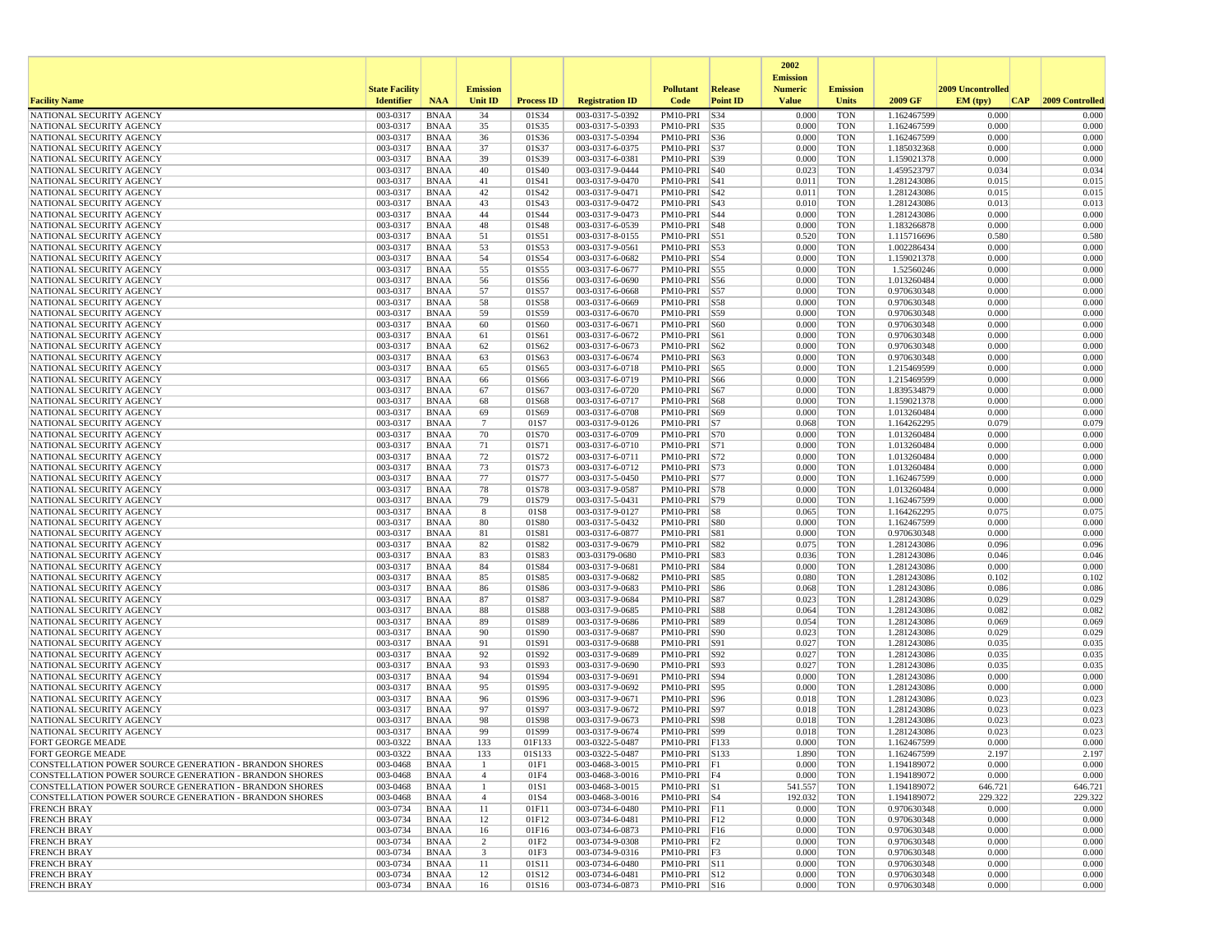|                                                                             |                       |                            |                 |                   |                                    |                                   |                 | 2002                              |                          |                            |                   |                 |
|-----------------------------------------------------------------------------|-----------------------|----------------------------|-----------------|-------------------|------------------------------------|-----------------------------------|-----------------|-----------------------------------|--------------------------|----------------------------|-------------------|-----------------|
|                                                                             | <b>State Facility</b> |                            | <b>Emission</b> |                   |                                    | <b>Pollutant</b>                  | <b>Release</b>  | <b>Emission</b><br><b>Numeric</b> | <b>Emission</b>          |                            | 2009 Uncontrolled |                 |
| <b>Facility Name</b>                                                        | <b>Identifier</b>     | <b>NAA</b>                 | <b>Unit ID</b>  | <b>Process ID</b> | <b>Registration ID</b>             | Code                              | <b>Point ID</b> | <b>Value</b>                      | Units                    | 2009 GF                    | EM (typ)<br> CAP  | 2009 Controlled |
| NATIONAL SECURITY AGENCY                                                    | 003-0317              | <b>BNAA</b>                | 34              | 01S34             | 003-0317-5-0392                    | PM10-PRI S34                      |                 | 0.000                             | <b>TON</b>               | 1.162467599                | 0.000             | 0.000           |
| NATIONAL SECURITY AGENCY                                                    | 003-0317              | <b>BNAA</b>                | 35              | 01S35             | 003-0317-5-0393                    | PM10-PRI S35                      |                 | 0.000                             | <b>TON</b>               | 1.162467599                | 0.000             | 0.000           |
| NATIONAL SECURITY AGENCY                                                    | 003-0317              | <b>BNAA</b>                | 36              | 01S36             | 003-0317-5-0394                    | PM10-PRI   S36                    |                 | 0.000                             | <b>TON</b>               | 1.162467599                | 0.000             | 0.000           |
| NATIONAL SECURITY AGENCY<br>NATIONAL SECURITY AGENCY                        | 003-0317<br>003-0317  | <b>BNAA</b><br><b>BNAA</b> | 37<br>39        | 01S37<br>01S39    | 003-0317-6-0375<br>003-0317-6-0381 | PM10-PRI   S37<br>PM10-PRI S39    |                 | 0.000<br>0.000                    | <b>TON</b><br><b>TON</b> | 1.185032368<br>1.159021378 | 0.000<br>0.000    | 0.000<br>0.000  |
| NATIONAL SECURITY AGENCY                                                    | 003-0317              | <b>BNAA</b>                | 40              | 01S40             | 003-0317-9-0444                    | PM10-PRI S40                      |                 | 0.023                             | <b>TON</b>               | 1.459523797                | 0.034             | 0.034           |
| NATIONAL SECURITY AGENCY                                                    | 003-0317              | <b>BNAA</b>                | 41              | 01S41             | 003-0317-9-0470                    | PM10-PRI S41                      |                 | 0.011                             | <b>TON</b>               | 1.281243086                | 0.015             | 0.015           |
| NATIONAL SECURITY AGENCY                                                    | 003-0317              | <b>BNAA</b>                | 42              | 01S42             | 003-0317-9-0471                    | PM10-PRI   S42                    |                 | 0.011                             | <b>TON</b>               | 1.281243086                | 0.015             | 0.015           |
| NATIONAL SECURITY AGENCY                                                    | 003-0317              | <b>BNAA</b>                | 43              | 01S43             | 003-0317-9-0472                    | PM10-PRI                          | S43             | 0.010                             | <b>TON</b>               | 1.281243086                | 0.013             | 0.013           |
| NATIONAL SECURITY AGENCY                                                    | 003-0317              | <b>BNAA</b>                | 44              | 01S44             | 003-0317-9-0473                    | PM10-PRI   S44                    |                 | 0.000                             | <b>TON</b>               | 1.281243086                | 0.000             | 0.000           |
| NATIONAL SECURITY AGENCY<br>NATIONAL SECURITY AGENCY                        | 003-0317<br>003-0317  | <b>BNAA</b><br><b>BNAA</b> | 48<br>51        | 01S48<br>01S51    | 003-0317-6-0539<br>003-0317-8-0155 | PM10-PRI   S48<br>PM10-PRI S51    |                 | 0.000<br>0.520                    | <b>TON</b><br><b>TON</b> | 1.183266878<br>1.115716696 | 0.000<br>0.580    | 0.000<br>0.580  |
| NATIONAL SECURITY AGENCY                                                    | 003-0317              | <b>BNAA</b>                | 53              | 01S53             | 003-0317-9-0561                    | PM10-PRI S53                      |                 | 0.000                             | <b>TON</b>               | 1.002286434                | 0.000             | 0.000           |
| NATIONAL SECURITY AGENCY                                                    | 003-0317              | <b>BNAA</b>                | 54              | 01S54             | 003-0317-6-0682                    | PM10-PRI S54                      |                 | 0.000                             | <b>TON</b>               | 1.159021378                | 0.000             | 0.000           |
| NATIONAL SECURITY AGENCY                                                    | 003-0317              | <b>BNAA</b>                | 55              | 01S55             | 003-0317-6-0677                    | PM10-PRI S55                      |                 | 0.000                             | <b>TON</b>               | 1.52560246                 | 0.000             | 0.000           |
| NATIONAL SECURITY AGENCY                                                    | 003-0317              | <b>BNAA</b>                | 56              | 01S56             | 003-0317-6-0690                    | PM10-PRI S56                      |                 | 0.000                             | <b>TON</b>               | 1.013260484                | 0.000             | 0.000           |
| NATIONAL SECURITY AGENCY                                                    | 003-0317              | <b>BNAA</b>                | 57              | 01S57             | 003-0317-6-0668                    | PM10-PRI S57                      |                 | 0.000                             | <b>TON</b>               | 0.970630348                | 0.000             | 0.000           |
| NATIONAL SECURITY AGENCY<br>NATIONAL SECURITY AGENCY                        | 003-0317<br>003-0317  | <b>BNAA</b><br><b>BNAA</b> | 58<br>59        | 01S58<br>01S59    | 003-0317-6-0669<br>003-0317-6-0670 | PM10-PRI S58<br>PM10-PRI   S59    |                 | 0.000<br>0.000                    | <b>TON</b><br><b>TON</b> | 0.970630348<br>0.970630348 | 0.000<br>0.000    | 0.000<br>0.000  |
| NATIONAL SECURITY AGENCY                                                    | 003-0317              | <b>BNAA</b>                | 60              | 01S60             | 003-0317-6-0671                    | PM10-PRI                          | S60             | 0.000                             | <b>TON</b>               | 0.970630348                | 0.000             | 0.000           |
| NATIONAL SECURITY AGENCY                                                    | 003-0317              | <b>BNAA</b>                | 61              | 01S61             | 003-0317-6-0672                    | PM10-PRI S61                      |                 | 0.000                             | <b>TON</b>               | 0.970630348                | 0.000             | 0.000           |
| NATIONAL SECURITY AGENCY                                                    | 003-0317              | <b>BNAA</b>                | 62              | 01S62             | 003-0317-6-0673                    | PM10-PRI S62                      |                 | 0.000                             | <b>TON</b>               | 0.970630348                | 0.000             | 0.000           |
| NATIONAL SECURITY AGENCY                                                    | 003-0317              | <b>BNAA</b>                | 63              | 01S63             | 003-0317-6-0674                    | PM10-PRI S63                      |                 | 0.000                             | <b>TON</b>               | 0.970630348                | 0.000             | 0.000           |
| NATIONAL SECURITY AGENCY                                                    | 003-0317              | <b>BNAA</b>                | 65              | 01S65             | 003-0317-6-0718                    | PM10-PRI S65                      |                 | 0.000                             | <b>TON</b>               | 1.215469599                | 0.000             | 0.000           |
| NATIONAL SECURITY AGENCY<br>NATIONAL SECURITY AGENCY                        | 003-0317<br>003-0317  | <b>BNAA</b><br><b>BNAA</b> | 66<br>67        | 01S66<br>01S67    | 003-0317-6-0719<br>003-0317-6-0720 | PM10-PRI   S66<br>PM10-PRI   S67  |                 | 0.000<br>0.000                    | <b>TON</b><br><b>TON</b> | 1.215469599<br>1.839534879 | 0.000<br>0.000    | 0.000<br>0.000  |
| NATIONAL SECURITY AGENCY                                                    | 003-0317              | <b>BNAA</b>                | 68              | 01S68             | 003-0317-6-0717                    | PM10-PRI S68                      |                 | 0.000                             | <b>TON</b>               | 1.159021378                | 0.000             | 0.000           |
| NATIONAL SECURITY AGENCY                                                    | 003-0317              | <b>BNAA</b>                | 69              | 01S69             | 003-0317-6-0708                    | PM10-PRI   S69                    |                 | 0.000                             | <b>TON</b>               | 1.013260484                | 0.000             | 0.000           |
| NATIONAL SECURITY AGENCY                                                    | 003-0317              | <b>BNAA</b>                | $7\phantom{.0}$ | 01S7              | 003-0317-9-0126                    | PM10-PRI S7                       |                 | 0.068                             | <b>TON</b>               | 1.164262295                | 0.079             | 0.079           |
| NATIONAL SECURITY AGENCY                                                    | 003-0317              | <b>BNAA</b>                | 70              | 01S70             | 003-0317-6-0709                    | PM10-PRI S70                      |                 | 0.000                             | <b>TON</b>               | 1.013260484                | 0.000             | 0.000           |
| NATIONAL SECURITY AGENCY                                                    | 003-0317              | <b>BNAA</b>                | 71              | 01S71             | 003-0317-6-0710                    | PM10-PRI S71                      |                 | 0.000                             | <b>TON</b>               | 1.013260484                | 0.000             | 0.000           |
| NATIONAL SECURITY AGENCY<br>NATIONAL SECURITY AGENCY                        | 003-0317<br>003-0317  | <b>BNAA</b><br><b>BNAA</b> | 72<br>73        | 01S72<br>01S73    | 003-0317-6-0711<br>003-0317-6-0712 | PM10-PRI   S72<br>PM10-PRI   S73  |                 | 0.000<br>0.000                    | <b>TON</b><br><b>TON</b> | 1.013260484<br>1.013260484 | 0.000<br>0.000    | 0.000<br>0.000  |
| NATIONAL SECURITY AGENCY                                                    | 003-0317              | <b>BNAA</b>                | 77              | 01S77             | 003-0317-5-0450                    | PM10-PRI S77                      |                 | 0.000                             | <b>TON</b>               | 1.162467599                | 0.000             | 0.000           |
| NATIONAL SECURITY AGENCY                                                    | 003-0317              | <b>BNAA</b>                | 78              | 01S78             | 003-0317-9-0587                    | PM10-PRI   S78                    |                 | 0.000                             | <b>TON</b>               | 1.013260484                | 0.000             | 0.000           |
| NATIONAL SECURITY AGENCY                                                    | 003-0317              | <b>BNAA</b>                | 79              | 01S79             | 003-0317-5-0431                    | PM10-PRI   S79                    |                 | 0.000                             | <b>TON</b>               | 1.162467599                | 0.000             | 0.000           |
| NATIONAL SECURITY AGENCY                                                    | 003-0317              | <b>BNAA</b>                | 8               | 01S8              | 003-0317-9-0127                    | PM10-PRI S8                       |                 | 0.065                             | <b>TON</b>               | 1.164262295                | 0.075             | 0.075           |
| NATIONAL SECURITY AGENCY                                                    | 003-0317              | <b>BNAA</b>                | 80              | 01S80             | 003-0317-5-0432                    | PM10-PRI S80                      |                 | 0.000                             | <b>TON</b>               | 1.162467599                | 0.000<br>0.000    | 0.000           |
| NATIONAL SECURITY AGENCY<br>NATIONAL SECURITY AGENCY                        | 003-0317<br>003-0317  | <b>BNAA</b><br><b>BNAA</b> | 81<br>82        | 01S81<br>01S82    | 003-0317-6-0877<br>003-0317-9-0679 | PM10-PRI S81<br>PM10-PRI S82      |                 | 0.000<br>0.075                    | <b>TON</b><br><b>TON</b> | 0.970630348<br>1.281243086 | 0.096             | 0.000<br>0.096  |
| NATIONAL SECURITY AGENCY                                                    | 003-0317              | <b>BNAA</b>                | 83              | 01S83             | 003-03179-0680                     | PM10-PRI   S83                    |                 | 0.036                             | <b>TON</b>               | 1.281243086                | 0.046             | 0.046           |
| NATIONAL SECURITY AGENCY                                                    | 003-0317              | <b>BNAA</b>                | 84              | 01S84             | 003-0317-9-0681                    | PM10-PRI                          | <b>S84</b>      | 0.000                             | <b>TON</b>               | 1.281243086                | 0.000             | 0.000           |
| NATIONAL SECURITY AGENCY                                                    | 003-0317              | <b>BNAA</b>                | 85              | 01S85             | 003-0317-9-0682                    | PM10-PRI S85                      |                 | 0.080                             | <b>TON</b>               | 1.281243086                | 0.102             | 0.102           |
| NATIONAL SECURITY AGENCY                                                    | 003-0317              | <b>BNAA</b>                | 86              | 01S86             | 003-0317-9-0683                    | PM10-PRI S86                      |                 | 0.068                             | <b>TON</b>               | 1.281243086                | 0.086             | 0.086           |
| NATIONAL SECURITY AGENCY<br>NATIONAL SECURITY AGENCY                        | 003-0317<br>003-0317  | <b>BNAA</b><br><b>BNAA</b> | 87              | 01S87<br>01S88    | 003-0317-9-0684<br>003-0317-9-0685 | PM10-PRI S87<br>PM10-PRI S88      |                 | 0.023<br>0.064                    | <b>TON</b><br><b>TON</b> | 1.281243086<br>1.281243086 | 0.029<br>0.082    | 0.029<br>0.082  |
| NATIONAL SECURITY AGENCY                                                    | 003-0317              | <b>BNAA</b>                | 88<br>89        | 01S89             | 003-0317-9-0686                    | PM10-PRI   S89                    |                 | 0.054                             | <b>TON</b>               | 1.281243086                | 0.069             | 0.069           |
| NATIONAL SECURITY AGENCY                                                    | 003-0317              | <b>BNAA</b>                | 90              | 01S90             | 003-0317-9-0687                    | PM10-PRI                          | S90             | 0.023                             | <b>TON</b>               | 1.281243086                | 0.029             | 0.029           |
| NATIONAL SECURITY AGENCY                                                    | 003-0317              | <b>BNAA</b>                | 91              | 01S91             | 003-0317-9-0688                    | PM10-PRI   S91                    |                 | 0.027                             | <b>TON</b>               | 1.281243086                | 0.035             | 0.035           |
| NATIONAL SECURITY AGENCY                                                    | 003-0317              | <b>BNAA</b>                | 92              | 01S92             | 003-0317-9-0689                    | PM10-PRI   S92                    |                 | 0.027                             | <b>TON</b>               | 1.281243086                | 0.035             | 0.035           |
| NATIONAL SECURITY AGENCY                                                    | 003-0317              | <b>BNAA</b>                | 93              | 01S93             | 003-0317-9-0690                    | PM10-PRI   S93                    |                 | 0.027                             | <b>TON</b>               | 1.281243086                | 0.035             | 0.035           |
| NATIONAL SECURITY AGENCY<br>NATIONAL SECURITY AGENCY                        | 003-0317<br>003-0317  | <b>BNAA</b><br><b>BNAA</b> | 94<br>95        | 01S94<br>01S95    | 003-0317-9-0691<br>003-0317-9-0692 | PM10-PRI S94<br>PM10-PRI          | S95             | 0.000<br>0.000                    | <b>TON</b><br><b>TON</b> | 1.281243086<br>1.281243086 | 0.000<br>0.000    | 0.000<br>0.000  |
| NATIONAL SECURITY AGENCY                                                    | 003-0317              | <b>BNAA</b>                | 96              | 01S96             | 003-0317-9-0671                    | PM10-PRI   S96                    |                 | 0.018                             | <b>TON</b>               | 1.281243086                | 0.023             | 0.023           |
| NATIONAL SECURITY AGENCY                                                    | 003-0317              | <b>BNAA</b>                | 97              | 01S97             | 003-0317-9-0672                    | PM10-PRI S97                      |                 | 0.018                             | <b>TON</b>               | 1.281243086                | 0.023             | 0.023           |
| NATIONAL SECURITY AGENCY                                                    | 003-0317              | <b>BNAA</b>                | 98              | 01S98             | 003-0317-9-0673                    | PM10-PRI   S98                    |                 | 0.018                             | <b>TON</b>               | 1.281243086                | 0.023             | 0.023           |
| NATIONAL SECURITY AGENCY                                                    | 003-0317              | <b>BNAA</b>                | 99              | 01S99             | 003-0317-9-0674                    | PM10-PRI   S99                    |                 | 0.018                             | <b>TON</b>               | 1.281243086                | 0.023             | 0.023           |
| <b>FORT GEORGE MEADE</b>                                                    | 003-0322              | <b>BNAA</b>                | 133             | 01F133            | 003-0322-5-0487                    | PM10-PRI F133                     |                 | 0.000                             | <b>TON</b>               | 1.162467599                | 0.000             | 0.000           |
| FORT GEORGE MEADE<br>CONSTELLATION POWER SOURCE GENERATION - BRANDON SHORES | 003-0322<br>003-0468  | <b>BNAA</b><br>BNAA        | 133<br>-1       | 01S133<br>01F1    | 003-0322-5-0487<br>003-0468-3-0015 | PM10-PRI S133<br>$PM10-PRI$ $ F1$ |                 | 1.890<br>0.000                    | <b>TON</b><br><b>TON</b> | 1.162467599<br>1.194189072 | 2.197<br>0.000    | 2.197<br>0.000  |
| CONSTELLATION POWER SOURCE GENERATION - BRANDON SHORES                      | 003-0468              | BNAA                       | $\overline{4}$  | 01F4              | 003-0468-3-0016                    | PM10-PRI F4                       |                 | 0.000                             | <b>TON</b>               | 1.194189072                | 0.000             | 0.000           |
| CONSTELLATION POWER SOURCE GENERATION - BRANDON SHORES                      | 003-0468              | BNAA                       | $\mathbf{1}$    | 01S1              | 003-0468-3-0015                    | $PM10-PRI$ $SI$                   |                 | 541.557                           | <b>TON</b>               | 1.194189072                | 646.721           | 646.721         |
| CONSTELLATION POWER SOURCE GENERATION - BRANDON SHORES                      | 003-0468              | <b>BNAA</b>                | $\overline{4}$  | 01S4              | 003-0468-3-0016                    | PM10-PRI S4                       |                 | 192.032                           | <b>TON</b>               | 1.194189072                | 229.322           | 229.322         |
| <b>FRENCH BRAY</b>                                                          | 003-0734              | <b>BNAA</b>                | 11              | 01F11             | 003-0734-6-0480                    | $PM10-PRI$ $ F11$                 |                 | 0.000                             | <b>TON</b>               | 0.970630348                | 0.000             | 0.000           |
| <b>FRENCH BRAY</b><br><b>FRENCH BRAY</b>                                    | 003-0734<br>003-0734  | BNAA<br>BNAA               | 12<br>16        | 01F12<br>01F16    | 003-0734-6-0481<br>003-0734-6-0873 | PM10-PRI F12<br>PM10-PRI F16      |                 | 0.000<br>0.000                    | <b>TON</b><br><b>TON</b> | 0.970630348<br>0.970630348 | 0.000<br>0.000    | 0.000<br>0.000  |
| <b>FRENCH BRAY</b>                                                          | 003-0734              | <b>BNAA</b>                | $\overline{c}$  | 01F2              | 003-0734-9-0308                    | $PM10-PRI$ $F2$                   |                 | 0.000                             | <b>TON</b>               | 0.970630348                | 0.000             | 0.000           |
| <b>FRENCH BRAY</b>                                                          | 003-0734              | BNAA                       | 3               | 01F3              | 003-0734-9-0316                    | $PM10-PRI$ $ F3$                  |                 | 0.000                             | <b>TON</b>               | 0.970630348                | 0.000             | 0.000           |
| <b>FRENCH BRAY</b>                                                          | 003-0734              | BNAA                       | 11              | 01S11             | 003-0734-6-0480                    | PM10-PRI S11                      |                 | 0.000                             | <b>TON</b>               | 0.970630348                | 0.000             | 0.000           |
| <b>FRENCH BRAY</b>                                                          | 003-0734              | <b>BNAA</b>                | 12              | 01S12             | 003-0734-6-0481                    | PM10-PRI S12                      |                 | 0.000                             | <b>TON</b>               | 0.970630348                | 0.000             | 0.000           |
| <b>FRENCH BRAY</b>                                                          | 003-0734              | BNAA                       | 16              | 01S16             | 003-0734-6-0873                    | PM10-PRI S16                      |                 | 0.000                             | <b>TON</b>               | 0.970630348                | 0.000             | 0.000           |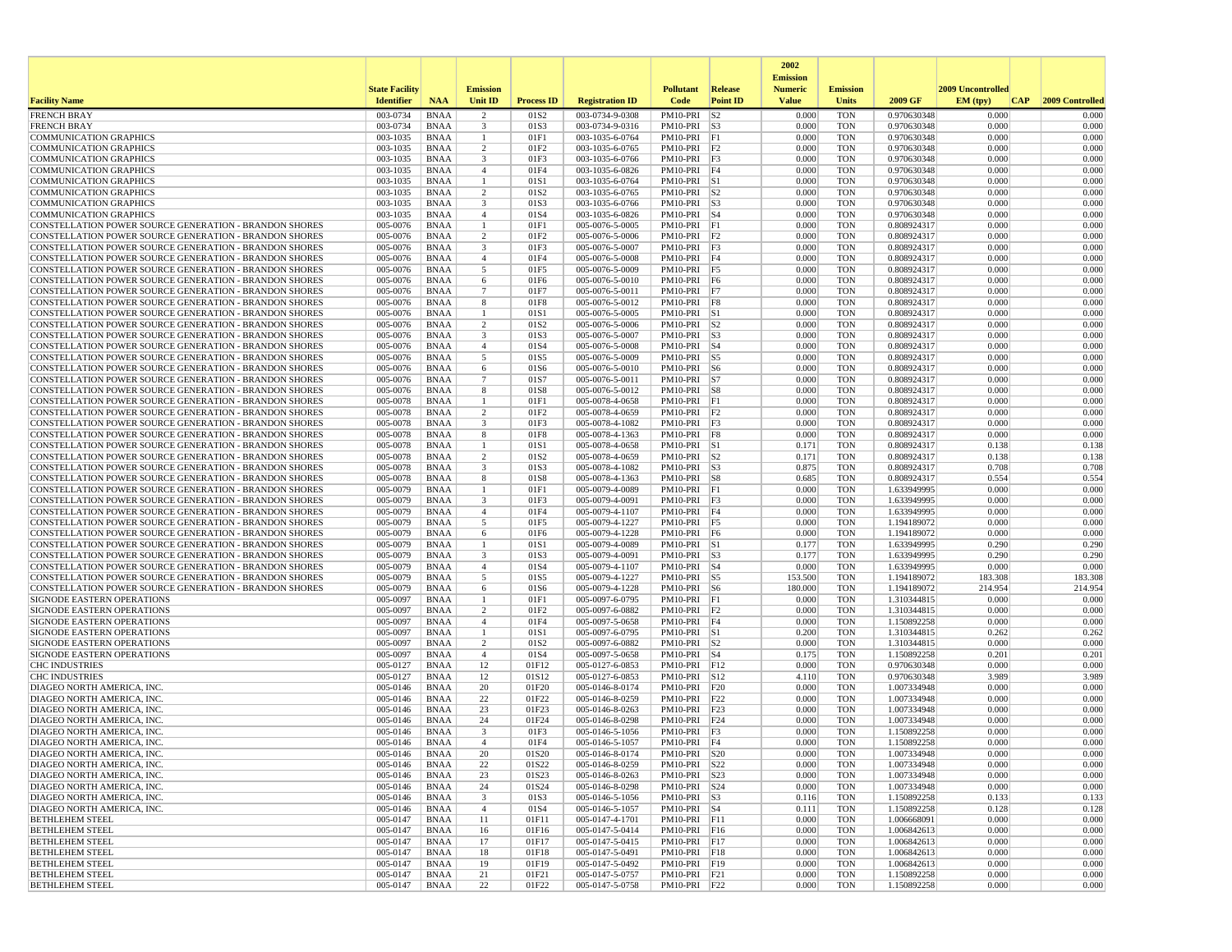|                                                                                                                         |                       |                            |                                           |                          |                                    |                                   |                 | 2002                              |                          |                            |                   |                 |
|-------------------------------------------------------------------------------------------------------------------------|-----------------------|----------------------------|-------------------------------------------|--------------------------|------------------------------------|-----------------------------------|-----------------|-----------------------------------|--------------------------|----------------------------|-------------------|-----------------|
|                                                                                                                         | <b>State Facility</b> |                            | <b>Emission</b>                           |                          |                                    | <b>Pollutant</b>                  | <b>Release</b>  | <b>Emission</b><br><b>Numeric</b> | <b>Emission</b>          |                            | 2009 Uncontrolled |                 |
| <b>Facility Name</b>                                                                                                    | <b>Identifier</b>     | <b>NAA</b>                 | Unit ID                                   | <b>Process ID</b>        | <b>Registration ID</b>             | Code                              | <b>Point ID</b> | <b>Value</b>                      | <b>Units</b>             | 2009 GF                    | EM (tpv)<br> CAP  | 2009 Controlled |
| <b>FRENCH BRAY</b>                                                                                                      | 003-0734              | <b>BNAA</b>                | $\overline{2}$                            | 01S <sub>2</sub>         | 003-0734-9-0308                    | PM10-PRI                          | S <sub>2</sub>  | 0.000                             | <b>TON</b>               | 0.970630348                | 0.000             | 0.000           |
| <b>FRENCH BRAY</b>                                                                                                      | 003-0734<br>003-1035  | <b>BNAA</b><br><b>BNAA</b> | 3<br>$\mathbf{1}$                         | 01S3<br>01F1             | 003-0734-9-0316                    | $PM10-PRI$ S3                     |                 | 0.000<br>0.000                    | <b>TON</b><br><b>TON</b> | 0.970630348                | 0.000<br>0.000    | 0.000<br>0.000  |
| <b>COMMUNICATION GRAPHICS</b><br><b>COMMUNICATION GRAPHICS</b>                                                          | 003-1035              | <b>BNAA</b>                | $\overline{c}$                            | 01F2                     | 003-1035-6-0764<br>003-1035-6-0765 | PM10-PRI<br>PM10-PRI F2           | F1              | 0.000                             | <b>TON</b>               | 0.970630348<br>0.970630348 | 0.000             | 0.000           |
| <b>COMMUNICATION GRAPHICS</b>                                                                                           | 003-1035              | BNAA                       | $\overline{3}$                            | 01F3                     | 003-1035-6-0766                    | PM10-PRI F3                       |                 | 0.000                             | <b>TON</b>               | 0.970630348                | 0.000             | 0.000           |
| <b>COMMUNICATION GRAPHICS</b>                                                                                           | 003-1035              | <b>BNAA</b>                | $\overline{4}$                            | 01F4                     | 003-1035-6-0826                    | PM10-PRI F4                       |                 | 0.000                             | <b>TON</b>               | 0.970630348                | 0.000             | 0.000           |
| COMMUNICATION GRAPHICS                                                                                                  | 003-1035              | <b>BNAA</b>                | $\mathbf{1}$                              | 01S1                     | 003-1035-6-0764                    | PM10-PRI S1                       |                 | 0.000                             | <b>TON</b>               | 0.970630348                | 0.000             | 0.000           |
| <b>COMMUNICATION GRAPHICS</b><br><b>COMMUNICATION GRAPHICS</b>                                                          | 003-1035<br>003-1035  | BNAA<br><b>BNAA</b>        | $\overline{2}$<br>3                       | 01S <sub>2</sub><br>01S3 | 003-1035-6-0765<br>003-1035-6-0766 | $PM10-PRI$ S2<br>$PM10-PRI$ $ S3$ |                 | 0.000<br>0.000                    | <b>TON</b><br><b>TON</b> | 0.970630348                | 0.000<br>0.000    | 0.000<br>0.000  |
| <b>COMMUNICATION GRAPHICS</b>                                                                                           | 003-1035              | <b>BNAA</b>                | $\overline{4}$                            | 01S4                     | 003-1035-6-0826                    | PM10-PRI S4                       |                 | 0.000                             | <b>TON</b>               | 0.970630348<br>0.970630348 | 0.000             | 0.000           |
| CONSTELLATION POWER SOURCE GENERATION - BRANDON SHORES                                                                  | 005-0076              | <b>BNAA</b>                | $\overline{1}$                            | 01F1                     | 005-0076-5-0005                    | PM10-PRI F1                       |                 | 0.000                             | <b>TON</b>               | 0.808924317                | 0.000             | 0.000           |
| <b>CONSTELLATION POWER SOURCE GENERATION - BRANDON SHORES</b>                                                           | 005-0076              | BNAA                       | $\overline{2}$                            | 01F <sub>2</sub>         | 005-0076-5-0006                    | PM10-PRI F2                       |                 | 0.000                             | <b>TON</b>               | 0.808924317                | 0.000             | 0.000           |
| CONSTELLATION POWER SOURCE GENERATION - BRANDON SHORES                                                                  | 005-0076              | <b>BNAA</b>                | 3                                         | 01F3                     | 005-0076-5-0007                    | PM10-PRI F3                       |                 | 0.000                             | <b>TON</b>               | 0.808924317                | 0.000             | 0.000           |
| CONSTELLATION POWER SOURCE GENERATION - BRANDON SHORES                                                                  | 005-0076              | <b>BNAA</b>                | $\overline{4}$                            | 01F4                     | 005-0076-5-0008                    | PM10-PRI                          | F4              | 0.000                             | <b>TON</b><br><b>TON</b> | 0.808924317                | 0.000<br>0.000    | 0.000<br>0.000  |
| CONSTELLATION POWER SOURCE GENERATION - BRANDON SHORES<br><b>CONSTELLATION POWER SOURCE GENERATION - BRANDON SHORES</b> | 005-0076<br>005-0076  | <b>BNAA</b><br>BNAA        | 5<br>6                                    | 01F5<br>01F6             | 005-0076-5-0009<br>005-0076-5-0010 | PM10-PRI F5<br>PM10-PRI F6        |                 | 0.000<br>0.000                    | <b>TON</b>               | 0.808924317<br>0.808924317 | 0.000             | 0.000           |
| CONSTELLATION POWER SOURCE GENERATION - BRANDON SHORES                                                                  | 005-0076              | <b>BNAA</b>                | $7\phantom{.0}$                           | 01F7                     | 005-0076-5-0011                    | PM10-PRI F7                       |                 | 0.000                             | <b>TON</b>               | 0.808924317                | 0.000             | 0.000           |
| <b>CONSTELLATION POWER SOURCE GENERATION - BRANDON SHORES</b>                                                           | 005-0076              | <b>BNAA</b>                | 8                                         | 01F8                     | 005-0076-5-0012                    | PM10-PRI F8                       |                 | 0.000                             | <b>TON</b>               | 0.808924317                | 0.000             | 0.000           |
| <b>CONSTELLATION POWER SOURCE GENERATION - BRANDON SHORES</b>                                                           | 005-0076              | <b>BNAA</b>                | -1                                        | 01S1                     | 005-0076-5-0005                    | PM10-PRI S1                       |                 | 0.000                             | <b>TON</b>               | 0.808924317                | 0.000             | 0.000           |
| <b>CONSTELLATION POWER SOURCE GENERATION - BRANDON SHORES</b>                                                           | 005-0076              | <b>BNAA</b>                | $\overline{c}$                            | 01S <sub>2</sub>         | 005-0076-5-0006                    | $PM10-PRI$ S2                     |                 | 0.000                             | <b>TON</b>               | 0.808924317                | 0.000             | 0.000           |
| CONSTELLATION POWER SOURCE GENERATION - BRANDON SHORES<br>CONSTELLATION POWER SOURCE GENERATION - BRANDON SHORES        | 005-0076<br>005-0076  | <b>BNAA</b><br><b>BNAA</b> | $\overline{\mathbf{3}}$<br>$\overline{4}$ | 01S3<br>01S4             | 005-0076-5-0007<br>005-0076-5-0008 | PM10-PRI S3<br>PM10-PRI S4        |                 | 0.000<br>0.000                    | <b>TON</b><br><b>TON</b> | 0.808924317<br>0.808924317 | 0.000<br>0.000    | 0.000<br>0.000  |
| <b>CONSTELLATION POWER SOURCE GENERATION - BRANDON SHORES</b>                                                           | 005-0076              | BNAA                       | 5                                         | 01S5                     | 005-0076-5-0009                    | PM10-PRI S5                       |                 | 0.000                             | <b>TON</b>               | 0.808924317                | 0.000             | 0.000           |
| CONSTELLATION POWER SOURCE GENERATION - BRANDON SHORES                                                                  | 005-0076              | BNAA                       | 6                                         | 01S6                     | 005-0076-5-0010                    | $PM10-PRI$ S6                     |                 | 0.000                             | <b>TON</b>               | 0.808924317                | 0.000             | 0.000           |
| CONSTELLATION POWER SOURCE GENERATION - BRANDON SHORES                                                                  | 005-0076              | <b>BNAA</b>                | $7\phantom{.0}$                           | 01S7                     | 005-0076-5-0011                    | $PM10-PRI$ S7                     |                 | 0.000                             | <b>TON</b>               | 0.808924317                | 0.000             | 0.000           |
| <b>CONSTELLATION POWER SOURCE GENERATION - BRANDON SHORES</b>                                                           | 005-0076              | BNAA                       | 8                                         | 01S8                     | 005-0076-5-0012                    | PM10-PRI S8                       |                 | 0.000                             | <b>TON</b>               | 0.808924317                | 0.000             | 0.000           |
| <b>CONSTELLATION POWER SOURCE GENERATION - BRANDON SHORES</b><br>CONSTELLATION POWER SOURCE GENERATION - BRANDON SHORES | 005-0078<br>005-0078  | <b>BNAA</b><br><b>BNAA</b> | -1<br>$\overline{2}$                      | 01F1<br>01F2             | 005-0078-4-0658<br>005-0078-4-0659 | PM10-PRI F1<br>$PM10-PRI$ $F2$    |                 | 0.000<br>0.000                    | <b>TON</b><br><b>TON</b> | 0.808924317<br>0.808924317 | 0.000<br>0.000    | 0.000<br>0.000  |
| <b>CONSTELLATION POWER SOURCE GENERATION - BRANDON SHORES</b>                                                           | 005-0078              | <b>BNAA</b>                | 3                                         | 01F3                     | 005-0078-4-1082                    | PM10-PRI F3                       |                 | 0.000                             | <b>TON</b>               | 0.808924317                | 0.000             | 0.000           |
| CONSTELLATION POWER SOURCE GENERATION - BRANDON SHORES                                                                  | 005-0078              | BNAA                       | 8                                         | 01F8                     | 005-0078-4-1363                    | PM10-PRI F8                       |                 | 0.000                             | <b>TON</b>               | 0.808924317                | 0.000             | 0.000           |
| CONSTELLATION POWER SOURCE GENERATION - BRANDON SHORES                                                                  | 005-0078              | <b>BNAA</b>                |                                           | 01S1                     | 005-0078-4-0658                    | $PM10-PRI$ $S1$                   |                 | 0.171                             | <b>TON</b>               | 0.808924317                | 0.138             | 0.138           |
| CONSTELLATION POWER SOURCE GENERATION - BRANDON SHORES                                                                  | 005-0078              | <b>BNAA</b>                | $\overline{c}$                            | 01S <sub>2</sub>         | 005-0078-4-0659                    | $PM10-PRI$ $ S2$                  |                 | 0.171                             | <b>TON</b>               | 0.808924317                | 0.138             | 0.138           |
| <b>CONSTELLATION POWER SOURCE GENERATION - BRANDON SHORES</b><br>CONSTELLATION POWER SOURCE GENERATION - BRANDON SHORES | 005-0078<br>005-0078  | BNAA<br><b>BNAA</b>        | 3<br>8                                    | 01S3<br>01S8             | 005-0078-4-1082<br>005-0078-4-1363 | $PM10-PRI$ S3<br>PM10-PRI S8      |                 | 0.875<br>0.685                    | <b>TON</b><br><b>TON</b> | 0.808924317                | 0.708<br>0.554    | 0.708<br>0.554  |
| <b>CONSTELLATION POWER SOURCE GENERATION - BRANDON SHORES</b>                                                           | 005-0079              | <b>BNAA</b>                | -1                                        | 01F1                     | 005-0079-4-0089                    | PM10-PRI F1                       |                 | 0.000                             | <b>TON</b>               | 0.808924317<br>1.633949995 | 0.000             | 0.000           |
| CONSTELLATION POWER SOURCE GENERATION - BRANDON SHORES                                                                  | 005-0079              | <b>BNAA</b>                | 3                                         | 01F3                     | 005-0079-4-0091                    | PM10-PRI                          | F3              | 0.000                             | <b>TON</b>               | 1.633949995                | 0.000             | 0.000           |
| <b>CONSTELLATION POWER SOURCE GENERATION - BRANDON SHORES</b>                                                           | 005-0079              | BNAA                       | $\overline{4}$                            | 01F4                     | 005-0079-4-1107                    | PM10-PRI F4                       |                 | 0.000                             | <b>TON</b>               | 1.633949995                | 0.000             | 0.000           |
| <b>CONSTELLATION POWER SOURCE GENERATION - BRANDON SHORES</b>                                                           | 005-0079              | <b>BNAA</b>                | 5                                         | 01F5                     | 005-0079-4-1227                    | PM10-PRI F5                       |                 | 0.000                             | <b>TON</b>               | 1.194189072                | 0.000             | 0.000           |
| CONSTELLATION POWER SOURCE GENERATION - BRANDON SHORES                                                                  | 005-0079<br>005-0079  | <b>BNAA</b>                | 6<br>$\overline{1}$                       | 01F6                     | 005-0079-4-1228                    | PM10-PRI F6                       |                 | 0.000                             | <b>TON</b>               | 1.194189072                | 0.000<br>0.290    | 0.000<br>0.290  |
| CONSTELLATION POWER SOURCE GENERATION - BRANDON SHORES<br>CONSTELLATION POWER SOURCE GENERATION - BRANDON SHORES        | 005-0079              | <b>BNAA</b><br>BNAA        | 3                                         | 01S1<br>01S3             | 005-0079-4-0089<br>005-0079-4-0091 | PM10-PRI S1<br>$PM10-PRI$ S3      |                 | 0.177<br>0.177                    | <b>TON</b><br><b>TON</b> | 1.633949995<br>1.633949995 | 0.290             | 0.290           |
| CONSTELLATION POWER SOURCE GENERATION - BRANDON SHORES                                                                  | 005-0079              | <b>BNAA</b>                | $\overline{4}$                            | 01S4                     | 005-0079-4-1107                    | PM10-PRI S4                       |                 | 0.000                             | <b>TON</b>               | 1.633949995                | 0.000             | 0.000           |
| <b>CONSTELLATION POWER SOURCE GENERATION - BRANDON SHORES</b>                                                           | 005-0079              | <b>BNAA</b>                | 5                                         | 01S5                     | 005-0079-4-1227                    | PM10-PRI S5                       |                 | 153.500                           | <b>TON</b>               | 1.194189072                | 183.308           | 183.308         |
| <b>CONSTELLATION POWER SOURCE GENERATION - BRANDON SHORES</b>                                                           | 005-0079              | <b>BNAA</b>                | 6                                         | 01S6                     | 005-0079-4-1228                    | PM10-PRI S6                       |                 | 180.000                           | <b>TON</b>               | 1.194189072                | 214.954           | 214.954         |
| SIGNODE EASTERN OPERATIONS                                                                                              | 005-0097              | <b>BNAA</b>                | -1                                        | 01F1                     | 005-0097-6-0795                    | PM10-PRI F1                       |                 | 0.000                             | <b>TON</b>               | 1.310344815                | 0.000             | 0.000           |
| <b>SIGNODE EASTERN OPERATIONS</b><br><b>SIGNODE EASTERN OPERATIONS</b>                                                  | 005-0097<br>005-0097  | <b>BNAA</b><br><b>BNAA</b> | $\overline{2}$<br>$\overline{4}$          | 01F2<br>01F4             | 005-0097-6-0882<br>005-0097-5-0658 | $PM10-PRI$ F2<br>PM10-PRI         | F4              | 0.000<br>0.000                    | <b>TON</b><br><b>TON</b> | 1.310344815<br>1.150892258 | 0.000<br>0.000    | 0.000<br>0.000  |
| SIGNODE EASTERN OPERATIONS                                                                                              | 005-0097              | <b>BNAA</b>                | -1                                        | 01S1                     | 005-0097-6-0795                    | PM10-PRI S1                       |                 | 0.200                             | <b>TON</b>               | 1.310344815                | 0.262             | 0.262           |
| SIGNODE EASTERN OPERATIONS                                                                                              | 005-0097              | <b>BNAA</b>                | $\overline{c}$                            | 01S <sub>2</sub>         | 005-0097-6-0882                    | $PM10-PRI$ S2                     |                 | 0.000                             | <b>TON</b>               | 1.310344815                | 0.000             | 0.000           |
| SIGNODE EASTERN OPERATIONS                                                                                              | 005-0097              | <b>BNAA</b>                | $\overline{4}$                            | 01S4                     | 005-0097-5-0658                    | $PM10-PRI$ S4                     |                 | 0.175                             | <b>TON</b>               | 1.150892258                | 0.201             | 0.201           |
| <b>CHC INDUSTRIES</b>                                                                                                   | 005-0127              | BNAA                       | 12                                        | 01F12                    | 005-0127-6-0853                    | PM10-PRI F12                      |                 | 0.000                             | <b>TON</b>               | 0.970630348                | 0.000             | 0.000           |
| <b>CHC INDUSTRIES</b><br>DIAGEO NORTH AMERICA, INC.                                                                     | 005-0127<br>005-0146  | <b>BNAA</b><br><b>BNAA</b> | 12<br>20                                  | 01S12<br>01F20           | 005-0127-6-0853<br>005-0146-8-0174 | PM10-PRI S12<br>PM10-PRI          | F20             | 4.110<br>0.000                    | <b>TON</b><br><b>TON</b> | 0.970630348<br>1.007334948 | 3.989<br>0.000    | 3.989<br>0.000  |
| DIAGEO NORTH AMERICA, INC.                                                                                              | 005-0146              | <b>BNAA</b>                | 22                                        | 01F22                    | 005-0146-8-0259                    | PM10-PRI F22                      |                 | 0.000                             | <b>TON</b>               | 1.007334948                | 0.000             | 0.000           |
| DIAGEO NORTH AMERICA, INC.                                                                                              | 005-0146              | BNAA                       | 23                                        | 01F23                    | 005-0146-8-0263                    | PM10-PRI F23                      |                 | 0.000                             | <b>TON</b>               | 1.007334948                | 0.000             | 0.000           |
| DIAGEO NORTH AMERICA, INC                                                                                               | 005-0146              | <b>BNAA</b>                | 24                                        | 01F24                    | 005-0146-8-0298                    | PM10-PRI                          | F24             | 0.000                             | <b>TON</b>               | 1.007334948                | 0.000             | 0.000           |
| DIAGEO NORTH AMERICA, INC.                                                                                              | 005-0146              | <b>BNAA</b>                | 3                                         | 01F3                     | 005-0146-5-1056                    | PM10-PRI F3                       |                 | 0.000                             | <b>TON</b>               | 1.150892258                | 0.000             | 0.000           |
| DIAGEO NORTH AMERICA, INC.<br>DIAGEO NORTH AMERICA, INC.                                                                | 005-0146<br>005-0146  | <b>BNAA</b><br><b>BNAA</b> | $\overline{4}$<br>20                      | 01F4<br>01S20            | 005-0146-5-1057<br>005-0146-8-0174 | PM10-PRI F4<br>PM10-PRI S20       |                 | 0.000<br>0.000                    | <b>TON</b><br>TON        | 1.150892258<br>1.007334948 | 0.000<br>0.000    | 0.000<br>0.000  |
| DIAGEO NORTH AMERICA, INC.                                                                                              | 005-0146              | BNAA                       | 22                                        | 01S22                    | 005-0146-8-0259                    | PM10-PRI S22                      |                 | 0.000                             | <b>TON</b>               | 1.007334948                | 0.000             | 0.000           |
| DIAGEO NORTH AMERICA, INC.                                                                                              | 005-0146              | BNAA                       | 23                                        | 01S23                    | 005-0146-8-0263                    | PM10-PRI S23                      |                 | 0.000                             | <b>TON</b>               | 1.007334948                | 0.000             | 0.000           |
| DIAGEO NORTH AMERICA, INC.                                                                                              | 005-0146              | BNAA                       | 24                                        | 01S24                    | 005-0146-8-0298                    | PM10-PRI S24                      |                 | 0.000                             | <b>TON</b>               | 1.007334948                | 0.000             | 0.000           |
| DIAGEO NORTH AMERICA, INC.                                                                                              | 005-0146              | BNAA                       | $\overline{\mathbf{3}}$                   | 01S3                     | 005-0146-5-1056                    | $PM10-PRI$ S3                     |                 | 0.116                             | <b>TON</b>               | 1.150892258                | 0.133             | 0.133           |
| DIAGEO NORTH AMERICA, INC.                                                                                              | 005-0146              | <b>BNAA</b>                | $\overline{4}$                            | 01S4                     | 005-0146-5-1057                    | PM10-PRI S4                       |                 | 0.111                             | <b>TON</b>               | 1.150892258                | 0.128             | 0.128           |
| <b>BETHLEHEM STEEL</b><br><b>BETHLEHEM STEEL</b>                                                                        | 005-0147<br>005-0147  | <b>BNAA</b><br>BNAA        | 11<br>16                                  | 01F11<br>01F16           | 005-0147-4-1701<br>005-0147-5-0414 | PM10-PRI F11<br>PM10-PRI F16      |                 | 0.000<br>0.000                    | <b>TON</b><br><b>TON</b> | 1.006668091<br>1.006842613 | 0.000<br>0.000    | 0.000<br>0.000  |
| <b>BETHLEHEM STEEL</b>                                                                                                  | 005-0147              | BNAA                       | 17                                        | 01F17                    | 005-0147-5-0415                    | PM10-PRI F17                      |                 | 0.000                             | <b>TON</b>               | 1.006842613                | 0.000             | 0.000           |
| <b>BETHLEHEM STEEL</b>                                                                                                  | 005-0147              | BNAA                       | 18                                        | 01F18                    | 005-0147-5-0491                    | PM10-PRI F18                      |                 | 0.000                             | <b>TON</b>               | 1.006842613                | 0.000             | 0.000           |
| <b>BETHLEHEM STEEL</b>                                                                                                  | 005-0147              | BNAA                       | 19                                        | 01F19                    | 005-0147-5-0492                    | PM10-PRI F19                      |                 | 0.000                             | <b>TON</b>               | 1.006842613                | 0.000             | 0.000           |
| <b>BETHLEHEM STEEL</b>                                                                                                  | 005-0147              | <b>BNAA</b>                | 21                                        | 01F21                    | 005-0147-5-0757                    | PM10-PRI F21                      |                 | 0.000                             | <b>TON</b>               | 1.150892258                | 0.000             | 0.000           |
| <b>BETHLEHEM STEEL</b>                                                                                                  | 005-0147              | <b>BNAA</b>                | 22                                        | 01F22                    | 005-0147-5-0758                    | PM10-PRI F22                      |                 | 0.000                             | TON                      | 1.150892258                | 0.000             | 0.000           |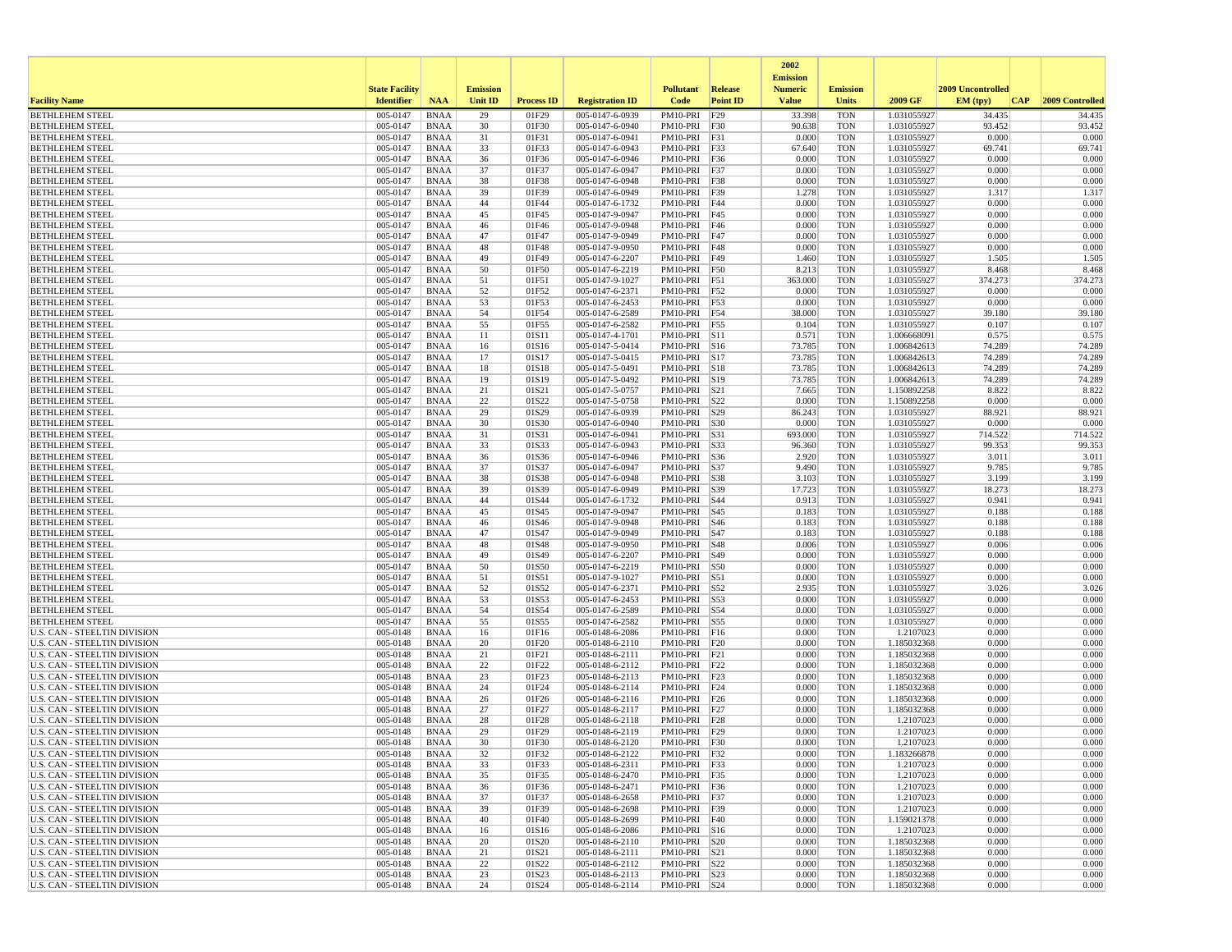|                                                                     |                       |                            |                 |                   |                                    |                                |                 | 2002<br><b>Emission</b> |                          |                            |                   |                  |
|---------------------------------------------------------------------|-----------------------|----------------------------|-----------------|-------------------|------------------------------------|--------------------------------|-----------------|-------------------------|--------------------------|----------------------------|-------------------|------------------|
|                                                                     | <b>State Facility</b> |                            | <b>Emission</b> |                   |                                    | <b>Pollutant</b>               | <b>Release</b>  | <b>Numeric</b>          | <b>Emission</b>          |                            | 2009 Uncontrolled |                  |
| <b>Facility Name</b>                                                | <b>Identifier</b>     | <b>NAA</b>                 | <b>Unit ID</b>  | <b>Process ID</b> | <b>Registration ID</b>             | Code                           | <b>Point ID</b> | <b>Value</b>            | <b>Units</b>             | 2009 GF                    | EM (tpv)<br>CAP   | 2009 Controlled  |
| <b>BETHLEHEM STEEL</b>                                              | 005-0147<br>005-0147  | <b>BNAA</b>                | 29<br>30        | 01F29             | 005-0147-6-0939                    | PM10-PRI                       | F29             | 33.398<br>90.638        | <b>TON</b>               | 1.031055927                | 34.435<br>93.452  | 34.435<br>93.452 |
| <b>BETHLEHEM STEEL</b><br><b>BETHLEHEM STEEL</b>                    | 005-0147              | <b>BNAA</b><br><b>BNAA</b> | 31              | 01F30<br>01F31    | 005-0147-6-0940<br>005-0147-6-0941 | PM10-PRI F30<br>PM10-PRI F31   |                 | 0.000                   | <b>TON</b><br><b>TON</b> | 1.031055927<br>1.031055927 | 0.000             | 0.000            |
| <b>BETHLEHEM STEEL</b>                                              | 005-0147              | <b>BNAA</b>                | 33              | 01F33             | 005-0147-6-0943                    | PM10-PRI F33                   |                 | 67.640                  | <b>TON</b>               | 1.031055927                | 69.741            | 69.741           |
| <b>BETHLEHEM STEEL</b>                                              | 005-0147              | <b>BNAA</b>                | 36              | 01F36             | 005-0147-6-0946                    | PM10-PRI F36                   |                 | 0.000                   | <b>TON</b>               | 1.031055927                | 0.000             | 0.000            |
| <b>BETHLEHEM STEEL</b>                                              | 005-0147              | <b>BNAA</b>                | 37              | 01F37             | 005-0147-6-0947                    | PM10-PRI F37                   |                 | 0.000                   | <b>TON</b>               | 1.031055927                | 0.000             | 0.000            |
| <b>BETHLEHEM STEEL</b>                                              | 005-0147              | <b>BNAA</b>                | 38              | 01F38             | 005-0147-6-0948                    | PM10-PRI F38                   |                 | 0.000                   | <b>TON</b>               | 1.031055927                | 0.000             | 0.000<br>1.317   |
| <b>BETHLEHEM STEEL</b><br><b>BETHLEHEM STEEL</b>                    | 005-0147<br>005-0147  | <b>BNAA</b><br><b>BNAA</b> | 39<br>44        | 01F39<br>01F44    | 005-0147-6-0949<br>005-0147-6-1732 | PM10-PRI F39<br>PM10-PRI F44   |                 | 1.278<br>0.000          | <b>TON</b><br><b>TON</b> | 1.031055927<br>1.031055927 | 1.317<br>0.000    | 0.000            |
| <b>BETHLEHEM STEEL</b>                                              | 005-0147              | <b>BNAA</b>                | 45              | 01F45             | 005-0147-9-0947                    | PM10-PRI F45                   |                 | 0.000                   | <b>TON</b>               | 1.031055927                | 0.000             | 0.000            |
| <b>BETHLEHEM STEEL</b>                                              | 005-0147              | <b>BNAA</b>                | 46              | 01F46             | 005-0147-9-0948                    | PM10-PRI F46                   |                 | 0.000                   | <b>TON</b>               | 1.031055927                | 0.000             | 0.000            |
| <b>BETHLEHEM STEEL</b>                                              | 005-0147              | <b>BNAA</b>                | 47              | 01F47             | 005-0147-9-0949                    | PM10-PRI F47                   |                 | 0.000                   | <b>TON</b>               | 1.031055927                | 0.000             | 0.000            |
| <b>BETHLEHEM STEEL</b>                                              | 005-0147              | <b>BNAA</b>                | 48              | 01F48             | 005-0147-9-0950                    | PM10-PRI F48                   |                 | 0.000                   | <b>TON</b>               | 1.031055927                | 0.000             | 0.000            |
| <b>BETHLEHEM STEEL</b><br><b>BETHLEHEM STEEL</b>                    | 005-0147<br>005-0147  | <b>BNAA</b><br><b>BNAA</b> | 49<br>50        | 01F49<br>01F50    | 005-0147-6-2207<br>005-0147-6-2219 | PM10-PRI<br>PM10-PRI F50       | F49             | 1.460<br>8.213          | <b>TON</b><br><b>TON</b> | 1.031055927<br>1.031055927 | 1.505<br>8.468    | 1.505<br>8.468   |
| <b>BETHLEHEM STEEL</b>                                              | 005-0147              | BNAA                       | 51              | 01F51             | 005-0147-9-1027                    | PM10-PRI F51                   |                 | 363.000                 | <b>TON</b>               | 1.031055927                | 374.273           | 374.273          |
| <b>BETHLEHEM STEEL</b>                                              | 005-0147              | <b>BNAA</b>                | 52              | 01F52             | 005-0147-6-2371                    | PM10-PRI F52                   |                 | 0.000                   | <b>TON</b>               | 1.031055927                | 0.000             | 0.000            |
| <b>BETHLEHEM STEEL</b>                                              | 005-0147              | <b>BNAA</b>                | 53              | 01F53             | 005-0147-6-2453                    | PM10-PRI F53                   |                 | 0.000                   | <b>TON</b>               | 1.031055927                | 0.000             | 0.000            |
| <b>BETHLEHEM STEEL</b>                                              | 005-0147              | <b>BNAA</b>                | 54              | 01F54             | 005-0147-6-2589                    | PM10-PRI F54                   |                 | 38.000                  | <b>TON</b>               | 1.031055927                | 39.180            | 39.180           |
| <b>BETHLEHEM STEEL</b>                                              | 005-0147<br>005-0147  | <b>BNAA</b><br><b>BNAA</b> | 55              | 01F55             | 005-0147-6-2582                    | PM10-PRI F55                   |                 | 0.104<br>0.571          | <b>TON</b><br><b>TON</b> | 1.031055927<br>1.006668091 | 0.107<br>0.575    | 0.107            |
| <b>BETHLEHEM STEEL</b><br><b>BETHLEHEM STEEL</b>                    | 005-0147              | <b>BNAA</b>                | 11<br>16        | 01S11<br>01S16    | 005-0147-4-1701<br>005-0147-5-0414 | PM10-PRI S11<br>PM10-PRI S16   |                 | 73.785                  | <b>TON</b>               | 1.006842613                | 74.289            | 0.575<br>74.289  |
| <b>BETHLEHEM STEEL</b>                                              | 005-0147              | <b>BNAA</b>                | 17              | 01S17             | 005-0147-5-0415                    | PM10-PRI S17                   |                 | 73.785                  | <b>TON</b>               | 1.006842613                | 74.289            | 74.289           |
| <b>BETHLEHEM STEEL</b>                                              | 005-0147              | <b>BNAA</b>                | 18              | 01S18             | 005-0147-5-0491                    | PM10-PRI S18                   |                 | 73.785                  | <b>TON</b>               | 1.006842613                | 74.289            | 74.289           |
| <b>BETHLEHEM STEEL</b>                                              | 005-0147              | <b>BNAA</b>                | 19              | 01S19             | 005-0147-5-0492                    | PM10-PRI S19                   |                 | 73.785                  | <b>TON</b>               | 1.006842613                | 74.289            | 74.289           |
| <b>BETHLEHEM STEEL</b>                                              | 005-0147              | <b>BNAA</b>                | 21              | 01S21             | 005-0147-5-0757                    | PM10-PRI   S21                 |                 | 7.665                   | <b>TON</b>               | 1.150892258                | 8.822             | 8.822            |
| <b>BETHLEHEM STEEL</b><br><b>BETHLEHEM STEEL</b>                    | 005-0147<br>005-0147  | <b>BNAA</b><br><b>BNAA</b> | 22<br>29        | 01S22<br>01S29    | 005-0147-5-0758<br>005-0147-6-0939 | PM10-PRI S22<br>PM10-PRI S29   |                 | 0.000<br>86.243         | <b>TON</b><br><b>TON</b> | 1.150892258<br>1.031055927 | 0.000<br>88.921   | 0.000<br>88.921  |
| <b>BETHLEHEM STEEL</b>                                              | 005-0147              | <b>BNAA</b>                | 30              | 01S30             | 005-0147-6-0940                    | PM10-PRI S30                   |                 | 0.000                   | <b>TON</b>               | 1.031055927                | 0.000             | 0.000            |
| <b>BETHLEHEM STEEL</b>                                              | 005-0147              | <b>BNAA</b>                | 31              | 01S31             | 005-0147-6-0941                    | PM10-PRI   S31                 |                 | 693.000                 | <b>TON</b>               | 1.031055927                | 714.522           | 714.522          |
| <b>BETHLEHEM STEEL</b>                                              | 005-0147              | <b>BNAA</b>                | 33              | 01S33             | 005-0147-6-0943                    | PM10-PRI                       | S33             | 96.360                  | <b>TON</b>               | 1.031055927                | 99.353            | 99.353           |
| <b>BETHLEHEM STEEL</b>                                              | 005-0147              | <b>BNAA</b>                | 36              | 01S36             | 005-0147-6-0946                    | PM10-PRI   S36                 |                 | 2.920                   | <b>TON</b>               | 1.031055927                | 3.011             | 3.011            |
| <b>BETHLEHEM STEEL</b><br><b>BETHLEHEM STEEL</b>                    | 005-0147<br>005-0147  | <b>BNAA</b><br><b>BNAA</b> | 37<br>38        | 01S37<br>01S38    | 005-0147-6-0947<br>005-0147-6-0948 | PM10-PRI   S37<br>PM10-PRI S38 |                 | 9.490<br>3.103          | <b>TON</b><br><b>TON</b> | 1.031055927<br>1.031055927 | 9.785<br>3.199    | 9.785<br>3.199   |
| <b>BETHLEHEM STEEL</b>                                              | 005-0147              | <b>BNAA</b>                | 39              | 01S39             | 005-0147-6-0949                    | PM10-PRI S39                   |                 | 17.723                  | <b>TON</b>               | 1.031055927                | 18.273            | 18.273           |
| <b>BETHLEHEM STEEL</b>                                              | 005-0147              | <b>BNAA</b>                | 44              | 01S44             | 005-0147-6-1732                    | PM10-PRI   S44                 |                 | 0.913                   | <b>TON</b>               | 1.031055927                | 0.941             | 0.941            |
| <b>BETHLEHEM STEEL</b>                                              | 005-0147              | <b>BNAA</b>                | 45              | 01S45             | 005-0147-9-0947                    | PM10-PRI   S45                 |                 | 0.183                   | <b>TON</b>               | 1.031055927                | 0.188             | 0.188            |
| <b>BETHLEHEM STEEL</b>                                              | 005-0147              | <b>BNAA</b>                | 46              | 01S46             | 005-0147-9-0948                    | PM10-PRI S46                   |                 | 0.183                   | <b>TON</b>               | 1.031055927                | 0.188             | 0.188            |
| <b>BETHLEHEM STEEL</b><br><b>BETHLEHEM STEEL</b>                    | 005-0147<br>005-0147  | <b>BNAA</b><br><b>BNAA</b> | 47<br>48        | 01S47<br>01S48    | 005-0147-9-0949<br>005-0147-9-0950 | PM10-PRI S47<br>PM10-PRI S48   |                 | 0.183<br>0.006          | <b>TON</b><br><b>TON</b> | 1.031055927<br>1.031055927 | 0.188<br>0.006    | 0.188<br>0.006   |
| <b>BETHLEHEM STEEL</b>                                              | 005-0147              | <b>BNAA</b>                | 49              | 01S49             | 005-0147-6-2207                    | PM10-PRI   S49                 |                 | 0.000                   | <b>TON</b>               | 1.031055927                | 0.000             | 0.000            |
| <b>BETHLEHEM STEEL</b>                                              | 005-0147              | <b>BNAA</b>                | 50              | 01S50             | 005-0147-6-2219                    | PM10-PRI S50                   |                 | 0.000                   | <b>TON</b>               | 1.031055927                | 0.000             | 0.000            |
| <b>BETHLEHEM STEEL</b>                                              | 005-0147              | <b>BNAA</b>                | 51              | 01S51             | 005-0147-9-1027                    | PM10-PRI S51                   |                 | 0.000                   | <b>TON</b>               | 1.031055927                | 0.000             | 0.000            |
| <b>BETHLEHEM STEEL</b>                                              | 005-0147              | <b>BNAA</b>                | 52              | 01S52             | 005-0147-6-2371                    | PM10-PRI S52                   |                 | 2.935                   | <b>TON</b>               | 1.031055927                | 3.026             | 3.026            |
| <b>BETHLEHEM STEEL</b><br><b>BETHLEHEM STEEL</b>                    | 005-0147<br>005-0147  | <b>BNAA</b><br><b>BNAA</b> | 53<br>54        | 01S53<br>01S54    | 005-0147-6-2453<br>005-0147-6-2589 | PM10-PRI S53<br>PM10-PRI S54   |                 | 0.000<br>0.000          | <b>TON</b><br><b>TON</b> | 1.031055927<br>1.031055927 | 0.000<br>0.000    | 0.000<br>0.000   |
| <b>BETHLEHEM STEEL</b>                                              | 005-0147              | <b>BNAA</b>                | 55              | 01S55             | 005-0147-6-2582                    | PM10-PRI S55                   |                 | 0.000                   | <b>TON</b>               | 1.031055927                | 0.000             | 0.000            |
| U.S. CAN - STEELTIN DIVISION                                        | 005-0148              | <b>BNAA</b>                | 16              | 01F16             | 005-0148-6-2086                    | PM10-PRI F16                   |                 | 0.000                   | <b>TON</b>               | 1.2107023                  | 0.000             | 0.000            |
| U.S. CAN - STEELTIN DIVISION                                        | 005-0148              | <b>BNAA</b>                | 20              | 01F20             | 005-0148-6-2110                    | PM10-PRI F20                   |                 | 0.000                   | <b>TON</b>               | 1.185032368                | 0.000             | 0.000            |
| U.S. CAN - STEELTIN DIVISION                                        | 005-0148              | <b>BNAA</b>                | 21              | 01F21             | 005-0148-6-2111                    | $PM10-PRI$ $ F21$              |                 | 0.000                   | <b>TON</b>               | 1.185032368                | 0.000             | 0.000            |
| U.S. CAN - STEELTIN DIVISION<br><b>U.S. CAN - STEELTIN DIVISION</b> | 005-0148              | <b>BNAA</b><br><b>BNAA</b> | 22<br>23        | 01F22<br>01F23    | 005-0148-6-2112<br>005-0148-6-2113 | PM10-PRI F22                   |                 | 0.000<br>0.000          | <b>TON</b><br><b>TON</b> | 1.185032368<br>1.185032368 | 0.000<br>0.000    | 0.000<br>0.000   |
| U.S. CAN - STEELTIN DIVISION                                        | 005-0148<br>005-0148  | <b>BNAA</b>                | 24              | 01F24             | 005-0148-6-2114                    | PM10-PRI F23<br>PM10-PRI F24   |                 | 0.000                   | <b>TON</b>               | 1.185032368                | 0.000             | 0.000            |
| U.S. CAN - STEELTIN DIVISION                                        | 005-0148              | <b>BNAA</b>                | 26              | 01F26             | 005-0148-6-2116                    | PM10-PRI F26                   |                 | 0.000                   | <b>TON</b>               | 1.185032368                | 0.000             | 0.000            |
| U.S. CAN - STEELTIN DIVISION                                        | 005-0148              | <b>BNAA</b>                | 27              | 01F27             | 005-0148-6-2117                    | PM10-PRI F27                   |                 | 0.000                   | <b>TON</b>               | 1.185032368                | 0.000             | 0.000            |
| <b>U.S. CAN - STEELTIN DIVISION</b>                                 | 005-0148              | <b>BNAA</b>                | 28              | 01F28             | 005-0148-6-2118                    | PM10-PRI F28                   |                 | 0.000                   | <b>TON</b>               | 1.2107023                  | 0.000             | 0.000            |
| U.S. CAN - STEELTIN DIVISION                                        | 005-0148              | <b>BNAA</b>                | 29              | 01F29             | 005-0148-6-2119                    | PM10-PRI F29                   |                 | 0.000                   | <b>TON</b>               | 1.2107023                  | 0.000             | 0.000            |
| U.S. CAN - STEELTIN DIVISION<br>U.S. CAN - STEELTIN DIVISION        | 005-0148<br>005-0148  | <b>BNAA</b><br><b>BNAA</b> | 30<br>32        | 01F30<br>01F32    | 005-0148-6-2120<br>005-0148-6-2122 | PM10-PRI F30<br>PM10-PRI   F32 |                 | 0.000<br>0.000          | <b>TON</b><br>TON        | 1.2107023<br>1.183266878   | 0.000<br>0.000    | 0.000<br>0.000   |
| U.S. CAN - STEELTIN DIVISION                                        | 005-0148              | BNAA                       | 33              | 01F33             | 005-0148-6-2311                    | PM10-PRI F33                   |                 | 0.000                   | <b>TON</b>               | 1.2107023                  | 0.000             | 0.000            |
| U.S. CAN - STEELTIN DIVISION                                        | 005-0148              | BNAA                       | 35              | 01F35             | 005-0148-6-2470                    | PM10-PRI F35                   |                 | 0.000                   | <b>TON</b>               | 1.2107023                  | 0.000             | 0.000            |
| <b>U.S. CAN - STEELTIN DIVISION</b>                                 | 005-0148              | <b>BNAA</b>                | 36              | 01F36             | 005-0148-6-2471                    | PM10-PRI F36                   |                 | 0.000                   | <b>TON</b>               | 1.2107023                  | 0.000             | 0.000            |
| U.S. CAN - STEELTIN DIVISION                                        | 005-0148              | <b>BNAA</b>                | 37              | 01F37             | 005-0148-6-2658                    | PM10-PRI F37                   |                 | 0.000                   | <b>TON</b>               | 1.2107023                  | 0.000             | 0.000            |
| U.S. CAN - STEELTIN DIVISION<br><b>U.S. CAN - STEELTIN DIVISION</b> | 005-0148              | <b>BNAA</b>                | 39<br>40        | 01F39<br>01F40    | 005-0148-6-2698<br>005-0148-6-2699 | PM10-PRI F39<br>PM10-PRI F40   |                 | 0.000<br>0.000          | <b>TON</b><br><b>TON</b> | 1.2107023<br>1.159021378   | 0.000<br>0.000    | 0.000<br>0.000   |
| U.S. CAN - STEELTIN DIVISION                                        | 005-0148<br>005-0148  | <b>BNAA</b><br>BNAA        | 16              | 01S16             | 005-0148-6-2086                    | PM10-PRI S16                   |                 | 0.000                   | <b>TON</b>               | 1.2107023                  | 0.000             | 0.000            |
| <b>U.S. CAN - STEELTIN DIVISION</b>                                 | 005-0148              | <b>BNAA</b>                | 20              | 01S20             | 005-0148-6-2110                    | PM10-PRI S20                   |                 | 0.000                   | <b>TON</b>               | 1.185032368                | 0.000             | 0.000            |
| <b>U.S. CAN - STEELTIN DIVISION</b>                                 | 005-0148              | <b>BNAA</b>                | 21              | 01S21             | 005-0148-6-2111                    | PM10-PRI S21                   |                 | 0.000                   | <b>TON</b>               | 1.185032368                | 0.000             | 0.000            |
| <b>U.S. CAN - STEELTIN DIVISION</b>                                 | 005-0148              | <b>BNAA</b>                | 22              | 01S22             | 005-0148-6-2112                    | PM10-PRI   S22                 |                 | 0.000                   | <b>TON</b>               | 1.185032368                | 0.000             | 0.000            |
| <b>U.S. CAN - STEELTIN DIVISION</b>                                 | 005-0148              | <b>BNAA</b>                | 23              | 01S23             | 005-0148-6-2113                    | PM10-PRI   S23<br>PM10-PRI S24 |                 | 0.000                   | <b>TON</b>               | 1.185032368                | 0.000             | 0.000            |
| U.S. CAN - STEELTIN DIVISION                                        | 005-0148              | <b>BNAA</b>                | 24              | 01S24             | 005-0148-6-2114                    |                                |                 | 0.000                   | TON                      | 1.185032368                | 0.000             | 0.000            |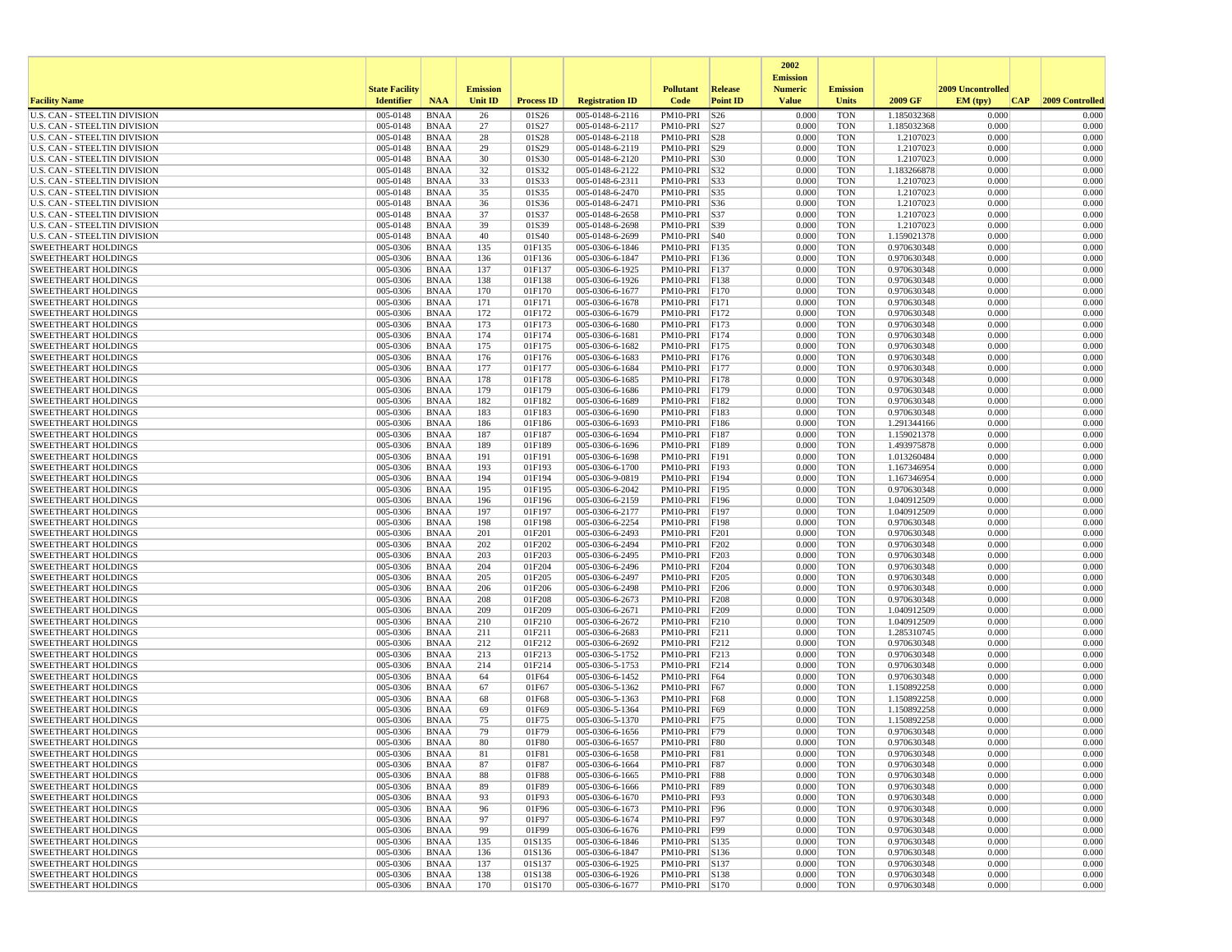|                                                                     |                       |                            |                 |                   |                                    |                              |                     | 2002                              |                          |                            |                   |                 |
|---------------------------------------------------------------------|-----------------------|----------------------------|-----------------|-------------------|------------------------------------|------------------------------|---------------------|-----------------------------------|--------------------------|----------------------------|-------------------|-----------------|
|                                                                     | <b>State Facility</b> |                            | <b>Emission</b> |                   |                                    | <b>Pollutant</b>             | <b>Release</b>      | <b>Emission</b><br><b>Numeric</b> | <b>Emission</b>          |                            | 2009 Uncontrolled |                 |
| <b>Facility Name</b>                                                | <b>Identifier</b>     | <b>NAA</b>                 | <b>Unit ID</b>  | <b>Process ID</b> | <b>Registration ID</b>             | Code                         | <b>Point ID</b>     | <b>Value</b>                      | <b>Units</b>             | 2009 GF                    | EM (tpv)<br> CAP  | 2009 Controlled |
| <b>U.S. CAN - STEELTIN DIVISION</b>                                 | 005-0148              | <b>BNAA</b>                | 26              | 01S26             | 005-0148-6-2116                    | PM10-PRI                     | $\sqrt{\text{S}^2}$ | 0.000                             | <b>TON</b>               | 1.185032368                | 0.000             | 0.000           |
| <b>U.S. CAN - STEELTIN DIVISION</b>                                 | 005-0148              | <b>BNAA</b>                | 27              | 01S27             | 005-0148-6-2117                    | PM10-PRI S27                 |                     | 0.000                             | <b>TON</b>               | 1.185032368                | 0.000             | 0.000           |
| U.S. CAN - STEELTIN DIVISION                                        | 005-0148<br>005-0148  | <b>BNAA</b>                | 28              | 01S28             | 005-0148-6-2118<br>005-0148-6-2119 | PM10-PRI S28                 |                     | 0.000<br>0.000                    | <b>TON</b>               | 1.2107023                  | 0.000             | 0.000           |
| U.S. CAN - STEELTIN DIVISION<br><b>U.S. CAN - STEELTIN DIVISION</b> | 005-0148              | <b>BNAA</b><br>BNAA        | 29<br>30        | 01S29<br>01S30    | 005-0148-6-2120                    | PM10-PRI S29<br>PM10-PRI S30 |                     | 0.000                             | <b>TON</b><br><b>TON</b> | 1.2107023<br>1.2107023     | 0.000<br>0.000    | 0.000<br>0.000  |
| <b>U.S. CAN - STEELTIN DIVISION</b>                                 | 005-0148              | <b>BNAA</b>                | 32              | 01S32             | 005-0148-6-2122                    | PM10-PRI S32                 |                     | 0.000                             | <b>TON</b>               | 1.183266878                | 0.000             | 0.000           |
| U.S. CAN - STEELTIN DIVISION                                        | 005-0148              | <b>BNAA</b>                | 33              | 01S33             | 005-0148-6-2311                    | PM10-PRI   S33               |                     | 0.000                             | <b>TON</b>               | 1.2107023                  | 0.000             | 0.000           |
| <b>U.S. CAN - STEELTIN DIVISION</b>                                 | 005-0148              | <b>BNAA</b>                | 35              | 01S35             | 005-0148-6-2470                    | PM10-PRI S35                 |                     | 0.000                             | <b>TON</b>               | 1.2107023                  | 0.000             | 0.000           |
| U.S. CAN - STEELTIN DIVISION                                        | 005-0148              | <b>BNAA</b>                | 36              | 01S36             | 005-0148-6-2471                    | PM10-PRI                     | S36                 | 0.000                             | <b>TON</b>               | 1.2107023                  | 0.000             | 0.000           |
| <b>U.S. CAN - STEELTIN DIVISION</b>                                 | 005-0148              | <b>BNAA</b>                | 37              | 01S37             | 005-0148-6-2658                    | PM10-PRI S37                 |                     | 0.000                             | <b>TON</b>               | 1.2107023                  | 0.000             | 0.000           |
| U.S. CAN - STEELTIN DIVISION<br><b>U.S. CAN - STEELTIN DIVISION</b> | 005-0148<br>005-0148  | <b>BNAA</b><br>BNAA        | 39<br>40        | 01S39<br>01S40    | 005-0148-6-2698<br>005-0148-6-2699 | PM10-PRI S39<br>PM10-PRI S40 |                     | 0.000<br>0.000                    | <b>TON</b><br><b>TON</b> | 1.2107023<br>1.159021378   | 0.000<br>0.000    | 0.000<br>0.000  |
| <b>SWEETHEART HOLDINGS</b>                                          | 005-0306              | <b>BNAA</b>                | 135             | 01F135            | 005-0306-6-1846                    | PM10-PRI F135                |                     | 0.000                             | <b>TON</b>               | 0.970630348                | 0.000             | 0.000           |
| <b>SWEETHEART HOLDINGS</b>                                          | 005-0306              | <b>BNAA</b>                | 136             | 01F136            | 005-0306-6-1847                    | PM10-PRI                     | F136                | 0.000                             | <b>TON</b>               | 0.970630348                | 0.000             | 0.000           |
| <b>SWEETHEART HOLDINGS</b>                                          | 005-0306              | <b>BNAA</b>                | 137             | 01F137            | 005-0306-6-1925                    | PM10-PRI                     | F137                | 0.000                             | <b>TON</b>               | 0.970630348                | 0.000             | 0.000           |
| <b>SWEETHEART HOLDINGS</b>                                          | 005-0306              | BNAA                       | 138             | 01F138            | 005-0306-6-1926                    | PM10-PRI                     | F138                | 0.000                             | <b>TON</b>               | 0.970630348                | 0.000             | 0.000           |
| <b>SWEETHEART HOLDINGS</b>                                          | 005-0306              | <b>BNAA</b>                | 170             | 01F170            | 005-0306-6-1677                    | PM10-PRI                     | F170                | 0.000                             | <b>TON</b>               | 0.970630348                | 0.000             | 0.000           |
| <b>SWEETHEART HOLDINGS</b>                                          | 005-0306              | <b>BNAA</b>                | 171             | 01F171            | 005-0306-6-1678                    | PM10-PRI F171                |                     | 0.000                             | <b>TON</b>               | 0.970630348                | 0.000             | 0.000           |
| <b>SWEETHEART HOLDINGS</b><br><b>SWEETHEART HOLDINGS</b>            | 005-0306<br>005-0306  | <b>BNAA</b><br><b>BNAA</b> | 172<br>173      | 01F172<br>01F173  | 005-0306-6-1679<br>005-0306-6-1680 | PM10-PRI<br>PM10-PRI         | F172<br>F173        | 0.000<br>0.000                    | <b>TON</b><br><b>TON</b> | 0.970630348<br>0.970630348 | 0.000<br>0.000    | 0.000<br>0.000  |
| <b>SWEETHEART HOLDINGS</b>                                          | 005-0306              | <b>BNAA</b>                | 174             | 01F174            | 005-0306-6-1681                    | PM10-PRI                     | F174                | 0.000                             | <b>TON</b>               | 0.970630348                | 0.000             | 0.000           |
| <b>SWEETHEART HOLDINGS</b>                                          | 005-0306              | <b>BNAA</b>                | 175             | 01F175            | 005-0306-6-1682                    | PM10-PRI                     | FI75                | 0.000                             | <b>TON</b>               | 0.970630348                | 0.000             | 0.000           |
| <b>SWEETHEART HOLDINGS</b>                                          | 005-0306              | BNAA                       | 176             | 01F176            | 005-0306-6-1683                    | PM10-PRI                     | F176                | 0.000                             | <b>TON</b>               | 0.970630348                | 0.000             | 0.000           |
| <b>SWEETHEART HOLDINGS</b>                                          | 005-0306              | <b>BNAA</b>                | 177             | 01F177            | 005-0306-6-1684                    | PM10-PRI                     | F177                | 0.000                             | <b>TON</b>               | 0.970630348                | 0.000             | 0.000           |
| <b>SWEETHEART HOLDINGS</b>                                          | 005-0306              | <b>BNAA</b>                | 178             | 01F178            | 005-0306-6-1685                    | PM10-PRI                     | F178                | 0.000                             | <b>TON</b>               | 0.970630348                | 0.000             | 0.000           |
| <b>SWEETHEART HOLDINGS</b>                                          | 005-0306              | BNAA                       | 179             | 01F179            | 005-0306-6-1686                    | PM10-PRI                     | F179                | 0.000                             | <b>TON</b>               | 0.970630348                | 0.000             | 0.000           |
| <b>SWEETHEART HOLDINGS</b><br><b>SWEETHEART HOLDINGS</b>            | 005-0306<br>005-0306  | <b>BNAA</b><br><b>BNAA</b> | 182<br>183      | 01F182<br>01F183  | 005-0306-6-1689<br>005-0306-6-1690 | PM10-PRI<br>PM10-PRI         | F182<br>F183        | 0.000<br>0.000                    | <b>TON</b><br><b>TON</b> | 0.970630348<br>0.970630348 | 0.000<br>0.000    | 0.000<br>0.000  |
| <b>SWEETHEART HOLDINGS</b>                                          | 005-0306              | <b>BNAA</b>                | 186             | 01F186            | 005-0306-6-1693                    | PM10-PRI                     | F186                | 0.000                             | <b>TON</b>               | 1.291344166                | 0.000             | 0.000           |
| <b>SWEETHEART HOLDINGS</b>                                          | 005-0306              | <b>BNAA</b>                | 187             | 01F187            | 005-0306-6-1694                    | PM10-PRI                     | F187                | 0.000                             | <b>TON</b>               | 1.159021378                | 0.000             | 0.000           |
| <b>SWEETHEART HOLDINGS</b>                                          | 005-0306              | <b>BNAA</b>                | 189             | 01F189            | 005-0306-6-1696                    | PM10-PRI                     | F189                | 0.000                             | <b>TON</b>               | 1.493975878                | 0.000             | 0.000           |
| <b>SWEETHEART HOLDINGS</b>                                          | 005-0306              | <b>BNAA</b>                | 191             | 01F191            | 005-0306-6-1698                    | PM10-PRI                     | F191                | 0.000                             | <b>TON</b>               | 1.013260484                | 0.000             | 0.000           |
| <b>SWEETHEART HOLDINGS</b>                                          | 005-0306              | <b>BNAA</b>                | 193             | 01F193            | 005-0306-6-1700                    | PM10-PRI                     | F193                | 0.000                             | <b>TON</b>               | 1.167346954                | 0.000             | 0.000           |
| <b>SWEETHEART HOLDINGS</b>                                          | 005-0306              | <b>BNAA</b>                | 194             | 01F194            | 005-0306-9-0819                    | PM10-PRI                     | F194                | 0.000                             | <b>TON</b>               | 1.167346954                | 0.000             | 0.000           |
| <b>SWEETHEART HOLDINGS</b><br><b>SWEETHEART HOLDINGS</b>            | 005-0306<br>005-0306  | <b>BNAA</b><br><b>BNAA</b> | 195<br>196      | 01F195<br>01F196  | 005-0306-6-2042<br>005-0306-6-2159 | PM10-PRI<br>PM10-PRI         | F195<br>F196        | 0.000<br>0.000                    | <b>TON</b><br><b>TON</b> | 0.970630348<br>1.040912509 | 0.000<br>0.000    | 0.000<br>0.000  |
| <b>SWEETHEART HOLDINGS</b>                                          | 005-0306              | BNAA                       | 197             | 01F197            | 005-0306-6-2177                    | PM10-PRI                     | F197                | 0.000                             | <b>TON</b>               | 1.040912509                | 0.000             | 0.000           |
| <b>SWEETHEART HOLDINGS</b>                                          | 005-0306              | <b>BNAA</b>                | 198             | 01F198            | 005-0306-6-2254                    | PM10-PRI                     | F198                | 0.000                             | <b>TON</b>               | 0.970630348                | 0.000             | 0.000           |
| <b>SWEETHEART HOLDINGS</b>                                          | 005-0306              | <b>BNAA</b>                | 201             | 01F201            | 005-0306-6-2493                    | PM10-PRI                     | F201                | 0.000                             | <b>TON</b>               | 0.970630348                | 0.000             | 0.000           |
| <b>SWEETHEART HOLDINGS</b>                                          | 005-0306              | <b>BNAA</b>                | 202             | 01F202            | 005-0306-6-2494                    | PM10-PRI                     | F202                | 0.000                             | <b>TON</b>               | 0.970630348                | 0.000             | 0.000           |
| <b>SWEETHEART HOLDINGS</b>                                          | 005-0306              | BNAA                       | 203             | 01F203            | 005-0306-6-2495                    | PM10-PRI                     | F203                | 0.000                             | <b>TON</b>               | 0.970630348                | 0.000             | 0.000           |
| <b>SWEETHEART HOLDINGS</b>                                          | 005-0306<br>005-0306  | <b>BNAA</b>                | 204<br>205      | 01F204<br>01F205  | 005-0306-6-2496                    | PM10-PRI                     | F204                | 0.000<br>0.000                    | <b>TON</b><br><b>TON</b> | 0.970630348                | 0.000<br>0.000    | 0.000<br>0.000  |
| <b>SWEETHEART HOLDINGS</b><br><b>SWEETHEART HOLDINGS</b>            | 005-0306              | <b>BNAA</b><br><b>BNAA</b> | 206             | 01F206            | 005-0306-6-2497<br>005-0306-6-2498 | PM10-PRI<br>PM10-PRI         | F205<br>F206        | 0.000                             | <b>TON</b>               | 0.970630348<br>0.970630348 | 0.000             | 0.000           |
| <b>SWEETHEART HOLDINGS</b>                                          | 005-0306              | <b>BNAA</b>                | 208             | 01F208            | 005-0306-6-2673                    | PM10-PRI                     | F208                | 0.000                             | <b>TON</b>               | 0.970630348                | 0.000             | 0.000           |
| <b>SWEETHEART HOLDINGS</b>                                          | 005-0306              | <b>BNAA</b>                | 209             | 01F209            | 005-0306-6-2671                    | PM10-PRI                     | F209                | 0.000                             | <b>TON</b>               | 1.040912509                | 0.000             | 0.000           |
| <b>SWEETHEART HOLDINGS</b>                                          | 005-0306              | <b>BNAA</b>                | 210             | 01F210            | 005-0306-6-2672                    | PM10-PRI                     | F210                | 0.000                             | <b>TON</b>               | 1.040912509                | 0.000             | 0.000           |
| <b>SWEETHEART HOLDINGS</b>                                          | 005-0306              | BNAA                       | 211             | 01F211            | 005-0306-6-2683                    | PM10-PRI                     | F211                | 0.000                             | <b>TON</b>               | 1.285310745                | 0.000             | 0.000           |
| <b>SWEETHEART HOLDINGS</b>                                          | 005-0306              | <b>BNAA</b>                | 212             | 01F212            | 005-0306-6-2692                    | PM10-PRI                     | F212                | 0.000                             | <b>TON</b>               | 0.970630348                | 0.000<br>0.000    | 0.000           |
| <b>SWEETHEART HOLDINGS</b><br><b>SWEETHEART HOLDINGS</b>            | 005-0306<br>005-0306  | <b>BNAA</b><br>BNAA        | 213<br>214      | 01F213<br>01F214  | 005-0306-5-1752<br>005-0306-5-1753 | PM10-PRI<br>PM10-PRI F214    | F213                | 0.000<br>0.000                    | <b>TON</b><br><b>TON</b> | 0.970630348<br>0.970630348 | 0.000             | 0.000<br>0.000  |
| <b>SWEETHEART HOLDINGS</b>                                          | 005-0306              | <b>BNAA</b>                | 64              | 01F64             | 005-0306-6-1452                    | PM10-PRI                     | F64                 | 0.000                             | <b>TON</b>               | 0.970630348                | 0.000             | 0.000           |
| <b>SWEETHEART HOLDINGS</b>                                          | 005-0306              | <b>BNAA</b>                | 67              | 01F67             | 005-0306-5-1362                    | PM10-PRI                     | F67                 | 0.000                             | <b>TON</b>               | 1.150892258                | 0.000             | 0.000           |
| <b>SWEETHEART HOLDINGS</b>                                          | 005-0306              | <b>BNAA</b>                | 68              | 01F68             | 005-0306-5-1363                    | PM10-PRI                     | F68                 | 0.000                             | <b>TON</b>               | 1.150892258                | 0.000             | 0.000           |
| <b>SWEETHEART HOLDINGS</b>                                          | 005-0306              | BNAA                       | 69              | 01F69             | 005-0306-5-1364                    | PM10-PRI                     | F69                 | 0.000                             | <b>TON</b>               | 1.150892258                | 0.000             | 0.000           |
| <b>SWEETHEART HOLDINGS</b>                                          | 005-0306              | <b>BNAA</b>                | 75              | 01F75             | 005-0306-5-1370                    | PM10-PRI                     | F75                 | 0.000                             | <b>TON</b>               | 1.150892258                | 0.000             | 0.000           |
| <b>SWEETHEART HOLDINGS</b><br><b>SWEETHEART HOLDINGS</b>            | 005-0306<br>005-0306  | <b>BNAA</b><br><b>BNAA</b> | 79<br>80        | 01F79<br>01F80    | 005-0306-6-1656<br>005-0306-6-1657 | PM10-PRI F79<br>PM10-PRI F80 |                     | 0.000<br>0.000                    | <b>TON</b><br><b>TON</b> | 0.970630348<br>0.970630348 | 0.000<br>0.000    | 0.000<br>0.000  |
| SWEETHEART HOLDINGS                                                 | 005-0306              | <b>BNAA</b>                | 81              | 01F81             | 005-0306-6-1658                    | PM10-PRI F81                 |                     | 0.000                             | TON                      | 0.970630348                | 0.000             | 0.000           |
| <b>SWEETHEART HOLDINGS</b>                                          | 005-0306              | BNAA                       | 87              | 01F87             | 005-0306-6-1664                    | PM10-PRI F87                 |                     | 0.000                             | <b>TON</b>               | 0.970630348                | 0.000             | 0.000           |
| <b>SWEETHEART HOLDINGS</b>                                          | 005-0306              | BNAA                       | 88              | 01F88             | 005-0306-6-1665                    | PM10-PRI F88                 |                     | 0.000                             | <b>TON</b>               | 0.970630348                | 0.000             | 0.000           |
| <b>SWEETHEART HOLDINGS</b>                                          | 005-0306              | <b>BNAA</b>                | 89              | 01F89             | 005-0306-6-1666                    | PM10-PRI   F89               |                     | 0.000                             | <b>TON</b>               | 0.970630348                | 0.000             | 0.000           |
| <b>SWEETHEART HOLDINGS</b>                                          | 005-0306              | <b>BNAA</b>                | 93              | 01F93             | 005-0306-6-1670                    | PM10-PRI   F93               |                     | 0.000                             | <b>TON</b>               | 0.970630348                | 0.000             | 0.000           |
| <b>SWEETHEART HOLDINGS</b>                                          | 005-0306              | <b>BNAA</b>                | 96              | 01F96             | 005-0306-6-1673                    | PM10-PRI F96                 |                     | 0.000                             | <b>TON</b>               | 0.970630348                | 0.000             | 0.000           |
| <b>SWEETHEART HOLDINGS</b><br><b>SWEETHEART HOLDINGS</b>            | 005-0306<br>005-0306  | <b>BNAA</b><br>BNAA        | 97<br>99        | 01F97<br>01F99    | 005-0306-6-1674<br>005-0306-6-1676 | PM10-PRI F97<br>PM10-PRI F99 |                     | 0.000<br>0.000                    | <b>TON</b><br><b>TON</b> | 0.970630348<br>0.970630348 | 0.000<br>0.000    | 0.000<br>0.000  |
| <b>SWEETHEART HOLDINGS</b>                                          | 005-0306              | <b>BNAA</b>                | 135             | 01S135            | 005-0306-6-1846                    | PM10-PRI S135                |                     | 0.000                             | <b>TON</b>               | 0.970630348                | 0.000             | 0.000           |
| <b>SWEETHEART HOLDINGS</b>                                          | 005-0306              | BNAA                       | 136             | 01S136            | 005-0306-6-1847                    | PM10-PRI S136                |                     | 0.000                             | <b>TON</b>               | 0.970630348                | 0.000             | 0.000           |
| <b>SWEETHEART HOLDINGS</b>                                          | 005-0306              | <b>BNAA</b>                | 137             | 01S137            | 005-0306-6-1925                    | PM10-PRI S137                |                     | 0.000                             | <b>TON</b>               | 0.970630348                | 0.000             | 0.000           |
| <b>SWEETHEART HOLDINGS</b>                                          | 005-0306              | <b>BNAA</b>                | 138             | 01S138            | 005-0306-6-1926                    | PM10-PRI S138                |                     | 0.000                             | <b>TON</b>               | 0.970630348                | 0.000             | 0.000           |
| <b>SWEETHEART HOLDINGS</b>                                          | 005-0306              | <b>BNAA</b>                | 170             | 01S170            | 005-0306-6-1677                    | PM10-PRI S170                |                     | 0.000                             | <b>TON</b>               | 0.970630348                | 0.000             | 0.000           |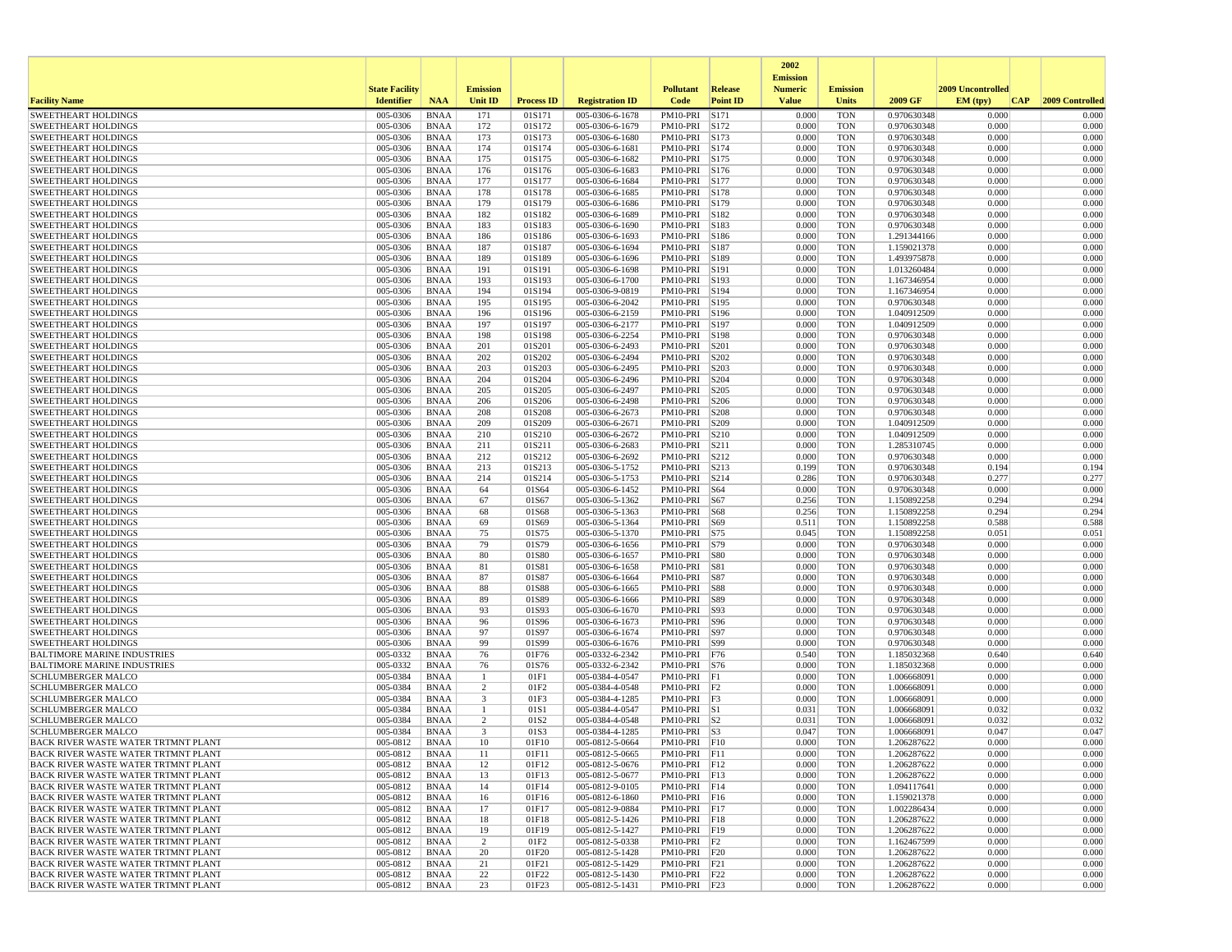|                                                                            |                             |                            |                 |                   |                                    |                                  |                 | 2002                              |                          |                            |                   |                 |
|----------------------------------------------------------------------------|-----------------------------|----------------------------|-----------------|-------------------|------------------------------------|----------------------------------|-----------------|-----------------------------------|--------------------------|----------------------------|-------------------|-----------------|
|                                                                            | <b>State Facility</b>       |                            | <b>Emission</b> |                   |                                    | <b>Pollutant</b>                 | <b>Release</b>  | <b>Emission</b><br><b>Numeric</b> | <b>Emission</b>          |                            | 2009 Uncontrolled |                 |
| <b>Facility Name</b>                                                       | <b>Identifier</b>           | <b>NAA</b>                 | <b>Unit ID</b>  | <b>Process ID</b> | <b>Registration ID</b>             | Code                             | <b>Point ID</b> | <b>Value</b>                      | <b>Units</b>             | 2009 GF                    | EM (typ)<br> CAP  | 2009 Controlled |
| <b>SWEETHEART HOLDINGS</b>                                                 | 005-0306                    | <b>BNAA</b>                | 171             | 01S171            | 005-0306-6-1678                    | PM10-PRI                         | S171            | 0.000                             | <b>TON</b>               | 0.970630348                | 0.000             | 0.000           |
| <b>SWEETHEART HOLDINGS</b>                                                 | 005-0306                    | <b>BNAA</b>                | 172             | 01S172            | 005-0306-6-1679                    | PM10-PRI S172                    |                 | 0.000                             | <b>TON</b>               | 0.970630348                | 0.000             | 0.000           |
| <b>SWEETHEART HOLDINGS</b>                                                 | 005-0306                    | <b>BNAA</b>                | 173             | 01S173            | 005-0306-6-1680                    | PM10-PRI                         | S173            | 0.000                             | <b>TON</b>               | 0.970630348                | 0.000             | 0.000           |
| <b>SWEETHEART HOLDINGS</b><br><b>SWEETHEART HOLDINGS</b>                   | 005-0306<br>005-0306        | <b>BNAA</b><br><b>BNAA</b> | 174<br>175      | 01S174<br>01S175  | 005-0306-6-1681<br>005-0306-6-1682 | PM10-PRI S174<br>PM10-PRI S175   |                 | 0.000<br>0.000                    | <b>TON</b><br><b>TON</b> | 0.970630348<br>0.970630348 | 0.000<br>0.000    | 0.000<br>0.000  |
| <b>SWEETHEART HOLDINGS</b>                                                 | 005-0306                    | <b>BNAA</b>                | 176             | 01S176            | 005-0306-6-1683                    | PM10-PRI S176                    |                 | 0.000                             | <b>TON</b>               | 0.970630348                | 0.000             | 0.000           |
| <b>SWEETHEART HOLDINGS</b>                                                 | 005-0306                    | <b>BNAA</b>                | 177             | 01S177            | 005-0306-6-1684                    | PM10-PRI S177                    |                 | 0.000                             | <b>TON</b>               | 0.970630348                | 0.000             | 0.000           |
| <b>SWEETHEART HOLDINGS</b>                                                 | 005-0306                    | <b>BNAA</b>                | 178             | 01S178            | 005-0306-6-1685                    | PM10-PRI S178                    |                 | 0.000                             | <b>TON</b>               | 0.970630348                | 0.000             | 0.000           |
| <b>SWEETHEART HOLDINGS</b>                                                 | 005-0306                    | <b>BNAA</b>                | 179             | 01S179            | 005-0306-6-1686                    | PM10-PRI                         | S179            | 0.000                             | <b>TON</b>               | 0.970630348                | 0.000             | 0.000           |
| <b>SWEETHEART HOLDINGS</b>                                                 | 005-0306                    | <b>BNAA</b>                | 182             | 01S182            | 005-0306-6-1689                    | PM10-PRI S182                    |                 | 0.000                             | <b>TON</b>               | 0.970630348                | 0.000             | 0.000           |
| <b>SWEETHEART HOLDINGS</b><br><b>SWEETHEART HOLDINGS</b>                   | 005-0306<br>005-0306        | <b>BNAA</b><br><b>BNAA</b> | 183<br>186      | 01S183<br>01S186  | 005-0306-6-1690<br>005-0306-6-1693 | PM10-PRI S183<br>PM10-PRI S186   |                 | 0.000<br>0.000                    | <b>TON</b><br><b>TON</b> | 0.970630348<br>1.291344166 | 0.000<br>0.000    | 0.000<br>0.000  |
| <b>SWEETHEART HOLDINGS</b>                                                 | 005-0306                    | <b>BNAA</b>                | 187             | 01S187            | 005-0306-6-1694                    | PM10-PRI S187                    |                 | 0.000                             | <b>TON</b>               | 1.159021378                | 0.000             | 0.000           |
| <b>SWEETHEART HOLDINGS</b>                                                 | 005-0306                    | <b>BNAA</b>                | 189             | 01S189            | 005-0306-6-1696                    | PM10-PRI                         | S189            | 0.000                             | <b>TON</b>               | 1.493975878                | 0.000             | 0.000           |
| <b>SWEETHEART HOLDINGS</b>                                                 | 005-0306                    | <b>BNAA</b>                | 191             | 01S191            | 005-0306-6-1698                    | PM10-PRI S191                    |                 | 0.000                             | <b>TON</b>               | 1.013260484                | 0.000             | 0.000           |
| <b>SWEETHEART HOLDINGS</b>                                                 | 005-0306                    | <b>BNAA</b>                | 193             | 01S193            | 005-0306-6-1700                    | PM10-PRI S193                    |                 | 0.000                             | <b>TON</b>               | 1.167346954                | 0.000             | 0.000           |
| <b>SWEETHEART HOLDINGS</b><br><b>SWEETHEART HOLDINGS</b>                   | 005-0306<br>005-0306        | <b>BNAA</b><br><b>BNAA</b> | 194<br>195      | 01S194<br>01S195  | 005-0306-9-0819<br>005-0306-6-2042 | PM10-PRI S194<br>PM10-PRI S195   |                 | 0.000<br>0.000                    | <b>TON</b><br><b>TON</b> | 1.167346954<br>0.970630348 | 0.000<br>0.000    | 0.000<br>0.000  |
| <b>SWEETHEART HOLDINGS</b>                                                 | 005-0306                    | <b>BNAA</b>                | 196             | 01S196            | 005-0306-6-2159                    | PM10-PRI S196                    |                 | 0.000                             | <b>TON</b>               | 1.040912509                | 0.000             | 0.000           |
| <b>SWEETHEART HOLDINGS</b>                                                 | 005-0306                    | <b>BNAA</b>                | 197             | 01S197            | 005-0306-6-2177                    | PM10-PRI                         | S197            | 0.000                             | <b>TON</b>               | 1.040912509                | 0.000             | 0.000           |
| <b>SWEETHEART HOLDINGS</b>                                                 | 005-0306                    | <b>BNAA</b>                | 198             | 01S198            | 005-0306-6-2254                    | PM10-PRI S198                    |                 | 0.000                             | <b>TON</b>               | 0.970630348                | 0.000             | 0.000           |
| <b>SWEETHEART HOLDINGS</b>                                                 | 005-0306                    | <b>BNAA</b>                | 201             | 01S201            | 005-0306-6-2493                    | PM10-PRI                         | S201            | 0.000                             | <b>TON</b>               | 0.970630348                | 0.000             | 0.000           |
| <b>SWEETHEART HOLDINGS</b>                                                 | 005-0306                    | <b>BNAA</b>                | 202             | 01S202            | 005-0306-6-2494                    | PM10-PRI                         | S202            | 0.000                             | <b>TON</b>               | 0.970630348                | 0.000             | 0.000           |
| <b>SWEETHEART HOLDINGS</b><br><b>SWEETHEART HOLDINGS</b>                   | 005-0306<br>005-0306        | <b>BNAA</b><br><b>BNAA</b> | 203<br>204      | 01S203<br>01S204  | 005-0306-6-2495<br>005-0306-6-2496 | PM10-PRI S203<br>PM10-PRI        | S204            | 0.000<br>0.000                    | <b>TON</b><br><b>TON</b> | 0.970630348<br>0.970630348 | 0.000<br>0.000    | 0.000<br>0.000  |
| <b>SWEETHEART HOLDINGS</b>                                                 | 005-0306                    | <b>BNAA</b>                | 205             | 01S205            | 005-0306-6-2497                    | PM10-PRI                         | S205            | 0.000                             | <b>TON</b>               | 0.970630348                | 0.000             | 0.000           |
| <b>SWEETHEART HOLDINGS</b>                                                 | 005-0306                    | <b>BNAA</b>                | 206             | 01S206            | 005-0306-6-2498                    | PM10-PRI                         | S206            | 0.000                             | <b>TON</b>               | 0.970630348                | 0.000             | 0.000           |
| <b>SWEETHEART HOLDINGS</b>                                                 | 005-0306                    | <b>BNAA</b>                | 208             | 01S208            | 005-0306-6-2673                    | PM10-PRI                         | S208            | 0.000                             | <b>TON</b>               | 0.970630348                | 0.000             | 0.000           |
| <b>SWEETHEART HOLDINGS</b>                                                 | 005-0306                    | <b>BNAA</b>                | 209             | 01S209            | 005-0306-6-2671                    | PM10-PRI S209                    |                 | 0.000                             | <b>TON</b>               | 1.040912509                | 0.000             | 0.000           |
| <b>SWEETHEART HOLDINGS</b>                                                 | 005-0306                    | <b>BNAA</b>                | 210             | 01S210            | 005-0306-6-2672                    | PM10-PRI S210                    |                 | 0.000                             | <b>TON</b>               | 1.040912509                | 0.000             | 0.000           |
| <b>SWEETHEART HOLDINGS</b><br><b>SWEETHEART HOLDINGS</b>                   | 005-0306<br>005-0306        | <b>BNAA</b><br><b>BNAA</b> | 211<br>212      | 01S211<br>01S212  | 005-0306-6-2683<br>005-0306-6-2692 | PM10-PRI<br>PM10-PRI             | S211<br>S212    | 0.000<br>0.000                    | <b>TON</b><br><b>TON</b> | 1.285310745<br>0.970630348 | 0.000<br>0.000    | 0.000<br>0.000  |
| <b>SWEETHEART HOLDINGS</b>                                                 | 005-0306                    | <b>BNAA</b>                | 213             | 01S213            | 005-0306-5-1752                    | PM10-PRI                         | S213            | 0.199                             | <b>TON</b>               | 0.970630348                | 0.194             | 0.194           |
| <b>SWEETHEART HOLDINGS</b>                                                 | 005-0306                    | <b>BNAA</b>                | 214             | 01S214            | 005-0306-5-1753                    | PM10-PRI S214                    |                 | 0.286                             | <b>TON</b>               | 0.970630348                | 0.277             | 0.277           |
| <b>SWEETHEART HOLDINGS</b>                                                 | 005-0306                    | <b>BNAA</b>                | 64              | 01S64             | 005-0306-6-1452                    | PM10-PRI S64                     |                 | 0.000                             | <b>TON</b>               | 0.970630348                | 0.000             | 0.000           |
| <b>SWEETHEART HOLDINGS</b>                                                 | 005-0306                    | <b>BNAA</b>                | 67              | 01S67             | 005-0306-5-1362                    | PM10-PRI   S67                   |                 | 0.256                             | <b>TON</b>               | 1.150892258                | 0.294             | 0.294           |
| <b>SWEETHEART HOLDINGS</b>                                                 | 005-0306                    | <b>BNAA</b>                | 68              | 01S68             | 005-0306-5-1363                    | PM10-PRI                         | S68             | 0.256                             | <b>TON</b>               | 1.150892258                | 0.294             | 0.294           |
| <b>SWEETHEART HOLDINGS</b><br><b>SWEETHEART HOLDINGS</b>                   | 005-0306<br>005-0306        | <b>BNAA</b><br><b>BNAA</b> | 69<br>75        | 01S69<br>01S75    | 005-0306-5-1364<br>005-0306-5-1370 | PM10-PRI S69<br>PM10-PRI S75     |                 | 0.511<br>0.045                    | <b>TON</b><br><b>TON</b> | 1.150892258<br>1.150892258 | 0.588<br>0.051    | 0.588<br>0.051  |
| <b>SWEETHEART HOLDINGS</b>                                                 | 005-0306                    | <b>BNAA</b>                | 79              | 01S79             | 005-0306-6-1656                    | PM10-PRI S79                     |                 | 0.000                             | <b>TON</b>               | 0.970630348                | 0.000             | 0.000           |
| <b>SWEETHEART HOLDINGS</b>                                                 | 005-0306                    | <b>BNAA</b>                | 80              | 01S80             | 005-0306-6-1657                    | PM10-PRI S80                     |                 | 0.000                             | <b>TON</b>               | 0.970630348                | 0.000             | 0.000           |
| <b>SWEETHEART HOLDINGS</b>                                                 | 005-0306                    | <b>BNAA</b>                | 81              | 01S81             | 005-0306-6-1658                    | PM10-PRI                         | S81             | 0.000                             | <b>TON</b>               | 0.970630348                | 0.000             | 0.000           |
| <b>SWEETHEART HOLDINGS</b>                                                 | 005-0306                    | <b>BNAA</b>                | 87              | 01S87             | 005-0306-6-1664                    | PM10-PRI S87                     |                 | 0.000                             | <b>TON</b>               | 0.970630348                | 0.000             | 0.000           |
| <b>SWEETHEART HOLDINGS</b><br><b>SWEETHEART HOLDINGS</b>                   | 005-0306<br>005-0306        | <b>BNAA</b><br><b>BNAA</b> | 88<br>89        | 01S88<br>01S89    | 005-0306-6-1665<br>005-0306-6-1666 | PM10-PRI S88<br>PM10-PRI S89     |                 | 0.000<br>0.000                    | <b>TON</b><br><b>TON</b> | 0.970630348<br>0.970630348 | 0.000<br>0.000    | 0.000<br>0.000  |
| <b>SWEETHEART HOLDINGS</b>                                                 | 005-0306                    | <b>BNAA</b>                | 93              | 01S93             | 005-0306-6-1670                    | PM10-PRI   S93                   |                 | 0.000                             | <b>TON</b>               | 0.970630348                | 0.000             | 0.000           |
| <b>SWEETHEART HOLDINGS</b>                                                 | 005-0306                    | <b>BNAA</b>                | 96              | 01S96             | 005-0306-6-1673                    | PM10-PRI   S96                   |                 | 0.000                             | <b>TON</b>               | 0.970630348                | 0.000             | 0.000           |
| <b>SWEETHEART HOLDINGS</b>                                                 | 005-0306                    | <b>BNAA</b>                | 97              | 01S97             | 005-0306-6-1674                    | PM10-PRI                         | S97             | 0.000                             | <b>TON</b>               | 0.970630348                | 0.000             | 0.000           |
| <b>SWEETHEART HOLDINGS</b>                                                 | 005-0306                    | <b>BNAA</b>                | 99              | 01S99             | 005-0306-6-1676                    | PM10-PRI   S99                   |                 | 0.000                             | <b>TON</b>               | 0.970630348                | 0.000             | 0.000           |
| <b>BALTIMORE MARINE INDUSTRIES</b><br><b>BALTIMORE MARINE INDUSTRIES</b>   | 005-0332<br>005-0332        | <b>BNAA</b><br><b>BNAA</b> | 76<br>76        | 01F76<br>01S76    | 005-0332-6-2342<br>005-0332-6-2342 | PM10-PRI F76<br>PM10-PRI   S76   |                 | 0.540<br>0.000                    | <b>TON</b><br><b>TON</b> | 1.185032368<br>1.185032368 | 0.640<br>0.000    | 0.640<br>0.000  |
| <b>SCHLUMBERGER MALCO</b>                                                  | 005-0384                    | <b>BNAA</b>                | -1              | 01F1              | 005-0384-4-0547                    | PM10-PRI F1                      |                 | 0.000                             | <b>TON</b>               | 1.006668091                | 0.000             | 0.000           |
| <b>SCHLUMBERGER MALCO</b>                                                  | 005-0384                    | <b>BNAA</b>                | $\overline{2}$  | 01F2              | 005-0384-4-0548                    | PM10-PRI                         | F <sub>2</sub>  | 0.000                             | <b>TON</b>               | 1.006668091                | 0.000             | 0.000           |
| <b>SCHLUMBERGER MALCO</b>                                                  | 005-0384                    | <b>BNAA</b>                | 3               | 01F3              | 005-0384-4-1285                    | $PM10-PRI$ $ F3$                 |                 | 0.000                             | <b>TON</b>               | 1.006668091                | 0.000             | 0.000           |
| <b>SCHLUMBERGER MALCO</b>                                                  | 005-0384                    | <b>BNAA</b>                | -1              | 01S1              | 005-0384-4-0547                    | $PM10-PRI$ S1                    |                 | 0.031                             | <b>TON</b>               | 1.006668091                | 0.032             | 0.032           |
| SCHLUMBERGER MALCO<br><b>SCHLUMBERGER MALCO</b>                            | 005-0384<br>005-0384        | <b>BNAA</b><br><b>BNAA</b> | 2<br>3          | 01S2<br>01S3      | 005-0384-4-0548<br>005-0384-4-1285 | $PM10-PRI$ S2<br>PM10-PRI S3     |                 | 0.031<br>0.047                    | <b>TON</b><br><b>TON</b> | 1.006668091<br>1.006668091 | 0.032<br>0.047    | 0.032<br>0.047  |
| BACK RIVER WASTE WATER TRTMNT PLANT                                        | 005-0812                    | <b>BNAA</b>                | 10              | 01F10             | 005-0812-5-0664                    | $PM10-PRI$ $ F10$                |                 | 0.000                             | <b>TON</b>               | 1.206287622                | 0.000             | 0.000           |
| <b>BACK RIVER WASTE WATER TRTMNT PLANT</b>                                 | 005-0812                    | <b>BNAA</b>                | $11\,$          | 01F11             | 005-0812-5-0665                    | PM10-PRI F11                     |                 | 0.000                             | <b>TON</b>               | 1.206287622                | 0.000             | 0.000           |
| <b>BACK RIVER WASTE WATER TRTMNT PLANT</b>                                 | 005-0812                    | BNAA                       | 12              | 01F12             | 005-0812-5-0676                    | PM10-PRI F12                     |                 | 0.000                             | <b>TON</b>               | 1.206287622                | 0.000             | 0.000           |
| BACK RIVER WASTE WATER TRTMNT PLANT                                        | 005-0812                    | BNAA                       | 13              | 01F13             | 005-0812-5-0677                    | PM10-PRI F13                     |                 | 0.000                             | <b>TON</b>               | 1.206287622                | 0.000             | 0.000           |
| BACK RIVER WASTE WATER TRTMNT PLANT                                        | 005-0812                    | BNAA                       | 14              | 01F14             | 005-0812-9-0105                    | PM10-PRI F14                     |                 | 0.000                             | <b>TON</b>               | 1.094117641                | 0.000             | 0.000           |
| BACK RIVER WASTE WATER TRTMNT PLANT<br>BACK RIVER WASTE WATER TRTMNT PLANT | 005-0812                    | <b>BNAA</b>                | 16              | 01F16             | 005-0812-6-1860<br>005-0812-9-0884 | PM10-PRI F16                     |                 | 0.000                             | <b>TON</b>               | 1.159021378                | 0.000             | 0.000           |
| BACK RIVER WASTE WATER TRTMNT PLANT                                        | 005-0812<br>005-0812        | <b>BNAA</b><br>BNAA        | 17<br>18        | 01F17<br>01F18    | 005-0812-5-1426                    | $PM10-PRI$ F17<br>PM10-PRI F18   |                 | 0.000<br>0.000                    | <b>TON</b><br><b>TON</b> | 1.002286434<br>1.206287622 | 0.000<br>0.000    | 0.000<br>0.000  |
| <b>BACK RIVER WASTE WATER TRTMNT PLANT</b>                                 | 005-0812                    | BNAA                       | 19              | 01F19             | 005-0812-5-1427                    | PM10-PRI F19                     |                 | 0.000                             | <b>TON</b>               | 1.206287622                | 0.000             | 0.000           |
| BACK RIVER WASTE WATER TRTMNT PLANT                                        | 005-0812                    | <b>BNAA</b>                | $\overline{c}$  | 01F2              | 005-0812-5-0338                    | $PM10-PRI$   F2                  |                 | 0.000                             | <b>TON</b>               | 1.162467599                | 0.000             | 0.000           |
| BACK RIVER WASTE WATER TRTMNT PLANT                                        | 005-0812                    | <b>BNAA</b>                | 20              | 01F20             | 005-0812-5-1428                    | PM10-PRI F20                     |                 | 0.000                             | <b>TON</b>               | 1.206287622                | 0.000             | 0.000           |
| BACK RIVER WASTE WATER TRTMNT PLANT                                        | 005-0812                    | BNAA                       | 21              | 01F21             | 005-0812-5-1429                    | PM10-PRI F21                     |                 | 0.000                             | <b>TON</b>               | 1.206287622                | 0.000             | 0.000           |
| BACK RIVER WASTE WATER TRTMNT PLANT<br>BACK RIVER WASTE WATER TRTMNT PLANT | 005-0812<br>$005-0812$ BNAA | <b>BNAA</b>                | 22<br>23        | 01F22<br>01F23    | 005-0812-5-1430<br>005-0812-5-1431 | PM10-PRI F22<br>$PM10-PRI$ $F23$ |                 | 0.000<br>0.000                    | <b>TON</b><br><b>TON</b> | 1.206287622<br>1.206287622 | 0.000<br>0.000    | 0.000<br>0.000  |
|                                                                            |                             |                            |                 |                   |                                    |                                  |                 |                                   |                          |                            |                   |                 |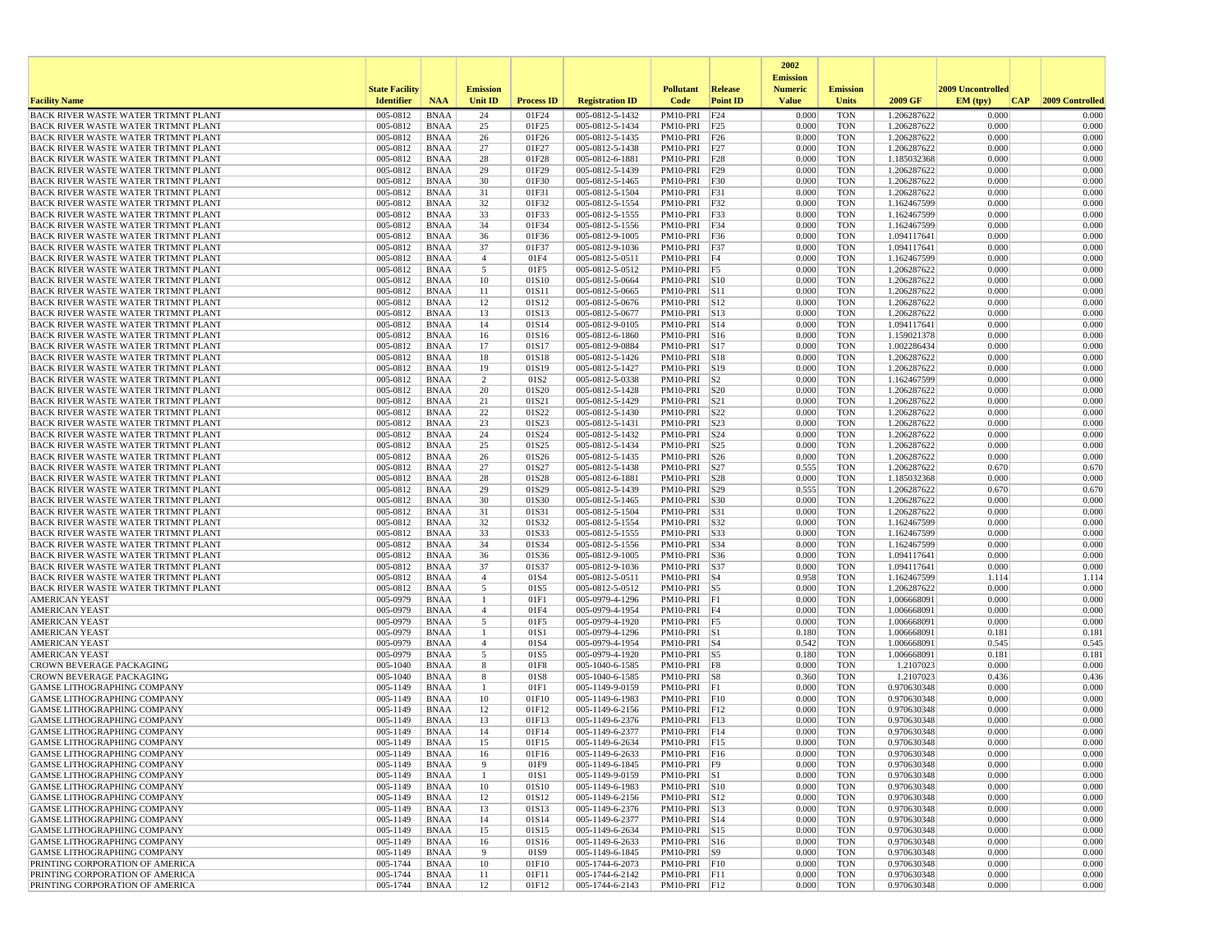|                                                                                          |                       |                            |                     |                   |                                    |                              |                      | 2002                              |                          |                            |                   |                 |
|------------------------------------------------------------------------------------------|-----------------------|----------------------------|---------------------|-------------------|------------------------------------|------------------------------|----------------------|-----------------------------------|--------------------------|----------------------------|-------------------|-----------------|
|                                                                                          | <b>State Facility</b> |                            | <b>Emission</b>     |                   |                                    | <b>Pollutant</b>             | Release              | <b>Emission</b><br><b>Numeric</b> | <b>Emission</b>          |                            | 2009 Uncontrolled |                 |
| <b>Facility Name</b>                                                                     | <b>Identifier</b>     | <b>NAA</b>                 | Unit ID             | <b>Process ID</b> | <b>Registration ID</b>             | Code                         | <b>Point ID</b>      | <b>Value</b>                      | <b>Units</b>             | 2009 GF                    | EM (typ)<br> CAP  | 2009 Controlled |
| BACK RIVER WASTE WATER TRTMNT PLANT                                                      | 005-0812              | <b>BNAA</b>                | 24                  | 01F24             | 005-0812-5-1432                    | PM10-PRI                     | F24                  | 0.000                             | <b>TON</b>               | 1.206287622                | 0.000             | 0.000           |
| BACK RIVER WASTE WATER TRTMNT PLANT                                                      | 005-0812<br>005-0812  | <b>BNAA</b><br><b>BNAA</b> | 25                  | 01F25             | 005-0812-5-1434                    | PM10-PRI F25                 |                      | 0.000<br>0.000                    | <b>TON</b><br><b>TON</b> | 1.206287622                | 0.000<br>0.000    | 0.000<br>0.000  |
| <b>BACK RIVER WASTE WATER TRTMNT PLANT</b><br><b>BACK RIVER WASTE WATER TRTMNT PLANT</b> | 005-0812              | <b>BNAA</b>                | 26<br>27            | 01F26<br>01F27    | 005-0812-5-1435<br>005-0812-5-1438 | PM10-PRI F26<br>PM10-PRI F27 |                      | 0.000                             | <b>TON</b>               | 1.206287622<br>1.206287622 | 0.000             | 0.000           |
| <b>BACK RIVER WASTE WATER TRTMNT PLANT</b>                                               | 005-0812              | <b>BNAA</b>                | 28                  | 01F28             | 005-0812-6-1881                    | PM10-PRI F28                 |                      | 0.000                             | <b>TON</b>               | 1.185032368                | 0.000             | 0.000           |
| BACK RIVER WASTE WATER TRTMNT PLANT                                                      | 005-0812              | <b>BNAA</b>                | 29                  | 01F29             | 005-0812-5-1439                    | PM10-PRI F29                 |                      | 0.000                             | <b>TON</b>               | 1.206287622                | 0.000             | 0.000           |
| BACK RIVER WASTE WATER TRTMNT PLANT                                                      | 005-0812              | <b>BNAA</b>                | 30                  | 01F30             | 005-0812-5-1465                    | PM10-PRI F30                 |                      | 0.000                             | <b>TON</b>               | 1.206287622                | 0.000             | 0.000           |
| <b>BACK RIVER WASTE WATER TRTMNT PLANT</b>                                               | 005-0812              | <b>BNAA</b>                | 31                  | 01F31             | 005-0812-5-1504                    | PM10-PRI                     | F31                  | 0.000                             | <b>TON</b>               | 1.206287622                | 0.000             | 0.000           |
| BACK RIVER WASTE WATER TRTMNT PLANT<br><b>BACK RIVER WASTE WATER TRTMNT PLANT</b>        | 005-0812<br>005-0812  | <b>BNAA</b><br><b>BNAA</b> | 32<br>33            | 01F32<br>01F33    | 005-0812-5-1554<br>005-0812-5-1555 | PM10-PRI F32<br>PM10-PRI F33 |                      | 0.000<br>0.000                    | <b>TON</b><br><b>TON</b> | 1.162467599<br>1.162467599 | 0.000<br>0.000    | 0.000<br>0.000  |
| <b>BACK RIVER WASTE WATER TRTMNT PLANT</b>                                               | 005-0812              | <b>BNAA</b>                | 34                  | 01F34             | 005-0812-5-1556                    | PM10-PRI F34                 |                      | 0.000                             | <b>TON</b>               | 1.162467599                | 0.000             | 0.000           |
| <b>BACK RIVER WASTE WATER TRTMNT PLANT</b>                                               | 005-0812              | <b>BNAA</b>                | 36                  | 01F36             | 005-0812-9-1005                    | PM10-PRI F36                 |                      | 0.000                             | <b>TON</b>               | 1.094117641                | 0.000             | 0.000           |
| <b>BACK RIVER WASTE WATER TRTMNT PLANT</b>                                               | 005-0812              | <b>BNAA</b>                | 37                  | 01F37             | 005-0812-9-1036                    | PM10-PRI F37                 |                      | 0.000                             | <b>TON</b>               | 1.094117641                | 0.000             | 0.000           |
| <b>BACK RIVER WASTE WATER TRTMNT PLANT</b>                                               | 005-0812              | <b>BNAA</b>                | $\overline{4}$      | 01F4              | 005-0812-5-0511                    | PM10-PRI                     | F <sub>4</sub>       | 0.000                             | <b>TON</b>               | 1.162467599                | 0.000             | 0.000           |
| <b>BACK RIVER WASTE WATER TRTMNT PLANT</b>                                               | 005-0812              | <b>BNAA</b>                | 5                   | 01F5              | 005-0812-5-0512                    | PM10-PRI F5                  |                      | 0.000                             | <b>TON</b>               | 1.206287622                | 0.000             | 0.000           |
| BACK RIVER WASTE WATER TRTMNT PLANT<br>BACK RIVER WASTE WATER TRTMNT PLANT               | 005-0812<br>005-0812  | <b>BNAA</b><br><b>BNAA</b> | 10<br>11            | 01S10<br>01S11    | 005-0812-5-0664<br>005-0812-5-0665 | PM10-PRI S10<br>PM10-PRI S11 |                      | 0.000<br>0.000                    | <b>TON</b><br><b>TON</b> | 1.206287622<br>1.206287622 | 0.000<br>0.000    | 0.000<br>0.000  |
| <b>BACK RIVER WASTE WATER TRTMNT PLANT</b>                                               | 005-0812              | <b>BNAA</b>                | 12                  | 01S12             | 005-0812-5-0676                    | PM10-PRI S12                 |                      | 0.000                             | TON                      | 1.206287622                | 0.000             | 0.000           |
| <b>BACK RIVER WASTE WATER TRTMNT PLANT</b>                                               | 005-0812              | <b>BNAA</b>                | 13                  | 01S13             | 005-0812-5-0677                    | PM10-PRI S13                 |                      | 0.000                             | <b>TON</b>               | 1.206287622                | 0.000             | 0.000           |
| <b>BACK RIVER WASTE WATER TRTMNT PLANT</b>                                               | 005-0812              | <b>BNAA</b>                | 14                  | 01S14             | 005-0812-9-0105                    | PM10-PRI                     | $\sqrt{\text{S}}$ 14 | 0.000                             | <b>TON</b>               | 1.094117641                | 0.000             | 0.000           |
| BACK RIVER WASTE WATER TRTMNT PLANT                                                      | 005-0812              | <b>BNAA</b>                | 16                  | 01S16             | 005-0812-6-1860                    | PM10-PRI S16                 |                      | 0.000                             | <b>TON</b>               | 1.159021378                | 0.000             | 0.000           |
| BACK RIVER WASTE WATER TRTMNT PLANT                                                      | 005-0812              | <b>BNAA</b>                | 17                  | 01S17             | 005-0812-9-0884                    | PM10-PRI S17                 |                      | 0.000                             | <b>TON</b>               | 1.002286434                | 0.000             | 0.000           |
| <b>BACK RIVER WASTE WATER TRTMNT PLANT</b>                                               | 005-0812<br>005-0812  | <b>BNAA</b><br><b>BNAA</b> | 18<br>19            | 01S18<br>01S19    | 005-0812-5-1426<br>005-0812-5-1427 | PM10-PRI S18<br>PM10-PRI S19 |                      | 0.000<br>0.000                    | TON<br><b>TON</b>        | 1.206287622<br>1.206287622 | 0.000<br>0.000    | 0.000<br>0.000  |
| BACK RIVER WASTE WATER TRTMNT PLANT<br>BACK RIVER WASTE WATER TRTMNT PLANT               | 005-0812              | <b>BNAA</b>                | 2                   | 01S <sub>2</sub>  | 005-0812-5-0338                    | PM10-PRI                     | S <sub>2</sub>       | 0.000                             | <b>TON</b>               | 1.162467599                | 0.000             | 0.000           |
| BACK RIVER WASTE WATER TRTMNT PLANT                                                      | 005-0812              | <b>BNAA</b>                | 20                  | 01S20             | 005-0812-5-1428                    | PM10-PRI                     | <b>S20</b>           | 0.000                             | <b>TON</b>               | 1.206287622                | 0.000             | 0.000           |
| BACK RIVER WASTE WATER TRTMNT PLANT                                                      | 005-0812              | <b>BNAA</b>                | 21                  | 01S21             | 005-0812-5-1429                    | PM10-PRI S21                 |                      | 0.000                             | <b>TON</b>               | 1.206287622                | 0.000             | 0.000           |
| BACK RIVER WASTE WATER TRTMNT PLANT                                                      | 005-0812              | <b>BNAA</b>                | 22                  | 01S22             | 005-0812-5-1430                    | PM10-PRI S22                 |                      | 0.000                             | <b>TON</b>               | 1.206287622                | 0.000             | 0.000           |
| <b>BACK RIVER WASTE WATER TRTMNT PLANT</b>                                               | 005-0812              | <b>BNAA</b>                | 23                  | 01S23             | 005-0812-5-1431                    | PM10-PRI S23                 |                      | 0.000                             | <b>TON</b>               | 1.206287622                | 0.000             | 0.000           |
| BACK RIVER WASTE WATER TRTMNT PLANT<br><b>BACK RIVER WASTE WATER TRTMNT PLANT</b>        | 005-0812<br>005-0812  | <b>BNAA</b><br><b>BNAA</b> | 24<br>25            | 01S24<br>01S25    | 005-0812-5-1432<br>005-0812-5-1434 | PM10-PRI<br>PM10-PRI         | S24<br>S25           | 0.000<br>0.000                    | <b>TON</b><br><b>TON</b> | 1.206287622<br>1.206287622 | 0.000<br>0.000    | 0.000<br>0.000  |
| BACK RIVER WASTE WATER TRTMNT PLANT                                                      | 005-0812              | <b>BNAA</b>                | 26                  | 01S26             | 005-0812-5-1435                    | PM10-PRI                     | S <sub>26</sub>      | 0.000                             | <b>TON</b>               | 1.206287622                | 0.000             | 0.000           |
| <b>BACK RIVER WASTE WATER TRTMNT PLANT</b>                                               | 005-0812              | <b>BNAA</b>                | 27                  | 01S27             | 005-0812-5-1438                    | PM10-PRI                     | S27                  | 0.555                             | <b>TON</b>               | 1.206287622                | 0.670             | 0.67            |
| BACK RIVER WASTE WATER TRTMNT PLANT                                                      | 005-0812              | <b>BNAA</b>                | 28                  | 01S28             | 005-0812-6-1881                    | PM10-PRI S28                 |                      | 0.000                             | <b>TON</b>               | 1.185032368                | 0.000             | 0.000           |
| <b>BACK RIVER WASTE WATER TRTMNT PLANT</b>                                               | 005-0812              | <b>BNAA</b>                | 29                  | 01S29             | 005-0812-5-1439                    | PM10-PRI S29                 |                      | 0.555                             | <b>TON</b>               | 1.206287622                | 0.670             | 0.670           |
| <b>BACK RIVER WASTE WATER TRTMNT PLANT</b>                                               | 005-0812              | <b>BNAA</b>                | 30                  | 01S30             | 005-0812-5-1465                    | PM10-PRI                     | <b>S30</b>           | 0.000                             | <b>TON</b>               | 1.206287622                | 0.000             | 0.000           |
| BACK RIVER WASTE WATER TRTMNT PLANT<br>BACK RIVER WASTE WATER TRTMNT PLANT               | 005-0812<br>005-0812  | <b>BNAA</b><br><b>BNAA</b> | 31<br>32            | 01S31<br>01S32    | 005-0812-5-1504<br>005-0812-5-1554 | PM10-PRI<br>PM10-PRI S32     | S31                  | 0.000<br>0.000                    | <b>TON</b><br><b>TON</b> | 1.206287622<br>1.162467599 | 0.000<br>0.000    | 0.000<br>0.000  |
| BACK RIVER WASTE WATER TRTMNT PLANT                                                      | 005-0812              | <b>BNAA</b>                | 33                  | 01S33             | 005-0812-5-1555                    | PM10-PRI                     | S33                  | 0.000                             | <b>TON</b>               | 1.162467599                | 0.000             | 0.000           |
| <b>BACK RIVER WASTE WATER TRTMNT PLANT</b>                                               | 005-0812              | <b>BNAA</b>                | 34                  | 01S34             | 005-0812-5-1556                    | PM10-PRI S34                 |                      | 0.000                             | <b>TON</b>               | 1.162467599                | 0.000             | 0.000           |
| BACK RIVER WASTE WATER TRTMNT PLANT                                                      | 005-0812              | BNAA                       | 36                  | 01S36             | 005-0812-9-1005                    | PM10-PRI   S36               |                      | 0.000                             | <b>TON</b>               | 1.094117641                | 0.000             | 0.000           |
| BACK RIVER WASTE WATER TRTMNT PLANT                                                      | 005-0812              | <b>BNAA</b>                | 37                  | 01S37             | 005-0812-9-1036                    | PM10-PRI                     | <b>S37</b>           | 0.000                             | <b>TON</b>               | 1.094117641                | 0.000             | 0.000           |
| <b>BACK RIVER WASTE WATER TRTMNT PLANT</b><br><b>BACK RIVER WASTE WATER TRTMNT PLANT</b> | 005-0812<br>005-0812  | <b>BNAA</b><br><b>BNAA</b> | $\overline{4}$<br>5 | 01S4<br>01S5      | 005-0812-5-0511<br>005-0812-5-0512 | PM10-PRI<br>PM10-PRI S5      | $ S_4$               | 0.958<br>0.000                    | <b>TON</b><br><b>TON</b> | 1.162467599<br>1.206287622 | 1.114<br>0.000    | 1.114<br>0.000  |
| <b>AMERICAN YEAST</b>                                                                    | 005-0979              | <b>BNAA</b>                | -1                  | 01F1              | 005-0979-4-1296                    | PM10-PRI F1                  |                      | 0.000                             | <b>TON</b>               | 1.006668091                | 0.000             | 0.000           |
| <b>AMERICAN YEAST</b>                                                                    | 005-0979              | <b>BNAA</b>                | $\overline{4}$      | 01F4              | 005-0979-4-1954                    | PM10-PRI F4                  |                      | 0.000                             | <b>TON</b>               | 1.006668091                | 0.000             | 0.000           |
| <b>AMERICAN YEAST</b>                                                                    | 005-0979              | <b>BNAA</b>                | 5                   | 01F5              | 005-0979-4-1920                    | PM10-PRI F5                  |                      | 0.000                             | <b>TON</b>               | 1.006668091                | 0.000             | 0.000           |
| <b>AMERICAN YEAST</b>                                                                    | 005-0979              | <b>BNAA</b>                | 1                   | 01S1              | 005-0979-4-1296                    | PM10-PRI S1                  |                      | 0.180                             | <b>TON</b>               | 1.006668091                | 0.181             | 0.181           |
| <b>AMERICAN YEAST</b>                                                                    | 005-0979              | BNAA                       | $\overline{4}$<br>5 | 01S4              | 005-0979-4-1954                    | $PM10-PRI$ S4                |                      | 0.542                             | <b>TON</b>               | 1.006668091                | 0.545             | 0.545           |
| <b>AMERICAN YEAST</b><br><b>CROWN BEVERAGE PACKAGING</b>                                 | 005-0979<br>005-1040  | <b>BNAA</b><br><b>BNAA</b> | 8                   | 01S5<br>01F8      | 005-0979-4-1920<br>005-1040-6-1585 | PM10-PRI S5<br>PM10-PRI F8   |                      | 0.180<br>0.000                    | <b>TON</b><br><b>TON</b> | 1.006668091<br>1.2107023   | 0.181<br>0.000    | 0.181<br>0.000  |
| <b>CROWN BEVERAGE PACKAGING</b>                                                          | 005-1040              | BNAA                       | 8                   | 01S8              | 005-1040-6-1585                    | PM10-PRI S8                  |                      | 0.360                             | <b>TON</b>               | 1.2107023                  | 0.436             | 0.436           |
| <b>GAMSE LITHOGRAPHING COMPANY</b>                                                       | 005-1149              | <b>BNAA</b>                |                     | 01F1              | 005-1149-9-0159                    | PM10-PRI F1                  |                      | 0.000                             | <b>TON</b>               | 0.970630348                | 0.000             | 0.000           |
| GAMSE LITHOGRAPHING COMPANY                                                              | 005-1149              | <b>BNAA</b>                | 10                  | 01F10             | 005-1149-6-1983                    | $PM10-PRI$ $ F10$            |                      | 0.000                             | <b>TON</b>               | 0.970630348                | 0.000             | 0.000           |
| <b>GAMSE LITHOGRAPHING COMPANY</b>                                                       | 005-1149              | <b>BNAA</b>                | 12                  | 01F12             | 005-1149-6-2156                    | PM10-PRI F12                 |                      | 0.000                             | <b>TON</b>               | 0.970630348                | 0.000             | 0.000           |
| <b>GAMSE LITHOGRAPHING COMPANY</b><br>GAMSE LITHOGRAPHING COMPANY                        | 005-1149<br>005-1149  | <b>BNAA</b><br><b>BNAA</b> | 13<br>14            | 01F13<br>01F14    | 005-1149-6-2376<br>005-1149-6-2377 | PM10-PRI F13<br>PM10-PRI F14 |                      | 0.000<br>0.000                    | <b>TON</b><br><b>TON</b> | 0.970630348<br>0.970630348 | 0.000<br>0.000    | 0.000<br>0.000  |
| GAMSE LITHOGRAPHING COMPANY                                                              | 005-1149              | <b>BNAA</b>                | 15                  | 01F15             | 005-1149-6-2634                    | PM10-PRI F15                 |                      | 0.000                             | <b>TON</b>               | 0.970630348                | 0.000             | 0.000           |
| <b>GAMSE LITHOGRAPHING COMPANY</b>                                                       | 005-1149              | BNAA                       | 16                  | 01F16             | 005-1149-6-2633                    | $PM10-PRI$  F16              |                      | 0.000                             | TON                      | 0.970630348                | 0.000             | 0.000           |
| GAMSE LITHOGRAPHING COMPANY                                                              | 005-1149              | BNAA                       | 9                   | 01F9              | 005-1149-6-1845                    | PM10-PRI F9                  |                      | 0.000                             | <b>TON</b>               | 0.970630348                | 0.000             | 0.000           |
| GAMSE LITHOGRAPHING COMPANY                                                              | 005-1149              | BNAA                       | $\mathbf{1}$        | 01S1              | 005-1149-9-0159                    | PM10-PRI S1                  |                      | 0.000                             | <b>TON</b>               | 0.970630348                | 0.000             | 0.000           |
| <b>GAMSE LITHOGRAPHING COMPANY</b><br>GAMSE LITHOGRAPHING COMPANY                        | 005-1149              | BNAA                       | 10<br>12            | 01S10             | 005-1149-6-1983                    | PM10-PRI S10<br>PM10-PRI S12 |                      | 0.000                             | TON<br><b>TON</b>        | 0.970630348<br>0.970630348 | 0.000<br>0.000    | 0.000<br>0.000  |
| GAMSE LITHOGRAPHING COMPANY                                                              | 005-1149<br>005-1149  | BNAA<br><b>BNAA</b>        | 13                  | 01S12<br>01S13    | 005-1149-6-2156<br>005-1149-6-2376 | PM10-PRI S13                 |                      | 0.000<br>0.000                    | <b>TON</b>               | 0.970630348                | 0.000             | 0.000           |
| GAMSE LITHOGRAPHING COMPANY                                                              | 005-1149              | <b>BNAA</b>                | 14                  | 01S14             | 005-1149-6-2377                    | PM10-PRI S14                 |                      | 0.000                             | <b>TON</b>               | 0.970630348                | 0.000             | 0.000           |
| GAMSE LITHOGRAPHING COMPANY                                                              | 005-1149              | BNAA                       | 15                  | 01S15             | 005-1149-6-2634                    | PM10-PRI S15                 |                      | 0.000                             | <b>TON</b>               | 0.970630348                | 0.000             | 0.000           |
| <b>GAMSE LITHOGRAPHING COMPANY</b>                                                       | 005-1149              | <b>BNAA</b>                | 16                  | 01S16             | 005-1149-6-2633                    | PM10-PRI S16                 |                      | 0.000                             | <b>TON</b>               | 0.970630348                | 0.000             | 0.000           |
| GAMSE LITHOGRAPHING COMPANY                                                              | 005-1149              | BNAA                       | 9                   | 01S9              | 005-1149-6-1845                    | PM10-PRI S9                  |                      | 0.000                             | TON                      | 0.970630348                | 0.000             | 0.000           |
| PRINTING CORPORATION OF AMERICA<br>PRINTING CORPORATION OF AMERICA                       | 005-1744<br>005-1744  | BNAA<br><b>BNAA</b>        | 10<br>11            | 01F10<br>01F11    | 005-1744-6-2073<br>005-1744-6-2142 | PM10-PRI F10<br>PM10-PRI F11 |                      | 0.000<br>0.000                    | TON<br><b>TON</b>        | 0.970630348<br>0.970630348 | 0.000<br>0.000    | 0.000<br>0.000  |
| PRINTING CORPORATION OF AMERICA                                                          | 005-1744              | BNAA                       | 12                  | 01F12             | 005-1744-6-2143                    | PM10-PRI F12                 |                      | 0.000                             | TON                      | 0.970630348                | 0.000             | 0.000           |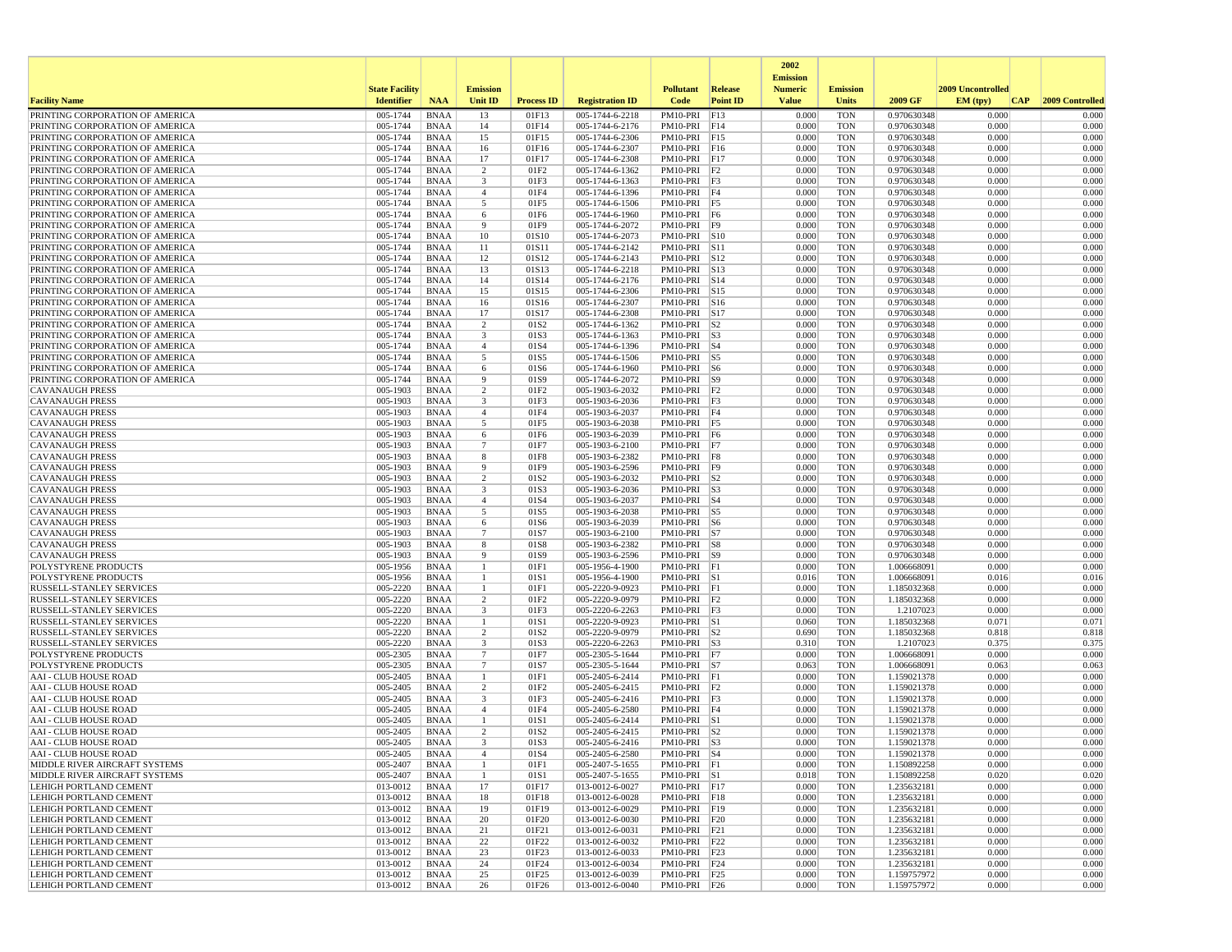|                                                                    |                       |                            |                       |                   |                                    |                              |                         | 2002                              |                          |                            |                   |                 |
|--------------------------------------------------------------------|-----------------------|----------------------------|-----------------------|-------------------|------------------------------------|------------------------------|-------------------------|-----------------------------------|--------------------------|----------------------------|-------------------|-----------------|
|                                                                    | <b>State Facility</b> |                            | <b>Emission</b>       |                   |                                    | <b>Pollutant</b>             | Release                 | <b>Emission</b><br><b>Numeric</b> | <b>Emission</b>          |                            | 2009 Uncontrolled |                 |
| <b>Facility Name</b>                                               | <b>Identifier</b>     | <b>NAA</b>                 | Unit ID               | <b>Process ID</b> | <b>Registration ID</b>             | Code                         | <b>Point ID</b>         | <b>Value</b>                      | <b>Units</b>             | 2009 GF                    | EM (typ)<br> CAP  | 2009 Controlled |
| PRINTING CORPORATION OF AMERICA                                    | 005-1744              | <b>BNAA</b>                | 13                    | 01F13             | 005-1744-6-2218                    | PM10-PRI                     | F13                     | 0.000                             | <b>TON</b>               | 0.970630348                | 0.000             | 0.000           |
| PRINTING CORPORATION OF AMERICA                                    | 005-1744              | <b>BNAA</b>                | 14                    | 01F14             | 005-1744-6-2176                    | PM10-PRI F14                 |                         | 0.000                             | <b>TON</b>               | 0.970630348                | 0.000             | 0.000           |
| PRINTING CORPORATION OF AMERICA                                    | 005-1744              | <b>BNAA</b>                | 15                    | 01F15             | 005-1744-6-2306                    | PM10-PRI F15                 |                         | 0.000                             | <b>TON</b>               | 0.970630348                | 0.000             | 0.000           |
| PRINTING CORPORATION OF AMERICA                                    | 005-1744              | <b>BNAA</b>                | 16                    | 01F16             | 005-1744-6-2307                    | PM10-PRI F16                 |                         | 0.000                             | <b>TON</b>               | 0.970630348                | 0.000             | 0.000           |
| PRINTING CORPORATION OF AMERICA                                    | 005-1744              | <b>BNAA</b>                | 17                    | 01F17             | 005-1744-6-2308                    | PM10-PRI F17                 |                         | 0.000                             | <b>TON</b>               | 0.970630348                | 0.000             | 0.000           |
| PRINTING CORPORATION OF AMERICA<br>PRINTING CORPORATION OF AMERICA | 005-1744<br>005-1744  | <b>BNAA</b><br><b>BNAA</b> | 2<br>3                | 01F2<br>01F3      | 005-1744-6-1362<br>005-1744-6-1363 | $PM10-PRI$ F2<br>PM10-PRI F3 |                         | 0.000<br>0.000                    | <b>TON</b><br><b>TON</b> | 0.970630348<br>0.970630348 | 0.000<br>0.000    | 0.000<br>0.000  |
| PRINTING CORPORATION OF AMERICA                                    | 005-1744              | <b>BNAA</b>                | $\overline{4}$        | 01F4              | 005-1744-6-1396                    | PM10-PRI F4                  |                         | 0.000                             | <b>TON</b>               | 0.970630348                | 0.000             | 0.000           |
| PRINTING CORPORATION OF AMERICA                                    | 005-1744              | <b>BNAA</b>                | 5                     | 01F5              | 005-1744-6-1506                    | PM10-PRI F5                  |                         | 0.000                             | <b>TON</b>               | 0.970630348                | 0.000             | 0.000           |
| PRINTING CORPORATION OF AMERICA                                    | 005-1744              | <b>BNAA</b>                | 6                     | 01F6              | 005-1744-6-1960                    | PM10-PRI F6                  |                         | 0.000                             | <b>TON</b>               | 0.970630348                | 0.000             | 0.000           |
| PRINTING CORPORATION OF AMERICA                                    | 005-1744              | <b>BNAA</b>                | - 9                   | 01F9              | 005-1744-6-2072                    | PM10-PRI F9                  |                         | 0.000                             | <b>TON</b>               | 0.970630348                | 0.000             | 0.000           |
| PRINTING CORPORATION OF AMERICA                                    | 005-1744              | <b>BNAA</b>                | 10                    | 01S10             | 005-1744-6-2073                    | $PM10-PRI$ $S10$             |                         | 0.000                             | <b>TON</b>               | 0.970630348                | 0.000             | 0.000           |
| PRINTING CORPORATION OF AMERICA                                    | 005-1744              | <b>BNAA</b>                | 11                    | 01S11             | 005-1744-6-2142                    | PM10-PRI S11                 |                         | 0.000                             | <b>TON</b>               | 0.970630348                | 0.000             | 0.000           |
| PRINTING CORPORATION OF AMERICA                                    | 005-1744              | <b>BNAA</b><br><b>BNAA</b> | 12                    | 01S12             | 005-1744-6-2143                    | PM10-PRI                     | S12                     | 0.000                             | <b>TON</b>               | 0.970630348                | 0.000<br>0.000    | 0.000<br>0.000  |
| PRINTING CORPORATION OF AMERICA<br>PRINTING CORPORATION OF AMERICA | 005-1744<br>005-1744  | BNAA                       | 13<br>14              | 01S13<br>01S14    | 005-1744-6-2218<br>005-1744-6-2176 | PM10-PRI<br>PM10-PRI S14     | $\vert$ S <sub>13</sub> | 0.000<br>0.000                    | <b>TON</b><br><b>TON</b> | 0.970630348<br>0.970630348 | 0.000             | 0.000           |
| PRINTING CORPORATION OF AMERICA                                    | 005-1744              | <b>BNAA</b>                | 15                    | 01S15             | 005-1744-6-2306                    | PM10-PRI S15                 |                         | 0.000                             | <b>TON</b>               | 0.970630348                | 0.000             | 0.000           |
| PRINTING CORPORATION OF AMERICA                                    | 005-1744              | <b>BNAA</b>                | 16                    | 01S16             | 005-1744-6-2307                    | PM10-PRI S16                 |                         | 0.000                             | <b>TON</b>               | 0.970630348                | 0.000             | 0.000           |
| PRINTING CORPORATION OF AMERICA                                    | 005-1744              | <b>BNAA</b>                | 17                    | 01S17             | 005-1744-6-2308                    | PM10-PRI S17                 |                         | 0.000                             | <b>TON</b>               | 0.970630348                | 0.000             | 0.000           |
| PRINTING CORPORATION OF AMERICA                                    | 005-1744              | <b>BNAA</b>                | 2                     | 01S2              | 005-1744-6-1362                    | PM10-PRI                     | S <sub>2</sub>          | 0.000                             | <b>TON</b>               | 0.970630348                | 0.000             | 0.000           |
| PRINTING CORPORATION OF AMERICA                                    | 005-1744              | <b>BNAA</b>                | 3                     | 01S3              | 005-1744-6-1363                    | PM10-PRI S3                  |                         | 0.000                             | <b>TON</b>               | 0.970630348                | 0.000             | 0.000           |
| PRINTING CORPORATION OF AMERICA                                    | 005-1744              | <b>BNAA</b>                | $\overline{4}$        | 01S4              | 005-1744-6-1396                    | $PM10-PRI$ S4                |                         | 0.000                             | <b>TON</b>               | 0.970630348                | 0.000             | 0.000           |
| PRINTING CORPORATION OF AMERICA                                    | 005-1744              | <b>BNAA</b>                | 5                     | 01S5              | 005-1744-6-1506                    | PM10-PRI S5                  |                         | 0.000                             | <b>TON</b>               | 0.970630348                | 0.000             | 0.000           |
| PRINTING CORPORATION OF AMERICA<br>PRINTING CORPORATION OF AMERICA | 005-1744<br>005-1744  | <b>BNAA</b><br><b>BNAA</b> | 6<br>-9               | 01S6<br>01S9      | 005-1744-6-1960<br>005-1744-6-2072 | PM10-PRI S6<br>PM10-PRI      | S9                      | 0.000<br>0.000                    | <b>TON</b><br><b>TON</b> | 0.970630348<br>0.970630348 | 0.000<br>0.000    | 0.000<br>0.000  |
| <b>CAVANAUGH PRESS</b>                                             | 005-1903              | <b>BNAA</b>                | 2                     | 01F <sub>2</sub>  | 005-1903-6-2032                    | $PM10-PRI$ $F2$              |                         | 0.000                             | <b>TON</b>               | 0.970630348                | 0.000             | 0.000           |
| <b>CAVANAUGH PRESS</b>                                             | 005-1903              | <b>BNAA</b>                | 3                     | 01F3              | 005-1903-6-2036                    | PM10-PRI F3                  |                         | 0.000                             | <b>TON</b>               | 0.970630348                | 0.000             | 0.000           |
| <b>CAVANAUGH PRESS</b>                                             | 005-1903              | <b>BNAA</b>                | $\overline{4}$        | 01F4              | 005-1903-6-2037                    | PM10-PRI F4                  |                         | 0.000                             | <b>TON</b>               | 0.970630348                | 0.000             | 0.000           |
| <b>CAVANAUGH PRESS</b>                                             | 005-1903              | <b>BNAA</b>                | 5                     | 01F5              | 005-1903-6-2038                    | PM10-PRI F5                  |                         | 0.000                             | <b>TON</b>               | 0.970630348                | 0.000             | 0.000           |
| <b>CAVANAUGH PRESS</b>                                             | 005-1903              | <b>BNAA</b>                | 6                     | 01F6              | 005-1903-6-2039                    | PM10-PRI F6                  |                         | 0.000                             | <b>TON</b>               | 0.970630348                | 0.000             | 0.000           |
| <b>CAVANAUGH PRESS</b>                                             | 005-1903              | <b>BNAA</b>                | $\overline{7}$        | 01F7              | 005-1903-6-2100                    | PM10-PRI                     | F7                      | 0.000                             | <b>TON</b>               | 0.970630348                | 0.000             | 0.000           |
| <b>CAVANAUGH PRESS</b>                                             | 005-1903              | <b>BNAA</b>                | 8                     | 01F8              | 005-1903-6-2382                    | PM10-PRI F8                  |                         | 0.000                             | <b>TON</b>               | 0.970630348                | 0.000             | 0.000           |
| <b>CAVANAUGH PRESS</b>                                             | 005-1903<br>005-1903  | <b>BNAA</b><br><b>BNAA</b> | - 9<br>$\overline{2}$ | 01F9<br>01S2      | 005-1903-6-2596                    | PM10-PRI F9<br>PM10-PRI S2   |                         | 0.000<br>0.000                    | <b>TON</b><br><b>TON</b> | 0.970630348                | 0.000<br>0.000    | 0.000<br>0.000  |
| <b>CAVANAUGH PRESS</b><br><b>CAVANAUGH PRESS</b>                   | 005-1903              | <b>BNAA</b>                | 3                     | 01S3              | 005-1903-6-2032<br>005-1903-6-2036 | $PM10-PRI$ S3                |                         | 0.000                             | <b>TON</b>               | 0.970630348<br>0.970630348 | 0.000             | 0.000           |
| <b>CAVANAUGH PRESS</b>                                             | 005-1903              | <b>BNAA</b>                | $\overline{4}$        | 01S4              | 005-1903-6-2037                    | PM10-PRI                     | $ S_4$                  | 0.000                             | <b>TON</b>               | 0.970630348                | 0.000             | 0.000           |
| <b>CAVANAUGH PRESS</b>                                             | 005-1903              | <b>BNAA</b>                | 5                     | 01S5              | 005-1903-6-2038                    | PM10-PRI S5                  |                         | 0.000                             | <b>TON</b>               | 0.970630348                | 0.000             | 0.000           |
| <b>CAVANAUGH PRESS</b>                                             | 005-1903              | <b>BNAA</b>                | 6                     | 01S6              | 005-1903-6-2039                    | PM10-PRI S6                  |                         | 0.000                             | <b>TON</b>               | 0.970630348                | 0.000             | 0.000           |
| <b>CAVANAUGH PRESS</b>                                             | 005-1903              | <b>BNAA</b>                | $7\phantom{.0}$       | 01S7              | 005-1903-6-2100                    | PM10-PRI S7                  |                         | 0.000                             | <b>TON</b>               | 0.970630348                | 0.000             | 0.000           |
| <b>CAVANAUGH PRESS</b>                                             | 005-1903              | <b>BNAA</b>                | 8                     | 01S8              | 005-1903-6-2382                    | PM10-PRI S8                  |                         | 0.000                             | <b>TON</b>               | 0.970630348                | 0.000             | 0.000           |
| <b>CAVANAUGH PRESS</b>                                             | 005-1903              | BNAA                       | 9                     | 01S9              | 005-1903-6-2596                    | PM10-PRI   S9                |                         | 0.000                             | <b>TON</b>               | 0.970630348                | 0.000             | 0.000           |
| POLYSTYRENE PRODUCTS<br>POLYSTYRENE PRODUCTS                       | 005-1956<br>005-1956  | <b>BNAA</b><br><b>BNAA</b> | -1<br>$\mathbf{1}$    | 01F1<br>01S1      | 005-1956-4-1900<br>005-1956-4-1900 | PM10-PRI F1<br>PM10-PRI S1   |                         | 0.000<br>0.016                    | <b>TON</b><br><b>TON</b> | 1.006668091<br>1.006668091 | 0.000<br>0.016    | 0.000<br>0.016  |
| RUSSELL-STANLEY SERVICES                                           | 005-2220              | <b>BNAA</b>                | -1                    | 01F1              | 005-2220-9-0923                    | PM10-PRI F1                  |                         | 0.000                             | <b>TON</b>               | 1.185032368                | 0.000             | 0.000           |
| RUSSELL-STANLEY SERVICES                                           | 005-2220              | <b>BNAA</b>                | 2                     | 01F <sub>2</sub>  | 005-2220-9-0979                    | $PM10-PRI$ $ F2$             |                         | 0.000                             | <b>TON</b>               | 1.185032368                | 0.000             | 0.000           |
| <b>RUSSELL-STANLEY SERVICES</b>                                    | 005-2220              | <b>BNAA</b>                | 3                     | 01F3              | 005-2220-6-2263                    | PM10-PRI F3                  |                         | 0.000                             | <b>TON</b>               | 1.2107023                  | 0.000             | 0.000           |
| <b>RUSSELL-STANLEY SERVICES</b>                                    | 005-2220              | <b>BNAA</b>                | $\mathbf{1}$          | 01S1              | 005-2220-9-0923                    | PM10-PRI                     | S1                      | 0.060                             | <b>TON</b>               | 1.185032368                | 0.071             | 0.071           |
| RUSSELL-STANLEY SERVICES                                           | 005-2220              | <b>BNAA</b>                | 2                     | 01S <sub>2</sub>  | 005-2220-9-0979                    | PM10-PRI                     | S <sub>2</sub>          | 0.690                             | <b>TON</b>               | 1.185032368                | 0.818             | 0.818           |
| RUSSELL-STANLEY SERVICES                                           | 005-2220              | <b>BNAA</b>                | 3                     | 01S3              | 005-2220-6-2263                    | PM10-PRI S3                  |                         | 0.310                             | <b>TON</b>               | 1.2107023                  | 0.375             | 0.375           |
| POLYSTYRENE PRODUCTS                                               | 005-2305              | <b>BNAA</b>                | $7\phantom{.0}$       | 01F7              | 005-2305-5-1644                    | $PM10-PRI$ F7                |                         | 0.000                             | <b>TON</b>               | 1.006668091                | 0.000             | 0.000           |
| POLYSTYRENE PRODUCTS<br><b>AAI - CLUB HOUSE ROAD</b>               | 005-2305<br>005-2405  | <b>BNAA</b><br><b>BNAA</b> | $\overline{7}$<br>-1  | 01S7<br>01F1      | 005-2305-5-1644<br>005-2405-6-2414 | PM10-PRI S7<br>PM10-PRI F1   |                         | 0.063<br>0.000                    | <b>TON</b><br><b>TON</b> | 1.006668091<br>1.159021378 | 0.063<br>0.000    | 0.063<br>0.000  |
| AAI - CLUB HOUSE ROAD                                              | 005-2405              | <b>BNAA</b>                | $\overline{2}$        | 01F2              | 005-2405-6-2415                    | $PM10-PRI$ $ F2$             |                         | 0.000                             | <b>TON</b>               | 1.159021378                | 0.000             | 0.000           |
| <b>AAI - CLUB HOUSE ROAD</b>                                       | 005-2405              | <b>BNAA</b>                | 3                     | 01F3              | 005-2405-6-2416                    | PM10-PRI F3                  |                         | 0.000                             | <b>TON</b>               | 1.159021378                | 0.000             | 0.000           |
| <b>AAI - CLUB HOUSE ROAD</b>                                       | 005-2405              | <b>BNAA</b>                | $\overline{4}$        | 01F4              | 005-2405-6-2580                    | PM10-PRI F4                  |                         | 0.000                             | <b>TON</b>               | 1.159021378                | 0.000             | 0.000           |
| <b>AAI - CLUB HOUSE ROAD</b>                                       | 005-2405              | <b>BNAA</b>                |                       | 01S1              | 005-2405-6-2414                    | PM10-PRI                     | S1                      | 0.000                             | <b>TON</b>               | 1.159021378                | 0.000             | 0.000           |
| <b>AAI - CLUB HOUSE ROAD</b>                                       | 005-2405              | <b>BNAA</b>                | $\overline{2}$        | 01S <sub>2</sub>  | 005-2405-6-2415                    | $PM10-PRI$ S2                |                         | 0.000                             | <b>TON</b>               | 1.159021378                | 0.000             | 0.000           |
| AAI - CLUB HOUSE ROAD                                              | 005-2405              | <b>BNAA</b>                | 3                     | 01S3              | 005-2405-6-2416                    | $PM10-PRI$ S3                |                         | 0.000                             | <b>TON</b>               | 1.159021378                | 0.000             | 0.000           |
| AAI - CLUB HOUSE ROAD                                              | 005-2405              | BNAA                       |                       | 01S4              | 005-2405-6-2580                    | $PM10-PRI$  S4               |                         | 0.000                             | TON                      | 1.159021378                | 0.000             | 0.000           |
| MIDDLE RIVER AIRCRAFT SYSTEMS<br>MIDDLE RIVER AIRCRAFT SYSTEMS     | 005-2407<br>005-2407  | BNAA<br>BNAA               | -1<br>$\mathbf{1}$    | 01F1<br>01S1      | 005-2407-5-1655<br>005-2407-5-1655 | PM10-PRI F1<br>PM10-PRI S1   |                         | 0.000<br>0.018                    | <b>TON</b><br>TON        | 1.150892258<br>1.150892258 | 0.000<br>0.020    | 0.000<br>0.020  |
| LEHIGH PORTLAND CEMENT                                             | 013-0012              | BNAA                       | 17                    | 01F17             | 013-0012-6-0027                    | PM10-PRI F17                 |                         | 0.000                             | TON                      | 1.235632181                | 0.000             | 0.000           |
| LEHIGH PORTLAND CEMENT                                             | 013-0012              | BNAA                       | 18                    | 01F18             | 013-0012-6-0028                    | PM10-PRI F18                 |                         | 0.000                             | <b>TON</b>               | 1.235632181                | 0.000             | 0.000           |
| LEHIGH PORTLAND CEMENT                                             | 013-0012              | <b>BNAA</b>                | 19                    | 01F19             | 013-0012-6-0029                    | PM10-PRI F19                 |                         | 0.000                             | <b>TON</b>               | 1.235632181                | 0.000             | 0.000           |
| <b>LEHIGH PORTLAND CEMENT</b>                                      | 013-0012              | <b>BNAA</b>                | 20                    | 01F20             | 013-0012-6-0030                    | PM10-PRI F20                 |                         | 0.000                             | <b>TON</b>               | 1.235632181                | 0.000             | 0.000           |
| <b>LEHIGH PORTLAND CEMENT</b>                                      | 013-0012              | BNAA                       | 21                    | 01F21             | 013-0012-6-0031                    | PM10-PRI F21                 |                         | 0.000                             | <b>TON</b>               | 1.235632181                | 0.000             | 0.000           |
| <b>LEHIGH PORTLAND CEMENT</b>                                      | 013-0012              | <b>BNAA</b>                | 22                    | 01F22             | 013-0012-6-0032                    | PM10-PRI F22                 |                         | 0.000                             | <b>TON</b>               | 1.235632181                | 0.000             | 0.000           |
| <b>LEHIGH PORTLAND CEMENT</b>                                      | 013-0012              | BNAA                       | 23                    | 01F23             | 013-0012-6-0033                    | PM10-PRI F23                 |                         | 0.000                             | <b>TON</b>               | 1.235632181                | 0.000             | 0.000           |
| <b>LEHIGH PORTLAND CEMENT</b><br><b>LEHIGH PORTLAND CEMENT</b>     | 013-0012<br>013-0012  | BNAA<br><b>BNAA</b>        | 24<br>25              | 01F24<br>01F25    | 013-0012-6-0034<br>013-0012-6-0039 | PM10-PRI F24<br>PM10-PRI F25 |                         | 0.000<br>0.000                    | TON<br><b>TON</b>        | 1.235632181<br>1.159757972 | 0.000<br>0.000    | 0.000<br>0.000  |
| <b>LEHIGH PORTLAND CEMENT</b>                                      | 013-0012              | <b>BNAA</b>                | 26                    | 01F26             | 013-0012-6-0040                    | $PM10-PRI$ $F26$             |                         | 0.000                             | <b>TON</b>               | 1.159757972                | 0.000             | 0.000           |
|                                                                    |                       |                            |                       |                   |                                    |                              |                         |                                   |                          |                            |                   |                 |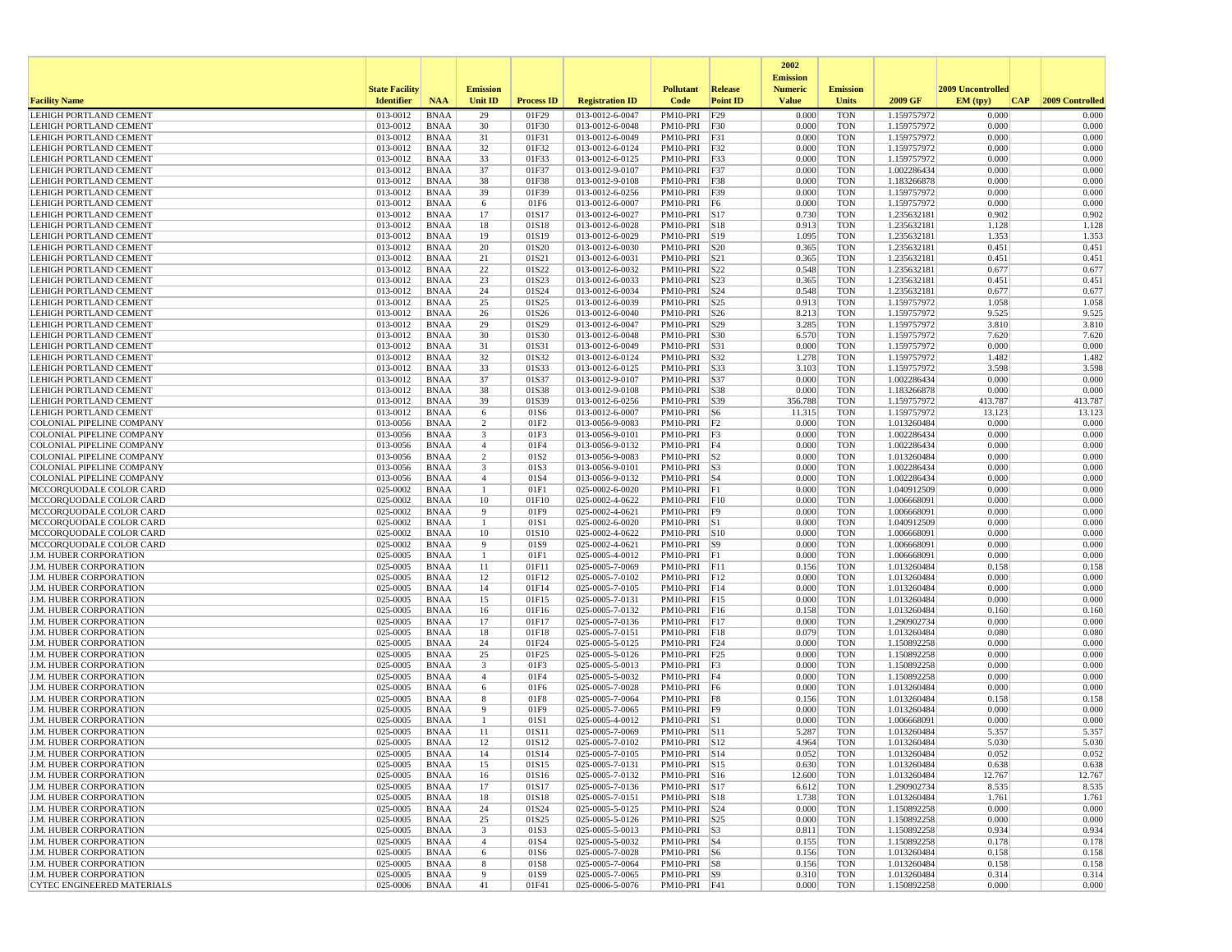|                                                                |                       |                            |                         |                   |                                    |                                 |                 | 2002<br><b>Emission</b> |                          |                            |                   |                  |
|----------------------------------------------------------------|-----------------------|----------------------------|-------------------------|-------------------|------------------------------------|---------------------------------|-----------------|-------------------------|--------------------------|----------------------------|-------------------|------------------|
|                                                                | <b>State Facility</b> |                            | <b>Emission</b>         |                   |                                    | <b>Pollutant</b>                | Release         | <b>Numeric</b>          | <b>Emission</b>          |                            | 2009 Uncontrolled |                  |
| <b>Facility Name</b>                                           | <b>Identifier</b>     | <b>NAA</b>                 | Unit ID                 | <b>Process ID</b> | <b>Registration ID</b>             | Code                            | <b>Point ID</b> | <b>Value</b>            | <b>Units</b>             | 2009 GF                    | EM (typ)<br> CAP  | 2009 Controlled  |
| <b>LEHIGH PORTLAND CEMENT</b>                                  | 013-0012              | <b>BNAA</b>                | 29                      | 01F29             | 013-0012-6-0047                    | PM10-PRI                        | F29             | 0.000                   | <b>TON</b>               | 1.159757972                | 0.000             | 0.000            |
| LEHIGH PORTLAND CEMENT                                         | 013-0012              | <b>BNAA</b>                | 30                      | 01F30             | 013-0012-6-0048                    | PM10-PRI                        | F30             | 0.000                   | <b>TON</b>               | 1.159757972                | 0.000             | 0.000            |
| <b>LEHIGH PORTLAND CEMENT</b><br>LEHIGH PORTLAND CEMENT        | 013-0012<br>013-0012  | <b>BNAA</b><br><b>BNAA</b> | 31<br>32                | 01F31<br>01F32    | 013-0012-6-0049<br>013-0012-6-0124 | PM10-PRI<br>PM10-PRI            | F31<br>F32      | 0.000<br>0.000          | <b>TON</b><br><b>TON</b> | 1.159757972<br>1.159757972 | 0.000<br>0.000    | 0.000<br>0.000   |
| LEHIGH PORTLAND CEMENT                                         | 013-0012              | <b>BNAA</b>                | 33                      | 01F33             | 013-0012-6-0125                    | PM10-PRI                        | F33             | 0.000                   | <b>TON</b>               | 1.159757972                | 0.000             | 0.000            |
| LEHIGH PORTLAND CEMENT                                         | 013-0012              | <b>BNAA</b>                | 37                      | 01F37             | 013-0012-9-0107                    | PM10-PRI                        | F37             | 0.000                   | <b>TON</b>               | 1.002286434                | 0.000             | 0.000            |
| LEHIGH PORTLAND CEMENT                                         | 013-0012              | <b>BNAA</b>                | 38                      | 01F38             | 013-0012-9-0108                    | PM10-PRI                        | F38             | 0.000                   | <b>TON</b>               | 1.183266878                | 0.000             | 0.000            |
| LEHIGH PORTLAND CEMENT                                         | 013-0012              | <b>BNAA</b>                | 39                      | 01F39             | 013-0012-6-0256                    | PM10-PRI                        | F39             | 0.000                   | <b>TON</b>               | 1.159757972                | 0.000             | 0.000            |
| LEHIGH PORTLAND CEMENT                                         | 013-0012              | <b>BNAA</b>                | 6                       | 01F6              | 013-0012-6-0007                    | PM10-PRI                        | F <sub>6</sub>  | 0.000                   | <b>TON</b>               | 1.159757972                | 0.000             | 0.000            |
| LEHIGH PORTLAND CEMENT                                         | 013-0012              | <b>BNAA</b>                | 17                      | 01S17             | 013-0012-6-0027                    | PM10-PRI S17                    |                 | 0.730                   | <b>TON</b>               | 1.235632181                | 0.902             | 0.902            |
| <b>LEHIGH PORTLAND CEMENT</b><br><b>LEHIGH PORTLAND CEMENT</b> | 013-0012<br>013-0012  | <b>BNAA</b><br><b>BNAA</b> | 18<br>19                | 01S18<br>01S19    | 013-0012-6-0028<br>013-0012-6-0029 | PM10-PRI<br>PM10-PRI S19        | S18             | 0.913<br>1.095          | <b>TON</b><br><b>TON</b> | 1.235632181<br>1.235632181 | 1.128<br>1.353    | 1.128<br>1.353   |
| LEHIGH PORTLAND CEMENT                                         | 013-0012              | <b>BNAA</b>                | 20                      | 01S20             | 013-0012-6-0030                    | PM10-PRI S20                    |                 | 0.365                   | <b>TON</b>               | 1.235632181                | 0.451             | 0.451            |
| LEHIGH PORTLAND CEMENT                                         | 013-0012              | <b>BNAA</b>                | 21                      | 01S21             | 013-0012-6-0031                    | PM10-PRI                        | S21             | 0.365                   | <b>TON</b>               | 1.235632181                | 0.451             | 0.451            |
| <b>LEHIGH PORTLAND CEMENT</b>                                  | 013-0012              | <b>BNAA</b>                | 22                      | 01S22             | 013-0012-6-0032                    | PM10-PRI                        | S22             | 0.548                   | <b>TON</b>               | 1.235632181                | 0.677             | 0.677            |
| LEHIGH PORTLAND CEMENT                                         | 013-0012              | <b>BNAA</b>                | 23                      | 01S23             | 013-0012-6-0033                    | PM10-PRI                        | S23             | 0.365                   | <b>TON</b>               | 1.235632181                | 0.451             | 0.451            |
| LEHIGH PORTLAND CEMENT                                         | 013-0012              | <b>BNAA</b>                | 24                      | 01S24             | 013-0012-6-0034                    | PM10-PRI                        | S24             | 0.548                   | <b>TON</b>               | 1.235632181                | 0.677             | 0.677            |
| LEHIGH PORTLAND CEMENT                                         | 013-0012              | <b>BNAA</b>                | 25                      | 01S25             | 013-0012-6-0039                    | PM10-PRI                        | S25             | 0.913                   | <b>TON</b>               | 1.159757972                | 1.058             | 1.058            |
| LEHIGH PORTLAND CEMENT<br>LEHIGH PORTLAND CEMENT               | 013-0012<br>013-0012  | <b>BNAA</b><br><b>BNAA</b> | 26<br>29                | 01S26<br>01S29    | 013-0012-6-0040<br>013-0012-6-0047 | PM10-PRI<br>PM10-PRI            | S26<br> S29     | 8.213<br>3.285          | <b>TON</b><br><b>TON</b> | 1.159757972<br>1.159757972 | 9.525<br>3.810    | 9.525<br>3.810   |
| LEHIGH PORTLAND CEMENT                                         | 013-0012              | <b>BNAA</b>                | 30                      | 01S30             | 013-0012-6-0048                    | PM10-PRI                        | S30             | 6.570                   | <b>TON</b>               | 1.159757972                | 7.620             | 7.620            |
| LEHIGH PORTLAND CEMENT                                         | 013-0012              | <b>BNAA</b>                | 31                      | 01S31             | 013-0012-6-0049                    | PM10-PRI                        | S31             | 0.000                   | <b>TON</b>               | 1.159757972                | 0.000             | 0.000            |
| LEHIGH PORTLAND CEMENT                                         | 013-0012              | <b>BNAA</b>                | 32                      | 01S32             | 013-0012-6-0124                    | PM10-PRI S32                    |                 | 1.278                   | <b>TON</b>               | 1.159757972                | 1.482             | 1.482            |
| <b>LEHIGH PORTLAND CEMENT</b>                                  | 013-0012              | <b>BNAA</b>                | 33                      | 01S33             | 013-0012-6-0125                    | PM10-PRI                        | S33             | 3.103                   | <b>TON</b>               | 1.159757972                | 3.598             | 3.598            |
| <b>LEHIGH PORTLAND CEMENT</b>                                  | 013-0012              | <b>BNAA</b>                | 37                      | 01S37             | 013-0012-9-0107                    | PM10-PRI                        | S37             | 0.000                   | <b>TON</b>               | 1.002286434                | 0.000             | 0.000            |
| LEHIGH PORTLAND CEMENT                                         | 013-0012              | <b>BNAA</b>                | 38<br>39                | 01S38             | 013-0012-9-0108                    | PM10-PRI                        | <b>S38</b>      | 0.000                   | <b>TON</b>               | 1.183266878                | 0.000<br>413.787  | 0.000<br>413.787 |
| LEHIGH PORTLAND CEMENT<br>LEHIGH PORTLAND CEMENT               | 013-0012<br>013-0012  | <b>BNAA</b><br><b>BNAA</b> | 6                       | 01S39<br>01S6     | 013-0012-6-0256<br>013-0012-6-0007 | PM10-PRI S39<br>PM10-PRI S6     |                 | 356.788<br>11.315       | <b>TON</b><br><b>TON</b> | 1.159757972<br>1.159757972 | 13.123            | 13.123           |
| <b>COLONIAL PIPELINE COMPANY</b>                               | 013-0056              | <b>BNAA</b>                | 2                       | 01F2              | 013-0056-9-0083                    | $PM10-PRI$ F2                   |                 | 0.000                   | <b>TON</b>               | 1.013260484                | 0.000             | 0.000            |
| <b>COLONIAL PIPELINE COMPANY</b>                               | 013-0056              | <b>BNAA</b>                | 3                       | 01F3              | 013-0056-9-0101                    | PM10-PRI                        | F3              | 0.000                   | <b>TON</b>               | 1.002286434                | 0.000             | 0.000            |
| COLONIAL PIPELINE COMPANY                                      | 013-0056              | <b>BNAA</b>                | $\overline{4}$          | 01F4              | 013-0056-9-0132                    | PM10-PRI                        | F4              | 0.000                   | <b>TON</b>               | 1.002286434                | 0.000             | 0.000            |
| COLONIAL PIPELINE COMPANY                                      | 013-0056              | <b>BNAA</b>                | $\overline{c}$          | 01S2              | 013-0056-9-0083                    | $PM10-PRI$ S2                   |                 | 0.000                   | <b>TON</b>               | 1.013260484                | 0.000             | 0.000            |
| <b>COLONIAL PIPELINE COMPANY</b>                               | 013-0056              | <b>BNAA</b>                | 3                       | 01S3              | 013-0056-9-0101                    | PM10-PRI S3                     |                 | 0.000                   | <b>TON</b>               | 1.002286434                | 0.000             | 0.000            |
| COLONIAL PIPELINE COMPANY<br>MCCORQUODALE COLOR CARD           | 013-0056<br>025-0002  | <b>BNAA</b><br><b>BNAA</b> | $\overline{4}$          | 01S4<br>01F1      | 013-0056-9-0132<br>025-0002-6-0020 | $PM10-PRI$ S4<br>PM10-PRI F1    |                 | 0.000<br>0.000          | <b>TON</b><br><b>TON</b> | 1.002286434<br>1.040912509 | 0.000<br>0.000    | 0.000<br>0.000   |
| MCCORQUODALE COLOR CARD                                        | 025-0002              | <b>BNAA</b>                | 10                      | 01F10             | 025-0002-4-0622                    | PM10-PRI                        | F10             | 0.000                   | <b>TON</b>               | 1.006668091                | 0.000             | 0.000            |
| MCCORQUODALE COLOR CARD                                        | 025-0002              | <b>BNAA</b>                | 9                       | 01F9              | 025-0002-4-0621                    | PM10-PRI                        | F9              | 0.000                   | <b>TON</b>               | 1.006668091                | 0.000             | 0.000            |
| MCCORQUODALE COLOR CARD                                        | 025-0002              | <b>BNAA</b>                | -1                      | 01S1              | 025-0002-6-0020                    | PM10-PRI S1                     |                 | 0.000                   | <b>TON</b>               | 1.040912509                | 0.000             | 0.000            |
| MCCORQUODALE COLOR CARD                                        | 025-0002              | <b>BNAA</b>                | 10                      | 01S10             | 025-0002-4-0622                    | PM10-PRI S10                    |                 | 0.000                   | <b>TON</b>               | 1.006668091                | 0.000             | 0.000            |
| MCCORQUODALE COLOR CARD                                        | 025-0002              | <b>BNAA</b>                | 9                       | 01S9              | 025-0002-4-0621                    | PM10-PRI S9                     |                 | 0.000                   | <b>TON</b>               | 1.006668091                | 0.000             | 0.000            |
| <b>J.M. HUBER CORPORATION</b><br><b>J.M. HUBER CORPORATION</b> | 025-0005<br>025-0005  | <b>BNAA</b><br><b>BNAA</b> | -1<br>11                | 01F1<br>01F11     | 025-0005-4-0012<br>025-0005-7-0069 | PM10-PRI F1<br>PM10-PRI         | F11             | 0.000<br>0.156          | <b>TON</b><br><b>TON</b> | 1.006668091<br>1.013260484 | 0.000<br>0.158    | 0.000<br>0.158   |
| <b>J.M. HUBER CORPORATION</b>                                  | 025-0005              | <b>BNAA</b>                | 12                      | 01F12             | 025-0005-7-0102                    | PM10-PRI                        | F12             | 0.000                   | <b>TON</b>               | 1.013260484                | 0.000             | 0.000            |
| <b>J.M. HUBER CORPORATION</b>                                  | 025-0005              | <b>BNAA</b>                | 14                      | 01F14             | 025-0005-7-0105                    | PM10-PRI                        | F14             | 0.000                   | <b>TON</b>               | 1.013260484                | 0.000             | 0.000            |
| <b>J.M. HUBER CORPORATION</b>                                  | 025-0005              | <b>BNAA</b>                | 15                      | 01F15             | 025-0005-7-0131                    | PM10-PRI F15                    |                 | 0.000                   | <b>TON</b>               | 1.013260484                | 0.000             | 0.000            |
| <b>J.M. HUBER CORPORATION</b>                                  | 025-0005              | <b>BNAA</b>                | 16                      | 01F16             | 025-0005-7-0132                    | PM10-PRI F16                    |                 | 0.158                   | <b>TON</b>               | 1.013260484                | 0.160             | 0.160            |
| <b>J.M. HUBER CORPORATION</b>                                  | 025-0005              | <b>BNAA</b>                | 17                      | 01F17             | 025-0005-7-0136                    | PM10-PRI                        | F17             | 0.000                   | <b>TON</b>               | 1.290902734                | 0.000             | 0.000            |
| <b>J.M. HUBER CORPORATION</b><br><b>J.M. HUBER CORPORATION</b> | 025-0005<br>025-0005  | <b>BNAA</b>                | 18<br>24                | 01F18             | 025-0005-7-0151                    | PM10-PRI                        | F18<br>F24      | 0.079<br>0.000          | <b>TON</b><br><b>TON</b> | 1.013260484                | 0.080<br>0.000    | 0.080<br>0.000   |
| <b>J.M. HUBER CORPORATION</b>                                  | 025-0005              | <b>BNAA</b><br><b>BNAA</b> | 25                      | 01F24<br>01F25    | 025-0005-5-0125<br>025-0005-5-0126 | PM10-PRI<br>PM10-PRI            | F25             | 0.000                   | <b>TON</b>               | 1.150892258<br>1.150892258 | 0.000             | 0.000            |
| J.M. HUBER CORPORATION                                         | 025-0005              | <b>BNAA</b>                | 3                       | 01F3              | 025-0005-5-0013                    | PM10-PRI F3                     |                 | 0.000                   | <b>TON</b>               | 1.150892258                | 0.000             | 0.000            |
| <b>J.M. HUBER CORPORATION</b>                                  | 025-0005              | <b>BNAA</b>                | $\overline{4}$          | 01F4              | 025-0005-5-0032                    | PM10-PRI F4                     |                 | 0.000                   | <b>TON</b>               | 1.150892258                | 0.000             | 0.000            |
| J.M. HUBER CORPORATION                                         | 025-0005              | <b>BNAA</b>                | 6                       | 01F6              | 025-0005-7-0028                    | PM10-PRI                        | F6              | 0.000                   | <b>TON</b>               | 1.013260484                | 0.000             | 0.000            |
| <b>J.M. HUBER CORPORATION</b>                                  | 025-0005              | <b>BNAA</b>                | 8                       | 01F8              | 025-0005-7-0064                    | PM10-PRI F8                     |                 | 0.156                   | <b>TON</b>               | 1.013260484                | 0.158             | 0.158            |
| <b>J.M. HUBER CORPORATION</b>                                  | 025-0005              | <b>BNAA</b>                | 9                       | 01F9              | 025-0005-7-0065                    | PM10-PRI                        | F9              | 0.000                   | <b>TON</b>               | 1.013260484                | 0.000             | 0.000            |
| J.M. HUBER CORPORATION<br><b>J.M. HUBER CORPORATION</b>        | 025-0005<br>025-0005  | <b>BNAA</b><br><b>BNAA</b> | 11                      | 01S1<br>01S11     | 025-0005-4-0012<br>025-0005-7-0069 | PM10-PRI<br>PM10-PRI S11        | S1              | 0.000<br>5.287          | <b>TON</b><br><b>TON</b> | 1.006668091<br>1.013260484 | 0.000<br>5.357    | 0.000<br>5.357   |
| <b>J.M. HUBER CORPORATION</b>                                  | 025-0005              | <b>BNAA</b>                | 12                      | 01S12             | 025-0005-7-0102                    | PM10-PRI S12                    |                 | 4.964                   | <b>TON</b>               | 1.013260484                | 5.030             | 5.030            |
| J.M. HUBER CORPORATION                                         | 025-0005              | <b>BNAA</b>                | 14                      | 01S14             | 025-0005-7-0105                    | PM10-PRI   S14                  |                 | 0.052                   | TON                      | 1.013260484                | 0.052             | 0.052            |
| <b>J.M. HUBER CORPORATION</b>                                  | 025-0005              | BNAA                       | 15                      | 01S15             | 025-0005-7-0131                    | PM10-PRI S15                    |                 | 0.630                   | <b>TON</b>               | 1.013260484                | 0.638             | 0.638            |
| <b>J.M. HUBER CORPORATION</b>                                  | 025-0005              | <b>BNAA</b>                | 16                      | 01S16             | 025-0005-7-0132                    | PM10-PRI S16                    |                 | 12.600                  | <b>TON</b>               | 1.013260484                | 12.767            | 12.767           |
| J.M. HUBER CORPORATION                                         | 025-0005              | <b>BNAA</b>                | 17                      | 01S17             | 025-0005-7-0136                    | PM10-PRI S17                    |                 | 6.612                   | <b>TON</b>               | 1.290902734                | 8.535             | 8.535            |
| J.M. HUBER CORPORATION                                         | 025-0005              | <b>BNAA</b>                | 18                      | 01S18             | 025-0005-7-0151                    | PM10-PRI S18                    |                 | 1.738                   | <b>TON</b>               | 1.013260484                | 1.761             | 1.761            |
| J.M. HUBER CORPORATION<br><b>J.M. HUBER CORPORATION</b>        | 025-0005<br>025-0005  | <b>BNAA</b><br><b>BNAA</b> | 24<br>25                | 01S24<br>01S25    | 025-0005-5-0125<br>025-0005-5-0126 | PM10-PRI S24<br>PM10-PRI S25    |                 | 0.000<br>0.000          | <b>TON</b><br><b>TON</b> | 1.150892258<br>1.150892258 | 0.000<br>0.000    | 0.000<br>0.000   |
| J.M. HUBER CORPORATION                                         | 025-0005              | BNAA                       | $\overline{\mathbf{3}}$ | 01S3              | 025-0005-5-0013                    | $PM10-PRI$ S3                   |                 | 0.811                   | <b>TON</b>               | 1.150892258                | 0.934             | 0.934            |
| J.M. HUBER CORPORATION                                         | 025-0005              | <b>BNAA</b>                | $\overline{4}$          | 01S4              | 025-0005-5-0032                    | PM10-PRI S4                     |                 | 0.155                   | <b>TON</b>               | 1.150892258                | 0.178             | 0.178            |
| J.M. HUBER CORPORATION                                         | 025-0005              | <b>BNAA</b>                | 6                       | 01S6              | 025-0005-7-0028                    | PM10-PRI S6                     |                 | 0.156                   | TON                      | 1.013260484                | 0.158             | 0.158            |
| J.M. HUBER CORPORATION                                         | 025-0005              | <b>BNAA</b>                | 8                       | 01S8              | 025-0005-7-0064                    | PM10-PRI S8                     |                 | 0.156                   | <b>TON</b>               | 1.013260484                | 0.158             | 0.158            |
| J.M. HUBER CORPORATION<br>CYTEC ENGINEERED MATERIALS           | 025-0005<br>025-0006  | <b>BNAA</b><br><b>BNAA</b> | 9<br>41                 | 01S9<br>01F41     | 025-0005-7-0065<br>025-0006-5-0076 | PM10-PRI S9<br>$PM10-PRI$ $F41$ |                 | 0.310<br>0.000          | <b>TON</b><br>TON        | 1.013260484<br>1.150892258 | 0.314<br>0.000    | 0.314<br>0.000   |
|                                                                |                       |                            |                         |                   |                                    |                                 |                 |                         |                          |                            |                   |                  |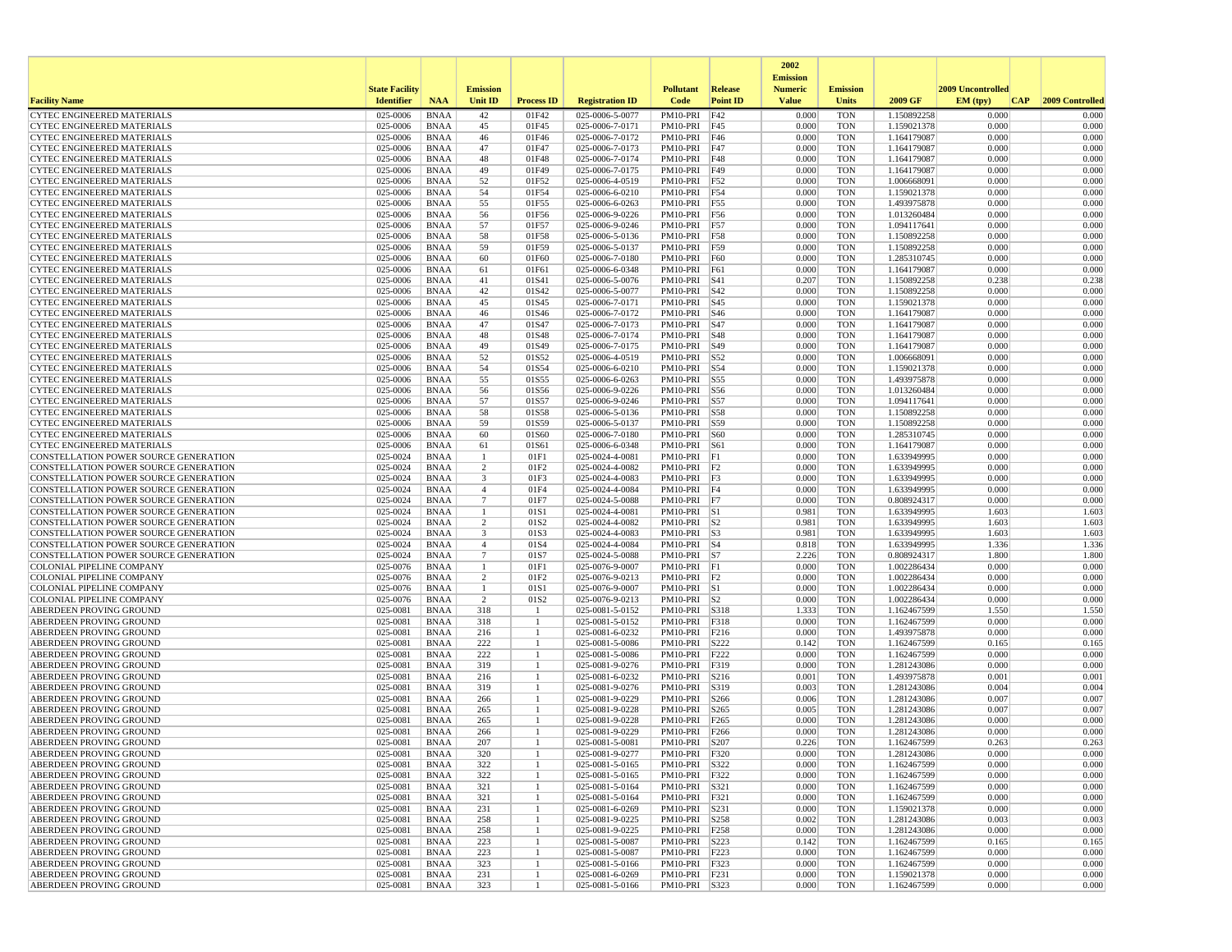|                                                                                |                       |                            |                                          |                   |                                    |                                |                                      | 2002                              |                          |                            |                   |                 |
|--------------------------------------------------------------------------------|-----------------------|----------------------------|------------------------------------------|-------------------|------------------------------------|--------------------------------|--------------------------------------|-----------------------------------|--------------------------|----------------------------|-------------------|-----------------|
|                                                                                | <b>State Facility</b> |                            | <b>Emission</b>                          |                   |                                    | <b>Pollutant</b>               | Release                              | <b>Emission</b><br><b>Numeric</b> | <b>Emission</b>          |                            | 2009 Uncontrolled |                 |
| <b>Facility Name</b>                                                           | <b>Identifier</b>     | <b>NAA</b>                 | Unit ID                                  | <b>Process ID</b> | <b>Registration ID</b>             | Code                           | <b>Point ID</b>                      | <b>Value</b>                      | <b>Units</b>             | 2009 GF                    | EM (typ)<br> CAP  | 2009 Controlled |
| <b>CYTEC ENGINEERED MATERIALS</b>                                              | 025-0006              | <b>BNAA</b>                | 42                                       | 01F42             | 025-0006-5-0077                    | PM10-PRI                       | F42                                  | 0.000                             | <b>TON</b>               | 1.150892258                | 0.000             | 0.000           |
| <b>CYTEC ENGINEERED MATERIALS</b>                                              | 025-0006              | <b>BNAA</b>                | 45                                       | 01F45             | 025-0006-7-0171                    | PM10-PRI                       | F45                                  | 0.000                             | <b>TON</b>               | 1.159021378                | 0.000             | 0.000           |
| <b>CYTEC ENGINEERED MATERIALS</b>                                              | 025-0006              | <b>BNAA</b>                | 46                                       | 01F46             | 025-0006-7-0172                    | PM10-PRI                       | F46                                  | 0.000                             | <b>TON</b>               | 1.164179087                | 0.000             | 0.000           |
| <b>CYTEC ENGINEERED MATERIALS</b><br><b>CYTEC ENGINEERED MATERIALS</b>         | 025-0006<br>025-0006  | <b>BNAA</b><br><b>BNAA</b> | 47<br>48                                 | 01F47<br>01F48    | 025-0006-7-0173<br>025-0006-7-0174 | PM10-PRI<br>PM10-PRI           | F47<br>F48                           | 0.000<br>0.000                    | <b>TON</b><br><b>TON</b> | 1.164179087<br>1.164179087 | 0.000<br>0.000    | 0.000<br>0.000  |
| <b>CYTEC ENGINEERED MATERIALS</b>                                              | 025-0006              | <b>BNAA</b>                | 49                                       | 01F49             | 025-0006-7-0175                    | PM10-PRI                       | F49                                  | 0.000                             | <b>TON</b>               | 1.164179087                | 0.000             | 0.000           |
| <b>CYTEC ENGINEERED MATERIALS</b>                                              | 025-0006              | <b>BNAA</b>                | 52                                       | 01F52             | 025-0006-4-0519                    | PM10-PRI                       | F52                                  | 0.000                             | <b>TON</b>               | 1.006668091                | 0.000             | 0.000           |
| CYTEC ENGINEERED MATERIALS                                                     | 025-0006              | <b>BNAA</b>                | 54                                       | 01F54             | 025-0006-6-0210                    | PM10-PRI                       | F54                                  | 0.000                             | <b>TON</b>               | 1.159021378                | 0.000             | 0.000           |
| CYTEC ENGINEERED MATERIALS                                                     | 025-0006              | <b>BNAA</b>                | 55                                       | 01F55             | 025-0006-6-0263                    | PM10-PRI                       | F55                                  | 0.000                             | <b>TON</b>               | 1.493975878                | 0.000             | 0.000           |
| <b>CYTEC ENGINEERED MATERIALS</b>                                              | 025-0006              | <b>BNAA</b>                | 56                                       | 01F56             | 025-0006-9-0226                    | PM10-PRI                       | F56                                  | 0.000                             | <b>TON</b>               | 1.013260484                | 0.000             | 0.000           |
| CYTEC ENGINEERED MATERIALS                                                     | 025-0006              | <b>BNAA</b>                | 57                                       | 01F57             | 025-0006-9-0246                    | PM10-PRI                       | F57                                  | 0.000                             | <b>TON</b>               | 1.094117641                | 0.000             | 0.000           |
| <b>CYTEC ENGINEERED MATERIALS</b>                                              | 025-0006              | <b>BNAA</b>                | 58                                       | 01F58             | 025-0006-5-0136                    | PM10-PRI                       | F58                                  | 0.000                             | <b>TON</b>               | 1.150892258                | 0.000             | 0.000           |
| CYTEC ENGINEERED MATERIALS                                                     | 025-0006              | <b>BNAA</b>                | 59                                       | 01F59             | 025-0006-5-0137                    | PM10-PRI                       | F59                                  | 0.000                             | <b>TON</b>               | 1.150892258                | 0.000             | 0.000           |
| CYTEC ENGINEERED MATERIALS<br><b>CYTEC ENGINEERED MATERIALS</b>                | 025-0006<br>025-0006  | <b>BNAA</b><br><b>BNAA</b> | 60<br>61                                 | 01F60<br>01F61    | 025-0006-7-0180<br>025-0006-6-0348 | PM10-PRI<br>PM10-PRI           | F60<br>F61                           | 0.000<br>0.000                    | <b>TON</b><br><b>TON</b> | 1.285310745<br>1.164179087 | 0.000<br>0.000    | 0.000<br>0.000  |
| <b>CYTEC ENGINEERED MATERIALS</b>                                              | 025-0006              | <b>BNAA</b>                | 41                                       | 01S41             | 025-0006-5-0076                    | PM10-PRI                       | <b>S41</b>                           | 0.207                             | <b>TON</b>               | 1.150892258                | 0.238             | 0.238           |
| CYTEC ENGINEERED MATERIALS                                                     | 025-0006              | <b>BNAA</b>                | 42                                       | 01S42             | 025-0006-5-0077                    | PM10-PRI                       | S42                                  | 0.000                             | <b>TON</b>               | 1.150892258                | 0.000             | 0.000           |
| CYTEC ENGINEERED MATERIALS                                                     | 025-0006              | <b>BNAA</b>                | 45                                       | 01S45             | 025-0006-7-0171                    | PM10-PRI                       | S45                                  | 0.000                             | <b>TON</b>               | 1.159021378                | 0.000             | 0.000           |
| CYTEC ENGINEERED MATERIALS                                                     | 025-0006              | <b>BNAA</b>                | 46                                       | 01S46             | 025-0006-7-0172                    | PM10-PRI                       | S46                                  | 0.000                             | <b>TON</b>               | 1.164179087                | 0.000             | 0.000           |
| <b>CYTEC ENGINEERED MATERIALS</b>                                              | 025-0006              | <b>BNAA</b>                | 47                                       | 01S47             | 025-0006-7-0173                    | PM10-PRI                       | <b>S47</b>                           | 0.000                             | <b>TON</b>               | 1.164179087                | 0.000             | 0.000           |
| <b>CYTEC ENGINEERED MATERIALS</b>                                              | 025-0006              | <b>BNAA</b>                | 48                                       | 01S48             | 025-0006-7-0174                    | PM10-PRI                       | S48                                  | 0.000                             | <b>TON</b>               | 1.164179087                | 0.000             | 0.000           |
| <b>CYTEC ENGINEERED MATERIALS</b>                                              | 025-0006              | <b>BNAA</b>                | 49                                       | 01S49             | 025-0006-7-0175                    | PM10-PRI                       | S49                                  | 0.000                             | <b>TON</b>               | 1.164179087                | 0.000             | 0.000           |
| <b>CYTEC ENGINEERED MATERIALS</b>                                              | 025-0006              | <b>BNAA</b>                | 52                                       | 01S52             | 025-0006-4-0519                    | PM10-PRI                       | S52                                  | 0.000                             | <b>TON</b>               | 1.006668091                | 0.000             | 0.000           |
| <b>CYTEC ENGINEERED MATERIALS</b>                                              | 025-0006<br>025-0006  | <b>BNAA</b>                | 54                                       | 01S54             | 025-0006-6-0210                    | PM10-PRI                       | S54                                  | 0.000<br>0.000                    | <b>TON</b><br><b>TON</b> | 1.159021378                | 0.000<br>0.000    | 0.000<br>0.000  |
| CYTEC ENGINEERED MATERIALS<br><b>CYTEC ENGINEERED MATERIALS</b>                | 025-0006              | <b>BNAA</b><br><b>BNAA</b> | 55<br>56                                 | 01S55<br>01S56    | 025-0006-6-0263<br>025-0006-9-0226 | PM10-PRI<br>PM10-PRI           | $\sqrt{\text{S}}$<br>S56             | 0.000                             | <b>TON</b>               | 1.493975878<br>1.013260484 | 0.000             | 0.000           |
| CYTEC ENGINEERED MATERIALS                                                     | 025-0006              | <b>BNAA</b>                | 57                                       | 01S57             | 025-0006-9-0246                    | PM10-PRI                       | S57                                  | 0.000                             | <b>TON</b>               | 1.094117641                | 0.000             | 0.000           |
| <b>CYTEC ENGINEERED MATERIALS</b>                                              | 025-0006              | <b>BNAA</b>                | 58                                       | 01S58             | 025-0006-5-0136                    | PM10-PRI                       | S58                                  | 0.000                             | <b>TON</b>               | 1.150892258                | 0.000             | 0.000           |
| <b>CYTEC ENGINEERED MATERIALS</b>                                              | 025-0006              | <b>BNAA</b>                | 59                                       | 01S59             | 025-0006-5-0137                    | PM10-PRI                       | S59                                  | 0.000                             | <b>TON</b>               | 1.150892258                | 0.000             | 0.000           |
| <b>CYTEC ENGINEERED MATERIALS</b>                                              | 025-0006              | <b>BNAA</b>                | 60                                       | 01S60             | 025-0006-7-0180                    | PM10-PRI                       | <b>S60</b>                           | 0.000                             | <b>TON</b>               | 1.285310745                | 0.000             | 0.000           |
| <b>CYTEC ENGINEERED MATERIALS</b>                                              | 025-0006              | <b>BNAA</b>                | 61                                       | 01S61             | 025-0006-6-0348                    | PM10-PRI                       | S61                                  | 0.000                             | <b>TON</b>               | 1.164179087                | 0.000             | 0.000           |
| CONSTELLATION POWER SOURCE GENERATION                                          | 025-0024              | <b>BNAA</b>                | $\mathbf{1}$                             | 01F1              | 025-0024-4-0081                    | PM10-PRI                       | F1                                   | 0.000                             | <b>TON</b>               | 1.633949995                | 0.000             | 0.000           |
| CONSTELLATION POWER SOURCE GENERATION                                          | 025-0024              | <b>BNAA</b>                | 2                                        | 01F2              | 025-0024-4-0082                    | PM10-PRI F2                    |                                      | 0.000                             | <b>TON</b>               | 1.633949995                | 0.000             | 0.000           |
| CONSTELLATION POWER SOURCE GENERATION                                          | 025-0024              | <b>BNAA</b>                | 3                                        | 01F3              | 025-0024-4-0083                    | PM10-PRI F3                    |                                      | 0.000                             | <b>TON</b>               | 1.633949995                | 0.000             | 0.000           |
| CONSTELLATION POWER SOURCE GENERATION<br>CONSTELLATION POWER SOURCE GENERATION | 025-0024<br>025-0024  | <b>BNAA</b><br><b>BNAA</b> | $\boldsymbol{\Delta}$<br>$7\phantom{.0}$ | 01F4<br>01F7      | 025-0024-4-0084                    | PM10-PRI F4                    |                                      | 0.000<br>0.000                    | <b>TON</b><br><b>TON</b> | 1.633949995                | 0.000<br>0.000    | 0.000<br>0.000  |
| CONSTELLATION POWER SOURCE GENERATION                                          | 025-0024              | <b>BNAA</b>                | 1                                        | 01S1              | 025-0024-5-0088<br>025-0024-4-0081 | $PM10-PRI$ F7<br>PM10-PRI S1   |                                      | 0.981                             | <b>TON</b>               | 0.808924317<br>1.633949995 | 1.603             | 1.603           |
| CONSTELLATION POWER SOURCE GENERATION                                          | 025-0024              | <b>BNAA</b>                | 2                                        | 01S2              | 025-0024-4-0082                    | $PM10-PRI$ S2                  |                                      | 0.981                             | <b>TON</b>               | 1.633949995                | 1.603             | 1.603           |
| CONSTELLATION POWER SOURCE GENERATION                                          | 025-0024              | <b>BNAA</b>                | 3                                        | 01S3              | 025-0024-4-0083                    | PM10-PRI S3                    |                                      | 0.981                             | <b>TON</b>               | 1.633949995                | 1.603             | 1.603           |
| CONSTELLATION POWER SOURCE GENERATION                                          | 025-0024              | <b>BNAA</b>                | $\overline{4}$                           | 01S4              | 025-0024-4-0084                    | PM10-PRI S4                    |                                      | 0.818                             | <b>TON</b>               | 1.633949995                | 1.336             | 1.336           |
| CONSTELLATION POWER SOURCE GENERATION                                          | 025-0024              | <b>BNAA</b>                | 7                                        | 01S7              | 025-0024-5-0088                    | $PM10-PRI$ S7                  |                                      | 2.226                             | <b>TON</b>               | 0.808924317                | 1.800             | 1.800           |
| COLONIAL PIPELINE COMPANY                                                      | 025-0076              | <b>BNAA</b>                | -1                                       | 01F1              | 025-0076-9-0007                    | PM10-PRI                       | F1                                   | 0.000                             | <b>TON</b>               | 1.002286434                | 0.000             | 0.000           |
| COLONIAL PIPELINE COMPANY                                                      | 025-0076              | <b>BNAA</b>                | 2                                        | 01F <sub>2</sub>  | 025-0076-9-0213                    | PM10-PRI F2                    |                                      | 0.000                             | <b>TON</b>               | 1.002286434                | 0.000             | 0.000           |
| COLONIAL PIPELINE COMPANY                                                      | 025-0076              | <b>BNAA</b>                | -1                                       | 01S1              | 025-0076-9-0007                    | PM10-PRI S1                    |                                      | 0.000                             | <b>TON</b>               | 1.002286434                | 0.000             | 0.000           |
| <b>COLONIAL PIPELINE COMPANY</b><br>ABERDEEN PROVING GROUND                    | 025-0076<br>025-0081  | <b>BNAA</b><br><b>BNAA</b> | 2<br>318                                 | 01S2<br>-1        | 025-0076-9-0213<br>025-0081-5-0152 | $PM10-PRI$ S2<br>PM10-PRI      | S318                                 | 0.000<br>1.333                    | <b>TON</b><br><b>TON</b> | 1.002286434<br>1.162467599 | 0.000<br>1.550    | 0.000<br>1.550  |
| ABERDEEN PROVING GROUND                                                        | 025-0081              | <b>BNAA</b>                | 318                                      |                   | 025-0081-5-0152                    | PM10-PRI                       | F318                                 | 0.000                             | <b>TON</b>               | 1.162467599                | 0.000             | 0.000           |
| ABERDEEN PROVING GROUND                                                        | 025-0081              | <b>BNAA</b>                | 216                                      |                   | 025-0081-6-0232                    | PM10-PRI                       | F216                                 | 0.000                             | <b>TON</b>               | 1.493975878                | 0.000             | 0.000           |
| ABERDEEN PROVING GROUND                                                        | 025-0081              | <b>BNAA</b>                | 222                                      |                   | 025-0081-5-0086                    | PM10-PRI                       | S222                                 | 0.142                             | <b>TON</b>               | 1.162467599                | 0.165             | 0.165           |
| ABERDEEN PROVING GROUND                                                        | 025-0081              | <b>BNAA</b>                | 222                                      |                   | 025-0081-5-0086                    | PM10-PRI                       | F222                                 | 0.000                             | <b>TON</b>               | 1.162467599                | 0.000             | 0.000           |
| ABERDEEN PROVING GROUND                                                        | 025-0081              | <b>BNAA</b>                | 319                                      |                   | 025-0081-9-0276                    | PM10-PRI                       | F319                                 | 0.000                             | <b>TON</b>               | 1.281243086                | 0.000             | 0.000           |
| ABERDEEN PROVING GROUND                                                        | 025-0081              | <b>BNAA</b>                | 216                                      |                   | 025-0081-6-0232                    | PM10-PRI                       | S216                                 | 0.001                             | <b>TON</b>               | 1.493975878                | 0.001             | 0.001           |
| ABERDEEN PROVING GROUND                                                        | 025-0081              | <b>BNAA</b>                | 319                                      |                   | 025-0081-9-0276                    | PM10-PRI                       | S319                                 | 0.003                             | <b>TON</b>               | 1.281243086                | 0.004             | 0.004           |
| ABERDEEN PROVING GROUND                                                        | 025-0081              | <b>BNAA</b>                | 266                                      | -1                | 025-0081-9-0229                    | PM10-PRI                       | S266                                 | 0.006                             | <b>TON</b>               | 1.281243086                | 0.007             | 0.007           |
| ABERDEEN PROVING GROUND<br>ABERDEEN PROVING GROUND                             | 025-0081<br>025-0081  | <b>BNAA</b><br><b>BNAA</b> | 265<br>265                               |                   | 025-0081-9-0228<br>025-0081-9-0228 | PM10-PRI<br>PM10-PRI           | S <sub>265</sub><br>F <sub>265</sub> | 0.005<br>0.000                    | <b>TON</b><br><b>TON</b> | 1.281243086<br>1.281243086 | 0.007<br>0.000    | 0.007<br>0.000  |
| ABERDEEN PROVING GROUND                                                        | 025-0081              | <b>BNAA</b>                | 266                                      | 1                 | 025-0081-9-0229                    | PM10-PRI                       | F <sub>266</sub>                     | 0.000                             | <b>TON</b>               | 1.281243086                | 0.000             | 0.000           |
| <b>ABERDEEN PROVING GROUND</b>                                                 | 025-0081              | <b>BNAA</b>                | 207                                      |                   | 025-0081-5-0081                    | PM10-PRI                       | S207                                 | 0.226                             | <b>TON</b>               | 1.162467599                | 0.263             | 0.263           |
| ABERDEEN PROVING GROUND                                                        | 025-0081              | <b>BNAA</b>                | 320                                      |                   | 025-0081-9-0277                    | PM10-PRI   F320                |                                      | 0.000                             | TON                      | 1.281243086                | 0.000             | 0.000           |
| <b>ABERDEEN PROVING GROUND</b>                                                 | 025-0081              | BNAA                       | 322                                      | -1                | 025-0081-5-0165                    | PM10-PRI S322                  |                                      | 0.000                             | <b>TON</b>               | 1.162467599                | 0.000             | 0.000           |
| <b>ABERDEEN PROVING GROUND</b>                                                 | 025-0081              | BNAA                       | 322                                      |                   | 025-0081-5-0165                    | PM10-PRI F322                  |                                      | 0.000                             | <b>TON</b>               | 1.162467599                | 0.000             | 0.000           |
| <b>ABERDEEN PROVING GROUND</b>                                                 | 025-0081              | BNAA                       | 321                                      |                   | 025-0081-5-0164                    | PM10-PRI   S321                |                                      | 0.000                             | TON                      | 1.162467599                | 0.000             | 0.000           |
| <b>ABERDEEN PROVING GROUND</b>                                                 | 025-0081              | BNAA                       | 321                                      |                   | 025-0081-5-0164                    | PM10-PRI F321                  |                                      | 0.000                             | <b>TON</b>               | 1.162467599                | 0.000             | 0.000           |
| <b>ABERDEEN PROVING GROUND</b>                                                 | 025-0081              | <b>BNAA</b>                | 231                                      |                   | 025-0081-6-0269                    | PM10-PRI                       | S231                                 | 0.000                             | <b>TON</b>               | 1.159021378                | 0.000             | 0.000           |
| ABERDEEN PROVING GROUND                                                        | 025-0081              | <b>BNAA</b>                | 258<br>258                               | -1                | 025-0081-9-0225                    | PM10-PRI S258<br>PM10-PRI F258 |                                      | 0.002                             | <b>TON</b><br><b>TON</b> | 1.281243086                | 0.003<br>0.000    | 0.003<br>0.000  |
| <b>ABERDEEN PROVING GROUND</b><br>ABERDEEN PROVING GROUND                      | 025-0081<br>025-0081  | BNAA<br><b>BNAA</b>        | 223                                      | 1                 | 025-0081-9-0225<br>025-0081-5-0087 | PM10-PRI S223                  |                                      | 0.000<br>0.142                    | <b>TON</b>               | 1.281243086<br>1.162467599 | 0.165             | 0.165           |
| <b>ABERDEEN PROVING GROUND</b>                                                 | 025-0081              | BNAA                       | 223                                      | 1                 | 025-0081-5-0087                    | PM10-PRI F223                  |                                      | 0.000                             | <b>TON</b>               | 1.162467599                | 0.000             | 0.000           |
| <b>ABERDEEN PROVING GROUND</b>                                                 | 025-0081              | BNAA                       | 323                                      |                   | 025-0081-5-0166                    | PM10-PRI F323                  |                                      | 0.000                             | <b>TON</b>               | 1.162467599                | 0.000             | 0.000           |
| <b>ABERDEEN PROVING GROUND</b>                                                 | 025-0081              | <b>BNAA</b>                | 231                                      |                   | 025-0081-6-0269                    | PM10-PRI   F231                |                                      | 0.000                             | <b>TON</b>               | 1.159021378                | 0.000             | 0.000           |
| <b>ABERDEEN PROVING GROUND</b>                                                 | 025-0081              | <b>BNAA</b>                | 323                                      | -1                | 025-0081-5-0166                    | PM10-PRI S323                  |                                      | 0.000                             | <b>TON</b>               | 1.162467599                | 0.000             | 0.000           |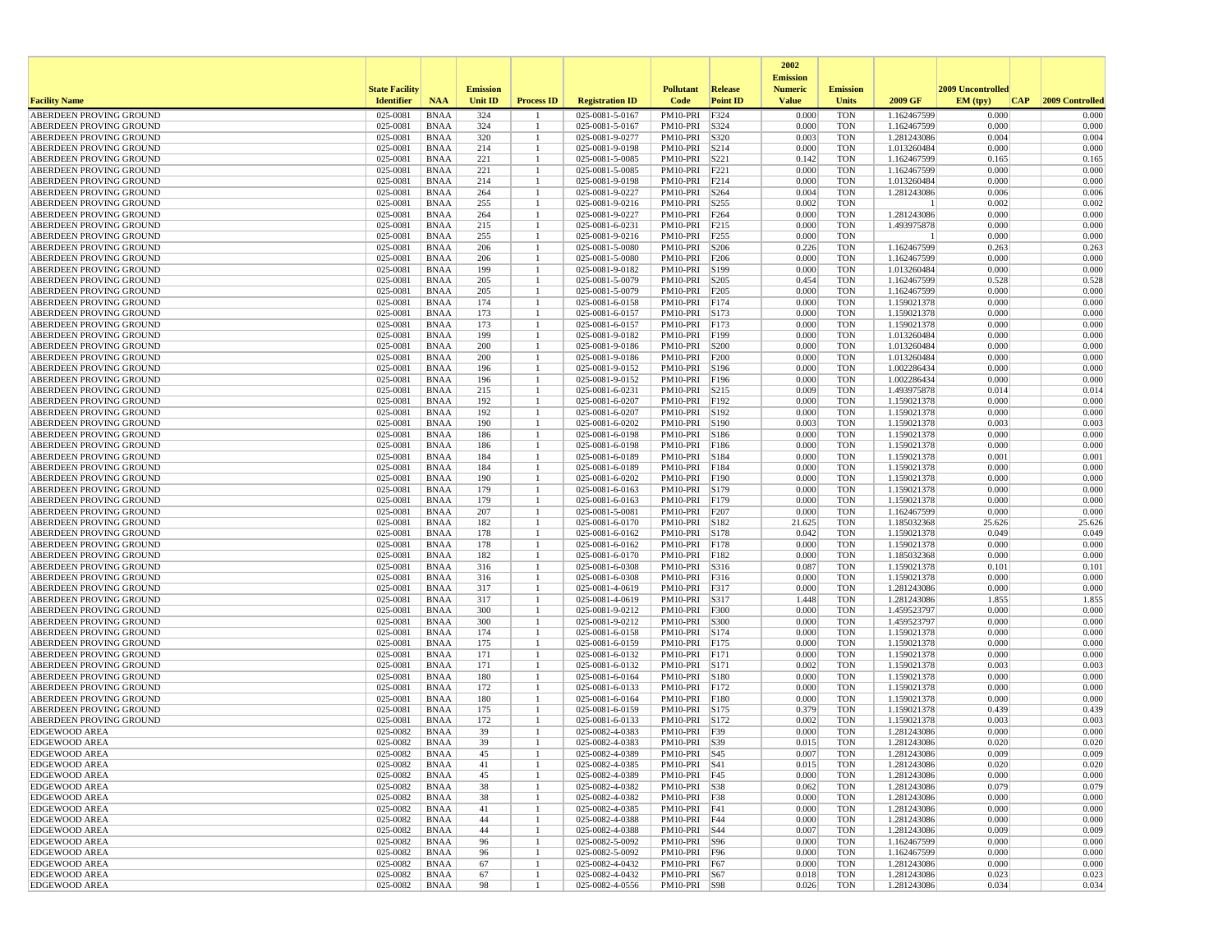|                                                    |                       |                            |                 |                   |                                    |                              |                  | 2002                              |                          |                            |                   |                 |
|----------------------------------------------------|-----------------------|----------------------------|-----------------|-------------------|------------------------------------|------------------------------|------------------|-----------------------------------|--------------------------|----------------------------|-------------------|-----------------|
|                                                    | <b>State Facility</b> |                            | <b>Emission</b> |                   |                                    | <b>Pollutant</b>             | Release          | <b>Emission</b><br><b>Numeric</b> | <b>Emission</b>          |                            | 2009 Uncontrolled |                 |
| <b>Facility Name</b>                               | <b>Identifier</b>     | <b>NAA</b>                 | <b>Unit ID</b>  | <b>Process ID</b> | <b>Registration ID</b>             | Code                         | <b>Point ID</b>  | <b>Value</b>                      | <b>Units</b>             | 2009 GF                    | EM (typ)<br> CAP  | 2009 Controlled |
| ABERDEEN PROVING GROUND                            | 025-0081              | <b>BNAA</b>                | 324             |                   | 025-0081-5-0167                    | PM10-PRI                     | F324             | 0.000                             | <b>TON</b>               | 1.162467599                | 0.000             | 0.000           |
| ABERDEEN PROVING GROUND                            | 025-0081              | <b>BNAA</b>                | 324             | -1                | 025-0081-5-0167                    | PM10-PRI                     | S324             | 0.000                             | <b>TON</b>               | 1.162467599                | 0.000             | 0.000           |
| ABERDEEN PROVING GROUND                            | 025-0081              | <b>BNAA</b>                | 320             |                   | 025-0081-9-0277                    | PM10-PRI                     | S320             | 0.003                             | <b>TON</b>               | 1.281243086                | 0.004             | 0.004           |
| ABERDEEN PROVING GROUND<br>ABERDEEN PROVING GROUND | 025-0081<br>025-0081  | <b>BNAA</b>                | 214<br>221      |                   | 025-0081-9-0198<br>025-0081-5-0085 | PM10-PRI                     | S214<br>S221     | 0.000                             | <b>TON</b><br><b>TON</b> | 1.013260484                | 0.000<br>0.165    | 0.000<br>0.165  |
| ABERDEEN PROVING GROUND                            | 025-0081              | <b>BNAA</b><br><b>BNAA</b> | 221             |                   | 025-0081-5-0085                    | PM10-PRI<br>PM10-PRI         | F221             | 0.142<br>0.000                    | <b>TON</b>               | 1.162467599<br>1.162467599 | 0.000             | 0.000           |
| ABERDEEN PROVING GROUND                            | 025-0081              | <b>BNAA</b>                | 214             |                   | 025-0081-9-0198                    | PM10-PRI                     | F214             | 0.000                             | <b>TON</b>               | 1.013260484                | 0.000             | 0.000           |
| ABERDEEN PROVING GROUND                            | 025-0081              | <b>BNAA</b>                | 264             |                   | 025-0081-9-0227                    | PM10-PRI                     | S264             | 0.004                             | <b>TON</b>               | 1.281243086                | 0.006             | 0.006           |
| ABERDEEN PROVING GROUND                            | 025-0081              | <b>BNAA</b>                | 255             |                   | 025-0081-9-0216                    | PM10-PRI                     | S255             | 0.002                             | <b>TON</b>               |                            | 0.002             | 0.002           |
| ABERDEEN PROVING GROUND                            | 025-0081              | <b>BNAA</b>                | 264             |                   | 025-0081-9-0227                    | PM10-PRI                     | F <sub>264</sub> | 0.000                             | <b>TON</b>               | 1.281243086                | 0.000             | 0.000           |
| ABERDEEN PROVING GROUND                            | 025-0081              | <b>BNAA</b>                | 215             |                   | 025-0081-6-0231                    | PM10-PRI                     | F215             | 0.000                             | <b>TON</b>               | 1.493975878                | 0.000             | 0.000           |
| ABERDEEN PROVING GROUND                            | 025-0081              | <b>BNAA</b>                | 255             |                   | 025-0081-9-0216                    | PM10-PRI                     | F <sub>255</sub> | 0.000                             | <b>TON</b>               |                            | 0.000             | 0.000           |
| ABERDEEN PROVING GROUND                            | 025-0081              | <b>BNAA</b>                | 206             |                   | 025-0081-5-0080                    | PM10-PRI                     | S206             | 0.226                             | <b>TON</b>               | 1.162467599                | 0.263             | 0.263           |
| ABERDEEN PROVING GROUND<br>ABERDEEN PROVING GROUND | 025-0081              | <b>BNAA</b><br><b>BNAA</b> | 206             |                   | 025-0081-5-0080                    | PM10-PRI                     | F206             | 0.000                             | <b>TON</b>               | 1.162467599<br>1.013260484 | 0.000             | 0.000<br>0.000  |
| ABERDEEN PROVING GROUND                            | 025-0081<br>025-0081  | <b>BNAA</b>                | 199<br>205      |                   | 025-0081-9-0182<br>025-0081-5-0079 | PM10-PRI<br>PM10-PRI         | S199<br>S205     | 0.000<br>0.454                    | <b>TON</b><br><b>TON</b> | 1.162467599                | 0.000<br>0.528    | 0.528           |
| ABERDEEN PROVING GROUND                            | 025-0081              | <b>BNAA</b>                | 205             |                   | 025-0081-5-0079                    | PM10-PRI                     | F <sub>205</sub> | 0.000                             | <b>TON</b>               | 1.162467599                | 0.000             | 0.000           |
| ABERDEEN PROVING GROUND                            | 025-0081              | <b>BNAA</b>                | 174             |                   | 025-0081-6-0158                    | PM10-PRI                     | F174             | 0.000                             | <b>TON</b>               | 1.159021378                | 0.000             | 0.000           |
| ABERDEEN PROVING GROUND                            | 025-0081              | <b>BNAA</b>                | 173             |                   | 025-0081-6-0157                    | PM10-PRI                     | S173             | 0.000                             | <b>TON</b>               | 1.159021378                | 0.000             | 0.000           |
| ABERDEEN PROVING GROUND                            | 025-0081              | <b>BNAA</b>                | 173             |                   | 025-0081-6-0157                    | PM10-PRI                     | F173             | 0.000                             | <b>TON</b>               | 1.159021378                | 0.000             | 0.000           |
| ABERDEEN PROVING GROUND                            | 025-0081              | <b>BNAA</b>                | 199             | -1                | 025-0081-9-0182                    | PM10-PRI                     | F199             | 0.000                             | <b>TON</b>               | 1.013260484                | 0.000             | 0.000           |
| ABERDEEN PROVING GROUND                            | 025-0081              | <b>BNAA</b>                | 200             |                   | 025-0081-9-0186                    | PM10-PRI                     | S200             | 0.000                             | <b>TON</b>               | 1.013260484                | 0.000             | 0.000           |
| ABERDEEN PROVING GROUND                            | 025-0081              | <b>BNAA</b>                | 200             |                   | 025-0081-9-0186                    | PM10-PRI                     | F200             | 0.000                             | <b>TON</b>               | 1.013260484                | 0.000             | 0.000           |
| ABERDEEN PROVING GROUND                            | 025-0081              | <b>BNAA</b>                | 196             | 1                 | 025-0081-9-0152                    | PM10-PRI                     | S196             | 0.000                             | <b>TON</b>               | 1.002286434                | 0.000             | 0.000           |
| ABERDEEN PROVING GROUND                            | 025-0081              | <b>BNAA</b>                | 196             |                   | 025-0081-9-0152                    | PM10-PRI                     | F196             | 0.000                             | <b>TON</b>               | 1.002286434                | 0.000             | 0.000           |
| ABERDEEN PROVING GROUND<br>ABERDEEN PROVING GROUND | 025-0081<br>025-0081  | <b>BNAA</b><br><b>BNAA</b> | 215<br>192      |                   | 025-0081-6-0231<br>025-0081-6-0207 | PM10-PRI<br>PM10-PRI         | S215<br>F192     | 0.009<br>0.000                    | <b>TON</b><br><b>TON</b> | 1.493975878<br>1.159021378 | 0.014<br>0.000    | 0.014<br>0.000  |
| ABERDEEN PROVING GROUND                            | 025-0081              | <b>BNAA</b>                | 192             |                   | 025-0081-6-0207                    | PM10-PRI                     | S192             | 0.000                             | <b>TON</b>               | 1.159021378                | 0.000             | 0.000           |
| ABERDEEN PROVING GROUND                            | 025-0081              | <b>BNAA</b>                | 190             |                   | 025-0081-6-0202                    | PM10-PRI                     | S190             | 0.003                             | <b>TON</b>               | 1.159021378                | 0.003             | 0.003           |
| ABERDEEN PROVING GROUND                            | 025-0081              | <b>BNAA</b>                | 186             |                   | 025-0081-6-0198                    | PM10-PRI                     | S186             | 0.000                             | <b>TON</b>               | 1.159021378                | 0.000             | 0.000           |
| ABERDEEN PROVING GROUND                            | 025-0081              | <b>BNAA</b>                | 186             |                   | 025-0081-6-0198                    | PM10-PRI                     | F186             | 0.000                             | <b>TON</b>               | 1.159021378                | 0.000             | 0.000           |
| ABERDEEN PROVING GROUND                            | 025-0081              | <b>BNAA</b>                | 184             |                   | 025-0081-6-0189                    | PM10-PRI                     | S184             | 0.000                             | <b>TON</b>               | 1.159021378                | 0.001             | 0.001           |
| ABERDEEN PROVING GROUND                            | 025-0081              | <b>BNAA</b>                | 184             |                   | 025-0081-6-0189                    | PM10-PRI                     | F184             | 0.000                             | <b>TON</b>               | 1.159021378                | 0.000             | 0.000           |
| ABERDEEN PROVING GROUND                            | 025-0081              | <b>BNAA</b>                | 190             |                   | 025-0081-6-0202                    | PM10-PRI                     | F190             | 0.000                             | <b>TON</b>               | 1.159021378                | 0.000             | 0.000           |
| ABERDEEN PROVING GROUND                            | 025-0081              | <b>BNAA</b>                | 179             |                   | 025-0081-6-0163                    | PM10-PRI                     | S179             | 0.000                             | <b>TON</b>               | 1.159021378                | 0.000             | 0.000           |
| ABERDEEN PROVING GROUND                            | 025-0081              | <b>BNAA</b>                | 179             |                   | 025-0081-6-0163                    | PM10-PRI                     | F179             | 0.000                             | <b>TON</b>               | 1.159021378                | 0.000             | 0.000           |
| ABERDEEN PROVING GROUND<br>ABERDEEN PROVING GROUND | 025-0081<br>025-0081  | <b>BNAA</b><br><b>BNAA</b> | 207<br>182      |                   | 025-0081-5-0081<br>025-0081-6-0170 | PM10-PRI<br>PM10-PRI         | F207<br>S182     | 0.000<br>21.625                   | <b>TON</b><br><b>TON</b> | 1.162467599<br>1.185032368 | 0.000<br>25.626   | 0.000<br>25.626 |
| ABERDEEN PROVING GROUND                            | 025-0081              | <b>BNAA</b>                | 178             |                   | 025-0081-6-0162                    | PM10-PRI                     | S178             | 0.042                             | <b>TON</b>               | 1.159021378                | 0.049             | 0.049           |
| ABERDEEN PROVING GROUND                            | 025-0081              | <b>BNAA</b>                | 178             |                   | 025-0081-6-0162                    | PM10-PRI                     | F178             | 0.000                             | <b>TON</b>               | 1.159021378                | 0.000             | 0.000           |
| ABERDEEN PROVING GROUND                            | 025-0081              | <b>BNAA</b>                | 182             | -1                | 025-0081-6-0170                    | PM10-PRI                     | F182             | 0.000                             | <b>TON</b>               | 1.185032368                | 0.000             | 0.000           |
| ABERDEEN PROVING GROUND                            | 025-0081              | <b>BNAA</b>                | 316             |                   | 025-0081-6-0308                    | PM10-PRI                     | S316             | 0.087                             | <b>TON</b>               | 1.159021378                | 0.101             | 0.101           |
| ABERDEEN PROVING GROUND                            | 025-0081              | <b>BNAA</b>                | 316             |                   | 025-0081-6-0308                    | PM10-PRI                     | F316             | 0.000                             | <b>TON</b>               | 1.159021378                | 0.000             | 0.000           |
| ABERDEEN PROVING GROUND                            | 025-0081              | <b>BNAA</b>                | 317             |                   | 025-0081-4-0619                    | PM10-PRI                     | F317             | 0.000                             | <b>TON</b>               | 1.281243086                | 0.000             | 0.000           |
| ABERDEEN PROVING GROUND                            | 025-0081              | <b>BNAA</b>                | 317             |                   | 025-0081-4-0619                    | PM10-PRI                     | S317             | 1.448                             | <b>TON</b>               | 1.281243086                | 1.855             | 1.855           |
| ABERDEEN PROVING GROUND                            | 025-0081              | <b>BNAA</b>                | 300             |                   | 025-0081-9-0212                    | PM10-PRI                     | F300             | 0.000                             | <b>TON</b>               | 1.459523797                | 0.000             | 0.000           |
| ABERDEEN PROVING GROUND<br>ABERDEEN PROVING GROUND | 025-0081<br>025-0081  | <b>BNAA</b><br><b>BNAA</b> | 300<br>174      |                   | 025-0081-9-0212<br>025-0081-6-0158 | PM10-PRI<br>PM10-PRI         | S300<br>S174     | 0.000<br>0.000                    | <b>TON</b><br><b>TON</b> | 1.459523797<br>1.159021378 | 0.000<br>0.000    | 0.000<br>0.000  |
| ABERDEEN PROVING GROUND                            | 025-0081              | <b>BNAA</b>                | 175             | 1                 | 025-0081-6-0159                    | PM10-PRI                     | F175             | 0.000                             | <b>TON</b>               | 1.159021378                | 0.000             | 0.000           |
| ABERDEEN PROVING GROUND                            | 025-0081              | <b>BNAA</b>                | 171             |                   | 025-0081-6-0132                    | PM10-PRI                     | F171             | 0.000                             | <b>TON</b>               | 1.159021378                | 0.000             | 0.000           |
| ABERDEEN PROVING GROUND                            | 025-0081              | <b>BNAA</b>                | 171             |                   | 025-0081-6-0132                    | PM10-PRI                     | S171             | 0.002                             | <b>TON</b>               | 1.159021378                | 0.003             | 0.003           |
| ABERDEEN PROVING GROUND                            | 025-0081              | <b>BNAA</b>                | 180             |                   | 025-0081-6-0164                    | PM10-PRI                     | S180             | 0.000                             | <b>TON</b>               | 1.159021378                | 0.000             | 0.000           |
| ABERDEEN PROVING GROUND                            | 025-0081              | <b>BNAA</b>                | 172             |                   | 025-0081-6-0133                    | PM10-PRI                     | F172             | 0.000                             | <b>TON</b>               | 1.159021378                | 0.000             | 0.000           |
| ABERDEEN PROVING GROUND                            | 025-0081              | <b>BNAA</b>                | 180             |                   | 025-0081-6-0164                    | PM10-PRI                     | F180             | 0.000                             | <b>TON</b>               | 1.159021378                | 0.000             | 0.000           |
| ABERDEEN PROVING GROUND                            | 025-0081              | <b>BNAA</b>                | 175             |                   | 025-0081-6-0159                    | PM10-PRI                     | S175             | 0.379                             | <b>TON</b>               | 1.159021378                | 0.439             | 0.439           |
| ABERDEEN PROVING GROUND                            | 025-0081              | <b>BNAA</b>                | 172             |                   | 025-0081-6-0133<br>025-0082-4-0383 | PM10-PRI                     | S172             | 0.002<br>0.000                    | <b>TON</b>               | 1.159021378                | 0.003             | 0.003           |
| <b>EDGEWOOD AREA</b><br><b>EDGEWOOD AREA</b>       | 025-0082<br>025-0082  | <b>BNAA</b><br><b>BNAA</b> | 39<br>39        |                   | 025-0082-4-0383                    | PM10-PRI F39<br>PM10-PRI S39 |                  | 0.015                             | <b>TON</b><br><b>TON</b> | 1.281243086<br>1.281243086 | 0.000<br>0.020    | 0.000<br>0.020  |
| <b>EDGEWOOD AREA</b>                               | 025-0082              | <b>BNAA</b>                |                 |                   | 025-0082-4-0389                    | PM10-PRI S45                 |                  | 0.007                             | TON                      | 1.281243086                | 0.009             | 0.009           |
| <b>EDGEWOOD AREA</b>                               | 025-0082              | BNAA                       | 41              | -1                | 025-0082-4-0385                    | PM10-PRI   S41               |                  | 0.015                             | TON                      | 1.281243086                | 0.020             | 0.020           |
| <b>EDGEWOOD AREA</b>                               | 025-0082              | BNAA                       | 45              |                   | 025-0082-4-0389                    | PM10-PRI F45                 |                  | 0.000                             | <b>TON</b>               | 1.281243086                | 0.000             | 0.000           |
| <b>EDGEWOOD AREA</b>                               | 025-0082              | BNAA                       | 38              |                   | 025-0082-4-0382                    | PM10-PRI   S38               |                  | 0.062                             | TON                      | 1.281243086                | 0.079             | 0.079           |
| <b>EDGEWOOD AREA</b>                               | 025-0082              | BNAA                       | 38              | 1                 | 025-0082-4-0382                    | PM10-PRI F38                 |                  | 0.000                             | <b>TON</b>               | 1.281243086                | 0.000             | 0.000           |
| <b>EDGEWOOD AREA</b>                               | 025-0082              | <b>BNAA</b>                | 41              |                   | 025-0082-4-0385                    | PM10-PRI F41                 |                  | 0.000                             | <b>TON</b>               | 1.281243086                | 0.000             | 0.000           |
| <b>EDGEWOOD AREA</b>                               | 025-0082              | <b>BNAA</b>                | 44              |                   | 025-0082-4-0388                    | PM10-PRI F44                 |                  | 0.000                             | TON                      | 1.281243086                | 0.000             | 0.000           |
| <b>EDGEWOOD AREA</b>                               | 025-0082              | BNAA                       | 44              | -1                | 025-0082-4-0388                    | PM10-PRI S44                 |                  | 0.007                             | <b>TON</b>               | 1.281243086                | 0.009             | 0.009           |
| <b>EDGEWOOD AREA</b>                               | 025-0082              | BNAA                       | 96              |                   | 025-0082-5-0092                    | PM10-PRI S96                 |                  | 0.000                             | <b>TON</b>               | 1.162467599                | 0.000             | 0.000           |
| <b>EDGEWOOD AREA</b>                               | 025-0082              | BNAA                       | 96              |                   | 025-0082-5-0092                    | PM10-PRI   F96               |                  | 0.000                             | TON                      | 1.162467599                | 0.000             | 0.000           |
| <b>EDGEWOOD AREA</b><br><b>EDGEWOOD AREA</b>       | 025-0082<br>025-0082  | BNAA<br><b>BNAA</b>        | 67<br>67        |                   | 025-0082-4-0432<br>025-0082-4-0432 | PM10-PRI F67<br>PM10-PRI S67 |                  | 0.000<br>0.018                    | <b>TON</b><br><b>TON</b> | 1.281243086<br>1.281243086 | 0.000<br>0.023    | 0.000<br>0.023  |
| <b>EDGEWOOD AREA</b>                               | 025-0082              | BNAA                       | 98              | $\mathbf{1}$      | 025-0082-4-0556                    | PM10-PRI S98                 |                  | 0.026                             | TON                      | 1.281243086                | 0.034             | 0.034           |
|                                                    |                       |                            |                 |                   |                                    |                              |                  |                                   |                          |                            |                   |                 |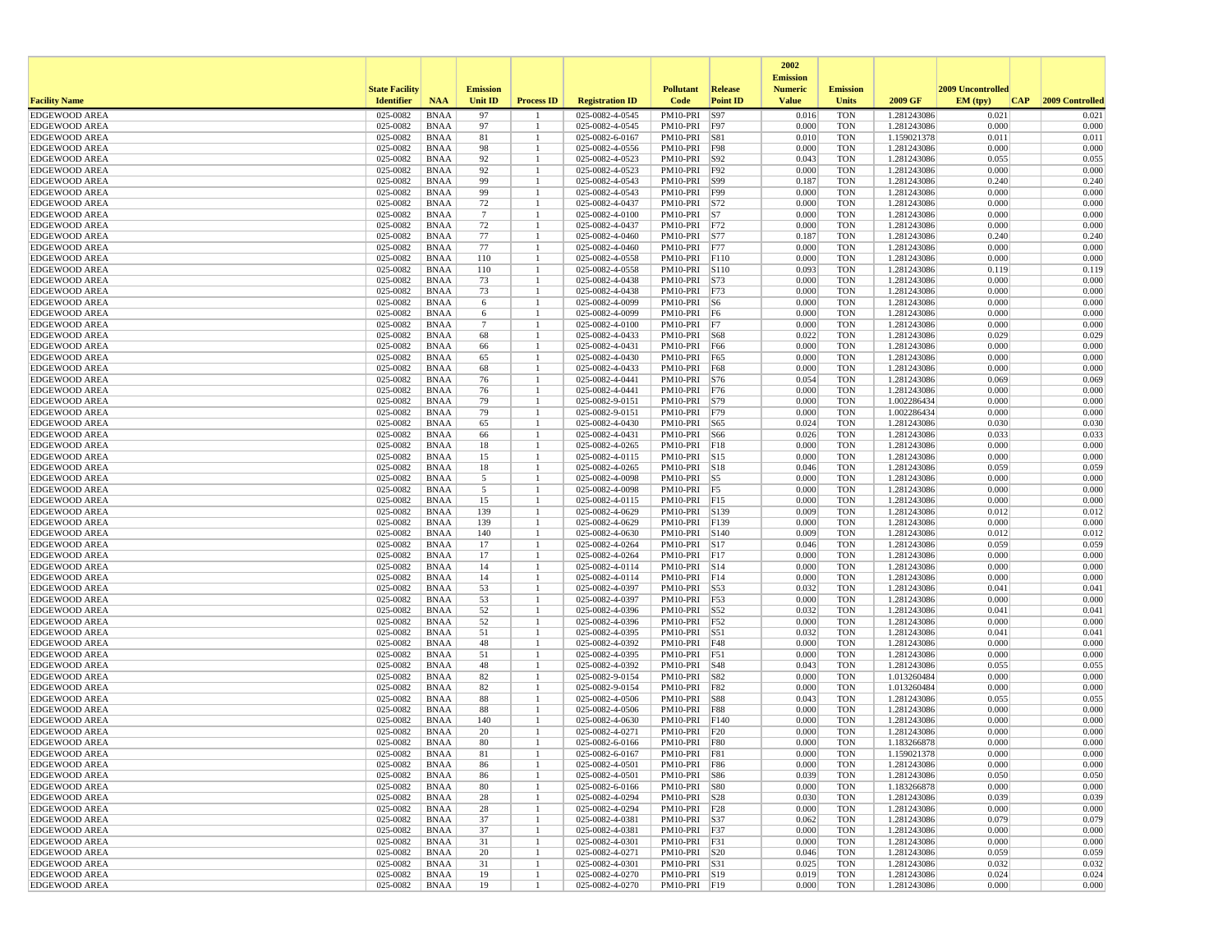|                                              |                       |                            |                      |                   |                                    |                                  |                 | 2002<br><b>Emission</b> |                          |                            |                   |                 |
|----------------------------------------------|-----------------------|----------------------------|----------------------|-------------------|------------------------------------|----------------------------------|-----------------|-------------------------|--------------------------|----------------------------|-------------------|-----------------|
|                                              | <b>State Facility</b> |                            | <b>Emission</b>      |                   |                                    | <b>Pollutant</b>                 | <b>Release</b>  | <b>Numeric</b>          | <b>Emission</b>          |                            | 2009 Uncontrolled |                 |
| <b>Facility Name</b>                         | <b>Identifier</b>     | <b>NAA</b>                 | <b>Unit ID</b>       | <b>Process ID</b> | <b>Registration ID</b>             | Code                             | <b>Point ID</b> | <b>Value</b>            | <b>Units</b>             | 2009 GF                    | EM (tpv)<br> CAP  | 2009 Controlled |
| <b>EDGEWOOD AREA</b>                         | 025-0082              | <b>BNAA</b>                | 97                   |                   | 025-0082-4-0545                    | PM10-PRI                         | S97             | 0.016                   | <b>TON</b>               | 1.281243086                | 0.021             | 0.021           |
| <b>EDGEWOOD AREA</b><br><b>EDGEWOOD AREA</b> | 025-0082<br>025-0082  | <b>BNAA</b><br><b>BNAA</b> | 97<br>81             |                   | 025-0082-4-0545<br>025-0082-6-0167 | PM10-PRI F97<br>PM10-PRI S81     |                 | 0.000<br>0.010          | <b>TON</b><br><b>TON</b> | 1.281243086<br>1.159021378 | 0.000<br>0.011    | 0.000<br>0.011  |
| <b>EDGEWOOD AREA</b>                         | 025-0082              | <b>BNAA</b>                | 98                   |                   | 025-0082-4-0556                    | PM10-PRI F98                     |                 | 0.000                   | <b>TON</b>               | 1.281243086                | 0.000             | 0.000           |
| <b>EDGEWOOD AREA</b>                         | 025-0082              | <b>BNAA</b>                | 92                   |                   | 025-0082-4-0523                    | PM10-PRI S92                     |                 | 0.043                   | <b>TON</b>               | 1.281243086                | 0.055             | 0.055           |
| <b>EDGEWOOD AREA</b>                         | 025-0082              | <b>BNAA</b>                | 92                   |                   | 025-0082-4-0523                    | PM10-PRI F92                     |                 | 0.000                   | <b>TON</b>               | 1.281243086                | 0.000             | 0.000           |
| <b>EDGEWOOD AREA</b>                         | 025-0082              | <b>BNAA</b>                | 99                   |                   | 025-0082-4-0543                    | PM10-PRI   S99                   |                 | 0.187                   | <b>TON</b>               | 1.281243086                | 0.240             | 0.240           |
| <b>EDGEWOOD AREA</b>                         | 025-0082              | <b>BNAA</b>                | 99                   |                   | 025-0082-4-0543                    | PM10-PRI   F99                   |                 | 0.000                   | <b>TON</b>               | 1.281243086                | 0.000             | 0.000           |
| <b>EDGEWOOD AREA</b>                         | 025-0082              | <b>BNAA</b>                | 72                   |                   | 025-0082-4-0437                    | PM10-PRI S72                     |                 | 0.000                   | <b>TON</b>               | 1.281243086                | 0.000             | 0.000           |
| <b>EDGEWOOD AREA</b>                         | 025-0082              | <b>BNAA</b>                | $\overline{7}$       |                   | 025-0082-4-0100                    | $PM10-PRI$ S7                    |                 | 0.000                   | <b>TON</b>               | 1.281243086                | 0.000             | 0.000           |
| <b>EDGEWOOD AREA</b><br><b>EDGEWOOD AREA</b> | 025-0082<br>025-0082  | <b>BNAA</b><br><b>BNAA</b> | 72<br>77             |                   | 025-0082-4-0437<br>025-0082-4-0460 | PM10-PRI F72<br>PM10-PRI S77     |                 | 0.000<br>0.187          | <b>TON</b><br><b>TON</b> | 1.281243086<br>1.281243086 | 0.000<br>0.240    | 0.000<br>0.240  |
| <b>EDGEWOOD AREA</b>                         | 025-0082              | <b>BNAA</b>                | 77                   |                   | 025-0082-4-0460                    | PM10-PRI F77                     |                 | 0.000                   | <b>TON</b>               | 1.281243086                | 0.000             | 0.000           |
| <b>EDGEWOOD AREA</b>                         | 025-0082              | <b>BNAA</b>                | 110                  |                   | 025-0082-4-0558                    | PM10-PRI                         | F110            | 0.000                   | <b>TON</b>               | 1.281243086                | 0.000             | 0.000           |
| <b>EDGEWOOD AREA</b>                         | 025-0082              | <b>BNAA</b>                | 110                  |                   | 025-0082-4-0558                    | PM10-PRI S110                    |                 | 0.093                   | <b>TON</b>               | 1.281243086                | 0.119             | 0.119           |
| <b>EDGEWOOD AREA</b>                         | 025-0082              | <b>BNAA</b>                | 73                   |                   | 025-0082-4-0438                    | PM10-PRI   S73                   |                 | 0.000                   | <b>TON</b>               | 1.281243086                | 0.000             | 0.000           |
| <b>EDGEWOOD AREA</b>                         | 025-0082              | <b>BNAA</b>                | 73                   |                   | 025-0082-4-0438                    | PM10-PRI F73                     |                 | 0.000                   | <b>TON</b>               | 1.281243086                | 0.000             | 0.000           |
| <b>EDGEWOOD AREA</b>                         | 025-0082              | <b>BNAA</b>                | 6                    |                   | 025-0082-4-0099                    | PM10-PRI S6                      |                 | 0.000                   | <b>TON</b>               | 1.281243086                | 0.000             | 0.000           |
| <b>EDGEWOOD AREA</b>                         | 025-0082              | <b>BNAA</b>                | 6                    |                   | 025-0082-4-0099                    | PM10-PRI F6                      |                 | 0.000                   | <b>TON</b>               | 1.281243086                | 0.000             | 0.000           |
| <b>EDGEWOOD AREA</b><br><b>EDGEWOOD AREA</b> | 025-0082<br>025-0082  | <b>BNAA</b><br><b>BNAA</b> | $\overline{7}$<br>68 |                   | 025-0082-4-0100<br>025-0082-4-0433 | PM10-PRI<br>PM10-PRI S68         | F7              | 0.000<br>0.022          | <b>TON</b><br><b>TON</b> | 1.281243086<br>1.281243086 | 0.000<br>0.029    | 0.000<br>0.029  |
| <b>EDGEWOOD AREA</b>                         | 025-0082              | <b>BNAA</b>                | 66                   |                   | 025-0082-4-0431                    | PM10-PRI F66                     |                 | 0.000                   | <b>TON</b>               | 1.281243086                | 0.000             | 0.000           |
| <b>EDGEWOOD AREA</b>                         | 025-0082              | <b>BNAA</b>                | 65                   |                   | 025-0082-4-0430                    | PM10-PRI F65                     |                 | 0.000                   | <b>TON</b>               | 1.281243086                | 0.000             | 0.000           |
| <b>EDGEWOOD AREA</b>                         | 025-0082              | <b>BNAA</b>                | 68                   |                   | 025-0082-4-0433                    | PM10-PRI F68                     |                 | 0.000                   | <b>TON</b>               | 1.281243086                | 0.000             | 0.000           |
| <b>EDGEWOOD AREA</b>                         | 025-0082              | <b>BNAA</b>                | 76                   |                   | 025-0082-4-0441                    | PM10-PRI                         | S76             | 0.054                   | <b>TON</b>               | 1.281243086                | 0.069             | 0.069           |
| <b>EDGEWOOD AREA</b>                         | 025-0082              | <b>BNAA</b>                | 76                   |                   | 025-0082-4-0441                    | PM10-PRI F76                     |                 | 0.000                   | <b>TON</b>               | 1.281243086                | 0.000             | 0.000           |
| <b>EDGEWOOD AREA</b>                         | 025-0082              | <b>BNAA</b>                | 79                   |                   | 025-0082-9-0151                    | PM10-PRI S79                     |                 | 0.000                   | <b>TON</b>               | 1.002286434                | 0.000             | 0.000           |
| <b>EDGEWOOD AREA</b>                         | 025-0082              | <b>BNAA</b>                | 79                   |                   | 025-0082-9-0151                    | PM10-PRI F79                     |                 | 0.000                   | <b>TON</b>               | 1.002286434                | 0.000             | 0.000           |
| <b>EDGEWOOD AREA</b><br><b>EDGEWOOD AREA</b> | 025-0082<br>025-0082  | <b>BNAA</b><br><b>BNAA</b> | 65<br>66             |                   | 025-0082-4-0430<br>025-0082-4-0431 | PM10-PRI S65<br>PM10-PRI S66     |                 | 0.024<br>0.026          | <b>TON</b><br><b>TON</b> | 1.281243086<br>1.281243086 | 0.030<br>0.033    | 0.030<br>0.033  |
| <b>EDGEWOOD AREA</b>                         | 025-0082              | <b>BNAA</b>                | 18                   |                   | 025-0082-4-0265                    | PM10-PRI                         | F18             | 0.000                   | <b>TON</b>               | 1.281243086                | 0.000             | 0.000           |
| <b>EDGEWOOD AREA</b>                         | 025-0082              | <b>BNAA</b>                | 15                   |                   | 025-0082-4-0115                    | PM10-PRI S15                     |                 | 0.000                   | <b>TON</b>               | 1.281243086                | 0.000             | 0.000           |
| <b>EDGEWOOD AREA</b>                         | 025-0082              | <b>BNAA</b>                | 18                   |                   | 025-0082-4-0265                    | PM10-PRI S18                     |                 | 0.046                   | <b>TON</b>               | 1.281243086                | 0.059             | 0.059           |
| <b>EDGEWOOD AREA</b>                         | 025-0082              | <b>BNAA</b>                | 5                    |                   | 025-0082-4-0098                    | PM10-PRI S5                      |                 | 0.000                   | <b>TON</b>               | 1.281243086                | 0.000             | 0.000           |
| <b>EDGEWOOD AREA</b>                         | 025-0082              | <b>BNAA</b>                | 5                    |                   | 025-0082-4-0098                    | PM10-PRI F5                      |                 | 0.000                   | <b>TON</b>               | 1.281243086                | 0.000             | 0.000           |
| <b>EDGEWOOD AREA</b>                         | 025-0082              | <b>BNAA</b>                | 15                   |                   | 025-0082-4-0115                    | PM10-PRI F15                     |                 | 0.000                   | <b>TON</b>               | 1.281243086                | 0.000             | 0.000           |
| <b>EDGEWOOD AREA</b>                         | 025-0082              | <b>BNAA</b>                | 139                  |                   | 025-0082-4-0629                    | PM10-PRI S139                    |                 | 0.009                   | <b>TON</b>               | 1.281243086                | 0.012             | 0.012           |
| <b>EDGEWOOD AREA</b><br><b>EDGEWOOD AREA</b> | 025-0082<br>025-0082  | <b>BNAA</b><br><b>BNAA</b> | 139<br>140           |                   | 025-0082-4-0629<br>025-0082-4-0630 | PM10-PRI   F139<br>PM10-PRI S140 |                 | 0.000<br>0.009          | <b>TON</b><br><b>TON</b> | 1.281243086<br>1.281243086 | 0.000<br>0.012    | 0.000<br>0.012  |
| <b>EDGEWOOD AREA</b>                         | 025-0082              | <b>BNAA</b>                | 17                   |                   | 025-0082-4-0264                    | PM10-PRI S17                     |                 | 0.046                   | <b>TON</b>               | 1.281243086                | 0.059             | 0.059           |
| <b>EDGEWOOD AREA</b>                         | 025-0082              | <b>BNAA</b>                | 17                   |                   | 025-0082-4-0264                    | PM10-PRI F17                     |                 | 0.000                   | <b>TON</b>               | 1.281243086                | 0.000             | 0.000           |
| <b>EDGEWOOD AREA</b>                         | 025-0082              | <b>BNAA</b>                | 14                   |                   | 025-0082-4-0114                    | PM10-PRI S14                     |                 | 0.000                   | <b>TON</b>               | 1.281243086                | 0.000             | 0.000           |
| <b>EDGEWOOD AREA</b>                         | 025-0082              | <b>BNAA</b>                | 14                   |                   | 025-0082-4-0114                    | PM10-PRI F14                     |                 | 0.000                   | <b>TON</b>               | 1.281243086                | 0.000             | 0.000           |
| <b>EDGEWOOD AREA</b>                         | 025-0082              | <b>BNAA</b>                | 53                   |                   | 025-0082-4-0397                    | PM10-PRI S53                     |                 | 0.032                   | <b>TON</b>               | 1.281243086                | 0.041             | 0.041           |
| <b>EDGEWOOD AREA</b>                         | 025-0082              | <b>BNAA</b>                | 53                   |                   | 025-0082-4-0397                    | PM10-PRI F53                     |                 | 0.000                   | <b>TON</b>               | 1.281243086                | 0.000             | 0.000           |
| <b>EDGEWOOD AREA</b><br><b>EDGEWOOD AREA</b> | 025-0082              | <b>BNAA</b>                | 52                   |                   | 025-0082-4-0396                    | PM10-PRI S52                     |                 | 0.032<br>0.000          | <b>TON</b><br><b>TON</b> | 1.281243086                | 0.041<br>0.000    | 0.041           |
| <b>EDGEWOOD AREA</b>                         | 025-0082<br>025-0082  | <b>BNAA</b><br><b>BNAA</b> | 52<br>51             |                   | 025-0082-4-0396<br>025-0082-4-0395 | PM10-PRI<br>PM10-PRI S51         | F52             | 0.032                   | <b>TON</b>               | 1.281243086<br>1.281243086 | 0.041             | 0.000<br>0.041  |
| <b>EDGEWOOD AREA</b>                         | 025-0082              | <b>BNAA</b>                | 48                   |                   | 025-0082-4-0392                    | PM10-PRI F48                     |                 | 0.000                   | <b>TON</b>               | 1.281243086                | 0.000             | 0.000           |
| <b>EDGEWOOD AREA</b>                         | 025-0082              | <b>BNAA</b>                | 51                   |                   | 025-0082-4-0395                    | PM10-PRI F51                     |                 | 0.000                   | <b>TON</b>               | 1.281243086                | 0.000             | 0.000           |
| <b>EDGEWOOD AREA</b>                         | 025-0082              | <b>BNAA</b>                | 48                   |                   | 025-0082-4-0392                    | PM10-PRI   S48                   |                 | 0.043                   | <b>TON</b>               | 1.281243086                | 0.055             | 0.055           |
| <b>EDGEWOOD AREA</b>                         | 025-0082              | <b>BNAA</b>                | 82                   |                   | 025-0082-9-0154                    | PM10-PRI S82                     |                 | 0.000                   | <b>TON</b>               | 1.013260484                | 0.000             | 0.000           |
| <b>EDGEWOOD AREA</b>                         | 025-0082              | <b>BNAA</b>                | 82                   |                   | 025-0082-9-0154                    | PM10-PRI                         | <b>F82</b>      | 0.000                   | <b>TON</b>               | 1.013260484                | 0.000             | 0.000           |
| <b>EDGEWOOD AREA</b>                         | 025-0082              | <b>BNAA</b>                | 88                   |                   | 025-0082-4-0506                    | PM10-PRI S88                     |                 | 0.043                   | <b>TON</b>               | 1.281243086                | 0.055             | 0.055           |
| <b>EDGEWOOD AREA</b><br><b>EDGEWOOD AREA</b> | 025-0082<br>025-0082  | <b>BNAA</b><br><b>BNAA</b> | 88<br>140            |                   | 025-0082-4-0506<br>025-0082-4-0630 | PM10-PRI F88                     |                 | 0.000<br>0.000          | <b>TON</b><br><b>TON</b> | 1.281243086<br>1.281243086 | 0.000<br>0.000    | 0.000<br>0.000  |
| <b>EDGEWOOD AREA</b>                         | 025-0082              | <b>BNAA</b>                | 20                   |                   | 025-0082-4-0271                    | PM10-PRI F140<br>PM10-PRI F20    |                 | 0.000                   | <b>TON</b>               | 1.281243086                | 0.000             | 0.000           |
| <b>EDGEWOOD AREA</b>                         | 025-0082              | <b>BNAA</b>                | 80                   |                   | 025-0082-6-0166                    | PM10-PRI F80                     |                 | 0.000                   | <b>TON</b>               | 1.183266878                | 0.000             | 0.000           |
| <b>EDGEWOOD AREA</b>                         | 025-0082              | BNAA                       | 81                   |                   | 025-0082-6-0167                    | PM10-PRI F81                     |                 | 0.000                   | TON                      | 1.159021378                | 0.000             | 0.000           |
| <b>EDGEWOOD AREA</b>                         | 025-0082              | BNAA                       | 86                   |                   | 025-0082-4-0501                    | PM10-PRI F86                     |                 | 0.000                   | <b>TON</b>               | 1.281243086                | 0.000             | 0.000           |
| <b>EDGEWOOD AREA</b>                         | 025-0082              | <b>BNAA</b>                | 86                   |                   | 025-0082-4-0501                    | PM10-PRI S86                     |                 | 0.039                   | <b>TON</b>               | 1.281243086                | 0.050             | 0.050           |
| <b>EDGEWOOD AREA</b>                         | 025-0082              | BNAA                       | 80                   |                   | 025-0082-6-0166                    | PM10-PRI   S80                   |                 | 0.000                   | <b>TON</b>               | 1.183266878                | 0.000             | 0.000           |
| <b>EDGEWOOD AREA</b>                         | 025-0082              | <b>BNAA</b>                | 28                   |                   | 025-0082-4-0294                    | PM10-PRI   S28                   |                 | 0.030                   | <b>TON</b>               | 1.281243086                | 0.039             | 0.039           |
| <b>EDGEWOOD AREA</b><br><b>EDGEWOOD AREA</b> | 025-0082<br>025-0082  | <b>BNAA</b>                | 28                   | -1                | 025-0082-4-0294<br>025-0082-4-0381 | PM10-PRI F28<br>PM10-PRI S37     |                 | 0.000<br>0.062          | <b>TON</b><br><b>TON</b> | 1.281243086<br>1.281243086 | 0.000<br>0.079    | 0.000<br>0.079  |
| <b>EDGEWOOD AREA</b>                         | 025-0082              | <b>BNAA</b><br>BNAA        | 37<br>37             |                   | 025-0082-4-0381                    | PM10-PRI F37                     |                 | 0.000                   | <b>TON</b>               | 1.281243086                | 0.000             | 0.000           |
| <b>EDGEWOOD AREA</b>                         | 025-0082              | <b>BNAA</b>                | 31                   |                   | 025-0082-4-0301                    | PM10-PRI F31                     |                 | 0.000                   | <b>TON</b>               | 1.281243086                | 0.000             | 0.000           |
| <b>EDGEWOOD AREA</b>                         | 025-0082              | <b>BNAA</b>                | 20                   |                   | 025-0082-4-0271                    | PM10-PRI S20                     |                 | 0.046                   | <b>TON</b>               | 1.281243086                | 0.059             | 0.059           |
| <b>EDGEWOOD AREA</b>                         | 025-0082              | <b>BNAA</b>                | 31                   |                   | 025-0082-4-0301                    | PM10-PRI   S31                   |                 | 0.025                   | <b>TON</b>               | 1.281243086                | 0.032             | 0.032           |
| <b>EDGEWOOD AREA</b>                         | 025-0082              | <b>BNAA</b>                | 19                   |                   | 025-0082-4-0270                    | PM10-PRI S19                     |                 | 0.019                   | <b>TON</b>               | 1.281243086                | 0.024             | 0.024           |
| <b>EDGEWOOD AREA</b>                         | 025-0082              | <b>BNAA</b>                | 19                   | -1                | 025-0082-4-0270                    | PM10-PRI F19                     |                 | 0.000                   | <b>TON</b>               | 1.281243086                | 0.000             | 0.000           |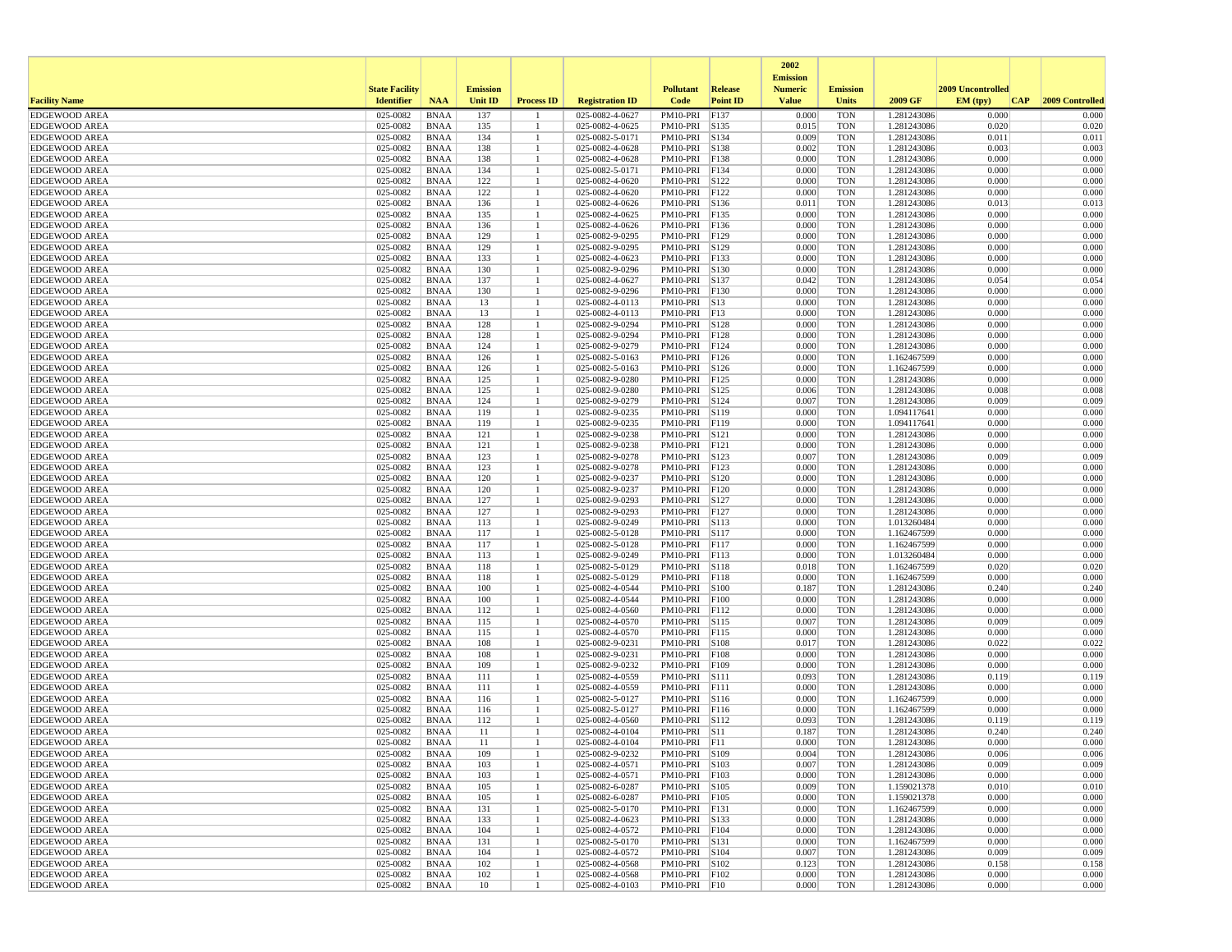|                                              |                       |                            |                 |                    |                                    |                                |                 | 2002                              |                          |                            |                   |                     |
|----------------------------------------------|-----------------------|----------------------------|-----------------|--------------------|------------------------------------|--------------------------------|-----------------|-----------------------------------|--------------------------|----------------------------|-------------------|---------------------|
|                                              | <b>State Facility</b> |                            | <b>Emission</b> |                    |                                    | <b>Pollutant</b>               | <b>Release</b>  | <b>Emission</b><br><b>Numeric</b> | <b>Emission</b>          |                            | 2009 Uncontrolled |                     |
| <b>Facility Name</b>                         | <b>Identifier</b>     | <b>NAA</b>                 | <b>Unit ID</b>  | <b>Process ID</b>  | <b>Registration ID</b>             | Code                           | <b>Point ID</b> | <b>Value</b>                      | <b>Units</b>             | 2009 GF                    | EM (typ)          | CAP 2009 Controlled |
| <b>EDGEWOOD AREA</b>                         | 025-0082              | <b>BNAA</b>                | 137             |                    | 025-0082-4-0627                    | PM10-PRI F137                  |                 | 0.000                             | <b>TON</b>               | 1.281243086                | 0.000             | 0.000               |
| <b>EDGEWOOD AREA</b>                         | 025-0082              | <b>BNAA</b>                | 135             | -1                 | 025-0082-4-0625                    | PM10-PRI S135                  |                 | 0.015                             | <b>TON</b>               | 1.281243086                | 0.020             | 0.020               |
| <b>EDGEWOOD AREA</b>                         | 025-0082              | <b>BNAA</b>                | 134             | $\overline{1}$     | 025-0082-5-0171                    | PM10-PRI S134                  |                 | 0.009                             | <b>TON</b>               | 1.281243086                | 0.011             | 0.011               |
| <b>EDGEWOOD AREA</b><br><b>EDGEWOOD AREA</b> | 025-0082<br>025-0082  | <b>BNAA</b><br><b>BNAA</b> | 138<br>138      |                    | 025-0082-4-0628<br>025-0082-4-0628 | PM10-PRI S138<br>PM10-PRI F138 |                 | 0.002<br>0.000                    | <b>TON</b><br><b>TON</b> | 1.281243086<br>1.281243086 | 0.003<br>0.000    | 0.003<br>0.000      |
| <b>EDGEWOOD AREA</b>                         | 025-0082              | <b>BNAA</b>                | 134             | -1<br>$\mathbf{1}$ | 025-0082-5-0171                    | PM10-PRI F134                  |                 | 0.000                             | <b>TON</b>               | 1.281243086                | 0.000             | 0.000               |
| <b>EDGEWOOD AREA</b>                         | 025-0082              | <b>BNAA</b>                | 122             |                    | 025-0082-4-0620                    | PM10-PRI S122                  |                 | 0.000                             | TON                      | 1.281243086                | 0.000             | 0.000               |
| <b>EDGEWOOD AREA</b>                         | 025-0082              | <b>BNAA</b>                | 122             | -1                 | 025-0082-4-0620                    | PM10-PRI F122                  |                 | 0.000                             | <b>TON</b>               | 1.281243086                | 0.000             | 0.000               |
| <b>EDGEWOOD AREA</b>                         | 025-0082              | <b>BNAA</b>                | 136             |                    | 025-0082-4-0626                    | PM10-PRI S136                  |                 | 0.011                             | <b>TON</b>               | 1.281243086                | 0.013             | 0.013               |
| <b>EDGEWOOD AREA</b>                         | 025-0082              | <b>BNAA</b>                | 135             |                    | 025-0082-4-0625                    | PM10-PRI F135                  |                 | 0.000                             | <b>TON</b>               | 1.281243086                | 0.000             | 0.000               |
| <b>EDGEWOOD AREA</b>                         | 025-0082              | <b>BNAA</b>                | 136             |                    | 025-0082-4-0626                    | PM10-PRI   F136                |                 | 0.000                             | <b>TON</b>               | 1.281243086                | 0.000             | 0.000               |
| <b>EDGEWOOD AREA</b><br><b>EDGEWOOD AREA</b> | 025-0082<br>025-0082  | <b>BNAA</b><br><b>BNAA</b> | 129<br>129      |                    | 025-0082-9-0295<br>025-0082-9-0295 | PM10-PRI F129<br>PM10-PRI S129 |                 | 0.000<br>0.000                    | TON<br>TON               | 1.281243086<br>1.281243086 | 0.000<br>0.000    | 0.000<br>0.000      |
| <b>EDGEWOOD AREA</b>                         | 025-0082              | <b>BNAA</b>                | 133             | $\overline{1}$     | 025-0082-4-0623                    | PM10-PRI F133                  |                 | 0.000                             | <b>TON</b>               | 1.281243086                | 0.000             | 0.000               |
| <b>EDGEWOOD AREA</b>                         | 025-0082              | <b>BNAA</b>                | 130             |                    | 025-0082-9-0296                    | PM10-PRI S130                  |                 | 0.000                             | <b>TON</b>               | 1.281243086                | 0.000             | 0.000               |
| <b>EDGEWOOD AREA</b>                         | 025-0082              | <b>BNAA</b>                | 137             | -1                 | 025-0082-4-0627                    | PM10-PRI S137                  |                 | 0.042                             | <b>TON</b>               | 1.281243086                | 0.054             | 0.054               |
| <b>EDGEWOOD AREA</b>                         | 025-0082              | <b>BNAA</b>                | 130             | -1                 | 025-0082-9-0296                    | PM10-PRI F130                  |                 | 0.000                             | TON                      | 1.281243086                | 0.000             | 0.000               |
| <b>EDGEWOOD AREA</b>                         | 025-0082              | <b>BNAA</b>                | 13              |                    | 025-0082-4-0113                    | PM10-PRI S13                   |                 | 0.000                             | TON                      | 1.281243086                | 0.000             | 0.000               |
| <b>EDGEWOOD AREA</b>                         | 025-0082              | <b>BNAA</b>                | 13              | -1                 | 025-0082-4-0113                    | PM10-PRI F13                   |                 | 0.000                             | <b>TON</b>               | 1.281243086                | 0.000             | 0.000               |
| <b>EDGEWOOD AREA</b>                         | 025-0082              | <b>BNAA</b>                | 128             | -1                 | 025-0082-9-0294                    | PM10-PRI S128                  |                 | 0.000<br>0.000                    | <b>TON</b>               | 1.281243086                | 0.000<br>0.000    | 0.000               |
| <b>EDGEWOOD AREA</b><br><b>EDGEWOOD AREA</b> | 025-0082<br>025-0082  | <b>BNAA</b><br><b>BNAA</b> | 128<br>124      | -1                 | 025-0082-9-0294<br>025-0082-9-0279 | PM10-PRI F128<br>PM10-PRI F124 |                 | 0.000                             | <b>TON</b><br><b>TON</b> | 1.281243086<br>1.281243086 | 0.000             | 0.000<br>0.000      |
| <b>EDGEWOOD AREA</b>                         | 025-0082              | <b>BNAA</b>                | 126             |                    | 025-0082-5-0163                    | PM10-PRI F126                  |                 | 0.000                             | TON                      | 1.162467599                | 0.000             | 0.000               |
| <b>EDGEWOOD AREA</b>                         | 025-0082              | <b>BNAA</b>                | 126             | -1                 | 025-0082-5-0163                    | PM10-PRI S126                  |                 | 0.000                             | TON                      | 1.162467599                | 0.000             | 0.000               |
| <b>EDGEWOOD AREA</b>                         | 025-0082              | <b>BNAA</b>                | 125             | -1                 | 025-0082-9-0280                    | PM10-PRI F125                  |                 | 0.000                             | <b>TON</b>               | 1.281243086                | 0.000             | 0.000               |
| <b>EDGEWOOD AREA</b>                         | 025-0082              | <b>BNAA</b>                | 125             | -1                 | 025-0082-9-0280                    | PM10-PRI S125                  |                 | 0.006                             | <b>TON</b>               | 1.281243086                | 0.008             | 0.008               |
| <b>EDGEWOOD AREA</b>                         | 025-0082              | <b>BNAA</b>                | 124             | -1                 | 025-0082-9-0279                    | PM10-PRI S124                  |                 | 0.007                             | <b>TON</b>               | 1.281243086                | 0.009             | 0.009               |
| <b>EDGEWOOD AREA</b>                         | 025-0082              | <b>BNAA</b>                | 119             |                    | 025-0082-9-0235                    | PM10-PRI S119                  |                 | 0.000                             | <b>TON</b>               | 1.094117641                | 0.000             | 0.000               |
| <b>EDGEWOOD AREA</b><br><b>EDGEWOOD AREA</b> | 025-0082<br>025-0082  | <b>BNAA</b><br><b>BNAA</b> | 119<br>121      | -1                 | 025-0082-9-0235                    | PM10-PRI F119<br>PM10-PRI S121 |                 | 0.000<br>0.000                    | TON<br><b>TON</b>        | 1.094117641<br>1.281243086 | 0.000<br>0.000    | 0.000<br>0.000      |
| <b>EDGEWOOD AREA</b>                         | 025-0082              | <b>BNAA</b>                | 121             | -1                 | 025-0082-9-0238<br>025-0082-9-0238 | PM10-PRI                       | F121            | 0.000                             | <b>TON</b>               | 1.281243086                | 0.000             | 0.000               |
| <b>EDGEWOOD AREA</b>                         | 025-0082              | <b>BNAA</b>                | 123             |                    | 025-0082-9-0278                    | PM10-PRI                       | S123            | 0.007                             | <b>TON</b>               | 1.281243086                | 0.009             | 0.009               |
| <b>EDGEWOOD AREA</b>                         | 025-0082              | <b>BNAA</b>                | 123             |                    | 025-0082-9-0278                    | PM10-PRI F123                  |                 | 0.000                             | <b>TON</b>               | 1.281243086                | 0.000             | 0.000               |
| <b>EDGEWOOD AREA</b>                         | 025-0082              | <b>BNAA</b>                | 120             | $\mathbf{1}$       | 025-0082-9-0237                    | PM10-PRI S120                  |                 | 0.000                             | <b>TON</b>               | 1.281243086                | 0.000             | 0.000               |
| <b>EDGEWOOD AREA</b>                         | 025-0082              | <b>BNAA</b>                | 120             | -1                 | 025-0082-9-0237                    | PM10-PRI F120                  |                 | 0.000                             | TON                      | 1.281243086                | 0.000             | 0.000               |
| <b>EDGEWOOD AREA</b>                         | 025-0082              | <b>BNAA</b>                | 127             | -1                 | 025-0082-9-0293                    | PM10-PRI S127                  |                 | 0.000                             | <b>TON</b>               | 1.281243086                | 0.000             | 0.000               |
| <b>EDGEWOOD AREA</b><br><b>EDGEWOOD AREA</b> | 025-0082<br>025-0082  | <b>BNAA</b>                | 127             | -1                 | 025-0082-9-0293<br>025-0082-9-0249 | PM10-PRI                       | F127            | 0.000<br>0.000                    | <b>TON</b><br><b>TON</b> | 1.281243086<br>1.013260484 | 0.000<br>0.000    | 0.000<br>0.000      |
| <b>EDGEWOOD AREA</b>                         | 025-0082              | <b>BNAA</b><br><b>BNAA</b> | 113<br>117      | $\mathbf{1}$       | 025-0082-5-0128                    | PM10-PRI S113<br>PM10-PRI S117 |                 | 0.000                             | <b>TON</b>               | 1.162467599                | 0.000             | 0.000               |
| <b>EDGEWOOD AREA</b>                         | 025-0082              | <b>BNAA</b>                | 117             |                    | 025-0082-5-0128                    | PM10-PRI F117                  |                 | 0.000                             | TON                      | 1.162467599                | 0.000             | 0.000               |
| <b>EDGEWOOD AREA</b>                         | 025-0082              | <b>BNAA</b>                | 113             | -1                 | 025-0082-9-0249                    | PM10-PRI F113                  |                 | 0.000                             | <b>TON</b>               | 1.013260484                | 0.000             | 0.000               |
| <b>EDGEWOOD AREA</b>                         | 025-0082              | <b>BNAA</b>                | 118             | $\mathbf{1}$       | 025-0082-5-0129                    | PM10-PRI                       | S118            | 0.018                             | <b>TON</b>               | 1.162467599                | 0.020             | 0.020               |
| <b>EDGEWOOD AREA</b>                         | 025-0082              | <b>BNAA</b>                | 118             |                    | 025-0082-5-0129                    | PM10-PRI F118                  |                 | 0.000                             | <b>TON</b>               | 1.162467599                | 0.000             | 0.000               |
| <b>EDGEWOOD AREA</b>                         | 025-0082              | <b>BNAA</b>                | 100             | -1                 | 025-0082-4-0544                    | PM10-PRI S100                  |                 | 0.187                             | <b>TON</b>               | 1.281243086                | 0.240             | 0.240               |
| <b>EDGEWOOD AREA</b><br><b>EDGEWOOD AREA</b> | 025-0082<br>025-0082  | <b>BNAA</b><br><b>BNAA</b> | 100<br>112      | -1<br>-1           | 025-0082-4-0544<br>025-0082-4-0560 | PM10-PRI F100<br>PM10-PRI F112 |                 | 0.000<br>0.000                    | <b>TON</b><br>TON        | 1.281243086<br>1.281243086 | 0.000<br>0.000    | 0.000<br>0.000      |
| <b>EDGEWOOD AREA</b>                         | 025-0082              | <b>BNAA</b>                | 115             |                    | 025-0082-4-0570                    | PM10-PRI S115                  |                 | 0.007                             | <b>TON</b>               | 1.281243086                | 0.009             | 0.009               |
| <b>EDGEWOOD AREA</b>                         | 025-0082              | <b>BNAA</b>                | 115             |                    | 025-0082-4-0570                    | PM10-PRI                       | F115            | 0.000                             | <b>TON</b>               | 1.281243086                | 0.000             | 0.000               |
| <b>EDGEWOOD AREA</b>                         | 025-0082              | <b>BNAA</b>                | 108             |                    | 025-0082-9-0231                    | PM10-PRI S108                  |                 | 0.017                             | <b>TON</b>               | 1.281243086                | 0.022             | 0.022               |
| <b>EDGEWOOD AREA</b>                         | 025-0082              | <b>BNAA</b>                | 108             |                    | 025-0082-9-0231                    | PM10-PRI F108                  |                 | 0.000                             | <b>TON</b>               | 1.281243086                | 0.000             | 0.000               |
| <b>EDGEWOOD AREA</b>                         | 025-0082              | <b>BNAA</b>                | 109             |                    | 025-0082-9-0232                    | PM10-PRI F109                  |                 | 0.000                             | <b>TON</b>               | 1.281243086                | 0.000             | 0.000               |
| <b>EDGEWOOD AREA</b>                         | 025-0082              | <b>BNAA</b>                | 111             |                    | 025-0082-4-0559                    | PM10-PRI S111                  |                 | 0.093                             | <b>TON</b>               | 1.281243086                | 0.119             | 0.119               |
| <b>EDGEWOOD AREA</b><br><b>EDGEWOOD AREA</b> | 025-0082<br>025-0082  | <b>BNAA</b><br><b>BNAA</b> | 111<br>116      | -1<br>-1           | 025-0082-4-0559<br>025-0082-5-0127 | PM10-PRI<br>PM10-PRI S116      | F111            | 0.000<br>0.000                    | <b>TON</b><br><b>TON</b> | 1.281243086<br>1.162467599 | 0.000<br>0.000    | 0.000<br>0.000      |
| <b>EDGEWOOD AREA</b>                         | 025-0082              | <b>BNAA</b>                | 116             |                    | 025-0082-5-0127                    | PM10-PRI F116                  |                 | 0.000                             | <b>TON</b>               | 1.162467599                | 0.000             | 0.000               |
| <b>EDGEWOOD AREA</b>                         | 025-0082              | <b>BNAA</b>                | 112             |                    | 025-0082-4-0560                    | PM10-PRI S112                  |                 | 0.093                             | <b>TON</b>               | 1.281243086                | 0.119             | 0.119               |
| <b>EDGEWOOD AREA</b>                         | 025-0082              | <b>BNAA</b>                | 11              |                    | 025-0082-4-0104                    | PM10-PRI S11                   |                 | 0.187                             | <b>TON</b>               | 1.281243086                | 0.240             | 0.240               |
| <b>EDGEWOOD AREA</b>                         | 025-0082              | <b>BNAA</b>                | 11              |                    | 025-0082-4-0104                    | $PM10-PRI$ F11                 |                 | 0.000                             | <b>TON</b>               | 1.281243086                | 0.000             | 0.000               |
| <b>EDGEWOOD AREA</b>                         | 025-0082              | <b>BNAA</b>                | 109             |                    | 025-0082-9-0232                    | PM10-PRI S109                  |                 | 0.004                             | TON                      | 1.281243086                | 0.006             | 0.006               |
| <b>EDGEWOOD AREA</b>                         | 025-0082              | BNAA                       | 103             | -1<br>-1           | 025-0082-4-0571                    | PM10-PRI S103                  |                 | 0.007                             | TON                      | 1.281243086<br>1.281243086 | 0.009             | 0.009               |
| <b>EDGEWOOD AREA</b><br><b>EDGEWOOD AREA</b> | 025-0082<br>025-0082  | BNAA<br><b>BNAA</b>        | 103<br>105      |                    | 025-0082-4-0571<br>025-0082-6-0287 | PM10-PRI F103<br>PM10-PRI S105 |                 | 0.000<br>0.009                    | <b>TON</b><br>TON        | 1.159021378                | 0.000<br>0.010    | 0.000<br>0.010      |
| <b>EDGEWOOD AREA</b>                         | 025-0082              | <b>BNAA</b>                | 105             | -1                 | 025-0082-6-0287                    | PM10-PRI F105                  |                 | 0.000                             | <b>TON</b>               | 1.159021378                | 0.000             | 0.000               |
| <b>EDGEWOOD AREA</b>                         | 025-0082              | <b>BNAA</b>                | 131             | $\overline{1}$     | 025-0082-5-0170                    | PM10-PRI F131                  |                 | 0.000                             | TON                      | 1.162467599                | 0.000             | 0.000               |
| <b>EDGEWOOD AREA</b>                         | 025-0082              | <b>BNAA</b>                | 133             | -1                 | 025-0082-4-0623                    | PM10-PRI S133                  |                 | 0.000                             | TON                      | 1.281243086                | 0.000             | 0.000               |
| <b>EDGEWOOD AREA</b>                         | 025-0082              | <b>BNAA</b>                | 104             | -1                 | 025-0082-4-0572                    | PM10-PRI F104                  |                 | 0.000                             | <b>TON</b>               | 1.281243086                | 0.000             | 0.000               |
| <b>EDGEWOOD AREA</b>                         | 025-0082              | <b>BNAA</b>                | 131             | $\mathbf{1}$       | 025-0082-5-0170                    | PM10-PRI S131                  |                 | 0.000                             | <b>TON</b>               | 1.162467599                | 0.000             | 0.000               |
| <b>EDGEWOOD AREA</b>                         | 025-0082              | <b>BNAA</b>                | 104             | -1                 | 025-0082-4-0572                    | PM10-PRI S104                  |                 | 0.007                             | TON                      | 1.281243086                | 0.009             | 0.009               |
| <b>EDGEWOOD AREA</b><br><b>EDGEWOOD AREA</b> | 025-0082<br>025-0082  | <b>BNAA</b><br><b>BNAA</b> | 102<br>102      | -1<br>$\mathbf{1}$ | 025-0082-4-0568<br>025-0082-4-0568 | PM10-PRI S102<br>PM10-PRI F102 |                 | 0.123<br>0.000                    | TON<br><b>TON</b>        | 1.281243086<br>1.281243086 | 0.158<br>0.000    | 0.158<br>0.000      |
| <b>EDGEWOOD AREA</b>                         | 025-0082              | <b>BNAA</b>                | 10              | $\mathbf{1}$       | 025-0082-4-0103                    | $PM10-PRI$ F10                 |                 | 0.000                             | TON                      | 1.281243086                | 0.000             | 0.000               |
|                                              |                       |                            |                 |                    |                                    |                                |                 |                                   |                          |                            |                   |                     |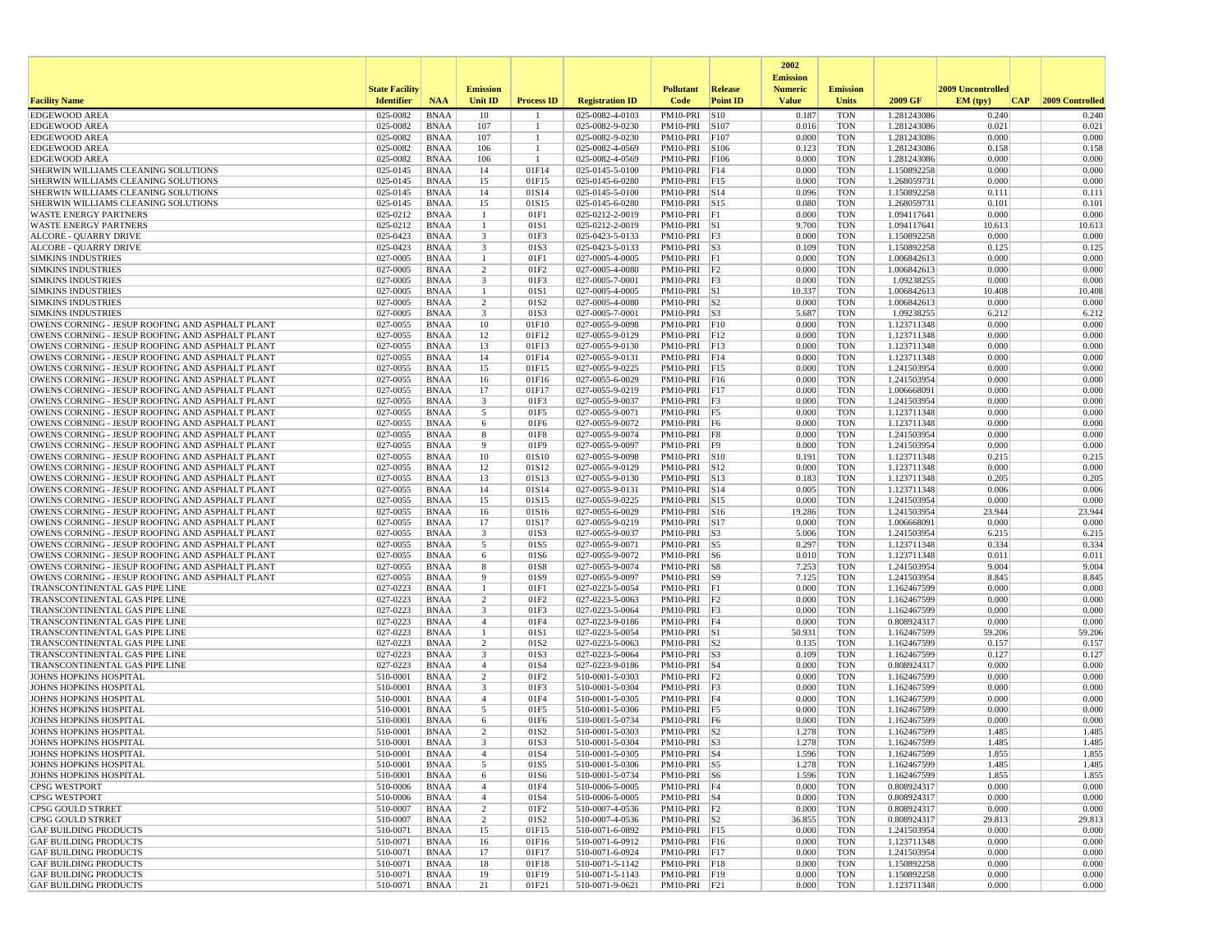|                                                                                                    |                       |                            |                                  |                          |                                    |                                      |                         | 2002                              |                          |                            |                   |                 |
|----------------------------------------------------------------------------------------------------|-----------------------|----------------------------|----------------------------------|--------------------------|------------------------------------|--------------------------------------|-------------------------|-----------------------------------|--------------------------|----------------------------|-------------------|-----------------|
|                                                                                                    | <b>State Facility</b> |                            | <b>Emission</b>                  |                          |                                    | <b>Pollutant</b>                     | <b>Release</b>          | <b>Emission</b><br><b>Numeric</b> | <b>Emission</b>          |                            | 2009 Uncontrolled |                 |
| <b>Facility Name</b>                                                                               | <b>Identifier</b>     | <b>NAA</b>                 | <b>Unit ID</b>                   | <b>Process ID</b>        | <b>Registration ID</b>             | Code                                 | <b>Point ID</b>         | <b>Value</b>                      | Units                    | 2009 GF                    | EM(tpy)<br> CAP   | 2009 Controlled |
| <b>EDGEWOOD AREA</b>                                                                               | 025-0082              | <b>BNAA</b>                | 10                               |                          | 025-0082-4-0103                    | PM10-PRI                             | S10                     | 0.187                             | <b>TON</b>               | 1.281243086                | 0.240             | 0.240           |
| <b>EDGEWOOD AREA</b>                                                                               | 025-0082              | <b>BNAA</b>                | 107                              | -1                       | 025-0082-9-0230                    | PM10-PRI                             | S107                    | 0.016                             | <b>TON</b>               | 1.281243086                | 0.021             | 0.021           |
| <b>EDGEWOOD AREA</b>                                                                               | 025-0082              | <b>BNAA</b>                | 107                              | $\overline{1}$           | 025-0082-9-0230                    | PM10-PRI                             | F107                    | 0.000                             | <b>TON</b>               | 1.281243086                | 0.000             | 0.000           |
| <b>EDGEWOOD AREA</b><br><b>EDGEWOOD AREA</b>                                                       | 025-0082<br>025-0082  | <b>BNAA</b><br><b>BNAA</b> | 106<br>106                       | -1                       | 025-0082-4-0569<br>025-0082-4-0569 | PM10-PRI<br>PM10-PRI                 | S106<br>F106            | 0.123<br>0.000                    | <b>TON</b><br><b>TON</b> | 1.281243086<br>1.281243086 | 0.158<br>0.000    | 0.158<br>0.000  |
| SHERWIN WILLIAMS CLEANING SOLUTIONS                                                                | 025-0145              | <b>BNAA</b>                | 14                               | 01F14                    | 025-0145-5-0100                    | PM10-PRI                             | F14                     | 0.000                             | <b>TON</b>               | 1.150892258                | 0.000             | 0.000           |
| SHERWIN WILLIAMS CLEANING SOLUTIONS                                                                | 025-0145              | <b>BNAA</b>                | 15                               | 01F15                    | 025-0145-6-0280                    | PM10-PRI F15                         |                         | 0.000                             | <b>TON</b>               | 1.268059731                | 0.000             | 0.000           |
| SHERWIN WILLIAMS CLEANING SOLUTIONS                                                                | 025-0145              | <b>BNAA</b>                | 14                               | 01S14                    | 025-0145-5-0100                    | PM10-PRI S14                         |                         | 0.096                             | <b>TON</b>               | 1.150892258                | 0.111             | 0.111           |
| SHERWIN WILLIAMS CLEANING SOLUTIONS                                                                | 025-0145              | <b>BNAA</b>                | 15                               | 01S15                    | 025-0145-6-0280                    | PM10-PRI                             | $\vert$ S <sub>15</sub> | 0.080                             | <b>TON</b>               | 1.268059731                | 0.101             | 0.101           |
| <b>WASTE ENERGY PARTNERS</b>                                                                       | 025-0212              | <b>BNAA</b>                | $\overline{1}$                   | 01F1                     | 025-0212-2-0019                    | PM10-PRI F1<br>PM10-PRI S1           |                         | 0.000                             | <b>TON</b>               | 1.094117641                | 0.000             | 0.000           |
| <b>WASTE ENERGY PARTNERS</b><br><b>ALCORE - QUARRY DRIVE</b>                                       | 025-0212<br>025-0423  | <b>BNAA</b><br><b>BNAA</b> | -1<br>$\overline{\mathbf{3}}$    | 01S1<br>01F3             | 025-0212-2-0019<br>025-0423-5-0133 | $PM10-PRI$ F3                        |                         | 9.700<br>0.000                    | <b>TON</b><br><b>TON</b> | 1.094117641<br>1.150892258 | 10.613<br>0.000   | 10.613<br>0.000 |
| ALCORE - QUARRY DRIVE                                                                              | 025-0423              | <b>BNAA</b>                | $\overline{\mathbf{3}}$          | 01S3                     | 025-0423-5-0133                    | PM10-PRI S3                          |                         | 0.109                             | <b>TON</b>               | 1.150892258                | 0.125             | 0.125           |
| <b>SIMKINS INDUSTRIES</b>                                                                          | 027-0005              | <b>BNAA</b>                | $\mathbf{1}$                     | 01F1                     | 027-0005-4-0005                    | PM10-PRI                             | F1                      | 0.000                             | <b>TON</b>               | 1.006842613                | 0.000             | 0.000           |
| <b>SIMKINS INDUSTRIES</b>                                                                          | 027-0005              | <b>BNAA</b>                | 2                                | 01F <sub>2</sub>         | 027-0005-4-0080                    | $PM10-PRI$ $ F2$                     |                         | 0.000                             | <b>TON</b>               | 1.006842613                | 0.000             | 0.000           |
| <b>SIMKINS INDUSTRIES</b>                                                                          | 027-0005              | <b>BNAA</b>                | 3                                | 01F3                     | 027-0005-7-0001                    | PM10-PRI F3                          |                         | 0.000                             | <b>TON</b>               | 1.09238255                 | 0.000             | 0.000           |
| <b>SIMKINS INDUSTRIES</b><br><b>SIMKINS INDUSTRIES</b>                                             | 027-0005<br>027-0005  | <b>BNAA</b><br><b>BNAA</b> | $\overline{1}$<br>$\overline{2}$ | 01S1<br>01S2             | 027-0005-4-0005<br>027-0005-4-0080 | PM10-PRI S1<br>$PM10-PRI$ S2         |                         | 10.337<br>0.000                   | <b>TON</b><br><b>TON</b> | 1.006842613<br>1.006842613 | 10.408<br>0.000   | 10.408<br>0.000 |
| <b>SIMKINS INDUSTRIES</b>                                                                          | 027-0005              | <b>BNAA</b>                | $\overline{\mathbf{3}}$          | 01S3                     | 027-0005-7-0001                    | $PM10-PRI$ S3                        |                         | 5.687                             | <b>TON</b>               | 1.09238255                 | 6.212             | 6.212           |
| OWENS CORNING - JESUP ROOFING AND ASPHALT PLANT                                                    | 027-0055              | <b>BNAA</b>                | 10                               | 01F10                    | 027-0055-9-0098                    | PM10-PRI                             | F10                     | 0.000                             | <b>TON</b>               | 1.123711348                | 0.000             | 0.000           |
| OWENS CORNING - JESUP ROOFING AND ASPHALT PLANT                                                    | 027-0055              | <b>BNAA</b>                | 12                               | 01F12                    | 027-0055-9-0129                    | PM10-PRI F12                         |                         | 0.000                             | <b>TON</b>               | 1.123711348                | 0.000             | 0.000           |
| OWENS CORNING - JESUP ROOFING AND ASPHALT PLANT                                                    | 027-0055              | <b>BNAA</b>                | 13                               | 01F13                    | 027-0055-9-0130                    | PM10-PRI F13                         |                         | 0.000                             | <b>TON</b>               | 1.123711348                | 0.000             | 0.000           |
| OWENS CORNING - JESUP ROOFING AND ASPHALT PLANT                                                    | 027-0055              | <b>BNAA</b>                | 14                               | 01F14                    | 027-0055-9-0131                    | PM10-PRI F14                         |                         | 0.000                             | <b>TON</b>               | 1.123711348                | 0.000             | 0.000           |
| OWENS CORNING - JESUP ROOFING AND ASPHALT PLANT                                                    | 027-0055              | <b>BNAA</b>                | 15                               | 01F15                    | 027-0055-9-0225                    | PM10-PRI F15<br>PM10-PRI             |                         | 0.000                             | <b>TON</b>               | 1.241503954                | 0.000<br>0.000    | 0.000           |
| OWENS CORNING - JESUP ROOFING AND ASPHALT PLANT<br>OWENS CORNING - JESUP ROOFING AND ASPHALT PLANT | 027-0055<br>027-0055  | <b>BNAA</b><br><b>BNAA</b> | 16<br>17                         | 01F16<br>01F17           | 027-0055-6-0029<br>027-0055-9-0219 | PM10-PRI                             | F16<br>F17              | 0.000<br>0.000                    | <b>TON</b><br><b>TON</b> | 1.241503954<br>1.006668091 | 0.000             | 0.000<br>0.000  |
| OWENS CORNING - JESUP ROOFING AND ASPHALT PLANT                                                    | 027-0055              | <b>BNAA</b>                | $\overline{\mathbf{3}}$          | 01F3                     | 027-0055-9-0037                    | $PM10-PRI$ F3                        |                         | 0.000                             | <b>TON</b>               | 1.241503954                | 0.000             | 0.000           |
| OWENS CORNING - JESUP ROOFING AND ASPHALT PLANT                                                    | 027-0055              | <b>BNAA</b>                | 5                                | 01F5                     | 027-0055-9-0071                    | PM10-PRI F5                          |                         | 0.000                             | <b>TON</b>               | 1.123711348                | 0.000             | 0.000           |
| OWENS CORNING - JESUP ROOFING AND ASPHALT PLANT                                                    | 027-0055              | <b>BNAA</b>                | 6                                | 01F6                     | 027-0055-9-0072                    | PM10-PRI F6                          |                         | 0.000                             | <b>TON</b>               | 1.123711348                | 0.000             | 0.000           |
| OWENS CORNING - JESUP ROOFING AND ASPHALT PLANT                                                    | 027-0055              | <b>BNAA</b>                | 8                                | 01F8                     | 027-0055-9-0074                    | PM10-PRI F8                          |                         | 0.000                             | <b>TON</b>               | 1.241503954                | 0.000             | 0.000           |
| OWENS CORNING - JESUP ROOFING AND ASPHALT PLANT<br>OWENS CORNING - JESUP ROOFING AND ASPHALT PLANT | 027-0055<br>027-0055  | <b>BNAA</b><br><b>BNAA</b> | 9<br>10                          | 01F9<br>01S10            | 027-0055-9-0097<br>027-0055-9-0098 | PM10-PRI<br>PM10-PRI S10             | F9                      | 0.000<br>0.191                    | <b>TON</b><br><b>TON</b> | 1.241503954<br>1.123711348 | 0.000<br>0.215    | 0.000<br>0.215  |
| OWENS CORNING - JESUP ROOFING AND ASPHALT PLANT                                                    | 027-0055              | <b>BNAA</b>                | 12                               | 01S12                    | 027-0055-9-0129                    | PM10-PRI S12                         |                         | 0.000                             | <b>TON</b>               | 1.123711348                | 0.000             | 0.000           |
| OWENS CORNING - JESUP ROOFING AND ASPHALT PLANT                                                    | 027-0055              | <b>BNAA</b>                | 13                               | 01S13                    | 027-0055-9-0130                    | PM10-PRI S13                         |                         | 0.183                             | <b>TON</b>               | 1.123711348                | 0.205             | 0.205           |
| OWENS CORNING - JESUP ROOFING AND ASPHALT PLANT                                                    | 027-0055              | <b>BNAA</b>                | 14                               | 01S14                    | 027-0055-9-0131                    | PM10-PRI S14                         |                         | 0.005                             | <b>TON</b>               | 1.123711348                | 0.006             | 0.006           |
| OWENS CORNING - JESUP ROOFING AND ASPHALT PLANT                                                    | 027-0055              | <b>BNAA</b>                | 15                               | 01S15                    | 027-0055-9-0225                    | PM10-PRI S15                         |                         | 0.000                             | <b>TON</b>               | 1.241503954                | 0.000             | 0.000           |
| OWENS CORNING - JESUP ROOFING AND ASPHALT PLANT                                                    | 027-0055              | <b>BNAA</b>                | 16                               | 01S16                    | 027-0055-6-0029                    | PM10-PRI                             | $\vert$ S <sub>16</sub> | 19.286                            | <b>TON</b>               | 1.241503954                | 23.944            | 23.944          |
| OWENS CORNING - JESUP ROOFING AND ASPHALT PLANT                                                    | 027-0055<br>027-0055  | <b>BNAA</b><br><b>BNAA</b> | 17<br>3                          | 01S17<br>01S3            | 027-0055-9-0219<br>027-0055-9-0037 | PM10-PRI S17<br>PM10-PRI S3          |                         | 0.000<br>5.006                    | <b>TON</b><br><b>TON</b> | 1.006668091                | 0.000<br>6.215    | 0.000           |
| OWENS CORNING - JESUP ROOFING AND ASPHALT PLANT<br>OWENS CORNING - JESUP ROOFING AND ASPHALT PLANT | 027-0055              | <b>BNAA</b>                | 5                                | 01S5                     | 027-0055-9-0071                    | PM10-PRI S5                          |                         | 0.297                             | <b>TON</b>               | 1.241503954<br>1.123711348 | 0.334             | 6.215<br>0.334  |
| OWENS CORNING - JESUP ROOFING AND ASPHALT PLANT                                                    | 027-0055              | <b>BNAA</b>                | 6                                | 01S6                     | 027-0055-9-0072                    | $PM10-PRI$ S6                        |                         | 0.010                             | <b>TON</b>               | 1.123711348                | 0.011             | 0.011           |
| OWENS CORNING - JESUP ROOFING AND ASPHALT PLANT                                                    | 027-0055              | <b>BNAA</b>                | 8                                | 01S8                     | 027-0055-9-0074                    | PM10-PRI                             | S8                      | 7.253                             | <b>TON</b>               | 1.241503954                | 9.004             | 9.004           |
| OWENS CORNING - JESUP ROOFING AND ASPHALT PLANT                                                    | 027-0055              | <b>BNAA</b>                | -9                               | 01S9                     | 027-0055-9-0097                    | PM10-PRI S9                          |                         | 7.125                             | <b>TON</b>               | 1.241503954                | 8.845             | 8.845           |
| TRANSCONTINENTAL GAS PIPE LINE                                                                     | 027-0223              | <b>BNAA</b><br><b>BNAA</b> | -1<br>2                          | 01F1                     | 027-0223-5-0054                    | PM10-PRI F1                          |                         | 0.000<br>0.000                    | <b>TON</b>               | 1.162467599                | 0.000<br>0.000    | 0.000<br>0.000  |
| TRANSCONTINENTAL GAS PIPE LINE<br>TRANSCONTINENTAL GAS PIPE LINE                                   | 027-0223<br>027-0223  | <b>BNAA</b>                | $\overline{\mathbf{3}}$          | 01F2<br>01F3             | 027-0223-5-0063<br>027-0223-5-0064 | $PM10-PRI$ $ F2$<br>PM10-PRI F3      |                         | 0.000                             | <b>TON</b><br><b>TON</b> | 1.162467599<br>1.162467599 | 0.000             | 0.000           |
| TRANSCONTINENTAL GAS PIPE LINE                                                                     | 027-0223              | <b>BNAA</b>                | $\overline{4}$                   | 01F4                     | 027-0223-9-0186                    | PM10-PRI F4                          |                         | 0.000                             | <b>TON</b>               | 0.808924317                | 0.000             | 0.000           |
| TRANSCONTINENTAL GAS PIPE LINE                                                                     | 027-0223              | <b>BNAA</b>                |                                  | 01S1                     | 027-0223-5-0054                    | PM10-PRI                             | S1                      | 50.931                            | <b>TON</b>               | 1.162467599                | 59.206            | 59.206          |
| TRANSCONTINENTAL GAS PIPE LINE                                                                     | 027-0223              | <b>BNAA</b>                | 2                                | 01S2                     | 027-0223-5-0063                    | $PM10-PRI$ S2                        |                         | 0.135                             | <b>TON</b>               | 1.162467599                | 0.157             | 0.157           |
| TRANSCONTINENTAL GAS PIPE LINE                                                                     | 027-0223              | <b>BNAA</b>                | 3                                | 01S3                     | 027-0223-5-0064                    | PM10-PRI S3                          |                         | 0.109                             | <b>TON</b>               | 1.162467599                | 0.127             | 0.127           |
| TRANSCONTINENTAL GAS PIPE LINE<br><b>JOHNS HOPKINS HOSPITAL</b>                                    | 027-0223<br>510-0001  | <b>BNAA</b><br><b>BNAA</b> | $\overline{4}$<br>$\overline{2}$ | 01S4<br>01F2             | 027-0223-9-0186<br>510-0001-5-0303 | $PM10-PRI$ 34<br>$PM10-PRI$ $F2$     |                         | 0.000<br>0.000                    | <b>TON</b><br><b>TON</b> | 0.808924317<br>1.162467599 | 0.000<br>0.000    | 0.000<br>0.000  |
| <b>JOHNS HOPKINS HOSPITAL</b>                                                                      | 510-0001              | <b>BNAA</b>                | 3                                | 01F3                     | 510-0001-5-0304                    | PM10-PRI                             | F <sub>3</sub>          | 0.000                             | <b>TON</b>               | 1.162467599                | 0.000             | 0.000           |
| <b>JOHNS HOPKINS HOSPITAL</b>                                                                      | 510-0001              | <b>BNAA</b>                | $\overline{4}$                   | 01F4                     | 510-0001-5-0305                    | PM10-PRI F4                          |                         | 0.000                             | <b>TON</b>               | 1.162467599                | 0.000             | 0.000           |
| <b>JOHNS HOPKINS HOSPITAL</b>                                                                      | 510-0001              | <b>BNAA</b>                | 5                                | 01F5                     | 510-0001-5-0306                    | PM10-PRI F5                          |                         | 0.000                             | <b>TON</b>               | 1.162467599                | 0.000             | 0.000           |
| JOHNS HOPKINS HOSPITAL                                                                             | 510-0001              | <b>BNAA</b>                | 6                                | 01F6                     | 510-0001-5-0734                    | PM10-PRI F6                          |                         | 0.000                             | <b>TON</b>               | 1.162467599                | 0.000             | 0.000           |
| JOHNS HOPKINS HOSPITAL<br><b>JOHNS HOPKINS HOSPITAL</b>                                            | 510-0001<br>510-0001  | <b>BNAA</b><br><b>BNAA</b> | 2<br>3                           | 01S2<br>01S3             | 510-0001-5-0303<br>510-0001-5-0304 | PM10-PRI S2<br>PM10-PRI S3           |                         | 1.278<br>1.278                    | <b>TON</b><br><b>TON</b> | 1.162467599<br>1.162467599 | 1.485<br>1.485    | 1.485<br>1.485  |
| JOHNS HOPKINS HOSPITAL                                                                             | 510-0001              | <b>BNAA</b>                |                                  | 01S4                     | 510-0001-5-0305                    | $PM10-PRI$ S4                        |                         | 1.596                             | <b>TON</b>               | 1.162467599                | 1.855             | 1.855           |
| <b>JOHNS HOPKINS HOSPITAL</b>                                                                      | 510-0001              | BNAA                       | 5                                | 01S5                     | 510-0001-5-0306                    | $PM10-PRI$ S5                        |                         | 1.278                             | TON                      | 1.162467599                | 1.485             | 1.485           |
| <b>JOHNS HOPKINS HOSPITAL</b>                                                                      | 510-0001              | <b>BNAA</b>                | 6                                | 01S6                     | 510-0001-5-0734                    | $PM10-PRI$ S6                        |                         | 1.596                             | <b>TON</b>               | 1.162467599                | 1.855             | 1.855           |
| <b>CPSG WESTPORT</b>                                                                               | 510-0006              | <b>BNAA</b>                | $\overline{4}$                   | 01F4                     | 510-0006-5-0005                    | PM10-PRI F4                          |                         | 0.000                             | <b>TON</b>               | 0.808924317                | 0.000             | 0.000           |
| <b>CPSG WESTPORT</b>                                                                               | 510-0006              | <b>BNAA</b>                | $\overline{4}$                   | 01S4                     | 510-0006-5-0005                    | PM10-PRI S4                          |                         | 0.000                             | <b>TON</b>               | 0.808924317                | 0.000             | 0.000           |
| CPSG GOULD STRRET<br><b>CPSG GOULD STRRET</b>                                                      | 510-0007<br>510-0007  | <b>BNAA</b><br><b>BNAA</b> | 2<br>$\overline{c}$              | 01F2<br>01S <sub>2</sub> | 510-0007-4-0536<br>510-0007-4-0536 | $PM10-PRI$ $ F2$<br>$PM10-PRI$ $ S2$ |                         | 0.000<br>36.855                   | <b>TON</b><br><b>TON</b> | 0.808924317<br>0.808924317 | 0.000<br>29.813   | 0.000<br>29.813 |
| <b>GAF BUILDING PRODUCTS</b>                                                                       | 510-0071              | BNAA                       | 15                               | 01F15                    | 510-0071-6-0892                    | PM10-PRI F15                         |                         | 0.000                             | <b>TON</b>               | 1.241503954                | 0.000             | 0.000           |
| <b>GAF BUILDING PRODUCTS</b>                                                                       | 510-0071              | <b>BNAA</b>                | 16                               | 01F16                    | 510-0071-6-0912                    | PM10-PRI F16                         |                         | 0.000                             | <b>TON</b>               | 1.123711348                | 0.000             | 0.000           |
| <b>GAF BUILDING PRODUCTS</b>                                                                       | 510-0071              | BNAA                       | 17                               | 01F17                    | 510-0071-6-0924                    | PM10-PRI F17                         |                         | 0.000                             | TON                      | 1.241503954                | 0.000             | 0.000           |
| <b>GAF BUILDING PRODUCTS</b>                                                                       | 510-0071              | <b>BNAA</b>                | 18                               | 01F18                    | 510-0071-5-1142                    | PM10-PRI F18                         |                         | 0.000                             | <b>TON</b>               | 1.150892258                | 0.000             | 0.000           |
| <b>GAF BUILDING PRODUCTS</b><br><b>GAF BUILDING PRODUCTS</b>                                       | 510-0071<br>510-0071  | <b>BNAA</b><br><b>BNAA</b> | 19<br>21                         | 01F19<br>01F21           | 510-0071-5-1143<br>510-0071-9-0621 | PM10-PRI F19<br>PM10-PRI F21         |                         | 0.000<br>0.000                    | <b>TON</b><br>TON        | 1.150892258<br>1.123711348 | 0.000<br>0.000    | 0.000<br>0.000  |
|                                                                                                    |                       |                            |                                  |                          |                                    |                                      |                         |                                   |                          |                            |                   |                 |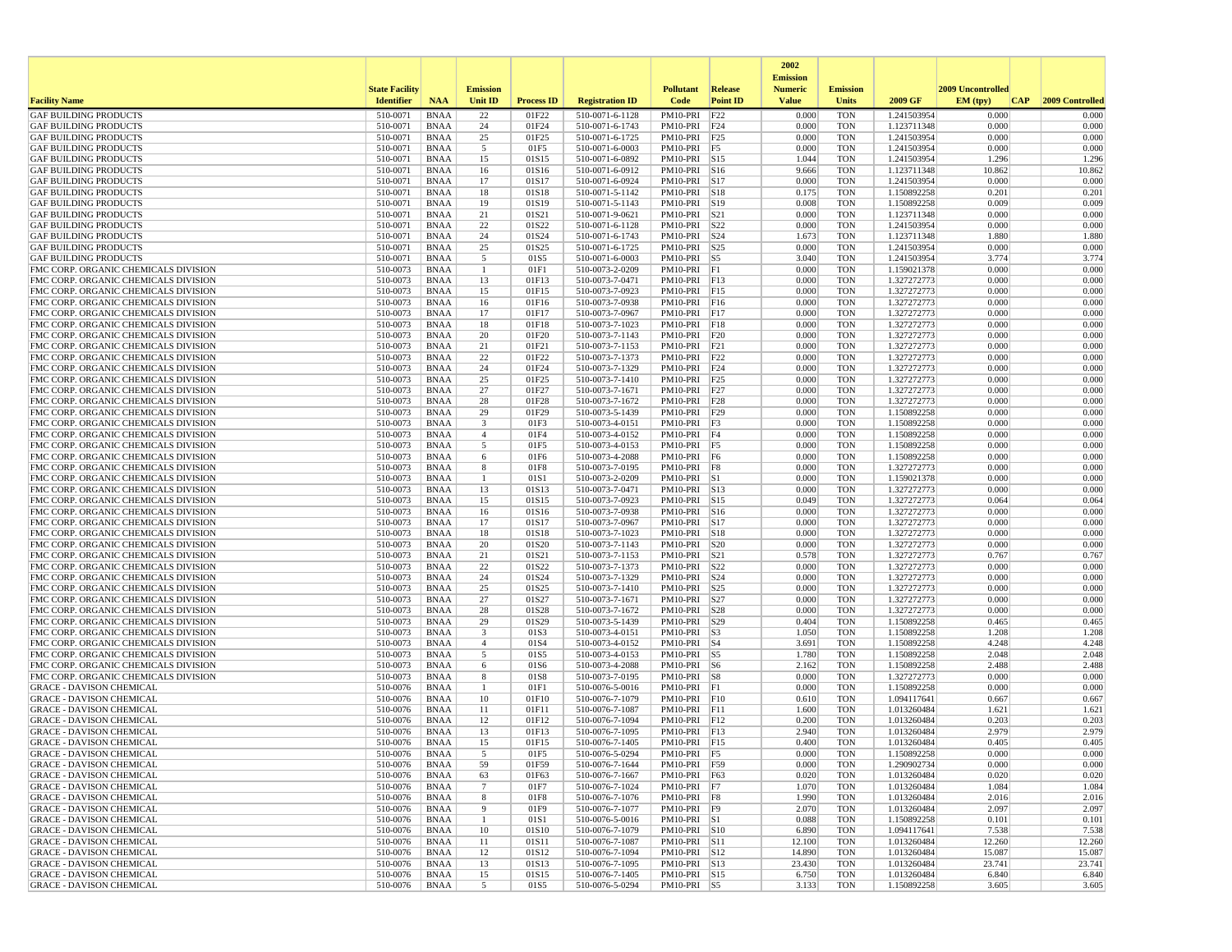|                                                                              |                       |                            |                 |                   |                                    |                                |                         | 2002                              |                          |                            |                   |                 |
|------------------------------------------------------------------------------|-----------------------|----------------------------|-----------------|-------------------|------------------------------------|--------------------------------|-------------------------|-----------------------------------|--------------------------|----------------------------|-------------------|-----------------|
|                                                                              | <b>State Facility</b> |                            | <b>Emission</b> |                   |                                    | <b>Pollutant</b>               | Release                 | <b>Emission</b><br><b>Numeric</b> | <b>Emission</b>          |                            | 2009 Uncontrolled |                 |
| <b>Facility Name</b>                                                         | <b>Identifier</b>     | <b>NAA</b>                 | Unit ID         | <b>Process ID</b> | <b>Registration ID</b>             | Code                           | <b>Point ID</b>         | <b>Value</b>                      | <b>Units</b>             | 2009 GF                    | EM (typ)<br> CAP  | 2009 Controlled |
| <b>GAF BUILDING PRODUCTS</b>                                                 | 510-0071              | <b>BNAA</b>                | 22              | 01F22             | 510-0071-6-1128                    | PM10-PRI                       | F22                     | 0.000                             | <b>TON</b>               | 1.241503954                | 0.000             | 0.000           |
| <b>GAF BUILDING PRODUCTS</b>                                                 | 510-0071              | <b>BNAA</b>                | 24              | 01F24             | 510-0071-6-1743                    | PM10-PRI F24                   |                         | 0.000                             | <b>TON</b>               | 1.123711348                | 0.000             | 0.000           |
| <b>GAF BUILDING PRODUCTS</b>                                                 | 510-0071              | <b>BNAA</b>                | 25              | 01F25             | 510-0071-6-1725                    | PM10-PRI F25                   |                         | 0.000                             | <b>TON</b>               | 1.241503954                | 0.000             | 0.000           |
| <b>GAF BUILDING PRODUCTS</b><br><b>GAF BUILDING PRODUCTS</b>                 | 510-0071<br>510-0071  | <b>BNAA</b><br><b>BNAA</b> | 5<br>15         | 01F5<br>01S15     | 510-0071-6-0003<br>510-0071-6-0892 | $PM10-PRI$ F5<br>PM10-PRI S15  |                         | 0.000<br>1.044                    | <b>TON</b><br><b>TON</b> | 1.241503954<br>1.241503954 | 0.000<br>1.296    | 0.000<br>1.296  |
| <b>GAF BUILDING PRODUCTS</b>                                                 | 510-0071              | <b>BNAA</b>                | 16              | 01S16             | 510-0071-6-0912                    | PM10-PRI                       | S <sub>16</sub>         | 9.666                             | <b>TON</b>               | 1.123711348                | 10.862            | 10.862          |
| <b>GAF BUILDING PRODUCTS</b>                                                 | 510-0071              | <b>BNAA</b>                | 17              | 01S17             | 510-0071-6-0924                    | PM10-PRI                       | S17                     | 0.000                             | <b>TON</b>               | 1.241503954                | 0.000             | 0.000           |
| <b>GAF BUILDING PRODUCTS</b>                                                 | 510-0071              | <b>BNAA</b>                | 18              | 01S18             | 510-0071-5-1142                    | PM10-PRI                       | S18                     | 0.175                             | <b>TON</b>               | 1.150892258                | 0.201             | 0.201           |
| <b>GAF BUILDING PRODUCTS</b>                                                 | 510-0071              | <b>BNAA</b>                | 19              | 01S19             | 510-0071-5-1143                    | PM10-PRI                       | S19                     | 0.008                             | <b>TON</b>               | 1.150892258                | 0.009             | 0.009           |
| <b>GAF BUILDING PRODUCTS</b><br><b>GAF BUILDING PRODUCTS</b>                 | 510-0071<br>510-0071  | <b>BNAA</b><br><b>BNAA</b> | 21<br>22        | 01S21<br>01S22    | 510-0071-9-0621<br>510-0071-6-1128 | PM10-PRI<br>PM10-PRI           | S21<br>S22              | 0.000<br>0.000                    | <b>TON</b><br><b>TON</b> | 1.123711348<br>1.241503954 | 0.000<br>0.000    | 0.000<br>0.000  |
| <b>GAF BUILDING PRODUCTS</b>                                                 | 510-0071              | <b>BNAA</b>                | 24              | 01S24             | 510-0071-6-1743                    | $PM10-PRI$ $S24$               |                         | 1.673                             | <b>TON</b>               | 1.123711348                | 1.880             | 1.880           |
| <b>GAF BUILDING PRODUCTS</b>                                                 | 510-0071              | <b>BNAA</b>                | 25              | 01S25             | 510-0071-6-1725                    | PM10-PRI S25                   |                         | 0.000                             | <b>TON</b>               | 1.241503954                | 0.000             | 0.000           |
| <b>GAF BUILDING PRODUCTS</b>                                                 | 510-0071              | <b>BNAA</b>                | 5               | 01S5              | 510-0071-6-0003                    | PM10-PRI                       | $\vert$ S5              | 3.040                             | <b>TON</b>               | 1.241503954                | 3.774             | 3.774           |
| FMC CORP. ORGANIC CHEMICALS DIVISION                                         | 510-0073              | <b>BNAA</b>                | $\mathbf{1}$    | 01F1              | 510-0073-2-0209                    | PM10-PRI F1                    |                         | 0.000                             | <b>TON</b>               | 1.159021378                | 0.000             | 0.000           |
| FMC CORP. ORGANIC CHEMICALS DIVISION<br>FMC CORP. ORGANIC CHEMICALS DIVISION | 510-0073<br>510-0073  | <b>BNAA</b><br><b>BNAA</b> | 13<br>15        | 01F13<br>01F15    | 510-0073-7-0471<br>510-0073-7-0923 | PM10-PRI F13<br>PM10-PRI F15   |                         | 0.000<br>0.000                    | <b>TON</b><br><b>TON</b> | 1.327272773<br>1.327272773 | 0.000<br>0.000    | 0.000<br>0.000  |
| FMC CORP. ORGANIC CHEMICALS DIVISION                                         | 510-0073              | <b>BNAA</b>                | 16              | 01F16             | 510-0073-7-0938                    | PM10-PRI F16                   |                         | 0.000                             | <b>TON</b>               | 1.327272773                | 0.000             | 0.000           |
| FMC CORP. ORGANIC CHEMICALS DIVISION                                         | 510-0073              | <b>BNAA</b>                | 17              | 01F17             | 510-0073-7-0967                    | PM10-PRI F17                   |                         | 0.000                             | <b>TON</b>               | 1.327272773                | 0.000             | 0.000           |
| FMC CORP. ORGANIC CHEMICALS DIVISION                                         | 510-0073              | <b>BNAA</b>                | 18              | 01F18             | 510-0073-7-1023                    | PM10-PRI                       | F18                     | 0.000                             | <b>TON</b>               | 1.327272773                | 0.000             | 0.000           |
| FMC CORP. ORGANIC CHEMICALS DIVISION                                         | 510-0073              | <b>BNAA</b>                | 20              | 01F20             | 510-0073-7-1143                    | PM10-PRI F20                   |                         | 0.000                             | <b>TON</b>               | 1.327272773                | 0.000             | 0.000           |
| FMC CORP. ORGANIC CHEMICALS DIVISION                                         | 510-0073              | <b>BNAA</b>                | 21<br>22        | 01F21             | 510-0073-7-1153<br>510-0073-7-1373 | PM10-PRI F21<br>PM10-PRI F22   |                         | 0.000<br>0.000                    | <b>TON</b>               | 1.327272773<br>1.327272773 | 0.000<br>0.000    | 0.000<br>0.000  |
| FMC CORP. ORGANIC CHEMICALS DIVISION<br>FMC CORP. ORGANIC CHEMICALS DIVISION | 510-0073<br>510-0073  | <b>BNAA</b><br><b>BNAA</b> | 24              | 01F22<br>01F24    | 510-0073-7-1329                    | PM10-PRI F24                   |                         | 0.000                             | <b>TON</b><br><b>TON</b> | 1.327272773                | 0.000             | 0.000           |
| FMC CORP. ORGANIC CHEMICALS DIVISION                                         | 510-0073              | <b>BNAA</b>                | 25              | 01F25             | 510-0073-7-1410                    | PM10-PRI                       | F25                     | 0.000                             | <b>TON</b>               | 1.327272773                | 0.000             | 0.000           |
| FMC CORP. ORGANIC CHEMICALS DIVISION                                         | 510-0073              | <b>BNAA</b>                | 27              | 01F27             | 510-0073-7-1671                    | PM10-PRI                       | F27                     | 0.000                             | <b>TON</b>               | 1.327272773                | 0.000             | 0.000           |
| FMC CORP. ORGANIC CHEMICALS DIVISION                                         | 510-0073              | <b>BNAA</b>                | 28              | 01F28             | 510-0073-7-1672                    | PM10-PRI                       | F28                     | 0.000                             | <b>TON</b>               | 1.327272773                | 0.000             | 0.000           |
| FMC CORP. ORGANIC CHEMICALS DIVISION                                         | 510-0073<br>510-0073  | <b>BNAA</b>                | 29<br>3         | 01F29<br>01F3     | 510-0073-5-1439                    | PM10-PRI F29                   |                         | 0.000<br>0.000                    | <b>TON</b>               | 1.150892258                | 0.000<br>0.000    | 0.000<br>0.000  |
| FMC CORP. ORGANIC CHEMICALS DIVISION<br>FMC CORP. ORGANIC CHEMICALS DIVISION | 510-0073              | <b>BNAA</b><br><b>BNAA</b> | $\overline{4}$  | 01F4              | 510-0073-4-0151<br>510-0073-4-0152 | PM10-PRI F3<br>PM10-PRI F4     |                         | 0.000                             | <b>TON</b><br><b>TON</b> | 1.150892258<br>1.150892258 | 0.000             | 0.000           |
| FMC CORP. ORGANIC CHEMICALS DIVISION                                         | 510-0073              | <b>BNAA</b>                | 5               | 01F5              | 510-0073-4-0153                    | PM10-PRI                       | F5                      | 0.000                             | <b>TON</b>               | 1.150892258                | 0.000             | 0.000           |
| FMC CORP. ORGANIC CHEMICALS DIVISION                                         | 510-0073              | <b>BNAA</b>                | 6               | 01F6              | 510-0073-4-2088                    | PM10-PRI F6                    |                         | 0.000                             | <b>TON</b>               | 1.150892258                | 0.000             | 0.000           |
| FMC CORP. ORGANIC CHEMICALS DIVISION                                         | 510-0073              | <b>BNAA</b>                | 8               | 01F8              | 510-0073-7-0195                    | PM10-PRI F8                    |                         | 0.000                             | <b>TON</b>               | 1.327272773                | 0.000             | 0.000           |
| FMC CORP. ORGANIC CHEMICALS DIVISION                                         | 510-0073<br>510-0073  | <b>BNAA</b>                | -1<br>13        | 01S1              | 510-0073-2-0209                    | PM10-PRI S1                    |                         | 0.000<br>0.000                    | <b>TON</b><br><b>TON</b> | 1.159021378                | 0.000<br>0.000    | 0.000<br>0.000  |
| FMC CORP. ORGANIC CHEMICALS DIVISION<br>FMC CORP. ORGANIC CHEMICALS DIVISION | 510-0073              | <b>BNAA</b><br><b>BNAA</b> | 15              | 01S13<br>01S15    | 510-0073-7-0471<br>510-0073-7-0923 | PM10-PRI S13<br>PM10-PRI       | $\vert$ S <sub>15</sub> | 0.049                             | <b>TON</b>               | 1.327272773<br>1.327272773 | 0.064             | 0.064           |
| FMC CORP. ORGANIC CHEMICALS DIVISION                                         | 510-0073              | <b>BNAA</b>                | 16              | 01S16             | 510-0073-7-0938                    | PM10-PRI S16                   |                         | 0.000                             | <b>TON</b>               | 1.327272773                | 0.000             | 0.000           |
| FMC CORP. ORGANIC CHEMICALS DIVISION                                         | 510-0073              | <b>BNAA</b>                | 17              | 01S17             | 510-0073-7-0967                    | PM10-PRI S17                   |                         | 0.000                             | <b>TON</b>               | 1.327272773                | 0.000             | 0.000           |
| FMC CORP. ORGANIC CHEMICALS DIVISION                                         | 510-0073              | <b>BNAA</b>                | 18              | 01S18             | 510-0073-7-1023                    | PM10-PRI S18                   |                         | 0.000                             | <b>TON</b>               | 1.327272773                | 0.000             | 0.000           |
| FMC CORP. ORGANIC CHEMICALS DIVISION<br>FMC CORP. ORGANIC CHEMICALS DIVISION | 510-0073<br>510-0073  | <b>BNAA</b><br><b>BNAA</b> | 20<br>21        | 01S20<br>01S21    | 510-0073-7-1143<br>510-0073-7-1153 | PM10-PRI S20<br>PM10-PRI       | S21                     | 0.000<br>0.578                    | <b>TON</b><br><b>TON</b> | 1.327272773<br>1.327272773 | 0.000<br>0.767    | 0.000<br>0.767  |
| FMC CORP. ORGANIC CHEMICALS DIVISION                                         | 510-0073              | <b>BNAA</b>                | 22              | 01S22             | 510-0073-7-1373                    | PM10-PRI                       | S22                     | 0.000                             | <b>TON</b>               | 1.327272773                | 0.000             | 0.000           |
| FMC CORP. ORGANIC CHEMICALS DIVISION                                         | 510-0073              | <b>BNAA</b>                | 24              | 01S24             | 510-0073-7-1329                    | PM10-PRI                       | S24                     | 0.000                             | <b>TON</b>               | 1.327272773                | 0.000             | 0.000           |
| FMC CORP. ORGANIC CHEMICALS DIVISION                                         | 510-0073              | <b>BNAA</b>                | 25              | 01S25             | 510-0073-7-1410                    | PM10-PRI                       | S <sub>25</sub>         | 0.000                             | <b>TON</b>               | 1.327272773                | 0.000             | 0.000           |
| FMC CORP. ORGANIC CHEMICALS DIVISION                                         | 510-0073              | <b>BNAA</b>                | 27              | 01S27             | 510-0073-7-1671                    | PM10-PRI S27                   |                         | 0.000                             | <b>TON</b>               | 1.327272773                | 0.000             | 0.000           |
| FMC CORP. ORGANIC CHEMICALS DIVISION<br>FMC CORP. ORGANIC CHEMICALS DIVISION | 510-0073<br>510-0073  | <b>BNAA</b><br><b>BNAA</b> | 28              | 01S28<br>01S29    | 510-0073-7-1672                    | PM10-PRI                       | S28                     | 0.000<br>0.404                    | <b>TON</b><br><b>TON</b> | 1.327272773                | 0.000<br>0.465    | 0.000<br>0.465  |
| FMC CORP. ORGANIC CHEMICALS DIVISION                                         | 510-0073              | <b>BNAA</b>                | 29<br>3         | 01S3              | 510-0073-5-1439<br>510-0073-4-0151 | PM10-PRI<br>PM10-PRI           | S29<br> S <sub>3</sub>  | 1.050                             | <b>TON</b>               | 1.150892258<br>1.150892258 | 1.208             | 1.208           |
| FMC CORP. ORGANIC CHEMICALS DIVISION                                         | 510-0073              | <b>BNAA</b>                | $\overline{4}$  | 01S4              | 510-0073-4-0152                    | PM10-PRI                       | $ S_4 $                 | 3.691                             | <b>TON</b>               | 1.150892258                | 4.248             | 4.248           |
| FMC CORP. ORGANIC CHEMICALS DIVISION                                         | 510-0073              | <b>BNAA</b>                | 5               | 01S5              | 510-0073-4-0153                    | $PM10-PRI$ S5                  |                         | 1.780                             | <b>TON</b>               | 1.150892258                | 2.048             | 2.048           |
| FMC CORP. ORGANIC CHEMICALS DIVISION                                         | 510-0073              | <b>BNAA</b>                | 6               | 01S6              | 510-0073-4-2088                    | PM10-PRI S6                    |                         | 2.162                             | <b>TON</b>               | 1.150892258                | 2.488             | 2.488           |
| FMC CORP. ORGANIC CHEMICALS DIVISION<br><b>GRACE - DAVISON CHEMICAL</b>      | 510-0073<br>510-0076  | <b>BNAA</b><br><b>BNAA</b> | 8               | 01S8<br>01F1      | 510-0073-7-0195<br>510-0076-5-0016 | PM10-PRI S8<br>PM10-PRI        | F1                      | 0.000<br>0.000                    | <b>TON</b><br><b>TON</b> | 1.327272773<br>1.150892258 | 0.000<br>0.000    | 0.000<br>0.000  |
| <b>GRACE - DAVISON CHEMICAL</b>                                              | 510-0076              | <b>BNAA</b>                | 10              | 01F10             | 510-0076-7-1079                    | $PM10-PRI$ $ F10$              |                         | 0.610                             | <b>TON</b>               | 1.094117641                | 0.667             | 0.667           |
| <b>GRACE - DAVISON CHEMICAL</b>                                              | 510-0076              | <b>BNAA</b>                | 11              | 01F11             | 510-0076-7-1087                    | PM10-PRI F11                   |                         | 1.600                             | <b>TON</b>               | 1.013260484                | 1.621             | 1.621           |
| <b>GRACE - DAVISON CHEMICAL</b>                                              | 510-0076              | <b>BNAA</b>                | 12              | 01F12             | 510-0076-7-1094                    | PM10-PRI F12                   |                         | 0.200                             | <b>TON</b>               | 1.013260484                | 0.203             | 0.203           |
| <b>GRACE - DAVISON CHEMICAL</b>                                              | 510-0076              | <b>BNAA</b>                | 13              | 01F13             | 510-0076-7-1095                    | PM10-PRI F13                   |                         | 2.940                             | <b>TON</b>               | 1.013260484                | 2.979             | 2.979           |
| <b>GRACE - DAVISON CHEMICAL</b><br><b>GRACE - DAVISON CHEMICAL</b>           | 510-0076<br>510-0076  | <b>BNAA</b><br><b>BNAA</b> | 15              | 01F15<br>01F5     | 510-0076-7-1405<br>510-0076-5-0294 | PM10-PRI F15<br>$PM10-PRI$  F5 |                         | 0.400<br>0.000                    | <b>TON</b><br>TON        | 1.013260484<br>1.150892258 | 0.405<br>0.000    | 0.405<br>0.000  |
| <b>GRACE - DAVISON CHEMICAL</b>                                              | 510-0076              | BNAA                       | 59              | 01F59             | 510-0076-7-1644                    | PM10-PRI F59                   |                         | 0.000                             | <b>TON</b>               | 1.290902734                | 0.000             | 0.000           |
| <b>GRACE - DAVISON CHEMICAL</b>                                              | 510-0076              | BNAA                       | 63              | 01F63             | 510-0076-7-1667                    | PM10-PRI F63                   |                         | 0.020                             | <b>TON</b>               | 1.013260484                | 0.020             | 0.020           |
| <b>GRACE - DAVISON CHEMICAL</b>                                              | 510-0076              | BNAA                       | $7\phantom{.0}$ | 01F7              | 510-0076-7-1024                    | $PM10-PRI$ F7                  |                         | 1.070                             | TON                      | 1.013260484                | 1.084             | 1.084           |
| <b>GRACE - DAVISON CHEMICAL</b>                                              | 510-0076              | BNAA                       | 8               | 01F8              | 510-0076-7-1076                    | $PM10-PRI$ $F8$                |                         | 1.990                             | <b>TON</b>               | 1.013260484                | 2.016             | 2.016           |
| <b>GRACE - DAVISON CHEMICAL</b><br><b>GRACE - DAVISON CHEMICAL</b>           | 510-0076              | <b>BNAA</b>                | 9               | 01F9              | 510-0076-7-1077                    | PM10-PRI F9                    |                         | 2.070                             | <b>TON</b>               | 1.013260484                | 2.097             | 2.097           |
| <b>GRACE - DAVISON CHEMICAL</b>                                              | 510-0076<br>510-0076  | BNAA<br>BNAA               | -1<br>10        | 01S1<br>01S10     | 510-0076-5-0016<br>510-0076-7-1079 | PM10-PRI S1<br>PM10-PRI S10    |                         | 0.088<br>6.890                    | <b>TON</b><br><b>TON</b> | 1.150892258<br>1.094117641 | 0.101<br>7.538    | 0.101<br>7.538  |
| <b>GRACE - DAVISON CHEMICAL</b>                                              | 510-0076              | BNAA                       | 11              | 01S11             | 510-0076-7-1087                    | PM10-PRI S11                   |                         | 12.100                            | <b>TON</b>               | 1.013260484                | 12.260            | 12.260          |
| <b>GRACE - DAVISON CHEMICAL</b>                                              | 510-0076              | BNAA                       | 12              | 01S12             | 510-0076-7-1094                    | PM10-PRI S12                   |                         | 14.890                            | TON                      | 1.013260484                | 15.087            | 15.087          |
| <b>GRACE - DAVISON CHEMICAL</b>                                              | 510-0076              | BNAA                       | 13              | 01S13             | 510-0076-7-1095                    | PM10-PRI S13                   |                         | 23.430                            | TON                      | 1.013260484                | 23.741            | 23.741          |
| <b>GRACE - DAVISON CHEMICAL</b>                                              | 510-0076              | <b>BNAA</b>                | 15              | 01S15             | 510-0076-7-1405                    | PM10-PRI S15                   |                         | 6.750                             | <b>TON</b>               | 1.013260484                | 6.840             | 6.840           |
| <b>GRACE - DAVISON CHEMICAL</b>                                              | 510-0076              | BNAA                       | $5\overline{5}$ | 01S5              | 510-0076-5-0294                    | PM10-PRI S5                    |                         | 3.133                             | TON                      | 1.150892258                | 3.605             | 3.605           |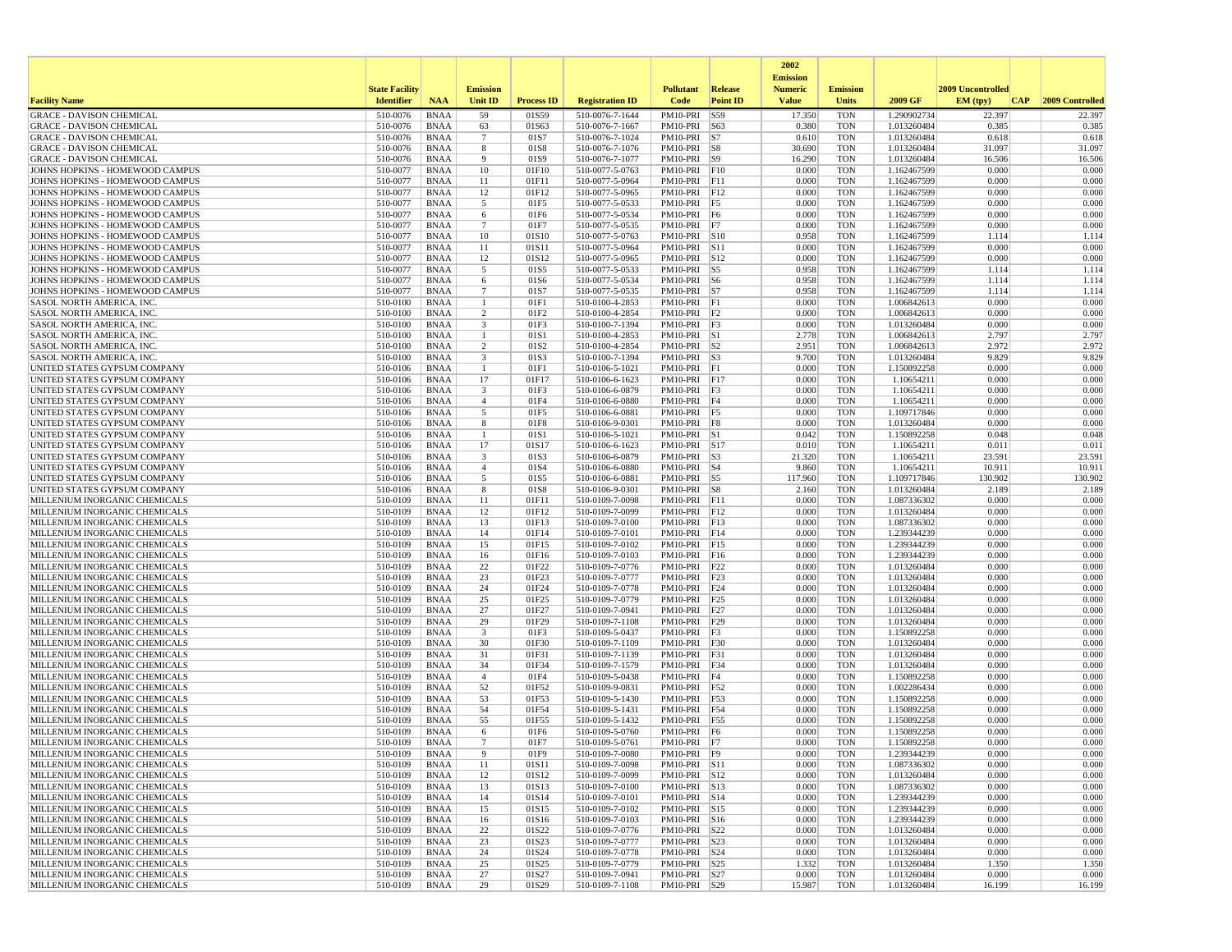|                                                                    |                       |                            |                               |                   |                                    |                                 |                 | 2002<br><b>Emission</b> |                          |                            |                          |                  |
|--------------------------------------------------------------------|-----------------------|----------------------------|-------------------------------|-------------------|------------------------------------|---------------------------------|-----------------|-------------------------|--------------------------|----------------------------|--------------------------|------------------|
|                                                                    | <b>State Facility</b> |                            | <b>Emission</b>               |                   |                                    | <b>Pollutant</b>                | <b>Release</b>  | <b>Numeric</b>          | <b>Emission</b>          |                            | <b>2009 Uncontrolled</b> |                  |
| <b>Facility Name</b>                                               | <b>Identifier</b>     | <b>NAA</b>                 | Unit ID                       | <b>Process ID</b> | <b>Registration ID</b>             | Code                            | <b>Point ID</b> | <b>Value</b>            | Units                    | 2009 GF                    | EM (typ)<br> CAP         | 2009 Controlled  |
| <b>GRACE - DAVISON CHEMICAL</b>                                    | 510-0076              | <b>BNAA</b>                | 59                            | 01S59             | 510-0076-7-1644                    | PM10-PRI                        | S59             | 17.350                  | <b>TON</b>               | 1.290902734                | 22.397                   | 22.397           |
| <b>GRACE - DAVISON CHEMICAL</b>                                    | 510-0076              | <b>BNAA</b>                | 63                            | 01S63             | 510-0076-7-1667                    | PM10-PRI                        | S63             | 0.380                   | <b>TON</b>               | 1.013260484                | 0.385                    | 0.385            |
| <b>GRACE - DAVISON CHEMICAL</b><br><b>GRACE - DAVISON CHEMICAL</b> | 510-0076<br>510-0076  | <b>BNAA</b><br><b>BNAA</b> | $7\phantom{.0}$<br>8          | 01S7<br>01S8      | 510-0076-7-1024<br>510-0076-7-1076 | $PM10-PRI$ S7<br>PM10-PRI       | S8              | 0.610<br>30.690         | <b>TON</b><br><b>TON</b> | 1.013260484<br>1.013260484 | 0.618<br>31.097          | 0.618<br>31.097  |
| <b>GRACE - DAVISON CHEMICAL</b>                                    | 510-0076              | <b>BNAA</b>                | 9                             | 01S9              | 510-0076-7-1077                    | PM10-PRI S9                     |                 | 16.290                  | <b>TON</b>               | 1.013260484                | 16.506                   | 16.506           |
| JOHNS HOPKINS - HOMEWOOD CAMPUS                                    | 510-0077              | <b>BNAA</b>                | 10                            | 01F10             | 510-0077-5-0763                    | $PM10-PRI$ $ F10$               |                 | 0.000                   | <b>TON</b>               | 1.162467599                | 0.000                    | 0.000            |
| JOHNS HOPKINS - HOMEWOOD CAMPUS                                    | 510-0077              | <b>BNAA</b>                | 11                            | 01F11             | 510-0077-5-0964                    | PM10-PRI F11                    |                 | 0.000                   | <b>TON</b>               | 1.162467599                | 0.000                    | 0.000            |
| JOHNS HOPKINS - HOMEWOOD CAMPUS                                    | 510-0077              | <b>BNAA</b>                | 12                            | 01F12             | 510-0077-5-0965                    | PM10-PRI F12                    |                 | 0.000                   | <b>TON</b>               | 1.162467599                | 0.000                    | 0.000            |
| JOHNS HOPKINS - HOMEWOOD CAMPUS                                    | 510-0077              | <b>BNAA</b>                | 5                             | 01F5              | 510-0077-5-0533                    | PM10-PRI                        | F5              | 0.000                   | <b>TON</b>               | 1.162467599                | 0.000                    | 0.000            |
| JOHNS HOPKINS - HOMEWOOD CAMPUS<br>JOHNS HOPKINS - HOMEWOOD CAMPUS | 510-0077<br>510-0077  | <b>BNAA</b><br><b>BNAA</b> | 6<br>$7\phantom{.0}$          | 01F6<br>01F7      | 510-0077-5-0534<br>510-0077-5-0535 | PM10-PRI F6<br>PM10-PRI F7      |                 | 0.000<br>0.000          | <b>TON</b><br><b>TON</b> | 1.162467599<br>1.162467599 | 0.000<br>0.000           | 0.000<br>0.000   |
| JOHNS HOPKINS - HOMEWOOD CAMPUS                                    | 510-0077              | <b>BNAA</b>                | 10                            | 01S10             | 510-0077-5-0763                    | PM10-PRI S10                    |                 | 0.958                   | <b>TON</b>               | 1.162467599                | 1.114                    | 1.114            |
| JOHNS HOPKINS - HOMEWOOD CAMPUS                                    | 510-0077              | <b>BNAA</b>                | 11                            | 01S11             | 510-0077-5-0964                    | PM10-PRI S11                    |                 | 0.000                   | <b>TON</b>               | 1.162467599                | 0.000                    | 0.000            |
| JOHNS HOPKINS - HOMEWOOD CAMPUS                                    | 510-0077              | <b>BNAA</b>                | 12                            | 01S12             | 510-0077-5-0965                    | PM10-PRI S12                    |                 | 0.000                   | <b>TON</b>               | 1.162467599                | 0.000                    | 0.000            |
| JOHNS HOPKINS - HOMEWOOD CAMPUS                                    | 510-0077              | <b>BNAA</b>                | 5                             | 01S5              | 510-0077-5-0533                    | PM10-PRI                        | $\sqrt{S}$      | 0.958                   | <b>TON</b>               | 1.162467599                | 1.114                    | 1.114            |
| JOHNS HOPKINS - HOMEWOOD CAMPUS                                    | 510-0077              | <b>BNAA</b>                | 6                             | 01S6              | 510-0077-5-0534                    | PM10-PRI S6                     |                 | 0.958                   | <b>TON</b>               | 1.162467599                | 1.114                    | 1.114            |
| JOHNS HOPKINS - HOMEWOOD CAMPUS                                    | 510-0077              | <b>BNAA</b>                | $7\phantom{.0}$               | 01S7              | 510-0077-5-0535                    | PM10-PRI S7                     |                 | 0.958                   | <b>TON</b>               | 1.162467599                | 1.114                    | 1.114            |
| SASOL NORTH AMERICA, INC.<br>SASOL NORTH AMERICA, INC.             | 510-0100<br>510-0100  | <b>BNAA</b><br><b>BNAA</b> | -1<br>$\overline{2}$          | 01F1<br>01F2      | 510-0100-4-2853<br>510-0100-4-2854 | PM10-PRI F1<br>$PM10-PRI$ $ F2$ |                 | 0.000<br>0.000          | <b>TON</b><br><b>TON</b> | 1.006842613<br>1.006842613 | 0.000<br>0.000           | 0.000<br>0.000   |
| SASOL NORTH AMERICA, INC.                                          | 510-0100              | <b>BNAA</b>                | 3                             | 01F3              | 510-0100-7-1394                    | PM10-PRI                        | F <sub>3</sub>  | 0.000                   | <b>TON</b>               | 1.013260484                | 0.000                    | 0.000            |
| <b>SASOL NORTH AMERICA, INC.</b>                                   | 510-0100              | <b>BNAA</b>                | -1                            | 01S1              | 510-0100-4-2853                    | PM10-PRI S1                     |                 | 2.778                   | <b>TON</b>               | 1.006842613                | 2.797                    | 2.797            |
| SASOL NORTH AMERICA, INC                                           | 510-0100              | <b>BNAA</b>                | 2                             | 01S2              | 510-0100-4-2854                    | $PM10-PRI$ S2                   |                 | 2.951                   | <b>TON</b>               | 1.006842613                | 2.972                    | 2.972            |
| SASOL NORTH AMERICA, INC                                           | 510-0100              | <b>BNAA</b>                | $\overline{\mathbf{3}}$       | 01S3              | 510-0100-7-1394                    | $PM10-PRI$ S3                   |                 | 9.700                   | <b>TON</b>               | 1.013260484                | 9.829                    | 9.829            |
| UNITED STATES GYPSUM COMPANY                                       | 510-0106              | <b>BNAA</b>                | -1                            | 01F1              | 510-0106-5-1021                    | PM10-PRI F1                     |                 | 0.000                   | <b>TON</b>               | 1.150892258                | 0.000                    | 0.000            |
| UNITED STATES GYPSUM COMPANY<br>UNITED STATES GYPSUM COMPANY       | 510-0106<br>510-0106  | BNAA<br><b>BNAA</b>        | 17<br>$\overline{\mathbf{3}}$ | 01F17<br>01F3     | 510-0106-6-1623<br>510-0106-6-0879 | PM10-PRI F17<br>PM10-PRI        | F <sub>3</sub>  | 0.000<br>0.000          | <b>TON</b><br><b>TON</b> | 1.10654211<br>1.10654211   | 0.000<br>0.000           | 0.000<br>0.000   |
| UNITED STATES GYPSUM COMPANY                                       | 510-0106              | <b>BNAA</b>                | $\overline{4}$                | 01F4              | 510-0106-6-0880                    | PM10-PRI F4                     |                 | 0.000                   | <b>TON</b>               | 1.10654211                 | 0.000                    | 0.000            |
| UNITED STATES GYPSUM COMPANY                                       | 510-0106              | <b>BNAA</b>                | 5                             | 01F5              | 510-0106-6-0881                    | PM10-PRI F5                     |                 | 0.000                   | <b>TON</b>               | 1.109717846                | 0.000                    | 0.000            |
| UNITED STATES GYPSUM COMPANY                                       | 510-0106              | <b>BNAA</b>                | 8                             | 01F8              | 510-0106-9-0301                    | $PM10-PRI$ F8                   |                 | 0.000                   | <b>TON</b>               | 1.013260484                | 0.000                    | 0.000            |
| UNITED STATES GYPSUM COMPANY                                       | 510-0106              | <b>BNAA</b>                |                               | 01S1              | 510-0106-5-1021                    | PM10-PRI S1                     |                 | 0.042                   | <b>TON</b>               | 1.150892258                | 0.048                    | 0.048            |
| UNITED STATES GYPSUM COMPANY                                       | 510-0106              | <b>BNAA</b>                | 17                            | 01S17             | 510-0106-6-1623                    | PM10-PRI S17                    |                 | 0.010                   | <b>TON</b>               | 1.10654211                 | 0.011                    | 0.011            |
| UNITED STATES GYPSUM COMPANY<br>UNITED STATES GYPSUM COMPANY       | 510-0106<br>510-0106  | <b>BNAA</b><br><b>BNAA</b> | 3<br>$\overline{4}$           | 01S3<br>01S4      | 510-0106-6-0879<br>510-0106-6-0880 | PM10-PRI<br>PM10-PRI S4         | S3              | 21.320<br>9.860         | <b>TON</b><br><b>TON</b> | 1.10654211<br>1.10654211   | 23.591<br>10.911         | 23.591<br>10.911 |
| UNITED STATES GYPSUM COMPANY                                       | 510-0106              | <b>BNAA</b>                | 5                             | 01S5              | 510-0106-6-0881                    | $PM10-PRI$ S5                   |                 | 117.960                 | <b>TON</b>               | 1.109717846                | 130.902                  | 130.902          |
| UNITED STATES GYPSUM COMPANY                                       | 510-0106              | <b>BNAA</b>                | 8                             | 01S8              | 510-0106-9-0301                    | PM10-PRI S8                     |                 | 2.160                   | <b>TON</b>               | 1.013260484                | 2.189                    | 2.189            |
| MILLENIUM INORGANIC CHEMICALS                                      | 510-0109              | <b>BNAA</b>                | 11                            | 01F11             | 510-0109-7-0098                    | PM10-PRI F11                    |                 | 0.000                   | <b>TON</b>               | 1.087336302                | 0.000                    | 0.000            |
| MILLENIUM INORGANIC CHEMICALS                                      | 510-0109              | <b>BNAA</b>                | 12                            | 01F12             | 510-0109-7-0099                    | PM10-PRI                        | F12             | 0.000                   | <b>TON</b>               | 1.013260484                | 0.000                    | 0.000            |
| MILLENIUM INORGANIC CHEMICALS                                      | 510-0109              | <b>BNAA</b>                | 13                            | 01F13             | 510-0109-7-0100                    | PM10-PRI F13                    |                 | 0.000                   | <b>TON</b>               | 1.087336302                | 0.000                    | 0.000            |
| MILLENIUM INORGANIC CHEMICALS<br>MILLENIUM INORGANIC CHEMICALS     | 510-0109<br>510-0109  | <b>BNAA</b><br><b>BNAA</b> | 14<br>15                      | 01F14<br>01F15    | 510-0109-7-0101<br>510-0109-7-0102 | PM10-PRI F14<br>PM10-PRI        | F15             | 0.000<br>0.000          | <b>TON</b><br><b>TON</b> | 1.239344239<br>1.239344239 | 0.000<br>0.000           | 0.000<br>0.000   |
| MILLENIUM INORGANIC CHEMICALS                                      | 510-0109              | <b>BNAA</b>                | 16                            | 01F16             | 510-0109-7-0103                    | PM10-PRI F16                    |                 | 0.000                   | <b>TON</b>               | 1.239344239                | 0.000                    | 0.000            |
| MILLENIUM INORGANIC CHEMICALS                                      | 510-0109              | <b>BNAA</b>                | 22                            | 01F22             | 510-0109-7-0776                    | PM10-PRI                        | F22             | 0.000                   | <b>TON</b>               | 1.013260484                | 0.000                    | 0.000            |
| MILLENIUM INORGANIC CHEMICALS                                      | 510-0109              | <b>BNAA</b>                | 23                            | 01F23             | 510-0109-7-0777                    | PM10-PRI                        | F23             | 0.000                   | <b>TON</b>               | 1.013260484                | 0.000                    | 0.000            |
| MILLENIUM INORGANIC CHEMICALS                                      | 510-0109              | <b>BNAA</b>                | 24                            | 01F24             | 510-0109-7-0778                    | PM10-PRI                        | F24             | 0.000                   | <b>TON</b>               | 1.013260484                | 0.000                    | 0.000            |
| MILLENIUM INORGANIC CHEMICALS                                      | 510-0109              | <b>BNAA</b>                | 25<br>27                      | 01F25             | 510-0109-7-0779                    | PM10-PRI                        | F25             | 0.000                   | <b>TON</b>               | 1.013260484                | 0.000                    | 0.000            |
| MILLENIUM INORGANIC CHEMICALS<br>MILLENIUM INORGANIC CHEMICALS     | 510-0109<br>510-0109  | <b>BNAA</b><br><b>BNAA</b> | 29                            | 01F27<br>01F29    | 510-0109-7-0941<br>510-0109-7-1108 | $PM10-PRI$ F27<br>PM10-PRI F29  |                 | 0.000<br>0.000          | <b>TON</b><br><b>TON</b> | 1.013260484<br>1.013260484 | 0.000<br>0.000           | 0.000<br>0.000   |
| MILLENIUM INORGANIC CHEMICALS                                      | 510-0109              | <b>BNAA</b>                | $\overline{\mathbf{3}}$       | 01F3              | 510-0109-5-0437                    | PM10-PRI                        | F3              | 0.000                   | <b>TON</b>               | 1.150892258                | 0.000                    | 0.000            |
| MILLENIUM INORGANIC CHEMICALS                                      | 510-0109              | <b>BNAA</b>                | 30                            | 01F30             | 510-0109-7-1109                    | PM10-PRI                        | F30             | 0.000                   | <b>TON</b>               | 1.013260484                | 0.000                    | 0.000            |
| MILLENIUM INORGANIC CHEMICALS                                      | 510-0109              | BNAA                       | 31                            | 01F31             | 510-0109-7-1139                    | PM10-PRI                        | F31             | 0.000                   | <b>TON</b>               | 1.013260484                | 0.000                    | 0.000            |
| MILLENIUM INORGANIC CHEMICALS                                      | 510-0109              | <b>BNAA</b>                | 34                            | 01F34             | 510-0109-7-1579                    | PM10-PRI                        | F34             | 0.000                   | <b>TON</b>               | 1.013260484                | 0.000                    | 0.000            |
| MILLENIUM INORGANIC CHEMICALS<br>MILLENIUM INORGANIC CHEMICALS     | 510-0109<br>510-0109  | <b>BNAA</b><br><b>BNAA</b> | $\overline{4}$<br>52          | 01F4<br>01F52     | 510-0109-5-0438<br>510-0109-9-0831 | PM10-PRI F4<br>PM10-PRI F52     |                 | 0.000<br>0.000          | <b>TON</b><br><b>TON</b> | 1.150892258<br>1.002286434 | 0.000<br>0.000           | 0.000<br>0.000   |
| MILLENIUM INORGANIC CHEMICALS                                      | 510-0109              | <b>BNAA</b>                | 53                            | 01F53             | 510-0109-5-1430                    | PM10-PRI                        | F53             | 0.000                   | <b>TON</b>               | 1.150892258                | 0.000                    | 0.000            |
| MILLENIUM INORGANIC CHEMICALS                                      | 510-0109              | <b>BNAA</b>                | 54                            | 01F54             | 510-0109-5-1431                    | PM10-PRI F54                    |                 | 0.000                   | <b>TON</b>               | 1.150892258                | 0.000                    | 0.000            |
| MILLENIUM INORGANIC CHEMICALS                                      | 510-0109              | <b>BNAA</b>                | 55                            | 01F55             | 510-0109-5-1432                    | PM10-PRI                        | F55             | 0.000                   | <b>TON</b>               | 1.150892258                | 0.000                    | 0.000            |
| MILLENIUM INORGANIC CHEMICALS                                      | 510-0109              | <b>BNAA</b>                | 6                             | 01F6              | 510-0109-5-0760                    | PM10-PRI F6                     |                 | 0.000                   | <b>TON</b>               | 1.150892258                | 0.000                    | 0.000            |
| MILLENIUM INORGANIC CHEMICALS                                      | 510-0109              | <b>BNAA</b>                | $\overline{7}$                | 01F7              | 510-0109-5-0761                    | PM10-PRI F7                     |                 | 0.000                   | <b>TON</b>               | 1.150892258                | 0.000                    | 0.000            |
| MILLENIUM INORGANIC CHEMICALS<br>MILLENIUM INORGANIC CHEMICALS     | 510-0109<br>510-0109  | BNAA<br>BNAA               | $\mathbf{q}$<br>11            | 01F9<br>01S11     | 510-0109-7-0080<br>510-0109-7-0098 | PM10-PRI<br>PM10-PRI S11        | F9              | 0.000<br>0.000          | <b>TON</b><br>TON        | 1.239344239<br>1.087336302 | 0.000<br>0.000           | 0.000<br>0.000   |
| MILLENIUM INORGANIC CHEMICALS                                      | 510-0109              | BNAA                       | 12                            | 01S12             | 510-0109-7-0099                    | PM10-PRI S12                    |                 | 0.000                   | <b>TON</b>               | 1.013260484                | 0.000                    | 0.000            |
| MILLENIUM INORGANIC CHEMICALS                                      | 510-0109              | <b>BNAA</b>                | 13                            | 01S13             | 510-0109-7-0100                    | PM10-PRI S13                    |                 | 0.000                   | <b>TON</b>               | 1.087336302                | 0.000                    | 0.000            |
| MILLENIUM INORGANIC CHEMICALS                                      | 510-0109              | <b>BNAA</b>                | 14                            | 01S14             | 510-0109-7-0101                    | PM10-PRI S14                    |                 | 0.000                   | <b>TON</b>               | 1.239344239                | 0.000                    | 0.000            |
| MILLENIUM INORGANIC CHEMICALS                                      | 510-0109              | <b>BNAA</b>                | 15                            | 01S15             | 510-0109-7-0102                    | PM10-PRI S15                    |                 | 0.000                   | <b>TON</b>               | 1.239344239                | 0.000                    | 0.000            |
| MILLENIUM INORGANIC CHEMICALS                                      | 510-0109              | <b>BNAA</b>                | 16                            | 01S16             | 510-0109-7-0103                    | PM10-PRI S16                    |                 | 0.000                   | <b>TON</b>               | 1.239344239                | 0.000                    | 0.000            |
| MILLENIUM INORGANIC CHEMICALS<br>MILLENIUM INORGANIC CHEMICALS     | 510-0109<br>510-0109  | <b>BNAA</b><br>BNAA        | 22<br>23                      | 01S22<br>01S23    | 510-0109-7-0776<br>510-0109-7-0777 | PM10-PRI S22<br>PM10-PRI S23    |                 | 0.000<br>0.000          | <b>TON</b><br><b>TON</b> | 1.013260484<br>1.013260484 | 0.000<br>0.000           | 0.000<br>0.000   |
| MILLENIUM INORGANIC CHEMICALS                                      | 510-0109              | <b>BNAA</b>                | 24                            | 01S24             | 510-0109-7-0778                    | PM10-PRI S24                    |                 | 0.000                   | <b>TON</b>               | 1.013260484                | 0.000                    | 0.000            |
| MILLENIUM INORGANIC CHEMICALS                                      | 510-0109              | BNAA                       | 25                            | 01S25             | 510-0109-7-0779                    | PM10-PRI S25                    |                 | 1.332                   | <b>TON</b>               | 1.013260484                | 1.350                    | 1.350            |
| MILLENIUM INORGANIC CHEMICALS                                      | 510-0109              | <b>BNAA</b>                | 27                            | 01S27             | 510-0109-7-0941                    | PM10-PRI S27                    |                 | 0.000                   | <b>TON</b>               | 1.013260484                | 0.000                    | 0.000            |
| MILLENIUM INORGANIC CHEMICALS                                      | 510-0109              | <b>BNAA</b>                | 29                            | 01S29             | 510-0109-7-1108                    | PM10-PRI   S29                  |                 | 15.987                  | TON                      | 1.013260484                | 16.199                   | 16.199           |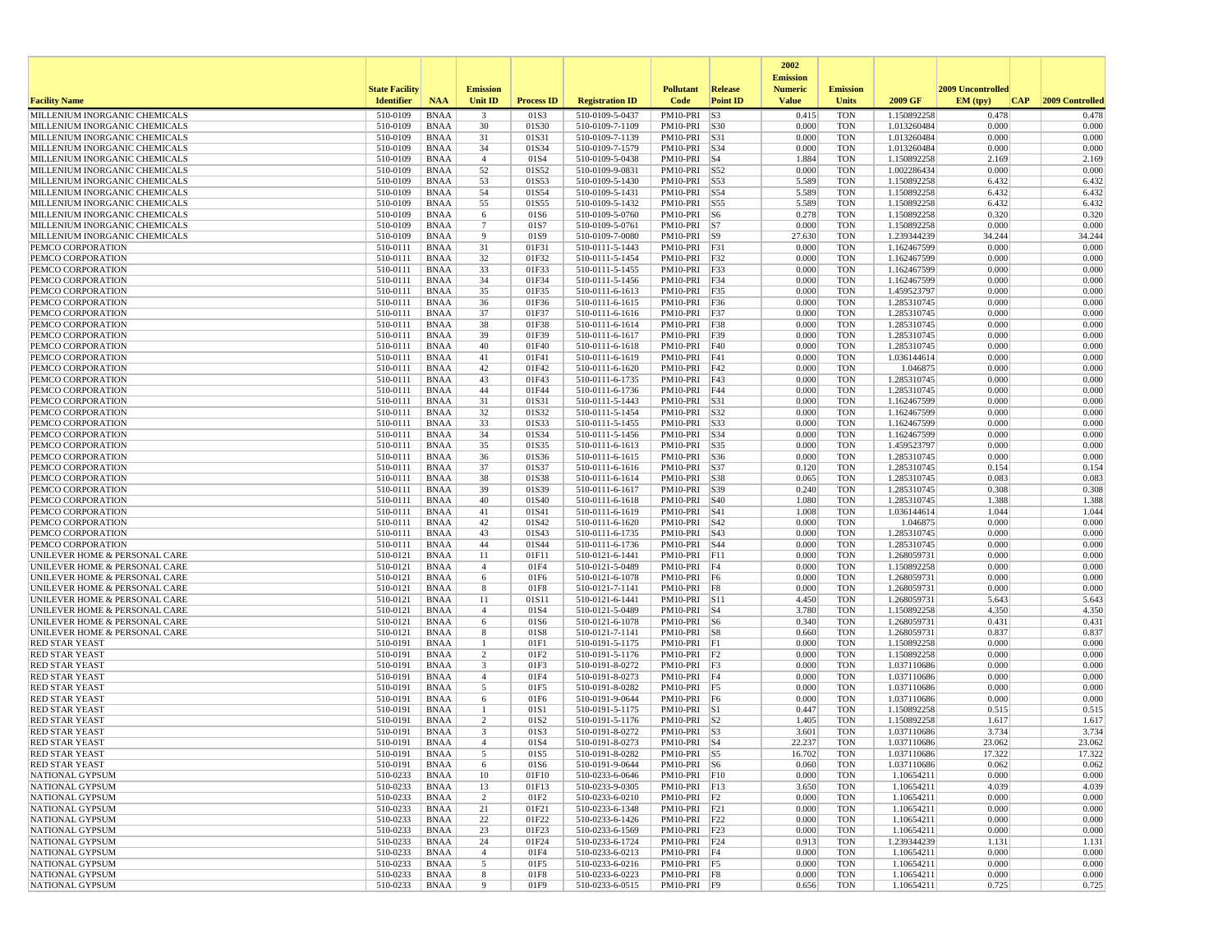|                                                                |                       |                            |                         |                   |                                    |                              |                 | 2002                              |                          |                            |                   |                  |
|----------------------------------------------------------------|-----------------------|----------------------------|-------------------------|-------------------|------------------------------------|------------------------------|-----------------|-----------------------------------|--------------------------|----------------------------|-------------------|------------------|
|                                                                | <b>State Facility</b> |                            | <b>Emission</b>         |                   |                                    | <b>Pollutant</b>             | Release         | <b>Emission</b><br><b>Numeric</b> | <b>Emission</b>          |                            | 2009 Uncontrolled |                  |
| <b>Facility Name</b>                                           | <b>Identifier</b>     | <b>NAA</b>                 | Unit ID                 | <b>Process ID</b> | <b>Registration ID</b>             | Code                         | <b>Point ID</b> | <b>Value</b>                      | <b>Units</b>             | 2009 GF                    | EM (typ)<br> CAP  | 2009 Controlled  |
| MILLENIUM INORGANIC CHEMICALS                                  | 510-0109              | <b>BNAA</b>                | $\overline{\mathbf{3}}$ | 01S3              | 510-0109-5-0437                    | PM10-PRI                     | S3              | 0.415                             | <b>TON</b>               | 1.150892258                | 0.478             | 0.478            |
| MILLENIUM INORGANIC CHEMICALS                                  | 510-0109              | <b>BNAA</b>                | 30                      | 01S30             | 510-0109-7-1109                    | PM10-PRI S30                 |                 | 0.000                             | <b>TON</b>               | 1.013260484                | 0.000             | 0.000            |
| MILLENIUM INORGANIC CHEMICALS<br>MILLENIUM INORGANIC CHEMICALS | 510-0109              | <b>BNAA</b>                | 31                      | 01S31             | 510-0109-7-1139                    | PM10-PRI                     | S31             | 0.000                             | <b>TON</b>               | 1.013260484                | 0.000             | 0.000            |
| MILLENIUM INORGANIC CHEMICALS                                  | 510-0109<br>510-0109  | <b>BNAA</b><br><b>BNAA</b> | 34<br>$\overline{4}$    | 01S34<br>01S4     | 510-0109-7-1579<br>510-0109-5-0438 | PM10-PRI S34<br>PM10-PRI S4  |                 | 0.000<br>1.884                    | <b>TON</b><br><b>TON</b> | 1.013260484<br>1.150892258 | 0.000<br>2.169    | 0.000<br>2.169   |
| MILLENIUM INORGANIC CHEMICALS                                  | 510-0109              | <b>BNAA</b>                | 52                      | 01S52             | 510-0109-9-0831                    | PM10-PRI                     | S52             | 0.000                             | <b>TON</b>               | 1.002286434                | 0.000             | 0.000            |
| MILLENIUM INORGANIC CHEMICALS                                  | 510-0109              | <b>BNAA</b>                | 53                      | 01S53             | 510-0109-5-1430                    | PM10-PRI                     | S53             | 5.589                             | <b>TON</b>               | 1.150892258                | 6.432             | 6.432            |
| MILLENIUM INORGANIC CHEMICALS                                  | 510-0109              | <b>BNAA</b>                | 54                      | 01S54             | 510-0109-5-1431                    | PM10-PRI                     | S54             | 5.589                             | <b>TON</b>               | 1.150892258                | 6.432             | 6.432            |
| MILLENIUM INORGANIC CHEMICALS                                  | 510-0109              | <b>BNAA</b>                | 55                      | 01S55             | 510-0109-5-1432                    | PM10-PRI                     | S55             | 5.589                             | <b>TON</b>               | 1.150892258                | 6.432             | 6.432            |
| MILLENIUM INORGANIC CHEMICALS<br>MILLENIUM INORGANIC CHEMICALS | 510-0109<br>510-0109  | <b>BNAA</b><br><b>BNAA</b> | 6<br>$7\phantom{.0}$    | 01S6<br>01S7      | 510-0109-5-0760<br>510-0109-5-0761 | PM10-PRI S6<br>$PM10-PRI$ S7 |                 | 0.278<br>0.000                    | <b>TON</b><br><b>TON</b> | 1.150892258<br>1.150892258 | 0.320<br>0.000    | 0.320<br>0.000   |
| MILLENIUM INORGANIC CHEMICALS                                  | 510-0109              | <b>BNAA</b>                | 9                       | 01S9              | 510-0109-7-0080                    | PM10-PRI S9                  |                 | 27.630                            | <b>TON</b>               | 1.239344239                | 34.244            | 34.244           |
| PEMCO CORPORATION                                              | 510-0111              | <b>BNAA</b>                | 31                      | 01F31             | 510-0111-5-1443                    | PM10-PRI F31                 |                 | 0.000                             | <b>TON</b>               | 1.162467599                | 0.000             | 0.000            |
| PEMCO CORPORATION                                              | 510-0111              | <b>BNAA</b>                | 32                      | 01F32             | 510-0111-5-1454                    | PM10-PRI                     | F32             | 0.000                             | <b>TON</b>               | 1.162467599                | 0.000             | 0.000            |
| PEMCO CORPORATION                                              | 510-0111              | <b>BNAA</b>                | 33                      | 01F33             | 510-0111-5-1455                    | PM10-PRI F33                 |                 | 0.000                             | <b>TON</b>               | 1.162467599                | 0.000             | 0.000            |
| PEMCO CORPORATION<br>PEMCO CORPORATION                         | 510-0111<br>510-0111  | <b>BNAA</b><br><b>BNAA</b> | 34<br>35                | 01F34<br>01F35    | 510-0111-5-1456<br>510-0111-6-1613 | PM10-PRI F34<br>PM10-PRI F35 |                 | 0.000<br>0.000                    | <b>TON</b><br><b>TON</b> | 1.162467599<br>1.459523797 | 0.000<br>0.000    | 0.000<br>0.000   |
| PEMCO CORPORATION                                              | 510-0111              | <b>BNAA</b>                | 36                      | 01F36             | 510-0111-6-1615                    | PM10-PRI F36                 |                 | 0.000                             | <b>TON</b>               | 1.285310745                | 0.000             | 0.000            |
| PEMCO CORPORATION                                              | 510-0111              | <b>BNAA</b>                | 37                      | 01F37             | 510-0111-6-1616                    | PM10-PRI F37                 |                 | 0.000                             | <b>TON</b>               | 1.285310745                | 0.000             | 0.000            |
| PEMCO CORPORATION                                              | 510-0111              | <b>BNAA</b>                | 38                      | 01F38             | 510-0111-6-1614                    | PM10-PRI                     | F38             | 0.000                             | <b>TON</b>               | 1.285310745                | 0.000             | 0.000            |
| PEMCO CORPORATION                                              | 510-0111              | <b>BNAA</b>                | 39                      | 01F39             | 510-0111-6-1617                    | PM10-PRI F39                 |                 | 0.000                             | <b>TON</b>               | 1.285310745                | 0.000             | 0.000            |
| PEMCO CORPORATION<br>PEMCO CORPORATION                         | 510-0111<br>510-0111  | <b>BNAA</b><br><b>BNAA</b> | 40<br>41                | 01F40<br>01F41    | 510-0111-6-1618<br>510-0111-6-1619 | PM10-PRI F40<br>PM10-PRI F41 |                 | 0.000<br>0.000                    | <b>TON</b><br><b>TON</b> | 1.285310745<br>1.036144614 | 0.000<br>0.000    | 0.000<br>0.000   |
| PEMCO CORPORATION                                              | 510-0111              | <b>BNAA</b>                | 42                      | 01F42             | 510-0111-6-1620                    | PM10-PRI F42                 |                 | 0.000                             | <b>TON</b>               | 1.046875                   | 0.000             | 0.000            |
| PEMCO CORPORATION                                              | 510-0111              | <b>BNAA</b>                | 43                      | 01F43             | 510-0111-6-1735                    | PM10-PRI                     | F43             | 0.000                             | <b>TON</b>               | 1.285310745                | 0.000             | 0.000            |
| PEMCO CORPORATION                                              | 510-0111              | <b>BNAA</b>                | 44                      | 01F44             | 510-0111-6-1736                    | PM10-PRI                     | F44             | 0.000                             | <b>TON</b>               | 1.285310745                | 0.000             | 0.000            |
| PEMCO CORPORATION                                              | 510-0111              | <b>BNAA</b>                | 31                      | 01S31             | 510-0111-5-1443                    | PM10-PRI                     | S31             | 0.000                             | <b>TON</b>               | 1.162467599                | 0.000             | 0.000            |
| PEMCO CORPORATION<br>PEMCO CORPORATION                         | 510-0111<br>510-0111  | <b>BNAA</b><br><b>BNAA</b> | 32<br>33                | 01S32<br>01S33    | 510-0111-5-1454<br>510-0111-5-1455 | PM10-PRI S32<br>PM10-PRI S33 |                 | 0.000<br>0.000                    | <b>TON</b><br><b>TON</b> | 1.162467599<br>1.162467599 | 0.000<br>0.000    | 0.000<br>0.000   |
| PEMCO CORPORATION                                              | 510-0111              | <b>BNAA</b>                | 34                      | 01S34             | 510-0111-5-1456                    | PM10-PRI                     | S34             | 0.000                             | <b>TON</b>               | 1.162467599                | 0.000             | 0.000            |
| PEMCO CORPORATION                                              | 510-0111              | <b>BNAA</b>                | 35                      | 01S35             | 510-0111-6-1613                    | PM10-PRI                     | S35             | 0.000                             | <b>TON</b>               | 1.459523797                | 0.000             | 0.000            |
| PEMCO CORPORATION                                              | 510-0111              | <b>BNAA</b>                | 36                      | 01S36             | 510-0111-6-1615                    | PM10-PRI                     | S36             | 0.000                             | <b>TON</b>               | 1.285310745                | 0.000             | 0.000            |
| PEMCO CORPORATION                                              | 510-0111              | <b>BNAA</b>                | 37                      | 01S37             | 510-0111-6-1616                    | PM10-PRI                     | <b>S37</b>      | 0.120                             | <b>TON</b>               | 1.285310745                | 0.154             | 0.154            |
| PEMCO CORPORATION<br>PEMCO CORPORATION                         | 510-0111<br>510-0111  | <b>BNAA</b><br><b>BNAA</b> | 38<br>39                | 01S38<br>01S39    | 510-0111-6-1614<br>510-0111-6-1617 | PM10-PRI S38<br>PM10-PRI S39 |                 | 0.065<br>0.240                    | <b>TON</b><br><b>TON</b> | 1.285310745<br>1.285310745 | 0.083<br>0.308    | 0.083<br>0.308   |
| PEMCO CORPORATION                                              | 510-0111              | <b>BNAA</b>                | 40                      | 01S40             | 510-0111-6-1618                    | PM10-PRI                     | <b>S40</b>      | 1.080                             | <b>TON</b>               | 1.285310745                | 1.388             | 1.388            |
| PEMCO CORPORATION                                              | 510-0111              | <b>BNAA</b>                | 41                      | 01S41             | 510-0111-6-1619                    | PM10-PRI                     | <b>S41</b>      | 1.008                             | <b>TON</b>               | 1.036144614                | 1.044             | 1.044            |
| PEMCO CORPORATION                                              | 510-0111              | <b>BNAA</b>                | 42                      | 01S42             | 510-0111-6-1620                    | PM10-PRI S42                 |                 | 0.000                             | <b>TON</b>               | 1.046875                   | 0.000             | 0.000            |
| PEMCO CORPORATION                                              | 510-0111              | <b>BNAA</b>                | 43                      | 01S43             | 510-0111-6-1735                    | PM10-PRI                     | S43             | 0.000                             | <b>TON</b>               | 1.285310745                | 0.000             | 0.000            |
| PEMCO CORPORATION<br>UNILEVER HOME & PERSONAL CARE             | 510-0111<br>510-0121  | <b>BNAA</b><br><b>BNAA</b> | 44<br>11                | 01S44<br>01F11    | 510-0111-6-1736<br>510-0121-6-1441 | PM10-PRI S44<br>PM10-PRI F11 |                 | 0.000<br>0.000                    | TON<br><b>TON</b>        | 1.285310745<br>1.268059731 | 0.000<br>0.000    | 0.000<br>0.000   |
| UNILEVER HOME & PERSONAL CARE                                  | 510-0121              | <b>BNAA</b>                | $\overline{4}$          | 01F4              | 510-0121-5-0489                    | PM10-PRI                     | F <sub>4</sub>  | 0.000                             | <b>TON</b>               | 1.150892258                | 0.000             | 0.000            |
| UNILEVER HOME & PERSONAL CARE                                  | 510-0121              | <b>BNAA</b>                | 6                       | 01F6              | 510-0121-6-1078                    | PM10-PRI F6                  |                 | 0.000                             | <b>TON</b>               | 1.268059731                | 0.000             | 0.000            |
| UNILEVER HOME & PERSONAL CARE                                  | 510-0121              | <b>BNAA</b>                | 8                       | 01F8              | 510-0121-7-1141                    | PM10-PRI F8                  |                 | 0.000                             | <b>TON</b>               | 1.268059731                | 0.000             | 0.000            |
| UNILEVER HOME & PERSONAL CARE                                  | 510-0121              | <b>BNAA</b>                | 11                      | 01S11             | 510-0121-6-1441                    | PM10-PRI S11                 |                 | 4.450                             | <b>TON</b>               | 1.268059731                | 5.643             | 5.643            |
| UNILEVER HOME & PERSONAL CARE<br>UNILEVER HOME & PERSONAL CARE | 510-0121<br>510-0121  | <b>BNAA</b><br><b>BNAA</b> | $\overline{4}$<br>6     | 01S4<br>01S6      | 510-0121-5-0489<br>510-0121-6-1078 | PM10-PRI S4<br>PM10-PRI      | S6              | 3.780<br>0.340                    | <b>TON</b><br><b>TON</b> | 1.150892258<br>1.268059731 | 4.350<br>0.431    | 4.350<br>0.431   |
| UNILEVER HOME & PERSONAL CARE                                  | 510-0121              | <b>BNAA</b>                | 8                       | 01S8              | 510-0121-7-1141                    | PM10-PRI S8                  |                 | 0.660                             | <b>TON</b>               | 1.268059731                | 0.837             | 0.837            |
| <b>RED STAR YEAST</b>                                          | 510-0191              | <b>BNAA</b>                | 1                       | 01F1              | 510-0191-5-1175                    | PM10-PRI F1                  |                 | 0.000                             | <b>TON</b>               | 1.150892258                | 0.000             | 0.000            |
| <b>RED STAR YEAST</b>                                          | 510-0191              | <b>BNAA</b>                | 2                       | 01F <sub>2</sub>  | 510-0191-5-1176                    | $PM10-PRI$ $ F2$             |                 | 0.000                             | <b>TON</b>               | 1.150892258                | 0.000             | 0.000            |
| <b>RED STAR YEAST</b>                                          | 510-0191              | <b>BNAA</b>                | 3                       | 01F3              | 510-0191-8-0272                    | $PM10-PRI$ $F3$              |                 | 0.000                             | <b>TON</b>               | 1.037110686                | 0.000             | 0.000            |
| <b>RED STAR YEAST</b><br><b>RED STAR YEAST</b>                 | 510-0191<br>510-0191  | <b>BNAA</b><br><b>BNAA</b> | $\overline{4}$<br>5     | 01F4<br>01F5      | 510-0191-8-0273<br>510-0191-8-0282 | PM10-PRI F4<br>PM10-PRI F5   |                 | 0.000<br>0.000                    | <b>TON</b><br><b>TON</b> | 1.037110686<br>1.037110686 | 0.000<br>0.000    | 0.000<br>0.000   |
| <b>RED STAR YEAST</b>                                          | 510-0191              | <b>BNAA</b>                | 6                       | 01F6              | 510-0191-9-0644                    | PM10-PRI F6                  |                 | 0.000                             | <b>TON</b>               | 1.037110686                | 0.000             | 0.000            |
| <b>RED STAR YEAST</b>                                          | 510-0191              | <b>BNAA</b>                | 1                       | 01S1              | 510-0191-5-1175                    | PM10-PRI S1                  |                 | 0.447                             | <b>TON</b>               | 1.150892258                | 0.515             | 0.515            |
| <b>RED STAR YEAST</b>                                          | 510-0191              | <b>BNAA</b>                | 2                       | 01S2              | 510-0191-5-1176                    | $PM10-PRI$ $ S2$             |                 | 1.405                             | <b>TON</b>               | 1.150892258                | 1.617             | 1.617            |
| <b>RED STAR YEAST</b>                                          | 510-0191              | BNAA                       | 3                       | 01S3              | 510-0191-8-0272<br>510-0191-8-0273 | $PM10-PRI$ S3<br>PM10-PRI S4 |                 | 3.601                             | <b>TON</b>               | 1.037110686                | 3.734             | 3.734            |
| <b>RED STAR YEAST</b><br><b>RED STAR YEAST</b>                 | 510-0191<br>510-0191  | <b>BNAA</b><br><b>BNAA</b> | $\overline{4}$          | 01S4<br>01S5      | 510-0191-8-0282                    | $PM10-PRI$ S5                |                 | 22.237<br>16.702                  | <b>TON</b><br>TON        | 1.037110686<br>1.037110686 | 23.062<br>17.322  | 23.062<br>17.322 |
| <b>RED STAR YEAST</b>                                          | $510-0191$            | BNAA                       | 6                       | 01S6              | 510-0191-9-0644                    | PM10-PRI S6                  |                 | 0.060                             | <b>TON</b>               | 1.037110686                | 0.062             | 0.062            |
| NATIONAL GYPSUM                                                | 510-0233              | BNAA                       | 10                      | 01F10             | 510-0233-6-0646                    | $PM10-PRI$ $F10$             |                 | 0.000                             | <b>TON</b>               | 1.10654211                 | 0.000             | 0.000            |
| NATIONAL GYPSUM                                                | 510-0233              | BNAA                       | 13                      | 01F13             | 510-0233-9-0305                    | PM10-PRI F13                 |                 | 3.650                             | TON                      | 1.10654211                 | 4.039             | 4.039            |
| NATIONAL GYPSUM                                                | 510-0233              | <b>BNAA</b>                | 2                       | 01F2              | 510-0233-6-0210                    | $PM10-PRI$ $F2$              |                 | 0.000                             | <b>TON</b>               | 1.10654211                 | 0.000             | 0.000            |
| NATIONAL GYPSUM<br>NATIONAL GYPSUM                             | 510-0233<br>510-0233  | <b>BNAA</b><br><b>BNAA</b> | 21<br>22                | 01F21<br>01F22    | 510-0233-6-1348<br>510-0233-6-1426 | PM10-PRI F21<br>PM10-PRI F22 |                 | 0.000<br>0.000                    | <b>TON</b><br><b>TON</b> | 1.10654211<br>1.10654211   | 0.000<br>0.000    | 0.000<br>0.000   |
| NATIONAL GYPSUM                                                | 510-0233              | BNAA                       | 23                      | 01F23             | 510-0233-6-1569                    | PM10-PRI F23                 |                 | 0.000                             | <b>TON</b>               | 1.10654211                 | 0.000             | 0.000            |
| NATIONAL GYPSUM                                                | 510-0233              | BNAA                       | 24                      | 01F24             | 510-0233-6-1724                    | PM10-PRI F24                 |                 | 0.913                             | <b>TON</b>               | 1.239344239                | 1.131             | 1.131            |
| NATIONAL GYPSUM                                                | 510-0233              | BNAA                       | $\overline{4}$          | 01F4              | 510-0233-6-0213                    | PM10-PRI F4                  |                 | 0.000                             | <b>TON</b>               | 1.10654211                 | 0.000             | 0.000            |
| NATIONAL GYPSUM                                                | 510-0233              | <b>BNAA</b>                | 5                       | 01F5              | 510-0233-6-0216                    | $PM10-PRI$ F5                |                 | 0.000                             | <b>TON</b>               | 1.10654211                 | 0.000             | 0.000            |
| NATIONAL GYPSUM<br>NATIONAL GYPSUM                             | 510-0233<br>510-0233  | BNAA<br><b>BNAA</b>        | 8<br>9                  | 01F8<br>01F9      | 510-0233-6-0223<br>510-0233-6-0515 | PM10-PRI F8<br>PM10-PRI F9   |                 | 0.000<br>0.656                    | <b>TON</b><br><b>TON</b> | 1.10654211<br>1.10654211   | 0.000<br>0.725    | 0.000<br>0.725   |
|                                                                |                       |                            |                         |                   |                                    |                              |                 |                                   |                          |                            |                   |                  |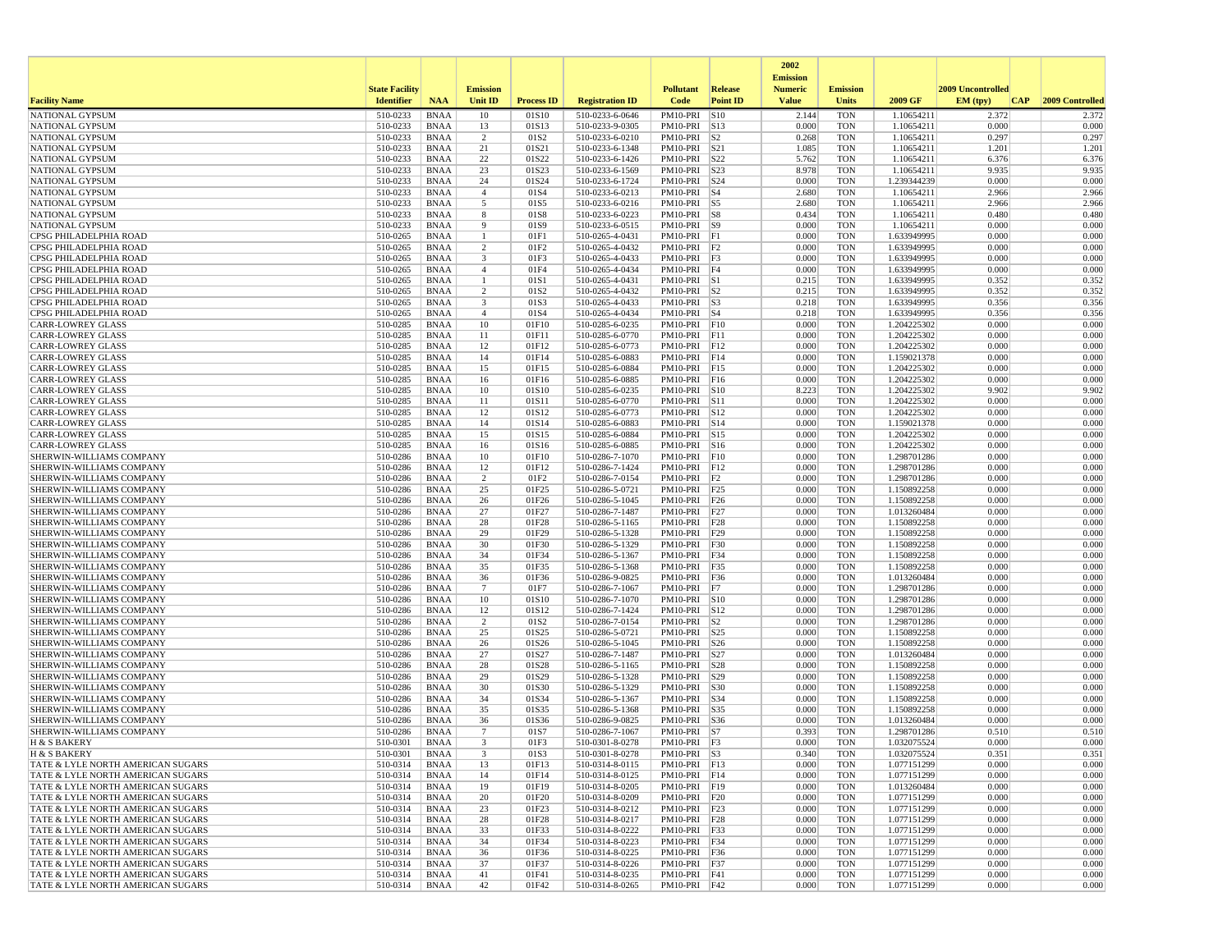|                                                                        |                       |                            |                      |                   |                                    |                                |                 | 2002                              |                          |                            |                   |                 |
|------------------------------------------------------------------------|-----------------------|----------------------------|----------------------|-------------------|------------------------------------|--------------------------------|-----------------|-----------------------------------|--------------------------|----------------------------|-------------------|-----------------|
|                                                                        | <b>State Facility</b> |                            | <b>Emission</b>      |                   |                                    | <b>Pollutant</b>               | <b>Release</b>  | <b>Emission</b><br><b>Numeric</b> | <b>Emission</b>          |                            | 2009 Uncontrolled |                 |
| <b>Facility Name</b>                                                   | <b>Identifier</b>     | <b>NAA</b>                 | <b>Unit ID</b>       | <b>Process ID</b> | <b>Registration ID</b>             | Code                           | <b>Point ID</b> | <b>Value</b>                      | <b>Units</b>             | 2009 GF                    | EM (typ)<br> CAP  | 2009 Controlled |
| <b>NATIONAL GYPSUM</b>                                                 | 510-0233              | <b>BNAA</b>                | 10                   | 01S10             | 510-0233-6-0646                    | PM10-PRI S10                   |                 | 2.144                             | <b>TON</b>               | 1.10654211                 | 2.372             | 2.372           |
| <b>NATIONAL GYPSUM</b>                                                 | 510-0233              | BNAA                       | 13                   | 01S13             | 510-0233-9-0305                    | PM10-PRI S13                   |                 | 0.000                             | <b>TON</b>               | 1.10654211                 | 0.000             | 0.000           |
| NATIONAL GYPSUM                                                        | 510-0233              | <b>BNAA</b>                | $\overline{2}$       | 01S <sub>2</sub>  | 510-0233-6-0210                    | PM10-PRI                       | S <sub>2</sub>  | 0.268                             | <b>TON</b>               | 1.10654211                 | 0.297             | 0.297           |
| <b>NATIONAL GYPSUM</b>                                                 | 510-0233<br>510-0233  | BNAA                       | 21<br>22             | 01S21<br>01S22    | 510-0233-6-1348                    | PM10-PRI S21<br>PM10-PRI S22   |                 | 1.085                             | <b>TON</b><br><b>TON</b> | 1.10654211<br>1.10654211   | 1.201<br>6.376    | 1.201<br>6.376  |
| NATIONAL GYPSUM<br><b>NATIONAL GYPSUM</b>                              | 510-0233              | <b>BNAA</b><br><b>BNAA</b> | 23                   | 01S23             | 510-0233-6-1426<br>510-0233-6-1569 | PM10-PRI S23                   |                 | 5.762<br>8.978                    | <b>TON</b>               | 1.10654211                 | 9.935             | 9.935           |
| <b>NATIONAL GYPSUM</b>                                                 | 510-0233              | BNAA                       | 24                   | 01S24             | 510-0233-6-1724                    | PM10-PRI S24                   |                 | 0.000                             | <b>TON</b>               | 1.239344239                | 0.000             | 0.000           |
| NATIONAL GYPSUM                                                        | 510-0233              | <b>BNAA</b>                | $\overline{4}$       | 01S4              | 510-0233-6-0213                    | $PM10-PRI$ S4                  |                 | 2.680                             | <b>TON</b>               | 1.10654211                 | 2.966             | 2.966           |
| NATIONAL GYPSUM                                                        | 510-0233              | <b>BNAA</b>                | 5                    | 01S5              | 510-0233-6-0216                    | $PM10-PRI$ S5                  |                 | 2.680                             | <b>TON</b>               | 1.10654211                 | 2.966             | 2.966           |
| <b>NATIONAL GYPSUM</b>                                                 | 510-0233              | <b>BNAA</b>                | 8                    | 01S8              | 510-0233-6-0223                    | PM10-PRI S8                    |                 | 0.434                             | <b>TON</b>               | 1.10654211                 | 0.480             | 0.480           |
| NATIONAL GYPSUM                                                        | 510-0233              | BNAA                       | 9                    | 01S9              | 510-0233-6-0515                    | PM10-PRI S9                    |                 | 0.000                             | <b>TON</b>               | 1.10654211                 | 0.000             | 0.000           |
| CPSG PHILADELPHIA ROAD                                                 | 510-0265              | <b>BNAA</b>                | $\mathbf{1}$         | 01F1              | 510-0265-4-0431                    | $PM10-PRI$ $ F1$               |                 | 0.000                             | <b>TON</b>               | 1.633949995                | 0.000             | 0.000           |
| CPSG PHILADELPHIA ROAD                                                 | 510-0265              | <b>BNAA</b>                | $\overline{2}$       | 01F2              | 510-0265-4-0432                    | $PM10-PRI$   F2                |                 | 0.000                             | <b>TON</b>               | 1.633949995                | 0.000             | 0.000           |
| CPSG PHILADELPHIA ROAD<br>CPSG PHILADELPHIA ROAD                       | 510-0265              | <b>BNAA</b>                | 3                    | 01F3              | 510-0265-4-0433                    | PM10-PRI<br>PM10-PRI F4        | F <sub>3</sub>  | 0.000                             | <b>TON</b>               | 1.633949995                | 0.000             | 0.000<br>0.000  |
| CPSG PHILADELPHIA ROAD                                                 | 510-0265<br>510-0265  | BNAA<br>BNAA               | $\overline{4}$<br>-1 | 01F4<br>01S1      | 510-0265-4-0434<br>510-0265-4-0431 | PM10-PRI S1                    |                 | 0.000<br>0.215                    | <b>TON</b><br><b>TON</b> | 1.633949995<br>1.633949995 | 0.000<br>0.352    | 0.352           |
| CPSG PHILADELPHIA ROAD                                                 | 510-0265              | <b>BNAA</b>                | $\overline{2}$       | 01S <sub>2</sub>  | 510-0265-4-0432                    | $PM10-PRI$ $ S2$               |                 | 0.215                             | <b>TON</b>               | 1.633949995                | 0.352             | 0.352           |
| CPSG PHILADELPHIA ROAD                                                 | 510-0265              | BNAA                       | 3                    | 01S3              | 510-0265-4-0433                    | $PM10-PRI$ $ S3$               |                 | 0.218                             | <b>TON</b>               | 1.633949995                | 0.356             | 0.356           |
| CPSG PHILADELPHIA ROAD                                                 | 510-0265              | <b>BNAA</b>                | $\overline{4}$       | 01S4              | 510-0265-4-0434                    | $PM10-PRI$ S4                  |                 | 0.218                             | <b>TON</b>               | 1.633949995                | 0.356             | 0.356           |
| <b>CARR-LOWREY GLASS</b>                                               | 510-0285              | <b>BNAA</b>                | 10                   | 01F10             | 510-0285-6-0235                    | PM10-PRI                       | F10             | 0.000                             | <b>TON</b>               | 1.204225302                | 0.000             | 0.000           |
| <b>CARR-LOWREY GLASS</b>                                               | 510-0285              | <b>BNAA</b>                | 11                   | 01F11             | 510-0285-6-0770                    | PM10-PRI F11                   |                 | 0.000                             | <b>TON</b>               | 1.204225302                | 0.000             | 0.000           |
| <b>CARR-LOWREY GLASS</b>                                               | 510-0285              | BNAA                       | 12                   | 01F12             | 510-0285-6-0773                    | PM10-PRI F12                   |                 | 0.000                             | <b>TON</b>               | 1.204225302                | 0.000             | 0.000           |
| <b>CARR-LOWREY GLASS</b>                                               | 510-0285              | <b>BNAA</b>                | 14                   | 01F14             | 510-0285-6-0883                    | PM10-PRI                       | F14             | 0.000                             | <b>TON</b>               | 1.159021378                | 0.000             | 0.000           |
| <b>CARR-LOWREY GLASS</b><br><b>CARR-LOWREY GLASS</b>                   | 510-0285<br>510-0285  | <b>BNAA</b><br>BNAA        | 15<br>16             | 01F15<br>01F16    | 510-0285-6-0884<br>510-0285-6-0885 | PM10-PRI F15<br>PM10-PRI       | F16             | 0.000<br>0.000                    | <b>TON</b><br><b>TON</b> | 1.204225302<br>1.204225302 | 0.000<br>0.000    | 0.000<br>0.000  |
| <b>CARR-LOWREY GLASS</b>                                               | 510-0285              | <b>BNAA</b>                | 10                   | 01S10             | 510-0285-6-0235                    | PM10-PRI S10                   |                 | 8.223                             | <b>TON</b>               | 1.204225302                | 9.902             | 9.902           |
| <b>CARR-LOWREY GLASS</b>                                               | 510-0285              | <b>BNAA</b>                | 11                   | 01S11             | 510-0285-6-0770                    | PM10-PRI S11                   |                 | 0.000                             | <b>TON</b>               | 1.204225302                | 0.000             | 0.000           |
| <b>CARR-LOWREY GLASS</b>                                               | 510-0285              | <b>BNAA</b>                | 12                   | 01S12             | 510-0285-6-0773                    | PM10-PRI S12                   |                 | 0.000                             | <b>TON</b>               | 1.204225302                | 0.000             | 0.000           |
| <b>CARR-LOWREY GLASS</b>                                               | 510-0285              | BNAA                       | 14                   | 01S14             | 510-0285-6-0883                    | PM10-PRI S14                   |                 | 0.000                             | <b>TON</b>               | 1.159021378                | 0.000             | 0.000           |
| <b>CARR-LOWREY GLASS</b>                                               | 510-0285              | <b>BNAA</b>                | 15                   | 01S15             | 510-0285-6-0884                    | PM10-PRI S15                   |                 | 0.000                             | <b>TON</b>               | 1.204225302                | 0.000             | 0.000           |
| <b>CARR-LOWREY GLASS</b>                                               | 510-0285              | <b>BNAA</b>                | 16                   | 01S16             | 510-0285-6-0885                    | PM10-PRI                       | S <sub>16</sub> | 0.000                             | <b>TON</b>               | 1.204225302                | 0.000             | 0.000           |
| SHERWIN-WILLIAMS COMPANY                                               | 510-0286              | BNAA                       | 10                   | 01F10             | 510-0286-7-1070                    | PM10-PRI                       | F10             | 0.000                             | <b>TON</b>               | 1.298701286                | 0.000             | 0.000           |
| SHERWIN-WILLIAMS COMPANY                                               | 510-0286              | <b>BNAA</b>                | 12                   | 01F12             | 510-0286-7-1424<br>510-0286-7-0154 | PM10-PRI                       | F12             | 0.000<br>0.000                    | <b>TON</b>               | 1.298701286                | 0.000<br>0.000    | 0.000<br>0.000  |
| SHERWIN-WILLIAMS COMPANY<br>SHERWIN-WILLIAMS COMPANY                   | 510-0286<br>510-0286  | <b>BNAA</b><br>BNAA        | $\overline{c}$<br>25 | 01F2<br>01F25     | 510-0286-5-0721                    | PM10-PRI<br>PM10-PRI F25       | F2              | 0.000                             | <b>TON</b><br><b>TON</b> | 1.298701286<br>1.150892258 | 0.000             | 0.000           |
| SHERWIN-WILLIAMS COMPANY                                               | 510-0286              | BNAA                       | 26                   | 01F26             | 510-0286-5-1045                    | PM10-PRI F26                   |                 | 0.000                             | <b>TON</b>               | 1.150892258                | 0.000             | 0.000           |
| SHERWIN-WILLIAMS COMPANY                                               | 510-0286              | <b>BNAA</b>                | 27                   | 01F27             | 510-0286-7-1487                    | PM10-PRI                       | F27             | 0.000                             | <b>TON</b>               | 1.013260484                | 0.000             | 0.000           |
| SHERWIN-WILLIAMS COMPANY                                               | 510-0286              | <b>BNAA</b>                | 28                   | 01F28             | 510-0286-5-1165                    | PM10-PRI F28                   |                 | 0.000                             | <b>TON</b>               | 1.150892258                | 0.000             | 0.000           |
| SHERWIN-WILLIAMS COMPANY                                               | 510-0286              | <b>BNAA</b>                | 29                   | 01F29             | 510-0286-5-1328                    | PM10-PRI                       | F29             | 0.000                             | <b>TON</b>               | 1.150892258                | 0.000             | 0.000           |
| SHERWIN-WILLIAMS COMPANY                                               | 510-0286              | BNAA                       | 30                   | 01F30             | 510-0286-5-1329                    | PM10-PRI F30                   |                 | 0.000                             | <b>TON</b>               | 1.150892258                | 0.000             | 0.000           |
| SHERWIN-WILLIAMS COMPANY                                               | 510-0286              | BNAA                       | 34                   | 01F34             | 510-0286-5-1367                    | PM10-PRI F34                   |                 | 0.000                             | <b>TON</b>               | 1.150892258                | 0.000             | 0.000           |
| SHERWIN-WILLIAMS COMPANY                                               | 510-0286              | <b>BNAA</b>                | 35                   | 01F35             | 510-0286-5-1368                    | PM10-PRI                       | F35             | 0.000                             | <b>TON</b>               | 1.150892258                | 0.000             | 0.000           |
| SHERWIN-WILLIAMS COMPANY                                               | 510-0286              | BNAA                       | 36<br>-7             | 01F36             | 510-0286-9-0825                    | PM10-PRI F36                   |                 | 0.000                             | <b>TON</b>               | 1.013260484                | 0.000             | 0.000<br>0.000  |
| SHERWIN-WILLIAMS COMPANY<br>SHERWIN-WILLIAMS COMPANY                   | 510-0286<br>510-0286  | <b>BNAA</b><br><b>BNAA</b> | 10                   | 01F7<br>01S10     | 510-0286-7-1067<br>510-0286-7-1070 | $PM10-PRI$ F7<br>PM10-PRI S10  |                 | 0.000<br>0.000                    | <b>TON</b><br><b>TON</b> | 1.298701286<br>1.298701286 | 0.000<br>0.000    | 0.000           |
| SHERWIN-WILLIAMS COMPANY                                               | 510-0286              | <b>BNAA</b>                | 12                   | 01S12             | 510-0286-7-1424                    | PM10-PRI S12                   |                 | 0.000                             | <b>TON</b>               | 1.298701286                | 0.000             | 0.000           |
| SHERWIN-WILLIAMS COMPANY                                               | 510-0286              | BNAA                       | $\overline{2}$       | 01S <sub>2</sub>  | 510-0286-7-0154                    | $PM10-PRI$ $ S2$               |                 | 0.000                             | <b>TON</b>               | 1.298701286                | 0.000             | 0.000           |
| SHERWIN-WILLIAMS COMPANY                                               | 510-0286              | <b>BNAA</b>                | 25                   | 01S25             | 510-0286-5-0721                    | PM10-PRI                       | S <sub>25</sub> | 0.000                             | <b>TON</b>               | 1.150892258                | 0.000             | 0.000           |
| SHERWIN-WILLIAMS COMPANY                                               | 510-0286              | <b>BNAA</b>                | 26                   | 01S26             | 510-0286-5-1045                    | PM10-PRI S26                   |                 | 0.000                             | <b>TON</b>               | 1.150892258                | 0.000             | 0.000           |
| SHERWIN-WILLIAMS COMPANY                                               | 510-0286              | BNAA                       | 27                   | 01S27             | 510-0286-7-1487                    | PM10-PRI S27                   |                 | 0.000                             | <b>TON</b>               | 1.013260484                | 0.000             | 0.000           |
| SHERWIN-WILLIAMS COMPANY                                               | 510-0286              | <b>BNAA</b>                | 28                   | 01S28             | 510-0286-5-1165                    | PM10-PRI S28                   |                 | 0.000                             | <b>TON</b>               | 1.150892258                | 0.000             | 0.000           |
| SHERWIN-WILLIAMS COMPANY                                               | 510-0286              | <b>BNAA</b>                | 29                   | 01S29             | 510-0286-5-1328                    | PM10-PRI S29                   |                 | 0.000                             | <b>TON</b>               | 1.150892258                | 0.000             | 0.000           |
| SHERWIN-WILLIAMS COMPANY<br>SHERWIN-WILLIAMS COMPANY                   | 510-0286<br>510-0286  | <b>BNAA</b><br>BNAA        | 30<br>34             | 01S30<br>01S34    | 510-0286-5-1329<br>510-0286-5-1367 | PM10-PRI                       | S30             | 0.000<br>0.000                    | <b>TON</b><br><b>TON</b> | 1.150892258<br>1.150892258 | 0.000<br>0.000    | 0.000<br>0.000  |
| SHERWIN-WILLIAMS COMPANY                                               | 510-0286              | <b>BNAA</b>                | 35                   | 01S35             | 510-0286-5-1368                    | PM10-PRI   S34<br>PM10-PRI S35 |                 | 0.000                             | <b>TON</b>               | 1.150892258                | 0.000             | 0.000           |
| SHERWIN-WILLIAMS COMPANY                                               | 510-0286              | <b>BNAA</b>                | 36                   | 01S36             | 510-0286-9-0825                    | PM10-PRI S36                   |                 | 0.000                             | <b>TON</b>               | 1.013260484                | 0.000             | 0.000           |
| SHERWIN-WILLIAMS COMPANY                                               | 510-0286              | <b>BNAA</b>                | 7                    | 01S7              | 510-0286-7-1067                    | $PM10-PRI$ S7                  |                 | 0.393                             | <b>TON</b>               | 1.298701286                | 0.510             | 0.510           |
| H & S BAKERY                                                           | 510-0301              | <b>BNAA</b>                | 3                    | 01F3              | 510-0301-8-0278                    | PM10-PRI F3                    |                 | 0.000                             | <b>TON</b>               | 1.032075524                | 0.000             | 0.000           |
| H & S BAKERY                                                           | 510-0301              | <b>BNAA</b>                |                      | 01S3              | 510-0301-8-0278                    | PM10-PRI S3                    |                 | 0.340                             | <b>TON</b>               | 1.032075524                | 0.351             | 0.351           |
| TATE & LYLE NORTH AMERICAN SUGARS                                      | 510-0314              | BNAA                       | 13                   | 01F13             | 510-0314-8-0115                    | PM10-PRI F13                   |                 | 0.000                             | <b>TON</b>               | 1.077151299                | 0.000             | 0.000           |
| TATE & LYLE NORTH AMERICAN SUGARS                                      | 510-0314              | BNAA                       | 14                   | 01F14             | 510-0314-8-0125                    | $PM10-PRI$ F14                 |                 | 0.000                             | <b>TON</b>               | 1.077151299                | 0.000             | 0.000           |
| TATE & LYLE NORTH AMERICAN SUGARS                                      | 510-0314              | BNAA                       | 19                   | 01F19             | 510-0314-8-0205                    | PM10-PRI F19                   |                 | 0.000                             | <b>TON</b>               | 1.013260484                | 0.000             | 0.000           |
| TATE & LYLE NORTH AMERICAN SUGARS                                      | 510-0314              | BNAA                       | 20                   | 01F20             | 510-0314-8-0209                    | PM10-PRI F20                   |                 | 0.000                             | <b>TON</b>               | 1.077151299                | 0.000<br>0.000    | 0.000<br>0.000  |
| TATE & LYLE NORTH AMERICAN SUGARS<br>TATE & LYLE NORTH AMERICAN SUGARS | 510-0314<br>510-0314  | BNAA<br><b>BNAA</b>        | 23<br>28             | 01F23<br>01F28    | 510-0314-8-0212<br>510-0314-8-0217 | PM10-PRI F23<br>PM10-PRI F28   |                 | 0.000<br>0.000                    | <b>TON</b><br><b>TON</b> | 1.077151299<br>1.077151299 | 0.000             | 0.000           |
| TATE & LYLE NORTH AMERICAN SUGARS                                      | 510-0314              | BNAA                       | 33                   | 01F33             | 510-0314-8-0222                    | PM10-PRI F33                   |                 | 0.000                             | <b>TON</b>               | 1.077151299                | 0.000             | 0.000           |
| TATE & LYLE NORTH AMERICAN SUGARS                                      | 510-0314              | BNAA                       | 34                   | 01F34             | 510-0314-8-0223                    | PM10-PRI F34                   |                 | 0.000                             | TON                      | 1.077151299                | 0.000             | 0.000           |
| TATE & LYLE NORTH AMERICAN SUGARS                                      | 510-0314              | <b>BNAA</b>                | 36                   | 01F36             | 510-0314-8-0225                    | PM10-PRI F36                   |                 | 0.000                             | <b>TON</b>               | 1.077151299                | 0.000             | 0.000           |
| TATE & LYLE NORTH AMERICAN SUGARS                                      | 510-0314              | BNAA                       | 37                   | 01F37             | 510-0314-8-0226                    | PM10-PRI F37                   |                 | 0.000                             | <b>TON</b>               | 1.077151299                | 0.000             | 0.000           |
| TATE & LYLE NORTH AMERICAN SUGARS                                      | 510-0314              | BNAA                       | 41                   | 01F41             | 510-0314-8-0235                    | PM10-PRI F41                   |                 | 0.000                             | <b>TON</b>               | 1.077151299                | 0.000             | 0.000           |
| TATE & LYLE NORTH AMERICAN SUGARS                                      | 510-0314              | BNAA                       | 42                   | 01F42             | 510-0314-8-0265                    | PM10-PRI F42                   |                 | 0.000                             | TON                      | 1.077151299                | 0.000             | 0.000           |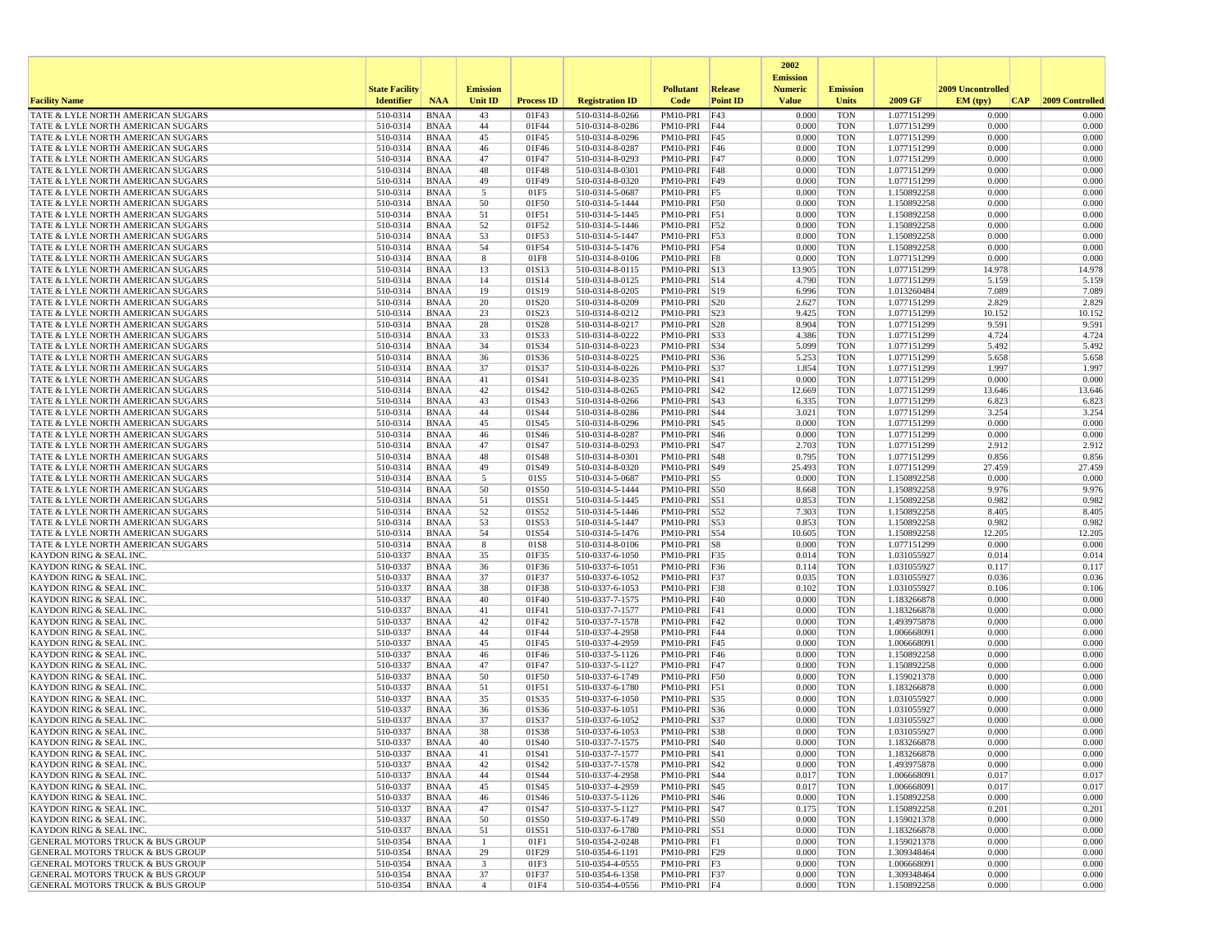|                                                                                            |                       |                            |                               |                   |                                    |                                  |                   | 2002                              |                          |                            |                   |                 |
|--------------------------------------------------------------------------------------------|-----------------------|----------------------------|-------------------------------|-------------------|------------------------------------|----------------------------------|-------------------|-----------------------------------|--------------------------|----------------------------|-------------------|-----------------|
|                                                                                            | <b>State Facility</b> |                            | <b>Emission</b>               |                   |                                    | <b>Pollutant</b>                 | Release           | <b>Emission</b><br><b>Numeric</b> | <b>Emission</b>          |                            | 2009 Uncontrolled |                 |
| <b>Facility Name</b>                                                                       | <b>Identifier</b>     | <b>NAA</b>                 | <b>Unit ID</b>                | <b>Process ID</b> | <b>Registration ID</b>             | Code                             | <b>Point ID</b>   | <b>Value</b>                      | <b>Units</b>             | 2009 GF                    | EM (typ)<br> CAP  | 2009 Controlled |
| TATE & LYLE NORTH AMERICAN SUGARS                                                          | 510-0314              | <b>BNAA</b>                | 43                            | 01F43             | 510-0314-8-0266                    | PM10-PRI                         | F43               | 0.000                             | <b>TON</b>               | 1.077151299                | 0.000             | 0.000           |
| TATE & LYLE NORTH AMERICAN SUGARS<br>TATE & LYLE NORTH AMERICAN SUGARS                     | 510-0314<br>510-0314  | <b>BNAA</b>                | 44                            | 01F44             | 510-0314-8-0286                    | PM10-PRI F44                     | F45               | 0.000<br>0.000                    | <b>TON</b><br><b>TON</b> | 1.077151299                | 0.000<br>0.000    | 0.000<br>0.000  |
| TATE & LYLE NORTH AMERICAN SUGARS                                                          | 510-0314              | <b>BNAA</b><br><b>BNAA</b> | 45<br>46                      | 01F45<br>01F46    | 510-0314-8-0296<br>510-0314-8-0287 | PM10-PRI<br>PM10-PRI F46         |                   | 0.000                             | <b>TON</b>               | 1.077151299<br>1.077151299 | 0.000             | 0.000           |
| TATE & LYLE NORTH AMERICAN SUGARS                                                          | 510-0314              | <b>BNAA</b>                | 47                            | 01F47             | 510-0314-8-0293                    | PM10-PRI F47                     |                   | 0.000                             | <b>TON</b>               | 1.077151299                | 0.000             | 0.000           |
| TATE & LYLE NORTH AMERICAN SUGARS                                                          | 510-0314              | <b>BNAA</b>                | 48                            | 01F48             | 510-0314-8-0301                    | PM10-PRI F48                     |                   | 0.000                             | <b>TON</b>               | 1.077151299                | 0.000             | 0.000           |
| TATE & LYLE NORTH AMERICAN SUGARS                                                          | 510-0314<br>510-0314  | <b>BNAA</b><br><b>BNAA</b> | 49<br>5                       | 01F49<br>01F5     | 510-0314-8-0320                    | PM10-PRI   F49<br>PM10-PRI F5    |                   | 0.000<br>0.000                    | <b>TON</b><br><b>TON</b> | 1.077151299<br>1.150892258 | 0.000<br>0.000    | 0.000<br>0.000  |
| TATE & LYLE NORTH AMERICAN SUGARS<br>TATE & LYLE NORTH AMERICAN SUGARS                     | 510-0314              | <b>BNAA</b>                | 50                            | 01F50             | 510-0314-5-0687<br>510-0314-5-1444 | PM10-PRI                         | F50               | 0.000                             | <b>TON</b>               | 1.150892258                | 0.000             | 0.000           |
| TATE & LYLE NORTH AMERICAN SUGARS                                                          | 510-0314              | <b>BNAA</b>                | 51                            | 01F51             | 510-0314-5-1445                    | PM10-PRI                         | F51               | 0.000                             | <b>TON</b>               | 1.150892258                | 0.000             | 0.000           |
| TATE & LYLE NORTH AMERICAN SUGARS                                                          | 510-0314              | <b>BNAA</b>                | 52                            | 01F52             | 510-0314-5-1446                    | PM10-PRI F52                     |                   | 0.000                             | <b>TON</b>               | 1.150892258                | 0.000             | 0.000           |
| TATE & LYLE NORTH AMERICAN SUGARS                                                          | 510-0314              | <b>BNAA</b>                | 53                            | 01F53             | 510-0314-5-1447                    | PM10-PRI F53                     |                   | 0.000                             | <b>TON</b>               | 1.150892258                | 0.000             | 0.000           |
| TATE & LYLE NORTH AMERICAN SUGARS<br>TATE & LYLE NORTH AMERICAN SUGARS                     | 510-0314<br>510-0314  | <b>BNAA</b><br><b>BNAA</b> | 54<br>8                       | 01F54<br>01F8     | 510-0314-5-1476<br>510-0314-8-0106 | PM10-PRI F54<br>PM10-PRI         | F8                | 0.000<br>0.000                    | <b>TON</b><br><b>TON</b> | 1.150892258<br>1.077151299 | 0.000<br>0.000    | 0.000<br>0.000  |
| TATE & LYLE NORTH AMERICAN SUGARS                                                          | 510-0314              | <b>BNAA</b>                | 13                            | 01S13             | 510-0314-8-0115                    | PM10-PRI S13                     |                   | 13.905                            | <b>TON</b>               | 1.077151299                | 14.978            | 14.978          |
| TATE & LYLE NORTH AMERICAN SUGARS                                                          | 510-0314              | <b>BNAA</b>                | 14                            | 01S14             | 510-0314-8-0125                    | PM10-PRI S14                     |                   | 4.790                             | <b>TON</b>               | 1.077151299                | 5.159             | 5.159           |
| TATE & LYLE NORTH AMERICAN SUGARS                                                          | 510-0314              | <b>BNAA</b>                | 19                            | 01S19             | 510-0314-8-0205                    | PM10-PRI S19                     |                   | 6.996                             | <b>TON</b>               | 1.013260484                | 7.089             | 7.089           |
| TATE & LYLE NORTH AMERICAN SUGARS<br>TATE & LYLE NORTH AMERICAN SUGARS                     | 510-0314<br>510-0314  | <b>BNAA</b><br><b>BNAA</b> | 20<br>23                      | 01S20<br>01S23    | 510-0314-8-0209<br>510-0314-8-0212 | PM10-PRI S20<br>PM10-PRI S23     |                   | 2.627<br>9.425                    | <b>TON</b><br><b>TON</b> | 1.077151299<br>1.077151299 | 2.829<br>10.152   | 2.829<br>10.152 |
| TATE & LYLE NORTH AMERICAN SUGARS                                                          | 510-0314              | <b>BNAA</b>                | 28                            | 01S28             | 510-0314-8-0217                    | PM10-PRI                         | S28               | 8.904                             | <b>TON</b>               | 1.077151299                | 9.591             | 9.591           |
| TATE & LYLE NORTH AMERICAN SUGARS                                                          | 510-0314              | <b>BNAA</b>                | 33                            | 01S33             | 510-0314-8-0222                    | PM10-PRI                         | <b>S33</b>        | 4.386                             | <b>TON</b>               | 1.077151299                | 4.724             | 4.724           |
| TATE & LYLE NORTH AMERICAN SUGARS                                                          | 510-0314              | <b>BNAA</b>                | 34                            | 01S34             | 510-0314-8-0223                    | PM10-PRI                         | S34               | 5.099                             | <b>TON</b>               | 1.077151299                | 5.492             | 5.492           |
| TATE & LYLE NORTH AMERICAN SUGARS<br>TATE & LYLE NORTH AMERICAN SUGARS                     | 510-0314<br>510-0314  | <b>BNAA</b><br><b>BNAA</b> | 36<br>37                      | 01S36<br>01S37    | 510-0314-8-0225<br>510-0314-8-0226 | PM10-PRI<br>PM10-PRI             | S36<br><b>S37</b> | 5.253<br>1.854                    | <b>TON</b><br><b>TON</b> | 1.077151299<br>1.077151299 | 5.658<br>1.997    | 5.658<br>1.997  |
| <b>TATE &amp; LYLE NORTH AMERICAN SUGARS</b>                                               | 510-0314              | <b>BNAA</b>                | 41                            | 01S41             | 510-0314-8-0235                    | PM10-PRI                         | S41               | 0.000                             | <b>TON</b>               | 1.077151299                | 0.000             | 0.000           |
| TATE & LYLE NORTH AMERICAN SUGARS                                                          | 510-0314              | <b>BNAA</b>                | 42                            | 01S42             | 510-0314-8-0265                    | PM10-PRI                         | S42               | 12.669                            | <b>TON</b>               | 1.077151299                | 13.646            | 13.646          |
| <b>TATE &amp; LYLE NORTH AMERICAN SUGARS</b>                                               | 510-0314              | <b>BNAA</b>                | 43                            | 01S43             | 510-0314-8-0266                    | PM10-PRI                         | S43               | 6.335                             | <b>TON</b>               | 1.077151299                | 6.823             | 6.823           |
| TATE & LYLE NORTH AMERICAN SUGARS                                                          | 510-0314              | <b>BNAA</b>                | 44<br>45                      | 01S44             | 510-0314-8-0286                    | PM10-PRI S44                     |                   | 3.021                             | <b>TON</b>               | 1.077151299                | 3.254<br>0.000    | 3.254<br>0.000  |
| TATE & LYLE NORTH AMERICAN SUGARS<br><b>TATE &amp; LYLE NORTH AMERICAN SUGARS</b>          | 510-0314<br>510-0314  | <b>BNAA</b><br><b>BNAA</b> | 46                            | 01S45<br>01S46    | 510-0314-8-0296<br>510-0314-8-0287 | PM10-PRI S45<br>PM10-PRI   S46   |                   | 0.000<br>0.000                    | <b>TON</b><br><b>TON</b> | 1.077151299<br>1.077151299 | 0.000             | 0.000           |
| TATE & LYLE NORTH AMERICAN SUGARS                                                          | 510-0314              | <b>BNAA</b>                | 47                            | 01S47             | 510-0314-8-0293                    | PM10-PRI                         | S47               | 2.703                             | <b>TON</b>               | 1.077151299                | 2.912             | 2.912           |
| TATE & LYLE NORTH AMERICAN SUGARS                                                          | 510-0314              | <b>BNAA</b>                | 48                            | 01S48             | 510-0314-8-0301                    | PM10-PRI                         | <b>S48</b>        | 0.795                             | <b>TON</b>               | 1.077151299                | 0.856             | 0.856           |
| TATE & LYLE NORTH AMERICAN SUGARS                                                          | 510-0314              | <b>BNAA</b>                | 49                            | 01S49<br>01S5     | 510-0314-8-0320                    | PM10-PRI   S49                   |                   | 25.493<br>0.000                   | <b>TON</b><br><b>TON</b> | 1.077151299                | 27.459<br>0.000   | 27.459<br>0.000 |
| TATE & LYLE NORTH AMERICAN SUGARS<br>TATE & LYLE NORTH AMERICAN SUGARS                     | 510-0314<br>510-0314  | <b>BNAA</b><br><b>BNAA</b> | 5<br>50                       | 01S50             | 510-0314-5-0687<br>510-0314-5-1444 | $PM10-PRI$ S5<br>PM10-PRI S50    |                   | 8.668                             | <b>TON</b>               | 1.150892258<br>1.150892258 | 9.976             | 9.976           |
| TATE & LYLE NORTH AMERICAN SUGARS                                                          | 510-0314              | <b>BNAA</b>                | 51                            | 01S51             | 510-0314-5-1445                    | PM10-PRI                         | S51               | 0.853                             | <b>TON</b>               | 1.150892258                | 0.982             | 0.982           |
| TATE & LYLE NORTH AMERICAN SUGARS                                                          | 510-0314              | <b>BNAA</b>                | 52                            | 01S52             | 510-0314-5-1446                    | PM10-PRI                         | S52               | 7.303                             | <b>TON</b>               | 1.150892258                | 8.405             | 8.405           |
| TATE & LYLE NORTH AMERICAN SUGARS                                                          | 510-0314              | <b>BNAA</b>                | 53                            | 01S53             | 510-0314-5-1447                    | PM10-PRI S53                     |                   | 0.853                             | <b>TON</b>               | 1.150892258                | 0.982             | 0.982           |
| TATE & LYLE NORTH AMERICAN SUGARS<br>TATE & LYLE NORTH AMERICAN SUGARS                     | 510-0314<br>510-0314  | <b>BNAA</b><br><b>BNAA</b> | 54<br>8                       | 01S54<br>01S8     | 510-0314-5-1476<br>510-0314-8-0106 | PM10-PRI S54<br>PM10-PRI S8      |                   | 10.605<br>0.000                   | <b>TON</b><br>TON        | 1.150892258<br>1.077151299 | 12.205<br>0.000   | 12.205<br>0.000 |
| KAYDON RING & SEAL INC.                                                                    | 510-0337              | BNAA                       | 35                            | 01F35             | 510-0337-6-1050                    | PM10-PRI F35                     |                   | 0.014                             | <b>TON</b>               | 1.031055927                | 0.014             | 0.014           |
| <b>KAYDON RING &amp; SEAL INC.</b>                                                         | 510-0337              | <b>BNAA</b>                | 36                            | 01F36             | 510-0337-6-1051                    | PM10-PRI                         | F36               | 0.114                             | <b>TON</b>               | 1.031055927                | 0.117             | 0.117           |
| <b>KAYDON RING &amp; SEAL INC.</b>                                                         | 510-0337              | <b>BNAA</b>                | 37<br>38                      | 01F37             | 510-0337-6-1052                    | PM10-PRI F37                     |                   | 0.035                             | <b>TON</b>               | 1.031055927                | 0.036             | 0.036           |
| KAYDON RING & SEAL INC.<br>KAYDON RING & SEAL INC                                          | 510-0337<br>510-0337  | <b>BNAA</b><br><b>BNAA</b> | 40                            | 01F38<br>01F40    | 510-0337-6-1053<br>510-0337-7-1575 | PM10-PRI F38<br>$PM10-PRI$ $F40$ |                   | 0.102<br>0.000                    | <b>TON</b><br><b>TON</b> | 1.031055927<br>1.183266878 | 0.106<br>0.000    | 0.106<br>0.000  |
| <b>KAYDON RING &amp; SEAL INC.</b>                                                         | 510-0337              | <b>BNAA</b>                | 41                            | 01F41             | 510-0337-7-1577                    | PM10-PRI F41                     |                   | 0.000                             | <b>TON</b>               | 1.183266878                | 0.000             | 0.000           |
| <b>KAYDON RING &amp; SEAL INC.</b>                                                         | 510-0337              | <b>BNAA</b>                | 42                            | 01F42             | 510-0337-7-1578                    | PM10-PRI F42                     |                   | 0.000                             | <b>TON</b>               | 1.493975878                | 0.000             | 0.000           |
| KAYDON RING & SEAL INC.                                                                    | 510-0337              | <b>BNAA</b>                | 44                            | 01F44             | 510-0337-4-2958                    | PM10-PRI                         | F44               | 0.000<br>0.000                    | <b>TON</b>               | 1.006668091                | 0.000             | 0.000           |
| <b>KAYDON RING &amp; SEAL INC.</b><br><b>KAYDON RING &amp; SEAL INC.</b>                   | 510-0337<br>510-0337  | <b>BNAA</b><br><b>BNAA</b> | 45<br>46                      | 01F45<br>01F46    | 510-0337-4-2959<br>510-0337-5-1126 | PM10-PRI<br>PM10-PRI F46         | F45               | 0.000                             | <b>TON</b><br><b>TON</b> | 1.006668091<br>1.150892258 | 0.000<br>0.000    | 0.000<br>0.000  |
| KAYDON RING & SEAL INC.                                                                    | 510-0337              | <b>BNAA</b>                | 47                            | 01F47             | 510-0337-5-1127                    | PM10-PRI F47                     |                   | 0.000                             | <b>TON</b>               | 1.150892258                | 0.000             | 0.000           |
| <b>KAYDON RING &amp; SEAL INC.</b>                                                         | 510-0337              | <b>BNAA</b>                | 50                            | 01F50             | 510-0337-6-1749                    | PM10-PRI F50                     |                   | 0.000                             | <b>TON</b>               | 1.159021378                | 0.000             | 0.000           |
| <b>KAYDON RING &amp; SEAL INC.</b><br><b>KAYDON RING &amp; SEAL INC.</b>                   | 510-0337<br>510-0337  | <b>BNAA</b><br><b>BNAA</b> | 51<br>35                      | 01F51<br>01S35    | 510-0337-6-1780<br>510-0337-6-1050 | PM10-PRI<br>PM10-PRI             | F51<br>S35        | 0.000<br>0.000                    | <b>TON</b><br><b>TON</b> | 1.183266878<br>1.031055927 | 0.000<br>0.000    | 0.000<br>0.000  |
| <b>KAYDON RING &amp; SEAL INC</b>                                                          | 510-0337              | <b>BNAA</b>                | 36                            | 01S36             | 510-0337-6-1051                    | PM10-PRI                         | S36               | 0.000                             | <b>TON</b>               | 1.031055927                | 0.000             | 0.000           |
| KAYDON RING & SEAL INC                                                                     | 510-0337              | <b>BNAA</b>                | 37                            | 01S37             | 510-0337-6-1052                    | PM10-PRI                         | S37               | 0.000                             | <b>TON</b>               | 1.031055927                | 0.000             | 0.000           |
| KAYDON RING & SEAL INC.                                                                    | 510-0337              | <b>BNAA</b>                | 38                            | 01S38             | 510-0337-6-1053                    | PM10-PRI   S38                   |                   | 0.000                             | <b>TON</b>               | 1.031055927                | 0.000             | 0.000           |
| <b>KAYDON RING &amp; SEAL INC.</b><br>KAYDON RING & SEAL INC.                              | 510-0337<br>510-0337  | <b>BNAA</b><br><b>BNAA</b> | 40<br>41                      | 01S40<br>01S41    | 510-0337-7-1575<br>510-0337-7-1577 | PM10-PRI   S40<br>PM10-PRI S41   |                   | 0.000<br>0.000                    | <b>TON</b><br><b>TON</b> | 1.183266878<br>1.183266878 | 0.000<br>0.000    | 0.000<br>0.000  |
| KAYDON RING & SEAL INC.                                                                    | 510-0337              | BNAA                       | 42                            | 01S42             | 510-0337-7-1578                    | $PM10-PRI$ $ S42$                |                   | 0.000                             | TON                      | 1.493975878                | 0.000             | 0.000           |
| KAYDON RING & SEAL INC.                                                                    | 510-0337              | BNAA                       | 44                            | 01S44             | 510-0337-4-2958                    | PM10-PRI   S44                   |                   | 0.017                             | <b>TON</b>               | 1.006668091                | 0.017             | 0.017           |
| <b>KAYDON RING &amp; SEAL INC.</b>                                                         | 510-0337              | BNAA                       | 45                            | 01S45             | 510-0337-4-2959                    | PM10-PRI   S45                   |                   | 0.017                             | <b>TON</b>               | 1.006668091                | 0.017             | 0.017           |
| KAYDON RING & SEAL INC.<br>KAYDON RING & SEAL INC.                                         | 510-0337<br>510-0337  | BNAA<br><b>BNAA</b>        | 46<br>47                      | 01S46<br>01S47    | 510-0337-5-1126                    | PM10-PRI S46<br>PM10-PRI S47     |                   | 0.000<br>0.175                    | <b>TON</b><br><b>TON</b> | 1.150892258<br>1.150892258 | 0.000<br>0.201    | 0.000<br>0.201  |
| <b>KAYDON RING &amp; SEAL INC.</b>                                                         | 510-0337              | BNAA                       | 50                            | 01S50             | 510-0337-5-1127<br>510-0337-6-1749 | PM10-PRI   S50                   |                   | 0.000                             | TON                      | 1.159021378                | 0.000             | 0.000           |
| KAYDON RING & SEAL INC.                                                                    | 510-0337              | BNAA                       | 51                            | 01S51             | 510-0337-6-1780                    | PM10-PRI S51                     |                   | 0.000                             | <b>TON</b>               | 1.183266878                | 0.000             | 0.000           |
| <b>GENERAL MOTORS TRUCK &amp; BUS GROUP</b>                                                | 510-0354              | BNAA                       | $\overline{1}$                | 01F1              | 510-0354-2-0248                    | $PM10-PRI$ $ F1$                 |                   | 0.000                             | <b>TON</b>               | 1.159021378                | 0.000             | 0.000           |
| <b>GENERAL MOTORS TRUCK &amp; BUS GROUP</b><br><b>GENERAL MOTORS TRUCK &amp; BUS GROUP</b> | 510-0354              | BNAA                       | 29<br>$\overline{\mathbf{3}}$ | 01F29<br>01F3     | 510-0354-6-1191                    | PM10-PRI F29<br>$PM10-PRI$ F3    |                   | 0.000<br>0.000                    | TON<br><b>TON</b>        | 1.309348464<br>1.006668091 | 0.000<br>0.000    | 0.000<br>0.000  |
| <b>GENERAL MOTORS TRUCK &amp; BUS GROUP</b>                                                | 510-0354<br>510-0354  | BNAA<br><b>BNAA</b>        | 37                            | 01F37             | 510-0354-4-0555<br>510-0354-6-1358 | PM10-PRI F37                     |                   | 0.000                             | <b>TON</b>               | 1.309348464                | 0.000             | 0.000           |
| <b>GENERAL MOTORS TRUCK &amp; BUS GROUP</b>                                                | 510-0354              | BNAA                       | $\overline{4}$                | 01F4              | 510-0354-4-0556                    | $PM10-PRI$ F4                    |                   | 0.000                             | TON                      | 1.150892258                | 0.000             | 0.000           |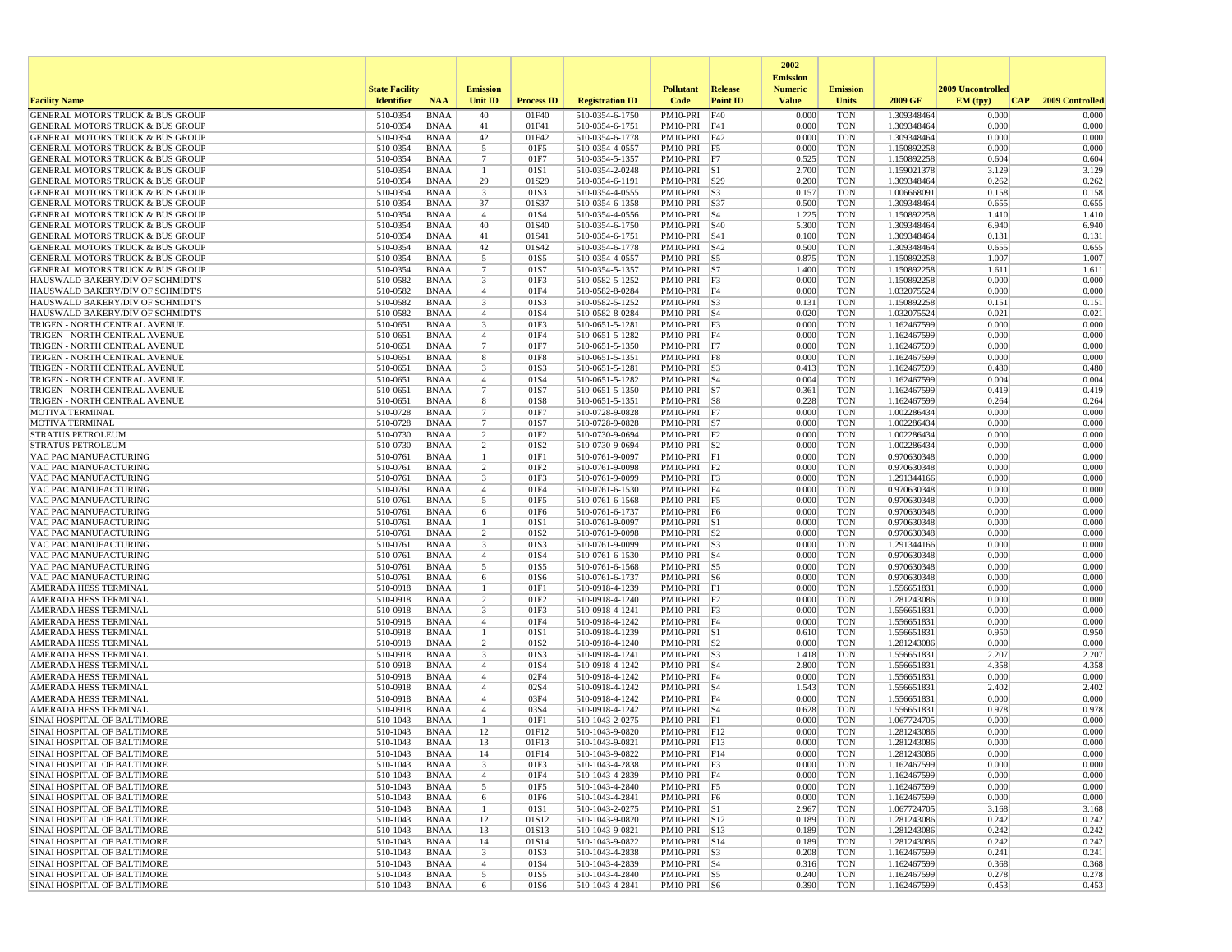|                                                                                            |                       |                            |                                   |                   |                                    |                                  |                 | 2002                              |                          |                            |                   |                 |
|--------------------------------------------------------------------------------------------|-----------------------|----------------------------|-----------------------------------|-------------------|------------------------------------|----------------------------------|-----------------|-----------------------------------|--------------------------|----------------------------|-------------------|-----------------|
|                                                                                            | <b>State Facility</b> |                            | <b>Emission</b>                   |                   |                                    | <b>Pollutant</b>                 | Release         | <b>Emission</b><br><b>Numeric</b> | <b>Emission</b>          |                            | 2009 Uncontrolled |                 |
| <b>Facility Name</b>                                                                       | <b>Identifier</b>     | <b>NAA</b>                 | Unit ID                           | <b>Process ID</b> | <b>Registration ID</b>             | Code                             | <b>Point ID</b> | <b>Value</b>                      | <b>Units</b>             | 2009 GF                    | EM (typ)<br> CAP  | 2009 Controlled |
| GENERAL MOTORS TRUCK & BUS GROUP                                                           | 510-0354              | <b>BNAA</b>                | 40                                | 01F40             | 510-0354-6-1750                    | PM10-PRI                         | F40             | 0.000                             | <b>TON</b>               | 1.309348464                | 0.000             | 0.000           |
| <b>GENERAL MOTORS TRUCK &amp; BUS GROUP</b>                                                | 510-0354              | <b>BNAA</b>                | 41                                | 01F41             | 510-0354-6-1751                    | PM10-PRI F41                     |                 | 0.000                             | <b>TON</b>               | 1.309348464                | 0.000             | 0.000           |
| <b>GENERAL MOTORS TRUCK &amp; BUS GROUP</b><br><b>GENERAL MOTORS TRUCK &amp; BUS GROUP</b> | 510-0354<br>510-0354  | <b>BNAA</b><br><b>BNAA</b> | 42<br>5                           | 01F42<br>01F5     | 510-0354-6-1778<br>510-0354-4-0557 | PM10-PRI<br>PM10-PRI F5          | F42             | 0.000<br>0.000                    | <b>TON</b><br><b>TON</b> | 1.309348464<br>1.150892258 | 0.000<br>0.000    | 0.000<br>0.000  |
| <b>GENERAL MOTORS TRUCK &amp; BUS GROUP</b>                                                | 510-0354              | <b>BNAA</b>                | $7\phantom{.0}$                   | 01F7              | 510-0354-5-1357                    | PM10-PRI F7                      |                 | 0.525                             | <b>TON</b>               | 1.150892258                | 0.604             | 0.604           |
| GENERAL MOTORS TRUCK & BUS GROUP                                                           | 510-0354              | <b>BNAA</b>                | $\mathbf{1}$                      | 01S1              | 510-0354-2-0248                    | PM10-PRI S1                      |                 | 2.700                             | <b>TON</b>               | 1.159021378                | 3.129             | 3.129           |
| GENERAL MOTORS TRUCK & BUS GROUP                                                           | 510-0354              | <b>BNAA</b>                | 29                                | 01S29             | 510-0354-6-1191                    | PM10-PRI   S29                   |                 | 0.200                             | <b>TON</b>               | 1.309348464                | 0.262             | 0.262           |
| <b>GENERAL MOTORS TRUCK &amp; BUS GROUP</b>                                                | 510-0354              | <b>BNAA</b>                | 3                                 | 01S3              | 510-0354-4-0555                    | PM10-PRI S3                      |                 | 0.157                             | <b>TON</b>               | 1.006668091                | 0.158             | 0.158           |
| <b>GENERAL MOTORS TRUCK &amp; BUS GROUP</b><br><b>GENERAL MOTORS TRUCK &amp; BUS GROUP</b> | 510-0354<br>510-0354  | <b>BNAA</b><br><b>BNAA</b> | 37<br>$\overline{4}$              | 01S37<br>01S4     | 510-0354-6-1358<br>510-0354-4-0556 | PM10-PRI<br>PM10-PRI             | S37<br>$ S_4$   | 0.500<br>1.225                    | <b>TON</b><br><b>TON</b> | 1.309348464<br>1.150892258 | 0.655<br>1.410    | 0.655<br>1.410  |
| <b>GENERAL MOTORS TRUCK &amp; BUS GROUP</b>                                                | 510-0354              | <b>BNAA</b>                | 40                                | 01S40             | 510-0354-6-1750                    | PM10-PRI   S40                   |                 | 5.300                             | <b>TON</b>               | 1.309348464                | 6.940             | 6.940           |
| GENERAL MOTORS TRUCK & BUS GROUP                                                           | 510-0354              | <b>BNAA</b>                | 41                                | 01S41             | 510-0354-6-1751                    | $PM10-PRI$ $ S41$                |                 | 0.100                             | <b>TON</b>               | 1.309348464                | 0.131             | 0.131           |
| <b>GENERAL MOTORS TRUCK &amp; BUS GROUP</b>                                                | 510-0354              | <b>BNAA</b>                | 42                                | 01S42             | 510-0354-6-1778                    | PM10-PRI S42                     |                 | 0.500                             | <b>TON</b>               | 1.309348464                | 0.655             | 0.655           |
| <b>GENERAL MOTORS TRUCK &amp; BUS GROUP</b>                                                | 510-0354              | <b>BNAA</b>                | 5                                 | 01S5              | 510-0354-4-0557                    | PM10-PRI                         | $\vert$ S5      | 0.875                             | <b>TON</b>               | 1.150892258                | 1.007             | 1.007           |
| <b>GENERAL MOTORS TRUCK &amp; BUS GROUP</b><br>HAUSWALD BAKERY/DIV OF SCHMIDT'S            | 510-0354<br>510-0582  | <b>BNAA</b>                | $\overline{7}$<br>3               | 01S7<br>01F3      | 510-0354-5-1357                    | PM10-PRI S7                      |                 | 1.400<br>0.000                    | <b>TON</b><br><b>TON</b> | 1.150892258                | 1.611<br>0.000    | 1.611<br>0.000  |
| HAUSWALD BAKERY/DIV OF SCHMIDT'S                                                           | 510-0582              | <b>BNAA</b><br><b>BNAA</b> | $\overline{4}$                    | 01F4              | 510-0582-5-1252<br>510-0582-8-0284 | $PM10-PRI$ F3<br>$PM10-PRI$   F4 |                 | 0.000                             | <b>TON</b>               | 1.150892258<br>1.032075524 | 0.000             | 0.000           |
| HAUSWALD BAKERY/DIV OF SCHMIDT'S                                                           | 510-0582              | <b>BNAA</b>                | 3                                 | 01S3              | 510-0582-5-1252                    | PM10-PRI S3                      |                 | 0.131                             | <b>TON</b>               | 1.150892258                | 0.151             | 0.151           |
| HAUSWALD BAKERY/DIV OF SCHMIDT'S                                                           | 510-0582              | <b>BNAA</b>                | $\overline{4}$                    | 01S4              | 510-0582-8-0284                    | $PM10-PRI$ S4                    |                 | 0.020                             | <b>TON</b>               | 1.032075524                | 0.021             | 0.021           |
| TRIGEN - NORTH CENTRAL AVENUE                                                              | 510-0651              | <b>BNAA</b>                | 3                                 | 01F3              | 510-0651-5-1281                    | $PM10-PRI$ F3                    |                 | 0.000                             | <b>TON</b>               | 1.162467599                | 0.000             | 0.000           |
| TRIGEN - NORTH CENTRAL AVENUE                                                              | 510-0651              | <b>BNAA</b>                | $\overline{4}$                    | 01F4              | 510-0651-5-1282                    | PM10-PRI F4                      |                 | 0.000                             | <b>TON</b>               | 1.162467599                | 0.000             | 0.000           |
| TRIGEN - NORTH CENTRAL AVENUE<br>TRIGEN - NORTH CENTRAL AVENUE                             | 510-0651<br>510-0651  | <b>BNAA</b><br><b>BNAA</b> | $7\phantom{.0}$<br>8              | 01F7<br>01F8      | 510-0651-5-1350<br>510-0651-5-1351 | PM10-PRI F7<br>$PM10-PRI$ F8     |                 | 0.000<br>0.000                    | <b>TON</b><br><b>TON</b> | 1.162467599<br>1.162467599 | 0.000<br>0.000    | 0.000<br>0.000  |
| TRIGEN - NORTH CENTRAL AVENUE                                                              | 510-0651              | BNAA                       | 3                                 | 01S3              | 510-0651-5-1281                    | PM10-PRI S3                      |                 | 0.413                             | <b>TON</b>               | 1.162467599                | 0.480             | 0.480           |
| TRIGEN - NORTH CENTRAL AVENUE                                                              | 510-0651              | <b>BNAA</b>                | $\overline{4}$                    | 01S4              | 510-0651-5-1282                    | PM10-PRI S4                      |                 | 0.004                             | <b>TON</b>               | 1.162467599                | 0.004             | 0.004           |
| TRIGEN - NORTH CENTRAL AVENUE                                                              | 510-0651              | <b>BNAA</b>                | $\overline{7}$                    | 01S7              | 510-0651-5-1350                    | PM10-PRI S7                      |                 | 0.361                             | <b>TON</b>               | 1.162467599                | 0.419             | 0.419           |
| TRIGEN - NORTH CENTRAL AVENUE                                                              | 510-0651              | <b>BNAA</b>                | 8                                 | 01S8              | 510-0651-5-1351                    | PM10-PRI S8                      |                 | 0.228                             | <b>TON</b>               | 1.162467599                | 0.264             | 0.264           |
| MOTIVA TERMINAL<br><b>MOTIVA TERMINAL</b>                                                  | 510-0728<br>510-0728  | <b>BNAA</b><br><b>BNAA</b> | $7\phantom{.0}$<br>$\overline{7}$ | 01F7<br>01S7      | 510-0728-9-0828<br>510-0728-9-0828 | $PM10-PRI$ F7<br>$PM10-PRI$ S7   |                 | 0.000<br>0.000                    | <b>TON</b><br><b>TON</b> | 1.002286434<br>1.002286434 | 0.000<br>0.000    | 0.000<br>0.000  |
| <b>STRATUS PETROLEUM</b>                                                                   | 510-0730              | <b>BNAA</b>                | $\overline{2}$                    | 01F2              | 510-0730-9-0694                    | $PM10-PRI$ $F2$                  |                 | 0.000                             | <b>TON</b>               | 1.002286434                | 0.000             | 0.000           |
| <b>STRATUS PETROLEUM</b>                                                                   | 510-0730              | <b>BNAA</b>                | 2                                 | 01S2              | 510-0730-9-0694                    | PM10-PRI                         | S <sub>2</sub>  | 0.000                             | <b>TON</b>               | 1.002286434                | 0.000             | 0.000           |
| VAC PAC MANUFACTURING                                                                      | 510-0761              | <b>BNAA</b>                | 1                                 | 01F1              | 510-0761-9-0097                    | PM10-PRI F1                      |                 | 0.000                             | <b>TON</b>               | 0.970630348                | 0.000             | 0.000           |
| VAC PAC MANUFACTURING                                                                      | 510-0761              | <b>BNAA</b>                | 2                                 | 01F2              | 510-0761-9-0098                    | $PM10-PRI$ $F2$                  |                 | 0.000                             | <b>TON</b>               | 0.970630348                | 0.000             | 0.000           |
| VAC PAC MANUFACTURING<br>VAC PAC MANUFACTURING                                             | 510-0761<br>510-0761  | <b>BNAA</b><br><b>BNAA</b> | 3<br>$\overline{4}$               | 01F3<br>01F4      | 510-0761-9-0099<br>510-0761-6-1530 | PM10-PRI F3<br>PM10-PRI F4       |                 | 0.000<br>0.000                    | <b>TON</b><br><b>TON</b> | 1.291344166<br>0.970630348 | 0.000<br>0.000    | 0.000<br>0.000  |
| VAC PAC MANUFACTURING                                                                      | 510-0761              | <b>BNAA</b>                | 5                                 | 01F5              | 510-0761-6-1568                    | PM10-PRI F5                      |                 | 0.000                             | <b>TON</b>               | 0.970630348                | 0.000             | 0.000           |
| VAC PAC MANUFACTURING                                                                      | 510-0761              | <b>BNAA</b>                | 6                                 | 01F6              | 510-0761-6-1737                    | PM10-PRI                         | F6              | 0.000                             | <b>TON</b>               | 0.970630348                | 0.000             | 0.000           |
| VAC PAC MANUFACTURING                                                                      | 510-0761              | <b>BNAA</b>                | $\mathbf{1}$                      | 01S1              | 510-0761-9-0097                    | PM10-PRI S1                      |                 | 0.000                             | <b>TON</b>               | 0.970630348                | 0.000             | 0.000           |
| VAC PAC MANUFACTURING                                                                      | 510-0761              | <b>BNAA</b>                | 2                                 | 01S2              | 510-0761-9-0098                    | $PM10-PRI$ $ S2$                 |                 | 0.000                             | <b>TON</b>               | 0.970630348                | 0.000             | 0.000           |
| VAC PAC MANUFACTURING<br>VAC PAC MANUFACTURING                                             | 510-0761<br>510-0761  | <b>BNAA</b><br><b>BNAA</b> | 3<br>$\overline{4}$               | 01S3<br>01S4      | 510-0761-9-0099<br>510-0761-6-1530 | PM10-PRI S3<br>$PM10-PRI$ S4     |                 | 0.000<br>0.000                    | TON<br><b>TON</b>        | 1.291344166<br>0.970630348 | 0.000<br>0.000    | 0.000<br>0.000  |
| VAC PAC MANUFACTURING                                                                      | 510-0761              | <b>BNAA</b>                | 5                                 | 01S5              | 510-0761-6-1568                    | PM10-PRI                         | S5              | 0.000                             | <b>TON</b>               | 0.970630348                | 0.000             | 0.000           |
| VAC PAC MANUFACTURING                                                                      | 510-0761              | <b>BNAA</b>                | 6                                 | 01S6              | 510-0761-6-1737                    | PM10-PRI S6                      |                 | 0.000                             | <b>TON</b>               | 0.970630348                | 0.000             | 0.000           |
| AMERADA HESS TERMINAL                                                                      | 510-0918              | <b>BNAA</b>                | -1                                | 01F1              | 510-0918-4-1239                    | PM10-PRI F1                      |                 | 0.000                             | <b>TON</b>               | 1.556651831                | 0.000             | 0.000           |
| AMERADA HESS TERMINAL                                                                      | 510-0918              | <b>BNAA</b>                | 2                                 | 01F2              | 510-0918-4-1240                    | $PM10-PRI$ F <sub>2</sub>        |                 | 0.000                             | <b>TON</b>               | 1.281243086                | 0.000<br>0.000    | 0.000           |
| AMERADA HESS TERMINAL<br>AMERADA HESS TERMINAL                                             | 510-0918<br>510-0918  | <b>BNAA</b><br><b>BNAA</b> | 3<br>$\overline{4}$               | 01F3<br>01F4      | 510-0918-4-1241<br>510-0918-4-1242 | PM10-PRI F3<br>PM10-PRI F4       |                 | 0.000<br>0.000                    | <b>TON</b><br><b>TON</b> | 1.556651831<br>1.556651831 | 0.000             | 0.000<br>0.000  |
| AMERADA HESS TERMINAL                                                                      | 510-0918              | <b>BNAA</b>                |                                   | 01S1              | 510-0918-4-1239                    | PM10-PRI                         | S1              | 0.610                             | <b>TON</b>               | 1.556651831                | 0.950             | 0.950           |
| AMERADA HESS TERMINAL                                                                      | 510-0918              | <b>BNAA</b>                | 2                                 | 01S <sub>2</sub>  | 510-0918-4-1240                    | $PM10-PRI$ S2                    |                 | 0.000                             | <b>TON</b>               | 1.281243086                | 0.000             | 0.000           |
| AMERADA HESS TERMINAL                                                                      | 510-0918              | <b>BNAA</b>                | 3                                 | 01S3              | 510-0918-4-1241                    | PM10-PRI S3                      |                 | 1.418                             | <b>TON</b>               | 1.556651831                | 2.207             | 2.207           |
| AMERADA HESS TERMINAL                                                                      | 510-0918              | <b>BNAA</b>                | $\overline{4}$<br>$\overline{4}$  | 01S4<br>02F4      | 510-0918-4-1242                    | $PM10-PRI$ S4                    |                 | 2.800<br>0.000                    | <b>TON</b><br><b>TON</b> | 1.556651831                | 4.358<br>0.000    | 4.358<br>0.000  |
| AMERADA HESS TERMINAL<br>AMERADA HESS TERMINAL                                             | 510-0918<br>510-0918  | <b>BNAA</b><br><b>BNAA</b> | $\overline{4}$                    | 02S4              | 510-0918-4-1242<br>510-0918-4-1242 | $PM10-PRI$   F4<br>$PM10-PRI$ S4 |                 | 1.543                             | <b>TON</b>               | 1.556651831<br>1.556651831 | 2.402             | 2.402           |
| AMERADA HESS TERMINAL                                                                      | 510-0918              | <b>BNAA</b>                | $\overline{4}$                    | 03F4              | 510-0918-4-1242                    | PM10-PRI F4                      |                 | 0.000                             | <b>TON</b>               | 1.556651831                | 0.000             | 0.000           |
| AMERADA HESS TERMINAL                                                                      | 510-0918              | <b>BNAA</b>                | $\overline{4}$                    | 03S4              | 510-0918-4-1242                    | PM10-PRI S4                      |                 | 0.628                             | <b>TON</b>               | 1.556651831                | 0.978             | 0.978           |
| SINAI HOSPITAL OF BALTIMORE                                                                | 510-1043              | <b>BNAA</b>                | $\mathbf{1}$                      | 01F1              | 510-1043-2-0275                    | PM10-PRI F1                      |                 | 0.000                             | <b>TON</b>               | 1.067724705                | 0.000             | 0.000           |
| SINAI HOSPITAL OF BALTIMORE                                                                | 510-1043              | <b>BNAA</b>                | 12                                | 01F12             | 510-1043-9-0820                    | PM10-PRI F12                     |                 | 0.000                             | <b>TON</b>               | 1.281243086                | 0.000             | 0.000           |
| SINAI HOSPITAL OF BALTIMORE<br>SINAI HOSPITAL OF BALTIMORE                                 | 510-1043<br>510-1043  | <b>BNAA</b><br><b>BNAA</b> | 13<br>14                          | 01F13<br>01F14    | 510-1043-9-0821<br>510-1043-9-0822 | PM10-PRI F13<br>PM10-PRI F14     |                 | 0.000<br>0.000                    | <b>TON</b><br><b>TON</b> | 1.281243086<br>1.281243086 | 0.000<br>0.000    | 0.000<br>0.000  |
| SINAI HOSPITAL OF BALTIMORE                                                                | 510-1043              | BNAA                       | $\overline{\mathbf{3}}$           | 01F3              | 510-1043-4-2838                    | $PM10-PRI$ $F3$                  |                 | 0.000                             | TON                      | 1.162467599                | 0.000             | 0.000           |
| SINAI HOSPITAL OF BALTIMORE                                                                | 510-1043              | BNAA                       | $\overline{4}$                    | 01F4              | 510-1043-4-2839                    | $PM10-PRI$   F4                  |                 | 0.000                             | <b>TON</b>               | 1.162467599                | 0.000             | 0.000           |
| SINAI HOSPITAL OF BALTIMORE                                                                | 510-1043              | BNAA                       | 5                                 | 01F5              | 510-1043-4-2840                    | PM10-PRI F5                      |                 | 0.000                             | <b>TON</b>               | 1.162467599                | 0.000             | 0.000           |
| SINAI HOSPITAL OF BALTIMORE                                                                | 510-1043              | BNAA                       | 6                                 | 01F6              | 510-1043-4-2841                    | PM10-PRI F6                      |                 | 0.000                             | <b>TON</b>               | 1.162467599                | 0.000             | 0.000           |
| SINAI HOSPITAL OF BALTIMORE<br>SINAI HOSPITAL OF BALTIMORE                                 | 510-1043              | BNAA                       | $\mathbf{1}$                      | 01S1              | 510-1043-2-0275                    | $PM10-PRI$ S1                    |                 | 2.967                             | <b>TON</b>               | 1.067724705                | 3.168             | 3.168<br>0.242  |
| SINAI HOSPITAL OF BALTIMORE                                                                | 510-1043<br>510-1043  | BNAA<br>BNAA               | 12<br>13                          | 01S12<br>01S13    | 510-1043-9-0820<br>510-1043-9-0821 | PM10-PRI S12<br>PM10-PRI S13     |                 | 0.189<br>0.189                    | TON<br><b>TON</b>        | 1.281243086<br>1.281243086 | 0.242<br>0.242    | 0.242           |
| SINAI HOSPITAL OF BALTIMORE                                                                | 510-1043              | BNAA                       | 14                                | 01S14             | 510-1043-9-0822                    | PM10-PRI S14                     |                 | 0.189                             | <b>TON</b>               | 1.281243086                | 0.242             | 0.242           |
| <b>SINAI HOSPITAL OF BALTIMORE</b>                                                         | 510-1043              | BNAA                       | $\overline{\mathbf{3}}$           | 01S3              | 510-1043-4-2838                    | $PM10-PRI$ S3                    |                 | 0.208                             | TON                      | 1.162467599                | 0.241             | 0.241           |
| SINAI HOSPITAL OF BALTIMORE                                                                | 510-1043              | BNAA                       | $\overline{4}$                    | 01S4              | 510-1043-4-2839                    | PM10-PRI S4                      |                 | 0.316                             | <b>TON</b>               | 1.162467599                | 0.368             | 0.368           |
| SINAI HOSPITAL OF BALTIMORE<br>SINAI HOSPITAL OF BALTIMORE                                 | 510-1043              | <b>BNAA</b>                | 5                                 | 01S5              | 510-1043-4-2840                    | PM10-PRI S5                      |                 | 0.240                             | <b>TON</b>               | 1.162467599                | 0.278             | 0.278           |
|                                                                                            | 510-1043              | BNAA                       | 6                                 | 01S6              | 510-1043-4-2841                    | PM10-PRI S6                      |                 | 0.390                             | TON                      | 1.162467599                | 0.453             | 0.453           |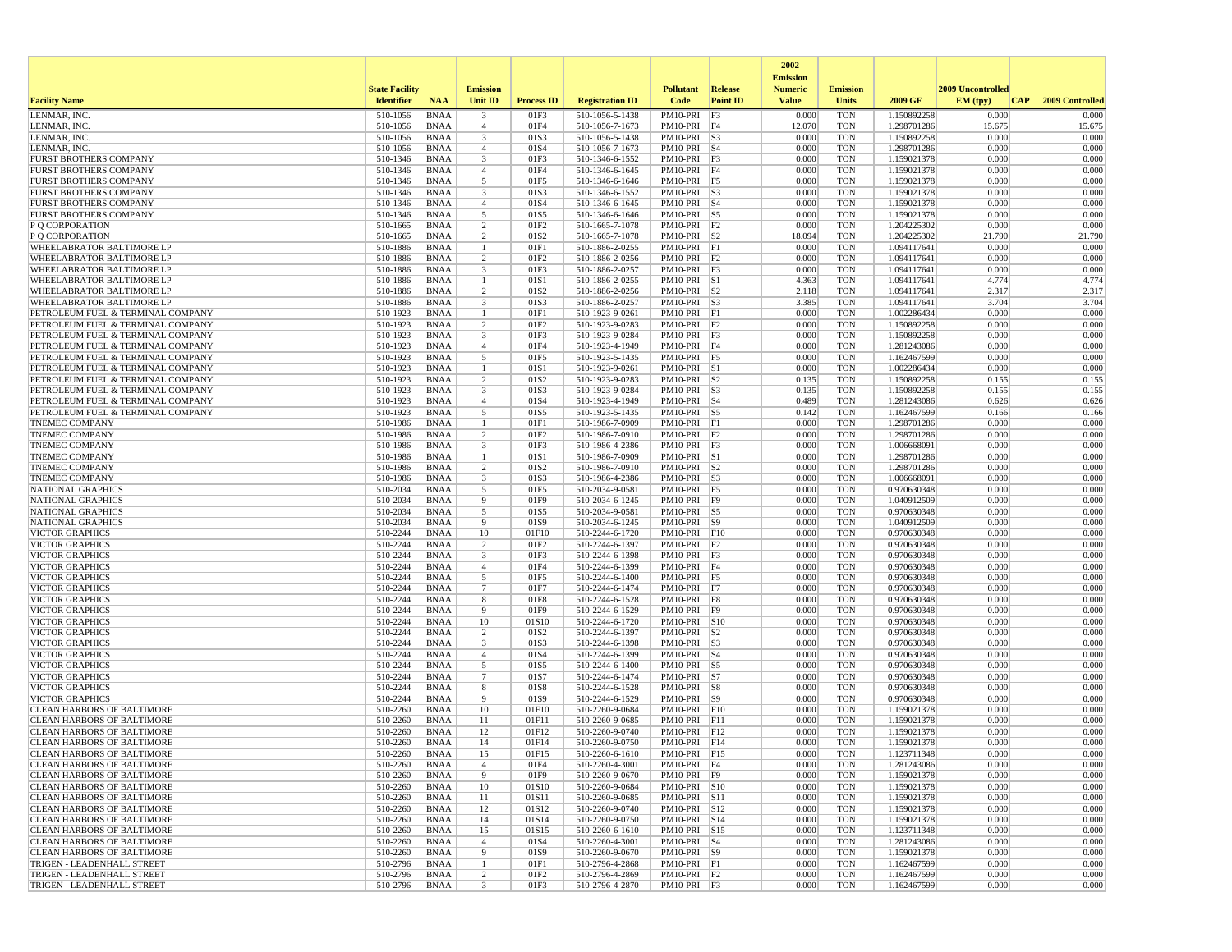|                                                                        |                       |                            |                                           |                   |                                    |                                  |                 | 2002                              |                          |                            |                   |                 |
|------------------------------------------------------------------------|-----------------------|----------------------------|-------------------------------------------|-------------------|------------------------------------|----------------------------------|-----------------|-----------------------------------|--------------------------|----------------------------|-------------------|-----------------|
|                                                                        | <b>State Facility</b> |                            | <b>Emission</b>                           |                   |                                    | <b>Pollutant</b>                 | <b>Release</b>  | <b>Emission</b><br><b>Numeric</b> | <b>Emission</b>          |                            | 2009 Uncontrolled |                 |
| <b>Facility Name</b>                                                   | <b>Identifier</b>     | <b>NAA</b>                 | <b>Unit ID</b>                            | <b>Process ID</b> | <b>Registration ID</b>             | Code                             | <b>Point ID</b> | <b>Value</b>                      | <b>Units</b>             | 2009 GF                    | EM (typ)<br> CAP  | 2009 Controlled |
| LENMAR, INC                                                            | 510-1056              | <b>BNAA</b>                | $\overline{\mathbf{3}}$                   | 01F3              | 510-1056-5-1438                    | PM10-PRI                         | F3              | 0.000                             | <b>TON</b>               | 1.150892258                | 0.000             | 0.000           |
| LENMAR, INC                                                            | 510-1056              | BNAA                       | $\overline{4}$                            | 01F4              | 510-1056-7-1673                    | PM10-PRI F4                      |                 | 12.070                            | <b>TON</b>               | 1.298701286                | 15.675            | 15.675          |
| LENMAR, INC.                                                           | 510-1056              | <b>BNAA</b>                | 3                                         | 01S3              | 510-1056-5-1438                    | $PM10-PRI$ $ S3$                 |                 | 0.000                             | <b>TON</b>               | 1.150892258                | 0.000             | 0.000           |
| LENMAR, INC.<br><b>FURST BROTHERS COMPANY</b>                          | 510-1056<br>510-1346  | BNAA                       | $\overline{4}$<br>$\overline{\mathbf{3}}$ | 01S4<br>01F3      | 510-1056-7-1673                    | PM10-PRI S4<br>PM10-PRI F3       |                 | 0.000<br>0.000                    | <b>TON</b><br><b>TON</b> | 1.298701286                | 0.000<br>0.000    | 0.000<br>0.000  |
| <b>FURST BROTHERS COMPANY</b>                                          | 510-1346              | <b>BNAA</b><br><b>BNAA</b> | $\overline{4}$                            | 01F4              | 510-1346-6-1552<br>510-1346-6-1645 | PM10-PRI F4                      |                 | 0.000                             | <b>TON</b>               | 1.159021378<br>1.159021378 | 0.000             | 0.000           |
| <b>FURST BROTHERS COMPANY</b>                                          | 510-1346              | BNAA                       | 5                                         | 01F5              | 510-1346-6-1646                    | PM10-PRI F5                      |                 | 0.000                             | <b>TON</b>               | 1.159021378                | 0.000             | 0.000           |
| <b>FURST BROTHERS COMPANY</b>                                          | 510-1346              | <b>BNAA</b>                | $\overline{\mathbf{3}}$                   | 01S3              | 510-1346-6-1552                    | PM10-PRI S3                      |                 | 0.000                             | <b>TON</b>               | 1.159021378                | 0.000             | 0.000           |
| FURST BROTHERS COMPANY                                                 | 510-1346              | <b>BNAA</b>                | $\overline{4}$                            | 01S4              | 510-1346-6-1645                    | PM10-PRI S4                      |                 | 0.000                             | <b>TON</b>               | 1.159021378                | 0.000             | 0.000           |
| <b>FURST BROTHERS COMPANY</b>                                          | 510-1346              | <b>BNAA</b>                | 5                                         | 01S5              | 510-1346-6-1646                    | PM10-PRI S5                      |                 | 0.000                             | <b>TON</b>               | 1.159021378                | 0.000             | 0.000           |
| P Q CORPORATION                                                        | 510-1665              | BNAA                       | 2                                         | 01F2              | 510-1665-7-1078                    | PM10-PRI F2                      |                 | 0.000                             | <b>TON</b>               | 1.204225302                | 0.000             | 0.000           |
| P Q CORPORATION                                                        | 510-1665              | <b>BNAA</b>                | $\overline{2}$<br>-1                      | 01S2<br>01F1      | 510-1665-7-1078                    | $PM10-PRI$ S2                    |                 | 18.094<br>0.000                   | <b>TON</b><br><b>TON</b> | 1.204225302                | 21.790<br>0.000   | 21.790<br>0.000 |
| WHEELABRATOR BALTIMORE LP<br>WHEELABRATOR BALTIMORE LP                 | 510-1886<br>510-1886  | <b>BNAA</b><br><b>BNAA</b> | 2                                         | 01F <sub>2</sub>  | 510-1886-2-0255<br>510-1886-2-0256 | $PM10-PRI$ F1<br>$PM10-PRI$   F2 |                 | 0.000                             | <b>TON</b>               | 1.094117641<br>1.094117641 | 0.000             | 0.000           |
| WHEELABRATOR BALTIMORE LP                                              | 510-1886              | BNAA                       | 3                                         | 01F3              | 510-1886-2-0257                    | $PM10-PRI$ $F3$                  |                 | 0.000                             | <b>TON</b>               | 1.094117641                | 0.000             | 0.000           |
| WHEELABRATOR BALTIMORE LP                                              | 510-1886              | BNAA                       | -1                                        | 01S1              | 510-1886-2-0255                    | PM10-PRI S1                      |                 | 4.363                             | <b>TON</b>               | 1.094117641                | 4.774             | 4.774           |
| <b>WHEELABRATOR BALTIMORE LP</b>                                       | 510-1886              | <b>BNAA</b>                | 2                                         | 01S <sub>2</sub>  | 510-1886-2-0256                    | $PM10-PRI$ S2                    |                 | 2.118                             | <b>TON</b>               | 1.094117641                | 2.317             | 2.317           |
| WHEELABRATOR BALTIMORE LP                                              | 510-1886              | BNAA                       | $\overline{\mathbf{3}}$                   | 01S3              | 510-1886-2-0257                    | $PM10-PRI$ $ S3$                 |                 | 3.385                             | <b>TON</b>               | 1.094117641                | 3.704             | 3.704           |
| PETROLEUM FUEL & TERMINAL COMPANY                                      | 510-1923              | <b>BNAA</b>                | -1                                        | 01F1              | 510-1923-9-0261                    | PM10-PRI F1                      |                 | 0.000                             | <b>TON</b>               | 1.002286434                | 0.000             | 0.000           |
| PETROLEUM FUEL & TERMINAL COMPANY                                      | 510-1923              | <b>BNAA</b>                | $\overline{2}$                            | 01F2              | 510-1923-9-0283                    | $PM10-PRI$ $F2$                  |                 | 0.000                             | <b>TON</b>               | 1.150892258                | 0.000             | 0.000           |
| PETROLEUM FUEL & TERMINAL COMPANY                                      | 510-1923<br>510-1923  | <b>BNAA</b>                | $\overline{\mathbf{3}}$                   | 01F3              | 510-1923-9-0284                    | PM10-PRI F3                      |                 | 0.000                             | <b>TON</b>               | 1.150892258                | 0.000<br>0.000    | 0.000<br>0.000  |
| PETROLEUM FUEL & TERMINAL COMPANY<br>PETROLEUM FUEL & TERMINAL COMPANY | 510-1923              | BNAA<br><b>BNAA</b>        | $\overline{4}$<br>5                       | 01F4<br>01F5      | 510-1923-4-1949<br>510-1923-5-1435 | PM10-PRI F4<br>$PM10-PRI$ F5     |                 | 0.000<br>0.000                    | <b>TON</b><br><b>TON</b> | 1.281243086<br>1.162467599 | 0.000             | 0.000           |
| PETROLEUM FUEL & TERMINAL COMPANY                                      | 510-1923              | <b>BNAA</b>                | $\mathbf{1}$                              | 01S1              | 510-1923-9-0261                    | PM10-PRI S1                      |                 | 0.000                             | <b>TON</b>               | 1.002286434                | 0.000             | 0.000           |
| PETROLEUM FUEL & TERMINAL COMPANY                                      | 510-1923              | BNAA                       | $\overline{2}$                            | 01S <sub>2</sub>  | 510-1923-9-0283                    | $PM10-PRI$ S2                    |                 | 0.135                             | <b>TON</b>               | 1.150892258                | 0.155             | 0.155           |
| PETROLEUM FUEL & TERMINAL COMPANY                                      | 510-1923              | <b>BNAA</b>                | 3                                         | 01S3              | 510-1923-9-0284                    | $PM10-PRI$ S3                    |                 | 0.135                             | <b>TON</b>               | 1.150892258                | 0.155             | 0.155           |
| PETROLEUM FUEL & TERMINAL COMPANY                                      | 510-1923              | BNAA                       | $\overline{4}$                            | 01S4              | 510-1923-4-1949                    | PM10-PRI S4                      |                 | 0.489                             | <b>TON</b>               | 1.281243086                | 0.626             | 0.626           |
| PETROLEUM FUEL & TERMINAL COMPANY                                      | 510-1923              | <b>BNAA</b>                | 5                                         | 01S5              | 510-1923-5-1435                    | PM10-PRI S5                      |                 | 0.142                             | <b>TON</b>               | 1.162467599                | 0.166             | 0.166           |
| <b>TNEMEC COMPANY</b>                                                  | 510-1986              | BNAA                       | $\mathbf{1}$                              | 01F1              | 510-1986-7-0909                    | PM10-PRI F1                      |                 | 0.000                             | <b>TON</b>               | 1.298701286                | 0.000             | 0.000           |
| <b>TNEMEC COMPANY</b><br><b>TNEMEC COMPANY</b>                         | 510-1986<br>510-1986  | <b>BNAA</b><br><b>BNAA</b> | $\overline{2}$<br>$\overline{\mathbf{3}}$ | 01F2<br>01F3      | 510-1986-7-0910<br>510-1986-4-2386 | $PM10-PRI$ F2<br>PM10-PRI        | F3              | 0.000<br>0.000                    | <b>TON</b><br><b>TON</b> | 1.298701286<br>1.006668091 | 0.000<br>0.000    | 0.000<br>0.000  |
| <b>TNEMEC COMPANY</b>                                                  | 510-1986              | BNAA                       | 1                                         | 01S1              | 510-1986-7-0909                    | $PM10-PRI$ S1                    |                 | 0.000                             | <b>TON</b>               | 1.298701286                | 0.000             | 0.000           |
| TNEMEC COMPANY                                                         | 510-1986              | <b>BNAA</b>                | $\overline{2}$                            | 01S <sub>2</sub>  | 510-1986-7-0910                    | $PM10-PRI$ S2                    |                 | 0.000                             | <b>TON</b>               | 1.298701286                | 0.000             | 0.000           |
| <b>TNEMEC COMPANY</b>                                                  | 510-1986              | <b>BNAA</b>                | $\overline{\mathbf{3}}$                   | 01S3              | 510-1986-4-2386                    | PM10-PRI S3                      |                 | 0.000                             | <b>TON</b>               | 1.006668091                | 0.000             | 0.000           |
| <b>NATIONAL GRAPHICS</b>                                               | 510-2034              | BNAA                       | 5                                         | 01F5              | 510-2034-9-0581                    | PM10-PRI F5                      |                 | 0.000                             | <b>TON</b>               | 0.970630348                | 0.000             | 0.000           |
| <b>NATIONAL GRAPHICS</b>                                               | 510-2034              | BNAA                       | 9                                         | 01F9              | 510-2034-6-1245                    | $PM10-PRI$  F9                   |                 | 0.000                             | <b>TON</b>               | 1.040912509                | 0.000             | 0.000           |
| NATIONAL GRAPHICS                                                      | 510-2034              | <b>BNAA</b>                | 5                                         | 01S5              | 510-2034-9-0581                    | $PM10-PRI$ S5                    |                 | 0.000                             | <b>TON</b>               | 0.970630348                | 0.000             | 0.000           |
| <b>NATIONAL GRAPHICS</b><br><b>VICTOR GRAPHICS</b>                     | 510-2034<br>510-2244  | <b>BNAA</b><br><b>BNAA</b> | 9<br>10                                   | 01S9<br>01F10     | 510-2034-6-1245<br>510-2244-6-1720 | PM10-PRI S9<br>PM10-PRI F10      |                 | 0.000<br>0.000                    | <b>TON</b><br><b>TON</b> | 1.040912509<br>0.970630348 | 0.000<br>0.000    | 0.000<br>0.000  |
| <b>VICTOR GRAPHICS</b>                                                 | 510-2244              | BNAA                       | $\overline{2}$                            | 01F2              | 510-2244-6-1397                    | PM10-PRI F2                      |                 | 0.000                             | <b>TON</b>               | 0.970630348                | 0.000             | 0.000           |
| <b>VICTOR GRAPHICS</b>                                                 | 510-2244              | BNAA                       | 3                                         | 01F3              | 510-2244-6-1398                    | $PM10-PRI$ $ F3$                 |                 | 0.000                             | <b>TON</b>               | 0.970630348                | 0.000             | 0.000           |
| <b>VICTOR GRAPHICS</b>                                                 | 510-2244              | <b>BNAA</b>                | $\overline{4}$                            | 01F4              | 510-2244-6-1399                    | PM10-PRI                         | F4              | 0.000                             | <b>TON</b>               | 0.970630348                | 0.000             | 0.000           |
| <b>VICTOR GRAPHICS</b>                                                 | 510-2244              | BNAA                       | 5                                         | 01F5              | 510-2244-6-1400                    | PM10-PRI F5                      |                 | 0.000                             | <b>TON</b>               | 0.970630348                | 0.000             | 0.000           |
| <b>VICTOR GRAPHICS</b>                                                 | 510-2244              | <b>BNAA</b>                | -7                                        | 01F7              | 510-2244-6-1474                    | $PM10-PRI$ F7                    |                 | 0.000                             | <b>TON</b>               | 0.970630348                | 0.000             | 0.000           |
| <b>VICTOR GRAPHICS</b>                                                 | 510-2244              | <b>BNAA</b>                | 8                                         | 01F8              | 510-2244-6-1528                    | PM10-PRI F8                      |                 | 0.000                             | <b>TON</b>               | 0.970630348                | 0.000             | 0.000           |
| <b>VICTOR GRAPHICS</b><br><b>VICTOR GRAPHICS</b>                       | 510-2244<br>510-2244  | <b>BNAA</b><br>BNAA        | 9<br>10                                   | 01F9<br>01S10     | 510-2244-6-1529<br>510-2244-6-1720 | PM10-PRI F9<br>PM10-PRI S10      |                 | 0.000<br>0.000                    | <b>TON</b><br><b>TON</b> | 0.970630348<br>0.970630348 | 0.000<br>0.000    | 0.000<br>0.000  |
| <b>VICTOR GRAPHICS</b>                                                 | 510-2244              | <b>BNAA</b>                | $\overline{2}$                            | 01S2              | 510-2244-6-1397                    | PM10-PRI                         | S <sub>2</sub>  | 0.000                             | <b>TON</b>               | 0.970630348                | 0.000             | 0.000           |
| <b>VICTOR GRAPHICS</b>                                                 | 510-2244              | <b>BNAA</b>                | $\overline{\mathbf{3}}$                   | 01S3              | 510-2244-6-1398                    | $PM10-PRI$ $ S3$                 |                 | 0.000                             | <b>TON</b>               | 0.970630348                | 0.000             | 0.000           |
| <b>VICTOR GRAPHICS</b>                                                 | 510-2244              | BNAA                       | $\overline{4}$                            | 01S4              | 510-2244-6-1399                    | PM10-PRI S4                      |                 | 0.000                             | <b>TON</b>               | 0.970630348                | 0.000             | 0.000           |
| <b>VICTOR GRAPHICS</b>                                                 | 510-2244              | <b>BNAA</b>                | 5                                         | 01S5              | 510-2244-6-1400                    | $PM10-PRI$ S5                    |                 | 0.000                             | <b>TON</b>               | 0.970630348                | 0.000             | 0.000           |
| <b>VICTOR GRAPHICS</b>                                                 | 510-2244              | <b>BNAA</b>                | $\overline{7}$                            | 01S7              | 510-2244-6-1474                    | PM10-PRI S7                      |                 | 0.000                             | <b>TON</b>               | 0.970630348                | 0.000             | 0.000           |
| <b>VICTOR GRAPHICS</b>                                                 | 510-2244              | <b>BNAA</b>                | 8                                         | 01S8              | 510-2244-6-1528                    | PM10-PRI S8                      |                 | 0.000                             | <b>TON</b>               | 0.970630348                | 0.000             | 0.000           |
| <b>VICTOR GRAPHICS</b><br><b>CLEAN HARBORS OF BALTIMORE</b>            | 510-2244<br>510-2260  | BNAA<br><b>BNAA</b>        | 9<br>10                                   | 01S9<br>01F10     | 510-2244-6-1529<br>510-2260-9-0684 | PM10-PRI S9<br>PM10-PRI F10      |                 | 0.000<br>0.000                    | <b>TON</b><br><b>TON</b> | 0.970630348<br>1.159021378 | 0.000<br>0.000    | 0.000<br>0.000  |
| <b>CLEAN HARBORS OF BALTIMORE</b>                                      | 510-2260              | <b>BNAA</b>                | 11                                        | 01F11             | 510-2260-9-0685                    | PM10-PRI F11                     |                 | 0.000                             | <b>TON</b>               | 1.159021378                | 0.000             | 0.000           |
| <b>CLEAN HARBORS OF BALTIMORE</b>                                      | 510-2260              | <b>BNAA</b>                | 12                                        | 01F12             | 510-2260-9-0740                    | PM10-PRI F12                     |                 | 0.000                             | <b>TON</b>               | 1.159021378                | 0.000             | 0.000           |
| <b>CLEAN HARBORS OF BALTIMORE</b>                                      | 510-2260              | <b>BNAA</b>                | 14                                        | 01F14             | 510-2260-9-0750                    | $PM10-PRI$ F14                   |                 | 0.000                             | <b>TON</b>               | 1.159021378                | 0.000             | 0.000           |
| <b>CLEAN HARBORS OF BALTIMORE</b>                                      | 510-2260              | BNAA                       | 15                                        | 01F15             | 510-2260-6-1610                    | PM10-PRI F15                     |                 | 0.000                             | <b>TON</b>               | 1.123711348                | 0.000             | 0.000           |
| <b>CLEAN HARBORS OF BALTIMORE</b>                                      | 510-2260              | BNAA                       | $\overline{4}$                            | 01F4              | 510-2260-4-3001                    | $PM10-PRI$   F4                  |                 | 0.000                             | <b>TON</b>               | 1.281243086                | 0.000             | 0.000           |
| <b>CLEAN HARBORS OF BALTIMORE</b>                                      | 510-2260              | BNAA                       | 9                                         | 01F9              | 510-2260-9-0670                    | PM10-PRI F9                      |                 | 0.000                             | <b>TON</b>               | 1.159021378                | 0.000             | 0.000           |
| <b>CLEAN HARBORS OF BALTIMORE</b>                                      | 510-2260              | BNAA                       | 10                                        | 01S10             | 510-2260-9-0684                    | PM10-PRI S10                     |                 | 0.000                             | <b>TON</b>               | 1.159021378                | 0.000<br>0.000    | 0.000           |
| <b>CLEAN HARBORS OF BALTIMORE</b><br><b>CLEAN HARBORS OF BALTIMORE</b> | 510-2260<br>510-2260  | BNAA<br>BNAA               | 11<br>12                                  | 01S11<br>01S12    | 510-2260-9-0685<br>510-2260-9-0740 | PM10-PRI S11<br>PM10-PRI S12     |                 | 0.000<br>0.000                    | <b>TON</b><br><b>TON</b> | 1.159021378<br>1.159021378 | 0.000             | 0.000<br>0.000  |
| <b>CLEAN HARBORS OF BALTIMORE</b>                                      | 510-2260              | <b>BNAA</b>                | 14                                        | 01S14             | 510-2260-9-0750                    | PM10-PRI S14                     |                 | 0.000                             | <b>TON</b>               | 1.159021378                | 0.000             | 0.000           |
| <b>CLEAN HARBORS OF BALTIMORE</b>                                      | 510-2260              | BNAA                       | 15                                        | 01S15             | 510-2260-6-1610                    | PM10-PRI S15                     |                 | 0.000                             | <b>TON</b>               | 1.123711348                | 0.000             | 0.000           |
| <b>CLEAN HARBORS OF BALTIMORE</b>                                      | 510-2260              | BNAA                       | $\overline{4}$                            | 01S4              | 510-2260-4-3001                    | $PM10-PRI$ S4                    |                 | 0.000                             | TON                      | 1.281243086                | 0.000             | 0.000           |
| <b>CLEAN HARBORS OF BALTIMORE</b>                                      | 510-2260              | <b>BNAA</b>                | 9                                         | 01S9              | 510-2260-9-0670                    | $PM10-PRI$ S9                    |                 | 0.000                             | <b>TON</b>               | 1.159021378                | 0.000             | 0.000           |
| TRIGEN - LEADENHALL STREET                                             | 510-2796              | BNAA                       | -1                                        | 01F1              | 510-2796-4-2868                    | $PM10-PRI$ $ F1$                 |                 | 0.000                             | <b>TON</b>               | 1.162467599                | 0.000             | 0.000           |
| TRIGEN - LEADENHALL STREET                                             | 510-2796              | <b>BNAA</b>                | $\overline{c}$                            | 01F2              | 510-2796-4-2869                    | $PM10-PRI$ $F2$                  |                 | 0.000                             | <b>TON</b>               | 1.162467599                | 0.000             | 0.000           |
| TRIGEN - LEADENHALL STREET                                             | 510-2796              | BNAA                       | $\mathbf{3}$                              | 01F3              | 510-2796-4-2870                    | $PM10-PRI$ $F3$                  |                 | 0.000                             | <b>TON</b>               | 1.162467599                | 0.000             | 0.000           |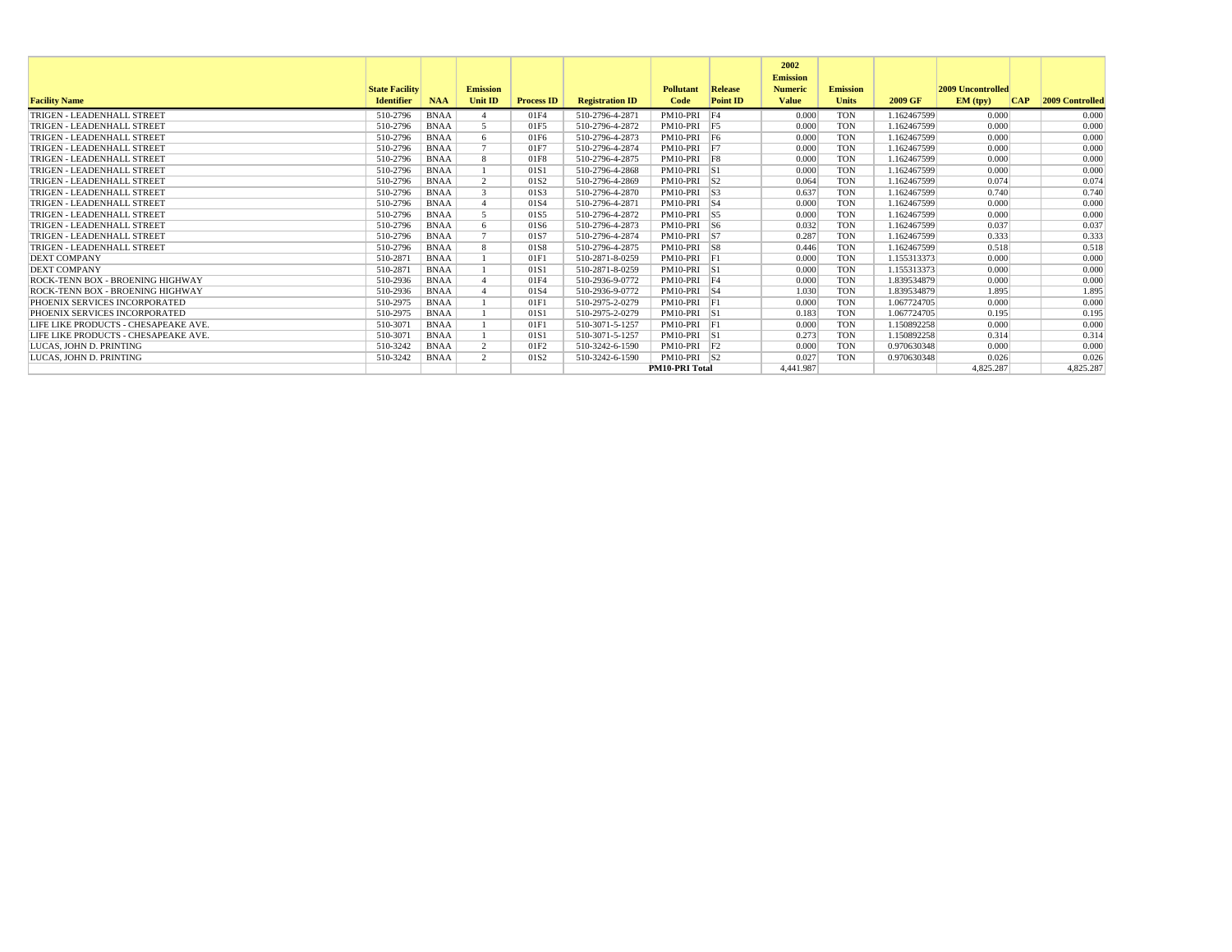|                                      |                       |             |                       |                   |                        |                       |                 | 2002<br><b>Emission</b> |                 |             |                          |            |                        |
|--------------------------------------|-----------------------|-------------|-----------------------|-------------------|------------------------|-----------------------|-----------------|-------------------------|-----------------|-------------|--------------------------|------------|------------------------|
|                                      | <b>State Facility</b> |             | <b>Emission</b>       |                   |                        | <b>Pollutant</b>      | Release         | <b>Numeric</b>          | <b>Emission</b> |             | <b>2009 Uncontrolled</b> |            |                        |
| <b>Facility Name</b>                 | <b>Identifier</b>     | <b>NAA</b>  | <b>Unit ID</b>        | <b>Process ID</b> | <b>Registration ID</b> | Code                  | <b>Point ID</b> | <b>Value</b>            | <b>Units</b>    | 2009 GF     | EM (typ)                 | <b>CAP</b> | <b>2009 Controlled</b> |
| TRIGEN - LEADENHALL STREET           | 510-2796              | <b>BNAA</b> |                       | 01F4              | 510-2796-4-2871        | PM10-PRI F4           |                 | 0.000                   | <b>TON</b>      | 1.162467599 | 0.000                    |            | 0.000                  |
| TRIGEN - LEADENHALL STREET           | 510-2796              | <b>BNAA</b> | $\leq$                | 01F5              | 510-2796-4-2872        | PM10-PRI F5           |                 | 0.000                   | <b>TON</b>      | 1.162467599 | 0.000                    |            | 0.000                  |
| TRIGEN - LEADENHALL STREET           | 510-2796              | <b>BNAA</b> | -6                    | 01F6              | 510-2796-4-2873        | PM10-PRI F6           |                 | 0.000                   | <b>TON</b>      | 1.162467599 | 0.000                    |            | 0.000                  |
| TRIGEN - LEADENHALL STREET           | 510-2796              | <b>BNAA</b> |                       | 01F7              | 510-2796-4-2874        | PM10-PRI F7           |                 | 0.000                   | <b>TON</b>      | 1.162467599 | 0.000                    |            | 0.000                  |
| TRIGEN - LEADENHALL STREET           | 510-2796              | <b>BNAA</b> | -8                    | 01F8              | 510-2796-4-2875        | PM10-PRI F8           |                 | 0.000                   | <b>TON</b>      | 1.162467599 | 0.000                    |            | 0.000                  |
| TRIGEN - LEADENHALL STREET           | 510-2796              | <b>BNAA</b> |                       | 01S1              | 510-2796-4-2868        | PM10-PRI S1           |                 | 0.000                   | <b>TON</b>      | 1.162467599 | 0.000                    |            | 0.000                  |
| TRIGEN - LEADENHALL STREET           | 510-2796              | <b>BNAA</b> | $\mathcal{D}$         | 01S <sub>2</sub>  | 510-2796-4-2869        | $PM10-PRI$ S2         |                 | 0.064                   | <b>TON</b>      | 1.162467599 | 0.074                    |            | 0.074                  |
| TRIGEN - LEADENHALL STREET           | 510-2796              | <b>BNAA</b> | $\mathcal{R}$         | 01S3              | 510-2796-4-2870        | $PM10-PRI$ S3         |                 | 0.637                   | <b>TON</b>      | 1.162467599 | 0.740                    |            | 0.740                  |
| TRIGEN - LEADENHALL STREET           | 510-2796              | <b>BNAA</b> |                       | 01S4              | 510-2796-4-2871        | PM10-PRI S4           |                 | 0.000                   | <b>TON</b>      | 1.162467599 | 0.000                    |            | 0.000                  |
| TRIGEN - LEADENHALL STREET           | 510-2796              | <b>BNAA</b> |                       | 01S5              | 510-2796-4-2872        | PM10-PRI S5           |                 | 0.000                   | <b>TON</b>      | 1.162467599 | 0.000                    |            | 0.000                  |
| TRIGEN - LEADENHALL STREET           | 510-2796              | <b>BNAA</b> | -6                    | 01S6              | 510-2796-4-2873        | $PM10-PRI$ S6         |                 | 0.032                   | <b>TON</b>      | 1.162467599 | 0.037                    |            | 0.037                  |
| TRIGEN - LEADENHALL STREET           | 510-2796              | <b>BNAA</b> |                       | 01S7              | 510-2796-4-2874        | PM10-PRI S7           |                 | 0.287                   | <b>TON</b>      | 1.162467599 | 0.333                    |            | 0.333                  |
| TRIGEN - LEADENHALL STREET           | 510-2796              | <b>BNAA</b> | $\mathbf{\mathsf{R}}$ | 01S8              | 510-2796-4-2875        | PM10-PRI S8           |                 | 0.446                   | <b>TON</b>      | 1.162467599 | 0.518                    |            | 0.518                  |
| <b>DEXT COMPANY</b>                  | 510-2871              | <b>BNAA</b> |                       | 01F1              | 510-2871-8-0259        | $PM10-PRI$ $F1$       |                 | 0.000                   | <b>TON</b>      | 1.155313373 | 0.000                    |            | 0.000                  |
| <b>DEXT COMPANY</b>                  | 510-2871              | <b>BNAA</b> |                       | 01S1              | 510-2871-8-0259        | PM10-PRI S1           |                 | 0.000                   | <b>TON</b>      | 1.155313373 | 0.000                    |            | 0.000                  |
| ROCK-TENN BOX - BROENING HIGHWAY     | 510-2936              | <b>BNAA</b> |                       | 01F4              | 510-2936-9-0772        | PM10-PRI F4           |                 | 0.000                   | <b>TON</b>      | 1.839534879 | 0.000                    |            | 0.000                  |
| ROCK-TENN BOX - BROENING HIGHWAY     | 510-2936              | <b>BNAA</b> |                       | 01S4              | 510-2936-9-0772        | PM10-PRI S4           |                 | 1.030                   | <b>TON</b>      | 1.839534879 | 1.895                    |            | 1.895                  |
| PHOENIX SERVICES INCORPORATED        | 510-2975              | <b>BNAA</b> |                       | 01F               | 510-2975-2-0279        | $PM10-PRI$ $F1$       |                 | 0.000                   | <b>TON</b>      | 1.067724705 | 0.000                    |            | 0.000                  |
| PHOENIX SERVICES INCORPORATED        | 510-2975              | <b>BNAA</b> |                       | 01S1              | 510-2975-2-0279        | PM10-PRI S1           |                 | 0.183                   | <b>TON</b>      | 1.067724705 | 0.195                    |            | 0.195                  |
| LIFE LIKE PRODUCTS - CHESAPEAKE AVE. | 510-3071              | <b>BNAA</b> |                       | 01F1              | 510-3071-5-1257        | PM10-PRI F1           |                 | 0.000                   | <b>TON</b>      | 1.150892258 | 0.000                    |            | 0.000                  |
| LIFE LIKE PRODUCTS - CHESAPEAKE AVE. | 510-3071              | <b>BNAA</b> |                       | 01S1              | 510-3071-5-1257        | PM10-PRI S1           |                 | 0.273                   | <b>TON</b>      | 1.150892258 | 0.314                    |            | 0.314                  |
| LUCAS. JOHN D. PRINTING              | 510-3242              | <b>BNAA</b> | $\overline{2}$        | 01F <sub>2</sub>  | 510-3242-6-1590        | $PM10-PRI$ $F2$       |                 | 0.000                   | <b>TON</b>      | 0.970630348 | 0.000                    |            | 0.000                  |
| LUCAS. JOHN D. PRINTING              | 510-3242              | <b>BNAA</b> | $\gamma$              | 01S <sub>2</sub>  | 510-3242-6-1590        | $PM10-PRI$ S2         |                 | 0.027                   | <b>TON</b>      | 0.970630348 | 0.026                    |            | 0.026                  |
|                                      |                       |             |                       |                   |                        | <b>PM10-PRI Total</b> |                 | 4.441.987               |                 |             | 4.825.287                |            | 4,825.287              |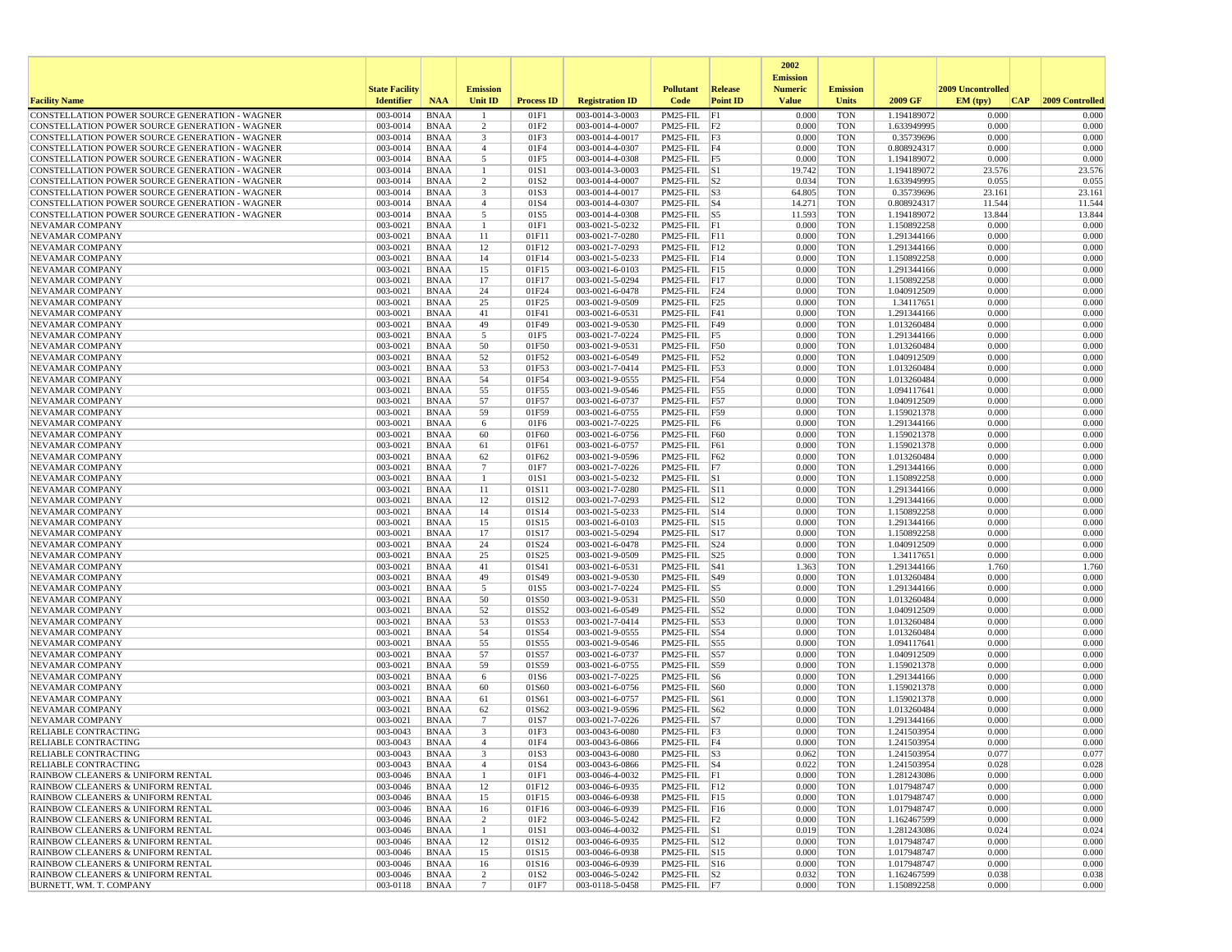|                                                                                                  |                       |                            |                                |                   |                                    |                                      |                 | 2002                              |                          |                            |                   |                 |
|--------------------------------------------------------------------------------------------------|-----------------------|----------------------------|--------------------------------|-------------------|------------------------------------|--------------------------------------|-----------------|-----------------------------------|--------------------------|----------------------------|-------------------|-----------------|
|                                                                                                  | <b>State Facility</b> |                            | <b>Emission</b>                |                   |                                    | <b>Pollutant</b>                     | Release         | <b>Emission</b><br><b>Numeric</b> | <b>Emission</b>          |                            | 2009 Uncontrolled |                 |
| <b>Facility Name</b>                                                                             | <b>Identifier</b>     | <b>NAA</b>                 | Unit ID                        | <b>Process ID</b> | <b>Registration ID</b>             | Code                                 | <b>Point ID</b> | <b>Value</b>                      | <b>Units</b>             | 2009 GF                    | EM (typ)<br> CAP  | 2009 Controlled |
| CONSTELLATION POWER SOURCE GENERATION - WAGNER                                                   | 003-0014              | <b>BNAA</b>                |                                | 01F1              | 003-0014-3-0003                    | PM25-FIL                             | F1              | 0.000                             | <b>TON</b>               | 1.194189072                | 0.000             | 0.000           |
| CONSTELLATION POWER SOURCE GENERATION - WAGNER                                                   | 003-0014              | <b>BNAA</b>                | 2                              | 01F2              | 003-0014-4-0007                    | $PM25$ -FIL $ F2$                    |                 | 0.000                             | <b>TON</b>               | 1.633949995                | 0.000             | 0.000           |
| CONSTELLATION POWER SOURCE GENERATION - WAGNER                                                   | 003-0014              | <b>BNAA</b>                | $\overline{\mathbf{3}}$        | 01F3              | 003-0014-4-0017                    | $PM25$ -FIL $ F3$                    |                 | 0.000                             | <b>TON</b>               | 0.35739696                 | 0.000             | 0.000           |
| CONSTELLATION POWER SOURCE GENERATION - WAGNER                                                   | 003-0014              | <b>BNAA</b>                | $\overline{4}$                 | 01F4              | 003-0014-4-0307                    | $PM25$ -FIL F4                       |                 | 0.000                             | <b>TON</b>               | 0.808924317                | 0.000             | 0.000           |
| CONSTELLATION POWER SOURCE GENERATION - WAGNER<br>CONSTELLATION POWER SOURCE GENERATION - WAGNER | 003-0014<br>003-0014  | <b>BNAA</b><br><b>BNAA</b> | 5<br>-1                        | 01F5<br>01S1      | 003-0014-4-0308<br>003-0014-3-0003 | PM25-FIL F5<br>$PM25$ -FIL $ S1 $    |                 | 0.000<br>19.742                   | <b>TON</b><br><b>TON</b> | 1.194189072<br>1.194189072 | 0.000<br>23.576   | 0.000<br>23.576 |
| CONSTELLATION POWER SOURCE GENERATION - WAGNER                                                   | 003-0014              | <b>BNAA</b>                | 2                              | 01S <sub>2</sub>  | 003-0014-4-0007                    | $PM25$ -FIL $ S2$                    |                 | 0.034                             | <b>TON</b>               | 1.633949995                | 0.055             | 0.055           |
| CONSTELLATION POWER SOURCE GENERATION - WAGNER                                                   | 003-0014              | <b>BNAA</b>                | 3                              | 01S3              | 003-0014-4-0017                    | $PM25$ -FIL $ S3$                    |                 | 64.805                            | <b>TON</b>               | 0.35739696                 | 23.161            | 23.161          |
| CONSTELLATION POWER SOURCE GENERATION - WAGNER                                                   | 003-0014              | <b>BNAA</b>                | $\overline{4}$                 | 01S4              | 003-0014-4-0307                    | $PM25$ -FIL $ S4$                    |                 | 14.271                            | <b>TON</b>               | 0.808924317                | 11.544            | 11.544          |
| CONSTELLATION POWER SOURCE GENERATION - WAGNER                                                   | 003-0014              | <b>BNAA</b>                | 5                              | 01S5              | 003-0014-4-0308                    | $PM25$ -FIL $ S5$                    |                 | 11.593                            | <b>TON</b>               | 1.194189072                | 13.844            | 13.844          |
| <b>NEVAMAR COMPANY</b>                                                                           | 003-0021              | <b>BNAA</b>                | $\mathbf{1}$                   | 01F1              | 003-0021-5-0232                    | PM25-FIL F1                          |                 | 0.000                             | <b>TON</b>               | 1.150892258                | 0.000             | 0.000           |
| <b>NEVAMAR COMPANY</b>                                                                           | 003-0021              | <b>BNAA</b>                | 11                             | 01F11             | 003-0021-7-0280                    | $PM25$ -FIL F11                      |                 | 0.000                             | <b>TON</b>               | 1.291344166                | 0.000             | 0.000           |
| <b>NEVAMAR COMPANY</b>                                                                           | 003-0021              | <b>BNAA</b>                | 12                             | 01F12             | 003-0021-7-0293                    | PM25-FIL F12                         |                 | 0.000                             | <b>TON</b>               | 1.291344166                | 0.000             | 0.000           |
| NEVAMAR COMPANY                                                                                  | 003-0021              | <b>BNAA</b>                | 14                             | 01F14             | 003-0021-5-0233                    | $PM25$ -FIL $ F14$                   |                 | 0.000                             | <b>TON</b>               | 1.150892258                | 0.000             | 0.000           |
| NEVAMAR COMPANY<br>NEVAMAR COMPANY                                                               | 003-0021<br>003-0021  | <b>BNAA</b><br><b>BNAA</b> | 15<br>17                       | 01F15<br>01F17    | 003-0021-6-0103<br>003-0021-5-0294 | PM25-FIL F15<br>$PM25-FIL$ F17       |                 | 0.000<br>0.000                    | <b>TON</b><br><b>TON</b> | 1.291344166<br>1.150892258 | 0.000<br>0.000    | 0.000<br>0.000  |
| NEVAMAR COMPANY                                                                                  | 003-0021              | <b>BNAA</b>                | 24                             | 01F24             | 003-0021-6-0478                    | PM25-FIL F24                         |                 | 0.000                             | <b>TON</b>               | 1.040912509                | 0.000             | 0.000           |
| NEVAMAR COMPANY                                                                                  | 003-0021              | <b>BNAA</b>                | 25                             | 01F25             | 003-0021-9-0509                    | PM25-FIL F25                         |                 | 0.000                             | <b>TON</b>               | 1.34117651                 | 0.000             | 0.000           |
| NEVAMAR COMPANY                                                                                  | 003-0021              | <b>BNAA</b>                | 41                             | 01F41             | 003-0021-6-0531                    | $PM25$ -FIL $ F41$                   |                 | 0.000                             | <b>TON</b>               | 1.291344166                | 0.000             | 0.000           |
| NEVAMAR COMPANY                                                                                  | 003-0021              | <b>BNAA</b>                | 49                             | 01F49             | 003-0021-9-0530                    | PM25-FIL F49                         |                 | 0.000                             | <b>TON</b>               | 1.013260484                | 0.000             | 0.000           |
| NEVAMAR COMPANY                                                                                  | 003-0021              | <b>BNAA</b>                | 5                              | 01F5              | 003-0021-7-0224                    | PM25-FIL F5                          |                 | 0.000                             | <b>TON</b>               | 1.291344166                | 0.000             | 0.000           |
| NEVAMAR COMPANY                                                                                  | 003-0021              | <b>BNAA</b>                | 50                             | 01F50             | 003-0021-9-0531                    | PM25-FIL F50                         |                 | 0.000                             | <b>TON</b>               | 1.013260484                | 0.000             | 0.000           |
| NEVAMAR COMPANY                                                                                  | 003-0021              | <b>BNAA</b>                | 52                             | 01F52             | 003-0021-6-0549                    | $PM25-FIL$ F52                       |                 | 0.000                             | <b>TON</b>               | 1.040912509                | 0.000             | 0.000           |
| NEVAMAR COMPANY                                                                                  | 003-0021              | <b>BNAA</b>                | 53                             | 01F53             | 003-0021-7-0414                    | PM25-FIL F53                         |                 | 0.000                             | <b>TON</b>               | 1.013260484                | 0.000             | 0.000           |
| NEVAMAR COMPANY                                                                                  | 003-0021              | <b>BNAA</b>                | 54                             | 01F54             | 003-0021-9-0555                    | PM25-FIL F54                         |                 | 0.000                             | <b>TON</b>               | 1.013260484                | 0.000             | 0.000           |
| <b>NEVAMAR COMPANY</b>                                                                           | 003-0021              | <b>BNAA</b>                | 55                             | 01F55             | 003-0021-9-0546                    | PM25-FIL F55                         |                 | 0.000                             | <b>TON</b>               | 1.094117641                | 0.000             | 0.000           |
| NEVAMAR COMPANY<br>NEVAMAR COMPANY                                                               | 003-0021<br>003-0021  | <b>BNAA</b><br><b>BNAA</b> | 57<br>59                       | 01F57<br>01F59    | 003-0021-6-0737<br>003-0021-6-0755 | PM25-FIL F57<br>PM25-FIL F59         |                 | 0.000<br>0.000                    | <b>TON</b><br><b>TON</b> | 1.040912509                | 0.000<br>0.000    | 0.000<br>0.000  |
| NEVAMAR COMPANY                                                                                  | 003-0021              | <b>BNAA</b>                | 6                              | 01F6              | 003-0021-7-0225                    | PM25-FIL F6                          |                 | 0.000                             | <b>TON</b>               | 1.159021378<br>1.291344166 | 0.000             | 0.000           |
| NEVAMAR COMPANY                                                                                  | 003-0021              | <b>BNAA</b>                | 60                             | 01F60             | 003-0021-6-0756                    | $PM25$ -FIL $F60$                    |                 | 0.000                             | <b>TON</b>               | 1.159021378                | 0.000             | 0.000           |
| <b>NEVAMAR COMPANY</b>                                                                           | 003-0021              | <b>BNAA</b>                | 61                             | 01F61             | 003-0021-6-0757                    | PM25-FIL                             | F61             | 0.000                             | <b>TON</b>               | 1.159021378                | 0.000             | 0.000           |
| NEVAMAR COMPANY                                                                                  | 003-0021              | <b>BNAA</b>                | 62                             | 01F62             | 003-0021-9-0596                    | PM25-FIL F62                         |                 | 0.000                             | <b>TON</b>               | 1.013260484                | 0.000             | 0.000           |
| NEVAMAR COMPANY                                                                                  | 003-0021              | <b>BNAA</b>                | 7                              | 01F7              | 003-0021-7-0226                    | PM25-FIL F7                          |                 | 0.000                             | <b>TON</b>               | 1.291344166                | 0.000             | 0.000           |
| NEVAMAR COMPANY                                                                                  | 003-0021              | <b>BNAA</b>                | -1                             | 01S1              | 003-0021-5-0232                    | $PM25$ -FIL $ S1$                    |                 | 0.000                             | <b>TON</b>               | 1.150892258                | 0.000             | 0.000           |
| <b>NEVAMAR COMPANY</b>                                                                           | 003-0021              | <b>BNAA</b>                | 11                             | 01S11             | 003-0021-7-0280                    | PM25-FIL S11                         |                 | 0.000                             | <b>TON</b>               | 1.291344166                | 0.000             | 0.000           |
| NEVAMAR COMPANY                                                                                  | 003-0021              | <b>BNAA</b>                | 12                             | 01S12             | 003-0021-7-0293                    | PM25-FIL S12                         |                 | 0.000                             | <b>TON</b>               | 1.291344166                | 0.000             | 0.000           |
| NEVAMAR COMPANY                                                                                  | 003-0021              | <b>BNAA</b>                | 14                             | 01S14             | 003-0021-5-0233                    | $PM25$ -FIL $ S14$                   |                 | 0.000                             | <b>TON</b>               | 1.150892258                | 0.000             | 0.000           |
| NEVAMAR COMPANY                                                                                  | 003-0021<br>003-0021  | <b>BNAA</b><br><b>BNAA</b> | 15                             | 01S15             | 003-0021-6-0103                    | PM25-FIL S15                         |                 | 0.000<br>0.000                    | <b>TON</b><br><b>TON</b> | 1.291344166                | 0.000<br>0.000    | 0.000<br>0.000  |
| NEVAMAR COMPANY<br>NEVAMAR COMPANY                                                               | 003-0021              | <b>BNAA</b>                | 17<br>24                       | 01S17<br>01S24    | 003-0021-5-0294<br>003-0021-6-0478 | PM25-FIL S17<br>$PM25$ -FIL $ S24$   |                 | 0.000                             | <b>TON</b>               | 1.150892258<br>1.040912509 | 0.000             | 0.000           |
| NEVAMAR COMPANY                                                                                  | 003-0021              | <b>BNAA</b>                | 25                             | 01S25             | 003-0021-9-0509                    | $PM25$ -FIL $ S25$                   |                 | 0.000                             | <b>TON</b>               | 1.34117651                 | 0.000             | 0.000           |
| NEVAMAR COMPANY                                                                                  | 003-0021              | <b>BNAA</b>                | 41                             | 01S41             | 003-0021-6-0531                    | PM25-FIL                             | S41             | 1.363                             | <b>TON</b>               | 1.291344166                | 1.760             | 1.760           |
| NEVAMAR COMPANY                                                                                  | 003-0021              | <b>BNAA</b>                | 49                             | 01S49             | 003-0021-9-0530                    | PM25-FIL                             | S49             | 0.000                             | <b>TON</b>               | 1.013260484                | 0.000             | 0.000           |
| NEVAMAR COMPANY                                                                                  | 003-0021              | <b>BNAA</b>                | 5                              | 01S5              | 003-0021-7-0224                    | $PM25$ -FIL $ S5$                    |                 | 0.000                             | <b>TON</b>               | 1.291344166                | 0.000             | 0.000           |
| NEVAMAR COMPANY                                                                                  | 003-0021              | <b>BNAA</b>                | 50                             | 01S50             | 003-0021-9-0531                    | PM25-FIL S50                         |                 | 0.000                             | <b>TON</b>               | 1.013260484                | 0.000             | 0.000           |
| NEVAMAR COMPANY                                                                                  | 003-0021              | <b>BNAA</b>                | 52                             | 01S52             | 003-0021-6-0549                    | PM25-FIL S52                         |                 | 0.000                             | <b>TON</b>               | 1.040912509                | 0.000             | 0.000           |
| NEVAMAR COMPANY                                                                                  | 003-0021              | <b>BNAA</b>                | 53                             | 01S53             | 003-0021-7-0414                    | PM25-FIL                             | S53             | 0.000                             | <b>TON</b>               | 1.013260484                | 0.000             | 0.000           |
| NEVAMAR COMPANY                                                                                  | 003-0021              | <b>BNAA</b>                | 54                             | 01S54             | 003-0021-9-0555                    | PM25-FIL                             | S54             | 0.000                             | <b>TON</b>               | 1.013260484                | 0.000             | 0.000           |
| NEVAMAR COMPANY<br>NEVAMAR COMPANY                                                               | 003-0021<br>003-0021  | <b>BNAA</b><br><b>BNAA</b> | 55<br>57                       | 01S55<br>01S57    | 003-0021-9-0546<br>003-0021-6-0737 | PM25-FIL S55<br>PM25-FIL S57         |                 | 0.000<br>0.000                    | <b>TON</b><br><b>TON</b> | 1.094117641<br>1.040912509 | 0.000<br>0.000    | 0.000<br>0.000  |
| NEVAMAR COMPANY                                                                                  | 003-0021              | <b>BNAA</b>                | 59                             | 01S59             | 003-0021-6-0755                    | PM25-FIL S59                         |                 | 0.000                             | <b>TON</b>               | 1.159021378                | 0.000             | 0.000           |
| NEVAMAR COMPANY                                                                                  | 003-0021              | <b>BNAA</b>                | 6                              | 01S6              | 003-0021-7-0225                    | $PM25$ -FIL $ S6$                    |                 | 0.000                             | <b>TON</b>               | 1.291344166                | 0.000             | 0.000           |
| NEVAMAR COMPANY                                                                                  | 003-0021              | <b>BNAA</b>                | 60                             | 01S60             | 003-0021-6-0756                    | PM25-FIL                             | S60             | 0.000                             | <b>TON</b>               | 1.159021378                | 0.000             | 0.000           |
| NEVAMAR COMPANY                                                                                  | 003-0021              | <b>BNAA</b>                | 61                             | 01S61             | 003-0021-6-0757                    | $PM25$ -FIL $ S61$                   |                 | 0.000                             | <b>TON</b>               | 1.159021378                | 0.000             | 0.000           |
| <b>NEVAMAR COMPANY</b>                                                                           | 003-0021              | <b>BNAA</b>                | 62                             | 01S62             | 003-0021-9-0596                    | $PM25$ -FIL $ S62$                   |                 | 0.000                             | <b>TON</b>               | 1.013260484                | 0.000             | 0.000           |
| <b>NEVAMAR COMPANY</b>                                                                           | 003-0021              | <b>BNAA</b>                | $7\phantom{.0}$                | 01S7              | 003-0021-7-0226                    | $PM25$ -FIL $ S7 $                   |                 | 0.000                             | <b>TON</b>               | 1.291344166                | 0.000             | 0.000           |
| RELIABLE CONTRACTING                                                                             | 003-0043              | <b>BNAA</b>                | 3                              | 01F3              | 003-0043-6-0080                    | PM25-FIL F3                          |                 | 0.000                             | <b>TON</b>               | 1.241503954                | 0.000             | 0.000           |
| <b>RELIABLE CONTRACTING</b>                                                                      | 003-0043              | <b>BNAA</b>                | $\mathbf{A}$                   | 01F4              | 003-0043-6-0866                    | PM25-FIL F4                          |                 | 0.000                             | <b>TON</b>               | 1.241503954                | 0.000             | 0.000           |
| RELIABLE CONTRACTING                                                                             | 003-0043              | BNAA                       |                                | 01S3              | 003-0043-6-0080                    | $PM25-FIL$ $ S3$                     |                 | 0.062                             | TON                      | 1.241503954                | 0.077             | 0.077           |
| <b>RELIABLE CONTRACTING</b>                                                                      | 003-0043<br>003-0046  | BNAA<br>BNAA               | $\overline{4}$<br>$\mathbf{1}$ | 01S4<br>01F1      | 003-0043-6-0866<br>003-0046-4-0032 | $PM25$ -FIL $ S4$<br>$PM25-FIL$ $F1$ |                 | 0.022<br>0.000                    | <b>TON</b><br><b>TON</b> | 1.241503954<br>1.281243086 | 0.028<br>0.000    | 0.028<br>0.000  |
| RAINBOW CLEANERS & UNIFORM RENTAL<br>RAINBOW CLEANERS & UNIFORM RENTAL                           | 003-0046              | BNAA                       | 12                             | 01F12             | 003-0046-6-0935                    | PM25-FIL F12                         |                 | 0.000                             | TON                      | 1.017948747                | 0.000             | 0.000           |
| RAINBOW CLEANERS & UNIFORM RENTAL                                                                | 003-0046              | BNAA                       | 15                             | 01F15             | 003-0046-6-0938                    | PM25-FIL F15                         |                 | 0.000                             | <b>TON</b>               | 1.017948747                | 0.000             | 0.000           |
| RAINBOW CLEANERS & UNIFORM RENTAL                                                                | 003-0046              | <b>BNAA</b>                | 16                             | 01F16             | 003-0046-6-0939                    | PM25-FIL F16                         |                 | 0.000                             | <b>TON</b>               | 1.017948747                | 0.000             | 0.000           |
| RAINBOW CLEANERS & UNIFORM RENTAL                                                                | 003-0046              | <b>BNAA</b>                | $\overline{2}$                 | 01F2              | 003-0046-5-0242                    | $PM25$ -FIL $ F2 $                   |                 | 0.000                             | <b>TON</b>               | 1.162467599                | 0.000             | 0.000           |
| RAINBOW CLEANERS & UNIFORM RENTAL                                                                | 003-0046              | BNAA                       | -1                             | 01S1              | 003-0046-4-0032                    | $PM25$ -FIL $ S1$                    |                 | 0.019                             | <b>TON</b>               | 1.281243086                | 0.024             | 0.024           |
| RAINBOW CLEANERS & UNIFORM RENTAL                                                                | 003-0046              | <b>BNAA</b>                | 12                             | 01S12             | 003-0046-6-0935                    | PM25-FIL S12                         |                 | 0.000                             | <b>TON</b>               | 1.017948747                | 0.000             | 0.000           |
| RAINBOW CLEANERS & UNIFORM RENTAL                                                                | 003-0046              | BNAA                       | 15                             | 01S15             | 003-0046-6-0938                    | PM25-FIL S15                         |                 | 0.000                             | <b>TON</b>               | 1.017948747                | 0.000             | 0.000           |
| RAINBOW CLEANERS & UNIFORM RENTAL                                                                | 003-0046              | BNAA                       | 16                             | 01S16             | 003-0046-6-0939                    | PM25-FIL S16                         |                 | 0.000                             | TON                      | 1.017948747                | 0.000             | 0.000           |
| RAINBOW CLEANERS & UNIFORM RENTAL                                                                | 003-0046              | <b>BNAA</b>                | $\overline{c}$                 | 01S2              | 003-0046-5-0242                    | $PM25$ -FIL $ S2 $                   |                 | 0.032                             | <b>TON</b>               | 1.162467599                | 0.038             | 0.038           |
| BURNETT, WM. T. COMPANY                                                                          | 003-0118              | BNAA                       | $7\phantom{.0}$                | 01F7              | 003-0118-5-0458                    | $PM25-FIL$ F7                        |                 | 0.000                             | TON                      | 1.150892258                | 0.000             | 0.000           |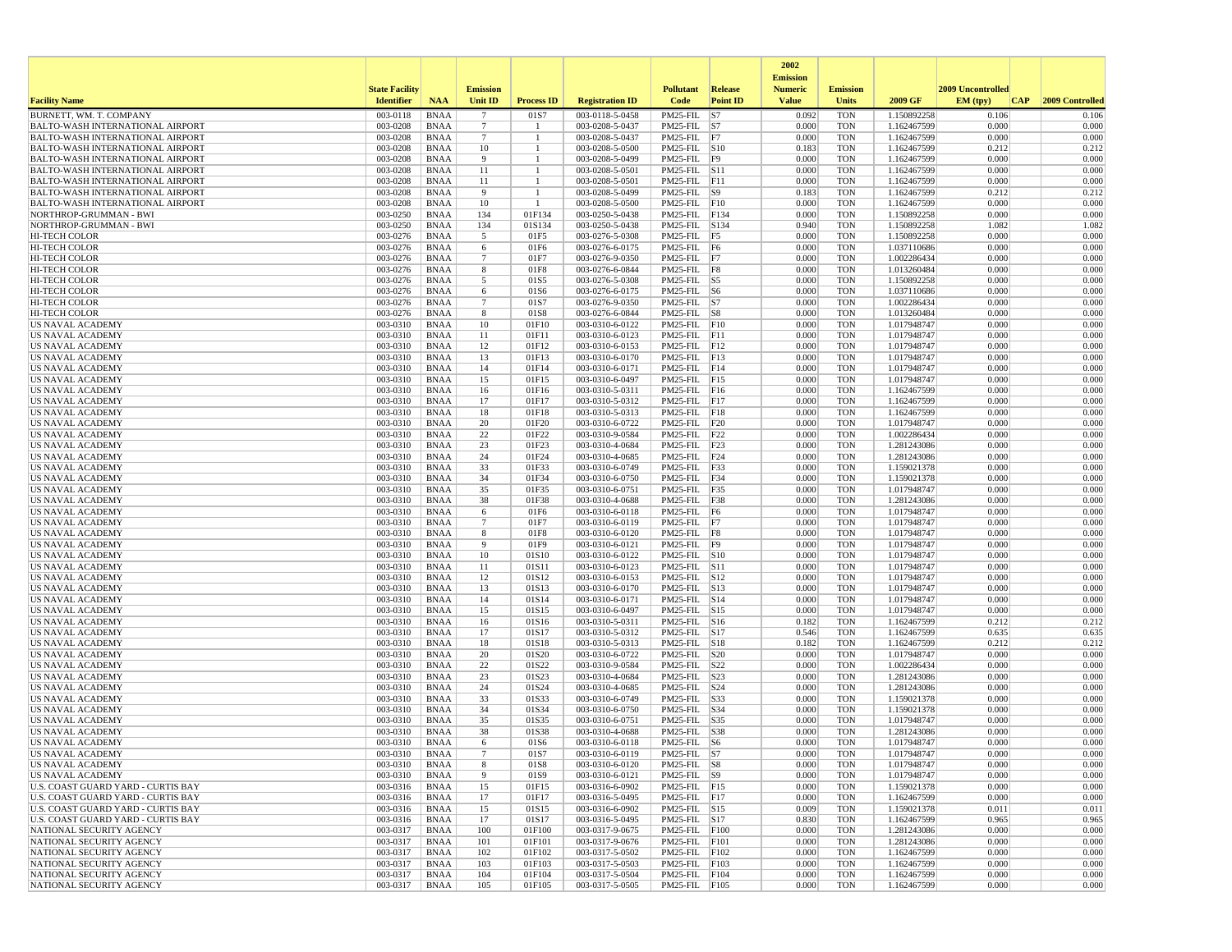|                                                                                    |                       |                            |                       |                      |                                    |                                         |                 | 2002                              |                          |                            |                   |                 |
|------------------------------------------------------------------------------------|-----------------------|----------------------------|-----------------------|----------------------|------------------------------------|-----------------------------------------|-----------------|-----------------------------------|--------------------------|----------------------------|-------------------|-----------------|
|                                                                                    | <b>State Facility</b> |                            | <b>Emission</b>       |                      |                                    | <b>Pollutant</b>                        | Release         | <b>Emission</b><br><b>Numeric</b> | <b>Emission</b>          |                            | 2009 Uncontrolled |                 |
| <b>Facility Name</b>                                                               | <b>Identifier</b>     | <b>NAA</b>                 | Unit ID               | <b>Process ID</b>    | <b>Registration ID</b>             | Code                                    | <b>Point ID</b> | <b>Value</b>                      | <b>Units</b>             | 2009 GF                    | EM (typ)<br> CAP  | 2009 Controlled |
| BURNETT, WM. T. COMPANY                                                            | 003-0118              | <b>BNAA</b>                | $\overline{7}$        | 01S7                 | 003-0118-5-0458                    | $PM25-FIL$ S7                           |                 | 0.092                             | <b>TON</b>               | 1.150892258                | 0.106             | 0.106           |
| <b>BALTO-WASH INTERNATIONAL AIRPORT</b>                                            | 003-0208              | <b>BNAA</b>                | -7                    | -1                   | 003-0208-5-0437                    | $PM25$ -FIL $ S7 $                      |                 | 0.000                             | <b>TON</b>               | 1.162467599                | 0.000             | 0.000           |
| <b>BALTO-WASH INTERNATIONAL AIRPORT</b><br><b>BALTO-WASH INTERNATIONAL AIRPORT</b> | 003-0208<br>003-0208  | <b>BNAA</b><br><b>BNAA</b> | $7\phantom{.0}$<br>10 | $\overline{1}$<br>-1 | 003-0208-5-0437<br>003-0208-5-0500 | $PM25-FIL$ F7<br>PM25-FIL S10           |                 | 0.000<br>0.183                    | <b>TON</b><br><b>TON</b> | 1.162467599<br>1.162467599 | 0.000<br>0.212    | 0.000<br>0.212  |
| <b>BALTO-WASH INTERNATIONAL AIRPORT</b>                                            | 003-0208              | <b>BNAA</b>                | 9                     |                      | 003-0208-5-0499                    | PM25-FIL F9                             |                 | 0.000                             | <b>TON</b>               | 1.162467599                | 0.000             | 0.000           |
| <b>BALTO-WASH INTERNATIONAL AIRPORT</b>                                            | 003-0208              | <b>BNAA</b>                | 11                    |                      | 003-0208-5-0501                    | $PM25$ -FIL $ S11$                      |                 | 0.000                             | <b>TON</b>               | 1.162467599                | 0.000             | 0.000           |
| <b>BALTO-WASH INTERNATIONAL AIRPORT</b>                                            | 003-0208              | <b>BNAA</b>                | 11                    | -1                   | 003-0208-5-0501                    | PM25-FIL F11                            |                 | 0.000                             | <b>TON</b>               | 1.162467599                | 0.000             | 0.000           |
| <b>BALTO-WASH INTERNATIONAL AIRPORT</b>                                            | 003-0208              | <b>BNAA</b>                | 9                     | -1                   | 003-0208-5-0499                    | $PM25-FIL$ S9                           |                 | 0.183                             | <b>TON</b>               | 1.162467599                | 0.212             | 0.212           |
| <b>BALTO-WASH INTERNATIONAL AIRPORT</b>                                            | 003-0208              | <b>BNAA</b>                | 10                    | -1                   | 003-0208-5-0500                    | PM25-FIL F10                            |                 | 0.000                             | <b>TON</b>               | 1.162467599                | 0.000             | 0.000           |
| NORTHROP-GRUMMAN - BWI                                                             | 003-0250              | <b>BNAA</b>                | 134                   | 01F134               | 003-0250-5-0438                    | PM25-FIL F134                           |                 | 0.000                             | <b>TON</b>               | 1.150892258                | 0.000             | 0.000           |
| NORTHROP-GRUMMAN - BWI                                                             | 003-0250<br>003-0276  | <b>BNAA</b>                | 134<br>5              | 01S134               | 003-0250-5-0438                    | PM25-FIL S134<br>$PM25-FIL$ F5          |                 | 0.940<br>0.000                    | <b>TON</b>               | 1.150892258<br>1.150892258 | 1.082<br>0.000    | 1.082<br>0.000  |
| <b>HI-TECH COLOR</b><br><b>HI-TECH COLOR</b>                                       | 003-0276              | <b>BNAA</b><br><b>BNAA</b> | 6                     | 01F5<br>01F6         | 003-0276-5-0308<br>003-0276-6-0175 | $PM25-FIL$ F6                           |                 | 0.000                             | <b>TON</b><br><b>TON</b> | 1.037110686                | 0.000             | 0.000           |
| HI-TECH COLOR                                                                      | 003-0276              | <b>BNAA</b>                | $7\phantom{.0}$       | 01F7                 | 003-0276-9-0350                    | $PM25$ -FIL $ F7 $                      |                 | 0.000                             | <b>TON</b>               | 1.002286434                | 0.000             | 0.000           |
| <b>HI-TECH COLOR</b>                                                               | 003-0276              | <b>BNAA</b>                | 8                     | 01F8                 | 003-0276-6-0844                    | PM25-FIL F8                             |                 | 0.000                             | <b>TON</b>               | 1.013260484                | 0.000             | 0.000           |
| HI-TECH COLOR                                                                      | 003-0276              | <b>BNAA</b>                | 5                     | 01S5                 | 003-0276-5-0308                    | PM25-FIL S5                             |                 | 0.000                             | <b>TON</b>               | 1.150892258                | 0.000             | 0.000           |
| <b>HI-TECH COLOR</b>                                                               | 003-0276              | <b>BNAA</b>                | 6                     | 01S6                 | 003-0276-6-0175                    | $PM25$ -FIL $ S6$                       |                 | 0.000                             | <b>TON</b>               | 1.037110686                | 0.000             | 0.000           |
| <b>HI-TECH COLOR</b>                                                               | 003-0276              | <b>BNAA</b>                | $\overline{7}$        | 01S7                 | 003-0276-9-0350                    | $PM25$ -FIL $ S7 $                      |                 | 0.000                             | <b>TON</b>               | 1.002286434                | 0.000             | 0.000           |
| <b>HI-TECH COLOR</b>                                                               | 003-0276              | <b>BNAA</b>                | 8                     | 01S8                 | 003-0276-6-0844                    | $PM25-FIL$ $ S8$                        |                 | 0.000<br>0.000                    | <b>TON</b><br><b>TON</b> | 1.013260484                | 0.000<br>0.000    | 0.000<br>0.000  |
| US NAVAL ACADEMY<br>US NAVAL ACADEMY                                               | 003-0310<br>003-0310  | <b>BNAA</b><br><b>BNAA</b> | 10<br>11              | 01F10<br>01F11       | 003-0310-6-0122<br>003-0310-6-0123 | PM25-FIL F10<br>PM25-FIL F11            |                 | 0.000                             | <b>TON</b>               | 1.017948747<br>1.017948747 | 0.000             | 0.000           |
| US NAVAL ACADEMY                                                                   | 003-0310              | <b>BNAA</b>                | 12                    | 01F12                | 003-0310-6-0153                    | PM25-FIL F12                            |                 | 0.000                             | <b>TON</b>               | 1.017948747                | 0.000             | 0.000           |
| <b>US NAVAL ACADEMY</b>                                                            | 003-0310              | <b>BNAA</b>                | 13                    | 01F13                | 003-0310-6-0170                    | $PM25$ -FIL F13                         |                 | 0.000                             | <b>TON</b>               | 1.017948747                | 0.000             | 0.000           |
| US NAVAL ACADEMY                                                                   | 003-0310              | <b>BNAA</b>                | 14                    | 01F14                | 003-0310-6-0171                    | $PM25$ -FIL $ F14$                      |                 | 0.000                             | <b>TON</b>               | 1.017948747                | 0.000             | 0.000           |
| US NAVAL ACADEMY                                                                   | 003-0310              | <b>BNAA</b>                | 15                    | 01F15                | 003-0310-6-0497                    | $PM25$ -FIL F15                         |                 | 0.000                             | <b>TON</b>               | 1.017948747                | 0.000             | 0.000           |
| <b>US NAVAL ACADEMY</b>                                                            | 003-0310              | <b>BNAA</b>                | 16                    | 01F16                | 003-0310-5-0311                    | $PM25$ -FIL $ F16$                      |                 | 0.000                             | <b>TON</b>               | 1.162467599                | 0.000             | 0.000           |
| US NAVAL ACADEMY                                                                   | 003-0310              | <b>BNAA</b>                | 17                    | 01F17                | 003-0310-5-0312                    | PM25-FIL F17                            |                 | 0.000                             | <b>TON</b>               | 1.162467599                | 0.000             | 0.000           |
| US NAVAL ACADEMY<br><b>US NAVAL ACADEMY</b>                                        | 003-0310<br>003-0310  | <b>BNAA</b><br><b>BNAA</b> | 18<br>20              | 01F18<br>01F20       | 003-0310-5-0313<br>003-0310-6-0722 | PM25-FIL F18<br>$PM25$ -FIL $ F20$      |                 | 0.000<br>0.000                    | <b>TON</b><br><b>TON</b> | 1.162467599<br>1.017948747 | 0.000<br>0.000    | 0.000<br>0.000  |
| US NAVAL ACADEMY                                                                   | 003-0310              | <b>BNAA</b>                | 22                    | 01F22                | 003-0310-9-0584                    | PM25-FIL F22                            |                 | 0.000                             | <b>TON</b>               | 1.002286434                | 0.000             | 0.000           |
| <b>US NAVAL ACADEMY</b>                                                            | 003-0310              | <b>BNAA</b>                | 23                    | 01F23                | 003-0310-4-0684                    | PM25-FIL                                | F23             | 0.000                             | <b>TON</b>               | 1.281243086                | 0.000             | 0.000           |
| US NAVAL ACADEMY                                                                   | 003-0310              | <b>BNAA</b>                | 24                    | 01F24                | 003-0310-4-0685                    | PM25-FIL F24                            |                 | 0.000                             | <b>TON</b>               | 1.281243086                | 0.000             | 0.000           |
| US NAVAL ACADEMY                                                                   | 003-0310              | <b>BNAA</b>                | 33                    | 01F33                | 003-0310-6-0749                    | PM25-FIL F33                            |                 | 0.000                             | <b>TON</b>               | 1.159021378                | 0.000             | 0.000           |
| <b>US NAVAL ACADEMY</b>                                                            | 003-0310              | <b>BNAA</b>                | 34                    | 01F34                | 003-0310-6-0750                    | PM25-FIL F34                            |                 | 0.000                             | <b>TON</b>               | 1.159021378                | 0.000             | 0.000           |
| US NAVAL ACADEMY                                                                   | 003-0310              | <b>BNAA</b>                | 35                    | 01F35                | 003-0310-6-0751                    | PM25-FIL F35                            |                 | 0.000                             | <b>TON</b>               | 1.017948747                | 0.000             | 0.000           |
| US NAVAL ACADEMY                                                                   | 003-0310              | <b>BNAA</b>                | 38                    | 01F38                | 003-0310-4-0688                    | PM25-FIL F38                            |                 | 0.000<br>0.000                    | <b>TON</b>               | 1.281243086                | 0.000             | 0.000<br>0.000  |
| <b>US NAVAL ACADEMY</b><br>US NAVAL ACADEMY                                        | 003-0310<br>003-0310  | <b>BNAA</b><br><b>BNAA</b> | 6<br>$\overline{7}$   | 01F6<br>01F7         | 003-0310-6-0118<br>003-0310-6-0119 | $PM25-FIL$ F6<br>$PM25$ -FIL $ F7 $     |                 | 0.000                             | <b>TON</b><br><b>TON</b> | 1.017948747<br>1.017948747 | 0.000<br>0.000    | 0.000           |
| US NAVAL ACADEMY                                                                   | 003-0310              | <b>BNAA</b>                | 8                     | 01F8                 | 003-0310-6-0120                    | $PM25-FIL$ F8                           |                 | 0.000                             | <b>TON</b>               | 1.017948747                | 0.000             | 0.000           |
| <b>US NAVAL ACADEMY</b>                                                            | 003-0310              | <b>BNAA</b>                | 9                     | 01F9                 | 003-0310-6-0121                    | PM25-FIL F9                             |                 | 0.000                             | <b>TON</b>               | 1.017948747                | 0.000             | 0.000           |
| US NAVAL ACADEMY                                                                   | 003-0310              | <b>BNAA</b>                | 10                    | 01S10                | 003-0310-6-0122                    | PM25-FIL S10                            |                 | 0.000                             | <b>TON</b>               | 1.017948747                | 0.000             | 0.000           |
| US NAVAL ACADEMY                                                                   | 003-0310              | <b>BNAA</b>                | 11                    | 01S11                | 003-0310-6-0123                    | PM25-FIL S11                            |                 | 0.000                             | <b>TON</b>               | 1.017948747                | 0.000             | 0.000           |
| <b>US NAVAL ACADEMY</b>                                                            | 003-0310              | <b>BNAA</b>                | 12                    | 01S12                | 003-0310-6-0153                    | PM25-FIL S12                            |                 | 0.000                             | <b>TON</b>               | 1.017948747                | 0.000             | 0.000           |
| US NAVAL ACADEMY                                                                   | 003-0310<br>003-0310  | <b>BNAA</b>                | 13<br>14              | 01S13                | 003-0310-6-0170                    | $PM25$ -FIL $ S13$<br>$PM25$ -FIL $S14$ |                 | 0.000<br>0.000                    | <b>TON</b>               | 1.017948747                | 0.000<br>0.000    | 0.000<br>0.000  |
| US NAVAL ACADEMY<br>US NAVAL ACADEMY                                               | 003-0310              | <b>BNAA</b><br><b>BNAA</b> | 15                    | 01S14<br>01S15       | 003-0310-6-0171<br>003-0310-6-0497 | PM25-FIL S15                            |                 | 0.000                             | <b>TON</b><br><b>TON</b> | 1.017948747<br>1.017948747 | 0.000             | 0.000           |
| US NAVAL ACADEMY                                                                   | 003-0310              | <b>BNAA</b>                | 16                    | 01S16                | 003-0310-5-0311                    | PM25-FIL S16                            |                 | 0.182                             | <b>TON</b>               | 1.162467599                | 0.212             | 0.212           |
| <b>US NAVAL ACADEMY</b>                                                            | 003-0310              | <b>BNAA</b>                | 17                    | 01S17                | 003-0310-5-0312                    | PM25-FIL S17                            |                 | 0.546                             | <b>TON</b>               | 1.162467599                | 0.635             | 0.635           |
| US NAVAL ACADEMY                                                                   | 003-0310              | <b>BNAA</b>                | 18                    | 01S18                | 003-0310-5-0313                    | PM25-FIL S18                            |                 | 0.182                             | <b>TON</b>               | 1.162467599                | 0.212             | 0.212           |
| US NAVAL ACADEMY                                                                   | 003-0310              | <b>BNAA</b>                | 20                    | 01S20                | 003-0310-6-0722                    | PM25-FIL S20                            |                 | 0.000                             | <b>TON</b>               | 1.017948747                | 0.000             | 0.000           |
| <b>US NAVAL ACADEMY</b>                                                            | 003-0310              | <b>BNAA</b>                | 22                    | 01S22                | 003-0310-9-0584                    | $PM25$ -FIL $ S22$                      |                 | 0.000                             | <b>TON</b>               | 1.002286434                | 0.000             | 0.000           |
| US NAVAL ACADEMY                                                                   | 003-0310<br>003-0310  | <b>BNAA</b><br><b>BNAA</b> | 23<br>24              | 01S23<br>01S24       | 003-0310-4-0684<br>003-0310-4-0685 | PM25-FIL S23<br>PM25-FIL S24            |                 | 0.000<br>0.000                    | <b>TON</b><br><b>TON</b> | 1.281243086<br>1.281243086 | 0.000<br>0.000    | 0.000<br>0.000  |
| US NAVAL ACADEMY<br><b>US NAVAL ACADEMY</b>                                        | 003-0310              | <b>BNAA</b>                | 33                    | 01S33                | 003-0310-6-0749                    | PM25-FIL S33                            |                 | 0.000                             | <b>TON</b>               | 1.159021378                | 0.000             | 0.000           |
| <b>US NAVAL ACADEMY</b>                                                            | 003-0310              | <b>BNAA</b>                | 34                    | 01S34                | 003-0310-6-0750                    | PM25-FIL S34                            |                 | 0.000                             | <b>TON</b>               | 1.159021378                | 0.000             | 0.000           |
| US NAVAL ACADEMY                                                                   | 003-0310              | <b>BNAA</b>                | 35                    | 01S35                | 003-0310-6-0751                    | PM25-FIL S35                            |                 | 0.000                             | <b>TON</b>               | 1.017948747                | 0.000             | 0.000           |
| <b>US NAVAL ACADEMY</b>                                                            | 003-0310              | <b>BNAA</b>                | 38                    | 01S38                | 003-0310-4-0688                    | PM25-FIL S38                            |                 | 0.000                             | <b>TON</b>               | 1.281243086                | 0.000             | 0.000           |
| US NAVAL ACADEMY                                                                   | 003-0310              | <b>BNAA</b>                | -6                    | 01S6                 | 003-0310-6-0118                    | $PM25$ -FIL $ S6$                       |                 | 0.000                             | <b>TON</b>               | 1.017948747                | 0.000             | 0.000           |
| US NAVAL ACADEMY                                                                   | 003-0310              | <b>BNAA</b>                |                       | 01S7                 | 003-0310-6-0119                    | $PM25$ -FIL $ S7$                       |                 | 0.000                             | TON                      | 1.017948747                | 0.000             | 0.000           |
| US NAVAL ACADEMY<br><b>US NAVAL ACADEMY</b>                                        | $003-0310$            | BNAA                       | 8<br>9                | 01S8                 | 003-0310-6-0120                    | PM25-FIL S8                             |                 | 0.000<br>0.000                    | <b>TON</b><br><b>TON</b> | 1.017948747                | 0.000<br>0.000    | 0.000<br>0.000  |
| U.S. COAST GUARD YARD - CURTIS BAY                                                 | 003-0310<br>003-0316  | <b>BNAA</b><br><b>BNAA</b> | 15                    | 01S9<br>01F15        | 003-0310-6-0121<br>003-0316-6-0902 | $PM25$ -FIL $ S9 $<br>$PM25$ -FIL F15   |                 | 0.000                             | <b>TON</b>               | 1.017948747<br>1.159021378 | 0.000             | 0.000           |
| U.S. COAST GUARD YARD - CURTIS BAY                                                 | 003-0316              | <b>BNAA</b>                | 17                    | 01F17                | 003-0316-5-0495                    | PM25-FIL F17                            |                 | 0.000                             | <b>TON</b>               | 1.162467599                | 0.000             | 0.000           |
| U.S. COAST GUARD YARD - CURTIS BAY                                                 | 003-0316              | <b>BNAA</b>                | 15                    | 01S15                | 003-0316-6-0902                    | PM25-FIL S15                            |                 | 0.009                             | <b>TON</b>               | 1.159021378                | 0.011             | 0.011           |
| U.S. COAST GUARD YARD - CURTIS BAY                                                 | 003-0316              | <b>BNAA</b>                | 17                    | 01S17                | 003-0316-5-0495                    | $PM25$ -FIL $ S17$                      |                 | 0.830                             | <b>TON</b>               | 1.162467599                | 0.965             | 0.965           |
| NATIONAL SECURITY AGENCY                                                           | 003-0317              | <b>BNAA</b>                | 100                   | 01F100               | 003-0317-9-0675                    | PM25-FIL F100                           |                 | 0.000                             | <b>TON</b>               | 1.281243086                | 0.000             | 0.000           |
| NATIONAL SECURITY AGENCY                                                           | 003-0317              | <b>BNAA</b>                | 101                   | 01F101               | 003-0317-9-0676                    | PM25-FIL F101                           |                 | 0.000                             | <b>TON</b>               | 1.281243086                | 0.000             | 0.000           |
| NATIONAL SECURITY AGENCY                                                           | 003-0317              | <b>BNAA</b>                | 102                   | 01F102               | 003-0317-5-0502                    | PM25-FIL F102                           |                 | 0.000                             | <b>TON</b>               | 1.162467599                | 0.000             | 0.000           |
| NATIONAL SECURITY AGENCY<br>NATIONAL SECURITY AGENCY                               | 003-0317<br>003-0317  | BNAA<br><b>BNAA</b>        | 103<br>104            | 01F103<br>01F104     | 003-0317-5-0503<br>003-0317-5-0504 | PM25-FIL F103<br>PM25-FIL F104          |                 | 0.000<br>0.000                    | <b>TON</b><br><b>TON</b> | 1.162467599<br>1.162467599 | 0.000<br>0.000    | 0.000<br>0.000  |
| NATIONAL SECURITY AGENCY                                                           | 003-0317              | <b>BNAA</b>                | 105                   | 01F105               | 003-0317-5-0505                    | PM25-FIL F105                           |                 | 0.000                             | <b>TON</b>               | 1.162467599                | 0.000             | 0.000           |
|                                                                                    |                       |                            |                       |                      |                                    |                                         |                 |                                   |                          |                            |                   |                 |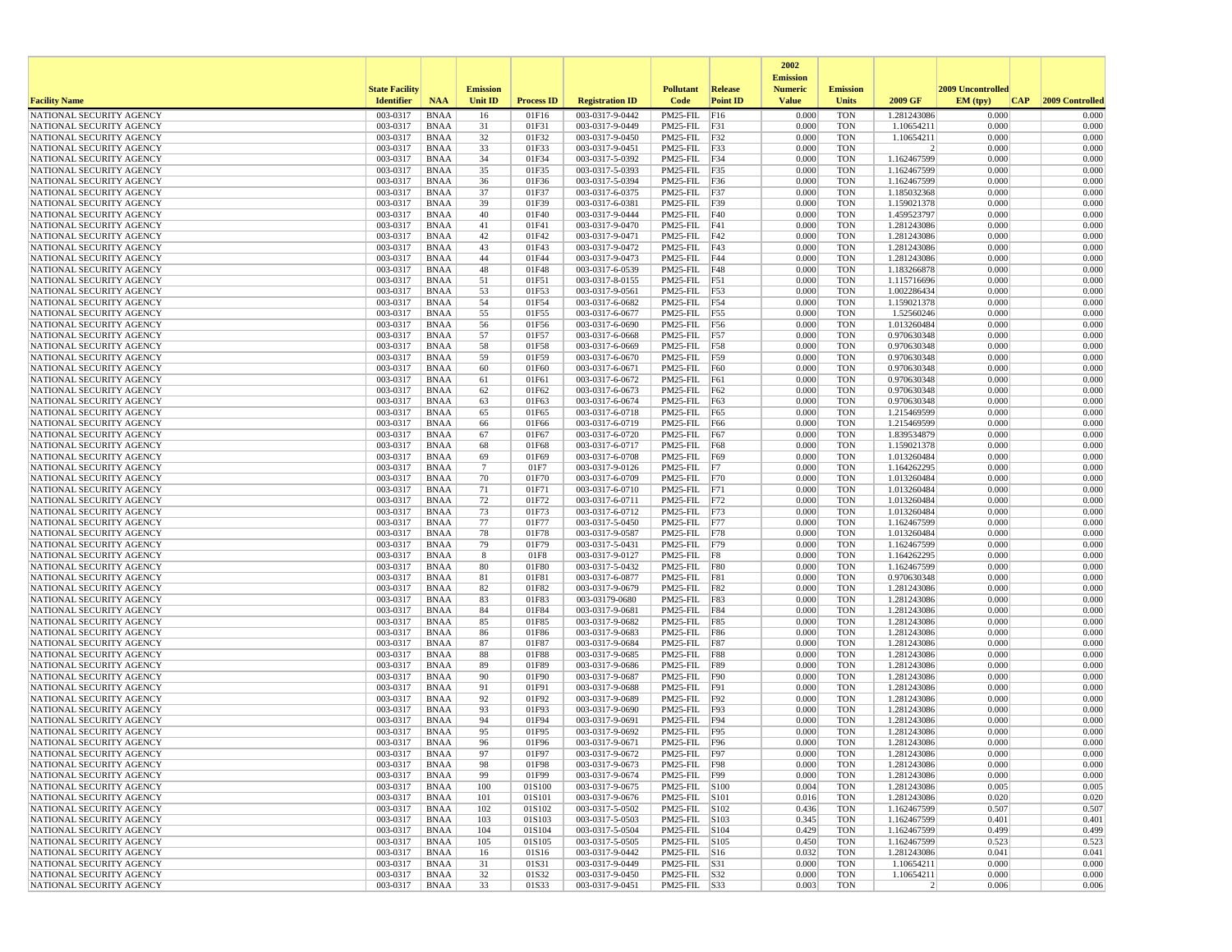|                                                      |                       |                            |                 |                   |                                    |                                   |                 | 2002                              |                          |                               |                   |                 |
|------------------------------------------------------|-----------------------|----------------------------|-----------------|-------------------|------------------------------------|-----------------------------------|-----------------|-----------------------------------|--------------------------|-------------------------------|-------------------|-----------------|
|                                                      | <b>State Facility</b> |                            | <b>Emission</b> |                   |                                    | <b>Pollutant</b>                  | <b>Release</b>  | <b>Emission</b><br><b>Numeric</b> | <b>Emission</b>          |                               | 2009 Uncontrolled |                 |
| <b>Facility Name</b>                                 | <b>Identifier</b>     | <b>NAA</b>                 | <b>Unit ID</b>  | <b>Process ID</b> | <b>Registration ID</b>             | Code                              | <b>Point ID</b> | <b>Value</b>                      | <b>Units</b>             | 2009 GF                       | EM (typ)<br> CAP  | 2009 Controlled |
| NATIONAL SECURITY AGENCY                             | 003-0317              | <b>BNAA</b>                | 16              | 01F16             | 003-0317-9-0442                    | PM25-FIL F16                      |                 | 0.000                             | <b>TON</b>               | 1.281243086                   | 0.000             | 0.000           |
| NATIONAL SECURITY AGENCY                             | 003-0317              | BNAA                       | 31              | 01F31             | 003-0317-9-0449                    | PM25-FIL F31                      |                 | 0.000                             | <b>TON</b>               | 1.10654211                    | 0.000             | 0.000           |
| NATIONAL SECURITY AGENCY                             | 003-0317              | <b>BNAA</b>                | 32              | 01F32             | 003-0317-9-0450                    | PM25-FIL F32                      |                 | 0.000                             | <b>TON</b>               | 1.10654211                    | 0.000             | 0.000           |
| NATIONAL SECURITY AGENCY                             | 003-0317<br>003-0317  | BNAA                       | 33<br>34        | 01F33<br>01F34    | 003-0317-9-0451<br>003-0317-5-0392 | PM25-FIL F33<br>PM25-FIL F34      |                 | 0.000<br>0.000                    | <b>TON</b><br><b>TON</b> | $\overline{2}$<br>1.162467599 | 0.000<br>0.000    | 0.000<br>0.000  |
| NATIONAL SECURITY AGENCY<br>NATIONAL SECURITY AGENCY | 003-0317              | <b>BNAA</b><br><b>BNAA</b> | 35              | 01F35             | 003-0317-5-0393                    | PM25-FIL F35                      |                 | 0.000                             | <b>TON</b>               | 1.162467599                   | 0.000             | 0.000           |
| NATIONAL SECURITY AGENCY                             | 003-0317              | BNAA                       | 36              | 01F36             | 003-0317-5-0394                    | PM25-FIL F36                      |                 | 0.000                             | <b>TON</b>               | 1.162467599                   | 0.000             | 0.000           |
| NATIONAL SECURITY AGENCY                             | 003-0317              | <b>BNAA</b>                | 37              | 01F37             | 003-0317-6-0375                    | $PM25-FIL$ F37                    |                 | 0.000                             | <b>TON</b>               | 1.185032368                   | 0.000             | 0.000           |
| NATIONAL SECURITY AGENCY                             | 003-0317              | <b>BNAA</b>                | 39              | 01F39             | 003-0317-6-0381                    | PM25-FIL F39                      |                 | 0.000                             | <b>TON</b>               | 1.159021378                   | 0.000             | 0.000           |
| NATIONAL SECURITY AGENCY                             | 003-0317              | <b>BNAA</b>                | 40              | 01F40             | 003-0317-9-0444                    | PM25-FIL F40                      |                 | 0.000                             | <b>TON</b>               | 1.459523797                   | 0.000             | 0.000           |
| NATIONAL SECURITY AGENCY                             | 003-0317              | BNAA                       | 41              | 01F41             | 003-0317-9-0470                    | $PM25-FIL$ $F41$                  |                 | 0.000                             | <b>TON</b>               | 1.281243086                   | 0.000             | 0.000           |
| NATIONAL SECURITY AGENCY                             | 003-0317              | <b>BNAA</b>                | 42              | 01F42             | 003-0317-9-0471                    | PM25-FIL F42                      |                 | 0.000                             | <b>TON</b>               | 1.281243086                   | 0.000             | 0.000           |
| NATIONAL SECURITY AGENCY                             | 003-0317              | <b>BNAA</b>                | 43              | 01F43             | 003-0317-9-0472                    | $PM25-FIL$ F43                    |                 | 0.000                             | <b>TON</b>               | 1.281243086                   | 0.000             | 0.000           |
| NATIONAL SECURITY AGENCY<br>NATIONAL SECURITY AGENCY | 003-0317<br>003-0317  | <b>BNAA</b><br>BNAA        | 44<br>48        | 01F44<br>01F48    | 003-0317-9-0473<br>003-0317-6-0539 | PM25-FIL F44<br>PM25-FIL F48      |                 | 0.000<br>0.000                    | <b>TON</b><br><b>TON</b> | 1.281243086<br>1.183266878    | 0.000<br>0.000    | 0.000<br>0.000  |
| NATIONAL SECURITY AGENCY                             | 003-0317              | BNAA                       | 51              | 01F51             | 003-0317-8-0155                    | $PM25-FIL$ F51                    |                 | 0.000                             | <b>TON</b>               | 1.115716696                   | 0.000             | 0.000           |
| NATIONAL SECURITY AGENCY                             | 003-0317              | <b>BNAA</b>                | 53              | 01F53             | 003-0317-9-0561                    | PM25-FIL F53                      |                 | 0.000                             | <b>TON</b>               | 1.002286434                   | 0.000             | 0.000           |
| NATIONAL SECURITY AGENCY                             | 003-0317              | BNAA                       | 54              | 01F54             | 003-0317-6-0682                    | PM25-FIL F54                      |                 | 0.000                             | <b>TON</b>               | 1.159021378                   | 0.000             | 0.000           |
| NATIONAL SECURITY AGENCY                             | 003-0317              | <b>BNAA</b>                | 55              | 01F55             | 003-0317-6-0677                    | PM25-FIL F55                      |                 | 0.000                             | <b>TON</b>               | 1.52560246                    | 0.000             | 0.000           |
| NATIONAL SECURITY AGENCY                             | 003-0317              | <b>BNAA</b>                | 56              | 01F56             | 003-0317-6-0690                    | PM25-FIL F56                      |                 | 0.000                             | <b>TON</b>               | 1.013260484                   | 0.000             | 0.000           |
| NATIONAL SECURITY AGENCY                             | 003-0317              | <b>BNAA</b>                | 57              | 01F57             | 003-0317-6-0668                    | PM25-FIL F57                      |                 | 0.000                             | <b>TON</b>               | 0.970630348                   | 0.000             | 0.000           |
| NATIONAL SECURITY AGENCY                             | 003-0317              | BNAA                       | 58              | 01F58             | 003-0317-6-0669                    | PM25-FIL F58                      |                 | 0.000                             | <b>TON</b>               | 0.970630348                   | 0.000             | 0.000           |
| NATIONAL SECURITY AGENCY                             | 003-0317              | <b>BNAA</b>                | 59              | 01F59             | 003-0317-6-0670                    | PM25-FIL F59                      |                 | 0.000                             | <b>TON</b>               | 0.970630348                   | 0.000             | 0.000           |
| NATIONAL SECURITY AGENCY<br>NATIONAL SECURITY AGENCY | 003-0317<br>003-0317  | <b>BNAA</b><br>BNAA        | 60<br>61        | 01F60<br>01F61    | 003-0317-6-0671<br>003-0317-6-0672 | PM25-FIL F60<br>$PM25$ -FIL $F61$ |                 | 0.000<br>0.000                    | <b>TON</b><br><b>TON</b> | 0.970630348<br>0.970630348    | 0.000<br>0.000    | 0.000<br>0.000  |
| NATIONAL SECURITY AGENCY                             | 003-0317              | <b>BNAA</b>                | 62              | 01F62             | 003-0317-6-0673                    | PM25-FIL F62                      |                 | 0.000                             | <b>TON</b>               | 0.970630348                   | 0.000             | 0.000           |
| NATIONAL SECURITY AGENCY                             | 003-0317              | <b>BNAA</b>                | 63              | 01F63             | 003-0317-6-0674                    | PM25-FIL F63                      |                 | 0.000                             | <b>TON</b>               | 0.970630348                   | 0.000             | 0.000           |
| NATIONAL SECURITY AGENCY                             | 003-0317              | <b>BNAA</b>                | 65              | 01F65             | 003-0317-6-0718                    | PM25-FIL F65                      |                 | 0.000                             | <b>TON</b>               | 1.215469599                   | 0.000             | 0.000           |
| NATIONAL SECURITY AGENCY                             | 003-0317              | BNAA                       | 66              | 01F66             | 003-0317-6-0719                    | PM25-FIL F66                      |                 | 0.000                             | <b>TON</b>               | 1.215469599                   | 0.000             | 0.000           |
| NATIONAL SECURITY AGENCY                             | 003-0317              | <b>BNAA</b>                | 67              | 01F67             | 003-0317-6-0720                    | PM25-FIL F67                      |                 | 0.000                             | <b>TON</b>               | 1.839534879                   | 0.000             | 0.000           |
| NATIONAL SECURITY AGENCY                             | 003-0317              | <b>BNAA</b>                | 68              | 01F68             | 003-0317-6-0717                    | PM25-FIL                          | F68             | 0.000                             | <b>TON</b>               | 1.159021378                   | 0.000             | 0.000           |
| NATIONAL SECURITY AGENCY                             | 003-0317              | BNAA                       | 69              | 01F69             | 003-0317-6-0708                    | PM25-FIL                          | F69             | 0.000                             | <b>TON</b>               | 1.013260484                   | 0.000             | 0.000           |
| NATIONAL SECURITY AGENCY                             | 003-0317              | <b>BNAA</b>                | $\overline{7}$  | 01F7              | 003-0317-9-0126                    | $PM25-FIL$ F7                     |                 | 0.000<br>0.000                    | <b>TON</b><br><b>TON</b> | 1.164262295                   | 0.000<br>0.000    | 0.000<br>0.000  |
| NATIONAL SECURITY AGENCY<br>NATIONAL SECURITY AGENCY | 003-0317<br>003-0317  | <b>BNAA</b><br>BNAA        | 70<br>71        | 01F70<br>01F71    | 003-0317-6-0709<br>003-0317-6-0710 | PM25-FIL F70<br>$PM25-FIL$ $ F71$ |                 | 0.000                             | <b>TON</b>               | 1.013260484<br>1.013260484    | 0.000             | 0.000           |
| NATIONAL SECURITY AGENCY                             | 003-0317              | BNAA                       | 72              | 01F72             | 003-0317-6-0711                    | PM25-FIL F72                      |                 | 0.000                             | <b>TON</b>               | 1.013260484                   | 0.000             | 0.000           |
| NATIONAL SECURITY AGENCY                             | 003-0317              | <b>BNAA</b>                | 73              | 01F73             | 003-0317-6-0712                    | PM25-FIL                          | F73             | 0.000                             | <b>TON</b>               | 1.013260484                   | 0.000             | 0.000           |
| NATIONAL SECURITY AGENCY                             | 003-0317              | <b>BNAA</b>                | 77              | 01F77             | 003-0317-5-0450                    | PM25-FIL F77                      |                 | 0.000                             | <b>TON</b>               | 1.162467599                   | 0.000             | 0.000           |
| NATIONAL SECURITY AGENCY                             | 003-0317              | <b>BNAA</b>                | 78              | 01F78             | 003-0317-9-0587                    | PM25-FIL F78                      |                 | 0.000                             | <b>TON</b>               | 1.013260484                   | 0.000             | 0.000           |
| NATIONAL SECURITY AGENCY                             | 003-0317              | BNAA                       | 79              | 01F79             | 003-0317-5-0431                    | PM25-FIL F79                      |                 | 0.000                             | <b>TON</b>               | 1.162467599                   | 0.000             | 0.000           |
| NATIONAL SECURITY AGENCY                             | 003-0317              | BNAA                       | 8               | 01F8              | 003-0317-9-0127                    | $PM25-FIL$ F8                     |                 | 0.000                             | <b>TON</b>               | 1.164262295                   | 0.000             | 0.000           |
| NATIONAL SECURITY AGENCY                             | 003-0317              | <b>BNAA</b>                | 80              | 01F80             | 003-0317-5-0432                    | PM25-FIL F80                      |                 | 0.000                             | <b>TON</b>               | 1.162467599                   | 0.000             | 0.000           |
| NATIONAL SECURITY AGENCY                             | 003-0317              | BNAA                       | 81<br>82        | 01F81             | 003-0317-6-0877                    | PM25-FIL F81                      |                 | 0.000                             | <b>TON</b>               | 0.970630348                   | 0.000             | 0.000           |
| NATIONAL SECURITY AGENCY<br>NATIONAL SECURITY AGENCY | 003-0317<br>003-0317  | <b>BNAA</b><br><b>BNAA</b> | 83              | 01F82<br>01F83    | 003-0317-9-0679<br>003-03179-0680  | PM25-FIL F82<br>PM25-FIL F83      |                 | 0.000<br>0.000                    | <b>TON</b><br><b>TON</b> | 1.281243086<br>1.281243086    | 0.000<br>0.000    | 0.000<br>0.000  |
| NATIONAL SECURITY AGENCY                             | 003-0317              | <b>BNAA</b>                | 84              | 01F84             | 003-0317-9-0681                    | PM25-FIL F84                      |                 | 0.000                             | <b>TON</b>               | 1.281243086                   | 0.000             | 0.000           |
| NATIONAL SECURITY AGENCY                             | 003-0317              | BNAA                       | 85              | 01F85             | 003-0317-9-0682                    | PM25-FIL F85                      |                 | 0.000                             | <b>TON</b>               | 1.281243086                   | 0.000             | 0.000           |
| NATIONAL SECURITY AGENCY                             | 003-0317              | <b>BNAA</b>                | 86              | 01F86             | 003-0317-9-0683                    | PM25-FIL                          | F86             | 0.000                             | <b>TON</b>               | 1.281243086                   | 0.000             | 0.000           |
| NATIONAL SECURITY AGENCY                             | 003-0317              | <b>BNAA</b>                | 87              | 01F87             | 003-0317-9-0684                    | PM25-FIL F87                      |                 | 0.000                             | <b>TON</b>               | 1.281243086                   | 0.000             | 0.000           |
| NATIONAL SECURITY AGENCY                             | 003-0317              | BNAA                       | 88              | 01F88             | 003-0317-9-0685                    | PM25-FIL F88                      |                 | 0.000                             | <b>TON</b>               | 1.281243086                   | 0.000             | 0.000           |
| NATIONAL SECURITY AGENCY                             | 003-0317              | <b>BNAA</b>                | 89              | 01F89             | 003-0317-9-0686                    | PM25-FIL F89                      |                 | 0.000                             | <b>TON</b>               | 1.281243086                   | 0.000             | 0.000           |
| NATIONAL SECURITY AGENCY                             | 003-0317              | <b>BNAA</b>                | 90              | 01F90             | 003-0317-9-0687                    | PM25-FIL F90                      |                 | 0.000                             | <b>TON</b>               | 1.281243086                   | 0.000             | 0.000           |
| NATIONAL SECURITY AGENCY<br>NATIONAL SECURITY AGENCY | 003-0317<br>003-0317  | <b>BNAA</b><br>BNAA        | 91<br>92        | 01F91<br>01F92    | 003-0317-9-0688<br>003-0317-9-0689 | PM25-FIL<br>PM25-FIL F92          | F91             | 0.000<br>0.000                    | <b>TON</b><br><b>TON</b> | 1.281243086<br>1.281243086    | 0.000<br>0.000    | 0.000<br>0.000  |
| NATIONAL SECURITY AGENCY                             | 003-0317              | <b>BNAA</b>                | 93              | 01F93             | 003-0317-9-0690                    | PM25-FIL                          | F93             | 0.000                             | <b>TON</b>               | 1.281243086                   | 0.000             | 0.000           |
| NATIONAL SECURITY AGENCY                             | 003-0317              | <b>BNAA</b>                | 94              | 01F94             | 003-0317-9-0691                    | PM25-FIL F94                      |                 | 0.000                             | <b>TON</b>               | 1.281243086                   | 0.000             | 0.000           |
| NATIONAL SECURITY AGENCY                             | 003-0317              | <b>BNAA</b>                | 95              | 01F95             | 003-0317-9-0692                    | PM25-FIL F95                      |                 | 0.000                             | <b>TON</b>               | 1.281243086                   | 0.000             | 0.000           |
| NATIONAL SECURITY AGENCY                             | 003-0317              | <b>BNAA</b>                | 96              | 01F96             | 003-0317-9-0671                    | PM25-FIL F96                      |                 | 0.000                             | <b>TON</b>               | 1.281243086                   | 0.000             | 0.000           |
| NATIONAL SECURITY AGENCY                             | 003-0317              | <b>BNAA</b>                | 97              | 01F97             | 003-0317-9-0672                    | PM25-FIL F97                      |                 | 0.000                             | <b>TON</b>               | 1.281243086                   | 0.000             | 0.000           |
| NATIONAL SECURITY AGENCY                             | 003-0317              | BNAA                       | 98              | 01F98             | 003-0317-9-0673                    | PM25-FIL F98                      |                 | 0.000                             | <b>TON</b>               | 1.281243086                   | 0.000             | 0.000           |
| NATIONAL SECURITY AGENCY                             | 003-0317              | BNAA                       | 99              | 01F99             | 003-0317-9-0674                    | PM25-FIL F99                      |                 | 0.000                             | <b>TON</b>               | 1.281243086                   | 0.000             | 0.000           |
| NATIONAL SECURITY AGENCY                             | 003-0317              | BNAA                       | 100             | 01S100            | 003-0317-9-0675                    | PM25-FIL S100                     |                 | 0.004                             | <b>TON</b>               | 1.281243086                   | 0.005             | 0.005           |
| NATIONAL SECURITY AGENCY                             | 003-0317              | <b>BNAA</b><br><b>BNAA</b> | 101             | 01S101            | 003-0317-9-0676                    | PM25-FIL S101                     |                 | 0.016                             | <b>TON</b><br><b>TON</b> | 1.281243086                   | 0.020<br>0.507    | 0.020           |
| NATIONAL SECURITY AGENCY<br>NATIONAL SECURITY AGENCY | 003-0317<br>003-0317  | <b>BNAA</b>                | 102<br>103      | 01S102<br>01S103  | 003-0317-5-0502<br>003-0317-5-0503 | PM25-FIL S102<br>PM25-FIL S103    |                 | 0.436<br>0.345                    | <b>TON</b>               | 1.162467599<br>1.162467599    | 0.401             | 0.507<br>0.401  |
| NATIONAL SECURITY AGENCY                             | 003-0317              | BNAA                       | 104             | 01S104            | 003-0317-5-0504                    | PM25-FIL S104                     |                 | 0.429                             | <b>TON</b>               | 1.162467599                   | 0.499             | 0.499           |
| NATIONAL SECURITY AGENCY                             | 003-0317              | BNAA                       | 105             | 01S105            | 003-0317-5-0505                    | PM25-FIL S105                     |                 | 0.450                             | TON                      | 1.162467599                   | 0.523             | 0.523           |
| NATIONAL SECURITY AGENCY                             | 003-0317              | <b>BNAA</b>                | 16              | 01S16             | 003-0317-9-0442                    | $PM25$ -FIL $ S16$                |                 | 0.032                             | <b>TON</b>               | 1.281243086                   | 0.041             | 0.041           |
| NATIONAL SECURITY AGENCY                             | 003-0317              | BNAA                       | 31              | 01S31             | 003-0317-9-0449                    | PM25-FIL S31                      |                 | 0.000                             | <b>TON</b>               | 1.10654211                    | 0.000             | 0.000           |
| NATIONAL SECURITY AGENCY                             | 003-0317              | <b>BNAA</b>                | 32              | 01S32             | 003-0317-9-0450                    | PM25-FIL S32                      |                 | 0.000                             | <b>TON</b>               | 1.10654211                    | 0.000             | 0.000           |
| NATIONAL SECURITY AGENCY                             | 003-0317              | BNAA                       | 33              | 01S33             | 003-0317-9-0451                    | PM25-FIL S33                      |                 | 0.003                             | <b>TON</b>               | 2                             | 0.006             | 0.006           |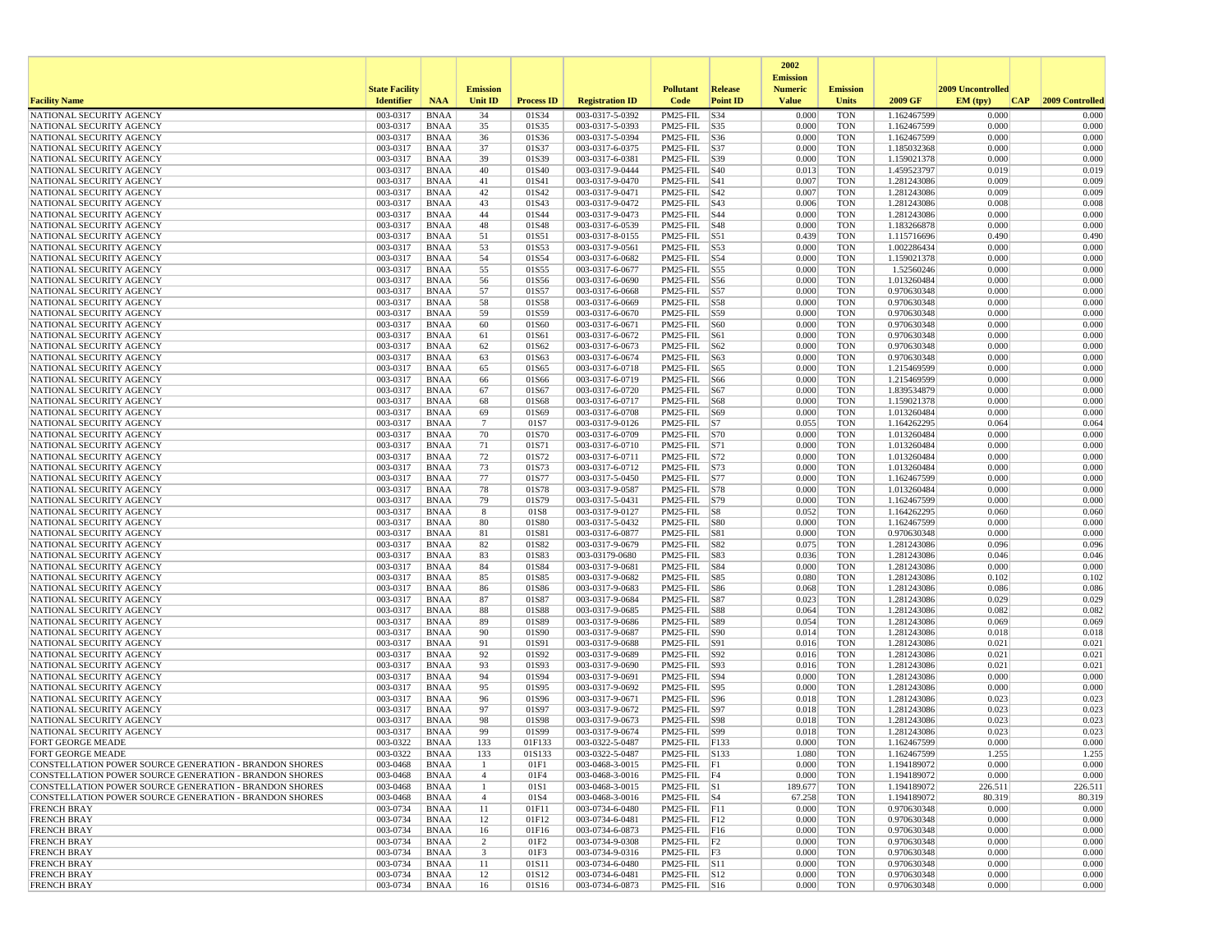|                                                        |                       |                            |                 |                   |                                    |                                |                 | 2002                              |                          |                            |                   |                 |
|--------------------------------------------------------|-----------------------|----------------------------|-----------------|-------------------|------------------------------------|--------------------------------|-----------------|-----------------------------------|--------------------------|----------------------------|-------------------|-----------------|
|                                                        | <b>State Facility</b> |                            | <b>Emission</b> |                   |                                    | <b>Pollutant</b>               | <b>Release</b>  | <b>Emission</b><br><b>Numeric</b> | <b>Emission</b>          |                            | 2009 Uncontrolled |                 |
| <b>Facility Name</b>                                   | <b>Identifier</b>     | <b>NAA</b>                 | <b>Unit ID</b>  | <b>Process ID</b> | <b>Registration ID</b>             | Code                           | <b>Point ID</b> | <b>Value</b>                      | Units                    | 2009 GF                    | EM (typ)<br> CAP  | 2009 Controlled |
| NATIONAL SECURITY AGENCY                               | 003-0317              | <b>BNAA</b>                | 34              | 01S34             | 003-0317-5-0392                    | PM25-FIL                       | S34             | 0.000                             | <b>TON</b>               | 1.162467599                | 0.000             | 0.000           |
| NATIONAL SECURITY AGENCY                               | 003-0317              | <b>BNAA</b>                | 35              | 01S35             | 003-0317-5-0393                    | PM25-FIL S35                   |                 | 0.000                             | <b>TON</b>               | 1.162467599                | 0.000             | 0.000           |
| NATIONAL SECURITY AGENCY                               | 003-0317              | <b>BNAA</b>                | 36              | 01S36             | 003-0317-5-0394                    | PM25-FIL   S36                 |                 | 0.000                             | <b>TON</b>               | 1.162467599                | 0.000             | 0.000           |
| NATIONAL SECURITY AGENCY<br>NATIONAL SECURITY AGENCY   | 003-0317<br>003-0317  | <b>BNAA</b><br><b>BNAA</b> | 37<br>39        | 01S37<br>01S39    | 003-0317-6-0375<br>003-0317-6-0381 | PM25-FIL S37<br>PM25-FIL S39   |                 | 0.000<br>0.000                    | <b>TON</b><br><b>TON</b> | 1.185032368<br>1.159021378 | 0.000<br>0.000    | 0.000<br>0.000  |
| NATIONAL SECURITY AGENCY                               | 003-0317              | <b>BNAA</b>                | 40              | 01S40             | 003-0317-9-0444                    | PM25-FIL S40                   |                 | 0.013                             | <b>TON</b>               | 1.459523797                | 0.019             | 0.019           |
| NATIONAL SECURITY AGENCY                               | 003-0317              | <b>BNAA</b>                | 41              | 01S41             | 003-0317-9-0470                    | $PM25$ -FIL $ S41$             |                 | 0.007                             | <b>TON</b>               | 1.281243086                | 0.009             | 0.009           |
| NATIONAL SECURITY AGENCY                               | 003-0317              | <b>BNAA</b>                | 42              | 01S42             | 003-0317-9-0471                    | PM25-FIL S42                   |                 | 0.007                             | <b>TON</b>               | 1.281243086                | 0.009             | 0.009           |
| NATIONAL SECURITY AGENCY                               | 003-0317              | <b>BNAA</b>                | 43              | 01S43             | 003-0317-9-0472                    | PM25-FIL  S43                  |                 | 0.006                             | <b>TON</b>               | 1.281243086                | 0.008             | 0.008           |
| NATIONAL SECURITY AGENCY<br>NATIONAL SECURITY AGENCY   | 003-0317<br>003-0317  | <b>BNAA</b><br><b>BNAA</b> | 44<br>48        | 01S44<br>01S48    | 003-0317-9-0473<br>003-0317-6-0539 | PM25-FIL S44<br>PM25-FIL   S48 |                 | 0.000<br>0.000                    | <b>TON</b><br><b>TON</b> | 1.281243086<br>1.183266878 | 0.000<br>0.000    | 0.000<br>0.000  |
| NATIONAL SECURITY AGENCY                               | 003-0317              | <b>BNAA</b>                | 51              | 01S51             | 003-0317-8-0155                    | PM25-FIL S51                   |                 | 0.439                             | <b>TON</b>               | 1.115716696                | 0.490             | 0.490           |
| NATIONAL SECURITY AGENCY                               | 003-0317              | <b>BNAA</b>                | 53              | 01S53             | 003-0317-9-0561                    | PM25-FIL S53                   |                 | 0.000                             | <b>TON</b>               | 1.002286434                | 0.000             | 0.000           |
| NATIONAL SECURITY AGENCY                               | 003-0317              | <b>BNAA</b>                | 54              | 01S54             | 003-0317-6-0682                    | PM25-FIL S54                   |                 | 0.000                             | <b>TON</b>               | 1.159021378                | 0.000             | 0.000           |
| NATIONAL SECURITY AGENCY                               | 003-0317              | <b>BNAA</b>                | 55              | 01S55             | 003-0317-6-0677                    | PM25-FIL S55                   |                 | 0.000                             | <b>TON</b>               | 1.52560246                 | 0.000             | 0.000           |
| NATIONAL SECURITY AGENCY                               | 003-0317              | <b>BNAA</b>                | 56              | 01S56             | 003-0317-6-0690                    | PM25-FIL S56                   |                 | 0.000                             | <b>TON</b>               | 1.013260484                | 0.000             | 0.000           |
| NATIONAL SECURITY AGENCY<br>NATIONAL SECURITY AGENCY   | 003-0317<br>003-0317  | <b>BNAA</b><br><b>BNAA</b> | 57<br>58        | 01S57<br>01S58    | 003-0317-6-0668<br>003-0317-6-0669 | PM25-FIL S57<br>PM25-FIL S58   |                 | 0.000<br>0.000                    | <b>TON</b><br><b>TON</b> | 0.970630348<br>0.970630348 | 0.000<br>0.000    | 0.000<br>0.000  |
| NATIONAL SECURITY AGENCY                               | 003-0317              | <b>BNAA</b>                | 59              | 01S59             | 003-0317-6-0670                    | PM25-FIL  S59                  |                 | 0.000                             | <b>TON</b>               | 0.970630348                | 0.000             | 0.000           |
| NATIONAL SECURITY AGENCY                               | 003-0317              | <b>BNAA</b>                | 60              | 01S60             | 003-0317-6-0671                    | PM25-FIL S60                   |                 | 0.000                             | <b>TON</b>               | 0.970630348                | 0.000             | 0.000           |
| NATIONAL SECURITY AGENCY                               | 003-0317              | <b>BNAA</b>                | 61              | 01S61             | 003-0317-6-0672                    | PM25-FIL S61                   |                 | 0.000                             | <b>TON</b>               | 0.970630348                | 0.000             | 0.000           |
| NATIONAL SECURITY AGENCY                               | 003-0317              | <b>BNAA</b>                | 62              | 01S62             | 003-0317-6-0673                    | PM25-FIL S62                   |                 | 0.000                             | <b>TON</b>               | 0.970630348                | 0.000             | 0.000           |
| NATIONAL SECURITY AGENCY                               | 003-0317              | <b>BNAA</b>                | 63              | 01S63             | 003-0317-6-0674                    | PM25-FIL S63                   |                 | 0.000                             | <b>TON</b>               | 0.970630348                | 0.000             | 0.000           |
| NATIONAL SECURITY AGENCY<br>NATIONAL SECURITY AGENCY   | 003-0317<br>003-0317  | <b>BNAA</b><br><b>BNAA</b> | 65<br>66        | 01S65<br>01S66    | 003-0317-6-0718<br>003-0317-6-0719 | PM25-FIL   S65<br>PM25-FIL S66 |                 | 0.000<br>0.000                    | <b>TON</b><br><b>TON</b> | 1.215469599<br>1.215469599 | 0.000<br>0.000    | 0.000<br>0.000  |
| NATIONAL SECURITY AGENCY                               | 003-0317              | <b>BNAA</b>                | 67              | 01S67             | 003-0317-6-0720                    | PM25-FIL S67                   |                 | 0.000                             | <b>TON</b>               | 1.839534879                | 0.000             | 0.000           |
| NATIONAL SECURITY AGENCY                               | 003-0317              | <b>BNAA</b>                | 68              | 01S68             | 003-0317-6-0717                    | PM25-FIL S68                   |                 | 0.000                             | <b>TON</b>               | 1.159021378                | 0.000             | 0.000           |
| NATIONAL SECURITY AGENCY                               | 003-0317              | <b>BNAA</b>                | 69              | 01S69             | 003-0317-6-0708                    | PM25-FIL   S69                 |                 | 0.000                             | <b>TON</b>               | 1.013260484                | 0.000             | 0.000           |
| NATIONAL SECURITY AGENCY                               | 003-0317              | <b>BNAA</b>                | $7\phantom{.0}$ | 01S7              | 003-0317-9-0126                    | $PM25$ -FIL $ S7 $             |                 | 0.055                             | <b>TON</b>               | 1.164262295                | 0.064             | 0.064           |
| NATIONAL SECURITY AGENCY                               | 003-0317              | <b>BNAA</b>                | 70              | 01S70             | 003-0317-6-0709                    | PM25-FIL S70                   |                 | 0.000                             | <b>TON</b>               | 1.013260484                | 0.000             | 0.000           |
| NATIONAL SECURITY AGENCY<br>NATIONAL SECURITY AGENCY   | 003-0317<br>003-0317  | <b>BNAA</b><br><b>BNAA</b> | 71<br>72        | 01S71<br>01S72    | 003-0317-6-0710<br>003-0317-6-0711 | PM25-FIL S71<br>PM25-FIL   S72 |                 | 0.000<br>0.000                    | <b>TON</b><br><b>TON</b> | 1.013260484<br>1.013260484 | 0.000<br>0.000    | 0.000<br>0.000  |
| NATIONAL SECURITY AGENCY                               | 003-0317              | <b>BNAA</b>                | 73              | 01S73             | 003-0317-6-0712                    | PM25-FIL   S73                 |                 | 0.000                             | <b>TON</b>               | 1.013260484                | 0.000             | 0.000           |
| NATIONAL SECURITY AGENCY                               | 003-0317              | <b>BNAA</b>                | 77              | 01S77             | 003-0317-5-0450                    | PM25-FIL S77                   |                 | 0.000                             | <b>TON</b>               | 1.162467599                | 0.000             | 0.000           |
| NATIONAL SECURITY AGENCY                               | 003-0317              | <b>BNAA</b>                | 78              | 01S78             | 003-0317-9-0587                    | PM25-FIL S78                   |                 | 0.000                             | <b>TON</b>               | 1.013260484                | 0.000             | 0.000           |
| NATIONAL SECURITY AGENCY                               | 003-0317              | <b>BNAA</b>                | 79              | 01S79             | 003-0317-5-0431                    | PM25-FIL   S79                 |                 | 0.000                             | <b>TON</b>               | 1.162467599                | 0.000             | 0.000           |
| NATIONAL SECURITY AGENCY                               | 003-0317              | <b>BNAA</b>                | 8               | 01S8              | 003-0317-9-0127                    | $PM25$ -FIL $ S8$              |                 | 0.052                             | <b>TON</b>               | 1.164262295                | 0.060             | 0.060           |
| NATIONAL SECURITY AGENCY<br>NATIONAL SECURITY AGENCY   | 003-0317<br>003-0317  | <b>BNAA</b><br><b>BNAA</b> | 80<br>81        | 01S80<br>01S81    | 003-0317-5-0432<br>003-0317-6-0877 | PM25-FIL S80<br>PM25-FIL S81   |                 | 0.000<br>0.000                    | <b>TON</b><br><b>TON</b> | 1.162467599<br>0.970630348 | 0.000<br>0.000    | 0.000<br>0.000  |
| NATIONAL SECURITY AGENCY                               | 003-0317              | <b>BNAA</b>                | 82              | 01S82             | 003-0317-9-0679                    | PM25-FIL S82                   |                 | 0.075                             | <b>TON</b>               | 1.281243086                | 0.096             | 0.096           |
| NATIONAL SECURITY AGENCY                               | 003-0317              | <b>BNAA</b>                | 83              | 01S83             | 003-03179-0680                     | PM25-FIL   S83                 |                 | 0.036                             | <b>TON</b>               | 1.281243086                | 0.046             | 0.046           |
| NATIONAL SECURITY AGENCY                               | 003-0317              | <b>BNAA</b>                | 84              | 01S84             | 003-0317-9-0681                    | PM25-FIL   S84                 |                 | 0.000                             | <b>TON</b>               | 1.281243086                | 0.000             | 0.000           |
| NATIONAL SECURITY AGENCY                               | 003-0317              | <b>BNAA</b>                | 85              | 01S85             | 003-0317-9-0682                    | PM25-FIL S85                   |                 | 0.080                             | <b>TON</b>               | 1.281243086                | 0.102             | 0.102           |
| NATIONAL SECURITY AGENCY                               | 003-0317              | <b>BNAA</b>                | 86              | 01S86<br>01S87    | 003-0317-9-0683                    | PM25-FIL S86                   |                 | 0.068<br>0.023                    | <b>TON</b><br><b>TON</b> | 1.281243086                | 0.086<br>0.029    | 0.086           |
| NATIONAL SECURITY AGENCY<br>NATIONAL SECURITY AGENCY   | 003-0317<br>003-0317  | <b>BNAA</b><br><b>BNAA</b> | 87<br>88        | 01S88             | 003-0317-9-0684<br>003-0317-9-0685 | PM25-FIL S87<br>PM25-FIL S88   |                 | 0.064                             | <b>TON</b>               | 1.281243086<br>1.281243086 | 0.082             | 0.029<br>0.082  |
| NATIONAL SECURITY AGENCY                               | 003-0317              | <b>BNAA</b>                | 89              | 01S89             | 003-0317-9-0686                    | PM25-FIL S89                   |                 | 0.054                             | <b>TON</b>               | 1.281243086                | 0.069             | 0.069           |
| NATIONAL SECURITY AGENCY                               | 003-0317              | <b>BNAA</b>                | 90              | 01S90             | 003-0317-9-0687                    | PM25-FIL                       | S90             | 0.014                             | <b>TON</b>               | 1.281243086                | 0.018             | 0.018           |
| NATIONAL SECURITY AGENCY                               | 003-0317              | <b>BNAA</b>                | 91              | 01S91             | 003-0317-9-0688                    | PM25-FIL   S91                 |                 | 0.016                             | <b>TON</b>               | 1.281243086                | 0.021             | 0.021           |
| NATIONAL SECURITY AGENCY                               | 003-0317              | <b>BNAA</b>                | 92              | 01S92             | 003-0317-9-0689                    | PM25-FIL   S92                 |                 | 0.016                             | <b>TON</b>               | 1.281243086                | 0.021             | 0.021           |
| NATIONAL SECURITY AGENCY<br>NATIONAL SECURITY AGENCY   | 003-0317<br>003-0317  | <b>BNAA</b><br><b>BNAA</b> | 93<br>94        | 01S93<br>01S94    | 003-0317-9-0690<br>003-0317-9-0691 | PM25-FIL  S93<br>PM25-FIL S94  |                 | 0.016<br>0.000                    | <b>TON</b><br><b>TON</b> | 1.281243086<br>1.281243086 | 0.021<br>0.000    | 0.021<br>0.000  |
| NATIONAL SECURITY AGENCY                               | 003-0317              | <b>BNAA</b>                | 95              | 01S95             | 003-0317-9-0692                    | PM25-FIL  S95                  |                 | 0.000                             | <b>TON</b>               | 1.281243086                | 0.000             | 0.000           |
| NATIONAL SECURITY AGENCY                               | 003-0317              | <b>BNAA</b>                | 96              | 01S96             | 003-0317-9-0671                    | PM25-FIL   S96                 |                 | 0.018                             | <b>TON</b>               | 1.281243086                | 0.023             | 0.023           |
| NATIONAL SECURITY AGENCY                               | 003-0317              | <b>BNAA</b>                | 97              | 01S97             | 003-0317-9-0672                    | PM25-FIL S97                   |                 | 0.018                             | <b>TON</b>               | 1.281243086                | 0.023             | 0.023           |
| NATIONAL SECURITY AGENCY                               | 003-0317              | <b>BNAA</b>                | 98              | 01S98             | 003-0317-9-0673                    | PM25-FIL S98                   |                 | 0.018                             | <b>TON</b>               | 1.281243086                | 0.023             | 0.023           |
| NATIONAL SECURITY AGENCY                               | 003-0317              | <b>BNAA</b>                | 99              | 01S99             | 003-0317-9-0674                    | PM25-FIL  S99                  |                 | 0.018                             | <b>TON</b>               | 1.281243086                | 0.023             | 0.023           |
| <b>FORT GEORGE MEADE</b><br>FORT GEORGE MEADE          | 003-0322<br>003-0322  | <b>BNAA</b><br><b>BNAA</b> | 133<br>133      | 01F133<br>01S133  | 003-0322-5-0487<br>003-0322-5-0487 | PM25-FIL F133<br>PM25-FIL      | S133            | 0.000<br>1.080                    | <b>TON</b><br><b>TON</b> | 1.162467599<br>1.162467599 | 0.000<br>1.255    | 0.000<br>1.255  |
| CONSTELLATION POWER SOURCE GENERATION - BRANDON SHORES | 003-0468              | BNAA                       | -1              | 01F1              | 003-0468-3-0015                    | $PM25-FIL$ $ F1$               |                 | 0.000                             | <b>TON</b>               | 1.194189072                | 0.000             | 0.000           |
| CONSTELLATION POWER SOURCE GENERATION - BRANDON SHORES | 003-0468              | BNAA                       | $\overline{4}$  | 01F4              | 003-0468-3-0016                    | $PM25-FIL$ F4                  |                 | 0.000                             | <b>TON</b>               | 1.194189072                | 0.000             | 0.000           |
| CONSTELLATION POWER SOURCE GENERATION - BRANDON SHORES | 003-0468              | BNAA                       | $\mathbf{1}$    | 01S1              | 003-0468-3-0015                    | $PM25$ -FIL $ S1$              |                 | 189.677                           | <b>TON</b>               | 1.194189072                | 226.511           | 226.511         |
| CONSTELLATION POWER SOURCE GENERATION - BRANDON SHORES | 003-0468              | <b>BNAA</b>                | $\overline{4}$  | 01S4              | 003-0468-3-0016                    | $PM25$ -FIL $ S4$              |                 | 67.258                            | <b>TON</b>               | 1.194189072                | 80.319            | 80.319          |
| <b>FRENCH BRAY</b>                                     | 003-0734              | <b>BNAA</b>                | 11              | 01F11             | 003-0734-6-0480                    | $PM25-FIL$ F11                 |                 | 0.000                             | <b>TON</b>               | 0.970630348                | 0.000             | 0.000           |
| <b>FRENCH BRAY</b><br><b>FRENCH BRAY</b>               | 003-0734<br>003-0734  | BNAA<br>BNAA               | 12<br>16        | 01F12<br>01F16    | 003-0734-6-0481<br>003-0734-6-0873 | PM25-FIL F12<br>PM25-FIL F16   |                 | 0.000<br>0.000                    | <b>TON</b><br><b>TON</b> | 0.970630348<br>0.970630348 | 0.000<br>0.000    | 0.000<br>0.000  |
| <b>FRENCH BRAY</b>                                     | 003-0734              | <b>BNAA</b>                | $\overline{2}$  | 01F2              | 003-0734-9-0308                    | $PM25-FIL$ F2                  |                 | 0.000                             | <b>TON</b>               | 0.970630348                | 0.000             | 0.000           |
| <b>FRENCH BRAY</b>                                     | 003-0734              | BNAA                       | 3               | 01F3              | 003-0734-9-0316                    | $PM25$ -FIL $ F3$              |                 | 0.000                             | <b>TON</b>               | 0.970630348                | 0.000             | 0.000           |
| <b>FRENCH BRAY</b>                                     | 003-0734              | BNAA                       | 11              | 01S11             | 003-0734-6-0480                    | PM25-FIL S11                   |                 | 0.000                             | <b>TON</b>               | 0.970630348                | 0.000             | 0.000           |
| <b>FRENCH BRAY</b>                                     | 003-0734              | <b>BNAA</b>                | 12              | 01S12             | 003-0734-6-0481                    | PM25-FIL S12                   |                 | 0.000                             | <b>TON</b>               | 0.970630348                | 0.000             | 0.000           |
| <b>FRENCH BRAY</b>                                     | 003-0734              | BNAA                       | 16              | 01S16             | 003-0734-6-0873                    | $PM25$ -FIL $ S16$             |                 | 0.000                             | <b>TON</b>               | 0.970630348                | 0.000             | 0.000           |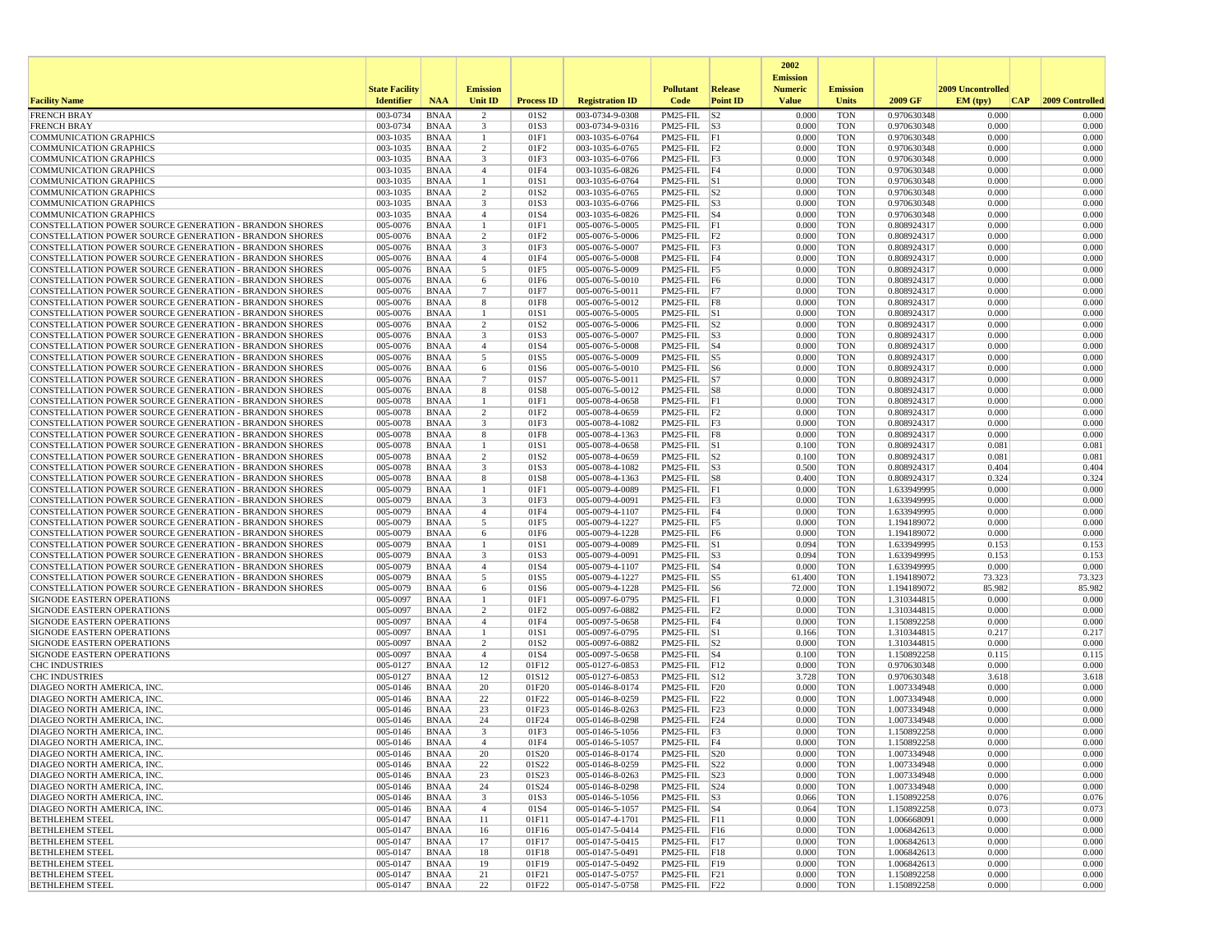|                                                                                                                         |                       |                            |                                           |                          |                                    |                                            |                 | 2002                              |                          |                            |                   |                     |
|-------------------------------------------------------------------------------------------------------------------------|-----------------------|----------------------------|-------------------------------------------|--------------------------|------------------------------------|--------------------------------------------|-----------------|-----------------------------------|--------------------------|----------------------------|-------------------|---------------------|
|                                                                                                                         | <b>State Facility</b> |                            | <b>Emission</b>                           |                          |                                    | <b>Pollutant</b>                           | <b>Release</b>  | <b>Emission</b><br><b>Numeric</b> | <b>Emission</b>          |                            | 2009 Uncontrolled |                     |
| <b>Facility Name</b>                                                                                                    | <b>Identifier</b>     | <b>NAA</b>                 | <b>Unit ID</b>                            | <b>Process ID</b>        | <b>Registration ID</b>             | Code                                       | <b>Point ID</b> | <b>Value</b>                      | Units                    | 2009 GF                    | EM (typ)          | CAP 2009 Controlled |
| <b>FRENCH BRAY</b>                                                                                                      | 003-0734              | <b>BNAA</b>                | 2                                         | 01S2                     | 003-0734-9-0308                    | $PM25$ -FIL $ S2 $                         |                 | 0.000                             | <b>TON</b>               | 0.970630348                | 0.000             | 0.000               |
| <b>FRENCH BRAY</b>                                                                                                      | 003-0734              | <b>BNAA</b>                | $\overline{\mathbf{3}}$                   | 01S3                     | 003-0734-9-0316                    | $PM25$ -FIL $ S3$                          |                 | 0.000                             | <b>TON</b>               | 0.970630348                | 0.000             | 0.000               |
| <b>COMMUNICATION GRAPHICS</b>                                                                                           | 003-1035              | <b>BNAA</b>                | $\mathbf{1}$                              | 01F1                     | 003-1035-6-0764                    | $PM25-FIL$ $ F1$                           |                 | 0.000                             | <b>TON</b>               | 0.970630348                | 0.000             | 0.000               |
| <b>COMMUNICATION GRAPHICS</b><br><b>COMMUNICATION GRAPHICS</b>                                                          | 003-1035<br>003-1035  | BNAA<br><b>BNAA</b>        | $\overline{c}$<br>$\overline{\mathbf{3}}$ | 01F <sub>2</sub><br>01F3 | 003-1035-6-0765<br>003-1035-6-0766 | PM25-FIL F2<br>$PM25$ -FIL $ F3$           |                 | 0.000<br>0.000                    | <b>TON</b><br><b>TON</b> | 0.970630348<br>0.970630348 | 0.000<br>0.000    | 0.000<br>0.000      |
| <b>COMMUNICATION GRAPHICS</b>                                                                                           | 003-1035              | <b>BNAA</b>                | $\overline{4}$                            | 01F4                     | 003-1035-6-0826                    | PM25-FIL F4                                |                 | 0.000                             | <b>TON</b>               | 0.970630348                | 0.000             | 0.000               |
| <b>COMMUNICATION GRAPHICS</b>                                                                                           | 003-1035              | BNAA                       | $\overline{1}$                            | 01S1                     | 003-1035-6-0764                    | $PM25$ -FIL $ S1$                          |                 | 0.000                             | <b>TON</b>               | 0.970630348                | 0.000             | 0.000               |
| <b>COMMUNICATION GRAPHICS</b>                                                                                           | 003-1035              | <b>BNAA</b>                | 2                                         | 01S2                     | 003-1035-6-0765                    | $PM25$ -FIL $ S2 $                         |                 | 0.000                             | <b>TON</b>               | 0.970630348                | 0.000             | 0.000               |
| <b>COMMUNICATION GRAPHICS</b>                                                                                           | 003-1035              | <b>BNAA</b>                | $\overline{\mathbf{3}}$                   | 01S3                     | 003-1035-6-0766                    | $PM25$ -FIL $ S3$                          |                 | 0.000                             | <b>TON</b>               | 0.970630348                | 0.000             | 0.000               |
| <b>COMMUNICATION GRAPHICS</b>                                                                                           | 003-1035              | <b>BNAA</b>                | $\overline{4}$                            | 01S4                     | 003-1035-6-0826                    | $PM25$ -FIL $ S4$                          |                 | 0.000                             | <b>TON</b>               | 0.970630348                | 0.000             | 0.000               |
| CONSTELLATION POWER SOURCE GENERATION - BRANDON SHORES<br>CONSTELLATION POWER SOURCE GENERATION - BRANDON SHORES        | 005-0076<br>005-0076  | BNAA<br><b>BNAA</b>        | -1<br>$\overline{c}$                      | 01F1<br>01F2             | 005-0076-5-0005<br>005-0076-5-0006 | $PM25$ -FIL $ F1$<br>$PM25$ -FIL $ F2$     |                 | 0.000<br>0.000                    | <b>TON</b><br><b>TON</b> | 0.808924317<br>0.808924317 | 0.000<br>0.000    | 0.000<br>0.000      |
| <b>CONSTELLATION POWER SOURCE GENERATION - BRANDON SHORES</b>                                                           | 005-0076              | <b>BNAA</b>                | $\overline{\mathbf{3}}$                   | 01F3                     | 005-0076-5-0007                    | $PM25-FIL$ $ F3$                           |                 | 0.000                             | <b>TON</b>               | 0.808924317                | 0.000             | 0.000               |
| CONSTELLATION POWER SOURCE GENERATION - BRANDON SHORES                                                                  | 005-0076              | <b>BNAA</b>                | $\overline{4}$                            | 01F4                     | 005-0076-5-0008                    | PM25-FIL F4                                |                 | 0.000                             | <b>TON</b>               | 0.808924317                | 0.000             | 0.000               |
| <b>CONSTELLATION POWER SOURCE GENERATION - BRANDON SHORES</b>                                                           | 005-0076              | BNAA                       | 5                                         | 01F5                     | 005-0076-5-0009                    | PM25-FIL F5                                |                 | 0.000                             | <b>TON</b>               | 0.808924317                | 0.000             | 0.000               |
| CONSTELLATION POWER SOURCE GENERATION - BRANDON SHORES                                                                  | 005-0076              | BNAA                       | 6                                         | 01F6                     | 005-0076-5-0010                    | $PM25-FIL$ F6                              |                 | 0.000                             | <b>TON</b>               | 0.808924317                | 0.000             | 0.000               |
| <b>CONSTELLATION POWER SOURCE GENERATION - BRANDON SHORES</b>                                                           | 005-0076              | <b>BNAA</b>                | $7\phantom{.0}$                           | 01F7                     | 005-0076-5-0011                    | PM25-FIL F7                                |                 | 0.000                             | <b>TON</b>               | 0.808924317                | 0.000             | 0.000               |
| <b>CONSTELLATION POWER SOURCE GENERATION - BRANDON SHORES</b><br>CONSTELLATION POWER SOURCE GENERATION - BRANDON SHORES | 005-0076<br>005-0076  | BNAA<br>BNAA               | 8<br>-1                                   | 01F8<br>01S1             | 005-0076-5-0012<br>005-0076-5-0005 | PM25-FIL F8<br>$PM25$ -FIL $ S1$           |                 | 0.000<br>0.000                    | <b>TON</b><br><b>TON</b> | 0.808924317<br>0.808924317 | 0.000<br>0.000    | 0.000<br>0.000      |
| CONSTELLATION POWER SOURCE GENERATION - BRANDON SHORES                                                                  | 005-0076              | <b>BNAA</b>                | $\overline{2}$                            | 01S2                     | 005-0076-5-0006                    | $PM25$ -FIL $ S2 $                         |                 | 0.000                             | <b>TON</b>               | 0.808924317                | 0.000             | 0.000               |
| CONSTELLATION POWER SOURCE GENERATION - BRANDON SHORES                                                                  | 005-0076              | <b>BNAA</b>                | $\overline{\mathbf{3}}$                   | 01S3                     | 005-0076-5-0007                    | $PM25$ -FIL $ S3$                          |                 | 0.000                             | <b>TON</b>               | 0.808924317                | 0.000             | 0.000               |
| <b>CONSTELLATION POWER SOURCE GENERATION - BRANDON SHORES</b>                                                           | 005-0076              | BNAA                       | $\overline{4}$                            | 01S4                     | 005-0076-5-0008                    | $PM25$ -FIL $ S4$                          |                 | 0.000                             | <b>TON</b>               | 0.808924317                | 0.000             | 0.000               |
| CONSTELLATION POWER SOURCE GENERATION - BRANDON SHORES                                                                  | 005-0076              | <b>BNAA</b>                | 5                                         | 01S5                     | 005-0076-5-0009                    | $PM25$ -FIL $ S5 $                         |                 | 0.000                             | <b>TON</b>               | 0.808924317                | 0.000             | 0.000               |
| CONSTELLATION POWER SOURCE GENERATION - BRANDON SHORES                                                                  | 005-0076              | <b>BNAA</b>                | 6                                         | 01S6                     | 005-0076-5-0010                    | $PM25$ -FIL $ S6 $                         |                 | 0.000                             | <b>TON</b>               | 0.808924317                | 0.000             | 0.000               |
| <b>CONSTELLATION POWER SOURCE GENERATION - BRANDON SHORES</b><br>CONSTELLATION POWER SOURCE GENERATION - BRANDON SHORES | 005-0076<br>005-0076  | BNAA<br><b>BNAA</b>        | 7<br>8                                    | 01S7<br>01S8             | 005-0076-5-0011<br>005-0076-5-0012 | $PM25$ -FIL $ S7 $<br>$PM25-FIL$ $ S8$     |                 | 0.000<br>0.000                    | <b>TON</b><br><b>TON</b> | 0.808924317<br>0.808924317 | 0.000<br>0.000    | 0.000<br>0.000      |
| CONSTELLATION POWER SOURCE GENERATION - BRANDON SHORES                                                                  | 005-0078              | <b>BNAA</b>                | -1                                        | 01F1                     | 005-0078-4-0658                    | $PM25-FIL$ $ F1$                           |                 | 0.000                             | <b>TON</b>               | 0.808924317                | 0.000             | 0.000               |
| <b>CONSTELLATION POWER SOURCE GENERATION - BRANDON SHORES</b>                                                           | 005-0078              | <b>BNAA</b>                | $\overline{2}$                            | 01F2                     | 005-0078-4-0659                    | $PM25-FIL$ $ F2$                           |                 | 0.000                             | <b>TON</b>               | 0.808924317                | 0.000             | 0.000               |
| <b>CONSTELLATION POWER SOURCE GENERATION - BRANDON SHORES</b>                                                           | 005-0078              | BNAA                       | $\overline{\mathbf{3}}$                   | 01F3                     | 005-0078-4-1082                    | $PM25$ -FIL $ F3$                          |                 | 0.000                             | <b>TON</b>               | 0.808924317                | 0.000             | 0.000               |
| CONSTELLATION POWER SOURCE GENERATION - BRANDON SHORES                                                                  | 005-0078              | <b>BNAA</b>                | 8                                         | 01F8                     | 005-0078-4-1363                    | PM25-FIL F8                                |                 | 0.000                             | <b>TON</b>               | 0.808924317                | 0.000             | 0.000               |
| CONSTELLATION POWER SOURCE GENERATION - BRANDON SHORES                                                                  | 005-0078              | <b>BNAA</b>                | $\mathbf{1}$                              | 01S1                     | 005-0078-4-0658                    | $PM25$ -FIL $ S1$                          |                 | 0.100                             | <b>TON</b>               | 0.808924317                | 0.081             | 0.081               |
| <b>CONSTELLATION POWER SOURCE GENERATION - BRANDON SHORES</b><br>CONSTELLATION POWER SOURCE GENERATION - BRANDON SHORES | 005-0078<br>005-0078  | BNAA<br><b>BNAA</b>        | $\overline{c}$<br>$\overline{\mathbf{3}}$ | 01S <sub>2</sub><br>01S3 | 005-0078-4-0659<br>005-0078-4-1082 | $PM25$ -FIL $ S2$<br>$PM25$ -FIL $ S3$     |                 | 0.100<br>0.500                    | <b>TON</b><br><b>TON</b> | 0.808924317<br>0.808924317 | 0.081<br>0.404    | 0.081<br>0.404      |
| CONSTELLATION POWER SOURCE GENERATION - BRANDON SHORES                                                                  | 005-0078              | <b>BNAA</b>                | 8                                         | 01S8                     | 005-0078-4-1363                    | $PM25$ -FIL $ S8$                          |                 | 0.400                             | <b>TON</b>               | 0.808924317                | 0.324             | 0.324               |
| <b>CONSTELLATION POWER SOURCE GENERATION - BRANDON SHORES</b>                                                           | 005-0079              | BNAA                       | $\overline{1}$                            | 01F1                     | 005-0079-4-0089                    | $PM25$ -FIL F1                             |                 | 0.000                             | <b>TON</b>               | 1.633949995                | 0.000             | 0.000               |
| CONSTELLATION POWER SOURCE GENERATION - BRANDON SHORES                                                                  | 005-0079              | BNAA                       | 3                                         | 01F3                     | 005-0079-4-0091                    | PM25-FIL F3                                |                 | 0.000                             | <b>TON</b>               | 1.633949995                | 0.000             | 0.000               |
| CONSTELLATION POWER SOURCE GENERATION - BRANDON SHORES                                                                  | 005-0079              | <b>BNAA</b>                | $\overline{4}$                            | 01F4                     | 005-0079-4-1107                    | $PM25-FIL$ F4                              |                 | 0.000                             | <b>TON</b>               | 1.633949995                | 0.000             | 0.000               |
| CONSTELLATION POWER SOURCE GENERATION - BRANDON SHORES                                                                  | 005-0079              | <b>BNAA</b>                | 5                                         | 01F5                     | 005-0079-4-1227                    | PM25-FIL F5                                |                 | 0.000                             | <b>TON</b>               | 1.194189072                | 0.000             | 0.000               |
| CONSTELLATION POWER SOURCE GENERATION - BRANDON SHORES<br><b>CONSTELLATION POWER SOURCE GENERATION - BRANDON SHORES</b> | 005-0079<br>005-0079  | <b>BNAA</b><br>BNAA        | 6<br>-1                                   | 01F6<br>01S1             | 005-0079-4-1228<br>005-0079-4-0089 | PM25-FIL F6<br>$PM25$ -FIL $ S1$           |                 | 0.000<br>0.094                    | <b>TON</b><br><b>TON</b> | 1.194189072<br>1.633949995 | 0.000<br>0.153    | 0.000<br>0.153      |
| CONSTELLATION POWER SOURCE GENERATION - BRANDON SHORES                                                                  | 005-0079              | BNAA                       | 3                                         | 01S3                     | 005-0079-4-0091                    | $PM25-FIL$ $ S3$                           |                 | 0.094                             | <b>TON</b>               | 1.633949995                | 0.153             | 0.153               |
| CONSTELLATION POWER SOURCE GENERATION - BRANDON SHORES                                                                  | 005-0079              | <b>BNAA</b>                | $\overline{4}$                            | 01S4                     | 005-0079-4-1107                    | $PM25-FIL$ $ S4$                           |                 | 0.000                             | <b>TON</b>               | 1.633949995                | 0.000             | 0.000               |
| <b>CONSTELLATION POWER SOURCE GENERATION - BRANDON SHORES</b>                                                           | 005-0079              | BNAA                       | 5                                         | 01S5                     | 005-0079-4-1227                    | $PM25$ -FIL $ S5$                          |                 | 61.400                            | <b>TON</b>               | 1.194189072                | 73.323            | 73.323              |
| <b>CONSTELLATION POWER SOURCE GENERATION - BRANDON SHORES</b>                                                           | 005-0079              | <b>BNAA</b>                | 6                                         | 01S6                     | 005-0079-4-1228                    | $PM25$ -FIL $ S6$                          |                 | 72.000                            | <b>TON</b>               | 1.194189072                | 85.982            | 85.982              |
| SIGNODE EASTERN OPERATIONS<br>SIGNODE EASTERN OPERATIONS                                                                | 005-0097<br>005-0097  | <b>BNAA</b><br><b>BNAA</b> | $\mathbf{1}$<br>$\overline{c}$            | 01F1<br>01F2             | 005-0097-6-0795<br>005-0097-6-0882 | $PM25$ -FIL $\overline{F1}$<br>PM25-FIL F2 |                 | 0.000<br>0.000                    | <b>TON</b><br><b>TON</b> | 1.310344815<br>1.310344815 | 0.000<br>0.000    | 0.000<br>0.000      |
| <b>SIGNODE EASTERN OPERATIONS</b>                                                                                       | 005-0097              | BNAA                       | $\overline{4}$                            | 01F4                     | 005-0097-5-0658                    | PM25-FIL F4                                |                 | 0.000                             | <b>TON</b>               | 1.150892258                | 0.000             | 0.000               |
| SIGNODE EASTERN OPERATIONS                                                                                              | 005-0097              | <b>BNAA</b>                |                                           | 01S1                     | 005-0097-6-0795                    | $PM25$ -FIL $ S1$                          |                 | 0.166                             | <b>TON</b>               | 1.310344815                | 0.217             | 0.217               |
| SIGNODE EASTERN OPERATIONS                                                                                              | 005-0097              | <b>BNAA</b>                | $\overline{c}$                            | 01S <sub>2</sub>         | 005-0097-6-0882                    | $PM25$ -FIL $ S2 $                         |                 | 0.000                             | <b>TON</b>               | 1.310344815                | 0.000             | 0.000               |
| <b>SIGNODE EASTERN OPERATIONS</b>                                                                                       | 005-0097              | BNAA                       | $\overline{4}$                            | 01S4                     | 005-0097-5-0658                    | $PM25$ -FIL $ S4$                          |                 | 0.100                             | <b>TON</b>               | 1.150892258                | 0.115             | 0.115               |
| <b>CHC INDUSTRIES</b>                                                                                                   | 005-0127              | <b>BNAA</b>                | 12                                        | 01F12                    | 005-0127-6-0853                    | PM25-FIL F12                               |                 | 0.000                             | <b>TON</b>               | 0.970630348                | 0.000             | 0.000               |
| <b>CHC INDUSTRIES</b><br>DIAGEO NORTH AMERICA, INC.                                                                     | 005-0127<br>005-0146  | <b>BNAA</b><br><b>BNAA</b> | 12<br>20                                  | 01S12<br>01F20           | 005-0127-6-0853<br>005-0146-8-0174 | PM25-FIL S12<br>$PM25-FIL$ $ F20$          |                 | 3.728<br>0.000                    | <b>TON</b><br><b>TON</b> | 0.970630348<br>1.007334948 | 3.618<br>0.000    | 3.618<br>0.000      |
| DIAGEO NORTH AMERICA, INC.                                                                                              | 005-0146              | BNAA                       | 22                                        | 01F22                    | 005-0146-8-0259                    | $PM25$ -FIL $ F22$                         |                 | 0.000                             | <b>TON</b>               | 1.007334948                | 0.000             | 0.000               |
| DIAGEO NORTH AMERICA, INC.                                                                                              | 005-0146              | <b>BNAA</b>                | 23                                        | 01F23                    | 005-0146-8-0263                    | $PM25$ -FIL $ F23$                         |                 | 0.000                             | <b>TON</b>               | 1.007334948                | 0.000             | 0.000               |
| DIAGEO NORTH AMERICA, INC.                                                                                              | 005-0146              | <b>BNAA</b>                | 24                                        | 01F24                    | 005-0146-8-0298                    | PM25-FIL F24                               |                 | 0.000                             | <b>TON</b>               | 1.007334948                | 0.000             | 0.000               |
| DIAGEO NORTH AMERICA, INC.                                                                                              | 005-0146              | <b>BNAA</b>                | 3                                         | 01F3                     | 005-0146-5-1056                    | PM25-FIL F3                                |                 | 0.000                             | <b>TON</b>               | 1.150892258                | 0.000             | 0.000               |
| DIAGEO NORTH AMERICA, INC.<br>DIAGEO NORTH AMERICA, INC.                                                                | 005-0146<br>005-0146  | <b>BNAA</b><br>BNAA        | $\overline{4}$<br>20                      | 01F4<br>01S20            | 005-0146-5-1057<br>005-0146-8-0174 | PM25-FIL F4<br>PM25-FIL S20                |                 | 0.000<br>0.000                    | <b>TON</b><br><b>TON</b> | 1.150892258<br>1.007334948 | 0.000<br>0.000    | 0.000<br>0.000      |
| DIAGEO NORTH AMERICA, INC.                                                                                              | 005-0146              | BNAA                       | 22                                        | 01S22                    | 005-0146-8-0259                    | $PM25-FIL$ $ S22$                          |                 | 0.000                             | <b>TON</b>               | 1.007334948                | 0.000             | 0.000               |
| DIAGEO NORTH AMERICA, INC.                                                                                              | 005-0146              | BNAA                       | 23                                        | 01S23                    | 005-0146-8-0263                    | PM25-FIL S23                               |                 | 0.000                             | <b>TON</b>               | 1.007334948                | 0.000             | 0.000               |
| DIAGEO NORTH AMERICA, INC.                                                                                              | 005-0146              | BNAA                       | 24                                        | 01S24                    | 005-0146-8-0298                    | PM25-FIL S24                               |                 | 0.000                             | <b>TON</b>               | 1.007334948                | 0.000             | 0.000               |
| DIAGEO NORTH AMERICA, INC.                                                                                              | 005-0146              | <b>BNAA</b>                | $\overline{\mathbf{3}}$                   | 01S3                     | 005-0146-5-1056                    | $PM25$ -FIL $ S3$                          |                 | 0.066                             | <b>TON</b>               | 1.150892258                | 0.076             | 0.076               |
| DIAGEO NORTH AMERICA, INC.                                                                                              | 005-0146              | <b>BNAA</b>                | $\overline{4}$                            | 01S4                     | 005-0146-5-1057                    | $PM25$ -FIL $ S4$                          |                 | 0.064                             | <b>TON</b>               | 1.150892258                | 0.073             | 0.073               |
| <b>BETHLEHEM STEEL</b><br><b>BETHLEHEM STEEL</b>                                                                        | 005-0147<br>005-0147  | <b>BNAA</b><br>BNAA        | 11<br>16                                  | 01F11<br>01F16           | 005-0147-4-1701<br>005-0147-5-0414 | PM25-FIL F11<br>PM25-FIL F16               |                 | 0.000<br>0.000                    | <b>TON</b><br><b>TON</b> | 1.006668091<br>1.006842613 | 0.000<br>0.000    | 0.000<br>0.000      |
| <b>BETHLEHEM STEEL</b>                                                                                                  | 005-0147              | BNAA                       | 17                                        | 01F17                    | 005-0147-5-0415                    | $PM25-FIL$ F17                             |                 | 0.000                             | TON                      | 1.006842613                | 0.000             | 0.000               |
| <b>BETHLEHEM STEEL</b>                                                                                                  | 005-0147              | <b>BNAA</b>                | 18                                        | 01F18                    | 005-0147-5-0491                    | PM25-FIL F18                               |                 | 0.000                             | <b>TON</b>               | 1.006842613                | 0.000             | 0.000               |
| <b>BETHLEHEM STEEL</b>                                                                                                  | 005-0147              | BNAA                       | 19                                        | 01F19                    | 005-0147-5-0492                    | PM25-FIL F19                               |                 | 0.000                             | <b>TON</b>               | 1.006842613                | 0.000             | 0.000               |
| <b>BETHLEHEM STEEL</b>                                                                                                  | 005-0147              | <b>BNAA</b>                | 21                                        | 01F21                    | 005-0147-5-0757                    | PM25-FIL F21                               |                 | 0.000                             | <b>TON</b>               | 1.150892258                | 0.000             | 0.000               |
| <b>BETHLEHEM STEEL</b>                                                                                                  | 005-0147              | BNAA                       | 22                                        | 01F22                    | 005-0147-5-0758                    | $PM25$ -FIL $ F22$                         |                 | 0.000                             | TON                      | 1.150892258                | 0.000             | 0.000               |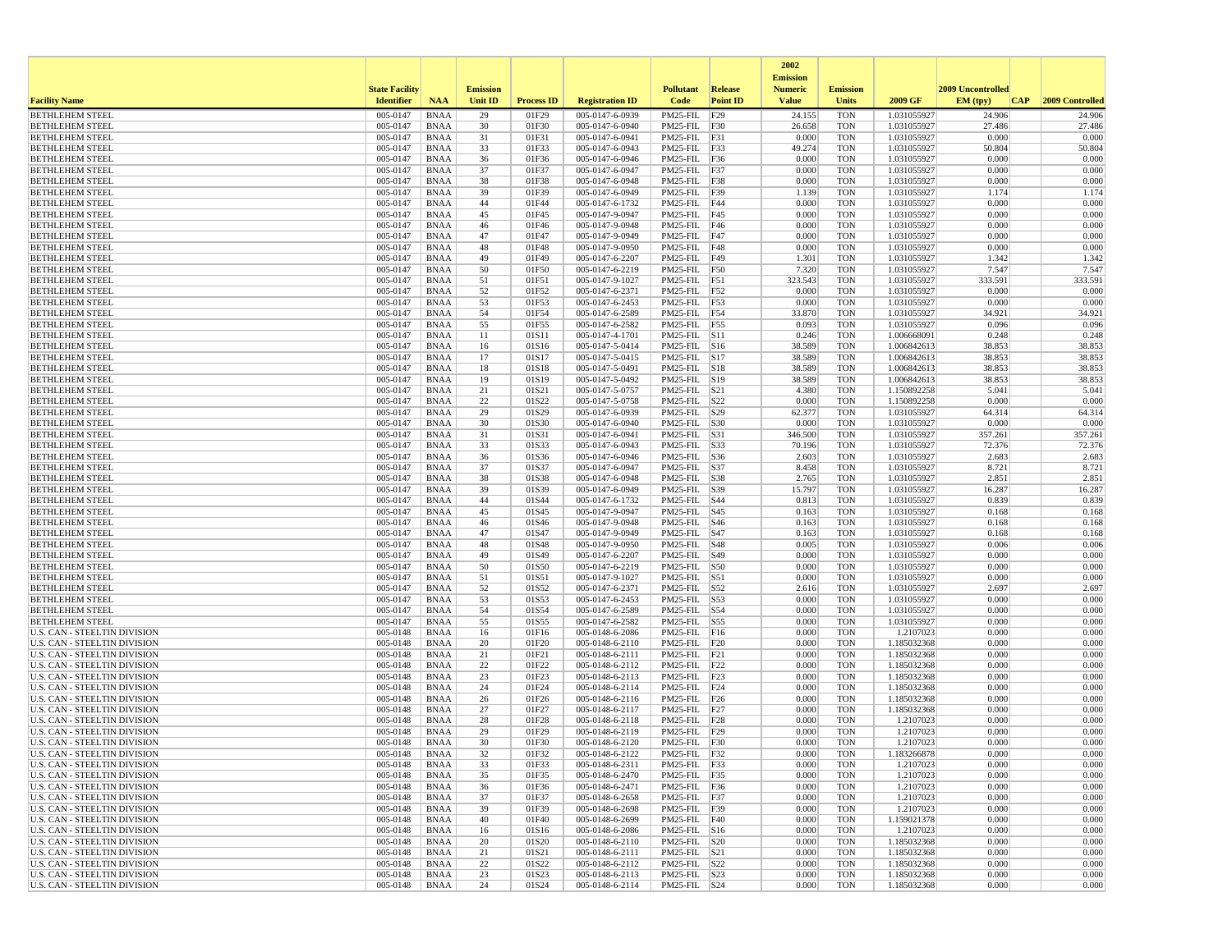|                                                                     |                       |                            |                 |                   |                                    |                                          |                 | 2002<br><b>Emission</b> |                          |                            |                   |                  |
|---------------------------------------------------------------------|-----------------------|----------------------------|-----------------|-------------------|------------------------------------|------------------------------------------|-----------------|-------------------------|--------------------------|----------------------------|-------------------|------------------|
|                                                                     | <b>State Facility</b> |                            | <b>Emission</b> |                   |                                    | <b>Pollutant</b>                         | Release         | <b>Numeric</b>          | <b>Emission</b>          |                            | 2009 Uncontrolled |                  |
| <b>Facility Name</b>                                                | <b>Identifier</b>     | <b>NAA</b>                 | <b>Unit ID</b>  | <b>Process ID</b> | <b>Registration ID</b>             | Code                                     | <b>Point ID</b> | <b>Value</b>            | <b>Units</b>             | 2009 GF                    | EM (tpv)<br>CAP   | 2009 Controlled  |
| <b>BETHLEHEM STEEL</b>                                              | 005-0147<br>005-0147  | <b>BNAA</b>                | 29<br>30        | 01F29             | 005-0147-6-0939                    | PM25-FIL                                 | F29             | 24.155                  | <b>TON</b>               | 1.031055927                | 24.906<br>27.486  | 24.906<br>27.486 |
| <b>BETHLEHEM STEEL</b><br><b>BETHLEHEM STEEL</b>                    | 005-0147              | <b>BNAA</b><br><b>BNAA</b> | 31              | 01F30<br>01F31    | 005-0147-6-0940<br>005-0147-6-0941 | PM25-FIL F30<br>PM25-FIL F31             |                 | 26.658<br>0.000         | <b>TON</b><br><b>TON</b> | 1.031055927<br>1.031055927 | 0.000             | 0.000            |
| <b>BETHLEHEM STEEL</b>                                              | 005-0147              | <b>BNAA</b>                | 33              | 01F33             | 005-0147-6-0943                    | PM25-FIL F33                             |                 | 49.274                  | <b>TON</b>               | 1.031055927                | 50.804            | 50.804           |
| <b>BETHLEHEM STEEL</b>                                              | 005-0147              | <b>BNAA</b>                | 36              | 01F36             | 005-0147-6-0946                    | PM25-FIL F36                             |                 | 0.000                   | <b>TON</b>               | 1.031055927                | 0.000             | 0.000            |
| <b>BETHLEHEM STEEL</b>                                              | 005-0147              | <b>BNAA</b>                | 37              | 01F37             | 005-0147-6-0947                    | PM25-FIL F37                             |                 | 0.000                   | <b>TON</b>               | 1.031055927                | 0.000             | 0.000            |
| <b>BETHLEHEM STEEL</b>                                              | 005-0147              | <b>BNAA</b>                | 38              | 01F38             | 005-0147-6-0948                    | PM25-FIL F38                             |                 | 0.000                   | <b>TON</b>               | 1.031055927                | 0.000             | 0.000            |
| <b>BETHLEHEM STEEL</b><br><b>BETHLEHEM STEEL</b>                    | 005-0147<br>005-0147  | <b>BNAA</b><br><b>BNAA</b> | 39<br>44        | 01F39<br>01F44    | 005-0147-6-0949<br>005-0147-6-1732 | PM25-FIL F39<br>PM25-FIL F44             |                 | 1.139<br>0.000          | <b>TON</b><br><b>TON</b> | 1.031055927<br>1.031055927 | 1.174<br>0.000    | 1.174<br>0.000   |
| <b>BETHLEHEM STEEL</b>                                              | 005-0147              | <b>BNAA</b>                | 45              | 01F45             | 005-0147-9-0947                    | PM25-FIL F45                             |                 | 0.000                   | <b>TON</b>               | 1.031055927                | 0.000             | 0.000            |
| <b>BETHLEHEM STEEL</b>                                              | 005-0147              | <b>BNAA</b>                | 46              | 01F46             | 005-0147-9-0948                    | PM25-FIL F46                             |                 | 0.000                   | <b>TON</b>               | 1.031055927                | 0.000             | 0.000            |
| <b>BETHLEHEM STEEL</b>                                              | 005-0147              | <b>BNAA</b>                | 47              | 01F47             | 005-0147-9-0949                    | PM25-FIL F47                             |                 | 0.000                   | <b>TON</b>               | 1.031055927                | 0.000             | 0.000            |
| <b>BETHLEHEM STEEL</b>                                              | 005-0147              | <b>BNAA</b>                | 48              | 01F48             | 005-0147-9-0950                    | PM25-FIL F48                             |                 | 0.000                   | <b>TON</b>               | 1.031055927                | 0.000             | 0.000            |
| <b>BETHLEHEM STEEL</b><br><b>BETHLEHEM STEEL</b>                    | 005-0147<br>005-0147  | <b>BNAA</b><br><b>BNAA</b> | 49<br>50        | 01F49<br>01F50    | 005-0147-6-2207<br>005-0147-6-2219 | PM25-FIL<br>PM25-FIL F50                 | F49             | 1.301<br>7.320          | <b>TON</b><br><b>TON</b> | 1.031055927<br>1.031055927 | 1.342<br>7.547    | 1.342<br>7.547   |
| <b>BETHLEHEM STEEL</b>                                              | 005-0147              | BNAA                       | 51              | 01F51             | 005-0147-9-1027                    | PM25-FIL F51                             |                 | 323.543                 | <b>TON</b>               | 1.031055927                | 333.591           | 333.591          |
| <b>BETHLEHEM STEEL</b>                                              | 005-0147              | <b>BNAA</b>                | 52              | 01F52             | 005-0147-6-2371                    | PM25-FIL F52                             |                 | 0.000                   | <b>TON</b>               | 1.031055927                | 0.000             | 0.000            |
| <b>BETHLEHEM STEEL</b>                                              | 005-0147              | <b>BNAA</b>                | 53              | 01F53             | 005-0147-6-2453                    | PM25-FIL F53                             |                 | 0.000                   | <b>TON</b>               | 1.031055927                | 0.000             | 0.000            |
| <b>BETHLEHEM STEEL</b>                                              | 005-0147              | <b>BNAA</b>                | 54              | 01F54             | 005-0147-6-2589                    | PM25-FIL F54                             |                 | 33.870                  | <b>TON</b>               | 1.031055927                | 34.921            | 34.921           |
| <b>BETHLEHEM STEEL</b>                                              | 005-0147<br>005-0147  | <b>BNAA</b><br><b>BNAA</b> | 55              | 01F55             | 005-0147-6-2582                    | PM25-FIL F55                             |                 | 0.093<br>0.246          | <b>TON</b><br><b>TON</b> | 1.031055927<br>1.006668091 | 0.096<br>0.248    | 0.096<br>0.248   |
| <b>BETHLEHEM STEEL</b><br><b>BETHLEHEM STEEL</b>                    | 005-0147              | <b>BNAA</b>                | 11<br>16        | 01S11<br>01S16    | 005-0147-4-1701<br>005-0147-5-0414 | $PM25$ -FIL $ S11$<br>$PM25$ -FIL $ S16$ |                 | 38.589                  | <b>TON</b>               | 1.006842613                | 38.853            | 38.853           |
| <b>BETHLEHEM STEEL</b>                                              | 005-0147              | <b>BNAA</b>                | 17              | 01S17             | 005-0147-5-0415                    | PM25-FIL S17                             |                 | 38.589                  | <b>TON</b>               | 1.006842613                | 38.853            | 38.853           |
| <b>BETHLEHEM STEEL</b>                                              | 005-0147              | <b>BNAA</b>                | 18              | 01S18             | 005-0147-5-0491                    | PM25-FIL S18                             |                 | 38.589                  | <b>TON</b>               | 1.006842613                | 38.853            | 38.853           |
| <b>BETHLEHEM STEEL</b>                                              | 005-0147              | <b>BNAA</b>                | 19              | 01S19             | 005-0147-5-0492                    | PM25-FIL S19                             |                 | 38.589                  | <b>TON</b>               | 1.006842613                | 38.853            | 38.853           |
| <b>BETHLEHEM STEEL</b>                                              | 005-0147              | <b>BNAA</b>                | 21              | 01S21             | 005-0147-5-0757                    | $PM25$ -FIL $ S21$                       |                 | 4.380                   | <b>TON</b>               | 1.150892258                | 5.041             | 5.041            |
| <b>BETHLEHEM STEEL</b><br><b>BETHLEHEM STEEL</b>                    | 005-0147<br>005-0147  | <b>BNAA</b><br><b>BNAA</b> | 22<br>29        | 01S22<br>01S29    | 005-0147-5-0758<br>005-0147-6-0939 | PM25-FIL S22<br>PM25-FIL S29             |                 | 0.000<br>62.377         | <b>TON</b><br><b>TON</b> | 1.150892258<br>1.031055927 | 0.000<br>64.314   | 0.000<br>64.314  |
| <b>BETHLEHEM STEEL</b>                                              | 005-0147              | <b>BNAA</b>                | 30              | 01S30             | 005-0147-6-0940                    | PM25-FIL S30                             |                 | 0.000                   | <b>TON</b>               | 1.031055927                | 0.000             | 0.000            |
| <b>BETHLEHEM STEEL</b>                                              | 005-0147              | <b>BNAA</b>                | 31              | 01S31             | 005-0147-6-0941                    | PM25-FIL  S31                            |                 | 346.500                 | <b>TON</b>               | 1.031055927                | 357.261           | 357.261          |
| <b>BETHLEHEM STEEL</b>                                              | 005-0147              | <b>BNAA</b>                | 33              | 01S33             | 005-0147-6-0943                    | PM25-FIL                                 | S33             | 70.196                  | <b>TON</b>               | 1.031055927                | 72.376            | 72.376           |
| <b>BETHLEHEM STEEL</b>                                              | 005-0147              | <b>BNAA</b>                | 36              | 01S36             | 005-0147-6-0946                    | PM25-FIL   S36                           |                 | 2.603                   | <b>TON</b>               | 1.031055927                | 2.683             | 2.683            |
| <b>BETHLEHEM STEEL</b><br><b>BETHLEHEM STEEL</b>                    | 005-0147<br>005-0147  | <b>BNAA</b><br><b>BNAA</b> | 37<br>38        | 01S37<br>01S38    | 005-0147-6-0947<br>005-0147-6-0948 | PM25-FIL S37<br>PM25-FIL S38             |                 | 8.458<br>2.765          | <b>TON</b><br><b>TON</b> | 1.031055927<br>1.031055927 | 8.721<br>2.851    | 8.721<br>2.851   |
| <b>BETHLEHEM STEEL</b>                                              | 005-0147              | <b>BNAA</b>                | 39              | 01S39             | 005-0147-6-0949                    | PM25-FIL S39                             |                 | 15.797                  | <b>TON</b>               | 1.031055927                | 16.287            | 16.287           |
| <b>BETHLEHEM STEEL</b>                                              | 005-0147              | <b>BNAA</b>                | 44              | 01S44             | 005-0147-6-1732                    | PM25-FIL S44                             |                 | 0.813                   | <b>TON</b>               | 1.031055927                | 0.839             | 0.839            |
| <b>BETHLEHEM STEEL</b>                                              | 005-0147              | <b>BNAA</b>                | 45              | 01S45             | 005-0147-9-0947                    | PM25-FIL   S45                           |                 | 0.163                   | <b>TON</b>               | 1.031055927                | 0.168             | 0.168            |
| <b>BETHLEHEM STEEL</b>                                              | 005-0147              | <b>BNAA</b>                | 46              | 01S46             | 005-0147-9-0948                    | PM25-FIL S46                             |                 | 0.163                   | <b>TON</b>               | 1.031055927                | 0.168             | 0.168            |
| <b>BETHLEHEM STEEL</b><br><b>BETHLEHEM STEEL</b>                    | 005-0147<br>005-0147  | <b>BNAA</b><br><b>BNAA</b> | 47<br>48        | 01S47<br>01S48    | 005-0147-9-0949<br>005-0147-9-0950 | PM25-FIL S47<br>PM25-FIL S48             |                 | 0.163<br>0.005          | <b>TON</b><br><b>TON</b> | 1.031055927<br>1.031055927 | 0.168<br>0.006    | 0.168<br>0.006   |
| <b>BETHLEHEM STEEL</b>                                              | 005-0147              | <b>BNAA</b>                | 49              | 01S49             | 005-0147-6-2207                    | PM25-FIL   S49                           |                 | 0.000                   | <b>TON</b>               | 1.031055927                | 0.000             | 0.000            |
| <b>BETHLEHEM STEEL</b>                                              | 005-0147              | <b>BNAA</b>                | 50              | 01S50             | 005-0147-6-2219                    | PM25-FIL                                 | S50             | 0.000                   | <b>TON</b>               | 1.031055927                | 0.000             | 0.000            |
| <b>BETHLEHEM STEEL</b>                                              | 005-0147              | <b>BNAA</b>                | 51              | 01S51             | 005-0147-9-1027                    | PM25-FIL S51                             |                 | 0.000                   | <b>TON</b>               | 1.031055927                | 0.000             | 0.000            |
| <b>BETHLEHEM STEEL</b>                                              | 005-0147              | <b>BNAA</b>                | 52              | 01S52             | 005-0147-6-2371                    | PM25-FIL S52                             |                 | 2.616                   | <b>TON</b>               | 1.031055927                | 2.697             | 2.697            |
| <b>BETHLEHEM STEEL</b><br><b>BETHLEHEM STEEL</b>                    | 005-0147<br>005-0147  | <b>BNAA</b><br><b>BNAA</b> | 53<br>54        | 01S53<br>01S54    | 005-0147-6-2453<br>005-0147-6-2589 | PM25-FIL S53<br>PM25-FIL S54             |                 | 0.000<br>0.000          | <b>TON</b><br><b>TON</b> | 1.031055927<br>1.031055927 | 0.000<br>0.000    | 0.000<br>0.000   |
| <b>BETHLEHEM STEEL</b>                                              | 005-0147              | <b>BNAA</b>                | 55              | 01S55             | 005-0147-6-2582                    | PM25-FIL S55                             |                 | 0.000                   | <b>TON</b>               | 1.031055927                | 0.000             | 0.000            |
| U.S. CAN - STEELTIN DIVISION                                        | 005-0148              | <b>BNAA</b>                | 16              | 01F16             | 005-0148-6-2086                    | $PM25$ -FIL $ F16$                       |                 | 0.000                   | <b>TON</b>               | 1.2107023                  | 0.000             | 0.000            |
| U.S. CAN - STEELTIN DIVISION                                        | 005-0148              | <b>BNAA</b>                | 20              | 01F20             | 005-0148-6-2110                    | PM25-FIL F20                             |                 | 0.000                   | <b>TON</b>               | 1.185032368                | 0.000             | 0.000            |
| U.S. CAN - STEELTIN DIVISION                                        | 005-0148              | <b>BNAA</b>                | 21              | 01F21             | 005-0148-6-2111                    | $PM25$ -FIL $ F21$                       |                 | 0.000                   | <b>TON</b>               | 1.185032368                | 0.000             | 0.000            |
| U.S. CAN - STEELTIN DIVISION<br><b>U.S. CAN - STEELTIN DIVISION</b> | 005-0148              | <b>BNAA</b><br><b>BNAA</b> | 22<br>23        | 01F22<br>01F23    | 005-0148-6-2112                    | PM25-FIL F22                             |                 | 0.000<br>0.000          | <b>TON</b><br><b>TON</b> | 1.185032368<br>1.185032368 | 0.000<br>0.000    | 0.000<br>0.000   |
| U.S. CAN - STEELTIN DIVISION                                        | 005-0148<br>005-0148  | <b>BNAA</b>                | 24              | 01F24             | 005-0148-6-2113<br>005-0148-6-2114 | PM25-FIL F23<br>PM25-FIL                 | F24             | 0.000                   | <b>TON</b>               | 1.185032368                | 0.000             | 0.000            |
| U.S. CAN - STEELTIN DIVISION                                        | 005-0148              | <b>BNAA</b>                | 26              | 01F26             | 005-0148-6-2116                    | PM25-FIL F26                             |                 | 0.000                   | <b>TON</b>               | 1.185032368                | 0.000             | 0.000            |
| <b>U.S. CAN - STEELTIN DIVISION</b>                                 | 005-0148              | <b>BNAA</b>                | 27              | 01F27             | 005-0148-6-2117                    | PM25-FIL                                 | F27             | 0.000                   | <b>TON</b>               | 1.185032368                | 0.000             | 0.000            |
| <b>U.S. CAN - STEELTIN DIVISION</b>                                 | 005-0148              | <b>BNAA</b>                | 28              | 01F28             | 005-0148-6-2118                    | PM25-FIL F28                             |                 | 0.000                   | <b>TON</b>               | 1.2107023                  | 0.000             | 0.000            |
| U.S. CAN - STEELTIN DIVISION                                        | 005-0148              | <b>BNAA</b>                | 29              | 01F29             | 005-0148-6-2119                    | PM25-FIL F29                             |                 | 0.000                   | <b>TON</b>               | 1.2107023                  | 0.000             | 0.000            |
| U.S. CAN - STEELTIN DIVISION<br>U.S. CAN - STEELTIN DIVISION        | 005-0148<br>005-0148  | <b>BNAA</b><br><b>BNAA</b> | 30<br>32        | 01F30<br>01F32    | 005-0148-6-2120<br>005-0148-6-2122 | PM25-FIL F30<br>PM25-FIL   F32           |                 | 0.000<br>0.000          | <b>TON</b><br>TON        | 1.2107023<br>1.183266878   | 0.000<br>0.000    | 0.000<br>0.000   |
| <b>U.S. CAN - STEELTIN DIVISION</b>                                 | 005-0148              | <b>BNAA</b>                | 33              | 01F33             | 005-0148-6-2311                    | PM25-FIL F33                             |                 | 0.000                   | <b>TON</b>               | 1.2107023                  | 0.000             | 0.000            |
| U.S. CAN - STEELTIN DIVISION                                        | 005-0148              | <b>BNAA</b>                | 35              | 01F35             | 005-0148-6-2470                    | PM25-FIL F35                             |                 | 0.000                   | <b>TON</b>               | 1.2107023                  | 0.000             | 0.000            |
| <b>U.S. CAN - STEELTIN DIVISION</b>                                 | 005-0148              | <b>BNAA</b>                | 36              | 01F36             | 005-0148-6-2471                    | PM25-FIL F36                             |                 | 0.000                   | <b>TON</b>               | 1.2107023                  | 0.000             | 0.000            |
| U.S. CAN - STEELTIN DIVISION                                        | 005-0148              | <b>BNAA</b>                | 37              | 01F37             | 005-0148-6-2658                    | PM25-FIL F37                             |                 | 0.000                   | <b>TON</b>               | 1.2107023                  | 0.000             | 0.000            |
| U.S. CAN - STEELTIN DIVISION<br><b>U.S. CAN - STEELTIN DIVISION</b> | 005-0148<br>005-0148  | <b>BNAA</b>                | 39<br>40        | 01F39<br>01F40    | 005-0148-6-2698<br>005-0148-6-2699 | PM25-FIL F39<br>PM25-FIL F40             |                 | 0.000<br>0.000          | <b>TON</b><br><b>TON</b> | 1.2107023<br>1.159021378   | 0.000<br>0.000    | 0.000<br>0.000   |
| U.S. CAN - STEELTIN DIVISION                                        | 005-0148              | <b>BNAA</b><br>BNAA        | 16              | 01S16             | 005-0148-6-2086                    | $PM25$ -FIL $ S16$                       |                 | 0.000                   | <b>TON</b>               | 1.2107023                  | 0.000             | 0.000            |
| <b>U.S. CAN - STEELTIN DIVISION</b>                                 | 005-0148              | <b>BNAA</b>                | 20              | 01S20             | 005-0148-6-2110                    | PM25-FIL S20                             |                 | 0.000                   | <b>TON</b>               | 1.185032368                | 0.000             | 0.000            |
| <b>U.S. CAN - STEELTIN DIVISION</b>                                 | 005-0148              | <b>BNAA</b>                | 21              | 01S21             | 005-0148-6-2111                    | PM25-FIL S21                             |                 | 0.000                   | <b>TON</b>               | 1.185032368                | 0.000             | 0.000            |
| U.S. CAN - STEELTIN DIVISION                                        | 005-0148              | <b>BNAA</b>                | 22              | 01S22             | 005-0148-6-2112                    | PM25-FIL   S22                           |                 | 0.000                   | <b>TON</b>               | 1.185032368                | 0.000             | 0.000            |
| <b>U.S. CAN - STEELTIN DIVISION</b>                                 | 005-0148              | <b>BNAA</b>                | 23              | 01S23             | 005-0148-6-2113                    | $PM25$ -FIL $ S23$                       |                 | 0.000                   | <b>TON</b>               | 1.185032368                | 0.000             | 0.000<br>0.000   |
| U.S. CAN - STEELTIN DIVISION                                        | 005-0148              | <b>BNAA</b>                | 24              | 01S24             | 005-0148-6-2114                    | PM25-FIL S24                             |                 | 0.000                   | TON                      | 1.185032368                | 0.000             |                  |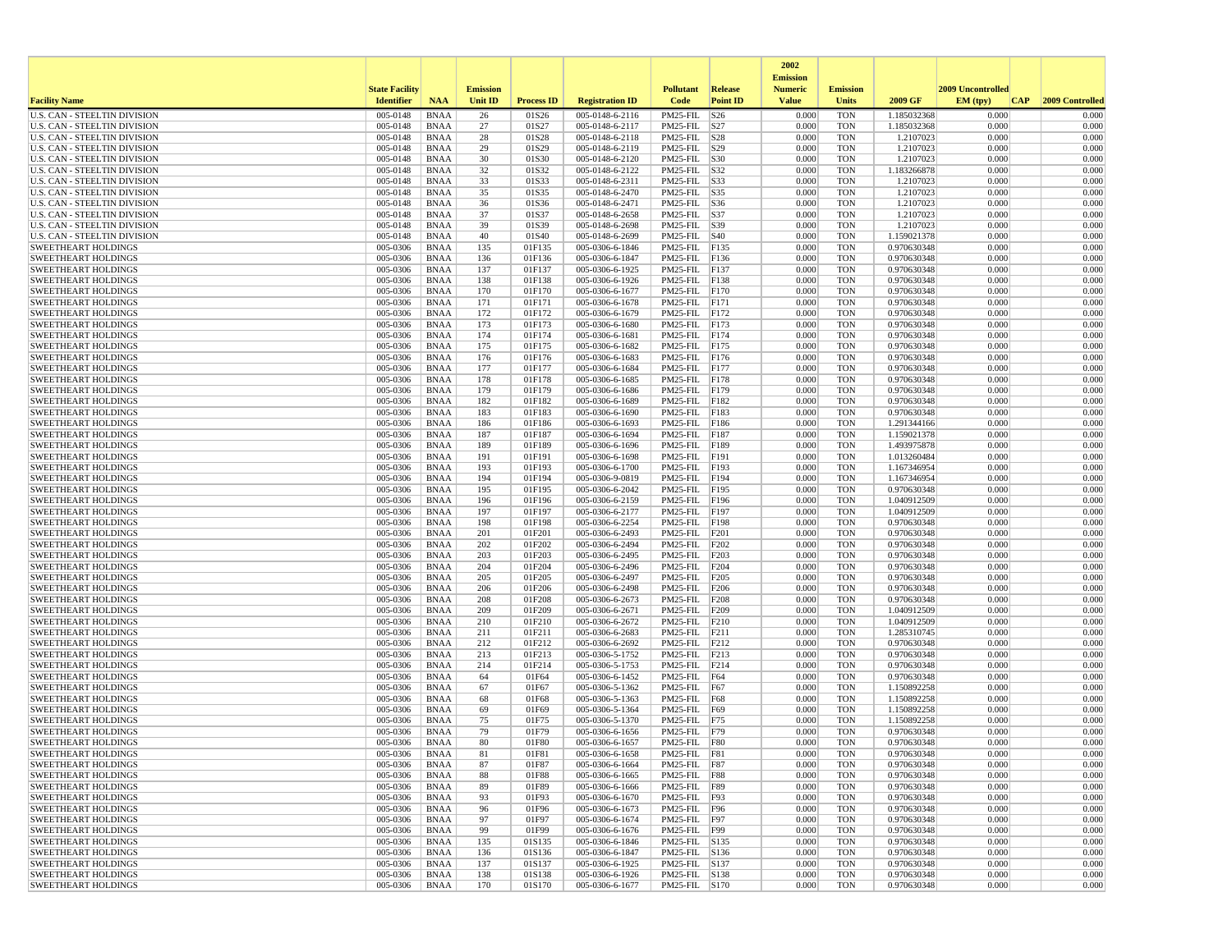|                                                                     |                       |                            |                 |                   |                                    |                                    |                 | 2002                              |                          |                            |                          |                 |
|---------------------------------------------------------------------|-----------------------|----------------------------|-----------------|-------------------|------------------------------------|------------------------------------|-----------------|-----------------------------------|--------------------------|----------------------------|--------------------------|-----------------|
|                                                                     | <b>State Facility</b> |                            | <b>Emission</b> |                   |                                    | <b>Pollutant</b>                   | Release         | <b>Emission</b><br><b>Numeric</b> | <b>Emission</b>          |                            | <b>2009 Uncontrolled</b> |                 |
| <b>Facility Name</b>                                                | <b>Identifier</b>     | <b>NAA</b>                 | Unit ID         | <b>Process ID</b> | <b>Registration ID</b>             | Code                               | <b>Point ID</b> | <b>Value</b>                      | <b>Units</b>             | 2009 GF                    | EM (tpv)<br> CAP         | 2009 Controlled |
| <b>U.S. CAN - STEELTIN DIVISION</b>                                 | 005-0148              | <b>BNAA</b>                | 26              | 01S26             | 005-0148-6-2116                    | PM25-FIL                           | S26             | 0.000                             | <b>TON</b>               | 1.185032368                | 0.000                    | 0.000           |
| <b>U.S. CAN - STEELTIN DIVISION</b>                                 | 005-0148              | <b>BNAA</b>                | 27              | 01S27             | 005-0148-6-2117                    | PM25-FIL S27                       |                 | 0.000                             | <b>TON</b>               | 1.185032368                | 0.000                    | 0.000           |
| <b>U.S. CAN - STEELTIN DIVISION</b>                                 | 005-0148<br>005-0148  | <b>BNAA</b>                | 28              | 01S28             | 005-0148-6-2118                    | PM25-FIL S28                       |                 | 0.000<br>0.000                    | <b>TON</b>               | 1.2107023                  | 0.000                    | 0.000           |
| U.S. CAN - STEELTIN DIVISION<br><b>U.S. CAN - STEELTIN DIVISION</b> | 005-0148              | <b>BNAA</b><br>BNAA        | 29<br>30        | 01S29<br>01S30    | 005-0148-6-2119<br>005-0148-6-2120 | PM25-FIL S29<br>PM25-FIL S30       |                 | 0.000                             | <b>TON</b><br><b>TON</b> | 1.2107023<br>1.2107023     | 0.000<br>0.000           | 0.000<br>0.000  |
| <b>U.S. CAN - STEELTIN DIVISION</b>                                 | 005-0148              | <b>BNAA</b>                | 32              | 01S32             | 005-0148-6-2122                    | PM25-FIL S32                       |                 | 0.000                             | <b>TON</b>               | 1.183266878                | 0.000                    | 0.000           |
| U.S. CAN - STEELTIN DIVISION                                        | 005-0148              | <b>BNAA</b>                | 33              | 01S33             | 005-0148-6-2311                    | PM25-FIL S33                       |                 | 0.000                             | <b>TON</b>               | 1.2107023                  | 0.000                    | 0.000           |
| <b>U.S. CAN - STEELTIN DIVISION</b>                                 | 005-0148              | <b>BNAA</b>                | 35              | 01S35             | 005-0148-6-2470                    | $PM25-FIL$ S35                     |                 | 0.000                             | <b>TON</b>               | 1.2107023                  | 0.000                    | 0.000           |
| U.S. CAN - STEELTIN DIVISION                                        | 005-0148              | <b>BNAA</b>                | 36              | 01S36             | 005-0148-6-2471                    | $PM25-FIL$ $ S36$                  |                 | 0.000                             | <b>TON</b>               | 1.2107023                  | 0.000                    | 0.000           |
| <b>U.S. CAN - STEELTIN DIVISION</b>                                 | 005-0148              | <b>BNAA</b>                | 37              | 01S37             | 005-0148-6-2658                    | PM25-FIL S37                       |                 | 0.000                             | <b>TON</b>               | 1.2107023                  | 0.000                    | 0.000           |
| U.S. CAN - STEELTIN DIVISION<br><b>U.S. CAN - STEELTIN DIVISION</b> | 005-0148<br>005-0148  | <b>BNAA</b><br>BNAA        | 39<br>40        | 01S39<br>01S40    | 005-0148-6-2698<br>005-0148-6-2699 | PM25-FIL S39<br>$PM25$ -FIL $ S40$ |                 | 0.000<br>0.000                    | <b>TON</b><br><b>TON</b> | 1.2107023<br>1.159021378   | 0.000<br>0.000           | 0.000<br>0.000  |
| <b>SWEETHEART HOLDINGS</b>                                          | 005-0306              | <b>BNAA</b>                | 135             | 01F135            | 005-0306-6-1846                    | PM25-FIL F135                      |                 | 0.000                             | <b>TON</b>               | 0.970630348                | 0.000                    | 0.000           |
| <b>SWEETHEART HOLDINGS</b>                                          | 005-0306              | <b>BNAA</b>                | 136             | 01F136            | 005-0306-6-1847                    | PM25-FIL                           | F136            | 0.000                             | <b>TON</b>               | 0.970630348                | 0.000                    | 0.000           |
| <b>SWEETHEART HOLDINGS</b>                                          | 005-0306              | <b>BNAA</b>                | 137             | 01F137            | 005-0306-6-1925                    | PM25-FIL                           | F137            | 0.000                             | <b>TON</b>               | 0.970630348                | 0.000                    | 0.000           |
| <b>SWEETHEART HOLDINGS</b>                                          | 005-0306              | BNAA                       | 138             | 01F138            | 005-0306-6-1926                    | PM25-FIL                           | F138            | 0.000                             | <b>TON</b>               | 0.970630348                | 0.000                    | 0.000           |
| <b>SWEETHEART HOLDINGS</b>                                          | 005-0306              | <b>BNAA</b>                | 170             | 01F170            | 005-0306-6-1677                    | PM25-FIL F170                      |                 | 0.000                             | <b>TON</b>               | 0.970630348                | 0.000                    | 0.000           |
| <b>SWEETHEART HOLDINGS</b>                                          | 005-0306              | BNAA                       | 171             | 01F171            | 005-0306-6-1678                    | PM25-FIL F171                      |                 | 0.000                             | <b>TON</b>               | 0.970630348                | 0.000                    | 0.000           |
| <b>SWEETHEART HOLDINGS</b>                                          | 005-0306              | <b>BNAA</b>                | 172             | 01F172            | 005-0306-6-1679                    | PM25-FIL                           | F172            | 0.000<br>0.000                    | <b>TON</b>               | 0.970630348                | 0.000<br>0.000           | 0.000<br>0.000  |
| <b>SWEETHEART HOLDINGS</b><br><b>SWEETHEART HOLDINGS</b>            | 005-0306<br>005-0306  | <b>BNAA</b><br><b>BNAA</b> | 173<br>174      | 01F173<br>01F174  | 005-0306-6-1680<br>005-0306-6-1681 | PM25-FIL<br>PM25-FIL               | F173<br>F174    | 0.000                             | <b>TON</b><br><b>TON</b> | 0.970630348<br>0.970630348 | 0.000                    | 0.000           |
| <b>SWEETHEART HOLDINGS</b>                                          | 005-0306              | <b>BNAA</b>                | 175             | 01F175            | $005 - 0306 - 6 - 1682$            | PM25-FIL                           | F175            | 0.000                             | <b>TON</b>               | 0.970630348                | 0.000                    | 0.000           |
| <b>SWEETHEART HOLDINGS</b>                                          | 005-0306              | BNAA                       | 176             | 01F176            | 005-0306-6-1683                    | PM25-FIL F176                      |                 | 0.000                             | <b>TON</b>               | 0.970630348                | 0.000                    | 0.000           |
| <b>SWEETHEART HOLDINGS</b>                                          | 005-0306              | <b>BNAA</b>                | 177             | 01F177            | 005-0306-6-1684                    | PM25-FIL F177                      |                 | 0.000                             | <b>TON</b>               | 0.970630348                | 0.000                    | 0.000           |
| <b>SWEETHEART HOLDINGS</b>                                          | 005-0306              | <b>BNAA</b>                | 178             | 01F178            | 005-0306-6-1685                    | PM25-FIL                           | F178            | 0.000                             | <b>TON</b>               | 0.970630348                | 0.000                    | 0.000           |
| <b>SWEETHEART HOLDINGS</b>                                          | 005-0306              | BNAA                       | 179             | 01F179            | 005-0306-6-1686                    | PM25-FIL F179                      |                 | 0.000                             | <b>TON</b>               | 0.970630348                | 0.000                    | 0.000           |
| <b>SWEETHEART HOLDINGS</b>                                          | 005-0306              | <b>BNAA</b>                | 182             | 01F182            | 005-0306-6-1689                    | PM25-FIL                           | F182            | 0.000                             | <b>TON</b>               | 0.970630348                | 0.000                    | 0.000           |
| <b>SWEETHEART HOLDINGS</b><br><b>SWEETHEART HOLDINGS</b>            | 005-0306<br>005-0306  | <b>BNAA</b><br><b>BNAA</b> | 183<br>186      | 01F183<br>01F186  | 005-0306-6-1690<br>005-0306-6-1693 | PM25-FIL F183<br>PM25-FIL F186     |                 | 0.000<br>0.000                    | <b>TON</b><br><b>TON</b> | 0.970630348<br>1.291344166 | 0.000<br>0.000           | 0.000<br>0.000  |
| <b>SWEETHEART HOLDINGS</b>                                          | 005-0306              | BNAA                       | 187             | 01F187            | 005-0306-6-1694                    | PM25-FIL                           | F187            | 0.000                             | <b>TON</b>               | 1.159021378                | 0.000                    | 0.000           |
| <b>SWEETHEART HOLDINGS</b>                                          | 005-0306              | <b>BNAA</b>                | 189             | 01F189            | 005-0306-6-1696                    | PM25-FIL                           | F189            | 0.000                             | <b>TON</b>               | 1.493975878                | 0.000                    | 0.000           |
| <b>SWEETHEART HOLDINGS</b>                                          | 005-0306              | <b>BNAA</b>                | 191             | 01F191            | 005-0306-6-1698                    | PM25-FIL                           | F191            | 0.000                             | <b>TON</b>               | 1.013260484                | 0.000                    | 0.000           |
| <b>SWEETHEART HOLDINGS</b>                                          | 005-0306              | BNAA                       | 193             | 01F193            | 005-0306-6-1700                    | PM25-FIL                           | F193            | 0.000                             | <b>TON</b>               | 1.167346954                | 0.000                    | 0.000           |
| <b>SWEETHEART HOLDINGS</b>                                          | 005-0306              | <b>BNAA</b>                | 194             | 01F194            | 005-0306-9-0819                    | PM25-FIL F194                      |                 | 0.000                             | <b>TON</b>               | 1.167346954                | 0.000                    | 0.000           |
| <b>SWEETHEART HOLDINGS</b>                                          | 005-0306              | <b>BNAA</b>                | 195             | 01F195            | 005-0306-6-2042                    | PM25-FIL F195                      |                 | 0.000                             | <b>TON</b>               | 0.970630348                | 0.000                    | 0.000           |
| <b>SWEETHEART HOLDINGS</b><br><b>SWEETHEART HOLDINGS</b>            | 005-0306<br>005-0306  | <b>BNAA</b><br>BNAA        | 196<br>197      | 01F196<br>01F197  | 005-0306-6-2159<br>005-0306-6-2177 | PM25-FIL<br>PM25-FIL               | F196<br>F197    | 0.000<br>0.000                    | <b>TON</b><br><b>TON</b> | 1.040912509<br>1.040912509 | 0.000<br>0.000           | 0.000<br>0.000  |
| <b>SWEETHEART HOLDINGS</b>                                          | 005-0306              | <b>BNAA</b>                | 198             | 01F198            | 005-0306-6-2254                    | PM25-FIL                           | <b>F198</b>     | 0.000                             | <b>TON</b>               | 0.970630348                | 0.000                    | 0.000           |
| <b>SWEETHEART HOLDINGS</b>                                          | 005-0306              | <b>BNAA</b>                | 201             | 01F201            | 005-0306-6-2493                    | PM25-FIL                           | F201            | 0.000                             | <b>TON</b>               | 0.970630348                | 0.000                    | 0.000           |
| <b>SWEETHEART HOLDINGS</b>                                          | 005-0306              | <b>BNAA</b>                | 202             | 01F202            | 005-0306-6-2494                    | PM25-FIL F202                      |                 | 0.000                             | <b>TON</b>               | 0.970630348                | 0.000                    | 0.000           |
| <b>SWEETHEART HOLDINGS</b>                                          | 005-0306              | BNAA                       | 203             | 01F203            | 005-0306-6-2495                    | PM25-FIL                           | F203            | 0.000                             | <b>TON</b>               | 0.970630348                | 0.000                    | 0.000           |
| <b>SWEETHEART HOLDINGS</b>                                          | 005-0306              | <b>BNAA</b>                | 204             | 01F204            | 005-0306-6-2496                    | PM25-FIL                           | F204            | 0.000                             | <b>TON</b>               | 0.970630348                | 0.000                    | 0.000           |
| <b>SWEETHEART HOLDINGS</b>                                          | 005-0306              | <b>BNAA</b>                | 205             | 01F205            | 005-0306-6-2497                    | PM25-FIL                           | F205            | 0.000                             | <b>TON</b>               | 0.970630348                | 0.000                    | 0.000           |
| <b>SWEETHEART HOLDINGS</b>                                          | 005-0306<br>005-0306  | <b>BNAA</b><br><b>BNAA</b> | 206<br>208      | 01F206<br>01F208  | 005-0306-6-2498                    | PM25-FIL                           | F206            | 0.000<br>0.000                    | <b>TON</b><br><b>TON</b> | 0.970630348<br>0.970630348 | 0.000<br>0.000           | 0.000<br>0.000  |
| <b>SWEETHEART HOLDINGS</b><br><b>SWEETHEART HOLDINGS</b>            | 005-0306              | <b>BNAA</b>                | 209             | 01F209            | 005-0306-6-2673<br>005-0306-6-2671 | PM25-FIL F208<br>PM25-FIL F209     |                 | 0.000                             | <b>TON</b>               | 1.040912509                | 0.000                    | 0.000           |
| <b>SWEETHEART HOLDINGS</b>                                          | 005-0306              | <b>BNAA</b>                | 210             | 01F210            | 005-0306-6-2672                    | PM25-FIL                           | F210            | 0.000                             | <b>TON</b>               | 1.040912509                | 0.000                    | 0.000           |
| <b>SWEETHEART HOLDINGS</b>                                          | 005-0306              | BNAA                       | 211             | 01F211            | 005-0306-6-2683                    | PM25-FIL                           | F211            | 0.000                             | <b>TON</b>               | 1.285310745                | 0.000                    | 0.000           |
| <b>SWEETHEART HOLDINGS</b>                                          | 005-0306              | <b>BNAA</b>                | 212             | 01F212            | 005-0306-6-2692                    | PM25-FIL                           | F212            | 0.000                             | <b>TON</b>               | 0.970630348                | 0.000                    | 0.000           |
| <b>SWEETHEART HOLDINGS</b>                                          | 005-0306              | <b>BNAA</b>                | 213             | 01F213            | 005-0306-5-1752                    | PM25-FIL                           | F213            | 0.000                             | <b>TON</b>               | 0.970630348                | 0.000                    | 0.000           |
| <b>SWEETHEART HOLDINGS</b>                                          | 005-0306              | BNAA                       | 214             | 01F214            | 005-0306-5-1753                    | PM25-FIL F214                      |                 | 0.000                             | <b>TON</b>               | 0.970630348                | 0.000                    | 0.000           |
| <b>SWEETHEART HOLDINGS</b><br><b>SWEETHEART HOLDINGS</b>            | 005-0306<br>005-0306  | <b>BNAA</b><br><b>BNAA</b> | 64<br>67        | 01F64<br>01F67    | 005-0306-6-1452<br>005-0306-5-1362 | PM25-FIL F64<br>PM25-FIL           | F67             | 0.000<br>0.000                    | <b>TON</b><br><b>TON</b> | 0.970630348<br>1.150892258 | 0.000<br>0.000           | 0.000<br>0.000  |
| <b>SWEETHEART HOLDINGS</b>                                          | 005-0306              | <b>BNAA</b>                | 68              | 01F68             | 005-0306-5-1363                    | PM25-FIL F68                       |                 | 0.000                             | <b>TON</b>               | 1.150892258                | 0.000                    | 0.000           |
| <b>SWEETHEART HOLDINGS</b>                                          | 005-0306              | BNAA                       | 69              | 01F69             | 005-0306-5-1364                    | PM25-FIL F69                       |                 | 0.000                             | <b>TON</b>               | 1.150892258                | 0.000                    | 0.000           |
| <b>SWEETHEART HOLDINGS</b>                                          | 005-0306              | <b>BNAA</b>                | 75              | 01F75             | 005-0306-5-1370                    | PM25-FIL F75                       |                 | 0.000                             | <b>TON</b>               | 1.150892258                | 0.000                    | 0.000           |
| <b>SWEETHEART HOLDINGS</b>                                          | 005-0306              | <b>BNAA</b>                | 79              | 01F79             | 005-0306-6-1656                    | PM25-FIL F79                       |                 | 0.000                             | <b>TON</b>               | 0.970630348                | 0.000                    | 0.000           |
| <b>SWEETHEART HOLDINGS</b>                                          | 005-0306              | <b>BNAA</b>                | 80              | 01F80             | 005-0306-6-1657                    | $PM25$ -FIL $F80$                  |                 | 0.000                             | <b>TON</b>               | 0.970630348                | 0.000                    | 0.000           |
| SWEETHEART HOLDINGS                                                 | 005-0306              | <b>BNAA</b>                | 81              | 01F81             | 005-0306-6-1658                    | PM25-FIL   F81                     |                 | 0.000                             | TON                      | 0.970630348                | 0.000                    | 0.000           |
| <b>SWEETHEART HOLDINGS</b><br><b>SWEETHEART HOLDINGS</b>            | 005-0306<br>005-0306  | BNAA<br>BNAA               | 87<br>88        | 01F87<br>01F88    | 005-0306-6-1664<br>005-0306-6-1665 | PM25-FIL F87<br>PM25-FIL F88       |                 | 0.000<br>0.000                    | <b>TON</b><br><b>TON</b> | 0.970630348<br>0.970630348 | 0.000<br>0.000           | 0.000<br>0.000  |
| <b>SWEETHEART HOLDINGS</b>                                          | 005-0306              | <b>BNAA</b>                | 89              | 01F89             | 005-0306-6-1666                    | PM25-FIL F89                       |                 | 0.000                             | <b>TON</b>               | 0.970630348                | 0.000                    | 0.000           |
| <b>SWEETHEART HOLDINGS</b>                                          | 005-0306              | BNAA                       | 93              | 01F93             | 005-0306-6-1670                    | PM25-FIL F93                       |                 | 0.000                             | <b>TON</b>               | 0.970630348                | 0.000                    | 0.000           |
| <b>SWEETHEART HOLDINGS</b>                                          | 005-0306              | <b>BNAA</b>                | 96              | 01F96             | 005-0306-6-1673                    | PM25-FIL F96                       |                 | 0.000                             | <b>TON</b>               | 0.970630348                | 0.000                    | 0.000           |
| <b>SWEETHEART HOLDINGS</b>                                          | 005-0306              | <b>BNAA</b>                | 97              | 01F97             | 005-0306-6-1674                    | PM25-FIL F97                       |                 | 0.000                             | <b>TON</b>               | 0.970630348                | 0.000                    | 0.000           |
| <b>SWEETHEART HOLDINGS</b>                                          | 005-0306              | BNAA                       | 99              | 01F99             | 005-0306-6-1676                    | PM25-FIL F99                       |                 | 0.000                             | <b>TON</b>               | 0.970630348                | 0.000                    | 0.000           |
| <b>SWEETHEART HOLDINGS</b>                                          | 005-0306              | <b>BNAA</b>                | 135             | 01S135            | 005-0306-6-1846                    | PM25-FIL S135                      |                 | 0.000                             | <b>TON</b>               | 0.970630348                | 0.000                    | 0.000           |
| <b>SWEETHEART HOLDINGS</b><br><b>SWEETHEART HOLDINGS</b>            | 005-0306<br>005-0306  | <b>BNAA</b><br><b>BNAA</b> | 136             | 01S136<br>01S137  | 005-0306-6-1847<br>005-0306-6-1925 | PM25-FIL S136<br>PM25-FIL S137     |                 | 0.000<br>0.000                    | <b>TON</b><br><b>TON</b> | 0.970630348<br>0.970630348 | 0.000<br>0.000           | 0.000<br>0.000  |
| <b>SWEETHEART HOLDINGS</b>                                          | 005-0306              | <b>BNAA</b>                | 137<br>138      | 01S138            | 005-0306-6-1926                    | PM25-FIL S138                      |                 | 0.000                             | <b>TON</b>               | 0.970630348                | 0.000                    | 0.000           |
| <b>SWEETHEART HOLDINGS</b>                                          | 005-0306              | <b>BNAA</b>                | 170             | 01S170            | 005-0306-6-1677                    | PM25-FIL S170                      |                 | 0.000                             | <b>TON</b>               | 0.970630348                | 0.000                    | 0.000           |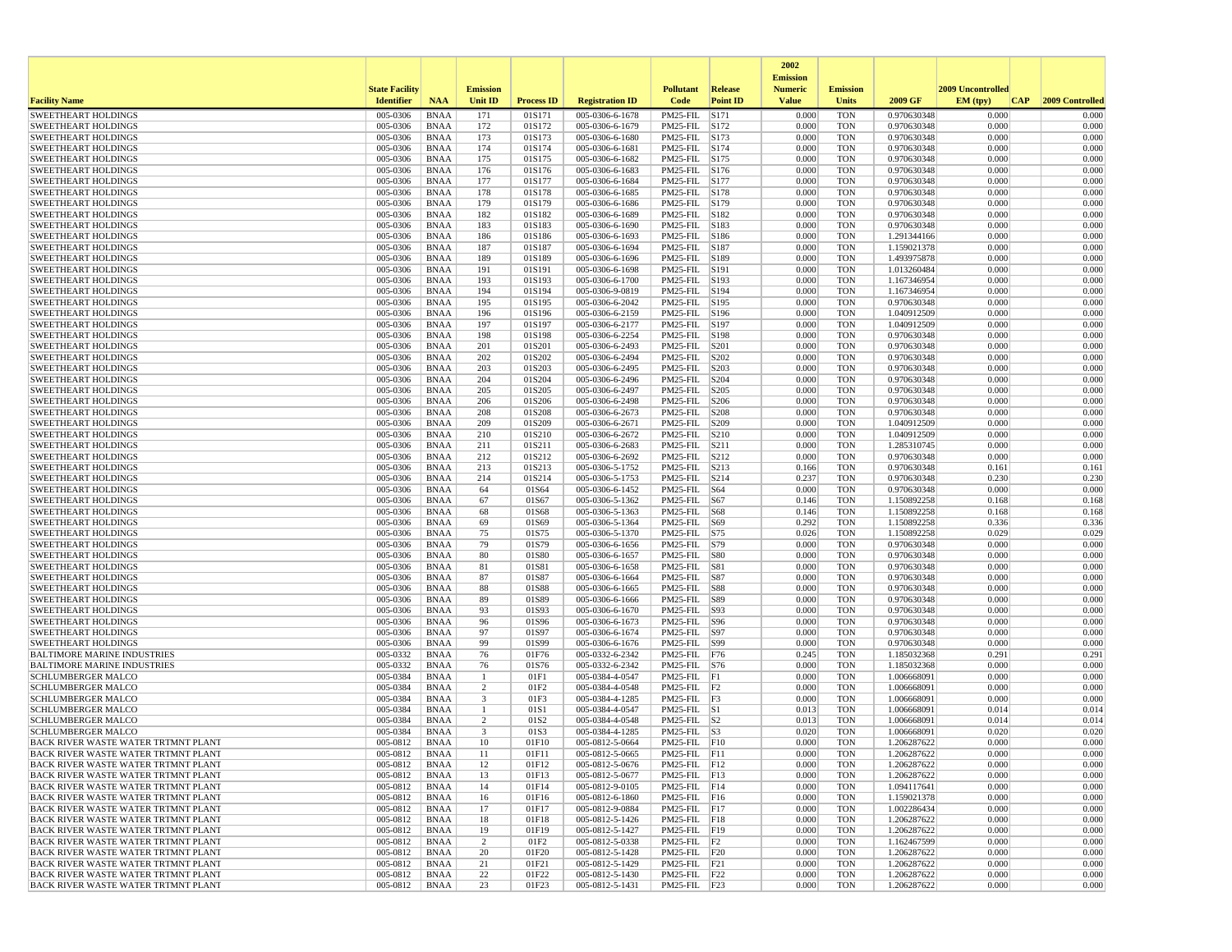|                                                                                   |                       |                            |                      |                          |                                    |                                         |                 | 2002                              |                          |                            |                          |                 |
|-----------------------------------------------------------------------------------|-----------------------|----------------------------|----------------------|--------------------------|------------------------------------|-----------------------------------------|-----------------|-----------------------------------|--------------------------|----------------------------|--------------------------|-----------------|
|                                                                                   | <b>State Facility</b> |                            | <b>Emission</b>      |                          |                                    | <b>Pollutant</b>                        | <b>Release</b>  | <b>Emission</b><br><b>Numeric</b> | <b>Emission</b>          |                            | <b>2009 Uncontrolled</b> |                 |
| <b>Facility Name</b>                                                              | <b>Identifier</b>     | <b>NAA</b>                 | <b>Unit ID</b>       | <b>Process ID</b>        | <b>Registration ID</b>             | Code                                    | <b>Point ID</b> | <b>Value</b>                      | <b>Units</b>             | 2009 GF                    | EM (tpv)<br>CAP          | 2009 Controlled |
| <b>SWEETHEART HOLDINGS</b>                                                        | 005-0306              | <b>BNAA</b>                | 171                  | 01S171                   | 005-0306-6-1678                    | PM25-FIL                                | S171            | 0.000                             | <b>TON</b>               | 0.970630348                | 0.000                    | 0.000           |
| <b>SWEETHEART HOLDINGS</b><br><b>SWEETHEART HOLDINGS</b>                          | 005-0306<br>005-0306  | <b>BNAA</b><br><b>BNAA</b> | 172<br>173           | 01S172<br>01S173         | 005-0306-6-1679<br>005-0306-6-1680 | PM25-FIL S172<br>PM25-FIL S173          |                 | 0.000<br>0.000                    | <b>TON</b><br><b>TON</b> | 0.970630348<br>0.970630348 | 0.000<br>0.000           | 0.000<br>0.000  |
| <b>SWEETHEART HOLDINGS</b>                                                        | 005-0306              | <b>BNAA</b>                | 174                  | 01S174                   | 005-0306-6-1681                    | PM25-FIL                                | S174            | 0.000                             | <b>TON</b>               | 0.970630348                | 0.000                    | 0.000           |
| <b>SWEETHEART HOLDINGS</b>                                                        | 005-0306              | <b>BNAA</b>                | 175                  | 01S175                   | 005-0306-6-1682                    | PM25-FIL S175                           |                 | 0.000                             | <b>TON</b>               | 0.970630348                | 0.000                    | 0.000           |
| <b>SWEETHEART HOLDINGS</b>                                                        | 005-0306              | <b>BNAA</b>                | 176                  | 01S176                   | 005-0306-6-1683                    | PM25-FIL S176                           |                 | 0.000                             | <b>TON</b>               | 0.970630348                | 0.000                    | 0.000           |
| <b>SWEETHEART HOLDINGS</b>                                                        | 005-0306              | <b>BNAA</b>                | 177                  | 01S177                   | 005-0306-6-1684                    | PM25-FIL S177                           |                 | 0.000                             | <b>TON</b>               | 0.970630348                | 0.000                    | 0.000           |
| <b>SWEETHEART HOLDINGS</b>                                                        | 005-0306              | <b>BNAA</b>                | 178                  | 01S178                   | 005-0306-6-1685                    | PM25-FIL S178                           |                 | 0.000                             | <b>TON</b>               | 0.970630348                | 0.000                    | 0.000           |
| <b>SWEETHEART HOLDINGS</b>                                                        | 005-0306              | <b>BNAA</b>                | 179                  | 01S179                   | 005-0306-6-1686                    | PM25-FIL S179<br>PM25-FIL S182          |                 | 0.000                             | <b>TON</b>               | 0.970630348                | 0.000<br>0.000           | 0.000           |
| <b>SWEETHEART HOLDINGS</b><br><b>SWEETHEART HOLDINGS</b>                          | 005-0306<br>005-0306  | <b>BNAA</b><br><b>BNAA</b> | 182<br>183           | 01S182<br>01S183         | 005-0306-6-1689<br>005-0306-6-1690 | PM25-FIL S183                           |                 | 0.000<br>0.000                    | <b>TON</b><br><b>TON</b> | 0.970630348<br>0.970630348 | 0.000                    | 0.000<br>0.000  |
| <b>SWEETHEART HOLDINGS</b>                                                        | 005-0306              | <b>BNAA</b>                | 186                  | 01S186                   | 005-0306-6-1693                    | PM25-FIL S186                           |                 | 0.000                             | <b>TON</b>               | 1.291344166                | 0.000                    | 0.000           |
| <b>SWEETHEART HOLDINGS</b>                                                        | 005-0306              | <b>BNAA</b>                | 187                  | 01S187                   | 005-0306-6-1694                    | PM25-FIL S187                           |                 | 0.000                             | <b>TON</b>               | 1.159021378                | 0.000                    | 0.000           |
| <b>SWEETHEART HOLDINGS</b>                                                        | 005-0306              | <b>BNAA</b>                | 189                  | 01S189                   | 005-0306-6-1696                    | PM25-FIL                                | S189            | 0.000                             | <b>TON</b>               | 1.493975878                | 0.000                    | 0.000           |
| <b>SWEETHEART HOLDINGS</b>                                                        | 005-0306              | <b>BNAA</b>                | 191                  | 01S191                   | 005-0306-6-1698                    | PM25-FIL                                | S191            | 0.000                             | <b>TON</b>               | 1.013260484                | 0.000                    | 0.000           |
| <b>SWEETHEART HOLDINGS</b>                                                        | 005-0306              | <b>BNAA</b>                | 193                  | 01S193                   | 005-0306-6-1700                    | PM25-FIL S193                           |                 | 0.000                             | <b>TON</b>               | 1.167346954                | 0.000                    | 0.000           |
| <b>SWEETHEART HOLDINGS</b><br><b>SWEETHEART HOLDINGS</b>                          | 005-0306<br>005-0306  | <b>BNAA</b><br><b>BNAA</b> | 194<br>195           | 01S194<br>01S195         | 005-0306-9-0819<br>005-0306-6-2042 | PM25-FIL S194<br>PM25-FIL S195          |                 | 0.000<br>0.000                    | <b>TON</b><br><b>TON</b> | 1.167346954<br>0.970630348 | 0.000<br>0.000           | 0.000<br>0.000  |
| <b>SWEETHEART HOLDINGS</b>                                                        | 005-0306              | <b>BNAA</b>                | 196                  | 01S196                   | 005-0306-6-2159                    | PM25-FIL S196                           |                 | 0.000                             | <b>TON</b>               | 1.040912509                | 0.000                    | 0.000           |
| <b>SWEETHEART HOLDINGS</b>                                                        | 005-0306              | <b>BNAA</b>                | 197                  | 01S197                   | 005-0306-6-2177                    | PM25-FIL                                | S197            | 0.000                             | <b>TON</b>               | 1.040912509                | 0.000                    | 0.000           |
| <b>SWEETHEART HOLDINGS</b>                                                        | 005-0306              | <b>BNAA</b>                | 198                  | 01S198                   | 005-0306-6-2254                    | PM25-FIL                                | S198            | 0.000                             | <b>TON</b>               | 0.970630348                | 0.000                    | 0.000           |
| <b>SWEETHEART HOLDINGS</b>                                                        | 005-0306              | <b>BNAA</b>                | 201                  | 01S201                   | 005-0306-6-2493                    | PM25-FIL                                | S201            | 0.000                             | <b>TON</b>               | 0.970630348                | 0.000                    | 0.000           |
| <b>SWEETHEART HOLDINGS</b>                                                        | 005-0306              | <b>BNAA</b>                | 202                  | 01S202                   | 005-0306-6-2494                    | PM25-FIL                                | S202            | 0.000                             | <b>TON</b>               | 0.970630348                | 0.000                    | 0.000           |
| <b>SWEETHEART HOLDINGS</b>                                                        | 005-0306              | <b>BNAA</b>                | 203                  | 01S203                   | 005-0306-6-2495                    | PM25-FIL                                | S203            | 0.000                             | <b>TON</b>               | 0.970630348                | 0.000                    | 0.000           |
| <b>SWEETHEART HOLDINGS</b><br><b>SWEETHEART HOLDINGS</b>                          | 005-0306<br>005-0306  | <b>BNAA</b><br><b>BNAA</b> | 204<br>205           | 01S204<br>01S205         | 005-0306-6-2496<br>005-0306-6-2497 | PM25-FIL<br>PM25-FIL                    | S204<br>S205    | 0.000<br>0.000                    | <b>TON</b><br><b>TON</b> | 0.970630348<br>0.970630348 | 0.000<br>0.000           | 0.000<br>0.000  |
| <b>SWEETHEART HOLDINGS</b>                                                        | 005-0306              | <b>BNAA</b>                | 206                  | 01S206                   | 005-0306-6-2498                    | PM25-FIL                                | S206            | 0.000                             | <b>TON</b>               | 0.970630348                | 0.000                    | 0.000           |
| <b>SWEETHEART HOLDINGS</b>                                                        | 005-0306              | <b>BNAA</b>                | 208                  | 01S208                   | 005-0306-6-2673                    | PM25-FIL S208                           |                 | 0.000                             | <b>TON</b>               | 0.970630348                | 0.000                    | 0.000           |
| <b>SWEETHEART HOLDINGS</b>                                                        | 005-0306              | <b>BNAA</b>                | 209                  | 01S209                   | 005-0306-6-2671                    | PM25-FIL  S209                          |                 | 0.000                             | <b>TON</b>               | 1.040912509                | 0.000                    | 0.000           |
| <b>SWEETHEART HOLDINGS</b>                                                        | 005-0306              | <b>BNAA</b>                | 210                  | 01S210                   | 005-0306-6-2672                    | PM25-FIL                                | S210            | 0.000                             | <b>TON</b>               | 1.040912509                | 0.000                    | 0.000           |
| <b>SWEETHEART HOLDINGS</b>                                                        | 005-0306              | <b>BNAA</b>                | 211                  | 01S211                   | 005-0306-6-2683                    | PM25-FIL                                | S211            | 0.000                             | <b>TON</b>               | 1.285310745                | 0.000                    | 0.000           |
| <b>SWEETHEART HOLDINGS</b><br><b>SWEETHEART HOLDINGS</b>                          | 005-0306<br>005-0306  | <b>BNAA</b><br><b>BNAA</b> | 212<br>213           | 01S212<br>01S213         | 005-0306-6-2692<br>005-0306-5-1752 | PM25-FIL<br>PM25-FIL                    | S212<br>S213    | 0.000<br>0.166                    | <b>TON</b><br><b>TON</b> | 0.970630348<br>0.970630348 | 0.000<br>0.161           | 0.000<br>0.161  |
| <b>SWEETHEART HOLDINGS</b>                                                        | 005-0306              | <b>BNAA</b>                | 214                  | 01S214                   | 005-0306-5-1753                    | PM25-FIL S214                           |                 | 0.237                             | <b>TON</b>               | 0.970630348                | 0.230                    | 0.230           |
| <b>SWEETHEART HOLDINGS</b>                                                        | 005-0306              | <b>BNAA</b>                | 64                   | 01S64                    | 005-0306-6-1452                    | PM25-FIL S64                            |                 | 0.000                             | <b>TON</b>               | 0.970630348                | 0.000                    | 0.000           |
| <b>SWEETHEART HOLDINGS</b>                                                        | 005-0306              | <b>BNAA</b>                | 67                   | 01S67                    | 005-0306-5-1362                    | $PM25-FIL$ S67                          |                 | 0.146                             | <b>TON</b>               | 1.150892258                | 0.168                    | 0.168           |
| <b>SWEETHEART HOLDINGS</b>                                                        | 005-0306              | <b>BNAA</b>                | 68                   | 01S68                    | 005-0306-5-1363                    | PM25-FIL                                | S68             | 0.146                             | <b>TON</b>               | 1.150892258                | 0.168                    | 0.168           |
| <b>SWEETHEART HOLDINGS</b>                                                        | 005-0306              | <b>BNAA</b>                | 69                   | 01S69                    | 005-0306-5-1364                    | PM25-FIL S69                            |                 | 0.292                             | <b>TON</b>               | 1.150892258                | 0.336                    | 0.336           |
| <b>SWEETHEART HOLDINGS</b>                                                        | 005-0306              | <b>BNAA</b>                | 75                   | 01S75                    | 005-0306-5-1370                    | PM25-FIL S75                            |                 | 0.026                             | <b>TON</b>               | 1.150892258                | 0.029                    | 0.029           |
| <b>SWEETHEART HOLDINGS</b><br><b>SWEETHEART HOLDINGS</b>                          | 005-0306<br>005-0306  | <b>BNAA</b><br><b>BNAA</b> | 79<br>80             | 01S79<br>01S80           | 005-0306-6-1656<br>005-0306-6-1657 | PM25-FIL S79<br>PM25-FIL  S80           |                 | 0.000<br>0.000                    | <b>TON</b><br><b>TON</b> | 0.970630348<br>0.970630348 | 0.000<br>0.000           | 0.000<br>0.000  |
| <b>SWEETHEART HOLDINGS</b>                                                        | 005-0306              | <b>BNAA</b>                | 81                   | 01S81                    | 005-0306-6-1658                    | PM25-FIL S81                            |                 | 0.000                             | <b>TON</b>               | 0.970630348                | 0.000                    | 0.000           |
| <b>SWEETHEART HOLDINGS</b>                                                        | 005-0306              | <b>BNAA</b>                | 87                   | 01S87                    | 005-0306-6-1664                    | PM25-FIL                                | S87             | 0.000                             | <b>TON</b>               | 0.970630348                | 0.000                    | 0.000           |
| <b>SWEETHEART HOLDINGS</b>                                                        | 005-0306              | <b>BNAA</b>                | 88                   | 01S88                    | 005-0306-6-1665                    | PM25-FIL S88                            |                 | 0.000                             | <b>TON</b>               | 0.970630348                | 0.000                    | 0.000           |
| <b>SWEETHEART HOLDINGS</b>                                                        | 005-0306              | <b>BNAA</b>                | 89                   | 01S89                    | 005-0306-6-1666                    | PM25-FIL S89                            |                 | 0.000                             | <b>TON</b>               | 0.970630348                | 0.000                    | 0.000           |
| <b>SWEETHEART HOLDINGS</b>                                                        | 005-0306              | <b>BNAA</b>                | 93                   | 01S93                    | 005-0306-6-1670                    | PM25-FIL  S93                           |                 | 0.000                             | <b>TON</b>               | 0.970630348                | 0.000                    | 0.000           |
| <b>SWEETHEART HOLDINGS</b>                                                        | 005-0306              | <b>BNAA</b>                | 96                   | 01S96                    | 005-0306-6-1673                    | PM25-FIL   S96                          |                 | 0.000                             | <b>TON</b>               | 0.970630348                | 0.000                    | 0.000<br>0.000  |
| <b>SWEETHEART HOLDINGS</b><br><b>SWEETHEART HOLDINGS</b>                          | 005-0306<br>005-0306  | <b>BNAA</b><br><b>BNAA</b> | 97<br>99             | 01S97<br>01S99           | 005-0306-6-1674<br>005-0306-6-1676 | PM25-FIL<br>PM25-FIL S99                | S97             | 0.000<br>0.000                    | <b>TON</b><br><b>TON</b> | 0.970630348<br>0.970630348 | 0.000<br>0.000           | 0.000           |
| <b>BALTIMORE MARINE INDUSTRIES</b>                                                | 005-0332              | <b>BNAA</b>                | 76                   | 01F76                    | 005-0332-6-2342                    | PM25-FIL F76                            |                 | 0.245                             | <b>TON</b>               | 1.185032368                | 0.291                    | 0.291           |
| <b>BALTIMORE MARINE INDUSTRIES</b>                                                | 005-0332              | <b>BNAA</b>                | 76                   | 01S76                    | 005-0332-6-2342                    | PM25-FIL S76                            |                 | 0.000                             | <b>TON</b>               | 1.185032368                | 0.000                    | 0.000           |
| <b>SCHLUMBERGER MALCO</b>                                                         | 005-0384              | <b>BNAA</b>                | -1                   | 01F1                     | 005-0384-4-0547                    | $PM25$ -FIL $ F1$                       |                 | 0.000                             | <b>TON</b>               | 1.006668091                | 0.000                    | 0.000           |
| <b>SCHLUMBERGER MALCO</b>                                                         | 005-0384              | <b>BNAA</b>                | $\overline{2}$       | 01F2                     | 005-0384-4-0548                    | PM25-FIL                                | F2              | 0.000                             | <b>TON</b>               | 1.006668091                | 0.000                    | 0.000           |
| <b>SCHLUMBERGER MALCO</b>                                                         | 005-0384              | <b>BNAA</b>                | 3                    | 01F3                     | 005-0384-4-1285                    | $PM25$ -FIL $ F3$                       |                 | 0.000                             | <b>TON</b>               | 1.006668091                | 0.000                    | 0.000           |
| <b>SCHLUMBERGER MALCO</b><br><b>SCHLUMBERGER MALCO</b>                            | 005-0384<br>005-0384  | <b>BNAA</b><br><b>BNAA</b> | -1<br>$\overline{2}$ | 01S1<br>01S <sub>2</sub> | 005-0384-4-0547<br>005-0384-4-0548 | $PM25$ -FIL $ S1$<br>$PM25$ -FIL $ S2 $ |                 | 0.013<br>0.013                    | <b>TON</b><br><b>TON</b> | 1.006668091<br>1.006668091 | 0.014<br>0.014           | 0.014<br>0.014  |
| <b>SCHLUMBERGER MALCO</b>                                                         | 005-0384              | <b>BNAA</b>                | 3                    | 01S3                     | 005-0384-4-1285                    | $PM25$ -FIL $ S3$                       |                 | 0.020                             | <b>TON</b>               | 1.006668091                | 0.020                    | 0.020           |
| <b>BACK RIVER WASTE WATER TRTMNT PLANT</b>                                        | 005-0812              | <b>BNAA</b>                | 10                   | 01F10                    | 005-0812-5-0664                    | $PM25-FIL$ $F10$                        |                 | 0.000                             | <b>TON</b>               | 1.206287622                | 0.000                    | 0.000           |
| BACK RIVER WASTE WATER TRTMNT PLANT                                               | 005-0812              | <b>BNAA</b>                | 11                   | 01F11                    | 005-0812-5-0665                    | PM25-FIL  F11                           |                 | 0.000                             | TON                      | 1.206287622                | 0.000                    | 0.000           |
| BACK RIVER WASTE WATER TRTMNT PLANT                                               | 005-0812              | BNAA                       | 12                   | 01F12                    | 005-0812-5-0676                    | $PM25-FIL$ $ F12$                       |                 | 0.000                             | <b>TON</b>               | 1.206287622                | 0.000                    | 0.000           |
| BACK RIVER WASTE WATER TRTMNT PLANT                                               | 005-0812              | BNAA                       | 13                   | 01F13                    | 005-0812-5-0677                    | PM25-FIL F13                            |                 | 0.000                             | <b>TON</b>               | 1.206287622                | 0.000                    | 0.000           |
| BACK RIVER WASTE WATER TRTMNT PLANT                                               | 005-0812              | BNAA                       | 14                   | 01F14                    | 005-0812-9-0105                    | PM25-FIL F14<br>PM25-FIL F16            |                 | 0.000                             | <b>TON</b><br><b>TON</b> | 1.094117641                | 0.000<br>0.000           | 0.000<br>0.000  |
| <b>BACK RIVER WASTE WATER TRTMNT PLANT</b><br>BACK RIVER WASTE WATER TRTMNT PLANT | 005-0812<br>005-0812  | <b>BNAA</b><br><b>BNAA</b> | 16<br>17             | 01F16<br>01F17           | 005-0812-6-1860<br>005-0812-9-0884 | PM25-FIL F17                            |                 | 0.000<br>0.000                    | <b>TON</b>               | 1.159021378<br>1.002286434 | 0.000                    | 0.000           |
| BACK RIVER WASTE WATER TRTMNT PLANT                                               | 005-0812              | <b>BNAA</b>                | 18                   | 01F18                    | 005-0812-5-1426                    | PM25-FIL F18                            |                 | 0.000                             | <b>TON</b>               | 1.206287622                | 0.000                    | 0.000           |
| <b>BACK RIVER WASTE WATER TRTMNT PLANT</b>                                        | 005-0812              | BNAA                       | 19                   | 01F19                    | 005-0812-5-1427                    | PM25-FIL F19                            |                 | 0.000                             | <b>TON</b>               | 1.206287622                | 0.000                    | 0.000           |
| BACK RIVER WASTE WATER TRTMNT PLANT                                               | 005-0812              | <b>BNAA</b>                | $\overline{c}$       | 01F2                     | 005-0812-5-0338                    | $PM25-FIL$ $F2$                         |                 | 0.000                             | <b>TON</b>               | 1.162467599                | 0.000                    | 0.000           |
| BACK RIVER WASTE WATER TRTMNT PLANT                                               | 005-0812              | <b>BNAA</b>                | 20                   | 01F20                    | 005-0812-5-1428                    | PM25-FIL F20                            |                 | 0.000                             | <b>TON</b>               | 1.206287622                | 0.000                    | 0.000           |
| BACK RIVER WASTE WATER TRTMNT PLANT                                               | 005-0812              | BNAA                       | 21                   | 01F21                    | 005-0812-5-1429                    | $PM25$ -FIL $ F21$                      |                 | 0.000                             | <b>TON</b>               | 1.206287622                | 0.000                    | 0.000           |
| BACK RIVER WASTE WATER TRTMNT PLANT<br>BACK RIVER WASTE WATER TRTMNT PLANT        | 005-0812<br>005-0812  | <b>BNAA</b><br><b>BNAA</b> | 22<br>23             | 01F22<br>01F23           | 005-0812-5-1430<br>005-0812-5-1431 | PM25-FIL F22<br>$PM25$ -FIL $ F23$      |                 | 0.000<br>0.000                    | <b>TON</b><br><b>TON</b> | 1.206287622<br>1.206287622 | 0.000<br>0.000           | 0.000<br>0.000  |
|                                                                                   |                       |                            |                      |                          |                                    |                                         |                 |                                   |                          |                            |                          |                 |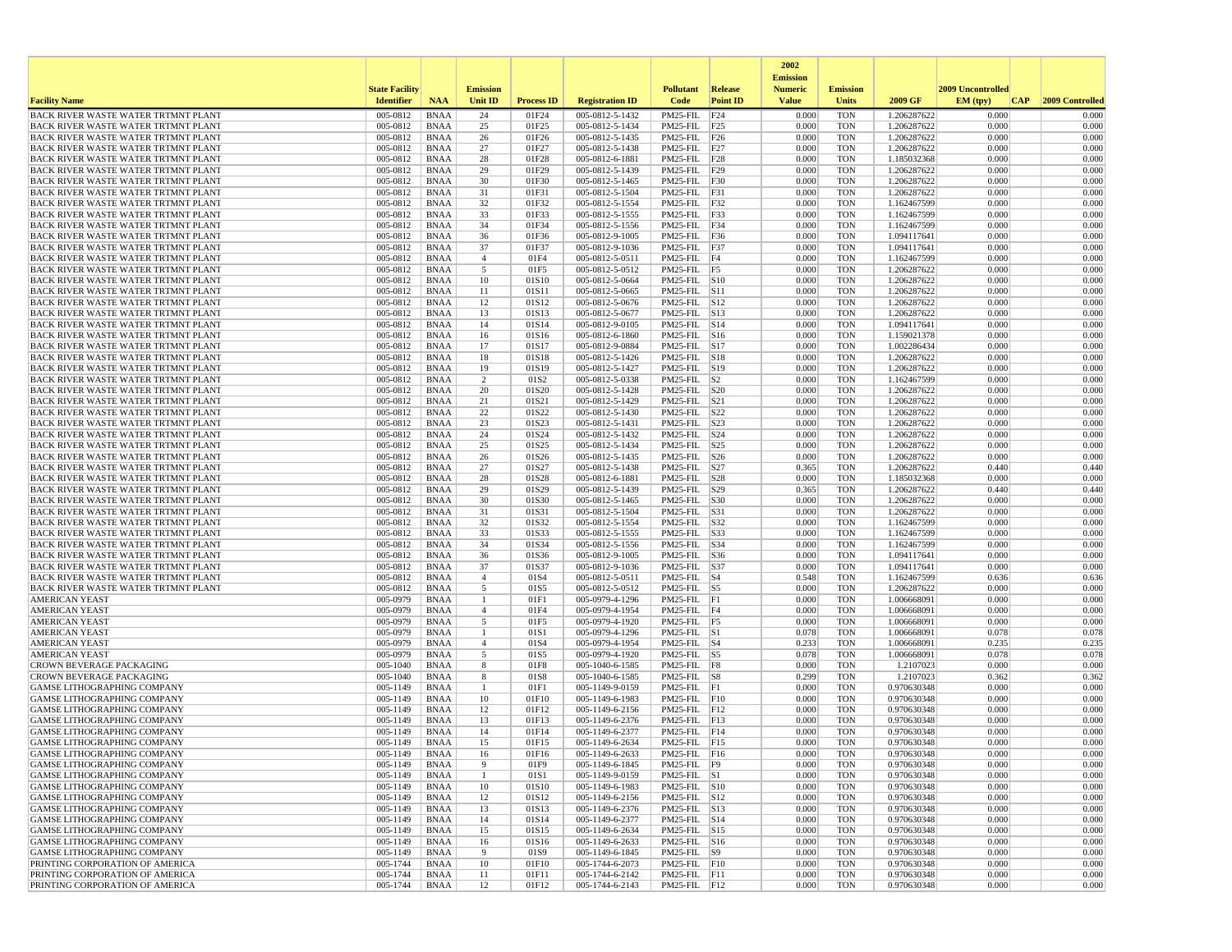|                                                                                          |                       |                            |                     |                   |                                    |                                                   |                 | 2002<br><b>Emission</b> |                          |                            |                   |                 |
|------------------------------------------------------------------------------------------|-----------------------|----------------------------|---------------------|-------------------|------------------------------------|---------------------------------------------------|-----------------|-------------------------|--------------------------|----------------------------|-------------------|-----------------|
|                                                                                          | <b>State Facility</b> |                            | <b>Emission</b>     |                   |                                    | <b>Pollutant</b>                                  | Release         | <b>Numeric</b>          | <b>Emission</b>          |                            | 2009 Uncontrolled |                 |
| <b>Facility Name</b>                                                                     | <b>Identifier</b>     | <b>NAA</b>                 | Unit ID             | <b>Process ID</b> | <b>Registration ID</b>             | Code                                              | <b>Point ID</b> | <b>Value</b>            | <b>Units</b>             | 2009 GF                    | EM (typ)<br> CAP  | 2009 Controlled |
| BACK RIVER WASTE WATER TRTMNT PLANT                                                      | 005-0812              | <b>BNAA</b>                | 24                  | 01F24             | 005-0812-5-1432                    | PM25-FIL                                          | F24             | 0.000                   | <b>TON</b>               | 1.206287622                | 0.000             | 0.000           |
| BACK RIVER WASTE WATER TRTMNT PLANT                                                      | 005-0812              | <b>BNAA</b>                | 25                  | 01F25             | 005-0812-5-1434                    | PM25-FIL F25                                      |                 | 0.000                   | <b>TON</b>               | 1.206287622                | 0.000             | 0.000           |
| <b>BACK RIVER WASTE WATER TRTMNT PLANT</b><br><b>BACK RIVER WASTE WATER TRTMNT PLANT</b> | 005-0812<br>005-0812  | <b>BNAA</b><br><b>BNAA</b> | 26<br>27            | 01F26<br>01F27    | 005-0812-5-1435<br>005-0812-5-1438 | PM25-FIL F26<br>$PM25$ -FIL $ F27$                |                 | 0.000<br>0.000          | <b>TON</b><br><b>TON</b> | 1.206287622<br>1.206287622 | 0.000<br>0.000    | 0.000<br>0.000  |
| <b>BACK RIVER WASTE WATER TRTMNT PLANT</b>                                               | 005-0812              | <b>BNAA</b>                | 28                  | 01F28             | 005-0812-6-1881                    | $PM25$ -FIL $ F28$                                |                 | 0.000                   | <b>TON</b>               | 1.185032368                | 0.000             | 0.000           |
| BACK RIVER WASTE WATER TRTMNT PLANT                                                      | 005-0812              | <b>BNAA</b>                | 29                  | 01F29             | 005-0812-5-1439                    | PM25-FIL F29                                      |                 | 0.000                   | <b>TON</b>               | 1.206287622                | 0.000             | 0.000           |
| BACK RIVER WASTE WATER TRTMNT PLANT                                                      | 005-0812              | <b>BNAA</b>                | 30                  | 01F30             | 005-0812-5-1465                    | PM25-FIL F30                                      |                 | 0.000                   | <b>TON</b>               | 1.206287622                | 0.000             | 0.000           |
| <b>BACK RIVER WASTE WATER TRTMNT PLANT</b>                                               | 005-0812              | <b>BNAA</b>                | 31                  | 01F31             | 005-0812-5-1504                    | $PM25-FIL$ $ F31$                                 |                 | 0.000                   | <b>TON</b>               | 1.206287622                | 0.000             | 0.000           |
| BACK RIVER WASTE WATER TRTMNT PLANT                                                      | 005-0812              | <b>BNAA</b>                | 32                  | 01F32             | 005-0812-5-1554                    | $PM25-FIL$ F32                                    |                 | 0.000                   | <b>TON</b>               | 1.162467599                | 0.000             | 0.000           |
| <b>BACK RIVER WASTE WATER TRTMNT PLANT</b>                                               | 005-0812              | <b>BNAA</b>                | 33                  | 01F33             | 005-0812-5-1555                    | PM25-FIL F33                                      |                 | 0.000                   | <b>TON</b>               | 1.162467599                | 0.000             | 0.000           |
| <b>BACK RIVER WASTE WATER TRTMNT PLANT</b><br><b>BACK RIVER WASTE WATER TRTMNT PLANT</b> | 005-0812<br>005-0812  | <b>BNAA</b><br><b>BNAA</b> | 34<br>36            | 01F34<br>01F36    | 005-0812-5-1556<br>005-0812-9-1005 | $PM25$ -FIL $ F34$<br>PM25-FIL F36                |                 | 0.000<br>0.000          | <b>TON</b><br>TON        | 1.162467599<br>1.094117641 | 0.000<br>0.000    | 0.000<br>0.000  |
| <b>BACK RIVER WASTE WATER TRTMNT PLANT</b>                                               | 005-0812              | <b>BNAA</b>                | 37                  | 01F37             | 005-0812-9-1036                    | $PM25-FIL$ F37                                    |                 | 0.000                   | <b>TON</b>               | 1.094117641                | 0.000             | 0.000           |
| <b>BACK RIVER WASTE WATER TRTMNT PLANT</b>                                               | 005-0812              | <b>BNAA</b>                | $\overline{4}$      | 01F4              | 005-0812-5-0511                    | $PM25$ -FIL $FA$                                  |                 | 0.000                   | <b>TON</b>               | 1.162467599                | 0.000             | 0.000           |
| <b>BACK RIVER WASTE WATER TRTMNT PLANT</b>                                               | 005-0812              | <b>BNAA</b>                | 5                   | 01F5              | 005-0812-5-0512                    | PM25-FIL F5                                       |                 | 0.000                   | <b>TON</b>               | 1.206287622                | 0.000             | 0.000           |
| BACK RIVER WASTE WATER TRTMNT PLANT                                                      | 005-0812              | <b>BNAA</b>                | 10                  | 01S10             | 005-0812-5-0664                    | $PM25$ -FIL $ S10$                                |                 | 0.000                   | <b>TON</b>               | 1.206287622                | 0.000             | 0.000           |
| BACK RIVER WASTE WATER TRTMNT PLANT                                                      | 005-0812              | <b>BNAA</b>                | 11                  | 01S11             | 005-0812-5-0665                    | PM25-FIL S11                                      |                 | 0.000                   | <b>TON</b>               | 1.206287622                | 0.000             | 0.000           |
| <b>BACK RIVER WASTE WATER TRTMNT PLANT</b>                                               | 005-0812              | <b>BNAA</b>                | 12                  | 01S12             | 005-0812-5-0676                    | PM25-FIL S12                                      |                 | 0.000                   | TON                      | 1.206287622                | 0.000             | 0.000           |
| <b>BACK RIVER WASTE WATER TRTMNT PLANT</b><br>BACK RIVER WASTE WATER TRTMNT PLANT        | 005-0812<br>005-0812  | <b>BNAA</b><br><b>BNAA</b> | 13<br>14            | 01S13<br>01S14    | 005-0812-5-0677<br>005-0812-9-0105 | $PM25$ -FIL $ S13$<br>PM25-FIL S14                |                 | 0.000<br>0.000          | <b>TON</b><br><b>TON</b> | 1.206287622<br>1.094117641 | 0.000<br>0.000    | 0.000<br>0.000  |
| <b>BACK RIVER WASTE WATER TRTMNT PLANT</b>                                               | 005-0812              | <b>BNAA</b>                | 16                  | 01S16             | 005-0812-6-1860                    | $PM25$ -FIL $ S16$                                |                 | 0.000                   | <b>TON</b>               | 1.159021378                | 0.000             | 0.000           |
| BACK RIVER WASTE WATER TRTMNT PLANT                                                      | 005-0812              | <b>BNAA</b>                | 17                  | 01S17             | 005-0812-9-0884                    | PM25-FIL S17                                      |                 | 0.000                   | <b>TON</b>               | 1.002286434                | 0.000             | 0.000           |
| <b>BACK RIVER WASTE WATER TRTMNT PLANT</b>                                               | 005-0812              | <b>BNAA</b>                | 18                  | 01S18             | 005-0812-5-1426                    | PM25-FIL S18                                      |                 | 0.000                   | TON                      | 1.206287622                | 0.000             | 0.000           |
| BACK RIVER WASTE WATER TRTMNT PLANT                                                      | 005-0812              | <b>BNAA</b>                | 19                  | 01S19             | 005-0812-5-1427                    | $PM25-FIL$ S19                                    |                 | 0.000                   | <b>TON</b>               | 1.206287622                | 0.000             | 0.000           |
| BACK RIVER WASTE WATER TRTMNT PLANT                                                      | 005-0812              | <b>BNAA</b>                | 2                   | 01S <sub>2</sub>  | 005-0812-5-0338                    | $PM25-FIL$ $ S2$                                  |                 | 0.000                   | <b>TON</b>               | 1.162467599                | 0.000             | 0.000           |
| BACK RIVER WASTE WATER TRTMNT PLANT                                                      | 005-0812              | <b>BNAA</b>                | 20<br>21            | 01S20             | 005-0812-5-1428                    | $PM25$ -FIL $ S20$                                |                 | 0.000                   | <b>TON</b><br><b>TON</b> | 1.206287622                | 0.000<br>0.000    | 0.000<br>0.000  |
| BACK RIVER WASTE WATER TRTMNT PLANT<br><b>BACK RIVER WASTE WATER TRTMNT PLANT</b>        | 005-0812<br>005-0812  | <b>BNAA</b><br><b>BNAA</b> | 22                  | 01S21<br>01S22    | 005-0812-5-1429<br>005-0812-5-1430 | $PM25$ -FIL $ S21$<br>PM25-FIL S22                |                 | 0.000<br>0.000          | <b>TON</b>               | 1.206287622<br>1.206287622 | 0.000             | 0.000           |
| <b>BACK RIVER WASTE WATER TRTMNT PLANT</b>                                               | 005-0812              | <b>BNAA</b>                | 23                  | 01S23             | 005-0812-5-1431                    | $PM25$ -FIL $ S23$                                |                 | 0.000                   | TON                      | 1.206287622                | 0.000             | 0.000           |
| BACK RIVER WASTE WATER TRTMNT PLANT                                                      | 005-0812              | <b>BNAA</b>                | 24                  | 01S24             | 005-0812-5-1432                    | $PM25$ -FIL $ S24$                                |                 | 0.000                   | <b>TON</b>               | 1.206287622                | 0.000             | 0.000           |
| <b>BACK RIVER WASTE WATER TRTMNT PLANT</b>                                               | 005-0812              | <b>BNAA</b>                | 25                  | 01S25             | 005-0812-5-1434                    | PM25-FIL                                          | S25             | 0.000                   | <b>TON</b>               | 1.206287622                | 0.000             | 0.000           |
| BACK RIVER WASTE WATER TRTMNT PLANT                                                      | 005-0812              | <b>BNAA</b>                | 26                  | 01S26             | 005-0812-5-1435                    | PM25 FIL                                          | S26             | 0.000                   | <b>TON</b>               | 1.206287622                | 0.000             | 0.000           |
| <b>BACK RIVER WASTE WATER TRTMNT PLANT</b>                                               | 005-0812              | <b>BNAA</b>                | 27                  | 01S27             | 005-0812-5-1438                    | $PM25$ -FIL $ S27$                                |                 | 0.365                   | <b>TON</b>               | 1.206287622                | 0.440             | 0.440           |
| <b>BACK RIVER WASTE WATER TRTMNT PLANT</b><br><b>BACK RIVER WASTE WATER TRTMNT PLANT</b> | 005-0812<br>005-0812  | <b>BNAA</b><br><b>BNAA</b> | 28<br>29            | 01S28<br>01S29    | 005-0812-6-1881<br>005-0812-5-1439 | PM25-FIL S28<br>PM25-FIL S29                      |                 | 0.000<br>0.365          | <b>TON</b><br><b>TON</b> | 1.185032368<br>1.206287622 | 0.000<br>0.440    | 0.000<br>0.440  |
| <b>BACK RIVER WASTE WATER TRTMNT PLANT</b>                                               | 005-0812              | <b>BNAA</b>                | 30                  | 01S30             | 005-0812-5-1465                    | PM25-FIL                                          | S30             | 0.000                   | <b>TON</b>               | 1.206287622                | 0.000             | 0.000           |
| BACK RIVER WASTE WATER TRTMNT PLANT                                                      | 005-0812              | <b>BNAA</b>                | 31                  | 01S31             | 005-0812-5-1504                    | $PM25$ -FIL $ S31$                                |                 | 0.000                   | <b>TON</b>               | 1.206287622                | 0.000             | 0.000           |
| <b>BACK RIVER WASTE WATER TRTMNT PLANT</b>                                               | 005-0812              | <b>BNAA</b>                | 32                  | 01S32             | 005-0812-5-1554                    | PM25-FIL S32                                      |                 | 0.000                   | <b>TON</b>               | 1.162467599                | 0.000             | 0.000           |
| BACK RIVER WASTE WATER TRTMNT PLANT                                                      | 005-0812              | <b>BNAA</b>                | 33                  | 01S33             | 005-0812-5-1555                    | PM25-FIL S33                                      |                 | 0.000                   | <b>TON</b>               | 1.162467599                | 0.000             | 0.000           |
| <b>BACK RIVER WASTE WATER TRTMNT PLANT</b>                                               | 005-0812              | <b>BNAA</b>                | 34                  | 01S34             | 005-0812-5-1556                    | PM25-FIL S34                                      |                 | 0.000                   | <b>TON</b>               | 1.162467599                | 0.000             | 0.000           |
| BACK RIVER WASTE WATER TRTMNT PLANT                                                      | 005-0812<br>005-0812  | BNAA<br><b>BNAA</b>        | 36<br>37            | 01S36<br>01S37    | 005-0812-9-1005<br>005-0812-9-1036 | $PM25$ -FIL $ S36$<br>PM25-FIL S37                |                 | 0.000<br>0.000          | <b>TON</b><br><b>TON</b> | 1.094117641                | 0.000<br>0.000    | 0.000<br>0.000  |
| BACK RIVER WASTE WATER TRTMNT PLANT<br><b>BACK RIVER WASTE WATER TRTMNT PLANT</b>        | 005-0812              | <b>BNAA</b>                | $\overline{4}$      | 01S4              | 005-0812-5-0511                    | $PM25$ -FIL $\overline{\smash{\big)}\mathbf{S}4}$ |                 | 0.548                   | <b>TON</b>               | 1.094117641<br>1.162467599 | 0.636             | 0.636           |
| <b>BACK RIVER WASTE WATER TRTMNT PLANT</b>                                               | 005-0812              | <b>BNAA</b>                | 5                   | 01S5              | 005-0812-5-0512                    | $PM25$ -FIL $ S5$                                 |                 | 0.000                   | <b>TON</b>               | 1.206287622                | 0.000             | 0.000           |
| <b>AMERICAN YEAST</b>                                                                    | 005-0979              | <b>BNAA</b>                | -1                  | 01F1              | 005-0979-4-1296                    | PM25-FIL F1                                       |                 | 0.000                   | <b>TON</b>               | 1.006668091                | 0.000             | 0.000           |
| <b>AMERICAN YEAST</b>                                                                    | 005-0979              | <b>BNAA</b>                | $\overline{4}$      | 01F4              | 005-0979-4-1954                    | PM25-FIL F4                                       |                 | 0.000                   | <b>TON</b>               | 1.006668091                | 0.000             | 0.000           |
| <b>AMERICAN YEAST</b>                                                                    | 005-0979              | <b>BNAA</b>                | 5                   | 01F5              | 005-0979-4-1920                    | $PM25-FIL$ F5                                     |                 | 0.000                   | <b>TON</b>               | 1.006668091                | 0.000             | 0.000           |
| <b>AMERICAN YEAST</b>                                                                    | 005-0979              | <b>BNAA</b>                | 1                   | 01S1              | 005-0979-4-1296                    | $PM25$ -FIL $ S1$                                 |                 | 0.078                   | <b>TON</b>               | 1.006668091                | 0.078             | 0.078           |
| <b>AMERICAN YEAST</b><br><b>AMERICAN YEAST</b>                                           | 005-0979<br>005-0979  | <b>BNAA</b><br><b>BNAA</b> | $\overline{4}$<br>5 | 01S4<br>01S5      | 005-0979-4-1954<br>005-0979-4-1920 | $PM25$ -FIL $ S4$<br>$PM25$ -FIL $ S5$            |                 | 0.233<br>0.078          | <b>TON</b><br><b>TON</b> | 1.006668091<br>1.006668091 | 0.235<br>0.078    | 0.235<br>0.078  |
| <b>CROWN BEVERAGE PACKAGING</b>                                                          | 005-1040              | <b>BNAA</b>                | 8                   | 01F8              | 005-1040-6-1585                    | PM25-FIL F8                                       |                 | 0.000                   | TON                      | 1.2107023                  | 0.000             | 0.000           |
| <b>CROWN BEVERAGE PACKAGING</b>                                                          | 005-1040              | <b>BNAA</b>                | 8                   | 01S8              | 005-1040-6-1585                    | $PM25-FIL$ $ S8$                                  |                 | 0.299                   | <b>TON</b>               | 1.2107023                  | 0.362             | 0.362           |
| <b>GAMSE LITHOGRAPHING COMPANY</b>                                                       | 005-1149              | <b>BNAA</b>                |                     | 01F1              | 005-1149-9-0159                    | $PM25$ -FIL $ F1$                                 |                 | 0.000                   | <b>TON</b>               | 0.970630348                | 0.000             | 0.000           |
| GAMSE LITHOGRAPHING COMPANY                                                              | 005-1149              | <b>BNAA</b>                | 10                  | 01F10             | 005-1149-6-1983                    | $PM25-FIL$ $ F10$                                 |                 | 0.000                   | <b>TON</b>               | 0.970630348                | 0.000             | 0.000           |
| <b>GAMSE LITHOGRAPHING COMPANY</b>                                                       | 005-1149              | <b>BNAA</b>                | 12                  | 01F12             | 005-1149-6-2156                    | $PM25$ -FIL F12                                   |                 | 0.000                   | <b>TON</b>               | 0.970630348                | 0.000             | 0.000           |
| <b>GAMSE LITHOGRAPHING COMPANY</b><br>GAMSE LITHOGRAPHING COMPANY                        | 005-1149<br>005-1149  | <b>BNAA</b><br><b>BNAA</b> | 13<br>14            | 01F13<br>01F14    | 005-1149-6-2376<br>005-1149-6-2377 | $PM25$ -FIL F13<br>$PM25$ -FIL $ F14$             |                 | 0.000<br>0.000          | <b>TON</b><br><b>TON</b> | 0.970630348<br>0.970630348 | 0.000<br>0.000    | 0.000<br>0.000  |
| GAMSE LITHOGRAPHING COMPANY                                                              | 005-1149              | <b>BNAA</b>                | 15                  | 01F15             | 005-1149-6-2634                    | $PM25$ -FIL $ F15$                                |                 | 0.000                   | <b>TON</b>               | 0.970630348                | 0.000             | 0.000           |
| <b>GAMSE LITHOGRAPHING COMPANY</b>                                                       | 005-1149              | <b>BNAA</b>                | 16                  | 01F16             | 005-1149-6-2633                    | $PM25$ -FIL F16                                   |                 | 0.000                   | TON                      | 0.970630348                | 0.000             | 0.000           |
| GAMSE LITHOGRAPHING COMPANY                                                              | 005-1149              | BNAA                       | 9                   | 01F9              | 005-1149-6-1845                    | PM25-FIL F9                                       |                 | 0.000                   | <b>TON</b>               | 0.970630348                | 0.000             | 0.000           |
| GAMSE LITHOGRAPHING COMPANY                                                              | 005-1149              | BNAA                       | $\mathbf{1}$        | 01S1              | 005-1149-9-0159                    | $PM25-FIL$ S1                                     |                 | 0.000                   | <b>TON</b>               | 0.970630348                | 0.000             | 0.000           |
| GAMSE LITHOGRAPHING COMPANY                                                              | 005-1149              | BNAA                       | 10                  | 01S10             | 005-1149-6-1983                    | $PM25$ -FIL $ S10$                                |                 | 0.000                   | TON                      | 0.970630348                | 0.000             | 0.000           |
| GAMSE LITHOGRAPHING COMPANY                                                              | 005-1149              | BNAA                       | 12                  | 01S12             | 005-1149-6-2156                    | PM25-FIL S12                                      |                 | 0.000                   | <b>TON</b>               | 0.970630348                | 0.000             | 0.000           |
| GAMSE LITHOGRAPHING COMPANY<br>GAMSE LITHOGRAPHING COMPANY                               | 005-1149<br>005-1149  | <b>BNAA</b><br><b>BNAA</b> | 13<br>14            | 01S13<br>01S14    | 005-1149-6-2376<br>005-1149-6-2377 | PM25-FIL S13<br>PM25-FIL S14                      |                 | 0.000<br>0.000          | <b>TON</b><br><b>TON</b> | 0.970630348<br>0.970630348 | 0.000<br>0.000    | 0.000<br>0.000  |
| GAMSE LITHOGRAPHING COMPANY                                                              | 005-1149              | BNAA                       | 15                  | 01S15             | 005-1149-6-2634                    | PM25-FIL S15                                      |                 | 0.000                   | <b>TON</b>               | 0.970630348                | 0.000             | 0.000           |
| <b>GAMSE LITHOGRAPHING COMPANY</b>                                                       | 005-1149              | <b>BNAA</b>                | 16                  | 01S16             | 005-1149-6-2633                    | PM25-FIL S16                                      |                 | 0.000                   | <b>TON</b>               | 0.970630348                | 0.000             | 0.000           |
| <b>GAMSE LITHOGRAPHING COMPANY</b>                                                       | 005-1149              | BNAA                       | 9                   | 01S9              | 005-1149-6-1845                    | $PM25$ -FIL $ S9 $                                |                 | 0.000                   | <b>TON</b>               | 0.970630348                | 0.000             | 0.000           |
| PRINTING CORPORATION OF AMERICA                                                          | 005-1744              | BNAA                       | 10                  | 01F10             | 005-1744-6-2073                    | PM25-FIL F10                                      |                 | 0.000                   | TON                      | 0.970630348                | 0.000             | 0.000           |
| PRINTING CORPORATION OF AMERICA                                                          | 005-1744              | <b>BNAA</b>                | 11                  | 01F11             | 005-1744-6-2142                    | $PM25$ -FIL $ F11$                                |                 | 0.000                   | <b>TON</b>               | 0.970630348                | 0.000             | 0.000           |
| PRINTING CORPORATION OF AMERICA                                                          | 005-1744              | BNAA                       | 12                  | 01F12             | 005-1744-6-2143                    | $PM25-FIL$ $F12$                                  |                 | 0.000                   | TON                      | 0.970630348                | 0.000             | 0.000           |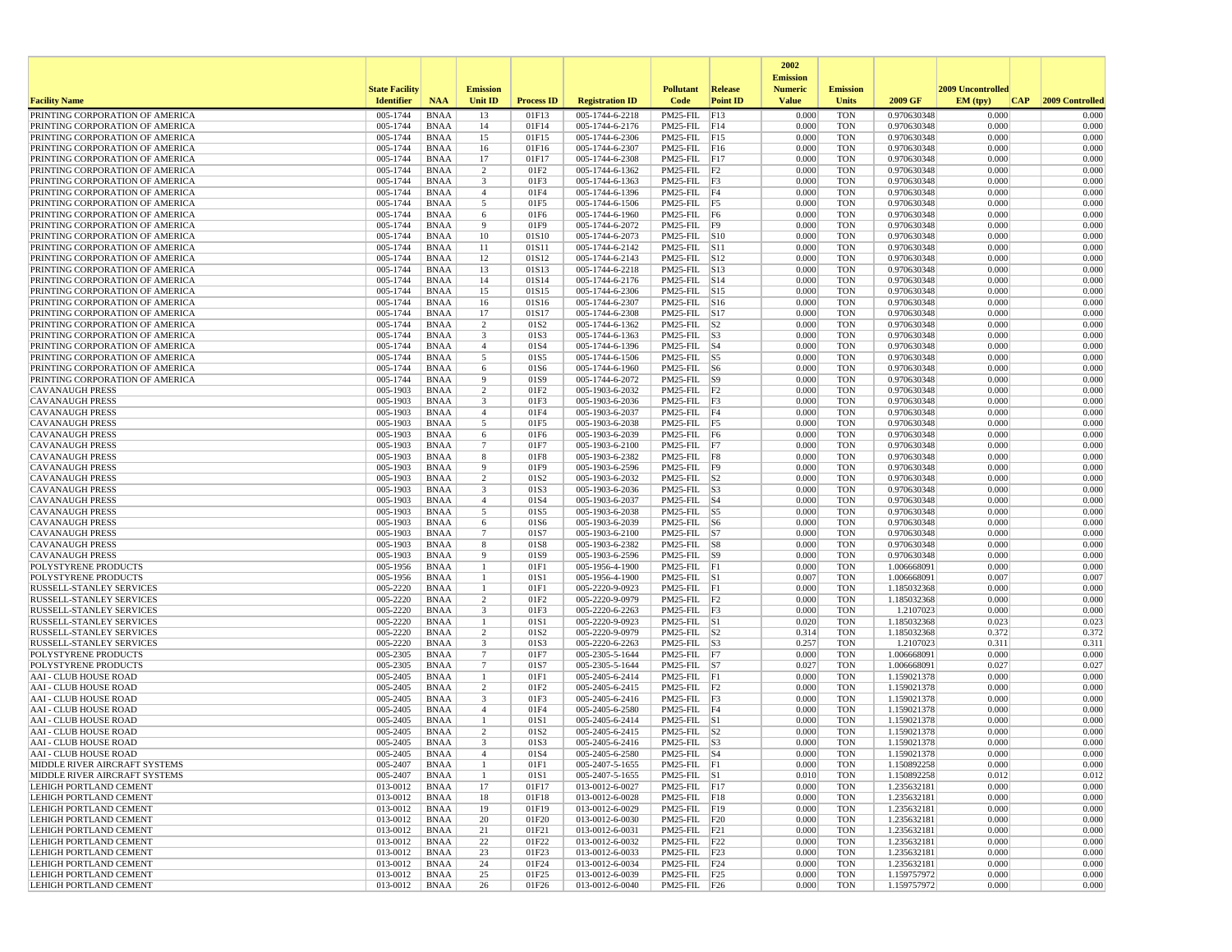|                                                                    |                       |                            |                                    |                   |                                    |                                        |                 | 2002                              |                          |                            |                   |                 |
|--------------------------------------------------------------------|-----------------------|----------------------------|------------------------------------|-------------------|------------------------------------|----------------------------------------|-----------------|-----------------------------------|--------------------------|----------------------------|-------------------|-----------------|
|                                                                    | <b>State Facility</b> |                            | <b>Emission</b>                    |                   |                                    | <b>Pollutant</b>                       | Release         | <b>Emission</b><br><b>Numeric</b> | <b>Emission</b>          |                            | 2009 Uncontrolled |                 |
| <b>Facility Name</b>                                               | <b>Identifier</b>     | <b>NAA</b>                 | Unit ID                            | <b>Process ID</b> | <b>Registration ID</b>             | Code                                   | <b>Point ID</b> | <b>Value</b>                      | <b>Units</b>             | 2009 GF                    | EM (typ)<br> CAP  | 2009 Controlled |
| PRINTING CORPORATION OF AMERICA                                    | 005-1744              | <b>BNAA</b>                | 13                                 | 01F13             | 005-1744-6-2218                    | PM25-FIL                               | F13             | 0.000                             | <b>TON</b>               | 0.970630348                | 0.000             | 0.000           |
| PRINTING CORPORATION OF AMERICA                                    | 005-1744              | <b>BNAA</b>                | 14                                 | 01F14             | 005-1744-6-2176                    | $PM25$ -FIL F14                        |                 | 0.000                             | <b>TON</b>               | 0.970630348                | 0.000             | 0.000           |
| PRINTING CORPORATION OF AMERICA                                    | 005-1744              | <b>BNAA</b>                | 15                                 | 01F15             | 005-1744-6-2306                    | PM25-FIL F15                           |                 | 0.000                             | <b>TON</b>               | 0.970630348                | 0.000             | 0.000           |
| PRINTING CORPORATION OF AMERICA                                    | 005-1744              | <b>BNAA</b>                | 16                                 | 01F16             | 005-1744-6-2307                    | PM25-FIL F16                           |                 | 0.000                             | <b>TON</b>               | 0.970630348                | 0.000             | 0.000           |
| PRINTING CORPORATION OF AMERICA<br>PRINTING CORPORATION OF AMERICA | 005-1744<br>005-1744  | <b>BNAA</b><br><b>BNAA</b> | 17<br>2                            | 01F17<br>01F2     | 005-1744-6-2308<br>005-1744-6-1362 | $PM25$ -FIL F17<br>$PM25$ -FIL $ F2$   |                 | 0.000<br>0.000                    | <b>TON</b><br><b>TON</b> | 0.970630348<br>0.970630348 | 0.000<br>0.000    | 0.000<br>0.000  |
| PRINTING CORPORATION OF AMERICA                                    | 005-1744              | <b>BNAA</b>                | 3                                  | 01F3              | 005-1744-6-1363                    | $PM25$ -FIL $ F3$                      |                 | 0.000                             | <b>TON</b>               | 0.970630348                | 0.000             | 0.000           |
| PRINTING CORPORATION OF AMERICA                                    | 005-1744              | <b>BNAA</b>                | $\overline{4}$                     | 01F4              | 005-1744-6-1396                    | PM25-FIL F4                            |                 | 0.000                             | <b>TON</b>               | 0.970630348                | 0.000             | 0.000           |
| PRINTING CORPORATION OF AMERICA                                    | 005-1744              | <b>BNAA</b>                | 5                                  | 01F5              | 005-1744-6-1506                    | $PM25$ -FIL F5                         |                 | 0.000                             | <b>TON</b>               | 0.970630348                | 0.000             | 0.000           |
| PRINTING CORPORATION OF AMERICA                                    | 005-1744              | <b>BNAA</b>                | 6                                  | 01F6              | 005-1744-6-1960                    | PM25-FIL F6                            |                 | 0.000                             | <b>TON</b>               | 0.970630348                | 0.000             | 0.000           |
| PRINTING CORPORATION OF AMERICA                                    | 005-1744              | <b>BNAA</b>                | 9                                  | 01F9              | 005-1744-6-2072                    | PM25-FIL F9                            |                 | 0.000                             | <b>TON</b>               | 0.970630348                | 0.000             | 0.000           |
| PRINTING CORPORATION OF AMERICA<br>PRINTING CORPORATION OF AMERICA | 005-1744<br>005-1744  | <b>BNAA</b><br><b>BNAA</b> | 10<br>11                           | 01S10<br>01S11    | 005-1744-6-2073<br>005-1744-6-2142 | PM25-FIL S10<br>PM25-FIL S11           |                 | 0.000<br>0.000                    | <b>TON</b><br><b>TON</b> | 0.970630348<br>0.970630348 | 0.000<br>0.000    | 0.000<br>0.000  |
| PRINTING CORPORATION OF AMERICA                                    | 005-1744              | <b>BNAA</b>                | 12                                 | 01S12             | 005-1744-6-2143                    | PM25-FIL S12                           |                 | 0.000                             | <b>TON</b>               | 0.970630348                | 0.000             | 0.000           |
| PRINTING CORPORATION OF AMERICA                                    | 005-1744              | <b>BNAA</b>                | 13                                 | 01S13             | 005-1744-6-2218                    | $PM25$ -FIL $ S13$                     |                 | 0.000                             | <b>TON</b>               | 0.970630348                | 0.000             | 0.000           |
| PRINTING CORPORATION OF AMERICA                                    | 005-1744              | <b>BNAA</b>                | 14                                 | 01S14             | 005-1744-6-2176                    | PM25-FIL S14                           |                 | 0.000                             | <b>TON</b>               | 0.970630348                | 0.000             | 0.000           |
| PRINTING CORPORATION OF AMERICA                                    | 005-1744              | <b>BNAA</b>                | 15                                 | 01S15             | 005-1744-6-2306                    | PM25-FIL S15                           |                 | 0.000                             | <b>TON</b>               | 0.970630348                | 0.000             | 0.000           |
| PRINTING CORPORATION OF AMERICA                                    | 005-1744              | <b>BNAA</b>                | 16                                 | 01S16             | 005-1744-6-2307                    | PM25-FIL S16                           |                 | 0.000                             | <b>TON</b>               | 0.970630348                | 0.000             | 0.000           |
| PRINTING CORPORATION OF AMERICA                                    | 005-1744              | <b>BNAA</b>                | 17                                 | 01S17             | 005-1744-6-2308                    | $PM25-FIL$ S17                         |                 | 0.000                             | <b>TON</b>               | 0.970630348                | 0.000             | 0.000           |
| PRINTING CORPORATION OF AMERICA<br>PRINTING CORPORATION OF AMERICA | 005-1744<br>005-1744  | <b>BNAA</b><br><b>BNAA</b> | 2<br>3                             | 01S2<br>01S3      | 005-1744-6-1362<br>005-1744-6-1363 | PM25-FIL<br>$PM25$ -FIL $ S3$          | S <sub>2</sub>  | 0.000<br>0.000                    | <b>TON</b><br><b>TON</b> | 0.970630348<br>0.970630348 | 0.000<br>0.000    | 0.000<br>0.000  |
| PRINTING CORPORATION OF AMERICA                                    | 005-1744              | <b>BNAA</b>                | $\overline{4}$                     | 01S4              | 005-1744-6-1396                    | $PM25$ -FIL $ S4$                      |                 | 0.000                             | <b>TON</b>               | 0.970630348                | 0.000             | 0.000           |
| PRINTING CORPORATION OF AMERICA                                    | 005-1744              | <b>BNAA</b>                | 5                                  | 01S5              | 005-1744-6-1506                    | $PM25$ -FIL $ S5$                      |                 | 0.000                             | <b>TON</b>               | 0.970630348                | 0.000             | 0.000           |
| PRINTING CORPORATION OF AMERICA                                    | 005-1744              | BNAA                       | 6                                  | 01S6              | 005-1744-6-1960                    | $PM25$ -FIL S6                         |                 | 0.000                             | <b>TON</b>               | 0.970630348                | 0.000             | 0.000           |
| PRINTING CORPORATION OF AMERICA                                    | 005-1744              | <b>BNAA</b>                | -9                                 | 01S9              | 005-1744-6-2072                    | $PM25-FIL$ S9                          |                 | 0.000                             | <b>TON</b>               | 0.970630348                | 0.000             | 0.000           |
| <b>CAVANAUGH PRESS</b>                                             | 005-1903              | <b>BNAA</b>                | 2                                  | 01F <sub>2</sub>  | 005-1903-6-2032                    | $PM25-FIL$ $ F2$                       |                 | 0.000                             | <b>TON</b>               | 0.970630348                | 0.000             | 0.000           |
| <b>CAVANAUGH PRESS</b>                                             | 005-1903              | <b>BNAA</b>                | 3                                  | 01F3              | 005-1903-6-2036                    | $PM25$ -FIL $ F3$                      |                 | 0.000                             | <b>TON</b>               | 0.970630348                | 0.000<br>0.000    | 0.000<br>0.000  |
| <b>CAVANAUGH PRESS</b><br><b>CAVANAUGH PRESS</b>                   | 005-1903<br>005-1903  | <b>BNAA</b><br><b>BNAA</b> | $\overline{4}$<br>5                | 01F4<br>01F5      | 005-1903-6-2037<br>005-1903-6-2038 | PM25-FIL F4<br>PM25-FIL F5             |                 | 0.000<br>0.000                    | <b>TON</b><br><b>TON</b> | 0.970630348<br>0.970630348 | 0.000             | 0.000           |
| <b>CAVANAUGH PRESS</b>                                             | 005-1903              | <b>BNAA</b>                | 6                                  | 01F6              | 005-1903-6-2039                    | $PM25-FIL$ F6                          |                 | 0.000                             | <b>TON</b>               | 0.970630348                | 0.000             | 0.000           |
| <b>CAVANAUGH PRESS</b>                                             | 005-1903              | <b>BNAA</b>                | 7                                  | 01F7              | 005-1903-6-2100                    | $PM25-FIL$ F7                          |                 | 0.000                             | <b>TON</b>               | 0.970630348                | 0.000             | 0.000           |
| <b>CAVANAUGH PRESS</b>                                             | 005-1903              | <b>BNAA</b>                | 8                                  | 01F8              | 005-1903-6-2382                    | PM25-FIL F8                            |                 | 0.000                             | <b>TON</b>               | 0.970630348                | 0.000             | 0.000           |
| <b>CAVANAUGH PRESS</b>                                             | 005-1903              | <b>BNAA</b>                | 9                                  | 01F9              | 005-1903-6-2596                    | PM25-FIL F9                            |                 | 0.000                             | <b>TON</b>               | 0.970630348                | 0.000             | 0.000           |
| <b>CAVANAUGH PRESS</b>                                             | 005-1903              | <b>BNAA</b>                | 2                                  | 01S2              | 005-1903-6-2032                    | $PM25$ -FIL $ S2$                      |                 | 0.000                             | <b>TON</b>               | 0.970630348                | 0.000             | 0.000           |
| <b>CAVANAUGH PRESS</b><br><b>CAVANAUGH PRESS</b>                   | 005-1903<br>005-1903  | <b>BNAA</b><br><b>BNAA</b> | 3<br>$\overline{4}$                | 01S3<br>01S4      | 005-1903-6-2036<br>005-1903-6-2037 | $PM25$ -FIL $ S3$                      |                 | 0.000<br>0.000                    | <b>TON</b><br><b>TON</b> | 0.970630348<br>0.970630348 | 0.000<br>0.000    | 0.000<br>0.000  |
| <b>CAVANAUGH PRESS</b>                                             | 005-1903              | <b>BNAA</b>                | 5                                  | 01S5              | 005-1903-6-2038                    | $PM25$ -FIL $ S4$<br>$PM25$ -FIL $ S5$ |                 | 0.000                             | <b>TON</b>               | 0.970630348                | 0.000             | 0.000           |
| <b>CAVANAUGH PRESS</b>                                             | 005-1903              | <b>BNAA</b>                | 6                                  | 01S6              | 005-1903-6-2039                    | $PM25$ -FIL $ S6$                      |                 | 0.000                             | <b>TON</b>               | 0.970630348                | 0.000             | 0.000           |
| <b>CAVANAUGH PRESS</b>                                             | 005-1903              | <b>BNAA</b>                | $7\phantom{.0}$                    | 01S7              | 005-1903-6-2100                    | $PM25$ -FIL $ S7 $                     |                 | 0.000                             | <b>TON</b>               | 0.970630348                | 0.000             | 0.000           |
| <b>CAVANAUGH PRESS</b>                                             | 005-1903              | <b>BNAA</b>                | 8                                  | 01S8              | 005-1903-6-2382                    | $PM25$ -FIL $ S8$                      |                 | 0.000                             | TON                      | 0.970630348                | 0.000             | 0.000           |
| <b>CAVANAUGH PRESS</b>                                             | 005-1903              | <b>BNAA</b>                | 9                                  | 01S9              | 005-1903-6-2596                    | $PM25-FIL$ S9                          |                 | 0.000                             | <b>TON</b>               | 0.970630348                | 0.000             | 0.000           |
| <b>POLYSTYRENE PRODUCTS</b>                                        | 005-1956              | <b>BNAA</b>                | $\mathbf{1}$                       | 01F1              | 005-1956-4-1900                    | $PM25-FIL$ $F1$                        |                 | 0.000                             | <b>TON</b>               | 1.006668091                | 0.000             | 0.000           |
| POLYSTYRENE PRODUCTS<br><b>RUSSELL-STANLEY SERVICES</b>            | 005-1956<br>005-2220  | <b>BNAA</b><br><b>BNAA</b> | -1<br>-1                           | 01S1<br>01F1      | 005-1956-4-1900<br>005-2220-9-0923 | $PM25$ -FIL $ S1$<br>$PM25$ -FIL $ F1$ |                 | 0.007<br>0.000                    | <b>TON</b><br><b>TON</b> | 1.006668091<br>1.185032368 | 0.007<br>0.000    | 0.007<br>0.000  |
| RUSSELL-STANLEY SERVICES                                           | 005-2220              | <b>BNAA</b>                | 2                                  | 01F2              | 005-2220-9-0979                    | $PM25$ -FIL $ F2$                      |                 | 0.000                             | <b>TON</b>               | 1.185032368                | 0.000             | 0.000           |
| RUSSELL-STANLEY SERVICES                                           | 005-2220              | <b>BNAA</b>                | 3                                  | 01F3              | 005-2220-6-2263                    | $PM25$ -FIL $ F3$                      |                 | 0.000                             | TON                      | 1.2107023                  | 0.000             | 0.000           |
| <b>RUSSELL-STANLEY SERVICES</b>                                    | 005-2220              | <b>BNAA</b>                | -1                                 | 01S1              | 005-2220-9-0923                    | $PM25$ -FIL $ S1$                      |                 | 0.020                             | <b>TON</b>               | 1.185032368                | 0.023             | 0.023           |
| <b>RUSSELL-STANLEY SERVICES</b>                                    | 005-2220              | <b>BNAA</b>                | $\overline{2}$                     | 01S2              | 005-2220-9-0979                    | PM25-FIL                               | S <sub>2</sub>  | 0.314                             | <b>TON</b>               | 1.185032368                | 0.372             | 0.372           |
| RUSSELL-STANLEY SERVICES                                           | 005-2220              | <b>BNAA</b>                | 3                                  | 01S3              | 005-2220-6-2263                    | $PM25$ -FIL $ S3$                      |                 | 0.257                             | <b>TON</b>               | 1.2107023                  | 0.311             | 0.311           |
| POLYSTYRENE PRODUCTS<br>POLYSTYRENE PRODUCTS                       | 005-2305<br>005-2305  | <b>BNAA</b><br><b>BNAA</b> | $7\phantom{.0}$<br>$7\overline{ }$ | 01F7<br>01S7      | 005-2305-5-1644<br>005-2305-5-1644 | PM25-FIL F7<br>$PM25$ -FIL $ S7 $      |                 | 0.000<br>0.027                    | <b>TON</b><br><b>TON</b> | 1.006668091<br>1.006668091 | 0.000<br>0.027    | 0.000<br>0.027  |
| <b>AAI - CLUB HOUSE ROAD</b>                                       | 005-2405              | <b>BNAA</b>                |                                    | 01F1              | 005-2405-6-2414                    | $PM25-FIL$ $F1$                        |                 | 0.000                             | <b>TON</b>               | 1.159021378                | 0.000             | 0.000           |
| AAI - CLUB HOUSE ROAD                                              | 005-2405              | <b>BNAA</b>                | $\overline{2}$                     | 01F <sub>2</sub>  | 005-2405-6-2415                    | $PM25-FIL$ $ F2$                       |                 | 0.000                             | <b>TON</b>               | 1.159021378                | 0.000             | 0.000           |
| <b>AAI - CLUB HOUSE ROAD</b>                                       | 005-2405              | <b>BNAA</b>                | 3                                  | 01F3              | 005-2405-6-2416                    | $PM25$ -FIL $ F3$                      |                 | 0.000                             | <b>TON</b>               | 1.159021378                | 0.000             | 0.000           |
| <b>AAI - CLUB HOUSE ROAD</b>                                       | 005-2405              | <b>BNAA</b>                | $\overline{4}$                     | 01F4              | 005-2405-6-2580                    | PM25-FIL F4                            |                 | 0.000                             | <b>TON</b>               | 1.159021378                | 0.000             | 0.000           |
| <b>AAI - CLUB HOUSE ROAD</b>                                       | 005-2405              | <b>BNAA</b>                | $\mathbf{1}$                       | 01S1              | 005-2405-6-2414                    | $PM25$ -FIL $ S1$                      |                 | 0.000                             | <b>TON</b>               | 1.159021378                | 0.000             | 0.000           |
| <b>AAI - CLUB HOUSE ROAD</b>                                       | 005-2405              | <b>BNAA</b>                | 2<br>3                             | 01S2<br>01S3      | 005-2405-6-2415                    | $PM25$ -FIL $ S2$<br>$PM25$ -FIL $ S3$ |                 | 0.000                             | <b>TON</b><br><b>TON</b> | 1.159021378<br>1.159021378 | 0.000<br>0.000    | 0.000<br>0.000  |
| AAI - CLUB HOUSE ROAD<br>AAI - CLUB HOUSE ROAD                     | 005-2405<br>005-2405  | <b>BNAA</b><br><b>BNAA</b> |                                    | 01S4              | 005-2405-6-2416<br>005-2405-6-2580 | $PM25$ -FIL $ S4$                      |                 | 0.000<br>0.000                    | TON                      | 1.159021378                | 0.000             | 0.000           |
| MIDDLE RIVER AIRCRAFT SYSTEMS                                      | 005-2407              | BNAA                       | -1                                 | 01F1              | 005-2407-5-1655                    | $PM25-FIL$ $ F1$                       |                 | 0.000                             | TON                      | 1.150892258                | 0.000             | 0.000           |
| MIDDLE RIVER AIRCRAFT SYSTEMS                                      | 005-2407              | BNAA                       | -1                                 | 01S1              | 005-2407-5-1655                    | $PM25-FIL$ S1                          |                 | 0.010                             | <b>TON</b>               | 1.150892258                | 0.012             | 0.012           |
| <b>LEHIGH PORTLAND CEMENT</b>                                      | 013-0012              | BNAA                       | 17                                 | 01F17             | 013-0012-6-0027                    | PM25-FIL F17                           |                 | 0.000                             | TON                      | 1.235632181                | 0.000             | 0.000           |
| LEHIGH PORTLAND CEMENT                                             | 013-0012              | BNAA                       | 18                                 | 01F18             | 013-0012-6-0028                    | PM25-FIL F18                           |                 | 0.000                             | <b>TON</b>               | 1.235632181                | 0.000             | 0.000           |
| LEHIGH PORTLAND CEMENT                                             | 013-0012              | <b>BNAA</b>                | 19                                 | 01F19             | 013-0012-6-0029                    | PM25-FIL F19                           |                 | 0.000                             | <b>TON</b>               | 1.235632181                | 0.000             | 0.000           |
| LEHIGH PORTLAND CEMENT                                             | 013-0012<br>013-0012  | BNAA                       | 20<br>21                           | 01F20<br>01F21    | 013-0012-6-0030<br>013-0012-6-0031 | PM25-FIL F20<br>$PM25$ -FIL $ F21$     |                 | 0.000<br>0.000                    | TON<br><b>TON</b>        | 1.235632181<br>1.235632181 | 0.000<br>0.000    | 0.000<br>0.000  |
| <b>LEHIGH PORTLAND CEMENT</b><br><b>LEHIGH PORTLAND CEMENT</b>     | 013-0012              | BNAA<br>BNAA               | 22                                 | 01F22             | 013-0012-6-0032                    | PM25-FIL F22                           |                 | 0.000                             | <b>TON</b>               | 1.235632181                | 0.000             | 0.000           |
| LEHIGH PORTLAND CEMENT                                             | 013-0012              | BNAA                       | 23                                 | 01F23             | 013-0012-6-0033                    | PM25-FIL F23                           |                 | 0.000                             | TON                      | 1.235632181                | 0.000             | 0.000           |
| <b>LEHIGH PORTLAND CEMENT</b>                                      | 013-0012              | BNAA                       | 24                                 | 01F24             | 013-0012-6-0034                    | PM25-FIL F24                           |                 | 0.000                             | <b>TON</b>               | 1.235632181                | 0.000             | 0.000           |
| LEHIGH PORTLAND CEMENT                                             | 013-0012              | <b>BNAA</b>                | 25                                 | 01F25             | 013-0012-6-0039                    | PM25-FIL F25                           |                 | 0.000                             | <b>TON</b>               | 1.159757972                | 0.000             | 0.000           |
| <b>LEHIGH PORTLAND CEMENT</b>                                      | 013-0012              | BNAA                       | 26                                 | 01F26             | 013-0012-6-0040                    | PM25-FIL F26                           |                 | 0.000                             | <b>TON</b>               | 1.159757972                | 0.000             | 0.000           |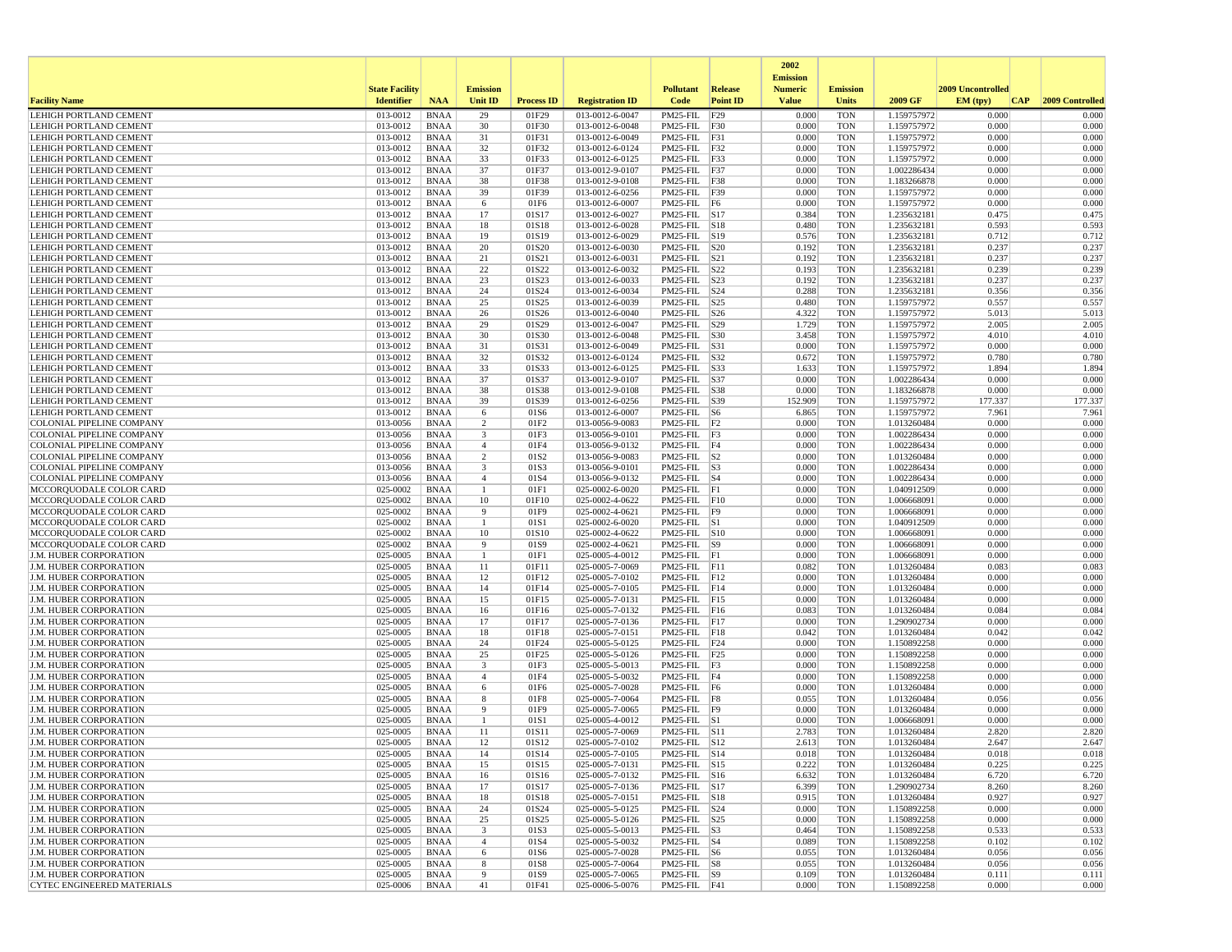|                                                                |                       |                            |                                           |                          |                                    |                                        |                 | 2002<br><b>Emission</b> |                          |                            |                   |                 |
|----------------------------------------------------------------|-----------------------|----------------------------|-------------------------------------------|--------------------------|------------------------------------|----------------------------------------|-----------------|-------------------------|--------------------------|----------------------------|-------------------|-----------------|
|                                                                | <b>State Facility</b> |                            | <b>Emission</b>                           |                          |                                    | <b>Pollutant</b>                       | <b>Release</b>  | <b>Numeric</b>          | <b>Emission</b>          |                            | 2009 Uncontrolled |                 |
| <b>Facility Name</b>                                           | <b>Identifier</b>     | <b>NAA</b>                 | <b>Unit ID</b>                            | <b>Process ID</b>        | <b>Registration ID</b>             | Code                                   | <b>Point ID</b> | <b>Value</b>            | <b>Units</b>             | 2009 GF                    | EM (typ)<br> CAP  | 2009 Controlled |
| <b>LEHIGH PORTLAND CEMENT</b>                                  | 013-0012              | <b>BNAA</b>                | 29                                        | 01F29                    | 013-0012-6-0047                    | PM25-FIL                               | F29             | 0.000                   | <b>TON</b>               | 1.159757972                | 0.000             | 0.000           |
| LEHIGH PORTLAND CEMENT                                         | 013-0012              | <b>BNAA</b>                | 30                                        | 01F30                    | 013-0012-6-0048                    | PM25-FIL F30                           |                 | 0.000                   | <b>TON</b>               | 1.159757972                | 0.000             | 0.000           |
| <b>LEHIGH PORTLAND CEMENT</b><br>LEHIGH PORTLAND CEMENT        | 013-0012<br>013-0012  | <b>BNAA</b><br><b>BNAA</b> | 31<br>32                                  | 01F31<br>01F32           | 013-0012-6-0049<br>013-0012-6-0124 | PM25-FIL F31<br>PM25-FIL F32           |                 | 0.000<br>0.000          | <b>TON</b><br><b>TON</b> | 1.159757972<br>1.159757972 | 0.000<br>0.000    | 0.000<br>0.000  |
| LEHIGH PORTLAND CEMENT                                         | 013-0012              | <b>BNAA</b>                | 33                                        | 01F33                    | 013-0012-6-0125                    | PM25-FIL F33                           |                 | 0.000                   | <b>TON</b>               | 1.159757972                | 0.000             | 0.000           |
| <b>LEHIGH PORTLAND CEMENT</b>                                  | 013-0012              | <b>BNAA</b>                | 37                                        | 01F37                    | 013-0012-9-0107                    | PM25-FIL F37                           |                 | 0.000                   | <b>TON</b>               | 1.002286434                | 0.000             | 0.000           |
| LEHIGH PORTLAND CEMENT                                         | 013-0012              | <b>BNAA</b>                | 38                                        | 01F38                    | 013-0012-9-0108                    | PM25-FIL F38                           |                 | 0.000                   | <b>TON</b>               | 1.183266878                | 0.000             | 0.000           |
| LEHIGH PORTLAND CEMENT                                         | 013-0012              | <b>BNAA</b>                | 39                                        | 01F39                    | 013-0012-6-0256                    | PM25-FIL F39                           |                 | 0.000                   | <b>TON</b>               | 1.159757972                | 0.000             | 0.000           |
| <b>LEHIGH PORTLAND CEMENT</b><br><b>LEHIGH PORTLAND CEMENT</b> | 013-0012<br>013-0012  | <b>BNAA</b><br><b>BNAA</b> | 6<br>17                                   | 01F6<br>01S17            | 013-0012-6-0007<br>013-0012-6-0027 | PM25-FIL F6<br>PM25-FIL S17            |                 | 0.000<br>0.384          | <b>TON</b><br><b>TON</b> | 1.159757972<br>1.235632181 | 0.000<br>0.475    | 0.000<br>0.475  |
| <b>LEHIGH PORTLAND CEMENT</b>                                  | 013-0012              | <b>BNAA</b>                | 18                                        | 01S18                    | 013-0012-6-0028                    | $PM25$ -FIL $ S18$                     |                 | 0.480                   | <b>TON</b>               | 1.235632181                | 0.593             | 0.593           |
| LEHIGH PORTLAND CEMENT                                         | 013-0012              | <b>BNAA</b>                | 19                                        | 01S19                    | 013-0012-6-0029                    | PM25-FIL S19                           |                 | 0.576                   | <b>TON</b>               | 1.235632181                | 0.712             | 0.712           |
| LEHIGH PORTLAND CEMENT                                         | 013-0012              | <b>BNAA</b>                | 20                                        | 01S20                    | 013-0012-6-0030                    | PM25-FIL S20                           |                 | 0.192                   | <b>TON</b>               | 1.235632181                | 0.237             | 0.237           |
| <b>LEHIGH PORTLAND CEMENT</b>                                  | 013-0012              | <b>BNAA</b>                | 21                                        | 01S21                    | 013-0012-6-0031                    | PM25-FIL                               | S21             | 0.192                   | <b>TON</b>               | 1.235632181                | 0.237             | 0.237           |
| <b>LEHIGH PORTLAND CEMENT</b><br><b>LEHIGH PORTLAND CEMENT</b> | 013-0012              | <b>BNAA</b><br><b>BNAA</b> | 22<br>23                                  | 01S22<br>01S23           | 013-0012-6-0032                    | PM25-FIL<br>PM25-FIL S23               | S22             | 0.193<br>0.192          | <b>TON</b><br><b>TON</b> | 1.235632181                | 0.239<br>0.237    | 0.239<br>0.237  |
| LEHIGH PORTLAND CEMENT                                         | 013-0012<br>013-0012  | <b>BNAA</b>                | 24                                        | 01S24                    | 013-0012-6-0033<br>013-0012-6-0034 | PM25-FIL S24                           |                 | 0.288                   | <b>TON</b>               | 1.235632181<br>1.235632181 | 0.356             | 0.356           |
| LEHIGH PORTLAND CEMENT                                         | 013-0012              | <b>BNAA</b>                | 25                                        | 01S25                    | 013-0012-6-0039                    | $PM25$ -FIL $ S25$                     |                 | 0.480                   | <b>TON</b>               | 1.159757972                | 0.557             | 0.557           |
| <b>LEHIGH PORTLAND CEMENT</b>                                  | 013-0012              | <b>BNAA</b>                | 26                                        | 01S26                    | 013-0012-6-0040                    | PM25-FIL S26                           |                 | 4.322                   | <b>TON</b>               | 1.159757972                | 5.013             | 5.013           |
| <b>LEHIGH PORTLAND CEMENT</b>                                  | 013-0012              | <b>BNAA</b>                | 29                                        | 01S29                    | 013-0012-6-0047                    | PM25-FIL                               | S29             | 1.729                   | <b>TON</b>               | 1.159757972                | 2.005             | 2.005           |
| LEHIGH PORTLAND CEMENT                                         | 013-0012              | <b>BNAA</b>                | 30                                        | 01S30                    | 013-0012-6-0048                    | PM25-FIL S30                           |                 | 3.458                   | <b>TON</b>               | 1.159757972                | 4.010             | 4.010           |
| LEHIGH PORTLAND CEMENT<br><b>LEHIGH PORTLAND CEMENT</b>        | 013-0012<br>013-0012  | <b>BNAA</b><br><b>BNAA</b> | 31<br>32                                  | 01S31<br>01S32           | 013-0012-6-0049<br>013-0012-6-0124 | PM25-FIL S31<br>PM25-FIL S32           |                 | 0.000<br>0.672          | <b>TON</b><br><b>TON</b> | 1.159757972<br>1.159757972 | 0.000<br>0.780    | 0.000<br>0.780  |
| LEHIGH PORTLAND CEMENT                                         | 013-0012              | <b>BNAA</b>                | 33                                        | 01S33                    | 013-0012-6-0125                    | PM25-FIL S33                           |                 | 1.633                   | <b>TON</b>               | 1.159757972                | 1.894             | 1.894           |
| <b>LEHIGH PORTLAND CEMENT</b>                                  | 013-0012              | <b>BNAA</b>                | 37                                        | 01S37                    | 013-0012-9-0107                    | $PM25-FIL$ S37                         |                 | 0.000                   | <b>TON</b>               | 1.002286434                | 0.000             | 0.000           |
| <b>LEHIGH PORTLAND CEMENT</b>                                  | 013-0012              | <b>BNAA</b>                | 38                                        | 01S38                    | 013-0012-9-0108                    | $PM25$ -FIL $ S38$                     |                 | 0.000                   | <b>TON</b>               | 1.183266878                | 0.000             | 0.000           |
| <b>LEHIGH PORTLAND CEMENT</b>                                  | 013-0012              | <b>BNAA</b>                | 39                                        | 01S39                    | 013-0012-6-0256                    | PM25-FIL S39                           |                 | 152.909                 | <b>TON</b>               | 1.159757972                | 177.337           | 177.337         |
| <b>LEHIGH PORTLAND CEMENT</b>                                  | 013-0012              | <b>BNAA</b>                | 6<br>$\overline{2}$                       | 01S6                     | 013-0012-6-0007                    | PM25-FIL S6<br>$PM25$ -FIL $ F2 $      |                 | 6.865                   | <b>TON</b>               | 1.159757972                | 7.961<br>0.000    | 7.961<br>0.000  |
| COLONIAL PIPELINE COMPANY<br>COLONIAL PIPELINE COMPANY         | 013-0056<br>013-0056  | <b>BNAA</b><br><b>BNAA</b> | 3                                         | 01F <sub>2</sub><br>01F3 | 013-0056-9-0083<br>013-0056-9-0101 | PM25-FIL F3                            |                 | 0.000<br>0.000          | <b>TON</b><br><b>TON</b> | 1.013260484<br>1.002286434 | 0.000             | 0.000           |
| COLONIAL PIPELINE COMPANY                                      | 013-0056              | <b>BNAA</b>                | $\overline{4}$                            | 01F4                     | 013-0056-9-0132                    | PM25-FIL                               | F4              | 0.000                   | <b>TON</b>               | 1.002286434                | 0.000             | 0.000           |
| COLONIAL PIPELINE COMPANY                                      | 013-0056              | <b>BNAA</b>                | $\overline{c}$                            | 01S2                     | 013-0056-9-0083                    | $PM25$ -FIL $ S2 $                     |                 | 0.000                   | <b>TON</b>               | 1.013260484                | 0.000             | 0.000           |
| <b>COLONIAL PIPELINE COMPANY</b>                               | 013-0056              | <b>BNAA</b>                | $\overline{\mathbf{3}}$                   | 01S3                     | 013-0056-9-0101                    | $PM25-FIL$ $S3$                        |                 | 0.000                   | <b>TON</b>               | 1.002286434                | 0.000             | 0.000           |
| COLONIAL PIPELINE COMPANY                                      | 013-0056              | <b>BNAA</b>                | $\overline{4}$                            | 01S4                     | 013-0056-9-0132                    | $PM25$ -FIL $ S4$                      |                 | 0.000                   | <b>TON</b>               | 1.002286434                | 0.000             | 0.000           |
| MCCORQUODALE COLOR CARD<br>MCCORQUODALE COLOR CARD             | 025-0002<br>025-0002  | <b>BNAA</b><br><b>BNAA</b> | $\mathbf{1}$<br>10                        | 01F1<br>01F10            | 025-0002-6-0020<br>025-0002-4-0622 | $PM25$ -FIL F1<br>$PM25$ -FIL $ F10$   |                 | 0.000<br>0.000          | <b>TON</b><br><b>TON</b> | 1.040912509<br>1.006668091 | 0.000<br>0.000    | 0.000<br>0.000  |
| MCCORQUODALE COLOR CARD                                        | 025-0002              | <b>BNAA</b>                | 9                                         | 01F9                     | 025-0002-4-0621                    | PM25-FIL                               | F9              | 0.000                   | <b>TON</b>               | 1.006668091                | 0.000             | 0.000           |
| MCCORQUODALE COLOR CARD                                        | 025-0002              | <b>BNAA</b>                | $\mathbf{1}$                              | 01S1                     | 025-0002-6-0020                    | $PM25$ -FIL $ S1$                      |                 | 0.000                   | <b>TON</b>               | 1.040912509                | 0.000             | 0.000           |
| MCCORQUODALE COLOR CARD                                        | 025-0002              | <b>BNAA</b>                | 10                                        | 01S10                    | 025-0002-4-0622                    | PM25-FIL S10                           |                 | 0.000                   | <b>TON</b>               | 1.006668091                | 0.000             | 0.000           |
| MCCORQUODALE COLOR CARD                                        | 025-0002              | <b>BNAA</b>                | 9                                         | 01S9                     | 025-0002-4-0621                    | $PM25$ -FIL $ S9 $                     |                 | 0.000                   | <b>TON</b>               | 1.006668091                | 0.000             | 0.000           |
| <b>J.M. HUBER CORPORATION</b><br><b>J.M. HUBER CORPORATION</b> | 025-0005<br>025-0005  | <b>BNAA</b><br><b>BNAA</b> | 11                                        | 01F1<br>01F11            | 025-0005-4-0012<br>025-0005-7-0069 | $PM25-FIL$ $ F1$<br>$PM25-FIL$ $ F11$  |                 | 0.000<br>0.082          | <b>TON</b><br><b>TON</b> | 1.006668091<br>1.013260484 | 0.000<br>0.083    | 0.000<br>0.083  |
| <b>J.M. HUBER CORPORATION</b>                                  | 025-0005              | <b>BNAA</b>                | 12                                        | 01F12                    | 025-0005-7-0102                    | $PM25$ -FIL $ F12$                     |                 | 0.000                   | <b>TON</b>               | 1.013260484                | 0.000             | 0.000           |
| <b>J.M. HUBER CORPORATION</b>                                  | 025-0005              | <b>BNAA</b>                | 14                                        | 01F14                    | 025-0005-7-0105                    | $PM25$ -FIL $ F14$                     |                 | 0.000                   | <b>TON</b>               | 1.013260484                | 0.000             | 0.000           |
| J.M. HUBER CORPORATION                                         | 025-0005              | <b>BNAA</b>                | 15                                        | 01F15                    | 025-0005-7-0131                    | PM25-FIL F15                           |                 | 0.000                   | <b>TON</b>               | 1.013260484                | 0.000             | 0.000           |
| <b>J.M. HUBER CORPORATION</b>                                  | 025-0005              | <b>BNAA</b>                | 16                                        | 01F16                    | 025-0005-7-0132                    | $PM25$ -FIL $ F16$                     |                 | 0.083                   | <b>TON</b>               | 1.013260484                | 0.084             | 0.084           |
| <b>J.M. HUBER CORPORATION</b>                                  | 025-0005<br>025-0005  | <b>BNAA</b><br><b>BNAA</b> | 17                                        | 01F17<br>01F18           | 025-0005-7-0136                    | $PM25$ -FIL $ F17$<br>PM25-FIL         | F18             | 0.000<br>0.042          | <b>TON</b><br><b>TON</b> | 1.290902734                | 0.000<br>0.042    | 0.000<br>0.042  |
| <b>J.M. HUBER CORPORATION</b><br><b>J.M. HUBER CORPORATION</b> | 025-0005              | <b>BNAA</b>                | 18<br>24                                  | 01F24                    | 025-0005-7-0151<br>025-0005-5-0125 | $PM25$ -FIL $ F24$                     |                 | 0.000                   | <b>TON</b>               | 1.013260484<br>1.150892258 | 0.000             | 0.000           |
| <b>J.M. HUBER CORPORATION</b>                                  | 025-0005              | <b>BNAA</b>                | 25                                        | 01F25                    | 025-0005-5-0126                    | $PM25$ -FIL $ F25$                     |                 | 0.000                   | <b>TON</b>               | 1.150892258                | 0.000             | 0.000           |
| J.M. HUBER CORPORATION                                         | 025-0005              | <b>BNAA</b>                | $\overline{\mathbf{3}}$                   | 01F3                     | 025-0005-5-0013                    | PM25-FIL F3                            |                 | 0.000                   | <b>TON</b>               | 1.150892258                | 0.000             | 0.000           |
| <b>J.M. HUBER CORPORATION</b>                                  | 025-0005              | <b>BNAA</b>                | $\overline{4}$                            | 01F4                     | 025-0005-5-0032                    | $PM25$ -FIL $F4$                       |                 | 0.000                   | <b>TON</b>               | 1.150892258                | 0.000             | 0.000           |
| <b>J.M. HUBER CORPORATION</b>                                  | 025-0005              | <b>BNAA</b>                | 6                                         | 01F6                     | 025-0005-7-0028                    | $PM25-FIL$ F6                          |                 | 0.000                   | <b>TON</b>               | 1.013260484                | 0.000             | 0.000           |
| <b>J.M. HUBER CORPORATION</b><br><b>J.M. HUBER CORPORATION</b> | 025-0005<br>025-0005  | <b>BNAA</b><br><b>BNAA</b> | -8<br>9                                   | 01F8<br>01F9             | 025-0005-7-0064<br>025-0005-7-0065 | PM25-FIL F8<br>PM25-FIL F9             |                 | 0.055<br>0.000          | <b>TON</b><br><b>TON</b> | 1.013260484<br>1.013260484 | 0.056<br>0.000    | 0.056<br>0.000  |
| J.M. HUBER CORPORATION                                         | 025-0005              | <b>BNAA</b>                | $\overline{1}$                            | 01S1                     | 025-0005-4-0012                    | $PM25$ -FIL $ S1$                      |                 | 0.000                   | <b>TON</b>               | 1.006668091                | 0.000             | 0.000           |
| <b>J.M. HUBER CORPORATION</b>                                  | 025-0005              | <b>BNAA</b>                | 11                                        | 01S11                    | 025-0005-7-0069                    | $PM25$ -FIL $ S11$                     |                 | 2.783                   | <b>TON</b>               | 1.013260484                | 2.820             | 2.820           |
| <b>J.M. HUBER CORPORATION</b>                                  | 025-0005              | <b>BNAA</b>                | 12                                        | 01S12                    | 025-0005-7-0102                    | $PM25$ -FIL $ S12$                     |                 | 2.613                   | <b>TON</b>               | 1.013260484                | 2.647             | 2.647           |
| J.M. HUBER CORPORATION                                         | 025-0005              | <b>BNAA</b>                | 14                                        | 01S14                    | 025-0005-7-0105                    | PM25-FIL                               | S14             | 0.018                   | <b>TON</b>               | 1.013260484                | 0.018             | 0.018           |
| <b>J.M. HUBER CORPORATION</b>                                  | 025-0005              | BNAA                       | 15                                        | 01S15                    | 025-0005-7-0131                    | $PM25-FIL$ S15                         |                 | 0.222                   | TON                      | 1.013260484                | 0.225             | 0.225           |
| <b>J.M. HUBER CORPORATION</b><br>J.M. HUBER CORPORATION        | 025-0005<br>025-0005  | <b>BNAA</b><br><b>BNAA</b> | 16<br>17                                  | 01S16<br>01S17           | 025-0005-7-0132<br>025-0005-7-0136 | $PM25-FIL$ S16<br>PM25-FIL S17         |                 | 6.632<br>6.399          | <b>TON</b><br><b>TON</b> | 1.013260484<br>1.290902734 | 6.720<br>8.260    | 6.720<br>8.260  |
| J.M. HUBER CORPORATION                                         | 025-0005              | <b>BNAA</b>                | 18                                        | 01S18                    | 025-0005-7-0151                    | PM25-FIL S18                           |                 | 0.915                   | <b>TON</b>               | 1.013260484                | 0.927             | 0.927           |
| J.M. HUBER CORPORATION                                         | 025-0005              | <b>BNAA</b>                | 24                                        | 01S24                    | 025-0005-5-0125                    | PM25-FIL S24                           |                 | 0.000                   | <b>TON</b>               | 1.150892258                | 0.000             | 0.000           |
| J.M. HUBER CORPORATION                                         | 025-0005              | <b>BNAA</b>                | 25                                        | 01S25                    | 025-0005-5-0126                    | PM25-FIL S25                           |                 | 0.000                   | <b>TON</b>               | 1.150892258                | 0.000             | 0.000           |
| J.M. HUBER CORPORATION                                         | 025-0005              | BNAA                       | $\overline{\mathbf{3}}$<br>$\overline{4}$ | 01S3                     | 025-0005-5-0013                    | $PM25$ -FIL $ S3$                      |                 | 0.464                   | <b>TON</b>               | 1.150892258                | 0.533             | 0.533           |
| J.M. HUBER CORPORATION<br><b>J.M. HUBER CORPORATION</b>        | 025-0005<br>025-0005  | <b>BNAA</b><br>BNAA        | 6                                         | 01S4<br>01S6             | 025-0005-5-0032<br>025-0005-7-0028 | $PM25$ -FIL $ S4$<br>$PM25$ -FIL $ S6$ |                 | 0.089<br>0.055          | <b>TON</b><br><b>TON</b> | 1.150892258<br>1.013260484 | 0.102<br>0.056    | 0.102<br>0.056  |
| <b>J.M. HUBER CORPORATION</b>                                  | 025-0005              | <b>BNAA</b>                | 8                                         | 01S8                     | 025-0005-7-0064                    | $PM25$ -FIL $ S8$                      |                 | 0.055                   | <b>TON</b>               | 1.013260484                | 0.056             | 0.056           |
| J.M. HUBER CORPORATION                                         | 025-0005              | <b>BNAA</b>                | 9                                         | 01S9                     | 025-0005-7-0065                    | $PM25$ -FIL $ S9 $                     |                 | 0.109                   | <b>TON</b>               | 1.013260484                | 0.111             | 0.111           |
| <b>CYTEC ENGINEERED MATERIALS</b>                              | 025-0006              | BNAA                       | 41                                        | 01F41                    | 025-0006-5-0076                    | PM25-FIL F41                           |                 | 0.000                   | TON                      | 1.150892258                | 0.000             | 0.000           |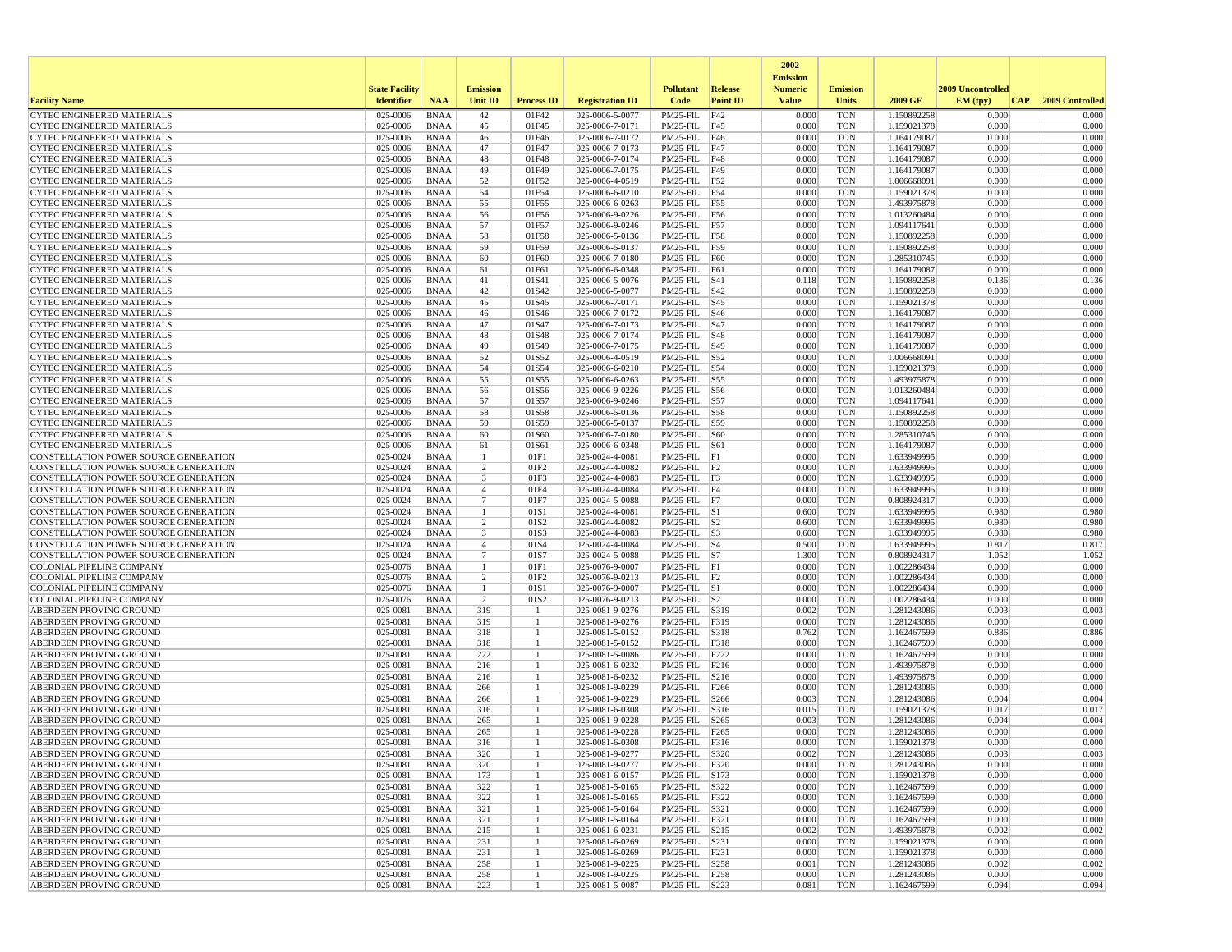|                                                                                |                       |                            |                                   |                   |                                    |                                     |                  | 2002                              |                          |                            |                   |                 |
|--------------------------------------------------------------------------------|-----------------------|----------------------------|-----------------------------------|-------------------|------------------------------------|-------------------------------------|------------------|-----------------------------------|--------------------------|----------------------------|-------------------|-----------------|
|                                                                                | <b>State Facility</b> |                            | <b>Emission</b>                   |                   |                                    | <b>Pollutant</b>                    | Release          | <b>Emission</b><br><b>Numeric</b> | <b>Emission</b>          |                            | 2009 Uncontrolled |                 |
| <b>Facility Name</b>                                                           | <b>Identifier</b>     | <b>NAA</b>                 | Unit ID                           | <b>Process ID</b> | <b>Registration ID</b>             | Code                                | <b>Point ID</b>  | <b>Value</b>                      | <b>Units</b>             | 2009 GF                    | EM (typ)<br> CAP  | 2009 Controlled |
| <b>CYTEC ENGINEERED MATERIALS</b>                                              | 025-0006              | <b>BNAA</b>                | 42                                | 01F42             | 025-0006-5-0077                    | PM25-FIL                            | F42              | 0.000                             | <b>TON</b>               | 1.150892258                | 0.000             | 0.000           |
| <b>CYTEC ENGINEERED MATERIALS</b>                                              | 025-0006              | <b>BNAA</b>                | 45                                | 01F45             | 025-0006-7-0171                    | PM25-FIL F45                        |                  | 0.000                             | <b>TON</b>               | 1.159021378                | 0.000             | 0.000           |
| <b>CYTEC ENGINEERED MATERIALS</b>                                              | 025-0006              | <b>BNAA</b>                | 46                                | 01F46             | 025-0006-7-0172                    | PM25-FIL F46                        |                  | 0.000                             | <b>TON</b>               | 1.164179087                | 0.000             | 0.000           |
| <b>CYTEC ENGINEERED MATERIALS</b><br><b>CYTEC ENGINEERED MATERIALS</b>         | 025-0006<br>025-0006  | <b>BNAA</b><br><b>BNAA</b> | 47<br>48                          | 01F47<br>01F48    | 025-0006-7-0173<br>025-0006-7-0174 | $PM25$ -FIL F47<br>PM25-FIL F48     |                  | 0.000<br>0.000                    | <b>TON</b><br><b>TON</b> | 1.164179087<br>1.164179087 | 0.000<br>0.000    | 0.000<br>0.000  |
| <b>CYTEC ENGINEERED MATERIALS</b>                                              | 025-0006              | <b>BNAA</b>                | 49                                | 01F49             | 025-0006-7-0175                    | PM25-FIL F49                        |                  | 0.000                             | <b>TON</b>               | 1.164179087                | 0.000             | 0.000           |
| <b>CYTEC ENGINEERED MATERIALS</b>                                              | 025-0006              | <b>BNAA</b>                | 52                                | 01F52             | 025-0006-4-0519                    | PM25-FIL F52                        |                  | 0.000                             | <b>TON</b>               | 1.006668091                | 0.000             | 0.000           |
| CYTEC ENGINEERED MATERIALS                                                     | 025-0006              | <b>BNAA</b>                | 54                                | 01F54             | 025-0006-6-0210                    | PM25-FIL F54                        |                  | 0.000                             | <b>TON</b>               | 1.159021378                | 0.000             | 0.000           |
| CYTEC ENGINEERED MATERIALS                                                     | 025-0006              | <b>BNAA</b>                | 55                                | 01F55             | 025-0006-6-0263                    | PM25-FIL F55                        |                  | 0.000                             | <b>TON</b>               | 1.493975878                | 0.000             | 0.000           |
| <b>CYTEC ENGINEERED MATERIALS</b>                                              | 025-0006              | <b>BNAA</b>                | 56                                | 01F56             | 025-0006-9-0226                    | PM25-FIL F56                        |                  | 0.000                             | <b>TON</b>               | 1.013260484                | 0.000             | 0.000           |
| <b>CYTEC ENGINEERED MATERIALS</b>                                              | 025-0006              | <b>BNAA</b>                | 57                                | 01F57             | 025-0006-9-0246                    | PM25-FIL F57                        |                  | 0.000                             | <b>TON</b>               | 1.094117641                | 0.000             | 0.000           |
| <b>CYTEC ENGINEERED MATERIALS</b>                                              | 025-0006              | <b>BNAA</b>                | 58                                | 01F58             | 025-0006-5-0136                    | PM25-FIL F58                        |                  | 0.000                             | <b>TON</b>               | 1.150892258                | 0.000             | 0.000           |
| CYTEC ENGINEERED MATERIALS                                                     | 025-0006              | <b>BNAA</b>                | 59                                | 01F59             | 025-0006-5-0137                    | $PM25-FIL$ F59                      |                  | 0.000                             | <b>TON</b>               | 1.150892258                | 0.000             | 0.000           |
| CYTEC ENGINEERED MATERIALS<br><b>CYTEC ENGINEERED MATERIALS</b>                | 025-0006<br>025-0006  | <b>BNAA</b><br><b>BNAA</b> | 60<br>61                          | 01F60<br>01F61    | 025-0006-7-0180<br>025-0006-6-0348 | PM25-FIL<br>PM25-FIL                | F60<br>F61       | 0.000<br>0.000                    | <b>TON</b><br><b>TON</b> | 1.285310745<br>1.164179087 | 0.000<br>0.000    | 0.000<br>0.000  |
| CYTEC ENGINEERED MATERIALS                                                     | 025-0006              | <b>BNAA</b>                | 41                                | 01S41             | 025-0006-5-0076                    | $PM25$ -FIL $ S41$                  |                  | 0.118                             | <b>TON</b>               | 1.150892258                | 0.136             | 0.136           |
| CYTEC ENGINEERED MATERIALS                                                     | 025-0006              | <b>BNAA</b>                | 42                                | 01S42             | 025-0006-5-0077                    | PM25-FIL                            | S42              | 0.000                             | <b>TON</b>               | 1.150892258                | 0.000             | 0.000           |
| CYTEC ENGINEERED MATERIALS                                                     | 025-0006              | <b>BNAA</b>                | 45                                | 01S45             | 025-0006-7-0171                    | PM25-FIL S45                        |                  | 0.000                             | <b>TON</b>               | 1.159021378                | 0.000             | 0.000           |
| CYTEC ENGINEERED MATERIALS                                                     | 025-0006              | <b>BNAA</b>                | 46                                | 01S46             | 025-0006-7-0172                    | $PM25$ -FIL $ S46$                  |                  | 0.000                             | <b>TON</b>               | 1.164179087                | 0.000             | 0.000           |
| <b>CYTEC ENGINEERED MATERIALS</b>                                              | 025-0006              | <b>BNAA</b>                | 47                                | 01S47             | 025-0006-7-0173                    | PM25-FIL                            | S47              | 0.000                             | <b>TON</b>               | 1.164179087                | 0.000             | 0.000           |
| <b>CYTEC ENGINEERED MATERIALS</b>                                              | 025-0006              | <b>BNAA</b>                | 48                                | 01S48             | 025-0006-7-0174                    | PM25-FIL                            | S48              | 0.000                             | <b>TON</b>               | 1.164179087                | 0.000             | 0.000           |
| <b>CYTEC ENGINEERED MATERIALS</b>                                              | 025-0006              | <b>BNAA</b>                | 49                                | 01S49             | 025-0006-7-0175                    | PM25-FIL S49                        |                  | 0.000                             | <b>TON</b>               | 1.164179087                | 0.000             | 0.000           |
| <b>CYTEC ENGINEERED MATERIALS</b>                                              | 025-0006              | <b>BNAA</b>                | 52                                | 01S52             | 025-0006-4-0519                    | PM25-FIL S52                        |                  | 0.000                             | <b>TON</b>               | 1.006668091                | 0.000             | 0.000           |
| <b>CYTEC ENGINEERED MATERIALS</b>                                              | 025-0006<br>025-0006  | <b>BNAA</b>                | 54                                | 01S54             | 025-0006-6-0210                    | PM25-FIL S54                        |                  | 0.000<br>0.000                    | <b>TON</b><br><b>TON</b> | 1.159021378<br>1.493975878 | 0.000<br>0.000    | 0.000<br>0.000  |
| CYTEC ENGINEERED MATERIALS<br><b>CYTEC ENGINEERED MATERIALS</b>                | 025-0006              | <b>BNAA</b><br><b>BNAA</b> | 55<br>56                          | 01S55<br>01S56    | 025-0006-6-0263<br>025-0006-9-0226 | PM25-FIL<br>PM25-FIL                | S55<br>S56       | 0.000                             | <b>TON</b>               | 1.013260484                | 0.000             | 0.000           |
| CYTEC ENGINEERED MATERIALS                                                     | 025-0006              | <b>BNAA</b>                | 57                                | 01S57             | 025-0006-9-0246                    | PM25-FIL                            | S57              | 0.000                             | <b>TON</b>               | 1.094117641                | 0.000             | 0.000           |
| <b>CYTEC ENGINEERED MATERIALS</b>                                              | 025-0006              | <b>BNAA</b>                | 58                                | 01S58             | 025-0006-5-0136                    | PM25-FIL S58                        |                  | 0.000                             | <b>TON</b>               | 1.150892258                | 0.000             | 0.000           |
| <b>CYTEC ENGINEERED MATERIALS</b>                                              | 025-0006              | <b>BNAA</b>                | 59                                | 01S59             | 025-0006-5-0137                    | PM25-FIL S59                        |                  | 0.000                             | <b>TON</b>               | 1.150892258                | 0.000             | 0.000           |
| <b>CYTEC ENGINEERED MATERIALS</b>                                              | 025-0006              | <b>BNAA</b>                | 60                                | 01S60             | 025-0006-7-0180                    | PM25-FIL                            | <b>S60</b>       | 0.000                             | <b>TON</b>               | 1.285310745                | 0.000             | 0.000           |
| <b>CYTEC ENGINEERED MATERIALS</b>                                              | 025-0006              | <b>BNAA</b>                | 61                                | 01S61             | 025-0006-6-0348                    | PM25-FIL                            | S61              | 0.000                             | <b>TON</b>               | 1.164179087                | 0.000             | 0.000           |
| CONSTELLATION POWER SOURCE GENERATION                                          | 025-0024              | <b>BNAA</b>                | $\mathbf{1}$                      | 01F1              | 025-0024-4-0081                    | PM25-FIL F1                         |                  | 0.000                             | <b>TON</b>               | 1.633949995                | 0.000             | 0.000           |
| CONSTELLATION POWER SOURCE GENERATION                                          | 025-0024              | <b>BNAA</b>                | 2                                 | 01F2              | 025-0024-4-0082                    | PM25-FIL F2                         |                  | 0.000                             | <b>TON</b>               | 1.633949995                | 0.000             | 0.000           |
| CONSTELLATION POWER SOURCE GENERATION                                          | 025-0024              | <b>BNAA</b>                | 3                                 | 01F3              | 025-0024-4-0083                    | $PM25-FIL$ F3                       |                  | 0.000                             | <b>TON</b>               | 1.633949995                | 0.000             | 0.000           |
| CONSTELLATION POWER SOURCE GENERATION<br>CONSTELLATION POWER SOURCE GENERATION | 025-0024<br>025-0024  | <b>BNAA</b><br><b>BNAA</b> | $\overline{4}$<br>$7\phantom{.0}$ | 01F4<br>01F7      | 025-0024-4-0084<br>025-0024-5-0088 | PM25-FIL F4<br>$PM25$ -FIL $ F7 $   |                  | 0.000<br>0.000                    | <b>TON</b><br><b>TON</b> | 1.633949995                | 0.000<br>0.000    | 0.000<br>0.000  |
| CONSTELLATION POWER SOURCE GENERATION                                          | 025-0024              | <b>BNAA</b>                | 1                                 | 01S1              | 025-0024-4-0081                    | $PM25$ -FIL $ S1$                   |                  | 0.600                             | <b>TON</b>               | 0.808924317<br>1.633949995 | 0.980             | 0.980           |
| CONSTELLATION POWER SOURCE GENERATION                                          | 025-0024              | <b>BNAA</b>                | 2                                 | 01S2              | 025-0024-4-0082                    | $PM25$ -FIL $ S2$                   |                  | 0.600                             | <b>TON</b>               | 1.633949995                | 0.980             | 0.980           |
| CONSTELLATION POWER SOURCE GENERATION                                          | 025-0024              | <b>BNAA</b>                | 3                                 | 01S3              | 025-0024-4-0083                    | $PM25$ -FIL $ S3$                   |                  | 0.600                             | <b>TON</b>               | 1.633949995                | 0.980             | 0.980           |
| CONSTELLATION POWER SOURCE GENERATION                                          | 025-0024              | <b>BNAA</b>                | $\overline{4}$                    | 01S4              | 025-0024-4-0084                    | $PM25$ -FIL $ S4$                   |                  | 0.500                             | <b>TON</b>               | 1.633949995                | 0.817             | 0.817           |
| CONSTELLATION POWER SOURCE GENERATION                                          | 025-0024              | <b>BNAA</b>                | 7                                 | 01S7              | 025-0024-5-0088                    | $PM25-FIL$ S7                       |                  | 1.300                             | <b>TON</b>               | 0.808924317                | 1.052             | 1.052           |
| COLONIAL PIPELINE COMPANY                                                      | 025-0076              | <b>BNAA</b>                | -1                                | 01F1              | 025-0076-9-0007                    | $PM25$ -FIL F1                      |                  | 0.000                             | <b>TON</b>               | 1.002286434                | 0.000             | 0.000           |
| COLONIAL PIPELINE COMPANY                                                      | 025-0076              | <b>BNAA</b>                | 2                                 | 01F <sub>2</sub>  | 025-0076-9-0213                    | $PM25$ -FIL $ F2$                   |                  | 0.000                             | <b>TON</b>               | 1.002286434                | 0.000             | 0.000           |
| COLONIAL PIPELINE COMPANY                                                      | 025-0076              | <b>BNAA</b>                | -1                                | 01S1              | 025-0076-9-0007                    | $PM25$ -FIL $ S1$                   |                  | 0.000                             | <b>TON</b>               | 1.002286434                | 0.000             | 0.000           |
| <b>COLONIAL PIPELINE COMPANY</b><br>ABERDEEN PROVING GROUND                    | 025-0076<br>025-0081  | <b>BNAA</b><br><b>BNAA</b> | 2<br>319                          | 01S2<br>-1        | 025-0076-9-0213<br>025-0081-9-0276 | $PM25$ -FIL $ S2 $<br>PM25-FIL S319 |                  | 0.000<br>0.002                    | <b>TON</b><br><b>TON</b> | 1.002286434<br>1.281243086 | 0.000<br>0.003    | 0.000<br>0.003  |
| ABERDEEN PROVING GROUND                                                        | 025-0081              | <b>BNAA</b>                | 319                               | $\overline{1}$    | 025-0081-9-0276                    | PM25-FIL                            | F319             | 0.000                             | <b>TON</b>               | 1.281243086                | 0.000             | 0.000           |
| ABERDEEN PROVING GROUND                                                        | 025-0081              | <b>BNAA</b>                | 318                               |                   | 025-0081-5-0152                    | PM25-FIL                            | S318             | 0.762                             | <b>TON</b>               | 1.162467599                | 0.886             | 0.886           |
| ABERDEEN PROVING GROUND                                                        | 025-0081              | <b>BNAA</b>                | 318                               |                   | 025-0081-5-0152                    | PM25-FIL                            | F318             | 0.000                             | <b>TON</b>               | 1.162467599                | 0.000             | 0.000           |
| ABERDEEN PROVING GROUND                                                        | 025-0081              | <b>BNAA</b>                | 222                               |                   | 025-0081-5-0086                    | PM25-FIL                            | F222             | 0.000                             | <b>TON</b>               | 1.162467599                | 0.000             | 0.000           |
| ABERDEEN PROVING GROUND                                                        | 025-0081              | <b>BNAA</b>                | 216                               |                   | 025-0081-6-0232                    | PM25-FIL                            | F216             | 0.000                             | <b>TON</b>               | 1.493975878                | 0.000             | 0.000           |
| ABERDEEN PROVING GROUND                                                        | 025-0081              | <b>BNAA</b>                | 216                               |                   | 025-0081-6-0232                    | PM25-FIL                            | S216             | 0.000                             | <b>TON</b>               | 1.493975878                | 0.000             | 0.000           |
| ABERDEEN PROVING GROUND                                                        | 025-0081              | <b>BNAA</b>                | 266                               |                   | 025-0081-9-0229                    | PM25-FIL                            | F266             | 0.000                             | <b>TON</b>               | 1.281243086                | 0.000             | 0.000           |
| ABERDEEN PROVING GROUND<br>ABERDEEN PROVING GROUND                             | 025-0081              | <b>BNAA</b>                | 266                               | -1                | 025-0081-9-0229                    | PM25-FIL                            | S266             | 0.003                             | <b>TON</b>               | 1.281243086                | 0.004             | 0.004           |
| ABERDEEN PROVING GROUND                                                        | 025-0081<br>025-0081  | <b>BNAA</b><br><b>BNAA</b> | 316<br>265                        |                   | 025-0081-6-0308<br>025-0081-9-0228 | PM25-FIL<br>PM25-FIL                | S316<br>S265     | 0.015<br>0.003                    | <b>TON</b><br><b>TON</b> | 1.159021378<br>1.281243086 | 0.017<br>0.004    | 0.017<br>0.004  |
| ABERDEEN PROVING GROUND                                                        | 025-0081              | <b>BNAA</b>                | 265                               | -1                | 025-0081-9-0228                    | PM25-FIL                            | F <sub>265</sub> | 0.000                             | <b>TON</b>               | 1.281243086                | 0.000             | 0.000           |
| <b>ABERDEEN PROVING GROUND</b>                                                 | 025-0081              | <b>BNAA</b>                | 316                               |                   | 025-0081-6-0308                    | PM25-FIL F316                       |                  | 0.000                             | <b>TON</b>               | 1.159021378                | 0.000             | 0.000           |
| ABERDEEN PROVING GROUND                                                        | 025-0081              | <b>BNAA</b>                | 320                               |                   | 025-0081-9-0277                    | PM25-FIL  S320                      |                  | 0.002                             | TON                      | 1.281243086                | 0.003             | 0.003           |
| <b>ABERDEEN PROVING GROUND</b>                                                 | 025-0081              | BNAA                       | 320                               | -1                | 025-0081-9-0277                    | PM25-FIL F320                       |                  | 0.000                             | <b>TON</b>               | 1.281243086                | 0.000             | 0.000           |
| <b>ABERDEEN PROVING GROUND</b>                                                 | 025-0081              | BNAA                       | 173                               |                   | 025-0081-6-0157                    | PM25-FIL S173                       |                  | 0.000                             | TON                      | 1.159021378                | 0.000             | 0.000           |
| <b>ABERDEEN PROVING GROUND</b>                                                 | 025-0081              | BNAA                       | 322                               |                   | 025-0081-5-0165                    | PM25-FIL S322                       |                  | 0.000                             | TON                      | 1.162467599                | 0.000             | 0.000           |
| <b>ABERDEEN PROVING GROUND</b>                                                 | 025-0081              | BNAA                       | 322                               |                   | 025-0081-5-0165                    | PM25-FIL F322                       |                  | 0.000                             | <b>TON</b>               | 1.162467599                | 0.000             | 0.000           |
| <b>ABERDEEN PROVING GROUND</b>                                                 | 025-0081              | <b>BNAA</b>                | 321                               |                   | 025-0081-5-0164                    | PM25-FIL S321                       |                  | 0.000                             | <b>TON</b>               | 1.162467599                | 0.000             | 0.000           |
| ABERDEEN PROVING GROUND                                                        | 025-0081              | <b>BNAA</b>                | 321<br>215                        | -1<br>-1          | 025-0081-5-0164                    | PM25-FIL F321<br>PM25-FIL S215      |                  | 0.000                             | <b>TON</b><br><b>TON</b> | 1.162467599                | 0.000<br>0.002    | 0.000<br>0.002  |
| <b>ABERDEEN PROVING GROUND</b><br>ABERDEEN PROVING GROUND                      | 025-0081<br>025-0081  | BNAA<br><b>BNAA</b>        | 231                               | 1                 | 025-0081-6-0231<br>025-0081-6-0269 | PM25-FIL S231                       |                  | 0.002<br>0.000                    | <b>TON</b>               | 1.493975878<br>1.159021378 | 0.000             | 0.000           |
| <b>ABERDEEN PROVING GROUND</b>                                                 | 025-0081              | BNAA                       | 231                               | 1                 | 025-0081-6-0269                    | PM25-FIL F231                       |                  | 0.000                             | <b>TON</b>               | 1.159021378                | 0.000             | 0.000           |
| <b>ABERDEEN PROVING GROUND</b>                                                 | 025-0081              | BNAA                       | 258                               |                   | 025-0081-9-0225                    | PM25-FIL S258                       |                  | 0.001                             | TON                      | 1.281243086                | 0.002             | 0.002           |
| ABERDEEN PROVING GROUND                                                        | 025-0081              | <b>BNAA</b>                | 258                               |                   | 025-0081-9-0225                    | PM25-FIL F258                       |                  | 0.000                             | <b>TON</b>               | 1.281243086                | 0.000             | 0.000           |
| <b>ABERDEEN PROVING GROUND</b>                                                 | 025-0081              | <b>BNAA</b>                | 223                               | -1                | 025-0081-5-0087                    | PM25-FIL S223                       |                  | 0.081                             | TON                      | 1.162467599                | 0.094             | 0.094           |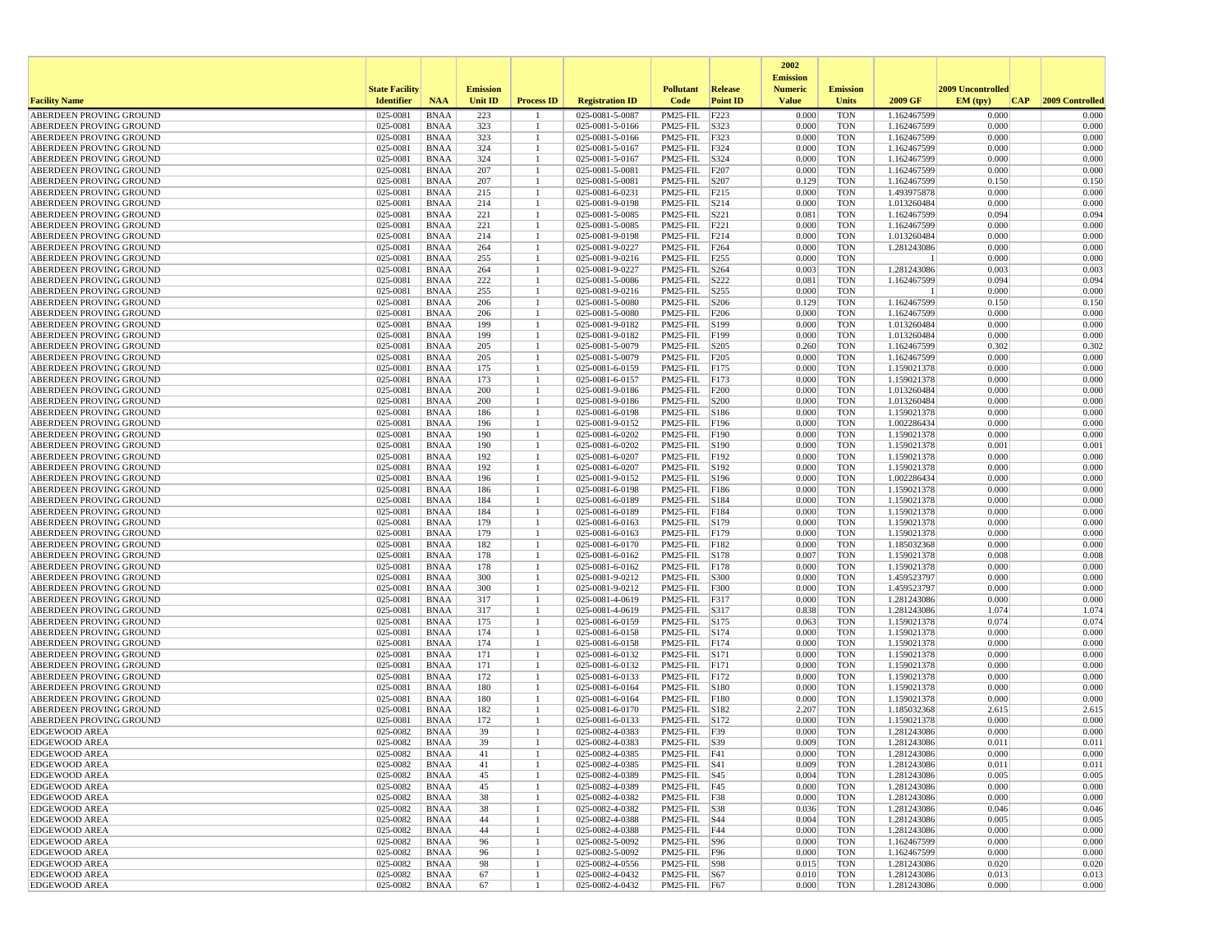|                                                    |                       |                            |                 |                   |                                    |                                |                          | 2002                              |                          |                            |                   |                 |
|----------------------------------------------------|-----------------------|----------------------------|-----------------|-------------------|------------------------------------|--------------------------------|--------------------------|-----------------------------------|--------------------------|----------------------------|-------------------|-----------------|
|                                                    | <b>State Facility</b> |                            | <b>Emission</b> |                   |                                    | <b>Pollutant</b>               | <b>Release</b>           | <b>Emission</b><br><b>Numeric</b> | <b>Emission</b>          |                            | 2009 Uncontrolled |                 |
| <b>Facility Name</b>                               | <b>Identifier</b>     | <b>NAA</b>                 | <b>Unit ID</b>  | <b>Process ID</b> | <b>Registration ID</b>             | Code                           | <b>Point ID</b>          | <b>Value</b>                      | <b>Units</b>             | 2009 GF                    | EM (typ)<br> CAP  | 2009 Controlled |
| ABERDEEN PROVING GROUND                            | 025-0081              | <b>BNAA</b>                | 223             |                   | 025-0081-5-0087                    | PM25-FIL                       | F223                     | 0.000                             | <b>TON</b>               | 1.162467599                | 0.000             | 0.000           |
| ABERDEEN PROVING GROUND                            | 025-0081              | <b>BNAA</b>                | 323             | -1                | 025-0081-5-0166                    | PM25-FIL                       | S323                     | 0.000                             | <b>TON</b>               | 1.162467599                | 0.000             | 0.000           |
| ABERDEEN PROVING GROUND                            | 025-0081              | <b>BNAA</b>                | 323             |                   | 025-0081-5-0166                    | PM25-FIL                       | F323                     | 0.000                             | <b>TON</b>               | 1.162467599                | 0.000             | 0.000           |
| ABERDEEN PROVING GROUND<br>ABERDEEN PROVING GROUND | 025-0081<br>025-0081  | <b>BNAA</b>                | 324<br>324      |                   | 025-0081-5-0167<br>025-0081-5-0167 | PM25-FIL<br>PM25-FIL           | F324<br>S324             | 0.000<br>0.000                    | <b>TON</b><br><b>TON</b> | 1.162467599<br>1.162467599 | 0.000<br>0.000    | 0.000<br>0.000  |
| ABERDEEN PROVING GROUND                            | 025-0081              | <b>BNAA</b><br><b>BNAA</b> | 207             |                   | 025-0081-5-0081                    | PM25-FIL                       | F207                     | 0.000                             | <b>TON</b>               | 1.162467599                | 0.000             | 0.000           |
| ABERDEEN PROVING GROUND                            | 025-0081              | <b>BNAA</b>                | 207             |                   | 025-0081-5-0081                    | PM25-FIL                       | S207                     | 0.129                             | <b>TON</b>               | 1.162467599                | 0.150             | 0.150           |
| ABERDEEN PROVING GROUND                            | 025-0081              | <b>BNAA</b>                | 215             |                   | 025-0081-6-0231                    | PM25-FIL                       | F <sub>215</sub>         | 0.000                             | <b>TON</b>               | 1.493975878                | 0.000             | 0.000           |
| ABERDEEN PROVING GROUND                            | 025-0081              | <b>BNAA</b>                | 214             |                   | 025-0081-9-0198                    | PM25-FIL                       | S214                     | 0.000                             | <b>TON</b>               | 1.013260484                | 0.000             | 0.000           |
| ABERDEEN PROVING GROUND                            | 025-0081              | <b>BNAA</b>                | 221             |                   | 025-0081-5-0085                    | PM25-FIL                       | S <sub>221</sub>         | 0.081                             | <b>TON</b>               | 1.162467599                | 0.094             | 0.094           |
| ABERDEEN PROVING GROUND                            | 025-0081              | <b>BNAA</b>                | 221             |                   | 025-0081-5-0085                    | PM25-FIL                       | F221                     | 0.000                             | <b>TON</b>               | 1.162467599                | 0.000             | 0.000           |
| ABERDEEN PROVING GROUND<br>ABERDEEN PROVING GROUND | 025-0081<br>025-0081  | <b>BNAA</b><br><b>BNAA</b> | 214<br>264      |                   | 025-0081-9-0198<br>025-0081-9-0227 | PM25-FIL<br>PM25-FIL           | F214<br>F <sub>264</sub> | 0.000<br>0.000                    | <b>TON</b><br><b>TON</b> | 1.013260484<br>1.281243086 | 0.000<br>0.000    | 0.000<br>0.000  |
| ABERDEEN PROVING GROUND                            | 025-0081              | <b>BNAA</b>                | 255             |                   | 025-0081-9-0216                    | PM25-FIL                       | F <sub>255</sub>         | 0.000                             | <b>TON</b>               |                            | 0.000             | 0.000           |
| ABERDEEN PROVING GROUND                            | 025-0081              | <b>BNAA</b>                | 264             |                   | 025-0081-9-0227                    | PM25-FIL                       | S264                     | 0.003                             | <b>TON</b>               | 1.281243086                | 0.003             | 0.003           |
| ABERDEEN PROVING GROUND                            | 025-0081              | <b>BNAA</b>                | 222             |                   | 025-0081-5-0086                    | PM25-FIL                       | S222                     | 0.081                             | <b>TON</b>               | 1.162467599                | 0.094             | 0.094           |
| ABERDEEN PROVING GROUND                            | 025-0081              | <b>BNAA</b>                | 255             |                   | 025-0081-9-0216                    | PM25-FIL                       | S255                     | 0.000                             | <b>TON</b>               |                            | 0.000             | 0.000           |
| ABERDEEN PROVING GROUND                            | 025-0081              | <b>BNAA</b>                | 206             |                   | 025-0081-5-0080                    | PM25-FIL                       | S206                     | 0.129                             | <b>TON</b>               | 1.162467599                | 0.150             | 0.150           |
| ABERDEEN PROVING GROUND                            | 025-0081              | <b>BNAA</b>                | 206             |                   | 025-0081-5-0080                    | PM25-FIL                       | F206                     | 0.000                             | <b>TON</b>               | 1.162467599                | 0.000             | 0.000           |
| ABERDEEN PROVING GROUND<br>ABERDEEN PROVING GROUND | 025-0081<br>025-0081  | <b>BNAA</b><br><b>BNAA</b> | 199<br>199      | -1                | 025-0081-9-0182<br>025-0081-9-0182 | PM25-FIL<br>PM25-FIL           | S199<br>F199             | 0.000<br>0.000                    | <b>TON</b><br><b>TON</b> | 1.013260484<br>1.013260484 | 0.000<br>0.000    | 0.000<br>0.000  |
| ABERDEEN PROVING GROUND                            | 025-0081              | <b>BNAA</b>                | 205             |                   | 025-0081-5-0079                    | PM25-FIL                       | S205                     | 0.260                             | <b>TON</b>               | 1.162467599                | 0.302             | 0.302           |
| ABERDEEN PROVING GROUND                            | 025-0081              | <b>BNAA</b>                | 205             |                   | 025-0081-5-0079                    | PM25-FIL                       | F <sub>205</sub>         | 0.000                             | <b>TON</b>               | 1.162467599                | 0.000             | 0.000           |
| ABERDEEN PROVING GROUND                            | 025-0081              | <b>BNAA</b>                | 175             | 1                 | 025-0081-6-0159                    | PM25-FIL F175                  |                          | 0.000                             | TON                      | 1.159021378                | 0.000             | 0.000           |
| ABERDEEN PROVING GROUND                            | 025-0081              | <b>BNAA</b>                | 173             |                   | 025-0081-6-0157                    | PM25-FIL                       | F173                     | 0.000                             | <b>TON</b>               | 1.159021378                | 0.000             | 0.000           |
| ABERDEEN PROVING GROUND                            | 025-0081              | <b>BNAA</b>                | 200             |                   | 025-0081-9-0186                    | PM25-FIL                       | F200                     | 0.000                             | <b>TON</b>               | 1.013260484                | 0.000             | 0.000           |
| ABERDEEN PROVING GROUND                            | 025-0081<br>025-0081  | <b>BNAA</b>                | 200             |                   | 025-0081-9-0186                    | PM25-FIL                       | S200                     | 0.000                             | <b>TON</b>               | 1.013260484                | 0.000<br>0.000    | 0.000<br>0.000  |
| ABERDEEN PROVING GROUND<br>ABERDEEN PROVING GROUND | 025-0081              | <b>BNAA</b><br><b>BNAA</b> | 186<br>196      |                   | 025-0081-6-0198<br>025-0081-9-0152 | PM25-FIL<br>PM25-FIL F196      | S186                     | 0.000<br>0.000                    | <b>TON</b><br>TON        | 1.159021378<br>1.002286434 | 0.000             | 0.000           |
| ABERDEEN PROVING GROUND                            | 025-0081              | <b>BNAA</b>                | 190             |                   | 025-0081-6-0202                    | PM25-FIL                       | F190                     | 0.000                             | <b>TON</b>               | 1.159021378                | 0.000             | 0.000           |
| ABERDEEN PROVING GROUND                            | 025-0081              | <b>BNAA</b>                | 190             |                   | 025-0081-6-0202                    | PM25-FIL                       | S190                     | 0.000                             | <b>TON</b>               | 1.159021378                | 0.001             | 0.001           |
| ABERDEEN PROVING GROUND                            | 025-0081              | <b>BNAA</b>                | 192             |                   | 025-0081-6-0207                    | PM25-FIL                       | F192                     | 0.000                             | <b>TON</b>               | 1.159021378                | 0.000             | 0.000           |
| ABERDEEN PROVING GROUND                            | 025-0081              | <b>BNAA</b>                | 192             |                   | 025-0081-6-0207                    | PM25-FIL                       | S192                     | 0.000                             | <b>TON</b>               | 1.159021378                | 0.000             | 0.000           |
| ABERDEEN PROVING GROUND                            | 025-0081              | <b>BNAA</b>                | 196             |                   | 025-0081-9-0152                    | PM25-FIL S196                  |                          | 0.000                             | <b>TON</b>               | 1.002286434                | 0.000             | 0.000           |
| ABERDEEN PROVING GROUND<br>ABERDEEN PROVING GROUND | 025-0081<br>025-0081  | <b>BNAA</b><br><b>BNAA</b> | 186<br>184      | 1                 | 025-0081-6-0198<br>025-0081-6-0189 | PM25-FIL F186<br>PM25-FIL      | S184                     | 0.000<br>0.000                    | TON<br><b>TON</b>        | 1.159021378<br>1.159021378 | 0.000<br>0.000    | 0.000<br>0.000  |
| ABERDEEN PROVING GROUND                            | 025-0081              | <b>BNAA</b>                | 184             |                   | 025-0081-6-0189                    | PM25-FIL                       | F184                     | 0.000                             | <b>TON</b>               | 1.159021378                | 0.000             | 0.000           |
| ABERDEEN PROVING GROUND                            | 025-0081              | <b>BNAA</b>                | 179             |                   | 025-0081-6-0163                    | PM25-FIL                       | S179                     | 0.000                             | <b>TON</b>               | 1.159021378                | 0.000             | 0.000           |
| ABERDEEN PROVING GROUND                            | 025-0081              | <b>BNAA</b>                | 179             |                   | 025-0081-6-0163                    | PM25-FIL F179                  |                          | 0.000                             | <b>TON</b>               | 1.159021378                | 0.000             | 0.000           |
| ABERDEEN PROVING GROUND                            | 025-0081              | <b>BNAA</b>                | 182             |                   | 025-0081-6-0170                    | PM25-FIL F182                  |                          | 0.000                             | TON                      | 1.185032368                | 0.000             | 0.000           |
| ABERDEEN PROVING GROUND                            | 025-0081              | <b>BNAA</b>                | 178             | -1                | 025-0081-6-0162                    | PM25-FIL  S178                 |                          | 0.007                             | <b>TON</b>               | 1.159021378                | 0.008             | 0.008           |
| ABERDEEN PROVING GROUND<br>ABERDEEN PROVING GROUND | 025-0081<br>025-0081  | <b>BNAA</b><br><b>BNAA</b> | 178<br>300      |                   | 025-0081-6-0162<br>025-0081-9-0212 | PM25-FIL<br>PM25-FIL           | F178<br>S300             | 0.000<br>0.000                    | <b>TON</b><br><b>TON</b> | 1.159021378<br>1.459523797 | 0.000<br>0.000    | 0.000<br>0.000  |
| ABERDEEN PROVING GROUND                            | 025-0081              | <b>BNAA</b>                | 300             |                   | 025-0081-9-0212                    | PM25-FIL                       | F300                     | 0.000                             | <b>TON</b>               | 1.459523797                | 0.000             | 0.000           |
| ABERDEEN PROVING GROUND                            | 025-0081              | <b>BNAA</b>                | 317             |                   | 025-0081-4-0619                    | PM25-FIL F317                  |                          | 0.000                             | <b>TON</b>               | 1.281243086                | 0.000             | 0.000           |
| ABERDEEN PROVING GROUND                            | 025-0081              | <b>BNAA</b>                | 317             |                   | 025-0081-4-0619                    | PM25-FIL                       | S317                     | 0.838                             | TON                      | 1.281243086                | 1.074             | 1.074           |
| ABERDEEN PROVING GROUND                            | 025-0081              | <b>BNAA</b>                | 175             |                   | 025-0081-6-0159                    | PM25-FIL                       | S175                     | 0.063                             | <b>TON</b>               | 1.159021378                | 0.074             | 0.074           |
| ABERDEEN PROVING GROUND                            | 025-0081              | <b>BNAA</b>                | 174             |                   | 025-0081-6-0158                    | PM25-FIL                       | S174                     | 0.000                             | <b>TON</b>               | 1.159021378                | 0.000             | 0.000           |
| ABERDEEN PROVING GROUND<br>ABERDEEN PROVING GROUND | 025-0081<br>025-0081  | <b>BNAA</b><br><b>BNAA</b> | 174<br>171      | -1                | 025-0081-6-0158<br>025-0081-6-0132 | PM25-FIL<br>PM25-FIL  S171     | F174                     | 0.000<br>0.000                    | <b>TON</b><br><b>TON</b> | 1.159021378<br>1.159021378 | 0.000<br>0.000    | 0.000<br>0.000  |
| ABERDEEN PROVING GROUND                            | 025-0081              | <b>BNAA</b>                | 171             |                   | 025-0081-6-0132                    | PM25-FIL F171                  |                          | 0.000                             | TON                      | 1.159021378                | 0.000             | 0.000           |
| ABERDEEN PROVING GROUND                            | 025-0081              | <b>BNAA</b>                | 172             |                   | 025-0081-6-0133                    | PM25-FIL F172                  |                          | 0.000                             | <b>TON</b>               | 1.159021378                | 0.000             | 0.000           |
| ABERDEEN PROVING GROUND                            | 025-0081              | <b>BNAA</b>                | 180             |                   | 025-0081-6-0164                    | PM25-FIL                       | S180                     | 0.000                             | <b>TON</b>               | 1.159021378                | 0.000             | 0.000           |
| ABERDEEN PROVING GROUND                            | 025-0081              | <b>BNAA</b>                | 180             |                   | 025-0081-6-0164                    | PM25-FIL                       | F180                     | 0.000                             | <b>TON</b>               | 1.159021378                | 0.000             | 0.000           |
| ABERDEEN PROVING GROUND                            | 025-0081              | <b>BNAA</b>                | 182             |                   | 025-0081-6-0170                    | PM25-FIL                       | S182                     | 2.207                             | <b>TON</b>               | 1.185032368                | 2.615             | 2.615           |
| ABERDEEN PROVING GROUND                            | 025-0081              | <b>BNAA</b>                | 172             |                   | 025-0081-6-0133<br>025-0082-4-0383 | PM25-FIL                       | S172                     | 0.000                             | <b>TON</b>               | 1.159021378                | 0.000             | 0.000           |
| <b>EDGEWOOD AREA</b><br><b>EDGEWOOD AREA</b>       | 025-0082<br>025-0082  | <b>BNAA</b><br><b>BNAA</b> | 39<br>39        |                   | 025-0082-4-0383                    | PM25-FIL F39<br>PM25-FIL   S39 |                          | 0.000<br>0.009                    | <b>TON</b><br><b>TON</b> | 1.281243086<br>1.281243086 | 0.000<br>0.011    | 0.000<br>0.011  |
| <b>EDGEWOOD AREA</b>                               | 025-0082              | <b>BNAA</b>                | 41              |                   | 025-0082-4-0385                    | PM25-FIL F41                   |                          | 0.000                             | TON                      | 1.281243086                | 0.000             | 0.000           |
| <b>EDGEWOOD AREA</b>                               | 025-0082              | BNAA                       | 41              | -1                | 025-0082-4-0385                    | $PM25-FIL$ $ S41$              |                          | 0.009                             | TON                      | 1.281243086                | 0.011             | 0.011           |
| <b>EDGEWOOD AREA</b>                               | 025-0082              | BNAA                       | 45              |                   | 025-0082-4-0389                    | $PM25-FIL$ $ S45$              |                          | 0.004                             | <b>TON</b>               | 1.281243086                | 0.005             | 0.005           |
| <b>EDGEWOOD AREA</b>                               | 025-0082              | BNAA                       | 45              |                   | 025-0082-4-0389                    | PM25-FIL F45                   |                          | 0.000                             | TON                      | 1.281243086                | 0.000             | 0.000           |
| <b>EDGEWOOD AREA</b>                               | 025-0082              | BNAA                       | 38              | 1                 | 025-0082-4-0382                    | PM25-FIL F38                   |                          | 0.000                             | <b>TON</b>               | 1.281243086                | 0.000             | 0.000           |
| <b>EDGEWOOD AREA</b>                               | 025-0082              | BNAA                       | 38              |                   | 025-0082-4-0382                    | PM25-FIL S38                   |                          | 0.036                             | <b>TON</b>               | 1.281243086                | 0.046             | 0.046           |
| <b>EDGEWOOD AREA</b><br><b>EDGEWOOD AREA</b>       | 025-0082<br>025-0082  | <b>BNAA</b><br>BNAA        | 44<br>44        | -1                | 025-0082-4-0388<br>025-0082-4-0388 | PM25-FIL S44<br>PM25-FIL F44   |                          | 0.004<br>0.000                    | TON<br><b>TON</b>        | 1.281243086<br>1.281243086 | 0.005<br>0.000    | 0.005<br>0.000  |
| <b>EDGEWOOD AREA</b>                               | 025-0082              | BNAA                       | 96              |                   | 025-0082-5-0092                    | PM25-FIL  S96                  |                          | 0.000                             | <b>TON</b>               | 1.162467599                | 0.000             | 0.000           |
| <b>EDGEWOOD AREA</b>                               | 025-0082              | BNAA                       | 96              |                   | 025-0082-5-0092                    | PM25-FIL F96                   |                          | 0.000                             | TON                      | 1.162467599                | 0.000             | 0.000           |
| <b>EDGEWOOD AREA</b>                               | 025-0082              | BNAA                       | 98              |                   | 025-0082-4-0556                    | PM25-FIL  S98                  |                          | 0.015                             | TON                      | 1.281243086                | 0.020             | 0.020           |
| <b>EDGEWOOD AREA</b>                               | 025-0082              | <b>BNAA</b>                | 67              |                   | 025-0082-4-0432                    | PM25-FIL S67                   |                          | 0.010                             | <b>TON</b>               | 1.281243086                | 0.013             | 0.013           |
| <b>EDGEWOOD AREA</b>                               | 025-0082              | BNAA                       | 67              | $\mathbf{1}$      | 025-0082-4-0432                    | PM25-FIL F67                   |                          | 0.000                             | TON                      | 1.281243086                | 0.000             | 0.000           |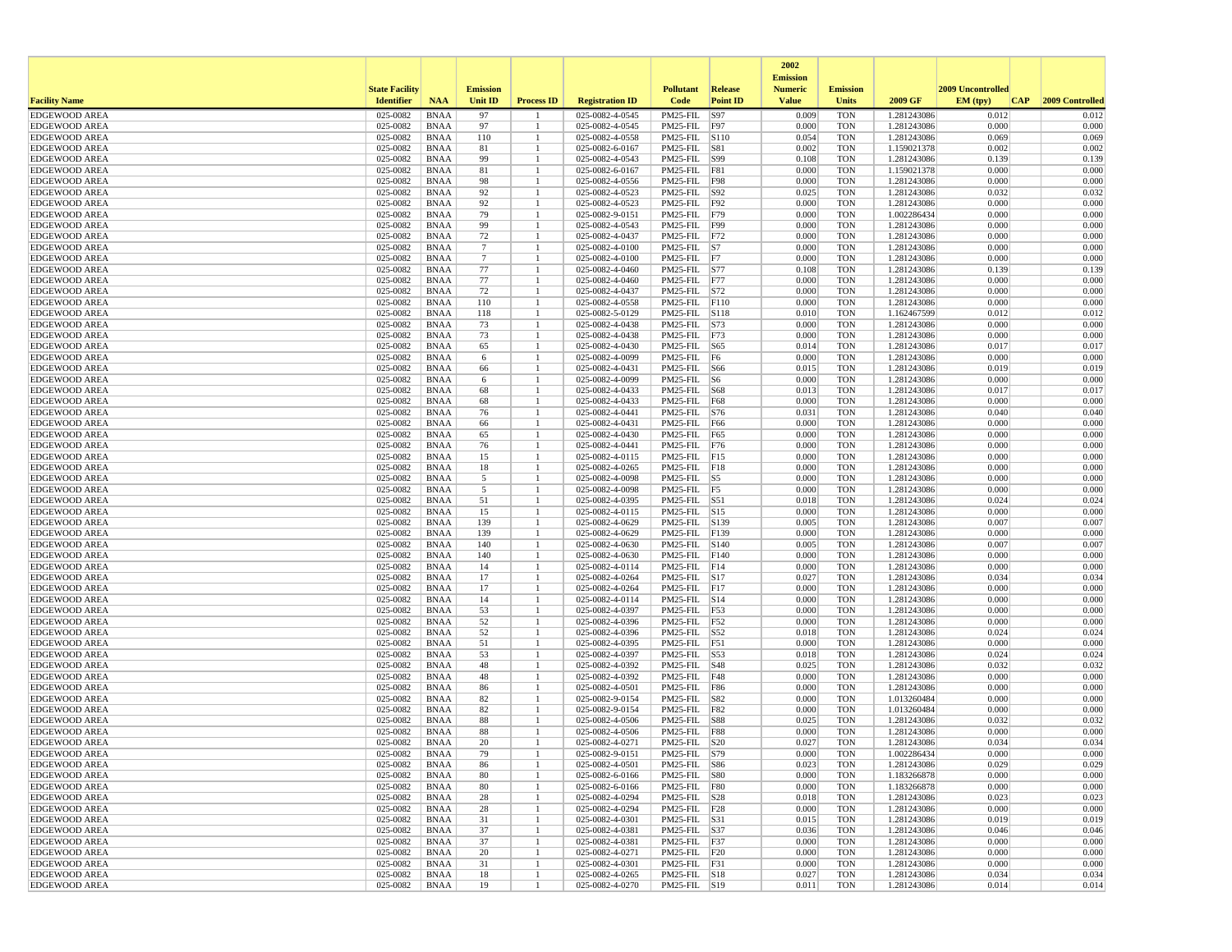|                                              |                       |                            |                 |                      |                                    |                                    |                    | 2002<br><b>Emission</b> |                          |                            |                   |                     |
|----------------------------------------------|-----------------------|----------------------------|-----------------|----------------------|------------------------------------|------------------------------------|--------------------|-------------------------|--------------------------|----------------------------|-------------------|---------------------|
|                                              | <b>State Facility</b> |                            | <b>Emission</b> |                      |                                    | <b>Pollutant</b>                   | Release            | <b>Numeric</b>          | <b>Emission</b>          |                            | 2009 Uncontrolled |                     |
| <b>Facility Name</b>                         | <b>Identifier</b>     | <b>NAA</b>                 | <b>Unit ID</b>  | <b>Process ID</b>    | <b>Registration ID</b>             | Code                               | <b>Point ID</b>    | <b>Value</b>            | <b>Units</b>             | 2009 GF                    | EM (typ)          | CAP 2009 Controlled |
| <b>EDGEWOOD AREA</b>                         | 025-0082              | <b>BNAA</b>                | 97              |                      | 025-0082-4-0545                    | PM25-FIL                           | S97                | 0.009                   | <b>TON</b>               | 1.281243086                | 0.012             | 0.012               |
| <b>EDGEWOOD AREA</b><br><b>EDGEWOOD AREA</b> | 025-0082<br>025-0082  | <b>BNAA</b><br><b>BNAA</b> | 97<br>110       | -1<br>$\mathbf{1}$   | 025-0082-4-0545<br>025-0082-4-0558 | PM25-FIL<br>PM25-FIL S110          | F97                | 0.000<br>0.054          | <b>TON</b><br><b>TON</b> | 1.281243086<br>1.281243086 | 0.000<br>0.069    | 0.000<br>0.069      |
| <b>EDGEWOOD AREA</b>                         | 025-0082              | <b>BNAA</b>                | 81              | -1                   | 025-0082-6-0167                    | PM25-FIL                           | S81                | 0.002                   | <b>TON</b>               | 1.159021378                | 0.002             | 0.002               |
| <b>EDGEWOOD AREA</b>                         | 025-0082              | <b>BNAA</b>                | 99              |                      | 025-0082-4-0543                    | PM25-FIL S99                       |                    | 0.108                   | <b>TON</b>               | 1.281243086                | 0.139             | 0.139               |
| <b>EDGEWOOD AREA</b>                         | 025-0082              | <b>BNAA</b>                | 81              |                      | 025-0082-6-0167                    | PM25-FIL F81                       |                    | 0.000                   | TON                      | 1.159021378                | 0.000             | 0.000               |
| <b>EDGEWOOD AREA</b>                         | 025-0082              | <b>BNAA</b>                | 98              |                      | 025-0082-4-0556                    | PM25-FIL F98                       |                    | 0.000                   | TON                      | 1.281243086                | 0.000             | 0.000               |
| <b>EDGEWOOD AREA</b>                         | 025-0082              | <b>BNAA</b>                | 92              | -1                   | 025-0082-4-0523                    | PM25-FIL S92                       |                    | 0.025                   | <b>TON</b>               | 1.281243086                | 0.032             | 0.032               |
| <b>EDGEWOOD AREA</b>                         | 025-0082              | <b>BNAA</b>                | 92              | -1                   | 025-0082-4-0523                    | PM25-FIL F92                       |                    | 0.000                   | <b>TON</b>               | 1.281243086                | 0.000             | 0.000               |
| <b>EDGEWOOD AREA</b>                         | 025-0082              | <b>BNAA</b>                | 79              | -1                   | 025-0082-9-0151                    | PM25-FIL F79                       |                    | 0.000                   | <b>TON</b>               | 1.002286434                | 0.000             | 0.000               |
| <b>EDGEWOOD AREA</b><br><b>EDGEWOOD AREA</b> | 025-0082<br>025-0082  | <b>BNAA</b><br><b>BNAA</b> | 99<br>72        |                      | 025-0082-4-0543<br>025-0082-4-0437 | PM25-FIL F99<br>PM25-FIL F72       |                    | 0.000<br>0.000          | <b>TON</b><br>TON        | 1.281243086<br>1.281243086 | 0.000<br>0.000    | 0.000<br>0.000      |
| <b>EDGEWOOD AREA</b>                         | 025-0082              | <b>BNAA</b>                | $\overline{7}$  |                      | 025-0082-4-0100                    | $PM25$ -FIL $ S7 $                 |                    | 0.000                   | <b>TON</b>               | 1.281243086                | 0.000             | 0.000               |
| <b>EDGEWOOD AREA</b>                         | 025-0082              | <b>BNAA</b>                | $7\phantom{.0}$ | -1                   | 025-0082-4-0100                    | PM25-FIL F7                        |                    | 0.000                   | <b>TON</b>               | 1.281243086                | 0.000             | 0.000               |
| <b>EDGEWOOD AREA</b>                         | 025-0082              | <b>BNAA</b>                | 77              | -1                   | 025-0082-4-0460                    | PM25-FIL S77                       |                    | 0.108                   | <b>TON</b>               | 1.281243086                | 0.139             | 0.139               |
| <b>EDGEWOOD AREA</b>                         | 025-0082              | <b>BNAA</b>                | 77              |                      | 025-0082-4-0460                    | PM25-FIL F77                       |                    | 0.000                   | <b>TON</b>               | 1.281243086                | 0.000             | 0.000               |
| <b>EDGEWOOD AREA</b>                         | 025-0082              | <b>BNAA</b>                | 72              | $\mathbf{1}$         | 025-0082-4-0437                    | PM25-FIL S72                       |                    | 0.000                   | <b>TON</b>               | 1.281243086                | 0.000             | 0.000               |
| <b>EDGEWOOD AREA</b>                         | 025-0082              | <b>BNAA</b>                | 110             | -1                   | 025-0082-4-0558                    | PM25-FIL F110                      |                    | 0.000                   | TON                      | 1.281243086                | 0.000             | 0.000               |
| <b>EDGEWOOD AREA</b>                         | 025-0082              | <b>BNAA</b>                | 118             | -1                   | 025-0082-5-0129                    | PM25-FIL S118                      |                    | 0.010                   | <b>TON</b>               | 1.162467599                | 0.012             | 0.012               |
| <b>EDGEWOOD AREA</b>                         | 025-0082              | <b>BNAA</b>                | 73              |                      | 025-0082-4-0438                    | PM25-FIL                           | S73                | 0.000                   | <b>TON</b>               | 1.281243086                | 0.000             | 0.000               |
| <b>EDGEWOOD AREA</b>                         | 025-0082              | <b>BNAA</b>                | 73              | -1                   | 025-0082-4-0438                    | PM25-FIL F73                       |                    | 0.000                   | <b>TON</b>               | 1.281243086                | 0.000             | 0.000               |
| <b>EDGEWOOD AREA</b>                         | 025-0082              | <b>BNAA</b>                | 65              | $\overline{1}$       | 025-0082-4-0430                    | PM25-FIL S65                       |                    | 0.014                   | <b>TON</b>               | 1.281243086                | 0.017             | 0.017               |
| <b>EDGEWOOD AREA</b>                         | 025-0082<br>025-0082  | <b>BNAA</b>                | 6               | -1                   | 025-0082-4-0099                    | PM25-FIL F6<br>PM25-FIL S66        |                    | 0.000<br>0.015          | TON<br><b>TON</b>        | 1.281243086                | 0.000<br>0.019    | 0.000<br>0.019      |
| <b>EDGEWOOD AREA</b><br><b>EDGEWOOD AREA</b> | 025-0082              | <b>BNAA</b><br><b>BNAA</b> | 66<br>6         | $\overline{1}$       | 025-0082-4-0431<br>025-0082-4-0099 | PM25-FIL                           | $\sqrt{\text{S6}}$ | 0.000                   | <b>TON</b>               | 1.281243086<br>1.281243086 | 0.000             | 0.000               |
| <b>EDGEWOOD AREA</b>                         | 025-0082              | <b>BNAA</b>                | 68              |                      | 025-0082-4-0433                    | PM25-FIL S68                       |                    | 0.013                   | <b>TON</b>               | 1.281243086                | 0.017             | 0.017               |
| <b>EDGEWOOD AREA</b>                         | 025-0082              | <b>BNAA</b>                | 68              |                      | 025-0082-4-0433                    | PM25-FIL F68                       |                    | 0.000                   | <b>TON</b>               | 1.281243086                | 0.000             | 0.000               |
| <b>EDGEWOOD AREA</b>                         | 025-0082              | <b>BNAA</b>                | 76              |                      | 025-0082-4-0441                    | PM25-FIL S76                       |                    | 0.031                   | <b>TON</b>               | 1.281243086                | 0.040             | 0.040               |
| <b>EDGEWOOD AREA</b>                         | 025-0082              | <b>BNAA</b>                | 66              | -1                   | 025-0082-4-0431                    | PM25-FIL F66                       |                    | 0.000                   | TON                      | 1.281243086                | 0.000             | 0.000               |
| <b>EDGEWOOD AREA</b>                         | 025-0082              | <b>BNAA</b>                | 65              | -1                   | 025-0082-4-0430                    | PM25-FIL                           | F65                | 0.000                   | <b>TON</b>               | 1.281243086                | 0.000             | 0.000               |
| <b>EDGEWOOD AREA</b>                         | 025-0082              | <b>BNAA</b>                | 76              |                      | 025-0082-4-0441                    | PM25-FIL                           | F76                | 0.000                   | <b>TON</b>               | 1.281243086                | 0.000             | 0.000               |
| <b>EDGEWOOD AREA</b>                         | 025-0082              | <b>BNAA</b>                | 15              |                      | 025-0082-4-0115                    | PM25-FIL F15                       |                    | 0.000                   | <b>TON</b>               | 1.281243086                | 0.000             | 0.000               |
| <b>EDGEWOOD AREA</b>                         | 025-0082              | <b>BNAA</b>                | 18              |                      | 025-0082-4-0265                    | PM25-FIL F18                       |                    | 0.000                   | <b>TON</b>               | 1.281243086                | 0.000             | 0.000               |
| <b>EDGEWOOD AREA</b>                         | 025-0082              | <b>BNAA</b>                | 5               |                      | 025-0082-4-0098                    | $PM25$ -FIL $ S5 $                 |                    | 0.000                   | TON                      | 1.281243086                | 0.000             | 0.000               |
| <b>EDGEWOOD AREA</b>                         | 025-0082<br>025-0082  | <b>BNAA</b><br><b>BNAA</b> | 5               | -1                   | 025-0082-4-0098<br>025-0082-4-0395 | PM25-FIL F5<br>PM25-FIL S51        |                    | 0.000<br>0.018          | <b>TON</b><br><b>TON</b> | 1.281243086                | 0.000<br>0.024    | 0.000               |
| <b>EDGEWOOD AREA</b><br><b>EDGEWOOD AREA</b> | 025-0082              | <b>BNAA</b>                | 51<br>15        |                      | 025-0082-4-0115                    | PM25-FIL S15                       |                    | 0.000                   | <b>TON</b>               | 1.281243086<br>1.281243086 | 0.000             | 0.024<br>0.000      |
| <b>EDGEWOOD AREA</b>                         | 025-0082              | <b>BNAA</b>                | 139             | -1                   | 025-0082-4-0629                    | PM25-FIL S139                      |                    | 0.005                   | <b>TON</b>               | 1.281243086                | 0.007             | 0.007               |
| <b>EDGEWOOD AREA</b>                         | 025-0082              | <b>BNAA</b>                | 139             | $\mathbf{1}$         | 025-0082-4-0629                    | PM25-FIL F139                      |                    | 0.000                   | <b>TON</b>               | 1.281243086                | 0.000             | 0.000               |
| <b>EDGEWOOD AREA</b>                         | 025-0082              | <b>BNAA</b>                | 140             | -1                   | 025-0082-4-0630                    | PM25-FIL S140                      |                    | 0.005                   | TON                      | 1.281243086                | 0.007             | 0.007               |
| <b>EDGEWOOD AREA</b>                         | 025-0082              | <b>BNAA</b>                | 140             | -1                   | 025-0082-4-0630                    | PM25-FIL F140                      |                    | 0.000                   | <b>TON</b>               | 1.281243086                | 0.000             | 0.000               |
| <b>EDGEWOOD AREA</b>                         | 025-0082              | <b>BNAA</b>                | 14              | -1                   | 025-0082-4-0114                    | PM25-FIL F14                       |                    | 0.000                   | <b>TON</b>               | 1.281243086                | 0.000             | 0.000               |
| <b>EDGEWOOD AREA</b>                         | 025-0082              | <b>BNAA</b>                | 17              |                      | 025-0082-4-0264                    | PM25-FIL S17                       |                    | 0.027                   | <b>TON</b>               | 1.281243086                | 0.034             | 0.034               |
| <b>EDGEWOOD AREA</b>                         | 025-0082              | <b>BNAA</b>                | 17              | -1                   | 025-0082-4-0264                    | PM25-FIL F17                       |                    | 0.000                   | <b>TON</b>               | 1.281243086                | 0.000             | 0.000               |
| <b>EDGEWOOD AREA</b>                         | 025-0082              | <b>BNAA</b>                | 14              |                      | 025-0082-4-0114                    | PM25-FIL S14                       |                    | 0.000                   | TON                      | 1.281243086                | 0.000             | 0.000               |
| <b>EDGEWOOD AREA</b><br><b>EDGEWOOD AREA</b> | 025-0082<br>025-0082  | <b>BNAA</b><br><b>BNAA</b> | 53              | -1<br>$\overline{1}$ | 025-0082-4-0397<br>025-0082-4-0396 | PM25-FIL F53<br>PM25-FIL F52       |                    | 0.000<br>0.000          | <b>TON</b><br><b>TON</b> | 1.281243086                | 0.000<br>0.000    | 0.000<br>0.000      |
| <b>EDGEWOOD AREA</b>                         | 025-0082              | <b>BNAA</b>                | 52<br>52        |                      | 025-0082-4-0396                    | PM25-FIL                           | S52                | 0.018                   | <b>TON</b>               | 1.281243086<br>1.281243086 | 0.024             | 0.024               |
| <b>EDGEWOOD AREA</b>                         | 025-0082              | <b>BNAA</b>                | 51              | -1                   | 025-0082-4-0395                    | PM25-FIL F51                       |                    | 0.000                   | TON                      | 1.281243086                | 0.000             | 0.000               |
| <b>EDGEWOOD AREA</b>                         | 025-0082              | <b>BNAA</b>                | 53              | -1                   | 025-0082-4-0397                    | PM25-FIL S53                       |                    | 0.018                   | <b>TON</b>               | 1.281243086                | 0.024             | 0.024               |
| <b>EDGEWOOD AREA</b>                         | 025-0082              | <b>BNAA</b>                | 48              |                      | 025-0082-4-0392                    | PM25-FIL S48                       |                    | 0.025                   | TON                      | 1.281243086                | 0.032             | 0.032               |
| <b>EDGEWOOD AREA</b>                         | 025-0082              | <b>BNAA</b>                | 48              | -1                   | 025-0082-4-0392                    | PM25-FIL F48                       |                    | 0.000                   | <b>TON</b>               | 1.281243086                | 0.000             | 0.000               |
| <b>EDGEWOOD AREA</b>                         | 025-0082              | <b>BNAA</b>                | 86              |                      | 025-0082-4-0501                    | PM25-FIL                           | <b>F86</b>         | 0.000                   | <b>TON</b>               | 1.281243086                | 0.000             | 0.000               |
| <b>EDGEWOOD AREA</b>                         | 025-0082              | <b>BNAA</b>                | 82              | -1                   | 025-0082-9-0154                    | PM25-FIL                           | <b>S82</b>         | 0.000                   | <b>TON</b>               | 1.013260484                | 0.000             | 0.000               |
| <b>EDGEWOOD AREA</b>                         | 025-0082              | <b>BNAA</b>                | 82              | -1                   | 025-0082-9-0154                    | PM25-FIL F82                       |                    | 0.000                   | <b>TON</b>               | 1.013260484                | 0.000             | 0.000               |
| <b>EDGEWOOD AREA</b>                         | 025-0082              | <b>BNAA</b>                | 88              | -1                   | 025-0082-4-0506                    | PM25-FIL S88                       |                    | 0.025<br>0.000          | <b>TON</b>               | 1.281243086                | 0.032<br>0.000    | 0.032               |
| <b>EDGEWOOD AREA</b><br><b>EDGEWOOD AREA</b> | 025-0082<br>025-0082  | <b>BNAA</b><br><b>BNAA</b> | 88<br>20        |                      | 025-0082-4-0506<br>025-0082-4-0271 | PM25-FIL F88<br>$PM25-FIL$ $ S20$  |                    | 0.027                   | TON<br><b>TON</b>        | 1.281243086<br>1.281243086 | 0.034             | 0.000<br>0.034      |
| <b>EDGEWOOD AREA</b>                         | 025-0082              | <b>BNAA</b>                | 79              |                      | 025-0082-9-0151                    | PM25-FIL  S79                      |                    | 0.000                   | TON                      | 1.002286434                | 0.000             | 0.000               |
| <b>EDGEWOOD AREA</b>                         | $025-0082$ BNAA       |                            | 86              | -1                   | 025-0082-4-0501                    | PM25-FIL S86                       |                    | 0.023                   | <b>TON</b>               | 1.281243086                | 0.029             | 0.029               |
| <b>EDGEWOOD AREA</b>                         | 025-0082              | <b>BNAA</b>                | 80              | -1                   | 025-0082-6-0166                    | PM25-FIL S80                       |                    | 0.000                   | <b>TON</b>               | 1.183266878                | 0.000             | 0.000               |
| <b>EDGEWOOD AREA</b>                         | 025-0082              | BNAA                       | 80              |                      | 025-0082-6-0166                    | PM25-FIL F80                       |                    | 0.000                   | TON                      | 1.183266878                | 0.000             | 0.000               |
| <b>EDGEWOOD AREA</b>                         | 025-0082              | <b>BNAA</b>                | 28              | -1                   | 025-0082-4-0294                    | PM25-FIL S28                       |                    | 0.018                   | TON                      | 1.281243086                | 0.023             | 0.023               |
| <b>EDGEWOOD AREA</b>                         | 025-0082              | <b>BNAA</b>                | 28              | $\mathbf{1}$         | 025-0082-4-0294                    | PM25-FIL F28                       |                    | 0.000                   | <b>TON</b>               | 1.281243086                | 0.000             | 0.000               |
| <b>EDGEWOOD AREA</b>                         | 025-0082              | <b>BNAA</b>                | 31              | $\mathbf{1}$         | 025-0082-4-0301                    | PM25-FIL S31                       |                    | 0.015                   | <b>TON</b>               | 1.281243086                | 0.019             | 0.019               |
| <b>EDGEWOOD AREA</b>                         | 025-0082              | BNAA                       | 37              | -1                   | 025-0082-4-0381                    | PM25-FIL S37                       |                    | 0.036                   | TON                      | 1.281243086                | 0.046             | 0.046               |
| <b>EDGEWOOD AREA</b>                         | 025-0082              | <b>BNAA</b>                | 37              | $\mathbf{1}$         | 025-0082-4-0381                    | PM25-FIL F37                       |                    | 0.000                   | <b>TON</b>               | 1.281243086                | 0.000             | 0.000               |
| <b>EDGEWOOD AREA</b>                         | 025-0082              | <b>BNAA</b>                | 20              | -1                   | 025-0082-4-0271                    | $PM25$ -FIL $ F20$                 |                    | 0.000                   | TON                      | 1.281243086                | 0.000             | 0.000               |
| <b>EDGEWOOD AREA</b><br><b>EDGEWOOD AREA</b> | 025-0082<br>025-0082  | <b>BNAA</b><br><b>BNAA</b> | 31<br>18        | -1<br>-1             | 025-0082-4-0301<br>025-0082-4-0265 | $PM25$ -FIL $ F31$<br>PM25-FIL S18 |                    | 0.000<br>0.027          | TON<br><b>TON</b>        | 1.281243086<br>1.281243086 | 0.000<br>0.034    | 0.000<br>0.034      |
| <b>EDGEWOOD AREA</b>                         | 025-0082              | <b>BNAA</b>                | 19              | -1                   | 025-0082-4-0270                    | PM25-FIL S19                       |                    | 0.011                   | TON                      | 1.281243086                | 0.014             | 0.014               |
|                                              |                       |                            |                 |                      |                                    |                                    |                    |                         |                          |                            |                   |                     |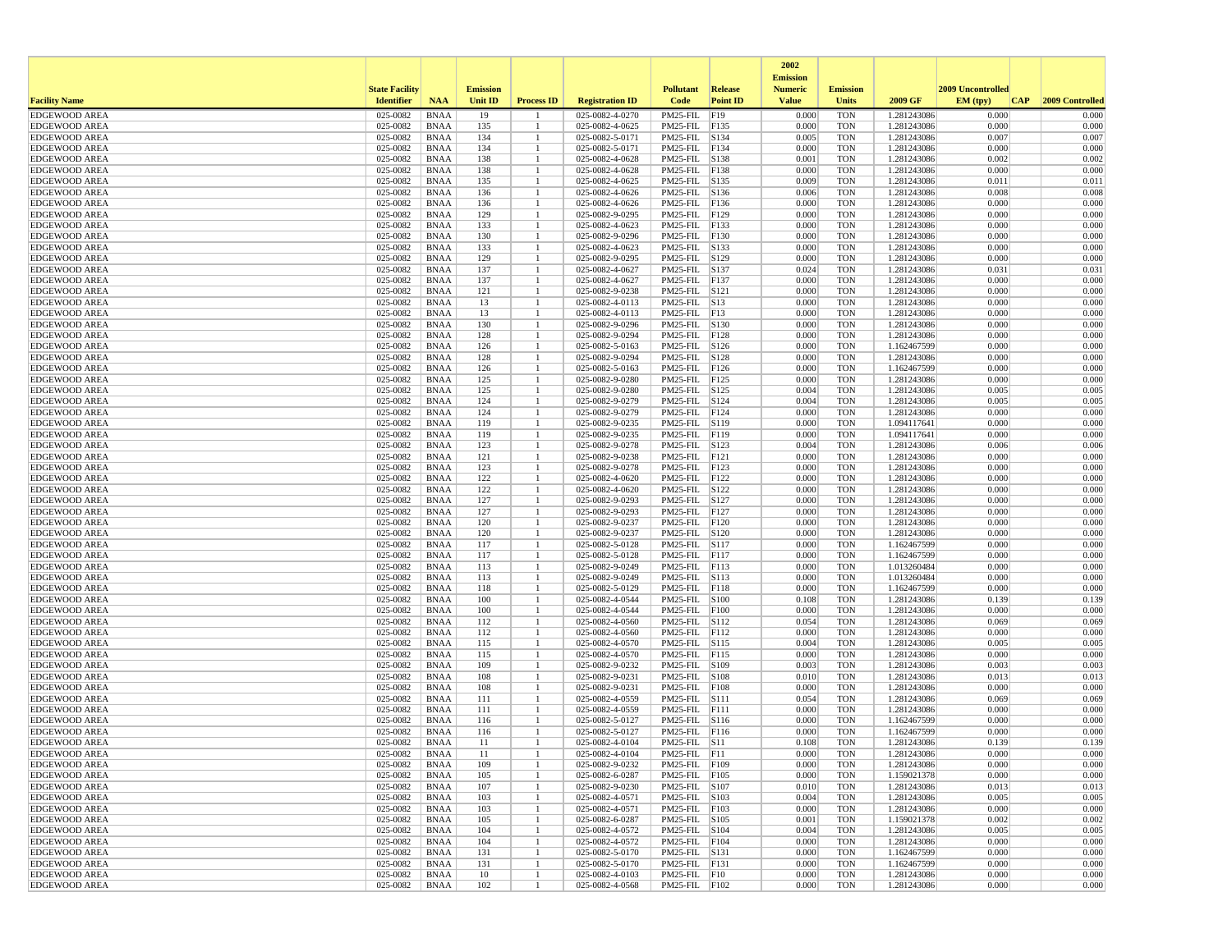|                                              |                       |                            |                 |                      |                                    |                                |                  | 2002<br><b>Emission</b> |                          |                            |                   |                     |
|----------------------------------------------|-----------------------|----------------------------|-----------------|----------------------|------------------------------------|--------------------------------|------------------|-------------------------|--------------------------|----------------------------|-------------------|---------------------|
|                                              | <b>State Facility</b> |                            | <b>Emission</b> |                      |                                    | <b>Pollutant</b>               | Release          | <b>Numeric</b>          | <b>Emission</b>          |                            | 2009 Uncontrolled |                     |
| <b>Facility Name</b>                         | <b>Identifier</b>     | <b>NAA</b>                 | <b>Unit ID</b>  | <b>Process ID</b>    | <b>Registration ID</b>             | Code                           | <b>Point ID</b>  | <b>Value</b>            | <b>Units</b>             | 2009 GF                    | EM (typ)          | CAP 2009 Controlled |
| <b>EDGEWOOD AREA</b>                         | 025-0082              | <b>BNAA</b>                | 19              |                      | 025-0082-4-0270                    | PM25-FIL                       | F19              | 0.000                   | <b>TON</b>               | 1.281243086                | 0.000             | 0.000               |
| <b>EDGEWOOD AREA</b><br><b>EDGEWOOD AREA</b> | 025-0082<br>025-0082  | <b>BNAA</b><br><b>BNAA</b> | 135<br>134      | -1<br>$\overline{1}$ | 025-0082-4-0625<br>025-0082-5-0171 | PM25-FIL<br>PM25-FIL S134      | F135             | 0.000<br>0.005          | <b>TON</b><br><b>TON</b> | 1.281243086<br>1.281243086 | 0.000<br>0.007    | 0.000<br>0.007      |
| <b>EDGEWOOD AREA</b>                         | 025-0082              | <b>BNAA</b>                | 134             | -1                   | 025-0082-5-0171                    | PM25-FIL F134                  |                  | 0.000                   | <b>TON</b>               | 1.281243086                | 0.000             | 0.000               |
| <b>EDGEWOOD AREA</b>                         | 025-0082              | <b>BNAA</b>                | 138             |                      | 025-0082-4-0628                    | PM25-FIL S138                  |                  | 0.001                   | <b>TON</b>               | 1.281243086                | 0.002             | 0.002               |
| <b>EDGEWOOD AREA</b>                         | 025-0082              | <b>BNAA</b>                | 138             |                      | 025-0082-4-0628                    | PM25-FIL F138                  |                  | 0.000                   | <b>TON</b>               | 1.281243086                | 0.000             | 0.000               |
| <b>EDGEWOOD AREA</b>                         | 025-0082              | <b>BNAA</b>                | 135             |                      | 025-0082-4-0625                    | PM25-FIL S135                  |                  | 0.009                   | TON                      | 1.281243086                | 0.011             | 0.011               |
| <b>EDGEWOOD AREA</b>                         | 025-0082              | <b>BNAA</b>                | 136             | -1                   | 025-0082-4-0626                    | PM25-FIL S136                  |                  | 0.006                   | <b>TON</b>               | 1.281243086                | 0.008             | 0.008               |
| <b>EDGEWOOD AREA</b>                         | 025-0082              | <b>BNAA</b>                | 136             | -1                   | 025-0082-4-0626                    | PM25-FIL F136                  |                  | 0.000                   | <b>TON</b>               | 1.281243086                | 0.000             | 0.000               |
| <b>EDGEWOOD AREA</b>                         | 025-0082              | <b>BNAA</b>                | 129             | -1                   | 025-0082-9-0295                    | PM25-FIL                       | F129             | 0.000                   | <b>TON</b>               | 1.281243086                | 0.000             | 0.000               |
| <b>EDGEWOOD AREA</b>                         | 025-0082              | <b>BNAA</b>                | 133             |                      | 025-0082-4-0623                    | PM25-FIL F133                  |                  | 0.000                   | <b>TON</b>               | 1.281243086<br>1.281243086 | 0.000<br>0.000    | 0.000               |
| <b>EDGEWOOD AREA</b><br><b>EDGEWOOD AREA</b> | 025-0082<br>025-0082  | <b>BNAA</b><br><b>BNAA</b> | 130<br>133      | -1                   | 025-0082-9-0296<br>025-0082-4-0623 | PM25-FIL F130<br>PM25-FIL S133 |                  | 0.000<br>0.000          | TON<br><b>TON</b>        | 1.281243086                | 0.000             | 0.000<br>0.000      |
| <b>EDGEWOOD AREA</b>                         | 025-0082              | <b>BNAA</b>                | 129             | $\mathbf{1}$         | 025-0082-9-0295                    | PM25-FIL                       | S129             | 0.000                   | <b>TON</b>               | 1.281243086                | 0.000             | 0.000               |
| <b>EDGEWOOD AREA</b>                         | 025-0082              | <b>BNAA</b>                | 137             | -1                   | 025-0082-4-0627                    | PM25-FIL                       | S137             | 0.024                   | <b>TON</b>               | 1.281243086                | 0.031             | 0.031               |
| <b>EDGEWOOD AREA</b>                         | 025-0082              | <b>BNAA</b>                | 137             |                      | 025-0082-4-0627                    | PM25-FIL F137                  |                  | 0.000                   | <b>TON</b>               | 1.281243086                | 0.000             | 0.000               |
| <b>EDGEWOOD AREA</b>                         | 025-0082              | <b>BNAA</b>                | 121             | $\mathbf{1}$         | 025-0082-9-0238                    | PM25-FIL S121                  |                  | 0.000                   | <b>TON</b>               | 1.281243086                | 0.000             | 0.000               |
| <b>EDGEWOOD AREA</b>                         | 025-0082              | <b>BNAA</b>                | 13              | -1                   | 025-0082-4-0113                    | PM25-FIL S13                   |                  | 0.000                   | TON                      | 1.281243086                | 0.000             | 0.000               |
| <b>EDGEWOOD AREA</b>                         | 025-0082              | <b>BNAA</b>                | 13              | -1                   | 025-0082-4-0113                    | PM25-FIL F13                   |                  | 0.000                   | <b>TON</b>               | 1.281243086                | 0.000             | 0.000               |
| <b>EDGEWOOD AREA</b>                         | 025-0082              | <b>BNAA</b>                | 130             |                      | 025-0082-9-0296                    | PM25-FIL                       | S130             | 0.000                   | <b>TON</b>               | 1.281243086                | 0.000             | 0.000               |
| <b>EDGEWOOD AREA</b>                         | 025-0082              | <b>BNAA</b>                | 128             | -1                   | 025-0082-9-0294                    | PM25-FIL F128                  |                  | 0.000                   | <b>TON</b>               | 1.281243086                | 0.000             | 0.000               |
| <b>EDGEWOOD AREA</b>                         | 025-0082              | <b>BNAA</b>                | 126             | $\mathbf{1}$         | 025-0082-5-0163                    | PM25-FIL S126                  |                  | 0.000                   | <b>TON</b>               | 1.162467599                | 0.000             | 0.000               |
| <b>EDGEWOOD AREA</b>                         | 025-0082              | <b>BNAA</b>                | 128             |                      | 025-0082-9-0294                    | PM25-FIL S128                  |                  | 0.000<br>0.000          | TON                      | 1.281243086                | 0.000<br>0.000    | 0.000<br>0.000      |
| <b>EDGEWOOD AREA</b><br><b>EDGEWOOD AREA</b> | 025-0082<br>025-0082  | <b>BNAA</b><br><b>BNAA</b> | 126<br>125      | -1<br>$\mathbf{1}$   | 025-0082-5-0163<br>025-0082-9-0280 | PM25-FIL F126<br>PM25-FIL F125 |                  | 0.000                   | <b>TON</b><br><b>TON</b> | 1.162467599<br>1.281243086 | 0.000             | 0.000               |
| <b>EDGEWOOD AREA</b>                         | 025-0082              | <b>BNAA</b>                | 125             |                      | 025-0082-9-0280                    | PM25-FIL                       | S <sub>125</sub> | 0.004                   | <b>TON</b>               | 1.281243086                | 0.005             | 0.005               |
| <b>EDGEWOOD AREA</b>                         | 025-0082              | <b>BNAA</b>                | 124             | -1                   | 025-0082-9-0279                    | PM25-FIL S124                  |                  | 0.004                   | <b>TON</b>               | 1.281243086                | 0.005             | 0.005               |
| <b>EDGEWOOD AREA</b>                         | 025-0082              | <b>BNAA</b>                | 124             |                      | 025-0082-9-0279                    | PM25-FIL F124                  |                  | 0.000                   | <b>TON</b>               | 1.281243086                | 0.000             | 0.000               |
| <b>EDGEWOOD AREA</b>                         | 025-0082              | <b>BNAA</b>                | 119             | -1                   | 025-0082-9-0235                    | PM25-FIL S119                  |                  | 0.000                   | TON                      | 1.094117641                | 0.000             | 0.000               |
| <b>EDGEWOOD AREA</b>                         | 025-0082              | <b>BNAA</b>                | 119             | -1                   | 025-0082-9-0235                    | PM25-FIL F119                  |                  | 0.000                   | <b>TON</b>               | 1.094117641                | 0.000             | 0.000               |
| <b>EDGEWOOD AREA</b>                         | 025-0082              | <b>BNAA</b>                | 123             |                      | 025-0082-9-0278                    | PM25-FIL                       | S123             | 0.004                   | <b>TON</b>               | 1.281243086                | 0.006             | 0.006               |
| <b>EDGEWOOD AREA</b>                         | 025-0082              | <b>BNAA</b>                | 121             | -1                   | 025-0082-9-0238                    | PM25-FIL F121                  |                  | 0.000                   | <b>TON</b>               | 1.281243086                | 0.000             | 0.000               |
| <b>EDGEWOOD AREA</b>                         | 025-0082              | <b>BNAA</b>                | 123             |                      | 025-0082-9-0278                    | PM25-FIL F123                  |                  | 0.000                   | <b>TON</b>               | 1.281243086                | 0.000             | 0.000               |
| <b>EDGEWOOD AREA</b>                         | 025-0082              | <b>BNAA</b>                | 122             |                      | 025-0082-4-0620                    | PM25-FIL F122                  |                  | 0.000                   | TON                      | 1.281243086                | 0.000             | 0.000               |
| <b>EDGEWOOD AREA</b>                         | 025-0082<br>025-0082  | <b>BNAA</b><br><b>BNAA</b> | 122<br>127      | $\overline{1}$       | 025-0082-4-0620<br>025-0082-9-0293 | PM25-FIL S122<br>PM25-FIL      | S <sub>127</sub> | 0.000<br>0.000          | <b>TON</b><br><b>TON</b> | 1.281243086                | 0.000<br>0.000    | 0.000<br>0.000      |
| <b>EDGEWOOD AREA</b><br><b>EDGEWOOD AREA</b> | 025-0082              | <b>BNAA</b>                | 127             |                      | 025-0082-9-0293                    | PM25-FIL                       | F127             | 0.000                   | <b>TON</b>               | 1.281243086<br>1.281243086 | 0.000             | 0.000               |
| <b>EDGEWOOD AREA</b>                         | 025-0082              | <b>BNAA</b>                | 120             | -1                   | 025-0082-9-0237                    | PM25-FIL                       | F120             | 0.000                   | <b>TON</b>               | 1.281243086                | 0.000             | 0.000               |
| <b>EDGEWOOD AREA</b>                         | 025-0082              | <b>BNAA</b>                | 120             | $\mathbf{1}$         | 025-0082-9-0237                    | PM25-FIL S120                  |                  | 0.000                   | <b>TON</b>               | 1.281243086                | 0.000             | 0.000               |
| <b>EDGEWOOD AREA</b>                         | 025-0082              | <b>BNAA</b>                | 117             | -1                   | 025-0082-5-0128                    | PM25-FIL S117                  |                  | 0.000                   | <b>TON</b>               | 1.162467599                | 0.000             | 0.000               |
| <b>EDGEWOOD AREA</b>                         | 025-0082              | <b>BNAA</b>                | 117             | -1                   | 025-0082-5-0128                    | PM25-FIL F117                  |                  | 0.000                   | <b>TON</b>               | 1.162467599                | 0.000             | 0.000               |
| <b>EDGEWOOD AREA</b>                         | 025-0082              | <b>BNAA</b>                | 113             | -1                   | 025-0082-9-0249                    | PM25-FIL F113                  |                  | 0.000                   | <b>TON</b>               | 1.013260484                | 0.000             | 0.000               |
| <b>EDGEWOOD AREA</b>                         | 025-0082              | <b>BNAA</b>                | 113             | -1                   | 025-0082-9-0249                    | PM25-FIL                       | S113             | 0.000                   | <b>TON</b>               | 1.013260484                | 0.000             | 0.000               |
| <b>EDGEWOOD AREA</b>                         | 025-0082              | <b>BNAA</b>                | 118             | -1                   | 025-0082-5-0129                    | PM25-FIL F118                  |                  | 0.000                   | <b>TON</b>               | 1.162467599                | 0.000             | 0.000               |
| <b>EDGEWOOD AREA</b>                         | 025-0082              | <b>BNAA</b>                | 100             |                      | 025-0082-4-0544                    | PM25-FIL S100                  |                  | 0.108                   | TON                      | 1.281243086                | 0.139             | 0.139               |
| <b>EDGEWOOD AREA</b><br><b>EDGEWOOD AREA</b> | 025-0082<br>025-0082  | <b>BNAA</b><br><b>BNAA</b> | 100<br>112      | -1<br>$\overline{1}$ | 025-0082-4-0544<br>025-0082-4-0560 | PM25-FIL F100<br>PM25-FIL S112 |                  | 0.000<br>0.054          | <b>TON</b><br><b>TON</b> | 1.281243086<br>1.281243086 | 0.000<br>0.069    | 0.000<br>0.069      |
| <b>EDGEWOOD AREA</b>                         | 025-0082              | <b>BNAA</b>                | 112             |                      | 025-0082-4-0560                    | PM25-FIL                       | F112             | 0.000                   | <b>TON</b>               | 1.281243086                | 0.000             | 0.000               |
| <b>EDGEWOOD AREA</b>                         | 025-0082              | <b>BNAA</b>                | 115             | -1                   | 025-0082-4-0570                    | PM25-FIL S115                  |                  | 0.004                   | <b>TON</b>               | 1.281243086                | 0.005             | 0.005               |
| <b>EDGEWOOD AREA</b>                         | 025-0082              | <b>BNAA</b>                | 115             | $\mathbf{1}$         | 025-0082-4-0570                    | PM25-FIL F115                  |                  | 0.000                   | <b>TON</b>               | 1.281243086                | 0.000             | 0.000               |
| <b>EDGEWOOD AREA</b>                         | 025-0082              | <b>BNAA</b>                | 109             |                      | 025-0082-9-0232                    | PM25-FIL S109                  |                  | 0.003                   | <b>TON</b>               | 1.281243086                | 0.003             | 0.003               |
| <b>EDGEWOOD AREA</b>                         | 025-0082              | <b>BNAA</b>                | 108             | -1                   | 025-0082-9-0231                    | PM25-FIL S108                  |                  | 0.010                   | <b>TON</b>               | 1.281243086                | 0.013             | 0.013               |
| <b>EDGEWOOD AREA</b>                         | 025-0082              | <b>BNAA</b>                | 108             |                      | 025-0082-9-0231                    | PM25-FIL                       | F108             | 0.000                   | <b>TON</b>               | 1.281243086                | 0.000             | 0.000               |
| <b>EDGEWOOD AREA</b>                         | 025-0082              | <b>BNAA</b>                | 111             | -1                   | 025-0082-4-0559                    | PM25-FIL                       | S111             | 0.054                   | <b>TON</b>               | 1.281243086                | 0.069             | 0.069               |
| <b>EDGEWOOD AREA</b>                         | 025-0082              | <b>BNAA</b><br><b>BNAA</b> | 111<br>116      | -1                   | 025-0082-4-0559<br>025-0082-5-0127 | PM25-FIL F111                  |                  | 0.000<br>0.000          | <b>TON</b>               | 1.281243086                | 0.000<br>0.000    | 0.000               |
| <b>EDGEWOOD AREA</b><br><b>EDGEWOOD AREA</b> | 025-0082<br>025-0082  | <b>BNAA</b>                | 116             | -1                   | 025-0082-5-0127                    | PM25-FIL S116<br>PM25-FIL F116 |                  | 0.000                   | TON<br>TON               | 1.162467599<br>1.162467599 | 0.000             | 0.000<br>0.000      |
| <b>EDGEWOOD AREA</b>                         | 025-0082              | <b>BNAA</b>                | 11              |                      | 025-0082-4-0104                    | PM25-FIL S11                   |                  | 0.108                   | <b>TON</b>               | 1.281243086                | 0.139             | 0.139               |
| <b>EDGEWOOD AREA</b>                         | 025-0082              | <b>BNAA</b>                | 11              |                      | 025-0082-4-0104                    | $PM25$ -FIL F11                |                  | 0.000                   | TON                      | 1.281243086                | 0.000             | 0.000               |
| <b>EDGEWOOD AREA</b>                         | $025-0082$ BNAA       |                            | 109             | -1                   | 025-0082-9-0232                    | PM25-FIL F109                  |                  | 0.000                   | <b>TON</b>               | 1.281243086                | 0.000             | 0.000               |
| <b>EDGEWOOD AREA</b>                         | 025-0082              | BNAA                       | 105             | -1                   | 025-0082-6-0287                    | PM25-FIL F105                  |                  | 0.000                   | TON                      | 1.159021378                | 0.000             | 0.000               |
| <b>EDGEWOOD AREA</b>                         | 025-0082              | <b>BNAA</b>                | 107             |                      | 025-0082-9-0230                    | PM25-FIL S107                  |                  | 0.010                   | TON                      | 1.281243086                | 0.013             | 0.013               |
| <b>EDGEWOOD AREA</b>                         | 025-0082              | <b>BNAA</b>                | 103             | -1                   | 025-0082-4-0571                    | PM25-FIL S103                  |                  | 0.004                   | TON                      | 1.281243086                | 0.005             | 0.005               |
| <b>EDGEWOOD AREA</b>                         | 025-0082              | <b>BNAA</b>                | 103             | $\mathbf{1}$         | 025-0082-4-0571                    | PM25-FIL F103                  |                  | 0.000                   | <b>TON</b>               | 1.281243086                | 0.000             | 0.000               |
| <b>EDGEWOOD AREA</b>                         | 025-0082              | <b>BNAA</b>                | 105             | $\mathbf{1}$         | 025-0082-6-0287                    | PM25-FIL S105                  |                  | 0.001                   | <b>TON</b>               | 1.159021378                | 0.002             | 0.002               |
| <b>EDGEWOOD AREA</b>                         | 025-0082              | BNAA                       | 104             | -1                   | 025-0082-4-0572                    | PM25-FIL S104                  |                  | 0.004                   | TON                      | 1.281243086                | 0.005             | 0.005               |
| <b>EDGEWOOD AREA</b><br><b>EDGEWOOD AREA</b> | 025-0082              | <b>BNAA</b>                | 104             | $\mathbf{1}$<br>-1   | 025-0082-4-0572                    | PM25-FIL F104                  |                  | 0.000                   | <b>TON</b>               | 1.281243086                | 0.000<br>0.000    | 0.000               |
| <b>EDGEWOOD AREA</b>                         | 025-0082<br>025-0082  | <b>BNAA</b><br><b>BNAA</b> | 131<br>131      | -1                   | 025-0082-5-0170<br>025-0082-5-0170 | PM25-FIL S131<br>PM25-FIL F131 |                  | 0.000<br>0.000          | TON<br>TON               | 1.162467599<br>1.162467599 | 0.000             | 0.000<br>0.000      |
| <b>EDGEWOOD AREA</b>                         | 025-0082              | <b>BNAA</b>                | 10              | -1                   | 025-0082-4-0103                    | $PM25$ -FIL $ F10$             |                  | 0.000                   | TON                      | 1.281243086                | 0.000             | 0.000               |
| <b>EDGEWOOD AREA</b>                         | 025-0082              | <b>BNAA</b>                | 102             | -1                   | 025-0082-4-0568                    | PM25-FIL F102                  |                  | 0.000                   | <b>TON</b>               | 1.281243086                | 0.000             | 0.000               |
|                                              |                       |                            |                 |                      |                                    |                                |                  |                         |                          |                            |                   |                     |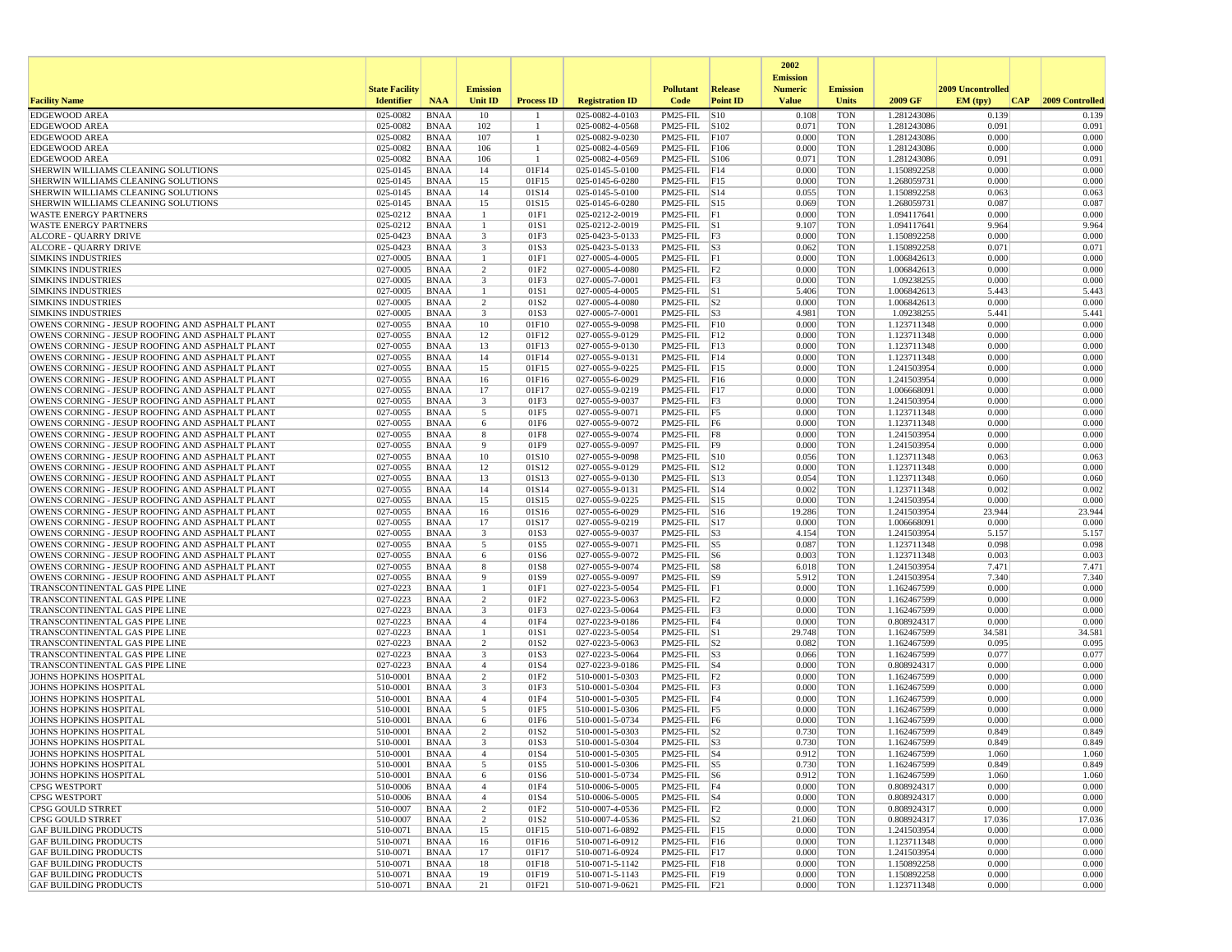|                                                                                                    |                       |                            |                              |                      |                                    |                                         |                 | 2002                              |                          |                            |                          |                 |
|----------------------------------------------------------------------------------------------------|-----------------------|----------------------------|------------------------------|----------------------|------------------------------------|-----------------------------------------|-----------------|-----------------------------------|--------------------------|----------------------------|--------------------------|-----------------|
|                                                                                                    | <b>State Facility</b> |                            | <b>Emission</b>              |                      |                                    | <b>Pollutant</b>                        | Release         | <b>Emission</b><br><b>Numeric</b> | <b>Emission</b>          |                            | <b>2009 Uncontrolled</b> |                 |
| <b>Facility Name</b>                                                                               | <b>Identifier</b>     | <b>NAA</b>                 | Unit ID                      | <b>Process ID</b>    | <b>Registration ID</b>             | Code                                    | <b>Point ID</b> | <b>Value</b>                      | <b>Units</b>             | 2009 GF                    | EM (typ)<br> CAP         | 2009 Controlled |
| <b>EDGEWOOD AREA</b>                                                                               | 025-0082              | <b>BNAA</b>                | 10                           |                      | 025-0082-4-0103                    | PM25-FIL                                | S10             | 0.108                             | <b>TON</b>               | 1.281243086                | 0.139                    | 0.139           |
| <b>EDGEWOOD AREA</b>                                                                               | 025-0082              | <b>BNAA</b>                | 102                          | -1                   | 025-0082-4-0568                    | PM25-FIL S102                           |                 | 0.071                             | <b>TON</b>               | 1.281243086                | 0.091                    | 0.091           |
| <b>EDGEWOOD AREA</b><br><b>EDGEWOOD AREA</b>                                                       | 025-0082<br>025-0082  | <b>BNAA</b><br><b>BNAA</b> | 107<br>106                   | $\overline{1}$<br>-1 | 025-0082-9-0230<br>025-0082-4-0569 | PM25-FIL<br>PM25-FIL F106               | F107            | 0.000<br>0.000                    | <b>TON</b><br><b>TON</b> | 1.281243086<br>1.281243086 | 0.000<br>0.000           | 0.000<br>0.000  |
| <b>EDGEWOOD AREA</b>                                                                               | 025-0082              | <b>BNAA</b>                | 106                          | -1                   | 025-0082-4-0569                    | PM25-FIL S106                           |                 | 0.071                             | <b>TON</b>               | 1.281243086                | 0.091                    | 0.091           |
| SHERWIN WILLIAMS CLEANING SOLUTIONS                                                                | 025-0145              | <b>BNAA</b>                | 14                           | 01F14                | 025-0145-5-0100                    | PM25-FIL F14                            |                 | 0.000                             | <b>TON</b>               | 1.150892258                | 0.000                    | 0.000           |
| SHERWIN WILLIAMS CLEANING SOLUTIONS                                                                | $025 - 0145$          | <b>BNAA</b>                | 15                           | 01F15                | 025-0145-6-0280                    | $PM25$ -FIL F15                         |                 | 0.000                             | <b>TON</b>               | 1.268059731                | 0.000                    | 0.000           |
| SHERWIN WILLIAMS CLEANING SOLUTIONS                                                                | 025-0145              | <b>BNAA</b>                | 14                           | 01S14                | 025-0145-5-0100                    | $PM25$ -FIL $ S14$                      |                 | 0.055                             | <b>TON</b>               | 1.150892258                | 0.063                    | 0.063           |
| SHERWIN WILLIAMS CLEANING SOLUTIONS                                                                | 025-0145              | <b>BNAA</b>                | 15                           | 01S15                | 025-0145-6-0280                    | PM25-FIL S15                            |                 | 0.069                             | <b>TON</b>               | 1.268059731                | 0.087                    | 0.087           |
| <b>WASTE ENERGY PARTNERS</b>                                                                       | 025-0212              | <b>BNAA</b>                | -1<br>$\overline{1}$         | 01F1                 | 025-0212-2-0019                    | $PM25-FIL$ $ F1$                        |                 | 0.000                             | <b>TON</b>               | 1.094117641                | 0.000                    | 0.000           |
| <b>WASTE ENERGY PARTNERS</b><br><b>ALCORE - QUARRY DRIVE</b>                                       | 025-0212<br>025-0423  | <b>BNAA</b><br><b>BNAA</b> | 3                            | 01S1<br>01F3         | 025-0212-2-0019<br>025-0423-5-0133 | $PM25$ -FIL $ S1$<br>$PM25$ -FIL $ F3$  |                 | 9.107<br>0.000                    | <b>TON</b><br><b>TON</b> | 1.094117641<br>1.150892258 | 9.964<br>0.000           | 9.964<br>0.000  |
| <b>ALCORE - QUARRY DRIVE</b>                                                                       | 025-0423              | <b>BNAA</b>                | $\overline{\mathbf{3}}$      | 01S3                 | 025-0423-5-0133                    | $PM25$ -FIL $ S3$                       |                 | 0.062                             | <b>TON</b>               | 1.150892258                | 0.071                    | 0.071           |
| <b>SIMKINS INDUSTRIES</b>                                                                          | 027-0005              | <b>BNAA</b>                |                              | 01F1                 | 027-0005-4-0005                    | $PM25-FIL$ $ F1$                        |                 | 0.000                             | <b>TON</b>               | 1.006842613                | 0.000                    | 0.000           |
| <b>SIMKINS INDUSTRIES</b>                                                                          | 027-0005              | <b>BNAA</b>                | 2                            | 01F <sub>2</sub>     | 027-0005-4-0080                    | $PM25-FIL$ $F2$                         |                 | 0.000                             | <b>TON</b>               | 1.006842613                | 0.000                    | 0.000           |
| <b>SIMKINS INDUSTRIES</b>                                                                          | 027-0005              | <b>BNAA</b>                | $\overline{\mathbf{3}}$      | 01F3                 | 027-0005-7-0001                    | $PM25-FIL$ $ F3$                        |                 | 0.000                             | <b>TON</b>               | 1.09238255                 | 0.000                    | 0.000           |
| <b>SIMKINS INDUSTRIES</b>                                                                          | 027-0005              | <b>BNAA</b>                |                              | 01S1                 | 027-0005-4-0005                    | $PM25$ -FIL $ S1$                       |                 | 5.406                             | <b>TON</b>               | 1.006842613                | 5.443                    | 5.443           |
| <b>SIMKINS INDUSTRIES</b>                                                                          | 027-0005              | <b>BNAA</b>                | 2<br>3                       | 01S2                 | 027-0005-4-0080                    | $PM25$ -FIL $ S2 $                      |                 | 0.000                             | <b>TON</b>               | 1.006842613                | 0.000                    | 0.000           |
| <b>SIMKINS INDUSTRIES</b><br>OWENS CORNING - JESUP ROOFING AND ASPHALT PLANT                       | 027-0005<br>027-0055  | <b>BNAA</b><br><b>BNAA</b> | 10                           | 01S3<br>01F10        | 027-0005-7-0001<br>027-0055-9-0098 | $PM25-FIL$ S3<br>$PM25$ -FIL $ F10$     |                 | 4.981<br>0.000                    | <b>TON</b><br><b>TON</b> | 1.09238255<br>1.123711348  | 5.441<br>0.000           | 5.441<br>0.000  |
| OWENS CORNING - JESUP ROOFING AND ASPHALT PLANT                                                    | 027-0055              | <b>BNAA</b>                | 12                           | 01F12                | 027-0055-9-0129                    | $PM25$ -FIL F12                         |                 | 0.000                             | <b>TON</b>               | 1.123711348                | 0.000                    | 0.000           |
| OWENS CORNING - JESUP ROOFING AND ASPHALT PLANT                                                    | 027-0055              | <b>BNAA</b>                | 13                           | 01F13                | 027-0055-9-0130                    | $PM25$ -FIL F13                         |                 | 0.000                             | <b>TON</b>               | 1.123711348                | 0.000                    | 0.000           |
| OWENS CORNING - JESUP ROOFING AND ASPHALT PLANT                                                    | 027-0055              | <b>BNAA</b>                | 14                           | 01F14                | 027-0055-9-0131                    | $PM25$ -FIL F14                         |                 | 0.000                             | <b>TON</b>               | 1.123711348                | 0.000                    | 0.000           |
| OWENS CORNING - JESUP ROOFING AND ASPHALT PLANT                                                    | 027-0055              | <b>BNAA</b>                | 15                           | 01F15                | 027-0055-9-0225                    | $PM25$ -FIL F15                         |                 | 0.000                             | <b>TON</b>               | 1.241503954                | 0.000                    | 0.000           |
| OWENS CORNING - JESUP ROOFING AND ASPHALT PLANT                                                    | 027-0055              | <b>BNAA</b>                | 16                           | 01F16                | 027-0055-6-0029                    | $PM25$ -FIL F16                         |                 | 0.000                             | <b>TON</b>               | 1.241503954                | 0.000                    | 0.000           |
| OWENS CORNING - JESUP ROOFING AND ASPHALT PLANT<br>OWENS CORNING - JESUP ROOFING AND ASPHALT PLANT | 027-0055              | <b>BNAA</b>                | 17                           | 01F17                | 027-0055-9-0219                    | $PM25-FIL$ $F17$<br>PM25-FIL F3         |                 | 0.000                             | <b>TON</b>               | 1.006668091                | 0.000                    | 0.000           |
| OWENS CORNING - JESUP ROOFING AND ASPHALT PLANT                                                    | 027-0055<br>027-0055  | <b>BNAA</b><br><b>BNAA</b> | $\overline{\mathbf{3}}$<br>5 | 01F3<br>01F5         | 027-0055-9-0037<br>027-0055-9-0071 | $PM25-FIL$ F5                           |                 | 0.000<br>0.000                    | <b>TON</b><br><b>TON</b> | 1.241503954<br>1.123711348 | 0.000<br>0.000           | 0.000<br>0.000  |
| OWENS CORNING - JESUP ROOFING AND ASPHALT PLANT                                                    | 027-0055              | <b>BNAA</b>                | 6                            | 01F6                 | 027-0055-9-0072                    | $PM25$ -FIL F6                          |                 | 0.000                             | <b>TON</b>               | 1.123711348                | 0.000                    | 0.000           |
| OWENS CORNING - JESUP ROOFING AND ASPHALT PLANT                                                    | 027-0055              | <b>BNAA</b>                | 8                            | 01F8                 | 027-0055-9-0074                    | PM25-FIL F8                             |                 | 0.000                             | <b>TON</b>               | 1.241503954                | 0.000                    | 0.000           |
| OWENS CORNING - JESUP ROOFING AND ASPHALT PLANT                                                    | 027-0055              | <b>BNAA</b>                | 9                            | 01F9                 | 027-0055-9-0097                    | PM25-FIL                                | F9              | 0.000                             | <b>TON</b>               | 1.241503954                | 0.000                    | 0.000           |
| OWENS CORNING - JESUP ROOFING AND ASPHALT PLANT                                                    | 027-0055              | <b>BNAA</b>                | 10                           | 01S10                | 027-0055-9-0098                    | PM25-FIL S10                            |                 | 0.056                             | <b>TON</b>               | 1.123711348                | 0.063                    | 0.063           |
| OWENS CORNING - JESUP ROOFING AND ASPHALT PLANT                                                    | 027-0055              | <b>BNAA</b>                | 12                           | 01S12                | 027-0055-9-0129                    | $PM25$ -FIL $ S12$                      |                 | 0.000                             | <b>TON</b>               | 1.123711348                | 0.000                    | 0.000           |
| OWENS CORNING - JESUP ROOFING AND ASPHALT PLANT                                                    | 027-0055<br>027-0055  | <b>BNAA</b><br><b>BNAA</b> | 13<br>14                     | 01S13<br>01S14       | 027-0055-9-0130<br>027-0055-9-0131 | PM25-FIL S13<br>$PM25$ -FIL $ S14$      |                 | 0.054<br>0.002                    | <b>TON</b><br><b>TON</b> | 1.123711348                | 0.060<br>0.002           | 0.060<br>0.002  |
| OWENS CORNING - JESUP ROOFING AND ASPHALT PLANT<br>OWENS CORNING - JESUP ROOFING AND ASPHALT PLANT | 027-0055              | <b>BNAA</b>                | 15                           | 01S15                | 027-0055-9-0225                    | PM25-FIL S15                            |                 | 0.000                             | <b>TON</b>               | 1.123711348<br>1.241503954 | 0.000                    | 0.000           |
| OWENS CORNING - JESUP ROOFING AND ASPHALT PLANT                                                    | 027-0055              | <b>BNAA</b>                | 16                           | 01S16                | 027-0055-6-0029                    | PM25-FIL S16                            |                 | 19.286                            | <b>TON</b>               | 1.241503954                | 23.944                   | 23.944          |
| OWENS CORNING - JESUP ROOFING AND ASPHALT PLANT                                                    | 027-0055              | <b>BNAA</b>                | 17                           | 01S17                | 027-0055-9-0219                    | $PM25$ -FIL $ S17$                      |                 | 0.000                             | <b>TON</b>               | 1.006668091                | 0.000                    | 0.000           |
| OWENS CORNING - JESUP ROOFING AND ASPHALT PLANT                                                    | 027-0055              | <b>BNAA</b>                | $\overline{\mathbf{3}}$      | 01S3                 | 027-0055-9-0037                    | $PM25$ -FIL $ S3$                       |                 | 4.154                             | <b>TON</b>               | 1.241503954                | 5.157                    | 5.157           |
| OWENS CORNING - JESUP ROOFING AND ASPHALT PLANT                                                    | 027-0055              | <b>BNAA</b>                | 5                            | 01S5                 | 027-0055-9-0071                    | $PM25$ -FIL $ S5$                       |                 | 0.087                             | <b>TON</b>               | 1.123711348                | 0.098                    | 0.098           |
| OWENS CORNING - JESUP ROOFING AND ASPHALT PLANT                                                    | 027-0055              | <b>BNAA</b>                | -6                           | 01S6                 | 027-0055-9-0072                    | $PM25$ -FIL $ S6$                       |                 | 0.003                             | <b>TON</b>               | 1.123711348                | 0.003                    | 0.003           |
| OWENS CORNING - JESUP ROOFING AND ASPHALT PLANT<br>OWENS CORNING - JESUP ROOFING AND ASPHALT PLANT | 027-0055<br>027-0055  | <b>BNAA</b><br><b>BNAA</b> | 8<br>9                       | 01S8<br>01S9         | 027-0055-9-0074<br>027-0055-9-0097 | $PM25$ -FIL $ S8$<br>$PM25$ -FIL $ S9 $ |                 | 6.018<br>5.912                    | <b>TON</b><br><b>TON</b> | 1.241503954<br>1.241503954 | 7.471<br>7.340           | 7.471<br>7.340  |
| TRANSCONTINENTAL GAS PIPE LINE                                                                     | 027-0223              | <b>BNAA</b>                | -1                           | 01F1                 | 027-0223-5-0054                    | PM25-FIL F1                             |                 | 0.000                             | <b>TON</b>               | 1.162467599                | 0.000                    | 0.000           |
| TRANSCONTINENTAL GAS PIPE LINE                                                                     | 027-0223              | <b>BNAA</b>                | 2                            | 01F <sub>2</sub>     | 027-0223-5-0063                    | $PM25$ -FIL $ F2$                       |                 | 0.000                             | <b>TON</b>               | 1.162467599                | 0.000                    | 0.000           |
| TRANSCONTINENTAL GAS PIPE LINE                                                                     | 027-0223              | <b>BNAA</b>                | 3                            | 01F3                 | 027-0223-5-0064                    | $PM25$ -FIL $ F3$                       |                 | 0.000                             | <b>TON</b>               | 1.162467599                | 0.000                    | 0.000           |
| TRANSCONTINENTAL GAS PIPE LINE                                                                     | 027-0223              | <b>BNAA</b>                | $\overline{4}$               | 01F4                 | 027-0223-9-0186                    | PM25-FIL F4                             |                 | 0.000                             | <b>TON</b>               | 0.808924317                | 0.000                    | 0.000           |
| TRANSCONTINENTAL GAS PIPE LINE                                                                     | 027-0223              | <b>BNAA</b>                | -1                           | 01S1                 | 027-0223-5-0054                    | $PM25$ -FIL $\vert$ S1                  |                 | 29.748                            | <b>TON</b>               | 1.162467599                | 34.581                   | 34.581          |
| TRANSCONTINENTAL GAS PIPE LINE                                                                     | 027-0223<br>027-0223  | <b>BNAA</b>                | 2<br>3                       | 01S <sub>2</sub>     | 027-0223-5-0063<br>027-0223-5-0064 | $PM25$ -FIL $ S2 $<br>$PM25$ -FIL $ S3$ |                 | 0.082                             | <b>TON</b>               | 1.162467599                | 0.095<br>0.077           | 0.095<br>0.077  |
| TRANSCONTINENTAL GAS PIPE LINE<br>TRANSCONTINENTAL GAS PIPE LINE                                   | 027-0223              | <b>BNAA</b><br><b>BNAA</b> | $\overline{4}$               | 01S3<br>01S4         | 027-0223-9-0186                    | $PM25$ -FIL $ S4$                       |                 | 0.066<br>0.000                    | <b>TON</b><br><b>TON</b> | 1.162467599<br>0.808924317 | 0.000                    | 0.000           |
| <b>JOHNS HOPKINS HOSPITAL</b>                                                                      | 510-0001              | <b>BNAA</b>                | 2                            | 01F2                 | 510-0001-5-0303                    | PM25-FIL F2                             |                 | 0.000                             | <b>TON</b>               | 1.162467599                | 0.000                    | 0.000           |
| JOHNS HOPKINS HOSPITAL                                                                             | 510-0001              | <b>BNAA</b>                | $\overline{\mathbf{3}}$      | 01F3                 | 510-0001-5-0304                    | PM25-FIL F3                             |                 | 0.000                             | <b>TON</b>               | 1.162467599                | 0.000                    | 0.000           |
| <b>JOHNS HOPKINS HOSPITAL</b>                                                                      | 510-0001              | <b>BNAA</b>                | $\overline{4}$               | 01F4                 | 510-0001-5-0305                    | $PM25$ -FIL $ F4$                       |                 | 0.000                             | <b>TON</b>               | 1.162467599                | 0.000                    | 0.000           |
| <b>JOHNS HOPKINS HOSPITAL</b>                                                                      | 510-0001              | <b>BNAA</b>                | 5                            | 01F5                 | 510-0001-5-0306                    | PM25-FIL F5                             |                 | 0.000                             | <b>TON</b>               | 1.162467599                | 0.000                    | 0.000           |
| JOHNS HOPKINS HOSPITAL                                                                             | 510-0001              | <b>BNAA</b>                | 6                            | 01F6                 | 510-0001-5-0734                    | PM25-FIL F6                             |                 | 0.000                             | <b>TON</b>               | 1.162467599                | 0.000                    | 0.000           |
| <b>JOHNS HOPKINS HOSPITAL</b><br><b>JOHNS HOPKINS HOSPITAL</b>                                     | 510-0001<br>510-0001  | <b>BNAA</b><br><b>BNAA</b> | $\overline{2}$<br>3          | 01S2<br>01S3         | 510-0001-5-0303<br>510-0001-5-0304 | $PM25$ -FIL $ S2 $<br>$PM25-FIL$ S3     |                 | 0.730<br>0.730                    | <b>TON</b><br><b>TON</b> | 1.162467599<br>1.162467599 | 0.849<br>0.849           | 0.849<br>0.849  |
| JOHNS HOPKINS HOSPITAL                                                                             | 510-0001              | <b>BNAA</b>                |                              | 01S4                 | 510-0001-5-0305                    | $PM25$ -FIL $ S4$                       |                 | 0.912                             | TON                      | 1.162467599                | 1.060                    | 1.060           |
| <b>JOHNS HOPKINS HOSPITAL</b>                                                                      | 510-0001              | BNAA                       | 5                            | 01S5                 | 510-0001-5-0306                    | PM25-FIL S5                             |                 | 0.730                             | <b>TON</b>               | 1.162467599                | 0.849                    | 0.849           |
| <b>JOHNS HOPKINS HOSPITAL</b>                                                                      | 510-0001              | <b>BNAA</b>                | 6                            | 01S6                 | 510-0001-5-0734                    | $PM25$ -FIL $ S6$                       |                 | 0.912                             | <b>TON</b>               | 1.162467599                | 1.060                    | 1.060           |
| <b>CPSG WESTPORT</b>                                                                               | 510-0006              | BNAA                       | $\overline{4}$               | 01F4                 | 510-0006-5-0005                    | PM25-FIL F4                             |                 | 0.000                             | <b>TON</b>               | 0.808924317                | 0.000                    | 0.000           |
| <b>CPSG WESTPORT</b>                                                                               | 510-0006              | <b>BNAA</b>                | $\overline{4}$               | 01S4                 | 510-0006-5-0005                    | $PM25$ -FIL $ S4$                       |                 | 0.000                             | <b>TON</b>               | 0.808924317                | 0.000                    | 0.000           |
| CPSG GOULD STRRET                                                                                  | 510-0007              | <b>BNAA</b>                | $\overline{2}$               | 01F <sub>2</sub>     | 510-0007-4-0536                    | $PM25$ -FIL $ F2 $                      |                 | 0.000                             | <b>TON</b>               | 0.808924317                | 0.000                    | 0.000           |
| CPSG GOULD STRRET<br><b>GAF BUILDING PRODUCTS</b>                                                  | 510-0007<br>510-0071  | <b>BNAA</b><br><b>BNAA</b> | $\overline{c}$<br>15         | 01S2<br>01F15        | 510-0007-4-0536<br>510-0071-6-0892 | $PM25$ -FIL $ S2 $<br>PM25-FIL F15      |                 | 21.060<br>0.000                   | <b>TON</b><br><b>TON</b> | 0.808924317<br>1.241503954 | 17.036<br>0.000          | 17.036<br>0.000 |
| <b>GAF BUILDING PRODUCTS</b>                                                                       | 510-0071              | <b>BNAA</b>                | 16                           | 01F16                | 510-0071-6-0912                    | $PM25$ -FIL F16                         |                 | 0.000                             | <b>TON</b>               | 1.123711348                | 0.000                    | 0.000           |
| <b>GAF BUILDING PRODUCTS</b>                                                                       | 510-0071              | BNAA                       | 17                           | 01F17                | 510-0071-6-0924                    | PM25-FIL F17                            |                 | 0.000                             | <b>TON</b>               | 1.241503954                | 0.000                    | 0.000           |
| <b>GAF BUILDING PRODUCTS</b>                                                                       | 510-0071              | <b>BNAA</b>                | 18                           | 01F18                | 510-0071-5-1142                    | PM25-FIL F18                            |                 | 0.000                             | <b>TON</b>               | 1.150892258                | 0.000                    | 0.000           |
| <b>GAF BUILDING PRODUCTS</b>                                                                       | 510-0071              | <b>BNAA</b>                | 19                           | 01F19                | 510-0071-5-1143                    | PM25-FIL F19                            |                 | 0.000                             | <b>TON</b>               | 1.150892258                | 0.000                    | 0.000           |
| <b>GAF BUILDING PRODUCTS</b>                                                                       | 510-0071              | <b>BNAA</b>                | 21                           | 01F21                | 510-0071-9-0621                    | $PM25$ -FIL $ F21$                      |                 | 0.000                             | <b>TON</b>               | 1.123711348                | 0.000                    | 0.000           |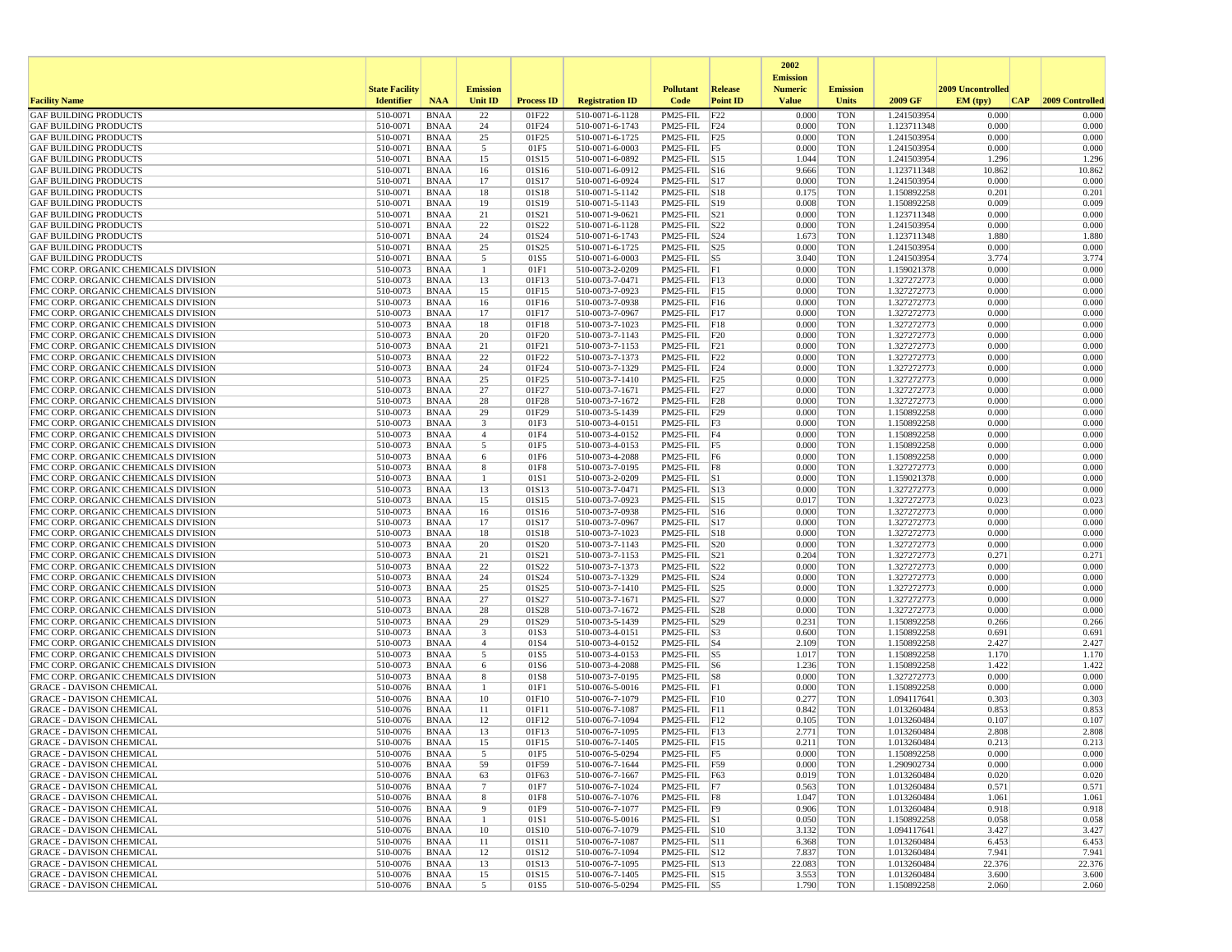|                                                                              |                       |                            |                     |                   |                                    |                                                               |                 | 2002                              |                          |                            |                   |                 |
|------------------------------------------------------------------------------|-----------------------|----------------------------|---------------------|-------------------|------------------------------------|---------------------------------------------------------------|-----------------|-----------------------------------|--------------------------|----------------------------|-------------------|-----------------|
|                                                                              | <b>State Facility</b> |                            | <b>Emission</b>     |                   |                                    | <b>Pollutant</b>                                              | Release         | <b>Emission</b><br><b>Numeric</b> | <b>Emission</b>          |                            | 2009 Uncontrolled |                 |
| <b>Facility Name</b>                                                         | <b>Identifier</b>     | <b>NAA</b>                 | Unit ID             | <b>Process ID</b> | <b>Registration ID</b>             | Code                                                          | <b>Point ID</b> | <b>Value</b>                      | <b>Units</b>             | 2009 GF                    | EM (typ)<br> CAP  | 2009 Controlled |
| <b>GAF BUILDING PRODUCTS</b>                                                 | 510-0071              | <b>BNAA</b>                | 22                  | 01F22             | 510-0071-6-1128                    | PM25-FIL                                                      | F22             | 0.000                             | <b>TON</b>               | 1.241503954                | 0.000             | 0.000           |
| <b>GAF BUILDING PRODUCTS</b>                                                 | 510-0071              | <b>BNAA</b>                | 24                  | 01F24             | 510-0071-6-1743                    | $PM25$ -FIL $ F24$                                            |                 | 0.000                             | <b>TON</b>               | 1.123711348                | 0.000             | 0.000           |
| <b>GAF BUILDING PRODUCTS</b>                                                 | 510-0071              | <b>BNAA</b>                | 25                  | 01F25             | 510-0071-6-1725                    | PM25-FIL F25                                                  |                 | 0.000                             | <b>TON</b>               | 1.241503954                | 0.000             | 0.000           |
| <b>GAF BUILDING PRODUCTS</b><br><b>GAF BUILDING PRODUCTS</b>                 | 510-0071<br>510-0071  | <b>BNAA</b><br><b>BNAA</b> | 5<br>15             | 01F5<br>01S15     | 510-0071-6-0003<br>510-0071-6-0892 | PM25-FIL F5<br>$PM25$ -FIL $ S15$                             |                 | 0.000<br>1.044                    | <b>TON</b><br><b>TON</b> | 1.241503954<br>1.241503954 | 0.000<br>1.296    | 0.000<br>1.296  |
| <b>GAF BUILDING PRODUCTS</b>                                                 | 510-0071              | <b>BNAA</b>                | 16                  | 01S16             | 510-0071-6-0912                    | PM25-FIL S16                                                  |                 | 9.666                             | <b>TON</b>               | 1.123711348                | 10.862            | 10.862          |
| <b>GAF BUILDING PRODUCTS</b>                                                 | 510-0071              | <b>BNAA</b>                | 17                  | 01S17             | 510-0071-6-0924                    | $PM25-FIL$ S17                                                |                 | 0.000                             | <b>TON</b>               | 1.241503954                | 0.000             | 0.000           |
| <b>GAF BUILDING PRODUCTS</b>                                                 | 510-0071              | <b>BNAA</b>                | 18                  | 01S18             | 510-0071-5-1142                    | $PM25$ -FIL $ S18$                                            |                 | 0.175                             | <b>TON</b>               | 1.150892258                | 0.201             | 0.201           |
| <b>GAF BUILDING PRODUCTS</b>                                                 | 510-0071              | <b>BNAA</b>                | 19                  | 01S19             | 510-0071-5-1143                    | PM25-FIL S19                                                  |                 | 0.008                             | <b>TON</b>               | 1.150892258                | 0.009             | 0.009           |
| <b>GAF BUILDING PRODUCTS</b><br><b>GAF BUILDING PRODUCTS</b>                 | 510-0071<br>510-0071  | <b>BNAA</b><br><b>BNAA</b> | 21<br>22            | 01S21<br>01S22    | 510-0071-9-0621<br>510-0071-6-1128 | $PM25$ -FIL $ S21$<br>PM25-FIL S22                            |                 | 0.000<br>0.000                    | <b>TON</b><br><b>TON</b> | 1.123711348<br>1.241503954 | 0.000<br>0.000    | 0.000<br>0.000  |
| <b>GAF BUILDING PRODUCTS</b>                                                 | 510-0071              | <b>BNAA</b>                | 24                  | 01S24             | 510-0071-6-1743                    | $PM25$ -FIL $ S24$                                            |                 | 1.673                             | <b>TON</b>               | 1.123711348                | 1.880             | 1.880           |
| <b>GAF BUILDING PRODUCTS</b>                                                 | 510-0071              | <b>BNAA</b>                | 25                  | 01S25             | 510-0071-6-1725                    | $PM25$ -FIL $ S25$                                            |                 | 0.000                             | <b>TON</b>               | 1.241503954                | 0.000             | 0.000           |
| <b>GAF BUILDING PRODUCTS</b>                                                 | 510-0071              | <b>BNAA</b>                | 5                   | 01S5              | 510-0071-6-0003                    | PM25-FIL                                                      | S5              | 3.040                             | <b>TON</b>               | 1.241503954                | 3.774             | 3.774           |
| FMC CORP. ORGANIC CHEMICALS DIVISION                                         | 510-0073              | <b>BNAA</b>                | $\mathbf{1}$        | 01F1              | 510-0073-2-0209                    | $PM25-FIL$ $F1$                                               |                 | 0.000                             | <b>TON</b>               | 1.159021378                | 0.000             | 0.000           |
| FMC CORP. ORGANIC CHEMICALS DIVISION<br>FMC CORP. ORGANIC CHEMICALS DIVISION | 510-0073<br>510-0073  | <b>BNAA</b><br><b>BNAA</b> | 13<br>15            | 01F13<br>01F15    | 510-0073-7-0471<br>510-0073-7-0923 | $PM25-FIL$ $ F13$<br>PM25-FIL F15                             |                 | 0.000<br>0.000                    | <b>TON</b><br><b>TON</b> | 1.327272773<br>1.327272773 | 0.000<br>0.000    | 0.000<br>0.000  |
| FMC CORP. ORGANIC CHEMICALS DIVISION                                         | 510-0073              | <b>BNAA</b>                | 16                  | 01F16             | 510-0073-7-0938                    | PM25-FIL F16                                                  |                 | 0.000                             | <b>TON</b>               | 1.327272773                | 0.000             | 0.000           |
| FMC CORP. ORGANIC CHEMICALS DIVISION                                         | 510-0073              | <b>BNAA</b>                | 17                  | 01F17             | 510-0073-7-0967                    | $PM25$ -FIL F17                                               |                 | 0.000                             | <b>TON</b>               | 1.327272773                | 0.000             | 0.000           |
| FMC CORP. ORGANIC CHEMICALS DIVISION                                         | 510-0073              | <b>BNAA</b>                | 18                  | 01F18             | 510-0073-7-1023                    | PM25-FIL F18                                                  |                 | 0.000                             | <b>TON</b>               | 1.327272773                | 0.000             | 0.000           |
| FMC CORP. ORGANIC CHEMICALS DIVISION                                         | 510-0073              | <b>BNAA</b>                | 20                  | 01F20             | 510-0073-7-1143                    | $PM25$ -FIL $ F20$                                            |                 | 0.000                             | <b>TON</b>               | 1.327272773                | 0.000             | 0.000           |
| FMC CORP. ORGANIC CHEMICALS DIVISION                                         | 510-0073              | <b>BNAA</b>                | 21                  | 01F21             | 510-0073-7-1153                    | $PM25$ -FIL $ F21$                                            |                 | 0.000                             | <b>TON</b>               | 1.327272773<br>1.327272773 | 0.000             | 0.000           |
| FMC CORP. ORGANIC CHEMICALS DIVISION<br>FMC CORP. ORGANIC CHEMICALS DIVISION | 510-0073<br>510-0073  | <b>BNAA</b><br><b>BNAA</b> | 22<br>24            | 01F22<br>01F24    | 510-0073-7-1373<br>510-0073-7-1329 | $PM25$ -FIL F22<br>$PM25$ -FIL $ F24$                         |                 | 0.000<br>0.000                    | <b>TON</b><br><b>TON</b> | 1.327272773                | 0.000<br>0.000    | 0.000<br>0.000  |
| FMC CORP. ORGANIC CHEMICALS DIVISION                                         | 510-0073              | <b>BNAA</b>                | 25                  | 01F25             | 510-0073-7-1410                    | $PM25$ -FIL $ F25$                                            |                 | 0.000                             | <b>TON</b>               | 1.327272773                | 0.000             | 0.000           |
| FMC CORP. ORGANIC CHEMICALS DIVISION                                         | 510-0073              | <b>BNAA</b>                | 27                  | 01F27             | 510-0073-7-1671                    | $PM25-FIL$ $F27$                                              |                 | 0.000                             | <b>TON</b>               | 1.327272773                | 0.000             | 0.000           |
| FMC CORP. ORGANIC CHEMICALS DIVISION                                         | 510-0073              | <b>BNAA</b>                | 28                  | 01F28             | 510-0073-7-1672                    | $PM25-FIL$ $F28$                                              |                 | 0.000                             | <b>TON</b>               | 1.327272773                | 0.000             | 0.000           |
| FMC CORP. ORGANIC CHEMICALS DIVISION                                         | 510-0073<br>510-0073  | <b>BNAA</b><br><b>BNAA</b> | 29<br>3             | 01F29<br>01F3     | 510-0073-5-1439                    | PM25-FIL F29<br>$PM25$ -FIL $ F3$                             |                 | 0.000<br>0.000                    | <b>TON</b><br><b>TON</b> | 1.150892258                | 0.000<br>0.000    | 0.000<br>0.000  |
| FMC CORP. ORGANIC CHEMICALS DIVISION<br>FMC CORP. ORGANIC CHEMICALS DIVISION | 510-0073              | <b>BNAA</b>                | $\overline{4}$      | 01F4              | 510-0073-4-0151<br>510-0073-4-0152 | PM25-FIL F4                                                   |                 | 0.000                             | <b>TON</b>               | 1.150892258<br>1.150892258 | 0.000             | 0.000           |
| FMC CORP. ORGANIC CHEMICALS DIVISION                                         | 510-0073              | <b>BNAA</b>                | 5                   | 01F5              | 510-0073-4-0153                    | $PM25$ -FIL $ F5$                                             |                 | 0.000                             | <b>TON</b>               | 1.150892258                | 0.000             | 0.000           |
| FMC CORP. ORGANIC CHEMICALS DIVISION                                         | 510-0073              | <b>BNAA</b>                | 6                   | 01F6              | 510-0073-4-2088                    | $PM25-FIL$ F6                                                 |                 | 0.000                             | <b>TON</b>               | 1.150892258                | 0.000             | 0.000           |
| FMC CORP. ORGANIC CHEMICALS DIVISION                                         | 510-0073              | <b>BNAA</b>                | 8                   | 01F8              | 510-0073-7-0195                    | PM25-FIL F8                                                   |                 | 0.000                             | <b>TON</b>               | 1.327272773                | 0.000             | 0.000           |
| FMC CORP. ORGANIC CHEMICALS DIVISION                                         | 510-0073              | <b>BNAA</b>                | -1                  | 01S1              | 510-0073-2-0209                    | $PM25$ -FIL $ S1$                                             |                 | 0.000                             | <b>TON</b>               | 1.159021378                | 0.000             | 0.000           |
| FMC CORP. ORGANIC CHEMICALS DIVISION<br>FMC CORP. ORGANIC CHEMICALS DIVISION | 510-0073<br>510-0073  | <b>BNAA</b><br><b>BNAA</b> | 13<br>15            | 01S13<br>01S15    | 510-0073-7-0471<br>510-0073-7-0923 | PM25-FIL S13<br>PM25-FIL S15                                  |                 | 0.000<br>0.017                    | <b>TON</b><br><b>TON</b> | 1.327272773<br>1.327272773 | 0.000<br>0.023    | 0.000<br>0.023  |
| FMC CORP. ORGANIC CHEMICALS DIVISION                                         | 510-0073              | <b>BNAA</b>                | 16                  | 01S16             | 510-0073-7-0938                    | PM25-FIL S16                                                  |                 | 0.000                             | <b>TON</b>               | 1.327272773                | 0.000             | 0.000           |
| FMC CORP. ORGANIC CHEMICALS DIVISION                                         | 510-0073              | <b>BNAA</b>                | 17                  | 01S17             | 510-0073-7-0967                    | $PM25$ -FIL $ S17$                                            |                 | 0.000                             | <b>TON</b>               | 1.327272773                | 0.000             | 0.000           |
| FMC CORP. ORGANIC CHEMICALS DIVISION                                         | 510-0073              | <b>BNAA</b>                | 18                  | 01S18             | 510-0073-7-1023                    | PM25-FIL S18                                                  |                 | 0.000                             | <b>TON</b>               | 1.327272773                | 0.000             | 0.000           |
| FMC CORP. ORGANIC CHEMICALS DIVISION                                         | 510-0073              | <b>BNAA</b>                | 20                  | 01S20             | 510-0073-7-1143                    | $PM25$ -FIL $ S20$                                            |                 | 0.000                             | <b>TON</b>               | 1.327272773                | 0.000             | 0.000           |
| FMC CORP. ORGANIC CHEMICALS DIVISION<br>FMC CORP. ORGANIC CHEMICALS DIVISION | 510-0073<br>510-0073  | <b>BNAA</b><br><b>BNAA</b> | 21<br>22            | 01S21<br>01S22    | 510-0073-7-1153<br>510-0073-7-1373 | $PM25$ -FIL $ S21$<br>PM25-FIL                                | S22             | 0.204<br>0.000                    | <b>TON</b><br><b>TON</b> | 1.327272773<br>1.327272773 | 0.271<br>0.000    | 0.271<br>0.000  |
| FMC CORP. ORGANIC CHEMICALS DIVISION                                         | 510-0073              | <b>BNAA</b>                | 24                  | 01S24             | 510-0073-7-1329                    | PM25-FIL                                                      | S24             | 0.000                             | <b>TON</b>               | 1.327272773                | 0.000             | 0.000           |
| FMC CORP. ORGANIC CHEMICALS DIVISION                                         | 510-0073              | <b>BNAA</b>                | 25                  | 01S25             | 510-0073-7-1410                    | $PM25$ -FIL $ S25$                                            |                 | 0.000                             | <b>TON</b>               | 1.327272773                | 0.000             | 0.000           |
| FMC CORP. ORGANIC CHEMICALS DIVISION                                         | 510-0073              | <b>BNAA</b>                | 27                  | 01S27             | 510-0073-7-1671                    | $PM25$ -FIL $ S27$                                            |                 | 0.000                             | <b>TON</b>               | 1.327272773                | 0.000             | 0.000           |
| FMC CORP. ORGANIC CHEMICALS DIVISION                                         | 510-0073              | <b>BNAA</b>                | 28                  | 01S28             | 510-0073-7-1672                    | $PM25$ -FIL $ S28$                                            |                 | 0.000                             | <b>TON</b>               | 1.327272773                | 0.000             | 0.000           |
| FMC CORP. ORGANIC CHEMICALS DIVISION                                         | 510-0073              | <b>BNAA</b>                | 29                  | 01S29             | 510-0073-5-1439                    | PM25-FIL                                                      | S29             | 0.231                             | <b>TON</b>               | 1.150892258                | 0.266             | 0.266           |
| FMC CORP. ORGANIC CHEMICALS DIVISION<br>FMC CORP. ORGANIC CHEMICALS DIVISION | 510-0073<br>510-0073  | <b>BNAA</b><br><b>BNAA</b> | 3<br>$\overline{4}$ | 01S3<br>01S4      | 510-0073-4-0151<br>510-0073-4-0152 | PM25-FIL<br>$PM25$ -FIL $\overline{\smash{\big)}\mathbf{S}4}$ | S3              | 0.600<br>2.109                    | <b>TON</b><br><b>TON</b> | 1.150892258<br>1.150892258 | 0.691<br>2.427    | 0.691<br>2.427  |
| FMC CORP. ORGANIC CHEMICALS DIVISION                                         | 510-0073              | <b>BNAA</b>                | 5                   | 01S5              | 510-0073-4-0153                    | $PM25$ -FIL $ S5$                                             |                 | 1.017                             | <b>TON</b>               | 1.150892258                | 1.170             | 1.170           |
| FMC CORP. ORGANIC CHEMICALS DIVISION                                         | 510-0073              | <b>BNAA</b>                | 6                   | 01S6              | 510-0073-4-2088                    | $PM25$ -FIL $ S6$                                             |                 | 1.236                             | TON                      | 1.150892258                | 1.422             | 1.422           |
| FMC CORP. ORGANIC CHEMICALS DIVISION                                         | 510-0073              | <b>BNAA</b>                | 8                   | 01S8              | 510-0073-7-0195                    | $PM25-FIL$ $ S8$                                              |                 | 0.000                             | <b>TON</b>               | 1.327272773                | 0.000             | 0.000           |
| <b>GRACE - DAVISON CHEMICAL</b>                                              | 510-0076              | <b>BNAA</b>                |                     | 01F1              | 510-0076-5-0016                    | $PM25-FIL$ $F1$                                               |                 | 0.000                             | <b>TON</b>               | 1.150892258                | 0.000             | 0.000           |
| <b>GRACE - DAVISON CHEMICAL</b><br><b>GRACE - DAVISON CHEMICAL</b>           | 510-0076<br>510-0076  | <b>BNAA</b><br><b>BNAA</b> | 10<br>11            | 01F10<br>01F11    | 510-0076-7-1079<br>510-0076-7-1087 | $PM25$ -FIL $ F10$<br>$PM25$ -FIL $ F11$                      |                 | 0.277<br>0.842                    | <b>TON</b><br><b>TON</b> | 1.094117641<br>1.013260484 | 0.303<br>0.853    | 0.303<br>0.853  |
| <b>GRACE - DAVISON CHEMICAL</b>                                              | 510-0076              | <b>BNAA</b>                | 12                  | 01F12             | 510-0076-7-1094                    | $PM25$ -FIL F12                                               |                 | 0.105                             | <b>TON</b>               | 1.013260484                | 0.107             | 0.107           |
| <b>GRACE - DAVISON CHEMICAL</b>                                              | 510-0076              | <b>BNAA</b>                | 13                  | 01F13             | 510-0076-7-1095                    | PM25-FIL F13                                                  |                 | 2.771                             | <b>TON</b>               | 1.013260484                | 2.808             | 2.808           |
| <b>GRACE - DAVISON CHEMICAL</b>                                              | 510-0076              | <b>BNAA</b>                | 15                  | 01F15             | 510-0076-7-1405                    | $PM25$ -FIL $ F15$                                            |                 | 0.211                             | <b>TON</b>               | 1.013260484                | 0.213             | 0.213           |
| <b>GRACE - DAVISON CHEMICAL</b>                                              | 510-0076              | <b>BNAA</b>                |                     | 01F5              | 510-0076-5-0294                    | $PM25-FIL$  F5                                                |                 | 0.000                             | TON                      | 1.150892258                | 0.000             | 0.000           |
| <b>GRACE - DAVISON CHEMICAL</b><br><b>GRACE - DAVISON CHEMICAL</b>           | 510-0076<br>510-0076  | BNAA<br>BNAA               | 59<br>63            | 01F59<br>01F63    | 510-0076-7-1644<br>510-0076-7-1667 | PM25-FIL F59<br>PM25-FIL F63                                  |                 | 0.000<br>0.019                    | <b>TON</b><br><b>TON</b> | 1.290902734<br>1.013260484 | 0.000<br>0.020    | 0.000<br>0.020  |
| <b>GRACE - DAVISON CHEMICAL</b>                                              | 510-0076              | BNAA                       | $7\phantom{.0}$     | 01F7              | 510-0076-7-1024                    | $PM25$ -FIL $ F7 $                                            |                 | 0.563                             | TON                      | 1.013260484                | 0.571             | 0.571           |
| <b>GRACE - DAVISON CHEMICAL</b>                                              | 510-0076              | BNAA                       | 8                   | 01F8              | 510-0076-7-1076                    | PM25-FIL F8                                                   |                 | 1.047                             | <b>TON</b>               | 1.013260484                | 1.061             | 1.061           |
| <b>GRACE - DAVISON CHEMICAL</b>                                              | 510-0076              | <b>BNAA</b>                | 9                   | 01F9              | 510-0076-7-1077                    | $PM25-FIL$ F9                                                 |                 | 0.906                             | <b>TON</b>               | 1.013260484                | 0.918             | 0.918           |
| <b>GRACE - DAVISON CHEMICAL</b>                                              | 510-0076              | <b>BNAA</b>                | -1                  | 01S1              | 510-0076-5-0016                    | $PM25$ -FIL $ S1$                                             |                 | 0.050                             | <b>TON</b>               | 1.150892258                | 0.058             | 0.058           |
| <b>GRACE - DAVISON CHEMICAL</b><br><b>GRACE - DAVISON CHEMICAL</b>           | 510-0076              | BNAA                       | 10                  | 01S10             | 510-0076-7-1079                    | PM25-FIL S10                                                  |                 | 3.132                             | <b>TON</b>               | 1.094117641                | 3.427             | 3.427           |
| <b>GRACE - DAVISON CHEMICAL</b>                                              | 510-0076<br>510-0076  | <b>BNAA</b><br>BNAA        | 11<br>12            | 01S11<br>01S12    | 510-0076-7-1087<br>510-0076-7-1094 | PM25-FIL S11<br>$PM25$ -FIL $ S12$                            |                 | 6.368<br>7.837                    | <b>TON</b><br>TON        | 1.013260484<br>1.013260484 | 6.453<br>7.941    | 6.453<br>7.941  |
| <b>GRACE - DAVISON CHEMICAL</b>                                              | 510-0076              | BNAA                       | 13                  | 01S13             | 510-0076-7-1095                    | PM25-FIL S13                                                  |                 | 22.083                            | TON                      | 1.013260484                | 22.376            | 22.376          |
| <b>GRACE - DAVISON CHEMICAL</b>                                              | 510-0076              | <b>BNAA</b>                | 15                  | 01S15             | 510-0076-7-1405                    | PM25-FIL S15                                                  |                 | 3.553                             | <b>TON</b>               | 1.013260484                | 3.600             | 3.600           |
| <b>GRACE - DAVISON CHEMICAL</b>                                              | 510-0076              | BNAA                       | $5\overline{5}$     | 01S5              | 510-0076-5-0294                    | $PM25$ -FIL $ S5 $                                            |                 | 1.790                             | TON                      | 1.150892258                | 2.060             | 2.060           |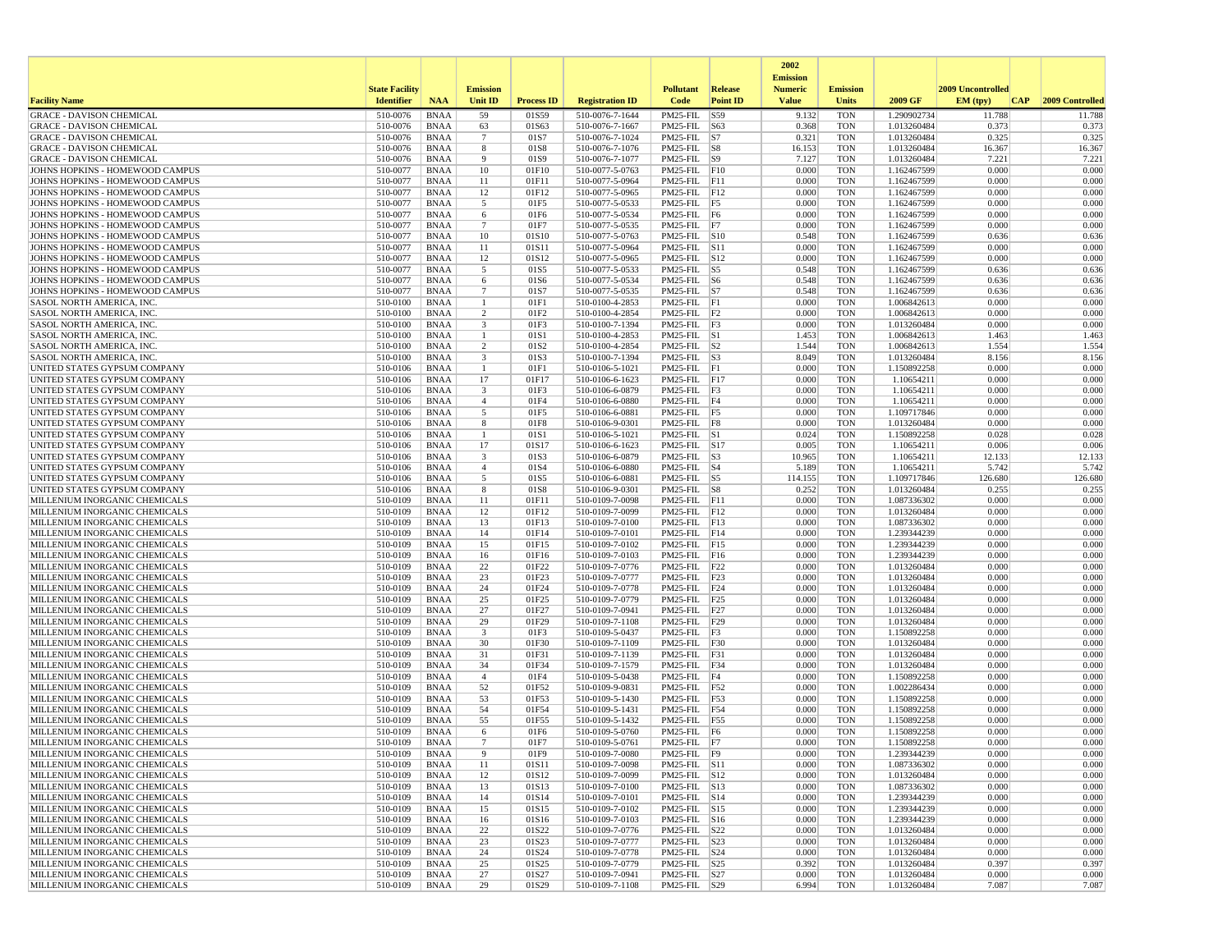|                                                                    |                       |                            |                               |                   |                                    |                                           |                 | 2002<br><b>Emission</b> |                          |                            |                   |                 |
|--------------------------------------------------------------------|-----------------------|----------------------------|-------------------------------|-------------------|------------------------------------|-------------------------------------------|-----------------|-------------------------|--------------------------|----------------------------|-------------------|-----------------|
|                                                                    | <b>State Facility</b> |                            | <b>Emission</b>               |                   |                                    | <b>Pollutant</b>                          | <b>Release</b>  | <b>Numeric</b>          | <b>Emission</b>          |                            | 2009 Uncontrolled |                 |
| <b>Facility Name</b>                                               | <b>Identifier</b>     | <b>NAA</b>                 | <b>Unit ID</b>                | <b>Process ID</b> | <b>Registration ID</b>             | Code                                      | <b>Point ID</b> | <b>Value</b>            | Units                    | 2009 GF                    | EM (typ)<br> CAP  | 2009 Controlled |
| <b>GRACE - DAVISON CHEMICAL</b>                                    | 510-0076              | <b>BNAA</b>                | 59                            | 01S59             | 510-0076-7-1644                    | PM25-FIL                                  | S59             | 9.132                   | <b>TON</b>               | 1.290902734                | 11.788            | 11.788          |
| <b>GRACE - DAVISON CHEMICAL</b>                                    | 510-0076              | <b>BNAA</b>                | 63                            | 01S63             | 510-0076-7-1667                    | PM25-FIL S63                              |                 | 0.368                   | <b>TON</b>               | 1.013260484                | 0.373<br>0.325    | 0.373           |
| <b>GRACE - DAVISON CHEMICAL</b><br><b>GRACE - DAVISON CHEMICAL</b> | 510-0076<br>510-0076  | <b>BNAA</b><br><b>BNAA</b> | $7\phantom{.0}$<br>8          | 01S7<br>01S8      | 510-0076-7-1024<br>510-0076-7-1076 | $PM25-FIL$ S7<br>$PM25$ -FIL $ S8$        |                 | 0.321<br>16.153         | <b>TON</b><br><b>TON</b> | 1.013260484<br>1.013260484 | 16.367            | 0.325<br>16.367 |
| <b>GRACE - DAVISON CHEMICAL</b>                                    | 510-0076              | <b>BNAA</b>                | 9                             | 01S9              | 510-0076-7-1077                    | $PM25$ -FIL $ S9 $                        |                 | 7.127                   | <b>TON</b>               | 1.013260484                | 7.221             | 7.221           |
| JOHNS HOPKINS - HOMEWOOD CAMPUS                                    | 510-0077              | <b>BNAA</b>                | 10                            | 01F10             | 510-0077-5-0763                    | PM25-FIL F10                              |                 | 0.000                   | <b>TON</b>               | 1.162467599                | 0.000             | 0.000           |
| JOHNS HOPKINS - HOMEWOOD CAMPUS                                    | 510-0077              | <b>BNAA</b>                | 11                            | 01F11             | 510-0077-5-0964                    | $PM25$ -FIL $ F11$                        |                 | 0.000                   | <b>TON</b>               | 1.162467599                | 0.000             | 0.000           |
| JOHNS HOPKINS - HOMEWOOD CAMPUS<br>JOHNS HOPKINS - HOMEWOOD CAMPUS | 510-0077<br>510-0077  | <b>BNAA</b><br><b>BNAA</b> | 12<br>5                       | 01F12<br>01F5     | 510-0077-5-0965<br>510-0077-5-0533 | $PM25$ -FIL $ F12$<br>$PM25$ -FIL $ F5$   |                 | 0.000<br>0.000          | <b>TON</b><br><b>TON</b> | 1.162467599<br>1.162467599 | 0.000<br>0.000    | 0.000<br>0.000  |
| JOHNS HOPKINS - HOMEWOOD CAMPUS                                    | 510-0077              | <b>BNAA</b>                | 6                             | 01F6              | 510-0077-5-0534                    | PM25-FIL F6                               |                 | 0.000                   | <b>TON</b>               | 1.162467599                | 0.000             | 0.000           |
| JOHNS HOPKINS - HOMEWOOD CAMPUS                                    | 510-0077              | <b>BNAA</b>                | $\overline{7}$                | 01F7              | 510-0077-5-0535                    | PM25-FIL F7                               |                 | 0.000                   | <b>TON</b>               | 1.162467599                | 0.000             | 0.000           |
| JOHNS HOPKINS - HOMEWOOD CAMPUS                                    | 510-0077              | <b>BNAA</b>                | 10                            | 01S10             | 510-0077-5-0763                    | PM25-FIL S10                              |                 | 0.548                   | <b>TON</b>               | 1.162467599                | 0.636             | 0.636           |
| JOHNS HOPKINS - HOMEWOOD CAMPUS                                    | 510-0077              | <b>BNAA</b>                | 11                            | 01S11             | 510-0077-5-0964                    | PM25-FIL S11                              |                 | 0.000                   | <b>TON</b>               | 1.162467599                | 0.000             | 0.000           |
| JOHNS HOPKINS - HOMEWOOD CAMPUS<br>JOHNS HOPKINS - HOMEWOOD CAMPUS | 510-0077<br>510-0077  | <b>BNAA</b><br><b>BNAA</b> | 12<br>5                       | 01S12<br>01S5     | 510-0077-5-0965<br>510-0077-5-0533 | PM25-FIL S12<br>$PM25$ -FIL $ S5$         |                 | 0.000<br>0.548          | <b>TON</b><br><b>TON</b> | 1.162467599<br>1.162467599 | 0.000<br>0.636    | 0.000<br>0.636  |
| JOHNS HOPKINS - HOMEWOOD CAMPUS                                    | 510-0077              | <b>BNAA</b>                | 6                             | 01S6              | 510-0077-5-0534                    | $PM25$ -FIL $ S6$                         |                 | 0.548                   | <b>TON</b>               | 1.162467599                | 0.636             | 0.636           |
| JOHNS HOPKINS - HOMEWOOD CAMPUS                                    | 510-0077              | <b>BNAA</b>                | $7\phantom{.0}$               | 01S7              | 510-0077-5-0535                    | $PM25$ -FIL $ S7 $                        |                 | 0.548                   | <b>TON</b>               | 1.162467599                | 0.636             | 0.636           |
| SASOL NORTH AMERICA, INC.                                          | 510-0100              | <b>BNAA</b>                | $\overline{1}$                | 01F1              | 510-0100-4-2853                    | PM25-FIL F1                               |                 | 0.000                   | <b>TON</b>               | 1.006842613                | 0.000             | 0.000           |
| SASOL NORTH AMERICA, INC.                                          | 510-0100              | BNAA                       | 2                             | 01F2              | 510-0100-4-2854                    | $PM25-FIL$ $ F2$                          |                 | 0.000                   | <b>TON</b>               | 1.006842613                | 0.000             | 0.000           |
| SASOL NORTH AMERICA, INC.<br><b>SASOL NORTH AMERICA, INC.</b>      | 510-0100<br>510-0100  | <b>BNAA</b><br><b>BNAA</b> | $\overline{\mathbf{3}}$<br>-1 | 01F3<br>01S1      | 510-0100-7-1394<br>510-0100-4-2853 | $PM25-FIL$ $F3$<br>$PM25$ -FIL $\vert$ S1 |                 | 0.000<br>1.453          | <b>TON</b><br><b>TON</b> | 1.013260484<br>1.006842613 | 0.000<br>1.463    | 0.000<br>1.463  |
| <b>SASOL NORTH AMERICA, INC.</b>                                   | 510-0100              | <b>BNAA</b>                | 2                             | 01S <sub>2</sub>  | 510-0100-4-2854                    | $PM25$ -FIL $ S2 $                        |                 | 1.544                   | <b>TON</b>               | 1.006842613                | 1.554             | 1.554           |
| SASOL NORTH AMERICA, INC                                           | 510-0100              | <b>BNAA</b>                | $\overline{\mathbf{3}}$       | 01S3              | 510-0100-7-1394                    | $PM25$ -FIL $ S3$                         |                 | 8.049                   | <b>TON</b>               | 1.013260484                | 8.156             | 8.156           |
| UNITED STATES GYPSUM COMPANY                                       | 510-0106              | <b>BNAA</b>                | $\overline{1}$                | 01F1              | 510-0106-5-1021                    | $PM25$ -FIL F1                            |                 | 0.000                   | <b>TON</b>               | 1.150892258                | 0.000             | 0.000           |
| UNITED STATES GYPSUM COMPANY                                       | 510-0106              | <b>BNAA</b>                | 17                            | 01F17             | 510-0106-6-1623                    | $PM25$ -FIL $ F17$                        |                 | 0.000                   | <b>TON</b>               | 1.10654211                 | 0.000             | 0.000           |
| UNITED STATES GYPSUM COMPANY<br>UNITED STATES GYPSUM COMPANY       | 510-0106<br>510-0106  | <b>BNAA</b><br><b>BNAA</b> | 3<br>$\overline{4}$           | 01F3<br>01F4      | 510-0106-6-0879<br>510-0106-6-0880 | $PM25-FIL$ $ F3$<br>PM25-FIL F4           |                 | 0.000<br>0.000          | <b>TON</b><br><b>TON</b> | 1.10654211<br>1.10654211   | 0.000<br>0.000    | 0.000<br>0.000  |
| UNITED STATES GYPSUM COMPANY                                       | 510-0106              | <b>BNAA</b>                | 5                             | 01F5              | 510-0106-6-0881                    | $PM25-FIL$ F5                             |                 | 0.000                   | <b>TON</b>               | 1.109717846                | 0.000             | 0.000           |
| UNITED STATES GYPSUM COMPANY                                       | 510-0106              | <b>BNAA</b>                | 8                             | 01F8              | 510-0106-9-0301                    | $PM25$ -FIL $ F8$                         |                 | 0.000                   | <b>TON</b>               | 1.013260484                | 0.000             | 0.000           |
| UNITED STATES GYPSUM COMPANY                                       | 510-0106              | <b>BNAA</b>                |                               | 01S1              | 510-0106-5-1021                    | $PM25-FIL$ S1                             |                 | 0.024                   | <b>TON</b>               | 1.150892258                | 0.028             | 0.028           |
| UNITED STATES GYPSUM COMPANY                                       | 510-0106              | <b>BNAA</b>                | 17                            | 01S17             | 510-0106-6-1623                    | PM25-FIL S17                              |                 | 0.005                   | <b>TON</b>               | 1.10654211                 | 0.006             | 0.006           |
| UNITED STATES GYPSUM COMPANY<br>UNITED STATES GYPSUM COMPANY       | 510-0106<br>510-0106  | <b>BNAA</b><br>BNAA        | 3<br>$\overline{4}$           | 01S3<br>01S4      | 510-0106-6-0879<br>510-0106-6-0880 | $PM25-FIL$ S3<br>PM25-FIL S4              |                 | 10.965<br>5.189         | <b>TON</b><br><b>TON</b> | 1.10654211<br>1.10654211   | 12.133<br>5.742   | 12.133<br>5.742 |
| UNITED STATES GYPSUM COMPANY                                       | 510-0106              | <b>BNAA</b>                | 5                             | 01S5              | 510-0106-6-0881                    | $PM25$ -FIL $ S5$                         |                 | 114.155                 | <b>TON</b>               | 1.109717846                | 126.680           | 126.680         |
| UNITED STATES GYPSUM COMPANY                                       | 510-0106              | <b>BNAA</b>                | 8                             | 01S8              | 510-0106-9-0301                    | PM25-FIL S8                               |                 | 0.252                   | <b>TON</b>               | 1.013260484                | 0.255             | 0.255           |
| MILLENIUM INORGANIC CHEMICALS                                      | 510-0109              | <b>BNAA</b>                | 11                            | 01F11             | 510-0109-7-0098                    | $PM25-FIL$ $ F11$                         |                 | 0.000                   | <b>TON</b>               | 1.087336302                | 0.000             | 0.000           |
| MILLENIUM INORGANIC CHEMICALS                                      | 510-0109              | <b>BNAA</b>                | 12                            | 01F12             | 510-0109-7-0099                    | $PM25$ -FIL $ F12$                        |                 | 0.000                   | <b>TON</b>               | 1.013260484                | 0.000             | 0.000           |
| MILLENIUM INORGANIC CHEMICALS<br>MILLENIUM INORGANIC CHEMICALS     | 510-0109<br>510-0109  | <b>BNAA</b><br><b>BNAA</b> | 13<br>14                      | 01F13<br>01F14    | 510-0109-7-0100<br>510-0109-7-0101 | $PM25$ -FIL F13<br>$PM25$ -FIL $ F14$     |                 | 0.000<br>0.000          | <b>TON</b><br><b>TON</b> | 1.087336302<br>1.239344239 | 0.000<br>0.000    | 0.000<br>0.000  |
| MILLENIUM INORGANIC CHEMICALS                                      | 510-0109              | <b>BNAA</b>                | 15                            | 01F15             | 510-0109-7-0102                    | $PM25$ -FIL F15                           |                 | 0.000                   | <b>TON</b>               | 1.239344239                | 0.000             | 0.000           |
| MILLENIUM INORGANIC CHEMICALS                                      | 510-0109              | <b>BNAA</b>                | 16                            | 01F16             | 510-0109-7-0103                    | PM25-FIL F16                              |                 | 0.000                   | <b>TON</b>               | 1.239344239                | 0.000             | 0.000           |
| MILLENIUM INORGANIC CHEMICALS                                      | 510-0109              | <b>BNAA</b>                | 22                            | 01F22             | 510-0109-7-0776                    | $PM25-FIL$ F22                            |                 | 0.000                   | <b>TON</b>               | 1.013260484                | 0.000             | 0.000           |
| MILLENIUM INORGANIC CHEMICALS                                      | 510-0109              | <b>BNAA</b>                | 23                            | 01F23             | 510-0109-7-0777                    | $PM25$ -FIL $ F23$                        |                 | 0.000                   | <b>TON</b>               | 1.013260484                | 0.000             | 0.000           |
| MILLENIUM INORGANIC CHEMICALS<br>MILLENIUM INORGANIC CHEMICALS     | 510-0109<br>510-0109  | <b>BNAA</b><br><b>BNAA</b> | 24<br>25                      | 01F24<br>01F25    | 510-0109-7-0778<br>510-0109-7-0779 | $PM25$ -FIL $ F24$<br>PM25-FIL F25        |                 | 0.000<br>0.000          | <b>TON</b><br><b>TON</b> | 1.013260484<br>1.013260484 | 0.000<br>0.000    | 0.000<br>0.000  |
| MILLENIUM INORGANIC CHEMICALS                                      | 510-0109              | <b>BNAA</b>                | 27                            | 01F27             | 510-0109-7-0941                    | $PM25$ -FIL $ F27$                        |                 | 0.000                   | <b>TON</b>               | 1.013260484                | 0.000             | 0.000           |
| MILLENIUM INORGANIC CHEMICALS                                      | 510-0109              | <b>BNAA</b>                | 29                            | 01F29             | 510-0109-7-1108                    | $PM25$ -FIL $ F29$                        |                 | 0.000                   | <b>TON</b>               | 1.013260484                | 0.000             | 0.000           |
| MILLENIUM INORGANIC CHEMICALS                                      | 510-0109              | <b>BNAA</b>                | 3                             | 01F3              | 510-0109-5-0437                    | PM25-FIL                                  | F3              | 0.000                   | <b>TON</b>               | 1.150892258                | 0.000             | 0.000           |
| MILLENIUM INORGANIC CHEMICALS                                      | 510-0109              | <b>BNAA</b>                | 30                            | 01F30             | 510-0109-7-1109                    | $PM25-FIL$ F30                            |                 | 0.000                   | <b>TON</b>               | 1.013260484                | 0.000             | 0.000           |
| MILLENIUM INORGANIC CHEMICALS<br>MILLENIUM INORGANIC CHEMICALS     | 510-0109<br>510-0109  | <b>BNAA</b><br><b>BNAA</b> | 31<br>34                      | 01F31<br>01F34    | 510-0109-7-1139<br>510-0109-7-1579 | $PM25$ -FIL $ F31$<br>PM25-FIL F34        |                 | 0.000<br>0.000          | <b>TON</b><br><b>TON</b> | 1.013260484<br>1.013260484 | 0.000<br>0.000    | 0.000<br>0.000  |
| MILLENIUM INORGANIC CHEMICALS                                      | 510-0109              | <b>BNAA</b>                | $\overline{4}$                | 01F4              | 510-0109-5-0438                    | $PM25$ -FIL $F4$                          |                 | 0.000                   | <b>TON</b>               | 1.150892258                | 0.000             | 0.000           |
| MILLENIUM INORGANIC CHEMICALS                                      | 510-0109              | <b>BNAA</b>                | 52                            | 01F52             | 510-0109-9-0831                    | PM25-FIL F52                              |                 | 0.000                   | <b>TON</b>               | 1.002286434                | 0.000             | 0.000           |
| MILLENIUM INORGANIC CHEMICALS                                      | 510-0109              | <b>BNAA</b>                | 53                            | 01F53             | 510-0109-5-1430                    | PM25-FIL F53                              |                 | 0.000                   | <b>TON</b>               | 1.150892258                | 0.000             | 0.000           |
| MILLENIUM INORGANIC CHEMICALS                                      | 510-0109              | <b>BNAA</b>                | 54                            | 01F54             | 510-0109-5-1431                    | PM25-FIL F54                              |                 | 0.000                   | <b>TON</b>               | 1.150892258                | 0.000             | 0.000           |
| MILLENIUM INORGANIC CHEMICALS<br>MILLENIUM INORGANIC CHEMICALS     | 510-0109<br>510-0109  | <b>BNAA</b><br><b>BNAA</b> | 55<br>6                       | 01F55<br>01F6     | 510-0109-5-1432<br>510-0109-5-0760 | PM25-FIL F55<br>$PM25-FIL$ F6             |                 | 0.000<br>0.000          | <b>TON</b><br><b>TON</b> | 1.150892258<br>1.150892258 | 0.000<br>0.000    | 0.000<br>0.000  |
| MILLENIUM INORGANIC CHEMICALS                                      | 510-0109              | <b>BNAA</b>                | $\overline{7}$                | 01F7              | 510-0109-5-0761                    | PM25-FIL F7                               |                 | 0.000                   | <b>TON</b>               | 1.150892258                | 0.000             | 0.000           |
| MILLENIUM INORGANIC CHEMICALS                                      | 510-0109              | <b>BNAA</b>                |                               | 01F9              | 510-0109-7-0080                    | $PM25-FIL$ F9                             |                 | 0.000                   | <b>TON</b>               | 1.239344239                | 0.000             | 0.000           |
| MILLENIUM INORGANIC CHEMICALS                                      | 510-0109              | BNAA                       | 11                            | 01S11             | 510-0109-7-0098                    | $PM25-FIL$ S11                            |                 | 0.000                   | TON                      | 1.087336302                | 0.000             | 0.000           |
| MILLENIUM INORGANIC CHEMICALS                                      | 510-0109              | <b>BNAA</b>                | 12                            | 01S12             | 510-0109-7-0099                    | PM25-FIL S12                              |                 | 0.000                   | <b>TON</b>               | 1.013260484                | 0.000             | 0.000           |
| MILLENIUM INORGANIC CHEMICALS<br>MILLENIUM INORGANIC CHEMICALS     | 510-0109<br>510-0109  | <b>BNAA</b><br><b>BNAA</b> | 13<br>14                      | 01S13<br>01S14    | 510-0109-7-0100<br>510-0109-7-0101 | PM25-FIL S13<br>PM25-FIL S14              |                 | 0.000<br>0.000          | <b>TON</b><br><b>TON</b> | 1.087336302<br>1.239344239 | 0.000<br>0.000    | 0.000<br>0.000  |
| MILLENIUM INORGANIC CHEMICALS                                      | 510-0109              | <b>BNAA</b>                | 15                            | 01S15             | 510-0109-7-0102                    | PM25-FIL S15                              |                 | 0.000                   | <b>TON</b>               | 1.239344239                | 0.000             | 0.000           |
| MILLENIUM INORGANIC CHEMICALS                                      | 510-0109              | <b>BNAA</b>                | 16                            | 01S16             | 510-0109-7-0103                    | PM25-FIL S16                              |                 | 0.000                   | <b>TON</b>               | 1.239344239                | 0.000             | 0.000           |
| MILLENIUM INORGANIC CHEMICALS                                      | 510-0109              | BNAA                       | 22                            | 01S22             | 510-0109-7-0776                    | PM25-FIL S22                              |                 | 0.000                   | <b>TON</b>               | 1.013260484                | 0.000             | 0.000           |
| MILLENIUM INORGANIC CHEMICALS                                      | 510-0109              | <b>BNAA</b>                | 23                            | 01S23             | 510-0109-7-0777                    | PM25-FIL S23                              |                 | 0.000                   | <b>TON</b>               | 1.013260484                | 0.000             | 0.000           |
| MILLENIUM INORGANIC CHEMICALS<br>MILLENIUM INORGANIC CHEMICALS     | 510-0109<br>510-0109  | BNAA<br><b>BNAA</b>        | 24<br>25                      | 01S24<br>01S25    | 510-0109-7-0778<br>510-0109-7-0779 | PM25-FIL S24<br>PM25-FIL S25              |                 | 0.000<br>0.392          | TON<br><b>TON</b>        | 1.013260484<br>1.013260484 | 0.000<br>0.397    | 0.000<br>0.397  |
| MILLENIUM INORGANIC CHEMICALS                                      | 510-0109              | <b>BNAA</b>                | 27                            | 01S27             | 510-0109-7-0941                    | PM25-FIL S27                              |                 | 0.000                   | <b>TON</b>               | 1.013260484                | 0.000             | 0.000           |
| MILLENIUM INORGANIC CHEMICALS                                      | 510-0109              | BNAA                       | 29                            | 01S29             | 510-0109-7-1108                    | $PM25$ -FIL $ S29 $                       |                 | 6.994                   | TON                      | 1.013260484                | 7.087             | 7.087           |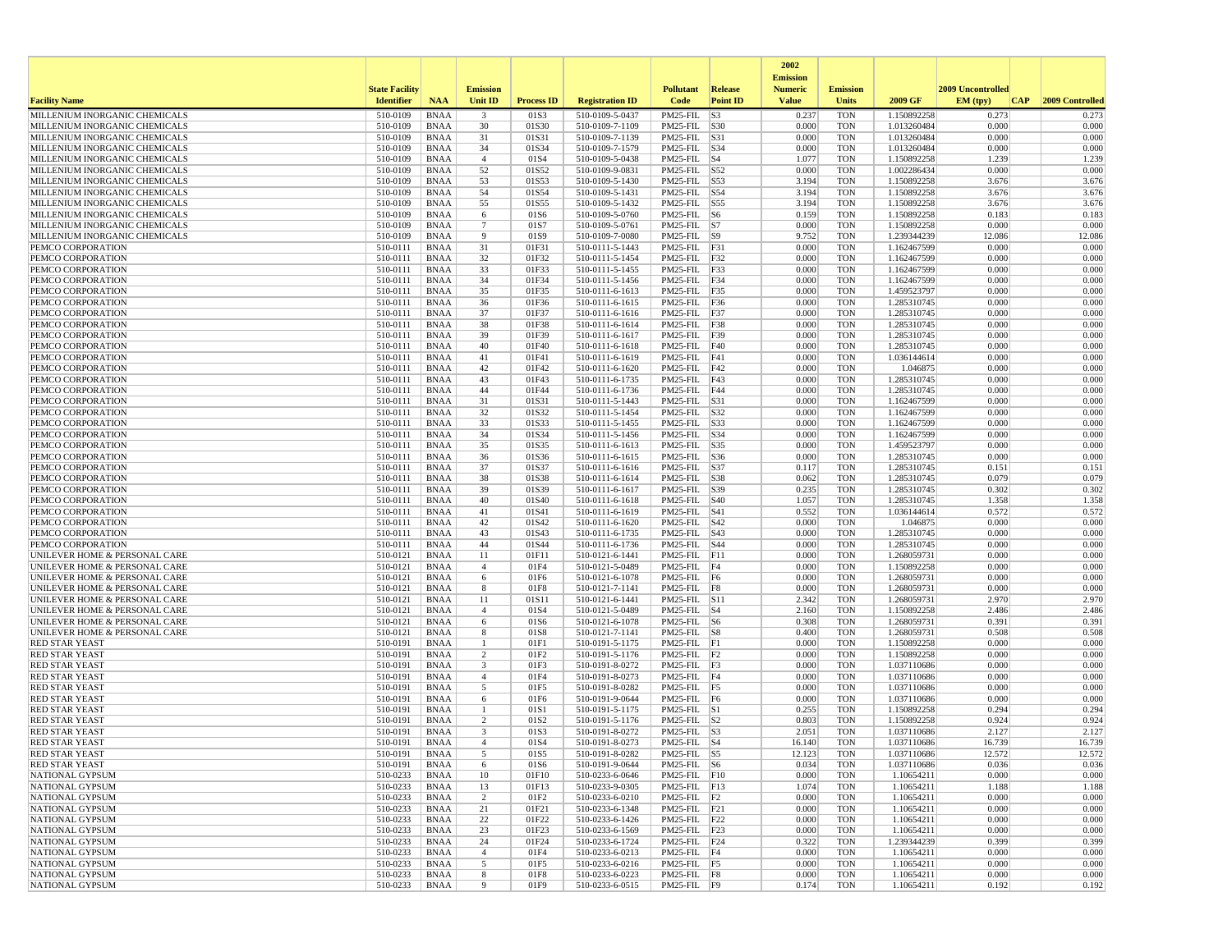|                                                                |                       |                            |                         |                          |                                    |                                      |                 | 2002                              |                          |                            |                   |                 |
|----------------------------------------------------------------|-----------------------|----------------------------|-------------------------|--------------------------|------------------------------------|--------------------------------------|-----------------|-----------------------------------|--------------------------|----------------------------|-------------------|-----------------|
|                                                                | <b>State Facility</b> |                            | <b>Emission</b>         |                          |                                    | <b>Pollutant</b>                     | Release         | <b>Emission</b><br><b>Numeric</b> | <b>Emission</b>          |                            | 2009 Uncontrolled |                 |
| <b>Facility Name</b>                                           | <b>Identifier</b>     | <b>NAA</b>                 | Unit ID                 | <b>Process ID</b>        | <b>Registration ID</b>             | Code                                 | <b>Point ID</b> | <b>Value</b>                      | <b>Units</b>             | 2009 GF                    | EM (typ)<br> CAP  | 2009 Controlled |
| MILLENIUM INORGANIC CHEMICALS                                  | 510-0109              | <b>BNAA</b>                | $\overline{\mathbf{3}}$ | 01S3                     | 510-0109-5-0437                    | PM25-FIL                             | S3              | 0.237                             | <b>TON</b>               | 1.150892258                | 0.273             | 0.273           |
| MILLENIUM INORGANIC CHEMICALS                                  | 510-0109              | <b>BNAA</b>                | 30                      | 01S30                    | 510-0109-7-1109                    | PM25-FIL S30                         |                 | 0.000                             | <b>TON</b>               | 1.013260484                | 0.000             | 0.000           |
| MILLENIUM INORGANIC CHEMICALS<br>MILLENIUM INORGANIC CHEMICALS | 510-0109<br>510-0109  | <b>BNAA</b><br><b>BNAA</b> | 31<br>34                | 01S31<br>01S34           | 510-0109-7-1139<br>510-0109-7-1579 | PM25-FIL S31<br>PM25-FIL S34         |                 | 0.000<br>0.000                    | <b>TON</b><br><b>TON</b> | 1.013260484<br>1.013260484 | 0.000<br>0.000    | 0.000<br>0.000  |
| MILLENIUM INORGANIC CHEMICALS                                  | 510-0109              | <b>BNAA</b>                | $\overline{4}$          | 01S4                     | 510-0109-5-0438                    | $PM25$ -FIL $ S4$                    |                 | 1.077                             | <b>TON</b>               | 1.150892258                | 1.239             | 1.239           |
| MILLENIUM INORGANIC CHEMICALS                                  | 510-0109              | <b>BNAA</b>                | 52                      | 01S52                    | 510-0109-9-0831                    | PM25-FIL S52                         |                 | 0.000                             | <b>TON</b>               | 1.002286434                | 0.000             | 0.000           |
| MILLENIUM INORGANIC CHEMICALS                                  | 510-0109              | <b>BNAA</b>                | 53                      | 01S53                    | 510-0109-5-1430                    | PM25-FIL S53                         |                 | 3.194                             | <b>TON</b>               | 1.150892258                | 3.676             | 3.676           |
| MILLENIUM INORGANIC CHEMICALS                                  | 510-0109              | <b>BNAA</b>                | 54                      | 01S54                    | 510-0109-5-1431                    | $PM25$ -FIL $ S54$                   |                 | 3.194                             | <b>TON</b>               | 1.150892258                | 3.676             | 3.676           |
| MILLENIUM INORGANIC CHEMICALS<br>MILLENIUM INORGANIC CHEMICALS | 510-0109<br>510-0109  | <b>BNAA</b><br><b>BNAA</b> | 55<br>6                 | 01S55<br>01S6            | 510-0109-5-1432<br>510-0109-5-0760 | PM25-FIL S55<br>$PM25$ -FIL $ S6$    |                 | 3.194<br>0.159                    | <b>TON</b><br><b>TON</b> | 1.150892258<br>1.150892258 | 3.676<br>0.183    | 3.676<br>0.183  |
| MILLENIUM INORGANIC CHEMICALS                                  | 510-0109              | <b>BNAA</b>                | $7\phantom{.0}$         | 01S7                     | 510-0109-5-0761                    | $PM25-FIL$ S7                        |                 | 0.000                             | <b>TON</b>               | 1.150892258                | 0.000             | 0.000           |
| MILLENIUM INORGANIC CHEMICALS                                  | 510-0109              | <b>BNAA</b>                | 9                       | 01S9                     | 510-0109-7-0080                    | PM25-FIL S9                          |                 | 9.752                             | <b>TON</b>               | 1.239344239                | 12.086            | 12.086          |
| PEMCO CORPORATION                                              | 510-0111              | <b>BNAA</b>                | 31                      | 01F31                    | 510-0111-5-1443                    | PM25-FIL F31                         |                 | 0.000                             | <b>TON</b>               | 1.162467599                | 0.000             | 0.000           |
| PEMCO CORPORATION<br>PEMCO CORPORATION                         | 510-0111              | <b>BNAA</b>                | 32                      | 01F32                    | 510-0111-5-1454                    | PM25-FIL F32                         |                 | 0.000                             | <b>TON</b>               | 1.162467599<br>1.162467599 | 0.000<br>0.000    | 0.000           |
| PEMCO CORPORATION                                              | 510-0111<br>510-0111  | <b>BNAA</b><br><b>BNAA</b> | 33<br>34                | 01F33<br>01F34           | 510-0111-5-1455<br>510-0111-5-1456 | PM25-FIL F33<br>$PM25$ -FIL $ F34$   |                 | 0.000<br>0.000                    | <b>TON</b><br><b>TON</b> | 1.162467599                | 0.000             | 0.000<br>0.000  |
| PEMCO CORPORATION                                              | 510-0111              | <b>BNAA</b>                | 35                      | 01F35                    | 510-0111-6-1613                    | PM25-FIL F35                         |                 | 0.000                             | <b>TON</b>               | 1.459523797                | 0.000             | 0.000           |
| PEMCO CORPORATION                                              | 510-0111              | <b>BNAA</b>                | 36                      | 01F36                    | 510-0111-6-1615                    | PM25-FIL F36                         |                 | 0.000                             | TON                      | 1.285310745                | 0.000             | 0.000           |
| PEMCO CORPORATION                                              | 510-0111              | <b>BNAA</b>                | 37                      | 01F37                    | 510-0111-6-1616                    | PM25-FIL F37                         |                 | 0.000                             | <b>TON</b>               | 1.285310745                | 0.000             | 0.000           |
| PEMCO CORPORATION                                              | 510-0111<br>510-0111  | <b>BNAA</b><br><b>BNAA</b> | 38<br>39                | 01F38<br>01F39           | 510-0111-6-1614                    | PM25-FIL F38                         |                 | 0.000<br>0.000                    | <b>TON</b><br><b>TON</b> | 1.285310745<br>1.285310745 | 0.000<br>0.000    | 0.000<br>0.000  |
| PEMCO CORPORATION<br>PEMCO CORPORATION                         | 510-0111              | <b>BNAA</b>                | 40                      | 01F40                    | 510-0111-6-1617<br>510-0111-6-1618 | PM25-FIL F39<br>PM25-FIL F40         |                 | 0.000                             | <b>TON</b>               | 1.285310745                | 0.000             | 0.000           |
| PEMCO CORPORATION                                              | 510-0111              | <b>BNAA</b>                | 41                      | 01F41                    | 510-0111-6-1619                    | PM25-FIL F41                         |                 | 0.000                             | <b>TON</b>               | 1.036144614                | 0.000             | 0.000           |
| PEMCO CORPORATION                                              | 510-0111              | <b>BNAA</b>                | 42                      | 01F42                    | 510-0111-6-1620                    | PM25-FIL F42                         |                 | 0.000                             | <b>TON</b>               | 1.046875                   | 0.000             | 0.000           |
| PEMCO CORPORATION                                              | 510-0111              | <b>BNAA</b>                | 43                      | 01F43                    | 510-0111-6-1735                    | PM25-FIL F43                         |                 | 0.000                             | <b>TON</b>               | 1.285310745                | 0.000             | 0.000           |
| PEMCO CORPORATION                                              | 510-0111              | <b>BNAA</b>                | 44                      | 01F44                    | 510-0111-6-1736                    | PM25-FIL F44<br>PM25-FIL S31         |                 | 0.000                             | <b>TON</b><br><b>TON</b> | 1.285310745                | 0.000<br>0.000    | 0.000<br>0.000  |
| PEMCO CORPORATION<br>PEMCO CORPORATION                         | 510-0111<br>510-0111  | <b>BNAA</b><br><b>BNAA</b> | 31<br>32                | 01S31<br>01S32           | 510-0111-5-1443<br>510-0111-5-1454 | PM25-FIL S32                         |                 | 0.000<br>0.000                    | <b>TON</b>               | 1.162467599<br>1.162467599 | 0.000             | 0.000           |
| PEMCO CORPORATION                                              | 510-0111              | <b>BNAA</b>                | 33                      | 01S33                    | 510-0111-5-1455                    | PM25-FIL S33                         |                 | 0.000                             | <b>TON</b>               | 1.162467599                | 0.000             | 0.000           |
| PEMCO CORPORATION                                              | 510-0111              | <b>BNAA</b>                | 34                      | 01S34                    | 510-0111-5-1456                    | PM25-FIL                             | S34             | 0.000                             | <b>TON</b>               | 1.162467599                | 0.000             | 0.000           |
| PEMCO CORPORATION                                              | 510-0111              | <b>BNAA</b>                | 35                      | 01S35                    | 510-0111-6-1613                    | PM25-FIL                             | S35             | 0.000                             | <b>TON</b>               | 1.459523797                | 0.000             | 0.000           |
| PEMCO CORPORATION<br>PEMCO CORPORATION                         | 510-0111<br>510-0111  | <b>BNAA</b><br><b>BNAA</b> | 36<br>37                | 01S36<br>01S37           | 510-0111-6-1615<br>510-0111-6-1616 | PM25 FIL<br>PM25-FIL S37             | S36             | 0.000<br>0.117                    | <b>TON</b><br><b>TON</b> | 1.285310745<br>1.285310745 | 0.000<br>0.151    | 0.000<br>0.151  |
| PEMCO CORPORATION                                              | 510-0111              | <b>BNAA</b>                | 38                      | 01S38                    | 510-0111-6-1614                    | PM25-FIL S38                         |                 | 0.062                             | <b>TON</b>               | 1.285310745                | 0.079             | 0.079           |
| PEMCO CORPORATION                                              | 510-0111              | <b>BNAA</b>                | 39                      | 01S39                    | 510-0111-6-1617                    | PM25-FIL S39                         |                 | 0.235                             | <b>TON</b>               | 1.285310745                | 0.302             | 0.302           |
| PEMCO CORPORATION                                              | 510-0111              | <b>BNAA</b>                | 40                      | 01S40                    | 510-0111-6-1618                    | PM25-FIL                             | <b>S40</b>      | 1.057                             | <b>TON</b>               | 1.285310745                | 1.358             | 1.358           |
| PEMCO CORPORATION                                              | 510-0111              | <b>BNAA</b>                | 41                      | 01S41                    | 510-0111-6-1619                    | $PM25$ -FIL $ S41$                   |                 | 0.552                             | <b>TON</b>               | 1.036144614                | 0.572             | 0.572           |
| PEMCO CORPORATION                                              | 510-0111<br>510-0111  | <b>BNAA</b><br><b>BNAA</b> | 42<br>43                | 01S42<br>01S43           | 510-0111-6-1620<br>510-0111-6-1735 | $PM25$ -FIL $ S42$<br>PM25-FIL   S43 |                 | 0.000<br>0.000                    | <b>TON</b><br><b>TON</b> | 1.046875<br>1.285310745    | 0.000<br>0.000    | 0.000<br>0.000  |
| PEMCO CORPORATION<br>PEMCO CORPORATION                         | 510-0111              | <b>BNAA</b>                | 44                      | 01S44                    | 510-0111-6-1736                    | PM25-FIL S44                         |                 | 0.000                             | TON                      | 1.285310745                | 0.000             | 0.000           |
| UNILEVER HOME & PERSONAL CARE                                  | 510-0121              | <b>BNAA</b>                | 11                      | 01F11                    | 510-0121-6-1441                    | $PM25-FIL$ $ F11$                    |                 | 0.000                             | <b>TON</b>               | 1.268059731                | 0.000             | 0.000           |
| UNILEVER HOME & PERSONAL CARE                                  | 510-0121              | <b>BNAA</b>                | $\overline{4}$          | 01F4                     | 510-0121-5-0489                    | $PM25$ -FIL F4                       |                 | 0.000                             | <b>TON</b>               | 1.150892258                | 0.000             | 0.000           |
| UNILEVER HOME & PERSONAL CARE                                  | 510-0121              | <b>BNAA</b>                | 6                       | 01F6                     | 510-0121-6-1078                    | PM25-FIL F6                          |                 | 0.000                             | <b>TON</b>               | 1.268059731                | 0.000             | 0.000           |
| UNILEVER HOME & PERSONAL CARE<br>UNILEVER HOME & PERSONAL CARE | 510-0121<br>510-0121  | <b>BNAA</b><br><b>BNAA</b> | 8<br>11                 | 01F8<br>01S11            | 510-0121-7-1141<br>510-0121-6-1441 | PM25-FIL F8<br>PM25-FIL S11          |                 | 0.000<br>2.342                    | <b>TON</b><br><b>TON</b> | 1.268059731<br>1.268059731 | 0.000<br>2.970    | 0.000<br>2.970  |
| UNILEVER HOME & PERSONAL CARE                                  | 510-0121              | <b>BNAA</b>                | $\overline{4}$          | 01S4                     | 510-0121-5-0489                    | $PM25$ -FIL $ S4$                    |                 | 2.160                             | <b>TON</b>               | 1.150892258                | 2.486             | 2.486           |
| UNILEVER HOME & PERSONAL CARE                                  | 510-0121              | <b>BNAA</b>                | 6                       | 01S6                     | 510-0121-6-1078                    | $PM25$ -FIL $ S6$                    |                 | 0.308                             | <b>TON</b>               | 1.268059731                | 0.391             | 0.391           |
| UNILEVER HOME & PERSONAL CARE                                  | 510-0121              | <b>BNAA</b>                | 8                       | 01S8                     | 510-0121-7-1141                    | $PM25$ -FIL $ S8$                    |                 | 0.400                             | <b>TON</b>               | 1.268059731                | 0.508             | 0.508           |
| <b>RED STAR YEAST</b>                                          | 510-0191<br>510-0191  | <b>BNAA</b><br><b>BNAA</b> | 1<br>2                  | 01F1<br>01F <sub>2</sub> | 510-0191-5-1175                    | $PM25-FIL$ $F1$<br>$PM25$ -FIL $ F2$ |                 | 0.000<br>0.000                    | <b>TON</b><br><b>TON</b> | 1.150892258                | 0.000<br>0.000    | 0.000<br>0.000  |
| <b>RED STAR YEAST</b><br><b>RED STAR YEAST</b>                 | 510-0191              | <b>BNAA</b>                | 3                       | 01F3                     | 510-0191-5-1176<br>510-0191-8-0272 | $PM25$ -FIL $ F3$                    |                 | 0.000                             | <b>TON</b>               | 1.150892258<br>1.037110686 | 0.000             | 0.000           |
| <b>RED STAR YEAST</b>                                          | 510-0191              | <b>BNAA</b>                | $\overline{4}$          | 01F4                     | 510-0191-8-0273                    | $PM25-FIL$ F4                        |                 | 0.000                             | <b>TON</b>               | 1.037110686                | 0.000             | 0.000           |
| <b>RED STAR YEAST</b>                                          | 510-0191              | <b>BNAA</b>                | 5                       | 01F5                     | 510-0191-8-0282                    | $PM25$ -FIL F5                       |                 | 0.000                             | <b>TON</b>               | 1.037110686                | 0.000             | 0.000           |
| <b>RED STAR YEAST</b>                                          | 510-0191              | <b>BNAA</b>                | 6                       | 01F6                     | 510-0191-9-0644                    | $PM25$ -FIL F6                       |                 | 0.000                             | <b>TON</b>               | 1.037110686                | 0.000             | 0.000           |
| <b>RED STAR YEAST</b><br><b>RED STAR YEAST</b>                 | 510-0191<br>510-0191  | <b>BNAA</b><br><b>BNAA</b> | 1<br>2                  | 01S1<br>01S2             | 510-0191-5-1175                    | $PM25$ -FIL $ S1$<br>$PM25-FIL$ S2   |                 | 0.255<br>0.803                    | <b>TON</b><br><b>TON</b> | 1.150892258<br>1.150892258 | 0.294<br>0.924    | 0.294<br>0.924  |
| <b>RED STAR YEAST</b>                                          | 510-0191              | BNAA                       | 3                       | 01S3                     | 510-0191-5-1176<br>510-0191-8-0272 | $PM25$ -FIL $ S3$                    |                 | 2.051                             | <b>TON</b>               | 1.037110686                | 2.127             | 2.127           |
| <b>RED STAR YEAST</b>                                          | 510-0191              | <b>BNAA</b>                | $\overline{4}$          | 01S4                     | 510-0191-8-0273                    | $PM25$ -FIL $ S4$                    |                 | 16.140                            | <b>TON</b>               | 1.037110686                | 16.739            | 16.739          |
| <b>RED STAR YEAST</b>                                          | 510-0191              | <b>BNAA</b>                |                         | 01S5                     | 510-0191-8-0282                    | $PM25-FIL$ S5                        |                 | 12.123                            | TON                      | 1.037110686                | 12.572            | 12.572          |
| <b>RED STAR YEAST</b>                                          | $510-0191$            | BNAA                       | 6                       | 01S6                     | 510-0191-9-0644                    | $PM25$ -FIL $ S6$                    |                 | 0.034                             | <b>TON</b>               | 1.037110686                | 0.036             | 0.036           |
| NATIONAL GYPSUM<br>NATIONAL GYPSUM                             | 510-0233<br>510-0233  | BNAA<br>BNAA               | 10<br>13                | 01F10<br>01F13           | 510-0233-6-0646<br>510-0233-9-0305 | PM25-FIL F10<br>PM25-FIL F13         |                 | 0.000<br>1.074                    | <b>TON</b><br>TON        | 1.10654211<br>1.10654211   | 0.000<br>1.188    | 0.000<br>1.188  |
| NATIONAL GYPSUM                                                | 510-0233              | <b>BNAA</b>                | 2                       | 01F2                     | 510-0233-6-0210                    | $PM25$ -FIL $ F2 $                   |                 | 0.000                             | <b>TON</b>               | 1.10654211                 | 0.000             | 0.000           |
| NATIONAL GYPSUM                                                | 510-0233              | <b>BNAA</b>                | 21                      | 01F21                    | 510-0233-6-1348                    | $PM25$ -FIL $ F21$                   |                 | 0.000                             | <b>TON</b>               | 1.10654211                 | 0.000             | 0.000           |
| NATIONAL GYPSUM                                                | 510-0233              | <b>BNAA</b>                | 22                      | 01F22                    | 510-0233-6-1426                    | PM25-FIL F22                         |                 | 0.000                             | <b>TON</b>               | 1.10654211                 | 0.000             | 0.000           |
| NATIONAL GYPSUM                                                | 510-0233              | BNAA                       | 23                      | 01F23                    | 510-0233-6-1569                    | PM25-FIL F23                         |                 | 0.000                             | <b>TON</b>               | 1.10654211                 | 0.000             | 0.000           |
| NATIONAL GYPSUM<br>NATIONAL GYPSUM                             | 510-0233<br>510-0233  | BNAA<br>BNAA               | 24<br>$\overline{4}$    | 01F24<br>01F4            | 510-0233-6-1724<br>510-0233-6-0213 | PM25-FIL F24<br>PM25-FIL F4          |                 | 0.322<br>0.000                    | <b>TON</b><br><b>TON</b> | 1.239344239<br>1.10654211  | 0.399<br>0.000    | 0.399<br>0.000  |
| NATIONAL GYPSUM                                                | 510-0233              | BNAA                       | 5                       | 01F5                     | 510-0233-6-0216                    | PM25-FIL F5                          |                 | 0.000                             | <b>TON</b>               | 1.10654211                 | 0.000             | 0.000           |
| NATIONAL GYPSUM                                                | 510-0233              | BNAA                       | 8                       | 01F8                     | 510-0233-6-0223                    | PM25-FIL F8                          |                 | 0.000                             | <b>TON</b>               | 1.10654211                 | 0.000             | 0.000           |
| NATIONAL GYPSUM                                                | 510-0233              | <b>BNAA</b>                | 9                       | 01F9                     | 510-0233-6-0515                    | PM25-FIL F9                          |                 | 0.174                             | <b>TON</b>               | 1.10654211                 | 0.192             | 0.192           |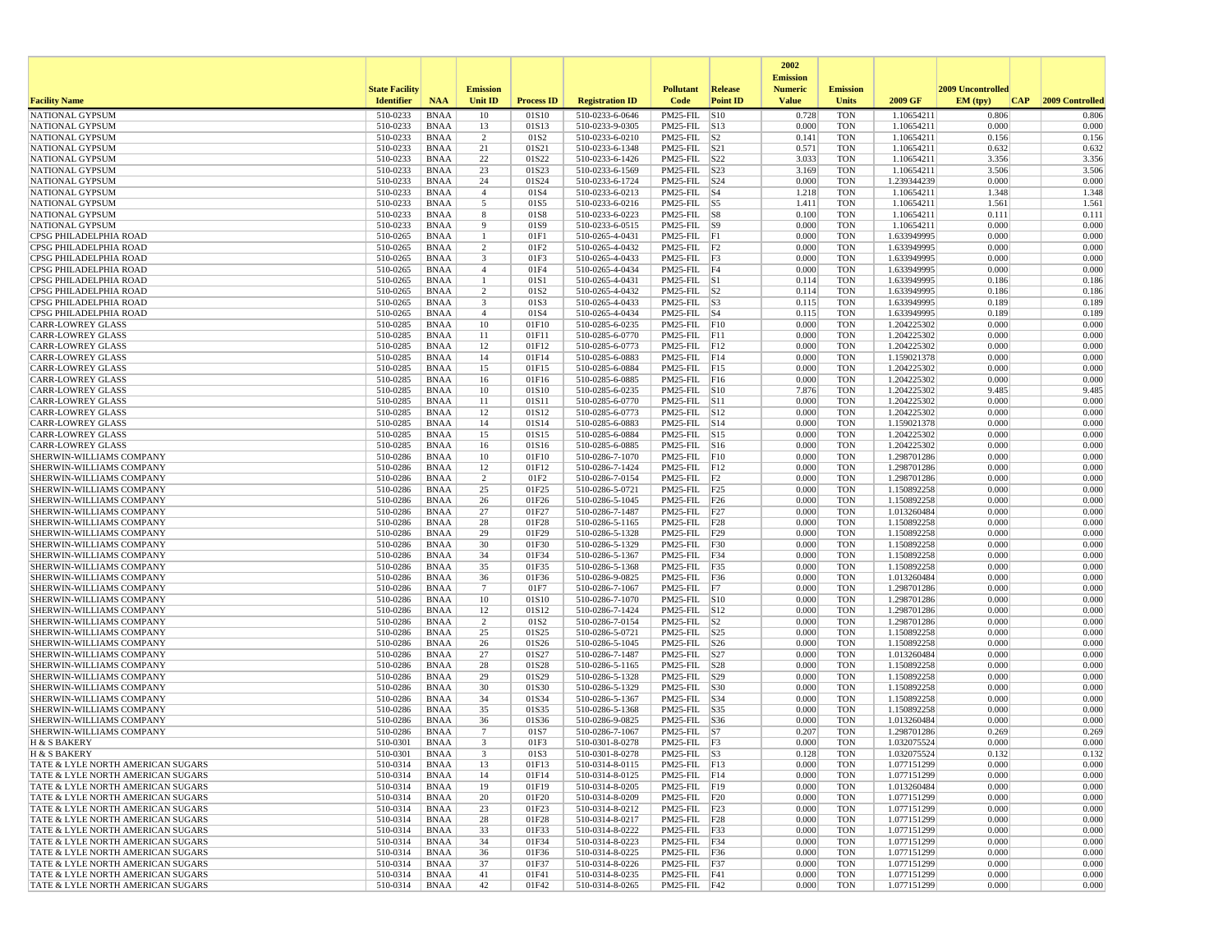|                                                                        |                       |                            |                      |                           |                                    |                                                           |                 | 2002<br><b>Emission</b> |                          |                            |                   |                 |
|------------------------------------------------------------------------|-----------------------|----------------------------|----------------------|---------------------------|------------------------------------|-----------------------------------------------------------|-----------------|-------------------------|--------------------------|----------------------------|-------------------|-----------------|
|                                                                        | <b>State Facility</b> |                            | <b>Emission</b>      |                           |                                    | <b>Pollutant</b>                                          | <b>Release</b>  | <b>Numeric</b>          | <b>Emission</b>          |                            | 2009 Uncontrolled |                 |
| <b>Facility Name</b>                                                   | <b>Identifier</b>     | <b>NAA</b>                 | <b>Unit ID</b>       | <b>Process ID</b>         | <b>Registration ID</b>             | Code                                                      | <b>Point ID</b> | <b>Value</b>            | <b>Units</b>             | 2009 GF                    | EM (typ)<br> CAP  | 2009 Controlled |
| NATIONAL GYPSUM                                                        | 510-0233              | <b>BNAA</b>                | 10                   | 01S10                     | 510-0233-6-0646                    | PM25-FIL S10                                              |                 | 0.728                   | <b>TON</b>               | 1.10654211                 | 0.806             | 0.806           |
| NATIONAL GYPSUM<br>NATIONAL GYPSUM                                     | 510-0233<br>510-0233  | BNAA<br><b>BNAA</b>        | 13<br>$\overline{2}$ | 01S13<br>01S <sub>2</sub> | 510-0233-9-0305<br>510-0233-6-0210 | PM25-FIL S13<br>$PM25$ -FIL $ S2 $                        |                 | 0.000<br>0.141          | <b>TON</b><br><b>TON</b> | 1.10654211                 | 0.000<br>0.156    | 0.000           |
| <b>NATIONAL GYPSUM</b>                                                 | 510-0233              | BNAA                       | 21                   | 01S21                     | 510-0233-6-1348                    | $PM25-FIL$ $ S21$                                         |                 | 0.571                   | <b>TON</b>               | 1.10654211<br>1.10654211   | 0.632             | 0.156<br>0.632  |
| NATIONAL GYPSUM                                                        | 510-0233              | <b>BNAA</b>                | 22                   | 01S22                     | 510-0233-6-1426                    | $PM25$ -FIL $ S22$                                        |                 | 3.033                   | <b>TON</b>               | 1.10654211                 | 3.356             | 3.356           |
| NATIONAL GYPSUM                                                        | 510-0233              | <b>BNAA</b>                | 23                   | 01S23                     | 510-0233-6-1569                    | PM25-FIL S23                                              |                 | 3.169                   | <b>TON</b>               | 1.10654211                 | 3.506             | 3.506           |
| <b>NATIONAL GYPSUM</b>                                                 | 510-0233              | BNAA                       | 24                   | 01S24                     | 510-0233-6-1724                    | $PM25$ -FIL $ S24$                                        |                 | 0.000                   | <b>TON</b>               | 1.239344239                | 0.000             | 0.000           |
| NATIONAL GYPSUM                                                        | 510-0233<br>510-0233  | <b>BNAA</b><br><b>BNAA</b> | $\overline{4}$<br>5  | 01S4<br>01S5              | 510-0233-6-0213<br>510-0233-6-0216 | $PM25-FIL$ $ S4$<br>$PM25$ -FIL $ S5$                     |                 | 1.218                   | <b>TON</b><br><b>TON</b> | 1.10654211<br>1.10654211   | 1.348<br>1.561    | 1.348<br>1.561  |
| NATIONAL GYPSUM<br>NATIONAL GYPSUM                                     | 510-0233              | <b>BNAA</b>                | 8                    | 01S8                      | 510-0233-6-0223                    | $PM25$ -FIL $ S8$                                         |                 | 1.411<br>0.100          | <b>TON</b>               | 1.10654211                 | 0.111             | 0.111           |
| NATIONAL GYPSUM                                                        | 510-0233              | BNAA                       | 9                    | 01S9                      | 510-0233-6-0515                    | $PM25$ -FIL $ S9 $                                        |                 | 0.000                   | <b>TON</b>               | 1.10654211                 | 0.000             | 0.000           |
| CPSG PHILADELPHIA ROAD                                                 | 510-0265              | <b>BNAA</b>                | $\mathbf{1}$         | 01F1                      | 510-0265-4-0431                    | PM25-FIL F1                                               |                 | 0.000                   | <b>TON</b>               | 1.633949995                | 0.000             | 0.000           |
| CPSG PHILADELPHIA ROAD                                                 | 510-0265              | <b>BNAA</b>                | $\overline{2}$       | 01F2                      | 510-0265-4-0432                    | $PM25-FIL$ $ F2$                                          |                 | 0.000                   | <b>TON</b>               | 1.633949995                | 0.000             | 0.000           |
| CPSG PHILADELPHIA ROAD<br>CPSG PHILADELPHIA ROAD                       | 510-0265              | <b>BNAA</b>                | 3                    | 01F3                      | 510-0265-4-0433                    | $PM25-FIL$ $ F3$                                          |                 | 0.000                   | <b>TON</b>               | 1.633949995                | 0.000             | 0.000           |
| CPSG PHILADELPHIA ROAD                                                 | 510-0265<br>510-0265  | BNAA<br>BNAA               | $\overline{4}$<br>-1 | 01F4<br>01S1              | 510-0265-4-0434<br>510-0265-4-0431 | PM25-FIL F4<br>$PM25$ -FIL $\overline{\smash{\big)}\,$ S1 |                 | 0.000<br>0.114          | <b>TON</b><br><b>TON</b> | 1.633949995<br>1.633949995 | 0.000<br>0.186    | 0.000<br>0.186  |
| CPSG PHILADELPHIA ROAD                                                 | 510-0265              | <b>BNAA</b>                | 2                    | 01S <sub>2</sub>          | 510-0265-4-0432                    | $PM25$ -FIL $ S2 $                                        |                 | 0.114                   | <b>TON</b>               | 1.633949995                | 0.186             | 0.186           |
| CPSG PHILADELPHIA ROAD                                                 | 510-0265              | BNAA                       | 3                    | 01S3                      | 510-0265-4-0433                    | $PM25$ -FIL $ S3$                                         |                 | 0.115                   | <b>TON</b>               | 1.633949995                | 0.189             | 0.189           |
| CPSG PHILADELPHIA ROAD                                                 | 510-0265              | <b>BNAA</b>                | $\overline{4}$       | 01S4                      | 510-0265-4-0434                    | $PM25-FIL$ $ S4$                                          |                 | 0.115                   | <b>TON</b>               | 1.633949995                | 0.189             | 0.189           |
| <b>CARR-LOWREY GLASS</b>                                               | 510-0285              | <b>BNAA</b>                | 10                   | 01F10                     | 510-0285-6-0235                    | PM25-FIL F10                                              |                 | 0.000                   | <b>TON</b>               | 1.204225302                | 0.000             | 0.000           |
| <b>CARR-LOWREY GLASS</b><br><b>CARR-LOWREY GLASS</b>                   | 510-0285<br>510-0285  | <b>BNAA</b><br>BNAA        | 11<br>12             | 01F11<br>01F12            | 510-0285-6-0770<br>510-0285-6-0773 | $PM25-FIL$ $F11$<br>$PM25$ -FIL $ F12$                    |                 | 0.000<br>0.000          | <b>TON</b><br><b>TON</b> | 1.204225302<br>1.204225302 | 0.000<br>0.000    | 0.000<br>0.000  |
| <b>CARR-LOWREY GLASS</b>                                               | 510-0285              | <b>BNAA</b>                | 14                   | 01F14                     | 510-0285-6-0883                    | $PM25$ -FIL $ F14$                                        |                 | 0.000                   | <b>TON</b>               | 1.159021378                | 0.000             | 0.000           |
| <b>CARR-LOWREY GLASS</b>                                               | 510-0285              | <b>BNAA</b>                | 15                   | 01F15                     | 510-0285-6-0884                    | $PM25-FIL$ F15                                            |                 | 0.000                   | <b>TON</b>               | 1.204225302                | 0.000             | 0.000           |
| <b>CARR-LOWREY GLASS</b>                                               | 510-0285              | BNAA                       | 16                   | 01F16                     | 510-0285-6-0885                    | $PM25$ -FIL F16                                           |                 | 0.000                   | <b>TON</b>               | 1.204225302                | 0.000             | 0.000           |
| <b>CARR-LOWREY GLASS</b>                                               | 510-0285              | <b>BNAA</b>                | 10                   | 01S10                     | 510-0285-6-0235                    | PM25-FIL S10                                              |                 | 7.876                   | <b>TON</b>               | 1.204225302                | 9.485             | 9.485           |
| <b>CARR-LOWREY GLASS</b><br><b>CARR-LOWREY GLASS</b>                   | 510-0285<br>510-0285  | <b>BNAA</b><br><b>BNAA</b> | 11<br>12             | 01S11<br>01S12            | 510-0285-6-0770<br>510-0285-6-0773 | PM25-FIL S11<br>PM25-FIL S12                              |                 | 0.000<br>0.000          | <b>TON</b><br><b>TON</b> | 1.204225302<br>1.204225302 | 0.000<br>0.000    | 0.000<br>0.000  |
| <b>CARR-LOWREY GLASS</b>                                               | 510-0285              | BNAA                       | 14                   | 01S14                     | 510-0285-6-0883                    | $PM25$ -FIL $ S14$                                        |                 | 0.000                   | <b>TON</b>               | 1.159021378                | 0.000             | 0.000           |
| <b>CARR-LOWREY GLASS</b>                                               | 510-0285              | <b>BNAA</b>                | 15                   | 01S15                     | 510-0285-6-0884                    | PM25-FIL S15                                              |                 | 0.000                   | <b>TON</b>               | 1.204225302                | 0.000             | 0.000           |
| <b>CARR-LOWREY GLASS</b>                                               | 510-0285              | <b>BNAA</b>                | 16                   | 01S16                     | 510-0285-6-0885                    | PM25-FIL S16                                              |                 | 0.000                   | <b>TON</b>               | 1.204225302                | 0.000             | 0.000           |
| SHERWIN-WILLIAMS COMPANY                                               | 510-0286              | BNAA                       | 10                   | 01F10                     | 510-0286-7-1070                    | $PM25-FIL$ $F10$                                          |                 | 0.000                   | <b>TON</b>               | 1.298701286                | 0.000             | 0.000           |
| SHERWIN-WILLIAMS COMPANY                                               | 510-0286              | BNAA                       | 12                   | 01F12                     | 510-0286-7-1424<br>510-0286-7-0154 | $PM25-FIL$ $F12$                                          |                 | 0.000<br>0.000          | <b>TON</b>               | 1.298701286                | 0.000<br>0.000    | 0.000<br>0.000  |
| SHERWIN-WILLIAMS COMPANY<br>SHERWIN-WILLIAMS COMPANY                   | 510-0286<br>510-0286  | <b>BNAA</b><br>BNAA        | $\overline{c}$<br>25 | 01F2<br>01F25             | 510-0286-5-0721                    | $PM25-FIL$ $ F2$<br>$PM25$ -FIL $ F25$                    |                 | 0.000                   | <b>TON</b><br><b>TON</b> | 1.298701286<br>1.150892258 | 0.000             | 0.000           |
| SHERWIN-WILLIAMS COMPANY                                               | 510-0286              | BNAA                       | 26                   | 01F26                     | 510-0286-5-1045                    | $PM25-FIL$ $F26$                                          |                 | 0.000                   | <b>TON</b>               | 1.150892258                | 0.000             | 0.000           |
| SHERWIN-WILLIAMS COMPANY                                               | 510-0286              | <b>BNAA</b>                | 27                   | 01F27                     | 510-0286-7-1487                    | PM25-FIL                                                  | F27             | 0.000                   | <b>TON</b>               | 1.013260484                | 0.000             | 0.000           |
| SHERWIN-WILLIAMS COMPANY                                               | 510-0286              | <b>BNAA</b>                | 28                   | 01F28                     | 510-0286-5-1165                    | PM25-FIL F28                                              |                 | 0.000                   | <b>TON</b>               | 1.150892258                | 0.000             | 0.000           |
| SHERWIN-WILLIAMS COMPANY                                               | 510-0286              | <b>BNAA</b>                | 29                   | 01F29                     | 510-0286-5-1328                    | PM25-FIL F29                                              |                 | 0.000                   | <b>TON</b>               | 1.150892258                | 0.000             | 0.000           |
| SHERWIN-WILLIAMS COMPANY<br>SHERWIN-WILLIAMS COMPANY                   | 510-0286<br>510-0286  | BNAA<br>BNAA               | 30<br>34             | 01F30<br>01F34            | 510-0286-5-1329<br>510-0286-5-1367 | PM25-FIL F30<br>$PM25-FIL$ F34                            |                 | 0.000<br>0.000          | <b>TON</b><br><b>TON</b> | 1.150892258<br>1.150892258 | 0.000<br>0.000    | 0.000<br>0.000  |
| SHERWIN-WILLIAMS COMPANY                                               | 510-0286              | <b>BNAA</b>                | 35                   | 01F35                     | 510-0286-5-1368                    | PM25-FIL F35                                              |                 | 0.000                   | <b>TON</b>               | 1.150892258                | 0.000             | 0.000           |
| SHERWIN-WILLIAMS COMPANY                                               | 510-0286              | BNAA                       | 36                   | 01F36                     | 510-0286-9-0825                    | PM25-FIL F36                                              |                 | 0.000                   | <b>TON</b>               | 1.013260484                | 0.000             | 0.000           |
| SHERWIN-WILLIAMS COMPANY                                               | 510-0286              | <b>BNAA</b>                | $\overline{7}$       | 01F7                      | 510-0286-7-1067                    | PM25-FIL F7                                               |                 | 0.000                   | <b>TON</b>               | 1.298701286                | 0.000             | 0.000           |
| SHERWIN-WILLIAMS COMPANY                                               | 510-0286              | <b>BNAA</b>                | 10                   | 01S10                     | 510-0286-7-1070                    | PM25-FIL S10                                              |                 | 0.000                   | <b>TON</b>               | 1.298701286                | 0.000             | 0.000           |
| SHERWIN-WILLIAMS COMPANY<br>SHERWIN-WILLIAMS COMPANY                   | 510-0286<br>510-0286  | <b>BNAA</b><br>BNAA        | 12<br>$\overline{2}$ | 01S12<br>01S <sub>2</sub> | 510-0286-7-1424<br>510-0286-7-0154 | $PM25$ -FIL $ S12$                                        |                 | 0.000<br>0.000          | <b>TON</b><br><b>TON</b> | 1.298701286<br>1.298701286 | 0.000<br>0.000    | 0.000<br>0.000  |
| SHERWIN-WILLIAMS COMPANY                                               | 510-0286              | <b>BNAA</b>                | 25                   | 01S25                     | 510-0286-5-0721                    | $PM25-FIL$ $ S2$<br>PM25-FIL                              | S <sub>25</sub> | 0.000                   | <b>TON</b>               | 1.150892258                | 0.000             | 0.000           |
| SHERWIN-WILLIAMS COMPANY                                               | 510-0286              | <b>BNAA</b>                | 26                   | 01S26                     | 510-0286-5-1045                    | $PM25-FIL$ $ S26$                                         |                 | 0.000                   | <b>TON</b>               | 1.150892258                | 0.000             | 0.000           |
| SHERWIN-WILLIAMS COMPANY                                               | 510-0286              | BNAA                       | 27                   | 01S27                     | 510-0286-7-1487                    | $PM25$ -FIL $ S27$                                        |                 | 0.000                   | <b>TON</b>               | 1.013260484                | 0.000             | 0.000           |
| SHERWIN-WILLIAMS COMPANY                                               | 510-0286              | <b>BNAA</b>                | 28                   | 01S28                     | 510-0286-5-1165                    | PM25-FIL S28                                              |                 | 0.000                   | <b>TON</b>               | 1.150892258                | 0.000             | 0.000           |
| SHERWIN-WILLIAMS COMPANY<br>SHERWIN-WILLIAMS COMPANY                   | 510-0286              | <b>BNAA</b>                | 29                   | 01S29                     | 510-0286-5-1328                    | PM25-FIL S29                                              |                 | 0.000                   | <b>TON</b>               | 1.150892258                | 0.000<br>0.000    | 0.000           |
| SHERWIN-WILLIAMS COMPANY                                               | 510-0286<br>510-0286  | <b>BNAA</b><br>BNAA        | 30<br>34             | 01S30<br>01S34            | 510-0286-5-1329<br>510-0286-5-1367 | $PM25-FIL$ $ S30$<br>PM25-FIL   S34                       |                 | 0.000<br>0.000          | <b>TON</b><br><b>TON</b> | 1.150892258<br>1.150892258 | 0.000             | 0.000<br>0.000  |
| SHERWIN-WILLIAMS COMPANY                                               | 510-0286              | <b>BNAA</b>                | 35                   | 01S35                     | 510-0286-5-1368                    | PM25-FIL S35                                              |                 | 0.000                   | <b>TON</b>               | 1.150892258                | 0.000             | 0.000           |
| SHERWIN-WILLIAMS COMPANY                                               | 510-0286              | <b>BNAA</b>                | 36                   | 01S36                     | 510-0286-9-0825                    | PM25-FIL S36                                              |                 | 0.000                   | <b>TON</b>               | 1.013260484                | 0.000             | 0.000           |
| SHERWIN-WILLIAMS COMPANY                                               | 510-0286              | <b>BNAA</b>                | 7                    | 01S7                      | 510-0286-7-1067                    | $PM25$ -FIL $ S7 $                                        |                 | 0.207                   | <b>TON</b>               | 1.298701286                | 0.269             | 0.269           |
| H & S BAKERY                                                           | 510-0301              | <b>BNAA</b>                | 3                    | 01F3                      | 510-0301-8-0278                    | PM25-FIL F3                                               |                 | 0.000                   | <b>TON</b>               | 1.032075524                | 0.000             | 0.000           |
| H & S BAKERY<br>TATE & LYLE NORTH AMERICAN SUGARS                      | 510-0301<br>510-0314  | BNAA<br>BNAA               | 13                   | 01S3<br>01F13             | 510-0301-8-0278<br>510-0314-8-0115 | PM25-FIL<br>$PM25-FIL$ F13                                | S3              | 0.128<br>0.000          | <b>TON</b><br><b>TON</b> | 1.032075524<br>1.077151299 | 0.132<br>0.000    | 0.132<br>0.000  |
| TATE & LYLE NORTH AMERICAN SUGARS                                      | 510-0314              | BNAA                       | 14                   | 01F14                     | 510-0314-8-0125                    | $PM25-FIL$ $F14$                                          |                 | 0.000                   | <b>TON</b>               | 1.077151299                | 0.000             | 0.000           |
| TATE & LYLE NORTH AMERICAN SUGARS                                      | 510-0314              | BNAA                       | 19                   | 01F19                     | 510-0314-8-0205                    | PM25-FIL F19                                              |                 | 0.000                   | <b>TON</b>               | 1.013260484                | 0.000             | 0.000           |
| TATE & LYLE NORTH AMERICAN SUGARS                                      | 510-0314              | BNAA                       | 20                   | 01F20                     | 510-0314-8-0209                    | PM25-FIL F20                                              |                 | 0.000                   | <b>TON</b>               | 1.077151299                | 0.000             | 0.000           |
| TATE & LYLE NORTH AMERICAN SUGARS                                      | 510-0314              | BNAA                       | 23                   | 01F23                     | 510-0314-8-0212                    | PM25-FIL F23                                              |                 | 0.000                   | <b>TON</b>               | 1.077151299                | 0.000             | 0.000           |
| TATE & LYLE NORTH AMERICAN SUGARS<br>TATE & LYLE NORTH AMERICAN SUGARS | 510-0314              | <b>BNAA</b>                | 28<br>33             | 01F28                     | 510-0314-8-0217<br>510-0314-8-0222 | PM25-FIL F28<br>PM25-FIL F33                              |                 | 0.000<br>0.000          | <b>TON</b><br><b>TON</b> | 1.077151299                | 0.000<br>0.000    | 0.000<br>0.000  |
| TATE & LYLE NORTH AMERICAN SUGARS                                      | 510-0314<br>510-0314  | BNAA<br>BNAA               | 34                   | 01F33<br>01F34            | 510-0314-8-0223                    | PM25-FIL F34                                              |                 | 0.000                   | TON                      | 1.077151299<br>1.077151299 | 0.000             | 0.000           |
| TATE & LYLE NORTH AMERICAN SUGARS                                      | 510-0314              | <b>BNAA</b>                | 36                   | 01F36                     | 510-0314-8-0225                    | PM25-FIL F36                                              |                 | 0.000                   | <b>TON</b>               | 1.077151299                | 0.000             | 0.000           |
| TATE & LYLE NORTH AMERICAN SUGARS                                      | 510-0314              | BNAA                       | 37                   | 01F37                     | 510-0314-8-0226                    | PM25-FIL F37                                              |                 | 0.000                   | <b>TON</b>               | 1.077151299                | 0.000             | 0.000           |
| TATE & LYLE NORTH AMERICAN SUGARS                                      | 510-0314              | BNAA                       | 41                   | 01F41                     | 510-0314-8-0235                    | PM25-FIL F41                                              |                 | 0.000                   | <b>TON</b>               | 1.077151299                | 0.000             | 0.000           |
| TATE & LYLE NORTH AMERICAN SUGARS                                      | 510-0314              | BNAA                       | 42                   | 01F42                     | 510-0314-8-0265                    | $PM25$ -FIL $ F42$                                        |                 | 0.000                   | TON                      | 1.077151299                | 0.000             | 0.000           |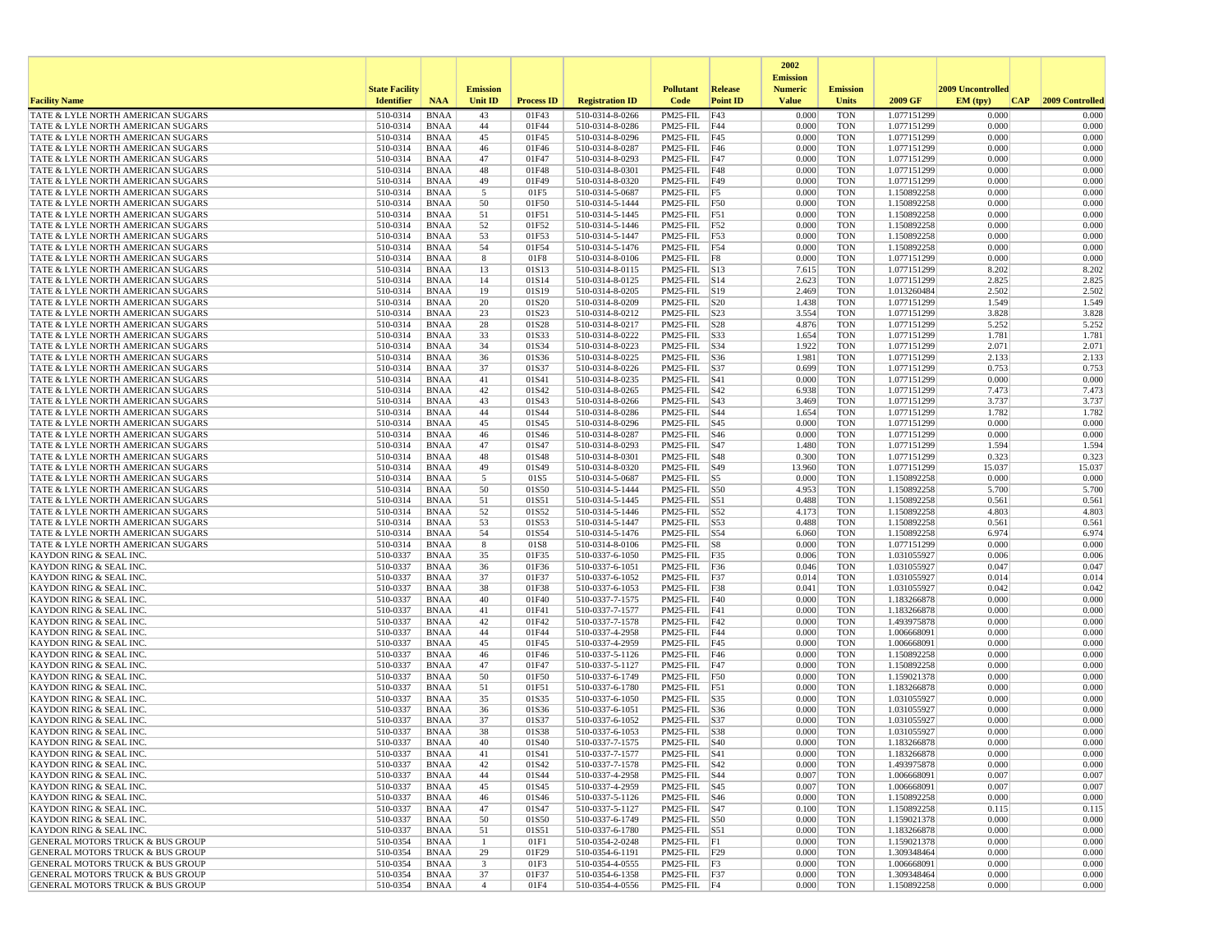|                                                                                            |                       |                            |                 |                   |                                    |                                     |                   | 2002                              |                          |                            |                          |                 |
|--------------------------------------------------------------------------------------------|-----------------------|----------------------------|-----------------|-------------------|------------------------------------|-------------------------------------|-------------------|-----------------------------------|--------------------------|----------------------------|--------------------------|-----------------|
|                                                                                            | <b>State Facility</b> |                            | <b>Emission</b> |                   |                                    | <b>Pollutant</b>                    | Release           | <b>Emission</b><br><b>Numeric</b> | <b>Emission</b>          |                            | <b>2009 Uncontrolled</b> |                 |
| <b>Facility Name</b>                                                                       | <b>Identifier</b>     | <b>NAA</b>                 | Unit ID         | <b>Process ID</b> | <b>Registration ID</b>             | Code                                | <b>Point ID</b>   | <b>Value</b>                      | <b>Units</b>             | 2009 GF                    | EM (typ)<br> CAP         | 2009 Controlled |
| TATE & LYLE NORTH AMERICAN SUGARS                                                          | 510-0314              | <b>BNAA</b>                | 43              | 01F43             | 510-0314-8-0266                    | PM25-FIL                            | F43               | 0.000                             | <b>TON</b>               | 1.077151299                | 0.000                    | 0.000           |
| TATE & LYLE NORTH AMERICAN SUGARS                                                          | 510-0314              | <b>BNAA</b>                | 44              | 01F44             | 510-0314-8-0286                    | PM25-FIL F44                        |                   | 0.000                             | <b>TON</b>               | 1.077151299                | 0.000                    | 0.000           |
| TATE & LYLE NORTH AMERICAN SUGARS<br>TATE & LYLE NORTH AMERICAN SUGARS                     | 510-0314<br>510-0314  | <b>BNAA</b><br><b>BNAA</b> | 45<br>46        | 01F45<br>01F46    | 510-0314-8-0296<br>510-0314-8-0287 | PM25-FIL F45<br>PM25-FIL F46        |                   | 0.000<br>0.000                    | <b>TON</b><br><b>TON</b> | 1.077151299<br>1.077151299 | 0.000<br>0.000           | 0.000<br>0.000  |
| TATE & LYLE NORTH AMERICAN SUGARS                                                          | 510-0314              | <b>BNAA</b>                | 47              | 01F47             | 510-0314-8-0293                    | PM25-FIL F47                        |                   | 0.000                             | <b>TON</b>               | 1.077151299                | 0.000                    | 0.000           |
| TATE & LYLE NORTH AMERICAN SUGARS                                                          | 510-0314              | <b>BNAA</b>                | 48              | 01F48             | 510-0314-8-0301                    | PM25-FIL F48                        |                   | 0.000                             | <b>TON</b>               | 1.077151299                | 0.000                    | 0.000           |
| TATE & LYLE NORTH AMERICAN SUGARS                                                          | 510-0314              | <b>BNAA</b>                | 49              | 01F49             | 510-0314-8-0320                    | PM25-FIL F49                        |                   | 0.000                             | <b>TON</b>               | 1.077151299                | 0.000                    | 0.000           |
| TATE & LYLE NORTH AMERICAN SUGARS<br>TATE & LYLE NORTH AMERICAN SUGARS                     | 510-0314<br>510-0314  | <b>BNAA</b><br><b>BNAA</b> | 5<br>50         | 01F5<br>01F50     | 510-0314-5-0687<br>510-0314-5-1444 | $PM25-FIL$ F5<br>PM25-FIL F50       |                   | 0.000<br>0.000                    | <b>TON</b><br><b>TON</b> | 1.150892258<br>1.150892258 | 0.000<br>0.000           | 0.000<br>0.000  |
| TATE & LYLE NORTH AMERICAN SUGARS                                                          | 510-0314              | <b>BNAA</b>                | 51              | 01F51             | 510-0314-5-1445                    | PM25-FIL F51                        |                   | 0.000                             | <b>TON</b>               | 1.150892258                | 0.000                    | 0.000           |
| TATE & LYLE NORTH AMERICAN SUGARS                                                          | 510-0314              | <b>BNAA</b>                | 52              | 01F52             | 510-0314-5-1446                    | PM25-FIL F52                        |                   | 0.000                             | <b>TON</b>               | 1.150892258                | 0.000                    | 0.000           |
| TATE & LYLE NORTH AMERICAN SUGARS                                                          | 510-0314              | <b>BNAA</b>                | 53              | 01F53             | 510-0314-5-1447                    | PM25-FIL F53                        |                   | 0.000                             | <b>TON</b>               | 1.150892258                | 0.000                    | 0.000           |
| TATE & LYLE NORTH AMERICAN SUGARS                                                          | 510-0314              | <b>BNAA</b>                | 54              | 01F54             | 510-0314-5-1476                    | PM25-FIL F54                        |                   | 0.000                             | <b>TON</b>               | 1.150892258                | 0.000                    | 0.000           |
| TATE & LYLE NORTH AMERICAN SUGARS<br>TATE & LYLE NORTH AMERICAN SUGARS                     | 510-0314<br>510-0314  | <b>BNAA</b><br><b>BNAA</b> | 8<br>13         | 01F8<br>01S13     | 510-0314-8-0106<br>510-0314-8-0115 | PM25-FIL<br>$PM25$ -FIL $ S13$      | F8                | 0.000<br>7.615                    | <b>TON</b><br><b>TON</b> | 1.077151299<br>1.077151299 | 0.000<br>8.202           | 0.000<br>8.202  |
| TATE & LYLE NORTH AMERICAN SUGARS                                                          | 510-0314              | BNAA                       | 14              | 01S14             | 510-0314-8-0125                    | $PM25$ -FIL $ S14$                  |                   | 2.623                             | <b>TON</b>               | 1.077151299                | 2.825                    | 2.825           |
| TATE & LYLE NORTH AMERICAN SUGARS                                                          | 510-0314              | <b>BNAA</b>                | 19              | 01S19             | 510-0314-8-0205                    | PM25-FIL S19                        |                   | 2.469                             | <b>TON</b>               | 1.013260484                | 2.502                    | 2.502           |
| TATE & LYLE NORTH AMERICAN SUGARS                                                          | 510-0314              | <b>BNAA</b>                | 20              | 01S20             | 510-0314-8-0209                    | $PM25$ -FIL $ S20$                  |                   | 1.438                             | TON                      | 1.077151299                | 1.549                    | 1.549           |
| TATE & LYLE NORTH AMERICAN SUGARS                                                          | 510-0314              | <b>BNAA</b>                | 23              | 01S23<br>01S28    | 510-0314-8-0212                    | $PM25$ -FIL $ S23$                  |                   | 3.554<br>4.876                    | <b>TON</b><br><b>TON</b> | 1.077151299                | 3.828<br>5.252           | 3.828           |
| TATE & LYLE NORTH AMERICAN SUGARS<br>TATE & LYLE NORTH AMERICAN SUGARS                     | 510-0314<br>510-0314  | <b>BNAA</b><br><b>BNAA</b> | 28<br>33        | 01S33             | 510-0314-8-0217<br>510-0314-8-0222 | PM25-FIL<br>PM25-FIL S33            | S28               | 1.654                             | <b>TON</b>               | 1.077151299<br>1.077151299 | 1.781                    | 5.252<br>1.781  |
| TATE & LYLE NORTH AMERICAN SUGARS                                                          | 510-0314              | <b>BNAA</b>                | 34              | 01S34             | 510-0314-8-0223                    | PM25-FIL S34                        |                   | 1.922                             | <b>TON</b>               | 1.077151299                | 2.071                    | 2.071           |
| TATE & LYLE NORTH AMERICAN SUGARS                                                          | 510-0314              | <b>BNAA</b>                | 36              | 01S36             | 510-0314-8-0225                    | PM25-FIL S36                        |                   | 1.981                             | TON                      | 1.077151299                | 2.133                    | 2.133           |
| TATE & LYLE NORTH AMERICAN SUGARS                                                          | 510-0314              | <b>BNAA</b>                | 37              | 01S37             | 510-0314-8-0226                    | $PM25-FIL$ S37                      |                   | 0.699                             | <b>TON</b>               | 1.077151299                | 0.753                    | 0.753           |
| TATE & LYLE NORTH AMERICAN SUGARS<br>TATE & LYLE NORTH AMERICAN SUGARS                     | 510-0314<br>510-0314  | <b>BNAA</b><br><b>BNAA</b> | 41<br>42        | 01S41<br>01S42    | 510-0314-8-0235<br>510-0314-8-0265 | PM25-FIL<br>$PM25$ -FIL $ S42$      | <b>S41</b>        | 0.000<br>6.938                    | <b>TON</b><br><b>TON</b> | 1.077151299<br>1.077151299 | 0.000<br>7.473           | 0.000<br>7.473  |
| TATE & LYLE NORTH AMERICAN SUGARS                                                          | 510-0314              | <b>BNAA</b>                | 43              | 01S43             | 510-0314-8-0266                    | $PM25$ -FIL $ S43$                  |                   | 3.469                             | <b>TON</b>               | 1.077151299                | 3.737                    | 3.737           |
| TATE & LYLE NORTH AMERICAN SUGARS                                                          | 510-0314              | <b>BNAA</b>                | 44              | 01S44             | 510-0314-8-0286                    | PM25-FIL S44                        |                   | 1.654                             | <b>TON</b>               | 1.077151299                | 1.782                    | 1.782           |
| TATE & LYLE NORTH AMERICAN SUGARS                                                          | 510-0314              | <b>BNAA</b>                | 45              | 01S45             | 510-0314-8-0296                    | $PM25$ -FIL $ S45$                  |                   | 0.000                             | <b>TON</b>               | 1.077151299                | 0.000                    | 0.000           |
| TATE & LYLE NORTH AMERICAN SUGARS                                                          | 510-0314              | <b>BNAA</b>                | 46              | 01S46             | 510-0314-8-0287                    | $PM25$ -FIL $ S46$                  |                   | 0.000                             | <b>TON</b>               | 1.077151299                | 0.000                    | 0.000           |
| TATE & LYLE NORTH AMERICAN SUGARS<br>TATE & LYLE NORTH AMERICAN SUGARS                     | 510-0314<br>510-0314  | <b>BNAA</b><br><b>BNAA</b> | 47<br>48        | 01S47<br>01S48    | 510-0314-8-0293<br>510-0314-8-0301 | PM25-FIL<br>PM25-FIL                | S47<br><b>S48</b> | 1.480<br>0.300                    | <b>TON</b><br><b>TON</b> | 1.077151299<br>1.077151299 | 1.594<br>0.323           | 1.594<br>0.323  |
| TATE & LYLE NORTH AMERICAN SUGARS                                                          | 510-0314              | <b>BNAA</b>                | 49              | 01S49             | 510-0314-8-0320                    | PM25-FIL   S49                      |                   | 13.960                            | <b>TON</b>               | 1.077151299                | 15.037                   | 15.037          |
| TATE & LYLE NORTH AMERICAN SUGARS                                                          | 510-0314              | <b>BNAA</b>                | 5               | 01S5              | 510-0314-5-0687                    | $PM25$ -FIL $ S5$                   |                   | 0.000                             | <b>TON</b>               | 1.150892258                | 0.000                    | 0.000           |
| TATE & LYLE NORTH AMERICAN SUGARS                                                          | 510-0314              | <b>BNAA</b>                | 50              | 01S50             | 510-0314-5-1444                    | PM25-FIL S50                        |                   | 4.953                             | <b>TON</b>               | 1.150892258                | 5.700                    | 5.700           |
| TATE & LYLE NORTH AMERICAN SUGARS<br>TATE & LYLE NORTH AMERICAN SUGARS                     | 510-0314<br>510-0314  | <b>BNAA</b><br><b>BNAA</b> | 51<br>52        | 01S51<br>01S52    | 510-0314-5-1445<br>510-0314-5-1446 | PM25-FIL<br>$PM25$ -FIL $ S52$      | S51               | 0.488<br>4.173                    | <b>TON</b><br><b>TON</b> | 1.150892258<br>1.150892258 | 0.561<br>4.803           | 0.561<br>4.803  |
| TATE & LYLE NORTH AMERICAN SUGARS                                                          | 510-0314              | <b>BNAA</b>                | 53              | 01S53             | 510-0314-5-1447                    | PM25-FIL S53                        |                   | 0.488                             | <b>TON</b>               | 1.150892258                | 0.561                    | 0.561           |
| TATE & LYLE NORTH AMERICAN SUGARS                                                          | 510-0314              | <b>BNAA</b>                | 54              | 01S54             | 510-0314-5-1476                    | PM25-FIL S54                        |                   | 6.060                             | <b>TON</b>               | 1.150892258                | 6.974                    | 6.974           |
| TATE & LYLE NORTH AMERICAN SUGARS                                                          | 510-0314              | <b>BNAA</b>                | 8               | 01S8              | 510-0314-8-0106                    | $PM25$ -FIL $ S8$                   |                   | 0.000                             | TON                      | 1.077151299                | 0.000                    | 0.000           |
| KAYDON RING & SEAL INC.                                                                    | 510-0337              | BNAA                       | 35              | 01F35             | 510-0337-6-1050                    | PM25-FIL F35                        |                   | 0.006                             | <b>TON</b>               | 1.031055927                | 0.006                    | 0.006           |
| <b>KAYDON RING &amp; SEAL INC.</b><br><b>KAYDON RING &amp; SEAL INC.</b>                   | 510-0337<br>510-0337  | <b>BNAA</b><br><b>BNAA</b> | 36<br>37        | 01F36<br>01F37    | 510-0337-6-1051<br>510-0337-6-1052 | PM25-FIL F36<br>$PM25-FIL$ F37      |                   | 0.046<br>0.014                    | <b>TON</b><br><b>TON</b> | 1.031055927<br>1.031055927 | 0.047<br>0.014           | 0.047<br>0.014  |
| <b>KAYDON RING &amp; SEAL INC.</b>                                                         | 510-0337              | <b>BNAA</b>                | 38              | 01F38             | 510-0337-6-1053                    | PM25-FIL F38                        |                   | 0.041                             | <b>TON</b>               | 1.031055927                | 0.042                    | 0.042           |
| <b>KAYDON RING &amp; SEAL INC.</b>                                                         | 510-0337              | <b>BNAA</b>                | 40              | 01F40             | 510-0337-7-1575                    | PM25-FIL F40                        |                   | 0.000                             | <b>TON</b>               | 1.183266878                | 0.000                    | 0.000           |
| KAYDON RING & SEAL INC.                                                                    | 510-0337              | <b>BNAA</b>                | 41              | 01F41             | 510-0337-7-1577                    | PM25-FIL F41                        |                   | 0.000                             | <b>TON</b>               | 1.183266878                | 0.000                    | 0.000           |
| <b>KAYDON RING &amp; SEAL INC.</b><br>KAYDON RING & SEAL INC.                              | 510-0337<br>510-0337  | <b>BNAA</b><br><b>BNAA</b> | 42<br>44        | 01F42<br>01F44    | 510-0337-7-1578<br>510-0337-4-2958 | $PM25$ -FIL $ F42$<br>PM25-FIL      | F44               | 0.000<br>0.000                    | <b>TON</b><br><b>TON</b> | 1.493975878<br>1.006668091 | 0.000<br>0.000           | 0.000<br>0.000  |
| <b>KAYDON RING &amp; SEAL INC.</b>                                                         | 510-0337              | <b>BNAA</b>                | 45              | 01F45             | 510-0337-4-2959                    | PM25-FIL F45                        |                   | 0.000                             | <b>TON</b>               | 1.006668091                | 0.000                    | 0.000           |
| <b>KAYDON RING &amp; SEAL INC.</b>                                                         | 510-0337              | <b>BNAA</b>                | 46              | 01F46             | 510-0337-5-1126                    | PM25-FIL F46                        |                   | 0.000                             | <b>TON</b>               | 1.150892258                | 0.000                    | 0.000           |
| KAYDON RING & SEAL INC.                                                                    | 510-0337              | <b>BNAA</b>                | 47              | 01F47             | 510-0337-5-1127                    | PM25-FIL F47                        |                   | 0.000                             | <b>TON</b>               | 1.150892258                | 0.000                    | 0.000           |
| KAYDON RING & SEAL INC.                                                                    | 510-0337              | <b>BNAA</b>                | 50              | 01F50             | 510-0337-6-1749                    | PM25-FIL F50                        |                   | 0.000                             | <b>TON</b>               | 1.159021378                | 0.000                    | 0.000           |
| <b>KAYDON RING &amp; SEAL INC.</b><br><b>KAYDON RING &amp; SEAL INC.</b>                   | 510-0337<br>510-0337  | <b>BNAA</b><br><b>BNAA</b> | 51<br>35        | 01F51<br>01S35    | 510-0337-6-1780<br>510-0337-6-1050 | PM25-FIL<br>PM25-FIL                | F51<br><b>S35</b> | 0.000<br>0.000                    | <b>TON</b><br><b>TON</b> | 1.183266878<br>1.031055927 | 0.000<br>0.000           | 0.000<br>0.000  |
| <b>KAYDON RING &amp; SEAL INC.</b>                                                         | 510-0337              | <b>BNAA</b>                | 36              | 01S36             | 510-0337-6-1051                    | $PM25$ -FIL $ S36$                  |                   | 0.000                             | <b>TON</b>               | 1.031055927                | 0.000                    | 0.000           |
| KAYDON RING & SEAL INC                                                                     | 510-0337              | <b>BNAA</b>                | 37              | 01S37             | 510-0337-6-1052                    | PM25-FIL S37                        |                   | 0.000                             | <b>TON</b>               | 1.031055927                | 0.000                    | 0.000           |
| <b>KAYDON RING &amp; SEAL INC.</b>                                                         | 510-0337              | <b>BNAA</b>                | 38              | 01S38             | 510-0337-6-1053                    | PM25-FIL S38                        |                   | 0.000                             | <b>TON</b>               | 1.031055927                | 0.000                    | 0.000           |
| <b>KAYDON RING &amp; SEAL INC.</b><br>KAYDON RING & SEAL INC.                              | 510-0337<br>510-0337  | <b>BNAA</b><br>BNAA        | 40<br>41        | 01S40<br>01S41    | 510-0337-7-1575<br>510-0337-7-1577 | $PM25$ -FIL $ S40$<br>PM25-FIL  S41 |                   | 0.000<br>0.000                    | <b>TON</b><br>TON        | 1.183266878<br>1.183266878 | 0.000<br>0.000           | 0.000<br>0.000  |
| <b>KAYDON RING &amp; SEAL INC.</b>                                                         | 510-0337              | BNAA                       | 42              | 01S42             | 510-0337-7-1578                    | $PM25-FIL$ $ S42$                   |                   | 0.000                             | <b>TON</b>               | 1.493975878                | 0.000                    | 0.000           |
| KAYDON RING & SEAL INC.                                                                    | 510-0337              | BNAA                       | 44              | 01S44             | 510-0337-4-2958                    | PM25-FIL S44                        |                   | 0.007                             | <b>TON</b>               | 1.006668091                | 0.007                    | 0.007           |
| <b>KAYDON RING &amp; SEAL INC.</b>                                                         | 510-0337              | BNAA                       | 45              | 01S45             | 510-0337-4-2959                    | PM25-FIL S45                        |                   | 0.007                             | TON                      | 1.006668091                | 0.007                    | 0.007           |
| KAYDON RING & SEAL INC.                                                                    | 510-0337              | BNAA                       | 46              | 01S46             | 510-0337-5-1126                    | PM25-FIL S46                        |                   | 0.000                             | <b>TON</b>               | 1.150892258                | 0.000                    | 0.000           |
| KAYDON RING & SEAL INC.<br>KAYDON RING & SEAL INC.                                         | 510-0337<br>510-0337  | <b>BNAA</b><br><b>BNAA</b> | 47<br>50        | 01S47<br>01S50    | 510-0337-5-1127<br>510-0337-6-1749 | PM25-FIL S47<br>PM25-FIL S50        |                   | 0.100<br>0.000                    | <b>TON</b><br><b>TON</b> | 1.150892258<br>1.159021378 | 0.115<br>0.000           | 0.115<br>0.000  |
| KAYDON RING & SEAL INC.                                                                    | 510-0337              | BNAA                       | 51              | 01S51             | 510-0337-6-1780                    | $PM25$ -FIL $ S51$                  |                   | 0.000                             | <b>TON</b>               | 1.183266878                | 0.000                    | 0.000           |
| <b>GENERAL MOTORS TRUCK &amp; BUS GROUP</b>                                                | 510-0354              | <b>BNAA</b>                | -1              | 01F1              | 510-0354-2-0248                    | $PM25-FIL$ $ F1$                    |                   | 0.000                             | <b>TON</b>               | 1.159021378                | 0.000                    | 0.000           |
| <b>GENERAL MOTORS TRUCK &amp; BUS GROUP</b>                                                | 510-0354              | BNAA                       | 29              | 01F29             | 510-0354-6-1191                    | PM25-FIL F29                        |                   | 0.000                             | <b>TON</b>               | 1.309348464                | 0.000                    | 0.000           |
| <b>GENERAL MOTORS TRUCK &amp; BUS GROUP</b><br><b>GENERAL MOTORS TRUCK &amp; BUS GROUP</b> | 510-0354<br>510-0354  | BNAA<br>BNAA               | 3<br>37         | 01F3<br>01F37     | 510-0354-4-0555<br>510-0354-6-1358 | $PM25-FIL$ $ F3$<br>PM25-FIL F37    |                   | 0.000<br>0.000                    | TON<br><b>TON</b>        | 1.006668091<br>1.309348464 | 0.000<br>0.000           | 0.000<br>0.000  |
| <b>GENERAL MOTORS TRUCK &amp; BUS GROUP</b>                                                | 510-0354              | BNAA                       | $\overline{4}$  | 01F4              | 510-0354-4-0556                    | $PM25$ -FIL $ F4$                   |                   | 0.000                             | TON                      | 1.150892258                | 0.000                    | 0.000           |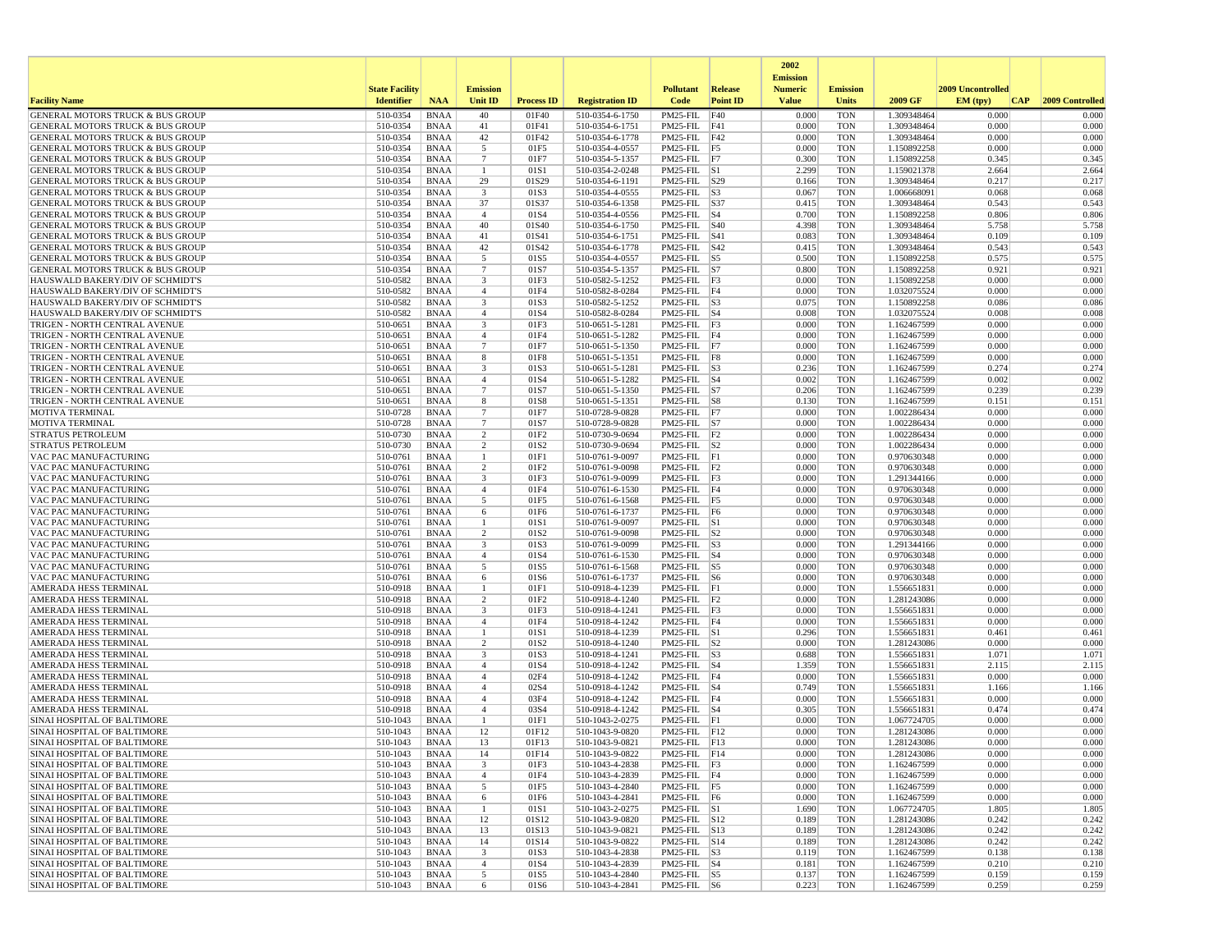|                                                                                            |                       |                            |                         |                          |                                    |                                           |                 | 2002                              |                          |                            |                   |                 |
|--------------------------------------------------------------------------------------------|-----------------------|----------------------------|-------------------------|--------------------------|------------------------------------|-------------------------------------------|-----------------|-----------------------------------|--------------------------|----------------------------|-------------------|-----------------|
|                                                                                            | <b>State Facility</b> |                            | <b>Emission</b>         |                          |                                    | <b>Pollutant</b>                          | Release         | <b>Emission</b><br><b>Numeric</b> | <b>Emission</b>          |                            | 2009 Uncontrolled |                 |
| <b>Facility Name</b>                                                                       | <b>Identifier</b>     | <b>NAA</b>                 | Unit ID                 | <b>Process ID</b>        | <b>Registration ID</b>             | Code                                      | <b>Point ID</b> | <b>Value</b>                      | <b>Units</b>             | 2009 GF                    | EM (typ)<br> CAP  | 2009 Controlled |
| GENERAL MOTORS TRUCK & BUS GROUP                                                           | 510-0354              | <b>BNAA</b>                | 40                      | 01F40                    | 510-0354-6-1750                    | PM25-FIL                                  | F40             | 0.000                             | <b>TON</b>               | 1.309348464                | 0.000             | 0.000           |
| <b>GENERAL MOTORS TRUCK &amp; BUS GROUP</b>                                                | 510-0354              | <b>BNAA</b>                | 41                      | 01F41                    | 510-0354-6-1751                    | PM25-FIL F41                              |                 | 0.000                             | <b>TON</b>               | 1.309348464                | 0.000             | 0.000           |
| <b>GENERAL MOTORS TRUCK &amp; BUS GROUP</b><br><b>GENERAL MOTORS TRUCK &amp; BUS GROUP</b> | 510-0354<br>510-0354  | <b>BNAA</b><br><b>BNAA</b> | 42<br>5                 | 01F42<br>01F5            | 510-0354-6-1778<br>510-0354-4-0557 | PM25-FIL F42<br>$PM25$ -FIL $ F5$         |                 | 0.000<br>0.000                    | <b>TON</b><br><b>TON</b> | 1.309348464<br>1.150892258 | 0.000<br>0.000    | 0.000<br>0.000  |
| <b>GENERAL MOTORS TRUCK &amp; BUS GROUP</b>                                                | 510-0354              | <b>BNAA</b>                | $7\phantom{.0}$         | 01F7                     | 510-0354-5-1357                    | PM25-FIL F7                               |                 | 0.300                             | <b>TON</b>               | 1.150892258                | 0.345             | 0.345           |
| <b>GENERAL MOTORS TRUCK &amp; BUS GROUP</b>                                                | 510-0354              | <b>BNAA</b>                | -1                      | 01S1                     | 510-0354-2-0248                    | $PM25-FIL$ S1                             |                 | 2.299                             | <b>TON</b>               | 1.159021378                | 2.664             | 2.664           |
| GENERAL MOTORS TRUCK & BUS GROUP                                                           | 510-0354              | <b>BNAA</b>                | 29                      | 01S29                    | 510-0354-6-1191                    | PM25-FIL S29                              |                 | 0.166                             | <b>TON</b>               | 1.309348464                | 0.217             | 0.217           |
| <b>GENERAL MOTORS TRUCK &amp; BUS GROUP</b>                                                | 510-0354              | <b>BNAA</b>                | 3                       | 01S3                     | 510-0354-4-0555                    | $PM25-FIL$ $ S3$                          |                 | 0.067                             | <b>TON</b>               | 1.006668091                | 0.068             | 0.068           |
| GENERAL MOTORS TRUCK & BUS GROUP<br><b>GENERAL MOTORS TRUCK &amp; BUS GROUP</b>            | 510-0354<br>510-0354  | <b>BNAA</b><br><b>BNAA</b> | 37<br>$\overline{4}$    | 01S37<br>01S4            | 510-0354-6-1358<br>510-0354-4-0556 | PM25-FIL S37<br>$PM25$ -FIL $ S4$         |                 | 0.415<br>0.700                    | <b>TON</b><br><b>TON</b> | 1.309348464<br>1.150892258 | 0.543<br>0.806    | 0.543<br>0.806  |
| GENERAL MOTORS TRUCK & BUS GROUP                                                           | 510-0354              | <b>BNAA</b>                | 40                      | 01S40                    | 510-0354-6-1750                    | PM25-FIL S40                              |                 | 4.398                             | <b>TON</b>               | 1.309348464                | 5.758             | 5.758           |
| <b>GENERAL MOTORS TRUCK &amp; BUS GROUP</b>                                                | 510-0354              | <b>BNAA</b>                | 41                      | 01S41                    | 510-0354-6-1751                    | $PM25$ -FIL $ S41$                        |                 | 0.083                             | <b>TON</b>               | 1.309348464                | 0.109             | 0.109           |
| <b>GENERAL MOTORS TRUCK &amp; BUS GROUP</b>                                                | 510-0354              | <b>BNAA</b>                | 42                      | 01S42                    | 510-0354-6-1778                    | PM25-FIL S42                              |                 | 0.415                             | <b>TON</b>               | 1.309348464                | 0.543             | 0.543           |
| <b>GENERAL MOTORS TRUCK &amp; BUS GROUP</b>                                                | 510-0354<br>510-0354  | <b>BNAA</b>                | 5                       | 01S5                     | 510-0354-4-0557                    | PM25-FIL                                  | S5              | 0.500                             | <b>TON</b>               | 1.150892258                | 0.575             | 0.575           |
| <b>GENERAL MOTORS TRUCK &amp; BUS GROUP</b><br>HAUSWALD BAKERY/DIV OF SCHMIDT'S            | 510-0582              | <b>BNAA</b><br>BNAA        | $\tau$<br>3             | 01S7<br>01F3             | 510-0354-5-1357<br>510-0582-5-1252 | $PM25$ -FIL $ S7 $<br>$PM25-FIL$ F3       |                 | 0.800<br>0.000                    | <b>TON</b><br><b>TON</b> | 1.150892258<br>1.150892258 | 0.921<br>0.000    | 0.921<br>0.000  |
| HAUSWALD BAKERY/DIV OF SCHMIDT'S                                                           | 510-0582              | <b>BNAA</b>                | $\overline{4}$          | 01F4                     | 510-0582-8-0284                    | PM25-FIL F4                               |                 | 0.000                             | <b>TON</b>               | 1.032075524                | 0.000             | 0.000           |
| HAUSWALD BAKERY/DIV OF SCHMIDT'S                                                           | 510-0582              | <b>BNAA</b>                | 3                       | 01S3                     | 510-0582-5-1252                    | $PM25$ -FIL $ S3$                         |                 | 0.075                             | <b>TON</b>               | 1.150892258                | 0.086             | 0.086           |
| HAUSWALD BAKERY/DIV OF SCHMIDT'S                                                           | 510-0582              | <b>BNAA</b>                | $\overline{4}$          | 01S4                     | 510-0582-8-0284                    | $PM25$ -FIL $ S4$                         |                 | 0.008                             | <b>TON</b>               | 1.032075524                | 0.008             | 0.008           |
| TRIGEN - NORTH CENTRAL AVENUE                                                              | 510-0651<br>510-0651  | <b>BNAA</b>                | 3<br>$\overline{4}$     | 01F3<br>01F4             | 510-0651-5-1281                    | $PM25-FIL$ F3                             |                 | 0.000<br>0.000                    | <b>TON</b><br><b>TON</b> | 1.162467599                | 0.000<br>0.000    | 0.000<br>0.000  |
| TRIGEN - NORTH CENTRAL AVENUE<br>TRIGEN - NORTH CENTRAL AVENUE                             | 510-0651              | <b>BNAA</b><br><b>BNAA</b> | $7\overline{ }$         | 01F7                     | 510-0651-5-1282<br>510-0651-5-1350 | $PM25$ -FIL F4<br>$PM25-FIL$ F7           |                 | 0.000                             | <b>TON</b>               | 1.162467599<br>1.162467599 | 0.000             | 0.000           |
| TRIGEN - NORTH CENTRAL AVENUE                                                              | 510-0651              | <b>BNAA</b>                | 8                       | 01F8                     | 510-0651-5-1351                    | PM25-FIL F8                               |                 | 0.000                             | <b>TON</b>               | 1.162467599                | 0.000             | 0.000           |
| TRIGEN - NORTH CENTRAL AVENUE                                                              | 510-0651              | <b>BNAA</b>                | 3                       | 01S3                     | 510-0651-5-1281                    | $PM25$ -FIL $ S3$                         |                 | 0.236                             | <b>TON</b>               | 1.162467599                | 0.274             | 0.274           |
| TRIGEN - NORTH CENTRAL AVENUE                                                              | 510-0651              | <b>BNAA</b>                | $\overline{4}$          | 01S4                     | 510-0651-5-1282                    | $PM25$ -FIL $ S4$                         |                 | 0.002                             | <b>TON</b>               | 1.162467599                | 0.002             | 0.002           |
| TRIGEN - NORTH CENTRAL AVENUE<br>TRIGEN - NORTH CENTRAL AVENUE                             | 510-0651<br>510-0651  | <b>BNAA</b><br><b>BNAA</b> | $7\phantom{.0}$<br>8    | 01S7<br>01S8             | 510-0651-5-1350                    | $PM25$ -FIL $ S7 $                        |                 | 0.206<br>0.130                    | <b>TON</b><br><b>TON</b> | 1.162467599<br>1.162467599 | 0.239<br>0.151    | 0.239<br>0.151  |
| MOTIVA TERMINAL                                                                            | 510-0728              | <b>BNAA</b>                | $7\phantom{.0}$         | 01F7                     | 510-0651-5-1351<br>510-0728-9-0828 | $PM25-FIL$ S8<br>PM25-FIL F7              |                 | 0.000                             | <b>TON</b>               | 1.002286434                | 0.000             | 0.000           |
| <b>MOTIVA TERMINAL</b>                                                                     | 510-0728              | <b>BNAA</b>                | 7                       | 01S7                     | 510-0728-9-0828                    | $PM25$ -FIL $ S7 $                        |                 | 0.000                             | <b>TON</b>               | 1.002286434                | 0.000             | 0.000           |
| <b>STRATUS PETROLEUM</b>                                                                   | 510-0730              | <b>BNAA</b>                | $\overline{2}$          | 01F <sub>2</sub>         | 510-0730-9-0694                    | $PM25$ -FIL $ F2$                         |                 | 0.000                             | <b>TON</b>               | 1.002286434                | 0.000             | 0.000           |
| <b>STRATUS PETROLEUM</b>                                                                   | 510-0730              | <b>BNAA</b>                | 2                       | 01S2                     | 510-0730-9-0694                    | $PM25$ -FIL $ S2 $                        |                 | 0.000                             | <b>TON</b>               | 1.002286434                | 0.000             | 0.000           |
| VAC PAC MANUFACTURING<br>VAC PAC MANUFACTURING                                             | 510-0761<br>510-0761  | <b>BNAA</b><br><b>BNAA</b> | $\mathbf{1}$<br>2       | 01F1<br>01F2             | 510-0761-9-0097<br>510-0761-9-0098 | $PM25-FIL$ $\overline{F1}$<br>PM25-FIL F2 |                 | 0.000<br>0.000                    | <b>TON</b><br><b>TON</b> | 0.970630348<br>0.970630348 | 0.000<br>0.000    | 0.000<br>0.000  |
| VAC PAC MANUFACTURING                                                                      | 510-0761              | <b>BNAA</b>                | 3                       | 01F3                     | 510-0761-9-0099                    | $PM25-FIL$ F3                             |                 | 0.000                             | <b>TON</b>               | 1.291344166                | 0.000             | 0.000           |
| VAC PAC MANUFACTURING                                                                      | 510-0761              | <b>BNAA</b>                | $\overline{4}$          | 01F4                     | 510-0761-6-1530                    | PM25-FIL F4                               |                 | 0.000                             | <b>TON</b>               | 0.970630348                | 0.000             | 0.000           |
| VAC PAC MANUFACTURING                                                                      | 510-0761              | <b>BNAA</b>                | 5                       | 01F5                     | 510-0761-6-1568                    | $PM25-FIL$ F5                             |                 | 0.000                             | <b>TON</b>               | 0.970630348                | 0.000             | 0.000           |
| VAC PAC MANUFACTURING                                                                      | 510-0761              | <b>BNAA</b>                | 6                       | 01F6                     | 510-0761-6-1737                    | PM25-FIL F6                               |                 | 0.000                             | <b>TON</b>               | 0.970630348                | 0.000             | 0.000           |
| VAC PAC MANUFACTURING<br>VAC PAC MANUFACTURING                                             | 510-0761<br>510-0761  | <b>BNAA</b><br><b>BNAA</b> | 1<br>2                  | 01S1<br>01S2             | 510-0761-9-0097<br>510-0761-9-0098 | $PM25$ -FIL $ S1$<br>$PM25$ -FIL $ S2$    |                 | 0.000<br>0.000                    | <b>TON</b><br><b>TON</b> | 0.970630348<br>0.970630348 | 0.000<br>0.000    | 0.000<br>0.000  |
| VAC PAC MANUFACTURING                                                                      | 510-0761              | <b>BNAA</b>                | 3                       | 01S3                     | 510-0761-9-0099                    | $PM25$ -FIL $ S3$                         |                 | 0.000                             | <b>TON</b>               | 1.291344166                | 0.000             | 0.000           |
| VAC PAC MANUFACTURING                                                                      | 510-0761              | BNAA                       | $\overline{4}$          | 01S4                     | 510-0761-6-1530                    | $PM25$ -FIL $ S4$                         |                 | 0.000                             | <b>TON</b>               | 0.970630348                | 0.000             | 0.000           |
| VAC PAC MANUFACTURING                                                                      | 510-0761              | <b>BNAA</b>                | 5                       | 01S5                     | 510-0761-6-1568                    | $PM25$ -FIL $ S5$                         |                 | 0.000                             | <b>TON</b>               | 0.970630348                | 0.000             | 0.000           |
| VAC PAC MANUFACTURING                                                                      | 510-0761              | <b>BNAA</b>                | 6<br>-1                 | 01S6                     | 510-0761-6-1737                    | PM25-FIL S6                               |                 | 0.000                             | <b>TON</b>               | 0.970630348                | 0.000             | 0.000           |
| AMERADA HESS TERMINAL<br>AMERADA HESS TERMINAL                                             | 510-0918<br>510-0918  | <b>BNAA</b><br><b>BNAA</b> | 2                       | 01F1<br>01F <sub>2</sub> | 510-0918-4-1239<br>510-0918-4-1240 | PM25-FIL F1<br>$PM25$ -FIL $ F2$          |                 | 0.000<br>0.000                    | <b>TON</b><br><b>TON</b> | 1.556651831<br>1.281243086 | 0.000<br>0.000    | 0.000<br>0.000  |
| AMERADA HESS TERMINAL                                                                      | 510-0918              | <b>BNAA</b>                | 3                       | 01F3                     | 510-0918-4-1241                    | $PM25-FIL$ F3                             |                 | 0.000                             | <b>TON</b>               | 1.556651831                | 0.000             | 0.000           |
| AMERADA HESS TERMINAL                                                                      | 510-0918              | <b>BNAA</b>                | $\overline{4}$          | 01F4                     | 510-0918-4-1242                    | $PM25$ -FIL $ F4$                         |                 | 0.000                             | <b>TON</b>               | 1.556651831                | 0.000             | 0.000           |
| AMERADA HESS TERMINAL                                                                      | 510-0918              | <b>BNAA</b>                | 1                       | 01S1                     | 510-0918-4-1239                    | $PM25$ -FIL $ S1$                         |                 | 0.296                             | <b>TON</b>               | 1.556651831                | 0.461             | 0.461           |
| AMERADA HESS TERMINAL<br>AMERADA HESS TERMINAL                                             | 510-0918<br>510-0918  | <b>BNAA</b><br><b>BNAA</b> | 2<br>3                  | 01S <sub>2</sub><br>01S3 | 510-0918-4-1240<br>510-0918-4-1241 | $PM25$ -FIL $ S2 $<br>$PM25$ -FIL $ S3$   |                 | 0.000<br>0.688                    | <b>TON</b><br><b>TON</b> | 1.281243086<br>1.556651831 | 0.000<br>1.071    | 0.000<br>1.071  |
| AMERADA HESS TERMINAL                                                                      | 510-0918              | <b>BNAA</b>                | $\overline{4}$          | 01S4                     | 510-0918-4-1242                    | $PM25$ -FIL $ S4$                         |                 | 1.359                             | <b>TON</b>               | 1.556651831                | 2.115             | 2.115           |
| AMERADA HESS TERMINAL                                                                      | 510-0918              | <b>BNAA</b>                | $\overline{4}$          | 02F4                     | 510-0918-4-1242                    | PM25-FIL F4                               |                 | 0.000                             | <b>TON</b>               | 1.556651831                | 0.000             | 0.000           |
| AMERADA HESS TERMINAL                                                                      | 510-0918              | <b>BNAA</b>                | $\overline{4}$          | 02S4                     | 510-0918-4-1242                    | $PM25$ -FIL $ S4$                         |                 | 0.749                             | <b>TON</b>               | 1.556651831                | 1.166             | 1.166           |
| AMERADA HESS TERMINAL                                                                      | 510-0918              | <b>BNAA</b>                | $\overline{4}$          | 03F4                     | 510-0918-4-1242                    | PM25-FIL F4                               |                 | 0.000                             | <b>TON</b>               | 1.556651831                | 0.000             | 0.000           |
| AMERADA HESS TERMINAL<br>SINAI HOSPITAL OF BALTIMORE                                       | 510-0918<br>510-1043  | <b>BNAA</b><br><b>BNAA</b> | $\overline{4}$<br>-1    | 03S4<br>01F1             | 510-0918-4-1242<br>510-1043-2-0275 | $PM25$ -FIL $ S4$<br>$PM25-FIL$ $F1$      |                 | 0.305<br>0.000                    | <b>TON</b><br><b>TON</b> | 1.556651831<br>1.067724705 | 0.474<br>0.000    | 0.474<br>0.000  |
| SINAI HOSPITAL OF BALTIMORE                                                                | 510-1043              | <b>BNAA</b>                | 12                      | 01F12                    | 510-1043-9-0820                    | PM25-FIL F12                              |                 | 0.000                             | <b>TON</b>               | 1.281243086                | 0.000             | 0.000           |
| <b>SINAI HOSPITAL OF BALTIMORE</b>                                                         | 510-1043              | <b>BNAA</b>                | 13                      | 01F13                    | 510-1043-9-0821                    | PM25-FIL F13                              |                 | 0.000                             | <b>TON</b>               | 1.281243086                | 0.000             | 0.000           |
| SINAI HOSPITAL OF BALTIMORE                                                                | 510-1043              | BNAA                       | 14                      | 01F14                    | 510-1043-9-0822                    | $PM25$ -FIL F14                           |                 | 0.000                             | TON                      | 1.281243086                | 0.000             | 0.000           |
| SINAI HOSPITAL OF BALTIMORE                                                                | 510-1043              | BNAA                       | $\overline{\mathbf{3}}$ | 01F3                     | 510-1043-4-2838                    | $PM25$ -FIL $ F3$                         |                 | 0.000                             | <b>TON</b>               | 1.162467599                | 0.000             | 0.000           |
| SINAI HOSPITAL OF BALTIMORE<br>SINAI HOSPITAL OF BALTIMORE                                 | 510-1043<br>510-1043  | BNAA<br><b>BNAA</b>        | $\overline{4}$<br>5     | 01F4<br>01F5             | 510-1043-4-2839<br>510-1043-4-2840 | $PM25$ -FIL $ F4$<br>$PM25$ -FIL F5       |                 | 0.000<br>0.000                    | <b>TON</b><br><b>TON</b> | 1.162467599<br>1.162467599 | 0.000<br>0.000    | 0.000<br>0.000  |
| SINAI HOSPITAL OF BALTIMORE                                                                | 510-1043              | BNAA                       | 6                       | 01F6                     | 510-1043-4-2841                    | PM25-FIL F6                               |                 | 0.000                             | <b>TON</b>               | 1.162467599                | 0.000             | 0.000           |
| SINAI HOSPITAL OF BALTIMORE                                                                | 510-1043              | <b>BNAA</b>                | -1                      | 01S1                     | 510-1043-2-0275                    | $PM25$ -FIL $ S1 $                        |                 | 1.690                             | <b>TON</b>               | 1.067724705                | 1.805             | 1.805           |
| SINAI HOSPITAL OF BALTIMORE                                                                | 510-1043              | <b>BNAA</b>                | 12                      | 01S12                    | 510-1043-9-0820                    | PM25-FIL S12                              |                 | 0.189                             | <b>TON</b>               | 1.281243086                | 0.242             | 0.242           |
| SINAI HOSPITAL OF BALTIMORE                                                                | 510-1043              | BNAA                       | 13                      | 01S13                    | 510-1043-9-0821<br>510-1043-9-0822 | PM25-FIL S13                              |                 | 0.189                             | <b>TON</b>               | 1.281243086                | 0.242             | 0.242           |
| SINAI HOSPITAL OF BALTIMORE<br>SINAI HOSPITAL OF BALTIMORE                                 | 510-1043<br>510-1043  | <b>BNAA</b><br>BNAA        | 14<br>3                 | 01S14<br>01S3            | 510-1043-4-2838                    | PM25-FIL S14<br>$PM25$ -FIL $ S3 $        |                 | 0.189<br>0.119                    | <b>TON</b><br><b>TON</b> | 1.281243086<br>1.162467599 | 0.242<br>0.138    | 0.242<br>0.138  |
| <b>SINAI HOSPITAL OF BALTIMORE</b>                                                         | 510-1043              | BNAA                       | $\overline{4}$          | 01S4                     | 510-1043-4-2839                    | $PM25$ -FIL $ S4$                         |                 | 0.181                             | <b>TON</b>               | 1.162467599                | 0.210             | 0.210           |
| SINAI HOSPITAL OF BALTIMORE                                                                | 510-1043              | <b>BNAA</b>                | 5                       | 01S5                     | 510-1043-4-2840                    | PM25-FIL S5                               |                 | 0.137                             | <b>TON</b>               | 1.162467599                | 0.159             | 0.159           |
| SINAI HOSPITAL OF BALTIMORE                                                                | 510-1043              | <b>BNAA</b>                | 6                       | 01S6                     | 510-1043-4-2841                    | $PM25$ -FIL $ S6$                         |                 | 0.223                             | <b>TON</b>               | 1.162467599                | 0.259             | 0.259           |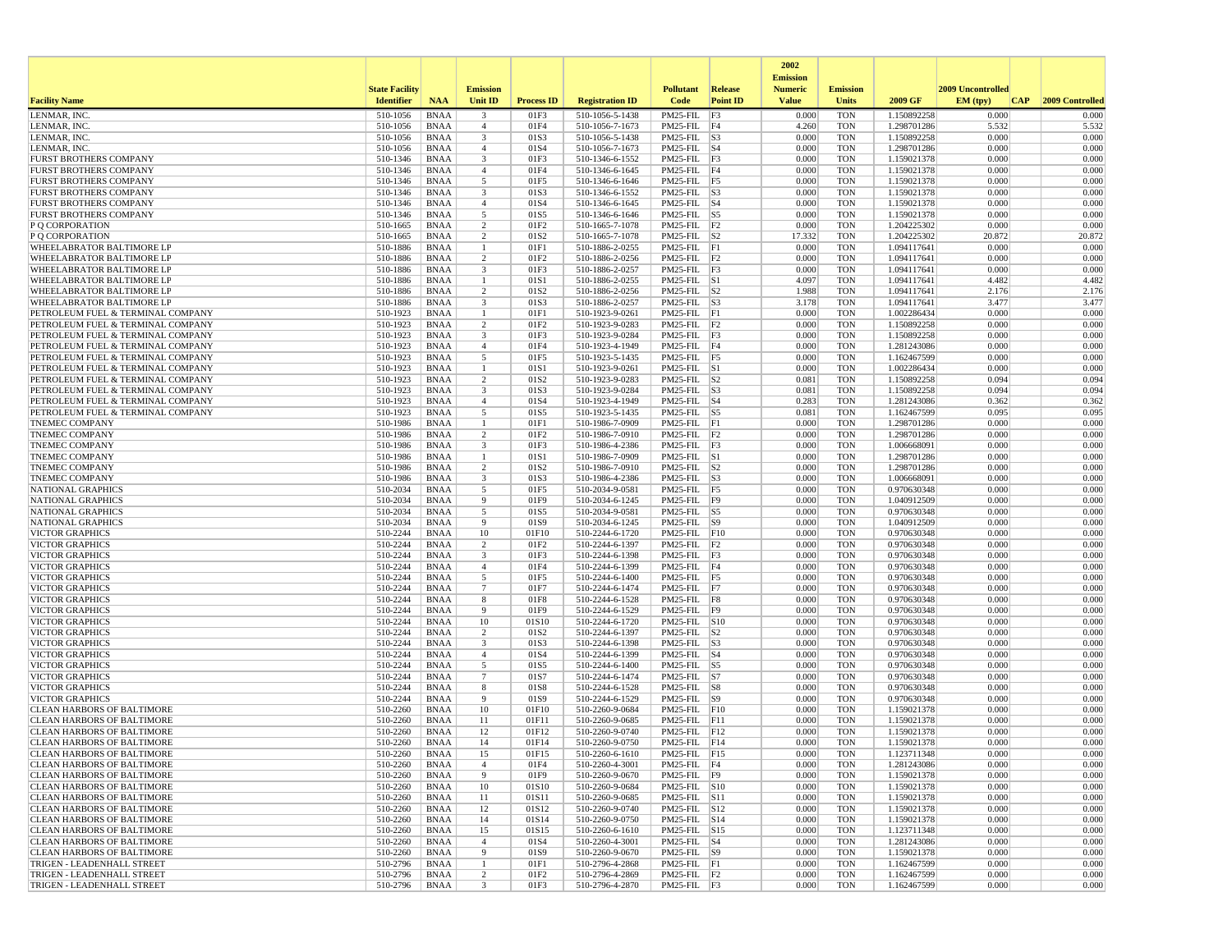|                                                                        |                       |                            |                     |                   |                                    |                                            |                 | 2002                              |                          |                            |                   |                 |
|------------------------------------------------------------------------|-----------------------|----------------------------|---------------------|-------------------|------------------------------------|--------------------------------------------|-----------------|-----------------------------------|--------------------------|----------------------------|-------------------|-----------------|
|                                                                        | <b>State Facility</b> |                            | <b>Emission</b>     |                   |                                    | <b>Pollutant</b>                           | <b>Release</b>  | <b>Emission</b><br><b>Numeric</b> | <b>Emission</b>          |                            | 2009 Uncontrolled |                 |
| <b>Facility Name</b>                                                   | <b>Identifier</b>     | <b>NAA</b>                 | <b>Unit ID</b>      | <b>Process ID</b> | <b>Registration ID</b>             | Code                                       | <b>Point ID</b> | <b>Value</b>                      | <b>Units</b>             | 2009 GF                    | EM (typ)<br> CAP  | 2009 Controlled |
| LENMAR, INC                                                            | 510-1056              | <b>BNAA</b>                | 3                   | 01F3              | 510-1056-5-1438                    | PM25-FIL F3                                |                 | 0.000                             | <b>TON</b>               | 1.150892258                | 0.000             | 0.000           |
| LENMAR, INC.                                                           | 510-1056              | <b>BNAA</b>                | $\overline{4}$      | 01F4              | 510-1056-7-1673                    | PM25-FIL F4                                |                 | 4.260                             | <b>TON</b>               | 1.298701286                | 5.532             | 5.532           |
| LENMAR, INC.                                                           | 510-1056              | <b>BNAA</b>                | 3                   | 01S3              | 510-1056-5-1438                    | $PM25-FIL$ S3                              |                 | 0.000                             | <b>TON</b>               | 1.150892258                | 0.000             | 0.000           |
| LENMAR, INC.<br><b>FURST BROTHERS COMPANY</b>                          | 510-1056<br>510-1346  | <b>BNAA</b>                | $\overline{4}$<br>3 | 01S4<br>01F3      | 510-1056-7-1673                    | $PM25$ -FIL $ S4$<br>$PM25-FIL$ $F3$       |                 | 0.000<br>0.000                    | <b>TON</b><br><b>TON</b> | 1.298701286<br>1.159021378 | 0.000<br>0.000    | 0.000<br>0.000  |
| <b>FURST BROTHERS COMPANY</b>                                          | 510-1346              | <b>BNAA</b><br><b>BNAA</b> | $\overline{4}$      | 01F4              | 510-1346-6-1552<br>510-1346-6-1645 | $PM25-FIL$ F4                              |                 | 0.000                             | <b>TON</b>               | 1.159021378                | 0.000             | 0.000           |
| <b>FURST BROTHERS COMPANY</b>                                          | 510-1346              | <b>BNAA</b>                | 5                   | 01F5              | 510-1346-6-1646                    | PM25-FIL F5                                |                 | 0.000                             | <b>TON</b>               | 1.159021378                | 0.000             | 0.000           |
| <b>FURST BROTHERS COMPANY</b>                                          | 510-1346              | <b>BNAA</b>                | 3                   | 01S3              | 510-1346-6-1552                    | $PM25$ -FIL $ S3$                          |                 | 0.000                             | <b>TON</b>               | 1.159021378                | 0.000             | 0.000           |
| <b>FURST BROTHERS COMPANY</b>                                          | 510-1346              | <b>BNAA</b>                | $\overline{4}$      | 01S4              | 510-1346-6-1645                    | $PM25$ -FIL $ S4$                          |                 | 0.000                             | <b>TON</b>               | 1.159021378                | 0.000             | 0.000           |
| <b>FURST BROTHERS COMPANY</b>                                          | $510 - 1346$          | <b>BNAA</b>                | 5                   | 01S5              | 510-1346-6-1646                    | $PM25$ -FIL $ S5 $                         |                 | 0.000                             | <b>TON</b>               | 1.159021378                | 0.000             | 0.000           |
| P Q CORPORATION                                                        | 510-1665              | <b>BNAA</b>                | 2<br>$\overline{2}$ | 01F2              | 510-1665-7-1078                    | PM25-FIL F2<br>$PM25$ -FIL $ S2 $          |                 | 0.000                             | <b>TON</b>               | 1.204225302                | 0.000             | 0.000           |
| P O CORPORATION<br>WHEELABRATOR BALTIMORE LP                           | 510-1665<br>510-1886  | <b>BNAA</b><br><b>BNAA</b> |                     | 01S2<br>01F1      | 510-1665-7-1078<br>510-1886-2-0255 | PM25-FIL F1                                |                 | 17.332<br>0.000                   | <b>TON</b><br><b>TON</b> | 1.204225302<br>1.094117641 | 20.872<br>0.000   | 20.872<br>0.000 |
| WHEELABRATOR BALTIMORE LP                                              | 510-1886              | <b>BNAA</b>                | 2                   | 01F <sub>2</sub>  | 510-1886-2-0256                    | $PM25-FIL$ $ F2$                           |                 | 0.000                             | <b>TON</b>               | 1.094117641                | 0.000             | 0.000           |
| WHEELABRATOR BALTIMORE LP                                              | 510-1886              | <b>BNAA</b>                | 3                   | 01F3              | 510-1886-2-0257                    | $PM25-FIL$ $F3$                            |                 | 0.000                             | <b>TON</b>               | 1.094117641                | 0.000             | 0.000           |
| WHEELABRATOR BALTIMORE LP                                              | 510-1886              | <b>BNAA</b>                | -1                  | 01S1              | 510-1886-2-0255                    | $PM25$ -FIL $ S1$                          |                 | 4.097                             | <b>TON</b>               | 1.094117641                | 4.482             | 4.482           |
| WHEELABRATOR BALTIMORE LP                                              | 510-1886              | <b>BNAA</b>                | 2                   | 01S <sub>2</sub>  | 510-1886-2-0256                    | $PM25$ -FIL $ S2$                          |                 | 1.988                             | <b>TON</b>               | 1.094117641                | 2.176             | 2.176           |
| WHEELABRATOR BALTIMORE LF                                              | 510-1886              | <b>BNAA</b>                | 3                   | 01S3              | 510-1886-2-0257                    | $PM25$ -FIL $ S3$                          |                 | 3.178                             | <b>TON</b>               | 1.094117641                | 3.477             | 3.477           |
| PETROLEUM FUEL & TERMINAL COMPANY                                      | 510-1923<br>510-1923  | <b>BNAA</b>                | -1                  | 01F1<br>01F2      | 510-1923-9-0261                    | $PM25-FIL$ $ F1$                           |                 | 0.000<br>0.000                    | <b>TON</b><br><b>TON</b> | 1.002286434                | 0.000<br>0.000    | 0.000<br>0.000  |
| PETROLEUM FUEL & TERMINAL COMPANY<br>PETROLEUM FUEL & TERMINAL COMPANY | 510-1923              | <b>BNAA</b><br><b>BNAA</b> | $\overline{c}$<br>3 | 01F3              | 510-1923-9-0283<br>510-1923-9-0284 | $PM25-FIL$ $ F2$<br>$PM25$ -FIL $ F3$      |                 | 0.000                             | <b>TON</b>               | 1.150892258<br>1.150892258 | 0.000             | 0.000           |
| PETROLEUM FUEL & TERMINAL COMPANY                                      | 510-1923              | <b>BNAA</b>                | $\overline{4}$      | 01F4              | 510-1923-4-1949                    | PM25-FIL F4                                |                 | 0.000                             | <b>TON</b>               | 1.281243086                | 0.000             | 0.000           |
| PETROLEUM FUEL & TERMINAL COMPANY                                      | 510-1923              | <b>BNAA</b>                | 5                   | 01F5              | 510-1923-5-1435                    | $PM25$ -FIL $ F5 $                         |                 | 0.000                             | <b>TON</b>               | 1.162467599                | 0.000             | 0.000           |
| PETROLEUM FUEL & TERMINAL COMPANY                                      | 510-1923              | <b>BNAA</b>                | $\mathbf{1}$        | 01S1              | 510-1923-9-0261                    | $PM25$ -FIL $\overline{\smash{\big)}\,$ S1 |                 | 0.000                             | <b>TON</b>               | 1.002286434                | 0.000             | 0.000           |
| PETROLEUM FUEL & TERMINAL COMPANY                                      | 510-1923              | <b>BNAA</b>                | 2                   | 01S2              | 510-1923-9-0283                    | $PM25$ -FIL $ S2$                          |                 | 0.081                             | <b>TON</b>               | 1.150892258                | 0.094             | 0.094           |
| PETROLEUM FUEL & TERMINAL COMPANY                                      | 510-1923              | <b>BNAA</b>                | 3                   | 01S3              | 510-1923-9-0284                    | $PM25$ -FIL $ S3$                          |                 | 0.081                             | <b>TON</b>               | 1.150892258                | 0.094             | 0.094           |
| PETROLEUM FUEL & TERMINAL COMPANY                                      | $510 - 1923$          | <b>BNAA</b>                | $\overline{4}$<br>5 | 01S4              | 510-1923-4-1949                    | PM25-FIL S4                                |                 | 0.283                             | <b>TON</b>               | 1.281243086                | 0.362<br>0.095    | 0.362<br>0.095  |
| PETROLEUM FUEL & TERMINAL COMPANY<br><b>TNEMEC COMPANY</b>             | 510-1923<br>510-1986  | <b>BNAA</b><br><b>BNAA</b> | $\mathbf{1}$        | 01S5<br>01F1      | 510-1923-5-1435<br>510-1986-7-0909 | $PM25$ -FIL $ S5$<br>$PM25$ -FIL $ F1$     |                 | 0.081<br>0.000                    | <b>TON</b><br><b>TON</b> | 1.162467599<br>1.298701286 | 0.000             | 0.000           |
| <b>TNEMEC COMPANY</b>                                                  | 510-1986              | <b>BNAA</b>                | 2                   | 01F2              | 510-1986-7-0910                    | $PM25$ -FIL $ F2$                          |                 | 0.000                             | <b>TON</b>               | 1.298701286                | 0.000             | 0.000           |
| <b>TNEMEC COMPANY</b>                                                  | 510-1986              | <b>BNAA</b>                | 3                   | 01F3              | 510-1986-4-2386                    | $PM25$ -FIL $ F3$                          |                 | 0.000                             | <b>TON</b>               | 1.006668091                | 0.000             | 0.000           |
| <b>TNEMEC COMPANY</b>                                                  | 510-1986              | <b>BNAA</b>                | -1                  | 01S1              | 510-1986-7-0909                    | $PM25$ -FIL $ S1$                          |                 | 0.000                             | <b>TON</b>               | 1.298701286                | 0.000             | 0.000           |
| <b>TNEMEC COMPANY</b>                                                  | 510-1986              | <b>BNAA</b>                | 2                   | 01S2              | 510-1986-7-0910                    | $PM25$ -FIL $ S2 $                         |                 | 0.000                             | <b>TON</b>               | 1.298701286                | 0.000             | 0.000           |
| <b>TNEMEC COMPANY</b>                                                  | 510-1986              | <b>BNAA</b>                | 3                   | 01S3              | 510-1986-4-2386                    | $PM25$ -FIL $ S3$                          |                 | 0.000                             | <b>TON</b>               | 1.006668091                | 0.000             | 0.000           |
| NATIONAL GRAPHICS<br>NATIONAL GRAPHICS                                 | 510-2034<br>510-2034  | <b>BNAA</b><br><b>BNAA</b> | 5<br>9              | 01F5<br>01F9      | 510-2034-9-0581                    | PM25-FIL F5<br>PM25-FIL F9                 |                 | 0.000<br>0.000                    | <b>TON</b><br><b>TON</b> | 0.970630348<br>1.040912509 | 0.000<br>0.000    | 0.000<br>0.000  |
| NATIONAL GRAPHICS                                                      | 510-2034              | <b>BNAA</b>                | 5                   | 01S5              | 510-2034-6-1245<br>510-2034-9-0581 | $PM25-FIL$ S5                              |                 | 0.000                             | <b>TON</b>               | 0.970630348                | 0.000             | 0.000           |
| NATIONAL GRAPHICS                                                      | 510-2034              | <b>BNAA</b>                | 9                   | 01S9              | 510-2034-6-1245                    | $PM25-FIL$ S9                              |                 | 0.000                             | <b>TON</b>               | 1.040912509                | 0.000             | 0.000           |
| <b>VICTOR GRAPHICS</b>                                                 | 510-2244              | <b>BNAA</b>                | 10                  | 01F10             | 510-2244-6-1720                    | PM25-FIL F10                               |                 | 0.000                             | <b>TON</b>               | 0.970630348                | 0.000             | 0.000           |
| <b>VICTOR GRAPHICS</b>                                                 | 510-2244              | <b>BNAA</b>                | 2                   | 01F <sub>2</sub>  | 510-2244-6-1397                    | $PM25$ -FIL $ F2$                          |                 | 0.000                             | <b>TON</b>               | 0.970630348                | 0.000             | 0.000           |
| <b>VICTOR GRAPHICS</b>                                                 | 510-2244              | <b>BNAA</b>                | 3                   | 01F3              | 510-2244-6-1398                    | $PM25-FIL$ $ F3$                           |                 | 0.000                             | <b>TON</b>               | 0.970630348                | 0.000             | 0.000           |
| <b>VICTOR GRAPHICS</b>                                                 | 510-2244              | <b>BNAA</b>                | $\overline{4}$      | 01F4              | 510-2244-6-1399                    | $PM25-FIL$ F4                              |                 | 0.000                             | <b>TON</b>               | 0.970630348                | 0.000             | 0.000           |
| <b>VICTOR GRAPHICS</b><br><b>VICTOR GRAPHICS</b>                       | 510-2244<br>510-2244  | <b>BNAA</b><br><b>BNAA</b> | 5<br>$\overline{7}$ | 01F5<br>01F7      | 510-2244-6-1400<br>510-2244-6-1474 | PM25-FIL F5<br>$PM25$ -FIL $ F7 $          |                 | 0.000<br>0.000                    | <b>TON</b><br><b>TON</b> | 0.970630348<br>0.970630348 | 0.000<br>0.000    | 0.000<br>0.000  |
| <b>VICTOR GRAPHICS</b>                                                 | 510-2244              | <b>BNAA</b>                | 8                   | 01F8              | 510-2244-6-1528                    | $PM25-FIL$ F8                              |                 | 0.000                             | <b>TON</b>               | 0.970630348                | 0.000             | 0.000           |
| <b>VICTOR GRAPHICS</b>                                                 | 510-2244              | <b>BNAA</b>                | -9                  | 01F9              | 510-2244-6-1529                    | PM25-FIL F9                                |                 | 0.000                             | <b>TON</b>               | 0.970630348                | 0.000             | 0.000           |
| <b>VICTOR GRAPHICS</b>                                                 | 510-2244              | <b>BNAA</b>                | 10                  | 01S10             | 510-2244-6-1720                    | $PM25-FIL$ $ S10$                          |                 | 0.000                             | <b>TON</b>               | 0.970630348                | 0.000             | 0.000           |
| <b>VICTOR GRAPHICS</b>                                                 | 510-2244              | <b>BNAA</b>                | $\overline{2}$      | 01S2              | 510-2244-6-1397                    | PM25-FIL                                   | S <sub>2</sub>  | 0.000                             | <b>TON</b>               | 0.970630348                | 0.000             | 0.000           |
| <b>VICTOR GRAPHICS</b>                                                 | 510-2244              | <b>BNAA</b>                | 3                   | 01S3              | 510-2244-6-1398                    | PM25-FIL S3                                |                 | 0.000                             | <b>TON</b>               | 0.970630348                | 0.000             | 0.000           |
| <b>VICTOR GRAPHICS</b><br><b>VICTOR GRAPHICS</b>                       | 510-2244<br>510-2244  | <b>BNAA</b><br><b>BNAA</b> | $\overline{4}$<br>5 | 01S4<br>01S5      | 510-2244-6-1399<br>510-2244-6-1400 | $PM25$ -FIL $ S4$<br>PM25-FIL S5           |                 | 0.000<br>0.000                    | <b>TON</b><br><b>TON</b> | 0.970630348<br>0.970630348 | 0.000<br>0.000    | 0.000<br>0.000  |
| <b>VICTOR GRAPHICS</b>                                                 | 510-2244              | <b>BNAA</b>                | $\overline{7}$      | 01S7              | 510-2244-6-1474                    | $PM25-FIL$ S7                              |                 | 0.000                             | <b>TON</b>               | 0.970630348                | 0.000             | 0.000           |
| <b>VICTOR GRAPHICS</b>                                                 | 510-2244              | <b>BNAA</b>                | 8                   | 01S8              | 510-2244-6-1528                    | $PM25-FIL$ $ S8$                           |                 | 0.000                             | <b>TON</b>               | 0.970630348                | 0.000             | 0.000           |
| <b>VICTOR GRAPHICS</b>                                                 | 510-2244              | <b>BNAA</b>                | 9                   | 01S9              | 510-2244-6-1529                    | $PM25$ -FIL $ S9 $                         |                 | 0.000                             | <b>TON</b>               | 0.970630348                | 0.000             | 0.000           |
| <b>CLEAN HARBORS OF BALTIMORE</b>                                      | 510-2260              | <b>BNAA</b>                | 10                  | 01F10             | 510-2260-9-0684                    | $PM25$ -FIL $ F10$                         |                 | 0.000                             | <b>TON</b>               | 1.159021378                | 0.000             | 0.000           |
| <b>CLEAN HARBORS OF BALTIMORE</b>                                      | 510-2260              | <b>BNAA</b>                | 11                  | 01F11             | 510-2260-9-0685                    | $PM25$ -FIL $ F11$                         |                 | 0.000                             | <b>TON</b>               | 1.159021378                | 0.000             | 0.000           |
| CLEAN HARBORS OF BALTIMORE                                             | 510-2260<br>510-2260  | <b>BNAA</b><br><b>BNAA</b> | 12                  | 01F12<br>01F14    | 510-2260-9-0740                    | $PM25$ -FIL $ F12$                         |                 | 0.000<br>0.000                    | <b>TON</b><br><b>TON</b> | 1.159021378                | 0.000<br>0.000    | 0.000<br>0.000  |
| <b>CLEAN HARBORS OF BALTIMORE</b><br><b>CLEAN HARBORS OF BALTIMORE</b> | 510-2260              | <b>BNAA</b>                | 14<br>15            | 01F15             | 510-2260-9-0750<br>510-2260-6-1610 | $PM25$ -FIL $ F14$<br>PM25-FIL F15         |                 | 0.000                             | <b>TON</b>               | 1.159021378<br>1.123711348 | 0.000             | 0.000           |
| <b>CLEAN HARBORS OF BALTIMORE</b>                                      | 510-2260              | BNAA                       | $\overline{4}$      | 01F4              | 510-2260-4-3001                    | PM25-FIL F4                                |                 | 0.000                             | <b>TON</b>               | 1.281243086                | 0.000             | 0.000           |
| <b>CLEAN HARBORS OF BALTIMORE</b>                                      | 510-2260              | BNAA                       | 9                   | 01F9              | 510-2260-9-0670                    | $PM25-FIL$ F9                              |                 | 0.000                             | <b>TON</b>               | 1.159021378                | 0.000             | 0.000           |
| <b>CLEAN HARBORS OF BALTIMORE</b>                                      | 510-2260              | BNAA                       | 10                  | 01S10             | 510-2260-9-0684                    | PM25-FIL S10                               |                 | 0.000                             | <b>TON</b>               | 1.159021378                | 0.000             | 0.000           |
| <b>CLEAN HARBORS OF BALTIMORE</b>                                      | 510-2260              | <b>BNAA</b>                | 11                  | 01S11             | 510-2260-9-0685                    | PM25-FIL S11                               |                 | 0.000                             | <b>TON</b>               | 1.159021378                | 0.000             | 0.000           |
| <b>CLEAN HARBORS OF BALTIMORE</b>                                      | 510-2260              | <b>BNAA</b>                | 12                  | 01S12             | 510-2260-9-0740                    | PM25-FIL S12                               |                 | 0.000                             | <b>TON</b>               | 1.159021378                | 0.000             | 0.000           |
| <b>CLEAN HARBORS OF BALTIMORE</b><br><b>CLEAN HARBORS OF BALTIMORE</b> | 510-2260<br>510-2260  | BNAA<br>BNAA               | 14<br>15            | 01S14<br>01S15    | 510-2260-9-0750<br>510-2260-6-1610 | PM25-FIL S14<br>PM25-FIL S15               |                 | 0.000<br>0.000                    | <b>TON</b><br><b>TON</b> | 1.159021378<br>1.123711348 | 0.000<br>0.000    | 0.000<br>0.000  |
| <b>CLEAN HARBORS OF BALTIMORE</b>                                      | 510-2260              | <b>BNAA</b>                | $\overline{4}$      | 01S4              | 510-2260-4-3001                    | $PM25$ -FIL $ S4$                          |                 | 0.000                             | <b>TON</b>               | 1.281243086                | 0.000             | 0.000           |
| <b>CLEAN HARBORS OF BALTIMORE</b>                                      | 510-2260              | BNAA                       | 9                   | 01S9              | 510-2260-9-0670                    | $PM25-FIL$ S9                              |                 | 0.000                             | <b>TON</b>               | 1.159021378                | 0.000             | 0.000           |
| TRIGEN - LEADENHALL STREET                                             | 510-2796              | BNAA                       | -1                  | 01F1              | 510-2796-4-2868                    | $PM25-FIL$ $ F1$                           |                 | 0.000                             | <b>TON</b>               | 1.162467599                | 0.000             | 0.000           |
| TRIGEN - LEADENHALL STREET                                             | 510-2796              | <b>BNAA</b>                | $\overline{c}$      | 01F2              | 510-2796-4-2869                    | $PM25-FIL$ $ F2$                           |                 | 0.000                             | <b>TON</b>               | 1.162467599                | 0.000             | 0.000           |
| TRIGEN - LEADENHALL STREET                                             | 510-2796              | BNAA                       | $\mathbf{3}$        | 01F3              | 510-2796-4-2870                    | $PM25$ -FIL $ F3$                          |                 | 0.000                             | <b>TON</b>               | 1.162467599                | 0.000             | 0.000           |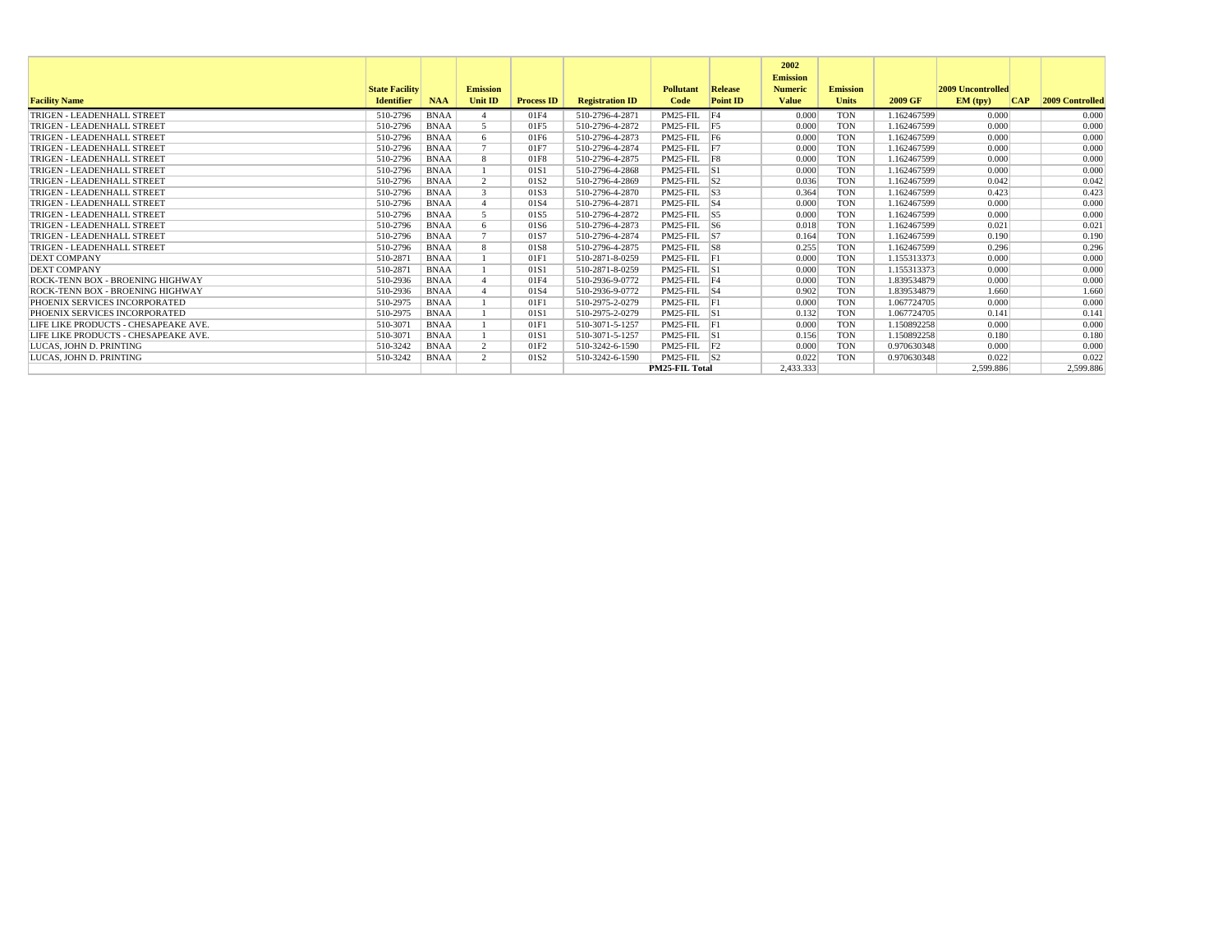|                                      |                       |             |                 |                   |                        |                       |                 | 2002<br><b>Emission</b> |                 |             |                          |     |                        |
|--------------------------------------|-----------------------|-------------|-----------------|-------------------|------------------------|-----------------------|-----------------|-------------------------|-----------------|-------------|--------------------------|-----|------------------------|
|                                      | <b>State Facility</b> |             | <b>Emission</b> |                   |                        | <b>Pollutant</b>      | Release         | <b>Numeric</b>          | <b>Emission</b> |             | <b>2009 Uncontrolled</b> |     |                        |
| <b>Facility Name</b>                 | <b>Identifier</b>     | <b>NAA</b>  | <b>Unit ID</b>  | <b>Process ID</b> | <b>Registration ID</b> | Code                  | <b>Point ID</b> | <b>Value</b>            | <b>Units</b>    | 2009 GF     | EM (typ)                 | CAP | <b>2009 Controlled</b> |
| TRIGEN - LEADENHALL STREET           | 510-2796              | <b>BNAA</b> |                 | 01F4              | 510-2796-4-2871        | PM25-FIL F4           |                 | 0.000                   | <b>TON</b>      | 1.162467599 | 0.000                    |     | 0.000                  |
| TRIGEN - LEADENHALL STREET           | 510-2796              | <b>BNAA</b> | $\overline{5}$  | 01F5              | 510-2796-4-2872        | PM25-FIL F5           |                 | 0.000                   | <b>TON</b>      | 1.162467599 | 0.000                    |     | 0.000                  |
| TRIGEN - LEADENHALL STREET           | 510-2796              | <b>BNAA</b> | -6              | 01F6              | 510-2796-4-2873        | PM25-FIL F6           |                 | 0.000                   | <b>TON</b>      | 1.162467599 | 0.000                    |     | 0.000                  |
| TRIGEN - LEADENHALL STREET           | 510-2796              | <b>BNAA</b> |                 | 01F7              | 510-2796-4-2874        | $PM25$ -FIL $ F7 $    |                 | 0.000                   | <b>TON</b>      | 1.162467599 | 0.000                    |     | 0.000                  |
| TRIGEN - LEADENHALL STREET           | 510-2796              | <b>BNAA</b> | -8              | 01F8              | 510-2796-4-2875        | PM25-FIL F8           |                 | 0.000                   | <b>TON</b>      | 1.162467599 | 0.000                    |     | 0.000                  |
| TRIGEN - LEADENHALL STREET           | 510-2796              | <b>BNAA</b> |                 | 01S1              | 510-2796-4-2868        | $PM25$ -FIL $ S1$     |                 | 0.000                   | <b>TON</b>      | 1.162467599 | 0.000                    |     | 0.000                  |
| TRIGEN - LEADENHALL STREET           | 510-2796              | <b>BNAA</b> | $\overline{2}$  | 01S <sub>2</sub>  | 510-2796-4-2869        | $PM25$ -FIL $ S2 $    |                 | 0.036                   | <b>TON</b>      | 1.162467599 | 0.042                    |     | 0.042                  |
| TRIGEN - LEADENHALL STREET           | 510-2796              | <b>BNAA</b> | $\mathcal{R}$   | 01S3              | 510-2796-4-2870        | $PM25$ -FIL $ S3$     |                 | 0.364                   | <b>TON</b>      | 1.162467599 | 0.423                    |     | 0.423                  |
| TRIGEN - LEADENHALL STREET           | 510-2796              | <b>BNAA</b> |                 | 01S4              | 510-2796-4-2871        | $PM25$ -FIL $ S4$     |                 | 0.000                   | <b>TON</b>      | 1.162467599 | 0.000                    |     | 0.000                  |
| TRIGEN - LEADENHALL STREET           | 510-2796              | <b>BNAA</b> | $\leq$          | 01S5              | 510-2796-4-2872        | $PM25$ -FIL $ S5 $    |                 | 0.000                   | <b>TON</b>      | 1.162467599 | 0.000                    |     | 0.000                  |
| TRIGEN - LEADENHALL STREET           | 510-2796              | <b>BNAA</b> | 6               | 01S6              | 510-2796-4-2873        | $PM25-FIL$ S6         |                 | 0.018                   | <b>TON</b>      | 1.162467599 | 0.021                    |     | 0.021                  |
| TRIGEN - LEADENHALL STREET           | 510-2796              | <b>BNAA</b> |                 | 01S7              | 510-2796-4-2874        | $PM25$ -FIL $ S7 $    |                 | 0.164                   | <b>TON</b>      | 1.162467599 | 0.190                    |     | 0.190                  |
| TRIGEN - LEADENHALL STREET           | 510-2796              | <b>BNAA</b> | 8               | 01S8              | 510-2796-4-2875        | $PM25$ -FIL $ S8$     |                 | 0.255                   | <b>TON</b>      | 1.162467599 | 0.296                    |     | 0.296                  |
| <b>DEXT COMPANY</b>                  | 510-2871              | <b>BNAA</b> |                 | 01F1              | 510-2871-8-0259        | $PM25$ -FIL $ F $     |                 | 0.000                   | <b>TON</b>      | 1.155313373 | 0.000                    |     | 0.000                  |
| <b>DEXT COMPANY</b>                  | 510-2871              | <b>BNAA</b> |                 | 01S1              | 510-2871-8-0259        | $PM25$ -FIL $ S1$     |                 | 0.000                   | <b>TON</b>      | 1.155313373 | 0.000                    |     | 0.000                  |
| ROCK-TENN BOX - BROENING HIGHWAY     | 510-2936              | <b>BNAA</b> |                 | 01F4              | 510-2936-9-0772        | PM25-FIL F4           |                 | 0.000                   | <b>TON</b>      | 1.839534879 | 0.000                    |     | 0.000                  |
| ROCK-TENN BOX - BROENING HIGHWAY     | 510-2936              | <b>BNAA</b> |                 | 01S4              | 510-2936-9-0772        | $PM25$ -FIL $ S4$     |                 | 0.902                   | <b>TON</b>      | 1.839534879 | 1.660                    |     | 1.660                  |
| PHOENIX SERVICES INCORPORATED        | 510-2975              | <b>BNAA</b> |                 | 01F1              | 510-2975-2-0279        | PM25-FIL F1           |                 | 0.000                   | <b>TON</b>      | 1.067724705 | 0.000                    |     | 0.000                  |
| PHOENIX SERVICES INCORPORATED        | 510-2975              | <b>BNAA</b> |                 | 01S1              | 510-2975-2-0279        | $PM25$ -FIL $ S1$     |                 | 0.132                   | <b>TON</b>      | 1.067724705 | 0.141                    |     | 0.141                  |
| LIFE LIKE PRODUCTS - CHESAPEAKE AVE. | 510-3071              | <b>BNAA</b> |                 | 01F1              | 510-3071-5-1257        | PM25-FIL F1           |                 | 0.000                   | <b>TON</b>      | 1.150892258 | 0.000                    |     | 0.000                  |
| LIFE LIKE PRODUCTS - CHESAPEAKE AVE. | 510-3071              | <b>BNAA</b> |                 | 01S1              | 510-3071-5-1257        | $PM25$ -FIL $ S1$     |                 | 0.156                   | <b>TON</b>      | 1.150892258 | 0.180                    |     | 0.180                  |
| LUCAS, JOHN D. PRINTING              | 510-3242              | <b>BNAA</b> | 2               | 01F <sub>2</sub>  | 510-3242-6-1590        | PM25-FIL F2           |                 | 0.000                   | <b>TON</b>      | 0.970630348 | 0.000                    |     | 0.000                  |
| LUCAS. JOHN D. PRINTING              | 510-3242              | <b>BNAA</b> | $\overline{2}$  | 01S <sub>2</sub>  | 510-3242-6-1590        | $PM25$ -FIL $ S2$     |                 | 0.022                   | <b>TON</b>      | 0.970630348 | 0.022                    |     | 0.022                  |
|                                      |                       |             |                 |                   |                        | <b>PM25-FIL Total</b> |                 | 2.433.333               |                 |             | 2.599.886                |     | 2.599.886              |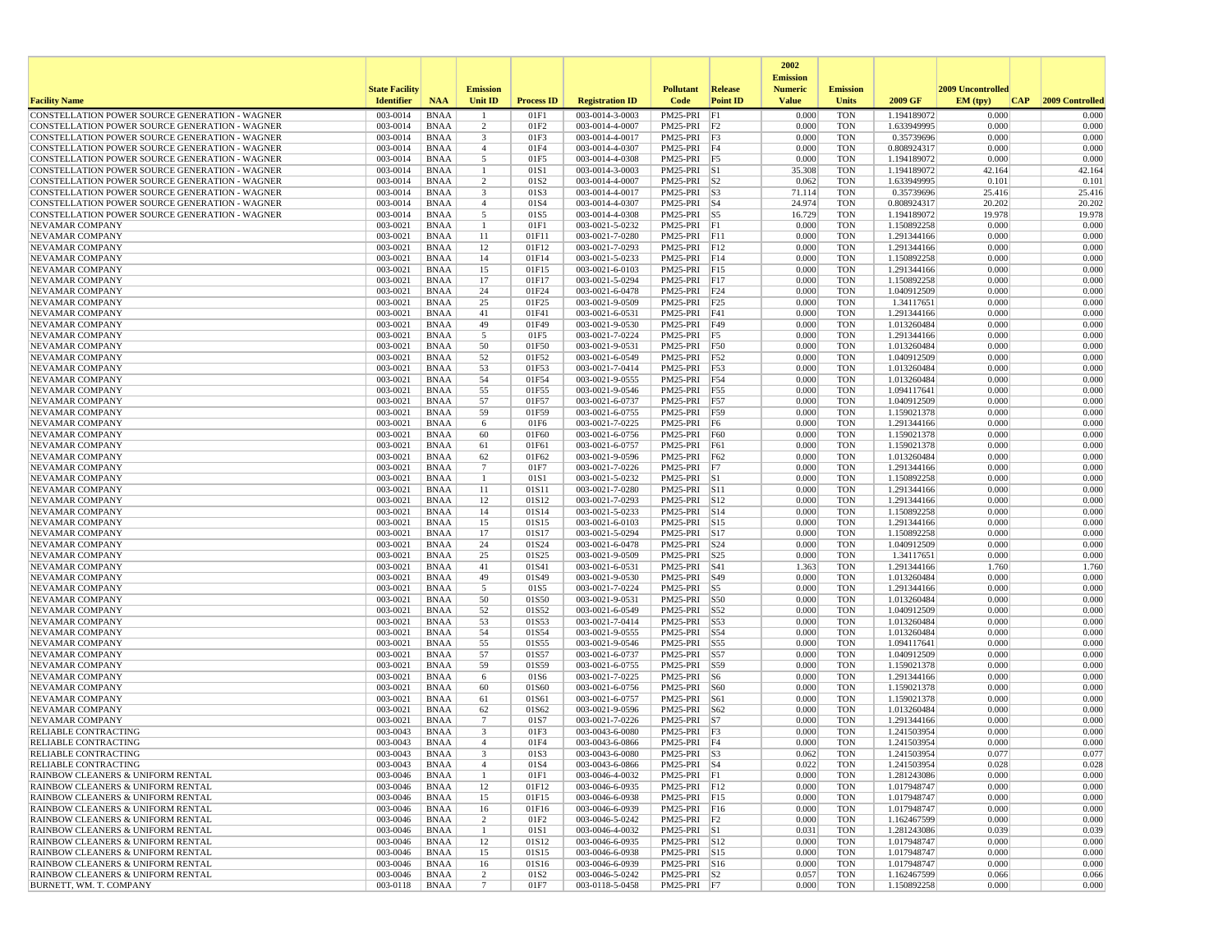|                                                                                                  |                       |                            |                         |                   |                                    |                               |                   | 2002                              |                          |                            |                   |                 |
|--------------------------------------------------------------------------------------------------|-----------------------|----------------------------|-------------------------|-------------------|------------------------------------|-------------------------------|-------------------|-----------------------------------|--------------------------|----------------------------|-------------------|-----------------|
|                                                                                                  | <b>State Facility</b> |                            | <b>Emission</b>         |                   |                                    | <b>Pollutant</b>              | Release           | <b>Emission</b><br><b>Numeric</b> | <b>Emission</b>          |                            | 2009 Uncontrolled |                 |
| <b>Facility Name</b>                                                                             | <b>Identifier</b>     | <b>NAA</b>                 | Unit ID                 | <b>Process ID</b> | <b>Registration ID</b>             | Code                          | <b>Point ID</b>   | <b>Value</b>                      | <b>Units</b>             | 2009 GF                    | EM (typ)<br> CAP  | 2009 Controlled |
| CONSTELLATION POWER SOURCE GENERATION - WAGNER                                                   | 003-0014              | <b>BNAA</b>                |                         | 01F1              | 003-0014-3-0003                    | PM25-PRI                      | F1                | 0.000                             | <b>TON</b>               | 1.194189072                | 0.000             | 0.000           |
| CONSTELLATION POWER SOURCE GENERATION - WAGNER                                                   | 003-0014              | <b>BNAA</b>                | 2                       | 01F2              | 003-0014-4-0007                    | PM25-PRI F2                   |                   | 0.000                             | <b>TON</b>               | 1.633949995                | 0.000             | 0.000           |
| CONSTELLATION POWER SOURCE GENERATION - WAGNER                                                   | 003-0014              | <b>BNAA</b>                | $\overline{\mathbf{3}}$ | 01F3              | 003-0014-4-0017                    | PM25-PRI F3                   |                   | 0.000                             | <b>TON</b>               | 0.35739696                 | 0.000             | 0.000           |
| CONSTELLATION POWER SOURCE GENERATION - WAGNER<br>CONSTELLATION POWER SOURCE GENERATION - WAGNER | 003-0014<br>003-0014  | <b>BNAA</b><br><b>BNAA</b> | $\overline{4}$<br>5     | 01F4<br>01F5      | 003-0014-4-0307<br>003-0014-4-0308 | PM25-PRI F4<br>PM25-PRI F5    |                   | 0.000<br>0.000                    | <b>TON</b><br><b>TON</b> | 0.808924317<br>1.194189072 | 0.000<br>0.000    | 0.000<br>0.000  |
| CONSTELLATION POWER SOURCE GENERATION - WAGNER                                                   | 003-0014              | <b>BNAA</b>                |                         | 01S1              | 003-0014-3-0003                    | $PM25-PRI$ S1                 |                   | 35.308                            | <b>TON</b>               | 1.194189072                | 42.164            | 42.164          |
| CONSTELLATION POWER SOURCE GENERATION - WAGNER                                                   | 003-0014              | <b>BNAA</b>                | $\overline{2}$          | 01S <sub>2</sub>  | 003-0014-4-0007                    | $PM25-PRI$ $ S2$              |                   | 0.062                             | <b>TON</b>               | 1.633949995                | 0.101             | 0.101           |
| CONSTELLATION POWER SOURCE GENERATION - WAGNER                                                   | 003-0014              | <b>BNAA</b>                | 3                       | 01S3              | 003-0014-4-0017                    | PM25-PRI S3                   |                   | 71.114                            | <b>TON</b>               | 0.35739696                 | 25.416            | 25.416          |
| CONSTELLATION POWER SOURCE GENERATION - WAGNER                                                   | 003-0014              | <b>BNAA</b>                | $\overline{4}$          | 01S4              | 003-0014-4-0307                    | $PM25-PRI$ S4                 |                   | 24.974                            | <b>TON</b>               | 0.808924317                | 20.202            | 20.202          |
| CONSTELLATION POWER SOURCE GENERATION - WAGNER                                                   | 003-0014              | <b>BNAA</b>                | 5                       | 01S5              | 003-0014-4-0308                    | PM25-PRI S5                   |                   | 16.729                            | <b>TON</b>               | 1.194189072                | 19.978            | 19.978          |
| <b>NEVAMAR COMPANY</b>                                                                           | 003-0021              | <b>BNAA</b>                | $\overline{1}$          | 01F1              | 003-0021-5-0232                    | PM25-PRI F1                   |                   | 0.000                             | <b>TON</b>               | 1.150892258                | 0.000             | 0.000           |
| NEVAMAR COMPANY<br><b>NEVAMAR COMPANY</b>                                                        | 003-0021<br>003-0021  | <b>BNAA</b><br><b>BNAA</b> | 11<br>12                | 01F11<br>01F12    | 003-0021-7-0280<br>003-0021-7-0293 | PM25-PRI F11<br>PM25-PRI F12  |                   | 0.000<br>0.000                    | <b>TON</b><br><b>TON</b> | 1.291344166<br>1.291344166 | 0.000<br>0.000    | 0.000<br>0.000  |
| NEVAMAR COMPANY                                                                                  | 003-0021              | <b>BNAA</b>                | 14                      | 01F14             | 003-0021-5-0233                    | PM25-PRI                      | F14               | 0.000                             | <b>TON</b>               | 1.150892258                | 0.000             | 0.000           |
| NEVAMAR COMPANY                                                                                  | 003-0021              | <b>BNAA</b>                | 15                      | 01F15             | 003-0021-6-0103                    | PM25-PRI F15                  |                   | 0.000                             | <b>TON</b>               | 1.291344166                | 0.000             | 0.000           |
| NEVAMAR COMPANY                                                                                  | 003-0021              | <b>BNAA</b>                | 17                      | 01F17             | 003-0021-5-0294                    | PM25-PRI F17                  |                   | 0.000                             | <b>TON</b>               | 1.150892258                | 0.000             | 0.000           |
| NEVAMAR COMPANY                                                                                  | 003-0021              | <b>BNAA</b>                | 24                      | 01F24             | 003-0021-6-0478                    | PM25-PRI F24                  |                   | 0.000                             | <b>TON</b>               | 1.040912509                | 0.000             | 0.000           |
| NEVAMAR COMPANY                                                                                  | 003-0021              | <b>BNAA</b>                | 25                      | 01F25             | 003-0021-9-0509                    | PM25-PRI F25                  |                   | 0.000                             | <b>TON</b>               | 1.34117651                 | 0.000             | 0.000           |
| NEVAMAR COMPANY                                                                                  | 003-0021              | <b>BNAA</b>                | 41                      | 01F41             | 003-0021-6-0531                    | PM25-PRI                      | F41               | 0.000                             | <b>TON</b>               | 1.291344166                | 0.000             | 0.000           |
| NEVAMAR COMPANY                                                                                  | 003-0021              | <b>BNAA</b>                | 49                      | 01F49             | 003-0021-9-0530                    | PM25-PRI                      | F49               | 0.000                             | <b>TON</b>               | 1.013260484                | 0.000             | 0.000           |
| NEVAMAR COMPANY<br>NEVAMAR COMPANY                                                               | 003-0021<br>003-0021  | <b>BNAA</b><br><b>BNAA</b> | 5<br>50                 | 01F5<br>01F50     | 003-0021-7-0224<br>003-0021-9-0531 | PM25-PRI F5<br>PM25-PRI F50   |                   | 0.000<br>0.000                    | <b>TON</b><br><b>TON</b> | 1.291344166<br>1.013260484 | 0.000<br>0.000    | 0.000<br>0.000  |
| NEVAMAR COMPANY                                                                                  | 003-0021              | <b>BNAA</b>                | 52                      | 01F52             | 003-0021-6-0549                    | PM25-PRI F52                  |                   | 0.000                             | <b>TON</b>               | 1.040912509                | 0.000             | 0.000           |
| NEVAMAR COMPANY                                                                                  | 003-0021              | <b>BNAA</b>                | 53                      | 01F53             | 003-0021-7-0414                    | PM25-PRI F53                  |                   | 0.000                             | <b>TON</b>               | 1.013260484                | 0.000             | 0.000           |
| NEVAMAR COMPANY                                                                                  | 003-0021              | <b>BNAA</b>                | 54                      | 01F54             | 003-0021-9-0555                    | PM25-PRI                      | F54               | 0.000                             | <b>TON</b>               | 1.013260484                | 0.000             | 0.000           |
| <b>NEVAMAR COMPANY</b>                                                                           | 003-0021              | <b>BNAA</b>                | 55                      | 01F55             | 003-0021-9-0546                    | PM25-PRI                      | F55               | 0.000                             | <b>TON</b>               | 1.094117641                | 0.000             | 0.000           |
| NEVAMAR COMPANY                                                                                  | 003-0021              | <b>BNAA</b>                | 57                      | 01F57             | 003-0021-6-0737                    | PM25-PRI                      | F57               | 0.000                             | <b>TON</b>               | 1.040912509                | 0.000             | 0.000           |
| NEVAMAR COMPANY                                                                                  | 003-0021              | <b>BNAA</b>                | 59                      | 01F59             | 003-0021-6-0755                    | PM25-PRI F59                  |                   | 0.000                             | <b>TON</b>               | 1.159021378                | 0.000             | 0.000           |
| NEVAMAR COMPANY                                                                                  | 003-0021              | <b>BNAA</b>                | 6                       | 01F6              | 003-0021-7-0225<br>003-0021-6-0756 | PM25-PRI F6<br>PM25-PRI F60   |                   | 0.000                             | <b>TON</b>               | 1.291344166                | 0.000<br>0.000    | 0.000<br>0.000  |
| NEVAMAR COMPANY<br>NEVAMAR COMPANY                                                               | 003-0021<br>003-0021  | <b>BNAA</b><br><b>BNAA</b> | 60<br>61                | 01F60<br>01F61    | 003-0021-6-0757                    | PM25-PRI                      | F61               | 0.000<br>0.000                    | <b>TON</b><br><b>TON</b> | 1.159021378<br>1.159021378 | 0.000             | 0.000           |
| NEVAMAR COMPANY                                                                                  | 003-0021              | <b>BNAA</b>                | 62                      | 01F62             | 003-0021-9-0596                    | PM25-PRI                      | F62               | 0.000                             | <b>TON</b>               | 1.013260484                | 0.000             | 0.000           |
| NEVAMAR COMPANY                                                                                  | 003-0021              | <b>BNAA</b>                | 7                       | 01F7              | 003-0021-7-0226                    | PM25-PRI F7                   |                   | 0.000                             | <b>TON</b>               | 1.291344166                | 0.000             | 0.000           |
| NEVAMAR COMPANY                                                                                  | 003-0021              | <b>BNAA</b>                | -1                      | 01S1              | 003-0021-5-0232                    | PM25-PRI S1                   |                   | 0.000                             | <b>TON</b>               | 1.150892258                | 0.000             | 0.000           |
| <b>NEVAMAR COMPANY</b>                                                                           | 003-0021              | <b>BNAA</b>                | 11                      | 01S11             | 003-0021-7-0280                    | PM25-PRI S11                  |                   | 0.000                             | <b>TON</b>               | 1.291344166                | 0.000             | 0.000           |
| NEVAMAR COMPANY                                                                                  | 003-0021              | <b>BNAA</b>                | 12                      | 01S12             | 003-0021-7-0293                    | PM25-PRI S12                  |                   | 0.000                             | <b>TON</b>               | 1.291344166                | 0.000             | 0.000           |
| NEVAMAR COMPANY                                                                                  | 003-0021              | <b>BNAA</b>                | 14                      | 01S14             | 003-0021-5-0233                    | PM25-PRI S14                  |                   | 0.000                             | <b>TON</b>               | 1.150892258                | 0.000             | 0.000           |
| NEVAMAR COMPANY<br>NEVAMAR COMPANY                                                               | 003-0021<br>003-0021  | <b>BNAA</b><br><b>BNAA</b> | 15<br>17                | 01S15<br>01S17    | 003-0021-6-0103<br>003-0021-5-0294 | PM25-PRI S15<br>PM25-PRI S17  |                   | 0.000<br>0.000                    | <b>TON</b><br><b>TON</b> | 1.291344166<br>1.150892258 | 0.000<br>0.000    | 0.000<br>0.000  |
| NEVAMAR COMPANY                                                                                  | 003-0021              | <b>BNAA</b>                | 24                      | 01S24             | 003-0021-6-0478                    | PM25-PRI S24                  |                   | 0.000                             | <b>TON</b>               | 1.040912509                | 0.000             | 0.000           |
| NEVAMAR COMPANY                                                                                  | 003-0021              | <b>BNAA</b>                | 25                      | 01S25             | 003-0021-9-0509                    | PM25-PRI S25                  |                   | 0.000                             | <b>TON</b>               | 1.34117651                 | 0.000             | 0.000           |
| NEVAMAR COMPANY                                                                                  | 003-0021              | <b>BNAA</b>                | 41                      | 01S41             | 003-0021-6-0531                    | PM25-PRI                      | S41               | 1.363                             | <b>TON</b>               | 1.291344166                | 1.760             | 1.760           |
| NEVAMAR COMPANY                                                                                  | 003-0021              | <b>BNAA</b>                | 49                      | 01S49             | 003-0021-9-0530                    | PM25-PRI                      | S49               | 0.000                             | <b>TON</b>               | 1.013260484                | 0.000             | 0.000           |
| NEVAMAR COMPANY                                                                                  | 003-0021              | <b>BNAA</b>                | 5                       | 01S5              | 003-0021-7-0224                    | PM25-PRI                      | S5                | 0.000                             | <b>TON</b>               | 1.291344166                | 0.000             | 0.000           |
| NEVAMAR COMPANY                                                                                  | 003-0021<br>003-0021  | <b>BNAA</b><br><b>BNAA</b> | 50<br>52                | 01S50             | 003-0021-9-0531                    | PM25-PRI S50                  | S52               | 0.000<br>0.000                    | <b>TON</b><br><b>TON</b> | 1.013260484                | 0.000<br>0.000    | 0.000<br>0.000  |
| NEVAMAR COMPANY<br>NEVAMAR COMPANY                                                               | 003-0021              | <b>BNAA</b>                | 53                      | 01S52<br>01S53    | 003-0021-6-0549<br>003-0021-7-0414 | PM25-PRI<br>PM25-PRI          | S53               | 0.000                             | <b>TON</b>               | 1.040912509<br>1.013260484 | 0.000             | 0.000           |
| NEVAMAR COMPANY                                                                                  | 003-0021              | <b>BNAA</b>                | 54                      | 01S54             | 003-0021-9-0555                    | PM25-PRI                      | S54               | 0.000                             | <b>TON</b>               | 1.013260484                | 0.000             | 0.000           |
| NEVAMAR COMPANY                                                                                  | 003-0021              | <b>BNAA</b>                | 55                      | 01S55             | 003-0021-9-0546                    | PM25-PRI                      | S55               | 0.000                             | <b>TON</b>               | 1.094117641                | 0.000             | 0.000           |
| NEVAMAR COMPANY                                                                                  | 003-0021              | <b>BNAA</b>                | 57                      | 01S57             | 003-0021-6-0737                    | PM25-PRI                      | S57               | 0.000                             | <b>TON</b>               | 1.040912509                | 0.000             | 0.000           |
| NEVAMAR COMPANY                                                                                  | 003-0021              | <b>BNAA</b>                | 59                      | 01S59             | 003-0021-6-0755                    | PM25-PRI S59                  |                   | 0.000                             | <b>TON</b>               | 1.159021378                | 0.000             | 0.000           |
| NEVAMAR COMPANY                                                                                  | 003-0021              | <b>BNAA</b>                | 6                       | 01S6              | 003-0021-7-0225                    | PM25-PRI                      | S6                | 0.000                             | <b>TON</b>               | 1.291344166                | 0.000             | 0.000           |
| NEVAMAR COMPANY<br>NEVAMAR COMPANY                                                               | 003-0021<br>003-0021  | <b>BNAA</b><br><b>BNAA</b> | 60                      | 01S60<br>01S61    | 003-0021-6-0756<br>003-0021-6-0757 | PM25-PRI<br>PM25-PRI          | <b>S60</b><br>S61 | 0.000<br>0.000                    | <b>TON</b><br><b>TON</b> | 1.159021378<br>1.159021378 | 0.000<br>0.000    | 0.000<br>0.000  |
| <b>NEVAMAR COMPANY</b>                                                                           | 003-0021              | <b>BNAA</b>                | 61<br>62                | 01S62             | 003-0021-9-0596                    | PM25-PRI                      | S62               | 0.000                             | <b>TON</b>               | 1.013260484                | 0.000             | 0.000           |
| <b>NEVAMAR COMPANY</b>                                                                           | 003-0021              | <b>BNAA</b>                | $7\phantom{.0}$         | 01S7              | 003-0021-7-0226                    | PM25-PRI                      | S7                | 0.000                             | <b>TON</b>               | 1.291344166                | 0.000             | 0.000           |
| RELIABLE CONTRACTING                                                                             | 003-0043              | <b>BNAA</b>                | 3                       | 01F3              | 003-0043-6-0080                    | PM25-PRI F3                   |                   | 0.000                             | <b>TON</b>               | 1.241503954                | 0.000             | 0.000           |
| <b>RELIABLE CONTRACTING</b>                                                                      | 003-0043              | <b>BNAA</b>                | $\mathbf{A}$            | 01F4              | 003-0043-6-0866                    | PM25-PRI F4                   |                   | 0.000                             | <b>TON</b>               | 1.241503954                | 0.000             | 0.000           |
| RELIABLE CONTRACTING                                                                             | 003-0043              | BNAA                       |                         | 01S3              | 003-0043-6-0080                    | PM25-PRI  S3                  |                   | 0.062                             | TON                      | 1.241503954                | 0.077             | 0.077           |
| <b>RELIABLE CONTRACTING</b>                                                                      | 003-0043              | BNAA                       | $\overline{4}$          | 01S4              | 003-0043-6-0866                    | PM25-PRI S4                   |                   | 0.022                             | <b>TON</b>               | 1.241503954                | 0.028             | 0.028           |
| RAINBOW CLEANERS & UNIFORM RENTAL<br>RAINBOW CLEANERS & UNIFORM RENTAL                           | 003-0046<br>003-0046  | BNAA<br>BNAA               | $\mathbf{1}$<br>12      | 01F1<br>01F12     | 003-0046-4-0032<br>003-0046-6-0935 | PM25-PRI F1<br>PM25-PRI F12   |                   | 0.000<br>0.000                    | <b>TON</b><br>TON        | 1.281243086<br>1.017948747 | 0.000<br>0.000    | 0.000<br>0.000  |
| RAINBOW CLEANERS & UNIFORM RENTAL                                                                | 003-0046              | BNAA                       | 15                      | 01F15             | 003-0046-6-0938                    | PM25-PRI F15                  |                   | 0.000                             | <b>TON</b>               | 1.017948747                | 0.000             | 0.000           |
| RAINBOW CLEANERS & UNIFORM RENTAL                                                                | 003-0046              | <b>BNAA</b>                | 16                      | 01F16             | 003-0046-6-0939                    | PM25-PRI F16                  |                   | 0.000                             | <b>TON</b>               | 1.017948747                | 0.000             | 0.000           |
| RAINBOW CLEANERS & UNIFORM RENTAL                                                                | 003-0046              | <b>BNAA</b>                | 2                       | 01F2              | 003-0046-5-0242                    | PM25-PRI F2                   |                   | 0.000                             | <b>TON</b>               | 1.162467599                | 0.000             | 0.000           |
| RAINBOW CLEANERS & UNIFORM RENTAL                                                                | 003-0046              | BNAA                       | -1                      | 01S1              | 003-0046-4-0032                    | PM25-PRI S1                   |                   | 0.031                             | <b>TON</b>               | 1.281243086                | 0.039             | 0.039           |
| RAINBOW CLEANERS & UNIFORM RENTAL                                                                | 003-0046              | <b>BNAA</b>                | 12                      | 01S12             | 003-0046-6-0935                    | PM25-PRI S12                  |                   | 0.000                             | <b>TON</b>               | 1.017948747                | 0.000             | 0.000           |
| RAINBOW CLEANERS & UNIFORM RENTAL                                                                | 003-0046              | BNAA                       | 15                      | 01S15             | 003-0046-6-0938                    | PM25-PRI S15                  |                   | 0.000                             | <b>TON</b>               | 1.017948747                | 0.000             | 0.000           |
| RAINBOW CLEANERS & UNIFORM RENTAL<br>RAINBOW CLEANERS & UNIFORM RENTAL                           | 003-0046<br>003-0046  | BNAA<br><b>BNAA</b>        | 16<br>$\overline{c}$    | 01S16<br>01S2     | 003-0046-6-0939                    | PM25-PRI S16<br>$PM25-PRI$ S2 |                   | 0.000<br>0.057                    | TON<br><b>TON</b>        | 1.017948747                | 0.000<br>0.066    | 0.000<br>0.066  |
| BURNETT, WM. T. COMPANY                                                                          | 003-0118              | <b>BNAA</b>                | $7\phantom{.0}$         | 01F7              | 003-0046-5-0242<br>003-0118-5-0458 | PM25-PRI F7                   |                   | 0.000                             | <b>TON</b>               | 1.162467599<br>1.150892258 | 0.000             | 0.000           |
|                                                                                                  |                       |                            |                         |                   |                                    |                               |                   |                                   |                          |                            |                   |                 |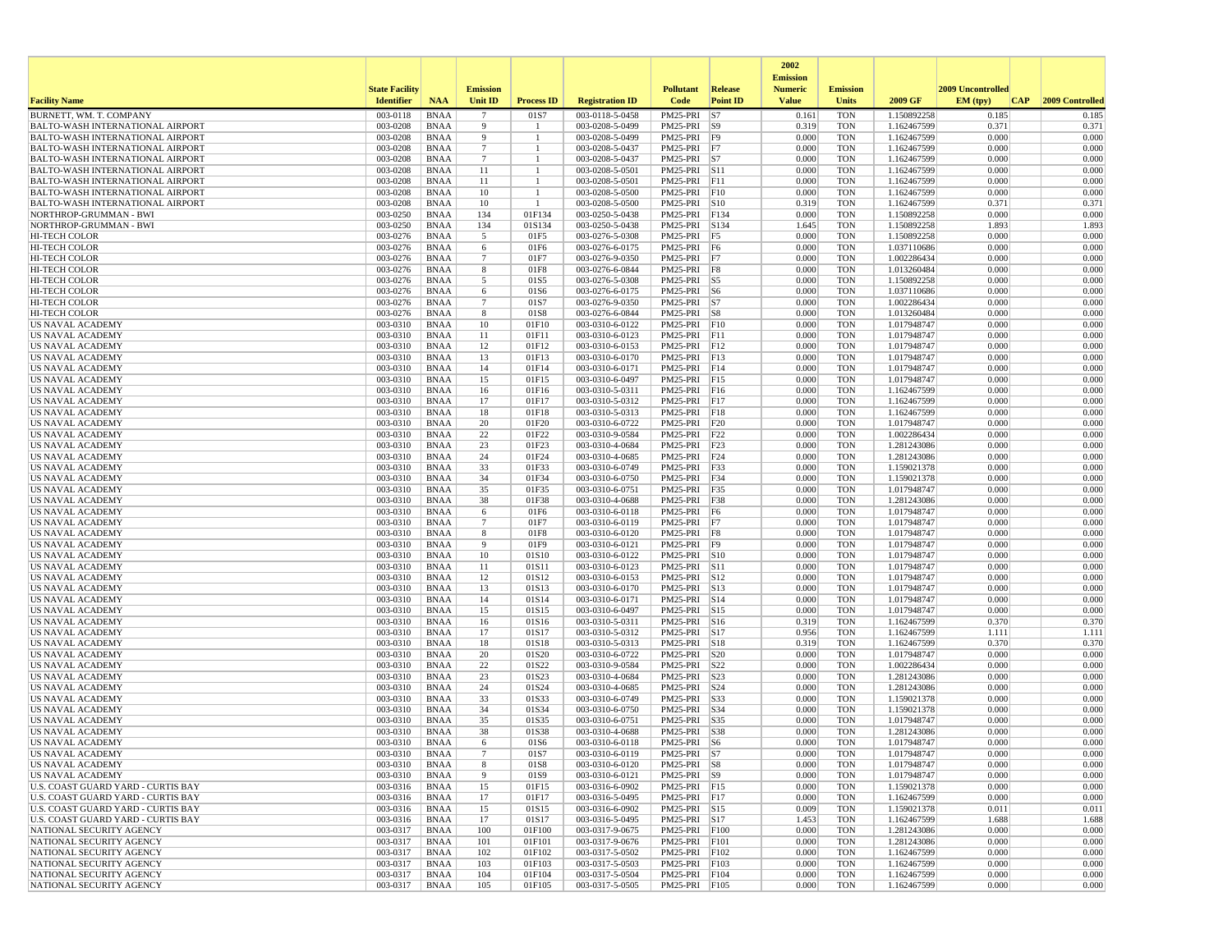|                                                                                    |                       |                            |                      |                      |                                    |                                |                         | 2002                              |                          |                            |                   |                 |
|------------------------------------------------------------------------------------|-----------------------|----------------------------|----------------------|----------------------|------------------------------------|--------------------------------|-------------------------|-----------------------------------|--------------------------|----------------------------|-------------------|-----------------|
|                                                                                    | <b>State Facility</b> |                            | <b>Emission</b>      |                      |                                    | <b>Pollutant</b>               | Release                 | <b>Emission</b><br><b>Numeric</b> | <b>Emission</b>          |                            | 2009 Uncontrolled |                 |
| <b>Facility Name</b>                                                               | <b>Identifier</b>     | <b>NAA</b>                 | Unit ID              | <b>Process ID</b>    | <b>Registration ID</b>             | Code                           | <b>Point ID</b>         | <b>Value</b>                      | <b>Units</b>             | 2009 GF                    | EM (typ)<br> CAP  | 2009 Controlled |
| BURNETT, WM. T. COMPANY                                                            | 003-0118              | <b>BNAA</b>                | $\overline{7}$       | 01S7                 | 003-0118-5-0458                    | PM25-PRI                       | S7                      | 0.161                             | <b>TON</b>               | 1.150892258                | 0.185             | 0.185           |
| <b>BALTO-WASH INTERNATIONAL AIRPORT</b>                                            | 003-0208              | <b>BNAA</b>                | 9                    | -1<br>$\overline{1}$ | 003-0208-5-0499                    | PM25-PRI S9                    |                         | 0.319                             | <b>TON</b>               | 1.162467599                | 0.371             | 0.371           |
| <b>BALTO-WASH INTERNATIONAL AIRPORT</b><br><b>BALTO-WASH INTERNATIONAL AIRPORT</b> | 003-0208<br>003-0208  | <b>BNAA</b><br><b>BNAA</b> | 9<br>$7\phantom{.0}$ | -1                   | 003-0208-5-0499<br>003-0208-5-0437 | PM25-PRI<br>PM25-PRI F7        | F9                      | 0.000<br>0.000                    | <b>TON</b><br><b>TON</b> | 1.162467599<br>1.162467599 | 0.000<br>0.000    | 0.000<br>0.000  |
| <b>BALTO-WASH INTERNATIONAL AIRPORT</b>                                            | 003-0208              | <b>BNAA</b>                | $7\phantom{.0}$      |                      | 003-0208-5-0437                    | PM25-PRI S7                    |                         | 0.000                             | <b>TON</b>               | 1.162467599                | 0.000             | 0.000           |
| <b>BALTO-WASH INTERNATIONAL AIRPORT</b>                                            | 003-0208              | <b>BNAA</b>                | 11                   |                      | 003-0208-5-0501                    | PM25-PRI S11                   |                         | 0.000                             | <b>TON</b>               | 1.162467599                | 0.000             | 0.000           |
| <b>BALTO-WASH INTERNATIONAL AIRPORT</b>                                            | 003-0208              | <b>BNAA</b>                | 11                   | -1                   | 003-0208-5-0501                    | $PM25-PRI$ F11                 |                         | 0.000                             | <b>TON</b>               | 1.162467599                | 0.000             | 0.000           |
| <b>BALTO-WASH INTERNATIONAL AIRPORT</b>                                            | 003-0208              | <b>BNAA</b>                | 10                   | -1                   | 003-0208-5-0500                    | PM25-PRI                       | F10                     | 0.000                             | <b>TON</b>               | 1.162467599                | 0.000             | 0.000           |
| <b>BALTO-WASH INTERNATIONAL AIRPORT</b><br>NORTHROP-GRUMMAN - BWI                  | 003-0208<br>003-0250  | <b>BNAA</b><br><b>BNAA</b> | 10<br>134            | -1<br>01F134         | 003-0208-5-0500<br>003-0250-5-0438 | PM25-PRI S10<br>PM25-PRI F134  |                         | 0.319<br>0.000                    | <b>TON</b><br><b>TON</b> | 1.162467599<br>1.150892258 | 0.371<br>0.000    | 0.371<br>0.000  |
| NORTHROP-GRUMMAN - BWI                                                             | 003-0250              | <b>BNAA</b>                | 134                  | 01S134               | 003-0250-5-0438                    | PM25-PRI S134                  |                         | 1.645                             | <b>TON</b>               | 1.150892258                | 1.893             | 1.893           |
| <b>HI-TECH COLOR</b>                                                               | 003-0276              | <b>BNAA</b>                | 5                    | 01F5                 | 003-0276-5-0308                    | PM25-PRI F5                    |                         | 0.000                             | <b>TON</b>               | 1.150892258                | 0.000             | 0.000           |
| <b>HI-TECH COLOR</b>                                                               | 003-0276              | <b>BNAA</b>                | 6                    | 01F6                 | 003-0276-6-0175                    | $PM25-PRI$ F6                  |                         | 0.000                             | <b>TON</b>               | 1.037110686                | 0.000             | 0.000           |
| HI-TECH COLOR                                                                      | 003-0276              | <b>BNAA</b>                | $7\phantom{.0}$      | 01F7                 | 003-0276-9-0350                    | PM25-PRI                       | F7                      | 0.000                             | <b>TON</b>               | 1.002286434                | 0.000             | 0.000           |
| <b>HI-TECH COLOR</b>                                                               | 003-0276              | <b>BNAA</b>                | 8                    | 01F8                 | 003-0276-6-0844                    | PM25-PRI F8                    |                         | 0.000                             | <b>TON</b>               | 1.013260484                | 0.000             | 0.000           |
| HI-TECH COLOR<br><b>HI-TECH COLOR</b>                                              | 003-0276<br>003-0276  | <b>BNAA</b><br><b>BNAA</b> | 5<br>6               | 01S5<br>01S6         | 003-0276-5-0308<br>003-0276-6-0175 | PM25-PRI S5<br>PM25-PRI S6     |                         | 0.000<br>0.000                    | <b>TON</b><br><b>TON</b> | 1.150892258<br>1.037110686 | 0.000<br>0.000    | 0.000<br>0.000  |
| <b>HI-TECH COLOR</b>                                                               | 003-0276              | <b>BNAA</b>                | $\overline{7}$       | 01S7                 | 003-0276-9-0350                    | PM25-PRI S7                    |                         | 0.000                             | <b>TON</b>               | 1.002286434                | 0.000             | 0.000           |
| <b>HI-TECH COLOR</b>                                                               | 003-0276              | <b>BNAA</b>                | 8                    | 01S8                 | 003-0276-6-0844                    | $PM25-PRI$ S8                  |                         | 0.000                             | <b>TON</b>               | 1.013260484                | 0.000             | 0.000           |
| US NAVAL ACADEMY                                                                   | 003-0310              | <b>BNAA</b>                | 10                   | 01F10                | 003-0310-6-0122                    | PM25-PRI                       | F10                     | 0.000                             | <b>TON</b>               | 1.017948747                | 0.000             | 0.000           |
| US NAVAL ACADEMY                                                                   | 003-0310              | <b>BNAA</b>                | 11                   | 01F11                | 003-0310-6-0123                    | PM25-PRI F11                   |                         | 0.000                             | <b>TON</b>               | 1.017948747                | 0.000             | 0.000           |
| US NAVAL ACADEMY                                                                   | 003-0310              | <b>BNAA</b>                | 12                   | 01F12                | 003-0310-6-0153                    | PM25-PRI F12                   |                         | 0.000                             | <b>TON</b>               | 1.017948747                | 0.000             | 0.000           |
| <b>US NAVAL ACADEMY</b><br>US NAVAL ACADEMY                                        | 003-0310<br>003-0310  | <b>BNAA</b><br><b>BNAA</b> | 13<br>14             | 01F13<br>01F14       | 003-0310-6-0170<br>003-0310-6-0171 | PM25-PRI F13<br>PM25-PRI F14   |                         | 0.000<br>0.000                    | <b>TON</b><br><b>TON</b> | 1.017948747<br>1.017948747 | 0.000<br>0.000    | 0.000<br>0.000  |
| US NAVAL ACADEMY                                                                   | 003-0310              | <b>BNAA</b>                | 15                   | 01F15                | 003-0310-6-0497                    | PM25-PRI                       | F15                     | 0.000                             | <b>TON</b>               | 1.017948747                | 0.000             | 0.000           |
| <b>US NAVAL ACADEMY</b>                                                            | 003-0310              | <b>BNAA</b>                | 16                   | 01F16                | 003-0310-5-0311                    | PM25-PRI F16                   |                         | 0.000                             | <b>TON</b>               | 1.162467599                | 0.000             | 0.000           |
| US NAVAL ACADEMY                                                                   | 003-0310              | <b>BNAA</b>                | 17                   | 01F17                | 003-0310-5-0312                    | PM25-PRI F17                   |                         | 0.000                             | <b>TON</b>               | 1.162467599                | 0.000             | 0.000           |
| US NAVAL ACADEMY                                                                   | 003-0310              | <b>BNAA</b>                | 18                   | 01F18                | 003-0310-5-0313                    | PM25-PRI F18                   |                         | 0.000                             | <b>TON</b>               | 1.162467599                | 0.000             | 0.000           |
| <b>US NAVAL ACADEMY</b><br>US NAVAL ACADEMY                                        | 003-0310<br>003-0310  | <b>BNAA</b><br><b>BNAA</b> | 20<br>22             | 01F20<br>01F22       | 003-0310-6-0722<br>003-0310-9-0584 | $PM25-PRI$ $F20$<br>PM25-PRI   | F22                     | 0.000<br>0.000                    | <b>TON</b><br><b>TON</b> | 1.017948747<br>1.002286434 | 0.000<br>0.000    | 0.000<br>0.000  |
| US NAVAL ACADEMY                                                                   | 003-0310              | <b>BNAA</b>                | 23                   | 01F23                | 003-0310-4-0684                    | PM25-PRI                       | F23                     | 0.000                             | <b>TON</b>               | 1.281243086                | 0.000             | 0.000           |
| US NAVAL ACADEMY                                                                   | 003-0310              | <b>BNAA</b>                | 24                   | 01F24                | 003-0310-4-0685                    | PM25-PRI                       | F24                     | 0.000                             | <b>TON</b>               | 1.281243086                | 0.000             | 0.000           |
| US NAVAL ACADEMY                                                                   | 003-0310              | <b>BNAA</b>                | 33                   | 01F33                | 003-0310-6-0749                    | PM25-PRI                       | F33                     | 0.000                             | <b>TON</b>               | 1.159021378                | 0.000             | 0.000           |
| US NAVAL ACADEMY                                                                   | 003-0310              | <b>BNAA</b>                | 34                   | 01F34                | 003-0310-6-0750                    | PM25-PRI F34                   |                         | 0.000                             | <b>TON</b>               | 1.159021378                | 0.000             | 0.000           |
| <b>US NAVAL ACADEMY</b>                                                            | 003-0310              | <b>BNAA</b>                | 35                   | 01F35                | 003-0310-6-0751                    | PM25-PRI F35                   |                         | 0.000                             | <b>TON</b>               | 1.017948747                | 0.000             | 0.000           |
| US NAVAL ACADEMY<br><b>US NAVAL ACADEMY</b>                                        | 003-0310<br>003-0310  | <b>BNAA</b><br><b>BNAA</b> | 38<br>6              | 01F38<br>01F6        | 003-0310-4-0688<br>003-0310-6-0118 | PM25-PRI<br>PM25-PRI F6        | F38                     | 0.000<br>0.000                    | <b>TON</b><br><b>TON</b> | 1.281243086<br>1.017948747 | 0.000<br>0.000    | 0.000<br>0.000  |
| US NAVAL ACADEMY                                                                   | 003-0310              | <b>BNAA</b>                | $\overline{7}$       | 01F7                 | 003-0310-6-0119                    | PM25-PRI F7                    |                         | 0.000                             | <b>TON</b>               | 1.017948747                | 0.000             | 0.000           |
| US NAVAL ACADEMY                                                                   | 003-0310              | <b>BNAA</b>                | 8                    | 01F8                 | 003-0310-6-0120                    | PM25-PRI F8                    |                         | 0.000                             | <b>TON</b>               | 1.017948747                | 0.000             | 0.000           |
| <b>US NAVAL ACADEMY</b>                                                            | 003-0310              | <b>BNAA</b>                | 9                    | 01F9                 | 003-0310-6-0121                    | PM25-PRI F9                    |                         | 0.000                             | <b>TON</b>               | 1.017948747                | 0.000             | 0.000           |
| US NAVAL ACADEMY                                                                   | 003-0310              | <b>BNAA</b>                | 10                   | 01S10                | 003-0310-6-0122                    | PM25-PRI S10                   |                         | 0.000                             | <b>TON</b>               | 1.017948747                | 0.000             | 0.000           |
| US NAVAL ACADEMY<br><b>US NAVAL ACADEMY</b>                                        | 003-0310<br>003-0310  | <b>BNAA</b><br><b>BNAA</b> | 11<br>12             | 01S11<br>01S12       | 003-0310-6-0123<br>003-0310-6-0153 | PM25-PRI<br>PM25-PRI S12       | $\vert$ S <sub>11</sub> | 0.000<br>0.000                    | <b>TON</b><br><b>TON</b> | 1.017948747<br>1.017948747 | 0.000<br>0.000    | 0.000<br>0.000  |
| US NAVAL ACADEMY                                                                   | 003-0310              | <b>BNAA</b>                | 13                   | 01S13                | 003-0310-6-0170                    | PM25-PRI S13                   |                         | 0.000                             | <b>TON</b>               | 1.017948747                | 0.000             | 0.000           |
| US NAVAL ACADEMY                                                                   | 003-0310              | <b>BNAA</b>                | 14                   | 01S14                | 003-0310-6-0171                    | PM25-PRI S14                   |                         | 0.000                             | <b>TON</b>               | 1.017948747                | 0.000             | 0.000           |
| US NAVAL ACADEMY                                                                   | 003-0310              | <b>BNAA</b>                | 15                   | 01S15                | 003-0310-6-0497                    | PM25-PRI S15                   |                         | 0.000                             | <b>TON</b>               | 1.017948747                | 0.000             | 0.000           |
| US NAVAL ACADEMY                                                                   | 003-0310              | <b>BNAA</b>                | 16                   | 01S16                | 003-0310-5-0311                    | PM25-PRI                       | $\vert$ S <sub>16</sub> | 0.319                             | <b>TON</b>               | 1.162467599                | 0.370             | 0.370           |
| US NAVAL ACADEMY<br>US NAVAL ACADEMY                                               | 003-0310<br>003-0310  | <b>BNAA</b><br><b>BNAA</b> | 17<br>18             | 01S17<br>01S18       | 003-0310-5-0312<br>003-0310-5-0313 | PM25-PRI<br>PM25-PRI S18       | $\vert$ S17             | 0.956<br>0.319                    | <b>TON</b><br><b>TON</b> | 1.162467599<br>1.162467599 | 1.111<br>0.370    | 1.111<br>0.370  |
| US NAVAL ACADEMY                                                                   | 003-0310              | <b>BNAA</b>                | 20                   | 01S20                | 003-0310-6-0722                    | PM25-PRI S20                   |                         | 0.000                             | <b>TON</b>               | 1.017948747                | 0.000             | 0.000           |
| <b>US NAVAL ACADEMY</b>                                                            | 003-0310              | <b>BNAA</b>                | 22                   | 01S22                | 003-0310-9-0584                    | PM25-PRI S22                   |                         | 0.000                             | <b>TON</b>               | 1.002286434                | 0.000             | 0.000           |
| US NAVAL ACADEMY                                                                   | 003-0310              | <b>BNAA</b>                | 23                   | 01S23                | 003-0310-4-0684                    | PM25-PRI S23                   |                         | 0.000                             | <b>TON</b>               | 1.281243086                | 0.000             | 0.000           |
| US NAVAL ACADEMY                                                                   | 003-0310              | <b>BNAA</b>                | 24                   | 01S24                | 003-0310-4-0685                    | PM25-PRI                       | S24                     | 0.000                             | <b>TON</b>               | 1.281243086                | 0.000             | 0.000           |
| <b>US NAVAL ACADEMY</b>                                                            | 003-0310              | <b>BNAA</b>                | 33                   | 01S33                | 003-0310-6-0749                    | PM25-PRI                       | S33                     | 0.000                             | <b>TON</b>               | 1.159021378                | 0.000             | 0.000           |
| <b>US NAVAL ACADEMY</b><br>US NAVAL ACADEMY                                        | 003-0310<br>003-0310  | <b>BNAA</b><br><b>BNAA</b> | 34<br>35             | 01S34<br>01S35       | 003-0310-6-0750<br>003-0310-6-0751 | PM25-PRI S34<br>PM25-PRI       | S35                     | 0.000<br>0.000                    | <b>TON</b><br><b>TON</b> | 1.159021378<br>1.017948747 | 0.000<br>0.000    | 0.000<br>0.000  |
| <b>US NAVAL ACADEMY</b>                                                            | 003-0310              | <b>BNAA</b>                | 38                   | 01S38                | 003-0310-4-0688                    | PM25-PRI S38                   |                         | 0.000                             | <b>TON</b>               | 1.281243086                | 0.000             | 0.000           |
| US NAVAL ACADEMY                                                                   | 003-0310              | <b>BNAA</b>                | -6                   | 01S6                 | 003-0310-6-0118                    | PM25-PRI S6                    |                         | 0.000                             | <b>TON</b>               | 1.017948747                | 0.000             | 0.000           |
| US NAVAL ACADEMY                                                                   | 003-0310              | <b>BNAA</b>                |                      | 01S7                 | 003-0310-6-0119                    | PM25-PRI   S7                  |                         | 0.000                             | TON                      | 1.017948747                | 0.000             | 0.000           |
| US NAVAL ACADEMY                                                                   | $003-0310$            | BNAA                       | 8                    | 01S8                 | 003-0310-6-0120                    | PM25-PRI S8                    |                         | 0.000                             | <b>TON</b>               | 1.017948747                | 0.000             | 0.000           |
| US NAVAL ACADEMY<br>U.S. COAST GUARD YARD - CURTIS BAY                             | 003-0310<br>003-0316  | <b>BNAA</b><br><b>BNAA</b> | 9<br>15              | 01S9<br>01F15        | 003-0310-6-0121<br>003-0316-6-0902 | PM25-PRI S9<br>PM25-PRI F15    |                         | 0.000<br>0.000                    | <b>TON</b><br><b>TON</b> | 1.017948747<br>1.159021378 | 0.000<br>0.000    | 0.000<br>0.000  |
| U.S. COAST GUARD YARD - CURTIS BAY                                                 | 003-0316              | <b>BNAA</b>                | 17                   | 01F17                | 003-0316-5-0495                    | PM25-PRI F17                   |                         | 0.000                             | <b>TON</b>               | 1.162467599                | 0.000             | 0.000           |
| U.S. COAST GUARD YARD - CURTIS BAY                                                 | 003-0316              | <b>BNAA</b>                | 15                   | 01S15                | 003-0316-6-0902                    | PM25-PRI S15                   |                         | 0.009                             | <b>TON</b>               | 1.159021378                | 0.011             | 0.011           |
| U.S. COAST GUARD YARD - CURTIS BAY                                                 | 003-0316              | <b>BNAA</b>                | 17                   | 01S17                | 003-0316-5-0495                    | PM25-PRI S17                   |                         | 1.453                             | <b>TON</b>               | 1.162467599                | 1.688             | 1.688           |
| NATIONAL SECURITY AGENCY                                                           | 003-0317              | <b>BNAA</b>                | 100                  | 01F100               | 003-0317-9-0675                    | PM25-PRI F100                  |                         | 0.000                             | <b>TON</b>               | 1.281243086                | 0.000             | 0.000           |
| NATIONAL SECURITY AGENCY<br>NATIONAL SECURITY AGENCY                               | 003-0317<br>003-0317  | <b>BNAA</b><br><b>BNAA</b> | 101<br>102           | 01F101<br>01F102     | 003-0317-9-0676<br>003-0317-5-0502 | PM25-PRI F101<br>PM25-PRI F102 |                         | 0.000<br>0.000                    | <b>TON</b><br><b>TON</b> | 1.281243086<br>1.162467599 | 0.000<br>0.000    | 0.000<br>0.000  |
| NATIONAL SECURITY AGENCY                                                           | 003-0317              | BNAA                       | 103                  | 01F103               | 003-0317-5-0503                    | PM25-PRI F103                  |                         | 0.000                             | <b>TON</b>               | 1.162467599                | 0.000             | 0.000           |
| NATIONAL SECURITY AGENCY                                                           | 003-0317              | <b>BNAA</b>                | 104                  | 01F104               | 003-0317-5-0504                    | PM25-PRI F104                  |                         | 0.000                             | <b>TON</b>               | 1.162467599                | 0.000             | 0.000           |
| NATIONAL SECURITY AGENCY                                                           | 003-0317              | <b>BNAA</b>                | 105                  | 01F105               | 003-0317-5-0505                    | PM25-PRI F105                  |                         | 0.000                             | <b>TON</b>               | 1.162467599                | 0.000             | 0.000           |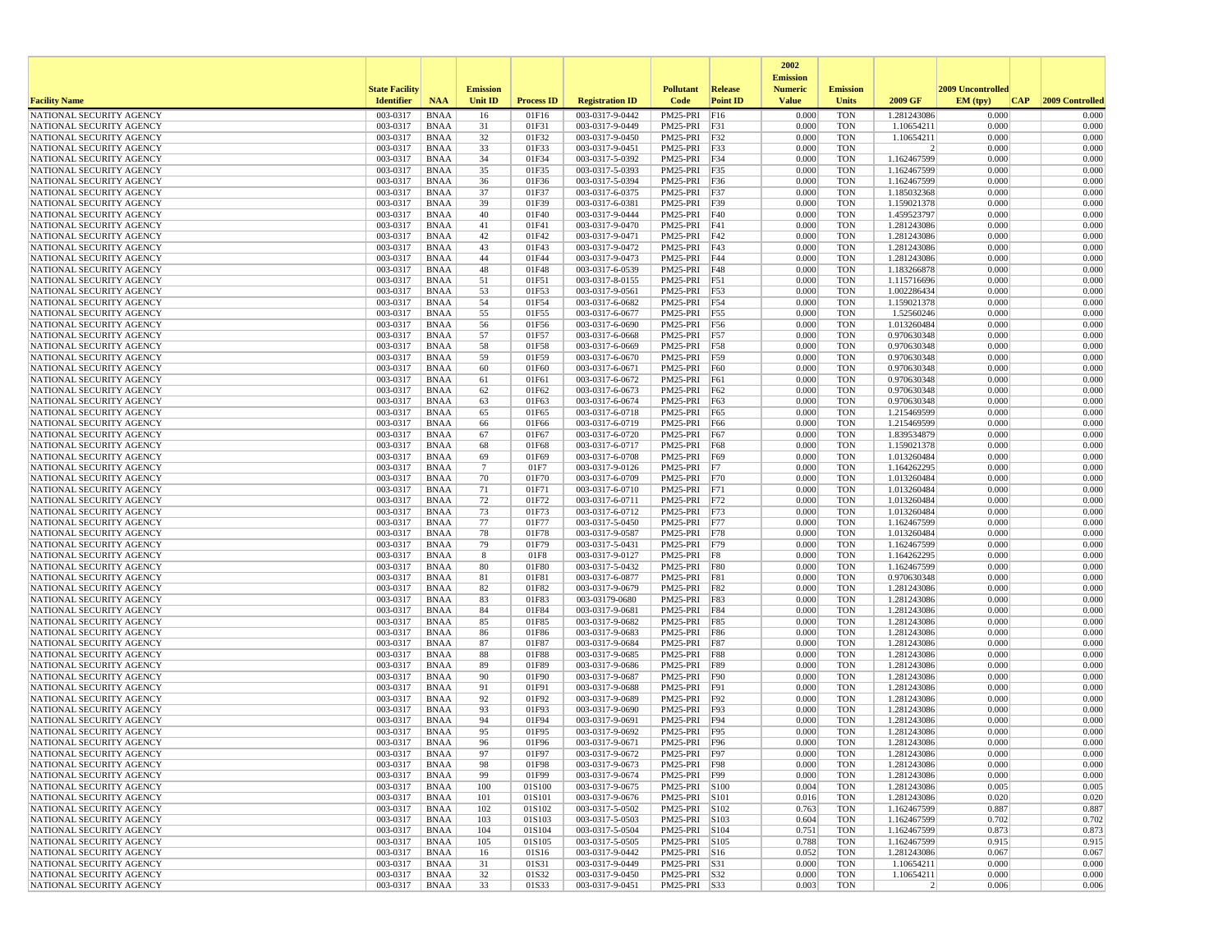|                                                      |                       |                            |                      |                   |                                    |                                |                 | 2002                              |                          |                               |                   |                 |
|------------------------------------------------------|-----------------------|----------------------------|----------------------|-------------------|------------------------------------|--------------------------------|-----------------|-----------------------------------|--------------------------|-------------------------------|-------------------|-----------------|
|                                                      | <b>State Facility</b> |                            | <b>Emission</b>      |                   |                                    | <b>Pollutant</b>               | <b>Release</b>  | <b>Emission</b><br><b>Numeric</b> | <b>Emission</b>          |                               | 2009 Uncontrolled |                 |
| <b>Facility Name</b>                                 | <b>Identifier</b>     | <b>NAA</b>                 | <b>Unit ID</b>       | <b>Process ID</b> | <b>Registration ID</b>             | Code                           | <b>Point ID</b> | <b>Value</b>                      | <b>Units</b>             | 2009 GF                       | EM (typ)<br> CAP  | 2009 Controlled |
| NATIONAL SECURITY AGENCY                             | 003-0317              | <b>BNAA</b>                | 16                   | 01F16             | 003-0317-9-0442                    | PM25-PRI                       | F16             | 0.000                             | <b>TON</b>               | 1.281243086                   | 0.000             | 0.000           |
| NATIONAL SECURITY AGENCY                             | 003-0317              | BNAA                       | 31                   | 01F31             | 003-0317-9-0449                    | PM25-PRI F31                   |                 | 0.000                             | <b>TON</b>               | 1.10654211                    | 0.000             | 0.000           |
| NATIONAL SECURITY AGENCY                             | 003-0317              | <b>BNAA</b>                | 32                   | 01F32             | 003-0317-9-0450<br>003-0317-9-0451 | PM25-PRI                       | F32             | 0.000                             | <b>TON</b>               | 1.10654211                    | 0.000             | 0.000           |
| NATIONAL SECURITY AGENCY<br>NATIONAL SECURITY AGENCY | 003-0317<br>003-0317  | BNAA<br><b>BNAA</b>        | 33<br>34             | 01F33<br>01F34    | 003-0317-5-0392                    | PM25-PRI F33<br>PM25-PRI F34   |                 | 0.000<br>0.000                    | <b>TON</b><br><b>TON</b> | $\overline{2}$<br>1.162467599 | 0.000<br>0.000    | 0.000<br>0.000  |
| NATIONAL SECURITY AGENCY                             | 003-0317              | <b>BNAA</b>                | 35                   | 01F35             | 003-0317-5-0393                    | PM25-PRI                       | F35             | 0.000                             | <b>TON</b>               | 1.162467599                   | 0.000             | 0.000           |
| NATIONAL SECURITY AGENCY                             | 003-0317              | BNAA                       | 36                   | 01F36             | 003-0317-5-0394                    | PM25-PRI F36                   |                 | 0.000                             | <b>TON</b>               | 1.162467599                   | 0.000             | 0.000           |
| NATIONAL SECURITY AGENCY                             | 003-0317              | <b>BNAA</b>                | 37                   | 01F37             | 003-0317-6-0375                    | PM25-PRI F37                   |                 | 0.000                             | <b>TON</b>               | 1.185032368                   | 0.000             | 0.000           |
| NATIONAL SECURITY AGENCY                             | 003-0317              | <b>BNAA</b>                | 39                   | 01F39             | 003-0317-6-0381                    | PM25-PRI                       | F39             | 0.000                             | <b>TON</b>               | 1.159021378                   | 0.000             | 0.000           |
| NATIONAL SECURITY AGENCY                             | 003-0317              | <b>BNAA</b>                | 40                   | 01F40             | 003-0317-9-0444                    | PM25-PRI                       | F40             | 0.000                             | <b>TON</b>               | 1.459523797                   | 0.000             | 0.000           |
| NATIONAL SECURITY AGENCY<br>NATIONAL SECURITY AGENCY | 003-0317<br>003-0317  | BNAA<br><b>BNAA</b>        | 41<br>42             | 01F41<br>01F42    | 003-0317-9-0470<br>003-0317-9-0471 | PM25-PRI F41<br>PM25-PRI F42   |                 | 0.000<br>0.000                    | <b>TON</b><br><b>TON</b> | 1.281243086<br>1.281243086    | 0.000<br>0.000    | 0.000<br>0.000  |
| NATIONAL SECURITY AGENCY                             | 003-0317              | <b>BNAA</b>                | 43                   | 01F43             | 003-0317-9-0472                    | PM25-PRI F43                   |                 | 0.000                             | <b>TON</b>               | 1.281243086                   | 0.000             | 0.000           |
| NATIONAL SECURITY AGENCY                             | 003-0317              | <b>BNAA</b>                | 44                   | 01F44             | 003-0317-9-0473                    | PM25-PRI                       | F44             | 0.000                             | <b>TON</b>               | 1.281243086                   | 0.000             | 0.000           |
| NATIONAL SECURITY AGENCY                             | 003-0317              | BNAA                       | 48                   | 01F48             | 003-0317-6-0539                    | PM25-PRI F48                   |                 | 0.000                             | <b>TON</b>               | 1.183266878                   | 0.000             | 0.000           |
| NATIONAL SECURITY AGENCY                             | 003-0317              | BNAA                       | 51                   | 01F51             | 003-0317-8-0155                    | PM25-PRI F51                   |                 | 0.000                             | <b>TON</b>               | 1.115716696                   | 0.000             | 0.000           |
| NATIONAL SECURITY AGENCY                             | 003-0317              | <b>BNAA</b>                | 53                   | 01F53             | 003-0317-9-0561                    | PM25-PRI F53                   |                 | 0.000                             | <b>TON</b>               | 1.002286434                   | 0.000             | 0.000           |
| NATIONAL SECURITY AGENCY<br>NATIONAL SECURITY AGENCY | 003-0317<br>003-0317  | BNAA<br>BNAA               | 54<br>55             | 01F54<br>01F55    | 003-0317-6-0682<br>003-0317-6-0677 | PM25-PRI F54<br>PM25-PRI F55   |                 | 0.000<br>0.000                    | <b>TON</b><br><b>TON</b> | 1.159021378<br>1.52560246     | 0.000<br>0.000    | 0.000<br>0.000  |
| NATIONAL SECURITY AGENCY                             | 003-0317              | <b>BNAA</b>                | 56                   | 01F56             | 003-0317-6-0690                    | PM25-PRI                       | F56             | 0.000                             | <b>TON</b>               | 1.013260484                   | 0.000             | 0.000           |
| NATIONAL SECURITY AGENCY                             | 003-0317              | <b>BNAA</b>                | 57                   | 01F57             | 003-0317-6-0668                    | PM25-PRI F57                   |                 | 0.000                             | <b>TON</b>               | 0.970630348                   | 0.000             | 0.000           |
| NATIONAL SECURITY AGENCY                             | 003-0317              | BNAA                       | 58                   | 01F58             | 003-0317-6-0669                    | PM25-PRI F58                   |                 | 0.000                             | <b>TON</b>               | 0.970630348                   | 0.000             | 0.000           |
| NATIONAL SECURITY AGENCY                             | 003-0317              | <b>BNAA</b>                | 59                   | 01F59             | 003-0317-6-0670                    | PM25-PRI                       | F59             | 0.000                             | <b>TON</b>               | 0.970630348                   | 0.000             | 0.000           |
| NATIONAL SECURITY AGENCY                             | 003-0317              | <b>BNAA</b>                | 60                   | 01F60             | 003-0317-6-0671                    | PM25-PRI F60                   |                 | 0.000                             | <b>TON</b>               | 0.970630348                   | 0.000             | 0.000           |
| NATIONAL SECURITY AGENCY<br>NATIONAL SECURITY AGENCY | 003-0317<br>003-0317  | <b>BNAA</b><br><b>BNAA</b> | 61<br>62             | 01F61<br>01F62    | 003-0317-6-0672<br>003-0317-6-0673 | PM25-PRI<br>PM25-PRI           | F61<br>F62      | 0.000<br>0.000                    | <b>TON</b><br><b>TON</b> | 0.970630348<br>0.970630348    | 0.000<br>0.000    | 0.000<br>0.000  |
| NATIONAL SECURITY AGENCY                             | 003-0317              | <b>BNAA</b>                | 63                   | 01F63             | 003-0317-6-0674                    | PM25-PRI F63                   |                 | 0.000                             | <b>TON</b>               | 0.970630348                   | 0.000             | 0.000           |
| NATIONAL SECURITY AGENCY                             | 003-0317              | <b>BNAA</b>                | 65                   | 01F65             | 003-0317-6-0718                    | PM25-PRI                       | F65             | 0.000                             | <b>TON</b>               | 1.215469599                   | 0.000             | 0.000           |
| NATIONAL SECURITY AGENCY                             | 003-0317              | BNAA                       | 66                   | 01F66             | 003-0317-6-0719                    | PM25-PRI F66                   |                 | 0.000                             | <b>TON</b>               | 1.215469599                   | 0.000             | 0.000           |
| NATIONAL SECURITY AGENCY                             | 003-0317              | <b>BNAA</b>                | 67                   | 01F67             | 003-0317-6-0720                    | PM25-PRI F67                   |                 | 0.000                             | <b>TON</b>               | 1.839534879                   | 0.000             | 0.000           |
| NATIONAL SECURITY AGENCY                             | 003-0317              | <b>BNAA</b>                | 68                   | 01F68             | 003-0317-6-0717                    | PM25-PRI<br>PM25-PRI           | <b>F68</b>      | 0.000                             | <b>TON</b>               | 1.159021378                   | 0.000             | 0.000           |
| NATIONAL SECURITY AGENCY<br>NATIONAL SECURITY AGENCY | 003-0317<br>003-0317  | BNAA<br><b>BNAA</b>        | 69<br>$\overline{7}$ | 01F69<br>01F7     | 003-0317-6-0708<br>003-0317-9-0126 | PM25-PRI                       | F69<br> F7      | 0.000<br>0.000                    | <b>TON</b><br><b>TON</b> | 1.013260484<br>1.164262295    | 0.000<br>0.000    | 0.000<br>0.000  |
| NATIONAL SECURITY AGENCY                             | 003-0317              | <b>BNAA</b>                | 70                   | 01F70             | 003-0317-6-0709                    | PM25-PRI F70                   |                 | 0.000                             | <b>TON</b>               | 1.013260484                   | 0.000             | 0.000           |
| NATIONAL SECURITY AGENCY                             | 003-0317              | BNAA                       | 71                   | 01F71             | 003-0317-6-0710                    | PM25-PRI F71                   |                 | 0.000                             | <b>TON</b>               | 1.013260484                   | 0.000             | 0.000           |
| NATIONAL SECURITY AGENCY                             | 003-0317              | BNAA                       | 72                   | 01F72             | 003-0317-6-0711                    | PM25-PRI F72                   |                 | 0.000                             | <b>TON</b>               | 1.013260484                   | 0.000             | 0.000           |
| NATIONAL SECURITY AGENCY                             | 003-0317              | <b>BNAA</b>                | 73                   | 01F73             | 003-0317-6-0712                    | PM25-PRI                       | F73             | 0.000                             | <b>TON</b>               | 1.013260484                   | 0.000             | 0.000           |
| NATIONAL SECURITY AGENCY                             | 003-0317              | <b>BNAA</b>                | 77                   | 01F77             | 003-0317-5-0450                    | PM25-PRI F77                   |                 | 0.000                             | <b>TON</b>               | 1.162467599                   | 0.000<br>0.000    | 0.000           |
| NATIONAL SECURITY AGENCY<br>NATIONAL SECURITY AGENCY | 003-0317<br>003-0317  | <b>BNAA</b><br>BNAA        | 78<br>79             | 01F78<br>01F79    | 003-0317-9-0587<br>003-0317-5-0431 | PM25-PRI F78<br>PM25-PRI F79   |                 | 0.000<br>0.000                    | <b>TON</b><br><b>TON</b> | 1.013260484<br>1.162467599    | 0.000             | 0.000<br>0.000  |
| NATIONAL SECURITY AGENCY                             | 003-0317              | BNAA                       | 8                    | 01F8              | 003-0317-9-0127                    | $PM25-PRI$ $F8$                |                 | 0.000                             | <b>TON</b>               | 1.164262295                   | 0.000             | 0.000           |
| NATIONAL SECURITY AGENCY                             | 003-0317              | <b>BNAA</b>                | 80                   | 01F80             | 003-0317-5-0432                    | PM25-PRI                       | F80             | 0.000                             | <b>TON</b>               | 1.162467599                   | 0.000             | 0.000           |
| NATIONAL SECURITY AGENCY                             | 003-0317              | BNAA                       | 81                   | 01F81             | 003-0317-6-0877                    | PM25-PRI F81                   |                 | 0.000                             | <b>TON</b>               | 0.970630348                   | 0.000             | 0.000           |
| NATIONAL SECURITY AGENCY                             | 003-0317              | <b>BNAA</b>                | 82                   | 01F82             | 003-0317-9-0679                    | PM25-PRI F82                   |                 | 0.000                             | <b>TON</b>               | 1.281243086                   | 0.000             | 0.000           |
| NATIONAL SECURITY AGENCY<br>NATIONAL SECURITY AGENCY | 003-0317<br>003-0317  | <b>BNAA</b><br><b>BNAA</b> | 83<br>84             | 01F83<br>01F84    | 003-03179-0680<br>003-0317-9-0681  | PM25-PRI F83<br>PM25-PRI F84   |                 | 0.000<br>0.000                    | <b>TON</b><br><b>TON</b> | 1.281243086<br>1.281243086    | 0.000<br>0.000    | 0.000<br>0.000  |
| NATIONAL SECURITY AGENCY                             | 003-0317              | <b>BNAA</b>                | 85                   | 01F85             | 003-0317-9-0682                    | PM25-PRI                       | <b>F85</b>      | 0.000                             | <b>TON</b>               | 1.281243086                   | 0.000             | 0.000           |
| NATIONAL SECURITY AGENCY                             | 003-0317              | <b>BNAA</b>                | 86                   | 01F86             | 003-0317-9-0683                    | PM25-PRI                       | <b>F86</b>      | 0.000                             | <b>TON</b>               | 1.281243086                   | 0.000             | 0.000           |
| NATIONAL SECURITY AGENCY                             | 003-0317              | <b>BNAA</b>                | 87                   | 01F87             | 003-0317-9-0684                    | PM25-PRI                       | <b>F87</b>      | 0.000                             | <b>TON</b>               | 1.281243086                   | 0.000             | 0.000           |
| NATIONAL SECURITY AGENCY                             | 003-0317              | BNAA                       | 88                   | 01F88             | 003-0317-9-0685                    | PM25-PRI F88                   |                 | 0.000                             | <b>TON</b>               | 1.281243086                   | 0.000             | 0.000           |
| NATIONAL SECURITY AGENCY                             | 003-0317              | <b>BNAA</b>                | 89                   | 01F89             | 003-0317-9-0686                    | PM25-PRI F89                   |                 | 0.000                             | <b>TON</b>               | 1.281243086                   | 0.000             | 0.000           |
| NATIONAL SECURITY AGENCY<br>NATIONAL SECURITY AGENCY | 003-0317<br>003-0317  | <b>BNAA</b><br><b>BNAA</b> | 90<br>91             | 01F90<br>01F91    | 003-0317-9-0687<br>003-0317-9-0688 | PM25-PRI F90<br>PM25-PRI       | F91             | 0.000<br>0.000                    | <b>TON</b><br><b>TON</b> | 1.281243086<br>1.281243086    | 0.000<br>0.000    | 0.000<br>0.000  |
| NATIONAL SECURITY AGENCY                             | 003-0317              | BNAA                       | 92                   | 01F92             | 003-0317-9-0689                    | PM25-PRI F92                   |                 | 0.000                             | <b>TON</b>               | 1.281243086                   | 0.000             | 0.000           |
| NATIONAL SECURITY AGENCY                             | 003-0317              | <b>BNAA</b>                | 93                   | 01F93             | 003-0317-9-0690                    | PM25-PRI                       | F93             | 0.000                             | <b>TON</b>               | 1.281243086                   | 0.000             | 0.000           |
| NATIONAL SECURITY AGENCY                             | 003-0317              | <b>BNAA</b>                | 94                   | 01F94             | 003-0317-9-0691                    | PM25-PRI                       | F94             | 0.000                             | <b>TON</b>               | 1.281243086                   | 0.000             | 0.000           |
| NATIONAL SECURITY AGENCY                             | 003-0317              | <b>BNAA</b>                | 95                   | 01F95             | 003-0317-9-0692                    | PM25-PRI F95                   |                 | 0.000                             | <b>TON</b>               | 1.281243086                   | 0.000             | 0.000           |
| NATIONAL SECURITY AGENCY                             | 003-0317<br>003-0317  | <b>BNAA</b>                | 96                   | 01F96             | 003-0317-9-0671<br>003-0317-9-0672 | PM25-PRI F96                   |                 | 0.000                             | <b>TON</b><br><b>TON</b> | 1.281243086<br>1.281243086    | 0.000<br>0.000    | 0.000<br>0.000  |
| NATIONAL SECURITY AGENCY<br>NATIONAL SECURITY AGENCY | 003-0317              | <b>BNAA</b><br>BNAA        | 97<br>98             | 01F97<br>01F98    | 003-0317-9-0673                    | PM25-PRI F97<br>PM25-PRI F98   |                 | 0.000<br>0.000                    | <b>TON</b>               | 1.281243086                   | 0.000             | 0.000           |
| NATIONAL SECURITY AGENCY                             | 003-0317              | BNAA                       | 99                   | 01F99             | 003-0317-9-0674                    | PM25-PRI   F99                 |                 | 0.000                             | <b>TON</b>               | 1.281243086                   | 0.000             | 0.000           |
| NATIONAL SECURITY AGENCY                             | 003-0317              | BNAA                       | 100                  | 01S100            | 003-0317-9-0675                    | PM25-PRI S100                  |                 | 0.004                             | <b>TON</b>               | 1.281243086                   | 0.005             | 0.005           |
| NATIONAL SECURITY AGENCY                             | 003-0317              | <b>BNAA</b>                | 101                  | 01S101            | 003-0317-9-0676                    | PM25-PRI S101                  |                 | 0.016                             | <b>TON</b>               | 1.281243086                   | 0.020             | 0.020           |
| NATIONAL SECURITY AGENCY                             | 003-0317              | <b>BNAA</b>                | 102                  | 01S102            | 003-0317-5-0502                    | PM25-PRI S102                  |                 | 0.763                             | <b>TON</b>               | 1.162467599                   | 0.887             | 0.887           |
| NATIONAL SECURITY AGENCY<br>NATIONAL SECURITY AGENCY | 003-0317<br>003-0317  | <b>BNAA</b><br>BNAA        | 103<br>104           | 01S103<br>01S104  | 003-0317-5-0503<br>003-0317-5-0504 | PM25-PRI S103<br>PM25-PRI S104 |                 | 0.604<br>0.751                    | <b>TON</b><br><b>TON</b> | 1.162467599<br>1.162467599    | 0.702<br>0.873    | 0.702<br>0.873  |
| NATIONAL SECURITY AGENCY                             | 003-0317              | BNAA                       | 105                  | 01S105            | 003-0317-5-0505                    | PM25-PRI S105                  |                 | 0.788                             | TON                      | 1.162467599                   | 0.915             | 0.915           |
| NATIONAL SECURITY AGENCY                             | 003-0317              | <b>BNAA</b>                | 16                   | 01S16             | 003-0317-9-0442                    | $PM25-PRI$ $ S16$              |                 | 0.052                             | <b>TON</b>               | 1.281243086                   | 0.067             | 0.067           |
| NATIONAL SECURITY AGENCY                             | 003-0317              | BNAA                       | 31                   | 01S31             | 003-0317-9-0449                    | PM25-PRI S31                   |                 | 0.000                             | <b>TON</b>               | 1.10654211                    | 0.000             | 0.000           |
| NATIONAL SECURITY AGENCY                             | 003-0317              | <b>BNAA</b>                | 32                   | 01S32             | 003-0317-9-0450                    | PM25-PRI S32                   |                 | 0.000                             | <b>TON</b>               | 1.10654211                    | 0.000             | 0.000           |
| NATIONAL SECURITY AGENCY                             | 003-0317              | BNAA                       | 33                   | 01S33             | 003-0317-9-0451                    | PM25-PRI S33                   |                 | 0.003                             | <b>TON</b>               | $\vert$ 2                     | 0.006             | 0.006           |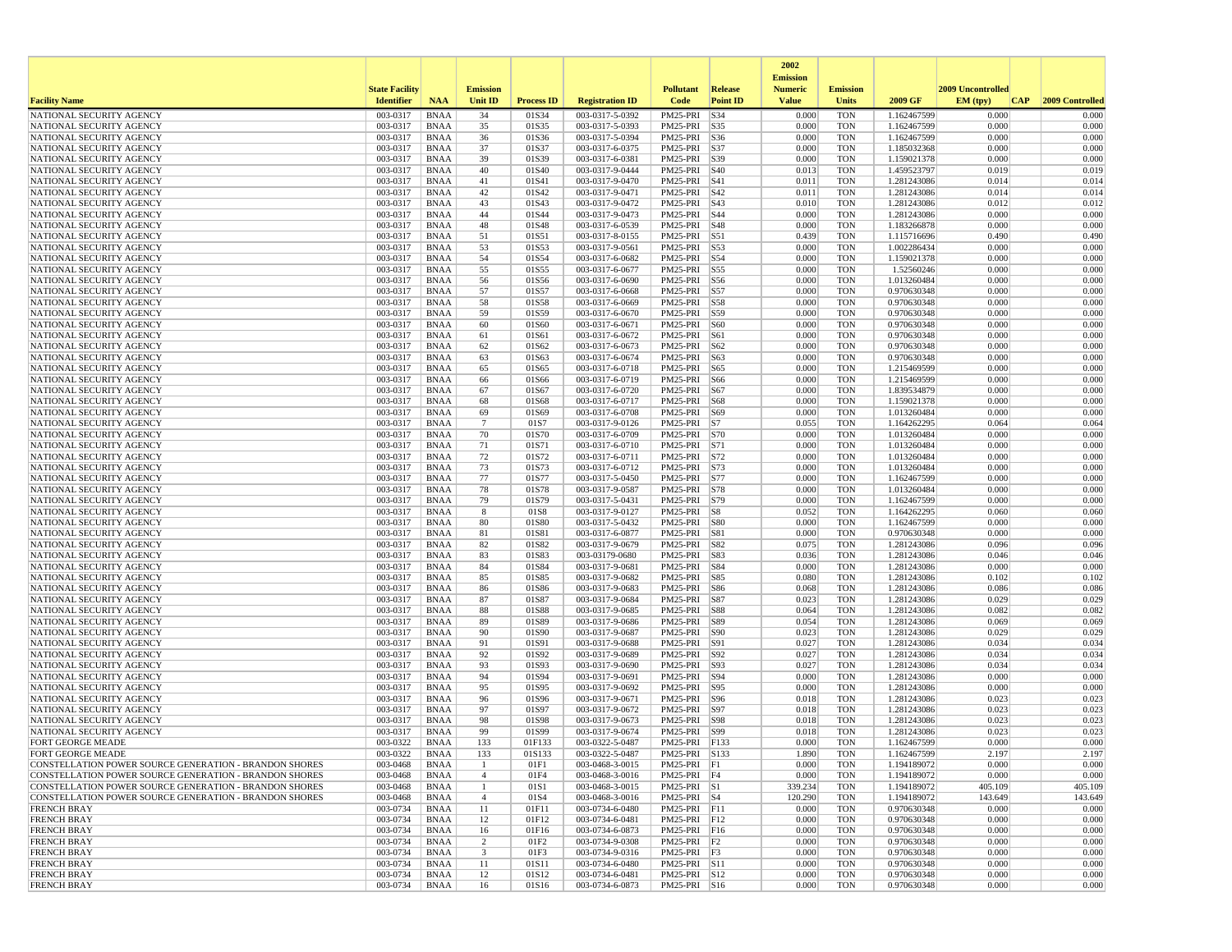|                                                        |                       |                            |                 |                   |                                    |                                |                 | 2002                              |                          |                            |                   |                 |
|--------------------------------------------------------|-----------------------|----------------------------|-----------------|-------------------|------------------------------------|--------------------------------|-----------------|-----------------------------------|--------------------------|----------------------------|-------------------|-----------------|
|                                                        | <b>State Facility</b> |                            | <b>Emission</b> |                   |                                    | <b>Pollutant</b>               | <b>Release</b>  | <b>Emission</b><br><b>Numeric</b> | <b>Emission</b>          |                            | 2009 Uncontrolled |                 |
| <b>Facility Name</b>                                   | <b>Identifier</b>     | <b>NAA</b>                 | <b>Unit ID</b>  | <b>Process ID</b> | <b>Registration ID</b>             | Code                           | <b>Point ID</b> | <b>Value</b>                      | Units                    | 2009 GF                    | EM (typ)<br> CAP  | 2009 Controlled |
| NATIONAL SECURITY AGENCY                               | 003-0317              | <b>BNAA</b>                | 34              | 01S34             | 003-0317-5-0392                    | PM25-PRI S34                   |                 | 0.000                             | <b>TON</b>               | 1.162467599                | 0.000             | 0.000           |
| NATIONAL SECURITY AGENCY                               | 003-0317              | <b>BNAA</b>                | 35              | 01S35             | 003-0317-5-0393                    | PM25-PRI S35                   |                 | 0.000                             | <b>TON</b>               | 1.162467599                | 0.000             | 0.000           |
| NATIONAL SECURITY AGENCY                               | 003-0317              | <b>BNAA</b>                | 36              | 01S36             | 003-0317-5-0394                    | PM25-PRI S36                   |                 | 0.000                             | <b>TON</b>               | 1.162467599                | 0.000             | 0.000           |
| NATIONAL SECURITY AGENCY<br>NATIONAL SECURITY AGENCY   | 003-0317<br>003-0317  | <b>BNAA</b><br><b>BNAA</b> | 37<br>39        | 01S37<br>01S39    | 003-0317-6-0375<br>003-0317-6-0381 | PM25-PRI S37<br>PM25-PRI S39   |                 | 0.000<br>0.000                    | <b>TON</b><br><b>TON</b> | 1.185032368<br>1.159021378 | 0.000<br>0.000    | 0.000<br>0.000  |
| NATIONAL SECURITY AGENCY                               | 003-0317              | <b>BNAA</b>                | 40              | 01S40             | 003-0317-9-0444                    | PM25-PRI S40                   |                 | 0.013                             | <b>TON</b>               | 1.459523797                | 0.019             | 0.019           |
| NATIONAL SECURITY AGENCY                               | 003-0317              | <b>BNAA</b>                | 41              | 01S41             | 003-0317-9-0470                    | PM25-PRI S41                   |                 | 0.011                             | <b>TON</b>               | 1.281243086                | 0.014             | 0.014           |
| NATIONAL SECURITY AGENCY                               | 003-0317              | <b>BNAA</b>                | 42              | 01S42             | 003-0317-9-0471                    | PM25-PRI   S42                 |                 | 0.011                             | <b>TON</b>               | 1.281243086                | 0.014             | 0.014           |
| NATIONAL SECURITY AGENCY                               | 003-0317              | <b>BNAA</b>                | 43              | 01S43             | 003-0317-9-0472                    | PM25-PRI                       | S43             | 0.010                             | <b>TON</b>               | 1.281243086                | 0.012             | 0.012           |
| NATIONAL SECURITY AGENCY<br>NATIONAL SECURITY AGENCY   | 003-0317<br>003-0317  | <b>BNAA</b><br><b>BNAA</b> | 44<br>48        | 01S44<br>01S48    | 003-0317-9-0473<br>003-0317-6-0539 | PM25-PRI S44<br>PM25-PRI S48   |                 | 0.000<br>0.000                    | <b>TON</b><br><b>TON</b> | 1.281243086<br>1.183266878 | 0.000<br>0.000    | 0.000<br>0.000  |
| NATIONAL SECURITY AGENCY                               | 003-0317              | <b>BNAA</b>                | 51              | 01S51             | 003-0317-8-0155                    | PM25-PRI S51                   |                 | 0.439                             | <b>TON</b>               | 1.115716696                | 0.490             | 0.490           |
| NATIONAL SECURITY AGENCY                               | 003-0317              | <b>BNAA</b>                | 53              | 01S53             | 003-0317-9-0561                    | PM25-PRI S53                   |                 | 0.000                             | <b>TON</b>               | 1.002286434                | 0.000             | 0.000           |
| NATIONAL SECURITY AGENCY                               | 003-0317              | <b>BNAA</b>                | 54              | 01S54             | 003-0317-6-0682                    | PM25-PRI S54                   |                 | 0.000                             | <b>TON</b>               | 1.159021378                | 0.000             | 0.000           |
| NATIONAL SECURITY AGENCY                               | 003-0317              | <b>BNAA</b>                | 55              | 01S55             | 003-0317-6-0677                    | PM25-PRI S55                   |                 | 0.000                             | <b>TON</b>               | 1.52560246                 | 0.000             | 0.000           |
| NATIONAL SECURITY AGENCY                               | 003-0317              | <b>BNAA</b>                | 56              | 01S56             | 003-0317-6-0690                    | PM25-PRI S56                   |                 | 0.000                             | <b>TON</b>               | 1.013260484                | 0.000             | 0.000           |
| NATIONAL SECURITY AGENCY<br>NATIONAL SECURITY AGENCY   | 003-0317<br>003-0317  | <b>BNAA</b><br><b>BNAA</b> | 57<br>58        | 01S57<br>01S58    | 003-0317-6-0668<br>003-0317-6-0669 | PM25-PRI S57<br>PM25-PRI S58   |                 | 0.000<br>0.000                    | <b>TON</b><br><b>TON</b> | 0.970630348<br>0.970630348 | 0.000<br>0.000    | 0.000<br>0.000  |
| NATIONAL SECURITY AGENCY                               | 003-0317              | <b>BNAA</b>                | 59              | 01S59             | 003-0317-6-0670                    | PM25-PRI S59                   |                 | 0.000                             | <b>TON</b>               | 0.970630348                | 0.000             | 0.000           |
| NATIONAL SECURITY AGENCY                               | 003-0317              | <b>BNAA</b>                | 60              | 01S60             | 003-0317-6-0671                    | PM25-PRI                       | S60             | 0.000                             | <b>TON</b>               | 0.970630348                | 0.000             | 0.000           |
| NATIONAL SECURITY AGENCY                               | 003-0317              | <b>BNAA</b>                | 61              | 01S61             | 003-0317-6-0672                    | PM25-PRI S61                   |                 | 0.000                             | <b>TON</b>               | 0.970630348                | 0.000             | 0.000           |
| NATIONAL SECURITY AGENCY                               | 003-0317              | <b>BNAA</b>                | 62              | 01S62             | 003-0317-6-0673                    | PM25-PRI S62                   |                 | 0.000                             | <b>TON</b>               | 0.970630348                | 0.000             | 0.000           |
| NATIONAL SECURITY AGENCY                               | 003-0317              | <b>BNAA</b>                | 63              | 01S63             | 003-0317-6-0674                    | PM25-PRI S63                   |                 | 0.000                             | <b>TON</b>               | 0.970630348                | 0.000             | 0.000           |
| NATIONAL SECURITY AGENCY<br>NATIONAL SECURITY AGENCY   | 003-0317<br>003-0317  | <b>BNAA</b><br><b>BNAA</b> | 65<br>66        | 01S65<br>01S66    | 003-0317-6-0718<br>003-0317-6-0719 | PM25-PRI S65<br>PM25-PRI S66   |                 | 0.000<br>0.000                    | <b>TON</b><br><b>TON</b> | 1.215469599<br>1.215469599 | 0.000<br>0.000    | 0.000<br>0.000  |
| NATIONAL SECURITY AGENCY                               | 003-0317              | <b>BNAA</b>                | 67              | 01S67             | 003-0317-6-0720                    | PM25-PRI S67                   |                 | 0.000                             | <b>TON</b>               | 1.839534879                | 0.000             | 0.000           |
| NATIONAL SECURITY AGENCY                               | 003-0317              | <b>BNAA</b>                | 68              | 01S68             | 003-0317-6-0717                    | PM25-PRI S68                   |                 | 0.000                             | <b>TON</b>               | 1.159021378                | 0.000             | 0.000           |
| NATIONAL SECURITY AGENCY                               | 003-0317              | <b>BNAA</b>                | 69              | 01S69             | 003-0317-6-0708                    | PM25-PRI   S69                 |                 | 0.000                             | <b>TON</b>               | 1.013260484                | 0.000             | 0.000           |
| NATIONAL SECURITY AGENCY                               | 003-0317              | <b>BNAA</b>                | $7\phantom{.0}$ | 01S7              | 003-0317-9-0126                    | PM25-PRI S7                    |                 | 0.055                             | <b>TON</b>               | 1.164262295                | 0.064             | 0.064           |
| NATIONAL SECURITY AGENCY                               | 003-0317              | <b>BNAA</b>                | 70              | 01S70             | 003-0317-6-0709                    | PM25-PRI S70                   |                 | 0.000                             | <b>TON</b>               | 1.013260484                | 0.000             | 0.000           |
| NATIONAL SECURITY AGENCY<br>NATIONAL SECURITY AGENCY   | 003-0317<br>003-0317  | <b>BNAA</b><br><b>BNAA</b> | 71<br>72        | 01S71<br>01S72    | 003-0317-6-0710<br>003-0317-6-0711 | PM25-PRI S71<br>PM25-PRI   S72 |                 | 0.000<br>0.000                    | <b>TON</b><br><b>TON</b> | 1.013260484<br>1.013260484 | 0.000<br>0.000    | 0.000<br>0.000  |
| NATIONAL SECURITY AGENCY                               | 003-0317              | <b>BNAA</b>                | 73              | 01S73             | 003-0317-6-0712                    | PM25-PRI   S73                 |                 | 0.000                             | <b>TON</b>               | 1.013260484                | 0.000             | 0.000           |
| NATIONAL SECURITY AGENCY                               | 003-0317              | <b>BNAA</b>                | 77              | 01S77             | 003-0317-5-0450                    | PM25-PRI S77                   |                 | 0.000                             | <b>TON</b>               | 1.162467599                | 0.000             | 0.000           |
| NATIONAL SECURITY AGENCY                               | 003-0317              | <b>BNAA</b>                | 78              | 01S78             | 003-0317-9-0587                    | PM25-PRI S78                   |                 | 0.000                             | <b>TON</b>               | 1.013260484                | 0.000             | 0.000           |
| NATIONAL SECURITY AGENCY                               | 003-0317              | <b>BNAA</b>                | 79              | 01S79             | 003-0317-5-0431                    | PM25-PRI   S79                 |                 | 0.000                             | <b>TON</b>               | 1.162467599                | 0.000             | 0.000           |
| NATIONAL SECURITY AGENCY                               | 003-0317              | <b>BNAA</b>                | 8               | 01S8              | 003-0317-9-0127                    | PM25-PRI S8                    |                 | 0.052                             | <b>TON</b>               | 1.164262295                | 0.060             | 0.060           |
| NATIONAL SECURITY AGENCY<br>NATIONAL SECURITY AGENCY   | 003-0317<br>003-0317  | <b>BNAA</b><br><b>BNAA</b> | 80<br>81        | 01S80<br>01S81    | 003-0317-5-0432<br>003-0317-6-0877 | PM25-PRI S80<br>PM25-PRI S81   |                 | 0.000<br>0.000                    | <b>TON</b><br><b>TON</b> | 1.162467599<br>0.970630348 | 0.000<br>0.000    | 0.000<br>0.000  |
| NATIONAL SECURITY AGENCY                               | 003-0317              | <b>BNAA</b>                | 82              | 01S82             | 003-0317-9-0679                    | PM25-PRI S82                   |                 | 0.075                             | <b>TON</b>               | 1.281243086                | 0.096             | 0.096           |
| NATIONAL SECURITY AGENCY                               | 003-0317              | <b>BNAA</b>                | 83              | 01S83             | 003-03179-0680                     | PM25-PRI S83                   |                 | 0.036                             | <b>TON</b>               | 1.281243086                | 0.046             | 0.046           |
| NATIONAL SECURITY AGENCY                               | 003-0317              | <b>BNAA</b>                | 84              | 01S84             | 003-0317-9-0681                    | PM25-PRI                       | <b>S84</b>      | 0.000                             | <b>TON</b>               | 1.281243086                | 0.000             | 0.000           |
| NATIONAL SECURITY AGENCY                               | 003-0317              | <b>BNAA</b>                | 85              | 01S85             | 003-0317-9-0682                    | PM25-PRI S85                   |                 | 0.080                             | <b>TON</b>               | 1.281243086                | 0.102             | 0.102           |
| NATIONAL SECURITY AGENCY                               | 003-0317<br>003-0317  | <b>BNAA</b><br><b>BNAA</b> | 86<br>87        | 01S86<br>01S87    | 003-0317-9-0683<br>003-0317-9-0684 | PM25-PRI S86<br>PM25-PRI S87   |                 | 0.068<br>0.023                    | <b>TON</b><br><b>TON</b> | 1.281243086                | 0.086<br>0.029    | 0.086<br>0.029  |
| NATIONAL SECURITY AGENCY<br>NATIONAL SECURITY AGENCY   | 003-0317              | <b>BNAA</b>                | 88              | 01S88             | 003-0317-9-0685                    | PM25-PRI S88                   |                 | 0.064                             | <b>TON</b>               | 1.281243086<br>1.281243086 | 0.082             | 0.082           |
| NATIONAL SECURITY AGENCY                               | 003-0317              | <b>BNAA</b>                | 89              | 01S89             | 003-0317-9-0686                    | PM25-PRI S89                   |                 | 0.054                             | <b>TON</b>               | 1.281243086                | 0.069             | 0.069           |
| NATIONAL SECURITY AGENCY                               | 003-0317              | <b>BNAA</b>                | 90              | 01S90             | 003-0317-9-0687                    | PM25-PRI                       | S90             | 0.023                             | <b>TON</b>               | 1.281243086                | 0.029             | 0.029           |
| NATIONAL SECURITY AGENCY                               | 003-0317              | <b>BNAA</b>                | 91              | 01S91             | 003-0317-9-0688                    | PM25-PRI   S91                 |                 | 0.027                             | <b>TON</b>               | 1.281243086                | 0.034             | 0.034           |
| NATIONAL SECURITY AGENCY                               | 003-0317              | <b>BNAA</b>                | 92              | 01S92             | 003-0317-9-0689                    | PM25-PRI S92                   |                 | 0.027                             | <b>TON</b>               | 1.281243086                | 0.034             | 0.034           |
| NATIONAL SECURITY AGENCY<br>NATIONAL SECURITY AGENCY   | 003-0317<br>003-0317  | <b>BNAA</b><br><b>BNAA</b> | 93<br>94        | 01S93<br>01S94    | 003-0317-9-0690<br>003-0317-9-0691 | PM25-PRI   S93<br>PM25-PRI S94 |                 | 0.027<br>0.000                    | <b>TON</b><br><b>TON</b> | 1.281243086<br>1.281243086 | 0.034<br>0.000    | 0.034<br>0.000  |
| NATIONAL SECURITY AGENCY                               | 003-0317              | <b>BNAA</b>                | 95              | 01S95             | 003-0317-9-0692                    | PM25-PRI   S95                 |                 | 0.000                             | <b>TON</b>               | 1.281243086                | 0.000             | 0.000           |
| NATIONAL SECURITY AGENCY                               | 003-0317              | <b>BNAA</b>                | 96              | 01S96             | 003-0317-9-0671                    | PM25-PRI   S96                 |                 | 0.018                             | <b>TON</b>               | 1.281243086                | 0.023             | 0.023           |
| NATIONAL SECURITY AGENCY                               | 003-0317              | <b>BNAA</b>                | 97              | 01S97             | 003-0317-9-0672                    | PM25-PRI S97                   |                 | 0.018                             | <b>TON</b>               | 1.281243086                | 0.023             | 0.023           |
| NATIONAL SECURITY AGENCY                               | 003-0317              | <b>BNAA</b>                | 98              | 01S98             | 003-0317-9-0673                    | PM25-PRI S98                   |                 | 0.018                             | <b>TON</b>               | 1.281243086                | 0.023             | 0.023           |
| NATIONAL SECURITY AGENCY                               | 003-0317              | <b>BNAA</b>                | 99<br>133       | 01S99             | 003-0317-9-0674                    | PM25-PRI   S99                 |                 | 0.018<br>0.000                    | <b>TON</b><br><b>TON</b> | 1.281243086                | 0.023<br>0.000    | 0.023<br>0.000  |
| <b>FORT GEORGE MEADE</b><br>FORT GEORGE MEADE          | 003-0322<br>003-0322  | <b>BNAA</b><br><b>BNAA</b> | 133             | 01F133<br>01S133  | 003-0322-5-0487<br>003-0322-5-0487 | PM25-PRI F133<br>PM25-PRI S133 |                 | 1.890                             | <b>TON</b>               | 1.162467599<br>1.162467599 | 2.197             | 2.197           |
| CONSTELLATION POWER SOURCE GENERATION - BRANDON SHORES | 003-0468              | BNAA                       | -1              | 01F1              | 003-0468-3-0015                    | $PM25-PRI$ F1                  |                 | 0.000                             | <b>TON</b>               | 1.194189072                | 0.000             | 0.000           |
| CONSTELLATION POWER SOURCE GENERATION - BRANDON SHORES | 003-0468              | BNAA                       | $\overline{4}$  | 01F4              | 003-0468-3-0016                    | PM25-PRI F4                    |                 | 0.000                             | <b>TON</b>               | 1.194189072                | 0.000             | 0.000           |
| CONSTELLATION POWER SOURCE GENERATION - BRANDON SHORES | 003-0468              | BNAA                       | $\mathbf{1}$    | 01S1              | 003-0468-3-0015                    | PM25-PRI S1                    |                 | 339.234                           | <b>TON</b>               | 1.194189072                | 405.109           | 405.109         |
| CONSTELLATION POWER SOURCE GENERATION - BRANDON SHORES | 003-0468              | <b>BNAA</b>                | $\overline{4}$  | 01S4              | 003-0468-3-0016                    | PM25-PRI S4                    |                 | 120.290                           | <b>TON</b>               | 1.194189072                | 143.649           | 143.649         |
| <b>FRENCH BRAY</b>                                     | 003-0734              | <b>BNAA</b>                | 11              | 01F11             | 003-0734-6-0480                    | $PM25-PRI$ $F11$               |                 | 0.000                             | <b>TON</b>               | 0.970630348                | 0.000             | 0.000           |
| <b>FRENCH BRAY</b><br><b>FRENCH BRAY</b>               | 003-0734<br>003-0734  | BNAA<br>BNAA               | 12<br>16        | 01F12<br>01F16    | 003-0734-6-0481<br>003-0734-6-0873 | PM25-PRI F12<br>PM25-PRI F16   |                 | 0.000<br>0.000                    | <b>TON</b><br><b>TON</b> | 0.970630348<br>0.970630348 | 0.000<br>0.000    | 0.000<br>0.000  |
| <b>FRENCH BRAY</b>                                     | 003-0734              | <b>BNAA</b>                | $\overline{c}$  | 01F2              | 003-0734-9-0308                    | $PM25-PRI$ $ F2 $              |                 | 0.000                             | <b>TON</b>               | 0.970630348                | 0.000             | 0.000           |
| <b>FRENCH BRAY</b>                                     | 003-0734              | BNAA                       | 3               | 01F3              | 003-0734-9-0316                    | $PM25-PRI$ $F3$                |                 | 0.000                             | <b>TON</b>               | 0.970630348                | 0.000             | 0.000           |
| <b>FRENCH BRAY</b>                                     | 003-0734              | BNAA                       | 11              | 01S11             | 003-0734-6-0480                    | PM25-PRI S11                   |                 | 0.000                             | <b>TON</b>               | 0.970630348                | 0.000             | 0.000           |
| <b>FRENCH BRAY</b>                                     | 003-0734              | <b>BNAA</b>                | 12              | 01S12             | 003-0734-6-0481                    | PM25-PRI S12                   |                 | 0.000                             | <b>TON</b>               | 0.970630348                | 0.000             | 0.000           |
| <b>FRENCH BRAY</b>                                     | 003-0734              | BNAA                       | 16              | 01S16             | 003-0734-6-0873                    | PM25-PRI S16                   |                 | 0.000                             | <b>TON</b>               | 0.970630348                | 0.000             | 0.000           |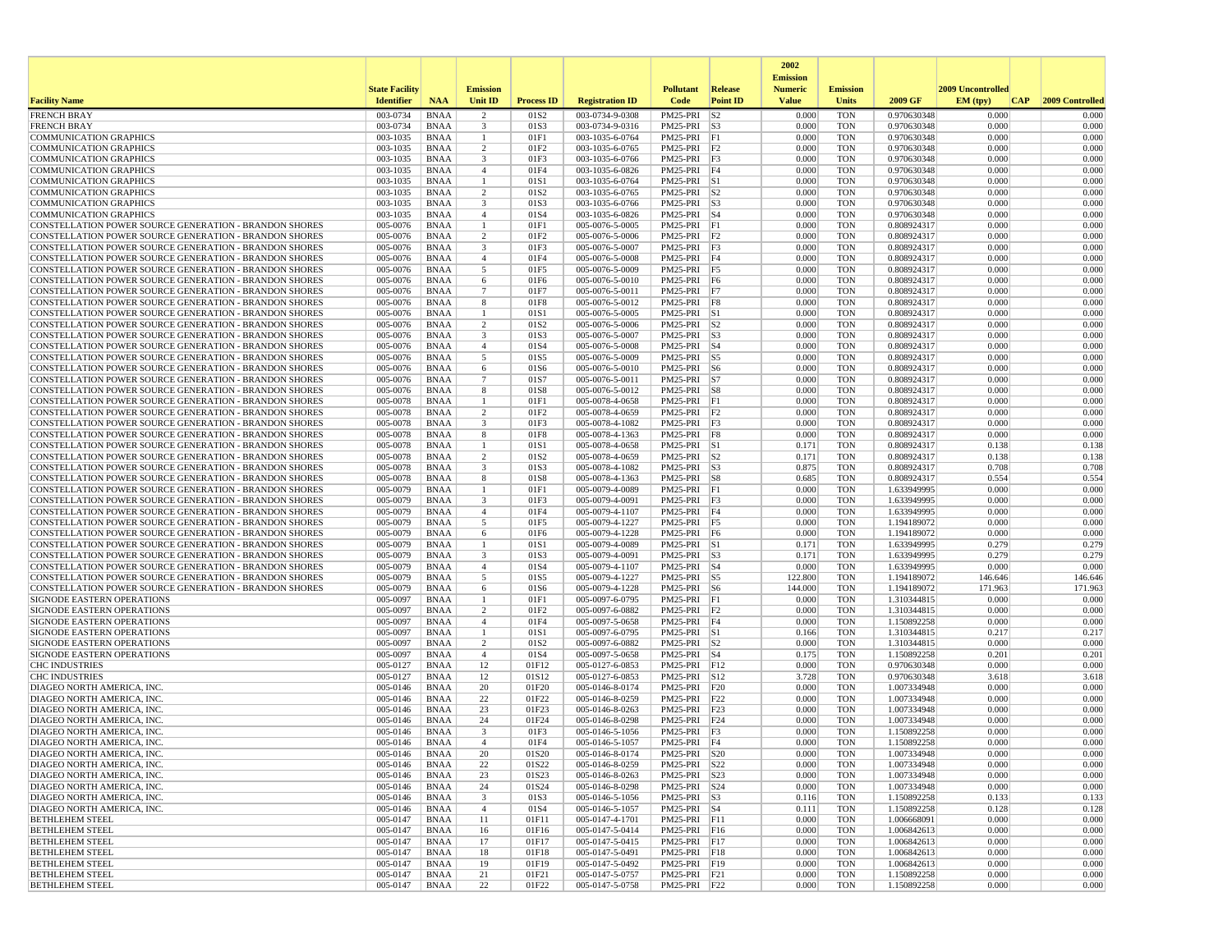|                                                                                                                         |                       |                            |                                           |                          |                                    |                                |                 | 2002                              |                          |                            |                   |                  |
|-------------------------------------------------------------------------------------------------------------------------|-----------------------|----------------------------|-------------------------------------------|--------------------------|------------------------------------|--------------------------------|-----------------|-----------------------------------|--------------------------|----------------------------|-------------------|------------------|
|                                                                                                                         | <b>State Facility</b> |                            | <b>Emission</b>                           |                          |                                    | <b>Pollutant</b>               | <b>Release</b>  | <b>Emission</b><br><b>Numeric</b> | <b>Emission</b>          |                            | 2009 Uncontrolled |                  |
| <b>Facility Name</b>                                                                                                    | <b>Identifier</b>     | <b>NAA</b>                 | Unit ID                                   | <b>Process ID</b>        | <b>Registration ID</b>             | Code                           | <b>Point ID</b> | <b>Value</b>                      | <b>Units</b>             | 2009 GF                    | EM (tpv)<br> CAP  | 2009 Controlled  |
| <b>FRENCH BRAY</b>                                                                                                      | 003-0734              | <b>BNAA</b>                | 2                                         | 01S <sub>2</sub>         | 003-0734-9-0308                    | PM25-PRI                       | S <sub>2</sub>  | 0.000                             | <b>TON</b>               | 0.970630348                | 0.000             | 0.000            |
| <b>FRENCH BRAY</b>                                                                                                      | 003-0734              | <b>BNAA</b>                | 3<br>$\mathbf{1}$                         | 01S3                     | 003-0734-9-0316                    | PM25-PRI S3                    |                 | 0.000                             | <b>TON</b>               | 0.970630348                | 0.000             | 0.000            |
| <b>COMMUNICATION GRAPHICS</b><br><b>COMMUNICATION GRAPHICS</b>                                                          | 003-1035<br>003-1035  | <b>BNAA</b><br><b>BNAA</b> | $\overline{c}$                            | 01F1<br>01F2             | 003-1035-6-0764<br>003-1035-6-0765 | PM25-PRI<br>PM25-PRI F2        | F1              | 0.000<br>0.000                    | <b>TON</b><br><b>TON</b> | 0.970630348<br>0.970630348 | 0.000<br>0.000    | 0.000<br>0.000   |
| <b>COMMUNICATION GRAPHICS</b>                                                                                           | 003-1035              | BNAA                       | $\overline{3}$                            | 01F3                     | 003-1035-6-0766                    | PM25-PRI F3                    |                 | 0.000                             | <b>TON</b>               | 0.970630348                | 0.000             | 0.000            |
| <b>COMMUNICATION GRAPHICS</b>                                                                                           | 003-1035              | <b>BNAA</b>                | $\overline{4}$                            | 01F4                     | 003-1035-6-0826                    | PM25-PRI F4                    |                 | 0.000                             | <b>TON</b>               | 0.970630348                | 0.000             | 0.000            |
| <b>COMMUNICATION GRAPHICS</b>                                                                                           | 003-1035              | <b>BNAA</b>                | $\mathbf{1}$                              | 01S1                     | 003-1035-6-0764                    | PM25-PRI S1                    |                 | 0.000                             | <b>TON</b>               | 0.970630348                | 0.000             | 0.000            |
| <b>COMMUNICATION GRAPHICS</b>                                                                                           | 003-1035<br>003-1035  | BNAA<br><b>BNAA</b>        | $\overline{2}$<br>3                       | 01S <sub>2</sub><br>01S3 | 003-1035-6-0765                    | $PM25-PRI$ S2<br>PM25-PRI S3   |                 | 0.000<br>0.000                    | <b>TON</b><br><b>TON</b> | 0.970630348                | 0.000<br>0.000    | 0.000<br>0.000   |
| <b>COMMUNICATION GRAPHICS</b><br><b>COMMUNICATION GRAPHICS</b>                                                          | 003-1035              | <b>BNAA</b>                | $\overline{4}$                            | 01S4                     | 003-1035-6-0766<br>003-1035-6-0826 | PM25-PRI S4                    |                 | 0.000                             | <b>TON</b>               | 0.970630348<br>0.970630348 | 0.000             | 0.000            |
| CONSTELLATION POWER SOURCE GENERATION - BRANDON SHORES                                                                  | 005-0076              | <b>BNAA</b>                | $\overline{1}$                            | 01F1                     | 005-0076-5-0005                    | PM25-PRI F1                    |                 | 0.000                             | <b>TON</b>               | 0.808924317                | 0.000             | 0.000            |
| CONSTELLATION POWER SOURCE GENERATION - BRANDON SHORES                                                                  | 005-0076              | BNAA                       | $\overline{2}$                            | 01F2                     | 005-0076-5-0006                    | $PM25-PRI$ $F2$                |                 | 0.000                             | <b>TON</b>               | 0.808924317                | 0.000             | 0.000            |
| CONSTELLATION POWER SOURCE GENERATION - BRANDON SHORES                                                                  | 005-0076              | <b>BNAA</b>                | 3                                         | 01F3                     | 005-0076-5-0007                    | PM25-PRI F3                    |                 | 0.000                             | <b>TON</b>               | 0.808924317                | 0.000             | 0.000            |
| CONSTELLATION POWER SOURCE GENERATION - BRANDON SHORES<br>CONSTELLATION POWER SOURCE GENERATION - BRANDON SHORES        | 005-0076<br>005-0076  | <b>BNAA</b>                | $\overline{4}$                            | 01F4<br>01F5             | 005-0076-5-0008                    | PM25-PRI<br>PM25-PRI F5        | F4              | 0.000<br>0.000                    | <b>TON</b><br><b>TON</b> | 0.808924317                | 0.000<br>0.000    | 0.000<br>0.000   |
| <b>CONSTELLATION POWER SOURCE GENERATION - BRANDON SHORES</b>                                                           | 005-0076              | <b>BNAA</b><br>BNAA        | 5<br>6                                    | 01F6                     | 005-0076-5-0009<br>005-0076-5-0010 | PM25-PRI F6                    |                 | 0.000                             | <b>TON</b>               | 0.808924317<br>0.808924317 | 0.000             | 0.000            |
| CONSTELLATION POWER SOURCE GENERATION - BRANDON SHORES                                                                  | 005-0076              | <b>BNAA</b>                | $7\phantom{.0}$                           | 01F7                     | 005-0076-5-0011                    | PM25-PRI F7                    |                 | 0.000                             | <b>TON</b>               | 0.808924317                | 0.000             | 0.000            |
| <b>CONSTELLATION POWER SOURCE GENERATION - BRANDON SHORES</b>                                                           | 005-0076              | BNAA                       | 8                                         | 01F8                     | 005-0076-5-0012                    | PM25-PRI F8                    |                 | 0.000                             | <b>TON</b>               | 0.808924317                | 0.000             | 0.000            |
| <b>CONSTELLATION POWER SOURCE GENERATION - BRANDON SHORES</b>                                                           | 005-0076              | <b>BNAA</b>                | -1                                        | 01S1                     | 005-0076-5-0005                    | PM25-PRI S1                    |                 | 0.000                             | <b>TON</b>               | 0.808924317                | 0.000             | 0.000            |
| <b>CONSTELLATION POWER SOURCE GENERATION - BRANDON SHORES</b><br>CONSTELLATION POWER SOURCE GENERATION - BRANDON SHORES | 005-0076<br>005-0076  | <b>BNAA</b><br><b>BNAA</b> | $\overline{c}$<br>$\overline{\mathbf{3}}$ | 01S <sub>2</sub><br>01S3 | 005-0076-5-0006<br>005-0076-5-0007 | $PM25-PRI$ S2<br>PM25-PRI S3   |                 | 0.000<br>0.000                    | <b>TON</b><br><b>TON</b> | 0.808924317<br>0.808924317 | 0.000<br>0.000    | 0.000<br>0.000   |
| CONSTELLATION POWER SOURCE GENERATION - BRANDON SHORES                                                                  | 005-0076              | <b>BNAA</b>                | $\overline{4}$                            | 01S4                     | 005-0076-5-0008                    | PM25-PRI S4                    |                 | 0.000                             | <b>TON</b>               | 0.808924317                | 0.000             | 0.000            |
| <b>CONSTELLATION POWER SOURCE GENERATION - BRANDON SHORES</b>                                                           | 005-0076              | BNAA                       | 5                                         | 01S5                     | 005-0076-5-0009                    | PM25-PRI S5                    |                 | 0.000                             | <b>TON</b>               | 0.808924317                | 0.000             | 0.000            |
| CONSTELLATION POWER SOURCE GENERATION - BRANDON SHORES                                                                  | 005-0076              | BNAA                       | 6                                         | 01S6                     | 005-0076-5-0010                    | $PM25-PRI$ S6                  |                 | 0.000                             | <b>TON</b>               | 0.808924317                | 0.000             | 0.000            |
| CONSTELLATION POWER SOURCE GENERATION - BRANDON SHORES                                                                  | 005-0076              | <b>BNAA</b>                | 7                                         | 01S7                     | 005-0076-5-0011                    | $PM25-PRI$ S7                  |                 | 0.000                             | <b>TON</b>               | 0.808924317                | 0.000             | 0.000            |
| <b>CONSTELLATION POWER SOURCE GENERATION - BRANDON SHORES</b>                                                           | 005-0076              | BNAA                       | 8                                         | 01S8                     | 005-0076-5-0012                    | PM25-PRI S8                    |                 | 0.000                             | <b>TON</b><br><b>TON</b> | 0.808924317<br>0.808924317 | 0.000             | 0.000<br>0.000   |
| <b>CONSTELLATION POWER SOURCE GENERATION - BRANDON SHORES</b><br>CONSTELLATION POWER SOURCE GENERATION - BRANDON SHORES | 005-0078<br>005-0078  | <b>BNAA</b><br><b>BNAA</b> | -1<br>$\overline{2}$                      | 01F1<br>01F2             | 005-0078-4-0658<br>005-0078-4-0659 | PM25-PRI F1<br>$PM25-PRI$ $F2$ |                 | 0.000<br>0.000                    | <b>TON</b>               | 0.808924317                | 0.000<br>0.000    | 0.000            |
| <b>CONSTELLATION POWER SOURCE GENERATION - BRANDON SHORES</b>                                                           | 005-0078              | <b>BNAA</b>                | 3                                         | 01F3                     | 005-0078-4-1082                    | PM25-PRI F3                    |                 | 0.000                             | <b>TON</b>               | 0.808924317                | 0.000             | 0.000            |
| CONSTELLATION POWER SOURCE GENERATION - BRANDON SHORES                                                                  | 005-0078              | BNAA                       | 8                                         | 01F8                     | 005-0078-4-1363                    | PM25-PRI F8                    |                 | 0.000                             | <b>TON</b>               | 0.808924317                | 0.000             | 0.000            |
| CONSTELLATION POWER SOURCE GENERATION - BRANDON SHORES                                                                  | 005-0078              | <b>BNAA</b>                |                                           | 01S1                     | 005-0078-4-0658                    | PM25-PRI S1                    |                 | 0.171                             | <b>TON</b>               | 0.808924317                | 0.138             | 0.138            |
| CONSTELLATION POWER SOURCE GENERATION - BRANDON SHORES<br><b>CONSTELLATION POWER SOURCE GENERATION - BRANDON SHORES</b> | 005-0078<br>005-0078  | <b>BNAA</b><br>BNAA        | $\overline{c}$<br>3                       | 01S <sub>2</sub><br>01S3 | 005-0078-4-0659<br>005-0078-4-1082 | $PM25-PRI$ S2<br>$PM25-PRI$ S3 |                 | 0.171<br>0.875                    | <b>TON</b><br><b>TON</b> | 0.808924317<br>0.808924317 | 0.138<br>0.708    | 0.138<br>0.708   |
| CONSTELLATION POWER SOURCE GENERATION - BRANDON SHORES                                                                  | 005-0078              | <b>BNAA</b>                | 8                                         | 01S8                     | 005-0078-4-1363                    | PM25-PRI S8                    |                 | 0.685                             | <b>TON</b>               | 0.808924317                | 0.554             | 0.554            |
| <b>CONSTELLATION POWER SOURCE GENERATION - BRANDON SHORES</b>                                                           | 005-0079              | <b>BNAA</b>                | -1                                        | 01F1                     | 005-0079-4-0089                    | PM25-PRI F1                    |                 | 0.000                             | <b>TON</b>               | 1.633949995                | 0.000             | 0.000            |
| CONSTELLATION POWER SOURCE GENERATION - BRANDON SHORES                                                                  | 005-0079              | <b>BNAA</b>                | 3                                         | 01F3                     | 005-0079-4-0091                    | $PM25-PRI$ $F3$                |                 | 0.000                             | <b>TON</b>               | 1.633949995                | 0.000             | 0.000            |
| <b>CONSTELLATION POWER SOURCE GENERATION - BRANDON SHORES</b>                                                           | 005-0079              | BNAA                       | $\overline{4}$                            | 01F4                     | 005-0079-4-1107                    | PM25-PRI F4                    |                 | 0.000                             | <b>TON</b>               | 1.633949995                | 0.000             | 0.000            |
| <b>CONSTELLATION POWER SOURCE GENERATION - BRANDON SHORES</b><br>CONSTELLATION POWER SOURCE GENERATION - BRANDON SHORES | 005-0079<br>005-0079  | <b>BNAA</b><br><b>BNAA</b> | 5<br>6                                    | 01F5<br>01F6             | 005-0079-4-1227<br>005-0079-4-1228 | PM25-PRI F5<br>PM25-PRI F6     |                 | 0.000<br>0.000                    | <b>TON</b><br><b>TON</b> | 1.194189072                | 0.000<br>0.000    | 0.000<br>0.000   |
| CONSTELLATION POWER SOURCE GENERATION - BRANDON SHORES                                                                  | 005-0079              | <b>BNAA</b>                | $\overline{1}$                            | 01S1                     | 005-0079-4-0089                    | PM25-PRI S1                    |                 | 0.171                             | <b>TON</b>               | 1.194189072<br>1.633949995 | 0.279             | 0.279            |
| CONSTELLATION POWER SOURCE GENERATION - BRANDON SHORES                                                                  | 005-0079              | BNAA                       | 3                                         | 01S3                     | 005-0079-4-0091                    | $PM25-PRI$ $ S3$               |                 | 0.171                             | <b>TON</b>               | 1.633949995                | 0.279             | 0.279            |
| CONSTELLATION POWER SOURCE GENERATION - BRANDON SHORES                                                                  | 005-0079              | <b>BNAA</b>                | $\overline{4}$                            | 01S4                     | 005-0079-4-1107                    | PM25-PRI S4                    |                 | 0.000                             | <b>TON</b>               | 1.633949995                | 0.000             | 0.000            |
| <b>CONSTELLATION POWER SOURCE GENERATION - BRANDON SHORES</b>                                                           | 005-0079              | <b>BNAA</b>                | 5                                         | 01S5                     | 005-0079-4-1227                    | PM25-PRI S5                    |                 | 122.800                           | <b>TON</b>               | 1.194189072                | 146.646           | 146.646          |
| <b>CONSTELLATION POWER SOURCE GENERATION - BRANDON SHORES</b><br>SIGNODE EASTERN OPERATIONS                             | 005-0079<br>005-0097  | <b>BNAA</b><br><b>BNAA</b> | 6<br>-1                                   | 01S6<br>01F1             | 005-0079-4-1228<br>005-0097-6-0795 | PM25-PRI S6<br>PM25-PRI F1     |                 | 144.000<br>0.000                  | <b>TON</b><br><b>TON</b> | 1.194189072<br>1.310344815 | 171.963<br>0.000  | 171.963<br>0.000 |
| <b>SIGNODE EASTERN OPERATIONS</b>                                                                                       | 005-0097              | <b>BNAA</b>                | $\overline{2}$                            | 01F2                     | 005-0097-6-0882                    | $PM25-PRI$ $F2$                |                 | 0.000                             | <b>TON</b>               | 1.310344815                | 0.000             | 0.000            |
| <b>SIGNODE EASTERN OPERATIONS</b>                                                                                       | 005-0097              | <b>BNAA</b>                | $\overline{4}$                            | 01F4                     | 005-0097-5-0658                    | PM25-PRI                       | F4              | 0.000                             | <b>TON</b>               | 1.150892258                | 0.000             | 0.000            |
| SIGNODE EASTERN OPERATIONS                                                                                              | 005-0097              | <b>BNAA</b>                | -1                                        | 01S1                     | 005-0097-6-0795                    | PM25-PRI S1                    |                 | 0.166                             | <b>TON</b>               | 1.310344815                | 0.217             | 0.217            |
| SIGNODE EASTERN OPERATIONS                                                                                              | 005-0097              | <b>BNAA</b>                | $\overline{c}$                            | 01S <sub>2</sub>         | 005-0097-6-0882                    | $PM25-PRI$ $ S2$               |                 | 0.000                             | <b>TON</b>               | 1.310344815                | 0.000             | 0.000            |
| SIGNODE EASTERN OPERATIONS<br><b>CHC INDUSTRIES</b>                                                                     | 005-0097<br>005-0127  | <b>BNAA</b><br>BNAA        | $\overline{4}$<br>12                      | 01S4<br>01F12            | 005-0097-5-0658<br>005-0127-6-0853 | PM25-PRI S4<br>PM25-PRI F12    |                 | 0.175<br>0.000                    | <b>TON</b><br><b>TON</b> | 1.150892258<br>0.970630348 | 0.201<br>0.000    | 0.201<br>0.000   |
| <b>CHC INDUSTRIES</b>                                                                                                   | 005-0127              | <b>BNAA</b>                | 12                                        | 01S12                    | 005-0127-6-0853                    | PM25-PRI S12                   |                 | 3.728                             | <b>TON</b>               | 0.970630348                | 3.618             | 3.618            |
| DIAGEO NORTH AMERICA, INC.                                                                                              | 005-0146              | <b>BNAA</b>                | 20                                        | 01F20                    | 005-0146-8-0174                    | PM25-PRI                       | F20             | 0.000                             | <b>TON</b>               | 1.007334948                | 0.000             | 0.000            |
| DIAGEO NORTH AMERICA, INC.                                                                                              | 005-0146              | <b>BNAA</b>                | 22                                        | 01F22                    | 005-0146-8-0259                    | PM25-PRI F22                   |                 | 0.000                             | <b>TON</b>               | 1.007334948                | 0.000             | 0.000            |
| DIAGEO NORTH AMERICA, INC.                                                                                              | 005-0146              | BNAA                       | 23                                        | 01F23                    | 005-0146-8-0263                    | PM25-PRI F23                   |                 | 0.000                             | <b>TON</b>               | 1.007334948                | 0.000             | 0.000            |
| DIAGEO NORTH AMERICA, INC<br>DIAGEO NORTH AMERICA, INC.                                                                 | 005-0146<br>005-0146  | <b>BNAA</b><br><b>BNAA</b> | 24<br>3                                   | 01F24<br>01F3            | 005-0146-8-0298<br>005-0146-5-1056 | PM25-PRI F24<br>PM25-PRI F3    |                 | 0.000<br>0.000                    | <b>TON</b><br><b>TON</b> | 1.007334948<br>1.150892258 | 0.000<br>0.000    | 0.000<br>0.000   |
| DIAGEO NORTH AMERICA, INC.                                                                                              | 005-0146              | <b>BNAA</b>                | $\overline{4}$                            | 01F4                     | 005-0146-5-1057                    | PM25-PRI F4                    |                 | 0.000                             | <b>TON</b>               | 1.150892258                | 0.000             | 0.000            |
| DIAGEO NORTH AMERICA, INC.                                                                                              | 005-0146              | <b>BNAA</b>                | 20                                        | 01S20                    | 005-0146-8-0174                    | PM25-PRI S20                   |                 | 0.000                             | TON                      | 1.007334948                | 0.000             | 0.000            |
| DIAGEO NORTH AMERICA, INC.                                                                                              | 005-0146              | BNAA                       | 22                                        | 01S22                    | 005-0146-8-0259                    | PM25-PRI S22                   |                 | 0.000                             | <b>TON</b>               | 1.007334948                | 0.000             | 0.000            |
| DIAGEO NORTH AMERICA, INC.                                                                                              | 005-0146              | BNAA                       | 23                                        | 01S23                    | 005-0146-8-0263<br>005-0146-8-0298 | PM25-PRI S23                   |                 | 0.000                             | <b>TON</b>               | 1.007334948                | 0.000             | 0.000            |
| DIAGEO NORTH AMERICA, INC.<br>DIAGEO NORTH AMERICA, INC.                                                                | 005-0146<br>005-0146  | BNAA<br>BNAA               | 24<br>$\overline{\mathbf{3}}$             | 01S24<br>01S3            | 005-0146-5-1056                    | PM25-PRI S24<br>PM25-PRI S3    |                 | 0.000<br>0.116                    | <b>TON</b><br><b>TON</b> | 1.007334948<br>1.150892258 | 0.000<br>0.133    | 0.000<br>0.133   |
| DIAGEO NORTH AMERICA, INC.                                                                                              | 005-0146              | <b>BNAA</b>                | $\overline{4}$                            | 01S4                     | 005-0146-5-1057                    | PM25-PRI S4                    |                 | 0.111                             | <b>TON</b>               | 1.150892258                | 0.128             | 0.128            |
| <b>BETHLEHEM STEEL</b>                                                                                                  | 005-0147              | <b>BNAA</b>                | 11                                        | 01F11                    | 005-0147-4-1701                    | PM25-PRI F11                   |                 | 0.000                             | <b>TON</b>               | 1.006668091                | 0.000             | 0.000            |
| <b>BETHLEHEM STEEL</b>                                                                                                  | 005-0147              | BNAA                       | 16                                        | 01F16                    | 005-0147-5-0414                    | PM25-PRI F16                   |                 | 0.000                             | <b>TON</b>               | 1.006842613                | 0.000             | 0.000            |
| <b>BETHLEHEM STEEL</b><br><b>BETHLEHEM STEEL</b>                                                                        | 005-0147              | BNAA                       | 17                                        | 01F17                    | 005-0147-5-0415<br>005-0147-5-0491 | PM25-PRI F17                   |                 | 0.000                             | <b>TON</b><br><b>TON</b> | 1.006842613<br>1.006842613 | 0.000<br>0.000    | 0.000<br>0.000   |
| <b>BETHLEHEM STEEL</b>                                                                                                  | 005-0147<br>005-0147  | BNAA<br>BNAA               | 18<br>19                                  | 01F18<br>01F19           | 005-0147-5-0492                    | PM25-PRI F18<br>PM25-PRI F19   |                 | 0.000<br>0.000                    | <b>TON</b>               | 1.006842613                | 0.000             | 0.000            |
| <b>BETHLEHEM STEEL</b>                                                                                                  | 005-0147              | <b>BNAA</b>                | 21                                        | 01F21                    | 005-0147-5-0757                    | PM25-PRI F21                   |                 | 0.000                             | <b>TON</b>               | 1.150892258                | 0.000             | 0.000            |
| <b>BETHLEHEM STEEL</b>                                                                                                  | 005-0147              | <b>BNAA</b>                | 22                                        | 01F22                    | 005-0147-5-0758                    | PM25-PRI F22                   |                 | 0.000                             | TON                      | 1.150892258                | 0.000             | 0.000            |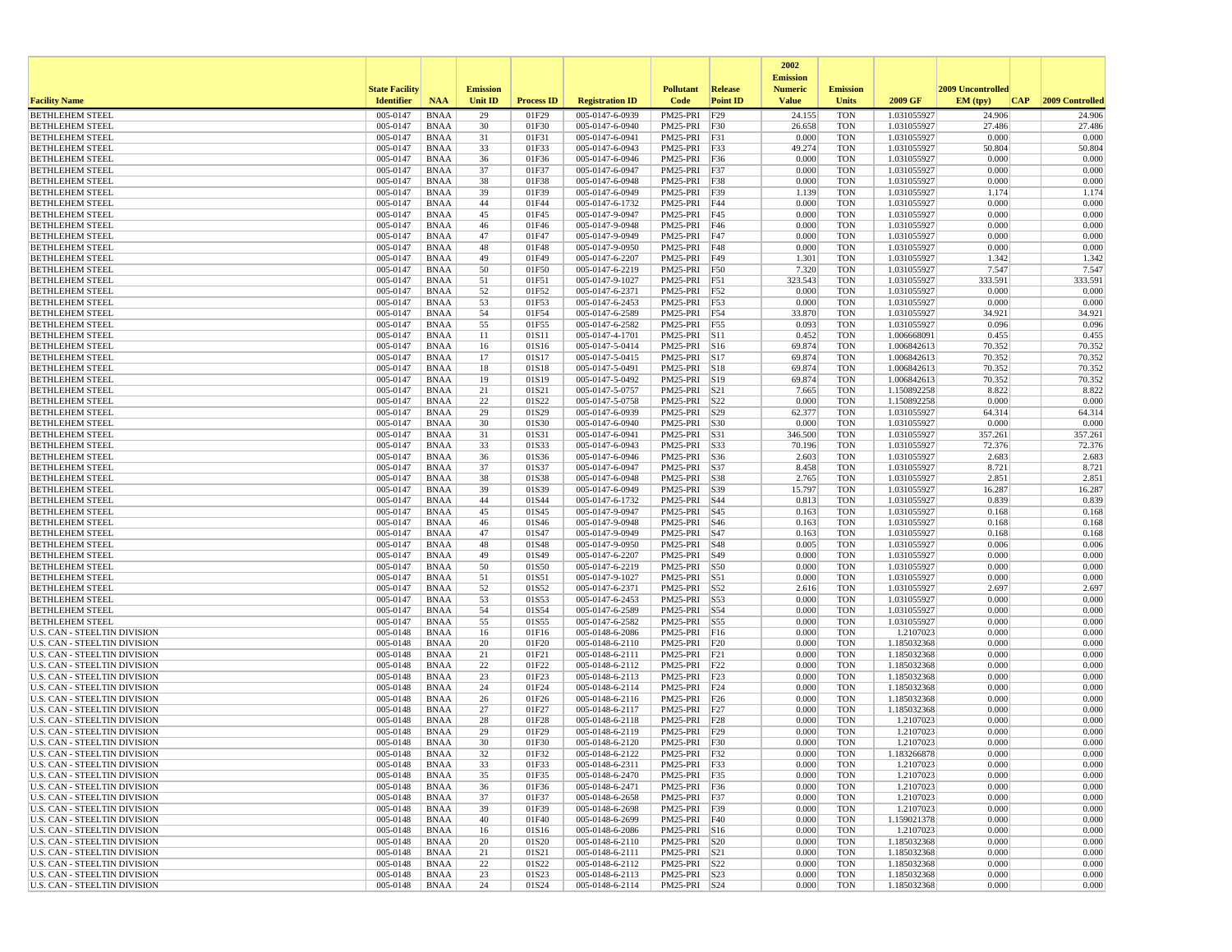|                                                                     |                       |                            |                 |                   |                                    |                              |                 | 2002<br><b>Emission</b> |                          |                            |                   |                  |
|---------------------------------------------------------------------|-----------------------|----------------------------|-----------------|-------------------|------------------------------------|------------------------------|-----------------|-------------------------|--------------------------|----------------------------|-------------------|------------------|
|                                                                     | <b>State Facility</b> |                            | <b>Emission</b> |                   |                                    | <b>Pollutant</b>             | Release         | <b>Numeric</b>          | <b>Emission</b>          |                            | 2009 Uncontrolled |                  |
| <b>Facility Name</b>                                                | <b>Identifier</b>     | <b>NAA</b>                 | <b>Unit ID</b>  | <b>Process ID</b> | <b>Registration ID</b>             | Code                         | <b>Point ID</b> | <b>Value</b>            | <b>Units</b>             | 2009 GF                    | EM (tpv)<br>CAP   | 2009 Controlled  |
| <b>BETHLEHEM STEEL</b>                                              | 005-0147<br>005-0147  | <b>BNAA</b>                | 29<br>30        | 01F29             | 005-0147-6-0939                    | PM25-PRI                     | F29             | 24.155                  | <b>TON</b>               | 1.031055927                | 24.906<br>27.486  | 24.906<br>27.486 |
| <b>BETHLEHEM STEEL</b><br><b>BETHLEHEM STEEL</b>                    | 005-0147              | <b>BNAA</b><br><b>BNAA</b> | 31              | 01F30<br>01F31    | 005-0147-6-0940<br>005-0147-6-0941 | PM25-PRI F30<br>PM25-PRI F31 |                 | 26.658<br>0.000         | <b>TON</b><br><b>TON</b> | 1.031055927<br>1.031055927 | 0.000             | 0.000            |
| <b>BETHLEHEM STEEL</b>                                              | 005-0147              | <b>BNAA</b>                | 33              | 01F33             | 005-0147-6-0943                    | PM25-PRI F33                 |                 | 49.274                  | <b>TON</b>               | 1.031055927                | 50.804            | 50.804           |
| <b>BETHLEHEM STEEL</b>                                              | 005-0147              | <b>BNAA</b>                | 36              | 01F36             | 005-0147-6-0946                    | PM25-PRI F36                 |                 | 0.000                   | <b>TON</b>               | 1.031055927                | 0.000             | 0.000            |
| <b>BETHLEHEM STEEL</b>                                              | 005-0147              | <b>BNAA</b>                | 37              | 01F37             | 005-0147-6-0947                    | PM25-PRI F37                 |                 | 0.000                   | <b>TON</b>               | 1.031055927                | 0.000             | 0.000            |
| <b>BETHLEHEM STEEL</b>                                              | 005-0147              | <b>BNAA</b>                | 38              | 01F38             | 005-0147-6-0948                    | PM25-PRI F38                 |                 | 0.000                   | <b>TON</b>               | 1.031055927                | 0.000             | 0.000            |
| <b>BETHLEHEM STEEL</b><br><b>BETHLEHEM STEEL</b>                    | 005-0147<br>005-0147  | <b>BNAA</b><br><b>BNAA</b> | 39<br>44        | 01F39<br>01F44    | 005-0147-6-0949<br>005-0147-6-1732 | PM25-PRI F39<br>PM25-PRI F44 |                 | 1.139<br>0.000          | <b>TON</b><br><b>TON</b> | 1.031055927<br>1.031055927 | 1.174<br>0.000    | 1.174<br>0.000   |
| <b>BETHLEHEM STEEL</b>                                              | 005-0147              | <b>BNAA</b>                | 45              | 01F45             | 005-0147-9-0947                    | PM25-PRI F45                 |                 | 0.000                   | <b>TON</b>               | 1.031055927                | 0.000             | 0.000            |
| <b>BETHLEHEM STEEL</b>                                              | 005-0147              | <b>BNAA</b>                | 46              | 01F46             | 005-0147-9-0948                    | PM25-PRI F46                 |                 | 0.000                   | <b>TON</b>               | 1.031055927                | 0.000             | 0.000            |
| <b>BETHLEHEM STEEL</b>                                              | 005-0147              | <b>BNAA</b>                | 47              | 01F47             | 005-0147-9-0949                    | PM25-PRI F47                 |                 | 0.000                   | <b>TON</b>               | 1.031055927                | 0.000             | 0.000            |
| <b>BETHLEHEM STEEL</b>                                              | 005-0147              | <b>BNAA</b>                | 48              | 01F48             | 005-0147-9-0950                    | PM25-PRI F48                 |                 | 0.000                   | <b>TON</b>               | 1.031055927                | 0.000             | 0.000            |
| <b>BETHLEHEM STEEL</b><br><b>BETHLEHEM STEEL</b>                    | 005-0147<br>005-0147  | <b>BNAA</b><br><b>BNAA</b> | 49<br>50        | 01F49<br>01F50    | 005-0147-6-2207<br>005-0147-6-2219 | PM25-PRI<br>PM25-PRI F50     | F49             | 1.301<br>7.320          | <b>TON</b><br><b>TON</b> | 1.031055927<br>1.031055927 | 1.342<br>7.547    | 1.342<br>7.547   |
| <b>BETHLEHEM STEEL</b>                                              | 005-0147              | BNAA                       | 51              | 01F51             | 005-0147-9-1027                    | PM25-PRI F51                 |                 | 323.543                 | <b>TON</b>               | 1.031055927                | 333.591           | 333.591          |
| <b>BETHLEHEM STEEL</b>                                              | 005-0147              | <b>BNAA</b>                | 52              | 01F52             | 005-0147-6-2371                    | PM25-PRI F52                 |                 | 0.000                   | <b>TON</b>               | 1.031055927                | 0.000             | 0.000            |
| <b>BETHLEHEM STEEL</b>                                              | 005-0147              | <b>BNAA</b>                | 53              | 01F53             | 005-0147-6-2453                    | PM25-PRI F53                 |                 | 0.000                   | <b>TON</b>               | 1.031055927                | 0.000             | 0.000            |
| <b>BETHLEHEM STEEL</b>                                              | 005-0147              | <b>BNAA</b>                | 54              | 01F54             | 005-0147-6-2589                    | PM25-PRI F54                 |                 | 33.870                  | <b>TON</b>               | 1.031055927                | 34.921            | 34.921           |
| <b>BETHLEHEM STEEL</b>                                              | 005-0147<br>005-0147  | <b>BNAA</b><br><b>BNAA</b> | 55              | 01F55             | 005-0147-6-2582                    | PM25-PRI F55                 |                 | 0.093<br>0.452          | <b>TON</b><br><b>TON</b> | 1.031055927<br>1.006668091 | 0.096<br>0.455    | 0.096            |
| <b>BETHLEHEM STEEL</b><br><b>BETHLEHEM STEEL</b>                    | 005-0147              | <b>BNAA</b>                | 11<br>16        | 01S11<br>01S16    | 005-0147-4-1701<br>005-0147-5-0414 | PM25-PRI S11<br>PM25-PRI S16 |                 | 69.874                  | <b>TON</b>               | 1.006842613                | 70.352            | 0.455<br>70.352  |
| <b>BETHLEHEM STEEL</b>                                              | 005-0147              | <b>BNAA</b>                | 17              | 01S17             | 005-0147-5-0415                    | PM25-PRI S17                 |                 | 69.874                  | <b>TON</b>               | 1.006842613                | 70.352            | 70.352           |
| <b>BETHLEHEM STEEL</b>                                              | 005-0147              | <b>BNAA</b>                | 18              | 01S18             | 005-0147-5-0491                    | PM25-PRI S18                 |                 | 69.874                  | <b>TON</b>               | 1.006842613                | 70.352            | 70.352           |
| <b>BETHLEHEM STEEL</b>                                              | 005-0147              | <b>BNAA</b>                | 19              | 01S19             | 005-0147-5-0492                    | PM25-PRI S19                 |                 | 69.874                  | <b>TON</b>               | 1.006842613                | 70.352            | 70.352           |
| <b>BETHLEHEM STEEL</b>                                              | 005-0147              | <b>BNAA</b>                | 21              | 01S21             | 005-0147-5-0757                    | PM25-PRI   S21               |                 | 7.665                   | <b>TON</b>               | 1.150892258                | 8.822             | 8.822            |
| <b>BETHLEHEM STEEL</b><br><b>BETHLEHEM STEEL</b>                    | 005-0147<br>005-0147  | <b>BNAA</b><br><b>BNAA</b> | 22<br>29        | 01S22<br>01S29    | 005-0147-5-0758<br>005-0147-6-0939 | PM25-PRI S22<br>PM25-PRI S29 |                 | 0.000<br>62.377         | <b>TON</b><br><b>TON</b> | 1.150892258<br>1.031055927 | 0.000<br>64.314   | 0.000<br>64.314  |
| <b>BETHLEHEM STEEL</b>                                              | 005-0147              | <b>BNAA</b>                | 30              | 01S30             | 005-0147-6-0940                    | PM25-PRI S30                 |                 | 0.000                   | <b>TON</b>               | 1.031055927                | 0.000             | 0.000            |
| <b>BETHLEHEM STEEL</b>                                              | 005-0147              | <b>BNAA</b>                | 31              | 01S31             | 005-0147-6-0941                    | PM25-PRI S31                 |                 | 346.500                 | <b>TON</b>               | 1.031055927                | 357.261           | 357.261          |
| <b>BETHLEHEM STEEL</b>                                              | 005-0147              | <b>BNAA</b>                | 33              | 01S33             | 005-0147-6-0943                    | PM25-PRI                     | S33             | 70.196                  | <b>TON</b>               | 1.031055927                | 72.376            | 72.376           |
| <b>BETHLEHEM STEEL</b>                                              | 005-0147              | <b>BNAA</b>                | 36              | 01S36             | 005-0147-6-0946                    | PM25-PRI   S36               |                 | 2.603                   | <b>TON</b>               | 1.031055927                | 2.683             | 2.683            |
| <b>BETHLEHEM STEEL</b><br><b>BETHLEHEM STEEL</b>                    | 005-0147<br>005-0147  | <b>BNAA</b><br><b>BNAA</b> | 37<br>38        | 01S37<br>01S38    | 005-0147-6-0947<br>005-0147-6-0948 | PM25-PRI S37<br>PM25-PRI S38 |                 | 8.458<br>2.765          | <b>TON</b><br><b>TON</b> | 1.031055927<br>1.031055927 | 8.721<br>2.851    | 8.721<br>2.851   |
| <b>BETHLEHEM STEEL</b>                                              | 005-0147              | <b>BNAA</b>                | 39              | 01S39             | 005-0147-6-0949                    | PM25-PRI S39                 |                 | 15.797                  | <b>TON</b>               | 1.031055927                | 16.287            | 16.287           |
| <b>BETHLEHEM STEEL</b>                                              | 005-0147              | <b>BNAA</b>                | 44              | 01S44             | 005-0147-6-1732                    | PM25-PRI   S44               |                 | 0.813                   | <b>TON</b>               | 1.031055927                | 0.839             | 0.839            |
| <b>BETHLEHEM STEEL</b>                                              | 005-0147              | <b>BNAA</b>                | 45              | 01S45             | 005-0147-9-0947                    | PM25-PRI   S45               |                 | 0.163                   | <b>TON</b>               | 1.031055927                | 0.168             | 0.168            |
| <b>BETHLEHEM STEEL</b>                                              | 005-0147              | <b>BNAA</b>                | 46              | 01S46             | 005-0147-9-0948                    | PM25-PRI S46                 |                 | 0.163                   | <b>TON</b>               | 1.031055927                | 0.168             | 0.168            |
| <b>BETHLEHEM STEEL</b><br><b>BETHLEHEM STEEL</b>                    | 005-0147<br>005-0147  | <b>BNAA</b><br><b>BNAA</b> | 47<br>48        | 01S47<br>01S48    | 005-0147-9-0949<br>005-0147-9-0950 | PM25-PRI S47<br>PM25-PRI S48 |                 | 0.163<br>0.005          | <b>TON</b><br><b>TON</b> | 1.031055927<br>1.031055927 | 0.168<br>0.006    | 0.168<br>0.006   |
| <b>BETHLEHEM STEEL</b>                                              | 005-0147              | <b>BNAA</b>                | 49              | 01S49             | 005-0147-6-2207                    | PM25-PRI   S49               |                 | 0.000                   | <b>TON</b>               | 1.031055927                | 0.000             | 0.000            |
| <b>BETHLEHEM STEEL</b>                                              | 005-0147              | <b>BNAA</b>                | 50              | 01S50             | 005-0147-6-2219                    | PM25-PRI S50                 |                 | 0.000                   | <b>TON</b>               | 1.031055927                | 0.000             | 0.000            |
| <b>BETHLEHEM STEEL</b>                                              | 005-0147              | <b>BNAA</b>                | 51              | 01S51             | 005-0147-9-1027                    | PM25-PRI S51                 |                 | 0.000                   | <b>TON</b>               | 1.031055927                | 0.000             | 0.000            |
| <b>BETHLEHEM STEEL</b>                                              | 005-0147              | <b>BNAA</b>                | 52              | 01S52             | 005-0147-6-2371                    | PM25-PRI S52                 |                 | 2.616                   | <b>TON</b>               | 1.031055927                | 2.697             | 2.697            |
| <b>BETHLEHEM STEEL</b><br><b>BETHLEHEM STEEL</b>                    | 005-0147<br>005-0147  | <b>BNAA</b><br><b>BNAA</b> | 53<br>54        | 01S53<br>01S54    | 005-0147-6-2453<br>005-0147-6-2589 | PM25-PRI S53<br>PM25-PRI S54 |                 | 0.000<br>0.000          | <b>TON</b><br><b>TON</b> | 1.031055927<br>1.031055927 | 0.000<br>0.000    | 0.000<br>0.000   |
| <b>BETHLEHEM STEEL</b>                                              | 005-0147              | <b>BNAA</b>                | 55              | 01S55             | 005-0147-6-2582                    | PM25-PRI S55                 |                 | 0.000                   | <b>TON</b>               | 1.031055927                | 0.000             | 0.000            |
| U.S. CAN - STEELTIN DIVISION                                        | 005-0148              | <b>BNAA</b>                | 16              | 01F16             | 005-0148-6-2086                    | PM25-PRI F16                 |                 | 0.000                   | <b>TON</b>               | 1.2107023                  | 0.000             | 0.000            |
| U.S. CAN - STEELTIN DIVISION                                        | 005-0148              | <b>BNAA</b>                | 20              | 01F20             | 005-0148-6-2110                    | PM25-PRI F20                 |                 | 0.000                   | <b>TON</b>               | 1.185032368                | 0.000             | 0.000            |
| U.S. CAN - STEELTIN DIVISION                                        | 005-0148              | <b>BNAA</b>                | 21              | 01F21             | 005-0148-6-2111                    | PM25-PRI F21                 |                 | 0.000                   | <b>TON</b>               | 1.185032368                | 0.000             | 0.000            |
| U.S. CAN - STEELTIN DIVISION<br><b>U.S. CAN - STEELTIN DIVISION</b> | 005-0148              | <b>BNAA</b><br><b>BNAA</b> | 22<br>23        | 01F22<br>01F23    | 005-0148-6-2112<br>005-0148-6-2113 | PM25-PRI F22                 |                 | 0.000<br>0.000          | <b>TON</b><br><b>TON</b> | 1.185032368<br>1.185032368 | 0.000<br>0.000    | 0.000<br>0.000   |
| U.S. CAN - STEELTIN DIVISION                                        | 005-0148<br>005-0148  | <b>BNAA</b>                | 24              | 01F24             | 005-0148-6-2114                    | PM25-PRI F23<br>PM25-PRI F24 |                 | 0.000                   | <b>TON</b>               | 1.185032368                | 0.000             | 0.000            |
| U.S. CAN - STEELTIN DIVISION                                        | 005-0148              | <b>BNAA</b>                | 26              | 01F26             | 005-0148-6-2116                    | PM25-PRI F26                 |                 | 0.000                   | <b>TON</b>               | 1.185032368                | 0.000             | 0.000            |
| U.S. CAN - STEELTIN DIVISION                                        | 005-0148              | <b>BNAA</b>                | 27              | 01F27             | 005-0148-6-2117                    | PM25-PRI F27                 |                 | 0.000                   | <b>TON</b>               | 1.185032368                | 0.000             | 0.000            |
| <b>U.S. CAN - STEELTIN DIVISION</b>                                 | 005-0148              | <b>BNAA</b>                | 28              | 01F28             | 005-0148-6-2118                    | PM25-PRI F28                 |                 | 0.000                   | <b>TON</b>               | 1.2107023                  | 0.000             | 0.000            |
| U.S. CAN - STEELTIN DIVISION                                        | 005-0148              | <b>BNAA</b>                | 29              | 01F29             | 005-0148-6-2119                    | PM25-PRI F29                 |                 | 0.000                   | <b>TON</b>               | 1.2107023                  | 0.000             | 0.000            |
| U.S. CAN - STEELTIN DIVISION<br>U.S. CAN - STEELTIN DIVISION        | 005-0148<br>005-0148  | <b>BNAA</b><br><b>BNAA</b> | 30<br>32        | 01F30<br>01F32    | 005-0148-6-2120<br>005-0148-6-2122 | PM25-PRI F30<br>PM25-PRI F32 |                 | 0.000<br>0.000          | <b>TON</b><br>TON        | 1.2107023<br>1.183266878   | 0.000<br>0.000    | 0.000<br>0.000   |
| <b>U.S. CAN - STEELTIN DIVISION</b>                                 | 005-0148              | <b>BNAA</b>                | 33              | 01F33             | 005-0148-6-2311                    | PM25-PRI F33                 |                 | 0.000                   | <b>TON</b>               | 1.2107023                  | 0.000             | 0.000            |
| U.S. CAN - STEELTIN DIVISION                                        | 005-0148              | BNAA                       | 35              | 01F35             | 005-0148-6-2470                    | PM25-PRI F35                 |                 | 0.000                   | <b>TON</b>               | 1.2107023                  | 0.000             | 0.000            |
| <b>U.S. CAN - STEELTIN DIVISION</b>                                 | 005-0148              | <b>BNAA</b>                | 36              | 01F36             | 005-0148-6-2471                    | PM25-PRI F36                 |                 | 0.000                   | <b>TON</b>               | 1.2107023                  | 0.000             | 0.000            |
| U.S. CAN - STEELTIN DIVISION                                        | 005-0148              | <b>BNAA</b>                | 37              | 01F37             | 005-0148-6-2658                    | PM25-PRI F37                 |                 | 0.000                   | <b>TON</b>               | 1.2107023                  | 0.000             | 0.000            |
| U.S. CAN - STEELTIN DIVISION<br><b>U.S. CAN - STEELTIN DIVISION</b> | 005-0148<br>005-0148  | <b>BNAA</b>                | 39<br>40        | 01F39<br>01F40    | 005-0148-6-2698<br>005-0148-6-2699 | PM25-PRI F39<br>PM25-PRI F40 |                 | 0.000<br>0.000          | <b>TON</b><br><b>TON</b> | 1.2107023<br>1.159021378   | 0.000<br>0.000    | 0.000<br>0.000   |
| U.S. CAN - STEELTIN DIVISION                                        | 005-0148              | <b>BNAA</b><br>BNAA        | 16              | 01S16             | 005-0148-6-2086                    | PM25-PRI S16                 |                 | 0.000                   | <b>TON</b>               | 1.2107023                  | 0.000             | 0.000            |
| <b>U.S. CAN - STEELTIN DIVISION</b>                                 | 005-0148              | <b>BNAA</b>                | 20              | 01S20             | 005-0148-6-2110                    | PM25-PRI S20                 |                 | 0.000                   | <b>TON</b>               | 1.185032368                | 0.000             | 0.000            |
| <b>U.S. CAN - STEELTIN DIVISION</b>                                 | 005-0148              | <b>BNAA</b>                | 21              | 01S21             | 005-0148-6-2111                    | PM25-PRI S21                 |                 | 0.000                   | <b>TON</b>               | 1.185032368                | 0.000             | 0.000            |
| U.S. CAN - STEELTIN DIVISION                                        | 005-0148              | <b>BNAA</b>                | 22              | 01S22             | 005-0148-6-2112                    | PM25-PRI   S22               |                 | 0.000                   | <b>TON</b>               | 1.185032368                | 0.000             | 0.000            |
| <b>U.S. CAN - STEELTIN DIVISION</b><br>U.S. CAN - STEELTIN DIVISION | 005-0148              | <b>BNAA</b>                | 23              | 01S23             | 005-0148-6-2113<br>005-0148-6-2114 | PM25-PRI S23<br>PM25-PRI S24 |                 | 0.000                   | <b>TON</b>               | 1.185032368                | 0.000             | 0.000<br>0.000   |
|                                                                     | 005-0148              | <b>BNAA</b>                | 24              | 01S24             |                                    |                              |                 | 0.000                   | TON                      | 1.185032368                | 0.000             |                  |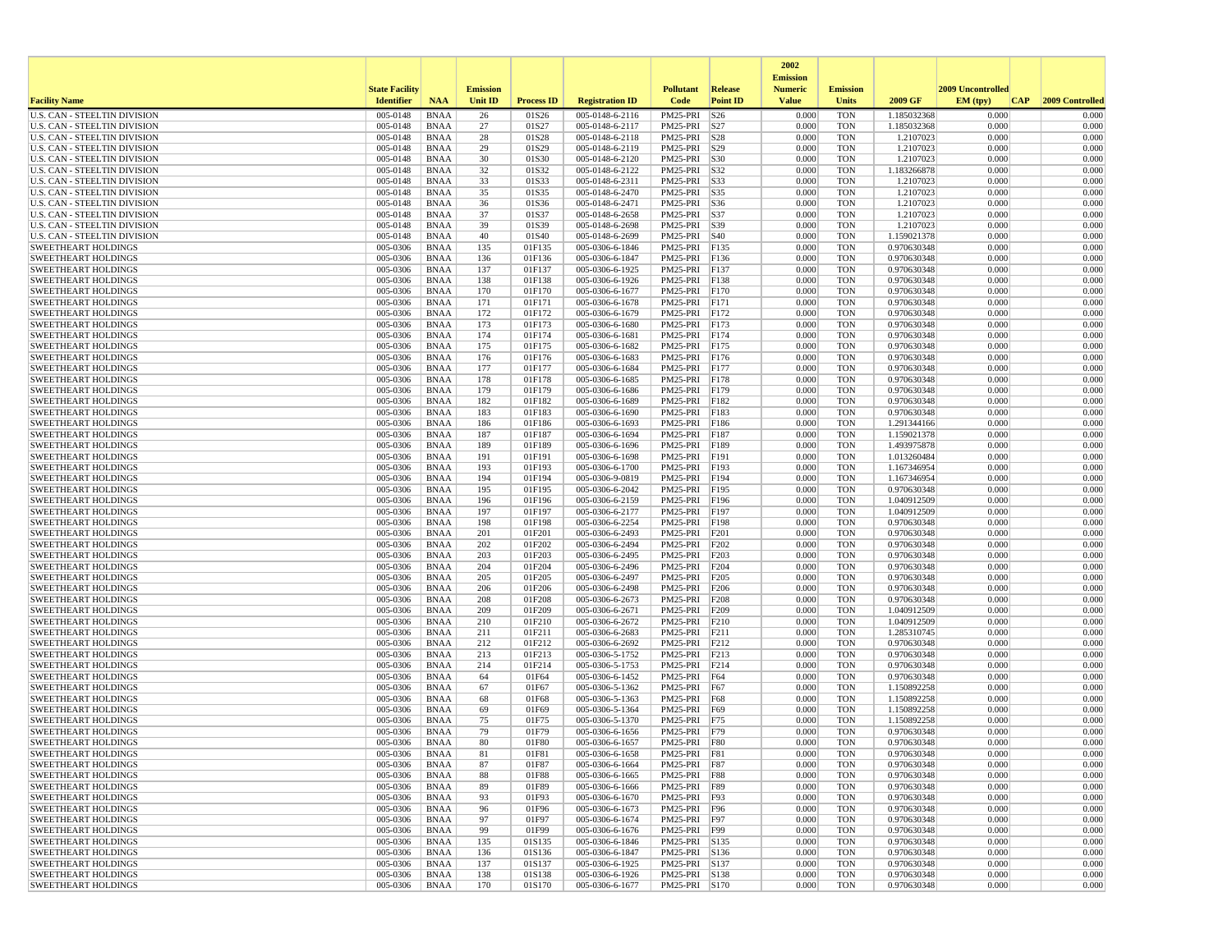|                                                                     |                       |                            |                 |                   |                                    |                              |                 | 2002                              |                          |                            |                   |                 |
|---------------------------------------------------------------------|-----------------------|----------------------------|-----------------|-------------------|------------------------------------|------------------------------|-----------------|-----------------------------------|--------------------------|----------------------------|-------------------|-----------------|
|                                                                     | <b>State Facility</b> |                            | <b>Emission</b> |                   |                                    | <b>Pollutant</b>             | Release         | <b>Emission</b><br><b>Numeric</b> | <b>Emission</b>          |                            | 2009 Uncontrolled |                 |
| <b>Facility Name</b>                                                | <b>Identifier</b>     | <b>NAA</b>                 | <b>Unit ID</b>  | <b>Process ID</b> | <b>Registration ID</b>             | Code                         | <b>Point ID</b> | <b>Value</b>                      | <b>Units</b>             | 2009 GF                    | EM (tpv)<br> CAP  | 2009 Controlled |
| <b>U.S. CAN - STEELTIN DIVISION</b>                                 | 005-0148              | <b>BNAA</b>                | 26              | 01S26             | 005-0148-6-2116                    | PM25-PRI                     | S26             | 0.000                             | <b>TON</b>               | 1.185032368                | 0.000             | 0.000           |
| <b>U.S. CAN - STEELTIN DIVISION</b>                                 | 005-0148              | <b>BNAA</b>                | 27              | 01S27             | 005-0148-6-2117                    | PM25-PRI S27                 |                 | 0.000                             | <b>TON</b>               | 1.185032368                | 0.000             | 0.000           |
| U.S. CAN - STEELTIN DIVISION                                        | 005-0148<br>005-0148  | <b>BNAA</b>                | 28              | 01S28             | 005-0148-6-2118                    | PM25-PRI S28                 |                 | 0.000<br>0.000                    | <b>TON</b>               | 1.2107023                  | 0.000             | 0.000           |
| U.S. CAN - STEELTIN DIVISION<br><b>U.S. CAN - STEELTIN DIVISION</b> | 005-0148              | <b>BNAA</b><br>BNAA        | 29<br>30        | 01S29<br>01S30    | 005-0148-6-2119<br>005-0148-6-2120 | PM25-PRI S29<br>PM25-PRI S30 |                 | 0.000                             | <b>TON</b><br><b>TON</b> | 1.2107023<br>1.2107023     | 0.000<br>0.000    | 0.000<br>0.000  |
| <b>U.S. CAN - STEELTIN DIVISION</b>                                 | 005-0148              | <b>BNAA</b>                | 32              | 01S32             | 005-0148-6-2122                    | PM25-PRI S32                 |                 | 0.000                             | <b>TON</b>               | 1.183266878                | 0.000             | 0.000           |
| U.S. CAN - STEELTIN DIVISION                                        | 005-0148              | <b>BNAA</b>                | 33              | 01S33             | 005-0148-6-2311                    | PM25-PRI S33                 |                 | 0.000                             | <b>TON</b>               | 1.2107023                  | 0.000             | 0.000           |
| U.S. CAN - STEELTIN DIVISION                                        | 005-0148              | <b>BNAA</b>                | 35              | 01S35             | 005-0148-6-2470                    | PM25-PRI S35                 |                 | 0.000                             | <b>TON</b>               | 1.2107023                  | 0.000             | 0.000           |
| U.S. CAN - STEELTIN DIVISION                                        | 005-0148              | <b>BNAA</b>                | 36              | 01S36             | 005-0148-6-2471                    | PM25-PRI S36                 |                 | 0.000                             | <b>TON</b>               | 1.2107023                  | 0.000             | 0.000           |
| <b>U.S. CAN - STEELTIN DIVISION</b>                                 | 005-0148              | <b>BNAA</b>                | 37              | 01S37             | 005-0148-6-2658                    | PM25-PRI S37                 |                 | 0.000                             | <b>TON</b>               | 1.2107023                  | 0.000             | 0.000           |
| U.S. CAN - STEELTIN DIVISION<br><b>U.S. CAN - STEELTIN DIVISION</b> | 005-0148<br>005-0148  | <b>BNAA</b><br>BNAA        | 39<br>40        | 01S39<br>01S40    | 005-0148-6-2698<br>005-0148-6-2699 | PM25-PRI S39<br>PM25-PRI S40 |                 | 0.000<br>0.000                    | <b>TON</b><br><b>TON</b> | 1.2107023<br>1.159021378   | 0.000<br>0.000    | 0.000<br>0.000  |
| <b>SWEETHEART HOLDINGS</b>                                          | 005-0306              | <b>BNAA</b>                | 135             | 01F135            | 005-0306-6-1846                    | PM25-PRI F135                |                 | 0.000                             | <b>TON</b>               | 0.970630348                | 0.000             | 0.000           |
| <b>SWEETHEART HOLDINGS</b>                                          | 005-0306              | <b>BNAA</b>                | 136             | 01F136            | 005-0306-6-1847                    | PM25-PRI                     | F136            | 0.000                             | <b>TON</b>               | 0.970630348                | 0.000             | 0.000           |
| <b>SWEETHEART HOLDINGS</b>                                          | 005-0306              | <b>BNAA</b>                | 137             | 01F137            | 005-0306-6-1925                    | PM25-PRI                     | F137            | 0.000                             | <b>TON</b>               | 0.970630348                | 0.000             | 0.000           |
| <b>SWEETHEART HOLDINGS</b>                                          | 005-0306              | BNAA                       | 138             | 01F138            | 005-0306-6-1926                    | PM25-PRI                     | F138            | 0.000                             | <b>TON</b>               | 0.970630348                | 0.000             | 0.000           |
| <b>SWEETHEART HOLDINGS</b>                                          | 005-0306              | <b>BNAA</b>                | 170             | 01F170            | 005-0306-6-1677                    | PM25-PRI                     | F170            | 0.000                             | <b>TON</b>               | 0.970630348                | 0.000             | 0.000           |
| <b>SWEETHEART HOLDINGS</b>                                          | 005-0306              | <b>BNAA</b>                | 171             | 01F171            | 005-0306-6-1678                    | PM25-PRI F171                |                 | 0.000                             | <b>TON</b>               | 0.970630348                | 0.000             | 0.000           |
| <b>SWEETHEART HOLDINGS</b><br><b>SWEETHEART HOLDINGS</b>            | 005-0306<br>005-0306  | <b>BNAA</b><br><b>BNAA</b> | 172<br>173      | 01F172<br>01F173  | 005-0306-6-1679<br>005-0306-6-1680 | PM25-PRI<br>PM25-PRI         | F172<br>F173    | 0.000<br>0.000                    | <b>TON</b><br><b>TON</b> | 0.970630348<br>0.970630348 | 0.000<br>0.000    | 0.000<br>0.000  |
| <b>SWEETHEART HOLDINGS</b>                                          | 005-0306              | <b>BNAA</b>                | 174             | 01F174            | 005-0306-6-1681                    | PM25-PRI                     | F174            | 0.000                             | <b>TON</b>               | 0.970630348                | 0.000             | 0.000           |
| <b>SWEETHEART HOLDINGS</b>                                          | 005-0306              | <b>BNAA</b>                | 175             | 01F175            | $005 - 0306 - 6 - 1682$            | PM25-PRI                     | FI75            | 0.000                             | <b>TON</b>               | 0.970630348                | 0.000             | 0.000           |
| <b>SWEETHEART HOLDINGS</b>                                          | 005-0306              | BNAA                       | 176             | 01F176            | 005-0306-6-1683                    | PM25-PRI F176                |                 | 0.000                             | <b>TON</b>               | 0.970630348                | 0.000             | 0.000           |
| <b>SWEETHEART HOLDINGS</b>                                          | 005-0306              | <b>BNAA</b>                | 177             | 01F177            | 005-0306-6-1684                    | PM25-PRI                     | F177            | 0.000                             | <b>TON</b>               | 0.970630348                | 0.000             | 0.000           |
| <b>SWEETHEART HOLDINGS</b>                                          | 005-0306              | <b>BNAA</b>                | 178             | 01F178            | 005-0306-6-1685                    | PM25-PRI                     | F178            | 0.000                             | <b>TON</b>               | 0.970630348                | 0.000             | 0.000           |
| <b>SWEETHEART HOLDINGS</b>                                          | 005-0306              | BNAA                       | 179             | 01F179            | 005-0306-6-1686                    | PM25-PRI                     | F179            | 0.000                             | <b>TON</b>               | 0.970630348                | 0.000             | 0.000           |
| <b>SWEETHEART HOLDINGS</b><br><b>SWEETHEART HOLDINGS</b>            | 005-0306<br>005-0306  | <b>BNAA</b><br><b>BNAA</b> | 182<br>183      | 01F182<br>01F183  | 005-0306-6-1689<br>005-0306-6-1690 | PM25-PRI<br>PM25-PRI         | F182<br>F183    | 0.000<br>0.000                    | <b>TON</b><br><b>TON</b> | 0.970630348<br>0.970630348 | 0.000<br>0.000    | 0.000<br>0.000  |
| <b>SWEETHEART HOLDINGS</b>                                          | 005-0306              | <b>BNAA</b>                | 186             | 01F186            | 005-0306-6-1693                    | PM25-PRI F186                |                 | 0.000                             | <b>TON</b>               | 1.291344166                | 0.000             | 0.000           |
| <b>SWEETHEART HOLDINGS</b>                                          | 005-0306              | <b>BNAA</b>                | 187             | 01F187            | 005-0306-6-1694                    | PM25-PRI                     | F187            | 0.000                             | <b>TON</b>               | 1.159021378                | 0.000             | 0.000           |
| <b>SWEETHEART HOLDINGS</b>                                          | 005-0306              | <b>BNAA</b>                | 189             | 01F189            | 005-0306-6-1696                    | PM25-PRI                     | F189            | 0.000                             | <b>TON</b>               | 1.493975878                | 0.000             | 0.000           |
| <b>SWEETHEART HOLDINGS</b>                                          | 005-0306              | <b>BNAA</b>                | 191             | 01F191            | 005-0306-6-1698                    | PM25-PRI                     | F191            | 0.000                             | <b>TON</b>               | 1.013260484                | 0.000             | 0.000           |
| <b>SWEETHEART HOLDINGS</b>                                          | 005-0306              | <b>BNAA</b>                | 193             | 01F193            | 005-0306-6-1700                    | PM25-PRI                     | F193            | 0.000                             | <b>TON</b>               | 1.167346954                | 0.000             | 0.000           |
| <b>SWEETHEART HOLDINGS</b>                                          | 005-0306              | <b>BNAA</b>                | 194             | 01F194            | 005-0306-9-0819                    | PM25-PRI                     | F194            | 0.000                             | <b>TON</b>               | 1.167346954                | 0.000             | 0.000           |
| <b>SWEETHEART HOLDINGS</b><br><b>SWEETHEART HOLDINGS</b>            | 005-0306<br>005-0306  | <b>BNAA</b><br><b>BNAA</b> | 195<br>196      | 01F195<br>01F196  | 005-0306-6-2042<br>005-0306-6-2159 | PM25-PRI<br>PM25-PRI         | F195<br>F196    | 0.000<br>0.000                    | <b>TON</b><br><b>TON</b> | 0.970630348<br>1.040912509 | 0.000<br>0.000    | 0.000<br>0.000  |
| <b>SWEETHEART HOLDINGS</b>                                          | 005-0306              | BNAA                       | 197             | 01F197            | 005-0306-6-2177                    | PM25-PRI                     | F197            | 0.000                             | <b>TON</b>               | 1.040912509                | 0.000             | 0.000           |
| <b>SWEETHEART HOLDINGS</b>                                          | 005-0306              | <b>BNAA</b>                | 198             | 01F198            | 005-0306-6-2254                    | PM25-PRI                     | <b>F198</b>     | 0.000                             | <b>TON</b>               | 0.970630348                | 0.000             | 0.000           |
| <b>SWEETHEART HOLDINGS</b>                                          | 005-0306              | <b>BNAA</b>                | 201             | 01F201            | 005-0306-6-2493                    | PM25-PRI                     | F201            | 0.000                             | <b>TON</b>               | 0.970630348                | 0.000             | 0.000           |
| <b>SWEETHEART HOLDINGS</b>                                          | 005-0306              | <b>BNAA</b>                | 202             | 01F202            | 005-0306-6-2494                    | PM25-PRI                     | F202            | 0.000                             | <b>TON</b>               | 0.970630348                | 0.000             | 0.000           |
| <b>SWEETHEART HOLDINGS</b>                                          | 005-0306              | BNAA                       | 203             | 01F203            | 005-0306-6-2495                    | PM25-PRI                     | F203            | 0.000                             | <b>TON</b>               | 0.970630348                | 0.000             | 0.000           |
| <b>SWEETHEART HOLDINGS</b>                                          | 005-0306<br>005-0306  | <b>BNAA</b>                | 204<br>205      | 01F204<br>01F205  | 005-0306-6-2496                    | PM25-PRI                     | F204            | 0.000<br>0.000                    | <b>TON</b><br><b>TON</b> | 0.970630348                | 0.000<br>0.000    | 0.000<br>0.000  |
| <b>SWEETHEART HOLDINGS</b><br><b>SWEETHEART HOLDINGS</b>            | 005-0306              | <b>BNAA</b><br><b>BNAA</b> | 206             | 01F206            | 005-0306-6-2497<br>005-0306-6-2498 | PM25-PRI<br>PM25-PRI         | F205<br>F206    | 0.000                             | <b>TON</b>               | 0.970630348<br>0.970630348 | 0.000             | 0.000           |
| <b>SWEETHEART HOLDINGS</b>                                          | 005-0306              | <b>BNAA</b>                | 208             | 01F208            | 005-0306-6-2673                    | PM25-PRI                     | F208            | 0.000                             | <b>TON</b>               | 0.970630348                | 0.000             | 0.000           |
| <b>SWEETHEART HOLDINGS</b>                                          | 005-0306              | <b>BNAA</b>                | 209             | 01F209            | 005-0306-6-2671                    | PM25-PRI                     | F209            | 0.000                             | <b>TON</b>               | 1.040912509                | 0.000             | 0.000           |
| <b>SWEETHEART HOLDINGS</b>                                          | 005-0306              | <b>BNAA</b>                | 210             | 01F210            | 005-0306-6-2672                    | PM25-PRI                     | F210            | 0.000                             | <b>TON</b>               | 1.040912509                | 0.000             | 0.000           |
| <b>SWEETHEART HOLDINGS</b>                                          | 005-0306              | BNAA                       | 211             | 01F211            | 005-0306-6-2683                    | PM25-PRI                     | F211            | 0.000                             | <b>TON</b>               | 1.285310745                | 0.000             | 0.000           |
| <b>SWEETHEART HOLDINGS</b>                                          | 005-0306              | <b>BNAA</b>                | 212             | 01F212            | 005-0306-6-2692                    | PM25-PRI                     | F212            | 0.000                             | <b>TON</b>               | 0.970630348                | 0.000<br>0.000    | 0.000           |
| <b>SWEETHEART HOLDINGS</b><br><b>SWEETHEART HOLDINGS</b>            | 005-0306<br>005-0306  | <b>BNAA</b><br>BNAA        | 213<br>214      | 01F213<br>01F214  | 005-0306-5-1752<br>005-0306-5-1753 | PM25-PRI<br>PM25-PRI F214    | F213            | 0.000<br>0.000                    | <b>TON</b><br><b>TON</b> | 0.970630348<br>0.970630348 | 0.000             | 0.000<br>0.000  |
| <b>SWEETHEART HOLDINGS</b>                                          | 005-0306              | <b>BNAA</b>                | 64              | 01F64             | 005-0306-6-1452                    | PM25-PRI                     | F64             | 0.000                             | <b>TON</b>               | 0.970630348                | 0.000             | 0.000           |
| <b>SWEETHEART HOLDINGS</b>                                          | 005-0306              | <b>BNAA</b>                | 67              | 01F67             | 005-0306-5-1362                    | PM25-PRI                     | F67             | 0.000                             | <b>TON</b>               | 1.150892258                | 0.000             | 0.000           |
| <b>SWEETHEART HOLDINGS</b>                                          | 005-0306              | <b>BNAA</b>                | 68              | 01F68             | 005-0306-5-1363                    | PM25-PRI                     | F68             | 0.000                             | <b>TON</b>               | 1.150892258                | 0.000             | 0.000           |
| <b>SWEETHEART HOLDINGS</b>                                          | 005-0306              | BNAA                       | 69              | 01F69             | 005-0306-5-1364                    | PM25-PRI                     | F69             | 0.000                             | <b>TON</b>               | 1.150892258                | 0.000             | 0.000           |
| <b>SWEETHEART HOLDINGS</b>                                          | 005-0306              | <b>BNAA</b>                | 75              | 01F75             | 005-0306-5-1370                    | PM25-PRI                     | F75             | 0.000                             | <b>TON</b>               | 1.150892258                | 0.000             | 0.000           |
| <b>SWEETHEART HOLDINGS</b><br><b>SWEETHEART HOLDINGS</b>            | 005-0306<br>005-0306  | <b>BNAA</b><br><b>BNAA</b> | 79<br>80        | 01F79<br>01F80    | 005-0306-6-1656<br>005-0306-6-1657 | PM25-PRI F79<br>PM25-PRI F80 |                 | 0.000<br>0.000                    | <b>TON</b><br><b>TON</b> | 0.970630348<br>0.970630348 | 0.000<br>0.000    | 0.000<br>0.000  |
| SWEETHEART HOLDINGS                                                 | 005-0306              | <b>BNAA</b>                | 81              | 01F81             | 005-0306-6-1658                    | PM25-PRI F81                 |                 | 0.000                             | TON                      | 0.970630348                | 0.000             | 0.000           |
| <b>SWEETHEART HOLDINGS</b>                                          | 005-0306              | BNAA                       | 87              | 01F87             | 005-0306-6-1664                    | PM25-PRI F87                 |                 | 0.000                             | <b>TON</b>               | 0.970630348                | 0.000             | 0.000           |
| <b>SWEETHEART HOLDINGS</b>                                          | 005-0306              | BNAA                       | 88              | 01F88             | 005-0306-6-1665                    | PM25-PRI F88                 |                 | 0.000                             | <b>TON</b>               | 0.970630348                | 0.000             | 0.000           |
| <b>SWEETHEART HOLDINGS</b>                                          | 005-0306              | <b>BNAA</b>                | 89              | 01F89             | 005-0306-6-1666                    | PM25-PRI F89                 |                 | 0.000                             | <b>TON</b>               | 0.970630348                | 0.000             | 0.000           |
| <b>SWEETHEART HOLDINGS</b>                                          | 005-0306              | <b>BNAA</b>                | 93              | 01F93             | 005-0306-6-1670                    | PM25-PRI F93                 |                 | 0.000                             | <b>TON</b>               | 0.970630348                | 0.000             | 0.000           |
| <b>SWEETHEART HOLDINGS</b>                                          | 005-0306              | <b>BNAA</b>                | 96              | 01F96             | 005-0306-6-1673                    | PM25-PRI F96                 |                 | 0.000                             | <b>TON</b>               | 0.970630348                | 0.000             | 0.000           |
| <b>SWEETHEART HOLDINGS</b><br><b>SWEETHEART HOLDINGS</b>            | 005-0306<br>005-0306  | <b>BNAA</b><br>BNAA        | 97<br>99        | 01F97<br>01F99    | 005-0306-6-1674<br>005-0306-6-1676 | PM25-PRI F97<br>PM25-PRI F99 |                 | 0.000<br>0.000                    | <b>TON</b><br><b>TON</b> | 0.970630348<br>0.970630348 | 0.000<br>0.000    | 0.000<br>0.000  |
| <b>SWEETHEART HOLDINGS</b>                                          | 005-0306              | <b>BNAA</b>                | 135             | 01S135            | 005-0306-6-1846                    | PM25-PRI S135                |                 | 0.000                             | <b>TON</b>               | 0.970630348                | 0.000             | 0.000           |
| <b>SWEETHEART HOLDINGS</b>                                          | 005-0306              | BNAA                       | 136             | 01S136            | 005-0306-6-1847                    | PM25-PRI S136                |                 | 0.000                             | <b>TON</b>               | 0.970630348                | 0.000             | 0.000           |
| <b>SWEETHEART HOLDINGS</b>                                          | 005-0306              | <b>BNAA</b>                | 137             | 01S137            | 005-0306-6-1925                    | PM25-PRI S137                |                 | 0.000                             | <b>TON</b>               | 0.970630348                | 0.000             | 0.000           |
| <b>SWEETHEART HOLDINGS</b>                                          | 005-0306              | <b>BNAA</b>                | 138             | 01S138            | 005-0306-6-1926                    | PM25-PRI S138                |                 | 0.000                             | <b>TON</b>               | 0.970630348                | 0.000             | 0.000           |
| <b>SWEETHEART HOLDINGS</b>                                          | 005-0306              | <b>BNAA</b>                | 170             | 01S170            | 005-0306-6-1677                    | PM25-PRI S170                |                 | 0.000                             | <b>TON</b>               | 0.970630348                | 0.000             | 0.000           |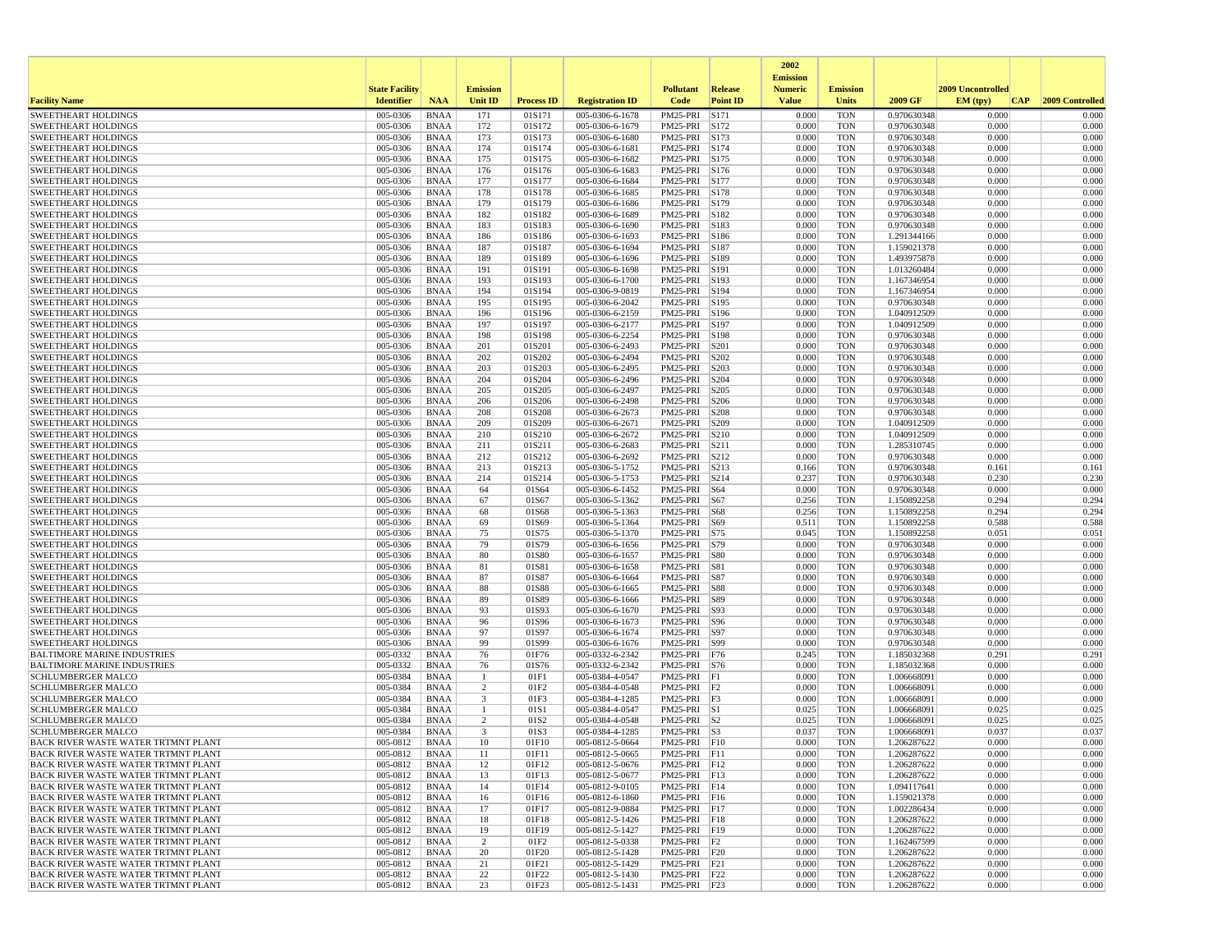|                                                                                   |                       |                            |                 |                   |                                    |                                |                 | 2002                              |                          |                            |                   |                 |
|-----------------------------------------------------------------------------------|-----------------------|----------------------------|-----------------|-------------------|------------------------------------|--------------------------------|-----------------|-----------------------------------|--------------------------|----------------------------|-------------------|-----------------|
|                                                                                   | <b>State Facility</b> |                            | <b>Emission</b> |                   |                                    | <b>Pollutant</b>               | <b>Release</b>  | <b>Emission</b><br><b>Numeric</b> | <b>Emission</b>          |                            | 2009 Uncontrolled |                 |
| <b>Facility Name</b>                                                              | <b>Identifier</b>     | <b>NAA</b>                 | <b>Unit ID</b>  | <b>Process ID</b> | <b>Registration ID</b>             | Code                           | <b>Point ID</b> | <b>Value</b>                      | Units                    | 2009 GF                    | EM (typ)<br> CAP  | 2009 Controlled |
| <b>SWEETHEART HOLDINGS</b>                                                        | 005-0306              | <b>BNAA</b>                | 171             | 01S171            | 005-0306-6-1678                    | PM25-PRI                       | S171            | 0.000                             | <b>TON</b>               | 0.970630348                | 0.000             | 0.000           |
| <b>SWEETHEART HOLDINGS</b>                                                        | 005-0306              | <b>BNAA</b>                | 172             | 01S172            | 005-0306-6-1679                    | PM25-PRI S172                  |                 | 0.000                             | <b>TON</b>               | 0.970630348                | 0.000             | 0.000           |
| <b>SWEETHEART HOLDINGS</b>                                                        | 005-0306              | <b>BNAA</b>                | 173             | 01S173            | 005-0306-6-1680                    | PM25-PRI                       | S173            | 0.000                             | <b>TON</b>               | 0.970630348                | 0.000             | 0.000           |
| <b>SWEETHEART HOLDINGS</b><br><b>SWEETHEART HOLDINGS</b>                          | 005-0306<br>005-0306  | <b>BNAA</b><br><b>BNAA</b> | 174<br>175      | 01S174<br>01S175  | 005-0306-6-1681<br>005-0306-6-1682 | PM25-PRI S174<br>PM25-PRI S175 |                 | 0.000<br>0.000                    | <b>TON</b><br><b>TON</b> | 0.970630348<br>0.970630348 | 0.000<br>0.000    | 0.000<br>0.000  |
| <b>SWEETHEART HOLDINGS</b>                                                        | 005-0306              | <b>BNAA</b>                | 176             | 01S176            | 005-0306-6-1683                    | PM25-PRI S176                  |                 | 0.000                             | <b>TON</b>               | 0.970630348                | 0.000             | 0.000           |
| <b>SWEETHEART HOLDINGS</b>                                                        | 005-0306              | <b>BNAA</b>                | 177             | 01S177            | 005-0306-6-1684                    | PM25-PRI S177                  |                 | 0.000                             | <b>TON</b>               | 0.970630348                | 0.000             | 0.000           |
| <b>SWEETHEART HOLDINGS</b>                                                        | 005-0306              | <b>BNAA</b>                | 178             | 01S178            | 005-0306-6-1685                    | PM25-PRI S178                  |                 | 0.000                             | <b>TON</b>               | 0.970630348                | 0.000             | 0.000           |
| <b>SWEETHEART HOLDINGS</b>                                                        | 005-0306              | <b>BNAA</b>                | 179             | 01S179            | 005-0306-6-1686                    | PM25-PRI                       | S179            | 0.000                             | <b>TON</b>               | 0.970630348                | 0.000             | 0.000           |
| <b>SWEETHEART HOLDINGS</b>                                                        | 005-0306              | <b>BNAA</b>                | 182             | 01S182            | 005-0306-6-1689<br>005-0306-6-1690 | PM25-PRI S182                  |                 | 0.000                             | <b>TON</b>               | 0.970630348                | 0.000             | 0.000           |
| <b>SWEETHEART HOLDINGS</b><br><b>SWEETHEART HOLDINGS</b>                          | 005-0306<br>005-0306  | <b>BNAA</b><br><b>BNAA</b> | 183<br>186      | 01S183<br>01S186  | 005-0306-6-1693                    | PM25-PRI S183<br>PM25-PRI S186 |                 | 0.000<br>0.000                    | <b>TON</b><br><b>TON</b> | 0.970630348<br>1.291344166 | 0.000<br>0.000    | 0.000<br>0.000  |
| <b>SWEETHEART HOLDINGS</b>                                                        | 005-0306              | <b>BNAA</b>                | 187             | 01S187            | 005-0306-6-1694                    | PM25-PRI S187                  |                 | 0.000                             | <b>TON</b>               | 1.159021378                | 0.000             | 0.000           |
| <b>SWEETHEART HOLDINGS</b>                                                        | 005-0306              | <b>BNAA</b>                | 189             | 01S189            | 005-0306-6-1696                    | PM25-PRI                       | S189            | 0.000                             | <b>TON</b>               | 1.493975878                | 0.000             | 0.000           |
| <b>SWEETHEART HOLDINGS</b>                                                        | 005-0306              | <b>BNAA</b>                | 191             | 01S191            | 005-0306-6-1698                    | PM25-PRI S191                  |                 | 0.000                             | <b>TON</b>               | 1.013260484                | 0.000             | 0.000           |
| <b>SWEETHEART HOLDINGS</b>                                                        | 005-0306              | <b>BNAA</b>                | 193             | 01S193            | 005-0306-6-1700                    | PM25-PRI S193                  |                 | 0.000                             | <b>TON</b>               | 1.167346954                | 0.000             | 0.000           |
| <b>SWEETHEART HOLDINGS</b><br><b>SWEETHEART HOLDINGS</b>                          | 005-0306<br>005-0306  | <b>BNAA</b><br><b>BNAA</b> | 194<br>195      | 01S194<br>01S195  | 005-0306-9-0819<br>005-0306-6-2042 | PM25-PRI S194<br>PM25-PRI S195 |                 | 0.000<br>0.000                    | <b>TON</b><br><b>TON</b> | 1.167346954<br>0.970630348 | 0.000<br>0.000    | 0.000<br>0.000  |
| <b>SWEETHEART HOLDINGS</b>                                                        | 005-0306              | <b>BNAA</b>                | 196             | 01S196            | 005-0306-6-2159                    | PM25-PRI S196                  |                 | 0.000                             | <b>TON</b>               | 1.040912509                | 0.000             | 0.000           |
| <b>SWEETHEART HOLDINGS</b>                                                        | 005-0306              | <b>BNAA</b>                | 197             | 01S197            | 005-0306-6-2177                    | PM25-PRI                       | S197            | 0.000                             | <b>TON</b>               | 1.040912509                | 0.000             | 0.000           |
| <b>SWEETHEART HOLDINGS</b>                                                        | 005-0306              | <b>BNAA</b>                | 198             | 01S198            | 005-0306-6-2254                    | PM25-PRI S198                  |                 | 0.000                             | <b>TON</b>               | 0.970630348                | 0.000             | 0.000           |
| <b>SWEETHEART HOLDINGS</b>                                                        | 005-0306              | <b>BNAA</b>                | 201             | 01S201            | 005-0306-6-2493                    | PM25-PRI                       | S201            | 0.000                             | <b>TON</b>               | 0.970630348                | 0.000             | 0.000           |
| <b>SWEETHEART HOLDINGS</b>                                                        | 005-0306              | <b>BNAA</b>                | 202             | 01S202            | 005-0306-6-2494                    | PM25-PRI                       | S202            | 0.000                             | <b>TON</b>               | 0.970630348                | 0.000             | 0.000           |
| <b>SWEETHEART HOLDINGS</b>                                                        | 005-0306              | <b>BNAA</b>                | 203             | 01S203            | 005-0306-6-2495<br>005-0306-6-2496 | PM25-PRI S203                  |                 | 0.000                             | <b>TON</b>               | 0.970630348                | 0.000             | 0.000           |
| <b>SWEETHEART HOLDINGS</b><br><b>SWEETHEART HOLDINGS</b>                          | 005-0306<br>005-0306  | <b>BNAA</b><br><b>BNAA</b> | 204<br>205      | 01S204<br>01S205  | 005-0306-6-2497                    | PM25-PRI<br>PM25-PRI           | S204<br>S205    | 0.000<br>0.000                    | <b>TON</b><br><b>TON</b> | 0.970630348<br>0.970630348 | 0.000<br>0.000    | 0.000<br>0.000  |
| <b>SWEETHEART HOLDINGS</b>                                                        | 005-0306              | <b>BNAA</b>                | 206             | 01S206            | 005-0306-6-2498                    | PM25-PRI                       | S206            | 0.000                             | <b>TON</b>               | 0.970630348                | 0.000             | 0.000           |
| <b>SWEETHEART HOLDINGS</b>                                                        | 005-0306              | <b>BNAA</b>                | 208             | 01S208            | 005-0306-6-2673                    | PM25-PRI                       | S208            | 0.000                             | <b>TON</b>               | 0.970630348                | 0.000             | 0.000           |
| <b>SWEETHEART HOLDINGS</b>                                                        | 005-0306              | <b>BNAA</b>                | 209             | 01S209            | 005-0306-6-2671                    | PM25-PRI   S209                |                 | 0.000                             | <b>TON</b>               | 1.040912509                | 0.000             | 0.000           |
| <b>SWEETHEART HOLDINGS</b>                                                        | 005-0306              | <b>BNAA</b>                | 210             | 01S210            | 005-0306-6-2672                    | PM25-PRI S210                  |                 | 0.000                             | <b>TON</b>               | 1.040912509                | 0.000             | 0.000           |
| <b>SWEETHEART HOLDINGS</b>                                                        | 005-0306              | <b>BNAA</b>                | 211             | 01S211            | 005-0306-6-2683<br>005-0306-6-2692 | PM25-PRI                       | S211            | 0.000                             | <b>TON</b>               | 1.285310745                | 0.000             | 0.000           |
| <b>SWEETHEART HOLDINGS</b><br><b>SWEETHEART HOLDINGS</b>                          | 005-0306<br>005-0306  | <b>BNAA</b><br><b>BNAA</b> | 212<br>213      | 01S212<br>01S213  | 005-0306-5-1752                    | PM25-PRI<br>PM25-PRI           | S212<br>S213    | 0.000<br>0.166                    | <b>TON</b><br><b>TON</b> | 0.970630348<br>0.970630348 | 0.000<br>0.161    | 0.000<br>0.161  |
| <b>SWEETHEART HOLDINGS</b>                                                        | 005-0306              | <b>BNAA</b>                | 214             | 01S214            | 005-0306-5-1753                    | PM25-PRI S214                  |                 | 0.237                             | <b>TON</b>               | 0.970630348                | 0.230             | 0.230           |
| <b>SWEETHEART HOLDINGS</b>                                                        | 005-0306              | <b>BNAA</b>                | 64              | 01S64             | 005-0306-6-1452                    | PM25-PRI S64                   |                 | 0.000                             | <b>TON</b>               | 0.970630348                | 0.000             | 0.000           |
| <b>SWEETHEART HOLDINGS</b>                                                        | 005-0306              | <b>BNAA</b>                | 67              | 01S67             | 005-0306-5-1362                    | PM25-PRI S67                   |                 | 0.256                             | <b>TON</b>               | 1.150892258                | 0.294             | 0.294           |
| <b>SWEETHEART HOLDINGS</b>                                                        | 005-0306              | <b>BNAA</b>                | 68              | 01S68             | 005-0306-5-1363                    | PM25-PRI                       | S68             | 0.256                             | <b>TON</b>               | 1.150892258                | 0.294             | 0.294           |
| <b>SWEETHEART HOLDINGS</b>                                                        | 005-0306<br>005-0306  | <b>BNAA</b>                | 69              | 01S69             | 005-0306-5-1364                    | PM25-PRI S69                   |                 | 0.511                             | <b>TON</b><br><b>TON</b> | 1.150892258                | 0.588<br>0.051    | 0.588<br>0.051  |
| <b>SWEETHEART HOLDINGS</b><br><b>SWEETHEART HOLDINGS</b>                          | 005-0306              | <b>BNAA</b><br><b>BNAA</b> | 75<br>79        | 01S75<br>01S79    | 005-0306-5-1370<br>005-0306-6-1656 | PM25-PRI S75<br>PM25-PRI S79   |                 | 0.045<br>0.000                    | <b>TON</b>               | 1.150892258<br>0.970630348 | 0.000             | 0.000           |
| <b>SWEETHEART HOLDINGS</b>                                                        | 005-0306              | <b>BNAA</b>                | 80              | 01S80             | 005-0306-6-1657                    | PM25-PRI S80                   |                 | 0.000                             | <b>TON</b>               | 0.970630348                | 0.000             | 0.000           |
| <b>SWEETHEART HOLDINGS</b>                                                        | 005-0306              | <b>BNAA</b>                | 81              | 01S81             | 005-0306-6-1658                    | PM25-PRI                       | S81             | 0.000                             | <b>TON</b>               | 0.970630348                | 0.000             | 0.000           |
| <b>SWEETHEART HOLDINGS</b>                                                        | 005-0306              | <b>BNAA</b>                | 87              | 01S87             | 005-0306-6-1664                    | PM25-PRI S87                   |                 | 0.000                             | <b>TON</b>               | 0.970630348                | 0.000             | 0.000           |
| <b>SWEETHEART HOLDINGS</b>                                                        | 005-0306              | <b>BNAA</b>                | 88              | 01S88             | 005-0306-6-1665                    | PM25-PRI S88                   |                 | 0.000                             | <b>TON</b>               | 0.970630348                | 0.000             | 0.000           |
| <b>SWEETHEART HOLDINGS</b><br><b>SWEETHEART HOLDINGS</b>                          | 005-0306<br>005-0306  | <b>BNAA</b><br><b>BNAA</b> | 89<br>93        | 01S89<br>01S93    | 005-0306-6-1666<br>005-0306-6-1670 | PM25-PRI S89<br>PM25-PRI   S93 |                 | 0.000<br>0.000                    | <b>TON</b><br><b>TON</b> | 0.970630348<br>0.970630348 | 0.000<br>0.000    | 0.000<br>0.000  |
| <b>SWEETHEART HOLDINGS</b>                                                        | 005-0306              | <b>BNAA</b>                | 96              | 01S96             | 005-0306-6-1673                    | PM25-PRI   S96                 |                 | 0.000                             | <b>TON</b>               | 0.970630348                | 0.000             | 0.000           |
| <b>SWEETHEART HOLDINGS</b>                                                        | 005-0306              | <b>BNAA</b>                | 97              | 01S97             | 005-0306-6-1674                    | PM25-PRI                       | S97             | 0.000                             | <b>TON</b>               | 0.970630348                | 0.000             | 0.000           |
| <b>SWEETHEART HOLDINGS</b>                                                        | 005-0306              | <b>BNAA</b>                | 99              | 01S99             | 005-0306-6-1676                    | PM25-PRI   S99                 |                 | 0.000                             | <b>TON</b>               | 0.970630348                | 0.000             | 0.000           |
| <b>BALTIMORE MARINE INDUSTRIES</b>                                                | 005-0332              | <b>BNAA</b>                | 76              | 01F76             | 005-0332-6-2342                    | PM25-PRI F76                   |                 | 0.245                             | <b>TON</b>               | 1.185032368                | 0.291             | 0.291           |
| <b>BALTIMORE MARINE INDUSTRIES</b>                                                | 005-0332              | <b>BNAA</b>                | 76<br>-1        | 01S76             | 005-0332-6-2342                    | PM25-PRI   S76                 |                 | 0.000                             | <b>TON</b>               | 1.185032368                | 0.000             | 0.000           |
| <b>SCHLUMBERGER MALCO</b><br><b>SCHLUMBERGER MALCO</b>                            | 005-0384<br>005-0384  | <b>BNAA</b><br><b>BNAA</b> | $\overline{2}$  | 01F1<br>01F2      | 005-0384-4-0547<br>005-0384-4-0548 | PM25-PRI F1<br>PM25-PRI        | F2              | 0.000<br>0.000                    | <b>TON</b><br><b>TON</b> | 1.006668091<br>1.006668091 | 0.000<br>0.000    | 0.000<br>0.000  |
| <b>SCHLUMBERGER MALCO</b>                                                         | 005-0384              | <b>BNAA</b>                | 3               | 01F3              | 005-0384-4-1285                    | PM25-PRI F3                    |                 | 0.000                             | <b>TON</b>               | 1.006668091                | 0.000             | 0.000           |
| <b>SCHLUMBERGER MALCO</b>                                                         | 005-0384              | <b>BNAA</b>                | -1              | 01S1              | 005-0384-4-0547                    | $PM25-PRI$ S1                  |                 | 0.025                             | <b>TON</b>               | 1.006668091                | 0.025             | 0.025           |
| SCHLUMBERGER MALCO                                                                | 005-0384              | <b>BNAA</b>                | 2               | 01S2              | 005-0384-4-0548                    | $PM25-PRI$ S2                  |                 | 0.025                             | <b>TON</b>               | 1.006668091                | 0.025             | 0.025           |
| <b>SCHLUMBERGER MALCO</b>                                                         | 005-0384              | <b>BNAA</b>                | 3               | 01S3              | 005-0384-4-1285                    | PM25-PRI S3                    |                 | 0.037                             | <b>TON</b>               | 1.006668091                | 0.037             | 0.037           |
| <b>BACK RIVER WASTE WATER TRTMNT PLANT</b>                                        | 005-0812<br>005-0812  | <b>BNAA</b>                | 10<br>$11\,$    | 01F10<br>01F11    | 005-0812-5-0664                    | PM25-PRI F10<br>PM25-PRI F11   |                 | 0.000                             | <b>TON</b><br><b>TON</b> | 1.206287622<br>1.206287622 | 0.000<br>0.000    | 0.000<br>0.000  |
| <b>BACK RIVER WASTE WATER TRTMNT PLANT</b><br>BACK RIVER WASTE WATER TRTMNT PLANT | 005-0812              | <b>BNAA</b><br>BNAA        | 12              | 01F12             | 005-0812-5-0665<br>005-0812-5-0676 | PM25-PRI F12                   |                 | 0.000<br>0.000                    | <b>TON</b>               | 1.206287622                | 0.000             | 0.000           |
| BACK RIVER WASTE WATER TRTMNT PLANT                                               | 005-0812              | BNAA                       | 13              | 01F13             | 005-0812-5-0677                    | PM25-PRI F13                   |                 | 0.000                             | <b>TON</b>               | 1.206287622                | 0.000             | 0.000           |
| <b>BACK RIVER WASTE WATER TRTMNT PLANT</b>                                        | 005-0812              | BNAA                       | 14              | 01F14             | 005-0812-9-0105                    | PM25-PRI F14                   |                 | 0.000                             | <b>TON</b>               | 1.094117641                | 0.000             | 0.000           |
| BACK RIVER WASTE WATER TRTMNT PLANT                                               | 005-0812              | <b>BNAA</b>                | 16              | 01F16             | 005-0812-6-1860                    | PM25-PRI F16                   |                 | 0.000                             | <b>TON</b>               | 1.159021378                | 0.000             | 0.000           |
| BACK RIVER WASTE WATER TRTMNT PLANT                                               | 005-0812              | <b>BNAA</b>                | 17              | 01F17             | 005-0812-9-0884                    | PM25-PRI F17                   |                 | 0.000                             | <b>TON</b>               | 1.002286434                | 0.000             | 0.000           |
| BACK RIVER WASTE WATER TRTMNT PLANT<br>BACK RIVER WASTE WATER TRTMNT PLANT        | 005-0812<br>005-0812  | BNAA<br>BNAA               | 18<br>19        | 01F18<br>01F19    | 005-0812-5-1426<br>005-0812-5-1427 | PM25-PRI F18<br>PM25-PRI F19   |                 | 0.000<br>0.000                    | <b>TON</b><br><b>TON</b> | 1.206287622<br>1.206287622 | 0.000<br>0.000    | 0.000<br>0.000  |
| BACK RIVER WASTE WATER TRTMNT PLANT                                               | 005-0812              | <b>BNAA</b>                | $\overline{c}$  | 01F2              | 005-0812-5-0338                    | $PM25-PRI$ $F2$                |                 | 0.000                             | <b>TON</b>               | 1.162467599                | 0.000             | 0.000           |
| BACK RIVER WASTE WATER TRTMNT PLANT                                               | 005-0812              | <b>BNAA</b>                | 20              | 01F20             | 005-0812-5-1428                    | PM25-PRI F20                   |                 | 0.000                             | <b>TON</b>               | 1.206287622                | 0.000             | 0.000           |
| BACK RIVER WASTE WATER TRTMNT PLANT                                               | 005-0812              | BNAA                       | 21              | 01F21             | 005-0812-5-1429                    | PM25-PRI F21                   |                 | 0.000                             | <b>TON</b>               | 1.206287622                | 0.000             | 0.000           |
| BACK RIVER WASTE WATER TRTMNT PLANT                                               | 005-0812              | <b>BNAA</b>                | 22              | 01F22             | 005-0812-5-1430                    | PM25-PRI F22                   |                 | 0.000                             | <b>TON</b>               | 1.206287622                | 0.000             | 0.000           |
| BACK RIVER WASTE WATER TRTMNT PLANT                                               | $005-0812$ BNAA       |                            | 23              | 01F23             | 005-0812-5-1431                    | PM25-PRI F23                   |                 | 0.000                             | <b>TON</b>               | 1.206287622                | 0.000             | 0.000           |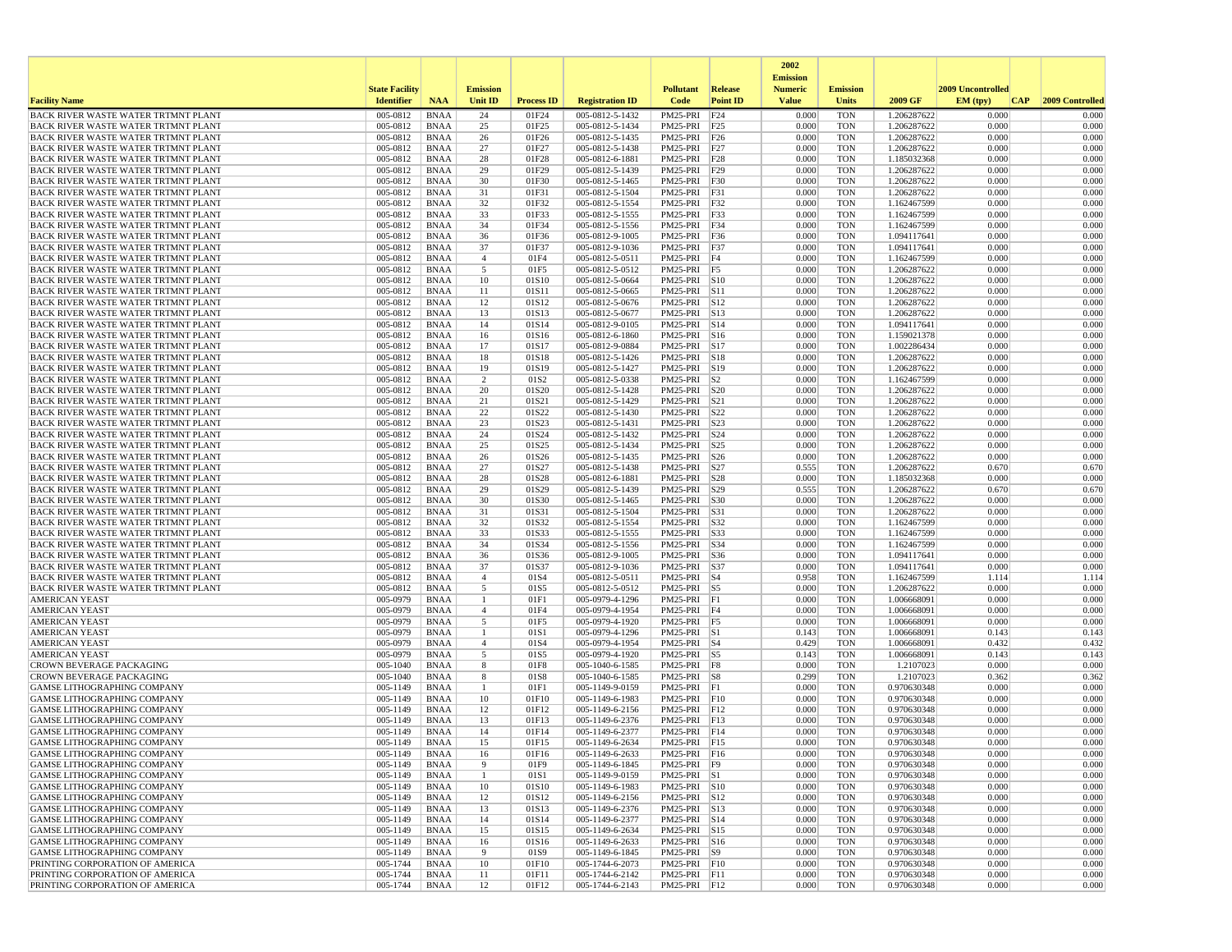|                                                                                          |                       |                            |                     |                   |                                    |                              |                      | 2002                              |                          |                            |                   |                 |
|------------------------------------------------------------------------------------------|-----------------------|----------------------------|---------------------|-------------------|------------------------------------|------------------------------|----------------------|-----------------------------------|--------------------------|----------------------------|-------------------|-----------------|
|                                                                                          | <b>State Facility</b> |                            | <b>Emission</b>     |                   |                                    | <b>Pollutant</b>             | Release              | <b>Emission</b><br><b>Numeric</b> | <b>Emission</b>          |                            | 2009 Uncontrolled |                 |
| <b>Facility Name</b>                                                                     | <b>Identifier</b>     | <b>NAA</b>                 | Unit ID             | <b>Process ID</b> | <b>Registration ID</b>             | Code                         | <b>Point ID</b>      | <b>Value</b>                      | <b>Units</b>             | 2009 GF                    | EM (typ)<br> CAP  | 2009 Controlled |
| <b>BACK RIVER WASTE WATER TRTMNT PLANT</b>                                               | 005-0812              | <b>BNAA</b>                | 24                  | 01F24             | 005-0812-5-1432                    | PM25-PRI                     | F24                  | 0.000                             | <b>TON</b>               | 1.206287622                | 0.000             | 0.000           |
| BACK RIVER WASTE WATER TRTMNT PLANT                                                      | 005-0812              | <b>BNAA</b>                | 25                  | 01F25             | 005-0812-5-1434                    | PM25-PRI F25                 |                      | 0.000                             | <b>TON</b>               | 1.206287622                | 0.000             | 0.000           |
| <b>BACK RIVER WASTE WATER TRTMNT PLANT</b><br><b>BACK RIVER WASTE WATER TRTMNT PLANT</b> | 005-0812<br>005-0812  | <b>BNAA</b><br><b>BNAA</b> | 26<br>27            | 01F26<br>01F27    | 005-0812-5-1435<br>005-0812-5-1438 | PM25-PRI F26<br>PM25-PRI F27 |                      | 0.000<br>0.000                    | <b>TON</b><br><b>TON</b> | 1.206287622<br>1.206287622 | 0.000<br>0.000    | 0.000<br>0.000  |
| <b>BACK RIVER WASTE WATER TRTMNT PLANT</b>                                               | 005-0812              | <b>BNAA</b>                | 28                  | 01F28             | 005-0812-6-1881                    | PM25-PRI F28                 |                      | 0.000                             | <b>TON</b>               | 1.185032368                | 0.000             | 0.000           |
| BACK RIVER WASTE WATER TRTMNT PLANT                                                      | 005-0812              | <b>BNAA</b>                | 29                  | 01F29             | 005-0812-5-1439                    | PM25-PRI F29                 |                      | 0.000                             | <b>TON</b>               | 1.206287622                | 0.000             | 0.000           |
| BACK RIVER WASTE WATER TRTMNT PLANT                                                      | 005-0812              | <b>BNAA</b>                | 30                  | 01F30             | 005-0812-5-1465                    | PM25-PRI F30                 |                      | 0.000                             | <b>TON</b>               | 1.206287622                | 0.000             | 0.000           |
| <b>BACK RIVER WASTE WATER TRTMNT PLANT</b>                                               | 005-0812              | <b>BNAA</b>                | 31                  | 01F31             | 005-0812-5-1504                    | PM25-PRI F31                 |                      | 0.000                             | <b>TON</b>               | 1.206287622                | 0.000             | 0.000           |
| BACK RIVER WASTE WATER TRTMNT PLANT                                                      | 005-0812              | <b>BNAA</b>                | 32                  | 01F32             | 005-0812-5-1554                    | PM25-PRI F32                 |                      | 0.000                             | <b>TON</b>               | 1.162467599                | 0.000             | 0.000           |
| <b>BACK RIVER WASTE WATER TRTMNT PLANT</b>                                               | 005-0812              | <b>BNAA</b>                | 33                  | 01F33             | 005-0812-5-1555                    | PM25-PRI F33                 |                      | 0.000                             | <b>TON</b>               | 1.162467599                | 0.000             | 0.000           |
| <b>BACK RIVER WASTE WATER TRTMNT PLANT</b><br><b>BACK RIVER WASTE WATER TRTMNT PLANT</b> | 005-0812<br>005-0812  | <b>BNAA</b><br><b>BNAA</b> | 34<br>36            | 01F34<br>01F36    | 005-0812-5-1556<br>005-0812-9-1005 | PM25-PRI F34<br>PM25-PRI F36 |                      | 0.000<br>0.000                    | <b>TON</b><br><b>TON</b> | 1.162467599<br>1.094117641 | 0.000<br>0.000    | 0.000<br>0.000  |
| <b>BACK RIVER WASTE WATER TRTMNT PLANT</b>                                               | 005-0812              | <b>BNAA</b>                | 37                  | 01F37             | 005-0812-9-1036                    | PM25-PRI F37                 |                      | 0.000                             | <b>TON</b>               | 1.094117641                | 0.000             | 0.000           |
| <b>BACK RIVER WASTE WATER TRTMNT PLANT</b>                                               | 005-0812              | <b>BNAA</b>                | $\overline{4}$      | 01F4              | 005-0812-5-0511                    | PM25-PRI                     | F <sub>4</sub>       | 0.000                             | <b>TON</b>               | 1.162467599                | 0.000             | 0.000           |
| <b>BACK RIVER WASTE WATER TRTMNT PLANT</b>                                               | 005-0812              | <b>BNAA</b>                | 5                   | 01F5              | 005-0812-5-0512                    | PM25-PRI F5                  |                      | 0.000                             | <b>TON</b>               | 1.206287622                | 0.000             | 0.000           |
| BACK RIVER WASTE WATER TRTMNT PLANT                                                      | 005-0812              | <b>BNAA</b>                | 10                  | 01S10             | 005-0812-5-0664                    | PM25-PRI S10                 |                      | 0.000                             | <b>TON</b>               | 1.206287622                | 0.000             | 0.000           |
| BACK RIVER WASTE WATER TRTMNT PLANT                                                      | 005-0812              | <b>BNAA</b>                | 11                  | 01S11             | 005-0812-5-0665                    | PM25-PRI S11                 |                      | 0.000                             | <b>TON</b>               | 1.206287622                | 0.000             | 0.000           |
| <b>BACK RIVER WASTE WATER TRTMNT PLANT</b>                                               | 005-0812              | <b>BNAA</b>                | 12                  | 01S12             | 005-0812-5-0676                    | PM25-PRI S12                 |                      | 0.000                             | TON                      | 1.206287622                | 0.000             | 0.000           |
| <b>BACK RIVER WASTE WATER TRTMNT PLANT</b><br>BACK RIVER WASTE WATER TRTMNT PLANT        | 005-0812<br>005-0812  | <b>BNAA</b><br><b>BNAA</b> | 13<br>14            | 01S13<br>01S14    | 005-0812-5-0677<br>005-0812-9-0105 | PM25-PRI S13<br>PM25-PRI     | $\sqrt{\text{S}}$ 14 | 0.000<br>0.000                    | <b>TON</b><br><b>TON</b> | 1.206287622<br>1.094117641 | 0.000<br>0.000    | 0.000<br>0.000  |
| <b>BACK RIVER WASTE WATER TRTMNT PLANT</b>                                               | 005-0812              | <b>BNAA</b>                | 16                  | 01S16             | 005-0812-6-1860                    | PM25-PRI S16                 |                      | 0.000                             | <b>TON</b>               | 1.159021378                | 0.000             | 0.000           |
| BACK RIVER WASTE WATER TRTMNT PLANT                                                      | 005-0812              | <b>BNAA</b>                | 17                  | 01S17             | 005-0812-9-0884                    | PM25-PRI S17                 |                      | 0.000                             | <b>TON</b>               | 1.002286434                | 0.000             | 0.000           |
| <b>BACK RIVER WASTE WATER TRTMNT PLANT</b>                                               | 005-0812              | <b>BNAA</b>                | 18                  | 01S18             | 005-0812-5-1426                    | PM25-PRI S18                 |                      | 0.000                             | TON                      | 1.206287622                | 0.000             | 0.000           |
| BACK RIVER WASTE WATER TRTMNT PLANT                                                      | 005-0812              | <b>BNAA</b>                | 19                  | 01S19             | 005-0812-5-1427                    | PM25-PRI S19                 |                      | 0.000                             | <b>TON</b>               | 1.206287622                | 0.000             | 0.000           |
| BACK RIVER WASTE WATER TRTMNT PLANT                                                      | 005-0812              | <b>BNAA</b>                | 2                   | 01S <sub>2</sub>  | 005-0812-5-0338                    | PM25-PRI                     | S <sub>2</sub>       | 0.000                             | <b>TON</b>               | 1.162467599                | 0.000             | 0.000           |
| BACK RIVER WASTE WATER TRTMNT PLANT<br>BACK RIVER WASTE WATER TRTMNT PLANT               | 005-0812<br>005-0812  | <b>BNAA</b><br><b>BNAA</b> | 20<br>21            | 01S20<br>01S21    | 005-0812-5-1428<br>005-0812-5-1429 | PM25-PRI<br>PM25-PRI S21     | <b>S20</b>           | 0.000<br>0.000                    | <b>TON</b><br><b>TON</b> | 1.206287622<br>1.206287622 | 0.000<br>0.000    | 0.000<br>0.000  |
| BACK RIVER WASTE WATER TRTMNT PLANT                                                      | 005-0812              | <b>BNAA</b>                | 22                  | 01S22             | 005-0812-5-1430                    | PM25-PRI S22                 |                      | 0.000                             | <b>TON</b>               | 1.206287622                | 0.000             | 0.000           |
| <b>BACK RIVER WASTE WATER TRTMNT PLANT</b>                                               | 005-0812              | <b>BNAA</b>                | 23                  | 01S23             | 005-0812-5-1431                    | PM25-PRI S23                 |                      | 0.000                             | <b>TON</b>               | 1.206287622                | 0.000             | 0.000           |
| BACK RIVER WASTE WATER TRTMNT PLANT                                                      | 005-0812              | <b>BNAA</b>                | 24                  | 01S24             | 005-0812-5-1432                    | PM25-PRI                     | S24                  | 0.000                             | <b>TON</b>               | 1.206287622                | 0.000             | 0.000           |
| <b>BACK RIVER WASTE WATER TRTMNT PLANT</b>                                               | 005-0812              | <b>BNAA</b>                | 25                  | 01S25             | 005-0812-5-1434                    | PM25-PRI                     | S25                  | 0.000                             | <b>TON</b>               | 1.206287622                | 0.000             | 0.000           |
| BACK RIVER WASTE WATER TRTMNT PLANT                                                      | 005-0812              | <b>BNAA</b>                | 26                  | 01S26             | 005-0812-5-1435                    | PM25-PRI                     | S <sub>26</sub>      | 0.000                             | <b>TON</b>               | 1.206287622                | 0.000             | 0.000           |
| <b>BACK RIVER WASTE WATER TRTMNT PLANT</b>                                               | 005-0812              | <b>BNAA</b>                | 27<br>28            | 01S27             | 005-0812-5-1438                    | PM25-PRI                     | S27                  | 0.555                             | <b>TON</b>               | 1.206287622                | 0.670<br>0.000    | 0.67<br>0.000   |
| BACK RIVER WASTE WATER TRTMNT PLANT<br><b>BACK RIVER WASTE WATER TRTMNT PLANT</b>        | 005-0812<br>005-0812  | <b>BNAA</b><br><b>BNAA</b> | 29                  | 01S28<br>01S29    | 005-0812-6-1881<br>005-0812-5-1439 | PM25-PRI S28<br>PM25-PRI S29 |                      | 0.000<br>0.555                    | <b>TON</b><br><b>TON</b> | 1.185032368<br>1.206287622 | 0.670             | 0.670           |
| <b>BACK RIVER WASTE WATER TRTMNT PLANT</b>                                               | 005-0812              | <b>BNAA</b>                | 30                  | 01S30             | 005-0812-5-1465                    | PM25-PRI                     | S30                  | 0.000                             | <b>TON</b>               | 1.206287622                | 0.000             | 0.000           |
| BACK RIVER WASTE WATER TRTMNT PLANT                                                      | 005-0812              | <b>BNAA</b>                | 31                  | 01S31             | 005-0812-5-1504                    | PM25-PRI                     | S31                  | 0.000                             | <b>TON</b>               | 1.206287622                | 0.000             | 0.000           |
| <b>BACK RIVER WASTE WATER TRTMNT PLANT</b>                                               | 005-0812              | <b>BNAA</b>                | 32                  | 01S32             | 005-0812-5-1554                    | PM25-PRI S32                 |                      | 0.000                             | <b>TON</b>               | 1.162467599                | 0.000             | 0.000           |
| BACK RIVER WASTE WATER TRTMNT PLANT                                                      | 005-0812              | <b>BNAA</b>                | 33                  | 01S33             | 005-0812-5-1555                    | PM25-PRI                     | S33                  | 0.000                             | <b>TON</b>               | 1.162467599                | 0.000             | 0.000           |
| <b>BACK RIVER WASTE WATER TRTMNT PLANT</b>                                               | 005-0812              | <b>BNAA</b>                | 34                  | 01S34             | 005-0812-5-1556                    | PM25-PRI S34                 |                      | 0.000                             | <b>TON</b>               | 1.162467599                | 0.000             | 0.000           |
| BACK RIVER WASTE WATER TRTMNT PLANT<br>BACK RIVER WASTE WATER TRTMNT PLANT               | 005-0812<br>005-0812  | BNAA<br><b>BNAA</b>        | 36<br>37            | 01S36<br>01S37    | 005-0812-9-1005<br>005-0812-9-1036 | PM25-PRI S36<br>PM25-PRI     | <b>S37</b>           | 0.000<br>0.000                    | <b>TON</b><br><b>TON</b> | 1.094117641<br>1.094117641 | 0.000<br>0.000    | 0.000<br>0.000  |
| <b>BACK RIVER WASTE WATER TRTMNT PLANT</b>                                               | 005-0812              | <b>BNAA</b>                | $\overline{4}$      | 01S4              | 005-0812-5-0511                    | PM25-PRI                     | $ S_4$               | 0.958                             | <b>TON</b>               | 1.162467599                | 1.114             | 1.114           |
| <b>BACK RIVER WASTE WATER TRTMNT PLANT</b>                                               | 005-0812              | <b>BNAA</b>                | 5                   | 01S5              | 005-0812-5-0512                    | PM25-PRI S5                  |                      | 0.000                             | <b>TON</b>               | 1.206287622                | 0.000             | 0.000           |
| <b>AMERICAN YEAST</b>                                                                    | 005-0979              | <b>BNAA</b>                | -1                  | 01F1              | 005-0979-4-1296                    | PM25-PRI F1                  |                      | 0.000                             | <b>TON</b>               | 1.006668091                | 0.000             | 0.000           |
| <b>AMERICAN YEAST</b>                                                                    | 005-0979              | <b>BNAA</b>                | $\overline{4}$      | 01F4              | 005-0979-4-1954                    | PM25-PRI F4                  |                      | 0.000                             | <b>TON</b>               | 1.006668091                | 0.000             | 0.000           |
| <b>AMERICAN YEAST</b>                                                                    | 005-0979              | <b>BNAA</b>                | 5                   | 01F5              | 005-0979-4-1920                    | PM25-PRI F5                  |                      | 0.000                             | <b>TON</b>               | 1.006668091                | 0.000             | 0.000           |
| <b>AMERICAN YEAST</b><br><b>AMERICAN YEAST</b>                                           | 005-0979<br>005-0979  | <b>BNAA</b><br>BNAA        | 1<br>$\overline{4}$ | 01S1<br>01S4      | 005-0979-4-1296<br>005-0979-4-1954 | PM25-PRI S1<br>$PM25-PRI$ S4 |                      | 0.143<br>0.429                    | <b>TON</b><br><b>TON</b> | 1.006668091<br>1.006668091 | 0.143<br>0.432    | 0.143<br>0.432  |
| <b>AMERICAN YEAST</b>                                                                    | 005-0979              | <b>BNAA</b>                | 5                   | 01S5              | 005-0979-4-1920                    | PM25-PRI S5                  |                      | 0.143                             | <b>TON</b>               | 1.006668091                | 0.143             | 0.143           |
| <b>CROWN BEVERAGE PACKAGING</b>                                                          | 005-1040              | <b>BNAA</b>                | 8                   | 01F8              | 005-1040-6-1585                    | PM25-PRI F8                  |                      | 0.000                             | TON                      | 1.2107023                  | 0.000             | 0.000           |
| <b>CROWN BEVERAGE PACKAGING</b>                                                          | 005-1040              | BNAA                       | 8                   | 01S8              | 005-1040-6-1585                    | PM25-PRI S8                  |                      | 0.299                             | <b>TON</b>               | 1.2107023                  | 0.362             | 0.362           |
| <b>GAMSE LITHOGRAPHING COMPANY</b>                                                       | 005-1149              | <b>BNAA</b>                |                     | 01F1              | 005-1149-9-0159                    | $PM25-PRI$ F1                |                      | 0.000                             | <b>TON</b>               | 0.970630348                | 0.000             | 0.000           |
| GAMSE LITHOGRAPHING COMPANY                                                              | 005-1149              | <b>BNAA</b>                | 10                  | 01F10             | 005-1149-6-1983                    | PM25-PRI F10                 |                      | 0.000                             | <b>TON</b>               | 0.970630348                | 0.000             | 0.000           |
| <b>GAMSE LITHOGRAPHING COMPANY</b>                                                       | 005-1149              | <b>BNAA</b>                | 12                  | 01F12             | 005-1149-6-2156                    | PM25-PRI F12                 |                      | 0.000                             | <b>TON</b>               | 0.970630348                | 0.000             | 0.000           |
| <b>GAMSE LITHOGRAPHING COMPANY</b><br>GAMSE LITHOGRAPHING COMPANY                        | 005-1149<br>005-1149  | <b>BNAA</b><br><b>BNAA</b> | 13<br>14            | 01F13<br>01F14    | 005-1149-6-2376<br>005-1149-6-2377 | PM25-PRI F13<br>PM25-PRI F14 |                      | 0.000<br>0.000                    | <b>TON</b><br><b>TON</b> | 0.970630348<br>0.970630348 | 0.000<br>0.000    | 0.000<br>0.000  |
| GAMSE LITHOGRAPHING COMPANY                                                              | 005-1149              | <b>BNAA</b>                | 15                  | 01F15             | 005-1149-6-2634                    | PM25-PRI F15                 |                      | 0.000                             | <b>TON</b>               | 0.970630348                | 0.000             | 0.000           |
| <b>GAMSE LITHOGRAPHING COMPANY</b>                                                       | 005-1149              | BNAA                       | 16                  | 01F16             | 005-1149-6-2633                    | PM25-PRI   F16               |                      | 0.000                             | TON                      | 0.970630348                | 0.000             | 0.000           |
| GAMSE LITHOGRAPHING COMPANY                                                              | 005-1149              | BNAA                       | 9                   | 01F9              | 005-1149-6-1845                    | PM25-PRI F9                  |                      | 0.000                             | <b>TON</b>               | 0.970630348                | 0.000             | 0.000           |
| GAMSE LITHOGRAPHING COMPANY                                                              | 005-1149              | BNAA                       | $\mathbf{1}$        | 01S1              | 005-1149-9-0159                    | PM25-PRI S1                  |                      | 0.000                             | <b>TON</b>               | 0.970630348                | 0.000             | 0.000           |
| <b>GAMSE LITHOGRAPHING COMPANY</b>                                                       | 005-1149              | BNAA                       | 10                  | 01S10             | 005-1149-6-1983                    | PM25-PRI S10                 |                      | 0.000                             | TON                      | 0.970630348                | 0.000             | 0.000           |
| GAMSE LITHOGRAPHING COMPANY<br>GAMSE LITHOGRAPHING COMPANY                               | 005-1149<br>005-1149  | BNAA<br><b>BNAA</b>        | 12<br>13            | 01S12<br>01S13    | 005-1149-6-2156<br>005-1149-6-2376 | PM25-PRI S12<br>PM25-PRI S13 |                      | 0.000<br>0.000                    | <b>TON</b><br><b>TON</b> | 0.970630348<br>0.970630348 | 0.000<br>0.000    | 0.000<br>0.000  |
| GAMSE LITHOGRAPHING COMPANY                                                              | 005-1149              | <b>BNAA</b>                | 14                  | 01S14             | 005-1149-6-2377                    | PM25-PRI S14                 |                      | 0.000                             | <b>TON</b>               | 0.970630348                | 0.000             | 0.000           |
| GAMSE LITHOGRAPHING COMPANY                                                              | 005-1149              | BNAA                       | 15                  | 01S15             | 005-1149-6-2634                    | PM25-PRI S15                 |                      | 0.000                             | <b>TON</b>               | 0.970630348                | 0.000             | 0.000           |
| GAMSE LITHOGRAPHING COMPANY                                                              | 005-1149              | <b>BNAA</b>                | 16                  | 01S16             | 005-1149-6-2633                    | PM25-PRI S16                 |                      | 0.000                             | <b>TON</b>               | 0.970630348                | 0.000             | 0.000           |
| GAMSE LITHOGRAPHING COMPANY                                                              | 005-1149              | BNAA                       | 9                   | 01S9              | 005-1149-6-1845                    | PM25-PRI S9                  |                      | 0.000                             | TON                      | 0.970630348                | 0.000             | 0.000           |
| PRINTING CORPORATION OF AMERICA                                                          | 005-1744              | BNAA                       | 10                  | 01F10             | 005-1744-6-2073                    | PM25-PRI F10                 |                      | 0.000                             | TON                      | 0.970630348                | 0.000             | 0.000           |
| PRINTING CORPORATION OF AMERICA<br>PRINTING CORPORATION OF AMERICA                       | 005-1744<br>005-1744  | <b>BNAA</b><br>BNAA        | 11<br>12            | 01F11<br>01F12    | 005-1744-6-2142<br>005-1744-6-2143 | PM25-PRI F11<br>PM25-PRI F12 |                      | 0.000<br>0.000                    | <b>TON</b><br>TON        | 0.970630348<br>0.970630348 | 0.000<br>0.000    | 0.000<br>0.000  |
|                                                                                          |                       |                            |                     |                   |                                    |                              |                      |                                   |                          |                            |                   |                 |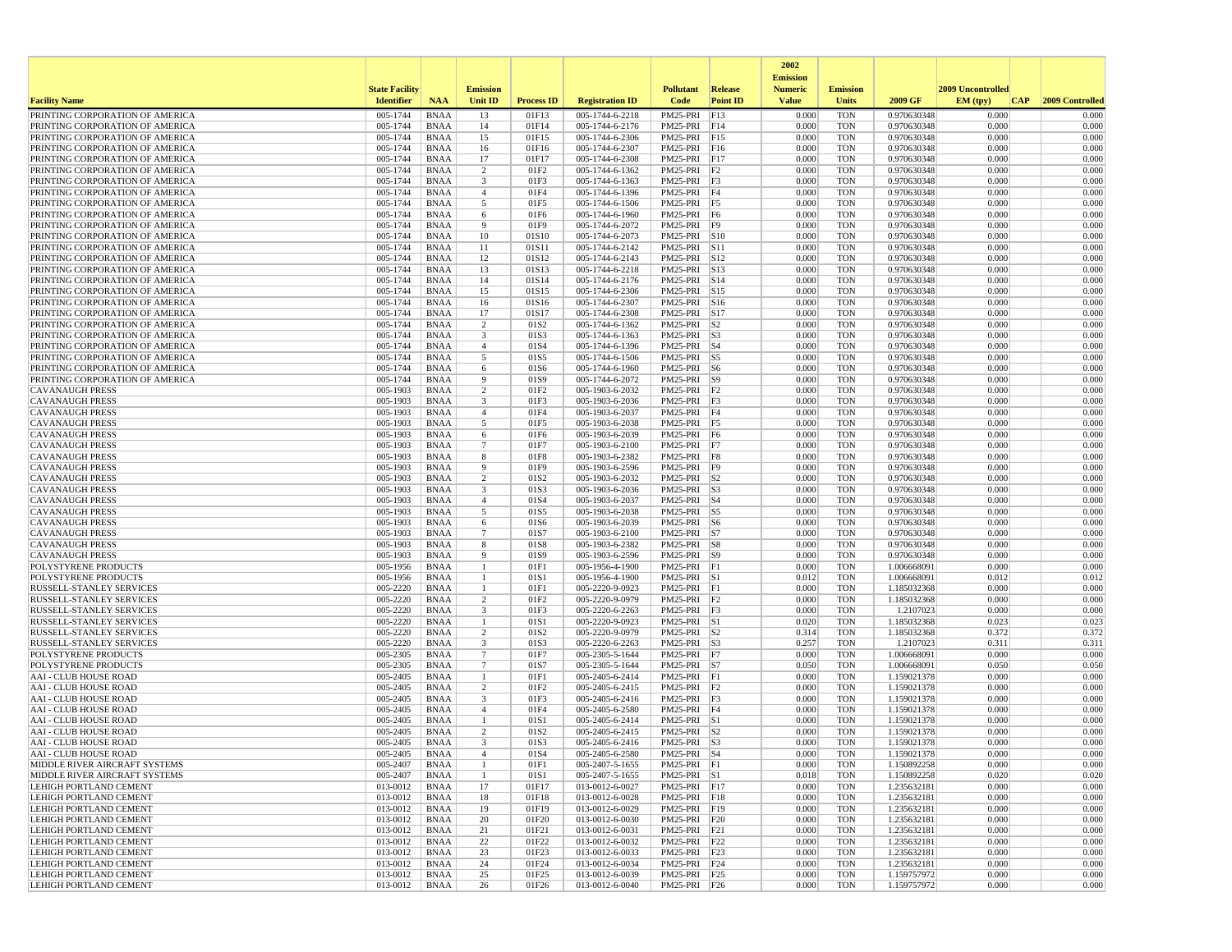|                                                                    |                                            |                            |                     |                   |                                    |                                 |                            | 2002                           |                                 |                            |                   |                 |
|--------------------------------------------------------------------|--------------------------------------------|----------------------------|---------------------|-------------------|------------------------------------|---------------------------------|----------------------------|--------------------------------|---------------------------------|----------------------------|-------------------|-----------------|
|                                                                    |                                            |                            | <b>Emission</b>     |                   |                                    |                                 |                            | <b>Emission</b>                |                                 |                            | 2009 Uncontrolled |                 |
| <b>Facility Name</b>                                               | <b>State Facility</b><br><b>Identifier</b> | <b>NAA</b>                 | Unit ID             | <b>Process ID</b> | <b>Registration ID</b>             | <b>Pollutant</b><br>Code        | Release<br><b>Point ID</b> | <b>Numeric</b><br><b>Value</b> | <b>Emission</b><br><b>Units</b> | 2009 GF                    | EM (typ)<br> CAP  | 2009 Controlled |
| PRINTING CORPORATION OF AMERICA                                    | 005-1744                                   | <b>BNAA</b>                | 13                  | 01F13             | 005-1744-6-2218                    | PM25-PRI                        | F13                        | 0.000                          | <b>TON</b>                      | 0.970630348                | 0.000             | 0.000           |
| PRINTING CORPORATION OF AMERICA                                    | 005-1744                                   | <b>BNAA</b>                | 14                  | 01F14             | 005-1744-6-2176                    | PM25-PRI F14                    |                            | 0.000                          | <b>TON</b>                      | 0.970630348                | 0.000             | 0.000           |
| PRINTING CORPORATION OF AMERICA                                    | 005-1744                                   | <b>BNAA</b>                | 15                  | 01F15             | 005-1744-6-2306                    | PM25-PRI F15                    |                            | 0.000                          | <b>TON</b>                      | 0.970630348                | 0.000             | 0.000           |
| PRINTING CORPORATION OF AMERICA                                    | 005-1744                                   | <b>BNAA</b>                | 16                  | 01F16             | 005-1744-6-2307                    | PM25-PRI F16                    |                            | 0.000                          | <b>TON</b>                      | 0.970630348                | 0.000             | 0.000           |
| PRINTING CORPORATION OF AMERICA<br>PRINTING CORPORATION OF AMERICA | 005-1744<br>005-1744                       | <b>BNAA</b><br><b>BNAA</b> | 17<br>2             | 01F17<br>01F2     | 005-1744-6-2308<br>005-1744-6-1362 | PM25-PRI F17<br>$PM25-PRI$ $F2$ |                            | 0.000<br>0.000                 | <b>TON</b><br><b>TON</b>        | 0.970630348<br>0.970630348 | 0.000<br>0.000    | 0.000<br>0.000  |
| PRINTING CORPORATION OF AMERICA                                    | 005-1744                                   | <b>BNAA</b>                | 3                   | 01F3              | 005-1744-6-1363                    | PM25-PRI F3                     |                            | 0.000                          | <b>TON</b>                      | 0.970630348                | 0.000             | 0.000           |
| PRINTING CORPORATION OF AMERICA                                    | 005-1744                                   | <b>BNAA</b>                | $\overline{4}$      | 01F4              | 005-1744-6-1396                    | PM25-PRI F4                     |                            | 0.000                          | <b>TON</b>                      | 0.970630348                | 0.000             | 0.000           |
| PRINTING CORPORATION OF AMERICA                                    | 005-1744                                   | <b>BNAA</b>                | 5                   | 01F5              | 005-1744-6-1506                    | PM25-PRI F5                     |                            | 0.000                          | <b>TON</b>                      | 0.970630348                | 0.000             | 0.000           |
| PRINTING CORPORATION OF AMERICA                                    | 005-1744                                   | <b>BNAA</b>                | 6                   | 01F6              | 005-1744-6-1960                    | PM25-PRI F6                     |                            | 0.000                          | <b>TON</b>                      | 0.970630348                | 0.000             | 0.000           |
| PRINTING CORPORATION OF AMERICA<br>PRINTING CORPORATION OF AMERICA | 005-1744<br>005-1744                       | <b>BNAA</b><br><b>BNAA</b> | 9<br>10             | 01F9<br>01S10     | 005-1744-6-2072<br>005-1744-6-2073 | PM25-PRI F9<br>PM25-PRI S10     |                            | 0.000<br>0.000                 | <b>TON</b><br><b>TON</b>        | 0.970630348<br>0.970630348 | 0.000<br>0.000    | 0.000<br>0.000  |
| PRINTING CORPORATION OF AMERICA                                    | 005-1744                                   | <b>BNAA</b>                | 11                  | 01S11             | 005-1744-6-2142                    | PM25-PRI S11                    |                            | 0.000                          | <b>TON</b>                      | 0.970630348                | 0.000             | 0.000           |
| PRINTING CORPORATION OF AMERICA                                    | 005-1744                                   | <b>BNAA</b>                | 12                  | 01S12             | 005-1744-6-2143                    | PM25-PRI                        | S <sub>12</sub>            | 0.000                          | <b>TON</b>                      | 0.970630348                | 0.000             | 0.000           |
| PRINTING CORPORATION OF AMERICA                                    | 005-1744                                   | <b>BNAA</b>                | 13                  | 01S13             | 005-1744-6-2218                    | PM25-PRI                        | S13                        | 0.000                          | <b>TON</b>                      | 0.970630348                | 0.000             | 0.000           |
| PRINTING CORPORATION OF AMERICA                                    | 005-1744                                   | <b>BNAA</b>                | 14                  | 01S14             | 005-1744-6-2176                    | $PM25-PRI$ S14                  |                            | 0.000                          | <b>TON</b>                      | 0.970630348                | 0.000             | 0.000           |
| PRINTING CORPORATION OF AMERICA                                    | 005-1744                                   | <b>BNAA</b>                | 15                  | 01S15             | 005-1744-6-2306                    | PM25-PRI S15                    |                            | 0.000                          | <b>TON</b>                      | 0.970630348                | 0.000             | 0.000           |
| PRINTING CORPORATION OF AMERICA<br>PRINTING CORPORATION OF AMERICA | 005-1744<br>005-1744                       | <b>BNAA</b><br><b>BNAA</b> | 16<br>17            | 01S16<br>01S17    | 005-1744-6-2307<br>005-1744-6-2308 | PM25-PRI S16<br>PM25-PRI S17    |                            | 0.000<br>0.000                 | <b>TON</b><br><b>TON</b>        | 0.970630348<br>0.970630348 | 0.000<br>0.000    | 0.000<br>0.000  |
| PRINTING CORPORATION OF AMERICA                                    | 005-1744                                   | <b>BNAA</b>                | $\overline{2}$      | 01S2              | 005-1744-6-1362                    | PM25-PRI                        | S <sub>2</sub>             | 0.000                          | <b>TON</b>                      | 0.970630348                | 0.000             | 0.000           |
| PRINTING CORPORATION OF AMERICA                                    | 005-1744                                   | <b>BNAA</b>                | 3                   | 01S3              | 005-1744-6-1363                    | PM25-PRI S3                     |                            | 0.000                          | <b>TON</b>                      | 0.970630348                | 0.000             | 0.000           |
| PRINTING CORPORATION OF AMERICA                                    | 005-1744                                   | <b>BNAA</b>                | $\overline{4}$      | 01S4              | 005-1744-6-1396                    | PM25-PRI S4                     |                            | 0.000                          | <b>TON</b>                      | 0.970630348                | 0.000             | 0.000           |
| PRINTING CORPORATION OF AMERICA                                    | 005-1744                                   | <b>BNAA</b>                | 5                   | 01S5              | 005-1744-6-1506                    | PM25-PRI S5                     |                            | 0.000                          | <b>TON</b>                      | 0.970630348                | 0.000             | 0.000           |
| PRINTING CORPORATION OF AMERICA<br>PRINTING CORPORATION OF AMERICA | 005-1744<br>005-1744                       | BNAA<br><b>BNAA</b>        | 6<br>-9             | 01S6<br>01S9      | 005-1744-6-1960<br>005-1744-6-2072 | PM25-PRI S6<br>PM25-PRI S9      |                            | 0.000<br>0.000                 | <b>TON</b><br><b>TON</b>        | 0.970630348<br>0.970630348 | 0.000<br>0.000    | 0.000<br>0.000  |
| <b>CAVANAUGH PRESS</b>                                             | 005-1903                                   | <b>BNAA</b>                | 2                   | 01F <sub>2</sub>  | 005-1903-6-2032                    | $PM25-PRI$ $ F2$                |                            | 0.000                          | <b>TON</b>                      | 0.970630348                | 0.000             | 0.000           |
| <b>CAVANAUGH PRESS</b>                                             | 005-1903                                   | <b>BNAA</b>                | 3                   | 01F3              | 005-1903-6-2036                    | PM25-PRI F3                     |                            | 0.000                          | <b>TON</b>                      | 0.970630348                | 0.000             | 0.000           |
| <b>CAVANAUGH PRESS</b>                                             | 005-1903                                   | <b>BNAA</b>                | $\overline{4}$      | 01F4              | 005-1903-6-2037                    | PM25-PRI F4                     |                            | 0.000                          | <b>TON</b>                      | 0.970630348                | 0.000             | 0.000           |
| <b>CAVANAUGH PRESS</b>                                             | 005-1903                                   | <b>BNAA</b>                | 5                   | 01F5              | 005-1903-6-2038                    | PM25-PRI F5                     |                            | 0.000                          | <b>TON</b>                      | 0.970630348                | 0.000             | 0.000           |
| <b>CAVANAUGH PRESS</b>                                             | 005-1903                                   | <b>BNAA</b>                | 6                   | 01F6              | 005-1903-6-2039                    | PM25-PRI F6                     |                            | 0.000                          | <b>TON</b>                      | 0.970630348                | 0.000             | 0.000           |
| <b>CAVANAUGH PRESS</b><br><b>CAVANAUGH PRESS</b>                   | 005-1903<br>005-1903                       | <b>BNAA</b><br><b>BNAA</b> | 7<br>8              | 01F7<br>01F8      | 005-1903-6-2100<br>005-1903-6-2382 | PM25-PRI<br>PM25-PRI F8         | F7                         | 0.000<br>0.000                 | <b>TON</b><br><b>TON</b>        | 0.970630348<br>0.970630348 | 0.000<br>0.000    | 0.000<br>0.000  |
| <b>CAVANAUGH PRESS</b>                                             | 005-1903                                   | <b>BNAA</b>                | 9                   | 01F9              | 005-1903-6-2596                    | PM25-PRI F9                     |                            | 0.000                          | <b>TON</b>                      | 0.970630348                | 0.000             | 0.000           |
| <b>CAVANAUGH PRESS</b>                                             | 005-1903                                   | <b>BNAA</b>                | 2                   | 01S2              | 005-1903-6-2032                    | $PM25-PRI$ S2                   |                            | 0.000                          | <b>TON</b>                      | 0.970630348                | 0.000             | 0.000           |
| <b>CAVANAUGH PRESS</b>                                             | 005-1903                                   | <b>BNAA</b>                | 3                   | 01S3              | 005-1903-6-2036                    | PM25-PRI S3                     |                            | 0.000                          | <b>TON</b>                      | 0.970630348                | 0.000             | 0.000           |
| <b>CAVANAUGH PRESS</b>                                             | 005-1903                                   | <b>BNAA</b>                | $\overline{4}$      | 01S4              | 005-1903-6-2037                    | $PM25-PRI$ S4                   |                            | 0.000                          | <b>TON</b>                      | 0.970630348                | 0.000             | 0.000           |
| <b>CAVANAUGH PRESS</b><br><b>CAVANAUGH PRESS</b>                   | 005-1903<br>005-1903                       | <b>BNAA</b><br><b>BNAA</b> | 5<br>6              | 01S5<br>01S6      | 005-1903-6-2038<br>005-1903-6-2039 | PM25-PRI<br>PM25-PRI S6         | S5                         | 0.000<br>0.000                 | <b>TON</b><br><b>TON</b>        | 0.970630348<br>0.970630348 | 0.000<br>0.000    | 0.000<br>0.000  |
| <b>CAVANAUGH PRESS</b>                                             | 005-1903                                   | <b>BNAA</b>                | $7\phantom{.0}$     | 01S7              | 005-1903-6-2100                    | PM25-PRI S7                     |                            | 0.000                          | <b>TON</b>                      | 0.970630348                | 0.000             | 0.000           |
| <b>CAVANAUGH PRESS</b>                                             | 005-1903                                   | <b>BNAA</b>                | 8                   | 01S8              | 005-1903-6-2382                    | PM25-PRI S8                     |                            | 0.000                          | <b>TON</b>                      | 0.970630348                | 0.000             | 0.000           |
| <b>CAVANAUGH PRESS</b>                                             | 005-1903                                   | <b>BNAA</b>                | 9                   | 01S9              | 005-1903-6-2596                    | PM25-PRI   S9                   |                            | 0.000                          | <b>TON</b>                      | 0.970630348                | 0.000             | 0.000           |
| <b>POLYSTYRENE PRODUCTS</b>                                        | 005-1956                                   | <b>BNAA</b>                | $\mathbf{1}$        | 01F1              | 005-1956-4-1900                    | PM25-PRI                        | F1                         | 0.000                          | <b>TON</b>                      | 1.006668091                | 0.000             | 0.000           |
| POLYSTYRENE PRODUCTS<br>RUSSELL-STANLEY SERVICES                   | 005-1956<br>005-2220                       | <b>BNAA</b><br><b>BNAA</b> | -1<br>-1            | 01S1<br>01F1      | 005-1956-4-1900<br>005-2220-9-0923 | PM25-PRI S1<br>PM25-PRI F1      |                            | 0.012<br>0.000                 | <b>TON</b><br><b>TON</b>        | 1.006668091<br>1.185032368 | 0.012<br>0.000    | 0.012<br>0.000  |
| RUSSELL-STANLEY SERVICES                                           | 005-2220                                   | <b>BNAA</b>                | 2                   | 01F2              | 005-2220-9-0979                    | PM25-PRI F2                     |                            | 0.000                          | <b>TON</b>                      | 1.185032368                | 0.000             | 0.000           |
| RUSSELL-STANLEY SERVICES                                           | 005-2220                                   | <b>BNAA</b>                | 3                   | 01F3              | 005-2220-6-2263                    | PM25-PRI F3                     |                            | 0.000                          | <b>TON</b>                      | 1.2107023                  | 0.000             | 0.000           |
| <b>RUSSELL-STANLEY SERVICES</b>                                    | 005-2220                                   | <b>BNAA</b>                | -1                  | 01S1              | 005-2220-9-0923                    | PM25-PRI S1                     |                            | 0.020                          | <b>TON</b>                      | 1.185032368                | 0.023             | 0.023           |
| <b>RUSSELL-STANLEY SERVICES</b>                                    | 005-2220                                   | <b>BNAA</b>                | $\overline{2}$      | 01S2              | 005-2220-9-0979                    | PM25-PRI                        | S <sub>2</sub>             | 0.314                          | <b>TON</b>                      | 1.185032368                | 0.372             | 0.372           |
| RUSSELL-STANLEY SERVICES<br>POLYSTYRENE PRODUCTS                   | 005-2220<br>005-2305                       | <b>BNAA</b><br><b>BNAA</b> | 3<br>$\overline{7}$ | 01S3<br>01F7      | 005-2220-6-2263<br>005-2305-5-1644 | PM25-PRI S3<br>PM25-PRI F7      |                            | 0.257<br>0.000                 | <b>TON</b><br><b>TON</b>        | 1.2107023<br>1.006668091   | 0.311<br>0.000    | 0.311<br>0.000  |
| POLYSTYRENE PRODUCTS                                               | 005-2305                                   | <b>BNAA</b>                | $7\overline{ }$     | 01S7              | 005-2305-5-1644                    | PM25-PRI S7                     |                            | 0.050                          | <b>TON</b>                      | 1.006668091                | 0.050             | 0.050           |
| <b>AAI - CLUB HOUSE ROAD</b>                                       | 005-2405                                   | <b>BNAA</b>                |                     | 01F1              | 005-2405-6-2414                    | PM25-PRI F1                     |                            | 0.000                          | <b>TON</b>                      | 1.159021378                | 0.000             | 0.000           |
| AAI - CLUB HOUSE ROAD                                              | 005-2405                                   | <b>BNAA</b>                | $\overline{2}$      | 01F <sub>2</sub>  | 005-2405-6-2415                    | $PM25-PRI$ $ F2$                |                            | 0.000                          | <b>TON</b>                      | 1.159021378                | 0.000             | 0.000           |
| <b>AAI - CLUB HOUSE ROAD</b>                                       | 005-2405                                   | <b>BNAA</b>                | 3                   | 01F3              | 005-2405-6-2416                    | PM25-PRI F3                     |                            | 0.000                          | <b>TON</b>                      | 1.159021378                | 0.000             | 0.000           |
| <b>AAI - CLUB HOUSE ROAD</b>                                       | 005-2405                                   | <b>BNAA</b>                | $\overline{4}$      | 01F4              | 005-2405-6-2580                    | PM25-PRI F4                     |                            | 0.000                          | <b>TON</b>                      | 1.159021378                | 0.000             | 0.000           |
| <b>AAI - CLUB HOUSE ROAD</b><br><b>AAI - CLUB HOUSE ROAD</b>       | 005-2405<br>005-2405                       | <b>BNAA</b><br><b>BNAA</b> | $\mathbf{1}$<br>2   | 01S1<br>01S2      | 005-2405-6-2414<br>005-2405-6-2415 | $PM25-PRI$ S1<br>$PM25-PRI$ S2  |                            | 0.000<br>0.000                 | <b>TON</b><br><b>TON</b>        | 1.159021378<br>1.159021378 | 0.000<br>0.000    | 0.000<br>0.000  |
| AAI - CLUB HOUSE ROAD                                              | 005-2405                                   | <b>BNAA</b>                | 3                   | 01S3              | 005-2405-6-2416                    | $PM25-PRI$ S3                   |                            | 0.000                          | <b>TON</b>                      | 1.159021378                | 0.000             | 0.000           |
| AAI - CLUB HOUSE ROAD                                              | 005-2405                                   | <b>BNAA</b>                |                     | 01S4              | 005-2405-6-2580                    | PM25-PRI S4                     |                            | 0.000                          | TON                             | 1.159021378                | 0.000             | 0.000           |
| MIDDLE RIVER AIRCRAFT SYSTEMS                                      | 005-2407                                   | BNAA                       | -1                  | 01F1              | 005-2407-5-1655                    | $PM25-PRI$ F1                   |                            | 0.000                          | TON                             | 1.150892258                | 0.000             | 0.000           |
| MIDDLE RIVER AIRCRAFT SYSTEMS                                      | 005-2407                                   | BNAA                       | -1                  | 01S1              | 005-2407-5-1655                    | $PM25-PRI$ S1                   |                            | 0.018                          | <b>TON</b>                      | 1.150892258                | 0.020             | 0.020           |
| <b>LEHIGH PORTLAND CEMENT</b><br>LEHIGH PORTLAND CEMENT            | 013-0012<br>013-0012                       | BNAA                       | 17<br>18            | 01F17<br>01F18    | 013-0012-6-0027<br>013-0012-6-0028 | PM25-PRI F17<br>PM25-PRI F18    |                            | 0.000<br>0.000                 | TON<br><b>TON</b>               | 1.235632181<br>1.235632181 | 0.000<br>0.000    | 0.000<br>0.000  |
| LEHIGH PORTLAND CEMENT                                             | 013-0012                                   | BNAA<br>BNAA               | 19                  | 01F19             | 013-0012-6-0029                    | PM25-PRI F19                    |                            | 0.000                          | <b>TON</b>                      | 1.235632181                | 0.000             | 0.000           |
| LEHIGH PORTLAND CEMENT                                             | 013-0012                                   | BNAA                       | 20                  | 01F20             | 013-0012-6-0030                    | PM25-PRI F20                    |                            | 0.000                          | TON                             | 1.235632181                | 0.000             | 0.000           |
| <b>LEHIGH PORTLAND CEMENT</b>                                      | 013-0012                                   | BNAA                       | 21                  | 01F21             | 013-0012-6-0031                    | PM25-PRI F21                    |                            | 0.000                          | <b>TON</b>                      | 1.235632181                | 0.000             | 0.000           |
| <b>LEHIGH PORTLAND CEMENT</b>                                      | 013-0012                                   | BNAA                       | 22                  | 01F22             | 013-0012-6-0032                    | PM25-PRI F22                    |                            | 0.000                          | TON                             | 1.235632181                | 0.000             | 0.000           |
| LEHIGH PORTLAND CEMENT                                             | 013-0012                                   | BNAA                       | 23                  | 01F23             | 013-0012-6-0033                    | PM25-PRI F23                    |                            | 0.000                          | TON                             | 1.235632181                | 0.000             | 0.000           |
| <b>LEHIGH PORTLAND CEMENT</b><br>LEHIGH PORTLAND CEMENT            | 013-0012<br>013-0012                       | BNAA<br><b>BNAA</b>        | 24<br>25            | 01F24<br>01F25    | 013-0012-6-0034<br>013-0012-6-0039 | PM25-PRI F24<br>PM25-PRI F25    |                            | 0.000<br>0.000                 | <b>TON</b><br><b>TON</b>        | 1.235632181<br>1.159757972 | 0.000<br>0.000    | 0.000<br>0.000  |
| <b>LEHIGH PORTLAND CEMENT</b>                                      | 013-0012                                   | BNAA                       | 26                  | 01F26             | 013-0012-6-0040                    | PM25-PRI F26                    |                            | 0.000                          | TON                             | 1.159757972                | 0.000             | 0.000           |
|                                                                    |                                            |                            |                     |                   |                                    |                                 |                            |                                |                                 |                            |                   |                 |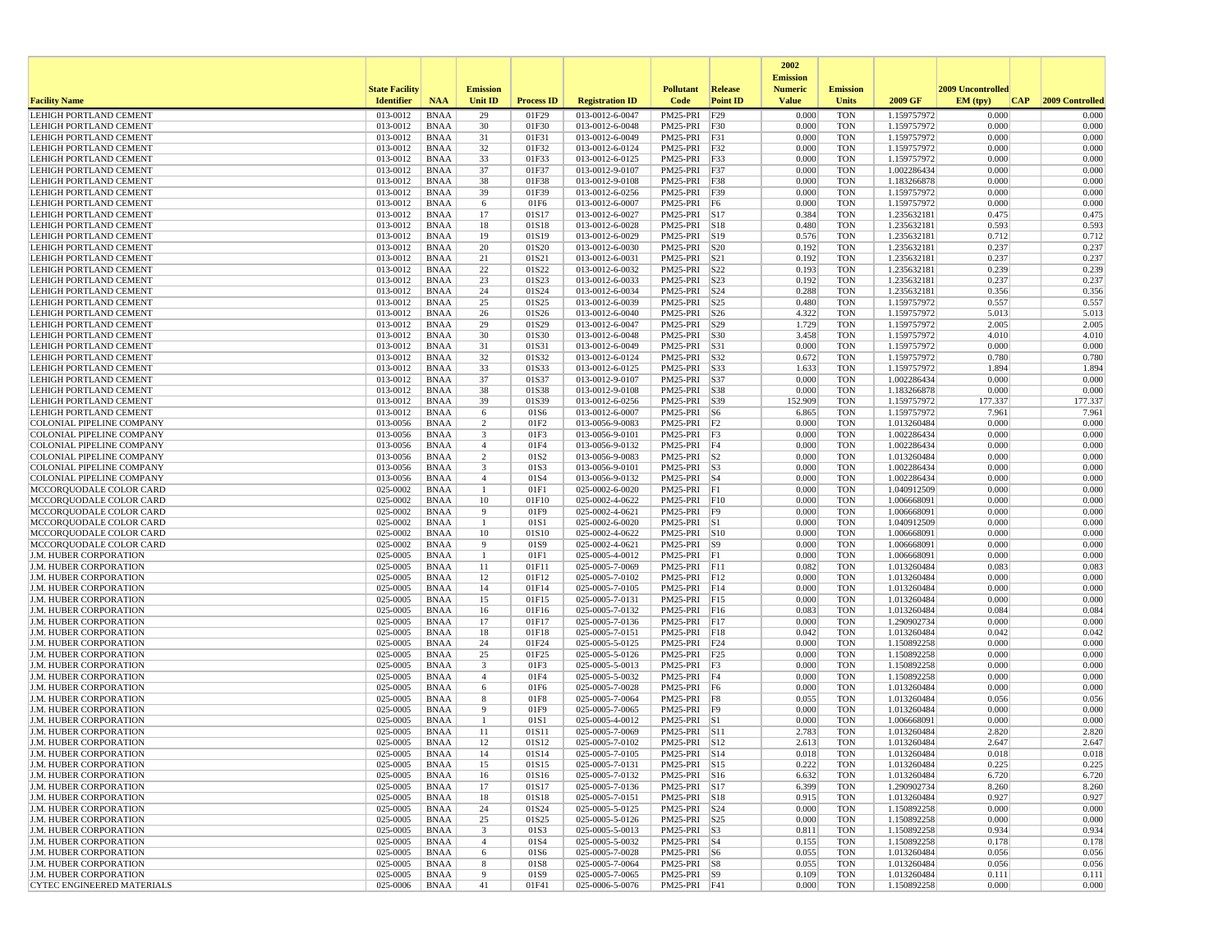|                                                                |                       |                            |                               |                   |                                    |                               |                 | 2002                              |                          |                            |                   |                  |
|----------------------------------------------------------------|-----------------------|----------------------------|-------------------------------|-------------------|------------------------------------|-------------------------------|-----------------|-----------------------------------|--------------------------|----------------------------|-------------------|------------------|
|                                                                | <b>State Facility</b> |                            | <b>Emission</b>               |                   |                                    | <b>Pollutant</b>              | Release         | <b>Emission</b><br><b>Numeric</b> | <b>Emission</b>          |                            | 2009 Uncontrolled |                  |
| <b>Facility Name</b>                                           | <b>Identifier</b>     | <b>NAA</b>                 | Unit ID                       | <b>Process ID</b> | <b>Registration ID</b>             | Code                          | <b>Point ID</b> | <b>Value</b>                      | <b>Units</b>             | 2009 GF                    | EM (typ)<br> CAP  | 2009 Controlled  |
| <b>LEHIGH PORTLAND CEMENT</b>                                  | 013-0012              | <b>BNAA</b>                | 29                            | 01F29             | 013-0012-6-0047                    | PM25-PRI                      | F29             | 0.000                             | <b>TON</b>               | 1.159757972                | 0.000             | 0.000            |
| LEHIGH PORTLAND CEMENT                                         | 013-0012              | <b>BNAA</b>                | 30                            | 01F30             | 013-0012-6-0048                    | $PM25-PRI$                    | F30             | 0.000                             | <b>TON</b>               | 1.159757972                | 0.000             | 0.000            |
| LEHIGH PORTLAND CEMENT<br>LEHIGH PORTLAND CEMENT               | 013-0012<br>013-0012  | <b>BNAA</b><br><b>BNAA</b> | 31<br>32                      | 01F31<br>01F32    | 013-0012-6-0049<br>013-0012-6-0124 | PM25-PRI<br>PM25-PRI F32      | F31             | 0.000<br>0.000                    | <b>TON</b><br><b>TON</b> | 1.159757972<br>1.159757972 | 0.000<br>0.000    | 0.000<br>0.000   |
| LEHIGH PORTLAND CEMENT                                         | 013-0012              | <b>BNAA</b>                | 33                            | 01F33             | 013-0012-6-0125                    | PM25-PRI                      | F33             | 0.000                             | <b>TON</b>               | 1.159757972                | 0.000             | 0.000            |
| LEHIGH PORTLAND CEMENT                                         | 013-0012              | <b>BNAA</b>                | 37                            | 01F37             | 013-0012-9-0107                    | PM25-PRI                      | F37             | 0.000                             | <b>TON</b>               | 1.002286434                | 0.000             | 0.000            |
| LEHIGH PORTLAND CEMENT                                         | 013-0012              | <b>BNAA</b>                | 38                            | 01F38             | 013-0012-9-0108                    | PM25-PRI                      | F38             | 0.000                             | <b>TON</b>               | 1.183266878                | 0.000             | 0.000            |
| LEHIGH PORTLAND CEMENT                                         | 013-0012              | <b>BNAA</b>                | 39                            | 01F39             | 013-0012-6-0256                    | PM25-PRI                      | F39             | 0.000                             | <b>TON</b>               | 1.159757972                | 0.000             | 0.000            |
| LEHIGH PORTLAND CEMENT                                         | 013-0012              | <b>BNAA</b>                | 6                             | 01F6              | 013-0012-6-0007                    | PM25-PRI                      | F6              | 0.000                             | <b>TON</b>               | 1.159757972                | 0.000             | 0.000            |
| LEHIGH PORTLAND CEMENT                                         | 013-0012              | <b>BNAA</b>                | 17                            | 01S17             | 013-0012-6-0027                    | PM25-PRI S17                  |                 | 0.384                             | <b>TON</b>               | 1.235632181                | 0.475             | 0.475            |
| <b>LEHIGH PORTLAND CEMENT</b><br><b>LEHIGH PORTLAND CEMENT</b> | 013-0012<br>013-0012  | <b>BNAA</b><br><b>BNAA</b> | 18<br>19                      | 01S18<br>01S19    | 013-0012-6-0028<br>013-0012-6-0029 | PM25-PRI<br>PM25-PRI S19      | S18             | 0.480<br>0.576                    | <b>TON</b><br><b>TON</b> | 1.235632181<br>1.235632181 | 0.593<br>0.712    | 0.593<br>0.712   |
| LEHIGH PORTLAND CEMENT                                         | 013-0012              | <b>BNAA</b>                | 20                            | 01S20             | 013-0012-6-0030                    | PM25-PRI S20                  |                 | 0.192                             | <b>TON</b>               | 1.235632181                | 0.237             | 0.237            |
| LEHIGH PORTLAND CEMENT                                         | 013-0012              | <b>BNAA</b>                | 21                            | 01S21             | 013-0012-6-0031                    | PM25-PRI                      | S21             | 0.192                             | <b>TON</b>               | 1.235632181                | 0.237             | 0.237            |
| <b>LEHIGH PORTLAND CEMENT</b>                                  | 013-0012              | <b>BNAA</b>                | 22                            | 01S22             | 013-0012-6-0032                    | PM25-PRI                      | S22             | 0.193                             | <b>TON</b>               | 1.235632181                | 0.239             | 0.239            |
| LEHIGH PORTLAND CEMENT                                         | 013-0012              | <b>BNAA</b>                | 23                            | 01S23             | 013-0012-6-0033                    | PM25-PRI S23                  |                 | 0.192                             | <b>TON</b>               | 1.235632181                | 0.237             | 0.237            |
| LEHIGH PORTLAND CEMENT                                         | 013-0012              | <b>BNAA</b>                | 24                            | 01S24             | 013-0012-6-0034                    | PM25-PRI                      | S24             | 0.288                             | <b>TON</b>               | 1.235632181                | 0.356             | 0.356            |
| LEHIGH PORTLAND CEMENT                                         | 013-0012              | <b>BNAA</b>                | 25                            | 01S25             | 013-0012-6-0039                    | PM25-PRI                      | S25             | 0.480                             | <b>TON</b>               | 1.159757972                | 0.557             | 0.557            |
| LEHIGH PORTLAND CEMENT<br>LEHIGH PORTLAND CEMENT               | 013-0012<br>013-0012  | <b>BNAA</b><br><b>BNAA</b> | 26<br>29                      | 01S26<br>01S29    | 013-0012-6-0040<br>013-0012-6-0047 | PM25-PRI<br>PM25-PRI          | S26<br> S29     | 4.322<br>1.729                    | <b>TON</b><br><b>TON</b> | 1.159757972<br>1.159757972 | 5.013<br>2.005    | 5.013<br>2.005   |
| LEHIGH PORTLAND CEMENT                                         | 013-0012              | <b>BNAA</b>                | 30                            | 01S30             | 013-0012-6-0048                    | PM25-PRI                      | S30             | 3.458                             | <b>TON</b>               | 1.159757972                | 4.010             | 4.010            |
| LEHIGH PORTLAND CEMENT                                         | 013-0012              | <b>BNAA</b>                | 31                            | 01S31             | 013-0012-6-0049                    | PM25-PRI                      | S31             | 0.000                             | <b>TON</b>               | 1.159757972                | 0.000             | 0.000            |
| LEHIGH PORTLAND CEMENT                                         | 013-0012              | <b>BNAA</b>                | 32                            | 01S32             | 013-0012-6-0124                    | PM25-PRI                      | S32             | 0.672                             | <b>TON</b>               | 1.159757972                | 0.780             | 0.780            |
| <b>LEHIGH PORTLAND CEMENT</b>                                  | 013-0012              | <b>BNAA</b>                | 33                            | 01S33             | 013-0012-6-0125                    | PM25-PRI S33                  |                 | 1.633                             | <b>TON</b>               | 1.159757972                | 1.894             | 1.894            |
| <b>LEHIGH PORTLAND CEMENT</b>                                  | 013-0012              | <b>BNAA</b>                | 37                            | 01S37             | 013-0012-9-0107                    | PM25-PRI                      | S37             | 0.000                             | <b>TON</b>               | 1.002286434                | 0.000             | 0.000            |
| LEHIGH PORTLAND CEMENT                                         | 013-0012              | <b>BNAA</b>                | 38                            | 01S38             | 013-0012-9-0108                    | PM25-PRI                      | <b>S38</b>      | 0.000                             | <b>TON</b>               | 1.183266878                | 0.000             | 0.000            |
| LEHIGH PORTLAND CEMENT<br>LEHIGH PORTLAND CEMENT               | 013-0012<br>013-0012  | <b>BNAA</b><br><b>BNAA</b> | 39<br>6                       | 01S39<br>01S6     | 013-0012-6-0256<br>013-0012-6-0007 | PM25-PRI S39<br>PM25-PRI S6   |                 | 152.909<br>6.865                  | <b>TON</b><br><b>TON</b> | 1.159757972<br>1.159757972 | 177.337<br>7.961  | 177.337<br>7.961 |
| <b>COLONIAL PIPELINE COMPANY</b>                               | 013-0056              | <b>BNAA</b>                | 2                             | 01F2              | 013-0056-9-0083                    | $PM25-PRI$ $ F2$              |                 | 0.000                             | <b>TON</b>               | 1.013260484                | 0.000             | 0.000            |
| <b>COLONIAL PIPELINE COMPANY</b>                               | 013-0056              | <b>BNAA</b>                | 3                             | 01F3              | 013-0056-9-0101                    | PM25-PRI                      | F3              | 0.000                             | <b>TON</b>               | 1.002286434                | 0.000             | 0.000            |
| COLONIAL PIPELINE COMPANY                                      | 013-0056              | <b>BNAA</b>                | $\overline{4}$                | 01F4              | 013-0056-9-0132                    | PM25-PRI                      | F4              | 0.000                             | <b>TON</b>               | 1.002286434                | 0.000             | 0.000            |
| COLONIAL PIPELINE COMPANY                                      | 013-0056              | <b>BNAA</b>                | $\overline{c}$                | 01S2              | 013-0056-9-0083                    | $PM25-PRI$ S2                 |                 | 0.000                             | <b>TON</b>               | 1.013260484                | 0.000             | 0.000            |
| <b>COLONIAL PIPELINE COMPANY</b>                               | 013-0056              | <b>BNAA</b>                | 3                             | 01S3              | 013-0056-9-0101                    | PM25-PRI S3                   |                 | 0.000                             | <b>TON</b>               | 1.002286434                | 0.000             | 0.000            |
| COLONIAL PIPELINE COMPANY                                      | 013-0056              | <b>BNAA</b>                | $\overline{4}$                | 01S4              | 013-0056-9-0132                    | PM25-PRI S4                   |                 | 0.000                             | <b>TON</b>               | 1.002286434                | 0.000             | 0.000            |
| MCCORQUODALE COLOR CARD<br>MCCORQUODALE COLOR CARD             | 025-0002<br>025-0002  | <b>BNAA</b><br><b>BNAA</b> | 10                            | 01F1<br>01F10     | 025-0002-6-0020<br>025-0002-4-0622 | PM25-PRI F1<br>PM25-PRI       | FI              | 0.000<br>0.000                    | <b>TON</b><br><b>TON</b> | 1.040912509<br>1.006668091 | 0.000<br>0.000    | 0.000<br>0.000   |
| MCCORQUODALE COLOR CARD                                        | 025-0002              | <b>BNAA</b>                | 9                             | 01F9              | 025-0002-4-0621                    | PM25-PRI F9                   |                 | 0.000                             | <b>TON</b>               | 1.006668091                | 0.000             | 0.000            |
| MCCORQUODALE COLOR CARD                                        | 025-0002              | <b>BNAA</b>                | -1                            | 01S1              | 025-0002-6-0020                    | PM25-PRI S1                   |                 | 0.000                             | <b>TON</b>               | 1.040912509                | 0.000             | 0.000            |
| MCCORQUODALE COLOR CARD                                        | 025-0002              | <b>BNAA</b>                | 10                            | 01S10             | 025-0002-4-0622                    | PM25-PRI S10                  |                 | 0.000                             | <b>TON</b>               | 1.006668091                | 0.000             | 0.000            |
| MCCORQUODALE COLOR CARD                                        | 025-0002              | <b>BNAA</b>                | 9                             | 01S9              | 025-0002-4-0621                    | PM25-PRI S9                   |                 | 0.000                             | <b>TON</b>               | 1.006668091                | 0.000             | 0.000            |
| <b>J.M. HUBER CORPORATION</b>                                  | 025-0005              | <b>BNAA</b>                | -1                            | 01F1              | 025-0005-4-0012                    | PM25-PRI F1                   |                 | 0.000                             | <b>TON</b>               | 1.006668091                | 0.000             | 0.000            |
| <b>J.M. HUBER CORPORATION</b><br><b>J.M. HUBER CORPORATION</b> | 025-0005<br>025-0005  | <b>BNAA</b><br><b>BNAA</b> | 11<br>12                      | 01F11<br>01F12    | 025-0005-7-0069<br>025-0005-7-0102 | PM25-PRI<br>PM25-PRI F12      | F11             | 0.082<br>0.000                    | <b>TON</b><br><b>TON</b> | 1.013260484<br>1.013260484 | 0.083<br>0.000    | 0.083<br>0.000   |
| <b>J.M. HUBER CORPORATION</b>                                  | 025-0005              | <b>BNAA</b>                | 14                            | 01F14             | 025-0005-7-0105                    | $PM25-PRI$ F14                |                 | 0.000                             | <b>TON</b>               | 1.013260484                | 0.000             | 0.000            |
| <b>J.M. HUBER CORPORATION</b>                                  | 025-0005              | <b>BNAA</b>                | 15                            | 01F15             | 025-0005-7-0131                    | PM25-PRI F15                  |                 | 0.000                             | <b>TON</b>               | 1.013260484                | 0.000             | 0.000            |
| <b>J.M. HUBER CORPORATION</b>                                  | 025-0005              | <b>BNAA</b>                | 16                            | 01F16             | 025-0005-7-0132                    | PM25-PRI F16                  |                 | 0.083                             | <b>TON</b>               | 1.013260484                | 0.084             | 0.084            |
| <b>J.M. HUBER CORPORATION</b>                                  | 025-0005              | <b>BNAA</b>                | 17                            | 01F17             | 025-0005-7-0136                    | PM25-PRI                      | F17             | 0.000                             | <b>TON</b>               | 1.290902734                | 0.000             | 0.000            |
| <b>J.M. HUBER CORPORATION</b>                                  | 025-0005              | <b>BNAA</b>                | 18                            | 01F18             | 025-0005-7-0151                    | PM25-PRI                      | F18             | 0.042                             | <b>TON</b>               | 1.013260484                | 0.042             | 0.042            |
| <b>J.M. HUBER CORPORATION</b>                                  | 025-0005              | <b>BNAA</b>                | 24                            | 01F24             | 025-0005-5-0125                    | PM25-PRI                      | F24             | 0.000                             | <b>TON</b>               | 1.150892258                | 0.000<br>0.000    | 0.000            |
| <b>J.M. HUBER CORPORATION</b><br><b>J.M. HUBER CORPORATION</b> | 025-0005<br>025-0005  | <b>BNAA</b><br><b>BNAA</b> | 25<br>3                       | 01F25<br>01F3     | 025-0005-5-0126<br>025-0005-5-0013 | PM25-PRI<br>PM25-PRI F3       | F25             | 0.000<br>0.000                    | <b>TON</b><br><b>TON</b> | 1.150892258<br>1.150892258 | 0.000             | 0.000<br>0.000   |
| <b>J.M. HUBER CORPORATION</b>                                  | 025-0005              | <b>BNAA</b>                | $\overline{4}$                | 01F4              | 025-0005-5-0032                    | PM25-PRI F4                   |                 | 0.000                             | <b>TON</b>               | 1.150892258                | 0.000             | 0.000            |
| J.M. HUBER CORPORATION                                         | 025-0005              | <b>BNAA</b>                | 6                             | 01F6              | 025-0005-7-0028                    | PM25-PRI                      | F6              | 0.000                             | <b>TON</b>               | 1.013260484                | 0.000             | 0.000            |
| <b>J.M. HUBER CORPORATION</b>                                  | 025-0005              | <b>BNAA</b>                | 8                             | 01F8              | 025-0005-7-0064                    | PM25-PRI F8                   |                 | 0.055                             | <b>TON</b>               | 1.013260484                | 0.056             | 0.056            |
| <b>J.M. HUBER CORPORATION</b>                                  | 025-0005              | <b>BNAA</b>                | 9                             | 01F9              | 025-0005-7-0065                    | PM25-PRI                      | F9              | 0.000                             | <b>TON</b>               | 1.013260484                | 0.000             | 0.000            |
| J.M. HUBER CORPORATION                                         | 025-0005              | <b>BNAA</b>                |                               | 01S1              | 025-0005-4-0012                    | PM25-PRI                      | S1              | 0.000                             | <b>TON</b>               | 1.006668091                | 0.000             | 0.000            |
| <b>J.M. HUBER CORPORATION</b><br><b>J.M. HUBER CORPORATION</b> | 025-0005<br>025-0005  | <b>BNAA</b><br><b>BNAA</b> | 11<br>12                      | 01S11<br>01S12    | 025-0005-7-0069<br>025-0005-7-0102 | PM25-PRI S11<br>PM25-PRI S12  |                 | 2.783<br>2.613                    | <b>TON</b><br><b>TON</b> | 1.013260484<br>1.013260484 | 2.820<br>2.647    | 2.820<br>2.647   |
| J.M. HUBER CORPORATION                                         | 025-0005              | <b>BNAA</b>                | 14                            | 01S14             | 025-0005-7-0105                    | PM25-PRI   S14                |                 | 0.018                             | TON                      | 1.013260484                | 0.018             | 0.018            |
| <b>J.M. HUBER CORPORATION</b>                                  | 025-0005              | BNAA                       | 15                            | 01S15             | 025-0005-7-0131                    | PM25-PRI S15                  |                 | 0.222                             | <b>TON</b>               | 1.013260484                | 0.225             | 0.225            |
| <b>J.M. HUBER CORPORATION</b>                                  | 025-0005              | <b>BNAA</b>                | 16                            | 01S16             | 025-0005-7-0132                    | PM25-PRI S16                  |                 | 6.632                             | <b>TON</b>               | 1.013260484                | 6.720             | 6.720            |
| J.M. HUBER CORPORATION                                         | 025-0005              | <b>BNAA</b>                | 17                            | 01S17             | 025-0005-7-0136                    | PM25-PRI S17                  |                 | 6.399                             | <b>TON</b>               | 1.290902734                | 8.260             | 8.260            |
| J.M. HUBER CORPORATION                                         | 025-0005              | <b>BNAA</b>                | 18                            | 01S18             | 025-0005-7-0151                    | PM25-PRI S18                  |                 | 0.915                             | <b>TON</b>               | 1.013260484                | 0.927             | 0.927            |
| J.M. HUBER CORPORATION                                         | 025-0005              | <b>BNAA</b>                | 24                            | 01S24             | 025-0005-5-0125                    | PM25-PRI S24                  |                 | 0.000                             | <b>TON</b>               | 1.150892258                | 0.000             | 0.000            |
| <b>J.M. HUBER CORPORATION</b><br>J.M. HUBER CORPORATION        | 025-0005              | <b>BNAA</b>                | 25<br>$\overline{\mathbf{3}}$ | 01S25             | 025-0005-5-0126                    | PM25-PRI S25<br>$PM25-PRI$ S3 |                 | 0.000                             | <b>TON</b>               | 1.150892258                | 0.000<br>0.934    | 0.000            |
| J.M. HUBER CORPORATION                                         | 025-0005<br>025-0005  | BNAA<br><b>BNAA</b>        | $\overline{4}$                | 01S3<br>01S4      | 025-0005-5-0013<br>025-0005-5-0032 | PM25-PRI S4                   |                 | 0.811<br>0.155                    | <b>TON</b><br><b>TON</b> | 1.150892258<br>1.150892258 | 0.178             | 0.934<br>0.178   |
| J.M. HUBER CORPORATION                                         | 025-0005              | <b>BNAA</b>                | 6                             | 01S6              | 025-0005-7-0028                    | PM25-PRI S6                   |                 | 0.055                             | TON                      | 1.013260484                | 0.056             | 0.056            |
| J.M. HUBER CORPORATION                                         | 025-0005              | <b>BNAA</b>                | 8                             | 01S8              | 025-0005-7-0064                    | $PM25-PRI$ S8                 |                 | 0.055                             | <b>TON</b>               | 1.013260484                | 0.056             | 0.056            |
| J.M. HUBER CORPORATION                                         | 025-0005              | <b>BNAA</b>                | 9                             | 01S9              | 025-0005-7-0065                    | PM25-PRI S9                   |                 | 0.109                             | <b>TON</b>               | 1.013260484                | 0.111             | 0.111            |
| CYTEC ENGINEERED MATERIALS                                     | 025-0006              | <b>BNAA</b>                | 41                            | 01F41             | 025-0006-5-0076                    | PM25-PRI F41                  |                 | 0.000                             | TON                      | 1.150892258                | 0.000             | 0.000            |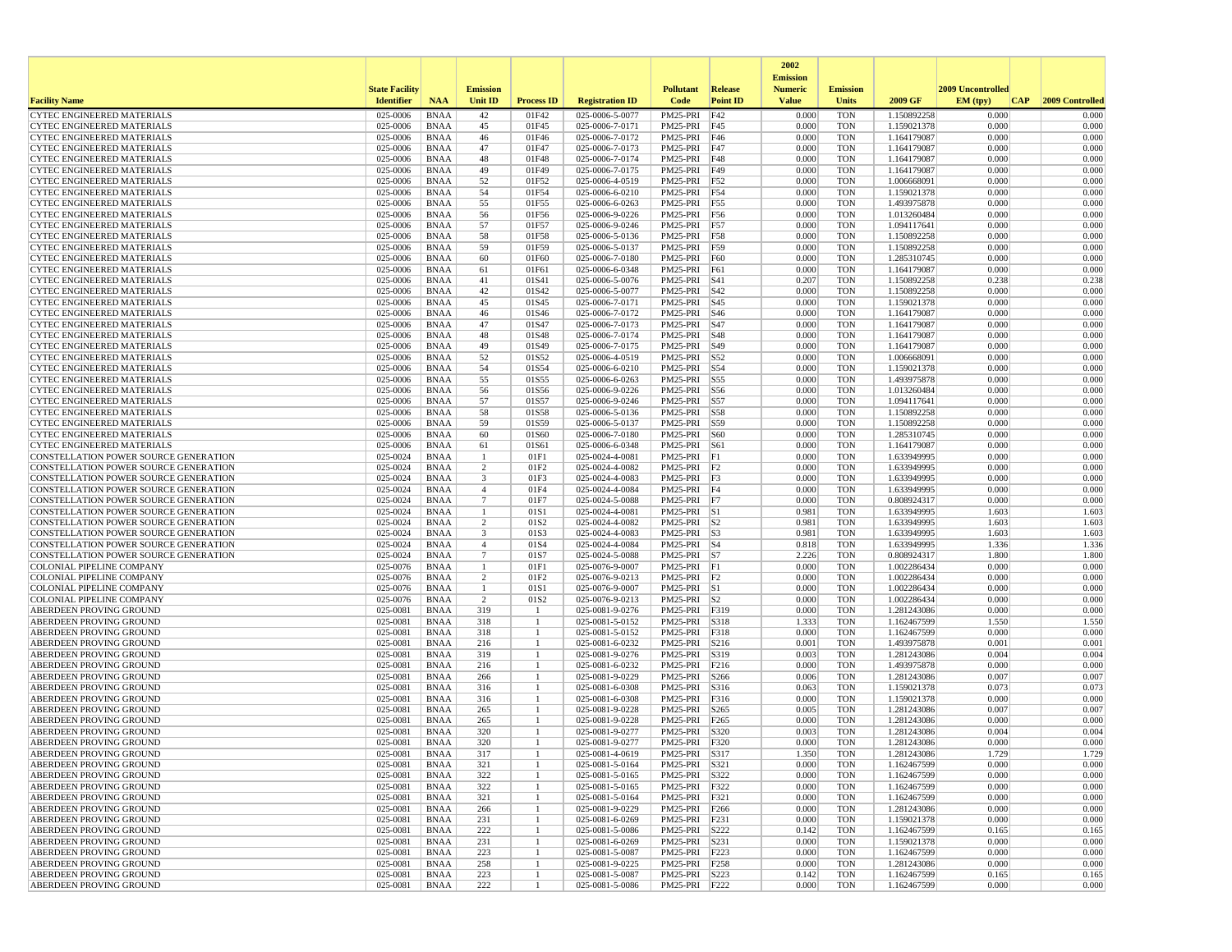|                                                                                |                       |                            |                                          |                   |                                    |                                |                  | 2002                              |                          |                            |                   |                 |
|--------------------------------------------------------------------------------|-----------------------|----------------------------|------------------------------------------|-------------------|------------------------------------|--------------------------------|------------------|-----------------------------------|--------------------------|----------------------------|-------------------|-----------------|
|                                                                                | <b>State Facility</b> |                            | <b>Emission</b>                          |                   |                                    | <b>Pollutant</b>               | Release          | <b>Emission</b><br><b>Numeric</b> | <b>Emission</b>          |                            | 2009 Uncontrolled |                 |
| <b>Facility Name</b>                                                           | <b>Identifier</b>     | <b>NAA</b>                 | Unit ID                                  | <b>Process ID</b> | <b>Registration ID</b>             | Code                           | <b>Point ID</b>  | <b>Value</b>                      | <b>Units</b>             | 2009 GF                    | EM (typ)<br> CAP  | 2009 Controlled |
| <b>CYTEC ENGINEERED MATERIALS</b>                                              | 025-0006              | <b>BNAA</b>                | 42                                       | 01F42             | 025-0006-5-0077                    | PM25-PRI                       | F42              | 0.000                             | <b>TON</b>               | 1.150892258                | 0.000             | 0.000           |
| <b>CYTEC ENGINEERED MATERIALS</b>                                              | 025-0006              | <b>BNAA</b>                | 45                                       | 01F45             | 025-0006-7-0171                    | PM25-PRI                       | F45              | 0.000                             | <b>TON</b>               | 1.159021378                | 0.000             | 0.000           |
| <b>CYTEC ENGINEERED MATERIALS</b>                                              | 025-0006              | <b>BNAA</b>                | 46                                       | 01F46             | 025-0006-7-0172                    | PM25-PRI                       | F46              | 0.000                             | <b>TON</b>               | 1.164179087                | 0.000             | 0.000           |
| <b>CYTEC ENGINEERED MATERIALS</b><br><b>CYTEC ENGINEERED MATERIALS</b>         | 025-0006<br>025-0006  | <b>BNAA</b><br><b>BNAA</b> | 47<br>48                                 | 01F47<br>01F48    | 025-0006-7-0173<br>025-0006-7-0174 | PM25-PRI<br>PM25-PRI           | F47<br>F48       | 0.000<br>0.000                    | <b>TON</b><br><b>TON</b> | 1.164179087<br>1.164179087 | 0.000<br>0.000    | 0.000<br>0.000  |
| <b>CYTEC ENGINEERED MATERIALS</b>                                              | 025-0006              | <b>BNAA</b>                | 49                                       | 01F49             | 025-0006-7-0175                    | PM25-PRI                       | F49              | 0.000                             | <b>TON</b>               | 1.164179087                | 0.000             | 0.000           |
| <b>CYTEC ENGINEERED MATERIALS</b>                                              | 025-0006              | <b>BNAA</b>                | 52                                       | 01F52             | 025-0006-4-0519                    | PM25-PRI                       | F52              | 0.000                             | <b>TON</b>               | 1.006668091                | 0.000             | 0.000           |
| CYTEC ENGINEERED MATERIALS                                                     | 025-0006              | <b>BNAA</b>                | 54                                       | 01F54             | 025-0006-6-0210                    | PM25-PRI                       | F54              | 0.000                             | <b>TON</b>               | 1.159021378                | 0.000             | 0.000           |
| CYTEC ENGINEERED MATERIALS                                                     | 025-0006              | <b>BNAA</b>                | 55                                       | 01F55             | 025-0006-6-0263                    | PM25-PRI                       | F55              | 0.000                             | <b>TON</b>               | 1.493975878                | 0.000             | 0.000           |
| <b>CYTEC ENGINEERED MATERIALS</b>                                              | 025-0006              | <b>BNAA</b>                | 56                                       | 01F56             | 025-0006-9-0226                    | PM25-PRI                       | F56              | 0.000                             | <b>TON</b>               | 1.013260484                | 0.000             | 0.000           |
| CYTEC ENGINEERED MATERIALS                                                     | 025-0006              | <b>BNAA</b>                | 57                                       | 01F57             | 025-0006-9-0246                    | PM25-PRI                       | F57              | 0.000                             | <b>TON</b>               | 1.094117641                | 0.000             | 0.000           |
| <b>CYTEC ENGINEERED MATERIALS</b>                                              | 025-0006              | <b>BNAA</b>                | 58                                       | 01F58             | 025-0006-5-0136                    | PM25-PRI                       | F58              | 0.000                             | <b>TON</b>               | 1.150892258                | 0.000             | 0.000           |
| CYTEC ENGINEERED MATERIALS                                                     | 025-0006              | <b>BNAA</b>                | 59                                       | 01F59             | 025-0006-5-0137                    | PM25-PRI                       | F59              | 0.000                             | <b>TON</b>               | 1.150892258                | 0.000             | 0.000           |
| CYTEC ENGINEERED MATERIALS<br><b>CYTEC ENGINEERED MATERIALS</b>                | 025-0006<br>025-0006  | <b>BNAA</b><br><b>BNAA</b> | 60<br>61                                 | 01F60<br>01F61    | 025-0006-7-0180<br>025-0006-6-0348 | PM25-PRI<br>PM25-PRI           | F60<br>F61       | 0.000<br>0.000                    | <b>TON</b><br><b>TON</b> | 1.285310745<br>1.164179087 | 0.000<br>0.000    | 0.000<br>0.000  |
| <b>CYTEC ENGINEERED MATERIALS</b>                                              | 025-0006              | <b>BNAA</b>                | 41                                       | 01S41             | 025-0006-5-0076                    | PM25-PRI                       | <b>S41</b>       | 0.207                             | <b>TON</b>               | 1.150892258                | 0.238             | 0.238           |
| CYTEC ENGINEERED MATERIALS                                                     | 025-0006              | <b>BNAA</b>                | 42                                       | 01S42             | 025-0006-5-0077                    | PM25-PRI                       | S42              | 0.000                             | <b>TON</b>               | 1.150892258                | 0.000             | 0.000           |
| CYTEC ENGINEERED MATERIALS                                                     | 025-0006              | <b>BNAA</b>                | 45                                       | 01S45             | 025-0006-7-0171                    | PM25-PRI                       | S45              | 0.000                             | <b>TON</b>               | 1.159021378                | 0.000             | 0.000           |
| CYTEC ENGINEERED MATERIALS                                                     | 025-0006              | <b>BNAA</b>                | 46                                       | 01S46             | 025-0006-7-0172                    | PM25-PRI                       | S46              | 0.000                             | <b>TON</b>               | 1.164179087                | 0.000             | 0.000           |
| <b>CYTEC ENGINEERED MATERIALS</b>                                              | 025-0006              | <b>BNAA</b>                | 47                                       | 01S47             | 025-0006-7-0173                    | PM25-PRI                       | <b>S47</b>       | 0.000                             | <b>TON</b>               | 1.164179087                | 0.000             | 0.000           |
| <b>CYTEC ENGINEERED MATERIALS</b>                                              | 025-0006              | <b>BNAA</b>                | 48                                       | 01S48             | 025-0006-7-0174                    | PM25-PRI                       | S48              | 0.000                             | <b>TON</b>               | 1.164179087                | 0.000             | 0.000           |
| <b>CYTEC ENGINEERED MATERIALS</b>                                              | 025-0006              | <b>BNAA</b>                | 49                                       | 01S49             | 025-0006-7-0175                    | PM25-PRI                       | S49              | 0.000                             | <b>TON</b>               | 1.164179087                | 0.000             | 0.000           |
| <b>CYTEC ENGINEERED MATERIALS</b>                                              | 025-0006              | <b>BNAA</b>                | 52                                       | 01S52             | 025-0006-4-0519                    | PM25-PRI                       | S52              | 0.000                             | <b>TON</b>               | 1.006668091                | 0.000             | 0.000           |
| <b>CYTEC ENGINEERED MATERIALS</b><br>CYTEC ENGINEERED MATERIALS                | 025-0006<br>025-0006  | <b>BNAA</b><br><b>BNAA</b> | 54<br>55                                 | 01S54<br>01S55    | 025-0006-6-0210<br>025-0006-6-0263 | PM25-PRI                       | S54              | 0.000<br>0.000                    | <b>TON</b><br><b>TON</b> | 1.159021378                | 0.000<br>0.000    | 0.000<br>0.000  |
| <b>CYTEC ENGINEERED MATERIALS</b>                                              | 025-0006              | <b>BNAA</b>                | 56                                       | 01S56             | 025-0006-9-0226                    | PM25-PRI<br>PM25-PRI           | S55<br>S56       | 0.000                             | <b>TON</b>               | 1.493975878<br>1.013260484 | 0.000             | 0.000           |
| CYTEC ENGINEERED MATERIALS                                                     | 025-0006              | <b>BNAA</b>                | 57                                       | 01S57             | 025-0006-9-0246                    | PM25-PRI                       | S57              | 0.000                             | <b>TON</b>               | 1.094117641                | 0.000             | 0.000           |
| <b>CYTEC ENGINEERED MATERIALS</b>                                              | 025-0006              | <b>BNAA</b>                | 58                                       | 01S58             | 025-0006-5-0136                    | PM25-PRI                       | S58              | 0.000                             | <b>TON</b>               | 1.150892258                | 0.000             | 0.000           |
| CYTEC ENGINEERED MATERIALS                                                     | 025-0006              | <b>BNAA</b>                | 59                                       | 01S59             | 025-0006-5-0137                    | PM25-PRI                       | S59              | 0.000                             | <b>TON</b>               | 1.150892258                | 0.000             | 0.000           |
| <b>CYTEC ENGINEERED MATERIALS</b>                                              | 025-0006              | <b>BNAA</b>                | 60                                       | 01S60             | 025-0006-7-0180                    | PM25-PRI                       | <b>S60</b>       | 0.000                             | <b>TON</b>               | 1.285310745                | 0.000             | 0.000           |
| <b>CYTEC ENGINEERED MATERIALS</b>                                              | 025-0006              | <b>BNAA</b>                | 61                                       | 01S61             | 025-0006-6-0348                    | PM25-PRI                       | S61              | 0.000                             | <b>TON</b>               | 1.164179087                | 0.000             | 0.000           |
| CONSTELLATION POWER SOURCE GENERATION                                          | 025-0024              | <b>BNAA</b>                | $\mathbf{1}$                             | 01F1              | 025-0024-4-0081                    | PM25-PRI                       | F1               | 0.000                             | <b>TON</b>               | 1.633949995                | 0.000             | 0.000           |
| CONSTELLATION POWER SOURCE GENERATION                                          | 025-0024              | <b>BNAA</b>                | 2                                        | 01F2              | 025-0024-4-0082                    | PM25-PRI F2                    |                  | 0.000                             | <b>TON</b>               | 1.633949995                | 0.000             | 0.000           |
| CONSTELLATION POWER SOURCE GENERATION                                          | 025-0024              | <b>BNAA</b>                | 3                                        | 01F3              | 025-0024-4-0083                    | PM25-PRI F3                    |                  | 0.000                             | <b>TON</b>               | 1.633949995                | 0.000             | 0.000           |
| CONSTELLATION POWER SOURCE GENERATION                                          | 025-0024<br>025-0024  | <b>BNAA</b>                | $\boldsymbol{\Delta}$<br>$7\phantom{.0}$ | 01F4              | 025-0024-4-0084                    | PM25-PRI F4                    |                  | 0.000                             | <b>TON</b>               | 1.633949995                | 0.000<br>0.000    | 0.000<br>0.000  |
| CONSTELLATION POWER SOURCE GENERATION<br>CONSTELLATION POWER SOURCE GENERATION | 025-0024              | <b>BNAA</b><br><b>BNAA</b> | 1                                        | 01F7<br>01S1      | 025-0024-5-0088<br>025-0024-4-0081 | $PM25-PRI$ F7<br>PM25-PRI S1   |                  | 0.000<br>0.981                    | <b>TON</b><br><b>TON</b> | 0.808924317<br>1.633949995 | 1.603             | 1.603           |
| CONSTELLATION POWER SOURCE GENERATION                                          | 025-0024              | <b>BNAA</b>                | 2                                        | 01S2              | 025-0024-4-0082                    | PM25-PRI S2                    |                  | 0.981                             | <b>TON</b>               | 1.633949995                | 1.603             | 1.603           |
| CONSTELLATION POWER SOURCE GENERATION                                          | 025-0024              | <b>BNAA</b>                | 3                                        | 01S3              | 025-0024-4-0083                    | PM25-PRI S3                    |                  | 0.981                             | <b>TON</b>               | 1.633949995                | 1.603             | 1.603           |
| CONSTELLATION POWER SOURCE GENERATION                                          | 025-0024              | <b>BNAA</b>                | $\overline{4}$                           | 01S4              | 025-0024-4-0084                    | PM25-PRI S4                    |                  | 0.818                             | <b>TON</b>               | 1.633949995                | 1.336             | 1.336           |
| CONSTELLATION POWER SOURCE GENERATION                                          | 025-0024              | <b>BNAA</b>                | 7                                        | 01S7              | 025-0024-5-0088                    | $PM25-PRI$ S7                  |                  | 2.226                             | <b>TON</b>               | 0.808924317                | 1.800             | 1.800           |
| COLONIAL PIPELINE COMPANY                                                      | 025-0076              | <b>BNAA</b>                | -1                                       | 01F1              | 025-0076-9-0007                    | PM25-PRI                       | F1               | 0.000                             | <b>TON</b>               | 1.002286434                | 0.000             | 0.000           |
| COLONIAL PIPELINE COMPANY                                                      | 025-0076              | <b>BNAA</b>                | 2                                        | 01F <sub>2</sub>  | 025-0076-9-0213                    | PM25-PRI F2                    |                  | 0.000                             | <b>TON</b>               | 1.002286434                | 0.000             | 0.000           |
| COLONIAL PIPELINE COMPANY                                                      | 025-0076              | <b>BNAA</b>                | -1                                       | 01S1              | 025-0076-9-0007                    | PM25-PRI S1                    |                  | 0.000                             | <b>TON</b>               | 1.002286434                | 0.000             | 0.000           |
| <b>COLONIAL PIPELINE COMPANY</b>                                               | 025-0076              | <b>BNAA</b>                | 2                                        | 01S2              | 025-0076-9-0213                    | $PM25-PRI$ S2                  |                  | 0.000                             | <b>TON</b>               | 1.002286434                | 0.000             | 0.000           |
| ABERDEEN PROVING GROUND<br>ABERDEEN PROVING GROUND                             | 025-0081<br>025-0081  | <b>BNAA</b>                | 319                                      | -1                | 025-0081-9-0276                    | PM25-PRI                       | F319             | 0.000                             | <b>TON</b><br><b>TON</b> | 1.281243086                | 0.000<br>1.550    | 0.000           |
| ABERDEEN PROVING GROUND                                                        | 025-0081              | <b>BNAA</b><br><b>BNAA</b> | 318<br>318                               |                   | 025-0081-5-0152<br>025-0081-5-0152 | PM25-PRI<br>PM25-PRI           | S318<br>F318     | 1.333<br>0.000                    | <b>TON</b>               | 1.162467599<br>1.162467599 | 0.000             | 1.550<br>0.000  |
| ABERDEEN PROVING GROUND                                                        | 025-0081              | <b>BNAA</b>                | 216                                      |                   | 025-0081-6-0232                    | PM25-PRI                       | S216             | 0.001                             | <b>TON</b>               | 1.493975878                | 0.001             | 0.001           |
| ABERDEEN PROVING GROUND                                                        | 025-0081              | <b>BNAA</b>                | 319                                      |                   | 025-0081-9-0276                    | PM25-PRI                       | S319             | 0.003                             | <b>TON</b>               | 1.281243086                | 0.004             | 0.004           |
| ABERDEEN PROVING GROUND                                                        | 025-0081              | <b>BNAA</b>                | 216                                      |                   | 025-0081-6-0232                    | PM25-PRI                       | F216             | 0.000                             | <b>TON</b>               | 1.493975878                | 0.000             | 0.000           |
| ABERDEEN PROVING GROUND                                                        | 025-0081              | <b>BNAA</b>                | 266                                      |                   | 025-0081-9-0229                    | PM25-PRI                       | S266             | 0.006                             | <b>TON</b>               | 1.281243086                | 0.007             | 0.007           |
| ABERDEEN PROVING GROUND                                                        | 025-0081              | <b>BNAA</b>                | 316                                      |                   | 025-0081-6-0308                    | PM25-PRI                       | S316             | 0.063                             | <b>TON</b>               | 1.159021378                | 0.073             | 0.073           |
| ABERDEEN PROVING GROUND                                                        | 025-0081              | <b>BNAA</b>                | 316                                      | -1                | 025-0081-6-0308                    | PM25-PRI                       | F316             | 0.000                             | <b>TON</b>               | 1.159021378                | 0.000             | 0.000           |
| ABERDEEN PROVING GROUND                                                        | 025-0081              | <b>BNAA</b>                | 265                                      |                   | 025-0081-9-0228                    | PM25-PRI                       | S <sub>265</sub> | 0.005                             | <b>TON</b>               | 1.281243086                | 0.007             | 0.007           |
| ABERDEEN PROVING GROUND<br>ABERDEEN PROVING GROUND                             | 025-0081<br>025-0081  | <b>BNAA</b><br><b>BNAA</b> | 265<br>320                               | 1                 | 025-0081-9-0228<br>025-0081-9-0277 | PM25-PRI<br>PM25-PRI           | F265<br>S320     | 0.000<br>0.003                    | <b>TON</b><br><b>TON</b> | 1.281243086<br>1.281243086 | 0.000<br>0.004    | 0.000<br>0.004  |
| <b>ABERDEEN PROVING GROUND</b>                                                 | 025-0081              | <b>BNAA</b>                | 320                                      |                   | 025-0081-9-0277                    | PM25-PRI                       | F320             | 0.000                             | <b>TON</b>               | 1.281243086                | 0.000             | 0.000           |
| ABERDEEN PROVING GROUND                                                        | 025-0081              | BNAA                       | 317                                      |                   | 025-0081-4-0619                    | PM25-PRI S317                  |                  | 1.350                             | TON                      | 1.281243086                | 1.729             | 1.729           |
| <b>ABERDEEN PROVING GROUND</b>                                                 | 025-0081              | BNAA                       | 321                                      | -1                | 025-0081-5-0164                    | PM25-PRI S321                  |                  | 0.000                             | <b>TON</b>               | 1.162467599                | 0.000             | 0.000           |
| <b>ABERDEEN PROVING GROUND</b>                                                 | 025-0081              | BNAA                       | 322                                      |                   | 025-0081-5-0165                    | PM25-PRI S322                  |                  | 0.000                             | <b>TON</b>               | 1.162467599                | 0.000             | 0.000           |
| <b>ABERDEEN PROVING GROUND</b>                                                 | 025-0081              | BNAA                       | 322                                      |                   | 025-0081-5-0165                    | PM25-PRI F322                  |                  | 0.000                             | TON                      | 1.162467599                | 0.000             | 0.000           |
| <b>ABERDEEN PROVING GROUND</b>                                                 | 025-0081              | BNAA                       | 321                                      |                   | 025-0081-5-0164                    | PM25-PRI F321                  |                  | 0.000                             | <b>TON</b>               | 1.162467599                | 0.000             | 0.000           |
| <b>ABERDEEN PROVING GROUND</b>                                                 | 025-0081              | <b>BNAA</b>                | 266                                      |                   | 025-0081-9-0229                    | PM25-PRI F266                  |                  | 0.000                             | <b>TON</b>               | 1.281243086                | 0.000             | 0.000           |
| <b>ABERDEEN PROVING GROUND</b>                                                 | 025-0081              | <b>BNAA</b>                | 231                                      | -1                | 025-0081-6-0269                    | PM25-PRI F231                  |                  | 0.000                             | <b>TON</b>               | 1.159021378                | 0.000             | 0.000           |
| <b>ABERDEEN PROVING GROUND</b>                                                 | 025-0081              | BNAA                       | 222                                      |                   | 025-0081-5-0086                    | PM25-PRI S222                  |                  | 0.142                             | <b>TON</b>               | 1.162467599                | 0.165             | 0.165           |
| ABERDEEN PROVING GROUND<br><b>ABERDEEN PROVING GROUND</b>                      | 025-0081<br>025-0081  | <b>BNAA</b><br>BNAA        | 231<br>223                               | 1<br>1            | 025-0081-6-0269<br>025-0081-5-0087 | PM25-PRI S231<br>PM25-PRI F223 |                  | 0.000<br>0.000                    | <b>TON</b><br>TON        | 1.159021378<br>1.162467599 | 0.000<br>0.000    | 0.000<br>0.000  |
| <b>ABERDEEN PROVING GROUND</b>                                                 | 025-0081              | BNAA                       | 258                                      |                   | 025-0081-9-0225                    | PM25-PRI F258                  |                  | 0.000                             | <b>TON</b>               | 1.281243086                | 0.000             | 0.000           |
| <b>ABERDEEN PROVING GROUND</b>                                                 | 025-0081              | <b>BNAA</b>                | 223                                      |                   | 025-0081-5-0087                    | PM25-PRI S223                  |                  | 0.142                             | <b>TON</b>               | 1.162467599                | 0.165             | 0.165           |
| <b>ABERDEEN PROVING GROUND</b>                                                 | 025-0081              | <b>BNAA</b>                | 222                                      | -1                | 025-0081-5-0086                    | PM25-PRI F222                  |                  | 0.000                             | <b>TON</b>               | 1.162467599                | 0.000             | 0.000           |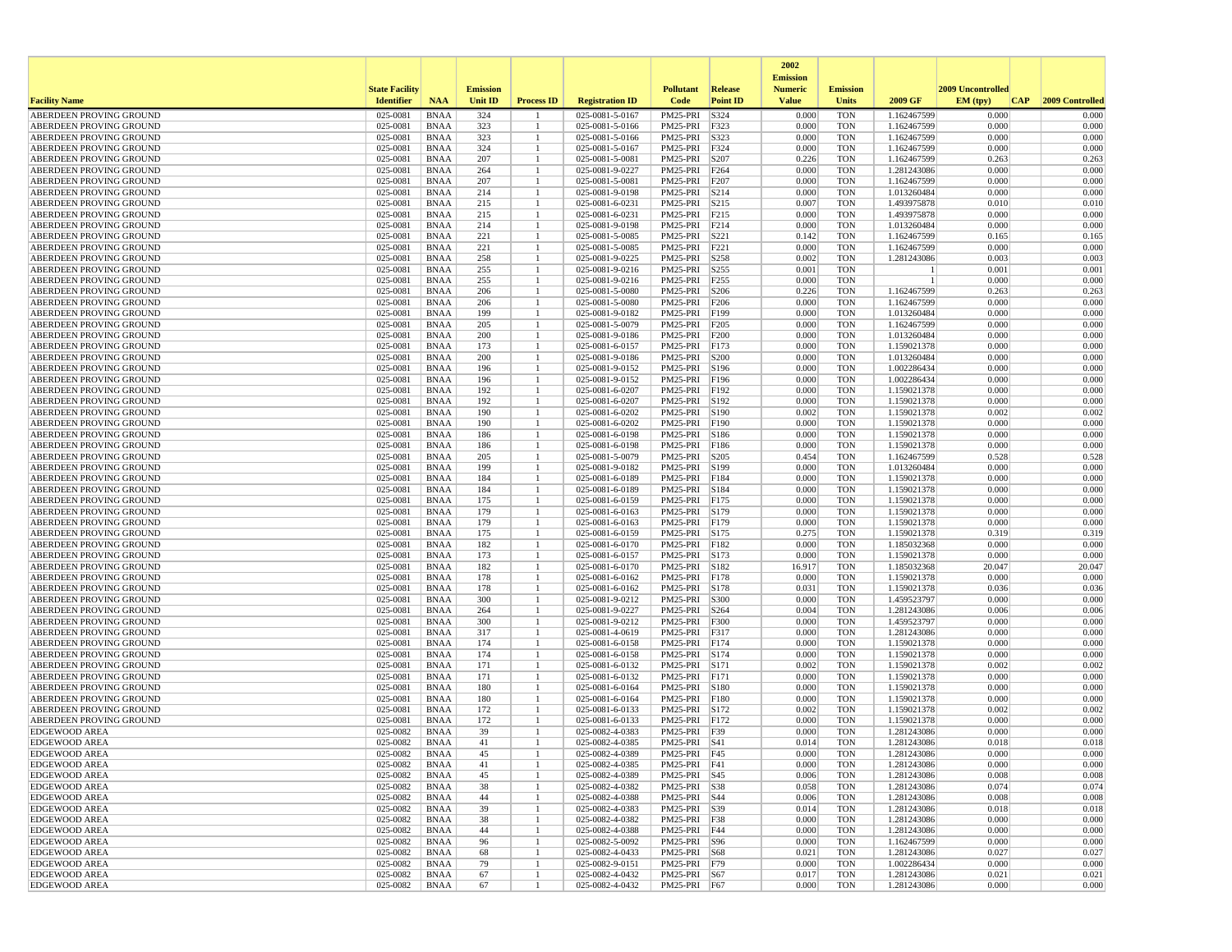|                                                    |                       |                            |                 |                   |                                    |                              |                          | 2002                              |                          |                            |                   |                 |
|----------------------------------------------------|-----------------------|----------------------------|-----------------|-------------------|------------------------------------|------------------------------|--------------------------|-----------------------------------|--------------------------|----------------------------|-------------------|-----------------|
|                                                    | <b>State Facility</b> |                            | <b>Emission</b> |                   |                                    | <b>Pollutant</b>             | Release                  | <b>Emission</b><br><b>Numeric</b> | <b>Emission</b>          |                            | 2009 Uncontrolled |                 |
| <b>Facility Name</b>                               | <b>Identifier</b>     | <b>NAA</b>                 | <b>Unit ID</b>  | <b>Process ID</b> | <b>Registration ID</b>             | Code                         | <b>Point ID</b>          | <b>Value</b>                      | <b>Units</b>             | 2009 GF                    | EM (typ)<br> CAP  | 2009 Controlled |
| ABERDEEN PROVING GROUND                            | 025-0081              | <b>BNAA</b>                | 324             |                   | 025-0081-5-0167                    | PM25-PRI                     | S324                     | 0.000                             | <b>TON</b>               | 1.162467599                | 0.000             | 0.000           |
| ABERDEEN PROVING GROUND                            | 025-0081              | <b>BNAA</b>                | 323             | -1                | 025-0081-5-0166                    | PM25-PRI                     | F323                     | 0.000                             | <b>TON</b>               | 1.162467599                | 0.000             | 0.000           |
| ABERDEEN PROVING GROUND                            | 025-0081              | <b>BNAA</b>                | 323             |                   | 025-0081-5-0166                    | PM25-PRI                     | S323                     | 0.000                             | <b>TON</b>               | 1.162467599                | 0.000             | 0.000           |
| ABERDEEN PROVING GROUND                            | 025-0081              | <b>BNAA</b>                | 324             |                   | 025-0081-5-0167                    | PM25-PRI                     | F324                     | 0.000                             | <b>TON</b>               | 1.162467599                | 0.000             | 0.000           |
| ABERDEEN PROVING GROUND<br>ABERDEEN PROVING GROUND | 025-0081<br>025-0081  | <b>BNAA</b><br><b>BNAA</b> | 207<br>264      |                   | 025-0081-5-0081<br>025-0081-9-0227 | PM25-PRI<br>PM25-PRI         | S207<br>F264             | 0.226<br>0.000                    | <b>TON</b><br><b>TON</b> | 1.162467599<br>1.281243086 | 0.263<br>0.000    | 0.263<br>0.000  |
| ABERDEEN PROVING GROUND                            | 025-0081              | <b>BNAA</b>                | 207             |                   | 025-0081-5-0081                    | PM25-PRI                     | F207                     | 0.000                             | <b>TON</b>               | 1.162467599                | 0.000             | 0.000           |
| ABERDEEN PROVING GROUND                            | 025-0081              | <b>BNAA</b>                | 214             |                   | 025-0081-9-0198                    | PM25-PRI                     | S214                     | 0.000                             | <b>TON</b>               | 1.013260484                | 0.000             | 0.000           |
| <b>ABERDEEN PROVING GROUND</b>                     | 025-0081              | <b>BNAA</b>                | 215             |                   | 025-0081-6-0231                    | PM25-PRI                     | S215                     | 0.007                             | <b>TON</b>               | 1.493975878                | 0.010             | 0.010           |
| ABERDEEN PROVING GROUND                            | 025-0081              | <b>BNAA</b>                | 215             |                   | 025-0081-6-0231                    | PM25-PRI                     | F215                     | 0.000                             | <b>TON</b>               | 1.493975878                | 0.000             | 0.000           |
| ABERDEEN PROVING GROUND                            | 025-0081              | <b>BNAA</b>                | 214             |                   | 025-0081-9-0198                    | PM25-PRI                     | F214                     | 0.000                             | <b>TON</b>               | 1.013260484                | 0.000             | 0.000           |
| ABERDEEN PROVING GROUND                            | 025-0081              | <b>BNAA</b>                | 221             |                   | 025-0081-5-0085                    | PM25-PRI                     | S221                     | 0.142                             | <b>TON</b>               | 1.162467599                | 0.165             | 0.165           |
| ABERDEEN PROVING GROUND                            | 025-0081              | <b>BNAA</b>                | 221             |                   | 025-0081-5-0085                    | PM25-PRI                     | F221                     | 0.000                             | <b>TON</b>               | 1.162467599                | 0.000             | 0.000           |
| ABERDEEN PROVING GROUND                            | 025-0081              | <b>BNAA</b>                | 258             |                   | 025-0081-9-0225                    | PM25-PRI                     | S258                     | 0.002                             | <b>TON</b>               | 1.281243086                | 0.003             | 0.003           |
| ABERDEEN PROVING GROUND<br>ABERDEEN PROVING GROUND | 025-0081<br>025-0081  | <b>BNAA</b><br><b>BNAA</b> | 255<br>255      |                   | 025-0081-9-0216<br>025-0081-9-0216 | PM25-PRI<br>PM25-PRI         | S <sub>255</sub><br>F255 | 0.001<br>0.000                    | <b>TON</b><br><b>TON</b> |                            | 0.001<br>0.000    | 0.001<br>0.000  |
| ABERDEEN PROVING GROUND                            | 025-0081              | <b>BNAA</b>                | 206             |                   | 025-0081-5-0080                    | PM25-PRI                     | S206                     | 0.226                             | <b>TON</b>               | 1.162467599                | 0.263             | 0.263           |
| ABERDEEN PROVING GROUND                            | 025-0081              | <b>BNAA</b>                | 206             |                   | 025-0081-5-0080                    | PM25-PRI                     | F206                     | 0.000                             | <b>TON</b>               | 1.162467599                | 0.000             | 0.000           |
| ABERDEEN PROVING GROUND                            | 025-0081              | <b>BNAA</b>                | 199             |                   | 025-0081-9-0182                    | PM25-PRI                     | F199                     | 0.000                             | <b>TON</b>               | 1.013260484                | 0.000             | 0.000           |
| ABERDEEN PROVING GROUND                            | 025-0081              | <b>BNAA</b>                | 205             |                   | 025-0081-5-0079                    | PM25-PRI                     | F205                     | 0.000                             | <b>TON</b>               | 1.162467599                | 0.000             | 0.000           |
| ABERDEEN PROVING GROUND                            | 025-0081              | <b>BNAA</b>                | 200             | 1                 | 025-0081-9-0186                    | PM25-PRI                     | F200                     | 0.000                             | <b>TON</b>               | 1.013260484                | 0.000             | 0.000           |
| ABERDEEN PROVING GROUND                            | 025-0081              | <b>BNAA</b>                | 173             |                   | 025-0081-6-0157                    | PM25-PRI                     | F173                     | 0.000                             | <b>TON</b>               | 1.159021378                | 0.000             | 0.000           |
| ABERDEEN PROVING GROUND                            | 025-0081              | <b>BNAA</b>                | 200             |                   | 025-0081-9-0186                    | PM25-PRI                     | S200                     | 0.000                             | <b>TON</b>               | 1.013260484                | 0.000             | 0.000           |
| ABERDEEN PROVING GROUND                            | 025-0081              | <b>BNAA</b>                | 196             | 1                 | 025-0081-9-0152                    | PM25-PRI                     | S196                     | 0.000                             | <b>TON</b>               | 1.002286434                | 0.000             | 0.000           |
| ABERDEEN PROVING GROUND                            | 025-0081              | <b>BNAA</b>                | 196             |                   | 025-0081-9-0152                    | PM25-PRI                     | F196                     | 0.000                             | <b>TON</b>               | 1.002286434                | 0.000             | 0.000           |
| ABERDEEN PROVING GROUND                            | 025-0081              | <b>BNAA</b>                | 192             |                   | 025-0081-6-0207                    | PM25-PRI                     | <b>F192</b>              | 0.000                             | <b>TON</b>               | 1.159021378                | 0.000             | 0.000           |
| ABERDEEN PROVING GROUND                            | 025-0081              | <b>BNAA</b>                | 192             |                   | 025-0081-6-0207                    | PM25-PRI                     | S192                     | 0.000                             | <b>TON</b>               | 1.159021378                | 0.000<br>0.002    | 0.000           |
| ABERDEEN PROVING GROUND<br>ABERDEEN PROVING GROUND | 025-0081<br>025-0081  | <b>BNAA</b><br><b>BNAA</b> | 190<br>190      |                   | 025-0081-6-0202<br>025-0081-6-0202 | PM25-PRI<br>PM25-PRI         | S190<br>F190             | 0.002<br>0.000                    | <b>TON</b><br><b>TON</b> | 1.159021378<br>1.159021378 | 0.000             | 0.002<br>0.000  |
| ABERDEEN PROVING GROUND                            | 025-0081              | <b>BNAA</b>                | 186             |                   | 025-0081-6-0198                    | PM25-PRI                     | S186                     | 0.000                             | <b>TON</b>               | 1.159021378                | 0.000             | 0.000           |
| ABERDEEN PROVING GROUND                            | 025-0081              | <b>BNAA</b>                | 186             |                   | 025-0081-6-0198                    | PM25-PRI                     | F186                     | 0.000                             | <b>TON</b>               | 1.159021378                | 0.000             | 0.000           |
| ABERDEEN PROVING GROUND                            | 025-0081              | <b>BNAA</b>                | 205             |                   | 025-0081-5-0079                    | PM25-PRI                     | S205                     | 0.454                             | <b>TON</b>               | 1.162467599                | 0.528             | 0.528           |
| ABERDEEN PROVING GROUND                            | 025-0081              | <b>BNAA</b>                | 199             |                   | 025-0081-9-0182                    | PM25-PRI                     | S199                     | 0.000                             | <b>TON</b>               | 1.013260484                | 0.000             | 0.000           |
| ABERDEEN PROVING GROUND                            | 025-0081              | <b>BNAA</b>                | 184             |                   | 025-0081-6-0189                    | PM25-PRI                     | F184                     | 0.000                             | <b>TON</b>               | 1.159021378                | 0.000             | 0.000           |
| ABERDEEN PROVING GROUND                            | 025-0081              | <b>BNAA</b>                | 184             |                   | 025-0081-6-0189                    | PM25-PRI                     | S184                     | 0.000                             | <b>TON</b>               | 1.159021378                | 0.000             | 0.000           |
| ABERDEEN PROVING GROUND                            | 025-0081              | <b>BNAA</b>                | 175             |                   | 025-0081-6-0159                    | PM25-PRI                     | F175                     | 0.000                             | <b>TON</b>               | 1.159021378                | 0.000             | 0.000           |
| ABERDEEN PROVING GROUND                            | 025-0081              | <b>BNAA</b>                | 179             |                   | 025-0081-6-0163                    | PM25-PRI                     | S179                     | 0.000                             | <b>TON</b>               | 1.159021378                | 0.000             | 0.000           |
| ABERDEEN PROVING GROUND                            | 025-0081              | <b>BNAA</b>                | 179             |                   | 025-0081-6-0163                    | PM25-PRI                     | F179                     | 0.000                             | <b>TON</b>               | 1.159021378                | 0.000             | 0.000           |
| ABERDEEN PROVING GROUND                            | 025-0081              | <b>BNAA</b>                | 175             |                   | 025-0081-6-0159                    | PM25-PRI                     | S175                     | 0.275<br>0.000                    | <b>TON</b>               | 1.159021378                | 0.319             | 0.319           |
| ABERDEEN PROVING GROUND<br>ABERDEEN PROVING GROUND | 025-0081<br>025-0081  | <b>BNAA</b><br><b>BNAA</b> | 182<br>173      | -1                | 025-0081-6-0170<br>025-0081-6-0157 | PM25-PRI<br>PM25-PRI         | F182<br>S173             | 0.000                             | TON<br><b>TON</b>        | 1.185032368<br>1.159021378 | 0.000<br>0.000    | 0.000<br>0.000  |
| ABERDEEN PROVING GROUND                            | 025-0081              | <b>BNAA</b>                | 182             |                   | 025-0081-6-0170                    | PM25-PRI                     | S182                     | 16.917                            | <b>TON</b>               | 1.185032368                | 20.047            | 20.047          |
| ABERDEEN PROVING GROUND                            | 025-0081              | <b>BNAA</b>                | 178             |                   | 025-0081-6-0162                    | PM25-PRI                     | F178                     | 0.000                             | <b>TON</b>               | 1.159021378                | 0.000             | 0.000           |
| ABERDEEN PROVING GROUND                            | 025-0081              | <b>BNAA</b>                | 178             |                   | 025-0081-6-0162                    | PM25-PRI                     | S178                     | 0.031                             | <b>TON</b>               | 1.159021378                | 0.036             | 0.036           |
| ABERDEEN PROVING GROUND                            | 025-0081              | <b>BNAA</b>                | 300             |                   | 025-0081-9-0212                    | PM25-PRI                     | S300                     | 0.000                             | <b>TON</b>               | 1.459523797                | 0.000             | 0.000           |
| ABERDEEN PROVING GROUND                            | 025-0081              | <b>BNAA</b>                | 264             |                   | 025-0081-9-0227                    | PM25-PRI                     | S264                     | 0.004                             | <b>TON</b>               | 1.281243086                | 0.006             | 0.006           |
| ABERDEEN PROVING GROUND                            | 025-0081              | <b>BNAA</b>                | 300             |                   | 025-0081-9-0212                    | PM25-PRI                     | F300                     | 0.000                             | <b>TON</b>               | 1.459523797                | 0.000             | 0.000           |
| ABERDEEN PROVING GROUND                            | 025-0081              | <b>BNAA</b>                | 317             |                   | 025-0081-4-0619                    | PM25-PRI                     | F317                     | 0.000                             | <b>TON</b>               | 1.281243086                | 0.000             | 0.000           |
| ABERDEEN PROVING GROUND                            | 025-0081              | <b>BNAA</b>                | 174<br>174      | 1                 | 025-0081-6-0158                    | PM25-PRI                     | F174                     | 0.000                             | <b>TON</b>               | 1.159021378                | 0.000<br>0.000    | 0.000           |
| ABERDEEN PROVING GROUND<br>ABERDEEN PROVING GROUND | 025-0081<br>025-0081  | <b>BNAA</b><br><b>BNAA</b> | 171             |                   | 025-0081-6-0158<br>025-0081-6-0132 | PM25-PRI<br>PM25-PRI         | S174<br>S171             | 0.000<br>0.002                    | <b>TON</b><br><b>TON</b> | 1.159021378<br>1.159021378 | 0.002             | 0.000<br>0.002  |
| ABERDEEN PROVING GROUND                            | 025-0081              | <b>BNAA</b>                | 171             |                   | 025-0081-6-0132                    | PM25-PRI                     | F171                     | 0.000                             | <b>TON</b>               | 1.159021378                | 0.000             | 0.000           |
| ABERDEEN PROVING GROUND                            | 025-0081              | <b>BNAA</b>                | 180             |                   | 025-0081-6-0164                    | PM25-PRI                     | S180                     | 0.000                             | <b>TON</b>               | 1.159021378                | 0.000             | 0.000           |
| ABERDEEN PROVING GROUND                            | 025-0081              | <b>BNAA</b>                | 180             |                   | 025-0081-6-0164                    | PM25-PRI                     | F180                     | 0.000                             | <b>TON</b>               | 1.159021378                | 0.000             | 0.000           |
| ABERDEEN PROVING GROUND                            | 025-0081              | <b>BNAA</b>                | 172             |                   | 025-0081-6-0133                    | PM25-PRI                     | S172                     | 0.002                             | <b>TON</b>               | 1.159021378                | 0.002             | 0.002           |
| ABERDEEN PROVING GROUND                            | 025-0081              | <b>BNAA</b>                | 172             |                   | 025-0081-6-0133                    | PM25-PRI                     | F172                     | 0.000                             | <b>TON</b>               | 1.159021378                | 0.000             | 0.000           |
| <b>EDGEWOOD AREA</b>                               | 025-0082              | <b>BNAA</b>                | 39              |                   | 025-0082-4-0383                    | PM25-PRI F39                 |                          | 0.000                             | <b>TON</b>               | 1.281243086                | 0.000             | 0.000           |
| <b>EDGEWOOD AREA</b>                               | 025-0082              | <b>BNAA</b>                | 41              |                   | 025-0082-4-0385                    | PM25-PRI S41                 |                          | 0.014                             | <b>TON</b>               | 1.281243086                | 0.018             | 0.018           |
| <b>EDGEWOOD AREA</b>                               | 025-0082              | <b>BNAA</b>                |                 |                   | 025-0082-4-0389                    | PM25-PRI F45                 |                          | 0.000                             | TON                      | 1.281243086                | 0.000             | 0.000           |
| <b>EDGEWOOD AREA</b>                               | 025-0082              | BNAA                       | 41              | -1                | 025-0082-4-0385                    | PM25-PRI F41                 |                          | 0.000                             | TON                      | 1.281243086                | 0.000             | 0.000           |
| <b>EDGEWOOD AREA</b>                               | 025-0082              | BNAA                       | 45              |                   | 025-0082-4-0389                    | PM25-PRI S45                 |                          | 0.006<br>0.058                    | <b>TON</b><br>TON        | 1.281243086                | 0.008<br>0.074    | 0.008<br>0.074  |
| <b>EDGEWOOD AREA</b><br><b>EDGEWOOD AREA</b>       | 025-0082<br>025-0082  | BNAA<br>BNAA               | 38<br>44        | 1                 | 025-0082-4-0382<br>025-0082-4-0388 | PM25-PRI S38<br>PM25-PRI S44 |                          | 0.006                             | <b>TON</b>               | 1.281243086<br>1.281243086 | 0.008             | 0.008           |
| <b>EDGEWOOD AREA</b>                               | 025-0082              | BNAA                       | 39              |                   | 025-0082-4-0383                    | PM25-PRI S39                 |                          | 0.014                             | <b>TON</b>               | 1.281243086                | 0.018             | 0.018           |
| <b>EDGEWOOD AREA</b>                               | 025-0082              | <b>BNAA</b>                | 38              | -1                | 025-0082-4-0382                    | PM25-PRI F38                 |                          | 0.000                             | TON                      | 1.281243086                | 0.000             | 0.000           |
| <b>EDGEWOOD AREA</b>                               | 025-0082              | BNAA                       | 44              | -1                | 025-0082-4-0388                    | PM25-PRI F44                 |                          | 0.000                             | <b>TON</b>               | 1.281243086                | 0.000             | 0.000           |
| <b>EDGEWOOD AREA</b>                               | 025-0082              | BNAA                       | 96              | 1                 | 025-0082-5-0092                    | PM25-PRI S96                 |                          | 0.000                             | <b>TON</b>               | 1.162467599                | 0.000             | 0.000           |
| <b>EDGEWOOD AREA</b>                               | 025-0082              | BNAA                       | 68              | 1                 | 025-0082-4-0433                    | PM25-PRI   S68               |                          | 0.021                             | TON                      | 1.281243086                | 0.027             | 0.027           |
| <b>EDGEWOOD AREA</b>                               | 025-0082              | BNAA                       | 79              | -1                | 025-0082-9-0151                    | PM25-PRI F79                 |                          | 0.000                             | <b>TON</b>               | 1.002286434                | 0.000             | 0.000           |
| <b>EDGEWOOD AREA</b>                               | 025-0082              | <b>BNAA</b>                | 67              |                   | 025-0082-4-0432                    | PM25-PRI S67                 |                          | 0.017                             | <b>TON</b>               | 1.281243086                | 0.021             | 0.021           |
| <b>EDGEWOOD AREA</b>                               | 025-0082              | BNAA                       | 67              | $\mathbf{1}$      | 025-0082-4-0432                    | PM25-PRI F67                 |                          | 0.000                             | TON                      | 1.281243086                | 0.000             | 0.000           |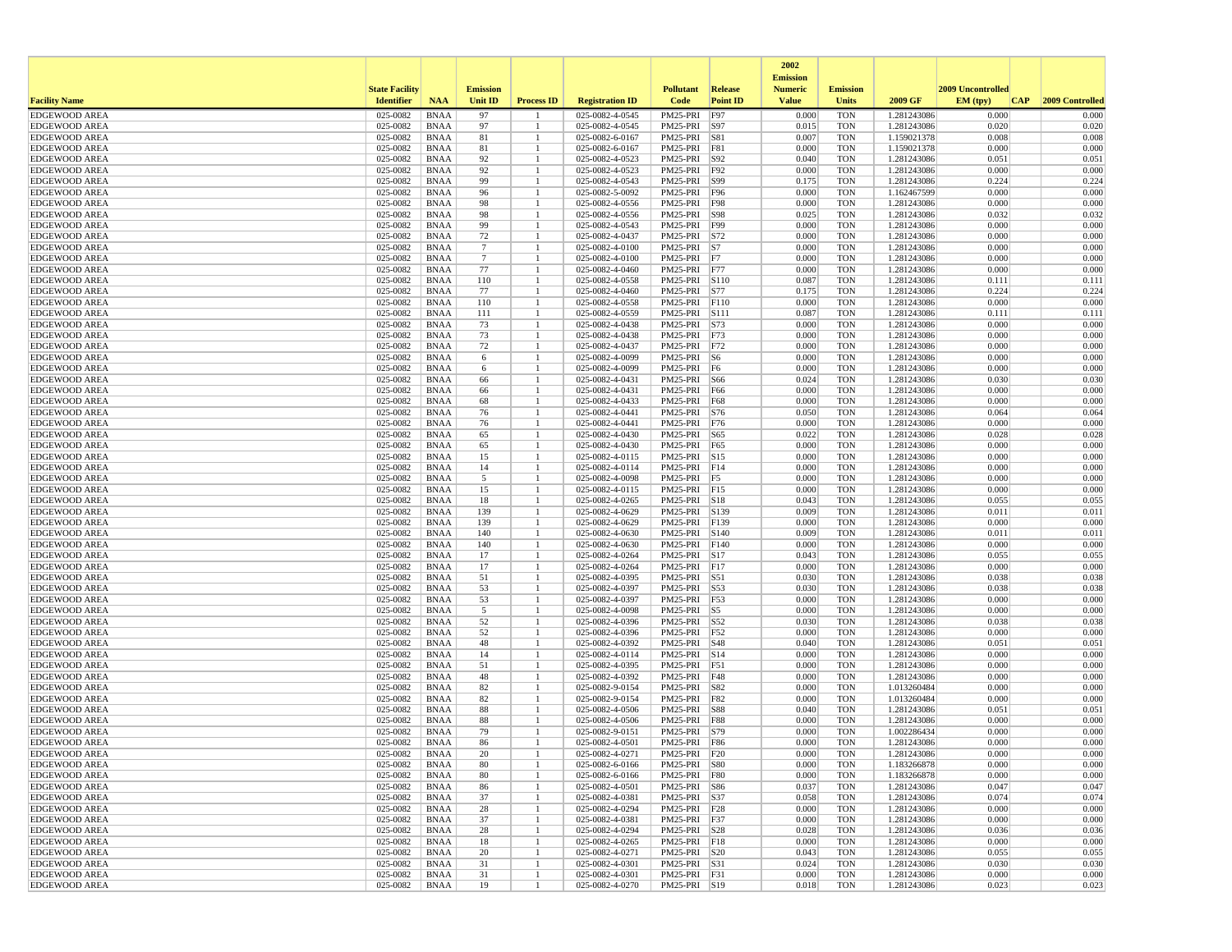|                                              |                       |                            |                      |                   |                                    |                              |                 | 2002<br><b>Emission</b> |                          |                            |                   |                 |
|----------------------------------------------|-----------------------|----------------------------|----------------------|-------------------|------------------------------------|------------------------------|-----------------|-------------------------|--------------------------|----------------------------|-------------------|-----------------|
|                                              | <b>State Facility</b> |                            | <b>Emission</b>      |                   |                                    | <b>Pollutant</b>             | <b>Release</b>  | <b>Numeric</b>          | <b>Emission</b>          |                            | 2009 Uncontrolled |                 |
| <b>Facility Name</b>                         | <b>Identifier</b>     | <b>NAA</b>                 | <b>Unit ID</b>       | <b>Process ID</b> | <b>Registration ID</b>             | Code                         | <b>Point ID</b> | <b>Value</b>            | <b>Units</b>             | 2009 GF                    | EM (tpv)<br> CAP  | 2009 Controlled |
| <b>EDGEWOOD AREA</b>                         | 025-0082              | <b>BNAA</b>                | 97                   |                   | 025-0082-4-0545                    | PM25-PRI                     | F97             | 0.000                   | <b>TON</b>               | 1.281243086                | 0.000             | 0.000           |
| <b>EDGEWOOD AREA</b><br><b>EDGEWOOD AREA</b> | 025-0082<br>025-0082  | <b>BNAA</b><br><b>BNAA</b> | 97<br>81             |                   | 025-0082-4-0545<br>025-0082-6-0167 | PM25-PRI S97<br>PM25-PRI S81 |                 | 0.015<br>0.007          | <b>TON</b><br><b>TON</b> | 1.281243086<br>1.159021378 | 0.020<br>0.008    | 0.020<br>0.008  |
| <b>EDGEWOOD AREA</b>                         | 025-0082              | <b>BNAA</b>                | 81                   |                   | 025-0082-6-0167                    | PM25-PRI F81                 |                 | 0.000                   | <b>TON</b>               | 1.159021378                | 0.000             | 0.000           |
| <b>EDGEWOOD AREA</b>                         | 025-0082              | <b>BNAA</b>                | 92                   |                   | 025-0082-4-0523                    | PM25-PRI S92                 |                 | 0.040                   | <b>TON</b>               | 1.281243086                | 0.051             | 0.051           |
| <b>EDGEWOOD AREA</b>                         | 025-0082              | <b>BNAA</b>                | 92                   |                   | 025-0082-4-0523                    | PM25-PRI F92                 |                 | 0.000                   | <b>TON</b>               | 1.281243086                | 0.000             | 0.000           |
| <b>EDGEWOOD AREA</b>                         | 025-0082              | <b>BNAA</b>                | 99                   |                   | 025-0082-4-0543                    | PM25-PRI S99                 |                 | 0.175                   | <b>TON</b>               | 1.281243086                | 0.224             | 0.224           |
| <b>EDGEWOOD AREA</b>                         | 025-0082              | <b>BNAA</b>                | 96                   |                   | 025-0082-5-0092                    | PM25-PRI F96                 |                 | 0.000                   | <b>TON</b>               | 1.162467599                | 0.000             | 0.000           |
| <b>EDGEWOOD AREA</b>                         | 025-0082              | <b>BNAA</b>                | 98                   |                   | 025-0082-4-0556                    | PM25-PRI                     | <b>F98</b>      | 0.000                   | <b>TON</b>               | 1.281243086                | 0.000             | 0.000           |
| <b>EDGEWOOD AREA</b>                         | 025-0082              | <b>BNAA</b>                | 98                   |                   | 025-0082-4-0556                    | PM25-PRI S98                 |                 | 0.025                   | <b>TON</b>               | 1.281243086                | 0.032             | 0.032           |
| <b>EDGEWOOD AREA</b>                         | 025-0082              | <b>BNAA</b>                | 99                   |                   | 025-0082-4-0543                    | PM25-PRI F99                 |                 | 0.000                   | <b>TON</b>               | 1.281243086<br>1.281243086 | 0.000             | 0.000           |
| <b>EDGEWOOD AREA</b><br><b>EDGEWOOD AREA</b> | 025-0082<br>025-0082  | <b>BNAA</b><br><b>BNAA</b> | 72<br>$\overline{7}$ |                   | 025-0082-4-0437<br>025-0082-4-0100 | PM25-PRI S72<br>PM25-PRI S7  |                 | 0.000<br>0.000          | <b>TON</b><br><b>TON</b> | 1.281243086                | 0.000<br>0.000    | 0.000<br>0.000  |
| <b>EDGEWOOD AREA</b>                         | 025-0082              | <b>BNAA</b>                | $7\phantom{.0}$      |                   | 025-0082-4-0100                    | PM25-PRI                     | F7              | 0.000                   | <b>TON</b>               | 1.281243086                | 0.000             | 0.000           |
| <b>EDGEWOOD AREA</b>                         | 025-0082              | <b>BNAA</b>                | 77                   |                   | 025-0082-4-0460                    | PM25-PRI F77                 |                 | 0.000                   | <b>TON</b>               | 1.281243086                | 0.000             | 0.000           |
| <b>EDGEWOOD AREA</b>                         | 025-0082              | <b>BNAA</b>                | 110                  |                   | 025-0082-4-0558                    | PM25-PRI S110                |                 | 0.087                   | <b>TON</b>               | 1.281243086                | 0.111             | 0.111           |
| <b>EDGEWOOD AREA</b>                         | 025-0082              | <b>BNAA</b>                | 77                   |                   | 025-0082-4-0460                    | PM25-PRI S77                 |                 | 0.175                   | <b>TON</b>               | 1.281243086                | 0.224             | 0.224           |
| <b>EDGEWOOD AREA</b>                         | 025-0082              | <b>BNAA</b>                | 110                  |                   | 025-0082-4-0558                    | PM25-PRI F110                |                 | 0.000                   | <b>TON</b>               | 1.281243086                | 0.000             | 0.000           |
| <b>EDGEWOOD AREA</b>                         | 025-0082              | <b>BNAA</b>                | 111                  |                   | 025-0082-4-0559                    | PM25-PRI S111                |                 | 0.087                   | <b>TON</b>               | 1.281243086                | 0.111             | 0.111           |
| <b>EDGEWOOD AREA</b>                         | 025-0082              | <b>BNAA</b>                | 73                   |                   | 025-0082-4-0438                    | PM25-PRI                     | S73             | 0.000                   | <b>TON</b>               | 1.281243086                | 0.000             | 0.000           |
| <b>EDGEWOOD AREA</b>                         | 025-0082              | <b>BNAA</b>                | 73                   |                   | 025-0082-4-0438                    | PM25-PRI F73                 |                 | 0.000                   | <b>TON</b>               | 1.281243086                | 0.000             | 0.000           |
| <b>EDGEWOOD AREA</b>                         | 025-0082              | <b>BNAA</b>                | 72                   |                   | 025-0082-4-0437                    | PM25-PRI F72                 |                 | 0.000                   | <b>TON</b>               | 1.281243086                | 0.000             | 0.000           |
| <b>EDGEWOOD AREA</b>                         | 025-0082              | <b>BNAA</b>                | 6                    |                   | 025-0082-4-0099                    | PM25-PRI S6                  |                 | 0.000<br>0.000          | <b>TON</b>               | 1.281243086                | 0.000<br>0.000    | 0.000<br>0.000  |
| <b>EDGEWOOD AREA</b><br><b>EDGEWOOD AREA</b> | 025-0082<br>025-0082  | <b>BNAA</b><br><b>BNAA</b> | 6<br>66              |                   | 025-0082-4-0099<br>025-0082-4-0431 | PM25-PRI F6<br>PM25-PRI      | S66             | 0.024                   | <b>TON</b><br><b>TON</b> | 1.281243086<br>1.281243086 | 0.030             | 0.030           |
| <b>EDGEWOOD AREA</b>                         | 025-0082              | <b>BNAA</b>                | 66                   |                   | 025-0082-4-0431                    | PM25-PRI F66                 |                 | 0.000                   | <b>TON</b>               | 1.281243086                | 0.000             | 0.000           |
| <b>EDGEWOOD AREA</b>                         | 025-0082              | <b>BNAA</b>                | 68                   |                   | 025-0082-4-0433                    | PM25-PRI F68                 |                 | 0.000                   | <b>TON</b>               | 1.281243086                | 0.000             | 0.000           |
| <b>EDGEWOOD AREA</b>                         | 025-0082              | <b>BNAA</b>                | 76                   |                   | 025-0082-4-0441                    | PM25-PRI S76                 |                 | 0.050                   | <b>TON</b>               | 1.281243086                | 0.064             | 0.064           |
| <b>EDGEWOOD AREA</b>                         | 025-0082              | <b>BNAA</b>                | 76                   |                   | 025-0082-4-0441                    | PM25-PRI F76                 |                 | 0.000                   | <b>TON</b>               | 1.281243086                | 0.000             | 0.000           |
| <b>EDGEWOOD AREA</b>                         | 025-0082              | <b>BNAA</b>                | 65                   |                   | 025-0082-4-0430                    | PM25-PRI S65                 |                 | 0.022                   | <b>TON</b>               | 1.281243086                | 0.028             | 0.028           |
| <b>EDGEWOOD AREA</b>                         | 025-0082              | <b>BNAA</b>                | 65                   |                   | 025-0082-4-0430                    | PM25-PRI                     | F65             | 0.000                   | <b>TON</b>               | 1.281243086                | 0.000             | 0.000           |
| <b>EDGEWOOD AREA</b>                         | 025-0082              | <b>BNAA</b>                | 15                   |                   | 025-0082-4-0115                    | PM25-PRI S15                 |                 | 0.000                   | <b>TON</b>               | 1.281243086                | 0.000             | 0.000           |
| <b>EDGEWOOD AREA</b>                         | 025-0082              | <b>BNAA</b>                | 14                   |                   | 025-0082-4-0114                    | PM25-PRI F14                 |                 | 0.000                   | <b>TON</b>               | 1.281243086                | 0.000             | 0.000           |
| <b>EDGEWOOD AREA</b>                         | 025-0082              | <b>BNAA</b>                | 5                    |                   | 025-0082-4-0098                    | PM25-PRI F5<br>PM25-PRI F15  |                 | 0.000                   | <b>TON</b>               | 1.281243086                | 0.000             | 0.000           |
| <b>EDGEWOOD AREA</b><br><b>EDGEWOOD AREA</b> | 025-0082<br>025-0082  | <b>BNAA</b><br><b>BNAA</b> | 15<br>18             |                   | 025-0082-4-0115<br>025-0082-4-0265 | PM25-PRI S18                 |                 | 0.000<br>0.043          | <b>TON</b><br><b>TON</b> | 1.281243086<br>1.281243086 | 0.000<br>0.055    | 0.000<br>0.055  |
| <b>EDGEWOOD AREA</b>                         | 025-0082              | <b>BNAA</b>                | 139                  |                   | 025-0082-4-0629                    | PM25-PRI S139                |                 | 0.009                   | <b>TON</b>               | 1.281243086                | 0.011             | 0.011           |
| <b>EDGEWOOD AREA</b>                         | 025-0082              | <b>BNAA</b>                | 139                  |                   | 025-0082-4-0629                    | PM25-PRI   F139              |                 | 0.000                   | <b>TON</b>               | 1.281243086                | 0.000             | 0.000           |
| <b>EDGEWOOD AREA</b>                         | 025-0082              | <b>BNAA</b>                | 140                  |                   | 025-0082-4-0630                    | PM25-PRI S140                |                 | 0.009                   | <b>TON</b>               | 1.281243086                | 0.011             | 0.011           |
| <b>EDGEWOOD AREA</b>                         | 025-0082              | <b>BNAA</b>                | 140                  |                   | 025-0082-4-0630                    | PM25-PRI F140                |                 | 0.000                   | <b>TON</b>               | 1.281243086                | 0.000             | 0.000           |
| <b>EDGEWOOD AREA</b>                         | 025-0082              | <b>BNAA</b>                | 17                   |                   | 025-0082-4-0264                    | PM25-PRI S17                 |                 | 0.043                   | <b>TON</b>               | 1.281243086                | 0.055             | 0.055           |
| <b>EDGEWOOD AREA</b>                         | 025-0082              | <b>BNAA</b>                | 17                   |                   | 025-0082-4-0264                    | PM25-PRI                     | F17             | 0.000                   | <b>TON</b>               | 1.281243086                | 0.000             | 0.000           |
| <b>EDGEWOOD AREA</b>                         | 025-0082              | <b>BNAA</b>                | 51                   |                   | 025-0082-4-0395                    | PM25-PRI S51                 |                 | 0.030                   | <b>TON</b>               | 1.281243086                | 0.038             | 0.038           |
| <b>EDGEWOOD AREA</b>                         | 025-0082              | <b>BNAA</b>                | 53                   |                   | 025-0082-4-0397                    | PM25-PRI S53                 |                 | 0.030                   | <b>TON</b>               | 1.281243086                | 0.038             | 0.038           |
| <b>EDGEWOOD AREA</b>                         | 025-0082              | <b>BNAA</b>                | 53                   |                   | 025-0082-4-0397                    | PM25-PRI F53                 |                 | 0.000                   | <b>TON</b>               | 1.281243086                | 0.000             | 0.000           |
| <b>EDGEWOOD AREA</b><br><b>EDGEWOOD AREA</b> | 025-0082<br>025-0082  | <b>BNAA</b><br><b>BNAA</b> | 5<br>52              |                   | 025-0082-4-0098<br>025-0082-4-0396 | PM25-PRI S5<br>PM25-PRI S52  |                 | 0.000<br>0.030          | <b>TON</b><br><b>TON</b> | 1.281243086<br>1.281243086 | 0.000<br>0.038    | 0.000<br>0.038  |
| <b>EDGEWOOD AREA</b>                         | 025-0082              | <b>BNAA</b>                | 52                   |                   | 025-0082-4-0396                    | PM25-PRI F52                 |                 | 0.000                   | <b>TON</b>               | 1.281243086                | 0.000             | 0.000           |
| <b>EDGEWOOD AREA</b>                         | 025-0082              | <b>BNAA</b>                | 48                   |                   | 025-0082-4-0392                    | PM25-PRI S48                 |                 | 0.040                   | <b>TON</b>               | 1.281243086                | 0.051             | 0.051           |
| <b>EDGEWOOD AREA</b>                         | 025-0082              | <b>BNAA</b>                | 14                   |                   | 025-0082-4-0114                    | PM25-PRI S14                 |                 | 0.000                   | <b>TON</b>               | 1.281243086                | 0.000             | 0.000           |
| <b>EDGEWOOD AREA</b>                         | 025-0082              | <b>BNAA</b>                | 51                   |                   | 025-0082-4-0395                    | PM25-PRI F51                 |                 | 0.000                   | <b>TON</b>               | 1.281243086                | 0.000             | 0.000           |
| <b>EDGEWOOD AREA</b>                         | 025-0082              | <b>BNAA</b>                | 48                   |                   | 025-0082-4-0392                    | PM25-PRI F48                 |                 | 0.000                   | <b>TON</b>               | 1.281243086                | 0.000             | 0.000           |
| <b>EDGEWOOD AREA</b>                         | 025-0082              | <b>BNAA</b>                | 82                   |                   | 025-0082-9-0154                    | PM25-PRI                     | S82             | 0.000                   | <b>TON</b>               | 1.013260484                | 0.000             | 0.000           |
| <b>EDGEWOOD AREA</b>                         | 025-0082              | <b>BNAA</b>                | 82                   |                   | 025-0082-9-0154                    | PM25-PRI F82                 |                 | 0.000                   | <b>TON</b>               | 1.013260484                | 0.000             | 0.000           |
| <b>EDGEWOOD AREA</b>                         | 025-0082              | <b>BNAA</b>                | 88                   |                   | 025-0082-4-0506                    | PM25-PRI S88                 |                 | 0.040                   | <b>TON</b>               | 1.281243086                | 0.051             | 0.051           |
| <b>EDGEWOOD AREA</b><br><b>EDGEWOOD AREA</b> | 025-0082<br>025-0082  | <b>BNAA</b><br><b>BNAA</b> | 88<br>79             |                   | 025-0082-4-0506<br>025-0082-9-0151 | PM25-PRI<br>PM25-PRI S79     | <b>F88</b>      | 0.000<br>0.000          | <b>TON</b><br><b>TON</b> | 1.281243086<br>1.002286434 | 0.000<br>0.000    | 0.000<br>0.000  |
| <b>EDGEWOOD AREA</b>                         | 025-0082              | <b>BNAA</b>                | 86                   |                   | 025-0082-4-0501                    | PM25-PRI F86                 |                 | 0.000                   | <b>TON</b>               | 1.281243086                | 0.000             | 0.000           |
| <b>EDGEWOOD AREA</b>                         | 025-0082              | <b>BNAA</b>                | 20                   |                   | 025-0082-4-0271                    | PM25-PRI F20                 |                 | 0.000                   | TON                      | 1.281243086                | 0.000             | 0.000           |
| <b>EDGEWOOD AREA</b>                         | 025-0082              | BNAA                       | 80                   |                   | 025-0082-6-0166                    | PM25-PRI S80                 |                 | 0.000                   | <b>TON</b>               | 1.183266878                | 0.000             | 0.000           |
| <b>EDGEWOOD AREA</b>                         | 025-0082              | <b>BNAA</b>                | 80                   |                   | 025-0082-6-0166                    | PM25-PRI F80                 |                 | 0.000                   | <b>TON</b>               | 1.183266878                | 0.000             | 0.000           |
| <b>EDGEWOOD AREA</b>                         | 025-0082              | BNAA                       | 86                   |                   | 025-0082-4-0501                    | PM25-PRI S86                 |                 | 0.037                   | <b>TON</b>               | 1.281243086                | 0.047             | 0.047           |
| <b>EDGEWOOD AREA</b>                         | 025-0082              | <b>BNAA</b>                | 37                   |                   | 025-0082-4-0381                    | PM25-PRI S37                 |                 | 0.058                   | <b>TON</b>               | 1.281243086                | 0.074             | 0.074           |
| <b>EDGEWOOD AREA</b>                         | 025-0082              | <b>BNAA</b>                | 28                   |                   | 025-0082-4-0294                    | PM25-PRI F28                 |                 | 0.000                   | <b>TON</b>               | 1.281243086                | 0.000             | 0.000           |
| <b>EDGEWOOD AREA</b>                         | 025-0082              | <b>BNAA</b>                | 37                   | -1                | 025-0082-4-0381                    | PM25-PRI F37                 |                 | 0.000                   | <b>TON</b>               | 1.281243086                | 0.000             | 0.000           |
| <b>EDGEWOOD AREA</b>                         | 025-0082              | BNAA                       | 28                   |                   | 025-0082-4-0294                    | PM25-PRI S28                 |                 | 0.028                   | <b>TON</b>               | 1.281243086                | 0.036             | 0.036           |
| <b>EDGEWOOD AREA</b><br><b>EDGEWOOD AREA</b> | 025-0082              | <b>BNAA</b>                | 18                   |                   | 025-0082-4-0265<br>025-0082-4-0271 | PM25-PRI F18                 |                 | 0.000                   | <b>TON</b>               | 1.281243086<br>1.281243086 | 0.000<br>0.055    | 0.000           |
| <b>EDGEWOOD AREA</b>                         | 025-0082<br>025-0082  | <b>BNAA</b><br><b>BNAA</b> | 20<br>31             |                   | 025-0082-4-0301                    | PM25-PRI S20<br>PM25-PRI S31 |                 | 0.043<br>0.024          | TON<br><b>TON</b>        | 1.281243086                | 0.030             | 0.055<br>0.030  |
| <b>EDGEWOOD AREA</b>                         | 025-0082              | <b>BNAA</b>                | 31                   |                   | 025-0082-4-0301                    | PM25-PRI F31                 |                 | 0.000                   | <b>TON</b>               | 1.281243086                | 0.000             | 0.000           |
| <b>EDGEWOOD AREA</b>                         | 025-0082              | <b>BNAA</b>                | 19                   |                   | 025-0082-4-0270                    | PM25-PRI S19                 |                 | 0.018                   | <b>TON</b>               | 1.281243086                | 0.023             | 0.023           |
|                                              |                       |                            |                      |                   |                                    |                              |                 |                         |                          |                            |                   |                 |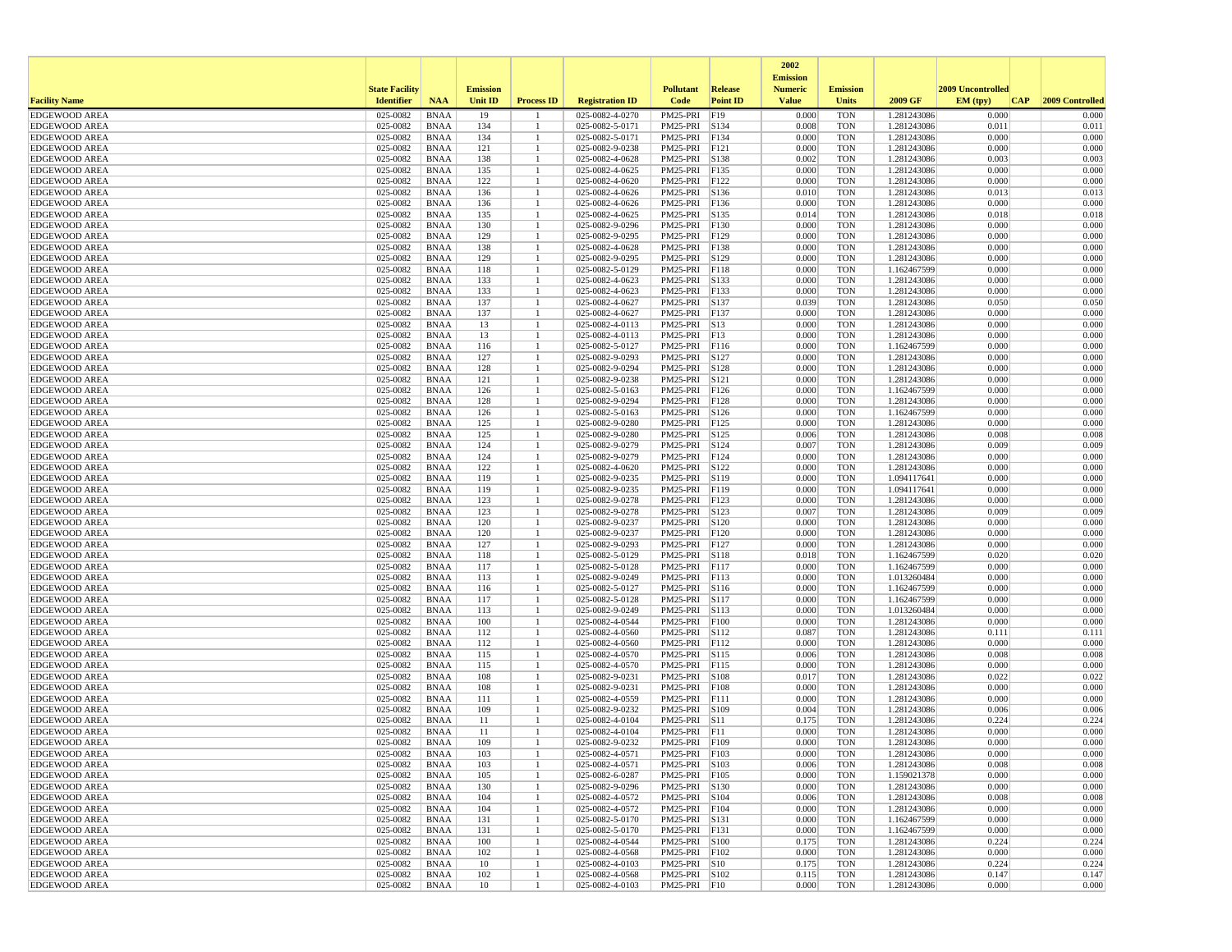|                                              |                       |                            |                 |                   |                                    |                                |                 | 2002                              |                          |                            |                   |                 |
|----------------------------------------------|-----------------------|----------------------------|-----------------|-------------------|------------------------------------|--------------------------------|-----------------|-----------------------------------|--------------------------|----------------------------|-------------------|-----------------|
|                                              | <b>State Facility</b> |                            | <b>Emission</b> |                   |                                    | <b>Pollutant</b>               | <b>Release</b>  | <b>Emission</b><br><b>Numeric</b> | <b>Emission</b>          |                            | 2009 Uncontrolled |                 |
| <b>Facility Name</b>                         | <b>Identifier</b>     | <b>NAA</b>                 | <b>Unit ID</b>  | <b>Process ID</b> | <b>Registration ID</b>             | Code                           | <b>Point ID</b> | <b>Value</b>                      | Units                    | 2009 GF                    | EM (typ)<br> CAP  | 2009 Controlled |
| <b>EDGEWOOD AREA</b>                         | 025-0082              | <b>BNAA</b>                | 19              |                   | 025-0082-4-0270                    | PM25-PRI                       | F19             | 0.000                             | <b>TON</b>               | 1.281243086                | 0.000             | 0.000           |
| <b>EDGEWOOD AREA</b>                         | 025-0082              | <b>BNAA</b>                | 134             |                   | 025-0082-5-0171                    | PM25-PRI S134                  |                 | 0.008                             | <b>TON</b>               | 1.281243086                | 0.011             | 0.011           |
| <b>EDGEWOOD AREA</b>                         | 025-0082              | <b>BNAA</b>                | 134             |                   | 025-0082-5-0171                    | PM25-PRI                       | F134            | 0.000                             | <b>TON</b>               | 1.281243086                | 0.000             | 0.000           |
| <b>EDGEWOOD AREA</b>                         | 025-0082              | <b>BNAA</b>                | 121             |                   | 025-0082-9-0238                    | PM25-PRI F121                  |                 | 0.000                             | <b>TON</b>               | 1.281243086                | 0.000             | 0.000           |
| <b>EDGEWOOD AREA</b><br><b>EDGEWOOD AREA</b> | 025-0082<br>025-0082  | <b>BNAA</b><br><b>BNAA</b> | 138<br>135      |                   | 025-0082-4-0628<br>025-0082-4-0625 | PM25-PRI S138<br>PM25-PRI      | F135            | 0.002<br>0.000                    | <b>TON</b><br><b>TON</b> | 1.281243086<br>1.281243086 | 0.003<br>0.000    | 0.003<br>0.000  |
| <b>EDGEWOOD AREA</b>                         | 025-0082              | <b>BNAA</b>                | 122             |                   | 025-0082-4-0620                    | PM25-PRI F122                  |                 | 0.000                             | <b>TON</b>               | 1.281243086                | 0.000             | 0.000           |
| <b>EDGEWOOD AREA</b>                         | 025-0082              | <b>BNAA</b>                | 136             |                   | 025-0082-4-0626                    | PM25-PRI S136                  |                 | 0.010                             | <b>TON</b>               | 1.281243086                | 0.013             | 0.013           |
| <b>EDGEWOOD AREA</b>                         | 025-0082              | <b>BNAA</b>                | 136             |                   | 025-0082-4-0626                    | PM25-PRI                       | F136            | 0.000                             | <b>TON</b>               | 1.281243086                | 0.000             | 0.000           |
| <b>EDGEWOOD AREA</b>                         | 025-0082              | <b>BNAA</b>                | 135             |                   | 025-0082-4-0625                    | PM25-PRI                       | S135            | 0.014                             | <b>TON</b>               | 1.281243086                | 0.018             | 0.018           |
| <b>EDGEWOOD AREA</b>                         | 025-0082              | <b>BNAA</b>                | 130             |                   | 025-0082-9-0296                    | PM25-PRI F130                  |                 | 0.000                             | <b>TON</b>               | 1.281243086                | 0.000             | 0.000           |
| <b>EDGEWOOD AREA</b>                         | 025-0082              | <b>BNAA</b>                | 129             |                   | 025-0082-9-0295                    | PM25-PRI F129                  |                 | 0.000                             | <b>TON</b>               | 1.281243086                | 0.000             | 0.000           |
| <b>EDGEWOOD AREA</b>                         | 025-0082              | <b>BNAA</b>                | 138             |                   | 025-0082-4-0628                    | PM25-PRI F138                  |                 | 0.000                             | <b>TON</b>               | 1.281243086                | 0.000             | 0.000           |
| <b>EDGEWOOD AREA</b>                         | 025-0082              | <b>BNAA</b>                | 129             |                   | 025-0082-9-0295                    | PM25-PRI                       | S129            | 0.000                             | <b>TON</b>               | 1.281243086                | 0.000             | 0.000           |
| <b>EDGEWOOD AREA</b><br><b>EDGEWOOD AREA</b> | 025-0082<br>025-0082  | <b>BNAA</b><br><b>BNAA</b> | 118<br>133      |                   | 025-0082-5-0129<br>025-0082-4-0623 | PM25-PRI<br>PM25-PRI S133      | F118            | 0.000<br>0.000                    | <b>TON</b><br><b>TON</b> | 1.162467599<br>1.281243086 | 0.000<br>0.000    | 0.000<br>0.000  |
| <b>EDGEWOOD AREA</b>                         | 025-0082              | <b>BNAA</b>                | 133             |                   | 025-0082-4-0623                    | PM25-PRI F133                  |                 | 0.000                             | <b>TON</b>               | 1.281243086                | 0.000             | 0.000           |
| <b>EDGEWOOD AREA</b>                         | 025-0082              | <b>BNAA</b>                | 137             |                   | 025-0082-4-0627                    | PM25-PRI S137                  |                 | 0.039                             | <b>TON</b>               | 1.281243086                | 0.050             | 0.050           |
| <b>EDGEWOOD AREA</b>                         | 025-0082              | <b>BNAA</b>                | 137             |                   | 025-0082-4-0627                    | PM25-PRI F137                  |                 | 0.000                             | <b>TON</b>               | 1.281243086                | 0.000             | 0.000           |
| <b>EDGEWOOD AREA</b>                         | 025-0082              | <b>BNAA</b>                | 13              |                   | 025-0082-4-0113                    | PM25-PRI S13                   |                 | 0.000                             | <b>TON</b>               | 1.281243086                | 0.000             | 0.000           |
| <b>EDGEWOOD AREA</b>                         | 025-0082              | <b>BNAA</b>                | 13              |                   | 025-0082-4-0113                    | PM25-PRI F13                   |                 | 0.000                             | <b>TON</b>               | 1.281243086                | 0.000             | 0.000           |
| <b>EDGEWOOD AREA</b>                         | 025-0082              | <b>BNAA</b>                | 116             |                   | 025-0082-5-0127                    | PM25-PRI F116                  |                 | 0.000                             | <b>TON</b>               | 1.162467599                | 0.000             | 0.000           |
| <b>EDGEWOOD AREA</b>                         | 025-0082              | <b>BNAA</b>                | 127             |                   | 025-0082-9-0293                    | PM25-PRI S127                  |                 | 0.000                             | <b>TON</b>               | 1.281243086                | 0.000             | 0.000           |
| <b>EDGEWOOD AREA</b>                         | 025-0082              | <b>BNAA</b>                | 128             |                   | 025-0082-9-0294                    | PM25-PRI S128                  |                 | 0.000                             | <b>TON</b>               | 1.281243086                | 0.000             | 0.000           |
| <b>EDGEWOOD AREA</b>                         | 025-0082              | <b>BNAA</b>                | 121             |                   | 025-0082-9-0238                    | PM25-PRI S121                  |                 | 0.000                             | <b>TON</b>               | 1.281243086                | 0.000             | 0.000           |
| <b>EDGEWOOD AREA</b>                         | 025-0082              | <b>BNAA</b>                | 126             |                   | 025-0082-5-0163                    | PM25-PRI                       | F126            | 0.000                             | <b>TON</b>               | 1.162467599                | 0.000             | 0.000           |
| <b>EDGEWOOD AREA</b>                         | 025-0082              | <b>BNAA</b>                | 128             |                   | 025-0082-9-0294                    | PM25-PRI F128                  |                 | 0.000                             | <b>TON</b>               | 1.281243086                | 0.000<br>0.000    | 0.000           |
| <b>EDGEWOOD AREA</b><br><b>EDGEWOOD AREA</b> | 025-0082<br>025-0082  | <b>BNAA</b><br><b>BNAA</b> | 126<br>125      |                   | 025-0082-5-0163<br>025-0082-9-0280 | PM25-PRI S126<br>PM25-PRI F125 |                 | 0.000<br>0.000                    | <b>TON</b><br><b>TON</b> | 1.162467599<br>1.281243086 | 0.000             | 0.000<br>0.000  |
| <b>EDGEWOOD AREA</b>                         | 025-0082              | <b>BNAA</b>                | 125             |                   | 025-0082-9-0280                    | PM25-PRI S125                  |                 | 0.006                             | <b>TON</b>               | 1.281243086                | 0.008             | 0.008           |
| <b>EDGEWOOD AREA</b>                         | 025-0082              | <b>BNAA</b>                | 124             |                   | 025-0082-9-0279                    | PM25-PRI                       | S124            | 0.007                             | <b>TON</b>               | 1.281243086                | 0.009             | 0.009           |
| <b>EDGEWOOD AREA</b>                         | 025-0082              | <b>BNAA</b>                | 124             |                   | 025-0082-9-0279                    | PM25-PRI                       | F124            | 0.000                             | <b>TON</b>               | 1.281243086                | 0.000             | 0.000           |
| <b>EDGEWOOD AREA</b>                         | 025-0082              | <b>BNAA</b>                | 122             |                   | 025-0082-4-0620                    | PM25-PRI S122                  |                 | 0.000                             | <b>TON</b>               | 1.281243086                | 0.000             | 0.000           |
| <b>EDGEWOOD AREA</b>                         | 025-0082              | <b>BNAA</b>                | 119             |                   | 025-0082-9-0235                    | PM25-PRI S119                  |                 | 0.000                             | <b>TON</b>               | 1.094117641                | 0.000             | 0.000           |
| <b>EDGEWOOD AREA</b>                         | 025-0082              | <b>BNAA</b>                | 119             |                   | 025-0082-9-0235                    | PM25-PRI F119                  |                 | 0.000                             | <b>TON</b>               | 1.094117641                | 0.000             | 0.000           |
| <b>EDGEWOOD AREA</b>                         | 025-0082              | <b>BNAA</b>                | 123             |                   | 025-0082-9-0278                    | PM25-PRI F123                  |                 | 0.000                             | <b>TON</b>               | 1.281243086                | 0.000             | 0.000           |
| <b>EDGEWOOD AREA</b>                         | 025-0082              | <b>BNAA</b>                | 123             |                   | 025-0082-9-0278                    | PM25-PRI                       | S123            | 0.007                             | <b>TON</b>               | 1.281243086                | 0.009             | 0.009           |
| <b>EDGEWOOD AREA</b>                         | 025-0082              | <b>BNAA</b>                | 120             |                   | 025-0082-9-0237                    | PM25-PRI S120                  |                 | 0.000                             | <b>TON</b>               | 1.281243086                | 0.000             | 0.000           |
| <b>EDGEWOOD AREA</b>                         | 025-0082              | <b>BNAA</b>                | 120<br>127      |                   | 025-0082-9-0237                    | PM25-PRI F120                  |                 | 0.000                             | <b>TON</b>               | 1.281243086                | 0.000<br>0.000    | 0.000<br>0.000  |
| <b>EDGEWOOD AREA</b><br><b>EDGEWOOD AREA</b> | 025-0082<br>025-0082  | <b>BNAA</b><br><b>BNAA</b> | 118             |                   | 025-0082-9-0293<br>025-0082-5-0129 | PM25-PRI F127<br>PM25-PRI S118 |                 | 0.000<br>0.018                    | <b>TON</b><br><b>TON</b> | 1.281243086<br>1.162467599 | 0.020             | 0.020           |
| <b>EDGEWOOD AREA</b>                         | 025-0082              | <b>BNAA</b>                | 117             |                   | 025-0082-5-0128                    | PM25-PRI                       | F117            | 0.000                             | <b>TON</b>               | 1.162467599                | 0.000             | 0.000           |
| <b>EDGEWOOD AREA</b>                         | 025-0082              | <b>BNAA</b>                | 113             |                   | 025-0082-9-0249                    | PM25-PRI F113                  |                 | 0.000                             | <b>TON</b>               | 1.013260484                | 0.000             | 0.000           |
| <b>EDGEWOOD AREA</b>                         | 025-0082              | <b>BNAA</b>                | 116             |                   | 025-0082-5-0127                    | PM25-PRI S116                  |                 | 0.000                             | <b>TON</b>               | 1.162467599                | 0.000             | 0.000           |
| <b>EDGEWOOD AREA</b>                         | 025-0082              | <b>BNAA</b>                | 117             |                   | 025-0082-5-0128                    | PM25-PRI S117                  |                 | 0.000                             | <b>TON</b>               | 1.162467599                | 0.000             | 0.000           |
| <b>EDGEWOOD AREA</b>                         | 025-0082              | <b>BNAA</b>                | 113             |                   | 025-0082-9-0249                    | PM25-PRI S113                  |                 | 0.000                             | <b>TON</b>               | 1.013260484                | 0.000             | 0.000           |
| <b>EDGEWOOD AREA</b>                         | 025-0082              | <b>BNAA</b>                | 100             |                   | 025-0082-4-0544                    | PM25-PRI F100                  |                 | 0.000                             | <b>TON</b>               | 1.281243086                | 0.000             | 0.000           |
| <b>EDGEWOOD AREA</b>                         | 025-0082              | <b>BNAA</b>                | 112             |                   | 025-0082-4-0560                    | PM25-PRI                       | S112            | 0.087                             | <b>TON</b>               | 1.281243086                | 0.111             | 0.111           |
| <b>EDGEWOOD AREA</b>                         | 025-0082              | <b>BNAA</b>                | 112             |                   | 025-0082-4-0560                    | PM25-PRI F112                  |                 | 0.000                             | <b>TON</b>               | 1.281243086                | 0.000             | 0.000           |
| <b>EDGEWOOD AREA</b>                         | 025-0082              | <b>BNAA</b>                | 115             |                   | 025-0082-4-0570                    | PM25-PRI S115<br>PM25-PRI F115 |                 | 0.006                             | <b>TON</b>               | 1.281243086                | 0.008<br>0.000    | 0.008<br>0.000  |
| <b>EDGEWOOD AREA</b><br><b>EDGEWOOD AREA</b> | 025-0082<br>025-0082  | <b>BNAA</b><br><b>BNAA</b> | 115<br>108      |                   | 025-0082-4-0570<br>025-0082-9-0231 | PM25-PRI S108                  |                 | 0.000<br>0.017                    | <b>TON</b><br><b>TON</b> | 1.281243086<br>1.281243086 | 0.022             | 0.022           |
| <b>EDGEWOOD AREA</b>                         | 025-0082              | <b>BNAA</b>                | 108             |                   | 025-0082-9-0231                    | PM25-PRI                       | F108            | 0.000                             | <b>TON</b>               | 1.281243086                | 0.000             | 0.000           |
| <b>EDGEWOOD AREA</b>                         | 025-0082              | <b>BNAA</b>                | 111             |                   | 025-0082-4-0559                    | PM25-PRI F111                  |                 | 0.000                             | <b>TON</b>               | 1.281243086                | 0.000             | 0.000           |
| <b>EDGEWOOD AREA</b>                         | 025-0082              | <b>BNAA</b>                | 109             |                   | 025-0082-9-0232                    | PM25-PRI S109                  |                 | 0.004                             | <b>TON</b>               | 1.281243086                | 0.006             | 0.006           |
| <b>EDGEWOOD AREA</b>                         | 025-0082              | <b>BNAA</b>                | 11              |                   | 025-0082-4-0104                    | PM25-PRI S11                   |                 | 0.175                             | <b>TON</b>               | 1.281243086                | 0.224             | 0.224           |
| <b>EDGEWOOD AREA</b>                         | 025-0082              | <b>BNAA</b>                | 11              |                   | 025-0082-4-0104                    | PM25-PRI F11                   |                 | 0.000                             | <b>TON</b>               | 1.281243086                | 0.000             | 0.000           |
| <b>EDGEWOOD AREA</b>                         | 025-0082              | <b>BNAA</b>                | 109             |                   | 025-0082-9-0232                    | PM25-PRI F109                  |                 | 0.000                             | <b>TON</b>               | 1.281243086                | 0.000             | 0.000           |
| <b>EDGEWOOD AREA</b>                         | 025-0082              | <b>BNAA</b>                | 103             |                   | 025-0082-4-0571                    | PM25-PRI F103                  |                 | 0.000                             | <b>TON</b>               | 1.281243086                | 0.000             | 0.000           |
| <b>EDGEWOOD AREA</b>                         | 025-0082              | BNAA                       | 103             | -1                | 025-0082-4-0571                    | PM25-PRI S103                  |                 | 0.006                             | <b>TON</b>               | 1.281243086                | 0.008             | 0.008           |
| <b>EDGEWOOD AREA</b>                         | 025-0082              | <b>BNAA</b>                | 105             |                   | 025-0082-6-0287                    | PM25-PRI F105                  |                 | 0.000                             | <b>TON</b>               | 1.159021378                | 0.000<br>0.000    | 0.000<br>0.000  |
| <b>EDGEWOOD AREA</b><br><b>EDGEWOOD AREA</b> | 025-0082<br>025-0082  | BNAA<br><b>BNAA</b>        | 130<br>104      |                   | 025-0082-9-0296<br>025-0082-4-0572 | PM25-PRI S130<br>PM25-PRI S104 |                 | 0.000<br>0.006                    | TON<br><b>TON</b>        | 1.281243086<br>1.281243086 | 0.008             | 0.008           |
| <b>EDGEWOOD AREA</b>                         | 025-0082              | <b>BNAA</b>                | 104             |                   | 025-0082-4-0572                    | PM25-PRI F104                  |                 | 0.000                             | <b>TON</b>               | 1.281243086                | 0.000             | 0.000           |
| <b>EDGEWOOD AREA</b>                         | 025-0082              | <b>BNAA</b>                | 131             |                   | 025-0082-5-0170                    | PM25-PRI S131                  |                 | 0.000                             | <b>TON</b>               | 1.162467599                | 0.000             | 0.000           |
| <b>EDGEWOOD AREA</b>                         | 025-0082              | <b>BNAA</b>                | 131             |                   | 025-0082-5-0170                    | PM25-PRI F131                  |                 | 0.000                             | <b>TON</b>               | 1.162467599                | 0.000             | 0.000           |
| <b>EDGEWOOD AREA</b>                         | 025-0082              | <b>BNAA</b>                | 100             |                   | 025-0082-4-0544                    | PM25-PRI S100                  |                 | 0.175                             | <b>TON</b>               | 1.281243086                | 0.224             | 0.224           |
| <b>EDGEWOOD AREA</b>                         | 025-0082              | BNAA                       | 102             |                   | 025-0082-4-0568                    | PM25-PRI F102                  |                 | 0.000                             | <b>TON</b>               | 1.281243086                | 0.000             | 0.000           |
| <b>EDGEWOOD AREA</b>                         | 025-0082              | <b>BNAA</b>                | 10              |                   | 025-0082-4-0103                    | PM25-PRI S10                   |                 | 0.175                             | <b>TON</b>               | 1.281243086                | 0.224             | 0.224           |
| <b>EDGEWOOD AREA</b>                         | 025-0082              | <b>BNAA</b>                | 102             |                   | 025-0082-4-0568                    | PM25-PRI S102                  |                 | 0.115                             | <b>TON</b>               | 1.281243086                | 0.147             | 0.147           |
| <b>EDGEWOOD AREA</b>                         | 025-0082              | BNAA                       | 10              | -1                | 025-0082-4-0103                    | $PM25-PRI$ F10                 |                 | 0.000                             | <b>TON</b>               | 1.281243086                | 0.000             | 0.000           |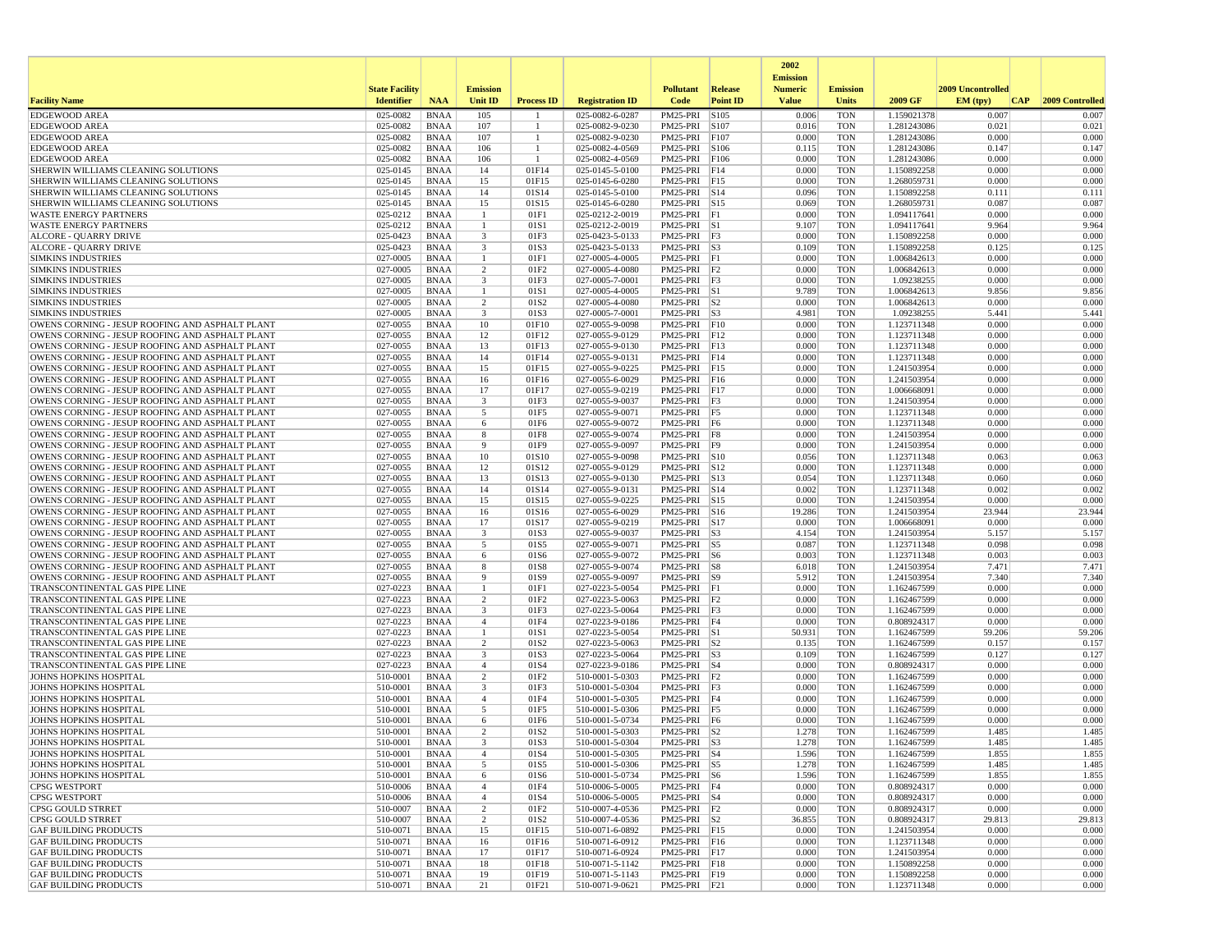|                                                                                                    |                       |                            |                                  |                          |                                    |                                     |                 | 2002                              |                          |                            |                   |                 |
|----------------------------------------------------------------------------------------------------|-----------------------|----------------------------|----------------------------------|--------------------------|------------------------------------|-------------------------------------|-----------------|-----------------------------------|--------------------------|----------------------------|-------------------|-----------------|
|                                                                                                    | <b>State Facility</b> |                            | <b>Emission</b>                  |                          |                                    | <b>Pollutant</b>                    | <b>Release</b>  | <b>Emission</b><br><b>Numeric</b> | <b>Emission</b>          |                            | 2009 Uncontrolled |                 |
| <b>Facility Name</b>                                                                               | <b>Identifier</b>     | <b>NAA</b>                 | <b>Unit ID</b>                   | <b>Process ID</b>        | <b>Registration ID</b>             | Code                                | <b>Point ID</b> | <b>Value</b>                      | Units                    | 2009 GF                    | EM (typ)<br> CAP  | 2009 Controlled |
| <b>EDGEWOOD AREA</b>                                                                               | 025-0082              | <b>BNAA</b>                | 105                              |                          | 025-0082-6-0287                    | PM25-PRI                            | S105            | 0.006                             | <b>TON</b>               | 1.159021378                | 0.007             | 0.007           |
| <b>EDGEWOOD AREA</b>                                                                               | 025-0082              | <b>BNAA</b>                | 107                              | -1                       | 025-0082-9-0230                    | PM25-PRI                            | S107            | 0.016                             | <b>TON</b>               | 1.281243086                | 0.021             | 0.021           |
| <b>EDGEWOOD AREA</b>                                                                               | 025-0082              | <b>BNAA</b>                | 107                              | $\overline{1}$           | 025-0082-9-0230                    | PM25-PRI                            | F107            | 0.000                             | <b>TON</b>               | 1.281243086                | 0.000             | 0.000           |
| <b>EDGEWOOD AREA</b><br><b>EDGEWOOD AREA</b>                                                       | 025-0082<br>025-0082  | <b>BNAA</b><br><b>BNAA</b> | 106<br>106                       | -1                       | 025-0082-4-0569<br>025-0082-4-0569 | PM25-PRI<br>PM25-PRI                | S106<br>F106    | 0.115<br>0.000                    | <b>TON</b><br><b>TON</b> | 1.281243086<br>1.281243086 | 0.147<br>0.000    | 0.147<br>0.000  |
| SHERWIN WILLIAMS CLEANING SOLUTIONS                                                                | 025-0145              | <b>BNAA</b>                | 14                               | 01F14                    | 025-0145-5-0100                    | PM25-PRI                            | F14             | 0.000                             | <b>TON</b>               | 1.150892258                | 0.000             | 0.000           |
| SHERWIN WILLIAMS CLEANING SOLUTIONS                                                                | 025-0145              | <b>BNAA</b>                | 15                               | 01F15                    | 025-0145-6-0280                    | PM25-PRI F15                        |                 | 0.000                             | <b>TON</b>               | 1.268059731                | 0.000             | 0.000           |
| SHERWIN WILLIAMS CLEANING SOLUTIONS                                                                | 025-0145              | <b>BNAA</b>                | 14                               | 01S14                    | 025-0145-5-0100                    | PM25-PRI S14                        |                 | 0.096                             | <b>TON</b>               | 1.150892258                | 0.111             | 0.111           |
| SHERWIN WILLIAMS CLEANING SOLUTIONS                                                                | 025-0145              | <b>BNAA</b>                | 15                               | 01S15                    | 025-0145-6-0280                    | PM25-PRI S15                        |                 | 0.069                             | <b>TON</b>               | 1.268059731                | 0.087             | 0.087           |
| <b>WASTE ENERGY PARTNERS</b>                                                                       | 025-0212              | <b>BNAA</b>                | $\overline{1}$                   | 01F1                     | 025-0212-2-0019                    | PM25-PRI F1<br>PM25-PRI S1          |                 | 0.000                             | <b>TON</b>               | 1.094117641                | 0.000             | 0.000           |
| <b>WASTE ENERGY PARTNERS</b><br><b>ALCORE - QUARRY DRIVE</b>                                       | 025-0212<br>025-0423  | <b>BNAA</b><br><b>BNAA</b> | -1<br>$\overline{\mathbf{3}}$    | 01S1<br>01F3             | 025-0212-2-0019<br>025-0423-5-0133 | $PM25-PRI$ F3                       |                 | 9.107<br>0.000                    | <b>TON</b><br><b>TON</b> | 1.094117641<br>1.150892258 | 9.964<br>0.000    | 9.964<br>0.000  |
| ALCORE - QUARRY DRIVE                                                                              | 025-0423              | <b>BNAA</b>                | $\overline{\mathbf{3}}$          | 01S3                     | 025-0423-5-0133                    | $PM25-PRI$ S3                       |                 | 0.109                             | <b>TON</b>               | 1.150892258                | 0.125             | 0.125           |
| <b>SIMKINS INDUSTRIES</b>                                                                          | 027-0005              | <b>BNAA</b>                | $\mathbf{1}$                     | 01F1                     | 027-0005-4-0005                    | PM25-PRI                            | F1              | 0.000                             | <b>TON</b>               | 1.006842613                | 0.000             | 0.000           |
| <b>SIMKINS INDUSTRIES</b>                                                                          | 027-0005              | <b>BNAA</b>                | 2                                | 01F <sub>2</sub>         | 027-0005-4-0080                    | $PM25-PRI$ $ F2$                    |                 | 0.000                             | <b>TON</b>               | 1.006842613                | 0.000             | 0.000           |
| <b>SIMKINS INDUSTRIES</b>                                                                          | 027-0005              | <b>BNAA</b>                | 3                                | 01F3                     | 027-0005-7-0001                    | $PM25-PRI$ F3                       |                 | 0.000                             | <b>TON</b>               | 1.09238255                 | 0.000             | 0.000           |
| <b>SIMKINS INDUSTRIES</b>                                                                          | 027-0005              | <b>BNAA</b>                | $\overline{1}$<br>$\overline{2}$ | 01S1                     | 027-0005-4-0005                    | PM25-PRI S1<br>$PM25-PRI$ S2        |                 | 9.789                             | <b>TON</b>               | 1.006842613                | 9.856             | 9.856           |
| <b>SIMKINS INDUSTRIES</b><br><b>SIMKINS INDUSTRIES</b>                                             | 027-0005<br>027-0005  | <b>BNAA</b><br><b>BNAA</b> | $\overline{\mathbf{3}}$          | 01S2<br>01S3             | 027-0005-4-0080<br>027-0005-7-0001 | $PM25-PRI$ S3                       |                 | 0.000<br>4.981                    | <b>TON</b><br><b>TON</b> | 1.006842613<br>1.09238255  | 0.000<br>5.441    | 0.000<br>5.441  |
| OWENS CORNING - JESUP ROOFING AND ASPHALT PLANT                                                    | 027-0055              | <b>BNAA</b>                | 10                               | 01F10                    | 027-0055-9-0098                    | PM25-PRI                            | F10             | 0.000                             | <b>TON</b>               | 1.123711348                | 0.000             | 0.000           |
| OWENS CORNING - JESUP ROOFING AND ASPHALT PLANT                                                    | 027-0055              | <b>BNAA</b>                | 12                               | 01F12                    | 027-0055-9-0129                    | PM25-PRI F12                        |                 | 0.000                             | <b>TON</b>               | 1.123711348                | 0.000             | 0.000           |
| OWENS CORNING - JESUP ROOFING AND ASPHALT PLANT                                                    | 027-0055              | <b>BNAA</b>                | 13                               | 01F13                    | 027-0055-9-0130                    | PM25-PRI F13                        |                 | 0.000                             | <b>TON</b>               | 1.123711348                | 0.000             | 0.000           |
| OWENS CORNING - JESUP ROOFING AND ASPHALT PLANT                                                    | 027-0055              | <b>BNAA</b>                | 14                               | 01F14                    | 027-0055-9-0131                    | PM25-PRI F14                        |                 | 0.000                             | <b>TON</b>               | 1.123711348                | 0.000             | 0.000           |
| OWENS CORNING - JESUP ROOFING AND ASPHALT PLANT                                                    | 027-0055              | <b>BNAA</b>                | 15                               | 01F15                    | 027-0055-9-0225                    | PM25-PRI F15                        |                 | 0.000                             | <b>TON</b>               | 1.241503954                | 0.000<br>0.000    | 0.000           |
| OWENS CORNING - JESUP ROOFING AND ASPHALT PLANT<br>OWENS CORNING - JESUP ROOFING AND ASPHALT PLANT | 027-0055<br>027-0055  | <b>BNAA</b><br><b>BNAA</b> | 16<br>17                         | 01F16<br>01F17           | 027-0055-6-0029<br>027-0055-9-0219 | PM25-PRI F16<br>PM25-PRI            | F17             | 0.000<br>0.000                    | <b>TON</b><br><b>TON</b> | 1.241503954<br>1.006668091 | 0.000             | 0.000<br>0.000  |
| OWENS CORNING - JESUP ROOFING AND ASPHALT PLANT                                                    | 027-0055              | <b>BNAA</b>                | $\overline{\mathbf{3}}$          | 01F3                     | 027-0055-9-0037                    | PM25-PRI F3                         |                 | 0.000                             | <b>TON</b>               | 1.241503954                | 0.000             | 0.000           |
| OWENS CORNING - JESUP ROOFING AND ASPHALT PLANT                                                    | 027-0055              | <b>BNAA</b>                | 5                                | 01F5                     | 027-0055-9-0071                    | PM25-PRI F5                         |                 | 0.000                             | <b>TON</b>               | 1.123711348                | 0.000             | 0.000           |
| OWENS CORNING - JESUP ROOFING AND ASPHALT PLANT                                                    | 027-0055              | <b>BNAA</b>                | 6                                | 01F6                     | 027-0055-9-0072                    | PM25-PRI F6                         |                 | 0.000                             | <b>TON</b>               | 1.123711348                | 0.000             | 0.000           |
| OWENS CORNING - JESUP ROOFING AND ASPHALT PLANT                                                    | 027-0055              | <b>BNAA</b>                | 8                                | 01F8                     | 027-0055-9-0074                    | PM25-PRI F8                         |                 | 0.000                             | <b>TON</b>               | 1.241503954                | 0.000             | 0.000           |
| OWENS CORNING - JESUP ROOFING AND ASPHALT PLANT<br>OWENS CORNING - JESUP ROOFING AND ASPHALT PLANT | 027-0055<br>027-0055  | <b>BNAA</b><br><b>BNAA</b> | 9<br>10                          | 01F9<br>01S10            | 027-0055-9-0097<br>027-0055-9-0098 | PM25-PRI<br>PM25-PRI S10            | F9              | 0.000<br>0.056                    | <b>TON</b><br><b>TON</b> | 1.241503954<br>1.123711348 | 0.000<br>0.063    | 0.000<br>0.063  |
| OWENS CORNING - JESUP ROOFING AND ASPHALT PLANT                                                    | 027-0055              | <b>BNAA</b>                | 12                               | 01S12                    | 027-0055-9-0129                    | PM25-PRI S12                        |                 | 0.000                             | <b>TON</b>               | 1.123711348                | 0.000             | 0.000           |
| OWENS CORNING - JESUP ROOFING AND ASPHALT PLANT                                                    | 027-0055              | <b>BNAA</b>                | 13                               | 01S13                    | 027-0055-9-0130                    | PM25-PRI S13                        |                 | 0.054                             | <b>TON</b>               | 1.123711348                | 0.060             | 0.060           |
| OWENS CORNING - JESUP ROOFING AND ASPHALT PLANT                                                    | 027-0055              | <b>BNAA</b>                | 14                               | 01S14                    | 027-0055-9-0131                    | PM25-PRI S14                        |                 | 0.002                             | <b>TON</b>               | 1.123711348                | 0.002             | 0.002           |
| OWENS CORNING - JESUP ROOFING AND ASPHALT PLANT                                                    | 027-0055              | <b>BNAA</b>                | 15                               | 01S15                    | 027-0055-9-0225                    | PM25-PRI S15                        |                 | 0.000                             | <b>TON</b>               | 1.241503954                | 0.000             | 0.000           |
| OWENS CORNING - JESUP ROOFING AND ASPHALT PLANT                                                    | 027-0055              | <b>BNAA</b>                | 16                               | 01S16                    | 027-0055-6-0029                    | PM25-PRI                            | S16             | 19.286                            | <b>TON</b>               | 1.241503954                | 23.944            | 23.944          |
| OWENS CORNING - JESUP ROOFING AND ASPHALT PLANT<br>OWENS CORNING - JESUP ROOFING AND ASPHALT PLANT | 027-0055<br>027-0055  | <b>BNAA</b><br><b>BNAA</b> | 17<br>3                          | 01S17<br>01S3            | 027-0055-9-0219<br>027-0055-9-0037 | PM25-PRI S17<br>PM25-PRI S3         |                 | 0.000<br>4.154                    | <b>TON</b><br><b>TON</b> | 1.006668091<br>1.241503954 | 0.000<br>5.157    | 0.000<br>5.157  |
| OWENS CORNING - JESUP ROOFING AND ASPHALT PLANT                                                    | 027-0055              | <b>BNAA</b>                | 5                                | 01S5                     | 027-0055-9-0071                    | PM25-PRI S5                         |                 | 0.087                             | <b>TON</b>               | 1.123711348                | 0.098             | 0.098           |
| OWENS CORNING - JESUP ROOFING AND ASPHALT PLANT                                                    | 027-0055              | <b>BNAA</b>                | 6                                | 01S6                     | 027-0055-9-0072                    | $PM25-PRI$ S6                       |                 | 0.003                             | <b>TON</b>               | 1.123711348                | 0.003             | 0.003           |
| OWENS CORNING - JESUP ROOFING AND ASPHALT PLANT                                                    | 027-0055              | <b>BNAA</b>                | 8                                | 01S8                     | 027-0055-9-0074                    | PM25-PRI                            | S8              | 6.018                             | <b>TON</b>               | 1.241503954                | 7.471             | 7.471           |
| OWENS CORNING - JESUP ROOFING AND ASPHALT PLANT                                                    | 027-0055              | <b>BNAA</b>                | -9                               | 01S9                     | 027-0055-9-0097                    | PM25-PRI S9                         |                 | 5.912                             | <b>TON</b>               | 1.241503954                | 7.340             | 7.340           |
| TRANSCONTINENTAL GAS PIPE LINE<br>TRANSCONTINENTAL GAS PIPE LINE                                   | 027-0223<br>027-0223  | <b>BNAA</b><br><b>BNAA</b> | -1<br>2                          | 01F1<br>01F2             | 027-0223-5-0054<br>027-0223-5-0063 | PM25-PRI F1<br>$PM25-PRI$ $ F2$     |                 | 0.000<br>0.000                    | <b>TON</b><br><b>TON</b> | 1.162467599<br>1.162467599 | 0.000<br>0.000    | 0.000<br>0.000  |
| TRANSCONTINENTAL GAS PIPE LINE                                                                     | 027-0223              | <b>BNAA</b>                | $\overline{\mathbf{3}}$          | 01F3                     | 027-0223-5-0064                    | PM25-PRI F3                         |                 | 0.000                             | <b>TON</b>               | 1.162467599                | 0.000             | 0.000           |
| TRANSCONTINENTAL GAS PIPE LINE                                                                     | 027-0223              | <b>BNAA</b>                | $\overline{4}$                   | 01F4                     | 027-0223-9-0186                    | PM25-PRI F4                         |                 | 0.000                             | <b>TON</b>               | 0.808924317                | 0.000             | 0.000           |
| TRANSCONTINENTAL GAS PIPE LINE                                                                     | 027-0223              | <b>BNAA</b>                |                                  | 01S1                     | 027-0223-5-0054                    | PM25-PRI                            | S1              | 50.931                            | <b>TON</b>               | 1.162467599                | 59.206            | 59.206          |
| TRANSCONTINENTAL GAS PIPE LINE                                                                     | 027-0223              | <b>BNAA</b>                | 2                                | 01S2                     | 027-0223-5-0063                    | $PM25-PRI$ S2                       |                 | 0.135                             | <b>TON</b>               | 1.162467599                | 0.157             | 0.157           |
| TRANSCONTINENTAL GAS PIPE LINE                                                                     | 027-0223<br>027-0223  | <b>BNAA</b><br><b>BNAA</b> | 3<br>$\overline{4}$              | 01S3<br>01S4             | 027-0223-5-0064                    | PM25-PRI S3<br>PM25-PRI S4          |                 | 0.109<br>0.000                    | <b>TON</b><br><b>TON</b> | 1.162467599<br>0.808924317 | 0.127<br>0.000    | 0.127<br>0.000  |
| TRANSCONTINENTAL GAS PIPE LINE<br><b>JOHNS HOPKINS HOSPITAL</b>                                    | 510-0001              | <b>BNAA</b>                | $\overline{2}$                   | 01F2                     | 027-0223-9-0186<br>510-0001-5-0303 | PM25-PRI F2                         |                 | 0.000                             | <b>TON</b>               | 1.162467599                | 0.000             | 0.000           |
| <b>JOHNS HOPKINS HOSPITAL</b>                                                                      | 510-0001              | <b>BNAA</b>                | 3                                | 01F3                     | 510-0001-5-0304                    | PM25-PRI                            | F <sub>3</sub>  | 0.000                             | <b>TON</b>               | 1.162467599                | 0.000             | 0.000           |
| <b>JOHNS HOPKINS HOSPITAL</b>                                                                      | 510-0001              | <b>BNAA</b>                | $\overline{4}$                   | 01F4                     | 510-0001-5-0305                    | PM25-PRI F4                         |                 | 0.000                             | <b>TON</b>               | 1.162467599                | 0.000             | 0.000           |
| <b>JOHNS HOPKINS HOSPITAL</b>                                                                      | 510-0001              | <b>BNAA</b>                | 5                                | 01F5                     | 510-0001-5-0306                    | PM25-PRI F5                         |                 | 0.000                             | <b>TON</b>               | 1.162467599                | 0.000             | 0.000           |
| JOHNS HOPKINS HOSPITAL                                                                             | 510-0001              | <b>BNAA</b>                | 6                                | 01F6                     | 510-0001-5-0734<br>510-0001-5-0303 | PM25-PRI F6                         |                 | 0.000                             | <b>TON</b>               | 1.162467599                | 0.000             | 0.000           |
| JOHNS HOPKINS HOSPITAL<br><b>JOHNS HOPKINS HOSPITAL</b>                                            | 510-0001<br>510-0001  | <b>BNAA</b><br><b>BNAA</b> | 2<br>3                           | 01S2<br>01S3             | 510-0001-5-0304                    | PM25-PRI S2<br>PM25-PRI S3          |                 | 1.278<br>1.278                    | <b>TON</b><br><b>TON</b> | 1.162467599<br>1.162467599 | 1.485<br>1.485    | 1.485<br>1.485  |
| JOHNS HOPKINS HOSPITAL                                                                             | 510-0001              | BNAA                       |                                  | 01S4                     | 510-0001-5-0305                    | $PM25-PRI$ S4                       |                 | 1.596                             | <b>TON</b>               | 1.162467599                | 1.855             | 1.855           |
| <b>JOHNS HOPKINS HOSPITAL</b>                                                                      | 510-0001              | BNAA                       | 5                                | 01S5                     | 510-0001-5-0306                    | $PM25-PRI$ S5                       |                 | 1.278                             | TON                      | 1.162467599                | 1.485             | 1.485           |
| <b>JOHNS HOPKINS HOSPITAL</b>                                                                      | 510-0001              | BNAA                       | 6                                | 01S6                     | 510-0001-5-0734                    | $PM25-PRI$ S6                       |                 | 1.596                             | <b>TON</b>               | 1.162467599                | 1.855             | 1.855           |
| <b>CPSG WESTPORT</b>                                                                               | 510-0006              | <b>BNAA</b>                | $\overline{4}$                   | 01F4                     | 510-0006-5-0005                    | PM25-PRI F4                         |                 | 0.000                             | <b>TON</b>               | 0.808924317                | 0.000             | 0.000           |
| <b>CPSG WESTPORT</b>                                                                               | 510-0006              | <b>BNAA</b>                | $\overline{4}$                   | 01S4                     | 510-0006-5-0005                    | PM25-PRI S4                         |                 | 0.000                             | <b>TON</b>               | 0.808924317                | 0.000             | 0.000           |
| CPSG GOULD STRRET<br><b>CPSG GOULD STRRET</b>                                                      | 510-0007<br>510-0007  | <b>BNAA</b><br><b>BNAA</b> | 2<br>$\overline{2}$              | 01F2<br>01S <sub>2</sub> | 510-0007-4-0536<br>510-0007-4-0536 | $PM25-PRI$ $F2$<br>$PM25-PRI$ $ S2$ |                 | 0.000<br>36.855                   | <b>TON</b><br><b>TON</b> | 0.808924317<br>0.808924317 | 0.000<br>29.813   | 0.000<br>29.813 |
| <b>GAF BUILDING PRODUCTS</b>                                                                       | 510-0071              | BNAA                       | 15                               | 01F15                    | 510-0071-6-0892                    | PM25-PRI F15                        |                 | 0.000                             | <b>TON</b>               | 1.241503954                | 0.000             | 0.000           |
| <b>GAF BUILDING PRODUCTS</b>                                                                       | 510-0071              | <b>BNAA</b>                | 16                               | 01F16                    | 510-0071-6-0912                    | PM25-PRI F16                        |                 | 0.000                             | <b>TON</b>               | 1.123711348                | 0.000             | 0.000           |
| <b>GAF BUILDING PRODUCTS</b>                                                                       | 510-0071              | BNAA                       | 17                               | 01F17                    | 510-0071-6-0924                    | PM25-PRI F17                        |                 | 0.000                             | TON                      | 1.241503954                | 0.000             | 0.000           |
| <b>GAF BUILDING PRODUCTS</b>                                                                       | 510-0071              | <b>BNAA</b>                | 18                               | 01F18                    | 510-0071-5-1142                    | PM25-PRI F18                        |                 | 0.000                             | <b>TON</b>               | 1.150892258                | 0.000             | 0.000           |
| <b>GAF BUILDING PRODUCTS</b><br><b>GAF BUILDING PRODUCTS</b>                                       | 510-0071<br>510-0071  | <b>BNAA</b>                | 19                               | 01F19                    | 510-0071-5-1143                    | PM25-PRI F19<br>PM25-PRI F21        |                 | 0.000<br>0.000                    | <b>TON</b>               | 1.150892258<br>1.123711348 | 0.000<br>0.000    | 0.000<br>0.000  |
|                                                                                                    |                       | <b>BNAA</b>                | 21                               | 01F21                    | 510-0071-9-0621                    |                                     |                 |                                   | TON                      |                            |                   |                 |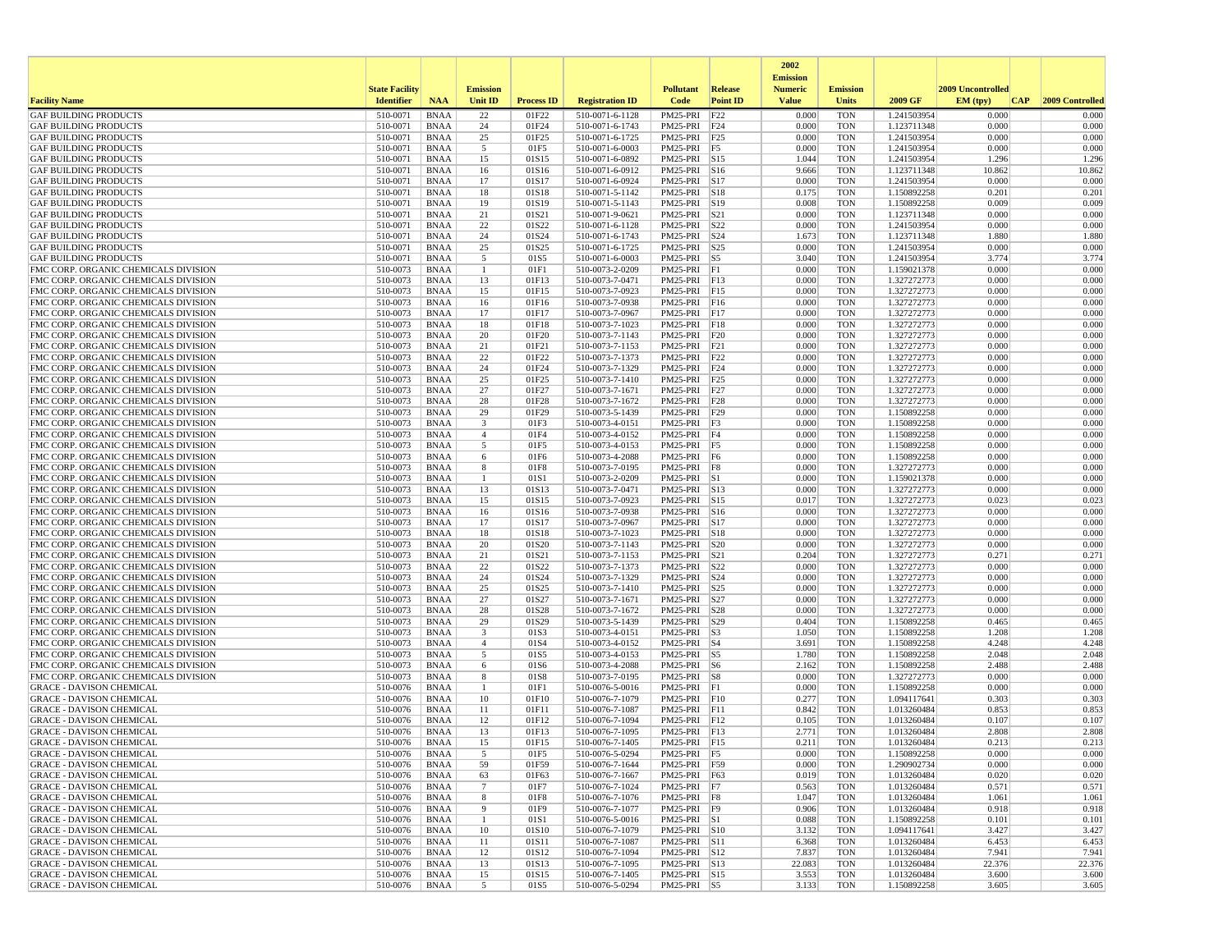|                                                                              |                       |                            |                     |                   |                                    |                              |                         | 2002                              |                          |                            |                   |                 |
|------------------------------------------------------------------------------|-----------------------|----------------------------|---------------------|-------------------|------------------------------------|------------------------------|-------------------------|-----------------------------------|--------------------------|----------------------------|-------------------|-----------------|
|                                                                              | <b>State Facility</b> |                            | <b>Emission</b>     |                   |                                    | <b>Pollutant</b>             | Release                 | <b>Emission</b><br><b>Numeric</b> | <b>Emission</b>          |                            | 2009 Uncontrolled |                 |
| <b>Facility Name</b>                                                         | <b>Identifier</b>     | <b>NAA</b>                 | Unit ID             | <b>Process ID</b> | <b>Registration ID</b>             | Code                         | <b>Point ID</b>         | <b>Value</b>                      | <b>Units</b>             | 2009 GF                    | EM (typ)<br> CAP  | 2009 Controlled |
| <b>GAF BUILDING PRODUCTS</b>                                                 | 510-0071              | <b>BNAA</b>                | 22                  | 01F22             | 510-0071-6-1128                    | PM25-PRI                     | F22                     | 0.000                             | <b>TON</b>               | 1.241503954                | 0.000             | 0.000           |
| <b>GAF BUILDING PRODUCTS</b>                                                 | 510-0071              | <b>BNAA</b>                | 24                  | 01F24             | 510-0071-6-1743                    | PM25-PRI                     | F24                     | 0.000                             | <b>TON</b>               | 1.123711348                | 0.000             | 0.000           |
| <b>GAF BUILDING PRODUCTS</b>                                                 | 510-0071              | <b>BNAA</b>                | 25                  | 01F25             | 510-0071-6-1725                    | PM25-PRI F25                 |                         | 0.000                             | <b>TON</b>               | 1.241503954                | 0.000             | 0.000           |
| <b>GAF BUILDING PRODUCTS</b>                                                 | 510-0071              | <b>BNAA</b>                | 5                   | 01F5              | 510-0071-6-0003                    | PM25-PRI F5                  |                         | 0.000                             | <b>TON</b>               | 1.241503954                | 0.000             | 0.000           |
| <b>GAF BUILDING PRODUCTS</b>                                                 | 510-0071<br>510-0071  | <b>BNAA</b>                | 15                  | 01S15             | 510-0071-6-0892                    | PM25-PRI S15<br>PM25-PRI S16 |                         | 1.044<br>9.666                    | <b>TON</b><br><b>TON</b> | 1.241503954                | 1.296<br>10.862   | 1.296<br>10.862 |
| <b>GAF BUILDING PRODUCTS</b><br><b>GAF BUILDING PRODUCTS</b>                 | 510-0071              | <b>BNAA</b><br><b>BNAA</b> | 16<br>17            | 01S16<br>01S17    | 510-0071-6-0912<br>510-0071-6-0924 | PM25-PRI                     | S17                     | 0.000                             | <b>TON</b>               | 1.123711348<br>1.241503954 | 0.000             | 0.000           |
| <b>GAF BUILDING PRODUCTS</b>                                                 | 510-0071              | <b>BNAA</b>                | 18                  | 01S18             | 510-0071-5-1142                    | PM25-PRI                     | S18                     | 0.175                             | <b>TON</b>               | 1.150892258                | 0.201             | 0.201           |
| <b>GAF BUILDING PRODUCTS</b>                                                 | 510-0071              | <b>BNAA</b>                | 19                  | 01S19             | 510-0071-5-1143                    | PM25-PRI                     | S19                     | 0.008                             | <b>TON</b>               | 1.150892258                | 0.009             | 0.009           |
| <b>GAF BUILDING PRODUCTS</b>                                                 | 510-0071              | <b>BNAA</b>                | 21                  | 01S21             | 510-0071-9-0621                    | PM25-PRI                     | S21                     | 0.000                             | <b>TON</b>               | 1.123711348                | 0.000             | 0.000           |
| <b>GAF BUILDING PRODUCTS</b>                                                 | 510-0071              | <b>BNAA</b>                | 22                  | 01S22             | 510-0071-6-1128                    | PM25-PRI                     | S22                     | 0.000                             | <b>TON</b>               | 1.241503954                | 0.000             | 0.000           |
| <b>GAF BUILDING PRODUCTS</b>                                                 | 510-0071              | <b>BNAA</b>                | 24                  | 01S24             | 510-0071-6-1743                    | PM25-PRI S24                 |                         | 1.673                             | <b>TON</b>               | 1.123711348                | 1.880             | 1.880           |
| <b>GAF BUILDING PRODUCTS</b>                                                 | 510-0071              | <b>BNAA</b>                | 25                  | 01S25             | 510-0071-6-1725                    | PM25-PRI S25                 |                         | 0.000                             | <b>TON</b>               | 1.241503954                | 0.000             | 0.000           |
| <b>GAF BUILDING PRODUCTS</b>                                                 | 510-0071              | <b>BNAA</b>                | 5                   | 01S5              | 510-0071-6-0003                    | PM25-PRI                     | $\vert$ S5              | 3.040                             | <b>TON</b>               | 1.241503954                | 3.774             | 3.774           |
| FMC CORP. ORGANIC CHEMICALS DIVISION<br>FMC CORP. ORGANIC CHEMICALS DIVISION | 510-0073<br>510-0073  | <b>BNAA</b><br><b>BNAA</b> | $\mathbf{1}$<br>13  | 01F1<br>01F13     | 510-0073-2-0209<br>510-0073-7-0471 | PM25-PRI F1                  |                         | 0.000<br>0.000                    | <b>TON</b><br><b>TON</b> | 1.159021378                | 0.000<br>0.000    | 0.000<br>0.000  |
| FMC CORP. ORGANIC CHEMICALS DIVISION                                         | 510-0073              | <b>BNAA</b>                | 15                  | 01F15             | 510-0073-7-0923                    | PM25-PRI F13<br>PM25-PRI F15 |                         | 0.000                             | <b>TON</b>               | 1.327272773<br>1.327272773 | 0.000             | 0.000           |
| FMC CORP. ORGANIC CHEMICALS DIVISION                                         | 510-0073              | <b>BNAA</b>                | 16                  | 01F16             | 510-0073-7-0938                    | PM25-PRI F16                 |                         | 0.000                             | <b>TON</b>               | 1.327272773                | 0.000             | 0.000           |
| FMC CORP. ORGANIC CHEMICALS DIVISION                                         | 510-0073              | <b>BNAA</b>                | 17                  | 01F17             | 510-0073-7-0967                    | PM25-PRI F17                 |                         | 0.000                             | <b>TON</b>               | 1.327272773                | 0.000             | 0.000           |
| FMC CORP. ORGANIC CHEMICALS DIVISION                                         | 510-0073              | <b>BNAA</b>                | 18                  | 01F18             | 510-0073-7-1023                    | PM25-PRI                     | F18                     | 0.000                             | <b>TON</b>               | 1.327272773                | 0.000             | 0.000           |
| FMC CORP. ORGANIC CHEMICALS DIVISION                                         | 510-0073              | <b>BNAA</b>                | 20                  | 01F20             | 510-0073-7-1143                    | PM25-PRI F20                 |                         | 0.000                             | <b>TON</b>               | 1.327272773                | 0.000             | 0.000           |
| FMC CORP. ORGANIC CHEMICALS DIVISION                                         | 510-0073              | <b>BNAA</b>                | 21                  | 01F21             | 510-0073-7-1153                    | PM25-PRI F21                 |                         | 0.000                             | <b>TON</b>               | 1.327272773                | 0.000             | 0.000           |
| FMC CORP. ORGANIC CHEMICALS DIVISION                                         | 510-0073              | <b>BNAA</b>                | 22                  | 01F22             | 510-0073-7-1373                    | PM25-PRI F22                 |                         | 0.000                             | <b>TON</b>               | 1.327272773                | 0.000             | 0.000           |
| FMC CORP. ORGANIC CHEMICALS DIVISION                                         | 510-0073              | <b>BNAA</b>                | 24                  | 01F24             | 510-0073-7-1329                    | PM25-PRI F24                 |                         | 0.000                             | <b>TON</b>               | 1.327272773                | 0.000             | 0.000           |
| FMC CORP. ORGANIC CHEMICALS DIVISION                                         | 510-0073              | <b>BNAA</b>                | 25                  | 01F25             | 510-0073-7-1410                    | PM25-PRI                     | F25                     | 0.000                             | <b>TON</b>               | 1.327272773                | 0.000             | 0.000           |
| FMC CORP. ORGANIC CHEMICALS DIVISION                                         | 510-0073              | <b>BNAA</b>                | 27                  | 01F27             | 510-0073-7-1671                    | PM25-PRI                     | F27                     | 0.000                             | <b>TON</b>               | 1.327272773                | 0.000             | 0.000           |
| FMC CORP. ORGANIC CHEMICALS DIVISION                                         | 510-0073              | <b>BNAA</b>                | 28                  | 01F28             | 510-0073-7-1672                    | PM25-PRI                     | F28                     | 0.000                             | <b>TON</b>               | 1.327272773                | 0.000             | 0.000           |
| FMC CORP. ORGANIC CHEMICALS DIVISION                                         | 510-0073              | <b>BNAA</b>                | 29                  | 01F29             | 510-0073-5-1439                    | PM25-PRI F29                 |                         | 0.000                             | <b>TON</b>               | 1.150892258                | 0.000<br>0.000    | 0.000<br>0.000  |
| FMC CORP. ORGANIC CHEMICALS DIVISION<br>FMC CORP. ORGANIC CHEMICALS DIVISION | 510-0073<br>510-0073  | <b>BNAA</b><br><b>BNAA</b> | 3<br>$\overline{4}$ | 01F3<br>01F4      | 510-0073-4-0151<br>510-0073-4-0152 | PM25-PRI F3<br>PM25-PRI F4   |                         | 0.000<br>0.000                    | <b>TON</b><br><b>TON</b> | 1.150892258<br>1.150892258 | 0.000             | 0.000           |
| FMC CORP. ORGANIC CHEMICALS DIVISION                                         | 510-0073              | <b>BNAA</b>                | 5                   | 01F5              | 510-0073-4-0153                    | PM25-PRI                     | F5                      | 0.000                             | <b>TON</b>               | 1.150892258                | 0.000             | 0.000           |
| FMC CORP. ORGANIC CHEMICALS DIVISION                                         | 510-0073              | <b>BNAA</b>                | 6                   | 01F6              | 510-0073-4-2088                    | PM25-PRI F6                  |                         | 0.000                             | <b>TON</b>               | 1.150892258                | 0.000             | 0.000           |
| FMC CORP. ORGANIC CHEMICALS DIVISION                                         | 510-0073              | <b>BNAA</b>                | 8                   | 01F8              | 510-0073-7-0195                    | PM25-PRI F8                  |                         | 0.000                             | <b>TON</b>               | 1.327272773                | 0.000             | 0.000           |
| FMC CORP. ORGANIC CHEMICALS DIVISION                                         | 510-0073              | <b>BNAA</b>                | -1                  | 01S1              | 510-0073-2-0209                    | PM25-PRI S1                  |                         | 0.000                             | <b>TON</b>               | 1.159021378                | 0.000             | 0.000           |
| FMC CORP. ORGANIC CHEMICALS DIVISION                                         | 510-0073              | <b>BNAA</b>                | 13                  | 01S13             | 510-0073-7-0471                    | PM25-PRI S13                 |                         | 0.000                             | <b>TON</b>               | 1.327272773                | 0.000             | 0.000           |
| FMC CORP. ORGANIC CHEMICALS DIVISION                                         | 510-0073              | <b>BNAA</b>                | 15                  | 01S15             | 510-0073-7-0923                    | PM25-PRI                     | $\vert$ S <sub>15</sub> | 0.017                             | <b>TON</b>               | 1.327272773                | 0.023             | 0.023           |
| FMC CORP. ORGANIC CHEMICALS DIVISION                                         | 510-0073              | <b>BNAA</b>                | 16                  | 01S16             | 510-0073-7-0938                    | PM25-PRI S16                 |                         | 0.000                             | <b>TON</b>               | 1.327272773                | 0.000             | 0.000           |
| FMC CORP. ORGANIC CHEMICALS DIVISION                                         | 510-0073              | <b>BNAA</b>                | 17                  | 01S17             | 510-0073-7-0967                    | PM25-PRI S17                 |                         | 0.000                             | <b>TON</b>               | 1.327272773                | 0.000             | 0.000           |
| FMC CORP. ORGANIC CHEMICALS DIVISION                                         | 510-0073              | <b>BNAA</b>                | 18                  | 01S18             | 510-0073-7-1023                    | PM25-PRI                     | S18                     | 0.000                             | <b>TON</b>               | 1.327272773                | 0.000             | 0.000           |
| FMC CORP. ORGANIC CHEMICALS DIVISION                                         | 510-0073              | <b>BNAA</b>                | 20                  | 01S20             | 510-0073-7-1143                    | PM25-PRI S20                 |                         | 0.000                             | <b>TON</b>               | 1.327272773                | 0.000             | 0.000           |
| FMC CORP. ORGANIC CHEMICALS DIVISION                                         | 510-0073<br>510-0073  | <b>BNAA</b><br><b>BNAA</b> | 21<br>22            | 01S21<br>01S22    | 510-0073-7-1153<br>510-0073-7-1373 | PM25-PRI<br>PM25-PRI         | S21<br>S22              | 0.204<br>0.000                    | <b>TON</b><br><b>TON</b> | 1.327272773<br>1.327272773 | 0.271<br>0.000    | 0.271<br>0.000  |
| FMC CORP. ORGANIC CHEMICALS DIVISION<br>FMC CORP. ORGANIC CHEMICALS DIVISION | 510-0073              | <b>BNAA</b>                | 24                  | 01S24             | 510-0073-7-1329                    | PM25-PRI                     | S24                     | 0.000                             | <b>TON</b>               | 1.327272773                | 0.000             | 0.000           |
| FMC CORP. ORGANIC CHEMICALS DIVISION                                         | 510-0073              | <b>BNAA</b>                | 25                  | 01S25             | 510-0073-7-1410                    | PM25-PRI                     | S <sub>25</sub>         | 0.000                             | <b>TON</b>               | 1.327272773                | 0.000             | 0.000           |
| FMC CORP. ORGANIC CHEMICALS DIVISION                                         | 510-0073              | <b>BNAA</b>                | 27                  | 01S27             | 510-0073-7-1671                    | PM25-PRI S27                 |                         | 0.000                             | <b>TON</b>               | 1.327272773                | 0.000             | 0.000           |
| FMC CORP. ORGANIC CHEMICALS DIVISION                                         | 510-0073              | <b>BNAA</b>                | 28                  | 01S28             | 510-0073-7-1672                    | PM25-PRI                     | S28                     | 0.000                             | <b>TON</b>               | 1.327272773                | 0.000             | 0.000           |
| FMC CORP. ORGANIC CHEMICALS DIVISION                                         | 510-0073              | <b>BNAA</b>                | 29                  | 01S29             | 510-0073-5-1439                    | PM25-PRI                     | S29                     | 0.404                             | <b>TON</b>               | 1.150892258                | 0.465             | 0.465           |
| FMC CORP. ORGANIC CHEMICALS DIVISION                                         | 510-0073              | <b>BNAA</b>                | 3                   | 01S3              | 510-0073-4-0151                    | PM25-PRI                     | S <sub>3</sub>          | 1.050                             | <b>TON</b>               | 1.150892258                | 1.208             | 1.208           |
| FMC CORP. ORGANIC CHEMICALS DIVISION                                         | 510-0073              | <b>BNAA</b>                | $\overline{4}$      | 01S4              | 510-0073-4-0152                    | PM25-PRI                     | $ S_4 $                 | 3.691                             | <b>TON</b>               | 1.150892258                | 4.248             | 4.248           |
| FMC CORP. ORGANIC CHEMICALS DIVISION                                         | 510-0073              | <b>BNAA</b>                | 5                   | 01S5              | 510-0073-4-0153                    | PM25-PRI S5                  |                         | 1.780                             | <b>TON</b>               | 1.150892258                | 2.048             | 2.048           |
| FMC CORP. ORGANIC CHEMICALS DIVISION                                         | 510-0073              | <b>BNAA</b>                | 6                   | 01S6              | 510-0073-4-2088                    | PM25-PRI S6                  |                         | 2.162                             | <b>TON</b>               | 1.150892258                | 2.488             | 2.488           |
| FMC CORP. ORGANIC CHEMICALS DIVISION                                         | 510-0073              | <b>BNAA</b>                | 8                   | 01S8              | 510-0073-7-0195                    | PM25-PRI S8                  |                         | 0.000                             | <b>TON</b>               | 1.327272773                | 0.000             | 0.000           |
| <b>GRACE - DAVISON CHEMICAL</b><br><b>GRACE - DAVISON CHEMICAL</b>           | 510-0076<br>510-0076  | <b>BNAA</b>                |                     | 01F1              | 510-0076-5-0016<br>510-0076-7-1079 | PM25-PRI                     | F1                      | 0.000                             | <b>TON</b>               | 1.150892258<br>1.094117641 | 0.000<br>0.303    | 0.000<br>0.303  |
| <b>GRACE - DAVISON CHEMICAL</b>                                              | 510-0076              | <b>BNAA</b><br><b>BNAA</b> | 10<br>11            | 01F10<br>01F11    | 510-0076-7-1087                    | PM25-PRI F10<br>PM25-PRI F11 |                         | 0.277<br>0.842                    | <b>TON</b><br><b>TON</b> | 1.013260484                | 0.853             | 0.853           |
| <b>GRACE - DAVISON CHEMICAL</b>                                              | 510-0076              | <b>BNAA</b>                | 12                  | 01F12             | 510-0076-7-1094                    | PM25-PRI F12                 |                         | 0.105                             | <b>TON</b>               | 1.013260484                | 0.107             | 0.107           |
| <b>GRACE - DAVISON CHEMICAL</b>                                              | 510-0076              | <b>BNAA</b>                | 13                  | 01F13             | 510-0076-7-1095                    | PM25-PRI F13                 |                         | 2.771                             | <b>TON</b>               | 1.013260484                | 2.808             | 2.808           |
| <b>GRACE - DAVISON CHEMICAL</b>                                              | 510-0076              | <b>BNAA</b>                | 15                  | 01F15             | 510-0076-7-1405                    | PM25-PRI F15                 |                         | 0.211                             | <b>TON</b>               | 1.013260484                | 0.213             | 0.213           |
| <b>GRACE - DAVISON CHEMICAL</b>                                              | 510-0076              | <b>BNAA</b>                |                     | 01F5              | 510-0076-5-0294                    | $PM25-PRI$   F5              |                         | 0.000                             | TON                      | 1.150892258                | 0.000             | 0.000           |
| <b>GRACE - DAVISON CHEMICAL</b>                                              | 510-0076              | BNAA                       | 59                  | 01F59             | 510-0076-7-1644                    | PM25-PRI F59                 |                         | 0.000                             | <b>TON</b>               | 1.290902734                | 0.000             | 0.000           |
| <b>GRACE - DAVISON CHEMICAL</b>                                              | 510-0076              | BNAA                       | 63                  | 01F63             | 510-0076-7-1667                    | PM25-PRI F63                 |                         | 0.019                             | <b>TON</b>               | 1.013260484                | 0.020             | 0.020           |
| <b>GRACE - DAVISON CHEMICAL</b>                                              | 510-0076              | BNAA                       | $7\phantom{.0}$     | 01F7              | 510-0076-7-1024                    | PM25-PRI F7                  |                         | 0.563                             | TON                      | 1.013260484                | 0.571             | 0.571           |
| <b>GRACE - DAVISON CHEMICAL</b>                                              | 510-0076              | BNAA                       | 8                   | 01F8              | 510-0076-7-1076                    | PM25-PRI F8                  |                         | 1.047                             | <b>TON</b>               | 1.013260484                | 1.061             | 1.061           |
| <b>GRACE - DAVISON CHEMICAL</b>                                              | 510-0076              | <b>BNAA</b>                | 9                   | 01F9              | 510-0076-7-1077                    | PM25-PRI F9                  |                         | 0.906                             | <b>TON</b>               | 1.013260484                | 0.918             | 0.918           |
| <b>GRACE - DAVISON CHEMICAL</b><br><b>GRACE - DAVISON CHEMICAL</b>           | 510-0076<br>510-0076  | BNAA<br>BNAA               | -1<br>10            | 01S1<br>01S10     | 510-0076-5-0016<br>510-0076-7-1079 | PM25-PRI S1<br>PM25-PRI S10  |                         | 0.088<br>3.132                    | <b>TON</b><br><b>TON</b> | 1.150892258<br>1.094117641 | 0.101<br>3.427    | 0.101<br>3.427  |
| <b>GRACE - DAVISON CHEMICAL</b>                                              | 510-0076              | BNAA                       | 11                  | 01S11             | 510-0076-7-1087                    | PM25-PRI S11                 |                         | 6.368                             | <b>TON</b>               | 1.013260484                | 6.453             | 6.453           |
| <b>GRACE - DAVISON CHEMICAL</b>                                              | 510-0076              | BNAA                       | 12                  | 01S12             | 510-0076-7-1094                    | PM25-PRI S12                 |                         | 7.837                             | TON                      | 1.013260484                | 7.941             | 7.941           |
| <b>GRACE - DAVISON CHEMICAL</b>                                              | 510-0076              | BNAA                       | 13                  | 01S13             | 510-0076-7-1095                    | PM25-PRI S13                 |                         | 22.083                            | TON                      | 1.013260484                | 22.376            | 22.376          |
| <b>GRACE - DAVISON CHEMICAL</b>                                              | 510-0076              | <b>BNAA</b>                | 15                  | 01S15             | 510-0076-7-1405                    | PM25-PRI S15                 |                         | 3.553                             | <b>TON</b>               | 1.013260484                | 3.600             | 3.600           |
| <b>GRACE - DAVISON CHEMICAL</b>                                              | 510-0076              | BNAA                       | $5\overline{5}$     | 01S5              | 510-0076-5-0294                    | PM25-PRI S5                  |                         | 3.133                             | TON                      | 1.150892258                | 3.605             | 3.605           |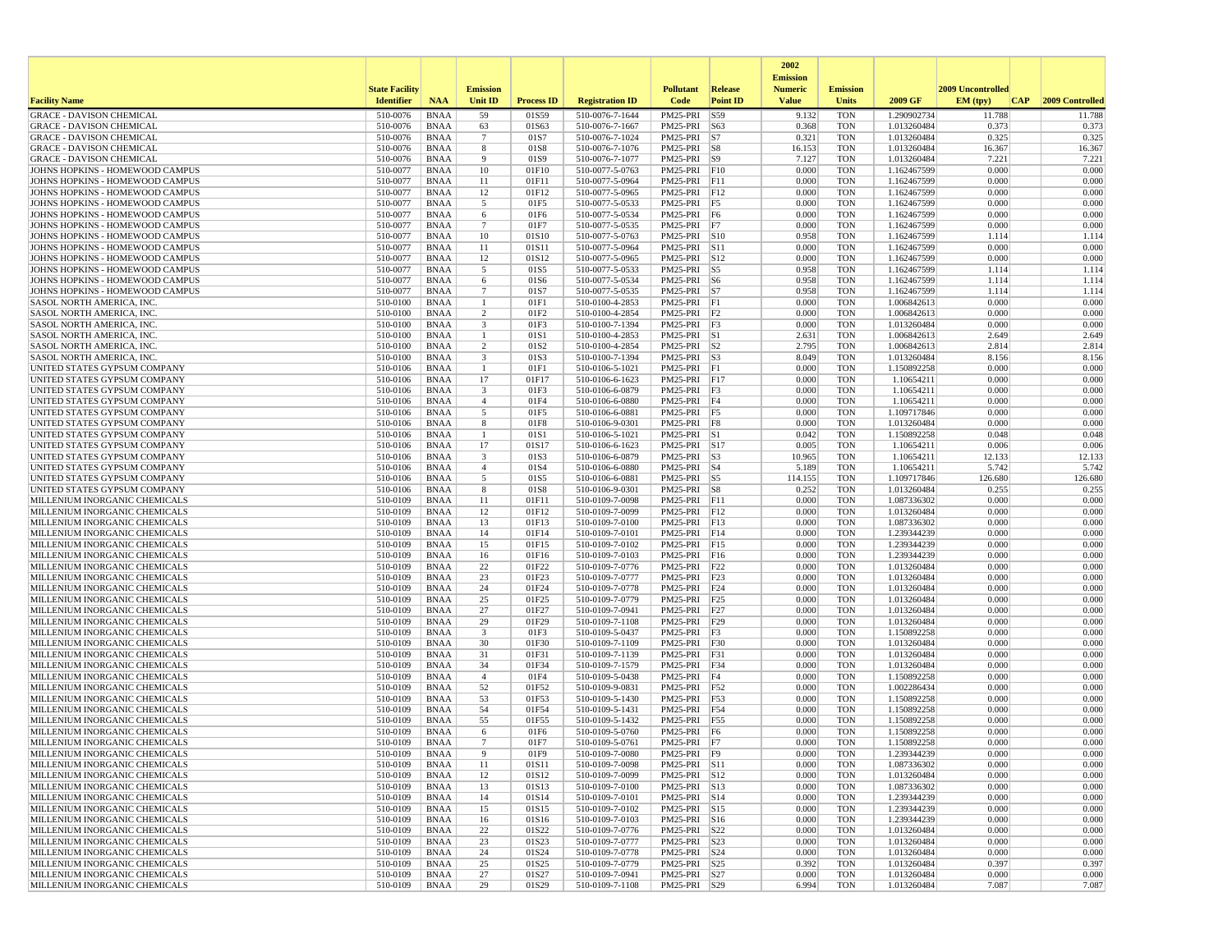|                                                                    |                       |                            |                               |                   |                                    |                              |                     | 2002                              |                          |                            |                   |                 |
|--------------------------------------------------------------------|-----------------------|----------------------------|-------------------------------|-------------------|------------------------------------|------------------------------|---------------------|-----------------------------------|--------------------------|----------------------------|-------------------|-----------------|
|                                                                    | <b>State Facility</b> |                            | <b>Emission</b>               |                   |                                    | <b>Pollutant</b>             | <b>Release</b>      | <b>Emission</b><br><b>Numeric</b> | <b>Emission</b>          |                            | 2009 Uncontrolled |                 |
| <b>Facility Name</b>                                               | <b>Identifier</b>     | <b>NAA</b>                 | Unit ID                       | <b>Process ID</b> | <b>Registration ID</b>             | Code                         | <b>Point ID</b>     | <b>Value</b>                      | Units                    | 2009 GF                    | EM (typ)<br> CAP  | 2009 Controlled |
| <b>GRACE - DAVISON CHEMICAL</b>                                    | 510-0076              | <b>BNAA</b>                | 59                            | 01S59             | 510-0076-7-1644                    | PM25-PRI                     | $\sqrt{\text{S}59}$ | 9.132                             | <b>TON</b>               | 1.290902734                | 11.788            | 11.788          |
| <b>GRACE - DAVISON CHEMICAL</b><br><b>GRACE - DAVISON CHEMICAL</b> | 510-0076              | <b>BNAA</b>                | 63                            | 01S63             | 510-0076-7-1667                    | PM25-PRI S63                 |                     | 0.368                             | <b>TON</b>               | 1.013260484                | 0.373<br>0.325    | 0.373           |
| <b>GRACE - DAVISON CHEMICAL</b>                                    | 510-0076<br>510-0076  | <b>BNAA</b><br><b>BNAA</b> | $7\phantom{.0}$<br>8          | 01S7<br>01S8      | 510-0076-7-1024<br>510-0076-7-1076 | PM25-PRI<br>PM25-PRI S8      | S7                  | 0.321<br>16.153                   | <b>TON</b><br><b>TON</b> | 1.013260484<br>1.013260484 | 16.367            | 0.325<br>16.367 |
| <b>GRACE - DAVISON CHEMICAL</b>                                    | 510-0076              | <b>BNAA</b>                | 9                             | 01S9              | 510-0076-7-1077                    | PM25-PRI S9                  |                     | 7.127                             | <b>TON</b>               | 1.013260484                | 7.221             | 7.221           |
| JOHNS HOPKINS - HOMEWOOD CAMPUS                                    | 510-0077              | <b>BNAA</b>                | 10                            | 01F10             | 510-0077-5-0763                    | PM25-PRI F10                 |                     | 0.000                             | <b>TON</b>               | 1.162467599                | 0.000             | 0.000           |
| JOHNS HOPKINS - HOMEWOOD CAMPUS                                    | 510-0077              | <b>BNAA</b>                | 11                            | 01F11             | 510-0077-5-0964                    | PM25-PRI F11                 |                     | 0.000                             | <b>TON</b>               | 1.162467599                | 0.000             | 0.000           |
| JOHNS HOPKINS - HOMEWOOD CAMPUS<br>JOHNS HOPKINS - HOMEWOOD CAMPUS | 510-0077<br>510-0077  | <b>BNAA</b><br><b>BNAA</b> | 12<br>5                       | 01F12<br>01F5     | 510-0077-5-0965<br>510-0077-5-0533 | PM25-PRI F12<br>PM25-PRI     | F5                  | 0.000<br>0.000                    | <b>TON</b><br><b>TON</b> | 1.162467599<br>1.162467599 | 0.000<br>0.000    | 0.000<br>0.000  |
| JOHNS HOPKINS - HOMEWOOD CAMPUS                                    | 510-0077              | <b>BNAA</b>                | 6                             | 01F6              | 510-0077-5-0534                    | PM25-PRI                     | F6                  | 0.000                             | <b>TON</b>               | 1.162467599                | 0.000             | 0.000           |
| JOHNS HOPKINS - HOMEWOOD CAMPUS                                    | 510-0077              | <b>BNAA</b>                | $\overline{7}$                | 01F7              | 510-0077-5-0535                    | PM25-PRI F7                  |                     | 0.000                             | <b>TON</b>               | 1.162467599                | 0.000             | 0.000           |
| JOHNS HOPKINS - HOMEWOOD CAMPUS                                    | 510-0077              | <b>BNAA</b>                | 10                            | 01S10             | 510-0077-5-0763                    | PM25-PRI S10                 |                     | 0.958                             | <b>TON</b>               | 1.162467599                | 1.114             | 1.114           |
| JOHNS HOPKINS - HOMEWOOD CAMPUS                                    | 510-0077              | <b>BNAA</b>                | 11                            | 01S11             | 510-0077-5-0964                    | PM25-PRI S11                 |                     | 0.000                             | <b>TON</b>               | 1.162467599                | 0.000             | 0.000           |
| JOHNS HOPKINS - HOMEWOOD CAMPUS<br>JOHNS HOPKINS - HOMEWOOD CAMPUS | 510-0077<br>510-0077  | <b>BNAA</b><br><b>BNAA</b> | 12<br>5                       | 01S12<br>01S5     | 510-0077-5-0965<br>510-0077-5-0533 | PM25-PRI S12<br>PM25-PRI     | $\vert$ S5          | 0.000<br>0.958                    | <b>TON</b><br><b>TON</b> | 1.162467599<br>1.162467599 | 0.000<br>1.114    | 0.000<br>1.114  |
| JOHNS HOPKINS - HOMEWOOD CAMPUS                                    | 510-0077              | <b>BNAA</b>                | 6                             | 01S6              | 510-0077-5-0534                    | PM25-PRI S6                  |                     | 0.958                             | <b>TON</b>               | 1.162467599                | 1.114             | 1.114           |
| JOHNS HOPKINS - HOMEWOOD CAMPUS                                    | 510-0077              | <b>BNAA</b>                | $7\phantom{.0}$               | 01S7              | 510-0077-5-0535                    | PM25-PRI S7                  |                     | 0.958                             | <b>TON</b>               | 1.162467599                | 1.114             | 1.114           |
| SASOL NORTH AMERICA, INC.                                          | 510-0100              | <b>BNAA</b>                | $\overline{1}$                | 01F1              | 510-0100-4-2853                    | PM25-PRI F1                  |                     | 0.000                             | <b>TON</b>               | 1.006842613                | 0.000             | 0.000           |
| <b>SASOL NORTH AMERICA, INC</b>                                    | 510-0100              | BNAA<br><b>BNAA</b>        | 2                             | 01F2              | 510-0100-4-2854                    | PM25-PRI F2                  |                     | 0.000                             | <b>TON</b>               | 1.006842613                | 0.000             | 0.000           |
| SASOL NORTH AMERICA, INC.<br><b>SASOL NORTH AMERICA, INC.</b>      | 510-0100<br>510-0100  | <b>BNAA</b>                | $\overline{\mathbf{3}}$<br>-1 | 01F3<br>01S1      | 510-0100-7-1394<br>510-0100-4-2853 | PM25-PRI<br>PM25-PRI S1      | F <sub>3</sub>      | 0.000<br>2.631                    | <b>TON</b><br><b>TON</b> | 1.013260484<br>1.006842613 | 0.000<br>2.649    | 0.000<br>2.649  |
| <b>SASOL NORTH AMERICA, INC.</b>                                   | 510-0100              | <b>BNAA</b>                | 2                             | 01S <sub>2</sub>  | 510-0100-4-2854                    | PM25-PRI S2                  |                     | 2.795                             | <b>TON</b>               | 1.006842613                | 2.814             | 2.814           |
| SASOL NORTH AMERICA, INC                                           | 510-0100              | <b>BNAA</b>                | $\overline{\mathbf{3}}$       | 01S3              | 510-0100-7-1394                    | PM25-PRI S3                  |                     | 8.049                             | <b>TON</b>               | 1.013260484                | 8.156             | 8.156           |
| UNITED STATES GYPSUM COMPANY                                       | 510-0106              | <b>BNAA</b>                | $\mathbf{1}$                  | 01F1              | 510-0106-5-1021                    | PM25-PRI F1                  |                     | 0.000                             | <b>TON</b>               | 1.150892258                | 0.000             | 0.000           |
| UNITED STATES GYPSUM COMPANY                                       | 510-0106              | <b>BNAA</b>                | 17                            | 01F17             | 510-0106-6-1623                    | PM25-PRI F17                 |                     | 0.000                             | <b>TON</b>               | 1.10654211                 | 0.000             | 0.000           |
| UNITED STATES GYPSUM COMPANY<br>UNITED STATES GYPSUM COMPANY       | 510-0106<br>510-0106  | <b>BNAA</b><br><b>BNAA</b> | 3<br>$\overline{4}$           | 01F3<br>01F4      | 510-0106-6-0879<br>510-0106-6-0880 | PM25-PRI<br>PM25-PRI F4      | F <sub>3</sub>      | 0.000<br>0.000                    | <b>TON</b><br><b>TON</b> | 1.10654211<br>1.10654211   | 0.000<br>0.000    | 0.000<br>0.000  |
| UNITED STATES GYPSUM COMPANY                                       | 510-0106              | <b>BNAA</b>                | 5                             | 01F5              | 510-0106-6-0881                    | $PM25-PRI$ F5                |                     | 0.000                             | <b>TON</b>               | 1.109717846                | 0.000             | 0.000           |
| UNITED STATES GYPSUM COMPANY                                       | 510-0106              | <b>BNAA</b>                | 8                             | 01F8              | 510-0106-9-0301                    | PM25-PRI F8                  |                     | 0.000                             | <b>TON</b>               | 1.013260484                | 0.000             | 0.000           |
| UNITED STATES GYPSUM COMPANY                                       | 510-0106              | <b>BNAA</b>                |                               | 01S1              | 510-0106-5-1021                    | PM25-PRI S1                  |                     | 0.042                             | <b>TON</b>               | 1.150892258                | 0.048             | 0.048           |
| UNITED STATES GYPSUM COMPANY                                       | 510-0106              | <b>BNAA</b>                | 17                            | 01S17             | 510-0106-6-1623                    | PM25-PRI                     | $\vert$ S17         | 0.005                             | <b>TON</b>               | 1.10654211                 | 0.006             | 0.006           |
| UNITED STATES GYPSUM COMPANY<br>UNITED STATES GYPSUM COMPANY       | 510-0106<br>510-0106  | <b>BNAA</b><br>BNAA        | 3<br>$\overline{4}$           | 01S3<br>01S4      | 510-0106-6-0879<br>510-0106-6-0880 | PM25-PRI S3<br>PM25-PRI S4   |                     | 10.965<br>5.189                   | <b>TON</b><br><b>TON</b> | 1.10654211<br>1.10654211   | 12.133<br>5.742   | 12.133<br>5.742 |
| UNITED STATES GYPSUM COMPANY                                       | 510-0106              | <b>BNAA</b>                | 5                             | 01S5              | 510-0106-6-0881                    | PM25-PRI S5                  |                     | 114.155                           | <b>TON</b>               | 1.109717846                | 126.680           | 126.680         |
| UNITED STATES GYPSUM COMPANY                                       | 510-0106              | <b>BNAA</b>                | 8                             | 01S8              | 510-0106-9-0301                    | PM25-PRI S8                  |                     | 0.252                             | <b>TON</b>               | 1.013260484                | 0.255             | 0.255           |
| MILLENIUM INORGANIC CHEMICALS                                      | 510-0109              | <b>BNAA</b>                | 11                            | 01F11             | 510-0109-7-0098                    | $PM25-PRI$ F11               |                     | 0.000                             | <b>TON</b>               | 1.087336302                | 0.000             | 0.000           |
| MILLENIUM INORGANIC CHEMICALS<br>MILLENIUM INORGANIC CHEMICALS     | 510-0109<br>510-0109  | <b>BNAA</b><br><b>BNAA</b> | 12<br>13                      | 01F12<br>01F13    | 510-0109-7-0099<br>510-0109-7-0100 | PM25-PRI<br>PM25-PRI F13     | F12                 | 0.000<br>0.000                    | <b>TON</b><br><b>TON</b> | 1.013260484<br>1.087336302 | 0.000<br>0.000    | 0.000<br>0.000  |
| MILLENIUM INORGANIC CHEMICALS                                      | 510-0109              | <b>BNAA</b>                | 14                            | 01F14             | 510-0109-7-0101                    | PM25-PRI F14                 |                     | 0.000                             | <b>TON</b>               | 1.239344239                | 0.000             | 0.000           |
| MILLENIUM INORGANIC CHEMICALS                                      | 510-0109              | <b>BNAA</b>                | 15                            | 01F15             | 510-0109-7-0102                    | PM25-PRI F15                 |                     | 0.000                             | <b>TON</b>               | 1.239344239                | 0.000             | 0.000           |
| MILLENIUM INORGANIC CHEMICALS                                      | 510-0109              | <b>BNAA</b>                | 16                            | 01F16             | 510-0109-7-0103                    | PM25-PRI F16                 |                     | 0.000                             | <b>TON</b>               | 1.239344239                | 0.000             | 0.000           |
| MILLENIUM INORGANIC CHEMICALS                                      | 510-0109              | <b>BNAA</b>                | 22                            | 01F22             | 510-0109-7-0776                    | PM25-PRI                     | F22                 | 0.000                             | <b>TON</b>               | 1.013260484                | 0.000             | 0.000           |
| MILLENIUM INORGANIC CHEMICALS<br>MILLENIUM INORGANIC CHEMICALS     | 510-0109<br>510-0109  | <b>BNAA</b><br><b>BNAA</b> | 23<br>24                      | 01F23<br>01F24    | 510-0109-7-0777<br>510-0109-7-0778 | PM25-PRI<br>PM25-PRI F24     | F23                 | 0.000<br>0.000                    | <b>TON</b><br><b>TON</b> | 1.013260484<br>1.013260484 | 0.000<br>0.000    | 0.000<br>0.000  |
| MILLENIUM INORGANIC CHEMICALS                                      | 510-0109              | <b>BNAA</b>                | 25                            | 01F25             | 510-0109-7-0779                    | PM25-PRI F25                 |                     | 0.000                             | <b>TON</b>               | 1.013260484                | 0.000             | 0.000           |
| MILLENIUM INORGANIC CHEMICALS                                      | 510-0109              | <b>BNAA</b>                | 27                            | 01F27             | 510-0109-7-0941                    | PM25-PRI F27                 |                     | 0.000                             | <b>TON</b>               | 1.013260484                | 0.000             | 0.000           |
| MILLENIUM INORGANIC CHEMICALS                                      | 510-0109              | <b>BNAA</b>                | 29                            | 01F29             | 510-0109-7-1108                    | PM25-PRI                     | F29                 | 0.000                             | <b>TON</b>               | 1.013260484                | 0.000             | 0.000           |
| MILLENIUM INORGANIC CHEMICALS                                      | 510-0109              | <b>BNAA</b>                | 3                             | 01F3              | 510-0109-5-0437                    | PM25-PRI                     | F3                  | 0.000                             | <b>TON</b>               | 1.150892258                | 0.000             | 0.000           |
| MILLENIUM INORGANIC CHEMICALS<br>MILLENIUM INORGANIC CHEMICALS     | 510-0109<br>510-0109  | <b>BNAA</b><br><b>BNAA</b> | 30<br>31                      | 01F30<br>01F31    | 510-0109-7-1109<br>510-0109-7-1139 | PM25-PRI F30<br>PM25-PRI F31 |                     | 0.000<br>0.000                    | <b>TON</b><br><b>TON</b> | 1.013260484<br>1.013260484 | 0.000<br>0.000    | 0.000<br>0.000  |
| MILLENIUM INORGANIC CHEMICALS                                      | 510-0109              | <b>BNAA</b>                | 34                            | 01F34             | 510-0109-7-1579                    | PM25-PRI F34                 |                     | 0.000                             | <b>TON</b>               | 1.013260484                | 0.000             | 0.000           |
| MILLENIUM INORGANIC CHEMICALS                                      | 510-0109              | <b>BNAA</b>                | $\overline{4}$                | 01F4              | 510-0109-5-0438                    | $PM25-PRI$ F4                |                     | 0.000                             | <b>TON</b>               | 1.150892258                | 0.000             | 0.000           |
| MILLENIUM INORGANIC CHEMICALS                                      | 510-0109              | <b>BNAA</b>                | 52                            | 01F52             | 510-0109-9-0831                    | PM25-PRI                     | F52                 | 0.000                             | <b>TON</b>               | 1.002286434                | 0.000             | 0.000           |
| MILLENIUM INORGANIC CHEMICALS                                      | 510-0109<br>510-0109  | <b>BNAA</b><br><b>BNAA</b> | 53<br>54                      | 01F53<br>01F54    | 510-0109-5-1430                    | PM25-PRI<br>PM25-PRI         | F53<br>F54          | 0.000<br>0.000                    | <b>TON</b><br><b>TON</b> | 1.150892258<br>1.150892258 | 0.000<br>0.000    | 0.000<br>0.000  |
| MILLENIUM INORGANIC CHEMICALS<br>MILLENIUM INORGANIC CHEMICALS     | 510-0109              | <b>BNAA</b>                | 55                            | 01F55             | 510-0109-5-1431<br>510-0109-5-1432 | PM25-PRI                     | F55                 | 0.000                             | <b>TON</b>               | 1.150892258                | 0.000             | 0.000           |
| MILLENIUM INORGANIC CHEMICALS                                      | 510-0109              | <b>BNAA</b>                | 6                             | 01F6              | 510-0109-5-0760                    | PM25-PRI F6                  |                     | 0.000                             | <b>TON</b>               | 1.150892258                | 0.000             | 0.000           |
| MILLENIUM INORGANIC CHEMICALS                                      | 510-0109              | <b>BNAA</b>                | $\overline{7}$                | 01F7              | 510-0109-5-0761                    | PM25-PRI F7                  |                     | 0.000                             | <b>TON</b>               | 1.150892258                | 0.000             | 0.000           |
| MILLENIUM INORGANIC CHEMICALS                                      | 510-0109              | <b>BNAA</b>                |                               | 01F9              | 510-0109-7-0080                    | PM25-PRI F9                  |                     | 0.000                             | <b>TON</b>               | 1.239344239                | 0.000             | 0.000           |
| MILLENIUM INORGANIC CHEMICALS<br>MILLENIUM INORGANIC CHEMICALS     | 510-0109<br>510-0109  | BNAA<br><b>BNAA</b>        | 11<br>12                      | 01S11<br>01S12    | 510-0109-7-0098<br>510-0109-7-0099 | PM25-PRI S11<br>PM25-PRI S12 |                     | 0.000<br>0.000                    | TON<br><b>TON</b>        | 1.087336302<br>1.013260484 | 0.000<br>0.000    | 0.000<br>0.000  |
| MILLENIUM INORGANIC CHEMICALS                                      | 510-0109              | <b>BNAA</b>                | 13                            | 01S13             | 510-0109-7-0100                    | PM25-PRI S13                 |                     | 0.000                             | <b>TON</b>               | 1.087336302                | 0.000             | 0.000           |
| MILLENIUM INORGANIC CHEMICALS                                      | 510-0109              | <b>BNAA</b>                | 14                            | 01S14             | 510-0109-7-0101                    | PM25-PRI S14                 |                     | 0.000                             | <b>TON</b>               | 1.239344239                | 0.000             | 0.000           |
| MILLENIUM INORGANIC CHEMICALS                                      | 510-0109              | <b>BNAA</b>                | 15                            | 01S15             | 510-0109-7-0102                    | PM25-PRI S15                 |                     | 0.000                             | <b>TON</b>               | 1.239344239                | 0.000             | 0.000           |
| MILLENIUM INORGANIC CHEMICALS                                      | 510-0109              | <b>BNAA</b>                | 16                            | 01S16             | 510-0109-7-0103                    | PM25-PRI S16                 |                     | 0.000                             | <b>TON</b>               | 1.239344239                | 0.000             | 0.000           |
| MILLENIUM INORGANIC CHEMICALS<br>MILLENIUM INORGANIC CHEMICALS     | 510-0109<br>510-0109  | BNAA<br><b>BNAA</b>        | 22<br>23                      | 01S22<br>01S23    | 510-0109-7-0776<br>510-0109-7-0777 | PM25-PRI S22<br>PM25-PRI S23 |                     | 0.000<br>0.000                    | <b>TON</b><br><b>TON</b> | 1.013260484<br>1.013260484 | 0.000<br>0.000    | 0.000<br>0.000  |
| MILLENIUM INORGANIC CHEMICALS                                      | 510-0109              | BNAA                       | 24                            | 01S24             | 510-0109-7-0778                    | PM25-PRI S24                 |                     | 0.000                             | TON                      | 1.013260484                | 0.000             | 0.000           |
| MILLENIUM INORGANIC CHEMICALS                                      | 510-0109              | <b>BNAA</b>                | 25                            | 01S25             | 510-0109-7-0779                    | PM25-PRI S25                 |                     | 0.392                             | <b>TON</b>               | 1.013260484                | 0.397             | 0.397           |
| MILLENIUM INORGANIC CHEMICALS                                      | 510-0109              | <b>BNAA</b>                | 27                            | 01S27             | 510-0109-7-0941                    | PM25-PRI S27                 |                     | 0.000                             | <b>TON</b>               | 1.013260484                | 0.000             | 0.000           |
| MILLENIUM INORGANIC CHEMICALS                                      | 510-0109              | BNAA                       | 29                            | 01S29             | 510-0109-7-1108                    | PM25-PRI S29                 |                     | 6.994                             | TON                      | 1.013260484                | 7.087             | 7.087           |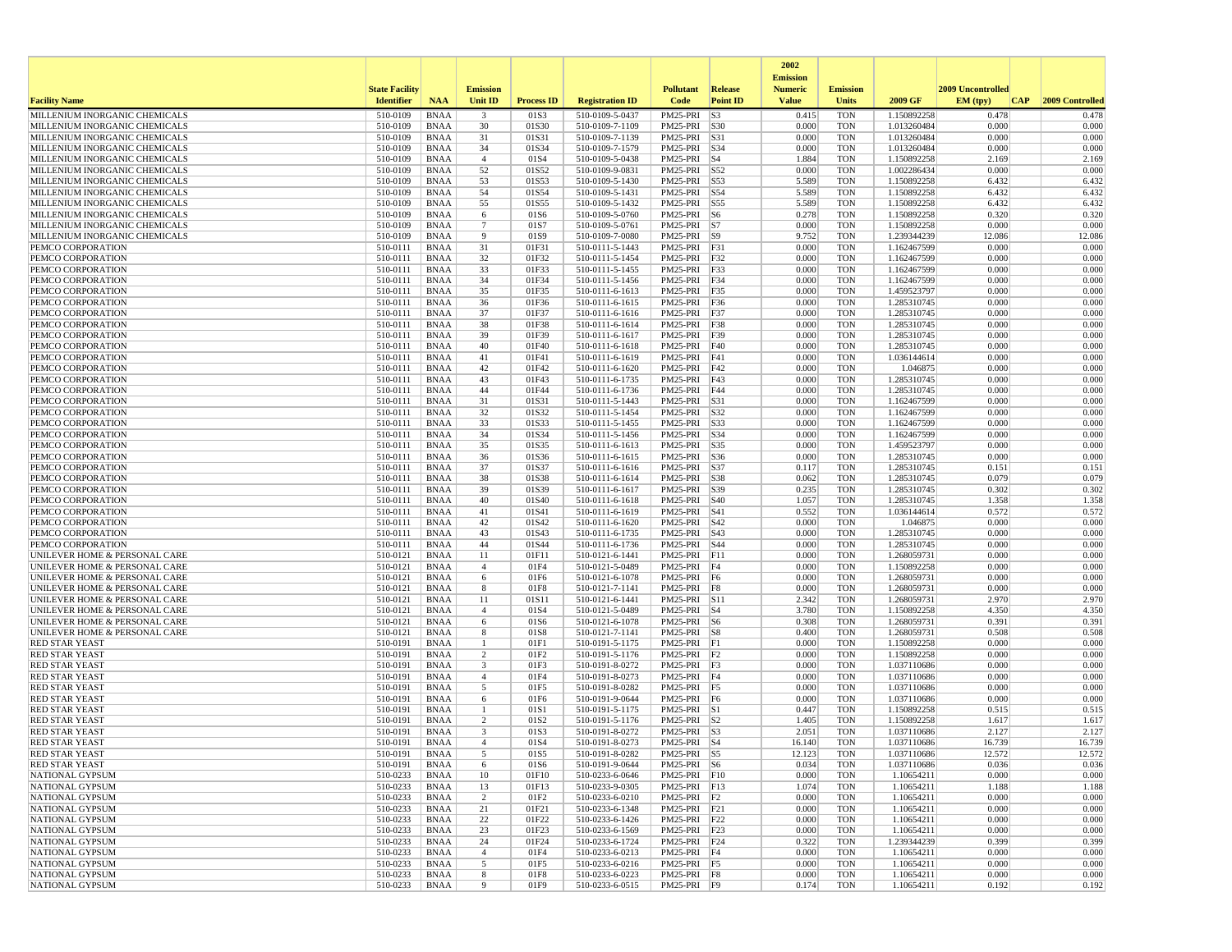|                                                                |                        |                            |                         |                   |                                    |                              |                    | 2002                              |                          |                            |                   |                 |
|----------------------------------------------------------------|------------------------|----------------------------|-------------------------|-------------------|------------------------------------|------------------------------|--------------------|-----------------------------------|--------------------------|----------------------------|-------------------|-----------------|
|                                                                | <b>State Facility</b>  |                            | <b>Emission</b>         |                   |                                    | <b>Pollutant</b>             | Release            | <b>Emission</b><br><b>Numeric</b> | <b>Emission</b>          |                            | 2009 Uncontrolled |                 |
| <b>Facility Name</b>                                           | <b>Identifier</b>      | <b>NAA</b>                 | Unit ID                 | <b>Process ID</b> | <b>Registration ID</b>             | Code                         | <b>Point ID</b>    | <b>Value</b>                      | <b>Units</b>             | 2009 GF                    | EM (typ)<br> CAP  | 2009 Controlled |
| MILLENIUM INORGANIC CHEMICALS                                  | 510-0109               | <b>BNAA</b>                | $\overline{\mathbf{3}}$ | 01S3              | 510-0109-5-0437                    | PM25-PRI                     | S3                 | 0.415                             | <b>TON</b>               | 1.150892258                | 0.478             | 0.478           |
| MILLENIUM INORGANIC CHEMICALS                                  | 510-0109               | <b>BNAA</b>                | 30                      | 01S30             | 510-0109-7-1109                    | PM25-PRI S30                 |                    | 0.000                             | <b>TON</b>               | 1.013260484                | 0.000             | 0.000           |
| MILLENIUM INORGANIC CHEMICALS<br>MILLENIUM INORGANIC CHEMICALS | 510-0109<br>510-0109   | <b>BNAA</b><br><b>BNAA</b> | 31<br>34                | 01S31<br>01S34    | 510-0109-7-1139<br>510-0109-7-1579 | PM25-PRI<br>PM25-PRI S34     | S31                | 0.000<br>0.000                    | <b>TON</b><br><b>TON</b> | 1.013260484<br>1.013260484 | 0.000<br>0.000    | 0.000<br>0.000  |
| MILLENIUM INORGANIC CHEMICALS                                  | 510-0109               | <b>BNAA</b>                | $\overline{4}$          | 01S4              | 510-0109-5-0438                    | PM25-PRI S4                  |                    | 1.884                             | <b>TON</b>               | 1.150892258                | 2.169             | 2.169           |
| MILLENIUM INORGANIC CHEMICALS                                  | 510-0109               | <b>BNAA</b>                | 52                      | 01S52             | 510-0109-9-0831                    | PM25-PRI                     | S52                | 0.000                             | <b>TON</b>               | 1.002286434                | 0.000             | 0.000           |
| MILLENIUM INORGANIC CHEMICALS                                  | 510-0109               | <b>BNAA</b>                | 53                      | 01S53             | 510-0109-5-1430                    | PM25-PRI                     | S53                | 5.589                             | <b>TON</b>               | 1.150892258                | 6.432             | 6.432           |
| MILLENIUM INORGANIC CHEMICALS                                  | 510-0109               | <b>BNAA</b>                | 54<br>55                | 01S54             | 510-0109-5-1431                    | PM25-PRI S54                 |                    | 5.589                             | <b>TON</b><br><b>TON</b> | 1.150892258                | 6.432             | 6.432           |
| MILLENIUM INORGANIC CHEMICALS<br>MILLENIUM INORGANIC CHEMICALS | 510-0109<br>510-0109   | <b>BNAA</b><br><b>BNAA</b> | 6                       | 01S55<br>01S6     | 510-0109-5-1432<br>510-0109-5-0760 | PM25-PRI<br>PM25-PRI S6      | S55                | 5.589<br>0.278                    | <b>TON</b>               | 1.150892258<br>1.150892258 | 6.432<br>0.320    | 6.432<br>0.320  |
| MILLENIUM INORGANIC CHEMICALS                                  | 510-0109               | <b>BNAA</b>                | $7\phantom{.0}$         | 01S7              | 510-0109-5-0761                    | PM25-PRI                     | S7                 | 0.000                             | <b>TON</b>               | 1.150892258                | 0.000             | 0.000           |
| MILLENIUM INORGANIC CHEMICALS                                  | 510-0109               | <b>BNAA</b>                | 9                       | 01S9              | 510-0109-7-0080                    | PM25-PRI S9                  |                    | 9.752                             | <b>TON</b>               | 1.239344239                | 12.086            | 12.086          |
| PEMCO CORPORATION                                              | 510-0111               | <b>BNAA</b>                | 31                      | 01F31             | 510-0111-5-1443                    | PM25-PRI F31                 |                    | 0.000                             | <b>TON</b>               | 1.162467599                | 0.000             | 0.000           |
| PEMCO CORPORATION<br>PEMCO CORPORATION                         | 510-0111<br>510-0111   | <b>BNAA</b><br><b>BNAA</b> | 32<br>33                | 01F32<br>01F33    | 510-0111-5-1454<br>510-0111-5-1455 | PM25-PRI<br>PM25-PRI F33     | F32                | 0.000<br>0.000                    | <b>TON</b><br><b>TON</b> | 1.162467599<br>1.162467599 | 0.000<br>0.000    | 0.000<br>0.000  |
| PEMCO CORPORATION                                              | 510-0111               | <b>BNAA</b>                | 34                      | 01F34             | 510-0111-5-1456                    | PM25-PRI F34                 |                    | 0.000                             | <b>TON</b>               | 1.162467599                | 0.000             | 0.000           |
| PEMCO CORPORATION                                              | 510-0111               | <b>BNAA</b>                | 35                      | 01F35             | 510-0111-6-1613                    | PM25-PRI F35                 |                    | 0.000                             | <b>TON</b>               | 1.459523797                | 0.000             | 0.000           |
| PEMCO CORPORATION                                              | 510-0111               | <b>BNAA</b>                | 36                      | 01F36             | 510-0111-6-1615                    | PM25-PRI F36                 |                    | 0.000                             | <b>TON</b>               | 1.285310745                | 0.000             | 0.000           |
| PEMCO CORPORATION                                              | 510-0111               | <b>BNAA</b>                | 37                      | 01F37             | 510-0111-6-1616                    | PM25-PRI F37                 |                    | 0.000                             | <b>TON</b>               | 1.285310745                | 0.000             | 0.000           |
| PEMCO CORPORATION<br>PEMCO CORPORATION                         | 510-0111<br>510-0111   | <b>BNAA</b><br><b>BNAA</b> | 38<br>39                | 01F38<br>01F39    | 510-0111-6-1614<br>510-0111-6-1617 | PM25-PRI<br>PM25-PRI F39     | F38                | 0.000<br>0.000                    | <b>TON</b><br><b>TON</b> | 1.285310745<br>1.285310745 | 0.000<br>0.000    | 0.000<br>0.000  |
| PEMCO CORPORATION                                              | 510-0111               | <b>BNAA</b>                | 40                      | 01F40             | 510-0111-6-1618                    | PM25-PRI F40                 |                    | 0.000                             | <b>TON</b>               | 1.285310745                | 0.000             | 0.000           |
| PEMCO CORPORATION                                              | 510-0111               | <b>BNAA</b>                | 41                      | 01F41             | 510-0111-6-1619                    | PM25-PRI F41                 |                    | 0.000                             | <b>TON</b>               | 1.036144614                | 0.000             | 0.000           |
| PEMCO CORPORATION                                              | 510-0111               | <b>BNAA</b>                | 42                      | 01F42             | 510-0111-6-1620                    | PM25-PRI F42                 |                    | 0.000                             | <b>TON</b>               | 1.046875                   | 0.000             | 0.000           |
| PEMCO CORPORATION                                              | 510-0111               | <b>BNAA</b>                | 43                      | 01F43             | 510-0111-6-1735                    | PM25-PRI                     | F43                | 0.000                             | <b>TON</b>               | 1.285310745                | 0.000             | 0.000           |
| PEMCO CORPORATION<br>PEMCO CORPORATION                         | 510-0111<br>510-0111   | <b>BNAA</b><br><b>BNAA</b> | 44<br>31                | 01F44<br>01S31    | 510-0111-6-1736<br>510-0111-5-1443 | PM25-PRI<br>PM25-PRI         | F44<br>S31         | 0.000<br>0.000                    | <b>TON</b><br><b>TON</b> | 1.285310745<br>1.162467599 | 0.000<br>0.000    | 0.000<br>0.000  |
| PEMCO CORPORATION                                              | 510-0111               | <b>BNAA</b>                | 32                      | 01S32             | 510-0111-5-1454                    | PM25-PRI S32                 |                    | 0.000                             | <b>TON</b>               | 1.162467599                | 0.000             | 0.000           |
| PEMCO CORPORATION                                              | 510-0111               | <b>BNAA</b>                | 33                      | 01S33             | 510-0111-5-1455                    | PM25-PRI S33                 |                    | 0.000                             | <b>TON</b>               | 1.162467599                | 0.000             | 0.000           |
| PEMCO CORPORATION                                              | 510-0111               | <b>BNAA</b>                | 34                      | 01S34             | 510-0111-5-1456                    | PM25-PRI                     | S34                | 0.000                             | <b>TON</b>               | 1.162467599                | 0.000             | 0.000           |
| PEMCO CORPORATION<br>PEMCO CORPORATION                         | 510-0111<br>510-0111   | <b>BNAA</b><br><b>BNAA</b> | 35<br>36                | 01S35<br>01S36    | 510-0111-6-1613<br>510-0111-6-1615 | PM25-PRI<br>PM25-PRI         | S35<br>S36         | 0.000<br>0.000                    | <b>TON</b><br><b>TON</b> | 1.459523797<br>1.285310745 | 0.000<br>0.000    | 0.000<br>0.000  |
| PEMCO CORPORATION                                              | 510-0111               | <b>BNAA</b>                | 37                      | 01S37             | 510-0111-6-1616                    | PM25-PRI                     | <b>S37</b>         | 0.117                             | <b>TON</b>               | 1.285310745                | 0.151             | 0.151           |
| PEMCO CORPORATION                                              | 510-0111               | <b>BNAA</b>                | 38                      | 01S38             | 510-0111-6-1614                    | PM25-PRI S38                 |                    | 0.062                             | <b>TON</b>               | 1.285310745                | 0.079             | 0.079           |
| PEMCO CORPORATION                                              | 510-0111               | <b>BNAA</b>                | 39                      | 01S39             | 510-0111-6-1617                    | PM25-PRI S39                 |                    | 0.235                             | <b>TON</b>               | 1.285310745                | 0.302             | 0.302           |
| PEMCO CORPORATION                                              | 510-0111               | <b>BNAA</b>                | 40                      | 01S40             | 510-0111-6-1618                    | PM25-PRI                     | <b>S40</b>         | 1.057                             | <b>TON</b>               | 1.285310745                | 1.358             | 1.358           |
| PEMCO CORPORATION<br>PEMCO CORPORATION                         | 510-0111<br>510-0111   | <b>BNAA</b><br><b>BNAA</b> | 41<br>42                | 01S41<br>01S42    | 510-0111-6-1619<br>510-0111-6-1620 | PM25-PRI<br>PM25-PRI S42     | <b>S41</b>         | 0.552<br>0.000                    | <b>TON</b><br><b>TON</b> | 1.036144614<br>1.046875    | 0.572<br>0.000    | 0.572<br>0.000  |
| PEMCO CORPORATION                                              | 510-0111               | <b>BNAA</b>                | 43                      | 01S43             | 510-0111-6-1735                    | PM25-PRI                     | S43                | 0.000                             | <b>TON</b>               | 1.285310745                | 0.000             | 0.000           |
| PEMCO CORPORATION                                              | 510-0111               | <b>BNAA</b>                | 44                      | 01S44             | 510-0111-6-1736                    | PM25-PRI S44                 |                    | 0.000                             | TON                      | 1.285310745                | 0.000             | 0.000           |
| UNILEVER HOME & PERSONAL CARE                                  | 510-0121               | <b>BNAA</b>                | 11                      | 01F11             | 510-0121-6-1441                    | $PM25-PRI$ F11               |                    | 0.000                             | <b>TON</b>               | 1.268059731                | 0.000             | 0.000           |
| UNILEVER HOME & PERSONAL CARE<br>UNILEVER HOME & PERSONAL CARE | 510-0121<br>510-0121   | <b>BNAA</b><br><b>BNAA</b> | $\overline{4}$<br>6     | 01F4<br>01F6      | 510-0121-5-0489<br>510-0121-6-1078 | PM25-PRI<br>PM25-PRI F6      | F <sub>4</sub>     | 0.000<br>0.000                    | <b>TON</b><br><b>TON</b> | 1.150892258<br>1.268059731 | 0.000<br>0.000    | 0.000<br>0.000  |
| UNILEVER HOME & PERSONAL CARE                                  | 510-0121               | <b>BNAA</b>                | 8                       | 01F8              | 510-0121-7-1141                    | PM25-PRI F8                  |                    | 0.000                             | <b>TON</b>               | 1.268059731                | 0.000             | 0.000           |
| UNILEVER HOME & PERSONAL CARE                                  | 510-0121               | <b>BNAA</b>                | 11                      | 01S11             | 510-0121-6-1441                    | PM25-PRI S11                 |                    | 2.342                             | <b>TON</b>               | 1.268059731                | 2.970             | 2.970           |
| UNILEVER HOME & PERSONAL CARE                                  | 510-0121               | <b>BNAA</b>                | $\overline{4}$          | 01S4              | 510-0121-5-0489                    | PM25-PRI S4                  |                    | 3.780                             | <b>TON</b>               | 1.150892258                | 4.350             | 4.350           |
| UNILEVER HOME & PERSONAL CARE                                  | 510-0121               | <b>BNAA</b>                | 6                       | 01S6              | 510-0121-6-1078                    | PM25-PRI                     | $\sqrt{\text{S6}}$ | 0.308                             | <b>TON</b>               | 1.268059731                | 0.391             | 0.391           |
| UNILEVER HOME & PERSONAL CARE<br><b>RED STAR YEAST</b>         | 510-0121<br>510-0191   | <b>BNAA</b><br><b>BNAA</b> | 8<br>1                  | 01S8<br>01F1      | 510-0121-7-1141<br>510-0191-5-1175 | PM25-PRI<br>PM25-PRI F1      | S8                 | 0.400<br>0.000                    | <b>TON</b><br><b>TON</b> | 1.268059731<br>1.150892258 | 0.508<br>0.000    | 0.508<br>0.000  |
| <b>RED STAR YEAST</b>                                          | 510-0191               | <b>BNAA</b>                | 2                       | 01F <sub>2</sub>  | 510-0191-5-1176                    | $PM25-PRI$ $ F2$             |                    | 0.000                             | <b>TON</b>               | 1.150892258                | 0.000             | 0.000           |
| <b>RED STAR YEAST</b>                                          | 510-0191               | <b>BNAA</b>                | 3                       | 01F3              | 510-0191-8-0272                    | PM25-PRI F3                  |                    | 0.000                             | <b>TON</b>               | 1.037110686                | 0.000             | 0.000           |
| <b>RED STAR YEAST</b>                                          | 510-0191               | <b>BNAA</b>                | $\overline{4}$          | 01F4              | 510-0191-8-0273                    | PM25-PRI F4                  |                    | 0.000                             | <b>TON</b>               | 1.037110686                | 0.000             | 0.000           |
| <b>RED STAR YEAST</b><br><b>RED STAR YEAST</b>                 | 510-0191<br>510-0191   | <b>BNAA</b><br><b>BNAA</b> | 5                       | 01F5<br>01F6      | 510-0191-8-0282<br>510-0191-9-0644 | PM25-PRI F5<br>PM25-PRI F6   |                    | 0.000<br>0.000                    | <b>TON</b><br><b>TON</b> | 1.037110686<br>1.037110686 | 0.000<br>0.000    | 0.000<br>0.000  |
| <b>RED STAR YEAST</b>                                          | 510-0191               | <b>BNAA</b>                | 6<br>1                  | 01S1              | 510-0191-5-1175                    | PM25-PRI S1                  |                    | 0.447                             | <b>TON</b>               | 1.150892258                | 0.515             | 0.515           |
| <b>RED STAR YEAST</b>                                          | 510-0191               | <b>BNAA</b>                | 2                       | 01S2              | 510-0191-5-1176                    | PM25-PRI S2                  |                    | 1.405                             | <b>TON</b>               | 1.150892258                | 1.617             | 1.617           |
| <b>RED STAR YEAST</b>                                          | 510-0191               | <b>BNAA</b>                | 3                       | 01S3              | 510-0191-8-0272                    | $PM25-PRI$ S3                |                    | 2.051                             | <b>TON</b>               | 1.037110686                | 2.127             | 2.127           |
| <b>RED STAR YEAST</b>                                          | 510-0191               | <b>BNAA</b>                | $\overline{4}$          | 01S4              | 510-0191-8-0273                    | PM25-PRI S4                  |                    | 16.140                            | <b>TON</b>               | 1.037110686                | 16.739            | 16.739          |
| <b>RED STAR YEAST</b><br><b>RED STAR YEAST</b>                 | 510-0191<br>$510-0191$ | <b>BNAA</b><br>BNAA        | 6                       | 01S5<br>01S6      | 510-0191-8-0282<br>510-0191-9-0644 | PM25-PRI S5<br>PM25-PRI S6   |                    | 12.123<br>0.034                   | TON<br><b>TON</b>        | 1.037110686<br>1.037110686 | 12.572<br>0.036   | 12.572<br>0.036 |
| NATIONAL GYPSUM                                                | 510-0233               | BNAA                       | 10                      | 01F10             | 510-0233-6-0646                    | PM25-PRI F10                 |                    | 0.000                             | <b>TON</b>               | 1.10654211                 | 0.000             | 0.000           |
| NATIONAL GYPSUM                                                | 510-0233               | BNAA                       | 13                      | 01F13             | 510-0233-9-0305                    | PM25-PRI F13                 |                    | 1.074                             | TON                      | 1.10654211                 | 1.188             | 1.188           |
| NATIONAL GYPSUM                                                | 510-0233               | <b>BNAA</b>                | 2                       | 01F2              | 510-0233-6-0210                    | $PM25-PRI$ $F2$              |                    | 0.000                             | <b>TON</b>               | 1.10654211                 | 0.000             | 0.000           |
| NATIONAL GYPSUM                                                | 510-0233               | <b>BNAA</b>                | 21                      | 01F21             | 510-0233-6-1348                    | PM25-PRI F21                 |                    | 0.000                             | <b>TON</b>               | 1.10654211                 | 0.000             | 0.000           |
| NATIONAL GYPSUM<br>NATIONAL GYPSUM                             | 510-0233<br>510-0233   | <b>BNAA</b><br>BNAA        | 22<br>23                | 01F22<br>01F23    | 510-0233-6-1426<br>510-0233-6-1569 | PM25-PRI F22<br>PM25-PRI F23 |                    | 0.000<br>0.000                    | <b>TON</b><br><b>TON</b> | 1.10654211<br>1.10654211   | 0.000<br>0.000    | 0.000<br>0.000  |
| NATIONAL GYPSUM                                                | 510-0233               | BNAA                       | 24                      | 01F24             | 510-0233-6-1724                    | PM25-PRI F24                 |                    | 0.322                             | <b>TON</b>               | 1.239344239                | 0.399             | 0.399           |
| NATIONAL GYPSUM                                                | 510-0233               | BNAA                       | $\overline{4}$          | 01F4              | 510-0233-6-0213                    | PM25-PRI F4                  |                    | 0.000                             | <b>TON</b>               | 1.10654211                 | 0.000             | 0.000           |
| NATIONAL GYPSUM                                                | 510-0233               | <b>BNAA</b>                | 5                       | 01F5              | 510-0233-6-0216                    | PM25-PRI   F5                |                    | 0.000                             | <b>TON</b>               | 1.10654211                 | 0.000             | 0.000           |
| NATIONAL GYPSUM                                                | 510-0233               | BNAA                       | 8                       | 01F8              | 510-0233-6-0223                    | PM25-PRI F8                  |                    | 0.000                             | <b>TON</b>               | 1.10654211                 | 0.000             | 0.000<br>0.192  |
| NATIONAL GYPSUM                                                | 510-0233               | <b>BNAA</b>                | 9                       | 01F9              | 510-0233-6-0515                    | PM25-PRI F9                  |                    | 0.174                             | <b>TON</b>               | 1.10654211                 | 0.192             |                 |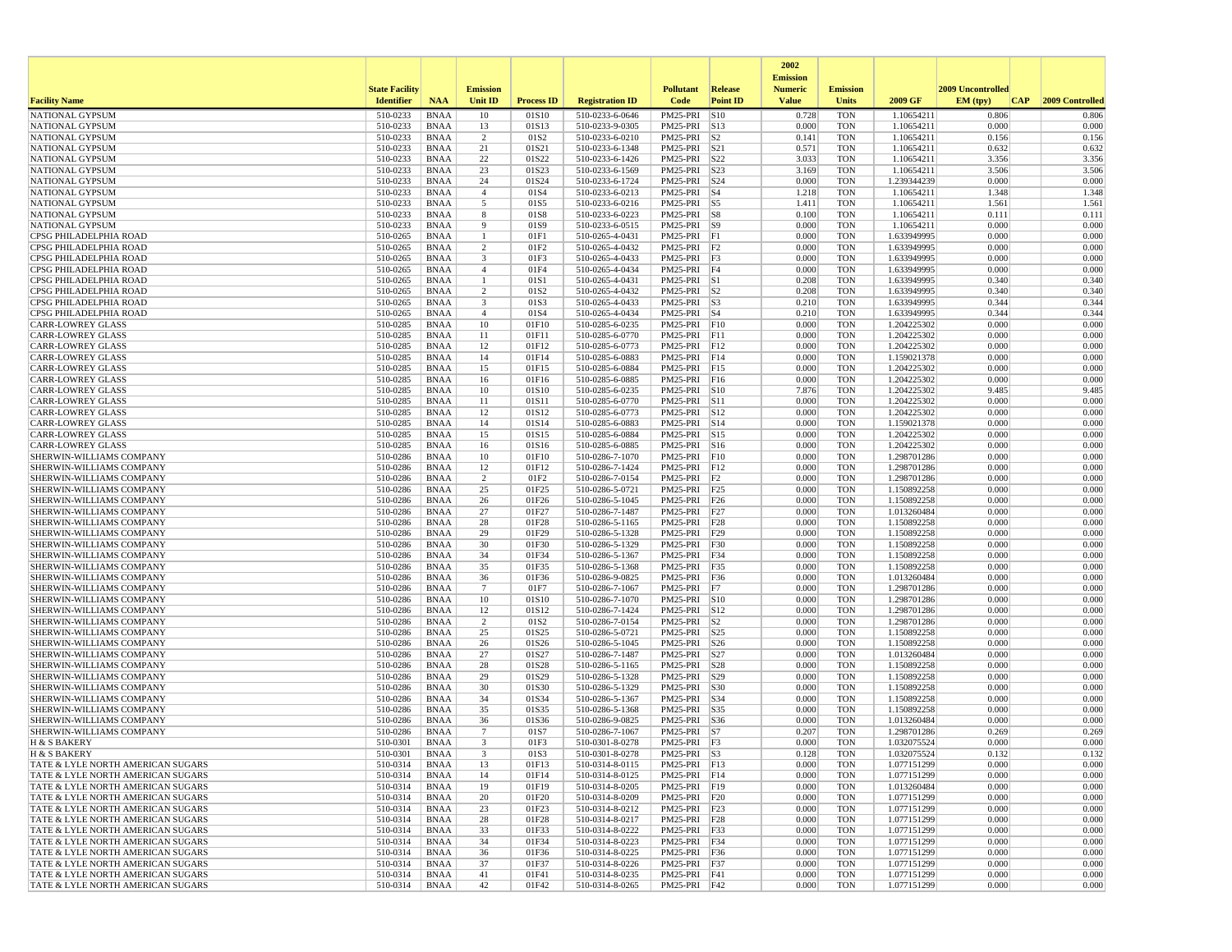|                                                                        |                       |                            |                      |                           |                                    |                                  |                 | 2002                              |                          |                            |                   |                 |
|------------------------------------------------------------------------|-----------------------|----------------------------|----------------------|---------------------------|------------------------------------|----------------------------------|-----------------|-----------------------------------|--------------------------|----------------------------|-------------------|-----------------|
|                                                                        | <b>State Facility</b> |                            | <b>Emission</b>      |                           |                                    | <b>Pollutant</b>                 | <b>Release</b>  | <b>Emission</b><br><b>Numeric</b> | <b>Emission</b>          |                            | 2009 Uncontrolled |                 |
| <b>Facility Name</b>                                                   | <b>Identifier</b>     | <b>NAA</b>                 | Unit ID              | <b>Process ID</b>         | <b>Registration ID</b>             | Code                             | <b>Point ID</b> | <b>Value</b>                      | <b>Units</b>             | 2009 GF                    | EM (typ)<br> CAP  | 2009 Controlled |
| NATIONAL GYPSUM                                                        | 510-0233              | <b>BNAA</b>                | 10                   | 01S10                     | 510-0233-6-0646                    | PM25-PRI S10                     |                 | 0.728                             | <b>TON</b>               | 1.10654211                 | 0.806             | 0.806           |
| NATIONAL GYPSUM                                                        | 510-0233              | BNAA                       | 13                   | 01S13                     | 510-0233-9-0305                    | PM25-PRI S13                     |                 | 0.000                             | <b>TON</b>               | 1.10654211                 | 0.000             | 0.000           |
| NATIONAL GYPSUM<br><b>NATIONAL GYPSUM</b>                              | 510-0233<br>510-0233  | <b>BNAA</b><br>BNAA        | $\overline{2}$<br>21 | 01S <sub>2</sub><br>01S21 | 510-0233-6-0210<br>510-0233-6-1348 | PM25-PRI<br>PM25-PRI S21         | S <sub>2</sub>  | 0.141<br>0.571                    | <b>TON</b><br><b>TON</b> | 1.10654211<br>1.10654211   | 0.156<br>0.632    | 0.156<br>0.632  |
| NATIONAL GYPSUM                                                        | 510-0233              | <b>BNAA</b>                | 22                   | 01S22                     | 510-0233-6-1426                    | PM25-PRI S22                     |                 | 3.033                             | <b>TON</b>               | 1.10654211                 | 3.356             | 3.356           |
| NATIONAL GYPSUM                                                        | 510-0233              | <b>BNAA</b>                | 23                   | 01S23                     | 510-0233-6-1569                    | PM25-PRI S23                     |                 | 3.169                             | <b>TON</b>               | 1.10654211                 | 3.506             | 3.506           |
| <b>NATIONAL GYPSUM</b>                                                 | 510-0233              | BNAA                       | 24                   | 01S24                     | 510-0233-6-1724                    | PM25-PRI S24                     |                 | 0.000                             | <b>TON</b>               | 1.239344239                | 0.000             | 0.000           |
| NATIONAL GYPSUM                                                        | 510-0233              | <b>BNAA</b>                | $\overline{4}$       | 01S4                      | 510-0233-6-0213                    | $PM25-PRI$ S4                    |                 | 1.218                             | <b>TON</b>               | 1.10654211                 | 1.348             | 1.348           |
| NATIONAL GYPSUM<br><b>NATIONAL GYPSUM</b>                              | 510-0233<br>510-0233  | <b>BNAA</b><br><b>BNAA</b> | 5                    | 01S5<br>01S8              | 510-0233-6-0216                    | PM25-PRI S5<br>PM25-PRI S8       |                 | 1.411<br>0.100                    | <b>TON</b><br><b>TON</b> | 1.10654211<br>1.10654211   | 1.561<br>0.111    | 1.561<br>0.111  |
| NATIONAL GYPSUM                                                        | 510-0233              | BNAA                       | 8<br>9               | 01S9                      | 510-0233-6-0223<br>510-0233-6-0515 | PM25-PRI S9                      |                 | 0.000                             | <b>TON</b>               | 1.10654211                 | 0.000             | 0.000           |
| CPSG PHILADELPHIA ROAD                                                 | 510-0265              | <b>BNAA</b>                | $\mathbf{1}$         | 01F1                      | 510-0265-4-0431                    | PM25-PRI F1                      |                 | 0.000                             | <b>TON</b>               | 1.633949995                | 0.000             | 0.000           |
| CPSG PHILADELPHIA ROAD                                                 | 510-0265              | <b>BNAA</b>                | $\overline{2}$       | 01F2                      | 510-0265-4-0432                    | $PM25-PRI$ $ F2$                 |                 | 0.000                             | <b>TON</b>               | 1.633949995                | 0.000             | 0.000           |
| CPSG PHILADELPHIA ROAD                                                 | 510-0265              | <b>BNAA</b>                | 3                    | 01F3                      | 510-0265-4-0433                    | $PM25-PRI$ $F3$                  |                 | 0.000                             | <b>TON</b>               | 1.633949995                | 0.000             | 0.000           |
| CPSG PHILADELPHIA ROAD<br>CPSG PHILADELPHIA ROAD                       | 510-0265<br>510-0265  | BNAA                       | $\overline{4}$<br>-1 | 01F4<br>01S1              | 510-0265-4-0434<br>510-0265-4-0431 | PM25-PRI F4<br>PM25-PRI S1       |                 | 0.000<br>0.208                    | <b>TON</b><br><b>TON</b> | 1.633949995<br>1.633949995 | 0.000<br>0.340    | 0.000<br>0.340  |
| CPSG PHILADELPHIA ROAD                                                 | 510-0265              | BNAA<br><b>BNAA</b>        | $\overline{2}$       | 01S <sub>2</sub>          | 510-0265-4-0432                    | $PM25-PRI$ $ S2$                 |                 | 0.208                             | <b>TON</b>               | 1.633949995                | 0.340             | 0.340           |
| CPSG PHILADELPHIA ROAD                                                 | 510-0265              | BNAA                       | 3                    | 01S3                      | 510-0265-4-0433                    | PM25-PRI S3                      |                 | 0.210                             | <b>TON</b>               | 1.633949995                | 0.344             | 0.344           |
| CPSG PHILADELPHIA ROAD                                                 | 510-0265              | <b>BNAA</b>                | $\overline{4}$       | 01S4                      | 510-0265-4-0434                    | $PM25-PRI$ S4                    |                 | 0.210                             | <b>TON</b>               | 1.633949995                | 0.344             | 0.344           |
| <b>CARR-LOWREY GLASS</b>                                               | 510-0285              | <b>BNAA</b>                | 10                   | 01F10                     | 510-0285-6-0235                    | PM25-PRI                         | F10             | 0.000                             | <b>TON</b>               | 1.204225302                | 0.000             | 0.000           |
| <b>CARR-LOWREY GLASS</b>                                               | 510-0285              | <b>BNAA</b>                | 11                   | 01F11                     | 510-0285-6-0770                    | PM25-PRI F11                     |                 | 0.000                             | <b>TON</b>               | 1.204225302                | 0.000             | 0.000           |
| <b>CARR-LOWREY GLASS</b><br><b>CARR-LOWREY GLASS</b>                   | 510-0285<br>510-0285  | BNAA<br><b>BNAA</b>        | 12<br>14             | 01F12<br>01F14            | 510-0285-6-0773<br>510-0285-6-0883 | PM25-PRI F12<br>PM25-PRI F14     |                 | 0.000<br>0.000                    | <b>TON</b><br><b>TON</b> | 1.204225302<br>1.159021378 | 0.000<br>0.000    | 0.000<br>0.000  |
| <b>CARR-LOWREY GLASS</b>                                               | 510-0285              | <b>BNAA</b>                | 15                   | 01F15                     | 510-0285-6-0884                    | PM25-PRI F15                     |                 | 0.000                             | <b>TON</b>               | 1.204225302                | 0.000             | 0.000           |
| <b>CARR-LOWREY GLASS</b>                                               | 510-0285              | BNAA                       | 16                   | 01F16                     | 510-0285-6-0885                    | PM25-PRI F16                     |                 | 0.000                             | <b>TON</b>               | 1.204225302                | 0.000             | 0.000           |
| <b>CARR-LOWREY GLASS</b>                                               | 510-0285              | <b>BNAA</b>                | 10                   | 01S10                     | 510-0285-6-0235                    | PM25-PRI S10                     |                 | 7.876                             | <b>TON</b>               | 1.204225302                | 9.485             | 9.485           |
| <b>CARR-LOWREY GLASS</b>                                               | 510-0285              | <b>BNAA</b>                | 11                   | 01S11                     | 510-0285-6-0770                    | PM25-PRI S11                     |                 | 0.000                             | <b>TON</b>               | 1.204225302                | 0.000             | 0.000           |
| <b>CARR-LOWREY GLASS</b><br><b>CARR-LOWREY GLASS</b>                   | 510-0285<br>510-0285  | <b>BNAA</b><br>BNAA        | 12<br>14             | 01S12<br>01S14            | 510-0285-6-0773<br>510-0285-6-0883 | PM25-PRI S12<br>PM25-PRI S14     |                 | 0.000<br>0.000                    | <b>TON</b><br><b>TON</b> | 1.204225302<br>1.159021378 | 0.000<br>0.000    | 0.000<br>0.000  |
| <b>CARR-LOWREY GLASS</b>                                               | 510-0285              | <b>BNAA</b>                | 15                   | 01S15                     | 510-0285-6-0884                    | PM25-PRI S15                     |                 | 0.000                             | <b>TON</b>               | 1.204225302                | 0.000             | 0.000           |
| <b>CARR-LOWREY GLASS</b>                                               | 510-0285              | <b>BNAA</b>                | 16                   | 01S16                     | 510-0285-6-0885                    | PM25-PRI                         | S <sub>16</sub> | 0.000                             | <b>TON</b>               | 1.204225302                | 0.000             | 0.000           |
| SHERWIN-WILLIAMS COMPANY                                               | 510-0286              | BNAA                       | 10                   | 01F10                     | 510-0286-7-1070                    | PM25-PRI                         | F10             | 0.000                             | <b>TON</b>               | 1.298701286                | 0.000             | 0.000           |
| SHERWIN-WILLIAMS COMPANY                                               | 510-0286              | <b>BNAA</b>                | 12                   | 01F12                     | 510-0286-7-1424                    | PM25-PRI F12                     |                 | 0.000                             | <b>TON</b>               | 1.298701286                | 0.000             | 0.000           |
| SHERWIN-WILLIAMS COMPANY<br>SHERWIN-WILLIAMS COMPANY                   | 510-0286<br>510-0286  | <b>BNAA</b><br>BNAA        | $\overline{c}$<br>25 | 01F2<br>01F25             | 510-0286-7-0154<br>510-0286-5-0721 | $PM25-PRI$ $F2$<br>PM25-PRI F25  |                 | 0.000<br>0.000                    | <b>TON</b><br><b>TON</b> | 1.298701286<br>1.150892258 | 0.000<br>0.000    | 0.000<br>0.000  |
| SHERWIN-WILLIAMS COMPANY                                               | 510-0286              | BNAA                       | 26                   | 01F26                     | 510-0286-5-1045                    | PM25-PRI F26                     |                 | 0.000                             | <b>TON</b>               | 1.150892258                | 0.000             | 0.000           |
| SHERWIN-WILLIAMS COMPANY                                               | 510-0286              | <b>BNAA</b>                | 27                   | 01F27                     | 510-0286-7-1487                    | PM25-PRI                         | F27             | 0.000                             | <b>TON</b>               | 1.013260484                | 0.000             | 0.000           |
| SHERWIN-WILLIAMS COMPANY                                               | 510-0286              | <b>BNAA</b>                | 28                   | 01F28                     | 510-0286-5-1165                    | PM25-PRI F28                     |                 | 0.000                             | <b>TON</b>               | 1.150892258                | 0.000             | 0.000           |
| SHERWIN-WILLIAMS COMPANY                                               | 510-0286              | <b>BNAA</b>                | 29                   | 01F29                     | 510-0286-5-1328                    | PM25-PRI F29                     |                 | 0.000                             | <b>TON</b>               | 1.150892258                | 0.000             | 0.000           |
| SHERWIN-WILLIAMS COMPANY<br>SHERWIN-WILLIAMS COMPANY                   | 510-0286<br>510-0286  | BNAA<br>BNAA               | 30<br>34             | 01F30<br>01F34            | 510-0286-5-1329<br>510-0286-5-1367 | PM25-PRI F30<br>PM25-PRI F34     |                 | 0.000<br>0.000                    | <b>TON</b><br><b>TON</b> | 1.150892258<br>1.150892258 | 0.000<br>0.000    | 0.000<br>0.000  |
| SHERWIN-WILLIAMS COMPANY                                               | 510-0286              | <b>BNAA</b>                | 35                   | 01F35                     | 510-0286-5-1368                    | PM25-PRI                         | F35             | 0.000                             | <b>TON</b>               | 1.150892258                | 0.000             | 0.000           |
| SHERWIN-WILLIAMS COMPANY                                               | 510-0286              | BNAA                       | 36                   | 01F36                     | 510-0286-9-0825                    | PM25-PRI F36                     |                 | 0.000                             | <b>TON</b>               | 1.013260484                | 0.000             | 0.000           |
| SHERWIN-WILLIAMS COMPANY                                               | 510-0286              | <b>BNAA</b>                | -7                   | 01F7                      | 510-0286-7-1067                    | PM25-PRI F7                      |                 | 0.000                             | <b>TON</b>               | 1.298701286                | 0.000             | 0.000           |
| SHERWIN-WILLIAMS COMPANY                                               | 510-0286              | <b>BNAA</b>                | 10                   | 01S10                     | 510-0286-7-1070                    | PM25-PRI S10                     |                 | 0.000                             | <b>TON</b>               | 1.298701286                | 0.000             | 0.000           |
| SHERWIN-WILLIAMS COMPANY<br>SHERWIN-WILLIAMS COMPANY                   | 510-0286<br>510-0286  | <b>BNAA</b><br>BNAA        | 12<br>$\overline{2}$ | 01S12<br>01S <sub>2</sub> | 510-0286-7-1424<br>510-0286-7-0154 | PM25-PRI S12<br>$PM25-PRI$ $ S2$ |                 | 0.000<br>0.000                    | <b>TON</b><br><b>TON</b> | 1.298701286<br>1.298701286 | 0.000<br>0.000    | 0.000<br>0.000  |
| SHERWIN-WILLIAMS COMPANY                                               | 510-0286              | <b>BNAA</b>                | 25                   | 01S25                     | 510-0286-5-0721                    | PM25-PRI                         | S25             | 0.000                             | <b>TON</b>               | 1.150892258                | 0.000             | 0.000           |
| SHERWIN-WILLIAMS COMPANY                                               | 510-0286              | <b>BNAA</b>                | 26                   | 01S26                     | 510-0286-5-1045                    | PM25-PRI S26                     |                 | 0.000                             | <b>TON</b>               | 1.150892258                | 0.000             | 0.000           |
| SHERWIN-WILLIAMS COMPANY                                               | 510-0286              | BNAA                       | 27                   | 01S27                     | 510-0286-7-1487                    | PM25-PRI S27                     |                 | 0.000                             | <b>TON</b>               | 1.013260484                | 0.000             | 0.000           |
| SHERWIN-WILLIAMS COMPANY                                               | 510-0286              | <b>BNAA</b>                | 28                   | 01S28                     | 510-0286-5-1165                    | PM25-PRI S28                     |                 | 0.000                             | <b>TON</b>               | 1.150892258                | 0.000             | 0.000           |
| SHERWIN-WILLIAMS COMPANY<br>SHERWIN-WILLIAMS COMPANY                   | 510-0286<br>510-0286  | <b>BNAA</b><br><b>BNAA</b> | 29<br>30             | 01S29<br>01S30            | 510-0286-5-1328<br>510-0286-5-1329 | PM25-PRI S29<br>PM25-PRI         | S30             | 0.000<br>0.000                    | <b>TON</b><br><b>TON</b> | 1.150892258<br>1.150892258 | 0.000<br>0.000    | 0.000<br>0.000  |
| SHERWIN-WILLIAMS COMPANY                                               | 510-0286              | BNAA                       | 34                   | 01S34                     | 510-0286-5-1367                    | PM25-PRI S34                     |                 | 0.000                             | <b>TON</b>               | 1.150892258                | 0.000             | 0.000           |
| SHERWIN-WILLIAMS COMPANY                                               | 510-0286              | <b>BNAA</b>                | 35                   | 01S35                     | 510-0286-5-1368                    | PM25-PRI S35                     |                 | 0.000                             | <b>TON</b>               | 1.150892258                | 0.000             | 0.000           |
| SHERWIN-WILLIAMS COMPANY                                               | 510-0286              | <b>BNAA</b>                | 36                   | 01S36                     | 510-0286-9-0825                    | PM25-PRI S36                     |                 | 0.000                             | <b>TON</b>               | 1.013260484                | 0.000             | 0.000           |
| SHERWIN-WILLIAMS COMPANY                                               | 510-0286              | <b>BNAA</b>                | 7                    | 01S7                      | 510-0286-7-1067                    | PM25-PRI S7                      |                 | 0.207                             | <b>TON</b>               | 1.298701286                | 0.269             | 0.269           |
| H & S BAKERY<br>H & S BAKERY                                           | 510-0301<br>510-0301  | <b>BNAA</b><br><b>BNAA</b> | 3                    | 01F3<br>01S3              | 510-0301-8-0278<br>510-0301-8-0278 | PM25-PRI F3<br>PM25-PRI S3       |                 | 0.000<br>0.128                    | <b>TON</b><br><b>TON</b> | 1.032075524<br>1.032075524 | 0.000<br>0.132    | 0.000<br>0.132  |
| TATE & LYLE NORTH AMERICAN SUGARS                                      | 510-0314              | BNAA                       | 13                   | 01F13                     | 510-0314-8-0115                    | PM25-PRI F13                     |                 | 0.000                             | <b>TON</b>               | 1.077151299                | 0.000             | 0.000           |
| TATE & LYLE NORTH AMERICAN SUGARS                                      | 510-0314              | BNAA                       | 14                   | 01F14                     | 510-0314-8-0125                    | PM25-PRI F14                     |                 | 0.000                             | <b>TON</b>               | 1.077151299                | 0.000             | 0.000           |
| TATE & LYLE NORTH AMERICAN SUGARS                                      | 510-0314              | BNAA                       | 19                   | 01F19                     | 510-0314-8-0205                    | PM25-PRI F19                     |                 | 0.000                             | <b>TON</b>               | 1.013260484                | 0.000             | 0.000           |
| TATE & LYLE NORTH AMERICAN SUGARS                                      | 510-0314              | BNAA                       | 20                   | 01F20                     | 510-0314-8-0209                    | PM25-PRI F20                     |                 | 0.000                             | <b>TON</b>               | 1.077151299                | 0.000             | 0.000           |
| TATE & LYLE NORTH AMERICAN SUGARS<br>TATE & LYLE NORTH AMERICAN SUGARS | 510-0314              | BNAA                       | 23                   | 01F23                     | 510-0314-8-0212                    | PM25-PRI F23                     |                 | 0.000                             | <b>TON</b>               | 1.077151299                | 0.000             | 0.000           |
| TATE & LYLE NORTH AMERICAN SUGARS                                      | 510-0314<br>510-0314  | <b>BNAA</b><br>BNAA        | 28<br>33             | 01F28<br>01F33            | 510-0314-8-0217<br>510-0314-8-0222 | PM25-PRI F28<br>PM25-PRI F33     |                 | 0.000<br>0.000                    | <b>TON</b><br><b>TON</b> | 1.077151299<br>1.077151299 | 0.000<br>0.000    | 0.000<br>0.000  |
| TATE & LYLE NORTH AMERICAN SUGARS                                      | 510-0314              | BNAA                       | 34                   | 01F34                     | 510-0314-8-0223                    | PM25-PRI F34                     |                 | 0.000                             | TON                      | 1.077151299                | 0.000             | 0.000           |
| TATE & LYLE NORTH AMERICAN SUGARS                                      | 510-0314              | <b>BNAA</b>                | 36                   | 01F36                     | 510-0314-8-0225                    | PM25-PRI F36                     |                 | 0.000                             | <b>TON</b>               | 1.077151299                | 0.000             | 0.000           |
| TATE & LYLE NORTH AMERICAN SUGARS                                      | 510-0314              | BNAA                       | 37                   | 01F37                     | 510-0314-8-0226                    | PM25-PRI F37                     |                 | 0.000                             | <b>TON</b>               | 1.077151299                | 0.000             | 0.000           |
| TATE & LYLE NORTH AMERICAN SUGARS                                      | 510-0314              | BNAA                       | 41                   | 01F41                     | 510-0314-8-0235                    | PM25-PRI F41                     |                 | 0.000                             | <b>TON</b>               | 1.077151299                | 0.000             | 0.000           |
| TATE & LYLE NORTH AMERICAN SUGARS                                      | 510-0314              | BNAA                       | 42                   | 01F42                     | 510-0314-8-0265                    | PM25-PRI F42                     |                 | 0.000                             | TON                      | 1.077151299                | 0.000             | 0.000           |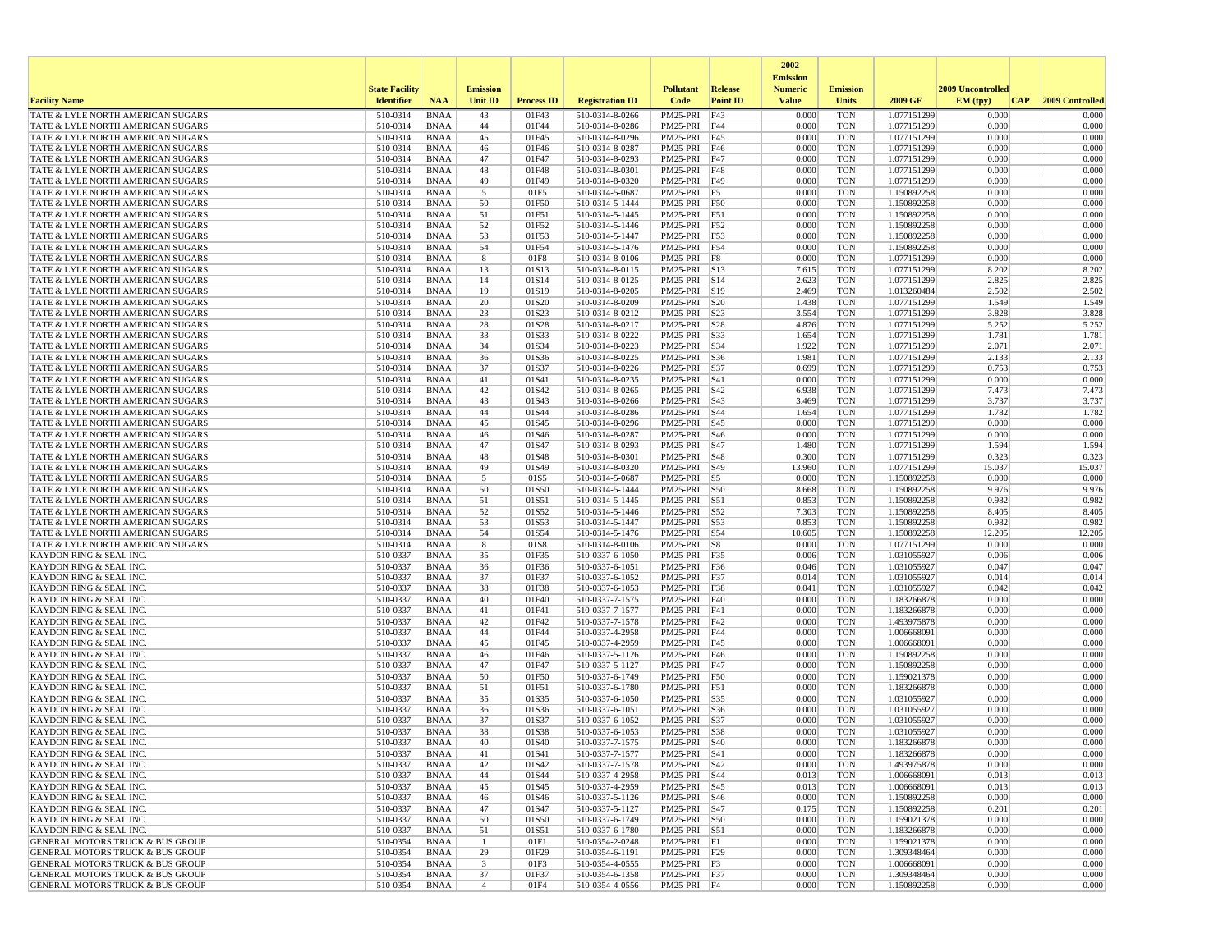|                                                                                            |                       |                            |                               |                   |                                    |                                 |                   | 2002                              |                          |                            |                   |                 |
|--------------------------------------------------------------------------------------------|-----------------------|----------------------------|-------------------------------|-------------------|------------------------------------|---------------------------------|-------------------|-----------------------------------|--------------------------|----------------------------|-------------------|-----------------|
|                                                                                            | <b>State Facility</b> |                            | <b>Emission</b>               |                   |                                    | <b>Pollutant</b>                | Release           | <b>Emission</b><br><b>Numeric</b> | <b>Emission</b>          |                            | 2009 Uncontrolled |                 |
| <b>Facility Name</b>                                                                       | <b>Identifier</b>     | <b>NAA</b>                 | <b>Unit ID</b>                | <b>Process ID</b> | <b>Registration ID</b>             | Code                            | <b>Point ID</b>   | <b>Value</b>                      | <b>Units</b>             | 2009 GF                    | EM (typ)<br> CAP  | 2009 Controlled |
| TATE & LYLE NORTH AMERICAN SUGARS                                                          | 510-0314              | <b>BNAA</b>                | 43                            | 01F43             | 510-0314-8-0266                    | PM25-PRI                        | F43               | 0.000                             | <b>TON</b>               | 1.077151299                | 0.000             | 0.000           |
| TATE & LYLE NORTH AMERICAN SUGARS<br>TATE & LYLE NORTH AMERICAN SUGARS                     | 510-0314<br>510-0314  | <b>BNAA</b>                | 44                            | 01F44             | 510-0314-8-0286                    | PM25-PRI                        | F44               | 0.000<br>0.000                    | <b>TON</b><br><b>TON</b> | 1.077151299                | 0.000<br>0.000    | 0.000<br>0.000  |
| TATE & LYLE NORTH AMERICAN SUGARS                                                          | 510-0314              | <b>BNAA</b><br><b>BNAA</b> | 45<br>46                      | 01F45<br>01F46    | 510-0314-8-0296<br>510-0314-8-0287 | PM25-PRI<br>PM25-PRI F46        | F45               | 0.000                             | <b>TON</b>               | 1.077151299<br>1.077151299 | 0.000             | 0.000           |
| <b>TATE &amp; LYLE NORTH AMERICAN SUGARS</b>                                               | 510-0314              | <b>BNAA</b>                | 47                            | 01F47             | 510-0314-8-0293                    | PM25-PRI F47                    |                   | 0.000                             | <b>TON</b>               | 1.077151299                | 0.000             | 0.000           |
| TATE & LYLE NORTH AMERICAN SUGARS                                                          | 510-0314              | <b>BNAA</b>                | 48                            | 01F48             | 510-0314-8-0301                    | PM25-PRI F48                    |                   | 0.000                             | <b>TON</b>               | 1.077151299                | 0.000             | 0.000           |
| TATE & LYLE NORTH AMERICAN SUGARS<br>TATE & LYLE NORTH AMERICAN SUGARS                     | 510-0314<br>510-0314  | <b>BNAA</b><br><b>BNAA</b> | 49<br>5                       | 01F49<br>01F5     | 510-0314-8-0320<br>510-0314-5-0687 | PM25-PRI F49<br>PM25-PRI F5     |                   | 0.000<br>0.000                    | <b>TON</b><br><b>TON</b> | 1.077151299<br>1.150892258 | 0.000<br>0.000    | 0.000<br>0.000  |
| TATE & LYLE NORTH AMERICAN SUGARS                                                          | 510-0314              | <b>BNAA</b>                | 50                            | 01F50             | 510-0314-5-1444                    | PM25-PRI                        | F50               | 0.000                             | <b>TON</b>               | 1.150892258                | 0.000             | 0.000           |
| TATE & LYLE NORTH AMERICAN SUGARS                                                          | 510-0314              | <b>BNAA</b>                | 51                            | 01F51             | 510-0314-5-1445                    | PM25-PRI                        | F51               | 0.000                             | <b>TON</b>               | 1.150892258                | 0.000             | 0.000           |
| TATE & LYLE NORTH AMERICAN SUGARS                                                          | 510-0314              | <b>BNAA</b>                | 52                            | 01F52             | 510-0314-5-1446                    | PM25-PRI F52                    |                   | 0.000                             | <b>TON</b>               | 1.150892258                | 0.000             | 0.000           |
| TATE & LYLE NORTH AMERICAN SUGARS                                                          | 510-0314              | <b>BNAA</b>                | 53                            | 01F53             | 510-0314-5-1447                    | PM25-PRI F53                    |                   | 0.000                             | <b>TON</b>               | 1.150892258                | 0.000             | 0.000           |
| TATE & LYLE NORTH AMERICAN SUGARS<br>TATE & LYLE NORTH AMERICAN SUGARS                     | 510-0314<br>510-0314  | <b>BNAA</b><br><b>BNAA</b> | 54<br>8                       | 01F54<br>01F8     | 510-0314-5-1476<br>510-0314-8-0106 | PM25-PRI F54<br>PM25-PRI        | F8                | 0.000<br>0.000                    | <b>TON</b><br><b>TON</b> | 1.150892258<br>1.077151299 | 0.000<br>0.000    | 0.000<br>0.000  |
| TATE & LYLE NORTH AMERICAN SUGARS                                                          | 510-0314              | <b>BNAA</b>                | 13                            | 01S13             | 510-0314-8-0115                    | PM25-PRI                        | S13               | 7.615                             | <b>TON</b>               | 1.077151299                | 8.202             | 8.202           |
| TATE & LYLE NORTH AMERICAN SUGARS                                                          | 510-0314              | <b>BNAA</b>                | 14                            | 01S14             | 510-0314-8-0125                    | $PM25-PRI$ S14                  |                   | 2.623                             | <b>TON</b>               | 1.077151299                | 2.825             | 2.825           |
| TATE & LYLE NORTH AMERICAN SUGARS                                                          | 510-0314              | <b>BNAA</b>                | 19                            | 01S19             | 510-0314-8-0205                    | PM25-PRI S19                    |                   | 2.469                             | <b>TON</b>               | 1.013260484                | 2.502             | 2.502           |
| TATE & LYLE NORTH AMERICAN SUGARS<br>TATE & LYLE NORTH AMERICAN SUGARS                     | 510-0314<br>510-0314  | <b>BNAA</b><br><b>BNAA</b> | 20<br>23                      | 01S20<br>01S23    | 510-0314-8-0209<br>510-0314-8-0212 | PM25-PRI S20<br>PM25-PRI S23    |                   | 1.438<br>3.554                    | <b>TON</b><br><b>TON</b> | 1.077151299<br>1.077151299 | 1.549<br>3.828    | 1.549<br>3.828  |
| TATE & LYLE NORTH AMERICAN SUGARS                                                          | 510-0314              | <b>BNAA</b>                | 28                            | 01S28             | 510-0314-8-0217                    | PM25-PRI                        | S28               | 4.876                             | <b>TON</b>               | 1.077151299                | 5.252             | 5.252           |
| TATE & LYLE NORTH AMERICAN SUGARS                                                          | 510-0314              | <b>BNAA</b>                | 33                            | 01S33             | 510-0314-8-0222                    | PM25-PRI                        | <b>S33</b>        | 1.654                             | <b>TON</b>               | 1.077151299                | 1.781             | 1.781           |
| TATE & LYLE NORTH AMERICAN SUGARS                                                          | 510-0314              | <b>BNAA</b>                | 34                            | 01S34             | 510-0314-8-0223                    | PM25-PRI                        | S34               | 1.922                             | <b>TON</b>               | 1.077151299                | 2.071             | 2.071           |
| TATE & LYLE NORTH AMERICAN SUGARS<br>TATE & LYLE NORTH AMERICAN SUGARS                     | 510-0314<br>510-0314  | <b>BNAA</b><br><b>BNAA</b> | 36<br>37                      | 01S36<br>01S37    | 510-0314-8-0225<br>510-0314-8-0226 | PM25-PRI<br>PM25-PRI            | S36<br><b>S37</b> | 1.981<br>0.699                    | <b>TON</b><br><b>TON</b> | 1.077151299<br>1.077151299 | 2.133<br>0.753    | 2.133<br>0.753  |
| <b>TATE &amp; LYLE NORTH AMERICAN SUGARS</b>                                               | 510-0314              | <b>BNAA</b>                | 41                            | 01S41             | 510-0314-8-0235                    | PM25-PRI                        | <b>S41</b>        | 0.000                             | <b>TON</b>               | 1.077151299                | 0.000             | 0.000           |
| TATE & LYLE NORTH AMERICAN SUGARS                                                          | 510-0314              | <b>BNAA</b>                | 42                            | 01S42             | 510-0314-8-0265                    | PM25-PRI                        | S42               | 6.938                             | <b>TON</b>               | 1.077151299                | 7.473             | 7.473           |
| <b>TATE &amp; LYLE NORTH AMERICAN SUGARS</b>                                               | 510-0314              | <b>BNAA</b>                | 43                            | 01S43             | 510-0314-8-0266                    | PM25-PRI                        | S43               | 3.469                             | <b>TON</b>               | 1.077151299                | 3.737             | 3.737           |
| TATE & LYLE NORTH AMERICAN SUGARS<br>TATE & LYLE NORTH AMERICAN SUGARS                     | 510-0314<br>510-0314  | <b>BNAA</b><br><b>BNAA</b> | 44<br>45                      | 01S44<br>01S45    | 510-0314-8-0286<br>510-0314-8-0296 | PM25-PRI<br>PM25-PRI S45        | <b>S44</b>        | 1.654<br>0.000                    | <b>TON</b><br><b>TON</b> | 1.077151299<br>1.077151299 | 1.782<br>0.000    | 1.782<br>0.000  |
| TATE & LYLE NORTH AMERICAN SUGARS                                                          | 510-0314              | <b>BNAA</b>                | 46                            | 01S46             | 510-0314-8-0287                    | PM25-PRI S46                    |                   | 0.000                             | <b>TON</b>               | 1.077151299                | 0.000             | 0.000           |
| TATE & LYLE NORTH AMERICAN SUGARS                                                          | 510-0314              | <b>BNAA</b>                | 47                            | 01S47             | 510-0314-8-0293                    | PM25-PRI                        | S47               | 1.480                             | <b>TON</b>               | 1.077151299                | 1.594             | 1.594           |
| TATE & LYLE NORTH AMERICAN SUGARS                                                          | 510-0314              | <b>BNAA</b>                | 48                            | 01S48             | 510-0314-8-0301                    | PM25-PRI                        | <b>S48</b>        | 0.300                             | <b>TON</b>               | 1.077151299                | 0.323             | 0.323           |
| TATE & LYLE NORTH AMERICAN SUGARS                                                          | 510-0314              | <b>BNAA</b>                | 49                            | 01S49<br>01S5     | 510-0314-8-0320                    | PM25-PRI S49                    |                   | 13.960<br>0.000                   | <b>TON</b><br><b>TON</b> | 1.077151299                | 15.037<br>0.000   | 15.037<br>0.000 |
| TATE & LYLE NORTH AMERICAN SUGARS<br>TATE & LYLE NORTH AMERICAN SUGARS                     | 510-0314<br>510-0314  | <b>BNAA</b><br><b>BNAA</b> | 5<br>50                       | 01S50             | 510-0314-5-0687<br>510-0314-5-1444 | $PM25-PRI$ S5<br>PM25-PRI S50   |                   | 8.668                             | <b>TON</b>               | 1.150892258<br>1.150892258 | 9.976             | 9.976           |
| TATE & LYLE NORTH AMERICAN SUGARS                                                          | 510-0314              | <b>BNAA</b>                | 51                            | 01S51             | 510-0314-5-1445                    | PM25-PRI                        | S51               | 0.853                             | <b>TON</b>               | 1.150892258                | 0.982             | 0.982           |
| TATE & LYLE NORTH AMERICAN SUGARS                                                          | 510-0314              | <b>BNAA</b>                | 52                            | 01S52             | 510-0314-5-1446                    | PM25-PRI                        | S52               | 7.303                             | <b>TON</b>               | 1.150892258                | 8.405             | 8.405           |
| TATE & LYLE NORTH AMERICAN SUGARS                                                          | 510-0314              | <b>BNAA</b>                | 53                            | 01S53             | 510-0314-5-1447                    | PM25-PRI S53                    |                   | 0.853                             | <b>TON</b>               | 1.150892258                | 0.982             | 0.982           |
| TATE & LYLE NORTH AMERICAN SUGARS<br>TATE & LYLE NORTH AMERICAN SUGARS                     | 510-0314<br>510-0314  | <b>BNAA</b><br><b>BNAA</b> | 54<br>8                       | 01S54<br>01S8     | 510-0314-5-1476<br>510-0314-8-0106 | PM25-PRI S54<br>PM25-PRI S8     |                   | 10.605<br>0.000                   | <b>TON</b><br>TON        | 1.150892258<br>1.077151299 | 12.205<br>0.000   | 12.205<br>0.000 |
| KAYDON RING & SEAL INC.                                                                    | 510-0337              | BNAA                       | 35                            | 01F35             | 510-0337-6-1050                    | PM25-PRI F35                    |                   | 0.006                             | <b>TON</b>               | 1.031055927                | 0.006             | 0.006           |
| <b>KAYDON RING &amp; SEAL INC.</b>                                                         | 510-0337              | <b>BNAA</b>                | 36                            | 01F36             | 510-0337-6-1051                    | PM25-PRI                        | F36               | 0.046                             | <b>TON</b>               | 1.031055927                | 0.047             | 0.047           |
| <b>KAYDON RING &amp; SEAL INC.</b>                                                         | 510-0337              | <b>BNAA</b>                | 37<br>38                      | 01F37             | 510-0337-6-1052                    | PM25-PRI F37                    |                   | 0.014                             | <b>TON</b>               | 1.031055927                | 0.014             | 0.014<br>0.042  |
| KAYDON RING & SEAL INC.<br>KAYDON RING & SEAL INC                                          | 510-0337<br>510-0337  | <b>BNAA</b><br><b>BNAA</b> | 40                            | 01F38<br>01F40    | 510-0337-6-1053<br>510-0337-7-1575 | PM25-PRI F38<br>PM25-PRI F40    |                   | 0.041<br>0.000                    | <b>TON</b><br><b>TON</b> | 1.031055927<br>1.183266878 | 0.042<br>0.000    | 0.000           |
| <b>KAYDON RING &amp; SEAL INC.</b>                                                         | 510-0337              | <b>BNAA</b>                | 41                            | 01F41             | 510-0337-7-1577                    | PM25-PRI F41                    |                   | 0.000                             | <b>TON</b>               | 1.183266878                | 0.000             | 0.000           |
| <b>KAYDON RING &amp; SEAL INC.</b>                                                         | 510-0337              | <b>BNAA</b>                | 42                            | 01F42             | 510-0337-7-1578                    | PM25-PRI F42                    |                   | 0.000                             | <b>TON</b>               | 1.493975878                | 0.000             | 0.000           |
| <b>KAYDON RING &amp; SEAL INC.</b>                                                         | 510-0337              | <b>BNAA</b>                | 44                            | 01F44             | 510-0337-4-2958                    | PM25-PRI                        | F44               | 0.000<br>0.000                    | <b>TON</b>               | 1.006668091                | 0.000             | 0.000           |
| <b>KAYDON RING &amp; SEAL INC.</b><br><b>KAYDON RING &amp; SEAL INC.</b>                   | 510-0337<br>510-0337  | <b>BNAA</b><br><b>BNAA</b> | 45<br>46                      | 01F45<br>01F46    | 510-0337-4-2959<br>510-0337-5-1126 | PM25-PRI<br>PM25-PRI F46        | F45               | 0.000                             | <b>TON</b><br><b>TON</b> | 1.006668091<br>1.150892258 | 0.000<br>0.000    | 0.000<br>0.000  |
| KAYDON RING & SEAL INC.                                                                    | 510-0337              | <b>BNAA</b>                | 47                            | 01F47             | 510-0337-5-1127                    | PM25-PRI F47                    |                   | 0.000                             | <b>TON</b>               | 1.150892258                | 0.000             | 0.000           |
| KAYDON RING & SEAL INC.                                                                    | 510-0337              | <b>BNAA</b>                | 50                            | 01F50             | 510-0337-6-1749                    | PM25-PRI F50                    |                   | 0.000                             | <b>TON</b>               | 1.159021378                | 0.000             | 0.000           |
| <b>KAYDON RING &amp; SEAL INC.</b><br><b>KAYDON RING &amp; SEAL INC.</b>                   | 510-0337<br>510-0337  | <b>BNAA</b><br><b>BNAA</b> | 51<br>35                      | 01F51<br>01S35    | 510-0337-6-1780<br>510-0337-6-1050 | PM25-PRI<br>PM25-PRI            | F51<br>S35        | 0.000<br>0.000                    | <b>TON</b><br><b>TON</b> | 1.183266878<br>1.031055927 | 0.000<br>0.000    | 0.000<br>0.000  |
| <b>KAYDON RING &amp; SEAL INC</b>                                                          | 510-0337              | <b>BNAA</b>                | 36                            | 01S36             | 510-0337-6-1051                    | PM25-PRI                        | S36               | 0.000                             | <b>TON</b>               | 1.031055927                | 0.000             | 0.000           |
| KAYDON RING & SEAL INC                                                                     | 510-0337              | <b>BNAA</b>                | 37                            | 01S37             | 510-0337-6-1052                    | PM25-PRI                        | S37               | 0.000                             | <b>TON</b>               | 1.031055927                | 0.000             | 0.000           |
| KAYDON RING & SEAL INC.                                                                    | 510-0337              | <b>BNAA</b>                | 38                            | 01S38             | 510-0337-6-1053                    | PM25-PRI S38                    |                   | 0.000                             | <b>TON</b>               | 1.031055927                | 0.000             | 0.000           |
| <b>KAYDON RING &amp; SEAL INC.</b><br>KAYDON RING & SEAL INC.                              | 510-0337<br>510-0337  | <b>BNAA</b><br><b>BNAA</b> | 40<br>41                      | 01S40<br>01S41    | 510-0337-7-1575<br>510-0337-7-1577 | PM25-PRI S40<br>PM25-PRI S41    |                   | 0.000<br>0.000                    | <b>TON</b><br><b>TON</b> | 1.183266878<br>1.183266878 | 0.000<br>0.000    | 0.000<br>0.000  |
| KAYDON RING & SEAL INC.                                                                    | 510-0337              | BNAA                       | 42                            | 01S42             | 510-0337-7-1578                    | PM25-PRI   S42                  |                   | 0.000                             | TON                      | 1.493975878                | 0.000             | 0.000           |
| KAYDON RING & SEAL INC.                                                                    | 510-0337              | BNAA                       | 44                            | 01S44             | 510-0337-4-2958                    | PM25-PRI S44                    |                   | 0.013                             | <b>TON</b>               | 1.006668091                | 0.013             | 0.013           |
| <b>KAYDON RING &amp; SEAL INC.</b>                                                         | 510-0337              | BNAA                       | 45                            | 01S45             | 510-0337-4-2959                    | PM25-PRI S45                    |                   | 0.013                             | TON                      | 1.006668091                | 0.013             | 0.013           |
| KAYDON RING & SEAL INC.<br>KAYDON RING & SEAL INC.                                         | 510-0337<br>510-0337  | BNAA<br><b>BNAA</b>        | 46<br>47                      | 01S46<br>01S47    | 510-0337-5-1126                    | PM25-PRI S46                    |                   | 0.000<br>0.175                    | <b>TON</b><br><b>TON</b> | 1.150892258<br>1.150892258 | 0.000<br>0.201    | 0.000<br>0.201  |
| <b>KAYDON RING &amp; SEAL INC.</b>                                                         | 510-0337              | BNAA                       | 50                            | 01S50             | 510-0337-5-1127<br>510-0337-6-1749 | PM25-PRI   S47<br>PM25-PRI S50  |                   | 0.000                             | TON                      | 1.159021378                | 0.000             | 0.000           |
| KAYDON RING & SEAL INC.                                                                    | 510-0337              | BNAA                       | 51                            | 01S51             | 510-0337-6-1780                    | PM25-PRI S51                    |                   | 0.000                             | <b>TON</b>               | 1.183266878                | 0.000             | 0.000           |
| <b>GENERAL MOTORS TRUCK &amp; BUS GROUP</b>                                                | 510-0354              | BNAA                       | $\overline{1}$                | 01F1              | 510-0354-2-0248                    | PM25-PRI F1                     |                   | 0.000                             | <b>TON</b>               | 1.159021378                | 0.000             | 0.000           |
| <b>GENERAL MOTORS TRUCK &amp; BUS GROUP</b>                                                | 510-0354              | BNAA                       | 29<br>$\overline{\mathbf{3}}$ | 01F29             | 510-0354-6-1191                    | PM25-PRI F29                    |                   | 0.000                             | TON<br><b>TON</b>        | 1.309348464                | 0.000<br>0.000    | 0.000           |
| <b>GENERAL MOTORS TRUCK &amp; BUS GROUP</b><br><b>GENERAL MOTORS TRUCK &amp; BUS GROUP</b> | 510-0354<br>510-0354  | BNAA<br><b>BNAA</b>        | 37                            | 01F3<br>01F37     | 510-0354-4-0555<br>510-0354-6-1358 | $PM25-PRI$ $F3$<br>PM25-PRI F37 |                   | 0.000<br>0.000                    | <b>TON</b>               | 1.006668091<br>1.309348464 | 0.000             | 0.000<br>0.000  |
| <b>GENERAL MOTORS TRUCK &amp; BUS GROUP</b>                                                | 510-0354              | BNAA                       | $\overline{4}$                | 01F4              | 510-0354-4-0556                    | $PM25-PRI$ F4                   |                   | 0.000                             | TON                      | 1.150892258                | 0.000             | 0.000           |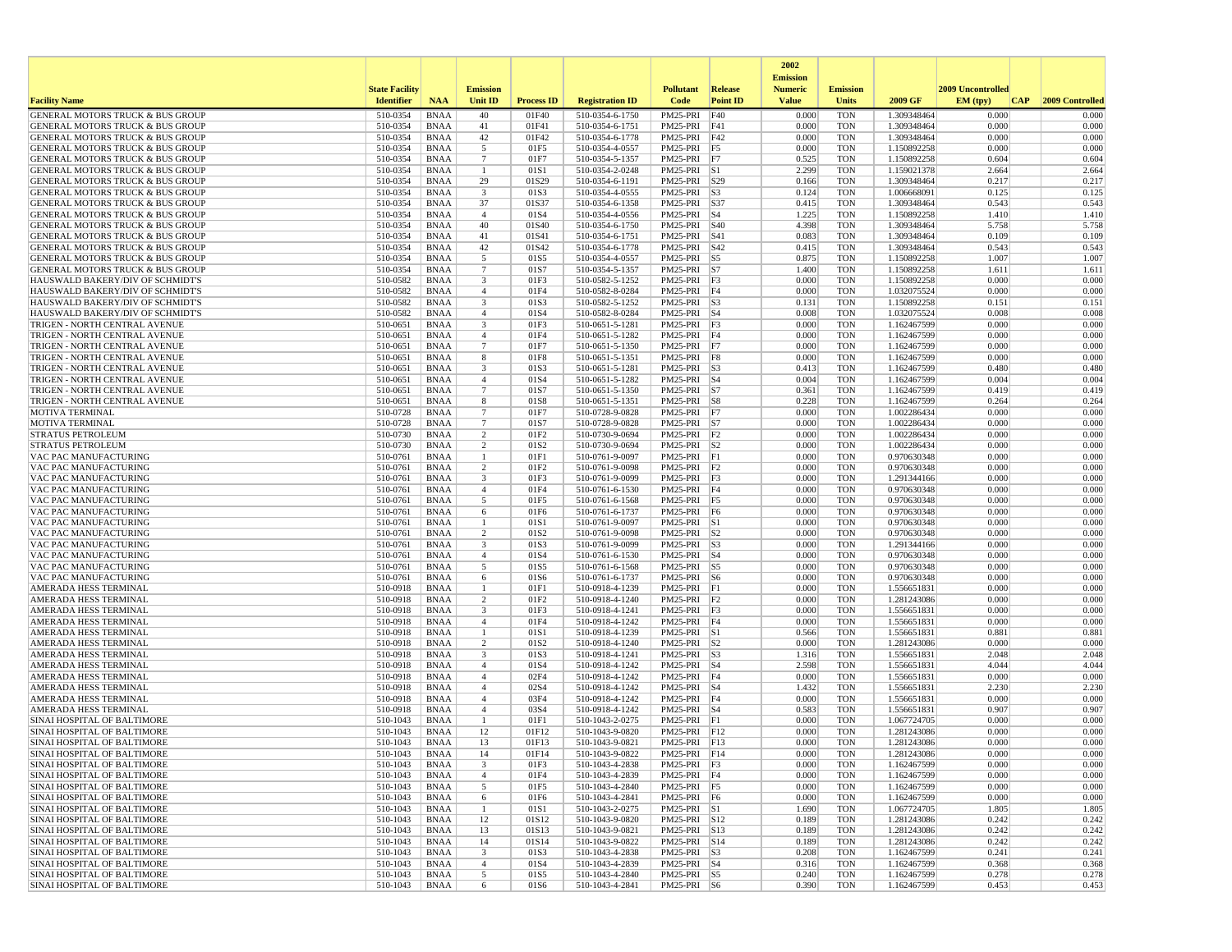|                                                                                            |                       |                            |                                |                          |                                    |                              |                 | 2002                              |                          |                            |                   |                 |
|--------------------------------------------------------------------------------------------|-----------------------|----------------------------|--------------------------------|--------------------------|------------------------------------|------------------------------|-----------------|-----------------------------------|--------------------------|----------------------------|-------------------|-----------------|
|                                                                                            | <b>State Facility</b> |                            | <b>Emission</b>                |                          |                                    | <b>Pollutant</b>             | Release         | <b>Emission</b><br><b>Numeric</b> | <b>Emission</b>          |                            | 2009 Uncontrolled |                 |
| <b>Facility Name</b>                                                                       | <b>Identifier</b>     | <b>NAA</b>                 | Unit ID                        | <b>Process ID</b>        | <b>Registration ID</b>             | Code                         | <b>Point ID</b> | <b>Value</b>                      | <b>Units</b>             | 2009 GF                    | EM (typ)<br> CAP  | 2009 Controlled |
| GENERAL MOTORS TRUCK & BUS GROUP                                                           | 510-0354              | <b>BNAA</b>                | 40                             | 01F40                    | 510-0354-6-1750                    | PM25-PRI                     | F40             | 0.000                             | <b>TON</b>               | 1.309348464                | 0.000             | 0.000           |
| <b>GENERAL MOTORS TRUCK &amp; BUS GROUP</b><br>GENERAL MOTORS TRUCK & BUS GROUP            | 510-0354<br>510-0354  | <b>BNAA</b><br><b>BNAA</b> | 41<br>42                       | 01F41<br>01F42           | 510-0354-6-1751<br>510-0354-6-1778 | PM25-PRI<br>PM25-PRI         | F41<br>F42      | 0.000<br>0.000                    | <b>TON</b><br><b>TON</b> | 1.309348464<br>1.309348464 | 0.000<br>0.000    | 0.000<br>0.000  |
| <b>GENERAL MOTORS TRUCK &amp; BUS GROUP</b>                                                | 510-0354              | <b>BNAA</b>                | 5                              | 01F5                     | 510-0354-4-0557                    | PM25-PRI F5                  |                 | 0.000                             | <b>TON</b>               | 1.150892258                | 0.000             | 0.000           |
| <b>GENERAL MOTORS TRUCK &amp; BUS GROUP</b>                                                | 510-0354              | <b>BNAA</b>                | $7\phantom{.0}$                | 01F7                     | 510-0354-5-1357                    | PM25-PRI F7                  |                 | 0.525                             | <b>TON</b>               | 1.150892258                | 0.604             | 0.604           |
| <b>GENERAL MOTORS TRUCK &amp; BUS GROUP</b>                                                | 510-0354              | <b>BNAA</b>                | -1                             | 01S1                     | 510-0354-2-0248                    | $PM25-PRI$ S1                |                 | 2.299                             | <b>TON</b>               | 1.159021378                | 2.664             | 2.664           |
| GENERAL MOTORS TRUCK & BUS GROUP                                                           | 510-0354              | <b>BNAA</b>                | 29                             | 01S29                    | 510-0354-6-1191                    | PM25-PRI S29                 |                 | 0.166                             | <b>TON</b>               | 1.309348464                | 0.217             | 0.217           |
| <b>GENERAL MOTORS TRUCK &amp; BUS GROUP</b><br>GENERAL MOTORS TRUCK & BUS GROUP            | 510-0354<br>510-0354  | <b>BNAA</b><br><b>BNAA</b> | 3<br>37                        | 01S3<br>01S37            | 510-0354-4-0555<br>510-0354-6-1358 | $PM25-PRI$ S3<br>PM25-PRI    | <b>S37</b>      | 0.124<br>0.415                    | <b>TON</b><br><b>TON</b> | 1.006668091<br>1.309348464 | 0.125<br>0.543    | 0.125<br>0.543  |
| <b>GENERAL MOTORS TRUCK &amp; BUS GROUP</b>                                                | 510-0354              | <b>BNAA</b>                | $\overline{4}$                 | 01S4                     | 510-0354-4-0556                    | PM25-PRI S4                  |                 | 1.225                             | <b>TON</b>               | 1.150892258                | 1.410             | 1.410           |
| GENERAL MOTORS TRUCK & BUS GROUP                                                           | 510-0354              | <b>BNAA</b>                | 40                             | 01S40                    | 510-0354-6-1750                    | PM25-PRI                     | <b>S40</b>      | 4.398                             | <b>TON</b>               | 1.309348464                | 5.758             | 5.758           |
| <b>GENERAL MOTORS TRUCK &amp; BUS GROUP</b>                                                | 510-0354              | <b>BNAA</b>                | 41                             | 01S41                    | 510-0354-6-1751                    | PM25-PRI S41                 |                 | 0.083                             | <b>TON</b>               | 1.309348464                | 0.109             | 0.109           |
| <b>GENERAL MOTORS TRUCK &amp; BUS GROUP</b>                                                | 510-0354              | <b>BNAA</b>                | 42                             | 01S42                    | 510-0354-6-1778                    | PM25-PRI S42                 |                 | 0.415                             | <b>TON</b>               | 1.309348464                | 0.543             | 0.543           |
| <b>GENERAL MOTORS TRUCK &amp; BUS GROUP</b><br><b>GENERAL MOTORS TRUCK &amp; BUS GROUP</b> | 510-0354<br>510-0354  | <b>BNAA</b><br><b>BNAA</b> | 5<br>$\overline{7}$            | 01S5<br>01S7             | 510-0354-4-0557<br>510-0354-5-1357 | PM25-PRI<br>PM25-PRI S7      | $\vert$ S5      | 0.875<br>1.400                    | <b>TON</b><br><b>TON</b> | 1.150892258<br>1.150892258 | 1.007<br>1.611    | 1.007<br>1.611  |
| HAUSWALD BAKERY/DIV OF SCHMIDT'S                                                           | 510-0582              | BNAA                       | 3                              | 01F3                     | 510-0582-5-1252                    | $PM25-PRI$ F3                |                 | 0.000                             | <b>TON</b>               | 1.150892258                | 0.000             | 0.000           |
| HAUSWALD BAKERY/DIV OF SCHMIDT'S                                                           | 510-0582              | <b>BNAA</b>                | $\overline{4}$                 | 01F4                     | 510-0582-8-0284                    | PM25-PRI F4                  |                 | 0.000                             | <b>TON</b>               | 1.032075524                | 0.000             | 0.000           |
| HAUSWALD BAKERY/DIV OF SCHMIDT'S                                                           | 510-0582              | <b>BNAA</b>                | 3                              | 01S3                     | 510-0582-5-1252                    | PM25-PRI S3                  |                 | 0.131                             | <b>TON</b>               | 1.150892258                | 0.151             | 0.151           |
| HAUSWALD BAKERY/DIV OF SCHMIDT'S                                                           | 510-0582              | <b>BNAA</b>                | $\overline{4}$                 | 01S4                     | 510-0582-8-0284                    | PM25-PRI S4                  |                 | 0.008                             | <b>TON</b>               | 1.032075524                | 0.008             | 0.008           |
| TRIGEN - NORTH CENTRAL AVENUE<br>TRIGEN - NORTH CENTRAL AVENUE                             | 510-0651<br>510-0651  | <b>BNAA</b><br><b>BNAA</b> | 3<br>$\overline{4}$            | 01F3<br>01F4             | 510-0651-5-1281<br>510-0651-5-1282 | $PM25-PRI$ F3<br>PM25-PRI F4 |                 | 0.000<br>0.000                    | <b>TON</b><br><b>TON</b> | 1.162467599<br>1.162467599 | 0.000<br>0.000    | 0.000<br>0.000  |
| TRIGEN - NORTH CENTRAL AVENUE                                                              | 510-0651              | <b>BNAA</b>                | $7\overline{ }$                | 01F7                     | 510-0651-5-1350                    | $PM25-PRI$ F7                |                 | 0.000                             | <b>TON</b>               | 1.162467599                | 0.000             | 0.000           |
| TRIGEN - NORTH CENTRAL AVENUE                                                              | 510-0651              | <b>BNAA</b>                | 8                              | 01F8                     | 510-0651-5-1351                    | PM25-PRI F8                  |                 | 0.000                             | <b>TON</b>               | 1.162467599                | 0.000             | 0.000           |
| TRIGEN - NORTH CENTRAL AVENUE                                                              | 510-0651              | <b>BNAA</b>                | 3                              | 01S3                     | 510-0651-5-1281                    | PM25-PRI S3                  |                 | 0.413                             | <b>TON</b>               | 1.162467599                | 0.480             | 0.480           |
| TRIGEN - NORTH CENTRAL AVENUE                                                              | 510-0651              | <b>BNAA</b>                | $\overline{4}$                 | 01S4                     | 510-0651-5-1282                    | PM25-PRI                     | $ S_4$          | 0.004                             | <b>TON</b>               | 1.162467599                | 0.004             | 0.004           |
| TRIGEN - NORTH CENTRAL AVENUE<br>TRIGEN - NORTH CENTRAL AVENUE                             | 510-0651<br>510-0651  | <b>BNAA</b><br><b>BNAA</b> | $7\phantom{.0}$<br>8           | 01S7<br>01S8             | 510-0651-5-1350<br>510-0651-5-1351 | PM25-PRI S7<br>PM25-PRI S8   |                 | 0.361<br>0.228                    | <b>TON</b><br><b>TON</b> | 1.162467599<br>1.162467599 | 0.419<br>0.264    | 0.419<br>0.264  |
| <b>MOTIVA TERMINAL</b>                                                                     | 510-0728              | <b>BNAA</b>                | 7                              | 01F7                     | 510-0728-9-0828                    | PM25-PRI F7                  |                 | 0.000                             | <b>TON</b>               | 1.002286434                | 0.000             | 0.000           |
| <b>MOTIVA TERMINAL</b>                                                                     | 510-0728              | <b>BNAA</b>                | $\overline{7}$                 | 01S7                     | 510-0728-9-0828                    | PM25-PRI S7                  |                 | 0.000                             | <b>TON</b>               | 1.002286434                | 0.000             | 0.000           |
| <b>STRATUS PETROLEUM</b>                                                                   | 510-0730              | <b>BNAA</b>                | $\overline{2}$                 | 01F <sub>2</sub>         | 510-0730-9-0694                    | PM25-PRI F2                  |                 | 0.000                             | <b>TON</b>               | 1.002286434                | 0.000             | 0.000           |
| <b>STRATUS PETROLEUM</b>                                                                   | 510-0730              | <b>BNAA</b>                | $\overline{2}$<br>$\mathbf{1}$ | 01S2<br>01F1             | 510-0730-9-0694                    | PM25-PRI                     | S <sub>2</sub>  | 0.000<br>0.000                    | <b>TON</b><br><b>TON</b> | 1.002286434<br>0.970630348 | 0.000             | 0.000<br>0.000  |
| VAC PAC MANUFACTURING<br>VAC PAC MANUFACTURING                                             | 510-0761<br>510-0761  | <b>BNAA</b><br><b>BNAA</b> | 2                              | 01F2                     | 510-0761-9-0097<br>510-0761-9-0098 | PM25-PRI F1<br>PM25-PRI F2   |                 | 0.000                             | <b>TON</b>               | 0.970630348                | 0.000<br>0.000    | 0.000           |
| VAC PAC MANUFACTURING                                                                      | 510-0761              | <b>BNAA</b>                | 3                              | 01F3                     | 510-0761-9-0099                    | PM25-PRI F3                  |                 | 0.000                             | <b>TON</b>               | 1.291344166                | 0.000             | 0.000           |
| VAC PAC MANUFACTURING                                                                      | 510-0761              | <b>BNAA</b>                | $\overline{4}$                 | 01F4                     | 510-0761-6-1530                    | PM25-PRI F4                  |                 | 0.000                             | <b>TON</b>               | 0.970630348                | 0.000             | 0.000           |
| VAC PAC MANUFACTURING                                                                      | 510-0761              | <b>BNAA</b>                | 5                              | 01F5                     | 510-0761-6-1568                    | PM25-PRI F5                  |                 | 0.000                             | <b>TON</b>               | 0.970630348                | 0.000             | 0.000           |
| VAC PAC MANUFACTURING                                                                      | 510-0761              | <b>BNAA</b>                | 6                              | 01F6<br>01S1             | 510-0761-6-1737                    | PM25-PRI F6                  |                 | 0.000                             | <b>TON</b><br><b>TON</b> | 0.970630348                | 0.000<br>0.000    | 0.000<br>0.000  |
| VAC PAC MANUFACTURING<br>VAC PAC MANUFACTURING                                             | 510-0761<br>510-0761  | <b>BNAA</b><br><b>BNAA</b> | 1<br>2                         | 01S2                     | 510-0761-9-0097<br>510-0761-9-0098 | PM25-PRI S1<br>$PM25-PRI$ S2 |                 | 0.000<br>0.000                    | <b>TON</b>               | 0.970630348<br>0.970630348 | 0.000             | 0.000           |
| VAC PAC MANUFACTURING                                                                      | 510-0761              | <b>BNAA</b>                | 3                              | 01S3                     | 510-0761-9-0099                    | PM25-PRI S3                  |                 | 0.000                             | <b>TON</b>               | 1.291344166                | 0.000             | 0.000           |
| VAC PAC MANUFACTURING                                                                      | 510-0761              | BNAA                       | $\overline{4}$                 | 01S4                     | 510-0761-6-1530                    | $PM25-PRI$ S4                |                 | 0.000                             | <b>TON</b>               | 0.970630348                | 0.000             | 0.000           |
| VAC PAC MANUFACTURING                                                                      | 510-0761              | <b>BNAA</b>                | 5                              | 01S5                     | 510-0761-6-1568                    | $PM25-PRI$ S5                |                 | 0.000                             | <b>TON</b>               | 0.970630348                | 0.000             | 0.000           |
| VAC PAC MANUFACTURING<br>AMERADA HESS TERMINAL                                             | 510-0761<br>510-0918  | <b>BNAA</b><br><b>BNAA</b> | 6<br>-1                        | 01S6<br>01F1             | 510-0761-6-1737<br>510-0918-4-1239 | PM25-PRI S6<br>PM25-PRI F1   |                 | 0.000<br>0.000                    | <b>TON</b><br><b>TON</b> | 0.970630348<br>1.556651831 | 0.000<br>0.000    | 0.000<br>0.000  |
| AMERADA HESS TERMINAL                                                                      | 510-0918              | <b>BNAA</b>                | 2                              | 01F <sub>2</sub>         | 510-0918-4-1240                    | $PM25-PRI$ $ F2$             |                 | 0.000                             | <b>TON</b>               | 1.281243086                | 0.000             | 0.000           |
| AMERADA HESS TERMINAL                                                                      | 510-0918              | <b>BNAA</b>                | 3                              | 01F3                     | 510-0918-4-1241                    | PM25-PRI F3                  |                 | 0.000                             | <b>TON</b>               | 1.556651831                | 0.000             | 0.000           |
| AMERADA HESS TERMINAL                                                                      | 510-0918              | <b>BNAA</b>                | $\overline{4}$                 | 01F4                     | 510-0918-4-1242                    | PM25-PRI                     | F4              | 0.000                             | <b>TON</b>               | 1.556651831                | 0.000             | 0.000           |
| AMERADA HESS TERMINAL                                                                      | 510-0918              | <b>BNAA</b>                | 1                              | 01S1                     | 510-0918-4-1239                    | PM25-PRI                     | S1              | 0.566                             | <b>TON</b>               | 1.556651831                | 0.881<br>0.000    | 0.881           |
| AMERADA HESS TERMINAL<br>AMERADA HESS TERMINAL                                             | 510-0918<br>510-0918  | <b>BNAA</b><br><b>BNAA</b> | 2<br>3                         | 01S <sub>2</sub><br>01S3 | 510-0918-4-1240<br>510-0918-4-1241 | PM25-PRI S2<br>$PM25-PRI$ S3 |                 | 0.000<br>1.316                    | <b>TON</b><br><b>TON</b> | 1.281243086<br>1.556651831 | 2.048             | 0.000<br>2.048  |
| AMERADA HESS TERMINAL                                                                      | 510-0918              | <b>BNAA</b>                | $\overline{4}$                 | 01S4                     | 510-0918-4-1242                    | PM25-PRI S4                  |                 | 2.598                             | <b>TON</b>               | 1.556651831                | 4.044             | 4.044           |
| AMERADA HESS TERMINAL                                                                      | 510-0918              | BNAA                       | $\overline{4}$                 | 02F4                     | 510-0918-4-1242                    | PM25-PRI F4                  |                 | 0.000                             | <b>TON</b>               | 1.556651831                | 0.000             | 0.000           |
| AMERADA HESS TERMINAL                                                                      | 510-0918              | <b>BNAA</b>                | $\overline{4}$                 | 02S4                     | 510-0918-4-1242                    | PM25-PRI                     | $ S_4$          | 1.432                             | <b>TON</b>               | 1.556651831                | 2.230             | 2.230           |
| AMERADA HESS TERMINAL                                                                      | 510-0918              | <b>BNAA</b>                | $\overline{4}$                 | 03F4                     | 510-0918-4-1242                    | PM25-PRI F4                  |                 | 0.000                             | <b>TON</b>               | 1.556651831                | 0.000             | 0.000           |
| AMERADA HESS TERMINAL<br>SINAI HOSPITAL OF BALTIMORE                                       | 510-0918<br>510-1043  | <b>BNAA</b><br><b>BNAA</b> | $\overline{4}$<br>-1           | 03S4<br>01F1             | 510-0918-4-1242<br>510-1043-2-0275 | PM25-PRI S4<br>PM25-PRI F1   |                 | 0.583<br>0.000                    | <b>TON</b><br><b>TON</b> | 1.556651831<br>1.067724705 | 0.907<br>0.000    | 0.907<br>0.000  |
| SINAI HOSPITAL OF BALTIMORE                                                                | 510-1043              | <b>BNAA</b>                | 12                             | 01F12                    | 510-1043-9-0820                    | PM25-PRI F12                 |                 | 0.000                             | <b>TON</b>               | 1.281243086                | 0.000             | 0.000           |
| <b>SINAI HOSPITAL OF BALTIMORE</b>                                                         | 510-1043              | <b>BNAA</b>                | 13                             | 01F13                    | 510-1043-9-0821                    | PM25-PRI F13                 |                 | 0.000                             | <b>TON</b>               | 1.281243086                | 0.000             | 0.000           |
| SINAI HOSPITAL OF BALTIMORE                                                                | 510-1043              | BNAA                       | 14                             | 01F14                    | 510-1043-9-0822                    | PM25-PRI F14                 |                 | 0.000                             | TON                      | 1.281243086                | 0.000             | 0.000           |
| SINAI HOSPITAL OF BALTIMORE                                                                | 510-1043              | BNAA                       | $\overline{\mathbf{3}}$        | 01F3                     | 510-1043-4-2838                    | PM25-PRI F3                  |                 | 0.000                             | <b>TON</b>               | 1.162467599                | 0.000             | 0.000           |
| SINAI HOSPITAL OF BALTIMORE<br>SINAI HOSPITAL OF BALTIMORE                                 | 510-1043<br>510-1043  | BNAA<br>BNAA               | $\overline{4}$<br>5            | 01F4<br>01F5             | 510-1043-4-2839<br>510-1043-4-2840 | PM25-PRI F4<br>PM25-PRI F5   |                 | 0.000<br>0.000                    | <b>TON</b><br><b>TON</b> | 1.162467599<br>1.162467599 | 0.000<br>0.000    | 0.000<br>0.000  |
| SINAI HOSPITAL OF BALTIMORE                                                                | 510-1043              | BNAA                       | 6                              | 01F6                     | 510-1043-4-2841                    | PM25-PRI F6                  |                 | 0.000                             | <b>TON</b>               | 1.162467599                | 0.000             | 0.000           |
| SINAI HOSPITAL OF BALTIMORE                                                                | 510-1043              | <b>BNAA</b>                | -1                             | 01S1                     | 510-1043-2-0275                    | $PM25-PRI$ S1                |                 | 1.690                             | <b>TON</b>               | 1.067724705                | 1.805             | 1.805           |
| SINAI HOSPITAL OF BALTIMORE                                                                | 510-1043              | <b>BNAA</b>                | 12                             | 01S12                    | 510-1043-9-0820                    | PM25-PRI S12                 |                 | 0.189                             | <b>TON</b>               | 1.281243086                | 0.242             | 0.242           |
| SINAI HOSPITAL OF BALTIMORE                                                                | 510-1043              | BNAA                       | 13                             | 01S13                    | 510-1043-9-0821                    | PM25-PRI S13                 |                 | 0.189                             | <b>TON</b>               | 1.281243086                | 0.242             | 0.242           |
| SINAI HOSPITAL OF BALTIMORE<br>SINAI HOSPITAL OF BALTIMORE                                 | 510-1043<br>510-1043  | <b>BNAA</b><br>BNAA        | 14<br>3                        | 01S14<br>01S3            | 510-1043-9-0822<br>510-1043-4-2838 | PM25-PRI S14<br>PM25-PRI S3  |                 | 0.189<br>0.208                    | <b>TON</b><br><b>TON</b> | 1.281243086<br>1.162467599 | 0.242<br>0.241    | 0.242<br>0.241  |
| <b>SINAI HOSPITAL OF BALTIMORE</b>                                                         | 510-1043              | BNAA                       | $\overline{4}$                 | 01S4                     | 510-1043-4-2839                    | PM25-PRI S4                  |                 | 0.316                             | <b>TON</b>               | 1.162467599                | 0.368             | 0.368           |
| SINAI HOSPITAL OF BALTIMORE                                                                | 510-1043              | <b>BNAA</b>                | 5                              | 01S5                     | 510-1043-4-2840                    | PM25-PRI S5                  |                 | 0.240                             | <b>TON</b>               | 1.162467599                | 0.278             | 0.278           |
| SINAI HOSPITAL OF BALTIMORE                                                                | 510-1043              | <b>BNAA</b>                | 6                              | 01S6                     | 510-1043-4-2841                    | PM25-PRI S6                  |                 | 0.390                             | <b>TON</b>               | 1.162467599                | 0.453             | 0.453           |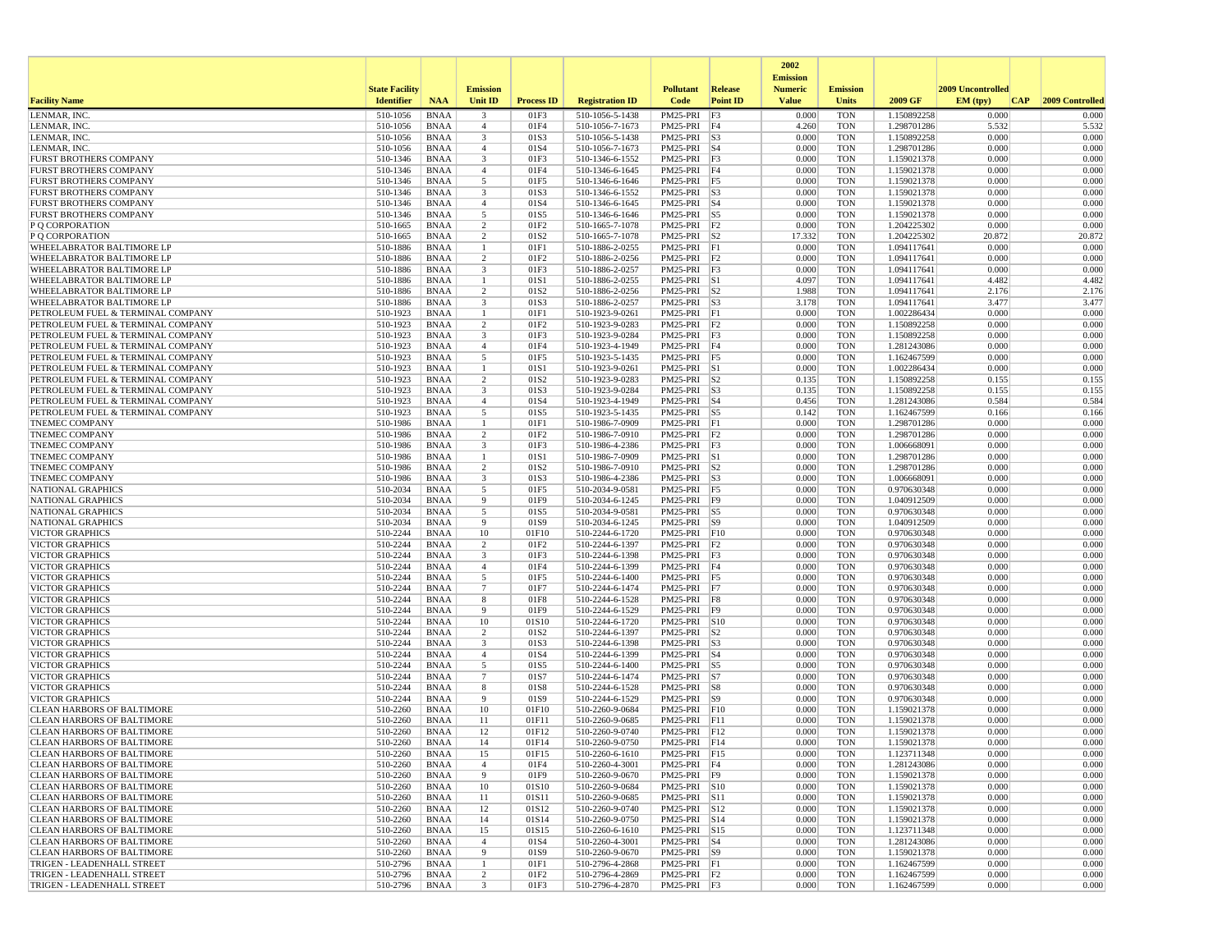|                                                                        |                       |                            |                                |                          |                                    |                                     |                 | 2002                              |                          |                            |                   |                 |
|------------------------------------------------------------------------|-----------------------|----------------------------|--------------------------------|--------------------------|------------------------------------|-------------------------------------|-----------------|-----------------------------------|--------------------------|----------------------------|-------------------|-----------------|
|                                                                        | <b>State Facility</b> |                            | <b>Emission</b>                |                          |                                    | <b>Pollutant</b>                    | <b>Release</b>  | <b>Emission</b><br><b>Numeric</b> | <b>Emission</b>          |                            | 2009 Uncontrolled |                 |
| <b>Facility Name</b>                                                   | <b>Identifier</b>     | <b>NAA</b>                 | <b>Unit ID</b>                 | <b>Process ID</b>        | <b>Registration ID</b>             | Code                                | <b>Point ID</b> | <b>Value</b>                      | Units                    | 2009 GF                    | EM (typ)<br> CAP  | 2009 Controlled |
| LENMAR, INC                                                            | 510-1056              | <b>BNAA</b>                | 3                              | 01F3                     | 510-1056-5-1438                    | PM25-PRI                            | F3              | 0.000                             | <b>TON</b>               | 1.150892258                | 0.000             | 0.000           |
| LENMAR, INC.                                                           | 510-1056              | <b>BNAA</b>                | $\overline{4}$                 | 01F4                     | 510-1056-7-1673                    | PM25-PRI F4                         |                 | 4.260                             | <b>TON</b>               | 1.298701286                | 5.532             | 5.532           |
| LENMAR, INC.                                                           | 510-1056              | <b>BNAA</b>                | 3                              | 01S3                     | 510-1056-5-1438                    | $PM25-PRI$ $ S3$                    |                 | 0.000                             | <b>TON</b>               | 1.150892258                | 0.000             | 0.000           |
| LENMAR, INC.<br><b>FURST BROTHERS COMPANY</b>                          | 510-1056<br>510-1346  | <b>BNAA</b><br><b>BNAA</b> | $\overline{4}$<br>3            | 01S4<br>01F3             | 510-1056-7-1673<br>510-1346-6-1552 | PM25-PRI S4<br>$PM25-PRI$ $F3$      |                 | 0.000<br>0.000                    | <b>TON</b><br><b>TON</b> | 1.298701286<br>1.159021378 | 0.000<br>0.000    | 0.000<br>0.000  |
| <b>FURST BROTHERS COMPANY</b>                                          | 510-1346              | <b>BNAA</b>                | $\overline{4}$                 | 01F4                     | 510-1346-6-1645                    | PM25-PRI F4                         |                 | 0.000                             | <b>TON</b>               | 1.159021378                | 0.000             | 0.000           |
| <b>FURST BROTHERS COMPANY</b>                                          | 510-1346              | <b>BNAA</b>                | 5                              | 01F5                     | 510-1346-6-1646                    | PM25-PRI F5                         |                 | 0.000                             | <b>TON</b>               | 1.159021378                | 0.000             | 0.000           |
| <b>FURST BROTHERS COMPANY</b>                                          | 510-1346              | <b>BNAA</b>                | 3                              | 01S3                     | 510-1346-6-1552                    | $PM25-PRI$ $ S3$                    |                 | 0.000                             | <b>TON</b>               | 1.159021378                | 0.000             | 0.000           |
| <b>FURST BROTHERS COMPANY</b>                                          | 510-1346              | <b>BNAA</b>                | $\overline{4}$                 | 01S4                     | 510-1346-6-1645                    | PM25-PRI S4                         |                 | 0.000                             | <b>TON</b>               | 1.159021378                | 0.000             | 0.000           |
| <b>FURST BROTHERS COMPANY</b>                                          | $510 - 1346$          | <b>BNAA</b>                | 5<br>2                         | 01S5                     | 510-1346-6-1646                    | PM25-PRI S5<br>PM25-PRI F2          |                 | 0.000                             | <b>TON</b>               | 1.159021378<br>1.204225302 | 0.000             | 0.000           |
| P Q CORPORATION<br>P O CORPORATION                                     | 510-1665<br>510-1665  | <b>BNAA</b><br><b>BNAA</b> | $\overline{2}$                 | 01F2<br>01S2             | 510-1665-7-1078<br>510-1665-7-1078 | $PM25-PRI$ S2                       |                 | 0.000<br>17.332                   | <b>TON</b><br><b>TON</b> | 1.204225302                | 0.000<br>20.872   | 0.000<br>20.872 |
| WHEELABRATOR BALTIMORE LP                                              | 510-1886              | <b>BNAA</b>                |                                | 01F1                     | 510-1886-2-0255                    | PM25-PRI F1                         |                 | 0.000                             | <b>TON</b>               | 1.094117641                | 0.000             | 0.000           |
| WHEELABRATOR BALTIMORE LP                                              | 510-1886              | <b>BNAA</b>                | 2                              | 01F <sub>2</sub>         | 510-1886-2-0256                    | $PM25-PRI$ $ F2$                    |                 | 0.000                             | <b>TON</b>               | 1.094117641                | 0.000             | 0.000           |
| WHEELABRATOR BALTIMORE LP                                              | 510-1886              | <b>BNAA</b>                | 3                              | 01F3                     | 510-1886-2-0257                    | $PM25-PRI$ $F3$                     |                 | 0.000                             | <b>TON</b>               | 1.094117641                | 0.000             | 0.000           |
| WHEELABRATOR BALTIMORE LP                                              | 510-1886              | <b>BNAA</b>                | -1                             | 01S1                     | 510-1886-2-0255                    | $PM25-PRI$ S1                       |                 | 4.097                             | <b>TON</b>               | 1.094117641                | 4.482             | 4.482           |
| WHEELABRATOR BALTIMORE LP<br>WHEELABRATOR BALTIMORE LF                 | 510-1886<br>510-1886  | <b>BNAA</b><br><b>BNAA</b> | 2<br>3                         | 01S <sub>2</sub><br>01S3 | 510-1886-2-0256<br>510-1886-2-0257 | $PM25-PRI$ $ S2$<br>PM25-PRI S3     |                 | 1.988<br>3.178                    | <b>TON</b><br><b>TON</b> | 1.094117641<br>1.094117641 | 2.176<br>3.477    | 2.176<br>3.477  |
| PETROLEUM FUEL & TERMINAL COMPANY                                      | 510-1923              | <b>BNAA</b>                | -1                             | 01F1                     | 510-1923-9-0261                    | PM25-PRI F1                         |                 | 0.000                             | <b>TON</b>               | 1.002286434                | 0.000             | 0.000           |
| PETROLEUM FUEL & TERMINAL COMPANY                                      | 510-1923              | <b>BNAA</b>                | $\overline{c}$                 | 01F2                     | 510-1923-9-0283                    | $PM25-PRI$ $F2$                     |                 | 0.000                             | <b>TON</b>               | 1.150892258                | 0.000             | 0.000           |
| PETROLEUM FUEL & TERMINAL COMPANY                                      | 510-1923              | <b>BNAA</b>                | 3                              | 01F3                     | 510-1923-9-0284                    | PM25-PRI F3                         |                 | 0.000                             | <b>TON</b>               | 1.150892258                | 0.000             | 0.000           |
| PETROLEUM FUEL & TERMINAL COMPANY                                      | 510-1923              | <b>BNAA</b>                | $\overline{4}$                 | 01F4                     | 510-1923-4-1949                    | PM25-PRI F4                         |                 | 0.000                             | <b>TON</b>               | 1.281243086                | 0.000             | 0.000           |
| PETROLEUM FUEL & TERMINAL COMPANY                                      | 510-1923              | <b>BNAA</b>                | 5<br>$\mathbf{1}$              | 01F5                     | 510-1923-5-1435                    | $PM25-PRI$ F5                       |                 | 0.000                             | <b>TON</b>               | 1.162467599                | 0.000             | 0.000           |
| PETROLEUM FUEL & TERMINAL COMPANY<br>PETROLEUM FUEL & TERMINAL COMPANY | 510-1923<br>510-1923  | <b>BNAA</b><br><b>BNAA</b> | 2                              | 01S1<br>01S2             | 510-1923-9-0261<br>510-1923-9-0283 | PM25-PRI S1<br>$PM25-PRI$ $ S2$     |                 | 0.000<br>0.135                    | <b>TON</b><br><b>TON</b> | 1.002286434<br>1.150892258 | 0.000<br>0.155    | 0.000<br>0.155  |
| PETROLEUM FUEL & TERMINAL COMPANY                                      | 510-1923              | <b>BNAA</b>                | 3                              | 01S3                     | 510-1923-9-0284                    | PM25-PRI S3                         |                 | 0.135                             | <b>TON</b>               | 1.150892258                | 0.155             | 0.155           |
| PETROLEUM FUEL & TERMINAL COMPANY                                      | $510 - 1923$          | <b>BNAA</b>                | $\overline{4}$                 | 01S4                     | 510-1923-4-1949                    | PM25-PRI S4                         |                 | 0.456                             | <b>TON</b>               | 1.281243086                | 0.584             | 0.584           |
| PETROLEUM FUEL & TERMINAL COMPANY                                      | 510-1923              | <b>BNAA</b>                | 5                              | 01S5                     | 510-1923-5-1435                    | PM25-PRI S5                         |                 | 0.142                             | <b>TON</b>               | 1.162467599                | 0.166             | 0.166           |
| <b>TNEMEC COMPANY</b>                                                  | 510-1986              | <b>BNAA</b>                | $\mathbf{1}$                   | 01F1                     | 510-1986-7-0909                    | PM25-PRI F1                         |                 | 0.000                             | <b>TON</b>               | 1.298701286                | 0.000             | 0.000           |
| <b>TNEMEC COMPANY</b><br><b>TNEMEC COMPANY</b>                         | 510-1986              | <b>BNAA</b>                | 2                              | 01F2                     | 510-1986-7-0910                    | PM25-PRI F2                         |                 | 0.000                             | <b>TON</b>               | 1.298701286                | 0.000             | 0.000           |
| <b>TNEMEC COMPANY</b>                                                  | 510-1986<br>510-1986  | <b>BNAA</b><br><b>BNAA</b> | 3<br>-1                        | 01F3<br>01S1             | 510-1986-4-2386<br>510-1986-7-0909 | PM25-PRI F3<br>PM25-PRI S1          |                 | 0.000<br>0.000                    | <b>TON</b><br><b>TON</b> | 1.006668091<br>1.298701286 | 0.000<br>0.000    | 0.000<br>0.000  |
| <b>TNEMEC COMPANY</b>                                                  | 510-1986              | <b>BNAA</b>                | 2                              | 01S2                     | 510-1986-7-0910                    | PM25-PRI S2                         |                 | 0.000                             | <b>TON</b>               | 1.298701286                | 0.000             | 0.000           |
| <b>TNEMEC COMPANY</b>                                                  | 510-1986              | <b>BNAA</b>                | 3                              | 01S3                     | 510-1986-4-2386                    | PM25-PRI S3                         |                 | 0.000                             | <b>TON</b>               | 1.006668091                | 0.000             | 0.000           |
| NATIONAL GRAPHICS                                                      | 510-2034              | <b>BNAA</b>                | 5                              | 01F5                     | 510-2034-9-0581                    | PM25-PRI F5                         |                 | 0.000                             | <b>TON</b>               | 0.970630348                | 0.000             | 0.000           |
| NATIONAL GRAPHICS                                                      | 510-2034              | <b>BNAA</b>                | 9                              | 01F9                     | 510-2034-6-1245                    | PM25-PRI F9                         |                 | 0.000                             | <b>TON</b>               | 1.040912509                | 0.000             | 0.000           |
| NATIONAL GRAPHICS                                                      | 510-2034              | <b>BNAA</b><br><b>BNAA</b> | 5<br>9                         | 01S5<br>01S9             | 510-2034-9-0581                    | $PM25-PRI$ S5                       |                 | 0.000<br>0.000                    | <b>TON</b><br><b>TON</b> | 0.970630348<br>1.040912509 | 0.000<br>0.000    | 0.000<br>0.000  |
| NATIONAL GRAPHICS<br><b>VICTOR GRAPHICS</b>                            | 510-2034<br>510-2244  | <b>BNAA</b>                | 10                             | 01F10                    | 510-2034-6-1245<br>510-2244-6-1720 | PM25-PRI S9<br>PM25-PRI F10         |                 | 0.000                             | <b>TON</b>               | 0.970630348                | 0.000             | 0.000           |
| <b>VICTOR GRAPHICS</b>                                                 | 510-2244              | <b>BNAA</b>                | 2                              | 01F <sub>2</sub>         | 510-2244-6-1397                    | PM25-PRI F2                         |                 | 0.000                             | <b>TON</b>               | 0.970630348                | 0.000             | 0.000           |
| <b>VICTOR GRAPHICS</b>                                                 | 510-2244              | <b>BNAA</b>                | 3                              | 01F3                     | 510-2244-6-1398                    | $PM25-PRI$ $F3$                     |                 | 0.000                             | <b>TON</b>               | 0.970630348                | 0.000             | 0.000           |
| <b>VICTOR GRAPHICS</b>                                                 | 510-2244              | <b>BNAA</b>                | $\overline{4}$                 | 01F4                     | 510-2244-6-1399                    | PM25-PRI F4                         |                 | 0.000                             | <b>TON</b>               | 0.970630348                | 0.000             | 0.000           |
| <b>VICTOR GRAPHICS</b>                                                 | 510-2244              | <b>BNAA</b>                | 5                              | 01F5                     | 510-2244-6-1400                    | PM25-PRI F5                         |                 | 0.000                             | <b>TON</b>               | 0.970630348                | 0.000             | 0.000           |
| <b>VICTOR GRAPHICS</b><br><b>VICTOR GRAPHICS</b>                       | 510-2244<br>510-2244  | <b>BNAA</b><br><b>BNAA</b> | $\overline{7}$<br>8            | 01F7<br>01F8             | 510-2244-6-1474<br>510-2244-6-1528 | PM25-PRI F7<br>PM25-PRI F8          |                 | 0.000<br>0.000                    | <b>TON</b><br><b>TON</b> | 0.970630348<br>0.970630348 | 0.000<br>0.000    | 0.000<br>0.000  |
| <b>VICTOR GRAPHICS</b>                                                 | 510-2244              | <b>BNAA</b>                | -9                             | 01F9                     | 510-2244-6-1529                    | PM25-PRI F9                         |                 | 0.000                             | <b>TON</b>               | 0.970630348                | 0.000             | 0.000           |
| <b>VICTOR GRAPHICS</b>                                                 | 510-2244              | <b>BNAA</b>                | 10                             | 01S10                    | 510-2244-6-1720                    | PM25-PRI S10                        |                 | 0.000                             | <b>TON</b>               | 0.970630348                | 0.000             | 0.000           |
| <b>VICTOR GRAPHICS</b>                                                 | 510-2244              | <b>BNAA</b>                | $\overline{2}$                 | 01S2                     | 510-2244-6-1397                    | PM25-PRI                            | S <sub>2</sub>  | 0.000                             | <b>TON</b>               | 0.970630348                | 0.000             | 0.000           |
| <b>VICTOR GRAPHICS</b>                                                 | 510-2244              | <b>BNAA</b>                | 3                              | 01S3                     | 510-2244-6-1398                    | $PM25-PRI$ $ S3$                    |                 | 0.000                             | <b>TON</b>               | 0.970630348                | 0.000             | 0.000           |
| <b>VICTOR GRAPHICS</b><br><b>VICTOR GRAPHICS</b>                       | 510-2244<br>510-2244  | <b>BNAA</b><br><b>BNAA</b> | $\overline{4}$<br>5            | 01S4<br>01S5             | 510-2244-6-1399<br>510-2244-6-1400 | PM25-PRI S4<br>PM25-PRI S5          |                 | 0.000<br>0.000                    | <b>TON</b><br><b>TON</b> | 0.970630348<br>0.970630348 | 0.000<br>0.000    | 0.000<br>0.000  |
| <b>VICTOR GRAPHICS</b>                                                 | 510-2244              | <b>BNAA</b>                | $\overline{7}$                 | 01S7                     | 510-2244-6-1474                    | $PM25-PRI$ S7                       |                 | 0.000                             | <b>TON</b>               | 0.970630348                | 0.000             | 0.000           |
| <b>VICTOR GRAPHICS</b>                                                 | 510-2244              | <b>BNAA</b>                | 8                              | 01S8                     | 510-2244-6-1528                    | $PM25-PRI$ $ S8$                    |                 | 0.000                             | <b>TON</b>               | 0.970630348                | 0.000             | 0.000           |
| <b>VICTOR GRAPHICS</b>                                                 | 510-2244              | <b>BNAA</b>                | 9                              | 01S9                     | 510-2244-6-1529                    | PM25-PRI S9                         |                 | 0.000                             | <b>TON</b>               | 0.970630348                | 0.000             | 0.000           |
| <b>CLEAN HARBORS OF BALTIMORE</b>                                      | 510-2260              | <b>BNAA</b>                | 10                             | 01F10                    | 510-2260-9-0684                    | PM25-PRI F10                        |                 | 0.000                             | <b>TON</b>               | 1.159021378                | 0.000             | 0.000           |
| <b>CLEAN HARBORS OF BALTIMORE</b>                                      | 510-2260<br>510-2260  | <b>BNAA</b><br><b>BNAA</b> | 11<br>12                       | 01F11<br>01F12           | 510-2260-9-0685<br>510-2260-9-0740 | PM25-PRI F11<br>PM25-PRI F12        |                 | 0.000<br>0.000                    | <b>TON</b><br><b>TON</b> | 1.159021378<br>1.159021378 | 0.000<br>0.000    | 0.000<br>0.000  |
| CLEAN HARBORS OF BALTIMORE<br><b>CLEAN HARBORS OF BALTIMORE</b>        | 510-2260              | <b>BNAA</b>                | 14                             | 01F14                    | 510-2260-9-0750                    | PM25-PRI F14                        |                 | 0.000                             | <b>TON</b>               | 1.159021378                | 0.000             | 0.000           |
| <b>CLEAN HARBORS OF BALTIMORE</b>                                      | 510-2260              | <b>BNAA</b>                | 15                             | 01F15                    | 510-2260-6-1610                    | PM25-PRI F15                        |                 | 0.000                             | <b>TON</b>               | 1.123711348                | 0.000             | 0.000           |
| <b>CLEAN HARBORS OF BALTIMORE</b>                                      | 510-2260              | BNAA                       | $\overline{4}$                 | 01F4                     | 510-2260-4-3001                    | PM25-PRI F4                         |                 | 0.000                             | <b>TON</b>               | 1.281243086                | 0.000             | 0.000           |
| <b>CLEAN HARBORS OF BALTIMORE</b>                                      | 510-2260              | BNAA                       | 9                              | 01F9                     | 510-2260-9-0670                    | PM25-PRI F9                         |                 | 0.000                             | <b>TON</b>               | 1.159021378                | 0.000             | 0.000           |
| <b>CLEAN HARBORS OF BALTIMORE</b>                                      | 510-2260              | BNAA                       | 10                             | 01S10                    | 510-2260-9-0684                    | PM25-PRI S10                        |                 | 0.000                             | <b>TON</b>               | 1.159021378                | 0.000             | 0.000           |
| <b>CLEAN HARBORS OF BALTIMORE</b><br><b>CLEAN HARBORS OF BALTIMORE</b> | 510-2260<br>510-2260  | <b>BNAA</b><br><b>BNAA</b> | 11<br>12                       | 01S11<br>01S12           | 510-2260-9-0685<br>510-2260-9-0740 | PM25-PRI S11<br>PM25-PRI S12        |                 | 0.000<br>0.000                    | <b>TON</b><br><b>TON</b> | 1.159021378<br>1.159021378 | 0.000<br>0.000    | 0.000<br>0.000  |
| <b>CLEAN HARBORS OF BALTIMORE</b>                                      | 510-2260              | BNAA                       | 14                             | 01S14                    | 510-2260-9-0750                    | PM25-PRI S14                        |                 | 0.000                             | <b>TON</b>               | 1.159021378                | 0.000             | 0.000           |
| <b>CLEAN HARBORS OF BALTIMORE</b>                                      | 510-2260              | BNAA                       | 15                             | 01S15                    | 510-2260-6-1610                    | PM25-PRI S15                        |                 | 0.000                             | <b>TON</b>               | 1.123711348                | 0.000             | 0.000           |
| <b>CLEAN HARBORS OF BALTIMORE</b>                                      | 510-2260              | <b>BNAA</b>                | $\overline{4}$                 | 01S4                     | 510-2260-4-3001                    | $PM25-PRI$ $ S4$                    |                 | 0.000                             | <b>TON</b>               | 1.281243086                | 0.000             | 0.000           |
| <b>CLEAN HARBORS OF BALTIMORE</b>                                      | 510-2260              | BNAA                       | 9                              | 01S9                     | 510-2260-9-0670                    | PM25-PRI S9                         |                 | 0.000                             | <b>TON</b>               | 1.159021378                | 0.000             | 0.000           |
| TRIGEN - LEADENHALL STREET<br>TRIGEN - LEADENHALL STREET               | 510-2796              | BNAA                       | -1                             | 01F1                     | 510-2796-4-2868                    | $PM25-PRI$ F1                       |                 | 0.000<br>0.000                    | <b>TON</b>               | 1.162467599                | 0.000             | 0.000           |
| TRIGEN - LEADENHALL STREET                                             | 510-2796<br>510-2796  | <b>BNAA</b><br>BNAA        | $\overline{c}$<br>$\mathbf{3}$ | 01F2<br>01F3             | 510-2796-4-2869<br>510-2796-4-2870 | $PM25-PRI$ $F2$<br>$PM25-PRI$ $ F3$ |                 | 0.000                             | <b>TON</b><br><b>TON</b> | 1.162467599<br>1.162467599 | 0.000<br>0.000    | 0.000<br>0.000  |
|                                                                        |                       |                            |                                |                          |                                    |                                     |                 |                                   |                          |                            |                   |                 |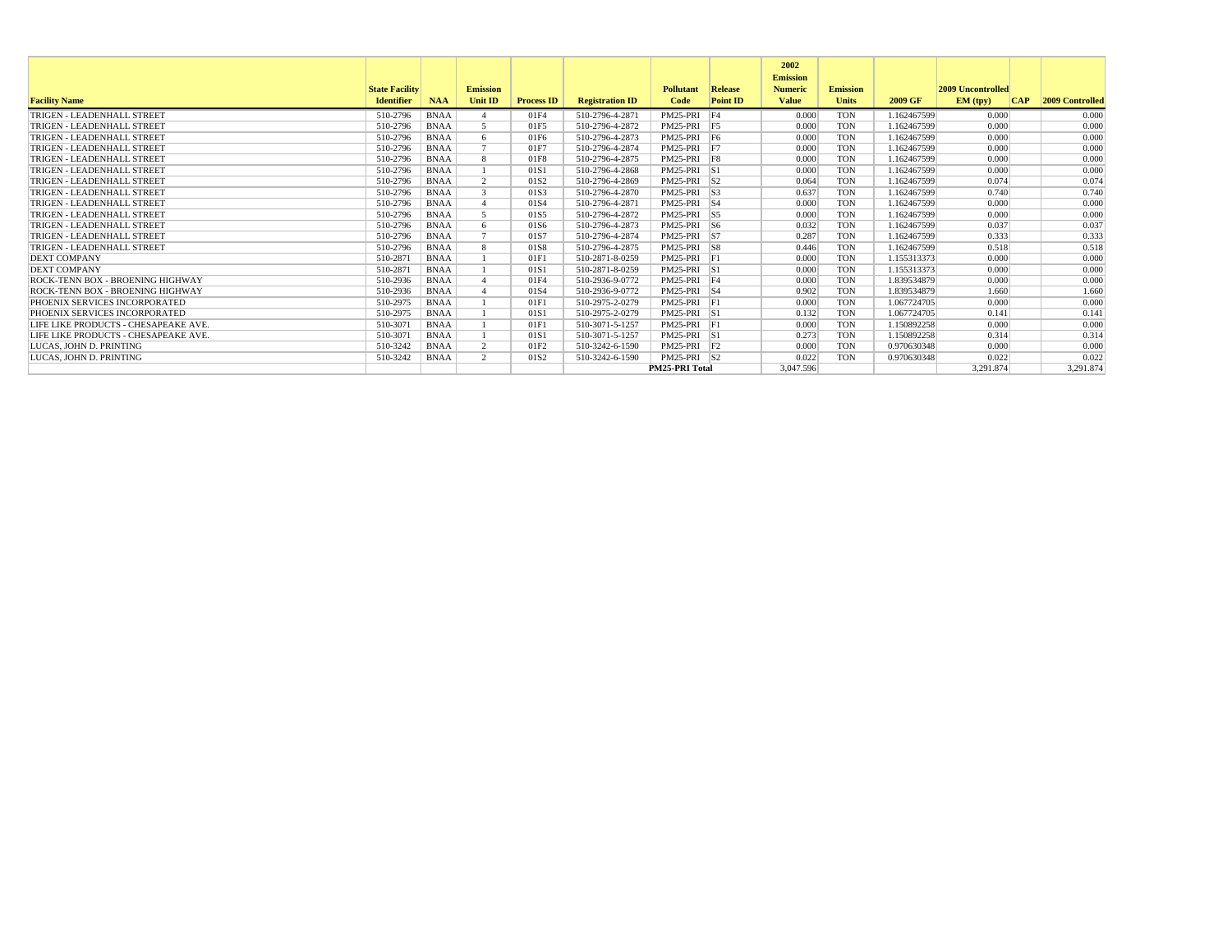|                                      |                       |             |                 |                   |                        |                       |                 | 2002<br><b>Emission</b> |                 |             |                          |     |                        |
|--------------------------------------|-----------------------|-------------|-----------------|-------------------|------------------------|-----------------------|-----------------|-------------------------|-----------------|-------------|--------------------------|-----|------------------------|
|                                      | <b>State Facility</b> |             | <b>Emission</b> |                   |                        | <b>Pollutant</b>      | Release         | <b>Numeric</b>          | <b>Emission</b> |             | <b>2009 Uncontrolled</b> |     |                        |
| <b>Facility Name</b>                 | <b>Identifier</b>     | <b>NAA</b>  | <b>Unit ID</b>  | <b>Process ID</b> | <b>Registration ID</b> | Code                  | <b>Point ID</b> | <b>Value</b>            | <b>Units</b>    | 2009 GF     | EM (typ)                 | CAP | <b>2009 Controlled</b> |
| TRIGEN - LEADENHALL STREET           | 510-2796              | <b>BNAA</b> |                 | 01F4              | 510-2796-4-2871        | PM25-PRI              | F4              | 0.000                   | <b>TON</b>      | 1.162467599 | 0.000                    |     | 0.000                  |
| TRIGEN - LEADENHALL STREET           | 510-2796              | <b>BNAA</b> | $\overline{5}$  | 01F5              | 510-2796-4-2872        | PM25-PRI F5           |                 | 0.000                   | <b>TON</b>      | 1.162467599 | 0.000                    |     | 0.000                  |
| TRIGEN - LEADENHALL STREET           | 510-2796              | <b>BNAA</b> | -6              | 01F6              | 510-2796-4-2873        | PM25-PRI F6           |                 | 0.000                   | <b>TON</b>      | 1.162467599 | 0.000                    |     | 0.000                  |
| TRIGEN - LEADENHALL STREET           | 510-2796              | <b>BNAA</b> |                 | 01F7              | 510-2796-4-2874        | PM25-PRI F7           |                 | 0.000                   | <b>TON</b>      | 1.162467599 | 0.000                    |     | 0.000                  |
| TRIGEN - LEADENHALL STREET           | 510-2796              | <b>BNAA</b> | -8              | 01F8              | 510-2796-4-2875        | PM25-PRI F8           |                 | 0.000                   | <b>TON</b>      | 1.162467599 | 0.000                    |     | 0.000                  |
| TRIGEN - LEADENHALL STREET           | 510-2796              | <b>BNAA</b> |                 | 01S1              | 510-2796-4-2868        | PM25-PRI S1           |                 | 0.000                   | <b>TON</b>      | 1.162467599 | 0.000                    |     | 0.000                  |
| TRIGEN - LEADENHALL STREET           | 510-2796              | <b>BNAA</b> | $\overline{2}$  | 01S <sub>2</sub>  | 510-2796-4-2869        | $PM25-PRI$ S2         |                 | 0.064                   | <b>TON</b>      | 1.162467599 | 0.074                    |     | 0.074                  |
| TRIGEN - LEADENHALL STREET           | 510-2796              | <b>BNAA</b> | $\mathcal{R}$   | 01S3              | 510-2796-4-2870        | $PM25-PRI$ S3         |                 | 0.637                   | <b>TON</b>      | 1.162467599 | 0.740                    |     | 0.740                  |
| TRIGEN - LEADENHALL STREET           | 510-2796              | <b>BNAA</b> |                 | 01S4              | 510-2796-4-2871        | PM25-PRI S4           |                 | 0.000                   | <b>TON</b>      | 1.162467599 | 0.000                    |     | 0.000                  |
| TRIGEN - LEADENHALL STREET           | 510-2796              | <b>BNAA</b> | $\leq$          | 01S5              | 510-2796-4-2872        | $PM25-PRI$ S5         |                 | 0.000                   | <b>TON</b>      | 1.162467599 | 0.000                    |     | 0.000                  |
| TRIGEN - LEADENHALL STREET           | 510-2796              | <b>BNAA</b> | 6               | 01S6              | 510-2796-4-2873        | $PM25-PRI$ S6         |                 | 0.032                   | <b>TON</b>      | 1.162467599 | 0.037                    |     | 0.037                  |
| TRIGEN - LEADENHALL STREET           | 510-2796              | <b>BNAA</b> |                 | 01S7              | 510-2796-4-2874        | PM25-PRI S7           |                 | 0.287                   | <b>TON</b>      | 1.162467599 | 0.333                    |     | 0.333                  |
| TRIGEN - LEADENHALL STREET           | 510-2796              | <b>BNAA</b> | 8               | 01S8              | 510-2796-4-2875        | $PM25-PRI$ $S8$       |                 | 0.446                   | <b>TON</b>      | 1.162467599 | 0.518                    |     | 0.518                  |
| <b>DEXT COMPANY</b>                  | 510-2871              | <b>BNAA</b> |                 | 01F1              | 510-2871-8-0259        | PM25-PRI F1           |                 | 0.000                   | <b>TON</b>      | 1.155313373 | 0.000                    |     | 0.000                  |
| <b>DEXT COMPANY</b>                  | 510-2871              | <b>BNAA</b> |                 | 01S1              | 510-2871-8-0259        | PM25-PRI S1           |                 | 0.000                   | <b>TON</b>      | 1.155313373 | 0.000                    |     | 0.000                  |
| ROCK-TENN BOX - BROENING HIGHWAY     | 510-2936              | <b>BNAA</b> |                 | 01F4              | 510-2936-9-0772        | PM25-PRI F4           |                 | 0.000                   | <b>TON</b>      | 1.839534879 | 0.000                    |     | 0.000                  |
| ROCK-TENN BOX - BROENING HIGHWAY     | 510-2936              | <b>BNAA</b> |                 | 01S4              | 510-2936-9-0772        | PM25-PRI S4           |                 | 0.902                   | <b>TON</b>      | 1.839534879 | 1.660                    |     | 1.660                  |
| PHOENIX SERVICES INCORPORATED        | 510-2975              | <b>BNAA</b> |                 | 01F1              | 510-2975-2-0279        | PM25-PRI F1           |                 | 0.000                   | <b>TON</b>      | 1.067724705 | 0.000                    |     | 0.000                  |
| PHOENIX SERVICES INCORPORATED        | 510-2975              | <b>BNAA</b> |                 | 01S1              | 510-2975-2-0279        | PM25-PRI S1           |                 | 0.132                   | <b>TON</b>      | 1.067724705 | 0.141                    |     | 0.141                  |
| LIFE LIKE PRODUCTS - CHESAPEAKE AVE. | 510-3071              | <b>BNAA</b> |                 | 01F1              | 510-3071-5-1257        | PM25-PRI F1           |                 | 0.000                   | <b>TON</b>      | 1.150892258 | 0.000                    |     | 0.000                  |
| LIFE LIKE PRODUCTS - CHESAPEAKE AVE. | 510-3071              | <b>BNAA</b> |                 | 01S1              | 510-3071-5-1257        | PM25-PRI S1           |                 | 0.273                   | <b>TON</b>      | 1.150892258 | 0.314                    |     | 0.314                  |
| LUCAS, JOHN D. PRINTING              | 510-3242              | <b>BNAA</b> | 2               | 01F <sub>2</sub>  | 510-3242-6-1590        | PM25-PRI F2           |                 | 0.000                   | <b>TON</b>      | 0.970630348 | 0.000                    |     | 0.000                  |
| LUCAS. JOHN D. PRINTING              | 510-3242              | <b>BNAA</b> | $\overline{2}$  | 01S <sub>2</sub>  | 510-3242-6-1590        | PM25-PRI S2           |                 | 0.022                   | <b>TON</b>      | 0.970630348 | 0.022                    |     | 0.022                  |
|                                      |                       |             |                 |                   |                        | <b>PM25-PRI Total</b> |                 | 3.047.596               |                 |             | 3.291.874                |     | 3.291.874              |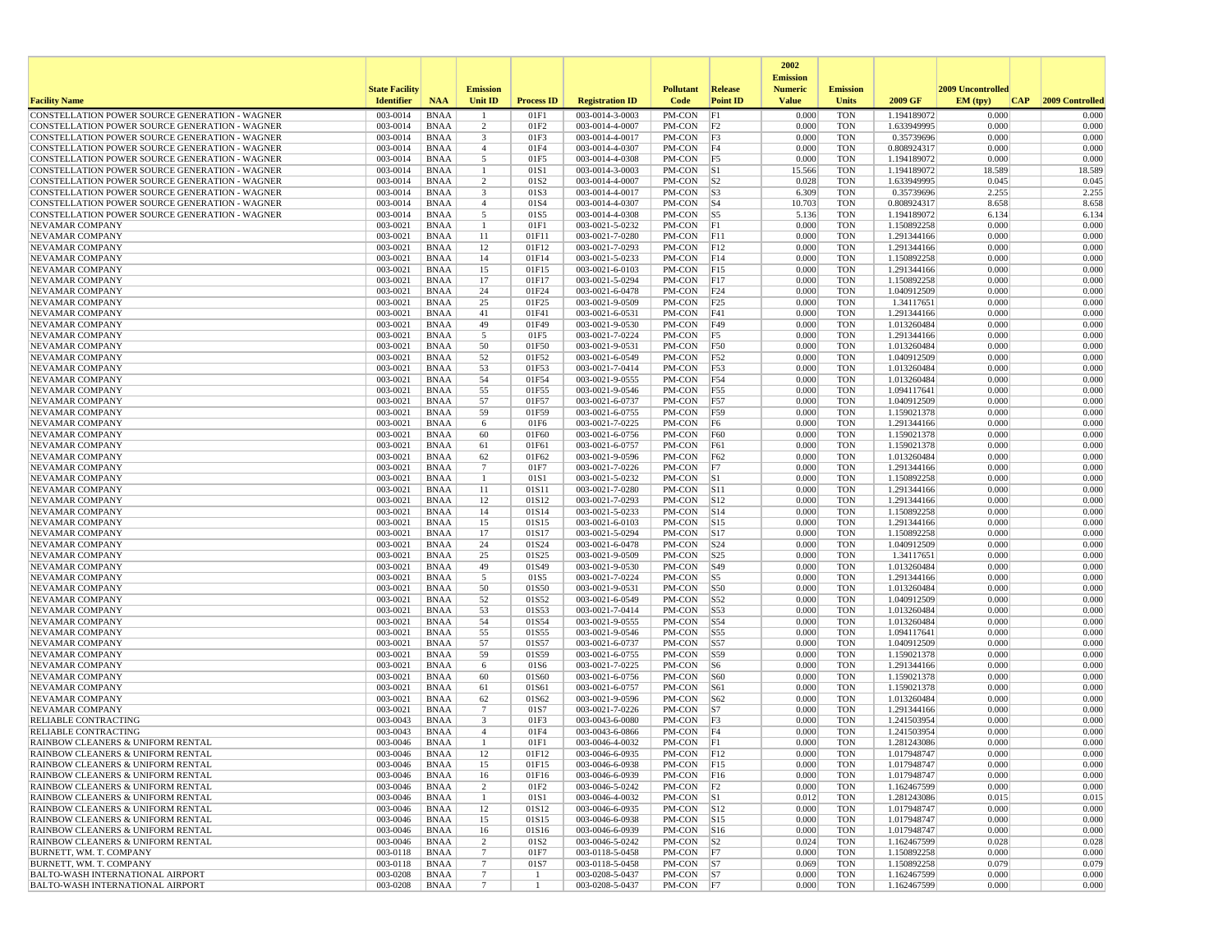|                                                                                                  |                       |                            |                         |                   |                                    |                  |                                | 2002<br><b>Emission</b> |                          |                            |                   |                 |
|--------------------------------------------------------------------------------------------------|-----------------------|----------------------------|-------------------------|-------------------|------------------------------------|------------------|--------------------------------|-------------------------|--------------------------|----------------------------|-------------------|-----------------|
|                                                                                                  | <b>State Facility</b> |                            | <b>Emission</b>         |                   |                                    | <b>Pollutant</b> | Release                        | <b>Numeric</b>          | <b>Emission</b>          |                            | 2009 Uncontrolled |                 |
| <b>Facility Name</b>                                                                             | <b>Identifier</b>     | <b>NAA</b>                 | Unit ID                 | <b>Process ID</b> | <b>Registration ID</b>             | Code             | <b>Point ID</b>                | <b>Value</b>            | <b>Units</b>             | 2009 GF                    | EM (typ)<br> CAP  | 2009 Controlled |
| CONSTELLATION POWER SOURCE GENERATION - WAGNER                                                   | 003-0014              | <b>BNAA</b>                |                         | 01F1              | 003-0014-3-0003                    | PM-CON           | F1                             | 0.000                   | <b>TON</b>               | 1.194189072                | 0.000             | 0.000           |
| CONSTELLATION POWER SOURCE GENERATION - WAGNER                                                   | 003-0014              | <b>BNAA</b>                | 2                       | 01F2              | 003-0014-4-0007                    | PM-CON           | F2                             | 0.000                   | <b>TON</b>               | 1.633949995                | 0.000             | 0.000           |
| CONSTELLATION POWER SOURCE GENERATION - WAGNER<br>CONSTELLATION POWER SOURCE GENERATION - WAGNER | 003-0014<br>003-0014  | <b>BNAA</b><br><b>BNAA</b> | $\overline{\mathbf{3}}$ | 01F3<br>01F4      | 003-0014-4-0017<br>003-0014-4-0307 | PM-CON<br>PM-CON | F3<br> F4                      | 0.000<br>0.000          | <b>TON</b><br><b>TON</b> | 0.35739696<br>0.808924317  | 0.000<br>0.000    | 0.000<br>0.000  |
| CONSTELLATION POWER SOURCE GENERATION - WAGNER                                                   | 003-0014              | <b>BNAA</b>                | $\overline{4}$<br>5     | 01F5              | 003-0014-4-0308                    | PM-CON           | F5                             | 0.000                   | <b>TON</b>               | 1.194189072                | 0.000             | 0.000           |
| CONSTELLATION POWER SOURCE GENERATION - WAGNER                                                   | 003-0014              | <b>BNAA</b>                |                         | 01S1              | 003-0014-3-0003                    | PM-CON           | S1                             | 15.566                  | <b>TON</b>               | 1.194189072                | 18.589            | 18.589          |
| CONSTELLATION POWER SOURCE GENERATION - WAGNER                                                   | 003-0014              | <b>BNAA</b>                | $\overline{2}$          | 01S2              | 003-0014-4-0007                    | PM-CON           | S <sub>2</sub>                 | 0.028                   | <b>TON</b>               | 1.633949995                | 0.045             | 0.045           |
| CONSTELLATION POWER SOURCE GENERATION - WAGNER                                                   | 003-0014              | <b>BNAA</b>                | 3                       | 01S3              | 003-0014-4-0017                    | PM-CON           | S3                             | 6.309                   | <b>TON</b>               | 0.35739696                 | 2.255             | 2.255           |
| CONSTELLATION POWER SOURCE GENERATION - WAGNER                                                   | 003-0014              | <b>BNAA</b>                | $\overline{4}$          | 01S4              | 003-0014-4-0307                    | PM-CON           | $ S_4 $                        | 10.703                  | <b>TON</b>               | 0.808924317                | 8.658             | 8.658           |
| CONSTELLATION POWER SOURCE GENERATION - WAGNER                                                   | 003-0014              | <b>BNAA</b>                | 5                       | 01S5              | 003-0014-4-0308                    | PM-CON           | $\vert$ S5                     | 5.136                   | <b>TON</b>               | 1.194189072                | 6.134             | 6.134           |
| NEVAMAR COMPANY<br>NEVAMAR COMPANY                                                               | 003-0021<br>003-0021  | <b>BNAA</b><br><b>BNAA</b> | $\overline{1}$<br>11    | 01F1<br>01F11     | 003-0021-5-0232<br>003-0021-7-0280 | PM-CON<br>PM-CON | F1<br>F11                      | 0.000<br>0.000          | <b>TON</b><br><b>TON</b> | 1.150892258<br>1.291344166 | 0.000<br>0.000    | 0.000<br>0.000  |
| NEVAMAR COMPANY                                                                                  | 003-0021              | <b>BNAA</b>                | 12                      | 01F12             | 003-0021-7-0293                    | PM-CON           | F12                            | 0.000                   | <b>TON</b>               | 1.291344166                | 0.000             | 0.000           |
| NEVAMAR COMPANY                                                                                  | 003-0021              | <b>BNAA</b>                | 14                      | 01F14             | 003-0021-5-0233                    | PM-CON           | F14                            | 0.000                   | <b>TON</b>               | 1.150892258                | 0.000             | 0.000           |
| NEVAMAR COMPANY                                                                                  | 003-0021              | <b>BNAA</b>                | 15                      | 01F15             | 003-0021-6-0103                    | PM-CON           | F15                            | 0.000                   | <b>TON</b>               | 1.291344166                | 0.000             | 0.000           |
| <b>NEVAMAR COMPANY</b>                                                                           | 003-0021              | <b>BNAA</b>                | 17                      | 01F17             | 003-0021-5-0294                    | PM-CON           | F17                            | 0.000                   | <b>TON</b>               | 1.150892258                | 0.000             | 0.000           |
| NEVAMAR COMPANY                                                                                  | 003-0021              | <b>BNAA</b>                | 24                      | 01F24             | 003-0021-6-0478                    | PM-CON           | F24                            | 0.000                   | <b>TON</b>               | 1.040912509                | 0.000             | 0.000           |
| NEVAMAR COMPANY                                                                                  | 003-0021              | <b>BNAA</b>                | 25                      | 01F25             | 003-0021-9-0509                    | PM-CON           | F25                            | 0.000                   | <b>TON</b>               | 1.34117651                 | 0.000             | 0.000           |
| NEVAMAR COMPANY<br>NEVAMAR COMPANY                                                               | 003-0021<br>003-0021  | <b>BNAA</b><br><b>BNAA</b> | 41<br>49                | 01F41<br>01F49    | 003-0021-6-0531<br>003-0021-9-0530 | PM-CON<br>PM-CON | F41<br>F49                     | 0.000<br>0.000          | <b>TON</b><br><b>TON</b> | 1.291344166<br>1.013260484 | 0.000<br>0.000    | 0.000<br>0.000  |
| NEVAMAR COMPANY                                                                                  | 003-0021              | <b>BNAA</b>                | 5                       | 01F5              | 003-0021-7-0224                    | PM-CON           | F5                             | 0.000                   | <b>TON</b>               | 1.291344166                | 0.000             | 0.000           |
| NEVAMAR COMPANY                                                                                  | 003-0021              | <b>BNAA</b>                | 50                      | 01F50             | 003-0021-9-0531                    | PM-CON           | <b>F50</b>                     | 0.000                   | <b>TON</b>               | 1.013260484                | 0.000             | 0.000           |
| NEVAMAR COMPANY                                                                                  | 003-0021              | <b>BNAA</b>                | 52                      | 01F52             | 003-0021-6-0549                    | PM-CON           | F52                            | 0.000                   | <b>TON</b>               | 1.040912509                | 0.000             | 0.000           |
| NEVAMAR COMPANY                                                                                  | 003-0021              | <b>BNAA</b>                | 53                      | 01F53             | 003-0021-7-0414                    | PM-CON           | F53                            | 0.000                   | <b>TON</b>               | 1.013260484                | 0.000             | 0.000           |
| NEVAMAR COMPANY                                                                                  | 003-0021              | <b>BNAA</b>                | 54                      | 01F54             | 003-0021-9-0555                    | PM-CON           | F54                            | 0.000                   | <b>TON</b>               | 1.013260484                | 0.000             | 0.000           |
| <b>NEVAMAR COMPANY</b>                                                                           | 003-0021              | <b>BNAA</b>                | 55<br>57                | 01F55             | 003-0021-9-0546<br>003-0021-6-0737 | PM-CON           | F55                            | 0.000                   | <b>TON</b>               | 1.094117641                | 0.000<br>0.000    | 0.000<br>0.000  |
| NEVAMAR COMPANY<br>NEVAMAR COMPANY                                                               | 003-0021<br>003-0021  | <b>BNAA</b><br><b>BNAA</b> | 59                      | 01F57<br>01F59    | 003-0021-6-0755                    | PM-CON<br>PM-CON | <b>F57</b><br>F59              | 0.000<br>0.000          | <b>TON</b><br><b>TON</b> | 1.040912509<br>1.159021378 | 0.000             | 0.000           |
| NEVAMAR COMPANY                                                                                  | 003-0021              | <b>BNAA</b>                | 6                       | 01F6              | 003-0021-7-0225                    | PM-CON           | F6                             | 0.000                   | <b>TON</b>               | 1.291344166                | 0.000             | 0.000           |
| NEVAMAR COMPANY                                                                                  | 003-0021              | <b>BNAA</b>                | 60                      | 01F60             | 003-0021-6-0756                    | PM-CON           | <b>F60</b>                     | 0.000                   | <b>TON</b>               | 1.159021378                | 0.000             | 0.000           |
| NEVAMAR COMPANY                                                                                  | 003-0021              | <b>BNAA</b>                | 61                      | 01F61             | 003-0021-6-0757                    | PM-CON           | <b>F61</b>                     | 0.000                   | <b>TON</b>               | 1.159021378                | 0.000             | 0.000           |
| NEVAMAR COMPANY                                                                                  | 003-0021              | <b>BNAA</b>                | 62                      | 01F62             | 003-0021-9-0596                    | PM-CON           | F62                            | 0.000                   | <b>TON</b>               | 1.013260484                | 0.000             | 0.000           |
| NEVAMAR COMPANY                                                                                  | 003-0021              | <b>BNAA</b>                | 7                       | 01F7              | 003-0021-7-0226                    | PM-CON           | F7                             | 0.000                   | <b>TON</b>               | 1.291344166                | 0.000             | 0.000           |
| NEVAMAR COMPANY<br>NEVAMAR COMPANY                                                               | 003-0021<br>003-0021  | <b>BNAA</b><br><b>BNAA</b> | -1<br>11                | 01S1<br>01S11     | 003-0021-5-0232<br>003-0021-7-0280 | PM-CON<br>PM-CON | S1<br> S11                     | 0.000<br>0.000          | <b>TON</b><br><b>TON</b> | 1.150892258<br>1.291344166 | 0.000<br>0.000    | 0.000<br>0.000  |
| NEVAMAR COMPANY                                                                                  | 003-0021              | <b>BNAA</b>                | 12                      | 01S12             | 003-0021-7-0293                    | PM-CON           | S12                            | 0.000                   | <b>TON</b>               | 1.291344166                | 0.000             | 0.000           |
| NEVAMAR COMPANY                                                                                  | 003-0021              | <b>BNAA</b>                | 14                      | 01S14             | 003-0021-5-0233                    | PM-CON           | S14                            | 0.000                   | <b>TON</b>               | 1.150892258                | 0.000             | 0.000           |
| NEVAMAR COMPANY                                                                                  | 003-0021              | <b>BNAA</b>                | 15                      | 01S15             | 003-0021-6-0103                    | PM-CON           | S15                            | 0.000                   | <b>TON</b>               | 1.291344166                | 0.000             | 0.000           |
| NEVAMAR COMPANY                                                                                  | 003-0021              | <b>BNAA</b>                | 17                      | 01S17             | 003-0021-5-0294                    | PM-CON           | S17                            | 0.000                   | <b>TON</b>               | 1.150892258                | 0.000             | 0.000           |
| NEVAMAR COMPANY                                                                                  | 003-0021              | <b>BNAA</b>                | 24                      | 01S24             | 003-0021-6-0478                    | PM-CON           | S24                            | 0.000                   | <b>TON</b>               | 1.040912509                | 0.000             | 0.000           |
| NEVAMAR COMPANY<br>NEVAMAR COMPANY                                                               | 003-0021<br>003-0021  | <b>BNAA</b><br><b>BNAA</b> | 25<br>49                | 01S25<br>01S49    | 003-0021-9-0509<br>003-0021-9-0530 | PM-CON<br>PM-CON | S25<br> S49                    | 0.000<br>0.000          | <b>TON</b><br><b>TON</b> | 1.34117651                 | 0.000<br>0.000    | 0.000<br>0.000  |
| NEVAMAR COMPANY                                                                                  | 003-0021              | <b>BNAA</b>                | 5                       | 01S5              | 003-0021-7-0224                    | PM-CON           | S5                             | 0.000                   | <b>TON</b>               | 1.013260484<br>1.291344166 | 0.000             | 0.000           |
| NEVAMAR COMPANY                                                                                  | 003-0021              | <b>BNAA</b>                | 50                      | 01S50             | 003-0021-9-0531                    | PM-CON           | <b>S50</b>                     | 0.000                   | <b>TON</b>               | 1.013260484                | 0.000             | 0.000           |
| NEVAMAR COMPANY                                                                                  | 003-0021              | <b>BNAA</b>                | 52                      | 01S52             | 003-0021-6-0549                    | PM-CON           | S52                            | 0.000                   | <b>TON</b>               | 1.040912509                | 0.000             | 0.000           |
| NEVAMAR COMPANY                                                                                  | 003-0021              | <b>BNAA</b>                | 53                      | 01S53             | 003-0021-7-0414                    | PM-CON           | S53                            | 0.000                   | <b>TON</b>               | 1.013260484                | 0.000             | 0.000           |
| NEVAMAR COMPANY                                                                                  | 003-0021              | <b>BNAA</b>                | 54                      | 01S54             | 003-0021-9-0555                    | PM-CON           | S54                            | 0.000                   | <b>TON</b>               | 1.013260484                | 0.000             | 0.000           |
| NEVAMAR COMPANY                                                                                  | 003-0021              | <b>BNAA</b>                | 55                      | 01S55             | 003-0021-9-0546                    | PM-CON           | S55                            | 0.000                   | <b>TON</b>               | 1.094117641                | 0.000<br>0.000    | 0.000           |
| NEVAMAR COMPANY<br>NEVAMAR COMPANY                                                               | 003-0021<br>003-0021  | <b>BNAA</b><br><b>BNAA</b> | 57<br>59                | 01S57<br>01S59    | 003-0021-6-0737<br>003-0021-6-0755 | PM-CON<br>PM-CON | S57<br>S59                     | 0.000<br>0.000          | <b>TON</b><br><b>TON</b> | 1.040912509<br>1.159021378 | 0.000             | 0.000<br>0.000  |
| NEVAMAR COMPANY                                                                                  | 003-0021              | <b>BNAA</b>                | 6                       | 01S6              | 003-0021-7-0225                    | PM-CON           | S6                             | 0.000                   | <b>TON</b>               | 1.291344166                | 0.000             | 0.000           |
| NEVAMAR COMPANY                                                                                  | 003-0021              | <b>BNAA</b>                | 60                      | 01S60             | 003-0021-6-0756                    | PM-CON           | <b>S60</b>                     | 0.000                   | <b>TON</b>               | 1.159021378                | 0.000             | 0.000           |
| <b>NEVAMAR COMPANY</b>                                                                           | 003-0021              | <b>BNAA</b>                | 61                      | 01S61             | 003-0021-6-0757                    | PM-CON           | S61                            | 0.000                   | <b>TON</b>               | 1.159021378                | 0.000             | 0.000           |
| NEVAMAR COMPANY                                                                                  | 003-0021              | <b>BNAA</b>                | 62                      | 01S62             | 003-0021-9-0596                    | PM-CON           | S62                            | 0.000                   | <b>TON</b>               | 1.013260484                | 0.000             | 0.000           |
| NEVAMAR COMPANY                                                                                  | 003-0021              | <b>BNAA</b>                | 7                       | 01S7              | 003-0021-7-0226                    | PM-CON           | S7                             | 0.000                   | <b>TON</b>               | 1.291344166                | 0.000             | 0.000           |
| <b>RELIABLE CONTRACTING</b><br>RELIABLE CONTRACTING                                              | 003-0043<br>003-0043  | <b>BNAA</b><br><b>BNAA</b> | 3<br>$\overline{4}$     | 01F3<br>01F4      | 003-0043-6-0080<br>003-0043-6-0866 | PM-CON<br>PM-CON | F3<br>F4                       | 0.000<br>0.000          | <b>TON</b><br><b>TON</b> | 1.241503954<br>1.241503954 | 0.000<br>0.000    | 0.000<br>0.000  |
| RAINBOW CLEANERS & UNIFORM RENTAL                                                                | 003-0046              | <b>BNAA</b>                |                         | 01F1              | 003-0046-4-0032                    | PM-CON           | F1                             | 0.000                   | <b>TON</b>               | 1.281243086                | 0.000             | 0.000           |
| RAINBOW CLEANERS & UNIFORM RENTAL                                                                | 003-0046              | BNAA                       | 12                      | 01F12             | 003-0046-6-0935                    | PM-CON F12       |                                | 0.000                   | TON                      | 1.017948747                | 0.000             | 0.000           |
| RAINBOW CLEANERS & UNIFORM RENTAL                                                                | 003-0046              | BNAA                       | 15                      | 01F15             | 003-0046-6-0938                    | PM-CON F15       |                                | 0.000                   | <b>TON</b>               | 1.017948747                | 0.000             | 0.000           |
| RAINBOW CLEANERS & UNIFORM RENTAL                                                                | 003-0046              | BNAA                       | 16                      | 01F16             | 003-0046-6-0939                    | PM-CON F16       |                                | 0.000                   | <b>TON</b>               | 1.017948747                | 0.000             | 0.000           |
| RAINBOW CLEANERS & UNIFORM RENTAL                                                                | 003-0046              | BNAA                       | 2                       | 01F2              | 003-0046-5-0242                    | $PM$ -CON $ F2 $ |                                | 0.000                   | TON                      | 1.162467599                | 0.000             | 0.000           |
| RAINBOW CLEANERS & UNIFORM RENTAL                                                                | 003-0046              | <b>BNAA</b>                | 1                       | 01S1              | 003-0046-4-0032                    | PM-CON S1        |                                | 0.012                   | <b>TON</b>               | 1.281243086                | 0.015             | 0.015           |
| RAINBOW CLEANERS & UNIFORM RENTAL<br>RAINBOW CLEANERS & UNIFORM RENTAL                           | 003-0046<br>003-0046  | <b>BNAA</b><br><b>BNAA</b> | 12<br>15                | 01S12<br>01S15    | 003-0046-6-0935<br>003-0046-6-0938 | PM-CON<br>PM-CON | $\vert$ S12<br>S <sub>15</sub> | 0.000<br>0.000          | <b>TON</b><br><b>TON</b> | 1.017948747<br>1.017948747 | 0.000<br>0.000    | 0.000<br>0.000  |
| RAINBOW CLEANERS & UNIFORM RENTAL                                                                | 003-0046              | BNAA                       | 16                      | 01S16             | 003-0046-6-0939                    | $PM$ -CON $ S16$ |                                | 0.000                   | <b>TON</b>               | 1.017948747                | 0.000             | 0.000           |
| RAINBOW CLEANERS & UNIFORM RENTAL                                                                | 003-0046              | <b>BNAA</b>                | 2                       | 01S2              | 003-0046-5-0242                    | $PM$ -CON $ S2 $ |                                | 0.024                   | <b>TON</b>               | 1.162467599                | 0.028             | 0.028           |
| BURNETT, WM. T. COMPANY                                                                          | 003-0118              | BNAA                       | $7\phantom{.0}$         | 01F7              | 003-0118-5-0458                    | PM-CON   F7      |                                | 0.000                   | <b>TON</b>               | 1.150892258                | 0.000             | 0.000           |
| BURNETT, WM. T. COMPANY                                                                          | 003-0118              | BNAA                       | $7\phantom{.0}$         | 01S7              | 003-0118-5-0458                    | PM-CON S7        |                                | 0.069                   | TON                      | 1.150892258                | 0.079             | 0.079           |
| <b>BALTO-WASH INTERNATIONAL AIRPORT</b>                                                          | 003-0208              | <b>BNAA</b>                | $7\phantom{.0}$         |                   | 003-0208-5-0437                    | PM-CON  S7       |                                | 0.000                   | <b>TON</b>               | 1.162467599                | 0.000             | 0.000           |
| <b>BALTO-WASH INTERNATIONAL AIRPORT</b>                                                          | 003-0208              | <b>BNAA</b>                | $7\phantom{.0}$         | -1                | 003-0208-5-0437                    | PM-CON F7        |                                | 0.000                   | TON                      | 1.162467599                | 0.000             | 0.000           |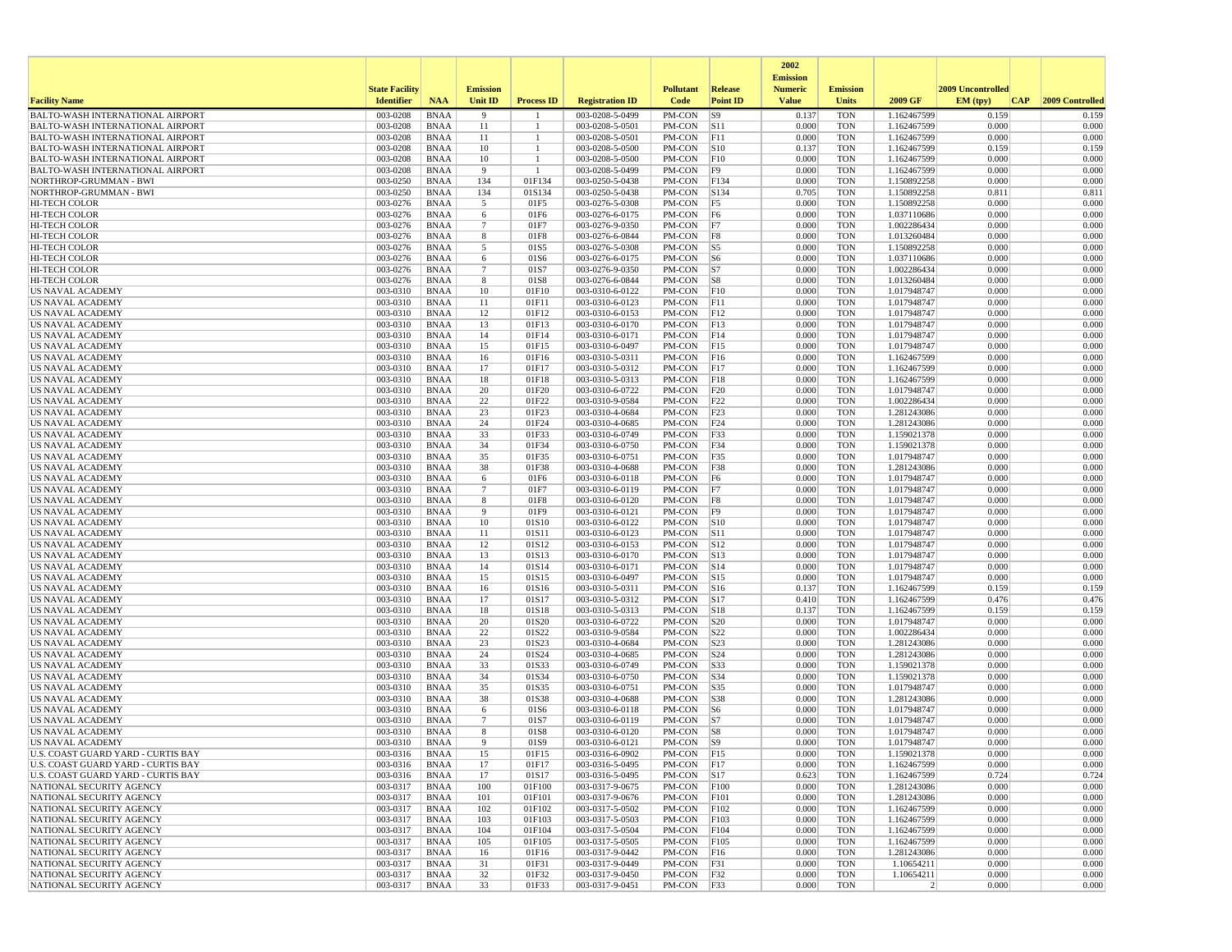|                                                                                    |                        |                            |                      |                   |                                    |                          |                        | 2002                              |                          |                            |                   |                 |
|------------------------------------------------------------------------------------|------------------------|----------------------------|----------------------|-------------------|------------------------------------|--------------------------|------------------------|-----------------------------------|--------------------------|----------------------------|-------------------|-----------------|
|                                                                                    | <b>State Facility</b>  |                            | <b>Emission</b>      |                   |                                    | <b>Pollutant</b>         | Release                | <b>Emission</b><br><b>Numeric</b> | <b>Emission</b>          |                            | 2009 Uncontrolled |                 |
| <b>Facility Name</b>                                                               | <b>Identifier</b>      | <b>NAA</b>                 | Unit ID              | <b>Process ID</b> | <b>Registration ID</b>             | Code                     | <b>Point ID</b>        | <b>Value</b>                      | <b>Units</b>             | 2009 GF                    | EM (typ)<br> CAP  | 2009 Controlled |
| BALTO-WASH INTERNATIONAL AIRPORT                                                   | 003-0208               | <b>BNAA</b>                | -9                   |                   | 003-0208-5-0499                    | PM-CON                   | S9                     | 0.137                             | <b>TON</b>               | 1.162467599                | 0.159             | 0.159           |
| <b>BALTO-WASH INTERNATIONAL AIRPORT</b>                                            | 003-0208               | <b>BNAA</b>                | 11                   |                   | 003-0208-5-0501                    | PM-CON                   | S11                    | 0.000                             | <b>TON</b>               | 1.162467599                | 0.000             | 0.000           |
| <b>BALTO-WASH INTERNATIONAL AIRPORT</b><br><b>BALTO-WASH INTERNATIONAL AIRPORT</b> | 003-0208<br>003-0208   | <b>BNAA</b><br><b>BNAA</b> | 11<br>10             | $\mathbf{1}$      | 003-0208-5-0501<br>003-0208-5-0500 | PM-CON<br>PM-CON         | F11<br>S10             | 0.000<br>0.137                    | <b>TON</b><br><b>TON</b> | 1.162467599<br>1.162467599 | 0.000<br>0.159    | 0.000<br>0.159  |
| <b>BALTO-WASH INTERNATIONAL AIRPORT</b>                                            | 003-0208               | <b>BNAA</b>                | 10                   |                   | 003-0208-5-0500                    | PM-CON                   | F10                    | 0.000                             | <b>TON</b>               | 1.162467599                | 0.000             | 0.000           |
| <b>BALTO-WASH INTERNATIONAL AIRPORT</b>                                            | 003-0208               | <b>BNAA</b>                | 9                    | -1                | 003-0208-5-0499                    | PM-CON                   | F9                     | 0.000                             | <b>TON</b>               | 1.162467599                | 0.000             | 0.000           |
| NORTHROP-GRUMMAN - BWI                                                             | 003-0250               | <b>BNAA</b>                | 134                  | 01F134            | 003-0250-5-0438                    | PM-CON                   | F134                   | 0.000                             | <b>TON</b>               | 1.150892258                | 0.000             | 0.000           |
| NORTHROP-GRUMMAN - BWI                                                             | 003-0250               | <b>BNAA</b>                | 134                  | 01S134            | 003-0250-5-0438                    | PM-CON                   | S134                   | 0.705                             | <b>TON</b>               | 1.150892258                | 0.811             | 0.811           |
| HI-TECH COLOR<br><b>HI-TECH COLOR</b>                                              | 003-0276<br>003-0276   | <b>BNAA</b><br><b>BNAA</b> | 5                    | 01F5<br>01F6      | 003-0276-5-0308<br>003-0276-6-0175 | PM-CON<br>PM-CON         | F5<br> F6              | 0.000<br>0.000                    | <b>TON</b><br><b>TON</b> | 1.150892258<br>1.037110686 | 0.000<br>0.000    | 0.000<br>0.000  |
| <b>HI-TECH COLOR</b>                                                               | 003-0276               | <b>BNAA</b>                | 6<br>$7\phantom{.0}$ | 01F7              | 003-0276-9-0350                    | PM-CON                   | F7                     | 0.000                             | <b>TON</b>               | 1.002286434                | 0.000             | 0.000           |
| <b>HI-TECH COLOR</b>                                                               | 003-0276               | <b>BNAA</b>                | 8                    | 01F8              | 003-0276-6-0844                    | PM-CON                   | F8                     | 0.000                             | <b>TON</b>               | 1.013260484                | 0.000             | 0.000           |
| <b>HI-TECH COLOR</b>                                                               | 003-0276               | <b>BNAA</b>                | 5                    | 01S5              | 003-0276-5-0308                    | PM-CON                   | $\vert$ S5             | 0.000                             | <b>TON</b>               | 1.150892258                | 0.000             | 0.000           |
| HI-TECH COLOR                                                                      | 003-0276               | <b>BNAA</b>                | 6                    | 01S6              | 003-0276-6-0175                    | PM-CON                   | S6                     | 0.000                             | <b>TON</b>               | 1.037110686                | 0.000             | 0.000           |
| HI-TECH COLOR                                                                      | 003-0276<br>003-0276   | <b>BNAA</b><br><b>BNAA</b> | $\overline{7}$<br>8  | 01S7<br>01S8      | 003-0276-9-0350<br>003-0276-6-0844 | PM-CON<br>PM-CON         | S7<br> S8              | 0.000<br>0.000                    | <b>TON</b><br><b>TON</b> | 1.002286434<br>1.013260484 | 0.000<br>0.000    | 0.000<br>0.000  |
| HI-TECH COLOR<br>US NAVAL ACADEMY                                                  | 003-0310               | <b>BNAA</b>                | 10                   | 01F10             | 003-0310-6-0122                    | PM-CON                   | F10                    | 0.000                             | <b>TON</b>               | 1.017948747                | 0.000             | 0.000           |
| US NAVAL ACADEMY                                                                   | 003-0310               | <b>BNAA</b>                | 11                   | 01F11             | 003-0310-6-0123                    | PM-CON                   | F11                    | 0.000                             | <b>TON</b>               | 1.017948747                | 0.000             | 0.000           |
| US NAVAL ACADEMY                                                                   | 003-0310               | <b>BNAA</b>                | 12                   | 01F12             | 003-0310-6-0153                    | PM-CON                   | F12                    | 0.000                             | <b>TON</b>               | 1.017948747                | 0.000             | 0.000           |
| US NAVAL ACADEMY                                                                   | 003-0310               | <b>BNAA</b>                | 13                   | 01F13             | 003-0310-6-0170                    | PM-CON                   | F13                    | 0.000                             | <b>TON</b>               | 1.017948747                | 0.000             | 0.000           |
| US NAVAL ACADEMY                                                                   | 003-0310               | <b>BNAA</b>                | 14                   | 01F14             | 003-0310-6-0171                    | $PM$ -CON                | F14                    | 0.000                             | <b>TON</b>               | 1.017948747                | 0.000             | 0.000           |
| US NAVAL ACADEMY<br><b>US NAVAL ACADEMY</b>                                        | 003-0310<br>003-0310   | <b>BNAA</b><br><b>BNAA</b> | 15<br>16             | 01F15<br>01F16    | 003-0310-6-0497<br>003-0310-5-0311 | PM-CON<br>PM-CON         | F15<br>F16             | 0.000<br>0.000                    | <b>TON</b><br><b>TON</b> | 1.017948747<br>1.162467599 | 0.000<br>0.000    | 0.000<br>0.000  |
| US NAVAL ACADEMY                                                                   | 003-0310               | <b>BNAA</b>                | 17                   | 01F17             | 003-0310-5-0312                    | PM-CON                   | F17                    | 0.000                             | <b>TON</b>               | 1.162467599                | 0.000             | 0.000           |
| US NAVAL ACADEMY                                                                   | 003-0310               | <b>BNAA</b>                | 18                   | 01F18             | 003-0310-5-0313                    | PM-CON                   | F18                    | 0.000                             | <b>TON</b>               | 1.162467599                | 0.000             | 0.000           |
| <b>US NAVAL ACADEMY</b>                                                            | 003-0310               | <b>BNAA</b>                | 20                   | 01F20             | 003-0310-6-0722                    | PM-CON                   | F20                    | 0.000                             | <b>TON</b>               | 1.017948747                | 0.000             | 0.000           |
| US NAVAL ACADEMY                                                                   | 003-0310               | <b>BNAA</b>                | 22                   | 01F22             | 003-0310-9-0584                    | PM-CON                   | F22                    | 0.000                             | <b>TON</b>               | 1.002286434                | 0.000             | 0.000           |
| <b>US NAVAL ACADEMY</b><br><b>US NAVAL ACADEMY</b>                                 | 003-0310<br>003-0310   | <b>BNAA</b><br><b>BNAA</b> | 23<br>24             | 01F23<br>01F24    | 003-0310-4-0684<br>003-0310-4-0685 | PM-CON<br>PM-CON         | F23<br>F24             | 0.000<br>0.000                    | <b>TON</b><br><b>TON</b> | 1.281243086<br>1.281243086 | 0.000<br>0.000    | 0.000<br>0.000  |
| US NAVAL ACADEMY                                                                   | 003-0310               | <b>BNAA</b>                | 33                   | 01F33             | 003-0310-6-0749                    | PM-CON                   | F33                    | 0.000                             | <b>TON</b>               | 1.159021378                | 0.000             | 0.000           |
| US NAVAL ACADEMY                                                                   | 003-0310               | <b>BNAA</b>                | 34                   | 01F34             | 003-0310-6-0750                    | PM-CON                   | F34                    | 0.000                             | <b>TON</b>               | 1.159021378                | 0.000             | 0.000           |
| <b>US NAVAL ACADEMY</b>                                                            | 003-0310               | <b>BNAA</b>                | 35                   | 01F35             | 003-0310-6-0751                    | PM-CON                   | F35                    | 0.000                             | <b>TON</b>               | 1.017948747                | 0.000             | 0.000           |
| US NAVAL ACADEMY                                                                   | 003-0310               | <b>BNAA</b>                | 38                   | 01F38             | 003-0310-4-0688                    | PM-CON                   | F38                    | 0.000                             | <b>TON</b>               | 1.281243086                | 0.000             | 0.000           |
| US NAVAL ACADEMY<br><b>US NAVAL ACADEMY</b>                                        | 003-0310<br>003-0310   | <b>BNAA</b><br><b>BNAA</b> | 6<br>$\overline{7}$  | 01F6<br>01F7      | 003-0310-6-0118<br>003-0310-6-0119 | PM-CON<br>PM-CON         | F6<br> F7              | 0.000<br>0.000                    | <b>TON</b><br><b>TON</b> | 1.017948747<br>1.017948747 | 0.000<br>0.000    | 0.000<br>0.000  |
| US NAVAL ACADEMY                                                                   | 003-0310               | <b>BNAA</b>                | 8                    | 01F8              | 003-0310-6-0120                    | PM-CON                   | F8                     | 0.000                             | <b>TON</b>               | 1.017948747                | 0.000             | 0.000           |
| <b>US NAVAL ACADEMY</b>                                                            | 003-0310               | <b>BNAA</b>                | 9                    | 01F9              | 003-0310-6-0121                    | PM-CON                   | F9                     | 0.000                             | <b>TON</b>               | 1.017948747                | 0.000             | 0.000           |
| US NAVAL ACADEMY                                                                   | 003-0310               | <b>BNAA</b>                | 10                   | 01S10             | 003-0310-6-0122                    | PM-CON                   | S10                    | 0.000                             | <b>TON</b>               | 1.017948747                | 0.000             | 0.000           |
| US NAVAL ACADEMY                                                                   | 003-0310               | <b>BNAA</b>                | 11                   | 01S11             | 003-0310-6-0123                    | PM-CON                   | S11                    | 0.000                             | <b>TON</b>               | 1.017948747                | 0.000             | 0.000           |
| <b>US NAVAL ACADEMY</b>                                                            | 003-0310<br>003-0310   | <b>BNAA</b><br><b>BNAA</b> | 12<br>13             | 01S12             | 003-0310-6-0153                    | PM-CON                   | S12<br>S13             | 0.000<br>0.000                    | <b>TON</b><br><b>TON</b> | 1.017948747                | 0.000<br>0.000    | 0.000<br>0.000  |
| US NAVAL ACADEMY<br>US NAVAL ACADEMY                                               | 003-0310               | <b>BNAA</b>                | 14                   | 01S13<br>01S14    | 003-0310-6-0170<br>003-0310-6-0171 | PM-CON<br>PM-CON         | S14                    | 0.000                             | <b>TON</b>               | 1.017948747<br>1.017948747 | 0.000             | 0.000           |
| <b>US NAVAL ACADEMY</b>                                                            | 003-0310               | <b>BNAA</b>                | 15                   | 01S15             | 003-0310-6-0497                    | PM-CON                   | S15                    | 0.000                             | <b>TON</b>               | 1.017948747                | 0.000             | 0.000           |
| US NAVAL ACADEMY                                                                   | 003-0310               | <b>BNAA</b>                | 16                   | 01S16             | 003-0310-5-0311                    | PM-CON                   | S16                    | 0.137                             | <b>TON</b>               | 1.162467599                | 0.159             | 0.159           |
| US NAVAL ACADEMY                                                                   | 003-0310               | <b>BNAA</b>                | 17                   | 01S17             | 003-0310-5-0312                    | PM-CON                   | S17                    | 0.410                             | <b>TON</b>               | 1.162467599                | 0.476             | 0.476           |
| US NAVAL ACADEMY                                                                   | 003-0310               | <b>BNAA</b>                | 18                   | 01S18             | 003-0310-5-0313                    | PM-CON                   | S18                    | 0.137                             | <b>TON</b>               | 1.162467599                | 0.159             | 0.159           |
| US NAVAL ACADEMY<br><b>US NAVAL ACADEMY</b>                                        | 003-0310<br>003-0310   | <b>BNAA</b><br><b>BNAA</b> | 20<br>22             | 01S20<br>01S22    | 003-0310-6-0722<br>003-0310-9-0584 | PM-CON<br>PM-CON         | S20<br>S <sub>22</sub> | 0.000<br>0.000                    | <b>TON</b><br><b>TON</b> | 1.017948747<br>1.002286434 | 0.000<br>0.000    | 0.000<br>0.000  |
| US NAVAL ACADEMY                                                                   | 003-0310               | <b>BNAA</b>                | 23                   | 01S23             | 003-0310-4-0684                    | PM-CON                   | S <sub>23</sub>        | 0.000                             | <b>TON</b>               | 1.281243086                | 0.000             | 0.000           |
| US NAVAL ACADEMY                                                                   | 003-0310               | <b>BNAA</b>                | 24                   | 01S24             | 003-0310-4-0685                    | PM-CON                   | S <sub>24</sub>        | 0.000                             | <b>TON</b>               | 1.281243086                | 0.000             | 0.000           |
| <b>US NAVAL ACADEMY</b>                                                            | 003-0310               | <b>BNAA</b>                | 33                   | 01S33             | 003-0310-6-0749                    | PM-CON                   | <b>S33</b>             | 0.000                             | <b>TON</b>               | 1.159021378                | 0.000             | 0.000           |
| <b>US NAVAL ACADEMY</b>                                                            | 003-0310               | <b>BNAA</b>                | 34                   | 01S34             | 003-0310-6-0750                    | PM-CON                   | S34                    | 0.000                             | <b>TON</b>               | 1.159021378                | 0.000             | 0.000           |
| US NAVAL ACADEMY<br><b>US NAVAL ACADEMY</b>                                        | 003-0310<br>003-0310   | <b>BNAA</b><br><b>BNAA</b> | 35<br>38             | 01S35<br>01S38    | 003-0310-6-0751<br>003-0310-4-0688 | PM-CON<br>PM-CON         | S35<br><b>S38</b>      | 0.000<br>0.000                    | <b>TON</b><br><b>TON</b> | 1.017948747<br>1.281243086 | 0.000<br>0.000    | 0.000<br>0.000  |
| US NAVAL ACADEMY                                                                   | 003-0310               | <b>BNAA</b>                | 6                    | 01S6              | 003-0310-6-0118                    | PM-CON                   | S6                     | 0.000                             | <b>TON</b>               | 1.017948747                | 0.000             | 0.000           |
| US NAVAL ACADEMY                                                                   | 003-0310               | <b>BNAA</b>                | $\overline{7}$       | 01S7              | 003-0310-6-0119                    | PM-CON                   | S7                     | 0.000                             | <b>TON</b>               | 1.017948747                | 0.000             | 0.000           |
| <b>US NAVAL ACADEMY</b>                                                            | 003-0310               | <b>BNAA</b>                | 8                    | 01S8              | 003-0310-6-0120                    | PM-CON                   | S8                     | 0.000                             | <b>TON</b>               | 1.017948747                | 0.000             | 0.000           |
| US NAVAL ACADEMY                                                                   | 003-0310               | <b>BNAA</b>                | 9                    | 01S9              | 003-0310-6-0121                    | PM-CON                   | S9                     | 0.000                             | <b>TON</b>               | 1.017948747                | 0.000             | 0.000           |
| U.S. COAST GUARD YARD - CURTIS BAY<br>U.S. COAST GUARD YARD - CURTIS BAY           | 003-0316<br>$003-0316$ | BNAA                       | 15<br>17             | 01F15             | 003-0316-6-0902                    | PM-CON F15<br>PM-CON F17 |                        | 0.000<br>0.000                    | TON<br><b>TON</b>        | 1.159021378<br>1.162467599 | 0.000<br>0.000    | 0.000<br>0.000  |
| U.S. COAST GUARD YARD - CURTIS BAY                                                 | 003-0316               | BNAA<br>BNAA               | 17                   | 01F17<br>01S17    | 003-0316-5-0495<br>003-0316-5-0495 | PM-CON S17               |                        | 0.623                             | <b>TON</b>               | 1.162467599                | 0.724             | 0.724           |
| NATIONAL SECURITY AGENCY                                                           | 003-0317               | <b>BNAA</b>                | 100                  | 01F100            | 003-0317-9-0675                    | PM-CON F100              |                        | 0.000                             | <b>TON</b>               | 1.281243086                | 0.000             | 0.000           |
| NATIONAL SECURITY AGENCY                                                           | 003-0317               | BNAA                       | 101                  | 01F101            | 003-0317-9-0676                    | PM-CON                   | F101                   | 0.000                             | <b>TON</b>               | 1.281243086                | 0.000             | 0.000           |
| NATIONAL SECURITY AGENCY                                                           | 003-0317               | <b>BNAA</b>                | 102                  | 01F102            | 003-0317-5-0502                    | PM-CON                   | F102                   | 0.000                             | <b>TON</b>               | 1.162467599                | 0.000             | 0.000           |
| NATIONAL SECURITY AGENCY                                                           | 003-0317               | <b>BNAA</b>                | 103                  | 01F103            | 003-0317-5-0503                    | PM-CON                   | F103                   | 0.000                             | <b>TON</b>               | 1.162467599                | 0.000             | 0.000           |
| NATIONAL SECURITY AGENCY<br>NATIONAL SECURITY AGENCY                               | 003-0317<br>003-0317   | BNAA<br><b>BNAA</b>        | 104<br>105           | 01F104<br>01F105  | 003-0317-5-0504<br>003-0317-5-0505 | PM-CON<br>PM-CON         | F104<br>F105           | 0.000<br>0.000                    | <b>TON</b><br><b>TON</b> | 1.162467599<br>1.162467599 | 0.000<br>0.000    | 0.000<br>0.000  |
| NATIONAL SECURITY AGENCY                                                           | 003-0317               | <b>BNAA</b>                | 16                   | 01F16             | 003-0317-9-0442                    | PM-CON F16               |                        | 0.000                             | <b>TON</b>               | 1.281243086                | 0.000             | 0.000           |
| NATIONAL SECURITY AGENCY                                                           | 003-0317               | BNAA                       | 31                   | 01F31             | 003-0317-9-0449                    | PM-CON                   | F31                    | 0.000                             | <b>TON</b>               | 1.10654211                 | 0.000             | 0.000           |
| NATIONAL SECURITY AGENCY                                                           | 003-0317               | <b>BNAA</b>                | 32                   | 01F32             | 003-0317-9-0450                    | PM-CON                   | F32                    | 0.000                             | <b>TON</b>               | 1.10654211                 | 0.000             | 0.000           |
| NATIONAL SECURITY AGENCY                                                           | 003-0317               | <b>BNAA</b>                | 33                   | 01F33             | 003-0317-9-0451                    | $PM-CON$ F33             |                        | 0.000                             | <b>TON</b>               | $\overline{2}$             | 0.000             | 0.000           |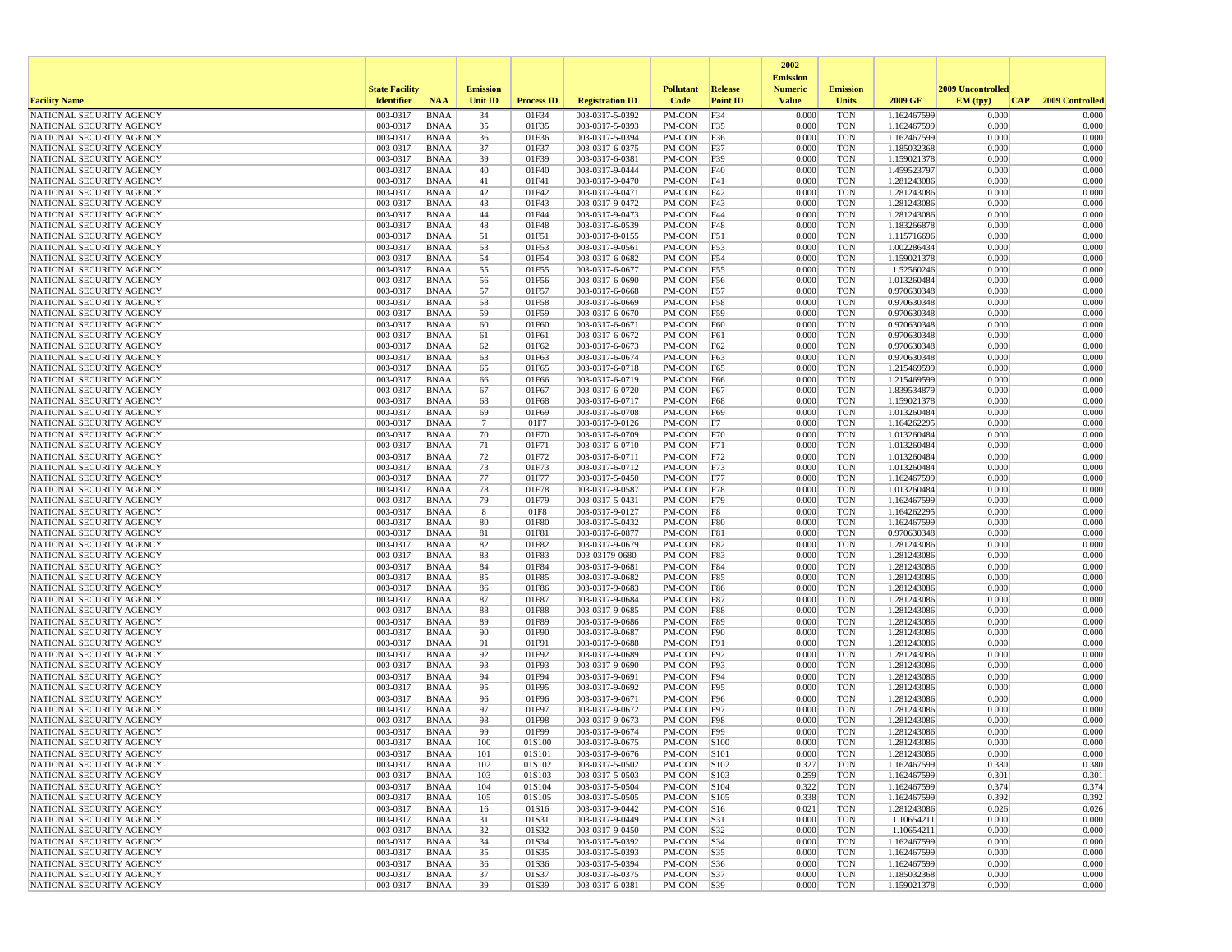|                                                      |                       |                            |                       |                   |                                    |                            |                        | 2002                              |                          |                            |                   |                 |
|------------------------------------------------------|-----------------------|----------------------------|-----------------------|-------------------|------------------------------------|----------------------------|------------------------|-----------------------------------|--------------------------|----------------------------|-------------------|-----------------|
|                                                      | <b>State Facility</b> |                            | <b>Emission</b>       |                   |                                    | <b>Pollutant</b>           | Release                | <b>Emission</b><br><b>Numeric</b> | <b>Emission</b>          |                            | 2009 Uncontrolled |                 |
| <b>Facility Name</b>                                 | <b>Identifier</b>     | <b>NAA</b>                 | <b>Unit ID</b>        | <b>Process ID</b> | <b>Registration ID</b>             | Code                       | <b>Point ID</b>        | <b>Value</b>                      | <b>Units</b>             | 2009 GF                    | EM (typ)<br> CAP  | 2009 Controlled |
| NATIONAL SECURITY AGENCY                             | 003-0317              | <b>BNAA</b>                | 34                    | 01F34             | 003-0317-5-0392                    | PM-CON                     | F34                    | 0.000                             | <b>TON</b>               | 1.162467599                | 0.000             | 0.000           |
| NATIONAL SECURITY AGENCY                             | 003-0317              | BNAA                       | 35                    | 01F35             | 003-0317-5-0393                    | PM-CON                     | F35                    | 0.000                             | <b>TON</b>               | 1.162467599                | 0.000             | 0.000           |
| NATIONAL SECURITY AGENCY                             | 003-0317              | <b>BNAA</b>                | 36                    | 01F36             | 003-0317-5-0394                    | PM-CON                     | F36                    | 0.000                             | <b>TON</b>               | 1.162467599                | 0.000             | 0.000           |
| NATIONAL SECURITY AGENCY<br>NATIONAL SECURITY AGENCY | 003-0317<br>003-0317  | BNAA<br><b>BNAA</b>        | 37<br>39              | 01F37<br>01F39    | 003-0317-6-0375<br>003-0317-6-0381 | PM-CON<br>PM-CON           | F37<br>F39             | 0.000<br>0.000                    | <b>TON</b><br><b>TON</b> | 1.185032368<br>1.159021378 | 0.000<br>0.000    | 0.000<br>0.000  |
| NATIONAL SECURITY AGENCY                             | 003-0317              | <b>BNAA</b>                | 40                    | 01F40             | 003-0317-9-0444                    | PM-CON                     | F40                    | 0.000                             | <b>TON</b>               | 1.459523797                | 0.000             | 0.000           |
| NATIONAL SECURITY AGENCY                             | 003-0317              | BNAA                       | 41                    | 01F41             | 003-0317-9-0470                    | PM-CON                     | F41                    | 0.000                             | <b>TON</b>               | 1.281243086                | 0.000             | 0.000           |
| NATIONAL SECURITY AGENCY                             | 003-0317              | <b>BNAA</b>                | 42                    | 01F42             | 003-0317-9-0471                    | PM-CON                     | F42                    | 0.000                             | <b>TON</b>               | 1.281243086                | 0.000             | 0.000           |
| NATIONAL SECURITY AGENCY                             | 003-0317              | <b>BNAA</b>                | 43                    | 01F43             | 003-0317-9-0472                    | PM-CON                     | F43                    | 0.000                             | <b>TON</b>               | 1.281243086                | 0.000             | 0.000           |
| NATIONAL SECURITY AGENCY<br>NATIONAL SECURITY AGENCY | 003-0317<br>003-0317  | <b>BNAA</b><br>BNAA        | 44<br>48              | 01F44<br>01F48    | 003-0317-9-0473<br>003-0317-6-0539 | PM-CON<br>PM-CON           | F44<br>F48             | 0.000<br>0.000                    | <b>TON</b><br><b>TON</b> | 1.281243086<br>1.183266878 | 0.000<br>0.000    | 0.000<br>0.000  |
| NATIONAL SECURITY AGENCY                             | 003-0317              | <b>BNAA</b>                | 51                    | 01F51             | 003-0317-8-0155                    | PM-CON                     | F51                    | 0.000                             | <b>TON</b>               | 1.115716696                | 0.000             | 0.000           |
| NATIONAL SECURITY AGENCY                             | 003-0317              | <b>BNAA</b>                | 53                    | 01F53             | 003-0317-9-0561                    | PM-CON                     | <b>F53</b>             | 0.000                             | <b>TON</b>               | 1.002286434                | 0.000             | 0.000           |
| NATIONAL SECURITY AGENCY                             | 003-0317              | <b>BNAA</b>                | 54                    | 01F54             | 003-0317-6-0682                    | PM-CON                     | F54                    | 0.000                             | <b>TON</b>               | 1.159021378                | 0.000             | 0.000           |
| NATIONAL SECURITY AGENCY                             | 003-0317              | BNAA                       | 55                    | 01F55             | 003-0317-6-0677                    | PM-CON                     | F <sub>55</sub>        | 0.000                             | <b>TON</b>               | 1.52560246<br>1.013260484  | 0.000             | 0.000           |
| NATIONAL SECURITY AGENCY<br>NATIONAL SECURITY AGENCY | 003-0317<br>003-0317  | BNAA<br><b>BNAA</b>        | 56<br>57              | 01F56<br>01F57    | 003-0317-6-0690<br>003-0317-6-0668 | PM-CON<br>PM-CON           | F56<br><b>F57</b>      | 0.000<br>0.000                    | <b>TON</b><br><b>TON</b> | 0.970630348                | 0.000<br>0.000    | 0.000<br>0.000  |
| NATIONAL SECURITY AGENCY                             | 003-0317              | BNAA                       | 58                    | 01F58             | 003-0317-6-0669                    | PM-CON                     | <b>F58</b>             | 0.000                             | <b>TON</b>               | 0.970630348                | 0.000             | 0.000           |
| NATIONAL SECURITY AGENCY                             | 003-0317              | BNAA                       | 59                    | 01F59             | 003-0317-6-0670                    | PM-CON                     | F59                    | 0.000                             | <b>TON</b>               | 0.970630348                | 0.000             | 0.000           |
| NATIONAL SECURITY AGENCY                             | 003-0317              | <b>BNAA</b>                | 60                    | 01F60             | 003-0317-6-0671                    | PM-CON                     | F60                    | 0.000                             | <b>TON</b>               | 0.970630348                | 0.000             | 0.000           |
| NATIONAL SECURITY AGENCY                             | 003-0317              | <b>BNAA</b>                | 61                    | 01F61             | 003-0317-6-0672                    | PM-CON                     | <b>F61</b>             | 0.000                             | <b>TON</b>               | 0.970630348                | 0.000             | 0.000           |
| NATIONAL SECURITY AGENCY<br>NATIONAL SECURITY AGENCY | 003-0317<br>003-0317  | BNAA<br><b>BNAA</b>        | 62<br>63              | 01F62<br>01F63    | 003-0317-6-0673<br>003-0317-6-0674 | PM-CON<br>PM-CON           | F62<br>F63             | 0.000<br>0.000                    | <b>TON</b><br><b>TON</b> | 0.970630348<br>0.970630348 | 0.000<br>0.000    | 0.000<br>0.000  |
| NATIONAL SECURITY AGENCY                             | 003-0317              | <b>BNAA</b>                | 65                    | 01F65             | 003-0317-6-0718                    | PM-CON                     | F65                    | 0.000                             | <b>TON</b>               | 1.215469599                | 0.000             | 0.000           |
| NATIONAL SECURITY AGENCY                             | 003-0317              | <b>BNAA</b>                | 66                    | 01F66             | 003-0317-6-0719                    | PM-CON                     | F66                    | 0.000                             | <b>TON</b>               | 1.215469599                | 0.000             | 0.000           |
| NATIONAL SECURITY AGENCY                             | 003-0317              | <b>BNAA</b>                | 67                    | 01F67             | 003-0317-6-0720                    | PM-CON                     | F67                    | 0.000                             | <b>TON</b>               | 1.839534879                | 0.000             | 0.000           |
| NATIONAL SECURITY AGENCY                             | 003-0317              | <b>BNAA</b>                | 68                    | 01F68             | 003-0317-6-0717                    | PM-CON                     | <b>F68</b>             | 0.000                             | <b>TON</b>               | 1.159021378                | 0.000             | 0.000           |
| NATIONAL SECURITY AGENCY<br>NATIONAL SECURITY AGENCY | 003-0317<br>003-0317  | <b>BNAA</b><br>BNAA        | 69<br>$7\phantom{.0}$ | 01F69<br>01F7     | 003-0317-6-0708<br>003-0317-9-0126 | PM-CON<br>PM-CON           | F69<br>F7              | 0.000<br>0.000                    | <b>TON</b><br><b>TON</b> | 1.013260484<br>1.164262295 | 0.000<br>0.000    | 0.000<br>0.000  |
| NATIONAL SECURITY AGENCY                             | 003-0317              | <b>BNAA</b>                | 70                    | 01F70             | 003-0317-6-0709                    | PM-CON                     | F70                    | 0.000                             | <b>TON</b>               | 1.013260484                | 0.000             | 0.000           |
| NATIONAL SECURITY AGENCY                             | 003-0317              | <b>BNAA</b>                | 71                    | 01F71             | 003-0317-6-0710                    | PM-CON                     | F71                    | 0.000                             | <b>TON</b>               | 1.013260484                | 0.000             | 0.000           |
| NATIONAL SECURITY AGENCY                             | 003-0317              | BNAA                       | 72                    | 01F72             | 003-0317-6-0711                    | PM-CON                     | F72                    | 0.000                             | <b>TON</b>               | 1.013260484                | 0.000             | 0.000           |
| NATIONAL SECURITY AGENCY                             | 003-0317              | BNAA                       | 73                    | 01F73             | 003-0317-6-0712                    | PM-CON                     | F <sub>73</sub>        | 0.000                             | <b>TON</b>               | 1.013260484                | 0.000             | 0.000           |
| NATIONAL SECURITY AGENCY                             | 003-0317              | <b>BNAA</b>                | 77                    | 01F77             | 003-0317-5-0450                    | PM-CON                     | F77                    | 0.000                             | <b>TON</b>               | 1.162467599                | 0.000             | 0.000           |
| NATIONAL SECURITY AGENCY<br>NATIONAL SECURITY AGENCY | 003-0317<br>003-0317  | BNAA<br>BNAA               | 78<br>79              | 01F78<br>01F79    | 003-0317-9-0587<br>003-0317-5-0431 | PM-CON<br>PM-CON           | <b>F78</b><br>F79      | 0.000<br>0.000                    | <b>TON</b><br><b>TON</b> | 1.013260484<br>1.162467599 | 0.000<br>0.000    | 0.000<br>0.000  |
| NATIONAL SECURITY AGENCY                             | 003-0317              | <b>BNAA</b>                | -8                    | 01F8              | 003-0317-9-0127                    | PM-CON                     | F8                     | 0.000                             | <b>TON</b>               | 1.164262295                | 0.000             | 0.000           |
| NATIONAL SECURITY AGENCY                             | 003-0317              | <b>BNAA</b>                | 80                    | 01F80             | 003-0317-5-0432                    | PM-CON                     | F80                    | 0.000                             | <b>TON</b>               | 1.162467599                | 0.000             | 0.000           |
| NATIONAL SECURITY AGENCY                             | 003-0317              | <b>BNAA</b>                | 81                    | 01F81             | 003-0317-6-0877                    | PM-CON                     | F81                    | 0.000                             | <b>TON</b>               | 0.970630348                | 0.000             | 0.000           |
| NATIONAL SECURITY AGENCY                             | 003-0317              | BNAA                       | 82                    | 01F82             | 003-0317-9-0679                    | PM-CON                     | <b>F82</b>             | 0.000                             | <b>TON</b>               | 1.281243086                | 0.000             | 0.000           |
| NATIONAL SECURITY AGENCY<br>NATIONAL SECURITY AGENCY | 003-0317<br>003-0317  | BNAA<br><b>BNAA</b>        | 83<br>84              | 01F83<br>01F84    | 003-03179-0680<br>003-0317-9-0681  | PM-CON<br>PM-CON           | F83<br><b>F84</b>      | 0.000<br>0.000                    | <b>TON</b><br><b>TON</b> | 1.281243086<br>1.281243086 | 0.000<br>0.000    | 0.000<br>0.000  |
| NATIONAL SECURITY AGENCY                             | 003-0317              | BNAA                       | 85                    | 01F85             | 003-0317-9-0682                    | PM-CON                     | <b>F85</b>             | 0.000                             | <b>TON</b>               | 1.281243086                | 0.000             | 0.000           |
| NATIONAL SECURITY AGENCY                             | 003-0317              | <b>BNAA</b>                | 86                    | 01F86             | 003-0317-9-0683                    | PM-CON                     | <b>F86</b>             | 0.000                             | <b>TON</b>               | 1.281243086                | 0.000             | 0.000           |
| NATIONAL SECURITY AGENCY                             | 003-0317              | <b>BNAA</b>                | 87                    | 01F87             | 003-0317-9-0684                    | PM-CON                     | F87                    | 0.000                             | <b>TON</b>               | 1.281243086                | 0.000             | 0.000           |
| NATIONAL SECURITY AGENCY                             | 003-0317              | <b>BNAA</b>                | 88                    | 01F88             | 003-0317-9-0685                    | PM-CON                     | <b>F88</b>             | 0.000                             | <b>TON</b>               | 1.281243086                | 0.000             | 0.000           |
| NATIONAL SECURITY AGENCY<br>NATIONAL SECURITY AGENCY | 003-0317<br>003-0317  | <b>BNAA</b><br><b>BNAA</b> | 89<br>90              | 01F89<br>01F90    | 003-0317-9-0686<br>003-0317-9-0687 | PM-CON<br>PM-CON           | F89<br>F90             | 0.000<br>0.000                    | <b>TON</b><br><b>TON</b> | 1.281243086<br>1.281243086 | 0.000<br>0.000    | 0.000<br>0.000  |
| NATIONAL SECURITY AGENCY                             | 003-0317              | <b>BNAA</b>                | 91                    | 01F91             | 003-0317-9-0688                    | PM-CON                     | F91                    | 0.000                             | <b>TON</b>               | 1.281243086                | 0.000             | 0.000           |
| NATIONAL SECURITY AGENCY                             | 003-0317              | BNAA                       | 92                    | 01F92             | 003-0317-9-0689                    | PM-CON                     | F <sub>92</sub>        | 0.000                             | <b>TON</b>               | 1.281243086                | 0.000             | 0.000           |
| NATIONAL SECURITY AGENCY                             | 003-0317              | <b>BNAA</b>                | 93                    | 01F93             | 003-0317-9-0690                    | PM-CON                     | F93                    | 0.000                             | <b>TON</b>               | 1.281243086                | 0.000             | 0.000           |
| NATIONAL SECURITY AGENCY                             | 003-0317              | <b>BNAA</b>                | 94                    | 01F94             | 003-0317-9-0691                    | PM-CON                     | F94                    | 0.000                             | <b>TON</b>               | 1.281243086                | 0.000             | 0.000           |
| NATIONAL SECURITY AGENCY<br>NATIONAL SECURITY AGENCY | 003-0317<br>003-0317  | <b>BNAA</b><br>BNAA        | 95<br>96              | 01F95<br>01F96    | 003-0317-9-0692<br>003-0317-9-0671 | PM-CON<br>PM-CON           | F <sub>95</sub><br>F96 | 0.000<br>0.000                    | <b>TON</b><br><b>TON</b> | 1.281243086<br>1.281243086 | 0.000<br>0.000    | 0.000<br>0.000  |
| NATIONAL SECURITY AGENCY                             | 003-0317              | <b>BNAA</b>                | 97                    | 01F97             | 003-0317-9-0672                    | PM-CON                     | F97                    | 0.000                             | <b>TON</b>               | 1.281243086                | 0.000             | 0.000           |
| NATIONAL SECURITY AGENCY                             | 003-0317              | <b>BNAA</b>                | 98                    | 01F98             | 003-0317-9-0673                    | PM-CON                     | F98                    | 0.000                             | <b>TON</b>               | 1.281243086                | 0.000             | 0.000           |
| NATIONAL SECURITY AGENCY                             | 003-0317              | <b>BNAA</b>                | 99                    | 01F99             | 003-0317-9-0674                    | PM-CON                     | F99                    | 0.000                             | <b>TON</b>               | 1.281243086                | 0.000             | 0.000           |
| NATIONAL SECURITY AGENCY                             | 003-0317              | <b>BNAA</b>                | 100                   | 01S100            | 003-0317-9-0675                    | PM-CON                     | S100                   | 0.000                             | <b>TON</b>               | 1.281243086                | 0.000             | 0.000           |
| NATIONAL SECURITY AGENCY<br>NATIONAL SECURITY AGENCY | 003-0317<br>003-0317  | BNAA<br>BNAA               | 101<br>102            | 01S101<br>01S102  | 003-0317-9-0676<br>003-0317-5-0502 | PM-CON<br>$PM-CON$ $ S102$ | S101                   | 0.000<br>0.327                    | <b>TON</b><br><b>TON</b> | 1.281243086<br>1.162467599 | 0.000<br>0.380    | 0.000<br>0.380  |
| NATIONAL SECURITY AGENCY                             | 003-0317              | <b>BNAA</b>                | 103                   | 01S103            | 003-0317-5-0503                    | $PM-CON$ S103              |                        | 0.259                             | <b>TON</b>               | 1.162467599                | 0.301             | 0.301           |
| NATIONAL SECURITY AGENCY                             | 003-0317              | BNAA                       | 104                   | 01S104            | 003-0317-5-0504                    | PM-CON                     | S104                   | 0.322                             | <b>TON</b>               | 1.162467599                | 0.374             | 0.374           |
| NATIONAL SECURITY AGENCY                             | 003-0317              | <b>BNAA</b>                | 105                   | 01S105            | 003-0317-5-0505                    | $PM$ -CON $ S105$          |                        | 0.338                             | <b>TON</b>               | 1.162467599                | 0.392             | 0.392           |
| NATIONAL SECURITY AGENCY                             | 003-0317              | BNAA                       | 16                    | 01S16             | 003-0317-9-0442                    | PM-CON                     | S <sub>16</sub>        | 0.021                             | <b>TON</b>               | 1.281243086                | 0.026             | 0.026           |
| NATIONAL SECURITY AGENCY                             | 003-0317              | <b>BNAA</b>                | 31                    | 01S31             | 003-0317-9-0449                    | PM-CON                     | S31                    | 0.000<br>0.000                    | <b>TON</b>               | 1.10654211<br>1.10654211   | 0.000<br>0.000    | 0.000           |
| NATIONAL SECURITY AGENCY<br>NATIONAL SECURITY AGENCY | 003-0317<br>003-0317  | BNAA<br>BNAA               | 32<br>34              | 01S32<br>01S34    | 003-0317-9-0450<br>003-0317-5-0392 | PM-CON<br>PM-CON           | S32<br>S34             | 0.000                             | <b>TON</b><br><b>TON</b> | 1.162467599                | 0.000             | 0.000<br>0.000  |
| NATIONAL SECURITY AGENCY                             | 003-0317              | <b>BNAA</b>                | 35                    | 01S35             | 003-0317-5-0393                    | PM-CON S35                 |                        | 0.000                             | <b>TON</b>               | 1.162467599                | 0.000             | 0.000           |
| NATIONAL SECURITY AGENCY                             | 003-0317              | BNAA                       | 36                    | 01S36             | 003-0317-5-0394                    | PM-CON S36                 |                        | 0.000                             | <b>TON</b>               | 1.162467599                | 0.000             | 0.000           |
| NATIONAL SECURITY AGENCY                             | 003-0317              | <b>BNAA</b>                | 37                    | 01S37             | 003-0317-6-0375                    | PM-CON                     | S37                    | 0.000                             | <b>TON</b>               | 1.185032368                | 0.000             | 0.000           |
| NATIONAL SECURITY AGENCY                             | 003-0317              | BNAA                       | 39                    | 01S39             | 003-0317-6-0381                    | PM-CON S39                 |                        | 0.000                             | <b>TON</b>               | 1.159021378                | 0.000             | 0.000           |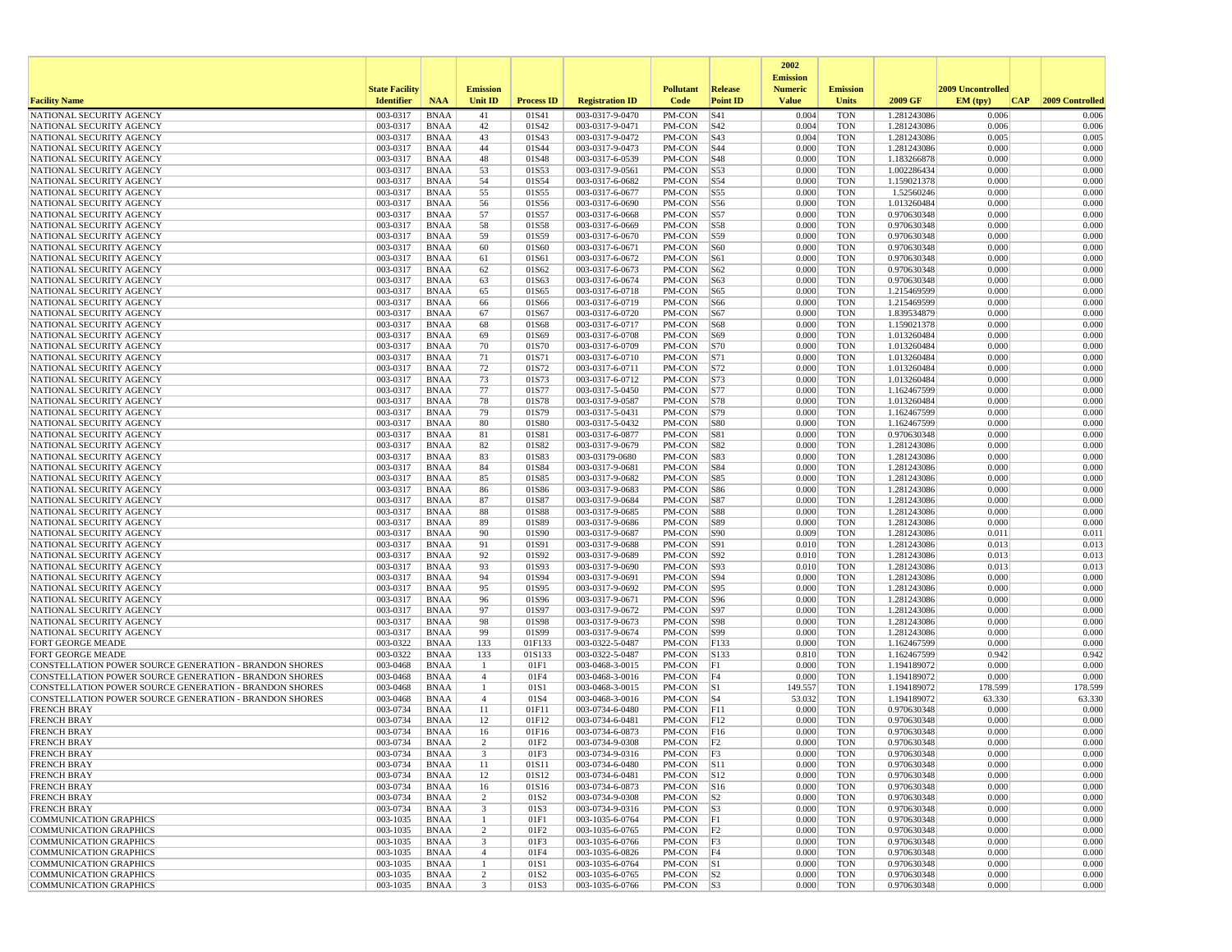|                                                        |                       |                            |                     |                   |                                    |                       |                    | 2002                              |                          |                            |                   |                 |
|--------------------------------------------------------|-----------------------|----------------------------|---------------------|-------------------|------------------------------------|-----------------------|--------------------|-----------------------------------|--------------------------|----------------------------|-------------------|-----------------|
|                                                        | <b>State Facility</b> |                            | <b>Emission</b>     |                   |                                    | <b>Pollutant</b>      | <b>Release</b>     | <b>Emission</b><br><b>Numeric</b> | <b>Emission</b>          |                            | 2009 Uncontrolled |                 |
| <b>Facility Name</b>                                   | <b>Identifier</b>     | <b>NAA</b>                 | <b>Unit ID</b>      | <b>Process ID</b> | <b>Registration ID</b>             | Code                  | <b>Point ID</b>    | <b>Value</b>                      | Units                    | 2009 GF                    | EM (typ)<br> CAP  | 2009 Controlled |
| NATIONAL SECURITY AGENCY                               | 003-0317              | <b>BNAA</b>                | 41                  | 01S41             | 003-0317-9-0470                    | PM-CON                | S41                | 0.004                             | <b>TON</b>               | 1.281243086                | 0.006             | 0.006           |
| NATIONAL SECURITY AGENCY                               | 003-0317              | <b>BNAA</b>                | 42                  | 01S42             | 003-0317-9-0471                    | PM-CON                | S42                | 0.004                             | <b>TON</b>               | 1.281243086                | 0.006             | 0.006           |
| NATIONAL SECURITY AGENCY                               | 003-0317              | <b>BNAA</b>                | 43                  | 01S43             | 003-0317-9-0472                    | PM-CON                | S43                | 0.004                             | <b>TON</b>               | 1.281243086                | 0.005             | 0.005           |
| NATIONAL SECURITY AGENCY<br>NATIONAL SECURITY AGENCY   | 003-0317<br>003-0317  | <b>BNAA</b><br><b>BNAA</b> | 44<br>48            | 01S44<br>01S48    | 003-0317-9-0473<br>003-0317-6-0539 | PM-CON<br>PM-CON      | S44<br>S48         | 0.000<br>0.000                    | <b>TON</b><br><b>TON</b> | 1.281243086<br>1.183266878 | 0.000<br>0.000    | 0.000<br>0.000  |
| NATIONAL SECURITY AGENCY                               | 003-0317              | <b>BNAA</b>                | 53                  | 01S53             | 003-0317-9-0561                    | PM-CON                | S53                | 0.000                             | <b>TON</b>               | 1.002286434                | 0.000             | 0.000           |
| NATIONAL SECURITY AGENCY                               | 003-0317              | <b>BNAA</b>                | 54                  | 01S54             | 003-0317-6-0682                    | PM-CON                | S54                | 0.000                             | <b>TON</b>               | 1.159021378                | 0.000             | 0.000           |
| NATIONAL SECURITY AGENCY                               | 003-0317              | <b>BNAA</b>                | 55                  | 01S55             | 003-0317-6-0677                    | PM-CON                | S55                | 0.000                             | <b>TON</b>               | 1.52560246                 | 0.000             | 0.000           |
| NATIONAL SECURITY AGENCY                               | 003-0317              | <b>BNAA</b>                | 56                  | 01S56             | 003-0317-6-0690                    | PM-CON                | S56                | 0.000                             | <b>TON</b>               | 1.013260484                | 0.000             | 0.000           |
| NATIONAL SECURITY AGENCY                               | 003-0317              | <b>BNAA</b>                | 57                  | 01S57             | 003-0317-6-0668                    | PM-CON                | <b>S57</b>         | 0.000                             | <b>TON</b>               | 0.970630348                | 0.000             | 0.000           |
| NATIONAL SECURITY AGENCY                               | 003-0317              | <b>BNAA</b>                | 58                  | 01S58             | 003-0317-6-0669                    | PM-CON                | <b>S58</b>         | 0.000                             | <b>TON</b>               | 0.970630348                | 0.000             | 0.000           |
| NATIONAL SECURITY AGENCY<br>NATIONAL SECURITY AGENCY   | 003-0317<br>003-0317  | <b>BNAA</b><br><b>BNAA</b> | 59                  | 01S59<br>01S60    | 003-0317-6-0670<br>003-0317-6-0671 | PM-CON                | S59<br>S60         | 0.000<br>0.000                    | <b>TON</b><br><b>TON</b> | 0.970630348<br>0.970630348 | 0.000<br>0.000    | 0.000<br>0.000  |
| NATIONAL SECURITY AGENCY                               | 003-0317              | <b>BNAA</b>                | 60<br>61            | 01S61             | 003-0317-6-0672                    | PM-CON<br>PM-CON      | S61                | 0.000                             | <b>TON</b>               | 0.970630348                | 0.000             | 0.000           |
| NATIONAL SECURITY AGENCY                               | 003-0317              | <b>BNAA</b>                | 62                  | 01S62             | 003-0317-6-0673                    | PM-CON                | S62                | 0.000                             | <b>TON</b>               | 0.970630348                | 0.000             | 0.000           |
| NATIONAL SECURITY AGENCY                               | 003-0317              | <b>BNAA</b>                | 63                  | 01S63             | 003-0317-6-0674                    | PM-CON                | S63                | 0.000                             | <b>TON</b>               | 0.970630348                | 0.000             | 0.000           |
| NATIONAL SECURITY AGENCY                               | 003-0317              | <b>BNAA</b>                | 65                  | 01S65             | 003-0317-6-0718                    | PM-CON                | S65                | 0.000                             | <b>TON</b>               | 1.215469599                | 0.000             | 0.000           |
| NATIONAL SECURITY AGENCY                               | 003-0317              | <b>BNAA</b>                | 66                  | 01S66             | 003-0317-6-0719                    | PM-CON                | S66                | 0.000                             | <b>TON</b>               | 1.215469599                | 0.000             | 0.000           |
| NATIONAL SECURITY AGENCY                               | 003-0317              | <b>BNAA</b>                | 67                  | 01S67             | 003-0317-6-0720                    | PM-CON                | S67                | 0.000                             | <b>TON</b>               | 1.839534879                | 0.000             | 0.000           |
| NATIONAL SECURITY AGENCY                               | 003-0317              | <b>BNAA</b>                | 68                  | 01S68             | 003-0317-6-0717                    | PM-CON                | S68                | 0.000                             | <b>TON</b>               | 1.159021378                | 0.000             | 0.000           |
| NATIONAL SECURITY AGENCY                               | 003-0317              | <b>BNAA</b>                | 69                  | 01S69             | 003-0317-6-0708                    | PM-CON                | S69                | 0.000                             | <b>TON</b>               | 1.013260484                | 0.000             | 0.000           |
| NATIONAL SECURITY AGENCY<br>NATIONAL SECURITY AGENCY   | 003-0317<br>003-0317  | <b>BNAA</b><br><b>BNAA</b> | 70<br>71            | 01S70<br>01S71    | 003-0317-6-0709<br>003-0317-6-0710 | PM-CON<br>PM-CON      | <b>S70</b><br> S71 | 0.000<br>0.000                    | <b>TON</b><br><b>TON</b> | 1.013260484<br>1.013260484 | 0.000<br>0.000    | 0.000<br>0.000  |
| NATIONAL SECURITY AGENCY                               | 003-0317              | <b>BNAA</b>                | 72                  | 01S72             | 003-0317-6-0711                    | PM-CON                | S72                | 0.000                             | <b>TON</b>               | 1.013260484                | 0.000             | 0.000           |
| NATIONAL SECURITY AGENCY                               | 003-0317              | <b>BNAA</b>                | 73                  | 01S73             | 003-0317-6-0712                    | PM-CON                | <b>S73</b>         | 0.000                             | <b>TON</b>               | 1.013260484                | 0.000             | 0.000           |
| NATIONAL SECURITY AGENCY                               | 003-0317              | <b>BNAA</b>                | 77                  | 01S77             | 003-0317-5-0450                    | PM-CON                | S77                | 0.000                             | <b>TON</b>               | 1.162467599                | 0.000             | 0.000           |
| NATIONAL SECURITY AGENCY                               | 003-0317              | <b>BNAA</b>                | 78                  | 01S78             | 003-0317-9-0587                    | PM-CON                | S78                | 0.000                             | <b>TON</b>               | 1.013260484                | 0.000             | 0.000           |
| NATIONAL SECURITY AGENCY                               | 003-0317              | <b>BNAA</b>                | 79                  | 01S79             | 003-0317-5-0431                    | PM-CON                | S79                | 0.000                             | <b>TON</b>               | 1.162467599                | 0.000             | 0.000           |
| NATIONAL SECURITY AGENCY                               | 003-0317              | <b>BNAA</b>                | 80                  | 01S80             | 003-0317-5-0432                    | PM-CON                | S80                | 0.000                             | <b>TON</b>               | 1.162467599                | 0.000             | 0.000           |
| NATIONAL SECURITY AGENCY                               | 003-0317              | <b>BNAA</b>                | 81                  | 01S81             | 003-0317-6-0877                    | PM-CON                | S81                | 0.000                             | <b>TON</b>               | 0.970630348                | 0.000             | 0.000           |
| NATIONAL SECURITY AGENCY<br>NATIONAL SECURITY AGENCY   | 003-0317<br>003-0317  | <b>BNAA</b><br><b>BNAA</b> | 82<br>83            | 01S82<br>01S83    | 003-0317-9-0679<br>003-03179-0680  | PM-CON<br>PM-CON      | S82<br>S83         | 0.000<br>0.000                    | <b>TON</b><br><b>TON</b> | 1.281243086<br>1.281243086 | 0.000<br>0.000    | 0.000<br>0.000  |
| NATIONAL SECURITY AGENCY                               | 003-0317              | <b>BNAA</b>                | 84                  | 01S84             | 003-0317-9-0681                    | PM-CON                | S84                | 0.000                             | <b>TON</b>               | 1.281243086                | 0.000             | 0.000           |
| NATIONAL SECURITY AGENCY                               | 003-0317              | <b>BNAA</b>                | 85                  | 01S85             | 003-0317-9-0682                    | PM-CON                | S85                | 0.000                             | <b>TON</b>               | 1.281243086                | 0.000             | 0.000           |
| NATIONAL SECURITY AGENCY                               | 003-0317              | <b>BNAA</b>                | 86                  | 01S86             | 003-0317-9-0683                    | PM-CON                | S86                | 0.000                             | <b>TON</b>               | 1.281243086                | 0.000             | 0.000           |
| NATIONAL SECURITY AGENCY                               | 003-0317              | <b>BNAA</b>                | 87                  | 01S87             | 003-0317-9-0684                    | PM-CON                | S87                | 0.000                             | <b>TON</b>               | 1.281243086                | 0.000             | 0.000           |
| NATIONAL SECURITY AGENCY                               | 003-0317              | <b>BNAA</b>                | 88                  | 01S88             | 003-0317-9-0685                    | PM-CON                | S88                | 0.000                             | <b>TON</b>               | 1.281243086                | 0.000             | 0.000           |
| NATIONAL SECURITY AGENCY                               | 003-0317              | <b>BNAA</b>                | 89                  | 01S89             | 003-0317-9-0686                    | PM-CON                | S89                | 0.000                             | <b>TON</b>               | 1.281243086                | 0.000             | 0.000           |
| NATIONAL SECURITY AGENCY                               | 003-0317              | <b>BNAA</b>                | 90                  | 01S90             | 003-0317-9-0687                    | PM-CON                | S90                | 0.009                             | <b>TON</b>               | 1.281243086                | 0.011             | 0.011           |
| NATIONAL SECURITY AGENCY<br>NATIONAL SECURITY AGENCY   | 003-0317<br>003-0317  | <b>BNAA</b><br><b>BNAA</b> | 91<br>92            | 01S91<br>01S92    | 003-0317-9-0688<br>003-0317-9-0689 | PM-CON<br>PM-CON      | S91<br> S92        | 0.010<br>0.010                    | <b>TON</b><br><b>TON</b> | 1.281243086<br>1.281243086 | 0.013<br>0.013    | 0.013<br>0.013  |
| NATIONAL SECURITY AGENCY                               | 003-0317              | <b>BNAA</b>                | 93                  | 01S93             | 003-0317-9-0690                    | PM-CON                | S93                | 0.010                             | <b>TON</b>               | 1.281243086                | 0.013             | 0.01            |
| NATIONAL SECURITY AGENCY                               | 003-0317              | <b>BNAA</b>                | 94                  | 01S94             | 003-0317-9-0691                    | PM-CON                | S94                | 0.000                             | <b>TON</b>               | 1.281243086                | 0.000             | 0.000           |
| NATIONAL SECURITY AGENCY                               | 003-0317              | <b>BNAA</b>                | 95                  | 01S95             | 003-0317-9-0692                    | PM-CON                | S95                | 0.000                             | <b>TON</b>               | 1.281243086                | 0.000             | 0.000           |
| NATIONAL SECURITY AGENCY                               | 003-0317              | <b>BNAA</b>                | 96                  | 01S96             | 003-0317-9-0671                    | PM-CON                | S96                | 0.000                             | <b>TON</b>               | 1.281243086                | 0.000             | 0.000           |
| NATIONAL SECURITY AGENCY                               | 003-0317              | <b>BNAA</b>                | 97                  | 01S97             | 003-0317-9-0672                    | PM-CON                | S97                | 0.000                             | <b>TON</b>               | 1.281243086                | 0.000             | 0.000           |
| NATIONAL SECURITY AGENCY                               | 003-0317              | <b>BNAA</b>                | 98                  | 01S98             | 003-0317-9-0673                    | PM-CON                | <b>S98</b>         | 0.000                             | <b>TON</b>               | 1.281243086                | 0.000             | 0.000           |
| NATIONAL SECURITY AGENCY<br><b>FORT GEORGE MEADE</b>   | 003-0317<br>003-0322  | <b>BNAA</b><br><b>BNAA</b> | 99<br>133           | 01S99<br>01F133   | 003-0317-9-0674<br>003-0322-5-0487 | PM-CON<br>PM-CON      | S99<br>F133        | 0.000<br>0.000                    | <b>TON</b><br><b>TON</b> | 1.281243086<br>1.162467599 | 0.000<br>0.000    | 0.000<br>0.000  |
| <b>FORT GEORGE MEADE</b>                               | 003-0322              | <b>BNAA</b>                | 133                 | 01S133            | 003-0322-5-0487                    | PM-CON                | S133               | 0.810                             | <b>TON</b>               | 1.162467599                | 0.942             | 0.942           |
| CONSTELLATION POWER SOURCE GENERATION - BRANDON SHORES | 003-0468              | <b>BNAA</b>                | -1                  | 01F1              | 003-0468-3-0015                    | PM-CON                | F1                 | 0.000                             | <b>TON</b>               | 1.194189072                | 0.000             | 0.000           |
| CONSTELLATION POWER SOURCE GENERATION - BRANDON SHORES | 003-0468              | <b>BNAA</b>                | $\overline{4}$      | 01F4              | 003-0468-3-0016                    | PM-CON                | F4                 | 0.000                             | <b>TON</b>               | 1.194189072                | 0.000             | 0.000           |
| CONSTELLATION POWER SOURCE GENERATION - BRANDON SHORES | 003-0468              | <b>BNAA</b>                | $\mathbf{1}$        | 01S1              | 003-0468-3-0015                    | PM-CON                | S1                 | 149.557                           | <b>TON</b>               | 1.194189072                | 178.599           | 178.599         |
| CONSTELLATION POWER SOURCE GENERATION - BRANDON SHORES | 003-0468              | <b>BNAA</b>                | $\overline{4}$      | 01S4              | 003-0468-3-0016                    | PM-CON                | S4                 | 53.032                            | <b>TON</b>               | 1.194189072                | 63.330            | 63.330          |
| <b>FRENCH BRAY</b>                                     | 003-0734              | <b>BNAA</b>                | 11                  | 01F11             | 003-0734-6-0480                    | PM-CON                | F11                | 0.000                             | <b>TON</b>               | 0.970630348                | 0.000             | 0.000           |
| <b>FRENCH BRAY</b><br><b>FRENCH BRAY</b>               | 003-0734<br>003-0734  | <b>BNAA</b><br><b>BNAA</b> | 12<br>16            | 01F12<br>01F16    | 003-0734-6-0481<br>003-0734-6-0873 | PM-CON<br>PM-CON      | F12<br>F16         | 0.000<br>0.000                    | <b>TON</b><br><b>TON</b> | 0.970630348<br>0.970630348 | 0.000<br>0.000    | 0.000<br>0.000  |
| <b>FRENCH BRAY</b>                                     | 003-0734              | <b>BNAA</b>                | 2                   | 01F2              | 003-0734-9-0308                    | PM-CON                | F2                 | 0.000                             | <b>TON</b>               | 0.970630348                | 0.000             | 0.000           |
| <b>FRENCH BRAY</b>                                     | 003-0734              | <b>BNAA</b>                |                     | 01F3              | 003-0734-9-0316                    | PM-CON                | F3                 | 0.000                             | <b>TON</b>               | 0.970630348                | 0.000             | 0.000           |
| <b>FRENCH BRAY</b>                                     | 003-0734              | BNAA                       | 11                  | 01S11             | 003-0734-6-0480                    | PM-CON S11            |                    | 0.000                             | <b>TON</b>               | 0.970630348                | 0.000             | 0.000           |
| <b>FRENCH BRAY</b>                                     | 003-0734              | BNAA                       | 12                  | 01S12             | 003-0734-6-0481                    | $PM-CON$ S12          |                    | 0.000                             | <b>TON</b>               | 0.970630348                | 0.000             | 0.000           |
| <b>FRENCH BRAY</b>                                     | 003-0734              | BNAA                       | 16                  | 01S16             | 003-0734-6-0873                    | PM-CON S16            |                    | 0.000                             | <b>TON</b>               | 0.970630348                | 0.000             | 0.000           |
| <b>FRENCH BRAY</b>                                     | 003-0734              | <b>BNAA</b>                | 2                   | 01S2              | 003-0734-9-0308                    | $PM$ -CON $ S2$       |                    | 0.000                             | <b>TON</b>               | 0.970630348                | 0.000             | 0.000           |
| <b>FRENCH BRAY</b>                                     | 003-0734              | <b>BNAA</b>                | 3                   | 01S3              | 003-0734-9-0316                    | $PM-CON$  S3          |                    | 0.000                             | <b>TON</b>               | 0.970630348                | 0.000             | 0.000           |
| <b>COMMUNICATION GRAPHICS</b>                          | 003-1035              | BNAA                       | -1                  | 01F1              | 003-1035-6-0764                    | PM-CON                | F1                 | 0.000                             | <b>TON</b>               | 0.970630348<br>0.970630348 | 0.000<br>0.000    | 0.000           |
| COMMUNICATION GRAPHICS<br>COMMUNICATION GRAPHICS       | 003-1035<br>003-1035  | BNAA<br>BNAA               | $\overline{2}$<br>3 | 01F2<br>01F3      | 003-1035-6-0765<br>003-1035-6-0766 | $PM-CON$ F2<br>PM-CON | F3                 | 0.000<br>0.000                    | <b>TON</b><br><b>TON</b> | 0.970630348                | 0.000             | 0.000<br>0.000  |
| COMMUNICATION GRAPHICS                                 | 003-1035              | BNAA                       | $\overline{4}$      | 01F4              | 003-1035-6-0826                    | PM-CON F4             |                    | 0.000                             | <b>TON</b>               | 0.970630348                | 0.000             | 0.000           |
| COMMUNICATION GRAPHICS                                 | 003-1035              | BNAA                       | -1                  | 01S1              | 003-1035-6-0764                    | PM-CON S1             |                    | 0.000                             | <b>TON</b>               | 0.970630348                | 0.000             | 0.000           |
| COMMUNICATION GRAPHICS                                 | 003-1035              | <b>BNAA</b>                | $\overline{2}$      | 01S2              | 003-1035-6-0765                    | $PM$ -CON $ S2 $      |                    | 0.000                             | <b>TON</b>               | 0.970630348                | 0.000             | 0.000           |
| COMMUNICATION GRAPHICS                                 | 003-1035              | <b>BNAA</b>                | 3                   | 01S3              | 003-1035-6-0766                    | PM-CON S3             |                    | 0.000                             | <b>TON</b>               | 0.970630348                | 0.000             | 0.000           |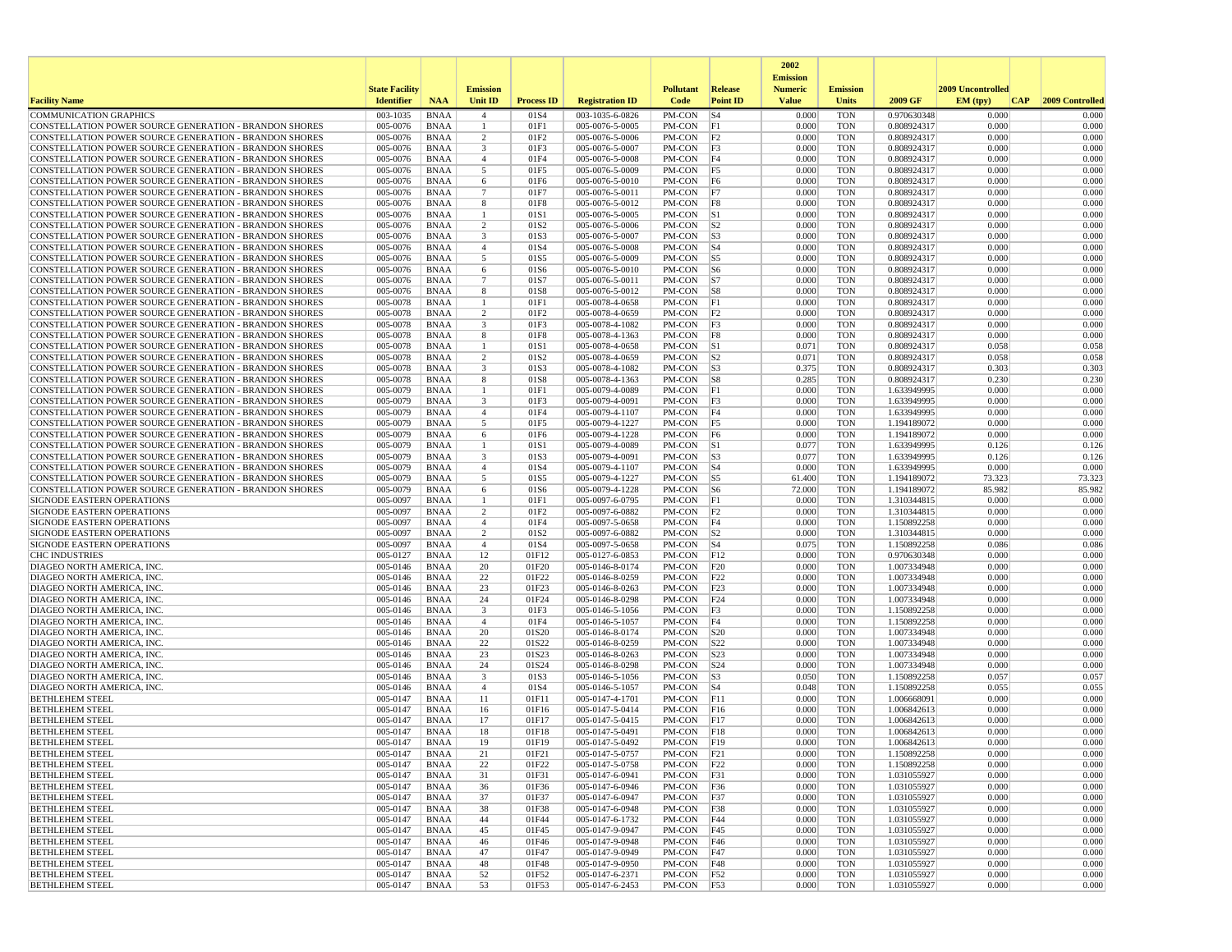|                                                                                                                                |                       |                            |                     |                   |                                    |                  |                       | 2002                              |                          |                            |                   |                 |
|--------------------------------------------------------------------------------------------------------------------------------|-----------------------|----------------------------|---------------------|-------------------|------------------------------------|------------------|-----------------------|-----------------------------------|--------------------------|----------------------------|-------------------|-----------------|
|                                                                                                                                | <b>State Facility</b> |                            | <b>Emission</b>     |                   |                                    | <b>Pollutant</b> | Release               | <b>Emission</b><br><b>Numeric</b> | <b>Emission</b>          |                            | 2009 Uncontrolled |                 |
| <b>Facility Name</b>                                                                                                           | <b>Identifier</b>     | <b>NAA</b>                 | <b>Unit ID</b>      | <b>Process ID</b> | <b>Registration ID</b>             | Code             | <b>Point ID</b>       | <b>Value</b>                      | <b>Units</b>             | 2009 GF                    | EM (typ)<br> CAP  | 2009 Controlled |
| <b>COMMUNICATION GRAPHICS</b>                                                                                                  | 003-1035              | <b>BNAA</b>                | $\overline{4}$      | 01S4              | 003-1035-6-0826                    | PM-CON           | $\sqrt{S4}$           | 0.000                             | <b>TON</b>               | 0.970630348                | 0.000             | 0.000           |
| CONSTELLATION POWER SOURCE GENERATION - BRANDON SHORES                                                                         | 005-0076              | <b>BNAA</b>                | -1                  | 01F1              | 005-0076-5-0005                    | PM-CON           | F1                    | 0.000                             | <b>TON</b>               | 0.808924317                | 0.000             | 0.000           |
| CONSTELLATION POWER SOURCE GENERATION - BRANDON SHORES                                                                         | 005-0076              | <b>BNAA</b>                | 2                   | 01F <sub>2</sub>  | 005-0076-5-0006<br>005-0076-5-0007 | PM-CON           | F2                    | 0.000                             | <b>TON</b>               | 0.808924317                | 0.000             | 0.000           |
| <b>CONSTELLATION POWER SOURCE GENERATION - BRANDON SHORES</b><br>CONSTELLATION POWER SOURCE GENERATION - BRANDON SHORES        | 005-0076<br>005-0076  | <b>BNAA</b><br><b>BNAA</b> | 3<br>$\overline{4}$ | 01F3<br>01F4      | 005-0076-5-0008                    | PM-CON<br>PM-CON | F3<br> F4             | 0.000<br>0.000                    | <b>TON</b><br><b>TON</b> | 0.808924317<br>0.808924317 | 0.000<br>0.000    | 0.000<br>0.000  |
| CONSTELLATION POWER SOURCE GENERATION - BRANDON SHORES                                                                         | 005-0076              | <b>BNAA</b>                | 5                   | 01F5              | 005-0076-5-0009                    | PM-CON           | F5                    | 0.000                             | <b>TON</b>               | 0.808924317                | 0.000             | 0.000           |
| <b>CONSTELLATION POWER SOURCE GENERATION - BRANDON SHORES</b>                                                                  | 005-0076              | <b>BNAA</b>                | 6                   | 01F6              | 005-0076-5-0010                    | PM-CON           | F6                    | 0.000                             | <b>TON</b>               | 0.808924317                | 0.000             | 0.000           |
| CONSTELLATION POWER SOURCE GENERATION - BRANDON SHORES                                                                         | 005-0076              | <b>BNAA</b>                | 7                   | 01F7              | 005-0076-5-0011                    | PM-CON           | F7                    | 0.000                             | <b>TON</b>               | 0.808924317                | 0.000             | 0.000           |
| CONSTELLATION POWER SOURCE GENERATION - BRANDON SHORES                                                                         | 005-0076              | <b>BNAA</b>                | 8                   | 01F8              | 005-0076-5-0012                    | PM-CON           | F8                    | 0.000                             | <b>TON</b>               | 0.808924317                | 0.000             | 0.000           |
| <b>CONSTELLATION POWER SOURCE GENERATION - BRANDON SHORES</b><br>CONSTELLATION POWER SOURCE GENERATION - BRANDON SHORES        | 005-0076<br>005-0076  | <b>BNAA</b><br><b>BNAA</b> | $\mathbf{1}$<br>2   | 01S1<br>01S2      | 005-0076-5-0005<br>005-0076-5-0006 | PM-CON<br>PM-CON | S1<br> S <sub>2</sub> | 0.000<br>0.000                    | <b>TON</b><br><b>TON</b> | 0.808924317<br>0.808924317 | 0.000<br>0.000    | 0.000<br>0.000  |
| CONSTELLATION POWER SOURCE GENERATION - BRANDON SHORES                                                                         | 005-0076              | <b>BNAA</b>                | 3                   | 01S3              | 005-0076-5-0007                    | PM-CON           | S3                    | 0.000                             | <b>TON</b>               | 0.808924317                | 0.000             | 0.000           |
| CONSTELLATION POWER SOURCE GENERATION - BRANDON SHORES                                                                         | 005-0076              | <b>BNAA</b>                | $\overline{4}$      | 01S4              | 005-0076-5-0008                    | PM-CON           | $ S_4 $               | 0.000                             | <b>TON</b>               | 0.808924317                | 0.000             | 0.000           |
| CONSTELLATION POWER SOURCE GENERATION - BRANDON SHORES                                                                         | 005-0076              | <b>BNAA</b>                | 5                   | 01S5              | 005-0076-5-0009                    | PM-CON           | $\sqrt{S}$            | 0.000                             | <b>TON</b>               | 0.808924317                | 0.000             | 0.000           |
| <b>CONSTELLATION POWER SOURCE GENERATION - BRANDON SHORES</b>                                                                  | 005-0076              | <b>BNAA</b>                | 6                   | 01S6              | 005-0076-5-0010                    | PM-CON           | $\sqrt{\text{S6}}$    | 0.000                             | <b>TON</b>               | 0.808924317                | 0.000             | 0.000           |
| CONSTELLATION POWER SOURCE GENERATION - BRANDON SHORES                                                                         | 005-0076              | <b>BNAA</b>                | $\overline{7}$      | 01S7              | 005-0076-5-0011                    | PM-CON           | S7                    | 0.000                             | <b>TON</b>               | 0.808924317                | 0.000             | 0.000           |
| <b>CONSTELLATION POWER SOURCE GENERATION - BRANDON SHORES</b><br><b>CONSTELLATION POWER SOURCE GENERATION - BRANDON SHORES</b> | 005-0076<br>005-0078  | <b>BNAA</b><br><b>BNAA</b> | 8<br>-1             | 01S8<br>01F1      | 005-0076-5-0012<br>005-0078-4-0658 | PM-CON<br>PM-CON | S8<br> F1             | 0.000<br>0.000                    | <b>TON</b><br><b>TON</b> | 0.808924317<br>0.808924317 | 0.000<br>0.000    | 0.000<br>0.000  |
| CONSTELLATION POWER SOURCE GENERATION - BRANDON SHORES                                                                         | 005-0078              | <b>BNAA</b>                | $\overline{2}$      | 01F2              | 005-0078-4-0659                    | PM-CON           | F2                    | 0.000                             | <b>TON</b>               | 0.808924317                | 0.000             | 0.000           |
| CONSTELLATION POWER SOURCE GENERATION - BRANDON SHORES                                                                         | 005-0078              | <b>BNAA</b>                | 3                   | 01F3              | 005-0078-4-1082                    | PM-CON           | F <sub>3</sub>        | 0.000                             | <b>TON</b>               | 0.808924317                | 0.000             | 0.000           |
| <b>CONSTELLATION POWER SOURCE GENERATION - BRANDON SHORES</b>                                                                  | 005-0078              | <b>BNAA</b>                | 8                   | 01F8              | 005-0078-4-1363                    | PM-CON           | F8                    | 0.000                             | <b>TON</b>               | 0.808924317                | 0.000             | 0.000           |
| <b>CONSTELLATION POWER SOURCE GENERATION - BRANDON SHORES</b>                                                                  | 005-0078              | <b>BNAA</b>                | -1                  | 01S1              | 005-0078-4-0658                    | PM-CON           | S1                    | 0.071                             | <b>TON</b>               | 0.808924317                | 0.058             | 0.058           |
| CONSTELLATION POWER SOURCE GENERATION - BRANDON SHORES                                                                         | 005-0078              | <b>BNAA</b>                | 2                   | 01S2              | 005-0078-4-0659                    | PM-CON           | S <sub>2</sub>        | 0.071                             | <b>TON</b>               | 0.808924317                | 0.058             | 0.058           |
| CONSTELLATION POWER SOURCE GENERATION - BRANDON SHORES<br>CONSTELLATION POWER SOURCE GENERATION - BRANDON SHORES               | 005-0078<br>005-0078  | <b>BNAA</b><br><b>BNAA</b> | 3<br>8              | 01S3<br>01S8      | 005-0078-4-1082<br>005-0078-4-1363 | PM-CON<br>PM-CON | S3<br> S8             | 0.375<br>0.285                    | <b>TON</b><br><b>TON</b> | 0.808924317<br>0.808924317 | 0.303<br>0.230    | 0.303<br>0.230  |
| CONSTELLATION POWER SOURCE GENERATION - BRANDON SHORES                                                                         | 005-0079              | <b>BNAA</b>                |                     | 01F1              | 005-0079-4-0089                    | PM-CON           | F1                    | 0.000                             | <b>TON</b>               | 1.633949995                | 0.000             | 0.000           |
| CONSTELLATION POWER SOURCE GENERATION - BRANDON SHORES                                                                         | 005-0079              | <b>BNAA</b>                | 3                   | 01F3              | 005-0079-4-0091                    | PM-CON           | F3                    | 0.000                             | <b>TON</b>               | 1.633949995                | 0.000             | 0.000           |
| CONSTELLATION POWER SOURCE GENERATION - BRANDON SHORES                                                                         | 005-0079              | <b>BNAA</b>                | $\overline{4}$      | 01F4              | 005-0079-4-1107                    | PM-CON           | F4                    | 0.000                             | <b>TON</b>               | 1.633949995                | 0.000             | 0.000           |
| <b>CONSTELLATION POWER SOURCE GENERATION - BRANDON SHORES</b>                                                                  | 005-0079              | <b>BNAA</b>                | 5                   | 01F5              | 005-0079-4-1227                    | PM-CON           | F5                    | 0.000                             | <b>TON</b>               | 1.194189072                | 0.000             | 0.000           |
| CONSTELLATION POWER SOURCE GENERATION - BRANDON SHORES                                                                         | 005-0079              | <b>BNAA</b>                | 6                   | 01F6              | 005-0079-4-1228                    | PM-CON           | F6                    | 0.000                             | <b>TON</b>               | 1.194189072                | 0.000             | 0.000           |
| CONSTELLATION POWER SOURCE GENERATION - BRANDON SHORES<br>CONSTELLATION POWER SOURCE GENERATION - BRANDON SHORES               | 005-0079<br>005-0079  | <b>BNAA</b><br><b>BNAA</b> | -1<br>3             | 01S1<br>01S3      | 005-0079-4-0089<br>005-0079-4-0091 | PM-CON<br>PM-CON | $ S_1 $<br> S3        | 0.077<br>0.077                    | <b>TON</b><br><b>TON</b> | 1.633949995<br>1.633949995 | 0.126<br>0.126    | 0.126<br>0.126  |
| CONSTELLATION POWER SOURCE GENERATION - BRANDON SHORES                                                                         | 005-0079              | <b>BNAA</b>                | $\overline{4}$      | 01S4              | 005-0079-4-1107                    | PM-CON           | $ S_4 $               | 0.000                             | <b>TON</b>               | 1.633949995                | 0.000             | 0.000           |
| CONSTELLATION POWER SOURCE GENERATION - BRANDON SHORES                                                                         | 005-0079              | <b>BNAA</b>                | 5                   | 01S5              | 005-0079-4-1227                    | PM-CON           | S5                    | 61.400                            | <b>TON</b>               | 1.194189072                | 73.323            | 73.323          |
| <b>CONSTELLATION POWER SOURCE GENERATION - BRANDON SHORES</b>                                                                  | 005-0079              | <b>BNAA</b>                | 6                   | 01S6              | 005-0079-4-1228                    | PM-CON           | $\sqrt{\text{S6}}$    | 72.000                            | <b>TON</b>               | 1.194189072                | 85.982            | 85.982          |
| <b>SIGNODE EASTERN OPERATIONS</b>                                                                                              | 005-0097              | <b>BNAA</b>                |                     | 01F1              | 005-0097-6-0795                    | PM-CON           | F1                    | 0.000                             | <b>TON</b>               | 1.310344815                | 0.000             | 0.000           |
| <b>SIGNODE EASTERN OPERATIONS</b>                                                                                              | 005-0097              | <b>BNAA</b>                | $\overline{2}$      | 01F2              | 005-0097-6-0882                    | PM-CON           | F2                    | 0.000                             | <b>TON</b>               | 1.310344815                | 0.000             | 0.000           |
| SIGNODE EASTERN OPERATIONS<br>SIGNODE EASTERN OPERATIONS                                                                       | 005-0097<br>005-0097  | <b>BNAA</b><br><b>BNAA</b> | $\overline{4}$<br>2 | 01F4<br>01S2      | 005-0097-5-0658<br>005-0097-6-0882 | PM-CON<br>PM-CON | F4<br> S <sub>2</sub> | 0.000<br>0.000                    | <b>TON</b><br><b>TON</b> | 1.150892258<br>1.310344815 | 0.000<br>0.000    | 0.000<br>0.000  |
| SIGNODE EASTERN OPERATIONS                                                                                                     | 005-0097              | <b>BNAA</b>                | $\overline{4}$      | 01S4              | 005-0097-5-0658                    | PM-CON           | $ S_4 $               | 0.075                             | <b>TON</b>               | 1.150892258                | 0.086             | 0.086           |
| <b>CHC INDUSTRIES</b>                                                                                                          | 005-0127              | <b>BNAA</b>                | 12                  | 01F12             | 005-0127-6-0853                    | PM-CON           | F12                   | 0.000                             | <b>TON</b>               | 0.970630348                | 0.000             | 0.000           |
| DIAGEO NORTH AMERICA, INC.                                                                                                     | 005-0146              | <b>BNAA</b>                | 20                  | 01F20             | 005-0146-8-0174                    | PM-CON           | F20                   | 0.000                             | <b>TON</b>               | 1.007334948                | 0.000             | 0.000           |
| DIAGEO NORTH AMERICA, INC.                                                                                                     | 005-0146              | <b>BNAA</b>                | 22                  | 01F22             | 005-0146-8-0259                    | PM-CON           | F22                   | 0.000                             | <b>TON</b>               | 1.007334948                | 0.000             | 0.000           |
| DIAGEO NORTH AMERICA, INC                                                                                                      | 005-0146<br>005-0146  | <b>BNAA</b><br><b>BNAA</b> | 23                  | 01F23<br>01F24    | 005-0146-8-0263                    | PM-CON           | F23<br>F24            | 0.000<br>0.000                    | <b>TON</b><br><b>TON</b> | 1.007334948                | 0.000<br>0.000    | 0.000<br>0.000  |
| DIAGEO NORTH AMERICA, INC<br>DIAGEO NORTH AMERICA, INC                                                                         | 005-0146              | <b>BNAA</b>                | 24<br>3             | 01F3              | 005-0146-8-0298<br>005-0146-5-1056 | PM-CON<br>PM-CON | <sup>F3</sup>         | 0.000                             | <b>TON</b>               | 1.007334948<br>1.150892258 | 0.000             | 0.000           |
| DIAGEO NORTH AMERICA, INC.                                                                                                     | 005-0146              | <b>BNAA</b>                | $\overline{4}$      | 01F4              | 005-0146-5-1057                    | PM-CON           | F4                    | 0.000                             | <b>TON</b>               | 1.150892258                | 0.000             | 0.000           |
| DIAGEO NORTH AMERICA, INC                                                                                                      | 005-0146              | <b>BNAA</b>                | 20                  | 01S20             | 005-0146-8-0174                    | PM-CON           | S20                   | 0.000                             | <b>TON</b>               | 1.007334948                | 0.000             | 0.000           |
| DIAGEO NORTH AMERICA, INC.                                                                                                     | 005-0146              | <b>BNAA</b>                | 22                  | 01S22             | 005-0146-8-0259                    | PM-CON           | S22                   | 0.000                             | <b>TON</b>               | 1.007334948                | 0.000             | 0.000           |
| DIAGEO NORTH AMERICA, INC                                                                                                      | 005-0146              | <b>BNAA</b>                | 23                  | 01S23             | 005-0146-8-0263                    | PM-CON           | S23                   | 0.000                             | <b>TON</b>               | 1.007334948                | 0.000             | 0.000           |
| DIAGEO NORTH AMERICA, INC.<br>DIAGEO NORTH AMERICA, INC.                                                                       | 005-0146<br>005-0146  | <b>BNAA</b><br><b>BNAA</b> | 24<br>3             | 01S24<br>01S3     | 005-0146-8-0298<br>005-0146-5-1056 | PM-CON<br>PM-CON | S24<br> S3            | 0.000<br>0.050                    | <b>TON</b><br><b>TON</b> | 1.007334948<br>1.150892258 | 0.000<br>0.057    | 0.000<br>0.057  |
| DIAGEO NORTH AMERICA, INC.                                                                                                     | 005-0146              | <b>BNAA</b>                | $\overline{4}$      | 01S4              | 005-0146-5-1057                    | PM-CON           | $ S_4 $               | 0.048                             | <b>TON</b>               | 1.150892258                | 0.055             | 0.055           |
| <b>BETHLEHEM STEEL</b>                                                                                                         | 005-0147              | <b>BNAA</b>                | 11                  | 01F11             | 005-0147-4-1701                    | PM-CON           | F11                   | 0.000                             | <b>TON</b>               | 1.006668091                | 0.000             | 0.000           |
| <b>BETHLEHEM STEEL</b>                                                                                                         | 005-0147              | <b>BNAA</b>                | 16                  | 01F16             | 005-0147-5-0414                    | PM-CON           | F16                   | 0.000                             | <b>TON</b>               | 1.006842613                | 0.000             | 0.000           |
| <b>BETHLEHEM STEEL</b>                                                                                                         | 005-0147              | <b>BNAA</b>                | 17                  | 01F17             | 005-0147-5-0415                    | PM-CON           | F17                   | 0.000                             | <b>TON</b>               | 1.006842613                | 0.000             | 0.000           |
| <b>BETHLEHEM STEEL</b><br><b>BETHLEHEM STEEL</b>                                                                               | 005-0147<br>005-0147  | <b>BNAA</b><br><b>BNAA</b> | 18<br>19            | 01F18<br>01F19    | 005-0147-5-0491<br>005-0147-5-0492 | PM-CON<br>PM-CON | F18<br>F19            | 0.000<br>0.000                    | <b>TON</b><br><b>TON</b> | 1.006842613<br>1.006842613 | 0.000<br>0.000    | 0.000<br>0.000  |
| <b>BETHLEHEM STEEL</b>                                                                                                         | 005-0147              | <b>BNAA</b>                | 21                  | 01F21             | 005-0147-5-0757                    | PM-CON           | F21                   | 0.000                             | TON                      | 1.150892258                | 0.000             | 0.000           |
| <b>BETHLEHEM STEEL</b>                                                                                                         | 005-0147              | BNAA                       | 22                  | 01F22             | 005-0147-5-0758                    | PM-CON F22       |                       | 0.000                             | TON                      | 1.150892258                | 0.000             | 0.000           |
| <b>BETHLEHEM STEEL</b>                                                                                                         | 005-0147              | BNAA                       | 31                  | 01F31             | 005-0147-6-0941                    | PM-CON F31       |                       | 0.000                             | <b>TON</b>               | 1.031055927                | 0.000             | 0.000           |
| <b>BETHLEHEM STEEL</b>                                                                                                         | 005-0147              | BNAA                       | 36                  | 01F36             | 005-0147-6-0946                    | PM-CON           | F36                   | 0.000                             | <b>TON</b>               | 1.031055927                | 0.000             | 0.000           |
| <b>BETHLEHEM STEEL</b>                                                                                                         | 005-0147              | <b>BNAA</b>                | 37                  | 01F37             | 005-0147-6-0947                    | PM-CON F37       |                       | 0.000                             | <b>TON</b>               | 1.031055927                | 0.000             | 0.000           |
| <b>BETHLEHEM STEEL</b><br><b>BETHLEHEM STEEL</b>                                                                               | 005-0147<br>005-0147  | <b>BNAA</b><br>BNAA        | 38<br>44            | 01F38<br>01F44    | 005-0147-6-0948<br>005-0147-6-1732 | PM-CON           | F38<br>F44            | 0.000<br>0.000                    | <b>TON</b><br>TON        | 1.031055927<br>1.031055927 | 0.000<br>0.000    | 0.000<br>0.000  |
| <b>BETHLEHEM STEEL</b>                                                                                                         | 005-0147              | BNAA                       | 45                  | 01F45             | 005-0147-9-0947                    | PM-CON<br>PM-CON | F45                   | 0.000                             | <b>TON</b>               | 1.031055927                | 0.000             | 0.000           |
| <b>BETHLEHEM STEEL</b>                                                                                                         | 005-0147              | BNAA                       | 46                  | 01F46             | 005-0147-9-0948                    | PM-CON           | F46                   | 0.000                             | <b>TON</b>               | 1.031055927                | 0.000             | 0.000           |
| <b>BETHLEHEM STEEL</b>                                                                                                         | 005-0147              | BNAA                       | 47                  | 01F47             | 005-0147-9-0949                    | PM-CON           | F47                   | 0.000                             | TON                      | 1.031055927                | 0.000             | 0.000           |
| <b>BETHLEHEM STEEL</b>                                                                                                         | 005-0147              | BNAA                       | 48                  | 01F48             | 005-0147-9-0950                    | PM-CON           | F48                   | 0.000                             | <b>TON</b>               | 1.031055927                | 0.000             | 0.000           |
| <b>BETHLEHEM STEEL</b>                                                                                                         | 005-0147              | <b>BNAA</b>                | 52                  | 01F52             | 005-0147-6-2371                    | PM-CON           | F52                   | 0.000                             | <b>TON</b>               | 1.031055927                | 0.000             | 0.000           |
| <b>BETHLEHEM STEEL</b>                                                                                                         | 005-0147              | BNAA                       | 53                  | 01F53             | 005-0147-6-2453                    | PM-CON F53       |                       | 0.000                             | TON                      | 1.031055927                | 0.000             | 0.000           |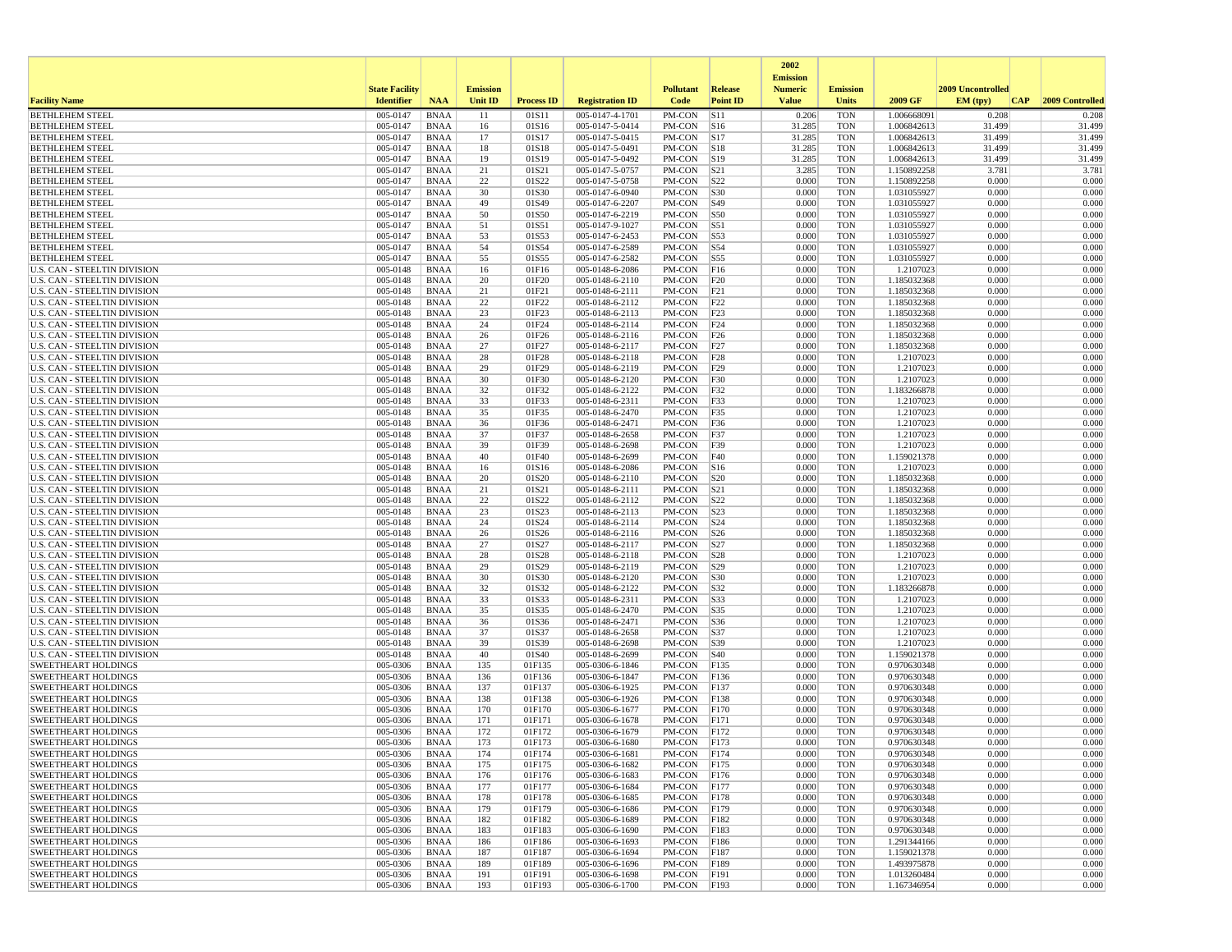|                                                                     |                       |                            |                 |                   |                                    |                            |                         | 2002<br><b>Emission</b> |                          |                            |                   |                  |
|---------------------------------------------------------------------|-----------------------|----------------------------|-----------------|-------------------|------------------------------------|----------------------------|-------------------------|-------------------------|--------------------------|----------------------------|-------------------|------------------|
|                                                                     | <b>State Facility</b> |                            | <b>Emission</b> |                   |                                    | <b>Pollutant</b>           | <b>Release</b>          | <b>Numeric</b>          | <b>Emission</b>          |                            | 2009 Uncontrolled |                  |
| <b>Facility Name</b>                                                | <b>Identifier</b>     | <b>NAA</b>                 | <b>Unit ID</b>  | <b>Process ID</b> | <b>Registration ID</b>             | Code                       | <b>Point ID</b>         | <b>Value</b>            | <b>Units</b>             | 2009 GF                    | EM (tpv)<br>CAP   | 2009 Controlled  |
| <b>BETHLEHEM STEEL</b>                                              | 005-0147              | <b>BNAA</b>                | 11              | 01S11             | 005-0147-4-1701                    | PM-CON                     | S11                     | 0.206                   | <b>TON</b>               | 1.006668091                | 0.208             | 0.208            |
| <b>BETHLEHEM STEEL</b><br><b>BETHLEHEM STEEL</b>                    | 005-0147<br>005-0147  | <b>BNAA</b><br><b>BNAA</b> | 16<br>17        | 01S16<br>01S17    | 005-0147-5-0414<br>005-0147-5-0415 | PM-CON<br>PM-CON           | S16<br>S17              | 31.285<br>31.285        | <b>TON</b><br><b>TON</b> | 1.006842613<br>1.006842613 | 31.499<br>31.499  | 31.499<br>31.499 |
| <b>BETHLEHEM STEEL</b>                                              | 005-0147              | <b>BNAA</b>                | 18              | 01S18             | 005-0147-5-0491                    | PM-CON                     | S18                     | 31.285                  | <b>TON</b>               | 1.006842613                | 31.499            | 31.499           |
| <b>BETHLEHEM STEEL</b>                                              | 005-0147              | <b>BNAA</b>                | 19              | 01S19             | 005-0147-5-0492                    | PM-CON                     | S19                     | 31.285                  | <b>TON</b>               | 1.006842613                | 31.499            | 31.499           |
| <b>BETHLEHEM STEEL</b>                                              | 005-0147              | <b>BNAA</b>                | 21              | 01S21             | 005-0147-5-0757                    | PM-CON                     | S21                     | 3.285                   | <b>TON</b>               | 1.150892258                | 3.781             | 3.781            |
| <b>BETHLEHEM STEEL</b>                                              | 005-0147              | <b>BNAA</b>                | 22              | 01S22             | 005-0147-5-0758                    | PM-CON                     | S <sub>22</sub>         | 0.000                   | <b>TON</b>               | 1.150892258                | 0.000             | 0.000            |
| <b>BETHLEHEM STEEL</b>                                              | 005-0147              | <b>BNAA</b>                | 30              | 01S30             | 005-0147-6-0940                    | PM-CON                     | <b>S30</b>              | 0.000                   | <b>TON</b>               | 1.031055927                | 0.000             | 0.000            |
| <b>BETHLEHEM STEEL</b><br><b>BETHLEHEM STEEL</b>                    | 005-0147<br>005-0147  | <b>BNAA</b><br><b>BNAA</b> | 49<br>50        | 01S49<br>01S50    | 005-0147-6-2207<br>005-0147-6-2219 | PM-CON<br>$PM$ -CON        | S49<br>S50              | 0.000<br>0.000          | <b>TON</b><br><b>TON</b> | 1.031055927<br>1.031055927 | 0.000<br>0.000    | 0.000<br>0.000   |
| <b>BETHLEHEM STEEL</b>                                              | 005-0147              | <b>BNAA</b>                | 51              | 01S51             | 005-0147-9-1027                    | PM-CON                     | S51                     | 0.000                   | <b>TON</b>               | 1.031055927                | 0.000             | 0.000            |
| <b>BETHLEHEM STEEL</b>                                              | 005-0147              | <b>BNAA</b>                | 53              | 01S53             | 005-0147-6-2453                    | PM-CON                     | S53                     | 0.000                   | <b>TON</b>               | 1.031055927                | 0.000             | 0.000            |
| <b>BETHLEHEM STEEL</b>                                              | 005-0147              | <b>BNAA</b>                | 54              | 01S54             | 005-0147-6-2589                    | PM-CON                     | S54                     | 0.000                   | <b>TON</b>               | 1.031055927                | 0.000             | 0.000            |
| <b>BETHLEHEM STEEL</b>                                              | 005-0147              | <b>BNAA</b>                | 55              | 01S55             | 005-0147-6-2582                    | PM-CON                     | S55                     | 0.000                   | <b>TON</b>               | 1.031055927                | 0.000             | 0.000            |
| <b>U.S. CAN - STEELTIN DIVISION</b>                                 | 005-0148              | <b>BNAA</b>                | 16              | 01F16             | 005-0148-6-2086                    | PM-CON                     | F16                     | 0.000                   | <b>TON</b>               | 1.2107023                  | 0.000             | 0.000            |
| U.S. CAN - STEELTIN DIVISION<br>U.S. CAN - STEELTIN DIVISION        | 005-0148<br>005-0148  | <b>BNAA</b><br><b>BNAA</b> | 20<br>21        | 01F20<br>01F21    | 005-0148-6-2110<br>005-0148-6-2111 | PM-CON<br>PM-CON           | F20<br>F21              | 0.000<br>0.000          | <b>TON</b><br><b>TON</b> | 1.185032368<br>1.185032368 | 0.000<br>0.000    | 0.000<br>0.000   |
| U.S. CAN - STEELTIN DIVISION                                        | 005-0148              | <b>BNAA</b>                | 22              | 01F22             | 005-0148-6-2112                    | PM-CON                     | F22                     | 0.000                   | <b>TON</b>               | 1.185032368                | 0.000             | 0.000            |
| U.S. CAN - STEELTIN DIVISION                                        | 005-0148              | <b>BNAA</b>                | 23              | 01F23             | 005-0148-6-2113                    | PM-CON                     | F23                     | 0.000                   | <b>TON</b>               | 1.185032368                | 0.000             | 0.000            |
| U.S. CAN - STEELTIN DIVISION                                        | 005-0148              | <b>BNAA</b>                | 24              | 01F24             | 005-0148-6-2114                    | PM-CON                     | F24                     | 0.000                   | <b>TON</b>               | 1.185032368                | 0.000             | 0.000            |
| U.S. CAN - STEELTIN DIVISION                                        | 005-0148              | <b>BNAA</b>                | 26              | 01F26             | 005-0148-6-2116                    | PM-CON                     | F26                     | 0.000                   | <b>TON</b>               | 1.185032368                | 0.000             | 0.000            |
| U.S. CAN - STEELTIN DIVISION                                        | 005-0148              | <b>BNAA</b>                | 27              | 01F27             | 005-0148-6-2117                    | PM-CON                     | F27                     | 0.000                   | <b>TON</b>               | 1.185032368                | 0.000             | 0.000            |
| <b>U.S. CAN - STEELTIN DIVISION</b>                                 | 005-0148              | <b>BNAA</b>                | 28              | 01F28             | 005-0148-6-2118                    | PM-CON                     | F28                     | 0.000                   | <b>TON</b>               | 1.2107023                  | 0.000             | 0.000            |
| <b>U.S. CAN - STEELTIN DIVISION</b><br>U.S. CAN - STEELTIN DIVISION | 005-0148<br>005-0148  | <b>BNAA</b><br><b>BNAA</b> | 29<br>30        | 01F29<br>01F30    | 005-0148-6-2119<br>005-0148-6-2120 | PM-CON<br>PM-CON           | F29<br>F30              | 0.000<br>0.000          | <b>TON</b><br><b>TON</b> | 1.2107023<br>1.2107023     | 0.000<br>0.000    | 0.000<br>0.000   |
| <b>U.S. CAN - STEELTIN DIVISION</b>                                 | 005-0148              | <b>BNAA</b>                | 32              | 01F32             | 005-0148-6-2122                    | PM-CON                     | F32                     | 0.000                   | <b>TON</b>               | 1.183266878                | 0.000             | 0.000            |
| U.S. CAN - STEELTIN DIVISION                                        | 005-0148              | <b>BNAA</b>                | 33              | 01F33             | 005-0148-6-2311                    | PM-CON                     | F33                     | 0.000                   | <b>TON</b>               | 1.2107023                  | 0.000             | 0.000            |
| <b>U.S. CAN - STEELTIN DIVISION</b>                                 | 005-0148              | <b>BNAA</b>                | 35              | 01F35             | 005-0148-6-2470                    | PM-CON                     | F35                     | 0.000                   | <b>TON</b>               | 1.2107023                  | 0.000             | 0.000            |
| U.S. CAN - STEELTIN DIVISION                                        | 005-0148              | <b>BNAA</b>                | 36              | 01F36             | 005-0148-6-2471                    | PM-CON                     | F36                     | 0.000                   | <b>TON</b>               | 1.2107023                  | 0.000             | 0.000            |
| <b>U.S. CAN - STEELTIN DIVISION</b>                                 | 005-0148              | <b>BNAA</b>                | 37              | 01F37             | 005-0148-6-2658                    | PM-CON                     | F37                     | 0.000                   | <b>TON</b>               | 1.2107023                  | 0.000             | 0.000            |
| U.S. CAN - STEELTIN DIVISION<br><b>U.S. CAN - STEELTIN DIVISION</b> | 005-0148<br>005-0148  | <b>BNAA</b><br><b>BNAA</b> | 39<br>40        | 01F39<br>01F40    | 005-0148-6-2698<br>005-0148-6-2699 | PM-CON<br>PM-CON           | F39<br>F40              | 0.000<br>0.000          | <b>TON</b><br><b>TON</b> | 1.2107023<br>1.159021378   | 0.000<br>0.000    | 0.000<br>0.000   |
| U.S. CAN - STEELTIN DIVISION                                        | 005-0148              | <b>BNAA</b>                | 16              | 01S16             | 005-0148-6-2086                    | PM-CON                     | $\vert$ S <sub>16</sub> | 0.000                   | <b>TON</b>               | 1.2107023                  | 0.000             | 0.000            |
| <b>U.S. CAN - STEELTIN DIVISION</b>                                 | 005-0148              | <b>BNAA</b>                | 20              | 01S20             | 005-0148-6-2110                    | PM-CON                     | S20                     | 0.000                   | <b>TON</b>               | 1.185032368                | 0.000             | 0.000            |
| U.S. CAN - STEELTIN DIVISION                                        | 005-0148              | <b>BNAA</b>                | 21              | 01S21             | 005-0148-6-2111                    | PM-CON                     | S21                     | 0.000                   | <b>TON</b>               | 1.185032368                | 0.000             | 0.000            |
| U.S. CAN - STEELTIN DIVISION                                        | 005-0148              | <b>BNAA</b>                | 22              | 01S22             | 005-0148-6-2112                    | PM-CON                     | S22                     | 0.000                   | <b>TON</b>               | 1.185032368                | 0.000             | 0.000            |
| U.S. CAN - STEELTIN DIVISION                                        | 005-0148              | <b>BNAA</b>                | 23              | 01S23             | 005-0148-6-2113                    | PM-CON                     | S23                     | 0.000                   | <b>TON</b>               | 1.185032368                | 0.000             | 0.000            |
| U.S. CAN - STEELTIN DIVISION<br>U.S. CAN - STEELTIN DIVISION        | 005-0148<br>005-0148  | <b>BNAA</b><br><b>BNAA</b> | 24<br>26        | 01S24<br>01S26    | 005-0148-6-2114<br>005-0148-6-2116 | PM-CON<br>PM-CON           | S <sub>24</sub><br>S26  | 0.000<br>0.000          | <b>TON</b><br><b>TON</b> | 1.185032368<br>1.185032368 | 0.000<br>0.000    | 0.000<br>0.000   |
| U.S. CAN - STEELTIN DIVISION                                        | 005-0148              | <b>BNAA</b>                | 27              | 01S27             | 005-0148-6-2117                    | PM-CON                     | S27                     | 0.000                   | <b>TON</b>               | 1.185032368                | 0.000             | 0.000            |
| U.S. CAN - STEELTIN DIVISION                                        | 005-0148              | <b>BNAA</b>                | 28              | 01S28             | 005-0148-6-2118                    | PM-CON                     | S28                     | 0.000                   | <b>TON</b>               | 1.2107023                  | 0.000             | 0.000            |
| U.S. CAN - STEELTIN DIVISION                                        | 005-0148              | <b>BNAA</b>                | 29              | 01S29             | 005-0148-6-2119                    | PM-CON                     | S29                     | 0.000                   | <b>TON</b>               | 1.2107023                  | 0.000             | 0.000            |
| <b>U.S. CAN - STEELTIN DIVISION</b>                                 | 005-0148              | <b>BNAA</b>                | 30              | 01S30             | 005-0148-6-2120                    | PM-CON                     | S30                     | 0.000                   | <b>TON</b>               | 1.2107023                  | 0.000             | 0.000            |
| U.S. CAN - STEELTIN DIVISION                                        | 005-0148              | <b>BNAA</b>                | 32              | 01S32             | 005-0148-6-2122                    | PM-CON                     | S32                     | 0.000                   | <b>TON</b>               | 1.183266878                | 0.000             | 0.000            |
| U.S. CAN - STEELTIN DIVISION<br>U.S. CAN - STEELTIN DIVISION        | 005-0148<br>005-0148  | <b>BNAA</b><br><b>BNAA</b> | 33<br>35        | 01S33<br>01S35    | 005-0148-6-2311<br>005-0148-6-2470 | PM-CON<br>PM-CON           | S33<br>S35              | 0.000<br>0.000          | <b>TON</b><br><b>TON</b> | 1.2107023<br>1.2107023     | 0.000<br>0.000    | 0.000<br>0.000   |
| U.S. CAN - STEELTIN DIVISION                                        | 005-0148              | <b>BNAA</b>                | 36              | 01S36             | 005-0148-6-2471                    | PM-CON                     | S36                     | 0.000                   | <b>TON</b>               | 1.2107023                  | 0.000             | 0.000            |
| <b>U.S. CAN - STEELTIN DIVISION</b>                                 | 005-0148              | <b>BNAA</b>                | 37              | 01S37             | 005-0148-6-2658                    | PM-CON                     | S37                     | 0.000                   | <b>TON</b>               | 1.2107023                  | 0.000             | 0.000            |
| U.S. CAN - STEELTIN DIVISION                                        | 005-0148              | <b>BNAA</b>                | 39              | 01S39             | 005-0148-6-2698                    | PM-CON                     | S39                     | 0.000                   | <b>TON</b>               | 1.2107023                  | 0.000             | 0.000            |
| <b>U.S. CAN - STEELTIN DIVISION</b>                                 | 005-0148              | <b>BNAA</b>                | 40              | 01S40             | 005-0148-6-2699                    | PM-CON                     | <b>S40</b>              | 0.000                   | <b>TON</b>               | 1.159021378                | 0.000             | 0.000            |
| <b>SWEETHEART HOLDINGS</b>                                          | 005-0306              | <b>BNAA</b>                | 135             | 01F135            | 005-0306-6-1846                    | PM-CON                     | F135                    | 0.000                   | <b>TON</b>               | 0.970630348                | 0.000             | 0.000            |
| <b>SWEETHEART HOLDINGS</b><br><b>SWEETHEART HOLDINGS</b>            | 005-0306<br>005-0306  | <b>BNAA</b><br><b>BNAA</b> | 136<br>137      | 01F136<br>01F137  | 005-0306-6-1847<br>005-0306-6-1925 | PM-CON<br>PM-CON           | F136<br>F137            | 0.000<br>0.000          | <b>TON</b><br><b>TON</b> | 0.970630348<br>0.970630348 | 0.000<br>0.000    | 0.000<br>0.000   |
| <b>SWEETHEART HOLDINGS</b>                                          | 005-0306              | <b>BNAA</b>                | 138             | 01F138            | 005-0306-6-1926                    | PM-CON                     | F138                    | 0.000                   | <b>TON</b>               | 0.970630348                | 0.000             | 0.000            |
| <b>SWEETHEART HOLDINGS</b>                                          | 005-0306              | <b>BNAA</b>                | 170             | 01F170            | 005-0306-6-1677                    | PM-CON                     | F170                    | 0.000                   | <b>TON</b>               | 0.970630348                | 0.000             | 0.000            |
| <b>SWEETHEART HOLDINGS</b>                                          | 005-0306              | <b>BNAA</b>                | 171             | 01F171            | 005-0306-6-1678                    | PM-CON                     | F171                    | 0.000                   | <b>TON</b>               | 0.970630348                | 0.000             | 0.000            |
| <b>SWEETHEART HOLDINGS</b>                                          | 005-0306              | <b>BNAA</b>                | 172             | 01F172            | 005-0306-6-1679                    | PM-CON                     | F172                    | 0.000                   | <b>TON</b>               | 0.970630348                | 0.000             | 0.000            |
| <b>SWEETHEART HOLDINGS</b>                                          | 005-0306              | <b>BNAA</b>                | 173             | 01F173            | 005-0306-6-1680                    | PM-CON                     | F173                    | 0.000                   | <b>TON</b>               | 0.970630348                | 0.000             | 0.000            |
| <b>SWEETHEART HOLDINGS</b><br><b>SWEETHEART HOLDINGS</b>            | 005-0306<br>005-0306  | <b>BNAA</b><br><b>BNAA</b> | 174<br>175      | 01F174<br>01F175  | 005-0306-6-1681<br>005-0306-6-1682 | PM-CON F174<br>PM-CON F175 |                         | 0.000<br>0.000          | TON<br><b>TON</b>        | 0.970630348<br>0.970630348 | 0.000<br>0.000    | 0.000<br>0.000   |
| <b>SWEETHEART HOLDINGS</b>                                          | 005-0306              | <b>BNAA</b>                | 176             | 01F176            | 005-0306-6-1683                    | PM-CON F176                |                         | 0.000                   | <b>TON</b>               | 0.970630348                | 0.000             | 0.000            |
| <b>SWEETHEART HOLDINGS</b>                                          | 005-0306              | BNAA                       | 177             | 01F177            | 005-0306-6-1684                    | PM-CON F177                |                         | 0.000                   | <b>TON</b>               | 0.970630348                | 0.000             | 0.000            |
| <b>SWEETHEART HOLDINGS</b>                                          | 005-0306              | <b>BNAA</b>                | 178             | 01F178            | 005-0306-6-1685                    | PM-CON                     | F178                    | 0.000                   | <b>TON</b>               | 0.970630348                | 0.000             | 0.000            |
| <b>SWEETHEART HOLDINGS</b>                                          | 005-0306              | <b>BNAA</b>                | 179             | 01F179            | 005-0306-6-1686                    | PM-CON                     | F179                    | 0.000                   | <b>TON</b>               | 0.970630348                | 0.000             | 0.000            |
| <b>SWEETHEART HOLDINGS</b>                                          | 005-0306              | <b>BNAA</b>                | 182             | 01F182            | 005-0306-6-1689                    | PM-CON                     | F182                    | 0.000                   | <b>TON</b><br><b>TON</b> | 0.970630348                | 0.000<br>0.000    | 0.000<br>0.000   |
| <b>SWEETHEART HOLDINGS</b><br><b>SWEETHEART HOLDINGS</b>            | 005-0306<br>005-0306  | <b>BNAA</b><br><b>BNAA</b> | 183<br>186      | 01F183<br>01F186  | 005-0306-6-1690<br>005-0306-6-1693 | PM-CON<br>PM-CON           | F183<br>F186            | 0.000<br>0.000          | <b>TON</b>               | 0.970630348<br>1.291344166 | 0.000             | 0.000            |
| <b>SWEETHEART HOLDINGS</b>                                          | 005-0306              | <b>BNAA</b>                | 187             | 01F187            | 005-0306-6-1694                    | PM-CON                     | F187                    | 0.000                   | <b>TON</b>               | 1.159021378                | 0.000             | 0.000            |
| <b>SWEETHEART HOLDINGS</b>                                          | 005-0306              | <b>BNAA</b>                | 189             | 01F189            | 005-0306-6-1696                    | PM-CON                     | F189                    | 0.000                   | <b>TON</b>               | 1.493975878                | 0.000             | 0.000            |
| <b>SWEETHEART HOLDINGS</b>                                          | 005-0306              | <b>BNAA</b>                | 191             | 01F191            | 005-0306-6-1698                    | PM-CON                     | F191                    | 0.000                   | <b>TON</b>               | 1.013260484                | 0.000             | 0.000            |
| <b>SWEETHEART HOLDINGS</b>                                          | 005-0306              | <b>BNAA</b>                | 193             | 01F193            | 005-0306-6-1700                    | PM-CON F193                |                         | 0.000                   | <b>TON</b>               | 1.167346954                | 0.000             | 0.000            |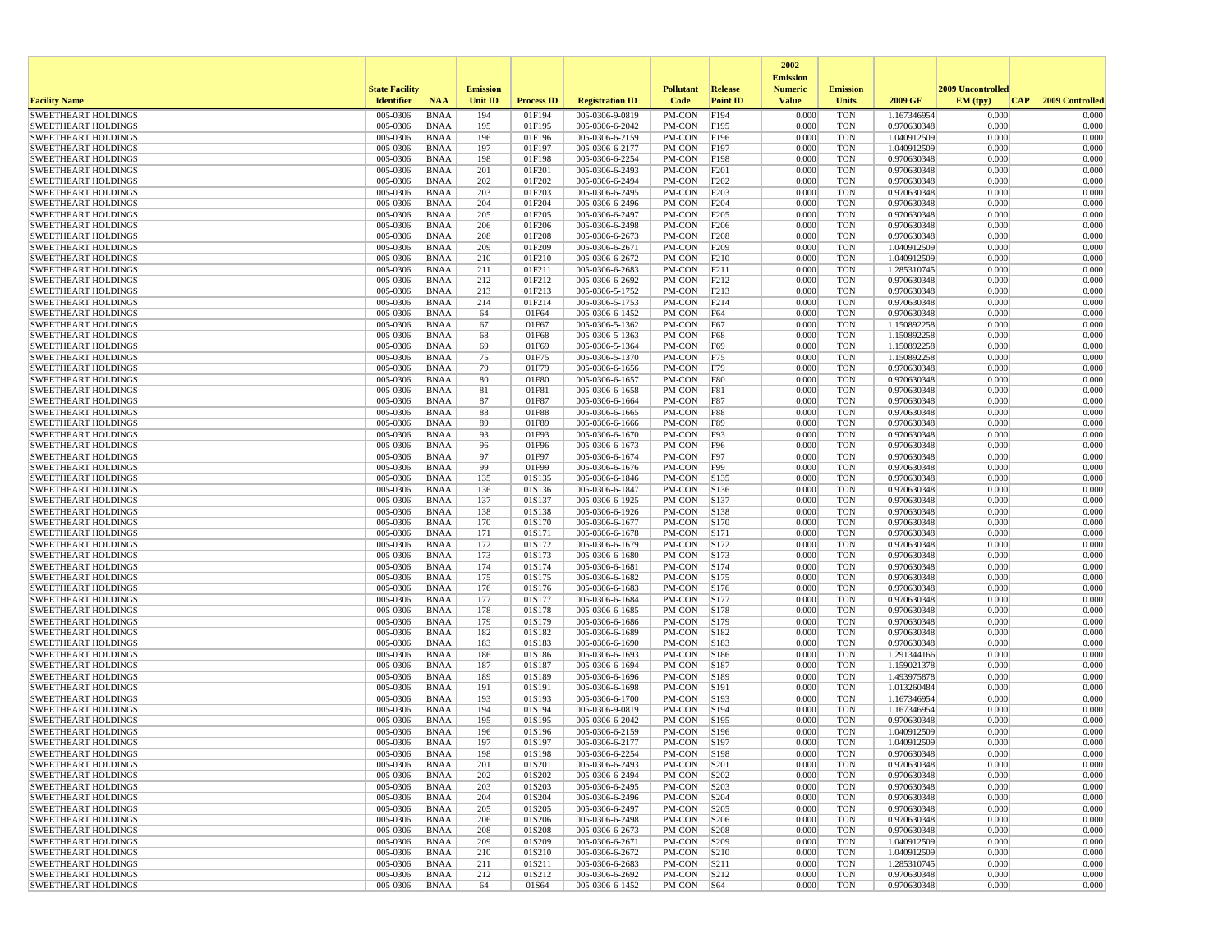|                                                          |                       |                            |                 |                   |                                    |                  |                  | 2002                              |                          |                            |                   |                 |
|----------------------------------------------------------|-----------------------|----------------------------|-----------------|-------------------|------------------------------------|------------------|------------------|-----------------------------------|--------------------------|----------------------------|-------------------|-----------------|
|                                                          | <b>State Facility</b> |                            | <b>Emission</b> |                   |                                    | <b>Pollutant</b> | <b>Release</b>   | <b>Emission</b><br><b>Numeric</b> | <b>Emission</b>          |                            | 2009 Uncontrolled |                 |
| <b>Facility Name</b>                                     | <b>Identifier</b>     | <b>NAA</b>                 | <b>Unit ID</b>  | <b>Process ID</b> | <b>Registration ID</b>             | Code             | <b>Point ID</b>  | <b>Value</b>                      | <b>Units</b>             | 2009 GF                    | EM (tpv)<br>CAP   | 2009 Controlled |
| <b>SWEETHEART HOLDINGS</b>                               | 005-0306              | <b>BNAA</b>                | 194             | 01F194            | 005-0306-9-0819                    | PM-CON           | F194             | 0.000                             | <b>TON</b>               | 1.167346954                | 0.000             | 0.000           |
| <b>SWEETHEART HOLDINGS</b>                               | 005-0306              | <b>BNAA</b>                | 195             | 01F195            | 005-0306-6-2042                    | PM-CON           | F195             | 0.000                             | <b>TON</b>               | 0.970630348                | 0.000             | 0.000           |
| <b>SWEETHEART HOLDINGS</b><br><b>SWEETHEART HOLDINGS</b> | 005-0306<br>005-0306  | <b>BNAA</b><br><b>BNAA</b> | 196<br>197      | 01F196<br>01F197  | 005-0306-6-2159<br>005-0306-6-2177 | PM-CON<br>PM-CON | F196<br>F197     | 0.000<br>0.000                    | <b>TON</b><br><b>TON</b> | 1.040912509<br>1.040912509 | 0.000<br>0.000    | 0.000<br>0.000  |
| <b>SWEETHEART HOLDINGS</b>                               | 005-0306              | <b>BNAA</b>                | 198             | 01F198            | 005-0306-6-2254                    | PM-CON           | F198             | 0.000                             | <b>TON</b>               | 0.970630348                | 0.000             | 0.000           |
| <b>SWEETHEART HOLDINGS</b>                               | 005-0306              | <b>BNAA</b>                | 201             | 01F201            | 005-0306-6-2493                    | PM-CON           | F201             | 0.000                             | <b>TON</b>               | 0.970630348                | 0.000             | 0.000           |
| <b>SWEETHEART HOLDINGS</b>                               | 005-0306              | <b>BNAA</b>                | 202             | 01F202            | 005-0306-6-2494                    | PM-CON           | F202             | 0.000                             | <b>TON</b>               | 0.970630348                | 0.000             | 0.000           |
| <b>SWEETHEART HOLDINGS</b>                               | 005-0306              | <b>BNAA</b>                | 203             | 01F203            | 005-0306-6-2495                    | PM-CON           | F <sub>203</sub> | 0.000                             | <b>TON</b>               | 0.970630348                | 0.000             | 0.000           |
| <b>SWEETHEART HOLDINGS</b><br><b>SWEETHEART HOLDINGS</b> | 005-0306<br>005-0306  | <b>BNAA</b><br><b>BNAA</b> | 204<br>205      | 01F204<br>01F205  | 005-0306-6-2496<br>005-0306-6-2497 | PM-CON<br>PM-CON | F204<br>F205     | 0.000<br>0.000                    | <b>TON</b><br><b>TON</b> | 0.970630348<br>0.970630348 | 0.000<br>0.000    | 0.000<br>0.000  |
| <b>SWEETHEART HOLDINGS</b>                               | 005-0306              | <b>BNAA</b>                | 206             | 01F206            | 005-0306-6-2498                    | PM-CON           | F206             | 0.000                             | <b>TON</b>               | 0.970630348                | 0.000             | 0.000           |
| <b>SWEETHEART HOLDINGS</b>                               | 005-0306              | <b>BNAA</b>                | 208             | 01F208            | 005-0306-6-2673                    | PM-CON           | F208             | 0.000                             | <b>TON</b>               | 0.970630348                | 0.000             | 0.000           |
| <b>SWEETHEART HOLDINGS</b>                               | 005-0306              | <b>BNAA</b>                | 209             | 01F209            | 005-0306-6-2671                    | PM-CON           | F209             | 0.000                             | <b>TON</b>               | 1.040912509                | 0.000             | 0.000           |
| <b>SWEETHEART HOLDINGS</b>                               | 005-0306              | <b>BNAA</b>                | 210             | 01F210            | 005-0306-6-2672                    | PM-CON           | F210             | 0.000                             | <b>TON</b>               | 1.040912509                | 0.000             | 0.000           |
| <b>SWEETHEART HOLDINGS</b>                               | 005-0306              | <b>BNAA</b>                | 211             | 01F211            | 005-0306-6-2683                    | PM-CON           | F211             | 0.000                             | <b>TON</b>               | 1.285310745                | 0.000             | 0.000           |
| <b>SWEETHEART HOLDINGS</b><br><b>SWEETHEART HOLDINGS</b> | 005-0306<br>005-0306  | <b>BNAA</b><br><b>BNAA</b> | 212<br>213      | 01F212<br>01F213  | 005-0306-6-2692<br>005-0306-5-1752 | PM-CON<br>PM-CON | F212<br>F213     | 0.000<br>0.000                    | <b>TON</b><br><b>TON</b> | 0.970630348<br>0.970630348 | 0.000<br>0.000    | 0.000<br>0.000  |
| <b>SWEETHEART HOLDINGS</b>                               | 005-0306              | <b>BNAA</b>                | 214             | 01F214            | 005-0306-5-1753                    | PM-CON           | F214             | 0.000                             | <b>TON</b>               | 0.970630348                | 0.000             | 0.000           |
| <b>SWEETHEART HOLDINGS</b>                               | 005-0306              | <b>BNAA</b>                | 64              | 01F64             | 005-0306-6-1452                    | PM-CON           | F64              | 0.000                             | <b>TON</b>               | 0.970630348                | 0.000             | 0.000           |
| <b>SWEETHEART HOLDINGS</b>                               | 005-0306              | <b>BNAA</b>                | 67              | 01F67             | 005-0306-5-1362                    | PM-CON           | F67              | 0.000                             | <b>TON</b>               | 1.150892258                | 0.000             | 0.000           |
| <b>SWEETHEART HOLDINGS</b>                               | 005-0306              | <b>BNAA</b>                | 68              | 01F68             | 005-0306-5-1363                    | PM-CON           | F68              | 0.000                             | <b>TON</b>               | 1.150892258                | 0.000             | 0.000           |
| <b>SWEETHEART HOLDINGS</b>                               | 005-0306              | <b>BNAA</b>                | 69              | 01F69             | 005-0306-5-1364                    | PM-CON           | F69              | 0.000                             | <b>TON</b>               | 1.150892258                | 0.000             | 0.000           |
| <b>SWEETHEART HOLDINGS</b><br><b>SWEETHEART HOLDINGS</b> | 005-0306<br>005-0306  | <b>BNAA</b><br><b>BNAA</b> | 75<br>79        | 01F75<br>01F79    | 005-0306-5-1370<br>005-0306-6-1656 | PM-CON<br>PM-CON | F75<br>F79       | 0.000<br>0.000                    | <b>TON</b><br><b>TON</b> | 1.150892258<br>0.970630348 | 0.000<br>0.000    | 0.000<br>0.000  |
| <b>SWEETHEART HOLDINGS</b>                               | 005-0306              | <b>BNAA</b>                | 80              | 01F80             | 005-0306-6-1657                    | PM-CON           | <b>F80</b>       | 0.000                             | <b>TON</b>               | 0.970630348                | 0.000             | 0.000           |
| <b>SWEETHEART HOLDINGS</b>                               | 005-0306              | <b>BNAA</b>                | 81              | 01F81             | 005-0306-6-1658                    | PM-CON           | <b>F81</b>       | 0.000                             | <b>TON</b>               | 0.970630348                | 0.000             | 0.000           |
| <b>SWEETHEART HOLDINGS</b>                               | 005-0306              | <b>BNAA</b>                | 87              | 01F87             | 005-0306-6-1664                    | PM-CON           | F87              | 0.000                             | <b>TON</b>               | 0.970630348                | 0.000             | 0.000           |
| <b>SWEETHEART HOLDINGS</b>                               | 005-0306              | <b>BNAA</b>                | 88              | 01F88             | 005-0306-6-1665                    | PM-CON           | <b>F88</b>       | 0.000                             | <b>TON</b>               | 0.970630348                | 0.000             | 0.000           |
| <b>SWEETHEART HOLDINGS</b>                               | 005-0306              | <b>BNAA</b>                | 89              | 01F89             | 005-0306-6-1666                    | PM-CON           | <b>F89</b>       | 0.000                             | <b>TON</b>               | 0.970630348                | 0.000             | 0.000           |
| <b>SWEETHEART HOLDINGS</b><br><b>SWEETHEART HOLDINGS</b> | 005-0306<br>005-0306  | <b>BNAA</b><br><b>BNAA</b> | 93<br>96        | 01F93<br>01F96    | 005-0306-6-1670<br>005-0306-6-1673 | PM-CON<br>PM-CON | F93<br>F96       | 0.000<br>0.000                    | <b>TON</b><br><b>TON</b> | 0.970630348<br>0.970630348 | 0.000<br>0.000    | 0.000<br>0.000  |
| <b>SWEETHEART HOLDINGS</b>                               | 005-0306              | <b>BNAA</b>                | 97              | 01F97             | 005-0306-6-1674                    | PM-CON           | F97              | 0.000                             | <b>TON</b>               | 0.970630348                | 0.000             | 0.000           |
| <b>SWEETHEART HOLDINGS</b>                               | 005-0306              | <b>BNAA</b>                | 99              | 01F99             | 005-0306-6-1676                    | PM-CON           | F99              | 0.000                             | <b>TON</b>               | 0.970630348                | 0.000             | 0.000           |
| <b>SWEETHEART HOLDINGS</b>                               | 005-0306              | <b>BNAA</b>                | 135             | 01S135            | 005-0306-6-1846                    | PM-CON           | S135             | 0.000                             | <b>TON</b>               | 0.970630348                | 0.000             | 0.000           |
| <b>SWEETHEART HOLDINGS</b>                               | 005-0306              | <b>BNAA</b>                | 136             | 01S136            | 005-0306-6-1847                    | PM-CON           | S136             | 0.000                             | <b>TON</b>               | 0.970630348                | 0.000             | 0.000           |
| <b>SWEETHEART HOLDINGS</b>                               | 005-0306              | <b>BNAA</b>                | 137<br>138      | 01S137            | 005-0306-6-1925                    | PM-CON           | S137             | 0.000                             | <b>TON</b>               | 0.970630348                | 0.000             | 0.000<br>0.000  |
| <b>SWEETHEART HOLDINGS</b><br><b>SWEETHEART HOLDINGS</b> | 005-0306<br>005-0306  | <b>BNAA</b><br><b>BNAA</b> | 170             | 01S138<br>01S170  | 005-0306-6-1926<br>005-0306-6-1677 | PM-CON<br>PM-CON | S138<br>S170     | 0.000<br>0.000                    | <b>TON</b><br><b>TON</b> | 0.970630348<br>0.970630348 | 0.000<br>0.000    | 0.000           |
| <b>SWEETHEART HOLDINGS</b>                               | 005-0306              | <b>BNAA</b>                | 171             | 01S171            | 005-0306-6-1678                    | PM-CON           | S171             | 0.000                             | <b>TON</b>               | 0.970630348                | 0.000             | 0.000           |
| <b>SWEETHEART HOLDINGS</b>                               | 005-0306              | <b>BNAA</b>                | 172             | 01S172            | 005-0306-6-1679                    | PM-CON           | S172             | 0.000                             | <b>TON</b>               | 0.970630348                | 0.000             | 0.000           |
| <b>SWEETHEART HOLDINGS</b>                               | 005-0306              | <b>BNAA</b>                | 173             | 01S173            | 005-0306-6-1680                    | PM-CON           | S173             | 0.000                             | <b>TON</b>               | 0.970630348                | 0.000             | 0.000           |
| <b>SWEETHEART HOLDINGS</b>                               | 005-0306              | <b>BNAA</b>                | 174             | 01S174            | 005-0306-6-1681                    | PM-CON           | S174             | 0.000                             | <b>TON</b>               | 0.970630348                | 0.000             | 0.000           |
| <b>SWEETHEART HOLDINGS</b><br><b>SWEETHEART HOLDINGS</b> | 005-0306<br>005-0306  | <b>BNAA</b><br><b>BNAA</b> | 175<br>176      | 01S175<br>01S176  | 005-0306-6-1682<br>005-0306-6-1683 | PM-CON<br>PM-CON | S175<br>S176     | 0.000<br>0.000                    | <b>TON</b><br><b>TON</b> | 0.970630348<br>0.970630348 | 0.000<br>0.000    | 0.000<br>0.000  |
| <b>SWEETHEART HOLDINGS</b>                               | 005-0306              | <b>BNAA</b>                | 177             | 01S177            | 005-0306-6-1684                    | PM-CON           | S177             | 0.000                             | <b>TON</b>               | 0.970630348                | 0.000             | 0.000           |
| <b>SWEETHEART HOLDINGS</b>                               | 005-0306              | <b>BNAA</b>                | 178             | 01S178            | 005-0306-6-1685                    | PM-CON           | S178             | 0.000                             | <b>TON</b>               | 0.970630348                | 0.000             | 0.000           |
| <b>SWEETHEART HOLDINGS</b>                               | 005-0306              | <b>BNAA</b>                | 179             | 01S179            | 005-0306-6-1686                    | PM-CON           | S179             | 0.000                             | <b>TON</b>               | 0.970630348                | 0.000             | 0.000           |
| <b>SWEETHEART HOLDINGS</b>                               | 005-0306              | <b>BNAA</b>                | 182             | 01S182            | 005-0306-6-1689                    | PM-CON           | S182             | 0.000                             | <b>TON</b>               | 0.970630348                | 0.000             | 0.000           |
| <b>SWEETHEART HOLDINGS</b><br><b>SWEETHEART HOLDINGS</b> | 005-0306<br>005-0306  | <b>BNAA</b><br><b>BNAA</b> | 183<br>186      | 01S183<br>01S186  | 005-0306-6-1690<br>005-0306-6-1693 | PM-CON<br>PM-CON | S183<br>S186     | 0.000<br>0.000                    | <b>TON</b><br><b>TON</b> | 0.970630348<br>1.291344166 | 0.000<br>0.000    | 0.000<br>0.000  |
| <b>SWEETHEART HOLDINGS</b>                               | 005-0306              | <b>BNAA</b>                | 187             | 01S187            | 005-0306-6-1694                    | PM-CON           | S187             | 0.000                             | <b>TON</b>               | 1.159021378                | 0.000             | 0.000           |
| <b>SWEETHEART HOLDINGS</b>                               | 005-0306              | <b>BNAA</b>                | 189             | 01S189            | 005-0306-6-1696                    | PM-CON           | S189             | 0.000                             | <b>TON</b>               | 1.493975878                | 0.000             | 0.000           |
| <b>SWEETHEART HOLDINGS</b>                               | 005-0306              | <b>BNAA</b>                | 191             | 01S191            | 005-0306-6-1698                    | PM-CON           | S191             | 0.000                             | <b>TON</b>               | 1.013260484                | 0.000             | 0.000           |
| <b>SWEETHEART HOLDINGS</b>                               | 005-0306              | <b>BNAA</b>                | 193             | 01S193            | 005-0306-6-1700                    | PM-CON           | S193             | 0.000                             | <b>TON</b>               | 1.167346954                | 0.000             | 0.000           |
| <b>SWEETHEART HOLDINGS</b>                               | 005-0306              | <b>BNAA</b>                | 194             | 01S194            | 005-0306-9-0819                    | PM-CON           | S194             | 0.000                             | <b>TON</b>               | 1.167346954                | 0.000             | 0.000           |
| <b>SWEETHEART HOLDINGS</b><br><b>SWEETHEART HOLDINGS</b> | 005-0306<br>005-0306  | <b>BNAA</b><br><b>BNAA</b> | 195<br>196      | 01S195<br>01S196  | 005-0306-6-2042<br>005-0306-6-2159 | PM-CON<br>PM-CON | S195<br>S196     | 0.000<br>0.000                    | <b>TON</b><br><b>TON</b> | 0.970630348<br>1.040912509 | 0.000<br>0.000    | 0.000<br>0.000  |
| <b>SWEETHEART HOLDINGS</b>                               | 005-0306              | <b>BNAA</b>                | 197             | 01S197            | 005-0306-6-2177                    | PM-CON           | S197             | 0.000                             | <b>TON</b>               | 1.040912509                | 0.000             | 0.000           |
| <b>SWEETHEART HOLDINGS</b>                               | 005-0306              | <b>BNAA</b>                | 198             | 01S198            | 005-0306-6-2254                    | PM-CON           | S198             | 0.000                             | TON                      | 0.970630348                | 0.000             | 0.000           |
| <b>SWEETHEART HOLDINGS</b>                               | 005-0306              | <b>BNAA</b>                | 201             | 01S201            | 005-0306-6-2493                    | $PM-CON$ $ S201$ |                  | 0.000                             | <b>TON</b>               | 0.970630348                | 0.000             | 0.000           |
| <b>SWEETHEART HOLDINGS</b>                               | 005-0306              | <b>BNAA</b>                | 202             | 01S202            | 005-0306-6-2494                    | PM-CON           | S202             | 0.000                             | <b>TON</b>               | 0.970630348                | 0.000             | 0.000           |
| <b>SWEETHEART HOLDINGS</b>                               | 005-0306              | BNAA                       | 203<br>204      | 01S203<br>01S204  | 005-0306-6-2495<br>005-0306-6-2496 | PM-CON           | S203<br>S204     | 0.000<br>0.000                    | <b>TON</b><br><b>TON</b> | 0.970630348<br>0.970630348 | 0.000<br>0.000    | 0.000<br>0.000  |
| <b>SWEETHEART HOLDINGS</b><br><b>SWEETHEART HOLDINGS</b> | 005-0306<br>005-0306  | <b>BNAA</b><br><b>BNAA</b> | 205             | 01S205            | 005-0306-6-2497                    | PM-CON<br>PM-CON | S205             | 0.000                             | <b>TON</b>               | 0.970630348                | 0.000             | 0.000           |
| <b>SWEETHEART HOLDINGS</b>                               | 005-0306              | <b>BNAA</b>                | 206             | 01S206            | 005-0306-6-2498                    | PM-CON           | S206             | 0.000                             | <b>TON</b>               | 0.970630348                | 0.000             | 0.000           |
| <b>SWEETHEART HOLDINGS</b>                               | 005-0306              | <b>BNAA</b>                | 208             | 01S208            | 005-0306-6-2673                    | PM-CON           | S208             | 0.000                             | <b>TON</b>               | 0.970630348                | 0.000             | 0.000           |
| <b>SWEETHEART HOLDINGS</b>                               | 005-0306              | <b>BNAA</b>                | 209             | 01S209            | 005-0306-6-2671                    | PM-CON           | S209             | 0.000                             | <b>TON</b>               | 1.040912509                | 0.000             | 0.000           |
| <b>SWEETHEART HOLDINGS</b>                               | 005-0306              | <b>BNAA</b>                | 210             | 01S210            | 005-0306-6-2672                    | PM-CON           | S210             | 0.000                             | <b>TON</b>               | 1.040912509                | 0.000             | 0.000           |
| <b>SWEETHEART HOLDINGS</b><br><b>SWEETHEART HOLDINGS</b> | 005-0306<br>005-0306  | <b>BNAA</b><br><b>BNAA</b> | 211<br>212      | 01S211<br>01S212  | 005-0306-6-2683<br>005-0306-6-2692 | PM-CON<br>PM-CON | S211<br>S212     | 0.000<br>0.000                    | <b>TON</b><br><b>TON</b> | 1.285310745<br>0.970630348 | 0.000<br>0.000    | 0.000<br>0.000  |
| <b>SWEETHEART HOLDINGS</b>                               | 005-0306              | <b>BNAA</b>                | 64              | 01S64             | 005-0306-6-1452                    | PM-CON S64       |                  | 0.000                             | <b>TON</b>               | 0.970630348                | 0.000             | 0.000           |
|                                                          |                       |                            |                 |                   |                                    |                  |                  |                                   |                          |                            |                   |                 |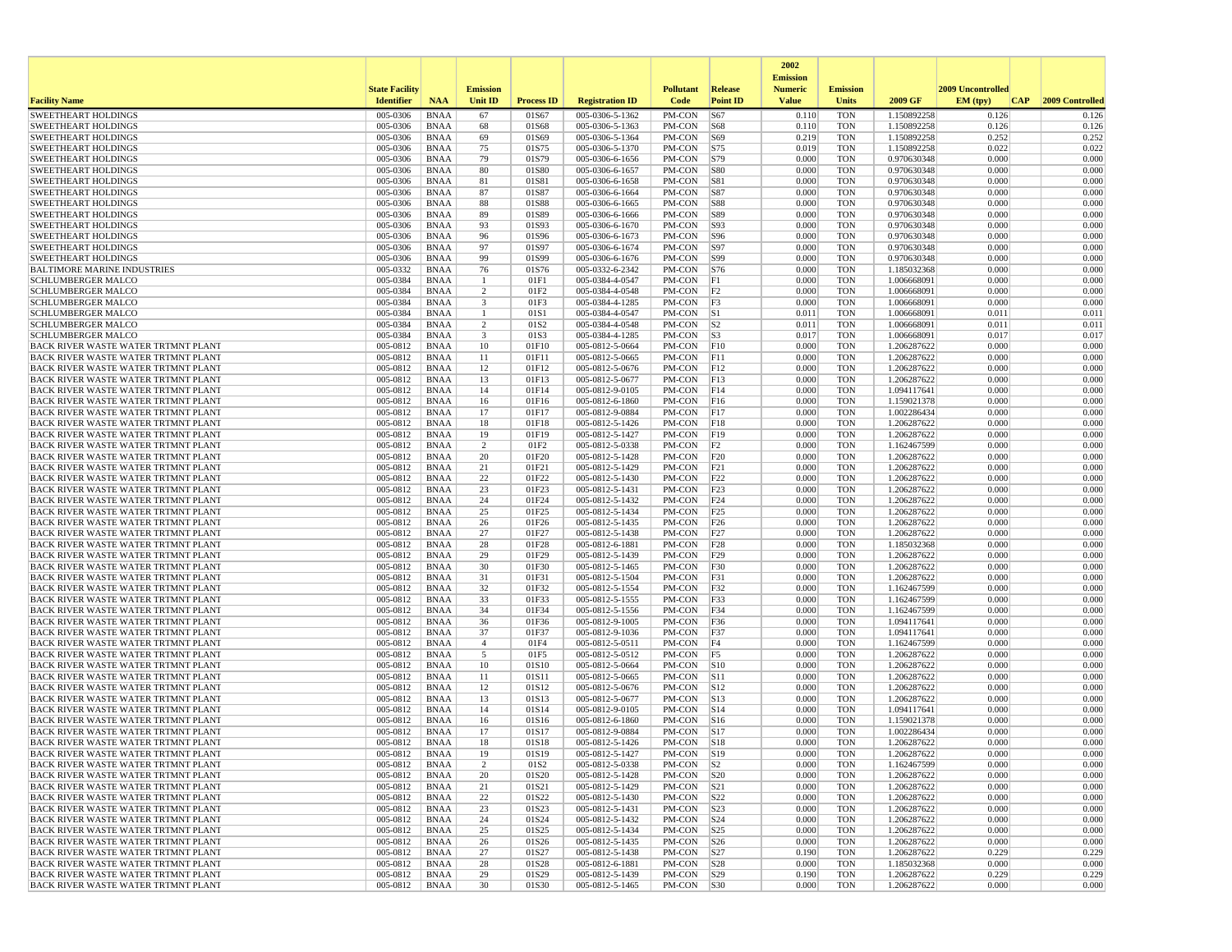|                                                                                          |                          |                            |                         |                   |                                    |                          |                                | 2002                              |                          |                            |                   |                     |
|------------------------------------------------------------------------------------------|--------------------------|----------------------------|-------------------------|-------------------|------------------------------------|--------------------------|--------------------------------|-----------------------------------|--------------------------|----------------------------|-------------------|---------------------|
|                                                                                          | <b>State Facility</b>    |                            | <b>Emission</b>         |                   |                                    | <b>Pollutant</b>         | <b>Release</b>                 | <b>Emission</b><br><b>Numeric</b> | <b>Emission</b>          |                            | 2009 Uncontrolled |                     |
| <b>Facility Name</b>                                                                     | <b>Identifier</b>        | <b>NAA</b>                 | Unit ID                 | <b>Process ID</b> | <b>Registration ID</b>             | Code                     | <b>Point ID</b>                | <b>Value</b>                      | Units                    | 2009 GF                    | EM (tpv)          | CAP 2009 Controlled |
| <b>SWEETHEART HOLDINGS</b>                                                               | 005-0306                 | <b>BNAA</b>                | 67                      | 01S67             | 005-0306-5-1362                    | PM-CON                   | S67                            | 0.110                             | <b>TON</b>               | 1.150892258                | 0.126             | 0.126               |
| <b>SWEETHEART HOLDINGS</b>                                                               | 005-0306                 | <b>BNAA</b>                | 68                      | 01S68             | 005-0306-5-1363                    | PM-CON                   | S68                            | 0.110                             | <b>TON</b>               | 1.150892258                | 0.126             | 0.126               |
| SWEETHEART HOLDINGS<br>SWEETHEART HOLDINGS                                               | 005-0306<br>005-0306     | <b>BNAA</b><br><b>BNAA</b> | 69<br>75                | 01S69<br>01S75    | 005-0306-5-1364<br>005-0306-5-1370 | PM-CON<br>PM-CON         | S69<br>S75                     | 0.219<br>0.019                    | <b>TON</b><br><b>TON</b> | 1.150892258<br>1.150892258 | 0.252<br>0.022    | 0.252<br>0.022      |
| <b>SWEETHEART HOLDINGS</b>                                                               | 005-0306                 | <b>BNAA</b>                | 79                      | 01S79             | 005-0306-6-1656                    | PM-CON                   | <b>S79</b>                     | 0.000                             | <b>TON</b>               | 0.970630348                | 0.000             | 0.000               |
| <b>SWEETHEART HOLDINGS</b>                                                               | 005-0306                 | <b>BNAA</b>                | 80                      | 01S80             | 005-0306-6-1657                    | PM-CON                   | <b>S80</b>                     | 0.000                             | <b>TON</b>               | 0.970630348                | 0.000             | 0.000               |
| <b>SWEETHEART HOLDINGS</b>                                                               | 005-0306                 | <b>BNAA</b>                | 81                      | 01S81             | 005-0306-6-1658                    | PM-CON                   | <b>S81</b>                     | 0.000                             | <b>TON</b>               | 0.970630348                | 0.000             | 0.000               |
| <b>SWEETHEART HOLDINGS</b>                                                               | 005-0306                 | <b>BNAA</b>                | 87                      | 01S87             | 005-0306-6-1664                    | PM-CON                   | S87                            | 0.000                             | <b>TON</b>               | 0.970630348                | 0.000             | 0.000               |
| SWEETHEART HOLDINGS<br><b>SWEETHEART HOLDINGS</b>                                        | 005-0306<br>005-0306     | <b>BNAA</b><br><b>BNAA</b> | 88<br>89                | 01S88<br>01S89    | 005-0306-6-1665<br>005-0306-6-1666 | PM-CON<br>PM-CON         | <b>S88</b><br>S89              | 0.000<br>0.000                    | <b>TON</b><br><b>TON</b> | 0.970630348<br>0.970630348 | 0.000<br>0.000    | 0.000<br>0.000      |
| <b>SWEETHEART HOLDINGS</b>                                                               | 005-0306                 | <b>BNAA</b>                | 93                      | 01S93             | 005-0306-6-1670                    | PM-CON                   | S93                            | 0.000                             | <b>TON</b>               | 0.970630348                | 0.000             | 0.000               |
| <b>SWEETHEART HOLDINGS</b>                                                               | 005-0306                 | <b>BNAA</b>                | 96                      | 01S96             | 005-0306-6-1673                    | PM-CON                   | <b>S96</b>                     | 0.000                             | <b>TON</b>               | 0.970630348                | 0.000             | 0.000               |
| <b>SWEETHEART HOLDINGS</b>                                                               | 005-0306                 | <b>BNAA</b>                | 97                      | 01S97             | 005-0306-6-1674                    | PM-CON                   | S97                            | 0.000                             | <b>TON</b>               | 0.970630348                | 0.000             | 0.000               |
| <b>SWEETHEART HOLDINGS</b>                                                               | 005-0306                 | <b>BNAA</b>                | 99                      | 01S99             | 005-0306-6-1676                    | PM-CON                   | S99                            | 0.000                             | <b>TON</b>               | 0.970630348                | 0.000             | 0.000               |
| <b>BALTIMORE MARINE INDUSTRIES</b>                                                       | 005-0332                 | <b>BNAA</b>                | 76                      | 01S76             | 005-0332-6-2342                    | PM-CON                   | S76                            | 0.000                             | <b>TON</b>               | 1.185032368                | 0.000             | 0.000               |
| <b>SCHLUMBERGER MALCO</b><br>SCHLUMBERGER MALCO                                          | 005-0384<br>005-0384     | <b>BNAA</b><br><b>BNAA</b> | -1<br>2                 | 01F1<br>01F2      | 005-0384-4-0547<br>005-0384-4-0548 | PM-CON<br>PM-CON         | F1<br>F2                       | 0.000<br>0.000                    | <b>TON</b><br><b>TON</b> | 1.006668091<br>1.006668091 | 0.000<br>0.000    | 0.000<br>0.000      |
| <b>SCHLUMBERGER MALCO</b>                                                                | 005-0384                 | <b>BNAA</b>                | $\overline{\mathbf{3}}$ | 01F3              | 005-0384-4-1285                    | PM-CON                   | F3                             | 0.000                             | <b>TON</b>               | 1.006668091                | 0.000             | 0.000               |
| <b>SCHLUMBERGER MALCO</b>                                                                | 005-0384                 | <b>BNAA</b>                | -1                      | 01S1              | 005-0384-4-0547                    | PM-CON                   | S1                             | 0.011                             | <b>TON</b>               | 1.006668091                | 0.011             | 0.011               |
| <b>SCHLUMBERGER MALCO</b>                                                                | 005-0384                 | <b>BNAA</b>                | $\overline{2}$          | 01S2              | 005-0384-4-0548                    | PM-CON                   | S <sub>2</sub>                 | 0.011                             | <b>TON</b>               | 1.006668091                | 0.011             | 0.011               |
| <b>SCHLUMBERGER MALCO</b>                                                                | 005-0384                 | <b>BNAA</b>                | $\overline{\mathbf{3}}$ | 01S3              | 005-0384-4-1285                    | PM-CON                   | S3                             | 0.017                             | <b>TON</b>               | 1.006668091                | 0.017             | 0.017               |
| BACK RIVER WASTE WATER TRTMNT PLANT                                                      | 005-0812                 | <b>BNAA</b>                | 10                      | 01F10             | 005-0812-5-0664                    | PM-CON                   | F10                            | 0.000                             | <b>TON</b>               | 1.206287622                | 0.000             | 0.000               |
| <b>BACK RIVER WASTE WATER TRTMNT PLANT</b><br>BACK RIVER WASTE WATER TRTMNT PLANT        | 005-0812<br>005-0812     | <b>BNAA</b><br><b>BNAA</b> | 11<br>12                | 01F11<br>01F12    | 005-0812-5-0665<br>005-0812-5-0676 | PM-CON<br>PM-CON         | F11<br>F12                     | 0.000<br>0.000                    | <b>TON</b><br><b>TON</b> | 1.206287622<br>1.206287622 | 0.000<br>0.000    | 0.000<br>0.000      |
| BACK RIVER WASTE WATER TRTMNT PLANT                                                      | 005-0812                 | <b>BNAA</b>                | 13                      | 01F13             | 005-0812-5-0677                    | PM-CON                   | F13                            | 0.000                             | <b>TON</b>               | 1.206287622                | 0.000             | 0.000               |
| BACK RIVER WASTE WATER TRTMNT PLANT                                                      | 005-0812                 | <b>BNAA</b>                | 14                      | 01F14             | 005-0812-9-0105                    | PM-CON                   | F14                            | 0.000                             | <b>TON</b>               | 1.094117641                | 0.000             | 0.000               |
| BACK RIVER WASTE WATER TRTMNT PLANT                                                      | 005-0812                 | <b>BNAA</b>                | 16                      | 01F16             | 005-0812-6-1860                    | PM-CON                   | F16                            | 0.000                             | <b>TON</b>               | 1.159021378                | 0.000             | 0.000               |
| BACK RIVER WASTE WATER TRTMNT PLANT                                                      | 005-0812                 | <b>BNAA</b>                | 17                      | 01F17             | 005-0812-9-0884                    | PM-CON                   | F17                            | 0.000                             | <b>TON</b>               | 1.002286434                | 0.000             | 0.000               |
| <b>BACK RIVER WASTE WATER TRTMNT PLANT</b>                                               | 005-0812                 | <b>BNAA</b>                | 18                      | 01F18             | 005-0812-5-1426                    | PM-CON                   | F18                            | 0.000                             | <b>TON</b>               | 1.206287622                | 0.000             | 0.000               |
| BACK RIVER WASTE WATER TRTMNT PLANT<br>BACK RIVER WASTE WATER TRTMNT PLANT               | 005-0812<br>005-0812     | <b>BNAA</b><br><b>BNAA</b> | 19<br>$\overline{2}$    | 01F19<br>01F2     | 005-0812-5-1427<br>005-0812-5-0338 | PM-CON<br>PM-CON         | F19<br>F <sub>2</sub>          | 0.000<br>0.000                    | <b>TON</b><br><b>TON</b> | 1.206287622<br>1.162467599 | 0.000<br>0.000    | 0.000<br>0.000      |
| <b>BACK RIVER WASTE WATER TRTMNT PLANT</b>                                               | 005-0812                 | <b>BNAA</b>                | 20                      | 01F20             | 005-0812-5-1428                    | PM-CON                   | F20                            | 0.000                             | <b>TON</b>               | 1.206287622                | 0.000             | 0.000               |
| BACK RIVER WASTE WATER TRTMNT PLANT                                                      | 005-0812                 | <b>BNAA</b>                | 21                      | 01F21             | 005-0812-5-1429                    | PM-CON                   | F21                            | 0.000                             | <b>TON</b>               | 1.206287622                | 0.000             | 0.000               |
| BACK RIVER WASTE WATER TRTMNT PLANT                                                      | 005-0812                 | <b>BNAA</b>                | 22                      | 01F22             | 005-0812-5-1430                    | PM-CON                   | F22                            | 0.000                             | <b>TON</b>               | 1.206287622                | 0.000             | 0.000               |
| <b>BACK RIVER WASTE WATER TRTMNT PLANT</b>                                               | 005-0812                 | <b>BNAA</b>                | 23                      | 01F23             | 005-0812-5-1431                    | PM-CON                   | F23                            | 0.000                             | <b>TON</b>               | 1.206287622                | 0.000             | 0.000               |
| BACK RIVER WASTE WATER TRTMNT PLANT<br>BACK RIVER WASTE WATER TRTMNT PLANT               | 005-0812<br>005-0812     | <b>BNAA</b><br><b>BNAA</b> | 24<br>25                | 01F24<br>01F25    | 005-0812-5-1432<br>005-0812-5-1434 | PM-CON<br>PM-CON         | F24<br>F25                     | 0.000<br>0.000                    | <b>TON</b><br><b>TON</b> | 1.206287622<br>1.206287622 | 0.000<br>0.000    | 0.000<br>0.000      |
| BACK RIVER WASTE WATER TRTMNT PLANT                                                      | 005-0812                 | <b>BNAA</b>                | 26                      | 01F26             | 005-0812-5-1435                    | PM-CON                   | F26                            | 0.000                             | <b>TON</b>               | 1.206287622                | 0.000             | 0.000               |
| BACK RIVER WASTE WATER TRTMNT PLANT                                                      | 005-0812                 | <b>BNAA</b>                | 27                      | 01F27             | 005-0812-5-1438                    | PM-CON                   | F27                            | 0.000                             | <b>TON</b>               | 1.206287622                | 0.000             | 0.000               |
| BACK RIVER WASTE WATER TRTMNT PLANT                                                      | 005-0812                 | <b>BNAA</b>                | 28                      | 01F28             | 005-0812-6-1881                    | PM-CON                   | F28                            | 0.000                             | <b>TON</b>               | 1.185032368                | 0.000             | 0.000               |
| BACK RIVER WASTE WATER TRTMNT PLANT                                                      | 005-0812                 | <b>BNAA</b>                | 29                      | 01F29             | 005-0812-5-1439                    | PM-CON                   | F29                            | 0.000                             | <b>TON</b>               | 1.206287622                | 0.000             | 0.000               |
| BACK RIVER WASTE WATER TRTMNT PLANT<br><b>BACK RIVER WASTE WATER TRTMNT PLANT</b>        | 005-0812<br>005-0812     | <b>BNAA</b><br><b>BNAA</b> | 30<br>31                | 01F30<br>01F31    | 005-0812-5-1465<br>005-0812-5-1504 | PM-CON<br>PM-CON         | F30<br>F31                     | 0.000<br>0.000                    | <b>TON</b><br><b>TON</b> | 1.206287622<br>1.206287622 | 0.000<br>0.000    | 0.000<br>0.000      |
| BACK RIVER WASTE WATER TRTMNT PLANT                                                      | 005-0812                 | <b>BNAA</b>                | 32                      | 01F32             | 005-0812-5-1554                    | PM-CON                   | F32                            | 0.000                             | <b>TON</b>               | 1.162467599                | 0.000             | 0.000               |
| BACK RIVER WASTE WATER TRTMNT PLANT                                                      | 005-0812                 | <b>BNAA</b>                | 33                      | 01F33             | 005-0812-5-1555                    | PM-CON                   | F33                            | 0.000                             | <b>TON</b>               | 1.162467599                | 0.000             | 0.000               |
| <b>BACK RIVER WASTE WATER TRTMNT PLANT</b>                                               | 005-0812                 | <b>BNAA</b>                | 34                      | 01F34             | 005-0812-5-1556                    | PM-CON                   | F34                            | 0.000                             | <b>TON</b>               | 1.162467599                | 0.000             | 0.000               |
| BACK RIVER WASTE WATER TRTMNT PLANT                                                      | 005-0812                 | <b>BNAA</b>                | 36                      | 01F36             | 005-0812-9-1005                    | PM-CON                   | F <sub>36</sub>                | 0.000                             | <b>TON</b>               | 1.094117641                | 0.000             | 0.000               |
| BACK RIVER WASTE WATER TRTMNT PLANT<br>BACK RIVER WASTE WATER TRTMNT PLANT               | 005-0812<br>005-0812     | <b>BNAA</b><br><b>BNAA</b> | 37<br>$\overline{4}$    | 01F37<br>01F4     | 005-0812-9-1036<br>005-0812-5-0511 | PM-CON<br>PM-CON         | F <sub>37</sub><br>F4          | 0.000<br>0.000                    | <b>TON</b><br><b>TON</b> | 1.094117641<br>1.162467599 | 0.000<br>0.000    | 0.000<br>0.000      |
| BACK RIVER WASTE WATER TRTMNT PLANT                                                      | 005-0812                 | <b>BNAA</b>                | 5                       | 01F5              | 005-0812-5-0512                    | PM-CON                   | F5                             | 0.000                             | <b>TON</b>               | 1.206287622                | 0.000             | 0.000               |
| <b>BACK RIVER WASTE WATER TRTMNT PLANT</b>                                               | 005-0812                 | <b>BNAA</b>                | 10                      | 01S10             | 005-0812-5-0664                    | PM-CON                   | $\vert$ S <sub>10</sub>        | 0.000                             | <b>TON</b>               | 1.206287622                | 0.000             | 0.000               |
| <b>BACK RIVER WASTE WATER TRTMNT PLANT</b>                                               | 005-0812                 | <b>BNAA</b>                | 11                      | 01S11             | 005-0812-5-0665                    | PM-CON                   | S11                            | 0.000                             | <b>TON</b>               | 1.206287622                | 0.000             | 0.000               |
| BACK RIVER WASTE WATER TRTMNT PLANT                                                      | 005-0812                 | <b>BNAA</b>                | 12                      | 01S12             | 005-0812-5-0676                    | PM-CON                   | S12                            | 0.000                             | <b>TON</b>               | 1.206287622                | 0.000             | 0.000               |
| <b>BACK RIVER WASTE WATER TRTMNT PLANT</b>                                               | 005-0812                 | <b>BNAA</b>                | 13                      | 01S13             | 005-0812-5-0677                    | PM-CON                   | $\vert$ S <sub>13</sub>        | 0.000                             | <b>TON</b>               | 1.206287622                | 0.000             | 0.000               |
| BACK RIVER WASTE WATER TRTMNT PLANT<br>BACK RIVER WASTE WATER TRTMNT PLANT               | 005-0812<br>005-0812     | <b>BNAA</b><br><b>BNAA</b> | 14<br>16                | 01S14<br>01S16    | 005-0812-9-0105<br>005-0812-6-1860 | PM-CON<br>PM-CON         | $\vert$ S <sub>14</sub><br>S16 | 0.000<br>0.000                    | <b>TON</b><br><b>TON</b> | 1.094117641<br>1.159021378 | 0.000<br>0.000    | 0.000<br>0.000      |
| BACK RIVER WASTE WATER TRTMNT PLANT                                                      | 005-0812                 | <b>BNAA</b>                | 17                      | 01S17             | 005-0812-9-0884                    | PM-CON                   | S17                            | 0.000                             | <b>TON</b>               | 1.002286434                | 0.000             | 0.000               |
| BACK RIVER WASTE WATER TRTMNT PLANT                                                      | 005-0812                 | <b>BNAA</b>                | 18                      | 01S18             | 005-0812-5-1426                    | PM-CON                   | S18                            | 0.000                             | <b>TON</b>               | 1.206287622                | 0.000             | 0.000               |
| BACK RIVER WASTE WATER TRTMNT PLANT                                                      | 005-0812                 | <b>BNAA</b>                | 19                      | 01S19             | 005-0812-5-1427                    | PM-CON S19               |                                | 0.000                             | TON                      | 1.206287622                | 0.000             | 0.000               |
| <b>BACK RIVER WASTE WATER TRTMNT PLANT</b>                                               | 005-0812                 | BNAA                       | 2                       | 01S <sub>2</sub>  | 005-0812-5-0338                    | $PM$ -CON $ S2$          |                                | 0.000                             | <b>TON</b>               | 1.162467599                | 0.000             | 0.000               |
| <b>BACK RIVER WASTE WATER TRTMNT PLANT</b><br><b>BACK RIVER WASTE WATER TRTMNT PLANT</b> | 005-0812<br>005-0812     | BNAA<br><b>BNAA</b>        | 20<br>21                | 01S20<br>01S21    | 005-0812-5-1428<br>005-0812-5-1429 | PM-CON S20<br>PM-CON S21 |                                | 0.000<br>0.000                    | <b>TON</b><br><b>TON</b> | 1.206287622<br>1.206287622 | 0.000<br>0.000    | 0.000<br>0.000      |
| BACK RIVER WASTE WATER TRTMNT PLANT                                                      | 005-0812                 | <b>BNAA</b>                | 22                      | 01S22             | 005-0812-5-1430                    | $PM$ -CON $ S22$         |                                | 0.000                             | <b>TON</b>               | 1.206287622                | 0.000             | 0.000               |
| <b>BACK RIVER WASTE WATER TRTMNT PLANT</b>                                               | 005-0812                 | <b>BNAA</b>                | 23                      | 01S23             | 005-0812-5-1431                    | $PM$ -CON $ S23$         |                                | 0.000                             | <b>TON</b>               | 1.206287622                | 0.000             | 0.000               |
| <b>BACK RIVER WASTE WATER TRTMNT PLANT</b>                                               | 005-0812                 | <b>BNAA</b>                | 24                      | 01S24             | 005-0812-5-1432                    | PM-CON  S24              |                                | 0.000                             | <b>TON</b>               | 1.206287622                | 0.000             | 0.000               |
| <b>BACK RIVER WASTE WATER TRTMNT PLANT</b>                                               | 005-0812                 | <b>BNAA</b>                | 25                      | 01S25             | 005-0812-5-1434                    | PM-CON S25               |                                | 0.000                             | <b>TON</b>               | 1.206287622                | 0.000             | 0.000               |
| <b>BACK RIVER WASTE WATER TRTMNT PLANT</b><br>BACK RIVER WASTE WATER TRTMNT PLANT        | 005-0812<br>$005 - 0812$ | <b>BNAA</b>                | 26                      | 01S26             | 005-0812-5-1435                    | PM-CON S26<br>PM-CON S27 |                                | 0.000                             | <b>TON</b>               | 1.206287622                | 0.000             | 0.000               |
| <b>BACK RIVER WASTE WATER TRTMNT PLANT</b>                                               | 005-0812                 | BNAA<br><b>BNAA</b>        | 27<br>28                | 01S27<br>01S28    | 005-0812-5-1438<br>005-0812-6-1881 | PM-CON S28               |                                | 0.190<br>0.000                    | <b>TON</b><br><b>TON</b> | 1.206287622<br>1.185032368 | 0.229<br>0.000    | 0.229<br>0.000      |
| <b>BACK RIVER WASTE WATER TRTMNT PLANT</b>                                               | 005-0812                 | <b>BNAA</b>                | 29                      | 01S29             | 005-0812-5-1439                    | PM-CON  S29              |                                | 0.190                             | <b>TON</b>               | 1.206287622                | 0.229             | 0.229               |
| <b>BACK RIVER WASTE WATER TRTMNT PLANT</b>                                               | 005-0812                 | <b>BNAA</b>                | 30                      | 01S30             | 005-0812-5-1465                    | $PM-CON$ S30             |                                | 0.000                             | <b>TON</b>               | 1.206287622                | 0.000             | 0.000               |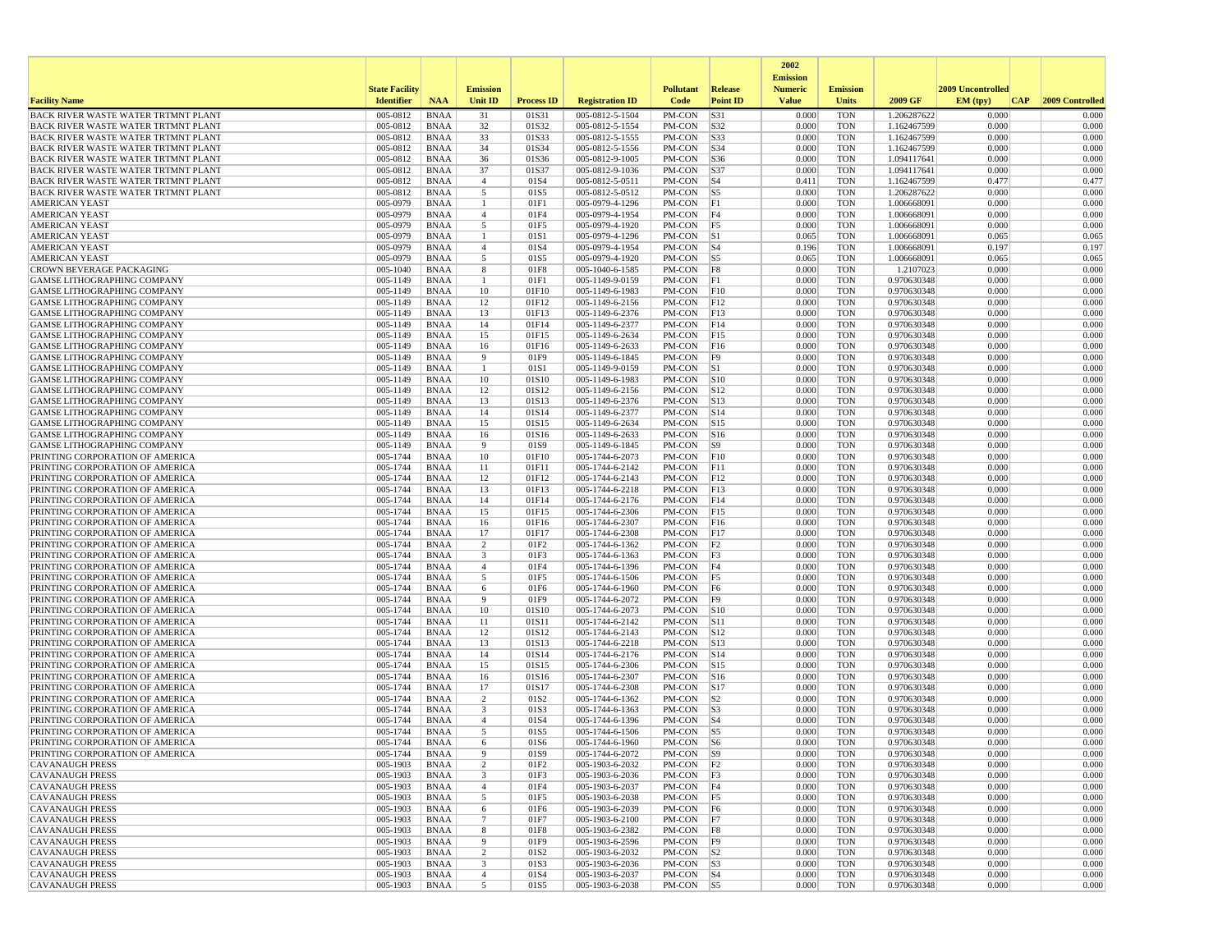|                                                                                   |                       |                            |                     |                           |                                    |                        |                          | 2002                              |                          |                            |                   |                 |
|-----------------------------------------------------------------------------------|-----------------------|----------------------------|---------------------|---------------------------|------------------------------------|------------------------|--------------------------|-----------------------------------|--------------------------|----------------------------|-------------------|-----------------|
|                                                                                   | <b>State Facility</b> |                            | <b>Emission</b>     |                           |                                    | <b>Pollutant</b>       | <b>Release</b>           | <b>Emission</b><br><b>Numeric</b> | <b>Emission</b>          |                            | 2009 Uncontrolled |                 |
| <b>Facility Name</b>                                                              | <b>Identifier</b>     | <b>NAA</b>                 | Unit ID             | <b>Process ID</b>         | <b>Registration ID</b>             | Code                   | <b>Point ID</b>          | <b>Value</b>                      | <b>Units</b>             | 2009 GF                    | EM (typ)<br> CAP  | 2009 Controlled |
| BACK RIVER WASTE WATER TRTMNT PLANT                                               | 005-0812              | <b>BNAA</b>                | 31                  | 01S31                     | 005-0812-5-1504                    | PM-CON                 | S31                      | 0.000                             | <b>TON</b>               | 1.206287622                | 0.000             | 0.000           |
| BACK RIVER WASTE WATER TRTMNT PLANT                                               | 005-0812              | <b>BNAA</b>                | 32                  | 01S32                     | 005-0812-5-1554                    | PM-CON                 | S32                      | 0.000                             | <b>TON</b>               | 1.162467599                | 0.000             | 0.000           |
| <b>BACK RIVER WASTE WATER TRTMNT PLANT</b>                                        | 005-0812              | <b>BNAA</b>                | 33                  | 01S33                     | 005-0812-5-1555                    | PM-CON                 | S33                      | 0.000                             | <b>TON</b>               | 1.162467599                | 0.000             | 0.000           |
| <b>BACK RIVER WASTE WATER TRTMNT PLANT</b><br>BACK RIVER WASTE WATER TRTMNT PLANT | 005-0812<br>005-0812  | <b>BNAA</b><br><b>BNAA</b> | 34<br>36            | 01S34<br>01S36            | 005-0812-5-1556<br>005-0812-9-1005 | PM-CON<br>PM-CON       | $\vert$ S34<br>S36       | 0.000<br>0.000                    | <b>TON</b><br><b>TON</b> | 1.162467599<br>1.094117641 | 0.000<br>0.000    | 0.000<br>0.000  |
| BACK RIVER WASTE WATER TRTMNT PLANT                                               | 005-0812              | <b>BNAA</b>                | 37                  | 01S37                     | 005-0812-9-1036                    | PM-CON                 | S37                      | 0.000                             | <b>TON</b>               | 1.094117641                | 0.000             | 0.000           |
| BACK RIVER WASTE WATER TRTMNT PLANT                                               | 005-0812              | <b>BNAA</b>                | $\overline{4}$      | 01S4                      | 005-0812-5-0511                    | PM-CON                 | $ S_4 $                  | 0.411                             | <b>TON</b>               | 1.162467599                | 0.477             | 0.477           |
| BACK RIVER WASTE WATER TRTMNT PLANT                                               | 005-0812              | <b>BNAA</b>                | 5                   | 01S5                      | 005-0812-5-0512                    | PM-CON                 | $\vert$ S5               | 0.000                             | <b>TON</b>               | 1.206287622                | 0.000             | 0.000           |
| <b>AMERICAN YEAST</b>                                                             | 005-0979              | <b>BNAA</b>                | 1                   | 01F1                      | 005-0979-4-1296                    | PM-CON                 | F1                       | 0.000                             | <b>TON</b>               | 1.006668091                | 0.000             | 0.000           |
| <b>AMERICAN YEAST</b>                                                             | 005-0979              | <b>BNAA</b>                | $\overline{4}$      | 01F4                      | 005-0979-4-1954                    | PM-CON                 | F4                       | 0.000                             | <b>TON</b>               | 1.006668091                | 0.000             | 0.000           |
| <b>AMERICAN YEAST</b>                                                             | 005-0979              | <b>BNAA</b>                | 5                   | 01F5                      | 005-0979-4-1920                    | PM-CON                 | F5                       | 0.000                             | <b>TON</b>               | 1.006668091                | 0.000             | 0.000           |
| <b>AMERICAN YEAST</b>                                                             | 005-0979              | <b>BNAA</b>                | -1                  | 01S1                      | 005-0979-4-1296                    | PM-CON                 | S1                       | 0.065                             | <b>TON</b>               | 1.006668091                | 0.065             | 0.065           |
| <b>AMERICAN YEAST</b><br><b>AMERICAN YEAST</b>                                    | 005-0979<br>005-0979  | <b>BNAA</b><br><b>BNAA</b> | $\overline{4}$<br>5 | 01S4<br>01S5              | 005-0979-4-1954<br>005-0979-4-1920 | PM-CON<br>PM-CON       | $ S_4 $<br> S5           | 0.196<br>0.065                    | <b>TON</b><br><b>TON</b> | 1.006668091<br>1.006668091 | 0.197<br>0.065    | 0.197<br>0.065  |
| <b>CROWN BEVERAGE PACKAGING</b>                                                   | 005-1040              | <b>BNAA</b>                | 8                   | 01F8                      | 005-1040-6-1585                    | PM-CON                 | F8                       | 0.000                             | <b>TON</b>               | 1.2107023                  | 0.000             | 0.000           |
| GAMSE LITHOGRAPHING COMPANY                                                       | 005-1149              | BNAA                       | 1                   | 01F1                      | 005-1149-9-0159                    | PM-CON                 | F1                       | 0.000                             | <b>TON</b>               | 0.970630348                | 0.000             | 0.000           |
| <b>GAMSE LITHOGRAPHING COMPANY</b>                                                | $005 - 1149$          | <b>BNAA</b>                | 10                  | 01F10                     | 005-1149-6-1983                    | PM-CON                 | F10                      | 0.000                             | <b>TON</b>               | 0.970630348                | 0.000             | 0.000           |
| GAMSE LITHOGRAPHING COMPANY                                                       | 005-1149              | <b>BNAA</b>                | 12                  | 01F12                     | 005-1149-6-2156                    | PM-CON                 | F12                      | 0.000                             | <b>TON</b>               | 0.970630348                | 0.000             | 0.000           |
| GAMSE LITHOGRAPHING COMPANY                                                       | 005-1149              | <b>BNAA</b>                | 13                  | 01F13                     | 005-1149-6-2376                    | PM-CON                 | F13                      | 0.000                             | <b>TON</b>               | 0.970630348                | 0.000             | 0.000           |
| <b>GAMSE LITHOGRAPHING COMPANY</b>                                                | 005-1149              | <b>BNAA</b>                | 14                  | 01F14                     | 005-1149-6-2377                    | PM-CON                 | F14                      | 0.000                             | <b>TON</b>               | 0.970630348                | 0.000             | 0.000           |
| GAMSE LITHOGRAPHING COMPANY                                                       | 005-1149              | <b>BNAA</b>                | 15                  | 01F15                     | 005-1149-6-2634                    | PM-CON                 | F15                      | 0.000                             | <b>TON</b>               | 0.970630348                | 0.000             | 0.000           |
| <b>GAMSE LITHOGRAPHING COMPANY</b>                                                | 005-1149              | <b>BNAA</b>                | 16                  | 01F16                     | 005-1149-6-2633                    | PM-CON                 | F16                      | 0.000<br>0.000                    | <b>TON</b>               | 0.970630348                | 0.000<br>0.000    | 0.000           |
| <b>GAMSE LITHOGRAPHING COMPANY</b><br>GAMSE LITHOGRAPHING COMPANY                 | 005-1149<br>005-1149  | <b>BNAA</b><br><b>BNAA</b> | 9<br>-1             | 01F9<br>01S1              | 005-1149-6-1845<br>005-1149-9-0159 | PM-CON<br>PM-CON       | F9<br> S1                | 0.000                             | <b>TON</b><br><b>TON</b> | 0.970630348<br>0.970630348 | 0.000             | 0.000<br>0.000  |
| GAMSE LITHOGRAPHING COMPANY                                                       | 005-1149              | <b>BNAA</b>                | 10                  | 01S10                     | 005-1149-6-1983                    | PM-CON                 | S10                      | 0.000                             | <b>TON</b>               | 0.970630348                | 0.000             | 0.000           |
| <b>GAMSE LITHOGRAPHING COMPANY</b>                                                | 005-1149              | <b>BNAA</b>                | 12                  | 01S12                     | 005-1149-6-2156                    | PM-CON                 | S12                      | 0.000                             | <b>TON</b>               | 0.970630348                | 0.000             | 0.000           |
| <b>GAMSE LITHOGRAPHING COMPANY</b>                                                | 005-1149              | <b>BNAA</b>                | 13                  | 01S13                     | 005-1149-6-2376                    | PM-CON                 | S13                      | 0.000                             | <b>TON</b>               | 0.970630348                | 0.000             | 0.000           |
| <b>GAMSE LITHOGRAPHING COMPANY</b>                                                | 005-1149              | <b>BNAA</b>                | 14                  | 01S14                     | 005-1149-6-2377                    | PM-CON                 | S14                      | 0.000                             | <b>TON</b>               | 0.970630348                | 0.000             | 0.000           |
| GAMSE LITHOGRAPHING COMPANY                                                       | 005-1149              | <b>BNAA</b>                | 15                  | 01S15                     | 005-1149-6-2634                    | PM-CON                 | S15                      | 0.000                             | <b>TON</b>               | 0.970630348                | 0.000             | 0.000           |
| GAMSE LITHOGRAPHING COMPANY                                                       | 005-1149              | <b>BNAA</b>                | 16                  | 01S16                     | 005-1149-6-2633<br>005-1149-6-1845 | PM-CON                 | S16                      | 0.000                             | <b>TON</b>               | 0.970630348                | 0.000             | 0.000           |
| <b>GAMSE LITHOGRAPHING COMPANY</b><br>PRINTING CORPORATION OF AMERICA             | 005-1149<br>005-1744  | <b>BNAA</b><br><b>BNAA</b> | 9<br>10             | 01S9<br>01F10             | 005-1744-6-2073                    | PM-CON<br>PM-CON       | S9 <br>F10               | 0.000<br>0.000                    | <b>TON</b><br><b>TON</b> | 0.970630348<br>0.970630348 | 0.000<br>0.000    | 0.000<br>0.000  |
| PRINTING CORPORATION OF AMERICA                                                   | 005-1744              | <b>BNAA</b>                | 11                  | 01F11                     | 005-1744-6-2142                    | PM-CON                 | F11                      | 0.000                             | <b>TON</b>               | 0.970630348                | 0.000             | 0.000           |
| PRINTING CORPORATION OF AMERICA                                                   | 005-1744              | <b>BNAA</b>                | 12                  | 01F12                     | 005-1744-6-2143                    | PM-CON                 | F12                      | 0.000                             | <b>TON</b>               | 0.970630348                | 0.000             | 0.000           |
| PRINTING CORPORATION OF AMERICA                                                   | 005-1744              | <b>BNAA</b>                | 13                  | 01F13                     | 005-1744-6-2218                    | PM-CON                 | F13                      | 0.000                             | <b>TON</b>               | 0.970630348                | 0.000             | 0.000           |
| PRINTING CORPORATION OF AMERICA                                                   | 005-1744              | <b>BNAA</b>                | 14                  | 01F14                     | 005-1744-6-2176                    | PM-CON                 | F14                      | 0.000                             | <b>TON</b>               | 0.970630348                | 0.000             | 0.000           |
| PRINTING CORPORATION OF AMERICA                                                   | 005-1744              | <b>BNAA</b>                | 15                  | 01F15                     | 005-1744-6-2306                    | PM-CON                 | F15                      | 0.000                             | <b>TON</b>               | 0.970630348                | 0.000             | 0.000           |
| PRINTING CORPORATION OF AMERICA                                                   | 005-1744              | <b>BNAA</b>                | 16                  | 01F16                     | 005-1744-6-2307                    | PM-CON                 | F16                      | 0.000                             | <b>TON</b>               | 0.970630348                | 0.000             | 0.000           |
| PRINTING CORPORATION OF AMERICA<br>PRINTING CORPORATION OF AMERICA                | 005-1744<br>005-1744  | <b>BNAA</b><br><b>BNAA</b> | 17<br>2             | 01F17<br>01F <sub>2</sub> | 005-1744-6-2308<br>005-1744-6-1362 | PM-CON<br>PM-CON       | F17<br>F <sub>2</sub>    | 0.000<br>0.000                    | <b>TON</b><br><b>TON</b> | 0.970630348<br>0.970630348 | 0.000<br>0.000    | 0.000<br>0.000  |
| PRINTING CORPORATION OF AMERICA                                                   | 005-1744              | BNAA                       | 3                   | 01F3                      | 005-1744-6-1363                    | PM-CON                 | F3                       | 0.000                             | <b>TON</b>               | 0.970630348                | 0.000             | 0.000           |
| PRINTING CORPORATION OF AMERICA                                                   | 005-1744              | <b>BNAA</b>                | $\overline{4}$      | 01F4                      | 005-1744-6-1396                    | PM-CON                 | F4                       | 0.000                             | <b>TON</b>               | 0.970630348                | 0.000             | 0.000           |
| PRINTING CORPORATION OF AMERICA                                                   | 005-1744              | <b>BNAA</b>                | 5                   | 01F5                      | 005-1744-6-1506                    | PM-CON                 | F5                       | 0.000                             | <b>TON</b>               | 0.970630348                | 0.000             | 0.000           |
| PRINTING CORPORATION OF AMERICA                                                   | 005-1744              | <b>BNAA</b>                | 6                   | 01F6                      | 005-1744-6-1960                    | PM-CON                 | F6                       | 0.000                             | <b>TON</b>               | 0.970630348                | 0.000             | 0.000           |
| PRINTING CORPORATION OF AMERICA                                                   | 005-1744              | <b>BNAA</b>                | 9                   | 01F9                      | 005-1744-6-2072                    | PM-CON                 | F9                       | 0.000                             | <b>TON</b>               | 0.970630348                | 0.000             | 0.000           |
| PRINTING CORPORATION OF AMERICA                                                   | 005-1744              | <b>BNAA</b>                | 10                  | 01S10                     | 005-1744-6-2073                    | PM-CON                 | S10                      | 0.000                             | <b>TON</b>               | 0.970630348                | 0.000             | 0.000           |
| PRINTING CORPORATION OF AMERICA                                                   | 005-1744              | <b>BNAA</b>                | 11                  | 01S11                     | 005-1744-6-2142                    | PM-CON                 | S11                      | 0.000                             | <b>TON</b>               | 0.970630348                | 0.000             | 0.000           |
| PRINTING CORPORATION OF AMERICA<br>PRINTING CORPORATION OF AMERICA                | 005-1744<br>005-1744  | <b>BNAA</b><br><b>BNAA</b> | 12<br>13            | 01S12<br>01S13            | 005-1744-6-2143<br>005-1744-6-2218 | PM-CON<br>PM-CON       | S12<br>S13               | 0.000<br>0.000                    | <b>TON</b><br><b>TON</b> | 0.970630348<br>0.970630348 | 0.000<br>0.000    | 0.000<br>0.000  |
| PRINTING CORPORATION OF AMERICA                                                   | 005-1744              | <b>BNAA</b>                | 14                  | 01S14                     | 005-1744-6-2176                    | PM-CON                 | $\vert$ S <sub>14</sub>  | 0.000                             | <b>TON</b>               | 0.970630348                | 0.000             | 0.000           |
| PRINTING CORPORATION OF AMERICA                                                   | 005-1744              | <b>BNAA</b>                | 15                  | 01S15                     | 005-1744-6-2306                    | PM-CON                 | S15                      | 0.000                             | <b>TON</b>               | 0.970630348                | 0.000             | 0.000           |
| PRINTING CORPORATION OF AMERICA                                                   | 005-1744              | <b>BNAA</b>                | 16                  | 01S16                     | 005-1744-6-2307                    | PM-CON                 | S16                      | 0.000                             | <b>TON</b>               | 0.970630348                | 0.000             | 0.000           |
| PRINTING CORPORATION OF AMERICA                                                   | 005-1744              | <b>BNAA</b>                | 17                  | 01S17                     | 005-1744-6-2308                    | PM-CON                 | S17                      | 0.000                             | <b>TON</b>               | 0.970630348                | 0.000             | 0.000           |
| PRINTING CORPORATION OF AMERICA                                                   | 005-1744              | <b>BNAA</b>                | 2                   | 01S <sub>2</sub>          | 005-1744-6-1362                    | PM-CON                 | S2                       | 0.000                             | <b>TON</b>               | 0.970630348                | 0.000             | 0.000           |
| PRINTING CORPORATION OF AMERICA                                                   | 005-1744              | <b>BNAA</b>                | 3                   | 01S3                      | 005-1744-6-1363                    | PM-CON                 | S3                       | 0.000                             | <b>TON</b>               | 0.970630348                | 0.000             | 0.000           |
| PRINTING CORPORATION OF AMERICA<br>PRINTING CORPORATION OF AMERICA                | 005-1744<br>005-1744  | <b>BNAA</b><br><b>BNAA</b> | $\overline{4}$<br>5 | 01S4<br>01S5              | 005-1744-6-1396<br>005-1744-6-1506 | PM-CON<br>PM-CON       | $ S_4 $<br>$\mathsf{S}5$ | 0.000<br>0.000                    | <b>TON</b><br><b>TON</b> | 0.970630348<br>0.970630348 | 0.000<br>0.000    | 0.000<br>0.000  |
| PRINTING CORPORATION OF AMERICA                                                   | 005-1744              | <b>BNAA</b>                | 6                   | 01S6                      | 005-1744-6-1960                    | PM-CON                 | $\sqrt{S}$               | 0.000                             | <b>TON</b>               | 0.970630348                | 0.000             | 0.000           |
| PRINTING CORPORATION OF AMERICA                                                   | 005-1744              | BNAA                       |                     | 01S9                      | 005-1744-6-2072                    | PM-CON                 | S <sub>9</sub>           | 0.000                             | TON                      | 0.970630348                | 0.000             | 0.000           |
| <b>CAVANAUGH PRESS</b>                                                            | 005-1903              | BNAA                       | 2                   | 01F2                      | 005-1903-6-2032                    | PM-CON F2              |                          | 0.000                             | <b>TON</b>               | 0.970630348                | 0.000             | 0.000           |
| <b>CAVANAUGH PRESS</b>                                                            | 005-1903              | BNAA                       | 3                   | 01F3                      | 005-1903-6-2036                    | PM-CON F3              |                          | 0.000                             | <b>TON</b>               | 0.970630348                | 0.000             | 0.000           |
| <b>CAVANAUGH PRESS</b>                                                            | 005-1903              | BNAA                       | $\overline{4}$      | 01F4                      | 005-1903-6-2037                    | PM-CON   F4            |                          | 0.000                             | TON                      | 0.970630348                | 0.000             | 0.000           |
| <b>CAVANAUGH PRESS</b>                                                            | 005-1903              | <b>BNAA</b>                | 5                   | 01F5                      | 005-1903-6-2038                    | PM-CON   F5            |                          | 0.000                             | <b>TON</b>               | 0.970630348                | 0.000             | 0.000           |
| <b>CAVANAUGH PRESS</b>                                                            | 005-1903              | <b>BNAA</b>                | 6                   | 01F6                      | 005-1903-6-2039                    | PM-CON                 | F6                       | 0.000                             | <b>TON</b>               | 0.970630348                | 0.000             | 0.000           |
| <b>CAVANAUGH PRESS</b><br><b>CAVANAUGH PRESS</b>                                  | 005-1903<br>005-1903  | <b>BNAA</b><br>BNAA        | $\tau$<br>8         | 01F7<br>01F8              | 005-1903-6-2100<br>005-1903-6-2382 | PM-CON F7<br>PM-CON F8 |                          | 0.000<br>0.000                    | <b>TON</b><br><b>TON</b> | 0.970630348<br>0.970630348 | 0.000<br>0.000    | 0.000<br>0.000  |
| <b>CAVANAUGH PRESS</b>                                                            | 005-1903              | <b>BNAA</b>                | 9                   | 01F9                      | 005-1903-6-2596                    | PM-CON F9              |                          | 0.000                             | <b>TON</b>               | 0.970630348                | 0.000             | 0.000           |
| <b>CAVANAUGH PRESS</b>                                                            | 005-1903              | BNAA                       | 2                   | 01S <sub>2</sub>          | 005-1903-6-2032                    | $PM$ -CON $ S2 $       |                          | 0.000                             | TON                      | 0.970630348                | 0.000             | 0.000           |
| <b>CAVANAUGH PRESS</b>                                                            | 005-1903              | BNAA                       | 3                   | 01S3                      | 005-1903-6-2036                    | PM-CON S3              |                          | 0.000                             | <b>TON</b>               | 0.970630348                | 0.000             | 0.000           |
| <b>CAVANAUGH PRESS</b>                                                            | 005-1903              | BNAA                       | $\overline{4}$      | 01S4                      | 005-1903-6-2037                    | PM-CON   S4            |                          | 0.000                             | <b>TON</b>               | 0.970630348                | 0.000             | 0.000           |
| <b>CAVANAUGH PRESS</b>                                                            | 005-1903              | <b>BNAA</b>                | 5                   | 01S5                      | 005-1903-6-2038                    | PM-CON S5              |                          | 0.000                             | <b>TON</b>               | 0.970630348                | 0.000             | 0.000           |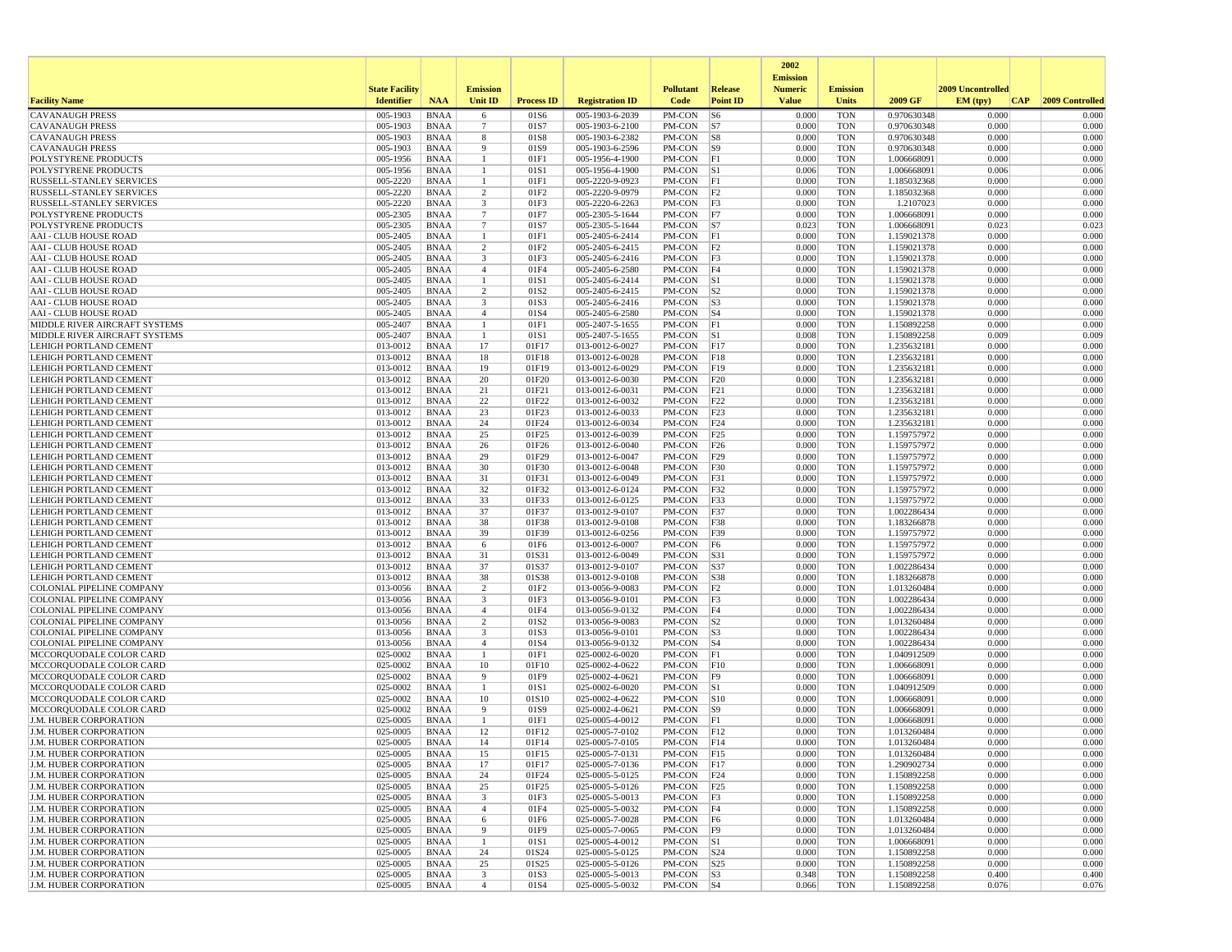|                                                                |                       |                            |                               |                   |                                    |                               |                         | 2002                              |                          |                            |                   |     |                 |
|----------------------------------------------------------------|-----------------------|----------------------------|-------------------------------|-------------------|------------------------------------|-------------------------------|-------------------------|-----------------------------------|--------------------------|----------------------------|-------------------|-----|-----------------|
|                                                                | <b>State Facility</b> |                            | <b>Emission</b>               |                   |                                    | <b>Pollutant</b>              | <b>Release</b>          | <b>Emission</b><br><b>Numeric</b> | <b>Emission</b>          |                            | 2009 Uncontrolled |     |                 |
| <b>Facility Name</b>                                           | <b>Identifier</b>     | <b>NAA</b>                 | Unit ID                       | <b>Process ID</b> | <b>Registration ID</b>             | Code                          | <b>Point ID</b>         | <b>Value</b>                      | <b>Units</b>             | 2009 GF                    | EM (tpv)          | CAP | 2009 Controlled |
| <b>CAVANAUGH PRESS</b>                                         | 005-1903              | <b>BNAA</b>                | 6                             | 01S6              | 005-1903-6-2039                    | PM-CON                        | S6                      | 0.000                             | <b>TON</b>               | 0.970630348                | 0.000             |     | 0.000           |
| <b>CAVANAUGH PRESS</b>                                         | 005-1903<br>005-1903  | <b>BNAA</b><br><b>BNAA</b> | -7                            | 01S7<br>01S8      | 005-1903-6-2100                    | PM-CON                        | S7                      | 0.000<br>0.000                    | <b>TON</b><br><b>TON</b> | 0.970630348                | 0.000<br>0.000    |     | 0.000<br>0.000  |
| <b>CAVANAUGH PRESS</b><br><b>CAVANAUGH PRESS</b>               | 005-1903              | <b>BNAA</b>                | 8<br>9                        | 01S9              | 005-1903-6-2382<br>005-1903-6-2596 | PM-CON<br>PM-CON              | S8<br> S9               | 0.000                             | <b>TON</b>               | 0.970630348<br>0.970630348 | 0.000             |     | 0.000           |
| POLYSTYRENE PRODUCTS                                           | 005-1956              | <b>BNAA</b>                | -1                            | 01F1              | 005-1956-4-1900                    | PM-CON                        | F1                      | 0.000                             | <b>TON</b>               | 1.006668091                | 0.000             |     | 0.000           |
| POLYSTYRENE PRODUCTS                                           | 005-1956              | <b>BNAA</b>                |                               | 01S1              | 005-1956-4-1900                    | PM-CON                        | S1                      | 0.006                             | <b>TON</b>               | 1.006668091                | 0.006             |     | 0.006           |
| RUSSELL-STANLEY SERVICES                                       | 005-2220              | <b>BNAA</b>                |                               | 01F1              | 005-2220-9-0923                    | PM-CON                        | F1                      | 0.000                             | <b>TON</b>               | 1.185032368                | 0.000             |     | 0.000           |
| RUSSELL-STANLEY SERVICES                                       | 005-2220              | <b>BNAA</b>                | 2                             | 01F2              | 005-2220-9-0979                    | PM-CON                        | F2                      | 0.000                             | <b>TON</b>               | 1.185032368                | 0.000             |     | 0.000           |
| RUSSELL-STANLEY SERVICES                                       | 005-2220              | <b>BNAA</b>                | 3                             | 01F3              | 005-2220-6-2263                    | PM-CON                        | F3                      | 0.000                             | <b>TON</b>               | 1.2107023                  | 0.000             |     | 0.000           |
| POLYSTYRENE PRODUCTS                                           | 005-2305              | <b>BNAA</b>                | $\overline{7}$                | 01F7              | 005-2305-5-1644                    | PM-CON                        | F7                      | 0.000                             | <b>TON</b>               | 1.006668091                | 0.000             |     | 0.000           |
| POLYSTYRENE PRODUCTS<br><b>AAI - CLUB HOUSE ROAD</b>           | 005-2305<br>005-2405  | <b>BNAA</b><br><b>BNAA</b> | $7\phantom{.0}$               | 01S7<br>01F1      | 005-2305-5-1644<br>005-2405-6-2414 | PM-CON<br>PM-CON              | S7<br> F1               | 0.023<br>0.000                    | <b>TON</b><br><b>TON</b> | 1.006668091<br>1.159021378 | 0.023<br>0.000    |     | 0.023<br>0.000  |
| <b>AAI - CLUB HOUSE ROAD</b>                                   | 005-2405              | <b>BNAA</b>                | 2                             | 01F2              | 005-2405-6-2415                    | PM-CON                        | F2                      | 0.000                             | <b>TON</b>               | 1.159021378                | 0.000             |     | 0.000           |
| <b>AAI - CLUB HOUSE ROAD</b>                                   | 005-2405              | <b>BNAA</b>                | $\overline{\mathbf{3}}$       | 01F3              | 005-2405-6-2416                    | PM-CON                        | F3                      | 0.000                             | <b>TON</b>               | 1.159021378                | 0.000             |     | 0.000           |
| <b>AAI - CLUB HOUSE ROAD</b>                                   | 005-2405              | <b>BNAA</b>                | $\overline{4}$                | 01F4              | 005-2405-6-2580                    | PM-CON                        | F4                      | 0.000                             | <b>TON</b>               | 1.159021378                | 0.000             |     | 0.000           |
| <b>AAI - CLUB HOUSE ROAD</b>                                   | 005-2405              | <b>BNAA</b>                | -1                            | 01S1              | 005-2405-6-2414                    | PM-CON                        | S1                      | 0.000                             | <b>TON</b>               | 1.159021378                | 0.000             |     | 0.000           |
| <b>AAI - CLUB HOUSE ROAD</b>                                   | 005-2405              | <b>BNAA</b>                | $\overline{2}$                | 01S2              | 005-2405-6-2415                    | PM-CON                        | S2                      | 0.000                             | <b>TON</b>               | 1.159021378                | 0.000             |     | 0.000           |
| <b>AAI - CLUB HOUSE ROAD</b>                                   | 005-2405              | <b>BNAA</b>                | $\overline{\mathbf{3}}$       | 01S3              | 005-2405-6-2416                    | PM-CON                        | S3                      | 0.000                             | <b>TON</b>               | 1.159021378                | 0.000             |     | 0.000           |
| AAI - CLUB HOUSE ROAD<br>MIDDLE RIVER AIRCRAFT SYSTEMS         | 005-2405<br>005-2407  | <b>BNAA</b><br><b>BNAA</b> | $\overline{4}$                | 01S4<br>01F1      | 005-2405-6-2580<br>005-2407-5-1655 | PM-CON<br>PM-CON              | $ S_4 $<br> F1          | 0.000<br>0.000                    | <b>TON</b><br><b>TON</b> | 1.159021378<br>1.150892258 | 0.000<br>0.000    |     | 0.000<br>0.000  |
| MIDDLE RIVER AIRCRAFT SYSTEMS                                  | 005-2407              | <b>BNAA</b>                |                               | 01S1              | 005-2407-5-1655                    | PM-CON                        | S1                      | 0.008                             | <b>TON</b>               | 1.150892258                | 0.009             |     | 0.009           |
| LEHIGH PORTLAND CEMENT                                         | 013-0012              | <b>BNAA</b>                | 17                            | 01F17             | 013-0012-6-0027                    | PM-CON                        | F17                     | 0.000                             | <b>TON</b>               | 1.235632181                | 0.000             |     | 0.000           |
| LEHIGH PORTLAND CEMENT                                         | 013-0012              | <b>BNAA</b>                | 18                            | 01F18             | 013-0012-6-0028                    | PM-CON                        | F18                     | 0.000                             | <b>TON</b>               | 1.235632181                | 0.000             |     | 0.000           |
| LEHIGH PORTLAND CEMENT                                         | 013-0012              | <b>BNAA</b>                | 19                            | 01F19             | 013-0012-6-0029                    | PM-CON                        | F19                     | 0.000                             | <b>TON</b>               | 1.235632181                | 0.000             |     | 0.000           |
| LEHIGH PORTLAND CEMENT                                         | 013-0012              | <b>BNAA</b>                | 20                            | 01F20             | 013-0012-6-0030                    | PM-CON                        | F20                     | 0.000                             | <b>TON</b>               | 1.235632181                | 0.000             |     | 0.000           |
| LEHIGH PORTLAND CEMENT                                         | 013-0012              | <b>BNAA</b>                | 21                            | 01F21             | 013-0012-6-0031                    | PM-CON                        | F21                     | 0.000                             | <b>TON</b>               | 1.235632181                | 0.000             |     | 0.000           |
| LEHIGH PORTLAND CEMENT                                         | 013-0012              | <b>BNAA</b>                | 22                            | 01F22             | 013-0012-6-0032                    | PM-CON                        | F22                     | 0.000                             | <b>TON</b>               | 1.235632181                | 0.000             |     | 0.000           |
| LEHIGH PORTLAND CEMENT<br>LEHIGH PORTLAND CEMENT               | 013-0012<br>013-0012  | <b>BNAA</b><br><b>BNAA</b> | 23<br>24                      | 01F23<br>01F24    | 013-0012-6-0033<br>013-0012-6-0034 | PM-CON<br>PM-CON              | F23<br>F24              | 0.000<br>0.000                    | <b>TON</b><br><b>TON</b> | 1.235632181<br>1.235632181 | 0.000<br>0.000    |     | 0.000<br>0.000  |
| LEHIGH PORTLAND CEMENT                                         | 013-0012              | <b>BNAA</b>                | 25                            | 01F25             | 013-0012-6-0039                    | PM-CON                        | F25                     | 0.000                             | <b>TON</b>               | 1.159757972                | 0.000             |     | 0.000           |
| LEHIGH PORTLAND CEMENT                                         | 013-0012              | <b>BNAA</b>                | 26                            | 01F26             | 013-0012-6-0040                    | PM-CON                        | F26                     | 0.000                             | <b>TON</b>               | 1.159757972                | 0.000             |     | 0.000           |
| LEHIGH PORTLAND CEMENT                                         | 013-0012              | <b>BNAA</b>                | 29                            | 01F29             | 013-0012-6-0047                    | PM-CON                        | F29                     | 0.000                             | <b>TON</b>               | 1.159757972                | 0.000             |     | 0.000           |
| LEHIGH PORTLAND CEMENT                                         | 013-0012              | <b>BNAA</b>                | 30                            | 01F30             | 013-0012-6-0048                    | PM-CON                        | F <sub>30</sub>         | 0.000                             | <b>TON</b>               | 1.159757972                | 0.000             |     | 0.000           |
| LEHIGH PORTLAND CEMENT                                         | 013-0012              | <b>BNAA</b>                | 31                            | 01F31             | 013-0012-6-0049                    | PM-CON                        | F31                     | 0.000                             | <b>TON</b>               | 1.159757972                | 0.000             |     | 0.000           |
| LEHIGH PORTLAND CEMENT                                         | 013-0012              | <b>BNAA</b>                | 32                            | 01F32             | 013-0012-6-0124                    | PM-CON                        | F32                     | 0.000                             | <b>TON</b>               | 1.159757972                | 0.000             |     | 0.000           |
| <b>LEHIGH PORTLAND CEMENT</b><br>LEHIGH PORTLAND CEMENT        | 013-0012<br>013-0012  | <b>BNAA</b><br><b>BNAA</b> | 33<br>37                      | 01F33<br>01F37    | 013-0012-6-0125<br>013-0012-9-0107 | PM-CON<br>PM-CON              | F33<br>F37              | 0.000<br>0.000                    | <b>TON</b><br><b>TON</b> | 1.159757972<br>1.002286434 | 0.000<br>0.000    |     | 0.000<br>0.000  |
| LEHIGH PORTLAND CEMENT                                         | 013-0012              | <b>BNAA</b>                | 38                            | 01F38             | 013-0012-9-0108                    | PM-CON                        | F38                     | 0.000                             | <b>TON</b>               | 1.183266878                | 0.000             |     | 0.000           |
| LEHIGH PORTLAND CEMENT                                         | 013-0012              | <b>BNAA</b>                | 39                            | 01F39             | 013-0012-6-0256                    | PM-CON                        | F39                     | 0.000                             | <b>TON</b>               | 1.159757972                | 0.000             |     | 0.000           |
| LEHIGH PORTLAND CEMENT                                         | 013-0012              | <b>BNAA</b>                | 6                             | 01F6              | 013-0012-6-0007                    | PM-CON                        | F <sub>6</sub>          | 0.000                             | <b>TON</b>               | 1.159757972                | 0.000             |     | 0.000           |
| LEHIGH PORTLAND CEMENT                                         | 013-0012              | <b>BNAA</b>                | 31                            | 01S31             | 013-0012-6-0049                    | PM-CON                        | S31                     | 0.000                             | <b>TON</b>               | 1.159757972                | 0.000             |     | 0.000           |
| LEHIGH PORTLAND CEMENT                                         | 013-0012              | <b>BNAA</b>                | 37                            | 01S37             | 013-0012-9-0107                    | PM-CON                        | S37                     | 0.000                             | <b>TON</b>               | 1.002286434                | 0.000             |     | 0.000           |
| LEHIGH PORTLAND CEMENT                                         | 013-0012              | <b>BNAA</b>                | 38                            | 01S38             | 013-0012-9-0108                    | PM-CON                        | <b>S38</b>              | 0.000                             | <b>TON</b>               | 1.183266878                | 0.000             |     | 0.000           |
| COLONIAL PIPELINE COMPANY<br><b>COLONIAL PIPELINE COMPANY</b>  | 013-0056<br>013-0056  | <b>BNAA</b><br><b>BNAA</b> | 2<br>$\overline{\mathbf{3}}$  | 01F2<br>01F3      | 013-0056-9-0083<br>013-0056-9-0101 | PM-CON<br>PM-CON              | F2<br>F3                | 0.000<br>0.000                    | <b>TON</b><br><b>TON</b> | 1.013260484<br>1.002286434 | 0.000<br>0.000    |     | 0.000<br>0.000  |
| COLONIAL PIPELINE COMPANY                                      | 013-0056              | <b>BNAA</b>                | $\overline{4}$                | 01F4              | 013-0056-9-0132                    | PM-CON                        | F4                      | 0.000                             | <b>TON</b>               | 1.002286434                | 0.000             |     | 0.000           |
| COLONIAL PIPELINE COMPANY                                      | 013-0056              | <b>BNAA</b>                | 2                             | 01S2              | 013-0056-9-0083                    | PM-CON                        | S <sub>2</sub>          | 0.000                             | <b>TON</b>               | 1.013260484                | 0.000             |     | 0.000           |
| <b>COLONIAL PIPELINE COMPANY</b>                               | 013-0056              | <b>BNAA</b>                | 3                             | 01S3              | 013-0056-9-0101                    | PM-CON                        | S3                      | 0.000                             | <b>TON</b>               | 1.002286434                | 0.000             |     | 0.000           |
| COLONIAL PIPELINE COMPANY                                      | 013-0056              | <b>BNAA</b>                | $\overline{4}$                | 01S4              | 013-0056-9-0132                    | PM-CON                        | $ S_4 $                 | 0.000                             | <b>TON</b>               | 1.002286434                | 0.000             |     | 0.000           |
| MCCORQUODALE COLOR CARD                                        | 025-0002              | <b>BNAA</b>                | $\overline{1}$                | 01F1              | 025-0002-6-0020                    | PM-CON                        | F1                      | 0.000                             | <b>TON</b>               | 1.040912509                | 0.000             |     | 0.000           |
| MCCORQUODALE COLOR CARD                                        | 025-0002              | <b>BNAA</b>                | 10                            | 01F10             | 025-0002-4-0622                    | PM-CON                        | F10                     | 0.000                             | <b>TON</b>               | 1.006668091                | 0.000             |     | 0.000           |
| MCCORQUODALE COLOR CARD<br>MCCORQUODALE COLOR CARD             | 025-0002<br>025-0002  | <b>BNAA</b><br><b>BNAA</b> | 9                             | 01F9<br>01S1      | 025-0002-4-0621<br>025-0002-6-0020 | PM-CON<br>PM-CON              | F9<br> S1               | 0.000<br>0.000                    | <b>TON</b><br><b>TON</b> | 1.006668091<br>1.040912509 | 0.000<br>0.000    |     | 0.000<br>0.000  |
| MCCORQUODALE COLOR CARD                                        | 025-0002              | <b>BNAA</b>                | 10                            | 01S10             | 025-0002-4-0622                    | PM-CON                        | $\vert$ S <sub>10</sub> | 0.000                             | <b>TON</b>               | 1.006668091                | 0.000             |     | 0.000           |
| MCCORQUODALE COLOR CARD                                        | 025-0002              | <b>BNAA</b>                | 9                             | 01S9              | 025-0002-4-0621                    | PM-CON                        | S9                      | 0.000                             | <b>TON</b>               | 1.006668091                | 0.000             |     | 0.000           |
| J.M. HUBER CORPORATION                                         | 025-0005              | <b>BNAA</b>                |                               | 01F1              | 025-0005-4-0012                    | PM-CON                        | F1                      | 0.000                             | <b>TON</b>               | 1.006668091                | 0.000             |     | 0.000           |
| <b>J.M. HUBER CORPORATION</b>                                  | 025-0005              | <b>BNAA</b>                | 12                            | 01F12             | 025-0005-7-0102                    | PM-CON                        | F12                     | 0.000                             | <b>TON</b>               | 1.013260484                | 0.000             |     | 0.000           |
| <b>J.M. HUBER CORPORATION</b>                                  | 025-0005              | <b>BNAA</b>                | 14                            | 01F14             | 025-0005-7-0105                    | PM-CON                        | F14                     | 0.000                             | <b>TON</b>               | 1.013260484                | 0.000             |     | 0.000           |
| J.M. HUBER CORPORATION                                         | 025-0005              | <b>BNAA</b>                | 15                            | 01F15             | 025-0005-7-0131                    | PM-CON  F15                   |                         | 0.000                             | <b>TON</b>               | 1.013260484                | 0.000             |     | 0.000           |
| <b>J.M. HUBER CORPORATION</b>                                  | 025-0005<br>025-0005  | <b>BNAA</b>                | 17<br>24                      | 01F17             | 025-0005-7-0136<br>025-0005-5-0125 | PM-CON F17<br>PM-CON F24      |                         | 0.000<br>0.000                    | <b>TON</b><br><b>TON</b> | 1.290902734                | 0.000<br>0.000    |     | 0.000<br>0.000  |
| <b>J.M. HUBER CORPORATION</b><br><b>J.M. HUBER CORPORATION</b> | 025-0005              | <b>BNAA</b><br><b>BNAA</b> | 25                            | 01F24<br>01F25    | 025-0005-5-0126                    | PM-CON   F25                  |                         | 0.000                             | <b>TON</b>               | 1.150892258<br>1.150892258 | 0.000             |     | 0.000           |
| J.M. HUBER CORPORATION                                         | 025-0005              | BNAA                       | 3                             | 01F3              | 025-0005-5-0013                    | $PM$ -CON $ F3$               |                         | 0.000                             | <b>TON</b>               | 1.150892258                | 0.000             |     | 0.000           |
| J.M. HUBER CORPORATION                                         | 025-0005              | <b>BNAA</b>                | $\overline{4}$                | 01F4              | 025-0005-5-0032                    | PM-CON                        | F4                      | 0.000                             | <b>TON</b>               | 1.150892258                | 0.000             |     | 0.000           |
| J.M. HUBER CORPORATION                                         | 025-0005              | <b>BNAA</b>                | 6                             | 01F6              | 025-0005-7-0028                    | PM-CON F6                     |                         | 0.000                             | <b>TON</b>               | 1.013260484                | 0.000             |     | 0.000           |
| <b>J.M. HUBER CORPORATION</b>                                  | 025-0005              | BNAA                       | 9                             | 01F9              | 025-0005-7-0065                    | PM-CON                        | F9                      | 0.000                             | <b>TON</b>               | 1.013260484                | 0.000             |     | 0.000           |
| <b>J.M. HUBER CORPORATION</b>                                  | 025-0005              | <b>BNAA</b>                | $\overline{1}$                | 01S1              | 025-0005-4-0012                    | PM-CON S1                     |                         | 0.000                             | <b>TON</b>               | 1.006668091                | 0.000             |     | 0.000           |
| J.M. HUBER CORPORATION                                         | 025-0005              | <b>BNAA</b>                | 24                            | 01S24             | 025-0005-5-0125                    | PM-CON S24                    |                         | 0.000                             | <b>TON</b>               | 1.150892258                | 0.000             |     | 0.000           |
| <b>J.M. HUBER CORPORATION</b><br>J.M. HUBER CORPORATION        | 025-0005<br>025-0005  | <b>BNAA</b><br><b>BNAA</b> | 25<br>$\overline{\mathbf{3}}$ | 01S25<br>01S3     | 025-0005-5-0126<br>025-0005-5-0013 | PM-CON S25<br>$PM$ -CON $ S3$ |                         | 0.000<br>0.348                    | <b>TON</b><br><b>TON</b> | 1.150892258<br>1.150892258 | 0.000<br>0.400    |     | 0.000<br>0.400  |
| J.M. HUBER CORPORATION                                         | 025-0005              | BNAA                       | $\overline{4}$                | 01S4              | 025-0005-5-0032                    | PM-CON S4                     |                         | 0.066                             | <b>TON</b>               | 1.150892258                | 0.076             |     | 0.076           |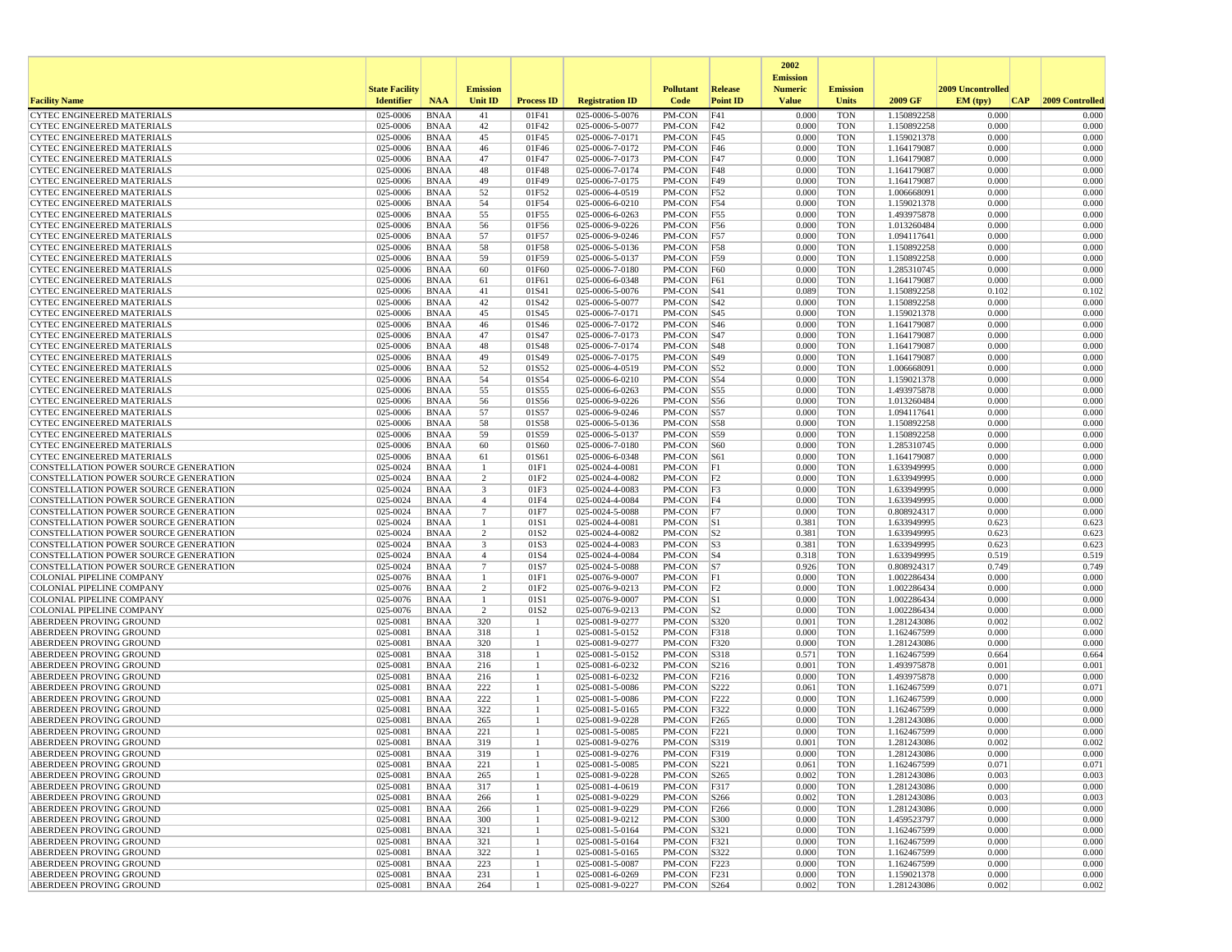|                                                                                |                       |                            |                     |                          |                                    |                   |                          | 2002<br><b>Emission</b> |                          |                            |                   |                 |
|--------------------------------------------------------------------------------|-----------------------|----------------------------|---------------------|--------------------------|------------------------------------|-------------------|--------------------------|-------------------------|--------------------------|----------------------------|-------------------|-----------------|
|                                                                                | <b>State Facility</b> |                            | <b>Emission</b>     |                          |                                    | <b>Pollutant</b>  | Release                  | <b>Numeric</b>          | <b>Emission</b>          |                            | 2009 Uncontrolled |                 |
| <b>Facility Name</b>                                                           | <b>Identifier</b>     | <b>NAA</b>                 | Unit ID             | <b>Process ID</b>        | <b>Registration ID</b>             | Code              | <b>Point ID</b>          | <b>Value</b>            | <b>Units</b>             | 2009 GF                    | EM (typ)<br> CAP  | 2009 Controlled |
| <b>CYTEC ENGINEERED MATERIALS</b>                                              | 025-0006              | <b>BNAA</b>                | 41                  | 01F41                    | 025-0006-5-0076                    | PM-CON            | F41                      | 0.000                   | <b>TON</b>               | 1.150892258                | 0.000             | 0.000           |
| <b>CYTEC ENGINEERED MATERIALS</b><br>CYTEC ENGINEERED MATERIALS                | 025-0006<br>025-0006  | <b>BNAA</b><br><b>BNAA</b> | 42<br>45            | 01F42<br>01F45           | 025-0006-5-0077<br>025-0006-7-0171 | PM-CON<br>PM-CON  | F42<br>F45               | 0.000<br>0.000          | <b>TON</b><br><b>TON</b> | 1.150892258<br>1.159021378 | 0.000<br>0.000    | 0.000<br>0.000  |
| <b>CYTEC ENGINEERED MATERIALS</b>                                              | 025-0006              | <b>BNAA</b>                | 46                  | 01F46                    | 025-0006-7-0172                    | PM-CON            | F46                      | 0.000                   | <b>TON</b>               | 1.164179087                | 0.000             | 0.000           |
| <b>CYTEC ENGINEERED MATERIALS</b>                                              | 025-0006              | <b>BNAA</b>                | 47                  | 01F47                    | 025-0006-7-0173                    | PM-CON            | F47                      | 0.000                   | <b>TON</b>               | 1.164179087                | 0.000             | 0.000           |
| <b>CYTEC ENGINEERED MATERIALS</b>                                              | 025-0006              | <b>BNAA</b>                | 48                  | 01F48                    | 025-0006-7-0174                    | PM-CON            | F48                      | 0.000                   | <b>TON</b>               | 1.164179087                | 0.000             | 0.000           |
| <b>CYTEC ENGINEERED MATERIALS</b>                                              | 025-0006              | <b>BNAA</b>                | 49                  | 01F49                    | 025-0006-7-0175                    | PM-CON            | F49                      | 0.000                   | <b>TON</b>               | 1.164179087                | 0.000             | 0.000           |
| <b>CYTEC ENGINEERED MATERIALS</b><br><b>CYTEC ENGINEERED MATERIALS</b>         | 025-0006<br>025-0006  | <b>BNAA</b><br><b>BNAA</b> | 52<br>54            | 01F52<br>01F54           | 025-0006-4-0519<br>025-0006-6-0210 | PM-CON<br>PM-CON  | F52<br>F54               | 0.000<br>0.000          | <b>TON</b><br><b>TON</b> | 1.006668091<br>1.159021378 | 0.000<br>0.000    | 0.000<br>0.000  |
| <b>CYTEC ENGINEERED MATERIALS</b>                                              | 025-0006              | <b>BNAA</b>                | 55                  | 01F55                    | 025-0006-6-0263                    | PM-CON            | F55                      | 0.000                   | <b>TON</b>               | 1.493975878                | 0.000             | 0.000           |
| <b>CYTEC ENGINEERED MATERIALS</b>                                              | 025-0006              | <b>BNAA</b>                | 56                  | 01F56                    | 025-0006-9-0226                    | PM-CON            | F56                      | 0.000                   | <b>TON</b>               | 1.013260484                | 0.000             | 0.000           |
| <b>CYTEC ENGINEERED MATERIALS</b>                                              | 025-0006              | <b>BNAA</b>                | 57                  | 01F57                    | 025-0006-9-0246                    | PM-CON            | F57                      | 0.000                   | <b>TON</b>               | 1.094117641                | 0.000             | 0.000           |
| <b>CYTEC ENGINEERED MATERIALS</b>                                              | 025-0006              | <b>BNAA</b>                | 58                  | 01F58                    | 025-0006-5-0136                    | PM-CON            | F58                      | 0.000                   | <b>TON</b>               | 1.150892258                | 0.000             | 0.000           |
| CYTEC ENGINEERED MATERIALS<br><b>CYTEC ENGINEERED MATERIALS</b>                | 025-0006<br>025-0006  | <b>BNAA</b><br><b>BNAA</b> | 59<br>60            | 01F59<br>01F60           | 025-0006-5-0137<br>025-0006-7-0180 | PM-CON<br>PM-CON  | F59<br>F60               | 0.000<br>0.000          | <b>TON</b><br><b>TON</b> | 1.150892258<br>1.285310745 | 0.000<br>0.000    | 0.000<br>0.000  |
| CYTEC ENGINEERED MATERIALS                                                     | 025-0006              | <b>BNAA</b>                | 61                  | 01F61                    | 025-0006-6-0348                    | PM-CON            | F61                      | 0.000                   | <b>TON</b>               | 1.164179087                | 0.000             | 0.000           |
| CYTEC ENGINEERED MATERIALS                                                     | 025-0006              | <b>BNAA</b>                | 41                  | 01S41                    | 025-0006-5-0076                    | PM-CON            | S41                      | 0.089                   | <b>TON</b>               | 1.150892258                | 0.102             | 0.102           |
| <b>CYTEC ENGINEERED MATERIALS</b>                                              | 025-0006              | <b>BNAA</b>                | 42                  | 01S42                    | 025-0006-5-0077                    | PM-CON            | S42                      | 0.000                   | <b>TON</b>               | 1.150892258                | 0.000             | 0.000           |
| <b>CYTEC ENGINEERED MATERIALS</b>                                              | 025-0006              | <b>BNAA</b>                | 45                  | 01S45                    | 025-0006-7-0171                    | PM-CON            | S <sub>45</sub>          | 0.000                   | <b>TON</b>               | 1.159021378                | 0.000             | 0.000           |
| <b>CYTEC ENGINEERED MATERIALS</b><br><b>CYTEC ENGINEERED MATERIALS</b>         | 025-0006<br>025-0006  | <b>BNAA</b><br><b>BNAA</b> | 46<br>47            | 01S46<br>01S47           | 025-0006-7-0172<br>025-0006-7-0173 | PM-CON<br>PM-CON  | S46<br> S47              | 0.000<br>0.000          | <b>TON</b><br><b>TON</b> | 1.164179087<br>1.164179087 | 0.000<br>0.000    | 0.000<br>0.000  |
| <b>CYTEC ENGINEERED MATERIALS</b>                                              | 025-0006              | <b>BNAA</b>                | 48                  | 01S48                    | 025-0006-7-0174                    | PM-CON            | <b>S48</b>               | 0.000                   | <b>TON</b>               | 1.164179087                | 0.000             | 0.000           |
| <b>CYTEC ENGINEERED MATERIALS</b>                                              | 025-0006              | <b>BNAA</b>                | 49                  | 01S49                    | 025-0006-7-0175                    | PM-CON            | S49                      | 0.000                   | <b>TON</b>               | 1.164179087                | 0.000             | 0.000           |
| <b>CYTEC ENGINEERED MATERIALS</b>                                              | 025-0006              | <b>BNAA</b>                | 52                  | 01S52                    | 025-0006-4-0519                    | PM-CON            | S52                      | 0.000                   | <b>TON</b>               | 1.006668091                | 0.000             | 0.000           |
| <b>CYTEC ENGINEERED MATERIALS</b>                                              | 025-0006              | <b>BNAA</b>                | 54                  | 01S54                    | 025-0006-6-0210                    | PM-CON            | S54                      | 0.000                   | <b>TON</b>               | 1.159021378                | 0.000             | 0.000           |
| <b>CYTEC ENGINEERED MATERIALS</b><br><b>CYTEC ENGINEERED MATERIALS</b>         | 025-0006<br>025-0006  | <b>BNAA</b><br><b>BNAA</b> | 55<br>56            | 01S55<br>01S56           | 025-0006-6-0263<br>025-0006-9-0226 | PM-CON            | <b>S55</b><br>S56        | 0.000<br>0.000          | <b>TON</b><br><b>TON</b> | 1.493975878<br>1.013260484 | 0.000<br>0.000    | 0.000<br>0.000  |
| <b>CYTEC ENGINEERED MATERIALS</b>                                              | 025-0006              | <b>BNAA</b>                | 57                  | 01S57                    | 025-0006-9-0246                    | PM-CON<br>PM-CON  | S57                      | 0.000                   | <b>TON</b>               | 1.094117641                | 0.000             | 0.000           |
| <b>CYTEC ENGINEERED MATERIALS</b>                                              | 025-0006              | <b>BNAA</b>                | 58                  | 01S58                    | 025-0006-5-0136                    | PM-CON            | <b>S58</b>               | 0.000                   | <b>TON</b>               | 1.150892258                | 0.000             | 0.000           |
| <b>CYTEC ENGINEERED MATERIALS</b>                                              | 025-0006              | <b>BNAA</b>                | 59                  | 01S59                    | 025-0006-5-0137                    | PM-CON            | <b>S59</b>               | 0.000                   | <b>TON</b>               | 1.150892258                | 0.000             | 0.000           |
| <b>CYTEC ENGINEERED MATERIALS</b>                                              | 025-0006              | <b>BNAA</b>                | 60                  | 01S60                    | 025-0006-7-0180                    | PM-CON            | <b>S60</b>               | 0.000                   | <b>TON</b>               | 1.285310745                | 0.000             | 0.000           |
| <b>CYTEC ENGINEERED MATERIALS</b>                                              | 025-0006              | <b>BNAA</b>                | 61<br>-1            | 01S61                    | 025-0006-6-0348<br>025-0024-4-0081 | PM-CON            | <b>S61</b>               | 0.000                   | <b>TON</b>               | 1.164179087                | 0.000<br>0.000    | 0.000           |
| CONSTELLATION POWER SOURCE GENERATION<br>CONSTELLATION POWER SOURCE GENERATION | 025-0024<br>025-0024  | <b>BNAA</b><br><b>BNAA</b> | 2                   | 01F1<br>01F <sub>2</sub> | 025-0024-4-0082                    | PM-CON<br>PM-CON  | F1<br> F2                | 0.000<br>0.000          | <b>TON</b><br><b>TON</b> | 1.633949995<br>1.633949995 | 0.000             | 0.000<br>0.000  |
| CONSTELLATION POWER SOURCE GENERATION                                          | 025-0024              | <b>BNAA</b>                | 3                   | 01F3                     | 025-0024-4-0083                    | PM-CON            | F3                       | 0.000                   | <b>TON</b>               | 1.633949995                | 0.000             | 0.000           |
| CONSTELLATION POWER SOURCE GENERATION                                          | 025-0024              | <b>BNAA</b>                | $\overline{4}$      | 01F4                     | 025-0024-4-0084                    | PM-CON            | F4                       | 0.000                   | <b>TON</b>               | 1.633949995                | 0.000             | 0.000           |
| CONSTELLATION POWER SOURCE GENERATION                                          | 025-0024              | <b>BNAA</b>                | $7\phantom{.0}$     | 01F7                     | 025-0024-5-0088                    | PM-CON            | F7                       | 0.000                   | <b>TON</b>               | 0.808924317                | 0.000             | 0.000           |
| CONSTELLATION POWER SOURCE GENERATION                                          | 025-0024              | <b>BNAA</b>                | $\mathbf{1}$        | 01S1                     | 025-0024-4-0081                    | PM-CON            | S1                       | 0.381                   | <b>TON</b>               | 1.633949995                | 0.623             | 0.623           |
| CONSTELLATION POWER SOURCE GENERATION<br>CONSTELLATION POWER SOURCE GENERATION | 025-0024<br>025-0024  | <b>BNAA</b><br><b>BNAA</b> | $\overline{2}$<br>3 | 01S2<br>01S3             | 025-0024-4-0082<br>025-0024-4-0083 | PM-CON<br>PM-CON  | S <sub>2</sub><br> S3    | 0.381<br>0.381          | <b>TON</b><br><b>TON</b> | 1.633949995<br>1.633949995 | 0.623<br>0.623    | 0.623<br>0.623  |
| CONSTELLATION POWER SOURCE GENERATION                                          | 025-0024              | <b>BNAA</b>                | $\overline{4}$      | 01S4                     | 025-0024-4-0084                    | PM-CON            | $ S_4 $                  | 0.318                   | <b>TON</b>               | 1.633949995                | 0.519             | 0.519           |
| CONSTELLATION POWER SOURCE GENERATION                                          | 025-0024              | <b>BNAA</b>                | $7\phantom{.0}$     | 01S7                     | 025-0024-5-0088                    | PM-CON            | S7                       | 0.926                   | <b>TON</b>               | 0.808924317                | 0.749             | 0.749           |
| COLONIAL PIPELINE COMPANY                                                      | 025-0076              | <b>BNAA</b>                | -1                  | 01F1                     | 025-0076-9-0007                    | PM-CON            | F1                       | 0.000                   | <b>TON</b>               | 1.002286434                | 0.000             | 0.000           |
| <b>COLONIAL PIPELINE COMPANY</b>                                               | 025-0076              | <b>BNAA</b>                | 2                   | 01F2                     | 025-0076-9-0213                    | PM-CON            | F2                       | 0.000                   | <b>TON</b>               | 1.002286434                | 0.000             | 0.000           |
| <b>COLONIAL PIPELINE COMPANY</b><br><b>COLONIAL PIPELINE COMPANY</b>           | 025-0076<br>025-0076  | <b>BNAA</b><br><b>BNAA</b> | -1<br>2             | 01S1<br>01S2             | 025-0076-9-0007<br>025-0076-9-0213 | PM-CON<br>PM-CON  | S1<br> S <sub>2</sub>    | 0.000<br>0.000          | <b>TON</b><br><b>TON</b> | 1.002286434<br>1.002286434 | 0.000<br>0.000    | 0.000<br>0.000  |
| ABERDEEN PROVING GROUND                                                        | 025-0081              | <b>BNAA</b>                | 320                 | $\overline{1}$           | 025-0081-9-0277                    | PM-CON            | S320                     | 0.001                   | <b>TON</b>               | 1.281243086                | 0.002             | 0.002           |
| ABERDEEN PROVING GROUND                                                        | 025-0081              | <b>BNAA</b>                | 318                 | -1                       | 025-0081-5-0152                    | PM-CON            | F318                     | 0.000                   | <b>TON</b>               | 1.162467599                | 0.000             | 0.000           |
| ABERDEEN PROVING GROUND                                                        | 025-0081              | <b>BNAA</b>                | 320                 | -1                       | 025-0081-9-0277                    | PM-CON            | F320                     | 0.000                   | <b>TON</b>               | 1.281243086                | 0.000             | 0.000           |
| ABERDEEN PROVING GROUND<br>ABERDEEN PROVING GROUND                             | 025-0081<br>025-0081  | <b>BNAA</b><br><b>BNAA</b> | 318<br>216          | 1<br>1                   | 025-0081-5-0152<br>025-0081-6-0232 | PM-CON<br>PM-CON  | S318<br>S216             | 0.571<br>0.001          | <b>TON</b><br><b>TON</b> | 1.162467599<br>1.493975878 | 0.664<br>0.001    | 0.664<br>0.001  |
| ABERDEEN PROVING GROUND                                                        | 025-0081              | <b>BNAA</b>                | 216                 | -1                       | 025-0081-6-0232                    | PM-CON            | F216                     | 0.000                   | <b>TON</b>               | 1.493975878                | 0.000             | 0.000           |
| ABERDEEN PROVING GROUND                                                        | 025-0081              | <b>BNAA</b>                | 222                 |                          | 025-0081-5-0086                    | PM-CON            | S222                     | 0.061                   | <b>TON</b>               | 1.162467599                | 0.071             | 0.071           |
| ABERDEEN PROVING GROUND                                                        | 025-0081              | <b>BNAA</b>                | 222                 | 1                        | 025-0081-5-0086                    | PM-CON            | F222                     | 0.000                   | <b>TON</b>               | 1.162467599                | 0.000             | 0.000           |
| ABERDEEN PROVING GROUND                                                        | 025-0081              | <b>BNAA</b>                | 322                 | -1                       | 025-0081-5-0165                    | PM-CON            | F322                     | 0.000                   | <b>TON</b>               | 1.162467599                | 0.000             | 0.000           |
| <b>ABERDEEN PROVING GROUND</b><br>ABERDEEN PROVING GROUND                      | 025-0081<br>025-0081  | <b>BNAA</b><br><b>BNAA</b> | 265<br>221          | -1                       | 025-0081-9-0228<br>025-0081-5-0085 | PM-CON<br>PM-CON  | F <sub>265</sub><br>F221 | 0.000<br>0.000          | <b>TON</b><br><b>TON</b> | 1.281243086<br>1.162467599 | 0.000<br>0.000    | 0.000<br>0.000  |
| <b>ABERDEEN PROVING GROUND</b>                                                 | 025-0081              | <b>BNAA</b>                | 319                 | 1                        | 025-0081-9-0276                    | PM-CON            | S319                     | 0.001                   | <b>TON</b>               | 1.281243086                | 0.002             | 0.002           |
| ABERDEEN PROVING GROUND                                                        | 025-0081              | BNAA                       | 319                 |                          | 025-0081-9-0276                    | PM-CON            | F319                     | 0.000                   | TON                      | 1.281243086                | 0.000             | 0.000           |
| ABERDEEN PROVING GROUND                                                        | 025-0081              | BNAA                       | 221                 | -1                       | 025-0081-5-0085                    | PM-CON            | S221                     | 0.061                   | <b>TON</b>               | 1.162467599                | 0.071             | 0.071           |
| <b>ABERDEEN PROVING GROUND</b>                                                 | 025-0081              | <b>BNAA</b>                | 265                 | $\mathbf{1}$             | 025-0081-9-0228                    | PM-CON            | S <sub>265</sub>         | 0.002                   | <b>TON</b>               | 1.281243086                | 0.003             | 0.003           |
| ABERDEEN PROVING GROUND<br>ABERDEEN PROVING GROUND                             | 025-0081              | <b>BNAA</b>                | 317<br>266          | 1                        | 025-0081-4-0619<br>025-0081-9-0229 | PM-CON            | F317                     | 0.000                   | <b>TON</b><br><b>TON</b> | 1.281243086                | 0.000<br>0.003    | 0.000<br>0.003  |
| ABERDEEN PROVING GROUND                                                        | 025-0081<br>025-0081  | BNAA<br><b>BNAA</b>        | 266                 | 1<br>1                   | 025-0081-9-0229                    | PM-CON<br>PM-CON  | S266<br>F <sub>266</sub> | 0.002<br>0.000          | <b>TON</b>               | 1.281243086<br>1.281243086 | 0.000             | 0.000           |
| ABERDEEN PROVING GROUND                                                        | 025-0081              | <b>BNAA</b>                | 300                 | 1                        | 025-0081-9-0212                    | PM-CON            | S300                     | 0.000                   | <b>TON</b>               | 1.459523797                | 0.000             | 0.000           |
| ABERDEEN PROVING GROUND                                                        | 025-0081              | BNAA                       | 321                 | 1                        | 025-0081-5-0164                    | PM-CON            | S321                     | 0.000                   | <b>TON</b>               | 1.162467599                | 0.000             | 0.000           |
| ABERDEEN PROVING GROUND                                                        | 025-0081              | <b>BNAA</b>                | 321                 | 1                        | 025-0081-5-0164                    | PM-CON            | F321                     | 0.000                   | <b>TON</b>               | 1.162467599                | 0.000             | 0.000           |
| ABERDEEN PROVING GROUND                                                        | 025-0081              | <b>BNAA</b>                | 322                 | 1                        | 025-0081-5-0165                    | PM-CON            | S322                     | 0.000                   | <b>TON</b>               | 1.162467599                | 0.000             | 0.000           |
| ABERDEEN PROVING GROUND<br>ABERDEEN PROVING GROUND                             | 025-0081<br>025-0081  | <b>BNAA</b><br><b>BNAA</b> | 223<br>231          | -1<br>-1                 | 025-0081-5-0087<br>025-0081-6-0269 | PM-CON<br>PM-CON  | F223<br>F231             | 0.000<br>0.000          | <b>TON</b><br><b>TON</b> | 1.162467599<br>1.159021378 | 0.000<br>0.000    | 0.000<br>0.000  |
| <b>ABERDEEN PROVING GROUND</b>                                                 | 025-0081              | <b>BNAA</b>                | 264                 | 1                        | 025-0081-9-0227                    | $PM$ -CON $ S264$ |                          | 0.002                   | <b>TON</b>               | 1.281243086                | 0.002             | 0.002           |
|                                                                                |                       |                            |                     |                          |                                    |                   |                          |                         |                          |                            |                   |                 |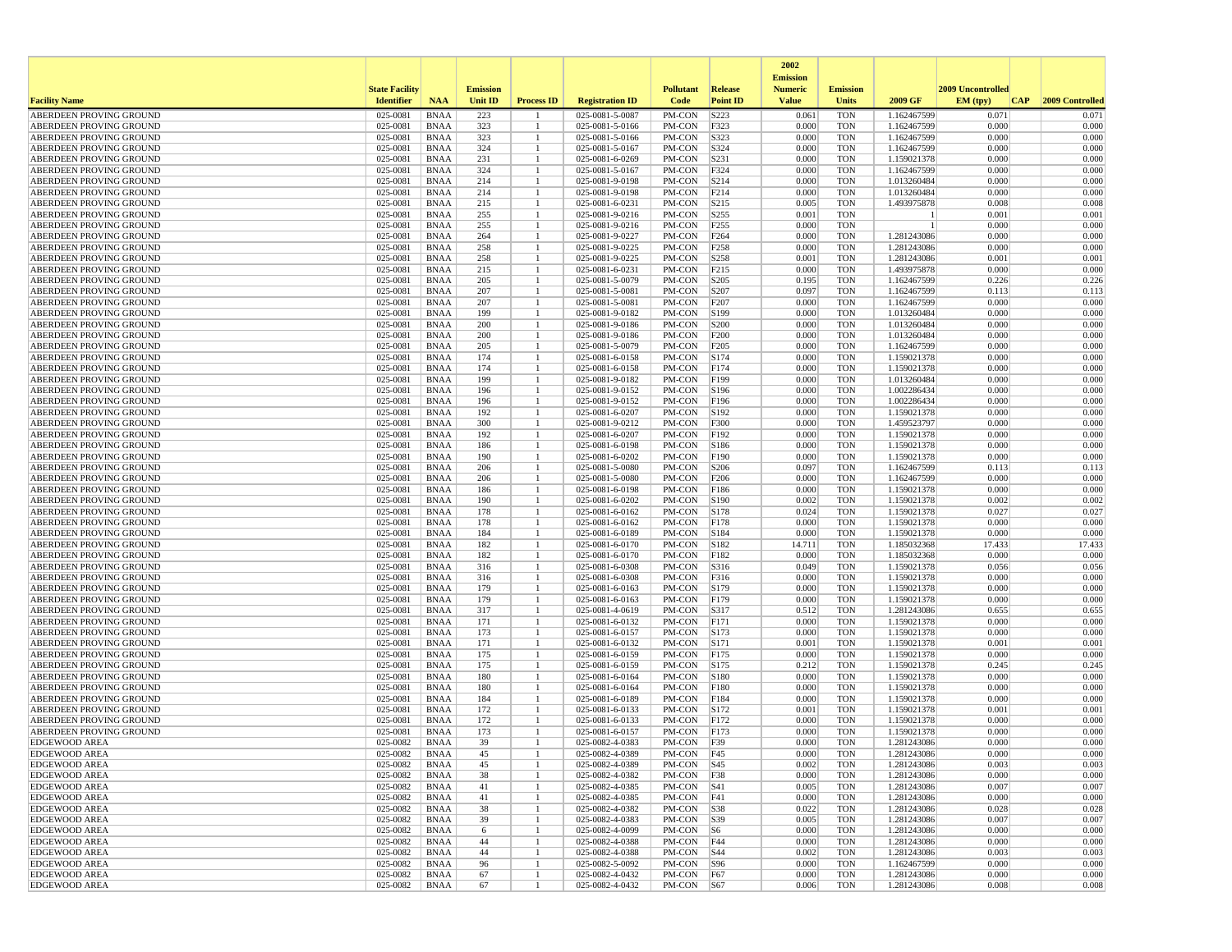|                                                    |                       |                            |                 |                   |                                    |                  |                          | 2002                              |                          |                            |                   |                 |
|----------------------------------------------------|-----------------------|----------------------------|-----------------|-------------------|------------------------------------|------------------|--------------------------|-----------------------------------|--------------------------|----------------------------|-------------------|-----------------|
|                                                    | <b>State Facility</b> |                            | <b>Emission</b> |                   |                                    | <b>Pollutant</b> | <b>Release</b>           | <b>Emission</b><br><b>Numeric</b> | <b>Emission</b>          |                            | 2009 Uncontrolled |                 |
| <b>Facility Name</b>                               | <b>Identifier</b>     | <b>NAA</b>                 | Unit ID         | <b>Process ID</b> | <b>Registration ID</b>             | Code             | <b>Point ID</b>          | <b>Value</b>                      | <b>Units</b>             | 2009 GF                    | EM (typ)<br> CAP  | 2009 Controlled |
| ABERDEEN PROVING GROUND                            | 025-0081              | <b>BNAA</b>                | 223             |                   | 025-0081-5-0087                    | PM-CON           | S223                     | 0.061                             | <b>TON</b>               | 1.162467599                | 0.071             | 0.071           |
| ABERDEEN PROVING GROUND                            | 025-0081              | <b>BNAA</b>                | 323             |                   | 025-0081-5-0166                    | PM-CON           | F323                     | 0.000                             | <b>TON</b>               | 1.162467599                | 0.000             | 0.000           |
| ABERDEEN PROVING GROUND                            | 025-0081              | <b>BNAA</b>                | 323             |                   | 025-0081-5-0166                    | PM-CON           | S323                     | 0.000                             | <b>TON</b>               | 1.162467599                | 0.000             | 0.000           |
| ABERDEEN PROVING GROUND                            | 025-0081              | <b>BNAA</b>                | 324             | -1                | 025-0081-5-0167                    | PM-CON           | S324                     | 0.000                             | <b>TON</b>               | 1.162467599                | 0.000             | 0.000           |
| ABERDEEN PROVING GROUND                            | 025-0081<br>025-0081  | <b>BNAA</b>                | 231             |                   | 025-0081-6-0269                    | PM-CON           | S231                     | 0.000<br>0.000                    | <b>TON</b><br><b>TON</b> | 1.159021378                | 0.000<br>0.000    | 0.000<br>0.000  |
| ABERDEEN PROVING GROUND<br>ABERDEEN PROVING GROUND | 025-0081              | <b>BNAA</b><br><b>BNAA</b> | 324<br>214      | 1                 | 025-0081-5-0167<br>025-0081-9-0198 | PM-CON<br>PM-CON | F324<br>S214             | 0.000                             | <b>TON</b>               | 1.162467599<br>1.013260484 | 0.000             | 0.000           |
| ABERDEEN PROVING GROUND                            | 025-0081              | <b>BNAA</b>                | 214             |                   | 025-0081-9-0198                    | PM-CON           | F214                     | 0.000                             | <b>TON</b>               | 1.013260484                | 0.000             | 0.000           |
| ABERDEEN PROVING GROUND                            | 025-0081              | <b>BNAA</b>                | 215             |                   | 025-0081-6-0231                    | PM-CON           | S215                     | 0.005                             | <b>TON</b>               | 1.493975878                | 0.008             | 0.008           |
| ABERDEEN PROVING GROUND                            | 025-0081              | <b>BNAA</b>                | 255             |                   | 025-0081-9-0216                    | PM-CON           | S255                     | 0.001                             | <b>TON</b>               |                            | 0.001             | 0.001           |
| ABERDEEN PROVING GROUND                            | 025-0081              | <b>BNAA</b>                | 255             |                   | 025-0081-9-0216                    | PM-CON           | F <sub>255</sub>         | 0.000                             | <b>TON</b>               |                            | 0.000             | 0.000           |
| ABERDEEN PROVING GROUND                            | 025-0081              | <b>BNAA</b>                | 264             |                   | 025-0081-9-0227                    | PM-CON           | F <sub>264</sub>         | 0.000                             | <b>TON</b>               | 1.281243086                | 0.000             | 0.000           |
| ABERDEEN PROVING GROUND                            | 025-0081              | <b>BNAA</b>                | 258             |                   | 025-0081-9-0225                    | PM-CON           | F <sub>258</sub>         | 0.000                             | <b>TON</b>               | 1.281243086                | 0.000             | 0.000           |
| ABERDEEN PROVING GROUND<br>ABERDEEN PROVING GROUND | 025-0081<br>025-0081  | <b>BNAA</b><br><b>BNAA</b> | 258<br>215      |                   | 025-0081-9-0225<br>025-0081-6-0231 | PM-CON<br>PM-CON | S258<br>F <sub>215</sub> | 0.001<br>0.000                    | <b>TON</b><br><b>TON</b> | 1.281243086<br>1.493975878 | 0.001<br>0.000    | 0.001<br>0.000  |
| ABERDEEN PROVING GROUND                            | 025-0081              | <b>BNAA</b>                | 205             |                   | 025-0081-5-0079                    | PM-CON           | S <sub>205</sub>         | 0.195                             | <b>TON</b>               | 1.162467599                | 0.226             | 0.226           |
| ABERDEEN PROVING GROUND                            | 025-0081              | <b>BNAA</b>                | 207             |                   | 025-0081-5-0081                    | PM-CON           | S207                     | 0.097                             | <b>TON</b>               | 1.162467599                | 0.113             | 0.113           |
| ABERDEEN PROVING GROUND                            | 025-0081              | <b>BNAA</b>                | 207             |                   | 025-0081-5-0081                    | PM-CON           | F207                     | 0.000                             | <b>TON</b>               | 1.162467599                | 0.000             | 0.000           |
| ABERDEEN PROVING GROUND                            | 025-0081              | <b>BNAA</b>                | 199             |                   | 025-0081-9-0182                    | PM-CON           | S199                     | 0.000                             | <b>TON</b>               | 1.013260484                | 0.000             | 0.000           |
| ABERDEEN PROVING GROUND                            | 025-0081              | <b>BNAA</b>                | 200             |                   | 025-0081-9-0186                    | PM-CON           | S <sub>200</sub>         | 0.000                             | <b>TON</b>               | 1.013260484                | 0.000             | 0.000           |
| ABERDEEN PROVING GROUND                            | 025-0081              | <b>BNAA</b>                | 200             |                   | 025-0081-9-0186                    | PM-CON           | F200                     | 0.000                             | <b>TON</b>               | 1.013260484                | 0.000             | 0.000           |
| ABERDEEN PROVING GROUND                            | 025-0081              | <b>BNAA</b>                | 205             |                   | 025-0081-5-0079                    | PM-CON           | F205                     | 0.000                             | <b>TON</b>               | 1.162467599                | 0.000             | 0.000           |
| ABERDEEN PROVING GROUND<br>ABERDEEN PROVING GROUND | 025-0081<br>025-0081  | <b>BNAA</b><br><b>BNAA</b> | 174<br>174      |                   | 025-0081-6-0158<br>025-0081-6-0158 | PM-CON<br>PM-CON | S174<br>F174             | 0.000<br>0.000                    | <b>TON</b><br><b>TON</b> | 1.159021378<br>1.159021378 | 0.000<br>0.000    | 0.000<br>0.000  |
| ABERDEEN PROVING GROUND                            | 025-0081              | <b>BNAA</b>                | 199             |                   | 025-0081-9-0182                    | PM-CON           | F199                     | 0.000                             | <b>TON</b>               | 1.013260484                | 0.000             | 0.000           |
| ABERDEEN PROVING GROUND                            | 025-0081              | <b>BNAA</b>                | 196             |                   | 025-0081-9-0152                    | PM-CON           | S196                     | 0.000                             | <b>TON</b>               | 1.002286434                | 0.000             | 0.000           |
| ABERDEEN PROVING GROUND                            | 025-0081              | <b>BNAA</b>                | 196             |                   | 025-0081-9-0152                    | PM-CON           | F196                     | 0.000                             | <b>TON</b>               | 1.002286434                | 0.000             | 0.000           |
| ABERDEEN PROVING GROUND                            | 025-0081              | <b>BNAA</b>                | 192             |                   | 025-0081-6-0207                    | PM-CON           | S192                     | 0.000                             | <b>TON</b>               | 1.159021378                | 0.000             | 0.000           |
| ABERDEEN PROVING GROUND                            | 025-0081              | <b>BNAA</b>                | 300             |                   | 025-0081-9-0212                    | PM-CON           | F300                     | 0.000                             | <b>TON</b>               | 1.459523797                | 0.000             | 0.000           |
| ABERDEEN PROVING GROUND                            | 025-0081              | <b>BNAA</b>                | 192             |                   | 025-0081-6-0207                    | PM-CON           | F192                     | 0.000                             | <b>TON</b>               | 1.159021378                | 0.000             | 0.000           |
| ABERDEEN PROVING GROUND<br>ABERDEEN PROVING GROUND | 025-0081<br>025-0081  | <b>BNAA</b><br><b>BNAA</b> | 186<br>190      | 1                 | 025-0081-6-0198<br>025-0081-6-0202 | PM-CON<br>PM-CON | S186<br>F190             | 0.000<br>0.000                    | <b>TON</b><br><b>TON</b> | 1.159021378<br>1.159021378 | 0.000<br>0.000    | 0.000<br>0.000  |
| ABERDEEN PROVING GROUND                            | 025-0081              | <b>BNAA</b>                | 206             |                   | 025-0081-5-0080                    | PM-CON           | S206                     | 0.097                             | <b>TON</b>               | 1.162467599                | 0.113             | 0.113           |
| ABERDEEN PROVING GROUND                            | 025-0081              | <b>BNAA</b>                | 206             |                   | 025-0081-5-0080                    | PM-CON           | F206                     | 0.000                             | <b>TON</b>               | 1.162467599                | 0.000             | 0.000           |
| ABERDEEN PROVING GROUND                            | 025-0081              | <b>BNAA</b>                | 186             |                   | 025-0081-6-0198                    | PM-CON           | F186                     | 0.000                             | <b>TON</b>               | 1.159021378                | 0.000             | 0.000           |
| ABERDEEN PROVING GROUND                            | 025-0081              | <b>BNAA</b>                | 190             |                   | 025-0081-6-0202                    | PM-CON           | S190                     | 0.002                             | <b>TON</b>               | 1.159021378                | 0.002             | 0.002           |
| ABERDEEN PROVING GROUND                            | 025-0081              | <b>BNAA</b>                | 178             |                   | 025-0081-6-0162                    | PM-CON           | S178                     | 0.024                             | <b>TON</b>               | 1.159021378                | 0.027             | 0.027           |
| ABERDEEN PROVING GROUND                            | 025-0081              | <b>BNAA</b>                | 178             |                   | 025-0081-6-0162                    | PM-CON           | F178                     | 0.000                             | <b>TON</b>               | 1.159021378                | 0.000             | 0.000           |
| ABERDEEN PROVING GROUND                            | 025-0081<br>025-0081  | <b>BNAA</b>                | 184             |                   | 025-0081-6-0189                    | PM-CON           | S184                     | 0.000                             | <b>TON</b>               | 1.159021378                | 0.000             | 0.000           |
| ABERDEEN PROVING GROUND<br>ABERDEEN PROVING GROUND | 025-0081              | <b>BNAA</b><br><b>BNAA</b> | 182<br>182      |                   | 025-0081-6-0170<br>025-0081-6-0170 | PM-CON<br>PM-CON | S182<br>F182             | 14.711<br>0.000                   | <b>TON</b><br><b>TON</b> | 1.185032368<br>1.185032368 | 17.433<br>0.000   | 17.433<br>0.000 |
| ABERDEEN PROVING GROUND                            | 025-0081              | <b>BNAA</b>                | 316             |                   | 025-0081-6-0308                    | PM-CON           | S316                     | 0.049                             | <b>TON</b>               | 1.159021378                | 0.056             | 0.056           |
| ABERDEEN PROVING GROUND                            | 025-0081              | <b>BNAA</b>                | 316             |                   | 025-0081-6-0308                    | PM-CON           | F316                     | 0.000                             | <b>TON</b>               | 1.159021378                | 0.000             | 0.000           |
| ABERDEEN PROVING GROUND                            | 025-0081              | <b>BNAA</b>                | 179             |                   | 025-0081-6-0163                    | PM-CON           | S179                     | 0.000                             | <b>TON</b>               | 1.159021378                | 0.000             | 0.000           |
| ABERDEEN PROVING GROUND                            | 025-0081              | <b>BNAA</b>                | 179             |                   | 025-0081-6-0163                    | PM-CON           | F179                     | 0.000                             | <b>TON</b>               | 1.159021378                | 0.000             | 0.000           |
| ABERDEEN PROVING GROUND                            | 025-0081              | <b>BNAA</b>                | 317             |                   | 025-0081-4-0619                    | PM-CON           | S317                     | 0.512                             | <b>TON</b>               | 1.281243086                | 0.655             | 0.655           |
| ABERDEEN PROVING GROUND                            | 025-0081              | <b>BNAA</b>                | 171             |                   | 025-0081-6-0132                    | PM-CON           | F171                     | 0.000                             | <b>TON</b>               | 1.159021378                | 0.000             | 0.000           |
| ABERDEEN PROVING GROUND<br>ABERDEEN PROVING GROUND | 025-0081<br>025-0081  | <b>BNAA</b><br><b>BNAA</b> | 173<br>171      |                   | 025-0081-6-0157<br>025-0081-6-0132 | PM-CON<br>PM-CON | S173<br>S171             | 0.000<br>0.001                    | <b>TON</b><br><b>TON</b> | 1.159021378<br>1.159021378 | 0.000<br>0.001    | 0.000<br>0.001  |
| ABERDEEN PROVING GROUND                            | 025-0081              | <b>BNAA</b>                | 175             |                   | 025-0081-6-0159                    | PM-CON           | F175                     | 0.000                             | <b>TON</b>               | 1.159021378                | 0.000             | 0.000           |
| ABERDEEN PROVING GROUND                            | 025-0081              | <b>BNAA</b>                | 175             |                   | 025-0081-6-0159                    | PM-CON           | S175                     | 0.212                             | <b>TON</b>               | 1.159021378                | 0.245             | 0.245           |
| ABERDEEN PROVING GROUND                            | 025-0081              | <b>BNAA</b>                | 180             |                   | 025-0081-6-0164                    | PM-CON           | S180                     | 0.000                             | <b>TON</b>               | 1.159021378                | 0.000             | 0.000           |
| ABERDEEN PROVING GROUND                            | 025-0081              | <b>BNAA</b>                | 180             |                   | 025-0081-6-0164                    | PM-CON           | F180                     | 0.000                             | <b>TON</b>               | 1.159021378                | 0.000             | 0.000           |
| ABERDEEN PROVING GROUND                            | 025-0081              | <b>BNAA</b>                | 184             | -1                | 025-0081-6-0189                    | PM-CON           | F184                     | 0.000                             | <b>TON</b>               | 1.159021378                | 0.000             | 0.000           |
| ABERDEEN PROVING GROUND                            | 025-0081              | <b>BNAA</b>                | 172             |                   | 025-0081-6-0133                    | PM-CON           | S172                     | 0.001                             | <b>TON</b>               | 1.159021378                | 0.001             | 0.001           |
| ABERDEEN PROVING GROUND<br>ABERDEEN PROVING GROUND | 025-0081<br>025-0081  | <b>BNAA</b><br><b>BNAA</b> | 172<br>173      | 1                 | 025-0081-6-0133<br>025-0081-6-0157 | PM-CON<br>PM-CON | F172<br>F173             | 0.000<br>0.000                    | <b>TON</b><br><b>TON</b> | 1.159021378<br>1.159021378 | 0.000<br>0.000    | 0.000<br>0.000  |
| <b>EDGEWOOD AREA</b>                               | 025-0082              | <b>BNAA</b>                | 39              |                   | 025-0082-4-0383                    | PM-CON           | F39                      | 0.000                             | <b>TON</b>               | 1.281243086                | 0.000             | 0.000           |
| EDGEWOOD AREA                                      | 025-0082              | BNAA                       | 45              |                   | 025-0082-4-0389                    | PM-CON   F45     |                          | 0.000                             | TON                      | 1.281243086                | 0.000             | 0.000           |
| <b>EDGEWOOD AREA</b>                               | 025-0082              | BNAA                       | 45              | -1                | 025-0082-4-0389                    | $PM-CON$   S45   |                          | 0.002                             | <b>TON</b>               | 1.281243086                | 0.003             | 0.003           |
| <b>EDGEWOOD AREA</b>                               | 025-0082              | BNAA                       | 38              |                   | 025-0082-4-0382                    | PM-CON F38       |                          | 0.000                             | <b>TON</b>               | 1.281243086                | 0.000             | 0.000           |
| <b>EDGEWOOD AREA</b>                               | 025-0082              | BNAA                       | 41              |                   | 025-0082-4-0385                    | PM-CON   S41     |                          | 0.005                             | TON                      | 1.281243086                | 0.007             | 0.007           |
| <b>EDGEWOOD AREA</b>                               | 025-0082              | BNAA                       | 41              |                   | 025-0082-4-0385                    | PM-CON   F41     |                          | 0.000                             | <b>TON</b>               | 1.281243086                | 0.000             | 0.000           |
| <b>EDGEWOOD AREA</b><br><b>EDGEWOOD AREA</b>       | 025-0082<br>025-0082  | <b>BNAA</b><br>BNAA        | 38              | -1                | 025-0082-4-0382<br>025-0082-4-0383 | PM-CON<br>PM-CON | S38<br>S39               | 0.022<br>0.005                    | <b>TON</b><br><b>TON</b> | 1.281243086<br>1.281243086 | 0.028<br>0.007    | 0.028<br>0.007  |
| <b>EDGEWOOD AREA</b>                               | 025-0082              | BNAA                       | 39<br>- 6       |                   | 025-0082-4-0099                    | PM-CON           | <b>S6</b>                | 0.000                             | <b>TON</b>               | 1.281243086                | 0.000             | 0.000           |
| <b>EDGEWOOD AREA</b>                               | 025-0082              | BNAA                       | 44              | 1                 | 025-0082-4-0388                    | PM-CON F44       |                          | 0.000                             | <b>TON</b>               | 1.281243086                | 0.000             | 0.000           |
| <b>EDGEWOOD AREA</b>                               | 025-0082              | BNAA                       | 44              | 1                 | 025-0082-4-0388                    | PM-CON           | S44                      | 0.002                             | TON                      | 1.281243086                | 0.003             | 0.003           |
| <b>EDGEWOOD AREA</b>                               | 025-0082              | <b>BNAA</b>                | 96              |                   | 025-0082-5-0092                    | PM-CON           | S96                      | 0.000                             | <b>TON</b>               | 1.162467599                | 0.000             | 0.000           |
| <b>EDGEWOOD AREA</b>                               | 025-0082              | BNAA                       | 67              |                   | 025-0082-4-0432                    | PM-CON           | F67                      | 0.000                             | <b>TON</b>               | 1.281243086                | 0.000             | 0.000           |
| <b>EDGEWOOD AREA</b>                               | 025-0082              | <b>BNAA</b>                | 67              | -1                | 025-0082-4-0432                    | PM-CON S67       |                          | 0.006                             | TON                      | 1.281243086                | 0.008             | 0.008           |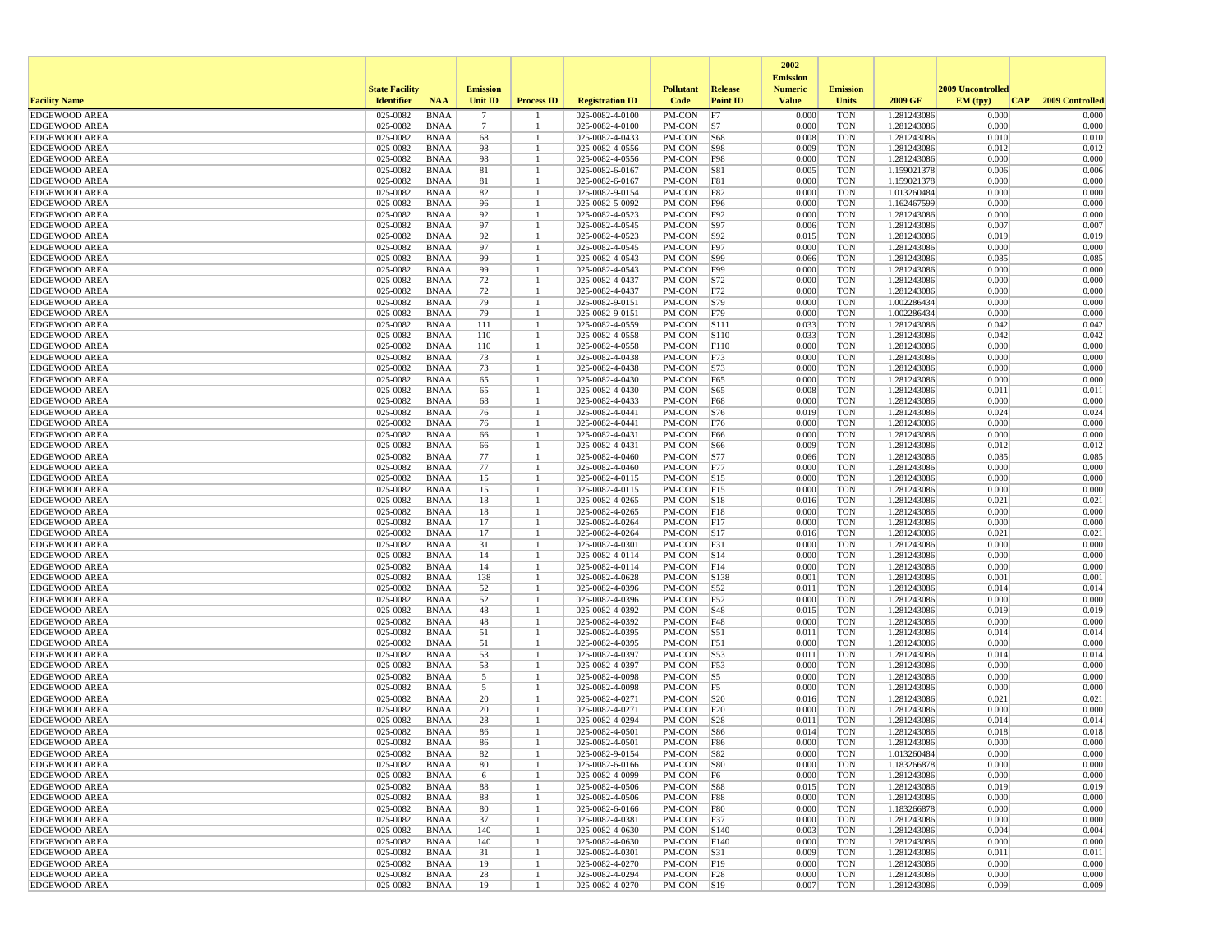|                                              |                       |                            |                 |                   |                                    |                          |                 | 2002<br><b>Emission</b> |                          |                            |                   |                 |
|----------------------------------------------|-----------------------|----------------------------|-----------------|-------------------|------------------------------------|--------------------------|-----------------|-------------------------|--------------------------|----------------------------|-------------------|-----------------|
|                                              | <b>State Facility</b> |                            | <b>Emission</b> |                   |                                    | <b>Pollutant</b>         | <b>Release</b>  | <b>Numeric</b>          | <b>Emission</b>          |                            | 2009 Uncontrolled |                 |
| <b>Facility Name</b>                         | <b>Identifier</b>     | <b>NAA</b>                 | <b>Unit ID</b>  | <b>Process ID</b> | <b>Registration ID</b>             | Code                     | <b>Point ID</b> | <b>Value</b>            | <b>Units</b>             | 2009 GF                    | EM (tpv)<br> CAP  | 2009 Controlled |
| <b>EDGEWOOD AREA</b>                         | 025-0082              | <b>BNAA</b>                | 7               |                   | 025-0082-4-0100                    | PM-CON                   | F7              | 0.000                   | <b>TON</b>               | 1.281243086                | 0.000             | 0.000           |
| <b>EDGEWOOD AREA</b><br><b>EDGEWOOD AREA</b> | 025-0082<br>025-0082  | <b>BNAA</b><br><b>BNAA</b> | 7<br>68         |                   | 025-0082-4-0100<br>025-0082-4-0433 | PM-CON<br>PM-CON         | S7<br>S68       | 0.000<br>0.008          | <b>TON</b><br><b>TON</b> | 1.281243086<br>1.281243086 | 0.000<br>0.010    | 0.000<br>0.010  |
| <b>EDGEWOOD AREA</b>                         | 025-0082              | <b>BNAA</b>                | 98              |                   | 025-0082-4-0556                    | PM-CON                   | <b>S98</b>      | 0.009                   | <b>TON</b>               | 1.281243086                | 0.012             | 0.012           |
| <b>EDGEWOOD AREA</b>                         | 025-0082              | <b>BNAA</b>                | 98              |                   | 025-0082-4-0556                    | PM-CON                   | F98             | 0.000                   | <b>TON</b>               | 1.281243086                | 0.000             | 0.000           |
| <b>EDGEWOOD AREA</b>                         | 025-0082              | <b>BNAA</b>                | 81              |                   | 025-0082-6-0167                    | PM-CON                   | S81             | 0.005                   | <b>TON</b>               | 1.159021378                | 0.006             | 0.006           |
| <b>EDGEWOOD AREA</b>                         | 025-0082              | <b>BNAA</b>                | 81              |                   | 025-0082-6-0167                    | PM-CON                   | F81             | 0.000                   | <b>TON</b>               | 1.159021378                | 0.000             | 0.000           |
| <b>EDGEWOOD AREA</b>                         | 025-0082              | <b>BNAA</b>                | 82              |                   | 025-0082-9-0154                    | PM-CON                   | F82             | 0.000                   | <b>TON</b>               | 1.013260484                | 0.000             | 0.000           |
| <b>EDGEWOOD AREA</b>                         | 025-0082              | <b>BNAA</b>                | 96              |                   | 025-0082-5-0092                    | PM-CON                   | F96             | 0.000                   | <b>TON</b>               | 1.162467599                | 0.000             | 0.000           |
| <b>EDGEWOOD AREA</b>                         | 025-0082              | <b>BNAA</b>                | 92              |                   | 025-0082-4-0523                    | PM-CON                   | F92             | 0.000                   | <b>TON</b>               | 1.281243086                | 0.000             | 0.000           |
| <b>EDGEWOOD AREA</b><br><b>EDGEWOOD AREA</b> | 025-0082<br>025-0082  | <b>BNAA</b><br><b>BNAA</b> | 97<br>92        |                   | 025-0082-4-0545<br>025-0082-4-0523 | PM-CON<br>PM-CON         | S97<br>S92      | 0.006<br>0.015          | <b>TON</b><br><b>TON</b> | 1.281243086<br>1.281243086 | 0.007<br>0.019    | 0.007<br>0.019  |
| <b>EDGEWOOD AREA</b>                         | 025-0082              | <b>BNAA</b>                | 97              |                   | 025-0082-4-0545                    | PM-CON                   | F97             | 0.000                   | <b>TON</b>               | 1.281243086                | 0.000             | 0.000           |
| <b>EDGEWOOD AREA</b>                         | 025-0082              | <b>BNAA</b>                | 99              |                   | 025-0082-4-0543                    | PM-CON                   | S99             | 0.066                   | <b>TON</b>               | 1.281243086                | 0.085             | 0.085           |
| <b>EDGEWOOD AREA</b>                         | 025-0082              | <b>BNAA</b>                | 99              |                   | 025-0082-4-0543                    | PM-CON                   | F99             | 0.000                   | <b>TON</b>               | 1.281243086                | 0.000             | 0.000           |
| <b>EDGEWOOD AREA</b>                         | 025-0082              | <b>BNAA</b>                | 72              |                   | 025-0082-4-0437                    | PM-CON                   | S72             | 0.000                   | <b>TON</b>               | 1.281243086                | 0.000             | 0.000           |
| <b>EDGEWOOD AREA</b>                         | 025-0082              | <b>BNAA</b>                | 72              |                   | 025-0082-4-0437                    | PM-CON                   | F72             | 0.000                   | <b>TON</b>               | 1.281243086                | 0.000             | 0.000           |
| <b>EDGEWOOD AREA</b>                         | 025-0082              | <b>BNAA</b>                | 79              |                   | 025-0082-9-0151                    | PM-CON                   | S79             | 0.000                   | <b>TON</b>               | 1.002286434                | 0.000             | 0.000           |
| <b>EDGEWOOD AREA</b>                         | 025-0082              | <b>BNAA</b>                | 79              |                   | 025-0082-9-0151                    | PM-CON                   | F79             | 0.000                   | <b>TON</b>               | 1.002286434                | 0.000             | 0.000           |
| <b>EDGEWOOD AREA</b>                         | 025-0082              | <b>BNAA</b>                | 111             |                   | 025-0082-4-0559                    | PM-CON                   | S111            | 0.033                   | <b>TON</b>               | 1.281243086                | 0.042             | 0.042           |
| <b>EDGEWOOD AREA</b><br><b>EDGEWOOD AREA</b> | 025-0082<br>025-0082  | <b>BNAA</b><br><b>BNAA</b> | 110<br>110      |                   | 025-0082-4-0558<br>025-0082-4-0558 | PM-CON<br>PM-CON         | S110<br>F110    | 0.033<br>0.000          | <b>TON</b><br><b>TON</b> | 1.281243086<br>1.281243086 | 0.042<br>0.000    | 0.042<br>0.000  |
| <b>EDGEWOOD AREA</b>                         | 025-0082              | <b>BNAA</b>                | 73              |                   | 025-0082-4-0438                    | PM-CON                   | F73             | 0.000                   | <b>TON</b>               | 1.281243086                | 0.000             | 0.000           |
| <b>EDGEWOOD AREA</b>                         | 025-0082              | <b>BNAA</b>                | 73              |                   | 025-0082-4-0438                    | PM-CON                   | S73             | 0.000                   | <b>TON</b>               | 1.281243086                | 0.000             | 0.000           |
| <b>EDGEWOOD AREA</b>                         | 025-0082              | <b>BNAA</b>                | 65              |                   | 025-0082-4-0430                    | PM-CON                   | F <sub>65</sub> | 0.000                   | <b>TON</b>               | 1.281243086                | 0.000             | 0.000           |
| <b>EDGEWOOD AREA</b>                         | 025-0082              | <b>BNAA</b>                | 65              |                   | 025-0082-4-0430                    | PM-CON                   | S65             | 0.008                   | <b>TON</b>               | 1.281243086                | 0.011             | 0.011           |
| <b>EDGEWOOD AREA</b>                         | 025-0082              | <b>BNAA</b>                | 68              |                   | 025-0082-4-0433                    | PM-CON                   | F68             | 0.000                   | <b>TON</b>               | 1.281243086                | 0.000             | 0.000           |
| <b>EDGEWOOD AREA</b>                         | 025-0082              | <b>BNAA</b>                | 76              |                   | 025-0082-4-0441                    | PM-CON                   | S76             | 0.019                   | <b>TON</b>               | 1.281243086                | 0.024             | 0.024           |
| <b>EDGEWOOD AREA</b>                         | 025-0082              | <b>BNAA</b>                | 76              |                   | 025-0082-4-0441                    | PM-CON                   | F76             | 0.000                   | <b>TON</b>               | 1.281243086                | 0.000             | 0.000           |
| <b>EDGEWOOD AREA</b><br><b>EDGEWOOD AREA</b> | 025-0082<br>025-0082  | <b>BNAA</b><br><b>BNAA</b> | 66              |                   | 025-0082-4-0431<br>025-0082-4-0431 | PM-CON                   | F66             | 0.000<br>0.009          | <b>TON</b><br><b>TON</b> | 1.281243086                | 0.000<br>0.012    | 0.000<br>0.012  |
| <b>EDGEWOOD AREA</b>                         | 025-0082              | <b>BNAA</b>                | 66<br>77        |                   | 025-0082-4-0460                    | PM-CON<br>PM-CON         | S66<br>S77      | 0.066                   | <b>TON</b>               | 1.281243086<br>1.281243086 | 0.085             | 0.085           |
| <b>EDGEWOOD AREA</b>                         | 025-0082              | <b>BNAA</b>                | 77              |                   | 025-0082-4-0460                    | PM-CON                   | F77             | 0.000                   | <b>TON</b>               | 1.281243086                | 0.000             | 0.000           |
| <b>EDGEWOOD AREA</b>                         | 025-0082              | <b>BNAA</b>                | 15              |                   | 025-0082-4-0115                    | PM-CON                   | S <sub>15</sub> | 0.000                   | <b>TON</b>               | 1.281243086                | 0.000             | 0.000           |
| <b>EDGEWOOD AREA</b>                         | 025-0082              | <b>BNAA</b>                | 15              |                   | 025-0082-4-0115                    | PM-CON                   | F15             | 0.000                   | <b>TON</b>               | 1.281243086                | 0.000             | 0.000           |
| <b>EDGEWOOD AREA</b>                         | 025-0082              | <b>BNAA</b>                | 18              |                   | 025-0082-4-0265                    | PM-CON                   | S18             | 0.016                   | <b>TON</b>               | 1.281243086                | 0.021             | 0.021           |
| <b>EDGEWOOD AREA</b>                         | 025-0082              | <b>BNAA</b>                | 18              |                   | 025-0082-4-0265                    | PM-CON                   | F18             | 0.000                   | <b>TON</b>               | 1.281243086                | 0.000             | 0.000           |
| <b>EDGEWOOD AREA</b>                         | 025-0082              | <b>BNAA</b>                | 17              |                   | 025-0082-4-0264                    | PM-CON                   | F17             | 0.000                   | <b>TON</b>               | 1.281243086                | 0.000             | 0.000           |
| <b>EDGEWOOD AREA</b>                         | 025-0082              | <b>BNAA</b>                | 17              |                   | 025-0082-4-0264                    | PM-CON                   | S17             | 0.016                   | <b>TON</b>               | 1.281243086                | 0.021             | 0.021           |
| <b>EDGEWOOD AREA</b><br><b>EDGEWOOD AREA</b> | 025-0082<br>025-0082  | <b>BNAA</b><br><b>BNAA</b> | 31<br>14        |                   | 025-0082-4-0301<br>025-0082-4-0114 | PM-CON<br>PM-CON         | F31<br>S14      | 0.000<br>0.000          | <b>TON</b><br><b>TON</b> | 1.281243086<br>1.281243086 | 0.000<br>0.000    | 0.000<br>0.000  |
| <b>EDGEWOOD AREA</b>                         | 025-0082              | <b>BNAA</b>                | 14              |                   | 025-0082-4-0114                    | PM-CON                   | F14             | 0.000                   | <b>TON</b>               | 1.281243086                | 0.000             | 0.000           |
| <b>EDGEWOOD AREA</b>                         | 025-0082              | <b>BNAA</b>                | 138             |                   | 025-0082-4-0628                    | PM-CON                   | S138            | 0.001                   | <b>TON</b>               | 1.281243086                | 0.001             | 0.001           |
| <b>EDGEWOOD AREA</b>                         | 025-0082              | <b>BNAA</b>                | 52              |                   | 025-0082-4-0396                    | PM-CON                   | S52             | 0.011                   | <b>TON</b>               | 1.281243086                | 0.014             | 0.014           |
| <b>EDGEWOOD AREA</b>                         | 025-0082              | <b>BNAA</b>                | 52              |                   | 025-0082-4-0396                    | PM-CON                   | F52             | 0.000                   | <b>TON</b>               | 1.281243086                | 0.000             | 0.000           |
| <b>EDGEWOOD AREA</b>                         | 025-0082              | <b>BNAA</b>                | 48              |                   | 025-0082-4-0392                    | PM-CON                   | S48             | 0.015                   | <b>TON</b>               | 1.281243086                | 0.019             | 0.019           |
| <b>EDGEWOOD AREA</b>                         | 025-0082              | <b>BNAA</b>                | 48              |                   | 025-0082-4-0392                    | PM-CON                   | F48             | 0.000                   | <b>TON</b>               | 1.281243086                | 0.000             | 0.000           |
| <b>EDGEWOOD AREA</b>                         | 025-0082              | <b>BNAA</b>                | 51              |                   | 025-0082-4-0395                    | PM-CON                   | S51             | 0.011                   | <b>TON</b>               | 1.281243086                | 0.014             | 0.014           |
| <b>EDGEWOOD AREA</b>                         | 025-0082<br>025-0082  | <b>BNAA</b><br><b>BNAA</b> | 51<br>53        |                   | 025-0082-4-0395<br>025-0082-4-0397 | PM-CON<br>PM-CON         | F51<br>S53      | 0.000<br>0.011          | <b>TON</b><br><b>TON</b> | 1.281243086                | 0.000<br>0.014    | 0.000<br>0.014  |
| <b>EDGEWOOD AREA</b><br><b>EDGEWOOD AREA</b> | 025-0082              | <b>BNAA</b>                | 53              |                   | 025-0082-4-0397                    | PM-CON                   | F53             | 0.000                   | <b>TON</b>               | 1.281243086<br>1.281243086 | 0.000             | 0.000           |
| <b>EDGEWOOD AREA</b>                         | 025-0082              | <b>BNAA</b>                | 5               |                   | 025-0082-4-0098                    | PM-CON                   | S5              | 0.000                   | <b>TON</b>               | 1.281243086                | 0.000             | 0.000           |
| <b>EDGEWOOD AREA</b>                         | 025-0082              | <b>BNAA</b>                | 5               |                   | 025-0082-4-0098                    | PM-CON                   | F5              | 0.000                   | <b>TON</b>               | 1.281243086                | 0.000             | 0.000           |
| <b>EDGEWOOD AREA</b>                         | 025-0082              | <b>BNAA</b>                | 20              |                   | 025-0082-4-0271                    | PM-CON                   | S20             | 0.016                   | <b>TON</b>               | 1.281243086                | 0.021             | 0.021           |
| <b>EDGEWOOD AREA</b>                         | 025-0082              | <b>BNAA</b>                | 20              |                   | 025-0082-4-0271                    | PM-CON                   | F20             | 0.000                   | <b>TON</b>               | 1.281243086                | 0.000             | 0.000           |
| <b>EDGEWOOD AREA</b>                         | 025-0082              | <b>BNAA</b>                | 28              |                   | 025-0082-4-0294                    | PM-CON                   | S28             | 0.011                   | <b>TON</b>               | 1.281243086                | 0.014             | 0.014           |
| <b>EDGEWOOD AREA</b>                         | 025-0082              | <b>BNAA</b>                | 86              |                   | 025-0082-4-0501                    | PM-CON                   | S86             | 0.014                   | <b>TON</b>               | 1.281243086                | 0.018             | 0.018           |
| <b>EDGEWOOD AREA</b>                         | 025-0082              | <b>BNAA</b>                | 86              |                   | 025-0082-4-0501                    | PM-CON                   | <b>F86</b>      | 0.000                   | <b>TON</b>               | 1.281243086                | 0.000             | 0.000           |
| <b>EDGEWOOD AREA</b><br><b>EDGEWOOD AREA</b> | 025-0082<br>025-0082  | <b>BNAA</b><br>BNAA        | 82<br>80        |                   | 025-0082-9-0154<br>025-0082-6-0166 | PM-CON S82<br>PM-CON S80 |                 | 0.000<br>0.000          | TON<br><b>TON</b>        | 1.013260484<br>1.183266878 | 0.000<br>0.000    | 0.000<br>0.000  |
| <b>EDGEWOOD AREA</b>                         | 025-0082              | <b>BNAA</b>                | 6               |                   | 025-0082-4-0099                    | PM-CON F6                |                 | 0.000                   | <b>TON</b>               | 1.281243086                | 0.000             | 0.000           |
| <b>EDGEWOOD AREA</b>                         | 025-0082              | BNAA                       | 88              |                   | 025-0082-4-0506                    | PM-CON S88               |                 | 0.015                   | <b>TON</b>               | 1.281243086                | 0.019             | 0.019           |
| <b>EDGEWOOD AREA</b>                         | 025-0082              | <b>BNAA</b>                | 88              |                   | 025-0082-4-0506                    | PM-CON F88               |                 | 0.000                   | <b>TON</b>               | 1.281243086                | 0.000             | 0.000           |
| <b>EDGEWOOD AREA</b>                         | 025-0082              | <b>BNAA</b>                | 80              |                   | 025-0082-6-0166                    | PM-CON                   | F80             | 0.000                   | <b>TON</b>               | 1.183266878                | 0.000             | 0.000           |
| <b>EDGEWOOD AREA</b>                         | 025-0082              | <b>BNAA</b>                | 37              | -1                | 025-0082-4-0381                    | PM-CON   F37             |                 | 0.000                   | <b>TON</b>               | 1.281243086                | 0.000             | 0.000           |
| <b>EDGEWOOD AREA</b>                         | 025-0082              | BNAA                       | 140             |                   | 025-0082-4-0630                    | PM-CON                   | S140            | 0.003                   | <b>TON</b>               | 1.281243086                | 0.004             | 0.004           |
| <b>EDGEWOOD AREA</b>                         | 025-0082              | <b>BNAA</b>                | 140             |                   | 025-0082-4-0630                    | PM-CON                   | F140            | 0.000                   | <b>TON</b>               | 1.281243086                | 0.000             | 0.000           |
| <b>EDGEWOOD AREA</b>                         | 025-0082              | <b>BNAA</b>                | 31              |                   | 025-0082-4-0301                    | PM-CON S31               |                 | 0.009                   | <b>TON</b>               | 1.281243086                | 0.011             | 0.011           |
| <b>EDGEWOOD AREA</b><br><b>EDGEWOOD AREA</b> | 025-0082              | <b>BNAA</b><br><b>BNAA</b> | 19              |                   | 025-0082-4-0270                    | PM-CON F19<br>PM-CON F28 |                 | 0.000<br>0.000          | <b>TON</b><br><b>TON</b> | 1.281243086                | 0.000<br>0.000    | 0.000<br>0.000  |
| <b>EDGEWOOD AREA</b>                         | 025-0082<br>025-0082  | <b>BNAA</b>                | 28<br>19        |                   | 025-0082-4-0294<br>025-0082-4-0270 | PM-CON S19               |                 | 0.007                   | <b>TON</b>               | 1.281243086<br>1.281243086 | 0.009             | 0.009           |
|                                              |                       |                            |                 |                   |                                    |                          |                 |                         |                          |                            |                   |                 |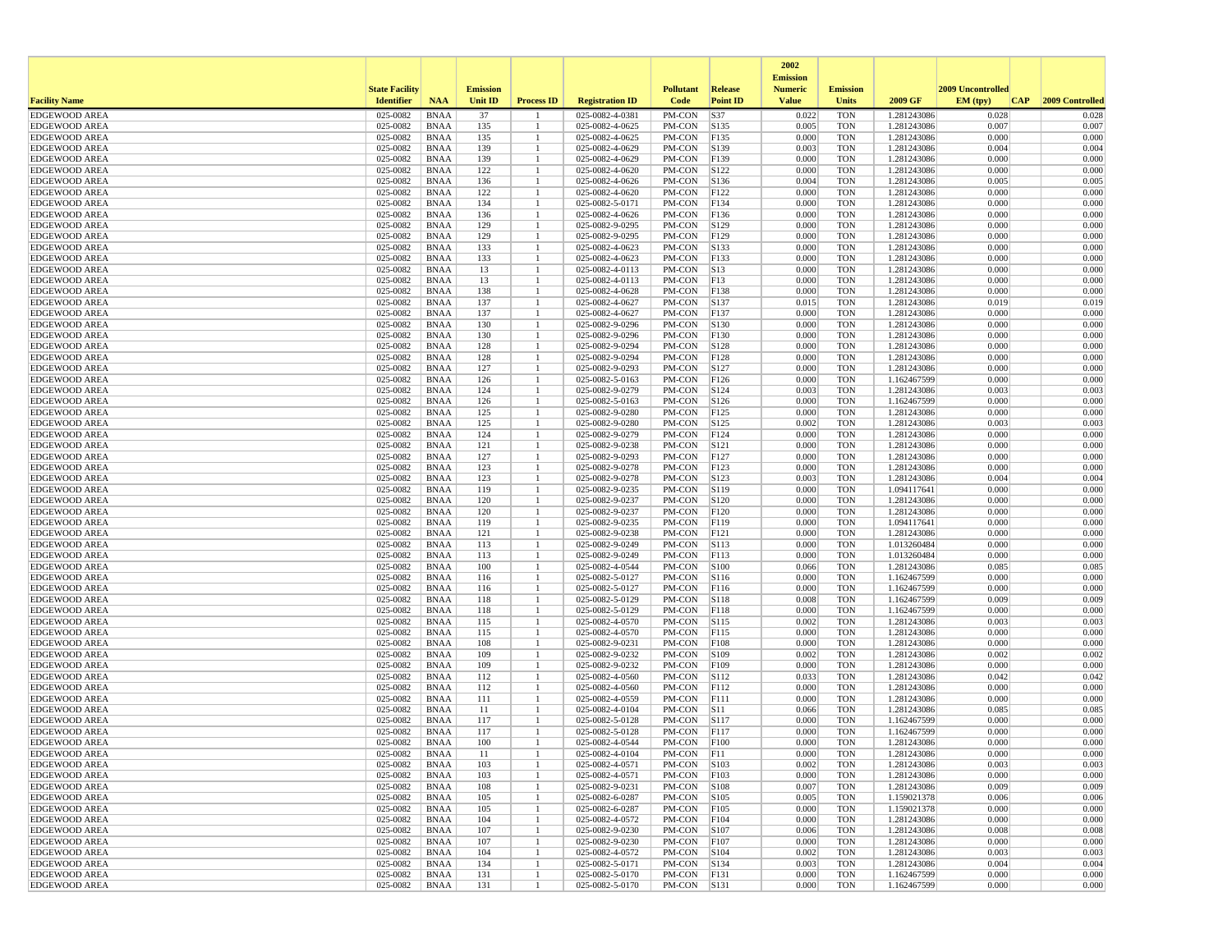| <b>State Facility</b><br><b>Emission</b><br><b>Pollutant</b><br>2009 Uncontrolled<br>Release<br><b>Numeric</b><br><b>Emission</b><br><b>Identifier</b><br>2009 GF<br>CAP 2009 Controlled<br><b>Facility Name</b><br><b>NAA</b><br><b>Unit ID</b><br><b>Process ID</b><br><b>Registration ID</b><br>Code<br><b>Point ID</b><br><b>Value</b><br><b>Units</b><br>EM (typ)<br>37<br>PM-CON<br>S37<br>025-0082<br><b>BNAA</b><br>025-0082-4-0381<br>0.022<br><b>TON</b><br>1.281243086<br>0.028<br>0.028<br>025-0082<br><b>BNAA</b><br>135<br>$025 - 0082 - 4 - 0625$<br>PM-CON<br>S135<br>0.005<br>0.007<br>0.007<br><b>EDGEWOOD AREA</b><br><b>TON</b><br>1.281243086<br>-1<br><b>EDGEWOOD AREA</b><br>025-0082<br><b>BNAA</b><br>135<br>025-0082-4-0625<br>PM-CON<br>F135<br>0.000<br><b>TON</b><br>1.281243086<br>0.000<br>0.000<br>$\overline{1}$<br><b>EDGEWOOD AREA</b><br>025-0082<br><b>BNAA</b><br>139<br>025-0082-4-0629<br>PM-CON<br>S139<br>0.003<br><b>TON</b><br>1.281243086<br>0.004<br>0.004<br>-1<br>025-0082<br>139<br>0.000<br>0.000<br>0.000<br><b>BNAA</b><br>025-0082-4-0629<br>PM-CON<br>F139<br><b>TON</b><br>1.281243086<br>025-0082<br><b>BNAA</b><br>122<br>025-0082-4-0620<br>PM-CON<br>S122<br>0.000<br><b>TON</b><br>0.000<br>0.000<br>1.281243086<br>025-0082<br>136<br>S136<br>0.004<br>0.005<br>0.005<br><b>BNAA</b><br>025-0082-4-0626<br>PM-CON<br>TON<br>1.281243086<br>122<br>0.000<br><b>EDGEWOOD AREA</b><br>025-0082<br><b>BNAA</b><br>025-0082-4-0620<br>PM-CON<br>F122<br>0.000<br><b>TON</b><br>1.281243086<br>0.000<br>-1<br>134<br><b>EDGEWOOD AREA</b><br>025-0082<br><b>BNAA</b><br>025-0082-5-0171<br>PM-CON<br>F134<br>0.000<br><b>TON</b><br>1.281243086<br>0.000<br>0.000<br>-1<br><b>EDGEWOOD AREA</b><br>025-0082<br><b>BNAA</b><br>136<br>025-0082-4-0626<br>PM-CON<br>F136<br>0.000<br><b>TON</b><br>1.281243086<br>0.000<br>0.000<br>-1<br>025-0082<br>129<br>025-0082-9-0295<br>PM-CON<br>S129<br>0.000<br>0.000<br>0.000<br><b>EDGEWOOD AREA</b><br><b>BNAA</b><br><b>TON</b><br>1.281243086<br>129<br>0.000<br>0.000<br>0.000<br><b>EDGEWOOD AREA</b><br>025-0082<br><b>BNAA</b><br>025-0082-9-0295<br>PM-CON<br>F129<br><b>TON</b><br>1.281243086<br>025-0082<br>133<br>$\vert$ S133<br>0.000<br><b>TON</b><br>0.000<br>0.000<br><b>BNAA</b><br>025-0082-4-0623<br>PM-CON<br>1.281243086<br>-1<br>025-0082<br><b>BNAA</b><br>133<br>025-0082-4-0623<br>PM-CON<br>F133<br>0.000<br><b>TON</b><br>1.281243086<br>0.000<br>0.000<br>$\mathbf{1}$<br><b>EDGEWOOD AREA</b><br>025-0082<br><b>BNAA</b><br>13<br>025-0082-4-0113<br>PM-CON<br> S13<br>0.000<br>0.000<br>0.000<br><b>TON</b><br>1.281243086<br>-1<br>13<br>0.000<br><b>EDGEWOOD AREA</b><br>025-0082<br><b>BNAA</b><br>025-0082-4-0113<br>PM-CON<br>F13<br>0.000<br><b>TON</b><br>1.281243086<br>0.000<br>025-0082<br><b>BNAA</b><br>138<br>025-0082-4-0628<br>PM-CON<br>F138<br>0.000<br><b>TON</b><br>0.000<br>0.000<br><b>EDGEWOOD AREA</b><br>$\mathbf{1}$<br>1.281243086<br>025-0082<br>137<br>025-0082-4-0627<br>PM-CON<br>S137<br><b>EDGEWOOD AREA</b><br><b>BNAA</b><br>0.015<br>TON<br>1.281243086<br>0.019<br>0.019<br>-1<br>0.000<br><b>EDGEWOOD AREA</b><br>025-0082<br><b>BNAA</b><br>137<br>025-0082-4-0627<br>PM-CON<br>F137<br>0.000<br><b>TON</b><br>1.281243086<br>0.000<br>-1<br><b>BNAA</b><br>130<br>S130<br>0.000<br>0.000<br>0.000<br><b>EDGEWOOD AREA</b><br>025-0082<br>025-0082-9-0296<br>PM-CON<br><b>TON</b><br>1.281243086<br><b>EDGEWOOD AREA</b><br>025-0082<br><b>BNAA</b><br>130<br>025-0082-9-0296<br>PM-CON<br>F130<br>0.000<br><b>TON</b><br>1.281243086<br>0.000<br>0.000<br>-1<br><b>EDGEWOOD AREA</b><br>025-0082<br><b>BNAA</b><br>128<br>025-0082-9-0294<br>PM-CON<br>S128<br>0.000<br><b>TON</b><br>0.000<br>0.000<br>$\mathbf{1}$<br>1.281243086<br>128<br>0.000<br><b>EDGEWOOD AREA</b><br>025-0082<br><b>BNAA</b><br>025-0082-9-0294<br>PM-CON<br>F128<br>0.000<br>TON<br>1.281243086<br>0.000<br>025-0082<br>127<br>S127<br>0.000<br>0.000<br>0.000<br><b>BNAA</b><br>025-0082-9-0293<br>PM-CON<br><b>TON</b><br>1.281243086<br>-1<br>PM-CON<br>F126<br>0.000<br>0.000<br>0.000<br>025-0082<br><b>BNAA</b><br>126<br>$\mathbf{1}$<br>025-0082-5-0163<br><b>TON</b><br>1.162467599<br><b>EDGEWOOD AREA</b><br>025-0082<br><b>BNAA</b><br>124<br>025-0082-9-0279<br>PM-CON<br>S124<br>0.003<br><b>TON</b><br>1.281243086<br>0.003<br>0.003<br>126<br>S126<br><b>TON</b><br>0.000<br><b>EDGEWOOD AREA</b><br>025-0082<br><b>BNAA</b><br>025-0082-5-0163<br>PM-CON<br>0.000<br>1.162467599<br>0.000<br>-1<br>025-0082<br><b>BNAA</b><br>125<br>025-0082-9-0280<br>PM-CON<br>FI25<br>0.000<br><b>TON</b><br>1.281243086<br>0.000<br>0.000<br><b>EDGEWOOD AREA</b><br>025-0082<br>125<br>S125<br>0.002<br>0.003<br>0.003<br><b>EDGEWOOD AREA</b><br><b>BNAA</b><br>025-0082-9-0280<br>PM-CON<br>TON<br>1.281243086<br>-1<br>0.000<br>0.000<br>0.000<br><b>EDGEWOOD AREA</b><br>025-0082<br><b>BNAA</b><br>124<br>025-0082-9-0279<br>PM-CON<br>F124<br><b>TON</b><br>1.281243086<br>025-0082<br><b>BNAA</b><br>121<br>025-0082-9-0238<br>PM-CON<br>S121<br>0.000<br><b>TON</b><br>1.281243086<br>0.000<br>0.000<br>025-0082<br>127<br>0.000<br>0.000<br><b>EDGEWOOD AREA</b><br><b>BNAA</b><br>025-0082-9-0293<br>PM-CON<br>F127<br>0.000<br><b>TON</b><br>1.281243086<br>123<br>0.000<br>0.000<br>025-0082<br><b>BNAA</b><br>025-0082-9-0278<br>PM-CON<br>F123<br>0.000<br><b>TON</b><br>1.281243086<br>123<br>S123<br>0.004<br><b>EDGEWOOD AREA</b><br>025-0082<br><b>BNAA</b><br>025-0082-9-0278<br>PM-CON<br>0.003<br><b>TON</b><br>1.281243086<br>0.004<br>025-0082<br><b>BNAA</b><br>119<br>025-0082-9-0235<br>PM-CON<br> S119<br>0.000<br><b>TON</b><br>0.000<br>0.000<br><b>EDGEWOOD AREA</b><br>1.094117641<br>025-0082<br>025-0082-9-0237<br>PM-CON<br>S120<br>0.000<br>0.000<br>0.000<br><b>EDGEWOOD AREA</b><br><b>BNAA</b><br>120<br><b>TON</b><br>1.281243086<br>-1<br>0.000<br><b>EDGEWOOD AREA</b><br>025-0082<br><b>BNAA</b><br>120<br>025-0082-9-0237<br>PM-CON<br>F120<br>0.000<br><b>TON</b><br>1.281243086<br>0.000<br>025-0082<br>119<br>F119<br>0.000<br><b>TON</b><br>1.094117641<br>0.000<br>0.000<br><b>EDGEWOOD AREA</b><br><b>BNAA</b><br>025-0082-9-0235<br>PM-CON<br>-1<br><b>EDGEWOOD AREA</b><br>025-0082<br><b>BNAA</b><br>121<br>025-0082-9-0238<br>PM-CON<br>F121<br>0.000<br><b>TON</b><br>1.281243086<br>0.000<br>0.000<br>$\mathbf{1}$<br>025-0082<br><b>BNAA</b><br>113<br>025-0082-9-0249<br>PM-CON<br> S113<br>0.000<br><b>TON</b><br>0.000<br>0.000<br><b>EDGEWOOD AREA</b><br>1.013260484<br>-1<br>113<br>F113<br>0.000<br>025-0082<br><b>BNAA</b><br>025-0082-9-0249<br>PM-CON<br>0.000<br><b>TON</b><br>1.013260484<br>0.000<br>-1<br><b>EDGEWOOD AREA</b><br>025-0082<br><b>BNAA</b><br>100<br>025-0082-4-0544<br>PM-CON<br>S100<br>0.066<br><b>TON</b><br>1.281243086<br>0.085<br>0.085<br>-1<br>025-0082<br>025-0082-5-0127<br>PM-CON<br>S116<br>0.000<br>0.000<br>0.000<br><b>EDGEWOOD AREA</b><br><b>BNAA</b><br>116<br><b>TON</b><br>1.162467599<br>-1<br>0.000<br><b>EDGEWOOD AREA</b><br>025-0082<br><b>BNAA</b><br>116<br>025-0082-5-0127<br>PM-CON<br>F116<br>0.000<br><b>TON</b><br>1.162467599<br>0.000<br>-1<br>025-0082<br>118<br>S118<br>0.008<br>0.009<br>0.009<br><b>EDGEWOOD AREA</b><br><b>BNAA</b><br>025-0082-5-0129<br>PM-CON<br><b>TON</b><br>1.162467599<br><b>EDGEWOOD AREA</b><br>025-0082<br><b>BNAA</b><br>118<br>025-0082-5-0129<br>PM-CON<br>F118<br>0.000<br><b>TON</b><br>0.000<br>0.000<br>1.162467599<br>-1<br><b>EDGEWOOD AREA</b><br>025-0082<br><b>BNAA</b><br>025-0082-4-0570<br>PM-CON<br>S115<br>0.002<br><b>TON</b><br>0.003<br>0.003<br>115<br>$\mathbf{1}$<br>1.281243086<br>0.000<br>0.000<br><b>EDGEWOOD AREA</b><br>025-0082<br><b>BNAA</b><br>115<br>025-0082-4-0570<br>PM-CON<br>F115<br><b>TON</b><br>1.281243086<br>0.000<br>108<br>025-0082-9-0231<br>F108<br>0.000<br><b>TON</b><br>0.000<br>0.000<br>025-0082<br><b>BNAA</b><br>PM-CON<br>1.281243086<br>-1<br>025-0082<br>PM-CON<br>0.002<br>0.002<br>0.002<br><b>EDGEWOOD AREA</b><br><b>BNAA</b><br>109<br>$\mathbf{1}$<br>025-0082-9-0232<br>S109<br><b>TON</b><br>1.281243086<br><b>EDGEWOOD AREA</b><br>025-0082<br><b>BNAA</b><br>109<br>025-0082-9-0232<br>PM-CON<br>F109<br>0.000<br><b>TON</b><br>1.281243086<br>0.000<br>0.000<br>112<br>S112<br>0.033<br><b>EDGEWOOD AREA</b><br>025-0082<br><b>BNAA</b><br>025-0082-4-0560<br>PM-CON<br><b>TON</b><br>1.281243086<br>0.042<br>0.042<br>-1<br><b>EDGEWOOD AREA</b><br>025-0082<br><b>BNAA</b><br>112<br>025-0082-4-0560<br>PM-CON<br>F112<br>0.000<br><b>TON</b><br>1.281243086<br>0.000<br>0.000<br>025-0082<br>0.000<br>0.000<br>0.000<br><b>EDGEWOOD AREA</b><br><b>BNAA</b><br>111<br>025-0082-4-0559<br>PM-CON<br>F111<br><b>TON</b><br>1.281243086<br>-1<br>0.085<br>0.085<br>025-0082<br><b>BNAA</b><br>11<br>025-0082-4-0104<br>PM-CON<br> S11<br>0.066<br><b>TON</b><br>1.281243086<br><b>BNAA</b><br>117<br>S117<br>0.000<br>0.000<br><b>EDGEWOOD AREA</b><br>025-0082<br>025-0082-5-0128<br>PM-CON<br><b>TON</b><br>1.162467599<br>0.000<br>117<br>F117<br>0.000<br><b>EDGEWOOD AREA</b><br>025-0082<br><b>BNAA</b><br>025-0082-5-0128<br>PM-CON<br>0.000<br>TON<br>1.162467599<br>0.000<br>-1<br>0.000<br><b>TON</b><br>0.000<br><b>EDGEWOOD AREA</b><br>025-0082<br><b>BNAA</b><br>100<br>025-0082-4-0544<br>PM-CON<br>F100<br>1.281243086<br>0.000<br>025-0082<br><b>BNAA</b><br>025-0082-4-0104<br>PM-CON F11<br>TON<br>1.281243086<br>0.000<br><b>EDGEWOOD AREA</b><br>11<br>0.000<br>0.000<br>025-0082-4-0571<br><b>TON</b><br>0.003<br>0.003<br><b>EDGEWOOD AREA</b><br>$025-0082$ BNAA<br>103<br>$PM-CON$ S103<br>0.002<br>1.281243086<br>-1<br><b>EDGEWOOD AREA</b><br>025-0082<br>025-0082-4-0571<br>$PM-CON$ F103<br>0.000<br>0.000<br>0.000<br>BNAA<br>103<br>TON<br>1.281243086<br>-1<br><b>EDGEWOOD AREA</b><br>0.009<br>025-0082<br><b>BNAA</b><br>108<br>025-0082-9-0231<br>$PM-CON$ $ S108$<br>0.007<br>TON<br>1.281243086<br>0.009<br>025-0082-6-0287<br>PM-CON S105<br>0.005<br>0.006<br>0.006<br>025-0082<br><b>BNAA</b><br>105<br>TON<br>1.159021378<br>-1<br>025-0082<br><b>BNAA</b><br>025-0082-6-0287<br>PM-CON<br>F105<br>0.000<br><b>TON</b><br>1.159021378<br>0.000<br>0.000<br>105<br>$\mathbf{1}$<br>025-0082<br>025-0082-4-0572<br>PM-CON<br>0.000<br><b>TON</b><br>0.000<br>0.000<br><b>BNAA</b><br>104<br>$\mathbf{1}$<br>F104<br>1.281243086<br>107<br>025-0082-9-0230<br>0.008<br>025-0082<br>PM-CON<br>S107<br>0.006<br><b>TON</b><br>1.281243086<br>0.008<br>BNAA<br>-1<br><b>EDGEWOOD AREA</b><br>025-0082<br><b>BNAA</b><br>107<br>025-0082-9-0230<br>PM-CON<br>F107<br>0.000<br><b>TON</b><br>1.281243086<br>0.000<br>0.000<br>$\mathbf{1}$<br>025-0082<br>025-0082-4-0572<br>$PM$ -CON $ S104$<br>0.002<br>0.003<br><b>EDGEWOOD AREA</b><br><b>BNAA</b><br>104<br>TON<br>1.281243086<br>0.003<br>-1<br>S134<br>0.004<br><b>EDGEWOOD AREA</b><br>025-0082<br><b>BNAA</b><br>134<br>025-0082-5-0171<br>PM-CON<br>0.003<br>TON<br>1.281243086<br>0.004<br>-1<br><b>EDGEWOOD AREA</b><br><b>BNAA</b><br>0.000<br>0.000<br>025-0082<br>131<br>025-0082-5-0170<br>PM-CON<br>F131<br>0.000<br><b>TON</b><br>1.162467599<br>-1<br>025-0082<br><b>BNAA</b><br>131<br>025-0082-5-0170<br>PM-CON S131<br>0.000<br><b>TON</b><br>0.000<br>0.000<br>1.162467599<br>-1 |                      |  |  |  | 2002<br><b>Emission</b> |  |  |  |
|----------------------------------------------------------------------------------------------------------------------------------------------------------------------------------------------------------------------------------------------------------------------------------------------------------------------------------------------------------------------------------------------------------------------------------------------------------------------------------------------------------------------------------------------------------------------------------------------------------------------------------------------------------------------------------------------------------------------------------------------------------------------------------------------------------------------------------------------------------------------------------------------------------------------------------------------------------------------------------------------------------------------------------------------------------------------------------------------------------------------------------------------------------------------------------------------------------------------------------------------------------------------------------------------------------------------------------------------------------------------------------------------------------------------------------------------------------------------------------------------------------------------------------------------------------------------------------------------------------------------------------------------------------------------------------------------------------------------------------------------------------------------------------------------------------------------------------------------------------------------------------------------------------------------------------------------------------------------------------------------------------------------------------------------------------------------------------------------------------------------------------------------------------------------------------------------------------------------------------------------------------------------------------------------------------------------------------------------------------------------------------------------------------------------------------------------------------------------------------------------------------------------------------------------------------------------------------------------------------------------------------------------------------------------------------------------------------------------------------------------------------------------------------------------------------------------------------------------------------------------------------------------------------------------------------------------------------------------------------------------------------------------------------------------------------------------------------------------------------------------------------------------------------------------------------------------------------------------------------------------------------------------------------------------------------------------------------------------------------------------------------------------------------------------------------------------------------------------------------------------------------------------------------------------------------------------------------------------------------------------------------------------------------------------------------------------------------------------------------------------------------------------------------------------------------------------------------------------------------------------------------------------------------------------------------------------------------------------------------------------------------------------------------------------------------------------------------------------------------------------------------------------------------------------------------------------------------------------------------------------------------------------------------------------------------------------------------------------------------------------------------------------------------------------------------------------------------------------------------------------------------------------------------------------------------------------------------------------------------------------------------------------------------------------------------------------------------------------------------------------------------------------------------------------------------------------------------------------------------------------------------------------------------------------------------------------------------------------------------------------------------------------------------------------------------------------------------------------------------------------------------------------------------------------------------------------------------------------------------------------------------------------------------------------------------------------------------------------------------------------------------------------------------------------------------------------------------------------------------------------------------------------------------------------------------------------------------------------------------------------------------------------------------------------------------------------------------------------------------------------------------------------------------------------------------------------------------------------------------------------------------------------------------------------------------------------------------------------------------------------------------------------------------------------------------------------------------------------------------------------------------------------------------------------------------------------------------------------------------------------------------------------------------------------------------------------------------------------------------------------------------------------------------------------------------------------------------------------------------------------------------------------------------------------------------------------------------------------------------------------------------------------------------------------------------------------------------------------------------------------------------------------------------------------------------------------------------------------------------------------------------------------------------------------------------------------------------------------------------------------------------------------------------------------------------------------------------------------------------------------------------------------------------------------------------------------------------------------------------------------------------------------------------------------------------------------------------------------------------------------------------------------------------------------------------------------------------------------------------------------------------------------------------------------------------------------------------------------------------------------------------------------------------------------------------------------------------------------------------------------------------------------------------------------------------------------------------------------------------------------------------------------------------------------------------------------------------------------------------------------------------------------------------------------------------------------------------------------------------------------------------------------------------------------------------------------------------------------------------------------------------------------------------------------------------------------------------------------------------------------------------------------------------------------------------------------------------------------------------------------------------------------------------------------------------------------------------------------------------------------------------------------------------------------------------------------------------------------------------------------------------------------------------------------------------------------------------------------------------------------------------------------------------------------------------------------------------------------------------------------------------------------------------------------------------------------------------------------------------------------------------------------------------------------------------------------------------------------------------------------------------------------------------------------------------------------------------------------------------------------------------------------------------------------------------------------------------------------------------------------------------------------------------------------------------------------------------------------------------------------------------------------------------------------------------------------------------------------------------------------------------------------------------------------------------------------------------------------------------------------------------------------------------------------------------------------------------------------------------------------------------------------------------------------------------------------------------------------------------------------------------------------------------------------------------------------------------------------------------------------------------------------------------------------------------------------------------------------------------------------------------------------------------------------------------------------------------------------------------------------------------------------------------------------------------------------------------------------------------------------------------------------------------------------------------------------------------------------------------------------------------------------------------------------------------------------------------------------------------------------------------------------------------------------------------------------------------------------------------------------------------------------------------------------------------------------------------------------------------------------------------------------------------------------------------------------------------------------------------------------------------------------------------------------------------------------------------------------------------------------------------|----------------------|--|--|--|-------------------------|--|--|--|
|                                                                                                                                                                                                                                                                                                                                                                                                                                                                                                                                                                                                                                                                                                                                                                                                                                                                                                                                                                                                                                                                                                                                                                                                                                                                                                                                                                                                                                                                                                                                                                                                                                                                                                                                                                                                                                                                                                                                                                                                                                                                                                                                                                                                                                                                                                                                                                                                                                                                                                                                                                                                                                                                                                                                                                                                                                                                                                                                                                                                                                                                                                                                                                                                                                                                                                                                                                                                                                                                                                                                                                                                                                                                                                                                                                                                                                                                                                                                                                                                                                                                                                                                                                                                                                                                                                                                                                                                                                                                                                                                                                                                                                                                                                                                                                                                                                                                                                                                                                                                                                                                                                                                                                                                                                                                                                                                                                                                                                                                                                                                                                                                                                                                                                                                                                                                                                                                                                                                                                                                                                                                                                                                                                                                                                                                                                                                                                                                                                                                                                                                                                                                                                                                                                                                                                                                                                                                                                                                                                                                                                                                                                                                                                                                                                                                                                                                                                                                                                                                                                                                                                                                                                                                                                                                                                                                                                                                                                                                                                                                                                                                                                                                                                                                                                                                                                                                                                                                                                                                                                                                                                                                                                                                                                                                                                                                                                                                                                                                                                                                                                                                                                                                                                                                                                                                                                                                                                                                                                                                                                                                                                                                                                                                                                                                                                                                                                                                                                                                                                                                                                                                                                                                                                                                                                                                                                                                                                                                                                                                                                                                                                                                                                                                                                                                                                                                                                                                                                                                                                                                                                                                                                                                                                                                                                                                                                                                                                                  |                      |  |  |  |                         |  |  |  |
|                                                                                                                                                                                                                                                                                                                                                                                                                                                                                                                                                                                                                                                                                                                                                                                                                                                                                                                                                                                                                                                                                                                                                                                                                                                                                                                                                                                                                                                                                                                                                                                                                                                                                                                                                                                                                                                                                                                                                                                                                                                                                                                                                                                                                                                                                                                                                                                                                                                                                                                                                                                                                                                                                                                                                                                                                                                                                                                                                                                                                                                                                                                                                                                                                                                                                                                                                                                                                                                                                                                                                                                                                                                                                                                                                                                                                                                                                                                                                                                                                                                                                                                                                                                                                                                                                                                                                                                                                                                                                                                                                                                                                                                                                                                                                                                                                                                                                                                                                                                                                                                                                                                                                                                                                                                                                                                                                                                                                                                                                                                                                                                                                                                                                                                                                                                                                                                                                                                                                                                                                                                                                                                                                                                                                                                                                                                                                                                                                                                                                                                                                                                                                                                                                                                                                                                                                                                                                                                                                                                                                                                                                                                                                                                                                                                                                                                                                                                                                                                                                                                                                                                                                                                                                                                                                                                                                                                                                                                                                                                                                                                                                                                                                                                                                                                                                                                                                                                                                                                                                                                                                                                                                                                                                                                                                                                                                                                                                                                                                                                                                                                                                                                                                                                                                                                                                                                                                                                                                                                                                                                                                                                                                                                                                                                                                                                                                                                                                                                                                                                                                                                                                                                                                                                                                                                                                                                                                                                                                                                                                                                                                                                                                                                                                                                                                                                                                                                                                                                                                                                                                                                                                                                                                                                                                                                                                                                                                                                  |                      |  |  |  |                         |  |  |  |
|                                                                                                                                                                                                                                                                                                                                                                                                                                                                                                                                                                                                                                                                                                                                                                                                                                                                                                                                                                                                                                                                                                                                                                                                                                                                                                                                                                                                                                                                                                                                                                                                                                                                                                                                                                                                                                                                                                                                                                                                                                                                                                                                                                                                                                                                                                                                                                                                                                                                                                                                                                                                                                                                                                                                                                                                                                                                                                                                                                                                                                                                                                                                                                                                                                                                                                                                                                                                                                                                                                                                                                                                                                                                                                                                                                                                                                                                                                                                                                                                                                                                                                                                                                                                                                                                                                                                                                                                                                                                                                                                                                                                                                                                                                                                                                                                                                                                                                                                                                                                                                                                                                                                                                                                                                                                                                                                                                                                                                                                                                                                                                                                                                                                                                                                                                                                                                                                                                                                                                                                                                                                                                                                                                                                                                                                                                                                                                                                                                                                                                                                                                                                                                                                                                                                                                                                                                                                                                                                                                                                                                                                                                                                                                                                                                                                                                                                                                                                                                                                                                                                                                                                                                                                                                                                                                                                                                                                                                                                                                                                                                                                                                                                                                                                                                                                                                                                                                                                                                                                                                                                                                                                                                                                                                                                                                                                                                                                                                                                                                                                                                                                                                                                                                                                                                                                                                                                                                                                                                                                                                                                                                                                                                                                                                                                                                                                                                                                                                                                                                                                                                                                                                                                                                                                                                                                                                                                                                                                                                                                                                                                                                                                                                                                                                                                                                                                                                                                                                                                                                                                                                                                                                                                                                                                                                                                                                                                                                                  | <b>EDGEWOOD AREA</b> |  |  |  |                         |  |  |  |
|                                                                                                                                                                                                                                                                                                                                                                                                                                                                                                                                                                                                                                                                                                                                                                                                                                                                                                                                                                                                                                                                                                                                                                                                                                                                                                                                                                                                                                                                                                                                                                                                                                                                                                                                                                                                                                                                                                                                                                                                                                                                                                                                                                                                                                                                                                                                                                                                                                                                                                                                                                                                                                                                                                                                                                                                                                                                                                                                                                                                                                                                                                                                                                                                                                                                                                                                                                                                                                                                                                                                                                                                                                                                                                                                                                                                                                                                                                                                                                                                                                                                                                                                                                                                                                                                                                                                                                                                                                                                                                                                                                                                                                                                                                                                                                                                                                                                                                                                                                                                                                                                                                                                                                                                                                                                                                                                                                                                                                                                                                                                                                                                                                                                                                                                                                                                                                                                                                                                                                                                                                                                                                                                                                                                                                                                                                                                                                                                                                                                                                                                                                                                                                                                                                                                                                                                                                                                                                                                                                                                                                                                                                                                                                                                                                                                                                                                                                                                                                                                                                                                                                                                                                                                                                                                                                                                                                                                                                                                                                                                                                                                                                                                                                                                                                                                                                                                                                                                                                                                                                                                                                                                                                                                                                                                                                                                                                                                                                                                                                                                                                                                                                                                                                                                                                                                                                                                                                                                                                                                                                                                                                                                                                                                                                                                                                                                                                                                                                                                                                                                                                                                                                                                                                                                                                                                                                                                                                                                                                                                                                                                                                                                                                                                                                                                                                                                                                                                                                                                                                                                                                                                                                                                                                                                                                                                                                                                                                                  |                      |  |  |  |                         |  |  |  |
|                                                                                                                                                                                                                                                                                                                                                                                                                                                                                                                                                                                                                                                                                                                                                                                                                                                                                                                                                                                                                                                                                                                                                                                                                                                                                                                                                                                                                                                                                                                                                                                                                                                                                                                                                                                                                                                                                                                                                                                                                                                                                                                                                                                                                                                                                                                                                                                                                                                                                                                                                                                                                                                                                                                                                                                                                                                                                                                                                                                                                                                                                                                                                                                                                                                                                                                                                                                                                                                                                                                                                                                                                                                                                                                                                                                                                                                                                                                                                                                                                                                                                                                                                                                                                                                                                                                                                                                                                                                                                                                                                                                                                                                                                                                                                                                                                                                                                                                                                                                                                                                                                                                                                                                                                                                                                                                                                                                                                                                                                                                                                                                                                                                                                                                                                                                                                                                                                                                                                                                                                                                                                                                                                                                                                                                                                                                                                                                                                                                                                                                                                                                                                                                                                                                                                                                                                                                                                                                                                                                                                                                                                                                                                                                                                                                                                                                                                                                                                                                                                                                                                                                                                                                                                                                                                                                                                                                                                                                                                                                                                                                                                                                                                                                                                                                                                                                                                                                                                                                                                                                                                                                                                                                                                                                                                                                                                                                                                                                                                                                                                                                                                                                                                                                                                                                                                                                                                                                                                                                                                                                                                                                                                                                                                                                                                                                                                                                                                                                                                                                                                                                                                                                                                                                                                                                                                                                                                                                                                                                                                                                                                                                                                                                                                                                                                                                                                                                                                                                                                                                                                                                                                                                                                                                                                                                                                                                                                                                  |                      |  |  |  |                         |  |  |  |
|                                                                                                                                                                                                                                                                                                                                                                                                                                                                                                                                                                                                                                                                                                                                                                                                                                                                                                                                                                                                                                                                                                                                                                                                                                                                                                                                                                                                                                                                                                                                                                                                                                                                                                                                                                                                                                                                                                                                                                                                                                                                                                                                                                                                                                                                                                                                                                                                                                                                                                                                                                                                                                                                                                                                                                                                                                                                                                                                                                                                                                                                                                                                                                                                                                                                                                                                                                                                                                                                                                                                                                                                                                                                                                                                                                                                                                                                                                                                                                                                                                                                                                                                                                                                                                                                                                                                                                                                                                                                                                                                                                                                                                                                                                                                                                                                                                                                                                                                                                                                                                                                                                                                                                                                                                                                                                                                                                                                                                                                                                                                                                                                                                                                                                                                                                                                                                                                                                                                                                                                                                                                                                                                                                                                                                                                                                                                                                                                                                                                                                                                                                                                                                                                                                                                                                                                                                                                                                                                                                                                                                                                                                                                                                                                                                                                                                                                                                                                                                                                                                                                                                                                                                                                                                                                                                                                                                                                                                                                                                                                                                                                                                                                                                                                                                                                                                                                                                                                                                                                                                                                                                                                                                                                                                                                                                                                                                                                                                                                                                                                                                                                                                                                                                                                                                                                                                                                                                                                                                                                                                                                                                                                                                                                                                                                                                                                                                                                                                                                                                                                                                                                                                                                                                                                                                                                                                                                                                                                                                                                                                                                                                                                                                                                                                                                                                                                                                                                                                                                                                                                                                                                                                                                                                                                                                                                                                                                                                                  | <b>EDGEWOOD AREA</b> |  |  |  |                         |  |  |  |
|                                                                                                                                                                                                                                                                                                                                                                                                                                                                                                                                                                                                                                                                                                                                                                                                                                                                                                                                                                                                                                                                                                                                                                                                                                                                                                                                                                                                                                                                                                                                                                                                                                                                                                                                                                                                                                                                                                                                                                                                                                                                                                                                                                                                                                                                                                                                                                                                                                                                                                                                                                                                                                                                                                                                                                                                                                                                                                                                                                                                                                                                                                                                                                                                                                                                                                                                                                                                                                                                                                                                                                                                                                                                                                                                                                                                                                                                                                                                                                                                                                                                                                                                                                                                                                                                                                                                                                                                                                                                                                                                                                                                                                                                                                                                                                                                                                                                                                                                                                                                                                                                                                                                                                                                                                                                                                                                                                                                                                                                                                                                                                                                                                                                                                                                                                                                                                                                                                                                                                                                                                                                                                                                                                                                                                                                                                                                                                                                                                                                                                                                                                                                                                                                                                                                                                                                                                                                                                                                                                                                                                                                                                                                                                                                                                                                                                                                                                                                                                                                                                                                                                                                                                                                                                                                                                                                                                                                                                                                                                                                                                                                                                                                                                                                                                                                                                                                                                                                                                                                                                                                                                                                                                                                                                                                                                                                                                                                                                                                                                                                                                                                                                                                                                                                                                                                                                                                                                                                                                                                                                                                                                                                                                                                                                                                                                                                                                                                                                                                                                                                                                                                                                                                                                                                                                                                                                                                                                                                                                                                                                                                                                                                                                                                                                                                                                                                                                                                                                                                                                                                                                                                                                                                                                                                                                                                                                                                                                                  | <b>EDGEWOOD AREA</b> |  |  |  |                         |  |  |  |
|                                                                                                                                                                                                                                                                                                                                                                                                                                                                                                                                                                                                                                                                                                                                                                                                                                                                                                                                                                                                                                                                                                                                                                                                                                                                                                                                                                                                                                                                                                                                                                                                                                                                                                                                                                                                                                                                                                                                                                                                                                                                                                                                                                                                                                                                                                                                                                                                                                                                                                                                                                                                                                                                                                                                                                                                                                                                                                                                                                                                                                                                                                                                                                                                                                                                                                                                                                                                                                                                                                                                                                                                                                                                                                                                                                                                                                                                                                                                                                                                                                                                                                                                                                                                                                                                                                                                                                                                                                                                                                                                                                                                                                                                                                                                                                                                                                                                                                                                                                                                                                                                                                                                                                                                                                                                                                                                                                                                                                                                                                                                                                                                                                                                                                                                                                                                                                                                                                                                                                                                                                                                                                                                                                                                                                                                                                                                                                                                                                                                                                                                                                                                                                                                                                                                                                                                                                                                                                                                                                                                                                                                                                                                                                                                                                                                                                                                                                                                                                                                                                                                                                                                                                                                                                                                                                                                                                                                                                                                                                                                                                                                                                                                                                                                                                                                                                                                                                                                                                                                                                                                                                                                                                                                                                                                                                                                                                                                                                                                                                                                                                                                                                                                                                                                                                                                                                                                                                                                                                                                                                                                                                                                                                                                                                                                                                                                                                                                                                                                                                                                                                                                                                                                                                                                                                                                                                                                                                                                                                                                                                                                                                                                                                                                                                                                                                                                                                                                                                                                                                                                                                                                                                                                                                                                                                                                                                                                                                                  | <b>EDGEWOOD AREA</b> |  |  |  |                         |  |  |  |
|                                                                                                                                                                                                                                                                                                                                                                                                                                                                                                                                                                                                                                                                                                                                                                                                                                                                                                                                                                                                                                                                                                                                                                                                                                                                                                                                                                                                                                                                                                                                                                                                                                                                                                                                                                                                                                                                                                                                                                                                                                                                                                                                                                                                                                                                                                                                                                                                                                                                                                                                                                                                                                                                                                                                                                                                                                                                                                                                                                                                                                                                                                                                                                                                                                                                                                                                                                                                                                                                                                                                                                                                                                                                                                                                                                                                                                                                                                                                                                                                                                                                                                                                                                                                                                                                                                                                                                                                                                                                                                                                                                                                                                                                                                                                                                                                                                                                                                                                                                                                                                                                                                                                                                                                                                                                                                                                                                                                                                                                                                                                                                                                                                                                                                                                                                                                                                                                                                                                                                                                                                                                                                                                                                                                                                                                                                                                                                                                                                                                                                                                                                                                                                                                                                                                                                                                                                                                                                                                                                                                                                                                                                                                                                                                                                                                                                                                                                                                                                                                                                                                                                                                                                                                                                                                                                                                                                                                                                                                                                                                                                                                                                                                                                                                                                                                                                                                                                                                                                                                                                                                                                                                                                                                                                                                                                                                                                                                                                                                                                                                                                                                                                                                                                                                                                                                                                                                                                                                                                                                                                                                                                                                                                                                                                                                                                                                                                                                                                                                                                                                                                                                                                                                                                                                                                                                                                                                                                                                                                                                                                                                                                                                                                                                                                                                                                                                                                                                                                                                                                                                                                                                                                                                                                                                                                                                                                                                                                                  |                      |  |  |  |                         |  |  |  |
|                                                                                                                                                                                                                                                                                                                                                                                                                                                                                                                                                                                                                                                                                                                                                                                                                                                                                                                                                                                                                                                                                                                                                                                                                                                                                                                                                                                                                                                                                                                                                                                                                                                                                                                                                                                                                                                                                                                                                                                                                                                                                                                                                                                                                                                                                                                                                                                                                                                                                                                                                                                                                                                                                                                                                                                                                                                                                                                                                                                                                                                                                                                                                                                                                                                                                                                                                                                                                                                                                                                                                                                                                                                                                                                                                                                                                                                                                                                                                                                                                                                                                                                                                                                                                                                                                                                                                                                                                                                                                                                                                                                                                                                                                                                                                                                                                                                                                                                                                                                                                                                                                                                                                                                                                                                                                                                                                                                                                                                                                                                                                                                                                                                                                                                                                                                                                                                                                                                                                                                                                                                                                                                                                                                                                                                                                                                                                                                                                                                                                                                                                                                                                                                                                                                                                                                                                                                                                                                                                                                                                                                                                                                                                                                                                                                                                                                                                                                                                                                                                                                                                                                                                                                                                                                                                                                                                                                                                                                                                                                                                                                                                                                                                                                                                                                                                                                                                                                                                                                                                                                                                                                                                                                                                                                                                                                                                                                                                                                                                                                                                                                                                                                                                                                                                                                                                                                                                                                                                                                                                                                                                                                                                                                                                                                                                                                                                                                                                                                                                                                                                                                                                                                                                                                                                                                                                                                                                                                                                                                                                                                                                                                                                                                                                                                                                                                                                                                                                                                                                                                                                                                                                                                                                                                                                                                                                                                                                                                  |                      |  |  |  |                         |  |  |  |
|                                                                                                                                                                                                                                                                                                                                                                                                                                                                                                                                                                                                                                                                                                                                                                                                                                                                                                                                                                                                                                                                                                                                                                                                                                                                                                                                                                                                                                                                                                                                                                                                                                                                                                                                                                                                                                                                                                                                                                                                                                                                                                                                                                                                                                                                                                                                                                                                                                                                                                                                                                                                                                                                                                                                                                                                                                                                                                                                                                                                                                                                                                                                                                                                                                                                                                                                                                                                                                                                                                                                                                                                                                                                                                                                                                                                                                                                                                                                                                                                                                                                                                                                                                                                                                                                                                                                                                                                                                                                                                                                                                                                                                                                                                                                                                                                                                                                                                                                                                                                                                                                                                                                                                                                                                                                                                                                                                                                                                                                                                                                                                                                                                                                                                                                                                                                                                                                                                                                                                                                                                                                                                                                                                                                                                                                                                                                                                                                                                                                                                                                                                                                                                                                                                                                                                                                                                                                                                                                                                                                                                                                                                                                                                                                                                                                                                                                                                                                                                                                                                                                                                                                                                                                                                                                                                                                                                                                                                                                                                                                                                                                                                                                                                                                                                                                                                                                                                                                                                                                                                                                                                                                                                                                                                                                                                                                                                                                                                                                                                                                                                                                                                                                                                                                                                                                                                                                                                                                                                                                                                                                                                                                                                                                                                                                                                                                                                                                                                                                                                                                                                                                                                                                                                                                                                                                                                                                                                                                                                                                                                                                                                                                                                                                                                                                                                                                                                                                                                                                                                                                                                                                                                                                                                                                                                                                                                                                                                                  |                      |  |  |  |                         |  |  |  |
|                                                                                                                                                                                                                                                                                                                                                                                                                                                                                                                                                                                                                                                                                                                                                                                                                                                                                                                                                                                                                                                                                                                                                                                                                                                                                                                                                                                                                                                                                                                                                                                                                                                                                                                                                                                                                                                                                                                                                                                                                                                                                                                                                                                                                                                                                                                                                                                                                                                                                                                                                                                                                                                                                                                                                                                                                                                                                                                                                                                                                                                                                                                                                                                                                                                                                                                                                                                                                                                                                                                                                                                                                                                                                                                                                                                                                                                                                                                                                                                                                                                                                                                                                                                                                                                                                                                                                                                                                                                                                                                                                                                                                                                                                                                                                                                                                                                                                                                                                                                                                                                                                                                                                                                                                                                                                                                                                                                                                                                                                                                                                                                                                                                                                                                                                                                                                                                                                                                                                                                                                                                                                                                                                                                                                                                                                                                                                                                                                                                                                                                                                                                                                                                                                                                                                                                                                                                                                                                                                                                                                                                                                                                                                                                                                                                                                                                                                                                                                                                                                                                                                                                                                                                                                                                                                                                                                                                                                                                                                                                                                                                                                                                                                                                                                                                                                                                                                                                                                                                                                                                                                                                                                                                                                                                                                                                                                                                                                                                                                                                                                                                                                                                                                                                                                                                                                                                                                                                                                                                                                                                                                                                                                                                                                                                                                                                                                                                                                                                                                                                                                                                                                                                                                                                                                                                                                                                                                                                                                                                                                                                                                                                                                                                                                                                                                                                                                                                                                                                                                                                                                                                                                                                                                                                                                                                                                                                                                                                  |                      |  |  |  |                         |  |  |  |
|                                                                                                                                                                                                                                                                                                                                                                                                                                                                                                                                                                                                                                                                                                                                                                                                                                                                                                                                                                                                                                                                                                                                                                                                                                                                                                                                                                                                                                                                                                                                                                                                                                                                                                                                                                                                                                                                                                                                                                                                                                                                                                                                                                                                                                                                                                                                                                                                                                                                                                                                                                                                                                                                                                                                                                                                                                                                                                                                                                                                                                                                                                                                                                                                                                                                                                                                                                                                                                                                                                                                                                                                                                                                                                                                                                                                                                                                                                                                                                                                                                                                                                                                                                                                                                                                                                                                                                                                                                                                                                                                                                                                                                                                                                                                                                                                                                                                                                                                                                                                                                                                                                                                                                                                                                                                                                                                                                                                                                                                                                                                                                                                                                                                                                                                                                                                                                                                                                                                                                                                                                                                                                                                                                                                                                                                                                                                                                                                                                                                                                                                                                                                                                                                                                                                                                                                                                                                                                                                                                                                                                                                                                                                                                                                                                                                                                                                                                                                                                                                                                                                                                                                                                                                                                                                                                                                                                                                                                                                                                                                                                                                                                                                                                                                                                                                                                                                                                                                                                                                                                                                                                                                                                                                                                                                                                                                                                                                                                                                                                                                                                                                                                                                                                                                                                                                                                                                                                                                                                                                                                                                                                                                                                                                                                                                                                                                                                                                                                                                                                                                                                                                                                                                                                                                                                                                                                                                                                                                                                                                                                                                                                                                                                                                                                                                                                                                                                                                                                                                                                                                                                                                                                                                                                                                                                                                                                                                                                                  | <b>EDGEWOOD AREA</b> |  |  |  |                         |  |  |  |
|                                                                                                                                                                                                                                                                                                                                                                                                                                                                                                                                                                                                                                                                                                                                                                                                                                                                                                                                                                                                                                                                                                                                                                                                                                                                                                                                                                                                                                                                                                                                                                                                                                                                                                                                                                                                                                                                                                                                                                                                                                                                                                                                                                                                                                                                                                                                                                                                                                                                                                                                                                                                                                                                                                                                                                                                                                                                                                                                                                                                                                                                                                                                                                                                                                                                                                                                                                                                                                                                                                                                                                                                                                                                                                                                                                                                                                                                                                                                                                                                                                                                                                                                                                                                                                                                                                                                                                                                                                                                                                                                                                                                                                                                                                                                                                                                                                                                                                                                                                                                                                                                                                                                                                                                                                                                                                                                                                                                                                                                                                                                                                                                                                                                                                                                                                                                                                                                                                                                                                                                                                                                                                                                                                                                                                                                                                                                                                                                                                                                                                                                                                                                                                                                                                                                                                                                                                                                                                                                                                                                                                                                                                                                                                                                                                                                                                                                                                                                                                                                                                                                                                                                                                                                                                                                                                                                                                                                                                                                                                                                                                                                                                                                                                                                                                                                                                                                                                                                                                                                                                                                                                                                                                                                                                                                                                                                                                                                                                                                                                                                                                                                                                                                                                                                                                                                                                                                                                                                                                                                                                                                                                                                                                                                                                                                                                                                                                                                                                                                                                                                                                                                                                                                                                                                                                                                                                                                                                                                                                                                                                                                                                                                                                                                                                                                                                                                                                                                                                                                                                                                                                                                                                                                                                                                                                                                                                                                                                                  | <b>EDGEWOOD AREA</b> |  |  |  |                         |  |  |  |
|                                                                                                                                                                                                                                                                                                                                                                                                                                                                                                                                                                                                                                                                                                                                                                                                                                                                                                                                                                                                                                                                                                                                                                                                                                                                                                                                                                                                                                                                                                                                                                                                                                                                                                                                                                                                                                                                                                                                                                                                                                                                                                                                                                                                                                                                                                                                                                                                                                                                                                                                                                                                                                                                                                                                                                                                                                                                                                                                                                                                                                                                                                                                                                                                                                                                                                                                                                                                                                                                                                                                                                                                                                                                                                                                                                                                                                                                                                                                                                                                                                                                                                                                                                                                                                                                                                                                                                                                                                                                                                                                                                                                                                                                                                                                                                                                                                                                                                                                                                                                                                                                                                                                                                                                                                                                                                                                                                                                                                                                                                                                                                                                                                                                                                                                                                                                                                                                                                                                                                                                                                                                                                                                                                                                                                                                                                                                                                                                                                                                                                                                                                                                                                                                                                                                                                                                                                                                                                                                                                                                                                                                                                                                                                                                                                                                                                                                                                                                                                                                                                                                                                                                                                                                                                                                                                                                                                                                                                                                                                                                                                                                                                                                                                                                                                                                                                                                                                                                                                                                                                                                                                                                                                                                                                                                                                                                                                                                                                                                                                                                                                                                                                                                                                                                                                                                                                                                                                                                                                                                                                                                                                                                                                                                                                                                                                                                                                                                                                                                                                                                                                                                                                                                                                                                                                                                                                                                                                                                                                                                                                                                                                                                                                                                                                                                                                                                                                                                                                                                                                                                                                                                                                                                                                                                                                                                                                                                                                                  |                      |  |  |  |                         |  |  |  |
|                                                                                                                                                                                                                                                                                                                                                                                                                                                                                                                                                                                                                                                                                                                                                                                                                                                                                                                                                                                                                                                                                                                                                                                                                                                                                                                                                                                                                                                                                                                                                                                                                                                                                                                                                                                                                                                                                                                                                                                                                                                                                                                                                                                                                                                                                                                                                                                                                                                                                                                                                                                                                                                                                                                                                                                                                                                                                                                                                                                                                                                                                                                                                                                                                                                                                                                                                                                                                                                                                                                                                                                                                                                                                                                                                                                                                                                                                                                                                                                                                                                                                                                                                                                                                                                                                                                                                                                                                                                                                                                                                                                                                                                                                                                                                                                                                                                                                                                                                                                                                                                                                                                                                                                                                                                                                                                                                                                                                                                                                                                                                                                                                                                                                                                                                                                                                                                                                                                                                                                                                                                                                                                                                                                                                                                                                                                                                                                                                                                                                                                                                                                                                                                                                                                                                                                                                                                                                                                                                                                                                                                                                                                                                                                                                                                                                                                                                                                                                                                                                                                                                                                                                                                                                                                                                                                                                                                                                                                                                                                                                                                                                                                                                                                                                                                                                                                                                                                                                                                                                                                                                                                                                                                                                                                                                                                                                                                                                                                                                                                                                                                                                                                                                                                                                                                                                                                                                                                                                                                                                                                                                                                                                                                                                                                                                                                                                                                                                                                                                                                                                                                                                                                                                                                                                                                                                                                                                                                                                                                                                                                                                                                                                                                                                                                                                                                                                                                                                                                                                                                                                                                                                                                                                                                                                                                                                                                                                                                  |                      |  |  |  |                         |  |  |  |
|                                                                                                                                                                                                                                                                                                                                                                                                                                                                                                                                                                                                                                                                                                                                                                                                                                                                                                                                                                                                                                                                                                                                                                                                                                                                                                                                                                                                                                                                                                                                                                                                                                                                                                                                                                                                                                                                                                                                                                                                                                                                                                                                                                                                                                                                                                                                                                                                                                                                                                                                                                                                                                                                                                                                                                                                                                                                                                                                                                                                                                                                                                                                                                                                                                                                                                                                                                                                                                                                                                                                                                                                                                                                                                                                                                                                                                                                                                                                                                                                                                                                                                                                                                                                                                                                                                                                                                                                                                                                                                                                                                                                                                                                                                                                                                                                                                                                                                                                                                                                                                                                                                                                                                                                                                                                                                                                                                                                                                                                                                                                                                                                                                                                                                                                                                                                                                                                                                                                                                                                                                                                                                                                                                                                                                                                                                                                                                                                                                                                                                                                                                                                                                                                                                                                                                                                                                                                                                                                                                                                                                                                                                                                                                                                                                                                                                                                                                                                                                                                                                                                                                                                                                                                                                                                                                                                                                                                                                                                                                                                                                                                                                                                                                                                                                                                                                                                                                                                                                                                                                                                                                                                                                                                                                                                                                                                                                                                                                                                                                                                                                                                                                                                                                                                                                                                                                                                                                                                                                                                                                                                                                                                                                                                                                                                                                                                                                                                                                                                                                                                                                                                                                                                                                                                                                                                                                                                                                                                                                                                                                                                                                                                                                                                                                                                                                                                                                                                                                                                                                                                                                                                                                                                                                                                                                                                                                                                                                                  |                      |  |  |  |                         |  |  |  |
|                                                                                                                                                                                                                                                                                                                                                                                                                                                                                                                                                                                                                                                                                                                                                                                                                                                                                                                                                                                                                                                                                                                                                                                                                                                                                                                                                                                                                                                                                                                                                                                                                                                                                                                                                                                                                                                                                                                                                                                                                                                                                                                                                                                                                                                                                                                                                                                                                                                                                                                                                                                                                                                                                                                                                                                                                                                                                                                                                                                                                                                                                                                                                                                                                                                                                                                                                                                                                                                                                                                                                                                                                                                                                                                                                                                                                                                                                                                                                                                                                                                                                                                                                                                                                                                                                                                                                                                                                                                                                                                                                                                                                                                                                                                                                                                                                                                                                                                                                                                                                                                                                                                                                                                                                                                                                                                                                                                                                                                                                                                                                                                                                                                                                                                                                                                                                                                                                                                                                                                                                                                                                                                                                                                                                                                                                                                                                                                                                                                                                                                                                                                                                                                                                                                                                                                                                                                                                                                                                                                                                                                                                                                                                                                                                                                                                                                                                                                                                                                                                                                                                                                                                                                                                                                                                                                                                                                                                                                                                                                                                                                                                                                                                                                                                                                                                                                                                                                                                                                                                                                                                                                                                                                                                                                                                                                                                                                                                                                                                                                                                                                                                                                                                                                                                                                                                                                                                                                                                                                                                                                                                                                                                                                                                                                                                                                                                                                                                                                                                                                                                                                                                                                                                                                                                                                                                                                                                                                                                                                                                                                                                                                                                                                                                                                                                                                                                                                                                                                                                                                                                                                                                                                                                                                                                                                                                                                                                                                  |                      |  |  |  |                         |  |  |  |
|                                                                                                                                                                                                                                                                                                                                                                                                                                                                                                                                                                                                                                                                                                                                                                                                                                                                                                                                                                                                                                                                                                                                                                                                                                                                                                                                                                                                                                                                                                                                                                                                                                                                                                                                                                                                                                                                                                                                                                                                                                                                                                                                                                                                                                                                                                                                                                                                                                                                                                                                                                                                                                                                                                                                                                                                                                                                                                                                                                                                                                                                                                                                                                                                                                                                                                                                                                                                                                                                                                                                                                                                                                                                                                                                                                                                                                                                                                                                                                                                                                                                                                                                                                                                                                                                                                                                                                                                                                                                                                                                                                                                                                                                                                                                                                                                                                                                                                                                                                                                                                                                                                                                                                                                                                                                                                                                                                                                                                                                                                                                                                                                                                                                                                                                                                                                                                                                                                                                                                                                                                                                                                                                                                                                                                                                                                                                                                                                                                                                                                                                                                                                                                                                                                                                                                                                                                                                                                                                                                                                                                                                                                                                                                                                                                                                                                                                                                                                                                                                                                                                                                                                                                                                                                                                                                                                                                                                                                                                                                                                                                                                                                                                                                                                                                                                                                                                                                                                                                                                                                                                                                                                                                                                                                                                                                                                                                                                                                                                                                                                                                                                                                                                                                                                                                                                                                                                                                                                                                                                                                                                                                                                                                                                                                                                                                                                                                                                                                                                                                                                                                                                                                                                                                                                                                                                                                                                                                                                                                                                                                                                                                                                                                                                                                                                                                                                                                                                                                                                                                                                                                                                                                                                                                                                                                                                                                                                                                                  |                      |  |  |  |                         |  |  |  |
|                                                                                                                                                                                                                                                                                                                                                                                                                                                                                                                                                                                                                                                                                                                                                                                                                                                                                                                                                                                                                                                                                                                                                                                                                                                                                                                                                                                                                                                                                                                                                                                                                                                                                                                                                                                                                                                                                                                                                                                                                                                                                                                                                                                                                                                                                                                                                                                                                                                                                                                                                                                                                                                                                                                                                                                                                                                                                                                                                                                                                                                                                                                                                                                                                                                                                                                                                                                                                                                                                                                                                                                                                                                                                                                                                                                                                                                                                                                                                                                                                                                                                                                                                                                                                                                                                                                                                                                                                                                                                                                                                                                                                                                                                                                                                                                                                                                                                                                                                                                                                                                                                                                                                                                                                                                                                                                                                                                                                                                                                                                                                                                                                                                                                                                                                                                                                                                                                                                                                                                                                                                                                                                                                                                                                                                                                                                                                                                                                                                                                                                                                                                                                                                                                                                                                                                                                                                                                                                                                                                                                                                                                                                                                                                                                                                                                                                                                                                                                                                                                                                                                                                                                                                                                                                                                                                                                                                                                                                                                                                                                                                                                                                                                                                                                                                                                                                                                                                                                                                                                                                                                                                                                                                                                                                                                                                                                                                                                                                                                                                                                                                                                                                                                                                                                                                                                                                                                                                                                                                                                                                                                                                                                                                                                                                                                                                                                                                                                                                                                                                                                                                                                                                                                                                                                                                                                                                                                                                                                                                                                                                                                                                                                                                                                                                                                                                                                                                                                                                                                                                                                                                                                                                                                                                                                                                                                                                                                                                  |                      |  |  |  |                         |  |  |  |
|                                                                                                                                                                                                                                                                                                                                                                                                                                                                                                                                                                                                                                                                                                                                                                                                                                                                                                                                                                                                                                                                                                                                                                                                                                                                                                                                                                                                                                                                                                                                                                                                                                                                                                                                                                                                                                                                                                                                                                                                                                                                                                                                                                                                                                                                                                                                                                                                                                                                                                                                                                                                                                                                                                                                                                                                                                                                                                                                                                                                                                                                                                                                                                                                                                                                                                                                                                                                                                                                                                                                                                                                                                                                                                                                                                                                                                                                                                                                                                                                                                                                                                                                                                                                                                                                                                                                                                                                                                                                                                                                                                                                                                                                                                                                                                                                                                                                                                                                                                                                                                                                                                                                                                                                                                                                                                                                                                                                                                                                                                                                                                                                                                                                                                                                                                                                                                                                                                                                                                                                                                                                                                                                                                                                                                                                                                                                                                                                                                                                                                                                                                                                                                                                                                                                                                                                                                                                                                                                                                                                                                                                                                                                                                                                                                                                                                                                                                                                                                                                                                                                                                                                                                                                                                                                                                                                                                                                                                                                                                                                                                                                                                                                                                                                                                                                                                                                                                                                                                                                                                                                                                                                                                                                                                                                                                                                                                                                                                                                                                                                                                                                                                                                                                                                                                                                                                                                                                                                                                                                                                                                                                                                                                                                                                                                                                                                                                                                                                                                                                                                                                                                                                                                                                                                                                                                                                                                                                                                                                                                                                                                                                                                                                                                                                                                                                                                                                                                                                                                                                                                                                                                                                                                                                                                                                                                                                                                                                                  |                      |  |  |  |                         |  |  |  |
|                                                                                                                                                                                                                                                                                                                                                                                                                                                                                                                                                                                                                                                                                                                                                                                                                                                                                                                                                                                                                                                                                                                                                                                                                                                                                                                                                                                                                                                                                                                                                                                                                                                                                                                                                                                                                                                                                                                                                                                                                                                                                                                                                                                                                                                                                                                                                                                                                                                                                                                                                                                                                                                                                                                                                                                                                                                                                                                                                                                                                                                                                                                                                                                                                                                                                                                                                                                                                                                                                                                                                                                                                                                                                                                                                                                                                                                                                                                                                                                                                                                                                                                                                                                                                                                                                                                                                                                                                                                                                                                                                                                                                                                                                                                                                                                                                                                                                                                                                                                                                                                                                                                                                                                                                                                                                                                                                                                                                                                                                                                                                                                                                                                                                                                                                                                                                                                                                                                                                                                                                                                                                                                                                                                                                                                                                                                                                                                                                                                                                                                                                                                                                                                                                                                                                                                                                                                                                                                                                                                                                                                                                                                                                                                                                                                                                                                                                                                                                                                                                                                                                                                                                                                                                                                                                                                                                                                                                                                                                                                                                                                                                                                                                                                                                                                                                                                                                                                                                                                                                                                                                                                                                                                                                                                                                                                                                                                                                                                                                                                                                                                                                                                                                                                                                                                                                                                                                                                                                                                                                                                                                                                                                                                                                                                                                                                                                                                                                                                                                                                                                                                                                                                                                                                                                                                                                                                                                                                                                                                                                                                                                                                                                                                                                                                                                                                                                                                                                                                                                                                                                                                                                                                                                                                                                                                                                                                                                                                  |                      |  |  |  |                         |  |  |  |
|                                                                                                                                                                                                                                                                                                                                                                                                                                                                                                                                                                                                                                                                                                                                                                                                                                                                                                                                                                                                                                                                                                                                                                                                                                                                                                                                                                                                                                                                                                                                                                                                                                                                                                                                                                                                                                                                                                                                                                                                                                                                                                                                                                                                                                                                                                                                                                                                                                                                                                                                                                                                                                                                                                                                                                                                                                                                                                                                                                                                                                                                                                                                                                                                                                                                                                                                                                                                                                                                                                                                                                                                                                                                                                                                                                                                                                                                                                                                                                                                                                                                                                                                                                                                                                                                                                                                                                                                                                                                                                                                                                                                                                                                                                                                                                                                                                                                                                                                                                                                                                                                                                                                                                                                                                                                                                                                                                                                                                                                                                                                                                                                                                                                                                                                                                                                                                                                                                                                                                                                                                                                                                                                                                                                                                                                                                                                                                                                                                                                                                                                                                                                                                                                                                                                                                                                                                                                                                                                                                                                                                                                                                                                                                                                                                                                                                                                                                                                                                                                                                                                                                                                                                                                                                                                                                                                                                                                                                                                                                                                                                                                                                                                                                                                                                                                                                                                                                                                                                                                                                                                                                                                                                                                                                                                                                                                                                                                                                                                                                                                                                                                                                                                                                                                                                                                                                                                                                                                                                                                                                                                                                                                                                                                                                                                                                                                                                                                                                                                                                                                                                                                                                                                                                                                                                                                                                                                                                                                                                                                                                                                                                                                                                                                                                                                                                                                                                                                                                                                                                                                                                                                                                                                                                                                                                                                                                                                                                                  | <b>EDGEWOOD AREA</b> |  |  |  |                         |  |  |  |
|                                                                                                                                                                                                                                                                                                                                                                                                                                                                                                                                                                                                                                                                                                                                                                                                                                                                                                                                                                                                                                                                                                                                                                                                                                                                                                                                                                                                                                                                                                                                                                                                                                                                                                                                                                                                                                                                                                                                                                                                                                                                                                                                                                                                                                                                                                                                                                                                                                                                                                                                                                                                                                                                                                                                                                                                                                                                                                                                                                                                                                                                                                                                                                                                                                                                                                                                                                                                                                                                                                                                                                                                                                                                                                                                                                                                                                                                                                                                                                                                                                                                                                                                                                                                                                                                                                                                                                                                                                                                                                                                                                                                                                                                                                                                                                                                                                                                                                                                                                                                                                                                                                                                                                                                                                                                                                                                                                                                                                                                                                                                                                                                                                                                                                                                                                                                                                                                                                                                                                                                                                                                                                                                                                                                                                                                                                                                                                                                                                                                                                                                                                                                                                                                                                                                                                                                                                                                                                                                                                                                                                                                                                                                                                                                                                                                                                                                                                                                                                                                                                                                                                                                                                                                                                                                                                                                                                                                                                                                                                                                                                                                                                                                                                                                                                                                                                                                                                                                                                                                                                                                                                                                                                                                                                                                                                                                                                                                                                                                                                                                                                                                                                                                                                                                                                                                                                                                                                                                                                                                                                                                                                                                                                                                                                                                                                                                                                                                                                                                                                                                                                                                                                                                                                                                                                                                                                                                                                                                                                                                                                                                                                                                                                                                                                                                                                                                                                                                                                                                                                                                                                                                                                                                                                                                                                                                                                                                                                                  | <b>EDGEWOOD AREA</b> |  |  |  |                         |  |  |  |
|                                                                                                                                                                                                                                                                                                                                                                                                                                                                                                                                                                                                                                                                                                                                                                                                                                                                                                                                                                                                                                                                                                                                                                                                                                                                                                                                                                                                                                                                                                                                                                                                                                                                                                                                                                                                                                                                                                                                                                                                                                                                                                                                                                                                                                                                                                                                                                                                                                                                                                                                                                                                                                                                                                                                                                                                                                                                                                                                                                                                                                                                                                                                                                                                                                                                                                                                                                                                                                                                                                                                                                                                                                                                                                                                                                                                                                                                                                                                                                                                                                                                                                                                                                                                                                                                                                                                                                                                                                                                                                                                                                                                                                                                                                                                                                                                                                                                                                                                                                                                                                                                                                                                                                                                                                                                                                                                                                                                                                                                                                                                                                                                                                                                                                                                                                                                                                                                                                                                                                                                                                                                                                                                                                                                                                                                                                                                                                                                                                                                                                                                                                                                                                                                                                                                                                                                                                                                                                                                                                                                                                                                                                                                                                                                                                                                                                                                                                                                                                                                                                                                                                                                                                                                                                                                                                                                                                                                                                                                                                                                                                                                                                                                                                                                                                                                                                                                                                                                                                                                                                                                                                                                                                                                                                                                                                                                                                                                                                                                                                                                                                                                                                                                                                                                                                                                                                                                                                                                                                                                                                                                                                                                                                                                                                                                                                                                                                                                                                                                                                                                                                                                                                                                                                                                                                                                                                                                                                                                                                                                                                                                                                                                                                                                                                                                                                                                                                                                                                                                                                                                                                                                                                                                                                                                                                                                                                                                                                                  |                      |  |  |  |                         |  |  |  |
|                                                                                                                                                                                                                                                                                                                                                                                                                                                                                                                                                                                                                                                                                                                                                                                                                                                                                                                                                                                                                                                                                                                                                                                                                                                                                                                                                                                                                                                                                                                                                                                                                                                                                                                                                                                                                                                                                                                                                                                                                                                                                                                                                                                                                                                                                                                                                                                                                                                                                                                                                                                                                                                                                                                                                                                                                                                                                                                                                                                                                                                                                                                                                                                                                                                                                                                                                                                                                                                                                                                                                                                                                                                                                                                                                                                                                                                                                                                                                                                                                                                                                                                                                                                                                                                                                                                                                                                                                                                                                                                                                                                                                                                                                                                                                                                                                                                                                                                                                                                                                                                                                                                                                                                                                                                                                                                                                                                                                                                                                                                                                                                                                                                                                                                                                                                                                                                                                                                                                                                                                                                                                                                                                                                                                                                                                                                                                                                                                                                                                                                                                                                                                                                                                                                                                                                                                                                                                                                                                                                                                                                                                                                                                                                                                                                                                                                                                                                                                                                                                                                                                                                                                                                                                                                                                                                                                                                                                                                                                                                                                                                                                                                                                                                                                                                                                                                                                                                                                                                                                                                                                                                                                                                                                                                                                                                                                                                                                                                                                                                                                                                                                                                                                                                                                                                                                                                                                                                                                                                                                                                                                                                                                                                                                                                                                                                                                                                                                                                                                                                                                                                                                                                                                                                                                                                                                                                                                                                                                                                                                                                                                                                                                                                                                                                                                                                                                                                                                                                                                                                                                                                                                                                                                                                                                                                                                                                                                                                  |                      |  |  |  |                         |  |  |  |
|                                                                                                                                                                                                                                                                                                                                                                                                                                                                                                                                                                                                                                                                                                                                                                                                                                                                                                                                                                                                                                                                                                                                                                                                                                                                                                                                                                                                                                                                                                                                                                                                                                                                                                                                                                                                                                                                                                                                                                                                                                                                                                                                                                                                                                                                                                                                                                                                                                                                                                                                                                                                                                                                                                                                                                                                                                                                                                                                                                                                                                                                                                                                                                                                                                                                                                                                                                                                                                                                                                                                                                                                                                                                                                                                                                                                                                                                                                                                                                                                                                                                                                                                                                                                                                                                                                                                                                                                                                                                                                                                                                                                                                                                                                                                                                                                                                                                                                                                                                                                                                                                                                                                                                                                                                                                                                                                                                                                                                                                                                                                                                                                                                                                                                                                                                                                                                                                                                                                                                                                                                                                                                                                                                                                                                                                                                                                                                                                                                                                                                                                                                                                                                                                                                                                                                                                                                                                                                                                                                                                                                                                                                                                                                                                                                                                                                                                                                                                                                                                                                                                                                                                                                                                                                                                                                                                                                                                                                                                                                                                                                                                                                                                                                                                                                                                                                                                                                                                                                                                                                                                                                                                                                                                                                                                                                                                                                                                                                                                                                                                                                                                                                                                                                                                                                                                                                                                                                                                                                                                                                                                                                                                                                                                                                                                                                                                                                                                                                                                                                                                                                                                                                                                                                                                                                                                                                                                                                                                                                                                                                                                                                                                                                                                                                                                                                                                                                                                                                                                                                                                                                                                                                                                                                                                                                                                                                                                                                                  |                      |  |  |  |                         |  |  |  |
|                                                                                                                                                                                                                                                                                                                                                                                                                                                                                                                                                                                                                                                                                                                                                                                                                                                                                                                                                                                                                                                                                                                                                                                                                                                                                                                                                                                                                                                                                                                                                                                                                                                                                                                                                                                                                                                                                                                                                                                                                                                                                                                                                                                                                                                                                                                                                                                                                                                                                                                                                                                                                                                                                                                                                                                                                                                                                                                                                                                                                                                                                                                                                                                                                                                                                                                                                                                                                                                                                                                                                                                                                                                                                                                                                                                                                                                                                                                                                                                                                                                                                                                                                                                                                                                                                                                                                                                                                                                                                                                                                                                                                                                                                                                                                                                                                                                                                                                                                                                                                                                                                                                                                                                                                                                                                                                                                                                                                                                                                                                                                                                                                                                                                                                                                                                                                                                                                                                                                                                                                                                                                                                                                                                                                                                                                                                                                                                                                                                                                                                                                                                                                                                                                                                                                                                                                                                                                                                                                                                                                                                                                                                                                                                                                                                                                                                                                                                                                                                                                                                                                                                                                                                                                                                                                                                                                                                                                                                                                                                                                                                                                                                                                                                                                                                                                                                                                                                                                                                                                                                                                                                                                                                                                                                                                                                                                                                                                                                                                                                                                                                                                                                                                                                                                                                                                                                                                                                                                                                                                                                                                                                                                                                                                                                                                                                                                                                                                                                                                                                                                                                                                                                                                                                                                                                                                                                                                                                                                                                                                                                                                                                                                                                                                                                                                                                                                                                                                                                                                                                                                                                                                                                                                                                                                                                                                                                                                                                  |                      |  |  |  |                         |  |  |  |
|                                                                                                                                                                                                                                                                                                                                                                                                                                                                                                                                                                                                                                                                                                                                                                                                                                                                                                                                                                                                                                                                                                                                                                                                                                                                                                                                                                                                                                                                                                                                                                                                                                                                                                                                                                                                                                                                                                                                                                                                                                                                                                                                                                                                                                                                                                                                                                                                                                                                                                                                                                                                                                                                                                                                                                                                                                                                                                                                                                                                                                                                                                                                                                                                                                                                                                                                                                                                                                                                                                                                                                                                                                                                                                                                                                                                                                                                                                                                                                                                                                                                                                                                                                                                                                                                                                                                                                                                                                                                                                                                                                                                                                                                                                                                                                                                                                                                                                                                                                                                                                                                                                                                                                                                                                                                                                                                                                                                                                                                                                                                                                                                                                                                                                                                                                                                                                                                                                                                                                                                                                                                                                                                                                                                                                                                                                                                                                                                                                                                                                                                                                                                                                                                                                                                                                                                                                                                                                                                                                                                                                                                                                                                                                                                                                                                                                                                                                                                                                                                                                                                                                                                                                                                                                                                                                                                                                                                                                                                                                                                                                                                                                                                                                                                                                                                                                                                                                                                                                                                                                                                                                                                                                                                                                                                                                                                                                                                                                                                                                                                                                                                                                                                                                                                                                                                                                                                                                                                                                                                                                                                                                                                                                                                                                                                                                                                                                                                                                                                                                                                                                                                                                                                                                                                                                                                                                                                                                                                                                                                                                                                                                                                                                                                                                                                                                                                                                                                                                                                                                                                                                                                                                                                                                                                                                                                                                                                                                                  | <b>EDGEWOOD AREA</b> |  |  |  |                         |  |  |  |
|                                                                                                                                                                                                                                                                                                                                                                                                                                                                                                                                                                                                                                                                                                                                                                                                                                                                                                                                                                                                                                                                                                                                                                                                                                                                                                                                                                                                                                                                                                                                                                                                                                                                                                                                                                                                                                                                                                                                                                                                                                                                                                                                                                                                                                                                                                                                                                                                                                                                                                                                                                                                                                                                                                                                                                                                                                                                                                                                                                                                                                                                                                                                                                                                                                                                                                                                                                                                                                                                                                                                                                                                                                                                                                                                                                                                                                                                                                                                                                                                                                                                                                                                                                                                                                                                                                                                                                                                                                                                                                                                                                                                                                                                                                                                                                                                                                                                                                                                                                                                                                                                                                                                                                                                                                                                                                                                                                                                                                                                                                                                                                                                                                                                                                                                                                                                                                                                                                                                                                                                                                                                                                                                                                                                                                                                                                                                                                                                                                                                                                                                                                                                                                                                                                                                                                                                                                                                                                                                                                                                                                                                                                                                                                                                                                                                                                                                                                                                                                                                                                                                                                                                                                                                                                                                                                                                                                                                                                                                                                                                                                                                                                                                                                                                                                                                                                                                                                                                                                                                                                                                                                                                                                                                                                                                                                                                                                                                                                                                                                                                                                                                                                                                                                                                                                                                                                                                                                                                                                                                                                                                                                                                                                                                                                                                                                                                                                                                                                                                                                                                                                                                                                                                                                                                                                                                                                                                                                                                                                                                                                                                                                                                                                                                                                                                                                                                                                                                                                                                                                                                                                                                                                                                                                                                                                                                                                                                                                                  |                      |  |  |  |                         |  |  |  |
|                                                                                                                                                                                                                                                                                                                                                                                                                                                                                                                                                                                                                                                                                                                                                                                                                                                                                                                                                                                                                                                                                                                                                                                                                                                                                                                                                                                                                                                                                                                                                                                                                                                                                                                                                                                                                                                                                                                                                                                                                                                                                                                                                                                                                                                                                                                                                                                                                                                                                                                                                                                                                                                                                                                                                                                                                                                                                                                                                                                                                                                                                                                                                                                                                                                                                                                                                                                                                                                                                                                                                                                                                                                                                                                                                                                                                                                                                                                                                                                                                                                                                                                                                                                                                                                                                                                                                                                                                                                                                                                                                                                                                                                                                                                                                                                                                                                                                                                                                                                                                                                                                                                                                                                                                                                                                                                                                                                                                                                                                                                                                                                                                                                                                                                                                                                                                                                                                                                                                                                                                                                                                                                                                                                                                                                                                                                                                                                                                                                                                                                                                                                                                                                                                                                                                                                                                                                                                                                                                                                                                                                                                                                                                                                                                                                                                                                                                                                                                                                                                                                                                                                                                                                                                                                                                                                                                                                                                                                                                                                                                                                                                                                                                                                                                                                                                                                                                                                                                                                                                                                                                                                                                                                                                                                                                                                                                                                                                                                                                                                                                                                                                                                                                                                                                                                                                                                                                                                                                                                                                                                                                                                                                                                                                                                                                                                                                                                                                                                                                                                                                                                                                                                                                                                                                                                                                                                                                                                                                                                                                                                                                                                                                                                                                                                                                                                                                                                                                                                                                                                                                                                                                                                                                                                                                                                                                                                                                                                  | <b>EDGEWOOD AREA</b> |  |  |  |                         |  |  |  |
|                                                                                                                                                                                                                                                                                                                                                                                                                                                                                                                                                                                                                                                                                                                                                                                                                                                                                                                                                                                                                                                                                                                                                                                                                                                                                                                                                                                                                                                                                                                                                                                                                                                                                                                                                                                                                                                                                                                                                                                                                                                                                                                                                                                                                                                                                                                                                                                                                                                                                                                                                                                                                                                                                                                                                                                                                                                                                                                                                                                                                                                                                                                                                                                                                                                                                                                                                                                                                                                                                                                                                                                                                                                                                                                                                                                                                                                                                                                                                                                                                                                                                                                                                                                                                                                                                                                                                                                                                                                                                                                                                                                                                                                                                                                                                                                                                                                                                                                                                                                                                                                                                                                                                                                                                                                                                                                                                                                                                                                                                                                                                                                                                                                                                                                                                                                                                                                                                                                                                                                                                                                                                                                                                                                                                                                                                                                                                                                                                                                                                                                                                                                                                                                                                                                                                                                                                                                                                                                                                                                                                                                                                                                                                                                                                                                                                                                                                                                                                                                                                                                                                                                                                                                                                                                                                                                                                                                                                                                                                                                                                                                                                                                                                                                                                                                                                                                                                                                                                                                                                                                                                                                                                                                                                                                                                                                                                                                                                                                                                                                                                                                                                                                                                                                                                                                                                                                                                                                                                                                                                                                                                                                                                                                                                                                                                                                                                                                                                                                                                                                                                                                                                                                                                                                                                                                                                                                                                                                                                                                                                                                                                                                                                                                                                                                                                                                                                                                                                                                                                                                                                                                                                                                                                                                                                                                                                                                                                                                  |                      |  |  |  |                         |  |  |  |
|                                                                                                                                                                                                                                                                                                                                                                                                                                                                                                                                                                                                                                                                                                                                                                                                                                                                                                                                                                                                                                                                                                                                                                                                                                                                                                                                                                                                                                                                                                                                                                                                                                                                                                                                                                                                                                                                                                                                                                                                                                                                                                                                                                                                                                                                                                                                                                                                                                                                                                                                                                                                                                                                                                                                                                                                                                                                                                                                                                                                                                                                                                                                                                                                                                                                                                                                                                                                                                                                                                                                                                                                                                                                                                                                                                                                                                                                                                                                                                                                                                                                                                                                                                                                                                                                                                                                                                                                                                                                                                                                                                                                                                                                                                                                                                                                                                                                                                                                                                                                                                                                                                                                                                                                                                                                                                                                                                                                                                                                                                                                                                                                                                                                                                                                                                                                                                                                                                                                                                                                                                                                                                                                                                                                                                                                                                                                                                                                                                                                                                                                                                                                                                                                                                                                                                                                                                                                                                                                                                                                                                                                                                                                                                                                                                                                                                                                                                                                                                                                                                                                                                                                                                                                                                                                                                                                                                                                                                                                                                                                                                                                                                                                                                                                                                                                                                                                                                                                                                                                                                                                                                                                                                                                                                                                                                                                                                                                                                                                                                                                                                                                                                                                                                                                                                                                                                                                                                                                                                                                                                                                                                                                                                                                                                                                                                                                                                                                                                                                                                                                                                                                                                                                                                                                                                                                                                                                                                                                                                                                                                                                                                                                                                                                                                                                                                                                                                                                                                                                                                                                                                                                                                                                                                                                                                                                                                                                                                                  |                      |  |  |  |                         |  |  |  |
|                                                                                                                                                                                                                                                                                                                                                                                                                                                                                                                                                                                                                                                                                                                                                                                                                                                                                                                                                                                                                                                                                                                                                                                                                                                                                                                                                                                                                                                                                                                                                                                                                                                                                                                                                                                                                                                                                                                                                                                                                                                                                                                                                                                                                                                                                                                                                                                                                                                                                                                                                                                                                                                                                                                                                                                                                                                                                                                                                                                                                                                                                                                                                                                                                                                                                                                                                                                                                                                                                                                                                                                                                                                                                                                                                                                                                                                                                                                                                                                                                                                                                                                                                                                                                                                                                                                                                                                                                                                                                                                                                                                                                                                                                                                                                                                                                                                                                                                                                                                                                                                                                                                                                                                                                                                                                                                                                                                                                                                                                                                                                                                                                                                                                                                                                                                                                                                                                                                                                                                                                                                                                                                                                                                                                                                                                                                                                                                                                                                                                                                                                                                                                                                                                                                                                                                                                                                                                                                                                                                                                                                                                                                                                                                                                                                                                                                                                                                                                                                                                                                                                                                                                                                                                                                                                                                                                                                                                                                                                                                                                                                                                                                                                                                                                                                                                                                                                                                                                                                                                                                                                                                                                                                                                                                                                                                                                                                                                                                                                                                                                                                                                                                                                                                                                                                                                                                                                                                                                                                                                                                                                                                                                                                                                                                                                                                                                                                                                                                                                                                                                                                                                                                                                                                                                                                                                                                                                                                                                                                                                                                                                                                                                                                                                                                                                                                                                                                                                                                                                                                                                                                                                                                                                                                                                                                                                                                                                                                  |                      |  |  |  |                         |  |  |  |
|                                                                                                                                                                                                                                                                                                                                                                                                                                                                                                                                                                                                                                                                                                                                                                                                                                                                                                                                                                                                                                                                                                                                                                                                                                                                                                                                                                                                                                                                                                                                                                                                                                                                                                                                                                                                                                                                                                                                                                                                                                                                                                                                                                                                                                                                                                                                                                                                                                                                                                                                                                                                                                                                                                                                                                                                                                                                                                                                                                                                                                                                                                                                                                                                                                                                                                                                                                                                                                                                                                                                                                                                                                                                                                                                                                                                                                                                                                                                                                                                                                                                                                                                                                                                                                                                                                                                                                                                                                                                                                                                                                                                                                                                                                                                                                                                                                                                                                                                                                                                                                                                                                                                                                                                                                                                                                                                                                                                                                                                                                                                                                                                                                                                                                                                                                                                                                                                                                                                                                                                                                                                                                                                                                                                                                                                                                                                                                                                                                                                                                                                                                                                                                                                                                                                                                                                                                                                                                                                                                                                                                                                                                                                                                                                                                                                                                                                                                                                                                                                                                                                                                                                                                                                                                                                                                                                                                                                                                                                                                                                                                                                                                                                                                                                                                                                                                                                                                                                                                                                                                                                                                                                                                                                                                                                                                                                                                                                                                                                                                                                                                                                                                                                                                                                                                                                                                                                                                                                                                                                                                                                                                                                                                                                                                                                                                                                                                                                                                                                                                                                                                                                                                                                                                                                                                                                                                                                                                                                                                                                                                                                                                                                                                                                                                                                                                                                                                                                                                                                                                                                                                                                                                                                                                                                                                                                                                                                                                                  |                      |  |  |  |                         |  |  |  |
|                                                                                                                                                                                                                                                                                                                                                                                                                                                                                                                                                                                                                                                                                                                                                                                                                                                                                                                                                                                                                                                                                                                                                                                                                                                                                                                                                                                                                                                                                                                                                                                                                                                                                                                                                                                                                                                                                                                                                                                                                                                                                                                                                                                                                                                                                                                                                                                                                                                                                                                                                                                                                                                                                                                                                                                                                                                                                                                                                                                                                                                                                                                                                                                                                                                                                                                                                                                                                                                                                                                                                                                                                                                                                                                                                                                                                                                                                                                                                                                                                                                                                                                                                                                                                                                                                                                                                                                                                                                                                                                                                                                                                                                                                                                                                                                                                                                                                                                                                                                                                                                                                                                                                                                                                                                                                                                                                                                                                                                                                                                                                                                                                                                                                                                                                                                                                                                                                                                                                                                                                                                                                                                                                                                                                                                                                                                                                                                                                                                                                                                                                                                                                                                                                                                                                                                                                                                                                                                                                                                                                                                                                                                                                                                                                                                                                                                                                                                                                                                                                                                                                                                                                                                                                                                                                                                                                                                                                                                                                                                                                                                                                                                                                                                                                                                                                                                                                                                                                                                                                                                                                                                                                                                                                                                                                                                                                                                                                                                                                                                                                                                                                                                                                                                                                                                                                                                                                                                                                                                                                                                                                                                                                                                                                                                                                                                                                                                                                                                                                                                                                                                                                                                                                                                                                                                                                                                                                                                                                                                                                                                                                                                                                                                                                                                                                                                                                                                                                                                                                                                                                                                                                                                                                                                                                                                                                                                                                                                  |                      |  |  |  |                         |  |  |  |
|                                                                                                                                                                                                                                                                                                                                                                                                                                                                                                                                                                                                                                                                                                                                                                                                                                                                                                                                                                                                                                                                                                                                                                                                                                                                                                                                                                                                                                                                                                                                                                                                                                                                                                                                                                                                                                                                                                                                                                                                                                                                                                                                                                                                                                                                                                                                                                                                                                                                                                                                                                                                                                                                                                                                                                                                                                                                                                                                                                                                                                                                                                                                                                                                                                                                                                                                                                                                                                                                                                                                                                                                                                                                                                                                                                                                                                                                                                                                                                                                                                                                                                                                                                                                                                                                                                                                                                                                                                                                                                                                                                                                                                                                                                                                                                                                                                                                                                                                                                                                                                                                                                                                                                                                                                                                                                                                                                                                                                                                                                                                                                                                                                                                                                                                                                                                                                                                                                                                                                                                                                                                                                                                                                                                                                                                                                                                                                                                                                                                                                                                                                                                                                                                                                                                                                                                                                                                                                                                                                                                                                                                                                                                                                                                                                                                                                                                                                                                                                                                                                                                                                                                                                                                                                                                                                                                                                                                                                                                                                                                                                                                                                                                                                                                                                                                                                                                                                                                                                                                                                                                                                                                                                                                                                                                                                                                                                                                                                                                                                                                                                                                                                                                                                                                                                                                                                                                                                                                                                                                                                                                                                                                                                                                                                                                                                                                                                                                                                                                                                                                                                                                                                                                                                                                                                                                                                                                                                                                                                                                                                                                                                                                                                                                                                                                                                                                                                                                                                                                                                                                                                                                                                                                                                                                                                                                                                                                                                                  |                      |  |  |  |                         |  |  |  |
|                                                                                                                                                                                                                                                                                                                                                                                                                                                                                                                                                                                                                                                                                                                                                                                                                                                                                                                                                                                                                                                                                                                                                                                                                                                                                                                                                                                                                                                                                                                                                                                                                                                                                                                                                                                                                                                                                                                                                                                                                                                                                                                                                                                                                                                                                                                                                                                                                                                                                                                                                                                                                                                                                                                                                                                                                                                                                                                                                                                                                                                                                                                                                                                                                                                                                                                                                                                                                                                                                                                                                                                                                                                                                                                                                                                                                                                                                                                                                                                                                                                                                                                                                                                                                                                                                                                                                                                                                                                                                                                                                                                                                                                                                                                                                                                                                                                                                                                                                                                                                                                                                                                                                                                                                                                                                                                                                                                                                                                                                                                                                                                                                                                                                                                                                                                                                                                                                                                                                                                                                                                                                                                                                                                                                                                                                                                                                                                                                                                                                                                                                                                                                                                                                                                                                                                                                                                                                                                                                                                                                                                                                                                                                                                                                                                                                                                                                                                                                                                                                                                                                                                                                                                                                                                                                                                                                                                                                                                                                                                                                                                                                                                                                                                                                                                                                                                                                                                                                                                                                                                                                                                                                                                                                                                                                                                                                                                                                                                                                                                                                                                                                                                                                                                                                                                                                                                                                                                                                                                                                                                                                                                                                                                                                                                                                                                                                                                                                                                                                                                                                                                                                                                                                                                                                                                                                                                                                                                                                                                                                                                                                                                                                                                                                                                                                                                                                                                                                                                                                                                                                                                                                                                                                                                                                                                                                                                                                                                  | <b>EDGEWOOD AREA</b> |  |  |  |                         |  |  |  |
|                                                                                                                                                                                                                                                                                                                                                                                                                                                                                                                                                                                                                                                                                                                                                                                                                                                                                                                                                                                                                                                                                                                                                                                                                                                                                                                                                                                                                                                                                                                                                                                                                                                                                                                                                                                                                                                                                                                                                                                                                                                                                                                                                                                                                                                                                                                                                                                                                                                                                                                                                                                                                                                                                                                                                                                                                                                                                                                                                                                                                                                                                                                                                                                                                                                                                                                                                                                                                                                                                                                                                                                                                                                                                                                                                                                                                                                                                                                                                                                                                                                                                                                                                                                                                                                                                                                                                                                                                                                                                                                                                                                                                                                                                                                                                                                                                                                                                                                                                                                                                                                                                                                                                                                                                                                                                                                                                                                                                                                                                                                                                                                                                                                                                                                                                                                                                                                                                                                                                                                                                                                                                                                                                                                                                                                                                                                                                                                                                                                                                                                                                                                                                                                                                                                                                                                                                                                                                                                                                                                                                                                                                                                                                                                                                                                                                                                                                                                                                                                                                                                                                                                                                                                                                                                                                                                                                                                                                                                                                                                                                                                                                                                                                                                                                                                                                                                                                                                                                                                                                                                                                                                                                                                                                                                                                                                                                                                                                                                                                                                                                                                                                                                                                                                                                                                                                                                                                                                                                                                                                                                                                                                                                                                                                                                                                                                                                                                                                                                                                                                                                                                                                                                                                                                                                                                                                                                                                                                                                                                                                                                                                                                                                                                                                                                                                                                                                                                                                                                                                                                                                                                                                                                                                                                                                                                                                                                                                                                  |                      |  |  |  |                         |  |  |  |
|                                                                                                                                                                                                                                                                                                                                                                                                                                                                                                                                                                                                                                                                                                                                                                                                                                                                                                                                                                                                                                                                                                                                                                                                                                                                                                                                                                                                                                                                                                                                                                                                                                                                                                                                                                                                                                                                                                                                                                                                                                                                                                                                                                                                                                                                                                                                                                                                                                                                                                                                                                                                                                                                                                                                                                                                                                                                                                                                                                                                                                                                                                                                                                                                                                                                                                                                                                                                                                                                                                                                                                                                                                                                                                                                                                                                                                                                                                                                                                                                                                                                                                                                                                                                                                                                                                                                                                                                                                                                                                                                                                                                                                                                                                                                                                                                                                                                                                                                                                                                                                                                                                                                                                                                                                                                                                                                                                                                                                                                                                                                                                                                                                                                                                                                                                                                                                                                                                                                                                                                                                                                                                                                                                                                                                                                                                                                                                                                                                                                                                                                                                                                                                                                                                                                                                                                                                                                                                                                                                                                                                                                                                                                                                                                                                                                                                                                                                                                                                                                                                                                                                                                                                                                                                                                                                                                                                                                                                                                                                                                                                                                                                                                                                                                                                                                                                                                                                                                                                                                                                                                                                                                                                                                                                                                                                                                                                                                                                                                                                                                                                                                                                                                                                                                                                                                                                                                                                                                                                                                                                                                                                                                                                                                                                                                                                                                                                                                                                                                                                                                                                                                                                                                                                                                                                                                                                                                                                                                                                                                                                                                                                                                                                                                                                                                                                                                                                                                                                                                                                                                                                                                                                                                                                                                                                                                                                                                                                                  |                      |  |  |  |                         |  |  |  |
|                                                                                                                                                                                                                                                                                                                                                                                                                                                                                                                                                                                                                                                                                                                                                                                                                                                                                                                                                                                                                                                                                                                                                                                                                                                                                                                                                                                                                                                                                                                                                                                                                                                                                                                                                                                                                                                                                                                                                                                                                                                                                                                                                                                                                                                                                                                                                                                                                                                                                                                                                                                                                                                                                                                                                                                                                                                                                                                                                                                                                                                                                                                                                                                                                                                                                                                                                                                                                                                                                                                                                                                                                                                                                                                                                                                                                                                                                                                                                                                                                                                                                                                                                                                                                                                                                                                                                                                                                                                                                                                                                                                                                                                                                                                                                                                                                                                                                                                                                                                                                                                                                                                                                                                                                                                                                                                                                                                                                                                                                                                                                                                                                                                                                                                                                                                                                                                                                                                                                                                                                                                                                                                                                                                                                                                                                                                                                                                                                                                                                                                                                                                                                                                                                                                                                                                                                                                                                                                                                                                                                                                                                                                                                                                                                                                                                                                                                                                                                                                                                                                                                                                                                                                                                                                                                                                                                                                                                                                                                                                                                                                                                                                                                                                                                                                                                                                                                                                                                                                                                                                                                                                                                                                                                                                                                                                                                                                                                                                                                                                                                                                                                                                                                                                                                                                                                                                                                                                                                                                                                                                                                                                                                                                                                                                                                                                                                                                                                                                                                                                                                                                                                                                                                                                                                                                                                                                                                                                                                                                                                                                                                                                                                                                                                                                                                                                                                                                                                                                                                                                                                                                                                                                                                                                                                                                                                                                                                                                  |                      |  |  |  |                         |  |  |  |
|                                                                                                                                                                                                                                                                                                                                                                                                                                                                                                                                                                                                                                                                                                                                                                                                                                                                                                                                                                                                                                                                                                                                                                                                                                                                                                                                                                                                                                                                                                                                                                                                                                                                                                                                                                                                                                                                                                                                                                                                                                                                                                                                                                                                                                                                                                                                                                                                                                                                                                                                                                                                                                                                                                                                                                                                                                                                                                                                                                                                                                                                                                                                                                                                                                                                                                                                                                                                                                                                                                                                                                                                                                                                                                                                                                                                                                                                                                                                                                                                                                                                                                                                                                                                                                                                                                                                                                                                                                                                                                                                                                                                                                                                                                                                                                                                                                                                                                                                                                                                                                                                                                                                                                                                                                                                                                                                                                                                                                                                                                                                                                                                                                                                                                                                                                                                                                                                                                                                                                                                                                                                                                                                                                                                                                                                                                                                                                                                                                                                                                                                                                                                                                                                                                                                                                                                                                                                                                                                                                                                                                                                                                                                                                                                                                                                                                                                                                                                                                                                                                                                                                                                                                                                                                                                                                                                                                                                                                                                                                                                                                                                                                                                                                                                                                                                                                                                                                                                                                                                                                                                                                                                                                                                                                                                                                                                                                                                                                                                                                                                                                                                                                                                                                                                                                                                                                                                                                                                                                                                                                                                                                                                                                                                                                                                                                                                                                                                                                                                                                                                                                                                                                                                                                                                                                                                                                                                                                                                                                                                                                                                                                                                                                                                                                                                                                                                                                                                                                                                                                                                                                                                                                                                                                                                                                                                                                                                                                                  |                      |  |  |  |                         |  |  |  |
|                                                                                                                                                                                                                                                                                                                                                                                                                                                                                                                                                                                                                                                                                                                                                                                                                                                                                                                                                                                                                                                                                                                                                                                                                                                                                                                                                                                                                                                                                                                                                                                                                                                                                                                                                                                                                                                                                                                                                                                                                                                                                                                                                                                                                                                                                                                                                                                                                                                                                                                                                                                                                                                                                                                                                                                                                                                                                                                                                                                                                                                                                                                                                                                                                                                                                                                                                                                                                                                                                                                                                                                                                                                                                                                                                                                                                                                                                                                                                                                                                                                                                                                                                                                                                                                                                                                                                                                                                                                                                                                                                                                                                                                                                                                                                                                                                                                                                                                                                                                                                                                                                                                                                                                                                                                                                                                                                                                                                                                                                                                                                                                                                                                                                                                                                                                                                                                                                                                                                                                                                                                                                                                                                                                                                                                                                                                                                                                                                                                                                                                                                                                                                                                                                                                                                                                                                                                                                                                                                                                                                                                                                                                                                                                                                                                                                                                                                                                                                                                                                                                                                                                                                                                                                                                                                                                                                                                                                                                                                                                                                                                                                                                                                                                                                                                                                                                                                                                                                                                                                                                                                                                                                                                                                                                                                                                                                                                                                                                                                                                                                                                                                                                                                                                                                                                                                                                                                                                                                                                                                                                                                                                                                                                                                                                                                                                                                                                                                                                                                                                                                                                                                                                                                                                                                                                                                                                                                                                                                                                                                                                                                                                                                                                                                                                                                                                                                                                                                                                                                                                                                                                                                                                                                                                                                                                                                                                                                                                  |                      |  |  |  |                         |  |  |  |
|                                                                                                                                                                                                                                                                                                                                                                                                                                                                                                                                                                                                                                                                                                                                                                                                                                                                                                                                                                                                                                                                                                                                                                                                                                                                                                                                                                                                                                                                                                                                                                                                                                                                                                                                                                                                                                                                                                                                                                                                                                                                                                                                                                                                                                                                                                                                                                                                                                                                                                                                                                                                                                                                                                                                                                                                                                                                                                                                                                                                                                                                                                                                                                                                                                                                                                                                                                                                                                                                                                                                                                                                                                                                                                                                                                                                                                                                                                                                                                                                                                                                                                                                                                                                                                                                                                                                                                                                                                                                                                                                                                                                                                                                                                                                                                                                                                                                                                                                                                                                                                                                                                                                                                                                                                                                                                                                                                                                                                                                                                                                                                                                                                                                                                                                                                                                                                                                                                                                                                                                                                                                                                                                                                                                                                                                                                                                                                                                                                                                                                                                                                                                                                                                                                                                                                                                                                                                                                                                                                                                                                                                                                                                                                                                                                                                                                                                                                                                                                                                                                                                                                                                                                                                                                                                                                                                                                                                                                                                                                                                                                                                                                                                                                                                                                                                                                                                                                                                                                                                                                                                                                                                                                                                                                                                                                                                                                                                                                                                                                                                                                                                                                                                                                                                                                                                                                                                                                                                                                                                                                                                                                                                                                                                                                                                                                                                                                                                                                                                                                                                                                                                                                                                                                                                                                                                                                                                                                                                                                                                                                                                                                                                                                                                                                                                                                                                                                                                                                                                                                                                                                                                                                                                                                                                                                                                                                                                                                                  |                      |  |  |  |                         |  |  |  |
|                                                                                                                                                                                                                                                                                                                                                                                                                                                                                                                                                                                                                                                                                                                                                                                                                                                                                                                                                                                                                                                                                                                                                                                                                                                                                                                                                                                                                                                                                                                                                                                                                                                                                                                                                                                                                                                                                                                                                                                                                                                                                                                                                                                                                                                                                                                                                                                                                                                                                                                                                                                                                                                                                                                                                                                                                                                                                                                                                                                                                                                                                                                                                                                                                                                                                                                                                                                                                                                                                                                                                                                                                                                                                                                                                                                                                                                                                                                                                                                                                                                                                                                                                                                                                                                                                                                                                                                                                                                                                                                                                                                                                                                                                                                                                                                                                                                                                                                                                                                                                                                                                                                                                                                                                                                                                                                                                                                                                                                                                                                                                                                                                                                                                                                                                                                                                                                                                                                                                                                                                                                                                                                                                                                                                                                                                                                                                                                                                                                                                                                                                                                                                                                                                                                                                                                                                                                                                                                                                                                                                                                                                                                                                                                                                                                                                                                                                                                                                                                                                                                                                                                                                                                                                                                                                                                                                                                                                                                                                                                                                                                                                                                                                                                                                                                                                                                                                                                                                                                                                                                                                                                                                                                                                                                                                                                                                                                                                                                                                                                                                                                                                                                                                                                                                                                                                                                                                                                                                                                                                                                                                                                                                                                                                                                                                                                                                                                                                                                                                                                                                                                                                                                                                                                                                                                                                                                                                                                                                                                                                                                                                                                                                                                                                                                                                                                                                                                                                                                                                                                                                                                                                                                                                                                                                                                                                                                                                                                  | <b>EDGEWOOD AREA</b> |  |  |  |                         |  |  |  |
|                                                                                                                                                                                                                                                                                                                                                                                                                                                                                                                                                                                                                                                                                                                                                                                                                                                                                                                                                                                                                                                                                                                                                                                                                                                                                                                                                                                                                                                                                                                                                                                                                                                                                                                                                                                                                                                                                                                                                                                                                                                                                                                                                                                                                                                                                                                                                                                                                                                                                                                                                                                                                                                                                                                                                                                                                                                                                                                                                                                                                                                                                                                                                                                                                                                                                                                                                                                                                                                                                                                                                                                                                                                                                                                                                                                                                                                                                                                                                                                                                                                                                                                                                                                                                                                                                                                                                                                                                                                                                                                                                                                                                                                                                                                                                                                                                                                                                                                                                                                                                                                                                                                                                                                                                                                                                                                                                                                                                                                                                                                                                                                                                                                                                                                                                                                                                                                                                                                                                                                                                                                                                                                                                                                                                                                                                                                                                                                                                                                                                                                                                                                                                                                                                                                                                                                                                                                                                                                                                                                                                                                                                                                                                                                                                                                                                                                                                                                                                                                                                                                                                                                                                                                                                                                                                                                                                                                                                                                                                                                                                                                                                                                                                                                                                                                                                                                                                                                                                                                                                                                                                                                                                                                                                                                                                                                                                                                                                                                                                                                                                                                                                                                                                                                                                                                                                                                                                                                                                                                                                                                                                                                                                                                                                                                                                                                                                                                                                                                                                                                                                                                                                                                                                                                                                                                                                                                                                                                                                                                                                                                                                                                                                                                                                                                                                                                                                                                                                                                                                                                                                                                                                                                                                                                                                                                                                                                                                                                  |                      |  |  |  |                         |  |  |  |
|                                                                                                                                                                                                                                                                                                                                                                                                                                                                                                                                                                                                                                                                                                                                                                                                                                                                                                                                                                                                                                                                                                                                                                                                                                                                                                                                                                                                                                                                                                                                                                                                                                                                                                                                                                                                                                                                                                                                                                                                                                                                                                                                                                                                                                                                                                                                                                                                                                                                                                                                                                                                                                                                                                                                                                                                                                                                                                                                                                                                                                                                                                                                                                                                                                                                                                                                                                                                                                                                                                                                                                                                                                                                                                                                                                                                                                                                                                                                                                                                                                                                                                                                                                                                                                                                                                                                                                                                                                                                                                                                                                                                                                                                                                                                                                                                                                                                                                                                                                                                                                                                                                                                                                                                                                                                                                                                                                                                                                                                                                                                                                                                                                                                                                                                                                                                                                                                                                                                                                                                                                                                                                                                                                                                                                                                                                                                                                                                                                                                                                                                                                                                                                                                                                                                                                                                                                                                                                                                                                                                                                                                                                                                                                                                                                                                                                                                                                                                                                                                                                                                                                                                                                                                                                                                                                                                                                                                                                                                                                                                                                                                                                                                                                                                                                                                                                                                                                                                                                                                                                                                                                                                                                                                                                                                                                                                                                                                                                                                                                                                                                                                                                                                                                                                                                                                                                                                                                                                                                                                                                                                                                                                                                                                                                                                                                                                                                                                                                                                                                                                                                                                                                                                                                                                                                                                                                                                                                                                                                                                                                                                                                                                                                                                                                                                                                                                                                                                                                                                                                                                                                                                                                                                                                                                                                                                                                                                                                                  |                      |  |  |  |                         |  |  |  |
|                                                                                                                                                                                                                                                                                                                                                                                                                                                                                                                                                                                                                                                                                                                                                                                                                                                                                                                                                                                                                                                                                                                                                                                                                                                                                                                                                                                                                                                                                                                                                                                                                                                                                                                                                                                                                                                                                                                                                                                                                                                                                                                                                                                                                                                                                                                                                                                                                                                                                                                                                                                                                                                                                                                                                                                                                                                                                                                                                                                                                                                                                                                                                                                                                                                                                                                                                                                                                                                                                                                                                                                                                                                                                                                                                                                                                                                                                                                                                                                                                                                                                                                                                                                                                                                                                                                                                                                                                                                                                                                                                                                                                                                                                                                                                                                                                                                                                                                                                                                                                                                                                                                                                                                                                                                                                                                                                                                                                                                                                                                                                                                                                                                                                                                                                                                                                                                                                                                                                                                                                                                                                                                                                                                                                                                                                                                                                                                                                                                                                                                                                                                                                                                                                                                                                                                                                                                                                                                                                                                                                                                                                                                                                                                                                                                                                                                                                                                                                                                                                                                                                                                                                                                                                                                                                                                                                                                                                                                                                                                                                                                                                                                                                                                                                                                                                                                                                                                                                                                                                                                                                                                                                                                                                                                                                                                                                                                                                                                                                                                                                                                                                                                                                                                                                                                                                                                                                                                                                                                                                                                                                                                                                                                                                                                                                                                                                                                                                                                                                                                                                                                                                                                                                                                                                                                                                                                                                                                                                                                                                                                                                                                                                                                                                                                                                                                                                                                                                                                                                                                                                                                                                                                                                                                                                                                                                                                                                                                  |                      |  |  |  |                         |  |  |  |
|                                                                                                                                                                                                                                                                                                                                                                                                                                                                                                                                                                                                                                                                                                                                                                                                                                                                                                                                                                                                                                                                                                                                                                                                                                                                                                                                                                                                                                                                                                                                                                                                                                                                                                                                                                                                                                                                                                                                                                                                                                                                                                                                                                                                                                                                                                                                                                                                                                                                                                                                                                                                                                                                                                                                                                                                                                                                                                                                                                                                                                                                                                                                                                                                                                                                                                                                                                                                                                                                                                                                                                                                                                                                                                                                                                                                                                                                                                                                                                                                                                                                                                                                                                                                                                                                                                                                                                                                                                                                                                                                                                                                                                                                                                                                                                                                                                                                                                                                                                                                                                                                                                                                                                                                                                                                                                                                                                                                                                                                                                                                                                                                                                                                                                                                                                                                                                                                                                                                                                                                                                                                                                                                                                                                                                                                                                                                                                                                                                                                                                                                                                                                                                                                                                                                                                                                                                                                                                                                                                                                                                                                                                                                                                                                                                                                                                                                                                                                                                                                                                                                                                                                                                                                                                                                                                                                                                                                                                                                                                                                                                                                                                                                                                                                                                                                                                                                                                                                                                                                                                                                                                                                                                                                                                                                                                                                                                                                                                                                                                                                                                                                                                                                                                                                                                                                                                                                                                                                                                                                                                                                                                                                                                                                                                                                                                                                                                                                                                                                                                                                                                                                                                                                                                                                                                                                                                                                                                                                                                                                                                                                                                                                                                                                                                                                                                                                                                                                                                                                                                                                                                                                                                                                                                                                                                                                                                                                                                                  |                      |  |  |  |                         |  |  |  |
|                                                                                                                                                                                                                                                                                                                                                                                                                                                                                                                                                                                                                                                                                                                                                                                                                                                                                                                                                                                                                                                                                                                                                                                                                                                                                                                                                                                                                                                                                                                                                                                                                                                                                                                                                                                                                                                                                                                                                                                                                                                                                                                                                                                                                                                                                                                                                                                                                                                                                                                                                                                                                                                                                                                                                                                                                                                                                                                                                                                                                                                                                                                                                                                                                                                                                                                                                                                                                                                                                                                                                                                                                                                                                                                                                                                                                                                                                                                                                                                                                                                                                                                                                                                                                                                                                                                                                                                                                                                                                                                                                                                                                                                                                                                                                                                                                                                                                                                                                                                                                                                                                                                                                                                                                                                                                                                                                                                                                                                                                                                                                                                                                                                                                                                                                                                                                                                                                                                                                                                                                                                                                                                                                                                                                                                                                                                                                                                                                                                                                                                                                                                                                                                                                                                                                                                                                                                                                                                                                                                                                                                                                                                                                                                                                                                                                                                                                                                                                                                                                                                                                                                                                                                                                                                                                                                                                                                                                                                                                                                                                                                                                                                                                                                                                                                                                                                                                                                                                                                                                                                                                                                                                                                                                                                                                                                                                                                                                                                                                                                                                                                                                                                                                                                                                                                                                                                                                                                                                                                                                                                                                                                                                                                                                                                                                                                                                                                                                                                                                                                                                                                                                                                                                                                                                                                                                                                                                                                                                                                                                                                                                                                                                                                                                                                                                                                                                                                                                                                                                                                                                                                                                                                                                                                                                                                                                                                                                                                  | <b>EDGEWOOD AREA</b> |  |  |  |                         |  |  |  |
|                                                                                                                                                                                                                                                                                                                                                                                                                                                                                                                                                                                                                                                                                                                                                                                                                                                                                                                                                                                                                                                                                                                                                                                                                                                                                                                                                                                                                                                                                                                                                                                                                                                                                                                                                                                                                                                                                                                                                                                                                                                                                                                                                                                                                                                                                                                                                                                                                                                                                                                                                                                                                                                                                                                                                                                                                                                                                                                                                                                                                                                                                                                                                                                                                                                                                                                                                                                                                                                                                                                                                                                                                                                                                                                                                                                                                                                                                                                                                                                                                                                                                                                                                                                                                                                                                                                                                                                                                                                                                                                                                                                                                                                                                                                                                                                                                                                                                                                                                                                                                                                                                                                                                                                                                                                                                                                                                                                                                                                                                                                                                                                                                                                                                                                                                                                                                                                                                                                                                                                                                                                                                                                                                                                                                                                                                                                                                                                                                                                                                                                                                                                                                                                                                                                                                                                                                                                                                                                                                                                                                                                                                                                                                                                                                                                                                                                                                                                                                                                                                                                                                                                                                                                                                                                                                                                                                                                                                                                                                                                                                                                                                                                                                                                                                                                                                                                                                                                                                                                                                                                                                                                                                                                                                                                                                                                                                                                                                                                                                                                                                                                                                                                                                                                                                                                                                                                                                                                                                                                                                                                                                                                                                                                                                                                                                                                                                                                                                                                                                                                                                                                                                                                                                                                                                                                                                                                                                                                                                                                                                                                                                                                                                                                                                                                                                                                                                                                                                                                                                                                                                                                                                                                                                                                                                                                                                                                                                                                  |                      |  |  |  |                         |  |  |  |
|                                                                                                                                                                                                                                                                                                                                                                                                                                                                                                                                                                                                                                                                                                                                                                                                                                                                                                                                                                                                                                                                                                                                                                                                                                                                                                                                                                                                                                                                                                                                                                                                                                                                                                                                                                                                                                                                                                                                                                                                                                                                                                                                                                                                                                                                                                                                                                                                                                                                                                                                                                                                                                                                                                                                                                                                                                                                                                                                                                                                                                                                                                                                                                                                                                                                                                                                                                                                                                                                                                                                                                                                                                                                                                                                                                                                                                                                                                                                                                                                                                                                                                                                                                                                                                                                                                                                                                                                                                                                                                                                                                                                                                                                                                                                                                                                                                                                                                                                                                                                                                                                                                                                                                                                                                                                                                                                                                                                                                                                                                                                                                                                                                                                                                                                                                                                                                                                                                                                                                                                                                                                                                                                                                                                                                                                                                                                                                                                                                                                                                                                                                                                                                                                                                                                                                                                                                                                                                                                                                                                                                                                                                                                                                                                                                                                                                                                                                                                                                                                                                                                                                                                                                                                                                                                                                                                                                                                                                                                                                                                                                                                                                                                                                                                                                                                                                                                                                                                                                                                                                                                                                                                                                                                                                                                                                                                                                                                                                                                                                                                                                                                                                                                                                                                                                                                                                                                                                                                                                                                                                                                                                                                                                                                                                                                                                                                                                                                                                                                                                                                                                                                                                                                                                                                                                                                                                                                                                                                                                                                                                                                                                                                                                                                                                                                                                                                                                                                                                                                                                                                                                                                                                                                                                                                                                                                                                                                                                                  |                      |  |  |  |                         |  |  |  |
|                                                                                                                                                                                                                                                                                                                                                                                                                                                                                                                                                                                                                                                                                                                                                                                                                                                                                                                                                                                                                                                                                                                                                                                                                                                                                                                                                                                                                                                                                                                                                                                                                                                                                                                                                                                                                                                                                                                                                                                                                                                                                                                                                                                                                                                                                                                                                                                                                                                                                                                                                                                                                                                                                                                                                                                                                                                                                                                                                                                                                                                                                                                                                                                                                                                                                                                                                                                                                                                                                                                                                                                                                                                                                                                                                                                                                                                                                                                                                                                                                                                                                                                                                                                                                                                                                                                                                                                                                                                                                                                                                                                                                                                                                                                                                                                                                                                                                                                                                                                                                                                                                                                                                                                                                                                                                                                                                                                                                                                                                                                                                                                                                                                                                                                                                                                                                                                                                                                                                                                                                                                                                                                                                                                                                                                                                                                                                                                                                                                                                                                                                                                                                                                                                                                                                                                                                                                                                                                                                                                                                                                                                                                                                                                                                                                                                                                                                                                                                                                                                                                                                                                                                                                                                                                                                                                                                                                                                                                                                                                                                                                                                                                                                                                                                                                                                                                                                                                                                                                                                                                                                                                                                                                                                                                                                                                                                                                                                                                                                                                                                                                                                                                                                                                                                                                                                                                                                                                                                                                                                                                                                                                                                                                                                                                                                                                                                                                                                                                                                                                                                                                                                                                                                                                                                                                                                                                                                                                                                                                                                                                                                                                                                                                                                                                                                                                                                                                                                                                                                                                                                                                                                                                                                                                                                                                                                                                                                                                  |                      |  |  |  |                         |  |  |  |
|                                                                                                                                                                                                                                                                                                                                                                                                                                                                                                                                                                                                                                                                                                                                                                                                                                                                                                                                                                                                                                                                                                                                                                                                                                                                                                                                                                                                                                                                                                                                                                                                                                                                                                                                                                                                                                                                                                                                                                                                                                                                                                                                                                                                                                                                                                                                                                                                                                                                                                                                                                                                                                                                                                                                                                                                                                                                                                                                                                                                                                                                                                                                                                                                                                                                                                                                                                                                                                                                                                                                                                                                                                                                                                                                                                                                                                                                                                                                                                                                                                                                                                                                                                                                                                                                                                                                                                                                                                                                                                                                                                                                                                                                                                                                                                                                                                                                                                                                                                                                                                                                                                                                                                                                                                                                                                                                                                                                                                                                                                                                                                                                                                                                                                                                                                                                                                                                                                                                                                                                                                                                                                                                                                                                                                                                                                                                                                                                                                                                                                                                                                                                                                                                                                                                                                                                                                                                                                                                                                                                                                                                                                                                                                                                                                                                                                                                                                                                                                                                                                                                                                                                                                                                                                                                                                                                                                                                                                                                                                                                                                                                                                                                                                                                                                                                                                                                                                                                                                                                                                                                                                                                                                                                                                                                                                                                                                                                                                                                                                                                                                                                                                                                                                                                                                                                                                                                                                                                                                                                                                                                                                                                                                                                                                                                                                                                                                                                                                                                                                                                                                                                                                                                                                                                                                                                                                                                                                                                                                                                                                                                                                                                                                                                                                                                                                                                                                                                                                                                                                                                                                                                                                                                                                                                                                                                                                                                                                                  |                      |  |  |  |                         |  |  |  |
|                                                                                                                                                                                                                                                                                                                                                                                                                                                                                                                                                                                                                                                                                                                                                                                                                                                                                                                                                                                                                                                                                                                                                                                                                                                                                                                                                                                                                                                                                                                                                                                                                                                                                                                                                                                                                                                                                                                                                                                                                                                                                                                                                                                                                                                                                                                                                                                                                                                                                                                                                                                                                                                                                                                                                                                                                                                                                                                                                                                                                                                                                                                                                                                                                                                                                                                                                                                                                                                                                                                                                                                                                                                                                                                                                                                                                                                                                                                                                                                                                                                                                                                                                                                                                                                                                                                                                                                                                                                                                                                                                                                                                                                                                                                                                                                                                                                                                                                                                                                                                                                                                                                                                                                                                                                                                                                                                                                                                                                                                                                                                                                                                                                                                                                                                                                                                                                                                                                                                                                                                                                                                                                                                                                                                                                                                                                                                                                                                                                                                                                                                                                                                                                                                                                                                                                                                                                                                                                                                                                                                                                                                                                                                                                                                                                                                                                                                                                                                                                                                                                                                                                                                                                                                                                                                                                                                                                                                                                                                                                                                                                                                                                                                                                                                                                                                                                                                                                                                                                                                                                                                                                                                                                                                                                                                                                                                                                                                                                                                                                                                                                                                                                                                                                                                                                                                                                                                                                                                                                                                                                                                                                                                                                                                                                                                                                                                                                                                                                                                                                                                                                                                                                                                                                                                                                                                                                                                                                                                                                                                                                                                                                                                                                                                                                                                                                                                                                                                                                                                                                                                                                                                                                                                                                                                                                                                                                                                                                  |                      |  |  |  |                         |  |  |  |
|                                                                                                                                                                                                                                                                                                                                                                                                                                                                                                                                                                                                                                                                                                                                                                                                                                                                                                                                                                                                                                                                                                                                                                                                                                                                                                                                                                                                                                                                                                                                                                                                                                                                                                                                                                                                                                                                                                                                                                                                                                                                                                                                                                                                                                                                                                                                                                                                                                                                                                                                                                                                                                                                                                                                                                                                                                                                                                                                                                                                                                                                                                                                                                                                                                                                                                                                                                                                                                                                                                                                                                                                                                                                                                                                                                                                                                                                                                                                                                                                                                                                                                                                                                                                                                                                                                                                                                                                                                                                                                                                                                                                                                                                                                                                                                                                                                                                                                                                                                                                                                                                                                                                                                                                                                                                                                                                                                                                                                                                                                                                                                                                                                                                                                                                                                                                                                                                                                                                                                                                                                                                                                                                                                                                                                                                                                                                                                                                                                                                                                                                                                                                                                                                                                                                                                                                                                                                                                                                                                                                                                                                                                                                                                                                                                                                                                                                                                                                                                                                                                                                                                                                                                                                                                                                                                                                                                                                                                                                                                                                                                                                                                                                                                                                                                                                                                                                                                                                                                                                                                                                                                                                                                                                                                                                                                                                                                                                                                                                                                                                                                                                                                                                                                                                                                                                                                                                                                                                                                                                                                                                                                                                                                                                                                                                                                                                                                                                                                                                                                                                                                                                                                                                                                                                                                                                                                                                                                                                                                                                                                                                                                                                                                                                                                                                                                                                                                                                                                                                                                                                                                                                                                                                                                                                                                                                                                                                                                                  |                      |  |  |  |                         |  |  |  |
|                                                                                                                                                                                                                                                                                                                                                                                                                                                                                                                                                                                                                                                                                                                                                                                                                                                                                                                                                                                                                                                                                                                                                                                                                                                                                                                                                                                                                                                                                                                                                                                                                                                                                                                                                                                                                                                                                                                                                                                                                                                                                                                                                                                                                                                                                                                                                                                                                                                                                                                                                                                                                                                                                                                                                                                                                                                                                                                                                                                                                                                                                                                                                                                                                                                                                                                                                                                                                                                                                                                                                                                                                                                                                                                                                                                                                                                                                                                                                                                                                                                                                                                                                                                                                                                                                                                                                                                                                                                                                                                                                                                                                                                                                                                                                                                                                                                                                                                                                                                                                                                                                                                                                                                                                                                                                                                                                                                                                                                                                                                                                                                                                                                                                                                                                                                                                                                                                                                                                                                                                                                                                                                                                                                                                                                                                                                                                                                                                                                                                                                                                                                                                                                                                                                                                                                                                                                                                                                                                                                                                                                                                                                                                                                                                                                                                                                                                                                                                                                                                                                                                                                                                                                                                                                                                                                                                                                                                                                                                                                                                                                                                                                                                                                                                                                                                                                                                                                                                                                                                                                                                                                                                                                                                                                                                                                                                                                                                                                                                                                                                                                                                                                                                                                                                                                                                                                                                                                                                                                                                                                                                                                                                                                                                                                                                                                                                                                                                                                                                                                                                                                                                                                                                                                                                                                                                                                                                                                                                                                                                                                                                                                                                                                                                                                                                                                                                                                                                                                                                                                                                                                                                                                                                                                                                                                                                                                                                                                  | <b>EDGEWOOD AREA</b> |  |  |  |                         |  |  |  |
|                                                                                                                                                                                                                                                                                                                                                                                                                                                                                                                                                                                                                                                                                                                                                                                                                                                                                                                                                                                                                                                                                                                                                                                                                                                                                                                                                                                                                                                                                                                                                                                                                                                                                                                                                                                                                                                                                                                                                                                                                                                                                                                                                                                                                                                                                                                                                                                                                                                                                                                                                                                                                                                                                                                                                                                                                                                                                                                                                                                                                                                                                                                                                                                                                                                                                                                                                                                                                                                                                                                                                                                                                                                                                                                                                                                                                                                                                                                                                                                                                                                                                                                                                                                                                                                                                                                                                                                                                                                                                                                                                                                                                                                                                                                                                                                                                                                                                                                                                                                                                                                                                                                                                                                                                                                                                                                                                                                                                                                                                                                                                                                                                                                                                                                                                                                                                                                                                                                                                                                                                                                                                                                                                                                                                                                                                                                                                                                                                                                                                                                                                                                                                                                                                                                                                                                                                                                                                                                                                                                                                                                                                                                                                                                                                                                                                                                                                                                                                                                                                                                                                                                                                                                                                                                                                                                                                                                                                                                                                                                                                                                                                                                                                                                                                                                                                                                                                                                                                                                                                                                                                                                                                                                                                                                                                                                                                                                                                                                                                                                                                                                                                                                                                                                                                                                                                                                                                                                                                                                                                                                                                                                                                                                                                                                                                                                                                                                                                                                                                                                                                                                                                                                                                                                                                                                                                                                                                                                                                                                                                                                                                                                                                                                                                                                                                                                                                                                                                                                                                                                                                                                                                                                                                                                                                                                                                                                                                                                  | <b>EDGEWOOD AREA</b> |  |  |  |                         |  |  |  |
|                                                                                                                                                                                                                                                                                                                                                                                                                                                                                                                                                                                                                                                                                                                                                                                                                                                                                                                                                                                                                                                                                                                                                                                                                                                                                                                                                                                                                                                                                                                                                                                                                                                                                                                                                                                                                                                                                                                                                                                                                                                                                                                                                                                                                                                                                                                                                                                                                                                                                                                                                                                                                                                                                                                                                                                                                                                                                                                                                                                                                                                                                                                                                                                                                                                                                                                                                                                                                                                                                                                                                                                                                                                                                                                                                                                                                                                                                                                                                                                                                                                                                                                                                                                                                                                                                                                                                                                                                                                                                                                                                                                                                                                                                                                                                                                                                                                                                                                                                                                                                                                                                                                                                                                                                                                                                                                                                                                                                                                                                                                                                                                                                                                                                                                                                                                                                                                                                                                                                                                                                                                                                                                                                                                                                                                                                                                                                                                                                                                                                                                                                                                                                                                                                                                                                                                                                                                                                                                                                                                                                                                                                                                                                                                                                                                                                                                                                                                                                                                                                                                                                                                                                                                                                                                                                                                                                                                                                                                                                                                                                                                                                                                                                                                                                                                                                                                                                                                                                                                                                                                                                                                                                                                                                                                                                                                                                                                                                                                                                                                                                                                                                                                                                                                                                                                                                                                                                                                                                                                                                                                                                                                                                                                                                                                                                                                                                                                                                                                                                                                                                                                                                                                                                                                                                                                                                                                                                                                                                                                                                                                                                                                                                                                                                                                                                                                                                                                                                                                                                                                                                                                                                                                                                                                                                                                                                                                                                                                  | <b>EDGEWOOD AREA</b> |  |  |  |                         |  |  |  |
|                                                                                                                                                                                                                                                                                                                                                                                                                                                                                                                                                                                                                                                                                                                                                                                                                                                                                                                                                                                                                                                                                                                                                                                                                                                                                                                                                                                                                                                                                                                                                                                                                                                                                                                                                                                                                                                                                                                                                                                                                                                                                                                                                                                                                                                                                                                                                                                                                                                                                                                                                                                                                                                                                                                                                                                                                                                                                                                                                                                                                                                                                                                                                                                                                                                                                                                                                                                                                                                                                                                                                                                                                                                                                                                                                                                                                                                                                                                                                                                                                                                                                                                                                                                                                                                                                                                                                                                                                                                                                                                                                                                                                                                                                                                                                                                                                                                                                                                                                                                                                                                                                                                                                                                                                                                                                                                                                                                                                                                                                                                                                                                                                                                                                                                                                                                                                                                                                                                                                                                                                                                                                                                                                                                                                                                                                                                                                                                                                                                                                                                                                                                                                                                                                                                                                                                                                                                                                                                                                                                                                                                                                                                                                                                                                                                                                                                                                                                                                                                                                                                                                                                                                                                                                                                                                                                                                                                                                                                                                                                                                                                                                                                                                                                                                                                                                                                                                                                                                                                                                                                                                                                                                                                                                                                                                                                                                                                                                                                                                                                                                                                                                                                                                                                                                                                                                                                                                                                                                                                                                                                                                                                                                                                                                                                                                                                                                                                                                                                                                                                                                                                                                                                                                                                                                                                                                                                                                                                                                                                                                                                                                                                                                                                                                                                                                                                                                                                                                                                                                                                                                                                                                                                                                                                                                                                                                                                                                                                  | <b>EDGEWOOD AREA</b> |  |  |  |                         |  |  |  |
|                                                                                                                                                                                                                                                                                                                                                                                                                                                                                                                                                                                                                                                                                                                                                                                                                                                                                                                                                                                                                                                                                                                                                                                                                                                                                                                                                                                                                                                                                                                                                                                                                                                                                                                                                                                                                                                                                                                                                                                                                                                                                                                                                                                                                                                                                                                                                                                                                                                                                                                                                                                                                                                                                                                                                                                                                                                                                                                                                                                                                                                                                                                                                                                                                                                                                                                                                                                                                                                                                                                                                                                                                                                                                                                                                                                                                                                                                                                                                                                                                                                                                                                                                                                                                                                                                                                                                                                                                                                                                                                                                                                                                                                                                                                                                                                                                                                                                                                                                                                                                                                                                                                                                                                                                                                                                                                                                                                                                                                                                                                                                                                                                                                                                                                                                                                                                                                                                                                                                                                                                                                                                                                                                                                                                                                                                                                                                                                                                                                                                                                                                                                                                                                                                                                                                                                                                                                                                                                                                                                                                                                                                                                                                                                                                                                                                                                                                                                                                                                                                                                                                                                                                                                                                                                                                                                                                                                                                                                                                                                                                                                                                                                                                                                                                                                                                                                                                                                                                                                                                                                                                                                                                                                                                                                                                                                                                                                                                                                                                                                                                                                                                                                                                                                                                                                                                                                                                                                                                                                                                                                                                                                                                                                                                                                                                                                                                                                                                                                                                                                                                                                                                                                                                                                                                                                                                                                                                                                                                                                                                                                                                                                                                                                                                                                                                                                                                                                                                                                                                                                                                                                                                                                                                                                                                                                                                                                                                                                  |                      |  |  |  |                         |  |  |  |
|                                                                                                                                                                                                                                                                                                                                                                                                                                                                                                                                                                                                                                                                                                                                                                                                                                                                                                                                                                                                                                                                                                                                                                                                                                                                                                                                                                                                                                                                                                                                                                                                                                                                                                                                                                                                                                                                                                                                                                                                                                                                                                                                                                                                                                                                                                                                                                                                                                                                                                                                                                                                                                                                                                                                                                                                                                                                                                                                                                                                                                                                                                                                                                                                                                                                                                                                                                                                                                                                                                                                                                                                                                                                                                                                                                                                                                                                                                                                                                                                                                                                                                                                                                                                                                                                                                                                                                                                                                                                                                                                                                                                                                                                                                                                                                                                                                                                                                                                                                                                                                                                                                                                                                                                                                                                                                                                                                                                                                                                                                                                                                                                                                                                                                                                                                                                                                                                                                                                                                                                                                                                                                                                                                                                                                                                                                                                                                                                                                                                                                                                                                                                                                                                                                                                                                                                                                                                                                                                                                                                                                                                                                                                                                                                                                                                                                                                                                                                                                                                                                                                                                                                                                                                                                                                                                                                                                                                                                                                                                                                                                                                                                                                                                                                                                                                                                                                                                                                                                                                                                                                                                                                                                                                                                                                                                                                                                                                                                                                                                                                                                                                                                                                                                                                                                                                                                                                                                                                                                                                                                                                                                                                                                                                                                                                                                                                                                                                                                                                                                                                                                                                                                                                                                                                                                                                                                                                                                                                                                                                                                                                                                                                                                                                                                                                                                                                                                                                                                                                                                                                                                                                                                                                                                                                                                                                                                                                                                                  |                      |  |  |  |                         |  |  |  |
|                                                                                                                                                                                                                                                                                                                                                                                                                                                                                                                                                                                                                                                                                                                                                                                                                                                                                                                                                                                                                                                                                                                                                                                                                                                                                                                                                                                                                                                                                                                                                                                                                                                                                                                                                                                                                                                                                                                                                                                                                                                                                                                                                                                                                                                                                                                                                                                                                                                                                                                                                                                                                                                                                                                                                                                                                                                                                                                                                                                                                                                                                                                                                                                                                                                                                                                                                                                                                                                                                                                                                                                                                                                                                                                                                                                                                                                                                                                                                                                                                                                                                                                                                                                                                                                                                                                                                                                                                                                                                                                                                                                                                                                                                                                                                                                                                                                                                                                                                                                                                                                                                                                                                                                                                                                                                                                                                                                                                                                                                                                                                                                                                                                                                                                                                                                                                                                                                                                                                                                                                                                                                                                                                                                                                                                                                                                                                                                                                                                                                                                                                                                                                                                                                                                                                                                                                                                                                                                                                                                                                                                                                                                                                                                                                                                                                                                                                                                                                                                                                                                                                                                                                                                                                                                                                                                                                                                                                                                                                                                                                                                                                                                                                                                                                                                                                                                                                                                                                                                                                                                                                                                                                                                                                                                                                                                                                                                                                                                                                                                                                                                                                                                                                                                                                                                                                                                                                                                                                                                                                                                                                                                                                                                                                                                                                                                                                                                                                                                                                                                                                                                                                                                                                                                                                                                                                                                                                                                                                                                                                                                                                                                                                                                                                                                                                                                                                                                                                                                                                                                                                                                                                                                                                                                                                                                                                                                                                                                  |                      |  |  |  |                         |  |  |  |
|                                                                                                                                                                                                                                                                                                                                                                                                                                                                                                                                                                                                                                                                                                                                                                                                                                                                                                                                                                                                                                                                                                                                                                                                                                                                                                                                                                                                                                                                                                                                                                                                                                                                                                                                                                                                                                                                                                                                                                                                                                                                                                                                                                                                                                                                                                                                                                                                                                                                                                                                                                                                                                                                                                                                                                                                                                                                                                                                                                                                                                                                                                                                                                                                                                                                                                                                                                                                                                                                                                                                                                                                                                                                                                                                                                                                                                                                                                                                                                                                                                                                                                                                                                                                                                                                                                                                                                                                                                                                                                                                                                                                                                                                                                                                                                                                                                                                                                                                                                                                                                                                                                                                                                                                                                                                                                                                                                                                                                                                                                                                                                                                                                                                                                                                                                                                                                                                                                                                                                                                                                                                                                                                                                                                                                                                                                                                                                                                                                                                                                                                                                                                                                                                                                                                                                                                                                                                                                                                                                                                                                                                                                                                                                                                                                                                                                                                                                                                                                                                                                                                                                                                                                                                                                                                                                                                                                                                                                                                                                                                                                                                                                                                                                                                                                                                                                                                                                                                                                                                                                                                                                                                                                                                                                                                                                                                                                                                                                                                                                                                                                                                                                                                                                                                                                                                                                                                                                                                                                                                                                                                                                                                                                                                                                                                                                                                                                                                                                                                                                                                                                                                                                                                                                                                                                                                                                                                                                                                                                                                                                                                                                                                                                                                                                                                                                                                                                                                                                                                                                                                                                                                                                                                                                                                                                                                                                                                                                                  | <b>EDGEWOOD AREA</b> |  |  |  |                         |  |  |  |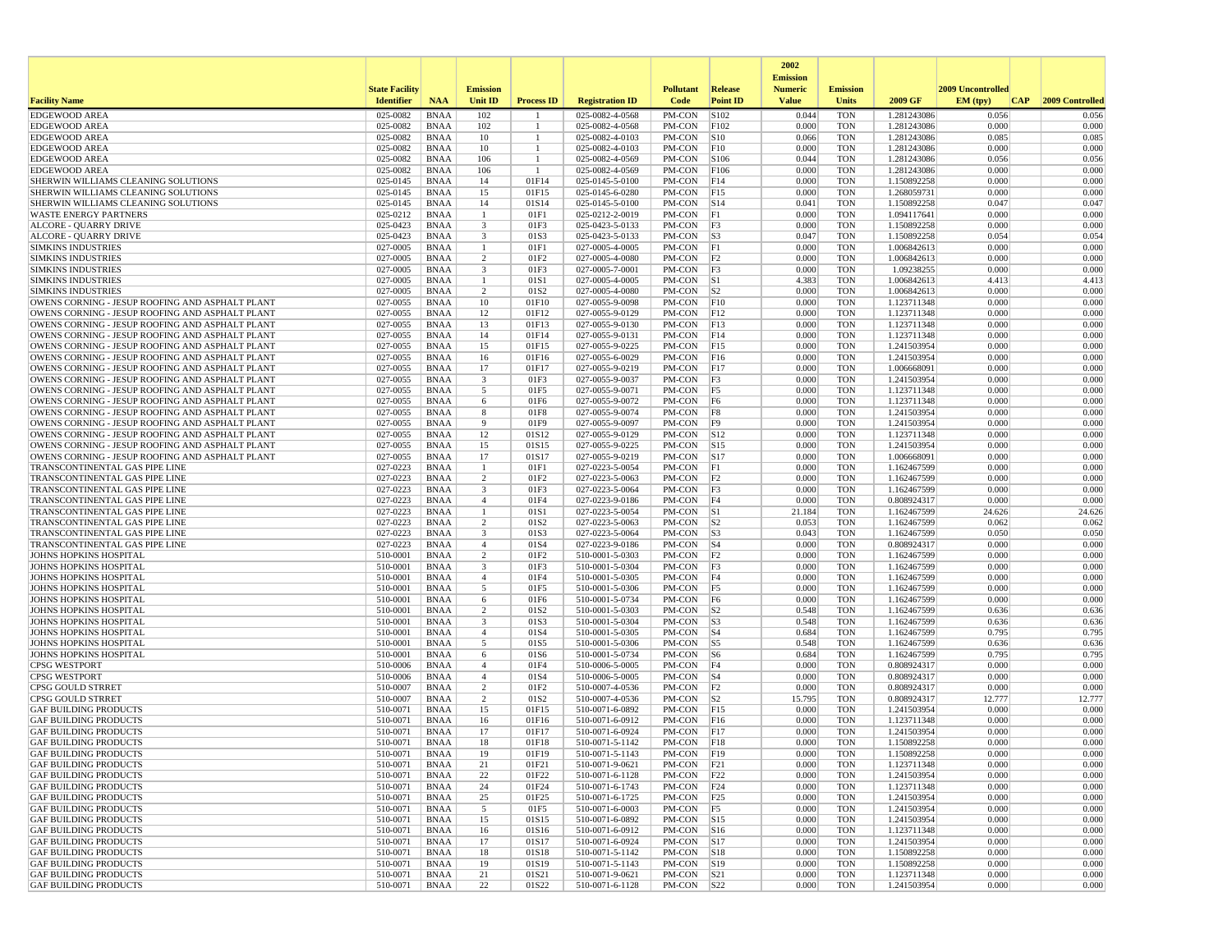|                                                                                                    |                       |                            |                         |                     |                                    |                                |                                  | 2002<br><b>Emission</b> |                          |                            |                   |                 |
|----------------------------------------------------------------------------------------------------|-----------------------|----------------------------|-------------------------|---------------------|------------------------------------|--------------------------------|----------------------------------|-------------------------|--------------------------|----------------------------|-------------------|-----------------|
|                                                                                                    | <b>State Facility</b> |                            | <b>Emission</b>         |                     |                                    | <b>Pollutant</b>               | <b>Release</b>                   | <b>Numeric</b>          | <b>Emission</b>          |                            | 2009 Uncontrolled |                 |
| <b>Facility Name</b>                                                                               | <b>Identifier</b>     | <b>NAA</b>                 | <b>Unit ID</b>          | <b>Process ID</b>   | <b>Registration ID</b>             | Code                           | <b>Point ID</b>                  | <b>Value</b>            | <b>Units</b>             | 2009 GF                    | EM (tpv)<br> CAP  | 2009 Controlled |
| <b>EDGEWOOD AREA</b>                                                                               | 025-0082              | <b>BNAA</b>                | 102                     |                     | 025-0082-4-0568                    | PM-CON                         | S102                             | 0.044                   | <b>TON</b>               | 1.281243086                | 0.056             | 0.056           |
| <b>EDGEWOOD AREA</b><br><b>EDGEWOOD AREA</b>                                                       | 025-0082<br>025-0082  | <b>BNAA</b><br><b>BNAA</b> | 102<br>10               | -1.<br>$\mathbf{1}$ | 025-0082-4-0568<br>025-0082-4-0103 | PM-CON<br>PM-CON               | F102<br> S10                     | 0.000<br>0.066          | <b>TON</b><br><b>TON</b> | 1.281243086<br>1.281243086 | 0.000<br>0.085    | 0.000<br>0.085  |
| <b>EDGEWOOD AREA</b>                                                                               | 025-0082              | <b>BNAA</b>                | 10                      | $\mathbf{1}$        | 025-0082-4-0103                    | PM-CON                         | F10                              | 0.000                   | <b>TON</b>               | 1.281243086                | 0.000             | 0.000           |
| <b>EDGEWOOD AREA</b>                                                                               | 025-0082              | BNAA                       | 106                     | -1                  | 025-0082-4-0569                    | PM-CON                         | S106                             | 0.044                   | <b>TON</b>               | 1.281243086                | 0.056             | 0.056           |
| <b>EDGEWOOD AREA</b>                                                                               | 025-0082              | <b>BNAA</b>                | 106                     | -1                  | 025-0082-4-0569                    | PM-CON                         | F106                             | 0.000                   | <b>TON</b>               | 1.281243086                | 0.000             | 0.000           |
| SHERWIN WILLIAMS CLEANING SOLUTIONS                                                                | 025-0145              | <b>BNAA</b>                | 14                      | 01F14               | 025-0145-5-0100                    | PM-CON                         | F14                              | 0.000                   | <b>TON</b>               | 1.150892258                | 0.000             | 0.000           |
| SHERWIN WILLIAMS CLEANING SOLUTIONS<br>SHERWIN WILLIAMS CLEANING SOLUTIONS                         | 025-0145<br>025-0145  | <b>BNAA</b><br><b>BNAA</b> | 15<br>14                | 01F15<br>01S14      | 025-0145-6-0280<br>025-0145-5-0100 | PM-CON<br>PM-CON               | F15<br>$\vert$ S <sub>14</sub>   | 0.000<br>0.041          | <b>TON</b><br><b>TON</b> | 1.268059731<br>1.150892258 | 0.000<br>0.047    | 0.000<br>0.047  |
| <b>WASTE ENERGY PARTNERS</b>                                                                       | 025-0212              | <b>BNAA</b>                | -1                      | 01F1                | 025-0212-2-0019                    | PM-CON                         | F1                               | 0.000                   | <b>TON</b>               | 1.094117641                | 0.000             | 0.000           |
| <b>ALCORE - QUARRY DRIVE</b>                                                                       | 025-0423              | <b>BNAA</b>                | $\overline{\mathbf{3}}$ | 01F3                | 025-0423-5-0133                    | PM-CON                         | F3                               | 0.000                   | <b>TON</b>               | 1.150892258                | 0.000             | 0.000           |
| <b>ALCORE - QUARRY DRIVE</b>                                                                       | 025-0423              | BNAA                       | $\overline{\mathbf{3}}$ | 01S3                | 025-0423-5-0133                    | PM-CON                         | S3                               | 0.047                   | <b>TON</b>               | 1.150892258                | 0.054             | 0.054           |
| <b>SIMKINS INDUSTRIES</b>                                                                          | 027-0005              | <b>BNAA</b>                | -1                      | 01F1                | 027-0005-4-0005                    | PM-CON                         | F1                               | 0.000                   | <b>TON</b>               | 1.006842613                | 0.000             | 0.000           |
| <b>SIMKINS INDUSTRIES</b>                                                                          | 027-0005              | <b>BNAA</b>                | $\overline{2}$          | 01F2                | 027-0005-4-0080                    | PM-CON                         | F2                               | 0.000                   | <b>TON</b>               | 1.006842613                | 0.000             | 0.000           |
| <b>SIMKINS INDUSTRIES</b><br><b>SIMKINS INDUSTRIES</b>                                             | 027-0005<br>027-0005  | <b>BNAA</b><br>BNAA        | 3<br>-1                 | 01F3<br>01S1        | 027-0005-7-0001<br>027-0005-4-0005 | PM-CON<br>PM-CON               | F3<br> S1                        | 0.000<br>4.383          | <b>TON</b><br><b>TON</b> | 1.09238255<br>1.006842613  | 0.000<br>4.413    | 0.000<br>4.413  |
| <b>SIMKINS INDUSTRIES</b>                                                                          | 027-0005              | <b>BNAA</b>                | $\overline{2}$          | 01S2                | 027-0005-4-0080                    | PM-CON                         | S2                               | 0.000                   | <b>TON</b>               | 1.006842613                | 0.000             | 0.000           |
| OWENS CORNING - JESUP ROOFING AND ASPHALT PLANT                                                    | 027-0055              | BNAA                       | 10                      | 01F10               | 027-0055-9-0098                    | PM-CON                         | F10                              | 0.000                   | <b>TON</b>               | 1.123711348                | 0.000             | 0.000           |
| OWENS CORNING - JESUP ROOFING AND ASPHALT PLANT                                                    | 027-0055              | BNAA                       | 12                      | 01F12               | 027-0055-9-0129                    | PM-CON                         | F12                              | 0.000                   | <b>TON</b>               | 1.123711348                | 0.000             | 0.000           |
| OWENS CORNING - JESUP ROOFING AND ASPHALT PLANT                                                    | 027-0055              | <b>BNAA</b>                | 13                      | 01F13               | 027-0055-9-0130                    | PM-CON                         | F13                              | 0.000                   | <b>TON</b>               | 1.123711348                | 0.000             | 0.000           |
| OWENS CORNING - JESUP ROOFING AND ASPHALT PLANT                                                    | 027-0055              | <b>BNAA</b>                | 14                      | 01F14               | 027-0055-9-0131                    | PM-CON                         | F14                              | 0.000                   | <b>TON</b>               | 1.123711348                | 0.000             | 0.000           |
| OWENS CORNING - JESUP ROOFING AND ASPHALT PLANT<br>OWENS CORNING - JESUP ROOFING AND ASPHALT PLANT | 027-0055<br>027-0055  | <b>BNAA</b><br>BNAA        | 15<br>16                | 01F15<br>01F16      | 027-0055-9-0225<br>027-0055-6-0029 | PM-CON<br>PM-CON               | F15<br>F16                       | 0.000<br>0.000          | <b>TON</b><br><b>TON</b> | 1.241503954<br>1.241503954 | 0.000<br>0.000    | 0.000<br>0.000  |
| OWENS CORNING - JESUP ROOFING AND ASPHALT PLANT                                                    | 027-0055              | BNAA                       | 17                      | 01F17               | 027-0055-9-0219                    | PM-CON                         | F17                              | 0.000                   | <b>TON</b>               | 1.006668091                | 0.000             | 0.000           |
| OWENS CORNING - JESUP ROOFING AND ASPHALT PLANT                                                    | 027-0055              | <b>BNAA</b>                | 3                       | 01F3                | 027-0055-9-0037                    | PM-CON                         | F3                               | 0.000                   | <b>TON</b>               | 1.241503954                | 0.000             | 0.000           |
| OWENS CORNING - JESUP ROOFING AND ASPHALT PLANT                                                    | 027-0055              | BNAA                       | 5                       | 01F5                | 027-0055-9-0071                    | PM-CON                         | F5                               | 0.000                   | <b>TON</b>               | 1.123711348                | 0.000             | 0.000           |
| OWENS CORNING - JESUP ROOFING AND ASPHALT PLANT                                                    | 027-0055              | <b>BNAA</b>                | 6                       | 01F6                | 027-0055-9-0072                    | PM-CON                         | F6                               | 0.000                   | <b>TON</b>               | 1.123711348                | 0.000             | 0.000           |
| OWENS CORNING - JESUP ROOFING AND ASPHALT PLANT                                                    | 027-0055              | <b>BNAA</b>                | 8                       | 01F8                | 027-0055-9-0074                    | PM-CON                         | F8                               | 0.000                   | <b>TON</b>               | 1.241503954                | 0.000             | 0.000           |
| OWENS CORNING - JESUP ROOFING AND ASPHALT PLANT<br>OWENS CORNING - JESUP ROOFING AND ASPHALT PLANT | 027-0055<br>027-0055  | <b>BNAA</b><br>BNAA        | 9<br>12                 | 01F9<br>01S12       | 027-0055-9-0097<br>027-0055-9-0129 | PM-CON<br>PM-CON               | F9 <br>$\vert$ S <sub>12</sub>   | 0.000<br>0.000          | <b>TON</b><br><b>TON</b> | 1.241503954<br>1.123711348 | 0.000<br>0.000    | 0.000<br>0.000  |
| OWENS CORNING - JESUP ROOFING AND ASPHALT PLANT                                                    | 027-0055              | <b>BNAA</b>                | 15                      | 01S15               | 027-0055-9-0225                    | PM-CON                         | S15                              | 0.000                   | <b>TON</b>               | 1.241503954                | 0.000             | 0.000           |
| OWENS CORNING - JESUP ROOFING AND ASPHALT PLANT                                                    | 027-0055              | <b>BNAA</b>                | 17                      | 01S17               | 027-0055-9-0219                    | PM-CON                         | $\vert$ S17                      | 0.000                   | <b>TON</b>               | 1.006668091                | 0.000             | 0.000           |
| TRANSCONTINENTAL GAS PIPE LINE                                                                     | 027-0223              | BNAA                       | -1                      | 01F1                | 027-0223-5-0054                    | PM-CON                         | F1                               | 0.000                   | <b>TON</b>               | 1.162467599                | 0.000             | 0.000           |
| TRANSCONTINENTAL GAS PIPE LINE                                                                     | 027-0223              | <b>BNAA</b>                | $\overline{2}$          | 01F2                | 027-0223-5-0063                    | PM-CON                         | F2                               | 0.000                   | <b>TON</b>               | 1.162467599                | 0.000             | 0.000           |
| TRANSCONTINENTAL GAS PIPE LINE                                                                     | 027-0223              | <b>BNAA</b>                | $\overline{\mathbf{3}}$ | 01F3                | 027-0223-5-0064                    | PM-CON                         | F3                               | 0.000                   | <b>TON</b>               | 1.162467599                | 0.000             | 0.000           |
| TRANSCONTINENTAL GAS PIPE LINE<br>TRANSCONTINENTAL GAS PIPE LINE                                   | 027-0223<br>027-0223  | <b>BNAA</b><br>BNAA        | $\overline{4}$<br>-1    | 01F4<br>01S1        | 027-0223-9-0186<br>027-0223-5-0054 | PM-CON<br>PM-CON               | F4<br> S1                        | 0.000<br>21.184         | <b>TON</b><br><b>TON</b> | 0.808924317<br>1.162467599 | 0.000<br>24.626   | 0.000<br>24.626 |
| TRANSCONTINENTAL GAS PIPE LINE                                                                     | 027-0223              | <b>BNAA</b>                | $\overline{2}$          | 01S2                | 027-0223-5-0063                    | PM-CON                         | S <sub>2</sub>                   | 0.053                   | <b>TON</b>               | 1.162467599                | 0.062             | 0.062           |
| TRANSCONTINENTAL GAS PIPE LINE                                                                     | 027-0223              | <b>BNAA</b>                | $\overline{\mathbf{3}}$ | 01S3                | 027-0223-5-0064                    | PM-CON                         | S3                               | 0.043                   | <b>TON</b>               | 1.162467599                | 0.050             | 0.050           |
| TRANSCONTINENTAL GAS PIPE LINE                                                                     | 027-0223              | <b>BNAA</b>                | $\overline{4}$          | 01S4                | 027-0223-9-0186                    | PM-CON                         | $ S_4 $                          | 0.000                   | <b>TON</b>               | 0.808924317                | 0.000             | 0.000           |
| JOHNS HOPKINS HOSPITAL                                                                             | 510-0001              | BNAA                       | $\overline{2}$          | 01F2                | 510-0001-5-0303                    | PM-CON                         | F2                               | 0.000                   | <b>TON</b>               | 1.162467599                | 0.000             | 0.000           |
| <b>JOHNS HOPKINS HOSPITAL</b>                                                                      | 510-0001              | <b>BNAA</b>                | $\overline{\mathbf{3}}$ | 01F3                | 510-0001-5-0304                    | PM-CON                         | F3<br>F4                         | 0.000<br>0.000          | <b>TON</b><br><b>TON</b> | 1.162467599                | 0.000<br>0.000    | 0.000           |
| JOHNS HOPKINS HOSPITAL<br><b>JOHNS HOPKINS HOSPITAL</b>                                            | 510-0001<br>510-0001  | <b>BNAA</b><br>BNAA        | $\overline{4}$<br>5     | 01F4<br>01F5        | 510-0001-5-0305<br>510-0001-5-0306 | PM-CON<br>PM-CON               | F5                               | 0.000                   | <b>TON</b>               | 1.162467599<br>1.162467599 | 0.000             | 0.000<br>0.000  |
| <b>JOHNS HOPKINS HOSPITAL</b>                                                                      | 510-0001              | <b>BNAA</b>                | 6                       | 01F6                | 510-0001-5-0734                    | PM-CON                         | F6                               | 0.000                   | <b>TON</b>               | 1.162467599                | 0.000             | 0.000           |
| <b>JOHNS HOPKINS HOSPITAL</b>                                                                      | 510-0001              | <b>BNAA</b>                | 2                       | 01S2                | 510-0001-5-0303                    | PM-CON                         | S2                               | 0.548                   | <b>TON</b>               | 1.162467599                | 0.636             | 0.636           |
| <b>JOHNS HOPKINS HOSPITAL</b>                                                                      | 510-0001              | <b>BNAA</b>                | 3                       | 01S3                | 510-0001-5-0304                    | PM-CON                         | S3                               | 0.548                   | <b>TON</b>               | 1.162467599                | 0.636             | 0.636           |
| <b>JOHNS HOPKINS HOSPITAL</b>                                                                      | 510-0001              | <b>BNAA</b>                | $\overline{4}$          | 01S4                | 510-0001-5-0305                    | PM-CON                         | $ S_4 $                          | 0.684                   | <b>TON</b>               | 1.162467599                | 0.795             | 0.795           |
| <b>JOHNS HOPKINS HOSPITAL</b><br><b>JOHNS HOPKINS HOSPITAL</b>                                     | 510-0001<br>510-0001  | BNAA<br><b>BNAA</b>        | 5<br>6                  | 01S5<br>01S6        | 510-0001-5-0306<br>510-0001-5-0734 | PM-CON<br>PM-CON               | $\vert$ S5<br>$\sqrt{\text{S6}}$ | 0.548<br>0.684          | <b>TON</b><br><b>TON</b> | 1.162467599<br>1.162467599 | 0.636<br>0.795    | 0.636<br>0.795  |
| <b>CPSG WESTPORT</b>                                                                               | 510-0006              | BNAA                       | $\overline{4}$          | 01F4                | 510-0006-5-0005                    | PM-CON                         | F4                               | 0.000                   | <b>TON</b>               | 0.808924317                | 0.000             | 0.000           |
| <b>CPSG WESTPORT</b>                                                                               | 510-0006              | <b>BNAA</b>                | $\overline{4}$          | 01S4                | 510-0006-5-0005                    | PM-CON                         | $\vert$ S4                       | 0.000                   | <b>TON</b>               | 0.808924317                | 0.000             | 0.000           |
| CPSG GOULD STRRET                                                                                  | 510-0007              | <b>BNAA</b>                | $\overline{2}$          | 01F2                | 510-0007-4-0536                    | PM-CON                         | F2                               | 0.000                   | <b>TON</b>               | 0.808924317                | 0.000             | 0.000           |
| CPSG GOULD STRRET                                                                                  | 510-0007              | <b>BNAA</b>                | $\overline{c}$          | 01S <sub>2</sub>    | 510-0007-4-0536                    | PM-CON                         | S2                               | 15.795                  | <b>TON</b>               | 0.808924317                | 12.777            | 12.777          |
| <b>GAF BUILDING PRODUCTS</b>                                                                       | 510-0071              | BNAA                       | 15                      | 01F15               | 510-0071-6-0892                    | PM-CON                         | F15                              | 0.000                   | <b>TON</b>               | 1.241503954                | 0.000             | 0.000           |
| <b>GAF BUILDING PRODUCTS</b><br><b>GAF BUILDING PRODUCTS</b>                                       | 510-0071<br>510-0071  | <b>BNAA</b><br><b>BNAA</b> | 16<br>17                | 01F16<br>01F17      | 510-0071-6-0912<br>510-0071-6-0924 | PM-CON<br>PM-CON               | F16<br>F17                       | 0.000<br>0.000          | <b>TON</b><br><b>TON</b> | 1.123711348<br>1.241503954 | 0.000<br>0.000    | 0.000<br>0.000  |
| <b>GAF BUILDING PRODUCTS</b>                                                                       | 510-0071              | <b>BNAA</b>                | 18                      | 01F18               | 510-0071-5-1142                    | PM-CON                         | F18                              | 0.000                   | <b>TON</b>               | 1.150892258                | 0.000             | 0.000           |
| <b>GAF BUILDING PRODUCTS</b>                                                                       | 510-0071              | <b>BNAA</b>                | 19                      | 01F19               | 510-0071-5-1143                    | PM-CON F19                     |                                  | 0.000                   | TON                      | 1.150892258                | 0.000             | 0.000           |
| <b>GAF BUILDING PRODUCTS</b>                                                                       | 510-0071              | BNAA                       | 21                      | 01F21               | 510-0071-9-0621                    | $PM-CON$ $ F21$                |                                  | 0.000                   | <b>TON</b>               | 1.123711348                | 0.000             | 0.000           |
| <b>GAF BUILDING PRODUCTS</b>                                                                       | 510-0071              | BNAA                       | 22                      | 01F22               | 510-0071-6-1128                    | PM-CON F22                     |                                  | 0.000                   | <b>TON</b>               | 1.241503954                | 0.000             | 0.000           |
| <b>GAF BUILDING PRODUCTS</b>                                                                       | 510-0071              | <b>BNAA</b>                | 24                      | 01F24               | 510-0071-6-1743                    | PM-CON   F24                   |                                  | 0.000                   | <b>TON</b>               | 1.123711348                | 0.000             | 0.000           |
| <b>GAF BUILDING PRODUCTS</b><br><b>GAF BUILDING PRODUCTS</b>                                       | 510-0071<br>510-0071  | BNAA<br><b>BNAA</b>        | 25<br>5                 | 01F25<br>01F5       | 510-0071-6-1725<br>510-0071-6-0003 | PM-CON F25<br>PM-CON           |                                  | 0.000<br>0.000          | <b>TON</b><br><b>TON</b> | 1.241503954<br>1.241503954 | 0.000<br>0.000    | 0.000<br>0.000  |
| <b>GAF BUILDING PRODUCTS</b>                                                                       | 510-0071              | BNAA                       | 15                      | 01S15               | 510-0071-6-0892                    | PM-CON S15                     | F5                               | 0.000                   | <b>TON</b>               | 1.241503954                | 0.000             | 0.000           |
| <b>GAF BUILDING PRODUCTS</b>                                                                       | 510-0071              | BNAA                       | 16                      | 01S16               | 510-0071-6-0912                    | $PM$ -CON $ S16$               |                                  | 0.000                   | <b>TON</b>               | 1.123711348                | 0.000             | 0.000           |
| <b>GAF BUILDING PRODUCTS</b>                                                                       | 510-0071              | BNAA                       | 17                      | 01S17               | 510-0071-6-0924                    | PM-CON S17                     |                                  | 0.000                   | <b>TON</b>               | 1.241503954                | 0.000             | 0.000           |
| <b>GAF BUILDING PRODUCTS</b>                                                                       | 510-0071              | BNAA                       | 18                      | 01S18               | 510-0071-5-1142                    | PM-CON S18                     |                                  | 0.000                   | <b>TON</b>               | 1.150892258                | 0.000             | 0.000           |
| <b>GAF BUILDING PRODUCTS</b>                                                                       | 510-0071              | <b>BNAA</b>                | 19                      | 01S19               | 510-0071-5-1143                    | PM-CON S19                     |                                  | 0.000                   | <b>TON</b>               | 1.150892258                | 0.000             | 0.000           |
| <b>GAF BUILDING PRODUCTS</b><br><b>GAF BUILDING PRODUCTS</b>                                       | 510-0071<br>510-0071  | <b>BNAA</b><br><b>BNAA</b> | 21<br>22                | 01S21<br>01S22      | 510-0071-9-0621<br>510-0071-6-1128 | PM-CON S21<br>$PM$ -CON $ S22$ |                                  | 0.000<br>0.000          | <b>TON</b><br><b>TON</b> | 1.123711348<br>1.241503954 | 0.000<br>0.000    | 0.000<br>0.000  |
|                                                                                                    |                       |                            |                         |                     |                                    |                                |                                  |                         |                          |                            |                   |                 |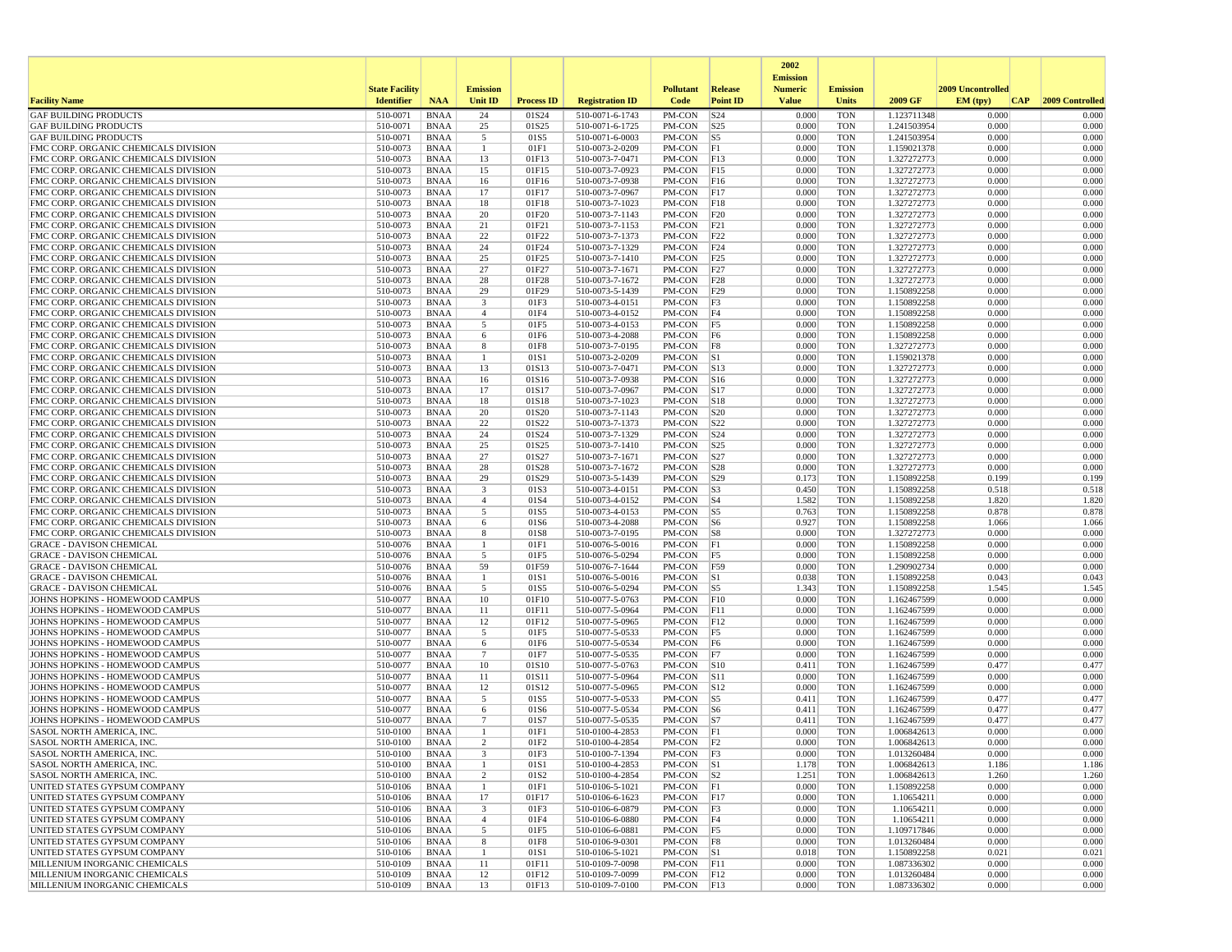|                                                                              |                       |                            |                                  |                   |                                    |                           |                        | 2002                              |                          |                            |                   |                 |
|------------------------------------------------------------------------------|-----------------------|----------------------------|----------------------------------|-------------------|------------------------------------|---------------------------|------------------------|-----------------------------------|--------------------------|----------------------------|-------------------|-----------------|
|                                                                              | <b>State Facility</b> |                            | <b>Emission</b>                  |                   |                                    | <b>Pollutant</b>          | Release                | <b>Emission</b><br><b>Numeric</b> | <b>Emission</b>          |                            | 2009 Uncontrolled |                 |
| <b>Facility Name</b>                                                         | <b>Identifier</b>     | <b>NAA</b>                 | Unit ID                          | <b>Process ID</b> | <b>Registration ID</b>             | Code                      | <b>Point ID</b>        | <b>Value</b>                      | <b>Units</b>             | 2009 GF                    | EM (typ)<br> CAP  | 2009 Controlled |
| <b>GAF BUILDING PRODUCTS</b>                                                 | 510-0071              | <b>BNAA</b>                | 24                               | 01S24             | 510-0071-6-1743                    | PM-CON                    | S24                    | 0.000                             | <b>TON</b>               | 1.123711348                | 0.000             | 0.000           |
| <b>GAF BUILDING PRODUCTS</b>                                                 | 510-0071              | <b>BNAA</b>                | 25                               | 01S25             | 510-0071-6-1725                    | PM-CON                    | S25                    | 0.000                             | <b>TON</b>               | 1.241503954                | 0.000             | 0.000           |
| <b>GAF BUILDING PRODUCTS</b><br>FMC CORP. ORGANIC CHEMICALS DIVISION         | 510-0071<br>510-0073  | <b>BNAA</b><br><b>BNAA</b> | 5<br>-1                          | 01S5<br>01F1      | 510-0071-6-0003<br>510-0073-2-0209 | PM-CON<br>PM-CON          | S5<br> F1              | 0.000<br>0.000                    | <b>TON</b><br><b>TON</b> | 1.241503954<br>1.159021378 | 0.000<br>0.000    | 0.000<br>0.000  |
| FMC CORP. ORGANIC CHEMICALS DIVISION                                         | 510-0073              | <b>BNAA</b>                | 13                               | 01F13             | 510-0073-7-0471                    | PM-CON                    | F13                    | 0.000                             | <b>TON</b>               | 1.327272773                | 0.000             | 0.000           |
| FMC CORP. ORGANIC CHEMICALS DIVISION                                         | 510-0073              | <b>BNAA</b>                | 15                               | 01F15             | 510-0073-7-0923                    | PM-CON                    | F15                    | 0.000                             | <b>TON</b>               | 1.327272773                | 0.000             | 0.000           |
| FMC CORP. ORGANIC CHEMICALS DIVISION                                         | 510-0073              | <b>BNAA</b>                | 16                               | 01F16             | 510-0073-7-0938                    | PM-CON                    | F16                    | 0.000                             | <b>TON</b>               | 1.327272773                | 0.000             | 0.000           |
| FMC CORP. ORGANIC CHEMICALS DIVISION                                         | 510-0073              | <b>BNAA</b>                | 17                               | 01F17             | 510-0073-7-0967                    | PM-CON                    | F17                    | 0.000                             | <b>TON</b>               | 1.327272773                | 0.000             | 0.000           |
| FMC CORP. ORGANIC CHEMICALS DIVISION<br>FMC CORP. ORGANIC CHEMICALS DIVISION | 510-0073<br>510-0073  | <b>BNAA</b><br><b>BNAA</b> | 18<br>20                         | 01F18<br>01F20    | 510-0073-7-1023<br>510-0073-7-1143 | PM-CON<br>$PM$ -CON       | F18<br>F20             | 0.000<br>0.000                    | <b>TON</b><br><b>TON</b> | 1.327272773<br>1.327272773 | 0.000<br>0.000    | 0.000<br>0.000  |
| FMC CORP. ORGANIC CHEMICALS DIVISION                                         | 510-0073              | <b>BNAA</b>                | 21                               | 01F21             | 510-0073-7-1153                    | PM-CON                    | F21                    | 0.000                             | <b>TON</b>               | 1.327272773                | 0.000             | 0.000           |
| FMC CORP. ORGANIC CHEMICALS DIVISION                                         | 510-0073              | <b>BNAA</b>                | 22                               | 01F22             | 510-0073-7-1373                    | PM-CON                    | F22                    | 0.000                             | <b>TON</b>               | 1.327272773                | 0.000             | 0.000           |
| FMC CORP. ORGANIC CHEMICALS DIVISION                                         | 510-0073              | <b>BNAA</b>                | 24                               | 01F24             | 510-0073-7-1329                    | PM-CON                    | F24                    | 0.000                             | <b>TON</b>               | 1.327272773                | 0.000             | 0.000           |
| FMC CORP. ORGANIC CHEMICALS DIVISION                                         | 510-0073              | <b>BNAA</b>                | 25                               | 01F25             | 510-0073-7-1410                    | PM-CON                    | F25                    | 0.000                             | <b>TON</b>               | 1.327272773                | 0.000             | 0.000           |
| FMC CORP. ORGANIC CHEMICALS DIVISION<br>FMC CORP. ORGANIC CHEMICALS DIVISION | 510-0073<br>510-0073  | <b>BNAA</b><br><b>BNAA</b> | 27<br>28                         | 01F27<br>01F28    | 510-0073-7-1671<br>510-0073-7-1672 | PM-CON<br>PM-CON          | F27<br>F28             | 0.000<br>0.000                    | <b>TON</b><br><b>TON</b> | 1.327272773                | 0.000<br>0.000    | 0.000<br>0.000  |
| FMC CORP. ORGANIC CHEMICALS DIVISION                                         | 510-0073              | <b>BNAA</b>                | 29                               | 01F29             | 510-0073-5-1439                    | PM-CON                    | F29                    | 0.000                             | <b>TON</b>               | 1.327272773<br>1.150892258 | 0.000             | 0.000           |
| FMC CORP. ORGANIC CHEMICALS DIVISION                                         | 510-0073              | <b>BNAA</b>                | 3                                | 01F3              | 510-0073-4-0151                    | PM-CON                    | <sup>F3</sup>          | 0.000                             | <b>TON</b>               | 1.150892258                | 0.000             | 0.000           |
| FMC CORP. ORGANIC CHEMICALS DIVISION                                         | 510-0073              | <b>BNAA</b>                | $\overline{4}$                   | 01F4              | 510-0073-4-0152                    | PM-CON                    | F4                     | 0.000                             | <b>TON</b>               | 1.150892258                | 0.000             | 0.000           |
| FMC CORP. ORGANIC CHEMICALS DIVISION                                         | 510-0073              | <b>BNAA</b>                | 5                                | 01F5              | 510-0073-4-0153                    | PM-CON                    | F5                     | 0.000                             | <b>TON</b>               | 1.150892258                | 0.000             | 0.000           |
| FMC CORP. ORGANIC CHEMICALS DIVISION                                         | 510-0073              | <b>BNAA</b>                | 6                                | 01F6              | 510-0073-4-2088                    | PM-CON                    | F6                     | 0.000                             | <b>TON</b>               | 1.150892258                | 0.000             | 0.000           |
| FMC CORP. ORGANIC CHEMICALS DIVISION<br>FMC CORP. ORGANIC CHEMICALS DIVISION | 510-0073<br>510-0073  | <b>BNAA</b><br><b>BNAA</b> | 8<br>$\mathbf{1}$                | 01F8<br>01S1      | 510-0073-7-0195<br>510-0073-2-0209 | PM-CON<br>PM-CON          | F8<br> S1              | 0.000<br>0.000                    | <b>TON</b><br><b>TON</b> | 1.327272773<br>1.159021378 | 0.000<br>0.000    | 0.000<br>0.000  |
| FMC CORP. ORGANIC CHEMICALS DIVISION                                         | 510-0073              | <b>BNAA</b>                | 13                               | 01S13             | 510-0073-7-0471                    | PM-CON                    | S13                    | 0.000                             | <b>TON</b>               | 1.327272773                | 0.000             | 0.000           |
| FMC CORP. ORGANIC CHEMICALS DIVISION                                         | 510-0073              | <b>BNAA</b>                | 16                               | 01S16             | 510-0073-7-0938                    | PM-CON                    | S16                    | 0.000                             | <b>TON</b>               | 1.327272773                | 0.000             | 0.000           |
| FMC CORP. ORGANIC CHEMICALS DIVISION                                         | 510-0073              | <b>BNAA</b>                | 17                               | 01S17             | 510-0073-7-0967                    | PM-CON                    | S17                    | 0.000                             | <b>TON</b>               | 1.327272773                | 0.000             | 0.000           |
| FMC CORP. ORGANIC CHEMICALS DIVISION                                         | 510-0073              | <b>BNAA</b>                | 18                               | 01S18             | 510-0073-7-1023                    | PM-CON                    | S18                    | 0.000                             | <b>TON</b>               | 1.327272773                | 0.000             | 0.000           |
| FMC CORP. ORGANIC CHEMICALS DIVISION<br>FMC CORP. ORGANIC CHEMICALS DIVISION | 510-0073<br>510-0073  | <b>BNAA</b><br><b>BNAA</b> | 20<br>22                         | 01S20<br>01S22    | 510-0073-7-1143<br>510-0073-7-1373 | PM-CON<br>PM-CON          | S20<br>S <sub>22</sub> | 0.000<br>0.000                    | <b>TON</b><br><b>TON</b> | 1.327272773<br>1.327272773 | 0.000<br>0.000    | 0.000<br>0.000  |
| FMC CORP. ORGANIC CHEMICALS DIVISION                                         | 510-0073              | <b>BNAA</b>                | 24                               | 01S24             | 510-0073-7-1329                    | PM-CON                    | S <sub>24</sub>        | 0.000                             | <b>TON</b>               | 1.327272773                | 0.000             | 0.000           |
| FMC CORP. ORGANIC CHEMICALS DIVISION                                         | 510-0073              | <b>BNAA</b>                | 25                               | 01S25             | 510-0073-7-1410                    | PM-CON                    | S <sub>25</sub>        | 0.000                             | <b>TON</b>               | 1.327272773                | 0.000             | 0.000           |
| FMC CORP. ORGANIC CHEMICALS DIVISION                                         | 510-0073              | <b>BNAA</b>                | 27                               | 01S27             | 510-0073-7-1671                    | PM-CON                    | S27                    | 0.000                             | <b>TON</b>               | 1.327272773                | 0.000             | 0.000           |
| FMC CORP. ORGANIC CHEMICALS DIVISION                                         | 510-0073              | <b>BNAA</b>                | 28                               | 01S28             | 510-0073-7-1672                    | PM-CON                    | S28                    | 0.000                             | <b>TON</b>               | 1.327272773                | 0.000             | 0.000           |
| FMC CORP. ORGANIC CHEMICALS DIVISION<br>FMC CORP. ORGANIC CHEMICALS DIVISION | 510-0073<br>510-0073  | <b>BNAA</b><br><b>BNAA</b> | 29<br>3                          | 01S29<br>01S3     | 510-0073-5-1439<br>510-0073-4-0151 | PM-CON<br>PM-CON          | S29<br> S3             | 0.173<br>0.450                    | <b>TON</b><br><b>TON</b> | 1.150892258<br>1.150892258 | 0.199<br>0.518    | 0.199<br>0.518  |
| FMC CORP. ORGANIC CHEMICALS DIVISION                                         | 510-0073              | <b>BNAA</b>                | $\overline{4}$                   | 01S4              | 510-0073-4-0152                    | PM-CON                    | $ S_4 $                | 1.582                             | <b>TON</b>               | 1.150892258                | 1.820             | 1.820           |
| FMC CORP. ORGANIC CHEMICALS DIVISION                                         | 510-0073              | <b>BNAA</b>                | 5                                | 01S5              | 510-0073-4-0153                    | PM-CON                    | $\sqrt{S}$             | 0.763                             | <b>TON</b>               | 1.150892258                | 0.878             | 0.878           |
| FMC CORP. ORGANIC CHEMICALS DIVISION                                         | 510-0073              | <b>BNAA</b>                | 6                                | 01S6              | 510-0073-4-2088                    | PM-CON                    | S6                     | 0.927                             | <b>TON</b>               | 1.150892258                | 1.066             | 1.066           |
| FMC CORP. ORGANIC CHEMICALS DIVISION                                         | 510-0073              | <b>BNAA</b>                | 8                                | 01S8              | 510-0073-7-0195                    | PM-CON                    | <b>S8</b>              | 0.000                             | <b>TON</b>               | 1.327272773                | 0.000             | 0.000           |
| <b>GRACE - DAVISON CHEMICAL</b><br><b>GRACE - DAVISON CHEMICAL</b>           | 510-0076<br>510-0076  | <b>BNAA</b><br>BNAA        | $\mathbf{1}$<br>5                | 01F1<br>01F5      | 510-0076-5-0016<br>510-0076-5-0294 | PM-CON<br>PM-CON          | F <br>F5               | 0.000<br>0.000                    | <b>TON</b><br><b>TON</b> | 1.150892258<br>1.150892258 | 0.000<br>0.000    | 0.000<br>0.000  |
| <b>GRACE - DAVISON CHEMICAL</b>                                              | 510-0076              | <b>BNAA</b>                | 59                               | 01F59             | 510-0076-7-1644                    | PM-CON                    | F59                    | 0.000                             | <b>TON</b>               | 1.290902734                | 0.000             | 0.000           |
| <b>GRACE - DAVISON CHEMICAL</b>                                              | 510-0076              | <b>BNAA</b>                | $\mathbf{1}$                     | 01S1              | 510-0076-5-0016                    | PM-CON                    | S1                     | 0.038                             | <b>TON</b>               | 1.150892258                | 0.043             | 0.043           |
| <b>GRACE - DAVISON CHEMICAL</b>                                              | 510-0076              | <b>BNAA</b>                | 5                                | 01S5              | 510-0076-5-0294                    | PM-CON                    | $\vert$ S5             | 1.343                             | <b>TON</b>               | 1.150892258                | 1.545             | 1.545           |
| JOHNS HOPKINS - HOMEWOOD CAMPUS                                              | 510-0077              | <b>BNAA</b>                | 10                               | 01F10             | 510-0077-5-0763                    | PM-CON                    | F10                    | 0.000                             | <b>TON</b>               | 1.162467599                | 0.000             | 0.000           |
| JOHNS HOPKINS - HOMEWOOD CAMPUS<br>JOHNS HOPKINS - HOMEWOOD CAMPUS           | 510-0077<br>510-0077  | <b>BNAA</b><br><b>BNAA</b> | 11<br>12                         | 01F11<br>01F12    | 510-0077-5-0964<br>510-0077-5-0965 | PM-CON<br>PM-CON          | F11<br>F12             | 0.000<br>0.000                    | <b>TON</b><br><b>TON</b> | 1.162467599<br>1.162467599 | 0.000<br>0.000    | 0.000<br>0.000  |
| JOHNS HOPKINS - HOMEWOOD CAMPUS                                              | 510-0077              | <b>BNAA</b>                | 5                                | 01F5              | 510-0077-5-0533                    | PM-CON                    | F5                     | 0.000                             | <b>TON</b>               | 1.162467599                | 0.000             | 0.000           |
| JOHNS HOPKINS - HOMEWOOD CAMPUS                                              | 510-0077              | <b>BNAA</b>                | 6                                | 01F6              | 510-0077-5-0534                    | PM-CON                    | F6                     | 0.000                             | <b>TON</b>               | 1.162467599                | 0.000             | 0.000           |
| JOHNS HOPKINS - HOMEWOOD CAMPUS                                              | 510-0077              | <b>BNAA</b>                | $7\overline{ }$                  | 01F7              | 510-0077-5-0535                    | PM-CON                    | F7                     | 0.000                             | <b>TON</b>               | 1.162467599                | 0.000             | 0.000           |
| JOHNS HOPKINS - HOMEWOOD CAMPUS                                              | 510-0077              | <b>BNAA</b>                | 10                               | 01S10             | 510-0077-5-0763                    | PM-CON                    | <b>S10</b>             | 0.411                             | <b>TON</b>               | 1.162467599                | 0.477             | 0.477           |
| JOHNS HOPKINS - HOMEWOOD CAMPUS<br>JOHNS HOPKINS - HOMEWOOD CAMPUS           | 510-0077<br>510-0077  | <b>BNAA</b><br><b>BNAA</b> | 11<br>12                         | 01S11<br>01S12    | 510-0077-5-0964<br>510-0077-5-0965 | PM-CON<br>PM-CON          | S11<br> S12            | 0.000<br>0.000                    | <b>TON</b><br><b>TON</b> | 1.162467599<br>1.162467599 | 0.000<br>0.000    | 0.000<br>0.000  |
| JOHNS HOPKINS - HOMEWOOD CAMPUS                                              | 510-0077              | <b>BNAA</b>                | 5                                | 01S5              | 510-0077-5-0533                    | PM-CON                    | S5                     | 0.411                             | <b>TON</b>               | 1.162467599                | 0.477             | 0.477           |
| JOHNS HOPKINS - HOMEWOOD CAMPUS                                              | 510-0077              | <b>BNAA</b>                | 6                                | 01S6              | 510-0077-5-0534                    | PM-CON                    | $\sqrt{S}$             | 0.411                             | <b>TON</b>               | 1.162467599                | 0.477             | 0.477           |
| JOHNS HOPKINS - HOMEWOOD CAMPUS                                              | 510-0077              | <b>BNAA</b>                | $\overline{7}$                   | 01S7              | 510-0077-5-0535                    | PM-CON                    | S7                     | 0.411                             | <b>TON</b>               | 1.162467599                | 0.477             | 0.477           |
| SASOL NORTH AMERICA. INC.                                                    | 510-0100              | <b>BNAA</b>                | $\mathbf{1}$                     | 01F1              | 510-0100-4-2853                    | PM-CON                    | F1                     | 0.000                             | <b>TON</b>               | 1.006842613                | 0.000             | 0.000           |
| <b>SASOL NORTH AMERICA, INC.</b><br>SASOL NORTH AMERICA, INC.                | 510-0100<br>510-0100  | <b>BNAA</b><br>BNAA        | $\overline{2}$                   | 01F2<br>01F3      | 510-0100-4-2854<br>510-0100-7-1394 | PM-CON<br>$PM$ -CON $ F3$ | F2                     | 0.000<br>0.000                    | <b>TON</b><br>TON        | 1.006842613<br>1.013260484 | 0.000<br>0.000    | 0.000<br>0.000  |
| SASOL NORTH AMERICA, INC.                                                    | 510-0100              | BNAA                       | 1                                | 01S1              | 510-0100-4-2853                    | PM-CON S1                 |                        | 1.178                             | <b>TON</b>               | 1.006842613                | 1.186             | 1.186           |
| <b>SASOL NORTH AMERICA, INC.</b>                                             | 510-0100              | BNAA                       | 2                                | 01S <sub>2</sub>  | 510-0100-4-2854                    | $PM$ -CON $ S2 $          |                        | 1.251                             | <b>TON</b>               | 1.006842613                | 1.260             | 1.260           |
| UNITED STATES GYPSUM COMPANY                                                 | 510-0106              | BNAA                       | 1                                | 01F1              | 510-0106-5-1021                    | $PM$ -CON $ F1$           |                        | 0.000                             | TON                      | 1.150892258                | 0.000             | 0.000           |
| UNITED STATES GYPSUM COMPANY                                                 | 510-0106              | BNAA                       | 17                               | 01F17             | 510-0106-6-1623                    | PM-CON F17                |                        | 0.000                             | <b>TON</b>               | 1.10654211                 | 0.000             | 0.000           |
| UNITED STATES GYPSUM COMPANY<br>UNITED STATES GYPSUM COMPANY                 | 510-0106              | <b>BNAA</b>                | $\mathbf{3}$                     | 01F3<br>01F4      | 510-0106-6-0879                    | PM-CON<br>PM-CON F4       | F3                     | 0.000                             | <b>TON</b>               | 1.10654211                 | 0.000<br>0.000    | 0.000           |
| UNITED STATES GYPSUM COMPANY                                                 | 510-0106<br>510-0106  | <b>BNAA</b><br>BNAA        | $\overline{4}$<br>$\overline{5}$ | 01F5              | 510-0106-6-0880<br>510-0106-6-0881 | PM-CON F5                 |                        | 0.000<br>0.000                    | <b>TON</b><br><b>TON</b> | 1.10654211<br>1.109717846  | 0.000             | 0.000<br>0.000  |
| UNITED STATES GYPSUM COMPANY                                                 | 510-0106              | <b>BNAA</b>                | 8                                | 01F8              | 510-0106-9-0301                    | PM-CON F8                 |                        | 0.000                             | <b>TON</b>               | 1.013260484                | 0.000             | 0.000           |
| UNITED STATES GYPSUM COMPANY                                                 | 510-0106              | BNAA                       | $\mathbf{1}$                     | 01S1              | 510-0106-5-1021                    | PM-CON S1                 |                        | 0.018                             | <b>TON</b>               | 1.150892258                | 0.021             | 0.021           |
| MILLENIUM INORGANIC CHEMICALS                                                | 510-0109              | BNAA                       | 11                               | 01F11             | 510-0109-7-0098                    | PM-CON F11                |                        | 0.000                             | TON                      | 1.087336302                | 0.000             | 0.000           |
| MILLENIUM INORGANIC CHEMICALS                                                | 510-0109              | BNAA                       | 12                               | 01F12             | 510-0109-7-0099                    | PM-CON F12                |                        | 0.000                             | <b>TON</b>               | 1.013260484                | 0.000             | 0.000           |
| MILLENIUM INORGANIC CHEMICALS                                                | 510-0109              | <b>BNAA</b>                | 13                               | 01F13             | 510-0109-7-0100                    | PM-CON F13                |                        | 0.000                             | <b>TON</b>               | 1.087336302                | 0.000             | 0.000           |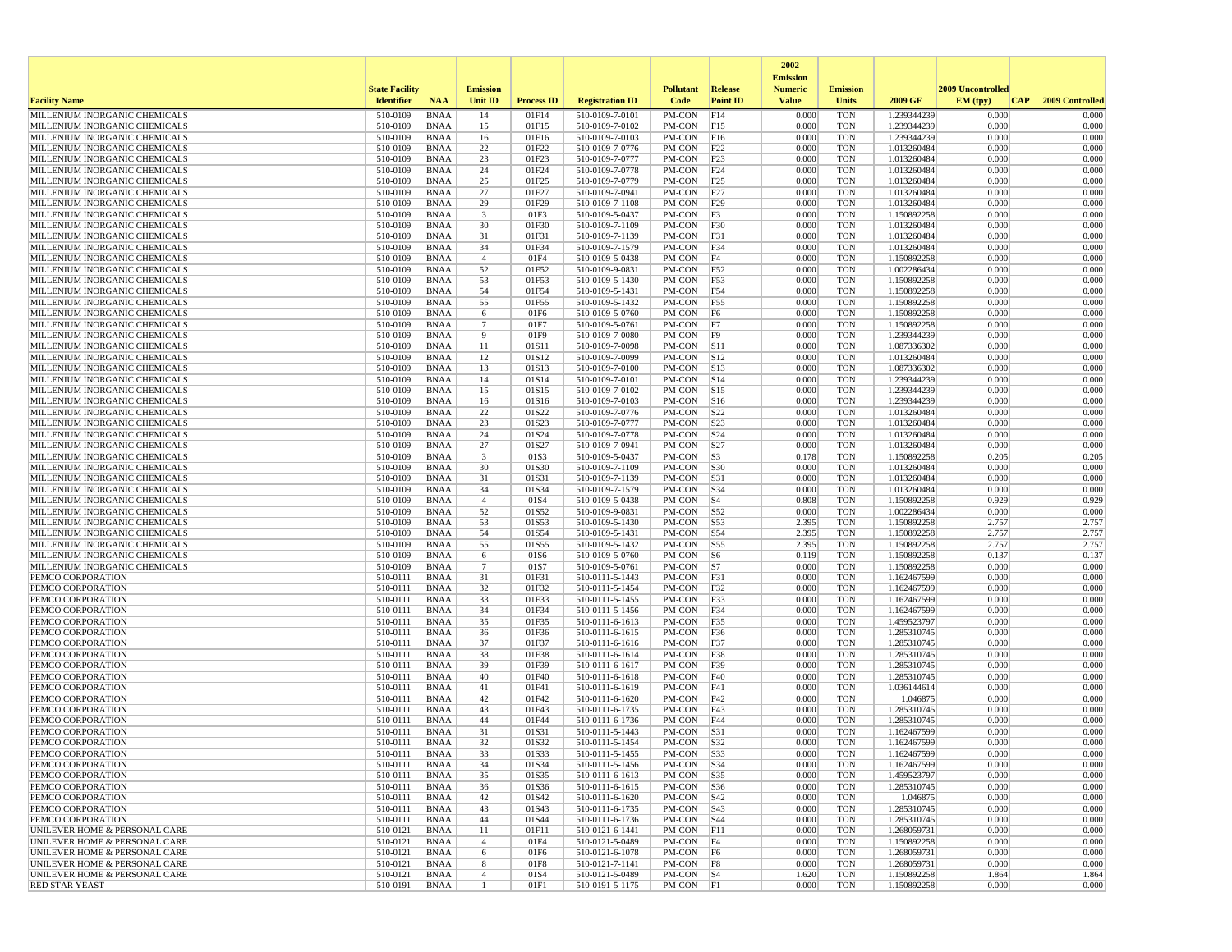|                                                                |                       |                            |                      |                   |                                    |                                  |                         | 2002                              |                          |                            |                   |                 |
|----------------------------------------------------------------|-----------------------|----------------------------|----------------------|-------------------|------------------------------------|----------------------------------|-------------------------|-----------------------------------|--------------------------|----------------------------|-------------------|-----------------|
|                                                                | <b>State Facility</b> |                            | <b>Emission</b>      |                   |                                    | <b>Pollutant</b>                 | Release                 | <b>Emission</b><br><b>Numeric</b> | <b>Emission</b>          |                            | 2009 Uncontrolled |                 |
| <b>Facility Name</b>                                           | <b>Identifier</b>     | <b>NAA</b>                 | Unit ID              | <b>Process ID</b> | <b>Registration ID</b>             | Code                             | <b>Point ID</b>         | <b>Value</b>                      | <b>Units</b>             | 2009 GF                    | EM (typ)<br> CAP  | 2009 Controlled |
| MILLENIUM INORGANIC CHEMICALS                                  | 510-0109              | <b>BNAA</b>                | 14                   | 01F14             | 510-0109-7-0101                    | PM-CON                           | F14                     | 0.000                             | <b>TON</b>               | 1.239344239                | 0.000             | 0.000           |
| MILLENIUM INORGANIC CHEMICALS                                  | 510-0109              | <b>BNAA</b>                | 15                   | 01F15             | 510-0109-7-0102                    | PM-CON                           | F15                     | 0.000                             | <b>TON</b>               | 1.239344239                | 0.000             | 0.000           |
| MILLENIUM INORGANIC CHEMICALS<br>MILLENIUM INORGANIC CHEMICALS | 510-0109<br>510-0109  | <b>BNAA</b><br><b>BNAA</b> | 16<br>22             | 01F16<br>01F22    | 510-0109-7-0103<br>510-0109-7-0776 | PM-CON<br>PM-CON                 | F16<br>F22              | 0.000<br>0.000                    | <b>TON</b><br><b>TON</b> | 1.239344239<br>1.013260484 | 0.000<br>0.000    | 0.000<br>0.000  |
| MILLENIUM INORGANIC CHEMICALS                                  | 510-0109              | <b>BNAA</b>                | 23                   | 01F23             | 510-0109-7-0777                    | PM-CON                           | F23                     | 0.000                             | <b>TON</b>               | 1.013260484                | 0.000             | 0.000           |
| MILLENIUM INORGANIC CHEMICALS                                  | 510-0109              | <b>BNAA</b>                | 24                   | 01F24             | 510-0109-7-0778                    | PM-CON                           | F24                     | 0.000                             | <b>TON</b>               | 1.013260484                | 0.000             | 0.000           |
| MILLENIUM INORGANIC CHEMICALS                                  | 510-0109              | <b>BNAA</b>                | 25                   | 01F25             | 510-0109-7-0779                    | PM-CON                           | F25                     | 0.000                             | <b>TON</b>               | 1.013260484                | 0.000             | 0.000           |
| MILLENIUM INORGANIC CHEMICALS                                  | 510-0109              | <b>BNAA</b>                | 27                   | 01F27             | 510-0109-7-0941                    | PM-CON                           | F27                     | 0.000                             | <b>TON</b>               | 1.013260484                | 0.000             | 0.000           |
| MILLENIUM INORGANIC CHEMICALS<br>MILLENIUM INORGANIC CHEMICALS | 510-0109<br>510-0109  | <b>BNAA</b><br><b>BNAA</b> | 29<br>3              | 01F29<br>01F3     | 510-0109-7-1108<br>510-0109-5-0437 | PM-CON<br>PM-CON                 | F29<br>F3               | 0.000<br>0.000                    | <b>TON</b><br><b>TON</b> | 1.013260484<br>1.150892258 | 0.000<br>0.000    | 0.000<br>0.000  |
| MILLENIUM INORGANIC CHEMICALS                                  | 510-0109              | <b>BNAA</b>                | 30                   | 01F30             | 510-0109-7-1109                    | PM-CON                           | F30                     | 0.000                             | <b>TON</b>               | 1.013260484                | 0.000             | 0.000           |
| MILLENIUM INORGANIC CHEMICALS                                  | 510-0109              | <b>BNAA</b>                | 31                   | 01F31             | 510-0109-7-1139                    | PM-CON                           | F31                     | 0.000                             | <b>TON</b>               | 1.013260484                | 0.000             | 0.000           |
| MILLENIUM INORGANIC CHEMICALS                                  | 510-0109              | <b>BNAA</b>                | 34                   | 01F34             | 510-0109-7-1579                    | PM-CON                           | F34                     | 0.000                             | <b>TON</b>               | 1.013260484                | 0.000             | 0.000           |
| MILLENIUM INORGANIC CHEMICALS                                  | 510-0109              | <b>BNAA</b>                | $\overline{4}$       | 01F4              | 510-0109-5-0438                    | PM-CON                           | F4                      | 0.000                             | <b>TON</b>               | 1.150892258                | 0.000             | 0.000           |
| MILLENIUM INORGANIC CHEMICALS                                  | 510-0109              | <b>BNAA</b>                | 52                   | 01F52             | 510-0109-9-0831                    | PM-CON                           | F52                     | 0.000                             | <b>TON</b>               | 1.002286434                | 0.000             | 0.000           |
| MILLENIUM INORGANIC CHEMICALS<br>MILLENIUM INORGANIC CHEMICALS | 510-0109<br>510-0109  | BNAA<br><b>BNAA</b>        | 53<br>54             | 01F53<br>01F54    | 510-0109-5-1430<br>510-0109-5-1431 | PM-CON<br>PM-CON                 | F53<br>F54              | 0.000<br>0.000                    | <b>TON</b><br><b>TON</b> | 1.150892258<br>1.150892258 | 0.000<br>0.000    | 0.000<br>0.000  |
| MILLENIUM INORGANIC CHEMICALS                                  | 510-0109              | <b>BNAA</b>                | 55                   | 01F55             | 510-0109-5-1432                    | PM-CON                           | F55                     | 0.000                             | <b>TON</b>               | 1.150892258                | 0.000             | 0.000           |
| MILLENIUM INORGANIC CHEMICALS                                  | 510-0109              | <b>BNAA</b>                | 6                    | 01F6              | 510-0109-5-0760                    | PM-CON                           | F6                      | 0.000                             | <b>TON</b>               | 1.150892258                | 0.000             | 0.000           |
| MILLENIUM INORGANIC CHEMICALS                                  | 510-0109              | <b>BNAA</b>                | $\overline{7}$       | 01F7              | 510-0109-5-0761                    | PM-CON                           | F7                      | 0.000                             | <b>TON</b>               | 1.150892258                | 0.000             | 0.000           |
| MILLENIUM INORGANIC CHEMICALS                                  | 510-0109              | <b>BNAA</b>                | 9                    | 01F9              | 510-0109-7-0080                    | PM-CON                           | F9                      | 0.000                             | <b>TON</b>               | 1.239344239                | 0.000             | 0.000           |
| MILLENIUM INORGANIC CHEMICALS                                  | 510-0109              | <b>BNAA</b>                | 11                   | 01S11             | 510-0109-7-0098                    | PM-CON                           | S11                     | 0.000                             | <b>TON</b>               | 1.087336302                | 0.000             | 0.000           |
| MILLENIUM INORGANIC CHEMICALS<br>MILLENIUM INORGANIC CHEMICALS | 510-0109<br>510-0109  | <b>BNAA</b><br><b>BNAA</b> | 12<br>13             | 01S12<br>01S13    | 510-0109-7-0099<br>510-0109-7-0100 | PM-CON<br>PM-CON                 | S12<br>S13              | 0.000<br>0.000                    | <b>TON</b><br><b>TON</b> | 1.013260484<br>1.087336302 | 0.000<br>0.000    | 0.000<br>0.000  |
| MILLENIUM INORGANIC CHEMICALS                                  | 510-0109              | <b>BNAA</b>                | 14                   | 01S14             | 510-0109-7-0101                    | PM-CON                           | $\vert$ S <sub>14</sub> | 0.000                             | <b>TON</b>               | 1.239344239                | 0.000             | 0.000           |
| MILLENIUM INORGANIC CHEMICALS                                  | 510-0109              | <b>BNAA</b>                | 15                   | 01S15             | 510-0109-7-0102                    | PM-CON                           | S15                     | 0.000                             | <b>TON</b>               | 1.239344239                | 0.000             | 0.000           |
| MILLENIUM INORGANIC CHEMICALS                                  | 510-0109              | <b>BNAA</b>                | 16                   | 01S16             | 510-0109-7-0103                    | PM-CON                           | S16                     | 0.000                             | <b>TON</b>               | 1.239344239                | 0.000             | 0.000           |
| MILLENIUM INORGANIC CHEMICALS                                  | 510-0109              | <b>BNAA</b>                | 22                   | 01S22             | 510-0109-7-0776                    | PM-CON                           | S22                     | 0.000                             | <b>TON</b>               | 1.013260484                | 0.000             | 0.000           |
| MILLENIUM INORGANIC CHEMICALS                                  | 510-0109              | <b>BNAA</b>                | 23                   | 01S23             | 510-0109-7-0777                    | PM-CON                           | S <sub>23</sub>         | 0.000                             | <b>TON</b>               | 1.013260484                | 0.000             | 0.000           |
| MILLENIUM INORGANIC CHEMICALS<br>MILLENIUM INORGANIC CHEMICALS | 510-0109<br>510-0109  | <b>BNAA</b><br><b>BNAA</b> | 24<br>27             | 01S24<br>01S27    | 510-0109-7-0778<br>510-0109-7-0941 | PM-CON<br>PM-CON                 | S <sub>24</sub><br> S27 | 0.000<br>0.000                    | <b>TON</b><br><b>TON</b> | 1.013260484<br>1.013260484 | 0.000<br>0.000    | 0.000<br>0.000  |
| MILLENIUM INORGANIC CHEMICALS                                  | 510-0109              | <b>BNAA</b>                | 3                    | 01S3              | 510-0109-5-0437                    | PM-CON                           | S3                      | 0.178                             | <b>TON</b>               | 1.150892258                | 0.205             | 0.205           |
| MILLENIUM INORGANIC CHEMICALS                                  | 510-0109              | <b>BNAA</b>                | 30                   | 01S30             | 510-0109-7-1109                    | PM-CON                           | <b>S30</b>              | 0.000                             | <b>TON</b>               | 1.013260484                | 0.000             | 0.000           |
| MILLENIUM INORGANIC CHEMICALS                                  | 510-0109              | <b>BNAA</b>                | 31                   | 01S31             | 510-0109-7-1139                    | PM-CON                           | S31                     | 0.000                             | <b>TON</b>               | 1.013260484                | 0.000             | 0.000           |
| MILLENIUM INORGANIC CHEMICALS                                  | 510-0109              | <b>BNAA</b>                | 34                   | 01S34             | 510-0109-7-1579                    | PM-CON                           | $\vert$ S34             | 0.000                             | <b>TON</b>               | 1.013260484                | 0.000             | 0.000           |
| MILLENIUM INORGANIC CHEMICALS<br>MILLENIUM INORGANIC CHEMICALS | 510-0109<br>510-0109  | <b>BNAA</b><br><b>BNAA</b> | $\overline{4}$<br>52 | 01S4<br>01S52     | 510-0109-5-0438<br>510-0109-9-0831 | PM-CON<br>PM-CON                 | $ S_4 $<br>S52          | 0.808<br>0.000                    | <b>TON</b><br><b>TON</b> | 1.150892258<br>1.002286434 | 0.929<br>0.000    | 0.929<br>0.000  |
| MILLENIUM INORGANIC CHEMICALS                                  | 510-0109              | <b>BNAA</b>                | 53                   | 01S53             | 510-0109-5-1430                    | PM-CON                           | S53                     | 2.395                             | <b>TON</b>               | 1.150892258                | 2.757             | 2.757           |
| MILLENIUM INORGANIC CHEMICALS                                  | 510-0109              | <b>BNAA</b>                | 54                   | 01S54             | 510-0109-5-1431                    | PM-CON                           | S54                     | 2.395                             | <b>TON</b>               | 1.150892258                | 2.757             | 2.757           |
| MILLENIUM INORGANIC CHEMICALS                                  | 510-0109              | <b>BNAA</b>                | 55                   | 01S55             | 510-0109-5-1432                    | PM-CON                           | S55                     | 2.395                             | <b>TON</b>               | 1.150892258                | 2.757             | 2.757           |
| MILLENIUM INORGANIC CHEMICALS                                  | 510-0109              | BNAA                       | 6                    | 01S6              | 510-0109-5-0760                    | PM-CON                           | S6                      | 0.119                             | <b>TON</b>               | 1.150892258                | 0.137             | 0.137           |
| MILLENIUM INORGANIC CHEMICALS                                  | 510-0109<br>510-0111  | <b>BNAA</b>                | $\overline{7}$       | 01S7              | 510-0109-5-0761                    | PM-CON                           | S7                      | 0.000<br>0.000                    | <b>TON</b>               | 1.150892258                | 0.000<br>0.000    | 0.000<br>0.000  |
| PEMCO CORPORATION<br>PEMCO CORPORATION                         | 510-0111              | <b>BNAA</b><br><b>BNAA</b> | 31<br>32             | 01F31<br>01F32    | 510-0111-5-1443<br>510-0111-5-1454 | PM-CON<br>PM-CON                 | F31<br>F32              | 0.000                             | <b>TON</b><br><b>TON</b> | 1.162467599<br>1.162467599 | 0.000             | 0.000           |
| PEMCO CORPORATION                                              | 510-0111              | <b>BNAA</b>                | 33                   | 01F33             | 510-0111-5-1455                    | PM-CON                           | F33                     | 0.000                             | <b>TON</b>               | 1.162467599                | 0.000             | 0.000           |
| PEMCO CORPORATION                                              | 510-0111              | <b>BNAA</b>                | 34                   | 01F34             | 510-0111-5-1456                    | PM-CON                           | F34                     | 0.000                             | <b>TON</b>               | 1.162467599                | 0.000             | 0.000           |
| PEMCO CORPORATION                                              | 510-0111              | <b>BNAA</b>                | 35                   | 01F35             | 510-0111-6-1613                    | PM-CON                           | F35                     | 0.000                             | <b>TON</b>               | 1.459523797                | 0.000             | 0.000           |
| PEMCO CORPORATION                                              | 510-0111              | <b>BNAA</b>                | 36                   | 01F36             | 510-0111-6-1615                    | PM-CON                           | F36                     | 0.000                             | <b>TON</b>               | 1.285310745                | 0.000<br>0.000    | 0.000           |
| PEMCO CORPORATION<br>PEMCO CORPORATION                         | 510-0111<br>510-0111  | <b>BNAA</b><br><b>BNAA</b> | 37<br>38             | 01F37<br>01F38    | 510-0111-6-1616<br>510-0111-6-1614 | PM-CON<br>PM-CON                 | F37<br><b>F38</b>       | 0.000<br>0.000                    | <b>TON</b><br><b>TON</b> | 1.285310745<br>1.285310745 | 0.000             | 0.000<br>0.000  |
| PEMCO CORPORATION                                              | 510-0111              | <b>BNAA</b>                | 39                   | 01F39             | 510-0111-6-1617                    | PM-CON                           | F39                     | 0.000                             | <b>TON</b>               | 1.285310745                | 0.000             | 0.000           |
| PEMCO CORPORATION                                              | 510-0111              | <b>BNAA</b>                | 40                   | 01F40             | 510-0111-6-1618                    | PM-CON                           | F40                     | 0.000                             | <b>TON</b>               | 1.285310745                | 0.000             | 0.000           |
| PEMCO CORPORATION                                              | 510-0111              | <b>BNAA</b>                | 41                   | 01F41             | 510-0111-6-1619                    | PM-CON                           | F41                     | 0.000                             | <b>TON</b>               | 1.036144614                | 0.000             | 0.000           |
| PEMCO CORPORATION                                              | 510-0111              | <b>BNAA</b>                | 42                   | 01F42             | 510-0111-6-1620                    | PM-CON                           | F42                     | 0.000                             | <b>TON</b>               | 1.046875                   | 0.000             | 0.000           |
| PEMCO CORPORATION<br>PEMCO CORPORATION                         | 510-0111<br>510-0111  | <b>BNAA</b><br><b>BNAA</b> | 43<br>44             | 01F43<br>01F44    | 510-0111-6-1735<br>510-0111-6-1736 | PM-CON<br>PM-CON                 | F43<br>F44              | 0.000<br>0.000                    | <b>TON</b><br><b>TON</b> | 1.285310745<br>1.285310745 | 0.000<br>0.000    | 0.000<br>0.000  |
| PEMCO CORPORATION                                              | 510-0111              | <b>BNAA</b>                | 31                   | 01S31             | 510-0111-5-1443                    | PM-CON                           | <b>S31</b>              | 0.000                             | <b>TON</b>               | 1.162467599                | 0.000             | 0.000           |
| PEMCO CORPORATION                                              | 510-0111              | <b>BNAA</b>                | 32                   | 01S32             | 510-0111-5-1454                    | PM-CON                           | S32                     | 0.000                             | <b>TON</b>               | 1.162467599                | 0.000             | 0.000           |
| PEMCO CORPORATION                                              | 510-0111              | BNAA                       | 33                   | 01S33             | 510-0111-5-1455                    | PM-CON                           | S33                     | 0.000                             | TON                      | 1.162467599                | 0.000             | 0.000           |
| PEMCO CORPORATION                                              | 510-0111              | BNAA                       | 34                   | 01S34             | 510-0111-5-1456                    | $PM-CON$ $ S34$                  |                         | 0.000                             | <b>TON</b>               | 1.162467599                | 0.000             | 0.000           |
| PEMCO CORPORATION<br>PEMCO CORPORATION                         | 510-0111              | BNAA                       | 35<br>36             | 01S35             | 510-0111-6-1613                    | PM-CON S35                       |                         | 0.000<br>0.000                    | TON                      | 1.459523797                | 0.000<br>0.000    | 0.000<br>0.000  |
| PEMCO CORPORATION                                              | 510-0111<br>510-0111  | BNAA<br>BNAA               | 42                   | 01S36<br>01S42    | 510-0111-6-1615<br>510-0111-6-1620 | $PM$ -CON $ S36$<br>PM-CON   S42 |                         | 0.000                             | TON<br><b>TON</b>        | 1.285310745<br>1.046875    | 0.000             | 0.000           |
| PEMCO CORPORATION                                              | 510-0111              | <b>BNAA</b>                | 43                   | 01S43             | 510-0111-6-1735                    | PM-CON                           | $\vert$ S43             | 0.000                             | <b>TON</b>               | 1.285310745                | 0.000             | 0.000           |
| PEMCO CORPORATION                                              | 510-0111              | <b>BNAA</b>                | 44                   | 01S44             | 510-0111-6-1736                    | PM-CON                           | S44                     | 0.000                             | <b>TON</b>               | 1.285310745                | 0.000             | 0.000           |
| UNILEVER HOME & PERSONAL CARE                                  | 510-0121              | BNAA                       | 11                   | 01F11             | 510-0121-6-1441                    | PM-CON F11                       |                         | 0.000                             | <b>TON</b>               | 1.268059731                | 0.000             | 0.000           |
| UNILEVER HOME & PERSONAL CARE                                  | 510-0121              | <b>BNAA</b>                | $\overline{4}$       | 01F4              | 510-0121-5-0489                    | PM-CON F4                        |                         | 0.000                             | <b>TON</b>               | 1.150892258                | 0.000             | 0.000           |
| UNILEVER HOME & PERSONAL CARE<br>UNILEVER HOME & PERSONAL CARE | 510-0121<br>510-0121  | BNAA<br>BNAA               | 6<br>8               | 01F6<br>01F8      | 510-0121-6-1078<br>510-0121-7-1141 | PM-CON F6<br>PM-CON F8           |                         | 0.000<br>0.000                    | <b>TON</b><br>TON        | 1.268059731<br>1.268059731 | 0.000<br>0.000    | 0.000<br>0.000  |
| UNILEVER HOME & PERSONAL CARE                                  | 510-0121              | <b>BNAA</b>                | $\overline{4}$       | 01S4              | 510-0121-5-0489                    | PM-CON S4                        |                         | 1.620                             | <b>TON</b>               | 1.150892258                | 1.864             | 1.864           |
| <b>RED STAR YEAST</b>                                          | 510-0191              | BNAA                       | $\mathbf{1}$         | 01F1              | 510-0191-5-1175                    | PM-CON F1                        |                         | 0.000                             | TON                      | 1.150892258                | 0.000             | 0.000           |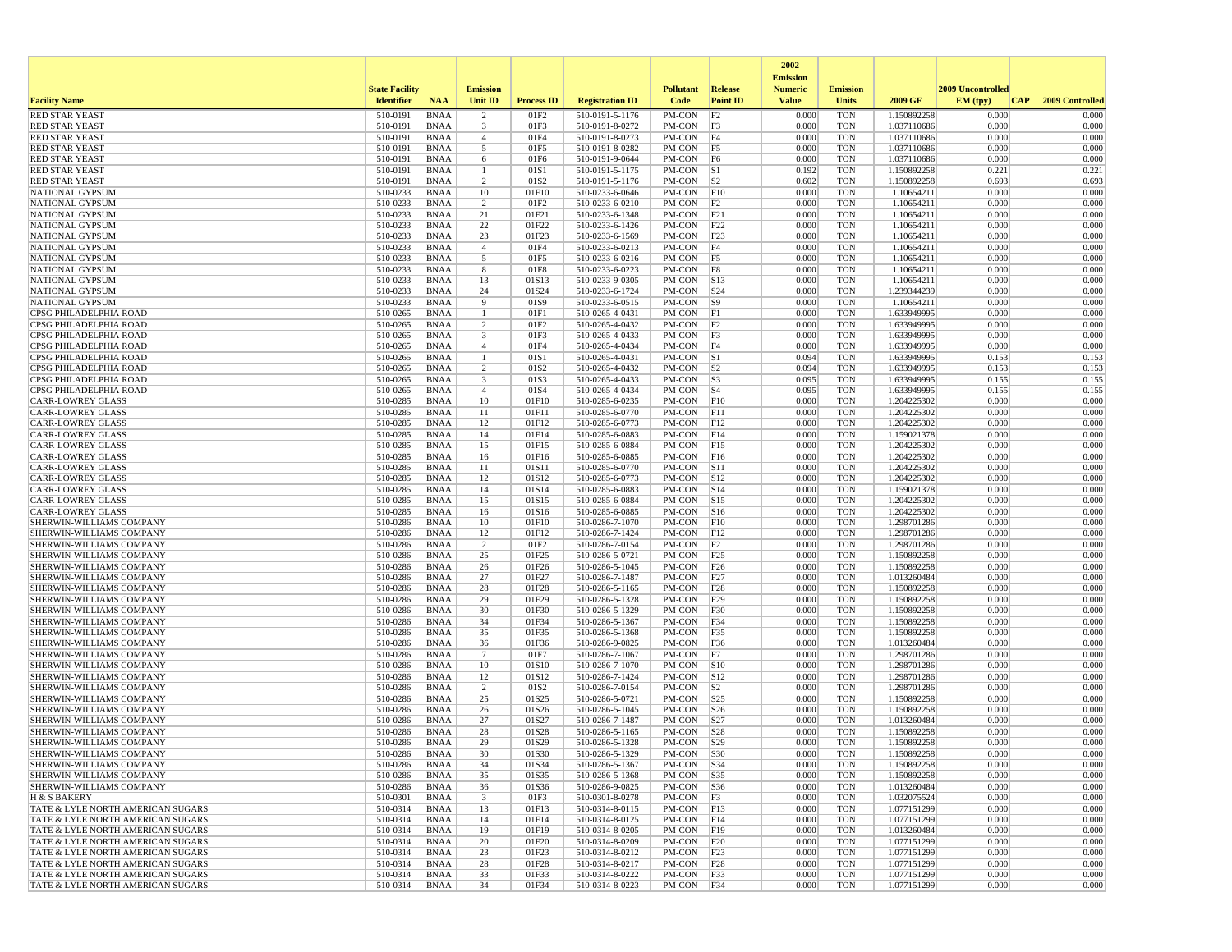|                                                                        |                       |                            |                         |                           |                                    |                  |                         | 2002<br><b>Emission</b> |                          |                            |                   |                 |
|------------------------------------------------------------------------|-----------------------|----------------------------|-------------------------|---------------------------|------------------------------------|------------------|-------------------------|-------------------------|--------------------------|----------------------------|-------------------|-----------------|
|                                                                        | <b>State Facility</b> |                            | <b>Emission</b>         |                           |                                    | <b>Pollutant</b> | <b>Release</b>          | <b>Numeric</b>          | <b>Emission</b>          |                            | 2009 Uncontrolled |                 |
| <b>Facility Name</b>                                                   | <b>Identifier</b>     | <b>NAA</b>                 | Unit ID                 | <b>Process ID</b>         | <b>Registration ID</b>             | Code             | <b>Point ID</b>         | <b>Value</b>            | <b>Units</b>             | 2009 GF                    | EM (tpv)<br>CAP   | 2009 Controlled |
| <b>RED STAR YEAST</b>                                                  | 510-0191              | <b>BNAA</b>                | $\overline{2}$          | 01F <sub>2</sub>          | 510-0191-5-1176                    | PM-CON           | F2                      | 0.000                   | <b>TON</b>               | 1.150892258                | 0.000             | 0.000           |
| <b>RED STAR YEAST</b>                                                  | 510-0191              | <b>BNAA</b>                | 3                       | 01F3                      | 510-0191-8-0272                    | PM-CON           | F3                      | 0.000                   | <b>TON</b>               | 1.037110686                | 0.000             | 0.000           |
| <b>RED STAR YEAST</b><br><b>RED STAR YEAST</b>                         | 510-0191<br>510-0191  | <b>BNAA</b><br><b>BNAA</b> | $\overline{4}$          | 01F4<br>01F5              | 510-0191-8-0273                    | PM-CON<br>PM-CON | F4<br>F5                | 0.000<br>0.000          | <b>TON</b><br><b>TON</b> | 1.037110686<br>1.037110686 | 0.000<br>0.000    | 0.000<br>0.000  |
| <b>RED STAR YEAST</b>                                                  | 510-0191              | BNAA                       | 5<br>6                  | 01F6                      | 510-0191-8-0282<br>510-0191-9-0644 | PM-CON           | F6                      | 0.000                   | <b>TON</b>               | 1.037110686                | 0.000             | 0.000           |
| <b>RED STAR YEAST</b>                                                  | 510-0191              | <b>BNAA</b>                | $\mathbf{1}$            | 01S1                      | 510-0191-5-1175                    | PM-CON           | S1                      | 0.192                   | <b>TON</b>               | 1.150892258                | 0.221             | 0.221           |
| <b>RED STAR YEAST</b>                                                  | 510-0191              | <b>BNAA</b>                | $\overline{2}$          | 01S <sub>2</sub>          | 510-0191-5-1176                    | PM-CON           | S2                      | 0.602                   | <b>TON</b>               | 1.150892258                | 0.693             | 0.693           |
| NATIONAL GYPSUM                                                        | 510-0233              | BNAA                       | 10                      | 01F10                     | 510-0233-6-0646                    | PM-CON           | F10                     | 0.000                   | <b>TON</b>               | 1.10654211                 | 0.000             | 0.000           |
| NATIONAL GYPSUM                                                        | 510-0233              | <b>BNAA</b>                | $\overline{2}$          | 01F2                      | 510-0233-6-0210                    | PM-CON           | F2                      | 0.000                   | <b>TON</b>               | 1.10654211                 | 0.000             | 0.000           |
| NATIONAL GYPSUM                                                        | 510-0233              | <b>BNAA</b>                | 21                      | 01F21                     | 510-0233-6-1348                    | PM-CON           | F21                     | 0.000                   | <b>TON</b>               | 1.10654211                 | 0.000             | 0.000           |
| NATIONAL GYPSUM                                                        | 510-0233              | <b>BNAA</b>                | 22                      | 01F22                     | 510-0233-6-1426                    | PM-CON           | F22                     | 0.000                   | <b>TON</b>               | 1.10654211                 | 0.000             | 0.000           |
| <b>NATIONAL GYPSUM</b>                                                 | 510-0233<br>510-0233  | BNAA<br><b>BNAA</b>        | 23<br>$\overline{4}$    | 01F23<br>01F4             | 510-0233-6-1569<br>510-0233-6-0213 | PM-CON<br>PM-CON | F23<br>F4               | 0.000<br>0.000          | <b>TON</b><br><b>TON</b> | 1.10654211<br>1.10654211   | 0.000<br>0.000    | 0.000<br>0.000  |
| NATIONAL GYPSUM<br>NATIONAL GYPSUM                                     | 510-0233              | <b>BNAA</b>                | 5                       | 01F5                      | 510-0233-6-0216                    | PM-CON           | F5                      | 0.000                   | <b>TON</b>               | 1.10654211                 | 0.000             | 0.000           |
| <b>NATIONAL GYPSUM</b>                                                 | 510-0233              | <b>BNAA</b>                | 8                       | 01F8                      | 510-0233-6-0223                    | PM-CON           | F8                      | 0.000                   | <b>TON</b>               | 1.10654211                 | 0.000             | 0.000           |
| NATIONAL GYPSUM                                                        | 510-0233              | BNAA                       | 13                      | 01S13                     | 510-0233-9-0305                    | PM-CON           | $\vert$ S <sub>13</sub> | 0.000                   | <b>TON</b>               | 1.10654211                 | 0.000             | 0.000           |
| NATIONAL GYPSUM                                                        | 510-0233              | <b>BNAA</b>                | 24                      | 01S24                     | 510-0233-6-1724                    | PM-CON           | S24                     | 0.000                   | <b>TON</b>               | 1.239344239                | 0.000             | 0.000           |
| <b>NATIONAL GYPSUM</b>                                                 | 510-0233              | BNAA                       | 9                       | 01S9                      | 510-0233-6-0515                    | PM-CON           | S9                      | 0.000                   | <b>TON</b>               | 1.10654211                 | 0.000             | 0.000           |
| CPSG PHILADELPHIA ROAD                                                 | 510-0265              | <b>BNAA</b>                | -1                      | 01F1                      | 510-0265-4-0431                    | PM-CON           | F1                      | 0.000                   | <b>TON</b>               | 1.633949995                | 0.000             | 0.000           |
| CPSG PHILADELPHIA ROAD                                                 | 510-0265              | <b>BNAA</b>                | $\overline{c}$          | 01F2                      | 510-0265-4-0432                    | PM-CON           | F2                      | 0.000                   | <b>TON</b>               | 1.633949995                | 0.000             | 0.000           |
| CPSG PHILADELPHIA ROAD                                                 | 510-0265              | <b>BNAA</b>                | $\overline{\mathbf{3}}$ | 01F3                      | 510-0265-4-0433                    | PM-CON           | F3                      | 0.000                   | <b>TON</b>               | 1.633949995                | 0.000             | 0.000           |
| CPSG PHILADELPHIA ROAD<br>CPSG PHILADELPHIA ROAD                       | 510-0265<br>510-0265  | <b>BNAA</b><br>BNAA        | $\overline{4}$<br>-1    | 01F4<br>01S1              | 510-0265-4-0434<br>510-0265-4-0431 | PM-CON<br>PM-CON | F4<br> S1               | 0.000<br>0.094          | <b>TON</b><br><b>TON</b> | 1.633949995<br>1.633949995 | 0.000<br>0.153    | 0.000<br>0.153  |
| CPSG PHILADELPHIA ROAD                                                 | 510-0265              | BNAA                       | $\overline{2}$          | 01S <sub>2</sub>          | 510-0265-4-0432                    | PM-CON           | S <sub>2</sub>          | 0.094                   | <b>TON</b>               | 1.633949995                | 0.153             | 0.153           |
| CPSG PHILADELPHIA ROAD                                                 | 510-0265              | <b>BNAA</b>                | 3                       | 01S3                      | 510-0265-4-0433                    | PM-CON           | S3                      | 0.095                   | <b>TON</b>               | 1.633949995                | 0.155             | 0.155           |
| CPSG PHILADELPHIA ROAD                                                 | 510-0265              | BNAA                       | $\overline{4}$          | 01S4                      | 510-0265-4-0434                    | PM-CON           | $\vert$ S4              | 0.095                   | <b>TON</b>               | 1.633949995                | 0.155             | 0.155           |
| <b>CARR-LOWREY GLASS</b>                                               | 510-0285              | <b>BNAA</b>                | 10                      | 01F10                     | 510-0285-6-0235                    | PM-CON           | F10                     | 0.000                   | <b>TON</b>               | 1.204225302                | 0.000             | 0.000           |
| <b>CARR-LOWREY GLASS</b>                                               | 510-0285              | <b>BNAA</b>                | 11                      | 01F11                     | 510-0285-6-0770                    | PM-CON           | F11                     | 0.000                   | <b>TON</b>               | 1.204225302                | 0.000             | 0.000           |
| <b>CARR-LOWREY GLASS</b>                                               | 510-0285              | <b>BNAA</b>                | 12                      | 01F12                     | 510-0285-6-0773                    | PM-CON           | F12                     | 0.000                   | <b>TON</b>               | 1.204225302                | 0.000             | 0.000           |
| <b>CARR-LOWREY GLASS</b>                                               | 510-0285              | BNAA                       | 14                      | 01F14                     | 510-0285-6-0883                    | PM-CON           | F14                     | 0.000                   | <b>TON</b>               | 1.159021378                | 0.000             | 0.000           |
| <b>CARR-LOWREY GLASS</b><br><b>CARR-LOWREY GLASS</b>                   | 510-0285<br>510-0285  | <b>BNAA</b><br><b>BNAA</b> | 15                      | 01F15<br>01F16            | 510-0285-6-0884                    | PM-CON<br>PM-CON | F15<br>F16              | 0.000<br>0.000          | <b>TON</b><br><b>TON</b> | 1.204225302<br>1.204225302 | 0.000<br>0.000    | 0.000<br>0.000  |
| <b>CARR-LOWREY GLASS</b>                                               | 510-0285              | BNAA                       | 16<br>11                | 01S11                     | 510-0285-6-0885<br>510-0285-6-0770 | PM-CON           | S11                     | 0.000                   | <b>TON</b>               | 1.204225302                | 0.000             | 0.000           |
| <b>CARR-LOWREY GLASS</b>                                               | 510-0285              | <b>BNAA</b>                | 12                      | 01S12                     | 510-0285-6-0773                    | PM-CON           | $\vert$ S <sub>12</sub> | 0.000                   | <b>TON</b>               | 1.204225302                | 0.000             | 0.000           |
| <b>CARR-LOWREY GLASS</b>                                               | 510-0285              | <b>BNAA</b>                | 14                      | 01S14                     | 510-0285-6-0883                    | PM-CON           | S14                     | 0.000                   | <b>TON</b>               | 1.159021378                | 0.000             | 0.000           |
| <b>CARR-LOWREY GLASS</b>                                               | 510-0285              | <b>BNAA</b>                | 15                      | 01S15                     | 510-0285-6-0884                    | PM-CON           | $\vert$ S <sub>15</sub> | 0.000                   | <b>TON</b>               | 1.204225302                | 0.000             | 0.000           |
| <b>CARR-LOWREY GLASS</b>                                               | 510-0285              | BNAA                       | 16                      | 01S16                     | 510-0285-6-0885                    | PM-CON           | S16                     | 0.000                   | <b>TON</b>               | 1.204225302                | 0.000             | 0.000           |
| SHERWIN-WILLIAMS COMPANY                                               | 510-0286              | <b>BNAA</b>                | 10                      | 01F10                     | 510-0286-7-1070                    | PM-CON           | F10                     | 0.000                   | <b>TON</b>               | 1.298701286                | 0.000             | 0.000           |
| SHERWIN-WILLIAMS COMPANY                                               | 510-0286              | <b>BNAA</b>                | 12                      | 01F12                     | 510-0286-7-1424                    | PM-CON           | F12                     | 0.000                   | <b>TON</b>               | 1.298701286                | 0.000             | 0.000           |
| SHERWIN-WILLIAMS COMPANY                                               | 510-0286<br>510-0286  | <b>BNAA</b>                | $\overline{2}$<br>25    | 01F <sub>2</sub><br>01F25 | 510-0286-7-0154                    | PM-CON           | F2<br>F25               | 0.000<br>0.000          | <b>TON</b><br><b>TON</b> | 1.298701286                | 0.000<br>0.000    | 0.000<br>0.000  |
| SHERWIN-WILLIAMS COMPANY<br>SHERWIN-WILLIAMS COMPANY                   | 510-0286              | BNAA<br><b>BNAA</b>        | 26                      | 01F26                     | 510-0286-5-0721<br>510-0286-5-1045 | PM-CON<br>PM-CON | F26                     | 0.000                   | <b>TON</b>               | 1.150892258<br>1.150892258 | 0.000             | 0.000           |
| SHERWIN-WILLIAMS COMPANY                                               | 510-0286              | <b>BNAA</b>                | 27                      | 01F27                     | 510-0286-7-1487                    | PM-CON           | F27                     | 0.000                   | <b>TON</b>               | 1.013260484                | 0.000             | 0.000           |
| SHERWIN-WILLIAMS COMPANY                                               | 510-0286              | <b>BNAA</b>                | 28                      | 01F28                     | 510-0286-5-1165                    | PM-CON           | F28                     | 0.000                   | <b>TON</b>               | 1.150892258                | 0.000             | 0.000           |
| SHERWIN-WILLIAMS COMPANY                                               | 510-0286              | <b>BNAA</b>                | 29                      | 01F29                     | 510-0286-5-1328                    | PM-CON           | F29                     | 0.000                   | <b>TON</b>               | 1.150892258                | 0.000             | 0.000           |
| SHERWIN-WILLIAMS COMPANY                                               | 510-0286              | <b>BNAA</b>                | 30                      | 01F30                     | 510-0286-5-1329                    | PM-CON           | F30                     | 0.000                   | <b>TON</b>               | 1.150892258                | 0.000             | 0.000           |
| SHERWIN-WILLIAMS COMPANY                                               | 510-0286              | <b>BNAA</b>                | 34                      | 01F34                     | 510-0286-5-1367                    | PM-CON           | F <sub>34</sub>         | 0.000                   | <b>TON</b>               | 1.150892258                | 0.000             | 0.000           |
| SHERWIN-WILLIAMS COMPANY                                               | 510-0286              | BNAA                       | 35                      | 01F35                     | 510-0286-5-1368                    | PM-CON           | F <sub>35</sub>         | 0.000                   | <b>TON</b>               | 1.150892258                | 0.000             | 0.000           |
| SHERWIN-WILLIAMS COMPANY<br>SHERWIN-WILLIAMS COMPANY                   | 510-0286              | BNAA<br><b>BNAA</b>        | 36<br>$7\phantom{.0}$   | 01F36<br>01F7             | 510-0286-9-0825                    | PM-CON<br>PM-CON | F36<br>F7               | 0.000<br>0.000          | <b>TON</b><br><b>TON</b> | 1.013260484                | 0.000<br>0.000    | 0.000<br>0.000  |
| SHERWIN-WILLIAMS COMPANY                                               | 510-0286<br>510-0286  | BNAA                       | 10                      | 01S10                     | 510-0286-7-1067<br>510-0286-7-1070 | PM-CON           | $\vert$ S <sub>10</sub> | 0.000                   | <b>TON</b>               | 1.298701286<br>1.298701286 | 0.000             | 0.000           |
| SHERWIN-WILLIAMS COMPANY                                               | 510-0286              | <b>BNAA</b>                | 12                      | 01S12                     | 510-0286-7-1424                    | PM-CON           | $\vert$ S <sub>12</sub> | 0.000                   | <b>TON</b>               | 1.298701286                | 0.000             | 0.000           |
| SHERWIN-WILLIAMS COMPANY                                               | 510-0286              | <b>BNAA</b>                | $\overline{c}$          | 01S2                      | 510-0286-7-0154                    | PM-CON           | S <sub>2</sub>          | 0.000                   | <b>TON</b>               | 1.298701286                | 0.000             | 0.000           |
| SHERWIN-WILLIAMS COMPANY                                               | 510-0286              | <b>BNAA</b>                | 25                      | 01S25                     | 510-0286-5-0721                    | PM-CON           | S <sub>25</sub>         | 0.000                   | <b>TON</b>               | 1.150892258                | 0.000             | 0.000           |
| SHERWIN-WILLIAMS COMPANY                                               | 510-0286              | BNAA                       | 26                      | 01S26                     | 510-0286-5-1045                    | PM-CON           | S26                     | 0.000                   | <b>TON</b>               | 1.150892258                | 0.000             | 0.000           |
| SHERWIN-WILLIAMS COMPANY                                               | 510-0286              | <b>BNAA</b>                | 27                      | 01S27                     | 510-0286-7-1487                    | PM-CON           | S27                     | 0.000                   | <b>TON</b>               | 1.013260484                | 0.000             | 0.000           |
| SHERWIN-WILLIAMS COMPANY                                               | 510-0286              | <b>BNAA</b>                | 28                      | 01S28                     | 510-0286-5-1165                    | PM-CON           | <b>S28</b>              | 0.000                   | <b>TON</b>               | 1.150892258                | 0.000             | 0.000           |
| SHERWIN-WILLIAMS COMPANY                                               | 510-0286              | <b>BNAA</b>                | 29                      | 01S29                     | 510-0286-5-1328                    | PM-CON<br>PM-CON | S29                     | 0.000                   | <b>TON</b>               | 1.150892258<br>1.150892258 | 0.000             | 0.000           |
| SHERWIN-WILLIAMS COMPANY<br>SHERWIN-WILLIAMS COMPANY                   | 510-0286<br>510-0286  | <b>BNAA</b><br>BNAA        | 30<br>34                | 01S30<br>01S34            | 510-0286-5-1329<br>510-0286-5-1367 | PM-CON S34       | <b>S30</b>              | 0.000<br>0.000          | TON<br><b>TON</b>        | 1.150892258                | 0.000<br>0.000    | 0.000<br>0.000  |
| SHERWIN-WILLIAMS COMPANY                                               | 510-0286              | BNAA                       | 35                      | 01S35                     | 510-0286-5-1368                    | PM-CON S35       |                         | 0.000                   | <b>TON</b>               | 1.150892258                | 0.000             | 0.000           |
| SHERWIN-WILLIAMS COMPANY                                               | 510-0286              | <b>BNAA</b>                | 36                      | 01S36                     | 510-0286-9-0825                    | PM-CON S36       |                         | 0.000                   | <b>TON</b>               | 1.013260484                | 0.000             | 0.000           |
| H & S BAKERY                                                           | 510-0301              | BNAA                       | $\overline{\mathbf{3}}$ | 01F3                      | 510-0301-8-0278                    | $PM$ -CON $ F3$  |                         | 0.000                   | <b>TON</b>               | 1.032075524                | 0.000             | 0.000           |
| TATE & LYLE NORTH AMERICAN SUGARS                                      | 510-0314              | <b>BNAA</b>                | 13                      | 01F13                     | 510-0314-8-0115                    | PM-CON           | F13                     | 0.000                   | <b>TON</b>               | 1.077151299                | 0.000             | 0.000           |
| TATE & LYLE NORTH AMERICAN SUGARS                                      | 510-0314              | BNAA                       | 14                      | 01F14                     | 510-0314-8-0125                    | PM-CON F14       |                         | 0.000                   | <b>TON</b>               | 1.077151299                | 0.000             | 0.000           |
| TATE & LYLE NORTH AMERICAN SUGARS                                      | 510-0314              | BNAA                       | 19                      | 01F19                     | 510-0314-8-0205                    | PM-CON           | F19                     | 0.000                   | <b>TON</b>               | 1.013260484                | 0.000             | 0.000           |
| TATE & LYLE NORTH AMERICAN SUGARS                                      | 510-0314              | BNAA                       | 20                      | 01F20                     | 510-0314-8-0209                    | PM-CON   F20     |                         | 0.000                   | <b>TON</b>               | 1.077151299                | 0.000             | 0.000           |
| TATE & LYLE NORTH AMERICAN SUGARS                                      | 510-0314              | BNAA                       | 23                      | 01F23                     | 510-0314-8-0212                    | PM-CON F23       |                         | 0.000                   | <b>TON</b>               | 1.077151299                | 0.000             | 0.000           |
| TATE & LYLE NORTH AMERICAN SUGARS<br>TATE & LYLE NORTH AMERICAN SUGARS | 510-0314<br>510-0314  | BNAA<br>BNAA               | 28<br>33                | 01F28<br>01F33            | 510-0314-8-0217<br>510-0314-8-0222 | PM-CON<br>PM-CON | F28<br>F33              | 0.000<br>0.000          | <b>TON</b><br><b>TON</b> | 1.077151299<br>1.077151299 | 0.000<br>0.000    | 0.000<br>0.000  |
| TATE & LYLE NORTH AMERICAN SUGARS                                      | 510-0314              | <b>BNAA</b>                | 34                      | 01F34                     | 510-0314-8-0223                    | PM-CON F34       |                         | 0.000                   | <b>TON</b>               | 1.077151299                | 0.000             | 0.000           |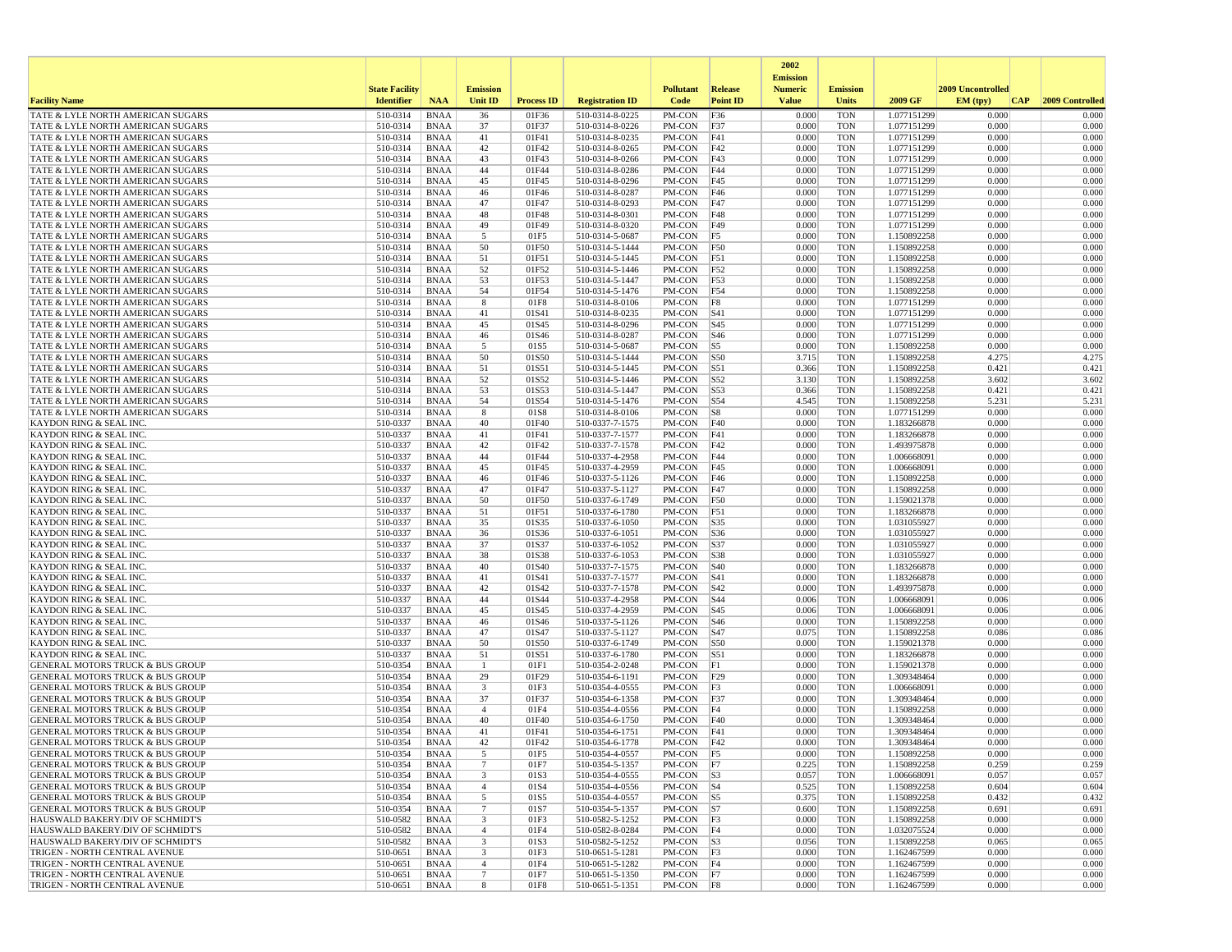|                                                                                            |                       |                            |                                            |                   |                                    |                           |                        | 2002                              |                          |                            |                   |                 |
|--------------------------------------------------------------------------------------------|-----------------------|----------------------------|--------------------------------------------|-------------------|------------------------------------|---------------------------|------------------------|-----------------------------------|--------------------------|----------------------------|-------------------|-----------------|
|                                                                                            | <b>State Facility</b> |                            | <b>Emission</b>                            |                   |                                    | <b>Pollutant</b>          | <b>Release</b>         | <b>Emission</b><br><b>Numeric</b> | <b>Emission</b>          |                            | 2009 Uncontrolled |                 |
| <b>Facility Name</b>                                                                       | <b>Identifier</b>     | <b>NAA</b>                 | Unit ID                                    | <b>Process ID</b> | <b>Registration ID</b>             | Code                      | <b>Point ID</b>        | <b>Value</b>                      | <b>Units</b>             | 2009 GF                    | EM (typ)<br> CAP  | 2009 Controlled |
| TATE & LYLE NORTH AMERICAN SUGARS                                                          | 510-0314              | <b>BNAA</b>                | 36                                         | 01F36             | 510-0314-8-0225                    | PM-CON                    | F36                    | 0.000                             | <b>TON</b>               | 1.077151299                | 0.000             | 0.000           |
| TATE & LYLE NORTH AMERICAN SUGARS                                                          | 510-0314              | <b>BNAA</b>                | 37                                         | 01F37             | 510-0314-8-0226                    | PM-CON                    | F37                    | 0.000                             | <b>TON</b>               | 1.077151299                | 0.000             | 0.000           |
| TATE & LYLE NORTH AMERICAN SUGARS<br>TATE & LYLE NORTH AMERICAN SUGARS                     | 510-0314<br>510-0314  | <b>BNAA</b><br><b>BNAA</b> | 41<br>42                                   | 01F41<br>01F42    | 510-0314-8-0235<br>510-0314-8-0265 | PM-CON<br>PM-CON          | F41<br>F42             | 0.000<br>0.000                    | <b>TON</b><br><b>TON</b> | 1.077151299<br>1.077151299 | 0.000<br>0.000    | 0.000<br>0.000  |
| TATE & LYLE NORTH AMERICAN SUGARS                                                          | 510-0314              | <b>BNAA</b>                | 43                                         | 01F43             | 510-0314-8-0266                    | PM-CON                    | F43                    | 0.000                             | <b>TON</b>               | 1.077151299                | 0.000             | 0.000           |
| TATE & LYLE NORTH AMERICAN SUGARS                                                          | 510-0314              | <b>BNAA</b>                | 44                                         | 01F44             | 510-0314-8-0286                    | PM-CON                    | F44                    | 0.000                             | <b>TON</b>               | 1.077151299                | 0.000             | 0.000           |
| TATE & LYLE NORTH AMERICAN SUGARS                                                          | 510-0314              | <b>BNAA</b>                | 45                                         | 01F45             | 510-0314-8-0296                    | PM-CON                    | F45                    | 0.000                             | <b>TON</b>               | 1.077151299                | 0.000             | 0.000           |
| TATE & LYLE NORTH AMERICAN SUGARS<br>TATE & LYLE NORTH AMERICAN SUGARS                     | 510-0314<br>510-0314  | <b>BNAA</b><br><b>BNAA</b> | 46<br>47                                   | 01F46<br>01F47    | 510-0314-8-0287<br>510-0314-8-0293 | PM-CON<br>PM-CON          | F46<br>F47             | 0.000<br>0.000                    | <b>TON</b><br><b>TON</b> | 1.077151299                | 0.000<br>0.000    | 0.000<br>0.000  |
| TATE & LYLE NORTH AMERICAN SUGARS                                                          | 510-0314              | <b>BNAA</b>                | 48                                         | 01F48             | 510-0314-8-0301                    | PM-CON                    | F48                    | 0.000                             | <b>TON</b>               | 1.077151299<br>1.077151299 | 0.000             | 0.000           |
| TATE & LYLE NORTH AMERICAN SUGARS                                                          | 510-0314              | <b>BNAA</b>                | 49                                         | 01F49             | 510-0314-8-0320                    | PM-CON                    | F49                    | 0.000                             | <b>TON</b>               | 1.077151299                | 0.000             | 0.000           |
| TATE & LYLE NORTH AMERICAN SUGARS                                                          | 510-0314              | <b>BNAA</b>                | 5                                          | 01F5              | 510-0314-5-0687                    | PM-CON                    | F5                     | 0.000                             | <b>TON</b>               | 1.150892258                | 0.000             | 0.000           |
| <b>TATE &amp; LYLE NORTH AMERICAN SUGARS</b>                                               | 510-0314              | <b>BNAA</b>                | 50                                         | 01F50             | 510-0314-5-1444                    | PM-CON                    | <b>F50</b>             | 0.000                             | <b>TON</b>               | 1.150892258                | 0.000             | 0.000           |
| TATE & LYLE NORTH AMERICAN SUGARS<br>TATE & LYLE NORTH AMERICAN SUGARS                     | 510-0314<br>510-0314  | <b>BNAA</b><br><b>BNAA</b> | 51<br>52                                   | 01F51<br>01F52    | 510-0314-5-1445<br>510-0314-5-1446 | PM-CON<br>PM-CON          | F51<br>F52             | 0.000<br>0.000                    | <b>TON</b><br><b>TON</b> | 1.150892258<br>1.150892258 | 0.000<br>0.000    | 0.000<br>0.000  |
| TATE & LYLE NORTH AMERICAN SUGARS                                                          | 510-0314              | BNAA                       | 53                                         | 01F53             | 510-0314-5-1447                    | PM-CON                    | F53                    | 0.000                             | <b>TON</b>               | 1.150892258                | 0.000             | 0.000           |
| TATE & LYLE NORTH AMERICAN SUGARS                                                          | 510-0314              | <b>BNAA</b>                | 54                                         | 01F54             | 510-0314-5-1476                    | PM-CON                    | F54                    | 0.000                             | <b>TON</b>               | 1.150892258                | 0.000             | 0.000           |
| TATE & LYLE NORTH AMERICAN SUGARS                                                          | 510-0314              | <b>BNAA</b>                | 8                                          | 01F8              | 510-0314-8-0106                    | PM-CON                    | F8                     | 0.000                             | <b>TON</b>               | 1.077151299                | 0.000             | 0.000           |
| TATE & LYLE NORTH AMERICAN SUGARS                                                          | 510-0314              | <b>BNAA</b>                | 41                                         | 01S41             | 510-0314-8-0235                    | PM-CON                    | S41                    | 0.000                             | <b>TON</b>               | 1.077151299                | 0.000             | 0.000           |
| TATE & LYLE NORTH AMERICAN SUGARS<br>TATE & LYLE NORTH AMERICAN SUGARS                     | 510-0314<br>510-0314  | <b>BNAA</b><br><b>BNAA</b> | 45<br>46                                   | 01S45<br>01S46    | 510-0314-8-0296<br>510-0314-8-0287 | PM-CON<br>PM-CON          | S <sub>45</sub><br>S46 | 0.000<br>0.000                    | <b>TON</b><br><b>TON</b> | 1.077151299<br>1.077151299 | 0.000<br>0.000    | 0.000<br>0.000  |
| TATE & LYLE NORTH AMERICAN SUGARS                                                          | 510-0314              | <b>BNAA</b>                | 5                                          | 01S5              | 510-0314-5-0687                    | PM-CON                    | S5                     | 0.000                             | <b>TON</b>               | 1.150892258                | 0.000             | 0.000           |
| TATE & LYLE NORTH AMERICAN SUGARS                                                          | 510-0314              | <b>BNAA</b>                | 50                                         | 01S50             | 510-0314-5-1444                    | PM-CON                    | <b>S50</b>             | 3.715                             | <b>TON</b>               | 1.150892258                | 4.275             | 4.275           |
| TATE & LYLE NORTH AMERICAN SUGARS                                                          | 510-0314              | <b>BNAA</b>                | 51                                         | 01S51             | 510-0314-5-1445                    | PM-CON                    | S51                    | 0.366                             | <b>TON</b>               | 1.150892258                | 0.421             | 0.421           |
| TATE & LYLE NORTH AMERICAN SUGARS<br>TATE & LYLE NORTH AMERICAN SUGARS                     | 510-0314<br>510-0314  | <b>BNAA</b><br><b>BNAA</b> | 52<br>53                                   | 01S52<br>01S53    | 510-0314-5-1446<br>510-0314-5-1447 | PM-CON<br>PM-CON          | S52<br><b>S53</b>      | 3.130<br>0.366                    | <b>TON</b><br><b>TON</b> | 1.150892258<br>1.150892258 | 3.602<br>0.421    | 3.602<br>0.421  |
| TATE & LYLE NORTH AMERICAN SUGARS                                                          | 510-0314              | <b>BNAA</b>                | 54                                         | 01S54             | 510-0314-5-1476                    | PM-CON                    | S54                    | 4.545                             | <b>TON</b>               | 1.150892258                | 5.231             | 5.231           |
| TATE & LYLE NORTH AMERICAN SUGARS                                                          | 510-0314              | <b>BNAA</b>                | 8                                          | 01S8              | 510-0314-8-0106                    | PM-CON                    | S8                     | 0.000                             | <b>TON</b>               | 1.077151299                | 0.000             | 0.000           |
| <b>KAYDON RING &amp; SEAL INC.</b>                                                         | 510-0337              | <b>BNAA</b>                | 40                                         | 01F40             | 510-0337-7-1575                    | PM-CON                    | F40                    | 0.000                             | <b>TON</b>               | 1.183266878                | 0.000             | 0.000           |
| <b>KAYDON RING &amp; SEAL INC.</b>                                                         | 510-0337              | <b>BNAA</b>                | 41                                         | 01F41             | 510-0337-7-1577                    | PM-CON                    | F41                    | 0.000                             | <b>TON</b>               | 1.183266878                | 0.000             | 0.000           |
| KAYDON RING & SEAL INC.<br>KAYDON RING & SEAL INC.                                         | 510-0337<br>510-0337  | <b>BNAA</b><br><b>BNAA</b> | 42<br>44                                   | 01F42<br>01F44    | 510-0337-7-1578<br>510-0337-4-2958 | PM-CON<br>PM-CON          | F42<br>F44             | 0.000<br>0.000                    | <b>TON</b><br><b>TON</b> | 1.493975878<br>1.006668091 | 0.000<br>0.000    | 0.000<br>0.000  |
| <b>KAYDON RING &amp; SEAL INC.</b>                                                         | 510-0337              | <b>BNAA</b>                | 45                                         | 01F45             | 510-0337-4-2959                    | PM-CON                    | F45                    | 0.000                             | <b>TON</b>               | 1.006668091                | 0.000             | 0.000           |
| <b>KAYDON RING &amp; SEAL INC.</b>                                                         | 510-0337              | <b>BNAA</b>                | 46                                         | 01F46             | 510-0337-5-1126                    | PM-CON                    | F46                    | 0.000                             | <b>TON</b>               | 1.150892258                | 0.000             | 0.000           |
| <b>KAYDON RING &amp; SEAL INC.</b>                                                         | 510-0337              | <b>BNAA</b>                | 47                                         | 01F47             | 510-0337-5-1127                    | PM-CON                    | F47                    | 0.000                             | <b>TON</b>               | 1.150892258                | 0.000             | 0.000           |
| <b>KAYDON RING &amp; SEAL INC.</b><br>KAYDON RING & SEAL INC.                              | 510-0337<br>510-0337  | <b>BNAA</b><br><b>BNAA</b> | 50<br>51                                   | 01F50<br>01F51    | 510-0337-6-1749<br>510-0337-6-1780 | PM-CON<br>PM-CON          | <b>F50</b><br>F51      | 0.000<br>0.000                    | <b>TON</b><br><b>TON</b> | 1.159021378<br>1.183266878 | 0.000<br>0.000    | 0.000<br>0.000  |
| <b>KAYDON RING &amp; SEAL INC</b>                                                          | 510-0337              | <b>BNAA</b>                | 35                                         | 01S35             | 510-0337-6-1050                    | PM-CON                    | S35                    | 0.000                             | <b>TON</b>               | 1.031055927                | 0.000             | 0.000           |
| <b>KAYDON RING &amp; SEAL INC.</b>                                                         | 510-0337              | <b>BNAA</b>                | 36                                         | 01S36             | 510-0337-6-1051                    | PM-CON                    | S36                    | 0.000                             | <b>TON</b>               | 1.031055927                | 0.000             | 0.000           |
| KAYDON RING & SEAL INC.                                                                    | 510-0337              | <b>BNAA</b>                | 37                                         | 01S37             | 510-0337-6-1052                    | PM-CON                    | <b>S37</b>             | 0.000                             | <b>TON</b>               | 1.031055927                | 0.000             | 0.000           |
| KAYDON RING & SEAL INC                                                                     | 510-0337              | BNAA                       | 38                                         | 01S38             | 510-0337-6-1053                    | PM-CON                    | <b>S38</b>             | 0.000                             | <b>TON</b>               | 1.031055927                | 0.000             | 0.000           |
| <b>KAYDON RING &amp; SEAL INC.</b><br><b>KAYDON RING &amp; SEAL INC.</b>                   | 510-0337<br>510-0337  | <b>BNAA</b><br><b>BNAA</b> | 40<br>41                                   | 01S40<br>01S41    | 510-0337-7-1575<br>510-0337-7-1577 | PM-CON<br>PM-CON          | S40<br> S41            | 0.000<br>0.000                    | <b>TON</b><br><b>TON</b> | 1.183266878<br>1.183266878 | 0.000<br>0.000    | 0.000<br>0.000  |
| <b>KAYDON RING &amp; SEAL INC.</b>                                                         | 510-0337              | <b>BNAA</b>                | 42                                         | 01S42             | 510-0337-7-1578                    | PM-CON                    | S42                    | 0.000                             | <b>TON</b>               | 1.493975878                | 0.000             | 0.000           |
| <b>KAYDON RING &amp; SEAL INC</b>                                                          | 510-0337              | <b>BNAA</b>                | 44                                         | 01S44             | 510-0337-4-2958                    | PM-CON                    | $\vert$ S44            | 0.006                             | <b>TON</b>               | 1.006668091                | 0.006             | 0.006           |
| <b>KAYDON RING &amp; SEAL INC.</b>                                                         | 510-0337              | <b>BNAA</b>                | 45                                         | 01S45             | 510-0337-4-2959                    | PM-CON                    | S <sub>45</sub>        | 0.006                             | <b>TON</b>               | 1.006668091                | 0.006             | 0.006           |
| <b>KAYDON RING &amp; SEAL INC.</b><br>KAYDON RING & SEAL INC.                              | 510-0337<br>510-0337  | <b>BNAA</b><br><b>BNAA</b> | 46<br>47                                   | 01S46<br>01S47    | 510-0337-5-1126<br>510-0337-5-1127 | PM-CON<br>PM-CON          | S46<br><b>S47</b>      | 0.000<br>0.075                    | <b>TON</b><br><b>TON</b> | 1.150892258<br>1.150892258 | 0.000<br>0.086    | 0.000<br>0.086  |
| KAYDON RING & SEAL INC                                                                     | 510-0337              | <b>BNAA</b>                | 50                                         | 01S50             | 510-0337-6-1749                    | PM-CON                    | <b>S50</b>             | 0.000                             | <b>TON</b>               | 1.159021378                | 0.000             | 0.000           |
| <b>KAYDON RING &amp; SEAL INC.</b>                                                         | 510-0337              | <b>BNAA</b>                | 51                                         | 01S51             | 510-0337-6-1780                    | PM-CON                    | <b>S51</b>             | 0.000                             | <b>TON</b>               | 1.183266878                | 0.000             | 0.000           |
| <b>GENERAL MOTORS TRUCK &amp; BUS GROUP</b>                                                | 510-0354              | <b>BNAA</b>                | -1                                         | 01F1              | 510-0354-2-0248                    | PM-CON                    | F1                     | 0.000                             | <b>TON</b>               | 1.159021378                | 0.000             | 0.000           |
| <b>GENERAL MOTORS TRUCK &amp; BUS GROUP</b>                                                | 510-0354              | BNAA                       | 29                                         | 01F29             | 510-0354-6-1191                    | PM-CON                    | F29                    | 0.000                             | <b>TON</b>               | 1.309348464                | 0.000             | 0.000           |
| <b>GENERAL MOTORS TRUCK &amp; BUS GROUP</b><br><b>GENERAL MOTORS TRUCK &amp; BUS GROUP</b> | 510-0354<br>510-0354  | <b>BNAA</b><br><b>BNAA</b> | $\overline{\mathbf{3}}$<br>37              | 01F3<br>01F37     | 510-0354-4-0555<br>510-0354-6-1358 | PM-CON<br>PM-CON          | F3<br>F37              | 0.000<br>0.000                    | <b>TON</b><br><b>TON</b> | 1.006668091<br>1.309348464 | 0.000<br>0.000    | 0.000<br>0.000  |
| <b>GENERAL MOTORS TRUCK &amp; BUS GROUP</b>                                                | 510-0354              | <b>BNAA</b>                | $\overline{4}$                             | 01F4              | 510-0354-4-0556                    | PM-CON                    | F4                     | 0.000                             | <b>TON</b>               | 1.150892258                | 0.000             | 0.000           |
| <b>GENERAL MOTORS TRUCK &amp; BUS GROUP</b>                                                | 510-0354              | <b>BNAA</b>                | 40                                         | 01F40             | 510-0354-6-1750                    | PM-CON                    | F40                    | 0.000                             | <b>TON</b>               | 1.309348464                | 0.000             | 0.000           |
| <b>GENERAL MOTORS TRUCK &amp; BUS GROUP</b>                                                | 510-0354              | <b>BNAA</b>                | 41                                         | 01F41             | 510-0354-6-1751                    | PM-CON                    | F41                    | 0.000                             | <b>TON</b>               | 1.309348464                | 0.000             | 0.000           |
| <b>GENERAL MOTORS TRUCK &amp; BUS GROUP</b><br>GENERAL MOTORS TRUCK & BUS GROUP            | 510-0354<br>510-0354  | <b>BNAA</b><br>BNAA        | 42                                         | 01F42<br>01F5     | 510-0354-6-1778<br>510-0354-4-0557 | PM-CON<br>$PM$ -CON $ F5$ | F42                    | 0.000<br>0.000                    | <b>TON</b><br>TON        | 1.309348464<br>1.150892258 | 0.000<br>0.000    | 0.000<br>0.000  |
| <b>GENERAL MOTORS TRUCK &amp; BUS GROUP</b>                                                | 510-0354              | BNAA                       | $7\phantom{.0}$                            | 01F7              | 510-0354-5-1357                    | $PM-CON$ F7               |                        | 0.225                             | <b>TON</b>               | 1.150892258                | 0.259             | 0.259           |
| <b>GENERAL MOTORS TRUCK &amp; BUS GROUP</b>                                                | 510-0354              | BNAA                       | 3                                          | 01S3              | 510-0354-4-0555                    | $PM$ -CON $ S3$           |                        | 0.057                             | <b>TON</b>               | 1.006668091                | 0.057             | 0.057           |
| <b>GENERAL MOTORS TRUCK &amp; BUS GROUP</b>                                                | 510-0354              | BNAA                       | $\overline{4}$                             | 01S4              | 510-0354-4-0556                    | PM-CON   S4               |                        | 0.525                             | TON                      | 1.150892258                | 0.604             | 0.604           |
| <b>GENERAL MOTORS TRUCK &amp; BUS GROUP</b>                                                | 510-0354              | BNAA                       | 5                                          | 01S5              | 510-0354-4-0557                    | $PM$ -CON $ S5$           |                        | 0.375                             | <b>TON</b>               | 1.150892258                | 0.432             | 0.432           |
| <b>GENERAL MOTORS TRUCK &amp; BUS GROUP</b><br>HAUSWALD BAKERY/DIV OF SCHMIDT'S            | 510-0354<br>510-0582  | <b>BNAA</b><br>BNAA        | $7\phantom{.0}$<br>$\overline{\mathbf{3}}$ | 01S7<br>01F3      | 510-0354-5-1357<br>510-0582-5-1252 | PM-CON<br>$PM$ -CON $ F3$ | S7                     | 0.600<br>0.000                    | <b>TON</b><br><b>TON</b> | 1.150892258<br>1.150892258 | 0.691<br>0.000    | 0.691<br>0.000  |
| HAUSWALD BAKERY/DIV OF SCHMIDT'S                                                           | 510-0582              | BNAA                       | $\overline{4}$                             | 01F4              | 510-0582-8-0284                    | PM-CON F4                 |                        | 0.000                             | <b>TON</b>               | 1.032075524                | 0.000             | 0.000           |
| HAUSWALD BAKERY/DIV OF SCHMIDT'S                                                           | 510-0582              | BNAA                       | 3                                          | 01S3              | 510-0582-5-1252                    | $PM$ -CON $ S3$           |                        | 0.056                             | <b>TON</b>               | 1.150892258                | 0.065             | 0.065           |
| TRIGEN - NORTH CENTRAL AVENUE                                                              | 510-0651              | BNAA                       | 3                                          | 01F3              | 510-0651-5-1281                    | $PM$ -CON $ F3$           |                        | 0.000                             | <b>TON</b>               | 1.162467599                | 0.000             | 0.000           |
| TRIGEN - NORTH CENTRAL AVENUE<br>TRIGEN - NORTH CENTRAL AVENUE                             | 510-0651<br>510-0651  | BNAA<br>BNAA               | $\overline{4}$<br>$7\phantom{.0}$          | 01F4<br>01F7      | 510-0651-5-1282<br>510-0651-5-1350 | PM-CON   F4<br>PM-CON F7  |                        | 0.000<br>0.000                    | <b>TON</b><br><b>TON</b> | 1.162467599<br>1.162467599 | 0.000<br>0.000    | 0.000<br>0.000  |
| TRIGEN - NORTH CENTRAL AVENUE                                                              | 510-0651              | BNAA                       | 8                                          | 01F8              | 510-0651-5-1351                    | PM-CON F8                 |                        | 0.000                             | TON                      | 1.162467599                | 0.000             | 0.000           |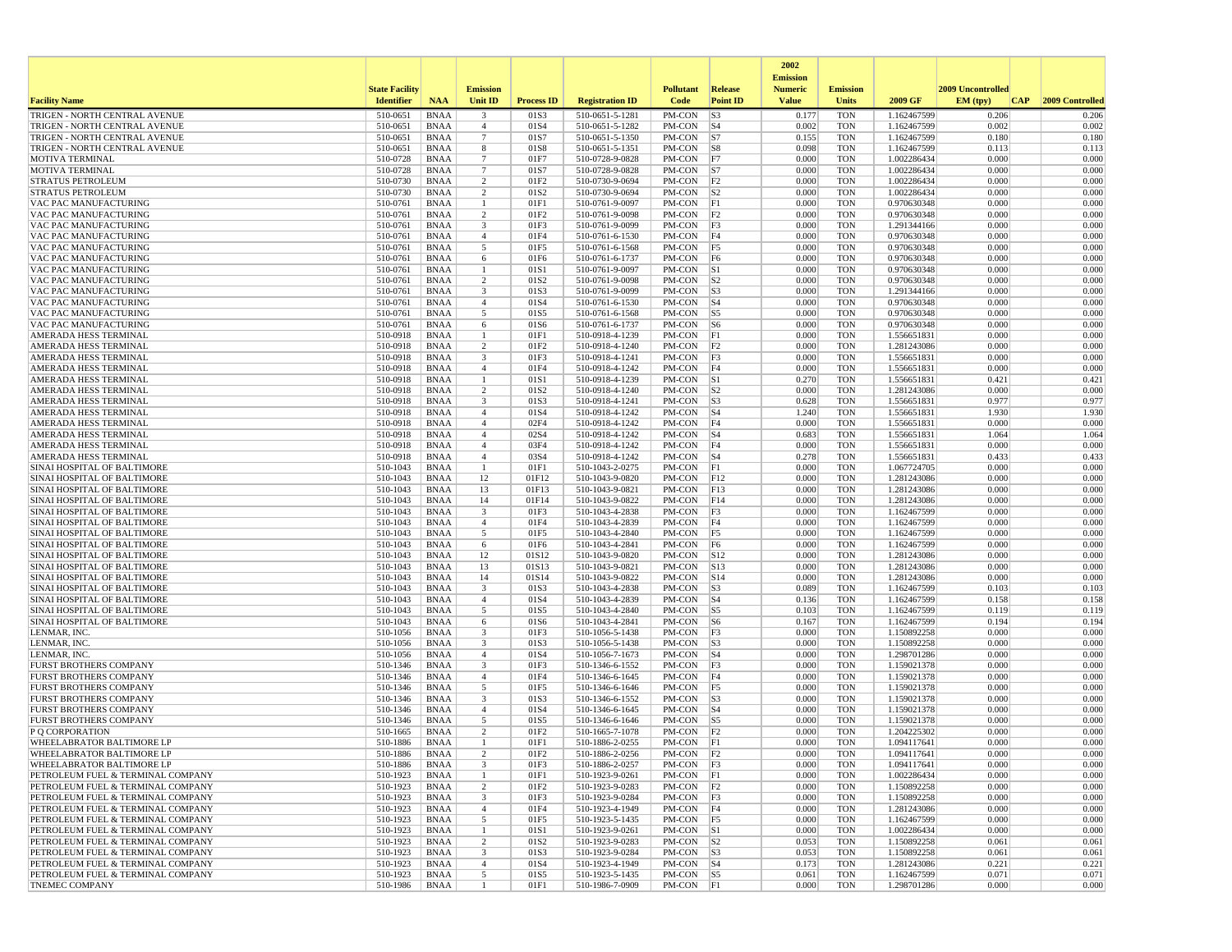|                                                                        |                       |                            |                                  |                   |                                    |                          |                                 | 2002                              |                          |                            |                          |                 |
|------------------------------------------------------------------------|-----------------------|----------------------------|----------------------------------|-------------------|------------------------------------|--------------------------|---------------------------------|-----------------------------------|--------------------------|----------------------------|--------------------------|-----------------|
|                                                                        | <b>State Facility</b> |                            | <b>Emission</b>                  |                   |                                    | <b>Pollutant</b>         | Release                         | <b>Emission</b><br><b>Numeric</b> | <b>Emission</b>          |                            | <b>2009 Uncontrolled</b> |                 |
| <b>Facility Name</b>                                                   | <b>Identifier</b>     | <b>NAA</b>                 | Unit ID                          | <b>Process ID</b> | <b>Registration ID</b>             | Code                     | <b>Point ID</b>                 | <b>Value</b>                      | <b>Units</b>             | 2009 GF                    | EM (typ)<br>CAP          | 2009 Controlled |
| TRIGEN - NORTH CENTRAL AVENUE                                          | 510-0651              | <b>BNAA</b>                | 3                                | 01S3              | 510-0651-5-1281                    | PM-CON                   | S3                              | 0.177                             | <b>TON</b>               | 1.162467599                | 0.206                    | 0.206           |
| TRIGEN - NORTH CENTRAL AVENUE                                          | 510-0651              | <b>BNAA</b><br><b>BNAA</b> | $\overline{4}$<br>$\overline{7}$ | 01S4<br>01S7      | 510-0651-5-1282                    | PM-CON                   | $ S_4 $                         | 0.002<br>0.155                    | <b>TON</b><br><b>TON</b> | 1.162467599                | 0.002<br>0.180           | 0.002           |
| TRIGEN - NORTH CENTRAL AVENUE<br>TRIGEN - NORTH CENTRAL AVENUE         | 510-0651<br>510-0651  | <b>BNAA</b>                | 8                                | 01S8              | 510-0651-5-1350<br>510-0651-5-1351 | PM-CON<br>PM-CON         | S7<br> S8                       | 0.098                             | <b>TON</b>               | 1.162467599<br>1.162467599 | 0.113                    | 0.180<br>0.113  |
| <b>MOTIVA TERMINAL</b>                                                 | 510-0728              | <b>BNAA</b>                | $7\phantom{.0}$                  | 01F7              | 510-0728-9-0828                    | PM-CON                   | F7                              | 0.000                             | <b>TON</b>               | 1.002286434                | 0.000                    | 0.000           |
| MOTIVA TERMINAL                                                        | 510-0728              | <b>BNAA</b>                | $7\phantom{.0}$                  | 01S7              | 510-0728-9-0828                    | PM-CON                   | S7                              | 0.000                             | <b>TON</b>               | 1.002286434                | 0.000                    | 0.000           |
| STRATUS PETROLEUM                                                      | 510-0730              | <b>BNAA</b>                | $\overline{2}$                   | 01F2              | 510-0730-9-0694                    | PM-CON                   | F <sub>2</sub>                  | 0.000                             | <b>TON</b>               | 1.002286434                | 0.000                    | 0.000           |
| <b>STRATUS PETROLEUM</b><br>VAC PAC MANUFACTURING                      | 510-0730<br>510-0761  | <b>BNAA</b><br><b>BNAA</b> | 2                                | 01S2<br>01F1      | 510-0730-9-0694<br>510-0761-9-0097 | PM-CON<br>PM-CON         | S2 <br> F1                      | 0.000<br>0.000                    | <b>TON</b><br><b>TON</b> | 1.002286434<br>0.970630348 | 0.000<br>0.000           | 0.000<br>0.000  |
| VAC PAC MANUFACTURING                                                  | 510-0761              | <b>BNAA</b>                | $\overline{2}$                   | 01F2              | 510-0761-9-0098                    | PM-CON                   | F2                              | 0.000                             | <b>TON</b>               | 0.970630348                | 0.000                    | 0.000           |
| VAC PAC MANUFACTURING                                                  | 510-0761              | <b>BNAA</b>                | $\overline{\mathbf{3}}$          | 01F3              | 510-0761-9-0099                    | PM-CON                   | F3                              | 0.000                             | <b>TON</b>               | 1.291344166                | 0.000                    | 0.000           |
| VAC PAC MANUFACTURING                                                  | 510-0761              | <b>BNAA</b>                | $\overline{4}$                   | 01F4              | 510-0761-6-1530                    | PM-CON                   | F4                              | 0.000                             | <b>TON</b>               | 0.970630348                | 0.000                    | 0.000           |
| VAC PAC MANUFACTURING                                                  | 510-0761<br>510-0761  | <b>BNAA</b><br><b>BNAA</b> | 5                                | 01F5<br>01F6      | 510-0761-6-1568                    | PM-CON<br>PM-CON         | F5<br>F <sub>6</sub>            | 0.000<br>0.000                    | <b>TON</b><br><b>TON</b> | 0.970630348                | 0.000<br>0.000           | 0.000<br>0.000  |
| VAC PAC MANUFACTURING<br>VAC PAC MANUFACTURING                         | 510-0761              | <b>BNAA</b>                | 6<br>-1                          | 01S1              | 510-0761-6-1737<br>510-0761-9-0097 | PM-CON                   | S1                              | 0.000                             | <b>TON</b>               | 0.970630348<br>0.970630348 | 0.000                    | 0.000           |
| <b>VAC PAC MANUFACTURING</b>                                           | 510-0761              | BNAA                       | 2                                | 01S <sub>2</sub>  | 510-0761-9-0098                    | PM-CON                   | S <sub>2</sub>                  | 0.000                             | <b>TON</b>               | 0.970630348                | 0.000                    | 0.000           |
| VAC PAC MANUFACTURING                                                  | 510-0761              | <b>BNAA</b>                | $\overline{\mathbf{3}}$          | 01S3              | 510-0761-9-0099                    | PM-CON                   | S3                              | 0.000                             | <b>TON</b>               | 1.291344166                | 0.000                    | 0.000           |
| VAC PAC MANUFACTURING                                                  | 510-0761              | <b>BNAA</b>                | $\overline{4}$                   | 01S4              | 510-0761-6-1530                    | PM-CON                   | $\vert$ S4                      | 0.000                             | <b>TON</b>               | 0.970630348                | 0.000                    | 0.000           |
| VAC PAC MANUFACTURING<br>VAC PAC MANUFACTURING                         | 510-0761<br>510-0761  | <b>BNAA</b><br><b>BNAA</b> | 5<br>6                           | 01S5<br>01S6      | 510-0761-6-1568<br>510-0761-6-1737 | PM-CON<br>PM-CON         | $\sqrt{S}$<br> S6               | 0.000<br>0.000                    | <b>TON</b><br><b>TON</b> | 0.970630348<br>0.970630348 | 0.000<br>0.000           | 0.000<br>0.000  |
| AMERADA HESS TERMINAL                                                  | 510-0918              | <b>BNAA</b>                |                                  | 01F1              | 510-0918-4-1239                    | PM-CON                   | F1                              | 0.000                             | <b>TON</b>               | 1.556651831                | 0.000                    | 0.000           |
| AMERADA HESS TERMINAL                                                  | 510-0918              | <b>BNAA</b>                | 2                                | 01F2              | 510-0918-4-1240                    | PM-CON                   | F2                              | 0.000                             | <b>TON</b>               | 1.281243086                | 0.000                    | 0.000           |
| AMERADA HESS TERMINAL                                                  | 510-0918              | <b>BNAA</b>                | $\overline{\mathbf{3}}$          | 01F3              | 510-0918-4-1241                    | PM-CON                   | F3                              | 0.000                             | <b>TON</b>               | 1.556651831                | 0.000                    | 0.000           |
| AMERADA HESS TERMINAL                                                  | 510-0918              | <b>BNAA</b>                | $\overline{4}$<br>$\overline{1}$ | 01F4              | 510-0918-4-1242                    | PM-CON                   | F4                              | 0.000                             | <b>TON</b>               | 1.556651831                | 0.000                    | 0.000           |
| AMERADA HESS TERMINAL<br>AMERADA HESS TERMINAL                         | 510-0918<br>510-0918  | <b>BNAA</b><br><b>BNAA</b> | $\overline{c}$                   | 01S1<br>01S2      | 510-0918-4-1239<br>510-0918-4-1240 | PM-CON<br>PM-CON         | S1<br> S <sub>2</sub>           | 0.270<br>0.000                    | <b>TON</b><br><b>TON</b> | 1.556651831<br>1.281243086 | 0.421<br>0.000           | 0.421<br>0.000  |
| AMERADA HESS TERMINAL                                                  | 510-0918              | <b>BNAA</b>                | $\overline{\mathbf{3}}$          | 01S3              | 510-0918-4-1241                    | PM-CON                   | S3                              | 0.628                             | <b>TON</b>               | 1.556651831                | 0.977                    | 0.977           |
| AMERADA HESS TERMINAL                                                  | 510-0918              | <b>BNAA</b>                | $\overline{4}$                   | 01S4              | 510-0918-4-1242                    | PM-CON                   | $\vert$ S4                      | 1.240                             | <b>TON</b>               | 1.556651831                | 1.930                    | 1.930           |
| AMERADA HESS TERMINAL                                                  | 510-0918              | <b>BNAA</b>                | $\overline{4}$                   | 02F4              | 510-0918-4-1242                    | PM-CON                   | F4                              | 0.000                             | <b>TON</b>               | 1.556651831                | 0.000                    | 0.000           |
| <b>AMERADA HESS TERMINAL</b><br>AMERADA HESS TERMINAL                  | 510-0918<br>510-0918  | <b>BNAA</b><br><b>BNAA</b> | $\overline{4}$<br>$\overline{4}$ | 02S4<br>03F4      | 510-0918-4-1242                    | PM-CON<br>PM-CON         | $ S_4 $<br>F4                   | 0.683<br>0.000                    | <b>TON</b><br><b>TON</b> | 1.556651831<br>1.556651831 | 1.064<br>0.000           | 1.064<br>0.000  |
| AMERADA HESS TERMINAL                                                  | 510-0918              | <b>BNAA</b>                | $\overline{4}$                   | 03S4              | 510-0918-4-1242<br>510-0918-4-1242 | PM-CON                   | $ S_4 $                         | 0.278                             | <b>TON</b>               | 1.556651831                | 0.433                    | 0.433           |
| SINAI HOSPITAL OF BALTIMORE                                            | 510-1043              | <b>BNAA</b>                | -1                               | 01F1              | 510-1043-2-0275                    | PM-CON                   | F1                              | 0.000                             | <b>TON</b>               | 1.067724705                | 0.000                    | 0.000           |
| SINAI HOSPITAL OF BALTIMORE                                            | 510-1043              | <b>BNAA</b>                | 12                               | 01F12             | 510-1043-9-0820                    | PM-CON                   | F12                             | 0.000                             | <b>TON</b>               | 1.281243086                | 0.000                    | 0.000           |
| SINAI HOSPITAL OF BALTIMORE                                            | 510-1043              | <b>BNAA</b>                | 13                               | 01F13             | 510-1043-9-0821                    | PM-CON                   | F13                             | 0.000                             | <b>TON</b>               | 1.281243086                | 0.000                    | 0.000           |
| SINAI HOSPITAL OF BALTIMORE<br>SINAI HOSPITAL OF BALTIMORE             | 510-1043<br>510-1043  | <b>BNAA</b><br><b>BNAA</b> | 14<br>3                          | 01F14<br>01F3     | 510-1043-9-0822<br>510-1043-4-2838 | PM-CON<br>PM-CON         | F14<br>F3                       | 0.000<br>0.000                    | <b>TON</b><br><b>TON</b> | 1.281243086<br>1.162467599 | 0.000<br>0.000           | 0.000<br>0.000  |
| SINAI HOSPITAL OF BALTIMORE                                            | 510-1043              | <b>BNAA</b>                | $\overline{4}$                   | 01F4              | 510-1043-4-2839                    | PM-CON                   | F4                              | 0.000                             | <b>TON</b>               | 1.162467599                | 0.000                    | 0.000           |
| SINAI HOSPITAL OF BALTIMORE                                            | 510-1043              | <b>BNAA</b>                | 5                                | 01F5              | 510-1043-4-2840                    | PM-CON                   | F5                              | 0.000                             | <b>TON</b>               | 1.162467599                | 0.000                    | 0.000           |
| SINAI HOSPITAL OF BALTIMORE                                            | 510-1043              | <b>BNAA</b>                | 6                                | 01F6              | 510-1043-4-2841                    | PM-CON                   | F6                              | 0.000                             | <b>TON</b>               | 1.162467599                | 0.000                    | 0.000           |
| SINAI HOSPITAL OF BALTIMORE<br>SINAI HOSPITAL OF BALTIMORE             | 510-1043<br>510-1043  | <b>BNAA</b><br><b>BNAA</b> | 12<br>13                         | 01S12<br>01S13    | 510-1043-9-0820<br>510-1043-9-0821 | PM-CON<br>PM-CON         | $\vert$ S <sub>12</sub><br> S13 | 0.000<br>0.000                    | <b>TON</b><br><b>TON</b> | 1.281243086<br>1.281243086 | 0.000<br>0.000           | 0.000<br>0.000  |
| SINAI HOSPITAL OF BALTIMORE                                            | 510-1043              | <b>BNAA</b>                | 14                               | 01S14             | 510-1043-9-0822                    | PM-CON                   | S14                             | 0.000                             | <b>TON</b>               | 1.281243086                | 0.000                    | 0.000           |
| SINAI HOSPITAL OF BALTIMORE                                            | 510-1043              | <b>BNAA</b>                | 3                                | 01S3              | 510-1043-4-2838                    | PM-CON                   | S3                              | 0.089                             | <b>TON</b>               | 1.162467599                | 0.103                    | 0.103           |
| SINAI HOSPITAL OF BALTIMORE                                            | 510-1043              | <b>BNAA</b>                | $\overline{4}$                   | 01S4              | 510-1043-4-2839                    | PM-CON                   | $\vert$ S4                      | 0.136                             | <b>TON</b>               | 1.162467599                | 0.158                    | 0.158           |
| SINAI HOSPITAL OF BALTIMORE                                            | 510-1043              | <b>BNAA</b>                | 5                                | 01S5              | 510-1043-4-2840                    | PM-CON                   | $\sqrt{S}$                      | 0.103                             | <b>TON</b>               | 1.162467599                | 0.119                    | 0.119           |
| SINAI HOSPITAL OF BALTIMORE<br>LENMAR, INC.                            | 510-1043<br>510-1056  | <b>BNAA</b><br><b>BNAA</b> | 6<br>3                           | 01S6<br>01F3      | 510-1043-4-2841<br>510-1056-5-1438 | PM-CON<br>PM-CON         | $\sqrt{S}$<br>F3                | 0.167<br>0.000                    | <b>TON</b><br><b>TON</b> | 1.162467599<br>1.150892258 | 0.194<br>0.000           | 0.194<br>0.000  |
| LENMAR, INC.                                                           | 510-1056              | <b>BNAA</b>                | $\overline{\mathbf{3}}$          | 01S3              | 510-1056-5-1438                    | PM-CON                   | S3                              | 0.000                             | <b>TON</b>               | 1.150892258                | 0.000                    | 0.000           |
| LENMAR, INC.                                                           | 510-1056              | <b>BNAA</b>                | $\overline{4}$                   | 01S4              | 510-1056-7-1673                    | PM-CON                   | $ S_4 $                         | 0.000                             | <b>TON</b>               | 1.298701286                | 0.000                    | 0.000           |
| <b>FURST BROTHERS COMPANY</b>                                          | 510-1346              | <b>BNAA</b>                | 3                                | 01F3              | 510-1346-6-1552                    | PM-CON                   | F3                              | 0.000                             | <b>TON</b>               | 1.159021378                | 0.000                    | 0.000           |
| <b>FURST BROTHERS COMPANY</b><br><b>FURST BROTHERS COMPANY</b>         | 510-1346<br>510-1346  | <b>BNAA</b><br><b>BNAA</b> | $\overline{4}$<br>5              | 01F4<br>01F5      | 510-1346-6-1645<br>510-1346-6-1646 | PM-CON<br>PM-CON         | F4<br>F5                        | 0.000<br>0.000                    | <b>TON</b><br><b>TON</b> | 1.159021378<br>1.159021378 | 0.000<br>0.000           | 0.000<br>0.000  |
| <b>FURST BROTHERS COMPANY</b>                                          | 510-1346              | <b>BNAA</b>                | $\overline{\mathbf{3}}$          | 01S3              | 510-1346-6-1552                    | PM-CON                   | S3                              | 0.000                             | <b>TON</b>               | 1.159021378                | 0.000                    | 0.000           |
| <b>FURST BROTHERS COMPANY</b>                                          | 510-1346              | <b>BNAA</b>                | $\overline{4}$                   | 01S4              | 510-1346-6-1645                    | PM-CON                   | $ S_4 $                         | 0.000                             | <b>TON</b>               | 1.159021378                | 0.000                    | 0.000           |
| <b>FURST BROTHERS COMPANY</b>                                          | 510-1346              | <b>BNAA</b>                | 5                                | 01S5              | 510-1346-6-1646                    | PM-CON                   | $\vert$ S5                      | 0.000                             | <b>TON</b>               | 1.159021378                | 0.000                    | 0.000           |
| P O CORPORATION<br><b>WHEELABRATOR BALTIMORE LP</b>                    | 510-1665<br>510-1886  | <b>BNAA</b><br><b>BNAA</b> | $\overline{2}$                   | 01F2<br>01F1      | 510-1665-7-1078<br>510-1886-2-0255 | PM-CON<br>PM-CON         | F <sub>2</sub><br> F1           | 0.000<br>0.000                    | <b>TON</b><br><b>TON</b> | 1.204225302<br>1.094117641 | 0.000<br>0.000           | 0.000<br>0.000  |
| WHEELABRATOR BALTIMORE LP                                              | 510-1886              | BNAA                       |                                  | 01F <sub>2</sub>  | 510-1886-2-0256                    | $PM$ -CON $ F2$          |                                 | 0.000                             | TON                      | 1.094117641                | 0.000                    | 0.000           |
| <b>WHEELABRATOR BALTIMORE LP</b>                                       | 510-1886              | BNAA                       | $\mathbf{3}$                     | 01F3              | 510-1886-2-0257                    | $PM-CON$ F3              |                                 | 0.000                             | <b>TON</b>               | 1.094117641                | 0.000                    | 0.000           |
| PETROLEUM FUEL & TERMINAL COMPANY                                      | 510-1923              | <b>BNAA</b>                | $\mathbf{1}$                     | 01F1              | 510-1923-9-0261                    | PM-CON F1                |                                 | 0.000                             | <b>TON</b>               | 1.002286434                | 0.000                    | 0.000           |
| PETROLEUM FUEL & TERMINAL COMPANY                                      | 510-1923              | BNAA                       | $\overline{2}$                   | 01F <sub>2</sub>  | 510-1923-9-0283                    | $PM$ -CON $ F2 $         |                                 | 0.000                             | <b>TON</b>               | 1.150892258                | 0.000                    | 0.000           |
| PETROLEUM FUEL & TERMINAL COMPANY<br>PETROLEUM FUEL & TERMINAL COMPANY | 510-1923<br>510-1923  | <b>BNAA</b><br><b>BNAA</b> | 3<br>$\overline{4}$              | 01F3<br>01F4      | 510-1923-9-0284<br>510-1923-4-1949 | PM-CON F3<br>PM-CON      | F4                              | 0.000<br>0.000                    | <b>TON</b><br><b>TON</b> | 1.150892258<br>1.281243086 | 0.000<br>0.000           | 0.000<br>0.000  |
| PETROLEUM FUEL & TERMINAL COMPANY                                      | 510-1923              | <b>BNAA</b>                | 5                                | 01F5              | 510-1923-5-1435                    | PM-CON F5                |                                 | 0.000                             | <b>TON</b>               | 1.162467599                | 0.000                    | 0.000           |
| PETROLEUM FUEL & TERMINAL COMPANY                                      | 510-1923              | BNAA                       | -1                               | 01S1              | 510-1923-9-0261                    | PM-CON S1                |                                 | 0.000                             | <b>TON</b>               | 1.002286434                | 0.000                    | 0.000           |
| PETROLEUM FUEL & TERMINAL COMPANY                                      | 510-1923              | <b>BNAA</b>                | 2                                | 01S2              | 510-1923-9-0283                    | $PM$ -CON $ S2$          |                                 | 0.053                             | <b>TON</b>               | 1.150892258                | 0.061                    | 0.061           |
| PETROLEUM FUEL & TERMINAL COMPANY                                      | 510-1923              | BNAA                       | $\overline{\mathbf{3}}$          | 01S3              | 510-1923-9-0284                    | PM-CON S3                |                                 | 0.053                             | TON                      | 1.150892258                | 0.061                    | 0.061           |
| PETROLEUM FUEL & TERMINAL COMPANY<br>PETROLEUM FUEL & TERMINAL COMPANY | 510-1923<br>510-1923  | BNAA<br><b>BNAA</b>        | $\overline{4}$<br>5              | 01S4<br>01S5      | 510-1923-4-1949<br>510-1923-5-1435 | PM-CON   S4<br>PM-CON S5 |                                 | 0.173<br>0.061                    | <b>TON</b><br><b>TON</b> | 1.281243086<br>1.162467599 | 0.221<br>0.071           | 0.221<br>0.071  |
| <b>TNEMEC COMPANY</b>                                                  | 510-1986              | BNAA                       | -1                               | 01F1              | 510-1986-7-0909                    | PM-CON F1                |                                 | 0.000                             | TON                      | 1.298701286                | 0.000                    | 0.000           |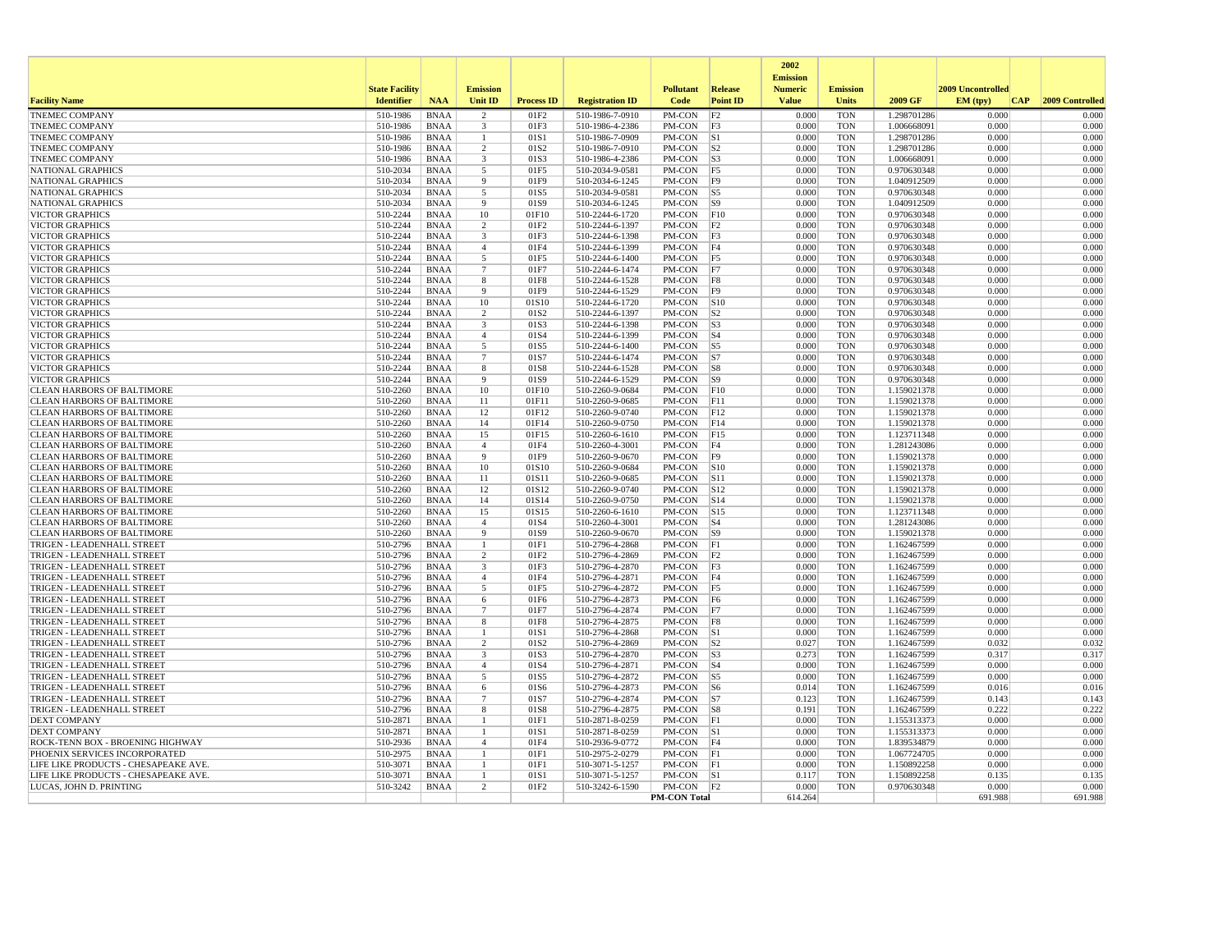|                                      |                                            |             |                                   |                   |                        |                                 |                                   | 2002<br><b>Emission</b>        |                                 |             |                                       |                 |
|--------------------------------------|--------------------------------------------|-------------|-----------------------------------|-------------------|------------------------|---------------------------------|-----------------------------------|--------------------------------|---------------------------------|-------------|---------------------------------------|-----------------|
| <b>Facility Name</b>                 | <b>State Facility</b><br><b>Identifier</b> | <b>NAA</b>  | <b>Emission</b><br><b>Unit ID</b> | <b>Process ID</b> | <b>Registration ID</b> | <b>Pollutant</b><br><b>Code</b> | <b>Release</b><br><b>Point ID</b> | <b>Numeric</b><br><b>Value</b> | <b>Emission</b><br><b>Units</b> | 2009 GF     | 2009 Uncontrolled<br>EM (typ)<br> CAP | 2009 Controlled |
| <b>TNEMEC COMPANY</b>                | 510-1986                                   | <b>BNAA</b> | $\overline{2}$                    | 01F2              | 510-1986-7-0910        | PM-CON                          | F2                                | 0.000                          | <b>TON</b>                      | 1.298701286 | 0.000                                 | 0.000           |
| <b>TNEMEC COMPANY</b>                | 510-1986                                   | <b>BNAA</b> | 3                                 | 01F3              | 510-1986-4-2386        | PM-CON                          | F3                                | 0.000                          | <b>TON</b>                      | 1.006668091 | 0.000                                 | 0.000           |
| <b>TNEMEC COMPANY</b>                | 510-1986                                   | <b>BNAA</b> | $\mathbf{1}$                      | 01S1              | 510-1986-7-0909        | PM-CON                          | S                                 | 0.000                          | <b>TON</b>                      | 1.298701286 | 0.000                                 | 0.000           |
| <b>TNEMEC COMPANY</b>                | 510-1986                                   | <b>BNAA</b> | $\overline{2}$                    | 01S2              | 510-1986-7-0910        | PM-CON                          | S <sub>2</sub>                    | 0.000                          | <b>TON</b>                      | 1.298701286 | 0.000                                 | 0.000           |
| <b>TNEMEC COMPANY</b>                | 510-1986                                   | <b>BNAA</b> | 3                                 | 01S3              | 510-1986-4-2386        | PM-CON                          | S3                                | 0.000                          | <b>TON</b>                      | 1.006668091 | 0.000                                 | 0.000           |
| <b>NATIONAL GRAPHICS</b>             | 510-2034                                   | <b>BNAA</b> | 5                                 | 01F5              | 510-2034-9-0581        | PM-CON                          | F5                                | 0.000                          | <b>TON</b>                      | 0.970630348 | 0.000                                 | 0.000           |
| NATIONAL GRAPHICS                    | 510-2034                                   | <b>BNAA</b> | $\mathbf{q}$                      | 01F9              | 510-2034-6-1245        | PM-CON                          | F9                                | 0.000                          | TON                             | 1.040912509 | 0.000                                 | 0.000           |
| NATIONAL GRAPHICS                    | 510-2034                                   | <b>BNAA</b> | 5                                 | 01S5              | 510-2034-9-0581        | PM-CON                          | $\vert$ S5                        | 0.000                          | <b>TON</b>                      | 0.970630348 | 0.000                                 | 0.000           |
| <b>NATIONAL GRAPHICS</b>             | 510-2034                                   | <b>BNAA</b> | $\mathbf{Q}$                      | 01S9              | 510-2034-6-1245        | $PM$ -CON                       | S9                                | 0.000                          | <b>TON</b>                      | 1.040912509 | 0.000                                 | 0.000           |
| <b>VICTOR GRAPHICS</b>               | 510-2244                                   | <b>BNAA</b> | 10                                | 01F10             | 510-2244-6-1720        | PM-CON                          | F10                               | 0.000                          | <b>TON</b>                      | 0.970630348 | 0.000                                 | 0.000           |
| <b>VICTOR GRAPHICS</b>               | 510-2244                                   | <b>BNAA</b> | $\overline{c}$                    | 01F2              | 510-2244-6-1397        | PM-CON                          | F2                                | 0.000                          | <b>TON</b>                      | 0.970630348 | 0.000                                 | 0.000           |
| <b>VICTOR GRAPHICS</b>               | 510-2244                                   | <b>BNAA</b> | 3                                 | 01F3              | 510-2244-6-1398        | PM-CON                          | F3                                | 0.000                          | <b>TON</b>                      | 0.970630348 | 0.000                                 | 0.000           |
| <b>VICTOR GRAPHICS</b>               | 510-2244                                   | <b>BNAA</b> | $\overline{4}$                    | 01F4              | 510-2244-6-1399        | PM-CON                          | F4                                | 0.000                          | <b>TON</b>                      | 0.970630348 | 0.000                                 | 0.000           |
| <b>VICTOR GRAPHICS</b>               | 510-2244                                   | <b>BNAA</b> | 5                                 | 01F5              | 510-2244-6-1400        | PM-CON                          | F5                                | 0.000                          | <b>TON</b>                      | 0.970630348 | 0.000                                 | 0.000           |
| <b>VICTOR GRAPHICS</b>               | 510-2244                                   | <b>BNAA</b> | $\overline{7}$                    | 01F7              | 510-2244-6-1474        | PM-CON                          | F7                                | 0.000                          | <b>TON</b>                      | 0.970630348 | 0.000                                 | 0.000           |
| <b>VICTOR GRAPHICS</b>               | 510-2244                                   | <b>BNAA</b> | 8                                 | 01F8              | 510-2244-6-1528        | PM-CON                          | F8                                | 0.000                          | <b>TON</b>                      | 0.970630348 | 0.000                                 | 0.000           |
| <b>VICTOR GRAPHICS</b>               | 510-2244                                   | <b>BNAA</b> | 9                                 | 01F9              | 510-2244-6-1529        | PM-CON                          | F9                                | 0.000                          | TON                             | 0.970630348 | 0.000                                 | 0.000           |
| <b>VICTOR GRAPHICS</b>               | 510-2244                                   | <b>BNAA</b> | 10                                | 01S10             | 510-2244-6-1720        | PM-CON                          | $\vert$ S <sub>10</sub>           | 0.000                          | <b>TON</b>                      | 0.970630348 | 0.000                                 | 0.000           |
| <b>VICTOR GRAPHICS</b>               | 510-2244                                   | <b>BNAA</b> | $\overline{2}$                    | 01S2              | 510-2244-6-1397        | PM-CON                          | S2                                | 0.000                          | <b>TON</b>                      | 0.970630348 | 0.000                                 | 0.000           |
| <b>VICTOR GRAPHICS</b>               | 510-2244                                   | <b>BNAA</b> | 3                                 | 01S3              | 510-2244-6-1398        | PM-CON                          | S3                                | 0.000                          | <b>TON</b>                      | 0.970630348 | 0.000                                 | 0.000           |
| <b>VICTOR GRAPHICS</b>               | 510-2244                                   | <b>BNAA</b> | $\overline{4}$                    | 01S4              | 510-2244-6-1399        | PM-CON                          | $ S_4 $                           | 0.000                          | <b>TON</b>                      | 0.970630348 | 0.000                                 | 0.000           |
| <b>VICTOR GRAPHICS</b>               | 510-2244                                   | <b>BNAA</b> | 5                                 | 01S5              | 510-2244-6-1400        | PM-CON                          | $\vert$ S5                        | 0.000                          | <b>TON</b>                      | 0.970630348 | 0.000                                 | 0.000           |
| <b>VICTOR GRAPHICS</b>               | 510-2244                                   | <b>BNAA</b> | $\overline{7}$                    | 01S7              | 510-2244-6-1474        | PM-CON                          | S7                                | 0.000                          | <b>TON</b>                      | 0.970630348 | 0.000                                 | 0.000           |
| <b>VICTOR GRAPHICS</b>               | 510-2244                                   | BNAA        | 8                                 | 01S8              | 510-2244-6-1528        | PM-CON                          | S8                                | 0.000                          | <b>TON</b>                      | 0.970630348 | 0.000                                 | 0.000           |
| <b>VICTOR GRAPHICS</b>               | 510-2244                                   | <b>BNAA</b> | $\mathbf{q}$                      | 01S9              | 510-2244-6-1529        | PM-CON                          | S9                                | 0.000                          | <b>TON</b>                      | 0.970630348 | 0.000                                 | 0.000           |
| <b>CLEAN HARBORS OF BALTIMORE</b>    | 510-2260                                   | <b>BNAA</b> | 10                                | 01F10             | 510-2260-9-0684        | PM-CON                          | F10                               | 0.000                          | TON                             | 1.159021378 | 0.000                                 | 0.000           |
| <b>CLEAN HARBORS OF BALTIMORE</b>    | 510-2260                                   | <b>BNAA</b> | 11                                | 01F11             | 510-2260-9-0685        | PM-CON                          | F11                               | 0.000                          | <b>TON</b>                      | 1.159021378 | 0.000                                 | 0.000           |
| <b>CLEAN HARBORS OF BALTIMORE</b>    | 510-2260                                   | <b>BNAA</b> | 12                                | 01F12             | 510-2260-9-0740        | PM-CON                          | F12                               | 0.000                          | <b>TON</b>                      | 1.159021378 | 0.000                                 | 0.000           |
| <b>CLEAN HARBORS OF BALTIMORE</b>    | 510-2260                                   | <b>BNAA</b> | 14                                | 01F14             | 510-2260-9-0750        | PM-CON                          | F14                               | 0.000                          | <b>TON</b>                      | 1.159021378 | 0.000                                 | 0.000           |
| <b>CLEAN HARBORS OF BALTIMORE</b>    | 510-2260                                   | <b>BNAA</b> | 15                                | 01F15             | 510-2260-6-1610        | PM-CON                          | F15                               | 0.000                          | <b>TON</b>                      | 1.123711348 | 0.000                                 | 0.000           |
| <b>CLEAN HARBORS OF BALTIMORE</b>    | 510-2260                                   | <b>BNAA</b> | $\overline{4}$                    | 01F4              | 510-2260-4-3001        | PM-CON                          | F4                                | 0.000                          | <b>TON</b>                      | 1.281243086 | 0.000                                 | 0.000           |
| <b>CLEAN HARBORS OF BALTIMORE</b>    | 510-2260                                   | <b>BNAA</b> | 9                                 | 01F9              | 510-2260-9-0670        | PM-CON                          | F9                                | 0.000                          | <b>TON</b>                      | 1.159021378 | 0.000                                 | 0.000           |
| CLEAN HARBORS OF BALTIMORE           | 510-2260                                   | <b>BNAA</b> | 10                                | 01S10             | 510-2260-9-0684        | PM-CON                          | S10                               | 0.000                          | <b>TON</b>                      | 1.159021378 | 0.000                                 | 0.000           |
| <b>CLEAN HARBORS OF BALTIMORE</b>    | 510-2260                                   | <b>BNAA</b> | 11                                | 01S11             | 510-2260-9-0685        | PM-CON                          | S11                               | 0.000                          | <b>TON</b>                      | 1.159021378 | 0.000                                 | 0.000           |
| <b>CLEAN HARBORS OF BALTIMORE</b>    | 510-2260                                   | <b>BNAA</b> | 12                                | 01S12             | 510-2260-9-0740        | PM-CON                          | S12                               | 0.000                          | <b>TON</b>                      | 1.159021378 | 0.000                                 | 0.000           |
| <b>CLEAN HARBORS OF BALTIMORE</b>    | 510-2260                                   | <b>BNAA</b> | 14                                | 01S14             | 510-2260-9-0750        | PM-CON                          | S14                               | 0.000                          | TON                             | 1.159021378 | 0.000                                 | 0.000           |
| <b>CLEAN HARBORS OF BALTIMORE</b>    | 510-2260                                   | <b>BNAA</b> | 15                                | 01S15             | 510-2260-6-1610        | PM-CON                          | $\vert$ S <sub>15</sub>           | 0.000                          | <b>TON</b>                      | 1.123711348 | 0.000                                 | 0.000           |
| <b>CLEAN HARBORS OF BALTIMORE</b>    | 510-2260                                   | <b>BNAA</b> | $\overline{4}$                    | 01S4              | 510-2260-4-3001        | PM-CON                          | S4                                | 0.000                          | <b>TON</b>                      | 1.281243086 | 0.000                                 | 0.000           |
| <b>CLEAN HARBORS OF BALTIMORE</b>    | 510-2260                                   | <b>BNAA</b> | 9                                 | 01S9              | 510-2260-9-0670        | PM-CON                          | S9                                | 0.000                          | <b>TON</b>                      | 1.159021378 | 0.000                                 | 0.000           |
| TRIGEN - LEADENHALL STREET           | 510-2796                                   | <b>BNAA</b> | -1                                | 01F1              | 510-2796-4-2868        | PM-CON                          | F1                                | 0.000                          | <b>TON</b>                      | 1.162467599 | 0.000                                 | 0.000           |
| TRIGEN - LEADENHALL STREET           | 510-2796                                   | <b>BNAA</b> | 2                                 | 01F2              | 510-2796-4-2869        | PM-CON                          | F2                                | 0.000                          | <b>TON</b>                      | 1.162467599 | 0.000                                 | 0.000           |
| TRIGEN - LEADENHALL STREET           | 510-2796                                   | <b>BNAA</b> | 3                                 | 01F3              | 510-2796-4-2870        | PM-CON                          | F3                                | 0.000                          | <b>TON</b>                      | 1.162467599 | 0.000                                 | 0.000           |
| TRIGEN - LEADENHALL STREET           | 510-2796                                   | <b>BNAA</b> | $\overline{4}$                    | 01F4              | 510-2796-4-2871        | PM-CON                          | F4                                | 0.000                          | <b>TON</b>                      | 1.162467599 | 0.000                                 | 0.000           |
| TRIGEN - LEADENHALL STREET           | 510-2796                                   | <b>BNAA</b> | 5                                 | 01F5              | 510-2796-4-2872        | PM-CON                          | F5                                | 0.000                          | <b>TON</b>                      | 1.162467599 | 0.000                                 | 0.000           |
| TRIGEN - LEADENHALL STREET           | 510-2796                                   | <b>BNAA</b> | 6                                 | 01F6              | 510-2796-4-2873        | PM-CON                          | F6                                | 0.000                          | TON                             | 1.162467599 | 0.000                                 | 0.000           |
| TRIGEN - LEADENHALL STREET           | 510-2796                                   | <b>BNAA</b> | $7\phantom{.0}$                   | 01F7              | 510-2796-4-2874        | PM-CON                          | F7                                | 0.000                          | <b>TON</b>                      | 1.162467599 | 0.000                                 | 0.000           |
| TRIGEN - LEADENHALL STREET           | 510-2796                                   | <b>BNAA</b> | 8                                 | 01F8              | 510-2796-4-2875        | PM-CON                          | F8                                | 0.000                          | <b>TON</b>                      | 1.162467599 | 0.000                                 | 0.000           |
| TRIGEN - LEADENHALL STREET           | 510-2796                                   | <b>BNAA</b> |                                   | 01S1              | 510-2796-4-2868        | PM-CON                          | S1                                | 0.000                          | <b>TON</b>                      | 1.162467599 | 0.000                                 | 0.000           |
| TRIGEN - LEADENHALL STREET           | 510-2796                                   | <b>BNAA</b> | $\overline{2}$                    | 01S <sub>2</sub>  | 510-2796-4-2869        | PM-CON                          | S <sub>2</sub>                    | 0.027                          | <b>TON</b>                      | 1.162467599 | 0.032                                 | 0.032           |
| TRIGEN - LEADENHALL STREET           | 510-2796                                   | <b>BNAA</b> | 3                                 | 01S3              | 510-2796-4-2870        | PM-CON                          | S3                                | 0.273                          | <b>TON</b>                      | 1.162467599 | 0.317                                 | 0.317           |
| TRIGEN - LEADENHALL STREET           | 510-2796                                   | <b>BNAA</b> | $\overline{4}$                    | 01S4              | 510-2796-4-2871        | PM-CON                          | $\vert$ S4                        | 0.000                          | <b>TON</b>                      | 1.162467599 | 0.000                                 | 0.000           |
| TRIGEN - LEADENHALL STREET           | 510-2796                                   | <b>BNAA</b> | $\overline{5}$                    | 01S5              | 510-2796-4-2872        | PM-CON                          | $\overline{S5}$                   | 0.000                          | <b>TON</b>                      | 1.162467599 | 0.000                                 | 0.000           |
| TRIGEN - LEADENHALL STREET           | 510-2796                                   | <b>BNAA</b> | 6                                 | 01S6              | 510-2796-4-2873        | PM-CON                          | $\sqrt{S}$                        | 0.014                          | <b>TON</b>                      | 1.162467599 | 0.016                                 | 0.016           |
| TRIGEN - LEADENHALL STREET           | 510-2796                                   | <b>BNAA</b> | $\overline{7}$                    | 01S7              | 510-2796-4-2874        | PM-CON                          | S7                                | 0.123                          | <b>TON</b>                      | 1.162467599 | 0.143                                 | 0.143           |
| TRIGEN - LEADENHALL STREET           | 510-2796                                   | <b>BNAA</b> | 8                                 | 01S8              | 510-2796-4-2875        | PM-CON                          | S8                                | 0.191                          | <b>TON</b>                      | 1.162467599 | 0.222                                 | 0.222           |
| <b>DEXT COMPANY</b>                  | 510-2871                                   | <b>BNAA</b> | $\mathbf{1}$                      | 01F1              | 510-2871-8-0259        | PM-CON                          | F                                 | 0.000                          | <b>TON</b>                      | 1.155313373 | 0.000                                 | 0.000           |
| <b>DEXT COMPANY</b>                  | 510-2871                                   | <b>BNAA</b> |                                   | 01S1              | 510-2871-8-0259        | PM-CON                          | S                                 | 0.000                          | <b>TON</b>                      | 1.155313373 | 0.000                                 | 0.000           |
| ROCK-TENN BOX - BROENING HIGHWAY     | 510-2936                                   | <b>BNAA</b> | $\overline{4}$                    | 01F4              | 510-2936-9-0772        | PM-CON                          | F4                                | 0.000                          | <b>TON</b>                      | 1.839534879 | 0.000                                 | 0.000           |
| PHOENIX SERVICES INCORPORATED        | 510-2975                                   | <b>BNAA</b> | -1                                | 01F1              | 510-2975-2-0279        | PM-CON                          | F                                 | 0.000                          | <b>TON</b>                      | 1.067724705 | 0.000                                 | 0.000           |
| LIFE LIKE PRODUCTS - CHESAPEAKE AVE. | 510-3071                                   | <b>BNAA</b> | -1                                | 01F1              | 510-3071-5-1257        | PM-CON                          | F                                 | 0.000                          | <b>TON</b>                      | 1.150892258 | 0.000                                 | 0.000           |
| LIFE LIKE PRODUCTS - CHESAPEAKE AVE. | 510-3071                                   | <b>BNAA</b> |                                   | 01S1              | 510-3071-5-1257        | PM-CON                          | S                                 | 0.117                          | <b>TON</b>                      | 1.150892258 | 0.135                                 | 0.135           |
| LUCAS, JOHN D. PRINTING              | 510-3242                                   | <b>BNAA</b> | $\overline{2}$                    | 01F2              | 510-3242-6-1590        | PM-CON                          | F2                                | 0.000                          | <b>TON</b>                      | 0.970630348 | 0.000                                 | 0.000           |
|                                      |                                            |             |                                   |                   |                        | <b>PM-CON Total</b>             |                                   | 614.264                        |                                 |             | 691.988                               | 691.988         |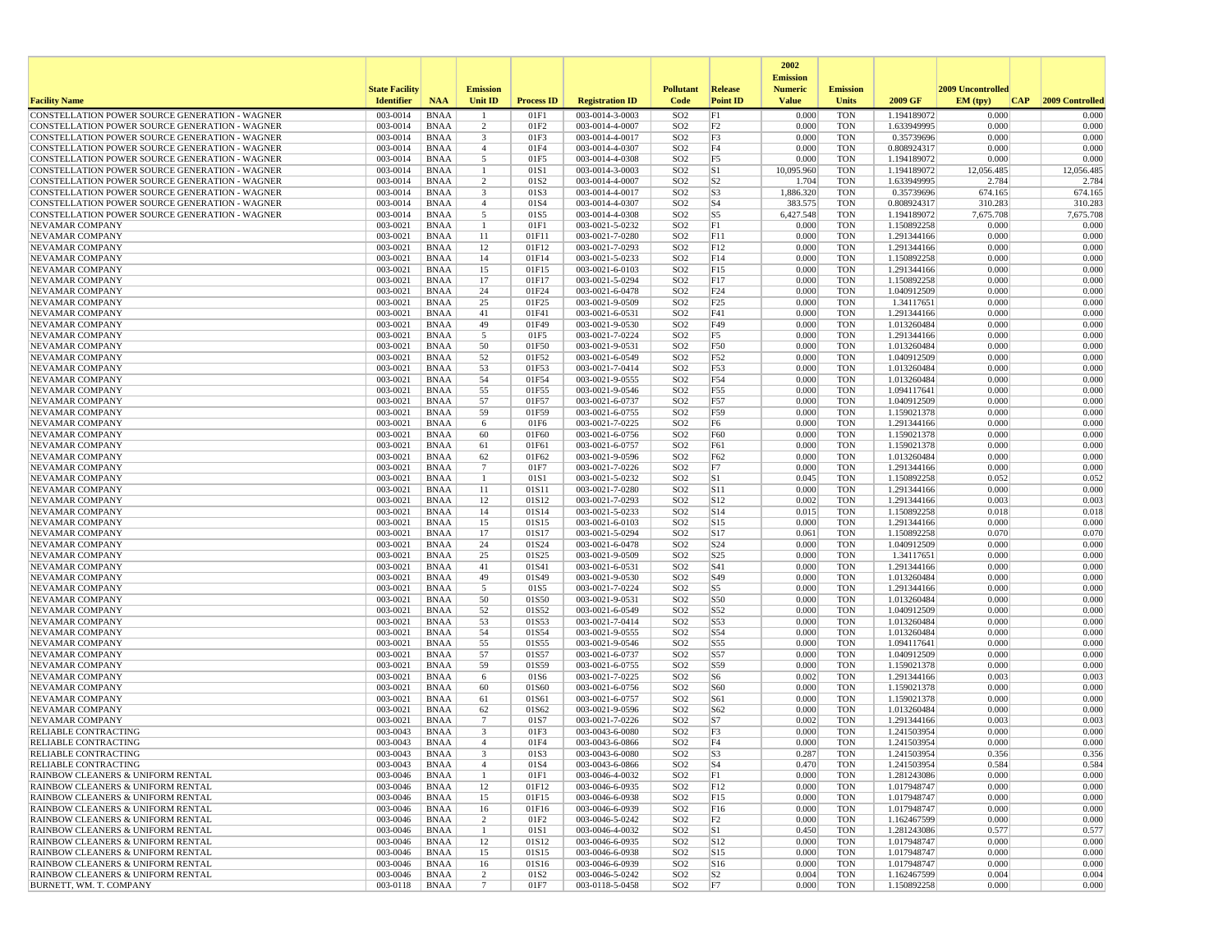|                                                                                                  |                       |                            |                         |                   |                                    |                                    |                      | 2002                              |                          |                            |                   |                 |
|--------------------------------------------------------------------------------------------------|-----------------------|----------------------------|-------------------------|-------------------|------------------------------------|------------------------------------|----------------------|-----------------------------------|--------------------------|----------------------------|-------------------|-----------------|
|                                                                                                  | <b>State Facility</b> |                            | <b>Emission</b>         |                   |                                    | <b>Pollutant</b>                   | <b>Release</b>       | <b>Emission</b><br><b>Numeric</b> | <b>Emission</b>          |                            | 2009 Uncontrolled |                 |
| <b>Facility Name</b>                                                                             | <b>Identifier</b>     | <b>NAA</b>                 | Unit ID                 | <b>Process ID</b> | <b>Registration ID</b>             | Code                               | <b>Point ID</b>      | <b>Value</b>                      | <b>Units</b>             | 2009 GF                    | EM (typ)<br> CAP  | 2009 Controlled |
| CONSTELLATION POWER SOURCE GENERATION - WAGNER                                                   | 003-0014              | <b>BNAA</b>                |                         | 01F1              | 003-0014-3-0003                    | SO <sub>2</sub>                    | F1                   | 0.000                             | <b>TON</b>               | 1.194189072                | 0.000             | 0.000           |
| CONSTELLATION POWER SOURCE GENERATION - WAGNER                                                   | 003-0014              | <b>BNAA</b>                | 2                       | 01F2              | 003-0014-4-0007                    | SO <sub>2</sub>                    | F <sub>2</sub>       | 0.000                             | <b>TON</b>               | 1.633949995                | 0.000             | 0.000           |
| CONSTELLATION POWER SOURCE GENERATION - WAGNER                                                   | 003-0014              | <b>BNAA</b>                | $\overline{\mathbf{3}}$ | 01F3              | 003-0014-4-0017                    | SO <sub>2</sub>                    | F3                   | 0.000                             | <b>TON</b>               | 0.35739696                 | 0.000             | 0.000           |
| CONSTELLATION POWER SOURCE GENERATION - WAGNER<br>CONSTELLATION POWER SOURCE GENERATION - WAGNER | 003-0014<br>003-0014  | <b>BNAA</b><br><b>BNAA</b> | $\overline{4}$<br>5     | 01F4<br>01F5      | 003-0014-4-0307<br>003-0014-4-0308 | SO <sub>2</sub><br>SO <sub>2</sub> | F4<br>F <sub>5</sub> | 0.000<br>0.000                    | <b>TON</b><br><b>TON</b> | 0.808924317<br>1.194189072 | 0.000<br>0.000    | 0.000<br>0.000  |
| CONSTELLATION POWER SOURCE GENERATION - WAGNER                                                   | 003-0014              | <b>BNAA</b>                | -1                      | 01S1              | 003-0014-3-0003                    | SO <sub>2</sub>                    | S1                   | 10,095.960                        | <b>TON</b>               | 1.194189072                | 12,056.485        | 12,056.485      |
| CONSTELLATION POWER SOURCE GENERATION - WAGNER                                                   | 003-0014              | <b>BNAA</b>                | 2                       | 01S <sub>2</sub>  | 003-0014-4-0007                    | SO <sub>2</sub>                    | S <sub>2</sub>       | 1.704                             | <b>TON</b>               | 1.633949995                | 2.784             | 2.784           |
| CONSTELLATION POWER SOURCE GENERATION - WAGNER                                                   | 003-0014              | <b>BNAA</b>                | 3                       | 01S3              | 003-0014-4-0017                    | SO <sub>2</sub>                    | S3                   | 1,886.320                         | <b>TON</b>               | 0.35739696                 | 674.165           | 674.165         |
| CONSTELLATION POWER SOURCE GENERATION - WAGNER                                                   | 003-0014              | <b>BNAA</b>                | $\overline{4}$          | 01S4              | 003-0014-4-0307                    | SO <sub>2</sub>                    | $ S_4 $              | 383.575                           | <b>TON</b>               | 0.808924317                | 310.283           | 310.283         |
| CONSTELLATION POWER SOURCE GENERATION - WAGNER                                                   | 003-0014              | <b>BNAA</b>                | 5                       | 01S5              | 003-0014-4-0308                    | SO <sub>2</sub>                    | S <sub>5</sub>       | 6,427.548                         | <b>TON</b>               | 1.194189072                | 7,675.708         | 7,675.708       |
| <b>NEVAMAR COMPANY</b>                                                                           | 003-0021              | <b>BNAA</b>                | $\mathbf{1}$            | 01F1              | 003-0021-5-0232                    | SO <sub>2</sub>                    | F1                   | 0.000                             | <b>TON</b>               | 1.150892258                | 0.000             | 0.000           |
| NEVAMAR COMPANY                                                                                  | 003-0021<br>003-0021  | <b>BNAA</b>                | 11<br>12                | 01F11<br>01F12    | 003-0021-7-0280<br>003-0021-7-0293 | SO <sub>2</sub><br>SO <sub>2</sub> | F11<br>F12           | 0.000<br>0.000                    | <b>TON</b><br><b>TON</b> | 1.291344166                | 0.000<br>0.000    | 0.000<br>0.000  |
| NEVAMAR COMPANY<br>NEVAMAR COMPANY                                                               | 003-0021              | <b>BNAA</b><br><b>BNAA</b> | 14                      | 01F14             | 003-0021-5-0233                    | SO <sub>2</sub>                    | F14                  | 0.000                             | <b>TON</b>               | 1.291344166<br>1.150892258 | 0.000             | 0.000           |
| NEVAMAR COMPANY                                                                                  | 003-0021              | <b>BNAA</b>                | 15                      | 01F15             | 003-0021-6-0103                    | SO <sub>2</sub>                    | F15                  | 0.000                             | <b>TON</b>               | 1.291344166                | 0.000             | 0.000           |
| <b>NEVAMAR COMPANY</b>                                                                           | 003-0021              | <b>BNAA</b>                | 17                      | 01F17             | 003-0021-5-0294                    | SO <sub>2</sub>                    | F17                  | 0.000                             | <b>TON</b>               | 1.150892258                | 0.000             | 0.000           |
| NEVAMAR COMPANY                                                                                  | 003-0021              | <b>BNAA</b>                | 24                      | 01F24             | 003-0021-6-0478                    | SO <sub>2</sub>                    | F24                  | 0.000                             | <b>TON</b>               | 1.040912509                | 0.000             | 0.000           |
| NEVAMAR COMPANY                                                                                  | 003-0021              | <b>BNAA</b>                | 25                      | 01F25             | 003-0021-9-0509                    | SO <sub>2</sub>                    | F25                  | 0.000                             | <b>TON</b>               | 1.34117651                 | 0.000             | 0.000           |
| NEVAMAR COMPANY                                                                                  | 003-0021              | <b>BNAA</b>                | 41                      | 01F41             | 003-0021-6-0531                    | SO <sub>2</sub>                    | F41                  | 0.000                             | <b>TON</b>               | 1.291344166                | 0.000             | 0.000           |
| NEVAMAR COMPANY                                                                                  | 003-0021              | <b>BNAA</b>                | 49                      | 01F49             | 003-0021-9-0530                    | SO <sub>2</sub>                    | F49                  | 0.000                             | <b>TON</b>               | 1.013260484                | 0.000             | 0.000           |
| NEVAMAR COMPANY                                                                                  | 003-0021              | <b>BNAA</b>                | 5                       | 01F5              | 003-0021-7-0224                    | SO <sub>2</sub>                    | F5                   | 0.000                             | <b>TON</b>               | 1.291344166                | 0.000             | 0.000           |
| NEVAMAR COMPANY                                                                                  | 003-0021              | <b>BNAA</b>                | 50<br>52                | 01F50             | 003-0021-9-0531                    | SO <sub>2</sub>                    | F50                  | 0.000<br>0.000                    | <b>TON</b>               | 1.013260484                | 0.000<br>0.000    | 0.000<br>0.000  |
| NEVAMAR COMPANY<br>NEVAMAR COMPANY                                                               | 003-0021<br>003-0021  | <b>BNAA</b><br><b>BNAA</b> | 53                      | 01F52<br>01F53    | 003-0021-6-0549<br>003-0021-7-0414 | SO <sub>2</sub><br>SO <sub>2</sub> | F52<br>F53           | 0.000                             | <b>TON</b><br><b>TON</b> | 1.040912509<br>1.013260484 | 0.000             | 0.000           |
| NEVAMAR COMPANY                                                                                  | 003-0021              | <b>BNAA</b>                | 54                      | 01F54             | 003-0021-9-0555                    | SO <sub>2</sub>                    | F54                  | 0.000                             | <b>TON</b>               | 1.013260484                | 0.000             | 0.000           |
| NEVAMAR COMPANY                                                                                  | 003-0021              | <b>BNAA</b>                | 55                      | 01F55             | 003-0021-9-0546                    | SO <sub>2</sub>                    | F55                  | 0.000                             | <b>TON</b>               | 1.094117641                | 0.000             | 0.000           |
| NEVAMAR COMPANY                                                                                  | 003-0021              | <b>BNAA</b>                | 57                      | 01F57             | 003-0021-6-0737                    | SO <sub>2</sub>                    | F57                  | 0.000                             | <b>TON</b>               | 1.040912509                | 0.000             | 0.000           |
| NEVAMAR COMPANY                                                                                  | 003-0021              | <b>BNAA</b>                | 59                      | 01F59             | 003-0021-6-0755                    | SO <sub>2</sub>                    | F59                  | 0.000                             | <b>TON</b>               | 1.159021378                | 0.000             | 0.000           |
| NEVAMAR COMPANY                                                                                  | 003-0021              | <b>BNAA</b>                | 6                       | 01F6              | 003-0021-7-0225                    | SO <sub>2</sub>                    | F <sub>6</sub>       | 0.000                             | <b>TON</b>               | 1.291344166                | 0.000             | 0.000           |
| NEVAMAR COMPANY                                                                                  | 003-0021              | <b>BNAA</b>                | 60                      | 01F60             | 003-0021-6-0756                    | SO <sub>2</sub>                    | F60                  | 0.000                             | <b>TON</b>               | 1.159021378                | 0.000             | 0.000           |
| NEVAMAR COMPANY<br><b>NEVAMAR COMPANY</b>                                                        | 003-0021<br>003-0021  | <b>BNAA</b><br><b>BNAA</b> | 61<br>62                | 01F61<br>01F62    | 003-0021-6-0757<br>003-0021-9-0596 | SO <sub>2</sub><br>SO <sub>2</sub> | F61<br>F62           | 0.000<br>0.000                    | <b>TON</b><br><b>TON</b> | 1.159021378<br>1.013260484 | 0.000<br>0.000    | 0.000<br>0.000  |
| NEVAMAR COMPANY                                                                                  | 003-0021              | <b>BNAA</b>                | 7                       | 01F7              | 003-0021-7-0226                    | SO <sub>2</sub>                    | F7                   | 0.000                             | <b>TON</b>               | 1.291344166                | 0.000             | 0.000           |
| NEVAMAR COMPANY                                                                                  | 003-0021              | <b>BNAA</b>                | -1                      | 01S1              | 003-0021-5-0232                    | SO <sub>2</sub>                    | S1                   | 0.045                             | <b>TON</b>               | 1.150892258                | 0.052             | 0.052           |
| <b>NEVAMAR COMPANY</b>                                                                           | 003-0021              | <b>BNAA</b>                | 11                      | 01S11             | 003-0021-7-0280                    | SO <sub>2</sub>                    | S11                  | 0.000                             | <b>TON</b>               | 1.291344166                | 0.000             | 0.000           |
| NEVAMAR COMPANY                                                                                  | 003-0021              | <b>BNAA</b>                | 12                      | 01S12             | 003-0021-7-0293                    | SO <sub>2</sub>                    | S12                  | 0.002                             | <b>TON</b>               | 1.291344166                | 0.003             | 0.003           |
| NEVAMAR COMPANY                                                                                  | 003-0021              | <b>BNAA</b>                | 14                      | 01S14             | 003-0021-5-0233                    | SO <sub>2</sub>                    | S14                  | 0.015                             | <b>TON</b>               | 1.150892258                | 0.018             | 0.018           |
| NEVAMAR COMPANY                                                                                  | 003-0021              | <b>BNAA</b>                | 15                      | 01S15             | 003-0021-6-0103                    | SO <sub>2</sub>                    | S15                  | 0.000                             | <b>TON</b>               | 1.291344166                | 0.000             | 0.000           |
| NEVAMAR COMPANY                                                                                  | 003-0021<br>003-0021  | <b>BNAA</b>                | 17<br>24                | 01S17             | 003-0021-5-0294                    | SO <sub>2</sub><br>SO <sub>2</sub> | S17<br>S24           | 0.061<br>0.000                    | <b>TON</b><br><b>TON</b> | 1.150892258                | 0.070<br>0.000    | 0.070<br>0.000  |
| NEVAMAR COMPANY<br>NEVAMAR COMPANY                                                               | 003-0021              | <b>BNAA</b><br><b>BNAA</b> | 25                      | 01S24<br>01S25    | 003-0021-6-0478<br>003-0021-9-0509 | SO <sub>2</sub>                    | S <sub>25</sub>      | 0.000                             | <b>TON</b>               | 1.040912509<br>1.34117651  | 0.000             | 0.000           |
| NEVAMAR COMPANY                                                                                  | 003-0021              | <b>BNAA</b>                | 41                      | 01S41             | 003-0021-6-0531                    | SO <sub>2</sub>                    | S41                  | 0.000                             | <b>TON</b>               | 1.291344166                | 0.000             | 0.000           |
| NEVAMAR COMPANY                                                                                  | 003-0021              | <b>BNAA</b>                | 49                      | 01S49             | 003-0021-9-0530                    | SO <sub>2</sub>                    | S49                  | 0.000                             | <b>TON</b>               | 1.013260484                | 0.000             | 0.000           |
| NEVAMAR COMPANY                                                                                  | 003-0021              | <b>BNAA</b>                | 5                       | 01S5              | 003-0021-7-0224                    | SO <sub>2</sub>                    | S5                   | 0.000                             | <b>TON</b>               | 1.291344166                | 0.000             | 0.000           |
| NEVAMAR COMPANY                                                                                  | 003-0021              | <b>BNAA</b>                | 50                      | 01S50             | 003-0021-9-0531                    | SO <sub>2</sub>                    | S50                  | 0.000                             | <b>TON</b>               | 1.013260484                | 0.000             | 0.000           |
| NEVAMAR COMPANY                                                                                  | 003-0021              | <b>BNAA</b>                | 52                      | 01S52             | 003-0021-6-0549                    | SO <sub>2</sub>                    | S52                  | 0.000                             | <b>TON</b>               | 1.040912509                | 0.000             | 0.000           |
| NEVAMAR COMPANY                                                                                  | 003-0021              | <b>BNAA</b>                | 53                      | 01S53             | 003-0021-7-0414                    | SO <sub>2</sub>                    | S53                  | 0.000                             | <b>TON</b>               | 1.013260484                | 0.000             | 0.000           |
| NEVAMAR COMPANY<br>NEVAMAR COMPANY                                                               | 003-0021<br>003-0021  | <b>BNAA</b><br><b>BNAA</b> | 54<br>55                | 01S54<br>01S55    | 003-0021-9-0555<br>003-0021-9-0546 | SO <sub>2</sub><br>SO <sub>2</sub> | S54<br>S55           | 0.000<br>0.000                    | <b>TON</b><br><b>TON</b> | 1.013260484<br>1.094117641 | 0.000<br>0.000    | 0.000<br>0.000  |
| NEVAMAR COMPANY                                                                                  | 003-0021              | <b>BNAA</b>                | 57                      | 01S57             | 003-0021-6-0737                    | SO <sub>2</sub>                    | S57                  | 0.000                             | <b>TON</b>               | 1.040912509                | 0.000             | 0.000           |
| NEVAMAR COMPANY                                                                                  | 003-0021              | <b>BNAA</b>                | 59                      | 01S59             | 003-0021-6-0755                    | SO <sub>2</sub>                    | S59                  | 0.000                             | <b>TON</b>               | 1.159021378                | 0.000             | 0.000           |
| NEVAMAR COMPANY                                                                                  | 003-0021              | <b>BNAA</b>                | 6                       | 01S6              | 003-0021-7-0225                    | SO <sub>2</sub>                    | S <sub>6</sub>       | 0.002                             | <b>TON</b>               | 1.291344166                | 0.003             | 0.003           |
| NEVAMAR COMPANY                                                                                  | 003-0021              | <b>BNAA</b>                | 60                      | 01S60             | 003-0021-6-0756                    | SO <sub>2</sub>                    | S60                  | 0.000                             | <b>TON</b>               | 1.159021378                | 0.000             | 0.000           |
| <b>NEVAMAR COMPANY</b>                                                                           | 003-0021              | <b>BNAA</b>                | 61                      | 01S61             | 003-0021-6-0757                    | SO <sub>2</sub>                    | S61                  | 0.000                             | <b>TON</b>               | 1.159021378                | 0.000             | 0.000           |
| NEVAMAR COMPANY                                                                                  | 003-0021              | <b>BNAA</b>                | 62                      | 01S62             | 003-0021-9-0596                    | SO <sub>2</sub>                    | S62                  | 0.000                             | <b>TON</b>               | 1.013260484                | 0.000             | 0.000           |
| <b>NEVAMAR COMPANY</b><br>RELIABLE CONTRACTING                                                   | 003-0021<br>003-0043  | <b>BNAA</b><br><b>BNAA</b> | $7\phantom{.0}$<br>3    | 01S7<br>01F3      | 003-0021-7-0226<br>003-0043-6-0080 | SO <sub>2</sub><br>SO <sub>2</sub> | S7<br>F3             | 0.002<br>0.000                    | <b>TON</b><br><b>TON</b> | 1.291344166<br>1.241503954 | 0.003<br>0.000    | 0.003<br>0.000  |
| <b>RELIABLE CONTRACTING</b>                                                                      | 003-0043              | <b>BNAA</b>                | $\overline{4}$          | 01F4              | 003-0043-6-0866                    | SO <sub>2</sub>                    | F4                   | 0.000                             | <b>TON</b>               | 1.241503954                | 0.000             | 0.000           |
| RELIABLE CONTRACTING                                                                             | 003-0043              | BNAA                       |                         | 01S3              | 003-0043-6-0080                    | SO <sub>2</sub>                    | S <sub>3</sub>       | 0.287                             | TON                      | 1.241503954                | 0.356             | 0.356           |
| <b>RELIABLE CONTRACTING</b>                                                                      | 003-0043              | BNAA                       | $\overline{4}$          | 01S4              | 003-0043-6-0866                    | SO <sub>2</sub>                    | $ S_4 $              | 0.470                             | <b>TON</b>               | 1.241503954                | 0.584             | 0.584           |
| RAINBOW CLEANERS & UNIFORM RENTAL                                                                | 003-0046              | BNAA                       | $\mathbf{1}$            | 01F1              | 003-0046-4-0032                    | SO <sub>2</sub>                    | F1                   | 0.000                             | <b>TON</b>               | 1.281243086                | 0.000             | 0.000           |
| RAINBOW CLEANERS & UNIFORM RENTAL                                                                | 003-0046              | BNAA                       | 12                      | 01F12             | 003-0046-6-0935                    | SO <sub>2</sub>                    | F12                  | 0.000                             | TON                      | 1.017948747                | 0.000             | 0.000           |
| RAINBOW CLEANERS & UNIFORM RENTAL                                                                | 003-0046              | <b>BNAA</b>                | 15                      | 01F15             | 003-0046-6-0938                    | SO <sub>2</sub>                    | F15                  | 0.000                             | <b>TON</b>               | 1.017948747                | 0.000             | 0.000           |
| RAINBOW CLEANERS & UNIFORM RENTAL                                                                | 003-0046              | <b>BNAA</b>                | 16                      | 01F16             | 003-0046-6-0939                    | SO <sub>2</sub>                    | F16                  | 0.000                             | <b>TON</b>               | 1.017948747                | 0.000             | 0.000           |
| RAINBOW CLEANERS & UNIFORM RENTAL                                                                | 003-0046              | <b>BNAA</b>                | 2                       | 01F2              | 003-0046-5-0242                    | SO <sub>2</sub>                    | F2                   | 0.000                             | <b>TON</b>               | 1.162467599                | 0.000             | 0.000           |
| RAINBOW CLEANERS & UNIFORM RENTAL<br>RAINBOW CLEANERS & UNIFORM RENTAL                           | 003-0046<br>003-0046  | BNAA<br><b>BNAA</b>        | -1<br>12                | 01S1<br>01S12     | 003-0046-4-0032<br>003-0046-6-0935 | SO <sub>2</sub><br>SO <sub>2</sub> | S1<br>S12            | 0.450<br>0.000                    | <b>TON</b><br><b>TON</b> | 1.281243086<br>1.017948747 | 0.577<br>0.000    | 0.577<br>0.000  |
| RAINBOW CLEANERS & UNIFORM RENTAL                                                                | 003-0046              | BNAA                       | 15                      | 01S15             | 003-0046-6-0938                    | SO <sub>2</sub>                    | S15                  | 0.000                             | <b>TON</b>               | 1.017948747                | 0.000             | 0.000           |
| RAINBOW CLEANERS & UNIFORM RENTAL                                                                | 003-0046              | BNAA                       | 16                      | 01S16             | 003-0046-6-0939                    | SO <sub>2</sub>                    | S <sub>16</sub>      | 0.000                             | TON                      | 1.017948747                | 0.000             | 0.000           |
| RAINBOW CLEANERS & UNIFORM RENTAL                                                                | 003-0046              | <b>BNAA</b>                | $\overline{c}$          | 01S2              | 003-0046-5-0242                    | SO <sub>2</sub>                    | S2                   | 0.004                             | <b>TON</b>               | 1.162467599                | 0.004             | 0.004           |
| BURNETT, WM. T. COMPANY                                                                          | 003-0118              | <b>BNAA</b>                | $7\phantom{.0}$         | 01F7              | 003-0118-5-0458                    | SO <sub>2</sub>                    | F7                   | 0.000                             | <b>TON</b>               | 1.150892258                | 0.000             | 0.000           |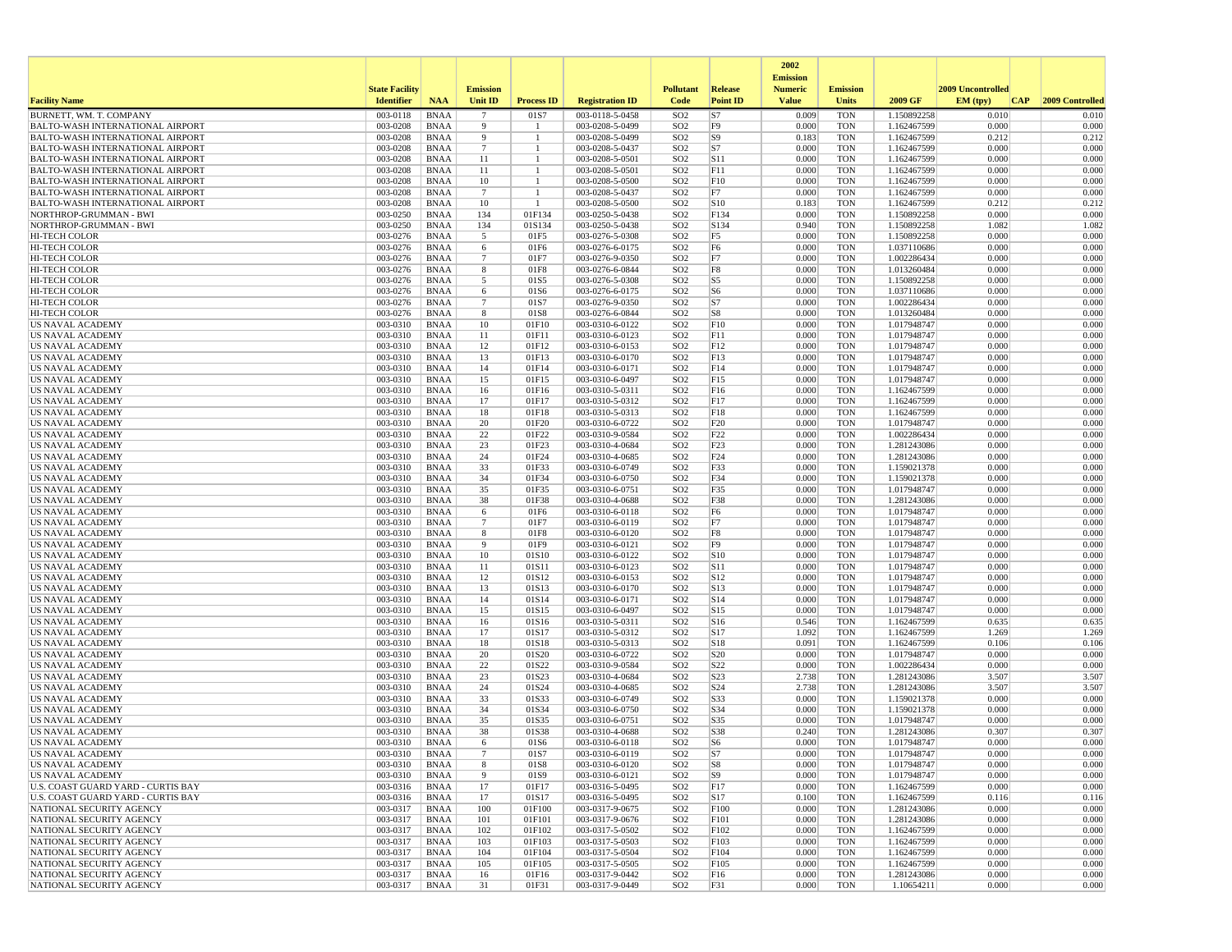|                                                                                    |                       |                            |                 |                    |                                    |                                    |                        | 2002                              |                          |                            |                   |                 |
|------------------------------------------------------------------------------------|-----------------------|----------------------------|-----------------|--------------------|------------------------------------|------------------------------------|------------------------|-----------------------------------|--------------------------|----------------------------|-------------------|-----------------|
|                                                                                    | <b>State Facility</b> |                            | <b>Emission</b> |                    |                                    | <b>Pollutant</b>                   | Release                | <b>Emission</b><br><b>Numeric</b> | <b>Emission</b>          |                            | 2009 Uncontrolled |                 |
| <b>Facility Name</b>                                                               | <b>Identifier</b>     | <b>NAA</b>                 | Unit ID         | <b>Process ID</b>  | <b>Registration ID</b>             | Code                               | <b>Point ID</b>        | <b>Value</b>                      | <b>Units</b>             | 2009 GF                    | EM (tpv)<br> CAP  | 2009 Controlled |
| BURNETT, WM. T. COMPANY                                                            | 003-0118              | <b>BNAA</b>                | $\overline{7}$  | 01S7               | 003-0118-5-0458                    | SO <sub>2</sub>                    | S7                     | 0.009                             | <b>TON</b>               | 1.150892258                | 0.010             | 0.010           |
| <b>BALTO-WASH INTERNATIONAL AIRPORT</b>                                            | 003-0208<br>003-0208  | <b>BNAA</b><br><b>BNAA</b> | 9<br>9          | -1<br>$\mathbf{1}$ | 003-0208-5-0499                    | SO <sub>2</sub><br>SO <sub>2</sub> | F <sub>9</sub>         | 0.000<br>0.183                    | <b>TON</b><br><b>TON</b> | 1.162467599                | 0.000<br>0.212    | 0.000           |
| <b>BALTO-WASH INTERNATIONAL AIRPORT</b><br><b>BALTO-WASH INTERNATIONAL AIRPORT</b> | 003-0208              | <b>BNAA</b>                | $\overline{7}$  | $\mathbf{1}$       | 003-0208-5-0499<br>003-0208-5-0437 | SO <sub>2</sub>                    | S9 <br>S7              | 0.000                             | <b>TON</b>               | 1.162467599<br>1.162467599 | 0.000             | 0.212<br>0.000  |
| <b>BALTO-WASH INTERNATIONAL AIRPORT</b>                                            | 003-0208              | BNAA                       | 11              | -1                 | 003-0208-5-0501                    | SO <sub>2</sub>                    | S11                    | 0.000                             | <b>TON</b>               | 1.162467599                | 0.000             | 0.000           |
| <b>BALTO-WASH INTERNATIONAL AIRPORT</b>                                            | 003-0208              | <b>BNAA</b>                | 11              |                    | 003-0208-5-0501                    | SO <sub>2</sub>                    | F11                    | 0.000                             | <b>TON</b>               | 1.162467599                | 0.000             | 0.000           |
| <b>BALTO-WASH INTERNATIONAL AIRPORT</b>                                            | 003-0208              | <b>BNAA</b>                | 10              | -1                 | 003-0208-5-0500                    | SO <sub>2</sub>                    | F10                    | 0.000                             | <b>TON</b>               | 1.162467599                | 0.000             | 0.000           |
| <b>BALTO-WASH INTERNATIONAL AIRPORT</b>                                            | 003-0208              | BNAA                       | $7\phantom{.0}$ | -1                 | 003-0208-5-0437                    | SO <sub>2</sub>                    | F7                     | 0.000                             | <b>TON</b>               | 1.162467599                | 0.000             | 0.000           |
| <b>BALTO-WASH INTERNATIONAL AIRPORT</b>                                            | 003-0208              | <b>BNAA</b>                | 10              | -1                 | 003-0208-5-0500                    | SO <sub>2</sub>                    | S10                    | 0.183                             | <b>TON</b>               | 1.162467599                | 0.212             | 0.212           |
| NORTHROP-GRUMMAN - BWI                                                             | 003-0250              | <b>BNAA</b>                | 134             | 01F134             | 003-0250-5-0438                    | SO <sub>2</sub>                    | F134                   | 0.000<br>0.940                    | <b>TON</b>               | 1.150892258                | 0.000             | 0.000           |
| NORTHROP-GRUMMAN - BWI<br><b>HI-TECH COLOR</b>                                     | 003-0250<br>003-0276  | <b>BNAA</b><br>BNAA        | 134<br>5        | 01S134<br>01F5     | 003-0250-5-0438<br>003-0276-5-0308 | SO <sub>2</sub><br>SO <sub>2</sub> | S134<br>F <sub>5</sub> | 0.000                             | <b>TON</b><br><b>TON</b> | 1.150892258<br>1.150892258 | 1.082<br>0.000    | 1.082<br>0.000  |
| <b>HI-TECH COLOR</b>                                                               | 003-0276              | <b>BNAA</b>                | 6               | 01F6               | 003-0276-6-0175                    | SO <sub>2</sub>                    | F <sub>6</sub>         | 0.000                             | <b>TON</b>               | 1.037110686                | 0.000             | 0.000           |
| HI-TECH COLOR                                                                      | 003-0276              | <b>BNAA</b>                | $7\phantom{.0}$ | 01F7               | 003-0276-9-0350                    | SO <sub>2</sub>                    | F7                     | 0.000                             | <b>TON</b>               | 1.002286434                | 0.000             | 0.000           |
| HI-TECH COLOR                                                                      | 003-0276              | <b>BNAA</b>                | 8               | 01F8               | 003-0276-6-0844                    | SO <sub>2</sub>                    | F8                     | 0.000                             | <b>TON</b>               | 1.013260484                | 0.000             | 0.000           |
| <b>HI-TECH COLOR</b>                                                               | 003-0276              | BNAA                       | 5               | 01S5               | 003-0276-5-0308                    | SO <sub>2</sub>                    | S5                     | 0.000                             | <b>TON</b>               | 1.150892258                | 0.000             | 0.000           |
| <b>HI-TECH COLOR</b>                                                               | 003-0276              | <b>BNAA</b>                | 6               | 01S6               | 003-0276-6-0175                    | SO <sub>2</sub>                    | S <sub>6</sub>         | 0.000                             | <b>TON</b>               | 1.037110686                | 0.000             | 0.000           |
| <b>HI-TECH COLOR</b>                                                               | 003-0276              | BNAA                       | $7\phantom{.0}$ | 01S7               | 003-0276-9-0350                    | SO <sub>2</sub>                    | S7                     | 0.000                             | <b>TON</b>               | 1.002286434                | 0.000             | 0.000           |
| <b>HI-TECH COLOR</b><br>US NAVAL ACADEMY                                           | 003-0276<br>003-0310  | BNAA<br><b>BNAA</b>        | 8<br>10         | 01S8<br>01F10      | 003-0276-6-0844<br>003-0310-6-0122 | SO <sub>2</sub><br>SO <sub>2</sub> | S8<br>F10              | 0.000<br>0.000                    | <b>TON</b><br><b>TON</b> | 1.013260484<br>1.017948747 | 0.000<br>0.000    | 0.000<br>0.000  |
| US NAVAL ACADEMY                                                                   | 003-0310              | <b>BNAA</b>                | 11              | 01F11              | 003-0310-6-0123                    | SO <sub>2</sub>                    | F11                    | 0.000                             | <b>TON</b>               | 1.017948747                | 0.000             | 0.000           |
| US NAVAL ACADEMY                                                                   | 003-0310              | <b>BNAA</b>                | 12              | 01F12              | 003-0310-6-0153                    | SO <sub>2</sub>                    | F12                    | 0.000                             | <b>TON</b>               | 1.017948747                | 0.000             | 0.000           |
| <b>US NAVAL ACADEMY</b>                                                            | 003-0310              | BNAA                       | 13              | 01F13              | 003-0310-6-0170                    | SO <sub>2</sub>                    | F13                    | 0.000                             | <b>TON</b>               | 1.017948747                | 0.000             | 0.000           |
| US NAVAL ACADEMY                                                                   | 003-0310              | BNAA                       | 14              | 01F14              | 003-0310-6-0171                    | SO <sub>2</sub>                    | F14                    | 0.000                             | <b>TON</b>               | 1.017948747                | 0.000             | 0.000           |
| US NAVAL ACADEMY                                                                   | 003-0310              | <b>BNAA</b>                | 15              | 01F15              | 003-0310-6-0497                    | SO <sub>2</sub>                    | F <sub>15</sub>        | 0.000                             | <b>TON</b>               | 1.017948747                | 0.000             | 0.000           |
| <b>US NAVAL ACADEMY</b>                                                            | 003-0310              | BNAA                       | 16              | 01F16              | 003-0310-5-0311                    | SO <sub>2</sub>                    | F16                    | 0.000                             | <b>TON</b>               | 1.162467599                | 0.000             | 0.000           |
| US NAVAL ACADEMY<br>US NAVAL ACADEMY                                               | 003-0310<br>003-0310  | BNAA<br><b>BNAA</b>        | 17<br>18        | 01F17<br>01F18     | 003-0310-5-0312<br>003-0310-5-0313 | SO <sub>2</sub><br>SO <sub>2</sub> | F17<br>F18             | 0.000<br>0.000                    | <b>TON</b><br><b>TON</b> | 1.162467599<br>1.162467599 | 0.000<br>0.000    | 0.000<br>0.000  |
| US NAVAL ACADEMY                                                                   | 003-0310              | <b>BNAA</b>                | 20              | 01F20              | 003-0310-6-0722                    | SO <sub>2</sub>                    | F20                    | 0.000                             | <b>TON</b>               | 1.017948747                | 0.000             | 0.000           |
| <b>US NAVAL ACADEMY</b>                                                            | 003-0310              | BNAA                       | 22              | 01F22              | 003-0310-9-0584                    | SO <sub>2</sub>                    | F <sub>22</sub>        | 0.000                             | <b>TON</b>               | 1.002286434                | 0.000             | 0.000           |
| US NAVAL ACADEMY                                                                   | 003-0310              | <b>BNAA</b>                | 23              | 01F23              | 003-0310-4-0684                    | SO <sub>2</sub>                    | F23                    | 0.000                             | <b>TON</b>               | 1.281243086                | 0.000             | 0.000           |
| US NAVAL ACADEMY                                                                   | 003-0310              | <b>BNAA</b>                | 24              | 01F24              | 003-0310-4-0685                    | SO <sub>2</sub>                    | F <sub>24</sub>        | 0.000                             | <b>TON</b>               | 1.281243086                | 0.000             | 0.000           |
| US NAVAL ACADEMY                                                                   | 003-0310              | BNAA                       | 33              | 01F33              | 003-0310-6-0749                    | SO <sub>2</sub>                    | F33                    | 0.000                             | <b>TON</b>               | 1.159021378                | 0.000             | 0.000           |
| US NAVAL ACADEMY                                                                   | 003-0310              | <b>BNAA</b>                | 34              | 01F34              | 003-0310-6-0750                    | SO <sub>2</sub>                    | F34                    | 0.000                             | <b>TON</b>               | 1.159021378                | 0.000             | 0.000           |
| US NAVAL ACADEMY<br>US NAVAL ACADEMY                                               | 003-0310<br>003-0310  | <b>BNAA</b><br><b>BNAA</b> | 35<br>38        | 01F35<br>01F38     | 003-0310-6-0751<br>003-0310-4-0688 | SO <sub>2</sub><br>SO <sub>2</sub> | F35<br>F38             | 0.000<br>0.000                    | <b>TON</b><br><b>TON</b> | 1.017948747<br>1.281243086 | 0.000<br>0.000    | 0.000<br>0.000  |
| US NAVAL ACADEMY                                                                   | 003-0310              | BNAA                       | 6               | 01F6               | 003-0310-6-0118                    | SO <sub>2</sub>                    | F <sub>6</sub>         | 0.000                             | <b>TON</b>               | 1.017948747                | 0.000             | 0.000           |
| <b>US NAVAL ACADEMY</b>                                                            | 003-0310              | <b>BNAA</b>                | $7\phantom{.0}$ | 01F7               | 003-0310-6-0119                    | SO <sub>2</sub>                    | F7                     | 0.000                             | <b>TON</b>               | 1.017948747                | 0.000             | 0.000           |
| US NAVAL ACADEMY                                                                   | 003-0310              | <b>BNAA</b>                | 8               | 01F8               | 003-0310-6-0120                    | SO <sub>2</sub>                    | F8                     | 0.000                             | <b>TON</b>               | 1.017948747                | 0.000             | 0.000           |
| US NAVAL ACADEMY                                                                   | 003-0310              | <b>BNAA</b>                | 9               | 01F9               | 003-0310-6-0121                    | SO <sub>2</sub>                    | F <sub>9</sub>         | 0.000                             | <b>TON</b>               | 1.017948747                | 0.000             | 0.000           |
| US NAVAL ACADEMY                                                                   | 003-0310              | <b>BNAA</b>                | 10              | 01S10              | 003-0310-6-0122                    | SO <sub>2</sub>                    | S10                    | 0.000                             | <b>TON</b>               | 1.017948747                | 0.000             | 0.000           |
| US NAVAL ACADEMY                                                                   | 003-0310              | <b>BNAA</b>                | 11              | 01S11              | 003-0310-6-0123<br>003-0310-6-0153 | SO <sub>2</sub><br>SO <sub>2</sub> | S11                    | 0.000<br>0.000                    | <b>TON</b><br><b>TON</b> | 1.017948747                | 0.000<br>0.000    | 0.000<br>0.000  |
| US NAVAL ACADEMY<br><b>US NAVAL ACADEMY</b>                                        | 003-0310<br>003-0310  | BNAA<br>BNAA               | 12<br>13        | 01S12<br>01S13     | 003-0310-6-0170                    | SO <sub>2</sub>                    | S12<br>S13             | 0.000                             | <b>TON</b>               | 1.017948747<br>1.017948747 | 0.000             | 0.000           |
| US NAVAL ACADEMY                                                                   | 003-0310              | <b>BNAA</b>                | 14              | 01S14              | 003-0310-6-0171                    | SO <sub>2</sub>                    | S14                    | 0.000                             | <b>TON</b>               | 1.017948747                | 0.000             | 0.000           |
| US NAVAL ACADEMY                                                                   | 003-0310              | <b>BNAA</b>                | 15              | 01S15              | 003-0310-6-0497                    | SO <sub>2</sub>                    | S15                    | 0.000                             | <b>TON</b>               | 1.017948747                | 0.000             | 0.000           |
| US NAVAL ACADEMY                                                                   | 003-0310              | <b>BNAA</b>                | 16              | 01S16              | 003-0310-5-0311                    | SO <sub>2</sub>                    | S16                    | 0.546                             | <b>TON</b>               | 1.162467599                | 0.635             | 0.635           |
| US NAVAL ACADEMY                                                                   | 003-0310              | BNAA                       | 17              | 01S17              | 003-0310-5-0312                    | SO <sub>2</sub>                    | S17                    | 1.092                             | <b>TON</b>               | 1.162467599                | 1.269             | 1.269           |
| US NAVAL ACADEMY                                                                   | 003-0310              | BNAA                       | 18              | 01S18              | 003-0310-5-0313                    | SO <sub>2</sub>                    | S18                    | 0.091                             | <b>TON</b>               | 1.162467599                | 0.106             | 0.106           |
| US NAVAL ACADEMY<br>US NAVAL ACADEMY                                               | 003-0310<br>003-0310  | <b>BNAA</b><br>BNAA        | 20<br>22        | 01S20<br>01S22     | 003-0310-6-0722<br>003-0310-9-0584 | SO <sub>2</sub><br>SO <sub>2</sub> | S <sub>20</sub><br>S22 | 0.000<br>0.000                    | <b>TON</b><br><b>TON</b> | 1.017948747<br>1.002286434 | 0.000<br>0.000    | 0.000<br>0.000  |
| US NAVAL ACADEMY                                                                   | 003-0310              | <b>BNAA</b>                | 23              | 01S23              | 003-0310-4-0684                    | SO <sub>2</sub>                    | S <sub>23</sub>        | 2.738                             | <b>TON</b>               | 1.281243086                | 3.507             | 3.507           |
| US NAVAL ACADEMY                                                                   | 003-0310              | <b>BNAA</b>                | 24              | 01S24              | 003-0310-4-0685                    | SO <sub>2</sub>                    | S24                    | 2.738                             | <b>TON</b>               | 1.281243086                | 3.507             | 3.507           |
| US NAVAL ACADEMY                                                                   | 003-0310              | <b>BNAA</b>                | 33              | 01S33              | 003-0310-6-0749                    | SO <sub>2</sub>                    | S33                    | 0.000                             | <b>TON</b>               | 1.159021378                | 0.000             | 0.000           |
| US NAVAL ACADEMY                                                                   | 003-0310              | BNAA                       | 34              | 01S34              | 003-0310-6-0750                    | SO <sub>2</sub>                    | S34                    | 0.000                             | <b>TON</b>               | 1.159021378                | 0.000             | 0.000           |
| US NAVAL ACADEMY                                                                   | 003-0310              | <b>BNAA</b>                | 35              | 01S35              | 003-0310-6-0751                    | SO <sub>2</sub>                    | S35                    | 0.000                             | <b>TON</b>               | 1.017948747                | 0.000             | 0.000           |
| <b>US NAVAL ACADEMY</b><br><b>US NAVAL ACADEMY</b>                                 | 003-0310              | BNAA                       | 38              | 01S38<br>01S6      | 003-0310-4-0688                    | SO <sub>2</sub><br>SO <sub>2</sub> | <b>S38</b>             | 0.240<br>0.000                    | <b>TON</b><br><b>TON</b> | 1.281243086                | 0.307<br>0.000    | 0.307<br>0.000  |
| US NAVAL ACADEMY                                                                   | 003-0310<br>003-0310  | BNAA<br>BNAA               | 6               | 01S7               | 003-0310-6-0118<br>003-0310-6-0119 | SO <sub>2</sub>                    | S6<br>S7               | 0.000                             | TON                      | 1.017948747<br>1.017948747 | 0.000             | 0.000           |
| US NAVAL ACADEMY                                                                   | 003-0310              | BNAA                       | 8               | 01S8               | 003-0310-6-0120                    | SO <sub>2</sub>                    | S8                     | 0.000                             | <b>TON</b>               | 1.017948747                | 0.000             | 0.000           |
| <b>US NAVAL ACADEMY</b>                                                            | 003-0310              | BNAA                       | 9               | 01S9               | 003-0310-6-0121                    | SO <sub>2</sub>                    | S <sub>9</sub>         | 0.000                             | <b>TON</b>               | 1.017948747                | 0.000             | 0.000           |
| U.S. COAST GUARD YARD - CURTIS BAY                                                 | 003-0316              | <b>BNAA</b>                | 17              | 01F17              | 003-0316-5-0495                    | SO <sub>2</sub>                    | F <sub>17</sub>        | 0.000                             | <b>TON</b>               | 1.162467599                | 0.000             | 0.000           |
| U.S. COAST GUARD YARD - CURTIS BAY                                                 | 003-0316              | BNAA                       | 17              | 01S17              | 003-0316-5-0495                    | SO <sub>2</sub>                    | S17                    | 0.100                             | <b>TON</b>               | 1.162467599                | 0.116             | 0.116           |
| NATIONAL SECURITY AGENCY                                                           | 003-0317              | <b>BNAA</b>                | 100             | 01F100             | 003-0317-9-0675                    | SO <sub>2</sub>                    | F100                   | 0.000                             | <b>TON</b>               | 1.281243086                | 0.000             | 0.000           |
| NATIONAL SECURITY AGENCY                                                           | 003-0317              | <b>BNAA</b>                | 101             | 01F101             | 003-0317-9-0676                    | SO <sub>2</sub>                    | F101                   | 0.000                             | <b>TON</b>               | 1.281243086                | 0.000             | 0.000           |
| NATIONAL SECURITY AGENCY<br>NATIONAL SECURITY AGENCY                               | 003-0317<br>003-0317  | BNAA<br><b>BNAA</b>        | 102<br>103      | 01F102<br>01F103   | 003-0317-5-0502<br>003-0317-5-0503 | SO <sub>2</sub><br>SO <sub>2</sub> | F102<br>F103           | 0.000<br>0.000                    | <b>TON</b><br><b>TON</b> | 1.162467599<br>1.162467599 | 0.000<br>0.000    | 0.000<br>0.000  |
| NATIONAL SECURITY AGENCY                                                           | 003-0317              | <b>BNAA</b>                | 104             | 01F104             | 003-0317-5-0504                    | SO <sub>2</sub>                    | F104                   | 0.000                             | <b>TON</b>               | 1.162467599                | 0.000             | 0.000           |
| NATIONAL SECURITY AGENCY                                                           | 003-0317              | <b>BNAA</b>                | 105             | 01F105             | 003-0317-5-0505                    | SO <sub>2</sub>                    | F105                   | 0.000                             | <b>TON</b>               | 1.162467599                | 0.000             | 0.000           |
| NATIONAL SECURITY AGENCY                                                           | 003-0317              | <b>BNAA</b>                | 16              | 01F16              | 003-0317-9-0442                    | SO <sub>2</sub>                    | F16                    | 0.000                             | <b>TON</b>               | 1.281243086                | 0.000             | 0.000           |
| NATIONAL SECURITY AGENCY                                                           | 003-0317              | <b>BNAA</b>                | 31              | 01F31              | 003-0317-9-0449                    | SO <sub>2</sub>                    | F31                    | 0.000                             | <b>TON</b>               | 1.10654211                 | 0.000             | 0.000           |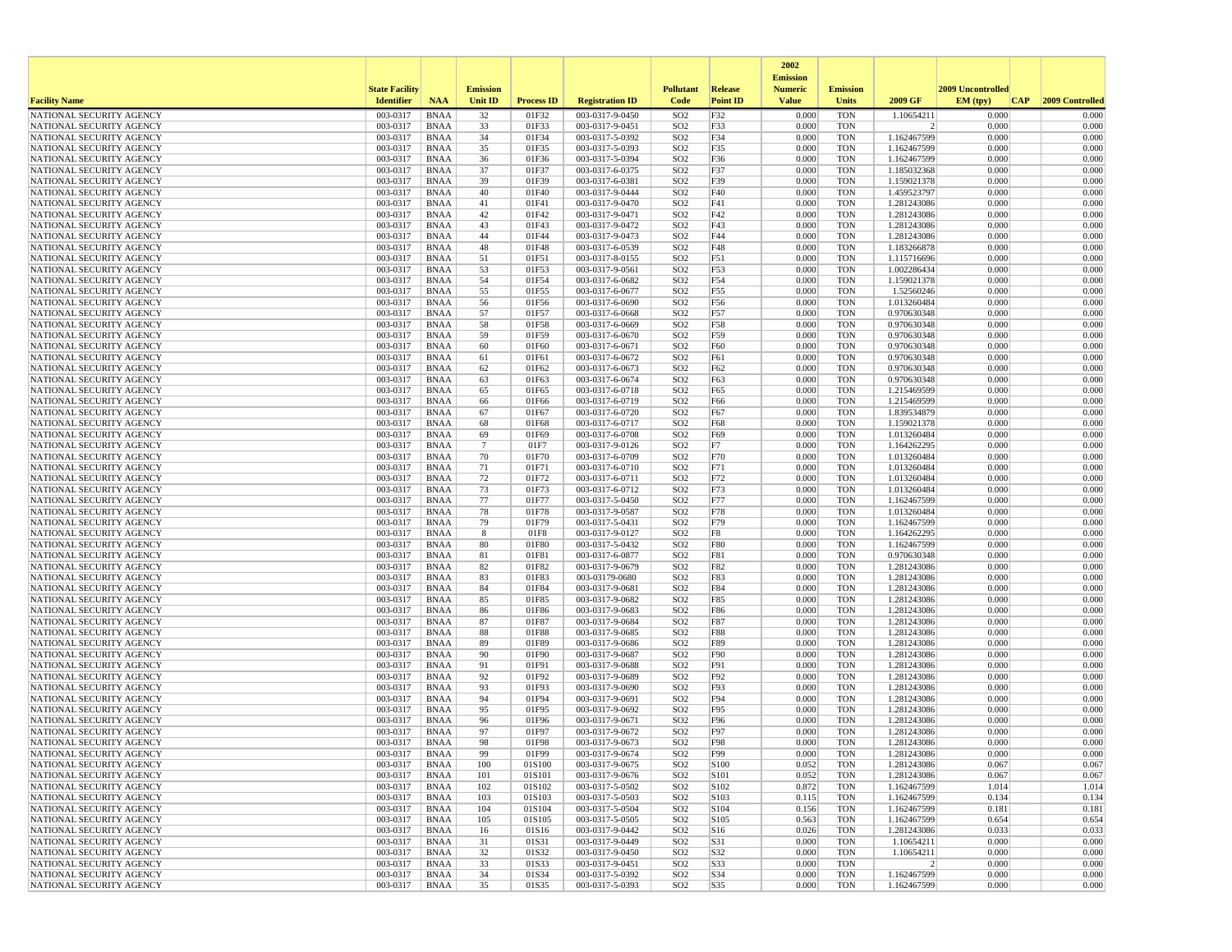|                                                      |                       |                            |                 |                   |                                    |                                    |                          | 2002                              |                          |                            |                   |                 |
|------------------------------------------------------|-----------------------|----------------------------|-----------------|-------------------|------------------------------------|------------------------------------|--------------------------|-----------------------------------|--------------------------|----------------------------|-------------------|-----------------|
|                                                      | <b>State Facility</b> |                            | <b>Emission</b> |                   |                                    | <b>Pollutant</b>                   | Release                  | <b>Emission</b><br><b>Numeric</b> | <b>Emission</b>          |                            | 2009 Uncontrolled |                 |
| <b>Facility Name</b>                                 | <b>Identifier</b>     | <b>NAA</b>                 | <b>Unit ID</b>  | <b>Process ID</b> | <b>Registration ID</b>             | Code                               | <b>Point ID</b>          | <b>Value</b>                      | <b>Units</b>             | 2009 GF                    | EM (typ)<br> CAP  | 2009 Controlled |
| NATIONAL SECURITY AGENCY                             | 003-0317              | <b>BNAA</b>                | 32              | 01F32             | 003-0317-9-0450                    | SO <sub>2</sub>                    | F32                      | 0.000                             | <b>TON</b>               | 1.10654211                 | 0.000             | 0.000           |
| NATIONAL SECURITY AGENCY                             | 003-0317              | BNAA                       | 33              | 01F33             | 003-0317-9-0451                    | SO <sub>2</sub>                    | F33                      | 0.000                             | <b>TON</b>               | 2                          | 0.000             | 0.000           |
| NATIONAL SECURITY AGENCY<br>NATIONAL SECURITY AGENCY | 003-0317<br>003-0317  | <b>BNAA</b><br>BNAA        | 34<br>35        | 01F34<br>01F35    | 003-0317-5-0392<br>003-0317-5-0393 | SO <sub>2</sub><br>SO <sub>2</sub> | F34<br>F35               | 0.000<br>0.000                    | <b>TON</b><br><b>TON</b> | 1.162467599<br>1.162467599 | 0.000<br>0.000    | 0.000<br>0.000  |
| NATIONAL SECURITY AGENCY                             | 003-0317              | <b>BNAA</b>                | 36              | 01F36             | 003-0317-5-0394                    | SO <sub>2</sub>                    | F36                      | 0.000                             | <b>TON</b>               | 1.162467599                | 0.000             | 0.000           |
| NATIONAL SECURITY AGENCY                             | 003-0317              | <b>BNAA</b>                | 37              | 01F37             | 003-0317-6-0375                    | SO <sub>2</sub>                    | F37                      | 0.000                             | <b>TON</b>               | 1.185032368                | 0.000             | 0.000           |
| NATIONAL SECURITY AGENCY                             | 003-0317              | BNAA                       | 39              | 01F39             | 003-0317-6-0381                    | SO <sub>2</sub>                    | F39                      | 0.000                             | <b>TON</b>               | 1.159021378                | 0.000             | 0.000           |
| NATIONAL SECURITY AGENCY                             | 003-0317              | <b>BNAA</b>                | 40              | 01F40             | 003-0317-9-0444                    | SO <sub>2</sub>                    | F40                      | 0.000                             | <b>TON</b>               | 1.459523797                | 0.000             | 0.000           |
| NATIONAL SECURITY AGENCY<br>NATIONAL SECURITY AGENCY | 003-0317<br>003-0317  | <b>BNAA</b><br><b>BNAA</b> | 41<br>42        | 01F41<br>01F42    | 003-0317-9-0470<br>003-0317-9-0471 | SO <sub>2</sub><br>SO <sub>2</sub> | F41<br>F42               | 0.000<br>0.000                    | <b>TON</b><br><b>TON</b> | 1.281243086<br>1.281243086 | 0.000<br>0.000    | 0.000<br>0.000  |
| NATIONAL SECURITY AGENCY                             | 003-0317              | BNAA                       | 43              | 01F43             | 003-0317-9-0472                    | SO <sub>2</sub>                    | F43                      | 0.000                             | <b>TON</b>               | 1.281243086                | 0.000             | 0.000           |
| NATIONAL SECURITY AGENCY                             | 003-0317              | <b>BNAA</b>                | 44              | 01F44             | 003-0317-9-0473                    | SO <sub>2</sub>                    | F44                      | 0.000                             | <b>TON</b>               | 1.281243086                | 0.000             | 0.000           |
| NATIONAL SECURITY AGENCY                             | 003-0317              | <b>BNAA</b>                | 48              | 01F48             | 003-0317-6-0539                    | SO <sub>2</sub>                    | F48                      | 0.000                             | <b>TON</b>               | 1.183266878                | 0.000             | 0.000           |
| NATIONAL SECURITY AGENCY                             | 003-0317              | <b>BNAA</b>                | 51              | 01F51             | 003-0317-8-0155                    | SO <sub>2</sub>                    | F51                      | 0.000                             | <b>TON</b>               | 1.115716696                | 0.000             | 0.000           |
| NATIONAL SECURITY AGENCY                             | 003-0317<br>003-0317  | BNAA                       | 53<br>54        | 01F53<br>01F54    | 003-0317-9-0561<br>003-0317-6-0682 | SO <sub>2</sub><br>SO <sub>2</sub> | F53<br>F54               | 0.000<br>0.000                    | <b>TON</b><br><b>TON</b> | 1.002286434                | 0.000<br>0.000    | 0.000<br>0.000  |
| NATIONAL SECURITY AGENCY<br>NATIONAL SECURITY AGENCY | 003-0317              | BNAA<br><b>BNAA</b>        | 55              | 01F55             | 003-0317-6-0677                    | SO <sub>2</sub>                    | F55                      | 0.000                             | <b>TON</b>               | 1.159021378<br>1.52560246  | 0.000             | 0.000           |
| NATIONAL SECURITY AGENCY                             | 003-0317              | BNAA                       | 56              | 01F56             | 003-0317-6-0690                    | SO <sub>2</sub>                    | F56                      | 0.000                             | <b>TON</b>               | 1.013260484                | 0.000             | 0.000           |
| NATIONAL SECURITY AGENCY                             | 003-0317              | <b>BNAA</b>                | 57              | 01F57             | 003-0317-6-0668                    | SO <sub>2</sub>                    | F57                      | 0.000                             | <b>TON</b>               | 0.970630348                | 0.000             | 0.000           |
| NATIONAL SECURITY AGENCY                             | 003-0317              | <b>BNAA</b>                | 58              | 01F58             | 003-0317-6-0669                    | SO <sub>2</sub>                    | F58                      | 0.000                             | <b>TON</b>               | 0.970630348                | 0.000             | 0.000           |
| NATIONAL SECURITY AGENCY                             | 003-0317              | <b>BNAA</b>                | 59              | 01F59             | 003-0317-6-0670                    | SO <sub>2</sub>                    | F59                      | 0.000                             | <b>TON</b>               | 0.970630348                | 0.000             | 0.000           |
| NATIONAL SECURITY AGENCY<br>NATIONAL SECURITY AGENCY | 003-0317<br>003-0317  | BNAA<br><b>BNAA</b>        | 60<br>61        | 01F60<br>01F61    | 003-0317-6-0671<br>003-0317-6-0672 | SO <sub>2</sub><br>SO <sub>2</sub> | F60<br>F61               | 0.000<br>0.000                    | <b>TON</b><br><b>TON</b> | 0.970630348<br>0.970630348 | 0.000<br>0.000    | 0.000<br>0.000  |
| NATIONAL SECURITY AGENCY                             | 003-0317              | <b>BNAA</b>                | 62              | 01F62             | 003-0317-6-0673                    | SO <sub>2</sub>                    | F62                      | 0.000                             | <b>TON</b>               | 0.970630348                | 0.000             | 0.000           |
| NATIONAL SECURITY AGENCY                             | 003-0317              | BNAA                       | 63              | 01F63             | 003-0317-6-0674                    | SO <sub>2</sub>                    | F63                      | 0.000                             | <b>TON</b>               | 0.970630348                | 0.000             | 0.000           |
| NATIONAL SECURITY AGENCY                             | 003-0317              | <b>BNAA</b>                | 65              | 01F65             | 003-0317-6-0718                    | SO <sub>2</sub>                    | F65                      | 0.000                             | <b>TON</b>               | 1.215469599                | 0.000             | 0.000           |
| NATIONAL SECURITY AGENCY                             | 003-0317              | <b>BNAA</b>                | 66              | 01F66             | 003-0317-6-0719                    | SO <sub>2</sub>                    | F66                      | 0.000                             | <b>TON</b>               | 1.215469599                | 0.000             | 0.000           |
| NATIONAL SECURITY AGENCY                             | 003-0317              | <b>BNAA</b>                | 67              | 01F67             | 003-0317-6-0720                    | SO <sub>2</sub>                    | F67                      | 0.000                             | <b>TON</b>               | 1.839534879<br>1.159021378 | 0.000             | 0.000           |
| NATIONAL SECURITY AGENCY<br>NATIONAL SECURITY AGENCY | 003-0317<br>003-0317  | BNAA<br><b>BNAA</b>        | 68<br>69        | 01F68<br>01F69    | 003-0317-6-0717<br>003-0317-6-0708 | SO <sub>2</sub><br>SO <sub>2</sub> | F68<br>F69               | 0.000<br>0.000                    | <b>TON</b><br><b>TON</b> | 1.013260484                | 0.000<br>0.000    | 0.000<br>0.000  |
| NATIONAL SECURITY AGENCY                             | 003-0317              | <b>BNAA</b>                | $7\phantom{.0}$ | 01F7              | 003-0317-9-0126                    | SO <sub>2</sub>                    | F7                       | 0.000                             | <b>TON</b>               | 1.164262295                | 0.000             | 0.000           |
| NATIONAL SECURITY AGENCY                             | 003-0317              | BNAA                       | 70              | 01F70             | 003-0317-6-0709                    | SO <sub>2</sub>                    | F70                      | 0.000                             | <b>TON</b>               | 1.013260484                | 0.000             | 0.000           |
| NATIONAL SECURITY AGENCY                             | 003-0317              | <b>BNAA</b>                | 71              | 01F71             | 003-0317-6-0710                    | SO <sub>2</sub>                    | F71                      | 0.000                             | <b>TON</b>               | 1.013260484                | 0.000             | 0.000           |
| NATIONAL SECURITY AGENCY                             | 003-0317              | <b>BNAA</b>                | 72              | 01F72             | 003-0317-6-0711                    | SO <sub>2</sub>                    | F72                      | 0.000                             | <b>TON</b>               | 1.013260484                | 0.000             | 0.000           |
| NATIONAL SECURITY AGENCY<br>NATIONAL SECURITY AGENCY | 003-0317<br>003-0317  | BNAA<br>BNAA               | 73<br>77        | 01F73<br>01F77    | 003-0317-6-0712<br>003-0317-5-0450 | SO <sub>2</sub><br>SO <sub>2</sub> | F73<br>F77               | 0.000<br>0.000                    | <b>TON</b><br><b>TON</b> | 1.013260484<br>1.162467599 | 0.000<br>0.000    | 0.000<br>0.000  |
| NATIONAL SECURITY AGENCY                             | 003-0317              | <b>BNAA</b>                | 78              | 01F78             | 003-0317-9-0587                    | SO <sub>2</sub>                    | F78                      | 0.000                             | <b>TON</b>               | 1.013260484                | 0.000             | 0.000           |
| NATIONAL SECURITY AGENCY                             | 003-0317              | <b>BNAA</b>                | 79              | 01F79             | 003-0317-5-0431                    | SO <sub>2</sub>                    | F79                      | 0.000                             | <b>TON</b>               | 1.162467599                | 0.000             | 0.000           |
| NATIONAL SECURITY AGENCY                             | 003-0317              | <b>BNAA</b>                | 8               | 01F8              | 003-0317-9-0127                    | SO <sub>2</sub>                    | F8                       | 0.000                             | <b>TON</b>               | 1.164262295                | 0.000             | 0.000           |
| NATIONAL SECURITY AGENCY                             | 003-0317              | BNAA                       | 80              | 01F80             | 003-0317-5-0432                    | SO <sub>2</sub>                    | <b>F80</b>               | 0.000                             | <b>TON</b>               | 1.162467599                | 0.000             | 0.000           |
| NATIONAL SECURITY AGENCY<br>NATIONAL SECURITY AGENCY | 003-0317<br>003-0317  | BNAA<br><b>BNAA</b>        | 81<br>82        | 01F81<br>01F82    | 003-0317-6-0877<br>003-0317-9-0679 | SO <sub>2</sub><br>SO <sub>2</sub> | <b>F81</b><br>F82        | 0.000<br>0.000                    | <b>TON</b><br><b>TON</b> | 0.970630348<br>1.281243086 | 0.000<br>0.000    | 0.000<br>0.000  |
| NATIONAL SECURITY AGENCY                             | 003-0317              | BNAA                       | 83              | 01F83             | 003-03179-0680                     | SO <sub>2</sub>                    | F83                      | 0.000                             | <b>TON</b>               | 1.281243086                | 0.000             | 0.000           |
| NATIONAL SECURITY AGENCY                             | 003-0317              | <b>BNAA</b>                | 84              | 01F84             | 003-0317-9-0681                    | SO <sub>2</sub>                    | F84                      | 0.000                             | <b>TON</b>               | 1.281243086                | 0.000             | 0.000           |
| NATIONAL SECURITY AGENCY                             | 003-0317              | <b>BNAA</b>                | 85              | 01F85             | 003-0317-9-0682                    | SO <sub>2</sub>                    | F85                      | 0.000                             | <b>TON</b>               | 1.281243086                | 0.000             | 0.000           |
| NATIONAL SECURITY AGENCY                             | 003-0317              | <b>BNAA</b>                | 86              | 01F86             | 003-0317-9-0683                    | SO <sub>2</sub>                    | <b>F86</b>               | 0.000                             | <b>TON</b>               | 1.281243086                | 0.000             | 0.000           |
| NATIONAL SECURITY AGENCY                             | 003-0317<br>003-0317  | BNAA                       | 87              | 01F87<br>01F88    | 003-0317-9-0684                    | SO <sub>2</sub>                    | F87                      | 0.000<br>0.000                    | <b>TON</b><br><b>TON</b> | 1.281243086                | 0.000<br>0.000    | 0.000<br>0.000  |
| NATIONAL SECURITY AGENCY<br>NATIONAL SECURITY AGENCY | 003-0317              | <b>BNAA</b><br><b>BNAA</b> | 88<br>89        | 01F89             | 003-0317-9-0685<br>003-0317-9-0686 | SO <sub>2</sub><br>SO <sub>2</sub> | <b>F88</b><br><b>F89</b> | 0.000                             | <b>TON</b>               | 1.281243086<br>1.281243086 | 0.000             | 0.000           |
| NATIONAL SECURITY AGENCY                             | 003-0317              | BNAA                       | 90              | 01F90             | 003-0317-9-0687                    | SO <sub>2</sub>                    | F90                      | 0.000                             | <b>TON</b>               | 1.281243086                | 0.000             | 0.000           |
| NATIONAL SECURITY AGENCY                             | 003-0317              | <b>BNAA</b>                | 91              | 01F91             | 003-0317-9-0688                    | SO <sub>2</sub>                    | F91                      | 0.000                             | <b>TON</b>               | 1.281243086                | 0.000             | 0.000           |
| NATIONAL SECURITY AGENCY                             | 003-0317              | <b>BNAA</b>                | 92              | 01F92             | 003-0317-9-0689                    | SO <sub>2</sub>                    | F92                      | 0.000                             | <b>TON</b>               | 1.281243086                | 0.000             | 0.000           |
| NATIONAL SECURITY AGENCY                             | 003-0317              | <b>BNAA</b>                | 93              | 01F93             | 003-0317-9-0690                    | SO <sub>2</sub>                    | F93                      | 0.000                             | <b>TON</b>               | 1.281243086                | 0.000             | 0.000           |
| NATIONAL SECURITY AGENCY<br>NATIONAL SECURITY AGENCY | 003-0317<br>003-0317  | BNAA<br><b>BNAA</b>        | 94<br>95        | 01F94<br>01F95    | 003-0317-9-0691<br>003-0317-9-0692 | SO <sub>2</sub><br>SO <sub>2</sub> | F94<br>F95               | 0.000<br>0.000                    | <b>TON</b><br><b>TON</b> | 1.281243086<br>1.281243086 | 0.000<br>0.000    | 0.000<br>0.000  |
| NATIONAL SECURITY AGENCY                             | 003-0317              | <b>BNAA</b>                | 96              | 01F96             | $003-0317-9-0671$                  | SO <sub>2</sub>                    | F96                      | 0.000                             | <b>TON</b>               | 1.281243086                | 0.000             | 0.000           |
| NATIONAL SECURITY AGENCY                             | 003-0317              | <b>BNAA</b>                | 97              | 01F97             | 003-0317-9-0672                    | SO <sub>2</sub>                    | F97                      | 0.000                             | <b>TON</b>               | 1.281243086                | 0.000             | 0.000           |
| NATIONAL SECURITY AGENCY                             | 003-0317              | <b>BNAA</b>                | 98              | 01F98             | 003-0317-9-0673                    | SO <sub>2</sub>                    | F98                      | 0.000                             | <b>TON</b>               | 1.281243086                | 0.000             | 0.000           |
| NATIONAL SECURITY AGENCY                             | 003-0317              | <b>BNAA</b>                | 99              | 01F99             | 003-0317-9-0674                    | SO <sub>2</sub>                    | F99                      | 0.000                             | <b>TON</b>               | 1.281243086                | 0.000             | 0.000           |
| NATIONAL SECURITY AGENCY<br>NATIONAL SECURITY AGENCY | 003-0317              | BNAA                       | 100             | 01S100            | 003-0317-9-0675                    | SO <sub>2</sub>                    | S100                     | 0.052                             | <b>TON</b>               | 1.281243086<br>1.281243086 | 0.067             | 0.067           |
| NATIONAL SECURITY AGENCY                             | 003-0317<br>003-0317  | <b>BNAA</b><br>BNAA        | 101<br>102      | 01S101<br>01S102  | 003-0317-9-0676<br>003-0317-5-0502 | SO <sub>2</sub><br>SO <sub>2</sub> | S101<br>S102             | 0.052<br>0.872                    | <b>TON</b><br><b>TON</b> | 1.162467599                | 0.067<br>1.014    | 0.067<br>1.014  |
| NATIONAL SECURITY AGENCY                             | 003-0317              | <b>BNAA</b>                | 103             | 01S103            | 003-0317-5-0503                    | SO <sub>2</sub>                    | S103                     | 0.115                             | <b>TON</b>               | 1.162467599                | 0.134             | 0.134           |
| NATIONAL SECURITY AGENCY                             | 003-0317              | BNAA                       | 104             | 01S104            | 003-0317-5-0504                    | SO <sub>2</sub>                    | S104                     | 0.156                             | <b>TON</b>               | 1.162467599                | 0.181             | 0.181           |
| NATIONAL SECURITY AGENCY                             | 003-0317              | <b>BNAA</b>                | 105             | 01S105            | 003-0317-5-0505                    | SO <sub>2</sub>                    | S105                     | 0.563                             | <b>TON</b>               | 1.162467599                | 0.654             | 0.654           |
| NATIONAL SECURITY AGENCY                             | 003-0317              | BNAA                       | 16              | 01S16             | 003-0317-9-0442                    | SO <sub>2</sub>                    | S <sub>16</sub>          | 0.026                             | <b>TON</b>               | 1.281243086<br>1.10654211  | 0.033<br>0.000    | 0.033<br>0.000  |
| NATIONAL SECURITY AGENCY<br>NATIONAL SECURITY AGENCY | 003-0317<br>003-0317  | BNAA<br><b>BNAA</b>        | 31<br>32        | 01S31<br>01S32    | 003-0317-9-0449<br>003-0317-9-0450 | SO <sub>2</sub><br>SO <sub>2</sub> | S31<br>S32               | 0.000<br>0.000                    | <b>TON</b><br><b>TON</b> | 1.10654211                 | 0.000             | 0.000           |
| NATIONAL SECURITY AGENCY                             | 003-0317              | BNAA                       | 33              | 01S33             | 003-0317-9-0451                    | SO <sub>2</sub>                    | S33                      | 0.000                             | <b>TON</b>               | $\left  \right $           | 0.000             | 0.000           |
| NATIONAL SECURITY AGENCY                             | 003-0317              | <b>BNAA</b>                | 34              | 01S34             | 003-0317-5-0392                    | SO <sub>2</sub>                    | S34                      | 0.000                             | <b>TON</b>               | 1.162467599                | 0.000             | 0.000           |
| NATIONAL SECURITY AGENCY                             | 003-0317              | BNAA                       | 35              | 01S35             | 003-0317-5-0393                    | SO <sub>2</sub>                    | S35                      | 0.000                             | TON                      | 1.162467599                | 0.000             | 0.000           |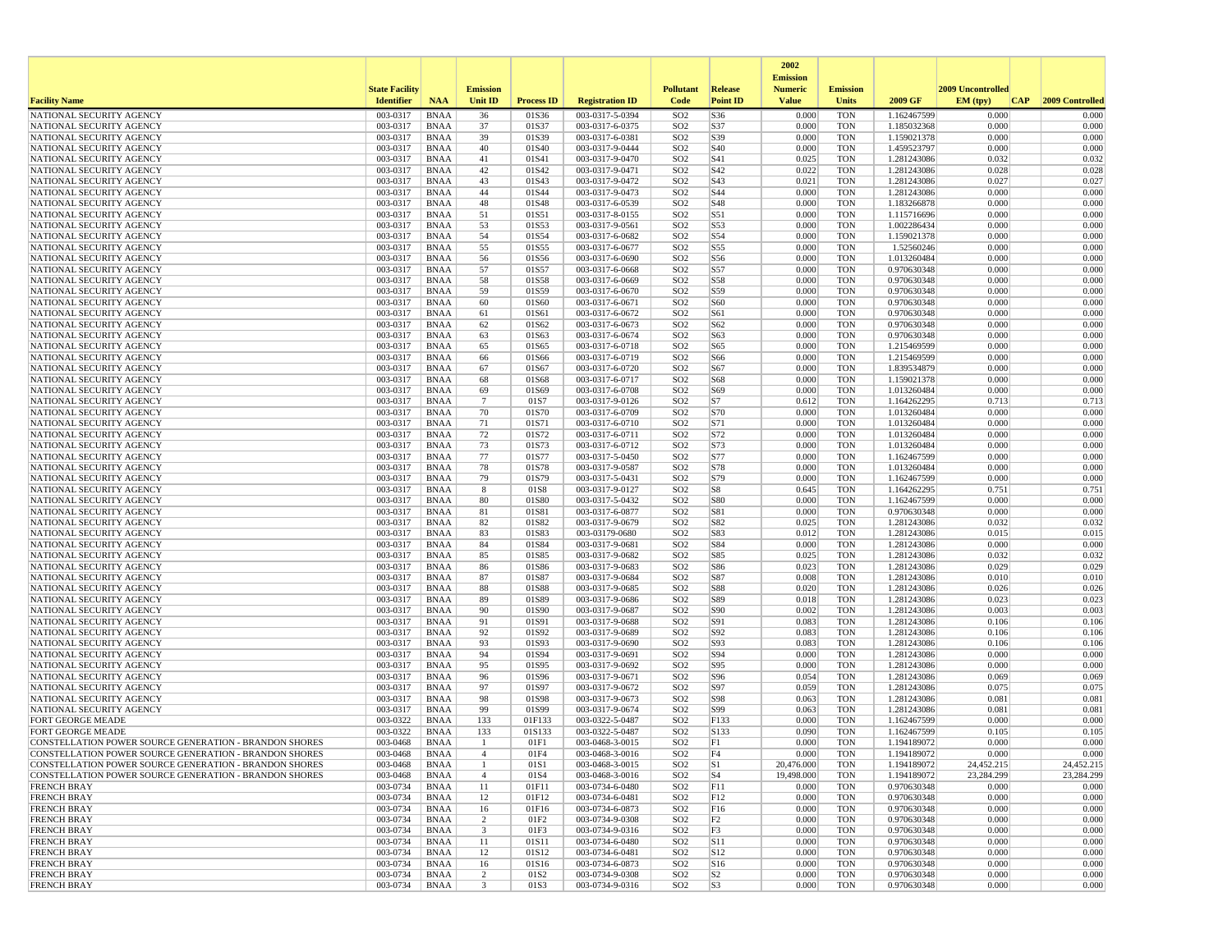|                                                                                                                  |                       |                            |                 |                           |                                    |                                    |                                   | 2002                              |                          |                            |                   |                         |
|------------------------------------------------------------------------------------------------------------------|-----------------------|----------------------------|-----------------|---------------------------|------------------------------------|------------------------------------|-----------------------------------|-----------------------------------|--------------------------|----------------------------|-------------------|-------------------------|
|                                                                                                                  | <b>State Facility</b> |                            | <b>Emission</b> |                           |                                    | <b>Pollutant</b>                   | <b>Release</b>                    | <b>Emission</b><br><b>Numeric</b> | <b>Emission</b>          |                            | 2009 Uncontrolled |                         |
| <b>Facility Name</b>                                                                                             | <b>Identifier</b>     | <b>NAA</b>                 | <b>Unit ID</b>  | <b>Process ID</b>         | <b>Registration ID</b>             | Code                               | <b>Point ID</b>                   | <b>Value</b>                      | <b>Units</b>             | 2009 GF                    | EM (typ)          | 2009 Controlled<br> CAP |
| NATIONAL SECURITY AGENCY                                                                                         | 003-0317              | <b>BNAA</b>                | 36              | 01S36                     | 003-0317-5-0394                    | SO <sub>2</sub>                    | S36                               | 0.000                             | <b>TON</b>               | 1.162467599                | 0.000             | 0.000                   |
| NATIONAL SECURITY AGENCY                                                                                         | 003-0317              | <b>BNAA</b>                | 37              | 01S37                     | 003-0317-6-0375                    | SO <sub>2</sub>                    | S37                               | 0.000                             | <b>TON</b>               | 1.185032368                | 0.000             | 0.000                   |
| NATIONAL SECURITY AGENCY                                                                                         | 003-0317              | <b>BNAA</b>                | 39              | 01S39                     | 003-0317-6-0381                    | SO <sub>2</sub>                    | S39                               | 0.000                             | <b>TON</b>               | 1.159021378                | 0.000             | 0.000                   |
| NATIONAL SECURITY AGENCY                                                                                         | 003-0317<br>003-0317  | <b>BNAA</b><br><b>BNAA</b> | 40              | 01S40                     | 003-0317-9-0444<br>003-0317-9-0470 | SO <sub>2</sub><br>SO <sub>2</sub> | S40                               | 0.000<br>0.025                    | <b>TON</b><br><b>TON</b> | 1.459523797<br>1.281243086 | 0.000<br>0.032    | 0.000<br>0.032          |
| NATIONAL SECURITY AGENCY<br>NATIONAL SECURITY AGENCY                                                             | 003-0317              | <b>BNAA</b>                | 41<br>42        | 01S41<br>01S42            | 003-0317-9-0471                    | SO <sub>2</sub>                    | S41<br>S42                        | 0.022                             | <b>TON</b>               | 1.281243086                | 0.028             | 0.028                   |
| NATIONAL SECURITY AGENCY                                                                                         | 003-0317              | <b>BNAA</b>                | 43              | 01S43                     | 003-0317-9-0472                    | SO <sub>2</sub>                    | S43                               | 0.021                             | <b>TON</b>               | 1.281243086                | 0.027             | 0.027                   |
| NATIONAL SECURITY AGENCY                                                                                         | 003-0317              | <b>BNAA</b>                | 44              | 01S44                     | 003-0317-9-0473                    | SO <sub>2</sub>                    | S44                               | 0.000                             | <b>TON</b>               | 1.281243086                | 0.000             | 0.000                   |
| NATIONAL SECURITY AGENCY                                                                                         | 003-0317              | <b>BNAA</b>                | 48              | 01S48                     | 003-0317-6-0539                    | SO <sub>2</sub>                    | S48                               | 0.000                             | <b>TON</b>               | 1.183266878                | 0.000             | 0.000                   |
| NATIONAL SECURITY AGENCY                                                                                         | 003-0317              | <b>BNAA</b>                | 51              | 01S51                     | 003-0317-8-0155                    | SO <sub>2</sub>                    | S51                               | 0.000                             | <b>TON</b>               | 1.115716696                | 0.000             | 0.000                   |
| NATIONAL SECURITY AGENCY                                                                                         | 003-0317              | <b>BNAA</b>                | 53              | 01S53                     | 003-0317-9-0561                    | SO <sub>2</sub>                    | S53                               | 0.000                             | <b>TON</b>               | 1.002286434                | 0.000             | 0.000                   |
| NATIONAL SECURITY AGENCY                                                                                         | 003-0317              | <b>BNAA</b>                | 54              | 01S54                     | 003-0317-6-0682                    | SO <sub>2</sub>                    | S54                               | 0.000                             | <b>TON</b>               | 1.159021378                | 0.000             | 0.000                   |
| NATIONAL SECURITY AGENCY<br>NATIONAL SECURITY AGENCY                                                             | 003-0317<br>003-0317  | <b>BNAA</b><br><b>BNAA</b> | 55              | 01S55<br>01S56            | 003-0317-6-0677<br>003-0317-6-0690 | SO <sub>2</sub><br>SO <sub>2</sub> | S55<br>S56                        | 0.000<br>0.000                    | <b>TON</b><br><b>TON</b> | 1.52560246<br>1.013260484  | 0.000<br>0.000    | 0.000<br>0.000          |
| NATIONAL SECURITY AGENCY                                                                                         | 003-0317              | <b>BNAA</b>                | 56<br>57        | 01S57                     | 003-0317-6-0668                    | SO <sub>2</sub>                    | S57                               | 0.000                             | <b>TON</b>               | 0.970630348                | 0.000             | 0.000                   |
| NATIONAL SECURITY AGENCY                                                                                         | 003-0317              | <b>BNAA</b>                | 58              | 01S58                     | 003-0317-6-0669                    | SO <sub>2</sub>                    | S58                               | 0.000                             | <b>TON</b>               | 0.970630348                | 0.000             | 0.000                   |
| NATIONAL SECURITY AGENCY                                                                                         | 003-0317              | <b>BNAA</b>                | 59              | 01S59                     | 003-0317-6-0670                    | SO <sub>2</sub>                    | S59                               | 0.000                             | <b>TON</b>               | 0.970630348                | 0.000             | 0.000                   |
| NATIONAL SECURITY AGENCY                                                                                         | 003-0317              | <b>BNAA</b>                | 60              | 01S60                     | 003-0317-6-0671                    | SO <sub>2</sub>                    | S60                               | 0.000                             | <b>TON</b>               | 0.970630348                | 0.000             | 0.000                   |
| NATIONAL SECURITY AGENCY                                                                                         | 003-0317              | <b>BNAA</b>                | 61              | 01S61                     | 003-0317-6-0672                    | SO <sub>2</sub>                    | S61                               | 0.000                             | <b>TON</b>               | 0.970630348                | 0.000             | 0.000                   |
| NATIONAL SECURITY AGENCY                                                                                         | 003-0317              | <b>BNAA</b>                | 62              | 01S62                     | 003-0317-6-0673                    | SO <sub>2</sub>                    | S62                               | 0.000                             | <b>TON</b>               | 0.970630348                | 0.000             | 0.000                   |
| NATIONAL SECURITY AGENCY                                                                                         | 003-0317              | <b>BNAA</b>                | 63              | 01S63                     | 003-0317-6-0674                    | SO <sub>2</sub>                    | S63                               | 0.000                             | <b>TON</b>               | 0.970630348                | 0.000             | 0.000                   |
| NATIONAL SECURITY AGENCY                                                                                         | 003-0317              | <b>BNAA</b>                | 65              | 01S65                     | 003-0317-6-0718                    | SO <sub>2</sub>                    | S65                               | 0.000                             | <b>TON</b>               | 1.215469599                | 0.000             | 0.000                   |
| NATIONAL SECURITY AGENCY<br>NATIONAL SECURITY AGENCY                                                             | 003-0317<br>003-0317  | <b>BNAA</b><br><b>BNAA</b> | 66<br>67        | 01S66<br>01S67            | 003-0317-6-0719<br>003-0317-6-0720 | SO <sub>2</sub><br>SO <sub>2</sub> | S66<br>S67                        | 0.000<br>0.000                    | <b>TON</b><br><b>TON</b> | 1.215469599<br>1.839534879 | 0.000<br>0.000    | 0.000<br>0.000          |
| NATIONAL SECURITY AGENCY                                                                                         | 003-0317              | <b>BNAA</b>                | 68              | 01S68                     | 003-0317-6-0717                    | SO <sub>2</sub>                    | S68                               | 0.000                             | <b>TON</b>               | 1.159021378                | 0.000             | 0.000                   |
| NATIONAL SECURITY AGENCY                                                                                         | 003-0317              | <b>BNAA</b>                | 69              | 01S69                     | 003-0317-6-0708                    | SO <sub>2</sub>                    | S69                               | 0.000                             | <b>TON</b>               | 1.013260484                | 0.000             | 0.000                   |
| NATIONAL SECURITY AGENCY                                                                                         | 003-0317              | <b>BNAA</b>                | $\overline{7}$  | 01S7                      | 003-0317-9-0126                    | SO <sub>2</sub>                    | S7                                | 0.612                             | <b>TON</b>               | 1.164262295                | 0.713             | 0.713                   |
| NATIONAL SECURITY AGENCY                                                                                         | 003-0317              | <b>BNAA</b>                | 70              | 01S70                     | 003-0317-6-0709                    | SO <sub>2</sub>                    | S70                               | 0.000                             | <b>TON</b>               | 1.013260484                | 0.000             | 0.000                   |
| NATIONAL SECURITY AGENCY                                                                                         | 003-0317              | <b>BNAA</b>                | $71\,$          | 01S71                     | 003-0317-6-0710                    | SO <sub>2</sub>                    | S71                               | 0.000                             | <b>TON</b>               | 1.013260484                | 0.000             | 0.000                   |
| NATIONAL SECURITY AGENCY                                                                                         | 003-0317              | <b>BNAA</b>                | 72              | 01S72                     | 003-0317-6-0711                    | SO <sub>2</sub>                    | S72                               | 0.000                             | <b>TON</b>               | 1.013260484                | 0.000             | 0.000                   |
| NATIONAL SECURITY AGENCY                                                                                         | 003-0317              | <b>BNAA</b>                | 73              | 01S73                     | 003-0317-6-0712                    | SO <sub>2</sub>                    | S73                               | 0.000                             | <b>TON</b>               | 1.013260484                | 0.000             | 0.000                   |
| NATIONAL SECURITY AGENCY<br>NATIONAL SECURITY AGENCY                                                             | 003-0317<br>003-0317  | <b>BNAA</b><br><b>BNAA</b> | 77<br>78        | 01S77<br>01S78            | 003-0317-5-0450<br>003-0317-9-0587 | SO <sub>2</sub><br>SO <sub>2</sub> | S77<br>S78                        | 0.000<br>0.000                    | <b>TON</b><br><b>TON</b> | 1.162467599<br>1.013260484 | 0.000<br>0.000    | 0.000<br>0.000          |
| NATIONAL SECURITY AGENCY                                                                                         | 003-0317              | <b>BNAA</b>                | 79              | 01S79                     | 003-0317-5-0431                    | SO <sub>2</sub>                    | S79                               | 0.000                             | <b>TON</b>               | 1.162467599                | 0.000             | 0.000                   |
| NATIONAL SECURITY AGENCY                                                                                         | 003-0317              | <b>BNAA</b>                | 8               | 01S8                      | 003-0317-9-0127                    | SO <sub>2</sub>                    | S8                                | 0.645                             | <b>TON</b>               | 1.164262295                | 0.751             | 0.751                   |
| NATIONAL SECURITY AGENCY                                                                                         | 003-0317              | <b>BNAA</b>                | 80              | 01S80                     | 003-0317-5-0432                    | SO <sub>2</sub>                    | <b>S80</b>                        | 0.000                             | <b>TON</b>               | 1.162467599                | 0.000             | 0.000                   |
| NATIONAL SECURITY AGENCY                                                                                         | 003-0317              | <b>BNAA</b>                | 81              | 01S81                     | 003-0317-6-0877                    | SO <sub>2</sub>                    | S81                               | 0.000                             | <b>TON</b>               | 0.970630348                | 0.000             | 0.000                   |
| NATIONAL SECURITY AGENCY                                                                                         | 003-0317              | <b>BNAA</b>                | 82              | 01S82                     | 003-0317-9-0679                    | SO <sub>2</sub>                    | S82                               | 0.025                             | <b>TON</b>               | 1.281243086                | 0.032             | 0.032                   |
| NATIONAL SECURITY AGENCY                                                                                         | 003-0317              | <b>BNAA</b>                | 83              | 01S83                     | 003-03179-0680                     | SO <sub>2</sub>                    | S83                               | 0.012                             | <b>TON</b>               | 1.281243086                | 0.015             | 0.015                   |
| NATIONAL SECURITY AGENCY                                                                                         | 003-0317              | <b>BNAA</b>                | 84              | 01S84                     | 003-0317-9-0681                    | SO <sub>2</sub>                    | S84                               | 0.000                             | <b>TON</b>               | 1.281243086                | 0.000             | 0.000                   |
| NATIONAL SECURITY AGENCY<br>NATIONAL SECURITY AGENCY                                                             | 003-0317<br>003-0317  | <b>BNAA</b><br><b>BNAA</b> | 85<br>86        | 01S85<br>01S86            | 003-0317-9-0682<br>003-0317-9-0683 | SO <sub>2</sub><br>SO <sub>2</sub> | S85<br>S86                        | 0.025<br>0.023                    | <b>TON</b><br><b>TON</b> | 1.281243086<br>1.281243086 | 0.032<br>0.029    | 0.032<br>0.029          |
| NATIONAL SECURITY AGENCY                                                                                         | 003-0317              | <b>BNAA</b>                | 87              | 01S87                     | 003-0317-9-0684                    | SO <sub>2</sub>                    | S87                               | 0.008                             | <b>TON</b>               | 1.281243086                | 0.010             | 0.010                   |
| NATIONAL SECURITY AGENCY                                                                                         | 003-0317              | <b>BNAA</b>                | 88              | 01S88                     | 003-0317-9-0685                    | SO <sub>2</sub>                    | <b>S88</b>                        | 0.020                             | <b>TON</b>               | 1.281243086                | 0.026             | 0.026                   |
| NATIONAL SECURITY AGENCY                                                                                         | 003-0317              | <b>BNAA</b>                | 89              | 01S89                     | 003-0317-9-0686                    | SO <sub>2</sub>                    | S89                               | 0.018                             | <b>TON</b>               | 1.281243086                | 0.023             | 0.023                   |
| NATIONAL SECURITY AGENCY                                                                                         | 003-0317              | <b>BNAA</b>                | 90              | 01S90                     | 003-0317-9-0687                    | SO <sub>2</sub>                    | S90                               | 0.002                             | <b>TON</b>               | 1.281243086                | 0.003             | 0.003                   |
| NATIONAL SECURITY AGENCY                                                                                         | 003-0317              | <b>BNAA</b>                | 91              | 01S91                     | 003-0317-9-0688                    | SO <sub>2</sub>                    | S91                               | 0.083                             | <b>TON</b>               | 1.281243086                | 0.106             | 0.106                   |
| NATIONAL SECURITY AGENCY                                                                                         | 003-0317              | <b>BNAA</b>                | 92              | 01S92                     | 003-0317-9-0689                    | SO <sub>2</sub>                    | S92                               | 0.083                             | <b>TON</b>               | 1.281243086                | 0.106             | 0.106                   |
| NATIONAL SECURITY AGENCY                                                                                         | 003-0317              | <b>BNAA</b>                | 93              | 01S93                     | 003-0317-9-0690                    | SO <sub>2</sub>                    | S93                               | 0.083                             | <b>TON</b>               | 1.281243086                | 0.106             | 0.106                   |
| NATIONAL SECURITY AGENCY<br>NATIONAL SECURITY AGENCY                                                             | 003-0317<br>003-0317  | <b>BNAA</b><br><b>BNAA</b> | 94<br>95        | 01S94<br>01S95            | 003-0317-9-0691<br>003-0317-9-0692 | SO <sub>2</sub><br>SO <sub>2</sub> | S94<br>S95                        | 0.000<br>0.000                    | <b>TON</b><br><b>TON</b> | 1.281243086<br>1.281243086 | 0.000<br>0.000    | 0.000<br>0.000          |
| NATIONAL SECURITY AGENCY                                                                                         | 003-0317              | <b>BNAA</b>                | 96              | 01S96                     | 003-0317-9-0671                    | SO <sub>2</sub>                    | S96                               | 0.054                             | <b>TON</b>               | 1.281243086                | 0.069             | 0.069                   |
| NATIONAL SECURITY AGENCY                                                                                         | 003-0317              | <b>BNAA</b>                | 97              | 01S97                     | 003-0317-9-0672                    | SO <sub>2</sub>                    | S97                               | 0.059                             | <b>TON</b>               | 1.281243086                | 0.075             | 0.075                   |
| NATIONAL SECURITY AGENCY                                                                                         | 003-0317              | <b>BNAA</b>                | 98              | 01S98                     | 003-0317-9-0673                    | SO <sub>2</sub>                    | S98                               | 0.063                             | <b>TON</b>               | 1.281243086                | 0.081             | 0.081                   |
| NATIONAL SECURITY AGENCY                                                                                         | 003-0317              | <b>BNAA</b>                | 99              | 01S99                     | 003-0317-9-0674                    | SO <sub>2</sub>                    | S99                               | 0.063                             | <b>TON</b>               | 1.281243086                | 0.081             | 0.081                   |
| FORT GEORGE MEADE                                                                                                | 003-0322              | <b>BNAA</b>                | 133             | 01F133                    | 003-0322-5-0487                    | SO <sub>2</sub>                    | F133                              | 0.000                             | <b>TON</b>               | 1.162467599                | 0.000             | 0.000                   |
| <b>FORT GEORGE MEADE</b>                                                                                         | 003-0322              | <b>BNAA</b>                | 133             | 01S133                    | 003-0322-5-0487                    | SO <sub>2</sub>                    | S133                              | 0.090                             | <b>TON</b>               | 1.162467599                | 0.105             | 0.105                   |
| CONSTELLATION POWER SOURCE GENERATION - BRANDON SHORES                                                           | 003-0468              | <b>BNAA</b>                | -1              | 01F1                      | 003-0468-3-0015                    | SO <sub>2</sub>                    | F1                                | 0.000                             | <b>TON</b>               | 1.194189072                | 0.000<br>0.000    | 0.000<br>0.000          |
| CONSTELLATION POWER SOURCE GENERATION - BRANDON SHORES<br>CONSTELLATION POWER SOURCE GENERATION - BRANDON SHORES | 003-0468<br>003-0468  | <b>BNAA</b><br>BNAA        | -1              | 01F4<br>01S1              | 003-0468-3-0016<br>003-0468-3-0015 | SO <sub>2</sub><br>SO <sub>2</sub> | F4<br>$ S_1 $                     | 0.000<br>20,476.000               | <b>TON</b><br><b>TON</b> | 1.194189072<br>1.194189072 | 24,452.215        | 24,452.215              |
| CONSTELLATION POWER SOURCE GENERATION - BRANDON SHORES                                                           | 003-0468              | BNAA                       | $\overline{4}$  | 01S4                      | 003-0468-3-0016                    | SO <sub>2</sub>                    | S <sub>4</sub>                    | 19,498.000                        | <b>TON</b>               | 1.194189072                | 23,284.299        | 23,284.299              |
| <b>FRENCH BRAY</b>                                                                                               | 003-0734              | <b>BNAA</b>                | 11              | 01F11                     | 003-0734-6-0480                    | SO <sub>2</sub>                    | F11                               | 0.000                             | <b>TON</b>               | 0.970630348                | 0.000             | 0.000                   |
| <b>FRENCH BRAY</b>                                                                                               | 003-0734              | <b>BNAA</b>                | 12              | 01F12                     | 003-0734-6-0481                    | SO <sub>2</sub>                    | F12                               | 0.000                             | <b>TON</b>               | 0.970630348                | 0.000             | 0.000                   |
| <b>FRENCH BRAY</b>                                                                                               | 003-0734              | <b>BNAA</b>                | 16              | 01F16                     | 003-0734-6-0873                    | SO <sub>2</sub>                    | F <sub>16</sub>                   | 0.000                             | <b>TON</b>               | 0.970630348                | 0.000             | 0.000                   |
| <b>FRENCH BRAY</b>                                                                                               | 003-0734              | <b>BNAA</b>                | $\overline{2}$  | 01F2                      | 003-0734-9-0308                    | SO <sub>2</sub>                    | F2                                | 0.000                             | <b>TON</b>               | 0.970630348                | 0.000             | 0.000                   |
| <b>FRENCH BRAY</b>                                                                                               | 003-0734              | <b>BNAA</b>                | 3               | 01F3                      | 003-0734-9-0316                    | SO <sub>2</sub>                    | F3                                | 0.000                             | <b>TON</b>               | 0.970630348                | 0.000             | 0.000                   |
| <b>FRENCH BRAY</b>                                                                                               | 003-0734              | BNAA                       | 11              | 01S11                     | 003-0734-6-0480                    | SO <sub>2</sub>                    | <b>S11</b>                        | 0.000                             | <b>TON</b>               | 0.970630348                | 0.000             | 0.000                   |
| <b>FRENCH BRAY</b><br><b>FRENCH BRAY</b>                                                                         | 003-0734              | BNAA                       | 12              | 01S12                     | 003-0734-6-0481<br>003-0734-6-0873 | SO <sub>2</sub><br>SO <sub>2</sub> | S12                               | 0.000<br>0.000                    | <b>TON</b>               | 0.970630348<br>0.970630348 | 0.000<br>0.000    | 0.000<br>0.000          |
| <b>FRENCH BRAY</b>                                                                                               | 003-0734<br>003-0734  | <b>BNAA</b><br><b>BNAA</b> | 16<br>2         | 01S16<br>01S <sub>2</sub> | 003-0734-9-0308                    | SO <sub>2</sub>                    | S <sub>16</sub><br>S <sub>2</sub> | 0.000                             | TON<br><b>TON</b>        | 0.970630348                | 0.000             | 0.000                   |
| <b>FRENCH BRAY</b>                                                                                               | 003-0734              | BNAA                       | 3               | 01S3                      | 003-0734-9-0316                    | SO <sub>2</sub>                    | S <sub>3</sub>                    | 0.000                             | <b>TON</b>               | 0.970630348                | 0.000             | 0.000                   |
|                                                                                                                  |                       |                            |                 |                           |                                    |                                    |                                   |                                   |                          |                            |                   |                         |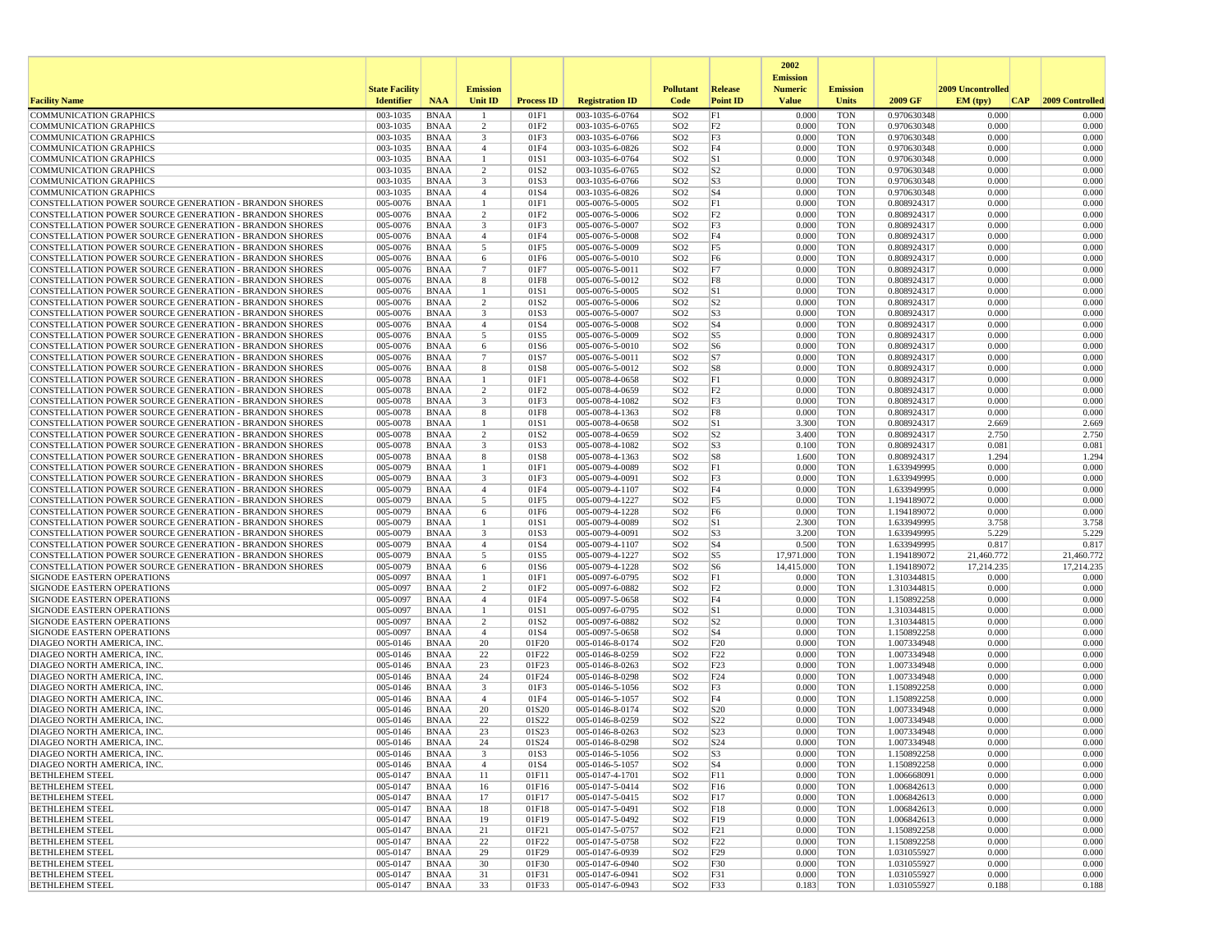|                                                                                                                         |                       |                            |                                           |                   |                                    |                                    |                                   | 2002                              |                          |                            |                     |                     |
|-------------------------------------------------------------------------------------------------------------------------|-----------------------|----------------------------|-------------------------------------------|-------------------|------------------------------------|------------------------------------|-----------------------------------|-----------------------------------|--------------------------|----------------------------|---------------------|---------------------|
|                                                                                                                         | <b>State Facility</b> |                            | <b>Emission</b>                           |                   |                                    | <b>Pollutant</b>                   | Release                           | <b>Emission</b><br><b>Numeric</b> | <b>Emission</b>          |                            | 2009 Uncontrolled   |                     |
| <b>Facility Name</b>                                                                                                    | <b>Identifier</b>     | <b>NAA</b>                 | Unit ID                                   | <b>Process ID</b> | <b>Registration ID</b>             | Code                               | <b>Point ID</b>                   | <b>Value</b>                      | <b>Units</b>             | 2009 GF                    | EM (typ)<br> CAP    | 2009 Controlled     |
| <b>COMMUNICATION GRAPHICS</b>                                                                                           | 003-1035              | <b>BNAA</b>                |                                           | 01F1              | 003-1035-6-0764                    | SO <sub>2</sub>                    | F1                                | 0.000                             | <b>TON</b>               | 0.970630348                | 0.000               | 0.000               |
| <b>COMMUNICATION GRAPHICS</b>                                                                                           | 003-1035              | <b>BNAA</b>                | 2                                         | 01F2              | 003-1035-6-0765                    | SO <sub>2</sub>                    | F <sub>2</sub>                    | 0.000                             | <b>TON</b>               | 0.970630348                | 0.000               | 0.000               |
| <b>COMMUNICATION GRAPHICS</b><br><b>COMMUNICATION GRAPHICS</b>                                                          | 003-1035<br>003-1035  | <b>BNAA</b><br><b>BNAA</b> | $\overline{\mathbf{3}}$<br>$\overline{4}$ | 01F3<br>01F4      | 003-1035-6-0766<br>003-1035-6-0826 | SO <sub>2</sub><br>SO <sub>2</sub> | F3<br>F4                          | 0.000<br>0.000                    | <b>TON</b><br><b>TON</b> | 0.970630348<br>0.970630348 | 0.000<br>0.000      | 0.000<br>0.000      |
| <b>COMMUNICATION GRAPHICS</b>                                                                                           | 003-1035              | <b>BNAA</b>                | $\mathbf{1}$                              | 01S1              | 003-1035-6-0764                    | SO <sub>2</sub>                    | S1                                | 0.000                             | <b>TON</b>               | 0.970630348                | 0.000               | 0.000               |
| <b>COMMUNICATION GRAPHICS</b>                                                                                           | 003-1035              | <b>BNAA</b>                | 2                                         | 01S2              | 003-1035-6-0765                    | SO <sub>2</sub>                    | S <sub>2</sub>                    | 0.000                             | <b>TON</b>               | 0.970630348                | 0.000               | 0.000               |
| <b>COMMUNICATION GRAPHICS</b>                                                                                           | 003-1035              | <b>BNAA</b>                | 3                                         | 01S3              | 003-1035-6-0766                    | SO <sub>2</sub>                    | S <sub>3</sub>                    | 0.000                             | <b>TON</b>               | 0.970630348                | 0.000               | 0.000               |
| COMMUNICATION GRAPHICS                                                                                                  | 003-1035              | <b>BNAA</b>                | $\overline{4}$                            | 01S4              | 003-1035-6-0826                    | SO <sub>2</sub>                    | S <sub>4</sub><br> F1             | 0.000                             | <b>TON</b><br><b>TON</b> | 0.970630348                | 0.000<br>0.000      | 0.000               |
| CONSTELLATION POWER SOURCE GENERATION - BRANDON SHORES<br>CONSTELLATION POWER SOURCE GENERATION - BRANDON SHORES        | 005-0076<br>005-0076  | <b>BNAA</b><br><b>BNAA</b> | 1<br>2                                    | 01F1<br>01F2      | 005-0076-5-0005<br>005-0076-5-0006 | SO <sub>2</sub><br>SO <sub>2</sub> | F <sub>2</sub>                    | 0.000<br>0.000                    | <b>TON</b>               | 0.808924317<br>0.808924317 | 0.000               | 0.000<br>0.000      |
| CONSTELLATION POWER SOURCE GENERATION - BRANDON SHORES                                                                  | 005-0076              | <b>BNAA</b>                | 3                                         | 01F3              | 005-0076-5-0007                    | SO <sub>2</sub>                    | F3                                | 0.000                             | <b>TON</b>               | 0.808924317                | 0.000               | 0.000               |
| <b>CONSTELLATION POWER SOURCE GENERATION - BRANDON SHORES</b>                                                           | 005-0076              | <b>BNAA</b>                | $\overline{4}$                            | 01F4              | 005-0076-5-0008                    | SO <sub>2</sub>                    | F4                                | 0.000                             | <b>TON</b>               | 0.808924317                | 0.000               | 0.000               |
| CONSTELLATION POWER SOURCE GENERATION - BRANDON SHORES                                                                  | 005-0076              | <b>BNAA</b>                | 5                                         | 01F5              | 005-0076-5-0009                    | SO <sub>2</sub>                    | F <sub>5</sub>                    | 0.000                             | <b>TON</b>               | 0.808924317                | 0.000               | 0.000               |
| CONSTELLATION POWER SOURCE GENERATION - BRANDON SHORES                                                                  | 005-0076              | <b>BNAA</b>                | 6                                         | 01F6              | 005-0076-5-0010                    | SO <sub>2</sub>                    | F <sub>6</sub>                    | 0.000                             | <b>TON</b>               | 0.808924317                | 0.000               | 0.000               |
| CONSTELLATION POWER SOURCE GENERATION - BRANDON SHORES<br><b>CONSTELLATION POWER SOURCE GENERATION - BRANDON SHORES</b> | 005-0076<br>005-0076  | <b>BNAA</b><br>BNAA        | $\overline{7}$<br>8                       | 01F7<br>01F8      | 005-0076-5-0011<br>005-0076-5-0012 | SO <sub>2</sub><br>SO <sub>2</sub> | F7<br>F8                          | 0.000<br>0.000                    | <b>TON</b><br><b>TON</b> | 0.808924317<br>0.808924317 | 0.000<br>0.000      | 0.000<br>0.000      |
| CONSTELLATION POWER SOURCE GENERATION - BRANDON SHORES                                                                  | 005-0076              | <b>BNAA</b>                | 1                                         | 01S1              | 005-0076-5-0005                    | SO <sub>2</sub>                    | S1                                | 0.000                             | <b>TON</b>               | 0.808924317                | 0.000               | 0.000               |
| <b>CONSTELLATION POWER SOURCE GENERATION - BRANDON SHORES</b>                                                           | 005-0076              | <b>BNAA</b>                | $\overline{2}$                            | 01S2              | 005-0076-5-0006                    | SO <sub>2</sub>                    | S <sub>2</sub>                    | 0.000                             | <b>TON</b>               | 0.808924317                | 0.000               | 0.000               |
| CONSTELLATION POWER SOURCE GENERATION - BRANDON SHORES                                                                  | 005-0076              | <b>BNAA</b>                | 3                                         | 01S3              | 005-0076-5-0007                    | SO <sub>2</sub>                    | S <sub>3</sub>                    | 0.000                             | <b>TON</b>               | 0.808924317                | 0.000               | 0.000               |
| CONSTELLATION POWER SOURCE GENERATION - BRANDON SHORES                                                                  | 005-0076              | <b>BNAA</b>                | $\overline{4}$                            | 01S4              | 005-0076-5-0008                    | SO <sub>2</sub>                    | S <sub>4</sub>                    | 0.000                             | <b>TON</b>               | 0.808924317                | 0.000               | 0.000               |
| CONSTELLATION POWER SOURCE GENERATION - BRANDON SHORES<br>CONSTELLATION POWER SOURCE GENERATION - BRANDON SHORES        | 005-0076<br>005-0076  | <b>BNAA</b><br><b>BNAA</b> | 5<br>6                                    | 01S5<br>01S6      | 005-0076-5-0009<br>005-0076-5-0010 | SO <sub>2</sub><br>SO <sub>2</sub> | S5<br>S <sub>6</sub>              | 0.000<br>0.000                    | <b>TON</b><br><b>TON</b> | 0.808924317<br>0.808924317 | 0.000<br>0.000      | 0.000<br>0.000      |
| CONSTELLATION POWER SOURCE GENERATION - BRANDON SHORES                                                                  | 005-0076              | <b>BNAA</b>                | $\overline{7}$                            | 01S7              | 005-0076-5-0011                    | SO <sub>2</sub>                    | S7                                | 0.000                             | <b>TON</b>               | 0.808924317                | 0.000               | 0.000               |
| CONSTELLATION POWER SOURCE GENERATION - BRANDON SHORES                                                                  | 005-0076              | <b>BNAA</b>                | 8                                         | 01S8              | 005-0076-5-0012                    | SO <sub>2</sub>                    | S8                                | 0.000                             | <b>TON</b>               | 0.808924317                | 0.000               | 0.000               |
| CONSTELLATION POWER SOURCE GENERATION - BRANDON SHORES                                                                  | 005-0078              | <b>BNAA</b>                | $\mathbf{1}$                              | 01F1              | 005-0078-4-0658                    | SO <sub>2</sub>                    | F1                                | 0.000                             | <b>TON</b>               | 0.808924317                | 0.000               | 0.000               |
| <b>CONSTELLATION POWER SOURCE GENERATION - BRANDON SHORES</b>                                                           | 005-0078              | <b>BNAA</b>                | $\overline{2}$                            | 01F <sub>2</sub>  | 005-0078-4-0659                    | SO <sub>2</sub>                    | F2                                | 0.000                             | <b>TON</b>               | 0.808924317                | 0.000               | 0.000               |
| <b>CONSTELLATION POWER SOURCE GENERATION - BRANDON SHORES</b><br>CONSTELLATION POWER SOURCE GENERATION - BRANDON SHORES | 005-0078<br>005-0078  | <b>BNAA</b><br><b>BNAA</b> | 3<br>8                                    | 01F3<br>01F8      | 005-0078-4-1082<br>005-0078-4-1363 | SO <sub>2</sub><br>SO <sub>2</sub> | F3<br>F8                          | 0.000<br>0.000                    | <b>TON</b><br><b>TON</b> | 0.808924317<br>0.808924317 | 0.000<br>0.000      | 0.000<br>0.000      |
| <b>CONSTELLATION POWER SOURCE GENERATION - BRANDON SHORES</b>                                                           | 005-0078              | <b>BNAA</b>                | $\mathbf{1}$                              | 01S1              | 005-0078-4-0658                    | SO <sub>2</sub>                    | S1                                | 3.300                             | <b>TON</b>               | 0.808924317                | 2.669               | 2.669               |
| CONSTELLATION POWER SOURCE GENERATION - BRANDON SHORES                                                                  | 005-0078              | <b>BNAA</b>                | $\overline{2}$                            | 01S2              | 005-0078-4-0659                    | SO <sub>2</sub>                    | S <sub>2</sub>                    | 3.400                             | <b>TON</b>               | 0.808924317                | 2.750               | 2.750               |
| CONSTELLATION POWER SOURCE GENERATION - BRANDON SHORES                                                                  | 005-0078              | <b>BNAA</b>                | 3                                         | 01S3              | 005-0078-4-1082                    | SO <sub>2</sub>                    | S <sub>3</sub>                    | 0.100                             | <b>TON</b>               | 0.808924317                | 0.081               | 0.081               |
| <b>CONSTELLATION POWER SOURCE GENERATION - BRANDON SHORES</b>                                                           | 005-0078              | <b>BNAA</b>                | 8                                         | 01S8              | 005-0078-4-1363                    | SO <sub>2</sub>                    | S8                                | 1.600                             | <b>TON</b>               | 0.808924317                | 1.294               | 1.294               |
| <b>CONSTELLATION POWER SOURCE GENERATION - BRANDON SHORES</b>                                                           | 005-0079<br>005-0079  | <b>BNAA</b><br><b>BNAA</b> | -1<br>3                                   | 01F1<br>01F3      | 005-0079-4-0089<br>005-0079-4-0091 | SO <sub>2</sub><br>SO <sub>2</sub> | F1<br>F3                          | 0.000<br>0.000                    | <b>TON</b><br><b>TON</b> | 1.633949995                | 0.000<br>0.000      | 0.000<br>0.000      |
| CONSTELLATION POWER SOURCE GENERATION - BRANDON SHORES<br>CONSTELLATION POWER SOURCE GENERATION - BRANDON SHORES        | 005-0079              | <b>BNAA</b>                | $\overline{4}$                            | 01F4              | 005-0079-4-1107                    | SO <sub>2</sub>                    | F4                                | 0.000                             | <b>TON</b>               | 1.633949995<br>1.633949995 | 0.000               | 0.000               |
| CONSTELLATION POWER SOURCE GENERATION - BRANDON SHORES                                                                  | 005-0079              | <b>BNAA</b>                | 5                                         | 01F5              | 005-0079-4-1227                    | SO <sub>2</sub>                    | F <sub>5</sub>                    | 0.000                             | <b>TON</b>               | 1.194189072                | 0.000               | 0.000               |
| <b>CONSTELLATION POWER SOURCE GENERATION - BRANDON SHORES</b>                                                           | 005-0079              | <b>BNAA</b>                | 6                                         | 01F6              | 005-0079-4-1228                    | SO <sub>2</sub>                    | F <sub>6</sub>                    | 0.000                             | <b>TON</b>               | 1.194189072                | 0.000               | 0.000               |
| CONSTELLATION POWER SOURCE GENERATION - BRANDON SHORES                                                                  | 005-0079              | <b>BNAA</b>                | 1                                         | 01S1              | 005-0079-4-0089                    | SO <sub>2</sub>                    | S1                                | 2.300                             | <b>TON</b>               | 1.633949995                | 3.758               | 3.758               |
| CONSTELLATION POWER SOURCE GENERATION - BRANDON SHORES                                                                  | 005-0079              | <b>BNAA</b>                | 3                                         | 01S3              | 005-0079-4-0091                    | SO <sub>2</sub>                    | S <sub>3</sub><br>S <sub>4</sub>  | 3.200                             | <b>TON</b>               | 1.633949995                | 5.229               | 5.229               |
| CONSTELLATION POWER SOURCE GENERATION - BRANDON SHORES<br>CONSTELLATION POWER SOURCE GENERATION - BRANDON SHORES        | 005-0079<br>005-0079  | <b>BNAA</b><br><b>BNAA</b> | $\overline{4}$<br>5                       | 01S4<br>01S5      | 005-0079-4-1107<br>005-0079-4-1227 | SO <sub>2</sub><br>SO <sub>2</sub> | S5                                | 0.500<br>17,971.000               | <b>TON</b><br><b>TON</b> | 1.633949995<br>1.194189072 | 0.817<br>21,460.772 | 0.81'<br>21,460.772 |
| CONSTELLATION POWER SOURCE GENERATION - BRANDON SHORES                                                                  | 005-0079              | <b>BNAA</b>                | 6                                         | 01S6              | 005-0079-4-1228                    | SO <sub>2</sub>                    | S <sub>6</sub>                    | 14,415.000                        | <b>TON</b>               | 1.194189072                | 17,214.235          | 17,214.235          |
| SIGNODE EASTERN OPERATIONS                                                                                              | 005-0097              | <b>BNAA</b>                | -1                                        | 01F1              | 005-0097-6-0795                    | SO <sub>2</sub>                    | F1                                | 0.000                             | <b>TON</b>               | 1.310344815                | 0.000               | 0.000               |
| SIGNODE EASTERN OPERATIONS                                                                                              | 005-0097              | <b>BNAA</b>                | 2                                         | 01F2              | 005-0097-6-0882                    | SO <sub>2</sub>                    | F <sub>2</sub>                    | 0.000                             | <b>TON</b>               | 1.310344815                | 0.000               | 0.000               |
| SIGNODE EASTERN OPERATIONS                                                                                              | 005-0097              | <b>BNAA</b>                | $\overline{4}$                            | 01F4              | 005-0097-5-0658                    | SO <sub>2</sub>                    | F4                                | 0.000                             | <b>TON</b>               | 1.150892258                | 0.000               | 0.000               |
| <b>SIGNODE EASTERN OPERATIONS</b><br>SIGNODE EASTERN OPERATIONS                                                         | 005-0097<br>005-0097  | <b>BNAA</b><br><b>BNAA</b> | 2                                         | 01S1<br>01S2      | 005-0097-6-0795<br>005-0097-6-0882 | SO <sub>2</sub><br>SO <sub>2</sub> | S1<br>S <sub>2</sub>              | 0.000<br>0.000                    | <b>TON</b><br><b>TON</b> | 1.310344815<br>1.310344815 | 0.000<br>0.000      | 0.000<br>0.000      |
| SIGNODE EASTERN OPERATIONS                                                                                              | 005-0097              | <b>BNAA</b>                | $\overline{4}$                            | 01S4              | 005-0097-5-0658                    | SO <sub>2</sub>                    | S <sub>4</sub>                    | 0.000                             | <b>TON</b>               | 1.150892258                | 0.000               | 0.000               |
| DIAGEO NORTH AMERICA, INC.                                                                                              | 005-0146              | BNAA                       | 20                                        | 01F20             | 005-0146-8-0174                    | SO <sub>2</sub>                    | F20                               | 0.000                             | <b>TON</b>               | 1.007334948                | 0.000               | 0.000               |
| DIAGEO NORTH AMERICA, INC.                                                                                              | 005-0146              | <b>BNAA</b>                | 22                                        | 01F22             | 005-0146-8-0259                    | SO <sub>2</sub>                    | F22                               | 0.000                             | <b>TON</b>               | 1.007334948                | 0.000               | 0.000               |
| DIAGEO NORTH AMERICA, INC.<br>DIAGEO NORTH AMERICA, INC                                                                 | 005-0146<br>005-0146  | <b>BNAA</b><br><b>BNAA</b> | 23<br>24                                  | 01F23<br>01F24    | 005-0146-8-0263<br>005-0146-8-0298 | SO <sub>2</sub><br>SO <sub>2</sub> | F23<br>F24                        | 0.000<br>0.000                    | <b>TON</b><br><b>TON</b> | 1.007334948<br>1.007334948 | 0.000<br>0.000      | 0.000<br>0.000      |
| DIAGEO NORTH AMERICA, INC.                                                                                              | 005-0146              | <b>BNAA</b>                | 3                                         | 01F3              | 005-0146-5-1056                    | SO <sub>2</sub>                    | F3                                | 0.000                             | <b>TON</b>               | 1.150892258                | 0.000               | 0.000               |
| DIAGEO NORTH AMERICA, INC.                                                                                              | 005-0146              | <b>BNAA</b>                | $\overline{4}$                            | 01F4              | 005-0146-5-1057                    | SO <sub>2</sub>                    | F4                                | 0.000                             | <b>TON</b>               | 1.150892258                | 0.000               | 0.000               |
| DIAGEO NORTH AMERICA, INC                                                                                               | 005-0146              | <b>BNAA</b>                | 20                                        | 01S20             | 005-0146-8-0174                    | SO <sub>2</sub>                    | S <sub>20</sub>                   | 0.000                             | <b>TON</b>               | 1.007334948                | 0.000               | 0.000               |
| DIAGEO NORTH AMERICA, INC                                                                                               | 005-0146              | <b>BNAA</b>                | 22                                        | 01S22             | 005-0146-8-0259                    | SO <sub>2</sub>                    | S22                               | 0.000                             | <b>TON</b>               | 1.007334948                | 0.000               | 0.000               |
| DIAGEO NORTH AMERICA, INC                                                                                               | 005-0146              | <b>BNAA</b>                | 23                                        | 01S23             | 005-0146-8-0263                    | SO <sub>2</sub><br>SO <sub>2</sub> | S <sub>23</sub>                   | 0.000                             | <b>TON</b>               | 1.007334948<br>1.007334948 | 0.000<br>0.000      | 0.000               |
| DIAGEO NORTH AMERICA, INC.<br>DIAGEO NORTH AMERICA, INC.                                                                | 005-0146<br>005-0146  | <b>BNAA</b><br>BNAA        | 24                                        | 01S24<br>01S3     | 005-0146-8-0298<br>005-0146-5-1056 | SO <sub>2</sub>                    | S <sub>24</sub><br>S <sub>3</sub> | 0.000<br>0.000                    | <b>TON</b><br>TON        | 1.150892258                | 0.000               | 0.000<br>0.000      |
| DIAGEO NORTH AMERICA, INC.                                                                                              | 005-0146              | BNAA                       | $\overline{4}$                            | 01S4              | 005-0146-5-1057                    | SO <sub>2</sub>                    | $ S_4 $                           | 0.000                             | <b>TON</b>               | 1.150892258                | 0.000               | 0.000               |
| <b>BETHLEHEM STEEL</b>                                                                                                  | 005-0147              | BNAA                       | 11                                        | 01F11             | 005-0147-4-1701                    | SO <sub>2</sub>                    | F11                               | 0.000                             | <b>TON</b>               | 1.006668091                | 0.000               | 0.000               |
| <b>BETHLEHEM STEEL</b>                                                                                                  | 005-0147              | BNAA                       | 16                                        | 01F16             | 005-0147-5-0414                    | SO <sub>2</sub>                    | F16                               | 0.000                             | <b>TON</b>               | 1.006842613                | 0.000               | 0.000               |
| <b>BETHLEHEM STEEL</b>                                                                                                  | 005-0147              | BNAA                       | 17                                        | 01F17             | 005-0147-5-0415                    | SO <sub>2</sub>                    | F17                               | 0.000                             | <b>TON</b>               | 1.006842613                | 0.000               | 0.000               |
| <b>BETHLEHEM STEEL</b><br><b>BETHLEHEM STEEL</b>                                                                        | 005-0147<br>005-0147  | <b>BNAA</b><br><b>BNAA</b> | 18<br>19                                  | 01F18<br>01F19    | 005-0147-5-0491<br>005-0147-5-0492 | SO <sub>2</sub><br>SO <sub>2</sub> | F18<br>F19                        | 0.000<br>0.000                    | <b>TON</b><br><b>TON</b> | 1.006842613<br>1.006842613 | 0.000<br>0.000      | 0.000<br>0.000      |
| <b>BETHLEHEM STEEL</b>                                                                                                  | 005-0147              | BNAA                       | 21                                        | 01F21             | 005-0147-5-0757                    | SO <sub>2</sub>                    | F21                               | 0.000                             | <b>TON</b>               | 1.150892258                | 0.000               | 0.000               |
| <b>BETHLEHEM STEEL</b>                                                                                                  | 005-0147              | <b>BNAA</b>                | 22                                        | 01F22             | 005-0147-5-0758                    | SO <sub>2</sub>                    | F22                               | 0.000                             | <b>TON</b>               | 1.150892258                | 0.000               | 0.000               |
| <b>BETHLEHEM STEEL</b>                                                                                                  | 005-0147              | <b>BNAA</b>                | 29                                        | 01F29             | 005-0147-6-0939                    | SO <sub>2</sub>                    | F29                               | 0.000                             | <b>TON</b>               | 1.031055927                | 0.000               | 0.000               |
| <b>BETHLEHEM STEEL</b>                                                                                                  | 005-0147              | BNAA                       | 30                                        | 01F30             | 005-0147-6-0940                    | SO <sub>2</sub>                    | F30                               | 0.000                             | <b>TON</b>               | 1.031055927                | 0.000               | 0.000               |
| <b>BETHLEHEM STEEL</b><br><b>BETHLEHEM STEEL</b>                                                                        | 005-0147<br>005-0147  | <b>BNAA</b><br><b>BNAA</b> | 31<br>33                                  | 01F31<br>01F33    | 005-0147-6-0941<br>005-0147-6-0943 | SO <sub>2</sub><br>SO <sub>2</sub> | F31<br>F33                        | 0.000<br>0.183                    | <b>TON</b><br><b>TON</b> | 1.031055927<br>1.031055927 | 0.000<br>0.188      | 0.000<br>0.188      |
|                                                                                                                         |                       |                            |                                           |                   |                                    |                                    |                                   |                                   |                          |                            |                     |                     |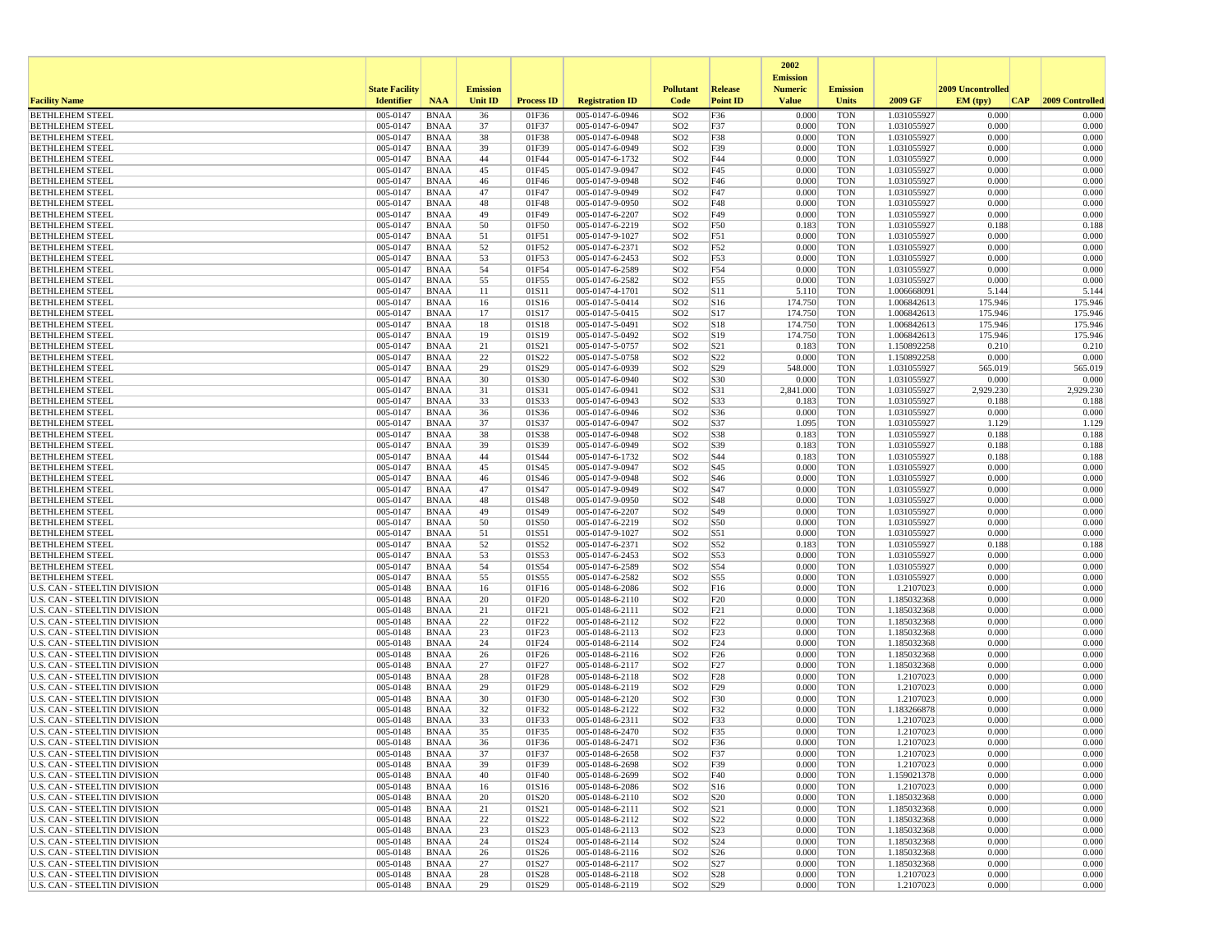|                                                                     |                       |                            |                 |                   |                                    |                                    |                                    | 2002<br><b>Emission</b> |                          |                            |                    |                    |
|---------------------------------------------------------------------|-----------------------|----------------------------|-----------------|-------------------|------------------------------------|------------------------------------|------------------------------------|-------------------------|--------------------------|----------------------------|--------------------|--------------------|
|                                                                     | <b>State Facility</b> |                            | <b>Emission</b> |                   |                                    | <b>Pollutant</b>                   | Release                            | <b>Numeric</b>          | <b>Emission</b>          |                            | 2009 Uncontrolled  |                    |
| <b>Facility Name</b>                                                | <b>Identifier</b>     | <b>NAA</b>                 | <b>Unit ID</b>  | <b>Process ID</b> | <b>Registration ID</b>             | Code                               | <b>Point ID</b>                    | <b>Value</b>            | <b>Units</b>             | 2009 GF                    | EM (tpv)<br>CAP    | 2009 Controlled    |
| <b>BETHLEHEM STEEL</b>                                              | 005-0147              | <b>BNAA</b>                | 36              | 01F36             | 005-0147-6-0946                    | SO <sub>2</sub>                    | F36                                | 0.000                   | <b>TON</b>               | 1.031055927                | 0.000              | 0.000              |
| <b>BETHLEHEM STEEL</b><br><b>BETHLEHEM STEEL</b>                    | 005-0147<br>005-0147  | <b>BNAA</b><br><b>BNAA</b> | 37<br>38        | 01F37<br>01F38    | 005-0147-6-0947<br>005-0147-6-0948 | SO <sub>2</sub><br>SO <sub>2</sub> | F37<br>F38                         | 0.000<br>0.000          | <b>TON</b><br><b>TON</b> | 1.031055927<br>1.031055927 | 0.000<br>0.000     | 0.000<br>0.000     |
| <b>BETHLEHEM STEEL</b>                                              | 005-0147              | <b>BNAA</b>                | 39              | 01F39             | 005-0147-6-0949                    | SO <sub>2</sub>                    | F39                                | 0.000                   | <b>TON</b>               | 1.031055927                | 0.000              | 0.000              |
| <b>BETHLEHEM STEEL</b>                                              | 005-0147              | <b>BNAA</b>                | 44              | 01F44             | 005-0147-6-1732                    | SO <sub>2</sub>                    | F44                                | 0.000                   | <b>TON</b>               | 1.031055927                | 0.000              | 0.000              |
| <b>BETHLEHEM STEEL</b>                                              | 005-0147              | <b>BNAA</b>                | 45              | 01F45             | 005-0147-9-0947                    | SO <sub>2</sub>                    | F45                                | 0.000                   | <b>TON</b>               | 1.031055927                | 0.000              | 0.000              |
| <b>BETHLEHEM STEEL</b>                                              | 005-0147              | <b>BNAA</b>                | 46              | 01F46             | 005-0147-9-0948                    | SO <sub>2</sub>                    | F46                                | 0.000                   | <b>TON</b>               | 1.031055927                | 0.000              | 0.000              |
| <b>BETHLEHEM STEEL</b><br><b>BETHLEHEM STEEL</b>                    | 005-0147<br>005-0147  | <b>BNAA</b><br><b>BNAA</b> | 47<br>48        | 01F47<br>01F48    | 005-0147-9-0949<br>005-0147-9-0950 | SO <sub>2</sub><br>SO <sub>2</sub> | F47<br>F48                         | 0.000<br>0.000          | <b>TON</b><br><b>TON</b> | 1.031055927<br>1.031055927 | 0.000<br>0.000     | 0.000<br>0.000     |
| <b>BETHLEHEM STEEL</b>                                              | 005-0147              | <b>BNAA</b>                | 49              | 01F49             | 005-0147-6-2207                    | SO <sub>2</sub>                    | F49                                | 0.000                   | <b>TON</b>               | 1.031055927                | 0.000              | 0.000              |
| <b>BETHLEHEM STEEL</b>                                              | 005-0147              | <b>BNAA</b>                | 50              | 01F50             | 005-0147-6-2219                    | SO <sub>2</sub>                    | F50                                | 0.183                   | <b>TON</b>               | 1.031055927                | 0.188              | 0.188              |
| <b>BETHLEHEM STEEL</b>                                              | 005-0147              | <b>BNAA</b>                | 51              | 01F51             | 005-0147-9-1027                    | SO <sub>2</sub>                    | F51                                | 0.000                   | <b>TON</b>               | 1.031055927                | 0.000              | 0.000              |
| <b>BETHLEHEM STEEL</b>                                              | 005-0147              | <b>BNAA</b>                | 52              | 01F52             | 005-0147-6-2371                    | SO <sub>2</sub>                    | F52                                | 0.000                   | <b>TON</b>               | 1.031055927                | 0.000              | 0.000              |
| <b>BETHLEHEM STEEL</b><br><b>BETHLEHEM STEEL</b>                    | 005-0147<br>005-0147  | <b>BNAA</b><br><b>BNAA</b> | 53<br>54        | 01F53<br>01F54    | 005-0147-6-2453<br>005-0147-6-2589 | SO <sub>2</sub><br>SO <sub>2</sub> | F53<br>F54                         | 0.000<br>0.000          | <b>TON</b><br><b>TON</b> | 1.031055927<br>1.031055927 | 0.000<br>0.000     | 0.000<br>0.000     |
| <b>BETHLEHEM STEEL</b>                                              | 005-0147              | <b>BNAA</b>                | 55              | 01F55             | 005-0147-6-2582                    | SO <sub>2</sub>                    | F55                                | 0.000                   | <b>TON</b>               | 1.031055927                | 0.000              | 0.000              |
| <b>BETHLEHEM STEEL</b>                                              | 005-0147              | <b>BNAA</b>                | 11              | 01S11             | 005-0147-4-1701                    | SO <sub>2</sub>                    | S11                                | 5.110                   | <b>TON</b>               | 1.006668091                | 5.144              | 5.144              |
| <b>BETHLEHEM STEEL</b>                                              | 005-0147              | <b>BNAA</b>                | 16              | 01S16             | 005-0147-5-0414                    | SO <sub>2</sub>                    | S <sub>16</sub>                    | 174.750                 | <b>TON</b>               | 1.006842613                | 175.946            | 175.946            |
| <b>BETHLEHEM STEEL</b>                                              | 005-0147              | <b>BNAA</b>                | 17              | 01S17             | 005-0147-5-0415                    | SO <sub>2</sub>                    | S17                                | 174.750                 | <b>TON</b>               | 1.006842613                | 175.946            | 175.946            |
| <b>BETHLEHEM STEEL</b><br><b>BETHLEHEM STEEL</b>                    | 005-0147<br>005-0147  | <b>BNAA</b><br><b>BNAA</b> | 18<br>19        | 01S18<br>01S19    | 005-0147-5-0491<br>005-0147-5-0492 | SO <sub>2</sub><br>SO <sub>2</sub> | S18<br>S19                         | 174.750<br>174.750      | <b>TON</b><br><b>TON</b> | 1.006842613<br>1.006842613 | 175.946<br>175.946 | 175.946<br>175.946 |
| <b>BETHLEHEM STEEL</b>                                              | 005-0147              | <b>BNAA</b>                | 21              | 01S21             | 005-0147-5-0757                    | SO <sub>2</sub>                    | S <sub>21</sub>                    | 0.183                   | <b>TON</b>               | 1.150892258                | 0.210              | 0.210              |
| <b>BETHLEHEM STEEL</b>                                              | 005-0147              | <b>BNAA</b>                | 22              | 01S22             | 005-0147-5-0758                    | SO <sub>2</sub>                    | S22                                | 0.000                   | <b>TON</b>               | 1.150892258                | 0.000              | 0.000              |
| <b>BETHLEHEM STEEL</b>                                              | 005-0147              | <b>BNAA</b>                | 29              | 01S29             | 005-0147-6-0939                    | SO <sub>2</sub>                    | S29                                | 548.000                 | <b>TON</b>               | 1.031055927                | 565.019            | 565.019            |
| <b>BETHLEHEM STEEL</b>                                              | 005-0147              | <b>BNAA</b>                | 30              | 01S30             | 005-0147-6-0940                    | SO <sub>2</sub>                    | S30                                | 0.000                   | <b>TON</b>               | 1.031055927                | 0.000              | 0.000              |
| <b>BETHLEHEM STEEL</b>                                              | 005-0147              | <b>BNAA</b>                | 31              | 01S31             | 005-0147-6-0941<br>005-0147-6-0943 | SO <sub>2</sub>                    | S31                                | 2,841.000               | <b>TON</b>               | 1.031055927<br>1.031055927 | 2,929.230          | 2,929.230          |
| <b>BETHLEHEM STEEL</b><br><b>BETHLEHEM STEEL</b>                    | 005-0147<br>005-0147  | <b>BNAA</b><br><b>BNAA</b> | 33<br>36        | 01S33<br>01S36    | 005-0147-6-0946                    | SO <sub>2</sub><br>SO <sub>2</sub> | S33<br>S36                         | 0.183<br>0.000          | <b>TON</b><br><b>TON</b> | 1.031055927                | 0.188<br>0.000     | 0.188<br>0.000     |
| <b>BETHLEHEM STEEL</b>                                              | 005-0147              | <b>BNAA</b>                | 37              | 01S37             | 005-0147-6-0947                    | SO <sub>2</sub>                    | S37                                | 1.095                   | <b>TON</b>               | 1.031055927                | 1.129              | 1.129              |
| <b>BETHLEHEM STEEL</b>                                              | 005-0147              | <b>BNAA</b>                | 38              | 01S38             | 005-0147-6-0948                    | SO <sub>2</sub>                    | S38                                | 0.183                   | <b>TON</b>               | 1.031055927                | 0.188              | 0.188              |
| <b>BETHLEHEM STEEL</b>                                              | 005-0147              | <b>BNAA</b>                | 39              | 01S39             | $005 - 0147 - 6 - 0949$            | SO <sub>2</sub>                    | S39                                | 0.183                   | <b>TON</b>               | 1.031055927                | 0.188              | 0.188              |
| <b>BETHLEHEM STEEL</b>                                              | 005-0147              | <b>BNAA</b>                | 44              | 01S44             | 005-0147-6-1732                    | SO <sub>2</sub>                    | S44                                | 0.183                   | <b>TON</b>               | 1.031055927                | 0.188              | 0.188              |
| <b>BETHLEHEM STEEL</b><br><b>BETHLEHEM STEEL</b>                    | 005-0147<br>005-0147  | <b>BNAA</b><br><b>BNAA</b> | 45<br>46        | 01S45<br>01S46    | 005-0147-9-0947<br>005-0147-9-0948 | SO <sub>2</sub><br>SO <sub>2</sub> | S45<br>S46                         | 0.000<br>0.000          | <b>TON</b><br><b>TON</b> | 1.031055927<br>1.031055927 | 0.000<br>0.000     | 0.000<br>0.000     |
| <b>BETHLEHEM STEEL</b>                                              | 005-0147              | <b>BNAA</b>                | 47              | 01S47             | 005-0147-9-0949                    | SO <sub>2</sub>                    | S47                                | 0.000                   | <b>TON</b>               | 1.031055927                | 0.000              | 0.000              |
| <b>BETHLEHEM STEEL</b>                                              | 005-0147              | <b>BNAA</b>                | 48              | 01S48             | 005-0147-9-0950                    | SO <sub>2</sub>                    | S48                                | 0.000                   | <b>TON</b>               | 1.031055927                | 0.000              | 0.000              |
| <b>BETHLEHEM STEEL</b>                                              | 005-0147              | <b>BNAA</b>                | 49              | 01S49             | 005-0147-6-2207                    | SO <sub>2</sub>                    | S49                                | 0.000                   | <b>TON</b>               | 1.031055927                | 0.000              | 0.000              |
| <b>BETHLEHEM STEEL</b>                                              | 005-0147              | <b>BNAA</b>                | 50              | 01S50             | 005-0147-6-2219                    | SO <sub>2</sub>                    | S50                                | 0.000                   | <b>TON</b>               | 1.031055927                | 0.000              | 0.000              |
| <b>BETHLEHEM STEEL</b><br><b>BETHLEHEM STEEL</b>                    | 005-0147<br>005-0147  | <b>BNAA</b><br><b>BNAA</b> | 51<br>52        | 01S51<br>01S52    | 005-0147-9-1027<br>005-0147-6-2371 | SO <sub>2</sub><br>SO <sub>2</sub> | S51<br>S52                         | 0.000<br>0.183          | <b>TON</b><br><b>TON</b> | 1.031055927<br>1.031055927 | 0.000<br>0.188     | 0.000<br>0.188     |
| <b>BETHLEHEM STEEL</b>                                              | 005-0147              | <b>BNAA</b>                | 53              | 01S53             | 005-0147-6-2453                    | SO <sub>2</sub>                    | S53                                | 0.000                   | <b>TON</b>               | 1.031055927                | 0.000              | 0.000              |
| <b>BETHLEHEM STEEL</b>                                              | 005-0147              | <b>BNAA</b>                | 54              | 01S54             | 005-0147-6-2589                    | SO <sub>2</sub>                    | S54                                | 0.000                   | <b>TON</b>               | 1.031055927                | 0.000              | 0.000              |
| <b>BETHLEHEM STEEL</b>                                              | 005-0147              | <b>BNAA</b>                | 55              | 01S55             | 005-0147-6-2582                    | SO <sub>2</sub>                    | S55                                | 0.000                   | <b>TON</b>               | 1.031055927                | 0.000              | 0.000              |
| U.S. CAN - STEELTIN DIVISION                                        | 005-0148              | <b>BNAA</b>                | 16              | 01F16             | 005-0148-6-2086                    | SO <sub>2</sub>                    | F16                                | 0.000                   | <b>TON</b>               | 1.2107023                  | 0.000              | 0.000              |
| U.S. CAN - STEELTIN DIVISION<br>U.S. CAN - STEELTIN DIVISION        | 005-0148<br>005-0148  | <b>BNAA</b><br><b>BNAA</b> | 20<br>21        | 01F20<br>01F21    | 005-0148-6-2110<br>005-0148-6-2111 | SO <sub>2</sub><br>SO <sub>2</sub> | F20<br>F21                         | 0.000<br>0.000          | <b>TON</b><br><b>TON</b> | 1.185032368<br>1.185032368 | 0.000<br>0.000     | 0.000<br>0.000     |
| <b>U.S. CAN - STEELTIN DIVISION</b>                                 | 005-0148              | <b>BNAA</b>                | 22              | 01F22             | 005-0148-6-2112                    | SO <sub>2</sub>                    | F22                                | 0.000                   | <b>TON</b>               | 1.185032368                | 0.000              | 0.000              |
| U.S. CAN - STEELTIN DIVISION                                        | 005-0148              | <b>BNAA</b>                | 23              | 01F23             | 005-0148-6-2113                    | SO <sub>2</sub>                    | F23                                | 0.000                   | <b>TON</b>               | 1.185032368                | 0.000              | 0.000              |
| U.S. CAN - STEELTIN DIVISION                                        | 005-0148              | <b>BNAA</b>                | 24              | 01F24             | 005-0148-6-2114                    | SO <sub>2</sub>                    | F <sub>24</sub>                    | 0.000                   | <b>TON</b>               | 1.185032368                | 0.000              | 0.000              |
| U.S. CAN - STEELTIN DIVISION                                        | 005-0148              | <b>BNAA</b>                | 26              | 01F26             | 005-0148-6-2116                    | SO <sub>2</sub>                    | F <sub>26</sub>                    | 0.000                   | <b>TON</b>               | 1.185032368                | 0.000              | 0.000              |
| U.S. CAN - STEELTIN DIVISION<br>U.S. CAN - STEELTIN DIVISION        | 005-0148<br>005-0148  | <b>BNAA</b><br><b>BNAA</b> | 27<br>28        | 01F27<br>01F28    | 005-0148-6-2117                    | SO <sub>2</sub><br>SO <sub>2</sub> | F <sub>27</sub><br>F <sub>28</sub> | 0.000<br>0.000          | <b>TON</b><br><b>TON</b> | 1.185032368<br>1.2107023   | 0.000<br>0.000     | 0.000<br>0.000     |
| <b>U.S. CAN - STEELTIN DIVISION</b>                                 | 005-0148              | <b>BNAA</b>                | 29              | 01F29             | 005-0148-6-2118<br>005-0148-6-2119 | SO <sub>2</sub>                    | F29                                | 0.000                   | <b>TON</b>               | 1.2107023                  | 0.000              | 0.000              |
| U.S. CAN - STEELTIN DIVISION                                        | 005-0148              | <b>BNAA</b>                | 30              | 01F30             | 005-0148-6-2120                    | SO <sub>2</sub>                    | F30                                | 0.000                   | <b>TON</b>               | 1.2107023                  | 0.000              | 0.000              |
| <b>U.S. CAN - STEELTIN DIVISION</b>                                 | 005-0148              | <b>BNAA</b>                | 32              | 01F32             | 005-0148-6-2122                    | SO <sub>2</sub>                    | F32                                | 0.000                   | <b>TON</b>               | 1.183266878                | 0.000              | 0.000              |
| <b>U.S. CAN - STEELTIN DIVISION</b>                                 | 005-0148              | <b>BNAA</b>                | 33              | 01F33             | 005-0148-6-2311                    | SO <sub>2</sub>                    | F33                                | 0.000                   | <b>TON</b>               | 1.2107023                  | 0.000              | 0.000              |
| U.S. CAN - STEELTIN DIVISION<br><b>U.S. CAN - STEELTIN DIVISION</b> | 005-0148              | <b>BNAA</b>                | 35              | 01F35             | 005-0148-6-2470                    | SO <sub>2</sub>                    | F35                                | 0.000                   | <b>TON</b>               | 1.2107023                  | 0.000<br>0.000     | 0.000              |
| <b>U.S. CAN - STEELTIN DIVISION</b>                                 | 005-0148<br>005-0148  | <b>BNAA</b><br><b>BNAA</b> | 36<br>37        | 01F36<br>01F37    | 005-0148-6-2471<br>005-0148-6-2658 | SO <sub>2</sub><br>SO <sub>2</sub> | F36<br>F37                         | 0.000<br>0.000          | <b>TON</b><br><b>TON</b> | 1.2107023<br>1.2107023     | 0.000              | 0.000<br>0.000     |
| U.S. CAN - STEELTIN DIVISION                                        | 005-0148              | <b>BNAA</b>                | 39              | 01F39             | 005-0148-6-2698                    | SO <sub>2</sub>                    | F39                                | 0.000                   | <b>TON</b>               | 1.2107023                  | 0.000              | 0.000              |
| U.S. CAN - STEELTIN DIVISION                                        | 005-0148              | BNAA                       | 40              | 01F40             | 005-0148-6-2699                    | SO <sub>2</sub>                    | F40                                | 0.000                   | <b>TON</b>               | 1.159021378                | 0.000              | 0.000              |
| <b>U.S. CAN - STEELTIN DIVISION</b>                                 | 005-0148              | <b>BNAA</b>                | 16              | 01S16             | 005-0148-6-2086                    | SO <sub>2</sub>                    | S16                                | 0.000                   | <b>TON</b>               | 1.2107023                  | 0.000              | 0.000              |
| <b>U.S. CAN - STEELTIN DIVISION</b>                                 | 005-0148              | <b>BNAA</b>                | 20              | 01S20             | 005-0148-6-2110                    | SO <sub>2</sub>                    | S <sub>20</sub>                    | 0.000                   | <b>TON</b>               | 1.185032368                | 0.000              | 0.000              |
| U.S. CAN - STEELTIN DIVISION<br><b>U.S. CAN - STEELTIN DIVISION</b> | 005-0148<br>005-0148  | <b>BNAA</b><br><b>BNAA</b> | 21<br>22        | 01S21<br>01S22    | 005-0148-6-2111<br>005-0148-6-2112 | SO <sub>2</sub><br>SO <sub>2</sub> | S21<br>S22                         | 0.000<br>0.000          | <b>TON</b><br><b>TON</b> | 1.185032368<br>1.185032368 | 0.000<br>0.000     | 0.000<br>0.000     |
| U.S. CAN - STEELTIN DIVISION                                        | 005-0148              | <b>BNAA</b>                | 23              | 01S23             | 005-0148-6-2113                    | SO <sub>2</sub>                    | S23                                | 0.000                   | <b>TON</b>               | 1.185032368                | 0.000              | 0.000              |
| <b>U.S. CAN - STEELTIN DIVISION</b>                                 | 005-0148              | <b>BNAA</b>                | 24              | 01S24             | 005-0148-6-2114                    | SO <sub>2</sub>                    | S24                                | 0.000                   | <b>TON</b>               | 1.185032368                | 0.000              | 0.000              |
| <b>U.S. CAN - STEELTIN DIVISION</b>                                 | 005-0148              | <b>BNAA</b>                | 26              | 01S26             | 005-0148-6-2116                    | SO <sub>2</sub>                    | S <sub>26</sub>                    | 0.000                   | <b>TON</b>               | 1.185032368                | 0.000              | 0.000              |
| <b>U.S. CAN - STEELTIN DIVISION</b>                                 | 005-0148              | <b>BNAA</b>                | 27              | 01S27             | 005-0148-6-2117                    | SO <sub>2</sub>                    | S <sub>27</sub>                    | 0.000                   | <b>TON</b>               | 1.185032368                | 0.000              | 0.000              |
| <b>U.S. CAN - STEELTIN DIVISION</b><br>U.S. CAN - STEELTIN DIVISION | 005-0148              | <b>BNAA</b>                | 28              | 01S28             | 005-0148-6-2118                    | SO <sub>2</sub>                    | S28                                | 0.000                   | <b>TON</b>               | 1.2107023                  | 0.000              | 0.000              |
|                                                                     | 005-0148              | BNAA                       | 29              | 01S29             | 005-0148-6-2119                    | SO <sub>2</sub>                    | S29                                | 0.000                   | TON                      | 1.2107023                  | 0.000              | 0.000              |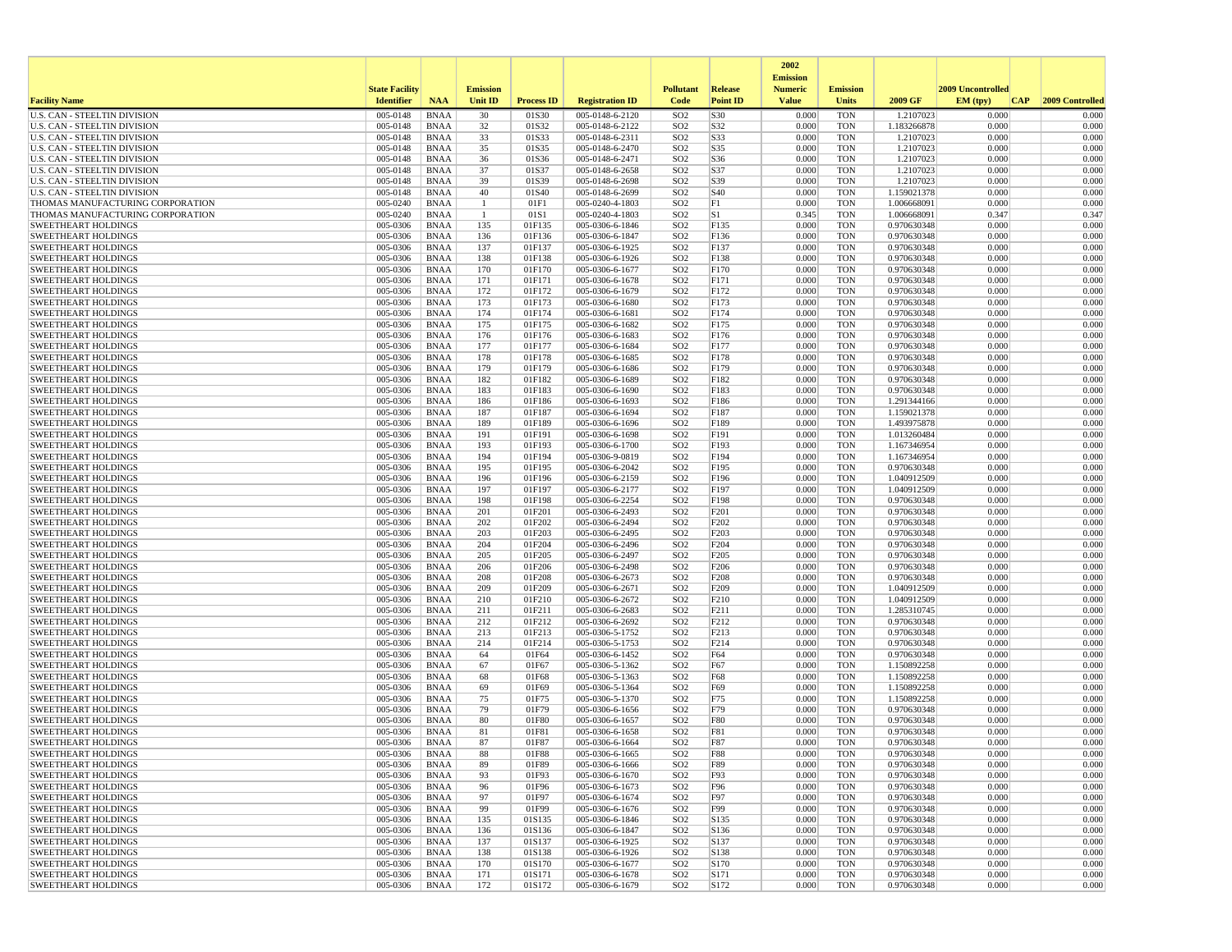|                                                                            |                       |                            |                    |                   |                                    |                                    |                                      | 2002                              |                          |                            |                   |                 |
|----------------------------------------------------------------------------|-----------------------|----------------------------|--------------------|-------------------|------------------------------------|------------------------------------|--------------------------------------|-----------------------------------|--------------------------|----------------------------|-------------------|-----------------|
|                                                                            | <b>State Facility</b> |                            | <b>Emission</b>    |                   |                                    | <b>Pollutant</b>                   | Release                              | <b>Emission</b><br><b>Numeric</b> | <b>Emission</b>          |                            | 2009 Uncontrolled |                 |
| <b>Facility Name</b>                                                       | <b>Identifier</b>     | <b>NAA</b>                 | Unit ID            | <b>Process ID</b> | <b>Registration ID</b>             | Code                               | <b>Point ID</b>                      | <b>Value</b>                      | <b>Units</b>             | 2009 GF                    | EM (typ)<br> CAP  | 2009 Controlled |
| <b>U.S. CAN - STEELTIN DIVISION</b>                                        | 005-0148              | <b>BNAA</b>                | 30                 | 01S30             | 005-0148-6-2120                    | SO <sub>2</sub>                    | S30                                  | 0.000                             | <b>TON</b>               | 1.2107023                  | 0.000             | 0.000           |
| <b>U.S. CAN - STEELTIN DIVISION</b>                                        | 005-0148              | <b>BNAA</b>                | 32                 | 01S32             | 005-0148-6-2122                    | SO <sub>2</sub>                    | S32                                  | 0.000                             | <b>TON</b>               | 1.183266878                | 0.000             | 0.000           |
| <b>U.S. CAN - STEELTIN DIVISION</b><br><b>U.S. CAN - STEELTIN DIVISION</b> | 005-0148<br>005-0148  | <b>BNAA</b><br><b>BNAA</b> | 33<br>35           | 01S33<br>01S35    | 005-0148-6-2311<br>005-0148-6-2470 | SO <sub>2</sub><br>SO <sub>2</sub> | S33<br>S35                           | 0.000<br>0.000                    | <b>TON</b><br><b>TON</b> | 1.2107023<br>1.2107023     | 0.000<br>0.000    | 0.000<br>0.000  |
| <b>U.S. CAN - STEELTIN DIVISION</b>                                        | 005-0148              | <b>BNAA</b>                | 36                 | 01S36             | 005-0148-6-2471                    | SO <sub>2</sub>                    | S36                                  | 0.000                             | <b>TON</b>               | 1.2107023                  | 0.000             | 0.000           |
| <b>U.S. CAN - STEELTIN DIVISION</b>                                        | 005-0148              | <b>BNAA</b>                | 37                 | 01S37             | 005-0148-6-2658                    | SO <sub>2</sub>                    | S37                                  | 0.000                             | <b>TON</b>               | 1.2107023                  | 0.000             | 0.000           |
| U.S. CAN - STEELTIN DIVISION                                               | 005-0148              | <b>BNAA</b>                | 39                 | 01S39             | 005-0148-6-2698                    | SO <sub>2</sub>                    | S39                                  | 0.000                             | <b>TON</b>               | 1.2107023                  | 0.000             | 0.000           |
| U.S. CAN - STEELTIN DIVISION                                               | 005-0148              | <b>BNAA</b>                | 40                 | 01S40             | 005-0148-6-2699                    | SO <sub>2</sub>                    | S40                                  | 0.000                             | <b>TON</b>               | 1.159021378                | 0.000             | 0.000           |
| THOMAS MANUFACTURING CORPORATION<br>THOMAS MANUFACTURING CORPORATION       | 005-0240<br>005-0240  | <b>BNAA</b><br><b>BNAA</b> | -1<br>$\mathbf{1}$ | 01F1<br>01S1      | 005-0240-4-1803<br>005-0240-4-1803 | SO <sub>2</sub><br>SO <sub>2</sub> | F1<br>S1                             | 0.000<br>0.345                    | <b>TON</b><br><b>TON</b> | 1.006668091<br>1.006668091 | 0.000<br>0.347    | 0.000<br>0.347  |
| <b>SWEETHEART HOLDINGS</b>                                                 | 005-0306              | <b>BNAA</b>                | 135                | 01F135            | 005-0306-6-1846                    | SO <sub>2</sub>                    | F135                                 | 0.000                             | <b>TON</b>               | 0.970630348                | 0.000             | 0.000           |
| SWEETHEART HOLDINGS                                                        | 005-0306              | <b>BNAA</b>                | 136                | 01F136            | 005-0306-6-1847                    | SO <sub>2</sub>                    | F136                                 | 0.000                             | <b>TON</b>               | 0.970630348                | 0.000             | 0.000           |
| <b>SWEETHEART HOLDINGS</b>                                                 | 005-0306              | <b>BNAA</b>                | 137                | 01F137            | 005-0306-6-1925                    | SO <sub>2</sub>                    | F137                                 | 0.000                             | <b>TON</b>               | 0.970630348                | 0.000             | 0.000           |
| <b>SWEETHEART HOLDINGS</b>                                                 | 005-0306              | <b>BNAA</b>                | 138                | 01F138            | 005-0306-6-1926                    | SO <sub>2</sub>                    | F138                                 | 0.000                             | <b>TON</b>               | 0.970630348                | 0.000             | 0.000           |
| SWEETHEART HOLDINGS<br><b>SWEETHEART HOLDINGS</b>                          | 005-0306<br>005-0306  | <b>BNAA</b><br><b>BNAA</b> | 170<br>171         | 01F170<br>01F171  | 005-0306-6-1677<br>005-0306-6-1678 | SO <sub>2</sub><br>SO <sub>2</sub> | F170<br>F171                         | 0.000<br>0.000                    | <b>TON</b><br><b>TON</b> | 0.970630348<br>0.970630348 | 0.000<br>0.000    | 0.000<br>0.000  |
| <b>SWEETHEART HOLDINGS</b>                                                 | 005-0306              | <b>BNAA</b>                | 172                | 01F172            | 005-0306-6-1679                    | SO <sub>2</sub>                    | F172                                 | 0.000                             | <b>TON</b>               | 0.970630348                | 0.000             | 0.000           |
| SWEETHEART HOLDINGS                                                        | 005-0306              | <b>BNAA</b>                | 173                | 01F173            | 005-0306-6-1680                    | SO <sub>2</sub>                    | F173                                 | 0.000                             | <b>TON</b>               | 0.970630348                | 0.000             | 0.000           |
| <b>SWEETHEART HOLDINGS</b>                                                 | 005-0306              | <b>BNAA</b>                | 174                | 01F174            | 005-0306-6-1681                    | SO <sub>2</sub>                    | F174                                 | 0.000                             | <b>TON</b>               | 0.970630348                | 0.000             | 0.000           |
| <b>SWEETHEART HOLDINGS</b>                                                 | 005-0306              | <b>BNAA</b>                | 175                | 01F175            | 005-0306-6-1682                    | SO <sub>2</sub>                    | F175                                 | 0.000                             | <b>TON</b>               | 0.970630348                | 0.000             | 0.000           |
| <b>SWEETHEART HOLDINGS</b>                                                 | 005-0306              | <b>BNAA</b>                | 176                | 01F176            | 005-0306-6-1683                    | SO <sub>2</sub>                    | F176                                 | 0.000                             | <b>TON</b>               | 0.970630348                | 0.000             | 0.000           |
| <b>SWEETHEART HOLDINGS</b><br><b>SWEETHEART HOLDINGS</b>                   | 005-0306<br>005-0306  | <b>BNAA</b><br><b>BNAA</b> | 177<br>178         | 01F177<br>01F178  | 005-0306-6-1684<br>005-0306-6-1685 | SO <sub>2</sub><br>SO <sub>2</sub> | F177<br>F178                         | 0.000<br>0.000                    | <b>TON</b><br><b>TON</b> | 0.970630348<br>0.970630348 | 0.000<br>0.000    | 0.000<br>0.000  |
| <b>SWEETHEART HOLDINGS</b>                                                 | 005-0306              | <b>BNAA</b>                | 179                | 01F179            | 005-0306-6-1686                    | SO <sub>2</sub>                    | F179                                 | 0.000                             | <b>TON</b>               | 0.970630348                | 0.000             | 0.000           |
| <b>SWEETHEART HOLDINGS</b>                                                 | 005-0306              | <b>BNAA</b>                | 182                | 01F182            | 005-0306-6-1689                    | SO <sub>2</sub>                    | F182                                 | 0.000                             | <b>TON</b>               | 0.970630348                | 0.000             | 0.000           |
| <b>SWEETHEART HOLDINGS</b>                                                 | 005-0306              | <b>BNAA</b>                | 183                | 01F183            | 005-0306-6-1690                    | SO <sub>2</sub>                    | F183                                 | 0.000                             | <b>TON</b>               | 0.970630348                | 0.000             | 0.000           |
| <b>SWEETHEART HOLDINGS</b>                                                 | 005-0306              | <b>BNAA</b>                | 186                | 01F186            | 005-0306-6-1693                    | SO <sub>2</sub>                    | F186                                 | 0.000                             | <b>TON</b>               | 1.291344166                | 0.000             | 0.000           |
| <b>SWEETHEART HOLDINGS</b><br>SWEETHEART HOLDINGS                          | 005-0306<br>005-0306  | <b>BNAA</b><br><b>BNAA</b> | 187<br>189         | 01F187<br>01F189  | 005-0306-6-1694<br>005-0306-6-1696 | SO <sub>2</sub><br>SO <sub>2</sub> | F187<br>F189                         | 0.000<br>0.000                    | <b>TON</b><br><b>TON</b> | 1.159021378<br>1.493975878 | 0.000<br>0.000    | 0.000<br>0.000  |
| <b>SWEETHEART HOLDINGS</b>                                                 | 005-0306              | <b>BNAA</b>                | 191                | 01F191            | 005-0306-6-1698                    | SO <sub>2</sub>                    | F191                                 | 0.000                             | <b>TON</b>               | 1.013260484                | 0.000             | 0.000           |
| <b>SWEETHEART HOLDINGS</b>                                                 | 005-0306              | <b>BNAA</b>                | 193                | 01F193            | 005-0306-6-1700                    | SO <sub>2</sub>                    | F193                                 | 0.000                             | <b>TON</b>               | 1.167346954                | 0.000             | 0.000           |
| SWEETHEART HOLDINGS                                                        | 005-0306              | <b>BNAA</b>                | 194                | 01F194            | 005-0306-9-0819                    | SO <sub>2</sub>                    | F194                                 | 0.000                             | <b>TON</b>               | 1.167346954                | 0.000             | 0.000           |
| <b>SWEETHEART HOLDINGS</b>                                                 | 005-0306              | <b>BNAA</b>                | 195                | 01F195            | 005-0306-6-2042                    | SO <sub>2</sub>                    | F195                                 | 0.000                             | <b>TON</b>               | 0.970630348                | 0.000             | 0.000           |
| <b>SWEETHEART HOLDINGS</b><br>SWEETHEART HOLDINGS                          | 005-0306<br>005-0306  | <b>BNAA</b><br><b>BNAA</b> | 196<br>197         | 01F196<br>01F197  | 005-0306-6-2159<br>005-0306-6-2177 | SO <sub>2</sub><br>SO <sub>2</sub> | F196<br>F197                         | 0.000<br>0.000                    | <b>TON</b><br><b>TON</b> | 1.040912509<br>1.040912509 | 0.000<br>0.000    | 0.000<br>0.000  |
| <b>SWEETHEART HOLDINGS</b>                                                 | 005-0306              | <b>BNAA</b>                | 198                | 01F198            | 005-0306-6-2254                    | SO <sub>2</sub>                    | F198                                 | 0.000                             | <b>TON</b>               | 0.970630348                | 0.000             | 0.000           |
| <b>SWEETHEART HOLDINGS</b>                                                 | 005-0306              | <b>BNAA</b>                | 201                | 01F201            | 005-0306-6-2493                    | SO <sub>2</sub>                    | F201                                 | 0.000                             | <b>TON</b>               | 0.970630348                | 0.000             | 0.000           |
| <b>SWEETHEART HOLDINGS</b>                                                 | 005-0306              | <b>BNAA</b>                | 202                | 01F202            | 005-0306-6-2494                    | SO <sub>2</sub>                    | F202                                 | 0.000                             | <b>TON</b>               | 0.970630348                | 0.000             | 0.000           |
| SWEETHEART HOLDINGS                                                        | 005-0306              | <b>BNAA</b>                | 203                | 01F203            | 005-0306-6-2495                    | SO <sub>2</sub>                    | F <sub>203</sub>                     | 0.000                             | <b>TON</b>               | 0.970630348                | 0.000             | 0.000           |
| SWEETHEART HOLDINGS<br><b>SWEETHEART HOLDINGS</b>                          | 005-0306<br>005-0306  | <b>BNAA</b><br><b>BNAA</b> | 204<br>205         | 01F204<br>01F205  | 005-0306-6-2496<br>005-0306-6-2497 | SO <sub>2</sub><br>SO <sub>2</sub> | F204<br>F <sub>205</sub>             | 0.000<br>0.000                    | <b>TON</b><br><b>TON</b> | 0.970630348<br>0.970630348 | 0.000<br>0.000    | 0.000<br>0.000  |
| <b>SWEETHEART HOLDINGS</b>                                                 | 005-0306              | <b>BNAA</b>                | 206                | 01F206            | 005-0306-6-2498                    | SO <sub>2</sub>                    | F206                                 | 0.000                             | <b>TON</b>               | 0.970630348                | 0.000             | 0.000           |
| SWEETHEART HOLDINGS                                                        | 005-0306              | <b>BNAA</b>                | 208                | 01F208            | 005-0306-6-2673                    | SO <sub>2</sub>                    | F208                                 | 0.000                             | <b>TON</b>               | 0.970630348                | 0.000             | 0.000           |
| <b>SWEETHEART HOLDINGS</b>                                                 | 005-0306              | <b>BNAA</b>                | 209                | 01F209            | 005-0306-6-2671                    | SO <sub>2</sub>                    | F209                                 | 0.000                             | <b>TON</b>               | 1.040912509                | 0.000             | 0.000           |
| <b>SWEETHEART HOLDINGS</b>                                                 | 005-0306              | <b>BNAA</b>                | 210                | 01F210            | 005-0306-6-2672                    | SO <sub>2</sub>                    | F210                                 | 0.000                             | <b>TON</b>               | 1.040912509                | 0.000             | 0.000           |
| <b>SWEETHEART HOLDINGS</b><br><b>SWEETHEART HOLDINGS</b>                   | 005-0306<br>005-0306  | <b>BNAA</b><br><b>BNAA</b> | 211<br>212         | 01F211<br>01F212  | 005-0306-6-2683<br>005-0306-6-2692 | SO <sub>2</sub><br>SO <sub>2</sub> | F211<br>F212                         | 0.000<br>0.000                    | <b>TON</b><br><b>TON</b> | 1.285310745<br>0.970630348 | 0.000<br>0.000    | 0.000<br>0.000  |
| <b>SWEETHEART HOLDINGS</b>                                                 | 005-0306              | <b>BNAA</b>                | 213                | 01F213            | 005-0306-5-1752                    | SO <sub>2</sub>                    | F213                                 | 0.000                             | <b>TON</b>               | 0.970630348                | 0.000             | 0.000           |
| <b>SWEETHEART HOLDINGS</b>                                                 | 005-0306              | <b>BNAA</b>                | 214                | 01F214            | 005-0306-5-1753                    | SO <sub>2</sub>                    | F214                                 | 0.000                             | <b>TON</b>               | 0.970630348                | 0.000             | 0.000           |
| <b>SWEETHEART HOLDINGS</b>                                                 | 005-0306              | <b>BNAA</b>                | 64                 | 01F64             | 005-0306-6-1452                    | SO <sub>2</sub>                    | F64                                  | 0.000                             | <b>TON</b>               | 0.970630348                | 0.000             | 0.000           |
| <b>SWEETHEART HOLDINGS</b>                                                 | 005-0306              | <b>BNAA</b>                | 67                 | 01F67             | 005-0306-5-1362                    | SO <sub>2</sub>                    | F67                                  | 0.000                             | <b>TON</b>               | 1.150892258                | 0.000             | 0.000           |
| <b>SWEETHEART HOLDINGS</b><br><b>SWEETHEART HOLDINGS</b>                   | 005-0306<br>005-0306  | <b>BNAA</b><br><b>BNAA</b> | 68<br>69           | 01F68<br>01F69    | 005-0306-5-1363                    | SO <sub>2</sub><br>SO <sub>2</sub> | F68<br>F69                           | 0.000<br>0.000                    | <b>TON</b><br><b>TON</b> | 1.150892258                | 0.000<br>0.000    | 0.000<br>0.000  |
| <b>SWEETHEART HOLDINGS</b>                                                 | 005-0306              | <b>BNAA</b>                | 75                 | 01F75             | 005-0306-5-1364<br>005-0306-5-1370 | SO <sub>2</sub>                    | F75                                  | 0.000                             | <b>TON</b>               | 1.150892258<br>1.150892258 | 0.000             | 0.000           |
| <b>SWEETHEART HOLDINGS</b>                                                 | 005-0306              | <b>BNAA</b>                | 79                 | 01F79             | 005-0306-6-1656                    | SO <sub>2</sub>                    | F79                                  | 0.000                             | <b>TON</b>               | 0.970630348                | 0.000             | 0.000           |
| <b>SWEETHEART HOLDINGS</b>                                                 | 005-0306              | <b>BNAA</b>                | 80                 | 01F80             | 005-0306-6-1657                    | SO <sub>2</sub>                    | <b>F80</b>                           | 0.000                             | <b>TON</b>               | 0.970630348                | 0.000             | 0.000           |
| SWEETHEART HOLDINGS                                                        | 005-0306              | <b>BNAA</b>                | 81                 | 01F81             | 005-0306-6-1658                    | SO <sub>2</sub>                    | <b>F81</b>                           | 0.000                             | <b>TON</b>               | 0.970630348                | 0.000             | 0.000           |
| <b>SWEETHEART HOLDINGS</b>                                                 | 005-0306              | <b>BNAA</b>                | 87                 | 01F87             | 005-0306-6-1664                    | SO <sub>2</sub>                    | F87                                  | 0.000                             | <b>TON</b>               | 0.970630348                | 0.000             | 0.000           |
| SWEETHEART HOLDINGS<br><b>SWEETHEART HOLDINGS</b>                          | 005-0306<br>005-0306  | <b>BNAA</b><br><b>BNAA</b> | 88<br>89           | 01F88<br>01F89    | 005-0306-6-1665<br>005-0306-6-1666 | SO <sub>2</sub><br>SO <sub>2</sub> | <b>F88</b><br>F89                    | 0.000<br>0.000                    | <b>TON</b><br>TON        | 0.970630348<br>0.970630348 | 0.000<br>0.000    | 0.000<br>0.000  |
| <b>SWEETHEART HOLDINGS</b>                                                 | 005-0306              | <b>BNAA</b>                | 93                 | 01F93             | 005-0306-6-1670                    | SO <sub>2</sub>                    | F93                                  | 0.000                             | <b>TON</b>               | 0.970630348                | 0.000             | 0.000           |
| <b>SWEETHEART HOLDINGS</b>                                                 | 005-0306              | <b>BNAA</b>                | 96                 | 01F96             | 005-0306-6-1673                    | SO <sub>2</sub>                    | F96                                  | 0.000                             | <b>TON</b>               | 0.970630348                | 0.000             | 0.000           |
| <b>SWEETHEART HOLDINGS</b>                                                 | 005-0306              | <b>BNAA</b>                | 97                 | 01F97             | 005-0306-6-1674                    | SO <sub>2</sub>                    | F97                                  | 0.000                             | <b>TON</b>               | 0.970630348                | 0.000             | 0.000           |
| <b>SWEETHEART HOLDINGS</b>                                                 | 005-0306              | <b>BNAA</b>                | 99                 | 01F99             | 005-0306-6-1676                    | SO <sub>2</sub>                    | F99                                  | 0.000                             | <b>TON</b>               | 0.970630348                | 0.000             | 0.000           |
| <b>SWEETHEART HOLDINGS</b><br><b>SWEETHEART HOLDINGS</b>                   | 005-0306<br>005-0306  | <b>BNAA</b><br><b>BNAA</b> | 135<br>136         | 01S135<br>01S136  | 005-0306-6-1846<br>005-0306-6-1847 | SO <sub>2</sub><br>SO <sub>2</sub> | S <sub>135</sub><br>S <sub>136</sub> | 0.000<br>0.000                    | <b>TON</b><br><b>TON</b> | 0.970630348<br>0.970630348 | 0.000<br>0.000    | 0.000<br>0.000  |
| <b>SWEETHEART HOLDINGS</b>                                                 | 005-0306              | <b>BNAA</b>                | 137                | 01S137            | 005-0306-6-1925                    | SO <sub>2</sub>                    | S137                                 | 0.000                             | <b>TON</b>               | 0.970630348                | 0.000             | 0.000           |
| <b>SWEETHEART HOLDINGS</b>                                                 | 005-0306              | BNAA                       | 138                | 01S138            | 005-0306-6-1926                    | SO <sub>2</sub>                    | S138                                 | 0.000                             | <b>TON</b>               | 0.970630348                | 0.000             | 0.000           |
| <b>SWEETHEART HOLDINGS</b>                                                 | 005-0306              | <b>BNAA</b>                | 170                | 01S170            | 005-0306-6-1677                    | SO <sub>2</sub>                    | S170                                 | 0.000                             | <b>TON</b>               | 0.970630348                | 0.000             | 0.000           |
| <b>SWEETHEART HOLDINGS</b>                                                 | 005-0306              | <b>BNAA</b>                | 171                | 01S171            | 005-0306-6-1678                    | SO <sub>2</sub>                    | S171                                 | 0.000                             | <b>TON</b>               | 0.970630348                | 0.000             | 0.000           |
| <b>SWEETHEART HOLDINGS</b>                                                 | 005-0306              | BNAA                       | 172                | 01S172            | 005-0306-6-1679                    | SO <sub>2</sub>                    | S172                                 | 0.000                             | <b>TON</b>               | 0.970630348                | 0.000             | 0.000           |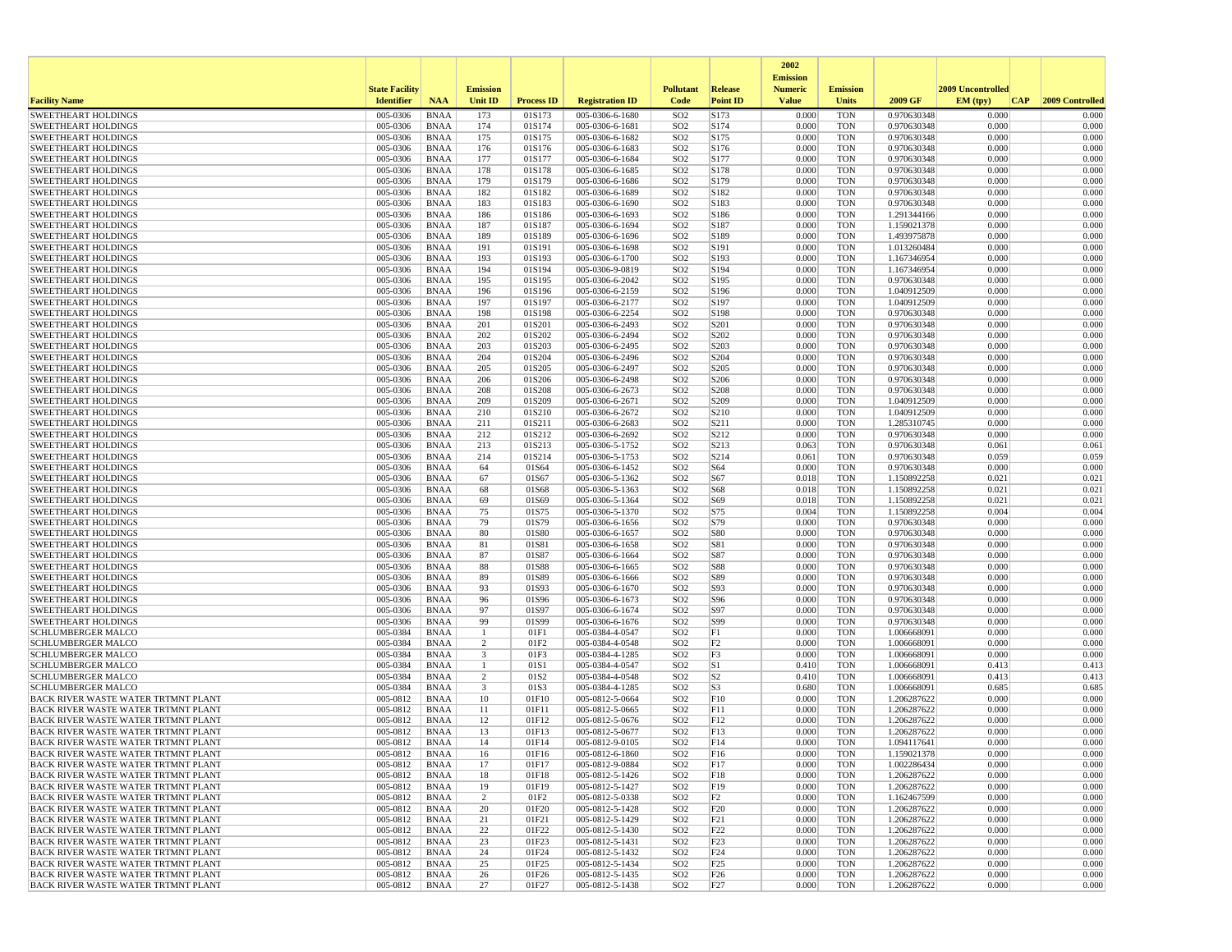|                                                                                   |                       |                            |                                         |                          |                                    |                                    |                      | 2002<br><b>Emission</b> |                          |                            |                   |                 |
|-----------------------------------------------------------------------------------|-----------------------|----------------------------|-----------------------------------------|--------------------------|------------------------------------|------------------------------------|----------------------|-------------------------|--------------------------|----------------------------|-------------------|-----------------|
|                                                                                   | <b>State Facility</b> |                            | <b>Emission</b>                         |                          |                                    | <b>Pollutant</b>                   | Release              | <b>Numeric</b>          | <b>Emission</b>          |                            | 2009 Uncontrolled |                 |
| <b>Facility Name</b>                                                              | <b>Identifier</b>     | <b>NAA</b>                 | <b>Unit ID</b>                          | <b>Process ID</b>        | <b>Registration ID</b>             | Code                               | <b>Point ID</b>      | <b>Value</b>            | <b>Units</b>             | 2009 GF                    | EM (typ)<br> CAP  | 2009 Controlled |
| <b>SWEETHEART HOLDINGS</b>                                                        | 005-0306              | <b>BNAA</b>                | 173                                     | 01S173                   | 005-0306-6-1680                    | SO <sub>2</sub>                    | S173                 | 0.000                   | <b>TON</b>               | 0.970630348                | 0.000             | 0.000           |
| <b>SWEETHEART HOLDINGS</b><br><b>SWEETHEART HOLDINGS</b>                          | 005-0306<br>005-0306  | <b>BNAA</b><br><b>BNAA</b> | 174<br>175                              | 01S174<br>01S175         | 005-0306-6-1681<br>005-0306-6-1682 | SO <sub>2</sub><br>SO <sub>2</sub> | S174<br>S175         | 0.000<br>0.000          | <b>TON</b><br><b>TON</b> | 0.970630348<br>0.970630348 | 0.000<br>0.000    | 0.000<br>0.000  |
| <b>SWEETHEART HOLDINGS</b>                                                        | 005-0306              | <b>BNAA</b>                | 176                                     | 01S176                   | 005-0306-6-1683                    | SO <sub>2</sub>                    | S176                 | 0.000                   | <b>TON</b>               | 0.970630348                | 0.000             | 0.000           |
| <b>SWEETHEART HOLDINGS</b>                                                        | 005-0306              | BNAA                       | 177                                     | 01S177                   | 005-0306-6-1684                    | SO <sub>2</sub>                    | S177                 | 0.000                   | <b>TON</b>               | 0.970630348                | 0.000             | 0.000           |
| <b>SWEETHEART HOLDINGS</b>                                                        | 005-0306              | <b>BNAA</b>                | 178                                     | 01S178                   | 005-0306-6-1685                    | SO <sub>2</sub>                    | S178                 | 0.000                   | <b>TON</b>               | 0.970630348                | 0.000             | 0.000           |
| <b>SWEETHEART HOLDINGS</b>                                                        | 005-0306              | <b>BNAA</b>                | 179                                     | 01S179                   | 005-0306-6-1686                    | SO <sub>2</sub>                    | S179                 | 0.000                   | <b>TON</b>               | 0.970630348                | 0.000             | 0.000           |
| <b>SWEETHEART HOLDINGS</b><br><b>SWEETHEART HOLDINGS</b>                          | 005-0306<br>005-0306  | <b>BNAA</b><br><b>BNAA</b> | 182<br>183                              | 01S182<br>01S183         | 005-0306-6-1689<br>005-0306-6-1690 | SO <sub>2</sub><br>SO <sub>2</sub> | S182<br>S183         | 0.000<br>0.000          | <b>TON</b><br><b>TON</b> | 0.970630348<br>0.970630348 | 0.000<br>0.000    | 0.000<br>0.000  |
| <b>SWEETHEART HOLDINGS</b>                                                        | 005-0306              | <b>BNAA</b>                | 186                                     | 01S186                   | 005-0306-6-1693                    | SO <sub>2</sub>                    | S186                 | 0.000                   | <b>TON</b>               | 1.291344166                | 0.000             | 0.000           |
| <b>SWEETHEART HOLDINGS</b>                                                        | 005-0306              | <b>BNAA</b>                | 187                                     | 01S187                   | 005-0306-6-1694                    | SO <sub>2</sub>                    | S187                 | 0.000                   | <b>TON</b>               | 1.159021378                | 0.000             | 0.000           |
| <b>SWEETHEART HOLDINGS</b>                                                        | 005-0306              | BNAA                       | 189                                     | 01S189                   | 005-0306-6-1696                    | SO <sub>2</sub>                    | S189                 | 0.000                   | <b>TON</b>               | 1.493975878                | 0.000             | 0.000           |
| <b>SWEETHEART HOLDINGS</b>                                                        | 005-0306              | <b>BNAA</b>                | 191                                     | 01S191                   | 005-0306-6-1698                    | SO <sub>2</sub>                    | S191                 | 0.000                   | <b>TON</b>               | 1.013260484                | 0.000             | 0.000           |
| <b>SWEETHEART HOLDINGS</b><br><b>SWEETHEART HOLDINGS</b>                          | 005-0306<br>005-0306  | <b>BNAA</b><br><b>BNAA</b> | 193<br>194                              | 01S193<br>01S194         | 005-0306-6-1700<br>005-0306-9-0819 | SO <sub>2</sub><br>SO <sub>2</sub> | S193<br>S194         | 0.000<br>0.000          | <b>TON</b><br><b>TON</b> | 1.167346954<br>1.167346954 | 0.000<br>0.000    | 0.000<br>0.000  |
| <b>SWEETHEART HOLDINGS</b>                                                        | 005-0306              | BNAA                       | 195                                     | 01S195                   | 005-0306-6-2042                    | SO <sub>2</sub>                    | S195                 | 0.000                   | <b>TON</b>               | 0.970630348                | 0.000             | 0.000           |
| <b>SWEETHEART HOLDINGS</b>                                                        | 005-0306              | <b>BNAA</b>                | 196                                     | 01S196                   | 005-0306-6-2159                    | SO <sub>2</sub>                    | S196                 | 0.000                   | <b>TON</b>               | 1.040912509                | 0.000             | 0.000           |
| <b>SWEETHEART HOLDINGS</b>                                                        | 005-0306              | <b>BNAA</b>                | 197                                     | 01S197                   | 005-0306-6-2177                    | SO <sub>2</sub>                    | S197                 | 0.000                   | <b>TON</b>               | 1.040912509                | 0.000             | 0.000           |
| <b>SWEETHEART HOLDINGS</b>                                                        | 005-0306              | <b>BNAA</b>                | 198                                     | 01S198                   | 005-0306-6-2254                    | SO <sub>2</sub>                    | S198                 | 0.000                   | <b>TON</b>               | 0.970630348                | 0.000             | 0.000           |
| <b>SWEETHEART HOLDINGS</b><br><b>SWEETHEART HOLDINGS</b>                          | 005-0306<br>005-0306  | <b>BNAA</b><br><b>BNAA</b> | 201<br>202                              | 01S201<br>01S202         | 005-0306-6-2493<br>005-0306-6-2494 | SO <sub>2</sub><br>SO <sub>2</sub> | S201<br>S202         | 0.000<br>0.000          | <b>TON</b><br><b>TON</b> | 0.970630348<br>0.970630348 | 0.000<br>0.000    | 0.000<br>0.000  |
| <b>SWEETHEART HOLDINGS</b>                                                        | 005-0306              | <b>BNAA</b>                | 203                                     | 01S203                   | 005-0306-6-2495                    | SO <sub>2</sub>                    | S203                 | 0.000                   | <b>TON</b>               | 0.970630348                | 0.000             | 0.000           |
| <b>SWEETHEART HOLDINGS</b>                                                        | 005-0306              | BNAA                       | 204                                     | 01S204                   | 005-0306-6-2496                    | SO <sub>2</sub>                    | S204                 | 0.000                   | <b>TON</b>               | 0.970630348                | 0.000             | 0.000           |
| <b>SWEETHEART HOLDINGS</b>                                                        | 005-0306              | <b>BNAA</b>                | 205                                     | 01S205                   | 005-0306-6-2497                    | SO <sub>2</sub>                    | S205                 | 0.000                   | <b>TON</b>               | 0.970630348                | 0.000             | 0.000           |
| <b>SWEETHEART HOLDINGS</b>                                                        | 005-0306              | <b>BNAA</b>                | 206                                     | 01S206                   | 005-0306-6-2498                    | SO <sub>2</sub>                    | S206                 | 0.000                   | <b>TON</b>               | 0.970630348                | 0.000             | 0.000           |
| <b>SWEETHEART HOLDINGS</b><br><b>SWEETHEART HOLDINGS</b>                          | 005-0306              | BNAA                       | 208                                     | 01S208                   | 005-0306-6-2673                    | SO <sub>2</sub>                    | S208                 | 0.000                   | <b>TON</b>               | 0.970630348                | 0.000             | 0.000           |
| <b>SWEETHEART HOLDINGS</b>                                                        | 005-0306<br>005-0306  | <b>BNAA</b><br><b>BNAA</b> | 209<br>210                              | 01S209<br>01S210         | 005-0306-6-2671<br>005-0306-6-2672 | SO <sub>2</sub><br>SO <sub>2</sub> | S209<br>S210         | 0.000<br>0.000          | <b>TON</b><br><b>TON</b> | 1.040912509<br>1.040912509 | 0.000<br>0.000    | 0.000<br>0.000  |
| <b>SWEETHEART HOLDINGS</b>                                                        | 005-0306              | <b>BNAA</b>                | 211                                     | 01S211                   | 005-0306-6-2683                    | SO <sub>2</sub>                    | S211                 | 0.000                   | <b>TON</b>               | 1.285310745                | 0.000             | 0.000           |
| <b>SWEETHEART HOLDINGS</b>                                                        | 005-0306              | <b>BNAA</b>                | 212                                     | 01S212                   | 005-0306-6-2692                    | SO <sub>2</sub>                    | S212                 | 0.000                   | <b>TON</b>               | 0.970630348                | 0.000             | 0.000           |
| <b>SWEETHEART HOLDINGS</b>                                                        | 005-0306              | <b>BNAA</b>                | 213                                     | 01S213                   | 005-0306-5-1752                    | SO <sub>2</sub>                    | S213                 | 0.063                   | <b>TON</b>               | 0.970630348                | 0.061             | 0.061           |
| <b>SWEETHEART HOLDINGS</b>                                                        | 005-0306              | <b>BNAA</b>                | 214                                     | 01S214                   | 005-0306-5-1753                    | SO <sub>2</sub>                    | S214                 | 0.061                   | <b>TON</b>               | 0.970630348                | 0.059             | 0.059           |
| <b>SWEETHEART HOLDINGS</b><br><b>SWEETHEART HOLDINGS</b>                          | 005-0306<br>005-0306  | <b>BNAA</b><br><b>BNAA</b> | 64<br>67                                | 01S64<br>01S67           | 005-0306-6-1452<br>005-0306-5-1362 | SO <sub>2</sub><br>SO <sub>2</sub> | S64<br>S67           | 0.000<br>0.018          | <b>TON</b><br><b>TON</b> | 0.970630348<br>1.150892258 | 0.000<br>0.021    | 0.000<br>0.021  |
| <b>SWEETHEART HOLDINGS</b>                                                        | 005-0306              | <b>BNAA</b>                | 68                                      | 01S68                    | 005-0306-5-1363                    | SO <sub>2</sub>                    | S68                  | 0.018                   | <b>TON</b>               | 1.150892258                | 0.021             | 0.021           |
| <b>SWEETHEART HOLDINGS</b>                                                        | 005-0306              | <b>BNAA</b>                | 69                                      | 01S69                    | 005-0306-5-1364                    | SO <sub>2</sub>                    | S69                  | 0.018                   | <b>TON</b>               | 1.150892258                | 0.021             | 0.021           |
| <b>SWEETHEART HOLDINGS</b>                                                        | 005-0306              | BNAA                       | 75                                      | 01S75                    | 005-0306-5-1370                    | SO <sub>2</sub>                    | S75                  | 0.004                   | <b>TON</b>               | 1.150892258                | 0.004             | 0.004           |
| <b>SWEETHEART HOLDINGS</b>                                                        | 005-0306              | <b>BNAA</b>                | 79                                      | 01S79                    | 005-0306-6-1656                    | SO <sub>2</sub>                    | S79                  | 0.000                   | <b>TON</b>               | 0.970630348                | 0.000             | 0.000           |
| <b>SWEETHEART HOLDINGS</b><br><b>SWEETHEART HOLDINGS</b>                          | 005-0306<br>005-0306  | <b>BNAA</b><br><b>BNAA</b> | 80<br>81                                | 01S80<br>01S81           | 005-0306-6-1657<br>005-0306-6-1658 | SO <sub>2</sub><br>SO <sub>2</sub> | S80<br>S81           | 0.000<br>0.000          | <b>TON</b><br><b>TON</b> | 0.970630348<br>0.970630348 | 0.000<br>0.000    | 0.000<br>0.000  |
| <b>SWEETHEART HOLDINGS</b>                                                        | 005-0306              | BNAA                       | 87                                      | 01S87                    | 005-0306-6-1664                    | SO <sub>2</sub>                    | S87                  | 0.000                   | <b>TON</b>               | 0.970630348                | 0.000             | 0.000           |
| <b>SWEETHEART HOLDINGS</b>                                                        | 005-0306              | <b>BNAA</b>                | 88                                      | 01S88                    | 005-0306-6-1665                    | SO <sub>2</sub>                    | S88                  | 0.000                   | <b>TON</b>               | 0.970630348                | 0.000             | 0.000           |
| <b>SWEETHEART HOLDINGS</b>                                                        | 005-0306              | <b>BNAA</b>                | 89                                      | 01S89                    | 005-0306-6-1666                    | SO <sub>2</sub>                    | S89                  | 0.000                   | <b>TON</b>               | 0.970630348                | 0.000             | 0.000           |
| <b>SWEETHEART HOLDINGS</b>                                                        | 005-0306              | <b>BNAA</b>                | 93                                      | 01S93                    | 005-0306-6-1670                    | SO <sub>2</sub>                    | S93                  | 0.000                   | <b>TON</b>               | 0.970630348                | 0.000             | 0.000           |
| <b>SWEETHEART HOLDINGS</b><br><b>SWEETHEART HOLDINGS</b>                          | 005-0306<br>005-0306  | <b>BNAA</b><br><b>BNAA</b> | 96<br>97                                | 01S96<br>01S97           | 005-0306-6-1673<br>005-0306-6-1674 | SO <sub>2</sub><br>SO <sub>2</sub> | S96<br>S97           | 0.000<br>0.000          | <b>TON</b><br><b>TON</b> | 0.970630348<br>0.970630348 | 0.000<br>0.000    | 0.000<br>0.000  |
| <b>SWEETHEART HOLDINGS</b>                                                        | 005-0306              | <b>BNAA</b>                | 99                                      | 01S99                    | 005-0306-6-1676                    | SO <sub>2</sub>                    | S99                  | 0.000                   | <b>TON</b>               | 0.970630348                | 0.000             | 0.000           |
| <b>SCHLUMBERGER MALCO</b>                                                         | 005-0384              | <b>BNAA</b>                | -1                                      | 01F1                     | 005-0384-4-0547                    | SO <sub>2</sub>                    | F1                   | 0.000                   | <b>TON</b>               | 1.006668091                | 0.000             | 0.000           |
| <b>SCHLUMBERGER MALCO</b>                                                         | 005-0384              | <b>BNAA</b>                | $\overline{c}$                          | 01F2                     | 005-0384-4-0548                    | SO <sub>2</sub>                    | F2                   | 0.000                   | <b>TON</b>               | 1.006668091                | 0.000             | 0.000           |
| <b>SCHLUMBERGER MALCO</b><br><b>SCHLUMBERGER MALCO</b>                            | 005-0384              | <b>BNAA</b>                | $\overline{\mathbf{3}}$<br>$\mathbf{1}$ | 01F3                     | 005-0384-4-1285<br>005-0384-4-0547 | SO <sub>2</sub>                    | F3                   | 0.000                   | <b>TON</b>               | 1.006668091                | 0.000             | 0.000           |
| <b>SCHLUMBERGER MALCO</b>                                                         | 005-0384<br>005-0384  | BNAA<br><b>BNAA</b>        | $\overline{2}$                          | 01S1<br>01S <sub>2</sub> | 005-0384-4-0548                    | SO <sub>2</sub><br>SO <sub>2</sub> | S1<br>S <sub>2</sub> | 0.410<br>0.410          | <b>TON</b><br><b>TON</b> | 1.006668091<br>1.006668091 | 0.413<br>0.413    | 0.413<br>0.413  |
| <b>SCHLUMBERGER MALCO</b>                                                         | 005-0384              | <b>BNAA</b>                | $\overline{\mathbf{3}}$                 | 01S3                     | 005-0384-4-1285                    | SO <sub>2</sub>                    | S <sub>3</sub>       | 0.680                   | <b>TON</b>               | 1.006668091                | 0.685             | 0.685           |
| BACK RIVER WASTE WATER TRTMNT PLANT                                               | 005-0812              | <b>BNAA</b>                | 10                                      | 01F10                    | 005-0812-5-0664                    | SO <sub>2</sub>                    | F10                  | 0.000                   | <b>TON</b>               | 1.206287622                | 0.000             | 0.000           |
| BACK RIVER WASTE WATER TRTMNT PLANT                                               | 005-0812              | BNAA                       | 11                                      | 01F11                    | 005-0812-5-0665                    | SO <sub>2</sub>                    | F11                  | 0.000                   | <b>TON</b>               | 1.206287622                | 0.000             | 0.000           |
| BACK RIVER WASTE WATER TRTMNT PLANT                                               | 005-0812              | <b>BNAA</b>                | 12                                      | 01F12                    | 005-0812-5-0676                    | SO <sub>2</sub>                    | F12                  | 0.000                   | <b>TON</b>               | 1.206287622                | 0.000             | 0.000           |
| BACK RIVER WASTE WATER TRTMNT PLANT<br>BACK RIVER WASTE WATER TRTMNT PLANT        | 005-0812<br>005-0812  | <b>BNAA</b><br>BNAA        | 13<br>14                                | 01F13<br>01F14           | 005-0812-5-0677<br>005-0812-9-0105 | SO <sub>2</sub><br>SO <sub>2</sub> | F13<br>F14           | 0.000<br>0.000          | <b>TON</b><br><b>TON</b> | 1.206287622<br>1.094117641 | 0.000<br>0.000    | 0.000<br>0.000  |
| BACK RIVER WASTE WATER TRTMNT PLANT                                               | 005-0812              | BNAA                       | 16                                      | 01F16                    | 005-0812-6-1860                    | SO <sub>2</sub>                    | F16                  | 0.000                   | TON                      | 1.159021378                | 0.000             | 0.000           |
| BACK RIVER WASTE WATER TRTMNT PLANT                                               | 005-0812              | BNAA                       | 17                                      | 01F17                    | 005-0812-9-0884                    | SO <sub>2</sub>                    | F <sub>17</sub>      | 0.000                   | <b>TON</b>               | 1.002286434                | 0.000             | 0.000           |
| BACK RIVER WASTE WATER TRTMNT PLANT                                               | 005-0812              | BNAA                       | 18                                      | 01F18                    | 005-0812-5-1426                    | SO <sub>2</sub>                    | F18                  | 0.000                   | <b>TON</b>               | 1.206287622                | 0.000             | 0.000           |
| <b>BACK RIVER WASTE WATER TRTMNT PLANT</b>                                        | 005-0812              | <b>BNAA</b>                | 19                                      | 01F19                    | 005-0812-5-1427                    | SO <sub>2</sub>                    | F19                  | 0.000                   | <b>TON</b>               | 1.206287622                | 0.000             | 0.000           |
| <b>BACK RIVER WASTE WATER TRTMNT PLANT</b>                                        | 005-0812              | BNAA                       | $\overline{2}$                          | 01F2                     | 005-0812-5-0338<br>005-0812-5-1428 | SO <sub>2</sub>                    | F2                   | 0.000                   | <b>TON</b>               | 1.162467599                | 0.000             | 0.000           |
| BACK RIVER WASTE WATER TRTMNT PLANT<br>BACK RIVER WASTE WATER TRTMNT PLANT        | 005-0812<br>005-0812  | <b>BNAA</b><br><b>BNAA</b> | 20<br>21                                | 01F20<br>01F21           | 005-0812-5-1429                    | SO <sub>2</sub><br>SO <sub>2</sub> | F20<br>F21           | 0.000<br>0.000          | <b>TON</b><br><b>TON</b> | 1.206287622<br>1.206287622 | 0.000<br>0.000    | 0.000<br>0.000  |
| BACK RIVER WASTE WATER TRTMNT PLANT                                               | 005-0812              | BNAA                       | 22                                      | 01F22                    | 005-0812-5-1430                    | SO <sub>2</sub>                    | F22                  | 0.000                   | <b>TON</b>               | 1.206287622                | 0.000             | 0.000           |
| BACK RIVER WASTE WATER TRTMNT PLANT                                               | 005-0812              | <b>BNAA</b>                | 23                                      | 01F23                    | 005-0812-5-1431                    | SO <sub>2</sub>                    | F23                  | 0.000                   | <b>TON</b>               | 1.206287622                | 0.000             | 0.000           |
| BACK RIVER WASTE WATER TRTMNT PLANT                                               | $005 - 0812$          | BNAA                       | 24                                      | 01F24                    | 005-0812-5-1432                    | SO <sub>2</sub>                    | F24                  | 0.000                   | <b>TON</b>               | 1.206287622                | 0.000             | 0.000           |
| BACK RIVER WASTE WATER TRTMNT PLANT                                               | 005-0812              | <b>BNAA</b>                | 25                                      | 01F25                    | 005-0812-5-1434                    | SO <sub>2</sub>                    | F25                  | 0.000                   | <b>TON</b>               | 1.206287622                | 0.000             | 0.000           |
| BACK RIVER WASTE WATER TRTMNT PLANT<br><b>BACK RIVER WASTE WATER TRTMNT PLANT</b> | 005-0812<br>005-0812  | <b>BNAA</b><br><b>BNAA</b> | 26<br>27                                | 01F26<br>01F27           | 005-0812-5-1435<br>005-0812-5-1438 | SO <sub>2</sub><br>SO <sub>2</sub> | F26<br>F27           | 0.000<br>0.000          | <b>TON</b><br>TON        | 1.206287622<br>1.206287622 | 0.000<br>0.000    | 0.000<br>0.000  |
|                                                                                   |                       |                            |                                         |                          |                                    |                                    |                      |                         |                          |                            |                   |                 |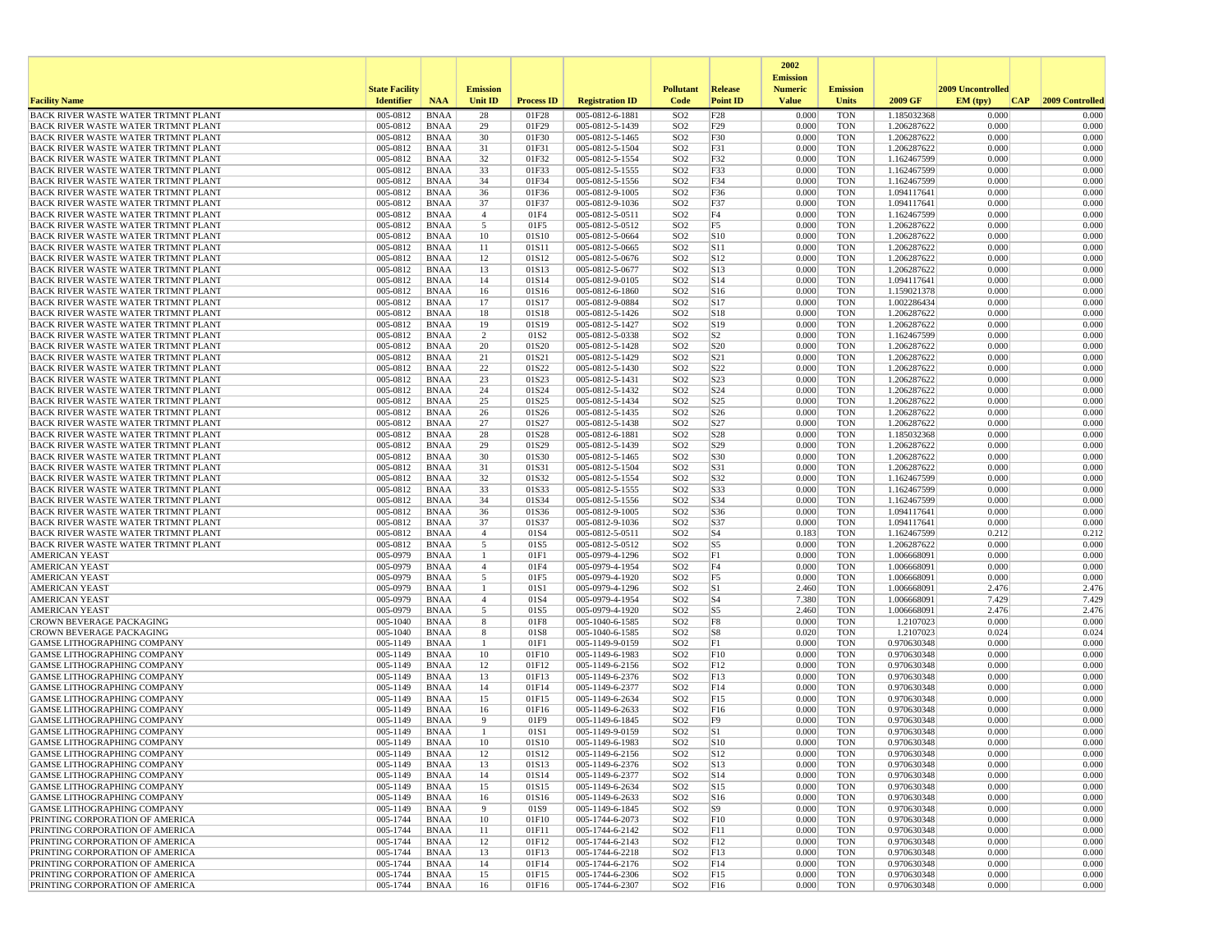|                                                                                          |                       |                            |                     |                   |                                    |                                    |                        | 2002<br><b>Emission</b> |                          |                            |                   |                 |
|------------------------------------------------------------------------------------------|-----------------------|----------------------------|---------------------|-------------------|------------------------------------|------------------------------------|------------------------|-------------------------|--------------------------|----------------------------|-------------------|-----------------|
|                                                                                          | <b>State Facility</b> |                            | <b>Emission</b>     |                   |                                    | <b>Pollutant</b>                   | Release                | <b>Numeric</b>          | <b>Emission</b>          |                            | 2009 Uncontrolled |                 |
| <b>Facility Name</b>                                                                     | <b>Identifier</b>     | <b>NAA</b>                 | Unit ID             | <b>Process ID</b> | <b>Registration ID</b>             | Code                               | <b>Point ID</b>        | <b>Value</b>            | <b>Units</b>             | 2009 GF                    | EM (typ)<br> CAP  | 2009 Controlled |
| BACK RIVER WASTE WATER TRTMNT PLANT                                                      | 005-0812              | <b>BNAA</b>                | 28                  | 01F28             | 005-0812-6-1881                    | SO <sub>2</sub>                    | F28                    | 0.000                   | <b>TON</b>               | 1.185032368                | 0.000             | 0.000           |
| BACK RIVER WASTE WATER TRTMNT PLANT                                                      | 005-0812              | <b>BNAA</b>                | 29                  | 01F29             | 005-0812-5-1439                    | SO <sub>2</sub>                    | F29                    | 0.000                   | <b>TON</b>               | 1.206287622                | 0.000             | 0.000           |
| <b>BACK RIVER WASTE WATER TRTMNT PLANT</b><br><b>BACK RIVER WASTE WATER TRTMNT PLANT</b> | 005-0812<br>005-0812  | <b>BNAA</b><br><b>BNAA</b> | 30<br>31            | 01F30<br>01F31    | 005-0812-5-1465<br>005-0812-5-1504 | SO <sub>2</sub><br>SO <sub>2</sub> | F30<br>F31             | 0.000<br>0.000          | <b>TON</b><br><b>TON</b> | 1.206287622<br>1.206287622 | 0.000<br>0.000    | 0.000<br>0.000  |
| BACK RIVER WASTE WATER TRTMNT PLANT                                                      | 005-0812              | <b>BNAA</b>                | 32                  | 01F32             | 005-0812-5-1554                    | SO <sub>2</sub>                    | F32                    | 0.000                   | <b>TON</b>               | 1.162467599                | 0.000             | 0.000           |
| BACK RIVER WASTE WATER TRTMNT PLANT                                                      | 005-0812              | <b>BNAA</b>                | 33                  | 01F33             | 005-0812-5-1555                    | SO <sub>2</sub>                    | F33                    | 0.000                   | <b>TON</b>               | 1.162467599                | 0.000             | 0.000           |
| BACK RIVER WASTE WATER TRTMNT PLANT                                                      | 005-0812              | <b>BNAA</b>                | 34                  | 01F34             | 005-0812-5-1556                    | SO <sub>2</sub>                    | F34                    | 0.000                   | <b>TON</b>               | 1.162467599                | 0.000             | 0.000           |
| <b>BACK RIVER WASTE WATER TRTMNT PLANT</b>                                               | 005-0812              | <b>BNAA</b>                | 36                  | 01F36             | 005-0812-9-1005                    | SO <sub>2</sub>                    | F36                    | 0.000                   | <b>TON</b>               | 1.094117641                | 0.000             | 0.000           |
| BACK RIVER WASTE WATER TRTMNT PLANT                                                      | 005-0812              | <b>BNAA</b>                | 37                  | 01F37             | 005-0812-9-1036                    | SO <sub>2</sub>                    | F37                    | 0.000                   | <b>TON</b>               | 1.094117641                | 0.000             | 0.000           |
| BACK RIVER WASTE WATER TRTMNT PLANT                                                      | 005-0812              | <b>BNAA</b>                | $\overline{4}$      | 01F4              | 005-0812-5-0511                    | SO <sub>2</sub>                    | F4                     | 0.000                   | <b>TON</b>               | 1.162467599                | 0.000             | 0.000           |
| <b>BACK RIVER WASTE WATER TRTMNT PLANT</b><br><b>BACK RIVER WASTE WATER TRTMNT PLANT</b> | 005-0812<br>005-0812  | <b>BNAA</b><br><b>BNAA</b> | 5<br>10             | 01F5<br>01S10     | 005-0812-5-0512<br>005-0812-5-0664 | SO <sub>2</sub><br>SO <sub>2</sub> | F5<br>S10              | 0.000<br>0.000          | <b>TON</b><br><b>TON</b> | 1.206287622<br>1.206287622 | 0.000<br>0.000    | 0.000<br>0.000  |
| <b>BACK RIVER WASTE WATER TRTMNT PLANT</b>                                               | 005-0812              | <b>BNAA</b>                | 11                  | 01S11             | 005-0812-5-0665                    | SO <sub>2</sub>                    | S11                    | 0.000                   | <b>TON</b>               | 1.206287622                | 0.000             | 0.000           |
| <b>BACK RIVER WASTE WATER TRTMNT PLANT</b>                                               | 005-0812              | <b>BNAA</b>                | 12                  | 01S12             | 005-0812-5-0676                    | SO <sub>2</sub>                    | S12                    | 0.000                   | <b>TON</b>               | 1.206287622                | 0.000             | 0.000           |
| <b>BACK RIVER WASTE WATER TRTMNT PLANT</b>                                               | 005-0812              | <b>BNAA</b>                | 13                  | 01S13             | 005-0812-5-0677                    | SO <sub>2</sub>                    | S13                    | 0.000                   | <b>TON</b>               | 1.206287622                | 0.000             | 0.000           |
| BACK RIVER WASTE WATER TRTMNT PLANT                                                      | 005-0812              | <b>BNAA</b>                | 14                  | 01S14             | 005-0812-9-0105                    | SO <sub>2</sub>                    | S <sub>14</sub>        | 0.000                   | <b>TON</b>               | 1.094117641                | 0.000             | 0.000           |
| BACK RIVER WASTE WATER TRTMNT PLANT                                                      | 005-0812              | <b>BNAA</b>                | 16                  | 01S16             | 005-0812-6-1860                    | SO <sub>2</sub>                    | S <sub>16</sub>        | 0.000                   | <b>TON</b>               | 1.159021378                | 0.000             | 0.000           |
| <b>BACK RIVER WASTE WATER TRTMNT PLANT</b>                                               | 005-0812              | <b>BNAA</b>                | 17                  | 01S17             | 005-0812-9-0884                    | SO <sub>2</sub>                    | S <sub>17</sub>        | 0.000                   | <b>TON</b>               | 1.002286434                | 0.000             | 0.000           |
| <b>BACK RIVER WASTE WATER TRTMNT PLANT</b><br>BACK RIVER WASTE WATER TRTMNT PLANT        | 005-0812<br>005-0812  | <b>BNAA</b><br><b>BNAA</b> | 18<br>19            | 01S18<br>01S19    | 005-0812-5-1426<br>005-0812-5-1427 | SO <sub>2</sub><br>SO <sub>2</sub> | S <sub>18</sub><br>S19 | 0.000<br>0.000          | <b>TON</b><br><b>TON</b> | 1.206287622<br>1.206287622 | 0.000<br>0.000    | 0.000<br>0.000  |
| BACK RIVER WASTE WATER TRTMNT PLANT                                                      | 005-0812              | <b>BNAA</b>                | 2                   | 01S2              | 005-0812-5-0338                    | SO <sub>2</sub>                    | S <sub>2</sub>         | 0.000                   | <b>TON</b>               | 1.162467599                | 0.000             | 0.000           |
| BACK RIVER WASTE WATER TRTMNT PLANT                                                      | 005-0812              | <b>BNAA</b>                | 20                  | 01S20             | 005-0812-5-1428                    | SO <sub>2</sub>                    | S <sub>20</sub>        | 0.000                   | <b>TON</b>               | 1.206287622                | 0.000             | 0.000           |
| <b>BACK RIVER WASTE WATER TRTMNT PLANT</b>                                               | 005-0812              | <b>BNAA</b>                | 21                  | 01S21             | 005-0812-5-1429                    | SO <sub>2</sub>                    | S <sub>21</sub>        | 0.000                   | TON                      | 1.206287622                | 0.000             | 0.000           |
| BACK RIVER WASTE WATER TRTMNT PLANT                                                      | 005-0812              | <b>BNAA</b>                | 22                  | 01S22             | 005-0812-5-1430                    | SO <sub>2</sub>                    | S22                    | 0.000                   | <b>TON</b>               | 1.206287622                | 0.000             | 0.000           |
| BACK RIVER WASTE WATER TRTMNT PLANT                                                      | 005-0812              | <b>BNAA</b>                | 23                  | 01S23             | 005-0812-5-1431                    | SO <sub>2</sub>                    | S <sub>23</sub>        | 0.000                   | <b>TON</b>               | 1.206287622                | 0.000             | 0.000           |
| BACK RIVER WASTE WATER TRTMNT PLANT                                                      | 005-0812              | <b>BNAA</b>                | 24                  | 01S24             | 005-0812-5-1432                    | SO <sub>2</sub>                    | S <sub>24</sub>        | 0.000                   | <b>TON</b>               | 1.206287622                | 0.000             | 0.000           |
| BACK RIVER WASTE WATER TRTMNT PLANT<br><b>BACK RIVER WASTE WATER TRTMNT PLANT</b>        | 005-0812<br>005-0812  | <b>BNAA</b><br><b>BNAA</b> | 25<br>26            | 01S25<br>01S26    | 005-0812-5-1434<br>005-0812-5-1435 | SO <sub>2</sub><br>SO <sub>2</sub> | S <sub>25</sub><br>S26 | 0.000<br>0.000          | <b>TON</b><br><b>TON</b> | 1.206287622<br>1.206287622 | 0.000<br>0.000    | 0.000<br>0.000  |
| <b>BACK RIVER WASTE WATER TRTMNT PLANT</b>                                               | 005-0812              | <b>BNAA</b>                | 27                  | 01S27             | 005-0812-5-1438                    | SO <sub>2</sub>                    | S27                    | 0.000                   | <b>TON</b>               | 1.206287622                | 0.000             | 0.000           |
| <b>BACK RIVER WASTE WATER TRTMNT PLANT</b>                                               | 005-0812              | <b>BNAA</b>                | 28                  | 01S28             | 005-0812-6-1881                    | SO <sub>2</sub>                    | S <sub>28</sub>        | 0.000                   | <b>TON</b>               | 1.185032368                | 0.000             | 0.000           |
| <b>BACK RIVER WASTE WATER TRTMNT PLANT</b>                                               | 005-0812              | <b>BNAA</b>                | 29                  | 01S29             | 005-0812-5-1439                    | SO <sub>2</sub>                    | S29                    | 0.000                   | <b>TON</b>               | 1.206287622                | 0.000             | 0.000           |
| <b>BACK RIVER WASTE WATER TRTMNT PLANT</b>                                               | 005-0812              | <b>BNAA</b>                | 30                  | 01S30             | 005-0812-5-1465                    | SO <sub>2</sub>                    | S30                    | 0.000                   | <b>TON</b>               | 1.206287622                | 0.000             | 0.000           |
| BACK RIVER WASTE WATER TRTMNT PLANT                                                      | 005-0812              | <b>BNAA</b>                | 31                  | 01S31             | 005-0812-5-1504                    | SO <sub>2</sub>                    | S31                    | 0.000                   | <b>TON</b>               | 1.206287622                | 0.000             | 0.000           |
| <b>BACK RIVER WASTE WATER TRTMNT PLANT</b>                                               | 005-0812              | <b>BNAA</b>                | 32                  | 01S32             | 005-0812-5-1554                    | SO <sub>2</sub>                    | S32                    | 0.000                   | <b>TON</b>               | 1.162467599                | 0.000             | 0.000           |
| <b>BACK RIVER WASTE WATER TRTMNT PLANT</b><br><b>BACK RIVER WASTE WATER TRTMNT PLANT</b> | 005-0812<br>005-0812  | <b>BNAA</b><br><b>BNAA</b> | 33<br>34            | 01S33<br>01S34    | 005-0812-5-1555<br>005-0812-5-1556 | SO <sub>2</sub><br>SO <sub>2</sub> | S33<br>S34             | 0.000<br>0.000          | <b>TON</b><br><b>TON</b> | 1.162467599<br>1.162467599 | 0.000<br>0.000    | 0.000<br>0.000  |
| BACK RIVER WASTE WATER TRTMNT PLANT                                                      | 005-0812              | <b>BNAA</b>                | 36                  | 01S36             | 005-0812-9-1005                    | SO <sub>2</sub>                    | S36                    | 0.000                   | <b>TON</b>               | 1.094117641                | 0.000             | 0.000           |
| BACK RIVER WASTE WATER TRTMNT PLANT                                                      | 005-0812              | <b>BNAA</b>                | 37                  | 01S37             | 005-0812-9-1036                    | SO <sub>2</sub>                    | S37                    | 0.000                   | <b>TON</b>               | 1.094117641                | 0.000             | 0.000           |
| BACK RIVER WASTE WATER TRTMNT PLANT                                                      | 005-0812              | <b>BNAA</b>                | $\overline{4}$      | 01S4              | 005-0812-5-0511                    | SO <sub>2</sub>                    | S <sub>4</sub>         | 0.183                   | <b>TON</b>               | 1.162467599                | 0.212             | 0.212           |
| <b>BACK RIVER WASTE WATER TRTMNT PLANT</b>                                               | 005-0812              | <b>BNAA</b>                | 5                   | 01S5              | 005-0812-5-0512                    | SO <sub>2</sub>                    | S5                     | 0.000                   | <b>TON</b>               | 1.206287622                | 0.000             | 0.000           |
| <b>AMERICAN YEAST</b>                                                                    | 005-0979              | BNAA                       | 1                   | 01F1              | 005-0979-4-1296                    | SO <sub>2</sub>                    | F1                     | 0.000                   | <b>TON</b>               | 1.006668091                | 0.000             | 0.000           |
| <b>AMERICAN YEAST</b>                                                                    | 005-0979<br>005-0979  | <b>BNAA</b>                | $\overline{4}$<br>5 | 01F4<br>01F5      | 005-0979-4-1954                    | SO <sub>2</sub><br>SO <sub>2</sub> | F4<br>F5               | 0.000<br>0.000          | <b>TON</b>               | 1.006668091                | 0.000<br>0.000    | 0.000<br>0.000  |
| <b>AMERICAN YEAST</b><br><b>AMERICAN YEAST</b>                                           | 005-0979              | <b>BNAA</b><br><b>BNAA</b> | -1                  | 01S1              | 005-0979-4-1920<br>005-0979-4-1296 | SO <sub>2</sub>                    | S1                     | 2.460                   | <b>TON</b><br><b>TON</b> | 1.006668091<br>1.006668091 | 2.476             | 2.476           |
| <b>AMERICAN YEAST</b>                                                                    | 005-0979              | <b>BNAA</b>                | $\overline{4}$      | 01S4              | 005-0979-4-1954                    | SO <sub>2</sub>                    | S <sub>4</sub>         | 7.380                   | <b>TON</b>               | 1.006668091                | 7.429             | 7.429           |
| <b>AMERICAN YEAST</b>                                                                    | 005-0979              | <b>BNAA</b>                | 5                   | 01S5              | 005-0979-4-1920                    | SO <sub>2</sub>                    | S5                     | 2.460                   | <b>TON</b>               | 1.006668091                | 2.476             | 2.476           |
| CROWN BEVERAGE PACKAGING                                                                 | 005-1040              | <b>BNAA</b>                | 8                   | 01F8              | 005-1040-6-1585                    | SO <sub>2</sub>                    | F8                     | 0.000                   | <b>TON</b>               | 1.2107023                  | 0.000             | 0.000           |
| <b>CROWN BEVERAGE PACKAGING</b>                                                          | 005-1040              | <b>BNAA</b>                | 8                   | 01S8              | 005-1040-6-1585                    | SO <sub>2</sub>                    | S8                     | 0.020                   | <b>TON</b>               | 1.2107023                  | 0.024             | 0.024           |
| <b>GAMSE LITHOGRAPHING COMPANY</b>                                                       | 005-1149              | <b>BNAA</b>                | 1                   | 01F1              | 005-1149-9-0159                    | SO <sub>2</sub>                    | F1                     | 0.000                   | <b>TON</b>               | 0.970630348                | 0.000             | 0.000           |
| <b>GAMSE LITHOGRAPHING COMPANY</b><br><b>GAMSE LITHOGRAPHING COMPANY</b>                 | 005-1149<br>005-1149  | <b>BNAA</b><br><b>BNAA</b> | 10<br>12            | 01F10<br>01F12    | 005-1149-6-1983<br>005-1149-6-2156 | SO <sub>2</sub><br>SO <sub>2</sub> | F10<br>F12             | 0.000<br>0.000          | <b>TON</b><br>TON        | 0.970630348<br>0.970630348 | 0.000<br>0.000    | 0.000<br>0.000  |
| <b>GAMSE LITHOGRAPHING COMPANY</b>                                                       | 005-1149              | <b>BNAA</b>                | 13                  | 01F13             | 005-1149-6-2376                    | SO <sub>2</sub>                    | F13                    | 0.000                   | <b>TON</b>               | 0.970630348                | 0.000             | 0.000           |
| <b>GAMSE LITHOGRAPHING COMPANY</b>                                                       | 005-1149              | <b>BNAA</b>                | 14                  | 01F14             | 005-1149-6-2377                    | SO <sub>2</sub>                    | F14                    | 0.000                   | <b>TON</b>               | 0.970630348                | 0.000             | 0.000           |
| GAMSE LITHOGRAPHING COMPANY                                                              | 005-1149              | <b>BNAA</b>                | 15                  | 01F15             | 005-1149-6-2634                    | SO <sub>2</sub>                    | F15                    | 0.000                   | <b>TON</b>               | 0.970630348                | 0.000             | 0.000           |
| <b>GAMSE LITHOGRAPHING COMPANY</b>                                                       | 005-1149              | <b>BNAA</b>                | 16                  | 01F16             | 005-1149-6-2633                    | SO <sub>2</sub>                    | F16                    | 0.000                   | <b>TON</b>               | 0.970630348                | 0.000             | 0.000           |
| <b>GAMSE LITHOGRAPHING COMPANY</b>                                                       | 005-1149              | <b>BNAA</b>                | 9                   | 01F9              | 005-1149-6-1845                    | SO <sub>2</sub>                    | F9                     | 0.000                   | <b>TON</b>               | 0.970630348                | 0.000             | 0.000           |
| GAMSE LITHOGRAPHING COMPANY<br><b>GAMSE LITHOGRAPHING COMPANY</b>                        | 005-1149<br>005-1149  | <b>BNAA</b><br><b>BNAA</b> | $\mathbf{1}$<br>10  | 01S1<br>01S10     | 005-1149-9-0159<br>005-1149-6-1983 | SO <sub>2</sub><br>SO <sub>2</sub> | S1<br>S10              | 0.000<br>0.000          | <b>TON</b><br><b>TON</b> | 0.970630348<br>0.970630348 | 0.000<br>0.000    | 0.000<br>0.000  |
| <b>GAMSE LITHOGRAPHING COMPANY</b>                                                       | 005-1149              | BNAA                       | 12                  | 01S12             | 005-1149-6-2156                    | SO <sub>2</sub>                    | S <sub>12</sub>        | 0.000                   | TON                      | 0.970630348                | 0.000             | 0.000           |
| GAMSE LITHOGRAPHING COMPANY                                                              | 005-1149              | BNAA                       | 13                  | 01S13             | 005-1149-6-2376                    | SO <sub>2</sub>                    | S13                    | 0.000                   | <b>TON</b>               | 0.970630348                | 0.000             | 0.000           |
| <b>GAMSE LITHOGRAPHING COMPANY</b>                                                       | 005-1149              | BNAA                       | 14                  | 01S14             | 005-1149-6-2377                    | SO <sub>2</sub>                    | S <sub>14</sub>        | 0.000                   | <b>TON</b>               | 0.970630348                | 0.000             | 0.000           |
| <b>GAMSE LITHOGRAPHING COMPANY</b>                                                       | 005-1149              | BNAA                       | 15                  | 01S15             | 005-1149-6-2634                    | SO <sub>2</sub>                    | S15                    | 0.000                   | TON                      | 0.970630348                | 0.000             | 0.000           |
| GAMSE LITHOGRAPHING COMPANY                                                              | 005-1149              | BNAA                       | 16                  | 01S16             | 005-1149-6-2633                    | SO <sub>2</sub>                    | S16                    | 0.000                   | <b>TON</b>               | 0.970630348                | 0.000             | 0.000           |
| GAMSE LITHOGRAPHING COMPANY                                                              | 005-1149              | <b>BNAA</b>                | 9                   | 01S9              | 005-1149-6-1845                    | SO <sub>2</sub>                    | S9                     | 0.000                   | <b>TON</b>               | 0.970630348                | 0.000             | 0.000           |
| PRINTING CORPORATION OF AMERICA                                                          | 005-1744              | <b>BNAA</b>                | 10<br>11            | 01F10             | 005-1744-6-2073<br>005-1744-6-2142 | SO <sub>2</sub><br>SO <sub>2</sub> | F10                    | 0.000                   | <b>TON</b><br><b>TON</b> | 0.970630348                | 0.000<br>0.000    | 0.000<br>0.000  |
| PRINTING CORPORATION OF AMERICA<br>PRINTING CORPORATION OF AMERICA                       | 005-1744<br>005-1744  | BNAA<br><b>BNAA</b>        | 12                  | 01F11<br>01F12    | 005-1744-6-2143                    | SO <sub>2</sub>                    | F11<br>F12             | 0.000<br>0.000          | <b>TON</b>               | 0.970630348<br>0.970630348 | 0.000             | 0.000           |
| PRINTING CORPORATION OF AMERICA                                                          | 005-1744              | BNAA                       | 13                  | 01F13             | 005-1744-6-2218                    | SO <sub>2</sub>                    | F13                    | 0.000                   | <b>TON</b>               | 0.970630348                | 0.000             | 0.000           |
| PRINTING CORPORATION OF AMERICA                                                          | 005-1744              | BNAA                       | 14                  | 01F14             | 005-1744-6-2176                    | SO <sub>2</sub>                    | F14                    | 0.000                   | TON                      | 0.970630348                | 0.000             | 0.000           |
| PRINTING CORPORATION OF AMERICA                                                          | 005-1744              | <b>BNAA</b>                | 15                  | 01F15             | 005-1744-6-2306                    | SO <sub>2</sub>                    | F15                    | 0.000                   | <b>TON</b>               | 0.970630348                | 0.000             | 0.000           |
| PRINTING CORPORATION OF AMERICA                                                          | 005-1744              | BNAA                       | 16                  | 01F16             | 005-1744-6-2307                    | SO <sub>2</sub>                    | F16                    | 0.000                   | TON                      | 0.970630348                | 0.000             | 0.000           |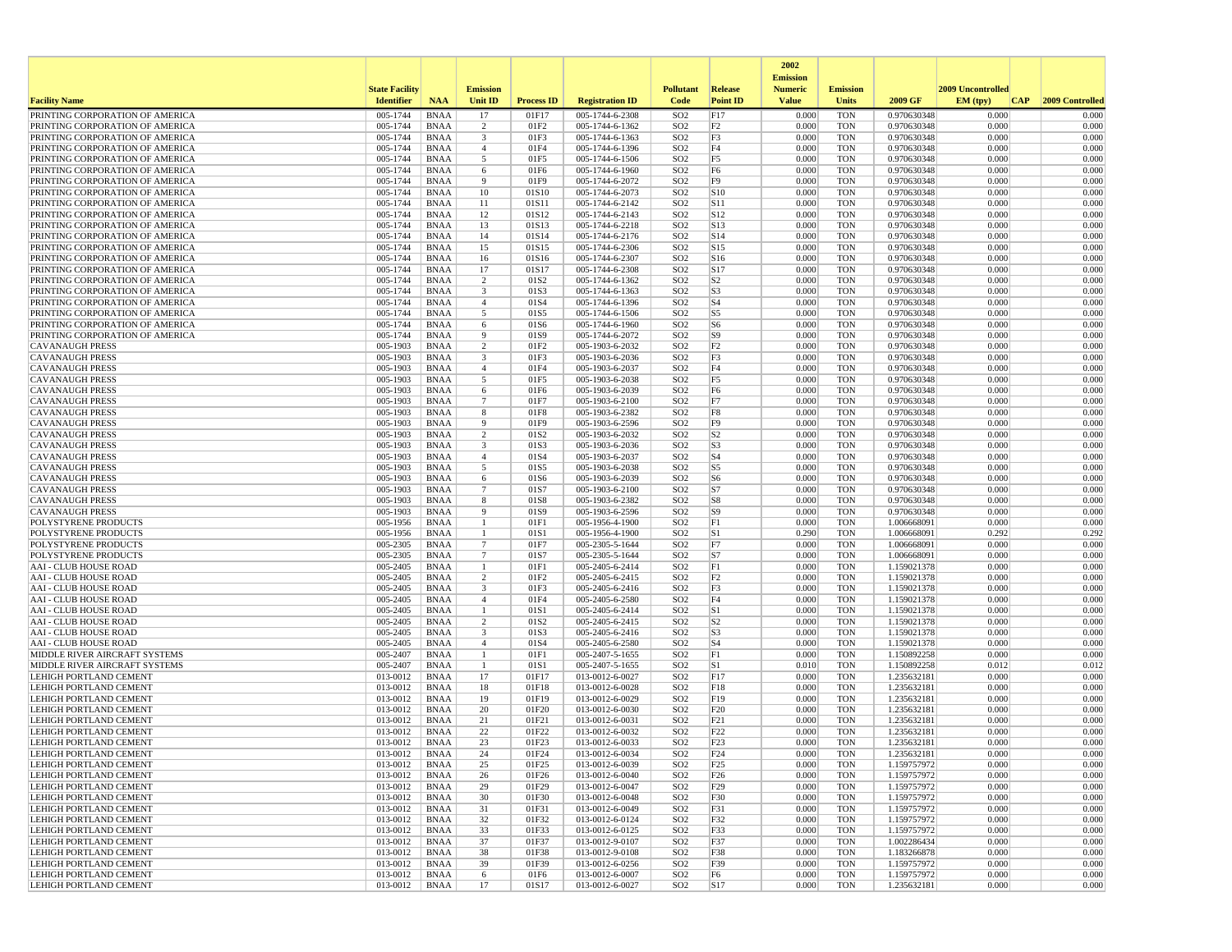|                                                                    |                       |                            |                                  |                          |                                    |                                    |                                  | 2002                              |                          |                            |                   |                 |
|--------------------------------------------------------------------|-----------------------|----------------------------|----------------------------------|--------------------------|------------------------------------|------------------------------------|----------------------------------|-----------------------------------|--------------------------|----------------------------|-------------------|-----------------|
|                                                                    | <b>State Facility</b> |                            | <b>Emission</b>                  |                          |                                    | <b>Pollutant</b>                   | Release                          | <b>Emission</b><br><b>Numeric</b> | <b>Emission</b>          |                            | 2009 Uncontrolled |                 |
| <b>Facility Name</b>                                               | <b>Identifier</b>     | <b>NAA</b>                 | <b>Unit ID</b>                   | <b>Process ID</b>        | <b>Registration ID</b>             | Code                               | <b>Point ID</b>                  | <b>Value</b>                      | <b>Units</b>             | 2009 GF                    | EM (typ)<br> CAP  | 2009 Controlled |
| PRINTING CORPORATION OF AMERICA                                    | 005-1744              | <b>BNAA</b>                | 17                               | 01F17                    | 005-1744-6-2308                    | SO <sub>2</sub>                    | F17                              | 0.000                             | <b>TON</b>               | 0.970630348                | 0.000             | 0.000           |
| PRINTING CORPORATION OF AMERICA                                    | 005-1744              | <b>BNAA</b>                | 2                                | 01F2                     | 005-1744-6-1362                    | SO <sub>2</sub>                    | F <sub>2</sub>                   | 0.000                             | <b>TON</b>               | 0.970630348                | 0.000             | 0.000           |
| PRINTING CORPORATION OF AMERICA                                    | 005-1744              | <b>BNAA</b>                | 3                                | 01F3                     | 005-1744-6-1363                    | SO <sub>2</sub>                    | F3<br>F4                         | 0.000                             | <b>TON</b>               | 0.970630348<br>0.970630348 | 0.000             | 0.000<br>0.000  |
| PRINTING CORPORATION OF AMERICA<br>PRINTING CORPORATION OF AMERICA | 005-1744<br>005-1744  | <b>BNAA</b><br><b>BNAA</b> | $\overline{4}$<br>5              | 01F4<br>01F5             | 005-1744-6-1396<br>005-1744-6-1506 | SO <sub>2</sub><br>SO <sub>2</sub> | F <sub>5</sub>                   | 0.000<br>0.000                    | <b>TON</b><br><b>TON</b> | 0.970630348                | 0.000<br>0.000    | 0.000           |
| PRINTING CORPORATION OF AMERICA                                    | 005-1744              | <b>BNAA</b>                | 6                                | 01F6                     | 005-1744-6-1960                    | SO <sub>2</sub>                    | F <sub>6</sub>                   | 0.000                             | <b>TON</b>               | 0.970630348                | 0.000             | 0.000           |
| PRINTING CORPORATION OF AMERICA                                    | 005-1744              | <b>BNAA</b>                | 9                                | 01F9                     | 005-1744-6-2072                    | SO <sub>2</sub>                    | F9                               | 0.000                             | <b>TON</b>               | 0.970630348                | 0.000             | 0.000           |
| PRINTING CORPORATION OF AMERICA                                    | 005-1744              | <b>BNAA</b>                | 10                               | 01S10                    | 005-1744-6-2073                    | SO <sub>2</sub>                    | S10                              | 0.000                             | <b>TON</b>               | 0.970630348                | 0.000             | 0.000           |
| PRINTING CORPORATION OF AMERICA                                    | 005-1744              | <b>BNAA</b>                | 11                               | 01S11                    | 005-1744-6-2142                    | SO <sub>2</sub>                    | S11                              | 0.000                             | <b>TON</b>               | 0.970630348                | 0.000             | 0.000           |
| PRINTING CORPORATION OF AMERICA<br>PRINTING CORPORATION OF AMERICA | 005-1744<br>005-1744  | <b>BNAA</b><br><b>BNAA</b> | 12<br>13                         | 01S12<br>01S13           | 005-1744-6-2143<br>005-1744-6-2218 | SO <sub>2</sub><br>SO <sub>2</sub> | S <sub>12</sub><br>S13           | 0.000<br>0.000                    | <b>TON</b><br><b>TON</b> | 0.970630348<br>0.970630348 | 0.000<br>0.000    | 0.000<br>0.000  |
| PRINTING CORPORATION OF AMERICA                                    | 005-1744              | <b>BNAA</b>                | 14                               | 01S14                    | 005-1744-6-2176                    | SO <sub>2</sub>                    | S14                              | 0.000                             | <b>TON</b>               | 0.970630348                | 0.000             | 0.000           |
| PRINTING CORPORATION OF AMERICA                                    | 005-1744              | <b>BNAA</b>                | 15                               | 01S15                    | 005-1744-6-2306                    | SO <sub>2</sub>                    | S15                              | 0.000                             | <b>TON</b>               | 0.970630348                | 0.000             | 0.000           |
| PRINTING CORPORATION OF AMERICA                                    | 005-1744              | <b>BNAA</b>                | 16                               | 01S16                    | 005-1744-6-2307                    | SO <sub>2</sub>                    | S <sub>16</sub>                  | 0.000                             | <b>TON</b>               | 0.970630348                | 0.000             | 0.000           |
| PRINTING CORPORATION OF AMERICA                                    | 005-1744              | <b>BNAA</b>                | 17                               | 01S17                    | 005-1744-6-2308                    | SO <sub>2</sub>                    | S <sub>17</sub>                  | 0.000                             | <b>TON</b>               | 0.970630348                | 0.000             | 0.000           |
| PRINTING CORPORATION OF AMERICA<br>PRINTING CORPORATION OF AMERICA | 005-1744<br>005-1744  | <b>BNAA</b><br><b>BNAA</b> | 2<br>3                           | 01S <sub>2</sub><br>01S3 | 005-1744-6-1362<br>005-1744-6-1363 | SO <sub>2</sub><br>SO <sub>2</sub> | S <sub>2</sub><br>S <sub>3</sub> | 0.000<br>0.000                    | <b>TON</b><br><b>TON</b> | 0.970630348<br>0.970630348 | 0.000<br>0.000    | 0.000<br>0.000  |
| PRINTING CORPORATION OF AMERICA                                    | 005-1744              | <b>BNAA</b>                | $\overline{4}$                   | 01S4                     | 005-1744-6-1396                    | SO <sub>2</sub>                    | S <sub>4</sub>                   | 0.000                             | <b>TON</b>               | 0.970630348                | 0.000             | 0.000           |
| PRINTING CORPORATION OF AMERICA                                    | 005-1744              | <b>BNAA</b>                | 5                                | 01S5                     | 005-1744-6-1506                    | SO <sub>2</sub>                    | S5                               | 0.000                             | <b>TON</b>               | 0.970630348                | 0.000             | 0.000           |
| PRINTING CORPORATION OF AMERICA                                    | 005-1744              | <b>BNAA</b>                | 6                                | 01S6                     | 005-1744-6-1960                    | SO <sub>2</sub>                    | S <sub>6</sub>                   | 0.000                             | <b>TON</b>               | 0.970630348                | 0.000             | 0.000           |
| PRINTING CORPORATION OF AMERICA                                    | 005-1744              | <b>BNAA</b>                | 9                                | 01S9                     | 005-1744-6-2072                    | SO <sub>2</sub>                    | S9                               | 0.000                             | <b>TON</b>               | 0.970630348                | 0.000             | 0.000           |
| <b>CAVANAUGH PRESS</b><br><b>CAVANAUGH PRESS</b>                   | 005-1903<br>005-1903  | <b>BNAA</b><br><b>BNAA</b> | $\overline{2}$<br>3              | 01F2<br>01F3             | 005-1903-6-2032<br>005-1903-6-2036 | SO <sub>2</sub><br>SO <sub>2</sub> | F <sub>2</sub><br>F3             | 0.000<br>0.000                    | <b>TON</b><br><b>TON</b> | 0.970630348<br>0.970630348 | 0.000<br>0.000    | 0.000<br>0.000  |
| <b>CAVANAUGH PRESS</b>                                             | 005-1903              | BNAA                       | $\overline{4}$                   | 01F4                     | 005-1903-6-2037                    | SO <sub>2</sub>                    | F4                               | 0.000                             | <b>TON</b>               | 0.970630348                | 0.000             | 0.000           |
| <b>CAVANAUGH PRESS</b>                                             | 005-1903              | <b>BNAA</b>                | 5                                | 01F5                     | 005-1903-6-2038                    | SO <sub>2</sub>                    | F <sub>5</sub>                   | 0.000                             | <b>TON</b>               | 0.970630348                | 0.000             | 0.000           |
| <b>CAVANAUGH PRESS</b>                                             | 005-1903              | <b>BNAA</b>                | 6                                | 01F6                     | 005-1903-6-2039                    | SO <sub>2</sub>                    | F <sub>6</sub>                   | 0.000                             | <b>TON</b>               | 0.970630348                | 0.000             | 0.000           |
| <b>CAVANAUGH PRESS</b>                                             | 005-1903              | <b>BNAA</b>                | $\overline{7}$                   | 01F7                     | 005-1903-6-2100                    | SO <sub>2</sub>                    | F7                               | 0.000                             | <b>TON</b>               | 0.970630348                | 0.000             | 0.000           |
| <b>CAVANAUGH PRESS</b><br><b>CAVANAUGH PRESS</b>                   | 005-1903<br>005-1903  | <b>BNAA</b><br><b>BNAA</b> | 8<br>9                           | 01F8<br>01F9             | 005-1903-6-2382<br>005-1903-6-2596 | SO <sub>2</sub><br>SO <sub>2</sub> | F8<br>F <sub>9</sub>             | 0.000<br>0.000                    | <b>TON</b><br><b>TON</b> | 0.970630348<br>0.970630348 | 0.000<br>0.000    | 0.000<br>0.000  |
| <b>CAVANAUGH PRESS</b>                                             | 005-1903              | <b>BNAA</b>                | $\overline{2}$                   | 01S2                     | 005-1903-6-2032                    | SO <sub>2</sub>                    | S <sub>2</sub>                   | 0.000                             | <b>TON</b>               | 0.970630348                | 0.000             | 0.000           |
| <b>CAVANAUGH PRESS</b>                                             | 005-1903              | <b>BNAA</b>                | $\overline{\mathbf{3}}$          | 01S3                     | 005-1903-6-2036                    | SO <sub>2</sub>                    | S <sub>3</sub>                   | 0.000                             | <b>TON</b>               | 0.970630348                | 0.000             | 0.000           |
| <b>CAVANAUGH PRESS</b>                                             | 005-1903              | <b>BNAA</b>                | $\overline{4}$                   | 01S4                     | 005-1903-6-2037                    | SO <sub>2</sub>                    | S <sub>4</sub>                   | 0.000                             | <b>TON</b>               | 0.970630348                | 0.000             | 0.000           |
| <b>CAVANAUGH PRESS</b>                                             | 005-1903              | <b>BNAA</b>                | 5                                | 01S5                     | 005-1903-6-2038                    | SO <sub>2</sub>                    | S5                               | 0.000                             | <b>TON</b>               | 0.970630348                | 0.000             | 0.000           |
| <b>CAVANAUGH PRESS</b><br><b>CAVANAUGH PRESS</b>                   | 005-1903<br>005-1903  | <b>BNAA</b><br><b>BNAA</b> | 6<br>$\overline{7}$              | 01S6<br>01S7             | 005-1903-6-2039<br>005-1903-6-2100 | SO <sub>2</sub><br>SO <sub>2</sub> | S <sub>6</sub><br>S7             | 0.000<br>0.000                    | <b>TON</b><br><b>TON</b> | 0.970630348<br>0.970630348 | 0.000<br>0.000    | 0.000<br>0.000  |
| <b>CAVANAUGH PRESS</b>                                             | 005-1903              | <b>BNAA</b>                | 8                                | 01S8                     | 005-1903-6-2382                    | SO <sub>2</sub>                    | S8                               | 0.000                             | <b>TON</b>               | 0.970630348                | 0.000             | 0.000           |
| <b>CAVANAUGH PRESS</b>                                             | 005-1903              | <b>BNAA</b>                | 9                                | 01S9                     | 005-1903-6-2596                    | SO <sub>2</sub>                    | S9                               | 0.000                             | <b>TON</b>               | 0.970630348                | 0.000             | 0.000           |
| POLYSTYRENE PRODUCTS                                               | 005-1956              | <b>BNAA</b>                | 1                                | 01F1                     | 005-1956-4-1900                    | SO <sub>2</sub>                    | F1                               | 0.000                             | <b>TON</b>               | 1.006668091                | 0.000             | 0.000           |
| POLYSTYRENE PRODUCTS                                               | 005-1956              | <b>BNAA</b>                | $\mathbf{1}$                     | 01S1                     | 005-1956-4-1900                    | SO <sub>2</sub>                    | S1                               | 0.290                             | <b>TON</b>               | 1.006668091                | 0.292             | 0.292           |
| POLYSTYRENE PRODUCTS<br>POLYSTYRENE PRODUCTS                       | 005-2305<br>005-2305  | <b>BNAA</b><br>BNAA        | $\overline{7}$<br>$\overline{7}$ | 01F7<br>01S7             | 005-2305-5-1644<br>005-2305-5-1644 | SO <sub>2</sub><br>SO <sub>2</sub> | F7<br>S7                         | 0.000<br>0.000                    | TON<br><b>TON</b>        | 1.006668091<br>1.006668091 | 0.000<br>0.000    | 0.000<br>0.000  |
| AAI - CLUB HOUSE ROAD                                              | 005-2405              | <b>BNAA</b>                | $\mathbf{1}$                     | 01F1                     | 005-2405-6-2414                    | SO <sub>2</sub>                    | F1                               | 0.000                             | <b>TON</b>               | 1.159021378                | 0.000             | 0.000           |
| <b>AAI - CLUB HOUSE ROAD</b>                                       | 005-2405              | <b>BNAA</b>                | 2                                | 01F <sub>2</sub>         | 005-2405-6-2415                    | SO <sub>2</sub>                    | F2                               | 0.000                             | <b>TON</b>               | 1.159021378                | 0.000             | 0.000           |
| <b>AAI - CLUB HOUSE ROAD</b>                                       | 005-2405              | <b>BNAA</b>                | 3                                | 01F3                     | 005-2405-6-2416                    | SO <sub>2</sub>                    | F3                               | 0.000                             | <b>TON</b>               | 1.159021378                | 0.000             | 0.000           |
| AAI - CLUB HOUSE ROAD                                              | 005-2405              | <b>BNAA</b>                | $\overline{4}$                   | 01F4                     | 005-2405-6-2580                    | SO <sub>2</sub>                    | F4                               | 0.000                             | <b>TON</b>               | 1.159021378                | 0.000             | 0.000           |
| <b>AAI - CLUB HOUSE ROAD</b><br>AAI - CLUB HOUSE ROAD              | 005-2405<br>005-2405  | <b>BNAA</b><br><b>BNAA</b> | $\mathbf{1}$<br>$\overline{2}$   | 01S1<br>01S <sub>2</sub> | 005-2405-6-2414<br>005-2405-6-2415 | SO <sub>2</sub><br>SO <sub>2</sub> | S1<br>S <sub>2</sub>             | 0.000<br>0.000                    | <b>TON</b><br><b>TON</b> | 1.159021378<br>1.159021378 | 0.000<br>0.000    | 0.000<br>0.000  |
| <b>AAI - CLUB HOUSE ROAD</b>                                       | 005-2405              | <b>BNAA</b>                | 3                                | 01S3                     | 005-2405-6-2416                    | SO <sub>2</sub>                    | S <sub>3</sub>                   | 0.000                             | <b>TON</b>               | 1.159021378                | 0.000             | 0.000           |
| <b>AAI - CLUB HOUSE ROAD</b>                                       | 005-2405              | <b>BNAA</b>                | $\overline{4}$                   | 01S4                     | 005-2405-6-2580                    | SO <sub>2</sub>                    | S <sub>4</sub>                   | 0.000                             | <b>TON</b>               | 1.159021378                | 0.000             | 0.000           |
| MIDDLE RIVER AIRCRAFT SYSTEMS                                      | 005-2407              | <b>BNAA</b>                | -1                               | 01F1                     | 005-2407-5-1655                    | SO <sub>2</sub>                    | F1                               | 0.000                             | <b>TON</b>               | 1.150892258                | 0.000             | 0.000           |
| MIDDLE RIVER AIRCRAFT SYSTEMS                                      | 005-2407<br>013-0012  | <b>BNAA</b>                | -1<br>17                         | 01S1                     | 005-2407-5-1655                    | SO <sub>2</sub><br>SO <sub>2</sub> | S1                               | 0.010<br>0.000                    | <b>TON</b><br><b>TON</b> | 1.150892258                | 0.012<br>0.000    | 0.012<br>0.000  |
| LEHIGH PORTLAND CEMENT<br>LEHIGH PORTLAND CEMENT                   | 013-0012              | <b>BNAA</b><br><b>BNAA</b> | 18                               | 01F17<br>01F18           | 013-0012-6-0027<br>013-0012-6-0028 | SO <sub>2</sub>                    | F17<br>F18                       | 0.000                             | <b>TON</b>               | 1.235632181<br>1.235632181 | 0.000             | 0.000           |
| LEHIGH PORTLAND CEMENT                                             | 013-0012              | <b>BNAA</b>                | 19                               | 01F19                    | 013-0012-6-0029                    | SO <sub>2</sub>                    | F19                              | 0.000                             | <b>TON</b>               | 1.235632181                | 0.000             | 0.000           |
| LEHIGH PORTLAND CEMENT                                             | 013-0012              | <b>BNAA</b>                | 20                               | 01F20                    | 013-0012-6-0030                    | SO <sub>2</sub>                    | F20                              | 0.000                             | <b>TON</b>               | 1.235632181                | 0.000             | 0.000           |
| LEHIGH PORTLAND CEMENT                                             | 013-0012              | <b>BNAA</b>                | 21                               | 01F21                    | 013-0012-6-0031                    | SO <sub>2</sub>                    | F21                              | 0.000                             | <b>TON</b>               | 1.235632181                | 0.000             | 0.000           |
| LEHIGH PORTLAND CEMENT                                             | 013-0012              | <b>BNAA</b>                | 22<br>23                         | 01F22<br>01F23           | 013-0012-6-0032                    | SO <sub>2</sub><br>SO <sub>2</sub> | F22<br>F23                       | 0.000                             | <b>TON</b><br><b>TON</b> | 1.235632181<br>1.235632181 | 0.000<br>0.000    | 0.000<br>0.000  |
| LEHIGH PORTLAND CEMENT<br>LEHIGH PORTLAND CEMENT                   | 013-0012<br>013-0012  | <b>BNAA</b><br><b>BNAA</b> | 24                               | 01F24                    | 013-0012-6-0033<br>013-0012-6-0034 | SO <sub>2</sub>                    | F <sub>24</sub>                  | 0.000<br>0.000                    | <b>TON</b>               | 1.235632181                | 0.000             | 0.000           |
| <b>LEHIGH PORTLAND CEMENT</b>                                      | 013-0012              | BNAA                       | 25                               | 01F25                    | 013-0012-6-0039                    | SO <sub>2</sub>                    | F25                              | 0.000                             | TON                      | 1.159757972                | 0.000             | 0.000           |
| <b>LEHIGH PORTLAND CEMENT</b>                                      | 013-0012              | BNAA                       | 26                               | 01F26                    | 013-0012-6-0040                    | SO <sub>2</sub>                    | F26                              | 0.000                             | <b>TON</b>               | 1.159757972                | 0.000             | 0.000           |
| <b>LEHIGH PORTLAND CEMENT</b>                                      | 013-0012              | BNAA                       | 29                               | 01F29                    | 013-0012-6-0047                    | SO <sub>2</sub>                    | F29                              | 0.000                             | TON                      | 1.159757972                | 0.000             | 0.000           |
| LEHIGH PORTLAND CEMENT                                             | 013-0012              | BNAA                       | 30                               | 01F30                    | 013-0012-6-0048                    | SO <sub>2</sub>                    | F30                              | 0.000                             | <b>TON</b>               | 1.159757972                | 0.000             | 0.000           |
| LEHIGH PORTLAND CEMENT<br>LEHIGH PORTLAND CEMENT                   | 013-0012<br>013-0012  | <b>BNAA</b><br>BNAA        | 31<br>32                         | 01F31<br>01F32           | 013-0012-6-0049<br>013-0012-6-0124 | SO <sub>2</sub><br>SO <sub>2</sub> | F31<br>F32                       | 0.000<br>0.000                    | <b>TON</b><br>TON        | 1.159757972<br>1.159757972 | 0.000<br>0.000    | 0.000<br>0.000  |
| <b>LEHIGH PORTLAND CEMENT</b>                                      | 013-0012              | BNAA                       | 33                               | 01F33                    | 013-0012-6-0125                    | SO <sub>2</sub>                    | F33                              | 0.000                             | <b>TON</b>               | 1.159757972                | 0.000             | 0.000           |
| <b>LEHIGH PORTLAND CEMENT</b>                                      | 013-0012              | BNAA                       | 37                               | 01F37                    | 013-0012-9-0107                    | SO <sub>2</sub>                    | F37                              | 0.000                             | TON                      | 1.002286434                | 0.000             | 0.000           |
| LEHIGH PORTLAND CEMENT                                             | 013-0012              | BNAA                       | 38                               | 01F38                    | 013-0012-9-0108                    | SO <sub>2</sub>                    | F38                              | 0.000                             | TON                      | 1.183266878                | 0.000             | 0.000           |
| <b>LEHIGH PORTLAND CEMENT</b>                                      | 013-0012              | BNAA                       | 39                               | 01F39                    | 013-0012-6-0256                    | SO <sub>2</sub>                    | F39                              | 0.000                             | TON                      | 1.159757972                | 0.000             | 0.000           |
| LEHIGH PORTLAND CEMENT<br>LEHIGH PORTLAND CEMENT                   | 013-0012<br>013-0012  | <b>BNAA</b><br>BNAA        | 6<br>17                          | 01F6<br>01S17            | 013-0012-6-0007<br>013-0012-6-0027 | SO <sub>2</sub><br>SO <sub>2</sub> | F <sub>6</sub><br> S17           | 0.000<br>0.000                    | <b>TON</b><br>TON        | 1.159757972<br>1.235632181 | 0.000<br>0.000    | 0.000<br>0.000  |
|                                                                    |                       |                            |                                  |                          |                                    |                                    |                                  |                                   |                          |                            |                   |                 |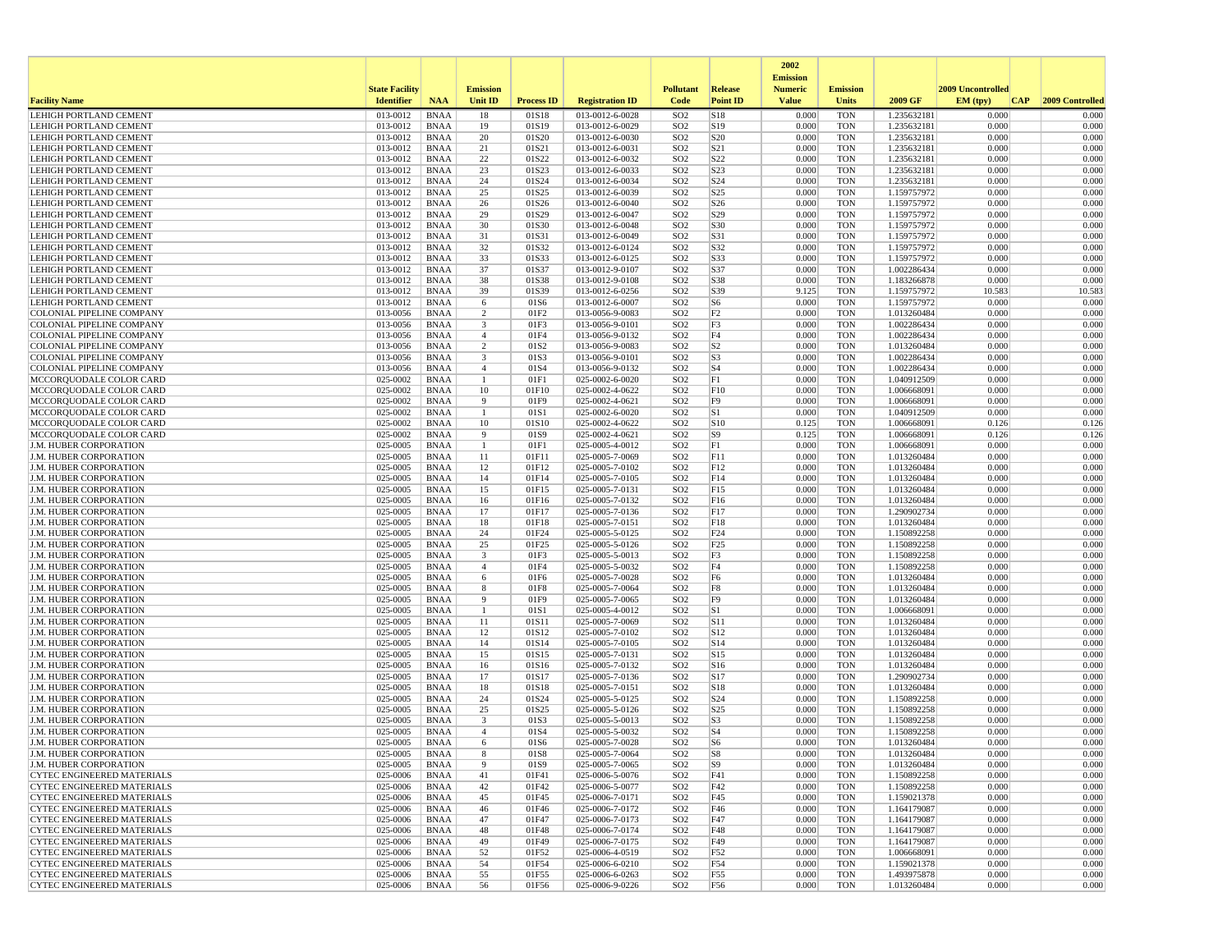|                                                                        |                       |                            |                                           |                   |                                    |                                    |                                  | 2002<br><b>Emission</b> |                          |                            |                   |                 |
|------------------------------------------------------------------------|-----------------------|----------------------------|-------------------------------------------|-------------------|------------------------------------|------------------------------------|----------------------------------|-------------------------|--------------------------|----------------------------|-------------------|-----------------|
|                                                                        | <b>State Facility</b> |                            | <b>Emission</b>                           |                   |                                    | <b>Pollutant</b>                   | Release                          | <b>Numeric</b>          | <b>Emission</b>          |                            | 2009 Uncontrolled |                 |
| <b>Facility Name</b>                                                   | <b>Identifier</b>     | <b>NAA</b>                 | Unit ID                                   | <b>Process ID</b> | <b>Registration ID</b>             | Code                               | <b>Point ID</b>                  | <b>Value</b>            | <b>Units</b>             | 2009 GF                    | EM (typ)<br> CAP  | 2009 Controlled |
| <b>LEHIGH PORTLAND CEMENT</b>                                          | 013-0012              | <b>BNAA</b>                | 18                                        | 01S18             | 013-0012-6-0028                    | SO <sub>2</sub>                    | S18                              | 0.000                   | <b>TON</b>               | 1.235632181                | 0.000             | 0.000           |
| LEHIGH PORTLAND CEMENT<br>LEHIGH PORTLAND CEMENT                       | 013-0012<br>013-0012  | <b>BNAA</b><br><b>BNAA</b> | 19<br>20                                  | 01S19<br>01S20    | 013-0012-6-0029<br>013-0012-6-0030 | SO <sub>2</sub><br>SO <sub>2</sub> | S19<br>S <sub>20</sub>           | 0.000<br>0.000          | <b>TON</b><br><b>TON</b> | 1.235632181<br>1.235632181 | 0.000<br>0.000    | 0.000<br>0.000  |
| <b>LEHIGH PORTLAND CEMENT</b>                                          | 013-0012              | <b>BNAA</b>                | 21                                        | 01S21             | 013-0012-6-0031                    | SO <sub>2</sub>                    | S21                              | 0.000                   | <b>TON</b>               | 1.235632181                | 0.000             | 0.000           |
| <b>LEHIGH PORTLAND CEMENT</b>                                          | 013-0012              | <b>BNAA</b>                | $22\,$                                    | 01S22             | 013-0012-6-0032                    | SO <sub>2</sub>                    | S <sub>22</sub>                  | 0.000                   | <b>TON</b>               | 1.235632181                | 0.000             | 0.000           |
| LEHIGH PORTLAND CEMENT                                                 | 013-0012              | <b>BNAA</b>                | 23                                        | 01S23             | 013-0012-6-0033                    | SO <sub>2</sub>                    | S23                              | 0.000                   | <b>TON</b>               | 1.235632181                | 0.000             | 0.000           |
| LEHIGH PORTLAND CEMENT                                                 | 013-0012              | <b>BNAA</b>                | 24                                        | 01S24             | 013-0012-6-0034                    | SO <sub>2</sub>                    | S24                              | 0.000                   | <b>TON</b>               | 1.235632181                | 0.000             | 0.000           |
| LEHIGH PORTLAND CEMENT<br>LEHIGH PORTLAND CEMENT                       | 013-0012<br>013-0012  | <b>BNAA</b><br><b>BNAA</b> | 25<br>26                                  | 01S25<br>01S26    | 013-0012-6-0039<br>013-0012-6-0040 | SO <sub>2</sub><br>SO <sub>2</sub> | S <sub>25</sub><br>S26           | 0.000<br>0.000          | <b>TON</b><br><b>TON</b> | 1.159757972<br>1.159757972 | 0.000<br>0.000    | 0.000<br>0.000  |
| LEHIGH PORTLAND CEMENT                                                 | 013-0012              | <b>BNAA</b>                | 29                                        | 01S29             | 013-0012-6-0047                    | SO <sub>2</sub>                    | S29                              | 0.000                   | <b>TON</b>               | 1.159757972                | 0.000             | 0.000           |
| LEHIGH PORTLAND CEMENT                                                 | 013-0012              | <b>BNAA</b>                | 30                                        | 01S30             | 013-0012-6-0048                    | SO <sub>2</sub>                    | S30                              | 0.000                   | <b>TON</b>               | 1.159757972                | 0.000             | 0.000           |
| <b>LEHIGH PORTLAND CEMENT</b>                                          | 013-0012              | <b>BNAA</b>                | 31                                        | 01S31             | 013-0012-6-0049                    | SO <sub>2</sub>                    | S31                              | 0.000                   | <b>TON</b>               | 1.159757972                | 0.000             | 0.000           |
| LEHIGH PORTLAND CEMENT                                                 | 013-0012              | <b>BNAA</b>                | 32                                        | 01S32             | 013-0012-6-0124                    | SO <sub>2</sub>                    | S32                              | 0.000                   | <b>TON</b>               | 1.159757972                | 0.000             | 0.000           |
| LEHIGH PORTLAND CEMENT<br><b>LEHIGH PORTLAND CEMENT</b>                | 013-0012<br>013-0012  | <b>BNAA</b><br><b>BNAA</b> | 33<br>37                                  | 01S33<br>01S37    | 013-0012-6-0125<br>013-0012-9-0107 | SO <sub>2</sub><br>SO <sub>2</sub> | S33<br>S37                       | 0.000<br>0.000          | <b>TON</b><br><b>TON</b> | 1.159757972<br>1.002286434 | 0.000<br>0.000    | 0.000<br>0.000  |
| LEHIGH PORTLAND CEMENT                                                 | 013-0012              | <b>BNAA</b>                | 38                                        | 01S38             | 013-0012-9-0108                    | SO <sub>2</sub>                    | S38                              | 0.000                   | <b>TON</b>               | 1.183266878                | 0.000             | 0.000           |
| LEHIGH PORTLAND CEMENT                                                 | 013-0012              | <b>BNAA</b>                | 39                                        | 01S39             | 013-0012-6-0256                    | SO <sub>2</sub>                    | S39                              | 9.125                   | <b>TON</b>               | 1.159757972                | 10.583            | 10.583          |
| LEHIGH PORTLAND CEMENT                                                 | 013-0012              | <b>BNAA</b>                | 6                                         | 01S6              | 013-0012-6-0007                    | SO <sub>2</sub>                    | S <sub>6</sub>                   | 0.000                   | <b>TON</b>               | 1.159757972                | 0.000             | 0.000           |
| COLONIAL PIPELINE COMPANY                                              | 013-0056              | <b>BNAA</b>                | 2                                         | 01F <sub>2</sub>  | 013-0056-9-0083                    | SO <sub>2</sub>                    | F <sub>2</sub>                   | 0.000                   | <b>TON</b>               | 1.013260484                | 0.000             | 0.000           |
| COLONIAL PIPELINE COMPANY<br>COLONIAL PIPELINE COMPANY                 | 013-0056<br>013-0056  | <b>BNAA</b><br><b>BNAA</b> | 3<br>$\overline{4}$                       | 01F3<br>01F4      | 013-0056-9-0101<br>013-0056-9-0132 | SO <sub>2</sub><br>SO <sub>2</sub> | F3<br>F4                         | 0.000<br>0.000          | <b>TON</b><br><b>TON</b> | 1.002286434<br>1.002286434 | 0.000<br>0.000    | 0.000<br>0.000  |
| <b>COLONIAL PIPELINE COMPANY</b>                                       | 013-0056              | <b>BNAA</b>                | 2                                         | 01S2              | 013-0056-9-0083                    | SO <sub>2</sub>                    | S <sub>2</sub>                   | 0.000                   | <b>TON</b>               | 1.013260484                | 0.000             | 0.000           |
| COLONIAL PIPELINE COMPANY                                              | 013-0056              | <b>BNAA</b>                | $\overline{\mathbf{3}}$                   | 01S3              | 013-0056-9-0101                    | SO <sub>2</sub>                    | S <sub>3</sub>                   | 0.000                   | <b>TON</b>               | 1.002286434                | 0.000             | 0.000           |
| <b>COLONIAL PIPELINE COMPANY</b>                                       | 013-0056              | <b>BNAA</b>                | $\overline{4}$                            | 01S4              | 013-0056-9-0132                    | SO <sub>2</sub>                    | S <sub>4</sub>                   | 0.000                   | <b>TON</b>               | 1.002286434                | 0.000             | 0.000           |
| MCCORQUODALE COLOR CARD                                                | 025-0002              | <b>BNAA</b>                | $\overline{1}$                            | 01F1              | 025-0002-6-0020                    | SO <sub>2</sub>                    | F1                               | 0.000                   | <b>TON</b>               | 1.040912509                | 0.000             | 0.000           |
| MCCORQUODALE COLOR CARD<br>MCCORQUODALE COLOR CARD                     | 025-0002<br>025-0002  | <b>BNAA</b><br><b>BNAA</b> | 10<br>9                                   | 01F10<br>01F9     | 025-0002-4-0622<br>025-0002-4-0621 | SO <sub>2</sub><br>SO <sub>2</sub> | F10<br>F <sub>9</sub>            | 0.000<br>0.000          | <b>TON</b><br><b>TON</b> | 1.006668091<br>1.006668091 | 0.000<br>0.000    | 0.000<br>0.000  |
| MCCORQUODALE COLOR CARD                                                | 025-0002              | <b>BNAA</b>                | -1                                        | 01S1              | 025-0002-6-0020                    | SO <sub>2</sub>                    | S1                               | 0.000                   | <b>TON</b>               | 1.040912509                | 0.000             | 0.000           |
| MCCORQUODALE COLOR CARD                                                | 025-0002              | <b>BNAA</b>                | 10                                        | 01S10             | 025-0002-4-0622                    | SO <sub>2</sub>                    | S10                              | 0.125                   | <b>TON</b>               | 1.006668091                | 0.126             | 0.126           |
| MCCOROUODALE COLOR CARD                                                | 025-0002              | <b>BNAA</b>                | 9                                         | 01S9              | 025-0002-4-0621                    | SO <sub>2</sub>                    | S9                               | 0.125                   | <b>TON</b>               | 1.006668091                | 0.126             | 0.126           |
| <b>J.M. HUBER CORPORATION</b>                                          | 025-0005              | <b>BNAA</b>                |                                           | 01F1              | 025-0005-4-0012                    | SO <sub>2</sub>                    | F1                               | 0.000                   | <b>TON</b>               | 1.006668091                | 0.000             | 0.000           |
| <b>J.M. HUBER CORPORATION</b><br><b>J.M. HUBER CORPORATION</b>         | 025-0005<br>025-0005  | <b>BNAA</b><br><b>BNAA</b> | 11<br>12                                  | 01F11<br>01F12    | 025-0005-7-0069<br>025-0005-7-0102 | SO <sub>2</sub><br>SO <sub>2</sub> | F11<br>F12                       | 0.000<br>0.000          | <b>TON</b><br><b>TON</b> | 1.013260484<br>1.013260484 | 0.000<br>0.000    | 0.000<br>0.000  |
| J.M. HUBER CORPORATION                                                 | 025-0005              | <b>BNAA</b>                | 14                                        | 01F14             | 025-0005-7-0105                    | SO <sub>2</sub>                    | F14                              | 0.000                   | <b>TON</b>               | 1.013260484                | 0.000             | 0.000           |
| <b>J.M. HUBER CORPORATION</b>                                          | 025-0005              | <b>BNAA</b>                | 15                                        | 01F15             | 025-0005-7-0131                    | SO <sub>2</sub>                    | F15                              | 0.000                   | <b>TON</b>               | 1.013260484                | 0.000             | 0.000           |
| <b>J.M. HUBER CORPORATION</b>                                          | 025-0005              | <b>BNAA</b>                | 16                                        | 01F16             | 025-0005-7-0132                    | SO <sub>2</sub>                    | F16                              | 0.000                   | <b>TON</b>               | 1.013260484                | 0.000             | 0.000           |
| <b>J.M. HUBER CORPORATION</b>                                          | 025-0005              | <b>BNAA</b>                | 17                                        | 01F17             | 025-0005-7-0136                    | SO <sub>2</sub>                    | F17                              | 0.000                   | <b>TON</b>               | 1.290902734                | 0.000             | 0.000           |
| <b>J.M. HUBER CORPORATION</b><br>J.M. HUBER CORPORATION                | 025-0005<br>025-0005  | <b>BNAA</b><br><b>BNAA</b> | 18<br>24                                  | 01F18<br>01F24    | 025-0005-7-0151<br>025-0005-5-0125 | SO <sub>2</sub><br>SO <sub>2</sub> | F18<br>F24                       | 0.000<br>0.000          | <b>TON</b><br><b>TON</b> | 1.013260484<br>1.150892258 | 0.000<br>0.000    | 0.000<br>0.000  |
| <b>J.M. HUBER CORPORATION</b>                                          | 025-0005              | <b>BNAA</b>                | 25                                        | 01F25             | 025-0005-5-0126                    | SO <sub>2</sub>                    | F25                              | 0.000                   | <b>TON</b>               | 1.150892258                | 0.000             | 0.000           |
| <b>J.M. HUBER CORPORATION</b>                                          | 025-0005              | <b>BNAA</b>                | 3                                         | 01F3              | 025-0005-5-0013                    | SO <sub>2</sub>                    | F3                               | 0.000                   | <b>TON</b>               | 1.150892258                | 0.000             | 0.000           |
| J.M. HUBER CORPORATION                                                 | 025-0005              | <b>BNAA</b>                | $\overline{4}$                            | 01F4              | 025-0005-5-0032                    | SO <sub>2</sub>                    | F4                               | 0.000                   | <b>TON</b>               | 1.150892258                | 0.000             | 0.000           |
| <b>J.M. HUBER CORPORATION</b>                                          | 025-0005              | <b>BNAA</b>                | 6                                         | 01F6              | 025-0005-7-0028                    | SO <sub>2</sub>                    | F <sub>6</sub>                   | 0.000                   | <b>TON</b>               | 1.013260484                | 0.000             | 0.000           |
| <b>J.M. HUBER CORPORATION</b><br><b>J.M. HUBER CORPORATION</b>         | 025-0005<br>025-0005  | <b>BNAA</b><br><b>BNAA</b> | 8<br>9                                    | 01F8<br>01F9      | 025-0005-7-0064<br>025-0005-7-0065 | SO <sub>2</sub><br>SO <sub>2</sub> | F8<br>F <sub>9</sub>             | 0.000<br>0.000          | <b>TON</b><br><b>TON</b> | 1.013260484<br>1.013260484 | 0.000<br>0.000    | 0.000<br>0.000  |
| <b>J.M. HUBER CORPORATION</b>                                          | 025-0005              | <b>BNAA</b>                | $\mathbf{1}$                              | 01S1              | 025-0005-4-0012                    | SO <sub>2</sub>                    | S1                               | 0.000                   | <b>TON</b>               | 1.006668091                | 0.000             | 0.000           |
| <b>J.M. HUBER CORPORATION</b>                                          | 025-0005              | <b>BNAA</b>                | 11                                        | 01S11             | 025-0005-7-0069                    | SO <sub>2</sub>                    | S <sub>11</sub>                  | 0.000                   | <b>TON</b>               | 1.013260484                | 0.000             | 0.000           |
| <b>J.M. HUBER CORPORATION</b>                                          | 025-0005              | <b>BNAA</b>                | 12                                        | 01S12             | 025-0005-7-0102                    | SO <sub>2</sub>                    | S12                              | 0.000                   | <b>TON</b>               | 1.013260484                | 0.000             | 0.000           |
| <b>J.M. HUBER CORPORATION</b>                                          | 025-0005<br>025-0005  | <b>BNAA</b>                | 14                                        | 01S14             | 025-0005-7-0105                    | SO <sub>2</sub>                    | S14                              | 0.000                   | <b>TON</b>               | 1.013260484                | 0.000<br>0.000    | 0.000           |
| <b>J.M. HUBER CORPORATION</b><br><b>J.M. HUBER CORPORATION</b>         | 025-0005              | <b>BNAA</b><br><b>BNAA</b> | 15<br>16                                  | 01S15<br>01S16    | 025-0005-7-0131<br>025-0005-7-0132 | SO <sub>2</sub><br>SO <sub>2</sub> | S15<br>S <sub>16</sub>           | 0.000<br>0.000          | <b>TON</b><br><b>TON</b> | 1.013260484<br>1.013260484 | 0.000             | 0.000<br>0.000  |
| <b>J.M. HUBER CORPORATION</b>                                          | 025-0005              | <b>BNAA</b>                | 17                                        | 01S17             | 025-0005-7-0136                    | SO <sub>2</sub>                    | S17                              | 0.000                   | <b>TON</b>               | 1.290902734                | 0.000             | 0.000           |
| J.M. HUBER CORPORATION                                                 | 025-0005              | <b>BNAA</b>                | 18                                        | 01S18             | 025-0005-7-0151                    | SO <sub>2</sub>                    | S18                              | 0.000                   | <b>TON</b>               | 1.013260484                | 0.000             | 0.000           |
| <b>J.M. HUBER CORPORATION</b>                                          | 025-0005              | <b>BNAA</b>                | 24                                        | 01S24             | 025-0005-5-0125                    | SO <sub>2</sub>                    | S <sub>24</sub>                  | 0.000                   | <b>TON</b>               | 1.150892258                | 0.000             | 0.000           |
| <b>J.M. HUBER CORPORATION</b>                                          | 025-0005              | <b>BNAA</b>                | 25                                        | 01S25             | 025-0005-5-0126                    | SO <sub>2</sub>                    | S <sub>25</sub>                  | 0.000                   | <b>TON</b>               | 1.150892258                | 0.000             | 0.000           |
| <b>J.M. HUBER CORPORATION</b><br><b>J.M. HUBER CORPORATION</b>         | 025-0005<br>025-0005  | <b>BNAA</b><br><b>BNAA</b> | $\overline{\mathbf{3}}$<br>$\overline{4}$ | 01S3<br>01S4      | 025-0005-5-0013<br>025-0005-5-0032 | SO <sub>2</sub><br>SO <sub>2</sub> | S <sub>3</sub><br>S <sub>4</sub> | 0.000<br>0.000          | <b>TON</b><br><b>TON</b> | 1.150892258<br>1.150892258 | 0.000<br>0.000    | 0.000<br>0.000  |
| <b>J.M. HUBER CORPORATION</b>                                          | 025-0005              | <b>BNAA</b>                | -6                                        | 01S6              | 025-0005-7-0028                    | SO <sub>2</sub>                    | S <sub>6</sub>                   | 0.000                   | <b>TON</b>               | 1.013260484                | 0.000             | 0.000           |
| J.M. HUBER CORPORATION                                                 | 025-0005              | <b>BNAA</b>                |                                           | 01S8              | 025-0005-7-0064                    | SO <sub>2</sub>                    | S8                               | 0.000                   | TON                      | 1.013260484                | 0.000             | 0.000           |
| <b>J.M. HUBER CORPORATION</b>                                          | 025-0005              | <b>BNAA</b>                | 9                                         | 01S9              | 025-0005-7-0065                    | SO <sub>2</sub>                    | S9                               | 0.000                   | <b>TON</b>               | 1.013260484                | 0.000             | 0.000           |
| CYTEC ENGINEERED MATERIALS                                             | 025-0006              | <b>BNAA</b>                | 41                                        | 01F41             | 025-0006-5-0076                    | SO <sub>2</sub>                    | F41                              | 0.000                   | <b>TON</b>               | 1.150892258                | 0.000             | 0.000           |
| <b>CYTEC ENGINEERED MATERIALS</b><br><b>CYTEC ENGINEERED MATERIALS</b> | 025-0006<br>025-0006  | <b>BNAA</b><br><b>BNAA</b> | 42<br>45                                  | 01F42<br>01F45    | 025-0006-5-0077<br>025-0006-7-0171 | SO <sub>2</sub><br>SO <sub>2</sub> | F42<br>F45                       | 0.000<br>0.000          | <b>TON</b><br><b>TON</b> | 1.150892258<br>1.159021378 | 0.000<br>0.000    | 0.000<br>0.000  |
| <b>CYTEC ENGINEERED MATERIALS</b>                                      | 025-0006              | <b>BNAA</b>                | 46                                        | 01F46             | 025-0006-7-0172                    | SO <sub>2</sub>                    | F46                              | 0.000                   | <b>TON</b>               | 1.164179087                | 0.000             | 0.000           |
| <b>CYTEC ENGINEERED MATERIALS</b>                                      | 025-0006              | <b>BNAA</b>                | 47                                        | 01F47             | 025-0006-7-0173                    | SO <sub>2</sub>                    | F47                              | 0.000                   | <b>TON</b>               | 1.164179087                | 0.000             | 0.000           |
| <b>CYTEC ENGINEERED MATERIALS</b>                                      | 025-0006              | BNAA                       | 48                                        | 01F48             | 025-0006-7-0174                    | SO <sub>2</sub>                    | F48                              | 0.000                   | <b>TON</b>               | 1.164179087                | 0.000             | 0.000           |
| CYTEC ENGINEERED MATERIALS                                             | 025-0006              | <b>BNAA</b>                | 49                                        | 01F49             | 025-0006-7-0175                    | SO <sub>2</sub>                    | F49                              | 0.000                   | <b>TON</b>               | 1.164179087                | 0.000             | 0.000           |
| <b>CYTEC ENGINEERED MATERIALS</b><br><b>CYTEC ENGINEERED MATERIALS</b> | 025-0006<br>025-0006  | <b>BNAA</b><br><b>BNAA</b> | 52<br>54                                  | 01F52<br>01F54    | 025-0006-4-0519<br>025-0006-6-0210 | SO <sub>2</sub><br>SO <sub>2</sub> | F52<br>F54                       | 0.000<br>0.000          | <b>TON</b><br><b>TON</b> | 1.006668091<br>1.159021378 | 0.000<br>0.000    | 0.000<br>0.000  |
| <b>CYTEC ENGINEERED MATERIALS</b>                                      | 025-0006              | <b>BNAA</b>                | 55                                        | 01F55             | 025-0006-6-0263                    | SO <sub>2</sub>                    | F55                              | 0.000                   | <b>TON</b>               | 1.493975878                | 0.000             | 0.000           |
| CYTEC ENGINEERED MATERIALS                                             | 025-0006              | <b>BNAA</b>                | 56                                        | 01F56             | 025-0006-9-0226                    | SO <sub>2</sub>                    | F56                              | 0.000                   | TON                      | 1.013260484                | 0.000             | 0.000           |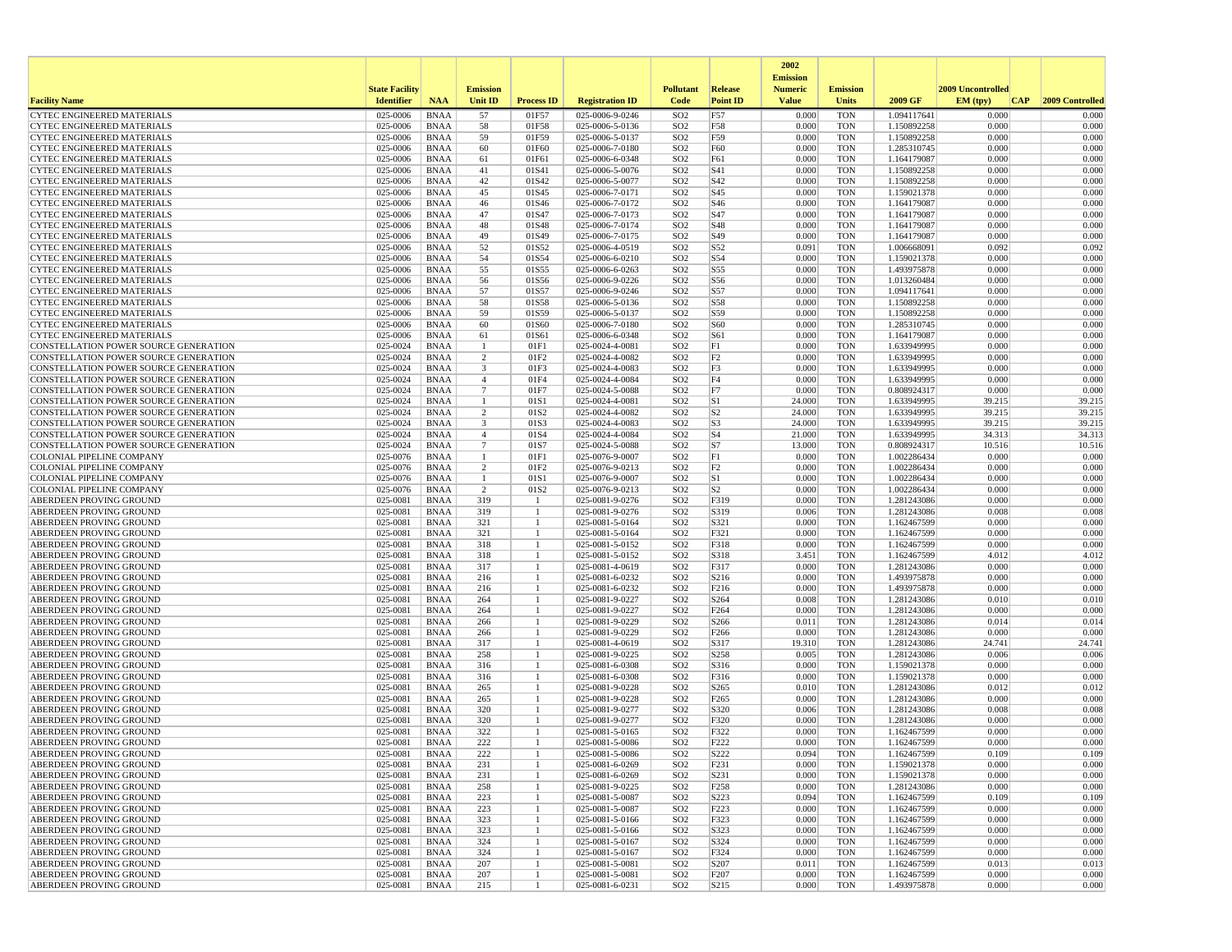|                                                                                |                       |                            |                                |                    |                                    |                                    |                          | 2002                              |                          |                            |                   |                 |
|--------------------------------------------------------------------------------|-----------------------|----------------------------|--------------------------------|--------------------|------------------------------------|------------------------------------|--------------------------|-----------------------------------|--------------------------|----------------------------|-------------------|-----------------|
|                                                                                | <b>State Facility</b> |                            | <b>Emission</b>                |                    |                                    | <b>Pollutant</b>                   | <b>Release</b>           | <b>Emission</b><br><b>Numeric</b> | <b>Emission</b>          |                            | 2009 Uncontrolled |                 |
| <b>Facility Name</b>                                                           | <b>Identifier</b>     | <b>NAA</b>                 | Unit ID                        | <b>Process ID</b>  | <b>Registration ID</b>             | Code                               | <b>Point ID</b>          | <b>Value</b>                      | <b>Units</b>             | 2009 GF                    | EM (typ)<br> CAP  | 2009 Controlled |
| <b>CYTEC ENGINEERED MATERIALS</b>                                              | 025-0006              | <b>BNAA</b>                | 57                             | 01F57              | 025-0006-9-0246                    | SO <sub>2</sub>                    | F57                      | 0.000                             | <b>TON</b>               | 1.094117641                | 0.000             | 0.000           |
| <b>CYTEC ENGINEERED MATERIALS</b>                                              | 025-0006<br>025-0006  | <b>BNAA</b><br><b>BNAA</b> | 58                             | 01F58<br>01F59     | 025-0006-5-0136                    | SO <sub>2</sub>                    | F58                      | 0.000<br>0.000                    | <b>TON</b><br><b>TON</b> | 1.150892258                | 0.000<br>0.000    | 0.000<br>0.000  |
| CYTEC ENGINEERED MATERIALS<br><b>CYTEC ENGINEERED MATERIALS</b>                | 025-0006              | <b>BNAA</b>                | 59<br>60                       | 01F60              | 025-0006-5-0137<br>025-0006-7-0180 | SO <sub>2</sub><br>SO <sub>2</sub> | F59<br>F60               | 0.000                             | <b>TON</b>               | 1.150892258<br>1.285310745 | 0.000             | 0.000           |
| <b>CYTEC ENGINEERED MATERIALS</b>                                              | 025-0006              | <b>BNAA</b>                | 61                             | 01F61              | 025-0006-6-0348                    | SO <sub>2</sub>                    | F61                      | 0.000                             | <b>TON</b>               | 1.164179087                | 0.000             | 0.000           |
| <b>CYTEC ENGINEERED MATERIALS</b>                                              | 025-0006              | <b>BNAA</b>                | 41                             | 01S41              | 025-0006-5-0076                    | SO <sub>2</sub>                    | S41                      | 0.000                             | <b>TON</b>               | 1.150892258                | 0.000             | 0.000           |
| <b>CYTEC ENGINEERED MATERIALS</b>                                              | 025-0006              | <b>BNAA</b>                | 42                             | 01S42              | 025-0006-5-0077                    | SO <sub>2</sub>                    | S42                      | 0.000                             | <b>TON</b>               | 1.150892258                | 0.000             | 0.000           |
| <b>CYTEC ENGINEERED MATERIALS</b><br><b>CYTEC ENGINEERED MATERIALS</b>         | 025-0006<br>025-0006  | <b>BNAA</b><br><b>BNAA</b> | 45<br>46                       | 01S45<br>01S46     | 025-0006-7-0171<br>025-0006-7-0172 | SO <sub>2</sub><br>SO <sub>2</sub> | S45<br>S <sub>46</sub>   | 0.000<br>0.000                    | <b>TON</b><br><b>TON</b> | 1.159021378<br>1.164179087 | 0.000<br>0.000    | 0.000<br>0.000  |
| <b>CYTEC ENGINEERED MATERIALS</b>                                              | 025-0006              | <b>BNAA</b>                | 47                             | 01S47              | 025-0006-7-0173                    | SO <sub>2</sub>                    | S47                      | 0.000                             | <b>TON</b>               | 1.164179087                | 0.000             | 0.000           |
| <b>CYTEC ENGINEERED MATERIALS</b>                                              | 025-0006              | <b>BNAA</b>                | 48                             | 01S48              | 025-0006-7-0174                    | SO <sub>2</sub>                    | <b>S48</b>               | 0.000                             | <b>TON</b>               | 1.164179087                | 0.000             | 0.000           |
| <b>CYTEC ENGINEERED MATERIALS</b>                                              | 025-0006              | <b>BNAA</b>                | 49                             | 01S49              | 025-0006-7-0175                    | SO <sub>2</sub>                    | S49                      | 0.000                             | <b>TON</b>               | 1.164179087                | 0.000             | 0.000           |
| <b>CYTEC ENGINEERED MATERIALS</b>                                              | 025-0006              | <b>BNAA</b>                | 52                             | 01S52              | 025-0006-4-0519                    | SO <sub>2</sub>                    | S52                      | 0.091                             | <b>TON</b>               | 1.006668091                | 0.092             | 0.092           |
| <b>CYTEC ENGINEERED MATERIALS</b><br><b>CYTEC ENGINEERED MATERIALS</b>         | 025-0006<br>025-0006  | <b>BNAA</b><br><b>BNAA</b> | 54<br>55                       | 01S54<br>01S55     | 025-0006-6-0210<br>025-0006-6-0263 | SO <sub>2</sub><br>SO <sub>2</sub> | S54<br>S55               | 0.000<br>0.000                    | <b>TON</b><br><b>TON</b> | 1.159021378<br>1.493975878 | 0.000<br>0.000    | 0.000<br>0.000  |
| CYTEC ENGINEERED MATERIALS                                                     | 025-0006              | <b>BNAA</b>                | 56                             | 01S56              | 025-0006-9-0226                    | SO <sub>2</sub>                    | S56                      | 0.000                             | <b>TON</b>               | 1.013260484                | 0.000             | 0.000           |
| <b>CYTEC ENGINEERED MATERIALS</b>                                              | 025-0006              | <b>BNAA</b>                | 57                             | 01S57              | 025-0006-9-0246                    | SO <sub>2</sub>                    | S57                      | 0.000                             | <b>TON</b>               | 1.094117641                | 0.000             | 0.000           |
| <b>CYTEC ENGINEERED MATERIALS</b>                                              | 025-0006              | <b>BNAA</b>                | 58                             | 01S58              | 025-0006-5-0136                    | SO <sub>2</sub>                    | <b>S58</b>               | 0.000                             | <b>TON</b>               | 1.150892258                | 0.000             | 0.000           |
| <b>CYTEC ENGINEERED MATERIALS</b>                                              | 025-0006              | <b>BNAA</b>                | 59                             | 01S59              | 025-0006-5-0137                    | SO <sub>2</sub>                    | S59                      | 0.000                             | <b>TON</b>               | 1.150892258                | 0.000             | 0.000           |
| <b>CYTEC ENGINEERED MATERIALS</b><br><b>CYTEC ENGINEERED MATERIALS</b>         | 025-0006<br>025-0006  | <b>BNAA</b><br><b>BNAA</b> | 60<br>61                       | 01S60<br>01S61     | 025-0006-7-0180<br>025-0006-6-0348 | SO <sub>2</sub><br>SO <sub>2</sub> | <b>S60</b><br>S61        | 0.000<br>0.000                    | <b>TON</b><br><b>TON</b> | 1.285310745<br>1.164179087 | 0.000<br>0.000    | 0.000<br>0.000  |
| CONSTELLATION POWER SOURCE GENERATION                                          | 025-0024              | <b>BNAA</b>                | $\overline{1}$                 | 01F1               | 025-0024-4-0081                    | SO <sub>2</sub>                    | F1                       | 0.000                             | <b>TON</b>               | 1.633949995                | 0.000             | 0.000           |
| CONSTELLATION POWER SOURCE GENERATION                                          | 025-0024              | <b>BNAA</b>                | 2                              | 01F2               | 025-0024-4-0082                    | SO <sub>2</sub>                    | F <sub>2</sub>           | 0.000                             | <b>TON</b>               | 1.633949995                | 0.000             | 0.000           |
| CONSTELLATION POWER SOURCE GENERATION                                          | 025-0024              | <b>BNAA</b>                | 3                              | 01F3               | 025-0024-4-0083                    | SO <sub>2</sub>                    | F3                       | 0.000                             | <b>TON</b>               | 1.633949995                | 0.000             | 0.000           |
| CONSTELLATION POWER SOURCE GENERATION                                          | 025-0024              | <b>BNAA</b>                | $\overline{4}$                 | 01F4               | 025-0024-4-0084                    | SO <sub>2</sub>                    | F4                       | 0.000                             | <b>TON</b>               | 1.633949995                | 0.000             | 0.000           |
| CONSTELLATION POWER SOURCE GENERATION<br>CONSTELLATION POWER SOURCE GENERATION | 025-0024<br>025-0024  | <b>BNAA</b><br><b>BNAA</b> | $\overline{7}$<br>$\mathbf{1}$ | 01F7<br>01S1       | 025-0024-5-0088<br>025-0024-4-0081 | SO <sub>2</sub><br>SO <sub>2</sub> | F7<br> S1                | 0.000<br>24.000                   | <b>TON</b><br><b>TON</b> | 0.808924317<br>1.633949995 | 0.000<br>39.215   | 0.000<br>39.215 |
| CONSTELLATION POWER SOURCE GENERATION                                          | 025-0024              | BNAA                       | $\overline{2}$                 | 01S2               | 025-0024-4-0082                    | SO <sub>2</sub>                    | S <sub>2</sub>           | 24.000                            | <b>TON</b>               | 1.633949995                | 39.215            | 39.215          |
| CONSTELLATION POWER SOURCE GENERATION                                          | 025-0024              | <b>BNAA</b>                | 3                              | 01S3               | 025-0024-4-0083                    | SO <sub>2</sub>                    | S3                       | 24.000                            | <b>TON</b>               | 1.633949995                | 39.215            | 39.215          |
| CONSTELLATION POWER SOURCE GENERATION                                          | 025-0024              | <b>BNAA</b>                | $\overline{4}$                 | 01S4               | 025-0024-4-0084                    | SO <sub>2</sub>                    | S4                       | 21.000                            | <b>TON</b>               | 1.633949995                | 34.313            | 34.313          |
| CONSTELLATION POWER SOURCE GENERATION                                          | 025-0024              | <b>BNAA</b>                | $7\phantom{.0}$                | 01S7               | 025-0024-5-0088                    | SO <sub>2</sub>                    | S7                       | 13.000                            | <b>TON</b>               | 0.808924317                | 10.516            | 10.516          |
| COLONIAL PIPELINE COMPANY<br><b>COLONIAL PIPELINE COMPANY</b>                  | 025-0076<br>025-0076  | <b>BNAA</b><br><b>BNAA</b> | -1<br>2                        | 01F1<br>01F2       | 025-0076-9-0007<br>025-0076-9-0213 | SO <sub>2</sub><br>SO <sub>2</sub> | F1<br>F2                 | 0.000<br>0.000                    | <b>TON</b><br><b>TON</b> | 1.002286434<br>1.002286434 | 0.000<br>0.000    | 0.000<br>0.000  |
| COLONIAL PIPELINE COMPANY                                                      | 025-0076              | <b>BNAA</b>                | -1                             | 01S1               | 025-0076-9-0007                    | SO <sub>2</sub>                    | S1                       | 0.000                             | <b>TON</b>               | 1.002286434                | 0.000             | 0.000           |
| <b>COLONIAL PIPELINE COMPANY</b>                                               | 025-0076              | <b>BNAA</b>                | $\overline{2}$                 | 01S2               | 025-0076-9-0213                    | SO <sub>2</sub>                    | S <sub>2</sub>           | 0.000                             | <b>TON</b>               | 1.002286434                | 0.000             | 0.000           |
| ABERDEEN PROVING GROUND                                                        | 025-0081              | <b>BNAA</b>                | 319                            | $\overline{1}$     | 025-0081-9-0276                    | SO <sub>2</sub>                    | F319                     | 0.000                             | <b>TON</b>               | 1.281243086                | 0.000             | 0.000           |
| ABERDEEN PROVING GROUND                                                        | 025-0081<br>025-0081  | <b>BNAA</b>                | 319<br>321                     | -1                 | 025-0081-9-0276                    | SO <sub>2</sub><br>SO <sub>2</sub> | S319<br>S321             | 0.006                             | <b>TON</b><br><b>TON</b> | 1.281243086                | 0.008<br>0.000    | 0.008<br>0.000  |
| ABERDEEN PROVING GROUND<br>ABERDEEN PROVING GROUND                             | 025-0081              | <b>BNAA</b><br><b>BNAA</b> | 321                            | 1<br>1             | 025-0081-5-0164<br>025-0081-5-0164 | SO <sub>2</sub>                    | F321                     | 0.000<br>0.000                    | <b>TON</b>               | 1.162467599<br>1.162467599 | 0.000             | 0.000           |
| ABERDEEN PROVING GROUND                                                        | 025-0081              | <b>BNAA</b>                | 318                            | 1                  | 025-0081-5-0152                    | SO <sub>2</sub>                    | F318                     | 0.000                             | <b>TON</b>               | 1.162467599                | 0.000             | 0.000           |
| ABERDEEN PROVING GROUND                                                        | 025-0081              | <b>BNAA</b>                | 318                            | -1                 | 025-0081-5-0152                    | SO <sub>2</sub>                    | S318                     | 3.451                             | <b>TON</b>               | 1.162467599                | 4.012             | 4.012           |
| ABERDEEN PROVING GROUND                                                        | 025-0081              | <b>BNAA</b>                | 317                            | -1                 | 025-0081-4-0619                    | SO <sub>2</sub>                    | F317                     | 0.000                             | <b>TON</b>               | 1.281243086                | 0.000             | 0.000           |
| ABERDEEN PROVING GROUND<br>ABERDEEN PROVING GROUND                             | 025-0081<br>025-0081  | <b>BNAA</b><br><b>BNAA</b> | 216<br>216                     | -1<br>-1           | 025-0081-6-0232<br>025-0081-6-0232 | SO <sub>2</sub><br>SO <sub>2</sub> | S216<br>F216             | 0.000<br>0.000                    | <b>TON</b><br><b>TON</b> | 1.493975878<br>1.493975878 | 0.000<br>0.000    | 0.000<br>0.000  |
| ABERDEEN PROVING GROUND                                                        | 025-0081              | <b>BNAA</b>                | 264                            |                    | 025-0081-9-0227                    | SO <sub>2</sub>                    | S264                     | 0.008                             | <b>TON</b>               | 1.281243086                | 0.010             | 0.010           |
| ABERDEEN PROVING GROUND                                                        | 025-0081              | <b>BNAA</b>                | 264                            | 1                  | 025-0081-9-0227                    | SO <sub>2</sub>                    | F <sub>264</sub>         | 0.000                             | <b>TON</b>               | 1.281243086                | 0.000             | 0.000           |
| ABERDEEN PROVING GROUND                                                        | 025-0081              | <b>BNAA</b>                | 266                            | $\mathbf{1}$       | 025-0081-9-0229                    | SO <sub>2</sub>                    | S266                     | 0.011                             | <b>TON</b>               | 1.281243086                | 0.014             | 0.014           |
| ABERDEEN PROVING GROUND                                                        | 025-0081              | <b>BNAA</b>                | 266                            | -1                 | 025-0081-9-0229                    | SO <sub>2</sub>                    | F <sub>266</sub>         | 0.000                             | <b>TON</b>               | 1.281243086                | 0.000             | 0.000           |
| ABERDEEN PROVING GROUND<br>ABERDEEN PROVING GROUND                             | 025-0081<br>025-0081  | <b>BNAA</b><br><b>BNAA</b> | 317<br>258                     | -1<br>$\mathbf{1}$ | 025-0081-4-0619<br>025-0081-9-0225 | SO <sub>2</sub><br>SO <sub>2</sub> | S317<br>S258             | 19.310<br>0.005                   | <b>TON</b><br><b>TON</b> | 1.281243086<br>1.281243086 | 24.741<br>0.006   | 24.741<br>0.006 |
| ABERDEEN PROVING GROUND                                                        | 025-0081              | <b>BNAA</b>                | 316                            | 1                  | 025-0081-6-0308                    | SO <sub>2</sub>                    | S316                     | 0.000                             | <b>TON</b>               | 1.159021378                | 0.000             | 0.000           |
| ABERDEEN PROVING GROUND                                                        | 025-0081              | <b>BNAA</b>                | 316                            | -1                 | 025-0081-6-0308                    | SO <sub>2</sub>                    | F316                     | 0.000                             | <b>TON</b>               | 1.159021378                | 0.000             | 0.000           |
| ABERDEEN PROVING GROUND                                                        | 025-0081              | <b>BNAA</b>                | 265                            |                    | 025-0081-9-0228                    | SO <sub>2</sub>                    | S265                     | 0.010                             | <b>TON</b>               | 1.281243086                | 0.012             | 0.012           |
| ABERDEEN PROVING GROUND<br>ABERDEEN PROVING GROUND                             | 025-0081<br>025-0081  | <b>BNAA</b><br><b>BNAA</b> | 265<br>320                     | 1<br>-1            | 025-0081-9-0228<br>025-0081-9-0277 | SO <sub>2</sub><br>SO <sub>2</sub> | F <sub>265</sub><br>S320 | 0.000<br>0.006                    | <b>TON</b><br><b>TON</b> | 1.281243086<br>1.281243086 | 0.000<br>0.008    | 0.000<br>0.008  |
| ABERDEEN PROVING GROUND                                                        | 025-0081              | <b>BNAA</b>                | 320                            |                    | 025-0081-9-0277                    | SO <sub>2</sub>                    | F320                     | 0.000                             | <b>TON</b>               | 1.281243086                | 0.000             | 0.000           |
| ABERDEEN PROVING GROUND                                                        | 025-0081              | <b>BNAA</b>                | 322                            | -1                 | 025-0081-5-0165                    | SO <sub>2</sub>                    | F322                     | 0.000                             | <b>TON</b>               | 1.162467599                | 0.000             | 0.000           |
| <b>ABERDEEN PROVING GROUND</b>                                                 | 025-0081              | <b>BNAA</b>                | 222                            | -1                 | 025-0081-5-0086                    | SO <sub>2</sub>                    | F222                     | 0.000                             | <b>TON</b>               | 1.162467599                | 0.000             | 0.000           |
| ABERDEEN PROVING GROUND                                                        | 025-0081              | BNAA                       | 222                            |                    | 025-0081-5-0086                    | SO <sub>2</sub>                    | S222                     | 0.094                             | TON                      | 1.162467599                | 0.109             | 0.109           |
| ABERDEEN PROVING GROUND<br><b>ABERDEEN PROVING GROUND</b>                      | 025-0081              | BNAA                       | 231                            | -1<br>$\mathbf{1}$ | 025-0081-6-0269                    | SO <sub>2</sub>                    | F231                     | 0.000<br>0.000                    | <b>TON</b><br><b>TON</b> | 1.159021378                | 0.000<br>0.000    | 0.000<br>0.000  |
| ABERDEEN PROVING GROUND                                                        | 025-0081<br>025-0081  | <b>BNAA</b><br><b>BNAA</b> | 231<br>258                     | 1                  | 025-0081-6-0269<br>025-0081-9-0225 | SO <sub>2</sub><br>SO <sub>2</sub> | S231<br>F <sub>258</sub> | 0.000                             | <b>TON</b>               | 1.159021378<br>1.281243086 | 0.000             | 0.000           |
| ABERDEEN PROVING GROUND                                                        | 025-0081              | <b>BNAA</b>                | 223                            | 1                  | 025-0081-5-0087                    | SO <sub>2</sub>                    | S223                     | 0.094                             | <b>TON</b>               | 1.162467599                | 0.109             | 0.109           |
| ABERDEEN PROVING GROUND                                                        | 025-0081              | <b>BNAA</b>                | 223                            | 1                  | 025-0081-5-0087                    | SO <sub>2</sub>                    | F223                     | 0.000                             | <b>TON</b>               | 1.162467599                | 0.000             | 0.000           |
| ABERDEEN PROVING GROUND                                                        | 025-0081              | <b>BNAA</b>                | 323                            | 1                  | 025-0081-5-0166                    | SO <sub>2</sub>                    | F323                     | 0.000                             | <b>TON</b>               | 1.162467599                | 0.000             | 0.000           |
| ABERDEEN PROVING GROUND<br>ABERDEEN PROVING GROUND                             | 025-0081<br>025-0081  | BNAA<br><b>BNAA</b>        | 323<br>324                     | -1<br>1            | 025-0081-5-0166<br>025-0081-5-0167 | SO <sub>2</sub><br>SO <sub>2</sub> | S323<br>S324             | 0.000<br>0.000                    | <b>TON</b><br><b>TON</b> | 1.162467599<br>1.162467599 | 0.000<br>0.000    | 0.000<br>0.000  |
| ABERDEEN PROVING GROUND                                                        | 025-0081              | <b>BNAA</b>                | 324                            | 1                  | 025-0081-5-0167                    | SO <sub>2</sub>                    | F324                     | 0.000                             | <b>TON</b>               | 1.162467599                | 0.000             | 0.000           |
| ABERDEEN PROVING GROUND                                                        | 025-0081              | <b>BNAA</b>                | 207                            | -1                 | 025-0081-5-0081                    | SO <sub>2</sub>                    | S207                     | 0.011                             | <b>TON</b>               | 1.162467599                | 0.013             | 0.013           |
| ABERDEEN PROVING GROUND                                                        | 025-0081              | <b>BNAA</b>                | 207                            | -1                 | 025-0081-5-0081                    | SO <sub>2</sub>                    | F207                     | 0.000                             | <b>TON</b>               | 1.162467599                | 0.000             | 0.000           |
| <b>ABERDEEN PROVING GROUND</b>                                                 | 025-0081              | BNAA                       | 215                            | 1                  | 025-0081-6-0231                    | SO <sub>2</sub>                    | S215                     | 0.000                             | <b>TON</b>               | 1.493975878                | 0.000             | 0.000           |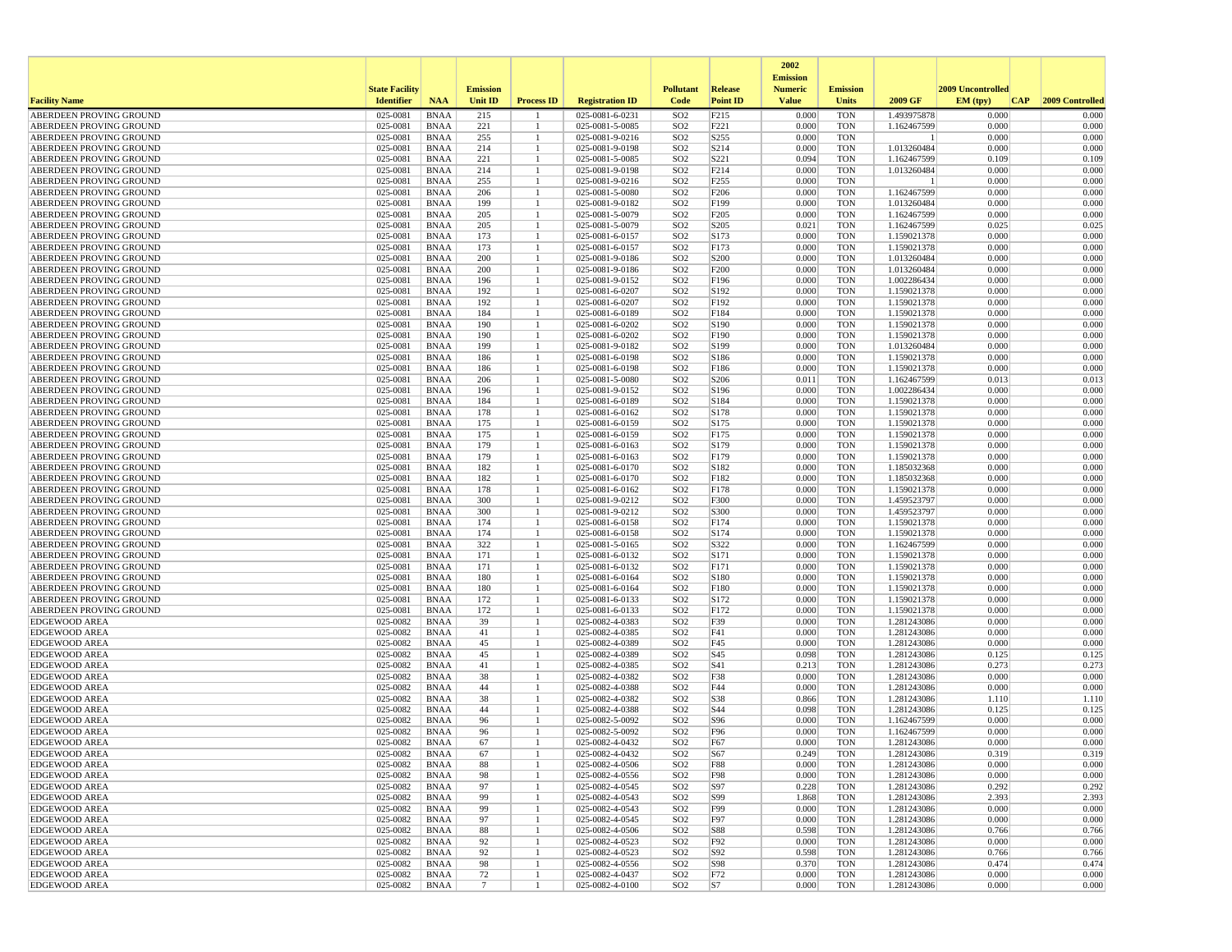|                                                    |                       |                            |                 |                   |                                    |                                    |                   | 2002                              |                          |                            |                   |                 |
|----------------------------------------------------|-----------------------|----------------------------|-----------------|-------------------|------------------------------------|------------------------------------|-------------------|-----------------------------------|--------------------------|----------------------------|-------------------|-----------------|
|                                                    | <b>State Facility</b> |                            | <b>Emission</b> |                   |                                    | <b>Pollutant</b>                   | Release           | <b>Emission</b><br><b>Numeric</b> | <b>Emission</b>          |                            | 2009 Uncontrolled |                 |
| <b>Facility Name</b>                               | <b>Identifier</b>     | <b>NAA</b>                 | <b>Unit ID</b>  | <b>Process ID</b> | <b>Registration ID</b>             | Code                               | <b>Point ID</b>   | <b>Value</b>                      | <b>Units</b>             | 2009 GF                    | CAP <br>EM (typ)  | 2009 Controlled |
| ABERDEEN PROVING GROUND                            | 025-0081              | <b>BNAA</b>                | 215             |                   | 025-0081-6-0231                    | SO <sub>2</sub>                    | F215              | 0.000                             | <b>TON</b>               | 1.493975878                | 0.000             | 0.000           |
| ABERDEEN PROVING GROUND                            | 025-0081              | <b>BNAA</b>                | 221             | -1                | 025-0081-5-0085                    | SO <sub>2</sub>                    | F221              | 0.000                             | <b>TON</b>               | 1.162467599                | 0.000             | 0.000           |
| ABERDEEN PROVING GROUND                            | 025-0081              | <b>BNAA</b>                | 255             |                   | 025-0081-9-0216                    | SO <sub>2</sub>                    | S255              | 0.000                             | <b>TON</b>               |                            | 0.000             | 0.000           |
| ABERDEEN PROVING GROUND<br>ABERDEEN PROVING GROUND | 025-0081<br>025-0081  | <b>BNAA</b>                | 214<br>221      |                   | 025-0081-9-0198<br>025-0081-5-0085 | SO <sub>2</sub>                    | S214<br>S221      | 0.000<br>0.094                    | <b>TON</b><br><b>TON</b> | 1.013260484                | 0.000<br>0.109    | 0.000<br>0.109  |
| ABERDEEN PROVING GROUND                            | 025-0081              | <b>BNAA</b><br><b>BNAA</b> | 214             |                   | 025-0081-9-0198                    | SO <sub>2</sub><br>SO <sub>2</sub> | F214              | 0.000                             | <b>TON</b>               | 1.162467599<br>1.013260484 | 0.000             | 0.000           |
| ABERDEEN PROVING GROUND                            | 025-0081              | <b>BNAA</b>                | 255             |                   | 025-0081-9-0216                    | SO <sub>2</sub>                    | F <sub>255</sub>  | 0.000                             | <b>TON</b>               |                            | 0.000             | 0.000           |
| ABERDEEN PROVING GROUND                            | 025-0081              | <b>BNAA</b>                | 206             |                   | 025-0081-5-0080                    | SO <sub>2</sub>                    | F206              | 0.000                             | <b>TON</b>               | 1.162467599                | 0.000             | 0.000           |
| ABERDEEN PROVING GROUND                            | 025-0081              | <b>BNAA</b>                | 199             |                   | 025-0081-9-0182                    | SO <sub>2</sub>                    | F199              | 0.000                             | <b>TON</b>               | 1.013260484                | 0.000             | 0.000           |
| ABERDEEN PROVING GROUND                            | 025-0081              | <b>BNAA</b>                | 205             | 1                 | 025-0081-5-0079                    | SO <sub>2</sub>                    | F <sub>205</sub>  | 0.000                             | <b>TON</b>               | 1.162467599                | 0.000             | 0.000           |
| ABERDEEN PROVING GROUND                            | 025-0081              | <b>BNAA</b>                | 205             |                   | 025-0081-5-0079                    | SO <sub>2</sub>                    | S <sub>205</sub>  | 0.021                             | <b>TON</b>               | 1.162467599                | 0.025             | 0.025           |
| ABERDEEN PROVING GROUND<br>ABERDEEN PROVING GROUND | 025-0081<br>025-0081  | <b>BNAA</b><br><b>BNAA</b> | 173<br>173      | -1                | 025-0081-6-0157<br>025-0081-6-0157 | SO <sub>2</sub><br>SO <sub>2</sub> | S173<br>F173      | 0.000<br>0.000                    | <b>TON</b><br><b>TON</b> | 1.159021378<br>1.159021378 | 0.000<br>0.000    | 0.000<br>0.000  |
| ABERDEEN PROVING GROUND                            | 025-0081              | <b>BNAA</b>                | 200             |                   | 025-0081-9-0186                    | SO <sub>2</sub>                    | S <sub>200</sub>  | 0.000                             | <b>TON</b>               | 1.013260484                | 0.000             | 0.000           |
| ABERDEEN PROVING GROUND                            | 025-0081              | <b>BNAA</b>                | 200             |                   | 025-0081-9-0186                    | SO <sub>2</sub>                    | F <sub>200</sub>  | 0.000                             | <b>TON</b>               | 1.013260484                | 0.000             | 0.000           |
| ABERDEEN PROVING GROUND                            | 025-0081              | <b>BNAA</b>                | 196             |                   | 025-0081-9-0152                    | SO <sub>2</sub>                    | F196              | 0.000                             | <b>TON</b>               | 1.002286434                | 0.000             | 0.000           |
| ABERDEEN PROVING GROUND                            | 025-0081              | <b>BNAA</b>                | 192             |                   | 025-0081-6-0207                    | SO <sub>2</sub>                    | S192              | 0.000                             | <b>TON</b>               | 1.159021378                | 0.000             | 0.000           |
| ABERDEEN PROVING GROUND                            | 025-0081              | <b>BNAA</b>                | 192             |                   | 025-0081-6-0207                    | SO <sub>2</sub>                    | F192              | 0.000                             | <b>TON</b>               | 1.159021378                | 0.000             | 0.000           |
| ABERDEEN PROVING GROUND                            | 025-0081              | <b>BNAA</b>                | 184             |                   | 025-0081-6-0189                    | SO <sub>2</sub>                    | F184              | 0.000                             | <b>TON</b>               | 1.159021378                | 0.000             | 0.000           |
| ABERDEEN PROVING GROUND<br>ABERDEEN PROVING GROUND | 025-0081<br>025-0081  | <b>BNAA</b><br><b>BNAA</b> | 190<br>190      | 1                 | 025-0081-6-0202<br>025-0081-6-0202 | SO <sub>2</sub><br>SO <sub>2</sub> | S190<br>F190      | 0.000<br>0.000                    | <b>TON</b><br><b>TON</b> | 1.159021378<br>1.159021378 | 0.000<br>0.000    | 0.000<br>0.000  |
| ABERDEEN PROVING GROUND                            | 025-0081              | <b>BNAA</b>                | 199             |                   | 025-0081-9-0182                    | SO <sub>2</sub>                    | S199              | 0.000                             | <b>TON</b>               | 1.013260484                | 0.000             | 0.000           |
| ABERDEEN PROVING GROUND                            | 025-0081              | <b>BNAA</b>                | 186             |                   | 025-0081-6-0198                    | SO <sub>2</sub>                    | S186              | 0.000                             | <b>TON</b>               | 1.159021378                | 0.000             | 0.000           |
| ABERDEEN PROVING GROUND                            | 025-0081              | BNAA                       | 186             | 1                 | 025-0081-6-0198                    | SO <sub>2</sub>                    | F186              | 0.000                             | TON                      | 1.159021378                | 0.000             | 0.000           |
| ABERDEEN PROVING GROUND                            | 025-0081              | <b>BNAA</b>                | 206             |                   | 025-0081-5-0080                    | SO <sub>2</sub>                    | S <sub>206</sub>  | 0.011                             | <b>TON</b>               | 1.162467599                | 0.013             | 0.013           |
| ABERDEEN PROVING GROUND                            | 025-0081              | <b>BNAA</b>                | 196             |                   | 025-0081-9-0152                    | SO <sub>2</sub>                    | S196              | 0.000                             | <b>TON</b>               | 1.002286434                | 0.000             | 0.000           |
| ABERDEEN PROVING GROUND                            | 025-0081              | <b>BNAA</b>                | 184             |                   | 025-0081-6-0189                    | SO <sub>2</sub>                    | S184              | 0.000                             | <b>TON</b>               | 1.159021378                | 0.000             | 0.000           |
| ABERDEEN PROVING GROUND<br>ABERDEEN PROVING GROUND | 025-0081<br>025-0081  | <b>BNAA</b><br><b>BNAA</b> | 178<br>175      |                   | 025-0081-6-0162<br>025-0081-6-0159 | SO <sub>2</sub><br>SO <sub>2</sub> | S178<br>S175      | 0.000<br>0.000                    | <b>TON</b><br>TON        | 1.159021378<br>1.159021378 | 0.000<br>0.000    | 0.000<br>0.000  |
| ABERDEEN PROVING GROUND                            | 025-0081              | <b>BNAA</b>                | 175             |                   | 025-0081-6-0159                    | SO <sub>2</sub>                    | F175              | 0.000                             | <b>TON</b>               | 1.159021378                | 0.000             | 0.000           |
| ABERDEEN PROVING GROUND                            | 025-0081              | <b>BNAA</b>                | 179             |                   | 025-0081-6-0163                    | SO <sub>2</sub>                    | S179              | 0.000                             | <b>TON</b>               | 1.159021378                | 0.000             | 0.000           |
| ABERDEEN PROVING GROUND                            | 025-0081              | <b>BNAA</b>                | 179             |                   | 025-0081-6-0163                    | SO <sub>2</sub>                    | F179              | 0.000                             | <b>TON</b>               | 1.159021378                | 0.000             | 0.000           |
| ABERDEEN PROVING GROUND                            | 025-0081              | <b>BNAA</b>                | 182             |                   | 025-0081-6-0170                    | SO <sub>2</sub>                    | S182              | 0.000                             | <b>TON</b>               | 1.185032368                | 0.000             | 0.000           |
| ABERDEEN PROVING GROUND                            | 025-0081              | <b>BNAA</b>                | 182             |                   | 025-0081-6-0170                    | SO <sub>2</sub>                    | F182              | 0.000                             | <b>TON</b>               | 1.185032368                | 0.000             | 0.000           |
| ABERDEEN PROVING GROUND<br>ABERDEEN PROVING GROUND | 025-0081              | <b>BNAA</b>                | 178             | 1                 | 025-0081-6-0162                    | SO <sub>2</sub>                    | F178              | 0.000                             | TON                      | 1.159021378                | 0.000             | 0.000           |
| ABERDEEN PROVING GROUND                            | 025-0081<br>025-0081  | <b>BNAA</b><br><b>BNAA</b> | 300<br>300      |                   | 025-0081-9-0212<br>025-0081-9-0212 | SO <sub>2</sub><br>SO <sub>2</sub> | F300<br>S300      | 0.000<br>0.000                    | <b>TON</b><br><b>TON</b> | 1.459523797<br>1.459523797 | 0.000<br>0.000    | 0.000<br>0.000  |
| ABERDEEN PROVING GROUND                            | 025-0081              | <b>BNAA</b>                | 174             |                   | 025-0081-6-0158                    | SO <sub>2</sub>                    | F174              | 0.000                             | <b>TON</b>               | 1.159021378                | 0.000             | 0.000           |
| ABERDEEN PROVING GROUND                            | 025-0081              | <b>BNAA</b>                | 174             |                   | 025-0081-6-0158                    | SO <sub>2</sub>                    | S174              | 0.000                             | TON                      | 1.159021378                | 0.000             | 0.000           |
| ABERDEEN PROVING GROUND                            | 025-0081              | <b>BNAA</b>                | 322             |                   | 025-0081-5-0165                    | SO <sub>2</sub>                    | S322              | 0.000                             | TON                      | 1.162467599                | 0.000             | 0.000           |
| ABERDEEN PROVING GROUND                            | 025-0081              | <b>BNAA</b>                | 171             | -1                | 025-0081-6-0132                    | SO <sub>2</sub>                    | S171              | 0.000                             | <b>TON</b>               | 1.159021378                | 0.000             | 0.000           |
| ABERDEEN PROVING GROUND                            | 025-0081              | <b>BNAA</b>                | 171             |                   | 025-0081-6-0132                    | SO <sub>2</sub>                    | F171              | 0.000                             | <b>TON</b>               | 1.159021378                | 0.000             | 0.000           |
| ABERDEEN PROVING GROUND<br>ABERDEEN PROVING GROUND | 025-0081<br>025-0081  | <b>BNAA</b><br><b>BNAA</b> | 180<br>180      |                   | 025-0081-6-0164<br>025-0081-6-0164 | SO <sub>2</sub><br>SO <sub>2</sub> | S180<br>F180      | 0.000<br>0.000                    | <b>TON</b><br><b>TON</b> | 1.159021378<br>1.159021378 | 0.000<br>0.000    | 0.000<br>0.000  |
| ABERDEEN PROVING GROUND                            | 025-0081              | <b>BNAA</b>                | 172             |                   | 025-0081-6-0133                    | SO <sub>2</sub>                    | S172              | 0.000                             | <b>TON</b>               | 1.159021378                | 0.000             | 0.000           |
| ABERDEEN PROVING GROUND                            | 025-0081              | <b>BNAA</b>                | 172             |                   | 025-0081-6-0133                    | SO <sub>2</sub>                    | F172              | 0.000                             | TON                      | 1.159021378                | 0.000             | 0.000           |
| <b>EDGEWOOD AREA</b>                               | 025-0082              | <b>BNAA</b>                | 39              |                   | 025-0082-4-0383                    | SO <sub>2</sub>                    | F39               | 0.000                             | <b>TON</b>               | 1.281243086                | 0.000             | 0.000           |
| <b>EDGEWOOD AREA</b>                               | 025-0082              | <b>BNAA</b>                | 41              |                   | 025-0082-4-0385                    | SO <sub>2</sub>                    | F41               | 0.000                             | <b>TON</b>               | 1.281243086                | 0.000             | 0.000           |
| <b>EDGEWOOD AREA</b>                               | 025-0082              | <b>BNAA</b>                | 45              | 1                 | 025-0082-4-0389                    | SO <sub>2</sub>                    | F45               | 0.000                             | <b>TON</b>               | 1.281243086                | 0.000             | 0.000           |
| <b>EDGEWOOD AREA</b><br><b>EDGEWOOD AREA</b>       | 025-0082<br>025-0082  | <b>BNAA</b><br><b>BNAA</b> | 45<br>41        |                   | 025-0082-4-0389<br>025-0082-4-0385 | SO <sub>2</sub><br>SO <sub>2</sub> | S45<br>S41        | 0.098<br>0.213                    | <b>TON</b><br><b>TON</b> | 1.281243086<br>1.281243086 | 0.125<br>0.273    | 0.125<br>0.273  |
| <b>EDGEWOOD AREA</b>                               | 025-0082              | <b>BNAA</b>                | 38              |                   | 025-0082-4-0382                    | SO <sub>2</sub>                    | F38               | 0.000                             | <b>TON</b>               | 1.281243086                | 0.000             | 0.000           |
| <b>EDGEWOOD AREA</b>                               | 025-0082              | <b>BNAA</b>                | 44              |                   | 025-0082-4-0388                    | SO <sub>2</sub>                    | F44               | 0.000                             | <b>TON</b>               | 1.281243086                | 0.000             | 0.000           |
| <b>EDGEWOOD AREA</b>                               | 025-0082              | <b>BNAA</b>                | 38              |                   | 025-0082-4-0382                    | SO <sub>2</sub>                    | S38               | 0.866                             | <b>TON</b>               | 1.281243086                | 1.110             | 1.110           |
| <b>EDGEWOOD AREA</b>                               | 025-0082              | <b>BNAA</b>                | 44              |                   | 025-0082-4-0388                    | SO <sub>2</sub>                    | S44               | 0.098                             | <b>TON</b>               | 1.281243086                | 0.125             | 0.125           |
| EDGEWOOD AREA                                      | 025-0082              | <b>BNAA</b>                | 96              |                   | 025-0082-5-0092                    | SO <sub>2</sub>                    | S96               | 0.000                             | <b>TON</b>               | 1.162467599                | 0.000             | 0.000           |
| <b>EDGEWOOD AREA</b><br><b>EDGEWOOD AREA</b>       | 025-0082<br>025-0082  | <b>BNAA</b>                | 96<br>67        |                   | 025-0082-5-0092                    | SO <sub>2</sub><br>SO <sub>2</sub> | F96               | 0.000                             | <b>TON</b><br><b>TON</b> | 1.162467599<br>1.281243086 | 0.000<br>0.000    | 0.000<br>0.000  |
| <b>EDGEWOOD AREA</b>                               | 025-0082              | <b>BNAA</b><br><b>BNAA</b> | 67              |                   | 025-0082-4-0432<br>025-0082-4-0432 | SO <sub>2</sub>                    | F67<br>S67        | 0.000<br>0.249                    | TON                      | 1.281243086                | 0.319             | 0.319           |
| <b>EDGEWOOD AREA</b>                               | 025-0082              | BNAA                       | 88              | $\mathbf{1}$      | 025-0082-4-0506                    | SO <sub>2</sub>                    | <b>F88</b>        | 0.000                             | TON                      | 1.281243086                | 0.000             | 0.000           |
| <b>EDGEWOOD AREA</b>                               | 025-0082              | BNAA                       | 98              |                   | 025-0082-4-0556                    | SO <sub>2</sub>                    | F98               | 0.000                             | <b>TON</b>               | 1.281243086                | 0.000             | 0.000           |
| <b>EDGEWOOD AREA</b>                               | 025-0082              | BNAA                       | 97              |                   | 025-0082-4-0545                    | SO <sub>2</sub>                    | S97               | 0.228                             | TON                      | 1.281243086                | 0.292             | 0.292           |
| <b>EDGEWOOD AREA</b>                               | 025-0082              | BNAA                       | 99              | 1                 | 025-0082-4-0543                    | SO <sub>2</sub>                    | S99               | 1.868                             | <b>TON</b>               | 1.281243086                | 2.393             | 2.393           |
| <b>EDGEWOOD AREA</b>                               | 025-0082              | <b>BNAA</b>                | 99              |                   | 025-0082-4-0543                    | SO <sub>2</sub>                    | F99               | 0.000                             | <b>TON</b>               | 1.281243086                | 0.000             | 0.000           |
| <b>EDGEWOOD AREA</b>                               | 025-0082              | <b>BNAA</b>                | 97              |                   | 025-0082-4-0545                    | SO <sub>2</sub>                    | F97               | 0.000                             | TON                      | 1.281243086<br>1.281243086 | 0.000             | 0.000           |
| <b>EDGEWOOD AREA</b><br><b>EDGEWOOD AREA</b>       | 025-0082<br>025-0082  | BNAA<br>BNAA               | 88<br>92        | -1                | 025-0082-4-0506<br>025-0082-4-0523 | SO <sub>2</sub><br>SO <sub>2</sub> | <b>S88</b><br>F92 | 0.598<br>0.000                    | <b>TON</b><br><b>TON</b> | 1.281243086                | 0.766<br>0.000    | 0.766<br>0.000  |
| <b>EDGEWOOD AREA</b>                               | 025-0082              | BNAA                       | 92              |                   | 025-0082-4-0523                    | SO <sub>2</sub>                    | S92               | 0.598                             | TON                      | 1.281243086                | 0.766             | 0.766           |
| <b>EDGEWOOD AREA</b>                               | 025-0082              | BNAA                       | 98              | -1                | 025-0082-4-0556                    | SO <sub>2</sub>                    | S98               | 0.370                             | TON                      | 1.281243086                | 0.474             | 0.474           |
| <b>EDGEWOOD AREA</b>                               | 025-0082              | <b>BNAA</b>                | 72              |                   | 025-0082-4-0437                    | SO <sub>2</sub>                    | F72               | 0.000                             | <b>TON</b>               | 1.281243086                | 0.000             | 0.000           |
| <b>EDGEWOOD AREA</b>                               | 025-0082              | BNAA                       | $7\phantom{.0}$ | $\mathbf{1}$      | 025-0082-4-0100                    | SO <sub>2</sub>                    | S7                | 0.000                             | TON                      | 1.281243086                | 0.000             | 0.000           |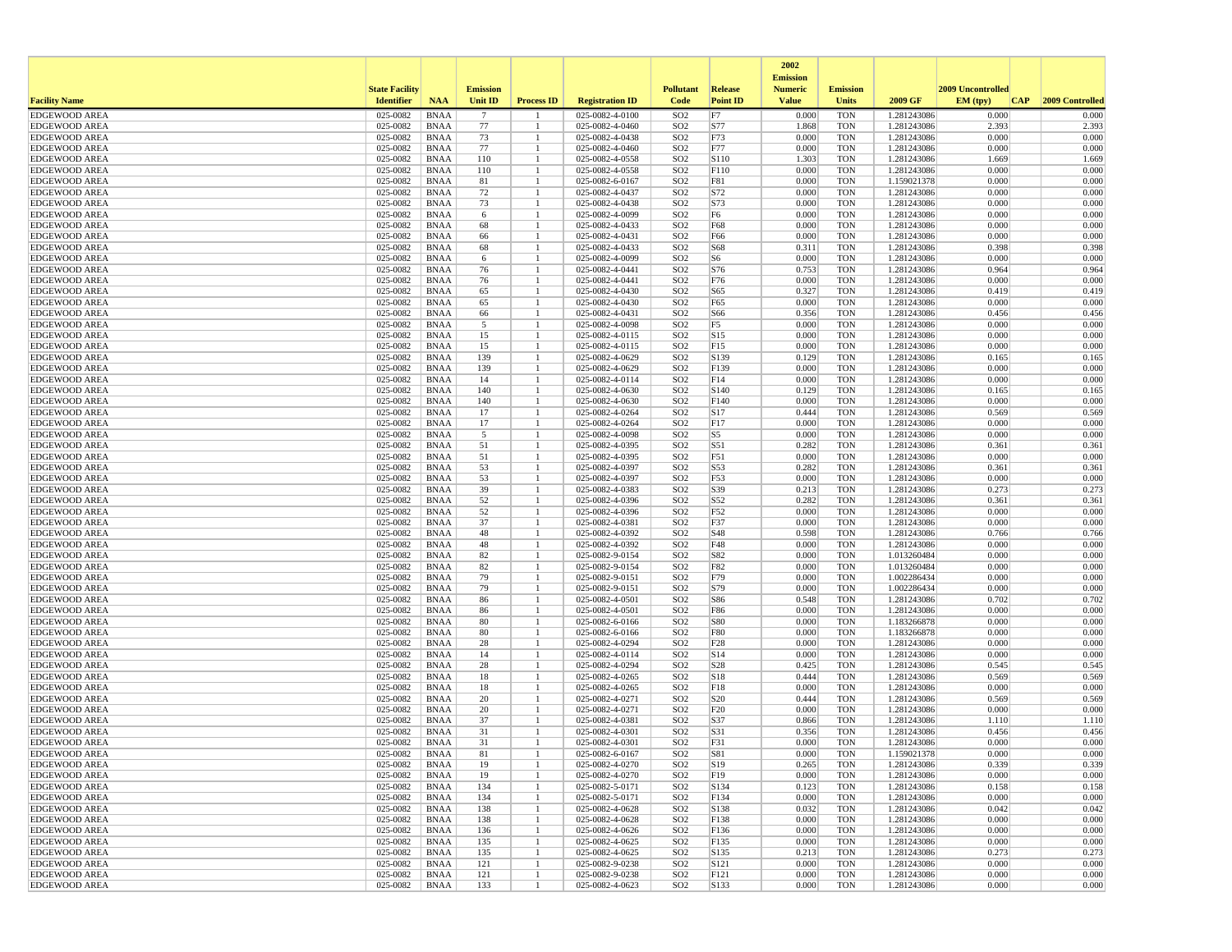|                                              |                       |                            |                 |                   |                                    |                                    |                               | 2002                              |                          |                            |                   |                 |
|----------------------------------------------|-----------------------|----------------------------|-----------------|-------------------|------------------------------------|------------------------------------|-------------------------------|-----------------------------------|--------------------------|----------------------------|-------------------|-----------------|
|                                              | <b>State Facility</b> |                            | <b>Emission</b> |                   |                                    | <b>Pollutant</b>                   | <b>Release</b>                | <b>Emission</b><br><b>Numeric</b> | <b>Emission</b>          |                            | 2009 Uncontrolled |                 |
| <b>Facility Name</b>                         | <b>Identifier</b>     | <b>NAA</b>                 | <b>Unit ID</b>  | <b>Process ID</b> | <b>Registration ID</b>             | Code                               | <b>Point ID</b>               | <b>Value</b>                      | Units                    | 2009 GF                    | EM (typ)<br> CAP  | 2009 Controlled |
| <b>EDGEWOOD AREA</b>                         | 025-0082              | <b>BNAA</b>                | $7\phantom{.0}$ |                   | 025-0082-4-0100                    | SO <sub>2</sub>                    | F7                            | 0.000                             | <b>TON</b>               | 1.281243086                | 0.000             | 0.000           |
| <b>EDGEWOOD AREA</b>                         | 025-0082              | <b>BNAA</b>                | 77              |                   | 025-0082-4-0460                    | SO <sub>2</sub>                    | S77                           | 1.868                             | <b>TON</b>               | 1.281243086                | 2.393             | 2.393           |
| <b>EDGEWOOD AREA</b><br><b>EDGEWOOD AREA</b> | 025-0082<br>025-0082  | <b>BNAA</b><br><b>BNAA</b> | 73<br>77        |                   | 025-0082-4-0438<br>025-0082-4-0460 | SO <sub>2</sub><br>SO <sub>2</sub> | F73<br>F77                    | 0.000<br>0.000                    | <b>TON</b><br><b>TON</b> | 1.281243086<br>1.281243086 | 0.000<br>0.000    | 0.000<br>0.000  |
| <b>EDGEWOOD AREA</b>                         | 025-0082              | <b>BNAA</b>                | 110             |                   | 025-0082-4-0558                    | SO <sub>2</sub>                    | S110                          | 1.303                             | <b>TON</b>               | 1.281243086                | 1.669             | 1.669           |
| <b>EDGEWOOD AREA</b>                         | 025-0082              | <b>BNAA</b>                | 110             |                   | 025-0082-4-0558                    | SO <sub>2</sub>                    | F110                          | 0.000                             | <b>TON</b>               | 1.281243086                | 0.000             | 0.000           |
| <b>EDGEWOOD AREA</b>                         | 025-0082              | <b>BNAA</b>                | 81              |                   | 025-0082-6-0167                    | SO <sub>2</sub>                    | F81                           | 0.000                             | <b>TON</b>               | 1.159021378                | 0.000             | 0.000           |
| <b>EDGEWOOD AREA</b>                         | 025-0082              | <b>BNAA</b>                | 72              |                   | 025-0082-4-0437                    | SO <sub>2</sub>                    | S72                           | 0.000                             | <b>TON</b>               | 1.281243086                | 0.000             | 0.000           |
| <b>EDGEWOOD AREA</b>                         | 025-0082              | <b>BNAA</b>                | 73              |                   | 025-0082-4-0438                    | SO <sub>2</sub>                    | S73                           | 0.000                             | <b>TON</b>               | 1.281243086                | 0.000             | 0.000           |
| <b>EDGEWOOD AREA</b>                         | 025-0082              | <b>BNAA</b>                | 6               |                   | 025-0082-4-0099                    | SO <sub>2</sub>                    | F <sub>6</sub>                | 0.000                             | <b>TON</b>               | 1.281243086                | 0.000             | 0.000           |
| <b>EDGEWOOD AREA</b><br><b>EDGEWOOD AREA</b> | 025-0082<br>025-0082  | <b>BNAA</b><br><b>BNAA</b> | 68<br>66        |                   | 025-0082-4-0433<br>025-0082-4-0431 | SO <sub>2</sub><br>SO <sub>2</sub> | F68<br>F66                    | 0.000<br>0.000                    | <b>TON</b><br><b>TON</b> | 1.281243086<br>1.281243086 | 0.000<br>0.000    | 0.000<br>0.000  |
| <b>EDGEWOOD AREA</b>                         | 025-0082              | <b>BNAA</b>                | 68              |                   | 025-0082-4-0433                    | SO <sub>2</sub>                    | S68                           | 0.311                             | <b>TON</b>               | 1.281243086                | 0.398             | 0.398           |
| <b>EDGEWOOD AREA</b>                         | 025-0082              | <b>BNAA</b>                | 6               |                   | 025-0082-4-0099                    | SO <sub>2</sub>                    | S6                            | 0.000                             | <b>TON</b>               | 1.281243086                | 0.000             | 0.000           |
| <b>EDGEWOOD AREA</b>                         | 025-0082              | <b>BNAA</b>                | 76              |                   | 025-0082-4-0441                    | SO <sub>2</sub>                    | S76                           | 0.753                             | <b>TON</b>               | 1.281243086                | 0.964             | 0.964           |
| <b>EDGEWOOD AREA</b>                         | 025-0082              | <b>BNAA</b>                | 76              |                   | 025-0082-4-0441                    | SO <sub>2</sub>                    | F76                           | 0.000                             | <b>TON</b>               | 1.281243086                | 0.000             | 0.000           |
| <b>EDGEWOOD AREA</b>                         | 025-0082              | <b>BNAA</b>                | 65              |                   | 025-0082-4-0430                    | SO <sub>2</sub>                    | S65                           | 0.327                             | <b>TON</b>               | 1.281243086                | 0.419             | 0.419           |
| <b>EDGEWOOD AREA</b>                         | 025-0082              | <b>BNAA</b>                | 65              |                   | 025-0082-4-0430                    | SO <sub>2</sub>                    | F65                           | 0.000                             | <b>TON</b>               | 1.281243086                | 0.000             | 0.000           |
| <b>EDGEWOOD AREA</b><br><b>EDGEWOOD AREA</b> | 025-0082<br>025-0082  | <b>BNAA</b><br><b>BNAA</b> | 66<br>5         |                   | 025-0082-4-0431<br>025-0082-4-0098 | SO <sub>2</sub><br>SO <sub>2</sub> | S66<br>F5                     | 0.356<br>0.000                    | <b>TON</b><br><b>TON</b> | 1.281243086<br>1.281243086 | 0.456<br>0.000    | 0.456<br>0.000  |
| <b>EDGEWOOD AREA</b>                         | 025-0082              | <b>BNAA</b>                | 15              |                   | 025-0082-4-0115                    | SO <sub>2</sub>                    | S15                           | 0.000                             | <b>TON</b>               | 1.281243086                | 0.000             | 0.000           |
| <b>EDGEWOOD AREA</b>                         | 025-0082              | <b>BNAA</b>                | 15              |                   | 025-0082-4-0115                    | SO <sub>2</sub>                    | F15                           | 0.000                             | <b>TON</b>               | 1.281243086                | 0.000             | 0.000           |
| <b>EDGEWOOD AREA</b>                         | 025-0082              | <b>BNAA</b>                | 139             |                   | 025-0082-4-0629                    | SO <sub>2</sub>                    | S139                          | 0.129                             | <b>TON</b>               | 1.281243086                | 0.165             | 0.165           |
| <b>EDGEWOOD AREA</b>                         | 025-0082              | <b>BNAA</b>                | 139             |                   | 025-0082-4-0629                    | SO <sub>2</sub>                    | F139                          | 0.000                             | <b>TON</b>               | 1.281243086                | 0.000             | 0.000           |
| <b>EDGEWOOD AREA</b>                         | 025-0082              | <b>BNAA</b>                | 14              |                   | 025-0082-4-0114                    | SO <sub>2</sub>                    | F14                           | 0.000                             | <b>TON</b>               | 1.281243086                | 0.000             | 0.000           |
| <b>EDGEWOOD AREA</b><br><b>EDGEWOOD AREA</b> | 025-0082<br>025-0082  | <b>BNAA</b><br><b>BNAA</b> | 140<br>140      |                   | 025-0082-4-0630<br>025-0082-4-0630 | SO <sub>2</sub><br>SO <sub>2</sub> | S140<br>F140                  | 0.129<br>0.000                    | <b>TON</b><br><b>TON</b> | 1.281243086<br>1.281243086 | 0.165<br>0.000    | 0.165<br>0.000  |
| <b>EDGEWOOD AREA</b>                         | 025-0082              | <b>BNAA</b>                | 17              |                   | 025-0082-4-0264                    | SO <sub>2</sub>                    | S <sub>17</sub>               | 0.444                             | <b>TON</b>               | 1.281243086                | 0.569             | 0.569           |
| <b>EDGEWOOD AREA</b>                         | 025-0082              | <b>BNAA</b>                | 17              |                   | 025-0082-4-0264                    | SO <sub>2</sub>                    | F17                           | 0.000                             | <b>TON</b>               | 1.281243086                | 0.000             | 0.000           |
| <b>EDGEWOOD AREA</b>                         | 025-0082              | <b>BNAA</b>                | 5               |                   | 025-0082-4-0098                    | SO <sub>2</sub>                    | S5                            | 0.000                             | <b>TON</b>               | 1.281243086                | 0.000             | 0.000           |
| <b>EDGEWOOD AREA</b>                         | 025-0082              | <b>BNAA</b>                | 51              |                   | 025-0082-4-0395                    | SO <sub>2</sub>                    | S51                           | 0.282                             | <b>TON</b>               | 1.281243086                | 0.361             | 0.361           |
| <b>EDGEWOOD AREA</b>                         | 025-0082              | <b>BNAA</b>                | 51              |                   | 025-0082-4-0395                    | SO <sub>2</sub>                    | F51                           | 0.000                             | <b>TON</b>               | 1.281243086                | 0.000             | 0.000           |
| <b>EDGEWOOD AREA</b>                         | 025-0082              | <b>BNAA</b>                | 53              |                   | 025-0082-4-0397                    | SO <sub>2</sub>                    | S53                           | 0.282                             | <b>TON</b>               | 1.281243086                | 0.361             | 0.361           |
| <b>EDGEWOOD AREA</b><br><b>EDGEWOOD AREA</b> | 025-0082<br>025-0082  | <b>BNAA</b><br><b>BNAA</b> | 53<br>39        |                   | 025-0082-4-0397<br>025-0082-4-0383 | SO <sub>2</sub><br>SO <sub>2</sub> | F53<br>S39                    | 0.000<br>0.213                    | <b>TON</b><br><b>TON</b> | 1.281243086<br>1.281243086 | 0.000<br>0.273    | 0.000<br>0.273  |
| <b>EDGEWOOD AREA</b>                         | 025-0082              | <b>BNAA</b>                | 52              |                   | 025-0082-4-0396                    | SO <sub>2</sub>                    | S52                           | 0.282                             | <b>TON</b>               | 1.281243086                | 0.361             | 0.361           |
| <b>EDGEWOOD AREA</b>                         | 025-0082              | <b>BNAA</b>                | 52              |                   | 025-0082-4-0396                    | SO <sub>2</sub>                    | F52                           | 0.000                             | <b>TON</b>               | 1.281243086                | 0.000             | 0.000           |
| <b>EDGEWOOD AREA</b>                         | 025-0082              | <b>BNAA</b>                | 37              |                   | 025-0082-4-0381                    | SO <sub>2</sub>                    | F37                           | 0.000                             | <b>TON</b>               | 1.281243086                | 0.000             | 0.000           |
| <b>EDGEWOOD AREA</b>                         | 025-0082              | <b>BNAA</b>                | 48              |                   | 025-0082-4-0392                    | SO <sub>2</sub>                    | S48                           | 0.598                             | <b>TON</b>               | 1.281243086                | 0.766             | 0.766           |
| <b>EDGEWOOD AREA</b>                         | 025-0082              | <b>BNAA</b>                | 48              |                   | 025-0082-4-0392                    | SO <sub>2</sub>                    | F48                           | 0.000                             | <b>TON</b>               | 1.281243086                | 0.000             | 0.000           |
| <b>EDGEWOOD AREA</b><br><b>EDGEWOOD AREA</b> | 025-0082<br>025-0082  | <b>BNAA</b><br><b>BNAA</b> | 82<br>82        |                   | 025-0082-9-0154<br>025-0082-9-0154 | SO <sub>2</sub><br>SO <sub>2</sub> | S82<br>F82                    | 0.000<br>0.000                    | <b>TON</b><br><b>TON</b> | 1.013260484<br>1.013260484 | 0.000<br>0.000    | 0.000<br>0.000  |
| <b>EDGEWOOD AREA</b>                         | 025-0082              | <b>BNAA</b>                | 79              |                   | 025-0082-9-0151                    | SO <sub>2</sub>                    | F79                           | 0.000                             | <b>TON</b>               | 1.002286434                | 0.000             | 0.000           |
| <b>EDGEWOOD AREA</b>                         | 025-0082              | <b>BNAA</b>                | 79              |                   | 025-0082-9-0151                    | SO <sub>2</sub>                    | S79                           | 0.000                             | <b>TON</b>               | 1.002286434                | 0.000             | 0.000           |
| <b>EDGEWOOD AREA</b>                         | 025-0082              | <b>BNAA</b>                | 86              |                   | 025-0082-4-0501                    | SO <sub>2</sub>                    | S86                           | 0.548                             | <b>TON</b>               | 1.281243086                | 0.702             | 0.702           |
| <b>EDGEWOOD AREA</b>                         | 025-0082              | <b>BNAA</b>                | 86              |                   | 025-0082-4-0501                    | SO <sub>2</sub>                    | F86                           | 0.000                             | <b>TON</b>               | 1.281243086                | 0.000             | 0.000           |
| <b>EDGEWOOD AREA</b>                         | 025-0082              | <b>BNAA</b>                | 80              |                   | 025-0082-6-0166                    | SO <sub>2</sub>                    | <b>S80</b>                    | 0.000                             | <b>TON</b>               | 1.183266878                | 0.000             | 0.000           |
| <b>EDGEWOOD AREA</b><br><b>EDGEWOOD AREA</b> | 025-0082<br>025-0082  | <b>BNAA</b><br><b>BNAA</b> | 80<br>28        |                   | 025-0082-6-0166<br>025-0082-4-0294 | SO <sub>2</sub><br>SO <sub>2</sub> | <b>F80</b><br>F <sub>28</sub> | 0.000<br>0.000                    | <b>TON</b><br><b>TON</b> | 1.183266878<br>1.281243086 | 0.000<br>0.000    | 0.000<br>0.000  |
| <b>EDGEWOOD AREA</b>                         | 025-0082              | <b>BNAA</b>                | 14              |                   | 025-0082-4-0114                    | SO <sub>2</sub>                    | S <sub>14</sub>               | 0.000                             | <b>TON</b>               | 1.281243086                | 0.000             | 0.000           |
| <b>EDGEWOOD AREA</b>                         | 025-0082              | <b>BNAA</b>                | 28              |                   | 025-0082-4-0294                    | SO <sub>2</sub>                    | S28                           | 0.425                             | <b>TON</b>               | 1.281243086                | 0.545             | 0.545           |
| <b>EDGEWOOD AREA</b>                         | 025-0082              | <b>BNAA</b>                | 18              |                   | 025-0082-4-0265                    | SO <sub>2</sub>                    | S18                           | 0.444                             | <b>TON</b>               | 1.281243086                | 0.569             | 0.569           |
| <b>EDGEWOOD AREA</b>                         | 025-0082              | <b>BNAA</b>                | 18              |                   | 025-0082-4-0265                    | SO <sub>2</sub>                    | F18                           | 0.000                             | <b>TON</b>               | 1.281243086                | 0.000             | 0.000           |
| <b>EDGEWOOD AREA</b>                         | 025-0082              | <b>BNAA</b>                | 20              |                   | 025-0082-4-0271                    | SO <sub>2</sub>                    | S <sub>20</sub>               | 0.444                             | <b>TON</b>               | 1.281243086                | 0.569             | 0.569           |
| <b>EDGEWOOD AREA</b>                         | 025-0082              | <b>BNAA</b>                | 20              |                   | 025-0082-4-0271                    | SO <sub>2</sub>                    | F20                           | 0.000                             | <b>TON</b>               | 1.281243086                | 0.000             | 0.000           |
| <b>EDGEWOOD AREA</b><br><b>EDGEWOOD AREA</b> | 025-0082<br>025-0082  | <b>BNAA</b><br><b>BNAA</b> | 37<br>31        |                   | 025-0082-4-0381<br>025-0082-4-0301 | SO <sub>2</sub><br>SO <sub>2</sub> | S37<br>S31                    | 0.866<br>0.356                    | <b>TON</b><br><b>TON</b> | 1.281243086<br>1.281243086 | 1.110<br>0.456    | 1.110<br>0.456  |
| <b>EDGEWOOD AREA</b>                         | 025-0082              | <b>BNAA</b>                | 31              |                   | 025-0082-4-0301                    | SO <sub>2</sub>                    | F31                           | 0.000                             | <b>TON</b>               | 1.281243086                | 0.000             | 0.000           |
| <b>EDGEWOOD AREA</b>                         | 025-0082              | <b>BNAA</b>                | 81              |                   | 025-0082-6-0167                    | SO <sub>2</sub>                    | S81                           | 0.000                             | <b>TON</b>               | 1.159021378                | 0.000             | 0.000           |
| <b>EDGEWOOD AREA</b>                         | 025-0082              | BNAA                       | 19              | $\mathbf{1}$      | 025-0082-4-0270                    | SO <sub>2</sub>                    | S19                           | 0.265                             | TON                      | 1.281243086                | 0.339             | 0.339           |
| <b>EDGEWOOD AREA</b>                         | 025-0082              | <b>BNAA</b>                | 19              |                   | 025-0082-4-0270                    | SO <sub>2</sub>                    | F19                           | 0.000                             | <b>TON</b>               | 1.281243086                | 0.000             | 0.000           |
| <b>EDGEWOOD AREA</b>                         | 025-0082              | BNAA                       | 134             |                   | 025-0082-5-0171                    | SO <sub>2</sub>                    | S134                          | 0.123                             | <b>TON</b>               | 1.281243086                | 0.158             | 0.158           |
| <b>EDGEWOOD AREA</b><br><b>EDGEWOOD AREA</b> | 025-0082              | <b>BNAA</b>                | 134             |                   | 025-0082-5-0171<br>025-0082-4-0628 | SO <sub>2</sub><br>SO <sub>2</sub> | F134                          | 0.000                             | <b>TON</b><br><b>TON</b> | 1.281243086<br>1.281243086 | 0.000<br>0.042    | 0.000<br>0.042  |
| <b>EDGEWOOD AREA</b>                         | 025-0082<br>025-0082  | <b>BNAA</b><br>BNAA        | 138<br>138      |                   | 025-0082-4-0628                    | SO <sub>2</sub>                    | S138<br>F138                  | 0.032<br>0.000                    | <b>TON</b>               | 1.281243086                | 0.000             | 0.000           |
| <b>EDGEWOOD AREA</b>                         | 025-0082              | BNAA                       | 136             |                   | 025-0082-4-0626                    | SO <sub>2</sub>                    | F136                          | 0.000                             | <b>TON</b>               | 1.281243086                | 0.000             | 0.000           |
| <b>EDGEWOOD AREA</b>                         | 025-0082              | <b>BNAA</b>                | 135             |                   | 025-0082-4-0625                    | SO <sub>2</sub>                    | F135                          | 0.000                             | <b>TON</b>               | 1.281243086                | 0.000             | 0.000           |
| <b>EDGEWOOD AREA</b>                         | 025-0082              | BNAA                       | 135             |                   | 025-0082-4-0625                    | SO <sub>2</sub>                    | S135                          | 0.213                             | <b>TON</b>               | 1.281243086                | 0.273             | 0.273           |
| <b>EDGEWOOD AREA</b>                         | 025-0082              | <b>BNAA</b>                | 121             |                   | 025-0082-9-0238                    | SO <sub>2</sub>                    | S121                          | 0.000                             | <b>TON</b>               | 1.281243086                | 0.000             | 0.000           |
| <b>EDGEWOOD AREA</b>                         | 025-0082              | <b>BNAA</b>                | 121             |                   | 025-0082-9-0238                    | SO <sub>2</sub>                    | F121                          | 0.000                             | <b>TON</b>               | 1.281243086                | 0.000             | 0.000           |
| <b>EDGEWOOD AREA</b>                         | 025-0082              | BNAA                       | 133             | -1                | 025-0082-4-0623                    | SO <sub>2</sub>                    | S133                          | 0.000                             | <b>TON</b>               | 1.281243086                | 0.000             | 0.000           |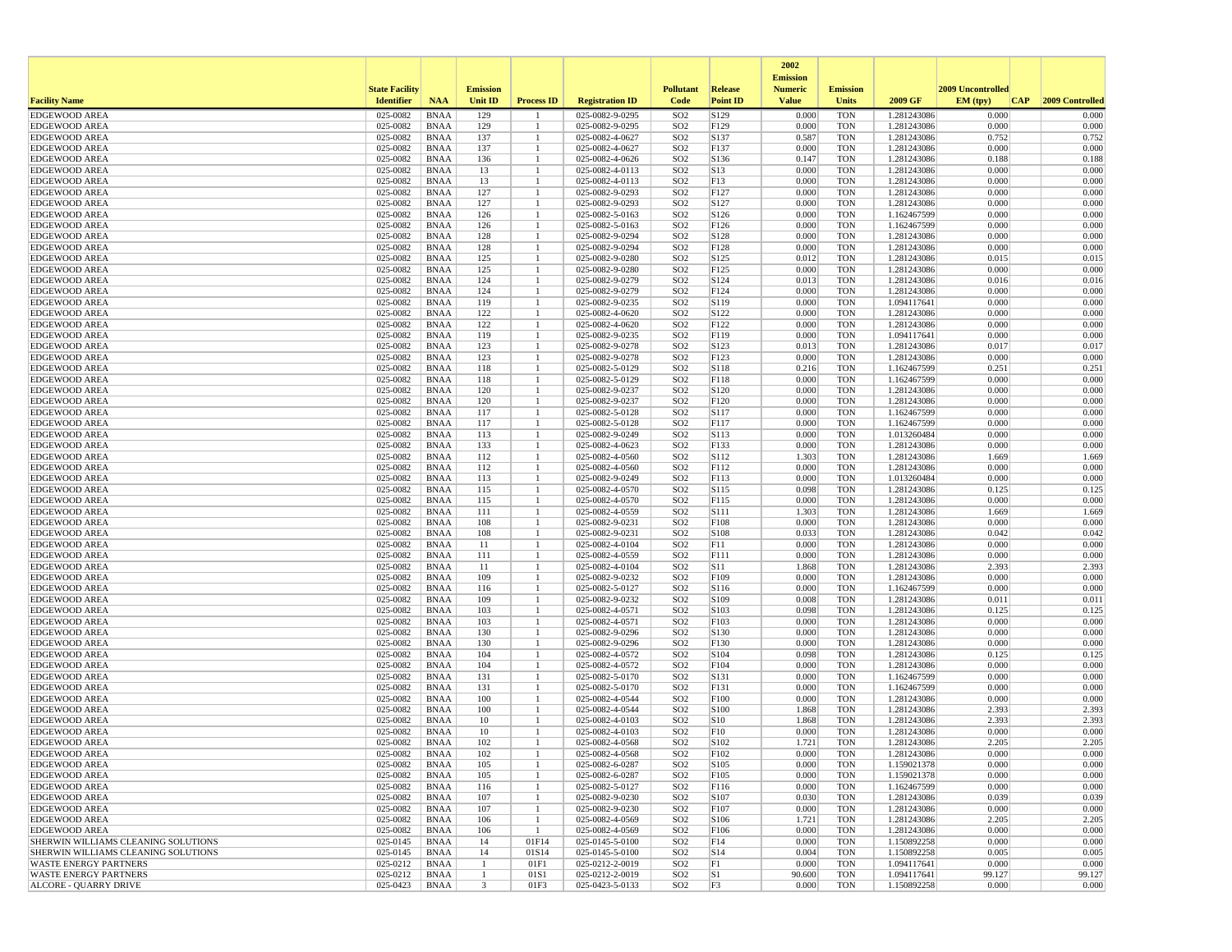|                                                             |                       |                            |                 |                   |                                    |                                    |                         | 2002                              |                          |                            |                   |                 |
|-------------------------------------------------------------|-----------------------|----------------------------|-----------------|-------------------|------------------------------------|------------------------------------|-------------------------|-----------------------------------|--------------------------|----------------------------|-------------------|-----------------|
|                                                             | <b>State Facility</b> |                            | <b>Emission</b> |                   |                                    | <b>Pollutant</b>                   | <b>Release</b>          | <b>Emission</b><br><b>Numeric</b> | <b>Emission</b>          |                            | 2009 Uncontrolled |                 |
| <b>Facility Name</b>                                        | <b>Identifier</b>     | <b>NAA</b>                 | <b>Unit ID</b>  | <b>Process ID</b> | <b>Registration ID</b>             | Code                               | <b>Point ID</b>         | <b>Value</b>                      | Units                    | 2009 GF                    | EM (typ)<br> CAP  | 2009 Controlled |
| <b>EDGEWOOD AREA</b>                                        | 025-0082              | <b>BNAA</b>                | 129             |                   | 025-0082-9-0295                    | SO <sub>2</sub>                    | S129                    | 0.000                             | <b>TON</b>               | 1.281243086                | 0.000             | 0.000           |
| <b>EDGEWOOD AREA</b>                                        | 025-0082              | <b>BNAA</b>                | 129             |                   | 025-0082-9-0295                    | SO <sub>2</sub>                    | F129                    | 0.000                             | <b>TON</b>               | 1.281243086                | 0.000             | 0.000           |
| <b>EDGEWOOD AREA</b>                                        | 025-0082              | <b>BNAA</b>                | 137             |                   | 025-0082-4-0627                    | SO <sub>2</sub>                    | S137                    | 0.587                             | <b>TON</b>               | 1.281243086                | 0.752             | 0.752           |
| <b>EDGEWOOD AREA</b><br><b>EDGEWOOD AREA</b>                | 025-0082<br>025-0082  | <b>BNAA</b><br><b>BNAA</b> | 137<br>136      |                   | 025-0082-4-0627<br>025-0082-4-0626 | SO <sub>2</sub><br>SO <sub>2</sub> | F137<br>S136            | 0.000<br>0.147                    | <b>TON</b><br><b>TON</b> | 1.281243086<br>1.281243086 | 0.000<br>0.188    | 0.000<br>0.188  |
| <b>EDGEWOOD AREA</b>                                        | 025-0082              | <b>BNAA</b>                | 13              |                   | 025-0082-4-0113                    | SO <sub>2</sub>                    | S13                     | 0.000                             | <b>TON</b>               | 1.281243086                | 0.000             | 0.000           |
| <b>EDGEWOOD AREA</b>                                        | 025-0082              | <b>BNAA</b>                | 13              |                   | 025-0082-4-0113                    | SO <sub>2</sub>                    | F13                     | 0.000                             | <b>TON</b>               | 1.281243086                | 0.000             | 0.000           |
| <b>EDGEWOOD AREA</b>                                        | 025-0082              | <b>BNAA</b>                | 127             |                   | 025-0082-9-0293                    | SO <sub>2</sub>                    | F127                    | 0.000                             | <b>TON</b>               | 1.281243086                | 0.000             | 0.000           |
| <b>EDGEWOOD AREA</b>                                        | 025-0082              | <b>BNAA</b>                | 127             |                   | 025-0082-9-0293                    | SO <sub>2</sub>                    | S127                    | 0.000                             | <b>TON</b>               | 1.281243086                | 0.000             | 0.000           |
| <b>EDGEWOOD AREA</b>                                        | 025-0082              | <b>BNAA</b>                | 126             |                   | 025-0082-5-0163                    | SO <sub>2</sub>                    | S126                    | 0.000                             | <b>TON</b>               | 1.162467599                | 0.000             | 0.000           |
| <b>EDGEWOOD AREA</b>                                        | 025-0082              | <b>BNAA</b><br><b>BNAA</b> | 126             |                   | 025-0082-5-0163<br>025-0082-9-0294 | SO <sub>2</sub><br>SO <sub>2</sub> | F126                    | 0.000<br>0.000                    | <b>TON</b><br><b>TON</b> | 1.162467599                | 0.000<br>0.000    | 0.000<br>0.000  |
| <b>EDGEWOOD AREA</b><br><b>EDGEWOOD AREA</b>                | 025-0082<br>025-0082  | <b>BNAA</b>                | 128<br>128      |                   | 025-0082-9-0294                    | SO <sub>2</sub>                    | S128<br>F128            | 0.000                             | <b>TON</b>               | 1.281243086<br>1.281243086 | 0.000             | 0.000           |
| <b>EDGEWOOD AREA</b>                                        | 025-0082              | <b>BNAA</b>                | 125             |                   | 025-0082-9-0280                    | SO <sub>2</sub>                    | S125                    | 0.012                             | <b>TON</b>               | 1.281243086                | 0.015             | 0.015           |
| <b>EDGEWOOD AREA</b>                                        | 025-0082              | <b>BNAA</b>                | 125             |                   | 025-0082-9-0280                    | SO <sub>2</sub>                    | F125                    | 0.000                             | <b>TON</b>               | 1.281243086                | 0.000             | 0.000           |
| <b>EDGEWOOD AREA</b>                                        | 025-0082              | <b>BNAA</b>                | 124             |                   | 025-0082-9-0279                    | SO <sub>2</sub>                    | S124                    | 0.013                             | <b>TON</b>               | 1.281243086                | 0.016             | 0.016           |
| <b>EDGEWOOD AREA</b>                                        | 025-0082              | <b>BNAA</b>                | 124             |                   | 025-0082-9-0279                    | SO <sub>2</sub>                    | F124                    | 0.000                             | <b>TON</b>               | 1.281243086                | 0.000             | 0.000           |
| <b>EDGEWOOD AREA</b>                                        | 025-0082              | <b>BNAA</b>                | 119             |                   | 025-0082-9-0235                    | SO <sub>2</sub>                    | S119                    | 0.000                             | <b>TON</b>               | 1.094117641                | 0.000             | 0.000           |
| <b>EDGEWOOD AREA</b><br><b>EDGEWOOD AREA</b>                | 025-0082<br>025-0082  | <b>BNAA</b><br><b>BNAA</b> | 122<br>122      |                   | 025-0082-4-0620<br>025-0082-4-0620 | SO <sub>2</sub><br>SO <sub>2</sub> | S122<br>F122            | 0.000<br>0.000                    | <b>TON</b><br><b>TON</b> | 1.281243086<br>1.281243086 | 0.000<br>0.000    | 0.000<br>0.000  |
| <b>EDGEWOOD AREA</b>                                        | 025-0082              | <b>BNAA</b>                | 119             |                   | 025-0082-9-0235                    | SO <sub>2</sub>                    | F119                    | 0.000                             | <b>TON</b>               | 1.094117641                | 0.000             | 0.000           |
| <b>EDGEWOOD AREA</b>                                        | 025-0082              | <b>BNAA</b>                | 123             |                   | 025-0082-9-0278                    | SO <sub>2</sub>                    | S123                    | 0.013                             | <b>TON</b>               | 1.281243086                | 0.017             | 0.017           |
| <b>EDGEWOOD AREA</b>                                        | 025-0082              | <b>BNAA</b>                | 123             |                   | 025-0082-9-0278                    | SO <sub>2</sub>                    | F123                    | 0.000                             | <b>TON</b>               | 1.281243086                | 0.000             | 0.000           |
| <b>EDGEWOOD AREA</b>                                        | 025-0082              | <b>BNAA</b>                | 118             |                   | 025-0082-5-0129                    | SO <sub>2</sub>                    | S118                    | 0.216                             | <b>TON</b>               | 1.162467599                | 0.251             | 0.251           |
| <b>EDGEWOOD AREA</b>                                        | 025-0082              | <b>BNAA</b>                | 118             |                   | 025-0082-5-0129                    | SO <sub>2</sub>                    | F118                    | 0.000                             | <b>TON</b>               | 1.162467599                | 0.000             | 0.000           |
| <b>EDGEWOOD AREA</b>                                        | 025-0082              | <b>BNAA</b>                | 120             |                   | 025-0082-9-0237                    | SO <sub>2</sub>                    | S120                    | 0.000                             | <b>TON</b>               | 1.281243086                | 0.000             | 0.000           |
| <b>EDGEWOOD AREA</b>                                        | 025-0082              | <b>BNAA</b>                | 120             |                   | 025-0082-9-0237                    | SO <sub>2</sub>                    | F120                    | 0.000                             | <b>TON</b><br><b>TON</b> | 1.281243086                | 0.000<br>0.000    | 0.000<br>0.000  |
| <b>EDGEWOOD AREA</b><br><b>EDGEWOOD AREA</b>                | 025-0082<br>025-0082  | <b>BNAA</b><br><b>BNAA</b> | 117<br>117      |                   | 025-0082-5-0128<br>025-0082-5-0128 | SO <sub>2</sub><br>SO <sub>2</sub> | S117<br>F117            | 0.000<br>0.000                    | <b>TON</b>               | 1.162467599<br>1.162467599 | 0.000             | 0.000           |
| <b>EDGEWOOD AREA</b>                                        | 025-0082              | <b>BNAA</b>                | 113             |                   | 025-0082-9-0249                    | SO <sub>2</sub>                    | S113                    | 0.000                             | <b>TON</b>               | 1.013260484                | 0.000             | 0.000           |
| <b>EDGEWOOD AREA</b>                                        | 025-0082              | <b>BNAA</b>                | 133             |                   | 025-0082-4-0623                    | SO <sub>2</sub>                    | F133                    | 0.000                             | <b>TON</b>               | 1.281243086                | 0.000             | 0.000           |
| <b>EDGEWOOD AREA</b>                                        | 025-0082              | <b>BNAA</b>                | 112             |                   | 025-0082-4-0560                    | SO <sub>2</sub>                    | S112                    | 1.303                             | <b>TON</b>               | 1.281243086                | 1.669             | 1.669           |
| <b>EDGEWOOD AREA</b>                                        | 025-0082              | <b>BNAA</b>                | 112             |                   | 025-0082-4-0560                    | SO <sub>2</sub>                    | F112                    | 0.000                             | <b>TON</b>               | 1.281243086                | 0.000             | 0.000           |
| <b>EDGEWOOD AREA</b>                                        | 025-0082              | <b>BNAA</b>                | 113             |                   | 025-0082-9-0249                    | SO <sub>2</sub>                    | F113                    | 0.000                             | <b>TON</b>               | 1.013260484                | 0.000             | 0.000           |
| <b>EDGEWOOD AREA</b><br><b>EDGEWOOD AREA</b>                | 025-0082<br>025-0082  | <b>BNAA</b><br><b>BNAA</b> | 115<br>115      |                   | 025-0082-4-0570<br>025-0082-4-0570 | SO <sub>2</sub><br>SO <sub>2</sub> | S115<br>F115            | 0.098<br>0.000                    | <b>TON</b><br><b>TON</b> | 1.281243086<br>1.281243086 | 0.125<br>0.000    | 0.125<br>0.000  |
| <b>EDGEWOOD AREA</b>                                        | 025-0082              | <b>BNAA</b>                | 111             |                   | 025-0082-4-0559                    | SO <sub>2</sub>                    | S111                    | 1.303                             | <b>TON</b>               | 1.281243086                | 1.669             | 1.669           |
| <b>EDGEWOOD AREA</b>                                        | 025-0082              | <b>BNAA</b>                | 108             |                   | 025-0082-9-0231                    | SO <sub>2</sub>                    | F108                    | 0.000                             | <b>TON</b>               | 1.281243086                | 0.000             | 0.000           |
| <b>EDGEWOOD AREA</b>                                        | 025-0082              | <b>BNAA</b>                | 108             |                   | 025-0082-9-0231                    | SO <sub>2</sub>                    | S108                    | 0.033                             | <b>TON</b>               | 1.281243086                | 0.042             | 0.042           |
| <b>EDGEWOOD AREA</b>                                        | 025-0082              | <b>BNAA</b>                | 11              |                   | 025-0082-4-0104                    | SO <sub>2</sub>                    | F11                     | 0.000                             | <b>TON</b>               | 1.281243086                | 0.000             | 0.000           |
| <b>EDGEWOOD AREA</b>                                        | 025-0082              | <b>BNAA</b>                | 111             |                   | 025-0082-4-0559                    | SO <sub>2</sub>                    | <b>F111</b>             | 0.000                             | <b>TON</b>               | 1.281243086                | 0.000             | 0.000           |
| <b>EDGEWOOD AREA</b>                                        | 025-0082              | <b>BNAA</b>                | 11              |                   | 025-0082-4-0104                    | SO <sub>2</sub>                    | S11                     | 1.868                             | <b>TON</b>               | 1.281243086                | 2.393             | 2.393           |
| <b>EDGEWOOD AREA</b><br><b>EDGEWOOD AREA</b>                | 025-0082<br>025-0082  | <b>BNAA</b><br><b>BNAA</b> | 109<br>116      |                   | 025-0082-9-0232<br>025-0082-5-0127 | SO <sub>2</sub><br>SO <sub>2</sub> | F109<br>S116            | 0.000<br>0.000                    | <b>TON</b><br><b>TON</b> | 1.281243086<br>1.162467599 | 0.000<br>0.000    | 0.000<br>0.000  |
| <b>EDGEWOOD AREA</b>                                        | 025-0082              | <b>BNAA</b>                | 109             |                   | 025-0082-9-0232                    | SO <sub>2</sub>                    | S109                    | 0.008                             | <b>TON</b>               | 1.281243086                | 0.011             | 0.011           |
| <b>EDGEWOOD AREA</b>                                        | 025-0082              | <b>BNAA</b>                | 103             |                   | 025-0082-4-0571                    | SO <sub>2</sub>                    | S103                    | 0.098                             | <b>TON</b>               | 1.281243086                | 0.125             | 0.125           |
| <b>EDGEWOOD AREA</b>                                        | 025-0082              | <b>BNAA</b>                | 103             |                   | 025-0082-4-0571                    | SO <sub>2</sub>                    | F103                    | 0.000                             | <b>TON</b>               | 1.281243086                | 0.000             | 0.000           |
| <b>EDGEWOOD AREA</b>                                        | 025-0082              | <b>BNAA</b>                | 130             |                   | 025-0082-9-0296                    | SO <sub>2</sub>                    | S130                    | 0.000                             | <b>TON</b>               | 1.281243086                | 0.000             | 0.000           |
| <b>EDGEWOOD AREA</b>                                        | 025-0082              | <b>BNAA</b>                | 130             |                   | 025-0082-9-0296                    | SO <sub>2</sub>                    | F130                    | 0.000                             | <b>TON</b>               | 1.281243086                | 0.000             | 0.000           |
| <b>EDGEWOOD AREA</b><br><b>EDGEWOOD AREA</b>                | 025-0082<br>025-0082  | <b>BNAA</b><br><b>BNAA</b> | 104<br>104      |                   | 025-0082-4-0572<br>025-0082-4-0572 | SO <sub>2</sub><br>SO <sub>2</sub> | S104<br>F104            | 0.098<br>0.000                    | <b>TON</b><br><b>TON</b> | 1.281243086<br>1.281243086 | 0.125<br>0.000    | 0.125<br>0.000  |
| <b>EDGEWOOD AREA</b>                                        | 025-0082              | <b>BNAA</b>                | 131             |                   | 025-0082-5-0170                    | SO <sub>2</sub>                    | S131                    | 0.000                             | <b>TON</b>               | 1.162467599                | 0.000             | 0.000           |
| <b>EDGEWOOD AREA</b>                                        | 025-0082              | <b>BNAA</b>                | 131             |                   | 025-0082-5-0170                    | SO <sub>2</sub>                    | F131                    | 0.000                             | <b>TON</b>               | 1.162467599                | 0.000             | 0.000           |
| <b>EDGEWOOD AREA</b>                                        | 025-0082              | <b>BNAA</b>                | 100             |                   | 025-0082-4-0544                    | SO <sub>2</sub>                    | F100                    | 0.000                             | <b>TON</b>               | 1.281243086                | 0.000             | 0.000           |
| <b>EDGEWOOD AREA</b>                                        | 025-0082              | <b>BNAA</b>                | 100             |                   | 025-0082-4-0544                    | SO <sub>2</sub>                    | S100                    | 1.868                             | <b>TON</b>               | 1.281243086                | 2.393             | 2.393           |
| <b>EDGEWOOD AREA</b>                                        | 025-0082              | <b>BNAA</b>                | 10              |                   | 025-0082-4-0103                    | SO <sub>2</sub>                    | S10                     | 1.868                             | <b>TON</b>               | 1.281243086                | 2.393             | 2.393           |
| <b>EDGEWOOD AREA</b>                                        | 025-0082<br>025-0082  | <b>BNAA</b><br><b>BNAA</b> | 10<br>102       |                   | 025-0082-4-0103                    | SO <sub>2</sub><br>SO <sub>2</sub> | F10<br>S102             | 0.000<br>1.721                    | <b>TON</b><br><b>TON</b> | 1.281243086                | 0.000<br>2.205    | 0.000<br>2.205  |
| <b>EDGEWOOD AREA</b><br><b>EDGEWOOD AREA</b>                | 025-0082              | <b>BNAA</b>                | 102             |                   | 025-0082-4-0568<br>025-0082-4-0568 | SO <sub>2</sub>                    | F102                    | 0.000                             | <b>TON</b>               | 1.281243086<br>1.281243086 | 0.000             | 0.000           |
| <b>EDGEWOOD AREA</b>                                        | 025-0082              | BNAA                       | 105             | $\mathbf{1}$      | 025-0082-6-0287                    | SO <sub>2</sub>                    | S105                    | 0.000                             | <b>TON</b>               | 1.159021378                | 0.000             | 0.000           |
| <b>EDGEWOOD AREA</b>                                        | 025-0082              | <b>BNAA</b>                | 105             |                   | 025-0082-6-0287                    | SO <sub>2</sub>                    | F105                    | 0.000                             | <b>TON</b>               | 1.159021378                | 0.000             | 0.000           |
| <b>EDGEWOOD AREA</b>                                        | 025-0082              | BNAA                       | 116             |                   | 025-0082-5-0127                    | SO <sub>2</sub>                    | F116                    | 0.000                             | <b>TON</b>               | 1.162467599                | 0.000             | 0.000           |
| <b>EDGEWOOD AREA</b>                                        | 025-0082              | <b>BNAA</b>                | 107             |                   | 025-0082-9-0230                    | SO <sub>2</sub>                    | S107                    | 0.030                             | <b>TON</b>               | 1.281243086                | 0.039             | 0.039           |
| <b>EDGEWOOD AREA</b>                                        | 025-0082              | <b>BNAA</b>                | 107             |                   | 025-0082-9-0230                    | SO <sub>2</sub>                    | F107                    | 0.000                             | <b>TON</b>               | 1.281243086                | 0.000             | 0.000           |
| <b>EDGEWOOD AREA</b>                                        | 025-0082              | <b>BNAA</b>                | 106             |                   | 025-0082-4-0569                    | SO <sub>2</sub>                    | S106                    | 1.721                             | <b>TON</b>               | 1.281243086                | 2.205<br>0.000    | 2.205           |
| <b>EDGEWOOD AREA</b><br>SHERWIN WILLIAMS CLEANING SOLUTIONS | 025-0082<br>025-0145  | <b>BNAA</b><br><b>BNAA</b> | 106<br>14       | 01F14             | 025-0082-4-0569<br>025-0145-5-0100 | SO <sub>2</sub><br>SO <sub>2</sub> | F106<br>F <sub>14</sub> | 0.000<br>0.000                    | <b>TON</b><br><b>TON</b> | 1.281243086<br>1.150892258 | 0.000             | 0.000<br>0.000  |
| SHERWIN WILLIAMS CLEANING SOLUTIONS                         | 025-0145              | BNAA                       | 14              | 01S14             | 025-0145-5-0100                    | SO <sub>2</sub>                    | S14                     | 0.004                             | <b>TON</b>               | 1.150892258                | 0.005             | 0.005           |
| <b>WASTE ENERGY PARTNERS</b>                                | 025-0212              | <b>BNAA</b>                | -1              | 01F1              | 025-0212-2-0019                    | SO <sub>2</sub>                    | F1                      | 0.000                             | <b>TON</b>               | 1.094117641                | 0.000             | 0.000           |
| <b>WASTE ENERGY PARTNERS</b>                                | 025-0212              | <b>BNAA</b>                |                 | 01S1              | 025-0212-2-0019                    | SO <sub>2</sub>                    | S1                      | 90.600                            | <b>TON</b>               | 1.094117641                | 99.127            | 99.127          |
| ALCORE - QUARRY DRIVE                                       | 025-0423              | <b>BNAA</b>                | $\mathbf{3}$    | 01F3              | 025-0423-5-0133                    | SO <sub>2</sub>                    | F3                      | 0.000                             | <b>TON</b>               | 1.150892258                | 0.000             | 0.000           |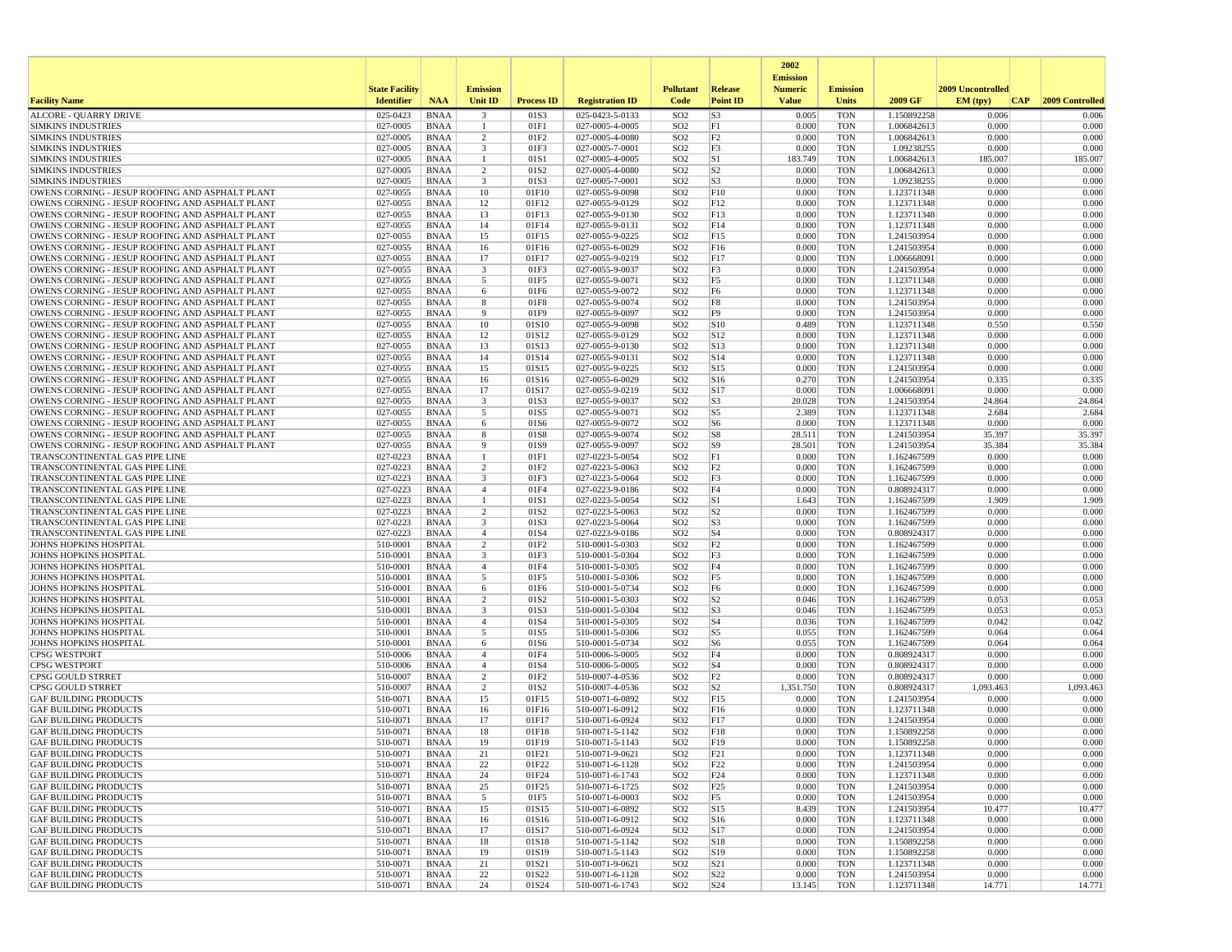|                                                                                                    |                       |                            |                                           |                          |                                    |                                    |                       | 2002<br><b>Emission</b> |                          |                            |                   |     |                 |
|----------------------------------------------------------------------------------------------------|-----------------------|----------------------------|-------------------------------------------|--------------------------|------------------------------------|------------------------------------|-----------------------|-------------------------|--------------------------|----------------------------|-------------------|-----|-----------------|
|                                                                                                    | <b>State Facility</b> |                            | <b>Emission</b>                           |                          |                                    | <b>Pollutant</b>                   | <b>Release</b>        | <b>Numeric</b>          | <b>Emission</b>          |                            | 2009 Uncontrolled |     |                 |
| <b>Facility Name</b>                                                                               | <b>Identifier</b>     | <b>NAA</b>                 | <b>Unit ID</b>                            | <b>Process ID</b>        | <b>Registration ID</b>             | Code                               | <b>Point ID</b>       | <b>Value</b>            | Units                    | 2009 GF                    | EM (typ)          | CAP | 2009 Controlled |
| <b>ALCORE - QUARRY DRIVE</b>                                                                       | 025-0423              | <b>BNAA</b>                | $\overline{\mathbf{3}}$                   | 01S3                     | 025-0423-5-0133                    | SO <sub>2</sub>                    | S <sub>3</sub>        | 0.005                   | <b>TON</b>               | 1.150892258                | 0.006             |     | 0.006           |
| <b>SIMKINS INDUSTRIES</b><br><b>SIMKINS INDUSTRIES</b>                                             | 027-0005<br>027-0005  | <b>BNAA</b><br>BNAA        | $\mathbf{1}$<br>$\overline{2}$            | 01F1<br>01F <sub>2</sub> | 027-0005-4-0005<br>027-0005-4-0080 | SO <sub>2</sub><br>SO <sub>2</sub> | F1<br>F2              | 0.000<br>0.000          | <b>TON</b><br><b>TON</b> | 1.006842613<br>1.006842613 | 0.000<br>0.000    |     | 0.000<br>0.000  |
| <b>SIMKINS INDUSTRIES</b>                                                                          | 027-0005              | <b>BNAA</b>                | $\overline{\mathbf{3}}$                   | 01F3                     | 027-0005-7-0001                    | SO <sub>2</sub>                    | F3                    | 0.000                   | <b>TON</b>               | 1.09238255                 | 0.000             |     | 0.000           |
| <b>SIMKINS INDUSTRIES</b>                                                                          | 027-0005              | <b>BNAA</b>                | 1                                         | 01S1                     | 027-0005-4-0005                    | SO <sub>2</sub>                    | S1                    | 183.749                 | <b>TON</b>               | 1.006842613                | 185.007           |     | 185.007         |
| <b>SIMKINS INDUSTRIES</b>                                                                          | 027-0005              | <b>BNAA</b>                | 2                                         | 01S <sub>2</sub>         | 027-0005-4-0080                    | SO <sub>2</sub>                    | S <sub>2</sub>        | 0.000                   | <b>TON</b>               | 1.006842613                | 0.000             |     | 0.000           |
| <b>SIMKINS INDUSTRIES</b>                                                                          | 027-0005              | <b>BNAA</b>                | $\overline{\mathbf{3}}$                   | 01S3                     | 027-0005-7-0001                    | SO <sub>2</sub>                    | S <sub>3</sub>        | 0.000                   | <b>TON</b>               | 1.09238255                 | 0.000             |     | 0.000           |
| OWENS CORNING - JESUP ROOFING AND ASPHALT PLANT                                                    | 027-0055              | <b>BNAA</b>                | 10                                        | 01F10                    | 027-0055-9-0098                    | SO <sub>2</sub>                    | F10                   | 0.000                   | <b>TON</b>               | 1.123711348                | 0.000             |     | 0.000           |
| OWENS CORNING - JESUP ROOFING AND ASPHALT PLANT                                                    | 027-0055              | <b>BNAA</b>                | 12                                        | 01F12                    | 027-0055-9-0129                    | SO <sub>2</sub>                    | F12                   | 0.000                   | <b>TON</b>               | 1.123711348                | 0.000             |     | 0.000           |
| OWENS CORNING - JESUP ROOFING AND ASPHALT PLANT<br>OWENS CORNING - JESUP ROOFING AND ASPHALT PLANT | 027-0055<br>027-0055  | BNAA<br><b>BNAA</b>        | 13<br>14                                  | 01F13<br>01F14           | 027-0055-9-0130<br>027-0055-9-0131 | SO <sub>2</sub><br>SO <sub>2</sub> | F13<br>F14            | 0.000<br>0.000          | <b>TON</b><br><b>TON</b> | 1.123711348<br>1.123711348 | 0.000<br>0.000    |     | 0.000<br>0.000  |
| OWENS CORNING - JESUP ROOFING AND ASPHALT PLANT                                                    | 027-0055              | <b>BNAA</b>                | 15                                        | 01F15                    | 027-0055-9-0225                    | SO <sub>2</sub>                    | F15                   | 0.000                   | <b>TON</b>               | 1.241503954                | 0.000             |     | 0.000           |
| OWENS CORNING - JESUP ROOFING AND ASPHALT PLANT                                                    | 027-0055              | <b>BNAA</b>                | 16                                        | 01F16                    | 027-0055-6-0029                    | SO <sub>2</sub>                    | F16                   | 0.000                   | <b>TON</b>               | 1.241503954                | 0.000             |     | 0.000           |
| OWENS CORNING - JESUP ROOFING AND ASPHALT PLANT                                                    | 027-0055              | BNAA                       | 17                                        | 01F17                    | 027-0055-9-0219                    | SO <sub>2</sub>                    | F17                   | 0.000                   | <b>TON</b>               | 1.006668091                | 0.000             |     | 0.000           |
| OWENS CORNING - JESUP ROOFING AND ASPHALT PLANT                                                    | 027-0055              | <b>BNAA</b>                | $\overline{\mathbf{3}}$                   | 01F3                     | 027-0055-9-0037                    | SO <sub>2</sub>                    | F3                    | 0.000                   | <b>TON</b>               | 1.241503954                | 0.000             |     | 0.000           |
| OWENS CORNING - JESUP ROOFING AND ASPHALT PLANT                                                    | 027-0055              | BNAA                       | 5                                         | 01F5                     | 027-0055-9-0071                    | SO <sub>2</sub>                    | F <sub>5</sub>        | 0.000                   | <b>TON</b>               | 1.123711348                | 0.000             |     | 0.000           |
| OWENS CORNING - JESUP ROOFING AND ASPHALT PLANT                                                    | 027-0055              | BNAA                       | 6                                         | 01F6                     | 027-0055-9-0072                    | SO <sub>2</sub>                    | F <sub>6</sub>        | 0.000                   | <b>TON</b>               | 1.123711348                | 0.000             |     | 0.000           |
| OWENS CORNING - JESUP ROOFING AND ASPHALT PLANT<br>OWENS CORNING - JESUP ROOFING AND ASPHALT PLANT | 027-0055<br>027-0055  | BNAA<br>BNAA               | 8<br>9                                    | 01F8<br>01F9             | 027-0055-9-0074<br>027-0055-9-0097 | SO <sub>2</sub><br>SO <sub>2</sub> | F8<br>F <sub>9</sub>  | 0.000<br>0.000          | <b>TON</b><br><b>TON</b> | 1.241503954<br>1.241503954 | 0.000<br>0.000    |     | 0.000<br>0.000  |
| OWENS CORNING - JESUP ROOFING AND ASPHALT PLANT                                                    | 027-0055              | <b>BNAA</b>                | 10                                        | 01S10                    | 027-0055-9-0098                    | SO <sub>2</sub>                    | S10                   | 0.489                   | <b>TON</b>               | 1.123711348                | 0.550             |     | 0.550           |
| OWENS CORNING - JESUP ROOFING AND ASPHALT PLANT                                                    | 027-0055              | BNAA                       | 12                                        | 01S12                    | 027-0055-9-0129                    | SO <sub>2</sub>                    | S12                   | 0.000                   | <b>TON</b>               | 1.123711348                | 0.000             |     | 0.000           |
| OWENS CORNING - JESUP ROOFING AND ASPHALT PLANT                                                    | 027-0055              | <b>BNAA</b>                | 13                                        | 01S13                    | 027-0055-9-0130                    | SO <sub>2</sub>                    | S13                   | 0.000                   | <b>TON</b>               | 1.123711348                | 0.000             |     | 0.000           |
| OWENS CORNING - JESUP ROOFING AND ASPHALT PLANT                                                    | 027-0055              | <b>BNAA</b>                | 14                                        | 01S14                    | 027-0055-9-0131                    | SO <sub>2</sub>                    | S14                   | 0.000                   | <b>TON</b>               | 1.123711348                | 0.000             |     | 0.000           |
| OWENS CORNING - JESUP ROOFING AND ASPHALT PLANT                                                    | 027-0055              | BNAA                       | 15                                        | 01S15                    | 027-0055-9-0225                    | SO <sub>2</sub>                    | S <sub>15</sub>       | 0.000                   | <b>TON</b>               | 1.241503954                | 0.000             |     | 0.000           |
| OWENS CORNING - JESUP ROOFING AND ASPHALT PLANT                                                    | 027-0055              | <b>BNAA</b>                | 16                                        | 01S16                    | 027-0055-6-0029                    | SO <sub>2</sub>                    | S <sub>16</sub>       | 0.270                   | <b>TON</b>               | 1.241503954                | 0.335             |     | 0.335           |
| OWENS CORNING - JESUP ROOFING AND ASPHALT PLANT<br>OWENS CORNING - JESUP ROOFING AND ASPHALT PLANT | 027-0055<br>027-0055  | <b>BNAA</b><br><b>BNAA</b> | 17<br>$\overline{\mathbf{3}}$             | 01S17<br>01S3            | 027-0055-9-0219<br>027-0055-9-0037 | SO <sub>2</sub><br>SO <sub>2</sub> | S17<br>S <sub>3</sub> | 0.000<br>20.028         | <b>TON</b><br><b>TON</b> | 1.006668091<br>1.241503954 | 0.000<br>24.864   |     | 0.000<br>24.864 |
| OWENS CORNING - JESUP ROOFING AND ASPHALT PLANT                                                    | 027-0055              | BNAA                       | 5                                         | 01S5                     | 027-0055-9-0071                    | SO <sub>2</sub>                    | S <sub>5</sub>        | 2.389                   | <b>TON</b>               | 1.123711348                | 2.684             |     | 2.684           |
| OWENS CORNING - JESUP ROOFING AND ASPHALT PLANT                                                    | 027-0055              | <b>BNAA</b>                | 6                                         | 01S6                     | 027-0055-9-0072                    | SO <sub>2</sub>                    | S <sub>6</sub>        | 0.000                   | <b>TON</b>               | 1.123711348                | 0.000             |     | 0.000           |
| OWENS CORNING - JESUP ROOFING AND ASPHALT PLANT                                                    | 027-0055              | <b>BNAA</b>                | 8                                         | 01S8                     | 027-0055-9-0074                    | SO <sub>2</sub>                    | S8                    | 28.511                  | <b>TON</b>               | 1.241503954                | 35.397            |     | 35.397          |
| OWENS CORNING - JESUP ROOFING AND ASPHALT PLANT                                                    | 027-0055              | <b>BNAA</b>                | 9                                         | 01S9                     | 027-0055-9-0097                    | SO <sub>2</sub>                    | S <sub>9</sub>        | 28.501                  | <b>TON</b>               | 1.241503954                | 35.384            |     | 35.384          |
| TRANSCONTINENTAL GAS PIPE LINE                                                                     | 027-0223              | <b>BNAA</b>                | -1                                        | 01F1                     | 027-0223-5-0054                    | SO <sub>2</sub>                    | F1                    | 0.000                   | <b>TON</b>               | 1.162467599                | 0.000             |     | 0.000           |
| TRANSCONTINENTAL GAS PIPE LINE                                                                     | 027-0223              | <b>BNAA</b>                | $\overline{2}$                            | 01F2                     | 027-0223-5-0063                    | SO <sub>2</sub>                    | F <sub>2</sub>        | 0.000                   | <b>TON</b>               | 1.162467599                | 0.000             |     | 0.000           |
| TRANSCONTINENTAL GAS PIPE LINE<br>TRANSCONTINENTAL GAS PIPE LINE                                   | 027-0223<br>027-0223  | <b>BNAA</b><br>BNAA        | $\overline{\mathbf{3}}$<br>$\overline{4}$ | 01F3<br>01F4             | 027-0223-5-0064<br>027-0223-9-0186 | SO <sub>2</sub><br>SO <sub>2</sub> | F3<br>F4              | 0.000<br>0.000          | <b>TON</b><br><b>TON</b> | 1.162467599<br>0.808924317 | 0.000<br>0.000    |     | 0.000<br>0.000  |
| TRANSCONTINENTAL GAS PIPE LINE                                                                     | 027-0223              | <b>BNAA</b>                | -1                                        | 01S1                     | 027-0223-5-0054                    | SO <sub>2</sub>                    | S1                    | 1.643                   | <b>TON</b>               | 1.162467599                | 1.909             |     | 1.909           |
| TRANSCONTINENTAL GAS PIPE LINE                                                                     | 027-0223              | <b>BNAA</b>                | $\overline{2}$                            | 01S2                     | 027-0223-5-0063                    | SO <sub>2</sub>                    | S <sub>2</sub>        | 0.000                   | <b>TON</b>               | 1.162467599                | 0.000             |     | 0.000           |
| TRANSCONTINENTAL GAS PIPE LINE                                                                     | 027-0223              | <b>BNAA</b>                | $\overline{\mathbf{3}}$                   | 01S3                     | 027-0223-5-0064                    | SO <sub>2</sub>                    | S <sub>3</sub>        | 0.000                   | <b>TON</b>               | 1.162467599                | 0.000             |     | 0.000           |
| TRANSCONTINENTAL GAS PIPE LINE                                                                     | 027-0223              | BNAA                       | $\overline{4}$                            | 01S4                     | 027-0223-9-0186                    | SO <sub>2</sub>                    | S <sub>4</sub>        | 0.000                   | <b>TON</b>               | 0.808924317                | 0.000             |     | 0.000           |
| <b>JOHNS HOPKINS HOSPITAL</b>                                                                      | 510-0001              | <b>BNAA</b>                | $\overline{2}$                            | 01F2                     | 510-0001-5-0303                    | SO <sub>2</sub>                    | F <sub>2</sub>        | 0.000                   | <b>TON</b>               | 1.162467599                | 0.000             |     | 0.000           |
| JOHNS HOPKINS HOSPITAL<br><b>JOHNS HOPKINS HOSPITAL</b>                                            | 510-0001<br>510-0001  | <b>BNAA</b><br>BNAA        | $\overline{\mathbf{3}}$<br>$\overline{4}$ | 01F3<br>01F4             | 510-0001-5-0304<br>510-0001-5-0305 | SO <sub>2</sub><br>SO <sub>2</sub> | F3<br>F4              | 0.000<br>0.000          | <b>TON</b><br><b>TON</b> | 1.162467599<br>1.162467599 | 0.000<br>0.000    |     | 0.000<br>0.000  |
| JOHNS HOPKINS HOSPITAL                                                                             | 510-0001              | <b>BNAA</b>                | 5                                         | 01F5                     | 510-0001-5-0306                    | SO <sub>2</sub>                    | F5                    | 0.000                   | <b>TON</b>               | 1.162467599                | 0.000             |     | 0.000           |
| <b>JOHNS HOPKINS HOSPITAL</b>                                                                      | 510-0001              | BNAA                       | 6                                         | 01F6                     | 510-0001-5-0734                    | SO <sub>2</sub>                    | F <sub>6</sub>        | 0.000                   | <b>TON</b>               | 1.162467599                | 0.000             |     | 0.000           |
| <b>JOHNS HOPKINS HOSPITAL</b>                                                                      | 510-0001              | <b>BNAA</b>                | $\overline{2}$                            | 01S <sub>2</sub>         | 510-0001-5-0303                    | SO <sub>2</sub>                    | S <sub>2</sub>        | 0.046                   | <b>TON</b>               | 1.162467599                | 0.053             |     | 0.053           |
| <b>JOHNS HOPKINS HOSPITAL</b>                                                                      | 510-0001              | BNAA                       | $\overline{\mathbf{3}}$                   | 01S3                     | 510-0001-5-0304                    | SO <sub>2</sub>                    | S <sub>3</sub>        | 0.046                   | <b>TON</b>               | 1.162467599                | 0.053             |     | 0.053           |
| <b>JOHNS HOPKINS HOSPITAL</b>                                                                      | 510-0001              | <b>BNAA</b>                | $\overline{4}$                            | 01S4                     | 510-0001-5-0305                    | SO <sub>2</sub>                    | S <sub>4</sub>        | 0.036                   | <b>TON</b>               | 1.162467599                | 0.042             |     | 0.042           |
| <b>JOHNS HOPKINS HOSPITAL</b>                                                                      | 510-0001              | <b>BNAA</b>                | 5                                         | 01S5                     | 510-0001-5-0306                    | SO <sub>2</sub>                    | S <sub>5</sub>        | 0.055                   | <b>TON</b>               | 1.162467599                | 0.064             |     | 0.064           |
| <b>JOHNS HOPKINS HOSPITAL</b><br><b>CPSG WESTPORT</b>                                              | 510-0001<br>510-0006  | BNAA<br><b>BNAA</b>        | 6<br>$\overline{4}$                       | 01S6<br>01F4             | 510-0001-5-0734<br>510-0006-5-0005 | SO <sub>2</sub><br>SO <sub>2</sub> | S <sub>6</sub><br>F4  | 0.055<br>0.000          | <b>TON</b><br><b>TON</b> | 1.162467599<br>0.808924317 | 0.064<br>0.000    |     | 0.064<br>0.000  |
| <b>CPSG WESTPORT</b>                                                                               | 510-0006              | <b>BNAA</b>                | $\overline{4}$                            | 01S4                     | 510-0006-5-0005                    | SO <sub>2</sub>                    | S <sub>4</sub>        | 0.000                   | <b>TON</b>               | 0.808924317                | 0.000             |     | 0.000           |
| <b>CPSG GOULD STRRET</b>                                                                           | 510-0007              | BNAA                       | $\overline{2}$                            | 01F <sub>2</sub>         | 510-0007-4-0536                    | SO <sub>2</sub>                    | F2                    | 0.000                   | <b>TON</b>               | 0.808924317                | 0.000             |     | 0.000           |
| CPSG GOULD STRRET                                                                                  | 510-0007              | BNAA                       | $\overline{2}$                            | 01S <sub>2</sub>         | 510-0007-4-0536                    | SO <sub>2</sub>                    | S <sub>2</sub>        | 1,351.750               | <b>TON</b>               | 0.808924317                | 1,093.463         |     | 1,093.463       |
| <b>GAF BUILDING PRODUCTS</b>                                                                       | 510-0071              | <b>BNAA</b>                | 15                                        | 01F15                    | 510-0071-6-0892                    | SO <sub>2</sub>                    | F15                   | 0.000                   | <b>TON</b>               | 1.241503954                | 0.000             |     | 0.000           |
| <b>GAF BUILDING PRODUCTS</b>                                                                       | 510-0071              | BNAA                       | 16                                        | 01F16                    | 510-0071-6-0912                    | SO <sub>2</sub>                    | F16                   | 0.000                   | <b>TON</b>               | 1.123711348                | 0.000             |     | 0.000           |
| <b>GAF BUILDING PRODUCTS</b>                                                                       | 510-0071              | <b>BNAA</b>                | 17                                        | 01F17                    | 510-0071-6-0924                    | SO <sub>2</sub>                    | F17                   | 0.000                   | <b>TON</b>               | 1.241503954                | 0.000             |     | 0.000           |
| <b>GAF BUILDING PRODUCTS</b><br><b>GAF BUILDING PRODUCTS</b>                                       | 510-0071<br>510-0071  | <b>BNAA</b><br><b>BNAA</b> | 18<br>19                                  | 01F18<br>01F19           | 510-0071-5-1142<br>510-0071-5-1143 | SO <sub>2</sub><br>SO <sub>2</sub> | F18<br>F19            | 0.000<br>0.000          | <b>TON</b><br><b>TON</b> | 1.150892258<br>1.150892258 | 0.000<br>0.000    |     | 0.000<br>0.000  |
| <b>GAF BUILDING PRODUCTS</b>                                                                       | 510-0071              | <b>BNAA</b>                | 21                                        | 01F21                    | 510-0071-9-0621                    | SO <sub>2</sub>                    | F21                   | 0.000                   | <b>TON</b>               | 1.123711348                | 0.000             |     | 0.000           |
| <b>GAF BUILDING PRODUCTS</b>                                                                       | 510-0071              | BNAA                       | 22                                        | 01F22                    | 510-0071-6-1128                    | SO <sub>2</sub>                    | F22                   | 0.000                   | <b>TON</b>               | 1.241503954                | 0.000             |     | 0.000           |
| <b>GAF BUILDING PRODUCTS</b>                                                                       | 510-0071              | BNAA                       | 24                                        | 01F24                    | 510-0071-6-1743                    | SO <sub>2</sub>                    | F24                   | 0.000                   | <b>TON</b>               | 1.123711348                | 0.000             |     | 0.000           |
| <b>GAF BUILDING PRODUCTS</b>                                                                       | 510-0071              | BNAA                       | 25                                        | 01F25                    | 510-0071-6-1725                    | SO <sub>2</sub>                    | F25                   | 0.000                   | <b>TON</b>               | 1.241503954                | 0.000             |     | 0.000           |
| <b>GAF BUILDING PRODUCTS</b>                                                                       | 510-0071              | BNAA                       | 5                                         | 01F5                     | 510-0071-6-0003                    | SO <sub>2</sub>                    | F5                    | 0.000                   | TON                      | 1.241503954                | 0.000             |     | 0.000           |
| <b>GAF BUILDING PRODUCTS</b>                                                                       | 510-0071              | BNAA                       | 15                                        | 01S15                    | 510-0071-6-0892                    | SO <sub>2</sub>                    | S15                   | 8.439                   | <b>TON</b>               | 1.241503954                | 10.477            |     | 10.477          |
| <b>GAF BUILDING PRODUCTS</b>                                                                       | 510-0071              | BNAA                       | 16                                        | 01S16                    | 510-0071-6-0912                    | SO <sub>2</sub><br>SO <sub>2</sub> | S16                   | 0.000<br>0.000          | <b>TON</b>               | 1.123711348                | 0.000<br>0.000    |     | 0.000<br>0.000  |
| <b>GAF BUILDING PRODUCTS</b><br><b>GAF BUILDING PRODUCTS</b>                                       | 510-0071<br>510-0071  | BNAA<br><b>BNAA</b>        | 17<br>18                                  | 01S17<br>01S18           | 510-0071-6-0924<br>510-0071-5-1142 | SO <sub>2</sub>                    | S17<br>S18            | 0.000                   | TON<br><b>TON</b>        | 1.241503954<br>1.150892258 | 0.000             |     | 0.000           |
| <b>GAF BUILDING PRODUCTS</b>                                                                       | 510-0071              | BNAA                       | 19                                        | 01S19                    | 510-0071-5-1143                    | SO <sub>2</sub>                    | S19                   | 0.000                   | TON                      | 1.150892258                | 0.000             |     | 0.000           |
| <b>GAF BUILDING PRODUCTS</b>                                                                       | 510-0071              | <b>BNAA</b>                | 21                                        | 01S21                    | 510-0071-9-0621                    | SO <sub>2</sub>                    | S21                   | 0.000                   | <b>TON</b>               | 1.123711348                | 0.000             |     | 0.000           |
| <b>GAF BUILDING PRODUCTS</b>                                                                       | 510-0071              | BNAA                       | 22                                        | 01S22                    | 510-0071-6-1128                    | SO <sub>2</sub>                    | S22                   | 0.000                   | <b>TON</b>               | 1.241503954                | 0.000             |     | 0.000           |
| <b>GAF BUILDING PRODUCTS</b>                                                                       | 510-0071              | BNAA                       | 24                                        | 01S24                    | 510-0071-6-1743                    | SO <sub>2</sub>                    | S24                   | 13.145                  | <b>TON</b>               | 1.123711348                | 14.771            |     | 14.771          |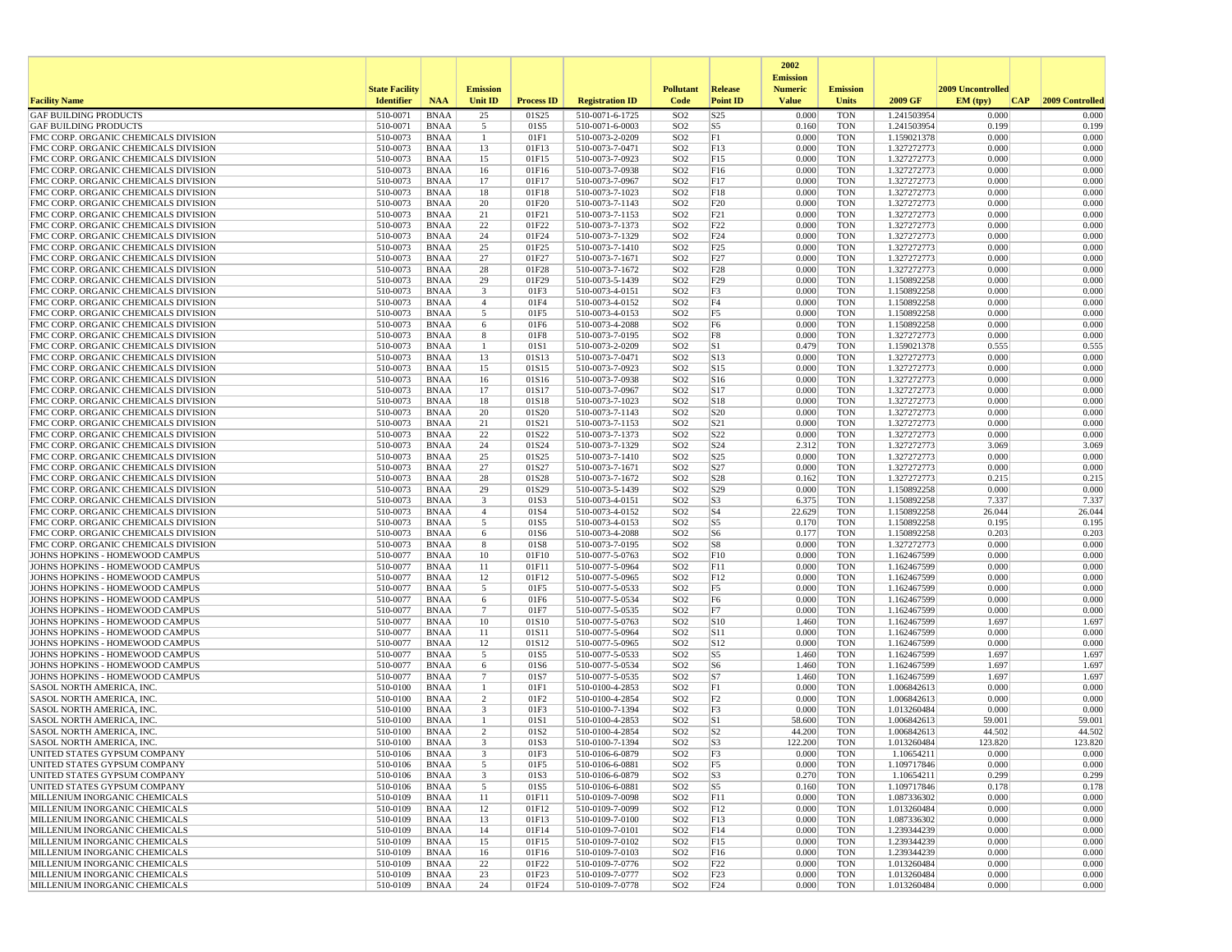|                                                                              |                       |                            |                                 |                   |                                    |                                    |                        | 2002<br><b>Emission</b> |                          |                            |                   |                  |
|------------------------------------------------------------------------------|-----------------------|----------------------------|---------------------------------|-------------------|------------------------------------|------------------------------------|------------------------|-------------------------|--------------------------|----------------------------|-------------------|------------------|
|                                                                              | <b>State Facility</b> |                            | <b>Emission</b>                 |                   |                                    | <b>Pollutant</b>                   | Release                | <b>Numeric</b>          | <b>Emission</b>          |                            | 2009 Uncontrolled |                  |
| <b>Facility Name</b>                                                         | <b>Identifier</b>     | <b>NAA</b>                 | <b>Unit ID</b>                  | <b>Process ID</b> | <b>Registration ID</b>             | Code                               | <b>Point ID</b>        | <b>Value</b>            | <b>Units</b>             | 2009 GF                    | CAP <br>EM (typ)  | 2009 Controlled  |
| <b>GAF BUILDING PRODUCTS</b>                                                 | 510-0071              | <b>BNAA</b>                | 25                              | 01S25             | 510-0071-6-1725                    | SO <sub>2</sub>                    | S25                    | 0.000                   | <b>TON</b>               | 1.241503954                | 0.000             | 0.000            |
| <b>GAF BUILDING PRODUCTS</b><br>FMC CORP. ORGANIC CHEMICALS DIVISION         | 510-0071<br>510-0073  | <b>BNAA</b><br><b>BNAA</b> | 5<br>$\mathbf{1}$               | 01S5<br>01F1      | 510-0071-6-0003<br>510-0073-2-0209 | SO <sub>2</sub><br>SO <sub>2</sub> | S5<br>F1               | 0.160<br>0.000          | <b>TON</b><br><b>TON</b> | 1.241503954<br>1.159021378 | 0.199<br>0.000    | 0.199<br>0.000   |
| FMC CORP. ORGANIC CHEMICALS DIVISION                                         | 510-0073              | <b>BNAA</b>                | 13                              | 01F13             | 510-0073-7-0471                    | SO <sub>2</sub>                    | FI3                    | 0.000                   | <b>TON</b>               | 1.327272773                | 0.000             | 0.000            |
| FMC CORP. ORGANIC CHEMICALS DIVISION                                         | 510-0073              | <b>BNAA</b>                | 15                              | 01F15             | 510-0073-7-0923                    | SO <sub>2</sub>                    | FI5                    | 0.000                   | <b>TON</b>               | 1.327272773                | 0.000             | 0.000            |
| FMC CORP. ORGANIC CHEMICALS DIVISION                                         | 510-0073              | <b>BNAA</b>                | 16                              | 01F16             | 510-0073-7-0938                    | SO <sub>2</sub>                    | F16                    | 0.000                   | <b>TON</b>               | 1.327272773                | 0.000             | 0.000            |
| FMC CORP. ORGANIC CHEMICALS DIVISION<br>FMC CORP. ORGANIC CHEMICALS DIVISION | 510-0073<br>510-0073  | <b>BNAA</b><br><b>BNAA</b> | 17<br>18                        | 01F17<br>01F18    | 510-0073-7-0967<br>510-0073-7-1023 | SO <sub>2</sub><br>SO <sub>2</sub> | F17<br>F18             | 0.000<br>0.000          | <b>TON</b><br><b>TON</b> | 1.327272773<br>1.327272773 | 0.000<br>0.000    | 0.000<br>0.000   |
| FMC CORP. ORGANIC CHEMICALS DIVISION                                         | 510-0073              | <b>BNAA</b>                | 20                              | 01F20             | 510-0073-7-1143                    | SO <sub>2</sub>                    | F20                    | 0.000                   | <b>TON</b>               | 1.327272773                | 0.000             | 0.000            |
| FMC CORP. ORGANIC CHEMICALS DIVISION                                         | 510-0073              | <b>BNAA</b>                | 21                              | 01F21             | 510-0073-7-1153                    | SO <sub>2</sub>                    | F21                    | 0.000                   | <b>TON</b>               | 1.327272773                | 0.000             | 0.000            |
| FMC CORP. ORGANIC CHEMICALS DIVISION                                         | 510-0073              | <b>BNAA</b>                | 22                              | 01F22             | 510-0073-7-1373                    | SO <sub>2</sub>                    | F22                    | 0.000                   | <b>TON</b>               | 1.327272773                | 0.000             | 0.000            |
| FMC CORP. ORGANIC CHEMICALS DIVISION                                         | 510-0073              | <b>BNAA</b>                | 24                              | 01F24             | 510-0073-7-1329                    | SO <sub>2</sub>                    | F24                    | 0.000                   | <b>TON</b>               | 1.327272773                | 0.000<br>0.000    | 0.000            |
| FMC CORP. ORGANIC CHEMICALS DIVISION<br>FMC CORP. ORGANIC CHEMICALS DIVISION | 510-0073<br>510-0073  | <b>BNAA</b><br><b>BNAA</b> | 25<br>27                        | 01F25<br>01F27    | 510-0073-7-1410<br>510-0073-7-1671 | SO <sub>2</sub><br>SO <sub>2</sub> | F25<br>F27             | 0.000<br>0.000          | <b>TON</b><br><b>TON</b> | 1.327272773<br>1.327272773 | 0.000             | 0.000<br>0.000   |
| FMC CORP. ORGANIC CHEMICALS DIVISION                                         | 510-0073              | <b>BNAA</b>                | 28                              | 01F28             | 510-0073-7-1672                    | SO <sub>2</sub>                    | F28                    | 0.000                   | <b>TON</b>               | 1.327272773                | 0.000             | 0.000            |
| FMC CORP. ORGANIC CHEMICALS DIVISION                                         | 510-0073              | <b>BNAA</b>                | 29                              | 01F29             | 510-0073-5-1439                    | SO <sub>2</sub>                    | F29                    | 0.000                   | <b>TON</b>               | 1.150892258                | 0.000             | 0.000            |
| FMC CORP. ORGANIC CHEMICALS DIVISION                                         | 510-0073              | <b>BNAA</b>                | $\overline{3}$                  | 01F3              | 510-0073-4-0151                    | SO <sub>2</sub>                    | F <sub>3</sub>         | 0.000                   | <b>TON</b>               | 1.150892258                | 0.000             | 0.000            |
| FMC CORP. ORGANIC CHEMICALS DIVISION<br>FMC CORP. ORGANIC CHEMICALS DIVISION | 510-0073<br>510-0073  | <b>BNAA</b><br><b>BNAA</b> | $\overline{4}$<br>5             | 01F4<br>01F5      | 510-0073-4-0152                    | SO <sub>2</sub><br>SO <sub>2</sub> | F4<br>F5               | 0.000<br>0.000          | <b>TON</b><br><b>TON</b> | 1.150892258<br>1.150892258 | 0.000<br>0.000    | 0.000<br>0.000   |
| FMC CORP. ORGANIC CHEMICALS DIVISION                                         | 510-0073              | <b>BNAA</b>                | 6                               | 01F6              | 510-0073-4-0153<br>510-0073-4-2088 | SO <sub>2</sub>                    | F <sub>6</sub>         | 0.000                   | <b>TON</b>               | 1.150892258                | 0.000             | 0.000            |
| FMC CORP. ORGANIC CHEMICALS DIVISION                                         | 510-0073              | <b>BNAA</b>                | 8                               | 01F8              | 510-0073-7-0195                    | SO <sub>2</sub>                    | F8                     | 0.000                   | <b>TON</b>               | 1.327272773                | 0.000             | 0.000            |
| FMC CORP. ORGANIC CHEMICALS DIVISION                                         | 510-0073              | <b>BNAA</b>                | -1                              | 01S1              | 510-0073-2-0209                    | SO <sub>2</sub>                    | S1                     | 0.479                   | <b>TON</b>               | 1.159021378                | 0.555             | 0.555            |
| FMC CORP. ORGANIC CHEMICALS DIVISION                                         | 510-0073              | <b>BNAA</b>                | 13                              | 01S13             | 510-0073-7-0471                    | SO <sub>2</sub>                    | $\vert$ S13            | 0.000                   | <b>TON</b>               | 1.327272773                | 0.000             | 0.000            |
| FMC CORP. ORGANIC CHEMICALS DIVISION<br>FMC CORP. ORGANIC CHEMICALS DIVISION | 510-0073<br>510-0073  | <b>BNAA</b><br><b>BNAA</b> | 15<br>16                        | 01S15<br>01S16    | 510-0073-7-0923<br>510-0073-7-0938 | SO <sub>2</sub><br>SO <sub>2</sub> | S15<br>S <sub>16</sub> | 0.000<br>0.000          | <b>TON</b><br><b>TON</b> | 1.327272773<br>1.327272773 | 0.000<br>0.000    | 0.000<br>0.000   |
| FMC CORP. ORGANIC CHEMICALS DIVISION                                         | 510-0073              | <b>BNAA</b>                | 17                              | 01S17             | 510-0073-7-0967                    | SO <sub>2</sub>                    | S17                    | 0.000                   | <b>TON</b>               | 1.327272773                | 0.000             | 0.000            |
| FMC CORP. ORGANIC CHEMICALS DIVISION                                         | 510-0073              | <b>BNAA</b>                | 18                              | 01S18             | 510-0073-7-1023                    | SO <sub>2</sub>                    | S18                    | 0.000                   | <b>TON</b>               | 1.327272773                | 0.000             | 0.000            |
| FMC CORP. ORGANIC CHEMICALS DIVISION                                         | 510-0073              | <b>BNAA</b>                | 20                              | 01S20             | 510-0073-7-1143                    | SO <sub>2</sub>                    | <b>S20</b>             | 0.000                   | <b>TON</b>               | 1.327272773                | 0.000             | 0.000            |
| FMC CORP. ORGANIC CHEMICALS DIVISION                                         | 510-0073              | <b>BNAA</b>                | 21                              | 01S21             | 510-0073-7-1153                    | SO <sub>2</sub>                    | S21                    | 0.000                   | <b>TON</b>               | 1.327272773                | 0.000             | 0.000            |
| FMC CORP. ORGANIC CHEMICALS DIVISION<br>FMC CORP. ORGANIC CHEMICALS DIVISION | 510-0073<br>510-0073  | <b>BNAA</b><br><b>BNAA</b> | 22<br>24                        | 01S22<br>01S24    | 510-0073-7-1373<br>510-0073-7-1329 | SO <sub>2</sub><br>SO <sub>2</sub> | S22<br>S24             | 0.000<br>2.312          | <b>TON</b><br><b>TON</b> | 1.327272773<br>1.327272773 | 0.000<br>3.069    | 0.000<br>3.069   |
| FMC CORP. ORGANIC CHEMICALS DIVISION                                         | 510-0073              | <b>BNAA</b>                | 25                              | 01S25             | 510-0073-7-1410                    | SO <sub>2</sub>                    | S <sub>25</sub>        | 0.000                   | <b>TON</b>               | 1.327272773                | 0.000             | 0.000            |
| FMC CORP. ORGANIC CHEMICALS DIVISION                                         | 510-0073              | <b>BNAA</b>                | 27                              | 01S27             | 510-0073-7-1671                    | SO <sub>2</sub>                    | S27                    | 0.000                   | <b>TON</b>               | 1.327272773                | 0.000             | 0.000            |
| FMC CORP. ORGANIC CHEMICALS DIVISION                                         | 510-0073              | <b>BNAA</b>                | 28                              | 01S28             | 510-0073-7-1672                    | SO <sub>2</sub>                    | S28                    | 0.162                   | <b>TON</b>               | 1.327272773                | 0.215             | 0.215            |
| FMC CORP. ORGANIC CHEMICALS DIVISION                                         | 510-0073              | <b>BNAA</b>                | 29                              | 01S29             | 510-0073-5-1439                    | SO <sub>2</sub>                    | S29                    | 0.000                   | <b>TON</b>               | 1.150892258                | 0.000             | 0.000            |
| FMC CORP. ORGANIC CHEMICALS DIVISION<br>FMC CORP. ORGANIC CHEMICALS DIVISION | 510-0073<br>510-0073  | <b>BNAA</b><br><b>BNAA</b> | 3<br>$\overline{4}$             | 01S3<br>01S4      | 510-0073-4-0151<br>510-0073-4-0152 | SO <sub>2</sub><br>SO <sub>2</sub> | S3<br>S <sub>4</sub>   | 6.375<br>22.629         | <b>TON</b><br><b>TON</b> | 1.150892258<br>1.150892258 | 7.337<br>26.044   | 7.337<br>26.044  |
| FMC CORP. ORGANIC CHEMICALS DIVISION                                         | 510-0073              | <b>BNAA</b>                | 5                               | 01S5              | 510-0073-4-0153                    | SO <sub>2</sub>                    | S5                     | 0.170                   | <b>TON</b>               | 1.150892258                | 0.195             | 0.195            |
| FMC CORP. ORGANIC CHEMICALS DIVISION                                         | 510-0073              | <b>BNAA</b>                | 6                               | 01S6              | 510-0073-4-2088                    | SO <sub>2</sub>                    | S6                     | 0.177                   | <b>TON</b>               | 1.150892258                | 0.203             | 0.203            |
| FMC CORP. ORGANIC CHEMICALS DIVISION                                         | 510-0073              | <b>BNAA</b>                | 8                               | 01S8              | 510-0073-7-0195                    | SO <sub>2</sub>                    | S8                     | 0.000                   | <b>TON</b>               | 1.327272773                | 0.000             | 0.000            |
| JOHNS HOPKINS - HOMEWOOD CAMPUS<br>JOHNS HOPKINS - HOMEWOOD CAMPUS           | 510-0077<br>510-0077  | <b>BNAA</b><br><b>BNAA</b> | 10<br>11                        | 01F10<br>01F11    | 510-0077-5-0763<br>510-0077-5-0964 | SO <sub>2</sub><br>SO <sub>2</sub> | F10<br>F11             | 0.000<br>0.000          | <b>TON</b><br><b>TON</b> | 1.162467599<br>1.162467599 | 0.000<br>0.000    | 0.000<br>0.000   |
| JOHNS HOPKINS - HOMEWOOD CAMPUS                                              | 510-0077              | <b>BNAA</b>                | 12                              | 01F12             | 510-0077-5-0965                    | SO <sub>2</sub>                    | F12                    | 0.000                   | <b>TON</b>               | 1.162467599                | 0.000             | 0.000            |
| JOHNS HOPKINS - HOMEWOOD CAMPUS                                              | 510-0077              | <b>BNAA</b>                | 5                               | 01F5              | 510-0077-5-0533                    | SO <sub>2</sub>                    | F5                     | 0.000                   | <b>TON</b>               | 1.162467599                | 0.000             | 0.000            |
| JOHNS HOPKINS - HOMEWOOD CAMPUS                                              | 510-0077              | <b>BNAA</b>                | 6                               | 01F6              | 510-0077-5-0534                    | SO <sub>2</sub>                    | F <sub>6</sub>         | 0.000                   | <b>TON</b>               | 1.162467599                | 0.000             | 0.000            |
| JOHNS HOPKINS - HOMEWOOD CAMPUS                                              | 510-0077              | <b>BNAA</b>                | $\overline{7}$                  | 01F7              | 510-0077-5-0535                    | SO <sub>2</sub>                    | F7                     | 0.000                   | <b>TON</b>               | 1.162467599                | 0.000             | 0.000            |
| JOHNS HOPKINS - HOMEWOOD CAMPUS<br>JOHNS HOPKINS - HOMEWOOD CAMPUS           | 510-0077<br>510-0077  | <b>BNAA</b><br><b>BNAA</b> | 10<br>11                        | 01S10<br>01S11    | 510-0077-5-0763<br>510-0077-5-0964 | SO <sub>2</sub><br>SO <sub>2</sub> | S10<br> S11            | 1.460<br>0.000          | <b>TON</b><br><b>TON</b> | 1.162467599<br>1.162467599 | 1.697<br>0.000    | 1.697<br>0.000   |
| JOHNS HOPKINS - HOMEWOOD CAMPUS                                              | 510-0077              | <b>BNAA</b>                | 12                              | 01S12             | 510-0077-5-0965                    | SO <sub>2</sub>                    | S12                    | 0.000                   | <b>TON</b>               | 1.162467599                | 0.000             | 0.000            |
| JOHNS HOPKINS - HOMEWOOD CAMPUS                                              | 510-0077              | <b>BNAA</b>                | 5                               | 01S5              | 510-0077-5-0533                    | SO <sub>2</sub>                    | S5                     | 1.460                   | <b>TON</b>               | 1.162467599                | 1.697             | 1.697            |
| JOHNS HOPKINS - HOMEWOOD CAMPUS                                              | 510-0077              | <b>BNAA</b>                | 6                               | 01S6              | 510-0077-5-0534                    | SO <sub>2</sub>                    | S <sub>6</sub>         | 1.460                   | <b>TON</b>               | 1.162467599                | 1.697             | 1.697            |
| JOHNS HOPKINS - HOMEWOOD CAMPUS<br>SASOL NORTH AMERICA, INC.                 | 510-0077<br>510-0100  | <b>BNAA</b><br><b>BNAA</b> | $7\phantom{.0}$<br>$\mathbf{1}$ | 01S7<br>01F1      | 510-0077-5-0535<br>510-0100-4-2853 | SO <sub>2</sub><br>SO <sub>2</sub> | S7<br>F1               | 1.460<br>0.000          | <b>TON</b><br><b>TON</b> | 1.162467599<br>1.006842613 | 1.697<br>0.000    | 1.697<br>0.000   |
| SASOL NORTH AMERICA, INC.                                                    | 510-0100              | <b>BNAA</b>                | 2                               | 01F2              | 510-0100-4-2854                    | SO <sub>2</sub>                    | F2                     | 0.000                   | <b>TON</b>               | 1.006842613                | 0.000             | 0.000            |
| SASOL NORTH AMERICA, INC                                                     | 510-0100              | <b>BNAA</b>                | 3                               | 01F3              | 510-0100-7-1394                    | SO <sub>2</sub>                    | F3                     | 0.000                   | <b>TON</b>               | 1.013260484                | 0.000             | 0.000            |
| SASOL NORTH AMERICA, INC                                                     | 510-0100              | BNAA                       | $\mathbf{1}$                    | 01S1              | 510-0100-4-2853                    | SO <sub>2</sub>                    | S1                     | 58.600                  | <b>TON</b>               | 1.006842613                | 59.001            | 59.001           |
| SASOL NORTH AMERICA, INC.                                                    | 510-0100              | <b>BNAA</b>                | 2<br>3                          | 01S2              | 510-0100-4-2854                    | SO <sub>2</sub>                    | S <sub>2</sub>         | 44.200                  | <b>TON</b>               | 1.006842613                | 44.502            | 44.502           |
| <b>SASOL NORTH AMERICA, INC.</b><br>UNITED STATES GYPSUM COMPANY             | 510-0100<br>510-0106  | <b>BNAA</b><br>BNAA        |                                 | 01S3<br>01F3      | 510-0100-7-1394<br>510-0106-6-0879 | SO <sub>2</sub><br>SO <sub>2</sub> | S <sub>3</sub><br>F3   | 122.200<br>0.000        | <b>TON</b><br><b>TON</b> | 1.013260484<br>1.10654211  | 123.820<br>0.000  | 123.820<br>0.000 |
| UNITED STATES GYPSUM COMPANY                                                 | 510-0106              | BNAA                       | 5                               | 01F5              | 510-0106-6-0881                    | SO <sub>2</sub>                    | F5                     | 0.000                   | <b>TON</b>               | 1.109717846                | 0.000             | 0.000            |
| UNITED STATES GYPSUM COMPANY                                                 | 510-0106              | BNAA                       | $\mathbf{3}$                    | 01S3              | 510-0106-6-0879                    | SO <sub>2</sub>                    | S <sub>3</sub>         | 0.270                   | <b>TON</b>               | 1.10654211                 | 0.299             | 0.299            |
| UNITED STATES GYPSUM COMPANY                                                 | 510-0106              | BNAA                       | 5                               | 01S5              | 510-0106-6-0881                    | SO <sub>2</sub>                    | S5                     | 0.160                   | <b>TON</b>               | 1.109717846                | 0.178             | 0.178            |
| MILLENIUM INORGANIC CHEMICALS                                                | 510-0109              | <b>BNAA</b>                | 11                              | 01F11             | 510-0109-7-0098                    | SO <sub>2</sub>                    | F11                    | 0.000                   | <b>TON</b>               | 1.087336302                | 0.000             | 0.000            |
| MILLENIUM INORGANIC CHEMICALS<br>MILLENIUM INORGANIC CHEMICALS               | 510-0109<br>510-0109  | <b>BNAA</b><br><b>BNAA</b> | 12<br>13                        | 01F12<br>01F13    | 510-0109-7-0099<br>510-0109-7-0100 | SO <sub>2</sub><br>SO <sub>2</sub> | F12<br>F13             | 0.000<br>0.000          | <b>TON</b><br><b>TON</b> | 1.013260484<br>1.087336302 | 0.000<br>0.000    | 0.000<br>0.000   |
| MILLENIUM INORGANIC CHEMICALS                                                | 510-0109              | BNAA                       | 14                              | 01F14             | 510-0109-7-0101                    | SO <sub>2</sub>                    | F14                    | 0.000                   | <b>TON</b>               | 1.239344239                | 0.000             | 0.000            |
| MILLENIUM INORGANIC CHEMICALS                                                | 510-0109              | BNAA                       | 15                              | 01F15             | 510-0109-7-0102                    | SO <sub>2</sub>                    | F15                    | 0.000                   | <b>TON</b>               | 1.239344239                | 0.000             | 0.000            |
| MILLENIUM INORGANIC CHEMICALS                                                | 510-0109              | BNAA                       | 16                              | 01F16             | 510-0109-7-0103                    | SO <sub>2</sub>                    | F16                    | 0.000                   | TON                      | 1.239344239                | 0.000             | 0.000            |
| MILLENIUM INORGANIC CHEMICALS<br>MILLENIUM INORGANIC CHEMICALS               | 510-0109<br>510-0109  | BNAA<br><b>BNAA</b>        | 22<br>23                        | 01F22<br>01F23    | 510-0109-7-0776<br>510-0109-7-0777 | SO <sub>2</sub><br>SO <sub>2</sub> | F22<br>F23             | 0.000<br>0.000          | <b>TON</b><br><b>TON</b> | 1.013260484<br>1.013260484 | 0.000<br>0.000    | 0.000<br>0.000   |
| MILLENIUM INORGANIC CHEMICALS                                                | 510-0109              | BNAA                       | 24                              | 01F24             | 510-0109-7-0778                    | SO <sub>2</sub>                    | F24                    | 0.000                   | TON                      | 1.013260484                | 0.000             | 0.000            |
|                                                                              |                       |                            |                                 |                   |                                    |                                    |                        |                         |                          |                            |                   |                  |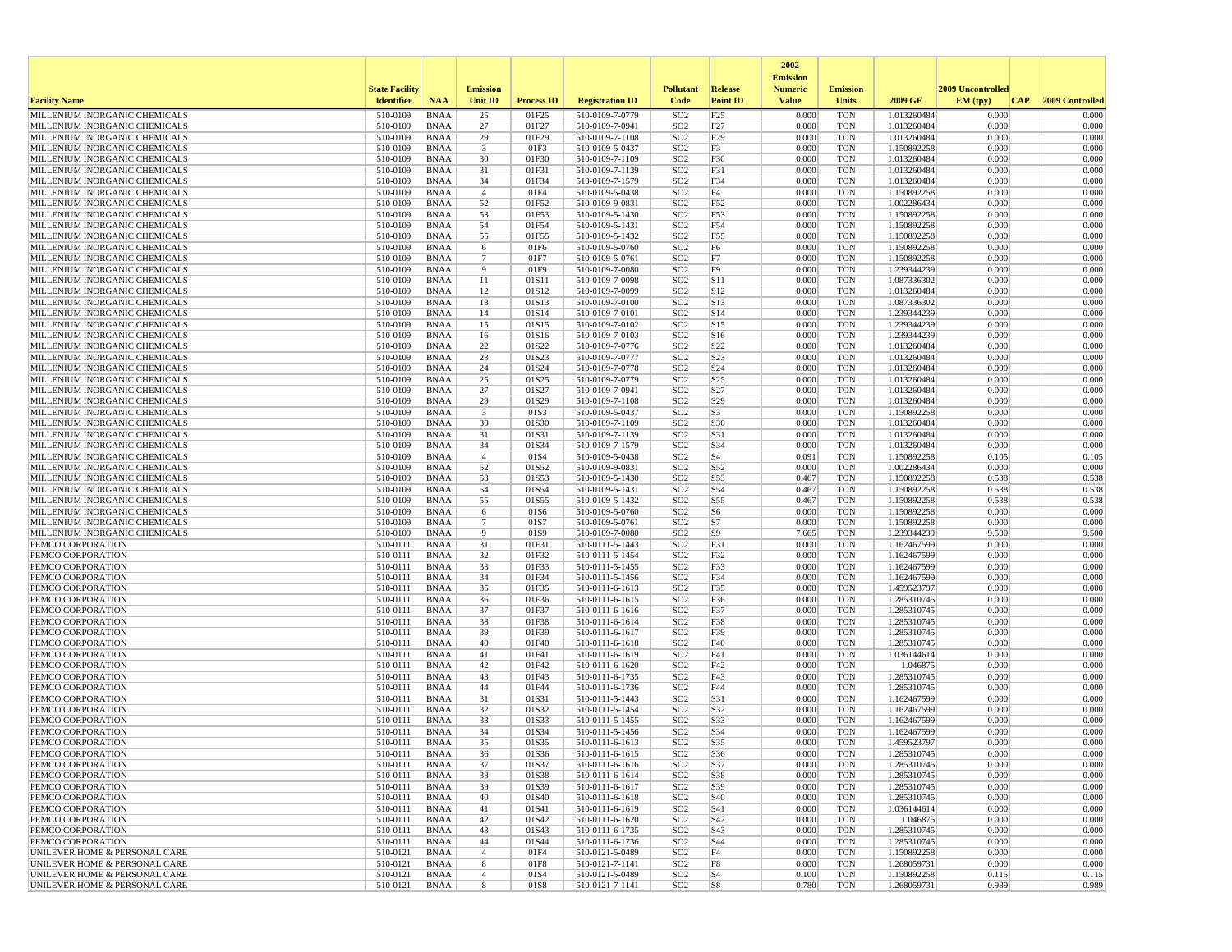|                                                                |                       |                            |                               |                   |                                    |                                    |                        | 2002                              |                          |                            |                   |                 |
|----------------------------------------------------------------|-----------------------|----------------------------|-------------------------------|-------------------|------------------------------------|------------------------------------|------------------------|-----------------------------------|--------------------------|----------------------------|-------------------|-----------------|
|                                                                | <b>State Facility</b> |                            | <b>Emission</b>               |                   |                                    | <b>Pollutant</b>                   | <b>Release</b>         | <b>Emission</b><br><b>Numeric</b> | <b>Emission</b>          |                            | 2009 Uncontrolled |                 |
| <b>Facility Name</b>                                           | <b>Identifier</b>     | <b>NAA</b>                 | <b>Unit ID</b>                | <b>Process ID</b> | <b>Registration ID</b>             | Code                               | <b>Point ID</b>        | <b>Value</b>                      | <b>Units</b>             | 2009 GF                    | CAP <br>EM (typ)  | 2009 Controlled |
| MILLENIUM INORGANIC CHEMICALS                                  | 510-0109              | <b>BNAA</b>                | 25                            | 01F25             | 510-0109-7-0779                    | SO <sub>2</sub>                    | F25                    | 0.000                             | <b>TON</b>               | 1.013260484                | 0.000             | 0.000           |
| MILLENIUM INORGANIC CHEMICALS                                  | 510-0109              | <b>BNAA</b>                | 27                            | 01F27             | 510-0109-7-0941                    | SO <sub>2</sub>                    | F27                    | 0.000                             | <b>TON</b>               | 1.013260484                | 0.000             | 0.000           |
| MILLENIUM INORGANIC CHEMICALS<br>MILLENIUM INORGANIC CHEMICALS | 510-0109<br>510-0109  | <b>BNAA</b><br><b>BNAA</b> | 29<br>3                       | 01F29<br>01F3     | 510-0109-7-1108<br>510-0109-5-0437 | SO <sub>2</sub><br>SO <sub>2</sub> | F29<br>F3              | 0.000<br>0.000                    | <b>TON</b><br><b>TON</b> | 1.013260484<br>1.150892258 | 0.000<br>0.000    | 0.000<br>0.000  |
| MILLENIUM INORGANIC CHEMICALS                                  | 510-0109              | <b>BNAA</b>                | 30                            | 01F30             | 510-0109-7-1109                    | SO <sub>2</sub>                    | F30                    | 0.000                             | <b>TON</b>               | 1.013260484                | 0.000             | 0.000           |
| MILLENIUM INORGANIC CHEMICALS                                  | 510-0109              | <b>BNAA</b>                | 31                            | 01F31             | 510-0109-7-1139                    | SO <sub>2</sub>                    | F31                    | 0.000                             | <b>TON</b>               | 1.013260484                | 0.000             | 0.000           |
| MILLENIUM INORGANIC CHEMICALS                                  | 510-0109              | <b>BNAA</b>                | 34                            | 01F34             | 510-0109-7-1579                    | SO <sub>2</sub>                    | F34                    | 0.000                             | <b>TON</b>               | 1.013260484                | 0.000             | 0.000           |
| MILLENIUM INORGANIC CHEMICALS                                  | 510-0109              | <b>BNAA</b>                | $\overline{4}$                | 01F4              | 510-0109-5-0438                    | SO <sub>2</sub>                    | F4                     | 0.000                             | <b>TON</b>               | 1.150892258                | 0.000             | 0.000           |
| MILLENIUM INORGANIC CHEMICALS<br>MILLENIUM INORGANIC CHEMICALS | 510-0109<br>510-0109  | <b>BNAA</b><br><b>BNAA</b> | 52<br>53                      | 01F52<br>01F53    | 510-0109-9-0831<br>510-0109-5-1430 | SO <sub>2</sub><br>SO <sub>2</sub> | F52<br>F53             | 0.000<br>0.000                    | <b>TON</b><br><b>TON</b> | 1.002286434<br>1.150892258 | 0.000<br>0.000    | 0.000<br>0.000  |
| MILLENIUM INORGANIC CHEMICALS                                  | 510-0109              | <b>BNAA</b>                | 54                            | 01F54             | 510-0109-5-1431                    | SO <sub>2</sub>                    | F54                    | 0.000                             | <b>TON</b>               | 1.150892258                | 0.000             | 0.000           |
| MILLENIUM INORGANIC CHEMICALS                                  | 510-0109              | <b>BNAA</b>                | 55                            | 01F55             | 510-0109-5-1432                    | SO <sub>2</sub>                    | F55                    | 0.000                             | <b>TON</b>               | 1.150892258                | 0.000             | 0.000           |
| MILLENIUM INORGANIC CHEMICALS                                  | 510-0109              | <b>BNAA</b>                | 6                             | 01F6              | 510-0109-5-0760                    | SO <sub>2</sub>                    | F <sub>6</sub>         | 0.000                             | <b>TON</b>               | 1.150892258                | 0.000             | 0.000           |
| MILLENIUM INORGANIC CHEMICALS                                  | 510-0109              | <b>BNAA</b>                | $7\phantom{.0}$               | 01F7              | 510-0109-5-0761                    | SO <sub>2</sub>                    | F7                     | 0.000                             | <b>TON</b>               | 1.150892258                | 0.000             | 0.000           |
| MILLENIUM INORGANIC CHEMICALS<br>MILLENIUM INORGANIC CHEMICALS | 510-0109<br>510-0109  | <b>BNAA</b><br><b>BNAA</b> | 9<br>11                       | 01F9<br>01S11     | 510-0109-7-0080<br>510-0109-7-0098 | SO <sub>2</sub><br>SO <sub>2</sub> | F9<br> S11             | 0.000<br>0.000                    | <b>TON</b><br><b>TON</b> | 1.239344239<br>1.087336302 | 0.000<br>0.000    | 0.000<br>0.000  |
| MILLENIUM INORGANIC CHEMICALS                                  | 510-0109              | <b>BNAA</b>                | 12                            | 01S12             | 510-0109-7-0099                    | SO <sub>2</sub>                    | S12                    | 0.000                             | <b>TON</b>               | 1.013260484                | 0.000             | 0.000           |
| MILLENIUM INORGANIC CHEMICALS                                  | 510-0109              | <b>BNAA</b>                | 13                            | 01S13             | 510-0109-7-0100                    | SO <sub>2</sub>                    | S13                    | 0.000                             | <b>TON</b>               | 1.087336302                | 0.000             | 0.000           |
| MILLENIUM INORGANIC CHEMICALS                                  | 510-0109              | <b>BNAA</b>                | 14                            | 01S14             | 510-0109-7-0101                    | SO <sub>2</sub>                    | S14                    | 0.000                             | <b>TON</b>               | 1.239344239                | 0.000             | 0.000           |
| MILLENIUM INORGANIC CHEMICALS                                  | 510-0109              | <b>BNAA</b>                | 15                            | 01S15             | 510-0109-7-0102                    | SO <sub>2</sub>                    | S15                    | 0.000                             | <b>TON</b>               | 1.239344239                | 0.000             | 0.000           |
| MILLENIUM INORGANIC CHEMICALS<br>MILLENIUM INORGANIC CHEMICALS | 510-0109<br>510-0109  | <b>BNAA</b><br><b>BNAA</b> | 16<br>22                      | 01S16<br>01S22    | 510-0109-7-0103<br>510-0109-7-0776 | SO <sub>2</sub><br>SO <sub>2</sub> | S <sub>16</sub><br>S22 | 0.000<br>0.000                    | <b>TON</b><br><b>TON</b> | 1.239344239<br>1.013260484 | 0.000<br>0.000    | 0.000<br>0.000  |
| MILLENIUM INORGANIC CHEMICALS                                  | 510-0109              | <b>BNAA</b>                | 23                            | 01S23             | 510-0109-7-0777                    | SO <sub>2</sub>                    | S23                    | 0.000                             | <b>TON</b>               | 1.013260484                | 0.000             | 0.000           |
| MILLENIUM INORGANIC CHEMICALS                                  | 510-0109              | BNAA                       | 24                            | 01S24             | 510-0109-7-0778                    | SO <sub>2</sub>                    | S24                    | 0.000                             | <b>TON</b>               | 1.013260484                | 0.000             | 0.000           |
| MILLENIUM INORGANIC CHEMICALS                                  | 510-0109              | <b>BNAA</b>                | 25                            | 01S25             | 510-0109-7-0779                    | SO <sub>2</sub>                    | S <sub>25</sub>        | 0.000                             | <b>TON</b>               | 1.013260484                | 0.000             | 0.000           |
| MILLENIUM INORGANIC CHEMICALS                                  | 510-0109              | <b>BNAA</b>                | 27                            | 01S27             | 510-0109-7-0941                    | SO <sub>2</sub>                    | S27                    | 0.000                             | <b>TON</b>               | 1.013260484                | 0.000             | 0.000           |
| MILLENIUM INORGANIC CHEMICALS<br>MILLENIUM INORGANIC CHEMICALS | 510-0109<br>510-0109  | <b>BNAA</b>                | 29<br>$\overline{\mathbf{3}}$ | 01S29             | 510-0109-7-1108                    | SO <sub>2</sub>                    | S29<br>S <sub>3</sub>  | 0.000<br>0.000                    | <b>TON</b><br><b>TON</b> | 1.013260484                | 0.000<br>0.000    | 0.000<br>0.000  |
| MILLENIUM INORGANIC CHEMICALS                                  | 510-0109              | <b>BNAA</b><br><b>BNAA</b> | 30                            | 01S3<br>01S30     | 510-0109-5-0437<br>510-0109-7-1109 | SO <sub>2</sub><br>SO <sub>2</sub> | S30                    | 0.000                             | <b>TON</b>               | 1.150892258<br>1.013260484 | 0.000             | 0.000           |
| MILLENIUM INORGANIC CHEMICALS                                  | 510-0109              | <b>BNAA</b>                | 31                            | 01S31             | 510-0109-7-1139                    | SO <sub>2</sub>                    | S31                    | 0.000                             | <b>TON</b>               | 1.013260484                | 0.000             | 0.000           |
| MILLENIUM INORGANIC CHEMICALS                                  | 510-0109              | <b>BNAA</b>                | 34                            | 01S34             | 510-0109-7-1579                    | SO <sub>2</sub>                    | S34                    | 0.000                             | <b>TON</b>               | 1.013260484                | 0.000             | 0.000           |
| MILLENIUM INORGANIC CHEMICALS                                  | 510-0109              | <b>BNAA</b>                | $\overline{4}$                | 01S4              | 510-0109-5-0438                    | SO <sub>2</sub>                    | S <sub>4</sub>         | 0.091                             | <b>TON</b>               | 1.150892258                | 0.105             | 0.105           |
| MILLENIUM INORGANIC CHEMICALS                                  | 510-0109              | <b>BNAA</b><br><b>BNAA</b> | 52                            | 01S52             | 510-0109-9-0831                    | SO <sub>2</sub><br>SO <sub>2</sub> | S52                    | 0.000                             | <b>TON</b><br><b>TON</b> | 1.002286434                | 0.000<br>0.538    | 0.000           |
| MILLENIUM INORGANIC CHEMICALS<br>MILLENIUM INORGANIC CHEMICALS | 510-0109<br>510-0109  | <b>BNAA</b>                | 53<br>54                      | 01S53<br>01S54    | 510-0109-5-1430<br>510-0109-5-1431 | SO <sub>2</sub>                    | S53<br>S54             | 0.467<br>0.467                    | <b>TON</b>               | 1.150892258<br>1.150892258 | 0.538             | 0.538<br>0.538  |
| MILLENIUM INORGANIC CHEMICALS                                  | 510-0109              | <b>BNAA</b>                | 55                            | 01S55             | 510-0109-5-1432                    | SO <sub>2</sub>                    | S55                    | 0.467                             | <b>TON</b>               | 1.150892258                | 0.538             | 0.538           |
| MILLENIUM INORGANIC CHEMICALS                                  | 510-0109              | <b>BNAA</b>                | 6                             | 01S6              | 510-0109-5-0760                    | SO <sub>2</sub>                    | S <sub>6</sub>         | 0.000                             | <b>TON</b>               | 1.150892258                | 0.000             | 0.000           |
| MILLENIUM INORGANIC CHEMICALS                                  | 510-0109              | <b>BNAA</b>                | $\overline{7}$                | 01S7              | 510-0109-5-0761                    | SO <sub>2</sub>                    | S7                     | 0.000                             | <b>TON</b>               | 1.150892258                | 0.000             | 0.000           |
| MILLENIUM INORGANIC CHEMICALS                                  | 510-0109              | <b>BNAA</b>                | 9<br>31                       | 01S9              | 510-0109-7-0080                    | SO <sub>2</sub>                    | S <sub>9</sub>         | 7.665<br>0.000                    | <b>TON</b>               | 1.239344239                | 9.500<br>0.000    | 9.500<br>0.000  |
| PEMCO CORPORATION<br>PEMCO CORPORATION                         | 510-0111<br>510-0111  | <b>BNAA</b><br><b>BNAA</b> | 32                            | 01F31<br>01F32    | 510-0111-5-1443<br>510-0111-5-1454 | SO <sub>2</sub><br>SO <sub>2</sub> | F31<br>F32             | 0.000                             | TON<br><b>TON</b>        | 1.162467599<br>1.162467599 | 0.000             | 0.000           |
| PEMCO CORPORATION                                              | 510-0111              | <b>BNAA</b>                | 33                            | 01F33             | 510-0111-5-1455                    | SO <sub>2</sub>                    | F33                    | 0.000                             | <b>TON</b>               | 1.162467599                | 0.000             | 0.000           |
| PEMCO CORPORATION                                              | 510-0111              | <b>BNAA</b>                | 34                            | 01F34             | 510-0111-5-1456                    | SO <sub>2</sub>                    | F34                    | 0.000                             | <b>TON</b>               | 1.162467599                | 0.000             | 0.000           |
| PEMCO CORPORATION                                              | 510-0111              | <b>BNAA</b>                | 35                            | 01F35             | 510-0111-6-1613                    | SO <sub>2</sub>                    | F35                    | 0.000                             | <b>TON</b>               | 1.459523797                | 0.000             | 0.000           |
| PEMCO CORPORATION<br>PEMCO CORPORATION                         | 510-0111<br>510-0111  | <b>BNAA</b><br><b>BNAA</b> | 36<br>37                      | 01F36<br>01F37    | 510-0111-6-1615                    | SO <sub>2</sub><br>SO <sub>2</sub> | F36<br>F37             | 0.000<br>0.000                    | <b>TON</b><br><b>TON</b> | 1.285310745<br>1.285310745 | 0.000<br>0.000    | 0.000<br>0.000  |
| PEMCO CORPORATION                                              | 510-0111              | <b>BNAA</b>                | 38                            | 01F38             | 510-0111-6-1616<br>510-0111-6-1614 | SO <sub>2</sub>                    | F38                    | 0.000                             | <b>TON</b>               | 1.285310745                | 0.000             | 0.000           |
| PEMCO CORPORATION                                              | 510-0111              | <b>BNAA</b>                | 39                            | 01F39             | 510-0111-6-1617                    | SO <sub>2</sub>                    | F39                    | 0.000                             | <b>TON</b>               | 1.285310745                | 0.000             | 0.000           |
| PEMCO CORPORATION                                              | 510-0111              | <b>BNAA</b>                | 40                            | 01F40             | 510-0111-6-1618                    | SO <sub>2</sub>                    | F40                    | 0.000                             | <b>TON</b>               | 1.285310745                | 0.000             | 0.000           |
| PEMCO CORPORATION                                              | 510-0111              | <b>BNAA</b>                | 41                            | 01F41             | 510-0111-6-1619                    | SO <sub>2</sub>                    | F41                    | 0.000                             | <b>TON</b>               | 1.036144614                | 0.000             | 0.000           |
| PEMCO CORPORATION<br>PEMCO CORPORATION                         | 510-0111<br>510-0111  | <b>BNAA</b><br><b>BNAA</b> | 42<br>43                      | 01F42<br>01F43    | 510-0111-6-1620<br>510-0111-6-1735 | SO <sub>2</sub><br>SO <sub>2</sub> | F42<br>F43             | 0.000<br>0.000                    | <b>TON</b><br><b>TON</b> | 1.046875<br>1.285310745    | 0.000<br>0.000    | 0.000<br>0.000  |
| PEMCO CORPORATION                                              | 510-0111              | <b>BNAA</b>                | 44                            | 01F44             | 510-0111-6-1736                    | SO <sub>2</sub>                    | F44                    | 0.000                             | <b>TON</b>               | 1.285310745                | 0.000             | 0.000           |
| PEMCO CORPORATION                                              | 510-0111              | <b>BNAA</b>                | 31                            | 01S31             | 510-0111-5-1443                    | SO <sub>2</sub>                    | S31                    | 0.000                             | <b>TON</b>               | 1.162467599                | 0.000             | 0.000           |
| PEMCO CORPORATION                                              | 510-0111              | <b>BNAA</b>                | 32                            | 01S32             | 510-0111-5-1454                    | SO <sub>2</sub>                    | S32                    | 0.000                             | <b>TON</b>               | 1.162467599                | 0.000             | 0.000           |
| PEMCO CORPORATION                                              | 510-0111              | <b>BNAA</b>                | 33                            | 01S33             | 510-0111-5-1455                    | SO <sub>2</sub>                    | S33                    | 0.000                             | <b>TON</b>               | 1.162467599                | 0.000             | 0.000           |
| PEMCO CORPORATION<br>PEMCO CORPORATION                         | 510-0111<br>510-0111  | <b>BNAA</b><br><b>BNAA</b> | 34<br>35                      | 01S34<br>01S35    | 510-0111-5-1456<br>510-0111-6-1613 | SO <sub>2</sub><br>SO <sub>2</sub> | S34<br>S35             | 0.000<br>0.000                    | <b>TON</b><br><b>TON</b> | 1.162467599<br>1.459523797 | 0.000<br>0.000    | 0.000<br>0.000  |
| PEMCO CORPORATION                                              | 510-0111              | <b>BNAA</b>                | 36                            | 01S36             | 510-0111-6-1615                    | SO <sub>2</sub>                    | S36                    | 0.000                             | <b>TON</b>               | 1.285310745                | 0.000             | 0.000           |
| PEMCO CORPORATION                                              | 510-0111              | BNAA                       | 37                            | 01S37             | 510-0111-6-1616                    | SO <sub>2</sub>                    | S37                    | 0.000                             | TON                      | 1.285310745                | 0.000             | 0.000           |
| PEMCO CORPORATION                                              | 510-0111              | BNAA                       | 38                            | 01S38             | 510-0111-6-1614                    | SO <sub>2</sub>                    | S38                    | 0.000                             | <b>TON</b>               | 1.285310745                | 0.000             | 0.000           |
| PEMCO CORPORATION                                              | 510-0111              | BNAA                       | 39                            | 01S39             | 510-0111-6-1617                    | SO <sub>2</sub>                    | S39                    | 0.000                             | TON                      | 1.285310745                | 0.000             | 0.000           |
| PEMCO CORPORATION<br>PEMCO CORPORATION                         | 510-0111              | BNAA                       | 40<br>41                      | 01S40             | 510-0111-6-1618<br>510-0111-6-1619 | SO <sub>2</sub>                    | S40<br>S41             | 0.000<br>0.000                    | <b>TON</b><br><b>TON</b> | 1.285310745<br>1.036144614 | 0.000<br>0.000    | 0.000<br>0.000  |
| PEMCO CORPORATION                                              | 510-0111<br>510-0111  | BNAA<br>BNAA               | 42                            | 01S41<br>01S42    | 510-0111-6-1620                    | SO <sub>2</sub><br>SO <sub>2</sub> | S42                    | 0.000                             | TON                      | 1.046875                   | 0.000             | 0.000           |
| PEMCO CORPORATION                                              | 510-0111              | BNAA                       | 43                            | 01S43             | 510-0111-6-1735                    | SO <sub>2</sub>                    | S43                    | 0.000                             | <b>TON</b>               | 1.285310745                | 0.000             | 0.000           |
| PEMCO CORPORATION                                              | 510-0111              | BNAA                       | 44                            | 01S44             | 510-0111-6-1736                    | SO <sub>2</sub>                    | S44                    | 0.000                             | <b>TON</b>               | 1.285310745                | 0.000             | 0.000           |
| UNILEVER HOME & PERSONAL CARE                                  | 510-0121              | BNAA                       | $\overline{4}$                | 01F4              | 510-0121-5-0489                    | SO <sub>2</sub>                    | F4                     | 0.000                             | TON                      | 1.150892258                | 0.000             | 0.000           |
| UNILEVER HOME & PERSONAL CARE                                  | 510-0121              | BNAA                       | 8<br>$\overline{4}$           | 01F8              | 510-0121-7-1141                    | SO <sub>2</sub>                    | F8                     | 0.000                             | <b>TON</b><br><b>TON</b> | 1.268059731                | 0.000             | 0.000           |
| UNILEVER HOME & PERSONAL CARE<br>UNILEVER HOME & PERSONAL CARE | 510-0121<br>510-0121  | <b>BNAA</b><br>BNAA        | 8                             | 01S4<br>01S8      | 510-0121-5-0489<br>510-0121-7-1141 | SO <sub>2</sub><br>SO <sub>2</sub> | S <sub>4</sub><br> S8  | 0.100<br>0.780                    | TON                      | 1.150892258<br>1.268059731 | 0.115<br>0.989    | 0.115<br>0.989  |
|                                                                |                       |                            |                               |                   |                                    |                                    |                        |                                   |                          |                            |                   |                 |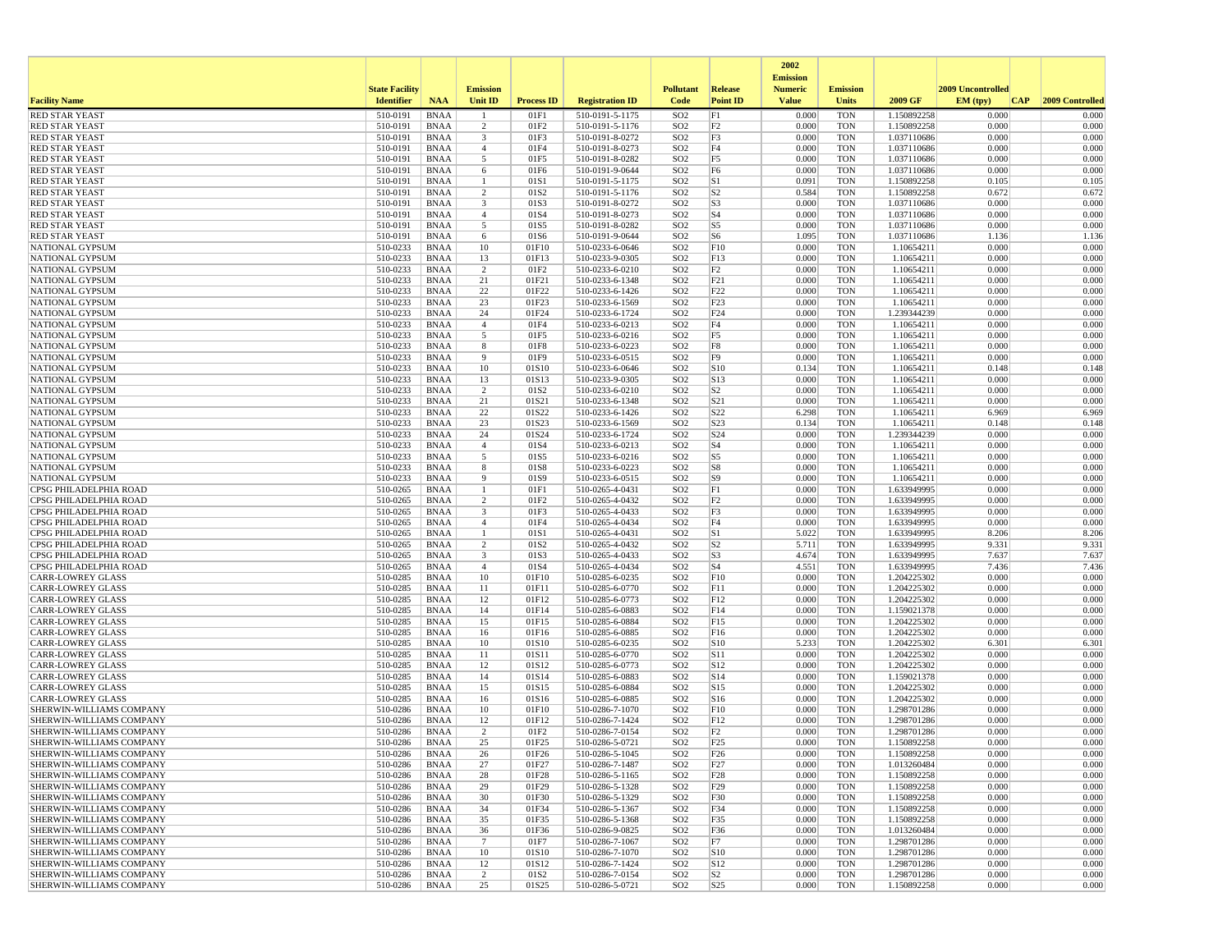|                                                                    |                       |                            |                                |                   |                                    |                                    |                                  | 2002<br><b>Emission</b> |                          |                            |                   |                 |
|--------------------------------------------------------------------|-----------------------|----------------------------|--------------------------------|-------------------|------------------------------------|------------------------------------|----------------------------------|-------------------------|--------------------------|----------------------------|-------------------|-----------------|
|                                                                    | <b>State Facility</b> |                            | <b>Emission</b>                |                   |                                    | <b>Pollutant</b>                   | <b>Release</b>                   | <b>Numeric</b>          | <b>Emission</b>          |                            | 2009 Uncontrolled |                 |
| <b>Facility Name</b>                                               | <b>Identifier</b>     | <b>NAA</b>                 | <b>Unit ID</b>                 | <b>Process ID</b> | <b>Registration ID</b>             | Code                               | <b>Point ID</b>                  | <b>Value</b>            | <b>Units</b>             | 2009 GF                    | EM (tpv)<br>CAP   | 2009 Controlled |
| <b>RED STAR YEAST</b>                                              | 510-0191              | <b>BNAA</b>                |                                | 01F1              | 510-0191-5-1175                    | SO <sub>2</sub>                    | F1                               | 0.000                   | <b>TON</b>               | 1.150892258                | 0.000             | 0.000           |
| <b>RED STAR YEAST</b><br><b>RED STAR YEAST</b>                     | 510-0191<br>510-0191  | <b>BNAA</b><br><b>BNAA</b> | 2<br>3                         | 01F2<br>01F3      | 510-0191-5-1176<br>510-0191-8-0272 | SO <sub>2</sub><br>SO <sub>2</sub> | F <sub>2</sub><br>F3             | 0.000<br>0.000          | <b>TON</b><br><b>TON</b> | 1.150892258<br>1.037110686 | 0.000<br>0.000    | 0.000<br>0.000  |
| <b>RED STAR YEAST</b>                                              | 510-0191              | <b>BNAA</b>                | $\overline{4}$                 | 01F4              | 510-0191-8-0273                    | SO <sub>2</sub>                    | F4                               | 0.000                   | <b>TON</b>               | 1.037110686                | 0.000             | 0.000           |
| <b>RED STAR YEAST</b>                                              | 510-0191              | <b>BNAA</b>                | 5                              | 01F5              | 510-0191-8-0282                    | SO <sub>2</sub>                    | F <sub>5</sub>                   | 0.000                   | <b>TON</b>               | 1.037110686                | 0.000             | 0.000           |
| <b>RED STAR YEAST</b>                                              | 510-0191              | <b>BNAA</b>                | 6                              | 01F6              | 510-0191-9-0644                    | SO <sub>2</sub>                    | F <sub>6</sub>                   | 0.000                   | <b>TON</b>               | 1.037110686                | 0.000             | 0.000           |
| <b>RED STAR YEAST</b>                                              | 510-0191              | <b>BNAA</b>                | -1                             | 01S1              | 510-0191-5-1175                    | SO <sub>2</sub>                    | S1                               | 0.091                   | <b>TON</b>               | 1.150892258                | 0.105             | 0.105           |
| <b>RED STAR YEAST</b><br><b>RED STAR YEAST</b>                     | 510-0191<br>510-0191  | <b>BNAA</b><br><b>BNAA</b> | 2<br>3                         | 01S2<br>01S3      | 510-0191-5-1176<br>510-0191-8-0272 | SO <sub>2</sub><br>SO <sub>2</sub> | S <sub>2</sub><br>S <sub>3</sub> | 0.584<br>0.000          | <b>TON</b><br><b>TON</b> | 1.150892258<br>1.037110686 | 0.672<br>0.000    | 0.672<br>0.000  |
| <b>RED STAR YEAST</b>                                              | 510-0191              | <b>BNAA</b>                | $\overline{4}$                 | 01S4              | 510-0191-8-0273                    | SO <sub>2</sub>                    | S <sub>4</sub>                   | 0.000                   | <b>TON</b>               | 1.037110686                | 0.000             | 0.000           |
| <b>RED STAR YEAST</b>                                              | 510-0191              | <b>BNAA</b>                | 5                              | 01S5              | 510-0191-8-0282                    | SO <sub>2</sub>                    | S5                               | 0.000                   | <b>TON</b>               | 1.037110686                | 0.000             | 0.000           |
| <b>RED STAR YEAST</b>                                              | 510-0191              | <b>BNAA</b>                | 6                              | 01S6              | 510-0191-9-0644                    | SO <sub>2</sub>                    | S6                               | 1.095                   | <b>TON</b>               | 1.037110686                | 1.136             | 1.136           |
| NATIONAL GYPSUM                                                    | 510-0233              | <b>BNAA</b>                | 10                             | 01F10             | 510-0233-6-0646                    | SO <sub>2</sub>                    | F10                              | 0.000                   | <b>TON</b>               | 1.10654211                 | 0.000             | 0.000           |
| NATIONAL GYPSUM<br><b>NATIONAL GYPSUM</b>                          | 510-0233<br>510-0233  | <b>BNAA</b><br><b>BNAA</b> | 13<br>$\overline{c}$           | 01F13<br>01F2     | 510-0233-9-0305<br>510-0233-6-0210 | SO <sub>2</sub><br>SO <sub>2</sub> | F13<br>F2                        | 0.000<br>0.000          | <b>TON</b><br><b>TON</b> | 1.10654211<br>1.10654211   | 0.000<br>0.000    | 0.000<br>0.000  |
| NATIONAL GYPSUM                                                    | 510-0233              | <b>BNAA</b>                | 21                             | 01F21             | 510-0233-6-1348                    | SO <sub>2</sub>                    | F21                              | 0.000                   | <b>TON</b>               | 1.10654211                 | 0.000             | 0.000           |
| NATIONAL GYPSUM                                                    | 510-0233              | <b>BNAA</b>                | 22                             | 01F22             | 510-0233-6-1426                    | SO <sub>2</sub>                    | F22                              | 0.000                   | <b>TON</b>               | 1.10654211                 | 0.000             | 0.000           |
| NATIONAL GYPSUM                                                    | 510-0233              | <b>BNAA</b>                | 23                             | 01F23             | 510-0233-6-1569                    | SO <sub>2</sub>                    | F23                              | 0.000                   | <b>TON</b>               | 1.10654211                 | 0.000             | 0.000           |
| NATIONAL GYPSUM                                                    | 510-0233              | <b>BNAA</b>                | 24                             | 01F24             | 510-0233-6-1724                    | SO <sub>2</sub>                    | F <sub>24</sub>                  | 0.000                   | <b>TON</b>               | 1.239344239                | 0.000             | 0.000           |
| NATIONAL GYPSUM<br>NATIONAL GYPSUM                                 | 510-0233<br>510-0233  | <b>BNAA</b><br><b>BNAA</b> | $\overline{4}$<br>5            | 01F4<br>01F5      | 510-0233-6-0213<br>510-0233-6-0216 | SO <sub>2</sub><br>SO <sub>2</sub> | F4<br>F <sub>5</sub>             | 0.000<br>0.000          | <b>TON</b><br><b>TON</b> | 1.10654211<br>1.10654211   | 0.000<br>0.000    | 0.000<br>0.000  |
| NATIONAL GYPSUM                                                    | 510-0233              | <b>BNAA</b>                | 8                              | 01F8              | 510-0233-6-0223                    | SO <sub>2</sub>                    | $_{\rm F8}$                      | 0.000                   | <b>TON</b>               | 1.10654211                 | 0.000             | 0.000           |
| <b>NATIONAL GYPSUM</b>                                             | 510-0233              | <b>BNAA</b>                | 9                              | 01F9              | 510-0233-6-0515                    | SO <sub>2</sub>                    | F <sub>9</sub>                   | 0.000                   | <b>TON</b>               | 1.10654211                 | 0.000             | 0.000           |
| NATIONAL GYPSUM                                                    | 510-0233              | <b>BNAA</b>                | 10                             | 01S10             | 510-0233-6-0646                    | SO <sub>2</sub>                    | S10                              | 0.134                   | <b>TON</b>               | 1.10654211                 | 0.148             | 0.148           |
| NATIONAL GYPSUM                                                    | 510-0233              | <b>BNAA</b>                | 13                             | 01S13             | 510-0233-9-0305                    | SO <sub>2</sub>                    | S13                              | 0.000                   | <b>TON</b>               | 1.10654211                 | 0.000             | 0.000           |
| <b>NATIONAL GYPSUM</b>                                             | 510-0233              | <b>BNAA</b>                | $\overline{2}$                 | 01S <sub>2</sub>  | 510-0233-6-0210                    | SO <sub>2</sub>                    | S <sub>2</sub>                   | 0.000                   | <b>TON</b>               | 1.10654211                 | 0.000             | 0.000           |
| NATIONAL GYPSUM <br>NATIONAL GYPSUM                                | 510-0233<br>510-0233  | <b>BNAA</b><br><b>BNAA</b> | 21<br>22                       | 01S21<br>01S22    | 510-0233-6-1348<br>510-0233-6-1426 | SO <sub>2</sub><br>SO <sub>2</sub> | S21<br>S22                       | 0.000<br>6.298          | <b>TON</b><br><b>TON</b> | 1.10654211<br>1.10654211   | 0.000<br>6.969    | 0.000<br>6.969  |
| NATIONAL GYPSUM                                                    | 510-0233              | <b>BNAA</b>                | 23                             | 01S23             | 510-0233-6-1569                    | SO <sub>2</sub>                    | S23                              | 0.134                   | <b>TON</b>               | 1.10654211                 | 0.148             | 0.148           |
| NATIONAL GYPSUM                                                    | 510-0233              | <b>BNAA</b>                | 24                             | 01S24             | 510-0233-6-1724                    | SO <sub>2</sub>                    | S <sub>24</sub>                  | 0.000                   | <b>TON</b>               | 1.239344239                | 0.000             | 0.000           |
| NATIONAL GYPSUM                                                    | 510-0233              | <b>BNAA</b>                | $\overline{4}$                 | 01S4              | 510-0233-6-0213                    | SO <sub>2</sub>                    | S <sub>4</sub>                   | 0.000                   | <b>TON</b>               | 1.10654211                 | 0.000             | 0.000           |
| <b>NATIONAL GYPSUM</b>                                             | 510-0233              | <b>BNAA</b>                | 5                              | 01S5              | 510-0233-6-0216                    | SO <sub>2</sub>                    | S5                               | 0.000                   | <b>TON</b>               | 1.10654211                 | 0.000             | 0.000           |
| NATIONAL GYPSUM<br>NATIONAL GYPSUM                                 | 510-0233<br>510-0233  | <b>BNAA</b><br><b>BNAA</b> | 8<br>9                         | 01S8<br>01S9      | 510-0233-6-0223<br>510-0233-6-0515 | SO <sub>2</sub><br>SO <sub>2</sub> | S8<br> S9                        | 0.000<br>0.000          | <b>TON</b><br><b>TON</b> | 1.10654211<br>1.10654211   | 0.000<br>0.000    | 0.000<br>0.000  |
| CPSG PHILADELPHIA ROAD                                             | 510-0265              | <b>BNAA</b>                |                                | 01F1              | 510-0265-4-0431                    | SO <sub>2</sub>                    | F1                               | 0.000                   | <b>TON</b>               | 1.633949995                | 0.000             | 0.000           |
| CPSG PHILADELPHIA ROAD                                             | 510-0265              | <b>BNAA</b>                | $\overline{2}$                 | 01F <sub>2</sub>  | 510-0265-4-0432                    | SO <sub>2</sub>                    | F2                               | 0.000                   | <b>TON</b>               | 1.633949995                | 0.000             | 0.000           |
| CPSG PHILADELPHIA ROAD                                             | 510-0265              | <b>BNAA</b>                | 3                              | 01F3              | 510-0265-4-0433                    | SO <sub>2</sub>                    | F3                               | 0.000                   | <b>TON</b>               | 1.633949995                | 0.000             | 0.000           |
| CPSG PHILADELPHIA ROAD                                             | 510-0265              | <b>BNAA</b>                | $\overline{4}$                 | 01F4              | 510-0265-4-0434                    | SO <sub>2</sub>                    | F4                               | 0.000                   | <b>TON</b>               | 1.633949995                | 0.000             | 0.000           |
| CPSG PHILADELPHIA ROAD<br>CPSG PHILADELPHIA ROAD                   | 510-0265<br>510-0265  | <b>BNAA</b><br><b>BNAA</b> | $\mathbf{1}$<br>$\overline{c}$ | 01S1<br>01S2      | 510-0265-4-0431<br>510-0265-4-0432 | SO <sub>2</sub><br>SO <sub>2</sub> | S1<br>S <sub>2</sub>             | 5.022<br>5.711          | <b>TON</b><br><b>TON</b> | 1.633949995<br>1.633949995 | 8.206<br>9.331    | 8.206<br>9.331  |
| CPSG PHILADELPHIA ROAD                                             | 510-0265              | BNAA                       | 3                              | 01S3              | 510-0265-4-0433                    | SO <sub>2</sub>                    | S <sub>3</sub>                   | 4.674                   | <b>TON</b>               | 1.633949995                | 7.637             | 7.637           |
| CPSG PHILADELPHIA ROAD                                             | 510-0265              | <b>BNAA</b>                | $\overline{4}$                 | 01S4              | 510-0265-4-0434                    | SO <sub>2</sub>                    | S <sub>4</sub>                   | 4.551                   | <b>TON</b>               | 1.633949995                | 7.436             | 7.436           |
| <b>CARR-LOWREY GLASS</b>                                           | 510-0285              | <b>BNAA</b>                | 10                             | 01F10             | 510-0285-6-0235                    | SO <sub>2</sub>                    | F10                              | 0.000                   | <b>TON</b>               | 1.204225302                | 0.000             | 0.000           |
| <b>CARR-LOWREY GLASS</b>                                           | 510-0285              | <b>BNAA</b>                | 11                             | 01F11             | 510-0285-6-0770                    | SO <sub>2</sub>                    | F11                              | 0.000                   | <b>TON</b>               | 1.204225302                | 0.000             | 0.000           |
| <b>CARR-LOWREY GLASS</b><br><b>CARR-LOWREY GLASS</b>               | 510-0285<br>510-0285  | <b>BNAA</b><br><b>BNAA</b> | 12<br>14                       | 01F12<br>01F14    | 510-0285-6-0773<br>510-0285-6-0883 | SO <sub>2</sub><br>SO <sub>2</sub> | F12<br>F14                       | 0.000<br>0.000          | <b>TON</b><br><b>TON</b> | 1.204225302<br>1.159021378 | 0.000<br>0.000    | 0.000<br>0.000  |
| <b>CARR-LOWREY GLASS</b>                                           | 510-0285              | <b>BNAA</b>                | 15                             | 01F15             | 510-0285-6-0884                    | SO <sub>2</sub>                    | F15                              | 0.000                   | <b>TON</b>               | 1.204225302                | 0.000             | 0.000           |
| <b>CARR-LOWREY GLASS</b>                                           | 510-0285              | <b>BNAA</b>                | 16                             | 01F16             | 510-0285-6-0885                    | SO <sub>2</sub>                    | F16                              | 0.000                   | <b>TON</b>               | 1.204225302                | 0.000             | 0.000           |
| CARR-LOWREY GLASS                                                  | 510-0285              | <b>BNAA</b>                | 10                             | 01S10             | 510-0285-6-0235                    | SO <sub>2</sub>                    | S10                              | 5.233                   | <b>TON</b>               | 1.204225302                | 6.301             | 6.301           |
| <b>CARR-LOWREY GLASS</b>                                           | 510-0285              | <b>BNAA</b>                | 11                             | 01S11             | 510-0285-6-0770                    | SO <sub>2</sub>                    | S11                              | 0.000                   | <b>TON</b>               | 1.204225302                | 0.000             | 0.000           |
| <b>CARR-LOWREY GLASS</b><br><b>CARR-LOWREY GLASS</b>               | 510-0285              | <b>BNAA</b><br><b>BNAA</b> | 12<br>14                       | 01S12<br>01S14    | 510-0285-6-0773<br>510-0285-6-0883 | SO <sub>2</sub><br>SO <sub>2</sub> | S <sub>12</sub><br>S14           | 0.000<br>0.000          | <b>TON</b><br><b>TON</b> | 1.204225302                | 0.000<br>0.000    | 0.000<br>0.000  |
| <b>CARR-LOWREY GLASS</b>                                           | 510-0285<br>510-0285  | <b>BNAA</b>                | 15                             | 01S15             | 510-0285-6-0884                    | SO <sub>2</sub>                    | S15                              | 0.000                   | <b>TON</b>               | 1.159021378<br>1.204225302 | 0.000             | 0.000           |
| <b>CARR-LOWREY GLASS</b>                                           | 510-0285              | <b>BNAA</b>                | 16                             | 01S16             | 510-0285-6-0885                    | SO <sub>2</sub>                    | S <sub>16</sub>                  | 0.000                   | <b>TON</b>               | 1.204225302                | 0.000             | 0.000           |
| SHERWIN-WILLIAMS COMPANY                                           | 510-0286              | <b>BNAA</b>                | 10                             | 01F10             | 510-0286-7-1070                    | SO <sub>2</sub>                    | F10                              | 0.000                   | <b>TON</b>               | 1.298701286                | 0.000             | 0.000           |
| SHERWIN-WILLIAMS COMPANY                                           | 510-0286              | <b>BNAA</b>                | 12                             | 01F12             | 510-0286-7-1424                    | SO <sub>2</sub>                    | F12                              | 0.000                   | <b>TON</b>               | 1.298701286                | 0.000             | 0.000           |
| SHERWIN-WILLIAMS COMPANY                                           | 510-0286              | <b>BNAA</b>                | 2                              | 01F2              | 510-0286-7-0154<br>510-0286-5-0721 | SO <sub>2</sub>                    | F2                               | 0.000                   | <b>TON</b>               | 1.298701286<br>1.150892258 | 0.000<br>0.000    | 0.000           |
| <b>SHERWIN-WILLIAMS COMPANY</b><br><b>SHERWIN-WILLIAMS COMPANY</b> | 510-0286<br>510-0286  | <b>BNAA</b><br><b>BNAA</b> | 25<br>26                       | 01F25<br>01F26    | 510-0286-5-1045                    | SO <sub>2</sub><br>SO <sub>2</sub> | F25<br>F26                       | 0.000<br>0.000          | <b>TON</b><br>TON        | 1.150892258                | 0.000             | 0.000<br>0.000  |
| <b>SHERWIN-WILLIAMS COMPANY</b>                                    | 510-0286              | <b>BNAA</b>                | 27                             | 01F27             | 510-0286-7-1487                    | SO <sub>2</sub>                    | F27                              | 0.000                   | <b>TON</b>               | 1.013260484                | 0.000             | 0.000           |
| <b>SHERWIN-WILLIAMS COMPANY</b>                                    | 510-0286              | <b>BNAA</b>                | 28                             | 01F28             | 510-0286-5-1165                    | SO <sub>2</sub>                    | F <sub>28</sub>                  | 0.000                   | <b>TON</b>               | 1.150892258                | 0.000             | 0.000           |
| SHERWIN-WILLIAMS COMPANY                                           | 510-0286              | BNAA                       | 29                             | 01F29             | 510-0286-5-1328                    | SO <sub>2</sub>                    | F <sub>29</sub>                  | 0.000                   | <b>TON</b>               | 1.150892258                | 0.000             | 0.000           |
| SHERWIN-WILLIAMS COMPANY                                           | 510-0286              | <b>BNAA</b>                | 30                             | 01F30             | 510-0286-5-1329                    | SO <sub>2</sub>                    | F30                              | 0.000                   | <b>TON</b>               | 1.150892258                | 0.000             | 0.000           |
| SHERWIN-WILLIAMS COMPANY<br>SHERWIN-WILLIAMS COMPANY               | 510-0286              | <b>BNAA</b><br><b>BNAA</b> | 34                             | 01F34<br>01F35    | 510-0286-5-1367<br>510-0286-5-1368 | SO <sub>2</sub><br>SO <sub>2</sub> | F34<br>F35                       | 0.000<br>0.000          | <b>TON</b><br><b>TON</b> | 1.150892258                | 0.000<br>0.000    | 0.000<br>0.000  |
| SHERWIN-WILLIAMS COMPANY                                           | 510-0286<br>510-0286  | BNAA                       | 35<br>36                       | 01F36             | 510-0286-9-0825                    | SO <sub>2</sub>                    | F36                              | 0.000                   | <b>TON</b>               | 1.150892258<br>1.013260484 | 0.000             | 0.000           |
| SHERWIN-WILLIAMS COMPANY                                           | 510-0286              | <b>BNAA</b>                | $\tau$                         | 01F7              | 510-0286-7-1067                    | SO <sub>2</sub>                    | F7                               | 0.000                   | <b>TON</b>               | 1.298701286                | 0.000             | 0.000           |
| SHERWIN-WILLIAMS COMPANY                                           | 510-0286              | <b>BNAA</b>                | 10                             | 01S10             | 510-0286-7-1070                    | SO <sub>2</sub>                    | S10                              | 0.000                   | <b>TON</b>               | 1.298701286                | 0.000             | 0.000           |
| <b>SHERWIN-WILLIAMS COMPANY</b>                                    | 510-0286              | <b>BNAA</b>                | 12                             | 01S12             | 510-0286-7-1424                    | SO <sub>2</sub>                    | S12                              | 0.000                   | <b>TON</b>               | 1.298701286                | 0.000             | 0.000           |
| SHERWIN-WILLIAMS COMPANY<br>SHERWIN-WILLIAMS COMPANY               | 510-0286              | <b>BNAA</b>                | $\overline{c}$                 | 01S2              | 510-0286-7-0154<br>510-0286-5-0721 | SO <sub>2</sub>                    | S <sub>2</sub>                   | 0.000                   | <b>TON</b>               | 1.298701286                | 0.000             | 0.000           |
|                                                                    | 510-0286              | <b>BNAA</b>                | 25                             | 01S25             |                                    | SO <sub>2</sub>                    | S25                              | 0.000                   | <b>TON</b>               | 1.150892258                | 0.000             | 0.000           |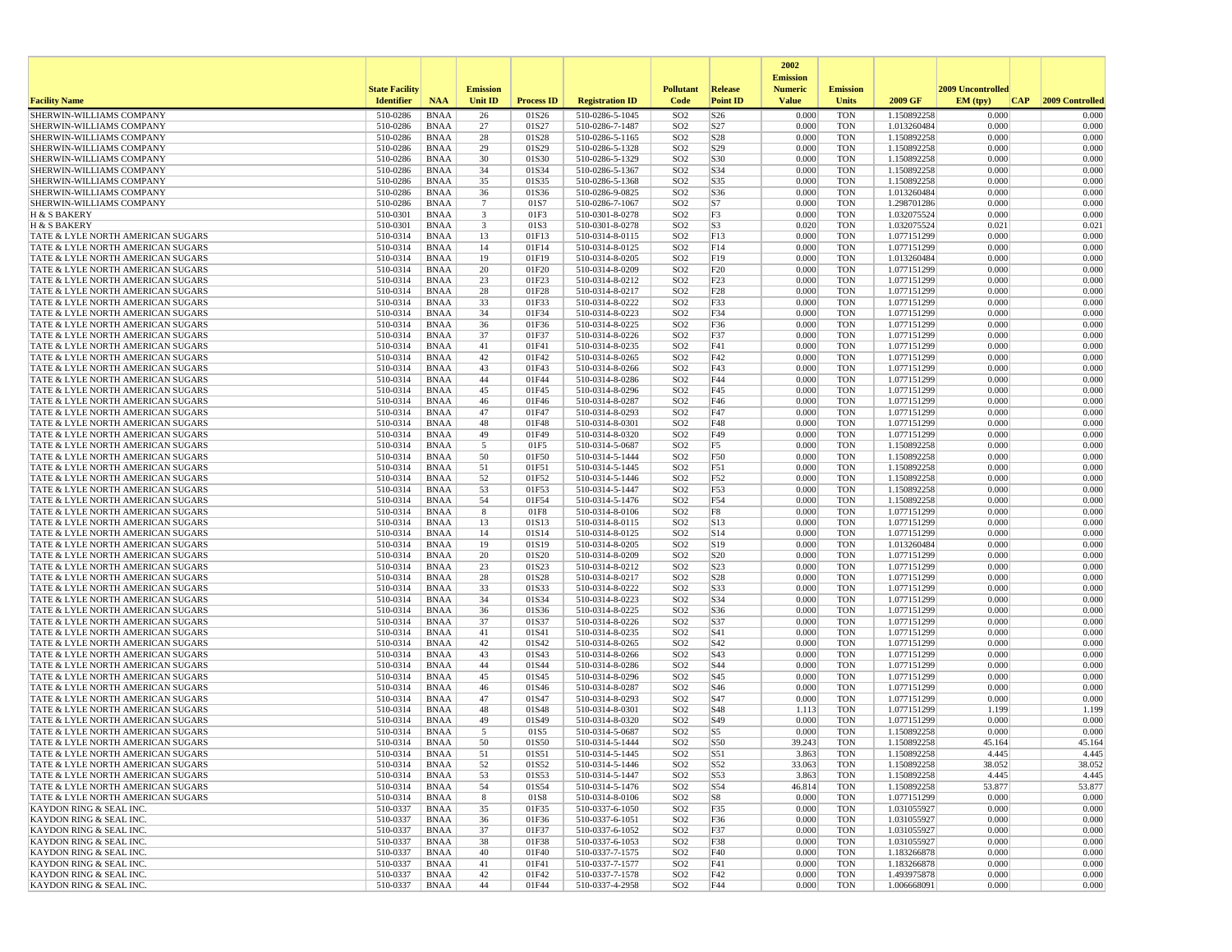|                                                                        |                       |                            |                              |                   |                                    |                                    |                                    | 2002                              |                          |                            |                   |                 |
|------------------------------------------------------------------------|-----------------------|----------------------------|------------------------------|-------------------|------------------------------------|------------------------------------|------------------------------------|-----------------------------------|--------------------------|----------------------------|-------------------|-----------------|
|                                                                        | <b>State Facility</b> |                            | <b>Emission</b>              |                   |                                    | <b>Pollutant</b>                   | Release                            | <b>Emission</b><br><b>Numeric</b> | <b>Emission</b>          |                            | 2009 Uncontrolled |                 |
| <b>Facility Name</b>                                                   | <b>Identifier</b>     | <b>NAA</b>                 | <b>Unit ID</b>               | <b>Process ID</b> | <b>Registration ID</b>             | Code                               | <b>Point ID</b>                    | <b>Value</b>                      | <b>Units</b>             | 2009 GF                    | EM (typ)<br> CAP  | 2009 Controlled |
| SHERWIN-WILLIAMS COMPANY                                               | 510-0286              | <b>BNAA</b>                | 26                           | 01S26             | 510-0286-5-1045                    | SO <sub>2</sub>                    | S <sub>26</sub>                    | 0.000                             | <b>TON</b>               | 1.150892258                | 0.000             | 0.000           |
| SHERWIN-WILLIAMS COMPANY                                               | 510-0286              | <b>BNAA</b>                | 27                           | 01S27             | 510-0286-7-1487                    | SO <sub>2</sub>                    | S27                                | 0.000                             | <b>TON</b>               | 1.013260484                | 0.000             | 0.000           |
| SHERWIN-WILLIAMS COMPANY                                               | 510-0286              | <b>BNAA</b>                | 28                           | 01S28             | 510-0286-5-1165                    | SO <sub>2</sub>                    | S <sub>28</sub><br>S29             | 0.000                             | <b>TON</b>               | 1.150892258                | 0.000             | 0.000<br>0.000  |
| SHERWIN-WILLIAMS COMPANY<br>SHERWIN-WILLIAMS COMPANY                   | 510-0286<br>510-0286  | <b>BNAA</b><br><b>BNAA</b> | 29<br>30                     | 01S29<br>01S30    | 510-0286-5-1328<br>510-0286-5-1329 | SO <sub>2</sub><br>SO <sub>2</sub> | S30                                | 0.000<br>0.000                    | <b>TON</b><br><b>TON</b> | 1.150892258<br>1.150892258 | 0.000<br>0.000    | 0.000           |
| SHERWIN-WILLIAMS COMPANY                                               | 510-0286              | <b>BNAA</b>                | 34                           | 01S34             | 510-0286-5-1367                    | SO <sub>2</sub>                    | S34                                | 0.000                             | <b>TON</b>               | 1.150892258                | 0.000             | 0.000           |
| SHERWIN-WILLIAMS COMPANY                                               | 510-0286              | <b>BNAA</b>                | 35                           | 01S35             | 510-0286-5-1368                    | SO <sub>2</sub>                    | S35                                | 0.000                             | <b>TON</b>               | 1.150892258                | 0.000             | 0.000           |
| <b>SHERWIN-WILLIAMS COMPANY</b>                                        | 510-0286              | <b>BNAA</b>                | 36                           | 01S36             | 510-0286-9-0825                    | SO <sub>2</sub>                    | S36                                | 0.000                             | <b>TON</b>               | 1.013260484                | 0.000             | 0.000           |
| SHERWIN-WILLIAMS COMPANY                                               | 510-0286              | <b>BNAA</b>                | $\overline{7}$               | 01S7              | 510-0286-7-1067                    | SO <sub>2</sub>                    | S7                                 | 0.000                             | <b>TON</b>               | 1.298701286                | 0.000             | 0.000           |
| H & S BAKERY<br>H & S BAKERY                                           | 510-0301<br>510-0301  | <b>BNAA</b><br><b>BNAA</b> | $\overline{\mathbf{3}}$<br>3 | 01F3<br>01S3      | 510-0301-8-0278<br>510-0301-8-0278 | SO <sub>2</sub><br>SO <sub>2</sub> | F3<br>S3                           | 0.000<br>0.020                    | <b>TON</b><br><b>TON</b> | 1.032075524<br>1.032075524 | 0.000<br>0.021    | 0.000<br>0.021  |
| TATE & LYLE NORTH AMERICAN SUGARS                                      | 510-0314              | <b>BNAA</b>                | 13                           | 01F13             | 510-0314-8-0115                    | SO <sub>2</sub>                    | F13                                | 0.000                             | <b>TON</b>               | 1.077151299                | 0.000             | 0.000           |
| TATE & LYLE NORTH AMERICAN SUGARS                                      | 510-0314              | <b>BNAA</b>                | 14                           | 01F14             | 510-0314-8-0125                    | SO <sub>2</sub>                    | F14                                | 0.000                             | <b>TON</b>               | 1.077151299                | 0.000             | 0.000           |
| TATE & LYLE NORTH AMERICAN SUGARS                                      | 510-0314              | <b>BNAA</b>                | 19                           | 01F19             | 510-0314-8-0205                    | SO <sub>2</sub>                    | F19                                | 0.000                             | <b>TON</b>               | 1.013260484                | 0.000             | 0.000           |
| TATE & LYLE NORTH AMERICAN SUGARS                                      | 510-0314              | <b>BNAA</b>                | 20                           | 01F20             | 510-0314-8-0209                    | SO <sub>2</sub>                    | F20                                | 0.000                             | <b>TON</b>               | 1.077151299<br>1.077151299 | 0.000             | 0.000           |
| TATE & LYLE NORTH AMERICAN SUGARS<br>TATE & LYLE NORTH AMERICAN SUGARS | 510-0314<br>510-0314  | <b>BNAA</b><br><b>BNAA</b> | 23<br>28                     | 01F23<br>01F28    | 510-0314-8-0212<br>510-0314-8-0217 | SO <sub>2</sub><br>SO <sub>2</sub> | F23<br>F <sub>28</sub>             | 0.000<br>0.000                    | <b>TON</b><br><b>TON</b> | 1.077151299                | 0.000<br>0.000    | 0.000<br>0.000  |
| TATE & LYLE NORTH AMERICAN SUGARS                                      | 510-0314              | <b>BNAA</b>                | 33                           | 01F33             | 510-0314-8-0222                    | SO <sub>2</sub>                    | F33                                | 0.000                             | <b>TON</b>               | 1.077151299                | 0.000             | 0.000           |
| TATE & LYLE NORTH AMERICAN SUGARS                                      | 510-0314              | <b>BNAA</b>                | 34                           | 01F34             | 510-0314-8-0223                    | SO <sub>2</sub>                    | F34                                | 0.000                             | <b>TON</b>               | 1.077151299                | 0.000             | 0.000           |
| TATE & LYLE NORTH AMERICAN SUGARS                                      | 510-0314              | <b>BNAA</b>                | 36                           | 01F36             | 510-0314-8-0225                    | SO <sub>2</sub>                    | F36                                | 0.000                             | <b>TON</b>               | 1.077151299                | 0.000             | 0.000           |
| TATE & LYLE NORTH AMERICAN SUGARS                                      | 510-0314              | <b>BNAA</b>                | 37                           | 01F37             | 510-0314-8-0226                    | SO <sub>2</sub>                    | F37                                | 0.000                             | <b>TON</b>               | 1.077151299                | 0.000             | 0.000           |
| TATE & LYLE NORTH AMERICAN SUGARS                                      | 510-0314              | <b>BNAA</b>                | 41<br>42                     | 01F41             | 510-0314-8-0235                    | SO <sub>2</sub><br>SO <sub>2</sub> | F41                                | 0.000<br>0.000                    | <b>TON</b><br><b>TON</b> | 1.077151299<br>1.077151299 | 0.000<br>0.000    | 0.000<br>0.000  |
| TATE & LYLE NORTH AMERICAN SUGARS<br>TATE & LYLE NORTH AMERICAN SUGARS | 510-0314<br>510-0314  | <b>BNAA</b><br><b>BNAA</b> | 43                           | 01F42<br>01F43    | 510-0314-8-0265<br>510-0314-8-0266 | SO <sub>2</sub>                    | F42<br>F43                         | 0.000                             | <b>TON</b>               | 1.077151299                | 0.000             | 0.000           |
| TATE & LYLE NORTH AMERICAN SUGARS                                      | 510-0314              | <b>BNAA</b>                | 44                           | 01F44             | 510-0314-8-0286                    | SO <sub>2</sub>                    | F44                                | 0.000                             | <b>TON</b>               | 1.077151299                | 0.000             | 0.000           |
| TATE & LYLE NORTH AMERICAN SUGARS                                      | 510-0314              | <b>BNAA</b>                | 45                           | 01F45             | 510-0314-8-0296                    | SO <sub>2</sub>                    | F45                                | 0.000                             | <b>TON</b>               | 1.077151299                | 0.000             | 0.000           |
| TATE & LYLE NORTH AMERICAN SUGARS                                      | 510-0314              | <b>BNAA</b>                | 46                           | 01F46             | 510-0314-8-0287                    | SO <sub>2</sub>                    | F46                                | 0.000                             | <b>TON</b>               | 1.077151299                | 0.000             | 0.000           |
| TATE & LYLE NORTH AMERICAN SUGARS                                      | 510-0314              | <b>BNAA</b>                | 47                           | 01F47             | 510-0314-8-0293                    | SO <sub>2</sub>                    | F47                                | 0.000                             | <b>TON</b>               | 1.077151299                | 0.000             | 0.000           |
| TATE & LYLE NORTH AMERICAN SUGARS<br>TATE & LYLE NORTH AMERICAN SUGARS | 510-0314<br>510-0314  | <b>BNAA</b><br><b>BNAA</b> | 48<br>49                     | 01F48<br>01F49    | 510-0314-8-0301<br>510-0314-8-0320 | SO <sub>2</sub><br>SO <sub>2</sub> | F48<br>F49                         | 0.000<br>0.000                    | <b>TON</b><br><b>TON</b> | 1.077151299<br>1.077151299 | 0.000<br>0.000    | 0.000<br>0.000  |
| TATE & LYLE NORTH AMERICAN SUGARS                                      | 510-0314              | <b>BNAA</b>                | 5                            | 01F5              | 510-0314-5-0687                    | SO <sub>2</sub>                    | F5                                 | 0.000                             | <b>TON</b>               | 1.150892258                | 0.000             | 0.000           |
| TATE & LYLE NORTH AMERICAN SUGARS                                      | 510-0314              | <b>BNAA</b>                | 50                           | 01F50             | 510-0314-5-1444                    | SO <sub>2</sub>                    | F50                                | 0.000                             | <b>TON</b>               | 1.150892258                | 0.000             | 0.000           |
| TATE & LYLE NORTH AMERICAN SUGARS                                      | 510-0314              | BNAA                       | 51                           | 01F51             | 510-0314-5-1445                    | SO <sub>2</sub>                    | F51                                | 0.000                             | <b>TON</b>               | 1.150892258                | 0.000             | 0.000           |
| TATE & LYLE NORTH AMERICAN SUGARS                                      | 510-0314              | <b>BNAA</b>                | 52                           | 01F52             | 510-0314-5-1446                    | SO <sub>2</sub>                    | F52                                | 0.000                             | <b>TON</b>               | 1.150892258                | 0.000             | 0.000           |
| TATE & LYLE NORTH AMERICAN SUGARS<br>TATE & LYLE NORTH AMERICAN SUGARS | 510-0314<br>510-0314  | <b>BNAA</b><br><b>BNAA</b> | 53<br>54                     | 01F53<br>01F54    | 510-0314-5-1447<br>510-0314-5-1476 | SO <sub>2</sub><br>SO <sub>2</sub> | F53<br>F54                         | 0.000<br>0.000                    | <b>TON</b><br><b>TON</b> | 1.150892258<br>1.150892258 | 0.000<br>0.000    | 0.000<br>0.000  |
| TATE & LYLE NORTH AMERICAN SUGARS                                      | 510-0314              | <b>BNAA</b>                | 8                            | 01F8              | 510-0314-8-0106                    | SO <sub>2</sub>                    | F8                                 | 0.000                             | <b>TON</b>               | 1.077151299                | 0.000             | 0.000           |
| TATE & LYLE NORTH AMERICAN SUGARS                                      | 510-0314              | <b>BNAA</b>                | 13                           | 01S13             | 510-0314-8-0115                    | SO <sub>2</sub>                    | S13                                | 0.000                             | <b>TON</b>               | 1.077151299                | 0.000             | 0.000           |
| TATE & LYLE NORTH AMERICAN SUGARS                                      | 510-0314              | <b>BNAA</b>                | 14                           | 01S14             | 510-0314-8-0125                    | SO <sub>2</sub>                    | S <sub>14</sub>                    | 0.000                             | <b>TON</b>               | 1.077151299                | 0.000             | 0.000           |
| TATE & LYLE NORTH AMERICAN SUGARS                                      | 510-0314              | <b>BNAA</b>                | 19                           | 01S19             | 510-0314-8-0205                    | SO <sub>2</sub>                    | S19                                | 0.000                             | TON                      | 1.013260484                | 0.000             | 0.000           |
| TATE & LYLE NORTH AMERICAN SUGARS<br>TATE & LYLE NORTH AMERICAN SUGARS | 510-0314<br>510-0314  | BNAA<br><b>BNAA</b>        | 20<br>23                     | 01S20<br>01S23    | 510-0314-8-0209<br>510-0314-8-0212 | SO <sub>2</sub><br>SO <sub>2</sub> | S <sub>20</sub><br>S <sub>23</sub> | 0.000<br>0.000                    | <b>TON</b><br><b>TON</b> | 1.077151299<br>1.077151299 | 0.000<br>0.000    | 0.000<br>0.000  |
| TATE & LYLE NORTH AMERICAN SUGARS                                      | 510-0314              | <b>BNAA</b>                | 28                           | 01S28             | 510-0314-8-0217                    | SO <sub>2</sub>                    | S <sub>28</sub>                    | 0.000                             | <b>TON</b>               | 1.077151299                | 0.000             | 0.000           |
| TATE & LYLE NORTH AMERICAN SUGARS                                      | 510-0314              | <b>BNAA</b>                | 33                           | 01S33             | 510-0314-8-0222                    | SO <sub>2</sub>                    | S33                                | 0.000                             | <b>TON</b>               | 1.077151299                | 0.000             | 0.000           |
| TATE & LYLE NORTH AMERICAN SUGARS                                      | 510-0314              | <b>BNAA</b>                | 34                           | 01S34             | 510-0314-8-0223                    | SO <sub>2</sub>                    | S34                                | 0.000                             | <b>TON</b>               | 1.077151299                | 0.000             | 0.000           |
| TATE & LYLE NORTH AMERICAN SUGARS                                      | 510-0314              | <b>BNAA</b>                | 36                           | 01S36             | 510-0314-8-0225                    | SO <sub>2</sub>                    | S36                                | 0.000                             | <b>TON</b>               | 1.077151299                | 0.000             | 0.000           |
| TATE & LYLE NORTH AMERICAN SUGARS                                      | 510-0314              | <b>BNAA</b>                | 37                           | 01S37             | 510-0314-8-0226                    | SO <sub>2</sub>                    | S37                                | 0.000                             | <b>TON</b>               | 1.077151299                | 0.000             | 0.000           |
| TATE & LYLE NORTH AMERICAN SUGARS<br>TATE & LYLE NORTH AMERICAN SUGARS | 510-0314<br>510-0314  | <b>BNAA</b><br><b>BNAA</b> | 41<br>42                     | 01S41<br>01S42    | 510-0314-8-0235<br>510-0314-8-0265 | SO <sub>2</sub><br>SO <sub>2</sub> | S41<br>S42                         | 0.000<br>0.000                    | <b>TON</b><br><b>TON</b> | 1.077151299<br>1.077151299 | 0.000<br>0.000    | 0.000<br>0.000  |
| TATE & LYLE NORTH AMERICAN SUGARS                                      | 510-0314              | <b>BNAA</b>                | 43                           | 01S43             | 510-0314-8-0266                    | SO <sub>2</sub>                    | S43                                | 0.000                             | <b>TON</b>               | 1.077151299                | 0.000             | 0.000           |
| TATE & LYLE NORTH AMERICAN SUGARS                                      | 510-0314              | <b>BNAA</b>                | 44                           | 01S44             | 510-0314-8-0286                    | SO <sub>2</sub>                    | S44                                | 0.000                             | <b>TON</b>               | 1.077151299                | 0.000             | 0.000           |
| TATE & LYLE NORTH AMERICAN SUGARS                                      | 510-0314              | <b>BNAA</b>                | 45                           | 01S45             | 510-0314-8-0296                    | SO <sub>2</sub>                    | S45                                | 0.000                             | <b>TON</b>               | 1.077151299                | 0.000             | 0.000           |
| TATE & LYLE NORTH AMERICAN SUGARS                                      | 510-0314              | <b>BNAA</b>                | 46                           | 01S46             | 510-0314-8-0287                    | SO <sub>2</sub>                    | S46                                | 0.000                             | <b>TON</b>               | 1.077151299                | 0.000             | 0.000           |
| TATE & LYLE NORTH AMERICAN SUGARS<br>TATE & LYLE NORTH AMERICAN SUGARS | 510-0314<br>510-0314  | <b>BNAA</b><br><b>BNAA</b> | 47<br>48                     | 01S47<br>01S48    | 510-0314-8-0293<br>510-0314-8-0301 | SO <sub>2</sub><br>SO <sub>2</sub> | S47<br>S48                         | 0.000<br>1.113                    | <b>TON</b><br><b>TON</b> | 1.077151299<br>1.077151299 | 0.000<br>1.199    | 0.000<br>1.199  |
| TATE & LYLE NORTH AMERICAN SUGARS                                      | 510-0314              | <b>BNAA</b>                | 49                           | 01S49             | 510-0314-8-0320                    | SO <sub>2</sub>                    | S49                                | 0.000                             | <b>TON</b>               | 1.077151299                | 0.000             | 0.000           |
| TATE & LYLE NORTH AMERICAN SUGARS                                      | 510-0314              | <b>BNAA</b>                | 5                            | 01S5              | 510-0314-5-0687                    | SO <sub>2</sub>                    | S5                                 | 0.000                             | <b>TON</b>               | 1.150892258                | 0.000             | 0.000           |
| TATE & LYLE NORTH AMERICAN SUGARS                                      | 510-0314              | <b>BNAA</b>                | 50                           | 01S50             | 510-0314-5-1444                    | SO <sub>2</sub>                    | S50                                | 39.243                            | <b>TON</b>               | 1.150892258                | 45.164            | 45.164          |
| TATE & LYLE NORTH AMERICAN SUGARS                                      | 510-0314              | <b>BNAA</b>                | 51                           | 01S51             | 510-0314-5-1445                    | SO <sub>2</sub>                    | S51                                | 3.863                             | <b>TON</b>               | 1.150892258                | 4.445             | 4.445           |
| TATE & LYLE NORTH AMERICAN SUGARS                                      | 510-0314              | BNAA                       | 52                           | 01S52             | 510-0314-5-1446                    | SO <sub>2</sub>                    | S52                                | 33.063                            | TON                      | 1.150892258<br>1.150892258 | 38.052            | 38.052          |
| TATE & LYLE NORTH AMERICAN SUGARS<br>TATE & LYLE NORTH AMERICAN SUGARS | 510-0314<br>510-0314  | BNAA<br>BNAA               | 53<br>54                     | 01S53<br>01S54    | 510-0314-5-1447<br>510-0314-5-1476 | SO <sub>2</sub><br>SO <sub>2</sub> | S53<br>S54                         | 3.863<br>46.814                   | <b>TON</b><br>TON        | 1.150892258                | 4.445<br>53.877   | 4.445<br>53.877 |
| TATE & LYLE NORTH AMERICAN SUGARS                                      | 510-0314              | BNAA                       | 8                            | 01S8              | 510-0314-8-0106                    | SO <sub>2</sub>                    | S8                                 | 0.000                             | <b>TON</b>               | 1.077151299                | 0.000             | 0.000           |
| KAYDON RING & SEAL INC.                                                | 510-0337              | <b>BNAA</b>                | 35                           | 01F35             | 510-0337-6-1050                    | SO <sub>2</sub>                    | F35                                | 0.000                             | <b>TON</b>               | 1.031055927                | 0.000             | 0.000           |
| KAYDON RING & SEAL INC.                                                | 510-0337              | BNAA                       | 36                           | 01F36             | 510-0337-6-1051                    | SO <sub>2</sub>                    | F36                                | 0.000                             | TON                      | 1.031055927                | 0.000             | 0.000           |
| KAYDON RING & SEAL INC.                                                | 510-0337              | BNAA                       | 37                           | 01F37             | 510-0337-6-1052                    | SO <sub>2</sub>                    | F37                                | 0.000                             | <b>TON</b>               | 1.031055927                | 0.000             | 0.000           |
| KAYDON RING & SEAL INC.<br><b>KAYDON RING &amp; SEAL INC.</b>          | 510-0337<br>510-0337  | BNAA<br>BNAA               | 38<br>40                     | 01F38<br>01F40    | 510-0337-6-1053<br>510-0337-7-1575 | SO <sub>2</sub><br>SO <sub>2</sub> | F38<br>F40                         | 0.000<br>0.000                    | <b>TON</b><br>TON        | 1.031055927<br>1.183266878 | 0.000<br>0.000    | 0.000<br>0.000  |
| KAYDON RING & SEAL INC.                                                | 510-0337              | BNAA                       | 41                           | 01F41             | 510-0337-7-1577                    | SO <sub>2</sub>                    | F41                                | 0.000                             | <b>TON</b>               | 1.183266878                | 0.000             | 0.000           |
| KAYDON RING & SEAL INC.                                                | 510-0337              | <b>BNAA</b>                | 42                           | 01F42             | 510-0337-7-1578                    | SO <sub>2</sub>                    | F42                                | 0.000                             | <b>TON</b>               | 1.493975878                | 0.000             | 0.000           |
| KAYDON RING & SEAL INC.                                                | 510-0337              | BNAA                       | 44                           | 01F44             | 510-0337-4-2958                    | SO <sub>2</sub>                    | F44                                | 0.000                             | TON                      | 1.006668091                | 0.000             | 0.000           |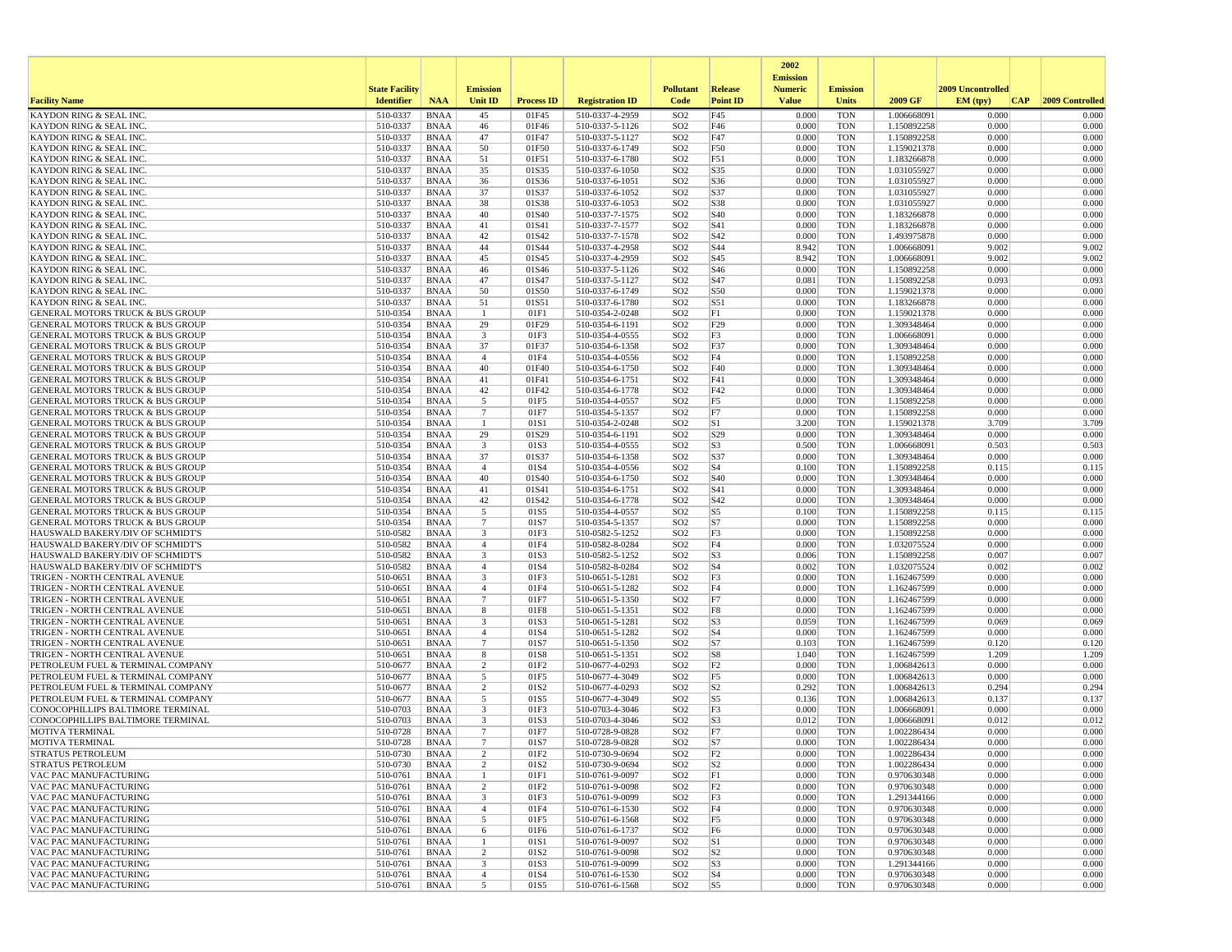|                                                                                            |                       |                            |                                   |                          |                                    |                                    |                                  | 2002                              |                          |                            |                   |                 |
|--------------------------------------------------------------------------------------------|-----------------------|----------------------------|-----------------------------------|--------------------------|------------------------------------|------------------------------------|----------------------------------|-----------------------------------|--------------------------|----------------------------|-------------------|-----------------|
|                                                                                            | <b>State Facility</b> |                            | <b>Emission</b>                   |                          |                                    | <b>Pollutant</b>                   | Release                          | <b>Emission</b><br><b>Numeric</b> | <b>Emission</b>          |                            | 2009 Uncontrolled |                 |
| <b>Facility Name</b>                                                                       | <b>Identifier</b>     | <b>NAA</b>                 | <b>Unit ID</b>                    | <b>Process ID</b>        | <b>Registration ID</b>             | Code                               | <b>Point ID</b>                  | <b>Value</b>                      | Units                    | 2009 GF                    | EM (typ)<br> CAP  | 2009 Controlled |
| KAYDON RING & SEAL INC                                                                     | 510-0337              | <b>BNAA</b>                | 45                                | 01F45                    | 510-0337-4-2959                    | SO <sub>2</sub>                    | F45                              | 0.000                             | <b>TON</b>               | 1.006668091                | 0.000             | 0.000           |
| <b>KAYDON RING &amp; SEAL INC.</b>                                                         | 510-0337              | <b>BNAA</b>                | 46                                | 01F46                    | 510-0337-5-1126                    | SO <sub>2</sub>                    | F46                              | 0.000                             | <b>TON</b>               | 1.150892258                | 0.000             | 0.000           |
| <b>KAYDON RING &amp; SEAL INC.</b>                                                         | 510-0337              | <b>BNAA</b>                | 47<br>50                          | 01F47                    | 510-0337-5-1127                    | SO <sub>2</sub>                    | F47                              | 0.000<br>0.000                    | <b>TON</b>               | 1.150892258                | 0.000             | 0.000<br>0.000  |
| KAYDON RING & SEAL INC.<br>KAYDON RING & SEAL INC                                          | 510-0337<br>510-0337  | <b>BNAA</b><br><b>BNAA</b> | 51                                | 01F50<br>01F51           | 510-0337-6-1749<br>510-0337-6-1780 | SO <sub>2</sub><br>SO <sub>2</sub> | F50<br>F51                       | 0.000                             | <b>TON</b><br><b>TON</b> | 1.159021378<br>1.183266878 | 0.000<br>0.000    | 0.000           |
| KAYDON RING & SEAL INC.                                                                    | 510-0337              | <b>BNAA</b>                | 35                                | 01S35                    | 510-0337-6-1050                    | SO <sub>2</sub>                    | S35                              | 0.000                             | <b>TON</b>               | 1.031055927                | 0.000             | 0.000           |
| KAYDON RING & SEAL INC.                                                                    | 510-0337              | <b>BNAA</b>                | 36                                | 01S36                    | 510-0337-6-1051                    | SO <sub>2</sub>                    | S36                              | 0.000                             | <b>TON</b>               | 1.031055927                | 0.000             | 0.000           |
| KAYDON RING & SEAL INC                                                                     | 510-0337              | <b>BNAA</b>                | 37                                | 01S37                    | 510-0337-6-1052                    | SO <sub>2</sub>                    | S37                              | 0.000                             | <b>TON</b>               | 1.031055927                | 0.000             | 0.000           |
| KAYDON RING & SEAL INC.                                                                    | 510-0337              | <b>BNAA</b>                | 38                                | 01S38                    | 510-0337-6-1053                    | SO <sub>2</sub>                    | S38                              | 0.000                             | <b>TON</b>               | 1.031055927                | 0.000             | 0.000           |
| <b>KAYDON RING &amp; SEAL INC.</b><br>KAYDON RING & SEAL INC.                              | 510-0337<br>510-0337  | <b>BNAA</b><br><b>BNAA</b> | 40<br>41                          | 01S40<br>01S41           | 510-0337-7-1575<br>510-0337-7-1577 | SO <sub>2</sub><br>SO <sub>2</sub> | S40<br>S41                       | 0.000<br>0.000                    | <b>TON</b><br><b>TON</b> | 1.183266878<br>1.183266878 | 0.000<br>0.000    | 0.000<br>0.000  |
| KAYDON RING & SEAL INC.                                                                    | 510-0337              | <b>BNAA</b>                | 42                                | 01S42                    | 510-0337-7-1578                    | SO <sub>2</sub>                    | S42                              | 0.000                             | <b>TON</b>               | 1.493975878                | 0.000             | 0.000           |
| KAYDON RING & SEAL INC                                                                     | 510-0337              | <b>BNAA</b>                | 44                                | 01S44                    | 510-0337-4-2958                    | SO <sub>2</sub>                    | S44                              | 8.942                             | <b>TON</b>               | 1.006668091                | 9.002             | 9.002           |
| KAYDON RING & SEAL INC.                                                                    | 510-0337              | <b>BNAA</b>                | 45                                | 01S45                    | 510-0337-4-2959                    | SO <sub>2</sub>                    | S45                              | 8.942                             | <b>TON</b>               | 1.006668091                | 9.002             | 9.002           |
| KAYDON RING & SEAL INC.                                                                    | 510-0337              | <b>BNAA</b>                | 46                                | 01S46                    | 510-0337-5-1126                    | SO <sub>2</sub>                    | S46                              | 0.000                             | <b>TON</b>               | 1.150892258                | 0.000             | 0.000           |
| <b>KAYDON RING &amp; SEAL INC</b><br>KAYDON RING & SEAL INC.                               | 510-0337<br>510-0337  | <b>BNAA</b><br><b>BNAA</b> | 47<br>50                          | 01S47<br>01S50           | 510-0337-5-1127<br>510-0337-6-1749 | SO <sub>2</sub><br>SO <sub>2</sub> | S47<br>S50                       | 0.081<br>0.000                    | <b>TON</b><br><b>TON</b> | 1.150892258<br>1.159021378 | 0.093<br>0.000    | 0.093<br>0.000  |
| KAYDON RING & SEAL INC.                                                                    | 510-0337              | <b>BNAA</b>                | 51                                | 01S51                    | 510-0337-6-1780                    | SO <sub>2</sub>                    | S51                              | 0.000                             | <b>TON</b>               | 1.183266878                | 0.000             | 0.000           |
| <b>GENERAL MOTORS TRUCK &amp; BUS GROUP</b>                                                | 510-0354              | BNAA                       | -1                                | 01F1                     | 510-0354-2-0248                    | SO <sub>2</sub>                    | F1                               | 0.000                             | <b>TON</b>               | 1.159021378                | 0.000             | 0.000           |
| GENERAL MOTORS TRUCK & BUS GROUP                                                           | 510-0354              | <b>BNAA</b>                | 29                                | 01F29                    | 510-0354-6-1191                    | SO <sub>2</sub>                    | F29                              | 0.000                             | <b>TON</b>               | 1.309348464                | 0.000             | 0.000           |
| <b>GENERAL MOTORS TRUCK &amp; BUS GROUP</b>                                                | 510-0354              | <b>BNAA</b>                | $\overline{\mathbf{3}}$           | 01F3                     | 510-0354-4-0555                    | SO <sub>2</sub>                    | F3                               | 0.000                             | <b>TON</b>               | 1.006668091                | 0.000             | 0.000           |
| <b>GENERAL MOTORS TRUCK &amp; BUS GROUP</b><br>GENERAL MOTORS TRUCK & BUS GROUP            | 510-0354<br>510-0354  | <b>BNAA</b><br><b>BNAA</b> | 37<br>$\overline{4}$              | 01F37<br>01F4            | 510-0354-6-1358<br>510-0354-4-0556 | SO <sub>2</sub><br>SO <sub>2</sub> | F37<br>F4                        | 0.000<br>0.000                    | <b>TON</b><br><b>TON</b> | 1.309348464<br>1.150892258 | 0.000<br>0.000    | 0.000<br>0.000  |
| <b>GENERAL MOTORS TRUCK &amp; BUS GROUP</b>                                                | 510-0354              | <b>BNAA</b>                | 40                                | 01F40                    | 510-0354-6-1750                    | SO <sub>2</sub>                    | F40                              | 0.000                             | <b>TON</b>               | 1.309348464                | 0.000             | 0.000           |
| <b>GENERAL MOTORS TRUCK &amp; BUS GROUP</b>                                                | 510-0354              | <b>BNAA</b>                | 41                                | 01F41                    | 510-0354-6-1751                    | SO <sub>2</sub>                    | F41                              | 0.000                             | <b>TON</b>               | 1.309348464                | 0.000             | 0.000           |
| GENERAL MOTORS TRUCK & BUS GROUP                                                           | 510-0354              | <b>BNAA</b>                | 42                                | 01F42                    | 510-0354-6-1778                    | SO <sub>2</sub>                    | F42                              | 0.000                             | <b>TON</b>               | 1.309348464                | 0.000             | 0.000           |
| GENERAL MOTORS TRUCK & BUS GROUP                                                           | 510-0354              | <b>BNAA</b>                | 5                                 | 01F5                     | 510-0354-4-0557                    | SO <sub>2</sub>                    | F5                               | 0.000                             | <b>TON</b>               | 1.150892258                | 0.000             | 0.000           |
| GENERAL MOTORS TRUCK & BUS GROUP<br><b>GENERAL MOTORS TRUCK &amp; BUS GROUP</b>            | 510-0354<br>510-0354  | <b>BNAA</b><br><b>BNAA</b> | $7\phantom{.0}$<br>$\overline{1}$ | 01F7<br>01S1             | 510-0354-5-1357<br>510-0354-2-0248 | SO <sub>2</sub><br>SO <sub>2</sub> | F7<br>S1                         | 0.000<br>3.200                    | <b>TON</b><br><b>TON</b> | 1.150892258<br>1.159021378 | 0.000<br>3.709    | 0.000<br>3.709  |
| <b>GENERAL MOTORS TRUCK &amp; BUS GROUP</b>                                                | 510-0354              | <b>BNAA</b>                | 29                                | 01S29                    | 510-0354-6-1191                    | SO <sub>2</sub>                    | S <sub>29</sub>                  | 0.000                             | <b>TON</b>               | 1.309348464                | 0.000             | 0.000           |
| GENERAL MOTORS TRUCK & BUS GROUP                                                           | 510-0354              | <b>BNAA</b>                | $\overline{\mathbf{3}}$           | 01S3                     | 510-0354-4-0555                    | SO <sub>2</sub>                    | S <sub>3</sub>                   | 0.500                             | <b>TON</b>               | 1.006668091                | 0.503             | 0.503           |
| GENERAL MOTORS TRUCK & BUS GROUP                                                           | 510-0354              | <b>BNAA</b>                | 37                                | 01S37                    | 510-0354-6-1358                    | SO <sub>2</sub>                    | S37                              | 0.000                             | <b>TON</b>               | 1.309348464                | 0.000             | 0.000           |
| <b>GENERAL MOTORS TRUCK &amp; BUS GROUP</b>                                                | 510-0354              | BNAA                       | $\overline{4}$                    | 01S4                     | 510-0354-4-0556                    | SO <sub>2</sub>                    | S <sub>4</sub>                   | 0.100                             | <b>TON</b>               | 1.150892258                | 0.115             | 0.115           |
| GENERAL MOTORS TRUCK & BUS GROUP                                                           | 510-0354              | <b>BNAA</b>                | 40<br>41                          | 01S40                    | 510-0354-6-1750                    | SO <sub>2</sub>                    | S40                              | 0.000<br>0.000                    | <b>TON</b>               | 1.309348464                | 0.000<br>0.000    | 0.000<br>0.000  |
| <b>GENERAL MOTORS TRUCK &amp; BUS GROUP</b><br><b>GENERAL MOTORS TRUCK &amp; BUS GROUP</b> | 510-0354<br>510-0354  | <b>BNAA</b><br><b>BNAA</b> | 42                                | 01S41<br>01S42           | 510-0354-6-1751<br>510-0354-6-1778 | SO <sub>2</sub><br>SO <sub>2</sub> | S41<br>S42                       | 0.000                             | <b>TON</b><br><b>TON</b> | 1.309348464<br>1.309348464 | 0.000             | 0.000           |
| GENERAL MOTORS TRUCK & BUS GROUP                                                           | 510-0354              | <b>BNAA</b>                | 5                                 | 01S5                     | 510-0354-4-0557                    | SO <sub>2</sub>                    | S <sub>5</sub>                   | 0.100                             | <b>TON</b>               | 1.150892258                | 0.115             | 0.115           |
| <b>GENERAL MOTORS TRUCK &amp; BUS GROUP</b>                                                | 510-0354              | <b>BNAA</b>                | $7\phantom{.0}$                   | 01S7                     | 510-0354-5-1357                    | SO <sub>2</sub>                    | S7                               | 0.000                             | <b>TON</b>               | 1.150892258                | 0.000             | 0.000           |
| HAUSWALD BAKERY/DIV OF SCHMIDT'S                                                           | 510-0582              | <b>BNAA</b>                | 3                                 | 01F3                     | 510-0582-5-1252                    | SO <sub>2</sub>                    | F3                               | 0.000                             | <b>TON</b>               | 1.150892258                | 0.000             | 0.000           |
| HAUSWALD BAKERY/DIV OF SCHMIDT'S                                                           | 510-0582              | <b>BNAA</b>                | $\overline{4}$<br>3               | 01F4<br>01S3             | 510-0582-8-0284                    | SO <sub>2</sub><br>SO <sub>2</sub> | F4<br>S <sub>3</sub>             | 0.000<br>0.006                    | <b>TON</b><br><b>TON</b> | 1.032075524<br>1.150892258 | 0.000<br>0.007    | 0.000<br>0.007  |
| HAUSWALD BAKERY/DIV OF SCHMIDT'S<br>HAUSWALD BAKERY/DIV OF SCHMIDT'S                       | 510-0582<br>510-0582  | <b>BNAA</b><br><b>BNAA</b> | $\overline{4}$                    | 01S4                     | 510-0582-5-1252<br>510-0582-8-0284 | SO <sub>2</sub>                    | S <sub>4</sub>                   | 0.002                             | <b>TON</b>               | 1.032075524                | 0.002             | 0.002           |
| TRIGEN - NORTH CENTRAL AVENUE                                                              | 510-0651              | <b>BNAA</b>                | 3                                 | 01F3                     | 510-0651-5-1281                    | SO <sub>2</sub>                    | F3                               | 0.000                             | <b>TON</b>               | 1.162467599                | 0.000             | 0.000           |
| TRIGEN - NORTH CENTRAL AVENUE                                                              | 510-0651              | <b>BNAA</b>                | $\overline{4}$                    | 01F4                     | 510-0651-5-1282                    | SO <sub>2</sub>                    | F4                               | 0.000                             | <b>TON</b>               | 1.162467599                | 0.000             | 0.000           |
| TRIGEN - NORTH CENTRAL AVENUE                                                              | 510-0651              | <b>BNAA</b>                | $\overline{7}$                    | 01F7                     | 510-0651-5-1350                    | SO <sub>2</sub>                    | F7                               | 0.000                             | <b>TON</b>               | 1.162467599                | 0.000             | 0.000           |
| TRIGEN - NORTH CENTRAL AVENUE                                                              | 510-0651              | <b>BNAA</b>                | 8                                 | 01F8                     | 510-0651-5-1351                    | SO <sub>2</sub>                    | F8                               | 0.000                             | <b>TON</b>               | 1.162467599                | 0.000             | 0.000           |
| TRIGEN - NORTH CENTRAL AVENUE<br>TRIGEN - NORTH CENTRAL AVENUE                             | 510-0651<br>510-0651  | <b>BNAA</b><br><b>BNAA</b> | 3<br>$\overline{4}$               | 01S3<br>01S4             | 510-0651-5-1281<br>510-0651-5-1282 | SO <sub>2</sub><br>SO <sub>2</sub> | S <sub>3</sub><br>S <sub>4</sub> | 0.059<br>0.000                    | <b>TON</b><br><b>TON</b> | 1.162467599<br>1.162467599 | 0.069<br>0.000    | 0.069<br>0.000  |
| TRIGEN - NORTH CENTRAL AVENUE                                                              | 510-0651              | <b>BNAA</b>                | $\overline{7}$                    | 01S7                     | 510-0651-5-1350                    | SO <sub>2</sub>                    | S7                               | 0.103                             | <b>TON</b>               | 1.162467599                | 0.120             | 0.120           |
| TRIGEN - NORTH CENTRAL AVENUE                                                              | 510-0651              | <b>BNAA</b>                | 8                                 | 01S8                     | 510-0651-5-1351                    | SO <sub>2</sub>                    | S8                               | 1.040                             | <b>TON</b>               | 1.162467599                | 1.209             | 1.209           |
| PETROLEUM FUEL & TERMINAL COMPANY                                                          | 510-0677              | <b>BNAA</b>                | 2                                 | 01F <sub>2</sub>         | 510-0677-4-0293                    | SO <sub>2</sub>                    | F <sub>2</sub>                   | 0.000                             | <b>TON</b>               | 1.006842613                | 0.000             | 0.000           |
| PETROLEUM FUEL & TERMINAL COMPANY<br>PETROLEUM FUEL & TERMINAL COMPANY                     | 510-0677              | <b>BNAA</b>                | -5<br>$\overline{2}$              | 01F5                     | 510-0677-4-3049                    | SO <sub>2</sub>                    | F <sub>5</sub>                   | 0.000<br>0.292                    | <b>TON</b><br><b>TON</b> | 1.006842613<br>1.006842613 | 0.000<br>0.294    | 0.000<br>0.294  |
| PETROLEUM FUEL & TERMINAL COMPANY                                                          | 510-0677<br>510-0677  | <b>BNAA</b><br><b>BNAA</b> | 5                                 | 01S2<br>01S5             | 510-0677-4-0293<br>510-0677-4-3049 | SO <sub>2</sub><br>SO <sub>2</sub> | S <sub>2</sub><br>S <sub>5</sub> | 0.136                             | <b>TON</b>               | 1.006842613                | 0.137             | 0.137           |
| CONOCOPHILLIPS BALTIMORE TERMINAL                                                          | 510-0703              | <b>BNAA</b>                | 3                                 | 01F3                     | 510-0703-4-3046                    | SO <sub>2</sub>                    | F3                               | 0.000                             | <b>TON</b>               | 1.006668091                | 0.000             | 0.000           |
| CONOCOPHILLIPS BALTIMORE TERMINAL                                                          | 510-0703              | <b>BNAA</b>                | 3                                 | 01S3                     | 510-0703-4-3046                    | SO <sub>2</sub>                    | S <sub>3</sub>                   | 0.012                             | <b>TON</b>               | 1.006668091                | 0.012             | 0.012           |
| <b>MOTIVA TERMINAL</b>                                                                     | 510-0728              | <b>BNAA</b>                | $\overline{7}$                    | 01F7                     | 510-0728-9-0828                    | SO <sub>2</sub>                    | F7                               | 0.000                             | <b>TON</b>               | 1.002286434                | 0.000             | 0.000           |
| MOTIVA TERMINAL                                                                            | 510-0728              | <b>BNAA</b>                | $\overline{7}$                    | 01S7<br>01F <sub>2</sub> | 510-0728-9-0828<br>510-0730-9-0694 | SO <sub>2</sub><br>SO <sub>2</sub> | S7<br>F2                         | 0.000<br>0.000                    | <b>TON</b><br><b>TON</b> | 1.002286434<br>1.002286434 | 0.000<br>0.000    | 0.000<br>0.000  |
| STRATUS PETROLEUM<br><b>STRATUS PETROLEUM</b>                                              | 510-0730<br>510-0730  | <b>BNAA</b><br>BNAA        | $\overline{2}$                    | 01S <sub>2</sub>         | 510-0730-9-0694                    | SO <sub>2</sub>                    | S <sub>2</sub>                   | 0.000                             | TON                      | 1.002286434                | 0.000             | 0.000           |
| <b>VAC PAC MANUFACTURING</b>                                                               | 510-0761              | <b>BNAA</b>                | -1                                | 01F1                     | 510-0761-9-0097                    | SO <sub>2</sub>                    | F1                               | 0.000                             | <b>TON</b>               | 0.970630348                | 0.000             | 0.000           |
| VAC PAC MANUFACTURING                                                                      | 510-0761              | <b>BNAA</b>                | 2                                 | 01F <sub>2</sub>         | 510-0761-9-0098                    | SO <sub>2</sub>                    | F2                               | 0.000                             | <b>TON</b>               | 0.970630348                | 0.000             | 0.000           |
| VAC PAC MANUFACTURING                                                                      | 510-0761              | <b>BNAA</b>                | $\overline{\mathbf{3}}$           | 01F3                     | 510-0761-9-0099                    | SO <sub>2</sub>                    | F3                               | 0.000                             | <b>TON</b>               | 1.291344166                | 0.000             | 0.000           |
| <b>VAC PAC MANUFACTURING</b>                                                               | 510-0761              | <b>BNAA</b>                | $\overline{4}$                    | 01F4                     | 510-0761-6-1530                    | SO <sub>2</sub>                    | F4                               | 0.000                             | <b>TON</b>               | 0.970630348                | 0.000             | 0.000           |
| <b>VAC PAC MANUFACTURING</b><br>VAC PAC MANUFACTURING                                      | 510-0761<br>510-0761  | <b>BNAA</b><br>BNAA        | 5<br>6                            | 01F5<br>01F6             | 510-0761-6-1568<br>510-0761-6-1737 | SO <sub>2</sub><br>SO <sub>2</sub> | F5<br>F <sub>6</sub>             | 0.000<br>0.000                    | <b>TON</b><br><b>TON</b> | 0.970630348<br>0.970630348 | 0.000<br>0.000    | 0.000<br>0.000  |
| VAC PAC MANUFACTURING                                                                      | 510-0761              | <b>BNAA</b>                | $\overline{1}$                    | 01S1                     | 510-0761-9-0097                    | SO <sub>2</sub>                    | S1                               | 0.000                             | <b>TON</b>               | 0.970630348                | 0.000             | 0.000           |
| <b>VAC PAC MANUFACTURING</b>                                                               | 510-0761              | BNAA                       | $\overline{c}$                    | 01S <sub>2</sub>         | 510-0761-9-0098                    | SO <sub>2</sub>                    | S <sub>2</sub>                   | 0.000                             | <b>TON</b>               | 0.970630348                | 0.000             | 0.000           |
| <b>VAC PAC MANUFACTURING</b>                                                               | 510-0761              | <b>BNAA</b>                | 3                                 | 01S3                     | 510-0761-9-0099                    | SO <sub>2</sub>                    | S <sub>3</sub>                   | 0.000                             | <b>TON</b>               | 1.291344166                | 0.000             | 0.000           |
| VAC PAC MANUFACTURING                                                                      | 510-0761              | <b>BNAA</b>                | $\overline{4}$                    | 01S4                     | 510-0761-6-1530                    | SO <sub>2</sub>                    | S <sub>4</sub>                   | 0.000                             | <b>TON</b>               | 0.970630348                | 0.000             | 0.000           |
| VAC PAC MANUFACTURING                                                                      | 510-0761              | BNAA                       | 5                                 | 01S5                     | 510-0761-6-1568                    | SO <sub>2</sub>                    | S5                               | 0.000                             | TON                      | 0.970630348                | 0.000             | 0.000           |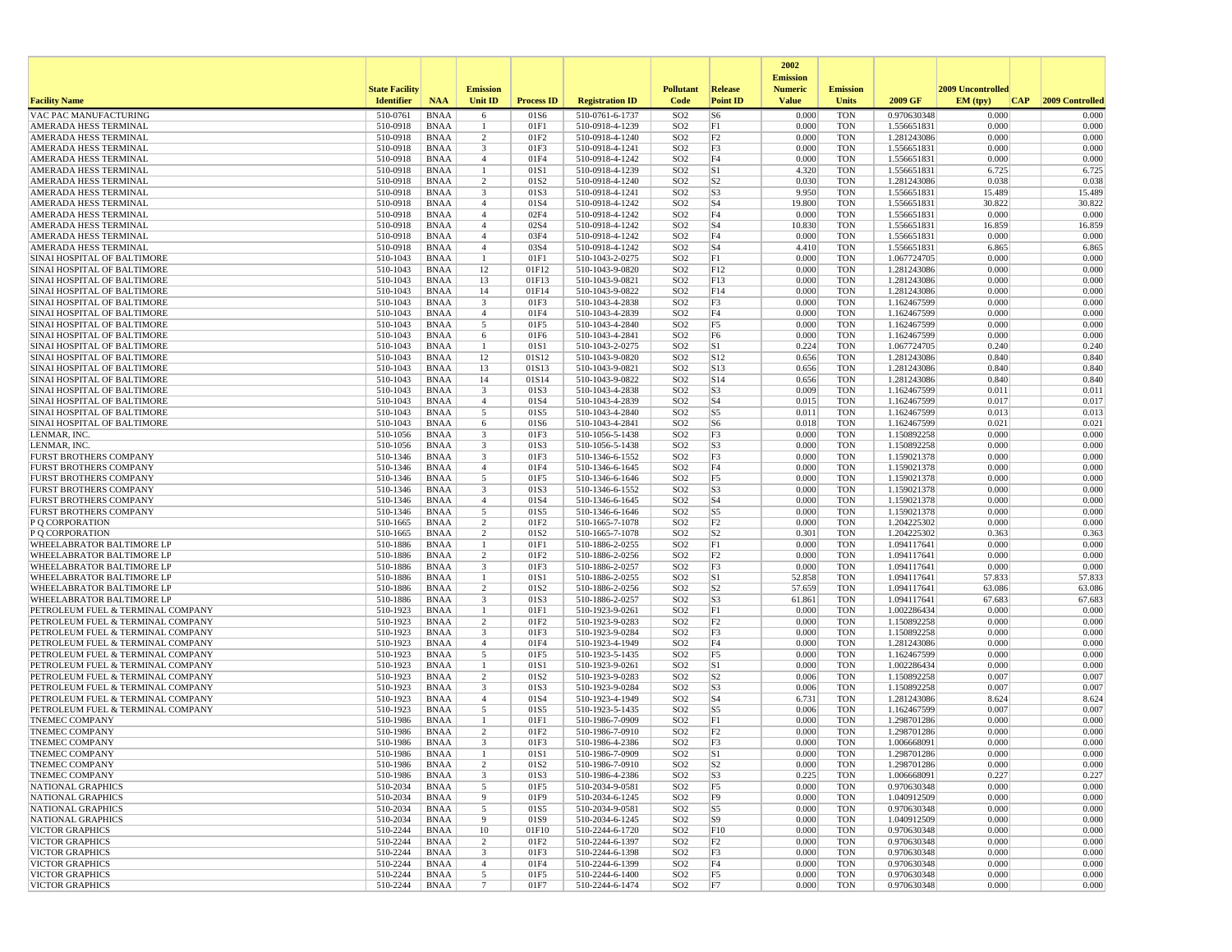|                                                                        |                       |                            |                                           |                          |                                    |                                    |                                  | 2002                              |                          |                            |                   |                 |
|------------------------------------------------------------------------|-----------------------|----------------------------|-------------------------------------------|--------------------------|------------------------------------|------------------------------------|----------------------------------|-----------------------------------|--------------------------|----------------------------|-------------------|-----------------|
|                                                                        | <b>State Facility</b> |                            | <b>Emission</b>                           |                          |                                    | <b>Pollutant</b>                   | Release                          | <b>Emission</b><br><b>Numeric</b> | <b>Emission</b>          |                            | 2009 Uncontrolled |                 |
| <b>Facility Name</b>                                                   | <b>Identifier</b>     | <b>NAA</b>                 | <b>Unit ID</b>                            | <b>Process ID</b>        | <b>Registration ID</b>             | Code                               | <b>Point ID</b>                  | <b>Value</b>                      | Units                    | 2009 GF                    | EM (typ)<br> CAP  | 2009 Controlled |
| VAC PAC MANUFACTURING                                                  | 510-0761              | <b>BNAA</b>                | 6                                         | 01S6                     | 510-0761-6-1737                    | SO <sub>2</sub>                    | S <sub>6</sub>                   | 0.000                             | <b>TON</b>               | 0.970630348                | 0.000             | 0.000           |
| AMERADA HESS TERMINAL                                                  | 510-0918              | BNAA                       | -1                                        | 01F1                     | 510-0918-4-1239                    | SO <sub>2</sub>                    | F1                               | 0.000                             | <b>TON</b>               | 1.556651831                | 0.000             | 0.000           |
| AMERADA HESS TERMINAL                                                  | 510-0918              | <b>BNAA</b>                | $\overline{2}$                            | 01F <sub>2</sub>         | 510-0918-4-1240                    | SO <sub>2</sub>                    | F2                               | 0.000                             | <b>TON</b>               | 1.281243086                | 0.000             | 0.000           |
| AMERADA HESS TERMINAL<br><b>AMERADA HESS TERMINAL</b>                  | 510-0918<br>510-0918  | BNAA<br><b>BNAA</b>        | 3<br>$\overline{4}$                       | 01F3<br>01F4             | 510-0918-4-1241<br>510-0918-4-1242 | SO <sub>2</sub><br>SO <sub>2</sub> | F3<br>F4                         | 0.000<br>0.000                    | <b>TON</b><br><b>TON</b> | 1.556651831<br>1.556651831 | 0.000<br>0.000    | 0.000<br>0.000  |
| AMERADA HESS TERMINAL                                                  | 510-0918              | <b>BNAA</b>                | $\overline{1}$                            | 01S1                     | 510-0918-4-1239                    | SO <sub>2</sub>                    | S1                               | 4.320                             | <b>TON</b>               | 1.556651831                | 6.725             | 6.725           |
| AMERADA HESS TERMINAL                                                  | 510-0918              | BNAA                       | $\overline{2}$                            | 01S <sub>2</sub>         | 510-0918-4-1240                    | SO <sub>2</sub>                    | S <sub>2</sub>                   | 0.030                             | <b>TON</b>               | 1.281243086                | 0.038             | 0.038           |
| AMERADA HESS TERMINAL                                                  | 510-0918              | <b>BNAA</b>                | 3                                         | 01S3                     | 510-0918-4-1241                    | SO <sub>2</sub>                    | S3                               | 9.950                             | <b>TON</b>               | 1.556651831                | 15.489            | 15.489          |
| AMERADA HESS TERMINAL                                                  | 510-0918              | <b>BNAA</b>                | $\overline{4}$                            | 01S4                     | 510-0918-4-1242                    | SO <sub>2</sub>                    | S <sub>4</sub>                   | 19.800                            | <b>TON</b>               | 1.556651831                | 30.822            | 30.822          |
| AMERADA HESS TERMINAL                                                  | 510-0918              | <b>BNAA</b>                | $\overline{4}$                            | 02F4                     | 510-0918-4-1242                    | SO <sub>2</sub>                    | F4                               | 0.000                             | <b>TON</b>               | 1.556651831                | 0.000             | 0.000           |
| AMERADA HESS TERMINAL<br>AMERADA HESS TERMINAL                         | 510-0918<br>510-0918  | BNAA<br><b>BNAA</b>        | $\overline{4}$<br>$\overline{4}$          | 02S4<br>03F4             | 510-0918-4-1242<br>510-0918-4-1242 | SO <sub>2</sub><br>SO <sub>2</sub> | S4<br>F4                         | 10.830<br>0.000                   | <b>TON</b><br><b>TON</b> | 1.556651831<br>1.556651831 | 16.859<br>0.000   | 16.859<br>0.000 |
| AMERADA HESS TERMINAL                                                  | 510-0918              | <b>BNAA</b>                | $\overline{4}$                            | 03S4                     | 510-0918-4-1242                    | SO <sub>2</sub>                    | S <sub>4</sub>                   | 4.410                             | <b>TON</b>               | 1.556651831                | 6.865             | 6.865           |
| SINAI HOSPITAL OF BALTIMORE                                            | 510-1043              | <b>BNAA</b>                | $\overline{1}$                            | 01F1                     | 510-1043-2-0275                    | SO <sub>2</sub>                    | F1                               | 0.000                             | <b>TON</b>               | 1.067724705                | 0.000             | 0.000           |
| SINAI HOSPITAL OF BALTIMORE                                            | 510-1043              | BNAA                       | 12                                        | 01F12                    | 510-1043-9-0820                    | SO <sub>2</sub>                    | F12                              | 0.000                             | <b>TON</b>               | 1.281243086                | 0.000             | 0.000           |
| SINAI HOSPITAL OF BALTIMORE                                            | 510-1043              | BNAA                       | 13                                        | 01F13                    | 510-1043-9-0821                    | SO <sub>2</sub>                    | F13                              | 0.000                             | <b>TON</b>               | 1.281243086                | 0.000             | 0.000           |
| SINAI HOSPITAL OF BALTIMORE                                            | 510-1043              | <b>BNAA</b>                | 14                                        | 01F14                    | 510-1043-9-0822                    | SO <sub>2</sub>                    | F14                              | 0.000                             | <b>TON</b>               | 1.281243086                | 0.000             | 0.000           |
| SINAI HOSPITAL OF BALTIMORE<br>SINAI HOSPITAL OF BALTIMORE             | 510-1043<br>510-1043  | BNAA<br><b>BNAA</b>        | $\overline{\mathbf{3}}$<br>$\overline{4}$ | 01F3<br>01F4             | 510-1043-4-2838<br>510-1043-4-2839 | SO <sub>2</sub><br>SO <sub>2</sub> | F3<br>F4                         | 0.000<br>0.000                    | <b>TON</b><br><b>TON</b> | 1.162467599<br>1.162467599 | 0.000<br>0.000    | 0.000<br>0.000  |
| SINAI HOSPITAL OF BALTIMORE                                            | 510-1043              | <b>BNAA</b>                | 5                                         | 01F5                     | 510-1043-4-2840                    | SO <sub>2</sub>                    | F5                               | 0.000                             | <b>TON</b>               | 1.162467599                | 0.000             | 0.000           |
| SINAI HOSPITAL OF BALTIMORE                                            | 510-1043              | <b>BNAA</b>                | 6                                         | 01F6                     | 510-1043-4-2841                    | SO <sub>2</sub>                    | F6                               | 0.000                             | <b>TON</b>               | 1.162467599                | 0.000             | 0.000           |
| SINAI HOSPITAL OF BALTIMORE                                            | 510-1043              | BNAA                       | -1                                        | 01S1                     | 510-1043-2-0275                    | SO <sub>2</sub>                    | S1                               | 0.224                             | <b>TON</b>               | 1.067724705                | 0.240             | 0.240           |
| SINAI HOSPITAL OF BALTIMORE                                            | 510-1043              | <b>BNAA</b>                | 12                                        | 01S12                    | 510-1043-9-0820                    | SO <sub>2</sub>                    | S12                              | 0.656                             | <b>TON</b>               | 1.281243086                | 0.840             | 0.840           |
| SINAI HOSPITAL OF BALTIMORE                                            | 510-1043              | <b>BNAA</b>                | 13                                        | 01S13                    | 510-1043-9-0821                    | SO <sub>2</sub>                    | S <sub>13</sub>                  | 0.656                             | <b>TON</b>               | 1.281243086                | 0.840             | 0.840           |
| SINAI HOSPITAL OF BALTIMORE<br>SINAI HOSPITAL OF BALTIMORE             | 510-1043<br>510-1043  | BNAA<br><b>BNAA</b>        | 14<br>$\overline{\mathbf{3}}$             | 01S14<br>01S3            | 510-1043-9-0822<br>510-1043-4-2838 | SO <sub>2</sub><br>SO <sub>2</sub> | S14<br>S <sub>3</sub>            | 0.656<br>0.009                    | <b>TON</b><br><b>TON</b> | 1.281243086<br>1.162467599 | 0.840<br>0.011    | 0.840<br>0.011  |
| SINAI HOSPITAL OF BALTIMORE                                            | 510-1043              | <b>BNAA</b>                | $\overline{4}$                            | 01S4                     | 510-1043-4-2839                    | SO <sub>2</sub>                    | S <sub>4</sub>                   | 0.015                             | <b>TON</b>               | 1.162467599                | 0.017             | 0.017           |
| SINAI HOSPITAL OF BALTIMORE                                            | 510-1043              | <b>BNAA</b>                | 5                                         | 01S5                     | 510-1043-4-2840                    | SO <sub>2</sub>                    | S <sub>5</sub>                   | 0.011                             | <b>TON</b>               | 1.162467599                | 0.013             | 0.013           |
| SINAI HOSPITAL OF BALTIMORE                                            | 510-1043              | BNAA                       | 6                                         | 01S6                     | 510-1043-4-2841                    | SO <sub>2</sub>                    | S <sub>6</sub>                   | 0.018                             | <b>TON</b>               | 1.162467599                | 0.021             | 0.021           |
| LENMAR, INC.                                                           | 510-1056              | <b>BNAA</b>                | $\overline{\mathbf{3}}$                   | 01F3                     | 510-1056-5-1438                    | SO <sub>2</sub>                    | F3                               | 0.000                             | <b>TON</b>               | 1.150892258                | 0.000             | 0.000           |
| LENMAR, INC.                                                           | 510-1056              | <b>BNAA</b>                | $\overline{\mathbf{3}}$                   | 01S3                     | 510-1056-5-1438                    | SO <sub>2</sub>                    | S <sub>3</sub>                   | 0.000                             | <b>TON</b>               | 1.150892258                | 0.000             | 0.000           |
| <b>FURST BROTHERS COMPANY</b><br><b>FURST BROTHERS COMPANY</b>         | 510-1346<br>510-1346  | BNAA<br><b>BNAA</b>        | 3<br>$\overline{4}$                       | 01F3<br>01F4             | 510-1346-6-1552<br>510-1346-6-1645 | SO <sub>2</sub><br>SO <sub>2</sub> | F3<br>F4                         | 0.000<br>0.000                    | <b>TON</b><br><b>TON</b> | 1.159021378<br>1.159021378 | 0.000<br>0.000    | 0.000<br>0.000  |
| FURST BROTHERS COMPANY                                                 | 510-1346              | <b>BNAA</b>                | 5                                         | 01F5                     | 510-1346-6-1646                    | SO <sub>2</sub>                    | F5                               | 0.000                             | <b>TON</b>               | 1.159021378                | 0.000             | 0.000           |
| <b>FURST BROTHERS COMPANY</b>                                          | 510-1346              | BNAA                       | $\overline{\mathbf{3}}$                   | 01S3                     | 510-1346-6-1552                    | SO <sub>2</sub>                    | S <sub>3</sub>                   | 0.000                             | <b>TON</b>               | 1.159021378                | 0.000             | 0.000           |
| <b>FURST BROTHERS COMPANY</b>                                          | 510-1346              | BNAA                       | $\overline{4}$                            | 01S4                     | 510-1346-6-1645                    | SO <sub>2</sub>                    | S <sub>4</sub>                   | 0.000                             | <b>TON</b>               | 1.159021378                | 0.000             | 0.000           |
| <b>FURST BROTHERS COMPANY</b>                                          | 510-1346              | <b>BNAA</b>                | 5                                         | 01S5                     | 510-1346-6-1646                    | SO <sub>2</sub>                    | S <sub>5</sub>                   | 0.000                             | <b>TON</b>               | 1.159021378                | 0.000             | 0.000           |
| P Q CORPORATION                                                        | 510-1665              | BNAA                       | $\overline{2}$                            | 01F2                     | 510-1665-7-1078                    | SO <sub>2</sub>                    | F2                               | 0.000                             | <b>TON</b>               | 1.204225302                | 0.000             | 0.000           |
| P Q CORPORATION<br>WHEELABRATOR BALTIMORE LP                           | 510-1665<br>510-1886  | <b>BNAA</b><br>BNAA        | $\overline{2}$<br>-1                      | 01S <sub>2</sub><br>01F1 | 510-1665-7-1078<br>510-1886-2-0255 | SO <sub>2</sub><br>SO <sub>2</sub> | S <sub>2</sub><br>F1             | 0.301<br>0.000                    | <b>TON</b><br><b>TON</b> | 1.204225302<br>1.094117641 | 0.363<br>0.000    | 0.363<br>0.000  |
| <b>WHEELABRATOR BALTIMORE LP</b>                                       | 510-1886              | BNAA                       | $\overline{2}$                            | 01F2                     | 510-1886-2-0256                    | SO <sub>2</sub>                    | F <sub>2</sub>                   | 0.000                             | <b>TON</b>               | 1.094117641                | 0.000             | 0.000           |
| <b>WHEELABRATOR BALTIMORE LP</b>                                       | 510-1886              | <b>BNAA</b>                | 3                                         | 01F3                     | 510-1886-2-0257                    | SO <sub>2</sub>                    | F3                               | 0.000                             | <b>TON</b>               | 1.094117641                | 0.000             | 0.000           |
| WHEELABRATOR BALTIMORE LP                                              | 510-1886              | BNAA                       | -1                                        | 01S1                     | 510-1886-2-0255                    | SO <sub>2</sub>                    | S1                               | 52.858                            | <b>TON</b>               | 1.094117641                | 57.833            | 57.833          |
| <b>WHEELABRATOR BALTIMORE LP</b>                                       | 510-1886              | <b>BNAA</b>                | $\overline{2}$                            | 01S <sub>2</sub>         | 510-1886-2-0256                    | SO <sub>2</sub>                    | S <sub>2</sub>                   | 57.659                            | <b>TON</b>               | 1.094117641                | 63.086            | 63.086          |
| WHEELABRATOR BALTIMORE LP                                              | 510-1886              | <b>BNAA</b>                | $\overline{\mathbf{3}}$<br>$\overline{1}$ | 01S3                     | 510-1886-2-0257                    | SO <sub>2</sub>                    | S <sub>3</sub><br>F1             | 61.861<br>0.000                   | <b>TON</b>               | 1.094117641                | 67.683<br>0.000   | 67.683          |
| PETROLEUM FUEL & TERMINAL COMPANY<br>PETROLEUM FUEL & TERMINAL COMPANY | 510-1923<br>510-1923  | <b>BNAA</b><br>BNAA        | $\overline{2}$                            | 01F1<br>01F2             | 510-1923-9-0261<br>510-1923-9-0283 | SO <sub>2</sub><br>SO <sub>2</sub> | F2                               | 0.000                             | <b>TON</b><br><b>TON</b> | 1.002286434<br>1.150892258 | 0.000             | 0.000<br>0.000  |
| PETROLEUM FUEL & TERMINAL COMPANY                                      | 510-1923              | <b>BNAA</b>                | $\overline{\mathbf{3}}$                   | 01F3                     | 510-1923-9-0284                    | SO <sub>2</sub>                    | F3                               | 0.000                             | <b>TON</b>               | 1.150892258                | 0.000             | 0.000           |
| PETROLEUM FUEL & TERMINAL COMPANY                                      | 510-1923              | <b>BNAA</b>                | $\overline{4}$                            | 01F4                     | 510-1923-4-1949                    | SO <sub>2</sub>                    | F4                               | 0.000                             | <b>TON</b>               | 1.281243086                | 0.000             | 0.000           |
| PETROLEUM FUEL & TERMINAL COMPANY                                      | 510-1923              | BNAA                       | 5                                         | 01F5                     | 510-1923-5-1435                    | SO <sub>2</sub>                    | F5                               | 0.000                             | <b>TON</b>               | 1.162467599                | 0.000             | 0.000           |
| PETROLEUM FUEL & TERMINAL COMPANY                                      | 510-1923              | <b>BNAA</b>                | -1                                        | 01S1                     | 510-1923-9-0261                    | SO <sub>2</sub>                    | S1                               | 0.000                             | <b>TON</b>               | 1.002286434                | 0.000             | 0.000           |
| PETROLEUM FUEL & TERMINAL COMPANY<br>PETROLEUM FUEL & TERMINAL COMPANY | 510-1923<br>510-1923  | <b>BNAA</b><br><b>BNAA</b> | $\overline{2}$<br>3                       | 01S2<br>01S3             | 510-1923-9-0283<br>510-1923-9-0284 | SO <sub>2</sub><br>SO <sub>2</sub> | S <sub>2</sub><br>S <sub>3</sub> | 0.006<br>0.006                    | <b>TON</b><br><b>TON</b> | 1.150892258<br>1.150892258 | 0.007<br>0.007    | 0.007<br>0.007  |
| PETROLEUM FUEL & TERMINAL COMPANY                                      | 510-1923              | BNAA                       | $\overline{4}$                            | 01S4                     | 510-1923-4-1949                    | SO <sub>2</sub>                    | S <sub>4</sub>                   | 6.731                             | <b>TON</b>               | 1.281243086                | 8.624             | 8.624           |
| PETROLEUM FUEL & TERMINAL COMPANY                                      | 510-1923              | <b>BNAA</b>                | 5                                         | 01S5                     | 510-1923-5-1435                    | SO <sub>2</sub>                    | S5                               | 0.006                             | <b>TON</b>               | 1.162467599                | 0.007             | 0.007           |
| <b>TNEMEC COMPANY</b>                                                  | 510-1986              | <b>BNAA</b>                | $\mathbf{1}$                              | 01F1                     | 510-1986-7-0909                    | SO <sub>2</sub>                    | F1                               | 0.000                             | <b>TON</b>               | 1.298701286                | 0.000             | 0.000           |
| <b>TNEMEC COMPANY</b>                                                  | 510-1986              | BNAA                       | $\overline{2}$                            | 01F <sub>2</sub>         | 510-1986-7-0910                    | SO <sub>2</sub>                    | F2                               | 0.000                             | <b>TON</b>               | 1.298701286                | 0.000             | 0.000           |
| <b>TNEMEC COMPANY</b>                                                  | 510-1986              | <b>BNAA</b>                | 3                                         | 01F3                     | 510-1986-4-2386                    | SO <sub>2</sub>                    | F3                               | 0.000                             | <b>TON</b>               | 1.006668091                | 0.000             | 0.000           |
| <b>TNEMEC COMPANY</b><br><b>TNEMEC COMPANY</b>                         | 510-1986<br>510-1986  | <b>BNAA</b><br>BNAA        | $\overline{c}$                            | 01S1<br>01S <sub>2</sub> | 510-1986-7-0909<br>510-1986-7-0910 | SO <sub>2</sub><br>SO <sub>2</sub> | S1<br> S <sub>2</sub>            | 0.000<br>0.000                    | <b>TON</b><br>TON        | 1.298701286<br>1.298701286 | 0.000<br>0.000    | 0.000<br>0.000  |
| <b>TNEMEC COMPANY</b>                                                  | 510-1986              | BNAA                       | $\overline{3}$                            | 01S3                     | 510-1986-4-2386                    | SO <sub>2</sub>                    | S <sub>3</sub>                   | 0.225                             | <b>TON</b>               | 1.006668091                | 0.227             | 0.227           |
| NATIONAL GRAPHICS                                                      | 510-2034              | BNAA                       | 5                                         | 01F5                     | 510-2034-9-0581                    | SO <sub>2</sub>                    | F5                               | 0.000                             | <b>TON</b>               | 0.970630348                | 0.000             | 0.000           |
| NATIONAL GRAPHICS                                                      | 510-2034              | BNAA                       | 9                                         | 01F9                     | 510-2034-6-1245                    | SO <sub>2</sub>                    | F9                               | 0.000                             | <b>TON</b>               | 1.040912509                | 0.000             | 0.000           |
| NATIONAL GRAPHICS                                                      | 510-2034              | BNAA                       | 5                                         | 01S5                     | 510-2034-9-0581                    | SO <sub>2</sub>                    | S5                               | 0.000                             | <b>TON</b>               | 0.970630348                | 0.000             | 0.000           |
| <b>NATIONAL GRAPHICS</b>                                               | 510-2034              | BNAA                       | 9                                         | 01S9                     | 510-2034-6-1245                    | SO <sub>2</sub>                    | S9                               | 0.000                             | <b>TON</b>               | 1.040912509                | 0.000             | 0.000           |
| <b>VICTOR GRAPHICS</b><br><b>VICTOR GRAPHICS</b>                       | 510-2244<br>510-2244  | BNAA<br>BNAA               | 10<br>$\overline{c}$                      | 01F10<br>01F2            | 510-2244-6-1720<br>510-2244-6-1397 | SO <sub>2</sub><br>SO <sub>2</sub> | F10<br>F <sub>2</sub>            | 0.000<br>0.000                    | <b>TON</b><br>TON        | 0.970630348<br>0.970630348 | 0.000<br>0.000    | 0.000<br>0.000  |
| <b>VICTOR GRAPHICS</b>                                                 | 510-2244              | BNAA                       | $\overline{\mathbf{3}}$                   | 01F3                     | 510-2244-6-1398                    | SO <sub>2</sub>                    | F3                               | 0.000                             | <b>TON</b>               | 0.970630348                | 0.000             | 0.000           |
| <b>VICTOR GRAPHICS</b>                                                 | 510-2244              | BNAA                       | $\overline{4}$                            | 01F4                     | 510-2244-6-1399                    | SO <sub>2</sub>                    | F4                               | 0.000                             | <b>TON</b>               | 0.970630348                | 0.000             | 0.000           |
| <b>VICTOR GRAPHICS</b>                                                 | 510-2244              | BNAA                       | 5                                         | 01F5                     | 510-2244-6-1400                    | SO <sub>2</sub>                    | F5                               | 0.000                             | <b>TON</b>               | 0.970630348                | 0.000             | 0.000           |
| <b>VICTOR GRAPHICS</b>                                                 | 510-2244              | BNAA                       | $7\phantom{.0}$                           | 01F7                     | 510-2244-6-1474                    | SO <sub>2</sub>                    | F7                               | 0.000                             | <b>TON</b>               | 0.970630348                | 0.000             | 0.000           |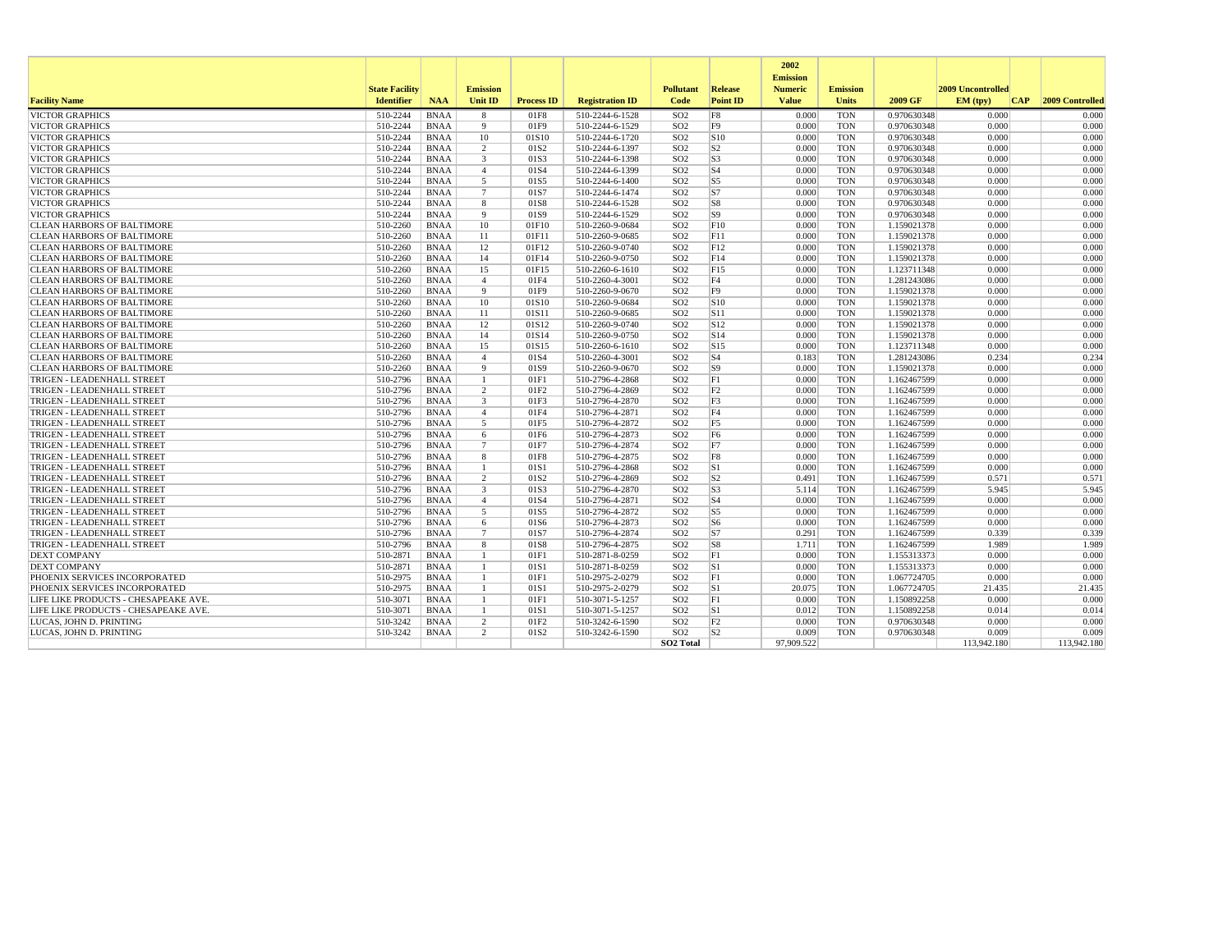|                                                   |                       |                            |                    |                   |                                    |                                    |                 | 2002<br><b>Emission</b> |                 |                            |                   |                     |
|---------------------------------------------------|-----------------------|----------------------------|--------------------|-------------------|------------------------------------|------------------------------------|-----------------|-------------------------|-----------------|----------------------------|-------------------|---------------------|
|                                                   | <b>State Facility</b> |                            | <b>Emission</b>    |                   |                                    | <b>Pollutant</b>                   | <b>Release</b>  | <b>Numeric</b>          | <b>Emission</b> |                            | 2009 Uncontrolled |                     |
| <b>Facility Name</b>                              | <b>Identifier</b>     | <b>NAA</b>                 | Unit ID            | <b>Process ID</b> | <b>Registration ID</b>             | Code                               | <b>Point ID</b> | <b>Value</b>            | <b>Units</b>    | 2009 GF                    | EM (typ)          | CAP 2009 Controlled |
| <b>VICTOR GRAPHICS</b>                            | 510-2244              | <b>BNAA</b>                | 8                  | 01F8              | 510-2244-6-1528                    | SO <sub>2</sub>                    | F8              | 0.000                   | <b>TON</b>      | 0.970630348                | 0.000             | 0.000               |
| <b>VICTOR GRAPHICS</b>                            | 510-2244              | <b>BNAA</b>                | 9                  | 01F9              | 510-2244-6-1529                    | SO <sub>2</sub>                    | F <sub>9</sub>  | 0.000                   | <b>TON</b>      | 0.970630348                | 0.000             | 0.000               |
| <b>VICTOR GRAPHICS</b>                            | 510-2244              | <b>BNAA</b>                | 10                 | 01S10             | 510-2244-6-1720                    | SO <sub>2</sub>                    | S <sub>10</sub> | 0.000                   | <b>TON</b>      | 0.970630348                | 0.000             | 0.000               |
| <b>VICTOR GRAPHICS</b>                            | 510-2244              | <b>BNAA</b>                | 2                  | 01S <sub>2</sub>  | 510-2244-6-1397                    | SO <sub>2</sub>                    | S <sub>2</sub>  | 0.000                   | <b>TON</b>      | 0.970630348                | 0.000             | 0.000               |
| <b>VICTOR GRAPHICS</b>                            | 510-2244              | <b>BNAA</b>                | $\overline{3}$     | 01S3              | 510-2244-6-1398                    | SO <sub>2</sub>                    | S <sub>3</sub>  | 0.000                   | <b>TON</b>      | 0.970630348                | 0.000             | 0.000               |
| <b>VICTOR GRAPHICS</b>                            | 510-2244              | <b>BNAA</b>                | $\overline{4}$     | 01S4              | 510-2244-6-1399                    | SO <sub>2</sub>                    | S <sub>4</sub>  | 0.000                   | <b>TON</b>      | 0.970630348                | 0.000             | 0.000               |
| <b>VICTOR GRAPHICS</b>                            | 510-2244              | <b>BNAA</b>                | 5                  | 01S5              | 510-2244-6-1400                    | SO <sub>2</sub>                    | S5              | 0.000                   | <b>TON</b>      | 0.970630348                | 0.000             | 0.000               |
| <b>VICTOR GRAPHICS</b>                            | 510-2244              | <b>BNAA</b>                | 7                  | 01S7              | 510-2244-6-1474                    | SO <sub>2</sub>                    | S <sub>7</sub>  | 0.000                   | <b>TON</b>      | 0.970630348                | 0.000             | 0.000               |
| <b>VICTOR GRAPHICS</b>                            | 510-2244              | <b>BNAA</b>                | 8                  | 01S8              | 510-2244-6-1528                    | SO <sub>2</sub>                    | S8              | 0.000                   | <b>TON</b>      | 0.970630348                | 0.000             | 0.000               |
| <b>VICTOR GRAPHICS</b>                            | 510-2244              | <b>BNAA</b>                | $\overline{9}$     | 01S9              | 510-2244-6-1529                    | SO <sub>2</sub>                    | S9              | 0.000                   | <b>TON</b>      | 0.970630348                | 0.000             | 0.000               |
| <b>CLEAN HARBORS OF BALTIMORE</b>                 | 510-2260              | <b>BNAA</b>                | 10                 | 01F10             | 510-2260-9-0684                    | SO <sub>2</sub>                    | F10             | 0.000                   | <b>TON</b>      | 1.159021378                | 0.000             | 0.000               |
| <b>CLEAN HARBORS OF BALTIMORE</b>                 | 510-2260              | <b>BNAA</b>                | 11                 | 01F11             | 510-2260-9-0685                    | SO <sub>2</sub>                    | F11             | 0.000                   | <b>TON</b>      | 1.159021378                | 0.000             | 0.000               |
| <b>CLEAN HARBORS OF BALTIMORE</b>                 | 510-2260              | <b>BNAA</b>                | 12                 | 01F12             | 510-2260-9-0740                    | SO <sub>2</sub>                    | F12             | 0.000                   | <b>TON</b>      | 1.159021378                | 0.000             | 0.000               |
| <b>CLEAN HARBORS OF BALTIMORE</b>                 | 510-2260              | <b>BNAA</b>                | 14                 | 01F14             | 510-2260-9-0750                    | SO <sub>2</sub>                    | F14             | 0.000                   | <b>TON</b>      | 1.159021378                | 0.000             | 0.000               |
| <b>CLEAN HARBORS OF BALTIMORE</b>                 | 510-2260              | <b>BNAA</b>                | 15                 | 01F15             | 510-2260-6-1610                    | SO <sub>2</sub>                    | F15             | 0.000                   | <b>TON</b>      | 1.123711348                | 0.000             | 0.000               |
| <b>CLEAN HARBORS OF BALTIMORE</b>                 | 510-2260              | <b>BNAA</b>                | $\overline{4}$     | 01F4              | 510-2260-4-3001                    | SO <sub>2</sub>                    | F <sub>4</sub>  | 0.000                   | <b>TON</b>      | 1.281243086                | 0.000             | 0.000               |
| <b>CLEAN HARBORS OF BALTIMORE</b>                 | 510-2260              | <b>BNAA</b>                | 9                  | 01F9              | 510-2260-9-0670                    | SO <sub>2</sub>                    | F <sub>9</sub>  | 0.000                   | <b>TON</b>      | 1.159021378                | 0.000             | 0.000               |
| <b>CLEAN HARBORS OF BALTIMORE</b>                 | 510-2260              | <b>BNAA</b>                | 10                 | 01S10             | 510-2260-9-0684                    | SO <sub>2</sub>                    | S10             | 0.000                   | <b>TON</b>      | 1.159021378                | 0.000             | 0.000               |
| <b>CLEAN HARBORS OF BALTIMORE</b>                 | 510-2260              | <b>BNAA</b>                | 11                 | 01S11             | 510-2260-9-0685                    | SO <sub>2</sub>                    | S11             | 0.000                   | <b>TON</b>      | 1.159021378                | 0.000             | 0.000               |
| <b>CLEAN HARBORS OF BALTIMORE</b>                 | 510-2260              | <b>BNAA</b>                | 12                 | 01S12             | 510-2260-9-0740                    | SO <sub>2</sub>                    | S12             | 0.000                   | <b>TON</b>      | 1.159021378                | 0.000             | 0.000               |
| <b>CLEAN HARBORS OF BALTIMORE</b>                 | 510-2260              | <b>BNAA</b>                | 14                 | 01S14             | 510-2260-9-0750                    | SO <sub>2</sub>                    | S14             | 0.000                   | <b>TON</b>      | 1.159021378                | 0.000             | 0.000               |
| <b>CLEAN HARBORS OF BALTIMORE</b>                 | 510-2260              | <b>BNAA</b>                | 15                 | 01S15             | 510-2260-6-1610                    | SO <sub>2</sub>                    | S15             | 0.000                   | <b>TON</b>      | 1.123711348                | 0.000             | 0.000               |
| <b>CLEAN HARBORS OF BALTIMORE</b>                 | 510-2260              | <b>BNAA</b>                | $\overline{4}$     | 01S4              | 510-2260-4-3001                    | SO <sub>2</sub>                    | S <sub>4</sub>  | 0.183                   | <b>TON</b>      | 1.281243086                | 0.234             | 0.234               |
| <b>CLEAN HARBORS OF BALTIMORE</b>                 | 510-2260              | <b>BNAA</b>                | 9                  | 01S9              | 510-2260-9-0670                    | SO <sub>2</sub>                    | S <sub>9</sub>  | 0.000                   | <b>TON</b>      | 1.159021378                | 0.000             | 0.000               |
| TRIGEN - LEADENHALL STREET                        | 510-2796              | <b>BNAA</b>                | $\mathbf{1}$       | 01F1              | 510-2796-4-2868                    | SO <sub>2</sub>                    | F1              | 0.000                   | <b>TON</b>      | 1.162467599                | 0.000             | 0.000               |
| TRIGEN - LEADENHALL STREET                        | 510-2796              | <b>BNAA</b>                | $\overline{2}$     | 01F2              | 510-2796-4-2869                    | SO <sub>2</sub>                    | F2              | 0.000                   | <b>TON</b>      | 1.162467599                | 0.000             | 0.000               |
| TRIGEN - LEADENHALL STREET                        | 510-2796              | <b>BNAA</b>                | $\overline{3}$     | 01F3              | 510-2796-4-2870                    | SO <sub>2</sub>                    | F <sub>3</sub>  | 0.000                   | <b>TON</b>      | 1.162467599                | 0.000             | 0.000               |
| TRIGEN - LEADENHALL STREET                        | 510-2796              | <b>BNAA</b>                | $\overline{4}$     | 01F4              | 510-2796-4-2871                    | SO <sub>2</sub>                    | F <sub>4</sub>  | 0.000                   | <b>TON</b>      | 1.162467599                | 0.000             | 0.000               |
| TRIGEN - LEADENHALL STREET                        | 510-2796              | <b>BNAA</b>                | $\overline{5}$     | 01F5              | 510-2796-4-2872                    | SO <sub>2</sub>                    | F <sub>5</sub>  | 0.000                   | <b>TON</b>      | 1.162467599                | 0.000             | 0.000               |
| TRIGEN - LEADENHALL STREET                        | 510-2796              | <b>BNAA</b>                | 6                  | 01F6              | 510-2796-4-2873                    | SO <sub>2</sub>                    | F <sub>6</sub>  | 0.000                   | <b>TON</b>      | 1.162467599                | 0.000             | 0.000               |
| TRIGEN - LEADENHALL STREET                        | 510-2796              | <b>BNAA</b>                | $\overline{7}$     | 01F7              | 510-2796-4-2874                    | SO <sub>2</sub>                    | F7              | 0.000                   | <b>TON</b>      | 1.162467599                | 0.000             | 0.000               |
| TRIGEN - LEADENHALL STREET                        | 510-2796              | <b>BNAA</b>                | 8                  | 01F8              | 510-2796-4-2875                    | SO <sub>2</sub>                    | F8              | 0.000                   | <b>TON</b>      | 1.162467599                | 0.000             | 0.000               |
| TRIGEN - LEADENHALL STREET                        | 510-2796              | <b>BNAA</b>                | -1                 | 01S1              | 510-2796-4-2868                    | SO <sub>2</sub>                    | S1              | 0.000                   | <b>TON</b>      | 1.162467599                | 0.000             | 0.000               |
| TRIGEN - LEADENHALL STREET                        | 510-2796              | <b>BNAA</b>                | $\overline{2}$     | 01S <sub>2</sub>  | 510-2796-4-2869                    | SO <sub>2</sub>                    | S <sub>2</sub>  | 0.491                   | <b>TON</b>      | 1.162467599                | 0.571             | 0.571               |
| TRIGEN - LEADENHALL STREET                        | 510-2796              | <b>BNAA</b>                | $\overline{3}$     | 01S3              | 510-2796-4-2870                    | SO <sub>2</sub>                    | S <sub>3</sub>  | 5.114                   | <b>TON</b>      | 1.162467599                | 5.945             | 5.945               |
| TRIGEN - LEADENHALL STREET                        | 510-2796              | <b>BNAA</b>                | $\overline{4}$     | 01S4              | 510-2796-4-2871                    | SO <sub>2</sub>                    | S <sub>4</sub>  | 0.000                   | <b>TON</b>      | 1.162467599                | 0.000             | 0.000               |
| TRIGEN - LEADENHALL STREET                        | 510-2796              | <b>BNAA</b>                | $\overline{5}$     | 01S5              | 510-2796-4-2872                    | SO <sub>2</sub>                    | S <sub>5</sub>  | 0.000                   | <b>TON</b>      | 1.162467599                | 0.000             | 0.000               |
| TRIGEN - LEADENHALL STREET                        | 510-2796              | <b>BNAA</b>                | 6                  | 01S6              | 510-2796-4-2873                    | SO <sub>2</sub>                    | S <sub>6</sub>  | 0.000                   | <b>TON</b>      | 1.162467599                | 0.000             | 0.000               |
| TRIGEN - LEADENHALL STREET                        | 510-2796              | <b>BNAA</b>                | $7\phantom{.0}$    | 01S7              | 510-2796-4-2874                    | SO <sub>2</sub>                    | S7              | 0.291                   | <b>TON</b>      | 1.162467599                | 0.339             | 0.339               |
|                                                   |                       |                            | 8                  |                   |                                    |                                    | S8              |                         | <b>TON</b>      |                            | 1.989             |                     |
| TRIGEN - LEADENHALL STREET<br><b>DEXT COMPANY</b> | 510-2796<br>510-2871  | <b>BNAA</b><br><b>BNAA</b> | $\mathbf{1}$       | 01S8<br>01F1      | 510-2796-4-2875<br>510-2871-8-0259 | SO <sub>2</sub><br>SO <sub>2</sub> | F1              | 1.711<br>0.000          | <b>TON</b>      | 1.162467599<br>1.155313373 | 0.000             | 1.989<br>0.000      |
| <b>DEXT COMPANY</b>                               |                       |                            |                    |                   | 510-2871-8-0259                    |                                    | S1              |                         | <b>TON</b>      |                            | 0.000             | 0.000               |
|                                                   | 510-2871              | <b>BNAA</b>                | -1<br>$\mathbf{1}$ | 01S1<br>01F1      |                                    | SO <sub>2</sub>                    | F1              | 0.000<br>0.000          | <b>TON</b>      | 1.155313373                | 0.000             | 0.000               |
| PHOENIX SERVICES INCORPORATED                     | 510-2975              | <b>BNAA</b>                |                    |                   | 510-2975-2-0279                    | SO <sub>2</sub>                    |                 |                         |                 | 1.067724705                | 21.435            |                     |
| PHOENIX SERVICES INCORPORATED                     | 510-2975              | <b>BNAA</b>                | $\mathbf{1}$       | 01S1              | 510-2975-2-0279                    | SO <sub>2</sub>                    | S1              | 20.075                  | <b>TON</b>      | 1.067724705                |                   | 21.435              |
| LIFE LIKE PRODUCTS - CHESAPEAKE AVE.              | 510-3071              | <b>BNAA</b>                | $\mathbf{1}$       | 01F1              | 510-3071-5-1257                    | SO <sub>2</sub>                    | F1              | 0.000                   | <b>TON</b>      | 1.150892258                | 0.000             | 0.000               |
| LIFE LIKE PRODUCTS - CHESAPEAKE AVE.              | 510-3071              | <b>BNAA</b>                | $\mathbf{1}$       | 01S1              | 510-3071-5-1257                    | SO <sub>2</sub>                    | S1              | 0.012                   | <b>TON</b>      | 1.150892258                | 0.014             | 0.014               |
| LUCAS, JOHN D. PRINTING                           | 510-3242              | <b>BNAA</b>                | 2                  | 01F2              | 510-3242-6-1590                    | SO <sub>2</sub>                    | F2              | 0.000                   | <b>TON</b>      | 0.970630348                | 0.000             | 0.000               |
| LUCAS, JOHN D. PRINTING                           | 510-3242              | <b>BNAA</b>                | 2                  | 01S2              | 510-3242-6-1590                    | SO <sub>2</sub>                    | S <sub>2</sub>  | 0.009                   | <b>TON</b>      | 0.970630348                | 0.009             | 0.009               |
|                                                   |                       |                            |                    |                   |                                    | SO <sub>2</sub> Total              |                 | 97,909.522              |                 |                            | 113,942.180       | 113,942.180         |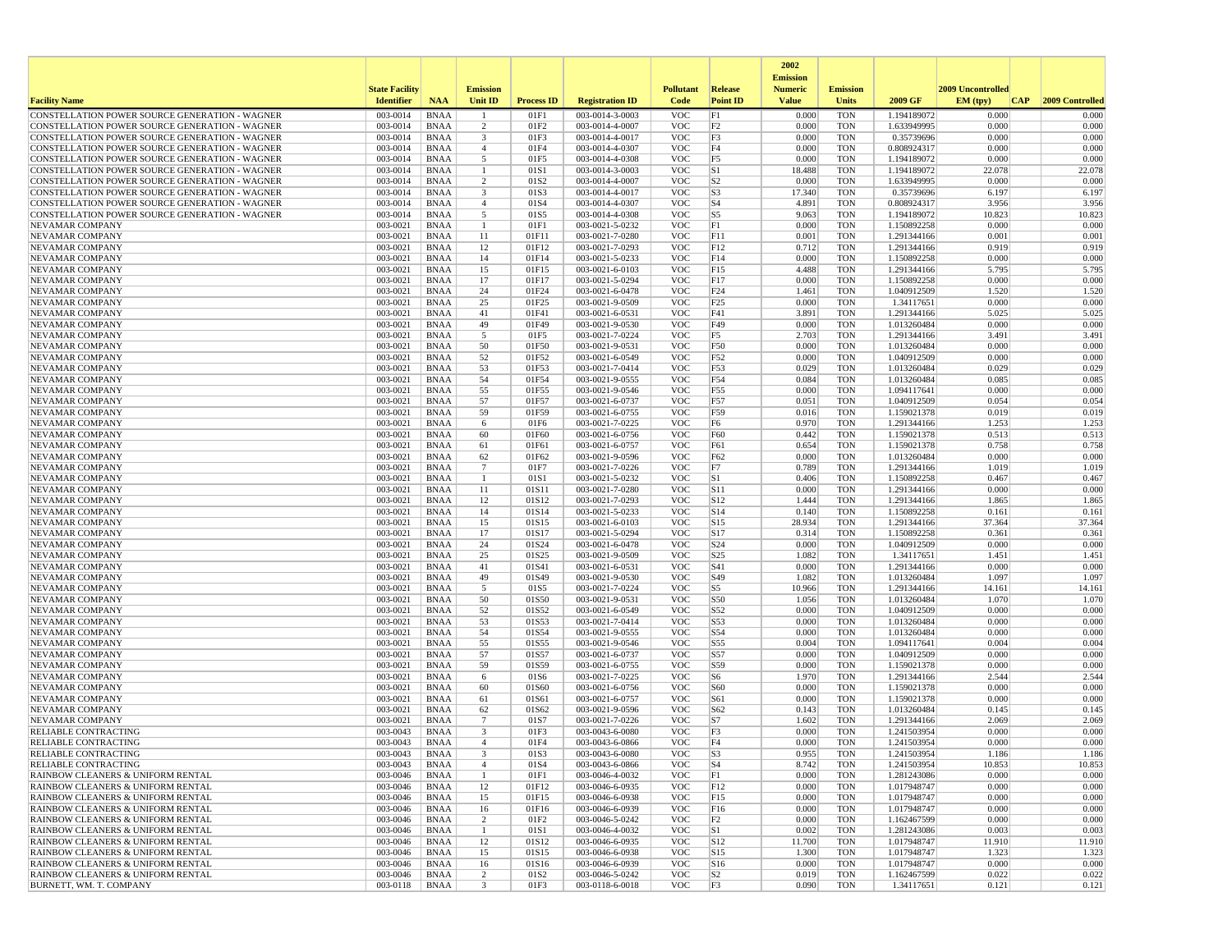|                                                                                                  |                       |                            |                                |                   |                                    |                          |                       | 2002                              |                          |                            |                   |                 |
|--------------------------------------------------------------------------------------------------|-----------------------|----------------------------|--------------------------------|-------------------|------------------------------------|--------------------------|-----------------------|-----------------------------------|--------------------------|----------------------------|-------------------|-----------------|
|                                                                                                  | <b>State Facility</b> |                            | <b>Emission</b>                |                   |                                    | <b>Pollutant</b>         | <b>Release</b>        | <b>Emission</b><br><b>Numeric</b> | <b>Emission</b>          |                            | 2009 Uncontrolled |                 |
| <b>Facility Name</b>                                                                             | <b>Identifier</b>     | <b>NAA</b>                 | Unit ID                        | <b>Process ID</b> | <b>Registration ID</b>             | Code                     | <b>Point ID</b>       | <b>Value</b>                      | <b>Units</b>             | 2009 GF                    | EM (typ)<br> CAP  | 2009 Controlled |
| CONSTELLATION POWER SOURCE GENERATION - WAGNER                                                   | 003-0014              | <b>BNAA</b>                |                                | 01F1              | 003-0014-3-0003                    | <b>VOC</b>               | F1                    | 0.000                             | <b>TON</b>               | 1.194189072                | 0.000             | 0.000           |
| CONSTELLATION POWER SOURCE GENERATION - WAGNER                                                   | 003-0014              | <b>BNAA</b>                | 2                              | 01F2              | 003-0014-4-0007                    | <b>VOC</b>               | F <sub>2</sub>        | 0.000                             | <b>TON</b>               | 1.633949995                | 0.000             | 0.000           |
| CONSTELLATION POWER SOURCE GENERATION - WAGNER                                                   | 003-0014              | <b>BNAA</b>                | $\overline{\mathbf{3}}$        | 01F3              | 003-0014-4-0017                    | <b>VOC</b>               | F3                    | 0.000                             | <b>TON</b>               | 0.35739696                 | 0.000             | 0.000           |
| CONSTELLATION POWER SOURCE GENERATION - WAGNER<br>CONSTELLATION POWER SOURCE GENERATION - WAGNER | 003-0014              | <b>BNAA</b>                | $\overline{4}$<br>5            | 01F4              | 003-0014-4-0307                    | <b>VOC</b><br><b>VOC</b> | F4<br>F <sub>5</sub>  | 0.000                             | <b>TON</b>               | 0.808924317                | 0.000<br>0.000    | 0.000<br>0.000  |
| CONSTELLATION POWER SOURCE GENERATION - WAGNER                                                   | 003-0014<br>003-0014  | <b>BNAA</b><br><b>BNAA</b> | -1                             | 01F5<br>01S1      | 003-0014-4-0308<br>003-0014-3-0003 | <b>VOC</b>               | S1                    | 0.000<br>18.488                   | <b>TON</b><br><b>TON</b> | 1.194189072<br>1.194189072 | 22.078            | 22.078          |
| CONSTELLATION POWER SOURCE GENERATION - WAGNER                                                   | 003-0014              | <b>BNAA</b>                | 2                              | 01S <sub>2</sub>  | 003-0014-4-0007                    | <b>VOC</b>               | S <sub>2</sub>        | 0.000                             | <b>TON</b>               | 1.633949995                | 0.000             | 0.000           |
| CONSTELLATION POWER SOURCE GENERATION - WAGNER                                                   | 003-0014              | <b>BNAA</b>                | 3                              | 01S3              | 003-0014-4-0017                    | <b>VOC</b>               | S3                    | 17.340                            | <b>TON</b>               | 0.35739696                 | 6.197             | 6.197           |
| CONSTELLATION POWER SOURCE GENERATION - WAGNER                                                   | 003-0014              | <b>BNAA</b>                | $\overline{4}$                 | 01S4              | 003-0014-4-0307                    | <b>VOC</b>               | $ S_4 $               | 4.891                             | <b>TON</b>               | 0.808924317                | 3.956             | 3.956           |
| CONSTELLATION POWER SOURCE GENERATION - WAGNER                                                   | 003-0014              | <b>BNAA</b>                | 5                              | 01S5              | 003-0014-4-0308                    | <b>VOC</b>               | S5                    | 9.063                             | <b>TON</b>               | 1.194189072                | 10.823            | 10.823          |
| <b>NEVAMAR COMPANY</b>                                                                           | 003-0021              | <b>BNAA</b>                | $\mathbf{1}$                   | 01F1              | 003-0021-5-0232                    | <b>VOC</b>               | F1                    | 0.000                             | <b>TON</b>               | 1.150892258                | 0.000             | 0.000           |
| NEVAMAR COMPANY<br><b>NEVAMAR COMPANY</b>                                                        | 003-0021<br>003-0021  | <b>BNAA</b>                | 11<br>12                       | 01F11<br>01F12    | 003-0021-7-0280<br>003-0021-7-0293 | <b>VOC</b><br><b>VOC</b> | F11<br>F12            | 0.001<br>0.712                    | <b>TON</b><br><b>TON</b> | 1.291344166<br>1.291344166 | 0.001<br>0.919    | 0.001<br>0.919  |
| NEVAMAR COMPANY                                                                                  | 003-0021              | <b>BNAA</b><br><b>BNAA</b> | 14                             | 01F14             | 003-0021-5-0233                    | <b>VOC</b>               | F14                   | 0.000                             | <b>TON</b>               | 1.150892258                | 0.000             | 0.000           |
| NEVAMAR COMPANY                                                                                  | 003-0021              | <b>BNAA</b>                | 15                             | 01F15             | 003-0021-6-0103                    | <b>VOC</b>               | F15                   | 4.488                             | <b>TON</b>               | 1.291344166                | 5.795             | 5.795           |
| <b>NEVAMAR COMPANY</b>                                                                           | 003-0021              | <b>BNAA</b>                | 17                             | 01F17             | 003-0021-5-0294                    | <b>VOC</b>               | F17                   | 0.000                             | <b>TON</b>               | 1.150892258                | 0.000             | 0.000           |
| NEVAMAR COMPANY                                                                                  | 003-0021              | <b>BNAA</b>                | 24                             | 01F24             | 003-0021-6-0478                    | <b>VOC</b>               | F24                   | 1.461                             | <b>TON</b>               | 1.040912509                | 1.520             | 1.520           |
| NEVAMAR COMPANY                                                                                  | 003-0021              | <b>BNAA</b>                | 25                             | 01F25             | 003-0021-9-0509                    | <b>VOC</b>               | F25                   | 0.000                             | <b>TON</b>               | 1.34117651                 | 0.000             | 0.000           |
| NEVAMAR COMPANY                                                                                  | 003-0021              | <b>BNAA</b>                | 41                             | 01F41             | 003-0021-6-0531                    | <b>VOC</b>               | F41                   | 3.891                             | <b>TON</b>               | 1.291344166                | 5.025             | 5.025           |
| NEVAMAR COMPANY                                                                                  | 003-0021              | <b>BNAA</b>                | 49                             | 01F49             | 003-0021-9-0530                    | <b>VOC</b>               | F49                   | 0.000                             | <b>TON</b>               | 1.013260484                | 0.000             | 0.000           |
| NEVAMAR COMPANY<br>NEVAMAR COMPANY                                                               | 003-0021<br>003-0021  | <b>BNAA</b><br><b>BNAA</b> | 5<br>50                        | 01F5<br>01F50     | 003-0021-7-0224<br>003-0021-9-0531 | <b>VOC</b><br><b>VOC</b> | F5<br>F50             | 2.703<br>0.000                    | <b>TON</b><br><b>TON</b> | 1.291344166<br>1.013260484 | 3.491<br>0.000    | 3.491<br>0.000  |
| NEVAMAR COMPANY                                                                                  | 003-0021              | <b>BNAA</b>                | 52                             | 01F52             | 003-0021-6-0549                    | <b>VOC</b>               | F52                   | 0.000                             | <b>TON</b>               | 1.040912509                | 0.000             | 0.000           |
| NEVAMAR COMPANY                                                                                  | 003-0021              | <b>BNAA</b>                | 53                             | 01F53             | 003-0021-7-0414                    | <b>VOC</b>               | F53                   | 0.029                             | <b>TON</b>               | 1.013260484                | 0.029             | 0.029           |
| NEVAMAR COMPANY                                                                                  | 003-0021              | <b>BNAA</b>                | 54                             | 01F54             | 003-0021-9-0555                    | <b>VOC</b>               | F54                   | 0.084                             | <b>TON</b>               | 1.013260484                | 0.085             | 0.085           |
| NEVAMAR COMPANY                                                                                  | 003-0021              | <b>BNAA</b>                | 55                             | 01F55             | 003-0021-9-0546                    | <b>VOC</b>               | F55                   | 0.000                             | <b>TON</b>               | 1.094117641                | 0.000             | 0.000           |
| NEVAMAR COMPANY                                                                                  | 003-0021              | <b>BNAA</b>                | 57                             | 01F57             | 003-0021-6-0737                    | <b>VOC</b>               | F57                   | 0.051                             | <b>TON</b>               | 1.040912509                | 0.054             | 0.054           |
| NEVAMAR COMPANY                                                                                  | 003-0021              | <b>BNAA</b>                | 59                             | 01F59             | 003-0021-6-0755                    | <b>VOC</b>               | F59                   | 0.016                             | <b>TON</b>               | 1.159021378                | 0.019             | 0.019           |
| NEVAMAR COMPANY                                                                                  | 003-0021              | <b>BNAA</b>                | 6                              | 01F6              | 003-0021-7-0225                    | <b>VOC</b>               | F <sub>6</sub>        | 0.970                             | <b>TON</b>               | 1.291344166                | 1.253             | 1.253           |
| NEVAMAR COMPANY<br>NEVAMAR COMPANY                                                               | 003-0021<br>003-0021  | <b>BNAA</b><br><b>BNAA</b> | 60<br>61                       | 01F60<br>01F61    | 003-0021-6-0756<br>003-0021-6-0757 | <b>VOC</b><br><b>VOC</b> | F60<br>F61            | 0.442<br>0.654                    | <b>TON</b><br><b>TON</b> | 1.159021378<br>1.159021378 | 0.513<br>0.758    | 0.513<br>0.758  |
| <b>NEVAMAR COMPANY</b>                                                                           | 003-0021              | <b>BNAA</b>                | 62                             | 01F62             | 003-0021-9-0596                    | <b>VOC</b>               | F62                   | 0.000                             | <b>TON</b>               | 1.013260484                | 0.000             | 0.000           |
| NEVAMAR COMPANY                                                                                  | 003-0021              | <b>BNAA</b>                | 7                              | 01F7              | 003-0021-7-0226                    | <b>VOC</b>               | F7                    | 0.789                             | <b>TON</b>               | 1.291344166                | 1.019             | 1.019           |
| NEVAMAR COMPANY                                                                                  | 003-0021              | <b>BNAA</b>                | -1                             | 01S1              | 003-0021-5-0232                    | <b>VOC</b>               | S1                    | 0.406                             | <b>TON</b>               | 1.150892258                | 0.467             | 0.467           |
| NEVAMAR COMPANY                                                                                  | 003-0021              | <b>BNAA</b>                | 11                             | 01S11             | 003-0021-7-0280                    | <b>VOC</b>               | S11                   | 0.000                             | <b>TON</b>               | 1.291344166                | 0.000             | 0.000           |
| NEVAMAR COMPANY                                                                                  | 003-0021              | <b>BNAA</b>                | 12                             | 01S12             | 003-0021-7-0293                    | <b>VOC</b>               | S12                   | 1.444                             | <b>TON</b>               | 1.291344166                | 1.865             | 1.865           |
| NEVAMAR COMPANY                                                                                  | 003-0021              | <b>BNAA</b>                | 14                             | 01S14             | 003-0021-5-0233                    | <b>VOC</b>               | S14                   | 0.140                             | <b>TON</b>               | 1.150892258                | 0.161             | 0.161           |
| NEVAMAR COMPANY<br>NEVAMAR COMPANY                                                               | 003-0021<br>003-0021  | <b>BNAA</b><br><b>BNAA</b> | 15<br>17                       | 01S15<br>01S17    | 003-0021-6-0103<br>003-0021-5-0294 | <b>VOC</b><br><b>VOC</b> | S15<br>S17            | 28.934<br>0.314                   | <b>TON</b><br><b>TON</b> | 1.291344166<br>1.150892258 | 37.364<br>0.361   | 37.364<br>0.361 |
| NEVAMAR COMPANY                                                                                  | 003-0021              | <b>BNAA</b>                | 24                             | 01S24             | 003-0021-6-0478                    | <b>VOC</b>               | S24                   | 0.000                             | <b>TON</b>               | 1.040912509                | 0.000             | 0.000           |
| NEVAMAR COMPANY                                                                                  | 003-0021              | <b>BNAA</b>                | 25                             | 01S25             | 003-0021-9-0509                    | <b>VOC</b>               | S <sub>25</sub>       | 1.082                             | <b>TON</b>               | 1.34117651                 | 1.451             | 1.451           |
| NEVAMAR COMPANY                                                                                  | 003-0021              | <b>BNAA</b>                | 41                             | 01S41             | 003-0021-6-0531                    | <b>VOC</b>               | S41                   | 0.000                             | <b>TON</b>               | 1.291344166                | 0.000             | 0.000           |
| NEVAMAR COMPANY                                                                                  | 003-0021              | <b>BNAA</b>                | 49                             | 01S49             | 003-0021-9-0530                    | <b>VOC</b>               | S49                   | 1.082                             | <b>TON</b>               | 1.013260484                | 1.097             | 1.097           |
| NEVAMAR COMPANY                                                                                  | 003-0021              | <b>BNAA</b>                | 5                              | 01S5              | 003-0021-7-0224                    | <b>VOC</b>               | S5                    | 10.966                            | <b>TON</b>               | 1.291344166                | 14.161            | 14.161          |
| NEVAMAR COMPANY                                                                                  | 003-0021              | <b>BNAA</b>                | 50                             | 01S50             | 003-0021-9-0531                    | <b>VOC</b>               | S50                   | 1.056                             | <b>TON</b>               | 1.013260484                | 1.070             | 1.070           |
| NEVAMAR COMPANY<br>NEVAMAR COMPANY                                                               | 003-0021<br>003-0021  | <b>BNAA</b><br><b>BNAA</b> | 52<br>53                       | 01S52<br>01S53    | 003-0021-6-0549<br>003-0021-7-0414 | <b>VOC</b><br><b>VOC</b> | S52<br>S53            | 0.000<br>0.000                    | <b>TON</b><br><b>TON</b> | 1.040912509<br>1.013260484 | 0.000<br>0.000    | 0.000<br>0.000  |
| NEVAMAR COMPANY                                                                                  | 003-0021              | <b>BNAA</b>                | 54                             | 01S54             | 003-0021-9-0555                    | <b>VOC</b>               | S54                   | 0.000                             | <b>TON</b>               | 1.013260484                | 0.000             | 0.000           |
| NEVAMAR COMPANY                                                                                  | 003-0021              | <b>BNAA</b>                | 55                             | 01S55             | 003-0021-9-0546                    | <b>VOC</b>               | S55                   | 0.004                             | <b>TON</b>               | 1.094117641                | 0.004             | 0.004           |
| NEVAMAR COMPANY                                                                                  | 003-0021              | <b>BNAA</b>                | 57                             | 01S57             | 003-0021-6-0737                    | <b>VOC</b>               | S57                   | 0.000                             | <b>TON</b>               | 1.040912509                | 0.000             | 0.000           |
| NEVAMAR COMPANY                                                                                  | 003-0021              | <b>BNAA</b>                | 59                             | 01S59             | 003-0021-6-0755                    | <b>VOC</b>               | S59                   | 0.000                             | <b>TON</b>               | 1.159021378                | 0.000             | 0.000           |
| NEVAMAR COMPANY                                                                                  | 003-0021              | <b>BNAA</b>                | 6                              | 01S6              | 003-0021-7-0225                    | <b>VOC</b>               | S <sub>6</sub>        | 1.970                             | <b>TON</b>               | 1.291344166                | 2.544             | 2.544           |
| <b>NEVAMAR COMPANY</b>                                                                           | 003-0021              | <b>BNAA</b>                | 60                             | 01S60             | 003-0021-6-0756                    | <b>VOC</b>               | S60                   | 0.000                             | <b>TON</b>               | 1.159021378                | 0.000             | 0.000           |
| NEVAMAR COMPANY<br>NEVAMAR COMPANY                                                               | 003-0021<br>003-0021  | <b>BNAA</b><br><b>BNAA</b> | 61<br>62                       | 01S61<br>01S62    | 003-0021-6-0757<br>003-0021-9-0596 | <b>VOC</b><br><b>VOC</b> | S61<br>S62            | 0.000<br>0.143                    | <b>TON</b><br><b>TON</b> | 1.159021378<br>1.013260484 | 0.000<br>0.145    | 0.000<br>0.145  |
| <b>NEVAMAR COMPANY</b>                                                                           | 003-0021              | <b>BNAA</b>                | $7\phantom{.0}$                | 01S7              | 003-0021-7-0226                    | <b>VOC</b>               | S7                    | 1.602                             | <b>TON</b>               | 1.291344166                | 2.069             | 2.069           |
| RELIABLE CONTRACTING                                                                             | 003-0043              | <b>BNAA</b>                | 3                              | 01F3              | 003-0043-6-0080                    | <b>VOC</b>               | F3                    | 0.000                             | <b>TON</b>               | 1.241503954                | 0.000             | 0.000           |
| <b>RELIABLE CONTRACTING</b>                                                                      | 003-0043              | <b>BNAA</b>                | $\mathbf{A}$                   | 01F4              | 003-0043-6-0866                    | <b>VOC</b>               | F4                    | 0.000                             | <b>TON</b>               | 1.241503954                | 0.000             | 0.000           |
| RELIABLE CONTRACTING                                                                             | 003-0043              | BNAA                       |                                | 01S3              | 003-0043-6-0080                    | <b>VOC</b>               | S <sub>3</sub>        | 0.955                             | TON                      | 1.241503954                | 1.186             | 1.186           |
| <b>RELIABLE CONTRACTING</b>                                                                      | 003-0043              | BNAA                       | $\overline{4}$                 | 01S4              | 003-0043-6-0866                    | <b>VOC</b>               | $ S_4 $               | 8.742                             | <b>TON</b>               | 1.241503954                | 10.853            | 10.853          |
| RAINBOW CLEANERS & UNIFORM RENTAL                                                                | 003-0046              | BNAA                       | $\mathbf{1}$                   | 01F1              | 003-0046-4-0032                    | <b>VOC</b>               | F1                    | 0.000                             | <b>TON</b>               | 1.281243086<br>1.017948747 | 0.000             | 0.000           |
| RAINBOW CLEANERS & UNIFORM RENTAL<br>RAINBOW CLEANERS & UNIFORM RENTAL                           | 003-0046<br>003-0046  | BNAA<br><b>BNAA</b>        | 12<br>15                       | 01F12<br>01F15    | 003-0046-6-0935<br>003-0046-6-0938 | <b>VOC</b><br><b>VOC</b> | F12<br>F15            | 0.000<br>0.000                    | TON<br><b>TON</b>        | 1.017948747                | 0.000<br>0.000    | 0.000<br>0.000  |
| RAINBOW CLEANERS & UNIFORM RENTAL                                                                | 003-0046              | <b>BNAA</b>                | 16                             | 01F16             | 003-0046-6-0939                    | <b>VOC</b>               | F16                   | 0.000                             | <b>TON</b>               | 1.017948747                | 0.000             | 0.000           |
| RAINBOW CLEANERS & UNIFORM RENTAL                                                                | 003-0046              | <b>BNAA</b>                | 2                              | 01F2              | 003-0046-5-0242                    | <b>VOC</b>               | F2                    | 0.000                             | <b>TON</b>               | 1.162467599                | 0.000             | 0.000           |
| RAINBOW CLEANERS & UNIFORM RENTAL                                                                | 003-0046              | BNAA                       | -1                             | 01S1              | 003-0046-4-0032                    | <b>VOC</b>               | S1                    | 0.002                             | <b>TON</b>               | 1.281243086                | 0.003             | 0.003           |
| RAINBOW CLEANERS & UNIFORM RENTAL                                                                | 003-0046              | <b>BNAA</b>                | 12                             | 01S12             | 003-0046-6-0935                    | <b>VOC</b>               | S12                   | 11.700                            | <b>TON</b>               | 1.017948747                | 11.910            | 11.910          |
| RAINBOW CLEANERS & UNIFORM RENTAL                                                                | 003-0046              | BNAA                       | 15                             | 01S15             | 003-0046-6-0938                    | <b>VOC</b>               | S15                   | 1.300                             | <b>TON</b>               | 1.017948747                | 1.323             | 1.323           |
| RAINBOW CLEANERS & UNIFORM RENTAL                                                                | 003-0046              | BNAA                       | 16                             | 01S16             | 003-0046-6-0939                    | <b>VOC</b>               | S <sub>16</sub>       | 0.000                             | TON                      | 1.017948747                | 0.000             | 0.000           |
| RAINBOW CLEANERS & UNIFORM RENTAL<br>BURNETT, WM. T. COMPANY                                     | 003-0046<br>003-0118  | <b>BNAA</b><br>BNAA        | $\overline{c}$<br>$\mathbf{3}$ | 01S2<br>01F3      | 003-0046-5-0242<br>003-0118-6-0018 | <b>VOC</b><br><b>VOC</b> | S2 <br>F <sub>3</sub> | 0.019<br>0.090                    | <b>TON</b><br>TON        | 1.162467599<br>1.34117651  | 0.022<br>0.121    | 0.022<br>0.121  |
|                                                                                                  |                       |                            |                                |                   |                                    |                          |                       |                                   |                          |                            |                   |                 |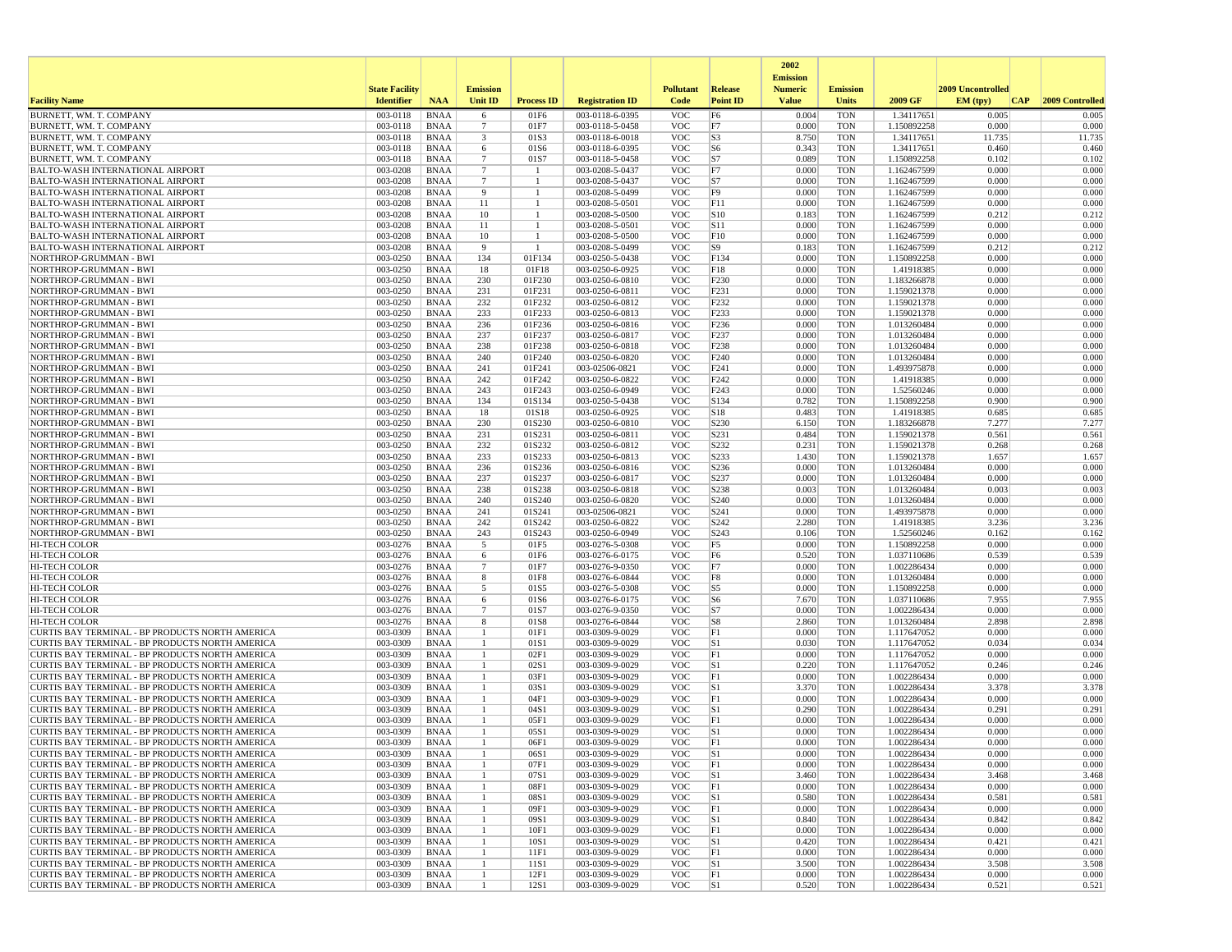|                                                                                                    |                       |                            |                               |                    |                                    |                          |                                      | 2002                              |                          |                            |                   |                 |
|----------------------------------------------------------------------------------------------------|-----------------------|----------------------------|-------------------------------|--------------------|------------------------------------|--------------------------|--------------------------------------|-----------------------------------|--------------------------|----------------------------|-------------------|-----------------|
|                                                                                                    | <b>State Facility</b> |                            | <b>Emission</b>               |                    |                                    | <b>Pollutant</b>         | <b>Release</b>                       | <b>Emission</b><br><b>Numeric</b> | <b>Emission</b>          |                            | 2009 Uncontrolled |                 |
| <b>Facility Name</b>                                                                               | <b>Identifier</b>     | <b>NAA</b>                 | Unit ID                       | <b>Process ID</b>  | <b>Registration ID</b>             | Code                     | <b>Point ID</b>                      | <b>Value</b>                      | <b>Units</b>             | 2009 GF                    | EM (typ)<br> CAP  | 2009 Controlled |
| BURNETT, WM. T. COMPANY                                                                            | 003-0118              | <b>BNAA</b>                | 6                             | 01F6               | 003-0118-6-0395                    | <b>VOC</b>               | F <sub>6</sub>                       | 0.004                             | <b>TON</b>               | 1.34117651                 | 0.005             | 0.005           |
| BURNETT, WM. T. COMPANY<br>BURNETT, WM. T. COMPANY                                                 | 003-0118<br>003-0118  | <b>BNAA</b><br><b>BNAA</b> | -7<br>$\overline{\mathbf{3}}$ | 01F7<br>01S3       | 003-0118-5-0458<br>003-0118-6-0018 | <b>VOC</b><br><b>VOC</b> | F7<br>S <sub>3</sub>                 | 0.000<br>8.750                    | <b>TON</b><br><b>TON</b> | 1.150892258<br>1.34117651  | 0.000<br>11.735   | 0.000<br>11.735 |
| BURNETT, WM. T. COMPANY                                                                            | 003-0118              | <b>BNAA</b>                | 6                             | 01S6               | 003-0118-6-0395                    | <b>VOC</b>               | S <sub>6</sub>                       | 0.343                             | <b>TON</b>               | 1.34117651                 | 0.460             | 0.460           |
| BURNETT, WM. T. COMPANY                                                                            | 003-0118              | BNAA                       | $7\phantom{.0}$               | 01S7               | 003-0118-5-0458                    | <b>VOC</b>               | S7                                   | 0.089                             | <b>TON</b>               | 1.150892258                | 0.102             | 0.102           |
| <b>BALTO-WASH INTERNATIONAL AIRPORT</b>                                                            | 003-0208              | <b>BNAA</b>                | $7\phantom{.0}$               | -1                 | 003-0208-5-0437                    | <b>VOC</b>               | F7                                   | 0.000                             | <b>TON</b>               | 1.162467599                | 0.000             | 0.000           |
| <b>BALTO-WASH INTERNATIONAL AIRPORT</b><br><b>BALTO-WASH INTERNATIONAL AIRPORT</b>                 | 003-0208<br>003-0208  | <b>BNAA</b><br>BNAA        | $7\phantom{.0}$<br>9          | $\mathbf{1}$<br>-1 | 003-0208-5-0437<br>003-0208-5-0499 | <b>VOC</b><br><b>VOC</b> | S7<br>F <sub>9</sub>                 | 0.000<br>0.000                    | <b>TON</b><br><b>TON</b> | 1.162467599<br>1.162467599 | 0.000<br>0.000    | 0.000<br>0.000  |
| <b>BALTO-WASH INTERNATIONAL AIRPORT</b>                                                            | 003-0208              | <b>BNAA</b>                | 11                            | -1                 | 003-0208-5-0501                    | <b>VOC</b>               | F11                                  | 0.000                             | <b>TON</b>               | 1.162467599                | 0.000             | 0.000           |
| <b>BALTO-WASH INTERNATIONAL AIRPORT</b>                                                            | 003-0208              | <b>BNAA</b>                | 10                            | -1                 | 003-0208-5-0500                    | <b>VOC</b>               | S10                                  | 0.183                             | <b>TON</b>               | 1.162467599                | 0.212             | 0.212           |
| <b>BALTO-WASH INTERNATIONAL AIRPORT</b>                                                            | 003-0208              | <b>BNAA</b>                | 11                            |                    | 003-0208-5-0501                    | <b>VOC</b>               | S <sub>11</sub>                      | 0.000                             | <b>TON</b>               | 1.162467599                | 0.000             | 0.000           |
| <b>BALTO-WASH INTERNATIONAL AIRPORT</b>                                                            | 003-0208              | BNAA                       | 10                            | -1                 | 003-0208-5-0500                    | <b>VOC</b>               | F10                                  | 0.000                             | <b>TON</b>               | 1.162467599                | 0.000             | 0.000           |
| <b>BALTO-WASH INTERNATIONAL AIRPORT</b><br>NORTHROP-GRUMMAN - BWI                                  | 003-0208<br>003-0250  | <b>BNAA</b><br><b>BNAA</b> | 9<br>134                      | -1<br>01F134       | 003-0208-5-0499<br>003-0250-5-0438 | <b>VOC</b><br><b>VOC</b> | S9<br>F134                           | 0.183<br>0.000                    | <b>TON</b><br><b>TON</b> | 1.162467599<br>1.150892258 | 0.212<br>0.000    | 0.212<br>0.000  |
| NORTHROP-GRUMMAN - BWI                                                                             | 003-0250              | <b>BNAA</b>                | 18                            | 01F18              | 003-0250-6-0925                    | <b>VOC</b>               | F18                                  | 0.000                             | <b>TON</b>               | 1.41918385                 | 0.000             | 0.000           |
| NORTHROP-GRUMMAN - BWI                                                                             | 003-0250              | BNAA                       | 230                           | 01F230             | 003-0250-6-0810                    | <b>VOC</b>               | F <sub>230</sub>                     | 0.000                             | <b>TON</b>               | 1.183266878                | 0.000             | 0.000           |
| NORTHROP-GRUMMAN - BWI                                                                             | 003-0250              | <b>BNAA</b>                | 231                           | 01F231             | 003-0250-6-0811                    | <b>VOC</b>               | F231                                 | 0.000                             | <b>TON</b>               | 1.159021378                | 0.000             | 0.000           |
| NORTHROP-GRUMMAN - BWI                                                                             | 003-0250              | BNAA                       | 232                           | 01F232             | 003-0250-6-0812                    | <b>VOC</b>               | F <sub>232</sub>                     | 0.000                             | <b>TON</b>               | 1.159021378                | 0.000             | 0.000           |
| NORTHROP-GRUMMAN - BWI<br>NORTHROP-GRUMMAN - BWI                                                   | 003-0250<br>003-0250  | <b>BNAA</b><br><b>BNAA</b> | 233<br>236                    | 01F233<br>01F236   | 003-0250-6-0813<br>003-0250-6-0816 | <b>VOC</b><br><b>VOC</b> | F <sub>233</sub><br>F <sub>236</sub> | 0.000<br>0.000                    | <b>TON</b><br><b>TON</b> | 1.159021378<br>1.013260484 | 0.000<br>0.000    | 0.000<br>0.000  |
| NORTHROP-GRUMMAN - BWI                                                                             | 003-0250              | <b>BNAA</b>                | 237                           | 01F237             | 003-0250-6-0817                    | <b>VOC</b>               | F <sub>237</sub>                     | 0.000                             | <b>TON</b>               | 1.013260484                | 0.000             | 0.000           |
| NORTHROP-GRUMMAN - BWI                                                                             | 003-0250              | <b>BNAA</b>                | 238                           | 01F238             | 003-0250-6-0818                    | <b>VOC</b>               | F238                                 | 0.000                             | <b>TON</b>               | 1.013260484                | 0.000             | 0.000           |
| NORTHROP-GRUMMAN - BWI                                                                             | 003-0250              | BNAA                       | 240                           | 01F240             | 003-0250-6-0820                    | <b>VOC</b>               | F <sub>240</sub>                     | 0.000                             | <b>TON</b>               | 1.013260484                | 0.000             | 0.000           |
| NORTHROP-GRUMMAN - BWI                                                                             | 003-0250              | BNAA                       | 241                           | 01F241             | 003-02506-0821                     | <b>VOC</b>               | F241                                 | 0.000                             | <b>TON</b>               | 1.493975878                | 0.000             | 0.000           |
| NORTHROP-GRUMMAN - BWI<br>NORTHROP-GRUMMAN - BWI                                                   | 003-0250<br>003-0250  | <b>BNAA</b><br>BNAA        | 242<br>243                    | 01F242<br>01F243   | 003-0250-6-0822<br>003-0250-6-0949 | <b>VOC</b><br><b>VOC</b> | F242<br>F <sub>243</sub>             | 0.000<br>0.000                    | <b>TON</b><br><b>TON</b> | 1.41918385<br>1.52560246   | 0.000<br>0.000    | 0.000<br>0.000  |
| NORTHROP-GRUMMAN - BWI                                                                             | 003-0250              | <b>BNAA</b>                | 134                           | 01S134             | 003-0250-5-0438                    | <b>VOC</b>               | S134                                 | 0.782                             | <b>TON</b>               | 1.150892258                | 0.900             | 0.900           |
| NORTHROP-GRUMMAN - BWI                                                                             | 003-0250              | <b>BNAA</b>                | 18                            | 01S18              | 003-0250-6-0925                    | <b>VOC</b>               | S <sub>18</sub>                      | 0.483                             | <b>TON</b>               | 1.41918385                 | 0.685             | 0.685           |
| NORTHROP-GRUMMAN - BWI                                                                             | 003-0250              | <b>BNAA</b>                | 230                           | 01S230             | 003-0250-6-0810                    | <b>VOC</b>               | S230                                 | 6.150                             | <b>TON</b>               | 1.183266878                | 7.277             | 7.277           |
| NORTHROP-GRUMMAN - BWI                                                                             | 003-0250              | BNAA                       | 231                           | 01S231             | 003-0250-6-0811                    | <b>VOC</b>               | S231                                 | 0.484                             | <b>TON</b>               | 1.159021378                | 0.561             | 0.561           |
| NORTHROP-GRUMMAN - BWI<br>NORTHROP-GRUMMAN - BWI                                                   | 003-0250<br>003-0250  | <b>BNAA</b><br><b>BNAA</b> | 232<br>233                    | 01S232<br>01S233   | 003-0250-6-0812<br>003-0250-6-0813 | <b>VOC</b><br><b>VOC</b> | S232<br>S233                         | 0.231<br>1.430                    | <b>TON</b><br><b>TON</b> | 1.159021378<br>1.159021378 | 0.268<br>1.657    | 0.268<br>1.657  |
| NORTHROP-GRUMMAN - BWI                                                                             | 003-0250              | BNAA                       | 236                           | 01S236             | 003-0250-6-0816                    | <b>VOC</b>               | S236                                 | 0.000                             | <b>TON</b>               | 1.013260484                | 0.000             | 0.000           |
| NORTHROP-GRUMMAN - BWI                                                                             | 003-0250              | <b>BNAA</b>                | 237                           | 01S237             | 003-0250-6-0817                    | <b>VOC</b>               | S237                                 | 0.000                             | <b>TON</b>               | 1.013260484                | 0.000             | 0.000           |
| NORTHROP-GRUMMAN - BWI                                                                             | 003-0250              | <b>BNAA</b>                | 238                           | 01S238             | 003-0250-6-0818                    | <b>VOC</b>               | S238                                 | 0.003                             | <b>TON</b>               | 1.013260484                | 0.003             | 0.003           |
| NORTHROP-GRUMMAN - BWI<br>NORTHROP-GRUMMAN - BWI                                                   | 003-0250<br>003-0250  | <b>BNAA</b><br>BNAA        | 240<br>241                    | 01S240<br>01S241   | 003-0250-6-0820<br>003-02506-0821  | <b>VOC</b><br><b>VOC</b> | S240<br>S241                         | 0.000<br>0.000                    | <b>TON</b><br><b>TON</b> | 1.013260484<br>1.493975878 | 0.000<br>0.000    | 0.000<br>0.000  |
| NORTHROP-GRUMMAN - BWI                                                                             | 003-0250              | <b>BNAA</b>                | 242                           | 01S242             | 003-0250-6-0822                    | <b>VOC</b>               | S242                                 | 2.280                             | <b>TON</b>               | 1.41918385                 | 3.236             | 3.236           |
| NORTHROP-GRUMMAN - BWI                                                                             | 003-0250              | <b>BNAA</b>                | 243                           | 01S243             | 003-0250-6-0949                    | <b>VOC</b>               | S243                                 | 0.106                             | <b>TON</b>               | 1.52560246                 | 0.162             | 0.162           |
| <b>HI-TECH COLOR</b>                                                                               | 003-0276              | <b>BNAA</b>                | 5                             | 01F5               | 003-0276-5-0308                    | <b>VOC</b>               | F5                                   | 0.000                             | <b>TON</b>               | 1.150892258                | 0.000             | 0.000           |
| <b>HI-TECH COLOR</b>                                                                               | 003-0276              | BNAA                       | -6                            | 01F6               | 003-0276-6-0175                    | <b>VOC</b>               | F6                                   | 0.520                             | <b>TON</b>               | 1.037110686                | 0.539             | 0.539           |
| HI-TECH COLOR<br><b>HI-TECH COLOR</b>                                                              | 003-0276<br>003-0276  | <b>BNAA</b><br><b>BNAA</b> | $7\phantom{.0}$<br>8          | 01F7<br>01F8       | 003-0276-9-0350<br>003-0276-6-0844 | <b>VOC</b><br><b>VOC</b> | F7<br>F8                             | 0.000<br>0.000                    | <b>TON</b><br><b>TON</b> | 1.002286434<br>1.013260484 | 0.000<br>0.000    | 0.000<br>0.000  |
| <b>HI-TECH COLOR</b>                                                                               | 003-0276              | BNAA                       | 5                             | 01S5               | 003-0276-5-0308                    | <b>VOC</b>               | S5                                   | 0.000                             | <b>TON</b>               | 1.150892258                | 0.000             | 0.000           |
| <b>HI-TECH COLOR</b>                                                                               | 003-0276              | <b>BNAA</b>                | 6                             | 01S6               | 003-0276-6-0175                    | <b>VOC</b>               | S <sub>6</sub>                       | 7.670                             | <b>TON</b>               | 1.037110686                | 7.955             | 7.955           |
| <b>HI-TECH COLOR</b>                                                                               | 003-0276              | <b>BNAA</b>                | $\overline{7}$                | 01S7               | 003-0276-9-0350                    | <b>VOC</b>               | S7                                   | 0.000                             | <b>TON</b>               | 1.002286434                | 0.000             | 0.000           |
| <b>HI-TECH COLOR</b>                                                                               | 003-0276              | <b>BNAA</b>                | 8                             | 01S8               | 003-0276-6-0844                    | <b>VOC</b>               | S8                                   | 2.860                             | <b>TON</b>               | 1.013260484                | 2.898             | 2.898           |
| CURTIS BAY TERMINAL - BP PRODUCTS NORTH AMERICA<br>CURTIS BAY TERMINAL - BP PRODUCTS NORTH AMERICA | 003-0309<br>003-0309  | BNAA<br>BNAA               | -1<br>-1                      | 01F1<br>01S1       | 003-0309-9-0029<br>003-0309-9-0029 | <b>VOC</b><br><b>VOC</b> | F1<br>S1                             | 0.000<br>0.030                    | <b>TON</b><br><b>TON</b> | 1.117647052<br>1.117647052 | 0.000<br>0.034    | 0.000<br>0.034  |
| CURTIS BAY TERMINAL - BP PRODUCTS NORTH AMERICA                                                    | 003-0309              | <b>BNAA</b>                | $\overline{1}$                | 02F1               | 003-0309-9-0029                    | <b>VOC</b>               | F1                                   | 0.000                             | <b>TON</b>               | 1.117647052                | 0.000             | 0.000           |
| CURTIS BAY TERMINAL - BP PRODUCTS NORTH AMERICA                                                    | 003-0309              | BNAA                       | $\overline{1}$                | 02S1               | 003-0309-9-0029                    | <b>VOC</b>               | S1                                   | 0.220                             | <b>TON</b>               | 1.117647052                | 0.246             | 0.246           |
| CURTIS BAY TERMINAL - BP PRODUCTS NORTH AMERICA                                                    | 003-0309              | <b>BNAA</b>                | -1                            | 03F1               | 003-0309-9-0029                    | <b>VOC</b>               | F1                                   | 0.000                             | <b>TON</b>               | 1.002286434                | 0.000             | 0.000           |
| CURTIS BAY TERMINAL - BP PRODUCTS NORTH AMERICA<br>CURTIS BAY TERMINAL - BP PRODUCTS NORTH AMERICA | 003-0309<br>003-0309  | <b>BNAA</b><br><b>BNAA</b> | -1<br>-1                      | 03S1<br>04F1       | 003-0309-9-0029<br>003-0309-9-0029 | <b>VOC</b><br><b>VOC</b> | S1<br>F1                             | 3.370<br>0.000                    | <b>TON</b><br><b>TON</b> | 1.002286434<br>1.002286434 | 3.378<br>0.000    | 3.378<br>0.000  |
| CURTIS BAY TERMINAL - BP PRODUCTS NORTH AMERICA                                                    | 003-0309              | BNAA                       | -1                            | 04S1               | 003-0309-9-0029                    | <b>VOC</b>               | S1                                   | 0.290                             | <b>TON</b>               | 1.002286434                | 0.291             | 0.291           |
| CURTIS BAY TERMINAL - BP PRODUCTS NORTH AMERICA                                                    | 003-0309              | <b>BNAA</b>                | -1                            | 05F1               | 003-0309-9-0029                    | <b>VOC</b>               | F1                                   | 0.000                             | <b>TON</b>               | 1.002286434                | 0.000             | 0.000           |
| CURTIS BAY TERMINAL - BP PRODUCTS NORTH AMERICA                                                    | 003-0309              | <b>BNAA</b>                | -1                            | 05S1               | 003-0309-9-0029                    | <b>VOC</b>               | S1                                   | 0.000                             | <b>TON</b>               | 1.002286434                | 0.000             | 0.000           |
| CURTIS BAY TERMINAL - BP PRODUCTS NORTH AMERICA                                                    | 003-0309              | BNAA                       | -1                            | 06F1               | 003-0309-9-0029                    | <b>VOC</b>               | F1                                   | 0.000                             | <b>TON</b>               | 1.002286434                | 0.000             | 0.000           |
| CURTIS BAY TERMINAL - BP PRODUCTS NORTH AMERICA<br>CURTIS BAY TERMINAL - BP PRODUCTS NORTH AMERICA | 003-0309<br>003-0309  | <b>BNAA</b><br>BNAA        | -1                            | 06S1<br>07F1       | 003-0309-9-0029<br>003-0309-9-0029 | <b>VOC</b><br><b>VOC</b> | S1<br> F1                            | 0.000<br>0.000                    | TON<br><b>TON</b>        | 1.002286434<br>1.002286434 | 0.000<br>0.000    | 0.000<br>0.000  |
| CURTIS BAY TERMINAL - BP PRODUCTS NORTH AMERICA                                                    | 003-0309              | BNAA                       | $\mathbf{1}$                  | 07S1               | 003-0309-9-0029                    | <b>VOC</b>               | S1                                   | 3.460                             | <b>TON</b>               | 1.002286434                | 3.468             | 3.468           |
| CURTIS BAY TERMINAL - BP PRODUCTS NORTH AMERICA                                                    | 003-0309              | <b>BNAA</b>                | $\mathbf{1}$                  | 08F1               | 003-0309-9-0029                    | <b>VOC</b>               | F1                                   | 0.000                             | <b>TON</b>               | 1.002286434                | 0.000             | 0.000           |
| CURTIS BAY TERMINAL - BP PRODUCTS NORTH AMERICA                                                    | 003-0309              | BNAA                       | -1                            | 08S1               | 003-0309-9-0029                    | <b>VOC</b>               | S1                                   | 0.580                             | <b>TON</b>               | 1.002286434                | 0.581             | 0.581           |
| CURTIS BAY TERMINAL - BP PRODUCTS NORTH AMERICA                                                    | 003-0309              | <b>BNAA</b>                | $\mathbf{1}$                  | 09F1               | 003-0309-9-0029                    | <b>VOC</b>               | F1                                   | 0.000                             | <b>TON</b>               | 1.002286434                | 0.000             | 0.000           |
| CURTIS BAY TERMINAL - BP PRODUCTS NORTH AMERICA<br>CURTIS BAY TERMINAL - BP PRODUCTS NORTH AMERICA | 003-0309<br>003-0309  | BNAA<br>BNAA               | -1<br>-1                      | 09S1<br>10F1       | 003-0309-9-0029<br>003-0309-9-0029 | <b>VOC</b><br><b>VOC</b> | $ S_1 $<br>F1                        | 0.840<br>0.000                    | <b>TON</b><br><b>TON</b> | 1.002286434<br>1.002286434 | 0.842<br>0.000    | 0.842<br>0.000  |
| CURTIS BAY TERMINAL - BP PRODUCTS NORTH AMERICA                                                    | 003-0309              | BNAA                       | -1                            | 10S1               | 003-0309-9-0029                    | <b>VOC</b>               | S1                                   | 0.420                             | <b>TON</b>               | 1.002286434                | 0.421             | 0.421           |
| CURTIS BAY TERMINAL - BP PRODUCTS NORTH AMERICA                                                    | 003-0309              | BNAA                       | $\mathbf{1}$                  | 11F1               | 003-0309-9-0029                    | <b>VOC</b>               | F1                                   | 0.000                             | <b>TON</b>               | 1.002286434                | 0.000             | 0.000           |
| CURTIS BAY TERMINAL - BP PRODUCTS NORTH AMERICA                                                    | 003-0309              | <b>BNAA</b>                | -1                            | 11S1               | 003-0309-9-0029                    | <b>VOC</b>               | S1                                   | 3.500                             | <b>TON</b>               | 1.002286434                | 3.508             | 3.508           |
| CURTIS BAY TERMINAL - BP PRODUCTS NORTH AMERICA                                                    | 003-0309              | <b>BNAA</b>                | -1                            | 12F1               | 003-0309-9-0029                    | <b>VOC</b>               | F1                                   | 0.000                             | <b>TON</b>               | 1.002286434                | 0.000             | 0.000           |
| CURTIS BAY TERMINAL - BP PRODUCTS NORTH AMERICA                                                    | 003-0309              | <b>BNAA</b>                | $\mathbf{1}$                  | 12S1               | 003-0309-9-0029                    | <b>VOC</b>               | $ S_1 $                              | 0.520                             | TON                      | 1.002286434                | 0.521             | 0.521           |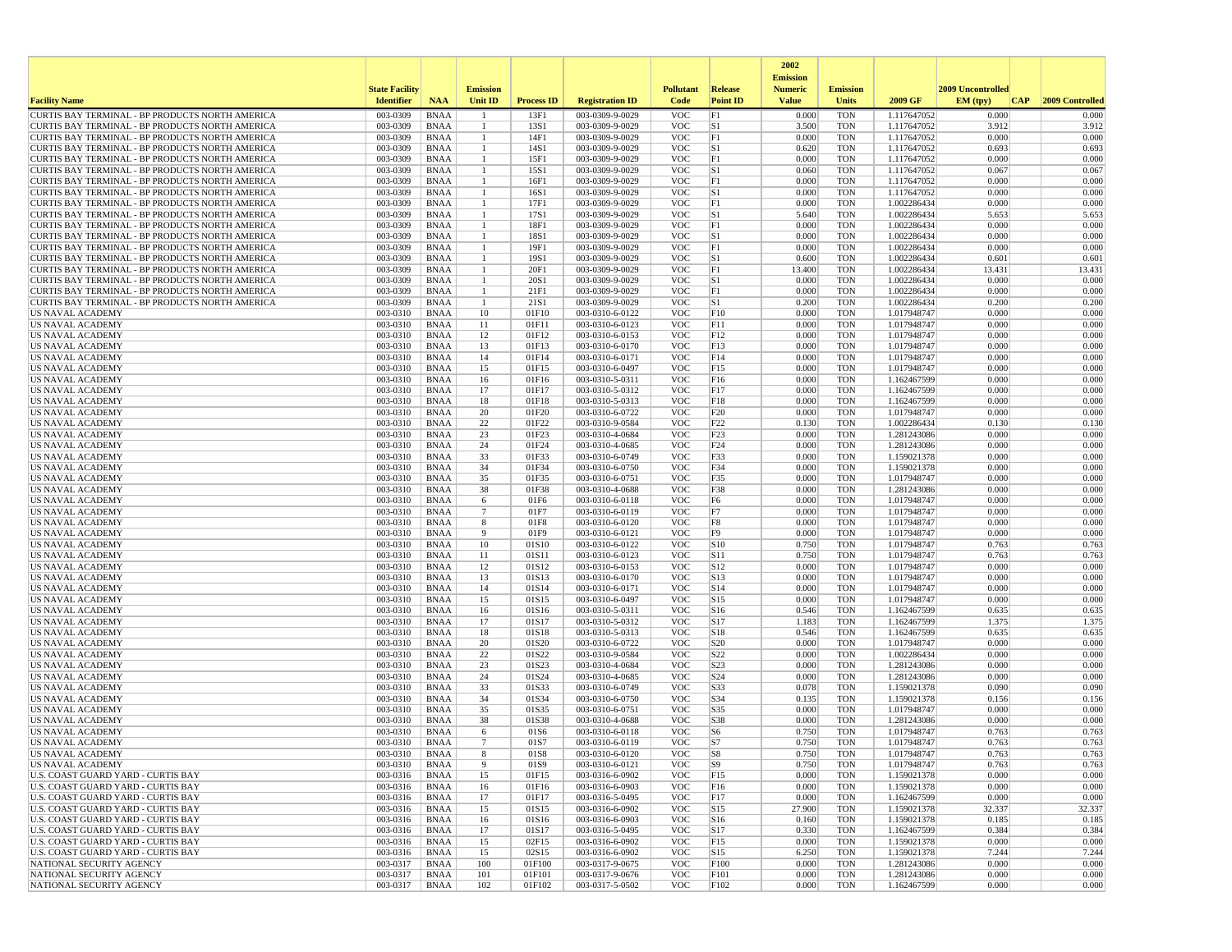|                                                                                                    |                       |                            |                              |                   |                                    |                          |                                     | 2002                              |                          |                            |                   |                         |
|----------------------------------------------------------------------------------------------------|-----------------------|----------------------------|------------------------------|-------------------|------------------------------------|--------------------------|-------------------------------------|-----------------------------------|--------------------------|----------------------------|-------------------|-------------------------|
|                                                                                                    | <b>State Facility</b> |                            | <b>Emission</b>              |                   |                                    | <b>Pollutant</b>         | <b>Release</b>                      | <b>Emission</b><br><b>Numeric</b> | <b>Emission</b>          |                            | 2009 Uncontrolled |                         |
| <b>Facility Name</b>                                                                               | <b>Identifier</b>     | <b>NAA</b>                 | <b>Unit ID</b>               | <b>Process ID</b> | <b>Registration ID</b>             | Code                     | <b>Point ID</b>                     | <b>Value</b>                      | Units                    | 2009 GF                    | EM (typ)          | 2009 Controlled<br> CAP |
| CURTIS BAY TERMINAL - BP PRODUCTS NORTH AMERICA                                                    | 003-0309              | <b>BNAA</b>                | -1                           | 13F1              | 003-0309-9-0029                    | VOC                      | F1                                  | 0.000                             | <b>TON</b>               | 1.117647052                | 0.000             | 0.000                   |
| CURTIS BAY TERMINAL - BP PRODUCTS NORTH AMERICA<br>CURTIS BAY TERMINAL - BP PRODUCTS NORTH AMERICA | 003-0309<br>003-0309  | <b>BNAA</b><br><b>BNAA</b> | -1<br>$\mathbf{1}$           | 13S1<br>14F1      | 003-0309-9-0029<br>003-0309-9-0029 | <b>VOC</b><br><b>VOC</b> | S1<br>F1                            | 3.500<br>0.000                    | <b>TON</b><br><b>TON</b> | 1.117647052<br>1.117647052 | 3.912<br>0.000    | 3.912<br>0.000          |
| CURTIS BAY TERMINAL - BP PRODUCTS NORTH AMERICA                                                    | 003-0309              | <b>BNAA</b>                | -1                           | 14S1              | 003-0309-9-0029                    | <b>VOC</b>               | S1                                  | 0.620                             | <b>TON</b>               | 1.117647052                | 0.693             | 0.693                   |
| CURTIS BAY TERMINAL - BP PRODUCTS NORTH AMERICA                                                    | 003-0309              | <b>BNAA</b>                | -1                           | 15F1              | 003-0309-9-0029                    | <b>VOC</b>               | F1                                  | 0.000                             | <b>TON</b>               | 1.117647052                | 0.000             | 0.000                   |
| CURTIS BAY TERMINAL - BP PRODUCTS NORTH AMERICA                                                    | 003-0309              | <b>BNAA</b>                | $\mathbf{1}$                 | 15S1              | 003-0309-9-0029                    | <b>VOC</b>               | S1                                  | 0.060                             | <b>TON</b>               | 1.117647052                | 0.067             | 0.067                   |
| CURTIS BAY TERMINAL - BP PRODUCTS NORTH AMERICA<br>CURTIS BAY TERMINAL - BP PRODUCTS NORTH AMERICA | 003-0309<br>003-0309  | <b>BNAA</b><br><b>BNAA</b> | -1<br>-1                     | 16F1<br>16S1      | 003-0309-9-0029<br>003-0309-9-0029 | <b>VOC</b><br><b>VOC</b> | F1<br>S1                            | 0.000<br>0.000                    | <b>TON</b><br><b>TON</b> | 1.117647052<br>1.117647052 | 0.000<br>0.000    | 0.000<br>0.000          |
| CURTIS BAY TERMINAL - BP PRODUCTS NORTH AMERICA                                                    | 003-0309              | <b>BNAA</b>                | $\mathbf{1}$                 | 17F1              | 003-0309-9-0029                    | <b>VOC</b>               | F1                                  | 0.000                             | <b>TON</b>               | 1.002286434                | 0.000             | 0.000                   |
| CURTIS BAY TERMINAL - BP PRODUCTS NORTH AMERICA                                                    | 003-0309              | <b>BNAA</b>                | 1                            | 17S1              | 003-0309-9-0029                    | <b>VOC</b>               | S1                                  | 5.640                             | <b>TON</b>               | 1.002286434                | 5.653             | 5.653                   |
| CURTIS BAY TERMINAL - BP PRODUCTS NORTH AMERICA                                                    | 003-0309              | <b>BNAA</b>                | 1                            | 18F1              | 003-0309-9-0029                    | <b>VOC</b>               | F1                                  | 0.000                             | <b>TON</b>               | 1.002286434                | 0.000             | 0.000                   |
| CURTIS BAY TERMINAL - BP PRODUCTS NORTH AMERICA<br>CURTIS BAY TERMINAL - BP PRODUCTS NORTH AMERICA | 003-0309<br>003-0309  | <b>BNAA</b><br><b>BNAA</b> | $\mathbf{1}$<br>-1           | 18S1<br>19F1      | 003-0309-9-0029<br>003-0309-9-0029 | VOC<br><b>VOC</b>        | S1<br>F1                            | 0.000<br>0.000                    | <b>TON</b><br><b>TON</b> | 1.002286434<br>1.002286434 | 0.000<br>0.000    | 0.000<br>0.000          |
| CURTIS BAY TERMINAL - BP PRODUCTS NORTH AMERICA                                                    | 003-0309              | <b>BNAA</b>                | $\mathbf{1}$                 | 19S1              | 003-0309-9-0029                    | <b>VOC</b>               | S1                                  | 0.600                             | <b>TON</b>               | 1.002286434                | 0.601             | 0.601                   |
| CURTIS BAY TERMINAL - BP PRODUCTS NORTH AMERICA                                                    | 003-0309              | <b>BNAA</b>                | -1                           | 20F1              | 003-0309-9-0029                    | <b>VOC</b>               | Fl                                  | 13.400                            | <b>TON</b>               | 1.002286434                | 13.431            | 13.431                  |
| CURTIS BAY TERMINAL - BP PRODUCTS NORTH AMERICA                                                    | 003-0309              | <b>BNAA</b>                | -1                           | 20S1              | 003-0309-9-0029                    | VOC                      | $ S_1 $                             | 0.000                             | <b>TON</b>               | 1.002286434                | 0.000             | 0.000                   |
| CURTIS BAY TERMINAL - BP PRODUCTS NORTH AMERICA                                                    | 003-0309              | <b>BNAA</b>                | $\mathbf{1}$<br>$\mathbf{1}$ | 21FI              | 003-0309-9-0029                    | <b>VOC</b>               | F1<br>S1                            | 0.000                             | <b>TON</b>               | 1.002286434                | 0.000             | 0.000                   |
| CURTIS BAY TERMINAL - BP PRODUCTS NORTH AMERICA<br><b>US NAVAL ACADEMY</b>                         | 003-0309<br>003-0310  | <b>BNAA</b><br><b>BNAA</b> | 10                           | 21S1<br>01F10     | 003-0309-9-0029<br>003-0310-6-0122 | <b>VOC</b><br><b>VOC</b> | F10                                 | 0.200<br>0.000                    | <b>TON</b><br><b>TON</b> | 1.002286434<br>1.017948747 | 0.200<br>0.000    | 0.200<br>0.000          |
| <b>US NAVAL ACADEMY</b>                                                                            | 003-0310              | <b>BNAA</b>                | 11                           | 01F11             | 003-0310-6-0123                    | <b>VOC</b>               | F11                                 | 0.000                             | <b>TON</b>               | 1.017948747                | 0.000             | 0.000                   |
| US NAVAL ACADEMY                                                                                   | 003-0310              | <b>BNAA</b>                | 12                           | 01F12             | 003-0310-6-0153                    | <b>VOC</b>               | F12                                 | 0.000                             | <b>TON</b>               | 1.017948747                | 0.000             | 0.000                   |
| <b>US NAVAL ACADEMY</b>                                                                            | 003-0310              | <b>BNAA</b>                | 13                           | 01F13             | 003-0310-6-0170                    | <b>VOC</b>               | F13                                 | 0.000                             | <b>TON</b>               | 1.017948747                | 0.000             | 0.000                   |
| <b>US NAVAL ACADEMY</b><br><b>US NAVAL ACADEMY</b>                                                 | 003-0310<br>003-0310  | <b>BNAA</b><br><b>BNAA</b> | 14<br>15                     | 01F14<br>01F15    | 003-0310-6-0171<br>003-0310-6-0497 | VOC<br><b>VOC</b>        | F14<br>F <sub>15</sub>              | 0.000<br>0.000                    | <b>TON</b><br><b>TON</b> | 1.017948747<br>1.017948747 | 0.000<br>0.000    | 0.000<br>0.000          |
| <b>US NAVAL ACADEMY</b>                                                                            | 003-0310              | <b>BNAA</b>                | 16                           | 01F16             | 003-0310-5-0311                    | <b>VOC</b>               | F16                                 | 0.000                             | <b>TON</b>               | 1.162467599                | 0.000             | 0.000                   |
| US NAVAL ACADEMY                                                                                   | 003-0310              | <b>BNAA</b>                | 17                           | 01F17             | 003-0310-5-0312                    | <b>VOC</b>               | F17                                 | 0.000                             | <b>TON</b>               | 1.162467599                | 0.000             | 0.000                   |
| US NAVAL ACADEMY                                                                                   | 003-0310              | <b>BNAA</b>                | 18                           | 01F18             | 003-0310-5-0313                    | <b>VOC</b>               | F18                                 | 0.000                             | <b>TON</b>               | 1.162467599                | 0.000             | 0.000                   |
| US NAVAL ACADEMY                                                                                   | 003-0310              | <b>BNAA</b>                | 20                           | 01F20             | 003-0310-6-0722                    | <b>VOC</b>               | F20                                 | 0.000                             | <b>TON</b>               | 1.017948747                | 0.000             | 0.000                   |
| <b>US NAVAL ACADEMY</b><br>US NAVAL ACADEMY                                                        | 003-0310<br>003-0310  | <b>BNAA</b><br><b>BNAA</b> | 22<br>23                     | 01F22<br>01F23    | 003-0310-9-0584<br>003-0310-4-0684 | <b>VOC</b><br><b>VOC</b> | F <sub>22</sub><br>F <sub>2</sub> 3 | 0.130<br>0.000                    | <b>TON</b><br><b>TON</b> | 1.002286434<br>1.281243086 | 0.130<br>0.000    | 0.130<br>0.000          |
| US NAVAL ACADEMY                                                                                   | 003-0310              | <b>BNAA</b>                | 24                           | 01F24             | 003-0310-4-0685                    | <b>VOC</b>               | F24                                 | 0.000                             | <b>TON</b>               | 1.281243086                | 0.000             | 0.000                   |
| <b>US NAVAL ACADEMY</b>                                                                            | 003-0310              | <b>BNAA</b>                | 33                           | 01F33             | 003-0310-6-0749                    | <b>VOC</b>               | F33                                 | 0.000                             | <b>TON</b>               | 1.159021378                | 0.000             | 0.000                   |
| US NAVAL ACADEMY                                                                                   | 003-0310              | <b>BNAA</b>                | 34                           | 01F34             | 003-0310-6-0750                    | <b>VOC</b>               | F34                                 | 0.000                             | <b>TON</b>               | 1.159021378                | 0.000             | 0.000                   |
| <b>US NAVAL ACADEMY</b><br><b>US NAVAL ACADEMY</b>                                                 | 003-0310<br>003-0310  | <b>BNAA</b><br><b>BNAA</b> | 35<br>38                     | 01F35<br>01F38    | 003-0310-6-0751<br>003-0310-4-0688 | <b>VOC</b><br><b>VOC</b> | F35<br>F38                          | 0.000<br>0.000                    | <b>TON</b><br><b>TON</b> | 1.017948747<br>1.281243086 | 0.000<br>0.000    | 0.000<br>0.000          |
| <b>US NAVAL ACADEMY</b>                                                                            | 003-0310              | <b>BNAA</b>                | 6                            | 01F6              | 003-0310-6-0118                    | <b>VOC</b>               | F6                                  | 0.000                             | <b>TON</b>               | 1.017948747                | 0.000             | 0.000                   |
| US NAVAL ACADEMY                                                                                   | 003-0310              | <b>BNAA</b>                | $\overline{7}$               | 01F7              | 003-0310-6-0119                    | <b>VOC</b>               | F7                                  | 0.000                             | <b>TON</b>               | 1.017948747                | 0.000             | 0.000                   |
| US NAVAL ACADEMY                                                                                   | 003-0310              | <b>BNAA</b>                | 8                            | 01F8              | 003-0310-6-0120                    | <b>VOC</b>               | F8                                  | 0.000                             | <b>TON</b>               | 1.017948747                | 0.000             | 0.000                   |
| US NAVAL ACADEMY<br><b>US NAVAL ACADEMY</b>                                                        | 003-0310<br>003-0310  | <b>BNAA</b><br><b>BNAA</b> | 9<br>10                      | 01F9<br>01S10     | 003-0310-6-0121<br>003-0310-6-0122 | <b>VOC</b><br><b>VOC</b> | F9<br>S10                           | 0.000<br>0.750                    | <b>TON</b><br><b>TON</b> | 1.017948747<br>1.017948747 | 0.000<br>0.763    | 0.000<br>0.763          |
| US NAVAL ACADEMY                                                                                   | 003-0310              | <b>BNAA</b>                | 11                           | 01S11             | 003-0310-6-0123                    | <b>VOC</b>               | S11                                 | 0.750                             | <b>TON</b>               | 1.017948747                | 0.763             | 0.763                   |
| US NAVAL ACADEMY                                                                                   | 003-0310              | <b>BNAA</b>                | 12                           | 01S12             | 003-0310-6-0153                    | <b>VOC</b>               | S12                                 | 0.000                             | <b>TON</b>               | 1.017948747                | 0.000             | 0.000                   |
| <b>US NAVAL ACADEMY</b>                                                                            | 003-0310              | <b>BNAA</b>                | 13                           | 01S13             | 003-0310-6-0170                    | <b>VOC</b>               | S13                                 | 0.000                             | <b>TON</b>               | 1.017948747                | 0.000             | 0.000                   |
| US NAVAL ACADEMY                                                                                   | 003-0310<br>003-0310  | <b>BNAA</b><br><b>BNAA</b> | 14<br>15                     | 01S14<br>01S15    | 003-0310-6-0171<br>003-0310-6-0497 | VOC<br><b>VOC</b>        | S14<br>S15                          | 0.000<br>0.000                    | <b>TON</b><br><b>TON</b> | 1.017948747                | 0.000<br>0.000    | 0.000<br>0.000          |
| US NAVAL ACADEMY<br>US NAVAL ACADEMY                                                               | 003-0310              | <b>BNAA</b>                | 16                           | 01S16             | 003-0310-5-0311                    | <b>VOC</b>               | S16                                 | 0.546                             | <b>TON</b>               | 1.017948747<br>1.162467599 | 0.635             | 0.635                   |
| <b>US NAVAL ACADEMY</b>                                                                            | 003-0310              | <b>BNAA</b>                | 17                           | 01S17             | 003-0310-5-0312                    | <b>VOC</b>               | S17                                 | 1.183                             | <b>TON</b>               | 1.162467599                | 1.375             | 1.375                   |
| <b>US NAVAL ACADEMY</b>                                                                            | 003-0310              | <b>BNAA</b>                | 18                           | 01S18             | 003-0310-5-0313                    | <b>VOC</b>               | S18                                 | 0.546                             | <b>TON</b>               | 1.162467599                | 0.635             | 0.635                   |
| <b>US NAVAL ACADEMY</b><br><b>US NAVAL ACADEMY</b>                                                 | 003-0310<br>003-0310  | <b>BNAA</b><br><b>BNAA</b> | 20<br>22                     | 01S20<br>01S22    | 003-0310-6-0722<br>003-0310-9-0584 | <b>VOC</b><br><b>VOC</b> | S <sub>20</sub><br>S22              | 0.000<br>0.000                    | <b>TON</b><br><b>TON</b> | 1.017948747<br>1.002286434 | 0.000<br>0.000    | 0.000<br>0.000          |
| US NAVAL ACADEMY                                                                                   | 003-0310              | <b>BNAA</b>                | 23                           | 01S23             | 003-0310-4-0684                    | <b>VOC</b>               | S23                                 | 0.000                             | <b>TON</b>               | 1.281243086                | 0.000             | 0.000                   |
| US NAVAL ACADEMY                                                                                   | 003-0310              | <b>BNAA</b>                | 24                           | 01S24             | 003-0310-4-0685                    | <b>VOC</b>               | S24                                 | 0.000                             | <b>TON</b>               | 1.281243086                | 0.000             | 0.000                   |
| US NAVAL ACADEMY                                                                                   | 003-0310              | <b>BNAA</b>                | 33                           | 01S33             | 003-0310-6-0749                    | <b>VOC</b>               | S33                                 | 0.078                             | <b>TON</b>               | 1.159021378                | 0.090             | 0.090                   |
| <b>US NAVAL ACADEMY</b>                                                                            | 003-0310              | <b>BNAA</b>                | 34                           | 01S34             | 003-0310-6-0750                    | <b>VOC</b>               | S34                                 | 0.135                             | <b>TON</b>               | 1.159021378                | 0.156             | 0.156                   |
| <b>US NAVAL ACADEMY</b><br>US NAVAL ACADEMY                                                        | 003-0310<br>003-0310  | <b>BNAA</b><br><b>BNAA</b> | 35<br>38                     | 01S35<br>01S38    | 003-0310-6-0751<br>003-0310-4-0688 | <b>VOC</b><br><b>VOC</b> | S35<br>S38                          | 0.000<br>0.000                    | <b>TON</b><br><b>TON</b> | 1.017948747<br>1.281243086 | 0.000<br>0.000    | 0.000<br>0.000          |
| <b>US NAVAL ACADEMY</b>                                                                            | 003-0310              | <b>BNAA</b>                | 6                            | 01S6              | 003-0310-6-0118                    | <b>VOC</b>               | S <sub>6</sub>                      | 0.750                             | <b>TON</b>               | 1.017948747                | 0.763             | 0.763                   |
| US NAVAL ACADEMY                                                                                   | 003-0310              | <b>BNAA</b>                | $7\phantom{.0}$              | 01S7              | 003-0310-6-0119                    | <b>VOC</b>               | S7                                  | 0.750                             | <b>TON</b>               | 1.017948747                | 0.763             | 0.763                   |
| US NAVAL ACADEMY                                                                                   | 003-0310              | <b>BNAA</b>                |                              | 01S8              | 003-0310-6-0120                    | <b>VOC</b>               | S8                                  | 0.750                             | <b>TON</b>               | 1.017948747                | 0.763             | 0.763                   |
| US NAVAL ACADEMY<br><b>U.S. COAST GUARD YARD - CURTIS BAY</b>                                      | 003-0310              | <b>BNAA</b>                | 9<br>15                      | 01S9<br>01F15     | 003-0310-6-0121<br>003-0316-6-0902 | <b>VOC</b><br><b>VOC</b> | S9                                  | 0.750<br>0.000                    | <b>TON</b><br><b>TON</b> | 1.017948747                | 0.763<br>0.000    | 0.763<br>0.000          |
| U.S. COAST GUARD YARD - CURTIS BAY                                                                 | 003-0316<br>003-0316  | BNAA<br><b>BNAA</b>        | 16                           | 01F16             | 003-0316-6-0903                    | <b>VOC</b>               | F15<br>F <sub>16</sub>              | 0.000                             | <b>TON</b>               | 1.159021378<br>1.159021378 | 0.000             | 0.000                   |
| U.S. COAST GUARD YARD - CURTIS BAY                                                                 | 003-0316              | <b>BNAA</b>                | 17                           | 01F17             | 003-0316-5-0495                    | <b>VOC</b>               | F17                                 | 0.000                             | <b>TON</b>               | 1.162467599                | 0.000             | 0.000                   |
| U.S. COAST GUARD YARD - CURTIS BAY                                                                 | 003-0316              | <b>BNAA</b>                | 15                           | 01S15             | 003-0316-6-0902                    | <b>VOC</b>               | S15                                 | 27.900                            | <b>TON</b>               | 1.159021378                | 32.337            | 32.337                  |
| U.S. COAST GUARD YARD - CURTIS BAY                                                                 | 003-0316              | <b>BNAA</b>                | 16                           | 01S16             | 003-0316-6-0903                    | <b>VOC</b>               | S16                                 | 0.160                             | <b>TON</b>               | 1.159021378                | 0.185             | 0.185                   |
| U.S. COAST GUARD YARD - CURTIS BAY<br>U.S. COAST GUARD YARD - CURTIS BAY                           | 003-0316<br>003-0316  | <b>BNAA</b><br><b>BNAA</b> | 17<br>15                     | 01S17<br>02F15    | 003-0316-5-0495<br>003-0316-6-0902 | <b>VOC</b><br><b>VOC</b> | S17<br>F <sub>15</sub>              | 0.330<br>0.000                    | <b>TON</b><br><b>TON</b> | 1.162467599<br>1.159021378 | 0.384<br>0.000    | 0.384<br>0.000          |
| U.S. COAST GUARD YARD - CURTIS BAY                                                                 | 003-0316              | BNAA                       | 15                           | 02S15             | 003-0316-6-0902                    | <b>VOC</b>               | S15                                 | 6.250                             | <b>TON</b>               | 1.159021378                | 7.244             | 7.244                   |
| NATIONAL SECURITY AGENCY                                                                           | 003-0317              | <b>BNAA</b>                | 100                          | 01F100            | 003-0317-9-0675                    | <b>VOC</b>               | F100                                | 0.000                             | <b>TON</b>               | 1.281243086                | 0.000             | 0.000                   |
| NATIONAL SECURITY AGENCY                                                                           | 003-0317              | <b>BNAA</b>                | 101                          | 01F101            | 003-0317-9-0676                    | <b>VOC</b>               | F101                                | 0.000                             | <b>TON</b>               | 1.281243086                | 0.000             | 0.000                   |
| NATIONAL SECURITY AGENCY                                                                           | 003-0317              | BNAA                       | 102                          | 01F102            | 003-0317-5-0502                    | <b>VOC</b>               | F102                                | 0.000                             | TON                      | 1.162467599                | 0.000             | 0.000                   |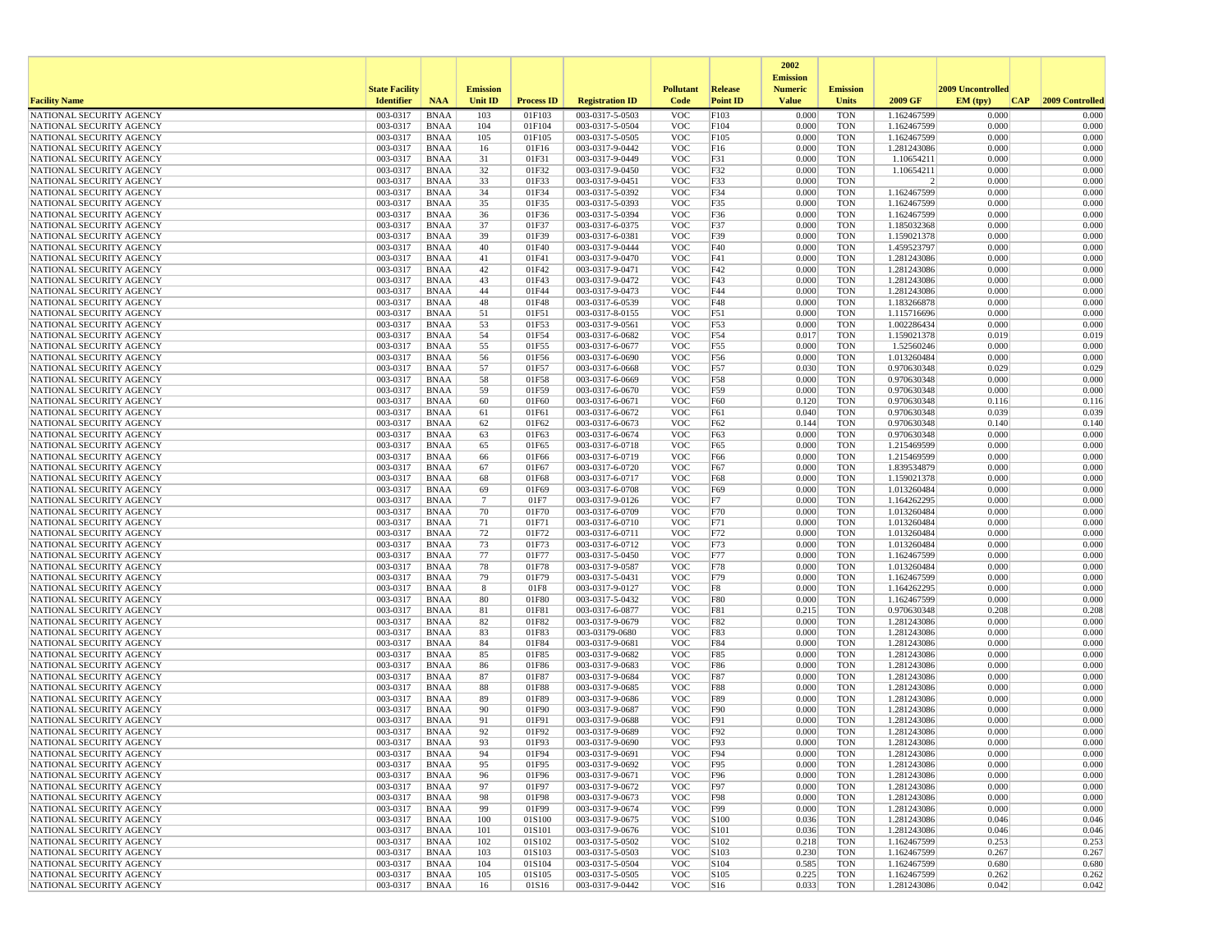|                                                      |                       |                            |                       |                   |                                    |                          |                          | 2002                              |                          |                            |                   |                 |
|------------------------------------------------------|-----------------------|----------------------------|-----------------------|-------------------|------------------------------------|--------------------------|--------------------------|-----------------------------------|--------------------------|----------------------------|-------------------|-----------------|
|                                                      | <b>State Facility</b> |                            | <b>Emission</b>       |                   |                                    | <b>Pollutant</b>         | Release                  | <b>Emission</b><br><b>Numeric</b> | <b>Emission</b>          |                            | 2009 Uncontrolled |                 |
| <b>Facility Name</b>                                 | <b>Identifier</b>     | <b>NAA</b>                 | <b>Unit ID</b>        | <b>Process ID</b> | <b>Registration ID</b>             | Code                     | <b>Point ID</b>          | <b>Value</b>                      | <b>Units</b>             | 2009 GF                    | EM (typ)<br> CAP  | 2009 Controlled |
| NATIONAL SECURITY AGENCY                             | 003-0317              | <b>BNAA</b>                | 103                   | 01F103            | 003-0317-5-0503                    | <b>VOC</b>               | F103                     | 0.000                             | <b>TON</b>               | 1.162467599                | 0.000             | 0.000           |
| NATIONAL SECURITY AGENCY                             | 003-0317              | BNAA                       | 104                   | 01F104            | 003-0317-5-0504                    | <b>VOC</b>               | F104                     | 0.000                             | <b>TON</b>               | 1.162467599                | 0.000             | 0.000           |
| NATIONAL SECURITY AGENCY<br>NATIONAL SECURITY AGENCY | 003-0317<br>003-0317  | <b>BNAA</b><br>BNAA        | 105<br>16             | 01F105<br>01F16   | 003-0317-5-0505<br>003-0317-9-0442 | <b>VOC</b><br><b>VOC</b> | F105<br>F16              | 0.000<br>0.000                    | <b>TON</b><br><b>TON</b> | 1.162467599<br>1.281243086 | 0.000<br>0.000    | 0.000<br>0.000  |
| NATIONAL SECURITY AGENCY                             | 003-0317              | <b>BNAA</b>                | 31                    | 01F31             | 003-0317-9-0449                    | <b>VOC</b>               | F31                      | 0.000                             | <b>TON</b>               | 1.10654211                 | 0.000             | 0.000           |
| NATIONAL SECURITY AGENCY                             | 003-0317              | <b>BNAA</b>                | 32                    | 01F32             | 003-0317-9-0450                    | <b>VOC</b>               | F32                      | 0.000                             | <b>TON</b>               | 1.10654211                 | 0.000             | 0.000           |
| NATIONAL SECURITY AGENCY                             | 003-0317              | BNAA                       | 33                    | 01F33             | 003-0317-9-0451                    | <b>VOC</b>               | F33                      | 0.000                             | <b>TON</b>               | 2                          | 0.000             | 0.000           |
| NATIONAL SECURITY AGENCY                             | 003-0317              | <b>BNAA</b>                | 34                    | 01F34             | 003-0317-5-0392                    | <b>VOC</b>               | F34                      | 0.000                             | <b>TON</b>               | 1.162467599                | 0.000             | 0.000           |
| NATIONAL SECURITY AGENCY<br>NATIONAL SECURITY AGENCY | 003-0317<br>003-0317  | <b>BNAA</b><br><b>BNAA</b> | 35<br>36              | 01F35<br>01F36    | 003-0317-5-0393<br>003-0317-5-0394 | <b>VOC</b><br><b>VOC</b> | F35<br>F36               | 0.000<br>0.000                    | <b>TON</b><br><b>TON</b> | 1.162467599<br>1.162467599 | 0.000<br>0.000    | 0.000<br>0.000  |
| NATIONAL SECURITY AGENCY                             | 003-0317              | BNAA                       | 37                    | 01F37             | 003-0317-6-0375                    | <b>VOC</b>               | F37                      | 0.000                             | <b>TON</b>               | 1.185032368                | 0.000             | 0.000           |
| NATIONAL SECURITY AGENCY                             | 003-0317              | <b>BNAA</b>                | 39                    | 01F39             | 003-0317-6-0381                    | <b>VOC</b>               | F39                      | 0.000                             | <b>TON</b>               | 1.159021378                | 0.000             | 0.000           |
| NATIONAL SECURITY AGENCY                             | 003-0317              | <b>BNAA</b>                | 40                    | 01F40             | 003-0317-9-0444                    | <b>VOC</b>               | F40                      | 0.000                             | <b>TON</b>               | 1.459523797                | 0.000             | 0.000           |
| NATIONAL SECURITY AGENCY                             | 003-0317              | <b>BNAA</b>                | 41                    | 01F41             | 003-0317-9-0470                    | <b>VOC</b>               | F41                      | 0.000                             | <b>TON</b>               | 1.281243086                | 0.000             | 0.000           |
| NATIONAL SECURITY AGENCY                             | 003-0317<br>003-0317  | BNAA                       | 42<br>43              | 01F42<br>01F43    | 003-0317-9-0471<br>003-0317-9-0472 | <b>VOC</b><br><b>VOC</b> | F42<br>F43               | 0.000<br>0.000                    | <b>TON</b><br><b>TON</b> | 1.281243086<br>1.281243086 | 0.000<br>0.000    | 0.000<br>0.000  |
| NATIONAL SECURITY AGENCY<br>NATIONAL SECURITY AGENCY | 003-0317              | BNAA<br><b>BNAA</b>        | 44                    | 01F44             | 003-0317-9-0473                    | <b>VOC</b>               | F44                      | 0.000                             | <b>TON</b>               | 1.281243086                | 0.000             | 0.000           |
| NATIONAL SECURITY AGENCY                             | 003-0317              | BNAA                       | 48                    | 01F48             | 003-0317-6-0539                    | <b>VOC</b>               | F48                      | 0.000                             | <b>TON</b>               | 1.183266878                | 0.000             | 0.000           |
| NATIONAL SECURITY AGENCY                             | 003-0317              | <b>BNAA</b>                | 51                    | 01F51             | 003-0317-8-0155                    | <b>VOC</b>               | F51                      | 0.000                             | <b>TON</b>               | 1.115716696                | 0.000             | 0.000           |
| NATIONAL SECURITY AGENCY                             | 003-0317              | <b>BNAA</b>                | 53                    | 01F53             | 003-0317-9-0561                    | <b>VOC</b>               | F53                      | 0.000                             | <b>TON</b>               | 1.002286434                | 0.000             | 0.000           |
| NATIONAL SECURITY AGENCY                             | 003-0317              | <b>BNAA</b>                | 54                    | 01F54             | 003-0317-6-0682                    | <b>VOC</b>               | F54                      | 0.017                             | <b>TON</b>               | 1.159021378                | 0.019             | 0.019           |
| NATIONAL SECURITY AGENCY<br>NATIONAL SECURITY AGENCY | 003-0317<br>003-0317  | BNAA<br><b>BNAA</b>        | 55<br>56              | 01F55<br>01F56    | 003-0317-6-0677<br>003-0317-6-0690 | <b>VOC</b><br><b>VOC</b> | F55<br>F56               | 0.000<br>0.000                    | <b>TON</b><br><b>TON</b> | 1.52560246<br>1.013260484  | 0.000<br>0.000    | 0.000<br>0.000  |
| NATIONAL SECURITY AGENCY                             | 003-0317              | <b>BNAA</b>                | 57                    | 01F57             | 003-0317-6-0668                    | <b>VOC</b>               | F57                      | 0.030                             | <b>TON</b>               | 0.970630348                | 0.029             | 0.029           |
| NATIONAL SECURITY AGENCY                             | 003-0317              | BNAA                       | 58                    | 01F58             | 003-0317-6-0669                    | <b>VOC</b>               | F58                      | 0.000                             | <b>TON</b>               | 0.970630348                | 0.000             | 0.000           |
| NATIONAL SECURITY AGENCY                             | 003-0317              | <b>BNAA</b>                | 59                    | 01F59             | 003-0317-6-0670                    | <b>VOC</b>               | F59                      | 0.000                             | <b>TON</b>               | 0.970630348                | 0.000             | 0.000           |
| NATIONAL SECURITY AGENCY                             | 003-0317              | <b>BNAA</b>                | 60                    | 01F60             | 003-0317-6-0671                    | <b>VOC</b>               | F60                      | 0.120                             | <b>TON</b>               | 0.970630348                | 0.116             | 0.116           |
| NATIONAL SECURITY AGENCY                             | 003-0317              | <b>BNAA</b>                | 61                    | 01F61             | 003-0317-6-0672                    | <b>VOC</b>               | F61                      | 0.040                             | <b>TON</b>               | 0.970630348                | 0.039             | 0.039           |
| NATIONAL SECURITY AGENCY<br>NATIONAL SECURITY AGENCY | 003-0317<br>003-0317  | BNAA<br><b>BNAA</b>        | 62<br>63              | 01F62<br>01F63    | 003-0317-6-0673<br>003-0317-6-0674 | <b>VOC</b><br><b>VOC</b> | F62<br>F63               | 0.144<br>0.000                    | <b>TON</b><br><b>TON</b> | 0.970630348<br>0.970630348 | 0.140<br>0.000    | 0.140<br>0.000  |
| NATIONAL SECURITY AGENCY                             | 003-0317              | <b>BNAA</b>                | 65                    | 01F65             | 003-0317-6-0718                    | <b>VOC</b>               | F65                      | 0.000                             | <b>TON</b>               | 1.215469599                | 0.000             | 0.000           |
| NATIONAL SECURITY AGENCY                             | 003-0317              | BNAA                       | 66                    | 01F66             | 003-0317-6-0719                    | <b>VOC</b>               | F66                      | 0.000                             | <b>TON</b>               | 1.215469599                | 0.000             | 0.000           |
| NATIONAL SECURITY AGENCY                             | 003-0317              | <b>BNAA</b>                | 67                    | 01F67             | 003-0317-6-0720                    | <b>VOC</b>               | F67                      | 0.000                             | <b>TON</b>               | 1.839534879                | 0.000             | 0.000           |
| NATIONAL SECURITY AGENCY                             | 003-0317              | <b>BNAA</b>                | 68                    | 01F68             | 003-0317-6-0717                    | <b>VOC</b>               | F68                      | 0.000                             | <b>TON</b>               | 1.159021378                | 0.000             | 0.000           |
| NATIONAL SECURITY AGENCY<br>NATIONAL SECURITY AGENCY | 003-0317<br>003-0317  | BNAA<br>BNAA               | 69<br>$7\phantom{.0}$ | 01F69<br>01F7     | 003-0317-6-0708<br>003-0317-9-0126 | <b>VOC</b><br><b>VOC</b> | F69<br>F7                | 0.000<br>0.000                    | <b>TON</b><br><b>TON</b> | 1.013260484<br>1.164262295 | 0.000<br>0.000    | 0.000<br>0.000  |
| NATIONAL SECURITY AGENCY                             | 003-0317              | <b>BNAA</b>                | 70                    | 01F70             | 003-0317-6-0709                    | <b>VOC</b>               | F70                      | 0.000                             | <b>TON</b>               | 1.013260484                | 0.000             | 0.000           |
| NATIONAL SECURITY AGENCY                             | 003-0317              | <b>BNAA</b>                | 71                    | 01F71             | 003-0317-6-0710                    | <b>VOC</b>               | F71                      | 0.000                             | <b>TON</b>               | 1.013260484                | 0.000             | 0.000           |
| NATIONAL SECURITY AGENCY                             | 003-0317              | <b>BNAA</b>                | 72                    | 01F72             | 003-0317-6-0711                    | <b>VOC</b>               | F72                      | 0.000                             | <b>TON</b>               | 1.013260484                | 0.000             | 0.000           |
| NATIONAL SECURITY AGENCY                             | 003-0317              | BNAA                       | 73                    | 01F73             | 003-0317-6-0712                    | <b>VOC</b>               | F73                      | 0.000                             | <b>TON</b>               | 1.013260484                | 0.000             | 0.000           |
| NATIONAL SECURITY AGENCY<br>NATIONAL SECURITY AGENCY | 003-0317<br>003-0317  | BNAA<br><b>BNAA</b>        | 77<br>78              | 01F77<br>01F78    | 003-0317-5-0450<br>003-0317-9-0587 | <b>VOC</b><br><b>VOC</b> | F77<br>F78               | 0.000<br>0.000                    | <b>TON</b><br><b>TON</b> | 1.162467599<br>1.013260484 | 0.000<br>0.000    | 0.000<br>0.000  |
| NATIONAL SECURITY AGENCY                             | 003-0317              | BNAA                       | 79                    | 01F79             | 003-0317-5-0431                    | <b>VOC</b>               | F79                      | 0.000                             | <b>TON</b>               | 1.162467599                | 0.000             | 0.000           |
| NATIONAL SECURITY AGENCY                             | 003-0317              | <b>BNAA</b>                | 8                     | 01F8              | 003-0317-9-0127                    | <b>VOC</b>               | F8                       | 0.000                             | <b>TON</b>               | 1.164262295                | 0.000             | 0.000           |
| NATIONAL SECURITY AGENCY                             | 003-0317              | <b>BNAA</b>                | 80                    | 01F80             | 003-0317-5-0432                    | <b>VOC</b>               | <b>F80</b>               | 0.000                             | <b>TON</b>               | 1.162467599                | 0.000             | 0.000           |
| NATIONAL SECURITY AGENCY                             | 003-0317              | <b>BNAA</b>                | 81                    | 01F81             | 003-0317-6-0877                    | <b>VOC</b>               | <b>F81</b>               | 0.215                             | <b>TON</b>               | 0.970630348                | 0.208             | 0.208           |
| NATIONAL SECURITY AGENCY                             | 003-0317<br>003-0317  | BNAA                       | 82                    | 01F82<br>01F83    | 003-0317-9-0679                    | <b>VOC</b>               | F82                      | 0.000<br>0.000                    | <b>TON</b><br><b>TON</b> | 1.281243086                | 0.000<br>0.000    | 0.000<br>0.000  |
| NATIONAL SECURITY AGENCY<br>NATIONAL SECURITY AGENCY | 003-0317              | <b>BNAA</b><br><b>BNAA</b> | 83<br>84              | 01F84             | 003-03179-0680<br>003-0317-9-0681  | <b>VOC</b><br><b>VOC</b> | F83<br>F84               | 0.000                             | <b>TON</b>               | 1.281243086<br>1.281243086 | 0.000             | 0.000           |
| NATIONAL SECURITY AGENCY                             | 003-0317              | BNAA                       | 85                    | 01F85             | 003-0317-9-0682                    | <b>VOC</b>               | F85                      | 0.000                             | <b>TON</b>               | 1.281243086                | 0.000             | 0.000           |
| NATIONAL SECURITY AGENCY                             | 003-0317              | <b>BNAA</b>                | 86                    | 01F86             | 003-0317-9-0683                    | <b>VOC</b>               | <b>F86</b>               | 0.000                             | <b>TON</b>               | 1.281243086                | 0.000             | 0.000           |
| NATIONAL SECURITY AGENCY                             | 003-0317              | <b>BNAA</b>                | 87                    | 01F87             | 003-0317-9-0684                    | <b>VOC</b>               | F87                      | 0.000                             | <b>TON</b>               | 1.281243086                | 0.000             | 0.000           |
| NATIONAL SECURITY AGENCY                             | 003-0317              | <b>BNAA</b>                | 88                    | 01F88             | 003-0317-9-0685                    | <b>VOC</b>               | <b>F88</b>               | 0.000                             | <b>TON</b>               | 1.281243086                | 0.000             | 0.000           |
| NATIONAL SECURITY AGENCY<br>NATIONAL SECURITY AGENCY | 003-0317<br>003-0317  | BNAA<br><b>BNAA</b>        | 89<br>90              | 01F89<br>01F90    | 003-0317-9-0686<br>003-0317-9-0687 | <b>VOC</b><br><b>VOC</b> | F89<br>F90               | 0.000<br>0.000                    | <b>TON</b><br><b>TON</b> | 1.281243086<br>1.281243086 | 0.000<br>0.000    | 0.000<br>0.000  |
| NATIONAL SECURITY AGENCY                             | 003-0317              | <b>BNAA</b>                | 91                    | 01F91             | 003-0317-9-0688                    | <b>VOC</b>               | F91                      | 0.000                             | <b>TON</b>               | 1.281243086                | 0.000             | 0.000           |
| NATIONAL SECURITY AGENCY                             | 003-0317              | <b>BNAA</b>                | 92                    | 01F92             | 003-0317-9-0689                    | <b>VOC</b>               | F92                      | 0.000                             | <b>TON</b>               | 1.281243086                | 0.000             | 0.000           |
| NATIONAL SECURITY AGENCY                             | 003-0317              | <b>BNAA</b>                | 93                    | 01F93             | 003-0317-9-0690                    | <b>VOC</b>               | F93                      | 0.000                             | <b>TON</b>               | 1.281243086                | 0.000             | 0.000           |
| NATIONAL SECURITY AGENCY                             | 003-0317              | <b>BNAA</b>                | 94                    | 01F94             | 003-0317-9-0691                    | <b>VOC</b>               | F94                      | 0.000                             | <b>TON</b>               | 1.281243086                | 0.000             | 0.000           |
| NATIONAL SECURITY AGENCY<br>NATIONAL SECURITY AGENCY | 003-0317              | BNAA                       | 95                    | 01F95             | 003-0317-9-0692                    | <b>VOC</b>               | F95                      | 0.000                             | <b>TON</b>               | 1.281243086<br>1.281243086 | 0.000             | 0.000<br>0.000  |
| NATIONAL SECURITY AGENCY                             | 003-0317<br>003-0317  | BNAA<br>BNAA               | 96<br>97              | 01F96<br>01F97    | 003-0317-9-0671<br>003-0317-9-0672 | <b>VOC</b><br><b>VOC</b> | F96<br>F97               | 0.000<br>0.000                    | <b>TON</b><br><b>TON</b> | 1.281243086                | 0.000<br>0.000    | 0.000           |
| NATIONAL SECURITY AGENCY                             | 003-0317              | <b>BNAA</b>                | 98                    | 01F98             | 003-0317-9-0673                    | <b>VOC</b>               | F98                      | 0.000                             | <b>TON</b>               | 1.281243086                | 0.000             | 0.000           |
| NATIONAL SECURITY AGENCY                             | 003-0317              | BNAA                       | 99                    | 01F99             | 003-0317-9-0674                    | <b>VOC</b>               | F99                      | 0.000                             | <b>TON</b>               | 1.281243086                | 0.000             | 0.000           |
| NATIONAL SECURITY AGENCY                             | 003-0317              | <b>BNAA</b>                | 100                   | 01S100            | 003-0317-9-0675                    | <b>VOC</b>               | S100                     | 0.036                             | <b>TON</b>               | 1.281243086                | 0.046             | 0.046           |
| NATIONAL SECURITY AGENCY                             | 003-0317              | BNAA                       | 101                   | 01S101            | 003-0317-9-0676                    | <b>VOC</b>               | S101                     | 0.036                             | <b>TON</b>               | 1.281243086                | 0.046<br>0.253    | 0.046           |
| NATIONAL SECURITY AGENCY<br>NATIONAL SECURITY AGENCY | 003-0317<br>003-0317  | BNAA<br><b>BNAA</b>        | 102<br>103            | 01S102<br>01S103  | 003-0317-5-0502<br>003-0317-5-0503 | <b>VOC</b><br><b>VOC</b> | S102<br>S <sub>103</sub> | 0.218<br>0.230                    | TON<br><b>TON</b>        | 1.162467599<br>1.162467599 | 0.267             | 0.253<br>0.267  |
| NATIONAL SECURITY AGENCY                             | 003-0317              | BNAA                       | 104                   | 01S104            | 003-0317-5-0504                    | <b>VOC</b>               | S104                     | 0.585                             | <b>TON</b>               | 1.162467599                | 0.680             | 0.680           |
| NATIONAL SECURITY AGENCY                             | 003-0317              | <b>BNAA</b>                | 105                   | 01S105            | 003-0317-5-0505                    | <b>VOC</b>               | S105                     | 0.225                             | <b>TON</b>               | 1.162467599                | 0.262             | 0.262           |
| NATIONAL SECURITY AGENCY                             | 003-0317              | BNAA                       | 16                    | 01S16             | 003-0317-9-0442                    | VOC                      | S <sub>16</sub>          | 0.033                             | TON                      | 1.281243086                | 0.042             | 0.042           |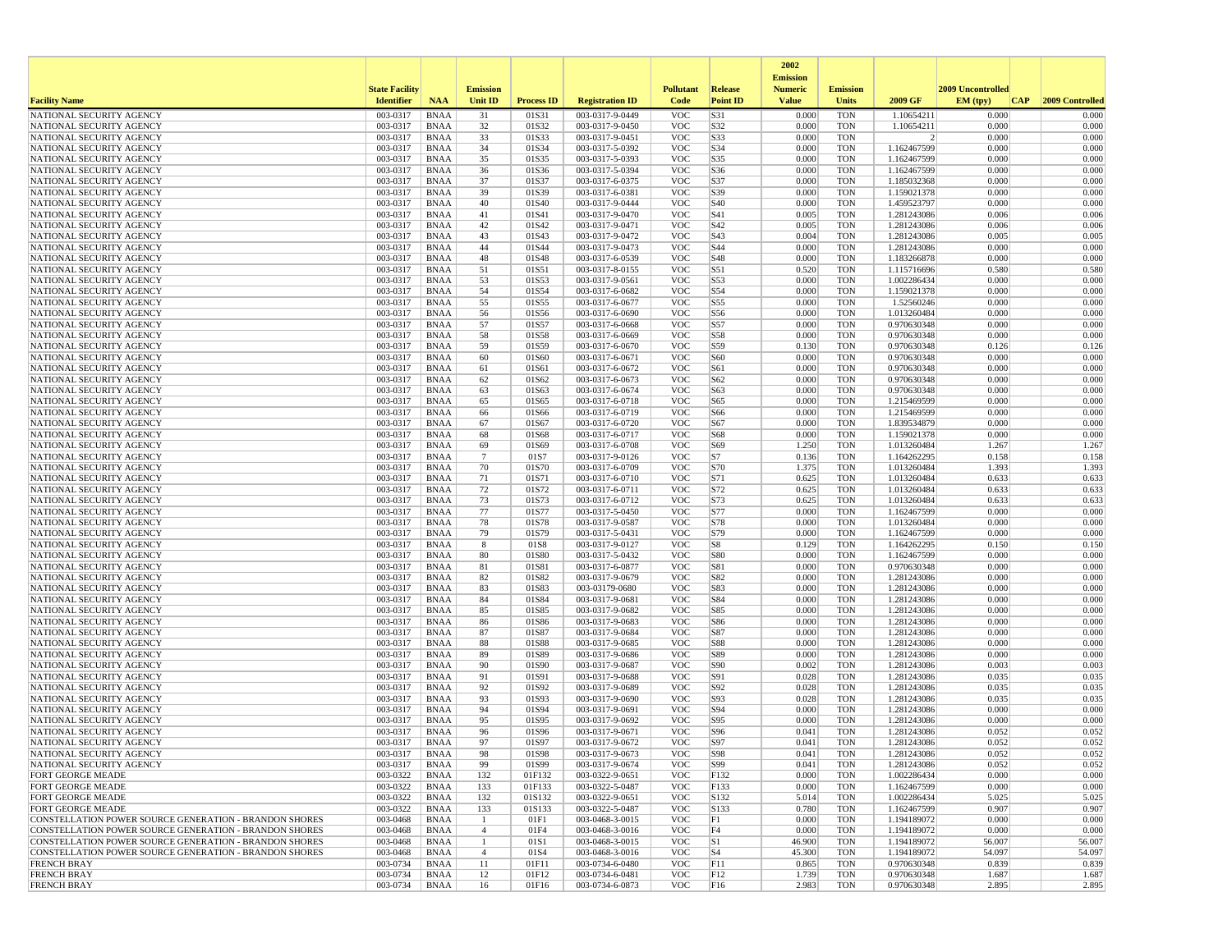|                                                                             |                       |                            |                      |                   |                                    |                          |                 | 2002                              |                          |                            |                   |                 |
|-----------------------------------------------------------------------------|-----------------------|----------------------------|----------------------|-------------------|------------------------------------|--------------------------|-----------------|-----------------------------------|--------------------------|----------------------------|-------------------|-----------------|
|                                                                             | <b>State Facility</b> |                            | <b>Emission</b>      |                   |                                    | <b>Pollutant</b>         | Release         | <b>Emission</b><br><b>Numeric</b> | <b>Emission</b>          |                            | 2009 Uncontrolled |                 |
| <b>Facility Name</b>                                                        | <b>Identifier</b>     | <b>NAA</b>                 | <b>Unit ID</b>       | <b>Process ID</b> | <b>Registration ID</b>             | Code                     | <b>Point ID</b> | <b>Value</b>                      | <b>Units</b>             | 2009 GF                    | EM (typ)<br> CAP  | 2009 Controlled |
| NATIONAL SECURITY AGENCY                                                    | 003-0317              | <b>BNAA</b>                | 31                   | 01S31             | 003-0317-9-0449                    | <b>VOC</b>               | S31             | 0.000                             | <b>TON</b>               | 1.10654211                 | 0.000             | 0.000           |
| NATIONAL SECURITY AGENCY                                                    | 003-0317              | BNAA                       | 32                   | 01S32             | 003-0317-9-0450                    | <b>VOC</b>               | S32             | 0.000                             | <b>TON</b>               | 1.10654211                 | 0.000             | 0.000           |
| NATIONAL SECURITY AGENCY                                                    | 003-0317              | <b>BNAA</b>                | 33                   | 01S33             | 003-0317-9-0451                    | <b>VOC</b>               | S33             | 0.000                             | <b>TON</b>               | $\overline{2}$             | 0.000             | 0.000           |
| NATIONAL SECURITY AGENCY                                                    | 003-0317              | BNAA                       | 34                   | 01S34             | 003-0317-5-0392                    | <b>VOC</b>               | S34             | 0.000                             | <b>TON</b>               | 1.162467599                | 0.000             | 0.000           |
| NATIONAL SECURITY AGENCY<br>NATIONAL SECURITY AGENCY                        | 003-0317<br>003-0317  | <b>BNAA</b><br><b>BNAA</b> | 35<br>36             | 01S35<br>01S36    | 003-0317-5-0393<br>003-0317-5-0394 | <b>VOC</b><br><b>VOC</b> | S35<br>S36      | 0.000<br>0.000                    | <b>TON</b><br><b>TON</b> | 1.162467599<br>1.162467599 | 0.000<br>0.000    | 0.000<br>0.000  |
| NATIONAL SECURITY AGENCY                                                    | 003-0317              | BNAA                       | 37                   | 01S37             | 003-0317-6-0375                    | <b>VOC</b>               | S37             | 0.000                             | <b>TON</b>               | 1.185032368                | 0.000             | 0.000           |
| NATIONAL SECURITY AGENCY                                                    | 003-0317              | <b>BNAA</b>                | 39                   | 01S39             | 003-0317-6-0381                    | <b>VOC</b>               | S39             | 0.000                             | <b>TON</b>               | 1.159021378                | 0.000             | 0.000           |
| NATIONAL SECURITY AGENCY                                                    | 003-0317              | <b>BNAA</b>                | 40                   | 01S40             | 003-0317-9-0444                    | <b>VOC</b>               | S40             | 0.000                             | <b>TON</b>               | 1.459523797                | 0.000             | 0.000           |
| NATIONAL SECURITY AGENCY                                                    | 003-0317              | <b>BNAA</b>                | 41                   | 01S41             | 003-0317-9-0470                    | <b>VOC</b>               | S41             | 0.005                             | <b>TON</b>               | 1.281243086                | 0.006             | 0.006           |
| NATIONAL SECURITY AGENCY                                                    | 003-0317              | BNAA                       | 42                   | 01S42             | 003-0317-9-0471                    | <b>VOC</b>               | S42             | 0.005                             | <b>TON</b>               | 1.281243086                | 0.006             | 0.006           |
| NATIONAL SECURITY AGENCY                                                    | 003-0317              | <b>BNAA</b>                | 43                   | 01S43             | 003-0317-9-0472                    | <b>VOC</b>               | S43             | 0.004                             | <b>TON</b>               | 1.281243086                | 0.005             | 0.005           |
| NATIONAL SECURITY AGENCY<br>NATIONAL SECURITY AGENCY                        | 003-0317<br>003-0317  | <b>BNAA</b><br><b>BNAA</b> | 44<br>48             | 01S44<br>01S48    | 003-0317-9-0473<br>003-0317-6-0539 | <b>VOC</b><br><b>VOC</b> | S44<br>S48      | 0.000<br>0.000                    | <b>TON</b><br><b>TON</b> | 1.281243086<br>1.183266878 | 0.000<br>0.000    | 0.000<br>0.000  |
| NATIONAL SECURITY AGENCY                                                    | 003-0317              | BNAA                       | 51                   | 01S51             | 003-0317-8-0155                    | <b>VOC</b>               | S51             | 0.520                             | <b>TON</b>               | 1.115716696                | 0.580             | 0.580           |
| NATIONAL SECURITY AGENCY                                                    | 003-0317              | BNAA                       | 53                   | 01S53             | 003-0317-9-0561                    | <b>VOC</b>               | S53             | 0.000                             | <b>TON</b>               | 1.002286434                | 0.000             | 0.000           |
| NATIONAL SECURITY AGENCY                                                    | 003-0317              | <b>BNAA</b>                | 54                   | 01S54             | 003-0317-6-0682                    | <b>VOC</b>               | S54             | 0.000                             | <b>TON</b>               | 1.159021378                | 0.000             | 0.000           |
| NATIONAL SECURITY AGENCY                                                    | 003-0317              | BNAA                       | 55                   | 01S55             | 003-0317-6-0677                    | <b>VOC</b>               | S55             | 0.000                             | <b>TON</b>               | 1.52560246                 | 0.000             | 0.000           |
| NATIONAL SECURITY AGENCY                                                    | 003-0317              | <b>BNAA</b>                | 56                   | 01S56             | 003-0317-6-0690                    | <b>VOC</b>               | S56             | 0.000                             | <b>TON</b>               | 1.013260484                | 0.000             | 0.000           |
| NATIONAL SECURITY AGENCY                                                    | 003-0317              | <b>BNAA</b>                | 57                   | 01S57             | 003-0317-6-0668                    | <b>VOC</b>               | S57             | 0.000                             | <b>TON</b>               | 0.970630348                | 0.000             | 0.000           |
| NATIONAL SECURITY AGENCY                                                    | 003-0317              | <b>BNAA</b>                | 58                   | 01S58             | 003-0317-6-0669                    | <b>VOC</b>               | S58             | 0.000                             | <b>TON</b>               | 0.970630348                | 0.000             | 0.000           |
| NATIONAL SECURITY AGENCY<br>NATIONAL SECURITY AGENCY                        | 003-0317<br>003-0317  | BNAA<br><b>BNAA</b>        | 59<br>60             | 01S59<br>01S60    | 003-0317-6-0670<br>003-0317-6-0671 | <b>VOC</b><br><b>VOC</b> | S59<br>S60      | 0.130<br>0.000                    | <b>TON</b><br><b>TON</b> | 0.970630348<br>0.970630348 | 0.126<br>0.000    | 0.126<br>0.000  |
| NATIONAL SECURITY AGENCY                                                    | 003-0317              | <b>BNAA</b>                | 61                   | 01S61             | 003-0317-6-0672                    | <b>VOC</b>               | S61             | 0.000                             | <b>TON</b>               | 0.970630348                | 0.000             | 0.000           |
| NATIONAL SECURITY AGENCY                                                    | 003-0317              | BNAA                       | 62                   | 01S62             | 003-0317-6-0673                    | <b>VOC</b>               | S62             | 0.000                             | <b>TON</b>               | 0.970630348                | 0.000             | 0.000           |
| NATIONAL SECURITY AGENCY                                                    | 003-0317              | <b>BNAA</b>                | 63                   | 01S63             | 003-0317-6-0674                    | <b>VOC</b>               | S63             | 0.000                             | <b>TON</b>               | 0.970630348                | 0.000             | 0.000           |
| NATIONAL SECURITY AGENCY                                                    | 003-0317              | <b>BNAA</b>                | 65                   | 01S65             | 003-0317-6-0718                    | <b>VOC</b>               | S65             | 0.000                             | <b>TON</b>               | 1.215469599                | 0.000             | 0.000           |
| NATIONAL SECURITY AGENCY                                                    | 003-0317              | <b>BNAA</b>                | 66                   | 01S66             | 003-0317-6-0719                    | <b>VOC</b>               | S66             | 0.000                             | <b>TON</b>               | 1.215469599                | 0.000             | 0.000           |
| NATIONAL SECURITY AGENCY                                                    | 003-0317              | BNAA                       | 67                   | 01S67             | 003-0317-6-0720                    | <b>VOC</b>               | S67             | 0.000                             | <b>TON</b>               | 1.839534879                | 0.000             | 0.000           |
| NATIONAL SECURITY AGENCY                                                    | 003-0317<br>003-0317  | <b>BNAA</b><br><b>BNAA</b> | 68                   | 01S68<br>01S69    | 003-0317-6-0717                    | <b>VOC</b><br><b>VOC</b> | S68             | 0.000                             | <b>TON</b><br><b>TON</b> | 1.159021378                | 0.000             | 0.000           |
| NATIONAL SECURITY AGENCY<br>NATIONAL SECURITY AGENCY                        | 003-0317              | BNAA                       | 69<br>$\overline{7}$ | 01S7              | 003-0317-6-0708<br>003-0317-9-0126 | <b>VOC</b>               | S69<br>S7       | 1.250<br>0.136                    | <b>TON</b>               | 1.013260484<br>1.164262295 | 1.267<br>0.158    | 1.267<br>0.158  |
| NATIONAL SECURITY AGENCY                                                    | 003-0317              | <b>BNAA</b>                | 70                   | 01S70             | 003-0317-6-0709                    | <b>VOC</b>               | S70             | 1.375                             | <b>TON</b>               | 1.013260484                | 1.393             | 1.393           |
| NATIONAL SECURITY AGENCY                                                    | 003-0317              | <b>BNAA</b>                | 71                   | 01S71             | 003-0317-6-0710                    | <b>VOC</b>               | S71             | 0.625                             | <b>TON</b>               | 1.013260484                | 0.633             | 0.633           |
| NATIONAL SECURITY AGENCY                                                    | 003-0317              | BNAA                       | 72                   | 01S72             | 003-0317-6-0711                    | <b>VOC</b>               | S72             | 0.625                             | <b>TON</b>               | 1.013260484                | 0.633             | 0.633           |
| NATIONAL SECURITY AGENCY                                                    | 003-0317              | BNAA                       | 73                   | 01S73             | 003-0317-6-0712                    | <b>VOC</b>               | S73             | 0.625                             | <b>TON</b>               | 1.013260484                | 0.633             | 0.633           |
| NATIONAL SECURITY AGENCY                                                    | 003-0317              | <b>BNAA</b>                | 77                   | 01S77             | 003-0317-5-0450                    | <b>VOC</b>               | S77             | 0.000                             | <b>TON</b>               | 1.162467599                | 0.000             | 0.000           |
| NATIONAL SECURITY AGENCY                                                    | 003-0317              | <b>BNAA</b>                | 78                   | 01S78             | 003-0317-9-0587                    | <b>VOC</b>               | S78             | 0.000                             | <b>TON</b>               | 1.013260484                | 0.000             | 0.000           |
| NATIONAL SECURITY AGENCY<br>NATIONAL SECURITY AGENCY                        | 003-0317<br>003-0317  | <b>BNAA</b><br>BNAA        | 79<br>8              | 01S79<br>01S8     | 003-0317-5-0431<br>003-0317-9-0127 | <b>VOC</b><br><b>VOC</b> | S79<br>S8       | 0.000<br>0.129                    | <b>TON</b><br><b>TON</b> | 1.162467599<br>1.164262295 | 0.000<br>0.150    | 0.000<br>0.150  |
| NATIONAL SECURITY AGENCY                                                    | 003-0317              | BNAA                       | 80                   | 01S80             | 003-0317-5-0432                    | <b>VOC</b>               | S80             | 0.000                             | <b>TON</b>               | 1.162467599                | 0.000             | 0.000           |
| NATIONAL SECURITY AGENCY                                                    | 003-0317              | <b>BNAA</b>                | 81                   | 01S81             | 003-0317-6-0877                    | <b>VOC</b>               | S81             | 0.000                             | <b>TON</b>               | 0.970630348                | 0.000             | 0.000           |
| NATIONAL SECURITY AGENCY                                                    | 003-0317              | BNAA                       | 82                   | 01S82             | 003-0317-9-0679                    | <b>VOC</b>               | S82             | 0.000                             | <b>TON</b>               | 1.281243086                | 0.000             | 0.000           |
| NATIONAL SECURITY AGENCY                                                    | 003-0317              | <b>BNAA</b>                | 83                   | 01S83             | 003-03179-0680                     | <b>VOC</b>               | S83             | 0.000                             | <b>TON</b>               | 1.281243086                | 0.000             | 0.000           |
| NATIONAL SECURITY AGENCY                                                    | 003-0317              | <b>BNAA</b>                | 84                   | 01S84             | 003-0317-9-0681                    | <b>VOC</b>               | S84             | 0.000                             | <b>TON</b>               | 1.281243086                | 0.000             | 0.000           |
| NATIONAL SECURITY AGENCY                                                    | 003-0317              | <b>BNAA</b>                | 85                   | 01S85             | 003-0317-9-0682                    | <b>VOC</b>               | S85             | 0.000                             | <b>TON</b>               | 1.281243086                | 0.000             | 0.000           |
| NATIONAL SECURITY AGENCY<br>NATIONAL SECURITY AGENCY                        | 003-0317<br>003-0317  | BNAA<br><b>BNAA</b>        | 86<br>87             | 01S86<br>01S87    | 003-0317-9-0683<br>003-0317-9-0684 | <b>VOC</b><br><b>VOC</b> | S86<br>S87      | 0.000<br>0.000                    | <b>TON</b><br><b>TON</b> | 1.281243086<br>1.281243086 | 0.000<br>0.000    | 0.000<br>0.000  |
| NATIONAL SECURITY AGENCY                                                    | 003-0317              | <b>BNAA</b>                | 88                   | 01S88             | 003-0317-9-0685                    | <b>VOC</b>               | <b>S88</b>      | 0.000                             | <b>TON</b>               | 1.281243086                | 0.000             | 0.000           |
| NATIONAL SECURITY AGENCY                                                    | 003-0317              | BNAA                       | 89                   | 01S89             | 003-0317-9-0686                    | <b>VOC</b>               | S89             | 0.000                             | <b>TON</b>               | 1.281243086                | 0.000             | 0.000           |
| NATIONAL SECURITY AGENCY                                                    | 003-0317              | <b>BNAA</b>                | 90                   | 01S90             | 003-0317-9-0687                    | <b>VOC</b>               | S90             | 0.002                             | <b>TON</b>               | 1.281243086                | 0.003             | 0.003           |
| NATIONAL SECURITY AGENCY                                                    | 003-0317              | <b>BNAA</b>                | 91                   | 01S91             | 003-0317-9-0688                    | <b>VOC</b>               | S91             | 0.028                             | <b>TON</b>               | 1.281243086                | 0.035             | 0.035           |
| NATIONAL SECURITY AGENCY                                                    | 003-0317              | <b>BNAA</b>                | 92                   | 01S92             | 003-0317-9-0689                    | <b>VOC</b>               | S92             | 0.028                             | <b>TON</b>               | 1.281243086                | 0.035             | 0.035           |
| NATIONAL SECURITY AGENCY                                                    | 003-0317              | BNAA                       | 93                   | 01S93             | 003-0317-9-0690                    | <b>VOC</b>               | S93             | 0.028                             | <b>TON</b>               | 1.281243086                | 0.035             | 0.035           |
| NATIONAL SECURITY AGENCY                                                    | 003-0317              | <b>BNAA</b>                | 94<br>95             | 01S94<br>01S95    | 003-0317-9-0691<br>003-0317-9-0692 | <b>VOC</b><br><b>VOC</b> | S94             | 0.000<br>0.000                    | <b>TON</b>               | 1.281243086                | 0.000<br>0.000    | 0.000<br>0.000  |
| NATIONAL SECURITY AGENCY<br>NATIONAL SECURITY AGENCY                        | 003-0317<br>003-0317  | <b>BNAA</b><br><b>BNAA</b> | 96                   | 01S96             | 003-0317-9-0671                    | <b>VOC</b>               | S95<br>S96      | 0.041                             | TON<br><b>TON</b>        | 1.281243086<br>1.281243086 | 0.052             | 0.052           |
| NATIONAL SECURITY AGENCY                                                    | 003-0317              | <b>BNAA</b>                | 97                   | 01S97             | 003-0317-9-0672                    | <b>VOC</b>               | S97             | 0.041                             | <b>TON</b>               | 1.281243086                | 0.052             | 0.052           |
| NATIONAL SECURITY AGENCY                                                    | 003-0317              | <b>BNAA</b>                | 98                   | 01S98             | 003-0317-9-0673                    | <b>VOC</b>               | S98             | 0.041                             | <b>TON</b>               | 1.281243086                | 0.052             | 0.052           |
| NATIONAL SECURITY AGENCY                                                    | 003-0317              | BNAA                       | 99                   | 01S99             | 003-0317-9-0674                    | <b>VOC</b>               | S99             | 0.041                             | <b>TON</b>               | 1.281243086                | 0.052             | 0.052           |
| FORT GEORGE MEADE                                                           | 003-0322              | <b>BNAA</b>                | 132                  | 01F132            | 003-0322-9-0651                    | <b>VOC</b>               | F132            | 0.000                             | <b>TON</b>               | 1.002286434                | 0.000             | 0.000           |
| FORT GEORGE MEADE                                                           | 003-0322              | BNAA                       | 133                  | 01F133            | 003-0322-5-0487                    | <b>VOC</b>               | F133            | 0.000                             | <b>TON</b>               | 1.162467599                | 0.000             | 0.000           |
| FORT GEORGE MEADE                                                           | 003-0322              | <b>BNAA</b>                | 132                  | 01S132            | 003-0322-9-0651                    | <b>VOC</b>               | S132            | 5.014                             | <b>TON</b>               | 1.002286434                | 5.025             | 5.025           |
| FORT GEORGE MEADE<br>CONSTELLATION POWER SOURCE GENERATION - BRANDON SHORES | 003-0322<br>003-0468  | BNAA<br><b>BNAA</b>        | 133<br>-1            | 01S133<br>01F1    | 003-0322-5-0487<br>003-0468-3-0015 | <b>VOC</b><br><b>VOC</b> | S133<br>F1      | 0.780<br>0.000                    | <b>TON</b><br><b>TON</b> | 1.162467599<br>1.194189072 | 0.907<br>0.000    | 0.907<br>0.000  |
| CONSTELLATION POWER SOURCE GENERATION - BRANDON SHORES                      | 003-0468              | BNAA                       | $\overline{4}$       | 01F4              | 003-0468-3-0016                    | <b>VOC</b>               | F4              | 0.000                             | <b>TON</b>               | 1.194189072                | 0.000             | 0.000           |
| CONSTELLATION POWER SOURCE GENERATION - BRANDON SHORES                      | 003-0468              | BNAA                       | -1                   | 01S1              | 003-0468-3-0015                    | <b>VOC</b>               | S1              | 46.900                            | <b>TON</b>               | 1.194189072                | 56.007            | 56.007          |
| CONSTELLATION POWER SOURCE GENERATION - BRANDON SHORES                      | 003-0468              | <b>BNAA</b>                | $\overline{4}$       | 01S4              | 003-0468-3-0016                    | <b>VOC</b>               | S4              | 45.300                            | <b>TON</b>               | 1.194189072                | 54.097            | 54.097          |
| <b>FRENCH BRAY</b>                                                          | 003-0734              | BNAA                       | 11                   | 01F11             | 003-0734-6-0480                    | <b>VOC</b>               | F11             | 0.865                             | <b>TON</b>               | 0.970630348                | 0.839             | 0.839           |
| <b>FRENCH BRAY</b>                                                          | 003-0734              | <b>BNAA</b>                | 12                   | 01F12             | 003-0734-6-0481                    | <b>VOC</b>               | F12             | 1.739                             | <b>TON</b>               | 0.970630348                | 1.687             | 1.687           |
| <b>FRENCH BRAY</b>                                                          | 003-0734              | BNAA                       | 16                   | 01F16             | 003-0734-6-0873                    | <b>VOC</b>               | F16             | 2.983                             | <b>TON</b>               | 0.970630348                | 2.895             | 2.895           |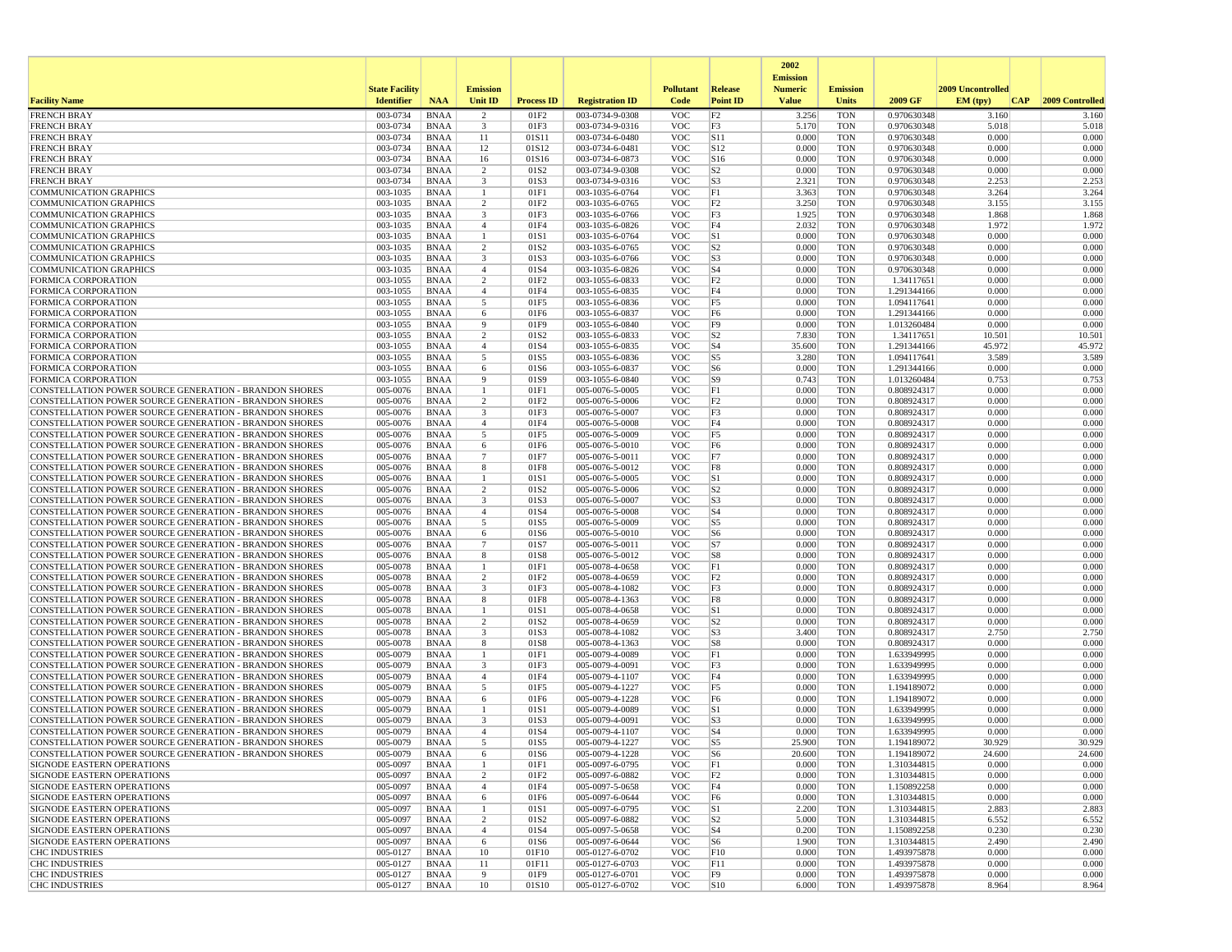|                                                                                                                  |                       |                            |                     |                          |                                    |                          |                        | 2002                              |                          |                            |                   |                     |
|------------------------------------------------------------------------------------------------------------------|-----------------------|----------------------------|---------------------|--------------------------|------------------------------------|--------------------------|------------------------|-----------------------------------|--------------------------|----------------------------|-------------------|---------------------|
|                                                                                                                  | <b>State Facility</b> |                            | <b>Emission</b>     |                          |                                    | <b>Pollutant</b>         | Release                | <b>Emission</b><br><b>Numeric</b> | <b>Emission</b>          |                            | 2009 Uncontrolled |                     |
| <b>Facility Name</b>                                                                                             | <b>Identifier</b>     | <b>NAA</b>                 | Unit ID             | <b>Process ID</b>        | <b>Registration ID</b>             | Code                     | <b>Point ID</b>        | <b>Value</b>                      | <b>Units</b>             | 2009 GF                    | EM (typ)          | CAP 2009 Controlled |
| <b>FRENCH BRAY</b>                                                                                               | 003-0734              | <b>BNAA</b>                | 2                   | 01F2                     | 003-0734-9-0308                    | <b>VOC</b>               | F2                     | 3.256                             | <b>TON</b>               | 0.970630348                | 3.160             | 3.160               |
| <b>FRENCH BRAY</b>                                                                                               | 003-0734              | <b>BNAA</b>                | 3                   | 01F3                     | 003-0734-9-0316                    | <b>VOC</b>               | F3                     | 5.170                             | <b>TON</b>               | 0.970630348                | 5.018             | 5.018               |
| <b>FRENCH BRAY</b>                                                                                               | 003-0734              | <b>BNAA</b>                | 11                  | 01S11                    | 003-0734-6-0480                    | VOC                      | S11                    | 0.000                             | <b>TON</b>               | 0.970630348                | 0.000             | 0.000               |
| <b>FRENCH BRAY</b><br><b>FRENCH BRAY</b>                                                                         | 003-0734<br>003-0734  | <b>BNAA</b><br><b>BNAA</b> | 12<br>16            | 01S12<br>01S16           | 003-0734-6-0481<br>003-0734-6-0873 | VOC<br><b>VOC</b>        | S12<br>S <sub>16</sub> | 0.000<br>0.000                    | <b>TON</b><br><b>TON</b> | 0.970630348<br>0.970630348 | 0.000<br>0.000    | 0.000<br>0.000      |
| <b>FRENCH BRAY</b>                                                                                               | 003-0734              | <b>BNAA</b>                | $\overline{c}$      | 01S2                     | 003-0734-9-0308                    | <b>VOC</b>               | S <sub>2</sub>         | 0.000                             | <b>TON</b>               | 0.970630348                | 0.000             | 0.000               |
| <b>FRENCH BRAY</b>                                                                                               | 003-0734              | <b>BNAA</b>                | 3                   | 01S3                     | 003-0734-9-0316                    | VOC                      | S <sub>3</sub>         | 2.321                             | <b>TON</b>               | 0.970630348                | 2.253             | 2.253               |
| <b>COMMUNICATION GRAPHICS</b>                                                                                    | 003-1035              | <b>BNAA</b>                | 1                   | 01F1                     | 003-1035-6-0764                    | VOC                      | F1                     | 3.363                             | <b>TON</b>               | 0.970630348                | 3.264             | 3.264               |
| COMMUNICATION GRAPHICS                                                                                           | $003 - 1035$          | <b>BNAA</b>                | 2                   | 01F2                     | 003-1035-6-0765                    | VOC                      | F2                     | 3.250                             | <b>TON</b>               | 0.970630348                | 3.155             | 3.155               |
| <b>COMMUNICATION GRAPHICS</b>                                                                                    | 003-1035              | <b>BNAA</b>                | 3                   | 01F3                     | 003-1035-6-0766                    | VOC                      | F3                     | 1.925                             | <b>TON</b>               | 0.970630348                | 1.868             | 1.868               |
| <b>COMMUNICATION GRAPHICS</b>                                                                                    | 003-1035              | <b>BNAA</b>                | $\overline{4}$      | 01F4                     | 003-1035-6-0826                    | VOC                      | F4                     | 2.032                             | <b>TON</b>               | 0.970630348                | 1.972             | 1.972               |
| <b>COMMUNICATION GRAPHICS</b>                                                                                    | 003-1035              | <b>BNAA</b>                | $\mathbf{1}$        | 01S1                     | 003-1035-6-0764                    | <b>VOC</b>               | S1                     | 0.000                             | <b>TON</b>               | 0.970630348                | 0.000             | 0.000               |
| <b>COMMUNICATION GRAPHICS</b><br><b>COMMUNICATION GRAPHICS</b>                                                   | 003-1035<br>003-1035  | <b>BNAA</b><br><b>BNAA</b> | 2<br>3              | 01S2<br>01S3             | 003-1035-6-0765<br>003-1035-6-0766 | <b>VOC</b><br>VOC        | S2 <br> S3             | 0.000<br>0.000                    | <b>TON</b><br><b>TON</b> | 0.970630348<br>0.970630348 | 0.000<br>0.000    | 0.000<br>0.000      |
| <b>COMMUNICATION GRAPHICS</b>                                                                                    | 003-1035              | <b>BNAA</b>                | $\overline{4}$      | 01S4                     | 003-1035-6-0826                    | VOC                      | $ S_4 $                | 0.000                             | <b>TON</b>               | 0.970630348                | 0.000             | 0.000               |
| <b>FORMICA CORPORATION</b>                                                                                       | 003-1055              | <b>BNAA</b>                | $\overline{c}$      | 01F2                     | 003-1055-6-0833                    | VOC                      | F2                     | 0.000                             | <b>TON</b>               | 1.34117651                 | 0.000             | 0.000               |
| FORMICA CORPORATION                                                                                              | 003-1055              | <b>BNAA</b>                | $\overline{4}$      | 01F4                     | 003-1055-6-0835                    | <b>VOC</b>               | F4                     | 0.000                             | <b>TON</b>               | 1.291344166                | 0.000             | 0.000               |
| <b>FORMICA CORPORATION</b>                                                                                       | 003-1055              | <b>BNAA</b>                | 5                   | 01F5                     | 003-1055-6-0836                    | VOC                      | F5                     | 0.000                             | <b>TON</b>               | 1.094117641                | 0.000             | 0.000               |
| <b>FORMICA CORPORATION</b>                                                                                       | 003-1055              | <b>BNAA</b>                | 6                   | 01F6                     | 003-1055-6-0837                    | VOC                      | F <sub>6</sub>         | 0.000                             | <b>TON</b>               | 1.291344166                | 0.000             | 0.000               |
| <b>FORMICA CORPORATION</b>                                                                                       | 003-1055              | <b>BNAA</b>                | 9                   | 01F9                     | 003-1055-6-0840                    | VOC                      | F <sub>9</sub>         | 0.000                             | <b>TON</b>               | 1.013260484                | 0.000             | 0.000               |
| <b>FORMICA CORPORATION</b>                                                                                       | 003-1055              | <b>BNAA</b>                | $\overline{c}$      | 01S2                     | 003-1055-6-0833                    | VOC                      | S <sub>2</sub>         | 7.830                             | TON                      | 1.34117651                 | 10.501            | 10.501              |
| <b>FORMICA CORPORATION</b>                                                                                       | 003-1055              | <b>BNAA</b>                | $\overline{4}$      | 01S4                     | 003-1055-6-0835                    | <b>VOC</b>               | $ S_4 $                | 35.600                            | <b>TON</b>               | 1.291344166                | 45.972            | 45.972              |
| <b>FORMICA CORPORATION</b><br>FORMICA CORPORATION                                                                | 003-1055<br>003-1055  | <b>BNAA</b><br><b>BNAA</b> | 5<br>6              | 01S5<br>01S6             | 003-1055-6-0836<br>003-1055-6-0837 | <b>VOC</b><br>VOC        | S5<br>S6               | 3.280<br>0.000                    | <b>TON</b><br><b>TON</b> | 1.094117641<br>1.291344166 | 3.589<br>0.000    | 3.589<br>0.000      |
| <b>FORMICA CORPORATION</b>                                                                                       | 003-1055              | <b>BNAA</b>                | 9                   | 01S9                     | 003-1055-6-0840                    | <b>VOC</b>               | S9                     | 0.743                             | TON                      | 1.013260484                | 0.753             | 0.753               |
| CONSTELLATION POWER SOURCE GENERATION - BRANDON SHORES                                                           | 005-0076              | <b>BNAA</b>                | -1                  | 01F1                     | 005-0076-5-0005                    | VOC                      | F1                     | 0.000                             | <b>TON</b>               | 0.808924317                | 0.000             | 0.000               |
| CONSTELLATION POWER SOURCE GENERATION - BRANDON SHORES                                                           | 005-0076              | <b>BNAA</b>                | $\overline{c}$      | 01F <sub>2</sub>         | 005-0076-5-0006                    | VOC                      | F <sub>2</sub>         | 0.000                             | <b>TON</b>               | 0.808924317                | 0.000             | 0.000               |
| CONSTELLATION POWER SOURCE GENERATION - BRANDON SHORES                                                           | 005-0076              | <b>BNAA</b>                | 3                   | 01F3                     | 005-0076-5-0007                    | VOC                      | F3                     | 0.000                             | <b>TON</b>               | 0.808924317                | 0.000             | 0.000               |
| CONSTELLATION POWER SOURCE GENERATION - BRANDON SHORES                                                           | 005-0076              | <b>BNAA</b>                | $\overline{4}$      | 01F4                     | 005-0076-5-0008                    | VOC                      | F4                     | 0.000                             | <b>TON</b>               | 0.808924317                | 0.000             | 0.000               |
| CONSTELLATION POWER SOURCE GENERATION - BRANDON SHORES                                                           | 005-0076              | <b>BNAA</b>                | 5                   | 01F5                     | 005-0076-5-0009                    | VOC                      | F <sub>5</sub>         | 0.000                             | <b>TON</b>               | 0.808924317                | 0.000             | 0.000               |
| CONSTELLATION POWER SOURCE GENERATION - BRANDON SHORES<br>CONSTELLATION POWER SOURCE GENERATION - BRANDON SHORES | 005-0076              | <b>BNAA</b>                | 6                   | 01F6                     | 005-0076-5-0010<br>005-0076-5-0011 | <b>VOC</b>               | F <sub>6</sub>         | 0.000                             | <b>TON</b>               | 0.808924317                | 0.000             | 0.000               |
| CONSTELLATION POWER SOURCE GENERATION - BRANDON SHORES                                                           | 005-0076<br>005-0076  | <b>BNAA</b><br><b>BNAA</b> | 7<br>8              | 01F7<br>01F8             | 005-0076-5-0012                    | VOC<br>VOC               | F7<br>F8               | 0.000<br>0.000                    | <b>TON</b><br><b>TON</b> | 0.808924317<br>0.808924317 | 0.000<br>0.000    | 0.000<br>0.000      |
| CONSTELLATION POWER SOURCE GENERATION - BRANDON SHORES                                                           | 005-0076              | <b>BNAA</b>                | 1                   | 01S1                     | 005-0076-5-0005                    | <b>VOC</b>               | $ S_1 $                | 0.000                             | <b>TON</b>               | 0.808924317                | 0.000             | 0.000               |
| <b>CONSTELLATION POWER SOURCE GENERATION - BRANDON SHORES</b>                                                    | 005-0076              | <b>BNAA</b>                | $\overline{c}$      | 01S2                     | 005-0076-5-0006                    | VOC                      | S <sub>2</sub>         | 0.000                             | <b>TON</b>               | 0.808924317                | 0.000             | 0.000               |
| <b>CONSTELLATION POWER SOURCE GENERATION - BRANDON SHORES</b>                                                    | 005-0076              | <b>BNAA</b>                | 3                   | 01S3                     | 005-0076-5-0007                    | VOC                      | S3                     | 0.000                             | TON                      | 0.808924317                | 0.000             | 0.000               |
| CONSTELLATION POWER SOURCE GENERATION - BRANDON SHORES                                                           | 005-0076              | <b>BNAA</b>                | $\overline{4}$      | 01S4                     | 005-0076-5-0008                    | VOC                      | $ S_4 $                | 0.000                             | <b>TON</b>               | 0.808924317                | 0.000             | 0.000               |
| CONSTELLATION POWER SOURCE GENERATION - BRANDON SHORES                                                           | 005-0076              | <b>BNAA</b>                | 5                   | 01S5                     | 005-0076-5-0009                    | VOC                      | S5                     | 0.000                             | <b>TON</b>               | 0.808924317                | 0.000             | 0.000               |
| CONSTELLATION POWER SOURCE GENERATION - BRANDON SHORES                                                           | 005-0076              | <b>BNAA</b>                | 6                   | 01S6                     | 005-0076-5-0010                    | <b>VOC</b>               | S6                     | 0.000                             | <b>TON</b>               | 0.808924317                | 0.000             | 0.000               |
| CONSTELLATION POWER SOURCE GENERATION - BRANDON SHORES                                                           | 005-0076              | <b>BNAA</b>                | 7                   | 01S7                     | 005-0076-5-0011                    | VOC                      | S7                     | 0.000                             | <b>TON</b>               | 0.808924317                | 0.000             | 0.000               |
| CONSTELLATION POWER SOURCE GENERATION - BRANDON SHORES<br>CONSTELLATION POWER SOURCE GENERATION - BRANDON SHORES | 005-0076<br>005-0078  | <b>BNAA</b><br><b>BNAA</b> | 8<br>$\mathbf{1}$   | 01S8<br>01F1             | 005-0076-5-0012<br>005-0078-4-0658 | VOC<br><b>VOC</b>        | S8<br>F1               | 0.000<br>0.000                    | <b>TON</b><br><b>TON</b> | 0.808924317<br>0.808924317 | 0.000<br>0.000    | 0.000<br>0.000      |
| <b>CONSTELLATION POWER SOURCE GENERATION - BRANDON SHORES</b>                                                    | 005-0078              | <b>BNAA</b>                | $\overline{c}$      | 01F2                     | 005-0078-4-0659                    | VOC                      | F2                     | 0.000                             | <b>TON</b>               | 0.808924317                | 0.000             | 0.000               |
| CONSTELLATION POWER SOURCE GENERATION - BRANDON SHORES                                                           | 005-0078              | <b>BNAA</b>                | 3                   | 01F3                     | 005-0078-4-1082                    | <b>VOC</b>               | F3                     | 0.000                             | <b>TON</b>               | 0.808924317                | 0.000             | 0.000               |
| CONSTELLATION POWER SOURCE GENERATION - BRANDON SHORES                                                           | 005-0078              | <b>BNAA</b>                | 8                   | 01F8                     | 005-0078-4-1363                    | VOC                      | F8                     | 0.000                             | <b>TON</b>               | 0.808924317                | 0.000             | 0.000               |
| CONSTELLATION POWER SOURCE GENERATION - BRANDON SHORES                                                           | 005-0078              | <b>BNAA</b>                | 1                   | 01S1                     | 005-0078-4-0658                    | VOC                      | S1                     | 0.000                             | <b>TON</b>               | 0.808924317                | 0.000             | 0.000               |
| <b>CONSTELLATION POWER SOURCE GENERATION - BRANDON SHORES</b>                                                    | 005-0078              | <b>BNAA</b>                | 2                   | 01S2                     | 005-0078-4-0659                    | <b>VOC</b>               | S2                     | 0.000                             | <b>TON</b>               | 0.808924317                | 0.000             | 0.000               |
| CONSTELLATION POWER SOURCE GENERATION - BRANDON SHORES                                                           | 005-0078              | <b>BNAA</b>                | 3                   | 01S3                     | 005-0078-4-1082                    | VOC                      | S3                     | 3.400                             | <b>TON</b>               | 0.808924317                | 2.750             | 2.750               |
| <b>CONSTELLATION POWER SOURCE GENERATION - BRANDON SHORES</b>                                                    | 005-0078              | <b>BNAA</b>                | $\,$ 8 $\,$         | 01S8                     | 005-0078-4-1363                    | VOC                      | S8                     | 0.000                             | <b>TON</b>               | 0.808924317                | 0.000             | 0.000               |
| CONSTELLATION POWER SOURCE GENERATION - BRANDON SHORES                                                           | 005-0079              | <b>BNAA</b>                | 1                   | 01F1                     | 005-0079-4-0089                    | <b>VOC</b>               | F1                     | 0.000                             | <b>TON</b>               | 1.633949995                | 0.000<br>0.000    | 0.000<br>0.000      |
| CONSTELLATION POWER SOURCE GENERATION - BRANDON SHORES<br>CONSTELLATION POWER SOURCE GENERATION - BRANDON SHORES | 005-0079<br>005-0079  | <b>BNAA</b><br><b>BNAA</b> | 3<br>$\overline{4}$ | 01F3<br>01F4             | 005-0079-4-0091<br>005-0079-4-1107 | <b>VOC</b><br><b>VOC</b> | F3<br>F4               | 0.000<br>0.000                    | <b>TON</b><br><b>TON</b> | 1.633949995<br>1.633949995 | 0.000             | 0.000               |
| CONSTELLATION POWER SOURCE GENERATION - BRANDON SHORES                                                           | 005-0079              | <b>BNAA</b>                | 5                   | 01F5                     | 005-0079-4-1227                    | VOC                      | F5                     | 0.000                             | <b>TON</b>               | 1.194189072                | 0.000             | 0.000               |
| <b>CONSTELLATION POWER SOURCE GENERATION - BRANDON SHORES</b>                                                    | 005-0079              | <b>BNAA</b>                | 6                   | 01F6                     | 005-0079-4-1228                    | VOC                      | F6                     | 0.000                             | <b>TON</b>               | 1.194189072                | 0.000             | 0.000               |
| CONSTELLATION POWER SOURCE GENERATION - BRANDON SHORES                                                           | 005-0079              | <b>BNAA</b>                | 1                   | 01S1                     | 005-0079-4-0089                    | <b>VOC</b>               | $ S_1 $                | 0.000                             | <b>TON</b>               | 1.633949995                | 0.000             | 0.000               |
| CONSTELLATION POWER SOURCE GENERATION - BRANDON SHORES                                                           | 005-0079              | <b>BNAA</b>                | 3                   | 01S3                     | 005-0079-4-0091                    | VOC                      | S3                     | 0.000                             | <b>TON</b>               | 1.633949995                | 0.000             | 0.000               |
| CONSTELLATION POWER SOURCE GENERATION - BRANDON SHORES                                                           | 005-0079              | <b>BNAA</b>                | $\overline{4}$      | 01S4                     | 005-0079-4-1107                    | VOC                      | $ S_4 $                | 0.000                             | <b>TON</b>               | 1.633949995                | 0.000             | 0.000               |
| CONSTELLATION POWER SOURCE GENERATION - BRANDON SHORES                                                           | 005-0079              | <b>BNAA</b>                | 5                   | 01S5                     | 005-0079-4-1227                    | <b>VOC</b>               | S5                     | 25.900                            | <b>TON</b>               | 1.194189072                | 30.929            | 30.929              |
| CONSTELLATION POWER SOURCE GENERATION - BRANDON SHORES                                                           | 005-0079              | <b>BNAA</b>                | 6                   | 01S6                     | 005-0079-4-1228                    | VOC                      | S <sub>6</sub>         | 20.600                            | TON                      | 1.194189072                | 24.600            | 24.600              |
| SIGNODE EASTERN OPERATIONS<br><b>SIGNODE EASTERN OPERATIONS</b>                                                  | 005-0097<br>005-0097  | <b>BNAA</b><br><b>BNAA</b> | $\mathbf{1}$<br>2   | 01F1<br>01F <sub>2</sub> | 005-0097-6-0795<br>005-0097-6-0882 | <b>VOC</b><br><b>VOC</b> | F1<br>F2               | 0.000<br>0.000                    | TON<br><b>TON</b>        | 1.310344815<br>1.310344815 | 0.000<br>0.000    | 0.000<br>0.000      |
| SIGNODE EASTERN OPERATIONS                                                                                       | 005-0097              | <b>BNAA</b>                | $\overline{4}$      | 01F4                     | 005-0097-5-0658                    | <b>VOC</b>               | F4                     | 0.000                             | TON                      | 1.150892258                | 0.000             | 0.000               |
| <b>SIGNODE EASTERN OPERATIONS</b>                                                                                | 005-0097              | <b>BNAA</b>                | 6                   | 01F6                     | 005-0097-6-0644                    | <b>VOC</b>               | F <sub>6</sub>         | 0.000                             | <b>TON</b>               | 1.310344815                | 0.000             | 0.000               |
| <b>SIGNODE EASTERN OPERATIONS</b>                                                                                | 005-0097              | <b>BNAA</b>                | $\mathbf{1}$        | 01S1                     | 005-0097-6-0795                    | <b>VOC</b>               | $ S_1 $                | 2.200                             | <b>TON</b>               | 1.310344815                | 2.883             | 2.883               |
| <b>SIGNODE EASTERN OPERATIONS</b>                                                                                | 005-0097              | <b>BNAA</b>                | 2                   | 01S <sub>2</sub>         | 005-0097-6-0882                    | VOC                      | S2                     | 5.000                             | TON                      | 1.310344815                | 6.552             | 6.552               |
| <b>SIGNODE EASTERN OPERATIONS</b>                                                                                | 005-0097              | <b>BNAA</b>                | $\overline{4}$      | 01S4                     | 005-0097-5-0658                    | VOC                      | $ S_4 $                | 0.200                             | <b>TON</b>               | 1.150892258                | 0.230             | 0.230               |
| SIGNODE EASTERN OPERATIONS                                                                                       | 005-0097              | <b>BNAA</b>                | 6                   | 01S6                     | 005-0097-6-0644                    | <b>VOC</b>               | S6                     | 1.900                             | TON                      | 1.310344815                | 2.490             | 2.490               |
| <b>CHC INDUSTRIES</b>                                                                                            | 005-0127              | <b>BNAA</b>                | 10                  | 01F10                    | 005-0127-6-0702                    | VOC                      | F10                    | 0.000                             | TON                      | 1.493975878                | 0.000             | 0.000               |
| <b>CHC INDUSTRIES</b>                                                                                            | 005-0127              | <b>BNAA</b>                | 11                  | 01F11                    | 005-0127-6-0703                    | <b>VOC</b>               | F11                    | 0.000                             | <b>TON</b>               | 1.493975878                | 0.000             | 0.000               |
| <b>CHC INDUSTRIES</b>                                                                                            | 005-0127              | <b>BNAA</b>                | 9                   | 01F9                     | 005-0127-6-0701                    | <b>VOC</b>               | F9                     | 0.000                             | <b>TON</b>               | 1.493975878                | 0.000             | 0.000               |
| <b>CHC INDUSTRIES</b>                                                                                            | 005-0127              | BNAA                       | 10                  | 01S10                    | 005-0127-6-0702                    | <b>VOC</b>               | S10                    | 6.000                             | TON                      | 1.493975878                | 8.964             | 8.964               |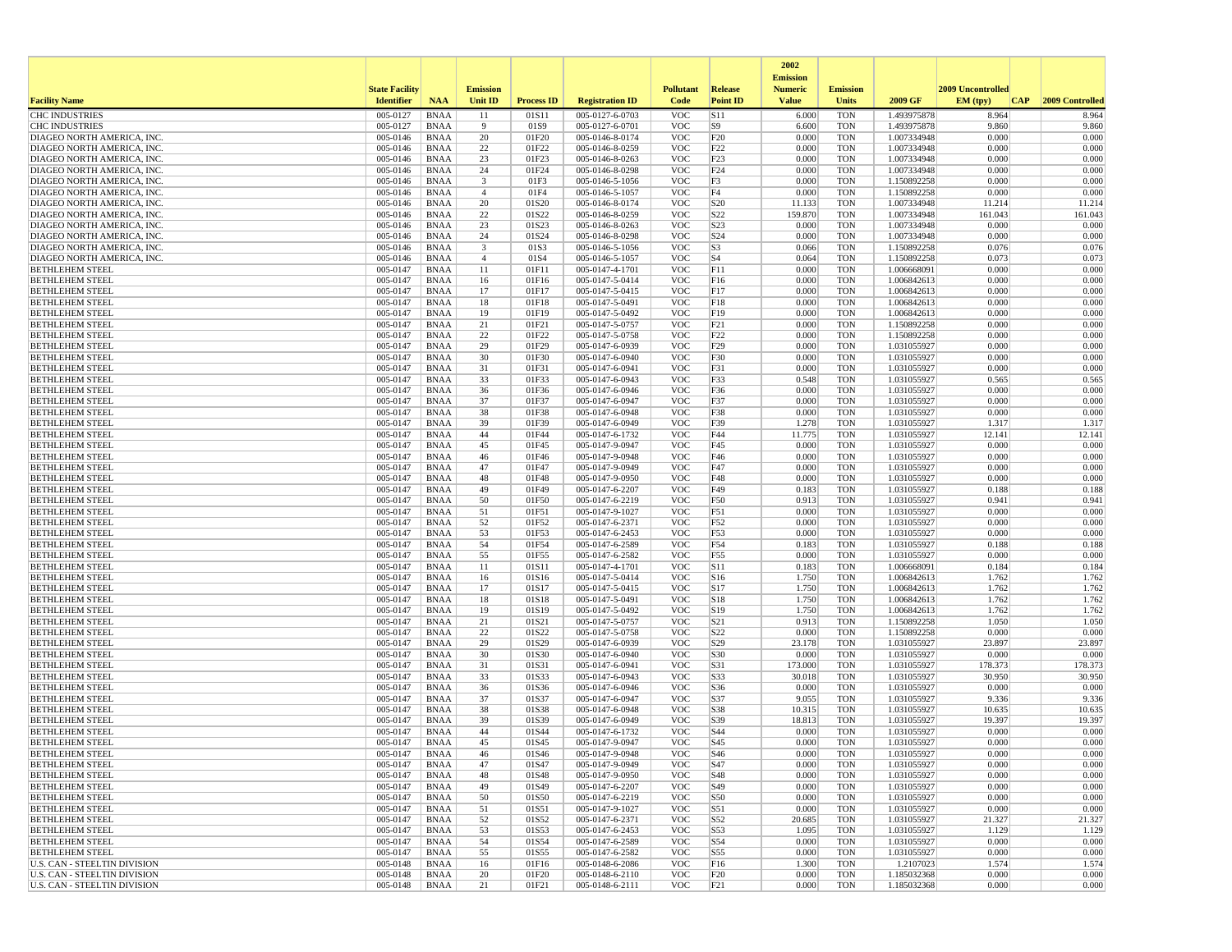|                                                          |                       |                            |                 |                   |                                    |                          |                        | 2002                              |                          |                            |                   |                  |
|----------------------------------------------------------|-----------------------|----------------------------|-----------------|-------------------|------------------------------------|--------------------------|------------------------|-----------------------------------|--------------------------|----------------------------|-------------------|------------------|
|                                                          | <b>State Facility</b> |                            | <b>Emission</b> |                   |                                    | <b>Pollutant</b>         | <b>Release</b>         | <b>Emission</b><br><b>Numeric</b> | <b>Emission</b>          |                            | 2009 Uncontrolled |                  |
| <b>Facility Name</b>                                     | <b>Identifier</b>     | <b>NAA</b>                 | <b>Unit ID</b>  | <b>Process ID</b> | <b>Registration ID</b>             | Code                     | <b>Point ID</b>        | <b>Value</b>                      | <b>Units</b>             | 2009 GF                    | EM (typ)<br> CAP  | 2009 Controlled  |
| <b>CHC INDUSTRIES</b>                                    | 005-0127              | <b>BNAA</b>                | 11              | 01S11             | 005-0127-6-0703                    | <b>VOC</b>               | S11                    | 6.000                             | <b>TON</b>               | 1.493975878                | 8.964             | 8.964            |
| <b>CHC INDUSTRIES</b>                                    | 005-0127              | <b>BNAA</b>                | 9               | 01S9              | 005-0127-6-0701                    | <b>VOC</b>               | S9                     | 6.600                             | <b>TON</b>               | 1.493975878                | 9.860             | 9.860            |
| DIAGEO NORTH AMERICA, INC.                               | 005-0146              | <b>BNAA</b>                | 20              | 01F20             | 005-0146-8-0174                    | <b>VOC</b>               | F20                    | 0.000                             | <b>TON</b>               | 1.007334948<br>1.007334948 | 0.000             | 0.000            |
| DIAGEO NORTH AMERICA, INC.<br>DIAGEO NORTH AMERICA, INC. | 005-0146<br>005-0146  | <b>BNAA</b><br><b>BNAA</b> | 22<br>23        | 01F22<br>01F23    | 005-0146-8-0259<br>005-0146-8-0263 | <b>VOC</b><br><b>VOC</b> | F22<br>F23             | 0.000<br>0.000                    | <b>TON</b><br><b>TON</b> | 1.007334948                | 0.000<br>0.000    | 0.000<br>0.000   |
| DIAGEO NORTH AMERICA, INC.                               | 005-0146              | <b>BNAA</b>                | 24              | 01F24             | 005-0146-8-0298                    | <b>VOC</b>               | F <sub>24</sub>        | 0.000                             | <b>TON</b>               | 1.007334948                | 0.000             | 0.000            |
| DIAGEO NORTH AMERICA, INC.                               | 005-0146              | <b>BNAA</b>                | 3               | 01F3              | 005-0146-5-1056                    | <b>VOC</b>               | F3                     | 0.000                             | <b>TON</b>               | 1.150892258                | 0.000             | 0.000            |
| DIAGEO NORTH AMERICA, INC.                               | 005-0146              | <b>BNAA</b>                | $\overline{4}$  | 01F4              | 005-0146-5-1057                    | <b>VOC</b>               | F4                     | 0.000                             | <b>TON</b>               | 1.150892258                | 0.000             | 0.000            |
| DIAGEO NORTH AMERICA, INC.                               | 005-0146              | <b>BNAA</b>                | 20              | 01S20             | 005-0146-8-0174                    | <b>VOC</b>               | S <sub>20</sub>        | 11.133                            | <b>TON</b>               | 1.007334948                | 11.214            | 11.214           |
| DIAGEO NORTH AMERICA, INC.<br>DIAGEO NORTH AMERICA, INC. | 005-0146<br>005-0146  | <b>BNAA</b><br><b>BNAA</b> | 22<br>23        | 01S22<br>01S23    | 005-0146-8-0259<br>005-0146-8-0263 | <b>VOC</b><br><b>VOC</b> | S22<br>S23             | 159.870<br>0.000                  | <b>TON</b><br><b>TON</b> | 1.007334948<br>1.007334948 | 161.043<br>0.000  | 161.043<br>0.000 |
| DIAGEO NORTH AMERICA, INC.                               | 005-0146              | <b>BNAA</b>                | 24              | 01S24             | 005-0146-8-0298                    | <b>VOC</b>               | S24                    | 0.000                             | <b>TON</b>               | 1.007334948                | 0.000             | 0.000            |
| DIAGEO NORTH AMERICA, INC.                               | 005-0146              | <b>BNAA</b>                | 3               | 01S3              | 005-0146-5-1056                    | <b>VOC</b>               | S <sub>3</sub>         | 0.066                             | <b>TON</b>               | 1.150892258                | 0.076             | 0.076            |
| DIAGEO NORTH AMERICA, INC.                               | 005-0146              | <b>BNAA</b>                | $\overline{4}$  | 01S4              | 005-0146-5-1057                    | <b>VOC</b>               | S <sub>4</sub>         | 0.064                             | <b>TON</b>               | 1.150892258                | 0.073             | 0.073            |
| <b>BETHLEHEM STEEL</b>                                   | 005-0147              | <b>BNAA</b>                | 11              | 01F11             | 005-0147-4-1701                    | <b>VOC</b>               | F11                    | 0.000                             | <b>TON</b>               | 1.006668091                | 0.000             | 0.000            |
| <b>BETHLEHEM STEEL</b><br><b>BETHLEHEM STEEL</b>         | 005-0147<br>005-0147  | <b>BNAA</b><br><b>BNAA</b> | 16<br>17        | 01F16<br>01F17    | 005-0147-5-0414<br>005-0147-5-0415 | <b>VOC</b><br><b>VOC</b> | F16<br>F17             | 0.000<br>0.000                    | <b>TON</b><br><b>TON</b> | 1.006842613<br>1.006842613 | 0.000<br>0.000    | 0.000<br>0.000   |
| <b>BETHLEHEM STEEL</b>                                   | 005-0147              | <b>BNAA</b>                | 18              | 01F18             | 005-0147-5-0491                    | <b>VOC</b>               | F18                    | 0.000                             | <b>TON</b>               | 1.006842613                | 0.000             | 0.000            |
| <b>BETHLEHEM STEEL</b>                                   | 005-0147              | <b>BNAA</b>                | 19              | 01F19             | 005-0147-5-0492                    | <b>VOC</b>               | F19                    | 0.000                             | <b>TON</b>               | 1.006842613                | 0.000             | 0.000            |
| <b>BETHLEHEM STEEL</b>                                   | 005-0147              | <b>BNAA</b>                | 21              | 01F21             | 005-0147-5-0757                    | <b>VOC</b>               | F21                    | 0.000                             | <b>TON</b>               | 1.150892258                | 0.000             | 0.000            |
| <b>BETHLEHEM STEEL</b>                                   | 005-0147              | <b>BNAA</b>                | 22              | 01F22             | 005-0147-5-0758                    | <b>VOC</b>               | F22                    | 0.000                             | <b>TON</b>               | 1.150892258                | 0.000             | 0.000            |
| <b>BETHLEHEM STEEL</b><br><b>BETHLEHEM STEEL</b>         | 005-0147              | <b>BNAA</b><br><b>BNAA</b> | 29<br>30        | 01F29<br>01F30    | 005-0147-6-0939<br>005-0147-6-0940 | <b>VOC</b><br><b>VOC</b> | F29<br>F30             | 0.000<br>0.000                    | <b>TON</b><br><b>TON</b> | 1.031055927<br>1.031055927 | 0.000<br>0.000    | 0.000<br>0.000   |
| <b>BETHLEHEM STEEL</b>                                   | 005-0147<br>005-0147  | <b>BNAA</b>                | 31              | 01F31             | 005-0147-6-0941                    | <b>VOC</b>               | F31                    | 0.000                             | <b>TON</b>               | 1.031055927                | 0.000             | 0.000            |
| <b>BETHLEHEM STEEL</b>                                   | 005-0147              | <b>BNAA</b>                | 33              | 01F33             | 005-0147-6-0943                    | <b>VOC</b>               | F33                    | 0.548                             | <b>TON</b>               | 1.031055927                | 0.565             | 0.565            |
| <b>BETHLEHEM STEEL</b>                                   | 005-0147              | <b>BNAA</b>                | 36              | 01F36             | 005-0147-6-0946                    | <b>VOC</b>               | F36                    | 0.000                             | <b>TON</b>               | 1.031055927                | 0.000             | 0.000            |
| <b>BETHLEHEM STEEL</b>                                   | 005-0147              | <b>BNAA</b>                | 37              | 01F37             | 005-0147-6-0947                    | <b>VOC</b>               | F37                    | 0.000                             | <b>TON</b>               | 1.031055927                | 0.000             | 0.000            |
| <b>BETHLEHEM STEEL</b><br><b>BETHLEHEM STEEL</b>         | 005-0147<br>005-0147  | <b>BNAA</b><br><b>BNAA</b> | 38<br>39        | 01F38<br>01F39    | 005-0147-6-0948<br>005-0147-6-0949 | <b>VOC</b><br><b>VOC</b> | F38<br>F39             | 0.000<br>1.278                    | <b>TON</b><br><b>TON</b> | 1.031055927<br>1.031055927 | 0.000<br>1.317    | 0.000<br>1.317   |
| <b>BETHLEHEM STEEL</b>                                   | 005-0147              | <b>BNAA</b>                | 44              | 01F44             | 005-0147-6-1732                    | <b>VOC</b>               | F44                    | 11.775                            | <b>TON</b>               | 1.031055927                | 12.141            | 12.141           |
| <b>BETHLEHEM STEEL</b>                                   | 005-0147              | <b>BNAA</b>                | 45              | 01F45             | 005-0147-9-0947                    | <b>VOC</b>               | F45                    | 0.000                             | <b>TON</b>               | 1.031055927                | 0.000             | 0.000            |
| <b>BETHLEHEM STEEL</b>                                   | 005-0147              | <b>BNAA</b>                | 46              | 01F46             | 005-0147-9-0948                    | <b>VOC</b>               | F46                    | 0.000                             | <b>TON</b>               | 1.031055927                | 0.000             | 0.000            |
| <b>BETHLEHEM STEEL</b>                                   | 005-0147              | <b>BNAA</b>                | 47              | 01F47             | 005-0147-9-0949                    | <b>VOC</b>               | F47                    | 0.000                             | <b>TON</b>               | 1.031055927                | 0.000             | 0.000            |
| <b>BETHLEHEM STEEL</b><br><b>BETHLEHEM STEEL</b>         | 005-0147<br>005-0147  | <b>BNAA</b><br><b>BNAA</b> | 48<br>49        | 01F48<br>01F49    | 005-0147-9-0950<br>005-0147-6-2207 | <b>VOC</b><br><b>VOC</b> | F48<br>F49             | 0.000<br>0.183                    | <b>TON</b><br><b>TON</b> | 1.031055927<br>1.031055927 | 0.000<br>0.188    | 0.000<br>0.188   |
| <b>BETHLEHEM STEEL</b>                                   | 005-0147              | <b>BNAA</b>                | 50              | 01F50             | 005-0147-6-2219                    | <b>VOC</b>               | F50                    | 0.913                             | <b>TON</b>               | 1.031055927                | 0.941             | 0.941            |
| <b>BETHLEHEM STEEL</b>                                   | 005-0147              | <b>BNAA</b>                | 51              | 01F51             | 005-0147-9-1027                    | <b>VOC</b>               | F51                    | 0.000                             | <b>TON</b>               | 1.031055927                | 0.000             | 0.000            |
| <b>BETHLEHEM STEEL</b>                                   | 005-0147              | <b>BNAA</b>                | 52              | 01F52             | 005-0147-6-2371                    | <b>VOC</b>               | F52                    | 0.000                             | <b>TON</b>               | 1.031055927                | 0.000             | 0.000            |
| <b>BETHLEHEM STEEL</b>                                   | 005-0147              | <b>BNAA</b>                | 53              | 01F53             | 005-0147-6-2453                    | <b>VOC</b>               | F53                    | 0.000                             | <b>TON</b>               | 1.031055927                | 0.000             | 0.000            |
| <b>BETHLEHEM STEEL</b><br><b>BETHLEHEM STEEL</b>         | 005-0147<br>005-0147  | <b>BNAA</b><br><b>BNAA</b> | 54<br>55        | 01F54<br>01F55    | 005-0147-6-2589<br>005-0147-6-2582 | <b>VOC</b><br><b>VOC</b> | F54<br>F55             | 0.183<br>0.000                    | <b>TON</b><br><b>TON</b> | 1.031055927<br>1.031055927 | 0.188<br>0.000    | 0.188<br>0.000   |
| <b>BETHLEHEM STEEL</b>                                   | 005-0147              | <b>BNAA</b>                | 11              | 01S11             | 005-0147-4-1701                    | <b>VOC</b>               | S11                    | 0.183                             | <b>TON</b>               | 1.006668091                | 0.184             | 0.184            |
| <b>BETHLEHEM STEEL</b>                                   | 005-0147              | <b>BNAA</b>                | 16              | 01S16             | 005-0147-5-0414                    | <b>VOC</b>               | S <sub>16</sub>        | 1.750                             | <b>TON</b>               | 1.006842613                | 1.762             | 1.762            |
| <b>BETHLEHEM STEEL</b>                                   | 005-0147              | <b>BNAA</b>                | 17              | 01S17             | 005-0147-5-0415                    | <b>VOC</b>               | S17                    | 1.750                             | <b>TON</b>               | 1.006842613                | 1.762             | 1.762            |
| <b>BETHLEHEM STEEL</b>                                   | 005-0147              | <b>BNAA</b>                | 18              | 01S18             | 005-0147-5-0491                    | <b>VOC</b>               | S18                    | 1.750                             | <b>TON</b>               | 1.006842613                | 1.762             | 1.762            |
| <b>BETHLEHEM STEEL</b><br><b>BETHLEHEM STEEL</b>         | 005-0147<br>005-0147  | <b>BNAA</b><br><b>BNAA</b> | 19<br>21        | 01S19<br>01S21    | 005-0147-5-0492<br>005-0147-5-0757 | <b>VOC</b><br><b>VOC</b> | S19<br>S <sub>21</sub> | 1.750<br>0.913                    | <b>TON</b><br><b>TON</b> | 1.006842613<br>1.150892258 | 1.762<br>1.050    | 1.762<br>1.050   |
| <b>BETHLEHEM STEEL</b>                                   | 005-0147              | <b>BNAA</b>                | 22              | 01S22             | 005-0147-5-0758                    | <b>VOC</b>               | S22                    | 0.000                             | <b>TON</b>               | 1.150892258                | 0.000             | 0.000            |
| <b>BETHLEHEM STEEL</b>                                   | 005-0147              | <b>BNAA</b>                | 29              | 01S29             | 005-0147-6-0939                    | <b>VOC</b>               | S29                    | 23.178                            | <b>TON</b>               | 1.031055927                | 23.897            | 23.897           |
| <b>BETHLEHEM STEEL</b>                                   | 005-0147              | <b>BNAA</b>                | 30              | 01S30             | 005-0147-6-0940                    | <b>VOC</b>               | S30                    | 0.000                             | <b>TON</b>               | 1.031055927                | 0.000             | 0.000            |
| <b>BETHLEHEM STEEL</b>                                   | 005-0147              | <b>BNAA</b>                | 31              | 01S31             | 005-0147-6-0941                    | <b>VOC</b>               | S31                    | 173.000                           | <b>TON</b>               | 1.031055927                | 178.373           | 178.373          |
| <b>BETHLEHEM STEEL</b><br><b>BETHLEHEM STEEL</b>         | 005-0147<br>005-0147  | <b>BNAA</b><br><b>BNAA</b> | 33<br>36        | 01S33<br>01S36    | 005-0147-6-0943<br>005-0147-6-0946 | <b>VOC</b><br><b>VOC</b> | S33<br>S36             | 30.018<br>0.000                   | <b>TON</b><br><b>TON</b> | 1.031055927<br>1.031055927 | 30.950<br>0.000   | 30.950<br>0.000  |
| <b>BETHLEHEM STEEL</b>                                   | 005-0147              | <b>BNAA</b>                | 37              | 01S37             | 005-0147-6-0947                    | <b>VOC</b>               | S37                    | 9.055                             | <b>TON</b>               | 1.031055927                | 9.336             | 9.336            |
| <b>BETHLEHEM STEEL</b>                                   | 005-0147              | <b>BNAA</b>                | 38              | 01S38             | 005-0147-6-0948                    | <b>VOC</b>               | S38                    | 10.315                            | <b>TON</b>               | 1.031055927                | 10.635            | 10.635           |
| <b>BETHLEHEM STEEL</b>                                   | 005-0147              | <b>BNAA</b>                | 39              | 01S39             | 005-0147-6-0949                    | <b>VOC</b>               | S39                    | 18.813                            | <b>TON</b>               | 1.031055927                | 19.397            | 19.397           |
| <b>BETHLEHEM STEEL</b>                                   | 005-0147              | <b>BNAA</b>                | 44              | 01S44             | 005-0147-6-1732                    | <b>VOC</b>               | S44                    | 0.000                             | <b>TON</b>               | 1.031055927                | 0.000             | 0.000            |
| <b>BETHLEHEM STEEL</b><br><b>BETHLEHEM STEEL</b>         | 005-0147<br>005-0147  | <b>BNAA</b><br><b>BNAA</b> | 45<br>46        | 01S45<br>01S46    | 005-0147-9-0947<br>005-0147-9-0948 | <b>VOC</b><br><b>VOC</b> | S45<br>S46             | 0.000<br>0.000                    | <b>TON</b><br><b>TON</b> | 1.031055927<br>1.031055927 | 0.000<br>0.000    | 0.000<br>0.000   |
| <b>BETHLEHEM STEEL</b>                                   | 005-0147              | BNAA                       | 47              | 01S47             | 005-0147-9-0949                    | <b>VOC</b>               | S47                    | 0.000                             | <b>TON</b>               | 1.031055927                | 0.000             | 0.000            |
| <b>BETHLEHEM STEEL</b>                                   | 005-0147              | <b>BNAA</b>                | 48              | 01S48             | 005-0147-9-0950                    | <b>VOC</b>               | S48                    | 0.000                             | <b>TON</b>               | 1.031055927                | 0.000             | 0.000            |
| <b>BETHLEHEM STEEL</b>                                   | 005-0147              | <b>BNAA</b>                | 49              | 01S49             | 005-0147-6-2207                    | <b>VOC</b>               | S49                    | 0.000                             | <b>TON</b>               | 1.031055927                | 0.000             | 0.000            |
| <b>BETHLEHEM STEEL</b>                                   | 005-0147              | <b>BNAA</b>                | 50              | 01S50             | 005-0147-6-2219                    | <b>VOC</b>               | S50                    | 0.000                             | <b>TON</b>               | 1.031055927                | 0.000             | 0.000            |
| <b>BETHLEHEM STEEL</b>                                   | 005-0147              | <b>BNAA</b>                | 51              | 01S51             | 005-0147-9-1027                    | <b>VOC</b>               | S51                    | 0.000                             | <b>TON</b>               | 1.031055927                | 0.000             | 0.000            |
| <b>BETHLEHEM STEEL</b><br><b>BETHLEHEM STEEL</b>         | 005-0147<br>005-0147  | <b>BNAA</b><br><b>BNAA</b> | 52<br>53        | 01S52<br>01S53    | 005-0147-6-2371<br>005-0147-6-2453 | <b>VOC</b><br><b>VOC</b> | S52<br>S53             | 20.685<br>1.095                   | <b>TON</b><br><b>TON</b> | 1.031055927<br>1.031055927 | 21.327<br>1.129   | 21.327<br>1.129  |
| <b>BETHLEHEM STEEL</b>                                   | 005-0147              | <b>BNAA</b>                | 54              | 01S54             | 005-0147-6-2589                    | <b>VOC</b>               | S54                    | 0.000                             | <b>TON</b>               | 1.031055927                | 0.000             | 0.000            |
| <b>BETHLEHEM STEEL</b>                                   | 005-0147              | <b>BNAA</b>                | 55              | 01S55             | 005-0147-6-2582                    | <b>VOC</b>               | S55                    | 0.000                             | <b>TON</b>               | 1.031055927                | 0.000             | 0.000            |
| U.S. CAN - STEELTIN DIVISION                             | 005-0148              | <b>BNAA</b>                | 16              | 01F16             | 005-0148-6-2086                    | <b>VOC</b>               | F <sub>16</sub>        | 1.300                             | <b>TON</b>               | 1.2107023                  | 1.574             | 1.574            |
| U.S. CAN - STEELTIN DIVISION                             | 005-0148              | <b>BNAA</b>                | 20              | 01F20             | 005-0148-6-2110                    | <b>VOC</b>               | F20                    | 0.000                             | <b>TON</b>               | 1.185032368                | 0.000             | 0.000            |
| U.S. CAN - STEELTIN DIVISION                             | 005-0148              | BNAA                       | 21              | 01F21             | 005-0148-6-2111                    | VOC                      | F21                    | 0.000                             | TON                      | 1.185032368                | 0.000             | 0.000            |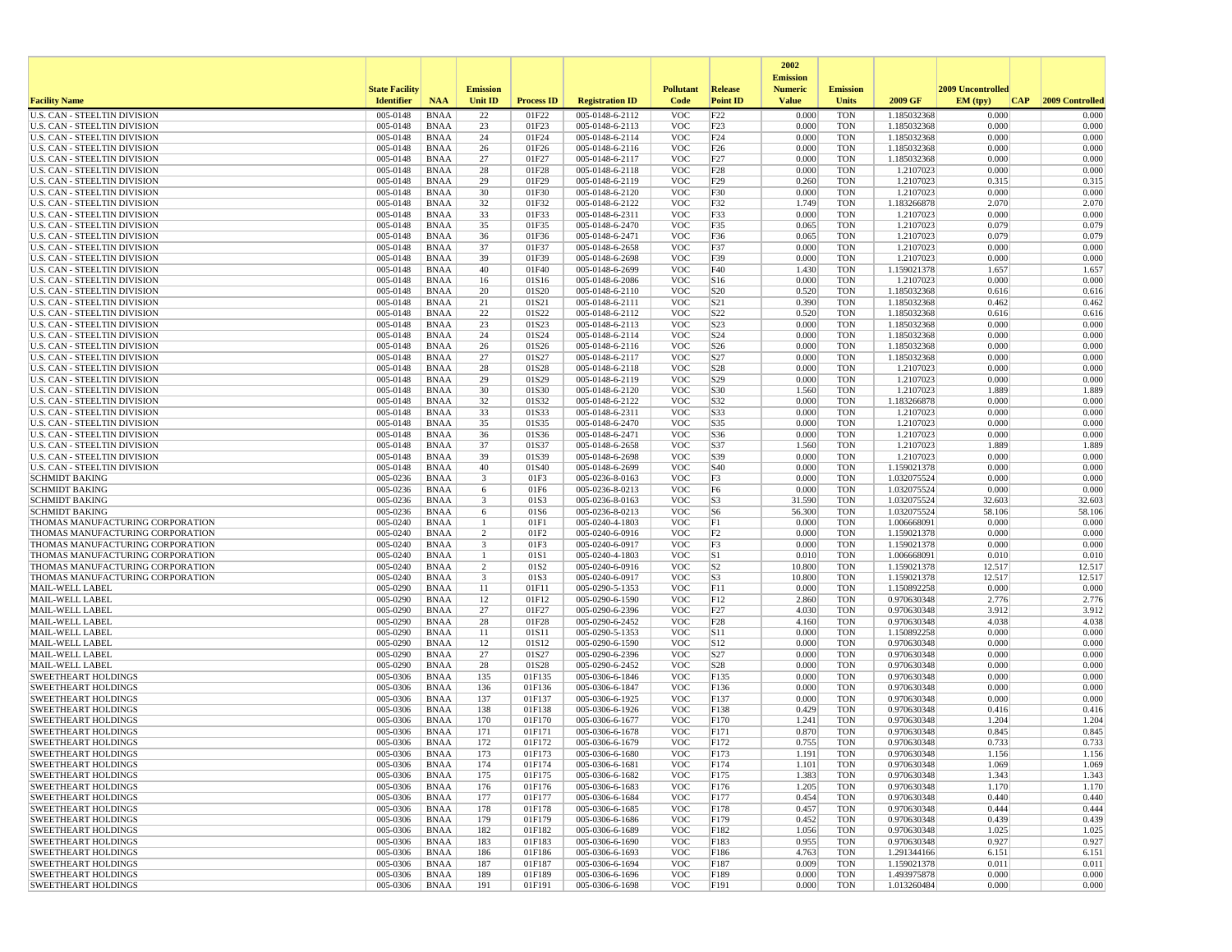|                                                                            |                       |                            |                         |                   |                                    |                          |                                    | 2002                              |                          |                            |                   |                 |
|----------------------------------------------------------------------------|-----------------------|----------------------------|-------------------------|-------------------|------------------------------------|--------------------------|------------------------------------|-----------------------------------|--------------------------|----------------------------|-------------------|-----------------|
|                                                                            | <b>State Facility</b> |                            | <b>Emission</b>         |                   |                                    | <b>Pollutant</b>         | Release                            | <b>Emission</b><br><b>Numeric</b> | <b>Emission</b>          |                            | 2009 Uncontrolled |                 |
| <b>Facility Name</b>                                                       | <b>Identifier</b>     | <b>NAA</b>                 | <b>Unit ID</b>          | <b>Process ID</b> | <b>Registration ID</b>             | Code                     | <b>Point ID</b>                    | <b>Value</b>                      | <b>Units</b>             | 2009 GF                    | EM (typ)<br> CAP  | 2009 Controlled |
| <b>U.S. CAN - STEELTIN DIVISION</b>                                        | 005-0148              | <b>BNAA</b>                | 22                      | 01F22             | 005-0148-6-2112                    | <b>VOC</b>               | F22                                | 0.000                             | <b>TON</b>               | 1.185032368                | 0.000             | 0.000           |
| <b>U.S. CAN - STEELTIN DIVISION</b>                                        | 005-0148              | <b>BNAA</b>                | 23                      | 01F23             | 005-0148-6-2113                    | <b>VOC</b>               | F23                                | 0.000                             | <b>TON</b>               | 1.185032368                | 0.000             | 0.000           |
| <b>U.S. CAN - STEELTIN DIVISION</b><br>U.S. CAN - STEELTIN DIVISION        | 005-0148<br>005-0148  | <b>BNAA</b><br><b>BNAA</b> | 24<br>26                | 01F24<br>01F26    | 005-0148-6-2114<br>005-0148-6-2116 | <b>VOC</b><br><b>VOC</b> | F24<br>F26                         | 0.000<br>0.000                    | <b>TON</b><br><b>TON</b> | 1.185032368<br>1.185032368 | 0.000<br>0.000    | 0.000<br>0.000  |
| U.S. CAN - STEELTIN DIVISION                                               | 005-0148              | <b>BNAA</b>                | 27                      | 01F27             | 005-0148-6-2117                    | <b>VOC</b>               | F27                                | 0.000                             | <b>TON</b>               | 1.185032368                | 0.000             | 0.000           |
| <b>U.S. CAN - STEELTIN DIVISION</b>                                        | 005-0148              | <b>BNAA</b>                | 28                      | 01F28             | 005-0148-6-2118                    | <b>VOC</b>               | F28                                | 0.000                             | <b>TON</b>               | 1.2107023                  | 0.000             | 0.000           |
| U.S. CAN - STEELTIN DIVISION                                               | 005-0148              | <b>BNAA</b>                | 29                      | 01F29             | 005-0148-6-2119                    | <b>VOC</b>               | F29                                | 0.260                             | <b>TON</b>               | 1.2107023                  | 0.315             | 0.315           |
| U.S. CAN - STEELTIN DIVISION                                               | 005-0148              | <b>BNAA</b>                | 30                      | 01F30             | 005-0148-6-2120                    | <b>VOC</b>               | F30                                | 0.000                             | <b>TON</b>               | 1.2107023                  | 0.000             | 0.000           |
| U.S. CAN - STEELTIN DIVISION                                               | 005-0148              | <b>BNAA</b>                | 32                      | 01F32             | 005-0148-6-2122                    | <b>VOC</b>               | F32                                | 1.749                             | <b>TON</b>               | 1.183266878                | 2.070             | 2.070           |
| <b>U.S. CAN - STEELTIN DIVISION</b><br><b>U.S. CAN - STEELTIN DIVISION</b> | 005-0148<br>005-0148  | <b>BNAA</b><br><b>BNAA</b> | 33<br>35                | 01F33<br>01F35    | 005-0148-6-2311<br>005-0148-6-2470 | <b>VOC</b><br><b>VOC</b> | F33<br>F35                         | 0.000<br>0.065                    | <b>TON</b><br><b>TON</b> | 1.2107023<br>1.2107023     | 0.000<br>0.079    | 0.000<br>0.079  |
| <b>U.S. CAN - STEELTIN DIVISION</b>                                        | 005-0148              | <b>BNAA</b>                | 36                      | 01F36             | 005-0148-6-2471                    | <b>VOC</b>               | F36                                | 0.065                             | <b>TON</b>               | 1.2107023                  | 0.079             | 0.079           |
| <b>U.S. CAN - STEELTIN DIVISION</b>                                        | 005-0148              | <b>BNAA</b>                | 37                      | 01F37             | 005-0148-6-2658                    | <b>VOC</b>               | F37                                | 0.000                             | <b>TON</b>               | 1.2107023                  | 0.000             | 0.000           |
| U.S. CAN - STEELTIN DIVISION                                               | 005-0148              | <b>BNAA</b>                | 39                      | 01F39             | 005-0148-6-2698                    | <b>VOC</b>               | F39                                | 0.000                             | <b>TON</b>               | 1.2107023                  | 0.000             | 0.000           |
| <b>U.S. CAN - STEELTIN DIVISION</b>                                        | 005-0148              | <b>BNAA</b>                | 40                      | 01F40             | 005-0148-6-2699                    | <b>VOC</b>               | F40                                | 1.430                             | <b>TON</b>               | 1.159021378                | 1.657             | 1.657           |
| U.S. CAN - STEELTIN DIVISION                                               | 005-0148              | <b>BNAA</b>                | 16                      | 01S16             | 005-0148-6-2086                    | <b>VOC</b>               | S <sub>16</sub>                    | 0.000                             | <b>TON</b>               | 1.2107023                  | 0.000             | 0.000           |
| U.S. CAN - STEELTIN DIVISION<br>U.S. CAN - STEELTIN DIVISION               | 005-0148<br>005-0148  | <b>BNAA</b><br><b>BNAA</b> | 20<br>21                | 01S20<br>01S21    | 005-0148-6-2110<br>005-0148-6-2111 | <b>VOC</b><br><b>VOC</b> | S <sub>20</sub><br>S <sub>21</sub> | 0.520<br>0.390                    | <b>TON</b><br><b>TON</b> | 1.185032368<br>1.185032368 | 0.616<br>0.462    | 0.616<br>0.462  |
| U.S. CAN - STEELTIN DIVISION                                               | 005-0148              | <b>BNAA</b>                | 22                      | 01S22             | 005-0148-6-2112                    | <b>VOC</b>               | S22                                | 0.520                             | <b>TON</b>               | 1.185032368                | 0.616             | 0.616           |
| U.S. CAN - STEELTIN DIVISION                                               | 005-0148              | <b>BNAA</b>                | 23                      | 01S23             | 005-0148-6-2113                    | <b>VOC</b>               | S <sub>23</sub>                    | 0.000                             | <b>TON</b>               | 1.185032368                | 0.000             | 0.000           |
| <b>U.S. CAN - STEELTIN DIVISION</b>                                        | 005-0148              | <b>BNAA</b>                | 24                      | 01S24             | 005-0148-6-2114                    | <b>VOC</b>               | S <sub>24</sub>                    | 0.000                             | <b>TON</b>               | 1.185032368                | 0.000             | 0.000           |
| U.S. CAN - STEELTIN DIVISION                                               | 005-0148              | <b>BNAA</b>                | 26                      | 01S26             | 005-0148-6-2116                    | <b>VOC</b>               | S <sub>26</sub>                    | 0.000                             | <b>TON</b>               | 1.185032368                | 0.000             | 0.000           |
| <b>U.S. CAN - STEELTIN DIVISION</b>                                        | 005-0148              | <b>BNAA</b>                | 27                      | 01S27             | 005-0148-6-2117                    | <b>VOC</b>               | S27                                | 0.000                             | <b>TON</b>               | 1.185032368                | 0.000             | 0.000           |
| <b>U.S. CAN - STEELTIN DIVISION</b><br><b>U.S. CAN - STEELTIN DIVISION</b> | 005-0148              | <b>BNAA</b>                | 28                      | 01S28             | 005-0148-6-2118                    | <b>VOC</b>               | S <sub>28</sub>                    | 0.000                             | <b>TON</b>               | 1.2107023                  | 0.000             | 0.000           |
| U.S. CAN - STEELTIN DIVISION                                               | 005-0148<br>005-0148  | <b>BNAA</b><br><b>BNAA</b> | 29<br>30                | 01S29<br>01S30    | 005-0148-6-2119<br>005-0148-6-2120 | <b>VOC</b><br><b>VOC</b> | S <sub>29</sub><br>S30             | 0.000<br>1.560                    | <b>TON</b><br><b>TON</b> | 1.2107023<br>1.2107023     | 0.000<br>1.889    | 0.000<br>1.889  |
| <b>U.S. CAN - STEELTIN DIVISION</b>                                        | 005-0148              | <b>BNAA</b>                | 32                      | 01S32             | 005-0148-6-2122                    | <b>VOC</b>               | S32                                | 0.000                             | <b>TON</b>               | 1.183266878                | 0.000             | 0.000           |
| U.S. CAN - STEELTIN DIVISION                                               | 005-0148              | <b>BNAA</b>                | 33                      | 01S33             | 005-0148-6-2311                    | <b>VOC</b>               | S33                                | 0.000                             | <b>TON</b>               | 1.2107023                  | 0.000             | 0.000           |
| U.S. CAN - STEELTIN DIVISION                                               | 005-0148              | <b>BNAA</b>                | 35                      | 01S35             | 005-0148-6-2470                    | <b>VOC</b>               | S35                                | 0.000                             | <b>TON</b>               | 1.2107023                  | 0.000             | 0.000           |
| <b>U.S. CAN - STEELTIN DIVISION</b>                                        | 005-0148              | <b>BNAA</b>                | 36                      | 01S36             | 005-0148-6-2471                    | <b>VOC</b>               | S36                                | 0.000                             | <b>TON</b>               | 1.2107023                  | 0.000             | 0.000           |
| <b>U.S. CAN - STEELTIN DIVISION</b>                                        | 005-0148              | <b>BNAA</b>                | 37                      | 01S37             | 005-0148-6-2658                    | <b>VOC</b>               | S37                                | 1.560                             | <b>TON</b>               | 1.2107023                  | 1.889             | 1.889           |
| U.S. CAN - STEELTIN DIVISION<br>U.S. CAN - STEELTIN DIVISION               | 005-0148<br>005-0148  | <b>BNAA</b><br><b>BNAA</b> | 39<br>40                | 01S39<br>01S40    | 005-0148-6-2698<br>005-0148-6-2699 | <b>VOC</b><br><b>VOC</b> | S39<br>S40                         | 0.000<br>0.000                    | <b>TON</b><br><b>TON</b> | 1.2107023<br>1.159021378   | 0.000<br>0.000    | 0.000<br>0.000  |
| <b>SCHMIDT BAKING</b>                                                      | 005-0236              | <b>BNAA</b>                | $\overline{\mathbf{3}}$ | 01F3              | 005-0236-8-0163                    | <b>VOC</b>               | F3                                 | 0.000                             | <b>TON</b>               | 1.032075524                | 0.000             | 0.000           |
| <b>SCHMIDT BAKING</b>                                                      | 005-0236              | <b>BNAA</b>                | 6                       | 01F6              | 005-0236-8-0213                    | <b>VOC</b>               | F <sub>6</sub>                     | 0.000                             | <b>TON</b>               | 1.032075524                | 0.000             | 0.000           |
| <b>SCHMIDT BAKING</b>                                                      | 005-0236              | <b>BNAA</b>                | 3                       | 01S3              | 005-0236-8-0163                    | <b>VOC</b>               | S <sub>3</sub>                     | 31.590                            | <b>TON</b>               | 1.032075524                | 32.603            | 32.603          |
| <b>SCHMIDT BAKING</b>                                                      | 005-0236              | <b>BNAA</b>                | 6                       | 01S6              | 005-0236-8-0213                    | <b>VOC</b>               | S <sub>6</sub>                     | 56.300                            | <b>TON</b>               | 1.032075524                | 58.106            | 58.106          |
| THOMAS MANUFACTURING CORPORATION                                           | 005-0240<br>005-0240  | <b>BNAA</b>                | -1<br>2                 | 01F1              | 005-0240-4-1803<br>005-0240-6-0916 | <b>VOC</b><br><b>VOC</b> | F1                                 | 0.000<br>0.000                    | <b>TON</b>               | 1.006668091                | 0.000<br>0.000    | 0.000<br>0.000  |
| THOMAS MANUFACTURING CORPORATION<br>THOMAS MANUFACTURING CORPORATION       | 005-0240              | <b>BNAA</b><br><b>BNAA</b> | 3                       | 01F2<br>01F3      | 005-0240-6-0917                    | <b>VOC</b>               | F2<br>F3                           | 0.000                             | <b>TON</b><br><b>TON</b> | 1.159021378<br>1.159021378 | 0.000             | 0.000           |
| THOMAS MANUFACTURING CORPORATION                                           | 005-0240              | <b>BNAA</b>                | 1                       | 01S1              | 005-0240-4-1803                    | <b>VOC</b>               | S1                                 | 0.010                             | <b>TON</b>               | 1.006668091                | 0.010             | 0.010           |
| THOMAS MANUFACTURING CORPORATION                                           | 005-0240              | <b>BNAA</b>                | 2                       | 01S2              | 005-0240-6-0916                    | <b>VOC</b>               | S <sub>2</sub>                     | 10.800                            | <b>TON</b>               | 1.159021378                | 12.517            | 12.517          |
| THOMAS MANUFACTURING CORPORATION                                           | 005-0240              | <b>BNAA</b>                | 3                       | 01S3              | 005-0240-6-0917                    | <b>VOC</b>               | S <sub>3</sub>                     | 10.800                            | <b>TON</b>               | 1.159021378                | 12.517            | 12.517          |
| MAIL-WELL LABEL                                                            | 005-0290              | <b>BNAA</b>                | 11                      | 01F11             | 005-0290-5-1353                    | <b>VOC</b>               | F11                                | 0.000                             | <b>TON</b>               | 1.150892258                | 0.000             | 0.000           |
| MAIL-WELL LABEL<br>MAIL-WELL LABEL                                         | 005-0290<br>005-0290  | <b>BNAA</b><br><b>BNAA</b> | 12<br>27                | 01F12<br>01F27    | 005-0290-6-1590<br>005-0290-6-2396 | <b>VOC</b><br><b>VOC</b> | F12<br>F <sub>27</sub>             | 2.860<br>4.030                    | <b>TON</b><br><b>TON</b> | 0.970630348<br>0.970630348 | 2.776<br>3.912    | 2.776<br>3.912  |
| MAIL-WELL LABEL                                                            | 005-0290              | <b>BNAA</b>                | 28                      | 01F28             | 005-0290-6-2452                    | <b>VOC</b>               | F <sub>28</sub>                    | 4.160                             | <b>TON</b>               | 0.970630348                | 4.038             | 4.038           |
| MAIL-WELL LABEL                                                            | 005-0290              | <b>BNAA</b>                | 11                      | 01S11             | 005-0290-5-1353                    | <b>VOC</b>               | S11                                | 0.000                             | <b>TON</b>               | 1.150892258                | 0.000             | 0.000           |
| MAIL-WELL LABEL                                                            | 005-0290              | <b>BNAA</b>                | 12                      | 01S12             | 005-0290-6-1590                    | <b>VOC</b>               | S <sub>12</sub>                    | 0.000                             | <b>TON</b>               | 0.970630348                | 0.000             | 0.000           |
| MAIL-WELL LABEL                                                            | 005-0290              | <b>BNAA</b>                | 27                      | 01S27             | 005-0290-6-2396                    | <b>VOC</b>               | S <sub>27</sub>                    | 0.000                             | <b>TON</b>               | 0.970630348                | 0.000             | 0.000           |
| MAIL-WELL LABEL<br><b>SWEETHEART HOLDINGS</b>                              | 005-0290<br>005-0306  | <b>BNAA</b>                | 28                      | 01S28             | 005-0290-6-2452                    | <b>VOC</b><br><b>VOC</b> | S28<br>F135                        | 0.000<br>0.000                    | <b>TON</b><br><b>TON</b> | 0.970630348<br>0.970630348 | 0.000<br>0.000    | 0.000<br>0.000  |
| <b>SWEETHEART HOLDINGS</b>                                                 | 005-0306              | <b>BNAA</b><br><b>BNAA</b> | 135<br>136              | 01F135<br>01F136  | 005-0306-6-1846<br>005-0306-6-1847 | <b>VOC</b>               | F136                               | 0.000                             | <b>TON</b>               | 0.970630348                | 0.000             | 0.000           |
| <b>SWEETHEART HOLDINGS</b>                                                 | 005-0306              | <b>BNAA</b>                | 137                     | 01F137            | 005-0306-6-1925                    | <b>VOC</b>               | F137                               | 0.000                             | <b>TON</b>               | 0.970630348                | 0.000             | 0.000           |
| <b>SWEETHEART HOLDINGS</b>                                                 | 005-0306              | <b>BNAA</b>                | 138                     | 01F138            | 005-0306-6-1926                    | <b>VOC</b>               | F138                               | 0.429                             | <b>TON</b>               | 0.970630348                | 0.416             | 0.416           |
| SWEETHEART HOLDINGS                                                        | 005-0306              | <b>BNAA</b>                | 170                     | 01F170            | 005-0306-6-1677                    | <b>VOC</b>               | F170                               | 1.241                             | <b>TON</b>               | 0.970630348                | 1.204             | 1.204           |
| SWEETHEART HOLDINGS                                                        | 005-0306              | <b>BNAA</b>                | 171                     | 01F171            | 005-0306-6-1678                    | <b>VOC</b>               | F171                               | 0.870                             | <b>TON</b>               | 0.970630348                | 0.845             | 0.845           |
| <b>SWEETHEART HOLDINGS</b>                                                 | 005-0306<br>005-0306  | <b>BNAA</b>                | 172<br>173              | 01F172<br>01F173  | 005-0306-6-1679<br>005-0306-6-1680 | <b>VOC</b><br><b>VOC</b> | F172<br>F173                       | 0.755                             | <b>TON</b><br><b>TON</b> | 0.970630348<br>0.970630348 | 0.733             | 0.733<br>1.156  |
| SWEETHEART HOLDINGS<br><b>SWEETHEART HOLDINGS</b>                          | 005-0306              | <b>BNAA</b><br>BNAA        | 174                     | 01F174            | 005-0306-6-1681                    | <b>VOC</b>               | F174                               | 1.191<br>1.101                    | TON                      | 0.970630348                | 1.156<br>1.069    | 1.069           |
| <b>SWEETHEART HOLDINGS</b>                                                 | 005-0306              | <b>BNAA</b>                | 175                     | 01F175            | 005-0306-6-1682                    | <b>VOC</b>               | F175                               | 1.383                             | <b>TON</b>               | 0.970630348                | 1.343             | 1.343           |
| <b>SWEETHEART HOLDINGS</b>                                                 | 005-0306              | <b>BNAA</b>                | 176                     | 01F176            | 005-0306-6-1683                    | <b>VOC</b>               | F176                               | 1.205                             | <b>TON</b>               | 0.970630348                | 1.170             | 1.170           |
| <b>SWEETHEART HOLDINGS</b>                                                 | 005-0306              | <b>BNAA</b>                | 177                     | 01F177            | 005-0306-6-1684                    | <b>VOC</b>               | F177                               | 0.454                             | <b>TON</b>               | 0.970630348                | 0.440             | 0.440           |
| <b>SWEETHEART HOLDINGS</b>                                                 | 005-0306              | <b>BNAA</b>                | 178                     | 01F178            | 005-0306-6-1685                    | <b>VOC</b>               | F178                               | 0.457                             | <b>TON</b>               | 0.970630348                | 0.444             | 0.444           |
| <b>SWEETHEART HOLDINGS</b><br><b>SWEETHEART HOLDINGS</b>                   | 005-0306<br>005-0306  | <b>BNAA</b><br><b>BNAA</b> | 179<br>182              | 01F179<br>01F182  | 005-0306-6-1686<br>005-0306-6-1689 | <b>VOC</b><br><b>VOC</b> | F179<br>F182                       | 0.452<br>1.056                    | <b>TON</b><br><b>TON</b> | 0.970630348<br>0.970630348 | 0.439<br>1.025    | 0.439<br>1.025  |
| <b>SWEETHEART HOLDINGS</b>                                                 | 005-0306              | <b>BNAA</b>                | 183                     | 01F183            | 005-0306-6-1690                    | <b>VOC</b>               | F183                               | 0.955                             | <b>TON</b>               | 0.970630348                | 0.927             | 0.927           |
| <b>SWEETHEART HOLDINGS</b>                                                 | 005-0306              | BNAA                       | 186                     | 01F186            | 005-0306-6-1693                    | <b>VOC</b>               | F186                               | 4.763                             | TON                      | 1.291344166                | 6.151             | 6.151           |
| <b>SWEETHEART HOLDINGS</b>                                                 | 005-0306              | <b>BNAA</b>                | 187                     | 01F187            | 005-0306-6-1694                    | <b>VOC</b>               | F187                               | 0.009                             | <b>TON</b>               | 1.159021378                | 0.011             | 0.011           |
| <b>SWEETHEART HOLDINGS</b>                                                 | 005-0306              | <b>BNAA</b>                | 189                     | 01F189            | 005-0306-6-1696                    | <b>VOC</b>               | F189                               | 0.000                             | <b>TON</b>               | 1.493975878                | 0.000             | 0.000           |
| <b>SWEETHEART HOLDINGS</b>                                                 | 005-0306              | BNAA                       | 191                     | 01F191            | 005-0306-6-1698                    | <b>VOC</b>               | F191                               | 0.000                             | TON                      | 1.013260484                | 0.000             | 0.000           |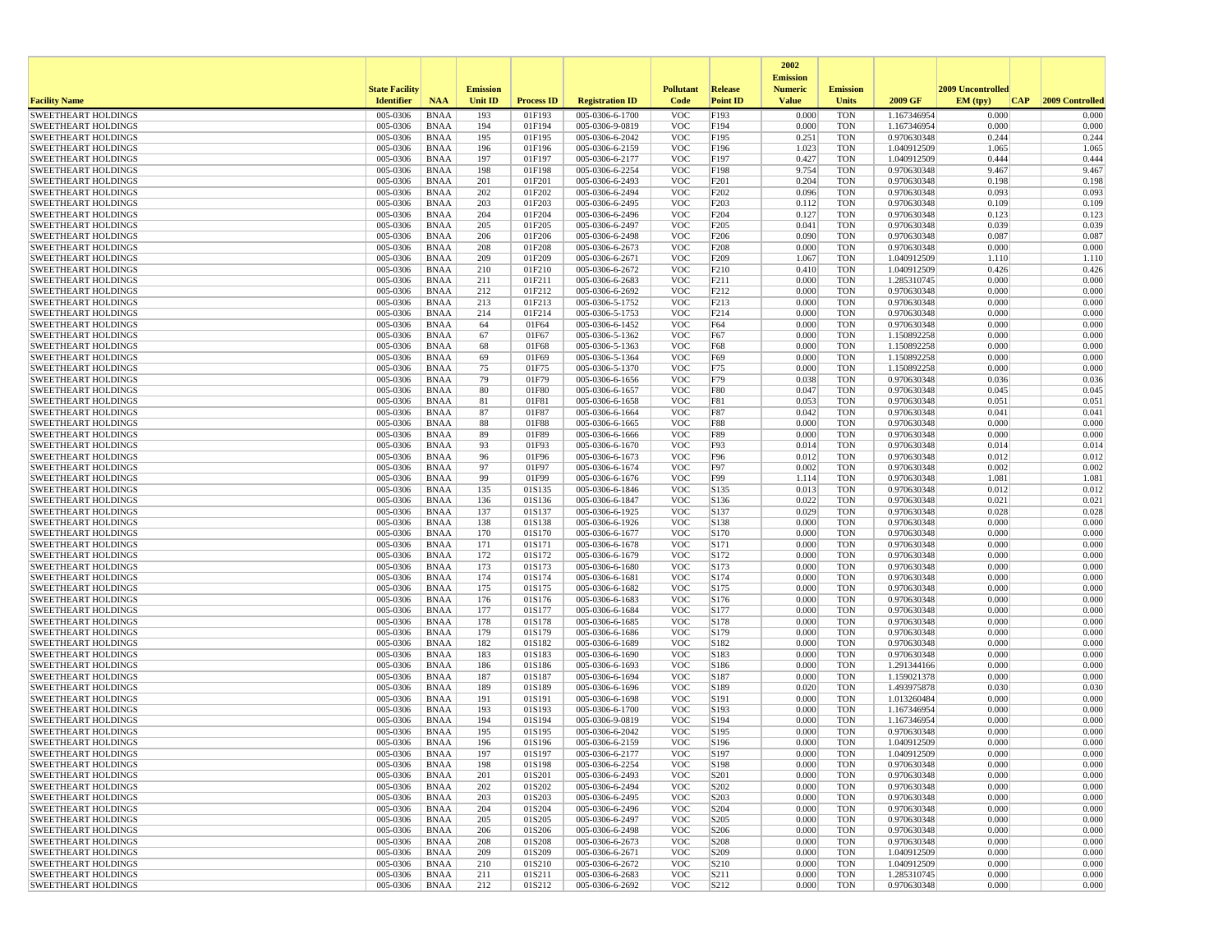|                                                          |                       |                            |                 |                   |                                    |                          |                          | 2002                              |                          |                            |                          |                 |
|----------------------------------------------------------|-----------------------|----------------------------|-----------------|-------------------|------------------------------------|--------------------------|--------------------------|-----------------------------------|--------------------------|----------------------------|--------------------------|-----------------|
|                                                          | <b>State Facility</b> |                            | <b>Emission</b> |                   |                                    | <b>Pollutant</b>         | <b>Release</b>           | <b>Emission</b><br><b>Numeric</b> | <b>Emission</b>          |                            | <b>2009 Uncontrolled</b> |                 |
| <b>Facility Name</b>                                     | <b>Identifier</b>     | <b>NAA</b>                 | <b>Unit ID</b>  | <b>Process ID</b> | <b>Registration ID</b>             | Code                     | <b>Point ID</b>          | <b>Value</b>                      | <b>Units</b>             | 2009 GF                    | EM (tpv)<br>CAP          | 2009 Controlled |
| <b>SWEETHEART HOLDINGS</b>                               | 005-0306              | <b>BNAA</b>                | 193             | 01F193            | 005-0306-6-1700                    | <b>VOC</b>               | F193                     | 0.000                             | <b>TON</b>               | 1.167346954                | 0.000                    | 0.000           |
| <b>SWEETHEART HOLDINGS</b>                               | 005-0306              | <b>BNAA</b>                | 194             | 01F194            | 005-0306-9-0819                    | <b>VOC</b>               | F194                     | 0.000                             | <b>TON</b>               | 1.167346954                | 0.000                    | 0.000           |
| <b>SWEETHEART HOLDINGS</b>                               | 005-0306              | <b>BNAA</b>                | 195             | 01F195            | 005-0306-6-2042                    | <b>VOC</b>               | F195                     | 0.251                             | <b>TON</b>               | 0.970630348                | 0.244                    | 0.244           |
| <b>SWEETHEART HOLDINGS</b>                               | 005-0306              | <b>BNAA</b>                | 196             | 01F196            | 005-0306-6-2159                    | <b>VOC</b>               | F196                     | 1.023                             | <b>TON</b>               | 1.040912509                | 1.065                    | 1.065           |
| <b>SWEETHEART HOLDINGS</b><br><b>SWEETHEART HOLDINGS</b> | 005-0306<br>005-0306  | <b>BNAA</b><br><b>BNAA</b> | 197<br>198      | 01F197<br>01F198  | 005-0306-6-2177<br>005-0306-6-2254 | <b>VOC</b><br><b>VOC</b> | F197<br>F198             | 0.427<br>9.754                    | <b>TON</b><br><b>TON</b> | 1.040912509<br>0.970630348 | 0.444<br>9.467           | 0.444<br>9.467  |
| <b>SWEETHEART HOLDINGS</b>                               | 005-0306              | <b>BNAA</b>                | 201             | 01F201            | 005-0306-6-2493                    | <b>VOC</b>               | F201                     | 0.204                             | <b>TON</b>               | 0.970630348                | 0.198                    | 0.198           |
| <b>SWEETHEART HOLDINGS</b>                               | 005-0306              | <b>BNAA</b>                | 202             | 01F202            | 005-0306-6-2494                    | <b>VOC</b>               | F202                     | 0.096                             | <b>TON</b>               | 0.970630348                | 0.093                    | 0.093           |
| <b>SWEETHEART HOLDINGS</b>                               | 005-0306              | <b>BNAA</b>                | 203             | 01F203            | 005-0306-6-2495                    | <b>VOC</b>               | F203                     | 0.112                             | <b>TON</b>               | 0.970630348                | 0.109                    | 0.109           |
| <b>SWEETHEART HOLDINGS</b>                               | 005-0306              | <b>BNAA</b>                | 204             | 01F204            | 005-0306-6-2496                    | <b>VOC</b>               | F204                     | 0.127                             | <b>TON</b>               | 0.970630348                | 0.123                    | 0.123           |
| <b>SWEETHEART HOLDINGS</b>                               | 005-0306              | <b>BNAA</b>                | 205             | 01F205            | 005-0306-6-2497                    | <b>VOC</b>               | F <sub>205</sub>         | 0.041                             | <b>TON</b>               | 0.970630348                | 0.039                    | 0.039           |
| <b>SWEETHEART HOLDINGS</b>                               | 005-0306              | <b>BNAA</b>                | 206             | 01F206            | 005-0306-6-2498                    | <b>VOC</b>               | F <sub>206</sub>         | 0.090                             | <b>TON</b>               | 0.970630348                | 0.087                    | 0.087           |
| <b>SWEETHEART HOLDINGS</b>                               | 005-0306              | <b>BNAA</b>                | 208             | 01F208            | 005-0306-6-2673                    | <b>VOC</b>               | F208                     | 0.000                             | <b>TON</b>               | 0.970630348                | 0.000                    | 0.000           |
| <b>SWEETHEART HOLDINGS</b>                               | 005-0306              | <b>BNAA</b>                | 209             | 01F209            | 005-0306-6-2671                    | <b>VOC</b>               | F209                     | 1.067                             | <b>TON</b>               | 1.040912509                | 1.110                    | 1.110           |
| <b>SWEETHEART HOLDINGS</b><br><b>SWEETHEART HOLDINGS</b> | 005-0306<br>005-0306  | <b>BNAA</b><br><b>BNAA</b> | 210<br>211      | 01F210<br>01F211  | 005-0306-6-2672<br>005-0306-6-2683 | <b>VOC</b><br><b>VOC</b> | F <sub>210</sub><br>F211 | 0.410<br>0.000                    | <b>TON</b><br><b>TON</b> | 1.040912509<br>1.285310745 | 0.426<br>0.000           | 0.426<br>0.000  |
| <b>SWEETHEART HOLDINGS</b>                               | 005-0306              | <b>BNAA</b>                | 212             | 01F212            | 005-0306-6-2692                    | <b>VOC</b>               | F212                     | 0.000                             | <b>TON</b>               | 0.970630348                | 0.000                    | 0.000           |
| <b>SWEETHEART HOLDINGS</b>                               | 005-0306              | <b>BNAA</b>                | 213             | 01F213            | 005-0306-5-1752                    | <b>VOC</b>               | F213                     | 0.000                             | <b>TON</b>               | 0.970630348                | 0.000                    | 0.000           |
| <b>SWEETHEART HOLDINGS</b>                               | 005-0306              | <b>BNAA</b>                | 214             | 01F214            | 005-0306-5-1753                    | <b>VOC</b>               | F <sub>214</sub>         | 0.000                             | <b>TON</b>               | 0.970630348                | 0.000                    | 0.000           |
| <b>SWEETHEART HOLDINGS</b>                               | 005-0306              | <b>BNAA</b>                | 64              | 01F64             | 005-0306-6-1452                    | <b>VOC</b>               | F64                      | 0.000                             | <b>TON</b>               | 0.970630348                | 0.000                    | 0.000           |
| <b>SWEETHEART HOLDINGS</b>                               | 005-0306              | <b>BNAA</b>                | 67              | 01F67             | 005-0306-5-1362                    | <b>VOC</b>               | F67                      | 0.000                             | <b>TON</b>               | 1.150892258                | 0.000                    | 0.000           |
| <b>SWEETHEART HOLDINGS</b>                               | 005-0306              | <b>BNAA</b>                | 68              | 01F68             | 005-0306-5-1363                    | <b>VOC</b>               | F68                      | 0.000                             | <b>TON</b>               | 1.150892258                | 0.000                    | 0.000           |
| <b>SWEETHEART HOLDINGS</b>                               | 005-0306              | <b>BNAA</b>                | 69              | 01F69             | 005-0306-5-1364                    | <b>VOC</b>               | F69                      | 0.000                             | <b>TON</b>               | 1.150892258                | 0.000                    | 0.000           |
| <b>SWEETHEART HOLDINGS</b>                               | 005-0306              | <b>BNAA</b>                | 75              | 01F75             | 005-0306-5-1370                    | <b>VOC</b>               | F75                      | 0.000                             | <b>TON</b>               | 1.150892258                | 0.000                    | 0.000           |
| <b>SWEETHEART HOLDINGS</b>                               | 005-0306              | <b>BNAA</b>                | 79              | 01F79             | 005-0306-6-1656                    | <b>VOC</b>               | F79                      | 0.038                             | <b>TON</b>               | 0.970630348                | 0.036                    | 0.036           |
| <b>SWEETHEART HOLDINGS</b>                               | 005-0306              | <b>BNAA</b>                | 80              | 01F80             | 005-0306-6-1657                    | <b>VOC</b>               | F80                      | 0.047                             | <b>TON</b>               | 0.970630348                | 0.045                    | 0.045           |
| <b>SWEETHEART HOLDINGS</b>                               | 005-0306              | <b>BNAA</b>                | 81              | 01F81             | 005-0306-6-1658                    | <b>VOC</b>               | F81                      | 0.053                             | <b>TON</b>               | 0.970630348                | 0.051                    | 0.051           |
| <b>SWEETHEART HOLDINGS</b>                               | 005-0306<br>005-0306  | <b>BNAA</b>                | 87              | 01F87             | 005-0306-6-1664                    | <b>VOC</b>               | F87                      | 0.042<br>0.000                    | <b>TON</b>               | 0.970630348<br>0.970630348 | 0.041<br>0.000           | 0.041<br>0.000  |
| <b>SWEETHEART HOLDINGS</b><br><b>SWEETHEART HOLDINGS</b> | 005-0306              | <b>BNAA</b><br><b>BNAA</b> | 88<br>89        | 01F88<br>01F89    | 005-0306-6-1665<br>005-0306-6-1666 | <b>VOC</b><br><b>VOC</b> | <b>F88</b><br>F89        | 0.000                             | <b>TON</b><br><b>TON</b> | 0.970630348                | 0.000                    | 0.000           |
| <b>SWEETHEART HOLDINGS</b>                               | 005-0306              | <b>BNAA</b>                | 93              | 01F93             | 005-0306-6-1670                    | <b>VOC</b>               | F93                      | 0.014                             | <b>TON</b>               | 0.970630348                | 0.014                    | 0.014           |
| <b>SWEETHEART HOLDINGS</b>                               | 005-0306              | <b>BNAA</b>                | 96              | 01F96             | 005-0306-6-1673                    | <b>VOC</b>               | F96                      | 0.012                             | <b>TON</b>               | 0.970630348                | 0.012                    | 0.012           |
| <b>SWEETHEART HOLDINGS</b>                               | 005-0306              | <b>BNAA</b>                | 97              | 01F97             | 005-0306-6-1674                    | <b>VOC</b>               | F97                      | 0.002                             | <b>TON</b>               | 0.970630348                | 0.002                    | 0.002           |
| <b>SWEETHEART HOLDINGS</b>                               | 005-0306              | <b>BNAA</b>                | 99              | 01F99             | 005-0306-6-1676                    | <b>VOC</b>               | F99                      | 1.114                             | <b>TON</b>               | 0.970630348                | 1.081                    | 1.081           |
| <b>SWEETHEART HOLDINGS</b>                               | 005-0306              | <b>BNAA</b>                | 135             | 01S135            | 005-0306-6-1846                    | <b>VOC</b>               | S135                     | 0.013                             | <b>TON</b>               | 0.970630348                | 0.012                    | 0.012           |
| <b>SWEETHEART HOLDINGS</b>                               | 005-0306              | <b>BNAA</b>                | 136             | 01S136            | 005-0306-6-1847                    | <b>VOC</b>               | S136                     | 0.022                             | <b>TON</b>               | 0.970630348                | 0.021                    | 0.021           |
| <b>SWEETHEART HOLDINGS</b>                               | 005-0306              | <b>BNAA</b>                | 137             | 01S137            | 005-0306-6-1925                    | <b>VOC</b>               | S137                     | 0.029                             | <b>TON</b>               | 0.970630348                | 0.028                    | 0.028           |
| <b>SWEETHEART HOLDINGS</b>                               | 005-0306              | <b>BNAA</b>                | 138             | 01S138            | 005-0306-6-1926                    | <b>VOC</b>               | S138                     | 0.000                             | <b>TON</b>               | 0.970630348                | 0.000                    | 0.000           |
| <b>SWEETHEART HOLDINGS</b>                               | 005-0306              | <b>BNAA</b>                | 170             | 01S170            | 005-0306-6-1677                    | <b>VOC</b>               | S170                     | 0.000                             | <b>TON</b>               | 0.970630348                | 0.000                    | 0.000           |
| <b>SWEETHEART HOLDINGS</b><br><b>SWEETHEART HOLDINGS</b> | 005-0306<br>005-0306  | <b>BNAA</b><br><b>BNAA</b> | 171<br>172      | 01S171<br>01S172  | 005-0306-6-1678                    | <b>VOC</b><br><b>VOC</b> | S171<br>S172             | 0.000<br>0.000                    | <b>TON</b><br><b>TON</b> | 0.970630348<br>0.970630348 | 0.000<br>0.000           | 0.000<br>0.000  |
| <b>SWEETHEART HOLDINGS</b>                               | 005-0306              | <b>BNAA</b>                | 173             | 01S173            | 005-0306-6-1679<br>005-0306-6-1680 | <b>VOC</b>               | S173                     | 0.000                             | <b>TON</b>               | 0.970630348                | 0.000                    | 0.000           |
| <b>SWEETHEART HOLDINGS</b>                               | 005-0306              | <b>BNAA</b>                | 174             | 01S174            | 005-0306-6-1681                    | <b>VOC</b>               | S174                     | 0.000                             | <b>TON</b>               | 0.970630348                | 0.000                    | 0.000           |
| <b>SWEETHEART HOLDINGS</b>                               | 005-0306              | <b>BNAA</b>                | 175             | 01S175            | 005-0306-6-1682                    | <b>VOC</b>               | S175                     | 0.000                             | <b>TON</b>               | 0.970630348                | 0.000                    | 0.000           |
| <b>SWEETHEART HOLDINGS</b>                               | 005-0306              | <b>BNAA</b>                | 176             | 01S176            | 005-0306-6-1683                    | <b>VOC</b>               | S176                     | 0.000                             | <b>TON</b>               | 0.970630348                | 0.000                    | 0.000           |
| <b>SWEETHEART HOLDINGS</b>                               | 005-0306              | <b>BNAA</b>                | 177             | 01S177            | 005-0306-6-1684                    | <b>VOC</b>               | S177                     | 0.000                             | <b>TON</b>               | 0.970630348                | 0.000                    | 0.000           |
| <b>SWEETHEART HOLDINGS</b>                               | 005-0306              | <b>BNAA</b>                | 178             | 01S178            | 005-0306-6-1685                    | <b>VOC</b>               | S178                     | 0.000                             | <b>TON</b>               | 0.970630348                | 0.000                    | 0.000           |
| <b>SWEETHEART HOLDINGS</b>                               | 005-0306              | <b>BNAA</b>                | 179             | 01S179            | 005-0306-6-1686                    | <b>VOC</b>               | S179                     | 0.000                             | <b>TON</b>               | 0.970630348                | 0.000                    | 0.000           |
| <b>SWEETHEART HOLDINGS</b>                               | 005-0306              | <b>BNAA</b>                | 182             | 01S182            | 005-0306-6-1689                    | <b>VOC</b>               | S182                     | 0.000                             | <b>TON</b>               | 0.970630348                | 0.000                    | 0.000           |
| <b>SWEETHEART HOLDINGS</b>                               | 005-0306              | <b>BNAA</b>                | 183             | 01S183            | 005-0306-6-1690                    | <b>VOC</b>               | S183                     | 0.000                             | <b>TON</b>               | 0.970630348                | 0.000                    | 0.000           |
| <b>SWEETHEART HOLDINGS</b>                               | 005-0306              | <b>BNAA</b>                | 186             | 01S186            | 005-0306-6-1693<br>005-0306-6-1694 | <b>VOC</b>               | S186                     | 0.000                             | <b>TON</b>               | 1.291344166                | 0.000                    | 0.000           |
| <b>SWEETHEART HOLDINGS</b><br><b>SWEETHEART HOLDINGS</b> | 005-0306<br>005-0306  | <b>BNAA</b><br><b>BNAA</b> | 187<br>189      | 01S187<br>01S189  | 005-0306-6-1696                    | <b>VOC</b><br><b>VOC</b> | S187<br>S189             | 0.000<br>0.020                    | <b>TON</b><br><b>TON</b> | 1.159021378<br>1.493975878 | 0.000<br>0.030           | 0.000<br>0.030  |
| <b>SWEETHEART HOLDINGS</b>                               | 005-0306              | <b>BNAA</b>                | 191             | 01S191            | 005-0306-6-1698                    | <b>VOC</b>               | S191                     | 0.000                             | <b>TON</b>               | 1.013260484                | 0.000                    | 0.000           |
| <b>SWEETHEART HOLDINGS</b>                               | 005-0306              | <b>BNAA</b>                | 193             | 01S193            | 005-0306-6-1700                    | <b>VOC</b>               | S193                     | 0.000                             | <b>TON</b>               | 1.167346954                | 0.000                    | 0.000           |
| <b>SWEETHEART HOLDINGS</b>                               | 005-0306              | <b>BNAA</b>                | 194             | 01S194            | 005-0306-9-0819                    | <b>VOC</b>               | S194                     | 0.000                             | <b>TON</b>               | 1.167346954                | 0.000                    | 0.000           |
| <b>SWEETHEART HOLDINGS</b>                               | 005-0306              | <b>BNAA</b>                | 195             | 01S195            | 005-0306-6-2042                    | <b>VOC</b>               | S195                     | 0.000                             | <b>TON</b>               | 0.970630348                | 0.000                    | 0.000           |
| <b>SWEETHEART HOLDINGS</b>                               | 005-0306              | <b>BNAA</b>                | 196             | 01S196            | 005-0306-6-2159                    | <b>VOC</b>               | S196                     | 0.000                             | <b>TON</b>               | 1.040912509                | 0.000                    | 0.000           |
| <b>SWEETHEART HOLDINGS</b>                               | 005-0306              | <b>BNAA</b>                | 197             | 01S197            | 005-0306-6-2177                    | <b>VOC</b>               | S197                     | 0.000                             | <b>TON</b>               | 1.040912509                | 0.000                    | 0.000           |
| <b>SWEETHEART HOLDINGS</b>                               | 005-0306              | <b>BNAA</b>                | 198             | 01S198            | 005-0306-6-2254                    | <b>VOC</b>               | S198                     | 0.000                             | <b>TON</b>               | 0.970630348                | 0.000                    | 0.000           |
| <b>SWEETHEART HOLDINGS</b>                               | 005-0306              | <b>BNAA</b>                | 201             | 01S201            | 005-0306-6-2493                    | <b>VOC</b>               | S <sub>201</sub>         | 0.000                             | <b>TON</b>               | 0.970630348                | 0.000                    | 0.000           |
| <b>SWEETHEART HOLDINGS</b>                               | 005-0306              | BNAA                       | 202             | 01S202            | 005-0306-6-2494                    | <b>VOC</b>               | S202                     | 0.000                             | <b>TON</b>               | 0.970630348                | 0.000                    | 0.000           |
| <b>SWEETHEART HOLDINGS</b><br><b>SWEETHEART HOLDINGS</b> | 005-0306<br>005-0306  | <b>BNAA</b><br><b>BNAA</b> | 203<br>204      | 01S203<br>01S204  | 005-0306-6-2495<br>005-0306-6-2496 | <b>VOC</b><br><b>VOC</b> | S203<br>S204             | 0.000<br>0.000                    | <b>TON</b><br><b>TON</b> | 0.970630348<br>0.970630348 | 0.000<br>0.000           | 0.000<br>0.000  |
| <b>SWEETHEART HOLDINGS</b>                               | 005-0306              | <b>BNAA</b>                | 205             | 01S205            | 005-0306-6-2497                    | <b>VOC</b>               | S205                     | 0.000                             | <b>TON</b>               | 0.970630348                | 0.000                    | 0.000           |
| <b>SWEETHEART HOLDINGS</b>                               | 005-0306              | <b>BNAA</b>                | 206             | 01S206            | 005-0306-6-2498                    | <b>VOC</b>               | S206                     | 0.000                             | <b>TON</b>               | 0.970630348                | 0.000                    | 0.000           |
| <b>SWEETHEART HOLDINGS</b>                               | 005-0306              | <b>BNAA</b>                | 208             | 01S208            | 005-0306-6-2673                    | <b>VOC</b>               | S208                     | 0.000                             | <b>TON</b>               | 0.970630348                | 0.000                    | 0.000           |
| <b>SWEETHEART HOLDINGS</b>                               | 005-0306              | <b>BNAA</b>                | 209             | 01S209            | 005-0306-6-2671                    | <b>VOC</b>               | S209                     | 0.000                             | <b>TON</b>               | 1.040912509                | 0.000                    | 0.000           |
| <b>SWEETHEART HOLDINGS</b>                               | 005-0306              | <b>BNAA</b>                | 210             | 01S210            | 005-0306-6-2672                    | <b>VOC</b>               | S <sub>210</sub>         | 0.000                             | <b>TON</b>               | 1.040912509                | 0.000                    | 0.000           |
| <b>SWEETHEART HOLDINGS</b>                               | 005-0306              | <b>BNAA</b>                | 211             | 01S211            | 005-0306-6-2683                    | <b>VOC</b>               | S211                     | 0.000                             | <b>TON</b>               | 1.285310745                | 0.000                    | 0.000           |
| <b>SWEETHEART HOLDINGS</b>                               | 005-0306              | <b>BNAA</b>                | 212             | 01S212            | 005-0306-6-2692                    | <b>VOC</b>               | S212                     | 0.000                             | <b>TON</b>               | 0.970630348                | 0.000                    | 0.000           |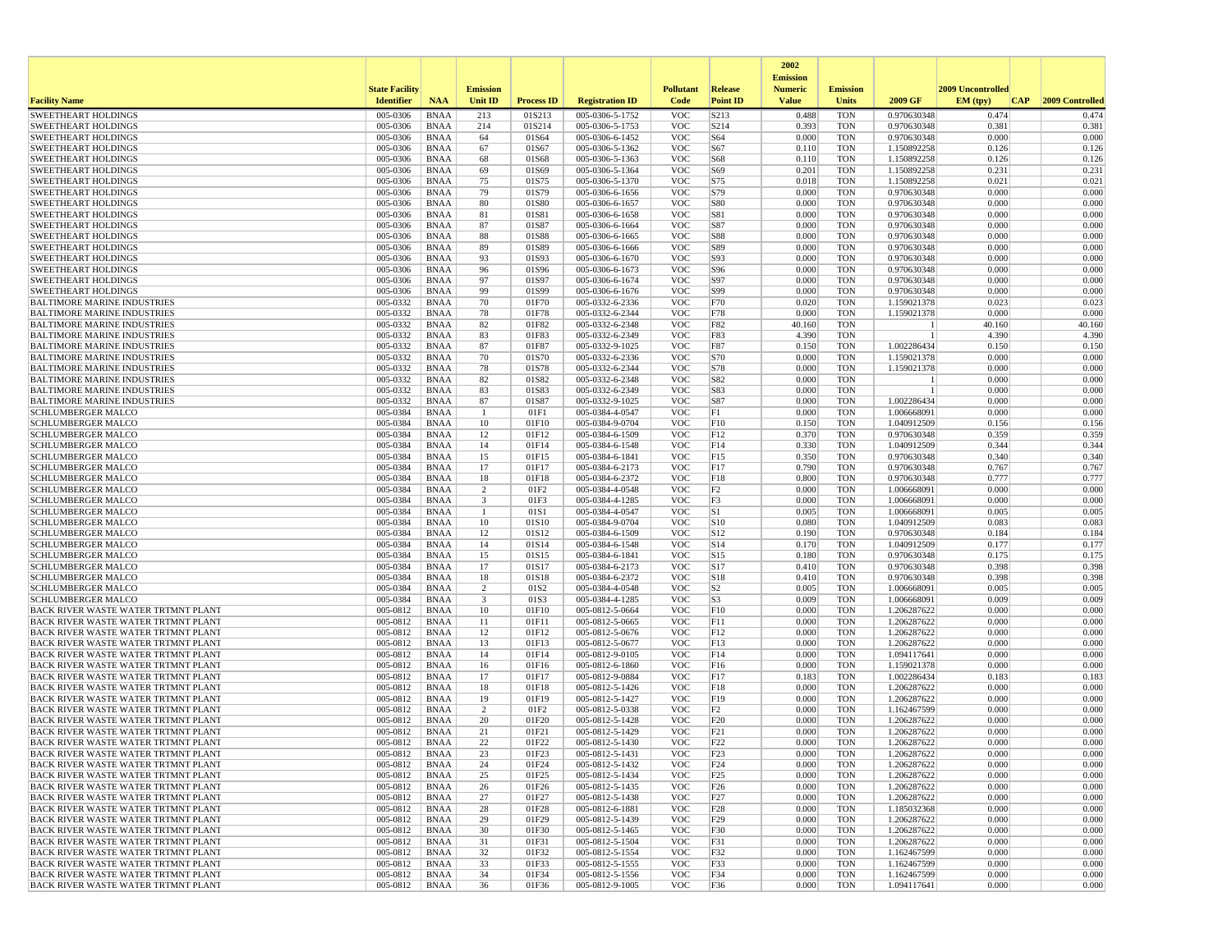|                                                                                   |                       |                            |                         |                   |                                    |                          |                 | 2002                              |                          |                            |                   |                 |
|-----------------------------------------------------------------------------------|-----------------------|----------------------------|-------------------------|-------------------|------------------------------------|--------------------------|-----------------|-----------------------------------|--------------------------|----------------------------|-------------------|-----------------|
|                                                                                   | <b>State Facility</b> |                            | <b>Emission</b>         |                   |                                    | <b>Pollutant</b>         | Release         | <b>Emission</b><br><b>Numeric</b> | <b>Emission</b>          |                            | 2009 Uncontrolled |                 |
| <b>Facility Name</b>                                                              | <b>Identifier</b>     | <b>NAA</b>                 | Unit ID                 | <b>Process ID</b> | <b>Registration ID</b>             | Code                     | <b>Point ID</b> | <b>Value</b>                      | <b>Units</b>             | 2009 GF                    | EM (typ)<br> CAP  | 2009 Controlled |
| <b>SWEETHEART HOLDINGS</b>                                                        | 005-0306              | <b>BNAA</b>                | 213                     | 01S213            | 005-0306-5-1752                    | <b>VOC</b>               | S213            | 0.488                             | <b>TON</b>               | 0.970630348                | 0.474             | 0.474           |
| <b>SWEETHEART HOLDINGS</b>                                                        | 005-0306              | <b>BNAA</b>                | 214                     | 01S214            | 005-0306-5-1753                    | <b>VOC</b>               | S214            | 0.393                             | <b>TON</b>               | 0.970630348                | 0.381             | 0.381           |
| <b>SWEETHEART HOLDINGS</b>                                                        | 005-0306              | <b>BNAA</b>                | 64                      | 01S64             | 005-0306-6-1452                    | <b>VOC</b>               | S64             | 0.000                             | <b>TON</b>               | 0.970630348                | 0.000             | 0.000           |
| SWEETHEART HOLDINGS                                                               | 005-0306<br>005-0306  | <b>BNAA</b>                | 67<br>68                | 01S67<br>01S68    | 005-0306-5-1362<br>005-0306-5-1363 | <b>VOC</b><br><b>VOC</b> | S67<br>S68      | 0.110<br>0.110                    | <b>TON</b><br><b>TON</b> | 1.150892258                | 0.126<br>0.126    | 0.126<br>0.126  |
| <b>SWEETHEART HOLDINGS</b><br>SWEETHEART HOLDINGS                                 | 005-0306              | <b>BNAA</b><br><b>BNAA</b> | 69                      | 01S69             | 005-0306-5-1364                    | <b>VOC</b>               | S69             | 0.201                             | <b>TON</b>               | 1.150892258<br>1.150892258 | 0.231             | 0.231           |
| SWEETHEART HOLDINGS                                                               | 005-0306              | <b>BNAA</b>                | 75                      | 01S75             | 005-0306-5-1370                    | <b>VOC</b>               | S75             | 0.018                             | <b>TON</b>               | 1.150892258                | 0.021             | 0.021           |
| <b>SWEETHEART HOLDINGS</b>                                                        | 005-0306              | <b>BNAA</b>                | 79                      | 01S79             | 005-0306-6-1656                    | <b>VOC</b>               | S79             | 0.000                             | <b>TON</b>               | 0.970630348                | 0.000             | 0.000           |
| <b>SWEETHEART HOLDINGS</b>                                                        | 005-0306              | <b>BNAA</b>                | 80                      | 01S80             | 005-0306-6-1657                    | <b>VOC</b>               | S80             | 0.000                             | <b>TON</b>               | 0.970630348                | 0.000             | 0.000           |
| <b>SWEETHEART HOLDINGS</b>                                                        | 005-0306              | <b>BNAA</b>                | 81                      | 01S81             | 005-0306-6-1658                    | <b>VOC</b>               | S81             | 0.000                             | <b>TON</b>               | 0.970630348                | 0.000             | 0.000           |
| <b>SWEETHEART HOLDINGS</b>                                                        | 005-0306              | <b>BNAA</b>                | 87                      | 01S87             | 005-0306-6-1664                    | <b>VOC</b>               | S87             | 0.000                             | <b>TON</b>               | 0.970630348                | 0.000             | 0.000           |
| <b>SWEETHEART HOLDINGS</b>                                                        | 005-0306              | <b>BNAA</b>                | 88                      | 01S88             | 005-0306-6-1665                    | <b>VOC</b>               | <b>S88</b>      | 0.000                             | <b>TON</b>               | 0.970630348                | 0.000             | 0.000           |
| <b>SWEETHEART HOLDINGS</b><br><b>SWEETHEART HOLDINGS</b>                          | 005-0306<br>005-0306  | <b>BNAA</b><br><b>BNAA</b> | 89<br>93                | 01S89<br>01S93    | 005-0306-6-1666<br>005-0306-6-1670 | <b>VOC</b><br><b>VOC</b> | S89<br>S93      | 0.000<br>0.000                    | <b>TON</b><br><b>TON</b> | 0.970630348<br>0.970630348 | 0.000<br>0.000    | 0.000<br>0.000  |
| <b>SWEETHEART HOLDINGS</b>                                                        | 005-0306              | <b>BNAA</b>                | 96                      | 01S96             | 005-0306-6-1673                    | <b>VOC</b>               | S96             | 0.000                             | <b>TON</b>               | 0.970630348                | 0.000             | 0.000           |
| <b>SWEETHEART HOLDINGS</b>                                                        | 005-0306              | <b>BNAA</b>                | 97                      | 01S97             | 005-0306-6-1674                    | <b>VOC</b>               | S97             | 0.000                             | <b>TON</b>               | 0.970630348                | 0.000             | 0.000           |
| <b>SWEETHEART HOLDINGS</b>                                                        | 005-0306              | <b>BNAA</b>                | 99                      | 01S99             | 005-0306-6-1676                    | <b>VOC</b>               | S99             | 0.000                             | <b>TON</b>               | 0.970630348                | 0.000             | 0.000           |
| <b>BALTIMORE MARINE INDUSTRIES</b>                                                | 005-0332              | <b>BNAA</b>                | 70                      | 01F70             | 005-0332-6-2336                    | <b>VOC</b>               | F70             | 0.020                             | <b>TON</b>               | 1.159021378                | 0.023             | 0.023           |
| BALTIMORE MARINE INDUSTRIES                                                       | 005-0332              | <b>BNAA</b>                | 78                      | 01F78             | 005-0332-6-2344                    | <b>VOC</b>               | F78             | 0.000                             | <b>TON</b>               | 1.159021378                | 0.000             | 0.000           |
| <b>BALTIMORE MARINE INDUSTRIES</b>                                                | 005-0332              | <b>BNAA</b>                | 82                      | 01F82             | 005-0332-6-2348                    | <b>VOC</b>               | F82             | 40.160                            | <b>TON</b>               |                            | 40.160            | 40.160          |
| <b>BALTIMORE MARINE INDUSTRIES</b>                                                | 005-0332              | <b>BNAA</b>                | 83                      | 01F83             | 005-0332-6-2349                    | <b>VOC</b>               | F83             | 4.390                             | <b>TON</b>               |                            | 4.390             | 4.390           |
| <b>BALTIMORE MARINE INDUSTRIES</b>                                                | 005-0332<br>005-0332  | <b>BNAA</b>                | 87                      | 01F87             | 005-0332-9-1025<br>005-0332-6-2336 | <b>VOC</b>               | F87<br>S70      | 0.150<br>0.000                    | <b>TON</b>               | 1.002286434                | 0.150<br>0.000    | 0.150<br>0.000  |
| <b>BALTIMORE MARINE INDUSTRIES</b><br><b>BALTIMORE MARINE INDUSTRIES</b>          | 005-0332              | <b>BNAA</b><br><b>BNAA</b> | 70<br>78                | 01S70<br>01S78    | 005-0332-6-2344                    | <b>VOC</b><br><b>VOC</b> | S78             | 0.000                             | <b>TON</b><br><b>TON</b> | 1.159021378<br>1.159021378 | 0.000             | 0.000           |
| <b>BALTIMORE MARINE INDUSTRIES</b>                                                | 005-0332              | <b>BNAA</b>                | 82                      | 01S82             | 005-0332-6-2348                    | <b>VOC</b>               | S82             | 0.000                             | <b>TON</b>               |                            | 0.000             | 0.000           |
| <b>BALTIMORE MARINE INDUSTRIES</b>                                                | 005-0332              | <b>BNAA</b>                | 83                      | 01S83             | 005-0332-6-2349                    | <b>VOC</b>               | S83             | 0.000                             | <b>TON</b>               |                            | 0.000             | 0.000           |
| <b>BALTIMORE MARINE INDUSTRIES</b>                                                | 005-0332              | <b>BNAA</b>                | 87                      | 01S87             | 005-0332-9-1025                    | <b>VOC</b>               | S87             | 0.000                             | <b>TON</b>               | 1.002286434                | 0.000             | 0.000           |
| <b>SCHLUMBERGER MALCO</b>                                                         | 005-0384              | <b>BNAA</b>                | $\overline{1}$          | 01F1              | 005-0384-4-0547                    | <b>VOC</b>               | F1              | 0.000                             | <b>TON</b>               | 1.006668091                | 0.000             | 0.000           |
| <b>SCHLUMBERGER MALCO</b>                                                         | 005-0384              | <b>BNAA</b>                | 10                      | 01F10             | 005-0384-9-0704                    | <b>VOC</b>               | F10             | 0.150                             | <b>TON</b>               | 1.040912509                | 0.156             | 0.156           |
| <b>SCHLUMBERGER MALCO</b>                                                         | 005-0384              | <b>BNAA</b>                | 12                      | 01F12             | 005-0384-6-1509                    | <b>VOC</b>               | F12             | 0.370                             | <b>TON</b>               | 0.970630348                | 0.359             | 0.359           |
| <b>SCHLUMBERGER MALCO</b><br><b>SCHLUMBERGER MALCO</b>                            | 005-0384<br>005-0384  | <b>BNAA</b><br><b>BNAA</b> | 14<br>15                | 01F14<br>01F15    | 005-0384-6-1548<br>005-0384-6-1841 | <b>VOC</b><br><b>VOC</b> | F14<br>F15      | 0.330<br>0.350                    | <b>TON</b><br><b>TON</b> | 1.040912509<br>0.970630348 | 0.344<br>0.340    | 0.344<br>0.340  |
| <b>SCHLUMBERGER MALCO</b>                                                         | 005-0384              | <b>BNAA</b>                | 17                      | 01F17             | 005-0384-6-2173                    | <b>VOC</b>               | F17             | 0.790                             | <b>TON</b>               | 0.970630348                | 0.767             | 0.767           |
| <b>SCHLUMBERGER MALCO</b>                                                         | 005-0384              | <b>BNAA</b>                | 18                      | 01F18             | 005-0384-6-2372                    | <b>VOC</b>               | F18             | 0.800                             | <b>TON</b>               | 0.970630348                | 0.777             | 0.777           |
| <b>SCHLUMBERGER MALCO</b>                                                         | 005-0384              | <b>BNAA</b>                | $\overline{2}$          | 01F2              | 005-0384-4-0548                    | <b>VOC</b>               | F <sub>2</sub>  | 0.000                             | <b>TON</b>               | 1.006668091                | 0.000             | 0.000           |
| <b>SCHLUMBERGER MALCO</b>                                                         | 005-0384              | <b>BNAA</b>                | 3                       | 01F3              | 005-0384-4-1285                    | <b>VOC</b>               | F3              | 0.000                             | <b>TON</b>               | 1.006668091                | 0.000             | 0.000           |
| <b>SCHLUMBERGER MALCO</b>                                                         | 005-0384              | <b>BNAA</b>                |                         | 01S1              | 005-0384-4-0547                    | <b>VOC</b>               | S1              | 0.005                             | <b>TON</b>               | 1.006668091                | 0.005             | 0.005           |
| <b>SCHLUMBERGER MALCO</b>                                                         | 005-0384              | <b>BNAA</b>                | 10                      | 01S10             | 005-0384-9-0704                    | <b>VOC</b>               | S10             | 0.080                             | <b>TON</b>               | 1.040912509                | 0.083             | 0.083           |
| <b>SCHLUMBERGER MALCO</b>                                                         | 005-0384              | <b>BNAA</b>                | 12                      | 01S12             | 005-0384-6-1509                    | <b>VOC</b>               | S12<br>S14      | 0.190<br>0.170                    | <b>TON</b>               | 0.970630348                | 0.184             | 0.184           |
| <b>SCHLUMBERGER MALCO</b><br><b>SCHLUMBERGER MALCO</b>                            | 005-0384<br>005-0384  | <b>BNAA</b><br><b>BNAA</b> | 14<br>15                | 01S14<br>01S15    | 005-0384-6-1548<br>005-0384-6-1841 | <b>VOC</b><br><b>VOC</b> | S <sub>15</sub> | 0.180                             | <b>TON</b><br><b>TON</b> | 1.040912509<br>0.970630348 | 0.177<br>0.175    | 0.177<br>0.175  |
| <b>SCHLUMBERGER MALCO</b>                                                         | 005-0384              | <b>BNAA</b>                | 17                      | 01S17             | 005-0384-6-2173                    | <b>VOC</b>               | S17             | 0.410                             | <b>TON</b>               | 0.970630348                | 0.398             | 0.398           |
| <b>SCHLUMBERGER MALCO</b>                                                         | 005-0384              | <b>BNAA</b>                | 18                      | 01S18             | 005-0384-6-2372                    | <b>VOC</b>               | S18             | 0.410                             | <b>TON</b>               | 0.970630348                | 0.398             | 0.398           |
| <b>SCHLUMBERGER MALCO</b>                                                         | 005-0384              | <b>BNAA</b>                | 2                       | 01S <sub>2</sub>  | 005-0384-4-0548                    | <b>VOC</b>               | S <sub>2</sub>  | 0.005                             | <b>TON</b>               | 1.006668091                | 0.005             | 0.005           |
| <b>SCHLUMBERGER MALCO</b>                                                         | 005-0384              | <b>BNAA</b>                | $\overline{\mathbf{3}}$ | 01S3              | 005-0384-4-1285                    | <b>VOC</b>               | S <sub>3</sub>  | 0.009                             | <b>TON</b>               | 1.006668091                | 0.009             | 0.009           |
| BACK RIVER WASTE WATER TRTMNT PLANT                                               | 005-0812              | <b>BNAA</b>                | 10                      | 01F10             | 005-0812-5-0664                    | <b>VOC</b>               | F10             | 0.000                             | <b>TON</b>               | 1.206287622                | 0.000             | 0.000           |
| BACK RIVER WASTE WATER TRTMNT PLANT                                               | 005-0812              | <b>BNAA</b>                | 11                      | 01F11             | 005-0812-5-0665                    | <b>VOC</b>               | F11             | 0.000                             | <b>TON</b>               | 1.206287622                | 0.000             | 0.000           |
| <b>BACK RIVER WASTE WATER TRTMNT PLANT</b><br>BACK RIVER WASTE WATER TRTMNT PLANT | 005-0812<br>005-0812  | <b>BNAA</b><br><b>BNAA</b> | 12<br>13                | 01F12<br>01F13    | 005-0812-5-0676<br>005-0812-5-0677 | <b>VOC</b><br><b>VOC</b> | F12<br>F13      | 0.000<br>0.000                    | <b>TON</b><br><b>TON</b> | 1.206287622<br>1.206287622 | 0.000<br>0.000    | 0.000<br>0.000  |
| BACK RIVER WASTE WATER TRTMNT PLANT                                               | 005-0812              | <b>BNAA</b>                | 14                      | 01F14             | 005-0812-9-0105                    | <b>VOC</b>               | F14             | 0.000                             | <b>TON</b>               | 1.094117641                | 0.000             | 0.000           |
| BACK RIVER WASTE WATER TRTMNT PLANT                                               | 005-0812              | <b>BNAA</b>                | 16                      | 01F16             | 005-0812-6-1860                    | <b>VOC</b>               | F16             | 0.000                             | <b>TON</b>               | 1.159021378                | 0.000             | 0.000           |
| BACK RIVER WASTE WATER TRTMNT PLANT                                               | 005-0812              | <b>BNAA</b>                | 17                      | 01F17             | 005-0812-9-0884                    | <b>VOC</b>               | F17             | 0.183                             | <b>TON</b>               | 1.002286434                | 0.183             | 0.183           |
| BACK RIVER WASTE WATER TRTMNT PLANT                                               | 005-0812              | <b>BNAA</b>                | 18                      | 01F18             | 005-0812-5-1426                    | <b>VOC</b>               | F18             | 0.000                             | <b>TON</b>               | 1.206287622                | 0.000             | 0.000           |
| <b>BACK RIVER WASTE WATER TRTMNT PLANT</b>                                        | 005-0812              | <b>BNAA</b>                | 19                      | 01F19             | 005-0812-5-1427                    | <b>VOC</b>               | F19             | 0.000                             | <b>TON</b>               | 1.206287622                | 0.000             | 0.000           |
| BACK RIVER WASTE WATER TRTMNT PLANT                                               | 005-0812              | <b>BNAA</b>                | 2                       | 01F2              | 005-0812-5-0338                    | <b>VOC</b>               | F <sub>2</sub>  | 0.000                             | <b>TON</b>               | 1.162467599                | 0.000             | 0.000           |
| <b>BACK RIVER WASTE WATER TRTMNT PLANT</b>                                        | 005-0812              | <b>BNAA</b>                | 20                      | 01F20             | 005-0812-5-1428                    | <b>VOC</b>               | F20             | 0.000                             | <b>TON</b>               | 1.206287622                | 0.000             | 0.000           |
| BACK RIVER WASTE WATER TRTMNT PLANT<br>BACK RIVER WASTE WATER TRTMNT PLANT        | 005-0812<br>005-0812  | <b>BNAA</b><br><b>BNAA</b> | 21<br>22                | 01F21<br>01F22    | 005-0812-5-1429<br>005-0812-5-1430 | <b>VOC</b><br><b>VOC</b> | F21<br>F22      | 0.000<br>0.000                    | <b>TON</b><br><b>TON</b> | 1.206287622<br>1.206287622 | 0.000<br>0.000    | 0.000<br>0.000  |
| BACK RIVER WASTE WATER TRTMNT PLANT                                               | 005-0812              | <b>BNAA</b>                | 23                      | 01F23             | 005-0812-5-1431                    | <b>VOC</b>               | F23             | 0.000                             | <b>TON</b>               | 1.206287622                | 0.000             | 0.000           |
| BACK RIVER WASTE WATER TRTMNT PLANT                                               | 005-0812              | BNAA                       | 24                      | 01F24             | 005-0812-5-1432                    | <b>VOC</b>               | F24             | 0.000                             | TON                      | 1.206287622                | 0.000             | 0.000           |
| <b>BACK RIVER WASTE WATER TRTMNT PLANT</b>                                        | 005-0812              | <b>BNAA</b>                | 25                      | 01F25             | 005-0812-5-1434                    | <b>VOC</b>               | F25             | 0.000                             | <b>TON</b>               | 1.206287622                | 0.000             | 0.000           |
| BACK RIVER WASTE WATER TRTMNT PLANT                                               | 005-0812              | <b>BNAA</b>                | 26                      | 01F26             | 005-0812-5-1435                    | <b>VOC</b>               | F <sub>26</sub> | 0.000                             | <b>TON</b>               | 1.206287622                | 0.000             | 0.000           |
| <b>BACK RIVER WASTE WATER TRTMNT PLANT</b>                                        | 005-0812              | <b>BNAA</b>                | 27                      | 01F27             | 005-0812-5-1438                    | <b>VOC</b>               | F27             | 0.000                             | <b>TON</b>               | 1.206287622                | 0.000             | 0.000           |
| <b>BACK RIVER WASTE WATER TRTMNT PLANT</b>                                        | 005-0812              | <b>BNAA</b>                | 28                      | 01F28             | 005-0812-6-1881                    | <b>VOC</b>               | F28             | 0.000                             | <b>TON</b>               | 1.185032368                | 0.000             | 0.000           |
| <b>BACK RIVER WASTE WATER TRTMNT PLANT</b>                                        | 005-0812              | <b>BNAA</b>                | 29                      | 01F29             | 005-0812-5-1439                    | <b>VOC</b>               | F29             | 0.000                             | <b>TON</b>               | 1.206287622                | 0.000             | 0.000           |
| BACK RIVER WASTE WATER TRTMNT PLANT<br><b>BACK RIVER WASTE WATER TRTMNT PLANT</b> | 005-0812<br>005-0812  | BNAA<br><b>BNAA</b>        | 30<br>31                | 01F30<br>01F31    | 005-0812-5-1465<br>005-0812-5-1504 | <b>VOC</b><br><b>VOC</b> | F30<br>F31      | 0.000<br>0.000                    | <b>TON</b><br><b>TON</b> | 1.206287622<br>1.206287622 | 0.000<br>0.000    | 0.000<br>0.000  |
| <b>BACK RIVER WASTE WATER TRTMNT PLANT</b>                                        | 005-0812              | BNAA                       | 32                      | 01F32             | 005-0812-5-1554                    | <b>VOC</b>               | F32             | 0.000                             | TON                      | 1.162467599                | 0.000             | 0.000           |
| <b>BACK RIVER WASTE WATER TRTMNT PLANT</b>                                        | 005-0812              | <b>BNAA</b>                | 33                      | 01F33             | 005-0812-5-1555                    | <b>VOC</b>               | F33             | 0.000                             | <b>TON</b>               | 1.162467599                | 0.000             | 0.000           |
| BACK RIVER WASTE WATER TRTMNT PLANT                                               | 005-0812              | <b>BNAA</b>                | 34                      | 01F34             | 005-0812-5-1556                    | <b>VOC</b>               | F34             | 0.000                             | <b>TON</b>               | 1.162467599                | 0.000             | 0.000           |
| BACK RIVER WASTE WATER TRTMNT PLANT                                               | 005-0812              | BNAA                       | 36                      | 01F36             | 005-0812-9-1005                    | <b>VOC</b>               | F36             | 0.000                             | TON                      | 1.094117641                | 0.000             | 0.000           |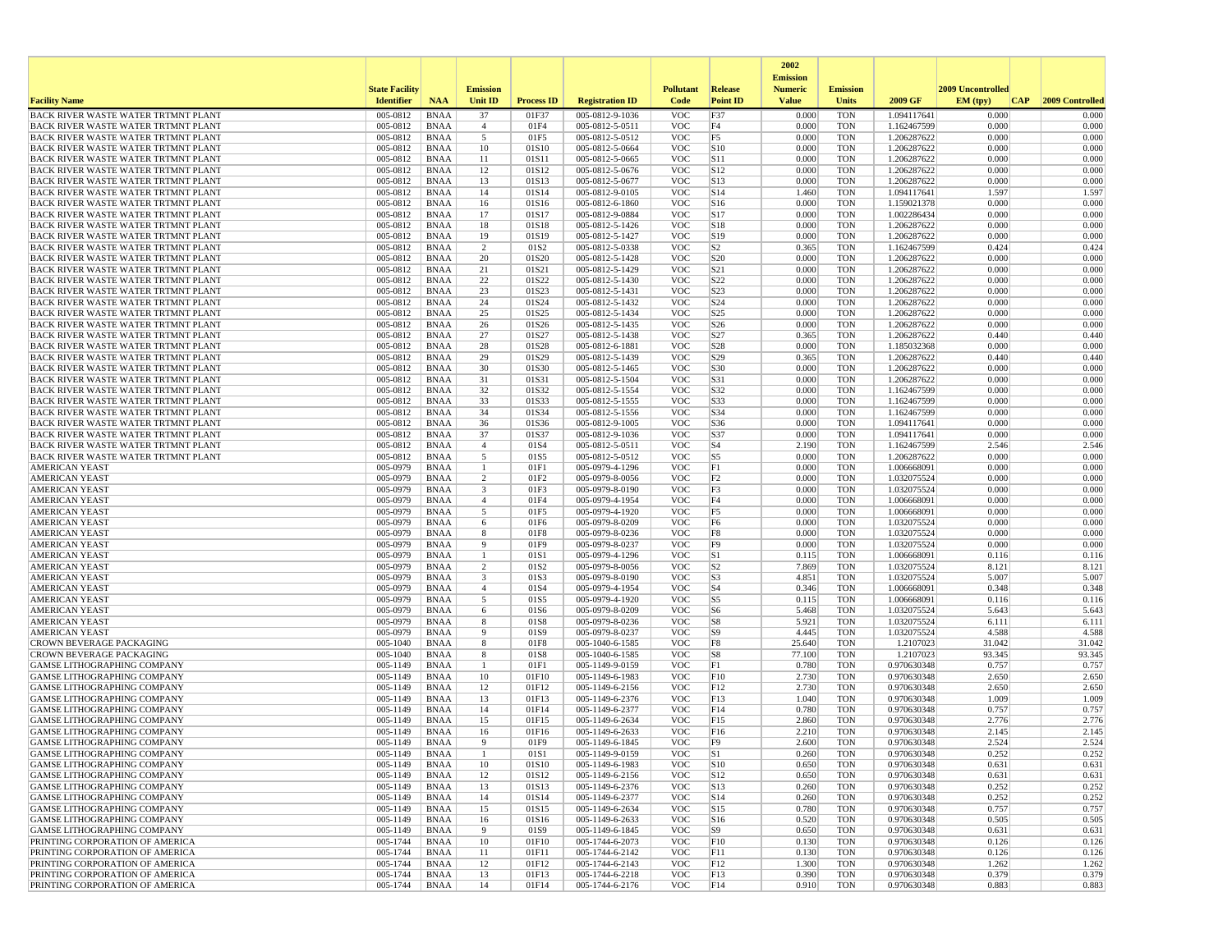|                                                                                   |                       |                            |                         |                   |                                    |                          |                                    | 2002                              |                          |                            |                          |                 |
|-----------------------------------------------------------------------------------|-----------------------|----------------------------|-------------------------|-------------------|------------------------------------|--------------------------|------------------------------------|-----------------------------------|--------------------------|----------------------------|--------------------------|-----------------|
|                                                                                   | <b>State Facility</b> |                            | <b>Emission</b>         |                   |                                    | <b>Pollutant</b>         | Release                            | <b>Emission</b><br><b>Numeric</b> | <b>Emission</b>          |                            | <b>2009 Uncontrolled</b> |                 |
| <b>Facility Name</b>                                                              | <b>Identifier</b>     | <b>NAA</b>                 | Unit ID                 | <b>Process ID</b> | <b>Registration ID</b>             | Code                     | <b>Point ID</b>                    | <b>Value</b>                      | <b>Units</b>             | 2009 GF                    | EM (typ)<br> CAP         | 2009 Controlled |
| BACK RIVER WASTE WATER TRTMNT PLANT                                               | 005-0812              | <b>BNAA</b>                | 37                      | 01F37             | 005-0812-9-1036                    | <b>VOC</b>               | F37                                | 0.000                             | <b>TON</b>               | 1.094117641                | 0.000                    | 0.000           |
| BACK RIVER WASTE WATER TRTMNT PLANT                                               | 005-0812<br>005-0812  | <b>BNAA</b><br><b>BNAA</b> | $\overline{4}$          | 01F4<br>01F5      | 005-0812-5-0511                    | <b>VOC</b><br><b>VOC</b> | F4                                 | 0.000<br>0.000                    | <b>TON</b><br><b>TON</b> | 1.162467599                | 0.000<br>0.000           | 0.000<br>0.000  |
| BACK RIVER WASTE WATER TRTMNT PLANT<br><b>BACK RIVER WASTE WATER TRTMNT PLANT</b> | 005-0812              | <b>BNAA</b>                | 5<br>10                 | 01S10             | 005-0812-5-0512<br>005-0812-5-0664 | <b>VOC</b>               | F <sub>5</sub><br> S10             | 0.000                             | <b>TON</b>               | 1.206287622<br>1.206287622 | 0.000                    | 0.000           |
| BACK RIVER WASTE WATER TRTMNT PLANT                                               | 005-0812              | <b>BNAA</b>                | 11                      | 01S11             | 005-0812-5-0665                    | <b>VOC</b>               | <b>S11</b>                         | 0.000                             | <b>TON</b>               | 1.206287622                | 0.000                    | 0.000           |
| BACK RIVER WASTE WATER TRTMNT PLANT                                               | 005-0812              | <b>BNAA</b>                | 12                      | 01S12             | 005-0812-5-0676                    | <b>VOC</b>               | S12                                | 0.000                             | <b>TON</b>               | 1.206287622                | 0.000                    | 0.000           |
| BACK RIVER WASTE WATER TRTMNT PLANT                                               | 005-0812              | <b>BNAA</b>                | 13                      | 01S13             | 005-0812-5-0677                    | <b>VOC</b>               | S <sub>13</sub>                    | 0.000                             | <b>TON</b>               | 1.206287622                | 0.000                    | 0.000           |
| BACK RIVER WASTE WATER TRTMNT PLANT                                               | 005-0812              | <b>BNAA</b>                | 14                      | 01S14             | 005-0812-9-0105                    | <b>VOC</b>               | S <sub>14</sub>                    | 1.460                             | <b>TON</b>               | 1.094117641                | 1.597                    | 1.597           |
| BACK RIVER WASTE WATER TRTMNT PLANT<br>BACK RIVER WASTE WATER TRTMNT PLANT        | 005-0812<br>005-0812  | <b>BNAA</b><br><b>BNAA</b> | 16<br>17                | 01S16<br>01S17    | 005-0812-6-1860<br>005-0812-9-0884 | <b>VOC</b><br><b>VOC</b> | S16<br>S17                         | 0.000<br>0.000                    | <b>TON</b><br><b>TON</b> | 1.159021378<br>1.002286434 | 0.000<br>0.000           | 0.000<br>0.000  |
| BACK RIVER WASTE WATER TRTMNT PLANT                                               | 005-0812              | <b>BNAA</b>                | 18                      | 01S18             | 005-0812-5-1426                    | <b>VOC</b>               | S18                                | 0.000                             | <b>TON</b>               | 1.206287622                | 0.000                    | 0.000           |
| <b>BACK RIVER WASTE WATER TRTMNT PLANT</b>                                        | 005-0812              | <b>BNAA</b>                | 19                      | 01S19             | 005-0812-5-1427                    | <b>VOC</b>               | S19                                | 0.000                             | <b>TON</b>               | 1.206287622                | 0.000                    | 0.000           |
| BACK RIVER WASTE WATER TRTMNT PLANT                                               | 005-0812              | <b>BNAA</b>                | 2                       | 01S2              | 005-0812-5-0338                    | <b>VOC</b>               | S <sub>2</sub>                     | 0.365                             | <b>TON</b>               | 1.162467599                | 0.424                    | 0.424           |
| BACK RIVER WASTE WATER TRTMNT PLANT                                               | 005-0812              | <b>BNAA</b>                | 20                      | 01S20             | 005-0812-5-1428                    | <b>VOC</b><br><b>VOC</b> | S <sub>20</sub>                    | 0.000                             | <b>TON</b>               | 1.206287622<br>1.206287622 | 0.000<br>0.000           | 0.000<br>0.000  |
| BACK RIVER WASTE WATER TRTMNT PLANT<br>BACK RIVER WASTE WATER TRTMNT PLANT        | 005-0812<br>005-0812  | <b>BNAA</b><br>BNAA        | 21<br>22                | 01S21<br>01S22    | 005-0812-5-1429<br>005-0812-5-1430 | <b>VOC</b>               | S <sub>21</sub><br>S <sub>22</sub> | 0.000<br>0.000                    | <b>TON</b><br><b>TON</b> | 1.206287622                | 0.000                    | 0.000           |
| BACK RIVER WASTE WATER TRTMNT PLANT                                               | 005-0812              | <b>BNAA</b>                | 23                      | 01S23             | 005-0812-5-1431                    | <b>VOC</b>               | S <sub>23</sub>                    | 0.000                             | <b>TON</b>               | 1.206287622                | 0.000                    | 0.000           |
| BACK RIVER WASTE WATER TRTMNT PLANT                                               | 005-0812              | <b>BNAA</b>                | 24                      | 01S24             | 005-0812-5-1432                    | <b>VOC</b>               | S24                                | 0.000                             | <b>TON</b>               | 1.206287622                | 0.000                    | 0.000           |
| BACK RIVER WASTE WATER TRTMNT PLANT                                               | 005-0812              | <b>BNAA</b>                | 25                      | 01S25             | 005-0812-5-1434                    | <b>VOC</b>               | S <sub>25</sub>                    | 0.000                             | <b>TON</b>               | 1.206287622                | 0.000                    | 0.000           |
| BACK RIVER WASTE WATER TRTMNT PLANT                                               | 005-0812<br>005-0812  | <b>BNAA</b><br><b>BNAA</b> | 26                      | 01S26<br>01S27    | 005-0812-5-1435<br>005-0812-5-1438 | <b>VOC</b><br><b>VOC</b> | S <sub>26</sub><br>S27             | 0.000<br>0.365                    | <b>TON</b><br><b>TON</b> | 1.206287622<br>1.206287622 | 0.000<br>0.440           | 0.000<br>0.440  |
| BACK RIVER WASTE WATER TRTMNT PLANT<br>BACK RIVER WASTE WATER TRTMNT PLANT        | 005-0812              | <b>BNAA</b>                | 27<br>28                | 01S28             | 005-0812-6-1881                    | <b>VOC</b>               | S <sub>28</sub>                    | 0.000                             | <b>TON</b>               | 1.185032368                | 0.000                    | 0.000           |
| BACK RIVER WASTE WATER TRTMNT PLANT                                               | 005-0812              | <b>BNAA</b>                | 29                      | 01S29             | 005-0812-5-1439                    | <b>VOC</b>               | S29                                | 0.365                             | <b>TON</b>               | 1.206287622                | 0.440                    | 0.440           |
| <b>BACK RIVER WASTE WATER TRTMNT PLANT</b>                                        | 005-0812              | <b>BNAA</b>                | 30                      | 01S30             | 005-0812-5-1465                    | <b>VOC</b>               | S30                                | 0.000                             | <b>TON</b>               | 1.206287622                | 0.000                    | 0.000           |
| BACK RIVER WASTE WATER TRTMNT PLANT                                               | 005-0812              | <b>BNAA</b>                | 31                      | 01S31             | 005-0812-5-1504                    | <b>VOC</b>               | S31                                | 0.000                             | <b>TON</b>               | 1.206287622                | 0.000                    | 0.000           |
| BACK RIVER WASTE WATER TRTMNT PLANT<br><b>BACK RIVER WASTE WATER TRTMNT PLANT</b> | 005-0812              | <b>BNAA</b>                | 32<br>33                | 01S32             | 005-0812-5-1554                    | <b>VOC</b>               | S32<br>S33                         | 0.000                             | <b>TON</b><br><b>TON</b> | 1.162467599                | 0.000<br>0.000           | 0.000<br>0.000  |
| <b>BACK RIVER WASTE WATER TRTMNT PLANT</b>                                        | 005-0812<br>005-0812  | <b>BNAA</b><br><b>BNAA</b> | 34                      | 01S33<br>01S34    | 005-0812-5-1555<br>005-0812-5-1556 | <b>VOC</b><br><b>VOC</b> | S34                                | 0.000<br>0.000                    | <b>TON</b>               | 1.162467599<br>1.162467599 | 0.000                    | 0.000           |
| <b>BACK RIVER WASTE WATER TRTMNT PLANT</b>                                        | 005-0812              | <b>BNAA</b>                | 36                      | 01S36             | 005-0812-9-1005                    | <b>VOC</b>               | S36                                | 0.000                             | <b>TON</b>               | 1.094117641                | 0.000                    | 0.000           |
| <b>BACK RIVER WASTE WATER TRTMNT PLANT</b>                                        | 005-0812              | <b>BNAA</b>                | 37                      | 01S37             | 005-0812-9-1036                    | <b>VOC</b>               | S37                                | 0.000                             | <b>TON</b>               | 1.094117641                | 0.000                    | 0.000           |
| BACK RIVER WASTE WATER TRTMNT PLANT                                               | 005-0812              | <b>BNAA</b>                | $\overline{4}$          | 01S4              | 005-0812-5-0511                    | <b>VOC</b>               | S <sub>4</sub>                     | 2.190                             | <b>TON</b>               | 1.162467599                | 2.546                    | 2.546           |
| BACK RIVER WASTE WATER TRTMNT PLANT<br><b>AMERICAN YEAST</b>                      | 005-0812<br>005-0979  | <b>BNAA</b><br><b>BNAA</b> | 5<br>-1                 | 01S5<br>01F1      | 005-0812-5-0512<br>005-0979-4-1296 | <b>VOC</b><br><b>VOC</b> | S <sub>5</sub><br>F1               | 0.000<br>0.000                    | <b>TON</b><br><b>TON</b> | 1.206287622<br>1.006668091 | 0.000<br>0.000           | 0.000<br>0.000  |
| <b>AMERICAN YEAST</b>                                                             | 005-0979              | <b>BNAA</b>                | 2                       | 01F2              | 005-0979-8-0056                    | <b>VOC</b>               | F <sub>2</sub>                     | 0.000                             | <b>TON</b>               | 1.032075524                | 0.000                    | 0.000           |
| <b>AMERICAN YEAST</b>                                                             | 005-0979              | <b>BNAA</b>                | 3                       | 01F3              | 005-0979-8-0190                    | <b>VOC</b>               | F3                                 | 0.000                             | <b>TON</b>               | 1.032075524                | 0.000                    | 0.000           |
| <b>AMERICAN YEAST</b>                                                             | 005-0979              | <b>BNAA</b>                | $\overline{4}$          | 01F4              | 005-0979-4-1954                    | <b>VOC</b>               | F4                                 | 0.000                             | <b>TON</b>               | 1.006668091                | 0.000                    | 0.000           |
| <b>AMERICAN YEAST</b>                                                             | 005-0979              | <b>BNAA</b>                | 5                       | 01F5              | 005-0979-4-1920                    | <b>VOC</b>               | F <sub>5</sub>                     | 0.000                             | <b>TON</b>               | 1.006668091                | 0.000                    | 0.000           |
| <b>AMERICAN YEAST</b><br><b>AMERICAN YEAST</b>                                    | 005-0979<br>005-0979  | <b>BNAA</b><br><b>BNAA</b> | 6<br>8                  | 01F6<br>01F8      | 005-0979-8-0209<br>005-0979-8-0236 | <b>VOC</b><br><b>VOC</b> | F <sub>6</sub><br>F8               | 0.000<br>0.000                    | <b>TON</b><br><b>TON</b> | 1.032075524<br>1.032075524 | 0.000<br>0.000           | 0.000<br>0.000  |
| <b>AMERICAN YEAST</b>                                                             | 005-0979              | <b>BNAA</b>                | -9                      | 01F9              | 005-0979-8-0237                    | <b>VOC</b>               | F <sub>9</sub>                     | 0.000                             | <b>TON</b>               | 1.032075524                | 0.000                    | 0.000           |
| AMERICAN YEAST                                                                    | 005-0979              | <b>BNAA</b>                |                         | 01S1              | 005-0979-4-1296                    | <b>VOC</b>               | S1                                 | 0.115                             | <b>TON</b>               | 1.006668091                | 0.116                    | 0.116           |
| <b>AMERICAN YEAST</b>                                                             | 005-0979              | <b>BNAA</b>                | $\overline{2}$          | 01S2              | 005-0979-8-0056                    | <b>VOC</b>               | S <sub>2</sub>                     | 7.869                             | <b>TON</b>               | 1.032075524                | 8.121                    | 8.121           |
| <b>AMERICAN YEAST</b>                                                             | 005-0979              | <b>BNAA</b>                | $\overline{\mathbf{3}}$ | 01S3              | 005-0979-8-0190                    | <b>VOC</b>               | S <sub>3</sub>                     | 4.851                             | <b>TON</b>               | 1.032075524                | 5.007                    | 5.007           |
| <b>AMERICAN YEAST</b><br><b>AMERICAN YEAST</b>                                    | 005-0979<br>005-0979  | <b>BNAA</b><br><b>BNAA</b> | $\overline{4}$<br>5     | 01S4<br>01S5      | 005-0979-4-1954<br>005-0979-4-1920 | <b>VOC</b><br><b>VOC</b> | S <sub>4</sub><br>S <sub>5</sub>   | 0.346<br>0.115                    | <b>TON</b><br><b>TON</b> | 1.006668091<br>1.006668091 | 0.348<br>0.116           | 0.348<br>0.116  |
| <b>AMERICAN YEAST</b>                                                             | 005-0979              | <b>BNAA</b>                | 6                       | 01S6              | 005-0979-8-0209                    | <b>VOC</b>               | S <sub>6</sub>                     | 5.468                             | <b>TON</b>               | 1.032075524                | 5.643                    | 5.643           |
| <b>AMERICAN YEAST</b>                                                             | 005-0979              | <b>BNAA</b>                | 8                       | 01S8              | 005-0979-8-0236                    | <b>VOC</b>               | S8                                 | 5.921                             | <b>TON</b>               | 1.032075524                | 6.111                    | 6.111           |
| <b>AMERICAN YEAST</b>                                                             | 005-0979              | <b>BNAA</b>                | 9                       | 01S9              | 005-0979-8-0237                    | <b>VOC</b>               | S <sub>9</sub>                     | 4.445                             | <b>TON</b>               | 1.032075524                | 4.588                    | 4.588           |
| CROWN BEVERAGE PACKAGING                                                          | 005-1040              | <b>BNAA</b>                | 8                       | 01F8              | 005-1040-6-1585                    | <b>VOC</b>               | F8                                 | 25.640                            | <b>TON</b>               | 1.2107023                  | 31.042<br>93.345         | 31.042          |
| <b>CROWN BEVERAGE PACKAGING</b><br>GAMSE LITHOGRAPHING COMPANY                    | 005-1040<br>005-1149  | <b>BNAA</b><br><b>BNAA</b> | 8<br>$\overline{1}$     | 01S8<br>01F1      | 005-1040-6-1585<br>005-1149-9-0159 | <b>VOC</b><br><b>VOC</b> | S8<br>F1                           | 77.100<br>0.780                   | <b>TON</b><br><b>TON</b> | 1.2107023<br>0.970630348   | 0.757                    | 93.345<br>0.757 |
| <b>GAMSE LITHOGRAPHING COMPANY</b>                                                | 005-1149              | <b>BNAA</b>                | 10                      | 01F10             | 005-1149-6-1983                    | <b>VOC</b>               | F10                                | 2.730                             | <b>TON</b>               | 0.970630348                | 2.650                    | 2.650           |
| <b>GAMSE LITHOGRAPHING COMPANY</b>                                                | 005-1149              | <b>BNAA</b>                | 12                      | 01F12             | 005-1149-6-2156                    | <b>VOC</b>               | F12                                | 2.730                             | <b>TON</b>               | 0.970630348                | 2.650                    | 2.650           |
| GAMSE LITHOGRAPHING COMPANY                                                       | 005-1149              | <b>BNAA</b>                | 13                      | 01F13             | 005-1149-6-2376                    | <b>VOC</b>               | F13                                | 1.040                             | <b>TON</b>               | 0.970630348                | 1.009                    | 1.009           |
| <b>GAMSE LITHOGRAPHING COMPANY</b>                                                | 005-1149              | <b>BNAA</b>                | 14                      | 01F14             | 005-1149-6-2377                    | <b>VOC</b>               | F14                                | 0.780                             | <b>TON</b>               | 0.970630348<br>0.970630348 | 0.757                    | 0.757           |
| <b>GAMSE LITHOGRAPHING COMPANY</b><br>GAMSE LITHOGRAPHING COMPANY                 | 005-1149<br>005-1149  | <b>BNAA</b><br><b>BNAA</b> | 15<br>16                | 01F15<br>01F16    | 005-1149-6-2634<br>005-1149-6-2633 | <b>VOC</b><br><b>VOC</b> | F15<br>F16                         | 2.860<br>2.210                    | <b>TON</b><br><b>TON</b> | 0.970630348                | 2.776<br>2.145           | 2.776<br>2.145  |
| GAMSE LITHOGRAPHING COMPANY                                                       | 005-1149              | <b>BNAA</b>                | $\mathbf{q}$            | 01F9              | 005-1149-6-1845                    | <b>VOC</b>               | F9                                 | 2.600                             | <b>TON</b>               | 0.970630348                | 2.524                    | 2.524           |
| GAMSE LITHOGRAPHING COMPANY                                                       | 005-1149              | <b>BNAA</b>                |                         | 01S1              | 005-1149-9-0159                    | <b>VOC</b>               | S1                                 | 0.260                             | TON                      | 0.970630348                | 0.252                    | 0.252           |
| <b>GAMSE LITHOGRAPHING COMPANY</b>                                                | 005-1149              | BNAA                       | 10                      | 01S10             | 005-1149-6-1983                    | <b>VOC</b>               | S10                                | 0.650                             | <b>TON</b>               | 0.970630348                | 0.631                    | 0.631           |
| <b>GAMSE LITHOGRAPHING COMPANY</b><br><b>GAMSE LITHOGRAPHING COMPANY</b>          | 005-1149<br>005-1149  | <b>BNAA</b><br>BNAA        | 12<br>13                | 01S12<br>01S13    | 005-1149-6-2156<br>005-1149-6-2376 | <b>VOC</b><br><b>VOC</b> | S12<br>S13                         | 0.650<br>0.260                    | <b>TON</b><br><b>TON</b> | 0.970630348<br>0.970630348 | 0.631<br>0.252           | 0.631<br>0.252  |
| <b>GAMSE LITHOGRAPHING COMPANY</b>                                                | 005-1149              | <b>BNAA</b>                | 14                      | 01S14             | 005-1149-6-2377                    | <b>VOC</b>               | S14                                | 0.260                             | <b>TON</b>               | 0.970630348                | 0.252                    | 0.252           |
| <b>GAMSE LITHOGRAPHING COMPANY</b>                                                | 005-1149              | <b>BNAA</b>                | 15                      | 01S15             | 005-1149-6-2634                    | <b>VOC</b>               | S15                                | 0.780                             | <b>TON</b>               | 0.970630348                | 0.757                    | 0.757           |
| <b>GAMSE LITHOGRAPHING COMPANY</b>                                                | 005-1149              | <b>BNAA</b>                | 16                      | 01S16             | 005-1149-6-2633                    | <b>VOC</b>               | S16                                | 0.520                             | <b>TON</b>               | 0.970630348                | 0.505                    | 0.505           |
| <b>GAMSE LITHOGRAPHING COMPANY</b>                                                | 005-1149              | <b>BNAA</b>                | 9                       | 01S9              | 005-1149-6-1845                    | <b>VOC</b>               | S9                                 | 0.650                             | <b>TON</b>               | 0.970630348                | 0.631                    | 0.631           |
| PRINTING CORPORATION OF AMERICA                                                   | 005-1744              | <b>BNAA</b>                | 10                      | 01F10             | 005-1744-6-2073                    | <b>VOC</b>               | F10                                | 0.130                             | <b>TON</b>               | 0.970630348                | 0.126                    | 0.126           |
| PRINTING CORPORATION OF AMERICA<br>PRINTING CORPORATION OF AMERICA                | 005-1744<br>005-1744  | BNAA<br><b>BNAA</b>        | 11<br>12                | 01F11<br>01F12    | 005-1744-6-2142<br>005-1744-6-2143 | <b>VOC</b><br><b>VOC</b> | F11<br>F12                         | 0.130<br>1.300                    | TON<br><b>TON</b>        | 0.970630348<br>0.970630348 | 0.126<br>1.262           | 0.126<br>1.262  |
| PRINTING CORPORATION OF AMERICA                                                   | 005-1744              | <b>BNAA</b>                | 13                      | 01F13             | 005-1744-6-2218                    | <b>VOC</b>               | F13                                | 0.390                             | <b>TON</b>               | 0.970630348                | 0.379                    | 0.379           |
| PRINTING CORPORATION OF AMERICA                                                   | 005-1744              | <b>BNAA</b>                | 14                      | 01F14             | 005-1744-6-2176                    | <b>VOC</b>               | F14                                | 0.910                             | TON                      | 0.970630348                | 0.883                    | 0.883           |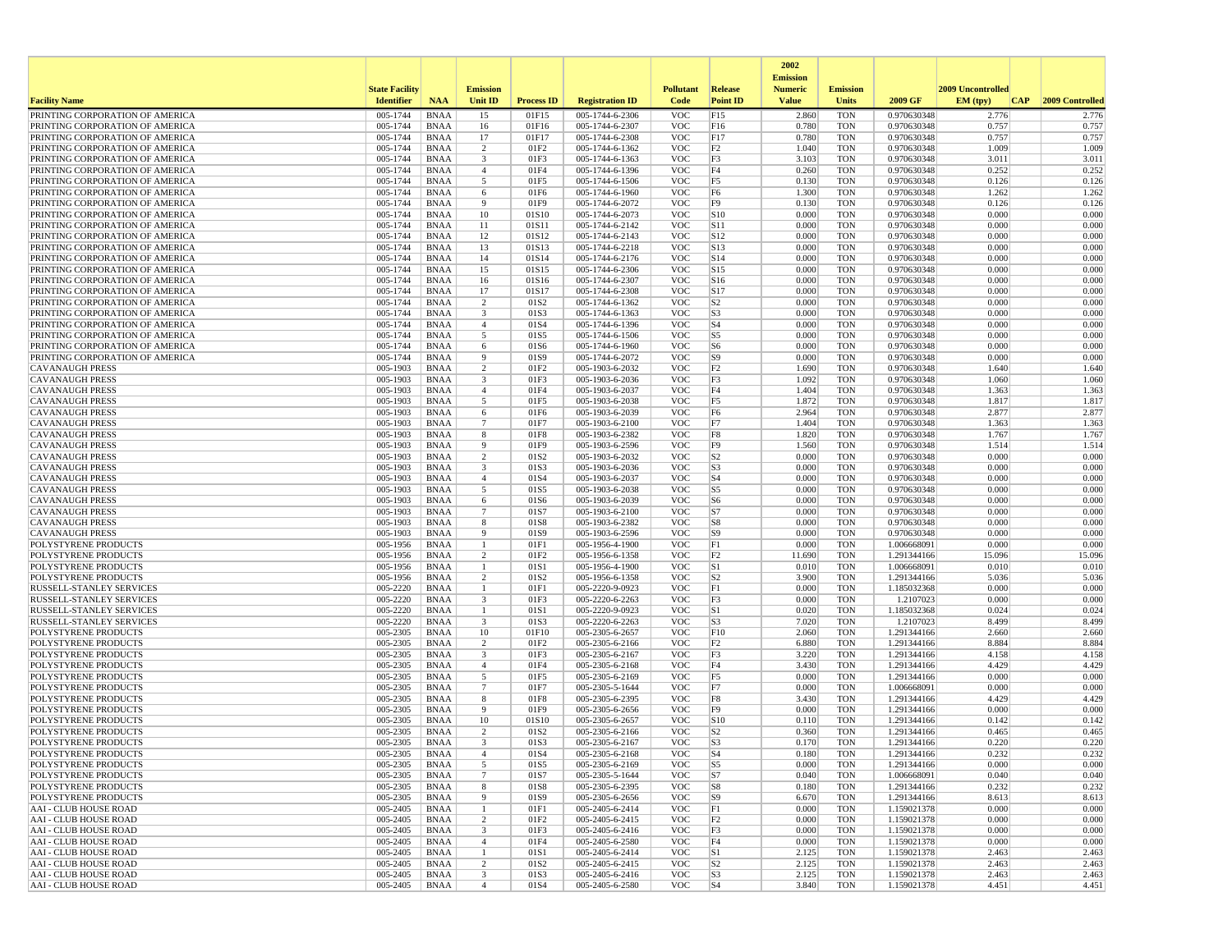|                                                                    |                                            |                            |                      |                          |                                    |                          |                                   | 2002                           |                                 |                            |                   |                 |
|--------------------------------------------------------------------|--------------------------------------------|----------------------------|----------------------|--------------------------|------------------------------------|--------------------------|-----------------------------------|--------------------------------|---------------------------------|----------------------------|-------------------|-----------------|
|                                                                    |                                            |                            | <b>Emission</b>      |                          |                                    | <b>Pollutant</b>         |                                   | <b>Emission</b>                |                                 |                            | 2009 Uncontrolled |                 |
| <b>Facility Name</b>                                               | <b>State Facility</b><br><b>Identifier</b> | <b>NAA</b>                 | Unit ID              | <b>Process ID</b>        | <b>Registration ID</b>             | Code                     | <b>Release</b><br><b>Point ID</b> | <b>Numeric</b><br><b>Value</b> | <b>Emission</b><br><b>Units</b> | 2009 GF                    | EM (typ)<br> CAP  | 2009 Controlled |
| PRINTING CORPORATION OF AMERICA                                    | 005-1744                                   | <b>BNAA</b>                | 15                   | 01F15                    | 005-1744-6-2306                    | <b>VOC</b>               | F15                               | 2.860                          | <b>TON</b>                      | 0.970630348                | 2.776             | 2.776           |
| PRINTING CORPORATION OF AMERICA                                    | 005-1744                                   | <b>BNAA</b>                | 16                   | 01F16                    | 005-1744-6-2307                    | <b>VOC</b>               | F16                               | 0.780                          | <b>TON</b>                      | 0.970630348                | 0.757             | 0.757           |
| PRINTING CORPORATION OF AMERICA                                    | 005-1744                                   | <b>BNAA</b>                | 17                   | 01F17                    | 005-1744-6-2308                    | <b>VOC</b>               | F17                               | 0.780                          | <b>TON</b>                      | 0.970630348                | 0.757             | 0.757           |
| PRINTING CORPORATION OF AMERICA                                    | 005-1744                                   | <b>BNAA</b>                | 2                    | 01F2                     | 005-1744-6-1362                    | <b>VOC</b>               | F2                                | 1.040                          | <b>TON</b>                      | 0.970630348                | 1.009             | 1.009           |
| PRINTING CORPORATION OF AMERICA                                    | 005-1744                                   | <b>BNAA</b>                | 3                    | 01F3                     | 005-1744-6-1363                    | <b>VOC</b>               | F3                                | 3.103                          | <b>TON</b>                      | 0.970630348                | 3.011             | 3.011           |
| PRINTING CORPORATION OF AMERICA<br>PRINTING CORPORATION OF AMERICA | 005-1744<br>005-1744                       | <b>BNAA</b><br><b>BNAA</b> | $\overline{4}$<br>5  | 01F4<br>01F5             | 005-1744-6-1396<br>005-1744-6-1506 | <b>VOC</b><br><b>VOC</b> | F4<br>F5                          | 0.260<br>0.130                 | <b>TON</b><br><b>TON</b>        | 0.970630348<br>0.970630348 | 0.252<br>0.126    | 0.252<br>0.126  |
| PRINTING CORPORATION OF AMERICA                                    | 005-1744                                   | <b>BNAA</b>                | 6                    | 01F6                     | 005-1744-6-1960                    | <b>VOC</b>               | F <sub>6</sub>                    | 1.300                          | <b>TON</b>                      | 0.970630348                | 1.262             | 1.262           |
| PRINTING CORPORATION OF AMERICA                                    | 005-1744                                   | <b>BNAA</b>                | 9                    | 01F9                     | 005-1744-6-2072                    | <b>VOC</b>               | F <sub>9</sub>                    | 0.130                          | <b>TON</b>                      | 0.970630348                | 0.126             | 0.126           |
| PRINTING CORPORATION OF AMERICA                                    | 005-1744                                   | <b>BNAA</b>                | 10                   | 01S10                    | 005-1744-6-2073                    | <b>VOC</b>               | S10                               | 0.000                          | <b>TON</b>                      | 0.970630348                | 0.000             | 0.000           |
| PRINTING CORPORATION OF AMERICA                                    | 005-1744                                   | <b>BNAA</b>                | 11                   | 01S11                    | 005-1744-6-2142                    | <b>VOC</b>               | <b>S11</b>                        | 0.000                          | <b>TON</b>                      | 0.970630348                | 0.000             | 0.000           |
| PRINTING CORPORATION OF AMERICA                                    | 005-1744                                   | <b>BNAA</b>                | 12                   | 01S12                    | 005-1744-6-2143                    | <b>VOC</b>               | S12                               | 0.000                          | <b>TON</b>                      | 0.970630348                | 0.000             | 0.000           |
| PRINTING CORPORATION OF AMERICA                                    | 005-1744                                   | <b>BNAA</b>                | 13                   | 01S13                    | 005-1744-6-2218                    | <b>VOC</b>               | S13                               | 0.000                          | <b>TON</b>                      | 0.970630348                | 0.000             | 0.000           |
| PRINTING CORPORATION OF AMERICA                                    | 005-1744                                   | <b>BNAA</b>                | 14                   | 01S14                    | 005-1744-6-2176                    | <b>VOC</b>               | S14                               | 0.000                          | <b>TON</b>                      | 0.970630348                | 0.000             | 0.000           |
| PRINTING CORPORATION OF AMERICA<br>PRINTING CORPORATION OF AMERICA | 005-1744<br>005-1744                       | <b>BNAA</b><br>BNAA        | 15<br>16             | 01S15<br>01S16           | 005-1744-6-2306<br>005-1744-6-2307 | <b>VOC</b><br><b>VOC</b> | S15<br>S <sub>16</sub>            | 0.000<br>0.000                 | <b>TON</b><br><b>TON</b>        | 0.970630348<br>0.970630348 | 0.000<br>0.000    | 0.000<br>0.000  |
| PRINTING CORPORATION OF AMERICA                                    | 005-1744                                   | <b>BNAA</b>                | 17                   | 01S17                    | 005-1744-6-2308                    | <b>VOC</b>               | S17                               | 0.000                          | <b>TON</b>                      | 0.970630348                | 0.000             | 0.000           |
| PRINTING CORPORATION OF AMERICA                                    | 005-1744                                   | <b>BNAA</b>                | 2                    | 01S <sub>2</sub>         | 005-1744-6-1362                    | <b>VOC</b>               | S <sub>2</sub>                    | 0.000                          | <b>TON</b>                      | 0.970630348                | 0.000             | 0.000           |
| PRINTING CORPORATION OF AMERICA                                    | 005-1744                                   | <b>BNAA</b>                | 3                    | 01S3                     | 005-1744-6-1363                    | <b>VOC</b>               | S3                                | 0.000                          | <b>TON</b>                      | 0.970630348                | 0.000             | 0.000           |
| PRINTING CORPORATION OF AMERICA                                    | 005-1744                                   | <b>BNAA</b>                | $\overline{4}$       | 01S4                     | 005-1744-6-1396                    | <b>VOC</b>               | S <sub>4</sub>                    | 0.000                          | <b>TON</b>                      | 0.970630348                | 0.000             | 0.000           |
| PRINTING CORPORATION OF AMERICA                                    | 005-1744                                   | <b>BNAA</b>                | 5                    | 01S5                     | 005-1744-6-1506                    | <b>VOC</b>               | S5                                | 0.000                          | <b>TON</b>                      | 0.970630348                | 0.000             | 0.000           |
| PRINTING CORPORATION OF AMERICA                                    | 005-1744                                   | <b>BNAA</b>                | 6                    | 01S6                     | 005-1744-6-1960                    | <b>VOC</b>               | S <sub>6</sub>                    | 0.000                          | <b>TON</b>                      | 0.970630348                | 0.000             | 0.000           |
| PRINTING CORPORATION OF AMERICA                                    | 005-1744                                   | <b>BNAA</b>                | 9                    | 01S9                     | 005-1744-6-2072                    | <b>VOC</b>               | S9                                | 0.000                          | <b>TON</b>                      | 0.970630348                | 0.000             | 0.000           |
| <b>CAVANAUGH PRESS</b>                                             | 005-1903                                   | <b>BNAA</b>                | $\overline{2}$       | 01F <sub>2</sub>         | 005-1903-6-2032                    | <b>VOC</b>               | F <sub>2</sub>                    | 1.690                          | <b>TON</b>                      | 0.970630348                | 1.640             | 1.640           |
| <b>CAVANAUGH PRESS</b><br><b>CAVANAUGH PRESS</b>                   | 005-1903<br>005-1903                       | <b>BNAA</b><br><b>BNAA</b> | 3<br>$\overline{4}$  | 01F3<br>01F4             | 005-1903-6-2036<br>005-1903-6-2037 | <b>VOC</b><br><b>VOC</b> | F3<br>F4                          | 1.092<br>1.404                 | <b>TON</b><br><b>TON</b>        | 0.970630348<br>0.970630348 | 1.060<br>1.363    | 1.060<br>1.363  |
| <b>CAVANAUGH PRESS</b>                                             | 005-1903                                   | <b>BNAA</b>                | 5                    | 01F5                     | 005-1903-6-2038                    | <b>VOC</b>               | F <sub>5</sub>                    | 1.872                          | <b>TON</b>                      | 0.970630348                | 1.817             | 1.817           |
| <b>CAVANAUGH PRESS</b>                                             | 005-1903                                   | <b>BNAA</b>                | 6                    | 01F6                     | 005-1903-6-2039                    | <b>VOC</b>               | F <sub>6</sub>                    | 2.964                          | <b>TON</b>                      | 0.970630348                | 2.877             | 2.877           |
| <b>CAVANAUGH PRESS</b>                                             | 005-1903                                   | <b>BNAA</b>                | 7                    | 01F7                     | 005-1903-6-2100                    | <b>VOC</b>               | F7                                | 1.404                          | <b>TON</b>                      | 0.970630348                | 1.363             | 1.363           |
| <b>CAVANAUGH PRESS</b>                                             | 005-1903                                   | <b>BNAA</b>                | 8                    | 01F8                     | 005-1903-6-2382                    | <b>VOC</b>               | F8                                | 1.820                          | <b>TON</b>                      | 0.970630348                | 1.767             | 1.767           |
| <b>CAVANAUGH PRESS</b>                                             | 005-1903                                   | <b>BNAA</b>                | 9                    | 01F9                     | 005-1903-6-2596                    | <b>VOC</b>               | F <sub>9</sub>                    | 1.560                          | <b>TON</b>                      | 0.970630348                | 1.514             | 1.514           |
| <b>CAVANAUGH PRESS</b>                                             | 005-1903                                   | <b>BNAA</b>                | 2                    | 01S <sub>2</sub>         | 005-1903-6-2032                    | <b>VOC</b>               | S <sub>2</sub>                    | 0.000                          | <b>TON</b>                      | 0.970630348                | 0.000             | 0.000           |
| <b>CAVANAUGH PRESS</b>                                             | 005-1903                                   | <b>BNAA</b>                | 3                    | 01S3                     | 005-1903-6-2036<br>005-1903-6-2037 | <b>VOC</b>               | S <sub>3</sub>                    | 0.000                          | <b>TON</b>                      | 0.970630348                | 0.000             | 0.000           |
| <b>CAVANAUGH PRESS</b><br><b>CAVANAUGH PRESS</b>                   | 005-1903<br>005-1903                       | <b>BNAA</b><br><b>BNAA</b> | $\overline{4}$<br>5  | 01S4<br>01S5             | 005-1903-6-2038                    | <b>VOC</b><br><b>VOC</b> | S <sub>4</sub><br>S5              | 0.000<br>0.000                 | <b>TON</b><br><b>TON</b>        | 0.970630348<br>0.970630348 | 0.000<br>0.000    | 0.000<br>0.000  |
| <b>CAVANAUGH PRESS</b>                                             | 005-1903                                   | <b>BNAA</b>                | 6                    | 01S6                     | 005-1903-6-2039                    | <b>VOC</b>               | S <sub>6</sub>                    | 0.000                          | <b>TON</b>                      | 0.970630348                | 0.000             | 0.000           |
| <b>CAVANAUGH PRESS</b>                                             | 005-1903                                   | <b>BNAA</b>                | $\overline{7}$       | 01S7                     | 005-1903-6-2100                    | <b>VOC</b>               | S7                                | 0.000                          | <b>TON</b>                      | 0.970630348                | 0.000             | 0.000           |
| <b>CAVANAUGH PRESS</b>                                             | 005-1903                                   | <b>BNAA</b>                | 8                    | 01S8                     | 005-1903-6-2382                    | <b>VOC</b>               | S8                                | 0.000                          | <b>TON</b>                      | 0.970630348                | 0.000             | 0.000           |
| <b>CAVANAUGH PRESS</b>                                             | 005-1903                                   | <b>BNAA</b>                | 9                    | 01S9                     | 005-1903-6-2596                    | <b>VOC</b>               | S <sub>9</sub>                    | 0.000                          | <b>TON</b>                      | 0.970630348                | 0.000             | 0.000           |
| POLYSTYRENE PRODUCTS                                               | 005-1956                                   | <b>BNAA</b>                | $\mathbf{1}$         | 01F1                     | 005-1956-4-1900                    | <b>VOC</b>               | F1                                | 0.000                          | <b>TON</b>                      | 1.006668091                | 0.000             | 0.000           |
| <b>POLYSTYRENE PRODUCTS</b>                                        | 005-1956                                   | BNAA                       | $\overline{2}$       | 01F2                     | 005-1956-6-1358                    | <b>VOC</b>               | F <sub>2</sub>                    | 11.690                         | <b>TON</b>                      | 1.291344166                | 15.096            | 15.096          |
| POLYSTYRENE PRODUCTS                                               | 005-1956                                   | <b>BNAA</b>                | -1                   | 01S1                     | 005-1956-4-1900                    | <b>VOC</b>               | S1                                | 0.010                          | <b>TON</b>                      | 1.006668091                | 0.010             | 0.010           |
| POLYSTYRENE PRODUCTS<br>RUSSELL-STANLEY SERVICES                   | 005-1956<br>005-2220                       | <b>BNAA</b><br><b>BNAA</b> | 2<br>-1              | 01S <sub>2</sub><br>01F1 | 005-1956-6-1358<br>005-2220-9-0923 | <b>VOC</b><br><b>VOC</b> | S <sub>2</sub><br>F1              | 3.900<br>0.000                 | <b>TON</b><br><b>TON</b>        | 1.291344166<br>1.185032368 | 5.036<br>0.000    | 5.036<br>0.000  |
| RUSSELL-STANLEY SERVICES                                           | 005-2220                                   | <b>BNAA</b>                | 3                    | 01F3                     | 005-2220-6-2263                    | <b>VOC</b>               | F3                                | 0.000                          | <b>TON</b>                      | 1.2107023                  | 0.000             | 0.000           |
| RUSSELL-STANLEY SERVICES                                           | 005-2220                                   | <b>BNAA</b>                | $\mathbf{1}$         | 01S1                     | 005-2220-9-0923                    | <b>VOC</b>               | S1                                | 0.020                          | <b>TON</b>                      | 1.185032368                | 0.024             | 0.024           |
| RUSSELL-STANLEY SERVICES                                           | 005-2220                                   | <b>BNAA</b>                | 3                    | 01S3                     | 005-2220-6-2263                    | <b>VOC</b>               | S <sub>3</sub>                    | 7.020                          | <b>TON</b>                      | 1.2107023                  | 8.499             | 8.499           |
| POLYSTYRENE PRODUCTS                                               | 005-2305                                   | <b>BNAA</b>                | 10                   | 01F10                    | 005-2305-6-2657                    | <b>VOC</b>               | F10                               | 2.060                          | <b>TON</b>                      | 1.291344166                | 2.660             | 2.660           |
| POLYSTYRENE PRODUCTS                                               | 005-2305                                   | <b>BNAA</b>                | 2                    | 01F2                     | 005-2305-6-2166                    | <b>VOC</b>               | F2                                | 6.880                          | <b>TON</b>                      | 1.291344166                | 8.884             | 8.884           |
| POLYSTYRENE PRODUCTS                                               | 005-2305                                   | <b>BNAA</b>                | 3                    | 01F3                     | 005-2305-6-2167                    | <b>VOC</b>               | F3                                | 3.220                          | <b>TON</b>                      | 1.291344166                | 4.158             | 4.158           |
| POLYSTYRENE PRODUCTS                                               | 005-2305<br>005-2305                       | <b>BNAA</b><br><b>BNAA</b> | $\overline{4}$<br>5  | 01F4<br>01F5             | 005-2305-6-2168<br>005-2305-6-2169 | <b>VOC</b><br><b>VOC</b> | F4<br>F <sub>5</sub>              | 3.430<br>0.000                 | <b>TON</b><br><b>TON</b>        | 1.291344166<br>1.291344166 | 4.429<br>0.000    | 4.429<br>0.000  |
| <b>POLYSTYRENE PRODUCTS</b><br>POLYSTYRENE PRODUCTS                | 005-2305                                   | <b>BNAA</b>                | 7                    | 01F7                     | 005-2305-5-1644                    | <b>VOC</b>               | F7                                | 0.000                          | <b>TON</b>                      | 1.006668091                | 0.000             | 0.000           |
| POLYSTYRENE PRODUCTS                                               | 005-2305                                   | <b>BNAA</b>                | 8                    | 01F8                     | 005-2305-6-2395                    | <b>VOC</b>               | F8                                | 3.430                          | <b>TON</b>                      | 1.291344166                | 4.429             | 4.429           |
| POLYSTYRENE PRODUCTS                                               | 005-2305                                   | <b>BNAA</b>                | -9                   | 01F9                     | 005-2305-6-2656                    | <b>VOC</b>               | F <sub>9</sub>                    | 0.000                          | <b>TON</b>                      | 1.291344166                | 0.000             | 0.000           |
| POLYSTYRENE PRODUCTS                                               | 005-2305                                   | <b>BNAA</b>                | 10                   | 01S10                    | 005-2305-6-2657                    | <b>VOC</b>               | S10                               | 0.110                          | <b>TON</b>                      | 1.291344166                | 0.142             | 0.142           |
| POLYSTYRENE PRODUCTS                                               | 005-2305                                   | <b>BNAA</b>                | $\overline{2}$       | 01S2                     | 005-2305-6-2166                    | <b>VOC</b>               | S <sub>2</sub>                    | 0.360                          | <b>TON</b>                      | 1.291344166                | 0.465             | 0.465           |
| POLYSTYRENE PRODUCTS                                               | 005-2305                                   | <b>BNAA</b>                | 3                    | 01S3                     | 005-2305-6-2167                    | <b>VOC</b>               | S3                                | 0.170                          | <b>TON</b>                      | 1.291344166                | 0.220             | 0.220           |
| POLYSTYRENE PRODUCTS                                               | 005-2305                                   | BNAA                       |                      | 01S4                     | 005-2305-6-2168                    | <b>VOC</b>               | S <sub>4</sub>                    | 0.180                          | TON                             | 1.291344166                | 0.232             | 0.232           |
| <b>POLYSTYRENE PRODUCTS</b>                                        | 005-2305                                   | BNAA                       | 5<br>$7\phantom{.0}$ | 01S5                     | 005-2305-6-2169                    | <b>VOC</b>               | S5                                | 0.000                          | <b>TON</b>                      | 1.291344166                | 0.000<br>0.040    | 0.000<br>0.040  |
| <b>POLYSTYRENE PRODUCTS</b><br><b>POLYSTYRENE PRODUCTS</b>         | 005-2305<br>005-2305                       | BNAA<br>BNAA               | 8                    | 01S7<br>01S8             | 005-2305-5-1644<br>005-2305-6-2395 | <b>VOC</b><br><b>VOC</b> | S7<br>$ $ S8                      | 0.040<br>0.180                 | <b>TON</b><br>TON               | 1.006668091<br>1.291344166 | 0.232             | 0.232           |
| <b>POLYSTYRENE PRODUCTS</b>                                        | 005-2305                                   | <b>BNAA</b>                | 9                    | 01S9                     | 005-2305-6-2656                    | <b>VOC</b>               | S9                                | 6.670                          | <b>TON</b>                      | 1.291344166                | 8.613             | 8.613           |
| AAI - CLUB HOUSE ROAD                                              | 005-2405                                   | <b>BNAA</b>                | 1                    | 01F1                     | 005-2405-6-2414                    | <b>VOC</b>               | F1                                | 0.000                          | <b>TON</b>                      | 1.159021378                | 0.000             | 0.000           |
| AAI - CLUB HOUSE ROAD                                              | 005-2405                                   | <b>BNAA</b>                | $\overline{c}$       | 01F <sub>2</sub>         | 005-2405-6-2415                    | <b>VOC</b>               | F2                                | 0.000                          | <b>TON</b>                      | 1.159021378                | 0.000             | 0.000           |
| AAI - CLUB HOUSE ROAD                                              | 005-2405                                   | BNAA                       | 3                    | 01F3                     | 005-2405-6-2416                    | <b>VOC</b>               | F3                                | 0.000                          | <b>TON</b>                      | 1.159021378                | 0.000             | 0.000           |
| AAI - CLUB HOUSE ROAD                                              | 005-2405                                   | BNAA                       | $\overline{4}$       | 01F4                     | 005-2405-6-2580                    | <b>VOC</b>               | F4                                | 0.000                          | <b>TON</b>                      | 1.159021378                | 0.000             | 0.000           |
| <b>AAI - CLUB HOUSE ROAD</b>                                       | 005-2405                                   | BNAA                       | $\mathbf{1}$         | 01S1                     | 005-2405-6-2414                    | <b>VOC</b>               | S1                                | 2.125                          | TON                             | 1.159021378                | 2.463             | 2.463           |
| AAI - CLUB HOUSE ROAD                                              | 005-2405                                   | BNAA                       | 2                    | 01S <sub>2</sub>         | 005-2405-6-2415                    | <b>VOC</b>               | S2                                | 2.125                          | TON                             | 1.159021378                | 2.463             | 2.463           |
| AAI - CLUB HOUSE ROAD<br>AAI - CLUB HOUSE ROAD                     | 005-2405                                   | BNAA                       | 3<br>$\overline{4}$  | 01S3                     | 005-2405-6-2416                    | <b>VOC</b>               | S3<br>$ S_4 $                     | 2.125                          | <b>TON</b>                      | 1.159021378                | 2.463             | 2.463           |
|                                                                    | 005-2405                                   | <b>BNAA</b>                |                      | 01S4                     | 005-2405-6-2580                    | <b>VOC</b>               |                                   | 3.840                          | <b>TON</b>                      | 1.159021378                | 4.451             | 4.451           |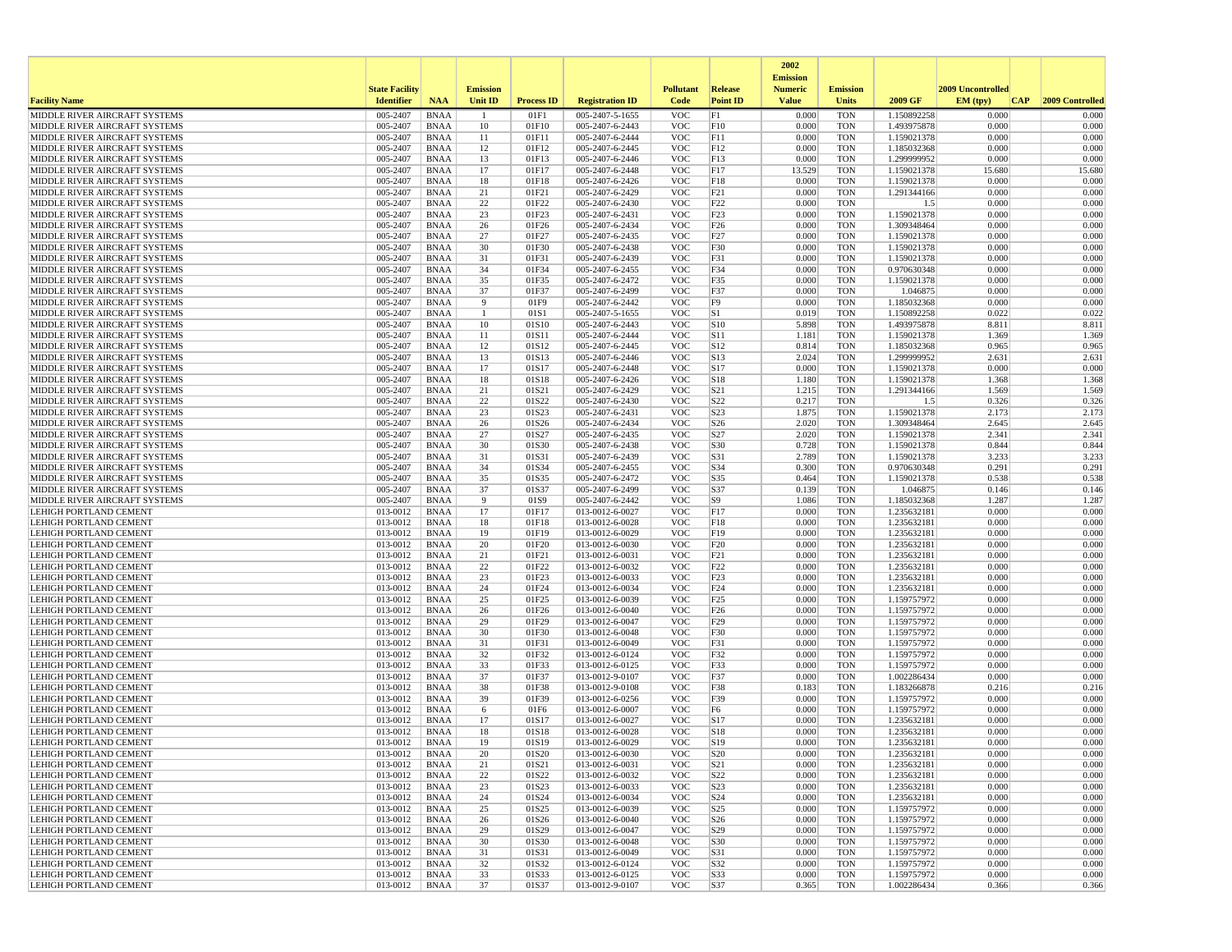|                                                                |                       |                            |                 |                   |                                    |                          |                        | 2002<br><b>Emission</b> |                          |                            |                   |                 |
|----------------------------------------------------------------|-----------------------|----------------------------|-----------------|-------------------|------------------------------------|--------------------------|------------------------|-------------------------|--------------------------|----------------------------|-------------------|-----------------|
|                                                                | <b>State Facility</b> |                            | <b>Emission</b> |                   |                                    | <b>Pollutant</b>         | <b>Release</b>         | <b>Numeric</b>          | <b>Emission</b>          |                            | 2009 Uncontrolled |                 |
| <b>Facility Name</b>                                           | <b>Identifier</b>     | <b>NAA</b>                 | Unit ID         | <b>Process ID</b> | <b>Registration ID</b>             | Code                     | <b>Point ID</b>        | <b>Value</b>            | <b>Units</b>             | 2009 GF                    | EM (typ)<br> CAP  | 2009 Controlled |
| MIDDLE RIVER AIRCRAFT SYSTEMS                                  | 005-2407              | <b>BNAA</b>                |                 | 01F1              | 005-2407-5-1655                    | <b>VOC</b>               | F1                     | 0.000                   | <b>TON</b>               | 1.150892258                | 0.000             | 0.000           |
| MIDDLE RIVER AIRCRAFT SYSTEMS                                  | 005-2407              | <b>BNAA</b>                | 10              | 01F10             | 005-2407-6-2443                    | <b>VOC</b>               | F10                    | 0.000                   | <b>TON</b>               | 1.493975878                | 0.000             | 0.000           |
| MIDDLE RIVER AIRCRAFT SYSTEMS<br>MIDDLE RIVER AIRCRAFT SYSTEMS | 005-2407<br>005-2407  | <b>BNAA</b><br><b>BNAA</b> | 11<br>12        | 01F11<br>01F12    | 005-2407-6-2444<br>005-2407-6-2445 | <b>VOC</b><br><b>VOC</b> | F11<br>F12             | 0.000<br>0.000          | <b>TON</b><br><b>TON</b> | 1.159021378<br>1.185032368 | 0.000<br>0.000    | 0.000<br>0.000  |
| MIDDLE RIVER AIRCRAFT SYSTEMS                                  | 005-2407              | <b>BNAA</b>                | 13              | 01F13             | 005-2407-6-2446                    | <b>VOC</b>               | F13                    | 0.000                   | <b>TON</b>               | 1.299999952                | 0.000             | 0.000           |
| MIDDLE RIVER AIRCRAFT SYSTEMS                                  | 005-2407              | <b>BNAA</b>                | 17              | 01F17             | 005-2407-6-2448                    | <b>VOC</b>               | F17                    | 13.529                  | <b>TON</b>               | 1.159021378                | 15.680            | 15.680          |
| MIDDLE RIVER AIRCRAFT SYSTEMS                                  | 005-2407              | <b>BNAA</b>                | 18              | 01F18             | 005-2407-6-2426                    | <b>VOC</b>               | F18                    | 0.000                   | <b>TON</b>               | 1.159021378                | 0.000             | 0.000           |
| MIDDLE RIVER AIRCRAFT SYSTEMS                                  | 005-2407              | <b>BNAA</b>                | 21              | 01F21             | 005-2407-6-2429                    | <b>VOC</b>               | F21                    | 0.000                   | <b>TON</b>               | 1.291344166                | 0.000             | 0.000           |
| MIDDLE RIVER AIRCRAFT SYSTEMS<br>MIDDLE RIVER AIRCRAFT SYSTEMS | 005-2407<br>005-2407  | <b>BNAA</b><br><b>BNAA</b> | 22<br>23        | 01F22<br>01F23    | 005-2407-6-2430<br>005-2407-6-2431 | <b>VOC</b><br><b>VOC</b> | F22<br>F23             | 0.000<br>0.000          | <b>TON</b><br><b>TON</b> | 1.5<br>1.159021378         | 0.000<br>0.000    | 0.000<br>0.000  |
| MIDDLE RIVER AIRCRAFT SYSTEMS                                  | 005-2407              | <b>BNAA</b>                | 26              | 01F26             | 005-2407-6-2434                    | <b>VOC</b>               | F <sub>26</sub>        | 0.000                   | <b>TON</b>               | 1.309348464                | 0.000             | 0.000           |
| MIDDLE RIVER AIRCRAFT SYSTEMS                                  | 005-2407              | <b>BNAA</b>                | 27              | 01F27             | 005-2407-6-2435                    | <b>VOC</b>               | F <sub>27</sub>        | 0.000                   | <b>TON</b>               | 1.159021378                | 0.000             | 0.000           |
| MIDDLE RIVER AIRCRAFT SYSTEMS                                  | 005-2407              | <b>BNAA</b>                | 30              | 01F30             | 005-2407-6-2438                    | <b>VOC</b>               | F30                    | 0.000                   | <b>TON</b>               | 1.159021378                | 0.000             | 0.000           |
| MIDDLE RIVER AIRCRAFT SYSTEMS                                  | 005-2407              | <b>BNAA</b>                | 31              | 01F31             | 005-2407-6-2439                    | <b>VOC</b>               | F31                    | 0.000                   | <b>TON</b>               | 1.159021378                | 0.000             | 0.000           |
| MIDDLE RIVER AIRCRAFT SYSTEMS                                  | 005-2407              | <b>BNAA</b>                | 34              | 01F34             | 005-2407-6-2455                    | <b>VOC</b>               | F34                    | 0.000                   | <b>TON</b>               | 0.970630348                | 0.000             | 0.000           |
| MIDDLE RIVER AIRCRAFT SYSTEMS<br>MIDDLE RIVER AIRCRAFT SYSTEMS | 005-2407<br>005-2407  | BNAA<br><b>BNAA</b>        | 35<br>37        | 01F35<br>01F37    | 005-2407-6-2472<br>005-2407-6-2499 | <b>VOC</b><br><b>VOC</b> | F35<br>F37             | 0.000<br>0.000          | <b>TON</b><br><b>TON</b> | 1.159021378<br>1.046875    | 0.000<br>0.000    | 0.000<br>0.000  |
| MIDDLE RIVER AIRCRAFT SYSTEMS                                  | 005-2407              | <b>BNAA</b>                | 9               | 01F9              | 005-2407-6-2442                    | <b>VOC</b>               | F9                     | 0.000                   | TON                      | 1.185032368                | 0.000             | 0.000           |
| MIDDLE RIVER AIRCRAFT SYSTEMS                                  | 005-2407              | <b>BNAA</b>                | -1              | 01S1              | 005-2407-5-1655                    | <b>VOC</b>               | S1                     | 0.019                   | <b>TON</b>               | 1.150892258                | 0.022             | 0.022           |
| MIDDLE RIVER AIRCRAFT SYSTEMS                                  | 005-2407              | <b>BNAA</b>                | 10              | 01S10             | 005-2407-6-2443                    | <b>VOC</b>               | S10                    | 5.898                   | <b>TON</b>               | 1.493975878                | 8.811             | 8.811           |
| MIDDLE RIVER AIRCRAFT SYSTEMS                                  | 005-2407              | <b>BNAA</b>                | 11              | 01S11             | 005-2407-6-2444                    | <b>VOC</b>               | S11                    | 1.181                   | <b>TON</b>               | 1.159021378                | 1.369             | 1.369           |
| MIDDLE RIVER AIRCRAFT SYSTEMS                                  | 005-2407              | <b>BNAA</b>                | 12              | 01S12             | 005-2407-6-2445                    | <b>VOC</b>               | S <sub>12</sub>        | 0.814                   | <b>TON</b>               | 1.185032368                | 0.965             | 0.965           |
| MIDDLE RIVER AIRCRAFT SYSTEMS                                  | 005-2407<br>005-2407  | <b>BNAA</b><br><b>BNAA</b> | 13<br>17        | 01S13<br>01S17    | 005-2407-6-2446<br>005-2407-6-2448 | <b>VOC</b><br><b>VOC</b> | S13<br>S17             | 2.024<br>0.000          | TON<br><b>TON</b>        | 1.299999952                | 2.631<br>0.000    | 2.631<br>0.000  |
| MIDDLE RIVER AIRCRAFT SYSTEMS<br>MIDDLE RIVER AIRCRAFT SYSTEMS | 005-2407              | <b>BNAA</b>                | 18              | 01S18             | 005-2407-6-2426                    | <b>VOC</b>               | S <sub>18</sub>        | 1.180                   | <b>TON</b>               | 1.159021378<br>1.159021378 | 1.368             | 1.368           |
| MIDDLE RIVER AIRCRAFT SYSTEMS                                  | 005-2407              | <b>BNAA</b>                | 21              | 01S21             | 005-2407-6-2429                    | <b>VOC</b>               | S <sub>21</sub>        | 1.215                   | <b>TON</b>               | 1.291344166                | 1.569             | 1.569           |
| MIDDLE RIVER AIRCRAFT SYSTEMS                                  | 005-2407              | <b>BNAA</b>                | 22              | 01S22             | 005-2407-6-2430                    | <b>VOC</b>               | S22                    | 0.217                   | <b>TON</b>               | 1.5                        | 0.326             | 0.326           |
| MIDDLE RIVER AIRCRAFT SYSTEMS                                  | 005-2407              | <b>BNAA</b>                | 23              | 01S23             | 005-2407-6-2431                    | <b>VOC</b>               | S23                    | 1.875                   | <b>TON</b>               | 1.159021378                | 2.173             | 2.173           |
| MIDDLE RIVER AIRCRAFT SYSTEMS                                  | 005-2407              | <b>BNAA</b>                | 26              | 01S26             | 005-2407-6-2434                    | <b>VOC</b>               | S <sub>26</sub>        | 2.020                   | <b>TON</b>               | 1.309348464                | 2.645             | 2.645           |
| MIDDLE RIVER AIRCRAFT SYSTEMS<br>MIDDLE RIVER AIRCRAFT SYSTEMS | 005-2407<br>005-2407  | <b>BNAA</b><br><b>BNAA</b> | 27<br>30        | 01S27<br>01S30    | 005-2407-6-2435<br>005-2407-6-2438 | <b>VOC</b><br><b>VOC</b> | S <sub>27</sub><br>S30 | 2.020<br>0.728          | <b>TON</b><br><b>TON</b> | 1.159021378<br>1.159021378 | 2.341<br>0.844    | 2.341<br>0.844  |
| MIDDLE RIVER AIRCRAFT SYSTEMS                                  | 005-2407              | <b>BNAA</b>                | 31              | 01S31             | 005-2407-6-2439                    | <b>VOC</b>               | S31                    | 2.789                   | <b>TON</b>               | 1.159021378                | 3.233             | 3.233           |
| MIDDLE RIVER AIRCRAFT SYSTEMS                                  | 005-2407              | <b>BNAA</b>                | 34              | 01S34             | 005-2407-6-2455                    | <b>VOC</b>               | S34                    | 0.300                   | <b>TON</b>               | 0.970630348                | 0.291             | 0.291           |
| MIDDLE RIVER AIRCRAFT SYSTEMS                                  | 005-2407              | <b>BNAA</b>                | 35              | 01S35             | 005-2407-6-2472                    | <b>VOC</b>               | S35                    | 0.464                   | <b>TON</b>               | 1.159021378                | 0.538             | 0.538           |
| MIDDLE RIVER AIRCRAFT SYSTEMS                                  | 005-2407              | <b>BNAA</b>                | 37              | 01S37             | 005-2407-6-2499                    | <b>VOC</b>               | S37                    | 0.139                   | <b>TON</b>               | 1.046875                   | 0.146             | 0.146           |
| MIDDLE RIVER AIRCRAFT SYSTEMS<br>LEHIGH PORTLAND CEMENT        | 005-2407<br>013-0012  | <b>BNAA</b><br><b>BNAA</b> | -9<br>17        | 01S9<br>01F17     | 005-2407-6-2442<br>013-0012-6-0027 | <b>VOC</b><br><b>VOC</b> | S9<br>F17              | 1.086<br>0.000          | <b>TON</b><br><b>TON</b> | 1.185032368<br>1.235632181 | 1.287<br>0.000    | 1.287<br>0.000  |
| LEHIGH PORTLAND CEMENT                                         | 013-0012              | <b>BNAA</b>                | 18              | 01F18             | 013-0012-6-0028                    | <b>VOC</b>               | F18                    | 0.000                   | <b>TON</b>               | 1.235632181                | 0.000             | 0.000           |
| LEHIGH PORTLAND CEMENT                                         | 013-0012              | <b>BNAA</b>                | 19              | 01F19             | 013-0012-6-0029                    | <b>VOC</b>               | F19                    | 0.000                   | <b>TON</b>               | 1.235632181                | 0.000             | 0.000           |
| LEHIGH PORTLAND CEMENT                                         | 013-0012              | <b>BNAA</b>                | 20              | 01F20             | 013-0012-6-0030                    | <b>VOC</b>               | F20                    | 0.000                   | <b>TON</b>               | 1.235632181                | 0.000             | 0.000           |
| LEHIGH PORTLAND CEMENT                                         | 013-0012              | BNAA                       | 21              | 01F21             | 013-0012-6-0031                    | <b>VOC</b>               | F21                    | 0.000                   | <b>TON</b>               | 1.235632181                | 0.000             | 0.000           |
| LEHIGH PORTLAND CEMENT                                         | 013-0012              | <b>BNAA</b>                | 22              | 01F22             | 013-0012-6-0032                    | <b>VOC</b>               | F22                    | 0.000                   | <b>TON</b>               | 1.235632181                | 0.000             | 0.000           |
| LEHIGH PORTLAND CEMENT<br>LEHIGH PORTLAND CEMENT               | 013-0012<br>013-0012  | <b>BNAA</b><br><b>BNAA</b> | 23<br>24        | 01F23<br>01F24    | 013-0012-6-0033<br>013-0012-6-0034 | <b>VOC</b><br><b>VOC</b> | F23<br>F24             | 0.000<br>0.000          | <b>TON</b><br><b>TON</b> | 1.235632181<br>1.235632181 | 0.000<br>0.000    | 0.000<br>0.000  |
| LEHIGH PORTLAND CEMENT                                         | 013-0012              | <b>BNAA</b>                | 25              | 01F25             | 013-0012-6-0039                    | <b>VOC</b>               | F25                    | 0.000                   | <b>TON</b>               | 1.159757972                | 0.000             | 0.000           |
| LEHIGH PORTLAND CEMENT                                         | 013-0012              | <b>BNAA</b>                | 26              | 01F26             | 013-0012-6-0040                    | <b>VOC</b>               | F26                    | 0.000                   | <b>TON</b>               | 1.159757972                | 0.000             | 0.000           |
| LEHIGH PORTLAND CEMENT                                         | 013-0012              | <b>BNAA</b>                | 29              | 01F29             | 013-0012-6-0047                    | <b>VOC</b>               | F29                    | 0.000                   | <b>TON</b>               | 1.159757972                | 0.000             | 0.000           |
| LEHIGH PORTLAND CEMENT                                         | 013-0012              | <b>BNAA</b>                | 30              | 01F30             | 013-0012-6-0048                    | <b>VOC</b>               | F30                    | 0.000                   | <b>TON</b>               | 1.159757972                | 0.000             | 0.000           |
| LEHIGH PORTLAND CEMENT<br><b>LEHIGH PORTLAND CEMENT</b>        | 013-0012<br>013-0012  | <b>BNAA</b><br><b>BNAA</b> | 31<br>32        | 01F31<br>01F32    | 013-0012-6-0049<br>013-0012-6-0124 | <b>VOC</b><br><b>VOC</b> | F31<br>F32             | 0.000<br>0.000          | <b>TON</b><br><b>TON</b> | 1.159757972<br>1.159757972 | 0.000<br>0.000    | 0.000<br>0.000  |
| <b>LEHIGH PORTLAND CEMENT</b>                                  | 013-0012              | <b>BNAA</b>                | 33              | 01F33             | 013-0012-6-0125                    | <b>VOC</b>               | F33                    | 0.000                   | <b>TON</b>               | 1.159757972                | 0.000             | 0.000           |
| LEHIGH PORTLAND CEMENT                                         | 013-0012              | <b>BNAA</b>                | 37              | 01F37             | 013-0012-9-0107                    | <b>VOC</b>               | F37                    | 0.000                   | <b>TON</b>               | 1.002286434                | 0.000             | 0.000           |
| LEHIGH PORTLAND CEMENT                                         | 013-0012              | <b>BNAA</b>                | 38              | 01F38             | 013-0012-9-0108                    | <b>VOC</b>               | F38                    | 0.183                   | <b>TON</b>               | 1.183266878                | 0.216             | 0.216           |
| <b>LEHIGH PORTLAND CEMENT</b>                                  | 013-0012              | <b>BNAA</b>                | 39              | 01F39             | 013-0012-6-0256                    | <b>VOC</b>               | F39                    | 0.000                   | <b>TON</b>               | 1.159757972                | 0.000             | 0.000           |
| LEHIGH PORTLAND CEMENT                                         | 013-0012              | <b>BNAA</b>                | 6               | 01F6              | 013-0012-6-0007                    | <b>VOC</b>               | F <sub>6</sub>         | 0.000                   | <b>TON</b>               | 1.159757972                | 0.000             | 0.000           |
| LEHIGH PORTLAND CEMENT<br>LEHIGH PORTLAND CEMENT               | 013-0012<br>013-0012  | <b>BNAA</b><br><b>BNAA</b> | 17<br>18        | 01S17<br>01S18    | 013-0012-6-0027<br>013-0012-6-0028 | <b>VOC</b><br><b>VOC</b> | S17<br>S <sub>18</sub> | 0.000<br>0.000          | <b>TON</b><br><b>TON</b> | 1.235632181<br>1.235632181 | 0.000<br>0.000    | 0.000<br>0.000  |
| LEHIGH PORTLAND CEMENT                                         | 013-0012              | <b>BNAA</b>                | 19              | 01S19             | 013-0012-6-0029                    | <b>VOC</b>               | S19                    | 0.000                   | <b>TON</b>               | 1.235632181                | 0.000             | 0.000           |
| LEHIGH PORTLAND CEMENT                                         | 013-0012              | BNAA                       | 20              | 01S20             | 013-0012-6-0030                    | <b>VOC</b>               | S <sub>20</sub>        | 0.000                   | TON                      | 1.235632181                | 0.000             | 0.000           |
| <b>LEHIGH PORTLAND CEMENT</b>                                  | $013-0012$            | BNAA                       | 21              | 01S21             | 013-0012-6-0031                    | <b>VOC</b>               | S21                    | 0.000                   | <b>TON</b>               | 1.235632181                | 0.000             | 0.000           |
| <b>LEHIGH PORTLAND CEMENT</b>                                  | 013-0012              | BNAA                       | 22              | 01S22             | 013-0012-6-0032                    | <b>VOC</b>               | S <sub>22</sub>        | 0.000                   | <b>TON</b>               | 1.235632181                | 0.000             | 0.000           |
| LEHIGH PORTLAND CEMENT                                         | 013-0012              | BNAA                       | 23              | 01S23             | 013-0012-6-0033                    | <b>VOC</b>               | S <sub>23</sub>        | 0.000                   | TON                      | 1.235632181                | 0.000             | 0.000           |
| LEHIGH PORTLAND CEMENT<br>LEHIGH PORTLAND CEMENT               | 013-0012<br>013-0012  | BNAA<br><b>BNAA</b>        | 24<br>25        | 01S24<br>01S25    | 013-0012-6-0034<br>013-0012-6-0039 | <b>VOC</b><br><b>VOC</b> | S24<br>S <sub>25</sub> | 0.000<br>0.000          | <b>TON</b><br><b>TON</b> | 1.235632181<br>1.159757972 | 0.000<br>0.000    | 0.000<br>0.000  |
| LEHIGH PORTLAND CEMENT                                         | 013-0012              | BNAA                       | 26              | 01S26             | 013-0012-6-0040                    | <b>VOC</b>               | S <sub>26</sub>        | 0.000                   | <b>TON</b>               | 1.159757972                | 0.000             | 0.000           |
| <b>LEHIGH PORTLAND CEMENT</b>                                  | 013-0012              | BNAA                       | 29              | 01S29             | 013-0012-6-0047                    | <b>VOC</b>               | S29                    | 0.000                   | <b>TON</b>               | 1.159757972                | 0.000             | 0.000           |
| <b>LEHIGH PORTLAND CEMENT</b>                                  | 013-0012              | <b>BNAA</b>                | 30              | 01S30             | 013-0012-6-0048                    | <b>VOC</b>               | S30                    | 0.000                   | <b>TON</b>               | 1.159757972                | 0.000             | 0.000           |
| LEHIGH PORTLAND CEMENT                                         | 013-0012              | BNAA                       | 31              | 01S31             | 013-0012-6-0049                    | <b>VOC</b>               | S31                    | 0.000                   | TON                      | 1.159757972                | 0.000             | 0.000           |
| LEHIGH PORTLAND CEMENT                                         | 013-0012              | BNAA                       | 32              | 01S32             | 013-0012-6-0124<br>013-0012-6-0125 | <b>VOC</b><br><b>VOC</b> | S32                    | 0.000<br>0.000          | TON<br><b>TON</b>        | 1.159757972                | 0.000<br>0.000    | 0.000<br>0.000  |
| LEHIGH PORTLAND CEMENT<br>LEHIGH PORTLAND CEMENT               | 013-0012<br>013-0012  | BNAA<br>BNAA               | 33<br>37        | 01S33<br>01S37    | 013-0012-9-0107                    | <b>VOC</b>               | S33<br>S37             | 0.365                   | TON                      | 1.159757972<br>1.002286434 | 0.366             | 0.366           |
|                                                                |                       |                            |                 |                   |                                    |                          |                        |                         |                          |                            |                   |                 |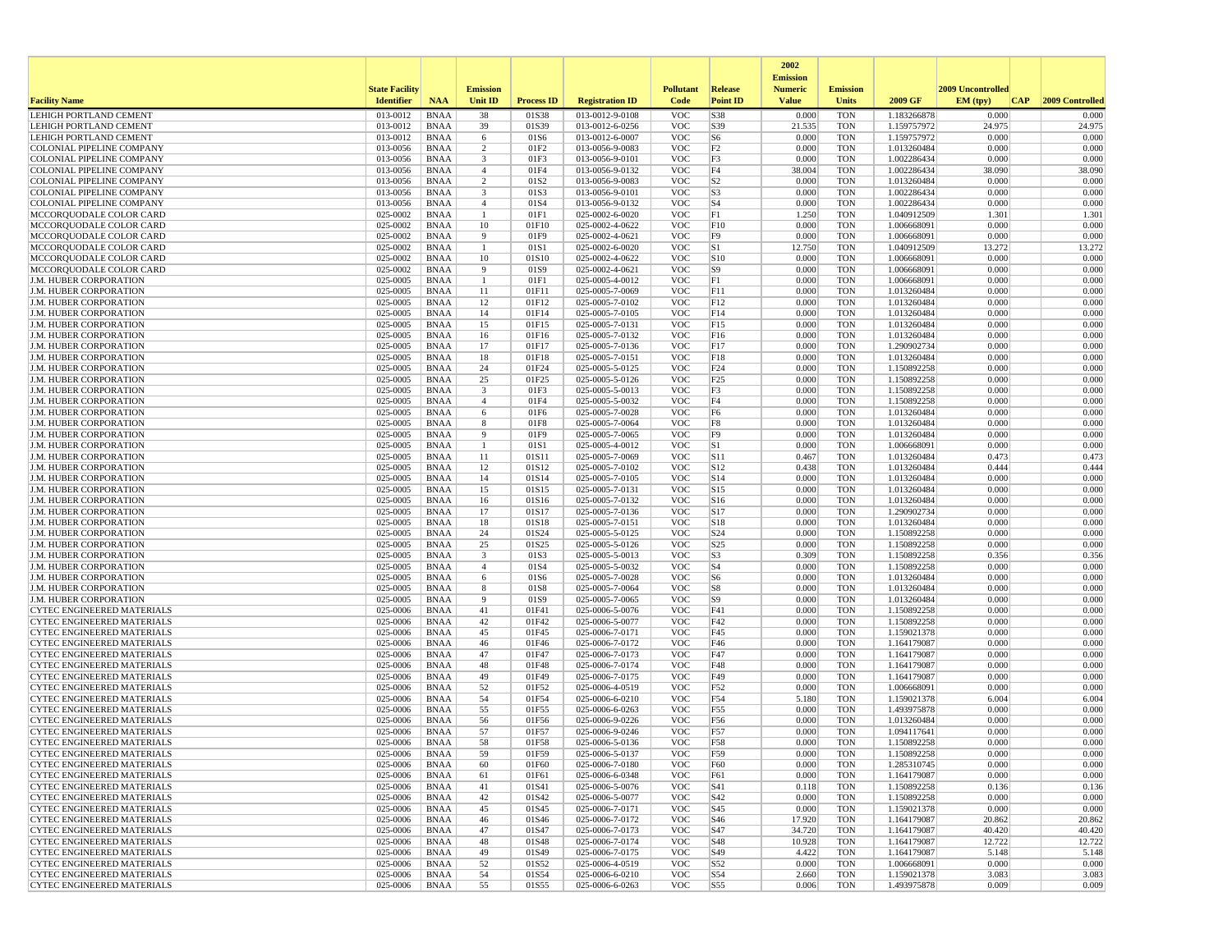|                                                                        |                       |                            |                 |                   |                                    |                          |                        | 2002                              |                          |                            |                   |                  |
|------------------------------------------------------------------------|-----------------------|----------------------------|-----------------|-------------------|------------------------------------|--------------------------|------------------------|-----------------------------------|--------------------------|----------------------------|-------------------|------------------|
|                                                                        | <b>State Facility</b> |                            | <b>Emission</b> |                   |                                    | <b>Pollutant</b>         | <b>Release</b>         | <b>Emission</b><br><b>Numeric</b> | <b>Emission</b>          |                            | 2009 Uncontrolled |                  |
| <b>Facility Name</b>                                                   | <b>Identifier</b>     | <b>NAA</b>                 | Unit ID         | <b>Process ID</b> | <b>Registration ID</b>             | Code                     | <b>Point ID</b>        | <b>Value</b>                      | <b>Units</b>             | 2009 GF                    | EM (typ)<br> CAP  | 2009 Controlled  |
| LEHIGH PORTLAND CEMENT                                                 | 013-0012              | <b>BNAA</b>                | 38              | 01S38             | 013-0012-9-0108                    | <b>VOC</b>               | S38                    | 0.000                             | <b>TON</b>               | 1.183266878                | 0.000             | 0.000            |
| LEHIGH PORTLAND CEMENT                                                 | 013-0012              | <b>BNAA</b>                | 39              | 01S39             | 013-0012-6-0256                    | <b>VOC</b>               | S39                    | 21.535                            | <b>TON</b>               | 1.159757972                | 24.975            | 24.975           |
| LEHIGH PORTLAND CEMENT                                                 | 013-0012<br>013-0056  | <b>BNAA</b>                | 6               | 01S6<br>01F2      | 013-0012-6-0007<br>013-0056-9-0083 | <b>VOC</b><br><b>VOC</b> | S <sub>6</sub>         | 0.000<br>0.000                    | <b>TON</b>               | 1.159757972                | 0.000<br>0.000    | 0.000            |
| <b>COLONIAL PIPELINE COMPANY</b><br><b>COLONIAL PIPELINE COMPANY</b>   | 013-0056              | <b>BNAA</b><br><b>BNAA</b> | 2<br>3          | 01F3              | 013-0056-9-0101                    | <b>VOC</b>               | F <sub>2</sub><br>F3   | 0.000                             | <b>TON</b><br><b>TON</b> | 1.013260484<br>1.002286434 | 0.000             | 0.000<br>0.000   |
| <b>COLONIAL PIPELINE COMPANY</b>                                       | 013-0056              | <b>BNAA</b>                | $\overline{4}$  | 01F4              | 013-0056-9-0132                    | <b>VOC</b>               | F4                     | 38.004                            | <b>TON</b>               | 1.002286434                | 38.090            | 38.090           |
| <b>COLONIAL PIPELINE COMPANY</b>                                       | 013-0056              | <b>BNAA</b>                | $\overline{2}$  | 01S <sub>2</sub>  | 013-0056-9-0083                    | <b>VOC</b>               | S <sub>2</sub>         | 0.000                             | <b>TON</b>               | 1.013260484                | 0.000             | 0.000            |
| COLONIAL PIPELINE COMPANY                                              | 013-0056              | <b>BNAA</b>                | 3               | 01S3              | 013-0056-9-0101                    | <b>VOC</b>               | S <sub>3</sub>         | 0.000                             | <b>TON</b>               | 1.002286434                | 0.000             | 0.000            |
| COLONIAL PIPELINE COMPANY                                              | 013-0056              | <b>BNAA</b>                | $\overline{4}$  | 01S4              | 013-0056-9-0132                    | <b>VOC</b>               | $ S_4 $                | 0.000                             | <b>TON</b>               | 1.002286434                | 0.000             | 0.000            |
| MCCORQUODALE COLOR CARD                                                | 025-0002              | <b>BNAA</b>                | -1              | 01F1              | 025-0002-6-0020                    | <b>VOC</b>               | F1                     | 1.250                             | <b>TON</b>               | 1.040912509                | 1.301             | 1.301            |
| MCCORQUODALE COLOR CARD<br>MCCORQUODALE COLOR CARD                     | 025-0002<br>025-0002  | <b>BNAA</b><br><b>BNAA</b> | 10<br>9         | 01F10<br>01F9     | 025-0002-4-0622<br>025-0002-4-0621 | <b>VOC</b><br><b>VOC</b> | F10<br>F9              | 0.000<br>0.000                    | <b>TON</b><br><b>TON</b> | 1.006668091<br>1.006668091 | 0.000<br>0.000    | 0.000<br>0.000   |
| MCCORQUODALE COLOR CARD                                                | 025-0002              | <b>BNAA</b>                |                 | 01S1              | 025-0002-6-0020                    | <b>VOC</b>               | S1                     | 12.750                            | <b>TON</b>               | 1.040912509                | 13.272            | 13.272           |
| MCCORQUODALE COLOR CARD                                                | 025-0002              | <b>BNAA</b>                | 10              | 01S10             | 025-0002-4-0622                    | <b>VOC</b>               | S10                    | 0.000                             | <b>TON</b>               | 1.006668091                | 0.000             | 0.000            |
| MCCORQUODALE COLOR CARD                                                | 025-0002              | <b>BNAA</b>                | 9               | 01S9              | 025-0002-4-0621                    | <b>VOC</b>               | S <sub>9</sub>         | 0.000                             | <b>TON</b>               | 1.006668091                | 0.000             | 0.000            |
| <b>J.M. HUBER CORPORATION</b>                                          | 025-0005              | BNAA                       | -1              | 01F1              | 025-0005-4-0012                    | <b>VOC</b>               | F1                     | 0.000                             | <b>TON</b>               | 1.006668091                | 0.000             | 0.000            |
| J.M. HUBER CORPORATION                                                 | 025-0005              | <b>BNAA</b>                | 11              | 01F11             | 025-0005-7-0069                    | <b>VOC</b>               | F11                    | 0.000                             | <b>TON</b>               | 1.013260484                | 0.000             | 0.000            |
| <b>J.M. HUBER CORPORATION</b><br><b>J.M. HUBER CORPORATION</b>         | 025-0005<br>025-0005  | <b>BNAA</b><br><b>BNAA</b> | 12<br>14        | 01F12<br>01F14    | 025-0005-7-0102<br>025-0005-7-0105 | <b>VOC</b><br><b>VOC</b> | F12<br>F14             | 0.000<br>0.000                    | <b>TON</b><br><b>TON</b> | 1.013260484<br>1.013260484 | 0.000<br>0.000    | 0.000<br>0.000   |
| <b>J.M. HUBER CORPORATION</b>                                          | 025-0005              | <b>BNAA</b>                | 15              | 01F15             | 025-0005-7-0131                    | <b>VOC</b>               | F15                    | 0.000                             | <b>TON</b>               | 1.013260484                | 0.000             | 0.000            |
| <b>J.M. HUBER CORPORATION</b>                                          | 025-0005              | <b>BNAA</b>                | 16              | 01F16             | 025-0005-7-0132                    | <b>VOC</b>               | F16                    | 0.000                             | <b>TON</b>               | 1.013260484                | 0.000             | 0.000            |
| J.M. HUBER CORPORATION                                                 | 025-0005              | <b>BNAA</b>                | 17              | 01F17             | 025-0005-7-0136                    | <b>VOC</b>               | F17                    | 0.000                             | <b>TON</b>               | 1.290902734                | 0.000             | 0.000            |
| J.M. HUBER CORPORATION                                                 | 025-0005              | <b>BNAA</b>                | 18              | 01F18             | 025-0005-7-0151                    | <b>VOC</b>               | F18                    | 0.000                             | <b>TON</b>               | 1.013260484                | 0.000             | 0.000            |
| J.M. HUBER CORPORATION                                                 | 025-0005              | <b>BNAA</b>                | 24              | 01F24             | 025-0005-5-0125                    | <b>VOC</b>               | F24                    | 0.000                             | <b>TON</b>               | 1.150892258                | 0.000             | 0.000            |
| <b>J.M. HUBER CORPORATION</b><br>J.M. HUBER CORPORATION                | 025-0005<br>025-0005  | <b>BNAA</b><br><b>BNAA</b> | 25<br>3         | 01F25<br>01F3     | 025-0005-5-0126<br>025-0005-5-0013 | <b>VOC</b><br><b>VOC</b> | F25<br>F3              | 0.000<br>0.000                    | <b>TON</b><br><b>TON</b> | 1.150892258<br>1.150892258 | 0.000<br>0.000    | 0.000<br>0.000   |
| <b>J.M. HUBER CORPORATION</b>                                          | 025-0005              | <b>BNAA</b>                | $\overline{4}$  | 01F4              | 025-0005-5-0032                    | <b>VOC</b>               | F4                     | 0.000                             | <b>TON</b>               | 1.150892258                | 0.000             | 0.000            |
| J.M. HUBER CORPORATION                                                 | 025-0005              | <b>BNAA</b>                | 6               | 01F6              | 025-0005-7-0028                    | <b>VOC</b>               | F <sub>6</sub>         | 0.000                             | <b>TON</b>               | 1.013260484                | 0.000             | 0.000            |
| J.M. HUBER CORPORATION                                                 | 025-0005              | <b>BNAA</b>                | 8               | 01F8              | 025-0005-7-0064                    | <b>VOC</b>               | F8                     | 0.000                             | <b>TON</b>               | 1.013260484                | 0.000             | 0.000            |
| <b>J.M. HUBER CORPORATION</b>                                          | 025-0005              | <b>BNAA</b>                | -9              | 01F9              | 025-0005-7-0065                    | <b>VOC</b>               | F <sub>9</sub>         | 0.000                             | <b>TON</b>               | 1.013260484                | 0.000             | 0.000            |
| J.M. HUBER CORPORATION                                                 | 025-0005              | <b>BNAA</b>                |                 | 01S1              | 025-0005-4-0012                    | <b>VOC</b>               | S1                     | 0.000                             | <b>TON</b>               | 1.006668091                | 0.000             | 0.000            |
| J.M. HUBER CORPORATION<br><b>J.M. HUBER CORPORATION</b>                | 025-0005<br>025-0005  | <b>BNAA</b><br><b>BNAA</b> | 11<br>12        | 01S11<br>01S12    | 025-0005-7-0069<br>025-0005-7-0102 | <b>VOC</b><br><b>VOC</b> | S <sub>11</sub><br>S12 | 0.467<br>0.438                    | <b>TON</b><br><b>TON</b> | 1.013260484<br>1.013260484 | 0.473<br>0.444    | 0.473<br>0.444   |
| J.M. HUBER CORPORATION                                                 | 025-0005              | <b>BNAA</b>                | 14              | 01S14             | 025-0005-7-0105                    | <b>VOC</b>               | S14                    | 0.000                             | <b>TON</b>               | 1.013260484                | 0.000             | 0.000            |
| <b>J.M. HUBER CORPORATION</b>                                          | 025-0005              | <b>BNAA</b>                | 15              | 01S15             | 025-0005-7-0131                    | <b>VOC</b>               | S15                    | 0.000                             | <b>TON</b>               | 1.013260484                | 0.000             | 0.000            |
| <b>J.M. HUBER CORPORATION</b>                                          | 025-0005              | <b>BNAA</b>                | 16              | 01S16             | 025-0005-7-0132                    | <b>VOC</b>               | S16                    | 0.000                             | <b>TON</b>               | 1.013260484                | 0.000             | 0.000            |
| J.M. HUBER CORPORATION                                                 | 025-0005              | <b>BNAA</b>                | 17              | 01S17             | 025-0005-7-0136                    | <b>VOC</b>               | S17                    | 0.000                             | <b>TON</b>               | 1.290902734                | 0.000             | 0.000            |
| <b>J.M. HUBER CORPORATION</b>                                          | 025-0005              | <b>BNAA</b>                | 18              | 01S18             | 025-0005-7-0151                    | <b>VOC</b>               | S18                    | 0.000                             | <b>TON</b>               | 1.013260484                | 0.000             | 0.000            |
| J.M. HUBER CORPORATION<br>J.M. HUBER CORPORATION                       | 025-0005<br>025-0005  | <b>BNAA</b><br><b>BNAA</b> | 24<br>25        | 01S24<br>01S25    | 025-0005-5-0125<br>025-0005-5-0126 | <b>VOC</b><br><b>VOC</b> | S24<br>S <sub>25</sub> | 0.000<br>0.000                    | <b>TON</b><br><b>TON</b> | 1.150892258<br>1.150892258 | 0.000<br>0.000    | 0.000<br>0.000   |
| <b>J.M. HUBER CORPORATION</b>                                          | 025-0005              | BNAA                       | 3               | 01S3              | 025-0005-5-0013                    | <b>VOC</b>               | S3                     | 0.309                             | <b>TON</b>               | 1.150892258                | 0.356             | 0.356            |
| J.M. HUBER CORPORATION                                                 | 025-0005              | <b>BNAA</b>                | $\overline{4}$  | 01S4              | 025-0005-5-0032                    | <b>VOC</b>               | S <sub>4</sub>         | 0.000                             | <b>TON</b>               | 1.150892258                | 0.000             | 0.000            |
| J.M. HUBER CORPORATION                                                 | 025-0005              | <b>BNAA</b>                | 6               | 01S6              | 025-0005-7-0028                    | <b>VOC</b>               | S <sub>6</sub>         | 0.000                             | <b>TON</b>               | 1.013260484                | 0.000             | 0.000            |
| <b>J.M. HUBER CORPORATION</b>                                          | 025-0005              | <b>BNAA</b>                | 8               | 01S8              | 025-0005-7-0064                    | <b>VOC</b>               | S8                     | 0.000                             | <b>TON</b>               | 1.013260484                | 0.000             | 0.000            |
| J.M. HUBER CORPORATION                                                 | 025-0005              | <b>BNAA</b>                | 9               | 01S9              | 025-0005-7-0065                    | <b>VOC</b>               | S9                     | 0.000                             | <b>TON</b>               | 1.013260484                | 0.000             | 0.000            |
| <b>CYTEC ENGINEERED MATERIALS</b><br>CYTEC ENGINEERED MATERIALS        | 025-0006<br>025-0006  | <b>BNAA</b><br><b>BNAA</b> | 41<br>42        | 01F41<br>01F42    | 025-0006-5-0076<br>025-0006-5-0077 | <b>VOC</b><br><b>VOC</b> | F41<br>F42             | 0.000<br>0.000                    | <b>TON</b><br><b>TON</b> | 1.150892258<br>1.150892258 | 0.000<br>0.000    | 0.000<br>0.000   |
| <b>CYTEC ENGINEERED MATERIALS</b>                                      | 025-0006              | <b>BNAA</b>                | 45              | 01F45             | 025-0006-7-0171                    | <b>VOC</b>               | F45                    | 0.000                             | <b>TON</b>               | 1.159021378                | 0.000             | 0.000            |
| <b>CYTEC ENGINEERED MATERIALS</b>                                      | 025-0006              | BNAA                       | 46              | 01F46             | 025-0006-7-0172                    | <b>VOC</b>               | F46                    | 0.000                             | <b>TON</b>               | 1.164179087                | 0.000             | 0.000            |
| CYTEC ENGINEERED MATERIALS                                             | 025-0006              | <b>BNAA</b>                | 47              | 01F47             | 025-0006-7-0173                    | <b>VOC</b>               | F47                    | 0.000                             | <b>TON</b>               | 1.164179087                | 0.000             | 0.000            |
| <b>CYTEC ENGINEERED MATERIALS</b>                                      | 025-0006              | <b>BNAA</b>                | 48              | 01F48             | 025-0006-7-0174                    | <b>VOC</b>               | F48                    | 0.000                             | <b>TON</b>               | 1.164179087                | 0.000             | 0.000            |
| CYTEC ENGINEERED MATERIALS<br><b>CYTEC ENGINEERED MATERIALS</b>        | 025-0006<br>025-0006  | <b>BNAA</b><br><b>BNAA</b> | 49<br>52        | 01F49<br>01F52    | 025-0006-7-0175<br>025-0006-4-0519 | <b>VOC</b><br><b>VOC</b> | F49<br>F52             | 0.000<br>0.000                    | <b>TON</b><br><b>TON</b> | 1.164179087                | 0.000<br>0.000    | 0.000<br>0.000   |
| <b>CYTEC ENGINEERED MATERIALS</b>                                      | 025-0006              | <b>BNAA</b>                | 54              | 01F54             | 025-0006-6-0210                    | <b>VOC</b>               | F54                    | 5.180                             | <b>TON</b>               | 1.006668091<br>1.159021378 | 6.004             | 6.004            |
| <b>CYTEC ENGINEERED MATERIALS</b>                                      | 025-0006              | <b>BNAA</b>                | 55              | 01F55             | 025-0006-6-0263                    | <b>VOC</b>               | F55                    | 0.000                             | <b>TON</b>               | 1.493975878                | 0.000             | 0.000            |
| <b>CYTEC ENGINEERED MATERIALS</b>                                      | 025-0006              | <b>BNAA</b>                | 56              | 01F56             | 025-0006-9-0226                    | <b>VOC</b>               | F56                    | 0.000                             | <b>TON</b>               | 1.013260484                | 0.000             | 0.000            |
| <b>CYTEC ENGINEERED MATERIALS</b>                                      | 025-0006              | <b>BNAA</b>                | 57              | 01F57             | 025-0006-9-0246                    | <b>VOC</b>               | F57                    | 0.000                             | <b>TON</b>               | 1.094117641                | 0.000             | 0.000            |
| <b>CYTEC ENGINEERED MATERIALS</b>                                      | 025-0006              | <b>BNAA</b>                | 58              | 01F58             | 025-0006-5-0136                    | <b>VOC</b>               | F58                    | 0.000                             | <b>TON</b>               | 1.150892258                | 0.000             | 0.000            |
| <b>CYTEC ENGINEERED MATERIALS</b>                                      | 025-0006<br>025-0006  | BNAA                       | 59<br>60        | 01F59             | 025-0006-5-0137                    | <b>VOC</b><br><b>VOC</b> | F59                    | 0.000<br>0.000                    | TON<br><b>TON</b>        | 1.150892258                | 0.000<br>0.000    | 0.000<br>0.000   |
| <b>CYTEC ENGINEERED MATERIALS</b><br><b>CYTEC ENGINEERED MATERIALS</b> | 025-0006              | BNAA<br>BNAA               | 61              | 01F60<br>01F61    | 025-0006-7-0180<br>025-0006-6-0348 | <b>VOC</b>               | F60<br>F61             | 0.000                             | <b>TON</b>               | 1.285310745<br>1.164179087 | 0.000             | 0.000            |
| <b>CYTEC ENGINEERED MATERIALS</b>                                      | 025-0006              | BNAA                       | 41              | 01S41             | 025-0006-5-0076                    | <b>VOC</b>               | S41                    | 0.118                             | TON                      | 1.150892258                | 0.136             | 0.136            |
| CYTEC ENGINEERED MATERIALS                                             | 025-0006              | <b>BNAA</b>                | 42              | 01S42             | 025-0006-5-0077                    | <b>VOC</b>               | S42                    | 0.000                             | <b>TON</b>               | 1.150892258                | 0.000             | 0.000            |
| <b>CYTEC ENGINEERED MATERIALS</b>                                      | 025-0006              | <b>BNAA</b>                | 45              | 01S45             | 025-0006-7-0171                    | <b>VOC</b>               | S45                    | 0.000                             | <b>TON</b>               | 1.159021378                | 0.000             | 0.000            |
| <b>CYTEC ENGINEERED MATERIALS</b>                                      | 025-0006              | BNAA                       | 46              | 01S46             | 025-0006-7-0172                    | <b>VOC</b>               | S46                    | 17.920                            | <b>TON</b>               | 1.164179087                | 20.862            | 20.862           |
| <b>CYTEC ENGINEERED MATERIALS</b><br><b>CYTEC ENGINEERED MATERIALS</b> | 025-0006<br>025-0006  | BNAA<br><b>BNAA</b>        | 47<br>48        | 01S47<br>01S48    | 025-0006-7-0173<br>025-0006-7-0174 | <b>VOC</b><br><b>VOC</b> | S47<br>S48             | 34.720<br>10.928                  | <b>TON</b><br><b>TON</b> | 1.164179087<br>1.164179087 | 40.420<br>12.722  | 40.420<br>12.722 |
| <b>CYTEC ENGINEERED MATERIALS</b>                                      | 025-0006              | BNAA                       | 49              | 01S49             | 025-0006-7-0175                    | <b>VOC</b>               | S49                    | 4.422                             | TON                      | 1.164179087                | 5.148             | 5.148            |
| <b>CYTEC ENGINEERED MATERIALS</b>                                      | 025-0006              | <b>BNAA</b>                | 52              | 01S52             | 025-0006-4-0519                    | <b>VOC</b>               | S52                    | 0.000                             | <b>TON</b>               | 1.006668091                | 0.000             | 0.000            |
| <b>CYTEC ENGINEERED MATERIALS</b>                                      | 025-0006              | <b>BNAA</b>                | 54              | 01S54             | 025-0006-6-0210                    | <b>VOC</b>               | S54                    | 2.660                             | <b>TON</b>               | 1.159021378                | 3.083             | 3.083            |
| CYTEC ENGINEERED MATERIALS                                             | 025-0006              | <b>BNAA</b>                | 55              | 01S55             | 025-0006-6-0263                    | <b>VOC</b>               | S55                    | 0.006                             | TON                      | 1.493975878                | 0.009             | 0.009            |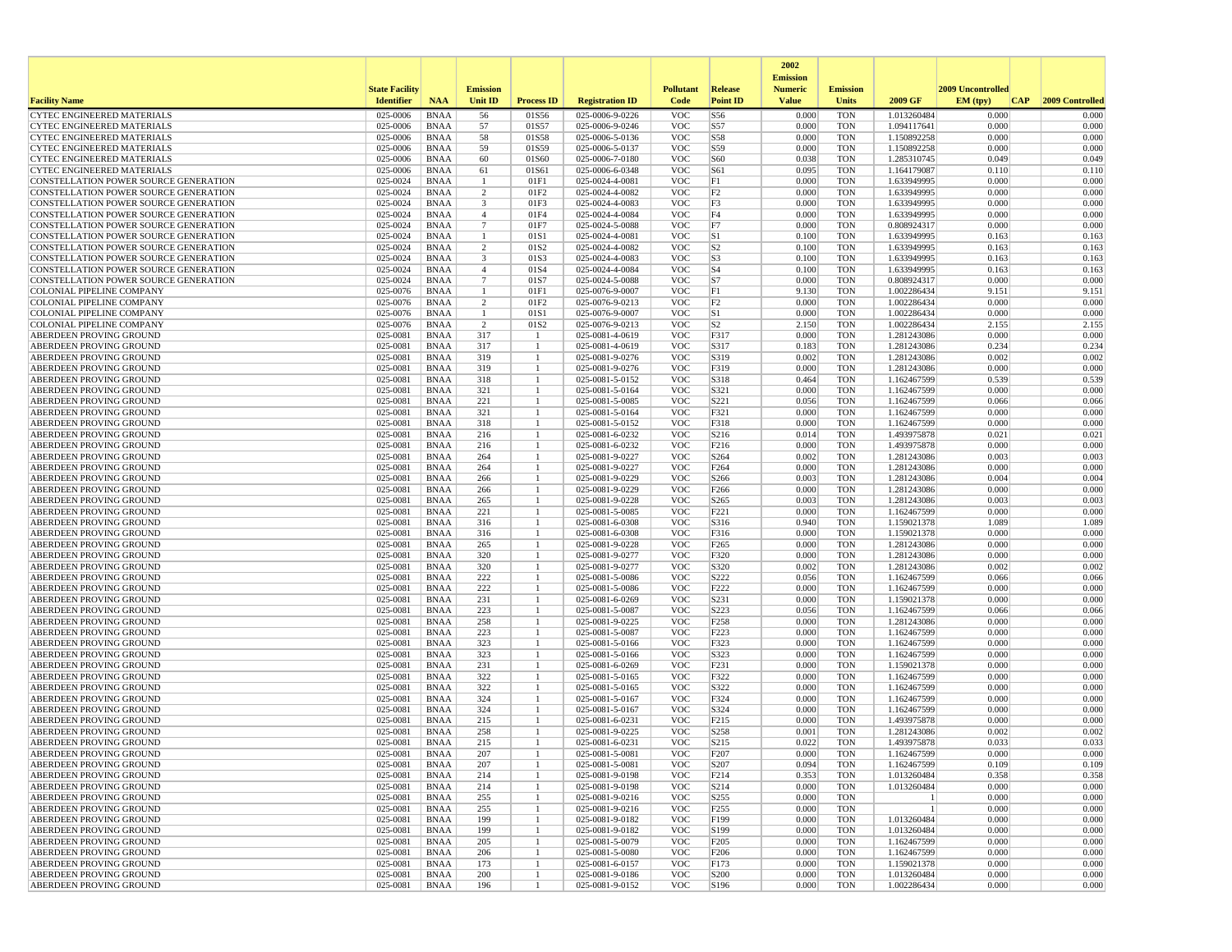|                                                                                |                          |                            |                      |                          |                                    |                          |                                      | 2002                              |                          |                            |                   |                 |
|--------------------------------------------------------------------------------|--------------------------|----------------------------|----------------------|--------------------------|------------------------------------|--------------------------|--------------------------------------|-----------------------------------|--------------------------|----------------------------|-------------------|-----------------|
|                                                                                | <b>State Facility</b>    |                            | <b>Emission</b>      |                          |                                    | <b>Pollutant</b>         | Release                              | <b>Emission</b><br><b>Numeric</b> | <b>Emission</b>          |                            | 2009 Uncontrolled |                 |
| <b>Facility Name</b>                                                           | <b>Identifier</b>        | <b>NAA</b>                 | <b>Unit ID</b>       | <b>Process ID</b>        | <b>Registration ID</b>             | Code                     | <b>Point ID</b>                      | <b>Value</b>                      | <b>Units</b>             | 2009 GF                    | EM (typ)<br> CAP  | 2009 Controlled |
| <b>CYTEC ENGINEERED MATERIALS</b>                                              | 025-0006                 | <b>BNAA</b>                | 56                   | 01S56                    | 025-0006-9-0226                    | <b>VOC</b>               | S56                                  | 0.000                             | <b>TON</b>               | 1.013260484                | 0.000             | 0.000           |
| <b>CYTEC ENGINEERED MATERIALS</b>                                              | 025-0006                 | <b>BNAA</b>                | 57                   | 01S57                    | 025-0006-9-0246                    | <b>VOC</b>               | S57                                  | 0.000                             | <b>TON</b>               | 1.094117641                | 0.000             | 0.000           |
| <b>CYTEC ENGINEERED MATERIALS</b><br>CYTEC ENGINEERED MATERIALS                | 025-0006<br>025-0006     | <b>BNAA</b><br><b>BNAA</b> | 58<br>59             | 01S58<br>01S59           | 025-0006-5-0136<br>025-0006-5-0137 | <b>VOC</b><br><b>VOC</b> | <b>S58</b><br>S59                    | 0.000<br>0.000                    | <b>TON</b><br><b>TON</b> | 1.150892258<br>1.150892258 | 0.000<br>0.000    | 0.000<br>0.000  |
| <b>CYTEC ENGINEERED MATERIALS</b>                                              | 025-0006                 | <b>BNAA</b>                | 60                   | 01S60                    | 025-0006-7-0180                    | <b>VOC</b>               | S60                                  | 0.038                             | <b>TON</b>               | 1.285310745                | 0.049             | 0.049           |
| CYTEC ENGINEERED MATERIALS                                                     | 025-0006                 | <b>BNAA</b>                | 61                   | 01S61                    | 025-0006-6-0348                    | <b>VOC</b>               | S61                                  | 0.095                             | <b>TON</b>               | 1.164179087                | 0.110             | 0.110           |
| CONSTELLATION POWER SOURCE GENERATION                                          | 025-0024                 | <b>BNAA</b>                | -1                   | 01F1                     | 025-0024-4-0081                    | <b>VOC</b>               | F1                                   | 0.000                             | <b>TON</b>               | 1.633949995                | 0.000             | 0.000           |
| CONSTELLATION POWER SOURCE GENERATION<br>CONSTELLATION POWER SOURCE GENERATION | 025-0024<br>025-0024     | <b>BNAA</b><br><b>BNAA</b> | 2<br>3               | 01F <sub>2</sub><br>01F3 | 025-0024-4-0082<br>025-0024-4-0083 | <b>VOC</b><br><b>VOC</b> | F <sub>2</sub><br>F3                 | 0.000<br>0.000                    | <b>TON</b><br><b>TON</b> | 1.633949995<br>1.633949995 | 0.000<br>0.000    | 0.000<br>0.000  |
| CONSTELLATION POWER SOURCE GENERATION                                          | $025 - 0024$             | <b>BNAA</b>                | $\overline{4}$       | 01F4                     | 025-0024-4-0084                    | <b>VOC</b>               | F4                                   | 0.000                             | <b>TON</b>               | 1.633949995                | 0.000             | 0.000           |
| CONSTELLATION POWER SOURCE GENERATION                                          | 025-0024                 | <b>BNAA</b>                | $7\phantom{.0}$      | 01F7                     | 025-0024-5-0088                    | <b>VOC</b>               | F7                                   | 0.000                             | <b>TON</b>               | 0.808924317                | 0.000             | 0.000           |
| CONSTELLATION POWER SOURCE GENERATION                                          | 025-0024                 | <b>BNAA</b>                | $\mathbf{1}$         | 01S1                     | 025-0024-4-0081                    | <b>VOC</b>               | S1                                   | 0.100                             | <b>TON</b>               | 1.633949995                | 0.163             | 0.163           |
| CONSTELLATION POWER SOURCE GENERATION<br>CONSTELLATION POWER SOURCE GENERATION | 025-0024<br>025-0024     | <b>BNAA</b><br><b>BNAA</b> | $\overline{2}$<br>3  | 01S2<br>01S3             | 025-0024-4-0082<br>025-0024-4-0083 | <b>VOC</b><br><b>VOC</b> | S <sub>2</sub><br>S3                 | 0.100<br>0.100                    | <b>TON</b><br><b>TON</b> | 1.633949995                | 0.163<br>0.163    | 0.163           |
| CONSTELLATION POWER SOURCE GENERATION                                          | 025-0024                 | <b>BNAA</b>                | $\overline{4}$       | 01S4                     | 025-0024-4-0084                    | <b>VOC</b>               | S <sub>4</sub>                       | 0.100                             | <b>TON</b>               | 1.633949995<br>1.633949995 | 0.163             | 0.163<br>0.163  |
| CONSTELLATION POWER SOURCE GENERATION                                          | 025-0024                 | <b>BNAA</b>                | $7\phantom{.0}$      | 01S7                     | 025-0024-5-0088                    | <b>VOC</b>               | S7                                   | 0.000                             | <b>TON</b>               | 0.808924317                | 0.000             | 0.000           |
| COLONIAL PIPELINE COMPANY                                                      | 025-0076                 | <b>BNAA</b>                | $\mathbf{1}$         | 01F1                     | 025-0076-9-0007                    | <b>VOC</b>               | F1                                   | 9.130                             | <b>TON</b>               | 1.002286434                | 9.151             | 9.151           |
| <b>COLONIAL PIPELINE COMPANY</b>                                               | 025-0076                 | <b>BNAA</b>                | 2                    | 01F2                     | 025-0076-9-0213                    | <b>VOC</b>               | F2                                   | 0.000                             | <b>TON</b>               | 1.002286434                | 0.000             | 0.000           |
| <b>COLONIAL PIPELINE COMPANY</b><br>COLONIAL PIPELINE COMPANY                  | 025-0076<br>025-0076     | <b>BNAA</b><br><b>BNAA</b> | -1<br>$\overline{2}$ | 01S1<br>01S2             | 025-0076-9-0007<br>025-0076-9-0213 | <b>VOC</b><br><b>VOC</b> | S1<br>S <sub>2</sub>                 | 0.000<br>2.150                    | <b>TON</b><br><b>TON</b> | 1.002286434<br>1.002286434 | 0.000<br>2.155    | 0.000<br>2.155  |
| ABERDEEN PROVING GROUND                                                        | 025-0081                 | <b>BNAA</b>                | 317                  | $\overline{1}$           | 025-0081-4-0619                    | <b>VOC</b>               | F317                                 | 0.000                             | <b>TON</b>               | 1.281243086                | 0.000             | 0.000           |
| ABERDEEN PROVING GROUND                                                        | 025-0081                 | <b>BNAA</b>                | 317                  | -1                       | 025-0081-4-0619                    | <b>VOC</b>               | S317                                 | 0.183                             | <b>TON</b>               | 1.281243086                | 0.234             | 0.234           |
| ABERDEEN PROVING GROUND                                                        | 025-0081                 | <b>BNAA</b>                | 319                  | 1                        | 025-0081-9-0276                    | <b>VOC</b>               | S319                                 | 0.002                             | <b>TON</b>               | 1.281243086                | 0.002             | 0.002           |
| ABERDEEN PROVING GROUND                                                        | 025-0081                 | <b>BNAA</b>                | 319                  | 1                        | 025-0081-9-0276                    | <b>VOC</b>               | F319                                 | 0.000                             | <b>TON</b>               | 1.281243086                | 0.000             | 0.000           |
| ABERDEEN PROVING GROUND<br>ABERDEEN PROVING GROUND                             | 025-0081<br>025-0081     | <b>BNAA</b><br><b>BNAA</b> | 318<br>321           | -1<br>1                  | 025-0081-5-0152<br>025-0081-5-0164 | <b>VOC</b><br><b>VOC</b> | S318<br>S321                         | 0.464<br>0.000                    | <b>TON</b><br><b>TON</b> | 1.162467599<br>1.162467599 | 0.539<br>0.000    | 0.539<br>0.000  |
| ABERDEEN PROVING GROUND                                                        | 025-0081                 | <b>BNAA</b>                | 221                  | -1                       | 025-0081-5-0085                    | <b>VOC</b>               | S221                                 | 0.056                             | <b>TON</b>               | 1.162467599                | 0.066             | 0.066           |
| ABERDEEN PROVING GROUND                                                        | 025-0081                 | <b>BNAA</b>                | 321                  | 1                        | 025-0081-5-0164                    | <b>VOC</b>               | F321                                 | 0.000                             | <b>TON</b>               | 1.162467599                | 0.000             | 0.000           |
| <b>ABERDEEN PROVING GROUND</b>                                                 | 025-0081                 | <b>BNAA</b>                | 318                  | 1                        | 025-0081-5-0152                    | <b>VOC</b>               | F318                                 | 0.000                             | <b>TON</b>               | 1.162467599                | 0.000             | 0.000           |
| ABERDEEN PROVING GROUND<br>ABERDEEN PROVING GROUND                             | 025-0081<br>025-0081     | <b>BNAA</b><br><b>BNAA</b> | 216<br>216           | -1<br>-1                 | 025-0081-6-0232<br>025-0081-6-0232 | <b>VOC</b><br><b>VOC</b> | S216<br>F216                         | 0.014<br>0.000                    | <b>TON</b><br><b>TON</b> | 1.493975878                | 0.021<br>0.000    | 0.021<br>0.000  |
| <b>ABERDEEN PROVING GROUND</b>                                                 | 025-0081                 | <b>BNAA</b>                | 264                  | 1                        | 025-0081-9-0227                    | <b>VOC</b>               | S264                                 | 0.002                             | <b>TON</b>               | 1.493975878<br>1.281243086 | 0.003             | 0.003           |
| ABERDEEN PROVING GROUND                                                        | 025-0081                 | <b>BNAA</b>                | 264                  | -1                       | 025-0081-9-0227                    | <b>VOC</b>               | F <sub>264</sub>                     | 0.000                             | <b>TON</b>               | 1.281243086                | 0.000             | 0.000           |
| ABERDEEN PROVING GROUND                                                        | 025-0081                 | <b>BNAA</b>                | 266                  | 1                        | 025-0081-9-0229                    | <b>VOC</b>               | S266                                 | 0.003                             | <b>TON</b>               | 1.281243086                | 0.004             | 0.004           |
| ABERDEEN PROVING GROUND                                                        | 025-0081                 | <b>BNAA</b>                | 266                  | 1<br>-1                  | 025-0081-9-0229                    | <b>VOC</b>               | F <sub>266</sub>                     | 0.000                             | <b>TON</b>               | 1.281243086                | 0.000             | 0.000           |
| ABERDEEN PROVING GROUND<br>ABERDEEN PROVING GROUND                             | 025-0081<br>025-0081     | <b>BNAA</b><br><b>BNAA</b> | 265<br>221           | -1                       | 025-0081-9-0228<br>025-0081-5-0085 | <b>VOC</b><br><b>VOC</b> | S265<br>F221                         | 0.003<br>0.000                    | <b>TON</b><br><b>TON</b> | 1.281243086<br>1.162467599 | 0.003<br>0.000    | 0.003<br>0.000  |
| ABERDEEN PROVING GROUND                                                        | 025-0081                 | <b>BNAA</b>                | 316                  | 1                        | 025-0081-6-0308                    | <b>VOC</b>               | S316                                 | 0.940                             | <b>TON</b>               | 1.159021378                | 1.089             | 1.089           |
| ABERDEEN PROVING GROUND                                                        | 025-0081                 | <b>BNAA</b>                | 316                  | $\mathbf{1}$             | 025-0081-6-0308                    | <b>VOC</b>               | F316                                 | 0.000                             | <b>TON</b>               | 1.159021378                | 0.000             | 0.000           |
| ABERDEEN PROVING GROUND                                                        | 025-0081                 | <b>BNAA</b>                | 265                  | -1                       | 025-0081-9-0228                    | <b>VOC</b>               | F <sub>265</sub>                     | 0.000                             | <b>TON</b>               | 1.281243086                | 0.000             | 0.000           |
| ABERDEEN PROVING GROUND<br>ABERDEEN PROVING GROUND                             | 025-0081<br>$025 - 0081$ | <b>BNAA</b><br><b>BNAA</b> | 320<br>320           | -1<br>$\mathbf{1}$       | 025-0081-9-0277<br>025-0081-9-0277 | <b>VOC</b><br><b>VOC</b> | F320<br>S320                         | 0.000<br>0.002                    | <b>TON</b><br><b>TON</b> | 1.281243086<br>1.281243086 | 0.000<br>0.002    | 0.000<br>0.002  |
| ABERDEEN PROVING GROUND                                                        | 025-0081                 | <b>BNAA</b>                | 222                  | -1                       | 025-0081-5-0086                    | <b>VOC</b>               | S222                                 | 0.056                             | <b>TON</b>               | 1.162467599                | 0.066             | 0.066           |
| ABERDEEN PROVING GROUND                                                        | 025-0081                 | <b>BNAA</b>                | 222                  | -1                       | 025-0081-5-0086                    | <b>VOC</b>               | F222                                 | 0.000                             | <b>TON</b>               | 1.162467599                | 0.000             | 0.000           |
| ABERDEEN PROVING GROUND                                                        | 025-0081                 | <b>BNAA</b>                | 231                  | 1                        | 025-0081-6-0269                    | <b>VOC</b>               | S231                                 | 0.000                             | <b>TON</b>               | 1.159021378                | 0.000             | 0.000           |
| ABERDEEN PROVING GROUND                                                        | 025-0081                 | <b>BNAA</b>                | 223                  | 1<br>-1                  | 025-0081-5-0087                    | <b>VOC</b>               | S223                                 | 0.056                             | <b>TON</b>               | 1.162467599                | 0.066<br>0.000    | 0.066<br>0.000  |
| ABERDEEN PROVING GROUND<br>ABERDEEN PROVING GROUND                             | 025-0081<br>025-0081     | <b>BNAA</b><br><b>BNAA</b> | 258<br>223           |                          | 025-0081-9-0225<br>025-0081-5-0087 | <b>VOC</b><br><b>VOC</b> | F <sub>258</sub><br>F223             | 0.000<br>0.000                    | <b>TON</b><br><b>TON</b> | 1.281243086<br>1.162467599 | 0.000             | 0.000           |
| ABERDEEN PROVING GROUND                                                        | 025-0081                 | <b>BNAA</b>                | 323                  | -1                       | 025-0081-5-0166                    | <b>VOC</b>               | F323                                 | 0.000                             | <b>TON</b>               | 1.162467599                | 0.000             | 0.000           |
| ABERDEEN PROVING GROUND                                                        | 025-0081                 | <b>BNAA</b>                | 323                  | -1                       | 025-0081-5-0166                    | <b>VOC</b>               | S323                                 | 0.000                             | <b>TON</b>               | 1.162467599                | 0.000             | 0.000           |
| ABERDEEN PROVING GROUND                                                        | 025-0081                 | <b>BNAA</b>                | 231                  | 1                        | 025-0081-6-0269                    | <b>VOC</b>               | F231                                 | 0.000                             | <b>TON</b>               | 1.159021378                | 0.000             | 0.000           |
| ABERDEEN PROVING GROUND<br>ABERDEEN PROVING GROUND                             | 025-0081<br>025-0081     | <b>BNAA</b><br><b>BNAA</b> | 322<br>322           | 1<br>$\mathbf{1}$        | 025-0081-5-0165<br>025-0081-5-0165 | <b>VOC</b><br><b>VOC</b> | F322<br>S322                         | 0.000<br>0.000                    | <b>TON</b><br><b>TON</b> | 1.162467599<br>1.162467599 | 0.000<br>0.000    | 0.000<br>0.000  |
| <b>ABERDEEN PROVING GROUND</b>                                                 | 025-0081                 | <b>BNAA</b>                | 324                  | -1                       | 025-0081-5-0167                    | <b>VOC</b>               | F324                                 | 0.000                             | <b>TON</b>               | 1.162467599                | 0.000             | 0.000           |
| ABERDEEN PROVING GROUND                                                        | 025-0081                 | <b>BNAA</b>                | 324                  | -1                       | 025-0081-5-0167                    | <b>VOC</b>               | S324                                 | 0.000                             | <b>TON</b>               | 1.162467599                | 0.000             | 0.000           |
| ABERDEEN PROVING GROUND                                                        | 025-0081                 | <b>BNAA</b>                | 215                  | 1                        | 025-0081-6-0231                    | <b>VOC</b>               | F215                                 | 0.000                             | <b>TON</b>               | 1.493975878                | 0.000             | 0.000           |
| ABERDEEN PROVING GROUND<br><b>ABERDEEN PROVING GROUND</b>                      | 025-0081<br>025-0081     | <b>BNAA</b><br><b>BNAA</b> | 258<br>215           | 1<br>-1                  | 025-0081-9-0225<br>025-0081-6-0231 | <b>VOC</b><br><b>VOC</b> | S258<br>S215                         | 0.001<br>0.022                    | <b>TON</b><br><b>TON</b> | 1.281243086<br>1.493975878 | 0.002<br>0.033    | 0.002<br>0.033  |
| ABERDEEN PROVING GROUND                                                        | 025-0081                 | <b>BNAA</b>                | 207                  |                          | 025-0081-5-0081                    | <b>VOC</b>               | F207                                 | 0.000                             | <b>TON</b>               | 1.162467599                | 0.000             | 0.000           |
| ABERDEEN PROVING GROUND                                                        | 025-0081                 | BNAA                       | 207                  | 1                        | 025-0081-5-0081                    | <b>VOC</b>               | S207                                 | 0.094                             | <b>TON</b>               | 1.162467599                | 0.109             | 0.109           |
| <b>ABERDEEN PROVING GROUND</b>                                                 | 025-0081                 | <b>BNAA</b>                | 214                  | -1                       | 025-0081-9-0198                    | <b>VOC</b>               | F214                                 | 0.353                             | <b>TON</b>               | 1.013260484                | 0.358             | 0.358           |
| ABERDEEN PROVING GROUND                                                        | 025-0081                 | <b>BNAA</b>                | 214                  | 1                        | 025-0081-9-0198                    | <b>VOC</b>               | S214                                 | 0.000                             | <b>TON</b>               | 1.013260484                | 0.000             | 0.000           |
| ABERDEEN PROVING GROUND<br>ABERDEEN PROVING GROUND                             | 025-0081<br>025-0081     | <b>BNAA</b><br><b>BNAA</b> | 255<br>255           | 1<br>$\mathbf{1}$        | 025-0081-9-0216<br>025-0081-9-0216 | <b>VOC</b><br><b>VOC</b> | S <sub>255</sub><br>F <sub>255</sub> | 0.000<br>0.000                    | <b>TON</b><br><b>TON</b> |                            | 0.000<br>0.000    | 0.000<br>0.000  |
| ABERDEEN PROVING GROUND                                                        | 025-0081                 | <b>BNAA</b>                | 199                  | 1                        | 025-0081-9-0182                    | <b>VOC</b>               | F199                                 | 0.000                             | <b>TON</b>               | 1.013260484                | 0.000             | 0.000           |
| ABERDEEN PROVING GROUND                                                        | 025-0081                 | BNAA                       | 199                  | 1                        | 025-0081-9-0182                    | <b>VOC</b>               | S199                                 | 0.000                             | <b>TON</b>               | 1.013260484                | 0.000             | 0.000           |
| ABERDEEN PROVING GROUND                                                        | 025-0081                 | <b>BNAA</b>                | 205                  | 1                        | 025-0081-5-0079                    | <b>VOC</b>               | F <sub>205</sub>                     | 0.000                             | <b>TON</b>               | 1.162467599                | 0.000             | 0.000           |
| ABERDEEN PROVING GROUND<br><b>ABERDEEN PROVING GROUND</b>                      | 025-0081<br>025-0081     | BNAA<br>BNAA               | 206<br>173           | 1<br>-1                  | 025-0081-5-0080<br>025-0081-6-0157 | <b>VOC</b><br><b>VOC</b> | F <sub>206</sub><br>F173             | 0.000<br>0.000                    | <b>TON</b><br><b>TON</b> | 1.162467599<br>1.159021378 | 0.000<br>0.000    | 0.000<br>0.000  |
| ABERDEEN PROVING GROUND                                                        | 025-0081                 | <b>BNAA</b>                | 200                  | 1                        | 025-0081-9-0186                    | <b>VOC</b>               | S200                                 | 0.000                             | <b>TON</b>               | 1.013260484                | 0.000             | 0.000           |
| ABERDEEN PROVING GROUND                                                        | 025-0081                 | <b>BNAA</b>                | 196                  | -1                       | 025-0081-9-0152                    | <b>VOC</b>               | S196                                 | 0.000                             | <b>TON</b>               | 1.002286434                | 0.000             | 0.000           |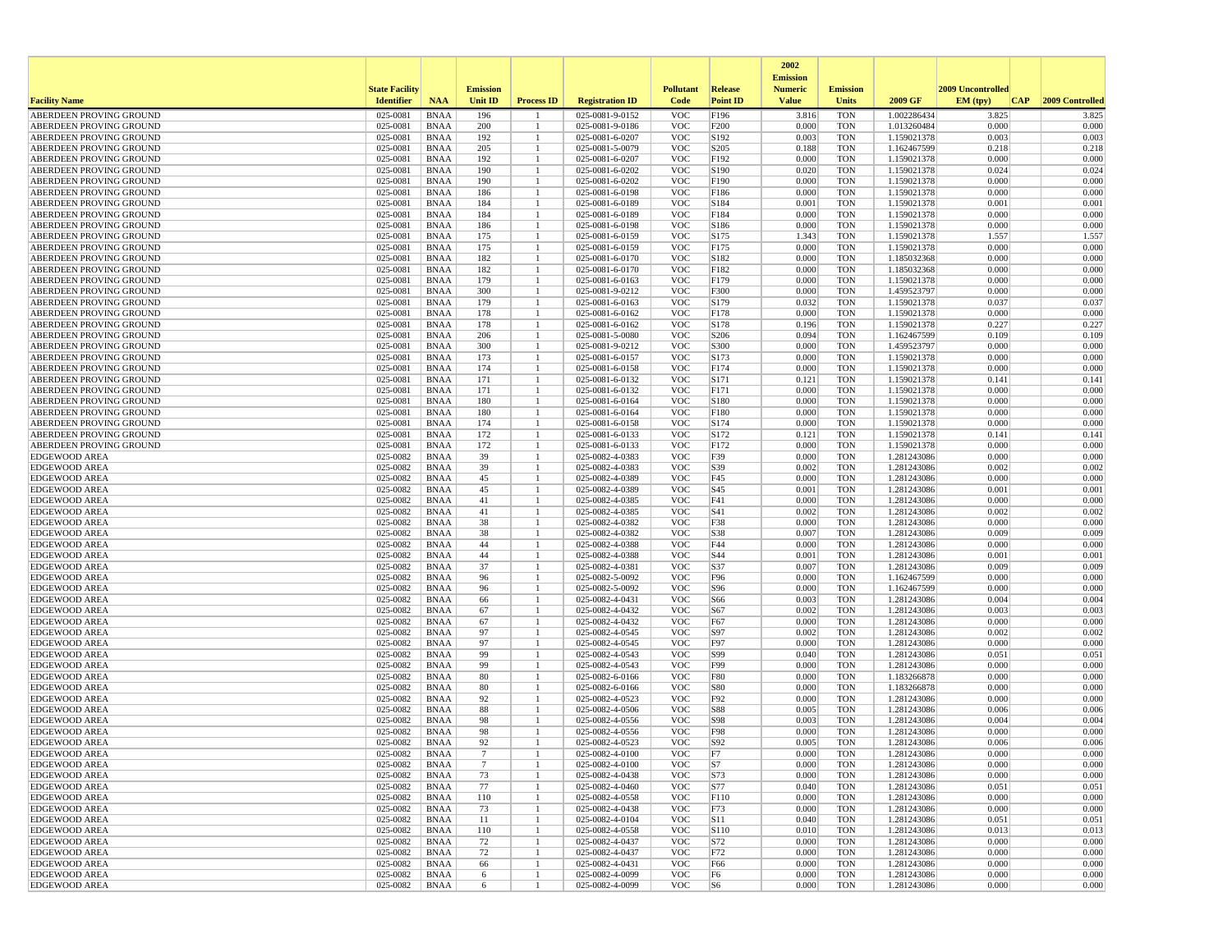|                                                    |                       |                            |                 |                   |                                    |                          |                  | 2002                              |                          |                            |                   |                 |
|----------------------------------------------------|-----------------------|----------------------------|-----------------|-------------------|------------------------------------|--------------------------|------------------|-----------------------------------|--------------------------|----------------------------|-------------------|-----------------|
|                                                    | <b>State Facility</b> |                            | <b>Emission</b> |                   |                                    | <b>Pollutant</b>         | Release          | <b>Emission</b><br><b>Numeric</b> | <b>Emission</b>          |                            | 2009 Uncontrolled |                 |
| <b>Facility Name</b>                               | <b>Identifier</b>     | <b>NAA</b>                 | <b>Unit ID</b>  | <b>Process ID</b> | <b>Registration ID</b>             | Code                     | <b>Point ID</b>  | <b>Value</b>                      | <b>Units</b>             | 2009 GF                    | CAP <br>EM (typ)  | 2009 Controlled |
| ABERDEEN PROVING GROUND                            | 025-0081              | <b>BNAA</b>                | 196             |                   | 025-0081-9-0152                    | <b>VOC</b>               | F196             | 3.816                             | <b>TON</b>               | 1.002286434                | 3.825             | 3.825           |
| ABERDEEN PROVING GROUND                            | 025-0081              | <b>BNAA</b>                | 200             | -1                | 025-0081-9-0186                    | <b>VOC</b>               | F200             | 0.000                             | <b>TON</b>               | 1.013260484                | 0.000             | 0.000           |
| ABERDEEN PROVING GROUND                            | 025-0081              | <b>BNAA</b>                | 192             |                   | 025-0081-6-0207                    | <b>VOC</b>               | S192             | 0.003                             | <b>TON</b>               | 1.159021378                | 0.003             | 0.003           |
| ABERDEEN PROVING GROUND                            | 025-0081              | <b>BNAA</b>                | 205             |                   | 025-0081-5-0079                    | <b>VOC</b>               | S <sub>205</sub> | 0.188                             | <b>TON</b>               | 1.162467599                | 0.218             | 0.218           |
| ABERDEEN PROVING GROUND                            | 025-0081              | <b>BNAA</b>                | 192             |                   | 025-0081-6-0207                    | <b>VOC</b>               | F192             | 0.000                             | <b>TON</b>               | 1.159021378                | 0.000             | 0.000           |
| ABERDEEN PROVING GROUND<br>ABERDEEN PROVING GROUND | 025-0081<br>025-0081  | <b>BNAA</b><br><b>BNAA</b> | 190<br>190      |                   | 025-0081-6-0202<br>025-0081-6-0202 | <b>VOC</b><br><b>VOC</b> | S190<br>F190     | 0.020<br>0.000                    | <b>TON</b><br><b>TON</b> | 1.159021378<br>1.159021378 | 0.024<br>0.000    | 0.024<br>0.000  |
| ABERDEEN PROVING GROUND                            | 025-0081              | <b>BNAA</b>                | 186             |                   | 025-0081-6-0198                    | <b>VOC</b>               | F186             | 0.000                             | <b>TON</b>               | 1.159021378                | 0.000             | 0.000           |
| ABERDEEN PROVING GROUND                            | 025-0081              | <b>BNAA</b>                | 184             |                   | 025-0081-6-0189                    | <b>VOC</b>               | S184             | 0.001                             | <b>TON</b>               | 1.159021378                | 0.001             | 0.001           |
| ABERDEEN PROVING GROUND                            | 025-0081              | <b>BNAA</b>                | 184             |                   | 025-0081-6-0189                    | <b>VOC</b>               | F184             | 0.000                             | <b>TON</b>               | 1.159021378                | 0.000             | 0.000           |
| ABERDEEN PROVING GROUND                            | 025-0081              | <b>BNAA</b>                | 186             |                   | 025-0081-6-0198                    | <b>VOC</b>               | S186             | 0.000                             | <b>TON</b>               | 1.159021378                | 0.000             | 0.000           |
| ABERDEEN PROVING GROUND                            | 025-0081              | <b>BNAA</b>                | 175             |                   | 025-0081-6-0159                    | <b>VOC</b>               | S175             | 1.343                             | <b>TON</b>               | 1.159021378                | 1.557             | 1.557           |
| ABERDEEN PROVING GROUND                            | 025-0081              | <b>BNAA</b>                | 175             | -1                | 025-0081-6-0159                    | <b>VOC</b>               | F175             | 0.000                             | <b>TON</b>               | 1.159021378                | 0.000             | 0.000           |
| ABERDEEN PROVING GROUND                            | 025-0081              | <b>BNAA</b>                | 182             |                   | 025-0081-6-0170                    | <b>VOC</b>               | S182             | 0.000                             | <b>TON</b>               | 1.185032368                | 0.000             | 0.000           |
| ABERDEEN PROVING GROUND                            | 025-0081<br>025-0081  | <b>BNAA</b>                | 182<br>179      |                   | 025-0081-6-0170                    | <b>VOC</b><br><b>VOC</b> | F182             | 0.000<br>0.000                    | <b>TON</b><br><b>TON</b> | 1.185032368                | 0.000<br>0.000    | 0.000<br>0.000  |
| ABERDEEN PROVING GROUND<br>ABERDEEN PROVING GROUND | 025-0081              | <b>BNAA</b><br><b>BNAA</b> | 300             |                   | 025-0081-6-0163<br>025-0081-9-0212 | <b>VOC</b>               | F179<br>F300     | 0.000                             | <b>TON</b>               | 1.159021378<br>1.459523797 | 0.000             | 0.000           |
| ABERDEEN PROVING GROUND                            | 025-0081              | <b>BNAA</b>                | 179             |                   | 025-0081-6-0163                    | <b>VOC</b>               | S179             | 0.032                             | <b>TON</b>               | 1.159021378                | 0.037             | 0.037           |
| ABERDEEN PROVING GROUND                            | 025-0081              | <b>BNAA</b>                | 178             |                   | 025-0081-6-0162                    | <b>VOC</b>               | F178             | 0.000                             | <b>TON</b>               | 1.159021378                | 0.000             | 0.000           |
| ABERDEEN PROVING GROUND                            | 025-0081              | <b>BNAA</b>                | 178             |                   | 025-0081-6-0162                    | <b>VOC</b>               | S178             | 0.196                             | <b>TON</b>               | 1.159021378                | 0.227             | 0.227           |
| ABERDEEN PROVING GROUND                            | 025-0081              | <b>BNAA</b>                | 206             | -1                | 025-0081-5-0080                    | <b>VOC</b>               | S <sub>206</sub> | 0.094                             | <b>TON</b>               | 1.162467599                | 0.109             | 0.109           |
| ABERDEEN PROVING GROUND                            | 025-0081              | <b>BNAA</b>                | 300             |                   | 025-0081-9-0212                    | <b>VOC</b>               | S300             | 0.000                             | <b>TON</b>               | 1.459523797                | 0.000             | 0.000           |
| ABERDEEN PROVING GROUND                            | 025-0081              | <b>BNAA</b>                | 173             |                   | 025-0081-6-0157                    | <b>VOC</b>               | S173             | 0.000                             | <b>TON</b>               | 1.159021378                | 0.000             | 0.000           |
| ABERDEEN PROVING GROUND                            | 025-0081              | BNAA                       | 174             | 1                 | 025-0081-6-0158                    | <b>VOC</b>               | F174             | 0.000                             | <b>TON</b>               | 1.159021378                | 0.000             | 0.000           |
| ABERDEEN PROVING GROUND                            | 025-0081              | <b>BNAA</b>                | 171             |                   | 025-0081-6-0132                    | <b>VOC</b>               | S171             | 0.121                             | <b>TON</b>               | 1.159021378                | 0.141             | 0.141           |
| ABERDEEN PROVING GROUND<br>ABERDEEN PROVING GROUND | 025-0081<br>025-0081  | <b>BNAA</b><br><b>BNAA</b> | 171<br>180      |                   | 025-0081-6-0132<br>025-0081-6-0164 | <b>VOC</b><br><b>VOC</b> | F171<br>S180     | 0.000<br>0.000                    | <b>TON</b><br><b>TON</b> | 1.159021378<br>1.159021378 | 0.000<br>0.000    | 0.000<br>0.000  |
| ABERDEEN PROVING GROUND                            | 025-0081              | <b>BNAA</b>                | 180             |                   | 025-0081-6-0164                    | <b>VOC</b>               | F180             | 0.000                             | <b>TON</b>               | 1.159021378                | 0.000             | 0.000           |
| ABERDEEN PROVING GROUND                            | 025-0081              | <b>BNAA</b>                | 174             |                   | 025-0081-6-0158                    | <b>VOC</b>               | S174             | 0.000                             | <b>TON</b>               | 1.159021378                | 0.000             | 0.000           |
| ABERDEEN PROVING GROUND                            | 025-0081              | <b>BNAA</b>                | 172             |                   | 025-0081-6-0133                    | <b>VOC</b>               | S172             | 0.121                             | <b>TON</b>               | 1.159021378                | 0.141             | 0.141           |
| ABERDEEN PROVING GROUND                            | 025-0081              | <b>BNAA</b>                | 172             |                   | 025-0081-6-0133                    | <b>VOC</b>               | F172             | 0.000                             | <b>TON</b>               | 1.159021378                | 0.000             | 0.000           |
| <b>EDGEWOOD AREA</b>                               | 025-0082              | <b>BNAA</b>                | 39              |                   | 025-0082-4-0383                    | <b>VOC</b>               | F39              | 0.000                             | <b>TON</b>               | 1.281243086                | 0.000             | 0.000           |
| <b>EDGEWOOD AREA</b>                               | 025-0082              | <b>BNAA</b>                | 39              |                   | 025-0082-4-0383                    | <b>VOC</b>               | S39              | 0.002                             | <b>TON</b>               | 1.281243086                | 0.002             | 0.002           |
| <b>EDGEWOOD AREA</b>                               | 025-0082              | <b>BNAA</b>                | 45              |                   | 025-0082-4-0389                    | <b>VOC</b>               | F45              | 0.000                             | <b>TON</b>               | 1.281243086                | 0.000             | 0.000           |
| <b>EDGEWOOD AREA</b>                               | 025-0082              | <b>BNAA</b>                | 45              |                   | 025-0082-4-0389                    | <b>VOC</b>               | S <sub>45</sub>  | 0.001                             | <b>TON</b>               | 1.281243086                | 0.001             | 0.001           |
| <b>EDGEWOOD AREA</b><br><b>EDGEWOOD AREA</b>       | 025-0082<br>025-0082  | <b>BNAA</b><br><b>BNAA</b> | 41<br>41        |                   | 025-0082-4-0385<br>025-0082-4-0385 | <b>VOC</b><br><b>VOC</b> | F41<br>S41       | 0.000<br>0.002                    | <b>TON</b><br><b>TON</b> | 1.281243086<br>1.281243086 | 0.000<br>0.002    | 0.000<br>0.002  |
| <b>EDGEWOOD AREA</b>                               | 025-0082              | <b>BNAA</b>                | 38              |                   | 025-0082-4-0382                    | <b>VOC</b>               | F38              | 0.000                             | <b>TON</b>               | 1.281243086                | 0.000             | 0.000           |
| <b>EDGEWOOD AREA</b>                               | 025-0082              | <b>BNAA</b>                | 38              |                   | 025-0082-4-0382                    | <b>VOC</b>               | S38              | 0.007                             | <b>TON</b>               | 1.281243086                | 0.009             | 0.009           |
| <b>EDGEWOOD AREA</b>                               | 025-0082              | <b>BNAA</b>                | 44              |                   | 025-0082-4-0388                    | <b>VOC</b>               | F44              | 0.000                             | <b>TON</b>               | 1.281243086                | 0.000             | 0.000           |
| <b>EDGEWOOD AREA</b>                               | 025-0082              | <b>BNAA</b>                | 44              |                   | 025-0082-4-0388                    | <b>VOC</b>               | S44              | 0.001                             | <b>TON</b>               | 1.281243086                | 0.001             | 0.001           |
| <b>EDGEWOOD AREA</b>                               | 025-0082              | <b>BNAA</b>                | 37              |                   | 025-0082-4-0381                    | <b>VOC</b>               | S37              | 0.007                             | <b>TON</b>               | 1.281243086                | 0.009             | 0.009           |
| <b>EDGEWOOD AREA</b>                               | 025-0082              | <b>BNAA</b>                | 96              |                   | 025-0082-5-0092                    | <b>VOC</b>               | F96              | 0.000                             | <b>TON</b>               | 1.162467599                | 0.000             | 0.000           |
| <b>EDGEWOOD AREA</b>                               | 025-0082              | <b>BNAA</b>                | 96              |                   | 025-0082-5-0092                    | <b>VOC</b>               | S96              | 0.000                             | <b>TON</b>               | 1.162467599                | 0.000             | 0.000           |
| <b>EDGEWOOD AREA</b>                               | 025-0082<br>025-0082  | <b>BNAA</b>                | 66              |                   | 025-0082-4-0431                    | <b>VOC</b><br><b>VOC</b> | S66              | 0.003                             | <b>TON</b>               | 1.281243086                | 0.004<br>0.003    | 0.004<br>0.003  |
| <b>EDGEWOOD AREA</b><br><b>EDGEWOOD AREA</b>       | 025-0082              | <b>BNAA</b><br><b>BNAA</b> | 67<br>67        |                   | 025-0082-4-0432<br>025-0082-4-0432 | <b>VOC</b>               | S67<br>F67       | 0.002<br>0.000                    | <b>TON</b><br><b>TON</b> | 1.281243086<br>1.281243086 | 0.000             | 0.000           |
| <b>EDGEWOOD AREA</b>                               | 025-0082              | <b>BNAA</b>                | 97              |                   | 025-0082-4-0545                    | <b>VOC</b>               | S97              | 0.002                             | <b>TON</b>               | 1.281243086                | 0.002             | 0.002           |
| <b>EDGEWOOD AREA</b>                               | 025-0082              | <b>BNAA</b>                | 97              | 1                 | 025-0082-4-0545                    | <b>VOC</b>               | F97              | 0.000                             | <b>TON</b>               | 1.281243086                | 0.000             | 0.000           |
| <b>EDGEWOOD AREA</b>                               | 025-0082              | <b>BNAA</b>                | 99              |                   | 025-0082-4-0543                    | <b>VOC</b>               | S99              | 0.040                             | <b>TON</b>               | 1.281243086                | 0.051             | 0.051           |
| <b>EDGEWOOD AREA</b>                               | 025-0082              | <b>BNAA</b>                | 99              |                   | 025-0082-4-0543                    | <b>VOC</b>               | F99              | 0.000                             | <b>TON</b>               | 1.281243086                | 0.000             | 0.000           |
| <b>EDGEWOOD AREA</b>                               | 025-0082              | <b>BNAA</b>                | 80              |                   | 025-0082-6-0166                    | <b>VOC</b>               | <b>F80</b>       | 0.000                             | <b>TON</b>               | 1.183266878                | 0.000             | 0.000           |
| <b>EDGEWOOD AREA</b>                               | 025-0082              | <b>BNAA</b>                | 80              |                   | 025-0082-6-0166                    | <b>VOC</b>               | <b>S80</b>       | 0.000                             | <b>TON</b>               | 1.183266878                | 0.000             | 0.000           |
| <b>EDGEWOOD AREA</b>                               | 025-0082              | <b>BNAA</b>                | 92              |                   | 025-0082-4-0523                    | <b>VOC</b>               | F92              | 0.000                             | <b>TON</b>               | 1.281243086                | 0.000             | 0.000           |
| <b>EDGEWOOD AREA</b><br>EDGEWOOD AREA              | 025-0082<br>025-0082  | <b>BNAA</b>                | 88              |                   | 025-0082-4-0506                    | <b>VOC</b><br><b>VOC</b> | <b>S88</b>       | 0.005<br>0.003                    | <b>TON</b><br><b>TON</b> | 1.281243086                | 0.006<br>0.004    | 0.006<br>0.004  |
| <b>EDGEWOOD AREA</b>                               | 025-0082              | <b>BNAA</b><br><b>BNAA</b> | 98<br>98        |                   | 025-0082-4-0556<br>025-0082-4-0556 | <b>VOC</b>               | S98<br>F98       | 0.000                             | <b>TON</b>               | 1.281243086<br>1.281243086 | 0.000             | 0.000           |
| <b>EDGEWOOD AREA</b>                               | 025-0082              | <b>BNAA</b>                | 92              |                   | 025-0082-4-0523                    | <b>VOC</b>               | S92              | 0.005                             | <b>TON</b>               | 1.281243086                | 0.006             | 0.006           |
| <b>EDGEWOOD AREA</b>                               | 025-0082              | <b>BNAA</b>                |                 |                   | 025-0082-4-0100                    | <b>VOC</b>               | F7               | 0.000                             | TON                      | 1.281243086                | 0.000             | 0.000           |
| <b>EDGEWOOD AREA</b>                               | 025-0082              | BNAA                       | $7\phantom{.0}$ | -1                | 025-0082-4-0100                    | <b>VOC</b>               | S7               | 0.000                             | TON                      | 1.281243086                | 0.000             | 0.000           |
| <b>EDGEWOOD AREA</b>                               | 025-0082              | BNAA                       | 73              |                   | 025-0082-4-0438                    | <b>VOC</b>               | S73              | 0.000                             | <b>TON</b>               | 1.281243086                | 0.000             | 0.000           |
| <b>EDGEWOOD AREA</b>                               | 025-0082              | BNAA                       | 77              |                   | 025-0082-4-0460                    | <b>VOC</b>               | S77              | 0.040                             | TON                      | 1.281243086                | 0.051             | 0.051           |
| <b>EDGEWOOD AREA</b>                               | 025-0082              | BNAA                       | 110             | 1                 | 025-0082-4-0558                    | <b>VOC</b>               | F110             | 0.000                             | <b>TON</b>               | 1.281243086                | 0.000             | 0.000           |
| <b>EDGEWOOD AREA</b>                               | 025-0082              | <b>BNAA</b>                | 73              |                   | 025-0082-4-0438                    | <b>VOC</b>               | F73              | 0.000                             | <b>TON</b>               | 1.281243086                | 0.000             | 0.000           |
| <b>EDGEWOOD AREA</b>                               | 025-0082              | <b>BNAA</b>                | 11              | -1                | 025-0082-4-0104                    | <b>VOC</b>               | S11              | 0.040                             | TON                      | 1.281243086                | 0.051             | 0.051           |
| <b>EDGEWOOD AREA</b><br><b>EDGEWOOD AREA</b>       | 025-0082              | BNAA                       | 110             | -1<br>1           | 025-0082-4-0558                    | <b>VOC</b><br><b>VOC</b> | S110             | 0.010                             | <b>TON</b>               | 1.281243086<br>1.281243086 | 0.013<br>0.000    | 0.013<br>0.000  |
| <b>EDGEWOOD AREA</b>                               | 025-0082<br>025-0082  | BNAA<br>BNAA               | 72<br>72        | 1                 | 025-0082-4-0437<br>025-0082-4-0437 | <b>VOC</b>               | S72<br>F72       | 0.000<br>0.000                    | <b>TON</b><br>TON        | 1.281243086                | 0.000             | 0.000           |
| <b>EDGEWOOD AREA</b>                               | 025-0082              | BNAA                       | 66              | -1                | 025-0082-4-0431                    | <b>VOC</b>               | F66              | 0.000                             | <b>TON</b>               | 1.281243086                | 0.000             | 0.000           |
| <b>EDGEWOOD AREA</b>                               | 025-0082              | <b>BNAA</b>                | 6               |                   | 025-0082-4-0099                    | <b>VOC</b>               | F6               | 0.000                             | <b>TON</b>               | 1.281243086                | 0.000             | 0.000           |
| <b>EDGEWOOD AREA</b>                               | 025-0082              | BNAA                       | 6               | $\mathbf{1}$      | 025-0082-4-0099                    | <b>VOC</b>               | S6               | 0.000                             | TON                      | 1.281243086                | 0.000             | 0.000           |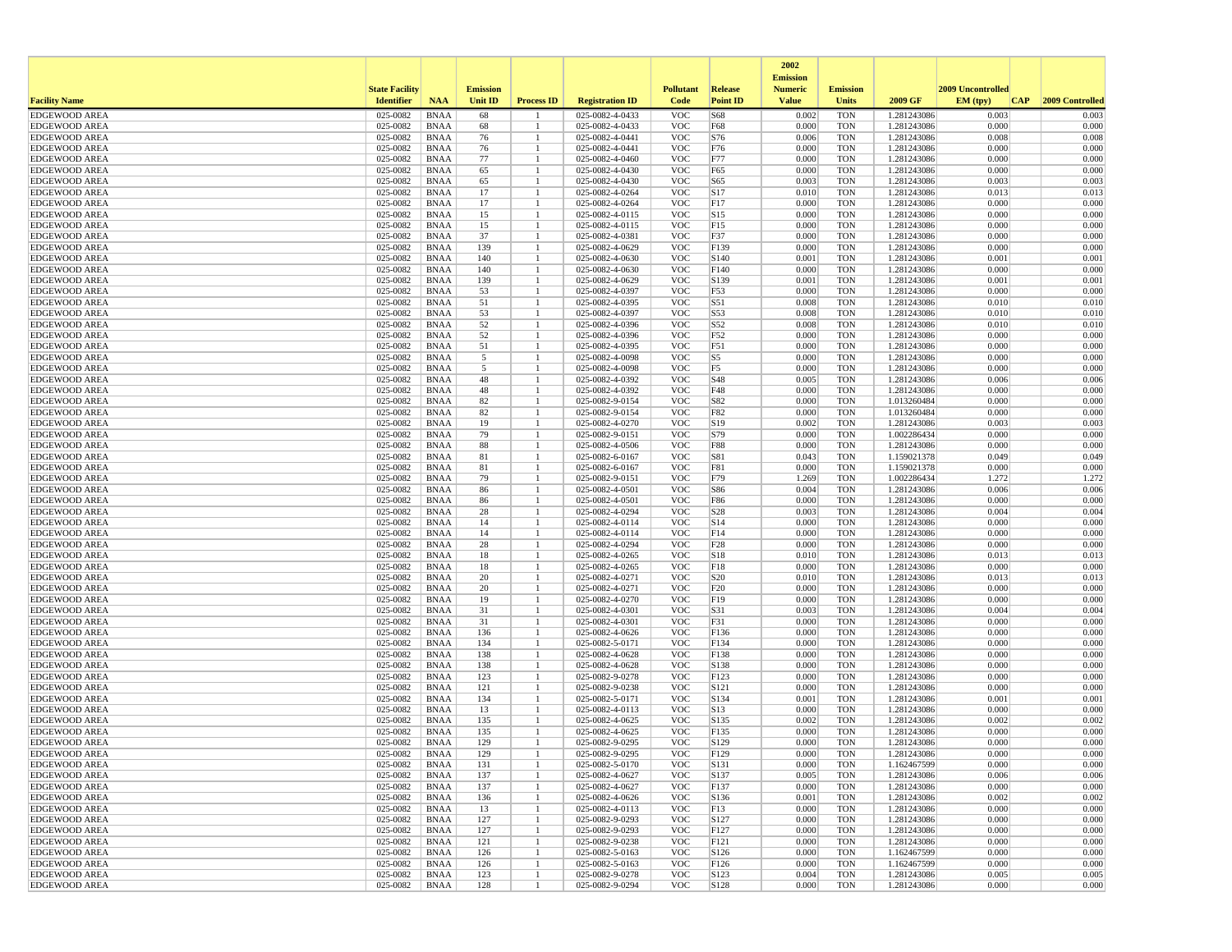|                                              |                       |                            |                 |                   |                                    |                          |                         | 2002<br><b>Emission</b> |                          |                            |                   |                 |
|----------------------------------------------|-----------------------|----------------------------|-----------------|-------------------|------------------------------------|--------------------------|-------------------------|-------------------------|--------------------------|----------------------------|-------------------|-----------------|
|                                              | <b>State Facility</b> |                            | <b>Emission</b> |                   |                                    | <b>Pollutant</b>         | <b>Release</b>          | <b>Numeric</b>          | <b>Emission</b>          |                            | 2009 Uncontrolled |                 |
| <b>Facility Name</b>                         | <b>Identifier</b>     | <b>NAA</b>                 | <b>Unit ID</b>  | <b>Process ID</b> | <b>Registration ID</b>             | Code                     | <b>Point ID</b>         | <b>Value</b>            | <b>Units</b>             | 2009 GF                    | EM (tpv)<br> CAP  | 2009 Controlled |
| <b>EDGEWOOD AREA</b>                         | 025-0082              | <b>BNAA</b>                | 68              |                   | 025-0082-4-0433                    | <b>VOC</b>               | S68                     | 0.002                   | <b>TON</b>               | 1.281243086                | 0.003             | 0.003           |
| <b>EDGEWOOD AREA</b><br><b>EDGEWOOD AREA</b> | 025-0082<br>025-0082  | <b>BNAA</b><br><b>BNAA</b> | 68<br>76        |                   | 025-0082-4-0433<br>025-0082-4-0441 | <b>VOC</b><br><b>VOC</b> | F68<br>S76              | 0.000<br>0.006          | <b>TON</b><br><b>TON</b> | 1.281243086<br>1.281243086 | 0.000<br>0.008    | 0.000<br>0.008  |
| <b>EDGEWOOD AREA</b>                         | 025-0082              | <b>BNAA</b>                | 76              |                   | 025-0082-4-0441                    | <b>VOC</b>               | F76                     | 0.000                   | <b>TON</b>               | 1.281243086                | 0.000             | 0.000           |
| <b>EDGEWOOD AREA</b>                         | 025-0082              | <b>BNAA</b>                | 77              |                   | 025-0082-4-0460                    | <b>VOC</b>               | F77                     | 0.000                   | <b>TON</b>               | 1.281243086                | 0.000             | 0.000           |
| <b>EDGEWOOD AREA</b>                         | 025-0082              | <b>BNAA</b>                | 65              |                   | 025-0082-4-0430                    | <b>VOC</b>               | F65                     | 0.000                   | <b>TON</b>               | 1.281243086                | 0.000             | 0.000           |
| <b>EDGEWOOD AREA</b>                         | 025-0082              | <b>BNAA</b>                | 65              |                   | 025-0082-4-0430                    | <b>VOC</b>               | S65                     | 0.003                   | <b>TON</b>               | 1.281243086                | 0.003             | 0.003           |
| <b>EDGEWOOD AREA</b>                         | 025-0082              | <b>BNAA</b>                | 17              |                   | 025-0082-4-0264                    | <b>VOC</b>               | S17                     | 0.010                   | <b>TON</b>               | 1.281243086                | 0.013             | 0.013           |
| <b>EDGEWOOD AREA</b>                         | 025-0082              | <b>BNAA</b>                | 17              |                   | 025-0082-4-0264                    | <b>VOC</b>               | F <sub>17</sub>         | 0.000                   | <b>TON</b>               | 1.281243086                | 0.000             | 0.000           |
| <b>EDGEWOOD AREA</b>                         | 025-0082              | <b>BNAA</b>                | 15              |                   | 025-0082-4-0115                    | <b>VOC</b>               | S15                     | 0.000                   | <b>TON</b>               | 1.281243086                | 0.000             | 0.000           |
| <b>EDGEWOOD AREA</b><br><b>EDGEWOOD AREA</b> | 025-0082<br>025-0082  | <b>BNAA</b><br><b>BNAA</b> | 15<br>37        |                   | 025-0082-4-0115<br>025-0082-4-0381 | <b>VOC</b><br><b>VOC</b> | F15<br>F37              | 0.000<br>0.000          | <b>TON</b><br><b>TON</b> | 1.281243086<br>1.281243086 | 0.000<br>0.000    | 0.000<br>0.000  |
| <b>EDGEWOOD AREA</b>                         | 025-0082              | <b>BNAA</b>                | 139             |                   | 025-0082-4-0629                    | <b>VOC</b>               | F139                    | 0.000                   | <b>TON</b>               | 1.281243086                | 0.000             | 0.000           |
| <b>EDGEWOOD AREA</b>                         | 025-0082              | <b>BNAA</b>                | 140             |                   | 025-0082-4-0630                    | <b>VOC</b>               | S140                    | 0.001                   | <b>TON</b>               | 1.281243086                | 0.001             | 0.001           |
| <b>EDGEWOOD AREA</b>                         | 025-0082              | <b>BNAA</b>                | 140             |                   | 025-0082-4-0630                    | <b>VOC</b>               | F140                    | 0.000                   | <b>TON</b>               | 1.281243086                | 0.000             | 0.000           |
| <b>EDGEWOOD AREA</b>                         | 025-0082              | <b>BNAA</b>                | 139             |                   | 025-0082-4-0629                    | <b>VOC</b>               | S139                    | 0.001                   | <b>TON</b>               | 1.281243086                | 0.001             | 0.001           |
| <b>EDGEWOOD AREA</b>                         | 025-0082              | <b>BNAA</b>                | 53              |                   | 025-0082-4-0397                    | <b>VOC</b>               | F53                     | 0.000                   | <b>TON</b>               | 1.281243086                | 0.000             | 0.000           |
| <b>EDGEWOOD AREA</b>                         | 025-0082              | <b>BNAA</b>                | 51              |                   | 025-0082-4-0395                    | <b>VOC</b>               | S51                     | 0.008                   | <b>TON</b>               | 1.281243086                | 0.010             | 0.010           |
| <b>EDGEWOOD AREA</b>                         | 025-0082              | <b>BNAA</b>                | 53              |                   | 025-0082-4-0397                    | <b>VOC</b>               | S53                     | 0.008                   | <b>TON</b>               | 1.281243086                | 0.010             | 0.010           |
| <b>EDGEWOOD AREA</b><br><b>EDGEWOOD AREA</b> | 025-0082<br>025-0082  | <b>BNAA</b><br><b>BNAA</b> | 52<br>52        |                   | 025-0082-4-0396<br>025-0082-4-0396 | <b>VOC</b><br><b>VOC</b> | S52<br>F52              | 0.008<br>0.000          | <b>TON</b><br><b>TON</b> | 1.281243086<br>1.281243086 | 0.010<br>0.000    | 0.010<br>0.000  |
| <b>EDGEWOOD AREA</b>                         | 025-0082              | <b>BNAA</b>                | 51              |                   | 025-0082-4-0395                    | <b>VOC</b>               | F51                     | 0.000                   | <b>TON</b>               | 1.281243086                | 0.000             | 0.000           |
| <b>EDGEWOOD AREA</b>                         | 025-0082              | <b>BNAA</b>                | 5               |                   | 025-0082-4-0098                    | <b>VOC</b>               | S5                      | 0.000                   | <b>TON</b>               | 1.281243086                | 0.000             | 0.000           |
| <b>EDGEWOOD AREA</b>                         | 025-0082              | <b>BNAA</b>                | 5               |                   | 025-0082-4-0098                    | <b>VOC</b>               | F5                      | 0.000                   | <b>TON</b>               | 1.281243086                | 0.000             | 0.000           |
| <b>EDGEWOOD AREA</b>                         | 025-0082              | <b>BNAA</b>                | 48              |                   | 025-0082-4-0392                    | <b>VOC</b>               | S48                     | 0.005                   | <b>TON</b>               | 1.281243086                | 0.006             | 0.006           |
| <b>EDGEWOOD AREA</b>                         | 025-0082              | <b>BNAA</b>                | 48              |                   | 025-0082-4-0392                    | <b>VOC</b>               | F48                     | 0.000                   | <b>TON</b>               | 1.281243086                | 0.000             | 0.000           |
| <b>EDGEWOOD AREA</b>                         | 025-0082              | <b>BNAA</b>                | 82              |                   | 025-0082-9-0154                    | <b>VOC</b>               | S82                     | 0.000                   | <b>TON</b>               | 1.013260484                | 0.000             | 0.000           |
| <b>EDGEWOOD AREA</b>                         | 025-0082              | <b>BNAA</b>                | 82              |                   | 025-0082-9-0154                    | <b>VOC</b>               | F82                     | 0.000                   | <b>TON</b>               | 1.013260484                | 0.000             | 0.000           |
| <b>EDGEWOOD AREA</b><br><b>EDGEWOOD AREA</b> | 025-0082<br>025-0082  | <b>BNAA</b><br><b>BNAA</b> | 19<br>79        |                   | 025-0082-4-0270<br>025-0082-9-0151 | <b>VOC</b><br><b>VOC</b> | S19<br>S79              | 0.002<br>0.000          | <b>TON</b><br><b>TON</b> | 1.281243086<br>1.002286434 | 0.003<br>0.000    | 0.003<br>0.000  |
| <b>EDGEWOOD AREA</b>                         | 025-0082              | <b>BNAA</b>                | 88              |                   | 025-0082-4-0506                    | <b>VOC</b>               | <b>F88</b>              | 0.000                   | <b>TON</b>               | 1.281243086                | 0.000             | 0.000           |
| <b>EDGEWOOD AREA</b>                         | 025-0082              | <b>BNAA</b>                | 81              |                   | 025-0082-6-0167                    | <b>VOC</b>               | S81                     | 0.043                   | <b>TON</b>               | 1.159021378                | 0.049             | 0.049           |
| <b>EDGEWOOD AREA</b>                         | 025-0082              | <b>BNAA</b>                | 81              |                   | 025-0082-6-0167                    | <b>VOC</b>               | F81                     | 0.000                   | <b>TON</b>               | 1.159021378                | 0.000             | 0.000           |
| <b>EDGEWOOD AREA</b>                         | 025-0082              | <b>BNAA</b>                | 79              |                   | 025-0082-9-0151                    | <b>VOC</b>               | F79                     | 1.269                   | <b>TON</b>               | 1.002286434                | 1.272             | 1.272           |
| <b>EDGEWOOD AREA</b>                         | 025-0082              | <b>BNAA</b>                | 86              |                   | 025-0082-4-0501                    | <b>VOC</b>               | S86                     | 0.004                   | <b>TON</b>               | 1.281243086                | 0.006             | 0.006           |
| <b>EDGEWOOD AREA</b>                         | 025-0082              | <b>BNAA</b>                | 86              |                   | 025-0082-4-0501                    | <b>VOC</b>               | F86                     | 0.000                   | <b>TON</b>               | 1.281243086                | 0.000             | 0.000           |
| <b>EDGEWOOD AREA</b>                         | 025-0082              | <b>BNAA</b>                | 28              |                   | 025-0082-4-0294                    | <b>VOC</b>               | S28                     | 0.003                   | <b>TON</b>               | 1.281243086                | 0.004             | 0.004           |
| <b>EDGEWOOD AREA</b><br><b>EDGEWOOD AREA</b> | 025-0082<br>025-0082  | <b>BNAA</b><br><b>BNAA</b> | 14<br>14        |                   | 025-0082-4-0114<br>025-0082-4-0114 | <b>VOC</b><br><b>VOC</b> | S14<br>F14              | 0.000<br>0.000          | <b>TON</b><br><b>TON</b> | 1.281243086<br>1.281243086 | 0.000<br>0.000    | 0.000<br>0.000  |
| <b>EDGEWOOD AREA</b>                         | 025-0082              | <b>BNAA</b>                | 28              |                   | 025-0082-4-0294                    | <b>VOC</b>               | F28                     | 0.000                   | <b>TON</b>               | 1.281243086                | 0.000             | 0.000           |
| <b>EDGEWOOD AREA</b>                         | 025-0082              | <b>BNAA</b>                | 18              |                   | 025-0082-4-0265                    | <b>VOC</b>               | S18                     | 0.010                   | <b>TON</b>               | 1.281243086                | 0.013             | 0.013           |
| <b>EDGEWOOD AREA</b>                         | 025-0082              | <b>BNAA</b>                | 18              |                   | 025-0082-4-0265                    | <b>VOC</b>               | F18                     | 0.000                   | <b>TON</b>               | 1.281243086                | 0.000             | 0.000           |
| <b>EDGEWOOD AREA</b>                         | 025-0082              | <b>BNAA</b>                | 20              |                   | 025-0082-4-0271                    | <b>VOC</b>               | S <sub>20</sub>         | 0.010                   | <b>TON</b>               | 1.281243086                | 0.013             | 0.013           |
| <b>EDGEWOOD AREA</b>                         | 025-0082              | <b>BNAA</b>                | 20              |                   | 025-0082-4-0271                    | <b>VOC</b>               | F20                     | 0.000                   | <b>TON</b>               | 1.281243086                | 0.000             | 0.000           |
| <b>EDGEWOOD AREA</b>                         | 025-0082              | <b>BNAA</b>                | 19              |                   | 025-0082-4-0270                    | <b>VOC</b>               | F19                     | 0.000                   | <b>TON</b>               | 1.281243086                | 0.000             | 0.000           |
| <b>EDGEWOOD AREA</b><br><b>EDGEWOOD AREA</b> | 025-0082<br>025-0082  | <b>BNAA</b><br><b>BNAA</b> | 31<br>31        |                   | 025-0082-4-0301<br>025-0082-4-0301 | <b>VOC</b><br><b>VOC</b> | S31<br>F31              | 0.003<br>0.000          | <b>TON</b><br><b>TON</b> | 1.281243086<br>1.281243086 | 0.004<br>0.000    | 0.004<br>0.000  |
| <b>EDGEWOOD AREA</b>                         | 025-0082              | <b>BNAA</b>                | 136             |                   | 025-0082-4-0626                    | <b>VOC</b>               | F136                    | 0.000                   | <b>TON</b>               | 1.281243086                | 0.000             | 0.000           |
| <b>EDGEWOOD AREA</b>                         | 025-0082              | <b>BNAA</b>                | 134             |                   | 025-0082-5-0171                    | <b>VOC</b>               | F134                    | 0.000                   | <b>TON</b>               | 1.281243086                | 0.000             | 0.000           |
| <b>EDGEWOOD AREA</b>                         | 025-0082              | <b>BNAA</b>                | 138             |                   | 025-0082-4-0628                    | <b>VOC</b>               | F138                    | 0.000                   | <b>TON</b>               | 1.281243086                | 0.000             | 0.000           |
| <b>EDGEWOOD AREA</b>                         | 025-0082              | <b>BNAA</b>                | 138             |                   | 025-0082-4-0628                    | <b>VOC</b>               | S138                    | 0.000                   | <b>TON</b>               | 1.281243086                | 0.000             | 0.000           |
| <b>EDGEWOOD AREA</b>                         | 025-0082              | <b>BNAA</b>                | 123             |                   | 025-0082-9-0278                    | <b>VOC</b>               | F123                    | 0.000                   | <b>TON</b>               | 1.281243086                | 0.000             | 0.000           |
| <b>EDGEWOOD AREA</b>                         | 025-0082              | <b>BNAA</b>                | 121             |                   | 025-0082-9-0238                    | <b>VOC</b>               | S121                    | 0.000                   | <b>TON</b>               | 1.281243086                | 0.000             | 0.000           |
| <b>EDGEWOOD AREA</b>                         | 025-0082<br>025-0082  | <b>BNAA</b>                | 134             |                   | 025-0082-5-0171                    | <b>VOC</b>               | S134                    | 0.001                   | <b>TON</b>               | 1.281243086                | 0.001<br>0.000    | 0.001<br>0.000  |
| <b>EDGEWOOD AREA</b><br><b>EDGEWOOD AREA</b> | 025-0082              | <b>BNAA</b><br><b>BNAA</b> | 13<br>135       |                   | 025-0082-4-0113<br>025-0082-4-0625 | <b>VOC</b><br><b>VOC</b> | S <sub>13</sub><br>S135 | 0.000<br>0.002          | <b>TON</b><br><b>TON</b> | 1.281243086<br>1.281243086 | 0.002             | 0.002           |
| <b>EDGEWOOD AREA</b>                         | 025-0082              | <b>BNAA</b>                | 135             |                   | 025-0082-4-0625                    | <b>VOC</b>               | F135                    | 0.000                   | <b>TON</b>               | 1.281243086                | 0.000             | 0.000           |
| <b>EDGEWOOD AREA</b>                         | 025-0082              | <b>BNAA</b>                | 129             |                   | 025-0082-9-0295                    | <b>VOC</b>               | S <sub>129</sub>        | 0.000                   | <b>TON</b>               | 1.281243086                | 0.000             | 0.000           |
| <b>EDGEWOOD AREA</b>                         | 025-0082              | <b>BNAA</b>                | 129             |                   | 025-0082-9-0295                    | <b>VOC</b>               | F129                    | 0.000                   | TON                      | 1.281243086                | 0.000             | 0.000           |
| <b>EDGEWOOD AREA</b>                         | 025-0082              | <b>BNAA</b>                | 131             |                   | 025-0082-5-0170                    | <b>VOC</b>               | S131                    | 0.000                   | <b>TON</b>               | 1.162467599                | 0.000             | 0.000           |
| <b>EDGEWOOD AREA</b>                         | 025-0082              | <b>BNAA</b>                | 137             |                   | 025-0082-4-0627                    | <b>VOC</b>               | S137                    | 0.005                   | <b>TON</b>               | 1.281243086                | 0.006             | 0.006           |
| <b>EDGEWOOD AREA</b>                         | 025-0082              | BNAA                       | 137             |                   | 025-0082-4-0627                    | <b>VOC</b>               | F137                    | 0.000                   | <b>TON</b>               | 1.281243086                | 0.000             | 0.000           |
| <b>EDGEWOOD AREA</b>                         | 025-0082              | <b>BNAA</b>                | 136             |                   | 025-0082-4-0626<br>025-0082-4-0113 | <b>VOC</b>               | S136                    | 0.001                   | <b>TON</b>               | 1.281243086                | 0.002             | 0.002           |
| <b>EDGEWOOD AREA</b><br><b>EDGEWOOD AREA</b> | 025-0082<br>025-0082  | <b>BNAA</b><br><b>BNAA</b> | 13<br>127       | $\mathbf{1}$      | 025-0082-9-0293                    | <b>VOC</b><br><b>VOC</b> | F13<br>S127             | 0.000<br>0.000          | <b>TON</b><br><b>TON</b> | 1.281243086<br>1.281243086 | 0.000<br>0.000    | 0.000<br>0.000  |
| <b>EDGEWOOD AREA</b>                         | 025-0082              | BNAA                       | 127             |                   | 025-0082-9-0293                    | <b>VOC</b>               | F127                    | 0.000                   | <b>TON</b>               | 1.281243086                | 0.000             | 0.000           |
| <b>EDGEWOOD AREA</b>                         | 025-0082              | <b>BNAA</b>                | 121             |                   | 025-0082-9-0238                    | <b>VOC</b>               | F121                    | 0.000                   | <b>TON</b>               | 1.281243086                | 0.000             | 0.000           |
| <b>EDGEWOOD AREA</b>                         | 025-0082              | <b>BNAA</b>                | 126             |                   | 025-0082-5-0163                    | <b>VOC</b>               | S <sub>126</sub>        | 0.000                   | <b>TON</b>               | 1.162467599                | 0.000             | 0.000           |
| <b>EDGEWOOD AREA</b>                         | 025-0082              | <b>BNAA</b>                | 126             |                   | 025-0082-5-0163                    | <b>VOC</b>               | F126                    | 0.000                   | <b>TON</b>               | 1.162467599                | 0.000             | 0.000           |
| <b>EDGEWOOD AREA</b>                         | 025-0082              | <b>BNAA</b>                | 123             |                   | 025-0082-9-0278                    | <b>VOC</b>               | S123                    | 0.004                   | <b>TON</b>               | 1.281243086                | 0.005             | 0.005           |
| <b>EDGEWOOD AREA</b>                         | 025-0082              | <b>BNAA</b>                | 128             |                   | 025-0082-9-0294                    | <b>VOC</b>               | S128                    | 0.000                   | <b>TON</b>               | 1.281243086                | 0.000             | 0.000           |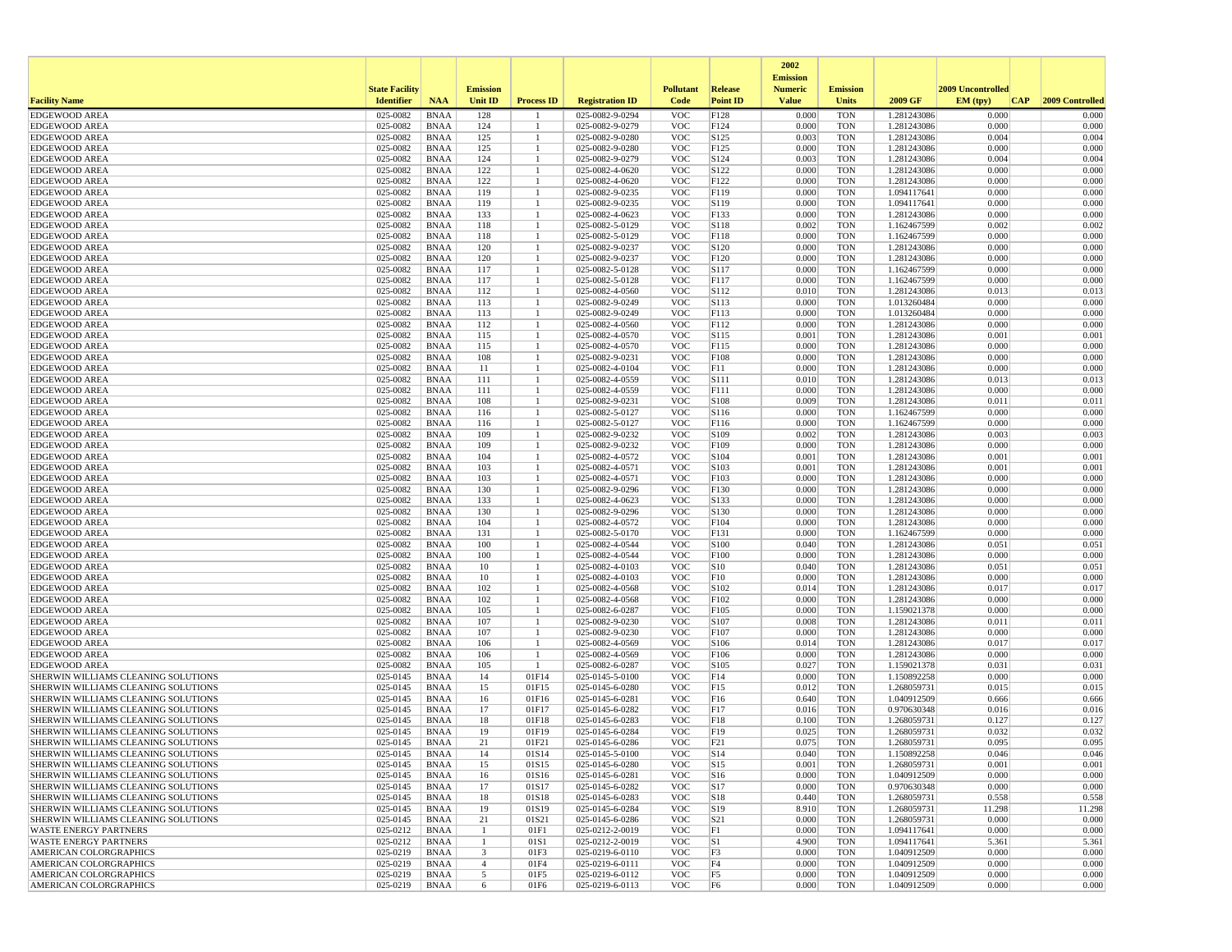|                                                         |                       |                            |                         |                    |                                    |                          |                  | 2002                              |                          |                            |                   |                 |
|---------------------------------------------------------|-----------------------|----------------------------|-------------------------|--------------------|------------------------------------|--------------------------|------------------|-----------------------------------|--------------------------|----------------------------|-------------------|-----------------|
|                                                         | <b>State Facility</b> |                            | <b>Emission</b>         |                    |                                    | <b>Pollutant</b>         | Release          | <b>Emission</b><br><b>Numeric</b> | <b>Emission</b>          |                            | 2009 Uncontrolled |                 |
| <b>Facility Name</b>                                    | <b>Identifier</b>     | <b>NAA</b>                 | Unit ID                 | <b>Process ID</b>  | <b>Registration ID</b>             | Code                     | <b>Point ID</b>  | <b>Value</b>                      | <b>Units</b>             | 2009 GF                    | EM (typ)<br> CAP  | 2009 Controlled |
| <b>EDGEWOOD AREA</b>                                    | 025-0082              | <b>BNAA</b>                | 128                     |                    | 025-0082-9-0294                    | <b>VOC</b>               | F128             | 0.000                             | <b>TON</b>               | 1.281243086                | 0.000             | 0.000           |
| <b>EDGEWOOD AREA</b>                                    | 025-0082              | <b>BNAA</b>                | 124                     | -1                 | 025-0082-9-0279                    | <b>VOC</b>               | F124             | 0.000                             | <b>TON</b>               | 1.281243086                | 0.000             | 0.000           |
| <b>EDGEWOOD AREA</b>                                    | 025-0082              | <b>BNAA</b>                | 125                     | $\mathbf{1}$       | 025-0082-9-0280                    | <b>VOC</b>               | S125             | 0.003                             | <b>TON</b>               | 1.281243086                | 0.004             | 0.004           |
| <b>EDGEWOOD AREA</b>                                    | 025-0082              | <b>BNAA</b>                | 125                     | $\mathbf{1}$       | 025-0082-9-0280                    | <b>VOC</b>               | F125             | 0.000                             | <b>TON</b>               | 1.281243086                | 0.000             | 0.000           |
| <b>EDGEWOOD AREA</b>                                    | 025-0082              | BNAA                       | 124                     |                    | 025-0082-9-0279                    | <b>VOC</b>               | S124             | 0.003                             | <b>TON</b>               | 1.281243086                | 0.004             | 0.004           |
| <b>EDGEWOOD AREA</b><br><b>EDGEWOOD AREA</b>            | 025-0082<br>025-0082  | <b>BNAA</b><br><b>BNAA</b> | 122<br>122              | -1                 | 025-0082-4-0620<br>025-0082-4-0620 | <b>VOC</b><br><b>VOC</b> | S122<br>F122     | 0.000<br>0.000                    | <b>TON</b><br><b>TON</b> | 1.281243086<br>1.281243086 | 0.000<br>0.000    | 0.000<br>0.000  |
| <b>EDGEWOOD AREA</b>                                    | 025-0082              | <b>BNAA</b>                | 119                     | -1                 | 025-0082-9-0235                    | <b>VOC</b>               | F119             | 0.000                             | <b>TON</b>               | 1.094117641                | 0.000             | 0.000           |
| EDGEWOOD AREA                                           | 025-0082              | <b>BNAA</b>                | 119                     | -1                 | 025-0082-9-0235                    | <b>VOC</b>               | S119             | 0.000                             | <b>TON</b>               | 1.094117641                | 0.000             | 0.000           |
| <b>EDGEWOOD AREA</b>                                    | 025-0082              | <b>BNAA</b>                | 133                     | -1                 | 025-0082-4-0623                    | <b>VOC</b>               | F133             | 0.000                             | <b>TON</b>               | 1.281243086                | 0.000             | 0.000           |
| EDGEWOOD AREA                                           | 025-0082              | <b>BNAA</b>                | 118                     |                    | 025-0082-5-0129                    | <b>VOC</b>               | S118             | 0.002                             | <b>TON</b>               | 1.162467599                | 0.002             | 0.002           |
| <b>EDGEWOOD AREA</b>                                    | 025-0082              | BNAA                       | 118                     |                    | 025-0082-5-0129                    | <b>VOC</b>               | F118             | 0.000                             | <b>TON</b>               | 1.162467599                | 0.000             | 0.000           |
| <b>EDGEWOOD AREA</b>                                    | 025-0082              | <b>BNAA</b>                | 120                     | -1                 | 025-0082-9-0237                    | <b>VOC</b>               | S120             | 0.000                             | <b>TON</b>               | 1.281243086                | 0.000             | 0.000           |
| <b>EDGEWOOD AREA</b>                                    | 025-0082              | <b>BNAA</b>                | 120                     | $\mathbf{1}$       | 025-0082-9-0237                    | <b>VOC</b>               | F120             | 0.000                             | <b>TON</b>               | 1.281243086                | 0.000             | 0.000           |
| <b>EDGEWOOD AREA</b>                                    | 025-0082              | <b>BNAA</b>                | 117                     | $\mathbf{1}$       | 025-0082-5-0128                    | <b>VOC</b>               | S117             | 0.000                             | <b>TON</b>               | 1.162467599                | 0.000             | 0.000           |
| <b>EDGEWOOD AREA</b>                                    | 025-0082              | <b>BNAA</b>                | 117                     |                    | 025-0082-5-0128                    | <b>VOC</b>               | F117             | 0.000                             | <b>TON</b>               | 1.162467599                | 0.000             | 0.000           |
| EDGEWOOD AREA                                           | 025-0082              | <b>BNAA</b>                | 112                     | $\mathbf{1}$       | 025-0082-4-0560                    | <b>VOC</b>               | S112             | 0.010                             | <b>TON</b>               | 1.281243086                | 0.013             | 0.013           |
| <b>EDGEWOOD AREA</b>                                    | 025-0082              | BNAA                       | 113                     | -1                 | 025-0082-9-0249                    | <b>VOC</b>               | S <sub>113</sub> | 0.000                             | <b>TON</b>               | 1.013260484                | 0.000             | 0.000           |
| <b>EDGEWOOD AREA</b>                                    | 025-0082              | BNAA                       | 113                     | -1                 | 025-0082-9-0249                    | <b>VOC</b>               | F113             | 0.000                             | <b>TON</b>               | 1.013260484                | 0.000             | 0.000           |
| <b>EDGEWOOD AREA</b>                                    | 025-0082              | <b>BNAA</b>                | 112                     |                    | 025-0082-4-0560                    | <b>VOC</b>               | F112             | 0.000                             | <b>TON</b>               | 1.281243086                | 0.000             | 0.000           |
| <b>EDGEWOOD AREA</b>                                    | 025-0082              | <b>BNAA</b>                | 115                     | -1                 | 025-0082-4-0570                    | <b>VOC</b>               | S115             | 0.001                             | <b>TON</b>               | 1.281243086                | 0.001             | 0.001           |
| <b>EDGEWOOD AREA</b>                                    | 025-0082              | <b>BNAA</b>                | 115                     | $\mathbf{1}$       | 025-0082-4-0570                    | <b>VOC</b>               | F115             | 0.000                             | <b>TON</b>               | 1.281243086                | 0.000             | 0.000           |
| <b>EDGEWOOD AREA</b>                                    | 025-0082              | BNAA                       | 108                     |                    | 025-0082-9-0231                    | <b>VOC</b>               | F108             | 0.000                             | <b>TON</b>               | 1.281243086                | 0.000             | 0.000           |
| <b>EDGEWOOD AREA</b>                                    | 025-0082              | BNAA                       | 11                      | -1                 | 025-0082-4-0104                    | <b>VOC</b>               | F11              | 0.000                             | <b>TON</b>               | 1.281243086                | 0.000             | 0.000           |
| EDGEWOOD AREA                                           | 025-0082              | <b>BNAA</b>                | 111                     | $\mathbf{1}$       | 025-0082-4-0559                    | <b>VOC</b>               | S <sub>111</sub> | 0.010                             | <b>TON</b>               | 1.281243086                | 0.013             | 0.013           |
| <b>EDGEWOOD AREA</b>                                    | 025-0082              | BNAA                       | 111                     |                    | 025-0082-4-0559                    | <b>VOC</b>               | F111             | 0.000                             | <b>TON</b>               | 1.281243086                | 0.000             | 0.000           |
| <b>EDGEWOOD AREA</b>                                    | 025-0082              | <b>BNAA</b>                | 108                     | -1<br>$\mathbf{1}$ | 025-0082-9-0231                    | <b>VOC</b>               | S108             | 0.009                             | <b>TON</b>               | 1.281243086                | 0.011             | 0.011           |
| <b>EDGEWOOD AREA</b>                                    | 025-0082<br>025-0082  | <b>BNAA</b>                | 116                     | 1                  | 025-0082-5-0127                    | <b>VOC</b><br><b>VOC</b> | S116             | 0.000<br>0.000                    | <b>TON</b>               | 1.162467599                | 0.000<br>0.000    | 0.000<br>0.000  |
| <b>EDGEWOOD AREA</b><br><b>EDGEWOOD AREA</b>            | 025-0082              | <b>BNAA</b><br>BNAA        | 116<br>109              | -1                 | 025-0082-5-0127<br>025-0082-9-0232 | <b>VOC</b>               | F116<br>S109     | 0.002                             | <b>TON</b><br><b>TON</b> | 1.162467599<br>1.281243086 | 0.003             | 0.003           |
| <b>EDGEWOOD AREA</b>                                    | 025-0082              | <b>BNAA</b>                | 109                     |                    | 025-0082-9-0232                    | <b>VOC</b>               | F109             | 0.000                             | <b>TON</b>               | 1.281243086                | 0.000             | 0.000           |
| EDGEWOOD AREA                                           | 025-0082              | <b>BNAA</b>                | 104                     | -1                 | 025-0082-4-0572                    | <b>VOC</b>               | S104             | 0.001                             | <b>TON</b>               | 1.281243086                | 0.001             | 0.001           |
| <b>EDGEWOOD AREA</b>                                    | 025-0082              | BNAA                       | 103                     | -1                 | 025-0082-4-0571                    | <b>VOC</b>               | S103             | 0.001                             | <b>TON</b>               | 1.281243086                | 0.001             | 0.001           |
| EDGEWOOD AREA                                           | 025-0082              | <b>BNAA</b>                | 103                     |                    | 025-0082-4-0571                    | <b>VOC</b>               | F103             | 0.000                             | <b>TON</b>               | 1.281243086                | 0.000             | 0.000           |
| <b>EDGEWOOD AREA</b>                                    | 025-0082              | <b>BNAA</b>                | 130                     | -1                 | 025-0082-9-0296                    | <b>VOC</b>               | F130             | 0.000                             | <b>TON</b>               | 1.281243086                | 0.000             | 0.000           |
| <b>EDGEWOOD AREA</b>                                    | 025-0082              | <b>BNAA</b>                | 133                     |                    | 025-0082-4-0623                    | <b>VOC</b>               | S133             | 0.000                             | <b>TON</b>               | 1.281243086                | 0.000             | 0.000           |
| <b>EDGEWOOD AREA</b>                                    | 025-0082              | BNAA                       | 130                     |                    | 025-0082-9-0296                    | <b>VOC</b>               | S130             | 0.000                             | <b>TON</b>               | 1.281243086                | 0.000             | 0.000           |
| <b>EDGEWOOD AREA</b>                                    | 025-0082              | <b>BNAA</b>                | 104                     | -1                 | 025-0082-4-0572                    | <b>VOC</b>               | F104             | 0.000                             | <b>TON</b>               | 1.281243086                | 0.000             | 0.000           |
| <b>EDGEWOOD AREA</b>                                    | 025-0082              | <b>BNAA</b>                | 131                     | $\mathbf{1}$       | 025-0082-5-0170                    | <b>VOC</b>               | F131             | 0.000                             | <b>TON</b>               | 1.162467599                | 0.000             | 0.000           |
| <b>EDGEWOOD AREA</b>                                    | 025-0082              | <b>BNAA</b>                | 100                     | 1                  | 025-0082-4-0544                    | <b>VOC</b>               | S100             | 0.040                             | <b>TON</b>               | 1.281243086                | 0.051             | 0.051           |
| <b>EDGEWOOD AREA</b>                                    | 025-0082              | <b>BNAA</b>                | 100                     |                    | 025-0082-4-0544                    | <b>VOC</b>               | F100             | 0.000                             | <b>TON</b>               | 1.281243086                | 0.000             | 0.000           |
| <b>EDGEWOOD AREA</b>                                    | 025-0082              | <b>BNAA</b>                | 10                      | $\mathbf{1}$       | 025-0082-4-0103                    | <b>VOC</b>               | S10              | 0.040                             | <b>TON</b>               | 1.281243086                | 0.051             | 0.051           |
| EDGEWOOD AREA                                           | 025-0082              | <b>BNAA</b>                | 10                      | -1                 | 025-0082-4-0103                    | <b>VOC</b>               | F10              | 0.000                             | <b>TON</b>               | 1.281243086                | 0.000             | 0.000           |
| <b>EDGEWOOD AREA</b>                                    | 025-0082              | BNAA                       | 102                     | -1                 | 025-0082-4-0568                    | <b>VOC</b>               | S102             | 0.014                             | <b>TON</b>               | 1.281243086                | 0.017             | 0.017           |
| EDGEWOOD AREA                                           | 025-0082              | <b>BNAA</b>                | 102                     |                    | 025-0082-4-0568                    | <b>VOC</b>               | F102             | 0.000                             | <b>TON</b>               | 1.281243086                | 0.000             | 0.000           |
| <b>EDGEWOOD AREA</b>                                    | 025-0082              | <b>BNAA</b>                | 105                     | 1                  | 025-0082-6-0287                    | <b>VOC</b>               | F105             | 0.000                             | <b>TON</b>               | 1.159021378                | 0.000             | 0.000           |
| EDGEWOOD AREA                                           | 025-0082              | <b>BNAA</b>                | 107                     | $\mathbf{1}$       | 025-0082-9-0230                    | <b>VOC</b>               | S107             | 0.008                             | <b>TON</b>               | 1.281243086                | 0.011             | 0.011           |
| <b>EDGEWOOD AREA</b>                                    | 025-0082              | BNAA                       | 107                     |                    | 025-0082-9-0230                    | <b>VOC</b><br><b>VOC</b> | F107             | 0.000<br>0.014                    | <b>TON</b><br><b>TON</b> | 1.281243086                | 0.000<br>0.017    | 0.000           |
| <b>EDGEWOOD AREA</b><br><b>EDGEWOOD AREA</b>            | 025-0082<br>025-0082  | BNAA<br><b>BNAA</b>        | 106<br>106              | -1<br>$\mathbf{1}$ | 025-0082-4-0569<br>025-0082-4-0569 | <b>VOC</b>               | S106<br>F106     | 0.000                             | <b>TON</b>               | 1.281243086<br>1.281243086 | 0.000             | 0.017<br>0.000  |
| <b>EDGEWOOD AREA</b>                                    | 025-0082              | BNAA                       | 105                     | -1                 | 025-0082-6-0287                    | <b>VOC</b>               | S105             | 0.027                             | <b>TON</b>               | 1.159021378                | 0.031             | 0.031           |
| SHERWIN WILLIAMS CLEANING SOLUTIONS                     | 025-0145              | <b>BNAA</b>                | 14                      | 01F14              | 025-0145-5-0100                    | <b>VOC</b>               | F14              | 0.000                             | <b>TON</b>               | 1.150892258                | 0.000             | 0.000           |
| SHERWIN WILLIAMS CLEANING SOLUTIONS                     | 025-0145              | <b>BNAA</b>                | 15                      | 01F15              | 025-0145-6-0280                    | <b>VOC</b>               | F15              | 0.012                             | <b>TON</b>               | 1.268059731                | 0.015             | 0.015           |
| SHERWIN WILLIAMS CLEANING SOLUTIONS                     | 025-0145              | <b>BNAA</b>                | 16                      | 01F16              | 025-0145-6-0281                    | <b>VOC</b>               | F16              | 0.640                             | <b>TON</b>               | 1.040912509                | 0.666             | 0.666           |
| SHERWIN WILLIAMS CLEANING SOLUTIONS                     | 025-0145              | BNAA                       | 17                      | 01F17              | 025-0145-6-0282                    | <b>VOC</b>               | F17              | 0.016                             | <b>TON</b>               | 0.970630348                | 0.016             | 0.016           |
| SHERWIN WILLIAMS CLEANING SOLUTIONS                     | 025-0145              | <b>BNAA</b>                | 18                      | 01F18              | 025-0145-6-0283                    | <b>VOC</b>               | F18              | 0.100                             | <b>TON</b>               | 1.268059731                | 0.127             | 0.127           |
| SHERWIN WILLIAMS CLEANING SOLUTIONS                     | 025-0145              | <b>BNAA</b>                | 19                      | 01F19              | 025-0145-6-0284                    | <b>VOC</b>               | F19              | 0.025                             | <b>TON</b>               | 1.268059731                | 0.032             | 0.032           |
| SHERWIN WILLIAMS CLEANING SOLUTIONS                     | 025-0145              | BNAA                       | 21                      | 01F21              | 025-0145-6-0286                    | <b>VOC</b>               | F21              | 0.075                             | <b>TON</b>               | 1.268059731                | 0.095             | 0.095           |
| SHERWIN WILLIAMS CLEANING SOLUTIONS                     | 025-0145              | <b>BNAA</b>                | 14                      | 01S14              | 025-0145-5-0100                    | <b>VOC</b>               | S14              | 0.040                             | TON                      | 1.150892258                | 0.046             | 0.046           |
| SHERWIN WILLIAMS CLEANING SOLUTIONS                     | 025-0145              | BNAA                       | 15                      | 01S15              | 025-0145-6-0280                    | <b>VOC</b>               | S15              | 0.001                             | <b>TON</b>               | 1.268059731                | 0.001             | 0.001           |
| SHERWIN WILLIAMS CLEANING SOLUTIONS                     | 025-0145              | BNAA                       | 16                      | 01S16              | 025-0145-6-0281                    | <b>VOC</b>               | S <sub>16</sub>  | 0.000                             | <b>TON</b>               | 1.040912509                | 0.000             | 0.000           |
| SHERWIN WILLIAMS CLEANING SOLUTIONS                     | 025-0145              | <b>BNAA</b>                | 17                      | 01S17              | 025-0145-6-0282                    | <b>VOC</b>               | S17              | 0.000                             | <b>TON</b>               | 0.970630348                | 0.000             | 0.000           |
| SHERWIN WILLIAMS CLEANING SOLUTIONS                     | 025-0145              | BNAA                       | 18                      | 01S18              | 025-0145-6-0283                    | <b>VOC</b>               | S18              | 0.440                             | <b>TON</b>               | 1.268059731                | 0.558             | 0.558           |
| SHERWIN WILLIAMS CLEANING SOLUTIONS                     | 025-0145              | <b>BNAA</b>                | 19                      | 01S19              | 025-0145-6-0284                    | <b>VOC</b>               | S19              | 8.910                             | <b>TON</b>               | 1.268059731                | 11.298            | 11.298          |
| SHERWIN WILLIAMS CLEANING SOLUTIONS                     | 025-0145              | <b>BNAA</b>                | 21                      | 01S21              | 025-0145-6-0286                    | <b>VOC</b>               | S21              | 0.000                             | <b>TON</b>               | 1.268059731                | 0.000             | 0.000           |
| <b>WASTE ENERGY PARTNERS</b>                            | 025-0212              | BNAA                       | -1                      | 01F1               | 025-0212-2-0019                    | <b>VOC</b>               | F1               | 0.000                             | <b>TON</b>               | 1.094117641                | 0.000             | 0.000           |
| <b>WASTE ENERGY PARTNERS</b>                            | 025-0212              | BNAA                       | -1                      | 01S1               | 025-0212-2-0019                    | <b>VOC</b>               | S1               | 4.900                             | <b>TON</b>               | 1.094117641                | 5.361             | 5.361           |
| <b>AMERICAN COLORGRAPHICS</b>                           | 025-0219              | BNAA                       | $\overline{\mathbf{3}}$ | 01F3               | 025-0219-6-0110                    | <b>VOC</b>               | F3               | 0.000                             | <b>TON</b>               | 1.040912509                | 0.000             | 0.000           |
| <b>AMERICAN COLORGRAPHICS</b><br>AMERICAN COLORGRAPHICS | 025-0219<br>025-0219  | BNAA<br><b>BNAA</b>        | $\overline{4}$<br>5     | 01F4<br>01F5       | 025-0219-6-0111                    | <b>VOC</b><br><b>VOC</b> | F4<br>F5         | 0.000<br>0.000                    | <b>TON</b><br><b>TON</b> | 1.040912509                | 0.000<br>0.000    | 0.000<br>0.000  |
| AMERICAN COLORGRAPHICS                                  | 025-0219              | <b>BNAA</b>                | 6                       | 01F6               | 025-0219-6-0112<br>025-0219-6-0113 | <b>VOC</b>               | F6               | 0.000                             | TON                      | 1.040912509<br>1.040912509 | 0.000             | 0.000           |
|                                                         |                       |                            |                         |                    |                                    |                          |                  |                                   |                          |                            |                   |                 |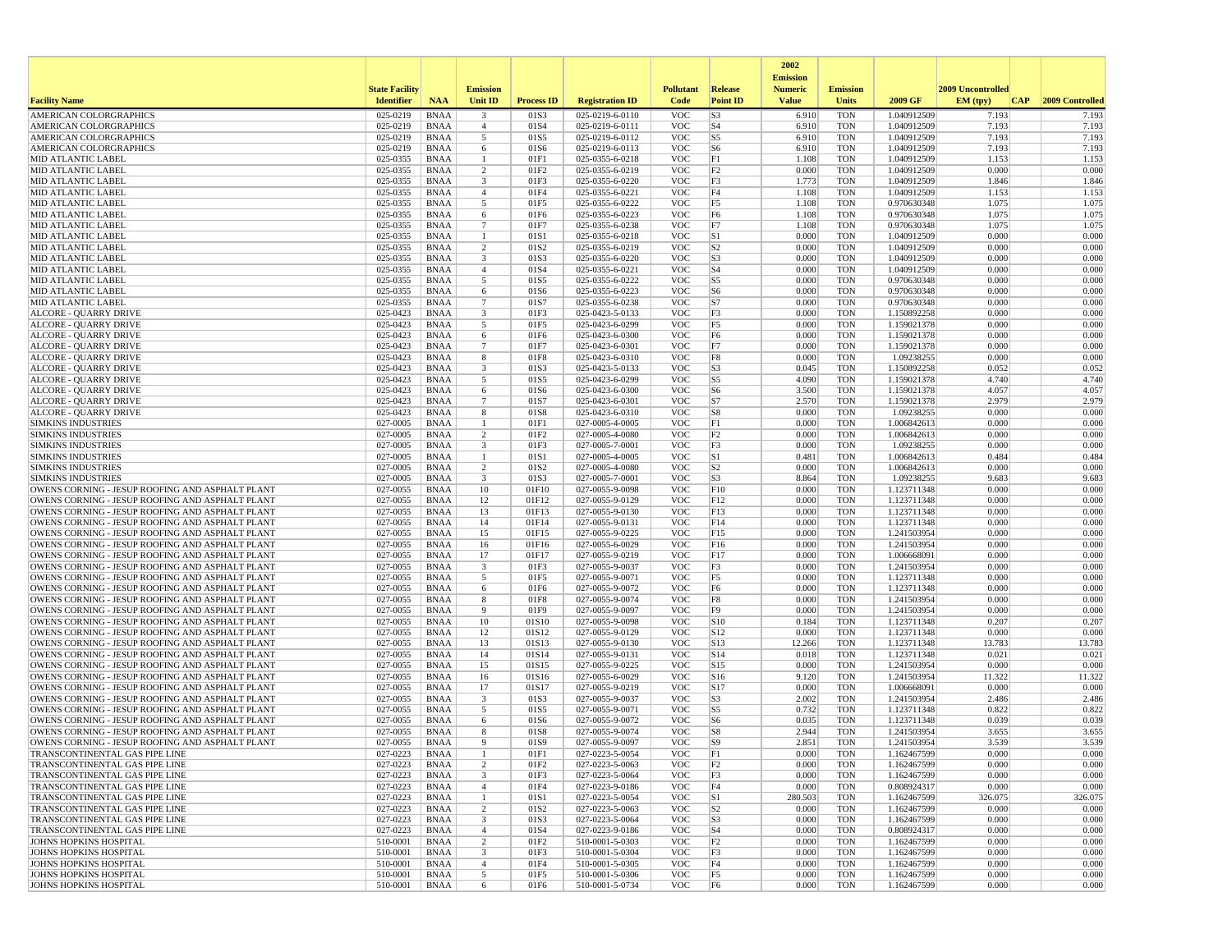| <b>State Facility</b><br><b>Emission</b><br><b>Pollutant</b><br>2009 Uncontrolled<br>Release<br><b>Numeric</b><br><b>Emission</b><br>2009 GF<br><b>Facility Name</b><br><b>Identifier</b><br><b>NAA</b><br><b>Unit ID</b><br><b>Process ID</b><br><b>Registration ID</b><br>Code<br><b>Point ID</b><br><b>Value</b><br><b>Units</b><br>EM (tpv)<br> CAP <br>2009 Controlled<br>AMERICAN COLORGRAPHICS<br>025-0219<br><b>BNAA</b><br>$\overline{\mathbf{3}}$<br>025-0219-6-0110<br><b>VOC</b><br>S <sub>3</sub><br><b>TON</b><br>7.193<br>01S3<br>6.910<br>1.040912509<br>7.193<br>025-0219<br>01S4<br><b>VOC</b><br>S <sub>4</sub><br><b>TON</b><br>7.193<br>7.193<br>AMERICAN COLORGRAPHICS<br><b>BNAA</b><br>$\overline{4}$<br>025-0219-6-0111<br>6.910<br>1.040912509<br>AMERICAN COLORGRAPHICS<br>025-0219<br><b>BNAA</b><br>5<br>01S5<br>025-0219-6-0112<br><b>VOC</b><br>S <sub>5</sub><br><b>TON</b><br>1.040912509<br>7.193<br>7.193<br>6.910<br><b>AMERICAN COLORGRAPHICS</b><br>025-0219<br><b>BNAA</b><br>01S6<br><b>VOC</b><br>S <sub>6</sub><br><b>TON</b><br>7.193<br>7.193<br>6<br>025-0219-6-0113<br>6.910<br>1.040912509<br><b>VOC</b><br><b>TON</b><br><b>MID ATLANTIC LABEL</b><br>025-0355<br>BNAA<br>-1<br>01F1<br>025-0355-6-0218<br>F1<br>1.108<br>1.040912509<br>1.153<br>1.153<br>$\overline{c}$<br>025-0355<br>025-0355-6-0219<br>F <sub>2</sub><br>0.000<br><b>TON</b><br>0.000<br>0.000<br><b>MID ATLANTIC LABEL</b><br><b>BNAA</b><br>01F2<br><b>VOC</b><br>1.040912509<br>$\overline{\mathbf{3}}$<br>1.846<br>1.846<br><b>MID ATLANTIC LABEL</b><br>025-0355<br><b>BNAA</b><br>01F3<br>025-0355-6-0220<br><b>VOC</b><br>F3<br>1.773<br><b>TON</b><br>1.040912509<br><b>MID ATLANTIC LABEL</b><br>025-0355<br>BNAA<br>$\overline{4}$<br>01F4<br>025-0355-6-0221<br><b>VOC</b><br>F4<br>1.108<br><b>TON</b><br>1.040912509<br>1.153<br>1.153<br>5<br>F5<br><b>TON</b><br>1.075<br>1.075<br><b>MID ATLANTIC LABEL</b><br>025-0355<br><b>BNAA</b><br>01F5<br>025-0355-6-0222<br><b>VOC</b><br>1.108<br>0.970630348<br>025-0355<br><b>BNAA</b><br>01F6<br>025-0355-6-0223<br><b>VOC</b><br>F <sub>6</sub><br>1.108<br><b>TON</b><br>0.970630348<br>1.075<br>1.075<br><b>MID ATLANTIC LABEL</b><br>6<br>025-0355<br>$7\phantom{.0}$<br>025-0355-6-0238<br>1.075<br>1.075<br><b>MID ATLANTIC LABEL</b><br><b>BNAA</b><br>01F7<br><b>VOC</b><br>F7<br>1.108<br><b>TON</b><br>0.970630348<br>S1<br>0.000<br><b>MID ATLANTIC LABEL</b><br>025-0355<br>BNAA<br>$\mathbf{1}$<br>01S1<br>025-0355-6-0218<br><b>VOC</b><br>0.000<br><b>TON</b><br>1.040912509<br>0.000<br>025-0355<br>$\overline{2}$<br>01S2<br><b>VOC</b><br>S <sub>2</sub><br>0.000<br><b>TON</b><br>0.000<br>0.000<br><b>MID ATLANTIC LABEL</b><br><b>BNAA</b><br>025-0355-6-0219<br>1.040912509<br>025-0355<br><b>BNAA</b><br>$\overline{\mathbf{3}}$<br>01S3<br>025-0355-6-0220<br><b>VOC</b><br>S <sub>3</sub><br>0.000<br><b>TON</b><br>0.000<br>0.000<br><b>MID ATLANTIC LABEL</b><br>1.040912509<br><b>VOC</b><br>S <sub>4</sub><br><b>TON</b><br>0.000<br>0.000<br><b>MID ATLANTIC LABEI</b><br>025-0355<br><b>BNAA</b><br>$\overline{4}$<br>01S4<br>025-0355-6-0221<br>0.000<br>1.040912509<br>5<br>S5<br>025-0355<br>01S5<br>025-0355-6-0222<br><b>VOC</b><br>0.000<br><b>TON</b><br>0.970630348<br>0.000<br>0.000<br><b>MID ATLANTIC LABEL</b><br>BNAA<br>025-0355<br>6<br>01S6<br>025-0355-6-0223<br><b>VOC</b><br>S <sub>6</sub><br>0.000<br><b>TON</b><br>0.000<br>0.000<br><b>MID ATLANTIC LABEL</b><br><b>BNAA</b><br>0.970630348<br>$7\phantom{.0}$<br>S7<br>0.000<br><b>MID ATLANTIC LABEL</b><br>025-0355<br>BNAA<br>01S7<br>025-0355-6-0238<br><b>VOC</b><br>0.000<br><b>TON</b><br>0.970630348<br>0.000<br><b>ALCORE - QUARRY DRIVE</b><br>025-0423<br>BNAA<br>3<br>01F3<br>025-0423-5-0133<br><b>VOC</b><br>F3<br>0.000<br><b>TON</b><br>1.150892258<br>0.000<br>0.000<br>5<br>F5<br>0.000<br><b>TON</b><br>0.000<br>0.000<br><b>ALCORE - QUARRY DRIVE</b><br>025-0423<br><b>BNAA</b><br>01F5<br>025-0423-6-0299<br><b>VOC</b><br>1.159021378<br><b>ALCORE - QUARRY DRIVE</b><br>025-0423<br><b>BNAA</b><br>6<br>01F6<br>025-0423-6-0300<br><b>VOC</b><br>F <sub>6</sub><br>0.000<br><b>TON</b><br>0.000<br>0.000<br>1.159021378<br>025-0423<br>$7\phantom{.0}$<br>025-0423-6-0301<br><b>VOC</b><br>F7<br>0.000<br><b>TON</b><br>0.000<br>0.000<br><b>ALCORE - QUARRY DRIVE</b><br><b>BNAA</b><br>01F7<br>1.159021378<br>8<br>F8<br>0.000<br>0.000<br><b>ALCORE - OUARRY DRIVE</b><br>025-0423<br>BNAA<br>01F8<br>025-0423-6-0310<br><b>VOC</b><br>0.000<br><b>TON</b><br>1.09238255<br>025-0423<br>$\overline{\mathbf{3}}$<br><b>VOC</b><br>S <sub>3</sub><br><b>TON</b><br>0.052<br>0.052<br><b>ALCORE - QUARRY DRIVE</b><br>BNAA<br>01S3<br>025-0423-5-0133<br>0.045<br>1.150892258<br>025-0423<br><b>VOC</b><br>S <sub>5</sub><br><b>TON</b><br>4.740<br>4.740<br><b>ALCORE - QUARRY DRIVE</b><br><b>BNAA</b><br>5<br>01S5<br>025-0423-6-0299<br>4.090<br>1.159021378<br>S <sub>6</sub><br><b>ALCORE - QUARRY DRIVE</b><br>025-0423<br>BNAA<br>6<br>01S6<br>025-0423-6-0300<br><b>VOC</b><br>3.500<br><b>TON</b><br>1.159021378<br>4.057<br>4.057<br> S7 <br>2.570<br><b>TON</b><br>2.979<br>2.979<br><b>ALCORE - QUARRY DRIVE</b><br>025-0423<br><b>BNAA</b><br>$\overline{7}$<br>01S7<br>025-0423-6-0301<br><b>VOC</b><br>1.159021378<br>025-0423<br><b>BNAA</b><br>8<br>01S8<br>025-0423-6-0310<br><b>VOC</b><br>S8<br>0.000<br><b>TON</b><br>0.000<br>0.000<br><b>ALCORE - QUARRY DRIVE</b><br>1.09238255<br>027-0005<br><b>VOC</b><br>F1<br>0.000<br>0.000<br><b>SIMKINS INDUSTRIES</b><br><b>BNAA</b><br>$\overline{1}$<br>01F1<br>027-0005-4-0005<br>0.000<br><b>TON</b><br>1.006842613<br>0.000<br>0.000<br><b>SIMKINS INDUSTRIES</b><br>027-0005<br>BNAA<br>$\overline{2}$<br>01F <sub>2</sub><br>027-0005-4-0080<br><b>VOC</b><br>F2<br>0.000<br><b>TON</b><br>1.006842613<br>027-0005<br>$\overline{\mathbf{3}}$<br>01F3<br><b>VOC</b><br>F3<br>0.000<br><b>TON</b><br>0.000<br>0.000<br><b>SIMKINS INDUSTRIES</b><br><b>BNAA</b><br>027-0005-7-0001<br>1.09238255<br>S1<br>0.484<br><b>SIMKINS INDUSTRIES</b><br>027-0005<br><b>BNAA</b><br>1<br>01S1<br>027-0005-4-0005<br><b>VOC</b><br>0.481<br><b>TON</b><br>1.006842613<br>0.484<br>2<br>S <sub>2</sub><br><b>SIMKINS INDUSTRIES</b><br>027-0005<br>BNAA<br>01S <sub>2</sub><br>027-0005-4-0080<br><b>VOC</b><br>0.000<br><b>TON</b><br>1.006842613<br>0.000<br>0.000<br>$\overline{\mathbf{3}}$<br>S <sub>3</sub><br>9.683<br><b>SIMKINS INDUSTRIES</b><br>027-0005<br><b>BNAA</b><br>01S3<br>027-0005-7-0001<br><b>VOC</b><br>8.864<br><b>TON</b><br>1.09238255<br>9.683<br>027-0055<br><b>BNAA</b><br>10<br><b>VOC</b><br>0.000<br><b>TON</b><br>0.000<br>0.000<br>OWENS CORNING - JESUP ROOFING AND ASPHALT PLANT<br>01F10<br>027-0055-9-0098<br>F10<br>1.123711348<br>OWENS CORNING - JESUP ROOFING AND ASPHALT PLANT<br>027-0055<br><b>VOC</b><br>0.000<br>0.000<br><b>BNAA</b><br>12<br>01F12<br>027-0055-9-0129<br>F12<br>0.000<br><b>TON</b><br>1.123711348<br>0.000<br><b>TON</b><br>0.000<br>0.000<br>OWENS CORNING - JESUP ROOFING AND ASPHALT PLANT<br>027-0055<br>BNAA<br>13<br>01F13<br>027-0055-9-0130<br><b>VOC</b><br>F13<br>1.123711348<br>OWENS CORNING - JESUP ROOFING AND ASPHALT PLANT<br>027-0055<br>14<br>01F14<br><b>VOC</b><br>0.000<br><b>TON</b><br>0.000<br>0.000<br><b>BNAA</b><br>027-0055-9-0131<br>F14<br>1.123711348<br>OWENS CORNING - JESUP ROOFING AND ASPHALT PLANT<br>027-0055<br><b>BNAA</b><br>15<br>01F15<br>027-0055-9-0225<br><b>VOC</b><br>F15<br>0.000<br><b>TON</b><br>0.000<br>0.000<br>1.241503954<br>027-0055<br><b>BNAA</b><br><b>VOC</b><br><b>TON</b><br>0.000<br>0.000<br>OWENS CORNING - JESUP ROOFING AND ASPHALT PLANT<br>16<br>01F16<br>027-0055-6-0029<br>F16<br>0.000<br>1.241503954<br>OWENS CORNING - JESUP ROOFING AND ASPHALT PLANT<br>027-0055<br><b>BNAA</b><br>17<br>01F17<br>027-0055-9-0219<br><b>VOC</b><br>F17<br>0.000<br><b>TON</b><br>0.000<br>0.000<br>1.006668091<br>027-0055<br><b>BNAA</b><br>$\overline{\mathbf{3}}$<br>01F3<br>027-0055-9-0037<br><b>VOC</b><br>F3<br>0.000<br><b>TON</b><br>0.000<br>0.000<br>OWENS CORNING - JESUP ROOFING AND ASPHALT PLANT<br>1.241503954<br>027-0055<br>5<br><b>VOC</b><br>F <sub>5</sub><br>0.000<br><b>TON</b><br>0.000<br>0.000<br>OWENS CORNING - JESUP ROOFING AND ASPHALT PLANT<br><b>BNAA</b><br>01F5<br>027-0055-9-0071<br>1.123711348<br>OWENS CORNING - JESUP ROOFING AND ASPHALT PLANT<br>027-0055<br>BNAA<br>6<br>01F6<br>027-0055-9-0072<br><b>VOC</b><br>F <sub>6</sub><br>0.000<br><b>TON</b><br>1.123711348<br>0.000<br>0.000<br>027-0055<br>8<br>F8<br>0.000<br>0.000<br>0.000<br>OWENS CORNING - JESUP ROOFING AND ASPHALT PLANT<br><b>BNAA</b><br>01F8<br>027-0055-9-0074<br><b>VOC</b><br><b>TON</b><br>1.241503954<br>027-0055<br><b>BNAA</b><br>9<br>01F9<br>027-0055-9-0097<br><b>VOC</b><br>F <sub>9</sub><br>0.000<br><b>TON</b><br>1.241503954<br>0.000<br>0.000<br>OWENS CORNING - JESUP ROOFING AND ASPHALT PLANT<br>OWENS CORNING - JESUP ROOFING AND ASPHALT PLANT<br>027-0055<br><b>VOC</b><br>0.184<br><b>TON</b><br>0.207<br>0.207<br><b>BNAA</b><br>10<br>01S10<br>027-0055-9-0098<br> S10<br>1.123711348<br>S12<br>0.000<br>OWENS CORNING - JESUP ROOFING AND ASPHALT PLANT<br>027-0055<br>BNAA<br>12<br>01S12<br>027-0055-9-0129<br><b>VOC</b><br>0.000<br><b>TON</b><br>1.123711348<br>0.000<br>027-0055<br>13<br><b>VOC</b><br>S13<br><b>TON</b><br>13.783<br>13.783<br>OWENS CORNING - JESUP ROOFING AND ASPHALT PLANT<br><b>BNAA</b><br>01S13<br>027-0055-9-0130<br>12.266<br>1.123711348<br>027-0055<br><b>VOC</b><br>0.021<br>OWENS CORNING - JESUP ROOFING AND ASPHALT PLANT<br><b>BNAA</b><br>14<br>01S14<br>027-0055-9-0131<br>S14<br>0.018<br><b>TON</b><br>1.123711348<br>0.021<br>S15<br>OWENS CORNING - JESUP ROOFING AND ASPHALT PLANT<br>027-0055<br>BNAA<br>15<br>01S15<br>027-0055-9-0225<br><b>VOC</b><br>0.000<br><b>TON</b><br>1.241503954<br>0.000<br>0.000<br>027-0055<br>11.322<br>11.322<br>OWENS CORNING - JESUP ROOFING AND ASPHALT PLANT<br><b>BNAA</b><br>16<br>01S16<br>027-0055-6-0029<br><b>VOC</b><br>S16<br>9.120<br><b>TON</b><br>1.241503954<br>OWENS CORNING - JESUP ROOFING AND ASPHALT PLANT<br>027-0055<br><b>BNAA</b><br>17<br>01S17<br>027-0055-9-0219<br><b>VOC</b><br>S17<br>0.000<br><b>TON</b><br>0.000<br>0.000<br>1.006668091<br><b>VOC</b><br>S <sub>3</sub><br>2.486<br>2.486<br>OWENS CORNING - JESUP ROOFING AND ASPHALT PLANT<br>027-0055<br><b>BNAA</b><br>$\overline{\mathbf{3}}$<br>01S3<br>027-0055-9-0037<br>2.002<br><b>TON</b><br>1.241503954<br>5<br>S5<br>0.822<br>0.822<br>OWENS CORNING - JESUP ROOFING AND ASPHALT PLANT<br>027-0055<br>BNAA<br>01S5<br>027-0055-9-0071<br><b>VOC</b><br>0.732<br><b>TON</b><br>1.123711348<br>6<br>S <sub>6</sub><br><b>TON</b><br>0.039<br>0.039<br>OWENS CORNING - JESUP ROOFING AND ASPHALT PLANT<br>027-0055<br><b>BNAA</b><br>01S6<br>027-0055-9-0072<br><b>VOC</b><br>0.035<br>1.123711348<br>2.944<br>3.655<br>OWENS CORNING - JESUP ROOFING AND ASPHALT PLANT<br>027-0055<br><b>BNAA</b><br>8<br>01S8<br>027-0055-9-0074<br><b>VOC</b><br>S8<br><b>TON</b><br>1.241503954<br>3.655<br>01S9<br><b>VOC</b><br>2.851<br><b>TON</b><br>3.539<br>OWENS CORNING - JESUP ROOFING AND ASPHALT PLANT<br>027-0055<br>BNAA<br>$\mathbf{q}$<br>027-0055-9-0097<br>S <sub>9</sub><br>1.241503954<br>3.539<br><b>BNAA</b><br>01F1<br>027-0223-5-0054<br><b>VOC</b><br>F1<br>TON<br>1.162467599<br>0.000<br>0.000<br>TRANSCONTINENTAL GAS PIPE LINE<br>027-0223<br>0.000<br>027-0223<br>2<br>027-0223-5-0063<br>F <sub>2</sub><br>0.000<br><b>TON</b><br>0.000<br>0.000<br>TRANSCONTINENTAL GAS PIPE LINE<br>01F2<br><b>VOC</b><br>1.162467599<br>BNAA<br>027-0223<br>$\overline{\mathbf{3}}$<br>027-0223-5-0064<br>0.000<br>0.000<br>0.000<br>TRANSCONTINENTAL GAS PIPE LINE<br>BNAA<br>01F3<br><b>VOC</b><br>F3<br><b>TON</b><br>1.162467599<br>$\overline{4}$<br>027-0223-9-0186<br>F4<br>0.000<br>0.000<br>TRANSCONTINENTAL GAS PIPE LINE<br>027-0223<br><b>BNAA</b><br>01F4<br><b>VOC</b><br>0.000<br><b>TON</b><br>0.808924317<br>01S1<br>027-0223-5-0054<br>S1<br>280.503<br><b>TON</b><br>326.075<br>326.075<br>TRANSCONTINENTAL GAS PIPE LINE<br>027-0223<br>BNAA<br><b>VOC</b><br>1.162467599<br>-1<br>TRANSCONTINENTAL GAS PIPE LINE<br>027-0223<br><b>BNAA</b><br>$\overline{2}$<br>01S2<br>027-0223-5-0063<br><b>VOC</b><br>S <sub>2</sub><br>0.000<br><b>TON</b><br>1.162467599<br>0.000<br>0.000<br>TRANSCONTINENTAL GAS PIPE LINE<br>027-0223<br><b>BNAA</b><br>$\overline{\mathbf{3}}$<br>01S3<br>027-0223-5-0064<br><b>VOC</b><br>S <sub>3</sub><br>0.000<br><b>TON</b><br>0.000<br>0.000<br>1.162467599<br>027-0223-9-0186<br>S <sub>4</sub><br><b>TON</b><br>0.000<br>0.000<br>TRANSCONTINENTAL GAS PIPE LINE<br>027-0223<br>BNAA<br>$\overline{4}$<br>01S4<br><b>VOC</b><br>0.000<br>0.808924317<br>510-0001<br>2<br>01F2<br><b>VOC</b><br>F <sub>2</sub><br>0.000<br><b>TON</b><br>0.000<br>0.000<br>JOHNS HOPKINS HOSPITAL<br>BNAA<br>510-0001-5-0303<br>1.162467599<br>510-0001<br>$\overline{\mathbf{3}}$<br>510-0001-5-0304<br><b>VOC</b><br>F3<br><b>TON</b><br>0.000<br>0.000<br>JOHNS HOPKINS HOSPITAL<br>BNAA<br>01F3<br>0.000<br>1.162467599<br>0.000<br><b>JOHNS HOPKINS HOSPITAL</b><br>510-0001<br><b>BNAA</b><br>$\overline{4}$<br>01F4<br>510-0001-5-0305<br><b>VOC</b><br>F4<br>0.000<br><b>TON</b><br>1.162467599<br>0.000<br><b>BNAA</b><br>5<br>01F5<br>F5<br>0.000<br><b>TON</b><br>0.000<br>0.000<br><b>JOHNS HOPKINS HOSPITAL</b><br>510-0001<br>510-0001-5-0306<br><b>VOC</b><br>1.162467599<br><b>JOHNS HOPKINS HOSPITAL</b><br>510-0001-5-0734<br>0.000<br>0.000 |          |             |   |      |            |    | 2002            |     |             |       |  |
|-------------------------------------------------------------------------------------------------------------------------------------------------------------------------------------------------------------------------------------------------------------------------------------------------------------------------------------------------------------------------------------------------------------------------------------------------------------------------------------------------------------------------------------------------------------------------------------------------------------------------------------------------------------------------------------------------------------------------------------------------------------------------------------------------------------------------------------------------------------------------------------------------------------------------------------------------------------------------------------------------------------------------------------------------------------------------------------------------------------------------------------------------------------------------------------------------------------------------------------------------------------------------------------------------------------------------------------------------------------------------------------------------------------------------------------------------------------------------------------------------------------------------------------------------------------------------------------------------------------------------------------------------------------------------------------------------------------------------------------------------------------------------------------------------------------------------------------------------------------------------------------------------------------------------------------------------------------------------------------------------------------------------------------------------------------------------------------------------------------------------------------------------------------------------------------------------------------------------------------------------------------------------------------------------------------------------------------------------------------------------------------------------------------------------------------------------------------------------------------------------------------------------------------------------------------------------------------------------------------------------------------------------------------------------------------------------------------------------------------------------------------------------------------------------------------------------------------------------------------------------------------------------------------------------------------------------------------------------------------------------------------------------------------------------------------------------------------------------------------------------------------------------------------------------------------------------------------------------------------------------------------------------------------------------------------------------------------------------------------------------------------------------------------------------------------------------------------------------------------------------------------------------------------------------------------------------------------------------------------------------------------------------------------------------------------------------------------------------------------------------------------------------------------------------------------------------------------------------------------------------------------------------------------------------------------------------------------------------------------------------------------------------------------------------------------------------------------------------------------------------------------------------------------------------------------------------------------------------------------------------------------------------------------------------------------------------------------------------------------------------------------------------------------------------------------------------------------------------------------------------------------------------------------------------------------------------------------------------------------------------------------------------------------------------------------------------------------------------------------------------------------------------------------------------------------------------------------------------------------------------------------------------------------------------------------------------------------------------------------------------------------------------------------------------------------------------------------------------------------------------------------------------------------------------------------------------------------------------------------------------------------------------------------------------------------------------------------------------------------------------------------------------------------------------------------------------------------------------------------------------------------------------------------------------------------------------------------------------------------------------------------------------------------------------------------------------------------------------------------------------------------------------------------------------------------------------------------------------------------------------------------------------------------------------------------------------------------------------------------------------------------------------------------------------------------------------------------------------------------------------------------------------------------------------------------------------------------------------------------------------------------------------------------------------------------------------------------------------------------------------------------------------------------------------------------------------------------------------------------------------------------------------------------------------------------------------------------------------------------------------------------------------------------------------------------------------------------------------------------------------------------------------------------------------------------------------------------------------------------------------------------------------------------------------------------------------------------------------------------------------------------------------------------------------------------------------------------------------------------------------------------------------------------------------------------------------------------------------------------------------------------------------------------------------------------------------------------------------------------------------------------------------------------------------------------------------------------------------------------------------------------------------------------------------------------------------------------------------------------------------------------------------------------------------------------------------------------------------------------------------------------------------------------------------------------------------------------------------------------------------------------------------------------------------------------------------------------------------------------------------------------------------------------------------------------------------------------------------------------------------------------------------------------------------------------------------------------------------------------------------------------------------------------------------------------------------------------------------------------------------------------------------------------------------------------------------------------------------------------------------------------------------------------------------------------------------------------------------------------------------------------------------------------------------------------------------------------------------------------------------------------------------------------------------------------------------------------------------------------------------------------------------------------------------------------------------------------------------------------------------------------------------------------------------------------------------------------------------------------------------------------------------------------------------------------------------------------------------------------------------------------------------------------------------------------------------------------------------------------------------------------------------------------------------------------------------------------------------------------------------------------------------------------------------------------------------------------------------------------------------------------------------------------------------------------------------------------------------------------------------------------------------------------------------------------------------------------------------------------------------------------------------------------------------------------------------------------------------------------------------------------------------------------------------------------------------------------------------------------------------------------------------------------------------------------------------------------------------------------------------------------------------------------------------------------------------------------------------------------------------------------------------------------------------------------------------------------------------------------------------------------------------------------------------------------------------------------------------------------------------------------------------------------------------------------------------------------------------------------------------------------------------------------------------------------------------------------------------------------------------------------------------------------------------------------------------------------------------------------------------------------------------------------------------------------------------------------------------------------------------------------------------------------------------------------------------------------------------------------------------------------------------------------------------------------------------------------------------------------------------------------------------------------------------------------------------------------------------------------------------------------------------------------------------------------------------------------------------------------------------------------------------------------------------------------------------------------------------------------------------------------------------------------------------------------------------------------------------------------------------------------------------------------------------------------------------------------------------------------------------------------------------------------------------------------------------------------------------------------------------------------------------------------------------------------------------------------------------------------------------------------------------------------------------------------------------------------------------------------------------------------------------------------------------------------------------------------------------------------------------------------------------------------------------------------------------------------------------------------------------------------------------------------------------------------------------------------------------------------------------------------------------------------------------------------------------------------------------------------------------------------------------------------------------------------------------------------------------------------------------------------------------------------------------------------------------------------------------------------------------------------------------------------------------------------------------------------------------------------------------------------------------------------------------------------------------------------------------------------------------------------------------------------------------------------------------------------------------------------------------------------------------------------------------------------------------------------------------------------------------------------------------------------------------------------------------------------------------------------------------|----------|-------------|---|------|------------|----|-----------------|-----|-------------|-------|--|
|                                                                                                                                                                                                                                                                                                                                                                                                                                                                                                                                                                                                                                                                                                                                                                                                                                                                                                                                                                                                                                                                                                                                                                                                                                                                                                                                                                                                                                                                                                                                                                                                                                                                                                                                                                                                                                                                                                                                                                                                                                                                                                                                                                                                                                                                                                                                                                                                                                                                                                                                                                                                                                                                                                                                                                                                                                                                                                                                                                                                                                                                                                                                                                                                                                                                                                                                                                                                                                                                                                                                                                                                                                                                                                                                                                                                                                                                                                                                                                                                                                                                                                                                                                                                                                                                                                                                                                                                                                                                                                                                                                                                                                                                                                                                                                                                                                                                                                                                                                                                                                                                                                                                                                                                                                                                                                                                                                                                                                                                                                                                                                                                                                                                                                                                                                                                                                                                                                                                                                                                                                                                                                                                                                                                                                                                                                                                                                                                                                                                                                                                                                                                                                                                                                                                                                                                                                                                                                                                                                                                                                                                                                                                                                                                                                                                                                                                                                                                                                                                                                                                                                                                                                                                                                                                                                                                                                                                                                                                                                                                                                                                                                                                                                                                                                                                                                                                                                                                                                                                                                                                                                                                                                                                                                                                                                                                                                                                                                                                                                                                                                                                                                                                                                                                                                                                                                                                                                                                                                                                                                                                                                                                                                                                                                                                                                                                                                                                                                                                                                                                                                                                                                                                                                                                                                                                                                                                                                                                                                                                                                                                                                                                                                                                                                                                                                                                                                                                                                                                                                                                                                                                                                                                                                                                                                                                                                                                                                                                                                                                                                                                                                                                                                                                                                                                                                                                                                                                                                                                                                                                                                                                                                                                                                                                                                                                                                                                                                                                                                                                                                                                                                                                                                                                                                                                                                                                                                                                                                                                                                                                                                                                                                                                                                                                                                                                                                                                                                                                                                                                                                                                                                                                                                                                                                                                                 |          |             |   |      |            |    | <b>Emission</b> |     |             |       |  |
|                                                                                                                                                                                                                                                                                                                                                                                                                                                                                                                                                                                                                                                                                                                                                                                                                                                                                                                                                                                                                                                                                                                                                                                                                                                                                                                                                                                                                                                                                                                                                                                                                                                                                                                                                                                                                                                                                                                                                                                                                                                                                                                                                                                                                                                                                                                                                                                                                                                                                                                                                                                                                                                                                                                                                                                                                                                                                                                                                                                                                                                                                                                                                                                                                                                                                                                                                                                                                                                                                                                                                                                                                                                                                                                                                                                                                                                                                                                                                                                                                                                                                                                                                                                                                                                                                                                                                                                                                                                                                                                                                                                                                                                                                                                                                                                                                                                                                                                                                                                                                                                                                                                                                                                                                                                                                                                                                                                                                                                                                                                                                                                                                                                                                                                                                                                                                                                                                                                                                                                                                                                                                                                                                                                                                                                                                                                                                                                                                                                                                                                                                                                                                                                                                                                                                                                                                                                                                                                                                                                                                                                                                                                                                                                                                                                                                                                                                                                                                                                                                                                                                                                                                                                                                                                                                                                                                                                                                                                                                                                                                                                                                                                                                                                                                                                                                                                                                                                                                                                                                                                                                                                                                                                                                                                                                                                                                                                                                                                                                                                                                                                                                                                                                                                                                                                                                                                                                                                                                                                                                                                                                                                                                                                                                                                                                                                                                                                                                                                                                                                                                                                                                                                                                                                                                                                                                                                                                                                                                                                                                                                                                                                                                                                                                                                                                                                                                                                                                                                                                                                                                                                                                                                                                                                                                                                                                                                                                                                                                                                                                                                                                                                                                                                                                                                                                                                                                                                                                                                                                                                                                                                                                                                                                                                                                                                                                                                                                                                                                                                                                                                                                                                                                                                                                                                                                                                                                                                                                                                                                                                                                                                                                                                                                                                                                                                                                                                                                                                                                                                                                                                                                                                                                                                                                                                                                 |          |             |   |      |            |    |                 |     |             |       |  |
|                                                                                                                                                                                                                                                                                                                                                                                                                                                                                                                                                                                                                                                                                                                                                                                                                                                                                                                                                                                                                                                                                                                                                                                                                                                                                                                                                                                                                                                                                                                                                                                                                                                                                                                                                                                                                                                                                                                                                                                                                                                                                                                                                                                                                                                                                                                                                                                                                                                                                                                                                                                                                                                                                                                                                                                                                                                                                                                                                                                                                                                                                                                                                                                                                                                                                                                                                                                                                                                                                                                                                                                                                                                                                                                                                                                                                                                                                                                                                                                                                                                                                                                                                                                                                                                                                                                                                                                                                                                                                                                                                                                                                                                                                                                                                                                                                                                                                                                                                                                                                                                                                                                                                                                                                                                                                                                                                                                                                                                                                                                                                                                                                                                                                                                                                                                                                                                                                                                                                                                                                                                                                                                                                                                                                                                                                                                                                                                                                                                                                                                                                                                                                                                                                                                                                                                                                                                                                                                                                                                                                                                                                                                                                                                                                                                                                                                                                                                                                                                                                                                                                                                                                                                                                                                                                                                                                                                                                                                                                                                                                                                                                                                                                                                                                                                                                                                                                                                                                                                                                                                                                                                                                                                                                                                                                                                                                                                                                                                                                                                                                                                                                                                                                                                                                                                                                                                                                                                                                                                                                                                                                                                                                                                                                                                                                                                                                                                                                                                                                                                                                                                                                                                                                                                                                                                                                                                                                                                                                                                                                                                                                                                                                                                                                                                                                                                                                                                                                                                                                                                                                                                                                                                                                                                                                                                                                                                                                                                                                                                                                                                                                                                                                                                                                                                                                                                                                                                                                                                                                                                                                                                                                                                                                                                                                                                                                                                                                                                                                                                                                                                                                                                                                                                                                                                                                                                                                                                                                                                                                                                                                                                                                                                                                                                                                                                                                                                                                                                                                                                                                                                                                                                                                                                                                                                                                 |          |             |   |      |            |    |                 |     |             |       |  |
|                                                                                                                                                                                                                                                                                                                                                                                                                                                                                                                                                                                                                                                                                                                                                                                                                                                                                                                                                                                                                                                                                                                                                                                                                                                                                                                                                                                                                                                                                                                                                                                                                                                                                                                                                                                                                                                                                                                                                                                                                                                                                                                                                                                                                                                                                                                                                                                                                                                                                                                                                                                                                                                                                                                                                                                                                                                                                                                                                                                                                                                                                                                                                                                                                                                                                                                                                                                                                                                                                                                                                                                                                                                                                                                                                                                                                                                                                                                                                                                                                                                                                                                                                                                                                                                                                                                                                                                                                                                                                                                                                                                                                                                                                                                                                                                                                                                                                                                                                                                                                                                                                                                                                                                                                                                                                                                                                                                                                                                                                                                                                                                                                                                                                                                                                                                                                                                                                                                                                                                                                                                                                                                                                                                                                                                                                                                                                                                                                                                                                                                                                                                                                                                                                                                                                                                                                                                                                                                                                                                                                                                                                                                                                                                                                                                                                                                                                                                                                                                                                                                                                                                                                                                                                                                                                                                                                                                                                                                                                                                                                                                                                                                                                                                                                                                                                                                                                                                                                                                                                                                                                                                                                                                                                                                                                                                                                                                                                                                                                                                                                                                                                                                                                                                                                                                                                                                                                                                                                                                                                                                                                                                                                                                                                                                                                                                                                                                                                                                                                                                                                                                                                                                                                                                                                                                                                                                                                                                                                                                                                                                                                                                                                                                                                                                                                                                                                                                                                                                                                                                                                                                                                                                                                                                                                                                                                                                                                                                                                                                                                                                                                                                                                                                                                                                                                                                                                                                                                                                                                                                                                                                                                                                                                                                                                                                                                                                                                                                                                                                                                                                                                                                                                                                                                                                                                                                                                                                                                                                                                                                                                                                                                                                                                                                                                                                                                                                                                                                                                                                                                                                                                                                                                                                                                                                                                 |          |             |   |      |            |    |                 |     |             |       |  |
|                                                                                                                                                                                                                                                                                                                                                                                                                                                                                                                                                                                                                                                                                                                                                                                                                                                                                                                                                                                                                                                                                                                                                                                                                                                                                                                                                                                                                                                                                                                                                                                                                                                                                                                                                                                                                                                                                                                                                                                                                                                                                                                                                                                                                                                                                                                                                                                                                                                                                                                                                                                                                                                                                                                                                                                                                                                                                                                                                                                                                                                                                                                                                                                                                                                                                                                                                                                                                                                                                                                                                                                                                                                                                                                                                                                                                                                                                                                                                                                                                                                                                                                                                                                                                                                                                                                                                                                                                                                                                                                                                                                                                                                                                                                                                                                                                                                                                                                                                                                                                                                                                                                                                                                                                                                                                                                                                                                                                                                                                                                                                                                                                                                                                                                                                                                                                                                                                                                                                                                                                                                                                                                                                                                                                                                                                                                                                                                                                                                                                                                                                                                                                                                                                                                                                                                                                                                                                                                                                                                                                                                                                                                                                                                                                                                                                                                                                                                                                                                                                                                                                                                                                                                                                                                                                                                                                                                                                                                                                                                                                                                                                                                                                                                                                                                                                                                                                                                                                                                                                                                                                                                                                                                                                                                                                                                                                                                                                                                                                                                                                                                                                                                                                                                                                                                                                                                                                                                                                                                                                                                                                                                                                                                                                                                                                                                                                                                                                                                                                                                                                                                                                                                                                                                                                                                                                                                                                                                                                                                                                                                                                                                                                                                                                                                                                                                                                                                                                                                                                                                                                                                                                                                                                                                                                                                                                                                                                                                                                                                                                                                                                                                                                                                                                                                                                                                                                                                                                                                                                                                                                                                                                                                                                                                                                                                                                                                                                                                                                                                                                                                                                                                                                                                                                                                                                                                                                                                                                                                                                                                                                                                                                                                                                                                                                                                                                                                                                                                                                                                                                                                                                                                                                                                                                                                                                 |          |             |   |      |            |    |                 |     |             |       |  |
|                                                                                                                                                                                                                                                                                                                                                                                                                                                                                                                                                                                                                                                                                                                                                                                                                                                                                                                                                                                                                                                                                                                                                                                                                                                                                                                                                                                                                                                                                                                                                                                                                                                                                                                                                                                                                                                                                                                                                                                                                                                                                                                                                                                                                                                                                                                                                                                                                                                                                                                                                                                                                                                                                                                                                                                                                                                                                                                                                                                                                                                                                                                                                                                                                                                                                                                                                                                                                                                                                                                                                                                                                                                                                                                                                                                                                                                                                                                                                                                                                                                                                                                                                                                                                                                                                                                                                                                                                                                                                                                                                                                                                                                                                                                                                                                                                                                                                                                                                                                                                                                                                                                                                                                                                                                                                                                                                                                                                                                                                                                                                                                                                                                                                                                                                                                                                                                                                                                                                                                                                                                                                                                                                                                                                                                                                                                                                                                                                                                                                                                                                                                                                                                                                                                                                                                                                                                                                                                                                                                                                                                                                                                                                                                                                                                                                                                                                                                                                                                                                                                                                                                                                                                                                                                                                                                                                                                                                                                                                                                                                                                                                                                                                                                                                                                                                                                                                                                                                                                                                                                                                                                                                                                                                                                                                                                                                                                                                                                                                                                                                                                                                                                                                                                                                                                                                                                                                                                                                                                                                                                                                                                                                                                                                                                                                                                                                                                                                                                                                                                                                                                                                                                                                                                                                                                                                                                                                                                                                                                                                                                                                                                                                                                                                                                                                                                                                                                                                                                                                                                                                                                                                                                                                                                                                                                                                                                                                                                                                                                                                                                                                                                                                                                                                                                                                                                                                                                                                                                                                                                                                                                                                                                                                                                                                                                                                                                                                                                                                                                                                                                                                                                                                                                                                                                                                                                                                                                                                                                                                                                                                                                                                                                                                                                                                                                                                                                                                                                                                                                                                                                                                                                                                                                                                                                                                 |          |             |   |      |            |    |                 |     |             |       |  |
|                                                                                                                                                                                                                                                                                                                                                                                                                                                                                                                                                                                                                                                                                                                                                                                                                                                                                                                                                                                                                                                                                                                                                                                                                                                                                                                                                                                                                                                                                                                                                                                                                                                                                                                                                                                                                                                                                                                                                                                                                                                                                                                                                                                                                                                                                                                                                                                                                                                                                                                                                                                                                                                                                                                                                                                                                                                                                                                                                                                                                                                                                                                                                                                                                                                                                                                                                                                                                                                                                                                                                                                                                                                                                                                                                                                                                                                                                                                                                                                                                                                                                                                                                                                                                                                                                                                                                                                                                                                                                                                                                                                                                                                                                                                                                                                                                                                                                                                                                                                                                                                                                                                                                                                                                                                                                                                                                                                                                                                                                                                                                                                                                                                                                                                                                                                                                                                                                                                                                                                                                                                                                                                                                                                                                                                                                                                                                                                                                                                                                                                                                                                                                                                                                                                                                                                                                                                                                                                                                                                                                                                                                                                                                                                                                                                                                                                                                                                                                                                                                                                                                                                                                                                                                                                                                                                                                                                                                                                                                                                                                                                                                                                                                                                                                                                                                                                                                                                                                                                                                                                                                                                                                                                                                                                                                                                                                                                                                                                                                                                                                                                                                                                                                                                                                                                                                                                                                                                                                                                                                                                                                                                                                                                                                                                                                                                                                                                                                                                                                                                                                                                                                                                                                                                                                                                                                                                                                                                                                                                                                                                                                                                                                                                                                                                                                                                                                                                                                                                                                                                                                                                                                                                                                                                                                                                                                                                                                                                                                                                                                                                                                                                                                                                                                                                                                                                                                                                                                                                                                                                                                                                                                                                                                                                                                                                                                                                                                                                                                                                                                                                                                                                                                                                                                                                                                                                                                                                                                                                                                                                                                                                                                                                                                                                                                                                                                                                                                                                                                                                                                                                                                                                                                                                                                                                                                 |          |             |   |      |            |    |                 |     |             |       |  |
|                                                                                                                                                                                                                                                                                                                                                                                                                                                                                                                                                                                                                                                                                                                                                                                                                                                                                                                                                                                                                                                                                                                                                                                                                                                                                                                                                                                                                                                                                                                                                                                                                                                                                                                                                                                                                                                                                                                                                                                                                                                                                                                                                                                                                                                                                                                                                                                                                                                                                                                                                                                                                                                                                                                                                                                                                                                                                                                                                                                                                                                                                                                                                                                                                                                                                                                                                                                                                                                                                                                                                                                                                                                                                                                                                                                                                                                                                                                                                                                                                                                                                                                                                                                                                                                                                                                                                                                                                                                                                                                                                                                                                                                                                                                                                                                                                                                                                                                                                                                                                                                                                                                                                                                                                                                                                                                                                                                                                                                                                                                                                                                                                                                                                                                                                                                                                                                                                                                                                                                                                                                                                                                                                                                                                                                                                                                                                                                                                                                                                                                                                                                                                                                                                                                                                                                                                                                                                                                                                                                                                                                                                                                                                                                                                                                                                                                                                                                                                                                                                                                                                                                                                                                                                                                                                                                                                                                                                                                                                                                                                                                                                                                                                                                                                                                                                                                                                                                                                                                                                                                                                                                                                                                                                                                                                                                                                                                                                                                                                                                                                                                                                                                                                                                                                                                                                                                                                                                                                                                                                                                                                                                                                                                                                                                                                                                                                                                                                                                                                                                                                                                                                                                                                                                                                                                                                                                                                                                                                                                                                                                                                                                                                                                                                                                                                                                                                                                                                                                                                                                                                                                                                                                                                                                                                                                                                                                                                                                                                                                                                                                                                                                                                                                                                                                                                                                                                                                                                                                                                                                                                                                                                                                                                                                                                                                                                                                                                                                                                                                                                                                                                                                                                                                                                                                                                                                                                                                                                                                                                                                                                                                                                                                                                                                                                                                                                                                                                                                                                                                                                                                                                                                                                                                                                                                                                 |          |             |   |      |            |    |                 |     |             |       |  |
|                                                                                                                                                                                                                                                                                                                                                                                                                                                                                                                                                                                                                                                                                                                                                                                                                                                                                                                                                                                                                                                                                                                                                                                                                                                                                                                                                                                                                                                                                                                                                                                                                                                                                                                                                                                                                                                                                                                                                                                                                                                                                                                                                                                                                                                                                                                                                                                                                                                                                                                                                                                                                                                                                                                                                                                                                                                                                                                                                                                                                                                                                                                                                                                                                                                                                                                                                                                                                                                                                                                                                                                                                                                                                                                                                                                                                                                                                                                                                                                                                                                                                                                                                                                                                                                                                                                                                                                                                                                                                                                                                                                                                                                                                                                                                                                                                                                                                                                                                                                                                                                                                                                                                                                                                                                                                                                                                                                                                                                                                                                                                                                                                                                                                                                                                                                                                                                                                                                                                                                                                                                                                                                                                                                                                                                                                                                                                                                                                                                                                                                                                                                                                                                                                                                                                                                                                                                                                                                                                                                                                                                                                                                                                                                                                                                                                                                                                                                                                                                                                                                                                                                                                                                                                                                                                                                                                                                                                                                                                                                                                                                                                                                                                                                                                                                                                                                                                                                                                                                                                                                                                                                                                                                                                                                                                                                                                                                                                                                                                                                                                                                                                                                                                                                                                                                                                                                                                                                                                                                                                                                                                                                                                                                                                                                                                                                                                                                                                                                                                                                                                                                                                                                                                                                                                                                                                                                                                                                                                                                                                                                                                                                                                                                                                                                                                                                                                                                                                                                                                                                                                                                                                                                                                                                                                                                                                                                                                                                                                                                                                                                                                                                                                                                                                                                                                                                                                                                                                                                                                                                                                                                                                                                                                                                                                                                                                                                                                                                                                                                                                                                                                                                                                                                                                                                                                                                                                                                                                                                                                                                                                                                                                                                                                                                                                                                                                                                                                                                                                                                                                                                                                                                                                                                                                                                                                 |          |             |   |      |            |    |                 |     |             |       |  |
|                                                                                                                                                                                                                                                                                                                                                                                                                                                                                                                                                                                                                                                                                                                                                                                                                                                                                                                                                                                                                                                                                                                                                                                                                                                                                                                                                                                                                                                                                                                                                                                                                                                                                                                                                                                                                                                                                                                                                                                                                                                                                                                                                                                                                                                                                                                                                                                                                                                                                                                                                                                                                                                                                                                                                                                                                                                                                                                                                                                                                                                                                                                                                                                                                                                                                                                                                                                                                                                                                                                                                                                                                                                                                                                                                                                                                                                                                                                                                                                                                                                                                                                                                                                                                                                                                                                                                                                                                                                                                                                                                                                                                                                                                                                                                                                                                                                                                                                                                                                                                                                                                                                                                                                                                                                                                                                                                                                                                                                                                                                                                                                                                                                                                                                                                                                                                                                                                                                                                                                                                                                                                                                                                                                                                                                                                                                                                                                                                                                                                                                                                                                                                                                                                                                                                                                                                                                                                                                                                                                                                                                                                                                                                                                                                                                                                                                                                                                                                                                                                                                                                                                                                                                                                                                                                                                                                                                                                                                                                                                                                                                                                                                                                                                                                                                                                                                                                                                                                                                                                                                                                                                                                                                                                                                                                                                                                                                                                                                                                                                                                                                                                                                                                                                                                                                                                                                                                                                                                                                                                                                                                                                                                                                                                                                                                                                                                                                                                                                                                                                                                                                                                                                                                                                                                                                                                                                                                                                                                                                                                                                                                                                                                                                                                                                                                                                                                                                                                                                                                                                                                                                                                                                                                                                                                                                                                                                                                                                                                                                                                                                                                                                                                                                                                                                                                                                                                                                                                                                                                                                                                                                                                                                                                                                                                                                                                                                                                                                                                                                                                                                                                                                                                                                                                                                                                                                                                                                                                                                                                                                                                                                                                                                                                                                                                                                                                                                                                                                                                                                                                                                                                                                                                                                                                                                                                 |          |             |   |      |            |    |                 |     |             |       |  |
|                                                                                                                                                                                                                                                                                                                                                                                                                                                                                                                                                                                                                                                                                                                                                                                                                                                                                                                                                                                                                                                                                                                                                                                                                                                                                                                                                                                                                                                                                                                                                                                                                                                                                                                                                                                                                                                                                                                                                                                                                                                                                                                                                                                                                                                                                                                                                                                                                                                                                                                                                                                                                                                                                                                                                                                                                                                                                                                                                                                                                                                                                                                                                                                                                                                                                                                                                                                                                                                                                                                                                                                                                                                                                                                                                                                                                                                                                                                                                                                                                                                                                                                                                                                                                                                                                                                                                                                                                                                                                                                                                                                                                                                                                                                                                                                                                                                                                                                                                                                                                                                                                                                                                                                                                                                                                                                                                                                                                                                                                                                                                                                                                                                                                                                                                                                                                                                                                                                                                                                                                                                                                                                                                                                                                                                                                                                                                                                                                                                                                                                                                                                                                                                                                                                                                                                                                                                                                                                                                                                                                                                                                                                                                                                                                                                                                                                                                                                                                                                                                                                                                                                                                                                                                                                                                                                                                                                                                                                                                                                                                                                                                                                                                                                                                                                                                                                                                                                                                                                                                                                                                                                                                                                                                                                                                                                                                                                                                                                                                                                                                                                                                                                                                                                                                                                                                                                                                                                                                                                                                                                                                                                                                                                                                                                                                                                                                                                                                                                                                                                                                                                                                                                                                                                                                                                                                                                                                                                                                                                                                                                                                                                                                                                                                                                                                                                                                                                                                                                                                                                                                                                                                                                                                                                                                                                                                                                                                                                                                                                                                                                                                                                                                                                                                                                                                                                                                                                                                                                                                                                                                                                                                                                                                                                                                                                                                                                                                                                                                                                                                                                                                                                                                                                                                                                                                                                                                                                                                                                                                                                                                                                                                                                                                                                                                                                                                                                                                                                                                                                                                                                                                                                                                                                                                                                                                 |          |             |   |      |            |    |                 |     |             |       |  |
|                                                                                                                                                                                                                                                                                                                                                                                                                                                                                                                                                                                                                                                                                                                                                                                                                                                                                                                                                                                                                                                                                                                                                                                                                                                                                                                                                                                                                                                                                                                                                                                                                                                                                                                                                                                                                                                                                                                                                                                                                                                                                                                                                                                                                                                                                                                                                                                                                                                                                                                                                                                                                                                                                                                                                                                                                                                                                                                                                                                                                                                                                                                                                                                                                                                                                                                                                                                                                                                                                                                                                                                                                                                                                                                                                                                                                                                                                                                                                                                                                                                                                                                                                                                                                                                                                                                                                                                                                                                                                                                                                                                                                                                                                                                                                                                                                                                                                                                                                                                                                                                                                                                                                                                                                                                                                                                                                                                                                                                                                                                                                                                                                                                                                                                                                                                                                                                                                                                                                                                                                                                                                                                                                                                                                                                                                                                                                                                                                                                                                                                                                                                                                                                                                                                                                                                                                                                                                                                                                                                                                                                                                                                                                                                                                                                                                                                                                                                                                                                                                                                                                                                                                                                                                                                                                                                                                                                                                                                                                                                                                                                                                                                                                                                                                                                                                                                                                                                                                                                                                                                                                                                                                                                                                                                                                                                                                                                                                                                                                                                                                                                                                                                                                                                                                                                                                                                                                                                                                                                                                                                                                                                                                                                                                                                                                                                                                                                                                                                                                                                                                                                                                                                                                                                                                                                                                                                                                                                                                                                                                                                                                                                                                                                                                                                                                                                                                                                                                                                                                                                                                                                                                                                                                                                                                                                                                                                                                                                                                                                                                                                                                                                                                                                                                                                                                                                                                                                                                                                                                                                                                                                                                                                                                                                                                                                                                                                                                                                                                                                                                                                                                                                                                                                                                                                                                                                                                                                                                                                                                                                                                                                                                                                                                                                                                                                                                                                                                                                                                                                                                                                                                                                                                                                                                                                                                 |          |             |   |      |            |    |                 |     |             |       |  |
|                                                                                                                                                                                                                                                                                                                                                                                                                                                                                                                                                                                                                                                                                                                                                                                                                                                                                                                                                                                                                                                                                                                                                                                                                                                                                                                                                                                                                                                                                                                                                                                                                                                                                                                                                                                                                                                                                                                                                                                                                                                                                                                                                                                                                                                                                                                                                                                                                                                                                                                                                                                                                                                                                                                                                                                                                                                                                                                                                                                                                                                                                                                                                                                                                                                                                                                                                                                                                                                                                                                                                                                                                                                                                                                                                                                                                                                                                                                                                                                                                                                                                                                                                                                                                                                                                                                                                                                                                                                                                                                                                                                                                                                                                                                                                                                                                                                                                                                                                                                                                                                                                                                                                                                                                                                                                                                                                                                                                                                                                                                                                                                                                                                                                                                                                                                                                                                                                                                                                                                                                                                                                                                                                                                                                                                                                                                                                                                                                                                                                                                                                                                                                                                                                                                                                                                                                                                                                                                                                                                                                                                                                                                                                                                                                                                                                                                                                                                                                                                                                                                                                                                                                                                                                                                                                                                                                                                                                                                                                                                                                                                                                                                                                                                                                                                                                                                                                                                                                                                                                                                                                                                                                                                                                                                                                                                                                                                                                                                                                                                                                                                                                                                                                                                                                                                                                                                                                                                                                                                                                                                                                                                                                                                                                                                                                                                                                                                                                                                                                                                                                                                                                                                                                                                                                                                                                                                                                                                                                                                                                                                                                                                                                                                                                                                                                                                                                                                                                                                                                                                                                                                                                                                                                                                                                                                                                                                                                                                                                                                                                                                                                                                                                                                                                                                                                                                                                                                                                                                                                                                                                                                                                                                                                                                                                                                                                                                                                                                                                                                                                                                                                                                                                                                                                                                                                                                                                                                                                                                                                                                                                                                                                                                                                                                                                                                                                                                                                                                                                                                                                                                                                                                                                                                                                                                                                 |          |             |   |      |            |    |                 |     |             |       |  |
|                                                                                                                                                                                                                                                                                                                                                                                                                                                                                                                                                                                                                                                                                                                                                                                                                                                                                                                                                                                                                                                                                                                                                                                                                                                                                                                                                                                                                                                                                                                                                                                                                                                                                                                                                                                                                                                                                                                                                                                                                                                                                                                                                                                                                                                                                                                                                                                                                                                                                                                                                                                                                                                                                                                                                                                                                                                                                                                                                                                                                                                                                                                                                                                                                                                                                                                                                                                                                                                                                                                                                                                                                                                                                                                                                                                                                                                                                                                                                                                                                                                                                                                                                                                                                                                                                                                                                                                                                                                                                                                                                                                                                                                                                                                                                                                                                                                                                                                                                                                                                                                                                                                                                                                                                                                                                                                                                                                                                                                                                                                                                                                                                                                                                                                                                                                                                                                                                                                                                                                                                                                                                                                                                                                                                                                                                                                                                                                                                                                                                                                                                                                                                                                                                                                                                                                                                                                                                                                                                                                                                                                                                                                                                                                                                                                                                                                                                                                                                                                                                                                                                                                                                                                                                                                                                                                                                                                                                                                                                                                                                                                                                                                                                                                                                                                                                                                                                                                                                                                                                                                                                                                                                                                                                                                                                                                                                                                                                                                                                                                                                                                                                                                                                                                                                                                                                                                                                                                                                                                                                                                                                                                                                                                                                                                                                                                                                                                                                                                                                                                                                                                                                                                                                                                                                                                                                                                                                                                                                                                                                                                                                                                                                                                                                                                                                                                                                                                                                                                                                                                                                                                                                                                                                                                                                                                                                                                                                                                                                                                                                                                                                                                                                                                                                                                                                                                                                                                                                                                                                                                                                                                                                                                                                                                                                                                                                                                                                                                                                                                                                                                                                                                                                                                                                                                                                                                                                                                                                                                                                                                                                                                                                                                                                                                                                                                                                                                                                                                                                                                                                                                                                                                                                                                                                                                                                 |          |             |   |      |            |    |                 |     |             |       |  |
|                                                                                                                                                                                                                                                                                                                                                                                                                                                                                                                                                                                                                                                                                                                                                                                                                                                                                                                                                                                                                                                                                                                                                                                                                                                                                                                                                                                                                                                                                                                                                                                                                                                                                                                                                                                                                                                                                                                                                                                                                                                                                                                                                                                                                                                                                                                                                                                                                                                                                                                                                                                                                                                                                                                                                                                                                                                                                                                                                                                                                                                                                                                                                                                                                                                                                                                                                                                                                                                                                                                                                                                                                                                                                                                                                                                                                                                                                                                                                                                                                                                                                                                                                                                                                                                                                                                                                                                                                                                                                                                                                                                                                                                                                                                                                                                                                                                                                                                                                                                                                                                                                                                                                                                                                                                                                                                                                                                                                                                                                                                                                                                                                                                                                                                                                                                                                                                                                                                                                                                                                                                                                                                                                                                                                                                                                                                                                                                                                                                                                                                                                                                                                                                                                                                                                                                                                                                                                                                                                                                                                                                                                                                                                                                                                                                                                                                                                                                                                                                                                                                                                                                                                                                                                                                                                                                                                                                                                                                                                                                                                                                                                                                                                                                                                                                                                                                                                                                                                                                                                                                                                                                                                                                                                                                                                                                                                                                                                                                                                                                                                                                                                                                                                                                                                                                                                                                                                                                                                                                                                                                                                                                                                                                                                                                                                                                                                                                                                                                                                                                                                                                                                                                                                                                                                                                                                                                                                                                                                                                                                                                                                                                                                                                                                                                                                                                                                                                                                                                                                                                                                                                                                                                                                                                                                                                                                                                                                                                                                                                                                                                                                                                                                                                                                                                                                                                                                                                                                                                                                                                                                                                                                                                                                                                                                                                                                                                                                                                                                                                                                                                                                                                                                                                                                                                                                                                                                                                                                                                                                                                                                                                                                                                                                                                                                                                                                                                                                                                                                                                                                                                                                                                                                                                                                                                                                 |          |             |   |      |            |    |                 |     |             |       |  |
|                                                                                                                                                                                                                                                                                                                                                                                                                                                                                                                                                                                                                                                                                                                                                                                                                                                                                                                                                                                                                                                                                                                                                                                                                                                                                                                                                                                                                                                                                                                                                                                                                                                                                                                                                                                                                                                                                                                                                                                                                                                                                                                                                                                                                                                                                                                                                                                                                                                                                                                                                                                                                                                                                                                                                                                                                                                                                                                                                                                                                                                                                                                                                                                                                                                                                                                                                                                                                                                                                                                                                                                                                                                                                                                                                                                                                                                                                                                                                                                                                                                                                                                                                                                                                                                                                                                                                                                                                                                                                                                                                                                                                                                                                                                                                                                                                                                                                                                                                                                                                                                                                                                                                                                                                                                                                                                                                                                                                                                                                                                                                                                                                                                                                                                                                                                                                                                                                                                                                                                                                                                                                                                                                                                                                                                                                                                                                                                                                                                                                                                                                                                                                                                                                                                                                                                                                                                                                                                                                                                                                                                                                                                                                                                                                                                                                                                                                                                                                                                                                                                                                                                                                                                                                                                                                                                                                                                                                                                                                                                                                                                                                                                                                                                                                                                                                                                                                                                                                                                                                                                                                                                                                                                                                                                                                                                                                                                                                                                                                                                                                                                                                                                                                                                                                                                                                                                                                                                                                                                                                                                                                                                                                                                                                                                                                                                                                                                                                                                                                                                                                                                                                                                                                                                                                                                                                                                                                                                                                                                                                                                                                                                                                                                                                                                                                                                                                                                                                                                                                                                                                                                                                                                                                                                                                                                                                                                                                                                                                                                                                                                                                                                                                                                                                                                                                                                                                                                                                                                                                                                                                                                                                                                                                                                                                                                                                                                                                                                                                                                                                                                                                                                                                                                                                                                                                                                                                                                                                                                                                                                                                                                                                                                                                                                                                                                                                                                                                                                                                                                                                                                                                                                                                                                                                                                                                 |          |             |   |      |            |    |                 |     |             |       |  |
|                                                                                                                                                                                                                                                                                                                                                                                                                                                                                                                                                                                                                                                                                                                                                                                                                                                                                                                                                                                                                                                                                                                                                                                                                                                                                                                                                                                                                                                                                                                                                                                                                                                                                                                                                                                                                                                                                                                                                                                                                                                                                                                                                                                                                                                                                                                                                                                                                                                                                                                                                                                                                                                                                                                                                                                                                                                                                                                                                                                                                                                                                                                                                                                                                                                                                                                                                                                                                                                                                                                                                                                                                                                                                                                                                                                                                                                                                                                                                                                                                                                                                                                                                                                                                                                                                                                                                                                                                                                                                                                                                                                                                                                                                                                                                                                                                                                                                                                                                                                                                                                                                                                                                                                                                                                                                                                                                                                                                                                                                                                                                                                                                                                                                                                                                                                                                                                                                                                                                                                                                                                                                                                                                                                                                                                                                                                                                                                                                                                                                                                                                                                                                                                                                                                                                                                                                                                                                                                                                                                                                                                                                                                                                                                                                                                                                                                                                                                                                                                                                                                                                                                                                                                                                                                                                                                                                                                                                                                                                                                                                                                                                                                                                                                                                                                                                                                                                                                                                                                                                                                                                                                                                                                                                                                                                                                                                                                                                                                                                                                                                                                                                                                                                                                                                                                                                                                                                                                                                                                                                                                                                                                                                                                                                                                                                                                                                                                                                                                                                                                                                                                                                                                                                                                                                                                                                                                                                                                                                                                                                                                                                                                                                                                                                                                                                                                                                                                                                                                                                                                                                                                                                                                                                                                                                                                                                                                                                                                                                                                                                                                                                                                                                                                                                                                                                                                                                                                                                                                                                                                                                                                                                                                                                                                                                                                                                                                                                                                                                                                                                                                                                                                                                                                                                                                                                                                                                                                                                                                                                                                                                                                                                                                                                                                                                                                                                                                                                                                                                                                                                                                                                                                                                                                                                                                                                 |          |             |   |      |            |    |                 |     |             |       |  |
|                                                                                                                                                                                                                                                                                                                                                                                                                                                                                                                                                                                                                                                                                                                                                                                                                                                                                                                                                                                                                                                                                                                                                                                                                                                                                                                                                                                                                                                                                                                                                                                                                                                                                                                                                                                                                                                                                                                                                                                                                                                                                                                                                                                                                                                                                                                                                                                                                                                                                                                                                                                                                                                                                                                                                                                                                                                                                                                                                                                                                                                                                                                                                                                                                                                                                                                                                                                                                                                                                                                                                                                                                                                                                                                                                                                                                                                                                                                                                                                                                                                                                                                                                                                                                                                                                                                                                                                                                                                                                                                                                                                                                                                                                                                                                                                                                                                                                                                                                                                                                                                                                                                                                                                                                                                                                                                                                                                                                                                                                                                                                                                                                                                                                                                                                                                                                                                                                                                                                                                                                                                                                                                                                                                                                                                                                                                                                                                                                                                                                                                                                                                                                                                                                                                                                                                                                                                                                                                                                                                                                                                                                                                                                                                                                                                                                                                                                                                                                                                                                                                                                                                                                                                                                                                                                                                                                                                                                                                                                                                                                                                                                                                                                                                                                                                                                                                                                                                                                                                                                                                                                                                                                                                                                                                                                                                                                                                                                                                                                                                                                                                                                                                                                                                                                                                                                                                                                                                                                                                                                                                                                                                                                                                                                                                                                                                                                                                                                                                                                                                                                                                                                                                                                                                                                                                                                                                                                                                                                                                                                                                                                                                                                                                                                                                                                                                                                                                                                                                                                                                                                                                                                                                                                                                                                                                                                                                                                                                                                                                                                                                                                                                                                                                                                                                                                                                                                                                                                                                                                                                                                                                                                                                                                                                                                                                                                                                                                                                                                                                                                                                                                                                                                                                                                                                                                                                                                                                                                                                                                                                                                                                                                                                                                                                                                                                                                                                                                                                                                                                                                                                                                                                                                                                                                                                                                 |          |             |   |      |            |    |                 |     |             |       |  |
|                                                                                                                                                                                                                                                                                                                                                                                                                                                                                                                                                                                                                                                                                                                                                                                                                                                                                                                                                                                                                                                                                                                                                                                                                                                                                                                                                                                                                                                                                                                                                                                                                                                                                                                                                                                                                                                                                                                                                                                                                                                                                                                                                                                                                                                                                                                                                                                                                                                                                                                                                                                                                                                                                                                                                                                                                                                                                                                                                                                                                                                                                                                                                                                                                                                                                                                                                                                                                                                                                                                                                                                                                                                                                                                                                                                                                                                                                                                                                                                                                                                                                                                                                                                                                                                                                                                                                                                                                                                                                                                                                                                                                                                                                                                                                                                                                                                                                                                                                                                                                                                                                                                                                                                                                                                                                                                                                                                                                                                                                                                                                                                                                                                                                                                                                                                                                                                                                                                                                                                                                                                                                                                                                                                                                                                                                                                                                                                                                                                                                                                                                                                                                                                                                                                                                                                                                                                                                                                                                                                                                                                                                                                                                                                                                                                                                                                                                                                                                                                                                                                                                                                                                                                                                                                                                                                                                                                                                                                                                                                                                                                                                                                                                                                                                                                                                                                                                                                                                                                                                                                                                                                                                                                                                                                                                                                                                                                                                                                                                                                                                                                                                                                                                                                                                                                                                                                                                                                                                                                                                                                                                                                                                                                                                                                                                                                                                                                                                                                                                                                                                                                                                                                                                                                                                                                                                                                                                                                                                                                                                                                                                                                                                                                                                                                                                                                                                                                                                                                                                                                                                                                                                                                                                                                                                                                                                                                                                                                                                                                                                                                                                                                                                                                                                                                                                                                                                                                                                                                                                                                                                                                                                                                                                                                                                                                                                                                                                                                                                                                                                                                                                                                                                                                                                                                                                                                                                                                                                                                                                                                                                                                                                                                                                                                                                                                                                                                                                                                                                                                                                                                                                                                                                                                                                                                                                 |          |             |   |      |            |    |                 |     |             |       |  |
|                                                                                                                                                                                                                                                                                                                                                                                                                                                                                                                                                                                                                                                                                                                                                                                                                                                                                                                                                                                                                                                                                                                                                                                                                                                                                                                                                                                                                                                                                                                                                                                                                                                                                                                                                                                                                                                                                                                                                                                                                                                                                                                                                                                                                                                                                                                                                                                                                                                                                                                                                                                                                                                                                                                                                                                                                                                                                                                                                                                                                                                                                                                                                                                                                                                                                                                                                                                                                                                                                                                                                                                                                                                                                                                                                                                                                                                                                                                                                                                                                                                                                                                                                                                                                                                                                                                                                                                                                                                                                                                                                                                                                                                                                                                                                                                                                                                                                                                                                                                                                                                                                                                                                                                                                                                                                                                                                                                                                                                                                                                                                                                                                                                                                                                                                                                                                                                                                                                                                                                                                                                                                                                                                                                                                                                                                                                                                                                                                                                                                                                                                                                                                                                                                                                                                                                                                                                                                                                                                                                                                                                                                                                                                                                                                                                                                                                                                                                                                                                                                                                                                                                                                                                                                                                                                                                                                                                                                                                                                                                                                                                                                                                                                                                                                                                                                                                                                                                                                                                                                                                                                                                                                                                                                                                                                                                                                                                                                                                                                                                                                                                                                                                                                                                                                                                                                                                                                                                                                                                                                                                                                                                                                                                                                                                                                                                                                                                                                                                                                                                                                                                                                                                                                                                                                                                                                                                                                                                                                                                                                                                                                                                                                                                                                                                                                                                                                                                                                                                                                                                                                                                                                                                                                                                                                                                                                                                                                                                                                                                                                                                                                                                                                                                                                                                                                                                                                                                                                                                                                                                                                                                                                                                                                                                                                                                                                                                                                                                                                                                                                                                                                                                                                                                                                                                                                                                                                                                                                                                                                                                                                                                                                                                                                                                                                                                                                                                                                                                                                                                                                                                                                                                                                                                                                                                                                 |          |             |   |      |            |    |                 |     |             |       |  |
|                                                                                                                                                                                                                                                                                                                                                                                                                                                                                                                                                                                                                                                                                                                                                                                                                                                                                                                                                                                                                                                                                                                                                                                                                                                                                                                                                                                                                                                                                                                                                                                                                                                                                                                                                                                                                                                                                                                                                                                                                                                                                                                                                                                                                                                                                                                                                                                                                                                                                                                                                                                                                                                                                                                                                                                                                                                                                                                                                                                                                                                                                                                                                                                                                                                                                                                                                                                                                                                                                                                                                                                                                                                                                                                                                                                                                                                                                                                                                                                                                                                                                                                                                                                                                                                                                                                                                                                                                                                                                                                                                                                                                                                                                                                                                                                                                                                                                                                                                                                                                                                                                                                                                                                                                                                                                                                                                                                                                                                                                                                                                                                                                                                                                                                                                                                                                                                                                                                                                                                                                                                                                                                                                                                                                                                                                                                                                                                                                                                                                                                                                                                                                                                                                                                                                                                                                                                                                                                                                                                                                                                                                                                                                                                                                                                                                                                                                                                                                                                                                                                                                                                                                                                                                                                                                                                                                                                                                                                                                                                                                                                                                                                                                                                                                                                                                                                                                                                                                                                                                                                                                                                                                                                                                                                                                                                                                                                                                                                                                                                                                                                                                                                                                                                                                                                                                                                                                                                                                                                                                                                                                                                                                                                                                                                                                                                                                                                                                                                                                                                                                                                                                                                                                                                                                                                                                                                                                                                                                                                                                                                                                                                                                                                                                                                                                                                                                                                                                                                                                                                                                                                                                                                                                                                                                                                                                                                                                                                                                                                                                                                                                                                                                                                                                                                                                                                                                                                                                                                                                                                                                                                                                                                                                                                                                                                                                                                                                                                                                                                                                                                                                                                                                                                                                                                                                                                                                                                                                                                                                                                                                                                                                                                                                                                                                                                                                                                                                                                                                                                                                                                                                                                                                                                                                                                                                 |          |             |   |      |            |    |                 |     |             |       |  |
|                                                                                                                                                                                                                                                                                                                                                                                                                                                                                                                                                                                                                                                                                                                                                                                                                                                                                                                                                                                                                                                                                                                                                                                                                                                                                                                                                                                                                                                                                                                                                                                                                                                                                                                                                                                                                                                                                                                                                                                                                                                                                                                                                                                                                                                                                                                                                                                                                                                                                                                                                                                                                                                                                                                                                                                                                                                                                                                                                                                                                                                                                                                                                                                                                                                                                                                                                                                                                                                                                                                                                                                                                                                                                                                                                                                                                                                                                                                                                                                                                                                                                                                                                                                                                                                                                                                                                                                                                                                                                                                                                                                                                                                                                                                                                                                                                                                                                                                                                                                                                                                                                                                                                                                                                                                                                                                                                                                                                                                                                                                                                                                                                                                                                                                                                                                                                                                                                                                                                                                                                                                                                                                                                                                                                                                                                                                                                                                                                                                                                                                                                                                                                                                                                                                                                                                                                                                                                                                                                                                                                                                                                                                                                                                                                                                                                                                                                                                                                                                                                                                                                                                                                                                                                                                                                                                                                                                                                                                                                                                                                                                                                                                                                                                                                                                                                                                                                                                                                                                                                                                                                                                                                                                                                                                                                                                                                                                                                                                                                                                                                                                                                                                                                                                                                                                                                                                                                                                                                                                                                                                                                                                                                                                                                                                                                                                                                                                                                                                                                                                                                                                                                                                                                                                                                                                                                                                                                                                                                                                                                                                                                                                                                                                                                                                                                                                                                                                                                                                                                                                                                                                                                                                                                                                                                                                                                                                                                                                                                                                                                                                                                                                                                                                                                                                                                                                                                                                                                                                                                                                                                                                                                                                                                                                                                                                                                                                                                                                                                                                                                                                                                                                                                                                                                                                                                                                                                                                                                                                                                                                                                                                                                                                                                                                                                                                                                                                                                                                                                                                                                                                                                                                                                                                                                                                                                 |          |             |   |      |            |    |                 |     |             |       |  |
|                                                                                                                                                                                                                                                                                                                                                                                                                                                                                                                                                                                                                                                                                                                                                                                                                                                                                                                                                                                                                                                                                                                                                                                                                                                                                                                                                                                                                                                                                                                                                                                                                                                                                                                                                                                                                                                                                                                                                                                                                                                                                                                                                                                                                                                                                                                                                                                                                                                                                                                                                                                                                                                                                                                                                                                                                                                                                                                                                                                                                                                                                                                                                                                                                                                                                                                                                                                                                                                                                                                                                                                                                                                                                                                                                                                                                                                                                                                                                                                                                                                                                                                                                                                                                                                                                                                                                                                                                                                                                                                                                                                                                                                                                                                                                                                                                                                                                                                                                                                                                                                                                                                                                                                                                                                                                                                                                                                                                                                                                                                                                                                                                                                                                                                                                                                                                                                                                                                                                                                                                                                                                                                                                                                                                                                                                                                                                                                                                                                                                                                                                                                                                                                                                                                                                                                                                                                                                                                                                                                                                                                                                                                                                                                                                                                                                                                                                                                                                                                                                                                                                                                                                                                                                                                                                                                                                                                                                                                                                                                                                                                                                                                                                                                                                                                                                                                                                                                                                                                                                                                                                                                                                                                                                                                                                                                                                                                                                                                                                                                                                                                                                                                                                                                                                                                                                                                                                                                                                                                                                                                                                                                                                                                                                                                                                                                                                                                                                                                                                                                                                                                                                                                                                                                                                                                                                                                                                                                                                                                                                                                                                                                                                                                                                                                                                                                                                                                                                                                                                                                                                                                                                                                                                                                                                                                                                                                                                                                                                                                                                                                                                                                                                                                                                                                                                                                                                                                                                                                                                                                                                                                                                                                                                                                                                                                                                                                                                                                                                                                                                                                                                                                                                                                                                                                                                                                                                                                                                                                                                                                                                                                                                                                                                                                                                                                                                                                                                                                                                                                                                                                                                                                                                                                                                                                                                 |          |             |   |      |            |    |                 |     |             |       |  |
|                                                                                                                                                                                                                                                                                                                                                                                                                                                                                                                                                                                                                                                                                                                                                                                                                                                                                                                                                                                                                                                                                                                                                                                                                                                                                                                                                                                                                                                                                                                                                                                                                                                                                                                                                                                                                                                                                                                                                                                                                                                                                                                                                                                                                                                                                                                                                                                                                                                                                                                                                                                                                                                                                                                                                                                                                                                                                                                                                                                                                                                                                                                                                                                                                                                                                                                                                                                                                                                                                                                                                                                                                                                                                                                                                                                                                                                                                                                                                                                                                                                                                                                                                                                                                                                                                                                                                                                                                                                                                                                                                                                                                                                                                                                                                                                                                                                                                                                                                                                                                                                                                                                                                                                                                                                                                                                                                                                                                                                                                                                                                                                                                                                                                                                                                                                                                                                                                                                                                                                                                                                                                                                                                                                                                                                                                                                                                                                                                                                                                                                                                                                                                                                                                                                                                                                                                                                                                                                                                                                                                                                                                                                                                                                                                                                                                                                                                                                                                                                                                                                                                                                                                                                                                                                                                                                                                                                                                                                                                                                                                                                                                                                                                                                                                                                                                                                                                                                                                                                                                                                                                                                                                                                                                                                                                                                                                                                                                                                                                                                                                                                                                                                                                                                                                                                                                                                                                                                                                                                                                                                                                                                                                                                                                                                                                                                                                                                                                                                                                                                                                                                                                                                                                                                                                                                                                                                                                                                                                                                                                                                                                                                                                                                                                                                                                                                                                                                                                                                                                                                                                                                                                                                                                                                                                                                                                                                                                                                                                                                                                                                                                                                                                                                                                                                                                                                                                                                                                                                                                                                                                                                                                                                                                                                                                                                                                                                                                                                                                                                                                                                                                                                                                                                                                                                                                                                                                                                                                                                                                                                                                                                                                                                                                                                                                                                                                                                                                                                                                                                                                                                                                                                                                                                                                                                                                 |          |             |   |      |            |    |                 |     |             |       |  |
|                                                                                                                                                                                                                                                                                                                                                                                                                                                                                                                                                                                                                                                                                                                                                                                                                                                                                                                                                                                                                                                                                                                                                                                                                                                                                                                                                                                                                                                                                                                                                                                                                                                                                                                                                                                                                                                                                                                                                                                                                                                                                                                                                                                                                                                                                                                                                                                                                                                                                                                                                                                                                                                                                                                                                                                                                                                                                                                                                                                                                                                                                                                                                                                                                                                                                                                                                                                                                                                                                                                                                                                                                                                                                                                                                                                                                                                                                                                                                                                                                                                                                                                                                                                                                                                                                                                                                                                                                                                                                                                                                                                                                                                                                                                                                                                                                                                                                                                                                                                                                                                                                                                                                                                                                                                                                                                                                                                                                                                                                                                                                                                                                                                                                                                                                                                                                                                                                                                                                                                                                                                                                                                                                                                                                                                                                                                                                                                                                                                                                                                                                                                                                                                                                                                                                                                                                                                                                                                                                                                                                                                                                                                                                                                                                                                                                                                                                                                                                                                                                                                                                                                                                                                                                                                                                                                                                                                                                                                                                                                                                                                                                                                                                                                                                                                                                                                                                                                                                                                                                                                                                                                                                                                                                                                                                                                                                                                                                                                                                                                                                                                                                                                                                                                                                                                                                                                                                                                                                                                                                                                                                                                                                                                                                                                                                                                                                                                                                                                                                                                                                                                                                                                                                                                                                                                                                                                                                                                                                                                                                                                                                                                                                                                                                                                                                                                                                                                                                                                                                                                                                                                                                                                                                                                                                                                                                                                                                                                                                                                                                                                                                                                                                                                                                                                                                                                                                                                                                                                                                                                                                                                                                                                                                                                                                                                                                                                                                                                                                                                                                                                                                                                                                                                                                                                                                                                                                                                                                                                                                                                                                                                                                                                                                                                                                                                                                                                                                                                                                                                                                                                                                                                                                                                                                                                                                 |          |             |   |      |            |    |                 |     |             |       |  |
|                                                                                                                                                                                                                                                                                                                                                                                                                                                                                                                                                                                                                                                                                                                                                                                                                                                                                                                                                                                                                                                                                                                                                                                                                                                                                                                                                                                                                                                                                                                                                                                                                                                                                                                                                                                                                                                                                                                                                                                                                                                                                                                                                                                                                                                                                                                                                                                                                                                                                                                                                                                                                                                                                                                                                                                                                                                                                                                                                                                                                                                                                                                                                                                                                                                                                                                                                                                                                                                                                                                                                                                                                                                                                                                                                                                                                                                                                                                                                                                                                                                                                                                                                                                                                                                                                                                                                                                                                                                                                                                                                                                                                                                                                                                                                                                                                                                                                                                                                                                                                                                                                                                                                                                                                                                                                                                                                                                                                                                                                                                                                                                                                                                                                                                                                                                                                                                                                                                                                                                                                                                                                                                                                                                                                                                                                                                                                                                                                                                                                                                                                                                                                                                                                                                                                                                                                                                                                                                                                                                                                                                                                                                                                                                                                                                                                                                                                                                                                                                                                                                                                                                                                                                                                                                                                                                                                                                                                                                                                                                                                                                                                                                                                                                                                                                                                                                                                                                                                                                                                                                                                                                                                                                                                                                                                                                                                                                                                                                                                                                                                                                                                                                                                                                                                                                                                                                                                                                                                                                                                                                                                                                                                                                                                                                                                                                                                                                                                                                                                                                                                                                                                                                                                                                                                                                                                                                                                                                                                                                                                                                                                                                                                                                                                                                                                                                                                                                                                                                                                                                                                                                                                                                                                                                                                                                                                                                                                                                                                                                                                                                                                                                                                                                                                                                                                                                                                                                                                                                                                                                                                                                                                                                                                                                                                                                                                                                                                                                                                                                                                                                                                                                                                                                                                                                                                                                                                                                                                                                                                                                                                                                                                                                                                                                                                                                                                                                                                                                                                                                                                                                                                                                                                                                                                                                                                 |          |             |   |      |            |    |                 |     |             |       |  |
|                                                                                                                                                                                                                                                                                                                                                                                                                                                                                                                                                                                                                                                                                                                                                                                                                                                                                                                                                                                                                                                                                                                                                                                                                                                                                                                                                                                                                                                                                                                                                                                                                                                                                                                                                                                                                                                                                                                                                                                                                                                                                                                                                                                                                                                                                                                                                                                                                                                                                                                                                                                                                                                                                                                                                                                                                                                                                                                                                                                                                                                                                                                                                                                                                                                                                                                                                                                                                                                                                                                                                                                                                                                                                                                                                                                                                                                                                                                                                                                                                                                                                                                                                                                                                                                                                                                                                                                                                                                                                                                                                                                                                                                                                                                                                                                                                                                                                                                                                                                                                                                                                                                                                                                                                                                                                                                                                                                                                                                                                                                                                                                                                                                                                                                                                                                                                                                                                                                                                                                                                                                                                                                                                                                                                                                                                                                                                                                                                                                                                                                                                                                                                                                                                                                                                                                                                                                                                                                                                                                                                                                                                                                                                                                                                                                                                                                                                                                                                                                                                                                                                                                                                                                                                                                                                                                                                                                                                                                                                                                                                                                                                                                                                                                                                                                                                                                                                                                                                                                                                                                                                                                                                                                                                                                                                                                                                                                                                                                                                                                                                                                                                                                                                                                                                                                                                                                                                                                                                                                                                                                                                                                                                                                                                                                                                                                                                                                                                                                                                                                                                                                                                                                                                                                                                                                                                                                                                                                                                                                                                                                                                                                                                                                                                                                                                                                                                                                                                                                                                                                                                                                                                                                                                                                                                                                                                                                                                                                                                                                                                                                                                                                                                                                                                                                                                                                                                                                                                                                                                                                                                                                                                                                                                                                                                                                                                                                                                                                                                                                                                                                                                                                                                                                                                                                                                                                                                                                                                                                                                                                                                                                                                                                                                                                                                                                                                                                                                                                                                                                                                                                                                                                                                                                                                                                                                 |          |             |   |      |            |    |                 |     |             |       |  |
|                                                                                                                                                                                                                                                                                                                                                                                                                                                                                                                                                                                                                                                                                                                                                                                                                                                                                                                                                                                                                                                                                                                                                                                                                                                                                                                                                                                                                                                                                                                                                                                                                                                                                                                                                                                                                                                                                                                                                                                                                                                                                                                                                                                                                                                                                                                                                                                                                                                                                                                                                                                                                                                                                                                                                                                                                                                                                                                                                                                                                                                                                                                                                                                                                                                                                                                                                                                                                                                                                                                                                                                                                                                                                                                                                                                                                                                                                                                                                                                                                                                                                                                                                                                                                                                                                                                                                                                                                                                                                                                                                                                                                                                                                                                                                                                                                                                                                                                                                                                                                                                                                                                                                                                                                                                                                                                                                                                                                                                                                                                                                                                                                                                                                                                                                                                                                                                                                                                                                                                                                                                                                                                                                                                                                                                                                                                                                                                                                                                                                                                                                                                                                                                                                                                                                                                                                                                                                                                                                                                                                                                                                                                                                                                                                                                                                                                                                                                                                                                                                                                                                                                                                                                                                                                                                                                                                                                                                                                                                                                                                                                                                                                                                                                                                                                                                                                                                                                                                                                                                                                                                                                                                                                                                                                                                                                                                                                                                                                                                                                                                                                                                                                                                                                                                                                                                                                                                                                                                                                                                                                                                                                                                                                                                                                                                                                                                                                                                                                                                                                                                                                                                                                                                                                                                                                                                                                                                                                                                                                                                                                                                                                                                                                                                                                                                                                                                                                                                                                                                                                                                                                                                                                                                                                                                                                                                                                                                                                                                                                                                                                                                                                                                                                                                                                                                                                                                                                                                                                                                                                                                                                                                                                                                                                                                                                                                                                                                                                                                                                                                                                                                                                                                                                                                                                                                                                                                                                                                                                                                                                                                                                                                                                                                                                                                                                                                                                                                                                                                                                                                                                                                                                                                                                                                                                                                 |          |             |   |      |            |    |                 |     |             |       |  |
|                                                                                                                                                                                                                                                                                                                                                                                                                                                                                                                                                                                                                                                                                                                                                                                                                                                                                                                                                                                                                                                                                                                                                                                                                                                                                                                                                                                                                                                                                                                                                                                                                                                                                                                                                                                                                                                                                                                                                                                                                                                                                                                                                                                                                                                                                                                                                                                                                                                                                                                                                                                                                                                                                                                                                                                                                                                                                                                                                                                                                                                                                                                                                                                                                                                                                                                                                                                                                                                                                                                                                                                                                                                                                                                                                                                                                                                                                                                                                                                                                                                                                                                                                                                                                                                                                                                                                                                                                                                                                                                                                                                                                                                                                                                                                                                                                                                                                                                                                                                                                                                                                                                                                                                                                                                                                                                                                                                                                                                                                                                                                                                                                                                                                                                                                                                                                                                                                                                                                                                                                                                                                                                                                                                                                                                                                                                                                                                                                                                                                                                                                                                                                                                                                                                                                                                                                                                                                                                                                                                                                                                                                                                                                                                                                                                                                                                                                                                                                                                                                                                                                                                                                                                                                                                                                                                                                                                                                                                                                                                                                                                                                                                                                                                                                                                                                                                                                                                                                                                                                                                                                                                                                                                                                                                                                                                                                                                                                                                                                                                                                                                                                                                                                                                                                                                                                                                                                                                                                                                                                                                                                                                                                                                                                                                                                                                                                                                                                                                                                                                                                                                                                                                                                                                                                                                                                                                                                                                                                                                                                                                                                                                                                                                                                                                                                                                                                                                                                                                                                                                                                                                                                                                                                                                                                                                                                                                                                                                                                                                                                                                                                                                                                                                                                                                                                                                                                                                                                                                                                                                                                                                                                                                                                                                                                                                                                                                                                                                                                                                                                                                                                                                                                                                                                                                                                                                                                                                                                                                                                                                                                                                                                                                                                                                                                                                                                                                                                                                                                                                                                                                                                                                                                                                                                                                                                 |          |             |   |      |            |    |                 |     |             |       |  |
|                                                                                                                                                                                                                                                                                                                                                                                                                                                                                                                                                                                                                                                                                                                                                                                                                                                                                                                                                                                                                                                                                                                                                                                                                                                                                                                                                                                                                                                                                                                                                                                                                                                                                                                                                                                                                                                                                                                                                                                                                                                                                                                                                                                                                                                                                                                                                                                                                                                                                                                                                                                                                                                                                                                                                                                                                                                                                                                                                                                                                                                                                                                                                                                                                                                                                                                                                                                                                                                                                                                                                                                                                                                                                                                                                                                                                                                                                                                                                                                                                                                                                                                                                                                                                                                                                                                                                                                                                                                                                                                                                                                                                                                                                                                                                                                                                                                                                                                                                                                                                                                                                                                                                                                                                                                                                                                                                                                                                                                                                                                                                                                                                                                                                                                                                                                                                                                                                                                                                                                                                                                                                                                                                                                                                                                                                                                                                                                                                                                                                                                                                                                                                                                                                                                                                                                                                                                                                                                                                                                                                                                                                                                                                                                                                                                                                                                                                                                                                                                                                                                                                                                                                                                                                                                                                                                                                                                                                                                                                                                                                                                                                                                                                                                                                                                                                                                                                                                                                                                                                                                                                                                                                                                                                                                                                                                                                                                                                                                                                                                                                                                                                                                                                                                                                                                                                                                                                                                                                                                                                                                                                                                                                                                                                                                                                                                                                                                                                                                                                                                                                                                                                                                                                                                                                                                                                                                                                                                                                                                                                                                                                                                                                                                                                                                                                                                                                                                                                                                                                                                                                                                                                                                                                                                                                                                                                                                                                                                                                                                                                                                                                                                                                                                                                                                                                                                                                                                                                                                                                                                                                                                                                                                                                                                                                                                                                                                                                                                                                                                                                                                                                                                                                                                                                                                                                                                                                                                                                                                                                                                                                                                                                                                                                                                                                                                                                                                                                                                                                                                                                                                                                                                                                                                                                                                                                 |          |             |   |      |            |    |                 |     |             |       |  |
|                                                                                                                                                                                                                                                                                                                                                                                                                                                                                                                                                                                                                                                                                                                                                                                                                                                                                                                                                                                                                                                                                                                                                                                                                                                                                                                                                                                                                                                                                                                                                                                                                                                                                                                                                                                                                                                                                                                                                                                                                                                                                                                                                                                                                                                                                                                                                                                                                                                                                                                                                                                                                                                                                                                                                                                                                                                                                                                                                                                                                                                                                                                                                                                                                                                                                                                                                                                                                                                                                                                                                                                                                                                                                                                                                                                                                                                                                                                                                                                                                                                                                                                                                                                                                                                                                                                                                                                                                                                                                                                                                                                                                                                                                                                                                                                                                                                                                                                                                                                                                                                                                                                                                                                                                                                                                                                                                                                                                                                                                                                                                                                                                                                                                                                                                                                                                                                                                                                                                                                                                                                                                                                                                                                                                                                                                                                                                                                                                                                                                                                                                                                                                                                                                                                                                                                                                                                                                                                                                                                                                                                                                                                                                                                                                                                                                                                                                                                                                                                                                                                                                                                                                                                                                                                                                                                                                                                                                                                                                                                                                                                                                                                                                                                                                                                                                                                                                                                                                                                                                                                                                                                                                                                                                                                                                                                                                                                                                                                                                                                                                                                                                                                                                                                                                                                                                                                                                                                                                                                                                                                                                                                                                                                                                                                                                                                                                                                                                                                                                                                                                                                                                                                                                                                                                                                                                                                                                                                                                                                                                                                                                                                                                                                                                                                                                                                                                                                                                                                                                                                                                                                                                                                                                                                                                                                                                                                                                                                                                                                                                                                                                                                                                                                                                                                                                                                                                                                                                                                                                                                                                                                                                                                                                                                                                                                                                                                                                                                                                                                                                                                                                                                                                                                                                                                                                                                                                                                                                                                                                                                                                                                                                                                                                                                                                                                                                                                                                                                                                                                                                                                                                                                                                                                                                                                                                 |          |             |   |      |            |    |                 |     |             |       |  |
|                                                                                                                                                                                                                                                                                                                                                                                                                                                                                                                                                                                                                                                                                                                                                                                                                                                                                                                                                                                                                                                                                                                                                                                                                                                                                                                                                                                                                                                                                                                                                                                                                                                                                                                                                                                                                                                                                                                                                                                                                                                                                                                                                                                                                                                                                                                                                                                                                                                                                                                                                                                                                                                                                                                                                                                                                                                                                                                                                                                                                                                                                                                                                                                                                                                                                                                                                                                                                                                                                                                                                                                                                                                                                                                                                                                                                                                                                                                                                                                                                                                                                                                                                                                                                                                                                                                                                                                                                                                                                                                                                                                                                                                                                                                                                                                                                                                                                                                                                                                                                                                                                                                                                                                                                                                                                                                                                                                                                                                                                                                                                                                                                                                                                                                                                                                                                                                                                                                                                                                                                                                                                                                                                                                                                                                                                                                                                                                                                                                                                                                                                                                                                                                                                                                                                                                                                                                                                                                                                                                                                                                                                                                                                                                                                                                                                                                                                                                                                                                                                                                                                                                                                                                                                                                                                                                                                                                                                                                                                                                                                                                                                                                                                                                                                                                                                                                                                                                                                                                                                                                                                                                                                                                                                                                                                                                                                                                                                                                                                                                                                                                                                                                                                                                                                                                                                                                                                                                                                                                                                                                                                                                                                                                                                                                                                                                                                                                                                                                                                                                                                                                                                                                                                                                                                                                                                                                                                                                                                                                                                                                                                                                                                                                                                                                                                                                                                                                                                                                                                                                                                                                                                                                                                                                                                                                                                                                                                                                                                                                                                                                                                                                                                                                                                                                                                                                                                                                                                                                                                                                                                                                                                                                                                                                                                                                                                                                                                                                                                                                                                                                                                                                                                                                                                                                                                                                                                                                                                                                                                                                                                                                                                                                                                                                                                                                                                                                                                                                                                                                                                                                                                                                                                                                                                                                                                 |          |             |   |      |            |    |                 |     |             |       |  |
|                                                                                                                                                                                                                                                                                                                                                                                                                                                                                                                                                                                                                                                                                                                                                                                                                                                                                                                                                                                                                                                                                                                                                                                                                                                                                                                                                                                                                                                                                                                                                                                                                                                                                                                                                                                                                                                                                                                                                                                                                                                                                                                                                                                                                                                                                                                                                                                                                                                                                                                                                                                                                                                                                                                                                                                                                                                                                                                                                                                                                                                                                                                                                                                                                                                                                                                                                                                                                                                                                                                                                                                                                                                                                                                                                                                                                                                                                                                                                                                                                                                                                                                                                                                                                                                                                                                                                                                                                                                                                                                                                                                                                                                                                                                                                                                                                                                                                                                                                                                                                                                                                                                                                                                                                                                                                                                                                                                                                                                                                                                                                                                                                                                                                                                                                                                                                                                                                                                                                                                                                                                                                                                                                                                                                                                                                                                                                                                                                                                                                                                                                                                                                                                                                                                                                                                                                                                                                                                                                                                                                                                                                                                                                                                                                                                                                                                                                                                                                                                                                                                                                                                                                                                                                                                                                                                                                                                                                                                                                                                                                                                                                                                                                                                                                                                                                                                                                                                                                                                                                                                                                                                                                                                                                                                                                                                                                                                                                                                                                                                                                                                                                                                                                                                                                                                                                                                                                                                                                                                                                                                                                                                                                                                                                                                                                                                                                                                                                                                                                                                                                                                                                                                                                                                                                                                                                                                                                                                                                                                                                                                                                                                                                                                                                                                                                                                                                                                                                                                                                                                                                                                                                                                                                                                                                                                                                                                                                                                                                                                                                                                                                                                                                                                                                                                                                                                                                                                                                                                                                                                                                                                                                                                                                                                                                                                                                                                                                                                                                                                                                                                                                                                                                                                                                                                                                                                                                                                                                                                                                                                                                                                                                                                                                                                                                                                                                                                                                                                                                                                                                                                                                                                                                                                                                                                                                 |          |             |   |      |            |    |                 |     |             |       |  |
|                                                                                                                                                                                                                                                                                                                                                                                                                                                                                                                                                                                                                                                                                                                                                                                                                                                                                                                                                                                                                                                                                                                                                                                                                                                                                                                                                                                                                                                                                                                                                                                                                                                                                                                                                                                                                                                                                                                                                                                                                                                                                                                                                                                                                                                                                                                                                                                                                                                                                                                                                                                                                                                                                                                                                                                                                                                                                                                                                                                                                                                                                                                                                                                                                                                                                                                                                                                                                                                                                                                                                                                                                                                                                                                                                                                                                                                                                                                                                                                                                                                                                                                                                                                                                                                                                                                                                                                                                                                                                                                                                                                                                                                                                                                                                                                                                                                                                                                                                                                                                                                                                                                                                                                                                                                                                                                                                                                                                                                                                                                                                                                                                                                                                                                                                                                                                                                                                                                                                                                                                                                                                                                                                                                                                                                                                                                                                                                                                                                                                                                                                                                                                                                                                                                                                                                                                                                                                                                                                                                                                                                                                                                                                                                                                                                                                                                                                                                                                                                                                                                                                                                                                                                                                                                                                                                                                                                                                                                                                                                                                                                                                                                                                                                                                                                                                                                                                                                                                                                                                                                                                                                                                                                                                                                                                                                                                                                                                                                                                                                                                                                                                                                                                                                                                                                                                                                                                                                                                                                                                                                                                                                                                                                                                                                                                                                                                                                                                                                                                                                                                                                                                                                                                                                                                                                                                                                                                                                                                                                                                                                                                                                                                                                                                                                                                                                                                                                                                                                                                                                                                                                                                                                                                                                                                                                                                                                                                                                                                                                                                                                                                                                                                                                                                                                                                                                                                                                                                                                                                                                                                                                                                                                                                                                                                                                                                                                                                                                                                                                                                                                                                                                                                                                                                                                                                                                                                                                                                                                                                                                                                                                                                                                                                                                                                                                                                                                                                                                                                                                                                                                                                                                                                                                                                                                                                 |          |             |   |      |            |    |                 |     |             |       |  |
|                                                                                                                                                                                                                                                                                                                                                                                                                                                                                                                                                                                                                                                                                                                                                                                                                                                                                                                                                                                                                                                                                                                                                                                                                                                                                                                                                                                                                                                                                                                                                                                                                                                                                                                                                                                                                                                                                                                                                                                                                                                                                                                                                                                                                                                                                                                                                                                                                                                                                                                                                                                                                                                                                                                                                                                                                                                                                                                                                                                                                                                                                                                                                                                                                                                                                                                                                                                                                                                                                                                                                                                                                                                                                                                                                                                                                                                                                                                                                                                                                                                                                                                                                                                                                                                                                                                                                                                                                                                                                                                                                                                                                                                                                                                                                                                                                                                                                                                                                                                                                                                                                                                                                                                                                                                                                                                                                                                                                                                                                                                                                                                                                                                                                                                                                                                                                                                                                                                                                                                                                                                                                                                                                                                                                                                                                                                                                                                                                                                                                                                                                                                                                                                                                                                                                                                                                                                                                                                                                                                                                                                                                                                                                                                                                                                                                                                                                                                                                                                                                                                                                                                                                                                                                                                                                                                                                                                                                                                                                                                                                                                                                                                                                                                                                                                                                                                                                                                                                                                                                                                                                                                                                                                                                                                                                                                                                                                                                                                                                                                                                                                                                                                                                                                                                                                                                                                                                                                                                                                                                                                                                                                                                                                                                                                                                                                                                                                                                                                                                                                                                                                                                                                                                                                                                                                                                                                                                                                                                                                                                                                                                                                                                                                                                                                                                                                                                                                                                                                                                                                                                                                                                                                                                                                                                                                                                                                                                                                                                                                                                                                                                                                                                                                                                                                                                                                                                                                                                                                                                                                                                                                                                                                                                                                                                                                                                                                                                                                                                                                                                                                                                                                                                                                                                                                                                                                                                                                                                                                                                                                                                                                                                                                                                                                                                                                                                                                                                                                                                                                                                                                                                                                                                                                                                                                                                 |          |             |   |      |            |    |                 |     |             |       |  |
|                                                                                                                                                                                                                                                                                                                                                                                                                                                                                                                                                                                                                                                                                                                                                                                                                                                                                                                                                                                                                                                                                                                                                                                                                                                                                                                                                                                                                                                                                                                                                                                                                                                                                                                                                                                                                                                                                                                                                                                                                                                                                                                                                                                                                                                                                                                                                                                                                                                                                                                                                                                                                                                                                                                                                                                                                                                                                                                                                                                                                                                                                                                                                                                                                                                                                                                                                                                                                                                                                                                                                                                                                                                                                                                                                                                                                                                                                                                                                                                                                                                                                                                                                                                                                                                                                                                                                                                                                                                                                                                                                                                                                                                                                                                                                                                                                                                                                                                                                                                                                                                                                                                                                                                                                                                                                                                                                                                                                                                                                                                                                                                                                                                                                                                                                                                                                                                                                                                                                                                                                                                                                                                                                                                                                                                                                                                                                                                                                                                                                                                                                                                                                                                                                                                                                                                                                                                                                                                                                                                                                                                                                                                                                                                                                                                                                                                                                                                                                                                                                                                                                                                                                                                                                                                                                                                                                                                                                                                                                                                                                                                                                                                                                                                                                                                                                                                                                                                                                                                                                                                                                                                                                                                                                                                                                                                                                                                                                                                                                                                                                                                                                                                                                                                                                                                                                                                                                                                                                                                                                                                                                                                                                                                                                                                                                                                                                                                                                                                                                                                                                                                                                                                                                                                                                                                                                                                                                                                                                                                                                                                                                                                                                                                                                                                                                                                                                                                                                                                                                                                                                                                                                                                                                                                                                                                                                                                                                                                                                                                                                                                                                                                                                                                                                                                                                                                                                                                                                                                                                                                                                                                                                                                                                                                                                                                                                                                                                                                                                                                                                                                                                                                                                                                                                                                                                                                                                                                                                                                                                                                                                                                                                                                                                                                                                                                                                                                                                                                                                                                                                                                                                                                                                                                                                                                                                 |          |             |   |      |            |    |                 |     |             |       |  |
|                                                                                                                                                                                                                                                                                                                                                                                                                                                                                                                                                                                                                                                                                                                                                                                                                                                                                                                                                                                                                                                                                                                                                                                                                                                                                                                                                                                                                                                                                                                                                                                                                                                                                                                                                                                                                                                                                                                                                                                                                                                                                                                                                                                                                                                                                                                                                                                                                                                                                                                                                                                                                                                                                                                                                                                                                                                                                                                                                                                                                                                                                                                                                                                                                                                                                                                                                                                                                                                                                                                                                                                                                                                                                                                                                                                                                                                                                                                                                                                                                                                                                                                                                                                                                                                                                                                                                                                                                                                                                                                                                                                                                                                                                                                                                                                                                                                                                                                                                                                                                                                                                                                                                                                                                                                                                                                                                                                                                                                                                                                                                                                                                                                                                                                                                                                                                                                                                                                                                                                                                                                                                                                                                                                                                                                                                                                                                                                                                                                                                                                                                                                                                                                                                                                                                                                                                                                                                                                                                                                                                                                                                                                                                                                                                                                                                                                                                                                                                                                                                                                                                                                                                                                                                                                                                                                                                                                                                                                                                                                                                                                                                                                                                                                                                                                                                                                                                                                                                                                                                                                                                                                                                                                                                                                                                                                                                                                                                                                                                                                                                                                                                                                                                                                                                                                                                                                                                                                                                                                                                                                                                                                                                                                                                                                                                                                                                                                                                                                                                                                                                                                                                                                                                                                                                                                                                                                                                                                                                                                                                                                                                                                                                                                                                                                                                                                                                                                                                                                                                                                                                                                                                                                                                                                                                                                                                                                                                                                                                                                                                                                                                                                                                                                                                                                                                                                                                                                                                                                                                                                                                                                                                                                                                                                                                                                                                                                                                                                                                                                                                                                                                                                                                                                                                                                                                                                                                                                                                                                                                                                                                                                                                                                                                                                                                                                                                                                                                                                                                                                                                                                                                                                                                                                                                                                                                 |          |             |   |      |            |    |                 |     |             |       |  |
|                                                                                                                                                                                                                                                                                                                                                                                                                                                                                                                                                                                                                                                                                                                                                                                                                                                                                                                                                                                                                                                                                                                                                                                                                                                                                                                                                                                                                                                                                                                                                                                                                                                                                                                                                                                                                                                                                                                                                                                                                                                                                                                                                                                                                                                                                                                                                                                                                                                                                                                                                                                                                                                                                                                                                                                                                                                                                                                                                                                                                                                                                                                                                                                                                                                                                                                                                                                                                                                                                                                                                                                                                                                                                                                                                                                                                                                                                                                                                                                                                                                                                                                                                                                                                                                                                                                                                                                                                                                                                                                                                                                                                                                                                                                                                                                                                                                                                                                                                                                                                                                                                                                                                                                                                                                                                                                                                                                                                                                                                                                                                                                                                                                                                                                                                                                                                                                                                                                                                                                                                                                                                                                                                                                                                                                                                                                                                                                                                                                                                                                                                                                                                                                                                                                                                                                                                                                                                                                                                                                                                                                                                                                                                                                                                                                                                                                                                                                                                                                                                                                                                                                                                                                                                                                                                                                                                                                                                                                                                                                                                                                                                                                                                                                                                                                                                                                                                                                                                                                                                                                                                                                                                                                                                                                                                                                                                                                                                                                                                                                                                                                                                                                                                                                                                                                                                                                                                                                                                                                                                                                                                                                                                                                                                                                                                                                                                                                                                                                                                                                                                                                                                                                                                                                                                                                                                                                                                                                                                                                                                                                                                                                                                                                                                                                                                                                                                                                                                                                                                                                                                                                                                                                                                                                                                                                                                                                                                                                                                                                                                                                                                                                                                                                                                                                                                                                                                                                                                                                                                                                                                                                                                                                                                                                                                                                                                                                                                                                                                                                                                                                                                                                                                                                                                                                                                                                                                                                                                                                                                                                                                                                                                                                                                                                                                                                                                                                                                                                                                                                                                                                                                                                                                                                                                                                                                 |          |             |   |      |            |    |                 |     |             |       |  |
|                                                                                                                                                                                                                                                                                                                                                                                                                                                                                                                                                                                                                                                                                                                                                                                                                                                                                                                                                                                                                                                                                                                                                                                                                                                                                                                                                                                                                                                                                                                                                                                                                                                                                                                                                                                                                                                                                                                                                                                                                                                                                                                                                                                                                                                                                                                                                                                                                                                                                                                                                                                                                                                                                                                                                                                                                                                                                                                                                                                                                                                                                                                                                                                                                                                                                                                                                                                                                                                                                                                                                                                                                                                                                                                                                                                                                                                                                                                                                                                                                                                                                                                                                                                                                                                                                                                                                                                                                                                                                                                                                                                                                                                                                                                                                                                                                                                                                                                                                                                                                                                                                                                                                                                                                                                                                                                                                                                                                                                                                                                                                                                                                                                                                                                                                                                                                                                                                                                                                                                                                                                                                                                                                                                                                                                                                                                                                                                                                                                                                                                                                                                                                                                                                                                                                                                                                                                                                                                                                                                                                                                                                                                                                                                                                                                                                                                                                                                                                                                                                                                                                                                                                                                                                                                                                                                                                                                                                                                                                                                                                                                                                                                                                                                                                                                                                                                                                                                                                                                                                                                                                                                                                                                                                                                                                                                                                                                                                                                                                                                                                                                                                                                                                                                                                                                                                                                                                                                                                                                                                                                                                                                                                                                                                                                                                                                                                                                                                                                                                                                                                                                                                                                                                                                                                                                                                                                                                                                                                                                                                                                                                                                                                                                                                                                                                                                                                                                                                                                                                                                                                                                                                                                                                                                                                                                                                                                                                                                                                                                                                                                                                                                                                                                                                                                                                                                                                                                                                                                                                                                                                                                                                                                                                                                                                                                                                                                                                                                                                                                                                                                                                                                                                                                                                                                                                                                                                                                                                                                                                                                                                                                                                                                                                                                                                                                                                                                                                                                                                                                                                                                                                                                                                                                                                                                                                 |          |             |   |      |            |    |                 |     |             |       |  |
|                                                                                                                                                                                                                                                                                                                                                                                                                                                                                                                                                                                                                                                                                                                                                                                                                                                                                                                                                                                                                                                                                                                                                                                                                                                                                                                                                                                                                                                                                                                                                                                                                                                                                                                                                                                                                                                                                                                                                                                                                                                                                                                                                                                                                                                                                                                                                                                                                                                                                                                                                                                                                                                                                                                                                                                                                                                                                                                                                                                                                                                                                                                                                                                                                                                                                                                                                                                                                                                                                                                                                                                                                                                                                                                                                                                                                                                                                                                                                                                                                                                                                                                                                                                                                                                                                                                                                                                                                                                                                                                                                                                                                                                                                                                                                                                                                                                                                                                                                                                                                                                                                                                                                                                                                                                                                                                                                                                                                                                                                                                                                                                                                                                                                                                                                                                                                                                                                                                                                                                                                                                                                                                                                                                                                                                                                                                                                                                                                                                                                                                                                                                                                                                                                                                                                                                                                                                                                                                                                                                                                                                                                                                                                                                                                                                                                                                                                                                                                                                                                                                                                                                                                                                                                                                                                                                                                                                                                                                                                                                                                                                                                                                                                                                                                                                                                                                                                                                                                                                                                                                                                                                                                                                                                                                                                                                                                                                                                                                                                                                                                                                                                                                                                                                                                                                                                                                                                                                                                                                                                                                                                                                                                                                                                                                                                                                                                                                                                                                                                                                                                                                                                                                                                                                                                                                                                                                                                                                                                                                                                                                                                                                                                                                                                                                                                                                                                                                                                                                                                                                                                                                                                                                                                                                                                                                                                                                                                                                                                                                                                                                                                                                                                                                                                                                                                                                                                                                                                                                                                                                                                                                                                                                                                                                                                                                                                                                                                                                                                                                                                                                                                                                                                                                                                                                                                                                                                                                                                                                                                                                                                                                                                                                                                                                                                                                                                                                                                                                                                                                                                                                                                                                                                                                                                                                                                 |          |             |   |      |            |    |                 |     |             |       |  |
|                                                                                                                                                                                                                                                                                                                                                                                                                                                                                                                                                                                                                                                                                                                                                                                                                                                                                                                                                                                                                                                                                                                                                                                                                                                                                                                                                                                                                                                                                                                                                                                                                                                                                                                                                                                                                                                                                                                                                                                                                                                                                                                                                                                                                                                                                                                                                                                                                                                                                                                                                                                                                                                                                                                                                                                                                                                                                                                                                                                                                                                                                                                                                                                                                                                                                                                                                                                                                                                                                                                                                                                                                                                                                                                                                                                                                                                                                                                                                                                                                                                                                                                                                                                                                                                                                                                                                                                                                                                                                                                                                                                                                                                                                                                                                                                                                                                                                                                                                                                                                                                                                                                                                                                                                                                                                                                                                                                                                                                                                                                                                                                                                                                                                                                                                                                                                                                                                                                                                                                                                                                                                                                                                                                                                                                                                                                                                                                                                                                                                                                                                                                                                                                                                                                                                                                                                                                                                                                                                                                                                                                                                                                                                                                                                                                                                                                                                                                                                                                                                                                                                                                                                                                                                                                                                                                                                                                                                                                                                                                                                                                                                                                                                                                                                                                                                                                                                                                                                                                                                                                                                                                                                                                                                                                                                                                                                                                                                                                                                                                                                                                                                                                                                                                                                                                                                                                                                                                                                                                                                                                                                                                                                                                                                                                                                                                                                                                                                                                                                                                                                                                                                                                                                                                                                                                                                                                                                                                                                                                                                                                                                                                                                                                                                                                                                                                                                                                                                                                                                                                                                                                                                                                                                                                                                                                                                                                                                                                                                                                                                                                                                                                                                                                                                                                                                                                                                                                                                                                                                                                                                                                                                                                                                                                                                                                                                                                                                                                                                                                                                                                                                                                                                                                                                                                                                                                                                                                                                                                                                                                                                                                                                                                                                                                                                                                                                                                                                                                                                                                                                                                                                                                                                                                                                                                                                 |          |             |   |      |            |    |                 |     |             |       |  |
|                                                                                                                                                                                                                                                                                                                                                                                                                                                                                                                                                                                                                                                                                                                                                                                                                                                                                                                                                                                                                                                                                                                                                                                                                                                                                                                                                                                                                                                                                                                                                                                                                                                                                                                                                                                                                                                                                                                                                                                                                                                                                                                                                                                                                                                                                                                                                                                                                                                                                                                                                                                                                                                                                                                                                                                                                                                                                                                                                                                                                                                                                                                                                                                                                                                                                                                                                                                                                                                                                                                                                                                                                                                                                                                                                                                                                                                                                                                                                                                                                                                                                                                                                                                                                                                                                                                                                                                                                                                                                                                                                                                                                                                                                                                                                                                                                                                                                                                                                                                                                                                                                                                                                                                                                                                                                                                                                                                                                                                                                                                                                                                                                                                                                                                                                                                                                                                                                                                                                                                                                                                                                                                                                                                                                                                                                                                                                                                                                                                                                                                                                                                                                                                                                                                                                                                                                                                                                                                                                                                                                                                                                                                                                                                                                                                                                                                                                                                                                                                                                                                                                                                                                                                                                                                                                                                                                                                                                                                                                                                                                                                                                                                                                                                                                                                                                                                                                                                                                                                                                                                                                                                                                                                                                                                                                                                                                                                                                                                                                                                                                                                                                                                                                                                                                                                                                                                                                                                                                                                                                                                                                                                                                                                                                                                                                                                                                                                                                                                                                                                                                                                                                                                                                                                                                                                                                                                                                                                                                                                                                                                                                                                                                                                                                                                                                                                                                                                                                                                                                                                                                                                                                                                                                                                                                                                                                                                                                                                                                                                                                                                                                                                                                                                                                                                                                                                                                                                                                                                                                                                                                                                                                                                                                                                                                                                                                                                                                                                                                                                                                                                                                                                                                                                                                                                                                                                                                                                                                                                                                                                                                                                                                                                                                                                                                                                                                                                                                                                                                                                                                                                                                                                                                                                                                                                                                 |          |             |   |      |            |    |                 |     |             |       |  |
|                                                                                                                                                                                                                                                                                                                                                                                                                                                                                                                                                                                                                                                                                                                                                                                                                                                                                                                                                                                                                                                                                                                                                                                                                                                                                                                                                                                                                                                                                                                                                                                                                                                                                                                                                                                                                                                                                                                                                                                                                                                                                                                                                                                                                                                                                                                                                                                                                                                                                                                                                                                                                                                                                                                                                                                                                                                                                                                                                                                                                                                                                                                                                                                                                                                                                                                                                                                                                                                                                                                                                                                                                                                                                                                                                                                                                                                                                                                                                                                                                                                                                                                                                                                                                                                                                                                                                                                                                                                                                                                                                                                                                                                                                                                                                                                                                                                                                                                                                                                                                                                                                                                                                                                                                                                                                                                                                                                                                                                                                                                                                                                                                                                                                                                                                                                                                                                                                                                                                                                                                                                                                                                                                                                                                                                                                                                                                                                                                                                                                                                                                                                                                                                                                                                                                                                                                                                                                                                                                                                                                                                                                                                                                                                                                                                                                                                                                                                                                                                                                                                                                                                                                                                                                                                                                                                                                                                                                                                                                                                                                                                                                                                                                                                                                                                                                                                                                                                                                                                                                                                                                                                                                                                                                                                                                                                                                                                                                                                                                                                                                                                                                                                                                                                                                                                                                                                                                                                                                                                                                                                                                                                                                                                                                                                                                                                                                                                                                                                                                                                                                                                                                                                                                                                                                                                                                                                                                                                                                                                                                                                                                                                                                                                                                                                                                                                                                                                                                                                                                                                                                                                                                                                                                                                                                                                                                                                                                                                                                                                                                                                                                                                                                                                                                                                                                                                                                                                                                                                                                                                                                                                                                                                                                                                                                                                                                                                                                                                                                                                                                                                                                                                                                                                                                                                                                                                                                                                                                                                                                                                                                                                                                                                                                                                                                                                                                                                                                                                                                                                                                                                                                                                                                                                                                                                                                 |          |             |   |      |            |    |                 |     |             |       |  |
|                                                                                                                                                                                                                                                                                                                                                                                                                                                                                                                                                                                                                                                                                                                                                                                                                                                                                                                                                                                                                                                                                                                                                                                                                                                                                                                                                                                                                                                                                                                                                                                                                                                                                                                                                                                                                                                                                                                                                                                                                                                                                                                                                                                                                                                                                                                                                                                                                                                                                                                                                                                                                                                                                                                                                                                                                                                                                                                                                                                                                                                                                                                                                                                                                                                                                                                                                                                                                                                                                                                                                                                                                                                                                                                                                                                                                                                                                                                                                                                                                                                                                                                                                                                                                                                                                                                                                                                                                                                                                                                                                                                                                                                                                                                                                                                                                                                                                                                                                                                                                                                                                                                                                                                                                                                                                                                                                                                                                                                                                                                                                                                                                                                                                                                                                                                                                                                                                                                                                                                                                                                                                                                                                                                                                                                                                                                                                                                                                                                                                                                                                                                                                                                                                                                                                                                                                                                                                                                                                                                                                                                                                                                                                                                                                                                                                                                                                                                                                                                                                                                                                                                                                                                                                                                                                                                                                                                                                                                                                                                                                                                                                                                                                                                                                                                                                                                                                                                                                                                                                                                                                                                                                                                                                                                                                                                                                                                                                                                                                                                                                                                                                                                                                                                                                                                                                                                                                                                                                                                                                                                                                                                                                                                                                                                                                                                                                                                                                                                                                                                                                                                                                                                                                                                                                                                                                                                                                                                                                                                                                                                                                                                                                                                                                                                                                                                                                                                                                                                                                                                                                                                                                                                                                                                                                                                                                                                                                                                                                                                                                                                                                                                                                                                                                                                                                                                                                                                                                                                                                                                                                                                                                                                                                                                                                                                                                                                                                                                                                                                                                                                                                                                                                                                                                                                                                                                                                                                                                                                                                                                                                                                                                                                                                                                                                                                                                                                                                                                                                                                                                                                                                                                                                                                                                                                                                 |          |             |   |      |            |    |                 |     |             |       |  |
|                                                                                                                                                                                                                                                                                                                                                                                                                                                                                                                                                                                                                                                                                                                                                                                                                                                                                                                                                                                                                                                                                                                                                                                                                                                                                                                                                                                                                                                                                                                                                                                                                                                                                                                                                                                                                                                                                                                                                                                                                                                                                                                                                                                                                                                                                                                                                                                                                                                                                                                                                                                                                                                                                                                                                                                                                                                                                                                                                                                                                                                                                                                                                                                                                                                                                                                                                                                                                                                                                                                                                                                                                                                                                                                                                                                                                                                                                                                                                                                                                                                                                                                                                                                                                                                                                                                                                                                                                                                                                                                                                                                                                                                                                                                                                                                                                                                                                                                                                                                                                                                                                                                                                                                                                                                                                                                                                                                                                                                                                                                                                                                                                                                                                                                                                                                                                                                                                                                                                                                                                                                                                                                                                                                                                                                                                                                                                                                                                                                                                                                                                                                                                                                                                                                                                                                                                                                                                                                                                                                                                                                                                                                                                                                                                                                                                                                                                                                                                                                                                                                                                                                                                                                                                                                                                                                                                                                                                                                                                                                                                                                                                                                                                                                                                                                                                                                                                                                                                                                                                                                                                                                                                                                                                                                                                                                                                                                                                                                                                                                                                                                                                                                                                                                                                                                                                                                                                                                                                                                                                                                                                                                                                                                                                                                                                                                                                                                                                                                                                                                                                                                                                                                                                                                                                                                                                                                                                                                                                                                                                                                                                                                                                                                                                                                                                                                                                                                                                                                                                                                                                                                                                                                                                                                                                                                                                                                                                                                                                                                                                                                                                                                                                                                                                                                                                                                                                                                                                                                                                                                                                                                                                                                                                                                                                                                                                                                                                                                                                                                                                                                                                                                                                                                                                                                                                                                                                                                                                                                                                                                                                                                                                                                                                                                                                                                                                                                                                                                                                                                                                                                                                                                                                                                                                                                                                 |          |             |   |      |            |    |                 |     |             |       |  |
|                                                                                                                                                                                                                                                                                                                                                                                                                                                                                                                                                                                                                                                                                                                                                                                                                                                                                                                                                                                                                                                                                                                                                                                                                                                                                                                                                                                                                                                                                                                                                                                                                                                                                                                                                                                                                                                                                                                                                                                                                                                                                                                                                                                                                                                                                                                                                                                                                                                                                                                                                                                                                                                                                                                                                                                                                                                                                                                                                                                                                                                                                                                                                                                                                                                                                                                                                                                                                                                                                                                                                                                                                                                                                                                                                                                                                                                                                                                                                                                                                                                                                                                                                                                                                                                                                                                                                                                                                                                                                                                                                                                                                                                                                                                                                                                                                                                                                                                                                                                                                                                                                                                                                                                                                                                                                                                                                                                                                                                                                                                                                                                                                                                                                                                                                                                                                                                                                                                                                                                                                                                                                                                                                                                                                                                                                                                                                                                                                                                                                                                                                                                                                                                                                                                                                                                                                                                                                                                                                                                                                                                                                                                                                                                                                                                                                                                                                                                                                                                                                                                                                                                                                                                                                                                                                                                                                                                                                                                                                                                                                                                                                                                                                                                                                                                                                                                                                                                                                                                                                                                                                                                                                                                                                                                                                                                                                                                                                                                                                                                                                                                                                                                                                                                                                                                                                                                                                                                                                                                                                                                                                                                                                                                                                                                                                                                                                                                                                                                                                                                                                                                                                                                                                                                                                                                                                                                                                                                                                                                                                                                                                                                                                                                                                                                                                                                                                                                                                                                                                                                                                                                                                                                                                                                                                                                                                                                                                                                                                                                                                                                                                                                                                                                                                                                                                                                                                                                                                                                                                                                                                                                                                                                                                                                                                                                                                                                                                                                                                                                                                                                                                                                                                                                                                                                                                                                                                                                                                                                                                                                                                                                                                                                                                                                                                                                                                                                                                                                                                                                                                                                                                                                                                                                                                                                                                 |          |             |   |      |            |    |                 |     |             |       |  |
|                                                                                                                                                                                                                                                                                                                                                                                                                                                                                                                                                                                                                                                                                                                                                                                                                                                                                                                                                                                                                                                                                                                                                                                                                                                                                                                                                                                                                                                                                                                                                                                                                                                                                                                                                                                                                                                                                                                                                                                                                                                                                                                                                                                                                                                                                                                                                                                                                                                                                                                                                                                                                                                                                                                                                                                                                                                                                                                                                                                                                                                                                                                                                                                                                                                                                                                                                                                                                                                                                                                                                                                                                                                                                                                                                                                                                                                                                                                                                                                                                                                                                                                                                                                                                                                                                                                                                                                                                                                                                                                                                                                                                                                                                                                                                                                                                                                                                                                                                                                                                                                                                                                                                                                                                                                                                                                                                                                                                                                                                                                                                                                                                                                                                                                                                                                                                                                                                                                                                                                                                                                                                                                                                                                                                                                                                                                                                                                                                                                                                                                                                                                                                                                                                                                                                                                                                                                                                                                                                                                                                                                                                                                                                                                                                                                                                                                                                                                                                                                                                                                                                                                                                                                                                                                                                                                                                                                                                                                                                                                                                                                                                                                                                                                                                                                                                                                                                                                                                                                                                                                                                                                                                                                                                                                                                                                                                                                                                                                                                                                                                                                                                                                                                                                                                                                                                                                                                                                                                                                                                                                                                                                                                                                                                                                                                                                                                                                                                                                                                                                                                                                                                                                                                                                                                                                                                                                                                                                                                                                                                                                                                                                                                                                                                                                                                                                                                                                                                                                                                                                                                                                                                                                                                                                                                                                                                                                                                                                                                                                                                                                                                                                                                                                                                                                                                                                                                                                                                                                                                                                                                                                                                                                                                                                                                                                                                                                                                                                                                                                                                                                                                                                                                                                                                                                                                                                                                                                                                                                                                                                                                                                                                                                                                                                                                                                                                                                                                                                                                                                                                                                                                                                                                                                                                                                                                 |          |             |   |      |            |    |                 |     |             |       |  |
|                                                                                                                                                                                                                                                                                                                                                                                                                                                                                                                                                                                                                                                                                                                                                                                                                                                                                                                                                                                                                                                                                                                                                                                                                                                                                                                                                                                                                                                                                                                                                                                                                                                                                                                                                                                                                                                                                                                                                                                                                                                                                                                                                                                                                                                                                                                                                                                                                                                                                                                                                                                                                                                                                                                                                                                                                                                                                                                                                                                                                                                                                                                                                                                                                                                                                                                                                                                                                                                                                                                                                                                                                                                                                                                                                                                                                                                                                                                                                                                                                                                                                                                                                                                                                                                                                                                                                                                                                                                                                                                                                                                                                                                                                                                                                                                                                                                                                                                                                                                                                                                                                                                                                                                                                                                                                                                                                                                                                                                                                                                                                                                                                                                                                                                                                                                                                                                                                                                                                                                                                                                                                                                                                                                                                                                                                                                                                                                                                                                                                                                                                                                                                                                                                                                                                                                                                                                                                                                                                                                                                                                                                                                                                                                                                                                                                                                                                                                                                                                                                                                                                                                                                                                                                                                                                                                                                                                                                                                                                                                                                                                                                                                                                                                                                                                                                                                                                                                                                                                                                                                                                                                                                                                                                                                                                                                                                                                                                                                                                                                                                                                                                                                                                                                                                                                                                                                                                                                                                                                                                                                                                                                                                                                                                                                                                                                                                                                                                                                                                                                                                                                                                                                                                                                                                                                                                                                                                                                                                                                                                                                                                                                                                                                                                                                                                                                                                                                                                                                                                                                                                                                                                                                                                                                                                                                                                                                                                                                                                                                                                                                                                                                                                                                                                                                                                                                                                                                                                                                                                                                                                                                                                                                                                                                                                                                                                                                                                                                                                                                                                                                                                                                                                                                                                                                                                                                                                                                                                                                                                                                                                                                                                                                                                                                                                                                                                                                                                                                                                                                                                                                                                                                                                                                                                                                                                 |          |             |   |      |            |    |                 |     |             |       |  |
|                                                                                                                                                                                                                                                                                                                                                                                                                                                                                                                                                                                                                                                                                                                                                                                                                                                                                                                                                                                                                                                                                                                                                                                                                                                                                                                                                                                                                                                                                                                                                                                                                                                                                                                                                                                                                                                                                                                                                                                                                                                                                                                                                                                                                                                                                                                                                                                                                                                                                                                                                                                                                                                                                                                                                                                                                                                                                                                                                                                                                                                                                                                                                                                                                                                                                                                                                                                                                                                                                                                                                                                                                                                                                                                                                                                                                                                                                                                                                                                                                                                                                                                                                                                                                                                                                                                                                                                                                                                                                                                                                                                                                                                                                                                                                                                                                                                                                                                                                                                                                                                                                                                                                                                                                                                                                                                                                                                                                                                                                                                                                                                                                                                                                                                                                                                                                                                                                                                                                                                                                                                                                                                                                                                                                                                                                                                                                                                                                                                                                                                                                                                                                                                                                                                                                                                                                                                                                                                                                                                                                                                                                                                                                                                                                                                                                                                                                                                                                                                                                                                                                                                                                                                                                                                                                                                                                                                                                                                                                                                                                                                                                                                                                                                                                                                                                                                                                                                                                                                                                                                                                                                                                                                                                                                                                                                                                                                                                                                                                                                                                                                                                                                                                                                                                                                                                                                                                                                                                                                                                                                                                                                                                                                                                                                                                                                                                                                                                                                                                                                                                                                                                                                                                                                                                                                                                                                                                                                                                                                                                                                                                                                                                                                                                                                                                                                                                                                                                                                                                                                                                                                                                                                                                                                                                                                                                                                                                                                                                                                                                                                                                                                                                                                                                                                                                                                                                                                                                                                                                                                                                                                                                                                                                                                                                                                                                                                                                                                                                                                                                                                                                                                                                                                                                                                                                                                                                                                                                                                                                                                                                                                                                                                                                                                                                                                                                                                                                                                                                                                                                                                                                                                                                                                                                                                                                 |          |             |   |      |            |    |                 |     |             |       |  |
|                                                                                                                                                                                                                                                                                                                                                                                                                                                                                                                                                                                                                                                                                                                                                                                                                                                                                                                                                                                                                                                                                                                                                                                                                                                                                                                                                                                                                                                                                                                                                                                                                                                                                                                                                                                                                                                                                                                                                                                                                                                                                                                                                                                                                                                                                                                                                                                                                                                                                                                                                                                                                                                                                                                                                                                                                                                                                                                                                                                                                                                                                                                                                                                                                                                                                                                                                                                                                                                                                                                                                                                                                                                                                                                                                                                                                                                                                                                                                                                                                                                                                                                                                                                                                                                                                                                                                                                                                                                                                                                                                                                                                                                                                                                                                                                                                                                                                                                                                                                                                                                                                                                                                                                                                                                                                                                                                                                                                                                                                                                                                                                                                                                                                                                                                                                                                                                                                                                                                                                                                                                                                                                                                                                                                                                                                                                                                                                                                                                                                                                                                                                                                                                                                                                                                                                                                                                                                                                                                                                                                                                                                                                                                                                                                                                                                                                                                                                                                                                                                                                                                                                                                                                                                                                                                                                                                                                                                                                                                                                                                                                                                                                                                                                                                                                                                                                                                                                                                                                                                                                                                                                                                                                                                                                                                                                                                                                                                                                                                                                                                                                                                                                                                                                                                                                                                                                                                                                                                                                                                                                                                                                                                                                                                                                                                                                                                                                                                                                                                                                                                                                                                                                                                                                                                                                                                                                                                                                                                                                                                                                                                                                                                                                                                                                                                                                                                                                                                                                                                                                                                                                                                                                                                                                                                                                                                                                                                                                                                                                                                                                                                                                                                                                                                                                                                                                                                                                                                                                                                                                                                                                                                                                                                                                                                                                                                                                                                                                                                                                                                                                                                                                                                                                                                                                                                                                                                                                                                                                                                                                                                                                                                                                                                                                                                                                                                                                                                                                                                                                                                                                                                                                                                                                                                                                                                 |          |             |   |      |            |    |                 |     |             |       |  |
|                                                                                                                                                                                                                                                                                                                                                                                                                                                                                                                                                                                                                                                                                                                                                                                                                                                                                                                                                                                                                                                                                                                                                                                                                                                                                                                                                                                                                                                                                                                                                                                                                                                                                                                                                                                                                                                                                                                                                                                                                                                                                                                                                                                                                                                                                                                                                                                                                                                                                                                                                                                                                                                                                                                                                                                                                                                                                                                                                                                                                                                                                                                                                                                                                                                                                                                                                                                                                                                                                                                                                                                                                                                                                                                                                                                                                                                                                                                                                                                                                                                                                                                                                                                                                                                                                                                                                                                                                                                                                                                                                                                                                                                                                                                                                                                                                                                                                                                                                                                                                                                                                                                                                                                                                                                                                                                                                                                                                                                                                                                                                                                                                                                                                                                                                                                                                                                                                                                                                                                                                                                                                                                                                                                                                                                                                                                                                                                                                                                                                                                                                                                                                                                                                                                                                                                                                                                                                                                                                                                                                                                                                                                                                                                                                                                                                                                                                                                                                                                                                                                                                                                                                                                                                                                                                                                                                                                                                                                                                                                                                                                                                                                                                                                                                                                                                                                                                                                                                                                                                                                                                                                                                                                                                                                                                                                                                                                                                                                                                                                                                                                                                                                                                                                                                                                                                                                                                                                                                                                                                                                                                                                                                                                                                                                                                                                                                                                                                                                                                                                                                                                                                                                                                                                                                                                                                                                                                                                                                                                                                                                                                                                                                                                                                                                                                                                                                                                                                                                                                                                                                                                                                                                                                                                                                                                                                                                                                                                                                                                                                                                                                                                                                                                                                                                                                                                                                                                                                                                                                                                                                                                                                                                                                                                                                                                                                                                                                                                                                                                                                                                                                                                                                                                                                                                                                                                                                                                                                                                                                                                                                                                                                                                                                                                                                                                                                                                                                                                                                                                                                                                                                                                                                                                                                                                                                 |          |             |   |      |            |    |                 |     |             |       |  |
|                                                                                                                                                                                                                                                                                                                                                                                                                                                                                                                                                                                                                                                                                                                                                                                                                                                                                                                                                                                                                                                                                                                                                                                                                                                                                                                                                                                                                                                                                                                                                                                                                                                                                                                                                                                                                                                                                                                                                                                                                                                                                                                                                                                                                                                                                                                                                                                                                                                                                                                                                                                                                                                                                                                                                                                                                                                                                                                                                                                                                                                                                                                                                                                                                                                                                                                                                                                                                                                                                                                                                                                                                                                                                                                                                                                                                                                                                                                                                                                                                                                                                                                                                                                                                                                                                                                                                                                                                                                                                                                                                                                                                                                                                                                                                                                                                                                                                                                                                                                                                                                                                                                                                                                                                                                                                                                                                                                                                                                                                                                                                                                                                                                                                                                                                                                                                                                                                                                                                                                                                                                                                                                                                                                                                                                                                                                                                                                                                                                                                                                                                                                                                                                                                                                                                                                                                                                                                                                                                                                                                                                                                                                                                                                                                                                                                                                                                                                                                                                                                                                                                                                                                                                                                                                                                                                                                                                                                                                                                                                                                                                                                                                                                                                                                                                                                                                                                                                                                                                                                                                                                                                                                                                                                                                                                                                                                                                                                                                                                                                                                                                                                                                                                                                                                                                                                                                                                                                                                                                                                                                                                                                                                                                                                                                                                                                                                                                                                                                                                                                                                                                                                                                                                                                                                                                                                                                                                                                                                                                                                                                                                                                                                                                                                                                                                                                                                                                                                                                                                                                                                                                                                                                                                                                                                                                                                                                                                                                                                                                                                                                                                                                                                                                                                                                                                                                                                                                                                                                                                                                                                                                                                                                                                                                                                                                                                                                                                                                                                                                                                                                                                                                                                                                                                                                                                                                                                                                                                                                                                                                                                                                                                                                                                                                                                                                                                                                                                                                                                                                                                                                                                                                                                                                                                                                                                 |          |             |   |      |            |    |                 |     |             |       |  |
|                                                                                                                                                                                                                                                                                                                                                                                                                                                                                                                                                                                                                                                                                                                                                                                                                                                                                                                                                                                                                                                                                                                                                                                                                                                                                                                                                                                                                                                                                                                                                                                                                                                                                                                                                                                                                                                                                                                                                                                                                                                                                                                                                                                                                                                                                                                                                                                                                                                                                                                                                                                                                                                                                                                                                                                                                                                                                                                                                                                                                                                                                                                                                                                                                                                                                                                                                                                                                                                                                                                                                                                                                                                                                                                                                                                                                                                                                                                                                                                                                                                                                                                                                                                                                                                                                                                                                                                                                                                                                                                                                                                                                                                                                                                                                                                                                                                                                                                                                                                                                                                                                                                                                                                                                                                                                                                                                                                                                                                                                                                                                                                                                                                                                                                                                                                                                                                                                                                                                                                                                                                                                                                                                                                                                                                                                                                                                                                                                                                                                                                                                                                                                                                                                                                                                                                                                                                                                                                                                                                                                                                                                                                                                                                                                                                                                                                                                                                                                                                                                                                                                                                                                                                                                                                                                                                                                                                                                                                                                                                                                                                                                                                                                                                                                                                                                                                                                                                                                                                                                                                                                                                                                                                                                                                                                                                                                                                                                                                                                                                                                                                                                                                                                                                                                                                                                                                                                                                                                                                                                                                                                                                                                                                                                                                                                                                                                                                                                                                                                                                                                                                                                                                                                                                                                                                                                                                                                                                                                                                                                                                                                                                                                                                                                                                                                                                                                                                                                                                                                                                                                                                                                                                                                                                                                                                                                                                                                                                                                                                                                                                                                                                                                                                                                                                                                                                                                                                                                                                                                                                                                                                                                                                                                                                                                                                                                                                                                                                                                                                                                                                                                                                                                                                                                                                                                                                                                                                                                                                                                                                                                                                                                                                                                                                                                                                                                                                                                                                                                                                                                                                                                                                                                                                                                                                                                 |          |             |   |      |            |    |                 |     |             |       |  |
|                                                                                                                                                                                                                                                                                                                                                                                                                                                                                                                                                                                                                                                                                                                                                                                                                                                                                                                                                                                                                                                                                                                                                                                                                                                                                                                                                                                                                                                                                                                                                                                                                                                                                                                                                                                                                                                                                                                                                                                                                                                                                                                                                                                                                                                                                                                                                                                                                                                                                                                                                                                                                                                                                                                                                                                                                                                                                                                                                                                                                                                                                                                                                                                                                                                                                                                                                                                                                                                                                                                                                                                                                                                                                                                                                                                                                                                                                                                                                                                                                                                                                                                                                                                                                                                                                                                                                                                                                                                                                                                                                                                                                                                                                                                                                                                                                                                                                                                                                                                                                                                                                                                                                                                                                                                                                                                                                                                                                                                                                                                                                                                                                                                                                                                                                                                                                                                                                                                                                                                                                                                                                                                                                                                                                                                                                                                                                                                                                                                                                                                                                                                                                                                                                                                                                                                                                                                                                                                                                                                                                                                                                                                                                                                                                                                                                                                                                                                                                                                                                                                                                                                                                                                                                                                                                                                                                                                                                                                                                                                                                                                                                                                                                                                                                                                                                                                                                                                                                                                                                                                                                                                                                                                                                                                                                                                                                                                                                                                                                                                                                                                                                                                                                                                                                                                                                                                                                                                                                                                                                                                                                                                                                                                                                                                                                                                                                                                                                                                                                                                                                                                                                                                                                                                                                                                                                                                                                                                                                                                                                                                                                                                                                                                                                                                                                                                                                                                                                                                                                                                                                                                                                                                                                                                                                                                                                                                                                                                                                                                                                                                                                                                                                                                                                                                                                                                                                                                                                                                                                                                                                                                                                                                                                                                                                                                                                                                                                                                                                                                                                                                                                                                                                                                                                                                                                                                                                                                                                                                                                                                                                                                                                                                                                                                                                                                                                                                                                                                                                                                                                                                                                                                                                                                                                                                                                 |          |             |   |      |            |    |                 |     |             |       |  |
|                                                                                                                                                                                                                                                                                                                                                                                                                                                                                                                                                                                                                                                                                                                                                                                                                                                                                                                                                                                                                                                                                                                                                                                                                                                                                                                                                                                                                                                                                                                                                                                                                                                                                                                                                                                                                                                                                                                                                                                                                                                                                                                                                                                                                                                                                                                                                                                                                                                                                                                                                                                                                                                                                                                                                                                                                                                                                                                                                                                                                                                                                                                                                                                                                                                                                                                                                                                                                                                                                                                                                                                                                                                                                                                                                                                                                                                                                                                                                                                                                                                                                                                                                                                                                                                                                                                                                                                                                                                                                                                                                                                                                                                                                                                                                                                                                                                                                                                                                                                                                                                                                                                                                                                                                                                                                                                                                                                                                                                                                                                                                                                                                                                                                                                                                                                                                                                                                                                                                                                                                                                                                                                                                                                                                                                                                                                                                                                                                                                                                                                                                                                                                                                                                                                                                                                                                                                                                                                                                                                                                                                                                                                                                                                                                                                                                                                                                                                                                                                                                                                                                                                                                                                                                                                                                                                                                                                                                                                                                                                                                                                                                                                                                                                                                                                                                                                                                                                                                                                                                                                                                                                                                                                                                                                                                                                                                                                                                                                                                                                                                                                                                                                                                                                                                                                                                                                                                                                                                                                                                                                                                                                                                                                                                                                                                                                                                                                                                                                                                                                                                                                                                                                                                                                                                                                                                                                                                                                                                                                                                                                                                                                                                                                                                                                                                                                                                                                                                                                                                                                                                                                                                                                                                                                                                                                                                                                                                                                                                                                                                                                                                                                                                                                                                                                                                                                                                                                                                                                                                                                                                                                                                                                                                                                                                                                                                                                                                                                                                                                                                                                                                                                                                                                                                                                                                                                                                                                                                                                                                                                                                                                                                                                                                                                                                                                                                                                                                                                                                                                                                                                                                                                                                                                                                                                                                 |          |             |   |      |            |    |                 |     |             |       |  |
|                                                                                                                                                                                                                                                                                                                                                                                                                                                                                                                                                                                                                                                                                                                                                                                                                                                                                                                                                                                                                                                                                                                                                                                                                                                                                                                                                                                                                                                                                                                                                                                                                                                                                                                                                                                                                                                                                                                                                                                                                                                                                                                                                                                                                                                                                                                                                                                                                                                                                                                                                                                                                                                                                                                                                                                                                                                                                                                                                                                                                                                                                                                                                                                                                                                                                                                                                                                                                                                                                                                                                                                                                                                                                                                                                                                                                                                                                                                                                                                                                                                                                                                                                                                                                                                                                                                                                                                                                                                                                                                                                                                                                                                                                                                                                                                                                                                                                                                                                                                                                                                                                                                                                                                                                                                                                                                                                                                                                                                                                                                                                                                                                                                                                                                                                                                                                                                                                                                                                                                                                                                                                                                                                                                                                                                                                                                                                                                                                                                                                                                                                                                                                                                                                                                                                                                                                                                                                                                                                                                                                                                                                                                                                                                                                                                                                                                                                                                                                                                                                                                                                                                                                                                                                                                                                                                                                                                                                                                                                                                                                                                                                                                                                                                                                                                                                                                                                                                                                                                                                                                                                                                                                                                                                                                                                                                                                                                                                                                                                                                                                                                                                                                                                                                                                                                                                                                                                                                                                                                                                                                                                                                                                                                                                                                                                                                                                                                                                                                                                                                                                                                                                                                                                                                                                                                                                                                                                                                                                                                                                                                                                                                                                                                                                                                                                                                                                                                                                                                                                                                                                                                                                                                                                                                                                                                                                                                                                                                                                                                                                                                                                                                                                                                                                                                                                                                                                                                                                                                                                                                                                                                                                                                                                                                                                                                                                                                                                                                                                                                                                                                                                                                                                                                                                                                                                                                                                                                                                                                                                                                                                                                                                                                                                                                                                                                                                                                                                                                                                                                                                                                                                                                                                                                                                                                                                 |          |             |   |      |            |    |                 |     |             |       |  |
|                                                                                                                                                                                                                                                                                                                                                                                                                                                                                                                                                                                                                                                                                                                                                                                                                                                                                                                                                                                                                                                                                                                                                                                                                                                                                                                                                                                                                                                                                                                                                                                                                                                                                                                                                                                                                                                                                                                                                                                                                                                                                                                                                                                                                                                                                                                                                                                                                                                                                                                                                                                                                                                                                                                                                                                                                                                                                                                                                                                                                                                                                                                                                                                                                                                                                                                                                                                                                                                                                                                                                                                                                                                                                                                                                                                                                                                                                                                                                                                                                                                                                                                                                                                                                                                                                                                                                                                                                                                                                                                                                                                                                                                                                                                                                                                                                                                                                                                                                                                                                                                                                                                                                                                                                                                                                                                                                                                                                                                                                                                                                                                                                                                                                                                                                                                                                                                                                                                                                                                                                                                                                                                                                                                                                                                                                                                                                                                                                                                                                                                                                                                                                                                                                                                                                                                                                                                                                                                                                                                                                                                                                                                                                                                                                                                                                                                                                                                                                                                                                                                                                                                                                                                                                                                                                                                                                                                                                                                                                                                                                                                                                                                                                                                                                                                                                                                                                                                                                                                                                                                                                                                                                                                                                                                                                                                                                                                                                                                                                                                                                                                                                                                                                                                                                                                                                                                                                                                                                                                                                                                                                                                                                                                                                                                                                                                                                                                                                                                                                                                                                                                                                                                                                                                                                                                                                                                                                                                                                                                                                                                                                                                                                                                                                                                                                                                                                                                                                                                                                                                                                                                                                                                                                                                                                                                                                                                                                                                                                                                                                                                                                                                                                                                                                                                                                                                                                                                                                                                                                                                                                                                                                                                                                                                                                                                                                                                                                                                                                                                                                                                                                                                                                                                                                                                                                                                                                                                                                                                                                                                                                                                                                                                                                                                                                                                                                                                                                                                                                                                                                                                                                                                                                                                                                                                                                 |          |             |   |      |            |    |                 |     |             |       |  |
|                                                                                                                                                                                                                                                                                                                                                                                                                                                                                                                                                                                                                                                                                                                                                                                                                                                                                                                                                                                                                                                                                                                                                                                                                                                                                                                                                                                                                                                                                                                                                                                                                                                                                                                                                                                                                                                                                                                                                                                                                                                                                                                                                                                                                                                                                                                                                                                                                                                                                                                                                                                                                                                                                                                                                                                                                                                                                                                                                                                                                                                                                                                                                                                                                                                                                                                                                                                                                                                                                                                                                                                                                                                                                                                                                                                                                                                                                                                                                                                                                                                                                                                                                                                                                                                                                                                                                                                                                                                                                                                                                                                                                                                                                                                                                                                                                                                                                                                                                                                                                                                                                                                                                                                                                                                                                                                                                                                                                                                                                                                                                                                                                                                                                                                                                                                                                                                                                                                                                                                                                                                                                                                                                                                                                                                                                                                                                                                                                                                                                                                                                                                                                                                                                                                                                                                                                                                                                                                                                                                                                                                                                                                                                                                                                                                                                                                                                                                                                                                                                                                                                                                                                                                                                                                                                                                                                                                                                                                                                                                                                                                                                                                                                                                                                                                                                                                                                                                                                                                                                                                                                                                                                                                                                                                                                                                                                                                                                                                                                                                                                                                                                                                                                                                                                                                                                                                                                                                                                                                                                                                                                                                                                                                                                                                                                                                                                                                                                                                                                                                                                                                                                                                                                                                                                                                                                                                                                                                                                                                                                                                                                                                                                                                                                                                                                                                                                                                                                                                                                                                                                                                                                                                                                                                                                                                                                                                                                                                                                                                                                                                                                                                                                                                                                                                                                                                                                                                                                                                                                                                                                                                                                                                                                                                                                                                                                                                                                                                                                                                                                                                                                                                                                                                                                                                                                                                                                                                                                                                                                                                                                                                                                                                                                                                                                                                                                                                                                                                                                                                                                                                                                                                                                                                                                                                                                 |          |             |   |      |            |    |                 |     |             |       |  |
|                                                                                                                                                                                                                                                                                                                                                                                                                                                                                                                                                                                                                                                                                                                                                                                                                                                                                                                                                                                                                                                                                                                                                                                                                                                                                                                                                                                                                                                                                                                                                                                                                                                                                                                                                                                                                                                                                                                                                                                                                                                                                                                                                                                                                                                                                                                                                                                                                                                                                                                                                                                                                                                                                                                                                                                                                                                                                                                                                                                                                                                                                                                                                                                                                                                                                                                                                                                                                                                                                                                                                                                                                                                                                                                                                                                                                                                                                                                                                                                                                                                                                                                                                                                                                                                                                                                                                                                                                                                                                                                                                                                                                                                                                                                                                                                                                                                                                                                                                                                                                                                                                                                                                                                                                                                                                                                                                                                                                                                                                                                                                                                                                                                                                                                                                                                                                                                                                                                                                                                                                                                                                                                                                                                                                                                                                                                                                                                                                                                                                                                                                                                                                                                                                                                                                                                                                                                                                                                                                                                                                                                                                                                                                                                                                                                                                                                                                                                                                                                                                                                                                                                                                                                                                                                                                                                                                                                                                                                                                                                                                                                                                                                                                                                                                                                                                                                                                                                                                                                                                                                                                                                                                                                                                                                                                                                                                                                                                                                                                                                                                                                                                                                                                                                                                                                                                                                                                                                                                                                                                                                                                                                                                                                                                                                                                                                                                                                                                                                                                                                                                                                                                                                                                                                                                                                                                                                                                                                                                                                                                                                                                                                                                                                                                                                                                                                                                                                                                                                                                                                                                                                                                                                                                                                                                                                                                                                                                                                                                                                                                                                                                                                                                                                                                                                                                                                                                                                                                                                                                                                                                                                                                                                                                                                                                                                                                                                                                                                                                                                                                                                                                                                                                                                                                                                                                                                                                                                                                                                                                                                                                                                                                                                                                                                                                                                                                                                                                                                                                                                                                                                                                                                                                                                                                                                                                 |          |             |   |      |            |    |                 |     |             |       |  |
|                                                                                                                                                                                                                                                                                                                                                                                                                                                                                                                                                                                                                                                                                                                                                                                                                                                                                                                                                                                                                                                                                                                                                                                                                                                                                                                                                                                                                                                                                                                                                                                                                                                                                                                                                                                                                                                                                                                                                                                                                                                                                                                                                                                                                                                                                                                                                                                                                                                                                                                                                                                                                                                                                                                                                                                                                                                                                                                                                                                                                                                                                                                                                                                                                                                                                                                                                                                                                                                                                                                                                                                                                                                                                                                                                                                                                                                                                                                                                                                                                                                                                                                                                                                                                                                                                                                                                                                                                                                                                                                                                                                                                                                                                                                                                                                                                                                                                                                                                                                                                                                                                                                                                                                                                                                                                                                                                                                                                                                                                                                                                                                                                                                                                                                                                                                                                                                                                                                                                                                                                                                                                                                                                                                                                                                                                                                                                                                                                                                                                                                                                                                                                                                                                                                                                                                                                                                                                                                                                                                                                                                                                                                                                                                                                                                                                                                                                                                                                                                                                                                                                                                                                                                                                                                                                                                                                                                                                                                                                                                                                                                                                                                                                                                                                                                                                                                                                                                                                                                                                                                                                                                                                                                                                                                                                                                                                                                                                                                                                                                                                                                                                                                                                                                                                                                                                                                                                                                                                                                                                                                                                                                                                                                                                                                                                                                                                                                                                                                                                                                                                                                                                                                                                                                                                                                                                                                                                                                                                                                                                                                                                                                                                                                                                                                                                                                                                                                                                                                                                                                                                                                                                                                                                                                                                                                                                                                                                                                                                                                                                                                                                                                                                                                                                                                                                                                                                                                                                                                                                                                                                                                                                                                                                                                                                                                                                                                                                                                                                                                                                                                                                                                                                                                                                                                                                                                                                                                                                                                                                                                                                                                                                                                                                                                                                                                                                                                                                                                                                                                                                                                                                                                                                                                                                                                                                 |          |             |   |      |            |    |                 |     |             |       |  |
|                                                                                                                                                                                                                                                                                                                                                                                                                                                                                                                                                                                                                                                                                                                                                                                                                                                                                                                                                                                                                                                                                                                                                                                                                                                                                                                                                                                                                                                                                                                                                                                                                                                                                                                                                                                                                                                                                                                                                                                                                                                                                                                                                                                                                                                                                                                                                                                                                                                                                                                                                                                                                                                                                                                                                                                                                                                                                                                                                                                                                                                                                                                                                                                                                                                                                                                                                                                                                                                                                                                                                                                                                                                                                                                                                                                                                                                                                                                                                                                                                                                                                                                                                                                                                                                                                                                                                                                                                                                                                                                                                                                                                                                                                                                                                                                                                                                                                                                                                                                                                                                                                                                                                                                                                                                                                                                                                                                                                                                                                                                                                                                                                                                                                                                                                                                                                                                                                                                                                                                                                                                                                                                                                                                                                                                                                                                                                                                                                                                                                                                                                                                                                                                                                                                                                                                                                                                                                                                                                                                                                                                                                                                                                                                                                                                                                                                                                                                                                                                                                                                                                                                                                                                                                                                                                                                                                                                                                                                                                                                                                                                                                                                                                                                                                                                                                                                                                                                                                                                                                                                                                                                                                                                                                                                                                                                                                                                                                                                                                                                                                                                                                                                                                                                                                                                                                                                                                                                                                                                                                                                                                                                                                                                                                                                                                                                                                                                                                                                                                                                                                                                                                                                                                                                                                                                                                                                                                                                                                                                                                                                                                                                                                                                                                                                                                                                                                                                                                                                                                                                                                                                                                                                                                                                                                                                                                                                                                                                                                                                                                                                                                                                                                                                                                                                                                                                                                                                                                                                                                                                                                                                                                                                                                                                                                                                                                                                                                                                                                                                                                                                                                                                                                                                                                                                                                                                                                                                                                                                                                                                                                                                                                                                                                                                                                                                                                                                                                                                                                                                                                                                                                                                                                                                                                                                                                 |          |             |   |      |            |    |                 |     |             |       |  |
|                                                                                                                                                                                                                                                                                                                                                                                                                                                                                                                                                                                                                                                                                                                                                                                                                                                                                                                                                                                                                                                                                                                                                                                                                                                                                                                                                                                                                                                                                                                                                                                                                                                                                                                                                                                                                                                                                                                                                                                                                                                                                                                                                                                                                                                                                                                                                                                                                                                                                                                                                                                                                                                                                                                                                                                                                                                                                                                                                                                                                                                                                                                                                                                                                                                                                                                                                                                                                                                                                                                                                                                                                                                                                                                                                                                                                                                                                                                                                                                                                                                                                                                                                                                                                                                                                                                                                                                                                                                                                                                                                                                                                                                                                                                                                                                                                                                                                                                                                                                                                                                                                                                                                                                                                                                                                                                                                                                                                                                                                                                                                                                                                                                                                                                                                                                                                                                                                                                                                                                                                                                                                                                                                                                                                                                                                                                                                                                                                                                                                                                                                                                                                                                                                                                                                                                                                                                                                                                                                                                                                                                                                                                                                                                                                                                                                                                                                                                                                                                                                                                                                                                                                                                                                                                                                                                                                                                                                                                                                                                                                                                                                                                                                                                                                                                                                                                                                                                                                                                                                                                                                                                                                                                                                                                                                                                                                                                                                                                                                                                                                                                                                                                                                                                                                                                                                                                                                                                                                                                                                                                                                                                                                                                                                                                                                                                                                                                                                                                                                                                                                                                                                                                                                                                                                                                                                                                                                                                                                                                                                                                                                                                                                                                                                                                                                                                                                                                                                                                                                                                                                                                                                                                                                                                                                                                                                                                                                                                                                                                                                                                                                                                                                                                                                                                                                                                                                                                                                                                                                                                                                                                                                                                                                                                                                                                                                                                                                                                                                                                                                                                                                                                                                                                                                                                                                                                                                                                                                                                                                                                                                                                                                                                                                                                                                                                                                                                                                                                                                                                                                                                                                                                                                                                                                                                                                 | 510-0001 | <b>BNAA</b> | 6 | 01F6 | <b>VOC</b> | F6 |                 | TON | 1.162467599 | 0.000 |  |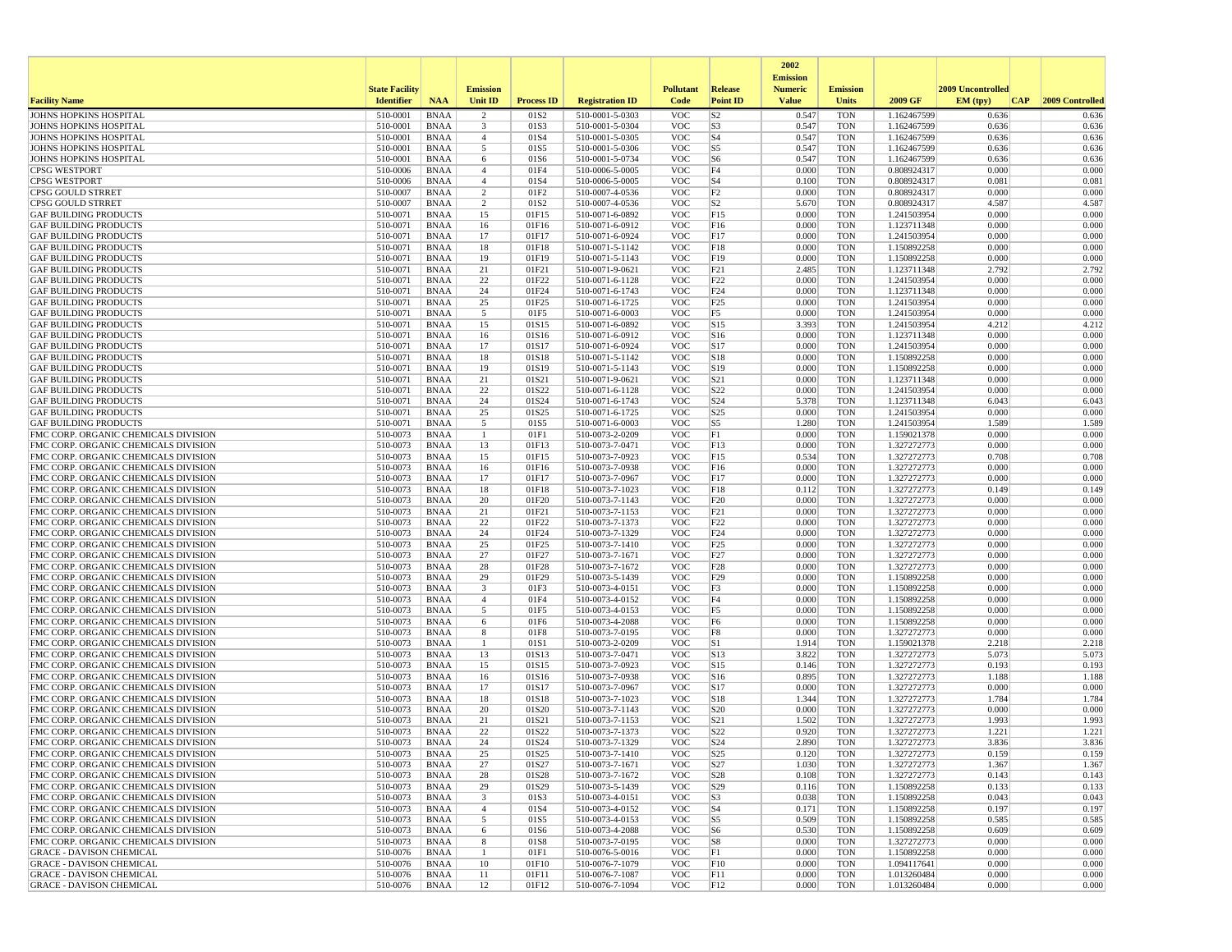|                                                                              |                       |                            |                                           |                                      |                                    |                          |                                    | 2002                              |                          |                            |                   |                 |
|------------------------------------------------------------------------------|-----------------------|----------------------------|-------------------------------------------|--------------------------------------|------------------------------------|--------------------------|------------------------------------|-----------------------------------|--------------------------|----------------------------|-------------------|-----------------|
|                                                                              | <b>State Facility</b> |                            | <b>Emission</b>                           |                                      |                                    | <b>Pollutant</b>         | Release                            | <b>Emission</b><br><b>Numeric</b> | <b>Emission</b>          |                            | 2009 Uncontrolled |                 |
| <b>Facility Name</b>                                                         | <b>Identifier</b>     | <b>NAA</b>                 | Unit ID                                   | <b>Process ID</b>                    | <b>Registration ID</b>             | Code                     | <b>Point ID</b>                    | <b>Value</b>                      | <b>Units</b>             | 2009 GF                    | EM (tpv)<br> CAP  | 2009 Controlled |
| JOHNS HOPKINS HOSPITAL                                                       | 510-0001              | <b>BNAA</b>                | $\overline{2}$                            | 01S2                                 | 510-0001-5-0303                    | <b>VOC</b>               | S <sub>2</sub>                     | 0.547                             | <b>TON</b>               | 1.162467599                | 0.636             | 0.636           |
| <b>JOHNS HOPKINS HOSPITAL</b><br>JOHNS HOPKINS HOSPITAL                      | 510-0001<br>510-0001  | <b>BNAA</b><br><b>BNAA</b> | 3<br>$\overline{4}$                       | 01S3<br>01S4                         | 510-0001-5-0304<br>510-0001-5-0305 | <b>VOC</b><br><b>VOC</b> | S3<br>S <sub>4</sub>               | 0.547<br>0.547                    | <b>TON</b><br><b>TON</b> | 1.162467599                | 0.636<br>0.636    | 0.636<br>0.636  |
| JOHNS HOPKINS HOSPITAL                                                       | 510-0001              | <b>BNAA</b>                | 5                                         | 01S5                                 | 510-0001-5-0306                    | <b>VOC</b>               | S <sub>5</sub>                     | 0.547                             | <b>TON</b>               | 1.162467599<br>1.162467599 | 0.636             | 0.636           |
| <b>JOHNS HOPKINS HOSPITAL</b>                                                | 510-0001              | BNAA                       | 6                                         | 01S6                                 | 510-0001-5-0734                    | <b>VOC</b>               | S <sub>6</sub>                     | 0.547                             | <b>TON</b>               | 1.162467599                | 0.636             | 0.636           |
| <b>CPSG WESTPORT</b>                                                         | 510-0006              | <b>BNAA</b>                | $\overline{4}$                            | 01F4                                 | 510-0006-5-0005                    | <b>VOC</b>               | F4                                 | 0.000                             | <b>TON</b>               | 0.808924317                | 0.000             | 0.000           |
| <b>CPSG WESTPORT</b>                                                         | 510-0006              | <b>BNAA</b>                | $\overline{4}$                            | 01S4                                 | 510-0006-5-0005                    | <b>VOC</b>               | S <sub>4</sub>                     | 0.100                             | <b>TON</b>               | 0.808924317                | 0.081             | 0.081           |
| CPSG GOULD STRRET<br><b>CPSG GOULD STRRET</b>                                | 510-0007<br>510-0007  | BNAA<br><b>BNAA</b>        | $\overline{2}$<br>$\overline{2}$          | 01F <sub>2</sub><br>01S <sub>2</sub> | 510-0007-4-0536<br>510-0007-4-0536 | <b>VOC</b><br><b>VOC</b> | F2<br>S <sub>2</sub>               | 0.000<br>5.670                    | <b>TON</b><br><b>TON</b> | 0.808924317<br>0.808924317 | 0.000<br>4.587    | 0.000<br>4.587  |
| <b>GAF BUILDING PRODUCTS</b>                                                 | 510-0071              | <b>BNAA</b>                | 15                                        | 01F15                                | 510-0071-6-0892                    | <b>VOC</b>               | F15                                | 0.000                             | <b>TON</b>               | 1.241503954                | 0.000             | 0.000           |
| <b>GAF BUILDING PRODUCTS</b>                                                 | 510-0071              | <b>BNAA</b>                | 16                                        | 01F16                                | 510-0071-6-0912                    | <b>VOC</b>               | F16                                | 0.000                             | <b>TON</b>               | 1.123711348                | 0.000             | 0.000           |
| <b>GAF BUILDING PRODUCTS</b>                                                 | 510-0071              | BNAA                       | 17                                        | 01F17                                | 510-0071-6-0924                    | <b>VOC</b>               | F17                                | 0.000                             | <b>TON</b>               | 1.241503954                | 0.000             | 0.000           |
| <b>GAF BUILDING PRODUCTS</b>                                                 | 510-0071              | <b>BNAA</b>                | 18                                        | 01F18                                | 510-0071-5-1142                    | <b>VOC</b>               | F18                                | 0.000                             | <b>TON</b>               | 1.150892258                | 0.000             | 0.000           |
| <b>GAF BUILDING PRODUCTS</b><br><b>GAF BUILDING PRODUCTS</b>                 | 510-0071<br>510-0071  | <b>BNAA</b><br><b>BNAA</b> | 19<br>21                                  | 01F19<br>01F21                       | 510-0071-5-1143<br>510-0071-9-0621 | <b>VOC</b><br><b>VOC</b> | F19<br>F21                         | 0.000<br>2.485                    | <b>TON</b><br><b>TON</b> | 1.150892258<br>1.123711348 | 0.000<br>2.792    | 0.000<br>2.792  |
| <b>GAF BUILDING PRODUCTS</b>                                                 | 510-0071              | <b>BNAA</b>                | 22                                        | 01F22                                | 510-0071-6-1128                    | <b>VOC</b>               | F <sub>22</sub>                    | 0.000                             | <b>TON</b>               | 1.241503954                | 0.000             | 0.000           |
| <b>GAF BUILDING PRODUCTS</b>                                                 | 510-0071              | <b>BNAA</b>                | 24                                        | 01F24                                | 510-0071-6-1743                    | <b>VOC</b>               | F24                                | 0.000                             | <b>TON</b>               | 1.123711348                | 0.000             | 0.000           |
| <b>GAF BUILDING PRODUCTS</b>                                                 | 510-0071              | BNAA                       | 25                                        | 01F25                                | 510-0071-6-1725                    | <b>VOC</b>               | F25                                | 0.000                             | <b>TON</b>               | 1.241503954                | 0.000             | 0.000           |
| <b>GAF BUILDING PRODUCTS</b>                                                 | 510-0071              | <b>BNAA</b>                | 5                                         | 01F5                                 | 510-0071-6-0003                    | <b>VOC</b>               | F5                                 | 0.000                             | <b>TON</b>               | 1.241503954                | 0.000             | 0.000           |
| <b>GAF BUILDING PRODUCTS</b><br><b>GAF BUILDING PRODUCTS</b>                 | 510-0071<br>510-0071  | <b>BNAA</b><br>BNAA        | 15<br>16                                  | 01S15<br>01S16                       | 510-0071-6-0892<br>510-0071-6-0912 | <b>VOC</b><br><b>VOC</b> | S15<br>S16                         | 3.393<br>0.000                    | <b>TON</b><br><b>TON</b> | 1.241503954<br>1.123711348 | 4.212<br>0.000    | 4.212<br>0.000  |
| <b>GAF BUILDING PRODUCTS</b>                                                 | 510-0071              | <b>BNAA</b>                | 17                                        | 01S17                                | 510-0071-6-0924                    | <b>VOC</b>               | S17                                | 0.000                             | <b>TON</b>               | 1.241503954                | 0.000             | 0.000           |
| <b>GAF BUILDING PRODUCTS</b>                                                 | 510-0071              | BNAA                       | 18                                        | 01S18                                | 510-0071-5-1142                    | <b>VOC</b>               | S18                                | 0.000                             | <b>TON</b>               | 1.150892258                | 0.000             | 0.000           |
| <b>GAF BUILDING PRODUCTS</b>                                                 | 510-0071              | BNAA                       | 19                                        | 01S19                                | 510-0071-5-1143                    | <b>VOC</b>               | S19                                | 0.000                             | <b>TON</b>               | 1.150892258                | 0.000             | 0.000           |
| <b>GAF BUILDING PRODUCTS</b>                                                 | 510-0071              | <b>BNAA</b>                | 21                                        | 01S21                                | 510-0071-9-0621                    | <b>VOC</b>               | S21                                | 0.000                             | <b>TON</b>               | 1.123711348                | 0.000             | 0.000           |
| <b>GAF BUILDING PRODUCTS</b><br><b>GAF BUILDING PRODUCTS</b>                 | 510-0071<br>510-0071  | BNAA<br><b>BNAA</b>        | 22<br>24                                  | 01S22<br>01S24                       | 510-0071-6-1128<br>510-0071-6-1743 | <b>VOC</b><br><b>VOC</b> | S <sub>22</sub><br>S <sub>24</sub> | 0.000<br>5.378                    | <b>TON</b><br><b>TON</b> | 1.241503954<br>1.123711348 | 0.000<br>6.043    | 0.000<br>6.043  |
| <b>GAF BUILDING PRODUCTS</b>                                                 | 510-0071              | <b>BNAA</b>                | 25                                        | 01S25                                | 510-0071-6-1725                    | <b>VOC</b>               | S <sub>25</sub>                    | 0.000                             | <b>TON</b>               | 1.241503954                | 0.000             | 0.000           |
| <b>GAF BUILDING PRODUCTS</b>                                                 | 510-0071              | <b>BNAA</b>                | 5                                         | 01S5                                 | 510-0071-6-0003                    | <b>VOC</b>               | S <sub>5</sub>                     | 1.280                             | <b>TON</b>               | 1.241503954                | 1.589             | 1.589           |
| FMC CORP. ORGANIC CHEMICALS DIVISION                                         | 510-0073              | BNAA                       | -1                                        | 01F1                                 | 510-0073-2-0209                    | <b>VOC</b>               | F1                                 | 0.000                             | <b>TON</b>               | 1.159021378                | 0.000             | 0.000           |
| FMC CORP. ORGANIC CHEMICALS DIVISION                                         | 510-0073              | <b>BNAA</b>                | 13                                        | 01F13                                | 510-0073-7-0471                    | <b>VOC</b>               | F13                                | 0.000                             | <b>TON</b>               | 1.327272773                | 0.000             | 0.000           |
| FMC CORP. ORGANIC CHEMICALS DIVISION<br>FMC CORP. ORGANIC CHEMICALS DIVISION | 510-0073<br>510-0073  | <b>BNAA</b><br>BNAA        | 15<br>16                                  | 01F15<br>01F16                       | 510-0073-7-0923<br>510-0073-7-0938 | <b>VOC</b><br><b>VOC</b> | F15<br>F16                         | 0.534<br>0.000                    | <b>TON</b><br><b>TON</b> | 1.327272773<br>1.327272773 | 0.708<br>0.000    | 0.708<br>0.000  |
| FMC CORP. ORGANIC CHEMICALS DIVISION                                         | 510-0073              | <b>BNAA</b>                | 17                                        | 01F17                                | 510-0073-7-0967                    | <b>VOC</b>               | F17                                | 0.000                             | <b>TON</b>               | 1.327272773                | 0.000             | 0.000           |
| FMC CORP. ORGANIC CHEMICALS DIVISION                                         | 510-0073              | <b>BNAA</b>                | 18                                        | 01F18                                | 510-0073-7-1023                    | <b>VOC</b>               | F18                                | 0.112                             | <b>TON</b>               | 1.327272773                | 0.149             | 0.149           |
| FMC CORP. ORGANIC CHEMICALS DIVISION                                         | 510-0073              | <b>BNAA</b>                | 20                                        | 01F20                                | 510-0073-7-1143                    | <b>VOC</b>               | F20                                | 0.000                             | <b>TON</b>               | 1.327272773                | 0.000             | 0.000           |
| FMC CORP. ORGANIC CHEMICALS DIVISION                                         | 510-0073              | BNAA                       | 21                                        | 01F21                                | 510-0073-7-1153                    | <b>VOC</b>               | F21                                | 0.000                             | <b>TON</b>               | 1.327272773                | 0.000             | 0.000           |
| FMC CORP. ORGANIC CHEMICALS DIVISION<br>FMC CORP. ORGANIC CHEMICALS DIVISION | 510-0073<br>510-0073  | <b>BNAA</b><br><b>BNAA</b> | 22<br>24                                  | 01F22<br>01F24                       | 510-0073-7-1373<br>510-0073-7-1329 | <b>VOC</b><br><b>VOC</b> | F22<br>F24                         | 0.000<br>0.000                    | <b>TON</b><br><b>TON</b> | 1.327272773<br>1.327272773 | 0.000<br>0.000    | 0.000<br>0.000  |
| FMC CORP. ORGANIC CHEMICALS DIVISION                                         | 510-0073              | <b>BNAA</b>                | 25                                        | 01F25                                | 510-0073-7-1410                    | <b>VOC</b>               | F25                                | 0.000                             | <b>TON</b>               | 1.327272773                | 0.000             | 0.000           |
| FMC CORP. ORGANIC CHEMICALS DIVISION                                         | 510-0073              | BNAA                       | 27                                        | 01F27                                | 510-0073-7-1671                    | <b>VOC</b>               | F <sub>27</sub>                    | 0.000                             | <b>TON</b>               | 1.327272773                | 0.000             | 0.000           |
| FMC CORP. ORGANIC CHEMICALS DIVISION                                         | 510-0073              | <b>BNAA</b>                | 28                                        | 01F28                                | 510-0073-7-1672                    | <b>VOC</b>               | F28                                | 0.000                             | <b>TON</b>               | 1.327272773                | 0.000             | 0.000           |
| FMC CORP. ORGANIC CHEMICALS DIVISION                                         | 510-0073              | <b>BNAA</b>                | 29                                        | 01F29                                | 510-0073-5-1439                    | <b>VOC</b>               | F29                                | 0.000                             | <b>TON</b>               | 1.150892258                | 0.000             | 0.000           |
| FMC CORP. ORGANIC CHEMICALS DIVISION<br>FMC CORP. ORGANIC CHEMICALS DIVISION | 510-0073<br>510-0073  | BNAA<br><b>BNAA</b>        | $\overline{\mathbf{3}}$<br>$\overline{4}$ | 01F3<br>01F4                         | 510-0073-4-0151<br>510-0073-4-0152 | <b>VOC</b><br><b>VOC</b> | F3<br>F4                           | 0.000<br>0.000                    | <b>TON</b><br><b>TON</b> | 1.150892258<br>1.150892258 | 0.000<br>0.000    | 0.000<br>0.000  |
| FMC CORP. ORGANIC CHEMICALS DIVISION                                         | 510-0073              | <b>BNAA</b>                | 5                                         | 01F5                                 | 510-0073-4-0153                    | <b>VOC</b>               | F <sub>5</sub>                     | 0.000                             | <b>TON</b>               | 1.150892258                | 0.000             | 0.000           |
| FMC CORP. ORGANIC CHEMICALS DIVISION                                         | 510-0073              | <b>BNAA</b>                | 6                                         | 01F6                                 | 510-0073-4-2088                    | <b>VOC</b>               | F <sub>6</sub>                     | 0.000                             | <b>TON</b>               | 1.150892258                | 0.000             | 0.000           |
| FMC CORP. ORGANIC CHEMICALS DIVISION                                         | 510-0073              | BNAA                       | 8                                         | 01F8                                 | 510-0073-7-0195                    | <b>VOC</b>               | F8                                 | 0.000                             | <b>TON</b>               | 1.327272773                | 0.000             | 0.000           |
| FMC CORP. ORGANIC CHEMICALS DIVISION                                         | 510-0073              | BNAA                       | -1                                        | 01S1                                 | 510-0073-2-0209                    | <b>VOC</b>               | S1                                 | 1.914                             | <b>TON</b>               | 1.159021378                | 2.218             | 2.218           |
| FMC CORP. ORGANIC CHEMICALS DIVISION<br>FMC CORP. ORGANIC CHEMICALS DIVISION | 510-0073<br>510-0073  | <b>BNAA</b><br>BNAA        | 13<br>15                                  | 01S13<br>01S15                       | 510-0073-7-0471<br>510-0073-7-0923 | <b>VOC</b><br><b>VOC</b> | $\vert$ S13<br>S15                 | 3.822<br>0.146                    | <b>TON</b><br><b>TON</b> | 1.327272773<br>1.327272773 | 5.073<br>0.193    | 5.073<br>0.193  |
| FMC CORP. ORGANIC CHEMICALS DIVISION                                         | 510-0073              | <b>BNAA</b>                | 16                                        | 01S16                                | 510-0073-7-0938                    | <b>VOC</b>               | S <sub>16</sub>                    | 0.895                             | <b>TON</b>               | 1.327272773                | 1.188             | 1.188           |
| FMC CORP. ORGANIC CHEMICALS DIVISION                                         | 510-0073              | <b>BNAA</b>                | 17                                        | 01S17                                | 510-0073-7-0967                    | <b>VOC</b>               | S17                                | 0.000                             | <b>TON</b>               | 1.327272773                | 0.000             | 0.000           |
| FMC CORP. ORGANIC CHEMICALS DIVISION                                         | 510-0073              | <b>BNAA</b>                | 18                                        | 01S18                                | 510-0073-7-1023                    | <b>VOC</b>               | S18                                | 1.344                             | <b>TON</b>               | 1.327272773                | 1.784             | 1.784           |
| FMC CORP. ORGANIC CHEMICALS DIVISION                                         | 510-0073              | BNAA                       | 20                                        | 01S20                                | 510-0073-7-1143                    | <b>VOC</b>               | S <sub>20</sub>                    | 0.000                             | <b>TON</b>               | 1.327272773                | 0.000             | 0.000           |
| FMC CORP. ORGANIC CHEMICALS DIVISION<br>FMC CORP. ORGANIC CHEMICALS DIVISION | 510-0073<br>510-0073  | <b>BNAA</b><br><b>BNAA</b> | 21<br>22                                  | 01S21<br>01S22                       | 510-0073-7-1153<br>510-0073-7-1373 | <b>VOC</b><br><b>VOC</b> | S <sub>21</sub><br>S <sub>22</sub> | 1.502<br>0.920                    | <b>TON</b><br><b>TON</b> | 1.327272773<br>1.327272773 | 1.993<br>1.221    | 1.993<br>1.221  |
| FMC CORP. ORGANIC CHEMICALS DIVISION                                         | 510-0073              | BNAA                       | 24                                        | 01S24                                | 510-0073-7-1329                    | <b>VOC</b>               | S <sub>24</sub>                    | 2.890                             | <b>TON</b>               | 1.327272773                | 3.836             | 3.836           |
| FMC CORP. ORGANIC CHEMICALS DIVISION                                         | 510-0073              | <b>BNAA</b>                | 25                                        | 01S25                                | 510-0073-7-1410                    | <b>VOC</b>               | S <sub>25</sub>                    | 0.120                             | TON                      | 1.327272773                | 0.159             | 0.159           |
| FMC CORP. ORGANIC CHEMICALS DIVISION                                         | 510-0073              | BNAA                       | 27                                        | 01S27                                | 510-0073-7-1671                    | <b>VOC</b>               | S27                                | 1.030                             | <b>TON</b>               | 1.327272773                | 1.367             | 1.367           |
| FMC CORP. ORGANIC CHEMICALS DIVISION                                         | 510-0073              | BNAA                       | 28                                        | 01S28                                | 510-0073-7-1672                    | <b>VOC</b>               | S28                                | 0.108                             | <b>TON</b>               | 1.327272773                | 0.143             | 0.143           |
| FMC CORP. ORGANIC CHEMICALS DIVISION<br>FMC CORP. ORGANIC CHEMICALS DIVISION | 510-0073<br>510-0073  | <b>BNAA</b><br>BNAA        | 29<br>$\overline{\mathbf{3}}$             | 01S29<br>01S3                        | 510-0073-5-1439<br>510-0073-4-0151 | <b>VOC</b><br><b>VOC</b> | S29<br>S <sub>3</sub>              | 0.116<br>0.038                    | <b>TON</b><br><b>TON</b> | 1.150892258<br>1.150892258 | 0.133<br>0.043    | 0.133<br>0.043  |
| FMC CORP. ORGANIC CHEMICALS DIVISION                                         | 510-0073              | <b>BNAA</b>                | $\overline{4}$                            | 01S4                                 | 510-0073-4-0152                    | <b>VOC</b>               | S <sub>4</sub>                     | 0.171                             | <b>TON</b>               | 1.150892258                | 0.197             | 0.197           |
| FMC CORP. ORGANIC CHEMICALS DIVISION                                         | 510-0073              | <b>BNAA</b>                | 5                                         | 01S5                                 | 510-0073-4-0153                    | <b>VOC</b>               | S5                                 | 0.509                             | <b>TON</b>               | 1.150892258                | 0.585             | 0.585           |
| FMC CORP. ORGANIC CHEMICALS DIVISION                                         | 510-0073              | BNAA                       | 6                                         | 01S6                                 | 510-0073-4-2088                    | <b>VOC</b>               | S6                                 | 0.530                             | <b>TON</b>               | 1.150892258                | 0.609             | 0.609           |
| FMC CORP. ORGANIC CHEMICALS DIVISION                                         | 510-0073              | BNAA                       | 8                                         | 01S8                                 | 510-0073-7-0195                    | <b>VOC</b>               | S8                                 | 0.000                             | <b>TON</b>               | 1.327272773                | 0.000             | 0.000           |
| <b>GRACE - DAVISON CHEMICAL</b><br><b>GRACE - DAVISON CHEMICAL</b>           | 510-0076<br>510-0076  | BNAA<br><b>BNAA</b>        | -1<br>10                                  | 01F1<br>01F10                        | 510-0076-5-0016<br>510-0076-7-1079 | <b>VOC</b><br><b>VOC</b> | F1<br>F10                          | 0.000<br>0.000                    | <b>TON</b><br><b>TON</b> | 1.150892258<br>1.094117641 | 0.000<br>0.000    | 0.000<br>0.000  |
| <b>GRACE - DAVISON CHEMICAL</b>                                              | 510-0076              | <b>BNAA</b>                | 11                                        | 01F11                                | 510-0076-7-1087                    | <b>VOC</b>               | F11                                | 0.000                             | <b>TON</b>               | 1.013260484                | 0.000             | 0.000           |
| <b>GRACE - DAVISON CHEMICAL</b>                                              | 510-0076              | <b>BNAA</b>                | 12                                        | 01F12                                | 510-0076-7-1094                    | <b>VOC</b>               | F12                                | 0.000                             | TON                      | 1.013260484                | 0.000             | 0.000           |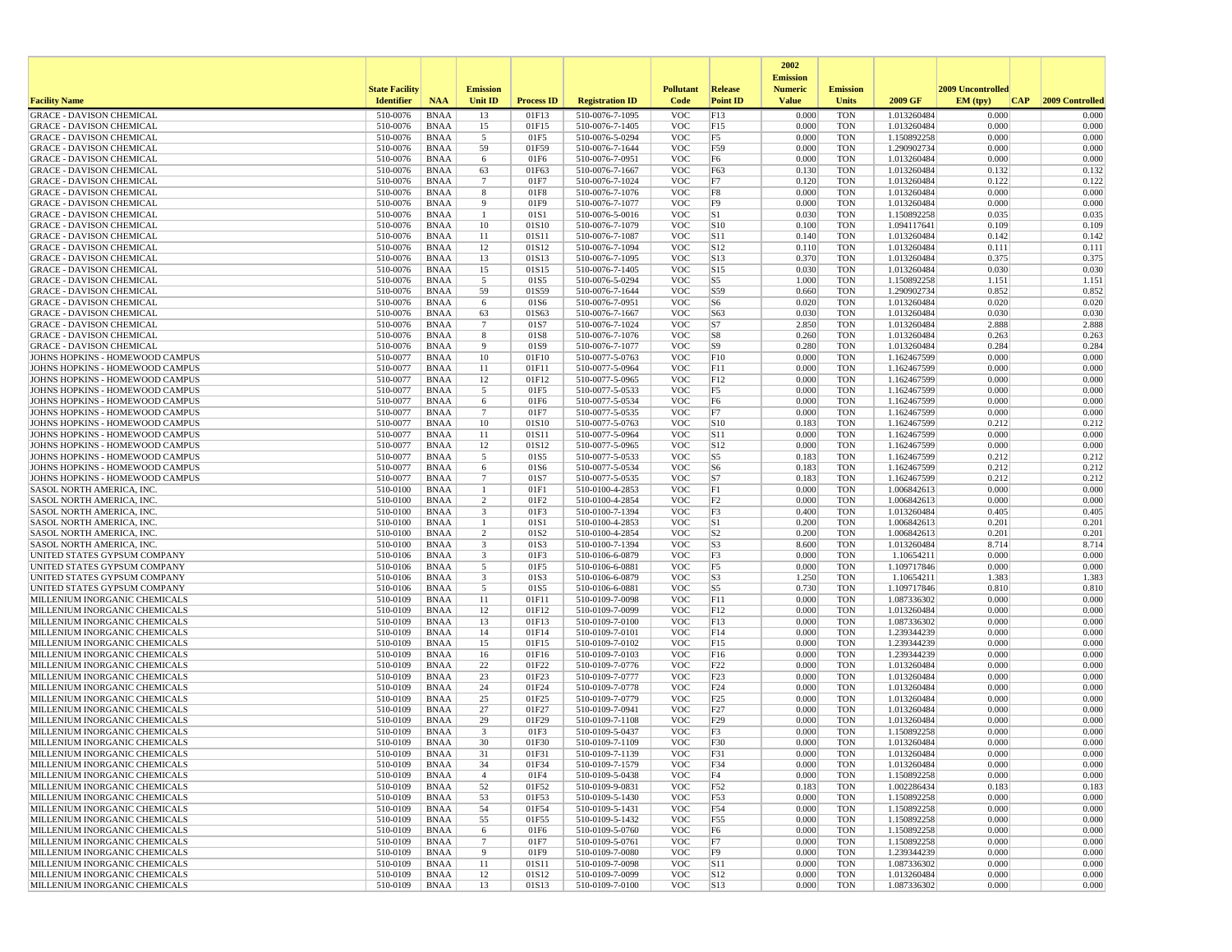|                                                                    |                       |                            |                         |                   |                                    |                          |                         | 2002                              |                          |                            |                   |                 |
|--------------------------------------------------------------------|-----------------------|----------------------------|-------------------------|-------------------|------------------------------------|--------------------------|-------------------------|-----------------------------------|--------------------------|----------------------------|-------------------|-----------------|
|                                                                    | <b>State Facility</b> |                            | <b>Emission</b>         |                   |                                    | <b>Pollutant</b>         | Release                 | <b>Emission</b><br><b>Numeric</b> | <b>Emission</b>          |                            | 2009 Uncontrolled |                 |
| <b>Facility Name</b>                                               | <b>Identifier</b>     | <b>NAA</b>                 | Unit ID                 | <b>Process ID</b> | <b>Registration ID</b>             | Code                     | <b>Point ID</b>         | <b>Value</b>                      | <b>Units</b>             | 2009 GF                    | EM (typ)<br> CAP  | 2009 Controlled |
| <b>GRACE - DAVISON CHEMICAL</b>                                    | 510-0076              | <b>BNAA</b>                | 13                      | 01F13             | 510-0076-7-1095                    | <b>VOC</b>               | F13                     | 0.000                             | <b>TON</b>               | 1.013260484                | 0.000             | 0.000           |
| <b>GRACE - DAVISON CHEMICAL</b>                                    | 510-0076              | <b>BNAA</b><br><b>BNAA</b> | 15                      | 01F15             | 510-0076-7-1405                    | <b>VOC</b><br><b>VOC</b> | F15                     | 0.000<br>0.000                    | <b>TON</b><br><b>TON</b> | 1.013260484                | 0.000<br>0.000    | 0.000<br>0.000  |
| <b>GRACE - DAVISON CHEMICAL</b><br><b>GRACE - DAVISON CHEMICAL</b> | 510-0076<br>510-0076  | <b>BNAA</b>                | 5<br>59                 | 01F5<br>01F59     | 510-0076-5-0294<br>510-0076-7-1644 | <b>VOC</b>               | F5<br>F59               | 0.000                             | <b>TON</b>               | 1.150892258<br>1.290902734 | 0.000             | 0.000           |
| <b>GRACE - DAVISON CHEMICAL</b>                                    | 510-0076              | <b>BNAA</b>                | 6                       | 01F6              | 510-0076-7-0951                    | <b>VOC</b>               | F <sub>6</sub>          | 0.000                             | <b>TON</b>               | 1.013260484                | 0.000             | 0.000           |
| <b>GRACE - DAVISON CHEMICAL</b>                                    | 510-0076              | <b>BNAA</b>                | 63                      | 01F63             | 510-0076-7-1667                    | <b>VOC</b>               | F63                     | 0.130                             | <b>TON</b>               | 1.013260484                | 0.132             | 0.132           |
| <b>GRACE - DAVISON CHEMICAL</b>                                    | 510-0076              | <b>BNAA</b>                | $\overline{7}$          | 01F7              | 510-0076-7-1024                    | <b>VOC</b>               | F7                      | 0.120                             | <b>TON</b>               | 1.013260484                | 0.122             | 0.122           |
| <b>GRACE - DAVISON CHEMICAL</b>                                    | 510-0076              | <b>BNAA</b>                | 8                       | 01F8              | 510-0076-7-1076                    | <b>VOC</b>               | F8                      | 0.000                             | <b>TON</b>               | 1.013260484                | 0.000             | 0.000           |
| <b>GRACE - DAVISON CHEMICAL</b>                                    | 510-0076              | <b>BNAA</b>                | 9                       | 01F9              | 510-0076-7-1077                    | <b>VOC</b>               | F <sub>9</sub>          | 0.000                             | <b>TON</b>               | 1.013260484                | 0.000             | 0.000           |
| <b>GRACE - DAVISON CHEMICAL</b>                                    | 510-0076              | <b>BNAA</b>                | -1                      | 01S1              | 510-0076-5-0016                    | <b>VOC</b>               | S1                      | 0.030                             | <b>TON</b>               | 1.150892258                | 0.035             | 0.035           |
| <b>GRACE - DAVISON CHEMICAL</b>                                    | 510-0076              | <b>BNAA</b>                | 10                      | 01S10             | 510-0076-7-1079                    | <b>VOC</b>               | S10                     | 0.100                             | <b>TON</b>               | 1.094117641                | 0.109             | 0.109           |
| <b>GRACE - DAVISON CHEMICAL</b>                                    | 510-0076              | <b>BNAA</b>                | 11                      | 01S11             | 510-0076-7-1087                    | <b>VOC</b>               | S11                     | 0.140                             | <b>TON</b>               | 1.013260484                | 0.142             | 0.142           |
| <b>GRACE - DAVISON CHEMICAL</b><br><b>GRACE - DAVISON CHEMICAL</b> | 510-0076<br>510-0076  | <b>BNAA</b><br><b>BNAA</b> | 12<br>13                | 01S12<br>01S13    | 510-0076-7-1094<br>510-0076-7-1095 | <b>VOC</b><br><b>VOC</b> | S12<br>S13              | 0.110<br>0.370                    | <b>TON</b><br><b>TON</b> | 1.013260484<br>1.013260484 | 0.111<br>0.375    | 0.111<br>0.375  |
| <b>GRACE - DAVISON CHEMICAL</b>                                    | 510-0076              | <b>BNAA</b>                | 15                      | 01S15             | 510-0076-7-1405                    | <b>VOC</b>               | S15                     | 0.030                             | <b>TON</b>               | 1.013260484                | 0.030             | 0.030           |
| <b>GRACE - DAVISON CHEMICAL</b>                                    | 510-0076              | BNAA                       | 5                       | 01S5              | 510-0076-5-0294                    | <b>VOC</b>               | S5                      | 1.000                             | <b>TON</b>               | 1.150892258                | 1.151             | 1.151           |
| <b>GRACE - DAVISON CHEMICAL</b>                                    | 510-0076              | <b>BNAA</b>                | 59                      | 01S59             | 510-0076-7-1644                    | <b>VOC</b>               | S59                     | 0.660                             | <b>TON</b>               | 1.290902734                | 0.852             | 0.852           |
| <b>GRACE - DAVISON CHEMICAL</b>                                    | 510-0076              | <b>BNAA</b>                | 6                       | 01S6              | 510-0076-7-0951                    | <b>VOC</b>               | S <sub>6</sub>          | 0.020                             | <b>TON</b>               | 1.013260484                | 0.020             | 0.020           |
| <b>GRACE - DAVISON CHEMICAL</b>                                    | 510-0076              | <b>BNAA</b>                | 63                      | 01S63             | 510-0076-7-1667                    | <b>VOC</b>               | S63                     | 0.030                             | <b>TON</b>               | 1.013260484                | 0.030             | 0.030           |
| <b>GRACE - DAVISON CHEMICAL</b>                                    | 510-0076              | <b>BNAA</b>                | $\overline{7}$          | 01S7              | 510-0076-7-1024                    | <b>VOC</b>               | S7                      | 2.850                             | <b>TON</b>               | 1.013260484                | 2.888             | 2.888           |
| <b>GRACE - DAVISON CHEMICAL</b>                                    | 510-0076              | <b>BNAA</b>                | 8                       | 01S8              | 510-0076-7-1076                    | <b>VOC</b>               | S8                      | 0.260                             | <b>TON</b>               | 1.013260484                | 0.263             | 0.263           |
| <b>GRACE - DAVISON CHEMICAL</b>                                    | 510-0076              | <b>BNAA</b>                | 9                       | 01S9              | 510-0076-7-1077                    | <b>VOC</b>               | S <sub>9</sub>          | 0.280                             | <b>TON</b>               | 1.013260484                | 0.284             | 0.284           |
| JOHNS HOPKINS - HOMEWOOD CAMPUS                                    | 510-0077              | <b>BNAA</b>                | 10                      | 01F10             | 510-0077-5-0763                    | <b>VOC</b>               | F10                     | 0.000                             | <b>TON</b>               | 1.162467599                | 0.000             | 0.000           |
| JOHNS HOPKINS - HOMEWOOD CAMPUS                                    | 510-0077              | <b>BNAA</b>                | 11                      | 01F11             | 510-0077-5-0964                    | <b>VOC</b>               | F11                     | 0.000                             | <b>TON</b>               | 1.162467599                | 0.000             | 0.000           |
| JOHNS HOPKINS - HOMEWOOD CAMPUS                                    | 510-0077              | <b>BNAA</b>                | 12                      | 01F12             | 510-0077-5-0965                    | <b>VOC</b>               | F12                     | 0.000                             | <b>TON</b>               | 1.162467599<br>1.162467599 | 0.000             | 0.000           |
| JOHNS HOPKINS - HOMEWOOD CAMPUS<br>JOHNS HOPKINS - HOMEWOOD CAMPUS | 510-0077<br>510-0077  | <b>BNAA</b><br><b>BNAA</b> | 5<br>6                  | 01F5<br>01F6      | 510-0077-5-0533<br>510-0077-5-0534 | <b>VOC</b><br><b>VOC</b> | F5<br>F <sub>6</sub>    | 0.000<br>0.000                    | <b>TON</b><br><b>TON</b> | 1.162467599                | 0.000<br>0.000    | 0.000<br>0.000  |
| JOHNS HOPKINS - HOMEWOOD CAMPUS                                    | 510-0077              | <b>BNAA</b>                | $\overline{7}$          | 01F7              | 510-0077-5-0535                    | <b>VOC</b>               | F7                      | 0.000                             | <b>TON</b>               | 1.162467599                | 0.000             | 0.000           |
| JOHNS HOPKINS - HOMEWOOD CAMPUS                                    | 510-0077              | <b>BNAA</b>                | 10                      | 01S10             | 510-0077-5-0763                    | <b>VOC</b>               | S10                     | 0.183                             | <b>TON</b>               | 1.162467599                | 0.212             | 0.212           |
| JOHNS HOPKINS - HOMEWOOD CAMPUS                                    | 510-0077              | <b>BNAA</b>                | 11                      | 01S11             | 510-0077-5-0964                    | <b>VOC</b>               | <b>S11</b>              | 0.000                             | <b>TON</b>               | 1.162467599                | 0.000             | 0.000           |
| JOHNS HOPKINS - HOMEWOOD CAMPUS                                    | 510-0077              | <b>BNAA</b>                | 12                      | 01S12             | 510-0077-5-0965                    | <b>VOC</b>               | S12                     | 0.000                             | <b>TON</b>               | 1.162467599                | 0.000             | 0.000           |
| JOHNS HOPKINS - HOMEWOOD CAMPUS                                    | 510-0077              | <b>BNAA</b>                | 5                       | 01S5              | 510-0077-5-0533                    | <b>VOC</b>               | S5                      | 0.183                             | <b>TON</b>               | 1.162467599                | 0.212             | 0.212           |
| JOHNS HOPKINS - HOMEWOOD CAMPUS                                    | 510-0077              | <b>BNAA</b>                | 6                       | 01S6              | 510-0077-5-0534                    | <b>VOC</b>               | S <sub>6</sub>          | 0.183                             | <b>TON</b>               | 1.162467599                | 0.212             | 0.212           |
| JOHNS HOPKINS - HOMEWOOD CAMPUS                                    | 510-0077              | <b>BNAA</b>                | $7\phantom{.0}$         | 01S7              | 510-0077-5-0535                    | <b>VOC</b>               | S7                      | 0.183                             | <b>TON</b>               | 1.162467599                | 0.212             | 0.212           |
| SASOL NORTH AMERICA, INC.                                          | 510-0100              | <b>BNAA</b>                |                         | 01F1              | 510-0100-4-2853                    | <b>VOC</b>               | F1                      | 0.000                             | <b>TON</b>               | 1.006842613                | 0.000             | 0.000           |
| SASOL NORTH AMERICA, INC.                                          | 510-0100              | <b>BNAA</b>                | 2                       | 01F2              | 510-0100-4-2854                    | <b>VOC</b>               | F2                      | 0.000                             | <b>TON</b>               | 1.006842613                | 0.000             | 0.000           |
| <b>SASOL NORTH AMERICA, INC.</b><br>SASOL NORTH AMERICA, INC       | 510-0100<br>510-0100  | <b>BNAA</b><br><b>BNAA</b> | 3<br>-1                 | 01F3<br>01S1      | 510-0100-7-1394<br>510-0100-4-2853 | <b>VOC</b><br><b>VOC</b> | F3<br>S1                | 0.400<br>0.200                    | <b>TON</b><br><b>TON</b> | 1.013260484<br>1.006842613 | 0.405<br>0.201    | 0.405<br>0.201  |
| SASOL NORTH AMERICA, INC.                                          | 510-0100              | <b>BNAA</b>                | 2                       | 01S2              | 510-0100-4-2854                    | <b>VOC</b>               | S <sub>2</sub>          | 0.200                             | <b>TON</b>               | 1.006842613                | 0.201             | 0.201           |
| SASOL NORTH AMERICA, INC.                                          | 510-0100              | <b>BNAA</b>                | 3                       | 01S3              | 510-0100-7-1394                    | <b>VOC</b>               | S <sub>3</sub>          | 8.600                             | <b>TON</b>               | 1.013260484                | 8.714             | 8.714           |
| UNITED STATES GYPSUM COMPANY                                       | 510-0106              | <b>BNAA</b>                | 3                       | 01F3              | 510-0106-6-0879                    | <b>VOC</b>               | F3                      | 0.000                             | <b>TON</b>               | 1.10654211                 | 0.000             | 0.000           |
| UNITED STATES GYPSUM COMPANY                                       | 510-0106              | <b>BNAA</b>                | 5                       | 01F5              | 510-0106-6-0881                    | <b>VOC</b>               | F <sub>5</sub>          | 0.000                             | <b>TON</b>               | 1.109717846                | 0.000             | 0.000           |
| UNITED STATES GYPSUM COMPANY                                       | 510-0106              | <b>BNAA</b>                | $\overline{\mathbf{3}}$ | 01S3              | 510-0106-6-0879                    | <b>VOC</b>               | S <sub>3</sub>          | 1.250                             | <b>TON</b>               | 1.10654211                 | 1.383             | 1.383           |
| UNITED STATES GYPSUM COMPANY                                       | 510-0106              | <b>BNAA</b>                | 5                       | 01S5              | 510-0106-6-0881                    | <b>VOC</b>               | S5                      | 0.730                             | <b>TON</b>               | 1.109717846                | 0.810             | 0.810           |
| MILLENIUM INORGANIC CHEMICALS                                      | 510-0109              | <b>BNAA</b>                | 11                      | 01F11             | 510-0109-7-0098                    | <b>VOC</b>               | F11                     | 0.000                             | <b>TON</b>               | 1.087336302                | 0.000             | 0.000           |
| MILLENIUM INORGANIC CHEMICALS                                      | 510-0109              | <b>BNAA</b>                | 12                      | 01F12             | 510-0109-7-0099                    | <b>VOC</b>               | F12                     | 0.000                             | <b>TON</b>               | 1.013260484                | 0.000             | 0.000           |
| MILLENIUM INORGANIC CHEMICALS                                      | 510-0109              | <b>BNAA</b>                | 13                      | 01F13             | 510-0109-7-0100                    | <b>VOC</b>               | F13                     | 0.000                             | <b>TON</b>               | 1.087336302                | 0.000             | 0.000           |
| MILLENIUM INORGANIC CHEMICALS<br>MILLENIUM INORGANIC CHEMICALS     | 510-0109<br>510-0109  | <b>BNAA</b><br><b>BNAA</b> | 14<br>15                | 01F14<br>01F15    | 510-0109-7-0101<br>510-0109-7-0102 | <b>VOC</b><br><b>VOC</b> | F14<br>F15              | 0.000<br>0.000                    | <b>TON</b><br><b>TON</b> | 1.239344239<br>1.239344239 | 0.000<br>0.000    | 0.000<br>0.000  |
| MILLENIUM INORGANIC CHEMICALS                                      | 510-0109              | <b>BNAA</b>                | 16                      | 01F16             | 510-0109-7-0103                    | <b>VOC</b>               | F16                     | 0.000                             | <b>TON</b>               | 1.239344239                | 0.000             | 0.000           |
| MILLENIUM INORGANIC CHEMICALS                                      | 510-0109              | <b>BNAA</b>                | 22                      | 01F22             | 510-0109-7-0776                    | <b>VOC</b>               | F22                     | 0.000                             | <b>TON</b>               | 1.013260484                | 0.000             | 0.000           |
| MILLENIUM INORGANIC CHEMICALS                                      | 510-0109              | BNAA                       | 23                      | 01F23             | 510-0109-7-0777                    | <b>VOC</b>               | F23                     | 0.000                             | <b>TON</b>               | 1.013260484                | 0.000             | 0.000           |
| MILLENIUM INORGANIC CHEMICALS                                      | 510-0109              | <b>BNAA</b>                | 24                      | 01F24             | 510-0109-7-0778                    | <b>VOC</b>               | F24                     | 0.000                             | <b>TON</b>               | 1.013260484                | 0.000             | 0.000           |
| MILLENIUM INORGANIC CHEMICALS                                      | 510-0109              | <b>BNAA</b>                | 25                      | 01F25             | 510-0109-7-0779                    | <b>VOC</b>               | F25                     | 0.000                             | <b>TON</b>               | 1.013260484                | 0.000             | 0.000           |
| MILLENIUM INORGANIC CHEMICALS                                      | 510-0109              | <b>BNAA</b>                | 27                      | 01F27             | 510-0109-7-0941                    | <b>VOC</b>               | F <sub>27</sub>         | 0.000                             | <b>TON</b>               | 1.013260484                | 0.000             | 0.000           |
| MILLENIUM INORGANIC CHEMICALS                                      | 510-0109              | <b>BNAA</b>                | 29                      | 01F29             | 510-0109-7-1108                    | <b>VOC</b>               | F29                     | 0.000                             | <b>TON</b>               | 1.013260484                | 0.000             | 0.000           |
| MILLENIUM INORGANIC CHEMICALS                                      | 510-0109              | <b>BNAA</b>                | 3                       | 01F3              | 510-0109-5-0437                    | <b>VOC</b>               | F3                      | 0.000                             | <b>TON</b>               | 1.150892258                | 0.000             | 0.000           |
| MILLENIUM INORGANIC CHEMICALS                                      | 510-0109<br>510-0109  | <b>BNAA</b><br><b>BNAA</b> | 30<br>31                | 01F30<br>01F31    | 510-0109-7-1109<br>510-0109-7-1139 | <b>VOC</b><br><b>VOC</b> | F30                     | 0.000                             | <b>TON</b><br>TON        | 1.013260484<br>1.013260484 | 0.000<br>0.000    | 0.000<br>0.000  |
| MILLENIUM INORGANIC CHEMICALS<br>MILLENIUM INORGANIC CHEMICALS     | 510-0109              | BNAA                       | 34                      | 01F34             | 510-0109-7-1579                    | <b>VOC</b>               | F31<br>F34              | 0.000<br>0.000                    | <b>TON</b>               | 1.013260484                | 0.000             | 0.000           |
| MILLENIUM INORGANIC CHEMICALS                                      | 510-0109              | <b>BNAA</b>                | $\overline{4}$          | 01F4              | 510-0109-5-0438                    | <b>VOC</b>               | F4                      | 0.000                             | <b>TON</b>               | 1.150892258                | 0.000             | 0.000           |
| MILLENIUM INORGANIC CHEMICALS                                      | 510-0109              | BNAA                       | 52                      | 01F52             | 510-0109-9-0831                    | <b>VOC</b>               | F52                     | 0.183                             | <b>TON</b>               | 1.002286434                | 0.183             | 0.183           |
| MILLENIUM INORGANIC CHEMICALS                                      | 510-0109              | <b>BNAA</b>                | 53                      | 01F53             | 510-0109-5-1430                    | <b>VOC</b>               | F53                     | 0.000                             | <b>TON</b>               | 1.150892258                | 0.000             | 0.000           |
| MILLENIUM INORGANIC CHEMICALS                                      | 510-0109              | <b>BNAA</b>                | 54                      | 01F54             | 510-0109-5-1431                    | <b>VOC</b>               | F54                     | 0.000                             | <b>TON</b>               | 1.150892258                | 0.000             | 0.000           |
| MILLENIUM INORGANIC CHEMICALS                                      | 510-0109              | <b>BNAA</b>                | 55                      | 01F55             | 510-0109-5-1432                    | <b>VOC</b>               | F55                     | 0.000                             | <b>TON</b>               | 1.150892258                | 0.000             | 0.000           |
| MILLENIUM INORGANIC CHEMICALS                                      | 510-0109              | BNAA                       | 6                       | 01F6              | 510-0109-5-0760                    | <b>VOC</b>               | F6                      | 0.000                             | <b>TON</b>               | 1.150892258                | 0.000             | 0.000           |
| MILLENIUM INORGANIC CHEMICALS                                      | 510-0109              | <b>BNAA</b>                | $7\phantom{.0}$         | 01F7              | 510-0109-5-0761                    | <b>VOC</b>               | F7                      | 0.000                             | <b>TON</b>               | 1.150892258                | 0.000             | 0.000           |
| MILLENIUM INORGANIC CHEMICALS                                      | 510-0109              | BNAA                       | 9                       | 01F9              | 510-0109-7-0080                    | <b>VOC</b>               | F9                      | 0.000                             | <b>TON</b>               | 1.239344239                | 0.000             | 0.000           |
| MILLENIUM INORGANIC CHEMICALS                                      | 510-0109              | <b>BNAA</b>                | 11                      | 01S11             | 510-0109-7-0098                    | <b>VOC</b>               | S11                     | 0.000                             | <b>TON</b>               | 1.087336302                | 0.000             | 0.000           |
| MILLENIUM INORGANIC CHEMICALS<br>MILLENIUM INORGANIC CHEMICALS     | 510-0109              | <b>BNAA</b>                | 12                      | 01S12             | 510-0109-7-0099<br>510-0109-7-0100 | <b>VOC</b>               | S12                     | 0.000                             | <b>TON</b>               | 1.013260484                | 0.000             | 0.000           |
|                                                                    | 510-0109              | <b>BNAA</b>                | 13                      | 01S13             |                                    | <b>VOC</b>               | $\vert$ S <sub>13</sub> | 0.000                             | TON                      | 1.087336302                | 0.000             | 0.000           |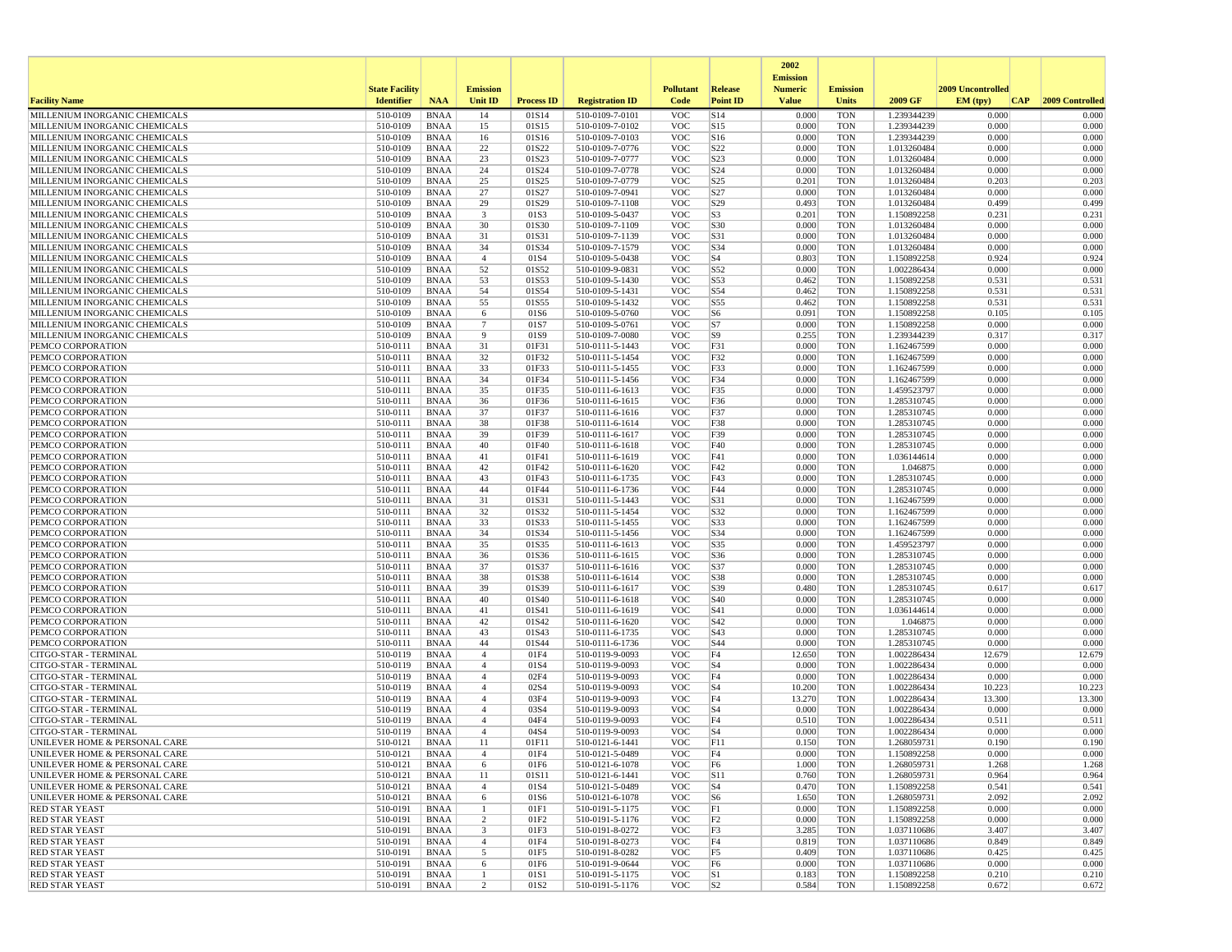|                                                                |                       |                            |                                  |                   |                                    |                          |                      | 2002                              |                          |                            |                   |                  |
|----------------------------------------------------------------|-----------------------|----------------------------|----------------------------------|-------------------|------------------------------------|--------------------------|----------------------|-----------------------------------|--------------------------|----------------------------|-------------------|------------------|
|                                                                | <b>State Facility</b> |                            | <b>Emission</b>                  |                   |                                    | <b>Pollutant</b>         | Release              | <b>Emission</b><br><b>Numeric</b> | <b>Emission</b>          |                            | 2009 Uncontrolled |                  |
| <b>Facility Name</b>                                           | <b>Identifier</b>     | <b>NAA</b>                 | Unit ID                          | <b>Process ID</b> | <b>Registration ID</b>             | Code                     | <b>Point ID</b>      | <b>Value</b>                      | <b>Units</b>             | 2009 GF                    | EM (typ)<br> CAP  | 2009 Controlled  |
| MILLENIUM INORGANIC CHEMICALS                                  | 510-0109              | <b>BNAA</b>                | 14                               | 01S14             | 510-0109-7-0101                    | <b>VOC</b>               | S14                  | 0.000                             | <b>TON</b>               | 1.239344239                | 0.000             | 0.000            |
| MILLENIUM INORGANIC CHEMICALS                                  | 510-0109              | <b>BNAA</b>                | 15                               | 01S15             | 510-0109-7-0102                    | <b>VOC</b>               | S15                  | 0.000                             | <b>TON</b>               | 1.239344239                | 0.000             | 0.000            |
| MILLENIUM INORGANIC CHEMICALS                                  | 510-0109              | <b>BNAA</b>                | 16                               | 01S16             | 510-0109-7-0103                    | <b>VOC</b>               | S16                  | 0.000                             | <b>TON</b>               | 1.239344239                | 0.000             | 0.000            |
| MILLENIUM INORGANIC CHEMICALS<br>MILLENIUM INORGANIC CHEMICALS | 510-0109<br>510-0109  | <b>BNAA</b><br><b>BNAA</b> | 22<br>23                         | 01S22<br>01S23    | 510-0109-7-0776<br>510-0109-7-0777 | <b>VOC</b><br><b>VOC</b> | S22<br>S23           | 0.000<br>0.000                    | <b>TON</b><br><b>TON</b> | 1.013260484<br>1.013260484 | 0.000<br>0.000    | 0.000<br>0.000   |
| MILLENIUM INORGANIC CHEMICALS                                  | 510-0109              | <b>BNAA</b>                | 24                               | 01S24             | 510-0109-7-0778                    | <b>VOC</b>               | S24                  | 0.000                             | <b>TON</b>               | 1.013260484                | 0.000             | 0.000            |
| MILLENIUM INORGANIC CHEMICALS                                  | 510-0109              | <b>BNAA</b>                | 25                               | 01S25             | 510-0109-7-0779                    | <b>VOC</b>               | S <sub>25</sub>      | 0.201                             | <b>TON</b>               | 1.013260484                | 0.203             | 0.203            |
| MILLENIUM INORGANIC CHEMICALS                                  | 510-0109              | <b>BNAA</b>                | 27                               | 01S27             | 510-0109-7-0941                    | <b>VOC</b>               | S <sub>27</sub>      | 0.000                             | <b>TON</b>               | 1.013260484                | 0.000             | 0.000            |
| MILLENIUM INORGANIC CHEMICALS                                  | 510-0109              | <b>BNAA</b>                | 29                               | 01S29             | 510-0109-7-1108                    | <b>VOC</b>               | S29                  | 0.493                             | <b>TON</b>               | 1.013260484                | 0.499             | 0.499            |
| MILLENIUM INORGANIC CHEMICALS                                  | 510-0109              | <b>BNAA</b>                | $\overline{\mathbf{3}}$          | 01S3              | 510-0109-5-0437                    | <b>VOC</b>               | S <sub>3</sub>       | 0.201                             | <b>TON</b>               | 1.150892258                | 0.231             | 0.231            |
| MILLENIUM INORGANIC CHEMICALS                                  | 510-0109              | <b>BNAA</b>                | 30                               | 01S30             | 510-0109-7-1109                    | <b>VOC</b>               | S30                  | 0.000                             | <b>TON</b>               | 1.013260484                | 0.000             | 0.000            |
| MILLENIUM INORGANIC CHEMICALS                                  | 510-0109              | <b>BNAA</b>                | 31                               | 01S31             | 510-0109-7-1139                    | <b>VOC</b>               | S31                  | 0.000                             | <b>TON</b>               | 1.013260484                | 0.000             | 0.000            |
| MILLENIUM INORGANIC CHEMICALS                                  | 510-0109              | <b>BNAA</b>                | 34                               | 01S34             | 510-0109-7-1579                    | <b>VOC</b>               | S34                  | 0.000                             | <b>TON</b>               | 1.013260484                | 0.000             | 0.000            |
| MILLENIUM INORGANIC CHEMICALS<br>MILLENIUM INORGANIC CHEMICALS | 510-0109              | <b>BNAA</b>                | $\overline{4}$                   | 01S4              | 510-0109-5-0438                    | <b>VOC</b><br><b>VOC</b> | S <sub>4</sub>       | 0.803<br>0.000                    | <b>TON</b>               | 1.150892258                | 0.924<br>0.000    | 0.924            |
| MILLENIUM INORGANIC CHEMICALS                                  | 510-0109<br>510-0109  | <b>BNAA</b><br>BNAA        | 52<br>53                         | 01S52<br>01S53    | 510-0109-9-0831<br>510-0109-5-1430 | <b>VOC</b>               | S52<br>S53           | 0.462                             | <b>TON</b><br><b>TON</b> | 1.002286434<br>1.150892258 | 0.531             | 0.000<br>0.531   |
| MILLENIUM INORGANIC CHEMICALS                                  | 510-0109              | <b>BNAA</b>                | 54                               | 01S54             | 510-0109-5-1431                    | <b>VOC</b>               | S54                  | 0.462                             | <b>TON</b>               | 1.150892258                | 0.531             | 0.531            |
| MILLENIUM INORGANIC CHEMICALS                                  | 510-0109              | <b>BNAA</b>                | 55                               | 01S55             | 510-0109-5-1432                    | <b>VOC</b>               | S55                  | 0.462                             | <b>TON</b>               | 1.150892258                | 0.531             | 0.531            |
| MILLENIUM INORGANIC CHEMICALS                                  | 510-0109              | <b>BNAA</b>                | -6                               | 01S6              | 510-0109-5-0760                    | <b>VOC</b>               | S <sub>6</sub>       | 0.091                             | <b>TON</b>               | 1.150892258                | 0.105             | 0.105            |
| MILLENIUM INORGANIC CHEMICALS                                  | 510-0109              | <b>BNAA</b>                | $\overline{7}$                   | 01S7              | 510-0109-5-0761                    | <b>VOC</b>               | S7                   | 0.000                             | <b>TON</b>               | 1.150892258                | 0.000             | 0.000            |
| MILLENIUM INORGANIC CHEMICALS                                  | 510-0109              | <b>BNAA</b>                | 9                                | 01S9              | 510-0109-7-0080                    | <b>VOC</b>               | S <sub>9</sub>       | 0.255                             | <b>TON</b>               | 1.239344239                | 0.317             | 0.317            |
| PEMCO CORPORATION                                              | 510-0111              | <b>BNAA</b>                | 31                               | 01F31             | 510-0111-5-1443                    | <b>VOC</b>               | F31                  | 0.000                             | <b>TON</b>               | 1.162467599                | 0.000             | 0.000            |
| PEMCO CORPORATION                                              | 510-0111              | <b>BNAA</b>                | 32                               | 01F32             | 510-0111-5-1454                    | <b>VOC</b>               | F32                  | 0.000                             | <b>TON</b>               | 1.162467599                | 0.000             | 0.000            |
| PEMCO CORPORATION                                              | 510-0111              | <b>BNAA</b>                | 33                               | 01F33             | 510-0111-5-1455                    | <b>VOC</b>               | F33                  | 0.000                             | <b>TON</b>               | 1.162467599                | 0.000             | 0.000            |
| PEMCO CORPORATION                                              | 510-0111              | <b>BNAA</b>                | 34                               | 01F34             | 510-0111-5-1456                    | <b>VOC</b>               | F34                  | 0.000                             | <b>TON</b>               | 1.162467599                | 0.000             | 0.000            |
| PEMCO CORPORATION                                              | 510-0111              | <b>BNAA</b>                | 35                               | 01F35             | 510-0111-6-1613                    | <b>VOC</b>               | F35                  | 0.000                             | <b>TON</b>               | 1.459523797                | 0.000             | 0.000            |
| PEMCO CORPORATION                                              | 510-0111              | <b>BNAA</b>                | 36                               | 01F36             | 510-0111-6-1615                    | <b>VOC</b>               | F36                  | 0.000                             | <b>TON</b>               | 1.285310745                | 0.000             | 0.000            |
| PEMCO CORPORATION                                              | 510-0111              | <b>BNAA</b>                | 37                               | 01F37             | 510-0111-6-1616                    | <b>VOC</b>               | F37                  | 0.000                             | <b>TON</b>               | 1.285310745                | 0.000<br>0.000    | 0.000            |
| PEMCO CORPORATION<br>PEMCO CORPORATION                         | 510-0111<br>510-0111  | <b>BNAA</b><br><b>BNAA</b> | 38<br>39                         | 01F38<br>01F39    | 510-0111-6-1614<br>510-0111-6-1617 | <b>VOC</b><br><b>VOC</b> | F38<br>F39           | 0.000<br>0.000                    | <b>TON</b><br><b>TON</b> | 1.285310745<br>1.285310745 | 0.000             | 0.000<br>0.000   |
| PEMCO CORPORATION                                              | 510-0111              | <b>BNAA</b>                | 40                               | 01F40             | 510-0111-6-1618                    | <b>VOC</b>               | F40                  | 0.000                             | <b>TON</b>               | 1.285310745                | 0.000             | 0.000            |
| PEMCO CORPORATION                                              | 510-0111              | <b>BNAA</b>                | 41                               | 01F41             | 510-0111-6-1619                    | <b>VOC</b>               | F41                  | 0.000                             | <b>TON</b>               | 1.036144614                | 0.000             | 0.000            |
| PEMCO CORPORATION                                              | 510-0111              | <b>BNAA</b>                | 42                               | 01F42             | 510-0111-6-1620                    | <b>VOC</b>               | F42                  | 0.000                             | <b>TON</b>               | 1.046875                   | 0.000             | 0.000            |
| PEMCO CORPORATION                                              | 510-0111              | <b>BNAA</b>                | 43                               | 01F43             | 510-0111-6-1735                    | <b>VOC</b>               | F43                  | 0.000                             | <b>TON</b>               | 1.285310745                | 0.000             | 0.000            |
| PEMCO CORPORATION                                              | 510-0111              | <b>BNAA</b>                | 44                               | 01F44             | 510-0111-6-1736                    | <b>VOC</b>               | F44                  | 0.000                             | <b>TON</b>               | 1.285310745                | 0.000             | 0.000            |
| PEMCO CORPORATION                                              | 510-0111              | <b>BNAA</b>                | 31                               | 01S31             | 510-0111-5-1443                    | <b>VOC</b>               | S31                  | 0.000                             | <b>TON</b>               | 1.162467599                | 0.000             | 0.000            |
| PEMCO CORPORATION                                              | 510-0111              | <b>BNAA</b>                | 32                               | 01S32             | 510-0111-5-1454                    | <b>VOC</b>               | S32                  | 0.000                             | <b>TON</b>               | 1.162467599                | 0.000             | 0.000            |
| PEMCO CORPORATION                                              | 510-0111              | <b>BNAA</b>                | 33                               | 01S33             | 510-0111-5-1455                    | <b>VOC</b>               | S33                  | 0.000                             | <b>TON</b>               | 1.162467599                | 0.000             | 0.000            |
| PEMCO CORPORATION                                              | 510-0111              | <b>BNAA</b>                | 34                               | 01S34             | 510-0111-5-1456                    | <b>VOC</b>               | S34                  | 0.000                             | <b>TON</b>               | 1.162467599                | 0.000             | 0.000            |
| PEMCO CORPORATION<br>PEMCO CORPORATION                         | 510-0111<br>510-0111  | <b>BNAA</b>                | 35<br>36                         | 01S35             | 510-0111-6-1613                    | <b>VOC</b><br><b>VOC</b> | S35<br>S36           | 0.000<br>0.000                    | <b>TON</b><br><b>TON</b> | 1.459523797                | 0.000<br>0.000    | 0.000<br>0.000   |
| PEMCO CORPORATION                                              | 510-0111              | BNAA<br><b>BNAA</b>        | 37                               | 01S36<br>01S37    | 510-0111-6-1615<br>510-0111-6-1616 | <b>VOC</b>               | S37                  | 0.000                             | <b>TON</b>               | 1.285310745<br>1.285310745 | 0.000             | 0.000            |
| PEMCO CORPORATION                                              | 510-0111              | <b>BNAA</b>                | 38                               | 01S38             | 510-0111-6-1614                    | <b>VOC</b>               | S38                  | 0.000                             | <b>TON</b>               | 1.285310745                | 0.000             | 0.000            |
| PEMCO CORPORATION                                              | 510-0111              | <b>BNAA</b>                | 39                               | 01S39             | 510-0111-6-1617                    | <b>VOC</b>               | S39                  | 0.480                             | <b>TON</b>               | 1.285310745                | 0.617             | 0.617            |
| PEMCO CORPORATION                                              | 510-0111              | <b>BNAA</b>                | 40                               | 01S40             | 510-0111-6-1618                    | <b>VOC</b>               | S40                  | 0.000                             | <b>TON</b>               | 1.285310745                | 0.000             | 0.000            |
| PEMCO CORPORATION                                              | 510-0111              | <b>BNAA</b>                | 41                               | 01S41             | 510-0111-6-1619                    | <b>VOC</b>               | S41                  | 0.000                             | <b>TON</b>               | 1.036144614                | 0.000             | 0.000            |
| PEMCO CORPORATION                                              | 510-0111              | <b>BNAA</b>                | 42                               | 01S42             | 510-0111-6-1620                    | <b>VOC</b>               | S42                  | 0.000                             | <b>TON</b>               | 1.046875                   | 0.000             | 0.000            |
| PEMCO CORPORATION                                              | 510-0111              | <b>BNAA</b>                | 43                               | 01S43             | 510-0111-6-1735                    | <b>VOC</b>               | S43                  | 0.000                             | <b>TON</b>               | 1.285310745                | 0.000             | 0.000            |
| PEMCO CORPORATION                                              | 510-0111              | <b>BNAA</b>                | 44                               | 01S44             | 510-0111-6-1736                    | <b>VOC</b>               | S44                  | 0.000                             | <b>TON</b>               | 1.285310745                | 0.000             | 0.000            |
| CITGO-STAR - TERMINAL                                          | 510-0119              | <b>BNAA</b>                | $\overline{4}$                   | 01F4              | 510-0119-9-0093                    | <b>VOC</b>               | F4                   | 12.650                            | <b>TON</b>               | 1.002286434                | 12.679            | 12.679           |
| CITGO-STAR - TERMINAL                                          | 510-0119              | <b>BNAA</b>                | $\overline{4}$                   | 01S4              | 510-0119-9-0093                    | <b>VOC</b>               | S <sub>4</sub>       | 0.000                             | <b>TON</b>               | 1.002286434                | 0.000             | 0.000            |
| CITGO-STAR - TERMINAL                                          | 510-0119              | <b>BNAA</b><br><b>BNAA</b> | $\overline{4}$<br>$\overline{4}$ | 02F4<br>02S4      | 510-0119-9-0093                    | <b>VOC</b><br><b>VOC</b> | F4                   | 0.000                             | <b>TON</b><br><b>TON</b> | 1.002286434                | 0.000<br>10.223   | 0.000            |
| CITGO-STAR - TERMINAL<br>CITGO-STAR - TERMINAL                 | 510-0119<br>510-0119  | <b>BNAA</b>                | $\overline{4}$                   | 03F4              | 510-0119-9-0093<br>510-0119-9-0093 | <b>VOC</b>               | S <sub>4</sub><br>F4 | 10.200<br>13.270                  | <b>TON</b>               | 1.002286434<br>1.002286434 | 13.300            | 10.223<br>13.300 |
| CITGO-STAR - TERMINAL                                          | 510-0119              | <b>BNAA</b>                | $\overline{4}$                   | 03S4              | 510-0119-9-0093                    | <b>VOC</b>               | S <sub>4</sub>       | 0.000                             | <b>TON</b>               | 1.002286434                | 0.000             | 0.000            |
| CITGO-STAR - TERMINAL                                          | 510-0119              | <b>BNAA</b>                | $\overline{4}$                   | 04F4              | 510-0119-9-0093                    | <b>VOC</b>               | F4                   | 0.510                             | <b>TON</b>               | 1.002286434                | 0.511             | 0.511            |
| CITGO-STAR - TERMINAL                                          | 510-0119              | <b>BNAA</b>                | $\overline{4}$                   | 04S4              | 510-0119-9-0093                    | <b>VOC</b>               | S <sub>4</sub>       | 0.000                             | <b>TON</b>               | 1.002286434                | 0.000             | 0.000            |
| UNILEVER HOME & PERSONAL CARE                                  | 510-0121              | <b>BNAA</b>                | 11                               | 01F11             | 510-0121-6-1441                    | <b>VOC</b>               | F11                  | 0.150                             | <b>TON</b>               | 1.268059731                | 0.190             | 0.190            |
| UNILEVER HOME & PERSONAL CARE                                  | 510-0121              | <b>BNAA</b>                |                                  | 01F4              | 510-0121-5-0489                    | <b>VOC</b>               | F4                   | 0.000                             | TON                      | 1.150892258                | 0.000             | 0.000            |
| UNILEVER HOME & PERSONAL CARE                                  | $510-0121$            | BNAA                       | 6                                | 01F6              | 510-0121-6-1078                    | <b>VOC</b>               | F <sub>6</sub>       | 1.000                             | <b>TON</b>               | 1.268059731                | 1.268             | 1.268            |
| UNILEVER HOME & PERSONAL CARE                                  | 510-0121              | <b>BNAA</b>                | 11                               | 01S11             | 510-0121-6-1441                    | <b>VOC</b>               | <b>S11</b>           | 0.760                             | <b>TON</b>               | 1.268059731                | 0.964             | 0.964            |
| UNILEVER HOME & PERSONAL CARE                                  | 510-0121              | BNAA                       | $\overline{4}$                   | 01S4              | 510-0121-5-0489                    | <b>VOC</b>               | S4                   | 0.470                             | TON                      | 1.150892258                | 0.541             | 0.541            |
| UNILEVER HOME & PERSONAL CARE                                  | 510-0121              | <b>BNAA</b>                | 6                                | 01S6              | 510-0121-6-1078                    | <b>VOC</b>               | S <sub>6</sub>       | 1.650                             | <b>TON</b>               | 1.268059731                | 2.092             | 2.092            |
| <b>RED STAR YEAST</b>                                          | 510-0191              | <b>BNAA</b>                | $\mathbf{1}$                     | 01F1              | 510-0191-5-1175                    | <b>VOC</b>               | F1                   | 0.000                             | <b>TON</b>               | 1.150892258                | 0.000             | 0.000            |
| <b>RED STAR YEAST</b><br><b>RED STAR YEAST</b>                 | 510-0191<br>510-0191  | <b>BNAA</b><br><b>BNAA</b> | $\overline{2}$<br>3              | 01F2<br>01F3      | 510-0191-5-1176<br>510-0191-8-0272 | <b>VOC</b><br><b>VOC</b> | F2<br>F3             | 0.000<br>3.285                    | <b>TON</b><br><b>TON</b> | 1.150892258<br>1.037110686 | 0.000<br>3.407    | 0.000<br>3.407   |
| <b>RED STAR YEAST</b>                                          | 510-0191              | BNAA                       | $\overline{4}$                   | 01F4              | 510-0191-8-0273                    | <b>VOC</b>               | F4                   | 0.819                             | <b>TON</b>               | 1.037110686                | 0.849             | 0.849            |
| <b>RED STAR YEAST</b>                                          | 510-0191              | BNAA                       | 5                                | 01F5              | 510-0191-8-0282                    | <b>VOC</b>               | F5                   | 0.409                             | TON                      | 1.037110686                | 0.425             | 0.425            |
| <b>RED STAR YEAST</b>                                          | 510-0191              | <b>BNAA</b>                | 6                                | 01F6              | 510-0191-9-0644                    | <b>VOC</b>               | F <sub>6</sub>       | 0.000                             | <b>TON</b>               | 1.037110686                | 0.000             | 0.000            |
| <b>RED STAR YEAST</b>                                          | 510-0191              | <b>BNAA</b>                |                                  | 01S1              | 510-0191-5-1175                    | <b>VOC</b>               | S1                   | 0.183                             | <b>TON</b>               | 1.150892258                | 0.210             | 0.210            |
| <b>RED STAR YEAST</b>                                          | 510-0191              | <b>BNAA</b>                | $\overline{2}$                   | 01S2              | 510-0191-5-1176                    | <b>VOC</b>               | S <sub>2</sub>       | 0.584                             | TON                      | 1.150892258                | 0.672             | 0.672            |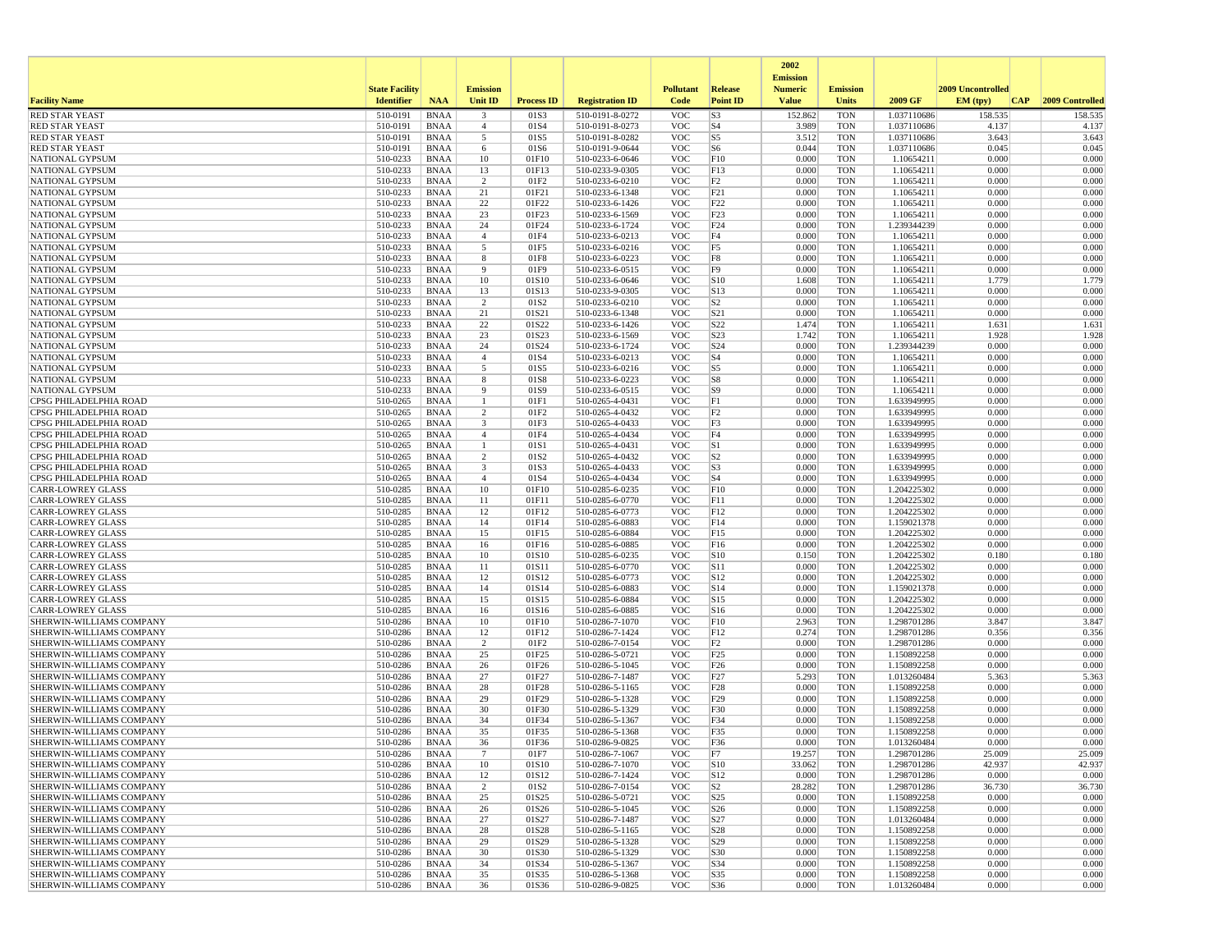|                                                             |                       |                            |                      |                   |                                    |                          |                                    | 2002<br><b>Emission</b> |                          |                            |                   |                 |
|-------------------------------------------------------------|-----------------------|----------------------------|----------------------|-------------------|------------------------------------|--------------------------|------------------------------------|-------------------------|--------------------------|----------------------------|-------------------|-----------------|
|                                                             | <b>State Facility</b> |                            | <b>Emission</b>      |                   |                                    | <b>Pollutant</b>         | <b>Release</b>                     | <b>Numeric</b>          | <b>Emission</b>          |                            | 2009 Uncontrolled |                 |
| <b>Facility Name</b>                                        | <b>Identifier</b>     | <b>NAA</b>                 | <b>Unit ID</b>       | <b>Process ID</b> | <b>Registration ID</b>             | Code                     | <b>Point ID</b>                    | <b>Value</b>            | <b>Units</b>             | 2009 GF                    | EM (tpv)<br> CAP  | 2009 Controlled |
| <b>RED STAR YEAST</b>                                       | 510-0191              | <b>BNAA</b>                | 3                    | 01S3              | 510-0191-8-0272                    | <b>VOC</b>               | S <sub>3</sub>                     | 152.862                 | <b>TON</b>               | 1.037110686                | 158.535           | 158.535         |
| <b>RED STAR YEAST</b><br><b>RED STAR YEAST</b>              | 510-0191<br>510-0191  | <b>BNAA</b><br><b>BNAA</b> | $\overline{4}$<br>5  | 01S4<br>01S5      | 510-0191-8-0273<br>510-0191-8-0282 | <b>VOC</b><br><b>VOC</b> | S <sub>4</sub><br>S5               | 3.989<br>3.512          | <b>TON</b><br><b>TON</b> | 1.037110686<br>1.037110686 | 4.137<br>3.643    | 4.137<br>3.643  |
| <b>RED STAR YEAST</b>                                       | 510-0191              | <b>BNAA</b>                | 6                    | 01S6              | 510-0191-9-0644                    | <b>VOC</b>               | S <sub>6</sub>                     | 0.044                   | <b>TON</b>               | 1.037110686                | 0.045             | 0.045           |
| <b>NATIONAL GYPSUM</b>                                      | 510-0233              | <b>BNAA</b>                | 10                   | 01F10             | 510-0233-6-0646                    | <b>VOC</b>               | F10                                | 0.000                   | <b>TON</b>               | 1.10654211                 | 0.000             | 0.000           |
| <b>NATIONAL GYPSUM</b>                                      | 510-0233              | <b>BNAA</b>                | 13                   | 01F13             | 510-0233-9-0305                    | <b>VOC</b>               | F13                                | 0.000                   | <b>TON</b>               | 1.10654211                 | 0.000             | 0.000           |
| <b>NATIONAL GYPSUM</b>                                      | 510-0233              | <b>BNAA</b>                | $\overline{2}$       | 01F2              | 510-0233-6-0210                    | <b>VOC</b>               | F2                                 | 0.000                   | <b>TON</b>               | 1.10654211                 | 0.000             | 0.000           |
| NATIONAL GYPSUM<br>NATIONAL GYPSUM                          | 510-0233<br>510-0233  | <b>BNAA</b><br><b>BNAA</b> | 21<br>22             | 01F21<br>01F22    | 510-0233-6-1348<br>510-0233-6-1426 | <b>VOC</b><br><b>VOC</b> | F21<br>F22                         | 0.000<br>0.000          | <b>TON</b><br><b>TON</b> | 1.10654211<br>1.10654211   | 0.000<br>0.000    | 0.000<br>0.000  |
| NATIONAL GYPSUM                                             | 510-0233              | <b>BNAA</b>                | 23                   | 01F23             | 510-0233-6-1569                    | <b>VOC</b>               | F23                                | 0.000                   | <b>TON</b>               | 1.10654211                 | 0.000             | 0.000           |
| NATIONAL GYPSUM                                             | 510-0233              | <b>BNAA</b>                | 24                   | 01F24             | 510-0233-6-1724                    | <b>VOC</b>               | F24                                | 0.000                   | <b>TON</b>               | 1.239344239                | 0.000             | 0.000           |
| <b>NATIONAL GYPSUM</b>                                      | 510-0233              | <b>BNAA</b>                | $\overline{4}$       | 01F4              | 510-0233-6-0213                    | <b>VOC</b>               | F4                                 | 0.000                   | <b>TON</b>               | 1.10654211                 | 0.000             | 0.000           |
| NATIONAL GYPSUM                                             | 510-0233              | <b>BNAA</b>                | 5                    | 01F5              | 510-0233-6-0216                    | <b>VOC</b>               | F <sub>5</sub>                     | 0.000                   | <b>TON</b>               | 1.10654211                 | 0.000             | 0.000           |
| NATIONAL GYPSUM<br><b>NATIONAL GYPSUM</b>                   | 510-0233<br>510-0233  | <b>BNAA</b><br><b>BNAA</b> | 8<br>9               | 01F8<br>01F9      | 510-0233-6-0223<br>510-0233-6-0515 | <b>VOC</b><br><b>VOC</b> | F8<br>F <sub>9</sub>               | 0.000<br>0.000          | <b>TON</b><br><b>TON</b> | 1.10654211<br>1.10654211   | 0.000<br>0.000    | 0.000<br>0.000  |
| NATIONAL GYPSUM                                             | 510-0233              | <b>BNAA</b>                | 10                   | 01S10             | 510-0233-6-0646                    | <b>VOC</b>               | S10                                | 1.608                   | <b>TON</b>               | 1.10654211                 | 1.779             | 1.779           |
| NATIONAL GYPSUM                                             | 510-0233              | <b>BNAA</b>                | 13                   | 01S13             | 510-0233-9-0305                    | <b>VOC</b>               | S13                                | 0.000                   | <b>TON</b>               | 1.10654211                 | 0.000             | 0.000           |
| NATIONAL GYPSUM                                             | 510-0233              | <b>BNAA</b>                | 2                    | 01S <sub>2</sub>  | 510-0233-6-0210                    | <b>VOC</b>               | S <sub>2</sub>                     | 0.000                   | <b>TON</b>               | 1.10654211                 | 0.000             | 0.000           |
| NATIONAL GYPSUM                                             | 510-0233              | <b>BNAA</b>                | 21                   | 01S21             | 510-0233-6-1348                    | <b>VOC</b>               | S21                                | 0.000                   | <b>TON</b>               | 1.10654211                 | 0.000             | 0.000           |
| NATIONAL GYPSUM<br>NATIONAL GYPSUM                          | 510-0233<br>510-0233  | <b>BNAA</b><br><b>BNAA</b> | 22<br>23             | 01S22<br>01S23    | 510-0233-6-1426<br>510-0233-6-1569 | <b>VOC</b><br><b>VOC</b> | S22<br>S23                         | 1.474<br>1.742          | <b>TON</b><br><b>TON</b> | 1.10654211<br>1.10654211   | 1.631<br>1.928    | 1.631<br>1.928  |
| NATIONAL GYPSUM                                             | 510-0233              | <b>BNAA</b>                | 24                   | 01S24             | 510-0233-6-1724                    | <b>VOC</b>               | S24                                | 0.000                   | <b>TON</b>               | 1.239344239                | 0.000             | 0.000           |
| <b>NATIONAL GYPSUM</b>                                      | 510-0233              | <b>BNAA</b>                | $\overline{4}$       | 01S4              | 510-0233-6-0213                    | <b>VOC</b>               | S <sub>4</sub>                     | 0.000                   | <b>TON</b>               | 1.10654211                 | 0.000             | 0.000           |
| NATIONAL GYPSUM                                             | 510-0233              | <b>BNAA</b>                | 5                    | 01S5              | 510-0233-6-0216                    | <b>VOC</b>               | S5                                 | 0.000                   | <b>TON</b>               | 1.10654211                 | 0.000             | 0.000           |
| NATIONAL GYPSUM                                             | 510-0233              | <b>BNAA</b>                | 8                    | 01S8              | 510-0233-6-0223                    | <b>VOC</b>               | S8                                 | 0.000                   | <b>TON</b>               | 1.10654211                 | 0.000             | 0.000           |
| <b>NATIONAL GYPSUM</b>                                      | 510-0233              | <b>BNAA</b>                | 9                    | 01S9              | 510-0233-6-0515                    | <b>VOC</b>               | S9                                 | 0.000                   | <b>TON</b>               | 1.10654211                 | 0.000             | 0.000           |
| CPSG PHILADELPHIA ROAD<br>CPSG PHILADELPHIA ROAD            | 510-0265<br>510-0265  | <b>BNAA</b><br><b>BNAA</b> | -1<br>$\overline{c}$ | 01F1<br>01F2      | 510-0265-4-0431<br>510-0265-4-0432 | <b>VOC</b><br><b>VOC</b> | F1<br>F <sub>2</sub>               | 0.000<br>0.000          | <b>TON</b><br><b>TON</b> | 1.633949995<br>1.633949995 | 0.000<br>0.000    | 0.000<br>0.000  |
| CPSG PHILADELPHIA ROAD                                      | 510-0265              | <b>BNAA</b>                | 3                    | 01F3              | 510-0265-4-0433                    | <b>VOC</b>               | F3                                 | 0.000                   | <b>TON</b>               | 1.633949995                | 0.000             | 0.000           |
| CPSG PHILADELPHIA ROAD                                      | 510-0265              | <b>BNAA</b>                | $\overline{4}$       | 01F4              | 510-0265-4-0434                    | <b>VOC</b>               | F4                                 | 0.000                   | <b>TON</b>               | 1.633949995                | 0.000             | 0.000           |
| CPSG PHILADELPHIA ROAD                                      | 510-0265              | <b>BNAA</b>                |                      | 01S1              | 510-0265-4-0431                    | <b>VOC</b>               | S1                                 | 0.000                   | <b>TON</b>               | 1.633949995                | 0.000             | 0.000           |
| CPSG PHILADELPHIA ROAD                                      | 510-0265              | <b>BNAA</b>                | $\overline{c}$       | 01S2              | 510-0265-4-0432                    | <b>VOC</b>               | S <sub>2</sub>                     | 0.000                   | <b>TON</b>               | 1.633949995                | 0.000             | 0.000           |
| CPSG PHILADELPHIA ROAD<br>CPSG PHILADELPHIA ROAD            | 510-0265<br>510-0265  | <b>BNAA</b><br><b>BNAA</b> | 3<br>$\overline{4}$  | 01S3<br>01S4      | 510-0265-4-0433<br>510-0265-4-0434 | <b>VOC</b><br><b>VOC</b> | S3<br>S <sub>4</sub>               | 0.000<br>0.000          | <b>TON</b><br><b>TON</b> | 1.633949995<br>1.633949995 | 0.000<br>0.000    | 0.000<br>0.000  |
| <b>CARR-LOWREY GLASS</b>                                    | 510-0285              | <b>BNAA</b>                | 10                   | 01F10             | 510-0285-6-0235                    | <b>VOC</b>               | F10                                | 0.000                   | <b>TON</b>               | 1.204225302                | 0.000             | 0.000           |
| <b>CARR-LOWREY GLASS</b>                                    | 510-0285              | <b>BNAA</b>                | 11                   | 01F11             | 510-0285-6-0770                    | <b>VOC</b>               | F11                                | 0.000                   | <b>TON</b>               | 1.204225302                | 0.000             | 0.000           |
| <b>CARR-LOWREY GLASS</b>                                    | 510-0285              | <b>BNAA</b>                | 12                   | 01F12             | 510-0285-6-0773                    | <b>VOC</b>               | F12                                | 0.000                   | <b>TON</b>               | 1.204225302                | 0.000             | 0.000           |
| <b>CARR-LOWREY GLASS</b>                                    | 510-0285              | <b>BNAA</b>                | 14                   | 01F14             | 510-0285-6-0883                    | <b>VOC</b>               | F14                                | 0.000                   | <b>TON</b>               | 1.159021378                | 0.000             | 0.000           |
| <b>CARR-LOWREY GLASS</b><br><b>CARR-LOWREY GLASS</b>        | 510-0285<br>510-0285  | <b>BNAA</b><br><b>BNAA</b> | 15<br>16             | 01F15<br>01F16    | 510-0285-6-0884<br>510-0285-6-0885 | <b>VOC</b><br><b>VOC</b> | F15<br>F16                         | 0.000<br>0.000          | <b>TON</b><br><b>TON</b> | 1.204225302<br>1.204225302 | 0.000<br>0.000    | 0.000<br>0.000  |
| <b>CARR-LOWREY GLASS</b>                                    | 510-0285              | <b>BNAA</b>                | 10                   | 01S10             | 510-0285-6-0235                    | <b>VOC</b>               | S10                                | 0.150                   | <b>TON</b>               | 1.204225302                | 0.180             | 0.180           |
| <b>CARR-LOWREY GLASS</b>                                    | 510-0285              | <b>BNAA</b>                | 11                   | 01S11             | 510-0285-6-0770                    | <b>VOC</b>               | S11                                | 0.000                   | <b>TON</b>               | 1.204225302                | 0.000             | 0.000           |
| <b>CARR-LOWREY GLASS</b>                                    | 510-0285              | <b>BNAA</b>                | 12                   | 01S12             | 510-0285-6-0773                    | <b>VOC</b>               | S12                                | 0.000                   | <b>TON</b>               | 1.204225302                | 0.000             | 0.000           |
| <b>CARR-LOWREY GLASS</b>                                    | 510-0285              | <b>BNAA</b>                | 14                   | 01S14             | 510-0285-6-0883                    | <b>VOC</b>               | S14                                | 0.000                   | <b>TON</b>               | 1.159021378                | 0.000             | 0.000           |
| <b>CARR-LOWREY GLASS</b><br><b>CARR-LOWREY GLASS</b>        | 510-0285<br>510-0285  | <b>BNAA</b><br><b>BNAA</b> | 15<br>16             | 01S15<br>01S16    | 510-0285-6-0884<br>510-0285-6-0885 | <b>VOC</b><br><b>VOC</b> | S15<br>S16                         | 0.000<br>0.000          | <b>TON</b><br><b>TON</b> | 1.204225302<br>1.204225302 | 0.000<br>0.000    | 0.000<br>0.000  |
| <b>SHERWIN-WILLIAMS COMPANY</b>                             | 510-0286              | <b>BNAA</b>                | 10                   | 01F10             | 510-0286-7-1070                    | <b>VOC</b>               | F10                                | 2.963                   | <b>TON</b>               | 1.298701286                | 3.847             | 3.847           |
| SHERWIN-WILLIAMS COMPANY                                    | 510-0286              | <b>BNAA</b>                | 12                   | 01F12             | 510-0286-7-1424                    | <b>VOC</b>               | F12                                | 0.274                   | <b>TON</b>               | 1.298701286                | 0.356             | 0.356           |
| SHERWIN-WILLIAMS COMPANY                                    | 510-0286              | <b>BNAA</b>                | $\overline{c}$       | 01F2              | 510-0286-7-0154                    | <b>VOC</b>               | F2                                 | 0.000                   | <b>TON</b>               | 1.298701286                | 0.000             | 0.000           |
| SHERWIN-WILLIAMS COMPANY                                    | 510-0286              | <b>BNAA</b>                | 25                   | 01F25             | 510-0286-5-0721                    | <b>VOC</b>               | F25                                | 0.000                   | <b>TON</b>               | 1.150892258                | 0.000             | 0.000           |
| SHERWIN-WILLIAMS COMPANY<br><b>SHERWIN-WILLIAMS COMPANY</b> | 510-0286              | <b>BNAA</b><br><b>BNAA</b> | 26<br>27             | 01F26<br>01F27    | 510-0286-5-1045                    | <b>VOC</b><br><b>VOC</b> | F <sub>26</sub><br>F <sub>27</sub> | 0.000<br>5.293          | <b>TON</b><br><b>TON</b> | 1.150892258<br>1.013260484 | 0.000<br>5.363    | 0.000<br>5.363  |
| SHERWIN-WILLIAMS COMPANY                                    | 510-0286<br>510-0286  | <b>BNAA</b>                | 28                   | 01F28             | 510-0286-7-1487<br>510-0286-5-1165 | <b>VOC</b>               | F28                                | 0.000                   | <b>TON</b>               | 1.150892258                | 0.000             | 0.000           |
| SHERWIN-WILLIAMS COMPANY                                    | 510-0286              | <b>BNAA</b>                | 29                   | 01F29             | 510-0286-5-1328                    | <b>VOC</b>               | F29                                | 0.000                   | <b>TON</b>               | 1.150892258                | 0.000             | 0.000           |
| SHERWIN-WILLIAMS COMPANY                                    | 510-0286              | <b>BNAA</b>                | 30                   | 01F30             | 510-0286-5-1329                    | <b>VOC</b>               | F30                                | 0.000                   | <b>TON</b>               | 1.150892258                | 0.000             | 0.000           |
| SHERWIN-WILLIAMS COMPANY                                    | 510-0286              | <b>BNAA</b>                | 34                   | 01F34             | 510-0286-5-1367                    | <b>VOC</b>               | F34                                | 0.000                   | <b>TON</b>               | 1.150892258                | 0.000             | 0.000           |
| SHERWIN-WILLIAMS COMPANY<br>SHERWIN-WILLIAMS COMPANY        | 510-0286              | <b>BNAA</b>                | 35                   | 01F35             | 510-0286-5-1368                    | <b>VOC</b>               | F35                                | 0.000                   | <b>TON</b>               | 1.150892258                | 0.000             | 0.000           |
| <b>SHERWIN-WILLIAMS COMPANY</b>                             | 510-0286<br>510-0286  | <b>BNAA</b><br><b>BNAA</b> | 36                   | 01F36<br>01F7     | 510-0286-9-0825<br>510-0286-7-1067 | <b>VOC</b><br><b>VOC</b> | F36<br>F7                          | 0.000<br>19.257         | <b>TON</b><br>TON        | 1.013260484<br>1.298701286 | 0.000<br>25.009   | 0.000<br>25.009 |
| SHERWIN-WILLIAMS COMPANY                                    | 510-0286              | <b>BNAA</b>                | 10                   | 01S10             | 510-0286-7-1070                    | <b>VOC</b>               | S10                                | 33.062                  | <b>TON</b>               | 1.298701286                | 42.937            | 42.937          |
| SHERWIN-WILLIAMS COMPANY                                    | 510-0286              | <b>BNAA</b>                | 12                   | 01S12             | 510-0286-7-1424                    | <b>VOC</b>               | S12                                | 0.000                   | <b>TON</b>               | 1.298701286                | 0.000             | 0.000           |
| <b>SHERWIN-WILLIAMS COMPANY</b>                             | 510-0286              | BNAA                       | $\overline{c}$       | 01S <sub>2</sub>  | 510-0286-7-0154                    | <b>VOC</b>               | S <sub>2</sub>                     | 28.282                  | <b>TON</b>               | 1.298701286                | 36.730            | 36.730          |
| SHERWIN-WILLIAMS COMPANY                                    | 510-0286              | <b>BNAA</b>                | 25                   | 01S25             | 510-0286-5-0721                    | <b>VOC</b>               | S25                                | 0.000                   | <b>TON</b>               | 1.150892258                | 0.000             | 0.000           |
| SHERWIN-WILLIAMS COMPANY<br>SHERWIN-WILLIAMS COMPANY        | 510-0286              | <b>BNAA</b><br><b>BNAA</b> | 26<br>27             | 01S26<br>01S27    | 510-0286-5-1045<br>510-0286-7-1487 | <b>VOC</b><br><b>VOC</b> | S26<br>S27                         | 0.000<br>0.000          | <b>TON</b><br><b>TON</b> | 1.150892258<br>1.013260484 | 0.000<br>0.000    | 0.000<br>0.000  |
| SHERWIN-WILLIAMS COMPANY                                    | 510-0286<br>510-0286  | BNAA                       | 28                   | 01S28             | 510-0286-5-1165                    | <b>VOC</b>               | S28                                | 0.000                   | <b>TON</b>               | 1.150892258                | 0.000             | 0.000           |
| SHERWIN-WILLIAMS COMPANY                                    | 510-0286              | <b>BNAA</b>                | 29                   | 01S29             | 510-0286-5-1328                    | <b>VOC</b>               | S29                                | 0.000                   | <b>TON</b>               | 1.150892258                | 0.000             | 0.000           |
| SHERWIN-WILLIAMS COMPANY                                    | 510-0286              | <b>BNAA</b>                | 30                   | 01S30             | 510-0286-5-1329                    | <b>VOC</b>               | S30                                | 0.000                   | <b>TON</b>               | 1.150892258                | 0.000             | 0.000           |
| SHERWIN-WILLIAMS COMPANY                                    | 510-0286              | <b>BNAA</b>                | 34                   | 01S34             | 510-0286-5-1367                    | <b>VOC</b>               | S34                                | 0.000                   | <b>TON</b>               | 1.150892258                | 0.000             | 0.000           |
| SHERWIN-WILLIAMS COMPANY                                    | 510-0286              | <b>BNAA</b>                | 35                   | 01S35             | 510-0286-5-1368                    | <b>VOC</b>               | S35                                | 0.000                   | <b>TON</b>               | 1.150892258                | 0.000             | 0.000           |
| SHERWIN-WILLIAMS COMPANY                                    | 510-0286              | <b>BNAA</b>                | 36                   | 01S36             | 510-0286-9-0825                    | <b>VOC</b>               | S36                                | 0.000                   | <b>TON</b>               | 1.013260484                | 0.000             | 0.000           |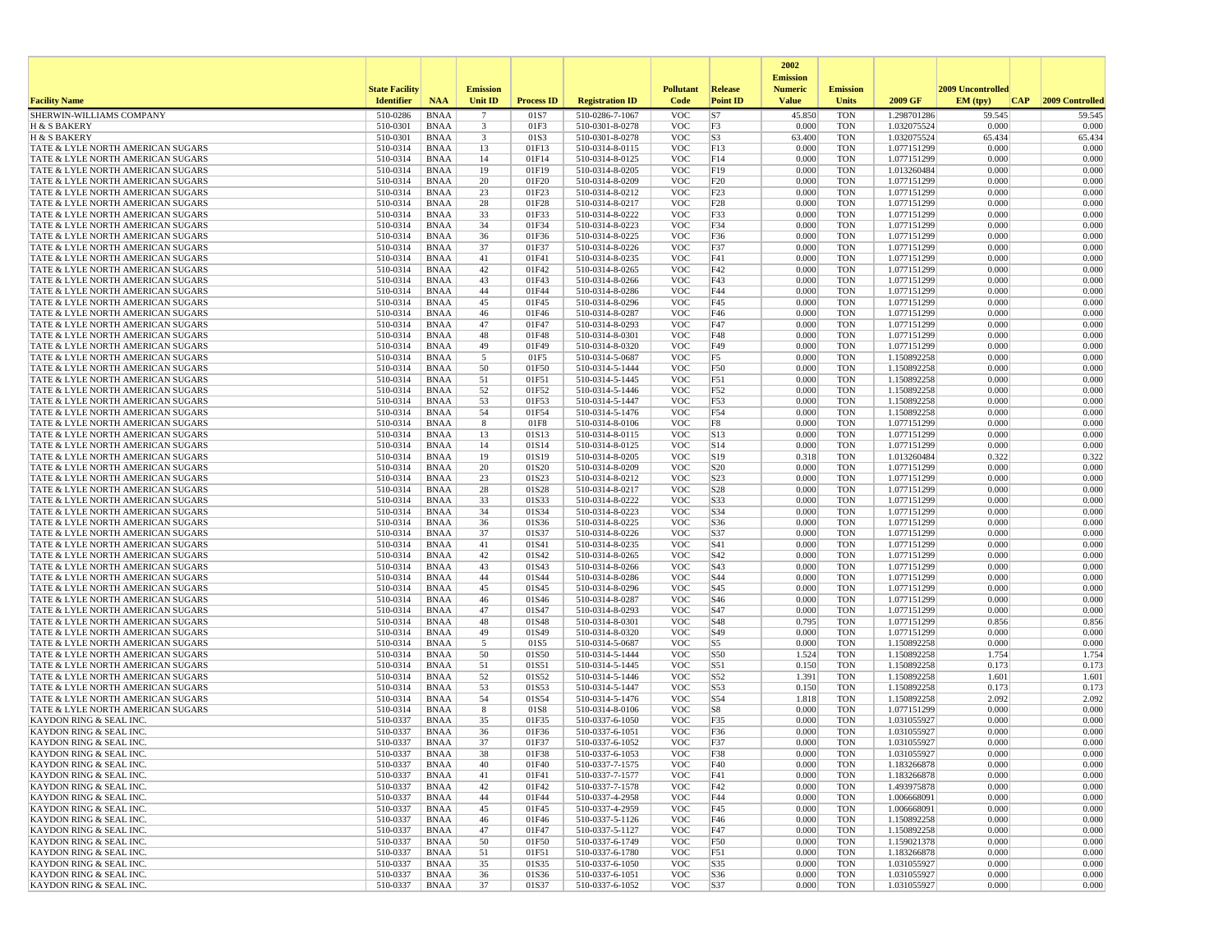|                                                                        |                       |                            |                         |                   |                                    |                          |                                    | 2002                              |                          |                            |                   |                 |
|------------------------------------------------------------------------|-----------------------|----------------------------|-------------------------|-------------------|------------------------------------|--------------------------|------------------------------------|-----------------------------------|--------------------------|----------------------------|-------------------|-----------------|
|                                                                        | <b>State Facility</b> |                            | <b>Emission</b>         |                   |                                    | <b>Pollutant</b>         | <b>Release</b>                     | <b>Emission</b><br><b>Numeric</b> | <b>Emission</b>          |                            | 2009 Uncontrolled |                 |
| <b>Facility Name</b>                                                   | <b>Identifier</b>     | <b>NAA</b>                 | <b>Unit ID</b>          | <b>Process ID</b> | <b>Registration ID</b>             | Code                     | <b>Point ID</b>                    | <b>Value</b>                      | Units                    | 2009 GF                    | EM (typ)<br> CAP  | 2009 Controlled |
| SHERWIN-WILLIAMS COMPANY                                               | 510-0286              | <b>BNAA</b>                | $7\phantom{.0}$         | 01S7              | 510-0286-7-1067                    | <b>VOC</b>               | S7                                 | 45.850                            | <b>TON</b>               | 1.298701286                | 59.545            | 59.545          |
| H & S BAKERY                                                           | 510-0301              | BNAA                       | $\overline{\mathbf{3}}$ | 01F3              | 510-0301-8-0278                    | <b>VOC</b>               | F3                                 | 0.000                             | <b>TON</b>               | 1.032075524                | 0.000             | 0.000           |
| H & S BAKERY                                                           | 510-0301              | <b>BNAA</b>                | 3                       | 01S3              | 510-0301-8-0278                    | <b>VOC</b>               | S <sub>3</sub>                     | 63.400                            | <b>TON</b>               | 1.032075524                | 65.434            | 65.434          |
| TATE & LYLE NORTH AMERICAN SUGARS<br>TATE & LYLE NORTH AMERICAN SUGARS | 510-0314<br>510-0314  | BNAA<br><b>BNAA</b>        | 13<br>14                | 01F13<br>01F14    | 510-0314-8-0115<br>510-0314-8-0125 | <b>VOC</b><br><b>VOC</b> | F13<br>F14                         | 0.000<br>0.000                    | <b>TON</b><br><b>TON</b> | 1.077151299<br>1.077151299 | 0.000<br>0.000    | 0.000<br>0.000  |
| TATE & LYLE NORTH AMERICAN SUGARS                                      | 510-0314              | <b>BNAA</b>                | 19                      | 01F19             | 510-0314-8-0205                    | <b>VOC</b>               | F19                                | 0.000                             | <b>TON</b>               | 1.013260484                | 0.000             | 0.000           |
| TATE & LYLE NORTH AMERICAN SUGARS                                      | 510-0314              | BNAA                       | 20                      | 01F20             | 510-0314-8-0209                    | <b>VOC</b>               | F <sub>20</sub>                    | 0.000                             | <b>TON</b>               | 1.077151299                | 0.000             | 0.000           |
| TATE & LYLE NORTH AMERICAN SUGARS                                      | 510-0314              | <b>BNAA</b>                | 23                      | 01F23             | 510-0314-8-0212                    | <b>VOC</b>               | F23                                | 0.000                             | <b>TON</b>               | 1.077151299                | 0.000             | 0.000           |
| TATE & LYLE NORTH AMERICAN SUGARS                                      | 510-0314              | <b>BNAA</b>                | 28                      | 01F28             | 510-0314-8-0217                    | <b>VOC</b>               | F <sub>28</sub>                    | 0.000                             | <b>TON</b>               | 1.077151299                | 0.000             | 0.000           |
| TATE & LYLE NORTH AMERICAN SUGARS                                      | 510-0314              | <b>BNAA</b>                | 33                      | 01F33             | 510-0314-8-0222                    | <b>VOC</b>               | F33                                | 0.000                             | <b>TON</b>               | 1.077151299                | 0.000             | 0.000           |
| TATE & LYLE NORTH AMERICAN SUGARS<br>TATE & LYLE NORTH AMERICAN SUGARS | 510-0314<br>510-0314  | BNAA<br><b>BNAA</b>        | 34<br>36                | 01F34<br>01F36    | 510-0314-8-0223<br>510-0314-8-0225 | <b>VOC</b><br><b>VOC</b> | F34<br>F36                         | 0.000<br>0.000                    | <b>TON</b><br><b>TON</b> | 1.077151299<br>1.077151299 | 0.000<br>0.000    | 0.000<br>0.000  |
| TATE & LYLE NORTH AMERICAN SUGARS                                      | 510-0314              | <b>BNAA</b>                | 37                      | 01F37             | 510-0314-8-0226                    | <b>VOC</b>               | F37                                | 0.000                             | <b>TON</b>               | 1.077151299                | 0.000             | 0.000           |
| TATE & LYLE NORTH AMERICAN SUGARS                                      | 510-0314              | <b>BNAA</b>                | 41                      | 01F41             | 510-0314-8-0235                    | <b>VOC</b>               | F41                                | 0.000                             | <b>TON</b>               | 1.077151299                | 0.000             | 0.000           |
| TATE & LYLE NORTH AMERICAN SUGARS                                      | 510-0314              | BNAA                       | 42                      | 01F42             | 510-0314-8-0265                    | <b>VOC</b>               | F42                                | 0.000                             | <b>TON</b>               | 1.077151299                | 0.000             | 0.000           |
| TATE & LYLE NORTH AMERICAN SUGARS                                      | 510-0314              | BNAA                       | 43                      | 01F43             | 510-0314-8-0266                    | <b>VOC</b>               | F43                                | 0.000                             | <b>TON</b>               | 1.077151299                | 0.000             | 0.000           |
| TATE & LYLE NORTH AMERICAN SUGARS                                      | 510-0314              | <b>BNAA</b>                | 44                      | 01F44             | 510-0314-8-0286                    | <b>VOC</b>               | F44                                | 0.000                             | <b>TON</b>               | 1.077151299                | 0.000             | 0.000           |
| TATE & LYLE NORTH AMERICAN SUGARS<br>TATE & LYLE NORTH AMERICAN SUGARS | 510-0314              | BNAA                       | 45                      | 01F45             | 510-0314-8-0296                    | <b>VOC</b>               | F45                                | 0.000                             | <b>TON</b><br><b>TON</b> | 1.077151299                | 0.000             | 0.000           |
| TATE & LYLE NORTH AMERICAN SUGARS                                      | 510-0314<br>510-0314  | BNAA<br><b>BNAA</b>        | 46<br>47                | 01F46<br>01F47    | 510-0314-8-0287<br>510-0314-8-0293 | <b>VOC</b><br><b>VOC</b> | F46<br>F47                         | 0.000<br>0.000                    | <b>TON</b>               | 1.077151299<br>1.077151299 | 0.000<br>0.000    | 0.000<br>0.000  |
| TATE & LYLE NORTH AMERICAN SUGARS                                      | 510-0314              | <b>BNAA</b>                | 48                      | 01F48             | 510-0314-8-0301                    | <b>VOC</b>               | <b>F48</b>                         | 0.000                             | <b>TON</b>               | 1.077151299                | 0.000             | 0.000           |
| TATE & LYLE NORTH AMERICAN SUGARS                                      | 510-0314              | BNAA                       | 49                      | 01F49             | 510-0314-8-0320                    | <b>VOC</b>               | F49                                | 0.000                             | <b>TON</b>               | 1.077151299                | 0.000             | 0.000           |
| TATE & LYLE NORTH AMERICAN SUGARS                                      | 510-0314              | <b>BNAA</b>                | 5                       | 01F5              | 510-0314-5-0687                    | <b>VOC</b>               | F5                                 | 0.000                             | <b>TON</b>               | 1.150892258                | 0.000             | 0.000           |
| TATE & LYLE NORTH AMERICAN SUGARS                                      | 510-0314              | <b>BNAA</b>                | 50                      | 01F50             | 510-0314-5-1444                    | <b>VOC</b>               | F50                                | 0.000                             | <b>TON</b>               | 1.150892258                | 0.000             | 0.000           |
| TATE & LYLE NORTH AMERICAN SUGARS                                      | 510-0314              | BNAA                       | 51                      | 01F51             | 510-0314-5-1445                    | <b>VOC</b>               | F51                                | 0.000                             | <b>TON</b>               | 1.150892258                | 0.000             | 0.000           |
| TATE & LYLE NORTH AMERICAN SUGARS<br>TATE & LYLE NORTH AMERICAN SUGARS | 510-0314<br>510-0314  | <b>BNAA</b><br><b>BNAA</b> | 52<br>53                | 01F52<br>01F53    | 510-0314-5-1446<br>510-0314-5-1447 | <b>VOC</b><br><b>VOC</b> | F52<br>F53                         | 0.000<br>0.000                    | <b>TON</b><br><b>TON</b> | 1.150892258<br>1.150892258 | 0.000<br>0.000    | 0.000<br>0.000  |
| TATE & LYLE NORTH AMERICAN SUGARS                                      | 510-0314              | <b>BNAA</b>                | 54                      | 01F54             | 510-0314-5-1476                    | <b>VOC</b>               | F54                                | 0.000                             | <b>TON</b>               | 1.150892258                | 0.000             | 0.000           |
| TATE & LYLE NORTH AMERICAN SUGARS                                      | 510-0314              | BNAA                       | 8                       | 01F8              | 510-0314-8-0106                    | <b>VOC</b>               | F8                                 | 0.000                             | <b>TON</b>               | 1.077151299                | 0.000             | 0.000           |
| TATE & LYLE NORTH AMERICAN SUGARS                                      | 510-0314              | <b>BNAA</b>                | 13                      | 01S13             | 510-0314-8-0115                    | <b>VOC</b>               | S13                                | 0.000                             | <b>TON</b>               | 1.077151299                | 0.000             | 0.000           |
| TATE & LYLE NORTH AMERICAN SUGARS                                      | 510-0314              | <b>BNAA</b>                | 14                      | 01S14             | 510-0314-8-0125                    | <b>VOC</b>               | S14                                | 0.000                             | <b>TON</b>               | 1.077151299                | 0.000             | 0.000           |
| TATE & LYLE NORTH AMERICAN SUGARS                                      | 510-0314              | BNAA                       | 19                      | 01S19             | 510-0314-8-0205                    | <b>VOC</b>               | S19                                | 0.318                             | <b>TON</b>               | 1.013260484                | 0.322             | 0.322           |
| TATE & LYLE NORTH AMERICAN SUGARS<br>TATE & LYLE NORTH AMERICAN SUGARS | 510-0314<br>510-0314  | BNAA<br><b>BNAA</b>        | 20<br>23                | 01S20<br>01S23    | 510-0314-8-0209<br>510-0314-8-0212 | <b>VOC</b><br><b>VOC</b> | S <sub>20</sub><br>S <sub>23</sub> | 0.000<br>0.000                    | <b>TON</b><br><b>TON</b> | 1.077151299<br>1.077151299 | 0.000<br>0.000    | 0.000<br>0.000  |
| TATE & LYLE NORTH AMERICAN SUGARS                                      | 510-0314              | BNAA                       | 28                      | 01S28             | 510-0314-8-0217                    | <b>VOC</b>               | S <sub>28</sub>                    | 0.000                             | <b>TON</b>               | 1.077151299                | 0.000             | 0.000           |
| TATE & LYLE NORTH AMERICAN SUGARS                                      | 510-0314              | BNAA                       | 33                      | 01S33             | 510-0314-8-0222                    | <b>VOC</b>               | S33                                | 0.000                             | <b>TON</b>               | 1.077151299                | 0.000             | 0.000           |
| TATE & LYLE NORTH AMERICAN SUGARS                                      | 510-0314              | <b>BNAA</b>                | 34                      | 01S34             | 510-0314-8-0223                    | <b>VOC</b>               | S34                                | 0.000                             | <b>TON</b>               | 1.077151299                | 0.000             | 0.000           |
| TATE & LYLE NORTH AMERICAN SUGARS                                      | 510-0314              | <b>BNAA</b>                | 36                      | 01S36             | 510-0314-8-0225                    | <b>VOC</b>               | S36                                | 0.000                             | <b>TON</b>               | 1.077151299                | 0.000             | 0.000           |
| TATE & LYLE NORTH AMERICAN SUGARS                                      | 510-0314              | <b>BNAA</b>                | 37                      | 01S37             | 510-0314-8-0226                    | <b>VOC</b>               | S37                                | 0.000                             | <b>TON</b>               | 1.077151299                | 0.000             | 0.000           |
| TATE & LYLE NORTH AMERICAN SUGARS                                      | 510-0314<br>510-0314  | BNAA                       | 41<br>42                | 01S41<br>01S42    | 510-0314-8-0235                    | <b>VOC</b><br><b>VOC</b> | S41<br>S42                         | 0.000<br>0.000                    | <b>TON</b><br><b>TON</b> | 1.077151299                | 0.000<br>0.000    | 0.000<br>0.000  |
| TATE & LYLE NORTH AMERICAN SUGARS<br>TATE & LYLE NORTH AMERICAN SUGARS | 510-0314              | BNAA<br><b>BNAA</b>        | 43                      | 01S43             | 510-0314-8-0265<br>510-0314-8-0266 | <b>VOC</b>               | S43                                | 0.000                             | <b>TON</b>               | 1.077151299<br>1.077151299 | 0.000             | 0.000           |
| TATE & LYLE NORTH AMERICAN SUGARS                                      | 510-0314              | BNAA                       | 44                      | 01S44             | 510-0314-8-0286                    | <b>VOC</b>               | S44                                | 0.000                             | <b>TON</b>               | 1.077151299                | 0.000             | 0.000           |
| TATE & LYLE NORTH AMERICAN SUGARS                                      | 510-0314              | <b>BNAA</b>                | 45                      | 01S45             | 510-0314-8-0296                    | <b>VOC</b>               | S45                                | 0.000                             | <b>TON</b>               | 1.077151299                | 0.000             | 0.000           |
| TATE & LYLE NORTH AMERICAN SUGARS                                      | 510-0314              | <b>BNAA</b>                | 46                      | 01S46             | 510-0314-8-0287                    | <b>VOC</b>               | S46                                | 0.000                             | <b>TON</b>               | 1.077151299                | 0.000             | 0.000           |
| TATE & LYLE NORTH AMERICAN SUGARS                                      | 510-0314              | <b>BNAA</b>                | 47                      | 01S47             | 510-0314-8-0293                    | <b>VOC</b>               | S47                                | 0.000                             | <b>TON</b>               | 1.077151299                | 0.000             | 0.000           |
| TATE & LYLE NORTH AMERICAN SUGARS                                      | 510-0314              | BNAA                       | 48                      | 01S48             | 510-0314-8-0301                    | <b>VOC</b>               | S48                                | 0.795                             | <b>TON</b>               | 1.077151299                | 0.856             | 0.856           |
| TATE & LYLE NORTH AMERICAN SUGARS<br>TATE & LYLE NORTH AMERICAN SUGARS | 510-0314<br>510-0314  | <b>BNAA</b><br><b>BNAA</b> | 49<br>5                 | 01S49<br>01S5     | 510-0314-8-0320<br>510-0314-5-0687 | <b>VOC</b><br><b>VOC</b> | S49<br>S5                          | 0.000<br>0.000                    | <b>TON</b><br><b>TON</b> | 1.077151299<br>1.150892258 | 0.000<br>0.000    | 0.000<br>0.000  |
| TATE & LYLE NORTH AMERICAN SUGARS                                      | 510-0314              | BNAA                       | 50                      | 01S50             | 510-0314-5-1444                    | <b>VOC</b>               | S50                                | 1.524                             | <b>TON</b>               | 1.150892258                | 1.754             | 1.754           |
| TATE & LYLE NORTH AMERICAN SUGARS                                      | 510-0314              | <b>BNAA</b>                | 51                      | 01S51             | 510-0314-5-1445                    | <b>VOC</b>               | S51                                | 0.150                             | <b>TON</b>               | 1.150892258                | 0.173             | 0.173           |
| TATE & LYLE NORTH AMERICAN SUGARS                                      | 510-0314              | <b>BNAA</b>                | 52                      | 01S52             | 510-0314-5-1446                    | <b>VOC</b>               | S52                                | 1.391                             | <b>TON</b>               | 1.150892258                | 1.601             | 1.601           |
| TATE & LYLE NORTH AMERICAN SUGARS                                      | 510-0314              | <b>BNAA</b>                | 53                      | 01S53             | 510-0314-5-1447                    | <b>VOC</b>               | S53                                | 0.150                             | <b>TON</b>               | 1.150892258                | 0.173             | 0.173           |
| TATE & LYLE NORTH AMERICAN SUGARS                                      | 510-0314              | BNAA                       | 54                      | 01S54             | 510-0314-5-1476                    | <b>VOC</b>               | S54                                | 1.818                             | <b>TON</b>               | 1.150892258                | 2.092             | 2.092           |
| TATE & LYLE NORTH AMERICAN SUGARS<br>KAYDON RING & SEAL INC.           | 510-0314<br>510-0337  | <b>BNAA</b><br><b>BNAA</b> | 8<br>35                 | 01S8<br>01F35     | 510-0314-8-0106<br>510-0337-6-1050 | <b>VOC</b><br><b>VOC</b> | S8<br>F35                          | 0.000<br>0.000                    | <b>TON</b><br><b>TON</b> | 1.077151299<br>1.031055927 | 0.000<br>0.000    | 0.000<br>0.000  |
| KAYDON RING & SEAL INC.                                                | 510-0337              | <b>BNAA</b>                | 36                      | 01F36             | 510-0337-6-1051                    | <b>VOC</b>               | F36                                | 0.000                             | <b>TON</b>               | 1.031055927                | 0.000             | 0.000           |
| <b>KAYDON RING &amp; SEAL INC.</b>                                     | 510-0337              | <b>BNAA</b>                | 37                      | 01F37             | 510-0337-6-1052                    | <b>VOC</b>               | F37                                | 0.000                             | <b>TON</b>               | 1.031055927                | 0.000             | 0.000           |
| KAYDON RING & SEAL INC.                                                | 510-0337              | <b>BNAA</b>                | 38                      | 01F38             | 510-0337-6-1053                    | <b>VOC</b>               | F38                                | 0.000                             | <b>TON</b>               | 1.031055927                | 0.000             | 0.000           |
| KAYDON RING & SEAL INC.                                                | 510-0337              | BNAA                       | 40                      | 01F40             | 510-0337-7-1575                    | <b>VOC</b>               | F40                                | 0.000                             | <b>TON</b>               | 1.183266878                | 0.000             | 0.000           |
| KAYDON RING & SEAL INC.                                                | 510-0337              | BNAA                       | 41                      | 01F41             | 510-0337-7-1577                    | <b>VOC</b>               | F41                                | 0.000                             | <b>TON</b>               | 1.183266878                | 0.000             | 0.000           |
| KAYDON RING & SEAL INC.<br>KAYDON RING & SEAL INC.                     | 510-0337<br>510-0337  | BNAA<br>BNAA               | 42<br>44                | 01F42<br>01F44    | 510-0337-7-1578<br>510-0337-4-2958 | <b>VOC</b><br><b>VOC</b> | F42<br>F44                         | 0.000<br>0.000                    | <b>TON</b><br><b>TON</b> | 1.493975878<br>1.006668091 | 0.000<br>0.000    | 0.000<br>0.000  |
| KAYDON RING & SEAL INC.                                                | 510-0337              | BNAA                       | 45                      | 01F45             | 510-0337-4-2959                    | <b>VOC</b>               | F45                                | 0.000                             | <b>TON</b>               | 1.006668091                | 0.000             | 0.000           |
| KAYDON RING & SEAL INC.                                                | 510-0337              | <b>BNAA</b>                | 46                      | 01F46             | 510-0337-5-1126                    | <b>VOC</b>               | F46                                | 0.000                             | <b>TON</b>               | 1.150892258                | 0.000             | 0.000           |
| KAYDON RING & SEAL INC.                                                | 510-0337              | BNAA                       | 47                      | 01F47             | 510-0337-5-1127                    | <b>VOC</b>               | F47                                | 0.000                             | <b>TON</b>               | 1.150892258                | 0.000             | 0.000           |
| KAYDON RING & SEAL INC.                                                | 510-0337              | BNAA                       | 50                      | 01F50             | 510-0337-6-1749                    | <b>VOC</b>               | F50                                | 0.000                             | <b>TON</b>               | 1.159021378                | 0.000             | 0.000           |
| KAYDON RING & SEAL INC.                                                | 510-0337              | <b>BNAA</b>                | 51                      | 01F51             | 510-0337-6-1780                    | <b>VOC</b>               | F51                                | 0.000                             | <b>TON</b>               | 1.183266878                | 0.000             | 0.000           |
| KAYDON RING & SEAL INC.<br>KAYDON RING & SEAL INC.                     | 510-0337<br>510-0337  | BNAA<br><b>BNAA</b>        | 35<br>36                | 01S35<br>01S36    | 510-0337-6-1050<br>510-0337-6-1051 | <b>VOC</b><br><b>VOC</b> | S35<br>S36                         | 0.000<br>0.000                    | <b>TON</b><br><b>TON</b> | 1.031055927<br>1.031055927 | 0.000<br>0.000    | 0.000<br>0.000  |
| KAYDON RING & SEAL INC.                                                | 510-0337              | BNAA                       | 37                      | 01S37             | 510-0337-6-1052                    | VOC                      | S37                                | 0.000                             | TON                      | 1.031055927                | 0.000             | 0.000           |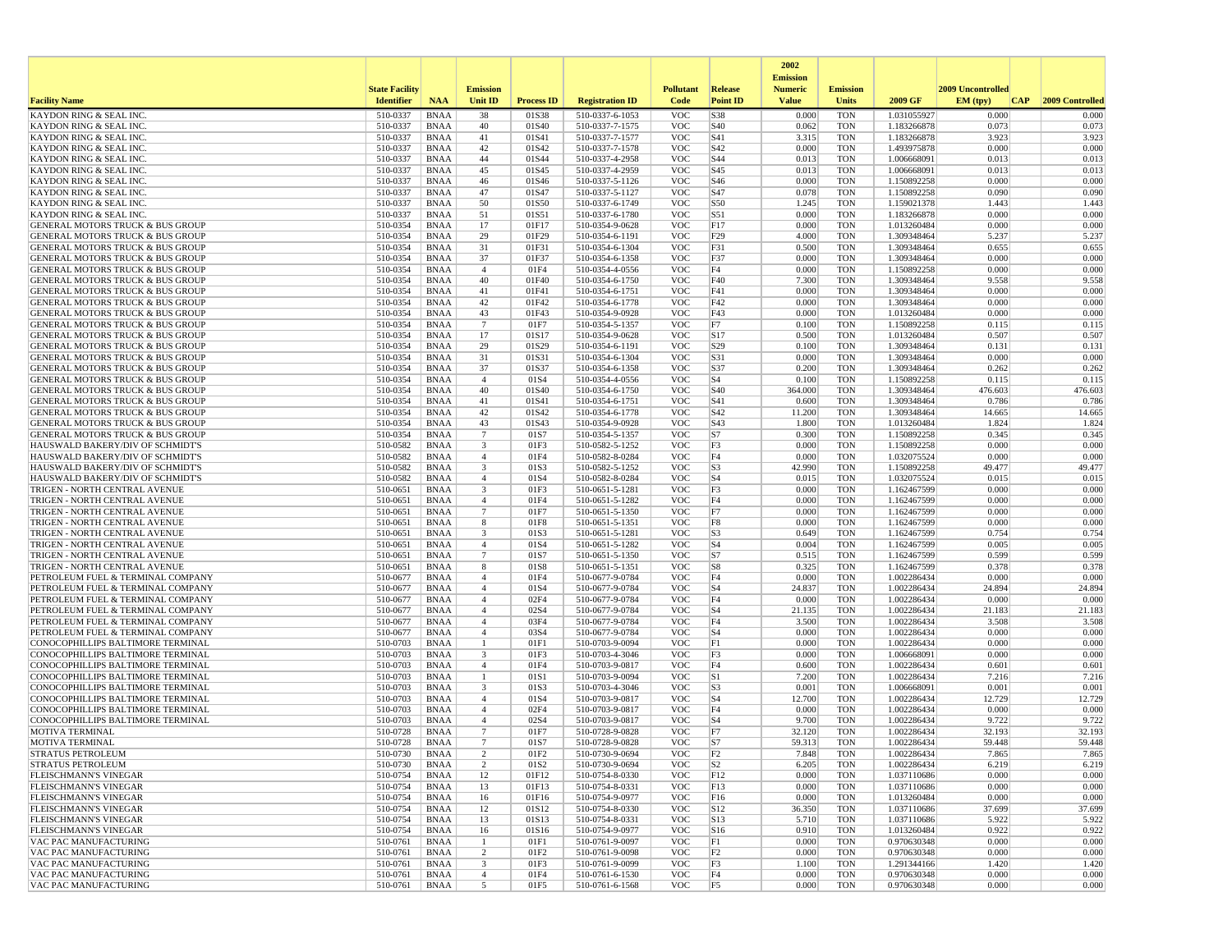|                                                                                 |                       |                            |                                            |                   |                                    |                          |                       | 2002                              |                          |                            |                   |                  |
|---------------------------------------------------------------------------------|-----------------------|----------------------------|--------------------------------------------|-------------------|------------------------------------|--------------------------|-----------------------|-----------------------------------|--------------------------|----------------------------|-------------------|------------------|
|                                                                                 | <b>State Facility</b> |                            | <b>Emission</b>                            |                   |                                    | <b>Pollutant</b>         | <b>Release</b>        | <b>Emission</b><br><b>Numeric</b> | <b>Emission</b>          |                            | 2009 Uncontrolled |                  |
| <b>Facility Name</b>                                                            | <b>Identifier</b>     | <b>NAA</b>                 | <b>Unit ID</b>                             | <b>Process ID</b> | <b>Registration ID</b>             | Code                     | <b>Point ID</b>       | <b>Value</b>                      | Units                    | 2009 GF                    | EM (typ)<br> CAP  | 2009 Controlled  |
| KAYDON RING & SEAL INC                                                          | 510-0337              | <b>BNAA</b>                | 38                                         | 01S38             | 510-0337-6-1053                    | <b>VOC</b>               | S38                   | 0.000                             | <b>TON</b>               | 1.031055927                | 0.000             | 0.000            |
| <b>KAYDON RING &amp; SEAL INC.</b>                                              | 510-0337              | <b>BNAA</b>                | 40                                         | 01S40             | 510-0337-7-1575                    | <b>VOC</b>               | S40                   | 0.062                             | <b>TON</b>               | 1.183266878                | 0.073             | 0.073            |
| <b>KAYDON RING &amp; SEAL INC.</b><br>KAYDON RING & SEAL INC.                   | 510-0337<br>510-0337  | <b>BNAA</b><br><b>BNAA</b> | 41<br>42                                   | 01S41<br>01S42    | 510-0337-7-1577<br>510-0337-7-1578 | <b>VOC</b><br><b>VOC</b> | S41<br>S42            | 3.315<br>0.000                    | <b>TON</b><br><b>TON</b> | 1.183266878<br>1.493975878 | 3.923<br>0.000    | 3.923<br>0.000   |
| KAYDON RING & SEAL INC                                                          | 510-0337              | <b>BNAA</b>                | 44                                         | 01S44             | 510-0337-4-2958                    | <b>VOC</b>               | S44                   | 0.013                             | <b>TON</b>               | 1.006668091                | 0.013             | 0.013            |
| KAYDON RING & SEAL INC                                                          | 510-0337              | <b>BNAA</b>                | 45                                         | 01S45             | 510-0337-4-2959                    | <b>VOC</b>               | S45                   | 0.013                             | <b>TON</b>               | 1.006668091                | 0.013             | 0.013            |
| KAYDON RING & SEAL INC                                                          | 510-0337              | <b>BNAA</b>                | 46<br>47                                   | 01S46             | 510-0337-5-1126                    | <b>VOC</b>               | S46<br>S47            | 0.000                             | <b>TON</b>               | 1.150892258                | 0.000             | 0.000<br>0.090   |
| KAYDON RING & SEAL INC<br>KAYDON RING & SEAL INC.                               | 510-0337<br>510-0337  | <b>BNAA</b><br><b>BNAA</b> | 50                                         | 01S47<br>01S50    | 510-0337-5-1127<br>510-0337-6-1749 | <b>VOC</b><br><b>VOC</b> | S50                   | 0.078<br>1.245                    | <b>TON</b><br><b>TON</b> | 1.150892258<br>1.159021378 | 0.090<br>1.443    | 1.443            |
| KAYDON RING & SEAL INC.                                                         | 510-0337              | <b>BNAA</b>                | 51                                         | 01S51             | 510-0337-6-1780                    | <b>VOC</b>               | S51                   | 0.000                             | <b>TON</b>               | 1.183266878                | 0.000             | 0.000            |
| <b>GENERAL MOTORS TRUCK &amp; BUS GROUP</b>                                     | 510-0354              | <b>BNAA</b>                | 17                                         | 01F17             | 510-0354-9-0628                    | <b>VOC</b>               | F17                   | 0.000                             | <b>TON</b>               | 1.013260484                | 0.000             | 0.000            |
| GENERAL MOTORS TRUCK & BUS GROUP                                                | 510-0354              | <b>BNAA</b>                | 29                                         | 01F29             | 510-0354-6-1191                    | <b>VOC</b>               | F29                   | 4.000                             | <b>TON</b>               | 1.309348464                | 5.237             | 5.237            |
| GENERAL MOTORS TRUCK & BUS GROUP<br>GENERAL MOTORS TRUCK & BUS GROUP            | 510-0354<br>510-0354  | <b>BNAA</b><br><b>BNAA</b> | 31<br>37                                   | 01F31<br>01F37    | 510-0354-6-1304<br>510-0354-6-1358 | <b>VOC</b><br><b>VOC</b> | F31<br>F37            | 0.500<br>0.000                    | <b>TON</b><br><b>TON</b> | 1.309348464<br>1.309348464 | 0.655<br>0.000    | 0.655<br>0.000   |
| <b>GENERAL MOTORS TRUCK &amp; BUS GROUP</b>                                     | 510-0354              | <b>BNAA</b>                | $\overline{4}$                             | 01F4              | 510-0354-4-0556                    | <b>VOC</b>               | F4                    | 0.000                             | <b>TON</b>               | 1.150892258                | 0.000             | 0.000            |
| GENERAL MOTORS TRUCK & BUS GROUP                                                | 510-0354              | <b>BNAA</b>                | 40                                         | 01F40             | 510-0354-6-1750                    | <b>VOC</b>               | F40                   | 7.300                             | <b>TON</b>               | 1.309348464                | 9.558             | 9.558            |
| GENERAL MOTORS TRUCK & BUS GROUP                                                | 510-0354              | <b>BNAA</b>                | 41                                         | 01F41             | 510-0354-6-1751                    | <b>VOC</b>               | F41                   | 0.000                             | <b>TON</b>               | 1.309348464                | 0.000             | 0.000            |
| <b>GENERAL MOTORS TRUCK &amp; BUS GROUP</b>                                     | 510-0354<br>510-0354  | <b>BNAA</b>                | 42<br>43                                   | 01F42<br>01F43    | 510-0354-6-1778<br>510-0354-9-0928 | <b>VOC</b><br><b>VOC</b> | F42<br>F43            | 0.000<br>0.000                    | <b>TON</b><br><b>TON</b> | 1.309348464<br>1.013260484 | 0.000<br>0.000    | 0.000<br>0.000   |
| GENERAL MOTORS TRUCK & BUS GROUP<br>GENERAL MOTORS TRUCK & BUS GROUP            | 510-0354              | <b>BNAA</b><br><b>BNAA</b> | $7\phantom{.0}$                            | 01F7              | 510-0354-5-1357                    | <b>VOC</b>               | F7                    | 0.100                             | <b>TON</b>               | 1.150892258                | 0.115             | 0.115            |
| <b>GENERAL MOTORS TRUCK &amp; BUS GROUP</b>                                     | 510-0354              | <b>BNAA</b>                | 17                                         | 01S17             | 510-0354-9-0628                    | <b>VOC</b>               | S17                   | 0.500                             | <b>TON</b>               | 1.013260484                | 0.507             | 0.507            |
| <b>GENERAL MOTORS TRUCK &amp; BUS GROUP</b>                                     | 510-0354              | <b>BNAA</b>                | 29                                         | 01S29             | 510-0354-6-1191                    | <b>VOC</b>               | S <sub>29</sub>       | 0.100                             | <b>TON</b>               | 1.309348464                | 0.131             | 0.131            |
| <b>GENERAL MOTORS TRUCK &amp; BUS GROUP</b>                                     | 510-0354              | <b>BNAA</b>                | 31                                         | 01S31             | 510-0354-6-1304                    | <b>VOC</b>               | S31                   | 0.000                             | <b>TON</b>               | 1.309348464                | 0.000             | 0.000            |
| GENERAL MOTORS TRUCK & BUS GROUP<br><b>GENERAL MOTORS TRUCK &amp; BUS GROUP</b> | 510-0354<br>510-0354  | <b>BNAA</b><br><b>BNAA</b> | 37<br>$\overline{4}$                       | 01S37<br>01S4     | 510-0354-6-1358<br>510-0354-4-0556 | <b>VOC</b><br><b>VOC</b> | S37<br>S <sub>4</sub> | 0.200<br>0.100                    | <b>TON</b><br><b>TON</b> | 1.309348464<br>1.150892258 | 0.262<br>0.115    | 0.262<br>0.115   |
| GENERAL MOTORS TRUCK & BUS GROUP                                                | 510-0354              | <b>BNAA</b>                | 40                                         | 01S40             | 510-0354-6-1750                    | <b>VOC</b>               | S40                   | 364.000                           | <b>TON</b>               | 1.309348464                | 476.603           | 476.603          |
| GENERAL MOTORS TRUCK & BUS GROUP                                                | 510-0354              | <b>BNAA</b>                | 41                                         | 01S41             | 510-0354-6-1751                    | <b>VOC</b>               | S41                   | 0.600                             | <b>TON</b>               | 1.309348464                | 0.786             | 0.786            |
| GENERAL MOTORS TRUCK & BUS GROUP                                                | 510-0354              | <b>BNAA</b>                | 42                                         | 01S42             | 510-0354-6-1778                    | <b>VOC</b>               | S42                   | 11.200                            | <b>TON</b>               | 1.309348464                | 14.665            | 14.665           |
| <b>GENERAL MOTORS TRUCK &amp; BUS GROUP</b>                                     | 510-0354              | <b>BNAA</b>                | 43                                         | 01S43             | 510-0354-9-0928                    | <b>VOC</b>               | S43                   | 1.800                             | <b>TON</b>               | 1.013260484                | 1.824             | 1.824            |
| <b>GENERAL MOTORS TRUCK &amp; BUS GROUP</b><br>HAUSWALD BAKERY/DIV OF SCHMIDT'S | 510-0354<br>510-0582  | <b>BNAA</b><br><b>BNAA</b> | $7\phantom{.0}$<br>$\overline{\mathbf{3}}$ | 01S7<br>01F3      | 510-0354-5-1357<br>510-0582-5-1252 | <b>VOC</b><br><b>VOC</b> | S7<br>F3              | 0.300<br>0.000                    | <b>TON</b><br><b>TON</b> | 1.150892258<br>1.150892258 | 0.345<br>0.000    | 0.345<br>0.000   |
| HAUSWALD BAKERY/DIV OF SCHMIDT'S                                                | 510-0582              | <b>BNAA</b>                | $\overline{4}$                             | 01F4              | 510-0582-8-0284                    | <b>VOC</b>               | F4                    | 0.000                             | <b>TON</b>               | 1.032075524                | 0.000             | 0.000            |
| HAUSWALD BAKERY/DIV OF SCHMIDT'S                                                | 510-0582              | BNAA                       | $\overline{\mathbf{3}}$                    | 01S3              | 510-0582-5-1252                    | <b>VOC</b>               | S3                    | 42.990                            | <b>TON</b>               | 1.150892258                | 49.477            | 49.477           |
| HAUSWALD BAKERY/DIV OF SCHMIDT'S                                                | 510-0582              | <b>BNAA</b>                | $\overline{4}$                             | 01S4              | 510-0582-8-0284                    | <b>VOC</b>               | S <sub>4</sub>        | 0.015                             | <b>TON</b>               | 1.032075524                | 0.015             | 0.015            |
| TRIGEN - NORTH CENTRAL AVENUE<br>TRIGEN - NORTH CENTRAL AVENUE                  | 510-0651<br>510-0651  | <b>BNAA</b><br><b>BNAA</b> | $\overline{\mathbf{3}}$<br>$\overline{4}$  | 01F3<br>01F4      | 510-0651-5-1281<br>510-0651-5-1282 | <b>VOC</b><br><b>VOC</b> | F3<br>F4              | 0.000<br>0.000                    | <b>TON</b><br><b>TON</b> | 1.162467599<br>1.162467599 | 0.000<br>0.000    | 0.000<br>0.000   |
| TRIGEN - NORTH CENTRAL AVENUE                                                   | 510-0651              | <b>BNAA</b>                | $7\phantom{.0}$                            | 01F7              | 510-0651-5-1350                    | <b>VOC</b>               | F7                    | 0.000                             | <b>TON</b>               | 1.162467599                | 0.000             | 0.000            |
| TRIGEN - NORTH CENTRAL AVENUE                                                   | 510-0651              | <b>BNAA</b>                | 8                                          | 01F8              | 510-0651-5-1351                    | <b>VOC</b>               | F8                    | 0.000                             | <b>TON</b>               | 1.162467599                | 0.000             | 0.000            |
| TRIGEN - NORTH CENTRAL AVENUE                                                   | 510-0651              | <b>BNAA</b>                | 3                                          | 01S3              | 510-0651-5-1281                    | <b>VOC</b>               | S <sub>3</sub>        | 0.649                             | <b>TON</b>               | 1.162467599                | 0.754             | 0.754            |
| TRIGEN - NORTH CENTRAL AVENUE                                                   | 510-0651              | <b>BNAA</b>                | $\overline{4}$<br>$\overline{7}$           | 01S4              | 510-0651-5-1282                    | <b>VOC</b><br><b>VOC</b> | S <sub>4</sub>        | 0.004                             | <b>TON</b>               | 1.162467599                | 0.005<br>0.599    | 0.005<br>0.599   |
| TRIGEN - NORTH CENTRAL AVENUE<br>TRIGEN - NORTH CENTRAL AVENUE                  | 510-0651<br>510-0651  | BNAA<br><b>BNAA</b>        | 8                                          | 01S7<br>01S8      | 510-0651-5-1350<br>510-0651-5-1351 | <b>VOC</b>               | S7<br>S8              | 0.515<br>0.325                    | <b>TON</b><br><b>TON</b> | 1.162467599<br>1.162467599 | 0.378             | 0.378            |
| PETROLEUM FUEL & TERMINAL COMPANY                                               | 510-0677              | <b>BNAA</b>                | $\overline{4}$                             | 01F4              | 510-0677-9-0784                    | <b>VOC</b>               | F4                    | 0.000                             | <b>TON</b>               | 1.002286434                | 0.000             | 0.000            |
| PETROLEUM FUEL & TERMINAL COMPANY                                               | 510-0677              | BNAA                       | $\overline{4}$                             | 01S4              | 510-0677-9-0784                    | <b>VOC</b>               | S <sub>4</sub>        | 24.837                            | <b>TON</b>               | 1.002286434                | 24.894            | 24.894           |
| PETROLEUM FUEL & TERMINAL COMPANY                                               | 510-0677              | <b>BNAA</b>                | $\overline{4}$                             | 02F4              | 510-0677-9-0784                    | <b>VOC</b>               | F4                    | 0.000                             | <b>TON</b>               | 1.002286434                | 0.000             | 0.000            |
| PETROLEUM FUEL & TERMINAL COMPANY<br>PETROLEUM FUEL & TERMINAL COMPANY          | 510-0677<br>510-0677  | <b>BNAA</b><br><b>BNAA</b> | $\overline{4}$<br>$\overline{4}$           | 02S4<br>03F4      | 510-0677-9-0784<br>510-0677-9-0784 | <b>VOC</b><br><b>VOC</b> | S <sub>4</sub><br>F4  | 21.135<br>3.500                   | <b>TON</b><br><b>TON</b> | 1.002286434<br>1.002286434 | 21.183<br>3.508   | 21.183<br>3.508  |
| PETROLEUM FUEL & TERMINAL COMPANY                                               | 510-0677              | <b>BNAA</b>                | $\overline{4}$                             | 03S4              | 510-0677-9-0784                    | <b>VOC</b>               | S <sub>4</sub>        | 0.000                             | <b>TON</b>               | 1.002286434                | 0.000             | 0.000            |
| CONOCOPHILLIPS BALTIMORE TERMINAL                                               | 510-0703              | <b>BNAA</b>                | -1                                         | 01F1              | 510-0703-9-0094                    | <b>VOC</b>               | F1                    | 0.000                             | <b>TON</b>               | 1.002286434                | 0.000             | 0.000            |
| CONOCOPHILLIPS BALTIMORE TERMINAL                                               | 510-0703              | <b>BNAA</b>                | 3                                          | 01F3              | 510-0703-4-3046                    | <b>VOC</b>               | F3                    | 0.000                             | <b>TON</b>               | 1.006668091                | 0.000             | 0.000            |
| CONOCOPHILLIPS BALTIMORE TERMINAL<br>CONOCOPHILLIPS BALTIMORE TERMINAL          | 510-0703              | <b>BNAA</b>                | $\overline{4}$                             | 01F4<br>01S1      | 510-0703-9-0817                    | <b>VOC</b><br><b>VOC</b> | F4                    | 0.600                             | <b>TON</b><br><b>TON</b> | 1.002286434                | 0.601<br>7.216    | 0.601            |
| CONOCOPHILLIPS BALTIMORE TERMINAL                                               | 510-0703<br>510-0703  | <b>BNAA</b><br><b>BNAA</b> | 3                                          | 01S3              | 510-0703-9-0094<br>510-0703-4-3046 | <b>VOC</b>               | S1<br>S <sub>3</sub>  | 7.200<br>0.001                    | <b>TON</b>               | 1.002286434<br>1.006668091 | 0.001             | 7.216<br>0.001   |
| CONOCOPHILLIPS BALTIMORE TERMINAL                                               | 510-0703              | <b>BNAA</b>                | $\overline{4}$                             | 01S4              | 510-0703-9-0817                    | <b>VOC</b>               | S <sub>4</sub>        | 12.700                            | <b>TON</b>               | 1.002286434                | 12.729            | 12.729           |
| CONOCOPHILLIPS BALTIMORE TERMINAL                                               | 510-0703              | <b>BNAA</b>                | $\overline{4}$                             | 02F4              | 510-0703-9-0817                    | <b>VOC</b>               | F4                    | 0.000                             | <b>TON</b>               | 1.002286434                | 0.000             | 0.000            |
| CONOCOPHILLIPS BALTIMORE TERMINAL<br><b>MOTIVA TERMINAL</b>                     | 510-0703              | <b>BNAA</b>                | $\overline{4}$<br>$\overline{7}$           | 02S4              | 510-0703-9-0817                    | <b>VOC</b>               | S <sub>4</sub>        | 9.700                             | <b>TON</b>               | 1.002286434                | 9.722             | 9.722            |
| MOTIVA TERMINAL                                                                 | 510-0728<br>510-0728  | <b>BNAA</b><br><b>BNAA</b> | 7                                          | 01F7<br>01S7      | 510-0728-9-0828<br>510-0728-9-0828 | <b>VOC</b><br><b>VOC</b> | F7<br>S7              | 32.120<br>59.313                  | <b>TON</b><br><b>TON</b> | 1.002286434<br>1.002286434 | 32.193<br>59.448  | 32.193<br>59.448 |
| STRATUS PETROLEUM                                                               | 510-0730              | <b>BNAA</b>                |                                            | 01F <sub>2</sub>  | 510-0730-9-0694                    | <b>VOC</b>               | F2                    | 7.848                             | <b>TON</b>               | 1.002286434                | 7.865             | 7.865            |
| <b>STRATUS PETROLEUM</b>                                                        | 510-0730              | BNAA                       | 2                                          | 01S <sub>2</sub>  | 510-0730-9-0694                    | <b>VOC</b>               | S <sub>2</sub>        | 6.205                             | TON                      | 1.002286434                | 6.219             | 6.219            |
| <b>FLEISCHMANN'S VINEGAR</b>                                                    | 510-0754              | <b>BNAA</b>                | 12                                         | 01F12             | 510-0754-8-0330                    | <b>VOC</b>               | F12                   | 0.000                             | <b>TON</b>               | 1.037110686                | 0.000             | 0.000            |
| <b>FLEISCHMANN'S VINEGAR</b><br>FLEISCHMANN'S VINEGAR                           | 510-0754<br>510-0754  | <b>BNAA</b>                | 13<br>16                                   | 01F13<br>01F16    | 510-0754-8-0331<br>510-0754-9-0977 | <b>VOC</b><br><b>VOC</b> | F13<br>F16            | 0.000<br>0.000                    | <b>TON</b><br><b>TON</b> | 1.037110686<br>1.013260484 | 0.000<br>0.000    | 0.000<br>0.000   |
| <b>FLEISCHMANN'S VINEGAR</b>                                                    | 510-0754              | <b>BNAA</b><br><b>BNAA</b> | 12                                         | 01S12             | 510-0754-8-0330                    | <b>VOC</b>               | S12                   | 36.350                            | <b>TON</b>               | 1.037110686                | 37.699            | 37.699           |
| <b>FLEISCHMANN'S VINEGAR</b>                                                    | 510-0754              | <b>BNAA</b>                | 13                                         | 01S13             | 510-0754-8-0331                    | <b>VOC</b>               | S13                   | 5.710                             | <b>TON</b>               | 1.037110686                | 5.922             | 5.922            |
| <b>FLEISCHMANN'S VINEGAR</b>                                                    | 510-0754              | BNAA                       | 16                                         | 01S16             | 510-0754-9-0977                    | <b>VOC</b>               | S16                   | 0.910                             | <b>TON</b>               | 1.013260484                | 0.922             | 0.922            |
| VAC PAC MANUFACTURING                                                           | 510-0761              | <b>BNAA</b>                | $\overline{1}$                             | 01F1              | 510-0761-9-0097                    | <b>VOC</b>               | F1                    | 0.000                             | <b>TON</b>               | 0.970630348                | 0.000             | 0.000            |
| <b>VAC PAC MANUFACTURING</b><br>VAC PAC MANUFACTURING                           | 510-0761<br>510-0761  | BNAA<br><b>BNAA</b>        | $\overline{2}$<br>3                        | 01F2<br>01F3      | 510-0761-9-0098<br>510-0761-9-0099 | <b>VOC</b><br><b>VOC</b> | F <sub>2</sub><br>F3  | 0.000<br>1.100                    | <b>TON</b><br><b>TON</b> | 0.970630348<br>1.291344166 | 0.000<br>1.420    | 0.000<br>1.420   |
| VAC PAC MANUFACTURING                                                           | 510-0761              | <b>BNAA</b>                | $\overline{4}$                             | 01F4              | 510-0761-6-1530                    | <b>VOC</b>               | F4                    | 0.000                             | <b>TON</b>               | 0.970630348                | 0.000             | 0.000            |
| VAC PAC MANUFACTURING                                                           | 510-0761              | BNAA                       | 5                                          | 01F5              | 510-0761-6-1568                    | <b>VOC</b>               | F5                    | 0.000                             | TON                      | 0.970630348                | 0.000             | 0.000            |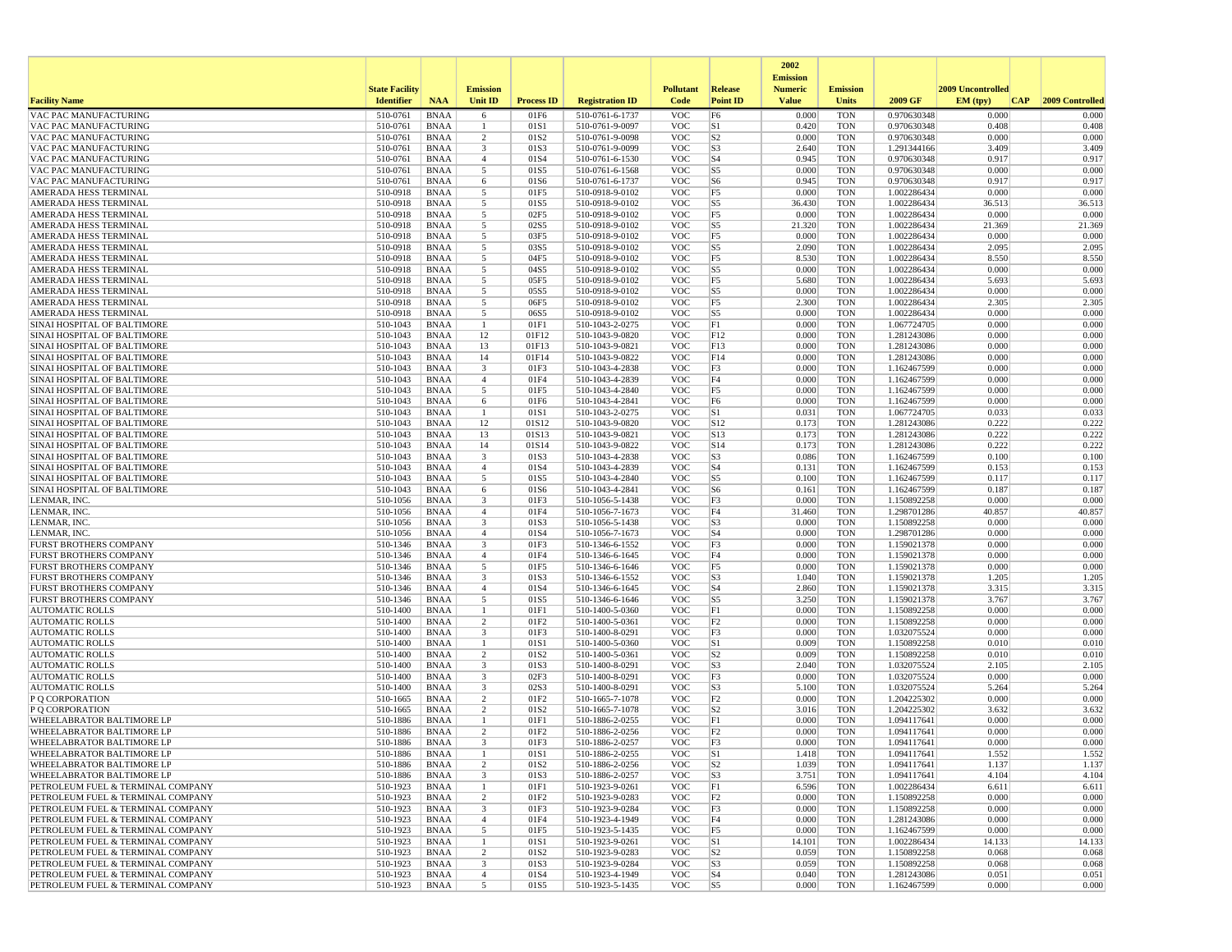|                                                                        |                       |                            |                                           |                   |                                    |                          |                                  | 2002                              |                          |                            |                   |                 |
|------------------------------------------------------------------------|-----------------------|----------------------------|-------------------------------------------|-------------------|------------------------------------|--------------------------|----------------------------------|-----------------------------------|--------------------------|----------------------------|-------------------|-----------------|
|                                                                        | <b>State Facility</b> |                            | <b>Emission</b>                           |                   |                                    | <b>Pollutant</b>         | <b>Release</b>                   | <b>Emission</b><br><b>Numeric</b> | <b>Emission</b>          |                            | 2009 Uncontrolled |                 |
| <b>Facility Name</b>                                                   | <b>Identifier</b>     | <b>NAA</b>                 | <b>Unit ID</b>                            | <b>Process ID</b> | <b>Registration ID</b>             | Code                     | <b>Point ID</b>                  | <b>Value</b>                      | <b>Units</b>             | 2009 GF                    | EM (typ)<br> CAP  | 2009 Controlled |
| VAC PAC MANUFACTURING                                                  | 510-0761              | <b>BNAA</b>                | 6                                         | 01F6              | 510-0761-6-1737                    | <b>VOC</b>               | F <sub>6</sub>                   | 0.000                             | <b>TON</b>               | 0.970630348                | 0.000             | 0.000           |
| VAC PAC MANUFACTURING                                                  | 510-0761              | BNAA                       | -1                                        | 01S1              | 510-0761-9-0097                    | <b>VOC</b>               | S1                               | 0.420                             | <b>TON</b>               | 0.970630348                | 0.408             | 0.408           |
| VAC PAC MANUFACTURING                                                  | 510-0761              | <b>BNAA</b>                | $\overline{2}$                            | 01S <sub>2</sub>  | 510-0761-9-0098                    | <b>VOC</b>               | S <sub>2</sub>                   | 0.000                             | <b>TON</b>               | 0.970630348                | 0.000             | 0.000           |
| VAC PAC MANUFACTURING<br>VAC PAC MANUFACTURING                         | 510-0761<br>510-0761  | BNAA<br><b>BNAA</b>        | 3<br>$\overline{4}$                       | 01S3<br>01S4      | 510-0761-9-0099<br>510-0761-6-1530 | <b>VOC</b><br><b>VOC</b> | S <sub>3</sub><br>S <sub>4</sub> | 2.640<br>0.945                    | <b>TON</b><br><b>TON</b> | 1.291344166<br>0.970630348 | 3.409<br>0.917    | 3.409<br>0.917  |
| VAC PAC MANUFACTURING                                                  | 510-0761              | <b>BNAA</b>                | 5                                         | 01S5              | 510-0761-6-1568                    | <b>VOC</b>               | S <sub>5</sub>                   | 0.000                             | <b>TON</b>               | 0.970630348                | 0.000             | 0.000           |
| VAC PAC MANUFACTURING                                                  | 510-0761              | BNAA                       | 6                                         | 01S6              | 510-0761-6-1737                    | <b>VOC</b>               | S <sub>6</sub>                   | 0.945                             | <b>TON</b>               | 0.970630348                | 0.917             | 0.917           |
| AMERADA HESS TERMINAL                                                  | 510-0918              | <b>BNAA</b>                | 5                                         | 01F5              | 510-0918-9-0102                    | <b>VOC</b>               | F <sub>5</sub>                   | 0.000                             | <b>TON</b>               | 1.002286434                | 0.000             | 0.000           |
| AMERADA HESS TERMINAL                                                  | 510-0918              | <b>BNAA</b>                | 5                                         | 01S5              | 510-0918-9-0102                    | <b>VOC</b>               | S5                               | 36.430                            | <b>TON</b>               | 1.002286434                | 36.513            | 36.513          |
| AMERADA HESS TERMINAL                                                  | 510-0918              | <b>BNAA</b>                | 5                                         | 02F5              | 510-0918-9-0102                    | <b>VOC</b>               | F <sub>5</sub>                   | 0.000                             | <b>TON</b>               | 1.002286434                | 0.000             | 0.000           |
| <b>AMERADA HESS TERMINAL</b>                                           | 510-0918              | BNAA                       | 5                                         | 02S5              | 510-0918-9-0102                    | <b>VOC</b>               | S5                               | 21.320                            | <b>TON</b>               | 1.002286434                | 21.369            | 21.369          |
| AMERADA HESS TERMINAL<br>AMERADA HESS TERMINAL                         | 510-0918<br>510-0918  | <b>BNAA</b>                | 5<br>5                                    | 03F5<br>03S5      | 510-0918-9-0102<br>510-0918-9-0102 | <b>VOC</b><br><b>VOC</b> | F <sub>5</sub><br>S <sub>5</sub> | 0.000<br>2.090                    | <b>TON</b><br><b>TON</b> | 1.002286434<br>1.002286434 | 0.000<br>2.095    | 0.000<br>2.095  |
| AMERADA HESS TERMINAL                                                  | 510-0918              | <b>BNAA</b><br><b>BNAA</b> | -5                                        | 04F5              | 510-0918-9-0102                    | <b>VOC</b>               | F <sub>5</sub>                   | 8.530                             | <b>TON</b>               | 1.002286434                | 8.550             | 8.550           |
| AMERADA HESS TERMINAL                                                  | 510-0918              | BNAA                       | 5                                         | 04S5              | 510-0918-9-0102                    | <b>VOC</b>               | S5                               | 0.000                             | <b>TON</b>               | 1.002286434                | 0.000             | 0.000           |
| AMERADA HESS TERMINAL                                                  | 510-0918              | BNAA                       | 5                                         | 05F5              | 510-0918-9-0102                    | <b>VOC</b>               | F5                               | 5.680                             | <b>TON</b>               | 1.002286434                | 5.693             | 5.693           |
| AMERADA HESS TERMINAL                                                  | 510-0918              | <b>BNAA</b>                | 5                                         | 05S5              | 510-0918-9-0102                    | <b>VOC</b>               | S5                               | 0.000                             | <b>TON</b>               | 1.002286434                | 0.000             | 0.000           |
| AMERADA HESS TERMINAL                                                  | 510-0918              | BNAA                       | 5                                         | 06F5              | 510-0918-9-0102                    | <b>VOC</b>               | F5                               | 2.300                             | <b>TON</b>               | 1.002286434                | 2.305             | 2.305           |
| AMERADA HESS TERMINAL                                                  | 510-0918              | <b>BNAA</b>                | 5                                         | 06S5              | 510-0918-9-0102                    | <b>VOC</b>               | S <sub>5</sub>                   | 0.000                             | <b>TON</b>               | 1.002286434                | 0.000             | 0.000           |
| SINAI HOSPITAL OF BALTIMORE                                            | 510-1043              | <b>BNAA</b>                | $\mathbf{1}$                              | 01F1              | 510-1043-2-0275                    | <b>VOC</b>               | F1                               | 0.000                             | <b>TON</b>               | 1.067724705                | 0.000             | 0.000           |
| SINAI HOSPITAL OF BALTIMORE<br>SINAI HOSPITAL OF BALTIMORE             | 510-1043<br>510-1043  | <b>BNAA</b><br>BNAA        | 12<br>13                                  | 01F12<br>01F13    | 510-1043-9-0820<br>510-1043-9-0821 | <b>VOC</b><br><b>VOC</b> | F12<br>F13                       | 0.000<br>0.000                    | <b>TON</b><br><b>TON</b> | 1.281243086<br>1.281243086 | 0.000<br>0.000    | 0.000<br>0.000  |
| SINAI HOSPITAL OF BALTIMORE                                            | 510-1043              | <b>BNAA</b>                | 14                                        | 01F14             | 510-1043-9-0822                    | <b>VOC</b>               | F14                              | 0.000                             | <b>TON</b>               | 1.281243086                | 0.000             | 0.000           |
| SINAI HOSPITAL OF BALTIMORE                                            | 510-1043              | <b>BNAA</b>                | 3                                         | 01F3              | 510-1043-4-2838                    | <b>VOC</b>               | F3                               | 0.000                             | <b>TON</b>               | 1.162467599                | 0.000             | 0.000           |
| SINAI HOSPITAL OF BALTIMORE                                            | 510-1043              | BNAA                       | $\overline{4}$                            | 01F4              | 510-1043-4-2839                    | <b>VOC</b>               | F4                               | 0.000                             | <b>TON</b>               | 1.162467599                | 0.000             | 0.000           |
| SINAI HOSPITAL OF BALTIMORE                                            | 510-1043              | <b>BNAA</b>                | 5                                         | 01F5              | 510-1043-4-2840                    | <b>VOC</b>               | F5                               | 0.000                             | <b>TON</b>               | 1.162467599                | 0.000             | 0.000           |
| SINAI HOSPITAL OF BALTIMORE                                            | 510-1043              | <b>BNAA</b>                | 6                                         | 01F6              | 510-1043-4-2841                    | <b>VOC</b>               | F <sub>6</sub>                   | 0.000                             | <b>TON</b>               | 1.162467599                | 0.000             | 0.000           |
| SINAI HOSPITAL OF BALTIMORE                                            | 510-1043              | <b>BNAA</b>                | $\overline{1}$                            | 01S1              | 510-1043-2-0275                    | <b>VOC</b>               | S1                               | 0.031                             | <b>TON</b>               | 1.067724705                | 0.033             | 0.033           |
| SINAI HOSPITAL OF BALTIMORE                                            | 510-1043              | BNAA                       | 12                                        | 01S12             | 510-1043-9-0820<br>510-1043-9-0821 | <b>VOC</b>               | S12                              | 0.173                             | <b>TON</b>               | 1.281243086                | 0.222<br>0.222    | 0.222<br>0.222  |
| SINAI HOSPITAL OF BALTIMORE<br>SINAI HOSPITAL OF BALTIMORE             | 510-1043<br>510-1043  | <b>BNAA</b><br><b>BNAA</b> | 13<br>14                                  | 01S13<br>01S14    | 510-1043-9-0822                    | <b>VOC</b><br><b>VOC</b> | S13<br>S14                       | 0.173<br>0.173                    | <b>TON</b><br><b>TON</b> | 1.281243086<br>1.281243086 | 0.222             | 0.222           |
| SINAI HOSPITAL OF BALTIMORE                                            | 510-1043              | BNAA                       | 3                                         | 01S3              | 510-1043-4-2838                    | <b>VOC</b>               | S <sub>3</sub>                   | 0.086                             | <b>TON</b>               | 1.162467599                | 0.100             | 0.100           |
| SINAI HOSPITAL OF BALTIMORE                                            | 510-1043              | <b>BNAA</b>                | $\overline{4}$                            | 01S4              | 510-1043-4-2839                    | <b>VOC</b>               | S <sub>4</sub>                   | 0.131                             | <b>TON</b>               | 1.162467599                | 0.153             | 0.153           |
| SINAI HOSPITAL OF BALTIMORE                                            | 510-1043              | <b>BNAA</b>                | 5                                         | 01S5              | 510-1043-4-2840                    | <b>VOC</b>               | S <sub>5</sub>                   | 0.100                             | <b>TON</b>               | 1.162467599                | 0.117             | 0.117           |
| SINAI HOSPITAL OF BALTIMORE                                            | 510-1043              | BNAA                       | 6                                         | 01S6              | 510-1043-4-2841                    | <b>VOC</b>               | S6                               | 0.161                             | <b>TON</b>               | 1.162467599                | 0.187             | 0.187           |
| LENMAR, INC.                                                           | 510-1056              | BNAA                       | 3                                         | 01F3              | 510-1056-5-1438                    | <b>VOC</b>               | F3                               | 0.000                             | <b>TON</b>               | 1.150892258                | 0.000             | 0.000           |
| LENMAR, INC.                                                           | 510-1056<br>510-1056  | <b>BNAA</b>                | $\overline{4}$                            | 01F4<br>01S3      | 510-1056-7-1673                    | <b>VOC</b><br><b>VOC</b> | F4                               | 31.460<br>0.000                   | <b>TON</b><br><b>TON</b> | 1.298701286<br>1.150892258 | 40.857<br>0.000   | 40.857<br>0.000 |
| LENMAR, INC<br>LENMAR, INC.                                            | 510-1056              | BNAA<br><b>BNAA</b>        | $\overline{\mathbf{3}}$<br>$\overline{4}$ | 01S4              | 510-1056-5-1438<br>510-1056-7-1673 | <b>VOC</b>               | S <sub>3</sub><br>S <sub>4</sub> | 0.000                             | <b>TON</b>               | 1.298701286                | 0.000             | 0.000           |
| <b>FURST BROTHERS COMPANY</b>                                          | 510-1346              | BNAA                       | $\overline{\mathbf{3}}$                   | 01F3              | 510-1346-6-1552                    | <b>VOC</b>               | F3                               | 0.000                             | <b>TON</b>               | 1.159021378                | 0.000             | 0.000           |
| <b>FURST BROTHERS COMPANY</b>                                          | 510-1346              | BNAA                       | $\overline{4}$                            | 01F4              | 510-1346-6-1645                    | <b>VOC</b>               | F4                               | 0.000                             | <b>TON</b>               | 1.159021378                | 0.000             | 0.000           |
| <b>FURST BROTHERS COMPANY</b>                                          | 510-1346              | <b>BNAA</b>                | -5                                        | 01F5              | 510-1346-6-1646                    | <b>VOC</b>               | F5                               | 0.000                             | <b>TON</b>               | 1.159021378                | 0.000             | 0.000           |
| <b>FURST BROTHERS COMPANY</b>                                          | 510-1346              | BNAA                       | 3                                         | 01S3              | 510-1346-6-1552                    | <b>VOC</b>               | S3                               | 1.040                             | <b>TON</b>               | 1.159021378                | 1.205             | 1.205           |
| <b>FURST BROTHERS COMPANY</b>                                          | 510-1346              | <b>BNAA</b>                | $\overline{4}$                            | 01S4              | 510-1346-6-1645                    | <b>VOC</b>               | S <sub>4</sub>                   | 2.860                             | <b>TON</b>               | 1.159021378                | 3.315             | 3.315           |
| FURST BROTHERS COMPANY<br><b>AUTOMATIC ROLLS</b>                       | 510-1346<br>510-1400  | <b>BNAA</b><br><b>BNAA</b> | 5<br>$\overline{1}$                       | 01S5<br>01F1      | 510-1346-6-1646<br>510-1400-5-0360 | <b>VOC</b><br><b>VOC</b> | S <sub>5</sub><br>F1             | 3.250<br>0.000                    | <b>TON</b><br><b>TON</b> | 1.159021378                | 3.767<br>0.000    | 3.767<br>0.000  |
| <b>AUTOMATIC ROLLS</b>                                                 | 510-1400              | BNAA                       | $\overline{2}$                            | 01F <sub>2</sub>  | 510-1400-5-0361                    | <b>VOC</b>               | F2                               | 0.000                             | <b>TON</b>               | 1.150892258<br>1.150892258 | 0.000             | 0.000           |
| <b>AUTOMATIC ROLLS</b>                                                 | 510-1400              | <b>BNAA</b>                | $\overline{\mathbf{3}}$                   | 01F3              | 510-1400-8-0291                    | <b>VOC</b>               | F3                               | 0.000                             | <b>TON</b>               | 1.032075524                | 0.000             | 0.000           |
| <b>AUTOMATIC ROLLS</b>                                                 | 510-1400              | <b>BNAA</b>                | -1                                        | 01S1              | 510-1400-5-0360                    | <b>VOC</b>               | S1                               | 0.009                             | <b>TON</b>               | 1.150892258                | 0.010             | 0.010           |
| <b>AUTOMATIC ROLLS</b>                                                 | 510-1400              | BNAA                       | 2                                         | 01S <sub>2</sub>  | 510-1400-5-0361                    | <b>VOC</b>               | S <sub>2</sub>                   | 0.009                             | <b>TON</b>               | 1.150892258                | 0.010             | 0.010           |
| <b>AUTOMATIC ROLLS</b>                                                 | 510-1400              | <b>BNAA</b>                | $\overline{\mathbf{3}}$                   | 01S3              | 510-1400-8-0291                    | <b>VOC</b>               | S <sub>3</sub>                   | 2.040                             | <b>TON</b>               | 1.032075524                | 2.105             | 2.105           |
| <b>AUTOMATIC ROLLS</b>                                                 | 510-1400              | <b>BNAA</b>                | $\overline{\mathbf{3}}$                   | 02F3              | 510-1400-8-0291                    | <b>VOC</b>               | F3                               | 0.000                             | <b>TON</b>               | 1.032075524                | 0.000             | 0.000           |
| <b>AUTOMATIC ROLLS</b>                                                 | 510-1400<br>510-1665  | <b>BNAA</b><br>BNAA        | 3<br>$\overline{2}$                       | 02S3<br>01F2      | 510-1400-8-0291<br>510-1665-7-1078 | <b>VOC</b><br><b>VOC</b> | S <sub>3</sub><br>F <sub>2</sub> | 5.100<br>0.000                    | <b>TON</b><br><b>TON</b> | 1.032075524<br>1.204225302 | 5.264<br>0.000    | 5.264<br>0.000  |
| P Q CORPORATION<br>P Q CORPORATION                                     | 510-1665              | <b>BNAA</b>                | $\overline{2}$                            | 01S2              | 510-1665-7-1078                    | <b>VOC</b>               | S <sub>2</sub>                   | 3.016                             | <b>TON</b>               | 1.204225302                | 3.632             | 3.632           |
| WHEELABRATOR BALTIMORE LP                                              | 510-1886              | <b>BNAA</b>                | $\mathbf{1}$                              | 01F1              | 510-1886-2-0255                    | <b>VOC</b>               | F1                               | 0.000                             | <b>TON</b>               | 1.094117641                | 0.000             | 0.000           |
| WHEELABRATOR BALTIMORE LP                                              | 510-1886              | BNAA                       | $\overline{2}$                            | 01F <sub>2</sub>  | 510-1886-2-0256                    | <b>VOC</b>               | F <sub>2</sub>                   | 0.000                             | <b>TON</b>               | 1.094117641                | 0.000             | 0.000           |
| <b>WHEELABRATOR BALTIMORE LP</b>                                       | 510-1886              | <b>BNAA</b>                | 3                                         | 01F3              | 510-1886-2-0257                    | <b>VOC</b>               | F3                               | 0.000                             | <b>TON</b>               | 1.094117641                | 0.000             | 0.000           |
| WHEELABRATOR BALTIMORE LP                                              | 510-1886              | <b>BNAA</b>                |                                           | 01S1              | 510-1886-2-0255                    | <b>VOC</b>               | S1                               | 1.418                             | <b>TON</b>               | 1.094117641                | 1.552             | 1.552           |
| WHEELABRATOR BALTIMORE LP                                              | 510-1886              | BNAA                       | $\overline{c}$                            | 01S <sub>2</sub>  | 510-1886-2-0256                    | <b>VOC</b>               | S <sub>2</sub>                   | 1.039                             | <b>TON</b>               | 1.094117641                | 1.137             | 1.137           |
| <b>WHEELABRATOR BALTIMORE LP</b><br>PETROLEUM FUEL & TERMINAL COMPANY  | 510-1886<br>510-1923  | BNAA<br>BNAA               | $\overline{3}$<br>$\mathbf{1}$            | 01S3<br>01F1      | 510-1886-2-0257<br>510-1923-9-0261 | <b>VOC</b><br><b>VOC</b> | S <sub>3</sub><br>F1             | 3.751<br>6.596                    | <b>TON</b><br><b>TON</b> | 1.094117641<br>1.002286434 | 4.104<br>6.611    | 4.104<br>6.611  |
| PETROLEUM FUEL & TERMINAL COMPANY                                      | 510-1923              | BNAA                       | $\overline{2}$                            | 01F2              | 510-1923-9-0283                    | <b>VOC</b>               | F <sub>2</sub>                   | 0.000                             | <b>TON</b>               | 1.150892258                | 0.000             | 0.000           |
| PETROLEUM FUEL & TERMINAL COMPANY                                      | 510-1923              | BNAA                       | 3                                         | 01F3              | 510-1923-9-0284                    | <b>VOC</b>               | F3                               | 0.000                             | <b>TON</b>               | 1.150892258                | 0.000             | 0.000           |
| PETROLEUM FUEL & TERMINAL COMPANY                                      | 510-1923              | <b>BNAA</b>                | $\overline{4}$                            | 01F4              | 510-1923-4-1949                    | <b>VOC</b>               | F4                               | 0.000                             | <b>TON</b>               | 1.281243086                | 0.000             | 0.000           |
| PETROLEUM FUEL & TERMINAL COMPANY                                      | 510-1923              | BNAA                       | 5                                         | 01F5              | 510-1923-5-1435                    | <b>VOC</b>               | F5                               | 0.000                             | <b>TON</b>               | 1.162467599                | 0.000             | 0.000           |
| PETROLEUM FUEL & TERMINAL COMPANY                                      | 510-1923              | BNAA                       | $\overline{1}$                            | 01S1              | 510-1923-9-0261                    | <b>VOC</b>               | S1                               | 14.101                            | <b>TON</b>               | 1.002286434                | 14.133            | 14.133          |
| PETROLEUM FUEL & TERMINAL COMPANY                                      | 510-1923              | <b>BNAA</b>                | $\overline{2}$                            | 01S <sub>2</sub>  | 510-1923-9-0283                    | <b>VOC</b>               | S <sub>2</sub>                   | 0.059                             | <b>TON</b>               | 1.150892258                | 0.068             | 0.068           |
| PETROLEUM FUEL & TERMINAL COMPANY<br>PETROLEUM FUEL & TERMINAL COMPANY | 510-1923<br>510-1923  | BNAA<br><b>BNAA</b>        | 3<br>$\overline{4}$                       | 01S3<br>01S4      | 510-1923-9-0284<br>510-1923-4-1949 | <b>VOC</b><br><b>VOC</b> | S <sub>3</sub><br>S <sub>4</sub> | 0.059<br>0.040                    | <b>TON</b><br><b>TON</b> | 1.150892258<br>1.281243086 | 0.068<br>0.051    | 0.068<br>0.051  |
| PETROLEUM FUEL & TERMINAL COMPANY                                      | 510-1923              | BNAA                       | $5\overline{)}$                           | 01S5              | 510-1923-5-1435                    | VOC                      | S5                               | 0.000                             | TON                      | 1.162467599                | 0.000             | 0.000           |
|                                                                        |                       |                            |                                           |                   |                                    |                          |                                  |                                   |                          |                            |                   |                 |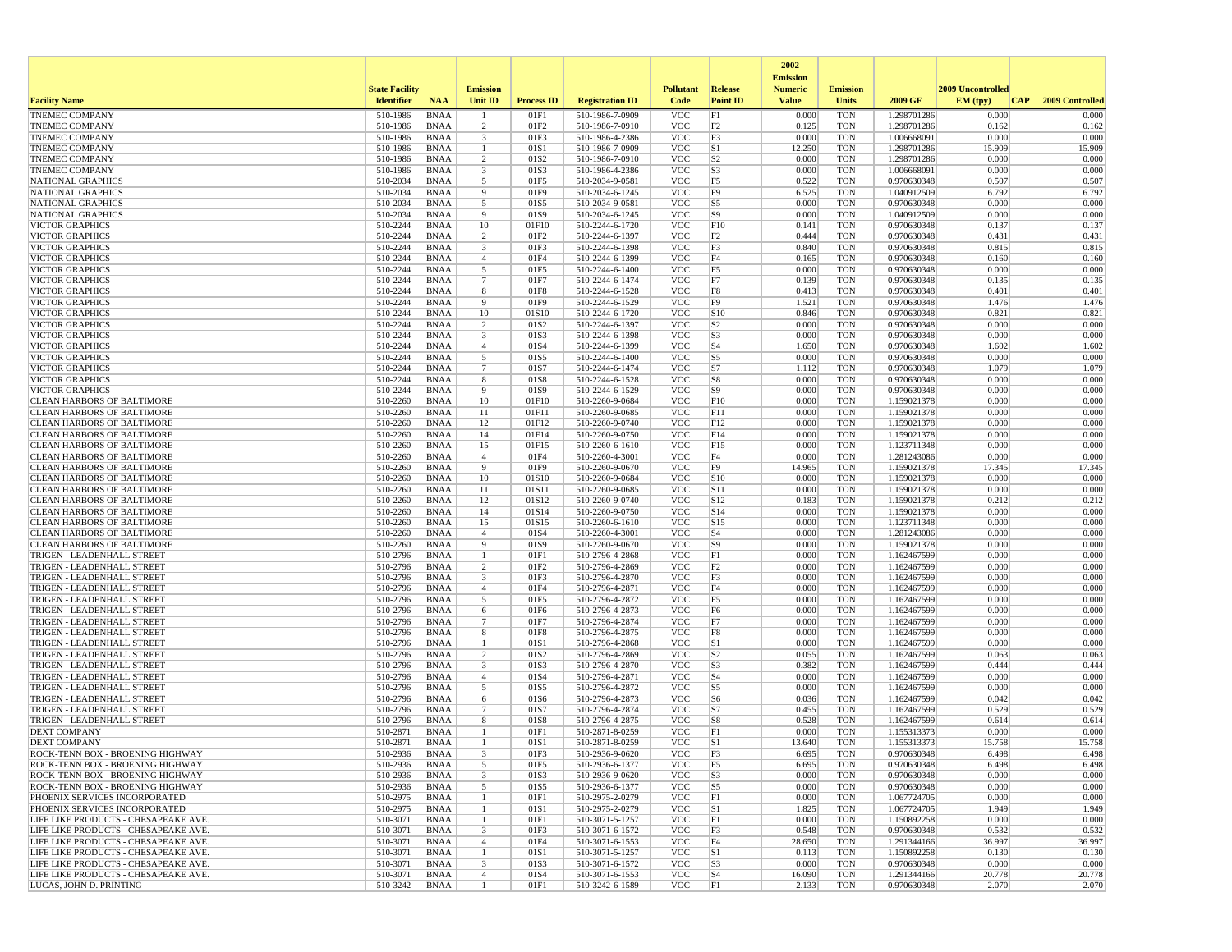|                                                                              |                       |                            |                         |                          |                                    |                          |                                  | 2002<br><b>Emission</b> |                          |                            |                   |                 |
|------------------------------------------------------------------------------|-----------------------|----------------------------|-------------------------|--------------------------|------------------------------------|--------------------------|----------------------------------|-------------------------|--------------------------|----------------------------|-------------------|-----------------|
|                                                                              | <b>State Facility</b> |                            | <b>Emission</b>         |                          |                                    | <b>Pollutant</b>         | <b>Release</b>                   | <b>Numeric</b>          | <b>Emission</b>          |                            | 2009 Uncontrolled |                 |
| <b>Facility Name</b>                                                         | <b>Identifier</b>     | <b>NAA</b>                 | <b>Unit ID</b>          | <b>Process ID</b>        | <b>Registration ID</b>             | Code                     | <b>Point ID</b>                  | <b>Value</b>            | <b>Units</b>             | 2009 GF                    | EM (typ)<br> CAP  | 2009 Controlled |
| <b>TNEMEC COMPANY</b>                                                        | 510-1986              | <b>BNAA</b>                |                         | 01F1                     | 510-1986-7-0909                    | <b>VOC</b>               | F1                               | 0.000                   | <b>TON</b>               | 1.298701286                | 0.000             | 0.000           |
| <b>TNEMEC COMPANY</b>                                                        | 510-1986              | <b>BNAA</b>                | 2                       | 01F2                     | 510-1986-7-0910                    | <b>VOC</b>               | F <sub>2</sub>                   | 0.125                   | <b>TON</b>               | 1.298701286                | 0.162             | 0.162           |
| <b>TNEMEC COMPANY</b><br><b>TNEMEC COMPANY</b>                               | 510-1986<br>510-1986  | <b>BNAA</b><br><b>BNAA</b> | 3                       | 01F3<br>01S1             | 510-1986-4-2386<br>510-1986-7-0909 | <b>VOC</b><br><b>VOC</b> | F3<br>S1                         | 0.000<br>12.250         | <b>TON</b><br><b>TON</b> | 1.006668091<br>1.298701286 | 0.000<br>15.909   | 0.000<br>15.909 |
| <b>TNEMEC COMPANY</b>                                                        | 510-1986              | <b>BNAA</b>                | 2                       | 01S2                     | 510-1986-7-0910                    | <b>VOC</b>               | S <sub>2</sub>                   | 0.000                   | <b>TON</b>               | 1.298701286                | 0.000             | 0.000           |
| <b>TNEMEC COMPANY</b>                                                        | 510-1986              | <b>BNAA</b>                | $\overline{\mathbf{3}}$ | 01S3                     | 510-1986-4-2386                    | <b>VOC</b>               | S <sub>3</sub>                   | 0.000                   | <b>TON</b>               | 1.006668091                | 0.000             | 0.000           |
| <b>NATIONAL GRAPHICS</b>                                                     | 510-2034              | <b>BNAA</b>                | 5                       | 01F5                     | 510-2034-9-0581                    | <b>VOC</b>               | F <sub>5</sub>                   | 0.522                   | <b>TON</b>               | 0.970630348                | 0.507             | 0.507           |
| NATIONAL GRAPHICS                                                            | 510-2034              | <b>BNAA</b>                | -9                      | 01F9                     | 510-2034-6-1245                    | <b>VOC</b>               | F <sub>9</sub>                   | 6.525                   | <b>TON</b>               | 1.040912509                | 6.792             | 6.792           |
| NATIONAL GRAPHICS<br><b>NATIONAL GRAPHICS</b>                                | 510-2034<br>510-2034  | <b>BNAA</b><br><b>BNAA</b> | 5<br>9                  | 01S5<br>01S9             | 510-2034-9-0581                    | <b>VOC</b><br><b>VOC</b> | S <sub>5</sub><br>S <sub>9</sub> | 0.000<br>0.000          | <b>TON</b><br><b>TON</b> | 0.970630348<br>1.040912509 | 0.000<br>0.000    | 0.000<br>0.000  |
| <b>VICTOR GRAPHICS</b>                                                       | 510-2244              | <b>BNAA</b>                | 10                      | 01F10                    | 510-2034-6-1245<br>510-2244-6-1720 | <b>VOC</b>               | F10                              | 0.141                   | <b>TON</b>               | 0.970630348                | 0.137             | 0.137           |
| <b>VICTOR GRAPHICS</b>                                                       | 510-2244              | <b>BNAA</b>                | $\overline{c}$          | 01F2                     | 510-2244-6-1397                    | <b>VOC</b>               | F <sub>2</sub>                   | 0.444                   | <b>TON</b>               | 0.970630348                | 0.431             | 0.431           |
| <b>VICTOR GRAPHICS</b>                                                       | 510-2244              | <b>BNAA</b>                | 3                       | 01F3                     | 510-2244-6-1398                    | <b>VOC</b>               | F3                               | 0.840                   | <b>TON</b>               | 0.970630348                | 0.815             | 0.815           |
| <b>VICTOR GRAPHICS</b>                                                       | 510-2244              | <b>BNAA</b>                | $\overline{4}$          | 01F4                     | 510-2244-6-1399                    | <b>VOC</b>               | F4                               | 0.165                   | <b>TON</b>               | 0.970630348                | 0.160             | 0.160           |
| <b>VICTOR GRAPHICS</b>                                                       | 510-2244              | <b>BNAA</b>                | 5                       | 01F5                     | 510-2244-6-1400                    | <b>VOC</b>               | F <sub>5</sub>                   | 0.000                   | <b>TON</b>               | 0.970630348                | 0.000             | 0.000           |
| <b>VICTOR GRAPHICS</b><br><b>VICTOR GRAPHICS</b>                             | 510-2244<br>510-2244  | <b>BNAA</b><br><b>BNAA</b> | $\overline{7}$<br>8     | 01F7<br>01F8             | 510-2244-6-1474<br>510-2244-6-1528 | <b>VOC</b><br><b>VOC</b> | F7<br>F8                         | 0.139<br>0.413          | <b>TON</b><br><b>TON</b> | 0.970630348<br>0.970630348 | 0.135<br>0.401    | 0.135<br>0.401  |
| <b>VICTOR GRAPHICS</b>                                                       | 510-2244              | <b>BNAA</b>                | 9                       | 01F9                     | 510-2244-6-1529                    | <b>VOC</b>               | F <sub>9</sub>                   | 1.521                   | <b>TON</b>               | 0.970630348                | 1.476             | 1.476           |
| VICTOR GRAPHICS                                                              | 510-2244              | <b>BNAA</b>                | 10                      | 01S10                    | 510-2244-6-1720                    | <b>VOC</b>               | S10                              | 0.846                   | <b>TON</b>               | 0.970630348                | 0.821             | 0.821           |
| <b>VICTOR GRAPHICS</b>                                                       | 510-2244              | <b>BNAA</b>                | $\overline{2}$          | 01S2                     | 510-2244-6-1397                    | <b>VOC</b>               | S <sub>2</sub>                   | 0.000                   | <b>TON</b>               | 0.970630348                | 0.000             | 0.000           |
| <b>VICTOR GRAPHICS</b>                                                       | 510-2244              | <b>BNAA</b>                | $\overline{\mathbf{3}}$ | 01S3                     | 510-2244-6-1398                    | <b>VOC</b>               | S <sub>3</sub>                   | 0.000                   | <b>TON</b>               | 0.970630348                | 0.000             | 0.000           |
| <b>VICTOR GRAPHICS</b>                                                       | 510-2244              | <b>BNAA</b>                | $\overline{4}$          | 01S4                     | 510-2244-6-1399                    | <b>VOC</b>               | S <sub>4</sub>                   | 1.650                   | <b>TON</b>               | 0.970630348                | 1.602             | 1.602           |
| <b>VICTOR GRAPHICS</b><br><b>VICTOR GRAPHICS</b>                             | 510-2244<br>510-2244  | <b>BNAA</b><br><b>BNAA</b> | 5<br>$\overline{7}$     | 01S5<br>01S7             | 510-2244-6-1400                    | <b>VOC</b><br><b>VOC</b> | S <sub>5</sub><br>S7             | 0.000<br>1.112          | <b>TON</b><br><b>TON</b> | 0.970630348<br>0.970630348 | 0.000<br>1.079    | 0.000<br>1.079  |
| <b>VICTOR GRAPHICS</b>                                                       | 510-2244              | <b>BNAA</b>                | 8                       | 01S8                     | 510-2244-6-1474<br>510-2244-6-1528 | <b>VOC</b>               | S8                               | 0.000                   | <b>TON</b>               | 0.970630348                | 0.000             | 0.000           |
| <b>VICTOR GRAPHICS</b>                                                       | 510-2244              | <b>BNAA</b>                | 9                       | 01S9                     | 510-2244-6-1529                    | <b>VOC</b>               | S <sub>9</sub>                   | 0.000                   | <b>TON</b>               | 0.970630348                | 0.000             | 0.000           |
| <b>CLEAN HARBORS OF BALTIMORE</b>                                            | 510-2260              | <b>BNAA</b>                | 10                      | 01F10                    | 510-2260-9-0684                    | <b>VOC</b>               | F10                              | 0.000                   | <b>TON</b>               | 1.159021378                | 0.000             | 0.000           |
| <b>CLEAN HARBORS OF BALTIMORE</b>                                            | 510-2260              | <b>BNAA</b>                | 11                      | 01F11                    | 510-2260-9-0685                    | <b>VOC</b>               | F11                              | 0.000                   | <b>TON</b>               | 1.159021378                | 0.000             | 0.000           |
| <b>CLEAN HARBORS OF BALTIMORE</b>                                            | 510-2260              | <b>BNAA</b>                | 12                      | 01F12                    | 510-2260-9-0740                    | <b>VOC</b>               | F12                              | 0.000                   | <b>TON</b>               | 1.159021378                | 0.000             | 0.000           |
| <b>CLEAN HARBORS OF BALTIMORE</b><br><b>CLEAN HARBORS OF BALTIMORE</b>       | 510-2260<br>510-2260  | <b>BNAA</b><br><b>BNAA</b> | 14<br>15                | 01F14<br>01F15           | 510-2260-9-0750<br>510-2260-6-1610 | <b>VOC</b><br><b>VOC</b> | F14<br>F15                       | 0.000<br>0.000          | <b>TON</b><br><b>TON</b> | 1.159021378<br>1.123711348 | 0.000<br>0.000    | 0.000<br>0.000  |
| <b>CLEAN HARBORS OF BALTIMORE</b>                                            | 510-2260              | <b>BNAA</b>                | $\overline{4}$          | 01F4                     | 510-2260-4-3001                    | <b>VOC</b>               | F4                               | 0.000                   | <b>TON</b>               | 1.281243086                | 0.000             | 0.000           |
| <b>CLEAN HARBORS OF BALTIMORE</b>                                            | 510-2260              | <b>BNAA</b>                | $\overline{9}$          | 01F9                     | 510-2260-9-0670                    | <b>VOC</b>               | F <sub>9</sub>                   | 14.965                  | <b>TON</b>               | 1.159021378                | 17.345            | 17.345          |
| <b>CLEAN HARBORS OF BALTIMORE</b>                                            | 510-2260              | <b>BNAA</b>                | 10                      | 01S10                    | 510-2260-9-0684                    | <b>VOC</b>               | S10                              | 0.000                   | <b>TON</b>               | 1.159021378                | 0.000             | 0.000           |
| <b>CLEAN HARBORS OF BALTIMORE</b>                                            | 510-2260              | <b>BNAA</b>                | 11                      | 01S11                    | 510-2260-9-0685                    | <b>VOC</b>               | S <sub>11</sub>                  | 0.000                   | <b>TON</b>               | 1.159021378                | 0.000             | 0.000           |
| <b>CLEAN HARBORS OF BALTIMORE</b><br><b>CLEAN HARBORS OF BALTIMORE</b>       | 510-2260<br>510-2260  | <b>BNAA</b><br><b>BNAA</b> | 12<br>14                | 01S12<br>01S14           | 510-2260-9-0740<br>510-2260-9-0750 | <b>VOC</b><br><b>VOC</b> | S12<br>S14                       | 0.183<br>0.000          | <b>TON</b><br><b>TON</b> | 1.159021378<br>1.159021378 | 0.212<br>0.000    | 0.212<br>0.000  |
| <b>CLEAN HARBORS OF BALTIMORE</b>                                            | 510-2260              | <b>BNAA</b>                | 15                      | 01S15                    | 510-2260-6-1610                    | <b>VOC</b>               | S15                              | 0.000                   | <b>TON</b>               | 1.123711348                | 0.000             | 0.000           |
| <b>CLEAN HARBORS OF BALTIMORE</b>                                            | 510-2260              | <b>BNAA</b>                | $\overline{4}$          | 01S4                     | 510-2260-4-3001                    | <b>VOC</b>               | S <sub>4</sub>                   | 0.000                   | <b>TON</b>               | 1.281243086                | 0.000             | 0.000           |
| <b>CLEAN HARBORS OF BALTIMORE</b>                                            | 510-2260              | <b>BNAA</b>                | 9                       | 01S9                     | 510-2260-9-0670                    | <b>VOC</b>               | S <sub>9</sub>                   | 0.000                   | <b>TON</b>               | 1.159021378                | 0.000             | 0.000           |
| TRIGEN - LEADENHALL STREET                                                   | 510-2796              | <b>BNAA</b>                |                         | 01F1                     | 510-2796-4-2868                    | <b>VOC</b>               | F1                               | 0.000                   | <b>TON</b>               | 1.162467599                | 0.000             | 0.000           |
| TRIGEN - LEADENHALL STREET                                                   | 510-2796              | <b>BNAA</b>                | 2                       | 01F2                     | 510-2796-4-2869                    | <b>VOC</b>               | F2                               | 0.000                   | <b>TON</b>               | 1.162467599                | 0.000             | 0.000           |
| TRIGEN - LEADENHALL STREET<br>TRIGEN - LEADENHALL STREET                     | 510-2796<br>510-2796  | <b>BNAA</b><br><b>BNAA</b> | 3<br>$\overline{4}$     | 01F3<br>01F4             | 510-2796-4-2870<br>510-2796-4-2871 | <b>VOC</b><br><b>VOC</b> | F3<br>F4                         | 0.000<br>0.000          | <b>TON</b><br><b>TON</b> | 1.162467599<br>1.162467599 | 0.000<br>0.000    | 0.000<br>0.000  |
| TRIGEN - LEADENHALL STREET                                                   | 510-2796              | <b>BNAA</b>                | 5                       | 01F5                     | 510-2796-4-2872                    | <b>VOC</b>               | F <sub>5</sub>                   | 0.000                   | <b>TON</b>               | 1.162467599                | 0.000             | 0.000           |
| TRIGEN - LEADENHALL STREET                                                   | 510-2796              | <b>BNAA</b>                | 6                       | 01F6                     | 510-2796-4-2873                    | <b>VOC</b>               | F <sub>6</sub>                   | 0.000                   | <b>TON</b>               | 1.162467599                | 0.000             | 0.000           |
| TRIGEN - LEADENHALL STREET                                                   | 510-2796              | <b>BNAA</b>                | $\overline{7}$          | 01F7                     | 510-2796-4-2874                    | <b>VOC</b>               | F7                               | 0.000                   | <b>TON</b>               | 1.162467599                | 0.000             | 0.000           |
| TRIGEN - LEADENHALL STREET                                                   | 510-2796              | <b>BNAA</b>                | 8                       | 01F8                     | 510-2796-4-2875                    | <b>VOC</b>               | F8                               | 0.000                   | <b>TON</b>               | 1.162467599                | 0.000             | 0.000           |
| TRIGEN - LEADENHALL STREET<br>TRIGEN - LEADENHALL STREET                     | 510-2796<br>510-2796  | <b>BNAA</b><br><b>BNAA</b> | -1<br>2                 | 01S1<br>01S <sub>2</sub> | 510-2796-4-2868<br>510-2796-4-2869 | <b>VOC</b><br><b>VOC</b> | S1<br>S <sub>2</sub>             | 0.000<br>0.055          | <b>TON</b><br><b>TON</b> | 1.162467599<br>1.162467599 | 0.000<br>0.063    | 0.000<br>0.063  |
| TRIGEN - LEADENHALL STREET                                                   | 510-2796              | <b>BNAA</b>                | $\overline{\mathbf{3}}$ | 01S3                     | 510-2796-4-2870                    | <b>VOC</b>               | S <sub>3</sub>                   | 0.382                   | <b>TON</b>               | 1.162467599                | 0.444             | 0.444           |
| TRIGEN - LEADENHALL STREET                                                   | 510-2796              | <b>BNAA</b>                | $\overline{4}$          | 01S4                     | 510-2796-4-2871                    | <b>VOC</b>               | S <sub>4</sub>                   | 0.000                   | <b>TON</b>               | 1.162467599                | 0.000             | 0.000           |
| TRIGEN - LEADENHALL STREET                                                   | 510-2796              | <b>BNAA</b>                | -5                      | 01S5                     | 510-2796-4-2872                    | <b>VOC</b>               | S5                               | 0.000                   | <b>TON</b>               | 1.162467599                | 0.000             | 0.000           |
| TRIGEN - LEADENHALL STREET                                                   | 510-2796              | <b>BNAA</b>                | 6                       | 01S6                     | 510-2796-4-2873                    | <b>VOC</b>               | S <sub>6</sub>                   | 0.036                   | <b>TON</b>               | 1.162467599                | 0.042             | 0.042           |
| TRIGEN - LEADENHALL STREET<br>TRIGEN - LEADENHALL STREET                     | 510-2796<br>510-2796  | <b>BNAA</b><br><b>BNAA</b> | $\overline{7}$<br>8     | 01S7<br>01S8             | 510-2796-4-2874<br>510-2796-4-2875 | <b>VOC</b><br><b>VOC</b> | S7<br>S8                         | 0.455<br>0.528          | <b>TON</b><br><b>TON</b> | 1.162467599<br>1.162467599 | 0.529<br>0.614    | 0.529<br>0.614  |
| <b>DEXT COMPANY</b>                                                          | 510-2871              | <b>BNAA</b>                |                         | 01F1                     | 510-2871-8-0259                    | <b>VOC</b>               | F1                               | 0.000                   | <b>TON</b>               | 1.155313373                | 0.000             | 0.000           |
| <b>DEXT COMPANY</b>                                                          | 510-2871              | <b>BNAA</b>                |                         | 01S1                     | 510-2871-8-0259                    | <b>VOC</b>               | S1                               | 13.640                  | <b>TON</b>               | 1.155313373                | 15.758            | 15.758          |
| ROCK-TENN BOX - BROENING HIGHWAY                                             | 510-2936              | BNAA                       |                         | 01F3                     | 510-2936-9-0620                    | <b>VOC</b>               | F3                               | 6.695                   | <b>TON</b>               | 0.970630348                | 6.498             | 6.498           |
| ROCK-TENN BOX - BROENING HIGHWAY                                             | 510-2936              | BNAA                       | 5                       | 01F5                     | 510-2936-6-1377                    | <b>VOC</b>               | F5                               | 6.695                   | TON                      | 0.970630348                | 6.498             | 6.498           |
| ROCK-TENN BOX - BROENING HIGHWAY                                             | 510-2936              | <b>BNAA</b>                | $\mathbf{3}$            | 01S3                     | 510-2936-9-0620                    | <b>VOC</b>               | S <sub>3</sub>                   | 0.000                   | <b>TON</b>               | 0.970630348                | 0.000             | 0.000           |
| ROCK-TENN BOX - BROENING HIGHWAY<br>PHOENIX SERVICES INCORPORATED            | 510-2936<br>510-2975  | <b>BNAA</b><br><b>BNAA</b> | 5                       | 01S5<br>01F1             | 510-2936-6-1377<br>510-2975-2-0279 | <b>VOC</b><br><b>VOC</b> | S5<br>F1                         | 0.000<br>0.000          | <b>TON</b><br><b>TON</b> | 0.970630348<br>1.067724705 | 0.000<br>0.000    | 0.000<br>0.000  |
| PHOENIX SERVICES INCORPORATED                                                | 510-2975              | <b>BNAA</b>                | $\mathbf{1}$            | 01S1                     | 510-2975-2-0279                    | <b>VOC</b>               | S1                               | 1.825                   | <b>TON</b>               | 1.067724705                | 1.949             | 1.949           |
| LIFE LIKE PRODUCTS - CHESAPEAKE AVE.                                         | 510-3071              | <b>BNAA</b>                | -1                      | 01F1                     | 510-3071-5-1257                    | <b>VOC</b>               | F1                               | 0.000                   | <b>TON</b>               | 1.150892258                | 0.000             | 0.000           |
| LIFE LIKE PRODUCTS - CHESAPEAKE AVE.                                         | 510-3071              | BNAA                       | $\overline{\mathbf{3}}$ | 01F3                     | 510-3071-6-1572                    | <b>VOC</b>               | F3                               | 0.548                   | <b>TON</b>               | 0.970630348                | 0.532             | 0.532           |
| LIFE LIKE PRODUCTS - CHESAPEAKE AVE.                                         | 510-3071              | <b>BNAA</b>                | $\overline{4}$          | 01F4                     | 510-3071-6-1553                    | <b>VOC</b>               | F4                               | 28.650                  | <b>TON</b>               | 1.291344166                | 36.997            | 36.997          |
| LIFE LIKE PRODUCTS - CHESAPEAKE AVE.<br>LIFE LIKE PRODUCTS - CHESAPEAKE AVE. | 510-3071<br>510-3071  | BNAA<br><b>BNAA</b>        | -1<br>3                 | 01S1<br>01S3             | 510-3071-5-1257<br>510-3071-6-1572 | <b>VOC</b><br><b>VOC</b> | S1 <br>S <sub>3</sub>            | 0.113<br>0.000          | TON<br><b>TON</b>        | 1.150892258<br>0.970630348 | 0.130<br>0.000    | 0.130<br>0.000  |
| LIFE LIKE PRODUCTS - CHESAPEAKE AVE.                                         | 510-3071              | <b>BNAA</b>                | $\overline{4}$          | 01S4                     | 510-3071-6-1553                    | <b>VOC</b>               | S <sub>4</sub>                   | 16.090                  | <b>TON</b>               | 1.291344166                | 20.778            | 20.778          |
| LUCAS, JOHN D. PRINTING                                                      | 510-3242              | BNAA                       | $\mathbf{1}$            | 01F1                     | 510-3242-6-1589                    | <b>VOC</b>               | F1                               | 2.133                   | TON                      | 0.970630348                | 2.070             | 2.070           |